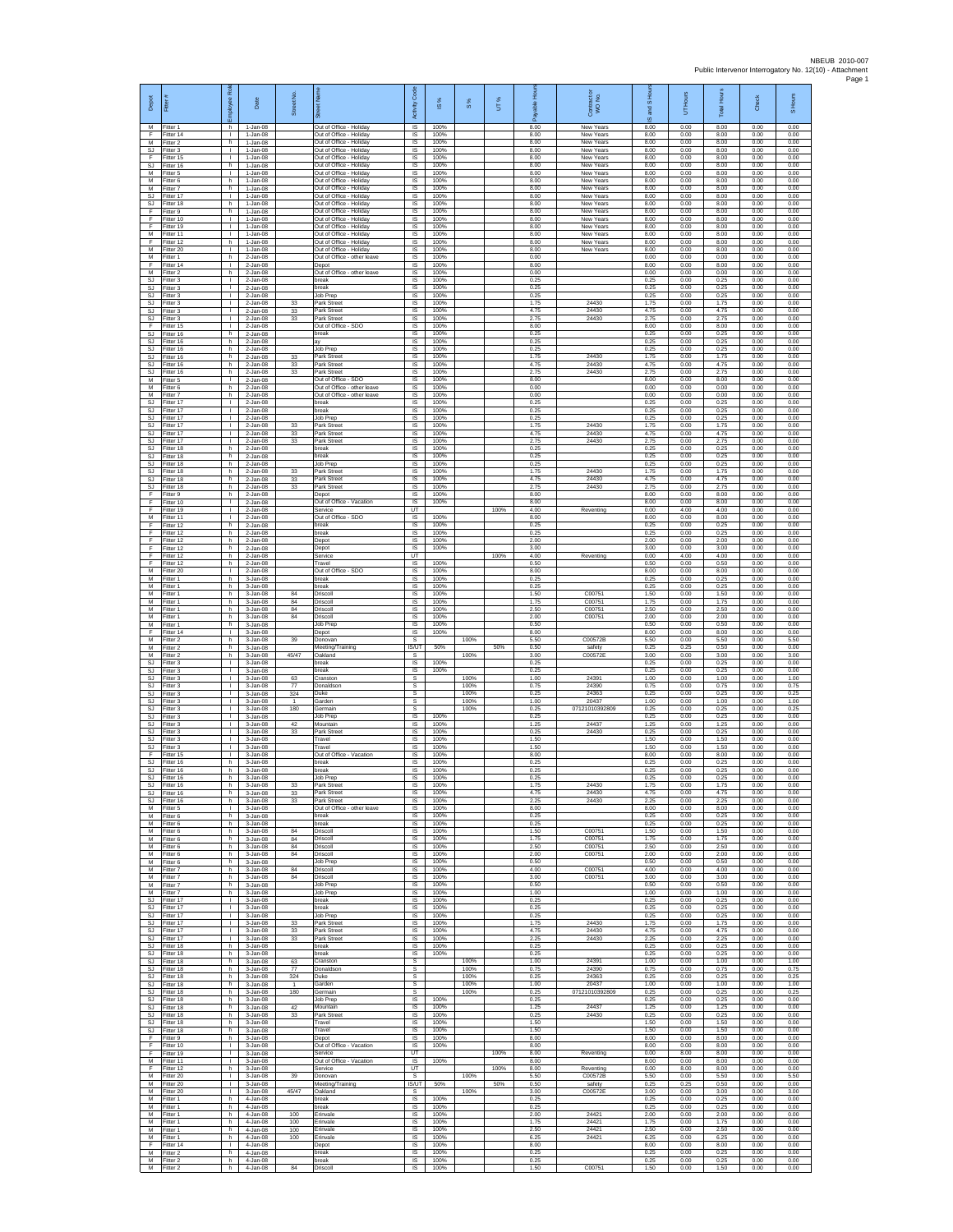| Depot                               | Fitter                              | ployee Ro                          | Date                                     | Street No.                  | ñ<br>Out of Office - Holiday                                                         | Activity Code<br><b>IS</b>          | 1S%<br>100%          | 8%                   | UT%         | 8.00                 | Contract or<br>WO No.<br>New Years         | ō,<br>g<br>$\omega$<br>8.00 | Hours<br>5<br>0.00   | Total Hour-<br>8.00  | Check<br>0.00        | S Hours<br>0.00      |
|-------------------------------------|-------------------------------------|------------------------------------|------------------------------------------|-----------------------------|--------------------------------------------------------------------------------------|-------------------------------------|----------------------|----------------------|-------------|----------------------|--------------------------------------------|-----------------------------|----------------------|----------------------|----------------------|----------------------|
| M<br>F.<br>М                        | Fitter 1<br>Fitter 14<br>Fitter 2   | h.<br>$\mathbf{L}$<br>h.           | 1-Jan-08<br>$1$ -Jan-08<br>1-Jan-08      |                             | Out of Office - Holiday<br>Out of Office - Holiday                                   | IS<br>$\sf IS$                      | 100%<br>100%         |                      |             | 8.00<br>8.00         | New Years<br>New Years                     | 8.00<br>8.00                | 0.00<br>0.00         | 8.00<br>8.00         | 0.00<br>0.00         | 0.00<br>0.00         |
| <b>SJ</b><br>F<br><b>SJ</b>         | Fitter 3<br>Fitter 15<br>Fitter 16  | т<br>т.<br>h                       | 1-Jan-08<br>$1$ -Jan-08<br>1-Jan-08      |                             | Out of Office - Holiday<br>Out of Office - Holiday<br>Out of Office - Holiday        | IS<br>IS<br>IS                      | 100%<br>100%<br>100% |                      |             | 8.00<br>8.00<br>8.00 | New Years<br>New Years<br>New Years        | 8.00<br>8.00<br>8.00        | 0.00<br>0.00<br>0.00 | 8.00<br>8.00<br>8.00 | 0.00<br>0.00<br>0.00 | 0.00<br>0.00<br>0.00 |
| M<br>M<br>M                         | Fitter 5<br>Fitter 6                | т.<br>h<br>h.                      | $1-Jan-08$<br>$1$ -Jan-08<br>$1$ -Jan-08 |                             | Out of Office - Holiday<br>Out of Office - Holiday<br>Out of Office - Holidav        | IS<br>IS<br><b>IS</b>               | 100%<br>100%<br>100% |                      |             | 8.00<br>8.00<br>8.00 | New Years<br>New Years<br>New Years        | 8.00<br>8.00<br>8.00        | 0.00<br>0.00<br>0.00 | 8.00<br>8.00<br>8.00 | 0.00<br>0.00<br>0.00 | 0.00<br>0.00<br>0.00 |
| SJ<br>SJ                            | Fitter 7<br>Fitter 17<br>Fitter 18  | $\mathbf{L}$<br>h                  | $1-Jan-08$<br>$1$ -Jan-08                |                             | Out of Office - Holiday<br>Out of Office - Holiday                                   | $\sf IS$<br>IS                      | 100%<br>100%         |                      |             | 8.00<br>8.00         | <b>New Years</b><br>New Years              | 8.00<br>8.00                | 0.00<br>0.00         | 8.00<br>8.00         | 0.00<br>0.00         | 0.00<br>0.00         |
| F<br>E<br>F                         | Fitter 9<br>Fitter 10<br>Fitter 19  | h.<br>$\mathbf{L}$<br>т.           | $1 - Jan-08$<br>1-Jan-08<br>$1-Jan-08$   |                             | Out of Office - Holiday<br><b>Dut of Office - Holiday</b><br>Out of Office - Holiday | <b>IS</b><br><b>IS</b><br>IS        | 100%<br>100%<br>100% |                      |             | 8.00<br>8.00<br>8.00 | New Years<br>New Years<br>New Years        | 8.00<br>8.00<br>8.00        | 0.00<br>0.00<br>0.00 | 8.00<br>8.00<br>8.00 | 0.00<br>0.00<br>0.00 | 0.00<br>0.00<br>0.00 |
| М<br>F<br>М                         | Fitter 11<br>Fitter 12<br>-itter 20 | т<br>h.<br>$\mathbb{R}$            | 1-Jan-08<br>$1$ -Jan-08<br>1-Jan-08      |                             | Out of Office - Holiday<br>Out of Office - Holiday<br>Out of Office - Holiday        | IS<br>IS<br>IS                      | 100%<br>100%<br>100% |                      |             | 8.00<br>8.00<br>8.00 | <b>New Years</b><br>New Years<br>New Years | 8.00<br>8.00<br>8.00        | 0.00<br>0.00<br>0.00 | 8.00<br>8.00<br>8.00 | 0.00<br>0.00<br>0.00 | 0.00<br>0.00<br>0.00 |
| ${\sf M}$<br>Е                      | Fitter 1<br>Fitter 14               | h.<br>л.                           | 2-Jan-08<br>$2$ -Jan-08                  |                             | Out of Office - other leave<br>Depot                                                 | IS<br>IS                            | 100%<br>100%         |                      |             | 0.00<br>8.00         |                                            | 0.00<br>8.00                | 0.00<br>0.00         | 0.00<br>8.00         | 0.00<br>0.00         | 0.00<br>0.00         |
| M<br><b>SJ</b><br>SJ                | Fitter 2<br>Fitter 3<br>fitter 3    | h<br>т.<br>$\mathbf{I}$            | 2-Jan-08<br>2-Jan-08<br>2-Jan-08         |                             | Out of Office - other leave<br>break<br>oreak                                        | IS<br>IS<br>IS                      | 100%<br>100%<br>100% |                      |             | 0.00<br>0.25<br>0.25 |                                            | 0.00<br>0.25<br>0.25        | 0.00<br>0.00<br>0.00 | 0.00<br>0.25<br>0.25 | 0.00<br>0.00<br>0.00 | 0.00<br>0.00<br>0.00 |
| SJ.<br>SJ                           | Fitter 3<br>Fitter 3                | п.<br>$\mathbf{L}$<br>т.           | 2-Jan-08<br>$2-Jan-08$                   | $33\,$                      | Job Prep<br>Park Street<br>Park Street                                               | <b>IS</b><br><b>IS</b><br>IS        | 100%<br>100%<br>100% |                      |             | 0.25<br>175<br>4.75  | 24430<br>24430                             | 0.25<br>175<br>4.75         | 0.00<br>0.00<br>0.00 | 0.25<br>175<br>4.75  | 0.00<br>0.00<br>0.00 | 0.00<br>0.00<br>0.00 |
| SJ<br><b>SJ</b><br>F                | Fitter 3<br>Fitter 3<br>Fitter 15   | $\mathbb{R}$<br>т.                 | 2-Jan-08<br>$2$ -Jan-08<br>$2$ -Jan-08   | 33<br>33                    | Park Street<br>Out of Office - SDO                                                   | IS<br>IS                            | 100%<br>100%         |                      |             | 2.75<br>8.00         | 24430                                      | 2.75<br>8.00                | 0.00<br>0.00         | 2.75<br>8.00         | 0.00<br>0.00         | 0.00<br>0.00         |
| $\mathbb{S}\mathbb{J}$<br>SJ<br>SJ. | Fitter 16<br>Fitter 16<br>Fitter 16 | h<br>h.<br>h.                      | 2-Jan-08<br>2-Jan-08<br>$2$ -Jan-08      |                             | oreak<br>ä٧<br>Job Prep                                                              | IS<br>IS<br>IS                      | 100%<br>100%<br>100% |                      |             | 0.25<br>0.25<br>0.25 |                                            | 0.25<br>0.25<br>0.25        | 0.00<br>0.00<br>0.00 | 0.25<br>0.25<br>0.25 | 0.00<br>0.00<br>0.00 | 0.00<br>0.00<br>0.00 |
| <b>SJ</b><br><b>SJ</b>              | Fitter 16<br>Fitter 16              | h<br>h                             | 2-Jan-08<br>2-Jan-08                     | 33<br>33                    | Park Street<br>Park Street                                                           | IS<br>IS                            | 100%<br>100%         |                      |             | 1.75<br>4.75         | 24430<br>24430                             | 1.75<br>4.75                | 0.00<br>0.00         | 1.75<br>4.75         | 0.00<br>0.00         | 0.00<br>0.00         |
| <b>SJ</b><br>M<br>M                 | Fitter 16<br>Fitter 5<br>Fitter 6   | h<br>п.<br>h.                      | $2 - Jan-08$<br>2-Jan-08<br>$2$ -Jan-08  | 33                          | Park Street<br>Out of Office - SDC<br>Out of Office - other leave                    | IS<br>- IS<br>$\sf IS$              | 100%<br>100%<br>100% |                      |             | 2.75<br>8.00<br>0.00 | 24430                                      | 2.75<br>8.00<br>0.00        | 0.00<br>0.00<br>0.00 | 2.75<br>8.00<br>0.00 | 0.00<br>0.00<br>0.00 | 0.00<br>0.00<br>0.00 |
| M<br><b>SJ</b><br>S.I               | Fitter 7<br>Fitter 17<br>Fitter 17  | h<br>$\mathbf{I}$<br>$\mathbf{L}$  | 2-Jan-08<br>$2$ -Jan-08<br>2-Jan-08      |                             | Out of Office - other leave<br>break<br>reak                                         | IS<br><b>IS</b><br>IS               | 100%<br>100%<br>100% |                      |             | 0.00<br>0.25<br>0.25 |                                            | 0.00<br>0.25<br>0.25        | 0.00<br>0.00<br>0.00 | 0.00<br>0.25<br>0.25 | 0.00<br>0.00<br>0.00 | 0.00<br>0.00<br>0.00 |
| SJ<br><b>SJ</b>                     | itter 17<br>Fitter 17               | т.<br>$\mathbf{L}$                 | 2-Jan-08<br>2-Jan-08                     | 33                          | lob Prep<br>Park Street                                                              | IS<br>IS                            | 100%<br>100%         |                      |             | 0.25<br>1.75         | 24430                                      | 0.25<br>1.75                | 0.00<br>0.00         | 0.25<br>1.75         | 0.00<br>0.00         | 0.00<br>0.00         |
| <b>SJ</b><br>SJ<br><b>SJ</b>        | Fitter 17<br>Fitter 17<br>Fitter 18 | т.<br>$\mathbf{I}$<br>h            | 2-Jan-08<br>2-Jan-08<br>2-Jan-08         | 33<br>33                    | Park Street<br>Park Street<br>break                                                  | $\overline{\mathsf{s}}$<br>IS<br>IS | 100%<br>100%<br>100% |                      |             | 4.75<br>2.75<br>0.25 | 24430<br>24430                             | 4.75<br>2.75<br>0.25        | 0.00<br>0.00<br>0.00 | 4.75<br>2.75<br>0.25 | 0.00<br>0.00<br>0.00 | 0.00<br>0.00<br>0.00 |
| SJ.<br><b>SJ</b>                    | Fitter 18<br>Fitter 18              | h.<br>h                            | $2$ -Jan-08<br>2-Jan-08                  |                             | oreak<br>Job Prep                                                                    | IS<br>IS                            | 100%<br>100%         |                      |             | 0.25<br>0.25         |                                            | 0.25<br>0.25                | 0.00<br>0.00         | 0.25<br>0.25         | 0.00<br>0.00         | 0.00<br>0.00         |
| SJ<br>SJ<br>SJ.                     | Fitter 18<br>fitter 18<br>Fitter 18 | h<br>h<br>h                        | 2-Jan-08<br>2-Jan-08<br>$2$ -Jan-08      | 33<br>33<br>33              | ark Street<br>Park Street<br>Park Street                                             | IS<br>IS<br>- IS                    | 100%<br>100%<br>100% |                      |             | 1.75<br>4.75<br>2.75 | 24430<br>24430<br>24430                    | 1.75<br>4.75<br>2.75        | 0.00<br>0.00<br>0.00 | 1.75<br>4.75<br>2.75 | 0.00<br>0.00<br>0.00 | 0.00<br>0.00<br>0.00 |
| F<br>F                              | Fitter 9<br>Fitter 10               | h.<br>т.<br>$\mathbb{R}$           | $2-Jan-08$<br>2-Jan-08                   |                             | Depot<br>Out of Office - Vacation                                                    | <b>IS</b><br>IS                     | 100%<br>100%         |                      |             | 8.00<br>8.00         | Reventing                                  | 8.00<br>8.00                | 0.00<br>0.00         | 8.00<br>8.00         | 0.00<br>0.00         | 0.00<br>0.00         |
| F<br>M<br>F                         | Fitter 19<br>Fitter 11<br>Fitter 12 | $\mathbf{L}$<br>h                  | 2-Jan-08<br>2-Jan-08<br>$2 - Jan-08$     |                             | Service<br>Out of Office - SDO<br>oreak                                              | UT<br>IS<br>$\sf IS$                | 100%<br>100%         |                      | 100%        | 4.00<br>8.00<br>0.25 |                                            | 0.00<br>8.00<br>0.25        | 4.00<br>0.00<br>0.00 | 4.00<br>8.00<br>0.25 | 0.00<br>0.00<br>0.00 | 0.00<br>0.00<br>0.00 |
| F<br>F<br>F                         | Fitter 12<br>Fitter 12<br>Fitter 12 | ħ<br>h.<br>h                       | 2-Jan-08<br>$2$ -Jan-08<br>2-Jan-08      |                             | break<br>Depot<br>Depot                                                              | IS<br>IS<br>IS                      | 100%<br>100%<br>100% |                      |             | 0.25<br>2.00<br>3.00 |                                            | 0.25<br>2.00<br>3.00        | 0.00<br>0.00<br>0.00 | 0.25<br>2.00<br>3.00 | 0.00<br>0.00<br>0.00 | 0.00<br>0.00<br>0.00 |
| F<br>Е                              | Fitter 12<br>Fitter 12              | h<br>h                             | 2-Jan-08<br>$2 - Jan-08$                 |                             | Service<br>Travel                                                                    | UT<br>IS                            | 100%                 |                      | 100%        | 4.00<br>0.50         | Reventing                                  | 0.00<br>0.50                | 4.00<br>0.00         | 4.00<br>0.50         | 0.00<br>0.00         | 0.00<br>0.00         |
| M<br>М<br>М                         | Fitter 20<br>Fitter 1<br>Fitter 1   | п.<br>h.<br>h                      | 2-Jan-08<br>3-Jan-08<br>3-Jan-08         |                             | Out of Office - SDO<br>oreak<br>break                                                | <b>IS</b><br>$\sf IS$<br>IS         | 100%<br>100%<br>100% |                      |             | 8.00<br>0.25<br>0.25 |                                            | 8.00<br>0.25<br>0.25        | 0.00<br>0.00<br>0.00 | 8.00<br>0.25<br>0.25 | 0.00<br>0.00<br>0.00 | 0.00<br>0.00<br>0.00 |
| M<br>M                              | Fitter 1<br>Fitter 1                | h.<br>h.                           | 3-Jan-08<br>$3 - Jan-08$                 | 84<br>84                    | Driscoll<br>Driscoll                                                                 | <b>IS</b><br><b>IS</b>              | 100%<br>100%         |                      |             | 1.50<br>175          | C00751<br>C00751                           | 1.50<br>175                 | 0.00<br>0.00         | 1.50<br>175          | 0.00<br>0.00         | 0.00<br>0.00         |
| М<br>M<br>M                         | -itter 1<br>Fitter 1<br>Fitter 1    | h<br>h.<br>h.                      | 3-Jan-08<br>3-Jan-08<br>$3$ -Jan-08      | 84<br>84                    | Oriscoll<br>Driscoll<br>Job Prep                                                     | IS<br>IS<br>IS                      | 100%<br>100%<br>100% |                      |             | 2.50<br>2.00<br>0.50 | C00751<br>C00751                           | 2.50<br>2.00<br>0.50        | 0.00<br>0.00<br>0.00 | 2.50<br>2.00<br>0.50 | 0.00<br>0.00<br>0.00 | 0.00<br>0.00<br>0.00 |
| F<br>M<br>M                         | itter 14<br>Fitter 2                | $\mathbb{R}$<br>h.<br>h.           | 3-Jan-08<br>$3$ -Jan-08                  | 39                          | epot)<br>Donovan                                                                     | IS<br>s<br><b>IS/UT</b>             | 100%                 | 100%                 |             | 8.00<br>5.50<br>0.50 | C00572B                                    | 8.00<br>5.50<br>0.25        | 0.00<br>0.00<br>0.25 | 8.00<br>5.50<br>0.50 | 0.00<br>0.00<br>0.00 | 0.00<br>5.50<br>0.00 |
| M<br><b>SJ</b>                      | Fitter 2<br>Fitter 2<br>Fitter 3    | h<br>т.                            | 3-Jan-08<br>3-Jan-08<br>3-Jan-08         | 45/47                       | Meeting/Training<br>Oakland<br>break                                                 | s<br>IS                             | 50%<br>100%          | 100%                 | 50%         | 3.00<br>0.25         | safety<br>C00572E                          | 3.00<br>0.25                | 0.00<br>0.00         | 3.00<br>0.25         | 0.00<br>0.00         | 3.00<br>0.00         |
| SJ<br>SJ.<br>SJ                     | fitter 3<br>Fitter 3<br>Fitter 3    | $\mathbf{I}$<br>п.<br>$\mathbf{L}$ | 3-Jan-08<br>3-Jan-08<br>$3 - Jan-08$     | 63<br>$77\,$                | reak<br>Cranston<br>Donaldson                                                        | IS<br>-S<br>s                       | 100%                 | 100%<br>100%         |             | 0.25<br>1.00<br>0.75 | 24391<br>24390                             | 0.25<br>1.00<br>0.75        | 0.00<br>0.00<br>0.00 | 0.25<br>1.00<br>0.75 | 0.00<br>0.00<br>0.00 | 0.00<br>1.00<br>0.75 |
| SJ<br><b>SJ</b>                     | Fitter 3<br>Fitter 3                | т.<br>$\mathbb{R}$                 | 3-Jan-08<br>$3$ -Jan-08                  | 324<br>$\mathbf{1}$         | Juke<br><b>Garden</b>                                                                | s<br>s                              |                      | 100%<br>100%         |             | 0.25<br>1.00         | 24363<br>20437                             | 0.25<br>1.00                | 0.00<br>0.00         | 0.25<br>1.00         | 0.00<br>0.00         | 0.25<br>1.00         |
| SJ<br><b>SJ</b><br>SJ               | Fitter 3<br>-itter 3<br>Fitter 3    | т.<br>т.<br>т                      | $3$ -Jan-08<br>3-Jan-08<br>3-Jan-08      | 180<br>42                   | <b>Germain</b><br>Job Prep<br>Mountain                                               | s<br>$\sf IS$<br>IS                 | 100%<br>100%         | 100%                 |             | 0.25<br>0.25<br>1.25 | 07121010392809<br>24437                    | 0.25<br>0.25<br>1.25        | 0.00<br>0.00<br>0.00 | 0.25<br>0.25<br>1.25 | 0.00<br>0.00<br>0.00 | 0.25<br>0.00<br>0.00 |
| SJ.<br><b>SJ</b><br><b>SJ</b>       | Fitter 3<br>Fitter 3<br>Fitter 3    | т.<br>$\mathbf{I}$<br>т.           | $3$ -Jan-08<br>3-Jan-08<br>3-Jan-08      | 33                          | Park Street<br>Travel<br>ravel                                                       | IS<br>IS<br>IS                      | 100%<br>100%<br>100% |                      |             | 0.25<br>1.50<br>1.50 | 24430                                      | 0.25<br>1.50<br>1.50        | 0.00<br>0.00<br>0.00 | 0.25<br>1.50<br>1.50 | 0.00<br>0.00<br>0.00 | 0.00<br>0.00<br>0.00 |
| E<br>SJ                             | Fitter 15<br>Fitter 16              | $\mathbf{I}$<br>h                  | 3-Jan-08<br>3-Jan-08                     |                             | Out of Office - Vacation<br>break                                                    | IS<br><b>IS</b>                     | 100%<br>100%         |                      |             | 8.00<br>0.25         |                                            | 8.00<br>0.25                | 0.00<br>0.00         | 8.00<br>0.25         | 0.00<br>0.00         | 0.00<br>0.00         |
| SJ.<br>SJ<br>SJ.                    | Fitter 16<br>Fitter 16<br>Fitter 16 | h.<br>h<br>h                       | $3 - Jan-08$<br>3-Jan-08<br>3-Jan-08     | 33                          | break<br><b>Job Prep</b><br>Park Street                                              | $\sf IS$<br>IS<br>-IS               | 100%<br>100%<br>100% |                      |             | 0.25<br>0.25<br>1.75 | 24430                                      | 0.25<br>0.25<br>1.75        | 0.00<br>0.00<br>0.00 | 0.25<br>0.25<br>1.75 | 0.00<br>0.00<br>0.00 | 0.00<br>0.00<br>0.00 |
| <b>SJ</b><br><b>SJ</b>              | Fitter 16<br>Fitter 16              | Ъ.<br>h                            | 3-Jan-08<br>3-Jan-08                     | 33<br>33                    | Park Street<br>Park Street                                                           | IS.<br>IS                           | 100%<br>100%         |                      |             | 4.75<br>2.25         | 24430<br>24430                             | 4.75<br>2.25                | 0.00<br>0.00         | 4.75<br>2.25         | 0.00<br>0.00         | 0.00<br>0.00         |
| M<br>M<br>М                         | Fitter 5<br>Fitter 6<br>Fitter 6    | $\mathbb{R}$<br>h.<br>h            | $3-Jan-08$<br>$3$ -Jan-08<br>3-Jan-08    |                             | Out of Office - other leave<br>break<br>reak                                         | <b>IS</b><br><b>IS</b><br>IS        | 100%<br>100%<br>100% |                      |             | 8.00<br>0.25<br>0.25 |                                            | 8.00<br>0.25<br>0.25        | 0.00<br>0.00<br>0.00 | 8.00<br>0.25<br>0.25 | 0.00<br>0.00<br>0.00 | 0.00<br>0.00<br>0.00 |
| М<br>M                              | Fitter 6<br>Fitter 6                | h.<br>h.                           | $3$ -Jan-08<br>3-Jan-08                  | 84<br>84                    | Driscoll<br>Driscoll                                                                 | IS<br>IS                            | 100%<br>100%         |                      |             | 1.50<br>1.75         | C00751<br>C00751                           | 1.50<br>1.75                | 0.00<br>0.00         | 1.50<br>1.75         | 0.00<br>0.00         | 0.00<br>0.00         |
| M<br>M<br>M                         | Fitter 6<br>Fitter 6<br>Fitter 6    | h<br>h.<br>h                       | 3-Jan-08<br>$3$ -Jan-08<br>3-Jan-08      | 84<br>84                    | Driscoll<br>Driscoll<br>Job Prep                                                     | IS<br>IS<br>IS                      | 100%<br>100%<br>100% |                      |             | 2.50<br>2.00<br>0.50 | C00751<br>C00751                           | 2.50<br>2.00<br>0.50        | 0.00<br>0.00<br>0.00 | 2.50<br>2.00<br>0.50 | 0.00<br>0.00<br>0.00 | 0.00<br>0.00<br>0.00 |
| M<br>M<br>M                         | Fitter 7<br>Fitter 7<br>Fitter 7    | h.<br>h<br>h                       | 3-Jan-08<br>3-Jan-08<br>$3$ -Jan-08      | 84<br>84                    | Driscoll<br><b>Triscoll</b><br>Job Prep                                              | <b>IS</b><br><b>IS</b><br>IS        | 100%<br>100%<br>100% |                      |             | 4.00<br>3.00<br>0.50 | C00751<br>C00751                           | 4.00<br>3.00<br>0.50        | 0.00<br>0.00<br>0.00 | 4.00<br>3.00<br>0.50 | 0.00<br>0.00<br>0.00 | 0.00<br>0.00<br>0.00 |
| M<br>SJ                             | Fitter 7<br>Fitter 17               | h.<br>$\mathbb{R}$                 | 3-Jan-08<br>3-Jan-08                     |                             | Job Prep<br>break                                                                    | <b>IS</b><br>IS                     | 100%<br>100%         |                      |             | 1.00<br>0.25         |                                            | 1.00<br>0.25                | 0.00<br>0.00         | 1.00<br>0.25         | 0.00<br>0.00         | 0.00<br>0.00         |
| <b>SJ</b><br>SJ<br>SJ.              | Fitter 17<br>Fitter 17<br>Fitter 17 | т.<br>Τ<br>т.                      | $3 - Jan-08$<br>3-Jan-08<br>$3$ -Jan-08  | 33                          | break<br>Job Prep<br>Park Street                                                     | $\sf IS$<br><b>IS</b><br>IS         | 100%<br>100%<br>100% |                      |             | 0.25<br>0.25<br>1.75 | 24430                                      | 0.25<br>0.25<br>1.75        | 0.00<br>0.00<br>0.00 | 0.25<br>0.25<br>1.75 | 0.00<br>0.00<br>0.00 | 0.00<br>0.00<br>0.00 |
| <b>SJ</b><br>SJ                     | Fitter 17<br>Fitter 17              | $\mathbb{R}$<br>$\mathbf{L}$       | $3$ -Jan-08<br>3-Jan-08                  | 33<br>33                    | Park Street<br>Park Street                                                           | IS<br>IS                            | 100%<br>100%         |                      |             | 4.75<br>2.25         | 24430<br>24430                             | 4.75<br>2.25                | 0.00<br>0.00         | 4.75<br>2.25         | 0.00<br>0.00         | 0.00<br>0.00         |
| <b>SJ</b><br><b>SJ</b><br>SJ        | Fitter 18<br>Fitter 18<br>Fitter 18 | h<br>h<br>h.                       | 3-Jan-08<br>$3$ -Jan-08<br>$3 - Jan-08$  | 63                          | oreak<br>break<br>Cranston                                                           | IS<br><b>IS</b><br>$\mathbb{S}$     | 100%<br>100%         | 100%                 |             | 0.25<br>0.25<br>1.00 | 24391                                      | 0.25<br>0.25<br>1.00        | 0.00<br>0.00<br>0.00 | 0.25<br>0.25<br>1.00 | 0.00<br>0.00<br>0.00 | 0.00<br>0.00<br>1.00 |
| SJ<br>SJ.<br>S.I                    | Fitter 18<br>Fitter 18<br>Fitter 18 | h<br>h.<br>h.                      | 3-Jan-08<br>3-Jan-08<br>3-Jan-08         | 77<br>324<br>$\overline{1}$ | Donaldsor<br>Duke<br><b>Garden</b>                                                   | $\mathbb S$<br>s<br>s               |                      | 100%<br>100%<br>100% |             | 0.75<br>0.25<br>1.00 | 24390<br>24363<br>20437                    | 0.75<br>0.25<br>1.00        | 0.00<br>0.00<br>0.00 | 0.75<br>0.25<br>1.00 | 0.00<br>0.00<br>0.00 | 0.75<br>0.25<br>1.00 |
| SJ<br>SJ                            | Fitter 18<br>Fitter 18              | h<br>h.                            | 3-Jan-08<br>$3$ -Jan-08                  | 180                         | <b>Germain</b><br>Job Prep                                                           | s<br><b>IS</b>                      | 100%                 | 100%                 |             | 0.25<br>0.25         | 07121010392809                             | 0.25<br>0.25                | 0.00<br>0.00         | 0.25<br>0.25         | 0.00<br>0.00         | 0.25<br>0.00         |
| <b>SJ</b><br>SJ<br>SJ               | Fitter 18<br>Fitter 18<br>Fitter 18 | h.<br>h<br>h.                      | 3-Jan-08<br>3-Jan-08<br>$3$ -Jan-08      | 42<br>33                    | Mountain<br>Park Street<br>Travel                                                    | IS<br>IS<br>IS                      | 100%<br>100%<br>100% |                      |             | 1.25<br>0.25<br>1.50 | 24437<br>24430                             | 1.25<br>0.25<br>1.50        | 0.00<br>0.00<br>0.00 | 1.25<br>0.25<br>1.50 | 0.00<br>0.00<br>0.00 | 0.00<br>0.00<br>0.00 |
| SJ.<br>F                            | Fitter 18<br>Fitter 9               | h.<br>h                            | 3-Jan-08<br>3-Jan-08                     |                             | Travel<br>Depot                                                                      | <b>IS</b><br>IS                     | 100%<br>100%         |                      |             | 1.50<br>8.00         |                                            | 1.50<br>8.00                | 0.00<br>0.00         | 1.50<br>8.00         | 0.00<br>0.00         | 0.00<br>0.00         |
| Ŧ<br>F<br>M                         | Fitter 10<br>Fitter 19<br>Fitter 11 | т.<br>т.<br>п.                     | 3-Jan-08<br>3-Jan-08<br>3-Jan-08         |                             | Out of Office - Vacation<br>Service<br>Out of Office - Vacation                      | IS<br>UT<br>- IS                    | 100%<br>100%         |                      | 100%        | 8.00<br>8.00<br>8.00 | Reventing                                  | 8.00<br>0.00<br>8.00        | 0.00<br>8.00<br>0.00 | 8.00<br>8.00<br>8.00 | 0.00<br>0.00<br>0.00 | 0.00<br>0.00<br>0.00 |
| F<br>М<br>M                         | Fitter 12<br>Fitter 20<br>Fitter 20 | h.<br>т.<br>$\mathbf{L}$           | 3-Jan-08<br>$3$ -Jan-08<br>3-Jan-08      | 39                          | Service<br>Donovan<br>Meeting/Training                                               | UT<br>s<br><b>IS/UT</b>             | 50%                  | 100%                 | 100%<br>50% | 8.00<br>5.50<br>0.50 | Reventing<br>C00572B<br>safety             | 0.00<br>5.50<br>0.25        | 8.00<br>0.00<br>0.25 | 8.00<br>5.50<br>0.50 | 0.00<br>0.00<br>0.00 | 0.00<br>5.50<br>0.00 |
| M<br>М                              | Fitter 20<br>-itter 1               | $\mathbb{R}$<br>h                  | $3$ -Jan-08<br>4-Jan-08                  | 45/47                       | Oakland<br>break                                                                     | $\mathsf{s}$<br>$\sf IS$            | 100%                 | 100%                 |             | 3.00<br>0.25         | C00572E                                    | 3.00<br>0.25                | 0.00<br>0.00         | 3.00<br>0.25         | 0.00<br>0.00         | 3.00<br>0.00         |
| M<br>M<br>М                         | Fitter 1<br>Fitter 1<br>Fitter 1    | h.<br>h.<br>h                      | 4-Jan-08<br>4-Jan-08<br>4-Jan-08         | 100<br>100                  | oreak<br>Erinvale<br>Erinvale                                                        | <b>IS</b><br><b>IS</b><br>IS        | 100%<br>100%<br>100% |                      |             | 0.25<br>2.00<br>1.75 | 24421<br>24421                             | 0.25<br>2.00<br>1.75        | 0.00<br>0.00<br>0.00 | 0.25<br>2.00<br>1.75 | 0.00<br>0.00<br>0.00 | 0.00<br>0.00<br>0.00 |
| M<br>M                              | Fitter 1<br>Fitter 1                | h.<br>h                            | 4-Jan-08<br>4-Jan-08                     | 100<br>100                  | Erinvale<br><b>Erinvale</b>                                                          | IS<br>IS                            | 100%<br>100%         |                      |             | 2.50<br>6.25         | 24421<br>24421                             | 2.50<br>6.25<br>8.00        | 0.00<br>0.00<br>0.00 | 2.50<br>6.25         | 0.00<br>0.00<br>0.00 | 0.00<br>0.00<br>0.00 |
| F<br>M<br>М                         | Fitter 14<br>Fitter 2<br>Fitter 2   | п.<br>h.<br>h                      | 4-Jan-08<br>4-Jan-08<br>4-Jan-08         |                             | Depot<br>oreak<br>break                                                              | - IS<br>$\sf IS$<br>IS              | 100%<br>100%<br>100% |                      |             | 8.00<br>0.25<br>0.25 |                                            | 0.25<br>0.25                | 0.00<br>0.00         | 8.00<br>0.25<br>0.25 | 0.00<br>0.00         | 0.00<br>0.00         |
| M                                   | Fitter 2                            | h.                                 | 4-Jan-08                                 | 84                          | Driscoll                                                                             | <b>IS</b>                           | 100%                 |                      |             | 1.50                 | C00751                                     | 1.50                        | 0.00                 | 1.50                 | 0.00                 | 0.00                 |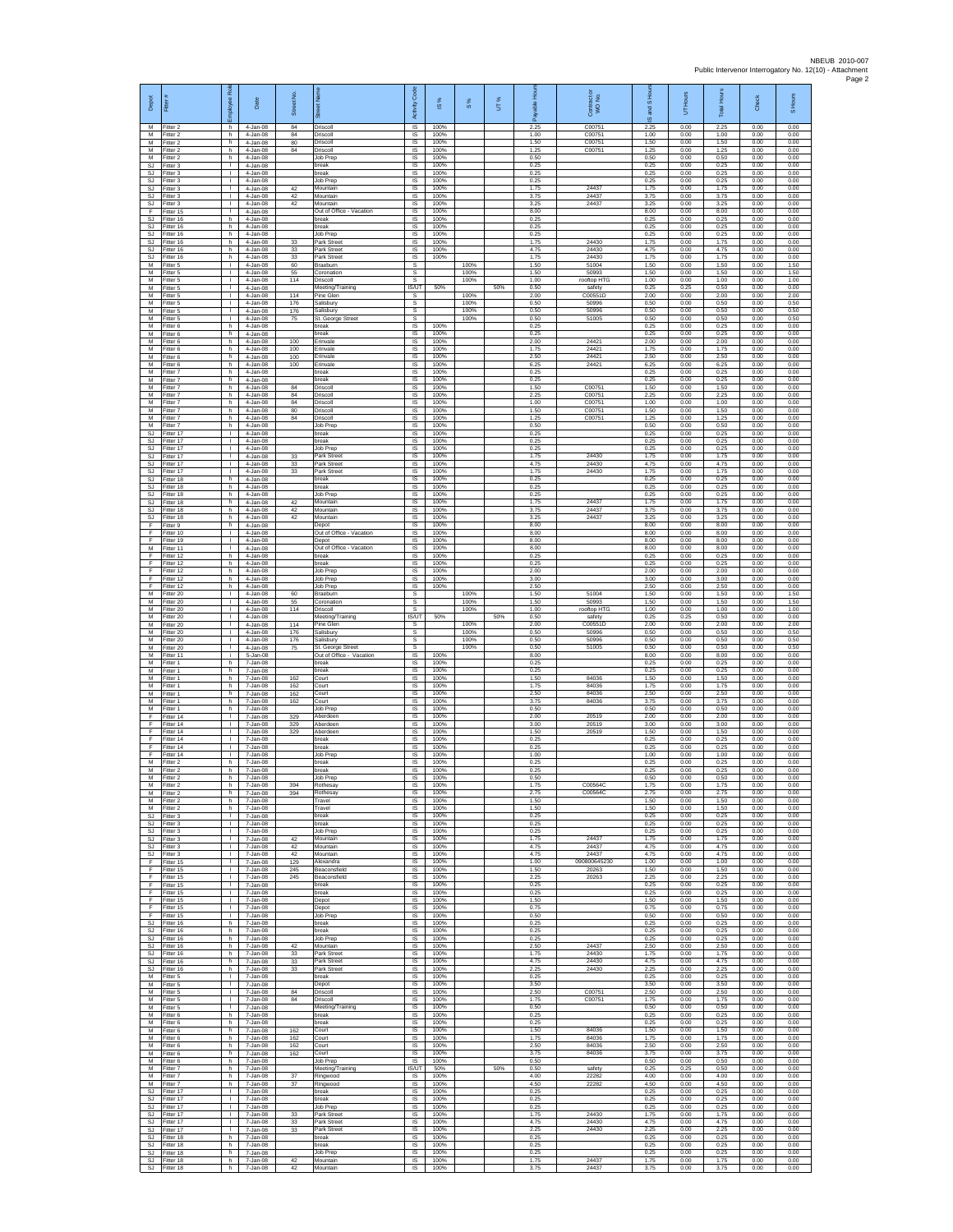| Depot                         | Fitter                                 | ployee Rol<br>ᇛ                              | Date                                   | Street No               | <b>Tee</b><br>あ                                            | Code<br>Activity                                | <b>iS</b> %          | 8%                   | UT% | កំ                   | ŏ<br>Contract of<br>WO No.    | <b>1SHou</b><br>꾛<br>ဖ | UT Hours             | Total Hours          | Check                | S Hours              |
|-------------------------------|----------------------------------------|----------------------------------------------|----------------------------------------|-------------------------|------------------------------------------------------------|-------------------------------------------------|----------------------|----------------------|-----|----------------------|-------------------------------|------------------------|----------------------|----------------------|----------------------|----------------------|
| M<br>M<br>M                   | Fitter 2<br>Fitter 2<br>Fitter 2       | h<br>h.<br>h                                 | 4-Jan-08<br>4-Jan-08<br>4-Jan-08       | $^{\rm 84}$<br>84<br>80 | Driscoll<br>Driscoll<br>Driscoll                           | IS<br>IS<br>IS                                  | 100%<br>100%<br>100% |                      |     | 2.25<br>1.00<br>1.50 | C00751<br>C00751<br>C00751    | 2.25<br>1.00<br>1.50   | 0.00<br>0.00<br>0.00 | 2.25<br>1.00<br>1.50 | 0.00<br>0.00<br>0.00 | 0.00<br>0.00<br>0.00 |
| М<br>М<br><b>SJ</b>           | Fitter 2<br>itter 2<br>Fitter 3        | h.<br>h.<br>$\mathbf{I}$                     | 4-Jan-08<br>4-Jan-08<br>4-Jan-08       | 84                      | Driscoll<br>Job Prep<br>break                              | 1S<br>IS<br><b>IS</b>                           | 100%<br>100%<br>100% |                      |     | 1.25<br>0.50<br>0.25 | C00751                        | 1.25<br>0.50<br>0.25   | 0.00<br>0.00<br>0.00 | 1.25<br>0.50<br>0.25 | 0.00<br>0.00<br>0.00 | 0.00<br>0.00<br>0.00 |
| SJ.<br>SJ                     | Fitter 3<br>Fitter 3                   | $\mathbf{L}$<br>т.                           | 4-Jan-08<br>4-Jan-08                   |                         | break<br>Job Prep                                          | IS<br>IS                                        | 100%<br>100%         |                      |     | 0.25<br>0.25         |                               | 0.25<br>0.25           | 0.00<br>0.00         | 0.25<br>0.25         | 0.00<br>0.00         | 0.00<br>0.00         |
| <b>SJ</b><br>SJ<br>SJ         | Fitter 3<br>Fitter 3<br>-itter 3       | т<br>$\mathbf{L}$<br>$\mathbf{L}$            | 4-Jan-08<br>4-Jan-08<br>4-Jan-08       | 42<br>42<br>42          | Mountain<br>Mountain<br>Mountain                           | 1S<br>IS<br>$\sf IS$                            | 100%<br>100%<br>100% |                      |     | 1.75<br>3.75<br>3.25 | 24437<br>24437<br>24437       | 1.75<br>3.75<br>3.25   | 0.00<br>0.00<br>0.00 | 1.75<br>3.75<br>3.25 | 0.00<br>0.00<br>0.00 | 0.00<br>0.00<br>0.00 |
| F<br><b>SJ</b>                | fitter 15<br>Fitter 16                 | $\mathbf{L}$<br>h.                           | 4-Jan-08<br>4-Jan-08                   |                         | Out of Office - Vacation<br>break                          | $\sf IS$<br>$\overline{\mathsf{s}}$             | 100%<br>100%         |                      |     | 8.00<br>0.25         |                               | 8.00<br>0.25           | 0.00<br>0.00         | 8.00<br>0.25         | 0.00<br>0.00         | 0.00<br>0.00         |
| <b>SJ</b><br><b>SJ</b><br>SJ  | Fitter 16<br>Fitter 16<br>fitter 16    | h<br>h.<br>h.                                | 4-Jan-08<br>4-Jan-08<br>4-Jan-08       | 33                      | break<br>Job Prep<br>Park Street                           | IS<br>IS<br>IS                                  | 100%<br>100%<br>100% |                      |     | 0.25<br>0.25<br>1.75 | 24430                         | 0.25<br>0.25<br>1.75   | 0.00<br>0.00<br>0.00 | 0.25<br>0.25<br>1.75 | 0.00<br>0.00<br>0.00 | 0.00<br>0.00<br>0.00 |
| <b>SJ</b><br>SJ               | Fitter 16<br>Fitter 16                 | h.<br>h.                                     | 4-Jan-08<br>4-Jan-08                   | 33<br>33                | Park Street<br>Park Street                                 | <b>IS</b><br>IS                                 | 100%<br>100%         |                      |     | 4.75<br>1.75         | 24430<br>24430                | 4.75<br>1.75           | 0.00<br>0.00         | 4.75<br>1.75         | 0.00<br>0.00         | 0.00<br>0.00         |
| М<br>M<br>M                   | Fitter 5<br>Fitter 5<br>Fitter 5       | $\mathbf{L}$<br>$\mathbf{I}$<br>$\mathbf{L}$ | $4-Jan-08$<br>4-Jan-08<br>$4 -$ lan-08 | 60<br>55<br>114         | Braeburn<br>Coronation<br>Driscoll                         | s<br>s<br>s                                     |                      | 100%<br>100%<br>100% |     | 1.50<br>1.50<br>1.00 | 51004<br>50993<br>rooftop HTC | 1.50<br>1.50<br>1.00   | 0.00<br>0.00<br>0.00 | 1.50<br>1.50<br>1.00 | 0.00<br>0.00<br>0.00 | 1.50<br>1.50<br>1.00 |
| М<br>M                        | Fitter 5<br>fitter 5                   | $\mathbf{I}$<br>т                            | 4-Jan-08<br>4-Jan-08                   | 114                     | Meeting/Training<br>Pine Glen                              | <b>IS/UT</b><br>s                               | 50%                  | 100%                 | 50% | 0.50<br>2.00         | safety<br>C00551D             | 0.25<br>2.00           | 0.25<br>0.00         | 0.50<br>2.00         | 0.00<br>0.00         | 0.00<br>2.00         |
| M<br>М<br>M                   | Fitter 5<br>Fitter 5<br>Fitter 5       | $\mathbf{L}$<br>$\mathbf{L}$<br>т.           | 4-Jan-08<br>4-Jan-08<br>4-Jan-08       | 176<br>176<br>75        | Salisbury<br>Salisbury<br>St. George Street                | s<br>s<br>s                                     |                      | 100%<br>100%<br>100% |     | 0.50<br>0.50<br>0.50 | 50996<br>50996<br>51005       | 0.50<br>0.50<br>0.50   | 0.00<br>0.00<br>0.00 | 0.50<br>0.50<br>0.50 | 0.00<br>0.00<br>0.00 | 0.50<br>0.50<br>0.50 |
| M<br>M                        | Fitter 6<br>Fitter 6                   | h.<br>h                                      | 4-Jan-08<br>4-Jan-08                   |                         | break<br>break                                             | IS<br>IS                                        | 100%<br>100%         |                      |     | 0.25<br>0.25         |                               | 0.25<br>0.25           | 0.00<br>0.00         | 0.25<br>0.25         | 0.00<br>0.00         | 0.00<br>0.00         |
| М<br>M<br>M                   | Fitter 6<br>itter 6<br>Fitter 6        | h.<br>h.<br>h.                               | 4-Jan-08<br>4-Jan-08<br>4-Jan-08       | 100<br>100<br>100       | Erinvale<br>Erinvale<br>Erinvale                           | 1S<br>IS<br><b>IS</b>                           | 100%<br>100%<br>100% |                      |     | 2.00<br>1.75<br>2.50 | 24421<br>24421<br>24421       | 2.00<br>1.75<br>2.50   | 0.00<br>0.00<br>0.00 | 2.00<br>1.75<br>2.50 | 0.00<br>0.00<br>0.00 | 0.00<br>0.00<br>0.00 |
| M<br>М                        | Fitter 6<br>Fitter 7                   | h.<br>h.                                     | 4-Jan-08<br>4-Jan-08                   | 100                     | Erinvale<br>break                                          | IS<br>IS                                        | 100%<br>100%         |                      |     | 6.25<br>0.25         | 24421                         | 6.25<br>0.25           | 0.00<br>0.00         | 6.25<br>0.25         | 0.00<br>0.00         | 0.00<br>0.00         |
| M<br>M                        | Fitter 7<br>Fitter 7                   | h.<br>h.                                     | 4-Jan-08<br>4-Jan-08                   | 84                      | break<br>Driscoll                                          | 1S<br>IS                                        | 100%<br>100%         |                      |     | 0.25<br>1.50         | C00751                        | 0.25<br>1.50           | 0.00<br>0.00         | 0.25<br>1.50         | 0.00<br>0.00         | 0.00<br>0.00         |
| М<br>M<br>M                   | Fitter 7<br>itter 7<br>Fitter 7        | h.<br>h<br>h.                                | 4-Jan-08<br>4-Jan-08<br>4-Jan-08       | 84<br>84<br>80          | Driscoll<br>Driscoll<br>Driscoll                           | $\sf IS$<br>$\sf IS$<br>$\overline{\mathsf{s}}$ | 100%<br>100%<br>100% |                      |     | 2.25<br>1.00<br>1.50 | C00751<br>C00751<br>C00751    | 2.25<br>1.00<br>1.50   | 0.00<br>0.00<br>0.00 | 2.25<br>1.00<br>1.50 | 0.00<br>0.00<br>0.00 | 0.00<br>0.00<br>0.00 |
| M<br>M                        | Fitter 7<br>Fitter 7                   | h<br>h.                                      | 4-Jan-08<br>4-Jan-08                   | 84                      | Driscoll<br>Job Prep                                       | IS<br>1S                                        | 100%<br>100%         |                      |     | 1 25<br>0.50         | C00751                        | 1.25<br>0.50           | 0.00<br>0.00         | 1.25<br>0.50         | 0.00<br>0.00         | 0.00<br>0.00         |
| <b>SJ</b><br>SJ<br><b>SJ</b>  | Fitter 17<br>Fitter 17<br>Fitter 17    | т.<br>л.<br>$\mathbf{L}$                     | 4-Jan-08<br>4-Jan-08<br>4-Jan-08       |                         | break<br>break<br>Job Prep                                 | IS<br><b>IS</b><br>IS                           | 100%<br>100%<br>100% |                      |     | 0.25<br>0.25<br>0.25 |                               | 0.25<br>0.25<br>0.25   | 0.00<br>0.00<br>0.00 | 0.25<br>0.25<br>0.25 | 0.00<br>0.00<br>0.00 | 0.00<br>0.00<br>0.00 |
| SJ<br><b>SJ</b>               | Fitter 17<br>Fitter 17                 | $\mathbf{L}$<br>$\mathbf{I}$                 | 4-Jan-08<br>4-Jan-08                   | 33<br>33                | Park Street<br>Park Street                                 | $\sf IS$<br>IS                                  | 100%<br>100%         |                      |     | 1.75<br>4.75         | 24430<br>24430                | 1.75<br>4.75           | 0.00<br>0.00         | 1.75<br>4.75         | 0.00<br>0.00         | 0.00<br>0.00         |
| S.I.<br>SJ<br><b>SJ</b>       | Fitter 17<br>Fitter 18<br>fitter 18    | $\mathbf{L}$<br>h.<br>h.                     | 4-Jan-08<br>4-Jan-08<br>4-Jan-08       | 33                      | Park Street<br>break<br>break                              | IS<br>IS<br>IS                                  | 100%<br>100%<br>100% |                      |     | 1 75<br>0.25<br>0.25 | 24430                         | 1.75<br>0.25<br>0.25   | 0.00<br>0.00<br>0.00 | 175<br>0.25<br>0.25  | 0.00<br>0.00<br>0.00 | 0.00<br>0.00<br>0.00 |
| <b>SJ</b><br>SJ               | Fitter 18<br>Fitter 18                 | h.<br>h                                      | 4-Jan-08<br>4-Jan-08                   | 42                      | Job Prep<br>Mountain                                       | IS<br>IS                                        | 100%<br>100%         |                      |     | 0.25<br>1.75         | 24437                         | 0.25<br>1.75           | 0.00<br>0.00         | 0.25<br>1.75         | 0.00<br>0.00         | 0.00<br>0.00         |
| SJ<br>SJ<br>F                 | Fitter 18<br>Fitter 18<br>Fitter 9     | h.<br>h.<br>h                                | 4-Jan-08<br>4-Jan-08<br>4-Jan-08       | 42<br>42                | Mountair<br>Mountain<br>Depot                              | 1S<br>IS<br>IS                                  | 100%<br>100%<br>100% |                      |     | 3.75<br>3.25<br>8.00 | 24437<br>24437                | 3.75<br>3.25<br>8.00   | 0.00<br>0.00<br>0.00 | 3.75<br>3.25<br>8.00 | 0.00<br>0.00<br>0.00 | 0.00<br>0.00<br>0.00 |
| F<br>F                        | Fitter 10<br>fitter 19                 | т.<br>т.                                     | $4-Jan-08$<br>4-Jan-08                 |                         | Out of Office - Vacation<br>Depot                          | IS<br>IS                                        | 100%<br>100%         |                      |     | 8.00<br>8.00         |                               | 8.00<br>8.00           | 0.00<br>0.00         | 8.00<br>8.00         | 0.00<br>0.00         | 0.00<br>0.00         |
| M<br>F<br>F                   | Fitter 11<br>Fitter 12<br>Fitter 12    | $\mathbf{I}$<br>h.<br>h.                     | 4-Jan-08<br>4-Jan-08<br>4-Jan-08       |                         | Out of Office - Vacation<br>break<br>break                 | <b>IS</b><br>IS<br>IS                           | 100%<br>100%<br>100% |                      |     | 8.00<br>0.25<br>0.25 |                               | 8.00<br>0.25<br>0.25   | 0.00<br>0.00<br>0.00 | 8.00<br>0.25<br>0.25 | 0.00<br>0.00<br>0.00 | 0.00<br>0.00<br>0.00 |
| F<br>F                        | Fitter 12<br>Fitter 12                 | h.<br>h.                                     | 4-Jan-08<br>4-Jan-08                   |                         | Job Prep<br>Job Prep                                       | IS<br>IS                                        | 100%<br>100%         |                      |     | 2.00<br>3.00         |                               | 2.00<br>3.00           | 0.00<br>0.00         | 2.00<br>3.00         | 0.00<br>0.00         | 0.00<br>0.00         |
| F<br>M<br>M                   | Fitter 12<br>Fitter 20<br>Fitter 20    | h.<br>$\mathbf{L}$                           | 4-Jan-08<br>4-Jan-08<br>4-Jan-08       | 60<br>55                | Job Prep<br>Braeburn                                       | $\sf IS$<br>s                                   | 100%                 | 100%<br>100%         |     | 2.50<br>1.50<br>1.50 | 51004<br>50993                | 2.50<br>1.50<br>1.50   | 0.00<br>0.00<br>0.00 | 2.50<br>1.50<br>1.50 | 0.00<br>0.00<br>0.00 | 0.00<br>1.50<br>1.50 |
| M<br>М                        | Fitter 20<br>Fitter 20                 | л.<br>$\mathbb{R}$<br>т.                     | 4-Jan-08<br>4-Jan-08                   | 114                     | Coronation<br>Driscoll<br>Meeting/Training                 | s<br>s<br><b>IS/UT</b>                          | 50%                  | 100%                 | 50% | 1.00<br>0.50         | rooftop HTG<br>safety         | 1.00<br>0.25           | 0.00<br>0.25         | 1.00<br>0.50         | 0.00<br>0.00         | 1.00<br>0.00         |
| M<br>M                        | itter 20<br>Fitter 20                  | т.<br>$\mathbf{I}$                           | 4-Jan-08<br>4-Jan-08                   | 114<br>176              | <sup>P</sup> ine Glen<br>Salisbury                         | s<br>s                                          |                      | 100%<br>100%         |     | 2.00<br>0.50         | C00551<br>50996               | 2.00<br>0.50           | 0.00<br>0.00         | 2.00<br>0.50         | 0.00<br>0.00         | 2.00<br>0.50         |
| M<br>М<br>M                   | Fitter 20<br>Fitter 20<br>Fitter 11    | $\mathbf{L}$<br>$\mathbf{L}$<br>j.           | 4-Jan-08<br>4-Jan-08<br>5-Jan-08       | 176<br>75               | Salisbury<br>St. George Street<br>Out of Office - Vacation | s<br>s<br>IS                                    | 100%                 | 100%<br>100%         |     | 0.50<br>0.50<br>8.00 | 50996<br>51005                | 0.50<br>0.50<br>8.00   | 0.00<br>0.00<br>0.00 | 0.50<br>0.50<br>8.00 | 0.00<br>0.00<br>0.00 | 0.50<br>0.50<br>0.00 |
| M<br>М                        | Fitter 1<br>fitter 1                   | h.<br>h.                                     | 7-Jan-08<br>7-Jan-08                   |                         | break<br>break                                             | IS<br>IS                                        | 100%<br>100%         |                      |     | 0.25<br>0.25         |                               | 0.25<br>0.25           | 0.00<br>0.00         | 0.25<br>0.25         | 0.00<br>0.00         | 0.00<br>0.00         |
| M<br>M<br>М                   | fitter 1<br>Fitter 1<br>Fitter 1       | h.<br>h.<br>h                                | 7-Jan-08<br>7-Jan-08<br>7-Jan-08       | 162<br>162<br>162       | Court<br>Court<br>Court                                    | IS<br>$\overline{\mathsf{s}}$<br>IS             | 100%<br>100%<br>100% |                      |     | 1.50<br>1.75<br>2.50 | 84036<br>84036<br>84036       | 1.50<br>1.75<br>2.50   | 0.00<br>0.00<br>0.00 | 1.50<br>1.75<br>2.50 | 0.00<br>0.00<br>0.00 | 0.00<br>0.00<br>0.00 |
| M<br>M                        | Fitter 1<br>Fitter 1                   | h.<br>h.                                     | 7-Jan-08<br>7-Jan-08                   | 162                     | Court<br>Job Prep                                          | IS<br>IS                                        | 100%<br>100%         |                      |     | 3.75<br>0.50         | 84036                         | 3.75<br>0.50           | 0.00<br>0.00         | 3.75<br>0.50         | 0.00<br>0.00         | 0.00<br>0.00         |
| E<br>F<br>F                   | Fitter 14<br>Fitter 14<br>fitter 14    | $\mathbb{R}$<br>т.<br>т.                     | 7-Jan-08<br>7-Jan-08<br>7-Jan-08       | 329<br>329<br>329       | Aberdeer<br>Aberdeen<br>Aberdeen                           | IS<br>1S<br>IS                                  | 100%<br>100%<br>100% |                      |     | 2.00<br>3.00<br>1.50 | 20519<br>20519<br>20519       | 2.00<br>3.00<br>1.50   | 0.00<br>0.00<br>0.00 | 2.00<br>3.00<br>1.50 | 0.00<br>0.00<br>0.00 | 0.00<br>0.00<br>0.00 |
| F<br>F                        | Fitter 14<br>Fitter 14                 | л.<br>$\mathbf{L}$                           | 7-Jan-08<br>7-Jan-08                   |                         | break<br><b>oreak</b>                                      | <b>IS</b><br>IS                                 | 100%<br>100%         |                      |     | 0.25<br>0.25         |                               | 0.25<br>0.25           | 0.00<br>0.00         | 0.25<br>0.25         | 0.00<br>0.00         | 0.00<br>0.00         |
| F<br>M                        | Fitter 14<br>Fitter 2<br>M Fitter 2    | т.<br>h.<br>h                                | 7-Jan-08<br>7-Jan-08<br>7-Jan-08       |                         | <b>Job Prep</b><br>break<br>break                          | IS<br>1S<br>IS                                  | 100%<br>100%<br>100% |                      |     | 1.00<br>0.25<br>0.25 |                               | 1.00<br>0.25<br>0.25   | 0.00<br>0.00<br>0.00 | 1.00<br>0.25<br>0.25 | 0.00<br>0.00<br>0.00 | 0.00<br>0.00<br>0.00 |
| M<br>M                        | Fitter 2<br>Fitter 2                   | h.<br>h                                      | 7-Jan-08<br>7-Jan-08                   | 394                     | <b>Job Prep</b><br>Rothesay                                | $\sf IS$<br>IS                                  | 100%<br>100%         |                      |     | 0.50<br>1.75         | C00564C                       | 0.50<br>1.75           | 0.00<br>0.00         | 0.50<br>1.75         | 0.00<br>0.00         | 0.00<br>0.00         |
| M<br>M<br>M                   | Fitter 2<br>Fitter 2<br>Fitter 2       | h.<br>h.<br>h.                               | 7-Jan-08<br>7-Jan-08<br>7-Jan-08       | 394                     | Rothesay<br>Travel<br>Travel                               | $\overline{s}$<br>IS<br><b>IS</b>               | 100%<br>100%<br>100% |                      |     | 2.75<br>1.50<br>1.50 | C00564C                       | 2.75<br>1.50<br>1.50   | 0.00<br>0.00<br>0.00 | 2.75<br>1.50<br>1.50 | 0.00<br>0.00<br>0.00 | 0.00<br>0.00<br>0.00 |
| SJ<br>SJ                      | Fitter 3<br>Fitter 3                   | т.<br>л.                                     | 7-Jan-08<br>7-Jan-08                   |                         | break<br>break                                             | IS<br>-IS                                       | 100%<br>100%         |                      |     | 0.25<br>0.25         |                               | 0.25<br>0.25           | 0.00<br>0.00         | 0.25<br>0.25         | 0.00<br>0.00         | 0.00<br>0.00         |
| SJ.<br>SJ<br>-SJ              | Fitter 3<br>Fitter 3<br>Fitter 3       | $\mathbb{R}$<br>$\mathbf{L}$<br>$\mathbf{I}$ | 7-Jan-08<br>7-Jan-08<br>7-Jan-08       | 42<br>42                | Job Prep<br>Mountain<br>Mountain                           | IS<br>$\sf IS$<br>IS                            | 100%<br>100%<br>100% |                      |     | 0.25<br>1.75<br>4.75 | 24437<br>24437                | 0.25<br>1.75<br>4.75   | 0.00<br>0.00<br>0.00 | 0.25<br>1.75<br>4.75 | 0.00<br>0.00<br>0.00 | 0.00<br>0.00<br>0.00 |
| SJ.<br>F                      | Fitter 3<br>Fitter 15                  | $\mathbf{L}$<br>т.                           | 7-Jan-08<br>7-Jan-08                   | 42<br>129               | Mountain<br>Alexandra                                      | IS.<br>IS                                       | 100%<br>100%         |                      |     | 4.75<br>1.00         | 24437<br>090800645230         | 4.75<br>1.00           | 0.00<br>0.00         | 4.75<br>1.00         | 0.00<br>0.00         | 0.00<br>0.00         |
| F<br>F                        | Fitter 15<br>Fitter 15                 | т<br><b>I</b><br>$\mathbf{L}$                | 7-Jan-08<br>7-Jan-08                   | 245<br>245              | Beaconsfield<br>Beaconsfield<br>break                      | IS<br>IS                                        | 100%<br>100%         |                      |     | 1.50<br>2.25<br>0.25 | 20263<br>20263                | 1.50<br>2.25<br>0.25   | 0.00<br>0.00         | 1.50<br>2.25<br>0.25 | 0.00<br>0.00<br>0.00 | 0.00<br>0.00<br>0.00 |
| F<br>F<br>F                   | Fitter 15<br>Fitter 15<br>Fitter 15    | т<br>$\mathbf{L}$                            | 7-Jan-08<br>7-Jan-08<br>7-Jan-08       |                         | break<br>Depot                                             | IS<br>1S<br>IS                                  | 100%<br>100%<br>100% |                      |     | 0.25<br>1.50         |                               | 0.25<br>1.50           | 0.00<br>0.00<br>0.00 | 0.25<br>1.50         | 0.00<br>0.00         | 0.00<br>0.00         |
| F<br>F<br><b>SJ</b>           | Fitter 15<br>Fitter 15<br>fitter 16    | $\mathbf{L}$<br>т.<br>h.                     | 7-Jan-08<br>7-Jan-08<br>7-Jan-08       |                         | Depot<br>Job Prep<br>break                                 | IS<br>IS<br>IS                                  | 100%<br>100%<br>100% |                      |     | 0.75<br>0.50<br>0.25 |                               | 0.75<br>0.50<br>0.25   | 0.00<br>0.00<br>0.00 | 0.75<br>0.50<br>0.25 | 0.00<br>0.00<br>0.00 | 0.00<br>0.00<br>0.00 |
| SJ.<br><b>SJ</b>              | Fitter 16<br>Fitter 16                 | h.<br>h.                                     | 7-Jan-08<br>7-Jan-08                   |                         | break<br>Job Prep                                          | <b>IS</b><br>IS.                                | 100%<br>100%         |                      |     | 0.25<br>0.25         |                               | 0.25<br>0.25           | 0.00<br>0.00         | 0.25<br>0.25         | 0.00<br>0.00         | 0.00<br>0.00         |
| SJ<br>SJ.                     | Fitter 16<br>Fitter 16                 | h<br>h.                                      | 7-Jan-08<br>7-Jan-08                   | 42<br>33                | Mountain<br>Park Street                                    | IS<br>IS                                        | 100%<br>100%         |                      |     | 2.50<br>1.75         | 24437<br>24430<br>24430       | 2.50<br>1.75           | 0.00<br>0.00         | 2.50<br>1.75         | 0.00<br>0.00         | 0.00<br>0.00         |
| SJ<br>SJ<br>M                 | Fitter 16<br>Fitter 16<br>Fitter 5     | h.<br>h.<br>$\mathbf{I}$                     | 7-Jan-08<br>7-Jan-08<br>7-Jan-08       | 33<br>33                | Park Street<br>Park Street<br>break                        | IS<br>$\sf IS$<br>$\sf IS$                      | 100%<br>100%<br>100% |                      |     | 4.75<br>2.25<br>0.25 | 24430                         | 4.75<br>2.25<br>0.25   | 0.00<br>0.00<br>0.00 | 4.75<br>2.25<br>0.25 | 0.00<br>0.00<br>0.00 | 0.00<br>0.00<br>0.00 |
| M<br>М                        | Fitter 5<br>Fitter 5                   | $\mathbf{L}$<br>л.                           | 7-Jan-08<br>7-Jan-08                   | 84                      | Depot<br>Driscoll                                          | $\overline{s}$<br>IS                            | 100%<br>100%         |                      |     | 3.50<br>2.50         | C00751                        | 3.50<br>2.50           | 0.00<br>0.00         | 3.50<br>2.50         | 0.00<br>0.00         | 0.00<br>0.00         |
| М<br>M<br>M                   | Fitter 5<br>Fitter 5<br>Fitter 6       | т.<br>$\mathbf{L}$<br>h.                     | 7-Jan-08<br>7-Jan-08<br>7-Jan-08       | 84                      | Driscoll<br>Meeting/Training<br>break                      | 1S<br>IS<br><b>IS</b>                           | 100%<br>100%<br>100% |                      |     | 1.75<br>0.50<br>0.25 | C00751                        | 1.75<br>0.50<br>0.25   | 0.00<br>0.00<br>0.00 | 1.75<br>0.50<br>0.25 | 0.00<br>0.00<br>0.00 | 0.00<br>0.00<br>0.00 |
| М<br>М                        | Fitter 6<br>Fitter 6                   | h.<br>h.                                     | 7-Jan-08<br>7-Jan-08                   | 162                     | break<br>Court                                             | IS<br>$\sf IS$                                  | 100%<br>100%         |                      |     | 0.25<br>1.50         | 84036                         | 0.25<br>1.50           | 0.00<br>0.00         | 0.25<br>1.50         | 0.00<br>0.00         | 0.00<br>0.00         |
| M<br>M<br>М                   | Fitter 6<br>Fitter 6<br>Fitter 6       | h<br>h<br>h                                  | 7-Jan-08<br>7-Jan-08<br>7-Jan-08       | 162<br>162<br>162       | Court<br>Court<br>Court                                    | <b>IS</b><br>IS<br>IS                           | 100%<br>100%<br>100% |                      |     | 1.75<br>2.50<br>3.75 | 84036<br>84036<br>84036       | 1.75<br>2.50<br>3.75   | 0.00<br>0.00<br>0.00 | 1.75<br>2.50<br>3.75 | 0.00<br>0.00<br>0.00 | 0.00<br>0.00<br>0.00 |
| M<br>M                        | Fitter 6<br>Fitter 7                   | h.<br>h.                                     | 7-Jan-08<br>7-Jan-08                   |                         | Job Prep<br>Meeting/Training                               | IS<br><b>IS/UT</b>                              | 100%<br>50%          |                      | 50% | 0.50<br>0.50         | safety                        | 0.50<br>0.25           | 0.00<br>0.25         | 0.50<br>0.50         | 0.00<br>0.00         | 0.00<br>0.00         |
| М<br>M<br><b>SJ</b>           | Fitter 7<br>Fitter 7<br>Fitter 17      | h<br>h.<br>$\mathbf{L}$                      | 7-Jan-08<br>7-Jan-08<br>7-Jan-08       | 37<br>37                | Ringwood<br>Ringwood<br>break                              | IS<br>IS<br>IS                                  | 100%<br>100%<br>100% |                      |     | 4.00<br>4.50<br>0.25 | 22282<br>22282                | 4.00<br>4.50<br>0.25   | 0.00<br>0.00<br>0.00 | 4.00<br>4.50<br>0.25 | 0.00<br>0.00<br>0.00 | 0.00<br>0.00<br>0.00 |
| <b>SJ</b><br>SJ               | Fitter 17<br>Fitter 17                 | $\mathbf{L}$<br>т.                           | 7-Jan-08<br>7-Jan-08                   |                         | break<br>Job Prep                                          | IS<br>IS                                        | 100%<br>100%         |                      |     | 0.25<br>0.25         |                               | 0.25<br>0.25           | 0.00<br>0.00         | 0.25<br>0.25         | 0.00<br>0.00         | 0.00<br>0.00         |
| <b>SJ</b><br>-SJ<br><b>SJ</b> | fitter 17<br>Fitter 17<br>Fitter 17    | т.<br>л.<br>$\mathbf{L}$                     | 7-Jan-08<br>7-Jan-08<br>7-Jan-08       | 33<br>33<br>33          | Park Street<br>Park Street<br>Park Street                  | IS<br>-IS<br>IS                                 | 100%<br>100%<br>100% |                      |     | 1.75<br>4.75<br>2.25 | 24430<br>24430<br>24430       | 1.75<br>4.75<br>2.25   | 0.00<br>0.00<br>0.00 | 1.75<br>4.75<br>2.25 | 0.00<br>0.00<br>0.00 | 0.00<br>0.00<br>0.00 |
| SJ<br>SJ.                     | Fitter 18<br>Fitter 18                 | h<br>h                                       | 7-Jan-08<br>7-Jan-08                   |                         | break<br>break                                             | IS<br>IS                                        | 100%<br>100%         |                      |     | 0.25<br>0.25         |                               | 0.25<br>0.25           | 0.00<br>0.00         | 0.25<br>0.25         | 0.00<br>0.00         | 0.00<br>0.00         |
| SJ<br>SJ                      | SJ Fitter 18<br>Fitter 18<br>Fitter 18 | h.<br>h.<br>h                                | 7-Jan-08<br>7-Jan-08<br>7-Jan-08       | 42<br>42                | Job Prep<br>Mountain<br>Mountain                           | IS<br>$\sf IS$<br>IS                            | 100%<br>100%<br>100% |                      |     | 0.25<br>1.75<br>3.75 | 24437<br>24437                | 0.25<br>1.75<br>3.75   | 0.00<br>0.00<br>0.00 | 0.25<br>1.75<br>3.75 | 0.00<br>0.00<br>0.00 | 0.00<br>0.00<br>0.00 |
|                               |                                        |                                              |                                        |                         |                                                            |                                                 |                      |                      |     |                      |                               |                        |                      |                      |                      |                      |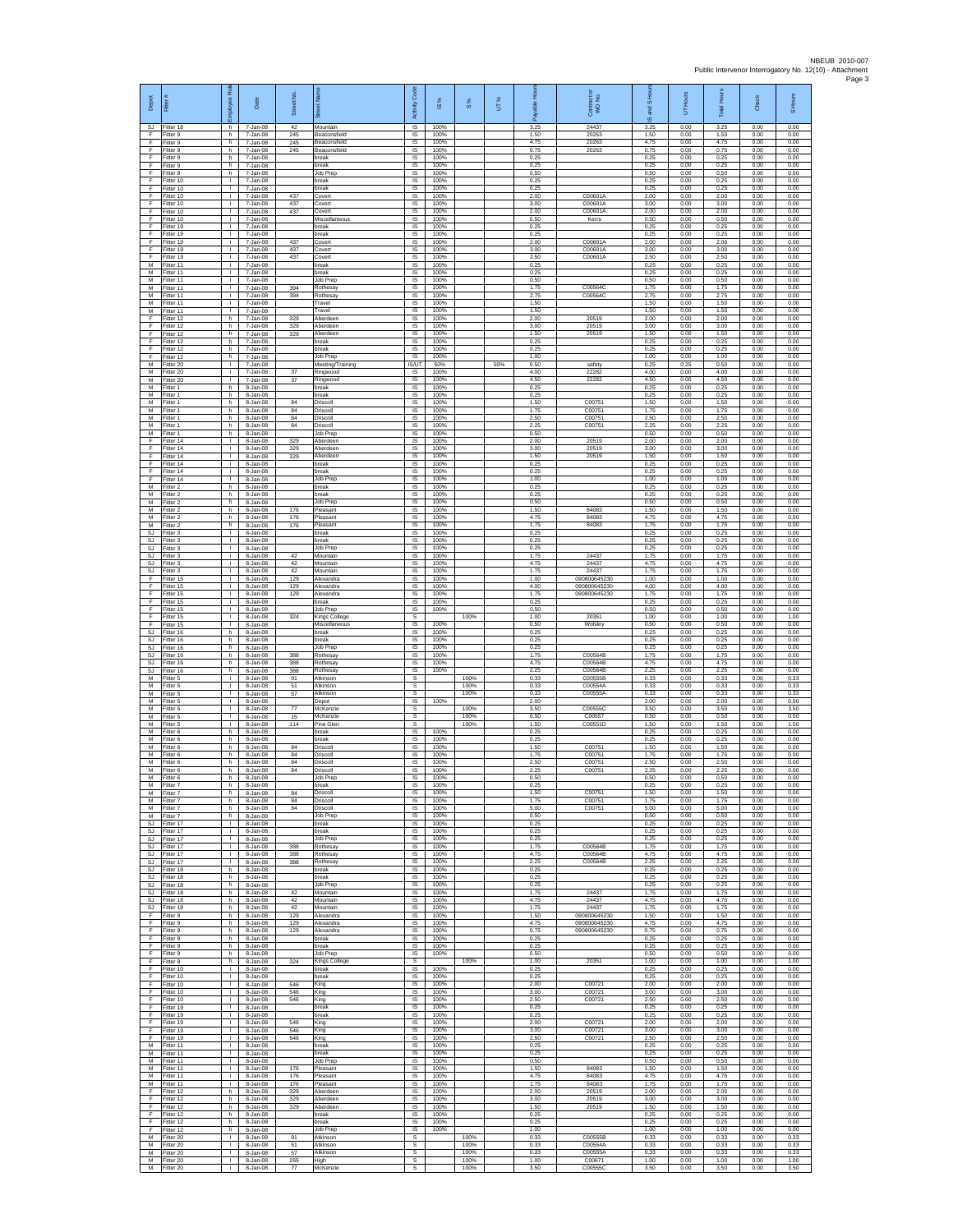| Depot<br>SJ.           | Fitter<br>Fitter 18                    | Rol<br>nployee<br>ũ<br>h                     | Date<br>7-Jan-08                 | Street No<br>42   | ö<br>Mountain                            | Code<br>Activity<br>IS       | ⋇<br>$\overline{\omega}$<br>100% | 8%                   | UT% | 효<br>able<br>កី<br>3.25 | Contract or<br>WO No.<br>24437 | and S Ho<br>ဖ<br>3.25 | UT Hours<br>0.00     | Hours<br>Total<br>3.25 | <b>Check</b><br>0.00 | S Hours<br>0.00      |
|------------------------|----------------------------------------|----------------------------------------------|----------------------------------|-------------------|------------------------------------------|------------------------------|----------------------------------|----------------------|-----|-------------------------|--------------------------------|-----------------------|----------------------|------------------------|----------------------|----------------------|
| F<br>F                 | Fitter 9<br>Fitter 9                   | h<br>h.                                      | 7-Jan-08<br>7-Jan-08             | 245<br>245        | Beaconsfield<br>Beaconsfield             | $\sf IS$<br><b>IS</b>        | 100%<br>100%                     |                      |     | 1.50<br>4.75            | 20263<br>20263                 | 1.50<br>4.75          | 0.00<br>0.00         | 1.50<br>4.75           | 0.00<br>0.00         | 0.00<br>0.00         |
| E<br>F                 | Fitter 9<br>Fitter 9                   | h.<br>h                                      | 7-Jan-08<br>7-Jan-08             | 245               | Beaconsfield<br>break                    | IS<br>IS                     | 100%<br>100%                     |                      |     | 0.75<br>0.25            | 20263                          | 0.75<br>0.25          | 0.00<br>0.00         | 0.75<br>0.25           | 0.00<br>0.00         | 0.00<br>0.00         |
| F<br>F                 | Fitter 9<br>Fitter 9                   | h.<br>h.<br>$\mathbf{L}$                     | 7-Jan-08<br>7-Jan-08             |                   | break<br>Job Prep<br>break               | IS<br>IS<br>IS               | 100%<br>100%<br>100%             |                      |     | 0.25<br>0.50<br>0.25    |                                | 0.25<br>0.50<br>0.25  | 0.00<br>0.00<br>0.00 | 0.25<br>0.50<br>0.25   | 0.00<br>0.00<br>0.00 | 0.00<br>0.00<br>0.00 |
| $\mathsf F$<br>F<br>F  | Fitter 10<br>Fitter 10<br>Fitter 10    | т.<br>$\mathbf{L}$                           | 7-Jan-08<br>7-Jan-08<br>7-Jan-08 | 437               | break<br>Covert                          | IS<br><b>IS</b>              | 100%<br>100%                     |                      |     | 0.25<br>2.00            | C00601A                        | 0.25<br>2.00          | 0.00<br>0.00         | 0.25<br>2.00           | 0.00<br>0.00         | 0.00<br>0.00         |
| E<br>F.                | Fitter 10<br>Fitter 10                 | $\mathbf{L}$<br>τ.                           | 7-Jan-08<br>7-Jan-08             | 437<br>437        | Covert<br>Covert                         | IS<br>$\sf IS$               | 100%<br>100%                     |                      |     | 3.00<br>2.00            | C00601A<br>C00601A             | 3.00<br>2.00          | 0.00<br>0.00         | 3.00<br>2.00           | 0.00<br>0.00         | 0.00<br>0.00         |
| F<br>F                 | Fitter 10<br>Fitter 19                 | ÷.<br>л.                                     | 7-Jan-08<br>7-Jan-08             |                   | Miscellaneous<br>break                   | IS<br>-IS                    | 100%<br>100%                     |                      |     | 0.50<br>0.25            | Kerrs                          | 0.50<br>0.25          | 0.00<br>0.00         | 0.50<br>0.25           | 0.00<br>0.00         | 0.00<br>0.00         |
| E<br>F<br>F            | Fitter 19<br>Fitter 19<br>Fitter 19    | л.<br>٠<br>$\mathbf{L}$                      | 7-Jan-08<br>7-Jan-08<br>7-Jan-08 | 437<br>437        | hreak<br>Covert<br>Covert                | IS<br>IS<br>IS               | 100%<br>100%<br>100%             |                      |     | 0.25<br>2.00<br>3.00    | C00601A<br>C00601A             | 0.25<br>2.00<br>3.00  | 0.00<br>0.00<br>0.00 | 0.25<br>2.00<br>3.00   | 0.00<br>0.00<br>0.00 | 0.00<br>0.00<br>0.00 |
| F.<br>М                | Fitter 19<br>Fitter 11                 | $\mathbf{L}$<br>$\mathbf{I}$                 | 7-Jan-08<br>7-Jan-08             | 437               | Covert<br>break                          | IS<br>IS                     | 100%<br>100%                     |                      |     | 2.50<br>0.25            | C00601A                        | 2.50<br>0.25          | 0.00<br>0.00         | 2.50<br>0.25           | 0.00<br>0.00         | 0.00<br>0.00         |
| M<br>M                 | Fitter 11<br>Fitter 11                 | T.<br>$\mathbf{L}$                           | 7-Jan-08<br>7-Jan-08             |                   | break<br>Job Prep                        | $\sf IS$<br>- IS             | 100%<br>100%                     |                      |     | 0.25<br>0.50            |                                | 0.25<br>0.50          | 0.00<br>0.00         | 0.25<br>0.50           | 0.00<br>0.00         | 0.00<br>0.00         |
| M<br>М<br>M            | Fitter 11<br>Fitter 11                 | т.<br>т.<br>T.                               | 7-Jan-08<br>7-Jan-08<br>7-Jan-08 | 394<br>394        | Rothesay<br>Rothesay<br>Travel           | IS<br>IS<br>IS               | 100%<br>100%<br>100%             |                      |     | 1.75<br>2.75<br>1.50    | C00564C<br>C00564C             | 1.75<br>2.75<br>1.50  | 0.00<br>0.00<br>0.00 | 1.75<br>2.75<br>1.50   | 0.00<br>0.00<br>0.00 | 0.00<br>0.00<br>0.00 |
| М<br>F                 | Fitter 11<br>Fitter 11<br>Fitter 12    | л.<br>h.                                     | 7-Jan-08<br>7-Jan-08             | 329               | Travel<br>Aberdeen                       | -IS<br>IS                    | 100%<br>100%                     |                      |     | 1.50<br>2.00            | 20519                          | 1.50<br>2.00          | 0.00<br>0.00         | 1.50<br>2.00           | 0.00<br>0.00         | 0.00<br>0.00         |
| F<br>F                 | Fitter 12<br>Fitter 12                 | h<br>h                                       | 7-Jan-08<br>7-Jan-08             | 329<br>329        | Aberdeen<br>Aberdeen                     | $\sf IS$<br>- IS             | 100%<br>100%                     |                      |     | 3.00<br>1.50            | 20519<br>20519                 | 3.00<br>1.50          | 0.00<br>0.00         | 3.00<br>1.50           | 0.00<br>0.00         | 0.00<br>0.00         |
| F.<br>F<br>F           | Fitter 12<br>Fitter 12                 | h.<br>h                                      | 7-Jan-08<br>7-Jan-08             |                   | break<br>break                           | IS<br>IS                     | 100%<br>100%<br>100%             |                      |     | 0.25<br>0.25            |                                | 0.25<br>0.25          | 0.00<br>0.00         | 0.25<br>0.25           | 0.00<br>0.00         | 0.00<br>0.00         |
| M<br>М                 | Fitter 12<br>Fitter 20<br>litter 20    | h.<br>$\mathbf{L}$<br>$\mathbf{L}$           | 7-Jan-08<br>7-Jan-08<br>7-Jan-08 | 37                | Job Prep<br>Meeting/Training<br>Ringwood | IS<br><b>IS/UT</b><br>IS     | 50%<br>100%                      |                      | 50% | 1.00<br>0.50<br>4.00    | safety<br>22282                | 1.00<br>0.25<br>4.00  | 0.00<br>0.25<br>0.00 | 1.00<br>0.50<br>4.00   | 0.00<br>0.00<br>0.00 | 0.00<br>0.00<br>0.00 |
| M<br>M                 | Fitter 20<br>Fitter 1                  | $\mathbf{I}$<br>h.                           | 7-Jan-08<br>8-Jan-08             | 37                | Ringwood<br>break                        | IS<br><b>IS</b>              | 100%<br>100%                     |                      |     | 4.50<br>0.25            | 22282                          | 4.50<br>0.25          | 0.00<br>0.00         | 4.50<br>0.25           | 0.00<br>0.00         | 0.00<br>0.00         |
| M<br>M                 | Fitter 1<br>Fitter 1                   | h<br>h.                                      | 8-Jan-08<br>8-Jan-08             | 84                | break<br>Driscoll                        | IS<br>$\sf IS$               | 100%<br>100%                     |                      |     | 0.25<br>1.50            | C00751                         | 0.25<br>1.50          | 0.00<br>0.00         | 0.25<br>1.50           | 0.00<br>0.00         | 0.00<br>0.00         |
| М<br>M<br>M            | itter 1<br>Fitter 1<br>Fitter 1        | h<br>h.<br>h.                                | 8-Jan-08<br>8-Jan-08<br>8-Jan-08 | 84<br>84<br>84    | Driscoll<br>Driscoll<br>Driscoll         | IS<br>-IS<br>IS              | 100%<br>100%<br>100%             |                      |     | 1.75<br>2.50<br>2.25    | C00751<br>C00751<br>C00751     | 1.75<br>2.50<br>2.25  | 0.00<br>0.00<br>0.00 | 1.75<br>2.50<br>2.25   | 0.00<br>0.00<br>0.00 | 0.00<br>0.00<br>0.00 |
| М<br>F                 | Fitter 1<br>Fitter 14                  | h<br>т                                       | 8-Jan-08<br>8-Jan-08             | 329               | Job Prep<br>Aberdeen                     | IS<br>IS                     | 100%<br>100%                     |                      |     | 0.50<br>2.00            | 20519                          | 0.50<br>2.00          | 0.00<br>0.00         | 0.50<br>2.00           | 0.00<br>0.00         | 0.00<br>0.00         |
| F<br>F                 | Fitter 14<br>Fitter 14                 | $\mathbf{L}$<br>$\mathbf{I}$                 | 8-Jan-08<br>8-Jan-08             | 329<br>329        | Aberdeen<br>Aberdeer                     | IS<br>IS                     | 100%<br>100%                     |                      |     | 3.00<br>1.50            | 20519<br>20519                 | 3.00<br>1.50          | 0.00<br>0.00         | 3.00<br>1.50           | 0.00<br>0.00         | 0.00<br>0.00         |
| F<br>F<br>E            | Fitter 14<br>Fitter 14<br>Fitter 14    | $\mathbf{L}$<br>$\mathbf{L}$<br>$\mathbf{L}$ | 8-Jan-08<br>8-Jan-08<br>8-Jan-08 |                   | break<br>break<br>Job Prep               | $\sf IS$<br>IS<br>IS         | 100%<br>100%<br>100%             |                      |     | 0.25<br>0.25<br>1.00    |                                | 0.25<br>0.25<br>1.00  | 0.00<br>0.00<br>0.00 | 0.25<br>0.25<br>1.00   | 0.00<br>0.00<br>0.00 | 0.00<br>0.00<br>0.00 |
| М<br>M                 | Fitter 2<br>Fitter 2                   | h<br>h                                       | 8-Jan-08<br>8-Jan-08             |                   | break<br>break                           | IS<br>IS                     | 100%<br>100%                     |                      |     | 0.25<br>0.25            |                                | 0.25<br>0.25          | 0.00<br>0.00         | 0.25<br>0.25           | 0.00<br>0.00         | 0.00<br>0.00         |
| M<br>M                 | Fitter 2<br>-itter 2                   | h.<br>h.                                     | 8-Jan-08<br>8-Jan-08             | 176               | Job Prec<br>Pleasant                     | -IS<br>IS                    | 100%<br>100%                     |                      |     | 0.50<br>1.50            | 84083                          | 0.50<br>1.50          | 0.00<br>0.00         | 0.50<br>1.50           | 0.00<br>0.00         | 0.00<br>0.00         |
| М<br>M<br>SJ.          | Fitter 2<br>Fitter 2<br>Fitter 3       | h<br>h.<br>$\mathbf{L}$                      | 8-Jan-08<br>8-Jan-08<br>8-Jan-08 | 176<br>176        | Pleasant<br>Pleasant<br>hreak            | $\sf IS$<br><b>IS</b><br>IS  | 100%<br>100%<br>100%             |                      |     | 4.75<br>1.75<br>0.25    | 84083<br>84083                 | 4.75<br>1.75<br>0.25  | 0.00<br>0.00<br>0.00 | 4.75<br>1.75<br>0.25   | 0.00<br>0.00<br>0.00 | 0.00<br>0.00<br>0.00 |
| <b>SJ</b><br>SJ        | Fitter 3<br>Fitter 3                   | т.<br>т                                      | 8-Jan-08<br>8-Jan-08             |                   | break<br>Job Prep                        | IS<br>IS                     | 100%<br>100%                     |                      |     | 0.25<br>0.25            |                                | 0.25<br>0.25          | 0.00<br>0.00         | 0.25<br>0.25           | 0.00<br>0.00         | 0.00<br>0.00         |
| SJ.<br>SJ              | Fitter 3<br>-itter 3                   | $\mathbf{L}$<br>$\mathbf{L}$                 | 8-Jan-08<br>8-Jan-08             | 42<br>42          | Mountain<br>Mountain                     | IS<br>IS                     | 100%<br>100%                     |                      |     | 1.75<br>4.75            | 24437<br>24437<br>24437        | 1.75<br>4.75          | 0.00<br>0.00         | 1.75<br>4.75           | 0.00<br>0.00         | 0.00<br>0.00         |
| SJ<br>F<br>F           | Fitter 3<br>Fitter 15<br>Fitter 15     | т.<br>т.<br>$\mathbf{L}$                     | 8-Jan-08<br>8-Jan-08<br>8-Jan-08 | 42<br>129<br>129  | Mountain<br>Alexandra<br>Alexandra       | IS<br><b>IS</b><br>IS        | 100%<br>100%<br>100%             |                      |     | 1.75<br>1.00<br>4.00    | 090800645230<br>090800645230   | 1.75<br>1.00<br>4.00  | 0.00<br>0.00<br>0.00 | 1.75<br>1.00<br>4.00   | 0.00<br>0.00<br>0.00 | 0.00<br>0.00<br>0.00 |
| F<br>F                 | Fitter 15<br>ltter 15                  | τ.<br>÷.                                     | 8-Jan-08<br>8-Jan-08             | 129               | Alexandra<br>break                       | $\sf IS$<br>IS               | 100%<br>100%                     |                      |     | 1.75<br>0.25            | 090800645230                   | 1.75<br>0.25          | 0.00<br>0.00         | 1.75<br>0.25           | 0.00<br>0.00         | 0.00<br>0.00         |
| F<br>E                 | Fitter 15<br>Fitter 15                 | л.<br>л.                                     | 8-Jan-08<br>8-Jan-08             | 324               | Job Prep<br>Kings College                | -IS<br>s                     | 100%                             | 100%                 |     | 0.50<br>1.00            | 20351                          | 0.50<br>1.00          | 0.00<br>0.00         | 0.50<br>1.00           | 0.00<br>0.00         | 0.00<br>1.00         |
| F<br><b>SJ</b><br>SJ   | Fitter 15<br>Fitter 16<br>Fitter 16    | т.<br>h.<br>h.                               | 8-Jan-08<br>8-Jan-08<br>8-Jan-08 |                   | Miscellaneous<br>break<br>break          | IS<br>IS<br>IS               | 100%<br>100%<br>100%             |                      |     | 0.50<br>0.25<br>0.25    | Wolsley                        | 0.50<br>0.25<br>0.25  | 0.00<br>0.00<br>0.00 | 0.50<br>0.25<br>0.25   | 0.00<br>0.00<br>0.00 | 0.00<br>0.00<br>0.00 |
| SJ<br>SJ               | Fitter 16<br>Fitter 16                 | h<br>h                                       | 8-Jan-08<br>8-Jan-08             | 388               | Job Prep<br>Rothesay                     | IS<br>$\sf IS$               | 100%<br>100%                     |                      |     | 0.25<br>1.75            | C00564B                        | 0.25<br>1.75          | 0.00<br>0.00         | 0.25<br>1.75           | 0.00<br>0.00         | 0.00<br>0.00         |
| SJ.<br>SJ              | Fitter 16<br>Fitter 16                 | h.<br>h                                      | 8-Jan-08<br>8-Jan-08             | 388<br>388        | Rothesav<br>Rothesay                     | - IS<br>IS                   | 100%<br>100%                     |                      |     | 4.75<br>225             | C00564B<br>C00564B<br>C00555B  | 4.75<br>2.25          | 0.00<br>0.00         | 4.75<br>2.25           | 0.00<br>0.00         | 0.00<br>0.00         |
| M<br>M<br>M            | Fitter 5<br>Fitter 5<br>Fitter 5       | $\mathbf{I}$<br>÷.<br>л.                     | 8-Jan-08<br>8-Jan-08<br>8-Jan-08 | 91<br>51<br>57    | Atkinson<br>Atkinson<br>Atkinson         | s<br>s<br>-S                 |                                  | 100%<br>100%<br>100% |     | 0.33<br>0.33<br>0.33    | C00554A<br>C00555A             | 0.33<br>0.33<br>0.33  | 0.00<br>0.00<br>0.00 | 0.33<br>0.33<br>0.33   | 0.00<br>0.00<br>0.00 | 0.33<br>0.33<br>0.33 |
| M<br>М                 | -itter 5<br>Fitter 5                   | л.<br>$\mathbf{I}$                           | 8-Jan-08<br>8-Jan-08             | 77                | Depot<br>McKenzie                        | IS<br>$\mathbb S$            | 100%                             | 100%                 |     | 2.00<br>3.50            | C00555C                        | 2.00<br>3.50          | 0.00<br>0.00         | 2.00<br>3.50           | 0.00<br>0.00         | 0.00<br>3.50         |
| M<br>M<br>М            | Fitter 5<br>Fitter 5<br>Fitter 6       | л.<br>$\mathbf{L}$<br>h                      | 8-Jan-08<br>8-Jan-08<br>8-Jan-08 | 15<br>114         | McKenzie<br>Pine Glen<br>break           | -S<br>s<br>IS                | 100%                             | 100%<br>100%         |     | 0.50<br>1.50<br>0.25    | C00557<br>C00551D              | 0.50<br>1.50<br>0.25  | 0.00<br>0.00<br>0.00 | 0.50<br>1.50<br>0.25   | 0.00<br>0.00<br>0.00 | 0.50<br>1.50<br>0.00 |
| M<br>M                 | Fitter 6<br>Fitter 6                   | h.<br>h.                                     | 8-Jan-08<br>8-Jan-08             | 84                | break<br>Driscoll                        | IS<br>- IS                   | 100%<br>100%                     |                      |     | 0.25<br>1.50            | C00751                         | 0.25<br>1.50          | 0.00<br>0.00         | 0.25<br>1.50           | 0.00<br>0.00         | 0.00<br>0.00         |
| М<br>M                 | -itter 6<br>Fitter 6                   | h.<br>h.                                     | 8-Jan-08<br>8-Jan-08             | 84<br>84          | Driscoll<br>Driscoll                     | IS<br>IS                     | 100%<br>100%                     |                      |     | 1.75<br>2.50            | C00751<br>C00751               | 1.75<br>2.50          | 0.00<br>0.00         | 1.75<br>2.50           | 0.00<br>0.00         | 0.00<br>0.00         |
| M<br>M<br>M            | Fitter 6<br>-itter 6<br>Fitter 7       | h.<br>h<br>h                                 | 8-Jan-08<br>8-Jan-08<br>8-Jan-08 | 84                | Driscoll<br>Job Prep<br>break            | <b>IS</b><br>IS<br>IS        | 100%<br>100%<br>100%             |                      |     | 2.25<br>0.50<br>0.25    | C00751                         | 2.25<br>0.50<br>0.25  | 0.00<br>0.00<br>0.00 | 2.25<br>0.50<br>0.25   | 0.00<br>0.00<br>0.00 | 0.00<br>0.00<br>0.00 |
| M<br>M                 | Fitter 7<br>Fitter 7                   | h<br>h.                                      | 8-Jan-08<br>8-Jan-08             | 84<br>84          | Driscoll<br>Driscoll                     | IS<br>-IS                    | 100%<br>100%                     |                      |     | 1.50<br>1.75            | C00751<br>C00751               | 1.50<br>1.75          | 0.00<br>0.00         | 1.50<br>1.75           | 0.00<br>0.00         | 0.00<br>0.00         |
| M<br>M                 | Fitter 7<br>Fitter 7                   | h<br>h                                       | 8-Jan-08<br>8-Jan-08             | 84                | Driscoll<br>Job Prep                     | IS<br>IS                     | 100%<br>100%<br>100%             |                      |     | 5.00<br>0.50            | C00751                         | 5.00<br>0.50          | 0.00<br>0.00         | 5.00<br>0.50           | 0.00<br>0.00         | 0.00<br>0.00         |
| SJ.<br>SJ              | Fitter 17<br>SJ Fitter 17<br>Fitter 17 | т<br>$\mathbf{L}$<br>$\mathbf{L}$            | 8-Jan-08<br>8-Jan-08<br>8-Jan-08 |                   | break<br>break<br>Job Prep               | IS<br>- IS<br>$\sf IS$       | 100%<br>100%                     |                      |     | 0.25<br>0.25<br>0.25    |                                | 0.25<br>0.25<br>0.25  | 0.00<br>0.00<br>0.00 | 0.25<br>0.25<br>0.25   | 0.00<br>0.00<br>0.00 | 0.00<br>0.00<br>0.00 |
| <b>SJ</b><br>SJ.       | Fitter 17<br>Fitter 17                 | $\mathbf{L}$<br>$\mathbf{L}$                 | 8-Jan-08<br>8-Jan-08             | 388<br>388        | Rothesay<br>Rothesav                     | $\sf IS$<br><b>IS</b>        | 100%<br>100%                     |                      |     | 1.75<br>4.75            | C00564B<br>C00564B             | 1.75<br>4.75          | 0.00<br>0.00         | 1.75<br>4.75           | 0.00<br>0.00         | 0.00<br>0.00         |
| SJ.<br>SJ<br><b>SJ</b> | Fitter 17<br>Fitter 18<br>Fitter 18    | $\mathbf{L}$<br>ħ<br>h                       | 8-Jan-08<br>8-Jan-08<br>8-Jan-08 | 388               | Rothesay<br>break<br>break               | IS<br>IS<br>IS               | 100%<br>100%<br>100%             |                      |     | 225<br>0.25<br>0.25     | C00564B                        | 2.25<br>0.25<br>0.25  | 0.00<br>0.00<br>0.00 | 2.25<br>0.25<br>0.25   | 0.00<br>0.00<br>0.00 | 0.00<br>0.00<br>0.00 |
| SJ<br>SJ.              | Fitter 18<br>Fitter 18                 | h.<br>h.                                     | 8-Jan-08<br>8-Jan-08             | 42                | Job Prep<br>Mountain                     | -IS<br><b>IS</b>             | 100%<br>100%                     |                      |     | 0.25<br>1.75            | 24437                          | 0.25<br>1.75          | 0.00<br>0.00         | 0.25<br>1.75           | 0.00<br>0.00         | 0.00<br>0.00         |
| SJ<br>SJ.              | Fitter 18<br>Fitter 18                 | $\,$ h<br>h.                                 | 8-Jan-08<br>8-Jan-08             | 42<br>42          | Mountain<br>Mountain                     | $\sf IS$<br><b>IS</b>        | 100%<br>100%                     |                      |     | 4.75<br>1.75            | 24437<br>24437<br>090800645230 | 4.75<br>1.75          | 0.00<br>0.00         | 4.75<br>1.75           | 0.00<br>0.00         | 0.00<br>0.00         |
| E<br>F<br>F            | Fitter 9<br>Fitter 9<br>Fitter 9       | h<br>h<br>h.                                 | 8-Jan-08<br>8-Jan-08<br>8-Jan-08 | 129<br>129<br>129 | Alexandra<br>Alexandra<br>Alexandra      | IS<br>IS<br>IS               | 100%<br>100%<br>100%             |                      |     | 1.50<br>4.75<br>0.75    | 090800645230<br>090800645230   | 1.50<br>4.75<br>0.75  | 0.00<br>0.00<br>0.00 | 1.50<br>4.75<br>0.75   | 0.00<br>0.00<br>0.00 | 0.00<br>0.00<br>0.00 |
| F<br>$\mathsf F$       | Fitter 9<br>Fitter 9                   | h.<br>h                                      | 8-Jan-08<br>8-Jan-08             |                   | break<br>break                           | IS<br><b>IS</b>              | 100%<br>100%                     |                      |     | 0.25<br>0.25            |                                | 0.25<br>0.25          | 0.00<br>0.00         | 0.25<br>0.25           | 0.00<br>0.00         | 0.00<br>0.00         |
| F<br>F                 | Fitter 9<br>Fitter 9                   | ħ<br>h.                                      | 8-Jan-08<br>8-Jan-08             | 324               | Job Prep<br>Kings College                | IS<br>s                      | 100%                             | 100%                 |     | 0.50<br>1.00            | 20351                          | 0.50<br>1.00          | 0.00<br>0.00         | 0.50<br>1.00           | 0.00<br>0.00         | 0.00<br>1.00         |
| F<br>F.<br>F           | Fitter 10<br>Fitter 10<br>Fitter 10    | $\mathbf{L}$<br>$\mathbb{L}$<br>T.           | 8-Jan-08<br>8-Jan-08<br>8-Jan-08 | 546               | break<br>break<br>King                   | IS<br>$\sf IS$<br>IS         | 100%<br>100%<br>100%             |                      |     | 0.25<br>0.25<br>2.00    | C00721                         | 0.25<br>0.25<br>2.00  | 0.00<br>0.00<br>0.00 | 0.25<br>0.25<br>2.00   | 0.00<br>0.00<br>0.00 | 0.00<br>0.00<br>0.00 |
| F<br>F.                | Fitter 10<br>Fitter 10                 | л.<br>$\mathbf{L}$                           | 8-Jan-08<br>8-Jan-08             | 546<br>546        | King<br>King                             | -IS<br>IS                    | 100%<br>100%                     |                      |     | 3.00<br>2.50            | C00721<br>C00721               | 3.00<br>2.50          | 0.00<br>0.00         | 3.00<br>2.50           | 0.00<br>0.00         | 0.00<br>0.00         |
| F<br>F<br>F.           | Fitter 19<br>Fitter 19                 | л.<br>т                                      | 8-Jan-08<br>8-Jan-08             |                   | break<br>break                           | IS<br>IS<br>IS               | 100%<br>100%<br>100%             |                      |     | 0.25<br>0.25<br>2.00    | C00721                         | 0.25<br>0.25<br>2.00  | 0.00<br>0.00<br>0.00 | 0.25<br>0.25<br>2.00   | 0.00<br>0.00<br>0.00 | 0.00<br>0.00<br>0.00 |
| F<br>F                 | Fitter 19<br>Fitter 19<br>Fitter 19    | $\mathbf{L}$<br>$\mathbf{L}$                 | 8-Jan-08<br>8-Jan-08<br>8-Jan-08 | 546<br>546<br>546 | King<br>King<br>King                     | $\sf IS$<br>$\sf IS$         | 100%<br>100%                     |                      |     | 3.00<br>2.50            | C00721<br>C00721               | 3.00<br>2.50          | 0.00<br>0.00         | 3.00<br>2.50           | 0.00<br>0.00         | 0.00<br>0.00         |
| M<br>M                 | Fitter 11<br>Fitter 11                 | $\mathbf{L}$<br>$\mathbf{L}$                 | 8-Jan-08<br>8-Jan-08             |                   | break<br>break                           | -IS<br>IS                    | 100%<br>100%                     |                      |     | 0.25<br>0.25            |                                | 0.25<br>0.25          | 0.00<br>0.00         | 0.25<br>0.25           | 0.00<br>0.00         | 0.00<br>0.00         |
| M<br>M                 | Fitter 11<br>Fitter 11                 | т<br>T.                                      | 8-Jan-08<br>8-Jan-08             | 176               | Job Prep<br>Pleasant<br>Pleasant         | IS<br>IS                     | 100%<br>100%<br>100%             |                      |     | 0.50<br>1.50<br>4.75    | 84083<br>84083                 | 0.50<br>1.50          | 0.00<br>0.00<br>0.00 | 0.50<br>1.50<br>4.75   | 0.00<br>0.00<br>0.00 | 0.00<br>0.00         |
| M<br>M<br>F            | Fitter 11<br>Fitter 11<br>Fitter 12    | л.<br>$\mathbf{L}$<br>h                      | 8-Jan-08<br>8-Jan-08<br>8-Jan-08 | 176<br>176<br>329 | Pleasant<br>Aberdeen                     | -IS<br><b>IS</b><br>$\sf IS$ | 100%<br>100%                     |                      |     | 1.75<br>2.00            | 84083<br>20519                 | 4.75<br>1.75<br>2.00  | 0.00<br>0.00         | 1.75<br>2.00           | 0.00<br>0.00         | 0.00<br>0.00<br>0.00 |
| F<br>F.                | Fitter 12<br>Fitter 12                 | h.<br>h                                      | 8-Jan-08<br>8-Jan-08             | 329<br>329        | Aberdeen<br>Aberdeen                     | - IS<br><b>IS</b>            | 100%<br>100%                     |                      |     | 3.00<br>1.50            | 20519<br>20519                 | 3.00<br>1.50          | 0.00<br>0.00         | 3.00<br>1.50           | 0.00<br>0.00         | 0.00<br>0.00         |
| F<br>F<br>F            | Fitter 12<br>Fitter 12<br>Fitter 12    | h<br>h<br>h.                                 | 8-Jan-08<br>8-Jan-08<br>8-Jan-08 |                   | break<br>break<br>Job Prep               | IS<br>IS<br>IS               | 100%<br>100%<br>100%             |                      |     | 0.25<br>0.25<br>1.00    |                                | 0.25<br>0.25<br>1.00  | 0.00<br>0.00<br>0.00 | 0.25<br>0.25<br>1.00   | 0.00<br>0.00<br>0.00 | 0.00<br>0.00<br>0.00 |
| ${\sf M}$<br>M         | -itter 20<br>Fitter 20                 | $\mathbf{L}$<br>т.                           | 8-Jan-08<br>8-Jan-08             | 91<br>51          | Atkinson<br>Atkinson                     | s<br>s                       |                                  | 100%<br>100%         |     | 0.33<br>0.33            | C00555B<br>C00554A             | 0.33<br>0.33          | 0.00<br>0.00         | 0.33<br>0.33           | 0.00<br>0.00         | 0.33<br>0.33         |
| M<br>M                 | Fitter 20<br>Fitter 20                 | $\mathbf{I}$<br>τ.                           | 8-Jan-08<br>8-Jan-08             | 57<br>265         | Atkinson<br>High                         | s<br>$\mathsf{s}$            |                                  | 100%<br>100%         |     | 0.33<br>1.00            | C00555A<br>C00671              | 0.33<br>1.00          | 0.00<br>0.00         | 0.33<br>1.00           | 0.00<br>0.00         | 0.33<br>1.00         |
| M                      | Fitter 20                              | $\mathbf{L}$                                 | 8-Jan-08                         | 77                | McKenzie                                 | $\mathbf{s}$                 |                                  | 100%                 |     | 3.50                    | C00555C                        | 3.50                  | 0.00                 | 3.50                   | 0.00                 | 3.50                 |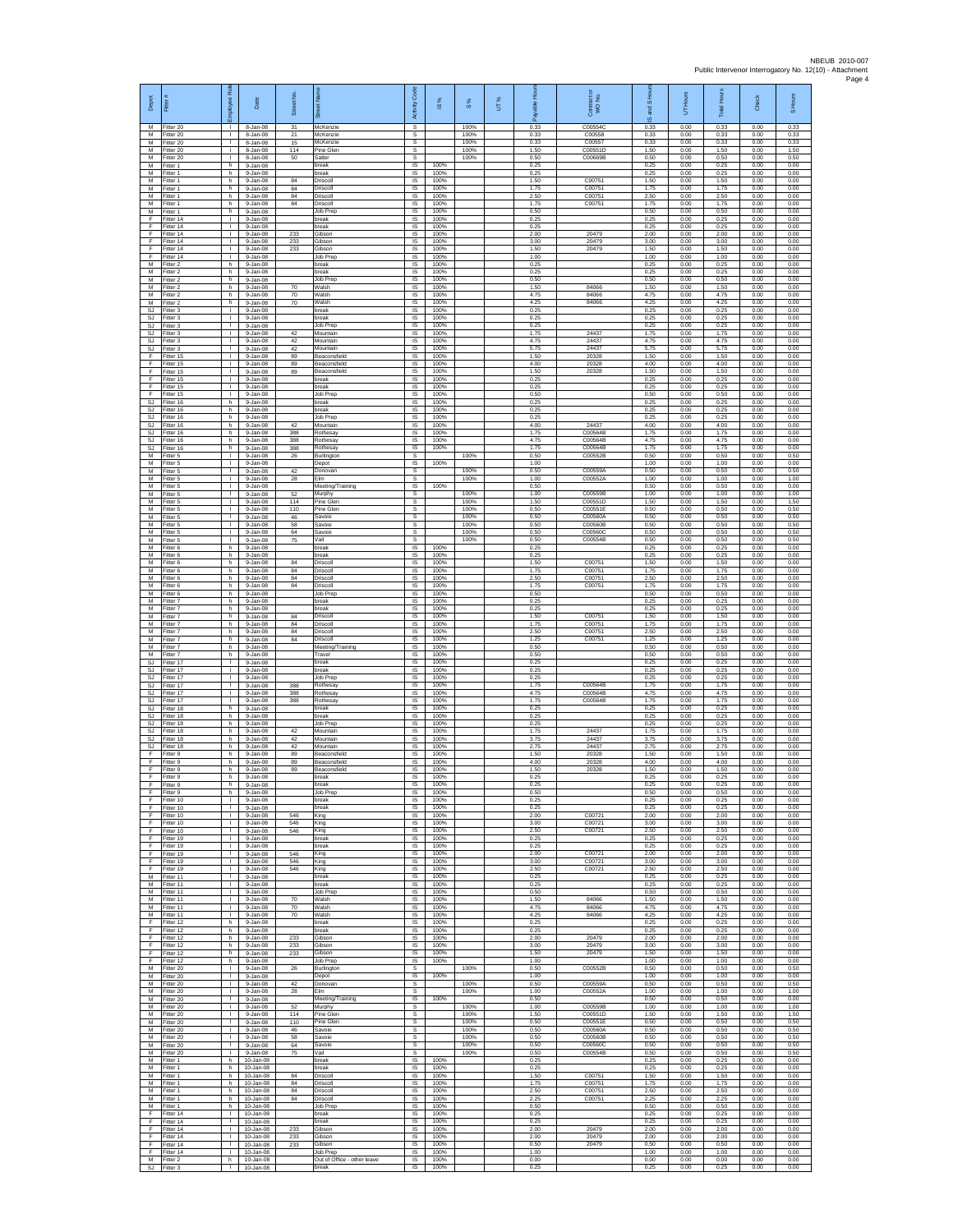| Depot<br>M                          | 릁<br>-itter 20                      | 윤<br>eakoy<br>$\mathbf{L}$                   | Date<br>8-Jan-08                         | Street No<br>31   | McKenzie                                | Code<br>Activity<br>s        | ×,<br>$\overline{\omega}$ | 8%<br>100%           | UT% | 훞<br>alde<br>ஃ<br>0.33 | Contract of WO No.<br>C00554C | and S Ho<br>ဖ<br>0.33 | UT Hours<br>0.00     | Total Hours<br>0.33  | Check<br>0.00        | S Hours<br>0.33      |
|-------------------------------------|-------------------------------------|----------------------------------------------|------------------------------------------|-------------------|-----------------------------------------|------------------------------|---------------------------|----------------------|-----|------------------------|-------------------------------|-----------------------|----------------------|----------------------|----------------------|----------------------|
| M<br>M                              | Fitter 20<br>Fitter 20              | $\mathbf{L}$<br>$\mathbf{L}$                 | 8-Jan-08<br>8-Jan-08                     | 21<br>15          | McKenzie<br>McKenzie                    | s<br>s                       |                           | 100%<br>100%         |     | 0.33<br>0.33           | C00558<br>C00557              | 0.33<br>0.33          | 0.00<br>0.00         | 0.33<br>0.33         | 0.00<br>0.00         | 0.33<br>0.33         |
| M<br>M<br>M                         | Fitter 20<br>Fitter 20<br>Fitter 1  | L.<br>h.                                     | 8-Jan-08<br>8-Jan-08<br>9-Jan-08         | 114<br>50         | Pine Glen<br>Salter<br>break            | s<br>s<br>1S                 | 100%                      | 100%<br>100%         |     | 1.50<br>0.50<br>0.25   | C00551D<br>C00669B            | 1.50<br>0.50<br>0.25  | 0.00<br>0.00<br>0.00 | 1.50<br>0.50<br>0.25 | 0.00<br>0.00<br>0.00 | 1.50<br>0.50<br>0.00 |
| M<br>${\sf M}$                      | Fitter 1<br>-itter 1                | h.<br>h                                      | 9-Jan-08<br>9-Jan-08                     | 84                | break<br>Driscoll                       | IS.<br>IS                    | 100%<br>100%              |                      |     | 0.25<br>1.50           | C00751                        | 0.25<br>1.50          | 0.00<br>0.00         | 0.25<br>1.50         | 0.00<br>0.00         | 0.00<br>0.00         |
| M<br>M                              | Fitter 1<br>Fitter 1                | h.<br>h.                                     | $9-Jan-08$<br>9-Jan-08                   | $^{\rm 84}$<br>84 | Driscoll<br>Driscoll                    | IS<br>IS                     | 100%<br>100%              |                      |     | 1.75<br>2.50           | C00751<br>C00751              | 1.75<br>2.50          | 0.00<br>0.00         | 1.75<br>2.50         | 0.00<br>0.00         | 0.00<br>0.00         |
| M<br>М                              | Fitter 1<br>Fitter 1                | h.<br>h.                                     | 9-Jan-08<br>9-Jan-08                     | 84                | Driscoll<br>Job Prep                    | IS<br>$\sf IS$               | 100%<br>100%              |                      |     | 1.75<br>0.50           | C00751                        | 1.75<br>0.50          | 0.00<br>0.00         | 1.75<br>0.50         | 0.00<br>0.00         | 0.00<br>0.00         |
| E<br>-F<br>-F.                      | Fitter 14<br>Fitter 14<br>Fitter 14 | $\mathbf{L}$<br>$\mathbf{L}$                 | 9-Jan-08<br>9-Jan-08<br>9-Jan-08         | 233               | break<br>break<br>Gibson                | IS<br><b>IS</b><br><b>IS</b> | 100%<br>100%<br>100%      |                      |     | 0.25<br>0.25<br>2.00   | 20479                         | 0.25<br>0.25<br>2.00  | 0.00<br>0.00<br>0.00 | 0.25<br>0.25<br>2.00 | 0.00<br>0.00<br>0.00 | 0.00<br>0.00<br>0.00 |
| $\mathsf F$<br>F                    | Fitter 14<br>Fitter 14              | $\mathbf{L}$<br>$\mathbf{L}$                 | 9-Jan-08<br>$9 - Jan-08$                 | 233<br>233        | <b>Gibson</b><br>Gibson                 | IS<br>1S                     | 100%<br>100%              |                      |     | 3.00<br>1.50           | 20479<br>20479                | 3.00<br>1.50          | 0.00<br>0.00         | 3.00<br>1.50         | 0.00<br>0.00         | 0.00<br>0.00         |
| F<br>M                              | Fitter 14<br>Fitter 2               | $\mathbf{L}$<br>h.                           | 9-Jan-08<br>9-Jan-08                     |                   | Job Prep<br>break                       | IS<br>IS                     | 100%<br>100%              |                      |     | 1.00<br>0.25           |                               | 1.00<br>0.25          | 0.00<br>0.00         | 1.00<br>0.25         | 0.00<br>0.00         | 0.00<br>0.00         |
| М<br>M<br>M                         | Fitter 2<br>Fitter 2<br>Fitter 2    | h.<br>h<br>h.                                | 9-Jan-08<br>9-Jan-08<br>9-Jan-08         | 70                | break<br>Job Prep<br>Walsh              | $\sf IS$<br>IS<br><b>IS</b>  | 100%<br>100%<br>100%      |                      |     | 0.25<br>0.50<br>1.50   | 84066                         | 0.25<br>0.50<br>1.50  | 0.00<br>0.00<br>0.00 | 0.25<br>0.50<br>1.50 | 0.00<br>0.00<br>0.00 | 0.00<br>0.00<br>0.00 |
| M<br>M                              | Fitter 2<br>Fitter 2                | h<br>h.                                      | 9-Jan-08<br>$9 - Jan-08$                 | 70<br>70          | Walsh<br>Walsh                          | IS<br>IS                     | 100%<br>100%              |                      |     | 4.75<br>4.25           | 84066<br>84066                | 4.75<br>4.25          | 0.00<br>0.00         | 4.75<br>4.25         | 0.00<br>0.00         | 0.00<br>0.00         |
| SJ.<br>SJ                           | Fitter 3<br>Fitter 3                | $\mathbf{L}$<br>$\mathbf{L}$                 | $9 - Jan-08$<br>9-Jan-08                 |                   | break<br>break                          | IS<br><b>IS</b>              | 100%<br>100%              |                      |     | 0.25<br>0.25           |                               | 0.25<br>0.25          | 0.00<br>0.00         | 0.25<br>0.25         | 0.00<br>0.00         | 0.00<br>0.00         |
| SJ<br>$\mathbb{S}\mathbb{J}$<br>SJ. | -itter 3<br>Fitter 3<br>Fitter 3    | $\mathbf{L}$<br>$\mathbf{L}$<br>$\mathbf{L}$ | 9-Jan-08<br>$9-Jan-08$<br>9-Jan-08       | 42<br>42          | lob Prep<br>Mountain<br>Mountain        | $\sf IS$<br>$\sf IS$<br>IS   | 100%<br>100%<br>100%      |                      |     | 0.25<br>1.75<br>4.75   | 24437<br>24437                | 0.25<br>1.75<br>4.75  | 0.00<br>0.00<br>0.00 | 0.25<br>1.75<br>4.75 | 0.00<br>0.00<br>0.00 | 0.00<br>0.00<br>0.00 |
| SJ<br>Ŧ                             | Fitter 3<br>Fitter 15               | $\mathbb{R}$<br>$\mathbb{L}$                 | 9-Jan-08<br>9-Jan-08                     | 42<br>89          | Mountain<br>Beaconsfield                | IS<br>IS                     | 100%<br>100%              |                      |     | 5.75<br>1.50           | 24437<br>20328                | 5.75<br>1.50          | 0.00<br>0.00         | 5.75<br>1.50         | 0.00<br>0.00         | 0.00<br>0.00         |
| F<br>F                              | Fitter 15<br>Fitter 15              | $\mathbf{L}$<br>$\mathbf{L}$                 | $9 - Jan-08$<br>9-Jan-08                 | 89<br>89          | Beaconsfield<br>Beaconsfield            | IS<br>-IS                    | 100%<br>100%              |                      |     | 4.00<br>1.50           | 20328<br>20328                | 4.00<br>1.50          | 0.00<br>0.00         | 4.00<br>1.50         | 0.00<br>0.00         | 0.00<br>0.00         |
| $\mathsf F$<br>F<br>F               | Fitter 15<br>Fitter 15<br>Fitter 15 | <b>ILL S</b><br>т.<br>$\mathbf{L}$           | 9-Jan-08<br>$9 - Jan-08$<br>$9 -$ lan-08 |                   | break<br>break<br>Job Prep              | IS<br>$\sf IS$<br>IS         | 100%<br>100%<br>100%      |                      |     | 0.25<br>0.25<br>0.50   |                               | 0.25<br>0.25<br>0.50  | 0.00<br>0.00<br>0.00 | 0.25<br>0.25<br>0.50 | 0.00<br>0.00<br>0.00 | 0.00<br>0.00<br>0.00 |
| S.I<br><b>SJ</b>                    | Fitter 16<br>Fitter 16              | h<br>h.                                      | 9-Jan-08<br>9-Jan-08                     |                   | break<br>break                          | IS<br>IS                     | 100%<br>100%              |                      |     | 0.25<br>0.25           |                               | 0.25<br>0.25          | 0.00<br>0.00         | 0.25<br>0.25         | 0.00<br>0.00         | 0.00<br>0.00         |
| SJ<br>SJ.                           | Fitter 16<br>Fitter 16              | h.<br>h.                                     | 9-Jan-08<br>9-Jan-08                     | 42                | Job Prep<br>Mountain                    | IS<br><b>IS</b>              | 100%<br>100%              |                      |     | 0.25<br>4.00           | 24437                         | 0.25<br>4.00          | 0.00<br>0.00         | 0.25<br>4.00         | 0.00<br>0.00         | 0.00<br>0.00         |
| SJ<br>SJ<br>SJ.                     | Fitter 16<br>Fitter 16<br>Fitter 16 | h<br>h.<br>h.                                | 9-Jan-08<br>$9-Jan-08$<br>9-Jan-08       | 388<br>388<br>388 | Rothesay<br><b>Rothesay</b><br>Rothesay | IS<br>IS<br>IS               | 100%<br>100%<br>100%      |                      |     | 1.75<br>4.75<br>1.75   | C00564B<br>C00564B<br>C00564B | 1.75<br>4.75<br>1.75  | 0.00<br>0.00<br>0.00 | 1.75<br>4.75<br>1.75 | 0.00<br>0.00<br>0.00 | 0.00<br>0.00<br>0.00 |
| M<br>М                              | Fitter 5<br>Fitter 5                | $\mathbf{L}$<br>$\mathbb{R}$                 | 9-Jan-08<br>$9 - Jan-08$                 | 26                | Burlington<br>Depot                     | s<br>$\sf IS$                | 100%                      | 100%                 |     | 0.50<br>1.00           | C00552B                       | 0.50<br>1.00          | 0.00<br>0.00         | 0.50<br>1.00         | 0.00<br>0.00         | 0.50<br>0.00         |
| М<br>M                              | Fitter 5<br>Fitter 5                | $\mathbf{L}$<br>$\mathbf{L}$                 | 9-Jan-08<br>9-Jan-08                     | 42<br>28          | Donovan<br>Elm                          | s<br>s                       |                           | 100%<br>100%         |     | 0.50<br>1.00           | C00559A<br>C00552A            | 0.50<br>1.00          | 0.00<br>0.00         | 0.50<br>1.00         | 0.00<br>0.00         | 0.50<br>1.00         |
| M<br>M<br>M                         | Fitter 5<br>Fitter 5<br>Fitter 5    | $\mathbf{L}$<br>L.<br>$\mathbf{L}$           | 9-Jan-08<br>$9-Jan-08$<br>$9 -$ lan-08   | 52<br>114         | Meeting/Training<br>Murphy<br>Pine Glen | IS<br>s<br>s                 | 100%                      | 100%<br>100%         |     | 0.50<br>1.00<br>1.50   | C00559B<br>C00551D            | 0.50<br>1.00<br>1.50  | 0.00<br>0.00<br>0.00 | 0.50<br>1.00<br>1.50 | 0.00<br>0.00<br>0.00 | 0.00<br>1.00<br>1.50 |
| M<br>${\sf M}$                      | Fitter 5<br>-itter 5                | $\mathbf{L}$<br>$\mathbf{L}$                 | 9-Jan-08<br>9-Jan-08                     | 110<br>46         | Pine Glen<br>Savoie                     | s<br>$\mathbb S$             |                           | 100%<br>100%         |     | 0.50<br>0.50           | C00551E<br>C00560A            | 0.50<br>0.50          | 0.00<br>0.00         | 0.50<br>0.50         | 0.00<br>0.00         | 0.50<br>0.50         |
| M<br>M                              | Fitter 5<br>Fitter 5                | $\mathbf{L}$<br>$\mathbf{L}$                 | $9-Jan-08$<br>9-Jan-08                   | 58<br>64          | Savoie<br>Savoie                        | s<br>s                       |                           | 100%<br>100%         |     | 0.50<br>0.50           | C00560B<br>C00560C            | 0.50<br>0.50          | 0.00<br>0.00         | 0.50<br>0.50         | 0.00<br>0.00         | 0.50<br>0.50         |
| M<br>M<br>M                         | Fitter 5<br>Fitter 6<br>Fitter 6    | $\mathbf{L}$<br>h.<br>h.                     | 9-Jan-08<br>9-Jan-08<br>$9 - Jan-08$     | 75                | /ail<br>break<br>oreak                  | s<br>1S<br>IS                | 100%<br>100%              | 100%                 |     | 0.50<br>0.25<br>0.25   | C00554B                       | 0.50<br>0.25<br>0.25  | 0.00<br>0.00<br>0.00 | 0.50<br>0.25<br>0.25 | 0.00<br>0.00<br>0.00 | 0.50<br>0.00<br>0.00 |
| M<br>М                              | Fitter 6<br>-itter 6                | h.<br>h.                                     | 9-Jan-08<br>9-Jan-08                     | 84<br>84          | Driscoll<br>Driscoll                    | -IS<br>IS                    | 100%<br>100%              |                      |     | 1.50<br>1.75           | C00751<br>C00751              | 1.50<br>1.75          | 0.00<br>0.00         | 1.50<br>1.75         | 0.00<br>0.00         | 0.00<br>0.00         |
| M<br>M                              | Fitter 6<br>Fitter 6                | h.<br>h.                                     | 9-Jan-08<br>$9 - Jan-08$                 | 84<br>84          | Driscoll<br>Driscoll                    | $\sf IS$<br>IS               | 100%<br>100%              |                      |     | 2.50<br>1.75           | C00751<br>C00751              | 2.50<br>1.75          | 0.00<br>0.00         | 2.50<br>1.75         | 0.00<br>0.00         | 0.00<br>0.00         |
| M<br>M<br>M                         | Fitter 6<br>-itter 7<br>Fitter 7    | h.<br>h.<br>h.                               | 9-Jan-08<br>9-Jan-08<br>9-Jan-08         |                   | Job Prep<br>break<br>break              | IS<br>IS<br>1S               | 100%<br>100%<br>100%      |                      |     | 0.50<br>0.25<br>0.25   |                               | 0.50<br>0.25<br>0.25  | 0.00<br>0.00<br>0.00 | 0.50<br>0.25<br>0.25 | 0.00<br>0.00<br>0.00 | 0.00<br>0.00<br>0.00 |
| M<br>М                              | Fitter 7<br>-itter 7                | h.<br>h.                                     | 9-Jan-08<br>9-Jan-08                     | 84<br>$^{\rm 84}$ | Driscoll<br>Driscoll                    | <b>IS</b><br>IS              | 100%<br>100%              |                      |     | 1.50<br>1.75           | C00751<br>C00751              | 1.50<br>1.75          | 0.00<br>0.00         | 1.50<br>1.75         | 0.00<br>0.00         | 0.00<br>0.00         |
| М<br>M<br>M                         | Fitter 7<br>Fitter 7<br>Fitter 7    | h.<br>h.<br>h.                               | $9 - Jan-08$<br>9-Jan-08<br>9-Jan-08     | $^{\rm 84}$<br>84 | Driscoll<br>Driscoll                    | 1S<br>IS<br>IS               | 100%<br>100%<br>100%      |                      |     | 2.50<br>1.25<br>0.50   | C00751<br>C00751              | 2.50<br>1.25<br>0.50  | 0.00<br>0.00<br>0.00 | 2.50<br>1.25<br>0.50 | 0.00<br>0.00<br>0.00 | 0.00<br>0.00<br>0.00 |
| ${\sf M}$<br>SJ                     | -itter 7<br>Fitter 17               | h.<br>л.                                     | 9-Jan-08<br>9-Jan-08                     |                   | Meeting/Training<br>Travel<br>oreak     | $\sf IS$<br>IS               | 100%<br>100%              |                      |     | 0.50<br>0.25           |                               | 0.50<br>0.25          | 0.00<br>0.00         | 0.50<br>0.25         | 0.00<br>0.00         | 0.00<br>0.00         |
| -SJ<br>SJ.                          | Fitter 17<br>Fitter 17              | $\mathbf{L}$<br>H.                           | 9-Jan-08<br>9-Jan-08                     |                   | break<br>lob Prep                       | -IS<br>IS                    | 100%<br>100%              |                      |     | 0.25<br>0.25           |                               | 0.25<br>0.25          | 0.00<br>0.00         | 0.25<br>0.25         | 0.00<br>0.00         | 0.00<br>0.00         |
| $\mathbb{S}\mathbb{J}$<br>SJ.<br>SJ | Fitter 17<br>Fitter 17<br>Fitter 17 | L.<br>$\mathbf{L}$<br>$\mathbf{L}$           | $9 - Jan-08$<br>$9 -$ lan-08<br>9-Jan-08 | 388<br>388<br>388 | Rothesay<br>Rothesay<br>Rothesay        | IS<br>IS<br><b>IS</b>        | 100%<br>100%<br>100%      |                      |     | 1.75<br>4.75<br>1.75   | C00564B<br>C00564B<br>C00564B | 1.75<br>4.75<br>1.75  | 0.00<br>0.00<br>0.00 | 1.75<br>4.75<br>1.75 | 0.00<br>0.00<br>0.00 | 0.00<br>0.00<br>0.00 |
| SJ<br>SJ                            | Fitter 18<br>Fitter 18              | h.<br>h                                      | 9-Jan-08<br>$9-Jan-08$                   |                   | oreak<br>break                          | $\sf IS$<br>$\sf IS$         | 100%<br>100%              |                      |     | 0.25<br>0.25           |                               | 0.25<br>0.25          | 0.00<br>0.00         | 0.25<br>0.25         | 0.00<br>0.00         | 0.00<br>0.00         |
| SJ.<br>SJ.<br><b>SJ</b>             | Fitter 18<br>Fitter 18<br>Fitter 18 | h.<br>h.<br>h.                               | 9-Jan-08<br>9-Jan-08<br>9-Jan-08         | 42<br>42          | Job Prep<br>Mountain<br>Mountain        | IS<br>IS<br>IS               | 100%<br>100%<br>100%      |                      |     | 0.25<br>1.75<br>3.75   | 24437<br>24437                | 0.25<br>1.75<br>3.75  | 0.00<br>0.00<br>0.00 | 0.25<br>1.75<br>3.75 | 0.00<br>0.00<br>0.00 | 0.00<br>0.00<br>0.00 |
| <b>SJ</b><br>F                      | Fitter 18<br>Fitter 9               | h<br>h.                                      | $9 - Jan-08$<br>9-Jan-08                 | 42<br>89          | Mountain<br>Beaconsfield                | IS<br><b>IS</b>              | 100%<br>100%              |                      |     | 2.75<br>1.50           | 24437<br>20328                | 2.75<br>1.50          | 0.00<br>0.00         | 2.75<br>1.50         | 0.00<br>0.00         | 0.00<br>0.00         |
| F<br>F                              | Fitter 9<br>Fitter 9                | h.<br>h.                                     | 9-Jan-08<br>$9-Jan-08$                   | 89<br>89          | Beaconsfield<br>Beaconsfield            | IS<br>$\sf IS$               | 100%<br>100%              |                      |     | 4.00<br>1.50           | 20328<br>20328                | 4.00<br>1.50          | 0.00<br>0.00         | 4.00<br>1.50         | 0.00<br>0.00         | 0.00<br>0.00         |
| -F<br>Ŧ                             | Fitter 9<br>Fitter 9<br>Fitter 9    | h.<br>h<br>h                                 | $9 -$ lan-08<br>9-Jan-08<br>9-Jan-08     |                   | break<br>hreak<br>Job Prep              | IS<br>IS<br>IS               | 100%<br>100%<br>100%      |                      |     | 0.25<br>0.25<br>0.50   |                               | 0.25<br>0.25<br>0.50  | 0.00<br>0.00<br>0.00 | 0.25<br>0.25<br>0.50 | 0.00<br>0.00<br>0.00 | 0.00<br>0.00<br>0.00 |
| F<br>F                              | Fitter 10<br>Fitter 10              | $\mathbf{L}$<br>$\mathbf{L}$                 | 9-Jan-08<br>$9 - Jan - 08$               |                   | break<br>break                          | $\overline{s}$<br>IS.        | 100%<br>100%              |                      |     | 0.25<br>0.25           |                               | 0.25<br>0.25          | 0.00<br>0.00         | 0.25<br>0.25         | 0.00<br>0.00         | 0.00<br>0.00         |
| $\mathsf F$<br>F<br>F               | Fitter 10<br>Fitter 10<br>Fitter 10 | $\mathbb{R}$<br>$\mathbb{L}$<br>$\mathbf{L}$ | 9-Jan-08<br>$9 - Jan-08$<br>9-Jan-08     | 546<br>546<br>546 | King<br>King<br>King                    | IS<br>IS<br>IS               | 100%<br>100%<br>100%      |                      |     | 2.00<br>3.00<br>2.50   | C00721<br>C00721<br>C00721    | 2.00<br>3.00<br>2.50  | 0.00<br>0.00<br>0.00 | 2.00<br>3.00<br>2.50 | 0.00<br>0.00<br>0.00 | 0.00<br>0.00<br>0.00 |
| -F<br>F.                            | Fitter 19<br>Fitter 19              | $\mathbf{L}$<br>$\mathbb{R}$                 | 9-Jan-08<br>9-Jan-08                     |                   | break<br>break                          | IS<br>IS                     | 100%<br>100%              |                      |     | 0.25<br>0.25           |                               | 0.25<br>0.25          | 0.00<br>0.00         | 0.25<br>0.25         | 0.00<br>0.00         | 0.00<br>0.00         |
| Ŧ<br>-F                             | Fitter 19<br>Fitter 19              | $\mathbf{L}$<br>$\mathbf{L}$                 | 9-Jan-08<br>9-Jan-08                     | 546<br>546        | King<br>King                            | IS<br>-IS                    | 100%<br>100%              |                      |     | 2.00<br>3.00           | C00721<br>C00721              | 2.00<br>3.00          | 0.00<br>0.00         | 2.00<br>3.00         | 0.00<br>0.00         | 0.00<br>0.00         |
| F.<br>${\sf M}$<br>M                | Fitter 19<br>Fitter 11<br>Fitter 11 | H.<br>$\mathbf{L}$<br>$\mathbf{L}$           | 9-Jan-08<br>$9 - Jan-08$<br>9-Jan-08     | 546               | King<br>break<br>break                  | IS<br>IS<br>IS               | 100%<br>100%<br>100%      |                      |     | 2.50<br>0.25<br>0.25   | C00721                        | 2.50<br>0.25<br>0.25  | 0.00<br>0.00<br>0.00 | 2.50<br>0.25<br>0.25 | 0.00<br>0.00<br>0.00 | 0.00<br>0.00<br>0.00 |
| M<br>М                              | Fitter 11<br>Fitter 11              | $\mathbf{L}$                                 | 9-Jan-08<br>9-Jan-08                     | 70                | Job Prep<br>Walsh                       | IS.<br>$\sf IS$              | 100%<br>100%              |                      |     | 0.50<br>1.50           | 84066                         | 0.50<br>1.50          | 0.00<br>0.00         | 0.50<br>1.50         | 0.00<br>0.00         | 0.00<br>0.00         |
| M<br>M<br>-F.                       | Fitter 11<br>Fitter 11              | $\mathbf{L}$<br>$\mathbf{L}$                 | $9 - Jan-08$<br>9-Jan-08                 | 70<br>70          | Walsh<br>Walsh                          | $\sf IS$<br><b>IS</b>        | 100%<br>100%              |                      |     | 4.75<br>4.25<br>0.25   | 84066<br>84066                | 4.75<br>4.25          | 0.00<br>0.00         | 4.75<br>4.25         | 0.00<br>0.00         | 0.00<br>0.00         |
| Ŧ<br>F                              | Fitter 12<br>Fitter 12<br>Fitter 12 | h.<br>h.<br>h.                               | 9-Jan-08<br>$9$ -Jan-08<br>$9 - Jan-08$  | 233               | oreak<br>break<br>Gibson                | IS<br>1S<br>IS               | 100%<br>100%<br>100%      |                      |     | 0.25<br>2.00           | 20479                         | 0.25<br>0.25<br>2.00  | 0.00<br>0.00<br>0.00 | 0.25<br>0.25<br>2.00 | 0.00<br>0.00<br>0.00 | 0.00<br>0.00<br>0.00 |
| F<br>F.                             | Fitter 12<br>Fitter 12              | h.<br>h.                                     | 9-Jan-08<br>9-Jan-08                     | 233<br>233        | Gibson<br>Gibson                        | -IS<br>IS                    | 100%<br>100%              |                      |     | 3.00<br>1.50           | 20479<br>20479                | 3.00<br>1.50          | 0.00<br>0.00         | 3.00<br>1.50         | 0.00<br>0.00         | 0.00<br>0.00         |
| F<br>M<br>M                         | Fitter 12<br>Fitter 20<br>Fitter 20 | h.<br>$\mathbf{L}$<br>H.                     | 9-Jan-08<br>9-Jan-08<br>9-Jan-08         | 26                | Job Prep<br>Burlington<br>Depot         | $\sf IS$<br>s<br>IS          | 100%<br>100%              | 100%                 |     | 1.00<br>0.50<br>1.00   | C00552B                       | 1.00<br>0.50<br>1.00  | 0.00<br>0.00<br>0.00 | 1.00<br>0.50<br>1.00 | 0.00<br>0.00<br>0.00 | 0.00<br>0.50<br>0.00 |
| M<br>M                              | Fitter 20<br>Fitter 20              | τ.<br>$\mathbb{R}$                           | 9-Jan-08<br>$9 - Jan-08$                 | 42<br>28          | Donovan<br>Elm                          | s<br>s                       |                           | 100%<br>100%         |     | 0.50<br>1.00           | C00559A<br>C00552A            | 0.50<br>1.00          | 0.00<br>0.00         | 0.50<br>1.00         | 0.00<br>0.00         | 0.50<br>1.00         |
| M<br>M                              | Fitter 20<br>fitter 20              | $\mathbb{R}$                                 | 9-Jan-08<br>9-Jan-08                     | 52                | Meeting/Training<br>Murphy              | IS.<br>s                     | 100%                      | 100%                 |     | 0.50<br>1.00           | C00559B                       | 0.50<br>1.00          | 0.00<br>0.00         | 0.50<br>1.00         | 0.00<br>0.00         | 0.00<br>1.00         |
| М<br>M<br>M                         | Fitter 20<br>Fitter 20<br>Fitter 20 | $\mathbf{L}$<br>$\mathbf{L}$<br>$\mathbf{L}$ | $9 - Jan-08$<br>$9 - Jan-08$<br>9-Jan-08 | 114<br>110<br>46  | Pine Glen<br>Pine Glen<br>Savoie        | s<br>s<br>$\mathsf{s}$       |                           | 100%<br>100%<br>100% |     | 1.50<br>0.50<br>0.50   | C00551D<br>C00551E<br>C00560A | 1.50<br>0.50<br>0.50  | 0.00<br>0.00<br>0.00 | 1.50<br>0.50<br>0.50 | 0.00<br>0.00<br>0.00 | 1.50<br>0.50<br>0.50 |
| M<br>M                              | Fitter 20<br>Fitter 20              | $\mathbf{L}$<br>$\mathbf{L}$                 | 9-Jan-08<br>9-Jan-08                     | 58<br>64          | Savoie<br>Savoie                        | $\mathbb S$<br>s             |                           | 100%<br>100%         |     | 0.50<br>0.50           | C00560B<br>C00560C            | 0.50<br>0.50          | 0.00<br>0.00         | 0.50<br>0.50         | 0.00<br>0.00         | 0.50<br>0.50         |
| M<br>M                              | Fitter 20<br>Fitter 1               | <b>I</b><br>h<br>h.                          | 9-Jan-08<br>10-Jan-08                    | 75                | Vail<br>break<br>break                  | s<br>IS.<br>IS               | 100%<br>100%              | 100%                 |     | 0.50<br>0.25<br>0.25   | C00554B                       | 0.50<br>0.25<br>0.25  | 0.00<br>0.00<br>0.00 | 0.50<br>0.25<br>0.25 | 0.00<br>0.00<br>0.00 | 0.50<br>0.00<br>0.00 |
| M<br>M<br>M                         | Fitter 1<br>Fitter 1<br>Fitter 1    | h.<br>h.                                     | $10 - Jan-08$<br>10-Jan-08<br>10-Jan-08  | 84<br>84          | Driscoll<br>Driscoll                    | IS<br><b>IS</b>              | 100%<br>100%              |                      |     | 1.50<br>1.75           | C00751<br>C00751              | 1.50<br>1.75          | 0.00<br>0.00         | 1.50<br>1.75         | 0.00<br>0.00         | 0.00<br>0.00         |
| М<br>M                              | -itter 1<br>Fitter 1                | h.<br>$\mathsf{h}$                           | 10-Jan-08<br>$10 - Jan-08$               | 84<br>84          | Driscoll<br>Driscoll                    | $\sf IS$<br>$\sf IS$         | 100%<br>100%              |                      |     | 2.50<br>2.25           | C00751<br>C00751              | 2.50<br>2.25          | 0.00<br>0.00         | 2.50<br>2.25         | 0.00<br>0.00         | 0.00<br>0.00         |
| M<br>-F.<br>Ŧ                       | Fitter 1<br>Fitter 14<br>Fitter 14  | h.<br>$\mathbb{R}$<br>$\mathbb{L}$           | 10-Jan-08<br>10-Jan-08<br>10-Jan-08      |                   | Job Prep<br>break<br>break              | IS.<br>IS<br>IS              | 100%<br>100%<br>100%      |                      |     | 0.50<br>0.25<br>0.25   |                               | 0.50<br>0.25<br>0.25  | 0.00<br>0.00<br>0.00 | 0.50<br>0.25<br>0.25 | 0.00<br>0.00<br>0.00 | 0.00<br>0.00<br>0.00 |
| F<br>-F                             | Fitter 14<br>Fitter 14              | $\mathbf{L}$<br>$\mathbf{L}$                 | 10-Jan-08<br>$10 - Jan-08$               | 233<br>233        | <b>Gibson</b><br>Gibson                 | IS<br>-IS                    | 100%<br>100%              |                      |     | 2.00<br>2.00           | 20479<br>20479                | 2.00<br>2.00          | 0.00<br>0.00         | 2.00<br>2.00         | 0.00<br>0.00         | 0.00<br>0.00         |
| F.<br>F                             | Fitter 14<br>Fitter 14              | H.<br>T.                                     | 10-Jan-08<br>$10 - Jan-08$               | 233               | Gibson<br>Job Prep                      | IS<br>$\sf IS$               | 100%<br>100%              |                      |     | 0.50<br>1.00           | 20479                         | 0.50<br>1.00          | 0.00<br>0.00         | 0.50<br>1.00         | 0.00<br>0.00         | 0.00<br>0.00         |
| M                                   | Fitter 2<br>SJ Fitter 3             | h                                            | 10-Jan-08<br>I 10-Jan-08                 |                   | Out of Office - other leave<br>break    | IS<br>IS.                    | 100%<br>100%              |                      |     | 0.00<br>0.25           |                               | 0.00<br>0.25          | 0.00<br>0.00         | 0.00<br>0.25         | 0.00<br>0.00         | 0.00<br>0.00         |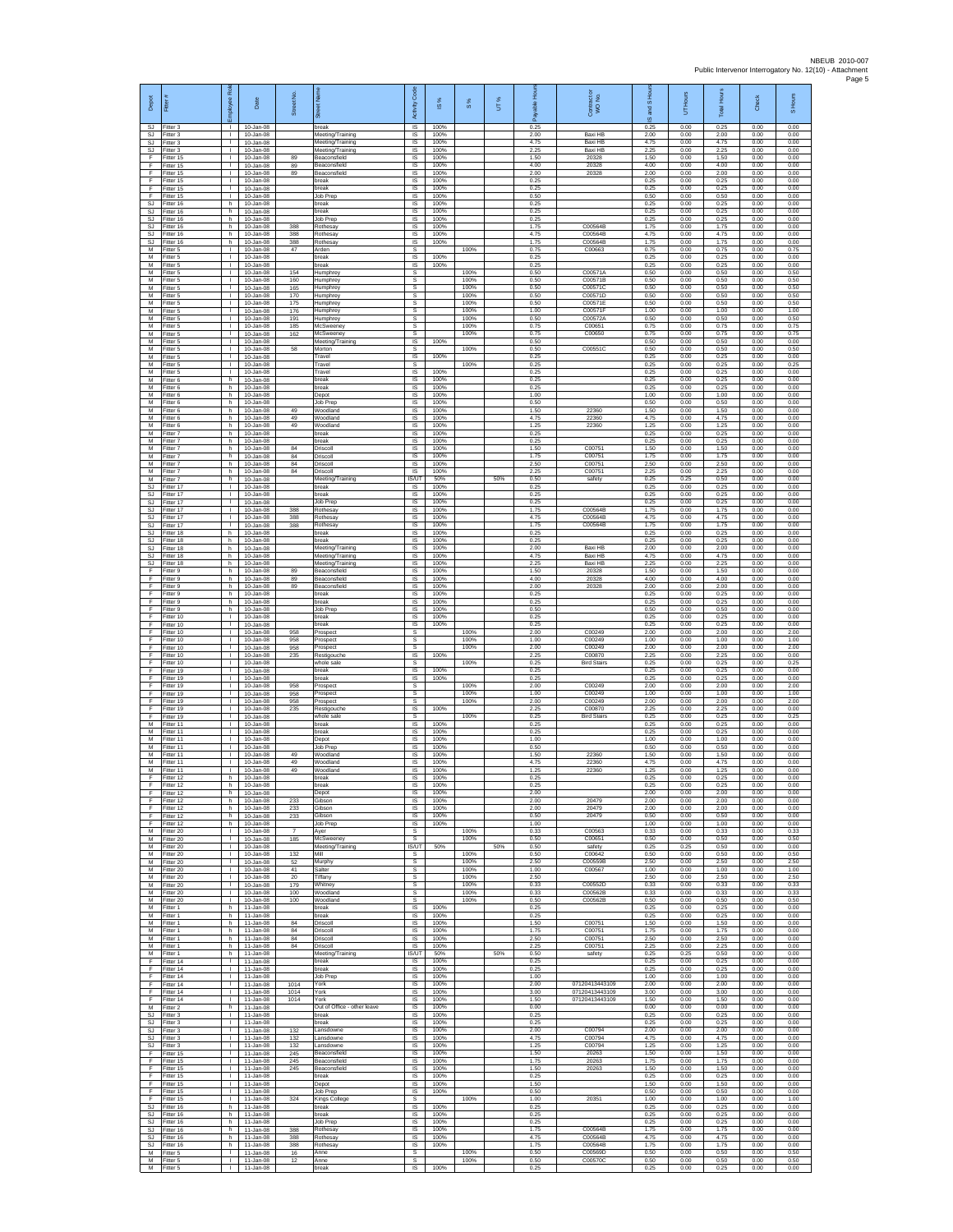| Depot<br>SJ.                 | Fitter<br>-itter 3                  | 웂<br>eevolon<br>ũ<br>т.            | Date<br>10-Jan-08                           | Street No.            | ā<br>break                           | Code<br>Activity<br>IS       | ⋇<br>$\overline{\omega}$<br>100% | 8%                   | UT% | 효<br>able<br>កី<br>0.25 | Contract or<br>WO No.            | and S Ho<br>ဖ<br>0.25 | UT Hours<br>0.00     | Hours<br>Total<br>0.25 | Check<br>0.00        | S Hours<br>0.00      |
|------------------------------|-------------------------------------|------------------------------------|---------------------------------------------|-----------------------|--------------------------------------|------------------------------|----------------------------------|----------------------|-----|-------------------------|----------------------------------|-----------------------|----------------------|------------------------|----------------------|----------------------|
| SJ<br>SJ.                    | Fitter 3<br>Fitter 3                | T.<br>$\mathbf{L}$                 | 10-Jan-08<br>10-Jan-08                      |                       | Meeting/Training<br>Meeting/Training | $\sf IS$<br><b>IS</b>        | 100%<br>100%                     |                      |     | 2.00<br>4.75            | Baxi HB<br>Baxi HB               | 2.00<br>4.75          | 0.00<br>0.00         | 2.00<br>4.75           | 0.00<br>0.00         | 0.00<br>0.00         |
| SJ.<br>F                     | Fitter 3<br>Fitter 15               | л.<br>л.                           | 10-Jan-08<br>10-Jan-08                      | 89                    | Meeting/Training<br>Beaconsfield     | IS<br>IS                     | 100%<br>100%                     |                      |     | 2.25<br>1.50            | <b>Baxi HB</b><br>20328          | 2.25<br>1.50          | 0.00<br>0.00         | 225<br>1.50            | 0.00<br>0.00         | 0.00<br>0.00         |
| F<br>F                       | ltter 15<br>Fitter 15               | $\mathbf{L}$<br>$\mathbf{L}$       | 10-Jan-08<br>10-Jan-08                      | 89<br>89              | Beaconsfield<br>Beaconsfield         | IS<br>IS                     | 100%<br>100%                     |                      |     | 4.00<br>2.00            | 20328<br>20328                   | 4.00<br>2.00          | 0.00<br>0.00         | 4.00<br>2.00           | 0.00<br>0.00         | 0.00<br>0.00         |
| $\mathsf F$<br>F<br>F        | Fitter 15<br>Fitter 15<br>Fitter 15 | $\mathbf{L}$<br>т.                 | 10-Jan-08<br>10-Jan-08<br>$10 -$ lan-08     |                       | break<br>break<br>Job Prep           | IS<br>IS<br><b>IS</b>        | 100%<br>100%<br>100%             |                      |     | 0.25<br>0.25<br>0.50    |                                  | 0.25<br>0.25<br>0.50  | 0.00<br>0.00<br>0.00 | 0.25<br>0.25<br>0.50   | 0.00<br>0.00<br>0.00 | 0.00<br>0.00<br>0.00 |
| <b>SJ</b><br>SJ              | Fitter 16<br>Fitter 16              | т.<br>h<br>h.                      | 10-Jan-08<br>10-Jan-08                      |                       | break<br>break                       | IS<br>$\sf IS$               | 100%<br>100%                     |                      |     | 0.25<br>0.25            |                                  | 0.25<br>0.25          | 0.00<br>0.00         | 0.25<br>0.25           | 0.00<br>0.00         | 0.00<br>0.00         |
| SJ<br><b>SJ</b>              | fitter 16<br>Fitter 16              | h<br>h.                            | 10-Jan-08<br>10-Jan-08                      | 388                   | Job Prep<br>Rothesav                 | IS<br>-IS                    | 100%<br>100%                     |                      |     | 0.25<br>1.75            | C00564B                          | 0.25<br>1.75          | 0.00<br>0.00         | 0.25<br>1.75           | 0.00<br>0.00         | 0.00<br>0.00         |
| SJ<br>$\mathbb{S}\mathbb{J}$ | Fitter 16<br>Fitter 16              | h.<br>h                            | 10-Jan-08<br>10-Jan-08                      | 388<br>388            | Rothesay<br>Rothesay                 | IS<br>IS                     | 100%<br>100%                     |                      |     | 4.75<br>1.75            | C00564B<br>C00564B               | 4.75<br>1.75          | 0.00<br>0.00         | 4.75<br>1.75           | 0.00<br>0.00         | 0.00<br>0.00         |
| M<br>м                       | Fitter 5<br>Fitter 5                | $\mathbf{L}$                       | $10 -$ Jan-08<br>10-Jan-08                  | 47                    | Arden<br>break                       | s<br>IS                      | 100%                             | 100%                 |     | 0.75<br>0.25            | C00663                           | 0.75<br>0.25          | 0.00<br>0.00         | 0.75<br>0.25           | 0.00<br>0.00         | 0.75<br>0.00         |
| М<br>M                       | -itter 5<br>Fitter 5                | т.<br>T.                           | 10-Jan-08<br>10-Jan-08                      | 154                   | break<br><b>Humphrey</b>             | $\sf IS$<br>$\mathbb S$      | 100%                             | 100%                 |     | 0.25<br>0.50            | C00571A                          | 0.25<br>0.50          | 0.00<br>0.00         | 0.25<br>0.50           | 0.00<br>0.00         | 0.00<br>0.50         |
| M<br>M<br>М                  | Fitter 5<br>Fitter 5<br>Fitter 5    | $\mathbf{L}$<br>$\mathbf{L}$<br>т. | 10-Jan-08<br>10-Jan-08<br>10-Jan-08         | 160<br>165<br>170     | Humphrev<br>Humphrey                 | s<br>s<br>s                  |                                  | 100%<br>100%<br>100% |     | 0.50<br>0.50<br>0.50    | C00571B<br>C00571C<br>C00571D    | 0.50<br>0.50<br>0.50  | 0.00<br>0.00<br>0.00 | 0.50<br>0.50<br>0.50   | 0.00<br>0.00<br>0.00 | 0.50<br>0.50<br>0.50 |
| M<br>M                       | Fitter 5<br>Fitter 5                | т.<br>л.                           | 10-Jan-08<br>10-Jan-08                      | 175<br>176            | Humphrey<br>Humphrey<br>Humphrey     | s<br>-S                      |                                  | 100%<br>100%         |     | 0.50<br>1.00            | C00571E<br>C00571                | 0.50<br>1.00          | 0.00<br>0.00         | 0.50<br>1.00           | 0.00<br>0.00         | 0.50<br>1.00         |
| M<br>М                       | -itter 5<br>Fitter 5                | л.<br>$\mathbf{I}$                 | 10-Jan-08<br>10-Jan-08                      | 191<br>185            | Humphrey<br>McSweeney                | s<br>$\mathbb S$             |                                  | 100%<br>100%         |     | 0.50<br>0.75            | C00572A<br>C00651                | 0.50<br>0.75          | 0.00<br>0.00         | 0.50<br>0.75           | 0.00<br>0.00         | 0.50<br>0.75         |
| M<br>M                       | Fitter 5<br>Fitter 5                | л.<br>$\mathbf{L}$                 | 10-Jan-08<br>10-Jan-08                      | 162                   | McSweeney<br>Meeting/Training        | -S<br><b>IS</b>              | 100%                             | 100%                 |     | 0.75<br>0.50            | C00650                           | 0.75<br>0.50          | 0.00<br>0.00         | 0.75<br>0.50           | 0.00<br>0.00         | 0.75<br>0.00         |
| М<br>M                       | Fitter 5<br>Fitter 5                | ٠<br>$\mathbf{L}$                  | 10-Jan-08<br>10-Jan-08                      | 58                    | Morton<br>Travel                     | s<br>IS                      | 100%                             | 100%                 |     | 0.50<br>0.25            | C00551C                          | 0.50<br>0.25          | 0.00<br>0.00         | 0.50<br>0.25           | 0.00<br>0.00         | 0.50<br>0.00         |
| M<br>М<br>M                  | Fitter 5<br>-itter 5<br>Fitter 6    | т.<br>т.<br>h                      | 10-Jan-08<br>10-Jan-08<br>10-Jan-08         |                       | Travel<br>Travel<br>break            | -S<br>IS<br>IS               | 100%<br>100%                     | 100%                 |     | 0.25<br>0.25<br>0.25    |                                  | 0.25<br>0.25<br>0.25  | 0.00<br>0.00<br>0.00 | 0.25<br>0.25<br>0.25   | 0.00<br>0.00<br>0.00 | 0.25<br>0.00<br>0.00 |
| M<br>M                       | Fitter 6<br>Fitter 6                | h.<br>h                            | $10 -$ lan-08<br>10-Jan-08                  |                       | break<br>Depot                       | <b>IS</b><br>IS              | 100%<br>100%                     |                      |     | 0.25<br>1.00            |                                  | 0.25<br>1.00          | 0.00<br>0.00         | 0.25<br>1.00           | 0.00<br>0.00         | 0.00<br>0.00         |
| M<br>М                       | Fitter 6<br>Fitter 6                | h<br>h                             | 10-Jan-08<br>10-Jan-08                      | 49                    | Job Prep<br>Woodland                 | $\sf IS$<br>IS               | 100%<br>100%                     |                      |     | 0.50<br>1.50            | 22360                            | 0.50<br>1.50          | 0.00<br>0.00         | 0.50<br>1.50           | 0.00<br>0.00         | 0.00<br>0.00         |
| M<br>M                       | Fitter 6<br>Fitter 6                | h.<br>h                            | 10-Jan-08<br>10-Jan-08                      | 49<br>49              | Woodland<br>Woodland                 | -IS<br>IS                    | 100%<br>100%                     |                      |     | 4.75<br>1 25            | 22360<br>22360                   | 4.75<br>1.25          | 0.00<br>0.00         | 4.75<br>1 25           | 0.00<br>0.00         | 0.00<br>0.00         |
| М<br>M                       | Fitter 7<br>Fitter 7                | h<br>h.                            | 10-Jan-08<br>$10 -$ lan-08                  |                       | break<br>break                       | IS<br>IS                     | 100%<br>100%                     |                      |     | 0.25<br>0.25            |                                  | 0.25<br>0.25          | 0.00<br>0.00         | 0.25<br>0.25           | 0.00<br>0.00         | 0.00<br>0.00         |
| M<br>М<br>M                  | Fitter 7<br>-itter 7<br>Fitter 7    | h.<br>h<br>h                       | 10-Jan-08<br>10-Jan-08<br>10-Jan-08         | 84<br>84<br>84        | Driscoll<br>Driscoll<br>Driscoll     | - IS<br>$\sf IS$<br>$\sf IS$ | 100%<br>100%<br>100%             |                      |     | 1.50<br>1.75<br>2.50    | C00751<br>C00751<br>C00751       | 1.50<br>1.75<br>2.50  | 0.00<br>0.00<br>0.00 | 1.50<br>1.75<br>2.50   | 0.00<br>0.00<br>0.00 | 0.00<br>0.00<br>0.00 |
| M<br>M                       | Fitter 7<br>Fitter 7                | h.<br>h                            | 10-Jan-08<br>10-Jan-08                      | 84                    | Driscoll<br>Meeting/Training         | IS<br>IS/UT                  | 100%<br>50%                      |                      | 50% | 2.25<br>0.50            | C00751<br>safety                 | 2.25<br>0.25          | 0.00<br>0.25         | 2.25<br>0.50           | 0.00<br>0.00         | 0.00<br>0.00         |
| SJ<br><b>SJ</b>              | Fitter 17<br>Fitter 17              | $\mathbf{I}$<br>т.                 | 10-Jan-08<br>10-Jan-08                      |                       | break<br>break                       | IS<br>IS                     | 100%<br>100%                     |                      |     | 0.25<br>0.25            |                                  | 0.25<br>0.25          | 0.00<br>0.00         | 0.25<br>0.25           | 0.00<br>0.00         | 0.00<br>0.00         |
| SJ<br>SJ                     | Fitter 17<br>Fitter 17              | л.<br>$\mathbf{L}$                 | 10-Jan-08<br>10-Jan-08                      | 388                   | Job Prec<br>Rothesay                 | -IS<br><b>IS</b>             | 100%<br>100%                     |                      |     | 0.25<br>1.75            | C00564B                          | 0.25<br>1.75          | 0.00<br>0.00         | 0.25<br>1.75           | 0.00<br>0.00         | 0.00<br>0.00         |
| SJ<br>SJ.<br>SJ.             | Fitter 17<br>Fitter 17<br>Fitter 18 | $\mathbf{I}$<br>$\mathbf{L}$<br>h  | 10-Jan-08<br>$10 -$ Jan-08<br>$10 -$ lan-08 | 388<br>388            | Rothesay<br>Rothesav<br>hreak        | $\sf IS$<br><b>IS</b><br>IS  | 100%<br>100%<br>100%             |                      |     | 4.75<br>1.75<br>0.25    | C00564B<br>C00564B               | 4.75<br>1.75<br>0.25  | 0.00<br>0.00<br>0.00 | 4.75<br>1.75<br>0.25   | 0.00<br>0.00<br>0.00 | 0.00<br>0.00<br>0.00 |
| <b>SJ</b><br>SJ              | Fitter 18<br>Fitter 18              | h<br>ħ                             | 10-Jan-08<br>10-Jan-08                      |                       | break<br>Meeting/Training            | IS<br>IS                     | 100%<br>100%                     |                      |     | 0.25<br>2.00            | Baxi HB                          | 0.25<br>2.00          | 0.00<br>0.00         | 0.25<br>2.00           | 0.00<br>0.00         | 0.00<br>0.00         |
| SJ.<br>SJ                    | Fitter 18<br>Fitter 18              | h.<br>h                            | 10-Jan-08<br>10-Jan-08                      |                       | Meeting/Training<br>Meeting/Training | IS<br>IS                     | 100%<br>100%                     |                      |     | 4.75<br>2.25            | Baxi HB<br>Baxi HB               | 4.75<br>2.25          | 0.00<br>0.00         | 4.75<br>2.25           | 0.00<br>0.00         | 0.00<br>0.00         |
| F<br>F                       | Fitter 9<br>Fitter 9                | h<br>h.                            | $10 - Jan-08$<br>10-Jan-08                  | 89<br>89              | Beaconsfield<br>Beaconsfield         | IS<br><b>IS</b>              | 100%<br>100%                     |                      |     | 1.50<br>4.00            | 20328<br>20328                   | 1.50<br>4.00          | 0.00<br>0.00         | 1.50<br>4.00           | 0.00<br>0.00         | 0.00<br>0.00         |
| E<br>F.<br>F                 | Fitter 9<br>Fitter 9<br>Fitter 9    | h<br>h.<br>h                       | 10-Jan-08<br>10-Jan-08<br>10-Jan-08         | 89                    | Beaconsfield<br>break<br>break       | IS<br>$\sf IS$<br>IS         | 100%<br>100%<br>100%             |                      |     | 2.00<br>0.25<br>0.25    | 20328                            | 2.00<br>0.25<br>0.25  | 0.00<br>0.00<br>0.00 | 2.00<br>0.25<br>0.25   | 0.00<br>0.00<br>0.00 | 0.00<br>0.00<br>0.00 |
| F<br>E                       | Fitter 9<br>Fitter 10               | h.<br>л.                           | 10-Jan-08<br>10-Jan-08                      |                       | Job Pret<br>break                    | -IS<br>IS                    | 100%<br>100%                     |                      |     | 0.50<br>0.25            |                                  | 0.50<br>0.25          | 0.00<br>0.00         | 0.50<br>0.25           | 0.00<br>0.00         | 0.00<br>0.00         |
| F<br>F                       | Fitter 10<br>Fitter 10              | т.<br>$\mathbf{L}$                 | 10-Jan-08<br>10-Jan-08                      | 958                   | break<br>Prospect                    | IS<br>s                      | 100%                             | 100%                 |     | 0.25<br>2.00            | C00249                           | 0.25<br>2.00          | 0.00<br>0.00         | 0.25<br>2.00           | 0.00<br>0.00         | 0.00<br>2.00         |
| F<br>F                       | Fitter 10<br>Fitter 10              | $\mathbf{L}$<br>$\mathbf{I}$       | 10-Jan-08<br>10-Jan-08                      | 958<br>958            | Prospect<br>Prospect                 | s<br>s                       |                                  | 100%<br>100%         |     | 1.00<br>2.00            | C00249<br>C00249                 | 1.00<br>2.00          | 0.00<br>0.00         | 1.00<br>2.00           | 0.00<br>0.00         | 1.00<br>2.00         |
| F<br>F<br>E                  | Fitter 10<br>Fitter 10<br>Fitter 19 | T.<br>$\mathbf{L}$<br>$\mathbf{L}$ | 10-Jan-08<br>10-Jan-08<br>10-Jan-08         | 235                   | Restigouche<br>whole sale<br>break   | $\sf IS$<br>s<br>IS          | 100%                             | 100%                 |     | 2.25<br>0.25<br>0.25    | C00870<br><b>Bird Stairs</b>     | 2.25<br>0.25<br>0.25  | 0.00<br>0.00<br>0.00 | 2.25<br>0.25<br>0.25   | 0.00<br>0.00<br>0.00 | 0.00<br>0.25<br>0.00 |
| F<br>F                       | Fitter 19<br>Fitter 19              | т.<br>т.                           | 10-Jan-08<br>10-Jan-08                      | 958                   | break<br>Prospect                    | IS<br>s                      | 100%<br>100%                     | 100%                 |     | 0.25<br>2.00            | C00249                           | 0.25<br>2.00          | 0.00<br>0.00         | 0.25<br>2.00           | 0.00<br>0.00         | 0.00<br>2.00         |
| F<br>F                       | Fitter 19<br>Fitter 19              | л.<br>$\mathbf{L}$                 | $10 - Jan-08$<br>10-Jan-08                  | 958<br>958            | Prospect<br>Prospect                 | -S<br>s                      |                                  | 100%<br>100%         |     | 1.00<br>2.00            | C00249<br>C00249                 | 1.00<br>2.00          | 0.00<br>0.00         | 1.00<br>2.00           | 0.00<br>0.00         | 1.00<br>2.00         |
| F<br>F                       | Fitter 19<br>Fitter 19              | $\mathbf{I}$<br>л.                 | 10-Jan-08<br>10-Jan-08                      | 235                   | Restigouche<br>whole sale            | $\sf IS$<br>-S               | 100%                             | 100%                 |     | 2.25<br>0.25            | C00870<br><b>Bird Stairs</b>     | 2.25<br>0.25          | 0.00<br>0.00         | 2.25<br>0.25           | 0.00<br>0.00         | 0.00<br>0.25         |
| M<br>М<br>M                  | Fitter 11<br>Fitter 11<br>Fitter 11 | $\mathbf{L}$<br>٠<br>$\mathbf{L}$  | $10 -$ lan-08<br>10-Jan-08<br>10-Jan-08     |                       | break<br>break<br>Depot              | IS<br>IS<br>IS               | 100%<br>100%<br>100%             |                      |     | 0.25<br>0.25<br>1.00    |                                  | 0.25<br>0.25<br>1.00  | 0.00<br>0.00<br>0.00 | 0.25<br>0.25<br>1.00   | 0.00<br>0.00<br>0.00 | 0.00<br>0.00<br>0.00 |
| M<br>М                       | Fitter 11<br>litter 11              | л.<br>$\mathbf{L}$                 | $10 -$ lan-08<br>$10 - Jan-08$              | 49                    | Job Prep<br>Woodland                 | - IS<br>IS                   | 100%<br>100%                     |                      |     | 0.50<br>1.50            | 22360                            | 0.50<br>1.50          | 0.00<br>0.00         | 0.50<br>1.50           | 0.00<br>0.00         | 0.00<br>0.00         |
| M<br>M                       | Fitter 11<br>Fitter 11              | т.<br>$\mathbf{L}$                 | 10-Jan-08<br>$10 -$ lan-08                  | 49<br>49              | Woodland<br>Woodland                 | IS<br><b>IS</b>              | 100%<br>100%                     |                      |     | 4.75<br>1.25            | 22360<br>22360                   | 4.75<br>1.25          | 0.00<br>0.00         | 4.75<br>1.25           | 0.00<br>0.00         | 0.00<br>0.00         |
| E                            | Fitter 12<br>Fitter 12              | h<br>h                             | 10-Jan-08<br>10-Jan-08                      |                       | break<br>break                       | IS<br>IS                     | 100%<br>100%                     |                      |     | 0.25<br>0.25            |                                  | 0.25<br>0.25          | 0.00<br>0.00         | 0.25<br>0.25           | 0.00<br>0.00         | 0.00<br>0.00         |
| F<br>E<br>E                  | ltter 12<br>Fitter 12<br>Fitter 12  | h<br>h.<br>h                       | 10-Jan-08<br>10-Jan-08<br>10-Jan-08         | 233<br>233            | Depot<br>Gibson<br>Gibson            | IS<br>-IS<br><b>IS</b>       | 100%<br>100%<br>100%             |                      |     | 2.00<br>2.00<br>2.00    | 20479<br>20479                   | 2.00<br>2.00<br>2.00  | 0.00<br>0.00<br>0.00 | 2.00<br>2.00<br>200    | 0.00<br>0.00<br>0.00 | 0.00<br>0.00<br>0.00 |
| F<br>F                       | Fitter 12<br>Fitter 12              | h<br>h                             | $10 - Jan-08$<br>10-Jan-08                  | 233                   | <b>Gibson</b><br>Job Prep            | IS<br>IS                     | 100%<br>100%                     |                      |     | 0.50<br>1.00            | 20479                            | 0.50<br>1.00          | 0.00<br>0.00         | 0.50<br>1.00           | 0.00<br>0.00         | 0.00<br>0.00         |
| M                            | M Fitter 20<br>Fitter 20            | $\mathbf{L}$<br>т.                 | 10-Jan-08<br>10-Jan-08                      | $\overline{7}$<br>185 | Aver<br>McSweeney                    | -S<br>$\mathbb S$            |                                  | 100%<br>100%         |     | 0.33<br>0.50            | C00563<br>C00651                 | 0.33<br>0.50          | 0.00<br>0.00         | 0.33<br>0.50           | 0.00<br>0.00         | 0.33<br>0.50         |
| M<br>M                       | Fitter 20<br>Fitter 20              | T.<br>$\mathbf{L}$                 | $10 - Jan-08$<br>10-Jan-08                  | 132                   | Meeting/Training<br>Mill             | IS/UT<br>-S                  | 50%                              | 100%                 | 50% | 0.50<br>0.50            | safety<br>C00642                 | 0.25<br>0.50          | 0.25<br>0.00         | 0.50<br>0.50           | 0.00<br>0.00         | 0.00<br>0.50         |
| M<br>M<br>M                  | Fitter 20<br>Fitter 20<br>Fitter 20 | $\mathbf{L}$<br>т<br>T.            | 10-Jan-08<br>10-Jan-08<br>$10 -$ lan-08     | 52<br>41<br>20        | Murphy<br>Salter<br><b>Tiffany</b>   | s<br>s<br>s                  |                                  | 100%<br>100%<br>100% |     | 2.50<br>1.00<br>2.50    | C00559B<br>C00567                | 2.50<br>1.00<br>2.50  | 0.00<br>0.00<br>0.00 | 2.50<br>1.00<br>2.50   | 0.00<br>0.00<br>0.00 | 2.50<br>1.00<br>2.50 |
| M<br>M                       | Fitter 20<br>Fitter 20              | л.<br>$\mathbb{R}$                 | $10 - Jan-08$<br>10-Jan-08                  | 179<br>100            | Whitney<br>Woodland                  | -S<br>s                      |                                  | 100%<br>100%         |     | 0.33<br>0.33            | C00552D<br>C00562R               | 0.33<br>0.33          | 0.00<br>0.00         | 0.33<br>0.33           | 0.00<br>0.00         | 0.33<br>0.33         |
| М<br>M                       | Fitter 20<br>Fitter 1               | $\mathbf{I}$<br>h.                 | 10-Jan-08<br>11-Jan-08                      | 100                   | Woodland<br>break                    | $\mathbb S$<br><b>IS</b>     | 100%                             | 100%                 |     | 0.50<br>0.25            | C00562B                          | 0.50<br>0.25          | 0.00<br>0.00         | 0.50<br>0.25           | 0.00<br>0.00         | 0.50<br>0.00         |
| M<br>М<br>M                  | Fitter 1<br>Fitter 1                | h<br>h                             | 11-Jan-08<br>11-Jan-08                      | 84<br>84              | hreak<br>Driscoll                    | <b>IS</b><br>IS              | 100%<br>100%<br>100%             |                      |     | 0.25<br>1.50            | C00751<br>C00751                 | 0.25<br>1.50          | 0.00<br>0.00         | 0.25<br>1.50           | 0.00<br>0.00         | 0.00<br>0.00<br>0.00 |
| M                            | Fitter 1<br>Fitter 1                | h.<br>h.                           | 11-Jan-08<br>11-Jan-08                      | 84                    | Driscoll<br>Driscoll<br>Driscoll     | IS<br><b>IS</b><br><b>IS</b> | 100%<br>100%                     |                      |     | 1.75<br>2.50<br>225     | C00751<br>C00751                 | 1.75<br>2.50<br>2.25  | 0.00<br>0.00<br>0.00 | 1.75<br>2.50<br>2.25   | 0.00<br>0.00<br>0.00 | 0.00<br>0.00         |
| ${\sf M}$<br>М<br>F          | Fitter 1<br>Fitter 1<br>Fitter 14   | h<br>h<br>$\mathbf{L}$             | $11$ -Jan-08<br>$11$ -Jan-08<br>11-Jan-08   | $^{\rm 84}$           | Meeting/Training<br>break            | <b>IS/UT</b><br>IS           | 50%<br>100%                      |                      | 50% | 0.50<br>0.25            | safety                           | 0.25<br>0.25          | 0.25<br>0.00         | 0.50<br>0.25           | 0.00<br>0.00         | 0.00<br>0.00         |
| E<br>F.                      | Fitter 14<br>Fitter 14              | $\mathbf{L}$<br>$\mathbf{L}$       | 11-Jan-08<br>11-Jan-08                      |                       | break<br>Job Prep                    | IS<br>$\sf IS$               | 100%<br>100%                     |                      |     | 0.25<br>1.00            |                                  | 0.25<br>1.00          | 0.00<br>0.00         | 0.25<br>1.00           | 0.00<br>0.00         | 0.00<br>0.00         |
| F<br>F<br>F.                 | ltter 14<br>Fitter 14               | T.<br>л.<br>$\mathbf{L}$           | 11-Jan-08<br>11-Jan-08                      | 1014<br>1014          | York<br>York<br>York                 | IS<br>-IS<br><b>IS</b>       | 100%<br>100%<br>100%             |                      |     | 2.00<br>3.00<br>1.50    | 07120413443109<br>07120413443109 | 2.00<br>3.00<br>1.50  | 0.00<br>0.00         | 2.00<br>3.00<br>1.50   | 0.00<br>0.00         | 0.00<br>0.00         |
| М<br>SJ.                     | Fitter 14<br>Fitter 2<br>Fitter 3   | h<br>т                             | 11-Jan-08<br>$11 - Jan-08$<br>11-Jan-08     | 1014                  | Out of Office - other leave<br>break | IS<br>IS                     | 100%<br>100%                     |                      |     | 0.00<br>0.25            | 07120413443109                   | 0.00<br>0.25          | 0.00<br>0.00<br>0.00 | 0.00<br>0.25           | 0.00<br>0.00<br>0.00 | 0.00<br>0.00<br>0.00 |
| SJ                           | SJ Fitter 3<br>Fitter 3             | $\mathbf{L}$                       | 11-Jan-08<br>11-Jan-08                      | 132                   | break<br>.ansdowne                   | IS<br>$\sf IS$               | 100%<br>100%                     |                      |     | 0.25<br>2.00            | C00794                           | 0.25<br>2.00          | 0.00<br>0.00         | 0.25<br>2.00           | 0.00<br>0.00         | 0.00<br>0.00         |
| <b>SJ</b>                    | Fitter 3<br>SJ Fitter 3             | $\mathbf{L}$<br>$\mathbf{L}$       | $11 - Jan-08$<br>11-Jan-08                  | 132<br>132            | Lansdowne<br>Lansdowne               | $\sf IS$<br>-IS              | 100%<br>100%                     |                      |     | 4.75<br>1.25            | C00794<br>C00794                 | 4.75<br>1.25          | 0.00<br>0.00         | 4.75<br>1.25           | 0.00<br>0.00         | 0.00<br>0.00         |
| E<br>Ŧ                       | Fitter 15<br>Fitter 15              | л.<br>Τ.                           | 11-Jan-08<br>11-Jan-08                      | 245<br>245            | Beaconsfield<br>Beaconsfield         | IS<br>IS                     | 100%<br>100%                     |                      |     | 1.50<br>1.75            | 20263<br>20263                   | 1.50<br>1.75          | 0.00<br>0.00         | 1.50<br>1.75           | 0.00<br>0.00         | 0.00<br>0.00         |
| F<br>F<br>F                  | Fitter 15<br>Fitter 15              | T.<br>л.<br>$\mathbf{L}$           | 11-Jan-08<br>$11 - Jan-08$                  | 245                   | Beaconsfield<br>break<br>Depot       | IS<br>-IS<br><b>IS</b>       | 100%<br>100%<br>100%             |                      |     | 1.50<br>0.25<br>1.50    | 20263                            | 1.50<br>0.25<br>1.50  | 0.00<br>0.00<br>0.00 | 1.50<br>0.25<br>1.50   | 0.00<br>0.00<br>0.00 | 0.00<br>0.00<br>0.00 |
| F<br>F                       | Fitter 15<br>Fitter 15<br>Fitter 15 | $\mathbf{I}$<br>$\mathbf{L}$       | 11-Jan-08<br>$11$ -Jan-08<br>11-Jan-08      | 324                   | Job Prep<br><b>Kings College</b>     | $\sf IS$<br>-S               | 100%                             | 100%                 |     | 0.50<br>1.00            | 20351                            | 0.50<br>1.00          | 0.00<br>0.00         | 0.50<br>1.00           | 0.00<br>0.00         | 0.00<br>1.00         |
| S.I<br>SJ                    | Fitter 16<br>Fitter 16              | h<br>h                             | 11-Jan-08<br>11-Jan-08                      |                       | break<br>break                       | <b>IS</b><br>IS              | 100%<br>100%                     |                      |     | 0.25<br>0.25            |                                  | 0.25<br>0.25          | 0.00<br>0.00         | 0.25<br>0.25           | 0.00<br>0.00         | 0.00<br>0.00         |
| SJ.<br>SJ.                   | Fitter 16<br>Fitter 16              | h.<br>h.                           | 11-Jan-08<br>11-Jan-08                      | 388                   | Job Prep<br>Rothesav                 | IS<br>-IS                    | 100%<br>100%                     |                      |     | 0.25<br>1.75            | C00564B                          | 0.25<br>1.75          | 0.00<br>0.00         | 0.25<br>1.75           | 0.00<br>0.00         | 0.00<br>0.00         |
| SJ<br>SJ                     | Fitter 16<br>Fitter 16              | h<br>h.                            | $11 - Jan-08$<br>$11$ -Jan-08               | 388<br>388            | Rothesay<br>Rothesay                 | IS<br>IS                     | 100%<br>100%                     |                      |     | 4.75<br>1.75            | C00564B<br>C00564B               | 4.75<br>1.75          | 0.00<br>0.00         | 4.75<br>1.75           | 0.00<br>0.00         | 0.00<br>0.00         |
| M<br>M                       | Fitter 5<br>Fitter 5<br>M Fitter 5  | $\mathbf{I}$<br>τ.<br>$\mathbf{L}$ | 11-Jan-08<br>11-Jan-08<br>11-Jan-08         | 16<br>12              | Anne<br>Anne<br>break                | s<br>$\mathsf{s}$<br>IS      | 100%                             | 100%<br>100%         |     | 0.50<br>0.50<br>0.25    | C00569D<br>C00570C               | 0.50<br>0.50<br>0.25  | 0.00<br>0.00<br>0.00 | 0.50<br>0.50<br>0.25   | 0.00<br>0.00<br>0.00 | 0.50<br>0.50<br>0.00 |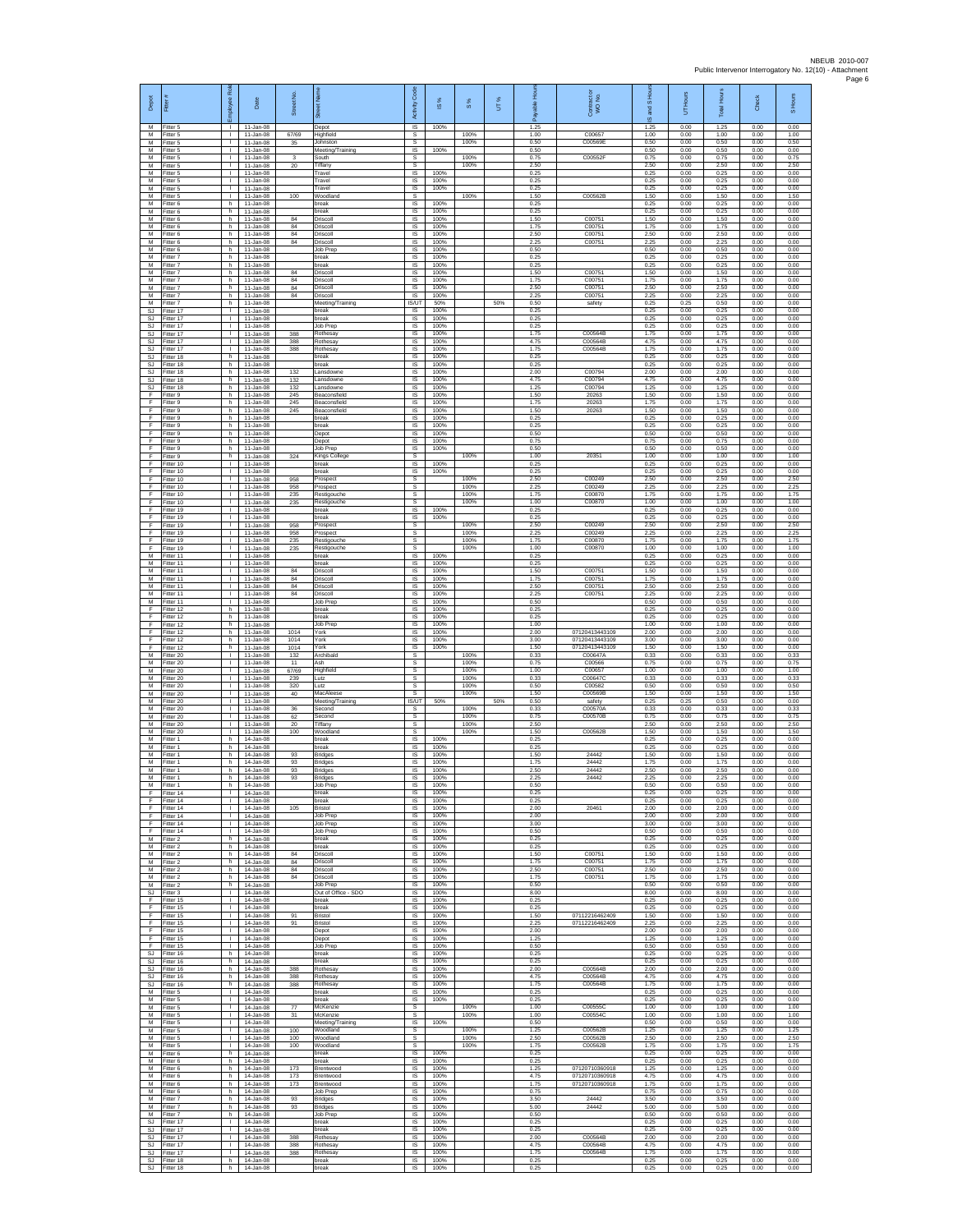| Depot<br>M                    | Fitter                              | R<br>loyee                                   | Date                                        | Street No.        | 芿<br>Depot                                  | Code<br>Activity<br>IS      | $\frac{8}{2}$<br>100% | 8%                   | UT% | able Hou<br>இ<br>1.25 | Contract or<br>WO No.               | IS and S Ho<br>1.25  | UT Hours<br>0.00     | Total Hours<br>1.25  | Check<br>0.00        | S Hours<br>0.00      |
|-------------------------------|-------------------------------------|----------------------------------------------|---------------------------------------------|-------------------|---------------------------------------------|-----------------------------|-----------------------|----------------------|-----|-----------------------|-------------------------------------|----------------------|----------------------|----------------------|----------------------|----------------------|
| M<br>M                        | Fitter 5<br>Fitter 5<br>Fitter 5    | т.<br>т.                                     | $11 - Jan-08$<br>$11 -$ lan-08<br>11-Jan-08 | 67/69<br>35       | Highfield<br>Johnston                       | s<br>s                      |                       | 100%<br>100%         |     | 1.00<br>0.50          | C00657<br>C00569E                   | 1.00<br>0.50         | 0.00<br>0.00         | 1.00<br>0.50         | 0.00<br>0.00         | 1.00<br>0.50         |
| M<br>M<br>M                   | Fitter 5<br>Fitter 5<br>Fitter 5    | $\mathbb{L}$<br>л.<br>$\mathbf{L}$           | 11-Jan-08<br>11-Jan-08<br>11-Jan-08         | 3<br>20           | Meeting/Training<br>outh<br>Tiffany         | 1S<br>s<br>s                | 100%                  | 100%<br>100%         |     | 0.50<br>0.75<br>2.50  | C00552F                             | 0.50<br>0.75<br>2.50 | 0.00<br>0.00<br>0.00 | 0.50<br>0.75<br>2.50 | 0.00<br>0.00<br>0.00 | 0.00<br>0.75<br>2.50 |
| M<br>M                        | Fitter 5<br>Fitter 5                | <b>ILL S</b><br>τ.                           | 11-Jan-08<br>$11 - Jan-08$                  |                   | Travel<br>Travel                            | IS<br>IS                    | 100%<br>100%          |                      |     | 0.25<br>0.25          |                                     | 0.25<br>0.25         | 0.00<br>0.00         | 0.25<br>0.25         | 0.00<br>0.00         | 0.00<br>0.00         |
| M<br>M                        | Fitter 5<br>Fitter 5                | $\mathbf{L}$<br>$\mathbf{L}$                 | 11-Jan-08<br>11-Jan-08                      | 100               | Travel<br>Woodland                          | 1S<br>s                     | 100%                  | 100%                 |     | 0.25<br>1.50          | C00562B                             | 0.25<br>1.50         | 0.00<br>0.00         | 0.25<br>1.50         | 0.00<br>0.00         | 0.00<br>1.50         |
| ${\sf M}$<br>M<br>M           | -itter 6<br>Fitter 6<br>Fitter 6    | h.<br>h<br>h.                                | 11-Jan-08<br>$11 - Jan-08$<br>11-Jan-08     | 84                | oreak<br>break<br>Driscoll                  | IS<br>$\sf IS$<br>IS        | 100%<br>100%<br>100%  |                      |     | 0.25<br>0.25<br>1.50  | C00751                              | 0.25<br>0.25<br>1.50 | 0.00<br>0.00<br>0.00 | 0.25<br>0.25<br>1.50 | 0.00<br>0.00<br>0.00 | 0.00<br>0.00<br>0.00 |
| M<br>M<br>M                   | Fitter 6<br>Fitter 6                | h.<br>h.<br>h.                               | 11-Jan-08<br>11-Jan-08<br>11-Jan-08         | 84<br>84          | Driscoll<br>Driscoll<br>Driscoll            | IS<br>IS<br>IS              | 100%<br>100%<br>100%  |                      |     | 1.75<br>2.50<br>2.25  | C00751<br>C00751<br>C00751          | 1.75<br>2.50<br>2.25 | 0.00<br>0.00<br>0.00 | 1.75<br>2.50<br>2.25 | 0.00<br>0.00<br>0.00 | 0.00<br>0.00<br>0.00 |
| M<br>М                        | Fitter 6<br>Fitter 6<br>-itter 7    | h.<br>h.                                     | 11-Jan-08<br>11-Jan-08                      | 84                | Job Prep<br>break                           | <b>IS</b><br>IS             | 100%<br>100%          |                      |     | 0.50<br>0.25          |                                     | 0.50<br>0.25         | 0.00<br>0.00         | 0.50<br>0.25         | 0.00<br>0.00         | 0.00<br>0.00         |
| M<br>M<br>M                   | Fitter 7<br>Fitter 7<br>Fitter 7    | h.<br>h.<br>h.                               | $11 - Jan-08$<br>11-Jan-08<br>11-Jan-08     | 84<br>84          | break<br>Driscoll<br>Driscoll               | $\sf IS$<br>IS<br>IS        | 100%<br>100%<br>100%  |                      |     | 0.25<br>1.50<br>1 75  | C00751<br>C00751                    | 0.25<br>1.50<br>1.75 | 0.00<br>0.00<br>0.00 | 0.25<br>1.50<br>175  | 0.00<br>0.00<br>0.00 | 0.00<br>0.00<br>0.00 |
| M<br>M                        | -itter 7<br>Fitter 7                | h.<br>h.                                     | 11-Jan-08<br>11-Jan-08                      | 84<br>84          | Driscoll<br>Driscoll                        | IS<br>IS                    | 100%<br>100%          |                      |     | 2.50<br>2.25          | C00751<br>C00751                    | 2.50<br>2.25         | 0.00<br>0.00         | 2.50<br>2.25         | 0.00<br>0.00         | 0.00<br>0.00         |
| M<br>SJ<br><b>SJ</b>          | Fitter 7<br>Fitter 17<br>Fitter 17  | h.<br>$\mathbf{L}$<br>$\mathbf{L}$           | 11-Jan-08<br>11-Jan-08<br>$11 - Jan-08$     |                   | Meeting/Training<br>break<br>break          | <b>IS/UT</b><br>IS<br>IS    | 50%<br>100%<br>100%   |                      | 50% | 0.50<br>0.25<br>0.25  | safety                              | 0.25<br>0.25<br>0.25 | 0.25<br>0.00<br>0.00 | 0.50<br>0.25<br>0.25 | 0.00<br>0.00<br>0.00 | 0.00<br>0.00<br>0.00 |
| SJ.<br>SJ                     | Fitter 17<br>Fitter 17              | $\mathbf{L}$<br>т.                           | 11-Jan-08<br>11-Jan-08                      | 388               | Job Prep<br>Rothesay                        | IS<br>IS                    | 100%<br>100%          |                      |     | 0.25<br>1.75          | C00564B                             | 0.25<br>1.75         | 0.00<br>0.00         | 0.25<br>1.75         | 0.00<br>0.00         | 0.00<br>0.00         |
| SJ<br>SJ<br>-SJ               | Fitter 17<br>Fitter 17<br>Fitter 18 | $\mathbf{L}$<br>$\mathbf{L}$<br>h.           | 11-Jan-08<br>11-Jan-08<br>11-Jan-08         | 388<br>388        | <b>Rothesay</b><br>Rothesay<br>break        | 1S<br>IS<br>-IS             | 100%<br>100%<br>100%  |                      |     | 4.75<br>1.75<br>0.25  | C00564B<br>C00564B                  | 4.75<br>1.75<br>0.25 | 0.00<br>0.00<br>0.00 | 4.75<br>1.75<br>0.25 | 0.00<br>0.00<br>0.00 | 0.00<br>0.00<br>0.00 |
| SJ.<br>$\mathbb{S}\mathbb{J}$ | Fitter 18<br>Fitter 18              | h<br>h.                                      | 11-Jan-08<br>$11 - Jan-08$                  | 132               | <b>oreak</b><br>ansdowne                    | IS<br>IS                    | 100%<br>100%          |                      |     | 0.25<br>2.00          | C00794                              | 0.25<br>2.00         | 0.00<br>0.00         | 0.25<br>2.00         | 0.00<br>0.00         | 0.00<br>0.00         |
| SJ.<br>SJ<br>F                | Fitter 18<br>Fitter 18<br>-itter 9  | h.<br>h.<br>h.                               | 11-Jan-08<br>11-Jan-08<br>11-Jan-08         | 132<br>132<br>245 | Lansdowne<br>Lansdowne<br>Beaconsfield      | 1S<br>IS<br>IS              | 100%<br>100%<br>100%  |                      |     | 4.75<br>1.25<br>1.50  | C00794<br>C00794<br>20263           | 4.75<br>1.25<br>1.50 | 0.00<br>0.00<br>0.00 | 4.75<br>1.25<br>1.50 | 0.00<br>0.00<br>0.00 | 0.00<br>0.00<br>0.00 |
| F<br>F                        | Fitter 9<br>Fitter 9                | $\mathsf{h}$ .<br>h.                         | $11 - Jan-08$<br>11-Jan-08                  | 245<br>245        | Beaconsfield<br>Beaconsfield                | $\sf IS$<br><b>IS</b>       | 100%<br>100%          |                      |     | 1.75<br>1.50          | 20263<br>20263                      | 1.75<br>1.50         | 0.00<br>0.00         | 1.75<br>1.50         | 0.00<br>0.00         | 0.00<br>0.00         |
| F<br>Ŧ<br>F                   | Fitter 9<br>Fitter 9<br>Fitter 9    | h.<br>h.<br>h.                               | 11-Jan-08<br>11-Jan-08<br>$11 -$ Jan-08     |                   | oreak<br>break<br>Depot                     | IS<br>1S<br>IS              | 100%<br>100%<br>100%  |                      |     | 0.25<br>0.25<br>0.50  |                                     | 0.25<br>0.25<br>0.50 | 0.00<br>0.00<br>0.00 | 0.25<br>0.25<br>0.50 | 0.00<br>0.00<br>0.00 | 0.00<br>0.00<br>0.00 |
| F<br>F                        | Fitter 9<br>-itter 9                | h.<br>h.                                     | $11 - Jan-08$<br>11-Jan-08                  |                   | Depot<br>Job Prep                           | <b>IS</b><br>IS             | 100%<br>100%          |                      |     | 0.75<br>0.50          |                                     | 0.75<br>0.50         | 0.00<br>0.00         | 0.75<br>0.50         | 0.00<br>0.00         | 0.00<br>0.00         |
| F<br>F<br>-F.                 | Fitter 9<br>Fitter 10<br>Fitter 10  | h.<br><b>ILL S</b>                           | 11-Jan-08<br>11-Jan-08<br>$11  lan-08$      | 324               | Kings Colleg<br>break<br><b>preak</b>       | s<br>IS<br>IS               | 100%<br>100%          | 100%                 |     | 1.00<br>0.25<br>0.25  | 20351                               | 1.00<br>0.25<br>0.25 | 0.00<br>0.00<br>0.00 | 1.00<br>0.25<br>0.25 | 0.00<br>0.00<br>0.00 | 1.00<br>0.00<br>0.00 |
| Ŧ<br>Ŧ                        | Fitter 10<br>Fitter 10              | τ.<br>$\mathbf{L}$                           | 11-Jan-08<br>11-Jan-08                      | 958<br>958        | rospect<br>Prospect                         | s<br>s                      |                       | 100%<br>100%         |     | 2.50<br>2.25          | C00249<br>C00249                    | 2.50<br>2.25         | 0.00<br>0.00         | 2.50<br>2.25         | 0.00<br>0.00         | 2.50<br>2.25         |
| E<br>F<br>F                   | Fitter 10<br>Fitter 10<br>Fitter 19 | $\mathbf{L}$<br>$\mathbf{L}$<br>$\mathbf{L}$ | 11-Jan-08<br>11-Jan-08<br>11-Jan-08         | 235<br>235        | Restigouche<br>Restigouche<br>break         | s<br>s<br>1S                | 100%                  | 100%<br>100%         |     | 1.75<br>1.00<br>0.25  | C00870<br>C00870                    | 1.75<br>1.00<br>0.25 | 0.00<br>0.00<br>0.00 | 1.75<br>1.00<br>0.25 | 0.00<br>0.00<br>0.00 | 1.75<br>1.00<br>0.00 |
| F<br>F                        | Fitter 19<br>Fitter 19              | $\mathbf{L}$<br>т.                           | $11 -$ lan-08<br>11-Jan-08                  | 958               | reak<br>Prospect                            | IS<br>s                     | 100%                  | 100%                 |     | 0.25<br>2.50          | C00249                              | 0.25<br>2.50         | 0.00<br>0.00         | 0.25<br>2.50         | 0.00<br>0.00         | 0.00<br>2.50         |
| Ŧ<br>Ŧ<br>F                   | Fitter 19<br>Fitter 19<br>Fitter 19 | H.<br>$\mathbf{L}$<br>$\mathbf{L}$           | 11-Jan-08<br>11-Jan-08<br>11-Jan-08         | 958<br>235<br>235 | Prospect<br>Restigouche<br>Restigouche      | s<br>s<br>s                 |                       | 100%<br>100%<br>100% |     | 2.25<br>1.75<br>1.00  | C00249<br>C00870<br>C00870          | 2.25<br>1.75<br>1.00 | 0.00<br>0.00<br>0.00 | 2.25<br>1.75<br>1.00 | 0.00<br>0.00<br>0.00 | 2.25<br>1.75<br>1.00 |
| M<br>M                        | Fitter 11<br>Fitter 11              | <b>ILL S</b><br>τ.                           | 11-Jan-08<br>$11 - Jan-08$                  |                   | hreak<br>oreak                              | IS<br>IS                    | 100%<br>100%          |                      |     | 0.25<br>0.25          |                                     | 0.25<br>0.25         | 0.00<br>0.00         | 0.25<br>0.25         | 0.00<br>0.00         | 0.00<br>0.00         |
| M<br>M<br>${\sf M}$           | Fitter 11<br>Fitter 11<br>Fitter 11 | $\mathbf{L}$<br>$\mathbf{L}$<br>$\mathbf{L}$ | 11-Jan-08<br>11-Jan-08<br>11-Jan-08         | 84<br>84<br>84    | Driscoll<br>Driscoll<br>Driscoll            | 1S<br>IS<br>IS              | 100%<br>100%<br>100%  |                      |     | 1.50<br>1.75<br>2.50  | C00751<br>C00751<br>C00751          | 1.50<br>1.75<br>2.50 | 0.00<br>0.00<br>0.00 | 1.50<br>1.75<br>2.50 | 0.00<br>0.00<br>0.00 | 0.00<br>0.00<br>0.00 |
| M<br>M                        | Fitter 11<br>Fitter 11              | $\mathbf{L}$<br>$\mathbf{L}$                 | 11-Jan-08<br>11-Jan-08                      | $^{\rm 84}$       | Driscoll<br>Job Prep                        | $\sf IS$<br>IS              | 100%<br>100%          |                      |     | 2.25<br>0.50          | C00751                              | 2.25<br>0.50         | 0.00<br>0.00         | 2.25<br>0.50         | 0.00<br>0.00         | 0.00<br>0.00         |
| F<br>Ŧ<br>F                   | Fitter 12<br>Fitter 12<br>Fitter 12 | h.<br>h.<br>h.                               | 11-Jan-08<br>11-Jan-08<br>11-Jan-08         |                   | break<br>break<br>Job Prep                  | IS<br>IS<br>IS              | 100%<br>100%<br>100%  |                      |     | 0.25<br>0.25<br>1.00  |                                     | 0.25<br>0.25<br>1.00 | 0.00<br>0.00<br>0.00 | 0.25<br>0.25<br>1.00 | 0.00<br>0.00<br>0.00 | 0.00<br>0.00<br>0.00 |
| F<br>$\mathsf F$              | Fitter 12<br>ltter 12               | h.<br>h.                                     | 11-Jan-08<br>11-Jan-08                      | 1014<br>1014      | York<br>York                                | -IS<br>IS                   | 100%<br>100%          |                      |     | 2.00<br>3.00          | 07120413443109<br>07120413443109    | 2.00<br>3.00         | 0.00<br>0.00         | 2.00<br>3.00         | 0.00<br>0.00         | 0.00<br>0.00         |
| F<br>M<br>M                   | Fitter 12<br>Fitter 20<br>Fitter 20 | h.<br>$\mathbb{R}$                           | $11 - Jan-08$<br>11-Jan-08<br>11-Jan-08     | 1014<br>132<br>11 | York<br>Archibald<br>Ash                    | IS<br>s<br>s                | 100%                  | 100%<br>100%         |     | 1.50<br>0.33<br>0.75  | 07120413443109<br>C00647A<br>C00566 | 1.50<br>0.33<br>0.75 | 0.00<br>0.00<br>0.00 | 1.50<br>0.33<br>0.75 | 0.00<br>0.00<br>0.00 | 0.00<br>0.33<br>0.75 |
| M<br>M                        | Fitter 20<br>Fitter 20              | τ.<br>$\mathbf{L}$                           | 11-Jan-08<br>11-Jan-08                      | 67/69<br>239      | Highfield<br>Lutz                           | s<br>s                      |                       | 100%<br>100%         |     | 1.00<br>0.33          | C00657<br>C00647C                   | 1.00<br>0.33         | 0.00<br>0.00         | 1.00<br>0.33         | 0.00<br>0.00         | 1.00<br>0.33         |
| M<br>${\sf M}$<br>M           | Fitter 20<br>-itter 20<br>Fitter 20 | $\mathbf{L}$<br>$\mathbf{L}$                 | 11-Jan-08<br>11-Jan-08<br>$11 - Jan-08$     | 320<br>40         | Lutz<br>MacAleese<br>Meeting/Training       | s<br>s<br><b>IS/UT</b>      | 50%                   | 100%<br>100%         | 50% | 0.50<br>1.50<br>0.50  | C00582<br>C00569B<br>safety         | 0.50<br>1.50<br>0.25 | 0.00<br>0.00<br>0.25 | 0.50<br>1.50<br>0.50 | 0.00<br>0.00<br>0.00 | 0.50<br>1.50<br>0.00 |
| M<br>M                        | Fitter 20<br>Fitter 20              | $\mathbf{L}$<br>$\mathbf{I}$                 | 11-Jan-08<br>11-Jan-08                      | 36<br>62          | Second<br>Second                            | s<br>s                      |                       | 100%<br>100%         |     | 0.33<br>0.75          | C00570A<br>C00570B                  | 0.33<br>0.75         | 0.00<br>0.00         | 0.33<br>0.75         | 0.00<br>0.00         | 0.33<br>0.75         |
| M<br>М<br>M                   | Fitter 20<br>fitter 20<br>Fitter 1  | $\mathbf{L}$<br>$\mathbf{L}$<br>h.           | 11-Jan-08<br>11-Jan-08<br>14-Jan-08         | 20<br>100         | Tiffany<br>Woodland<br>break                | s<br>s<br>IS                | 100%                  | 100%<br>100%         |     | 2.50<br>1.50<br>0.25  | C00562B                             | 2.50<br>1.50<br>0.25 | 0.00<br>0.00<br>0.00 | 2.50<br>1.50<br>0.25 | 0.00<br>0.00<br>0.00 | 2.50<br>1.50<br>0.00 |
| M<br>M                        | Fitter 1<br>Fitter 1                | h<br>h.                                      | 14-Jan-08<br>14-Jan-08                      | 93                | <b>preak</b><br>Bridges                     | IS<br>IS                    | 100%<br>100%          |                      |     | 0.25<br>1.50          | 24442                               | 0.25<br>1.50         | 0.00<br>0.00         | 0.25<br>1.50         | 0.00<br>0.00         | 0.00<br>0.00         |
| M<br>M                        | Fitter 1<br>M Fitter 1<br>Fitter 1  | h.<br>h.<br>h.                               | 14-Jan-08<br>14-Jan-08<br>14-Jan-08         | 93<br>93<br>93    | <b>Bridges</b><br><b>Bridges</b><br>Bridges | IS<br>IS<br>IS              | 100%<br>100%<br>100%  |                      |     | 1.75<br>2.50<br>2.25  | 24442<br>24442<br>24442             | 1.75<br>2.50<br>2.25 | 0.00<br>0.00<br>0.00 | 1.75<br>2.50<br>2.25 | 0.00<br>0.00<br>0.00 | 0.00<br>0.00<br>0.00 |
| M<br>F                        | Fitter 1<br>Fitter 14               | h<br>$\mathbf{L}$                            | 14-Jan-08<br>14-Jan-08                      |                   | Job Prep<br>break                           | <b>IS</b><br>IS.            | 100%<br>100%          |                      |     | 0.50<br>0.25          |                                     | 0.50<br>0.25         | 0.00<br>0.00         | 0.50<br>0.25         | 0.00<br>0.00         | 0.00<br>0.00         |
| F<br>Ŧ<br>F                   | Fitter 14<br>Fitter 14<br>Fitter 14 | $\mathbf{L}$<br>$\mathbb{L}$<br>$\mathbf{L}$ | 14-Jan-08<br>14-Jan-08<br>$14 -$ lan-08     | 105               | preak<br>Bristol<br>Job Prep                | IS<br>IS.<br>IS             | 100%<br>100%<br>100%  |                      |     | 0.25<br>2.00<br>2.00  | 20461                               | 0.25<br>2.00<br>2.00 | 0.00<br>0.00<br>0.00 | 0.25<br>2.00<br>2.00 | 0.00<br>0.00<br>0.00 | 0.00<br>0.00<br>0.00 |
| F<br>F.                       | Fitter 14<br>Fitter 14              | л.<br>$\mathbf{L}$                           | 14-Jan-08<br>14-Jan-08                      |                   | Job Prep<br>Job Prep                        | -IS<br>IS                   | 100%<br>100%          |                      |     | 3.00<br>0.50          |                                     | 3.00<br>0.50         | 0.00<br>0.00         | 3.00<br>0.50         | 0.00<br>0.00         | 0.00<br>0.00         |
| M<br>M<br>M                   | Fitter 2<br>Fitter 2<br>Fitter 2    | h.<br>h.<br>h.                               | 14-Jan-08<br>14-Jan-08<br>14-Jan-08         | 84                | break<br>break<br>Driscoll                  | IS<br>IS<br>IS              | 100%<br>100%<br>100%  |                      |     | 0.25<br>0.25<br>1.50  | C00751                              | 0.25<br>0.25<br>1.50 | 0.00<br>0.00<br>0.00 | 0.25<br>0.25<br>1.50 | 0.00<br>0.00<br>0.00 | 0.00<br>0.00<br>0.00 |
| M<br>$\overline{M}$<br>M      | Fitter 2<br>Fitter 2                | h.<br>h.<br>h.                               | 14-Jan-08<br>14-Jan-08                      | 84<br>84          | Driscoll<br>Driscoll<br>Driscoll            | IS<br>IS<br><b>IS</b>       | 100%<br>100%<br>100%  |                      |     | 1.75<br>2.50<br>1.75  | C00751<br>C00751<br>C00751          | 1.75<br>2.50<br>1.75 | 0.00<br>0.00<br>0.00 | 1.75<br>2.50<br>1.75 | 0.00<br>0.00<br>0.00 | 0.00<br>0.00<br>0.00 |
| M<br>SJ                       | Fitter 2<br>-itter 2<br>Fitter 3    | h.<br>$\mathbf{L}$                           | 14-Jan-08<br>14-Jan-08<br>14-Jan-08         | 84                | Job Prep<br>Out of Office - SDO             | IS<br>1S                    | 100%<br>100%          |                      |     | 0.50<br>8.00          |                                     | 0.50<br>8.00         | 0.00<br>0.00         | 0.50<br>8.00         | 0.00<br>0.00         | 0.00<br>0.00         |
| F<br>F<br>Ŧ                   | Fitter 15<br>Fitter 15<br>Fitter 15 | $\mathbf{L}$<br>т.<br>$\mathbf{L}$           | 14-Jan-08<br>14-Jan-08<br>14-Jan-08         | 91                | break<br>break<br>Bristol                   | IS<br>IS<br>IS              | 100%<br>100%<br>100%  |                      |     | 0.25<br>0.25<br>1.50  | 07112216462409                      | 0.25<br>0.25<br>1.50 | 0.00<br>0.00<br>0.00 | 0.25<br>0.25<br>1.50 | 0.00<br>0.00<br>0.00 | 0.00<br>0.00<br>0.00 |
| Ŧ<br>-F                       | Fitter 15<br>Fitter 15              | $\mathbf{L}$<br>$\mathbf{L}$                 | 14-Jan-08<br>14-Jan-08                      | 91                | Bristol<br>Depot                            | IS<br>-IS                   | 100%<br>100%          |                      |     | 2.25<br>2.00          | 07112216462409                      | 2.25<br>2.00         | 0.00<br>0.00         | 2.25<br>2.00         | 0.00<br>0.00         | 0.00<br>0.00         |
| F.<br>F<br>SJ.                | Fitter 15<br>Fitter 15<br>Fitter 16 | H.<br>L.<br>h.                               | 14-Jan-08<br>14-Jan-08<br>14-Jan-08         |                   | Depot<br>Job Prep<br>break                  | IS<br>IS<br>IS              | 100%<br>100%<br>100%  |                      |     | 1.25<br>0.50<br>0.25  |                                     | 1.25<br>0.50<br>0.25 | 0.00<br>0.00<br>0.00 | 1.25<br>0.50<br>0.25 | 0.00<br>0.00<br>0.00 | 0.00<br>0.00<br>0.00 |
| <b>SJ</b><br>SJ               | Fitter 16<br>Fitter 16              | h.<br>h                                      | 14-Jan-08<br>14-Jan-08                      | 388               | break<br><b>Rothesay</b>                    | IS<br>IS                    | 100%<br>100%          |                      |     | 0.25<br>2.00          | C00564B                             | 0.25<br>2.00         | 0.00<br>0.00         | 0.25<br>2.00         | 0.00<br>0.00         | 0.00<br>0.00         |
| SJ<br>SJ.<br>M                | Fitter 16<br>Fitter 16<br>Fitter 5  | $\mathsf{h}$<br>h.<br>$\mathbb{R}$           | 14-Jan-08<br>14-Jan-08                      | 388<br>388        | Rothesay<br>Rothesay<br>break               | $\sf IS$<br><b>IS</b><br>IS | 100%<br>100%<br>100%  |                      |     | 4.75<br>1.75<br>0.25  | C00564B<br>C00564B                  | 4.75<br>1.75<br>0.25 | 0.00<br>0.00<br>0.00 | 4.75<br>1.75<br>0.25 | 0.00<br>0.00<br>0.00 | 0.00<br>0.00<br>0.00 |
| M<br>M                        | Fitter 5<br>Fitter 5                | $\mathbb{L}$<br>$\mathbf{L}$                 | 14-Jan-08<br>14-Jan-08<br>14-Jan-08         | 77                | break<br>McKenzie                           | IS<br>s                     | 100%                  | 100%                 |     | 0.25<br>1.00          | C00555C                             | 0.25<br>1.00         | 0.00<br>0.00         | 0.25<br>1.00         | 0.00<br>0.00         | 0.00<br>1.00         |
| M<br>M<br>M                   | Fitter 5<br>Fitter 5<br>Fitter 5    | $\mathbf{L}$<br><b>ILL S</b><br>$\mathbf{L}$ | 14-Jan-08<br>14-Jan-08<br>14-Jan-08         | 31<br>100         | McKenzie<br>Meeting/Training<br>Woodland    | s<br>IS<br>s                | 100%                  | 100%<br>100%         |     | 1.00<br>0.50<br>1.25  | C00554C<br>C00562B                  | 1.00<br>0.50<br>1.25 | 0.00<br>0.00<br>0.00 | 1.00<br>0.50<br>1.25 | 0.00<br>0.00<br>0.00 | 1.00<br>0.00<br>1.25 |
| M<br>M                        | Fitter 5<br>Fitter 5                | $\mathbf{L}$<br>$\mathbf{L}$                 | 14-Jan-08<br>14-Jan-08                      | 100<br>100        | Woodland<br>Woodland                        | -S<br>s                     |                       | 100%<br>100%         |     | 2.50<br>1.75          | C00562B<br>C00562B                  | 2.50<br>1.75         | 0.00<br>0.00         | 2.50<br>175          | 0.00<br>0.00         | 2.50<br>175          |
| M<br>M<br>M                   | Fitter 6<br>Fitter 6<br>Fitter 6    | h.<br>h.<br>h.                               | 14-Jan-08<br>14-Jan-08<br>14-Jan-08         | 173               | break<br>break<br>Brentwood                 | IS<br>IS<br>IS.             | 100%<br>100%<br>100%  |                      |     | 0.25<br>0.25<br>1.25  | 07120710360918                      | 0.25<br>0.25<br>1.25 | 0.00<br>0.00<br>0.00 | 0.25<br>0.25<br>1.25 | 0.00<br>0.00<br>0.00 | 0.00<br>0.00<br>0.00 |
| ${\sf M}$<br>M                | -itter 6<br>Fitter 6                | h.<br>h.                                     | 14-Jan-08<br>14-Jan-08                      | 173<br>173        | Brentwood<br>Brentwood                      | IS<br>IS                    | 100%<br>100%          |                      |     | 4.75<br>1.75          | 07120710360918<br>07120710360918    | 4.75<br>1.75         | 0.00<br>0.00         | 4.75<br>1.75         | 0.00<br>0.00         | 0.00<br>0.00         |
| M<br>M<br>M                   | Fitter 6<br>Fitter 7<br>Fitter 7    | h<br>h<br>h.                                 | 14-Jan-08<br>14-Jan-08<br>14-Jan-08         | 93<br>93          | Job Prep<br><b>Bridges</b><br>Bridges       | IS<br>IS<br>1S              | 100%<br>100%<br>100%  |                      |     | 0.75<br>3.50<br>5.00  | 24442<br>24442                      | 0.75<br>3.50<br>5.00 | 0.00<br>0.00<br>0.00 | 0.75<br>3.50<br>5.00 | 0.00<br>0.00<br>0.00 | 0.00<br>0.00<br>0.00 |
| M<br>-SJ                      | Fitter 7<br>Fitter 17               | h.<br>$\mathbf{L}$                           | 14-Jan-08<br>14-Jan-08                      |                   | Job Prep<br>break                           | IS<br>-IS                   | 100%<br>100%          |                      |     | 0.50<br>0.25          |                                     | 0.50<br>0.25         | 0.00<br>0.00         | 0.50<br>0.25         | 0.00<br>0.00         | 0.00<br>0.00         |
| <b>SJ</b><br>SJ               | Fitter 17<br>Fitter 17<br>Fitter 17 | H.<br>т.<br>$\mathbf{L}$                     | 14-Jan-08<br>14-Jan-08<br>14-Jan-08         | 388               | hreak<br>Rothesay<br>Rothesay               | IS<br>IS<br>IS              | 100%<br>100%<br>100%  |                      |     | 0.25<br>2.00<br>4.75  | C00564B<br>C00564B                  | 0.25<br>2.00<br>4.75 | 0.00<br>0.00<br>0.00 | 0.25<br>2.00<br>4.75 | 0.00<br>0.00<br>0.00 | 0.00<br>0.00<br>0.00 |
| SJ.<br>SJ.                    | SJ Fitter 17<br>Fitter 18           | $\mathbf{L}$<br>h                            | 14-Jan-08<br>14-Jan-08                      | 388<br>388        | Rothesay<br>break                           | IS<br>$\sf IS$              | 100%<br>100%          |                      |     | 1.75<br>0.25          | C00564B                             | 1.75<br>0.25         | 0.00<br>0.00         | 1.75<br>0.25         | 0.00<br>0.00         | 0.00<br>0.00         |
| SJ                            | Fitter 18                           | h                                            | 14-Jan-08                                   |                   | break                                       | IS                          | 100%                  |                      |     | 0.25                  |                                     | 0.25                 | 0.00                 | 0.25                 | 0.00                 | 0.00                 |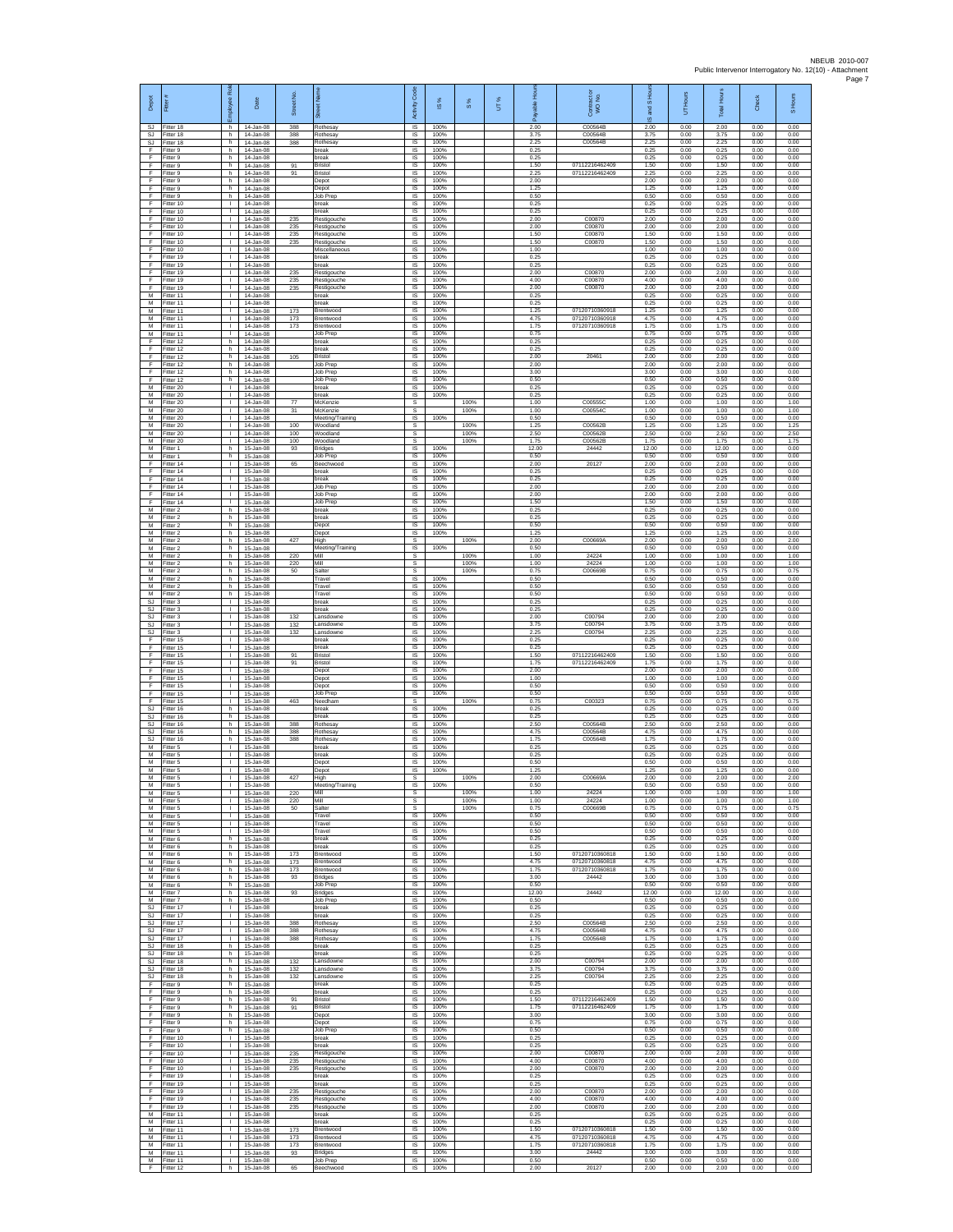| Depot                  | Fitter                              | ē<br>nployee                       | Date                                    | Street No.        |                                          | Code<br>Activity                  | 1S%                  | $S\%$        | UT% | ஃ                     | Contract or<br>WO No.                     | S Ho<br>g<br>ဖ        | UT Hours             | <b>Total Hours</b>    | Check                | S Hours              |
|------------------------|-------------------------------------|------------------------------------|-----------------------------------------|-------------------|------------------------------------------|-----------------------------------|----------------------|--------------|-----|-----------------------|-------------------------------------------|-----------------------|----------------------|-----------------------|----------------------|----------------------|
| SJ.<br>SJ              | Fitter 18<br>Fitter 18              | h.<br>h                            | 14-Jan-08<br>14-Jan-08                  | 388<br>388        | Rothesay<br><b>Rothesay</b>              | <b>IS</b><br>IS                   | 100%<br>100%         |              |     | 2.00<br>3.75          | C00564B<br>C00564B                        | 2.00<br>3.75          | 0.00<br>0.00         | 2.00<br>3.75          | 0.00<br>0.00         | 0.00<br>0.00         |
| SJ<br>F                | Fitter 18<br>Fitter 9               | h.<br>h.                           | 14-Jan-08<br>14-Jan-08                  | 388               | Rothesay<br>break                        | $\sf IS$<br><b>IS</b>             | 100%<br>100%         |              |     | 2.25<br>0.25          | C00564B                                   | 2.25<br>0.25          | 0.00<br>0.00         | 2.25<br>0.25          | 0.00<br>0.00         | 0.00<br>0.00         |
| E<br>F<br>F            | Fitter 9<br>Fitter 9<br>Fitter 9    | h<br>h.<br>h                       | 14-Jan-08<br>14-Jan-08<br>14-Jan-08     | 91<br>91          | oreak<br>Bristol<br>Bristol              | IS<br>1S<br>IS                    | 100%<br>100%<br>100% |              |     | 0.25<br>1.50<br>2.25  | 07112216462409<br>07112216462409          | 0.25<br>1.50<br>2.25  | 0.00<br>0.00<br>0.00 | 0.25<br>1.50<br>2.25  | 0.00<br>0.00<br>0.00 | 0.00<br>0.00<br>0.00 |
| F<br>F                 | Fitter 9<br>-itter 9                | h<br>h.                            | 14-Jan-08<br>14-Jan-08                  |                   | Depot<br>Depot                           | IS<br>IS                          | 100%<br>100%         |              |     | 2.00<br>1.25          |                                           | 2.00<br>1.25          | 0.00<br>0.00         | 2.00<br>1.25          | 0.00<br>0.00         | 0.00<br>0.00         |
| F<br>F                 | Fitter 9<br>Fitter 10               | $\mathsf{h}$<br>$\mathbf{L}$       | 14-Jan-08<br>14-Jan-08                  |                   | <b>Job Prep</b><br>break                 | $\sf IS$<br><b>IS</b>             | 100%<br>100%         |              |     | 0.50<br>0.25          |                                           | 0.50<br>0.25          | 0.00<br>0.00         | 0.50<br>0.25          | 0.00<br>0.00         | 0.00<br>0.00         |
| F.<br>F                | Fitter 10<br>Fitter 10              | $\mathbf{L}$<br>т.                 | 14-Jan-08<br>14-Jan-08                  | 235               | break<br>Restigouche                     | IS<br>IS                          | 100%<br>100%         |              |     | 0.25<br>2.00          | C00870                                    | 0.25<br>2.00          | 0.00<br>0.00         | 0.25<br>2.00          | 0.00<br>0.00         | 0.00<br>0.00         |
| F<br>F                 | Fitter 10<br>Fitter 10              | т<br>$\mathbf{L}$                  | 14-Jan-08<br>14-Jan-08                  | 235<br>235        | Restigouche<br>Restigouche               | IS<br>IS                          | 100%<br>100%         |              |     | 2.00<br>1.50          | C00870<br>C00870                          | 2.00<br>1.50          | 0.00<br>0.00         | 2.00<br>1.50          | 0.00<br>0.00         | 0.00<br>0.00         |
| F<br>F<br>F            | Fitter 10<br>Fitter 10<br>Fitter 19 | т.<br>Τ.<br>H.                     | 14-Jan-08<br>14-Jan-08<br>$14 -$ lan-08 | 235               | Restigouche<br>Miscellaneou:<br>oreak    | IS<br>1S<br>IS                    | 100%<br>100%<br>100% |              |     | 1.50<br>1.00<br>0.25  | C00870                                    | 1.50<br>1.00<br>0.25  | 0.00<br>0.00<br>0.00 | 1.50<br>1.00<br>0.25  | 0.00<br>0.00<br>0.00 | 0.00<br>0.00<br>0.00 |
| E<br>F.                | Fitter 19<br>Fitter 19              | T.<br>$\mathbb{L}$                 | 14-Jan-08<br>14-Jan-08                  | 235               | oreak<br>Restigouche                     | IS<br>$\sf IS$                    | 100%<br>100%         |              |     | 0.25<br>2.00          | C00870                                    | 0.25<br>2.00          | 0.00<br>0.00         | 0.25<br>2.00          | 0.00<br>0.00         | 0.00<br>0.00         |
| F<br>F                 | Fitter 19<br>Fitter 19              | $\mathbf{L}$<br>л.                 | 14-Jan-08<br>14-Jan-08                  | 235<br>235        | Restigouche<br>Restigouche               | IS<br>IS                          | 100%<br>100%         |              |     | 4.00<br>2.00          | C00870<br>C00870                          | 4.00<br>2.00          | 0.00<br>0.00         | 4.00<br>2.00          | 0.00<br>0.00         | 0.00<br>0.00         |
| M<br>М<br>M            | Fitter 11<br>Fitter 11<br>Fitter 11 | $\mathbf{L}$<br>т.<br>т            | 14-Jan-08<br>14-Jan-08<br>14-Jan-08     | 173               | break<br>oreak<br>Brentwood              | <b>IS</b><br>IS<br>IS             | 100%<br>100%<br>100% |              |     | 0.25<br>0.25<br>1.25  | 07120710360918                            | 0.25<br>0.25<br>1.25  | 0.00<br>0.00<br>0.00 | 0.25<br>0.25<br>1.25  | 0.00<br>0.00<br>0.00 | 0.00<br>0.00<br>0.00 |
| M<br>М                 | Fitter 11<br>Fitter 11              | $\mathbf{L}$<br>T.                 | 14-Jan-08<br>14-Jan-08                  | 173<br>173        | Brentwood<br>Brentwood                   | <b>IS</b><br>$\sf IS$             | 100%<br>100%         |              |     | 4.75<br>1.75          | 07120710360918<br>07120710360918          | 4.75<br>1.75          | 0.00<br>0.00         | 4.75<br>1.75          | 0.00<br>0.00         | 0.00<br>0.00         |
| М<br>F                 | Fitter 11<br>Fitter 12              | T.<br>h                            | 14-Jan-08<br>14-Jan-08                  |                   | Job Prep<br>break                        | $\sf IS$<br>IS                    | 100%<br>100%         |              |     | 0.75<br>0.25          |                                           | 0.75<br>0.25          | 0.00<br>0.00         | 0.75<br>0.25          | 0.00<br>0.00         | 0.00<br>0.00         |
| F<br>F                 | Fitter 12<br>Fitter 12              | h<br>h.                            | 14-Jan-08<br>14-Jan-08                  | 105               | oreak<br>Bristol                         | IS<br>IS                          | 100%<br>100%         |              |     | 0.25<br>2.00          | 20461                                     | 0.25<br>2.00          | 0.00<br>0.00         | 0.25<br>2.00          | 0.00<br>0.00         | 0.00<br>0.00         |
| F<br>E<br>F            | Fitter 12<br>Fitter 12<br>Fitter 12 | h<br>h<br>h.                       | 14-Jan-08<br>14-Jan-08<br>14-Jan-08     |                   | Job Prep<br>Job Prep<br>Job Prep         | IS<br>IS<br>IS                    | 100%<br>100%<br>100% |              |     | 2.00<br>3.00<br>0.50  |                                           | 2.00<br>3.00<br>0.50  | 0.00<br>0.00<br>0.00 | 2.00<br>3.00<br>0.50  | 0.00<br>0.00<br>0.00 | 0.00<br>0.00<br>0.00 |
| М<br>M                 | Fitter 20<br>Fitter 20              | T.<br>$\mathbf{L}$                 | 14-Jan-08<br>$14 -$ lan-08              |                   | break<br>break                           | IS<br><b>IS</b>                   | 100%<br>100%         |              |     | 0.25<br>0.25          |                                           | 0.25<br>0.25          | 0.00<br>0.00         | 0.25<br>0.25          | 0.00<br>0.00         | 0.00<br>0.00         |
| M<br>М                 | Fitter 20<br>Fitter 20              | $\mathbb{L}$<br>٠                  | 14-Jan-08<br>14-Jan-08                  | 77<br>31          | McKenzie<br>McKenzie                     | s<br>s                            |                      | 100%<br>100% |     | 1.00<br>1.00          | C005550<br>C00554C                        | 1.00<br>1.00          | 0.00<br>0.00         | 1.00<br>1.00          | 0.00<br>0.00         | 1.00<br>1.00         |
| M<br>M<br>М            | Fitter 20<br>Fitter 20<br>Fitter 20 | т<br>$\mathbf{L}$<br>$\mathbf{L}$  | 14-Jan-08<br>14-Jan-08<br>14-Jan-08     | 100<br>100        | Meeting/Training<br>Woodland<br>Woodland | IS<br>s<br>s                      | 100%                 | 100%<br>100% |     | 0.50<br>1.25<br>2.50  | C00562B<br>C00562B                        | 0.50<br>1.25<br>2.50  | 0.00<br>0.00<br>0.00 | 0.50<br>1.25<br>2.50  | 0.00<br>0.00<br>0.00 | 0.00<br>1.25<br>2.50 |
| M<br>M                 | Fitter 20<br>Fitter 1               | τ.<br>h                            | 14-Jan-08<br>15-Jan-08                  | 100<br>93         | Woodland<br>Bridges                      | s<br>IS                           | 100%                 | 100%         |     | 1.75<br>12.00         | C00562B<br>24442                          | 1.75<br>12.00         | 0.00<br>0.00         | 1.75<br>12.00         | 0.00<br>0.00         | 1.75<br>0.00         |
| M<br>F                 | Fitter 1<br>Fitter 14               | h<br>$\mathbf{L}$                  | 15-Jan-08<br>15-Jan-08                  | 65                | Job Prep<br>Beechwood                    | IS<br>IS                          | 100%<br>100%         |              |     | 0.50<br>2.00          | 20127                                     | 0.50<br>2.00          | 0.00<br>0.00         | 0.50<br>2.00          | 0.00<br>0.00         | 0.00<br>0.00         |
| F<br>F<br>E            | ltter 14<br>Fitter 14<br>Fitter 14  | т.<br>л.<br>$\mathbf{L}$           | 15-Jan-08<br>15-Jan-08                  |                   | oreak<br>break<br>Job Prep               | IS<br>-IS<br>IS                   | 100%<br>100%<br>100% |              |     | 0.25<br>0.25<br>2.00  |                                           | 0.25<br>0.25<br>200   | 0.00<br>0.00<br>0.00 | 0.25<br>0.25<br>2.00  | 0.00<br>0.00<br>0.00 | 0.00<br>0.00<br>0.00 |
| F<br>F                 | Fitter 14<br>Fitter 14              | ٠<br>$\mathbf{L}$                  | 15-Jan-08<br>15-Jan-08<br>15-Jan-08     |                   | Job Prep<br><b>Job Prep</b>              | IS<br>IS                          | 100%<br>100%         |              |     | 2.00<br>1.50          |                                           | 2.00<br>1.50          | 0.00<br>0.00         | 2.00<br>1.50          | 0.00<br>0.00         | 0.00<br>0.00         |
| M<br>М                 | Fitter 2<br>Fitter 2                | h<br>h                             | 15-Jan-08<br>15-Jan-08                  |                   | break<br>break                           | IS<br>$\sf IS$                    | 100%<br>100%         |              |     | 0.25<br>0.25          |                                           | 0.25<br>0.25          | 0.00<br>0.00         | 0.25<br>0.25          | 0.00<br>0.00         | 0.00<br>0.00         |
| M<br>M                 | Fitter 2<br>Fitter 2                | h.<br>h.                           | 15-Jan-08<br>15-Jan-08                  |                   | Depot<br>Depot                           | $\sf IS$<br><b>IS</b>             | 100%<br>100%         |              |     | 0.50<br>1.25          |                                           | 0.50<br>1.25          | 0.00<br>0.00         | 0.50<br>1.25          | 0.00<br>0.00         | 0.00<br>0.00         |
| М<br>М<br>М            | Fitter 2<br>Fitter 2<br>Fitter 2    | h<br>h.<br>h                       | 15-Jan-08<br>15-Jan-08<br>15-Jan-08     | 427<br>220        | High<br>Meeting/Training<br>Mill         | s<br>1S<br>s                      | 100%                 | 100%<br>100% |     | 2.00<br>0.50<br>1.00  | C00669A<br>24224                          | 2.00<br>0.50<br>1.00  | 0.00<br>0.00<br>0.00 | 2.00<br>0.50<br>1.00  | 0.00<br>0.00<br>0.00 | 2.00<br>0.00<br>1.00 |
| M<br>M                 | Fitter 2<br>-itter 2                | h<br>h.                            | 15-Jan-08<br>15-Jan-08                  | 220<br>50         | Mill<br>Salter                           | s<br>s                            |                      | 100%<br>100% |     | 1.00<br>0.75          | 24224<br>C00669B                          | 1.00<br>0.75          | 0.00<br>0.00         | 1.00<br>0.75          | 0.00<br>0.00         | 1.00<br>0.75         |
| М<br>M                 | Fitter 2<br>Fitter 2                | h<br>h                             | 15-Jan-08<br>15-Jan-08                  |                   | Travel<br>Travel                         | $\sf IS$<br><b>IS</b>             | 100%<br>100%         |              |     | 0.50<br>0.50          |                                           | 0.50<br>0.50          | 0.00<br>0.00         | 0.50<br>0.50          | 0.00<br>0.00         | 0.00<br>0.00         |
| M<br>SJ                | Fitter 2<br>Fitter 3                | h.<br>т.                           | 15-Jan-08<br>15-Jan-08                  |                   | Travel<br>break                          | IS<br>IS                          | 100%<br>100%         |              |     | 0.50<br>0.25          |                                           | 0.50<br>0.25          | 0.00<br>0.00         | 0.50<br>0.25          | 0.00<br>0.00         | 0.00<br>0.00         |
| SJ<br>SJ.<br>SJ        | Fitter 3<br>Fitter 3<br>-itter 3    | т<br>$\mathbf{L}$<br>т.            | 15-Jan-08<br>15-Jan-08<br>15-Jan-08     | 132<br>132        | break<br>Lansdowne<br>ansdowne           | IS<br><b>IS</b><br>IS             | 100%<br>100%<br>100% |              |     | 0.25<br>2.00<br>3.75  | C00794<br>C00794                          | 0.25<br>2.00<br>3.75  | 0.00<br>0.00<br>0.00 | 0.25<br>2.00<br>3.75  | 0.00<br>0.00<br>0.00 | 0.00<br>0.00<br>0.00 |
| SJ<br>F                | Fitter 3<br>Fitter 15               | Τ.<br>$\mathbb{L}$                 | 15-Jan-08<br>15-Jan-08                  | 132               | ansdowne<br>oreak                        | 1S<br>IS                          | 100%<br>100%         |              |     | 2.25<br>0.25          | C00794                                    | 2.25<br>0.25          | 0.00<br>0.00         | 2.25<br>0.25          | 0.00<br>0.00         | 0.00<br>0.00         |
| F<br>F.                | Fitter 15<br>Fitter 15              | T.<br>$\mathbb{L}$                 | 15-Jan-08<br>15-Jan-08                  | 91                | break<br>Bristol                         | IS<br>$\sf IS$                    | 100%<br>100%         |              |     | 0.25<br>1.50          | 07112216462409                            | 0.25<br>1.50          | 0.00<br>0.00         | 0.25<br>1.50          | 0.00<br>0.00         | 0.00<br>0.00         |
| F<br>F<br>F.           | ltter 15<br>Fitter 15<br>Fitter 15  | $\mathbf{L}$<br>л.<br>$\mathbf{L}$ | 15-Jan-08<br>15-Jan-08<br>15-Jan-08     | 91                | Bristol<br>Depot                         | IS<br>-IS<br><b>IS</b>            | 100%<br>100%<br>100% |              |     | 1.75<br>2.00<br>1.00  | 07112216462409                            | 1.75<br>2.00<br>1.00  | 0.00<br>0.00<br>0.00 | 1.75<br>2.00<br>1.00  | 0.00<br>0.00<br>0.00 | 0.00<br>0.00<br>0.00 |
| F<br>F                 | Fitter 15<br>Fitter 15              | т.<br>т                            | 15-Jan-08<br>15-Jan-08                  |                   | Depot<br>Depot<br>Job Prep               | IS<br>IS                          | 100%<br>100%         |              |     | 0.50<br>0.50          |                                           | 0.50<br>0.50          | 0.00<br>0.00         | 0.50<br>0.50          | 0.00<br>0.00         | 0.00<br>0.00         |
| F<br>SJ                | Fitter 15<br>Fitter 16              | $\mathbf{L}$<br>h                  | 15-Jan-08<br>15-Jan-08                  | 463               | Needham<br>reak                          | s<br>$\sf IS$                     | 100%                 | 100%         |     | 0.75<br>0.25          | C00323                                    | 0.75<br>0.25          | 0.00<br>0.00         | 0.75<br>0.25          | 0.00<br>0.00         | 0.75<br>0.00         |
| SJ<br>SJ.              | Fitter 16<br>Fitter 16              | h<br>h.                            | 15-Jan-08<br>15-Jan-08                  | 388               | break<br>Rothesav                        | $\sf IS$<br>IS                    | 100%<br>100%         |              |     | 0.25<br>2.50          | C00564B                                   | 0.25<br>2.50          | 0.00<br>0.00         | 0.25<br>2.50          | 0.00<br>0.00         | 0.00<br>0.00         |
| SJ<br><b>SJ</b><br>М   | Fitter 16<br>Fitter 16<br>fitter 5  | h<br>h.<br>$\mathbf{L}$            | 15-Jan-08<br>15-Jan-08<br>15-Jan-08     | 388<br>388        | Rothesay<br><b>Rothesay</b><br>oreak     | IS<br>IS<br>IS                    | 100%<br>100%<br>100% |              |     | 4.75<br>1.75<br>0.25  | C00564B<br>C00564B                        | 4.75<br>1.75<br>0.25  | 0.00<br>0.00<br>0.00 | 4.75<br>1.75<br>0.25  | 0.00<br>0.00<br>0.00 | 0.00<br>0.00<br>0.00 |
| M<br>M                 | Fitter 5<br>Fitter 5                | л.<br>$\mathbf{L}$                 | 15-Jan-08<br>15-Jan-08                  |                   | break<br>Depot                           | IS<br>IS                          | 100%<br>100%         |              |     | 0.25<br>0.50          |                                           | 0.25<br>0.50          | 0.00<br>0.00         | 0.25<br>0.50          | 0.00<br>0.00         | 0.00<br>0.00         |
| М<br>M                 | Fitter 5<br>Fitter 5                | T.<br>$\mathbb{R}$                 | 15-Jan-08<br>15-Jan-08                  | 427               | Depot<br>High                            | $\sf IS$<br>s                     | 100%                 | 100%         |     | 1.25<br>2.00          | C00669A                                   | 1.25<br>2.00          | 0.00<br>0.00         | 1.25<br>2.00          | 0.00<br>0.00         | 0.00<br>2.00         |
| м<br>М<br>M            | Fitter 5<br>Fitter 5<br>Fitter 5    | τ.<br>т                            | 15-Jan-08<br>15-Jan-08<br>15-Jan-08     | 220<br>220        | Meeting/Training<br>Mill<br>Mill         | <b>IS</b><br>s<br>s               | 100%                 | 100%<br>100% |     | 0.50<br>1.00<br>1.00  | 24224<br>24224                            | 0.50<br>1.00<br>1.00  | 0.00<br>0.00<br>0.00 | 0.50<br>1.00<br>1.00  | 0.00<br>0.00<br>0.00 | 0.00<br>1.00<br>1.00 |
| M<br>М                 | Fitter 5<br>Fitter 5                | $\mathbf{L}$<br>$\mathbb{R}$       | 15-Jan-08<br>15-Jan-08                  | 50                | Salter<br>Travel                         | s.<br><b>IS</b>                   | 100%                 | 100%         |     | 0.75<br>0.50          | C00669B                                   | 0.75<br>0.50          | 0.00<br>0.00         | 0.75<br>0.50          | 0.00<br>0.00         | 0.75<br>0.00         |
| M<br>M                 | Fitter 5<br>Fitter 5                | Τ.<br>$\mathbb{L}$                 | 15-Jan-08<br>15-Jan-08                  |                   | Travel<br>Travel                         | IS<br>IS                          | 100%<br>100%         |              |     | 0.50<br>0.50          |                                           | 0.50<br>0.50          | 0.00<br>0.00         | 0.50<br>0.50          | 0.00<br>0.00         | 0.00<br>0.00         |
| M<br>M<br>M            | Fitter 6<br>Fitter 6<br>Fitter 6    | h<br>h.<br>h.                      | 15-Jan-08<br>15-Jan-08<br>15-Jan-08     | 173               | break<br>break<br>Brentwood              | IS<br>IS<br>IS                    | 100%<br>100%<br>100% |              |     | 0.25<br>0.25<br>1.50  | 07120710360818                            | 0.25<br>0.25<br>1.50  | 0.00<br>0.00<br>0.00 | 0.25<br>0.25<br>1.50  | 0.00<br>0.00<br>0.00 | 0.00<br>0.00<br>0.00 |
| M<br>M                 | Fitter 6<br>Fitter 6                | h<br>h.                            | 15-Jan-08<br>15-Jan-08                  | 173<br>173        | Brentwood<br>Brentwood                   | <b>IS</b><br><b>IS</b>            | 100%<br>100%         |              |     | 4.75<br>1.75          | 07120710360818<br>07120710360818          | 4.75<br>175           | 0.00<br>0.00         | 4.75<br>1.75          | 0.00<br>0.00         | 0.00<br>0.00         |
| М<br>M                 | Fitter 6<br>Fitter 6                | h<br>h.                            | 15-Jan-08<br>15-Jan-08                  | 93                | Bridges<br><b>Job Prep</b>               | IS<br>IS                          | 100%<br>100%         |              |     | 3.00<br>0.50          | 24442                                     | 3.00<br>0.50          | 0.00<br>0.00         | 3.00<br>0.50          | 0.00<br>0.00         | 0.00<br>0.00         |
| M<br>SJ                | M Fitter 7<br>Fitter 7<br>Fitter 17 | h.<br>h<br>$\mathbf{L}$            | 15-Jan-08<br>15-Jan-08<br>15-Jan-08     | 93                | <b>Bridges</b><br>Job Prep<br>break      | <b>IS</b><br>$\sf IS$<br>$\sf IS$ | 100%<br>100%<br>100% |              |     | 12.00<br>0.50<br>0.25 | 24442                                     | 12.00<br>0.50<br>0.25 | 0.00<br>0.00<br>0.00 | 12.00<br>0.50<br>0.25 | 0.00<br>0.00<br>0.00 | 0.00<br>0.00<br>0.00 |
| SJ.                    | SJ Fitter 17<br>Fitter 17           | $\mathbf{L}$<br>$\mathbb{R}$       | 15-Jan-08<br>15-Jan-08                  | 388               | break<br>Rothesay                        | <b>IS</b><br>IS                   | 100%<br>100%         |              |     | 0.25<br>2.50          | C00564B                                   | 0.25<br>2.50          | 0.00<br>0.00         | 0.25<br>2.50          | 0.00<br>0.00         | 0.00<br>0.00         |
| SJ.<br>SJ              | Fitter 17<br>Fitter 17              | $\mathbb{L}$<br>$\mathbb{L}$       | 15-Jan-08<br>15-Jan-08                  | 388<br>388        | Rothesay<br>Rothesay                     | <b>IS</b><br>IS                   | 100%<br>100%         |              |     | 4.75<br>1.75          | C00564B<br>C00564B                        | 4.75<br>1.75          | 0.00<br>0.00         | 4.75<br>1.75          | 0.00<br>0.00         | 0.00<br>0.00         |
| SJ<br>SJ.              | Fitter 18<br>Fitter 18              | h.<br>h                            | 15-Jan-08<br>15-Jan-08                  |                   | break<br>break                           | <b>IS</b><br>IS                   | 100%<br>100%         |              |     | 0.25<br>0.25          |                                           | 0.25<br>0.25          | 0.00<br>0.00         | 0.25<br>0.25          | 0.00<br>0.00         | 0.00<br>0.00         |
| <b>SJ</b><br>SJ.<br>SJ | Fitter 18<br>Fitter 18<br>Fitter 18 | $\mathsf{h}$<br>h<br>h.            | 15-Jan-08<br>15-Jan-08<br>15-Jan-08     | 132<br>132<br>132 | Lansdowne<br>Lansdowne<br>Lansdowne      | IS<br><b>IS</b><br><b>IS</b>      | 100%<br>100%<br>100% |              |     | 2.00<br>3.75<br>2.25  | C00794<br>C00794<br>C00794                | 2.00<br>3.75<br>2.25  | 0.00<br>0.00<br>0.00 | 2.00<br>3.75<br>2.25  | 0.00<br>0.00<br>0.00 | 0.00<br>0.00<br>0.00 |
| F<br>Ŧ                 | Fitter 9<br>Fitter 9                | h<br>h.                            | 15-Jan-08<br>15-Jan-08                  |                   | break<br>break                           | IS<br><b>IS</b>                   | 100%<br>100%         |              |     | 0.25<br>0.25          |                                           | 0.25<br>0.25          | 0.00<br>0.00         | 0.25<br>0.25          | 0.00<br>0.00         | 0.00<br>0.00         |
| F<br>$\mathsf F$       | Fitter 9<br>Fitter 9                | h<br>h                             | 15-Jan-08<br>15-Jan-08                  | 91<br>91          | Bristol<br>Bristol                       | IS.<br>IS                         | 100%<br>100%         |              |     | 1.50<br>1.75          | 07112216462409<br>07112216462409          | 1.50<br>1.75          | 0.00<br>0.00         | 1.50<br>1.75          | 0.00<br>0.00         | 0.00<br>0.00         |
| F<br>F<br>F            | Fitter 9<br>Fitter 9<br>Fitter 9    | h.<br>h.<br>h                      | 15-Jan-08<br>15-Jan-08<br>15-Jan-08     |                   | Depot<br>Depot<br>Job Prep               | IS<br>IS<br>IS                    | 100%<br>100%<br>100% |              |     | 3.00<br>0.75<br>0.50  |                                           | 3.00<br>0.75<br>0.50  | 0.00<br>0.00<br>0.00 | 3.00<br>0.75<br>0.50  | 0.00<br>0.00<br>0.00 | 0.00<br>0.00<br>0.00 |
| F.<br>F                | Fitter 10<br>Fitter 10              | $\mathbf{L}$<br>$\mathbb{L}$       | 15-Jan-08<br>15-Jan-08                  |                   | break<br>oreak                           | IS<br>IS                          | 100%<br>100%         |              |     | 0.25<br>0.25          |                                           | 0.25<br>0.25          | 0.00<br>0.00         | 0.25<br>0.25          | 0.00<br>0.00         | 0.00<br>0.00         |
| F<br>F.                | Fitter 10<br>Fitter 10              | л.<br>$\mathbf{L}$                 | 15-Jan-08<br>15-Jan-08                  | 235<br>235        | Restigouche<br>Restigouche               | <b>IS</b><br><b>IS</b>            | 100%<br>100%         |              |     | 2.00<br>4.00          | C00870<br>C00870                          | 2.00<br>4.00          | 0.00<br>0.00         | 2.00<br>4.00          | 0.00<br>0.00         | 0.00<br>0.00         |
| F<br>F.<br>F.          | Fitter 10<br>Fitter 19              | т.<br>т<br>$\mathbf{I}$            | 15-Jan-08<br>15-Jan-08                  | 235               | Restigouche<br>break<br>break            | IS<br><b>IS</b><br><b>IS</b>      | 100%<br>100%<br>100% |              |     | 2.00<br>0.25<br>0.25  | C00870                                    | 2.00<br>0.25<br>0.25  | 0.00<br>0.00<br>0.00 | 2.00<br>0.25<br>0.25  | 0.00<br>0.00<br>0.00 | 0.00<br>0.00<br>0.00 |
| F<br>F                 | Fitter 19<br>Fitter 19<br>Fitter 19 | т.<br>$\mathbf{L}$                 | 15-Jan-08<br>15-Jan-08<br>15-Jan-08     | 235<br>235        | Restigouche<br>Restigouche               | $\sf IS$<br>$\sf IS$              | 100%<br>100%         |              |     | 2.00<br>4.00          | C00870<br>C00870                          | 2.00<br>4.00          | 0.00<br>0.00         | 2.00<br>4.00          | 0.00<br>0.00         | 0.00<br>0.00         |
| F<br>M                 | Fitter 19<br>Fitter 11              | $\mathbf{L}$<br>$\mathbb{R}$       | 15-Jan-08<br>15-Jan-08                  | 235               | Restigouche<br>break                     | <b>IS</b><br>IS                   | 100%<br>100%         |              |     | 2.00<br>0.25          | C00870                                    | 2.00<br>0.25          | 0.00<br>0.00         | 2.00<br>0.25          | 0.00<br>0.00         | 0.00<br>0.00         |
| M<br>М                 | Fitter 11<br>Fitter 11              | H.<br>т.                           | 15-Jan-08<br>15-Jan-08                  | 173               | break<br>Brentwood                       | IS<br>IS                          | 100%<br>100%         |              |     | 0.25<br>1.50          | 07120710360818                            | 0.25<br>1.50          | 0.00<br>0.00         | 0.25<br>1.50          | 0.00<br>0.00         | 0.00<br>0.00         |
| M<br>M<br>М            | Fitter 11<br>Fitter 11<br>Fitter 11 | л.<br>$\mathbf{L}$<br>$\mathbf{I}$ | 15-Jan-08<br>15-Jan-08<br>15-Jan-08     | 173<br>173<br>93  | Brentwood<br>Brentwood<br>Bridges        | <b>IS</b><br><b>IS</b><br>IS      | 100%<br>100%<br>100% |              |     | 4.75<br>1.75<br>3.00  | 07120710360818<br>07120710360818<br>24442 | 4.75<br>1.75<br>3.00  | 0.00<br>0.00<br>0.00 | 4.75<br>1.75<br>3.00  | 0.00<br>0.00<br>0.00 | 0.00<br>0.00<br>0.00 |
| F.                     | M Fitter 11<br>Fitter 12            | $\mathbf{L}$                       | 15-Jan-08<br>h 15-Jan-08                | 65                | Job Prep<br>Beechwood                    | IS<br><b>IS</b>                   | 100%<br>100%         |              |     | 0.50<br>2.00          | 20127                                     | 0.50<br>2.00          | 0.00<br>0.00         | 0.50<br>2.00          | 0.00<br>0.00         | 0.00<br>0.00         |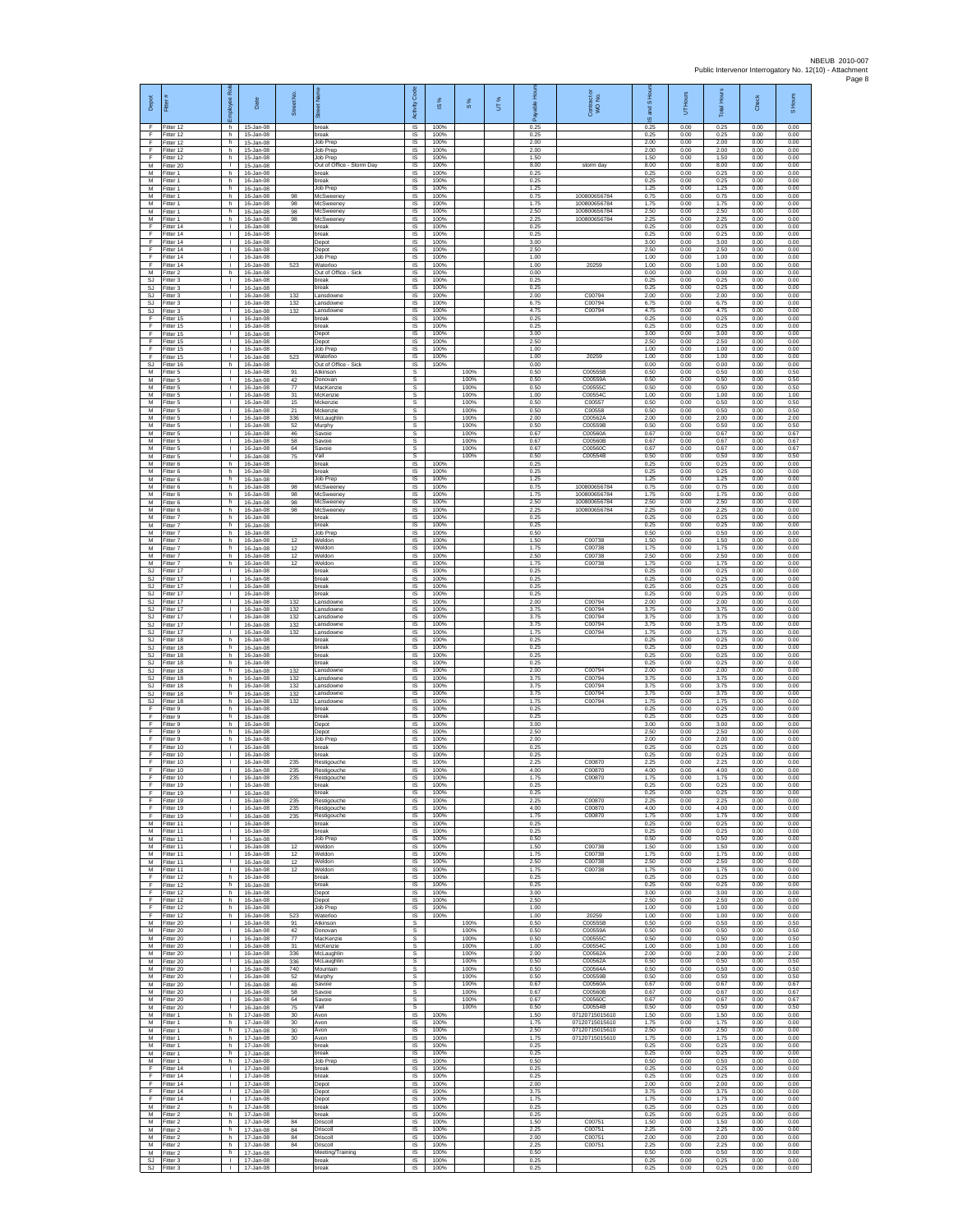| Depot                        | Fitter                              | Rol<br>Employee                              | Date                                         | Street No.        |                                                   | Activity Code               | <b>iS%</b>           | 8%                   | UT% | able Hou<br>இ        | Contract or<br>WO No.            | IS and SHC           | UT Hours             | <b>Total Hours</b>   | Check                | S Hours              |
|------------------------------|-------------------------------------|----------------------------------------------|----------------------------------------------|-------------------|---------------------------------------------------|-----------------------------|----------------------|----------------------|-----|----------------------|----------------------------------|----------------------|----------------------|----------------------|----------------------|----------------------|
| F<br>F<br>F                  | Fitter 12<br>Fitter 12<br>Fitter 12 | h<br>h.<br>h                                 | 15-Jan-08<br>15-Jan-08<br>15-Jan-08          |                   | break<br>break<br>Job Prep                        | IS<br>IS<br>IS              | 100%<br>100%<br>100% |                      |     | 0.25<br>0.25<br>2.00 |                                  | 0.25<br>0.25<br>2.00 | 0.00<br>0.00<br>0.00 | 0.25<br>0.25<br>2.00 | 0.00<br>0.00<br>0.00 | 0.00<br>0.00<br>0.00 |
| F<br>F<br>M                  | Fitter 12<br>Fitter 12<br>Fitter 20 | h<br>h<br>л.                                 | 15-Jan-08<br>15-Jan-08<br>15-Jan-08          |                   | Job Prep<br>Job Prep<br>Out of Office - Storm Day | IS<br>IS<br>-IS             | 100%<br>100%<br>100% |                      |     | 2.00<br>1.50<br>8.00 | storm day                        | 2.00<br>1.50<br>8.00 | 0.00<br>0.00<br>0.00 | 2.00<br>1.50<br>8.00 | 0.00<br>0.00<br>0.00 | 0.00<br>0.00<br>0.00 |
| M<br>М                       | Fitter 1<br>Fitter 1                | h.<br>h                                      | 16-Jan-08<br>16-Jan-08                       |                   | break<br>break                                    | IS<br>IS                    | 100%<br>100%         |                      |     | 0.25<br>0.25         |                                  | 0.25<br>0.25         | 0.00<br>0.00         | 0.25<br>0.25         | 0.00<br>0.00         | 0.00<br>0.00         |
| M<br>M<br>М                  | Fitter 1<br>Fitter 1<br>-itter 1    | h.<br>h<br>h                                 | $16 - \frac{1}{2}$<br>16-Jan-08<br>16-Jan-08 | 98<br>98          | Job Prep<br>McSweeney<br>McSweene                 | IS<br>IS<br>IS              | 100%<br>100%<br>100% |                      |     | 1.25<br>0.75<br>1.75 | 100800656784<br>100800656784     | 1.25<br>0.75<br>1.75 | 0.00<br>0.00<br>0.00 | 1.25<br>0.75<br>1.75 | 0.00<br>0.00<br>0.00 | 0.00<br>0.00<br>0.00 |
| M<br>M                       | Fitter 1<br>Fitter 1                | h<br>h.                                      | 16-Jan-08<br>16-Jan-08                       | 98<br>98          | McSweeney<br>McSweeney                            | $\sf IS$<br>IS              | 100%<br>100%         |                      |     | 2.50<br>2.25         | 100800656784<br>100800656784     | 2.50<br>2.25         | 0.00<br>0.00         | 2.50<br>2.25         | 0.00<br>0.00         | 0.00<br>0.00         |
| E<br>F<br>F                  | Fitter 14<br>Fitter 14<br>Fitter 14 | $\mathbf{L}$<br>т.<br>т.                     | 16-Jan-08<br>16-Jan-08<br>16-Jan-08          |                   | oreak<br>break<br>Depot                           | IS<br>IS<br>IS              | 100%<br>100%<br>100% |                      |     | 0.25<br>0.25<br>3.00 |                                  | 0.25<br>0.25<br>3.00 | 0.00<br>0.00<br>0.00 | 0.25<br>0.25<br>3.00 | 0.00<br>0.00<br>0.00 | 0.00<br>0.00<br>0.00 |
| E<br>F                       | Fitter 14<br>Fitter 14              | л.<br>$\mathbf{L}$                           | 16-Jan-08<br>16-Jan-08                       |                   | Depot<br>Job Prep                                 | -IS<br>IS                   | 100%<br>100%         |                      |     | 2.50<br>1.00         |                                  | 2.50<br>1.00         | 0.00<br>0.00         | 2.50<br>1.00         | 0.00<br>0.00         | 0.00<br>0.00         |
| F<br>M<br>SJ.                | Fitter 14<br>Fitter 2<br>Fitter 3   | $\mathbf{I}$<br>h.<br>л.                     | 16-Jan-08<br>16-Jan-08<br>16-Jan-08          | 523               | Waterloo<br>Out of Office - Sick<br>break         | $\sf IS$<br>IS<br>IS        | 100%<br>100%<br>100% |                      |     | 1.00<br>0.00<br>0.25 | 20259                            | 1.00<br>0.00<br>0.25 | 0.00<br>0.00<br>0.00 | 1.00<br>0.00<br>0.25 | 0.00<br>0.00<br>0.00 | 0.00<br>0.00<br>0.00 |
| <b>SJ</b><br>SJ              | Fitter 3<br>Fitter 3                | τ.<br>$\mathbf{L}$                           | 16-Jan-08<br>16-Jan-08                       | 132               | break<br>ansdowne                                 | IS<br>IS                    | 100%<br>100%<br>100% |                      |     | 0.25<br>2.00<br>6.75 | C0079<br>C00794                  | 0.25<br>2.00<br>6.75 | 0.00<br>0.00<br>0.00 | 0.25<br>2.00<br>6.75 | 0.00<br>0.00<br>0.00 | 0.00<br>0.00<br>0.00 |
| SJ<br>SJ<br>F                | Fitter 3<br>-itter 3<br>Fitter 15   | $\mathbf{L}$<br>$\mathbf{L}$<br>т.           | 16-Jan-08<br>16-Jan-08<br>16-Jan-08          | 132<br>132        | ansdowne<br>ansdowne.<br>break                    | IS<br>IS<br>IS              | 100%<br>100%         |                      |     | 4.75<br>0.25         | C00794                           | 4.75<br>0.25         | 0.00<br>0.00         | 4.75<br>0.25         | 0.00<br>0.00         | 0.00<br>0.00         |
| F<br>F<br>F                  | Fitter 15<br>Fitter 15<br>Fitter 15 | $\mathbf{L}$<br>т.<br>т.                     | 16-Jan-08<br>16-Jan-08<br>16-Jan-08          |                   | reak<br>Depot<br>Depot                            | IS<br>IS<br>IS              | 100%<br>100%<br>100% |                      |     | 0.25<br>3.00<br>2.50 |                                  | 0.25<br>3.00<br>2.50 | 0.00<br>0.00<br>0.00 | 0.25<br>3.00<br>2.50 | 0.00<br>0.00<br>0.00 | 0.00<br>0.00<br>0.00 |
| F<br>F                       | ltter 15<br>Fitter 15               | т.<br>л.                                     | 16-Jan-08<br>16-Jan-08                       | 523               | Job Prep<br>Waterloo                              | IS<br>-IS                   | 100%<br>100%         |                      |     | 1.00<br>1.00         | 20259                            | 1.00<br>1.00         | 0.00<br>0.00         | 1.00<br>1.00         | 0.00<br>0.00         | 0.00<br>0.00         |
| SJ.<br>М<br>M                | Fitter 16<br>Fitter 5<br>Fitter 5   | h.<br>τ.<br>$\mathbf{L}$                     | 16-Jan-08<br>16-Jan-08<br>16-Jan-08          | 91<br>42          | Out of Office - Sick<br>Atkinson<br>Donovan       | IS<br>s<br>s                | 100%                 | 100%<br>100%         |     | 0.00<br>0.50<br>0.50 | C00555B<br>C00559A               | 0.00<br>0.50<br>0.50 | 0.00<br>0.00<br>0.00 | 0.00<br>0.50<br>0.50 | 0.00<br>0.00<br>0.00 | 0.00<br>0.50<br>0.50 |
| M<br>М                       | Fitter 5<br>Fitter 5                | $\mathbf{L}$<br>$\mathbf{L}$                 | 16-Jan-08<br>16-Jan-08                       | 77<br>31          | MacKenzie<br>McKenzie                             | $\mathsf{s}$<br>$\mathbb S$ |                      | 100%<br>100%         |     | 0.50<br>1.00         | C00555C<br>C00554C               | 0.50<br>1.00         | 0.00<br>0.00         | 0.50<br>1.00         | 0.00<br>0.00         | 0.50<br>1.00         |
| M<br>M<br>M                  | Fitter 5<br>Fitter 5<br>Fitter 5    | T.<br>$\mathbf{L}$<br>$\mathbf{L}$           | 16-Jan-08<br>$16 - \ln 08$<br>16-Jan-08      | 15<br>21<br>336   | Mckenzie<br>Mckenzie<br>McLaughlir                | $\mathbb S$<br>s<br>s       |                      | 100%<br>100%<br>100% |     | 0.50<br>0.50<br>2.00 | C00557<br>C00558<br>C00562A      | 0.50<br>0.50<br>2.00 | 0.00<br>0.00<br>0.00 | 0.50<br>0.50<br>2.00 | 0.00<br>0.00<br>0.00 | 0.50<br>0.50<br>2.00 |
| М<br>M                       | Fitter 5<br>Fitter 5                | $\mathbb{L}$<br>т.                           | 16-Jan-08<br>16-Jan-08                       | 52<br>46          | Murphy<br>Savoie                                  | s<br>s                      |                      | 100%<br>100%         |     | 0.50<br>0.67         | C00559B<br>C00560A               | 0.50<br>0.67         | 0.00<br>0.00         | 0.50<br>0.67         | 0.00<br>0.00         | 0.50<br>0.67         |
| M<br>M<br>М                  | Fitter 5<br>-itter 5<br>Fitter 5    | л.<br>л.<br>$\mathbf{I}$                     | 16-Jan-08<br>16-Jan-08<br>16-Jan-08          | 58<br>64<br>75    | Savoie<br>Savoie<br>Vail                          | s<br>s<br>s                 |                      | 100%<br>100%<br>100% |     | 0.67<br>0.67<br>0.50 | C00560B<br>C00560C<br>C00554B    | 0.67<br>0.67<br>0.50 | 0.00<br>0.00<br>0.00 | 0.67<br>0.67<br>0.50 | 0.00<br>0.00<br>0.00 | 0.67<br>0.67<br>0.50 |
| M<br>M                       | Fitter 6<br>Fitter 6                | h.<br>h.                                     | 16-Jan-08<br>$16 - \ln 08$                   |                   | break<br><b>oreak</b>                             | IS<br>IS                    | 100%<br>100%         |                      |     | 0.25<br>0.25         |                                  | 0.25<br>0.25         | 0.00<br>0.00         | 0.25<br>0.25         | 0.00<br>0.00         | 0.00<br>0.00         |
| М<br>M<br>M                  | Fitter 6<br>Fitter 6<br>Fitter 6    | h<br>h.<br>h.                                | 16-Jan-08<br>16-Jan-08<br>16-Jan-08          | 98<br>98          | Job Prep<br>McSweeney<br>McSweeney                | IS<br>IS<br>-IS             | 100%<br>100%<br>100% |                      |     | 1.25<br>0.75<br>1.75 | 100800656784<br>100800656784     | 1.25<br>0.75<br>1.75 | 0.00<br>0.00<br>0.00 | 1.25<br>0.75<br>1.75 | 0.00<br>0.00<br>0.00 | 0.00<br>0.00<br>0.00 |
| М<br>M<br>M                  | itter 6<br>Fitter 6<br>Fitter 7     | h<br>h.<br>h.                                | 16-Jan-08<br>16-Jan-08<br>16-Jan-08          | 98<br>98          | McSweeney<br>McSweeney<br>oreak                   | IS<br>IS<br>IS              | 100%<br>100%<br>100% |                      |     | 2.50<br>2.25<br>0.25 | 100800656784<br>100800656784     | 2.50<br>2.25<br>0.25 | 0.00<br>0.00<br>0.00 | 2.50<br>2.25<br>0.25 | 0.00<br>0.00<br>0.00 | 0.00<br>0.00<br>0.00 |
| М<br>M                       | Fitter 7<br>Fitter 7                | h<br>h                                       | 16-Jan-08<br>16-Jan-08                       |                   | break<br>Job Prep                                 | IS<br>IS                    | 100%<br>100%         |                      |     | 0.25<br>0.50         |                                  | 0.25<br>0.50         | 0.00<br>0.00         | 0.25<br>0.50         | 0.00<br>0.00         | 0.00<br>0.00         |
| М<br>M<br>M                  | Fitter 7<br>Fitter 7<br>Fitter 7    | h<br>h.<br>h.                                | 16-Jan-08<br>16-Jan-08<br>16-Jan-08          | 12<br>12<br>12    | Veldon<br>Weldon<br>Weldon                        | IS<br>-IS<br>IS             | 100%<br>100%<br>100% |                      |     | 1.50<br>1.75<br>2.50 | C00738<br>C00738<br>C00738       | 1.50<br>1.75<br>2.50 | 0.00<br>0.00<br>0.00 | 1.50<br>1.75<br>2.50 | 0.00<br>0.00<br>0.00 | 0.00<br>0.00<br>0.00 |
| М<br>SJ.                     | Fitter 7<br>Fitter 17               | h<br>$\mathbf{L}$                            | 16-Jan-08<br>16-Jan-08                       | 12                | Neldon<br>break                                   | IS<br>IS                    | 100%<br>100%         |                      |     | 1.75<br>0.25         | C00738                           | 1.75<br>0.25         | 0.00<br>0.00         | 1.75<br>0.25         | 0.00<br>0.00         | 0.00<br>0.00         |
| SJ<br>SJ<br>SJ               | Fitter 17<br>Fitter 17<br>Fitter 17 | $\mathbf{L}$<br>$\mathbb{L}$<br>T.           | 16-Jan-08<br>16-Jan-08<br>16-Jan-08          |                   | break<br>oreak<br>break                           | IS<br>IS<br>$\sf IS$        | 100%<br>100%<br>100% |                      |     | 0.25<br>0.25<br>0.25 |                                  | 0.25<br>0.25<br>0.25 | 0.00<br>0.00<br>0.00 | 0.25<br>0.25<br>0.25 | 0.00<br>0.00<br>0.00 | 0.00<br>0.00<br>0.00 |
| SJ.<br>SJ                    | Fitter 17<br>Fitter 17              | $\mathbf{L}$<br>$\mathbf{L}$                 | 16-Jan-08<br>16-Jan-08                       | 132<br>132        | Lansdowne<br>ansdowne                             | IS<br>IS                    | 100%<br>100%         |                      |     | 2.00<br>3.75         | C00794<br>C00794                 | 2.00<br>3.75         | 0.00<br>0.00         | 2.00<br>3.75         | 0.00<br>0.00         | 0.00<br>0.00         |
| <b>SJ</b><br><b>SJ</b><br>SJ | Fitter 17<br>Fitter 17<br>Fitter 17 | т.<br>т.<br>л.                               | 16-Jan-08<br>16-Jan-08<br>16-Jan-08          | 132<br>132<br>132 | ansdowne<br>ansdowne<br>ansdowne.                 | IS<br>IS<br>- IS            | 100%<br>100%<br>100% |                      |     | 3.75<br>3.75<br>1.75 | C00794<br>C00794<br>C00794       | 3.75<br>3.75<br>1.75 | 0.00<br>0.00<br>0.00 | 3.75<br>3.75<br>1.75 | 0.00<br>0.00<br>0.00 | 0.00<br>0.00<br>0.00 |
| SJ<br>SJ                     | Fitter 18<br>Fitter 18              | h.<br>h                                      | 16-Jan-08<br>16-Jan-08                       |                   | oreak<br>break                                    | IS<br>IS                    | 100%<br>100%         |                      |     | 0.25<br>0.25         |                                  | 0.25<br>0.25         | 0.00<br>0.00         | 0.25<br>0.25         | 0.00<br>0.00         | 0.00<br>0.00         |
| SJ.<br>SJ.<br><b>SJ</b>      | Fitter 18<br>Fitter 18<br>Fitter 18 | h.<br>h.<br>h                                | 16-Jan-08<br>16-Jan-08<br>16-Jan-08          | 132               | break<br>reak<br>ansdowne                         | IS<br>IS<br>IS              | 100%<br>100%<br>100% |                      |     | 0.25<br>0.25<br>2.00 | C00794                           | 0.25<br>0.25<br>2.00 | 0.00<br>0.00<br>0.00 | 0.25<br>0.25<br>2.00 | 0.00<br>0.00<br>0.00 | 0.00<br>0.00<br>0.00 |
| SJ.<br>SJ<br>SJ              | Fitter 18<br>Fitter 18<br>Fitter 18 | h.<br>h.<br>h                                | 16-Jan-08<br>16-Jan-08<br>16-Jan-08          | 132<br>132<br>132 | ansdowne<br>ansdowne<br>ansdowne                  | IS<br>IS<br>IS              | 100%<br>100%<br>100% |                      |     | 3.75<br>3.75<br>3.75 | C00794<br>C00794<br>C00794       | 3.75<br>3.75<br>3.75 | 0.00<br>0.00<br>0.00 | 3.75<br>3.75<br>3.75 | 0.00<br>0.00<br>0.00 | 0.00<br>0.00<br>0.00 |
| SJ<br>F                      | Fitter 18<br>Fitter 9               | h<br>h.                                      | 16-Jan-08<br>16-Jan-08                       | 132               | ansdowne<br>oreak                                 | IS<br>IS                    | 100%<br>100%         |                      |     | 1.75<br>0.25         | C00794                           | 1.75<br>0.25         | 0.00<br>0.00         | 1.75<br>0.25         | 0.00<br>0.00         | 0.00<br>0.00         |
| F<br>Ŧ<br>F                  | Fitter 9<br>Fitter 9<br>Fitter 9    | h<br>h<br>h                                  | 16-Jan-08<br>16-Jan-08<br>16-Jan-08          |                   | break<br>Depot<br>Depot                           | IS<br>IS<br>IS              | 100%<br>100%<br>100% |                      |     | 0.25<br>3.00<br>2.50 |                                  | 0.25<br>3.00<br>2.50 | 0.00<br>0.00<br>0.00 | 0.25<br>3.00<br>2.50 | 0.00<br>0.00<br>0.00 | 0.00<br>0.00<br>0.00 |
| F<br>E                       | Fitter 9<br>Fitter 10               | h.<br>л.                                     | 16-Jan-08<br>16-Jan-08                       |                   | Job Prec<br><b>oreak</b>                          | -IS<br>IS                   | 100%<br>100%         |                      |     | 2.00<br>0.25         |                                  | 2.00<br>0.25         | 0.00<br>0.00         | 2.00<br>0.25         | 0.00<br>0.00         | 0.00<br>0.00         |
| F<br>F<br>F                  | Fitter 10<br>Fitter 10<br>Fitter 10 | ٠<br>$\mathbf{L}$<br>$\mathbf{L}$            | 16-Jan-08<br>$16 -$ Jan-08<br>16-Jan-08      | 235<br>235        | oreak<br>Restigouche<br>Restigouche               | IS<br>IS<br>IS              | 100%<br>100%<br>100% |                      |     | 0.25<br>2.25<br>4.00 | C00870<br>C00870                 | 0.25<br>2.25<br>4.00 | 0.00<br>0.00<br>0.00 | 0.25<br>2.25<br>4.00 | 0.00<br>0.00<br>0.00 | 0.00<br>0.00<br>0.00 |
| F                            | Fitter 10<br>Fitter 19              | $\mathbf{L}$<br>÷.                           | 16-Jan-08<br>16-Jan-08                       | 235               | Restigouche<br>break                              | IS<br><b>IS</b>             | 100%<br>100%         |                      |     | 1.75<br>0.25         | C00870                           | 1.75<br>0.25         | 0.00<br>0.00         | 1.75<br>0.25         | 0.00<br>0.00         | 0.00<br>0.00         |
| F<br>E<br>F                  | Fitter 19<br>Fitter 19<br>Fitter 19 | $\mathbf{L}$<br>$\mathbf{L}$<br>$\mathbb{L}$ | 16-Jan-08<br>16-Jan-08<br>16-Jan-08          | 235<br>235        | break<br>Restigouche<br>Restigouche               | IS<br>IS<br>IS              | 100%<br>100%<br>100% |                      |     | 0.25<br>2.25<br>4.00 | C00870<br>C00870                 | 0.25<br>2.25<br>4.00 | 0.00<br>0.00<br>0.00 | 0.25<br>2.25<br>4.00 | 0.00<br>0.00<br>0.00 | 0.00<br>0.00<br>0.00 |
| F<br>M<br>M                  | Fitter 19<br>Fitter 11<br>Fitter 11 | T.<br>л.<br>$\mathbf{L}$                     | 16-Jan-08<br>16-Jan-08<br>16-Jan-08          | 235               | Restigouche<br>break<br>break                     | IS<br>- IS<br>IS            | 100%<br>100%<br>100% |                      |     | 1.75<br>0.25<br>0.25 | C00870                           | 1.75<br>0.25<br>0.25 | 0.00<br>0.00<br>0.00 | 1.75<br>0.25<br>0.25 | 0.00<br>0.00<br>0.00 | 0.00<br>0.00<br>0.00 |
| М<br>M                       | Fitter 11<br>Fitter 11              | $\mathbf{I}$<br>$\mathbf{L}$                 | 16-Jan-08<br>16-Jan-08                       | 12                | Job Prep<br>Weldon                                | IS<br>IS                    | 100%<br>100%         |                      |     | 0.50<br>1.50         | C00738                           | 0.50<br>1.50         | 0.00<br>0.00         | 0.50<br>1.50         | 0.00<br>0.00         | 0.00<br>0.00         |
| M<br>М<br>М                  | Fitter 11<br>Fitter 11<br>Fitter 11 | $\mathbf{L}$<br>τ.<br>т                      | 16-Jan-08<br>16-Jan-08<br>16-Jan-08          | 12<br>12<br>12    | Weldon<br>Neldon<br>Weldon                        | IS<br>IS<br>IS              | 100%<br>100%<br>100% |                      |     | 175<br>2.50<br>1.75  | C00738<br>C00738<br>C00738       | 1.75<br>2.50<br>1.75 | 0.00<br>0.00<br>0.00 | 1.75<br>2.50<br>1.75 | 0.00<br>0.00<br>0.00 | 0.00<br>0.00<br>0.00 |
| F.<br>$\mathsf F$            | Fitter 12<br>Fitter 12              | h.<br>h                                      | 16-Jan-08<br>16-Jan-08                       |                   | break<br>oreak                                    | <b>IS</b><br>IS             | 100%<br>100%         |                      |     | 0.25<br>0.25         |                                  | 0.25<br>0.25         | 0.00<br>0.00         | 0.25<br>0.25         | 0.00<br>0.00         | 0.00<br>0.00         |
| F<br>F<br>F                  | Fitter 12<br>Fitter 12<br>Fitter 12 | h.<br>h<br>h                                 | 16-Jan-08<br>16-Jan-08<br>16-Jan-08          |                   | Depot<br>Depot<br>Job Prep                        | IS<br>IS<br>IS              | 100%<br>100%<br>100% |                      |     | 3.00<br>2.50<br>1.00 |                                  | 3.00<br>2.50<br>1.00 | 0.00<br>0.00<br>0.00 | 3.00<br>2.50<br>1.00 | 0.00<br>0.00<br>0.00 | 0.00<br>0.00<br>0.00 |
| F<br>М                       | Fitter 12<br>fitter 20              | h<br>T.                                      | 16-Jan-08<br>16-Jan-08                       | 523<br>91         | Waterloo<br>Atkinson                              | IS<br>s                     | 100%                 | 100%                 |     | 1.00<br>0.50         | 20259<br>C00555E                 | 1.00<br>0.50         | 0.00<br>0.00         | 1.00<br>0.50         | 0.00<br>0.00         | 0.00<br>0.50         |
| M<br>M<br>М                  | Fitter 20<br>Fitter 20<br>Fitter 20 | л.<br>$\mathbf{L}$<br>т.                     | 16-Jan-08<br>16-Jan-08<br>16-Jan-08          | 42<br>77<br>31    | Donovan<br>MacKenzie<br>McKenzie                  | s<br>s<br>s                 |                      | 100%<br>100%<br>100% |     | 0.50<br>0.50<br>1.00 | C00559A<br>C00555C<br>C00554C    | 0.50<br>0.50<br>1.00 | 0.00<br>0.00<br>0.00 | 0.50<br>0.50<br>1.00 | 0.00<br>0.00<br>0.00 | 0.50<br>0.50<br>1.00 |
| M                            | Fitter 20<br>M Fitter 20            | т<br>$\mathbf{L}$                            | 16-Jan-08<br>16-Jan-08                       | 336<br>336        | McLaughlin<br>McLaughlin                          | s<br>s                      |                      | 100%<br>100%         |     | 2.00<br>0.50         | C00562A<br>C00562A               | 2.00<br>0.50         | 0.00<br>0.00         | 2.00<br>0.50         | 0.00<br>0.00         | 2.00<br>0.50         |
| ${\sf M}$<br>M<br>M          | Fitter 20<br>Fitter 20<br>Fitter 20 | $\mathbf{L}$<br>$\mathbf{L}$<br>$\mathbf{L}$ | 16-Jan-08<br>16-Jan-08<br>16-Jan-08          | 740<br>52<br>46   | Mountain<br>Murphy<br>Savoie                      | s<br>s<br>-S                |                      | 100%<br>100%<br>100% |     | 0.50<br>0.50<br>0.67 | C00564A<br>C00559B<br>C00560A    | 0.50<br>0.50<br>0.67 | 0.00<br>0.00<br>0.00 | 0.50<br>0.50<br>0.67 | 0.00<br>0.00<br>0.00 | 0.50<br>0.50<br>0.67 |
| M<br>M<br>M                  | Fitter 20<br>Fitter 20<br>Fitter 20 | $\mathbf{L}$<br>$\mathbf{I}$<br>T.           | 16-Jan-08<br>16-Jan-08<br>16-Jan-08          | 58<br>64<br>75    | Savoie<br>Savoie<br>/ail                          | s<br>s<br>s                 |                      | 100%<br>100%<br>100% |     | 0.67<br>0.67<br>0.50 | C00560B<br>C00560C<br>C00554B    | 0.67<br>0.67<br>0.50 | 0.00<br>0.00<br>0.00 | 0.67<br>0.67<br>0.50 | 0.00<br>0.00<br>0.00 | 0.67<br>0.67<br>0.50 |
| M<br>M                       | Fitter 1<br>Fitter 1                | h.<br>h.                                     | 17-Jan-08<br>17-Jan-08                       | 30<br>30          | Avon<br>Avon                                      | IS<br>IS.                   | 100%<br>100%         |                      |     | 1.50<br>1.75         | 07120715015610<br>07120715015610 | 1.50<br>1.75         | 0.00<br>0.00         | 1.50<br>1.75         | 0.00<br>0.00         | 0.00<br>0.00         |
| М<br>M<br>M                  | Fitter 1<br>Fitter 1<br>Fitter 1    | h<br>h.<br>h                                 | 17-Jan-08<br>17-Jan-08<br>17-Jan-08          | 30<br>30          | Avon<br>Avon<br><b>oreak</b>                      | $\sf IS$<br>IS<br>IS        | 100%<br>100%<br>100% |                      |     | 2.50<br>1.75<br>0.25 | 07120715015610<br>07120715015610 | 2.50<br>1.75<br>0.25 | 0.00<br>0.00<br>0.00 | 2.50<br>1.75<br>0.25 | 0.00<br>0.00<br>0.00 | 0.00<br>0.00<br>0.00 |
| М<br>M                       | Fitter 1<br>Fitter 1                | h<br>h.                                      | 17-Jan-08<br>17-Jan-08                       |                   | break<br>Job Prep                                 | IS<br>IS                    | 100%<br>100%         |                      |     | 0.25<br>0.50         |                                  | 0.25<br>0.50         | 0.00<br>0.00         | 0.25<br>0.50         | 0.00<br>0.00         | 0.00<br>0.00         |
| F.<br>$\mathsf F$<br>F       | Fitter 14<br>Fitter 14<br>Fitter 14 | $\mathbf{L}$<br>$\mathbf{I}$                 | 17-Jan-08<br>17-Jan-08<br>17-Jan-08          |                   | break<br>oreak<br>Depot                           | IS<br>IS<br>IS              | 100%<br>100%<br>100% |                      |     | 0.25<br>0.25<br>2.00 |                                  | 0.25<br>0.25<br>2.00 | 0.00<br>0.00<br>0.00 | 0.25<br>0.25<br>2.00 | 0.00<br>0.00<br>0.00 | 0.00<br>0.00<br>0.00 |
| F<br>F<br>M                  | Fitter 14<br>Fitter 14              | $\mathbf{L}$<br>τ.                           | 17-Jan-08<br>17-Jan-08                       |                   | Depot<br>Depot                                    | IS<br>IS                    | 100%<br>100%         |                      |     | 3.75<br>1.75         |                                  | 3.75<br>1.75         | 0.00<br>0.00         | 3.75<br>1.75         | 0.00<br>0.00         | 0.00<br>0.00         |
| M<br>M                       | Fitter 2<br>-itter 2<br>Fitter 2    | h<br>h<br>h.                                 | 17-Jan-08<br>17-Jan-08<br>17-Jan-08          | 84                | break<br>oreak<br>Driscoll                        | IS<br>IS<br>- IS            | 100%<br>100%<br>100% |                      |     | 0.25<br>0.25<br>1.50 | C00751                           | 0.25<br>0.25<br>1.50 | 0.00<br>0.00<br>0.00 | 0.25<br>0.25<br>1.50 | 0.00<br>0.00<br>0.00 | 0.00<br>0.00<br>0.00 |
| M<br>M<br>M                  | Fitter 2<br>Fitter 2<br>Fitter 2    | h<br>h<br>h                                  | 17-Jan-08<br>17-Jan-08<br>17-Jan-08          | 84<br>84<br>84    | Driscoll<br>Oriscoll<br>Driscoll                  | IS<br>IS<br>IS              | 100%<br>100%<br>100% |                      |     | 2.25<br>2.00<br>2.25 | C00751<br>C00751<br>C00751       | 2.25<br>2.00<br>2.25 | 0.00<br>0.00<br>0.00 | 2.25<br>2.00<br>2.25 | 0.00<br>0.00<br>0.00 | 0.00<br>0.00<br>0.00 |
| M<br>SJ                      | Fitter 2<br>Fitter 3                | h.<br>$\mathbf{L}$                           | 17-Jan-08<br>17-Jan-08                       |                   | Meeting/Training<br>break                         | IS<br>IS                    | 100%<br>100%         |                      |     | 0.50<br>0.25         |                                  | 0.50<br>0.25         | 0.00<br>0.00         | 0.50<br>0.25         | 0.00<br>0.00         | 0.00<br>0.00         |
| SJ                           | Fitter 3                            | $\mathbf{L}$                                 | 17-Jan-08                                    |                   | break                                             | IS                          | 100%                 |                      |     | 0.25                 |                                  | 0.25                 | 0.00                 | 0.25                 | 0.00                 | 0.00                 |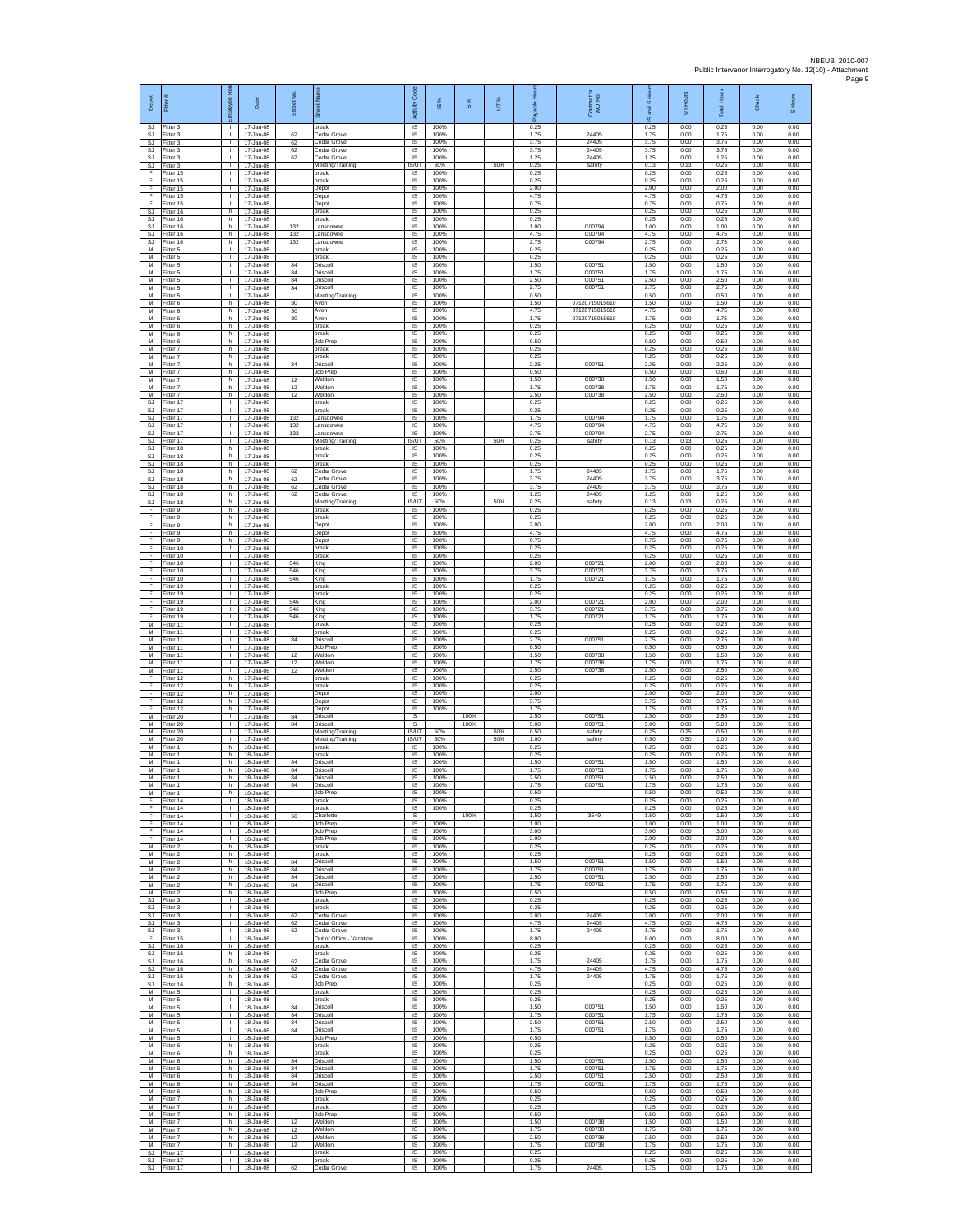| Depot                               | Fitter                               | R<br>Employee                                | Date                                    | Street No.     |                                               | Code<br>Activity            | $\frac{8}{3}$        | $\frac{8}{3}$ | UT% | 웊<br>இ               | Contract or<br>WO No.            | and S Ho<br>ဖ        | UT Hours             | <b>Total Hours</b>   | <b>Check</b>         | S Hours              |
|-------------------------------------|--------------------------------------|----------------------------------------------|-----------------------------------------|----------------|-----------------------------------------------|-----------------------------|----------------------|---------------|-----|----------------------|----------------------------------|----------------------|----------------------|----------------------|----------------------|----------------------|
| SJ<br>SJ.<br><b>SJ</b>              | Fitter 3<br>Fitter 3<br>Fitter 3     | -<br>$\mathbf{L}$<br>τ.                      | 17-Jan-08<br>17-Jan-08<br>17-Jan-08     | 62<br>62       | break<br>edar Grove<br>Cedar Grove            | IS<br>IS<br>IS              | 100%<br>100%<br>100% |               |     | 0.25<br>1.75<br>3.75 | 24405<br>24405                   | 0.25<br>1.75<br>3.75 | 0.00<br>0.00<br>0.00 | 0.25<br>1.75<br>3.75 | 0.00<br>0.00<br>0.00 | 0.00<br>0.00<br>0.00 |
| <b>SJ</b><br>SJ<br><b>SJ</b>        | Fitter 3<br>Fitter 3<br>Fitter 3     | т.<br>$\mathbf{L}$<br>л.                     | 17-Jan-08<br>17-Jan-08<br>17-Jan-08     | 62<br>62       | edar Grove<br>Cedar Grove<br>Meeting/Training | IS<br>IS<br><b>IS/UT</b>    | 100%<br>100%<br>50%  |               | 50% | 3.75<br>1.25<br>0.25 | 24405<br>24405<br>safety         | 3.75<br>1.25<br>0.13 | 0.00<br>0.00<br>0.13 | 3.75<br>1.25<br>0.25 | 0.00<br>0.00<br>0.00 | 0.00<br>0.00<br>0.00 |
| E<br>F                              | Fitter 15<br>Fitter 15               | л.<br>т.<br>$\mathbf{L}$                     | 17-Jan-08<br>17-Jan-08<br>$17 -$ lan-08 |                | oreak<br>break                                | IS.<br>IS                   | 100%<br>100%<br>100% |               |     | 0.25<br>0.25         |                                  | 0.25<br>0.25         | 0.00<br>0.00         | 0.25<br>0.25         | 0.00<br>0.00         | 0.00<br>0.00         |
| F.<br>F.<br>F                       | Fitter 15<br>Fitter 15<br>Fitter 15  | $\mathbf{L}$<br>$\mathbf{I}$                 | 17-Jan-08<br>17-Jan-08                  |                | Depot<br>Depot<br>Depot                       | IS<br>IS<br>IS              | 100%<br>100%         |               |     | 2.00<br>4.75<br>0.75 |                                  | 2.00<br>4.75<br>0.75 | 0.00<br>0.00<br>0.00 | 2.00<br>4.75<br>0.75 | 0.00<br>0.00<br>0.00 | 0.00<br>0.00<br>0.00 |
| $\mathbb{S}\mathbb{J}$<br>SJ.<br>SJ | Fitter 16<br>Fitter 16<br>Fitter 16  | h<br>h.<br>h                                 | 17-Jan-08<br>17-Jan-08<br>17-Jan-08     | 132            | break<br>break<br>.ansdowne                   | $\sf IS$<br>IS.<br>IS       | 100%<br>100%<br>100% |               |     | 0.25<br>0.25<br>1.00 | C00794                           | 0.25<br>0.25<br>1.00 | 0.00<br>0.00<br>0.00 | 0.25<br>0.25<br>1.00 | 0.00<br>0.00<br>0.00 | 0.00<br>0.00<br>0.00 |
| <b>SJ</b><br><b>SJ</b>              | Fitter 16<br>Fitter 16               | h<br>h                                       | 17-Jan-08<br>17-Jan-08                  | 132<br>132     | .ansdowne<br>.ansdowne                        | IS<br>IS<br>IS              | 100%<br>100%         |               |     | 4.75<br>2.75<br>0.25 | C00794<br>C00794                 | 4.75<br>2.75<br>0.25 | 0.00<br>0.00<br>0.00 | 4.75<br>2.75<br>0.25 | 0.00<br>0.00<br>0.00 | 0.00<br>0.00<br>0.00 |
| M<br>M<br>М                         | Fitter 5<br>Fitter 5<br>Fitter 5     | л.<br>$\mathbf{L}$<br>T.                     | 17-Jan-08<br>17-Jan-08<br>17-Jan-08     | 84             | break<br>reak<br>Driscoll                     | IS<br>$\sf IS$              | 100%<br>100%<br>100% |               |     | 0.25<br>1.50         | C00751                           | 0.25<br>1.50         | 0.00<br>0.00         | 0.25<br>1.50         | 0.00<br>0.00         | 0.00<br>0.00         |
| M<br>M<br>М                         | Fitter 5<br>Fitter 5<br>Fitter 5     | $\mathbf{L}$<br>$\mathbf{L}$<br>τ.           | 17-Jan-08<br>$17 -$ lan-08<br>17-Jan-08 | 84<br>84<br>84 | Driscoll<br>Driscoll<br>Driscoll              | IS<br>IS<br>IS              | 100%<br>100%<br>100% |               |     | 1.75<br>2.50<br>2.75 | C00751<br>C00751<br>C00751       | 1.75<br>2.50<br>2.75 | 0.00<br>0.00<br>0.00 | 1.75<br>2.50<br>2.75 | 0.00<br>0.00<br>0.00 | 0.00<br>0.00<br>0.00 |
| M<br>M                              | Fitter 5<br>Fitter 6                 | $\mathbf{L}$<br>h.                           | 17-Jan-08<br>17-Jan-08                  | 30             | Meeting/Training<br>Avon                      | IS<br>IS                    | 100%<br>100%         |               |     | 0.50<br>1.50         | 07120715015610                   | 0.50<br>1.50         | 0.00<br>0.00         | 0.50<br>1.50         | 0.00<br>0.00         | 0.00<br>0.00         |
| М<br>M<br>M                         | Fitter 6<br>Fitter 6<br>Fitter 6     | h<br>h<br>h.                                 | 17-Jan-08<br>17-Jan-08<br>17-Jan-08     | 30<br>30       | Avon<br>Avon<br>break                         | IS<br>IS<br>IS              | 100%<br>100%<br>100% |               |     | 4.75<br>1.75<br>0.25 | 07120715015610<br>07120715015610 | 4.75<br>1.75<br>0.25 | 0.00<br>0.00<br>0.00 | 4.75<br>1.75<br>0.25 | 0.00<br>0.00<br>0.00 | 0.00<br>0.00<br>0.00 |
| M<br>М<br>М                         | Fitter 6<br>Fitter 6<br>Fitter 7     | h<br>h<br>h                                  | 17-Jan-08<br>17-Jan-08<br>17-Jan-08     |                | break<br>Job Preg<br>break                    | IS<br>1S<br>IS              | 100%<br>100%<br>100% |               |     | 0.25<br>0.50<br>0.25 |                                  | 0.25<br>0.50<br>0.25 | 0.00<br>0.00<br>0.00 | 0.25<br>0.50<br>0.25 | 0.00<br>0.00<br>0.00 | 0.00<br>0.00<br>0.00 |
| M<br>M                              | Fitter 7<br>Fitter 7                 | h.<br>h.                                     | 17-Jan-08<br>17-Jan-08                  | 84             | break<br>Driscoll                             | IS<br>IS                    | 100%<br>100%         |               |     | 0.25<br>2.25         | C00751                           | 0.25<br>2.25         | 0.00<br>0.00         | 0.25<br>2.25         | 0.00<br>0.00         | 0.00<br>0.00         |
| М<br>M<br>м                         | Fitter 7<br>Fitter 7<br>Fitter 7     | h<br>h.<br>h.                                | 17-Jan-08<br>17-Jan-08<br>17-Jan-08     | 12<br>12       | lob Prep<br>Weldon<br>Weldon                  | IS<br>1S<br>IS              | 100%<br>100%<br>100% |               |     | 0.50<br>1.50<br>1.75 | C00738<br>C00738                 | 0.50<br>1.50<br>1.75 | 0.00<br>0.00<br>0.00 | 0.50<br>1.50<br>1.75 | 0.00<br>0.00<br>0.00 | 0.00<br>0.00<br>0.00 |
| М<br>$\mathbb{S}\mathbb{J}$<br>SJ.  | -itter 7<br>Fitter 17<br>Fitter 17   | h<br>$\mathbf{L}$<br>$\mathbf{L}$            | 17-Jan-08<br>17-Jan-08<br>17-Jan-08     | 12             | Veldor<br>break<br>break                      | IS<br>$\sf IS$<br><b>IS</b> | 100%<br>100%<br>100% |               |     | 2.50<br>0.25<br>0.25 | C00738                           | 2.50<br>0.25<br>0.25 | 0.00<br>0.00<br>0.00 | 2.50<br>0.25<br>0.25 | 0.00<br>0.00<br>0.00 | 0.00<br>0.00<br>0.00 |
| SJ<br><b>SJ</b>                     | Fitter 17<br>Fitter 17               | $\mathbf{L}$<br>H.                           | 17-Jan-08<br>17-Jan-08                  | 132<br>132     | .ansdowne<br>ansdowne                         | IS<br>1S                    | 100%<br>100%         |               |     | 1.75<br>4.75         | C00794<br>C00794                 | 1.75<br>4.75         | 0.00<br>0.00         | 1.75<br>4.75         | 0.00<br>0.00         | 0.00<br>0.00         |
| <b>SJ</b><br>SJ<br>SJ               | Fitter 17<br>Fitter 17<br>Fitter 18  | $\mathbf{L}$<br>л.<br>h.                     | 17-Jan-08<br>17-Jan-08<br>17-Jan-08     | 132            | ansdowne<br>Meeting/Training<br>reak          | IS<br><b>IS/UT</b><br>IS    | 100%<br>50%<br>100%  |               | 50% | 2.75<br>0.25<br>0.25 | C00794<br>safety                 | 2.75<br>0.13<br>0.25 | 0.00<br>0.13<br>0.00 | 2.75<br>0.25<br>0.25 | 0.00<br>0.00<br>0.00 | 0.00<br>0.00<br>0.00 |
| SJ<br>SJ.<br>SJ.                    | Fitter 18<br>Fitter 18<br>Fitter 18  | h<br>h.<br>h.                                | 17-Jan-08<br>17-Jan-08<br>17-Jan-08     | 62             | oreak<br>break<br>edar Grove                  | $\sf IS$<br>IS.<br>IS       | 100%<br>100%<br>100% |               |     | 0.25<br>0.25<br>1.75 | 24405                            | 0.25<br>0.25<br>1.75 | 0.00<br>0.00<br>0.00 | 0.25<br>0.25<br>1.75 | 0.00<br>0.00<br>0.00 | 0.00<br>0.00<br>0.00 |
| SJ<br>SJ.                           | Fitter 18<br>Fitter 18               | h<br>h.                                      | 17-Jan-08<br>17-Jan-08                  | 62<br>62       | edar Grove<br>Cedar Grove                     | IS<br>IS                    | 100%<br>100%         |               |     | 3.75<br>3.75         | 24405<br>24405                   | 3.75<br>3.75         | 0.00<br>0.00         | 3.75<br>3.75         | 0.00<br>0.00         | 0.00<br>0.00         |
| SJ<br>SJ<br>F                       | Fitter 18<br>Fitter 18<br>Fitter 9   | h.<br>h<br>h.                                | 17-Jan-08<br>17-Jan-08<br>17-Jan-08     | 62             | Cedar Grove<br>Meeting/Training<br>break      | <b>IS</b><br>IS/UT<br>IS.   | 100%<br>50%<br>100%  |               | 50% | 1.25<br>0.25<br>0.25 | 24405<br>safety                  | 1.25<br>0.13<br>0.25 | 0.00<br>0.13<br>0.00 | 1.25<br>0.25<br>0.25 | 0.00<br>0.00<br>0.00 | 0.00<br>0.00<br>0.00 |
| F<br>F<br>F                         | Fitter 9<br>Fitter 9<br>Fitter 9     | h.<br>h<br>h                                 | $17 -$ lan-08<br>17-Jan-08<br>17-Jan-08 |                | break<br>Depot                                | IS<br>IS<br>IS              | 100%<br>100%<br>100% |               |     | 0.25<br>2.00<br>4.75 |                                  | 0.25<br>2.00<br>4.75 | 0.00<br>0.00<br>0.00 | 0.25<br>2.00<br>4.75 | 0.00<br>0.00<br>0.00 | 0.00<br>0.00<br>0.00 |
| F<br>F                              | Fitter 9<br>Fitter 10                | h<br>л.                                      | 17-Jan-08<br>17-Jan-08                  |                | Depot<br>Depot<br>break                       | IS<br>IS                    | 100%<br>100%         |               |     | 0.75<br>0.25         |                                  | 0.75<br>0.25         | 0.00<br>0.00         | 0.75<br>0.25         | 0.00<br>0.00         | 0.00<br>0.00         |
| F.<br>F<br>F.                       | Fitter 10<br>Fitter 10<br>Fitter 10  | $\mathbf{L}$<br>т.<br>$\mathbf{L}$           | 17-Jan-08<br>17-Jan-08<br>17-Jan-08     | 546<br>546     | oreak<br>King<br>King                         | IS<br>IS<br>1S              | 100%<br>100%<br>100% |               |     | 0.25<br>2.00<br>3.75 | C00721<br>C00721                 | 0.25<br>2.00<br>3.75 | 0.00<br>0.00<br>0.00 | 0.25<br>2.00<br>3.75 | 0.00<br>0.00<br>0.00 | 0.00<br>0.00<br>0.00 |
| F.<br>F                             | Fitter 10<br>Fitter 19               | $\mathbf{L}$<br>$\mathbf{I}$                 | 17-Jan-08<br>17-Jan-08                  | 546            | King<br>oreak                                 | IS<br>IS                    | 100%<br>100%         |               |     | 1.75<br>0.25         | C00721                           | 1.75<br>0.25         | 0.00<br>0.00         | 1.75<br>0.25         | 0.00<br>0.00         | 0.00<br>0.00         |
| F<br>F<br>E                         | Fitter 19<br>Fitter 19<br>Fitter 19  | $\mathbf{L}$<br>$\mathbf{L}$<br>$\mathbf{L}$ | 17-Jan-08<br>17-Jan-08<br>17-Jan-08     | 546<br>546     | break<br>King<br>King                         | $\sf IS$<br>IS<br>IS        | 100%<br>100%<br>100% |               |     | 0.25<br>2.00<br>3.75 | C00721<br>C00721                 | 0.25<br>2.00<br>3.75 | 0.00<br>0.00<br>0.00 | 0.25<br>2.00<br>3.75 | 0.00<br>0.00<br>0.00 | 0.00<br>0.00<br>0.00 |
| F<br>M<br>M                         | Fitter 19<br>Fitter 11<br>Fitter 11  | $\mathbf{I}$<br>$\mathbf{L}$<br>л.           | 17-Jan-08<br>17-Jan-08                  | 546            | King<br>oreak<br>break                        | IS<br>IS<br>IS              | 100%<br>100%<br>100% |               |     | 1.75<br>0.25<br>0.25 | C00721                           | 1.75<br>0.25<br>0.25 | 0.00<br>0.00<br>0.00 | 1.75<br>0.25<br>0.25 | 0.00<br>0.00<br>0.00 | 0.00<br>0.00<br>0.00 |
| M<br>М                              | Fitter 11<br>Fitter 11               | л.<br>$\mathbf{I}$                           | 17-Jan-08<br>17-Jan-08<br>17-Jan-08     | 84             | Driscoll<br>Job Prep                          | IS<br>$\sf IS$              | 100%<br>100%         |               |     | 2.75<br>0.50         | C00751                           | 2.75<br>0.50         | 0.00<br>0.00         | 2.75<br>0.50         | 0.00<br>0.00         | 0.00<br>0.00         |
| M<br>M<br>М                         | Fitter 11<br>Fitter 11<br>Fitter 11  | $\mathbf{I}$<br>$\mathbf{L}$<br>т.           | 17-Jan-08<br>17-Jan-08<br>17-Jan-08     | 12<br>12<br>12 | Weldon<br>Weldon<br>Veldon                    | IS<br>IS<br>IS              | 100%<br>100%<br>100% |               |     | 1.50<br>175<br>2.50  | C00738<br>C00738<br>C00738       | 1.50<br>1.75<br>2.50 | 0.00<br>0.00<br>0.00 | 1.50<br>1.75<br>2.50 | 0.00<br>0.00<br>0.00 | 0.00<br>0.00<br>0.00 |
| F<br>F                              | ltter 12<br>Fitter 12                | h.<br>h.                                     | 17-Jan-08<br>17-Jan-08                  |                | break<br>break                                | IS<br>IS.<br>IS             | 100%<br>100%<br>100% |               |     | 0.25<br>0.25<br>2.00 |                                  | 0.25<br>0.25<br>2.00 | 0.00<br>0.00         | 0.25<br>0.25<br>2.00 | 0.00<br>0.00<br>0.00 | 0.00<br>0.00<br>0.00 |
| F<br>F<br>F                         | Fitter 12<br>Fitter 12<br>Fitter 12  | h<br>h<br>h.                                 | 17-Jan-08<br>17-Jan-08<br>17-Jan-08     |                | Depot<br>Depot<br>Depot                       | 1S<br>IS                    | 100%<br>100%         |               |     | 3.75<br>1.75         |                                  | 3.75<br>1.75         | 0.00<br>0.00<br>0.00 | 3.75<br>1.75         | 0.00<br>0.00         | 0.00<br>0.00         |
| М<br>М<br>М                         | Fitter 20<br>Fitter 20<br>fitter 20  | $\mathbf{I}$<br>$\mathbf{I}$<br>$\mathbf{L}$ | 17-Jan-08<br>17-Jan-08<br>17-Jan-08     | 84<br>84       | Driscoll<br>Driscoll<br>Meeting/Training      | s<br>s<br><b>IS/UT</b>      | 50%                  | 100%<br>100%  | 50% | 2.50<br>5.00<br>0.50 | C00751<br>C00751<br>safety       | 2.50<br>5.00<br>0.25 | 0.00<br>0.00<br>0.25 | 2.50<br>5.00<br>0.50 | 0.00<br>0.00<br>0.00 | 2.50<br>5.00<br>0.00 |
| M<br>M<br>M                         | Fitter 20<br>Fitter 1                | л.<br>h.<br>h                                | 17-Jan-08<br>18-Jan-08                  |                | Meeting/Training<br>reak<br>oreak             | IS/UT<br>IS.<br>IS          | 50%<br>100%<br>100%  |               | 50% | 1.00<br>0.25<br>0.25 | safety                           | 0.50<br>0.25<br>0.25 | 0.50<br>0.00<br>0.00 | 1.00<br>0.25<br>0.25 | 0.00<br>0.00<br>0.00 | 0.00<br>0.00<br>0.00 |
| M                                   | Fitter 1<br>Fitter 1<br>M Fitter 1   | h.<br>h                                      | 18-Jan-08<br>18-Jan-08<br>18-Jan-08     | 84<br>84       | Driscoll<br>Driscoll                          | 1S<br>IS                    | 100%<br>100%         |               |     | 1.50<br>1.75         | C0075<br>C00751                  | 1.50<br>1.75         | 0.00<br>0.00         | 1.50<br>1.75         | 0.00<br>0.00         | 0.00<br>0.00         |
| M<br>M                              | Fitter 1<br>Fitter 1<br>M Fitter 1   | $\mathsf{h}$<br>h<br>h.                      | 18-Jan-08<br>18-Jan-08<br>$18 - \ln 08$ | 84<br>84       | Driscoll<br>Driscoll<br>Job Prep              | $\sf IS$<br>IS<br>IS        | 100%<br>100%<br>100% |               |     | 2.50<br>1.75<br>0.50 | C00751<br>C00751                 | 2.50<br>1.75<br>0.50 | 0.00<br>0.00<br>0.00 | 2.50<br>1.75<br>0.50 | 0.00<br>0.00<br>0.00 | 0.00<br>0.00<br>0.00 |
| E<br>F                              | Fitter 14<br>Fitter 14               | $\mathbf{L}$<br>$\mathbf{I}$                 | 18-Jan-08<br>18-Jan-08<br>18-Jan-08     |                | oreak<br>break                                | IS<br>IS.                   | 100%<br>100%         |               |     | 0.25<br>0.25         |                                  | 0.25<br>0.25         | 0.00<br>0.00         | 0.25<br>0.25         | 0.00<br>0.00         | 0.00<br>0.00         |
| F<br>F<br>F.                        | Fitter 14<br>Fitter 14<br>Fitter 14  | $\mathbf{L}$<br>л.<br>л.                     | 18-Jan-08<br>18-Jan-08                  | 66             | Charlotte<br>Job Prep<br>Job Prep             | s<br>IS<br>IS               | 100%<br>100%         | 100%          |     | 1.50<br>1.00<br>3.00 | 3549                             | 1.50<br>1.00<br>3.00 | 0.00<br>0.00<br>0.00 | 1.50<br>1.00<br>3.00 | 0.00<br>0.00<br>0.00 | 1.50<br>0.00<br>0.00 |
| F<br>M<br>M                         | Fitter 14<br>Fitter 2<br>Fitter 2    | $\mathbf{I}$<br>h.<br>h                      | 18-Jan-08<br>18-Jan-08<br>18-Jan-08     |                | Job Prep<br>break<br>hreak                    | $\sf IS$<br>IS.<br>IS.      | 100%<br>100%<br>100% |               |     | 2.00<br>0.25<br>0.25 |                                  | 2.00<br>0.25<br>0.25 | 0.00<br>0.00<br>0.00 | 2.00<br>0.25<br>0.25 | 0.00<br>0.00<br>0.00 | 0.00<br>0.00<br>0.00 |
| М<br>M                              | Fitter 2<br>Fitter 2                 | h<br>h.                                      | 18-Jan-08<br>18-Jan-08                  | 84<br>84       | Driscoll<br>Driscoll                          | IS<br>IS                    | 100%<br>100%         |               |     | 1.50<br>1.75         | C00751<br>C00751                 | 1.50<br>1.75         | 0.00<br>0.00         | 1.50<br>1.75         | 0.00<br>0.00         | 0.00<br>0.00         |
| M<br>${\sf M}$<br>M                 | Fitter 2<br>Fitter 2<br>Fitter 2     | h.<br>h<br>h.                                | 18-Jan-08<br>18-Jan-08<br>18-Jan-08     | 84<br>84       | Driscoll<br>Driscoll<br>Job Prep              | <b>IS</b><br>IS<br>1S       | 100%<br>100%<br>100% |               |     | 2.50<br>175<br>0.50  | C00751<br>C00751                 | 2.50<br>1.75<br>0.50 | 0.00<br>0.00<br>0.00 | 2.50<br>1.75<br>0.50 | 0.00<br>0.00<br>0.00 | 0.00<br>0.00<br>0.00 |
| SJ.<br><b>SJ</b><br>SJ              | Fitter 3<br>Fitter 3<br>Fitter 3     | $\mathbf{L}$<br>τ.<br>т.                     | 18-Jan-08<br>18-Jan-08<br>18-Jan-08     | 62             | break<br>break<br>Cedar Grove                 | IS<br>IS<br>IS              | 100%<br>100%<br>100% |               |     | 0.25<br>0.25<br>2.00 | 24405                            | 0.25<br>0.25<br>2.00 | 0.00<br>0.00<br>0.00 | 0.25<br>0.25<br>2.00 | 0.00<br>0.00<br>0.00 | 0.00<br>0.00<br>0.00 |
| SJ<br>SJ.                           | Fitter 3<br>Fitter 3                 | $\mathbf{L}$<br>л.                           | 18-Jan-08<br>18-Jan-08                  | 62<br>62       | Cedar Grove<br>Cedar Grove                    | IS<br>- IS                  | 100%<br>100%         |               |     | 4.75<br>1.75         | 24405<br>24405                   | 4.75<br>1.75         | 0.00<br>0.00         | 4.75<br>1.75         | 0.00<br>0.00         | 0.00<br>0.00         |
| F.<br>$\mathbb{S}\mathbb{J}$<br>SJ. | Fitter 15<br>Fitter 16<br>Fitter 16  | $\mathbf{L}$<br>h<br>h.                      | 18-Jan-08<br>18-Jan-08<br>18-Jan-08     |                | Out of Office - Vacation<br>break<br>break    | IS.<br>IS<br>IS             | 100%<br>100%<br>100% |               |     | 8.00<br>0.25<br>0.25 |                                  | 8.00<br>0.25<br>0.25 | 0.00<br>0.00<br>0.00 | 8.00<br>0.25<br>0.25 | 0.00<br>0.00<br>0.00 | 0.00<br>0.00<br>0.00 |
| SJ<br><b>SJ</b>                     | SJ Fitter 16<br>Fitter 16            | h.<br>h                                      | 18-Jan-08<br>18-Jan-08                  | 62<br>62       | Cedar Grove<br>Cedar Grove<br>Cedar Grove     | IS<br>IS                    | 100%<br>100%<br>100% |               |     | 1.75<br>4.75<br>1.75 | 24405<br>24405                   | 1.75<br>4.75         | 0.00<br>0.00         | 1.75<br>4.75         | 0.00<br>0.00         | 0.00<br>0.00         |
| SJ.<br>M                            | Fitter 16<br>Fitter 16<br>Fitter 5   | h<br>h.<br>л.                                | 18-Jan-08<br>18-Jan-08<br>18-Jan-08     | 62             | Job Prep<br>oreak                             | $\sf IS$<br>IS.<br>IS       | 100%<br>100%         |               |     | 0.25<br>0.25         | 24405                            | 1.75<br>0.25<br>0.25 | 0.00<br>0.00<br>0.00 | 1.75<br>0.25<br>0.25 | 0.00<br>0.00<br>0.00 | 0.00<br>0.00<br>0.00 |
| M<br>M<br>M                         | Fitter 5<br>Fitter 5<br>Fitter 5     | τ.<br>т.<br>л.                               | 18-Jan-08<br>18-Jan-08<br>18-Jan-08     | 84<br>84       | break<br>Driscoll<br>Driscoll                 | IS<br>IS<br>- IS            | 100%<br>100%<br>100% |               |     | 0.25<br>1.50<br>1.75 | C00751<br>C00751                 | 0.25<br>1.50<br>1.75 | 0.00<br>0.00<br>0.00 | 0.25<br>1.50<br>1.75 | 0.00<br>0.00<br>0.00 | 0.00<br>0.00<br>0.00 |
| M<br>М                              | Fitter 5<br>Fitter 5                 | $\mathbf{L}$<br>T.                           | 18-Jan-08<br>18-Jan-08                  | 84<br>84       | Driscoll<br>Driscoll                          | IS<br>$\sf IS$              | 100%<br>100%         |               |     | 2.50<br>1.75         | C00751<br>C00751                 | 2.50<br>1.75         | 0.00<br>0.00         | 2.50<br>1.75         | 0.00<br>0.00         | 0.00<br>0.00         |
| M<br>M<br>М                         | Fitter 5<br>Fitter 6<br>Fitter 6     | $\mathbf{L}$<br>h<br>h                       | 18-Jan-08<br>18-Jan-08<br>18-Jan-08     |                | Job Prep<br><b>preak</b><br>break             | IS<br>IS<br>IS              | 100%<br>100%<br>100% |               |     | 0.50<br>0.25<br>0.25 |                                  | 0.50<br>0.25<br>0.25 | 0.00<br>0.00<br>0.00 | 0.50<br>0.25<br>0.25 | 0.00<br>0.00<br>0.00 | 0.00<br>0.00<br>0.00 |
| M                                   | Fitter 6<br>M Fitter 6               | h<br>h.                                      | 18-Jan-08<br>18-Jan-08                  | 84<br>84       | Driscoll<br>Driscoll                          | 1S<br>IS.                   | 100%<br>100%         |               |     | 1.50<br>1.75<br>2.50 | C00751<br>C00751<br>C00751       | 1.50<br>1.75<br>2.50 | 0.00<br>0.00         | 1.50<br>1.75<br>2.50 | 0.00<br>0.00         | 0.00<br>0.00         |
| M<br>M<br>M                         | Fitter 6<br>Fitter 6<br>Fitter 6     | h<br>h.<br>h.                                | 18-Jan-08<br>18-Jan-08<br>18-Jan-08     | 84<br>84       | Driscoll<br>Driscoll<br>Job Prep              | IS<br>1S<br>IS              | 100%<br>100%<br>100% |               |     | 1.75<br>0.50         | C00751                           | 1.75<br>0.50         | 0.00<br>0.00<br>0.00 | 1.75<br>0.50         | 0.00<br>0.00<br>0.00 | 0.00<br>0.00<br>0.00 |
| M<br>M<br>M                         | Fitter 7<br>Fitter 7<br>Fitter 7     | h<br>h.<br>h                                 | 18-Jan-08<br>18-Jan-08<br>18-Jan-08     |                | break<br>break<br>Job Prep                    | IS<br>1S<br>IS              | 100%<br>100%<br>100% |               |     | 0.25<br>0.25<br>0.50 |                                  | 0.25<br>0.25<br>0.50 | 0.00<br>0.00<br>0.00 | 0.25<br>0.25<br>0.50 | 0.00<br>0.00<br>0.00 | 0.00<br>0.00<br>0.00 |
| M<br>M                              | Fitter 7<br>Fitter 7                 | h.<br>h                                      | 18-Jan-08<br>18-Jan-08                  | 12<br>12       | Weldon<br>Weldon                              | - IS<br>IS                  | 100%<br>100%         |               |     | 1.50<br>175          | C00738<br>C00738                 | 1.50<br>1.75         | 0.00<br>0.00         | 1.50<br>1.75         | 0.00<br>0.00         | 0.00<br>0.00         |
| М<br>M                              | Fitter 7<br>Fitter 7<br>SJ Fitter 17 | h<br>h<br>$\mathbf{L}$                       | 18-Jan-08<br>18-Jan-08<br>18-Jan-08     | 12<br>12       | Neldon<br>Weldon<br>break                     | IS<br>IS<br>IS              | 100%<br>100%<br>100% |               |     | 2.50<br>1.75<br>0.25 | C00738<br>C00738                 | 2.50<br>1.75<br>0.25 | 0.00<br>0.00<br>0.00 | 2.50<br>1.75<br>0.25 | 0.00<br>0.00<br>0.00 | 0.00<br>0.00<br>0.00 |
| SJ                                  | SJ Fitter 17<br>Fitter 17            | $\mathbf{L}$<br>$\mathbf{L}$                 | 18-Jan-08<br>18-Jan-08                  | 62             | oreak<br>Cedar Grove                          | $\sf IS$<br>IS              | 100%<br>100%         |               |     | 0.25<br>1.75         | 24405                            | 0.25<br>1.75         | 0.00<br>0.00         | 0.25<br>1.75         | 0.00<br>0.00         | 0.00<br>0.00         |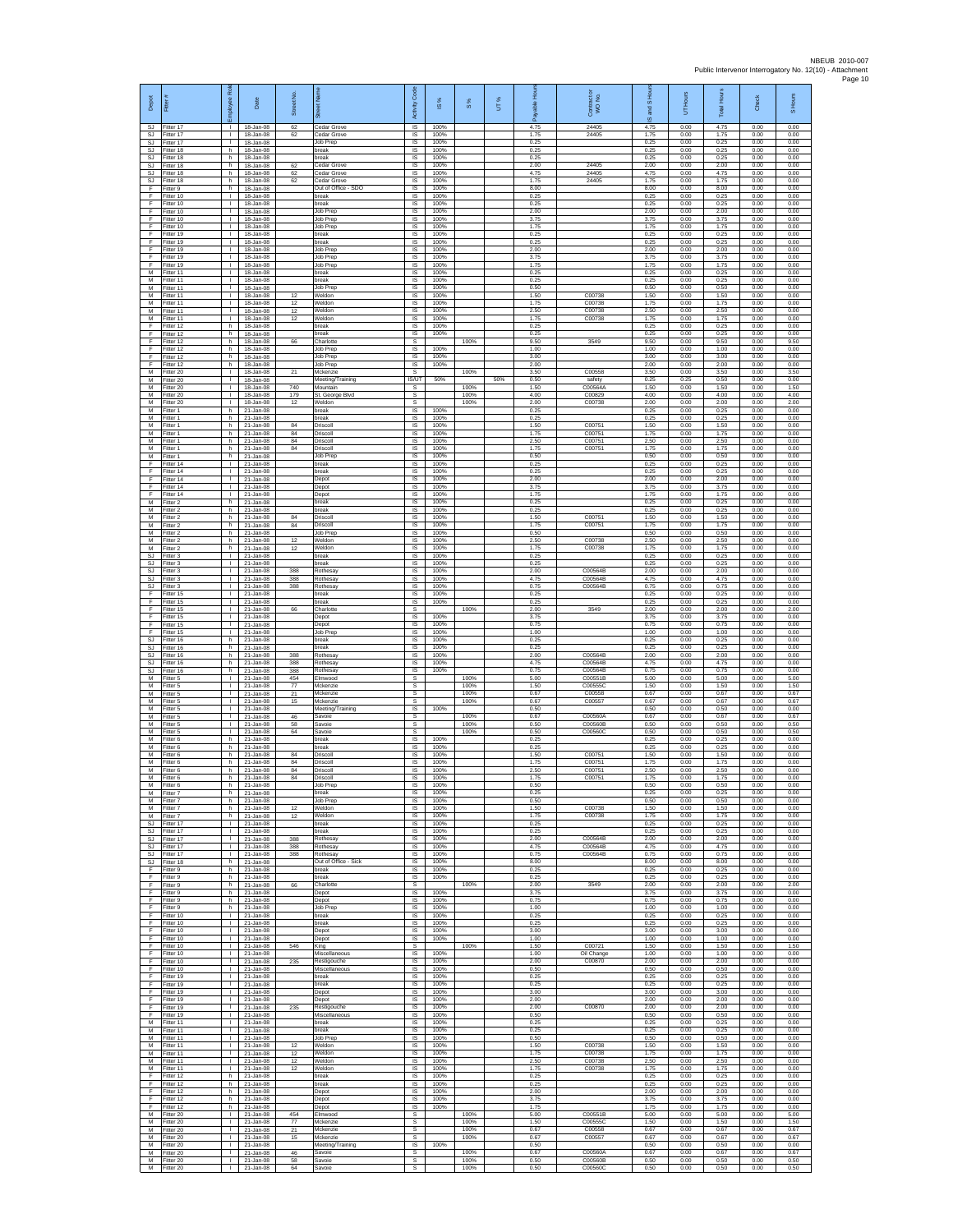| Depot                        | Ē                                       | ē<br>eevolot<br>١ī                           | Date                                    | Street No.                       |                                            | Code<br>Activity            | $\frac{8}{15}$       | 8%                   | UT% | டீ                   | Contract or<br>WO No.         | S Ho<br>g<br>ဖ       | UT Hours             | <b>Total Hours</b>   | Check                | S Hours              |
|------------------------------|-----------------------------------------|----------------------------------------------|-----------------------------------------|----------------------------------|--------------------------------------------|-----------------------------|----------------------|----------------------|-----|----------------------|-------------------------------|----------------------|----------------------|----------------------|----------------------|----------------------|
| SJ.<br><b>SJ</b>             | Fitter 17<br>Fitter 17                  | T.                                           | 18-Jan-08<br>18-Jan-08                  | 62<br>62                         | Cedar Grove<br>Cedar Grove                 | $\overline{s}$<br>$\sf IS$  | 100%<br>100%         |                      |     | 4.75<br>1.75         | 24405<br>24405                | 4.75<br>1.75         | 0.00<br>0.00         | 4.75<br>1.75         | 0.00<br>0.00         | 0.00<br>0.00         |
| SJ<br>SJ.                    | Fitter 17<br>Fitter 18                  | $\mathbb{R}^n$<br>h.                         | 18-Jan-08<br>18-Jan-08                  |                                  | Job Prep<br>break                          | $\sf IS$<br><b>IS</b>       | 100%<br>100%         |                      |     | 0.25<br>0.25         |                               | 0.25<br>0.25         | 0.00<br>0.00         | 0.25<br>0.25         | 0.00<br>0.00         | 0.00<br>0.00         |
| SJ<br><b>SJ</b>              | Fitter 18<br>Fitter 18                  | h<br>h.                                      | 18-Jan-08<br>18-Jan-08                  | 62                               | oreak<br>Cedar Grove<br><b>Cedar Grove</b> | IS<br>1S                    | 100%<br>100%         |                      |     | 0.25<br>2.00         | 24405<br>24405                | 0.25<br>2.00         | 0.00<br>0.00         | 0.25<br>2.00         | 0.00<br>0.00         | 0.00<br>0.00         |
| <b>SJ</b><br>SJ<br>F         | Fitter 18<br>Fitter 18<br>-itter 9      | h<br>h<br>h.                                 | 18-Jan-08<br>18-Jan-08<br>18-Jan-08     | 62<br>62                         | Cedar Grove<br>Out of Office - SDO         | IS<br>-IS<br>IS             | 100%<br>100%<br>100% |                      |     | 4.75<br>1.75<br>8.00 | 24405                         | 4.75<br>1.75<br>8.00 | 0.00<br>0.00<br>0.00 | 4.75<br>1.75<br>8.00 | 0.00<br>0.00<br>0.00 | 0.00<br>0.00<br>0.00 |
| F<br>F                       | Fitter 10<br>Fitter 10                  | $\mathbf{I}$<br>$\mathbb{R}$                 | 18-Jan-08<br>18-Jan-08                  |                                  | break<br>break                             | $\sf IS$<br><b>IS</b>       | 100%<br>100%         |                      |     | 0.25<br>0.25         |                               | 0.25<br>0.25         | 0.00<br>0.00         | 0.25<br>0.25         | 0.00<br>0.00         | 0.00<br>0.00         |
| F.<br>F                      | Fitter 10<br>Fitter 10                  | $\mathbf{L}$<br>٠                            | 18-Jan-08<br>18-Jan-08                  |                                  | Job Prep<br>Job Prep                       | IS<br>IS                    | 100%<br>100%         |                      |     | 2.00<br>3.75         |                               | 2.00<br>3.75         | 0.00<br>0.00         | 2.00<br>3.75         | 0.00<br>0.00         | 0.00<br>0.00         |
| F<br>F                       | Fitter 10<br>Fitter 19                  | т<br>$\mathbf{L}$                            | 18-Jan-08<br>18-Jan-08                  |                                  | Job Prep<br>break                          | IS<br><b>IS</b>             | 100%<br>100%         |                      |     | 1.75<br>0.25         |                               | 1.75<br>0.25         | 0.00<br>0.00         | 1.75<br>0.25         | 0.00<br>0.00         | 0.00<br>0.00         |
| F<br>F<br>F                  | Fitter 19<br>Fitter 19<br>Fitter 19     | т.<br>Τ.<br>т.                               | 18-Jan-08<br>18-Jan-08<br>18-Jan-08     |                                  | break<br>Job Prep<br>Job Prep              | IS<br>1S<br>IS              | 100%<br>100%<br>100% |                      |     | 0.25<br>2.00<br>3.75 |                               | 0.25<br>2.00<br>3.75 | 0.00<br>0.00<br>0.00 | 0.25<br>2.00<br>3.75 | 0.00<br>0.00<br>0.00 | 0.00<br>0.00<br>0.00 |
| E<br>М                       | Fitter 19<br>Fitter 11                  | T.<br>H.                                     | 18-Jan-08<br>18-Jan-08                  |                                  | Job Prep<br>break                          | IS<br>$\sf IS$              | 100%<br>100%         |                      |     | 1.75<br>0.25         |                               | 1.75<br>0.25         | 0.00<br>0.00         | 1.75<br>0.25         | 0.00<br>0.00         | 0.00<br>0.00         |
| М<br>M                       | Fitter 11<br>Fitter 11                  | т.<br>÷.                                     | 18-Jan-08<br>18-Jan-08                  |                                  | preak<br>Job Prep                          | IS<br>-IS                   | 100%<br>100%         |                      |     | 0.25<br>0.50         |                               | 0.25<br>0.50         | 0.00<br>0.00         | 0.25<br>0.50         | 0.00<br>0.00         | 0.00<br>0.00         |
| M<br>М<br>M                  | Fitter 11<br>Fitter 11<br>Fitter 11     | $\mathbf{L}$<br>٠<br>т                       | 18-Jan-08<br>18-Jan-08<br>18-Jan-08     | 12<br>12<br>12                   | Weldon<br>Weldon<br>Weldon                 | IS<br>IS<br>IS              | 100%<br>100%<br>100% |                      |     | 1.50<br>1.75<br>2.50 | C00738<br>C00738<br>C00738    | 1.50<br>1.75<br>2.50 | 0.00<br>0.00<br>0.00 | 1.50<br>1.75<br>2.50 | 0.00<br>0.00<br>0.00 | 0.00<br>0.00<br>0.00 |
| M<br>F                       | Fitter 11<br>Fitter 12                  | $\mathbf{L}$<br>h                            | 18-Jan-08<br>18-Jan-08                  | 12                               | Weldon<br>break                            | <b>IS</b><br>$\sf IS$       | 100%<br>100%         |                      |     | 1.75<br>0.25         | C00738                        | 1.75<br>0.25         | 0.00<br>0.00         | 1.75<br>0.25         | 0.00<br>0.00         | 0.00<br>0.00         |
| F<br>F                       | Fitter 12<br>Fitter 12                  | h<br>h.                                      | 18-Jan-08<br>18-Jan-08                  | 66                               | break<br>Charlotte                         | $\sf IS$<br>s               | 100%                 | 100%                 |     | 0.25<br>9.50         | 3549                          | 0.25<br>9.50         | 0.00<br>0.00         | 0.25<br>9.50         | 0.00<br>0.00         | 0.00<br>9.50         |
| F<br>F<br>F                  | Fitter 12<br>Fitter 12                  | h<br>h.                                      | 18-Jan-08<br>18-Jan-08                  |                                  | Job Prep<br>Job Prep                       | IS<br>IS                    | 100%<br>100%         |                      |     | 1.00<br>3.00         |                               | 1.00<br>3.00         | 0.00<br>0.00         | 1.00<br>3.00         | 0.00<br>0.00         | 0.00<br>0.00         |
| M<br>M                       | Fitter 12<br>Fitter 20<br>Fitter 20     | h.<br>л.<br>$\mathbf{L}$                     | 18-Jan-08<br>18-Jan-08<br>18-Jan-08     | 21                               | Job Prep<br>Mckenzie<br>Meeting/Training   | IS<br>-S<br><b>IS/UT</b>    | 100%<br>50%          | 100%                 | 50% | 2.00<br>3.50<br>0.50 | C00558<br>safety              | 2.00<br>3.50<br>0.25 | 0.00<br>0.00<br>0.25 | 2.00<br>3.50<br>0.50 | 0.00<br>0.00<br>0.00 | 0.00<br>3.50<br>0.00 |
| М<br>M                       | Fitter 20<br>Fitter 20                  | T.<br>$\mathbf{L}$                           | 18-Jan-08<br>18-Jan-08                  | 740<br>179                       | Mountain<br>St. George Blvd                | s<br>s                      |                      | 100%<br>100%         |     | 1.50<br>4.00         | C00564A<br>C00829             | 1.50<br>4.00         | 0.00<br>0.00         | 1.50<br>4.00         | 0.00<br>0.00         | 1.50<br>4.00         |
| M<br>М                       | Fitter 20<br>Fitter 1                   | т.<br>h                                      | 18-Jan-08<br>21-Jan-08                  | 12                               | Weldon<br>break                            | s<br>IS                     | 100%                 | 100%                 |     | 2.00<br>0.25         | C00738                        | 2.00<br>0.25         | 0.00<br>0.00         | 2.00<br>0.25         | 0.00<br>0.00         | 2.00<br>0.00         |
| M<br>M                       | -itter 1<br>Fitter 1                    | h.<br>h                                      | 21-Jan-08<br>21-Jan-08                  | 84                               | break<br>Driscoll                          | IS<br>IS<br>IS              | 100%<br>100%<br>100% |                      |     | 0.25<br>1.50<br>1.75 | C00751<br>C00751              | 0.25<br>1.50<br>1.75 | 0.00<br>0.00<br>0.00 | 0.25<br>1.50<br>1.75 | 0.00<br>0.00<br>0.00 | 0.00<br>0.00<br>0.00 |
| М<br>M<br>M                  | -itter 1<br>Fitter 1<br>Fitter 1        | h.<br>h.<br>h.                               | 21-Jan-08<br>21-Jan-08<br>21-Jan-08     | $^{\rm 84}$<br>$^{\rm 84}$<br>84 | Driscoll<br>Driscoll<br>Driscoll           | IS<br>IS                    | 100%<br>100%         |                      |     | 2.50<br>1.75         | C00751<br>C0075               | 2.50<br>1.75         | 0.00<br>0.00         | 2.50<br>1.75         | 0.00<br>0.00         | 0.00<br>0.00         |
| M<br>F                       | Fitter 1<br>Fitter 14                   | h<br>$\mathbf{L}$                            | 21-Jan-08<br>21-Jan-08                  |                                  | Job Prep<br>break                          | IS<br>IS                    | 100%<br>100%         |                      |     | 0.50<br>0.25         |                               | 0.50<br>0.25         | 0.00<br>0.00         | 0.50<br>0.25         | 0.00<br>0.00         | 0.00<br>0.00         |
| F<br>F                       | ltter 14<br>Fitter 14                   | т.<br>л.                                     | 21-Jan-08<br>$21 -$ lan-08              |                                  | break<br>Depot                             | IS<br>- IS                  | 100%<br>100%         |                      |     | 0.25<br>2.00         |                               | 0.25<br>2.00         | 0.00<br>0.00         | 0.25<br>2.00         | 0.00<br>0.00         | 0.00<br>0.00         |
| F<br>F<br>M                  | Fitter 14<br>Fitter 14<br>Fitter 2      | $\mathbf{L}$<br>٠<br>h.                      | 21-Jan-08<br>21-Jan-08<br>21-Jan-08     |                                  | Depot<br>Depot<br>break                    | IS<br>IS<br>IS              | 100%<br>100%<br>100% |                      |     | 3.75<br>1.75<br>0.25 |                               | 3.75<br>1.75<br>0.25 | 0.00<br>0.00<br>0.00 | 3.75<br>1.75<br>0.25 | 0.00<br>0.00<br>0.00 | 0.00<br>0.00<br>0.00 |
| M<br>M                       | Fitter 2<br>-itter 2                    | h.<br>h                                      | 21-Jan-08<br>21-Jan-08                  | 84                               | break<br>Driscoll                          | IS<br>$\sf IS$              | 100%<br>100%         |                      |     | 0.25<br>1.50         | C0075                         | 0.25<br>1.50         | 0.00<br>0.00         | 0.25<br>1.50         | 0.00<br>0.00         | 0.00<br>0.00         |
| M<br>M                       | Fitter 2<br>Fitter 2                    | h.<br>h.                                     | 21-Jan-08<br>21-Jan-08                  | 84                               | Driscoll<br>Job Prep                       | $\sf IS$<br><b>IS</b>       | 100%<br>100%         |                      |     | 1.75<br>0.50         | C00751                        | 1.75<br>0.50         | 0.00<br>0.00         | 1.75<br>0.50         | 0.00<br>0.00         | 0.00<br>0.00         |
| M<br>М                       | Fitter 2<br>Fitter 2                    | h<br>h.<br>$\mathbf{L}$                      | 21-Jan-08<br>21-Jan-08                  | 12<br>12                         | Weldon<br>Weldon                           | IS<br>1S                    | 100%<br>100%         |                      |     | 2.50<br>1.75         | C00738<br>C00738              | 2.50<br>1.75         | 0.00<br>0.00         | 2.50<br>1.75         | 0.00<br>0.00         | 0.00<br>0.00         |
| SJ<br>SJ<br>SJ               | fitter 3<br>Fitter 3<br>-itter 3        | ÷.<br>$\mathbf{L}$                           | 21-Jan-08<br>21-Jan-08<br>21-Jan-08     | 388                              | break<br>break<br>Rothesay                 | IS<br>-IS<br>IS             | 100%<br>100%<br>100% |                      |     | 0.25<br>0.25<br>2.00 | C00564B                       | 0.25<br>0.25<br>2.00 | 0.00<br>0.00<br>0.00 | 0.25<br>0.25<br>2.00 | 0.00<br>0.00<br>0.00 | 0.00<br>0.00<br>0.00 |
| SJ<br>SJ.                    | Fitter 3<br>Fitter 3                    | $\mathbf{I}$<br>$\mathbb{R}$                 | 21-Jan-08<br>21-Jan-08                  | 388<br>388                       | <b>Rothesay</b><br>Rothesay                | IS<br><b>IS</b>             | 100%<br>100%         |                      |     | 4.75<br>0.75         | C00564B<br>C00564B            | 4.75<br>0.75         | 0.00<br>0.00         | 4.75<br>0.75         | 0.00<br>0.00         | 0.00<br>0.00         |
| F.<br>F                      | Fitter 15<br>Fitter 15                  | $\mathbf{L}$<br>٠                            | 21-Jan-08<br>21-Jan-08                  |                                  | break<br>break                             | IS<br>IS                    | 100%<br>100%         |                      |     | 0.25<br>0.25         |                               | 0.25<br>0.25         | 0.00<br>0.00         | 0.25<br>0.25         | 0.00<br>0.00         | 0.00<br>0.00         |
| F<br>F<br>F                  | Fitter 15<br>Fitter 15<br>Fitter 15     | $\mathbf{L}$<br>$\mathbf{L}$<br>$\mathbf{L}$ | 21-Jan-08<br>21-Jan-08<br>21-Jan-08     | 66                               | Charlotte<br>Depot<br>Depot                | s<br>IS<br>IS               | 100%<br>100%         | 100%                 |     | 2.00<br>3.75<br>0.75 | 3549                          | 2.00<br>3.75<br>0.75 | 0.00<br>0.00<br>0.00 | 2.00<br>3.75<br>0.75 | 0.00<br>0.00<br>0.00 | 2.00<br>0.00<br>0.00 |
| F<br>SJ.                     | Fitter 15<br>Fitter 16                  | Τ.<br>h.                                     | 21-Jan-08<br>21-Jan-08                  |                                  | Job Prep<br>break                          | 1S<br>IS                    | 100%<br>100%         |                      |     | 1.00<br>0.25         |                               | 1.00<br>0.25         | 0.00<br>0.00         | 1.00<br>0.25         | 0.00<br>0.00         | 0.00<br>0.00         |
| SJ<br>SJ                     | Fitter 16<br>Fitter 16                  | h<br>h.                                      | 21-Jan-08<br>21-Jan-08                  | 388                              | break<br><b>Rothesay</b>                   | IS<br>$\sf IS$              | 100%<br>100%         |                      |     | 0.25<br>2.00         | C00564B                       | 0.25<br>2.00         | 0.00<br>0.00         | 0.25<br>2.00         | 0.00<br>0.00         | 0.00<br>0.00         |
| SJ<br><b>SJ</b><br>M         | fitter 16<br>Fitter 16<br>Fitter 5      | h<br>h.<br>$\mathbf{L}$                      | 21-Jan-08<br>21-Jan-08                  | 388<br>388<br>454                | Rothesay<br>Rothesay<br>Elmwood            | IS<br>-IS                   | 100%<br>100%         | 100%                 |     | 4.75<br>0.75<br>5.00 | C00564B<br>C00564B<br>C00551B | 4.75<br>0.75<br>5.00 | 0.00<br>0.00<br>0.00 | 4.75<br>0.75<br>5.00 | 0.00<br>0.00<br>0.00 | 0.00<br>0.00<br>5.00 |
| М<br>M                       | Fitter 5<br>Fitter 5                    | т.<br>т                                      | 21-Jan-08<br>21-Jan-08<br>21-Jan-08     | 77<br>21                         | Mckenzie<br>Mckenzie                       | s<br>s<br>s                 |                      | 100%<br>100%         |     | 1.50<br>0.67         | C00555C<br>C00558             | 1.50<br>0.67         | 0.00<br>0.00         | 1.50<br>0.67         | 0.00<br>0.00         | 1.50<br>0.67         |
| M<br>М                       | Fitter 5<br>-itter 5                    | $\mathbf{L}$<br>$\mathbf{L}$                 | 21-Jan-08<br>21-Jan-08                  | 15                               | Mckenzie<br>Meeting/Training               | s<br>$\sf IS$               | 100%                 | 100%                 |     | 0.67<br>0.50         | C00557                        | 0.67<br>0.50         | 0.00<br>0.00         | 0.67<br>0.50         | 0.00<br>0.00         | 0.67<br>0.00         |
| M<br>M                       | Fitter 5<br>Fitter 5                    | $\mathbf{L}$<br>$\mathbf{L}$                 | 21-Jan-08<br>21-Jan-08                  | 46<br>58                         | Savoie<br>Savoie                           | $\mathbb S$<br>s            |                      | 100%<br>100%         |     | 0.67<br>0.50         | C00560A<br>C00560B            | 0.67<br>0.50         | 0.00<br>0.00         | 0.67<br>0.50         | 0.00<br>0.00         | 0.67<br>0.50         |
| М<br>M<br>M                  | Fitter 5<br>Fitter 6<br>itter 6         | $\mathbf{L}$<br>h.<br>h                      | 21-Jan-08<br>21-Jan-08<br>21-Jan-08     | 64                               | Savoie<br>break<br>oreak                   | s<br>IS<br>IS               | 100%<br>100%         | 100%                 |     | 0.50<br>0.25<br>0.25 | C00560C                       | 0.50<br>0.25<br>0.25 | 0.00<br>0.00<br>0.00 | 0.50<br>0.25<br>0.25 | 0.00<br>0.00<br>0.00 | 0.50<br>0.00<br>0.00 |
| M<br>M                       | Fitter 6<br>Fitter 6                    | h.<br>h.                                     | 21-Jan-08<br>21-Jan-08                  | 84<br>84                         | Driscoll<br>Driscoll                       | <b>IS</b><br>IS             | 100%<br>100%         |                      |     | 1.50<br>1.75         | C0075<br>C00751               | 1.50<br>1.75         | 0.00<br>0.00         | 1.50<br>1.75         | 0.00<br>0.00         | 0.00<br>0.00         |
| М<br>M                       | Fitter 6<br>Fitter 6                    | h<br>h                                       | 21-Jan-08<br>21-Jan-08                  | 84<br>84                         | Driscoll<br>Driscoll                       | $\sf IS$<br>IS              | 100%<br>100%         |                      |     | 2.50<br>1.75         | C00751<br>C00751              | 2.50<br>1.75         | 0.00<br>0.00         | 2.50<br>1.75         | 0.00<br>0.00         | 0.00<br>0.00         |
| M<br>М<br>M                  | Fitter 6<br>Fitter 7<br>Fitter 7        | h<br>h<br>h                                  | 21-Jan-08<br>21-Jan-08<br>21-Jan-08     |                                  | Job Prep<br>break<br><b>Job Prep</b>       | <b>IS</b><br>1S<br>IS       | 100%<br>100%<br>100% |                      |     | 0.50<br>0.25<br>0.50 |                               | 0.50<br>0.25<br>0.50 | 0.00<br>0.00<br>0.00 | 0.50<br>0.25<br>0.50 | 0.00<br>0.00<br>0.00 | 0.00<br>0.00<br>0.00 |
| M<br>М                       | Fitter 7<br>Fitter 7                    | h<br>h.                                      | 21-Jan-08<br>21-Jan-08                  | 12<br>12                         | Weldon<br>Weldon                           | IS.<br>IS                   | 100%<br>100%         |                      |     | 1.50<br>1.75         | C00738<br>C00738              | 1.50<br>1.75         | 0.00<br>0.00         | 1.50<br>1.75         | 0.00<br>0.00         | 0.00<br>0.00         |
| SJ<br>SJ.                    | Fitter 17<br>Fitter 17                  | Τ.<br>$\mathbf{L}$                           | 21-Jan-08<br>21-Jan-08                  |                                  | break<br>break                             | 1S<br>IS                    | 100%<br>100%         |                      |     | 0.25<br>0.25         |                               | 0.25<br>0.25         | 0.00<br>0.00         | 0.25<br>0.25         | 0.00<br>0.00         | 0.00<br>0.00         |
| SJ<br>SJ.                    | Fitter 17<br>Fitter 17                  | $\mathbf{L}$<br>$\mathbf{L}$                 | 21-Jan-08<br>21-Jan-08                  | 388<br>388                       | Rothesay<br>Rothesay                       | IS<br>IS                    | 100%<br>100%         |                      |     | 2.00<br>4.75         | C00564B<br>C00564B            | 2.00<br>4.75         | 0.00<br>0.00         | 2.00<br>4.75         | 0.00<br>0.00         | 0.00<br>0.00         |
| <b>SJ</b><br><b>SJ</b><br>F. | Fitter 17<br>Fitter 18<br>Fitter 9      | $\mathbb{L}$<br>h.<br>h                      | 21-Jan-08<br>21-Jan-08<br>21-Jan-08     | 388                              | Rothesay<br>Out of Office - Sick<br>break  | IS<br>- IS<br><b>IS</b>     | 100%<br>100%<br>100% |                      |     | 0.75<br>8.00<br>0.25 | C00564B                       | 0.75<br>8.00<br>0.25 | 0.00<br>0.00<br>0.00 | 0.75<br>8.00<br>0.25 | 0.00<br>0.00<br>0.00 | 0.00<br>0.00<br>0.00 |
| F<br>F.                      | Fitter 9<br>Fitter 9                    | h<br>h.                                      | $21 - Jan-08$<br>21-Jan-08              | 66                               | break<br>Charlotte                         | IS<br>s                     | 100%                 | 100%                 |     | 0.25<br>2.00         | 3549                          | 0.25<br>2.00         | 0.00<br>0.00         | 0.25<br>2.00         | 0.00<br>0.00         | 0.00<br>2.00         |
| F.<br>$\mathsf F$            | Fitter 9<br>Fitter 9                    | h.<br>h                                      | 21-Jan-08<br>21-Jan-08                  |                                  | Depot<br>Depot                             | IS<br>$\sf IS$              | 100%<br>100%         |                      |     | 3.75<br>0.75         |                               | 3.75<br>0.75         | 0.00<br>0.00         | 3.75<br>0.75         | 0.00<br>0.00         | 0.00<br>0.00         |
| F.<br>F<br>F.                | Fitter 9<br>Fitter 10<br>Fitter 10      | h<br>$\mathbf{L}$<br>$\mathbf{L}$            | $21 - Jan-08$<br>21-Jan-08<br>21-Jan-08 |                                  | Job Prep<br>break<br>break                 | $\sf IS$<br>IS<br>IS        | 100%<br>100%<br>100% |                      |     | 1.00<br>0.25<br>0.25 |                               | 1.00<br>0.25<br>0.25 | 0.00<br>0.00<br>0.00 | 1.00<br>0.25<br>0.25 | 0.00<br>0.00<br>0.00 | 0.00<br>0.00<br>0.00 |
| F<br>F                       | Fitter 10<br>Fitter 10                  | Τ.<br>$\mathbb{L}$                           | 21-Jan-08<br>21-Jan-08                  |                                  | Depot<br>Depot                             | 1S<br>IS                    | 100%<br>100%         |                      |     | 3.00<br>1.00         |                               | 3.00<br>1.00         | 0.00<br>0.00         | 3.00<br>1.00         | 0.00<br>0.00         | 0.00<br>0.00         |
| F<br>F                       | Fitter 10<br>Fitter 10                  | л.<br>$\mathbf{L}$                           | 21-Jan-08<br>21-Jan-08                  | 546                              | King<br>Miscellaneous                      | s<br>IS                     | 100%                 | 100%                 |     | 1.50<br>1.00         | C00721<br>Oil Change          | 1.50<br>1.00         | 0.00<br>0.00         | 1.50<br>1.00         | 0.00<br>0.00         | 1.50<br>0.00         |
| F<br>F.<br>F.                | Fitter 10<br>Fitter 10                  | T.<br>$\mathbf{L}$                           | $21 - Jan-08$<br>21-Jan-08              | 235                              | Restigouche<br>Miscellaneous               | $\sf IS$<br><b>IS</b><br>IS | 100%<br>100%<br>100% |                      |     | 2.00<br>0.50<br>0.25 | C00870                        | 2.00<br>0.50<br>0.25 | 0.00<br>0.00         | 2.00<br>0.50         | 0.00<br>0.00         | 0.00<br>0.00         |
| F<br>Ŧ                       | Fitter 19<br>Fitter 19<br>Fitter 19     | $\mathbb{L}$<br>т.<br>т                      | 21-Jan-08<br>21-Jan-08<br>21-Jan-08     |                                  | break<br>break<br>Depot                    | IS<br>IS                    | 100%<br>100%         |                      |     | 0.25<br>3.00         |                               | 0.25<br>3.00         | 0.00<br>0.00<br>0.00 | 0.25<br>0.25<br>3.00 | 0.00<br>0.00<br>0.00 | 0.00<br>0.00<br>0.00 |
| F<br>$\mathsf F$             | Fitter 19<br>Fitter 19                  | $\mathbf{L}$<br>$\mathbf{L}$                 | 21-Jan-08<br>21-Jan-08                  | 235                              | Depot<br>Restigouche                       | <b>IS</b><br>IS             | 100%<br>100%         |                      |     | 2.00<br>2.00         | C00870                        | 2.00<br>2.00         | 0.00<br>0.00         | 2.00<br>2.00         | 0.00<br>0.00         | 0.00<br>0.00         |
| F<br>M                       | Fitter 19<br>Fitter 11                  | $\mathbf{L}$<br>H.                           | 21-Jan-08<br>21-Jan-08                  |                                  | Miscellaneous<br>break                     | 1S<br>IS                    | 100%<br>100%         |                      |     | 0.50<br>0.25         |                               | 0.50<br>0.25         | 0.00<br>0.00         | 0.50<br>0.25         | 0.00<br>0.00         | 0.00<br>0.00         |
| M<br>M<br>М                  | Fitter 11<br>Fitter 11<br>Fitter 11     | $\mathbf{I}$<br>$\mathbf{L}$<br>$\mathbb{L}$ | 21-Jan-08<br>21-Jan-08<br>21-Jan-08     | 12                               | break<br>Job Prep<br>Weldon                | $\sf IS$<br>IS<br>IS        | 100%<br>100%<br>100% |                      |     | 0.25<br>0.50<br>1.50 | C00738                        | 0.25<br>0.50<br>1.50 | 0.00<br>0.00<br>0.00 | 0.25<br>0.50<br>1.50 | 0.00<br>0.00<br>0.00 | 0.00<br>0.00<br>0.00 |
| M<br>м                       | Fitter 11<br>Fitter 11                  | л.<br><b>I</b>                               | 21-Jan-08<br>21-Jan-08                  | 12<br>12                         | Weldon<br>Weldon                           | - IS<br><b>IS</b>           | 100%<br>100%         |                      |     | 1.75<br>2.50         | C00738<br>C00738              | 1.75<br>2.50         | 0.00<br>0.00         | 1.75<br>2.50         | 0.00<br>0.00         | 0.00<br>0.00         |
| М<br>F                       | Fitter 11<br>Fitter 12                  | т.<br>h.                                     | 21-Jan-08<br>21-Jan-08                  | 12                               | Weldon<br>break                            | IS<br>IS                    | 100%<br>100%         |                      |     | 1.75<br>0.25         | C00738                        | 1.75<br>0.25         | 0.00<br>0.00         | 1.75<br>0.25         | 0.00<br>0.00         | 0.00<br>0.00         |
| F.<br>F<br>F                 | Fitter 12<br>Fitter 12                  | h.<br>h                                      | 21-Jan-08<br>21-Jan-08                  |                                  | break<br>Depot                             | <b>IS</b><br>$\sf IS$       | 100%<br>100%         |                      |     | 0.25<br>2.00         |                               | 0.25<br>2.00         | 0.00<br>0.00         | 0.25<br>2.00         | 0.00<br>0.00         | 0.00<br>0.00         |
| F<br>M                       | Fitter 12<br>Fitter 12<br>Fitter 20     | h<br>h.<br>$\mathbf{L}$                      | 21-Jan-08<br>21-Jan-08<br>21-Jan-08     | 454                              | Depot<br>Depot<br>Elmwood                  | $\sf IS$<br>IS<br>s         | 100%<br>100%         | 100%                 |     | 3.75<br>1.75<br>5.00 | C00551B                       | 3.75<br>1.75<br>5.00 | 0.00<br>0.00<br>0.00 | 3.75<br>1.75<br>5.00 | 0.00<br>0.00<br>0.00 | 0.00<br>0.00<br>5.00 |
| M<br>М                       | Fitter 20<br>litter 20                  | Τ.<br>$\mathbb{L}$                           | 21-Jan-08<br>21-Jan-08                  | 77<br>21                         | Mckenzie<br>Mckenzie                       | s<br>s                      |                      | 100%<br>100%         |     | 1.50<br>0.67         | C00555C<br>C00558             | 1.50<br>0.67         | 0.00<br>0.00         | 1.50<br>0.67         | 0.00<br>0.00         | 1.50<br>0.67         |
| M<br>M                       | Fitter 20<br>Fitter 20                  | л.<br><b>I</b>                               | 21-Jan-08<br>21-Jan-08                  | 15                               | Mckenzie<br>Meeting/Training               | s<br>IS                     | 100%                 | 100%                 |     | 0.67<br>0.50         | C00557                        | 0.67<br>0.50         | 0.00<br>0.00         | 0.67<br>0.50         | 0.00<br>0.00         | 0.67<br>0.00         |
| М                            | Fitter 20<br>M Fitter 20<br>M Fitter 20 | $\mathbf{I}$<br>$\mathbf{L}$                 | 21-Jan-08<br>21-Jan-08<br>I 21-Jan-08   | $\bf 46$<br>58<br>64             | Savoie<br>Savoie<br>Savoie                 | s<br>s<br>S.                |                      | 100%<br>100%<br>100% |     | 0.67<br>0.50<br>0.50 | C00560A<br>C00560B<br>C00560C | 0.67<br>0.50<br>0.50 | 0.00<br>0.00<br>0.00 | 0.67<br>0.50<br>0.50 | 0.00<br>0.00<br>0.00 | 0.67<br>0.50<br>0.50 |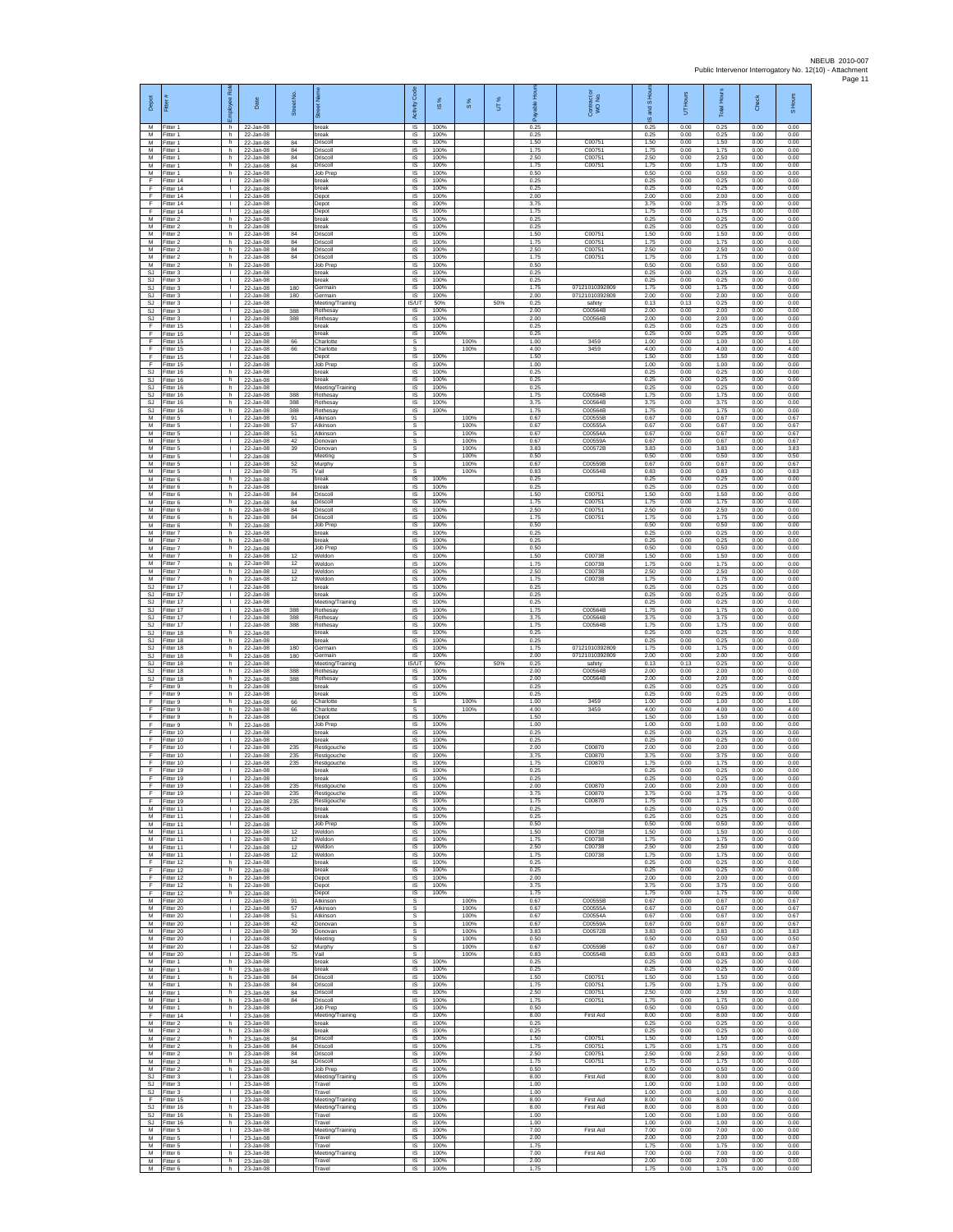| Depot<br>M                                   | Fitter<br>Fitter 1                  | Employee Role<br>h                           | Date<br>22-Jan-08                       | Street No.      | eet Name<br>ౙఄ<br>break                        | Activity Code<br>IS       | ⋇<br>$\overline{\omega}$<br>100% | 8%                   | ×,<br>5 | -<br>全<br>Payable<br>0.25 | Contract or<br>WO No.                      | and S Hou<br>$\overline{\omega}$<br>0.25 | UT Hours<br>0.00     | Total Hours<br>0.25  | Check<br>0.00        | S Hours<br>0.00      |
|----------------------------------------------|-------------------------------------|----------------------------------------------|-----------------------------------------|-----------------|------------------------------------------------|---------------------------|----------------------------------|----------------------|---------|---------------------------|--------------------------------------------|------------------------------------------|----------------------|----------------------|----------------------|----------------------|
| M<br>M                                       | Fitter 1<br>Fitter 1                | h.<br>h.                                     | 22-Jan-08<br>22-Jan-08                  | 84              | break<br>Driscoll                              | <b>IS</b><br>IS.          | 100%<br>100%                     |                      |         | 0.25<br>1.50              | C00751                                     | 0.25<br>1.50                             | 0.00<br>0.00         | 0.25<br>1.50         | 0.00<br>0.00         | 0.00<br>0.00         |
| М<br>M                                       | Fitter 1<br>Fitter 1                | h.<br>h.                                     | 22-Jan-08<br>22-Jan-08                  | 84<br>84        | Driscoll<br>Driscoll                           | IS<br>IS.                 | 100%<br>100%                     |                      |         | 1.75<br>2.50              | C00751<br>C00751                           | 1.75<br>2.50                             | 0.00<br>0.00         | 1.75<br>2.50         | 0.00<br>0.00         | 0.00<br>0.00         |
| M<br>М<br>F                                  | Fitter 1<br>Fitter 1<br>Fitter 14   | h.<br>h.<br>$\mathbf{L}$                     | $22 -$ Jan-08<br>22-Jan-08<br>22-Jan-08 | 84              | Driscoll<br>Job Prep<br>break                  | IS.<br>IS<br>IS.          | 100%<br>100%<br>100%             |                      |         | 1.75<br>0.50<br>0.25      | C00751                                     | 1.75<br>0.50<br>0.25                     | 0.00<br>0.00<br>0.00 | 1.75<br>0.50<br>0.25 | 0.00<br>0.00<br>0.00 | 0.00<br>0.00<br>0.00 |
| F<br>F                                       | Fitter 14<br>Fitter 14              | т.<br>$\mathbf{L}$                           | 22-Jan-08<br>22-Jan-08                  |                 | break<br>Depot                                 | IS<br>IS                  | 100%<br>100%                     |                      |         | 0.25<br>2.00              |                                            | 0.25<br>2.00                             | 0.00<br>0.00         | 0.25<br>2.00         | 0.00<br>0.00         | 0.00<br>0.00         |
| F<br>F                                       | Fitter 14<br>Fitter 14              | $\mathbf{L}$<br>T.                           | 22-Jan-08<br>22-Jan-08                  |                 | Depot<br>Depot                                 | IS<br>IS                  | 100%<br>100%                     |                      |         | 3.75<br>1.75              |                                            | 3.75<br>1.75                             | 0.00<br>0.00         | 3.75<br>1.75         | 0.00<br>0.00         | 0.00<br>0.00         |
| M<br>M                                       | Fitter 2<br>Fitter 2                | h.<br>h.                                     | 22-Jan-08<br>22-Jan-08                  |                 | break<br>break                                 | <b>IS</b><br>IS.          | 100%<br>100%                     |                      |         | 0.25<br>0.25              |                                            | 0.25<br>0.25                             | 0.00<br>0.00         | 0.25<br>0.25         | 0.00<br>0.00         | 0.00<br>0.00         |
| М<br>M<br>M                                  | Fitter 2<br>Fitter 2<br>Fitter 2    | h.<br>h.<br>h.                               | 22-Jan-08<br>22-Jan-08<br>22-Jan-08     | 84<br>84<br>84  | Driscoll<br>Driscoll<br>Driscoll               | IS<br>IS.<br>IS           | 100%<br>100%<br>100%             |                      |         | 1.50<br>1.75<br>2.50      | C00751<br>C00751<br>C00751                 | 1.50<br>1.75<br>2.50                     | 0.00<br>0.00<br>0.00 | 1.50<br>1.75<br>2.50 | 0.00<br>0.00<br>0.00 | 0.00<br>0.00<br>0.00 |
| М<br>M                                       | Fitter 2<br>Fitter 2                | h<br>h.                                      | 22-Jan-08<br>22-Jan-08                  | 84              | Driscoll<br>Job Prep                           | IS<br>IS                  | 100%<br>100%                     |                      |         | 1.75<br>0.50              | C00751                                     | 1.75<br>0.50                             | 0.00<br>0.00         | 1.75<br>0.50         | 0.00<br>0.00         | 0.00<br>0.00         |
| <b>SJ</b><br><b>SJ</b>                       | Fitter 3<br>Fitter 3                | $\mathbf{L}$<br>$\mathbf{L}$                 | 22-Jan-08<br>22-Jan-08                  |                 | break<br>break                                 | IS.<br>IS                 | 100%<br>100%                     |                      |         | 0.25<br>0.25              |                                            | 0.25<br>0.25                             | 0.00<br>0.00         | 0.25<br>0.25         | 0.00<br>0.00         | 0.00<br>0.00         |
| SJ<br>SJ                                     | Fitter 3<br>fitter 3                | т.<br>$\mathbf{L}$<br>л.                     | 22-Jan-08<br>22-Jan-08                  | 180<br>180      | Germain<br>ermain                              | IS<br>IS<br><b>IS/UT</b>  | 100%<br>100%<br>50%              |                      | 50%     | 1.75<br>2.00<br>0.25      | 07121010392809<br>07121010392809<br>safety | 1.75<br>2.00<br>0.13                     | 0.00<br>0.00<br>0.13 | 1.75<br>2.00<br>0.25 | 0.00<br>0.00<br>0.00 | 0.00<br>0.00<br>0.00 |
| SJ<br>SJ<br>SJ                               | Fitter 3<br>Fitter 3<br>Fitter 3    | <b>ILL S</b><br>$\mathbb{L}$                 | 22-Jan-08<br>22-Jan-08<br>22-Jan-08     | 388<br>388      | Meeting/Training<br>Rothesay<br>Rothesay       | $\mathsf{IS}$<br>IS       | 100%<br>100%                     |                      |         | 2.00<br>2.00              | C00564B<br>C00564B                         | 2.00<br>2.00                             | 0.00<br>0.00         | 2.00<br>2.00         | 0.00<br>0.00         | 0.00<br>0.00         |
| F<br>F.                                      | Fitter 15<br>Fitter 15              | $\mathbf{L}$<br>$\mathbf{L}$                 | 22-Jan-08<br>22-Jan-08                  |                 | preak<br>break                                 | IS<br>IS                  | 100%<br>100%                     |                      |         | 0.25<br>0.25              |                                            | 0.25<br>0.25                             | 0.00<br>0.00         | 0.25<br>0.25         | 0.00<br>0.00         | 0.00<br>0.00         |
| F<br>Ŧ<br>F.                                 | Fitter 15<br>Fitter 15<br>Fitter 15 | т.<br>т<br>$\mathbf{L}$                      | 22-Jan-08<br>22-Jan-08<br>22-Jan-08     | 66<br>66        | Charlotte<br>Charlotte<br>Depot                | s<br>s<br>IS.             | 100%                             | 100%<br>100%         |         | 1.00<br>4.00<br>1.50      | 3459<br>3459                               | 1.00<br>4.00<br>1.50                     | 0.00<br>0.00<br>0.00 | 1.00<br>4.00<br>1.50 | 0.00<br>0.00<br>0.00 | 1.00<br>4.00<br>0.00 |
| -F<br>SJ                                     | Fitter 15<br>Fitter 16              | $\mathbf{L}$<br>h.                           | 22-Jan-08<br>22-Jan-08                  |                 | Job Prep<br>break                              | IS<br>IS                  | 100%<br>100%                     |                      |         | 1.00<br>0.25              |                                            | 1.00<br>0.25                             | 0.00<br>0.00         | 1.00<br>0.25         | 0.00<br>0.00         | 0.00<br>0.00         |
| <b>SJ</b><br><b>SJ</b>                       | Fitter 16<br>Fitter 16              | h.<br>h                                      | 22-Jan-08<br>22-Jan-08                  |                 | break<br>Meeting/Training                      | IS<br>IS                  | 100%<br>100%                     |                      |         | 0.25<br>0.25              |                                            | 0.25<br>0.25                             | 0.00<br>0.00         | 0.25<br>0.25         | 0.00<br>0.00         | 0.00<br>0.00         |
| SJ<br>$\mathbb{S}\mathbb{J}$                 | Fitter 16<br>Fitter 16              | h.<br>h                                      | 22-Jan-08<br>22-Jan-08<br>$22 -$ lan-08 | 388<br>388      | Rothesay<br>Rothesay                           | IS<br>IS                  | 100%<br>100%                     |                      |         | 1.75<br>3.75              | C00564B<br>C00564B                         | 1.75<br>3.75                             | 0.00<br>0.00         | 1.75<br>3.75         | 0.00<br>0.00         | 0.00<br>0.00         |
| SJ.<br>M<br>М                                | Fitter 16<br>Fitter 5<br>Fitter 5   | h.<br>$\mathbf{L}$<br>т.                     | 22-Jan-08<br>22-Jan-08                  | 388<br>91<br>57 | Rothesav<br>Atkinson<br>Atkinson               | IS<br>s<br>s              | 100%                             | 100%<br>100%         |         | 1.75<br>0.67<br>0.67      | C00564B<br>C00555B<br>C00555A              | 1.75<br>0.67<br>0.67                     | 0.00<br>0.00<br>0.00 | 1.75<br>0.67<br>0.67 | 0.00<br>0.00<br>0.00 | 0.00<br>0.67<br>0.67 |
| M<br>M                                       | Fitter 5<br>Fitter 5                | т<br>$\mathbf{I}$                            | 22-Jan-08<br>22-Jan-08                  | 51<br>42        | Atkinson<br>Donovan                            | s<br>s.                   |                                  | 100%<br>100%         |         | 0.67<br>0.67              | C00554A<br>C00559A                         | 0.67<br>0.67                             | 0.00<br>0.00         | 0.67<br>0.67         | 0.00<br>0.00         | 0.67<br>0.67         |
| ${\sf M}$<br>M                               | Fitter 5<br>Fitter 5                | $\mathbf{L}$<br>$\mathbf{L}$                 | 22-Jan-08<br>22-Jan-08                  | 39              | Donovan<br>Meeting                             | s<br>s                    |                                  | 100%<br>100%         |         | 3.83<br>0.50              | C00572B                                    | 3.83<br>0.50                             | 0.00<br>0.00         | 3.83<br>0.50         | 0.00<br>0.00         | 3.83<br>0.50         |
| M<br>М<br>М                                  | Fitter 5<br>Fitter 5<br>Fitter 6    | $\mathbf{L}$<br>$\mathbf{L}$<br>h.           | 22-Jan-08<br>22-Jan-08<br>22-Jan-08     | 52<br>75        | Murphy<br>Vail<br>break                        | s.<br>S.<br>IS.           | 100%                             | 100%<br>100%         |         | 0.67<br>0.83<br>0.25      | C00559B<br>C00554B                         | 0.67<br>0.83<br>0.25                     | 0.00<br>0.00<br>0.00 | 0.67<br>0.83<br>0.25 | 0.00<br>0.00<br>0.00 | 0.67<br>0.83<br>0.00 |
| М<br>M                                       | Fitter 6<br>Fitter 6                | h.<br>h.                                     | 22-Jan-08<br>22-Jan-08                  | 84              | break<br>Driscoll                              | IS<br><b>IS</b>           | 100%<br>100%                     |                      |         | 0.25<br>1.50              | C00751                                     | 0.25<br>1.50                             | 0.00<br>0.00         | 0.25<br>1.50         | 0.00<br>0.00         | 0.00<br>0.00         |
| M<br>М                                       | Fitter 6<br>Fitter 6                | h.<br>h.                                     | 22-Jan-08<br>22-Jan-08                  | 84<br>84        | Driscoll<br>Driscoll                           | IS<br>IS                  | 100%<br>100%                     |                      |         | 175<br>2.50               | C00751<br>C00751                           | 1.75<br>2.50                             | 0.00<br>0.00         | 1.75<br>2.50         | 0.00<br>0.00         | 0.00<br>0.00         |
| M<br>M                                       | Fitter 6<br>Fitter 6                | h.<br>h.                                     | 22-Jan-08<br>22-Jan-08                  | 84              | Driscoll<br>Job Prep                           | IS<br>IS                  | 100%<br>100%                     |                      |         | 1.75<br>0.50              | C00751                                     | 1.75<br>0.50                             | 0.00<br>0.00         | 1.75<br>0.50         | 0.00<br>0.00         | 0.00<br>0.00         |
| М<br>M<br>M                                  | Fitter 7<br>Fitter 7<br>Fitter 7    | h.<br>h.<br>h.                               | 22-Jan-08<br>22-Jan-08<br>22-Jan-08     |                 | break<br>break<br><b>Job Prep</b>              | IS<br>1S<br>IS            | 100%<br>100%<br>100%             |                      |         | 0.25<br>0.25<br>0.50      |                                            | 0.25<br>0.25<br>0.50                     | 0.00<br>0.00<br>0.00 | 0.25<br>0.25<br>0.50 | 0.00<br>0.00<br>0.00 | 0.00<br>0.00<br>0.00 |
| М<br>M                                       | Fitter 7<br>Fitter 7                | h<br>h.                                      | 22-Jan-08<br>22-Jan-08                  | 12<br>12        | Weldon<br>Weldon                               | IS<br>IS                  | 100%<br>100%                     |                      |         | 1.50<br>1.75              | C00738<br>C00738                           | 1.50<br>1.75                             | 0.00<br>0.00         | 1.50<br>1.75         | 0.00<br>0.00         | 0.00<br>0.00         |
| M<br>М                                       | Fitter 7<br>Fitter 7                | h.<br>h.                                     | 22-Jan-08<br>22-Jan-08                  | 12<br>12        | Weldon<br>Weldon                               | IS.<br>IS                 | 100%<br>100%                     |                      |         | 2.50<br>1.75              | C00738<br>C00738                           | 2.50<br>1.75                             | 0.00<br>0.00         | 2.50<br>1.75         | 0.00<br>0.00         | 0.00<br>0.00         |
| SJ<br>SJ.<br><b>SJ</b>                       | Fitter 17<br>Fitter 17<br>Fitter 17 | $\mathbf{L}$<br>$\mathbf{L}$<br>$\mathbf{L}$ | 22-Jan-08<br>22-Jan-08<br>22-Jan-08     |                 | break<br>break                                 | IS<br>IS<br>IS            | 100%<br>100%<br>100%             |                      |         | 0.25<br>0.25<br>0.25      |                                            | 0.25<br>0.25<br>0.25                     | 0.00<br>0.00<br>0.00 | 0.25<br>0.25<br>0.25 | 0.00<br>0.00<br>0.00 | 0.00<br>0.00<br>0.00 |
| SJ<br>SJ                                     | Fitter 17<br>Fitter 17              | $\mathbf{L}$<br>$\mathbf{L}$                 | 22-Jan-08<br>22-Jan-08                  | 388<br>388      | Meeting/Training<br>Rothesay<br>Rothesay       | IS<br>IS                  | 100%<br>100%                     |                      |         | 1.75<br>3.75              | C00564B<br>C00564B                         | 1.75<br>3.75                             | 0.00<br>0.00         | 1.75<br>3.75         | 0.00<br>0.00         | 0.00<br>0.00         |
| SJ.<br>SJ                                    | Fitter 17<br>Fitter 18              | $\mathbf{I}$<br>h.                           | 22-Jan-08<br>22-Jan-08                  | 388             | Rothesay<br>break                              | <b>IS</b><br>IS           | 100%<br>100%                     |                      |         | 1.75<br>0.25              | C00564B                                    | 1.75<br>0.25                             | 0.00<br>0.00         | 1.75<br>0.25         | 0.00<br>0.00         | 0.00<br>0.00         |
| SJ<br>SJ.                                    | Fitter 18<br>Fitter 18              | h.<br>h.                                     | 22-Jan-08<br>22-Jan-08                  | 180             | break<br>Germain                               | IS<br>IS                  | 100%<br>100%                     |                      |         | 0.25<br>1.75              | 07121010392809                             | 0.25<br>1.75                             | 0.00<br>0.00         | 0.25<br>1.75         | 0.00<br>0.00         | 0.00<br>0.00         |
| <b>SJ</b><br>SJ<br>SJ.                       | Fitter 18<br>Fitter 18<br>Fitter 18 | h.<br>h.<br>h.                               | 22-Jan-08<br>22-Jan-08<br>22-Jan-08     | 180<br>388      | Germain<br>Meeting/Training<br>Rothesay        | IS<br><b>IS/UT</b><br>IS. | 100%<br>50%<br>100%              |                      | 50%     | 2.00<br>0.25<br>2.00      | 07121010392809<br>safety<br>C00564B        | 2.00<br>0.13<br>2.00                     | 0.00<br>0.13<br>0.00 | 2.00<br>0.25<br>2.00 | 0.00<br>0.00<br>0.00 | 0.00<br>0.00<br>0.00 |
| <b>SJ</b><br>-F                              | Fitter 18<br>Fitter 9               | h.<br>h.                                     | 22-Jan-08<br>22-Jan-08                  | 388             | Rothesay<br>oreak                              | IS<br>IS                  | 100%<br>100%                     |                      |         | 2.00<br>0.25              | C00564B                                    | 2.00<br>0.25                             | 0.00<br>0.00         | 2.00<br>0.25         | 0.00<br>0.00         | 0.00<br>0.00         |
| F.<br>F                                      | Fitter 9<br>Fitter 9                | h.<br>h.                                     | 22-Jan-08<br>22-Jan-08                  | 66              | oreak<br>Charlotte                             | IS.<br>s                  | 100%                             | 100%                 |         | 0.25<br>1.00              | 3459                                       | 0.25<br>1.00                             | 0.00<br>0.00         | 0.25<br>1.00         | 0.00<br>0.00         | 0.00<br>1.00         |
| F<br>F.<br>F                                 | Fitter 9<br>Fitter 9<br>Fitter 9    | h<br>h.<br>h                                 | 22-Jan-08<br>22-Jan-08<br>22-Jan-08     | 66              | Charlotte<br>Depot<br>Job Prep                 | s<br>IS<br>IS             | 100%<br>100%                     | 100%                 |         | 4.00<br>1.50<br>1.00      | 3459                                       | 4.00<br>1.50<br>1.00                     | 0.00<br>0.00<br>0.00 | 4.00<br>1.50<br>1.00 | 0.00<br>0.00<br>0.00 | 4.00<br>0.00<br>0.00 |
| F<br>F                                       | Fitter 10<br>Fitter 10              | л.<br><b>I</b>                               | 22-Jan-08<br>22-Jan-08                  |                 | break<br>hreak                                 | <b>IS</b><br>IS           | 100%<br>100%                     |                      |         | 0.25<br>0.25              |                                            | 0.25<br>0.25                             | 0.00<br>0.00         | 0.25<br>0.25         | 0.00<br>0.00         | 0.00<br>0.00         |
| F<br>$\mathbb F$                             | Fitter 10<br>Fitter 10              | $\mathbb{L}$<br>$\mathbf{L}$                 | 22-Jan-08<br>22-Jan-08                  | 235<br>235      | Restigouche<br>Restigouche                     | IS<br>IS.                 | 100%<br>100%                     |                      |         | 2.00<br>3.75              | C00870<br>C00870                           | 2.00<br>3.75                             | 0.00<br>0.00         | 2.00<br>3.75         | 0.00<br>0.00         | 0.00<br>0.00         |
| F.<br>F<br>F                                 | Fitter 10<br>Fitter 19<br>Fitter 19 | $\mathbf{L}$<br>τ.<br>$\mathbf{I}$           | 22-Jan-08<br>22-Jan-08<br>22-Jan-08     | 235             | Restigouche<br>break<br>oreak                  | IS<br>IS<br>IS            | 100%<br>100%<br>100%             |                      |         | 1.75<br>0.25<br>0.25      | C00870                                     | 1.75<br>0.25<br>0.25                     | 0.00<br>0.00<br>0.00 | 1.75<br>0.25<br>0.25 | 0.00<br>0.00<br>0.00 | 0.00<br>0.00<br>0.00 |
| F<br>F                                       | Fitter 19<br>Fitter 19              | $\mathbf{L}$<br>л.                           | 22-Jan-08<br>22-Jan-08                  | 235<br>235      | Restigouche<br>Restigouche                     | IS.<br>IS                 | 100%<br>100%                     |                      |         | 2.00<br>3.75              | C00870<br>C00870                           | 2.00<br>3.75                             | 0.00<br>0.00         | 2.00<br>3.75         | 0.00<br>0.00         | 0.00<br>0.00         |
| Ŧ<br>М                                       | Fitter 19<br>Fitter 11              | $\mathbf{L}$<br>$\mathbf{L}$                 | 22-Jan-08<br>22-Jan-08                  | 235             | Restigouche<br>break                           | IS<br>IS                  | 100%<br>100%                     |                      |         | 1.75<br>0.25              | C00870                                     | 1.75<br>0.25                             | 0.00<br>0.00         | 1.75<br>0.25         | 0.00<br>0.00         | 0.00<br>0.00         |
| M<br>M<br>М                                  | Fitter 11<br>Fitter 11<br>Fitter 11 | л.<br>$\mathbb{R}$<br>$\mathbb{L}$           | 22-Jan-08<br>22-Jan-08<br>22-Jan-08     | 12              | break<br>lob Prep<br>Weldon                    | <b>IS</b><br>IS.<br>IS    | 100%<br>100%<br>100%             |                      |         | 0.25<br>0.50<br>1.50      | C00738                                     | 0.25<br>0.50<br>1.50                     | 0.00<br>0.00<br>0.00 | 0.25<br>0.50<br>1.50 | 0.00<br>0.00<br>0.00 | 0.00<br>0.00<br>0.00 |
| M<br>M                                       | Fitter 11<br>Fitter 11              | $\mathbf{L}$<br>$\mathbf{L}$                 | 22-Jan-08<br>22-Jan-08                  | 12<br>12        | Weldon<br>Weldon                               | IS<br>IS                  | 100%<br>100%                     |                      |         | 1.75<br>2.50              | C00738<br>C00738                           | 1.75<br>2.50                             | 0.00<br>0.00         | 1.75<br>2.50         | 0.00<br>0.00         | 0.00<br>0.00         |
| M<br>F                                       | Fitter 11<br>Fitter 12              | т.<br>h.                                     | 22-Jan-08<br>22-Jan-08                  | 12              | Weldon<br>break                                | IS<br>IS                  | 100%<br>100%                     |                      |         | 1.75<br>0.25              | C00738                                     | 1.75<br>0.25                             | 0.00<br>0.00         | 1.75<br>0.25         | 0.00<br>0.00         | 0.00<br>0.00         |
| F.<br>-F<br>F                                | Fitter 12<br>Fitter 12<br>Fitter 12 | h.<br>h.<br>h.                               | 22-Jan-08<br>22-Jan-08<br>22-Jan-08     |                 | break<br>Depot<br>Depot                        | IS.<br>IS<br>IS           | 100%<br>100%<br>100%             |                      |         | 0.25<br>2.00<br>3.75      |                                            | 0.25<br>2.00<br>3.75                     | 0.00<br>0.00<br>0.00 | 0.25<br>2.00<br>3.75 | 0.00<br>0.00<br>0.00 | 0.00<br>0.00<br>0.00 |
| F<br>M                                       | Fitter 12<br>Fitter 20              | h.<br>$\mathbf{L}$                           | 22-Jan-08<br>22-Jan-08                  | 91              | Depot<br>Atkinson                              | IS<br>s                   | 100%                             | 100%                 |         | 1.75<br>0.67              | C00555B                                    | 1.75<br>0.67                             | 0.00<br>0.00         | 1.75<br>0.67         | 0.00<br>0.00         | 0.00<br>0.67         |
| M<br>М                                       | Fitter 20<br>Fitter 20              | $\mathbf{L}$<br>T.                           | 22-Jan-08<br>22-Jan-08                  | 57<br>51        | Atkinson<br>Atkinson                           | $\mathbb S$<br>s          |                                  | 100%<br>100%         |         | 0.67<br>0.67              | C00555A<br>C00554A                         | 0.67<br>0.67                             | 0.00<br>0.00         | 0.67<br>0.67         | 0.00<br>0.00         | 0.67<br>0.67         |
| M<br>M<br>М                                  | Fitter 20<br>Fitter 20<br>Fitter 20 | $\mathbf{I}$<br>$\mathbf{L}$<br>т.           | 22-Jan-08<br>22-Jan-08<br>22-Jan-08     | 42<br>39        | Donovan<br>Donovan<br>Meeting                  | s<br>s<br>s               |                                  | 100%<br>100%<br>100% |         | 0.67<br>3.83<br>0.50      | C00559A<br>C00572B                         | 0.67<br>3.83<br>0.50                     | 0.00<br>0.00<br>0.00 | 0.67<br>3.83<br>0.50 | 0.00<br>0.00<br>0.00 | 0.67<br>3.83<br>0.50 |
| M<br>M                                       | Fitter 20<br>Fitter 20              | т<br>$\mathbf{I}$                            | 22-Jan-08<br>22-Jan-08                  | 52<br>75        | Murphy<br>Vail                                 | s<br>s.                   |                                  | 100%<br>100%         |         | 0.67<br>0.83              | C00559B<br>C00554B                         | 0.67<br>0.83                             | 0.00<br>0.00         | 0.67<br>0.83         | 0.00<br>0.00         | 0.67<br>0.83         |
| М<br>M                                       | Fitter 1<br>Fitter 1                | h.<br>$\mathsf{h}$ .                         | 23-Jan-08<br>23-Jan-08                  |                 | break<br>break                                 | IS<br>IS                  | 100%<br>100%                     |                      |         | 0.25<br>0.25              |                                            | 0.25<br>0.25                             | 0.00<br>0.00         | 0.25<br>0.25         | 0.00<br>0.00         | 0.00<br>0.00         |
| M<br>M                                       | Fitter 1<br>Fitter 1                | h.<br>h.                                     | 23-Jan-08<br>23-Jan-08                  | 84<br>84        | Driscoll<br>Driscoll                           | IS.<br>IS                 | 100%<br>100%                     |                      |         | 1.50<br>175               | C00751<br>C00751                           | 1.50<br>1.75                             | 0.00<br>0.00         | 1.50<br>1.75         | 0.00<br>0.00         | 0.00<br>0.00         |
| M<br>М<br>M                                  | Fitter 1<br>Fitter 1<br>Fitter 1    | h.<br>h.<br>h.                               | 23-Jan-08<br>23-Jan-08<br>23-Jan-08     | 84<br>84        | Driscoll<br>Driscoll<br>Job Prec               | IS<br>IS<br><b>IS</b>     | 100%<br>100%<br>100%             |                      |         | 2.50<br>1.75<br>0.50      | C00751<br>C00751                           | 2.50<br>1.75<br>0.50                     | 0.00<br>0.00<br>0.00 | 2.50<br>1.75<br>0.50 | 0.00<br>0.00<br>0.00 | 0.00<br>0.00<br>0.00 |
| F<br>М                                       | Fitter 14<br>Fitter 2               | $\mathbf{L}$<br>h                            | 23-Jan-08<br>23-Jan-08                  |                 | Meeting/Training<br>break                      | IS.<br>IS                 | 100%<br>100%                     |                      |         | 8.00<br>0.25              | <b>First Aid</b>                           | 8.00<br>0.25                             | 0.00<br>0.00         | 8.00<br>0.25         | 0.00<br>0.00         | 0.00<br>0.00         |
| M<br>M                                       | Fitter 2<br>Fitter 2                | h.<br>h.                                     | 23-Jan-08<br>23-Jan-08                  | 84              | break<br>Driscoll                              | <b>IS</b><br>IS           | 100%<br>100%                     |                      |         | 0.25<br>1.50              | C00751                                     | 0.25<br>1.50                             | 0.00<br>0.00         | 0.25<br>1.50         | 0.00<br>0.00         | 0.00<br>0.00         |
| М<br>M<br>M                                  | Fitter 2<br>Fitter 2<br>Fitter 2    | h.<br>h.<br>h.                               | 23-Jan-08<br>23-Jan-08<br>23-Jan-08     | 84<br>84<br>84  | Driscoll<br>Driscoll<br>Driscoll               | IS<br>IS.<br>IS.          | 100%<br>100%<br>100%             |                      |         | 1.75<br>2.50<br>1.75      | C00751<br>C00751<br>C00751                 | 1.75<br>2.50<br>1.75                     | 0.00<br>0.00<br>0.00 | 1.75<br>2.50<br>1.75 | 0.00<br>0.00<br>0.00 | 0.00<br>0.00<br>0.00 |
| M<br>SJ                                      | Fitter 2<br>Fitter 3                | h.<br>$\mathbf{L}$                           | 23-Jan-08<br>23-Jan-08                  |                 | Job Prep<br>Meeting/Training                   | IS<br>IS                  | 100%<br>100%                     |                      |         | 0.50<br>8.00              | <b>First Aid</b>                           | 0.50<br>8.00                             | 0.00<br>0.00         | 0.50<br>8.00         | 0.00<br>0.00         | 0.00<br>0.00         |
| SJ.<br>SJ.                                   | Fitter 3<br>Fitter 3                | $\mathbf{L}$<br>$\mathbb{R}$                 | 23-Jan-08<br>23-Jan-08                  |                 | Travel<br>Travel                               | IS<br>IS                  | 100%<br>100%                     |                      |         | 1.00<br>1.00              |                                            | 1.00<br>1.00                             | 0.00<br>0.00         | 1.00<br>1.00         | 0.00<br>0.00         | 0.00<br>0.00         |
| $\mathsf F$<br>$\mathbb{S}\mathbb{J}$<br>SJ. | Fitter 15<br>Fitter 16<br>Fitter 16 | $\mathbf{L}$<br>h.<br>h.                     | 23-Jan-08<br>23-Jan-08<br>23-Jan-08     |                 | Meeting/Training<br>Meeting/Training<br>Travel | IS<br>IS<br><b>IS</b>     | 100%<br>100%<br>100%             |                      |         | 8.00<br>8.00<br>1.00      | First Aid<br>First Aid                     | 8.00<br>8.00<br>1.00                     | 0.00<br>0.00<br>0.00 | 8.00<br>8.00<br>1.00 | 0.00<br>0.00<br>0.00 | 0.00<br>0.00<br>0.00 |
| S.I<br>M                                     | Fitter 16<br>Fitter 5               | h<br>т.                                      | 23-Jan-08<br>23-Jan-08                  |                 | Travel<br>Meeting/Training                     | IS.<br>IS                 | 100%<br>100%                     |                      |         | 1.00<br>7.00              | <b>First Aid</b>                           | 1.00<br>7.00                             | 0.00<br>0.00         | 1.00<br>7.00         | 0.00<br>0.00         | 0.00<br>0.00         |
| M<br>M                                       | Fitter 5<br>Fitter 5                | т                                            | 23-Jan-08<br>23-Jan-08                  |                 | Travel<br>Travel                               | 1S<br>IS                  | 100%<br>100%                     |                      |         | 2.00<br>1.75              |                                            | 2.00<br>1.75                             | 0.00<br>0.00         | 2.00<br>1.75         | 0.00<br>0.00         | 0.00<br>0.00         |
| M<br>M                                       | Fitter 6<br>Fitter 6<br>M Fitter 6  | h.<br>h.<br>h.                               | 23-Jan-08<br>23-Jan-08<br>23-Jan-08     |                 | Meeting/Training<br>Travel<br>Travel           | IS<br>$\sf IS$<br>IS      | 100%<br>100%<br>100%             |                      |         | 7.00<br>2.00<br>1.75      | First Aid                                  | 7.00<br>2.00<br>1.75                     | 0.00<br>0.00<br>0.00 | 7.00<br>2.00<br>1.75 | 0.00<br>0.00<br>0.00 | 0.00<br>0.00<br>0.00 |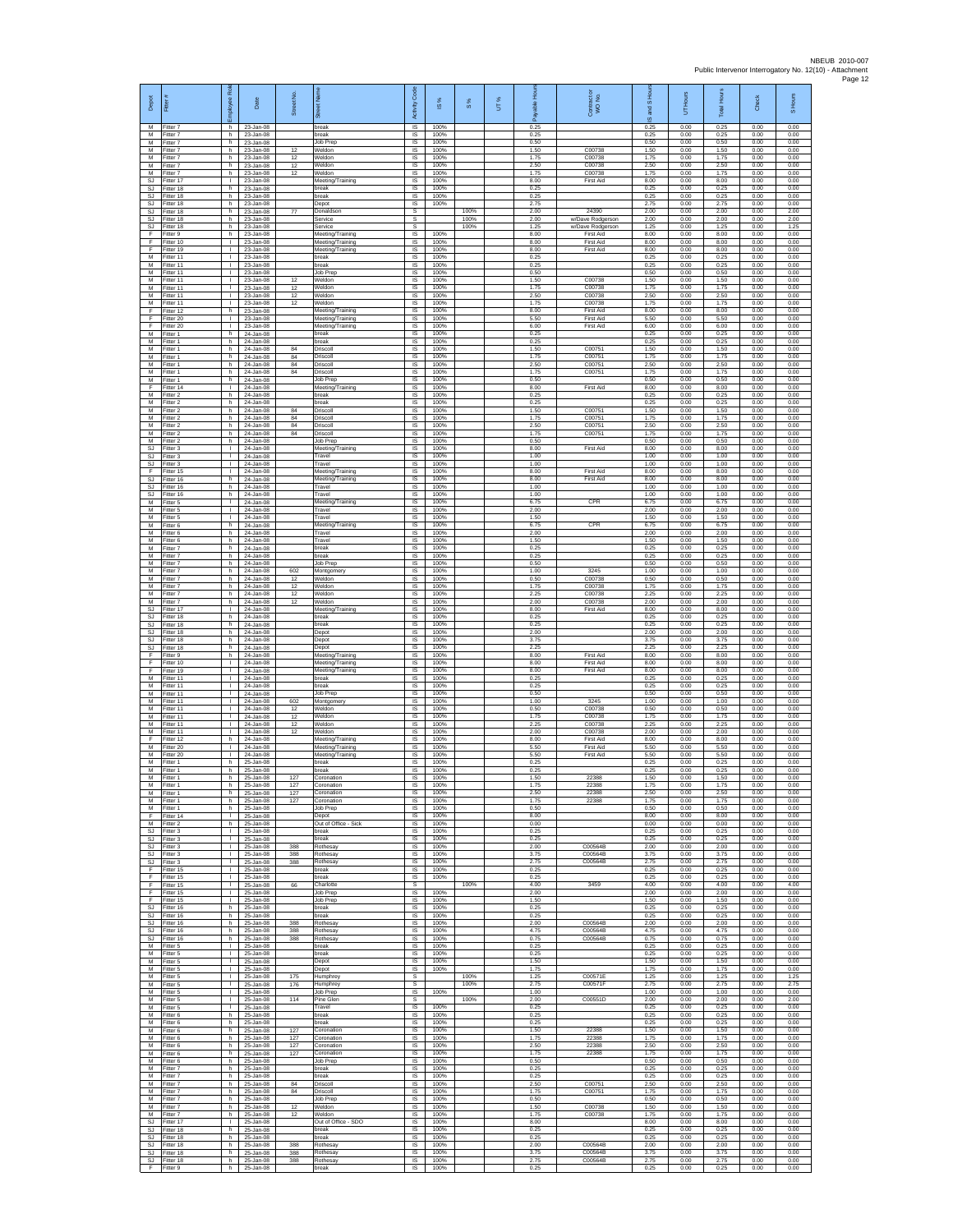| Depot<br>M              | Fitter #<br>Fitter 7                    | ployee Roi<br>h.                   | Date<br>23-Jan-08                   | Street No.     | 罚<br>break                                     | Code<br>Activity<br>IS      | IS %<br>100%         | $\frac{8}{3}$ | UT% | 오<br>0.25            | Contract or<br>WO No.                | I <sub>SHo</sub><br><b>Surg</b><br>$\omega$<br>0.25 | UT Hours<br>0.00     | <b>Total Hours</b><br>0.25 | Check<br>0.00        | S Hours<br>0.00      |
|-------------------------|-----------------------------------------|------------------------------------|-------------------------------------|----------------|------------------------------------------------|-----------------------------|----------------------|---------------|-----|----------------------|--------------------------------------|-----------------------------------------------------|----------------------|----------------------------|----------------------|----------------------|
| М                       | M Fitter 7<br>Fitter 7                  | h.<br>h                            | 23-Jan-08<br>23-Jan-08              |                | break<br>Job Prep                              | IS<br>IS                    | 100%<br>100%         |               |     | 0.25<br>0.50         |                                      | 0.25<br>0.50                                        | 0.00<br>0.00         | 0.25<br>0.50               | 0.00<br>0.00         | 0.00<br>0.00         |
| M<br>M<br>M             | Fitter 7<br>Fitter 7<br>Fitter 7        | h.<br>h.<br>h.                     | 23-Jan-08<br>23-Jan-08<br>23-Jan-08 | 12<br>12<br>12 | Weldon<br>Weldon                               | IS<br><b>IS</b><br>IS       | 100%<br>100%<br>100% |               |     | 1.50<br>1.75<br>2.50 | C00738<br>C00738<br>C00738           | 1.50<br>1.75<br>2.50                                | 0.00<br>0.00<br>0.00 | 1.50<br>1.75<br>2.50       | 0.00<br>0.00<br>0.00 | 0.00<br>0.00<br>0.00 |
| М<br>SJ.                | Fitter 7<br>Fitter 17                   | h.<br>T.                           | 23-Jan-08<br>23-Jan-08              | 12             | Weldon<br>Weldon<br>Meeting/Training           | IS<br>IS                    | 100%<br>100%         |               |     | 1.75<br>8.00         | C00738<br>First Aid                  | 1.75<br>8.00                                        | 0.00<br>0.00         | 1.75<br>8.00               | 0.00<br>0.00         | 0.00<br>0.00         |
| SJ<br>SJ                | Fitter 18<br>Fitter 18                  | h.<br>h.                           | 23-Jan-08<br>23-Jan-08              |                | break<br>break                                 | <b>IS</b><br>$\sf IS$       | 100%<br>100%         |               |     | 0.25<br>0.25         |                                      | 0.25<br>0.25                                        | 0.00<br>0.00         | 0.25<br>0.25               | 0.00<br>0.00         | 0.00<br>0.00         |
| SJ<br>SJ.<br>SJ.        | Fitter 18<br>Fitter 18<br>Fitter 18     | h<br>h.<br>h.                      | 23-Jan-08<br>23-Jan-08<br>23-Jan-08 | 77             | Depot<br>Donaldson<br>Service                  | $\sf IS$<br>s<br>s          | 100%                 | 100%<br>100%  |     | 2.75<br>2.00<br>2.00 | 24390<br>w/Dave Rodgerson            | 2.75<br>2.00<br>2.00                                | 0.00<br>0.00<br>0.00 | 2.75<br>2.00<br>200        | 0.00<br>0.00<br>0.00 | 0.00<br>2.00<br>2.00 |
| SJ<br>F                 | Fitter 18<br>Fitter 9                   | h<br>h.                            | 23-Jan-08<br>23-Jan-08              |                | Service<br>Meeting/Training                    | s<br>1S                     | 100%                 | 100%          |     | 1.25<br>8.00         | w/Dave Rodgerson<br>First Aid        | 1.25<br>8.00                                        | 0.00<br>0.00         | 1.25<br>8.00               | 0.00<br>0.00         | 1.25<br>0.00         |
| F<br>F<br>M             | Fitter 10<br>Fitter 19<br>Fitter 11     | $\mathbf{L}$<br>$\mathbf{L}$<br>H. | 23-Jan-08<br>23-Jan-08<br>23-Jan-08 |                | Meeting/Training<br>Meeting/Training<br>break  | <b>IS</b><br>IS<br>1S       | 100%<br>100%<br>100% |               |     | 8.00<br>8.00<br>0.25 | <b>First Aid</b><br>First Aid        | 8.00<br>8.00<br>0.25                                | 0.00<br>0.00<br>0.00 | 8.00<br>8.00<br>0.25       | 0.00<br>0.00<br>0.00 | 0.00<br>0.00<br>0.00 |
| M<br>М                  | Fitter 11<br>Fitter 11                  | $\mathbf{L}$<br>т.                 | 23-Jan-08<br>23-Jan-08              |                | preak<br>Job Prep                              | IS<br>IS                    | 100%<br>100%         |               |     | 0.25<br>0.50         |                                      | 0.25<br>0.50                                        | 0.00<br>0.00         | 0.25<br>0.50               | 0.00<br>0.00         | 0.00<br>0.00         |
| M<br>М<br>M             | Fitter 11<br>Fitter 11<br>Fitter 11     | т.<br>T.<br>л.                     | 23-Jan-08<br>23-Jan-08<br>23-Jan-08 | 12<br>12<br>12 | Weldor<br>Veldon<br>Weldon                     | IS<br>IS<br>IS              | 100%<br>100%<br>100% |               |     | 1.50<br>1.75<br>2.50 | C00738<br>C00738<br>C00738           | 1.50<br>1.75<br>2.50                                | 0.00<br>0.00<br>0.00 | 1.50<br>1.75<br>2.50       | 0.00<br>0.00<br>0.00 | 0.00<br>0.00<br>0.00 |
| M<br>F                  | Fitter 11<br>Fitter 12                  | л.<br>h                            | 23-Jan-08<br>23-Jan-08              | 12             | Weldon<br>Meeting/Training                     | IS<br>IS                    | 100%<br>100%         |               |     | 175<br>8.00          | C00738<br>First Aid                  | 1.75<br>8.00                                        | 0.00<br>0.00         | 1.75<br>8.00               | 0.00<br>0.00         | 0.00<br>0.00         |
| F<br>F.                 | Fitter 20<br>Fitter 20                  | $\mathbf{L}$<br>$\mathbf{L}$       | 23-Jan-08<br>23-Jan-08              |                | Meeting/Training<br>Meeting/Training           | 1S<br>IS                    | 100%<br>100%         |               |     | 5.50<br>6.00         | <b>First Aid</b><br><b>First Aid</b> | 5.50<br>6.00                                        | 0.00<br>0.00         | 5.50<br>6.00               | 0.00<br>0.00         | 0.00<br>0.00         |
| М<br>M<br>M             | Fitter 1<br>Fitter 1<br>Fitter 1        | h<br>h.<br>h.                      | 24-Jan-08<br>24-Jan-08<br>24-Jan-08 | 84             | break<br>break<br>Driscoll                     | IS<br>1S<br><b>IS</b>       | 100%<br>100%<br>100% |               |     | 0.25<br>0.25<br>1.50 | C00751                               | 0.25<br>0.25<br>1.50                                | 0.00<br>0.00<br>0.00 | 0.25<br>0.25<br>1.50       | 0.00<br>0.00<br>0.00 | 0.00<br>0.00<br>0.00 |
| M<br>М                  | Fitter 1<br>Fitter 1                    | h<br>h                             | 24-Jan-08<br>24-Jan-08              | 84<br>84       | Driscoll<br>Driscoll                           | IS<br>IS                    | 100%<br>100%         |               |     | 1.75<br>2.50         | C00751<br>C00751                     | 1.75<br>2.50                                        | 0.00<br>0.00         | 1.75<br>2.50               | 0.00<br>0.00         | 0.00<br>0.00         |
| M<br>M<br>F             | Fitter 1<br>Fitter 1<br>Fitter 14       | h<br>h.<br>$\mathbf{L}$            | 24-Jan-08<br>24-Jan-08<br>24-Jan-08 | 84             | Driscoll<br>Job Prep                           | IS<br>IS<br>IS              | 100%<br>100%<br>100% |               |     | 1.75<br>0.50<br>8.00 | C00751<br><b>First Aid</b>           | 1.75<br>0.50<br>8.00                                | 0.00<br>0.00<br>0.00 | 1.75<br>0.50<br>8.00       | 0.00<br>0.00<br>0.00 | 0.00<br>0.00<br>0.00 |
| М<br>M                  | Fitter 2<br>Fitter 2                    | h.<br>h.                           | 24-Jan-08<br>24-Jan-08              |                | Meeting/Training<br>break<br>break             | $\sf IS$<br>IS              | 100%<br>100%         |               |     | 0.25<br>0.25         |                                      | 0.25<br>0.25                                        | 0.00<br>0.00         | 0.25<br>0.25               | 0.00<br>0.00         | 0.00<br>0.00         |
| M<br>М<br>M             | Fitter 2<br>Fitter 2<br>-itter 2        | h.<br>h<br>h.                      | 24-Jan-08<br>24-Jan-08<br>24-Jan-08 | 84<br>84<br>84 | Driscoll<br>Driscoll<br>Driscoll               | IS<br>IS<br>IS              | 100%<br>100%<br>100% |               |     | 1.50<br>1.75<br>2.50 | C00751<br>C00751<br>C00751           | 1.50<br>1.75<br>2.50                                | 0.00<br>0.00<br>0.00 | 1.50<br>1.75<br>2.50       | 0.00<br>0.00<br>0.00 | 0.00<br>0.00<br>0.00 |
| M<br>М                  | Fitter 2<br>Fitter 2                    | h.<br>h                            | 24-Jan-08<br>24-Jan-08              | 84             | Driscoll<br>Job Prep                           | IS<br>IS                    | 100%<br>100%         |               |     | 1.75<br>0.50         | C00751                               | 1.75<br>0.50                                        | 0.00<br>0.00         | 1.75<br>0.50               | 0.00<br>0.00         | 0.00<br>0.00         |
| SJ<br>SJ.               | Fitter 3<br>Fitter 3                    | $\mathbf{I}$<br>т.                 | 24-Jan-08<br>24-Jan-08              |                | Meeting/Training<br>Travel                     | IS<br>IS                    | 100%<br>100%         |               |     | 8.00<br>1.00         | <b>First Aid</b>                     | 8.00<br>1.00                                        | 0.00<br>0.00         | 8.00<br>1.00               | 0.00<br>0.00         | 0.00<br>0.00         |
| SJ<br>F<br><b>SJ</b>    | Fitter 3<br>Fitter 15<br>fitter 16      | $\mathbf{I}$<br>т.<br>h.           | 24-Jan-08<br>24-Jan-08<br>24-Jan-08 |                | Travel<br>Meeting/Training<br>Meeting/Training | IS<br>1S<br>IS              | 100%<br>100%<br>100% |               |     | 1.00<br>8.00<br>8.00 | <b>First Aid</b><br><b>First Aid</b> | 1.00<br>8.00<br>8.00                                | 0.00<br>0.00<br>0.00 | 1.00<br>8.00<br>8.00       | 0.00<br>0.00<br>0.00 | 0.00<br>0.00<br>0.00 |
| <b>SJ</b><br>SJ.        | Fitter 16<br>Fitter 16                  | h.<br>h.                           | 24-Jan-08<br>24-Jan-08              |                | Travel<br>Travel                               | IS<br>IS                    | 100%<br>100%         |               |     | 1.00<br>1.00         |                                      | 1.00<br>1.00                                        | 0.00<br>0.00         | 1.00<br>1.00               | 0.00<br>0.00         | 0.00<br>0.00         |
| М<br>M<br>м             | Fitter 5<br>Fitter 5<br>Fitter 5        | τ.<br>т<br>$\mathbf{L}$            | 24-Jan-08<br>24-Jan-08<br>24-Jan-08 |                | Meeting/Training<br>Travel<br>Travel           | IS<br>1S<br>IS              | 100%<br>100%<br>100% |               |     | 6.75<br>2.00<br>1.50 | CPR                                  | 6.75<br>2.00<br>1.50                                | 0.00<br>0.00<br>0.00 | 6.75<br>2.00<br>1.50       | 0.00<br>0.00<br>0.00 | 0.00<br>0.00<br>0.00 |
| М<br>M                  | Fitter 6<br>Fitter 6                    | h<br>h.                            | 24-Jan-08<br>24-Jan-08              |                | Meeting/Training<br>Travel                     | IS<br>1S                    | 100%<br>100%         |               |     | 6.75<br>2.00         | CPR                                  | 6.75<br>2.00                                        | 0.00<br>0.00         | 6.75<br>2.00               | 0.00<br>0.00         | 0.00<br>0.00         |
| M<br>M<br>М             | Fitter 6<br>Fitter 7<br>Fitter 7        | h.<br>h<br>h.                      | 24-Jan-08<br>24-Jan-08<br>24-Jan-08 |                | Travel<br>reak<br>break                        | <b>IS</b><br>IS<br>1S       | 100%<br>100%<br>100% |               |     | 1.50<br>0.25<br>0.25 |                                      | 1.50<br>0.25<br>0.25                                | 0.00<br>0.00<br>0.00 | 1.50<br>0.25<br>0.25       | 0.00<br>0.00<br>0.00 | 0.00<br>0.00<br>0.00 |
| M<br>M                  | Fitter 7<br>Fitter 7                    | h<br>h.                            | 24-Jan-08<br>24-Jan-08              | 602            | Job Prep<br>Montgomery                         | IS<br>-IS                   | 100%<br>100%         |               |     | 0.50<br>1.00         | 3245                                 | 0.50<br>1.00                                        | 0.00<br>0.00         | 0.50<br>1.00               | 0.00<br>0.00         | 0.00<br>0.00         |
| M<br>М                  | -itter 7<br>Fitter 7                    | h.<br>h.                           | 24-Jan-08<br>24-Jan-08              | 12<br>12       | <b>Neldon</b><br>Weldon                        | $\sf IS$<br>$\sf IS$        | 100%<br>100%         |               |     | 0.50<br>1.75         | C00738<br>C00738                     | 0.50<br>1.75                                        | 0.00<br>0.00         | 0.50<br>1.75               | 0.00<br>0.00         | 0.00<br>0.00         |
| M<br>M<br>SJ            | Fitter 7<br>Fitter 7<br>Fitter 17       | h.<br>h.<br>٠                      | 24-Jan-08<br>24-Jan-08<br>24-Jan-08 | 12<br>12       | Weldon<br>Weldon<br>Meeting/Training           | IS<br>IS<br>IS              | 100%<br>100%<br>100% |               |     | 2.25<br>2.00<br>8.00 | C00738<br>C00738<br>First Aid        | 2.25<br>2.00<br>8.00                                | 0.00<br>0.00<br>0.00 | 2.25<br>2.00<br>8.00       | 0.00<br>0.00<br>0.00 | 0.00<br>0.00<br>0.00 |
| SJ.<br>SJ               | Fitter 18<br>Fitter 18                  | h.<br>h.                           | 24-Jan-08<br>24-Jan-08              |                | break<br>break                                 | 1S<br><b>IS</b>             | 100%<br>100%         |               |     | 0.25<br>0.25         |                                      | 0.25<br>0.25                                        | 0.00<br>0.00         | 0.25<br>0.25               | 0.00<br>0.00         | 0.00<br>0.00         |
| SJ<br>SJ<br>SJ.         | Fitter 18<br>Fitter 18<br>Fitter 18     | h<br>h.<br>h.                      | 24-Jan-08<br>24-Jan-08<br>24-Jan-08 |                | Depot<br>Depot<br>Depot                        | IS<br>1S<br>IS              | 100%<br>100%<br>100% |               |     | 2.00<br>3.75<br>2.25 |                                      | 2.00<br>3.75<br>2.25                                | 0.00<br>0.00<br>0.00 | 2.00<br>3.75<br>2.25       | 0.00<br>0.00<br>0.00 | 0.00<br>0.00<br>0.00 |
| F<br>F                  | Fitter 9<br>Fitter 10                   | h<br>т.                            | 24-Jan-08<br>24-Jan-08              |                | Meeting/Training<br>Meeting/Training           | IS<br>IS                    | 100%<br>100%         |               |     | 8.00<br>8.00         | First Aid<br>First Aid               | 8.00<br>8.00                                        | 0.00<br>0.00         | 8.00<br>8.00               | 0.00<br>0.00         | 0.00<br>0.00         |
| F<br>M<br>M             | Fitter 19<br>Fitter 11<br>Fitter 11     | $\mathbf{L}$<br>л.<br>л.           | 24-Jan-08<br>24-Jan-08<br>24-Jan-08 |                | Meeting/Training<br>break<br>reak              | IS<br>IS<br>IS              | 100%<br>100%<br>100% |               |     | 8.00<br>0.25<br>0.25 | <b>First Aid</b>                     | 8.00<br>0.25<br>0.25                                | 0.00<br>0.00<br>0.00 | 8.00<br>0.25<br>0.25       | 0.00<br>0.00<br>0.00 | 0.00<br>0.00<br>0.00 |
| М<br>M                  | Fitter 11<br>Fitter 11                  | ٠<br>$\mathbf{L}$                  | 24-Jan-08<br>24-Jan-08              | 602            | Job Prep<br>Montgomery                         | IS<br>1S                    | 100%<br>100%         |               |     | 0.50<br>1.00         | 3245                                 | 0.50<br>1.00                                        | 0.00<br>0.00         | 0.50<br>1.00               | 0.00<br>0.00         | 0.00<br>0.00         |
| M<br>М<br>M             | Fitter 11<br>Fitter 11<br>Fitter 11     | $\mathbf{L}$<br>т.<br>т            | 24-Jan-08<br>24-Jan-08<br>24-Jan-08 | 12<br>12<br>12 | Weldon<br>Neldon<br>Weldon                     | IS<br>IS<br>1S              | 100%<br>100%<br>100% |               |     | 0.50<br>1.75<br>2.25 | C00738<br>C00738<br>C00738           | 0.50<br>1.75<br>2.25                                | 0.00<br>0.00<br>0.00 | 0.50<br>1.75<br>2.25       | 0.00<br>0.00<br>0.00 | 0.00<br>0.00<br>0.00 |
| M<br>F                  | Fitter 11<br>Fitter 12                  | $\mathbf{L}$<br>h                  | 24-Jan-08<br>24-Jan-08              | 12             | Weldon<br>Meeting/Training                     | IS<br>IS                    | 100%<br>100%         |               |     | 2.00<br>8.00         | C00738<br><b>First Aid</b>           | 2.00<br>8.00                                        | 0.00<br>0.00         | 2.00<br>8.00               | 0.00<br>0.00         | 0.00<br>0.00         |
| M<br>M<br>M             | Fitter 20<br>Fitter 20                  | т.<br>т.<br>h.                     | 24-Jan-08<br>24-Jan-08              |                | Meeting/Training<br>Meeting/Training<br>break  | IS<br>IS<br><b>IS</b>       | 100%<br>100%<br>100% |               |     | 5.50<br>5.50<br>0.25 | First Aid<br><b>First Aid</b>        | 5.50<br>5.50<br>0.25                                | 0.00<br>0.00<br>0.00 | 5.50<br>5.50<br>0.25       | 0.00<br>0.00<br>0.00 | 0.00<br>0.00<br>0.00 |
| M<br>M                  | Fitter 1<br>Fitter 1<br>Fitter 1        | h.<br>h.                           | 25-Jan-08<br>25-Jan-08<br>25-Jan-08 | 127            | break<br>Coronation                            | IS<br>IS                    | 100%<br>100%         |               |     | 0.25<br>1.50         | 22388                                | 0.25<br>1.50                                        | 0.00<br>0.00         | 0.25<br>1.50               | 0.00<br>0.00         | 0.00<br>0.00         |
| M<br>м                  | Fitter 1<br>Fitter 1                    | h<br>h.                            | 25-Jan-08<br>25-Jan-08<br>25-Jan-08 | 127<br>127     | Coronation<br>Coronation                       | <b>IS</b><br>IS             | 100%<br>100%         |               |     | 1.75<br>2.50         | 22388<br>22388                       | 1.75<br>2.50                                        | 0.00<br>0.00         | 1.75<br>2.50               | 0.00<br>0.00         | 0.00<br>0.00         |
| М<br>M<br>F.            | Fitter 1<br>-itter 1<br>Fitter 14       | h<br>h<br>$\mathbf{L}$             | 25-Jan-08<br>25-Jan-08              | 127            | Coronation<br>Job Prep<br>Depot                | IS<br>IS<br><b>IS</b>       | 100%<br>100%<br>100% |               |     | 1.75<br>0.50<br>8.00 | 22388                                | 1.75<br>0.50<br>8.00                                | 0.00<br>0.00<br>0.00 | 1.75<br>0.50<br>8.00       | 0.00<br>0.00<br>0.00 | 0.00<br>0.00<br>0.00 |
| M<br>SJ                 | Fitter 2<br>Fitter 3                    | h<br>H.                            | 25-Jan-08<br>25-Jan-08              |                | Out of Office - Sick<br>break                  | IS<br>IS                    | 100%<br>100%         |               |     | 0.00<br>0.25         |                                      | 0.00<br>0.25                                        | 0.00<br>0.00         | 0.00<br>0.25               | 0.00<br>0.00         | 0.00<br>0.00         |
| SJ.<br><b>SJ</b><br>SJ  | Fitter 3<br>Fitter 3<br>Fitter 3        | $\mathbf{L}$<br>τ.<br>$\mathbb{L}$ | 25-Jan-08<br>25-Jan-08<br>25-Jan-08 | 388<br>388     | preak<br>Rothesay<br><b>Rothesay</b>           | IS<br>IS<br>1S              | 100%<br>100%<br>100% |               |     | 0.25<br>2.00<br>3.75 | C00564B<br>C00564B                   | 0.25<br>2.00<br>3.75                                | 0.00<br>0.00<br>0.00 | 0.25<br>2.00<br>3.75       | 0.00<br>0.00<br>0.00 | 0.00<br>0.00<br>0.00 |
| SJ<br>F                 | Fitter 3<br>Fitter 15                   | $\mathbf{L}$<br>л.                 | 25-Jan-08<br>25-Jan-08              | 388            | Rothesay<br>break                              | IS<br>-IS                   | 100%<br>100%         |               |     | 2.75<br>0.25         | C00564B                              | 2.75<br>0.25                                        | 0.00<br>0.00         | 2.75<br>0.25               | 0.00<br>0.00         | 0.00<br>0.00         |
| F<br>F<br>F             | Fitter 15<br>Fitter 15<br>Fitter 15     | $\mathbf{L}$<br>т.<br>т            | 25-Jan-08<br>25-Jan-08<br>25-Jan-08 | 66             | <b>Treak</b><br>Charlotte<br><b>Job Prep</b>   | IS<br>s<br>1S               | 100%<br>100%         | 100%          |     | 0.25<br>4.00<br>2.00 | 3459                                 | 0.25<br>4.00<br>2.00                                | 0.00<br>0.00<br>0.00 | 0.25<br>4.00<br>2.00       | 0.00<br>0.00<br>0.00 | 0.00<br>4.00<br>0.00 |
| F.<br>SJ                | Fitter 15<br>Fitter 16                  | $\mathbb{R}$<br>h                  | 25-Jan-08<br>25-Jan-08              |                | Job Prep<br>break                              | IS<br>IS                    | 100%<br>100%         |               |     | 1.50<br>0.25         |                                      | 1.50<br>0.25                                        | 0.00<br>0.00         | 1.50<br>0.25               | 0.00<br>0.00         | 0.00<br>0.00         |
| SJ.<br><b>SJ</b>        | Fitter 16<br>S.I Fitter 16<br>Fitter 16 | h.<br>h.<br>h                      | 25-Jan-08<br>25-Jan-08<br>25-Jan-08 | 388<br>388     | break<br>Rothesay<br>Rothesay                  | IS<br><b>IS</b><br>IS       | 100%<br>100%<br>100% |               |     | 0.25<br>2.00<br>4.75 | C00564B<br>C00564B                   | 0.25<br>2.00<br>4.75                                | 0.00<br>0.00<br>0.00 | 0.25<br>2.00<br>4.75       | 0.00<br>0.00<br>0.00 | 0.00<br>0.00<br>0.00 |
| SJ.<br>M                | Fitter 16<br>Fitter 5                   | h.<br>$\mathbf{L}$                 | 25-Jan-08<br>25-Jan-08              | 388            | <b>Rothesay</b><br>oreak                       | 1S<br>IS                    | 100%<br>100%         |               |     | 0.75<br>0.25         | C00564B                              | 0.75<br>0.25                                        | 0.00<br>0.00         | 0.75<br>0.25               | 0.00<br>0.00         | 0.00<br>0.00         |
| M<br>M<br>М             | Fitter 5<br>Fitter 5                    | л.<br>$\mathbf{L}$<br>$\mathbf{L}$ | 25-Jan-08<br>25-Jan-08<br>25-Jan-08 |                | break<br>Depot                                 | -IS<br>$\sf IS$<br>$\sf IS$ | 100%<br>100%<br>100% |               |     | 0.25<br>1.50<br>1.75 |                                      | 0.25<br>1.50<br>1.75                                | 0.00<br>0.00<br>0.00 | 0.25<br>1.50<br>1.75       | 0.00<br>0.00<br>0.00 | 0.00<br>0.00<br>0.00 |
| M<br>м                  | Fitter 5<br>Fitter 5<br>Fitter 5        | $\mathbf{L}$<br>$\mathbf{L}$       | 25-Jan-08<br>25-Jan-08              | 175<br>176     | Depot<br>Humphrey<br>Humphrey                  | -S<br>s                     |                      | 100%<br>100%  |     | 1.25<br>275          | C00571E<br>C00571F                   | 1.25<br>2.75                                        | 0.00<br>0.00         | 1.25<br>2.75               | 0.00<br>0.00         | 1.25<br>275          |
| М<br>M                  | Fitter 5<br>Fitter 5                    | т.<br>т                            | 25-Jan-08<br>25-Jan-08              | 114            | Job Prep<br>Pine Glen                          | IS<br>s                     | 100%                 | 100%          |     | 1.00<br>2.00         | C00551D                              | 1.00<br>2.00                                        | 0.00<br>0.00         | 1.00<br>2.00               | 0.00<br>0.00         | 0.00<br>2.00         |
| M<br>${\sf M}$<br>M     | Fitter 5<br>-itter 6<br>Fitter 6        | $\mathbf{L}$<br>h<br>h.            | 25-Jan-08<br>25-Jan-08<br>25-Jan-08 |                | Travel<br><b>preak</b><br>break                | <b>IS</b><br>IS<br>1S       | 100%<br>100%<br>100% |               |     | 0.25<br>0.25<br>0.25 |                                      | 0.25<br>0.25<br>0.25                                | 0.00<br>0.00<br>0.00 | 0.25<br>0.25<br>0.25       | 0.00<br>0.00<br>0.00 | 0.00<br>0.00<br>0.00 |
| M<br>M                  | Fitter 6<br>Fitter 6                    | h<br>h                             | 25-Jan-08<br>25-Jan-08              | 127<br>127     | Coronation<br>Coronation                       | IS<br>IS                    | 100%<br>100%         |               |     | 1.50<br>1.75         | 22388<br>22388                       | 1.50<br>1.75                                        | 0.00<br>0.00         | 1.50<br>1.75               | 0.00<br>0.00         | 0.00<br>0.00         |
| M<br>М<br>M             | Fitter 6<br>-itter 6<br>Fitter 6        | h<br>h<br>h.                       | 25-Jan-08<br>25-Jan-08<br>25-Jan-08 | 127<br>127     | Coronation<br>Coronation<br>Job Prep           | IS<br>IS<br>-IS             | 100%<br>100%<br>100% |               |     | 2.50<br>1.75<br>0.50 | 22388<br>22388                       | 2.50<br>1.75<br>0.50                                | 0.00<br>0.00<br>0.00 | 2.50<br>1.75<br>0.50       | 0.00<br>0.00<br>0.00 | 0.00<br>0.00<br>0.00 |
| M<br>М                  | Fitter 7<br>Fitter 7                    | h.<br>h                            | 25-Jan-08<br>25-Jan-08              |                | <b>oreak</b><br>break                          | IS.<br>IS                   | 100%<br>100%         |               |     | 0.25<br>0.25         |                                      | 0.25<br>0.25                                        | 0.00<br>0.00         | 0.25<br>0.25               | 0.00<br>0.00         | 0.00<br>0.00         |
| M<br>M                  | Fitter 7<br>M Fitter 7<br>Fitter 7      | h.<br>h<br>h                       | 25-Jan-08<br>25-Jan-08<br>25-Jan-08 | 84<br>84       | Driscoll<br>Driscoll<br>Job Prep               | IS<br>IS<br>IS              | 100%<br>100%<br>100% |               |     | 2.50<br>1.75<br>0.50 | C00751<br>C00751                     | 2.50<br>1.75<br>0.50                                | 0.00<br>0.00<br>0.00 | 2.50<br>1.75<br>0.50       | 0.00<br>0.00<br>0.00 | 0.00<br>0.00<br>0.00 |
| M<br>M                  | Fitter 7<br>Fitter 7                    | h.<br>h.                           | 25-Jan-08<br>25-Jan-08              | 12<br>12       | Weldon<br>Weldon                               | 1S<br>IS.                   | 100%<br>100%         |               |     | 1.50<br>1.75         | C00738<br>C00738                     | 1.50<br>1.75                                        | 0.00<br>0.00         | 1.50<br>1.75               | 0.00<br>0.00         | 0.00<br>0.00         |
| <b>SJ</b><br><b>SJ</b>  | Fitter 17<br>Fitter 18                  | $\mathbb{R}$<br>h<br>h             | 25-Jan-08<br>25-Jan-08<br>25-Jan-08 |                | Out of Office - SDO<br>break<br>oreak          | IS<br>IS<br>IS              | 100%<br>100%<br>100% |               |     | 8.00<br>0.25<br>0.25 |                                      | 8.00<br>0.25<br>0.25                                | 0.00<br>0.00<br>0.00 | 8.00<br>0.25<br>0.25       | 0.00<br>0.00<br>0.00 | 0.00<br>0.00<br>0.00 |
| SJ.<br><b>SJ</b><br>SJ. | Fitter 18<br>Fitter 18<br>Fitter 18     | h.<br>h.                           | 25-Jan-08<br>25-Jan-08              | 388<br>388     | Rothesay<br>Rothesay                           | - IS<br>IS                  | 100%<br>100%         |               |     | 2.00<br>3.75         | C00564B<br>C00564B                   | 2.00<br>3.75                                        | 0.00<br>0.00         | 2.00<br>3.75               | 0.00<br>0.00         | 0.00<br>0.00         |
| SJ<br>F.                | Fitter 18<br>Fitter 9                   | h<br>h.                            | 25-Jan-08<br>25-Jan-08              | 388            | Rothesay<br>break                              | $\sf IS$<br>IS              | 100%<br>100%         |               |     | 2.75<br>0.25         | C00564B                              | 2.75<br>0.25                                        | 0.00<br>0.00         | 2.75<br>0.25               | 0.00<br>0.00         | 0.00<br>0.00         |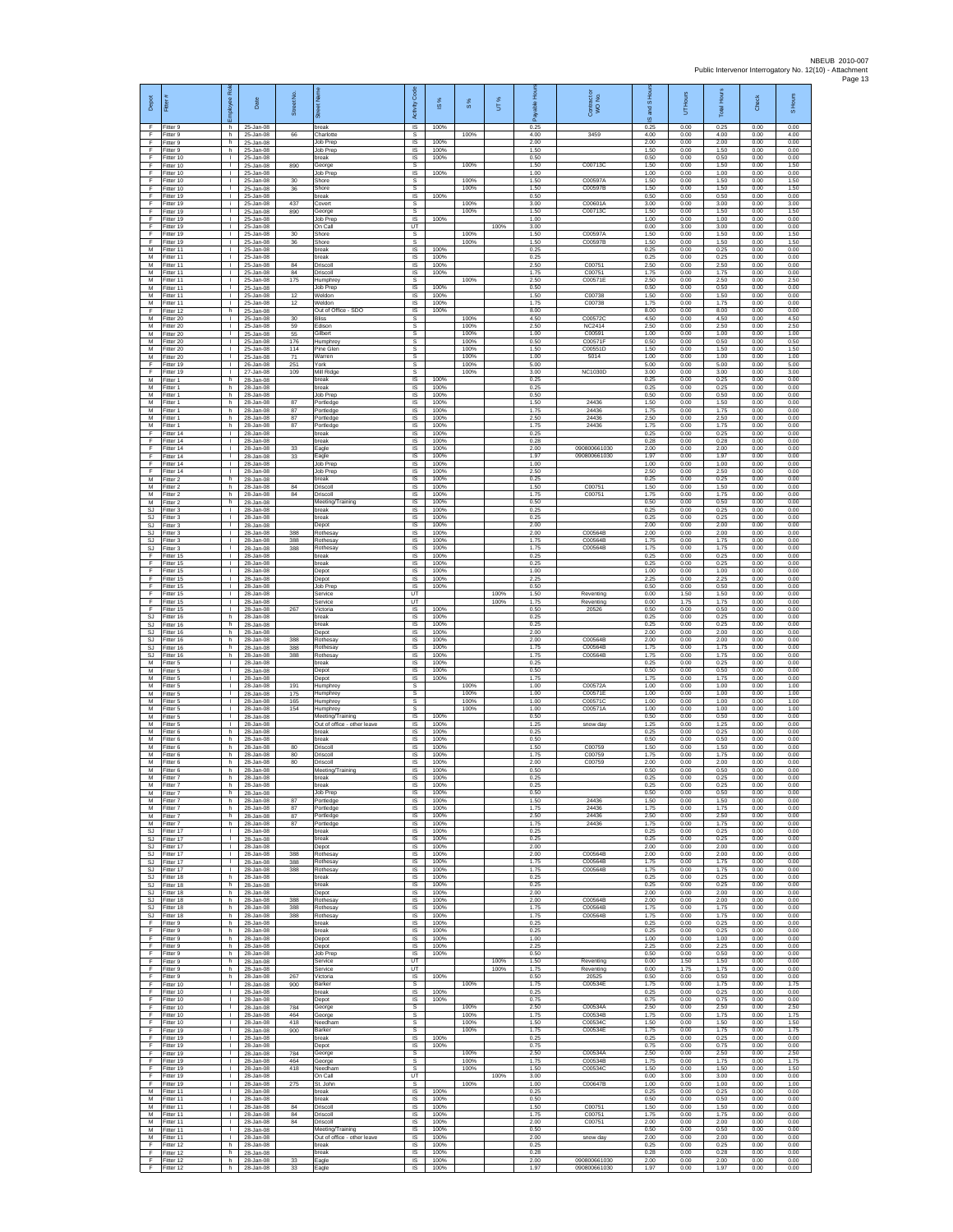| Depot<br>F.             | Fitter #<br>Fitter 9                   | ployee Ro<br>h                     | Date<br>25-Jan-08                   | Street No.        | 7<br>break                                    | c <sub>ode</sub><br>Activity<br>IS         | ×<br>$\frac{0}{2}$<br>100% | 8%                   | UT%          | able Hor<br>å<br>0.25 | Contract or<br>WO No.         | and S Ho<br>$\omega$<br>0.25 | UT Hours<br>0.00     | <b>Total Hour</b><br>0.25 | Check<br>0.00        | Hours<br>$\overline{a}$<br>0.00 |
|-------------------------|----------------------------------------|------------------------------------|-------------------------------------|-------------------|-----------------------------------------------|--------------------------------------------|----------------------------|----------------------|--------------|-----------------------|-------------------------------|------------------------------|----------------------|---------------------------|----------------------|---------------------------------|
| F.<br>F                 | Fitter 9<br>Fitter 9                   | h<br>h                             | 25-Jan-08<br>25-Jan-08              | 66                | Charlotte<br>Job Prep                         | $\mathsf{s}$<br>$\sf IS$                   | 100%                       | 100%                 |              | 4.00<br>2.00          | 3459                          | 4.00<br>2.00                 | 0.00<br>0.00         | 4.00<br>2.00              | 0.00<br>0.00         | 4.00<br>0.00                    |
| F<br>F<br>E             | Fitter 9<br>Fitter 10<br>Fitter 10     | h.<br>$\mathbf{L}$<br>$\mathbf{L}$ | 25-Jan-08<br>25-Jan-08<br>25-Jan-08 | 890               | Job Prep<br>break<br>ieorge                   | IS<br>- IS<br>s                            | 100%<br>100%               | 100%                 |              | 1.50<br>0.50<br>1.50  | C007130                       | 1.50<br>0.50<br>1.50         | 0.00<br>0.00<br>0.00 | 1.50<br>0.50<br>1.50      | 0.00<br>0.00<br>0.00 | 0.00<br>0.00<br>1.50            |
| F<br>F<br>F             | Fitter 10<br>Fitter 10                 | $\mathbb{L}$<br>т.<br>л.           | 25-Jan-08<br>25-Jan-08              | 30                | Job Prep<br>Shore<br>Shore                    | IS<br>s<br>s                               | 100%                       | 100%<br>100%         |              | 1.00<br>1.50<br>1.50  | C00597/<br>C00597E            | 1.00<br>1.50<br>1.50         | 0.00<br>0.00<br>0.00 | 1.00<br>1.50<br>1.50      | 0.00<br>0.00<br>0.00 | 0.00<br>1.50<br>1.50            |
| F.<br>F                 | Fitter 10<br>Fitter 19<br>Fitter 19    | $\mathbf{L}$<br>j.                 | 25-Jan-08<br>25-Jan-08<br>25-Jan-08 | 36<br>437         | oreak<br>Covert                               | $\sf IS$<br>s                              | 100%                       | 100%                 |              | 0.50<br>3.00          | C00601A                       | 0.50<br>3.00                 | 0.00<br>0.00         | 0.50<br>3.00              | 0.00<br>0.00         | 0.00<br>3.00                    |
| F<br>F.<br>F            | Fitter 19<br>Fitter 19<br>Fitter 19    | л.<br>٠                            | 25-Jan-08<br>25-Jan-08<br>25-Jan-08 | 890               | George<br>Job Prep<br>On Call                 | s<br>IS<br>UT                              | 100%                       | 100%                 | 100%         | 1.50<br>1.00<br>3.00  | C00713C                       | 1.50<br>1.00<br>0.00         | 0.00<br>0.00<br>3.00 | 1.50<br>1.00<br>3.00      | 0.00<br>0.00<br>0.00 | 1.50<br>0.00<br>0.00            |
| F<br>F.                 | Fitter 19<br>Fitter 19                 | $\mathbf{L}$<br>$\mathbf{L}$       | 25-Jan-08<br>25-Jan-08              | 30<br>36          | Shore<br>Shore                                | s<br>s                                     |                            | 100%<br>100%         |              | 1.50<br>1.50          | C00597A<br>C00597E            | 1.50<br>1.50                 | 0.00<br>0.00         | 1.50<br>1.50              | 0.00<br>0.00         | 1.50<br>1.50                    |
| ${\sf M}$<br>M<br>M     | Fitter 11<br>Fitter 11<br>Fitter 11    | т.<br>т.<br>$\mathbb{R}$           | 25-Jan-08<br>25-Jan-08<br>25-Jan-08 | 84                | reak<br>break<br>Driscoll                     | IS<br>IS<br>IS                             | 100%<br>100%<br>100%       |                      |              | 0.25<br>0.25<br>2.50  | C00751                        | 0.25<br>0.25<br>2.50         | 0.00<br>0.00<br>0.00 | 0.25<br>0.25<br>2.50      | 0.00<br>0.00<br>0.00 | 0.00<br>0.00<br>0.00            |
| М<br>M                  | Fitter 11<br>Fitter 11                 | т.<br>т.                           | 25-Jan-08<br>25-Jan-08              | 84<br>175         | Oriscoll<br><b>lumphrey</b>                   | IS<br>s                                    | 100%                       | 100%                 |              | 1.75<br>2.50          | C00751<br>C00571E             | 1.75<br>2.50                 | 0.00<br>0.00         | 1.75<br>2.50              | 0.00<br>0.00         | 0.00<br>2.50                    |
| М<br>M<br>M             | Fitter 11<br>Fitter 11<br>Fitter 11    | т.<br>л.<br>$\mathbf{L}$           | 25-Jan-08<br>25-Jan-08<br>25-Jan-08 | 12<br>12          | lob Prep<br>Weldon<br>Weldon                  | IS<br>-IS<br>IS                            | 100%<br>100%<br>100%       |                      |              | 0.50<br>1.50<br>1.75  | C00738<br>C00738              | 0.50<br>1.50<br>1.75         | 0.00<br>0.00<br>0.00 | 0.50<br>1.50<br>1.75      | 0.00<br>0.00<br>0.00 | 0.00<br>0.00<br>0.00            |
| F<br>M                  | Fitter 12<br>Fitter 20                 | h<br>$\mathbf{L}$                  | 25-Jan-08<br>25-Jan-08              | 30                | Out of Office - SDO<br>Bliss                  | IS<br>s                                    | 100%                       | 100%                 |              | 8.00<br>4.50          | C00572C                       | 8.00<br>4.50                 | 0.00<br>0.00         | 8.00<br>4.50              | 0.00<br>0.00         | 0.00<br>4.50                    |
| м<br>M<br>M             | Fitter 20<br>Fitter 20<br>Fitter 20    | $\mathbf{L}$<br>т.<br>т            | 25-Jan-08<br>25-Jan-08<br>25-Jan-08 | 59<br>55<br>176   | Edison<br>ilbert<br>Humphrey                  | $\mathsf{s}$<br>$\mathbb S$<br>s           |                            | 100%<br>100%<br>100% |              | 2.50<br>1.00<br>0.50  | NC2414<br>C00591<br>C00571F   | 2.50<br>1.00<br>0.50         | 0.00<br>0.00<br>0.00 | 2.50<br>1.00<br>0.50      | 0.00<br>0.00<br>0.00 | 2.50<br>1.00<br>0.50            |
| M<br>М<br>F             | Fitter 20<br>Fitter 20<br>Fitter 19    | $\mathbf{L}$<br>$\mathbf{L}$<br>т. | 25-Jan-08<br>25-Jan-08<br>26-Jan-08 | 114<br>71<br>251  | Pine Glen<br>Warren<br>York                   | -S<br>s<br>s                               |                            | 100%<br>100%<br>100% |              | 1.50<br>1.00<br>5.00  | C00551D<br>5014               | 1.50<br>1.00<br>5.00         | 0.00<br>0.00<br>0.00 | 1.50<br>1.00<br>5.00      | 0.00<br>0.00<br>0.00 | 1.50<br>1.00<br>5.00            |
| F<br>M                  | Fitter 19<br>Fitter 1                  | т.<br>h.                           | 27-Jan-08<br>28-Jan-08              | 109               | Mill Ridge<br>break                           | s<br>IS                                    | 100%                       | 100%                 |              | 3.00<br>0.25          | <b>NC1030D</b>                | 3.00<br>0.25                 | 0.00<br>0.00         | 3.00<br>0.25              | 0.00<br>0.00         | 3.00<br>0.00                    |
| M<br>М<br>M             | Fitter 1<br>Fitter 1<br>Fitter 1       | h.<br>h<br>h.                      | 28-Jan-08<br>28-Jan-08<br>28-Jan-08 | 87                | break<br>Job Prep<br>Portledge                | $\sf IS$<br>$\sf IS$<br>IS                 | 100%<br>100%<br>100%       |                      |              | 0.25<br>0.50<br>1.50  | 24436                         | 0.25<br>0.50<br>1.50         | 0.00<br>0.00<br>0.00 | 0.25<br>0.50<br>1.50      | 0.00<br>0.00<br>0.00 | 0.00<br>0.00<br>0.00            |
| M<br>М                  | Fitter 1<br>Fitter 1                   | h.<br>h                            | 28-Jan-08<br>28-Jan-08              | 87<br>87          | Portledge<br>ortledge                         | IS<br>IS                                   | 100%<br>100%               |                      |              | 1 75<br>2.50          | 24436<br>24436                | 1.75<br>2.50                 | 0.00<br>0.00         | 1.75<br>2.50              | 0.00<br>0.00         | 0.00<br>0.00                    |
| М<br>F<br>$\mathsf F$   | Fitter 1<br>Fitter 14<br>Fitter 14     | h.<br>$\mathbf{L}$<br>$\mathbf{L}$ | 28-Jan-08<br>28-Jan-08<br>28-Jan-08 | 87                | Portledge<br>break<br>reak                    | IS<br>IS<br>IS                             | 100%<br>100%<br>100%       |                      |              | 1.75<br>0.25<br>0.28  | 24436                         | 1.75<br>0.25<br>0.28         | 0.00<br>0.00<br>0.00 | 1.75<br>0.25<br>0.28      | 0.00<br>0.00<br>0.00 | 0.00<br>0.00<br>0.00            |
| F<br>F<br>F             | Fitter 14<br>Fitter 14                 | т.<br>л.                           | 28-Jan-08<br>28-Jan-08<br>28-Jan-08 | 33<br>33          | Eagle<br>Eagle                                | IS<br>IS                                   | 100%<br>100%               |                      |              | 2.00<br>1.97          | 090800661030<br>090800661030  | 2.00<br>1.97                 | 0.00<br>0.00         | 2.00<br>1.97              | 0.00<br>0.00         | 0.00<br>0.00                    |
| F<br>М                  | Fitter 14<br>Fitter 14<br>Fitter 2     | т.<br>т.<br>h.                     | 28-Jan-08<br>28-Jan-08              |                   | Job Prep<br>Job Prep<br>preak                 | IS<br>IS<br>IS                             | 100%<br>100%<br>100%       |                      |              | 1.00<br>2.50<br>0.25  |                               | 1.00<br>2.50<br>0.25         | 0.00<br>0.00<br>0.00 | 1.00<br>2.50<br>0.25      | 0.00<br>0.00<br>0.00 | 0.00<br>0.00<br>0.00            |
| M<br>M<br>М             | Fitter 2<br>-itter 2<br>Fitter 2       | h.<br>h.<br>h                      | 28-Jan-08<br>28-Jan-08<br>28-Jan-08 | 84<br>84          | Driscoll<br>Driscoll<br>Meeting/Training      | -IS<br>IS<br>IS                            | 100%<br>100%<br>100%       |                      |              | 1.50<br>1 75<br>0.50  | C0075<br>C00751               | 1.50<br>1 75<br>0.50         | 0.00<br>0.00<br>0.00 | 1.50<br>1.75<br>0.50      | 0.00<br>0.00<br>0.00 | 0.00<br>0.00<br>0.00            |
| SJ.<br>SJ               | Fitter 3<br>Fitter 3                   | $\mathbf{L}$<br>$\mathbf{L}$       | 28-Jan-08<br>28-Jan-08              |                   | break<br>break                                | IS<br>IS                                   | 100%<br>100%               |                      |              | 0.25<br>0.25          |                               | 0.25<br>0.25                 | 0.00<br>0.00         | 0.25<br>0.25              | 0.00<br>0.00         | 0.00<br>0.00                    |
| <b>SJ</b><br>SJ.<br>SJ. | Fitter 3<br>Fitter 3<br>Fitter 3       | ٠<br>$\mathbf{L}$<br>$\mathbf{L}$  | 28-Jan-08<br>28-Jan-08<br>28-Jan-08 | 388<br>388        | Jepot<br>Rothesay<br>Rothesav                 | IS<br>IS<br>- IS                           | 100%<br>100%<br>100%       |                      |              | 2.00<br>2.00<br>1.75  | C00564B<br>C00564B            | 2.00<br>2.00<br>1.75         | 0.00<br>0.00<br>0.00 | 2.00<br>2.00<br>1.75      | 0.00<br>0.00<br>0.00 | 0.00<br>0.00<br>0.00            |
| SJ<br>F                 | Fitter 3<br>Fitter 15                  | т.<br>$\mathbf{I}$                 | 28-Jan-08<br>28-Jan-08              | 388               | Rothesay<br>break                             | IS<br>IS                                   | 100%<br>100%               |                      |              | 1.75<br>0.25          | C00564B                       | 1.75<br>0.25                 | 0.00<br>0.00         | 1.75<br>0.25              | 0.00<br>0.00         | 0.00<br>0.00                    |
| F<br>F<br>F             | Fitter 15<br>Fitter 15<br>Fitter 15    | т.<br>л.<br>$\mathbf{L}$           | 28-Jan-08<br>28-Jan-08<br>28-Jan-08 |                   | oreak<br>Depot<br>Depot                       | IS<br>-IS<br>$\sf IS$                      | 100%<br>100%<br>100%       |                      |              | 0.25<br>1.00<br>2.25  |                               | 0.25<br>1.00<br>2.25         | 0.00<br>0.00<br>0.00 | 0.25<br>1.00<br>2.25      | 0.00<br>0.00<br>0.00 | 0.00<br>0.00<br>0.00            |
| F<br>F                  | Fitter 15<br>Fitter 15                 | $\mathbf{I}$<br>$\mathbf{I}$       | 28-Jan-08<br>28-Jan-08              |                   | Job Prep<br>Service                           | $\sf IS$<br>UT                             | 100%                       |                      | 100%         | 0.50<br>1.50          | Reventing                     | 0.50<br>0.00                 | 0.00<br>1.50         | 0.50<br>1.50              | 0.00<br>0.00         | 0.00<br>0.00                    |
| E<br>F<br>SJ            | Fitter 15<br>Fitter 15<br>Fitter 16    | л.<br>٠<br>h.                      | 28-Jan-08<br>28-Jan-08<br>28-Jan-08 | 267               | Service<br>/ictoria<br>break                  | <b>UT</b><br>IS<br>IS                      | 100%<br>100%               |                      | 100%         | 1 75<br>0.50<br>0.25  | Reventing<br>20526            | 0.00<br>0.50<br>0.25         | 1.75<br>0.00<br>0.00 | 1.75<br>0.50<br>0.25      | 0.00<br>0.00<br>0.00 | 0.00<br>0.00<br>0.00            |
| SJ<br>SJ<br>SJ          | Fitter 16<br>Fitter 16<br>Fitter 16    | h.<br>h<br>h.                      | 28-Jan-08<br>28-Jan-08<br>28-Jan-08 | 388               | break<br>epot)<br>Rothesay                    | <b>IS</b><br>IS<br>IS                      | 100%<br>100%<br>100%       |                      |              | 0.25<br>2.00<br>2.00  | C00564B                       | 0.25<br>2.00<br>2.00         | 0.00<br>0.00<br>0.00 | 0.25<br>2.00<br>2.00      | 0.00<br>0.00<br>0.00 | 0.00<br>0.00<br>0.00            |
| SJ.<br>SJ               | litter 16<br>Fitter 16                 | h.<br>h                            | 28-Jan-08<br>28-Jan-08              | 388<br>388        | Rothesay<br>Rothesay                          | IS<br>IS                                   | 100%<br>100%               |                      |              | 1.75<br>1.75          | C00564B<br>C00564B            | 1.75<br>1.75                 | 0.00<br>0.00         | 1.75<br>1.75              | 0.00<br>0.00         | 0.00<br>0.00                    |
| M<br>М<br>M             | Fitter 5<br>Fitter 5<br>Fitter 5       | т.<br>т.<br>л.                     | 28-Jan-08<br>28-Jan-08<br>28-Jan-08 |                   | break<br>Depot<br>Depot                       | IS<br>IS<br>-IS                            | 100%<br>100%<br>100%       |                      |              | 0.25<br>0.50<br>1.75  |                               | 0.25<br>0.50<br>1.75         | 0.00<br>0.00<br>0.00 | 0.25<br>0.50<br>1.75      | 0.00<br>0.00<br>0.00 | 0.00<br>0.00<br>0.00            |
| M<br>М                  | Fitter 5<br>Fitter 5                   | $\mathbf{L}$<br>٠                  | 28-Jan-08<br>28-Jan-08              | 191<br>175        | <b>Humphrey</b><br>lumphrey                   | s<br>s                                     |                            | 100%<br>100%         |              | 1.00<br>1.00          | C00572A<br>C00571E            | 1.00<br>1.00                 | 0.00<br>0.00         | 1.00<br>1.00              | 0.00<br>0.00         | 1.00<br>1.00                    |
| M<br>м<br>M             | Fitter 5<br>Fitter 5<br>Fitter 5       | $\mathbf{L}$<br>$\mathbf{L}$<br>٠  | 28-Jan-08<br>28-Jan-08<br>28-Jan-08 | 165<br>154        | Humphrey<br>Humphrey<br>Meeting/Training      | s<br>s<br>$\sf IS$                         | 100%                       | 100%<br>100%         |              | 1.00<br>1.00<br>0.50  | C00571C<br>C00571A            | 1.00<br>1.00<br>0.50         | 0.00<br>0.00<br>0.00 | 1.00<br>1.00<br>0.50      | 0.00<br>0.00<br>0.00 | 1.00<br>1.00<br>0.00            |
| M<br>M<br>M             | Fitter 5<br>Fitter 6<br>Fitter 6       | т<br>h.                            | 28-Jan-08<br>28-Jan-08<br>28-Jan-08 |                   | Out of office - other leave<br>break<br>oreak | IS<br><b>IS</b><br>IS                      | 100%<br>100%<br>100%       |                      |              | 1.25<br>0.25<br>0.50  | snow day                      | 1.25<br>0.25<br>0.50         | 0.00<br>0.00<br>0.00 | 1.25<br>0.25<br>0.50      | 0.00<br>0.00<br>0.00 | 0.00<br>0.00<br>0.00            |
| M<br>M                  | Fitter 6<br>Fitter 6                   | h<br>h<br>h                        | 28-Jan-08<br>28-Jan-08              | 80<br>80          | Driscoll<br><b>Oriscol</b>                    | IS<br>IS                                   | 100%<br>100%               |                      |              | 1.50<br>1.75          | C00759<br>C00759              | 1.50<br>1.75                 | 0.00<br>0.00         | 1.50<br>1.75              | 0.00<br>0.00         | 0.00<br>0.00                    |
| M<br>M<br>M             | Fitter 6<br>Fitter 6<br>Fitter 7       | h.<br>h.<br>h.                     | 28-Jan-08<br>28-Jan-08<br>28-Jan-08 | 80                | Driscoll<br>Meeting/Training<br>break         | -IS<br>$\sf IS$<br>IS                      | 100%<br>100%<br>100%       |                      |              | 2.00<br>0.50<br>0.25  | C00759                        | 2.00<br>0.50<br>0.25         | 0.00<br>0.00<br>0.00 | 2.00<br>0.50<br>0.25      | 0.00<br>0.00<br>0.00 | 0.00<br>0.00<br>0.00            |
| M<br>M                  | Fitter 7<br>Fitter 7                   | h<br>h.                            | 28-Jan-08<br>28-Jan-08              |                   | break<br>Job Prep                             | <b>IS</b><br>IS                            | 100%<br>100%               |                      |              | 0.25<br>0.50          |                               | 0.25<br>0.50                 | 0.00<br>0.00         | 0.25<br>0.50              | 0.00<br>0.00         | 0.00<br>0.00                    |
| М<br>M<br>M             | Fitter 7<br>-itter 7<br>Fitter 7       | h<br>h<br>h.                       | 28-Jan-08<br>28-Jan-08<br>28-Jan-08 | 87<br>87<br>87    | ortledge<br>Portledge<br>Portledge            | IS<br>$\overline{\mathsf{s}}$<br><b>IS</b> | 100%<br>100%<br>100%       |                      |              | 1.50<br>1.75<br>2.50  | 24436<br>24436<br>24436       | 1.50<br>1.75<br>2.50         | 0.00<br>0.00<br>0.00 | 1.50<br>1.75<br>2.50      | 0.00<br>0.00<br>0.00 | 0.00<br>0.00<br>0.00            |
| M<br>SJ                 | Fitter 7<br>Fitter 17                  | h<br>$\mathbf{I}$                  | 28-Jan-08<br>28-Jan-08              | 87                | Portledge<br>break                            | IS<br>IS                                   | 100%<br>100%               |                      |              | 1.75<br>0.25          | 24436                         | 1.75<br>0.25                 | 0.00<br>0.00         | 1.75<br>0.25              | 0.00<br>0.00         | 0.00<br>0.00                    |
| SJ.<br><b>SJ</b><br>SJ  | Fitter 17<br>Fitter 17<br>Fitter 17    | $\mathbf{L}$<br>τ.<br>т.           | 28-Jan-08<br>28-Jan-08<br>28-Jan-08 | 388               | oreak<br>Depot<br>Rothesay                    | IS<br>IS<br>IS                             | 100%<br>100%<br>100%       |                      |              | 0.25<br>2.00<br>2.00  | C00564B                       | 0.25<br>2.00<br>2.00         | 0.00<br>0.00<br>0.00 | 0.25<br>2.00<br>2.00      | 0.00<br>0.00<br>0.00 | 0.00<br>0.00<br>0.00            |
| SJ<br>SJ.               | Fitter 17<br>Fitter 17                 | T.<br>л.<br>h.                     | 28-Jan-08<br>28-Jan-08              | 388<br>388        | Rothesay<br>Rothesav<br>hreak                 | IS<br>- IS<br>IS                           | 100%<br>100%<br>100%       |                      |              | 1.75<br>1.75<br>0.25  | C00564B<br>C00564B            | 1.75<br>1.75<br>0.25         | 0.00<br>0.00<br>0.00 | 1.75<br>1.75<br>0.25      | 0.00<br>0.00<br>0.00 | 0.00<br>0.00<br>0.00            |
| SJ.<br>SJ<br>SJ.        | Fitter 18<br>Fitter 18<br>Fitter 18    | h<br>h.                            | 28-Jan-08<br>28-Jan-08<br>28-Jan-08 |                   | break<br>Depot                                | IS<br>IS                                   | 100%<br>100%               |                      |              | 0.25<br>2.00          |                               | 0.25<br>2.00                 | 0.00<br>0.00         | 0.25<br>2.00              | 0.00<br>0.00         | 0.00<br>0.00                    |
| SJ<br>SJ.               | SJ Fitter 18<br>Fitter 18<br>Fitter 18 | h<br>h<br>h.                       | 28-Jan-08<br>28-Jan-08<br>28-Jan-08 | 388<br>388<br>388 | Rothesay<br>Rothesay<br>Rothesay              | IS<br>IS<br>IS                             | 100%<br>100%<br>100%       |                      |              | 2.00<br>1.75<br>1.75  | C00564B<br>C00564B<br>C00564B | 2.00<br>1.75<br>1.75         | 0.00<br>0.00<br>0.00 | 2.00<br>1.75<br>1.75      | 0.00<br>0.00<br>0.00 | 0.00<br>0.00<br>0.00            |
| F<br>E                  | Fitter 9<br>Fitter 9                   | h.<br>h                            | 28-Jan-08<br>28-Jan-08              |                   | break<br>oreak                                | <b>IS</b><br>IS                            | 100%<br>100%               |                      |              | 0.25<br>0.25          |                               | 0.25<br>0.25                 | 0.00<br>0.00         | 0.25<br>0.25              | 0.00<br>0.00         | 0.00<br>0.00                    |
| F<br>F<br>F             | Fitter 9<br>Fitter 9<br>Fitter 9       | h.<br>h<br>h                       | 28-Jan-08<br>28-Jan-08<br>28-Jan-08 |                   | Depot<br>Depot<br>Job Prep                    | IS<br>IS<br>-IS                            | 100%<br>100%<br>100%       |                      |              | 1.00<br>2.25<br>0.50  |                               | 1.00<br>2.25<br>0.50         | 0.00<br>0.00<br>0.00 | 1.00<br>2.25<br>0.50      | 0.00<br>0.00<br>0.00 | 0.00<br>0.00<br>0.00            |
| F.<br>F                 | Fitter 9<br>Fitter 9                   | h.<br>$\mathsf h$                  | 28-Jan-08<br>28-Jan-08              |                   | Service<br>Service                            | UT<br>UT                                   |                            |                      | 100%<br>100% | 1.50<br>1.75          | Reventing<br>Reventing        | 0.00<br>0.00                 | 1.50<br>1.75         | 1.50<br>1.75              | 0.00<br>0.00         | 0.00<br>0.00                    |
| F<br>F.<br>F            | Fitter 9<br>Fitter 10<br>Fitter 10     | h.<br>$\mathbf{L}$<br>л.           | 28-Jan-08<br>28-Jan-08<br>28-Jan-08 | 267<br>900        | Victoria<br><b>Barker</b><br>oreak            | <b>IS</b><br>s<br>IS                       | 100%<br>100%               | 100%                 |              | 0.50<br>175<br>0.25   | 20525<br>C00534E              | 0.50<br>1.75<br>0.25         | 0.00<br>0.00<br>0.00 | 0.50<br>1.75<br>0.25      | 0.00<br>0.00<br>0.00 | 0.00<br>1.75<br>0.00            |
| Ŧ<br>F.                 | Fitter 10<br>Fitter 10                 | т<br>$\mathbf{L}$<br>л.            | 28-Jan-08<br>28-Jan-08              | 784               | Depot<br>George                               | IS<br>s<br>s                               | 100%                       | 100%<br>100%         |              | 0.75<br>2.50<br>1.75  | C00534A<br>C00534B            | 0.75<br>2.50<br>1.75         | 0.00<br>0.00<br>0.00 | 0.75<br>2.50<br>1.75      | 0.00<br>0.00<br>0.00 | 0.00<br>2.50<br>1.75            |
| $\mathsf F$<br>F<br>F   | Fitter 10<br>Fitter 10<br>Fitter 19    | $\mathbf{I}$<br>$\mathbf{L}$       | 28-Jan-08<br>28-Jan-08<br>28-Jan-08 | 464<br>418<br>900 | Seorge<br>Veedham<br>Barker                   | s<br>s                                     |                            | 100%<br>100%         |              | 1.50<br>1.75          | C00534C<br>C00534E            | 1.50<br>1.75                 | 0.00<br>0.00         | 1.50<br>1.75              | 0.00<br>0.00         | 1.50<br>1.75                    |
| F<br>F<br>F             | Fitter 19<br>Fitter 19<br>Fitter 19    | τ.<br>т.<br>T.                     | 28-Jan-08<br>28-Jan-08<br>28-Jan-08 | 784               | break<br>Depot<br>George                      | IS<br>IS<br>s                              | 100%<br>100%               | 100%                 |              | 0.25<br>0.75<br>2.50  | C00534A                       | 0.25<br>0.75<br>2.50         | 0.00<br>0.00<br>0.00 | 0.25<br>0.75<br>2.50      | 0.00<br>0.00<br>0.00 | 0.00<br>0.00<br>2.50            |
| F<br>F.                 | Fitter 19<br>Fitter 19                 | л.<br>H.                           | 28-Jan-08<br>28-Jan-08              | 464<br>418        | George<br>Needham                             | s<br>s                                     |                            | 100%<br>100%         |              | 1.75<br>1.50          | C00534B<br>C00534C            | 1.75<br>1.50                 | 0.00<br>0.00         | 1.75<br>1.50              | 0.00<br>0.00         | 1.75<br>1.50                    |
| F<br>F                  | Fitter 19<br>Fitter 19<br>M Fitter 11  | л.<br>т<br>$\mathbf{L}$            | 28-Jan-08<br>28-Jan-08<br>28-Jan-08 | 275               | On Call<br>St. John<br>break                  | UT<br>s<br>IS                              | 100%                       | 100%                 | 100%         | 3.00<br>1.00<br>0.25  | C00647B                       | 0.00<br>1.00<br>0.25         | 3.00<br>0.00<br>0.00 | 3.00<br>1.00<br>0.25      | 0.00<br>0.00<br>0.00 | 0.00<br>1.00<br>0.00            |
| M<br>M<br>M             | Fitter 11<br>Fitter 11<br>Fitter 11    | т.<br>т<br>$\mathbf{L}$            | 28-Jan-08<br>28-Jan-08<br>28-Jan-08 | 84<br>84          | break<br>Driscoll<br>Driscoll                 | IS<br>IS<br><b>IS</b>                      | 100%<br>100%<br>100%       |                      |              | 0.50<br>1.50<br>1.75  | C0075<br>C00751               | 0.50<br>1.50<br>1.75         | 0.00<br>0.00<br>0.00 | 0.50<br>1.50<br>1.75      | 0.00<br>0.00<br>0.00 | 0.00<br>0.00<br>0.00            |
| M<br>M                  | Fitter 11<br>Fitter 11                 | $\mathbf{L}$<br>т.                 | 28-Jan-08<br>28-Jan-08              | 84                | Driscoll<br>Meeting/Training                  | IS<br>IS                                   | 100%<br>100%               |                      |              | 2.00<br>0.50          | C00751                        | 2.00<br>0.50                 | 0.00<br>0.00         | 2.00<br>0.50              | 0.00<br>0.00         | 0.00<br>0.00                    |
| M<br>E<br>F.            | Fitter 11<br>Fitter 12<br>Fitter 12    | T.<br>h.<br>h.                     | 28-Jan-08<br>28-Jan-08<br>28-Jan-08 |                   | Out of office - other leave<br>break<br>break | IS<br>-IS<br>$\sf IS$                      | 100%<br>100%<br>100%       |                      |              | 2.00<br>0.25<br>0.28  | snow day                      | 2.00<br>0.25<br>0.28         | 0.00<br>0.00<br>0.00 | 2.00<br>0.25<br>0.28      | 0.00<br>0.00<br>0.00 | 0.00<br>0.00<br>0.00            |
| F<br>F.                 | Fitter 12<br>Fitter 12                 | $\,$ h<br>h.                       | 28-Jan-08<br>28-Jan-08              | 33<br>33          | Eagle<br>Eagle                                | $\sf IS$<br><b>IS</b>                      | 100%<br>100%               |                      |              | 2.00<br>1.97          | 090800661030<br>090800661030  | 2.00<br>1.97                 | 0.00<br>0.00         | 2.00<br>1.97              | 0.00<br>0.00         | 0.00<br>0.00                    |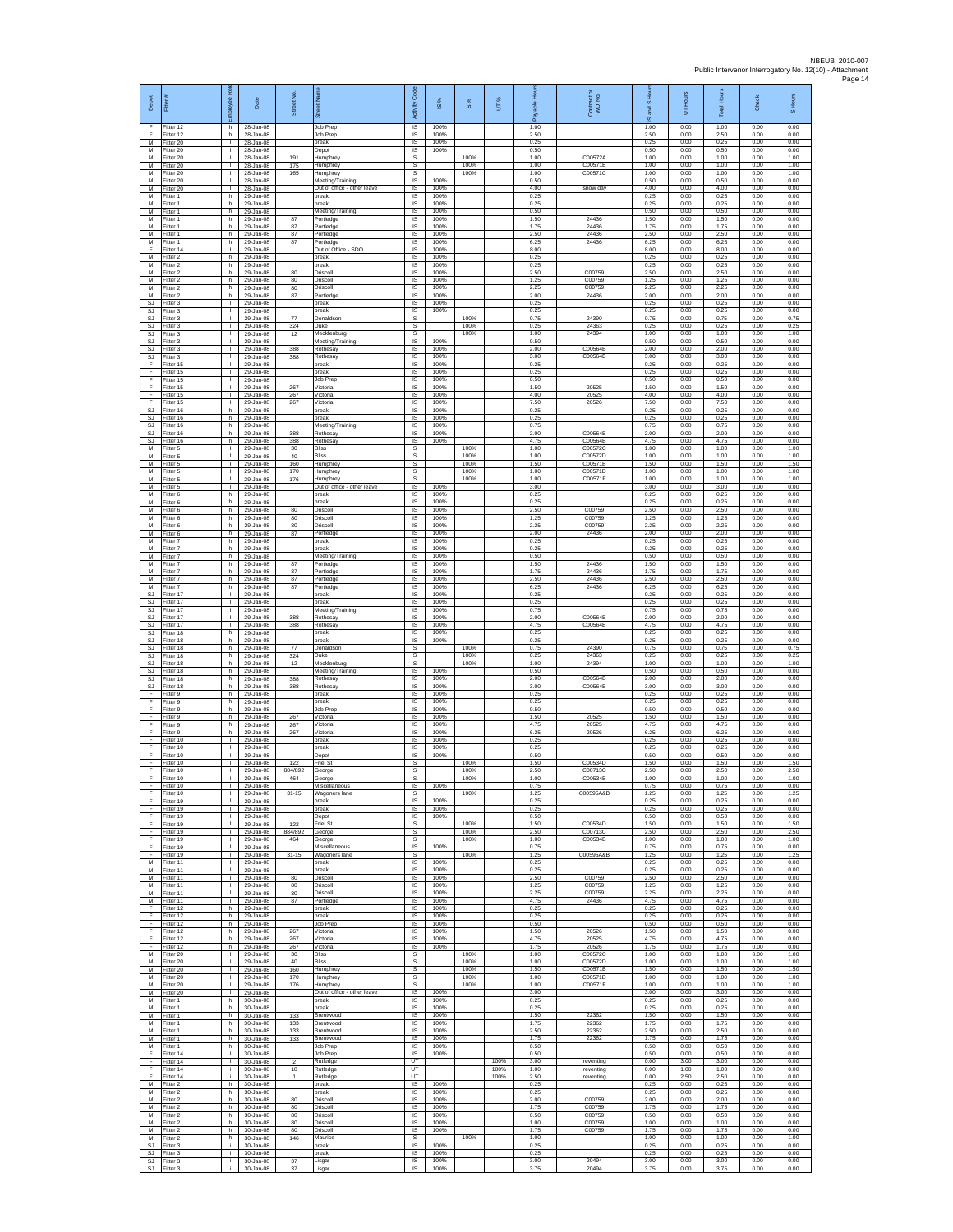| Depot                               | Fitter                              | Rol<br>eevolon                     | Date                                | Street No.          |                                                 | Code<br>Activity                     | 1S%                  | S %                  | UT%          | 훆<br>æ               | Contract or<br>WO No.         | S Hou<br>g<br>ဖ      | UT Hours             | <b>Total Hours</b>   | Check                | S Hours              |
|-------------------------------------|-------------------------------------|------------------------------------|-------------------------------------|---------------------|-------------------------------------------------|--------------------------------------|----------------------|----------------------|--------------|----------------------|-------------------------------|----------------------|----------------------|----------------------|----------------------|----------------------|
| F<br>F                              | Fitter 12<br>Fitter 12              | h.<br>h                            | 28-Jan-08<br>28-Jan-08              |                     | Job Prep<br>Job Prep                            | <b>IS</b><br>IS                      | 100%<br>100%         |                      |              | 1.00<br>2.50         |                               | 1.00<br>2.50         | 0.00<br>0.00         | 1.00<br>2.50         | 0.00<br>0.00         | 0.00<br>0.00         |
| M<br>M                              | Fitter 20<br>Fitter 20              | $\mathbf{L}$<br>$\mathbf{L}$       | 28-Jan-08<br>28-Jan-08              | 191                 | break<br>Depot                                  | $\sf IS$<br><b>IS</b><br>s           | 100%<br>100%         |                      |              | 0.25<br>0.50         |                               | 0.25<br>0.50         | 0.00<br>0.00         | 0.25<br>0.50         | 0.00<br>0.00         | 0.00<br>0.00         |
| М<br>М<br>М                         | Fitter 20<br>Fitter 20<br>fitter 20 | $\mathbf{L}$<br>Τ.<br>т.           | 28-Jan-08<br>28-Jan-08<br>28-Jan-08 | 175<br>165          | Humphrey<br>Humphrey<br>Humphrey                | s<br>s                               |                      | 100%<br>100%<br>100% |              | 1.00<br>1.00<br>1.00 | C00572A<br>C00571E<br>C00571C | 1.00<br>1.00<br>1.00 | 0.00<br>0.00<br>0.00 | 1.00<br>1.00<br>1.00 | 0.00<br>0.00<br>0.00 | 1.00<br>1.00<br>1.00 |
| M<br>M                              | Fitter 20<br>fitter 20              | ÷.<br>л.                           | 28-Jan-08<br>28-Jan-08              |                     | Meeting/Training<br>Out of office - other leave | $\overline{\mathsf{s}}$<br>IS        | 100%<br>100%         |                      |              | 0.50<br>4.00         | snow day                      | 0.50<br>4.00         | 0.00<br>0.00         | 0.50<br>4.00         | 0.00<br>0.00         | 0.00<br>0.00         |
| М<br>M<br>M                         | Fitter 1<br>Fitter 1<br>Fitter 1    | h<br>h.                            | 29-Jan-08<br>29-Jan-08              |                     | break<br>break                                  | $\sf IS$<br><b>IS</b><br>IS          | 100%<br>100%         |                      |              | 0.25<br>0.25<br>0.50 |                               | 0.25<br>0.25<br>0.50 | 0.00<br>0.00<br>0.00 | 0.25<br>0.25         | 0.00<br>0.00         | 0.00<br>0.00<br>0.00 |
| М<br>М                              | -itter 1<br>Fitter 1                | h<br>h<br>h.                       | 29-Jan-08<br>29-Jan-08<br>29-Jan-08 | 87<br>87            | Meeting/Training<br>Portledge<br>Portledge      | IS<br>IS                             | 100%<br>100%<br>100% |                      |              | 1.50<br>1.75         | 24436<br>24436                | 1.50<br>1.75         | 0.00<br>0.00         | 0.50<br>1.50<br>1.75 | 0.00<br>0.00<br>0.00 | 0.00<br>0.00         |
| M<br>М                              | Fitter 1<br>-itter 1                | h.<br>h                            | 29-Jan-08<br>29-Jan-08              | 87<br>87            | Portledge<br>ortledge                           | <b>IS</b><br>IS                      | 100%<br>100%         |                      |              | 2.50<br>6.25         | 24436<br>24436                | 2.50<br>6.25         | 0.00<br>0.00         | 2.50<br>6.25         | 0.00<br>0.00         | 0.00<br>0.00         |
| F<br>M<br>M                         | Fitter 14<br>Fitter 2<br>Fitter 2   | Τ.<br>h.                           | 29-Jan-08<br>29-Jan-08              |                     | Out of Office - SDO<br>oreak                    | 1S<br>IS                             | 100%<br>100%         |                      |              | 8.00<br>0.25         |                               | 8.00<br>0.25         | 0.00<br>0.00         | 8.00<br>0.25         | 0.00<br>0.00         | 0.00<br>0.00         |
| М<br>М                              | Fitter 2<br>-itter 2                | h<br>h.<br>h                       | 29-Jan-08<br>29-Jan-08<br>29-Jan-08 | 80<br>80            | oreak<br>Driscoll<br>Driscoll                   | IS<br>$\sf IS$<br>IS                 | 100%<br>100%<br>100% |                      |              | 0.25<br>2.50<br>1.25 | C00759<br>C00759              | 0.25<br>2.50<br>1.25 | 0.00<br>0.00<br>0.00 | 0.25<br>2.50<br>1.25 | 0.00<br>0.00<br>0.00 | 0.00<br>0.00<br>0.00 |
| M<br>M                              | Fitter 2<br>Fitter 2                | h<br>h.                            | 29-Jan-08<br>29-Jan-08              | 80<br>87            | Driscoll<br>Portledge                           | IS<br><b>IS</b>                      | 100%<br>100%         |                      |              | 2.25<br>2.00         | C00759<br>24436               | 2.25<br>2.00         | 0.00<br>0.00         | 2.25<br>2.00         | 0.00<br>0.00         | 0.00<br>0.00         |
| $\mathbb{S}\mathbb{J}$<br>SJ.<br>SJ | Fitter 3<br>Fitter 3<br>Fitter 3    | ٠<br>т<br>$\mathbf{L}$             | 29-Jan-08<br>29-Jan-08<br>29-Jan-08 | 77                  | break<br>break<br>Donaldson                     | IS<br>IS<br>s                        | 100%<br>100%         | 100%                 |              | 0.25<br>0.25<br>0.75 | 24390                         | 0.25<br>0.25<br>0.75 | 0.00<br>0.00<br>0.00 | 0.25<br>0.25<br>0.75 | 0.00<br>0.00<br>0.00 | 0.00<br>0.00<br>0.75 |
| <b>SJ</b><br>SJ                     | itter 3<br>Fitter 3                 | $\mathbf{L}$<br>T.                 | 29-Jan-08<br>29-Jan-08              | 324<br>12           | Duke<br>Mecklenburg                             | s<br>s                               |                      | 100%<br>100%         |              | 0.25<br>1.00         | 24363<br>24394                | 0.25<br>1.00         | 0.00<br>0.00         | 0.25<br>1.00         | 0.00<br>0.00         | 0.25<br>1.00         |
| <b>SJ</b><br>SJ                     | Fitter 3<br>Fitter 3                | $\mathbf{L}$<br>$\mathbf{L}$       | 29-Jan-08<br>29-Jan-08              | 388                 | Meeting/Training<br>Rothesay                    | IS<br>IS                             | 100%<br>100%         |                      |              | 0.50<br>2.00         | C00564B                       | 0.50<br>2.00         | 0.00<br>0.00         | 0.50<br>2.00         | 0.00<br>0.00         | 0.00<br>0.00         |
| <b>SJ</b><br>F<br>E                 | Fitter 3<br>fitter 15<br>Fitter 15  | H.<br>т.<br>л.                     | 29-Jan-08<br>29-Jan-08<br>29-Jan-08 | 388                 | <b>Rothesay</b><br>oreak<br>break               | IS<br>IS<br>IS                       | 100%<br>100%<br>100% |                      |              | 3.00<br>0.25<br>0.25 | C00564B                       | 3.00<br>0.25<br>0.25 | 0.00<br>0.00<br>0.00 | 3.00<br>0.25<br>0.25 | 0.00<br>0.00<br>0.00 | 0.00<br>0.00<br>0.00 |
| F<br>F                              | Fitter 15<br>Fitter 15              | $\mathbf{L}$<br>$\mathbf{I}$       | 29-Jan-08<br>29-Jan-08              | 267                 | Job Prep<br>Victoria                            | IS<br>$\sf IS$                       | 100%<br>100%         |                      |              | 0.50<br>1.50         | 20525                         | 0.50<br>1.50         | 0.00<br>0.00         | 0.50<br>1.50         | 0.00<br>0.00         | 0.00<br>0.00         |
| F<br>F                              | Fitter 15<br>Fitter 15              | $\mathbf{L}$<br>т.                 | 29-Jan-08<br>29-Jan-08              | 267<br>267          | Victoria<br>Victoria                            | <b>IS</b><br>IS                      | 100%<br>100%         |                      |              | 4.00<br>7.50         | 20525<br>20526                | 4.00<br>7.50         | 0.00<br>0.00         | 4.00<br>7.50         | 0.00<br>0.00         | 0.00<br>0.00         |
| <b>SJ</b><br>SJ<br><b>SJ</b>        | Fitter 16<br>fitter 16<br>Fitter 16 | h<br>h.<br>h.                      | 29-Jan-08<br>29-Jan-08<br>29-Jan-08 |                     | break<br>break<br>Meeting/Training              | 1S<br>IS<br>IS                       | 100%<br>100%<br>100% |                      |              | 0.25<br>0.25<br>0.75 |                               | 0.25<br>0.25<br>0.75 | 0.00<br>0.00<br>0.00 | 0.25<br>0.25<br>0.75 | 0.00<br>0.00<br>0.00 | 0.00<br>0.00<br>0.00 |
| SJ<br>SJ                            | Fitter 16<br>Fitter 16              | h<br>h.                            | 29-Jan-08<br>29-Jan-08              | 388<br>388          | Rothesay<br><b>Rothesay</b>                     | IS<br>1S                             | 100%<br>100%         |                      |              | 2.00<br>4.75         | C00564B<br>C00564B            | 2.00<br>4.75         | 0.00<br>0.00         | 2.00<br>4.75         | 0.00<br>0.00         | 0.00<br>0.00         |
| M<br>M<br>М                         | Fitter 5<br>Fitter 5<br>Fitter 5    | $\mathbf{L}$<br>T.<br>$\mathbf{L}$ | 29-Jan-08<br>29-Jan-08<br>29-Jan-08 | 30<br>40<br>160     | liss<br>Bliss<br><b>Humphrey</b>                | s<br>s<br>$\mathbb{S}$               |                      | 100%<br>100%<br>100% |              | 1.00<br>1.00<br>1.50 | C005720<br>C00572D<br>C00571B | 1.00<br>1.00<br>1.50 | 0.00<br>0.00<br>0.00 | 1.00<br>1.00<br>1.50 | 0.00<br>0.00<br>0.00 | 1.00<br>1.00<br>1.50 |
| М<br>M                              | Fitter 5<br>Fitter 5                | $\mathbf{L}$<br>÷.                 | 29-Jan-08<br>29-Jan-08              | 170<br>176          | Humphrey<br>Humphrey                            | s<br><b>s</b>                        |                      | 100%<br>100%         |              | 1.00<br>1.00         | C00571D<br>C00571F            | 1.00<br>1.00         | 0.00<br>0.00         | 1.00<br>1.00         | 0.00<br>0.00         | 1.00<br>1.00         |
| M<br>М<br>M                         | Fitter 5<br>Fitter 6<br>Fitter 6    | л.<br>h<br>h.                      | 29-Jan-08<br>29-Jan-08<br>29-Jan-08 |                     | Out of office - other leave<br>break<br>break   | IS<br>1S<br>IS                       | 100%<br>100%<br>100% |                      |              | 3.00<br>0.25<br>0.25 |                               | 3.00<br>0.25<br>0.25 | 0.00<br>0.00<br>0.00 | 3.00<br>0.25<br>0.25 | 0.00<br>0.00<br>0.00 | 0.00<br>0.00<br>0.00 |
| M<br>М                              | Fitter 6<br>Fitter 6                | h.<br>$\mathsf{h}$                 | 29-Jan-08<br>29-Jan-08              | 80<br>80            | Driscoll<br>Driscoll                            | IS<br>$\sf IS$                       | 100%<br>100%         |                      |              | 2.50<br>1.25         | C00759<br>C00759              | 2.50<br>1.25         | 0.00<br>0.00         | 2.50<br>1.25         | 0.00<br>0.00         | 0.00<br>0.00         |
| M<br>M                              | Fitter 6<br>Fitter 6                | h<br>h                             | 29-Jan-08<br>29-Jan-08              | 80<br>87            | Driscoll<br>Portledge                           | <b>IS</b><br>IS                      | 100%<br>100%         |                      |              | 2.25<br>2.00         | C00759<br>24436               | 2.25<br>2.00         | 0.00<br>0.00         | 2.25<br>2.00         | 0.00<br>0.00         | 0.00<br>0.00         |
| М<br>M<br>M                         | Fitter 7<br>Fitter 7<br>Fitter 7    | h<br>h.<br>h.                      | 29-Jan-08<br>29-Jan-08<br>29-Jan-08 |                     | break<br>break<br>Meeting/Training              | 1S<br>IS<br>IS                       | 100%<br>100%<br>100% |                      |              | 0.25<br>0.25<br>0.50 |                               | 0.25<br>0.25<br>0.50 | 0.00<br>0.00<br>0.00 | 0.25<br>0.25<br>0.50 | 0.00<br>0.00<br>0.00 | 0.00<br>0.00<br>0.00 |
| М<br>M                              | -itter 7<br>Fitter 7                | h<br>h.                            | 29-Jan-08<br>29-Jan-08              | 87<br>87            | Portledge<br>Portledge                          | IS<br>IS                             | 100%<br>100%         |                      |              | 1.50<br>1.75         | 24436<br>24436                | 1.50<br>1.75         | 0.00<br>0.00         | 1.50<br>1.75         | 0.00<br>0.00         | 0.00<br>0.00         |
| M<br>M<br>SJ                        | Fitter 7<br>Fitter 7<br>Fitter 17   | h<br>h<br>$\mathbf{L}$             | 29-Jan-08<br>29-Jan-08<br>29-Jan-08 | 87<br>87            | 'ortledge<br>Portledge<br>break                 | IS<br>IS<br>IS                       | 100%<br>100%<br>100% |                      |              | 2.50<br>6.25<br>0.25 | 24436<br>24436                | 2.50<br>6.25<br>0.25 | 0.00<br>0.00<br>0.00 | 2.50<br>6.25<br>0.25 | 0.00<br>0.00<br>0.00 | 0.00<br>0.00<br>0.00 |
| SJ<br><b>SJ</b>                     | Fitter 17<br>Fitter 17              | т.<br>л.                           | 29-Jan-08<br>29-Jan-08              |                     | oreak<br>Meeting/Training                       | IS<br>- IS                           | 100%<br>100%         |                      |              | 0.25<br>0.75         |                               | 0.25<br>0.75         | 0.00<br>0.00         | 0.25<br>0.75         | 0.00<br>0.00         | 0.00<br>0.00         |
| SJ<br>$\mathbb{S}\mathbb{J}$        | Fitter 17<br>Fitter 17              | $\mathbf{L}$<br>٠                  | 29-Jan-08<br>29-Jan-08              | 388<br>388          | Rothesay<br>Rothesay                            | IS<br>IS                             | 100%<br>100%<br>100% |                      |              | 2.00<br>4.75         | C00564B<br>C00564B            | 2.00<br>4.75         | 0.00<br>0.00         | 2.00<br>4.75         | 0.00<br>0.00         | 0.00<br>0.00         |
| SJ.<br>SJ<br>SJ                     | Fitter 18<br>Fitter 18<br>Fitter 18 | h.<br>h.<br>h                      | 29-Jan-08<br>29-Jan-08<br>29-Jan-08 | 77                  | break<br>break<br>Donaldsor                     | IS<br><b>IS</b><br>s                 | 100%                 | 100%                 |              | 0.25<br>0.25<br>0.75 | 24390                         | 0.25<br>0.25<br>0.75 | 0.00<br>0.00<br>0.00 | 0.25<br>0.25<br>0.75 | 0.00<br>0.00<br>0.00 | 0.00<br>0.00<br>0.75 |
| SJ<br>SJ.                           | Fitter 18<br>Fitter 18              | h.<br>h.                           | 29-Jan-08<br>29-Jan-08              | 324<br>12           | Duke<br>Mecklenburg                             | $\mathbb S$<br>s                     |                      | 100%<br>100%         |              | 0.25<br>1.00         | 24363<br>24394                | 0.25<br>1.00         | 0.00<br>0.00         | 0.25<br>1.00         | 0.00<br>0.00         | 0.25<br>1.00         |
| SJ<br><b>SJ</b><br>SJ               | Fitter 18<br>Fitter 18<br>Fitter 18 | h<br>h.<br>h                       | 29-Jan-08<br>29-Jan-08<br>29-Jan-08 | 388<br>388          | Meeting/Training<br>Rothesay<br>Rothesay        | IS<br>1S<br>IS                       | 100%<br>100%<br>100% |                      |              | 0.50<br>2.00<br>3.00 | C00564B<br>C00564B            | 0.50<br>2.00<br>3.00 | 0.00<br>0.00<br>0.00 | 0.50<br>2.00<br>3.00 | 0.00<br>0.00<br>0.00 | 0.00<br>0.00<br>0.00 |
| F<br>F.                             | Fitter 9<br>-itter 9                | h<br>h                             | 29-Jan-08<br>29-Jan-08              |                     | break<br>oreak                                  | IS<br>IS                             | 100%<br>100%         |                      |              | 0.25<br>0.25         |                               | 0.25<br>0.25         | 0.00<br>0.00         | 0.25<br>0.25         | 0.00<br>0.00         | 0.00<br>0.00         |
| F<br>F<br>F.                        | Fitter 9<br>Fitter 9<br>Fitter 9    | $\mathsf{h}$<br>h<br>h.            | 29-Jan-08<br>29-Jan-08<br>29-Jan-08 | 267<br>267          | Job Prep<br>Victoria<br>Victoria                | $\sf IS$<br><b>IS</b><br><b>IS</b>   | 100%<br>100%<br>100% |                      |              | 0.50<br>1.50<br>4.75 | 20525<br>20525                | 0.50<br>1.50<br>4.75 | 0.00<br>0.00<br>0.00 | 0.50<br>1.50<br>4.75 | 0.00<br>0.00<br>0.00 | 0.00<br>0.00<br>0.00 |
| F<br>F                              | Fitter 9<br>Fitter 10               | h<br>$\mathbf{L}$                  | 29-Jan-08<br>29-Jan-08              | 267                 | /ictoria<br>break                               | IS<br>IS                             | 100%<br>100%         |                      |              | 6.25<br>0.25         | 20526                         | 6.25<br>0.25         | 0.00<br>0.00         | 6.25<br>0.25         | 0.00<br>0.00         | 0.00<br>0.00         |
| F<br>F<br>F                         | Fitter 10<br>Fitter 10<br>Fitter 10 | $\mathbf{L}$<br>т.<br>Τ.           | 29-Jan-08<br>29-Jan-08<br>29-Jan-08 | 122                 | break<br>Depot<br>riel St                       | <b>IS</b><br>IS<br>s                 | 100%<br>100%         | 100%                 |              | 0.25<br>0.50<br>1.50 | C00534D                       | 0.25<br>0.50<br>1.50 | 0.00<br>0.00<br>0.00 | 0.25<br>0.50<br>1.50 | 0.00<br>0.00<br>0.00 | 0.00<br>0.00<br>1.50 |
| F<br>F                              | Fitter 10<br>Fitter 10              | $\mathbb{L}$<br>J.                 | 29-Jan-08<br>29-Jan-08              | 884/892<br>464      | George<br>George                                | s<br>s                               |                      | 100%<br>100%         |              | 2.50<br>1.00         | C00713C<br>C00534B            | 2.50<br>1.00         | 0.00<br>0.00         | 2.50<br>1.00         | 0.00<br>0.00         | 2.50<br>1.00         |
| F<br>E                              | Fitter 10<br>Fitter 10<br>Fitter 19 | $\mathbf{L}$                       | 29-Jan-08<br>29-Jan-08<br>29-Jan-08 | $31 - 15$           | Miscellaneous<br><b>Wagoners</b> lane           | IS<br>s<br>$\overline{\mathsf{s}}$   | 100%<br>100%         | 100%                 |              | 0.75<br>1.25<br>0.25 | C00595A&B                     | 0.75<br>1.25<br>0.25 | 0.00<br>0.00<br>0.00 | 0.75<br>1.25<br>0.25 | 0.00<br>0.00<br>0.00 | 0.00<br>1.25<br>0.00 |
| E<br>F                              | Fitter 19<br>Fitter 19              | л.<br>$\mathbf{L}$<br>٠            | 29-Jan-08<br>29-Jan-08              |                     | break<br>break<br>Depot                         | <b>IS</b><br>IS                      | 100%<br>100%         |                      |              | 0.25<br>0.50         |                               | 0.25<br>0.50         | 0.00<br>0.00         | 0.25<br>0.50         | 0.00<br>0.00         | 0.00<br>0.00         |
| F.<br>F.                            | Fitter 19<br>Fitter 19              | т<br>$\mathbf{L}$                  | 29-Jan-08<br>29-Jan-08              | 122<br>884/892      | Friel St<br>George                              | s<br>s                               |                      | 100%<br>100%         |              | 1.50<br>2.50         | C00534D<br>C00713C            | 1.50<br>2.50         | 0.00<br>0.00         | 1.50<br>2.50         | 0.00<br>0.00         | 1.50<br>2.50         |
| F<br>F<br>F                         | Fitter 19<br>Fitter 19<br>Fitter 19 | т.<br>$\mathbb{L}$<br>$\mathbf{L}$ | 29-Jan-08<br>29-Jan-08<br>29-Jan-08 | 464<br>$31 - 15$    | George<br>Miscellaneous<br>Wagoners lane        | $\mathbb S$<br>$\sf IS$<br>-S        | 100%                 | 100%<br>100%         |              | 1.00<br>0.75<br>1.25 | C00534B<br>C00595A&B          | 1.00<br>0.75<br>1.25 | 0.00<br>0.00<br>0.00 | 1.00<br>0.75<br>1.25 | 0.00<br>0.00<br>0.00 | 1.00<br>0.00<br>1.25 |
| M<br>M                              | Fitter 11<br>Fitter 11              | $\mathbb{R}$<br>Τ.                 | 29-Jan-08<br>29-Jan-08              |                     | break<br>break                                  | IS<br>IS                             | 100%<br>100%         |                      |              | 0.25<br>0.25         |                               | 0.25<br>0.25         | 0.00<br>0.00         | 0.25<br>0.25         | 0.00<br>0.00         | 0.00<br>0.00         |
| М<br>M<br>M                         | Fitter 11<br>Fitter 11<br>Fitter 11 | $\mathbb{L}$<br>л.<br>$\mathbf{L}$ | 29-Jan-08<br>29-Jan-08<br>29-Jan-08 | 80<br>80<br>80      | Driscoll<br>Driscoll<br>Driscoll                | IS<br><b>IS</b><br>IS                | 100%<br>100%<br>100% |                      |              | 2.50<br>1.25<br>2.25 | C00759<br>C00759<br>C00759    | 2.50<br>1.25<br>2.25 | 0.00<br>0.00<br>0.00 | 2.50<br>1.25<br>2.25 | 0.00<br>0.00<br>0.00 | 0.00<br>0.00<br>0.00 |
| М<br>F                              | Fitter 11<br>Fitter 12              | $\mathbf{I}$<br>h                  | 29-Jan-08<br>29-Jan-08              | 87                  | Portledge<br>break                              | IS<br><b>IS</b>                      | 100%<br>100%         |                      |              | 4.75<br>0.25         | 24436                         | 4.75<br>0.25         | 0.00<br>0.00         | 4.75<br>0.25         | 0.00<br>0.00         | 0.00<br>0.00         |
| F<br>F<br>F                         | Fitter 12<br>Fitter 12<br>Fitter 12 | h<br>h<br>h.                       | 29-Jan-08<br>29-Jan-08<br>29-Jan-08 | 267                 | break<br>Job Prep<br>Victoria                   | IS<br>IS<br>IS                       | 100%<br>100%<br>100% |                      |              | 0.25<br>0.50<br>1.50 | 20526                         | 0.25<br>0.50<br>1.50 | 0.00<br>0.00<br>0.00 | 0.25<br>0.50<br>1.50 | 0.00<br>0.00<br>0.00 | 0.00<br>0.00<br>0.00 |
| F<br>F                              | Fitter 12<br>Fitter 12              | h.<br>h                            | 29-Jan-08<br>29-Jan-08              | 267<br>267          | Victoria<br>Victoria                            | <b>IS</b><br>IS                      | 100%<br>100%         |                      |              | 4.75<br>1.75         | 20525<br>20526                | 4.75<br>1.75         | 0.00<br>0.00         | 4.75<br>1.75         | 0.00<br>0.00         | 0.00<br>0.00         |
| M<br>M<br>M                         | Fitter 20<br>Fitter 20<br>Fitter 20 | $\mathbb{L}$<br>H.<br>$\mathbf{I}$ | 29-Jan-08<br>29-Jan-08<br>29-Jan-08 | $30\,$<br>40<br>160 | <b>Bliss</b><br>Bliss                           | s<br>s<br>s                          |                      | 100%<br>100%<br>100% |              | 1.00<br>1.00<br>1.50 | C00572C<br>C00572D<br>C00571B | 1.00<br>1.00<br>1.50 | 0.00<br>0.00<br>0.00 | 1.00<br>1.00<br>1.50 | 0.00<br>0.00<br>0.00 | 1.00<br>1.00<br>1.50 |
| M<br>М                              | Fitter 20<br>fitter 20              | $\mathbb{R}$<br>т.                 | 29-Jan-08<br>29-Jan-08              | 170<br>176          | Humphrey<br>Humphrey<br>Humphrey                | s<br>s                               |                      | 100%<br>100%         |              | 1.00<br>1.00         | C00571D<br>C00571F            | 1.00<br>1.00         | 0.00<br>0.00         | 1.00<br>1.00         | 0.00<br>0.00         | 1.00<br>1.00         |
| M<br>M                              | Fitter 20<br>Fitter 1               | л.<br>h.                           | 29-Jan-08<br>30-Jan-08              |                     | Out of office - other leave<br>break            | $\overline{\mathsf{s}}$<br><b>IS</b> | 100%<br>100%         |                      |              | 3.00<br>0.25         |                               | 3.00<br>0.25         | 0.00<br>0.00         | 3.00<br>0.25         | 0.00<br>0.00         | 0.00<br>0.00         |
| М<br>M<br>м                         | Fitter 1<br>Fitter 1<br>Fitter 1    | h<br>h.<br>h.                      | 30-Jan-08<br>30-Jan-08<br>30-Jan-08 | 133<br>133          | break<br>Brentwood<br>Brentwood                 | IS<br>IS<br><b>IS</b>                | 100%<br>100%<br>100% |                      |              | 0.25<br>1.50<br>1.75 | 22362<br>22362                | 0.25<br>1.50<br>1.75 | 0.00<br>0.00<br>0.00 | 0.25<br>1.50<br>1.75 | 0.00<br>0.00<br>0.00 | 0.00<br>0.00<br>0.00 |
| М<br>M                              | Fitter 1<br>Fitter 1                | h<br>h.                            | 30-Jan-08<br>30-Jan-08              | 133<br>133          | Brentwood<br>Brentwood                          | $\sf IS$<br>$\sf IS$                 | 100%<br>100%         |                      |              | 2.50<br>1.75         | 22362<br>22362                | 2.50<br>1.75         | 0.00<br>0.00         | 2.50<br>1.75         | 0.00<br>0.00         | 0.00<br>0.00         |
| M<br>E<br>F                         | Fitter 1<br>Fitter 14<br>Fitter 14  | h.<br>$\mathbb{R}$<br>Τ.           | 30-Jan-08<br>30-Jan-08<br>30-Jan-08 | $\overline{2}$      | Job Prep<br>Job Prep<br>Rutledge                | - IS<br><b>IS</b><br>UT              | 100%<br>100%         |                      | 100%         | 0.50<br>0.50<br>3.00 | reventing                     | 0.50<br>0.50<br>0.00 | 0.00<br>0.00<br>3.00 | 0.50<br>0.50<br>3.00 | 0.00<br>0.00<br>0.00 | 0.00<br>0.00<br>0.00 |
| F<br>F                              | ltter 14<br>Fitter 14               | i.<br>j.                           | 30-Jan-08<br>30-Jan-08              | 18                  | Rutledge<br>Rutledge                            | UT<br>UT                             |                      |                      | 100%<br>100% | 1.00<br>2.50         | reventing<br>reventing        | 0.00<br>0.00         | 1.00<br>2.50         | 1.00<br>2.50         | 0.00<br>0.00         | 0.00<br>0.00         |
| M<br>М<br>M                         | Fitter 2<br>Fitter 2<br>Fitter 2    | h.<br>$\mathsf{h}$<br>h.           | 30-Jan-08<br>30-Jan-08<br>30-Jan-08 | 80                  | break<br>break<br>Driscoll                      | <b>IS</b><br>IS<br><b>IS</b>         | 100%<br>100%<br>100% |                      |              | 0.25<br>0.25<br>2.00 | C00759                        | 0.25<br>0.25<br>2.00 | 0.00<br>0.00<br>0.00 | 0.25<br>0.25<br>2.00 | 0.00<br>0.00<br>0.00 | 0.00<br>0.00<br>0.00 |
| M<br>M                              | Fitter 2<br>Fitter 2                | h<br>h                             | 30-Jan-08<br>30-Jan-08              | 80<br>80            | Driscoll<br>Driscoll                            | <b>IS</b><br>IS                      | 100%<br>100%         |                      |              | 1.75<br>0.50         | C00759<br>C00759              | 1.75<br>0.50         | 0.00<br>0.00         | 1.75<br>0.50         | 0.00<br>0.00         | 0.00<br>0.00         |
| M<br>M                              | Fitter 2<br>Fitter 2                | h.<br>h.                           | 30-Jan-08<br>30-Jan-08              | 80<br>80            | Driscoll<br>Driscoll                            | <b>IS</b><br>- IS<br>s               | 100%<br>100%         | 100%                 |              | 1.00<br>1.75<br>1.00 | C00759<br>C00759              | 1.00<br>1.75<br>1.00 | 0.00<br>0.00<br>0.00 | 1.00<br>1.75<br>1.00 | 0.00<br>0.00         | 0.00<br>0.00<br>1.00 |
| ${\sf M}$<br>SJ<br>SJ.              | -itter 2<br>Fitter 3<br>Fitter 3    | h<br>÷.<br>i.                      | 30-Jan-08<br>30-Jan-08<br>30-Jan-08 | 146                 | Maurice<br>break<br>oreak                       | 1S<br>IS                             | 100%<br>100%         |                      |              | 0.25<br>0.25         |                               | 0.25<br>0.25         | 0.00<br>0.00         | 0.25<br>0.25         | 0.00<br>0.00<br>0.00 | 0.00<br>0.00         |
| SJ                                  | Fitter 3<br>SJ Fitter 3             | ÷.<br>i.                           | 30-Jan-08<br>30-Jan-08              | 37<br>37            | Lisgar<br>Lisga                                 | IS<br>IS                             | 100%<br>100%         |                      |              | 3.00<br>3.75         | 20494<br>20494                | 3.00<br>3.75         | 0.00<br>0.00         | 3.00<br>3.75         | 0.00<br>0.00         | 0.00<br>0.00         |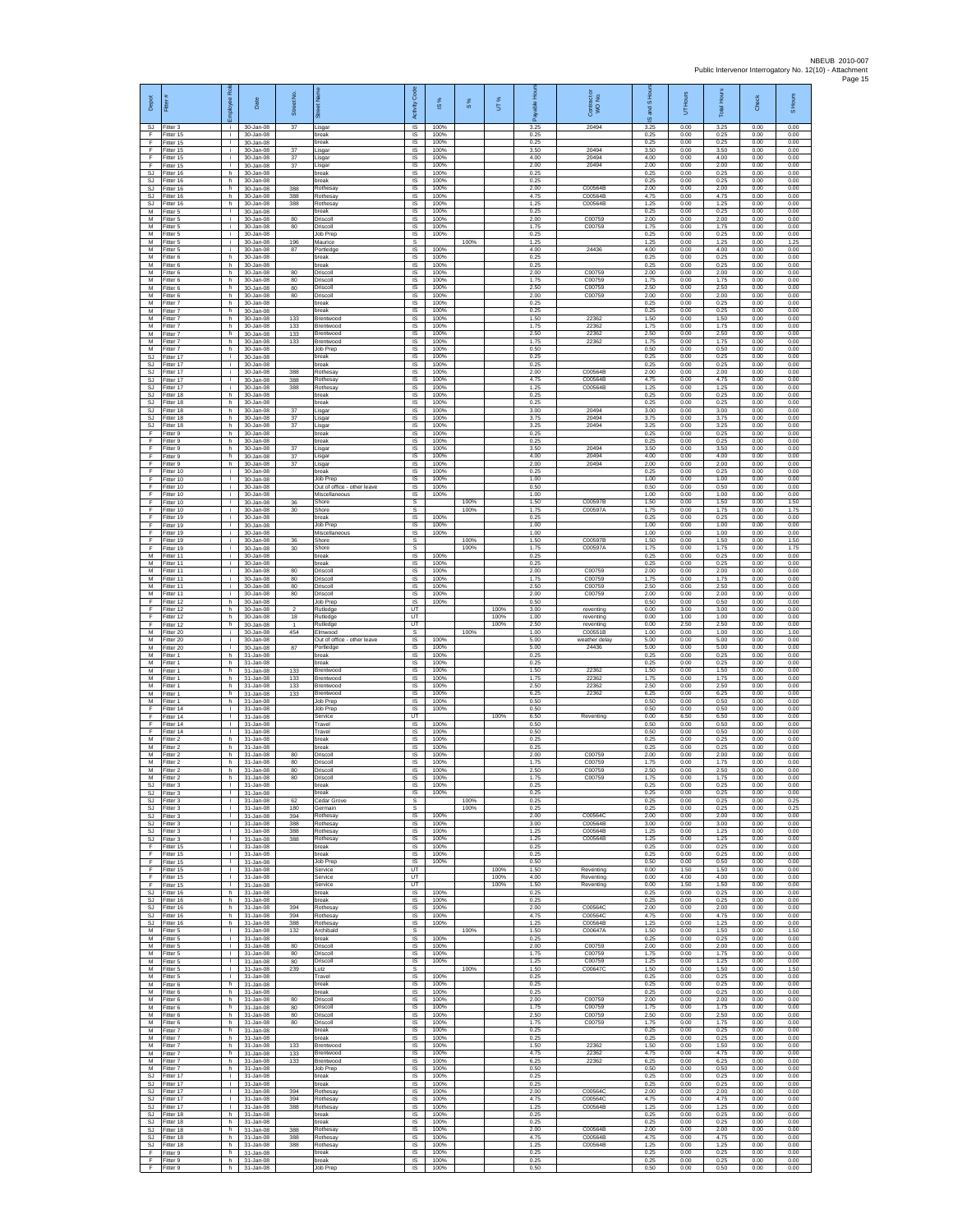| Depot                               |                                        | å<br>ployee                                  | Date                                | Street No             |                                                   | <b>Code</b><br>Activity                         | $\underline{\omega}$ | $\frac{8}{3}$ | UТ%          | <b>A</b><br>able<br>గొ | Contract or<br>WO No.         | and S Hou<br>$\overline{\omega}$ | UT Hours             | <b>Total Hours</b>   | Check                | S Hours              |
|-------------------------------------|----------------------------------------|----------------------------------------------|-------------------------------------|-----------------------|---------------------------------------------------|-------------------------------------------------|----------------------|---------------|--------------|------------------------|-------------------------------|----------------------------------|----------------------|----------------------|----------------------|----------------------|
| F                                   | SJ Fitter 3<br>Fitter 15               | i.<br>i.                                     | 30-Jan-08<br>30-Jan-08              | 37                    | Lisgar<br>break                                   | $\overline{\mathsf{S}}$<br>$\sf IS$             | 100%<br>100%         |               |              | 3.25<br>0.25           | 20494                         | 3.25<br>0.25                     | 0.00<br>0.00         | 3.25<br>0.25         | 0.00<br>0.00         | 0.00<br>0.00         |
| F<br>F<br>F                         | Fitter 15<br>Fitter 15<br>Fitter 15    | i.<br>i.<br>j.                               | 30-Jan-08<br>30-Jan-08<br>30-Jan-08 | 37<br>37              | break<br>Lisgar<br>Lisgar                         | IS<br>IS<br>IS                                  | 100%<br>100%<br>100% |               |              | 0.25<br>3.50<br>4.00   | 20494<br>20494                | 0.25<br>3.50<br>4.00             | 0.00<br>0.00<br>0.00 | 0.25<br>3.50<br>4.00 | 0.00<br>0.00<br>0.00 | 0.00<br>0.00<br>0.00 |
| F<br><b>SJ</b>                      | Fitter 15<br>fitter 16                 | i.<br>h.                                     | 30-Jan-08<br>30-Jan-08              | 37                    | Lisgar<br>break                                   | IS<br>IS                                        | 100%<br>100%         |               |              | 2.00<br>0.25           | 20494                         | 2.00<br>0.25                     | 0.00<br>0.00         | 2.00<br>0.25         | 0.00<br>0.00         | 0.00<br>0.00         |
| SJ<br>SJ                            | Fitter 16<br>Fitter 16                 | h.<br>h.                                     | 30-Jan-08<br>30-Jan-08              | 388                   | break<br>Rothesay                                 | IS<br>IS                                        | 100%<br>100%         |               |              | 0.25<br>2.00           | C00564B                       | 0.25<br>2.00                     | 0.00<br>0.00         | 0.25<br>2.00         | 0.00<br>0.00         | 0.00<br>0.00         |
| SJ<br><b>SJ</b><br>M                | Fitter 16<br>-itter 16<br>Fitter 5     | h<br>h.<br>÷.                                | 30-Jan-08<br>30-Jan-08<br>30-Jan-08 | 388<br>388            | Rothesay<br>Rothesay<br>break                     | $\sf IS$<br>IS<br>IS                            | 100%<br>100%<br>100% |               |              | 4.75<br>1.25<br>0.25   | C00564B<br>C00564B            | 4.75<br>1.25<br>0.25             | 0.00<br>0.00<br>0.00 | 4.75<br>1.25<br>0.25 | 0.00<br>0.00<br>0.00 | 0.00<br>0.00<br>0.00 |
| М<br>M                              | Fitter 5<br>itter 5                    | ÷.<br>i.                                     | 30-Jan-08<br>30-Jan-08              | 80<br>80              | Driscoll<br>Driscoll                              | IS<br>IS.                                       | 100%<br>100%         |               |              | 2.00<br>1.75           | C00759<br>C00759              | 2.00<br>1.75                     | 0.00<br>0.00         | 2.00<br>1.75         | 0.00<br>0.00         | 0.00<br>0.00         |
| M<br>М                              | Fitter 5<br>litter 5                   | i.<br>j.                                     | 30-Jan-08<br>30-Jan-08              | 196                   | Job Prec<br>Maurice                               | $\overline{s}$<br>s                             | 100%                 | 100%          |              | 0.25<br>1.25           |                               | 0.25<br>1.25                     | 0.00<br>0.00         | 0.25<br>1.25         | 0.00<br>0.00         | 0.00<br>1.25         |
| М<br>M<br>M                         | Fitter 5<br>fitter 6                   | i.<br>h.                                     | 30-Jan-08<br>$30 -$ lan-08          | 87                    | Portledge<br>break                                | IS.<br>IS                                       | 100%<br>100%         |               |              | 4.00<br>0.25           | 24436                         | 4.00<br>0.25                     | 0.00<br>0.00         | 4.00<br>0.25         | 0.00<br>0.00         | 0.00<br>0.00         |
| М<br>М                              | Fitter 6<br>Fitter 6<br>itter 6        | h<br>h.<br>h.                                | 30-Jan-08<br>30-Jan-08<br>30-Jan-08 | 80<br>80              | break<br>Driscoll<br>Driscoll                     | IS<br>$\sf IS$<br>IS                            | 100%<br>100%<br>100% |               |              | 0.25<br>2.00<br>1.75   | C00759<br>C00759              | 0.25<br>2.00<br>1.75             | 0.00<br>0.00<br>0.00 | 0.25<br>2.00<br>1.75 | 0.00<br>0.00<br>0.00 | 0.00<br>0.00<br>0.00 |
| M<br>M                              | Fitter 6<br>Fitter 6                   | h.<br>h                                      | 30-Jan-08<br>30-Jan-08              | 80<br>80              | Driscoll<br>Driscoll                              | IS<br>IS.                                       | 100%<br>100%         |               |              | 2.50<br>200            | C00759<br>C00759              | 2.50<br>2.00                     | 0.00<br>0.00         | 2.50<br>200          | 0.00<br>0.00         | 0.00<br>0.00         |
| М<br>M                              | Fitter 7<br>Fitter 7                   | h.<br>h.                                     | 30-Jan-08<br>30-Jan-08              |                       | break<br>break                                    | IS<br>$\overline{\mathsf{s}}$<br>IS             | 100%<br>100%<br>100% |               |              | 0.25<br>0.25<br>1.50   | 22362                         | 0.25<br>0.25<br>1.50             | 0.00<br>0.00<br>0.00 | 0.25<br>0.25<br>1.50 | 0.00<br>0.00<br>0.00 | 0.00<br>0.00<br>0.00 |
| M<br>М<br>M                         | Fitter 7<br>itter 7<br>itter 7         | h.<br>h.<br>h.                               | 30-Jan-08<br>30-Jan-08<br>30-Jan-08 | 133<br>133<br>133     | Brentwood<br>Brentwood<br>Brentwood               | $\sf IS$<br>IS                                  | 100%<br>100%         |               |              | 1.75<br>2.50           | 22362<br>22362                | 1.75<br>2.50                     | 0.00<br>0.00         | 1.75<br>2.50         | 0.00<br>0.00         | 0.00<br>0.00         |
| $\overline{M}$<br>M                 | Fitter 7<br>Fitter 7                   | h.<br>h.                                     | 30-Jan-08<br>30-Jan-08              | 133                   | Brentwood<br>Job Prep                             | $\overline{s}$<br>IS                            | 100%<br>100%         |               |              | 1.75<br>0.50           | 22362                         | 1.75<br>0.50                     | 0.00<br>0.00         | 1.75<br>0.50         | 0.00<br>0.00         | 0.00<br>0.00         |
| SJ<br><b>SJ</b>                     | Fitter 17<br>itter 17                  | ÷.<br>i.<br>j.                               | 30-Jan-08<br>30-Jan-08              |                       | break<br>break<br>Rothesay                        | IS<br>IS<br>IS                                  | 100%<br>100%<br>100% |               |              | 0.25<br>0.25<br>2.00   | C00564B                       | 0.25<br>0.25<br>2.00             | 0.00<br>0.00<br>0.00 | 0.25<br>0.25<br>2.00 | 0.00<br>0.00<br>0.00 | 0.00<br>0.00<br>0.00 |
| SJ<br>SJ<br>SJ                      | Fitter 17<br>Fitter 17<br>Fitter 17    | i.<br>j.                                     | 30-Jan-08<br>30-Jan-08<br>30-Jan-08 | 388<br>388<br>388     | Rothesay<br><b>Rothesa</b>                        | IS<br>$\sf IS$                                  | 100%<br>100%         |               |              | 4.75<br>1.25           | C00564B<br>C00564B            | 4.75<br>1.25                     | 0.00<br>0.00         | 4.75<br>1.25         | 0.00<br>0.00         | 0.00<br>0.00         |
| <b>SJ</b><br><b>SJ</b>              | Fitter 18<br>Fitter 18                 | h<br>h.                                      | 30-Jan-08<br>30-Jan-08              |                       | break<br>break                                    | IS<br>IS                                        | 100%<br>100%         |               |              | 0.25<br>0.25           |                               | 0.25<br>0.25                     | 0.00<br>0.00         | 0.25<br>0.25         | 0.00<br>0.00         | 0.00<br>0.00         |
| SJ<br><b>SJ</b><br>SJ.              | itter 18<br>itter 18<br>Fitter 18      | h.<br>h.<br>h.                               | 30-Jan-08<br>30-Jan-08<br>30-Jan-08 | 37<br>37<br>37        | Lisgar<br>Lisgar                                  | IS<br>$\overline{\mathsf{s}}$<br>$\overline{s}$ | 100%<br>100%<br>100% |               |              | 3.00<br>3.75<br>3.25   | 20494<br>20494<br>20494       | 3.00<br>3.75<br>3.25             | 0.00<br>0.00<br>0.00 | 3.00<br>3.75<br>3.25 | 0.00<br>0.00<br>0.00 | 0.00<br>0.00<br>0.00 |
| F<br>F                              | Fitter 9<br>Fitter 9                   | h.<br>h.                                     | 30-Jan-08<br>30-Jan-08              |                       | Lisgar<br>break<br>break                          | IS<br>IS                                        | 100%<br>100%         |               |              | 0.25<br>0.25           |                               | 0.25<br>0.25                     | 0.00<br>0.00         | 0.25<br>0.25         | 0.00<br>0.00         | 0.00<br>0.00         |
| F<br>F                              | fitter 9<br>Fitter 9                   | h.<br>h                                      | 30-Jan-08<br>30-Jan-08              | 37<br>37              | isgar<br>Lisgar                                   | IS<br>IS                                        | 100%<br>100%         |               |              | 3.50<br>4.00           | 20494<br>20494                | 3.50<br>4.00                     | 0.00<br>0.00         | 3.50<br>4.00         | 0.00<br>0.00         | 0.00<br>0.00         |
| F.<br>F<br>E                        | Fitter 9<br>itter 10<br>Fitter 10      | h.<br>j.<br>j.                               | 30-Jan-08<br>30-Jan-08<br>30-Jan-08 | 37                    | Lisgar<br>break<br>Job Prep                       | $\sf IS$<br>IS<br><b>IS</b>                     | 100%<br>100%<br>100% |               |              | 2.00<br>0.25<br>1.00   | 20494                         | 2.00<br>0.25<br>1.00             | 0.00<br>0.00<br>0.00 | 2.00<br>0.25<br>1.00 | 0.00<br>0.00<br>0.00 | 0.00<br>0.00<br>0.00 |
| F<br>F                              | Fitter 10<br>Fitter 10                 | j.<br>÷.                                     | 30-Jan-08<br>30-Jan-08              |                       | Out of office - other leave<br>Miscellaneous      | IS<br>IS                                        | 100%<br>100%         |               |              | 0.50<br>1.00           |                               | 0.50<br>1.00                     | 0.00<br>0.00         | 0.50<br>1.00         | 0.00<br>0.00         | 0.00<br>0.00         |
| F<br>F                              | Fitter 10<br>Fitter 10                 | j.<br>i.                                     | 30-Jan-08<br>30-Jan-08              | 36<br>30              | Shore<br>Shore                                    | s<br>s                                          |                      | 100%<br>100%  |              | 1.50<br>1.75           | C00597E<br>C00597A            | 1.50<br>1.75                     | 0.00<br>0.00         | 1.50<br>1.75         | 0.00<br>0.00         | 1.50<br>1.75         |
| F<br>F                              | Fitter 19<br>Fitter 19<br>Fitter 19    | i.<br>j.                                     | 30-Jan-08<br>30-Jan-08<br>30-Jan-08 |                       | break<br>Job Prep<br>Miscellaneous                | $\sf IS$<br>IS<br>$\overline{s}$                | 100%<br>100%<br>100% |               |              | 0.25<br>1.00<br>1.00   |                               | 0.25<br>1.00<br>1.00             | 0.00<br>0.00<br>0.00 | 0.25<br>1.00<br>1.00 | 0.00<br>0.00<br>0.00 | 0.00<br>0.00<br>0.00 |
| F<br>F<br>F                         | Fitter 19<br>Fitter 19                 | i.<br>j.<br>÷.                               | 30-Jan-08<br>30-Jan-08              | 36<br>30              | Shore<br>Shore                                    | s<br>s                                          |                      | 100%<br>100%  |              | 1.50<br>1.75           | C00597B<br>C00597A            | 1.50<br>1.75                     | 0.00<br>0.00         | 1.50<br>1.75         | 0.00<br>0.00         | 1.50<br>1.75         |
| M<br>M                              | fitter 11<br>Fitter 11                 | j.<br>÷i.                                    | 30-Jan-08<br>30-Jan-08              |                       | break<br>break                                    | IS<br>IS                                        | 100%<br>100%         |               |              | 0.25<br>0.25           |                               | 0.25<br>0.25                     | 0.00<br>0.00         | 0.25<br>0.25         | 0.00<br>0.00         | 0.00<br>0.00         |
| M<br>М                              | Fitter 11<br>Fitter 11                 | j.<br>j.                                     | 30-Jan-08<br>30-Jan-08              | 80<br>80              | Driscoll<br>Driscoll                              | IS<br>$\sf IS$                                  | 100%<br>100%         |               |              | 2.00<br>1.75           | C00759<br>C00759              | 2.00<br>1.75                     | 0.00<br>0.00         | 2.00<br>1.75         | 0.00<br>0.00         | 0.00<br>0.00         |
| M<br>M<br>F                         | Fitter 11<br>Fitter 11<br>itter 12     | i.<br>j.<br>h                                | 30-Jan-08<br>30-Jan-08<br>30-Jan-08 | 80<br>80              | Driscoll<br>Driscoll<br>Job Prep                  | IS<br>IS<br>IS                                  | 100%<br>100%<br>100% |               |              | 2.50<br>2.00<br>0.50   | C00759<br>C00759              | 2.50<br>2.00<br>0.50             | 0.00<br>0.00<br>0.00 | 2.50<br>2.00<br>0.50 | 0.00<br>0.00<br>0.00 | 0.00<br>0.00<br>0.00 |
| F<br>F                              | fitter 12<br>Fitter 12                 | h<br>h.                                      | 30-Jan-08<br>30-Jan-08              | $\overline{2}$<br>18  | Rutledge<br>Rutledge                              | UT<br>UT                                        |                      |               | 100%<br>100% | 3.00<br>1.00           | reventing<br>reventing        | 0.00<br>0.00                     | 3.00<br>1.00         | 3.00<br>1.00         | 0.00<br>0.00         | 0.00<br>0.00         |
| F<br>M                              | itter 12<br>Fitter 20                  | h.<br>i.                                     | 30-Jan-08<br>30-Jan-08              | $\overline{1}$<br>454 | Rutledge<br>Elmwood                               | UT<br>s                                         |                      | 100%          | 100%         | 2.50<br>1.00           | reventing<br>C00551B          | 0.00<br>1.00                     | 2.50<br>0.00         | 2.50<br>1.00         | 0.00<br>0.00         | 0.00<br>1.00         |
| M<br>M<br>М                         | fitter 20<br>Fitter 20<br>Fitter 1     | j.<br>τĩ.<br>h.                              | 30-Jan-08<br>30-Jan-08<br>31-Jan-08 | 87                    | Out of office - other leave<br>Portledge<br>break | IS<br>IS<br>$\sf IS$                            | 100%<br>100%<br>100% |               |              | 5.00<br>5.00<br>0.25   | weather delay<br>24436        | 5.00<br>5.00<br>0.25             | 0.00<br>0.00<br>0.00 | 5.00<br>5.00<br>0.25 | 0.00<br>0.00<br>0.00 | 0.00<br>0.00<br>0.00 |
| M<br>M                              | itter 1<br>Fitter 1                    | h.<br>h.                                     | 31-Jan-08<br>31-Jan-08              | 133                   | preak<br>Brentwood                                | IS<br>IS                                        | 100%<br>100%         |               |              | 0.25<br>1.50           | 22362                         | 0.25<br>1.50                     | 0.00<br>0.00         | 0.25<br>1.50         | 0.00<br>0.00         | 0.00<br>0.00         |
| M<br>М                              | Fitter 1<br>Fitter 1                   | h<br>h.                                      | 31-Jan-08<br>$31 - Jan-08$          | 133<br>133            | Brentwood<br>Brentwood                            | IS.<br>IS<br>$\overline{\mathsf{s}}$            | 100%<br>100%<br>100% |               |              | 1.75<br>2.50           | 22362<br>22362                | 1.75<br>2.50                     | 0.00<br>0.00         | 1.75<br>2.50         | 0.00<br>0.00         | 0.00<br>0.00         |
| M<br>M<br>F                         | Fitter 1<br>Fitter 1<br>itter 14       | h.<br>h.<br>$\mathbb{R}$                     | 31-Jan-08<br>31-Jan-08<br>31-Jan-08 | 133                   | Brentwood<br><b>Job Prep</b><br>Job Prep          | IS<br>$\sf IS$                                  | 100%<br>100%         |               |              | 6.25<br>0.50<br>0.50   | 22362                         | 6.25<br>0.50<br>0.50             | 0.00<br>0.00<br>0.00 | 6.25<br>0.50<br>0.50 | 0.00<br>0.00<br>0.00 | 0.00<br>0.00<br>0.00 |
| F<br>F                              | fitter 14<br>Fitter 14                 | $\mathbf{L}$<br>$\mathbf{L}$                 | $31 - Jan-08$<br>31-Jan-08          |                       | Service<br>Travel                                 | UT<br>$\overline{s}$                            | 100%                 |               | 100%         | 6.50<br>0.50           | Reventing                     | 0.00<br>0.50                     | 6.50<br>0.00         | 6.50<br>0.50         | 0.00<br>0.00         | 0.00<br>0.00         |
| F<br>М<br>M                         | Fitter 14<br>Fitter 2<br>itter 2       | $\mathbf{L}$<br>h.<br>h.                     | 31-Jan-08<br>31-Jan-08<br>31-Jan-08 |                       | Travel<br>break<br>break                          | IS<br>IS<br>IS                                  | 100%<br>100%<br>100% |               |              | 0.50<br>0.25<br>0.25   |                               | 0.50<br>0.25<br>0.25             | 0.00<br>0.00<br>0.00 | 0.50<br>0.25<br>0.25 | 0.00<br>0.00<br>0.00 | 0.00<br>0.00<br>0.00 |
| M<br>M                              | Fitter 2<br>Fitter 2                   | h.<br>h.                                     | 31-Jan-08<br>31-Jan-08              | 80<br>80              | Driscoll<br>Driscoll                              | IS<br>IS                                        | 100%<br>100%         |               |              | 2.00<br>1.75           | C00759<br>C00759              | 2.00<br>1.75                     | 0.00<br>0.00         | 2.00<br>1.75         | 0.00<br>0.00         | 0.00<br>0.00         |
| М<br>M                              | Fitter 2<br>Fitter 2                   | h<br>h.                                      | $31 - Jan-08$<br>31-Jan-08          | 80<br>80              | Driscoll<br>Driscoll                              | $\sf IS$<br>IS                                  | 100%<br>100%         |               |              | 2.50<br>1.75           | C00759<br>C00759              | 2.50<br>1.75                     | 0.00<br>0.00         | 2.50<br>1.75         | 0.00<br>0.00         | 0.00<br>0.00         |
| S.I<br>SJ<br>SJ                     | Fitter 3<br>Fitter 3<br>Fitter 3       | т.<br>т                                      | 31-Jan-08<br>31-Jan-08<br>31-Jan-08 | 62                    | hreak<br>break<br>Cedar Grove                     | <b>IS</b><br>1S<br>s                            | 100%<br>100%         | 100%          |              | 0.25<br>0.25<br>0.25   |                               | 0.25<br>0.25<br>0.25             | 0.00<br>0.00<br>0.00 | 0.25<br>0.25<br>0.25 | 0.00<br>0.00<br>0.00 | 0.00<br>0.00<br>0.25 |
| SJ<br>SJ                            | Fitter 3<br>Fitter 3                   | $\mathbf{I}$<br>$\mathbf{L}$                 | 31-Jan-08<br>31-Jan-08              | 180<br>394            | Germain<br>Rothesay                               | s<br>IS                                         | 100%                 | 100%          |              | 0.25<br>2.00           | C00564C                       | 0.25<br>2.00                     | 0.00<br>0.00         | 0.25<br>2.00         | 0.00<br>0.00         | 0.25<br>0.00         |
| SJ<br>SJ.                           | Fitter 3<br>Fitter 3                   | $\mathbf{L}$<br>$\mathbb{R}$                 | $31 - Jan-08$<br>$31 -$ lan-08      | 388<br>388            | <b>Rothesay</b><br>Rothesay                       | IS<br>IS                                        | 100%<br>100%         |               |              | 3.00<br>1.25           | C00564B<br>C00564B            | 3.00<br>1.25                     | 0.00<br>0.00         | 3.00<br>1.25         | 0.00<br>0.00         | 0.00<br>0.00         |
| <b>SJ</b><br>F<br>F                 | Fitter 3<br>Fitter 15<br>fitter 15     | <b>ILL S</b><br>$\Gamma$ .<br>$\mathbb{R}$   | 31-Jan-08<br>31-Jan-08<br>31-Jan-08 | 388                   | Rothesay<br>break<br>break                        | IS<br>$\sf IS$<br>IS                            | 100%<br>100%<br>100% |               |              | 1.25<br>0.25<br>0.25   | C00564B                       | 1.25<br>0.25<br>0.25             | 0.00<br>0.00<br>0.00 | 1.25<br>0.25<br>0.25 | 0.00<br>0.00<br>0.00 | 0.00<br>0.00<br>0.00 |
| F<br>F.                             | Fitter 15<br>Fitter 15                 | $\mathbf{L}$<br><b>ILL ST</b>                | $31 -$ lan-08<br>31-Jan-08          |                       | Job Prec<br>Service                               | IS<br><b>LIT</b>                                | 100%                 |               | 100%         | 0.50<br>1.50           | Reventing                     | 0.50<br>0.00                     | 0.00<br>1.50         | 0.50<br>1.50         | 0.00<br>0.00         | 0.00<br>0.00         |
| F<br>F                              | Fitter 15<br>Fitter 15                 | $\mathbf{L}$<br>т<br>h.                      | $31 - Jan-08$<br>31-Jan-08          |                       | Service<br>Service<br>break                       | UT<br>UT<br>IS                                  | 100%                 |               | 100%<br>100% | 4.00<br>1.50<br>0.25   | Reventing<br>Reventing        | 0.00<br>0.00<br>0.25             | 4.00<br>1.50<br>0.00 | 4.00<br>1.50<br>0.25 | 0.00<br>0.00<br>0.00 | 0.00<br>0.00<br>0.00 |
| SJ<br>$\mathbb{S}\mathbb{J}$        | SJ Fitter 16<br>Fitter 16<br>Fitter 16 | h.<br>h                                      | 31-Jan-08<br>31-Jan-08<br>31-Jan-08 | 394                   | break<br>Rothesay                                 | $\sf IS$<br>$\sf IS$                            | 100%<br>100%         |               |              | 0.25<br>2.00           | C00564C                       | 0.25<br>2.00                     | 0.00<br>0.00         | 0.25<br>2.00         | 0.00<br>0.00         | 0.00<br>0.00         |
| SJ.<br>SJ.                          | Fitter 16<br>Fitter 16                 | h.<br>h.                                     | $31 -$ lan-08<br>31-Jan-08          | 394<br>388            | Rothesay<br>Rothesay                              | IS<br>IS                                        | 100%<br>100%         |               |              | 4.75<br>1.25           | C00564C<br>C00564B            | 4.75<br>1.25                     | 0.00<br>0.00         | 4.75<br>1.25         | 0.00<br>0.00         | 0.00<br>0.00         |
| M<br>М<br>M                         | Fitter 5<br>fitter 5                   | $\mathbb{L}$<br>$\mathbf{L}$<br>л.           | 31-Jan-08<br>31-Jan-08              | 132<br>80             | Archibald<br>break<br>Driscoll                    | s<br>IS<br>IS                                   | 100%<br>100%         | 100%          |              | 1.50<br>0.25<br>2.00   | C00647A<br>C00759             | 1.50<br>0.25<br>2.00             | 0.00<br>0.00<br>0.00 | 1.50<br>0.25<br>2.00 | 0.00<br>0.00<br>0.00 | 1.50<br>0.00<br>0.00 |
| М<br>М                              | Fitter 5<br>Fitter 5<br>Fitter 5       | $\mathbf{L}$<br>$\mathbf{L}$                 | 31-Jan-08<br>31-Jan-08<br>31-Jan-08 | 80<br>80              | Driscoll<br>Driscoll                              | IS.<br>$\sf IS$                                 | 100%<br>100%         |               |              | 1.75<br>1.25           | C00759<br>C00759              | 1.75<br>1.25                     | 0.00<br>0.00         | 1.75<br>1.25         | 0.00<br>0.00         | 0.00<br>0.00         |
| M<br>M                              | Fitter 5<br>Fitter 5                   | <b>ILL</b><br>$\mathbb{R}$                   | 31-Jan-08<br>31-Jan-08              | 239                   | Lutz<br>Travel                                    | s<br>IS                                         | 100%                 | 100%          |              | 1.50<br>0.25           | C00647C                       | 1.50<br>0.25                     | 0.00<br>0.00         | 1.50<br>0.25         | 0.00<br>0.00         | 1.50<br>0.00         |
| М<br>M<br>M                         | Fitter 6<br>itter 6<br>Fitter 6        | h<br>h.<br>h.                                | 31-Jan-08<br>31-Jan-08<br>31-Jan-08 | 80                    | break<br>break<br>Driscoll                        | IS<br>1S<br>IS                                  | 100%<br>100%<br>100% |               |              | 0.25<br>0.25<br>2.00   | C00759                        | 0.25<br>0.25<br>2.00             | 0.00<br>0.00<br>0.00 | 0.25<br>0.25<br>2.00 | 0.00<br>0.00<br>0.00 | 0.00<br>0.00<br>0.00 |
| М<br>М                              | itter 6<br>Fitter 6                    | h.<br>h.                                     | 31-Jan-08<br>31-Jan-08              | 80<br>80              | Driscoll<br>Driscoll                              | IS<br>1S                                        | 100%<br>100%         |               |              | 1.75<br>2.50           | C00759<br>C00759              | 1.75<br>2.50                     | 0.00<br>0.00         | 1.75<br>2.50         | 0.00<br>0.00         | 0.00<br>0.00         |
| M<br>M                              | Fitter 6<br>Fitter 7                   | h.<br>h                                      | 31-Jan-08<br>31-Jan-08              | 80                    | Driscoll<br>break                                 | IS<br>IS                                        | 100%<br>100%         |               |              | 1.75<br>0.25           | C00759                        | 1.75<br>0.25                     | 0.00<br>0.00         | 1.75<br>0.25         | 0.00<br>0.00         | 0.00<br>0.00         |
| М<br>М<br>M                         | Fitter 7<br>itter 7<br>Fitter 7        | h.<br>h.<br>h.                               | 31-Jan-08<br>31-Jan-08<br>31-Jan-08 | 133<br>133            | break<br>Brentwood<br>Brentwood                   | $\sf IS$<br>IS<br><b>IS</b>                     | 100%<br>100%<br>100% |               |              | 0.25<br>1.50<br>4.75   | 22362<br>22362                | 0.25<br>1.50<br>4.75             | 0.00<br>0.00<br>0.00 | 0.25<br>1.50<br>4.75 | 0.00<br>0.00<br>0.00 | 0.00<br>0.00<br>0.00 |
| M<br>М                              | Fitter 7<br>Fitter 7                   | h.<br>h                                      | 31-Jan-08<br>$31 - Jan-08$          | 133                   | Brentwood<br>Job Prep                             | IS.<br>IS                                       | 100%<br>100%         |               |              | 6.25<br>0.50           | 22362                         | 6.25<br>0.50                     | 0.00<br>0.00         | 6.25<br>0.50         | 0.00<br>0.00         | 0.00<br>0.00         |
| <b>SJ</b>                           | Fitter 17<br>SJ Fitter 17              | T<br>$\mathbf{L}$                            | 31-Jan-08<br>31-Jan-08              |                       | break<br>break                                    | 1S<br>IS                                        | 100%<br>100%         |               |              | 0.25<br>0.25           |                               | 0.25<br>0.25                     | 0.00<br>0.00         | 0.25<br>0.25         | 0.00<br>0.00         | 0.00<br>0.00         |
| SJ<br>$\mathbb{S}\mathbb{J}$<br>SJ. | Fitter 17<br>Fitter 17<br>Fitter 17    | $\mathbb{R}$<br>$\mathbb{R}$<br>$\mathbf{I}$ | 31-Jan-08<br>31-Jan-08<br>31-Jan-08 | 394<br>394<br>388     | Rothesay<br>Rothesay<br>Rothesay                  | $\sf IS$<br>IS<br>IS                            | 100%<br>100%<br>100% |               |              | 2.00<br>4.75<br>1.25   | C00564C<br>C00564C<br>C00564B | 2.00<br>4.75<br>1.25             | 0.00<br>0.00<br>0.00 | 2.00<br>4.75<br>1.25 | 0.00<br>0.00<br>0.00 | 0.00<br>0.00<br>0.00 |
| SJ.<br><b>SJ</b>                    | Fitter 18<br>Fitter 18                 | h<br>h                                       | 31-Jan-08<br>31-Jan-08              |                       | break<br>break                                    | IS<br>IS                                        | 100%<br>100%         |               |              | 0.25<br>0.25           |                               | 0.25<br>0.25                     | 0.00<br>0.00         | 0.25<br>0.25         | 0.00<br>0.00         | 0.00<br>0.00         |
| SJ<br><b>SJ</b>                     | fitter 18<br>Fitter 18                 | h.<br>h.<br>h.                               | 31-Jan-08<br>31-Jan-08              | 388<br>388            | Rothesay<br>Rothesay                              | IS<br><b>IS</b><br>IS.                          | 100%<br>100%<br>100% |               |              | 2.00<br>4.75<br>1.25   | C00564B<br>C00564B<br>C00564B | 2.00<br>4.75<br>1.25             | 0.00<br>0.00<br>0.00 | 2.00<br>4.75<br>1.25 | 0.00<br>0.00<br>0.00 | 0.00<br>0.00<br>0.00 |
| F<br>F.                             | SJ Fitter 18<br>Fitter 9<br>Fitter 9   | h<br>h.                                      | 31-Jan-08<br>31-Jan-08<br>31-Jan-08 | 388                   | Rothesay<br>break<br>break                        | $\sf IS$<br>IS                                  | 100%<br>100%         |               |              | 0.25<br>0.25           |                               | 0.25<br>0.25                     | 0.00<br>0.00         | 0.25<br>0.25         | 0.00<br>0.00         | 0.00<br>0.00         |
| F.                                  | Fitter 9                               | h.                                           | 31-Jan-08                           |                       | Job Prep                                          | IS                                              | 100%                 |               |              | 0.50                   |                               | 0.50                             | 0.00                 | 0.50                 | 0.00                 | 0.00                 |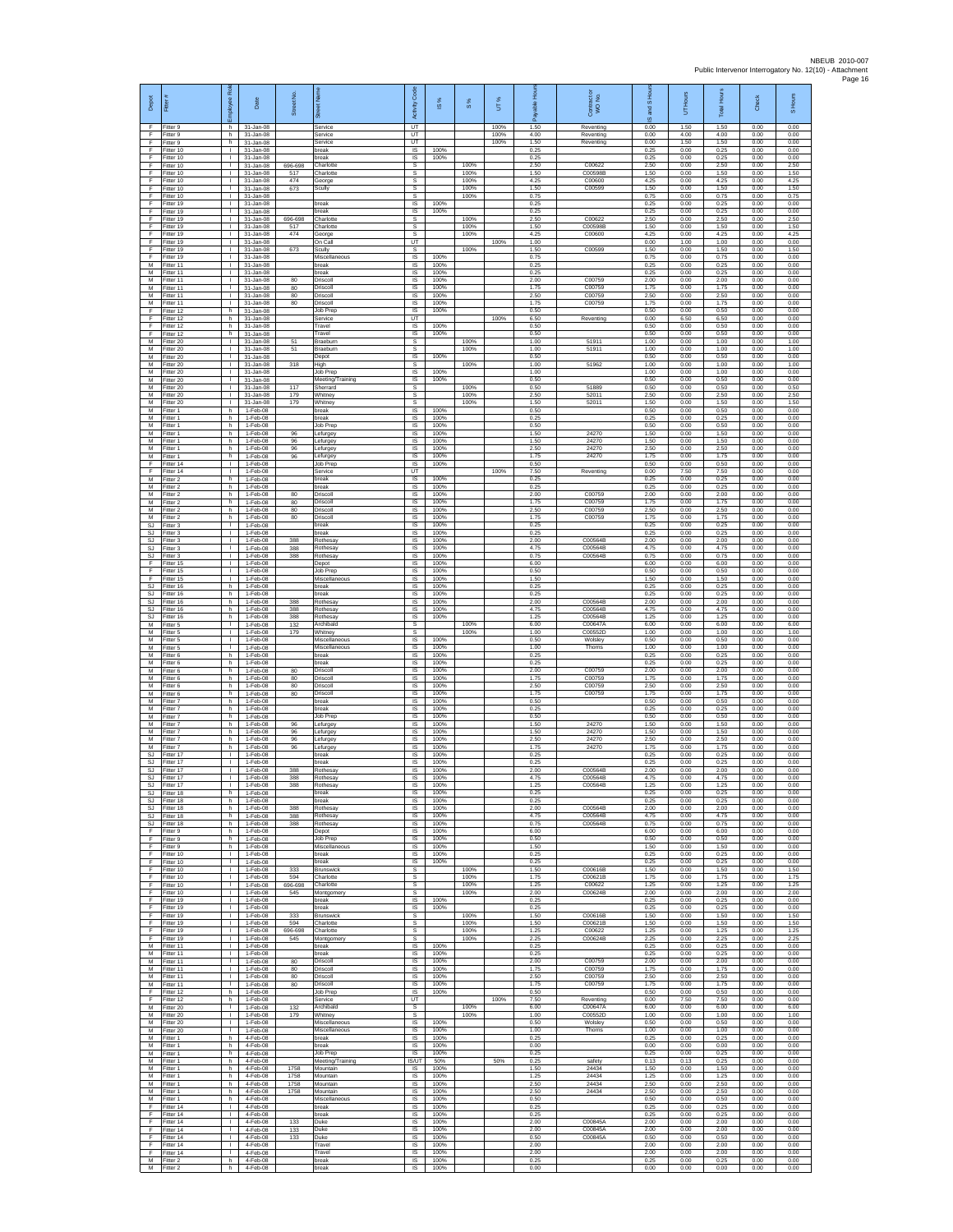| Depot                       | Ē                                    | ē<br>eekoldt                                 | Date                                    | Street No.        | 蔥                                       | Code<br>Activity                   | 1S%                  | 8%           | UT%          | Ē<br>able            | Contract or<br>WO No.         | and S Hou<br>ဖ       | Hours<br>5           | <b>Total Hours</b>   | Check                | S Hours              |
|-----------------------------|--------------------------------------|----------------------------------------------|-----------------------------------------|-------------------|-----------------------------------------|------------------------------------|----------------------|--------------|--------------|----------------------|-------------------------------|----------------------|----------------------|----------------------|----------------------|----------------------|
| F<br>F                      | Fitter 9<br>Fitter 9                 | h.<br>h                                      | 31-Jan-08<br>31-Jan-08                  |                   | Service<br>Service                      | UT<br>UT                           |                      |              | 100%<br>100% | 1.50<br>4.00         | Reventing<br>Reventing        | 0.00<br>0.00         | 1.50<br>4.00         | 1.50<br>4.00         | 0.00<br>0.00         | 0.00<br>0.00         |
| F<br>F                      | Fitter 9<br>Fitter 10                | h.<br>$\mathbf{L}$                           | $31 - Jan-08$<br>31-Jan-08              |                   | Service<br>break                        | UT<br>IS.                          | 100%                 |              | 100%         | 1.50<br>0.25         | Reventing                     | 0.00<br>0.25         | 1.50<br>0.00         | 1.50<br>0.25         | 0.00<br>0.00         | 0.00<br>0.00         |
| E<br>F<br>F                 | Fitter 10<br>Fitter 10<br>Fitter 10  | $\mathbf{L}$<br>$\mathbf{L}$<br>$\mathbf{L}$ | 31-Jan-08<br>31-Jan-08<br>31-Jan-08     | 696-698<br>517    | reak<br>Charlotte<br>Charlotte          | IS<br>s<br>s                       | 100%                 | 100%<br>100% |              | 0.25<br>2.50<br>1.50 | C00622<br>C00598E             | 0.25<br>2.50<br>1.50 | 0.00<br>0.00<br>0.00 | 0.25<br>2.50<br>1.50 | 0.00<br>0.00<br>0.00 | 0.00<br>2.50<br>1.50 |
| F<br>F                      | Fitter 10<br>Fitter 10               | $\mathbf{L}$<br>$\mathbf{L}$                 | 31-Jan-08<br>31-Jan-08                  | 474<br>673        | George<br>Scully                        | s<br>s                             |                      | 100%<br>100% |              | 4.25<br>1.50         | C00600<br>C00599              | 4.25<br>1.50         | 0.00<br>0.00         | 4.25<br>1.50         | 0.00<br>0.00         | 4.25<br>1.50         |
| F<br>F                      | Fitter 10<br>Fitter 19               | $\mathbf{L}$<br>$\mathbb{R}$                 | $31 - Jan-08$<br>31-Jan-08              |                   | break                                   | $\mathbb S$<br><b>IS</b>           | 100%                 | 100%         |              | 0.75<br>0.25         |                               | 0.75<br>0.25         | 0.00<br>0.00         | 0.75<br>0.25         | 0.00<br>0.00         | 0.75<br>0.00         |
| F.<br>F                     | Fitter 19<br>Fitter 19               | $\mathbf{L}$<br>т.                           | 31-Jan-08<br>31-Jan-08                  | 696-698           | oreak<br>Charlotte                      | IS.<br>s                           | 100%                 | 100%         |              | 0.25<br>2.50         | C00622                        | 0.25<br>2.50         | 0.00<br>0.00         | 0.25<br>2.50         | 0.00<br>0.00         | 0.00<br>2.50         |
| F<br>F                      | Fitter 19<br>Fitter 19               | $\mathbf{L}$<br>$\mathbf{L}$                 | 31-Jan-08<br>31-Jan-08                  | 517<br>474        | Charlotte<br>George                     | s<br>s                             |                      | 100%<br>100% |              | 1.50<br>4.25         | C00598B<br>C00600             | 1.50<br>4.25         | 0.00<br>0.00         | 1.50<br>4.25         | 0.00<br>0.00         | 1.50<br>4.25         |
| F<br>F<br>F                 | Fitter 19<br>Fitter 19<br>Fitter 19  | $\mathbf{L}$<br>$\mathbf{L}$<br>$\mathbf{L}$ | 31-Jan-08<br>31-Jan-08<br>31-Jan-08     | 673               | On Call<br>Scully<br>Miscellaneous      | UT<br>s<br>1S                      | 100%                 | 100%         | 100%         | 1.00<br>1.50<br>0.75 | C00599                        | 0.00<br>1.50<br>0.75 | 1.00<br>0.00<br>0.00 | 1.00<br>1.50<br>0.75 | 0.00<br>0.00<br>0.00 | 0.00<br>1.50<br>0.00 |
| M<br>М                      | Fitter 11<br>Fitter 11               | $\mathbf{L}$<br>$\mathbf{L}$                 | 31-Jan-08<br>31-Jan-08                  |                   | break<br>break                          | IS<br>$\sf IS$                     | 100%<br>100%         |              |              | 0.25<br>0.25         |                               | 0.25<br>0.25         | 0.00<br>0.00         | 0.25<br>0.25         | 0.00<br>0.00         | 0.00<br>0.00         |
| М<br>M                      | Fitter 11<br>Fitter 11               | $\mathbf{L}$<br>$\mathbf{L}$                 | 31-Jan-08<br>31-Jan-08                  | 80<br>80          | Driscoll<br>Driscoll                    | IS<br><b>IS</b>                    | 100%<br>100%         |              |              | 2.00<br>1.75         | C00759<br>C00759              | 2.00<br>1.75         | 0.00<br>0.00         | 2.00<br>1.75         | 0.00<br>0.00         | 0.00<br>0.00         |
| M<br>М                      | Fitter 11<br>Fitter 11               | $\mathbf{L}$<br>L.                           | 31-Jan-08<br>$31 - Jan-08$              | 80<br>80          | Driscoll<br>Driscoll                    | <b>IS</b><br>IS                    | 100%<br>100%         |              |              | 2.50<br>1.75         | C00759<br>C00759              | 2.50<br>1.75         | 0.00<br>0.00         | 2.50<br>1.75         | 0.00<br>0.00         | 0.00<br>0.00         |
| F<br>F                      | Fitter 12<br>Fitter 12               | h.<br>h                                      | 31-Jan-08<br>31-Jan-08                  |                   | Job Prep<br>Service                     | IS<br>UT                           | 100%                 |              | 100%         | 0.50<br>6.50         | Reventing                     | 0.50<br>0.00         | 0.00<br>6.50         | 0.50<br>6.50         | 0.00<br>0.00         | 0.00<br>0.00         |
| F<br>F<br>M                 | Fitter 12<br>Fitter 12<br>Fitter 20  | h<br>h.<br>$\mathbf{L}$                      | 31-Jan-08<br>$31 - Jan-08$<br>31-Jan-08 | 51                | Travel<br>Travel<br>Braeburn            | $\sf IS$<br>$\sf IS$<br>-S         | 100%<br>100%         | 100%         |              | 0.50<br>0.50<br>1.00 | 51911                         | 0.50<br>0.50<br>1.00 | 0.00<br>0.00<br>0.00 | 0.50<br>0.50<br>1.00 | 0.00<br>0.00<br>0.00 | 0.00<br>0.00<br>1.00 |
| М<br>М                      | Fitter 20<br>Fitter 20               | $\mathbf{L}$<br>$\mathbb{L}$                 | 31-Jan-08<br>31-Jan-08                  | 51                | Braeburn<br>Depot                       | s<br>1S                            | 100%                 | 100%         |              | 1.00<br>0.50         | 51911                         | 1.00<br>0.50         | 0.00<br>0.00         | 1.00<br>0.50         | 0.00<br>0.00         | 1.00<br>0.00         |
| М<br>M                      | fitter 20<br>Fitter 20               | $\mathbf{L}$<br>$\mathbf{L}$                 | 31-Jan-08<br>31-Jan-08                  | 318               | High<br>Job Prep                        | s<br><b>IS</b>                     | 100%                 | 100%         |              | 1.00<br>1.00         | 51962                         | 1.00<br>1.00         | 0.00<br>0.00         | 1.00<br>1.00         | 0.00<br>0.00         | 1.00<br>0.00         |
| M<br>М                      | litter 20<br>Fitter 20               | $\mathbf{L}$<br>$\mathbf{L}$                 | 31-Jan-08<br>$31 - Jan-08$              | 117               | Meeting/Training<br>Sherrard            | <b>IS</b><br>$\mathbb S$           | 100%                 | 100%         |              | 0.50<br>0.50         | 51889                         | 0.50<br>0.50         | 0.00<br>0.00         | 0.50<br>0.50         | 0.00<br>0.00         | 0.00<br>0.50         |
| M<br>M<br>М                 | Fitter 20<br>Fitter 20<br>Fitter 1   | $\mathbf{L}$<br>$\mathbf{L}$<br>h.           | 31-Jan-08<br>31-Jan-08<br>1-Feb-08      | 179<br>179        | Whitney<br>Whitney<br>break             | s<br>s<br>IS                       | 100%                 | 100%<br>100% |              | 2.50<br>1.50<br>0.50 | 52011<br>52011                | 2.50<br>1.50<br>0.50 | 0.00<br>0.00<br>0.00 | 2.50<br>1.50<br>0.50 | 0.00<br>0.00<br>0.00 | 2.50<br>1.50<br>0.00 |
| M<br>M                      | -itter 1<br>Fitter 1                 | h.<br>h.                                     | 1-Feb-08<br>1-Feb-08                    |                   | break<br>Job Prep                       | 1S<br>IS                           | 100%<br>100%         |              |              | 0.25<br>0.50         |                               | 0.25<br>0.50         | 0.00<br>0.00         | 0.25<br>0.50         | 0.00<br>0.00         | 0.00<br>0.00         |
| М<br>M                      | Fitter 1<br>Fitter 1                 | h<br>h.                                      | 1-Feb-08<br>1-Feb-08                    | 96<br>$96\,$      | Lefurgey<br>.efurgey                    | IS<br>IS                           | 100%<br>100%         |              |              | 1.50<br>1.50         | 24270<br>24270                | 1.50<br>1.50         | 0.00<br>0.00         | 1.50<br>1.50         | 0.00<br>0.00         | 0.00<br>0.00         |
| M<br>M                      | Fitter 1<br>Fitter 1                 | h.<br>h.                                     | 1-Feb-08<br>1-Feb-08                    | 96<br>96          | .efurgey<br>efurgey                     | IS<br>IS                           | 100%<br>100%         |              |              | 2.50<br>1.75         | 24270<br>24270                | 2.50<br>1.75         | 0.00<br>0.00         | 2.50<br>1.75         | 0.00<br>0.00         | 0.00<br>0.00         |
| F<br>F<br>M                 | Fitter 14<br>ltter 14<br>Fitter 2    | $\mathbf{L}$<br>$\mathbf{L}$<br>h.           | 1-Feb-08<br>1-Feb-08<br>1-Feb-08        |                   | Job Prep<br>Service<br>break            | $\sf IS$<br>UT<br>- IS             | 100%<br>100%         |              | 100%         | 0.50<br>7.50<br>0.25 | Reventing                     | 0.50<br>0.00<br>0.25 | 0.00<br>7.50<br>0.00 | 0.50<br>7.50<br>0.25 | 0.00<br>0.00<br>0.00 | 0.00<br>0.00<br>0.00 |
| M<br>М                      | Fitter 2<br>Fitter 2                 | h.<br>h.                                     | 1-Feb-08<br>1-Feb-08                    | 80                | hreak<br>Driscoll                       | IS.<br>IS                          | 100%<br>100%         |              |              | 0.25<br>2.00         | C00759                        | 0.25<br>2.00         | 0.00<br>0.00         | 0.25<br>2.00         | 0.00<br>0.00         | 0.00<br>0.00         |
| M<br>M                      | Fitter 2<br>Fitter 2                 | h.<br>h.                                     | 1-Feb-08<br>1-Feb-08                    | 80<br>80          | Driscoll<br>Driscoll                    | 1S<br><b>IS</b>                    | 100%<br>100%         |              |              | 1.75<br>2.50         | C00759<br>C00759              | 1.75<br>2.50         | 0.00<br>0.00         | 1.75<br>2.50         | 0.00<br>0.00         | 0.00<br>0.00         |
| М<br>$\mathbb{S}\mathbb{J}$ | -itter 2<br>Fitter 3                 | h.<br>$\mathbb{R}^n$                         | 1-Feb-08<br>1-Feb-08<br>1-Feb-08        | 80                | Driscoll<br>break                       | $\sf IS$<br>$\sf IS$<br>IS         | 100%<br>100%<br>100% |              |              | 1.75<br>0.25<br>0.25 | C00759                        | 1.75<br>0.25<br>0.25 | 0.00<br>0.00<br>0.00 | 1.75<br>0.25<br>0.25 | 0.00<br>0.00<br>0.00 | 0.00<br>0.00<br>0.00 |
| SJ.<br>SJ<br><b>SJ</b>      | Fitter 3<br>Fitter 3<br>Fitter 3     | $\mathbf{L}$<br>$\mathbf{L}$<br>$\mathbb{L}$ | 1-Feb-08<br>1-Feb-08                    | 388<br>388        | break<br>Rothesay<br><b>Rothesay</b>    | IS<br>1S                           | 100%<br>100%         |              |              | 2.00<br>4.75         | C00564B<br>C00564B            | 2.00<br>4.75         | 0.00<br>0.00         | 2.00<br>4.75         | 0.00<br>0.00         | 0.00<br>0.00         |
| SJ<br>F                     | Fitter 3<br>Fitter 15                | $\mathbf{L}$<br>$\mathbf{L}$                 | 1-Feb-08<br>1-Feb-08                    | 388               | Rothesay<br>Depot                       | IS<br>IS                           | 100%<br>100%         |              |              | 0.75<br>6.00         | C00564B                       | 0.75<br>6.00         | 0.00<br>0.00         | 0.75<br>6.00         | 0.00<br>0.00         | 0.00<br>0.00         |
| F.<br>F                     | Fitter 15<br>Fitter 15               | $\mathbf{L}$<br>$\mathbf{I}$                 | 1-Feb-08<br>1-Feb-08                    |                   | Job Prep<br>Miscellaneous               | IS.<br>IS                          | 100%<br>100%         |              |              | 0.50<br>1.50         |                               | 0.50<br>1.50         | 0.00<br>0.00         | 0.50<br>1.50         | 0.00<br>0.00         | 0.00<br>0.00         |
| <b>SJ</b><br>SJ             | Fitter 16<br>Fitter 16               | h<br>h.                                      | 1-Feb-08<br>1-Feb-08                    |                   | break<br>break                          | <b>IS</b><br>IS                    | 100%<br>100%         |              |              | 0.25<br>0.25         |                               | 0.25<br>0.25         | 0.00<br>0.00         | 0.25<br>0.25         | 0.00<br>0.00         | 0.00<br>0.00         |
| SJ<br>SJ<br>SJ.             | Fitter 16<br>fitter 16<br>Fitter 16  | h<br>h.<br>h.                                | 1-Feb-08<br>1-Feb-08<br>1-Feb-08        | 388<br>388<br>388 | Rothesay<br>Rothesay<br>Rothesav        | IS<br>1S<br>IS                     | 100%<br>100%<br>100% |              |              | 2.00<br>4.75<br>1.25 | C00564B<br>C00564B<br>C00564B | 2.00<br>4.75<br>1.25 | 0.00<br>0.00<br>0.00 | 2.00<br>4.75<br>1.25 | 0.00<br>0.00<br>0.00 | 0.00<br>0.00<br>0.00 |
| М<br>M                      | -itter 5<br>Fitter 5                 | $\mathbf{L}$<br>$\mathbb{L}$                 | 1-Feb-08<br>1-Feb-08                    | 132<br>179        | Archibald<br>Whitney                    | s<br>s                             |                      | 100%<br>100% |              | 6.00<br>1.00         | C00647A<br>C00552D            | 6.00<br>1.00         | 0.00<br>0.00         | 6.00<br>1.00         | 0.00<br>0.00         | 6.00<br>1.00         |
| M<br>M                      | Fitter 5<br>Fitter 5                 | $\mathbf{L}$<br>т.                           | 1-Feb-08<br>1-Feb-08                    |                   | Miscellaneous<br>Miscellaneous          | 1S<br>IS                           | 100%<br>100%         |              |              | 0.50<br>1.00         | Wolsley<br>Thoms              | 0.50<br>1.00         | 0.00<br>0.00         | 0.50<br>1.00         | 0.00<br>0.00         | 0.00<br>0.00         |
| М<br>М<br>M                 | Fitter 6<br>-itter 6<br>Fitter 6     | h.<br>h<br>h.                                | $1-Feb-08$<br>1-Feb-08<br>1-Feb-08      | 80                | break<br>oreak<br>Driscoll              | $\sf IS$<br>IS<br><b>IS</b>        | 100%<br>100%<br>100% |              |              | 0.25<br>0.25<br>2.00 | C00759                        | 0.25<br>0.25<br>2.00 | 0.00<br>0.00<br>0.00 | 0.25<br>0.25<br>2.00 | 0.00<br>0.00<br>0.00 | 0.00<br>0.00<br>0.00 |
| M<br>М                      | Fitter 6<br>Fitter 6                 | h.<br>h.                                     | 1-Feb-08<br>1-Feb-08                    | 80<br>80          | Driscoll<br>Driscoll                    | <b>IS</b><br>IS                    | 100%<br>100%         |              |              | 1 75<br>2.50         | C00759<br>C00759              | 1.75<br>2.50         | 0.00<br>0.00         | 1.75<br>2.50         | 0.00<br>0.00         | 0.00<br>0.00         |
| M<br>M                      | Fitter 6<br>Fitter 7                 | h.<br>h.                                     | 1-Feb-08<br>1-Feb-08                    | 80                | Driscoll<br>break                       | 1S<br>IS                           | 100%<br>100%         |              |              | 1.75<br>0.50         | C00759                        | 1.75<br>0.50         | 0.00<br>0.00         | 1.75<br>0.50         | 0.00<br>0.00         | 0.00<br>0.00         |
| М<br>M                      | -itter 7<br>Fitter 7                 | h<br>h.                                      | 1-Feb-08<br>1-Feb-08                    |                   | break<br>Job Prep                       | $\sf IS$<br>$\sf IS$               | 100%<br>100%         |              |              | 0.25<br>0.50         |                               | 0.25<br>0.50         | 0.00<br>0.00         | 0.25<br>0.50         | 0.00<br>0.00         | 0.00<br>0.00         |
| M<br>M<br>M                 | Fitter 7<br>Fitter 7<br>Fitter 7     | h.<br>h<br>h.                                | 1-Feb-08<br>1-Feb-08<br>1-Feb-08        | 96<br>96<br>96    | Lefurgey<br>Lefurgey<br>efurgey         | IS<br>IS<br>1S                     | 100%<br>100%<br>100% |              |              | 1.50<br>1.50<br>2.50 | 24270<br>24270<br>24270       | 1.50<br>1.50<br>2.50 | 0.00<br>0.00<br>0.00 | 1.50<br>1.50<br>2.50 | 0.00<br>0.00<br>0.00 | 0.00<br>0.00<br>0.00 |
| М<br>SJ                     | Fitter 7<br>Fitter 17                | h<br>$\mathbf{L}$                            | 1-Feb-08<br>1-Feb-08                    | 96                | .efurgey<br>break                       | IS<br><b>IS</b>                    | 100%<br>100%         |              |              | 1.75<br>0.25         | 24270                         | 1.75<br>0.25         | 0.00<br>0.00         | 1.75<br>0.25         | 0.00<br>0.00         | 0.00<br>0.00         |
| SJ<br>SJ                    | Fitter 17<br>Fitter 17               | $\mathbf{L}$<br>т.                           | 1-Feb-08<br>1-Feb-08                    | 388               | hreak<br>Rothesay                       | IS.<br>$\sf IS$                    | 100%<br>100%         |              |              | 0.25<br>2.00         | C00564B                       | 0.25<br>2.00         | 0.00<br>0.00         | 0.25<br>2.00         | 0.00<br>0.00         | 0.00<br>0.00         |
| SJ.<br>S.I                  | Fitter 17<br>Fitter 17               | $\mathbb{R}^n$                               | 1-Feb-08<br>1-Feb-08                    | 388<br>388        | Rothesay<br>Rothesay                    | IS<br><b>IS</b>                    | 100%<br>100%         |              |              | 4.75<br>1 25         | C00564B<br>C00564B            | 4.75<br>1.25         | 0.00<br>0.00         | 4.75<br>1.25         | 0.00<br>0.00         | 0.00<br>0.00         |
| SJ<br>SJ.<br>SJ.            | Fitter 18<br>Fitter 18<br>Fitter 18  | h<br>h.<br>h.                                | 1-Feb-08<br>1-Feb-08<br>$1-Feh-08$      | 388               | break<br>break<br>Rothesav              | 1S<br><b>IS</b><br>IS              | 100%<br>100%<br>100% |              |              | 0.25<br>0.25<br>2.00 | C00564B                       | 0.25<br>0.25<br>2.00 | 0.00<br>0.00<br>0.00 | 0.25<br>0.25<br>2.00 | 0.00<br>0.00<br>0.00 | 0.00<br>0.00<br>0.00 |
| SJ<br>SJ                    | Fitter 18<br>Fitter 18               | h.<br>h.                                     | 1-Feb-08<br>1-Feb-08                    | 388<br>388        | Rothesay<br><b>Rothesay</b>             | IS<br>1S                           | 100%<br>100%         |              |              | 4.75<br>0.75         | C00564B<br>C00564B            | 4.75<br>0.75         | 0.00<br>0.00         | 4.75<br>0.75         | 0.00<br>0.00         | 0.00<br>0.00         |
| F<br>F                      | Fitter 9<br>Fitter 9                 | h.<br>h.                                     | 1-Feb-08<br>1-Feb-08                    |                   | Depot<br>Job Prep                       | IS<br>IS                           | 100%<br>100%         |              |              | 6.00<br>0.50         |                               | 6.00<br>0.50         | 0.00<br>0.00         | 6.00<br>0.50         | 0.00<br>0.00         | 0.00<br>0.00         |
| F.<br>F<br>F                | Fitter 9<br>Fitter 10<br>Fitter 10   | h.<br>$\mathbf{L}$<br>$\mathbf{L}$           | 1-Feb-08<br>1-Feb-08<br>$1-Feh-08$      |                   | Miscellaneous<br>break<br>break         | IS<br>IS<br>IS                     | 100%<br>100%<br>100% |              |              | 1.50<br>0.25<br>0.25 |                               | 1.50<br>0.25<br>0.25 | 0.00<br>0.00<br>0.00 | 1.50<br>0.25<br>0.25 | 0.00<br>0.00<br>0.00 | 0.00<br>0.00<br>0.00 |
| F.<br>F                     | Fitter 10<br>Fitter 10               | $\mathbf{L}$<br>т.                           | 1-Feb-08<br>1-Feb-08                    | 333<br>594        | <b>Brunswick</b><br>Charlotte           | s<br>s                             |                      | 100%<br>100% |              | 1.50<br>1.75         | C00616B<br>C00621B            | 1.50<br>1.75         | 0.00<br>0.00         | 1.50<br>1.75         | 0.00<br>0.00         | 1.50<br>1.75         |
| F.<br>F.                    | Fitter 10<br>Fitter 10               | $\mathbf{L}$<br>$\mathbf{L}$                 | 1-Feb-08<br>1-Feb-08                    | 696-698<br>545    | Charlotte<br>Montgomery                 | s<br>-S                            |                      | 100%<br>100% |              | 1.25<br>2.00         | C00622<br>C00624B             | 1.25<br>2.00         | 0.00<br>0.00         | 1.25<br>2.00         | 0.00<br>0.00         | 1.25<br>2.00         |
| $\mathsf F$<br>F.           | Fitter 19<br>Fitter 19<br>Fitter 19  | $\mathbf{L}$<br>$\mathbb{R}^n$               | 1-Feb-08<br>1-Feb-08<br>1-Feb-08        | 333               | break<br>break<br>Brunswick             | $\sf IS$<br>IS                     | 100%<br>100%         | 100%         |              | 0.25<br>0.25<br>1.50 | C00616B                       | 0.25<br>0.25<br>1.50 | 0.00<br>0.00<br>0.00 | 0.25<br>0.25<br>1.50 | 0.00<br>0.00<br>0.00 | 0.00<br>0.00<br>1.50 |
| F<br>F.<br>F                | Fitter 19<br>Fitter 19               | $\mathbf{L}$<br>$\mathbf{L}$<br>$\mathbf{L}$ | 1-Feb-08<br>1-Feb-08                    | 594<br>696-698    | Charlotte<br>Charlotte                  | s<br>s<br>s                        |                      | 100%<br>100% |              | 1.50<br>1.25         | C00621B<br>C00622             | 1.50<br>1.25         | 0.00<br>0.00         | 1.50<br>1.25         | 0.00<br>0.00         | 1.50<br>1.25         |
| F<br>M                      | Fitter 19<br>Fitter 11               | $\mathbf{L}$<br>$\mathbf{L}$                 | 1-Feb-08<br>1-Feb-08                    | 545               | Montgomery<br>break                     | s<br><b>IS</b>                     | 100%                 | 100%         |              | 2.25<br>0.25         | C00624B                       | 2.25<br>0.25         | 0.00<br>0.00         | 2.25<br>0.25         | 0.00<br>0.00         | 2.25<br>0.00         |
| M<br>М                      | Fitter 11<br>Fitter 11               | $\mathbf{L}$<br>$\mathbf{L}$                 | 1-Feb-08<br>1-Feb-08                    | 80                | break<br>Driscoll                       | <b>IS</b><br>$\sf IS$              | 100%<br>100%         |              |              | 0.25<br>2.00         | C00759                        | 0.25<br>2.00         | 0.00<br>0.00         | 0.25<br>2.00         | 0.00<br>0.00         | 0.00<br>0.00         |
| M<br>M<br>M                 | Fitter 11<br>Fitter 11<br>Fitter 11  | $\mathbb{R}$<br>$\mathbf{L}$<br>т.           | $1-Feh-08$<br>1-Feb-08<br>1-Feb-08      | 80<br>80<br>80    | Driscoll<br>Driscoll<br>Driscoll        | <b>IS</b><br>IS<br>IS              | 100%<br>100%<br>100% |              |              | 1.75<br>2.50<br>1.75 | C00759<br>C00759<br>C00759    | 1.75<br>2.50<br>1.75 | 0.00<br>0.00<br>0.00 | 1.75<br>2.50<br>1.75 | 0.00<br>0.00<br>0.00 | 0.00<br>0.00<br>0.00 |
| F<br>F                      | Fitter 12<br>Fitter 12               | h.<br>h.                                     | 1-Feb-08<br>1-Feb-08                    |                   | Job Prep<br>Service                     | IS<br>$\overline{u}$               | 100%                 |              | 100%         | 0.50<br>7.50         | Reventing                     | 0.50<br>0.00         | 0.00<br>7.50         | 0.50<br>7.50         | 0.00<br>0.00         | 0.00<br>0.00         |
| М<br>M                      | Fitter 20<br>Fitter 20               | $\mathbf{L}$<br>$\mathbf{L}$                 | 1-Feb-08<br>1-Feb-08                    | 132<br>179        | Archibald<br>Whitney                    | s<br>s                             |                      | 100%<br>100% |              | 6.00<br>1.00         | C00647A<br>C00552D            | 6.00<br>1.00         | 0.00<br>0.00         | 6.00<br>1.00         | 0.00<br>0.00         | 6.00<br>1.00         |
| M<br>M<br>M                 | Fitter 20<br>Fitter 20<br>Fitter 1   | $\mathbf{L}$<br>$\mathbf{L}$<br>h.           | 1-Feb-08<br>1-Feb-08<br>4-Feb-08        |                   | Miscellaneous<br>Miscellaneous<br>break | IS<br>IS<br>IS                     | 100%<br>100%<br>100% |              |              | 0.50<br>1.00<br>0.25 | Wolsley<br>Thorns             | 0.50<br>1.00<br>0.25 | 0.00<br>0.00<br>0.00 | 0.50<br>1.00<br>0.25 | 0.00<br>0.00<br>0.00 | 0.00<br>0.00<br>0.00 |
| М<br>M                      | Fitter 1<br>Fitter 1                 | h.<br>h.                                     | 4-Feb-08<br>4-Feb-08                    |                   | break<br>Job Prep                       | IS<br>IS                           | 100%<br>100%         |              |              | 0.00<br>0.25         |                               | 0.00<br>0.25         | 0.00<br>0.00         | 0.00<br>0.25         | 0.00<br>0.00         | 0.00<br>0.00         |
| M<br>М                      | Fitter 1<br>Fitter 1                 | h<br>h.                                      | 4-Feb-08<br>4-Feb-08                    | 1758              | Meeting/Training<br>Mountain            | IS/UT<br>IS                        | 50%<br>100%          |              | 50%          | 0.25<br>1.50         | safety<br>24434               | 0.13<br>1.50         | 0.13<br>0.00         | 0.25<br>1.50         | 0.00<br>0.00         | 0.00<br>0.00         |
| M                           | Fitter 1<br>M Fitter 1               | h.<br>h.                                     | 4-Feb-08<br>4-Feb-08                    | 1758<br>1758      | Mountain<br>Mountain                    | IS<br><b>IS</b>                    | 100%<br>100%         |              |              | 1.25<br>2.50         | 24434<br>24434                | 1.25<br>2.50         | 0.00<br>0.00         | 1.25<br>2.50         | 0.00<br>0.00         | 0.00<br>0.00         |
| M<br>M<br>F                 | Fitter 1<br>Fitter 1<br>Fitter 14    | h.<br>h<br>$\mathbf{L}$                      | 4-Feb-08<br>4-Feb-08<br>4-Feb-08        | 1758              | Mountair<br>Miscellaneous<br>break      | $\sf IS$<br>$\sf IS$<br>IS.        | 100%<br>100%<br>100% |              |              | 2.50<br>0.50<br>0.25 | 24434                         | 2.50<br>0.50<br>0.25 | 0.00<br>0.00<br>0.00 | 2.50<br>0.50<br>0.25 | 0.00<br>0.00<br>0.00 | 0.00<br>0.00<br>0.00 |
| F.<br>F                     | Fitter 14<br>Fitter 14               | $\mathbf{L}$<br>$\mathbb{L}$                 | 4-Feb-08<br>4-Feb-08                    | 133               | break<br>Duke                           | IS<br>1S                           | 100%<br>100%         |              |              | 0.25<br>2.00         | C00845A                       | 0.25<br>2.00         | 0.00<br>0.00         | 0.25<br>2.00         | 0.00<br>0.00         | 0.00<br>0.00         |
| F<br>E                      | Fitter 14<br>Fitter 14               | $\mathbf{L}$<br>$\mathbf{L}$                 | 4-Feb-08<br>4-Feb-08                    | 133<br>133        | Duke<br>Duke                            | IS<br>IS                           | 100%<br>100%         |              |              | 2.00<br>0.50         | C00845A<br>C00845A            | 2.00<br>0.50         | 0.00<br>0.00         | 2.00<br>0.50         | 0.00<br>0.00         | 0.00<br>0.00         |
| F<br>F                      | Fitter 14<br>Fitter 14<br>M Fitter 2 | $\mathbf{L}$<br>$\mathbf{L}$<br>h            | 4-Feb-08<br>4-Feb-08<br>4-Feb-08        |                   | Travel<br>Travel<br>break               | <b>IS</b><br>$\sf IS$<br><b>IS</b> | 100%<br>100%<br>100% |              |              | 2.00<br>2.00<br>0.25 |                               | 2.00<br>2.00<br>0.25 | 0.00<br>0.00<br>0.00 | 2.00<br>2.00<br>0.25 | 0.00<br>0.00<br>0.00 | 0.00<br>0.00<br>0.00 |
|                             | M Fitter 2                           | h I                                          | 4-Feb-08                                |                   | break                                   | IS.                                | 100%                 |              |              | 0.00                 |                               | 0.00                 | 0.00                 | 0.00                 | 0.00                 | 0.00                 |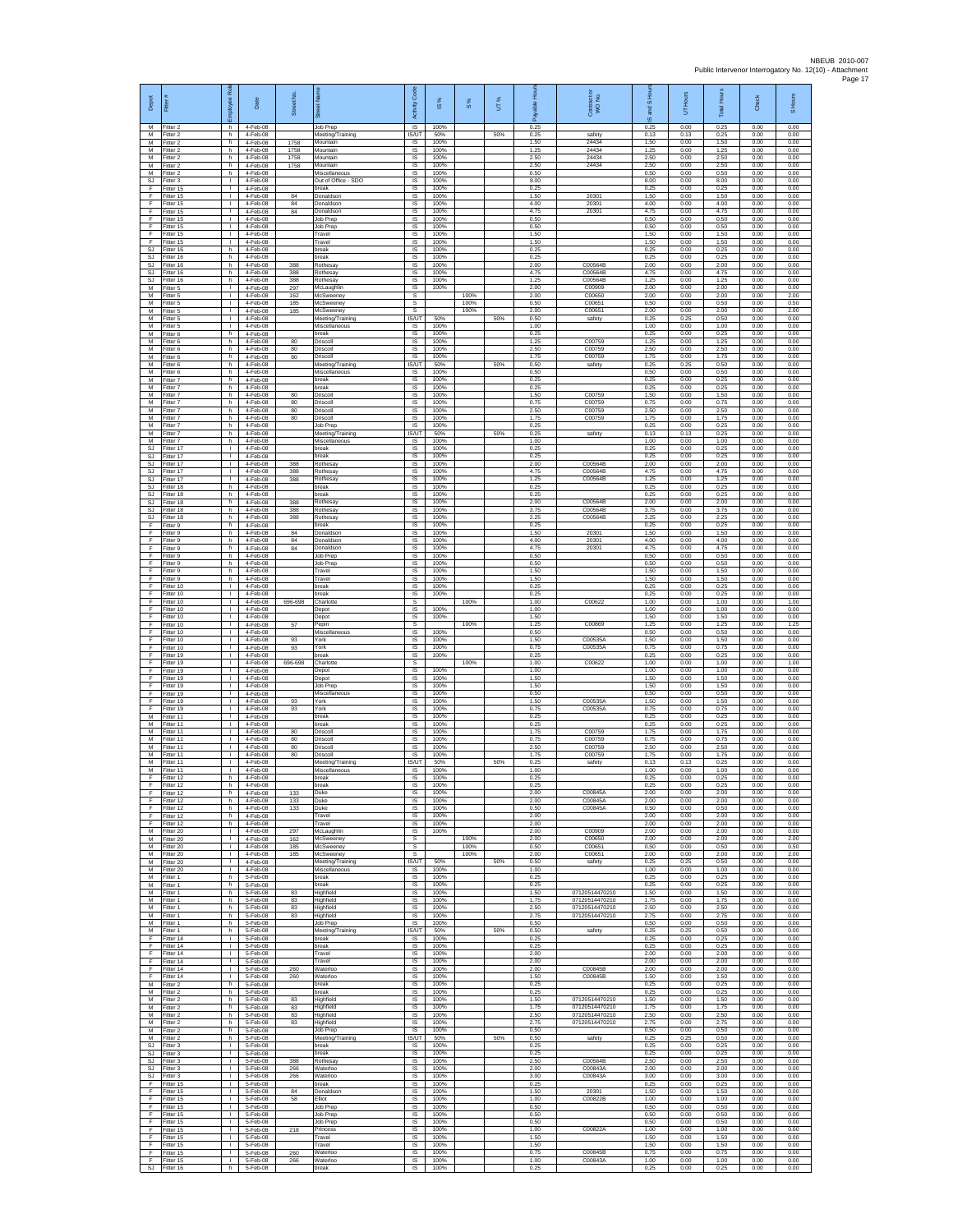| Depot                         | Fitter                              | ē<br>ployee                                  | Date                             | Street No         |                                                | Code<br>Activity                 | $\overline{\omega}$  | $\frac{8}{3}$        | UT% | Ē<br>å               | Contract or<br>WO No.            | IS Hour<br>g<br>$\overline{\omega}$ | UT Hours             | Total Hours          | Check                | S Hours              |
|-------------------------------|-------------------------------------|----------------------------------------------|----------------------------------|-------------------|------------------------------------------------|----------------------------------|----------------------|----------------------|-----|----------------------|----------------------------------|-------------------------------------|----------------------|----------------------|----------------------|----------------------|
| м<br>М                        | Fitter 2<br>Fitter 2                | h.<br>h.                                     | 4-Feb-08<br>4-Feb-08             |                   | Job Prep<br>Meeting/Training                   | $\overline{\mathsf{S}}$<br>IS/UT | 100%<br>50%          |                      | 50% | 0.25<br>0.25         | safety                           | 0.25<br>0.13                        | 0.00<br>0.13         | 0.25<br>0.25         | 0.00<br>0.00         | 0.00<br>0.00         |
| M<br>$\overline{M}$           | Fitter 2<br>Fitter 2                | h.<br>h.                                     | 4-Feb-08<br>4-Feb-08             | 1758<br>1758      | Mountain<br>Mountain                           | $\sf IS$<br>IS                   | 100%<br>100%         |                      |     | 1.50<br>1.25<br>2.50 | 24434<br>24434                   | 1.50<br>1.25<br>2.50                | 0.00<br>0.00         | 1.50<br>1.25<br>2.50 | 0.00<br>0.00         | 0.00<br>0.00         |
| M<br>М<br>M                   | Fitter 2<br>Fitter 2<br>itter 2     | h<br>h.<br>h                                 | 4-Feb-08<br>4-Feb-08<br>4-Feb-08 | 1758<br>1758      | Mountain<br>Mountain<br>Miscellaneous          | IS<br>IS<br>IS                   | 100%<br>100%<br>100% |                      |     | 2.50<br>0.50         | 24434<br>24434                   | 2.50<br>0.50                        | 0.00<br>0.00<br>0.00 | 2.50<br>0.50         | 0.00<br>0.00<br>0.00 | 0.00<br>0.00<br>0.00 |
| SJ<br>F                       | Fitter 3<br>Fitter 15               | л.<br>$\mathbf{L}$                           | 4-Feb-08<br>4-Feb-08             |                   | Out of Office - SDO<br>hreak                   | IS<br>IS                         | 100%<br>100%         |                      |     | 8.00<br>0.25         |                                  | 8.00<br>0.25                        | 0.00<br>0.00         | 8.00<br>0.25         | 0.00<br>0.00         | 0.00<br>0.00         |
| F<br>F                        | Fitter 15<br>Fitter 15              | T.<br>$\mathbf{I}$                           | 4-Feb-08<br>4-Feb-08             | 84<br>84          | Donaldson<br>Donaldson                         | $\sf IS$<br>IS                   | 100%<br>100%         |                      |     | 1.50<br>4.00         | 20301<br>20301                   | 1.50<br>4.00                        | 0.00<br>0.00         | 1.50<br>4.00         | 0.00<br>0.00         | 0.00<br>0.00         |
| F<br>F                        | Fitter 15<br>Fitter 15              | т.<br>٠                                      | 4-Feb-08<br>4-Feb-08             | 84                | Donaldson<br>Job Prep                          | IS<br>IS                         | 100%<br>100%         |                      |     | 4.75<br>0.50         | 20301                            | 4.75<br>0.50                        | 0.00<br>0.00         | 4.75<br>0.50         | 0.00<br>0.00         | 0.00<br>0.00         |
| F<br>F<br>F                   | fitter 15<br>Fitter 15<br>ltter 15  | Τ<br>т.<br>т.                                | 4-Feb-08<br>4-Feb-08<br>4-Feb-08 |                   | Job Prep<br>Travel<br>Travel                   | IS<br>IS<br>IS                   | 100%<br>100%<br>100% |                      |     | 0.50<br>1.50<br>1.50 |                                  | 0.50<br>1.50<br>1.50                | 0.00<br>0.00<br>0.00 | 0.50<br>1.50<br>1.50 | 0.00<br>0.00<br>0.00 | 0.00<br>0.00<br>0.00 |
| SJ<br><b>SJ</b>               | Fitter 16<br>fitter 16              | h.<br>h                                      | 4-Feb-08<br>4-Feb-08             |                   | break<br>preak                                 | IS<br>IS                         | 100%<br>100%         |                      |     | 0.25<br>0.25         |                                  | 0.25<br>0.25                        | 0.00<br>0.00         | 0.25<br>0.25         | 0.00<br>0.00         | 0.00<br>0.00         |
| SJ<br>$\mathbb{S}\mathbb{J}$  | Fitter 16<br>Fitter 16              | h<br>h.                                      | 4-Feb-08<br>4-Feb-08             | 388<br>388        | Rothesay<br>Rothesay                           | IS<br>$\sf IS$                   | 100%<br>100%         |                      |     | 2.00<br>4.75         | C00564B<br>C00564B               | 2.00<br>4.75                        | 0.00<br>0.00         | 2.00<br>4.75         | 0.00<br>0.00         | 0.00<br>0.00         |
| <b>SJ</b><br>M<br>M           | fitter 16<br>Fitter 5<br>Fitter 5   | h.<br>л.<br>$\mathbf{L}$                     | 4-Feb-08<br>4-Feb-08             | 388<br>297        | Rothesay<br>McLaughlin                         | IS<br>IS                         | 100%<br>100%         |                      |     | 1.25<br>2.00<br>2.00 | C00564B<br>C00909<br>C00650      | 1.25<br>2.00<br>200                 | 0.00<br>0.00         | 1.25<br>2.00<br>200  | 0.00<br>0.00         | 0.00<br>0.00<br>2.00 |
| М<br>M                        | Fitter 5<br>Fitter 5                | ٠<br>т                                       | 4-Feb-08<br>4-Feb-08<br>4-Feb-08 | 162<br>185<br>185 | McSweeney<br>McSweeney<br>McSweeney            | s<br>s<br>s                      |                      | 100%<br>100%<br>100% |     | 0.50<br>2.00         | C00651<br>C00651                 | 0.50<br>2.00                        | 0.00<br>0.00<br>0.00 | 0.50<br>2.00         | 0.00<br>0.00<br>0.00 | 0.50<br>2.00         |
| M<br>М                        | Fitter 5<br>itter 5                 | $\mathbf{L}$<br>$\mathbf{I}$                 | 4-Feb-08<br>4-Feb-08             |                   | Meeting/Training<br>Miscellaneous              | IS/UT<br>$\sf IS$                | 50%<br>100%          |                      | 50% | 0.50<br>1.00         | safety                           | 0.25<br>1.00                        | 0.25<br>0.00         | 0.50<br>1.00         | 0.00<br>0.00         | 0.00<br>0.00         |
| M<br>M                        | itter 6<br>Fitter 6                 | h<br>h.                                      | 4-Feb-08<br>4-Feb-08             | 80                | break<br>Driscoll                              | $\sf IS$<br><b>IS</b>            | 100%<br>100%         |                      |     | 0.25<br>1.25         | C00759                           | 0.25<br>1.25                        | 0.00<br>0.00         | 0.25<br>1.25         | 0.00<br>0.00         | 0.00<br>0.00         |
| M<br>М<br>M                   | Fitter 6<br>Fitter 6<br>itter 6     | h<br>h.<br>h                                 | 4-Feb-08<br>4-Feb-08<br>4-Feb-08 | 80<br>80          | Driscoll<br>Driscoll<br>Meeting/Training       | IS<br>IS<br>IS/UT                | 100%<br>100%<br>50%  |                      | 50% | 2.50<br>1.75<br>0.50 | C00759<br>C00759<br>safety       | 2.50<br>1.75<br>0.25                | 0.00<br>0.00<br>0.25 | 2.50<br>1.75<br>0.50 | 0.00<br>0.00<br>0.00 | 0.00<br>0.00<br>0.00 |
| M<br>M                        | Fitter 6<br>Fitter 7                | h.<br>h.                                     | 4-Feb-08<br>4-Feb-08             |                   | Miscellaneous<br>break                         | <b>IS</b><br>IS                  | 100%<br>100%         |                      |     | 0.50<br>0.25         |                                  | 0.50<br>0.25                        | 0.00<br>0.00         | 0.50<br>0.25         | 0.00<br>0.00         | 0.00<br>0.00         |
| М<br>M                        | Fitter 7<br>Fitter 7                | h<br>h.                                      | 4-Feb-08<br>4-Feb-08             | 80                | break<br>Driscoll                              | $\sf IS$<br><b>IS</b>            | 100%<br>100%         |                      |     | 0.25<br>1.50         | C00759                           | 0.25<br>1.50                        | 0.00<br>0.00         | 0.25<br>1.50         | 0.00<br>0.00         | 0.00<br>0.00         |
| M<br>М                        | Fitter 7<br>fitter 7                | h<br>h                                       | 4-Feb-08<br>4-Feb-08             | 80<br>80          | Driscoll<br>Driscoll                           | IS<br>IS                         | 100%<br>100%         |                      |     | 0.75<br>2.50         | C00759<br>C00759                 | 0.75<br>2.50                        | 0.00<br>0.00         | 0.75<br>2.50         | 0.00<br>0.00         | 0.00<br>0.00         |
| M<br>M<br>М                   | fitter 7<br>Fitter 7<br>Fitter 7    | h.<br>h.<br>h                                | 4-Feb-08<br>4-Feb-08<br>4-Feb-08 | 80                | Driscoll<br>Job Prep<br>Meeting/Training       | IS<br><b>IS</b><br>IS/UT         | 100%<br>100%<br>50%  |                      | 50% | 1.75<br>0.25<br>0.25 | C00759<br>safety                 | 1.75<br>0.25<br>0.13                | 0.00<br>0.00<br>0.13 | 1.75<br>0.25<br>0.25 | 0.00<br>0.00<br>0.00 | 0.00<br>0.00<br>0.00 |
| M<br><b>SJ</b>                | Fitter 7<br>fitter 17               | h.<br>$\mathbf{I}$                           | 4-Feb-08<br>4-Feb-08             |                   | Miscellaneous<br>preak                         | IS<br>IS                         | 100%<br>100%         |                      |     | 1.00<br>0.25         |                                  | 1.00<br>0.25                        | 0.00<br>0.00         | 1.00<br>0.25         | 0.00<br>0.00         | 0.00<br>0.00         |
| <b>SJ</b><br>SJ               | Fitter 17<br>Fitter 17              | L.<br>$\mathbf{L}$                           | 4-Feb-08<br>4-Feb-08             | 388               | break<br>Rothesay                              | IS<br>$\sf IS$                   | 100%<br>100%         |                      |     | 0.25<br>2.00         | C00564B                          | 0.25<br>2.00                        | 0.00<br>0.00         | 0.25<br>2.00         | 0.00<br>0.00         | 0.00<br>0.00         |
| <b>SJ</b><br><b>SJ</b><br>SJ. | fitter 17<br>Fitter 17<br>Fitter 18 | T.<br>л.<br>h.                               | 4-Feb-08<br>4-Feb-08<br>4-Feb-08 | 388<br>388        | Rothesay<br><b>Rothesay</b><br>hreak           | IS<br><b>IS</b><br>IS            | 100%<br>100%<br>100% |                      |     | 4.75<br>1.25<br>0.25 | C00564B<br>C00564B               | 4.75<br>1.25<br>0.25                | 0.00<br>0.00<br>0.00 | 4.75<br>1.25<br>0.25 | 0.00<br>0.00<br>0.00 | 0.00<br>0.00<br>0.00 |
| SJ<br><b>SJ</b>               | Fitter 18<br>Fitter 18              | h<br>h.                                      | 4-Feb-08<br>4-Feb-08             | 388               | break<br>Rothesay                              | IS<br>IS                         | 100%<br>100%         |                      |     | 0.25<br>2.00         | C00564B                          | 0.25<br>2.00                        | 0.00<br>0.00         | 0.25<br>2.00         | 0.00<br>0.00         | 0.00<br>0.00         |
| SJ<br>SJ                      | Fitter 18<br>Fitter 18              | h.<br>h                                      | 4-Feb-08<br>4-Feb-08             | 388<br>388        | Rothesay<br>Rothesay                           | IS<br>$\sf IS$                   | 100%<br>100%         |                      |     | 3.75<br>2.25         | C00564B<br>C00564B               | 3.75<br>2.25                        | 0.00<br>0.00         | 3.75<br>2.25         | 0.00<br>0.00         | 0.00<br>0.00         |
| F<br>F                        | itter 9<br>Fitter 9                 | h<br>h.                                      | 4-Feb-08<br>4-Feb-08             | 84                | break<br>Donaldson                             | IS<br>IS                         | 100%<br>100%         |                      |     | 0.25<br>1.50         | 20301                            | 0.25<br>1.50                        | 0.00<br>0.00         | 0.25<br>1.50         | 0.00<br>0.00         | 0.00<br>0.00         |
| F<br>F<br>F                   | Fitter 9<br>Fitter 9<br>fitter 9    | h<br>h.<br>h                                 | 4-Feb-08<br>4-Feb-08<br>4-Feb-08 | 84<br>84          | Donaldson<br>Donaldson<br>Job Prep             | IS<br>IS<br>IS                   | 100%<br>100%<br>100% |                      |     | 4.00<br>4.75<br>0.50 | 20301<br>20301                   | 4.00<br>4.75<br>0.50                | 0.00<br>0.00<br>0.00 | 4.00<br>4.75<br>0.50 | 0.00<br>0.00<br>0.00 | 0.00<br>0.00<br>0.00 |
| E<br>F                        | Fitter 9<br>Fitter 9                | h.<br>h.                                     | 4-Feb-08<br>4-Feb-08             |                   | Job Prep<br>Travel                             | IS<br>IS                         | 100%<br>100%         |                      |     | 0.50<br>1.50         |                                  | 0.50<br>1.50                        | 0.00<br>0.00         | 0.50<br>1.50         | 0.00<br>0.00         | 0.00<br>0.00         |
| F<br>F                        | Fitter 9<br>Fitter 10               | h<br>$\mathbb{R}$                            | 4-Feb-08<br>4-Feb-08             |                   | Travel<br>break                                | $\sf IS$<br><b>IS</b>            | 100%<br>100%         |                      |     | 1.50<br>0.25         |                                  | 1.50<br>0.25                        | 0.00<br>0.00         | 1.50<br>0.25         | 0.00<br>0.00         | 0.00<br>0.00         |
| F<br>F                        | Fitter 10<br>Fitter 10              | т.<br>٠                                      | 4-Feb-08<br>4-Feb-08             | 696-698           | break<br>Charlotte                             | IS<br>s                          | 100%                 | 100%                 |     | 0.25<br>1.00         | C00622                           | 0.25<br>1.00                        | 0.00<br>0.00         | 0.25<br>1.00         | 0.00<br>0.00         | 0.00<br>1.00         |
| F<br>F<br>F                   | fitter 10<br>Fitter 10<br>litter 10 | т<br>$\mathbf{L}$<br>т.                      | 4-Feb-08<br>4-Feb-08<br>4-Feb-08 | 57                | Depot<br>Depot<br>Pepin                        | IS<br>IS<br>s                    | 100%<br>100%         | 100%                 |     | 1.00<br>1.50<br>1.25 | C00869                           | 1.00<br>1.50<br>1.25                | 0.00<br>0.00<br>0.00 | 1.00<br>1.50<br>1.25 | 0.00<br>0.00<br>0.00 | 0.00<br>0.00<br>1.25 |
| F<br>F                        | Fitter 10<br>fitter 10              | $\mathbf{I}$<br>T.                           | 4-Feb-08<br>4-Feb-08             | 93                | Miscellaneous<br>York                          | IS<br>IS                         | 100%<br>100%         |                      |     | 0.50<br>1.50         | C00535A                          | 0.50<br>1.50                        | 0.00<br>0.00         | 0.50<br>1.50         | 0.00<br>0.00         | 0.00<br>0.00         |
| E<br>F                        | Fitter 10<br>Fitter 19              | $\mathbf{I}$<br>$\mathbf{L}$                 | 4-Feb-08<br>4-Feb-08             | 93                | York<br>oreak                                  | IS<br>$\sf IS$                   | 100%<br>100%         |                      |     | 0.75<br>0.25         | C00535A                          | 0.75<br>0.25                        | 0.00<br>0.00         | 0.75<br>0.25         | 0.00<br>0.00         | 0.00<br>0.00         |
| F<br>F                        | itter 19<br>Fitter 19               | T.<br>л.                                     | 4-Feb-08<br>4-Feb-08             | 696-698           | Charlotte<br>Depot                             | s<br>IS                          | 100%                 | 100%                 |     | 1.00<br>1.00         | C0062                            | 1.00<br>1.00                        | 0.00<br>0.00         | 1.00<br>1.00         | 0.00<br>0.00         | 1.00<br>0.00         |
| F<br>F<br>F                   | Fitter 19<br>Fitter 19<br>Fitter 19 | $\mathbf{L}$<br>٠<br>т                       | 4-Feb-08<br>4-Feb-08<br>4-Feb-08 |                   | Depot<br>Job Prep<br>Miscellaneous             | IS<br>IS<br>IS                   | 100%<br>100%<br>100% |                      |     | 1.50<br>1.50<br>0.50 |                                  | 1.50<br>1.50<br>0.50                | 0.00<br>0.00<br>0.00 | 1.50<br>1.50<br>0.50 | 0.00<br>0.00<br>0.00 | 0.00<br>0.00<br>0.00 |
| F<br>F                        | Fitter 19<br>itter 19               | $\mathbf{L}$<br>T.                           | 4-Feb-08<br>4-Feb-08             | 93<br>93          | York<br>York                                   | IS<br>$\sf IS$                   | 100%<br>100%         |                      |     | 1.50<br>0.75         | C00535A<br>C00535A               | 1.50<br>0.75                        | 0.00<br>0.00         | 1.50<br>0.75         | 0.00<br>0.00         | 0.00<br>0.00         |
| M<br>M                        | Fitter 11<br>Fitter 11              | $\mathbf{L}$<br>т.                           | 4-Feb-08<br>4-Feb-08             |                   | break<br>break                                 | $\sf IS$<br><b>IS</b>            | 100%<br>100%         |                      |     | 0.25<br>0.25         |                                  | 0.25<br>0.25                        | 0.00<br>0.00         | 0.25<br>0.25         | 0.00<br>0.00         | 0.00<br>0.00         |
| M<br>М<br>M                   | Fitter 11<br>Fitter 11<br>itter 11  | т.<br>т.<br>T.                               | 4-Feb-08<br>4-Feb-08<br>4-Feb-08 | 80<br>80<br>80    | Driscoll<br>Driscoll<br>Driscoll               | IS<br>IS<br>IS                   | 100%<br>100%<br>100% |                      |     | 1.75<br>0.75<br>2.50 | C00759<br>C00759<br>C00759       | 1.75<br>0.75<br>2.50                | 0.00<br>0.00<br>0.00 | 1.75<br>0.75<br>2.50 | 0.00<br>0.00<br>0.00 | 0.00<br>0.00<br>0.00 |
| M<br>M                        | Fitter 11<br>Fitter 11              | л.<br>л.                                     | 4-Feb-08<br>4-Feb-08             | 80                | Driscoll<br>Meeting/Training                   | <b>IS</b><br><b>IS/UT</b>        | 100%<br>50%          |                      | 50% | 1.75<br>0.25         | C00759<br>safety                 | 1.75<br>0.13                        | 0.00<br>0.13         | 1.75<br>0.25         | 0.00<br>0.00         | 0.00<br>0.00         |
| М<br>F                        | Fitter 11<br>Fitter 12              | T.<br>h.                                     | 4-Feb-08<br>4-Feb-08             |                   | Miscellaneous<br>break                         | $\sf IS$<br><b>IS</b>            | 100%<br>100%         |                      |     | 1.00<br>0.25         |                                  | 1.00<br>0.25                        | 0.00<br>0.00         | 1.00<br>0.25         | 0.00<br>0.00         | 0.00<br>0.00         |
| F                             | Fitter 12<br>Fitter 12              | h<br>h                                       | 4-Feb-08<br>4-Feb-08             | 133               | hreal<br>Duke                                  | IS<br>IS                         | 100%<br>100%         |                      |     | 0.25<br>2.00         | C00845A                          | 0.25<br>2.00                        | 0.00<br>0.00         | 0.25<br>2.00         | 0.00<br>0.00         | 0.00<br>0.00         |
| F<br>F<br>F                   | ltter 12<br>Fitter 12<br>Fitter 12  | h.<br>h.<br>h.                               | 4-Feb-08<br>4-Feb-08<br>4-Feb-08 | 133<br>133        | Duke<br>Duke<br>Travel                         | IS<br><b>IS</b><br>IS            | 100%<br>100%<br>100% |                      |     | 2.00<br>0.50<br>2.00 | C00845A<br>C00845A               | 2.00<br>0.50<br>2.00                | 0.00<br>0.00<br>0.00 | 2.00<br>0.50<br>2.00 | 0.00<br>0.00<br>0.00 | 0.00<br>0.00<br>0.00 |
| F<br>M                        | Fitter 12<br>Fitter 20              | h.<br>т.                                     | 4-Feb-08<br>4-Feb-08             | 297               | Travel<br>McLaughlin                           | IS<br>IS                         | 100%<br>100%         |                      |     | 2.00<br>2.00         | C00909                           | 2.00<br>2.00                        | 0.00<br>0.00         | 2.00<br>2.00         | 0.00<br>0.00         | 0.00<br>0.00         |
| M<br>М                        | Fitter 20<br>Fitter 20              | л.<br>$\Gamma$                               | 4-Feb-08<br>4-Feb-08             | 162<br>185        | McSweeney<br>McSweeney                         | s<br>$\mathbb{S}$                |                      | 100%<br>100%         |     | 2.00<br>0.50         | C00650<br>C00651                 | 2.00<br>0.50                        | 0.00<br>0.00         | 2.00<br>0.50         | 0.00<br>0.00         | 2.00<br>0.50         |
| М<br>M<br>M                   | fitter 20<br>Fitter 20<br>Fitter 20 | $\mathbf{L}$<br>$\mathbf{I}$<br><b>I</b>     | 4-Feb-08<br>4-Feb-08<br>4-Feb-08 | 185               | McSweeney<br>Meeting/Training<br>Miscellaneous | s<br><b>IS/UT</b><br><b>IS</b>   | 50%<br>100%          | 100%                 | 50% | 2.00<br>0.50<br>1.00 | C00651<br>safety                 | 2.00<br>0.25<br>1.00                | 0.00<br>0.25<br>0.00 | 2.00<br>0.50<br>1.00 | 0.00<br>0.00<br>0.00 | 2.00<br>0.00<br>0.00 |
| М<br>M                        | Fitter 1<br>Fitter 1                | h<br>h.                                      | 5-Feb-08<br>5-Feb-08             |                   | break<br>break                                 | IS<br><b>IS</b>                  | 100%<br>100%         |                      |     | 0.25<br>0.25         |                                  | 0.25<br>0.25                        | 0.00<br>0.00         | 0.25<br>0.25         | 0.00<br>0.00         | 0.00<br>0.00         |
| м<br>М                        | Fitter 1<br>Fitter 1                | h.<br>h.                                     | 5-Feb-08<br>5-Feb-08             | 83<br>83          | Highfield<br>Highfield                         | <b>IS</b><br>$\sf IS$            | 100%<br>100%         |                      |     | 1.50<br>1.75         | 07120514470210<br>07120514470210 | 1.50<br>1.75                        | 0.00<br>0.00         | 1.50<br>1.75         | 0.00<br>0.00         | 0.00<br>0.00         |
| M<br>M<br>M                   | Fitter 1<br>Fitter 1                | h<br>h.                                      | 5-Feb-08<br>5-Feb-08             | 83<br>83          | Highfield<br>Highfield                         | $\sf IS$<br>IS<br>IS             | 100%<br>100%         |                      |     | 2.50<br>2.75<br>0.50 | 07120514470210<br>07120514470210 | 2.50<br>2.75                        | 0.00<br>0.00         | 2.50<br>2.75         | 0.00<br>0.00         | 0.00<br>0.00         |
| M<br>F                        | Fitter 1<br>Fitter 1<br>fitter 14   | h.<br>h.<br>т.                               | 5-Feb-08<br>5-Feb-08<br>5-Feb-08 |                   | Job Prep<br>Meeting/Training<br>break          | <b>IS/UT</b><br><b>IS</b>        | 100%<br>50%<br>100%  |                      | 50% | 0.50<br>0.25         | safety                           | 0.50<br>0.25<br>0.25                | 0.00<br>0.25<br>0.00 | 0.50<br>0.50<br>0.25 | 0.00<br>0.00<br>0.00 | 0.00<br>0.00<br>0.00 |
| F<br>F.                       | Fitter 14<br>Fitter 14              | л.<br>$\mathbf{L}$                           | 5-Feb-08<br>5-Feb-08             |                   | break<br>Travel                                | - IS<br>IS                       | 100%<br>100%         |                      |     | 0.25<br>2.00         |                                  | 0.25<br>2.00                        | 0.00<br>0.00         | 0.25<br>2.00         | 0.00<br>0.00         | 0.00<br>0.00         |
| F<br>F                        | Fitter 14<br>Fitter 14              | т.<br>$\mathbf{L}$                           | 5-Feb-08<br>5-Feb-08             | 260               | Travel<br>Waterloo                             | IS<br><b>IS</b>                  | 100%<br>100%         |                      |     | 2.00<br>2.00         | C00845B                          | 2.00<br>2.00                        | 0.00<br>0.00         | 2.00<br>2.00         | 0.00<br>0.00         | 0.00<br>0.00         |
| F.<br>М<br>M                  | Fitter 14<br>Fitter 2<br>-itter 2   | $\mathbf{L}$<br>h<br>h.                      | 5-Feb-08<br>5-Feb-08<br>5-Feb-08 | 260               | Waterloo<br>break<br>break                     | IS<br>IS<br>IS                   | 100%<br>100%<br>100% |                      |     | 1.50<br>0.25<br>0.25 | C00845B                          | 1.50<br>0.25<br>0.25                | 0.00<br>0.00<br>0.00 | 1.50<br>0.25<br>0.25 | 0.00<br>0.00<br>0.00 | 0.00<br>0.00<br>0.00 |
| M<br>М                        | Fitter 2<br>Fitter 2                | h.<br>h.                                     | 5-Feb-08<br>5-Feb-08             | 83<br>83          | Highfield<br>Highfield                         | IS<br>IS                         | 100%<br>100%         |                      |     | 1.50<br>1.75         | 07120514470210<br>07120514470210 | 1.50<br>1.75                        | 0.00<br>0.00         | 1.50<br>1.75         | 0.00<br>0.00         | 0.00<br>0.00         |
| М<br>M                        | Fitter 2<br>Fitter 2                | h.<br>h                                      | 5-Feb-08<br>5-Feb-08             | 83<br>83          | Highfield<br>Highfield                         | IS<br>IS                         | 100%<br>100%         |                      |     | 2.50<br>2.75         | 07120514470210<br>07120514470210 | 2.50<br>2.75                        | 0.00<br>0.00         | 2.50<br>2.75         | 0.00<br>0.00         | 0.00<br>0.00         |
| M<br>М                        | Fitter 2<br>Fitter 2                | h.<br>h.                                     | 5-Feb-08<br>5-Feb-08             |                   | Job Prep<br>Meeting/Training                   | IS<br>IS/UT                      | 100%<br>50%          |                      | 50% | 0.50<br>0.50         | safety                           | 0.50<br>0.25                        | 0.00<br>0.25         | 0.50<br>0.50         | 0.00<br>0.00         | 0.00<br>0.00         |
| SJ<br>-SJ<br>SJ.              | fitter 3<br>Fitter 3<br>Fitter 3    | $\mathbf{L}$<br>$\mathbf{I}$<br><b>I</b>     | 5-Feb-08<br>5-Feb-08<br>5-Feb-08 | 388               | break<br>break<br>Rothesay                     | IS<br>-IS<br><b>IS</b>           | 100%<br>100%<br>100% |                      |     | 0.25<br>0.25<br>2.50 | C00564B                          | 0.25<br>0.25<br>2.50                | 0.00<br>0.00<br>0.00 | 0.25<br>0.25<br>2.50 | 0.00<br>0.00<br>0.00 | 0.00<br>0.00<br>0.00 |
| SJ<br>SJ.                     | Fitter 3<br>Fitter 3                | т.<br>т                                      | 5-Feb-08<br>5-Feb-08             | 266<br>266        | Waterloo<br>Waterloo                           | IS<br>IS                         | 100%<br>100%         |                      |     | 2.00<br>3.00         | C00843A<br>C00843A               | 2.00<br>3.00                        | 0.00<br>0.00         | 2.00<br>3.00         | 0.00<br>0.00         | 0.00<br>0.00         |
| F<br>F                        | Fitter 15<br>Fitter 15              | $\mathbf{L}$<br>$\mathbf{L}$                 | 5-Feb-08<br>5-Feb-08             | $^{\rm 84}$       | break<br>Donaldson                             | <b>IS</b><br>$\sf IS$            | 100%<br>100%         |                      |     | 0.25<br>1.50         | 20301                            | 0.25<br>1.50                        | 0.00<br>0.00         | 0.25<br>1.50         | 0.00<br>0.00         | 0.00<br>0.00         |
| F<br>F<br>E                   | Fitter 15<br>Fitter 15<br>Fitter 15 | $\mathbf{L}$<br>$\mathbf{L}$<br>$\mathbf{L}$ | 5-Feb-08<br>5-Feb-08<br>5-Feb-08 | 58                | Elliot<br>Job Prep<br>Job Prep                 | $\sf IS$<br>IS<br>IS             | 100%<br>100%<br>100% |                      |     | 1.00<br>0.50<br>0.50 | C00822B                          | 1.00<br>0.50<br>0.50                | 0.00<br>0.00<br>0.00 | 1.00<br>0.50<br>0.50 | 0.00<br>0.00         | 0.00<br>0.00<br>0.00 |
| F<br>F                        | Fitter 15<br>fitter 15              | L.<br>т.                                     | 5-Feb-08<br>5-Feb-08             | 218               | Job Prep<br>Princess                           | IS<br>IS                         | 100%<br>100%         |                      |     | 0.50<br>1.00         | C00822A                          | 0.50<br>1.00                        | 0.00<br>0.00         | 0.50<br>1.00         | 0.00<br>0.00<br>0.00 | 0.00<br>0.00         |
| E<br>F.                       | Fitter 15<br>Fitter 15              | л.<br>$\mathbf{L}$                           | 5-Feb-08<br>5-Feb-08             |                   | Travel<br>Travel                               | <b>IS</b><br><b>IS</b>           | 100%<br>100%         |                      |     | 1.50<br>1.50         |                                  | 1.50<br>1.50                        | 0.00<br>0.00         | 1.50<br>1.50         | 0.00<br>0.00         | 0.00<br>0.00         |
| F<br>F                        | Fitter 15<br>Fitter 15              | $\mathbf{I}$<br>$\mathbb{R}$                 | 5-Feb-08<br>5-Feb-08             | 260<br>266        | Waterloo<br>Waterloo                           | $\sf IS$<br><b>IS</b>            | 100%<br>100%         |                      |     | 0.75<br>1.00         | C00845B<br>C00843A               | 0.75<br>1.00                        | 0.00<br>0.00         | 0.75<br>1.00         | 0.00<br>0.00         | 0.00<br>0.00         |
|                               | SJ Fitter 16                        | h.                                           | 5-Feb-08                         |                   | break                                          | IS                               | 100%                 |                      |     | 0.25                 |                                  | 0.25                                | 0.00                 | 0.25                 | 0.00                 | 0.00                 |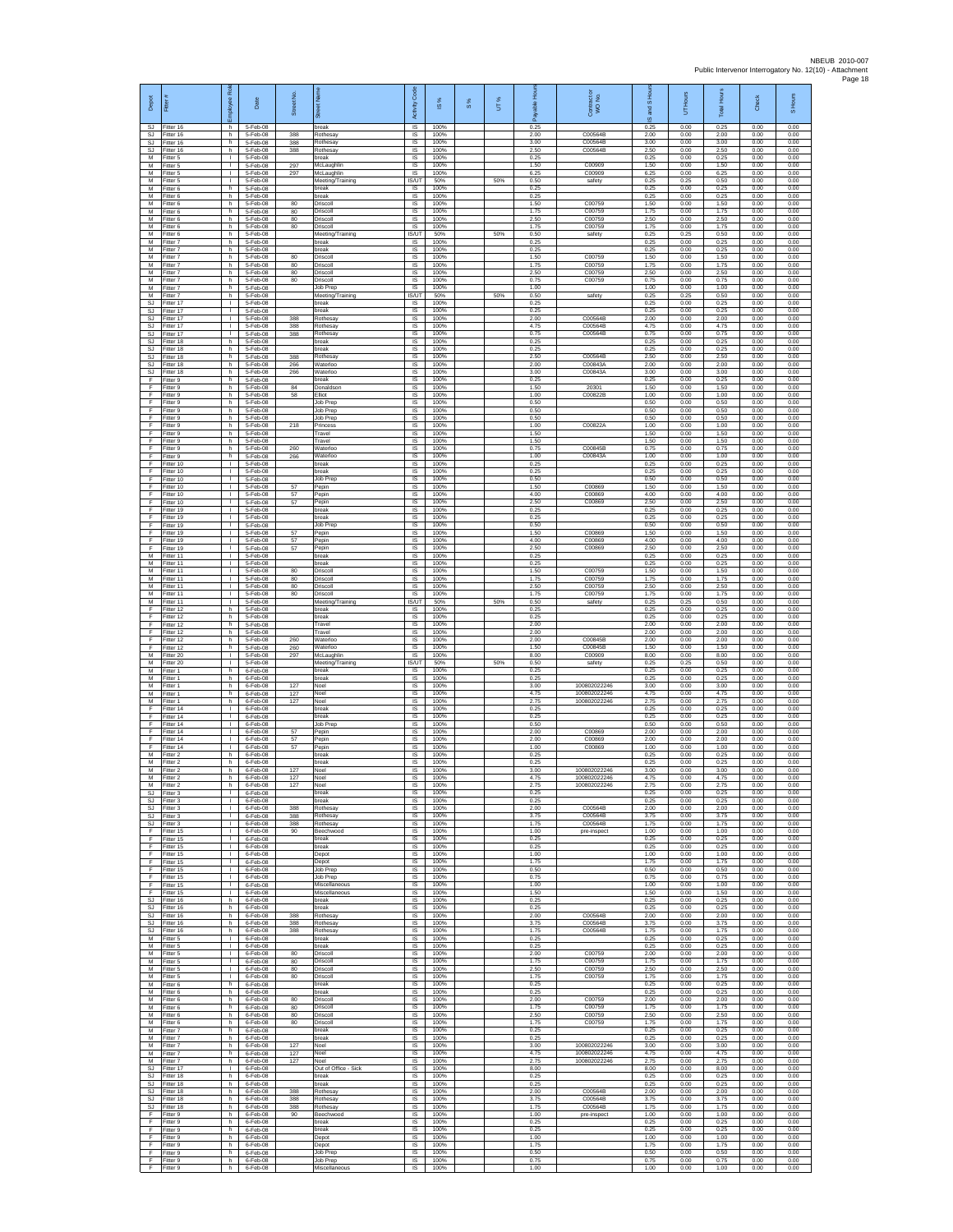| Depot                               |                                     | ē<br>ployee                                  | Date                             | Street No         |                                              | Code<br>Activity                    | $\overline{\omega}$  | 8% | UT% | గొ                   | Contract or<br>WO No.         | and S Ho<br>$\overline{\omega}$ | Hours<br>5           | <b>Total Hours</b>   | Check                | S Hours              |
|-------------------------------------|-------------------------------------|----------------------------------------------|----------------------------------|-------------------|----------------------------------------------|-------------------------------------|----------------------|----|-----|----------------------|-------------------------------|---------------------------------|----------------------|----------------------|----------------------|----------------------|
| SJ                                  | SJ Fitter 16<br>Fitter 16           | h.<br>h.                                     | 5-Feb-08<br>5-Feb-08             | 388               | break<br>Rothesa <sup>®</sup>                | $\overline{\mathsf{S}}$<br>$\sf IS$ | 100%<br>100%         |    |     | 0.25<br>2.00         | C00564B                       | 0.25<br>2.00                    | 0.00<br>0.00         | 0.25<br>2.00         | 0.00<br>0.00         | 0.00<br>0.00         |
| SJ<br>SJ<br>M                       | litter 16<br>Fitter 16<br>Fitter 5  | h.<br>h.<br>$\mathbb{R}$                     | 5-Feb-08<br>5-Feb-08<br>5-Feb-08 | 388<br>388        | Rothesay<br>Rothesav<br><b>preak</b>         | $\sf IS$<br>IS<br>IS                | 100%<br>100%<br>100% |    |     | 3.00<br>2.50<br>0.25 | C00564B<br>C00564B            | 3.00<br>2.50<br>0.25            | 0.00<br>0.00<br>0.00 | 3.00<br>2.50<br>0.25 | 0.00<br>0.00<br>0.00 | 0.00<br>0.00<br>0.00 |
| M<br>M                              | Fitter 5<br>itter 5                 | т.<br>$\mathbf{I}$                           | 5-Feb-08<br>5-Feb-08             | 297<br>297        | McLaughlin<br>McLaughlin                     | IS<br>IS                            | 100%<br>100%         |    |     | 1.50<br>6.25         | C00909<br>C00909              | 1.50<br>6.25                    | 0.00<br>0.00         | 1.50<br>6.25         | 0.00<br>0.00         | 0.00<br>0.00         |
| M<br>M                              | Fitter 5<br>Fitter 6                | л.<br>h.                                     | 5-Feb-08<br>5-Feb-08             |                   | Meeting/Training<br>preak                    | IS/UT<br><b>IS</b>                  | 50%<br>100%          |    | 50% | 0.50<br>0.25         | safety                        | 0.25<br>0.25                    | 0.25<br>0.00         | 0.50<br>0.25         | 0.00<br>0.00         | 0.00<br>0.00         |
| М<br>M<br>M                         | Fitter 6<br>fitter 6<br>Fitter 6    | h<br>h.<br>h                                 | 5-Feb-08<br>5-Feb-08<br>5-Feb-08 | 80<br>80          | break<br>Driscoll<br>Driscoll                | $\sf IS$<br>IS<br>IS                | 100%<br>100%<br>100% |    |     | 0.25<br>1.50<br>1.75 | C00759<br>C00759              | 0.25<br>1.50<br>1.75            | 0.00<br>0.00<br>0.00 | 0.25<br>1.50<br>1.75 | 0.00<br>0.00<br>0.00 | 0.00<br>0.00<br>0.00 |
| М<br>M                              | Titter 6<br>itter 6                 | h<br>h                                       | 5-Feb-08<br>5-Feb-08             | 80<br>80          | Driscoll<br>Driscoll                         | IS<br>$\overline{\mathsf{s}}$       | 100%<br>100%         |    |     | 2.50<br>1.75         | C00759<br>C00759              | 2.50<br>1.75                    | 0.00<br>0.00         | 2.50<br>1.75         | 0.00<br>0.00         | 0.00<br>0.00         |
| M<br>М                              | Fitter 6<br>itter 7                 | h.<br>h                                      | 5-Feb-08<br>5-Feb-08             |                   | Meeting/Training<br>oreak                    | <b>IS/UT</b><br>IS                  | 50%<br>100%          |    | 50% | 0.50<br>0.25         | safety                        | 0.25<br>0.25                    | 0.25<br>0.00         | 0.50<br>0.25         | 0.00<br>0.00         | 0.00<br>0.00         |
| М<br>M<br>M                         | Fitter 7<br>fitter 7                | h<br>h                                       | 5-Feb-08<br>5-Feb-08             | 80<br>80          | break<br>Driscoll                            | IS<br>IS                            | 100%<br>100%         |    |     | 0.25<br>1.50         | C00759                        | 0.25<br>1.50<br>1.75            | 0.00<br>0.00         | 0.25<br>1.50         | 0.00<br>0.00         | 0.00<br>0.00         |
| М<br>М                              | Fitter 7<br>Fitter 7<br>itter 7     | h<br>h<br>h.                                 | 5-Feb-08<br>5-Feb-08<br>5-Feb-08 | 80<br>80          | Driscoll<br>Driscoll<br>Driscoll             | IS<br>$\sf IS$<br>IS                | 100%<br>100%<br>100% |    |     | 1.75<br>2.50<br>0.75 | C00759<br>C00759<br>C00759    | 2.50<br>0.75                    | 0.00<br>0.00<br>0.00 | 1.75<br>2.50<br>0.75 | 0.00<br>0.00<br>0.00 | 0.00<br>0.00<br>0.00 |
| M<br>M                              | Fitter 7<br>Fitter 7                | h.<br>h                                      | 5-Feb-08<br>5-Feb-08             |                   | Job Prep<br>Meeting/Training                 | IS<br><b>IS/UT</b>                  | 100%<br>50%          |    | 50% | 1.00<br>0.50         | safety                        | 1.00<br>0.25                    | 0.00<br>0.25         | 1.00<br>0.50         | 0.00<br>0.00         | 0.00<br>0.00         |
| SJ<br><b>SJ</b>                     | Fitter 17<br>Fitter 17              | т.<br>Τ<br>$\mathbf{L}$                      | 5-Feb-08<br>5-Feb-08             |                   | break<br>break<br>Rothesay                   | IS<br>1S<br>IS                      | 100%<br>100%<br>100% |    |     | 0.25<br>0.25<br>2.00 | C00564B                       | 0.25<br>0.25<br>2.00            | 0.00<br>0.00<br>0.00 | 0.25<br>0.25<br>2.00 | 0.00<br>0.00<br>0.00 | 0.00<br>0.00<br>0.00 |
| SJ<br>SJ<br>SJ                      | Fitter 17<br>itter 17<br>fitter 17  | т.<br>$\mathbf{L}$                           | 5-Feb-08<br>5-Feb-08<br>5-Feb-08 | 388<br>388<br>388 | Rothesa <sup>®</sup><br>Rothesay             | $\sf IS$<br>$\sf IS$                | 100%<br>100%         |    |     | 4.75<br>0.75         | C00564B<br>C00564B            | 4.75<br>0.75                    | 0.00<br>0.00         | 4.75<br>0.75         | 0.00<br>0.00         | 0.00<br>0.00         |
| SJ.<br>SJ.                          | Fitter 18<br>Fitter 18              | h.<br>h                                      | 5-Feb-08<br>5-Feb-08             |                   | break<br>oreak                               | $\overline{s}$<br>IS                | 100%<br>100%         |    |     | 0.25<br>0.25         |                               | 0.25<br>0.25                    | 0.00<br>0.00         | 0.25<br>0.25         | 0.00<br>0.00         | 0.00<br>0.00         |
| <b>SJ</b><br><b>SJ</b>              | Fitter 18<br>itter 18               | h.<br>h.<br>h.                               | 5-Feb-08<br>5-Feb-08             | 388<br>266        | Rothesa <sup>®</sup><br>Naterloo<br>Waterloo | IS<br>IS<br>IS                      | 100%<br>100%<br>100% |    |     | 2.50<br>2.00<br>3.00 | C00564B<br>C00843A<br>C00843A | 2.50<br>2.00<br>3.00            | 0.00<br>0.00<br>0.00 | 2.50<br>2.00<br>3.00 | 0.00<br>0.00<br>0.00 | 0.00<br>0.00<br>0.00 |
| <b>SJ</b><br>F<br>F                 | Fitter 18<br>Fitter 9<br>Fitter 9   | h.<br>h                                      | 5-Feb-08<br>5-Feb-08<br>5-Feb-08 | 266<br>84         | hreak<br>Donaldsor                           | IS<br>$\sf IS$                      | 100%<br>100%         |    |     | 0.25<br>1.50         | 20301                         | 0.25<br>1.50                    | 0.00<br>0.00         | 0.25<br>1.50         | 0.00<br>0.00         | 0.00<br>0.00         |
| F<br>F                              | Fitter 9<br>Fitter 9                | h.<br>h.                                     | 5-Feb-08<br>5-Feb-08             | 58                | Elliot<br>Job Prep                           | IS<br>IS                            | 100%<br>100%         |    |     | 1.00<br>0.50         | C00822B                       | 1.00<br>0.50                    | 0.00<br>0.00         | 1.00<br>0.50         | 0.00<br>0.00         | 0.00<br>0.00         |
| F<br>F<br>F                         | itter 9<br>fitter 9<br>Fitter 9     | h<br>h<br>h.                                 | 5-Feb-08<br>5-Feb-08<br>5-Feb-08 | 218               | Job Prep<br>Job Prep<br>Princess             | IS<br>IS<br>$\overline{s}$          | 100%<br>100%<br>100% |    |     | 0.50<br>0.50<br>1.00 | C00822A                       | 0.50<br>0.50<br>1.00            | 0.00<br>0.00<br>0.00 | 0.50<br>0.50<br>1.00 | 0.00<br>0.00<br>0.00 | 0.00<br>0.00<br>0.00 |
| F<br>F                              | Fitter 9<br>Fitter 9                | h<br>h.                                      | 5-Feb-08<br>5-Feb-08             |                   | Travel<br>Travel                             | IS<br>IS                            | 100%<br>100%         |    |     | 1.50<br>1.50         |                               | 1.50<br>1.50                    | 0.00<br>0.00         | 1.50<br>1.50         | 0.00<br>0.00         | 0.00<br>0.00         |
| F<br>F                              | fitter 9<br>Fitter 9                | h.<br>h                                      | 5-Feb-08<br>5-Feb-08             | 260<br>266        | Vaterloo<br>Waterloo                         | IS<br>IS                            | 100%<br>100%         |    |     | 0.75<br>1.00         | C00845E<br>C00843A            | 0.75<br>1.00                    | 0.00<br>0.00         | 0.75<br>1.00         | 0.00<br>0.00         | 0.00<br>0.00         |
| F.<br>F<br>E                        | Fitter 10<br>fitter 10<br>Fitter 10 | $\mathbf{L}$<br>$\mathbf{I}$<br>л.           | 5-Feb-08<br>5-Feb-08<br>5-Feb-08 |                   | oreak<br>preak<br>Job Prec                   | $\sf IS$<br>IS<br>IS                | 100%<br>100%<br>100% |    |     | 0.25<br>0.25<br>0.50 |                               | 0.25<br>0.25<br>0.50            | 0.00<br>0.00<br>0.00 | 0.25<br>0.25<br>0.50 | 0.00<br>0.00<br>0.00 | 0.00<br>0.00<br>0.00 |
| F<br>F                              | Fitter 10<br>Fitter 10              | $\mathbf{L}$<br>$\mathbf{I}$                 | 5-Feb-08<br>5-Feb-08             | 57<br>57          | Pepin<br>Pepin                               | IS<br>IS                            | 100%<br>100%         |    |     | 1.50<br>4.00         | C00869<br>C00869              | 1.50<br>4.00                    | 0.00<br>0.00         | 1.50<br>4.00         | 0.00<br>0.00         | 0.00<br>0.00         |
| F<br>F                              | Fitter 10<br>Fitter 19              | $\mathbf{L}$<br>$\mathbf{L}$                 | 5-Feb-08<br>5-Feb-08             | 57                | Pepin<br>break                               | IS<br>$\overline{s}$                | 100%<br>100%         |    |     | 2.50<br>0.25         | C00869                        | 2.50<br>0.25                    | 0.00<br>0.00         | 2.50<br>0.25         | 0.00<br>0.00         | 0.00<br>0.00         |
| F<br>F                              | Fitter 19<br>litter 19              | $\mathbb{R}$<br>$\mathbf{L}$                 | 5-Feb-08<br>5-Feb-08<br>5-Feb-08 | 57                | break<br>Job Prep                            | $\sf IS$<br>$\sf IS$                | 100%<br>100%         |    |     | 0.25<br>0.50<br>1.50 | C00869                        | 0.25<br>0.50                    | 0.00<br>0.00         | 0.25<br>0.50<br>1.50 | 0.00<br>0.00         | 0.00<br>0.00         |
| F<br>F<br>F                         | Fitter 19<br>Fitter 19<br>Fitter 19 | $\mathbf{L}$<br>$\mathbf{L}$<br>т.           | 5-Feb-08<br>5-Feb-08             | 57<br>57          | Pepin<br>Pepin<br>Pepin                      | IS<br>IS<br>IS                      | 100%<br>100%<br>100% |    |     | 4.00<br>2.50         | C00869<br>C00869              | 1.50<br>4.00<br>2.50            | 0.00<br>0.00<br>0.00 | 4.00<br>2.50         | 0.00<br>0.00<br>0.00 | 0.00<br>0.00<br>0.00 |
| M<br>M                              | fitter 11<br>Fitter 11              | $\mathbf{I}$<br>л.                           | 5-Feb-08<br>5-Feb-08             |                   | break<br>break                               | IS<br>IS                            | 100%<br>100%         |    |     | 0.25<br>0.25         |                               | 0.25<br>0.25                    | 0.00<br>0.00         | 0.25<br>0.25         | 0.00<br>0.00         | 0.00<br>0.00         |
| M<br>М                              | Fitter 11<br>Fitter 11              | $\mathbf{L}$<br>$\mathbf{I}$                 | 5-Feb-08<br>5-Feb-08             | 80<br>80          | Driscoll<br>Driscoll                         | IS<br>$\sf IS$                      | 100%<br>100%         |    |     | 1.50<br>1.75         | C00759<br>C00759              | 1.50<br>1.75                    | 0.00<br>0.00         | 1.50<br>1.75         | 0.00<br>0.00         | 0.00<br>0.00         |
| M<br>M<br>М                         | Fitter 11<br>Fitter 11<br>Fitter 11 | $\mathbf{1}$<br>$\mathbb{R}$<br>т.           | 5-Feb-08<br>5-Feb-08<br>5-Feb-08 | 80<br>80          | Driscoll<br>Driscoll<br>Meeting/Training     | IS<br>IS<br><b>IS/UT</b>            | 100%<br>100%<br>50%  |    | 50% | 2.50<br>1.75<br>0.50 | C00759<br>C00759<br>safety    | 2.50<br>1.75<br>0.25            | 0.00<br>0.00<br>0.25 | 2.50<br>1.75<br>0.50 | 0.00<br>0.00<br>0.00 | 0.00<br>0.00<br>0.00 |
| F<br>F                              | itter 12<br>Fitter 12               | h<br>h.                                      | 5-Feb-08<br>5-Feb-08             |                   | break<br>break                               | IS<br>IS                            | 100%<br>100%         |    |     | 0.25<br>0.25         |                               | 0.25<br>0.25                    | 0.00<br>0.00         | 0.25<br>0.25         | 0.00<br>0.00         | 0.00<br>0.00         |
| F<br>F                              | fitter 12<br>Fitter 12              | h<br>h.                                      | 5-Feb-08<br>5-Feb-08             |                   | Travel<br>Travel                             | IS<br>IS                            | 100%<br>100%         |    |     | 2.00<br>2.00         |                               | 2.00<br>2.00                    | 0.00<br>0.00         | 2.00<br>2.00         | 0.00<br>0.00         | 0.00<br>0.00         |
| F<br>F<br>М                         | fitter 12<br>Fitter 12<br>Fitter 20 | h.<br>h<br>$\mathbb{R}$                      | 5-Feb-08<br>5-Feb-08<br>5-Feb-08 | 260<br>260<br>297 | Vaterloo<br>Waterloc<br>McLaughlir           | IS<br>IS<br>$\sf IS$                | 100%<br>100%<br>100% |    |     | 2.00<br>1.50<br>8.00 | C00845E<br>C00845B<br>C00909  | 2.00<br>1.50<br>8.00            | 0.00<br>0.00<br>0.00 | 2.00<br>1.50<br>8.00 | 0.00<br>0.00<br>0.00 | 0.00<br>0.00<br>0.00 |
| М<br>M                              | itter 20<br>Fitter 1                | $\mathbf{I}$<br>h.                           | 5-Feb-08<br>6-Feb-08             |                   | Meeting/Training<br>break                    | IS/UT<br>IS                         | 50%<br>100%          |    | 50% | 0.50<br>0.25         | safety                        | 0.25<br>0.25                    | 0.25<br>0.00         | 0.50<br>0.25         | 0.00<br>0.00         | 0.00<br>0.00         |
| M<br>М                              | Fitter 1<br>Fitter 1                | h<br>h                                       | 6-Feb-08<br>6-Feb-08<br>6-Feb-08 | 127               | hreak<br>Noel                                | IS<br>IS                            | 100%<br>100%         |    |     | 0.25<br>3.00         | 100802022246<br>100802022246  | 0.25<br>3.00                    | 0.00<br>0.00         | 0.25<br>3.00         | 0.00<br>0.00         | 0.00<br>0.00<br>0.00 |
| M<br>M<br>F                         | Fitter 1<br>Fitter 1<br>itter 14    | h.<br>h.<br>$\mathbb{R}$                     | 6-Feb-08<br>6-Feb-08             | 127<br>127        | Noel<br>Noel<br>break                        | 1S<br>IS<br>$\sf IS$                | 100%<br>100%<br>100% |    |     | 4.75<br>2.75<br>0.25 | 100802022246                  | 4.75<br>2.75<br>0.25            | 0.00<br>0.00<br>0.00 | 4.75<br>2.75<br>0.25 | 0.00<br>0.00<br>0.00 | 0.00<br>0.00         |
| F<br>F                              | fitter 14<br>Fitter 14              | $\mathbf{L}$<br>л.                           | $6-Feb-08$<br>6-Feb-08           |                   | break<br>Job Prep                            | $\sf IS$<br>$\overline{s}$          | 100%<br>100%         |    |     | 0.25<br>0.50         |                               | 0.25<br>0.50                    | 0.00<br>0.00         | 0.25<br>0.50         | 0.00<br>0.00         | 0.00<br>0.00         |
| F<br>F<br>F                         | Fitter 14<br>Fitter 14<br>itter 14  | $\mathbf{L}$<br>$\mathbf{I}$<br>$\mathbf{I}$ | 6-Feb-08<br>6-Feb-08<br>6-Feb-08 | 57<br>57<br>57    | Pepin<br>Pepin<br>Pepin                      | IS<br>IS<br>IS                      | 100%<br>100%<br>100% |    |     | 2.00<br>2.00<br>1.00 | C00869<br>C00869<br>C00869    | 2.00<br>2.00<br>1.00            | 0.00<br>0.00<br>0.00 | 2.00<br>2.00<br>1.00 | 0.00<br>0.00<br>0.00 | 0.00<br>0.00<br>0.00 |
| M<br>M                              | Fitter 2<br>Fitter 2                | h<br>h                                       | 6-Feb-08<br>6-Feb-08             |                   | break<br>oreak                               | IS<br>IS                            | 100%<br>100%         |    |     | 0.25<br>0.25         |                               | 0.25<br>0.25                    | 0.00<br>0.00         | 0.25<br>0.25         | 0.00<br>0.00         | 0.00<br>0.00         |
| М<br>M                              | Fitter 2<br>Fitter 2                | h<br>h.                                      | 6-Feb-08<br>6-Feb-08             | 127<br>127        | Noel<br>Noel                                 | $\sf IS$<br>IS                      | 100%<br>100%         |    |     | 3.00<br>4.75         | 100802022246<br>100802022246  | 3.00<br>4.75                    | 0.00<br>0.00         | 3.00<br>4.75         | 0.00<br>0.00         | 0.00<br>0.00         |
| м<br>SJ.<br>SJ                      | Fitter 2<br>Fitter 3<br>Fitter 3    | h<br>$\mathbf{L}$<br>т                       | 6-Feb-08<br>6-Feb-08<br>6-Feb-08 | 127               | Noel<br>break<br>break                       | <b>IS</b><br>IS<br>1S               | 100%<br>100%<br>100% |    |     | 275<br>0.25<br>0.25  | 100802022246                  | 275<br>0.25<br>0.25             | 0.00<br>0.00<br>0.00 | 275<br>0.25<br>0.25  | 0.00<br>0.00<br>0.00 | 0.00<br>0.00<br>0.00 |
| SJ.<br>SJ                           | Fitter 3<br>Fitter 3                | $\mathbf{I}$<br>$\mathbb{R}$                 | $6-Feb-08$<br>6-Feb-08           | 388<br>388        | Rothesav<br>Rothesay                         | IS<br>IS                            | 100%<br>100%         |    |     | 2.00<br>3.75         | C00564B<br>C00564B            | 2.00<br>3.75                    | 0.00<br>0.00         | 2.00<br>3.75         | 0.00<br>0.00         | 0.00<br>0.00         |
| SJ<br>F                             | Fitter 3<br>Fitter 15               | $\mathbf{L}$<br>$\mathbf{L}$                 | 6-Feb-08<br>6-Feb-08             | 388<br>90         | Rothesay<br>Beechwood                        | IS<br>IS                            | 100%<br>100%         |    |     | 1.75<br>1.00         | C00564B<br>pre-inspect        | 1.75<br>1.00                    | 0.00<br>0.00         | 1.75<br>1.00         | 0.00<br>0.00         | 0.00<br>0.00         |
| F<br>F.<br>F                        | Fitter 15<br>Fitter 15<br>fitter 15 | $\mathbf{L}$<br>$\Gamma$ .<br>$\mathbf{L}$   | 6-Feb-08<br>6-Feb-08<br>6-Feb-08 |                   | break<br>break<br>Depot                      | IS<br>$\sf IS$<br>IS                | 100%<br>100%<br>100% |    |     | 0.25<br>0.25<br>1.00 |                               | 0.25<br>0.25<br>1.00            | 0.00<br>0.00<br>0.00 | 0.25<br>0.25<br>1.00 | 0.00<br>0.00<br>0.00 | 0.00<br>0.00<br>0.00 |
| F<br>F.                             | Fitter 15<br>Fitter 15              | $\mathbf{L}$<br><b>ILL ST</b>                | $6-Feb-08$<br>6-Feb-08           |                   | Depot<br>Job Prep                            | IS<br>IS                            | 100%<br>100%         |    |     | 1.75<br>0.50         |                               | 1.75<br>0.50                    | 0.00<br>0.00         | 1.75<br>0.50         | 0.00<br>0.00         | 0.00<br>0.00         |
| F<br>F.<br>F.                       | Fitter 15<br>Fitter 15              | т.<br>т<br>$\mathbf{I}$                      | 6-Feb-08<br>6-Feb-08             |                   | Job Prep<br>Miscellaneous<br>Miscellaneous   | IS<br>1S<br>IS                      | 100%<br>100%<br>100% |    |     | 0.75<br>1.00<br>1.50 |                               | 0.75<br>1.00<br>1.50            | 0.00<br>0.00<br>0.00 | 0.75<br>1.00<br>1.50 | 0.00<br>0.00<br>0.00 | 0.00<br>0.00<br>0.00 |
| SJ<br>SJ                            | Fitter 15<br>Fitter 16<br>Fitter 16 | h.<br>h                                      | 6-Feb-08<br>6-Feb-08<br>6-Feb-08 |                   | break<br>break                               | $\sf IS$<br>$\sf IS$                | 100%<br>100%         |    |     | 0.25<br>0.25         |                               | 0.25<br>0.25                    | 0.00<br>0.00         | 0.25<br>0.25         | 0.00<br>0.00         | 0.00<br>0.00         |
| SJ.<br>SJ.                          | Fitter 16<br>Fitter 16              | h.<br>h                                      | 6-Feb-08<br>6-Feb-08             | 388<br>388        | Rothesav<br>Rothesay                         | IS<br>IS                            | 100%<br>100%         |    |     | 2.00<br>3.75         | C00564B<br>C00564B            | 2.00<br>3.75                    | 0.00<br>0.00         | 2.00<br>3.75         | 0.00<br>0.00         | 0.00<br>0.00         |
| <b>SJ</b><br>М<br>M                 | Fitter 16<br>fitter 5               | h.<br>$\mathbb{R}$<br>$\mathbf{I}$           | 6-Feb-08<br>6-Feb-08<br>6-Feb-08 | 388               | <b>Rothesay</b><br>break<br>break            | IS<br>IS<br>IS                      | 100%<br>100%<br>100% |    |     | 1.75<br>0.25<br>0.25 | C00564B                       | 1.75<br>0.25<br>0.25            | 0.00<br>0.00<br>0.00 | 1.75<br>0.25<br>0.25 | 0.00<br>0.00<br>0.00 | 0.00<br>0.00<br>0.00 |
| М<br>М                              | Fitter 5<br>Fitter 5<br>Fitter 5    | $\mathbf{L}$<br>$\mathbb{R}$                 | 6-Feb-08<br>6-Feb-08             | 80<br>80          | Driscoll<br>Driscoll                         | IS<br>$\sf IS$                      | 100%<br>100%         |    |     | 2.00<br>1.75         | C00759<br>C00759              | 2.00<br>1.75                    | 0.00<br>0.00         | 2.00<br>1.75         | 0.00<br>0.00         | 0.00<br>0.00         |
| M<br>M                              | Fitter 5<br>Fitter 5                | $\mathbf{I}$<br>$\mathbb{R}$                 | 6-Feb-08<br>6-Feb-08             | 80<br>80          | Driscoll<br>Driscoll                         | <b>IS</b><br>IS                     | 100%<br>100%         |    |     | 2.50<br>1.75         | C00759<br>C00759              | 2.50<br>1.75                    | 0.00<br>0.00         | 2.50<br>1.75         | 0.00<br>0.00         | 0.00<br>0.00         |
| М<br>M<br>M                         | Fitter 6<br>itter 6<br>Fitter 6     | h<br>h.<br>h.                                | 6-Feb-08<br>6-Feb-08<br>6-Feb-08 | 80                | break<br>break<br>Driscoll                   | IS<br>1S<br>IS                      | 100%<br>100%<br>100% |    |     | 0.25<br>0.25<br>2.00 | C00759                        | 0.25<br>0.25<br>2.00            | 0.00<br>0.00<br>0.00 | 0.25<br>0.25<br>2.00 | 0.00<br>0.00<br>0.00 | 0.00<br>0.00<br>0.00 |
| М<br>М                              | Titter 6<br>Fitter 6                | h<br>h.                                      | 6-Feb-08<br>6-Feb-08             | 80<br>80          | Driscoll<br>Driscoll                         | IS<br>IS                            | 100%<br>100%         |    |     | 1.75<br>2.50         | C00759<br>C00759              | 1.75<br>2.50                    | 0.00<br>0.00         | 1.75<br>2.50         | 0.00<br>0.00         | 0.00<br>0.00         |
| M<br>M                              | Fitter 6<br>Fitter 7                | h.<br>h                                      | 6-Feb-08<br>6-Feb-08             | 80                | Driscoll<br>break                            | IS<br>IS                            | 100%<br>100%         |    |     | 1.75<br>0.25         | C00759                        | 1.75<br>0.25                    | 0.00<br>0.00         | 1.75<br>0.25         | 0.00<br>0.00         | 0.00<br>0.00         |
| М<br>М<br>M                         | Fitter 7<br>itter 7<br>Fitter 7     | h<br>h.<br>h                                 | 6-Feb-08<br>6-Feb-08<br>6-Feb-08 | 127<br>127        | break<br>Noel<br>Noel                        | IS<br>IS<br>IS                      | 100%<br>100%<br>100% |    |     | 0.25<br>3.00<br>4.75 | 100802022246<br>100802022246  | 0.25<br>3.00<br>4.75            | 0.00<br>0.00<br>0.00 | 0.25<br>3.00<br>4.75 | 0.00<br>0.00<br>0.00 | 0.00<br>0.00<br>0.00 |
| M<br>SJ                             | Fitter 7<br>Fitter 17               | h.<br>$\mathbf{L}$                           | 6-Feb-08<br>6-Feb-08             | 127               | Noel<br>Out of Office - Sick                 | IS<br>IS                            | 100%<br>100%         |    |     | 275<br>8.00          | 100802022246                  | 2.75<br>8.00                    | 0.00<br>0.00         | 2.75<br>8.00         | 0.00<br>0.00         | 0.00<br>0.00         |
| SJ.                                 | Fitter 18<br>SJ Fitter 18           | h.<br>h.                                     | 6-Feb-08<br>6-Feb-08             |                   | break<br>break                               | 1S<br>IS                            | 100%<br>100%         |    |     | 0.25<br>0.25         |                               | 0.25<br>0.25                    | 0.00<br>0.00         | 0.25<br>0.25         | 0.00<br>0.00         | 0.00<br>0.00         |
| SJ<br>$\mathbb{S}\mathbb{J}$<br>SJ. | Fitter 18<br>Fitter 18<br>Fitter 18 | h.<br>h<br>h.                                | 6-Feb-08<br>6-Feb-08<br>6-Feb-08 | 388<br>388<br>388 | Rothesay<br>Rothesay<br>Rothesav             | $\sf IS$<br>$\sf IS$<br>IS          | 100%<br>100%<br>100% |    |     | 2.00<br>3.75<br>1.75 | C00564B<br>C00564B<br>C00564B | 2.00<br>3.75<br>1.75            | 0.00<br>0.00<br>0.00 | 2.00<br>3.75<br>1.75 | 0.00<br>0.00<br>0.00 | 0.00<br>0.00<br>0.00 |
| E<br>F                              | Fitter 9<br>Fitter 9                | h.<br>h                                      | 6-Feb-08<br>6-Feb-08             | 90                | Beechwood<br>break                           | IS<br>IS                            | 100%<br>100%         |    |     | 1.00<br>0.25         | pre-inspect                   | 1.00<br>0.25                    | 0.00<br>0.00         | 1.00<br>0.25         | 0.00<br>0.00         | 0.00<br>0.00         |
| F<br>E                              | fitter 9<br>Fitter 9                | h<br>h.                                      | 6-Feb-08<br>6-Feb-08             |                   | oreak<br>Depot                               | IS<br>IS                            | 100%<br>100%         |    |     | 0.25<br>1.00         |                               | 0.25<br>1.00                    | 0.00<br>0.00         | 0.25<br>1.00         | 0.00<br>0.00         | 0.00<br>0.00         |
| F.<br>F<br>F.                       | Fitter 9<br>Fitter 9<br>Fitter 9    | h<br>h<br>h.                                 | 6-Feb-08<br>6-Feb-08<br>6-Feb-08 |                   | Depot<br>Job Prep<br>Job Prep                | <b>IS</b><br>IS<br>IS               | 100%<br>100%<br>100% |    |     | 1.75<br>0.50<br>0.75 |                               | 1.75<br>0.50<br>0.75            | 0.00<br>0.00<br>0.00 | 1.75<br>0.50<br>0.75 | 0.00<br>0.00<br>0.00 | 0.00<br>0.00<br>0.00 |
| F.                                  | Fitter 9                            | h.                                           | 6-Feb-08                         |                   | Miscellaneous                                | IS                                  | 100%                 |    |     | 1.00                 |                               | 1.00                            | 0.00                 | 1.00                 | 0.00                 | 0.00                 |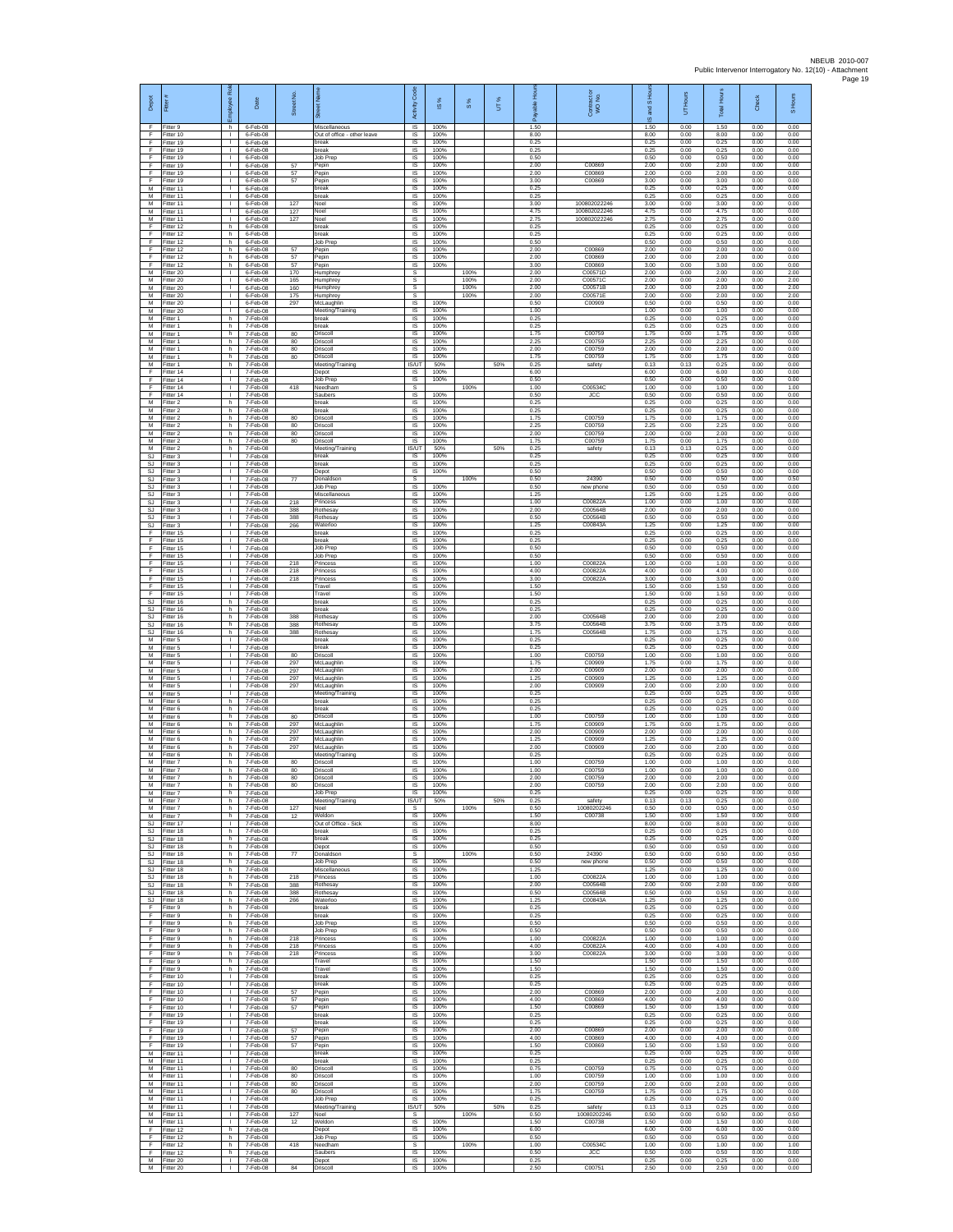| Depot                        | Fitter                                  | ē<br>nployee<br>١ī                             | Date                               | Street No.        | ā                                            | Code<br>Activity             | $\frac{8}{15}$       | 8%           | UT% | Hours<br>able<br>டீ  | Contract or<br>WO No.         | S <sub>Ho</sub><br>g<br>ဖ | UT Hours             | <b>Total Hours</b>   | Check                | S Hours              |
|------------------------------|-----------------------------------------|------------------------------------------------|------------------------------------|-------------------|----------------------------------------------|------------------------------|----------------------|--------------|-----|----------------------|-------------------------------|---------------------------|----------------------|----------------------|----------------------|----------------------|
| F<br>F                       | Fitter 9<br>Fitter 10                   | h.<br>$\mathbf{I}$                             | 6-Feb-08<br>6-Feb-08               |                   | Miscellaneous<br>Out of office - other leave | $\overline{s}$<br>IS         | 100%<br>100%         |              |     | 1.50<br>8.00         |                               | 1.50<br>8.00              | 0.00<br>0.00         | 1.50<br>8.00         | 0.00<br>0.00         | 0.00<br>0.00         |
| F<br>F<br>E                  | Fitter 19<br>Fitter 19<br>Fitter 19     | $\mathbb{R}^n$<br>$\mathbf{L}$<br>$\mathbf{L}$ | 6-Feb-08<br>6-Feb-08<br>6-Feb-08   |                   | break<br>break                               | $\sf IS$<br><b>IS</b><br>IS  | 100%<br>100%<br>100% |              |     | 0.25<br>0.25<br>0.50 |                               | 0.25<br>0.25<br>0.50      | 0.00<br>0.00<br>0.00 | 0.25<br>0.25<br>0.50 | 0.00<br>0.00<br>0.00 | 0.00<br>0.00         |
| F<br>F                       | Fitter 19<br>Fitter 19                  | Τ.<br>т.                                       | 6-Feb-08<br>6-Feb-08               | 57<br>57          | Job Prep<br>Pepin<br>Pepin                   | 1S<br>IS                     | 100%<br>100%         |              |     | 2.00<br>2.00         | C00869<br>C00869              | 2.00<br>2.00              | 0.00<br>0.00         | 2.00<br>2.00         | 0.00<br>0.00         | 0.00<br>0.00<br>0.00 |
| E<br>M                       | Fitter 19<br>Fitter 11                  | ÷.<br>л.                                       | 6-Feb-08<br>6-Feb-08               | 57                | Pepin<br>break                               | IS<br>IS                     | 100%<br>100%         |              |     | 3.00<br>0.25         | C00869                        | 3.00<br>0.25              | 0.00<br>0.00         | 3.00<br>0.25         | 0.00<br>0.00         | 0.00<br>0.00         |
| М<br>M                       | Fitter 11<br>Fitter 11                  | $\mathbf{I}$<br>$\mathbf{L}$                   | 6-Feb-08<br>6-Feb-08               | 127               | break<br>Noel                                | IS<br><b>IS</b>              | 100%<br>100%         |              |     | 0.25<br>3.00         | 100802022246                  | 0.25<br>3.00              | 0.00<br>0.00         | 0.25<br>3.00         | 0.00<br>0.00         | 0.00<br>0.00         |
| M<br>М                       | Fitter 11<br>Fitter 11                  | т.<br>٠                                        | 6-Feb-08<br>6-Feb-08               | 127<br>127        | Noel<br>Noel                                 | IS<br>IS                     | 100%<br>100%         |              |     | 4.75<br>2.75         | 100802022246<br>100802022246  | 4.75<br>2.75              | 0.00<br>0.00         | 4.75<br>2.75         | 0.00<br>0.00         | 0.00<br>0.00         |
| F<br>F                       | ltter 12<br>Fitter 12                   | h.<br>h.                                       | 6-Feb-08<br>6-Feb-08               |                   | break<br>break                               | IS<br><b>IS</b>              | 100%<br>100%         |              |     | 0.25<br>0.25         |                               | 0.25<br>0.25              | 0.00<br>0.00         | 0.25<br>0.25         | 0.00<br>0.00         | 0.00<br>0.00         |
| F<br>F<br>F                  | Fitter 12<br>Fitter 12<br>Fitter 12     | h<br>h.<br>h.                                  | 6-Feb-08<br>$6-Feb-08$<br>6-Feb-08 | 57<br>57          | <b>Job Prep</b><br>Pepin<br>Pepin            | IS<br>1S<br>IS               | 100%<br>100%<br>100% |              |     | 0.50<br>2.00<br>2.00 | C00869<br>C00869              | 0.50<br>2.00<br>2.00      | 0.00<br>0.00<br>0.00 | 0.50<br>2.00<br>2.00 | 0.00<br>0.00<br>0.00 | 0.00<br>0.00<br>0.00 |
| E<br>М                       | Fitter 12<br>Fitter 20                  | h<br>$\mathbf{L}$                              | 6-Feb-08<br>6-Feb-08               | 57<br>170         | Pepin<br><b>Humphrey</b>                     | IS<br>$\mathbb S$            | 100%                 | 100%         |     | 3.00<br>2.00         | C00869<br>C00571D             | 3.00<br>2.00              | 0.00<br>0.00         | 3.00<br>2.00         | 0.00<br>0.00         | 0.00<br>2.00         |
| М<br>M                       | fitter 20<br>Fitter 20                  | $\mathbf{L}$<br>л.                             | 6-Feb-08<br>6-Feb-08               | 165<br>160        | Humphrey<br>Humphrey                         | s<br>s                       |                      | 100%<br>100% |     | 2.00<br>2.00         | C00571C<br>C00571B            | 2.00<br>2.00              | 0.00<br>0.00         | 2.00<br>2.00         | 0.00<br>0.00         | 2.00<br>2.00         |
| M<br>М                       | Fitter 20<br>Fitter 20                  | $\mathbf{L}$<br>т.                             | 6-Feb-08<br>6-Feb-08               | 175<br>297        | Humphrey<br>McLaughlin                       | s<br>IS                      | 100%                 | 100%         |     | 2.00<br>0.50         | C00571E<br>C00909             | 2.00<br>0.50              | 0.00<br>0.00         | 2.00<br>0.50         | 0.00<br>0.00         | 200<br>0.00          |
| M<br>M                       | Fitter 20<br>Fitter 1                   | $\mathbf{L}$<br>h.                             | 6-Feb-08<br>7-Feb-08               |                   | Meeting/Training<br>break                    | IS<br><b>IS</b>              | 100%<br>100%         |              |     | 1.00<br>0.25         |                               | 1.00<br>0.25              | 0.00<br>0.00         | 1.00<br>0.25         | 0.00<br>0.00         | 0.00<br>0.00         |
| М<br>M<br>M                  | -itter 1<br>Fitter 1<br>Fitter 1        | h<br>h.<br>h.                                  | 7-Feb-08<br>7-Feb-08<br>7-Feb-08   | 80<br>80          | break<br>Driscoll<br>Driscoll                | $\sf IS$<br>$\sf IS$<br>IS   | 100%<br>100%<br>100% |              |     | 0.25<br>1.75<br>2.25 | C00759<br>C00759              | 0.25<br>1.75<br>2.25      | 0.00<br>0.00<br>0.00 | 0.25<br>1.75<br>2.25 | 0.00<br>0.00<br>0.00 | 0.00<br>0.00<br>0.00 |
| М<br>M                       | Fitter 1<br>Fitter 1                    | h<br>h.                                        | 7-Feb-08<br>7-Feb-08               | 80<br>80          | Driscoll<br>Driscoll                         | IS<br>IS                     | 100%<br>100%         |              |     | 2.00<br>1.75         | C00759<br>C00759              | 2.00<br>1.75              | 0.00<br>0.00         | 2.00<br>1.75         | 0.00<br>0.00         | 0.00<br>0.00         |
| М<br>E                       | fitter 1<br>Fitter 14                   | h<br>л.                                        | 7-Feb-08<br>7-Feb-08               |                   | Meeting/Training<br>Depot                    | IS/UT<br>- IS                | 50%<br>100%          |              | 50% | 0.25<br>6.00         | safety                        | 0.13<br>6.00              | 0.13<br>0.00         | 0.25<br>6.00         | 0.00<br>0.00         | 0.00<br>0.00         |
| F<br>F                       | Fitter 14<br>Fitter 14                  | л.<br>T.                                       | 7-Feb-08<br>7-Feb-08               | 418               | Job Prep<br>Needham                          | IS<br>s                      | 100%                 | 100%         |     | 0.50<br>1.00         | C005340                       | 0.50<br>1.00              | 0.00<br>0.00         | 0.50<br>1.00         | 0.00<br>0.00         | 0.00<br>1.00         |
| F<br>M<br>М                  | Fitter 14<br>Fitter 2<br>Fitter 2       | $\mathbb{R}$<br>h<br>h                         | 7-Feb-08<br>7-Feb-08<br>7-Feb-08   |                   | Saubers<br>break<br>break                    | IS<br>IS<br>IS               | 100%<br>100%<br>100% |              |     | 0.50<br>0.25<br>0.25 | <b>JCC</b>                    | 0.50<br>0.25<br>0.25      | 0.00<br>0.00<br>0.00 | 0.50<br>0.25<br>0.25 | 0.00<br>0.00<br>0.00 | 0.00<br>0.00<br>0.00 |
| M<br>M                       | -itter 2<br>Fitter 2                    | h.<br>h.                                       | 7-Feb-08<br>7-Feb-08               | 80<br>80          | Driscoll<br>Driscoll                         | IS<br>IS                     | 100%<br>100%         |              |     | 1.75<br>2.25         | C00759<br>C00759              | 1.75<br>2.25              | 0.00<br>0.00         | 1.75<br>2.25         | 0.00<br>0.00         | 0.00<br>0.00         |
| М<br>M                       | -itter 2<br>Fitter 2                    | h<br>h.                                        | 7-Feb-08<br>7-Feb-08               | 80<br>80          | Driscoll<br>Driscoll                         | IS<br>IS                     | 100%<br>100%         |              |     | 2.00<br>1.75         | C00759<br>C00759              | 2.00<br>1.75              | 0.00<br>0.00         | 2.00<br>1.75         | 0.00<br>0.00         | 0.00<br>0.00         |
| M<br>SJ                      | Fitter 2<br>Fitter 3                    | h.<br>T.                                       | 7-Feb-08<br>7-Feb-08               |                   | Meeting/Training<br>break                    | IS/UT<br>IS                  | 50%<br>100%          |              | 50% | 0.25<br>0.25         | safety                        | 0.13<br>0.25              | 0.13<br>0.00         | 0.25<br>0.25         | 0.00<br>0.00         | 0.00<br>0.00         |
| SJ<br>SJ<br><b>SJ</b>        | Fitter 3<br>Fitter 3<br>Fitter 3        | $\mathbf{L}$<br>$\mathbf{L}$                   | 7-Feb-08<br>7-Feb-08<br>7-Feb-08   |                   | break<br>Depot                               | IS<br>IS                     | 100%<br>100%         | 100%         |     | 0.25<br>0.50<br>0.50 | 24390                         | 0.25<br>0.50<br>0.50      | 0.00<br>0.00<br>0.00 | 0.25<br>0.50<br>0.50 | 0.00<br>0.00<br>0.00 | 0.00<br>0.00<br>0.50 |
| SJ<br>$\mathbb{S}\mathbb{J}$ | Fitter 3<br>Fitter 3                    | ÷.<br>л.<br>٠                                  | 7-Feb-08<br>7-Feb-08               | 77                | Donaldson<br>Job Prep<br>Miscellaneous       | .s<br>IS<br>IS               | 100%<br>100%         |              |     | 0.50<br>1.25         | new phone                     | 0.50<br>1.25              | 0.00<br>0.00         | 0.50<br>1.25         | 0.00<br>0.00         | 0.00<br>0.00         |
| SJ.<br>SJ                    | Fitter 3<br>Fitter 3                    | $\mathbf{L}$<br>$\mathbf{L}$                   | 7-Feb-08<br>7-Feb-08               | 218<br>388        | Princess<br>Rothesav                         | IS<br>IS                     | 100%<br>100%         |              |     | 1.00<br>2.00         | C00822A<br>C00564B            | 1.00<br>2.00              | 0.00<br>0.00         | 1.00<br>2.00         | 0.00<br>0.00         | 0.00<br>0.00         |
| SJ<br>SJ                     | -itter 3<br>Fitter 3                    | $\mathbf{L}$<br>$\mathbb{L}$                   | 7-Feb-08<br>7-Feb-08               | 388<br>266        | <b>Rothesay</b><br>Waterloo                  | $\sf IS$<br>$\sf IS$         | 100%<br>100%         |              |     | 0.50<br>1.25         | C00564B<br>C00843A            | 0.50<br>1.25              | 0.00<br>0.00         | 0.50<br>1.25         | 0.00<br>0.00         | 0.00<br>0.00         |
| F<br>E                       | Fitter 15<br>Fitter 15                  | $\mathbf{L}$<br>$\mathbf{L}$                   | 7-Feb-08<br>7-Feb-08               |                   | break<br>break                               | <b>IS</b><br>IS              | 100%<br>100%         |              |     | 0.25<br>0.25         |                               | 0.25<br>0.25              | 0.00<br>0.00         | 0.25<br>0.25         | 0.00<br>0.00         | 0.00<br>0.00         |
| F<br>F<br>E                  | Fitter 15<br>ltter 15<br>Fitter 15      | H.<br>$\mathbf{L}$<br>÷.                       | 7-Feb-08<br>7-Feb-08<br>7-Feb-08   | 218               | Job Prep<br>Job Prep<br>Princess             | 1S<br>IS<br>IS               | 100%<br>100%<br>100% |              |     | 0.50<br>0.50<br>1.00 | C00822A                       | 0.50<br>0.50<br>1.00      | 0.00<br>0.00<br>0.00 | 0.50<br>0.50<br>1.00 | 0.00<br>0.00<br>0.00 | 0.00<br>0.00<br>0.00 |
| F<br>F                       | Fitter 15<br>Fitter 15                  | т.<br>$\mathbf{I}$                             | 7-Feb-08<br>7-Feb-08               | 218<br>218        | Princess<br>Princess                         | IS<br>IS                     | 100%<br>100%         |              |     | 4.00<br>3.00         | C00822A<br>C00822A            | 4.00<br>3.00              | 0.00<br>0.00         | 4.00<br>3.00         | 0.00<br>0.00         | 0.00<br>0.00         |
| F<br>F                       | Fitter 15<br>Fitter 15                  | $\mathbf{L}$<br>т.                             | 7-Feb-08<br>7-Feb-08               |                   | Travel<br>Travel                             | <b>IS</b><br>IS              | 100%<br>100%         |              |     | 1.50<br>1.50         |                               | 1.50<br>1.50              | 0.00<br>0.00         | 1.50<br>1.50         | 0.00<br>0.00         | 0.00<br>0.00         |
| <b>SJ</b><br>SJ              | Fitter 16<br>fitter 16                  | h<br>h.                                        | 7-Feb-08<br>7-Feb-08               |                   | break<br>break                               | IS<br>IS                     | 100%<br>100%         |              |     | 0.25<br>0.25         |                               | 0.25<br>0.25              | 0.00<br>0.00         | 0.25<br>0.25         | 0.00<br>0.00         | 0.00<br>0.00         |
| SJ.<br>SJ<br>SJ              | Fitter 16<br>Fitter 16<br>Fitter 16     | h.<br>h<br>h.                                  | 7-Feb-08<br>7-Feb-08<br>7-Feb-08   | 388<br>388<br>388 | Rothesay<br>Rothesay<br><b>Rothesay</b>      | <b>IS</b><br>IS<br>1S        | 100%<br>100%<br>100% |              |     | 2.00<br>3.75<br>1.75 | C00564B<br>C00564B<br>C00564B | 2.00<br>3.75<br>1.75      | 0.00<br>0.00<br>0.00 | 2.00<br>3.75<br>1.75 | 0.00<br>0.00<br>0.00 | 0.00<br>0.00<br>0.00 |
| M<br>M                       | Fitter 5<br>Fitter 5                    | т.<br>T.                                       | 7-Feb-08<br>7-Feb-08               |                   | break<br>break                               | IS<br>IS                     | 100%<br>100%         |              |     | 0.25<br>0.25         |                               | 0.25<br>0.25              | 0.00<br>0.00         | 0.25<br>0.25         | 0.00<br>0.00         | 0.00<br>0.00         |
| М<br>М                       | Fitter 5<br>Fitter 5                    | $\mathbb{L}$<br>$\mathbf{L}$                   | 7-Feb-08<br>7-Feb-08               | 80<br>297         | Driscoll<br>McLaughlin                       | $\sf IS$<br>IS               | 100%<br>100%         |              |     | 1.00<br>1.75         | C00759<br>C00909              | 1.00<br>1.75              | 0.00<br>0.00         | 1.00<br>1.75         | 0.00<br>0.00         | 0.00<br>0.00         |
| M<br>M                       | Fitter 5<br>Fitter 5                    | ÷.<br>л.                                       | 7-Feb-08<br>7-Feb-08               | 297<br>297        | McLaughlir<br>McLaughlin                     | - IS<br>IS                   | 100%<br>100%         |              |     | 2.00<br>1 25         | C00909<br>C00909              | 2.00<br>1.25              | 0.00<br>0.00         | 2.00<br>1.25         | 0.00<br>0.00         | 0.00<br>0.00         |
| М<br>M<br>M                  | Fitter 5<br>Fitter 5<br>Fitter 6        | ٠<br>$\mathbf{L}$<br>h.                        | 7-Feb-08<br>7-Feb-08<br>7-Feb-08   | 297               | McLaughlin<br>Meeting/Training<br>break      | IS<br>IS<br><b>IS</b>        | 100%<br>100%<br>100% |              |     | 2.00<br>0.25<br>0.25 | C00909                        | 2.00<br>0.25<br>0.25      | 0.00<br>0.00<br>0.00 | 2.00<br>0.25<br>0.25 | 0.00<br>0.00<br>0.00 | 0.00<br>0.00<br>0.00 |
| М<br>M                       | -itter 6<br>Fitter 6                    | h<br>h.                                        | 7-Feb-08<br>7-Feb-08               | 80                | break<br>Driscoll                            | $\sf IS$<br>$\sf IS$         | 100%<br>100%         |              |     | 0.25<br>1.00         | C00759                        | 0.25<br>1.00              | 0.00<br>0.00         | 0.25<br>1.00         | 0.00<br>0.00         | 0.00<br>0.00         |
| M<br>М                       | Fitter 6<br>Fitter 6                    | h.<br>h                                        | 7-Feb-08<br>7-Feb-08               | 297<br>297        | McLaughlin<br>McLaughlin                     | IS<br>IS                     | 100%<br>100%         |              |     | 1.75<br>2.00         | C00909<br>C00909              | 1.75<br>2.00              | 0.00<br>0.00         | 1.75<br>2.00         | 0.00<br>0.00         | 0.00<br>0.00         |
| M<br>M                       | Fitter 6<br>itter 6                     | h.<br>h                                        | 7-Feb-08<br>7-Feb-08               | 297<br>297        | McLaughlin<br>McLaughlin                     | IS<br>IS                     | 100%<br>100%         |              |     | 1.25<br>2.00         | C00909<br>C00909              | 1.25<br>2.00              | 0.00<br>0.00         | 1.25<br>2.00         | 0.00<br>0.00         | 0.00<br>0.00         |
| M<br>M<br>М                  | Fitter 6<br>Fitter 7<br>Fitter 7        | h.<br>h.<br>h                                  | 7-Feb-08<br>7-Feb-08<br>7-Feb-08   | 80<br>80          | Meeting/Training<br>Driscoll<br>Driscoll     | <b>IS</b><br>IS.<br>$\sf IS$ | 100%<br>100%<br>100% |              |     | 0.25<br>1.00<br>1.00 | C00759<br>C00759              | 0.25<br>1.00<br>1.00      | 0.00<br>0.00<br>0.00 | 0.25<br>1.00<br>1.00 | 0.00<br>0.00<br>0.00 | 0.00<br>0.00<br>0.00 |
| M<br>M                       | Fitter 7<br>Fitter 7                    | h.<br>h                                        | 7-Feb-08<br>7-Feb-08               | 80<br>80          | Driscoll<br>Driscoll                         | IS<br><b>IS</b>              | 100%<br>100%         |              |     | 2.00<br>2.00         | C00759<br>C00759              | 2.00<br>2.00              | 0.00<br>0.00         | 2.00<br>2.00         | 0.00<br>0.00         | 0.00<br>0.00         |
| M<br>M                       | Fitter 7<br>Fitter 7                    | h<br>h.                                        | 7-Feb-08<br>7-Feb-08               |                   | Job Prep<br>Meeting/Training                 | 1S<br><b>IS/UT</b>           | 100%<br>50%          |              | 50% | 0.25<br>0.25         | safety                        | 0.25<br>0.13              | 0.00<br>0.13         | 0.25<br>0.25         | 0.00<br>0.00         | 0.00<br>0.00         |
| M<br>M                       | Fitter 7<br>Fitter 7                    | h<br>h                                         | 7-Feb-08<br>7-Feb-08               | 127<br>12         | Noel<br>Weldon                               | s.<br>IS                     | 100%                 | 100%         |     | 0.50<br>1.50         | 10080202246<br>C00738         | 0.50<br>1.50              | 0.00<br>0.00         | 0.50<br>1.50         | 0.00<br>0.00         | 0.50<br>0.00         |
| SJ<br>SJ.<br>SJ              | Fitter 17<br>Fitter 18<br>Fitter 18     | Τ.<br>h.<br>h                                  | 7-Feb-08<br>7-Feb-08<br>7-Feb-08   |                   | Out of Office - Sick<br>break<br>break       | 1S<br>IS<br>IS               | 100%<br>100%<br>100% |              |     | 8.00<br>0.25<br>0.25 |                               | 8.00<br>0.25<br>0.25      | 0.00<br>0.00<br>0.00 | 8.00<br>0.25<br>0.25 | 0.00<br>0.00<br>0.00 | 0.00<br>0.00<br>0.00 |
| SJ.<br>SJ                    | Fitter 18<br>Fitter 18                  | h.<br>h.                                       | 7-Feb-08<br>7-Feb-08               | 77                | Depot<br>Donaldson                           | IS<br>s                      | 100%                 | 100%         |     | 0.50<br>0.50         | 24390                         | 0.50<br>0.50              | 0.00<br>0.00         | 0.50<br>0.50         | 0.00<br>0.00         | 0.00<br>0.50         |
| SJ.<br>SJ.                   | Fitter 18<br>Fitter 18                  | h.<br>h.                                       | $7-Feh-08$<br>$7-Feh-08$           |                   | Job Prep<br>Miscellaneous                    | IS<br><b>IS</b>              | 100%<br>100%         |              |     | 0.50<br>1.25         | new phone                     | 0.50<br>1 25              | 0.00<br>0.00         | 0.50<br>1.25         | 0.00<br>0.00         | 0.00<br>0.00         |
| SJ<br>SJ.                    | Fitter 18<br>Fitter 18<br>SJ Fitter 18  | h<br>h.<br>h                                   | 7-Feb-08<br>7-Feb-08<br>7-Feb-08   | 218<br>388<br>388 | Princess<br>Rothesay<br>Rothesay             | IS<br>IS<br>IS.              | 100%<br>100%<br>100% |              |     | 1.00<br>2.00<br>0.50 | C00822A<br>C00564B<br>C00564B | 1.00<br>2.00<br>0.50      | 0.00<br>0.00<br>0.00 | 1.00<br>2.00<br>0.50 | 0.00<br>0.00<br>0.00 | 0.00<br>0.00<br>0.00 |
| SJ<br>F.                     | Fitter 18<br>Fitter 9                   | h.<br>h                                        | 7-Feb-08<br>7-Feb-08               | 266               | Waterloo<br>break                            | $\sf IS$<br>$\sf IS$         | 100%<br>100%         |              |     | 1.25<br>0.25         | C00843A                       | 1.25<br>0.25              | 0.00<br>0.00         | 1.25<br>0.25         | 0.00<br>0.00         | 0.00<br>0.00         |
| F.<br>F.                     | Fitter 9<br>Fitter 9                    | h.<br>h                                        | 7-Feb-08<br>7-Feb-08               |                   | break<br>Job Prep                            | IS<br>IS                     | 100%<br>100%         |              |     | 0.25<br>0.50         |                               | 0.25<br>0.50              | 0.00<br>0.00         | 0.25<br>0.50         | 0.00<br>0.00         | 0.00<br>0.00         |
| F<br>F                       | Fitter 9<br>Fitter 9                    | h.<br>h.                                       | 7-Feb-08<br>7-Feb-08               | 218               | Job Prep<br>Princess                         | <b>IS</b><br>IS              | 100%<br>100%         |              |     | 0.50<br>1.00         | C00822A                       | 0.50<br>1.00              | 0.00<br>0.00         | 0.50<br>1.00         | 0.00<br>0.00         | 0.00<br>0.00         |
| F<br>F.<br>F                 | Fitter 9<br>Fitter 9<br>Fitter 9        | h.<br>h.<br>h                                  | 7-Feb-08<br>7-Feb-08<br>7-Feb-08   | 218<br>218        | Princess<br>Princess<br>Travel               | IS<br>IS<br>$\sf IS$         | 100%<br>100%<br>100% |              |     | 4.00<br>3.00<br>1.50 | C00822A<br>C00822A            | 4.00<br>3.00<br>1.50      | 0.00<br>0.00<br>0.00 | 4.00<br>3.00<br>1.50 | 0.00<br>0.00<br>0.00 | 0.00<br>0.00<br>0.00 |
| F.<br>F.                     | Fitter 9<br>Fitter 10                   | h<br>$\mathbf{L}$                              | 7-Feb-08<br>7-Feb-08               |                   | Travel<br>break                              | <b>IS</b><br>IS              | 100%<br>100%         |              |     | 1.50<br>0.25         |                               | 1.50<br>0.25              | 0.00<br>0.00         | 1.50<br>0.25         | 0.00<br>0.00         | 0.00<br>0.00         |
| F<br>Ŧ                       | Fitter 10<br>Fitter 10                  | т.<br>т                                        | 7-Feb-08<br>7-Feb-08               | 57                | break<br>Pepin                               | IS<br>IS                     | 100%<br>100%         |              |     | 0.25<br>2.00         | C00869                        | 0.25<br>2.00              | 0.00<br>0.00         | 0.25<br>2.00         | 0.00<br>0.00         | 0.00<br>0.00         |
| F<br>$\mathsf F$             | Fitter 10<br>Fitter 10                  | $\mathbf{L}$<br>$\mathbf{L}$                   | 7-Feb-08<br>7-Feb-08               | 57<br>57          | Pepin<br>Pepin                               | <b>IS</b><br>IS              | 100%<br>100%         |              |     | 4.00<br>1.50         | C00869<br>C00869              | 4.00<br>1.50              | 0.00<br>0.00         | 4.00<br>1.50         | 0.00<br>0.00         | 0.00<br>0.00         |
| F<br>F<br>F                  | Fitter 19<br>Fitter 19<br>Fitter 19     | $\mathbb{L}$<br>H.<br>$\mathbf{L}$             | 7-Feb-08<br>7-Feb-08<br>7-Feb-08   | 57                | break<br>break<br>Pepin                      | 1S<br>IS<br>$\sf IS$         | 100%<br>100%<br>100% |              |     | 0.25<br>0.25<br>2.00 | C00869                        | 0.25<br>0.25<br>2.00      | 0.00<br>0.00<br>0.00 | 0.25<br>0.25<br>2.00 | 0.00<br>0.00<br>0.00 | 0.00<br>0.00<br>0.00 |
| F.<br>F                      | Fitter 19<br>Fitter 19                  | $\mathbb{R}^n$<br>$\mathbb{L}$                 | $7-Feb-08$<br>7-Feb-08             | 57<br>57          | Pepin<br>Pepin                               | IS<br>IS                     | 100%<br>100%         |              |     | 4.00<br>1.50         | C00869<br>C00869              | 4.00<br>1.50              | 0.00<br>0.00         | 4.00<br>1.50         | 0.00<br>0.00         | 0.00<br>0.00         |
| M<br>M                       | Fitter 11<br>Fitter 11                  | $\mathbf{L}$<br><b>I</b>                       | 7-Feb-08<br>7-Feb-08               |                   | break<br>break                               | - IS<br><b>IS</b>            | 100%<br>100%         |              |     | 0.25<br>0.25         |                               | 0.25<br>0.25              | 0.00<br>0.00         | 0.25<br>0.25         | 0.00<br>0.00         | 0.00<br>0.00         |
| М<br>M                       | Fitter 11<br>Fitter 11                  | $\mathbf{I}$<br>т                              | 7-Feb-08<br>7-Feb-08               | 80<br>80          | Driscoll<br>Driscoll                         | IS<br>IS                     | 100%<br>100%         |              |     | 0.75<br>1.00         | C00759<br>C00759<br>C00759    | 0.75<br>1.00              | 0.00<br>0.00         | 0.75<br>1.00         | 0.00<br>0.00         | 0.00<br>0.00         |
| ${\sf M}$<br>M               | M Fitter 11<br>Fitter 11<br>Fitter 11   | $\mathbf{L}$<br>$\mathbf{L}$<br>$\mathbf{L}$   | 7-Feb-08<br>7-Feb-08<br>7-Feb-08   | 80<br>80          | Driscoll<br>Driscoll<br>Job Prep             | <b>IS</b><br>$\sf IS$<br>IS  | 100%<br>100%<br>100% |              |     | 2.00<br>1.75<br>0.25 | C00759                        | 2.00<br>1.75<br>0.25      | 0.00<br>0.00<br>0.00 | 2.00<br>1.75<br>0.25 | 0.00<br>0.00<br>0.00 | 0.00<br>0.00<br>0.00 |
| M<br>M                       | Fitter 11<br>Fitter 11                  | $\mathbf{L}$<br>$\mathbf{L}$                   | 7-Feb-08<br>7-Feb-08               | 127               | Meeting/Training<br>Noel                     | IS/UT<br>s                   | 50%                  | 100%         | 50% | 0.25<br>0.50         | safety<br>10080202246         | 0.13<br>0.50              | 0.13<br>0.00         | 0.25<br>0.50         | 0.00<br>0.00         | 0.00<br>0.50         |
| M<br>F                       | Fitter 11<br>ltter 12                   | H.<br>h.                                       | 7-Feb-08<br>7-Feb-08               | 12                | Weldon<br>Depot                              | IS<br>IS                     | 100%<br>100%         |              |     | 1.50<br>6.00         | C00738                        | 1.50<br>6.00              | 0.00<br>0.00         | 1.50<br>6.00         | 0.00<br>0.00         | 0.00<br>0.00         |
| E<br>F.                      | Fitter 12<br>Fitter 12                  | h.<br>h.                                       | 7-Feb-08<br>7-Feb-08               | 418               | Job Prep<br>Needham                          | IS<br>s                      | 100%                 | 100%         |     | 0.50<br>1.00         | C00534C                       | 0.50<br>1.00              | 0.00<br>0.00         | 0.50<br>1.00         | 0.00<br>0.00         | 0.00<br>1.00         |
| F                            | Fitter 12<br>M Fitter 20<br>M Fitter 20 | h<br>$\mathbb{R}$                              | 7-Feb-08<br>7-Feb-08<br>I 7-Feb-08 | 84                | Saubers<br>Depot<br>Driscoll                 | $\sf IS$<br><b>IS</b><br>IS. | 100%<br>100%<br>100% |              |     | 0.50<br>0.25<br>2.50 | <b>JCC</b><br>C00751          | 0.50<br>0.25<br>2.50      | 0.00<br>0.00<br>0.00 | 0.50<br>0.25<br>2.50 | 0.00<br>0.00<br>0.00 | 0.00<br>0.00<br>0.00 |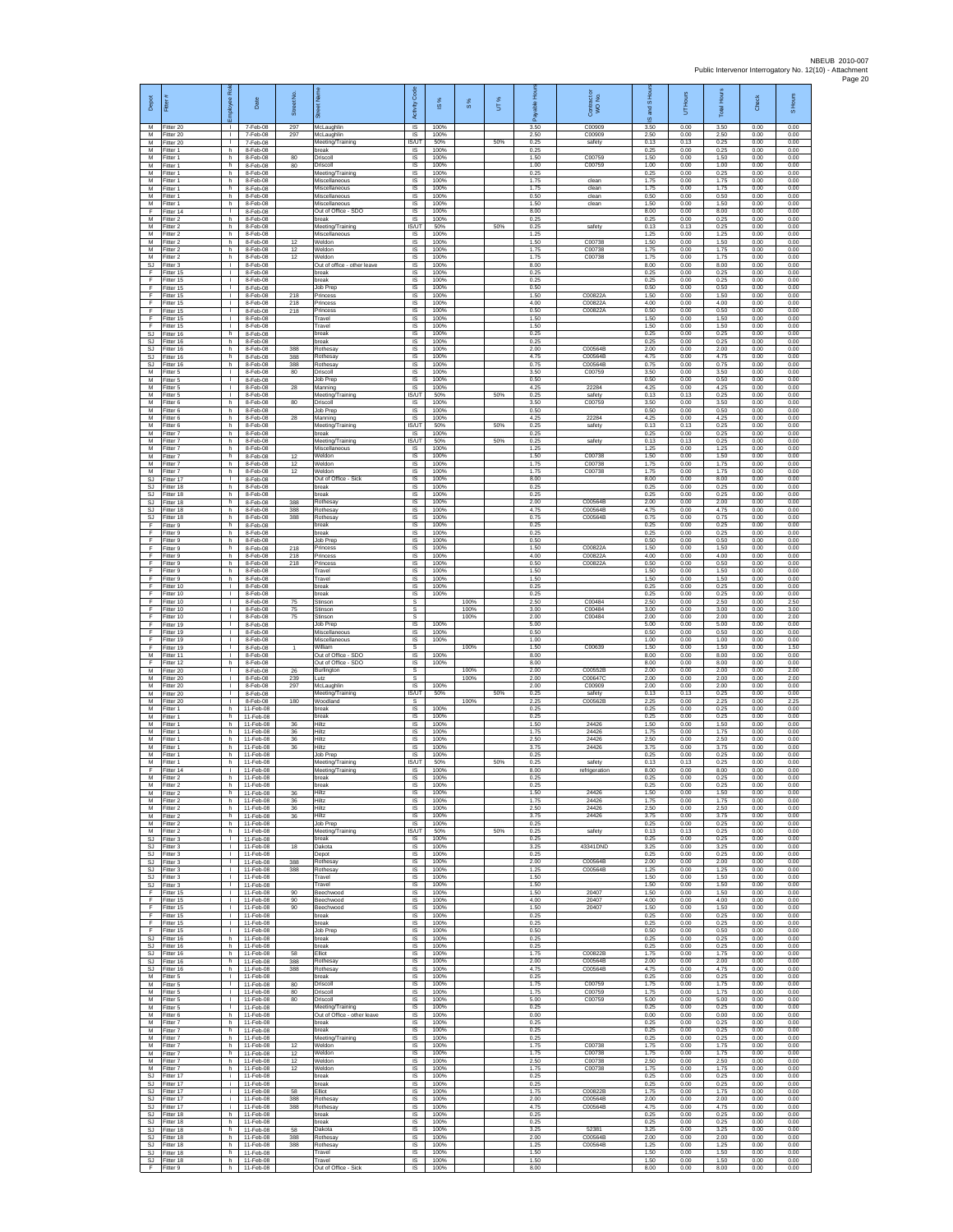| Depot                       | Ē                                      | æ<br>loyee                                   | Date                                | Street No.       |                                                          | Code<br>Activity                    | ×,<br>ഇ              | $\frac{8}{3}$ | UT% | able<br>ஃ            | Contract or<br>WO No.         | S Hou<br>g<br>ဖ      | BJ DH<br>5           | <b>Total Hours</b>   | <b>Check</b>         | S Hours              |
|-----------------------------|----------------------------------------|----------------------------------------------|-------------------------------------|------------------|----------------------------------------------------------|-------------------------------------|----------------------|---------------|-----|----------------------|-------------------------------|----------------------|----------------------|----------------------|----------------------|----------------------|
| М<br>M<br>M                 | Fitter 20<br>Fitter 20<br>Fitter 20    | л.<br>$\mathbf{L}$<br>$\mathbf{L}$           | 7-Feb-08<br>7-Feb-08<br>7-Feb-08    | 297<br>297       | McLaughlin<br>McLaughlin<br>Meeting/Training             | IS<br>IS<br>IS/UT                   | 100%<br>100%<br>50%  |               | 50% | 3.50<br>2.50<br>0.25 | C00909<br>C00909<br>safety    | 3.50<br>2.50<br>0.13 | 0.00<br>0.00<br>0.13 | 3.50<br>2.50<br>0.25 | 0.00<br>0.00<br>0.00 | 0.00<br>0.00<br>0.00 |
| M<br>M<br>М                 | Fitter 1<br>Fitter 1<br>itter 1        | h.<br>h<br>h                                 | 8-Feb-08<br>8-Feb-08<br>8-Feb-08    | 80<br>80         | break<br>Driscoll<br>Oriscoll                            | IS<br>IS<br>IS                      | 100%<br>100%<br>100% |               |     | 0.25<br>1.50<br>1.00 | C00759<br>C00759              | 0.25<br>1.50<br>1.00 | 0.00<br>0.00<br>0.00 | 0.25<br>1.50<br>1.00 | 0.00<br>0.00<br>0.00 | 0.00<br>0.00<br>0.00 |
| M<br>M                      | Fitter 1<br>-itter 1                   | h.<br>h.                                     | 8-Feb-08<br>8-Feb-08                |                  | Meeting/Training<br>Miscellaneous                        | - IS<br><b>IS</b>                   | 100%<br>100%         |               |     | 0.25<br>1.75         | clean                         | 0.25<br>1.75         | 0.00<br>0.00         | 0.25<br>1.75         | 0.00<br>0.00         | 0.00<br>0.00         |
| М<br>M<br>M                 | Fitter 1<br>Fitter 1<br>Fitter 1       | h<br>h<br>h.                                 | 8-Feb-08<br>8-Feb-08<br>8-Feb-08    |                  | Miscellaneous<br>Miscellaneous<br>Miscellaneous          | IS<br>$\overline{\mathsf{s}}$<br>IS | 100%<br>100%<br>100% |               |     | 1.75<br>0.50<br>1.50 | clean<br>clean<br>clean       | 1.75<br>0.50<br>1.50 | 0.00<br>0.00<br>0.00 | 1.75<br>0.50<br>1.50 | 0.00<br>0.00<br>0.00 | 0.00<br>0.00<br>0.00 |
| F<br>M<br>M                 | Fitter 14<br>Fitter 2<br>Fitter 2      | $\mathbb{L}$<br>h<br>h.                      | 8-Feb-08<br>8-Feb-08<br>8-Feb-08    |                  | Out of Office - SDO<br>break<br>Meeting/Training         | IS<br>IS<br><b>IS/UT</b>            | 100%<br>100%<br>50%  |               | 50% | 8.00<br>0.25<br>0.25 | safety                        | 8.00<br>0.25<br>0.13 | 0.00<br>0.00<br>0.13 | 8.00<br>0.25<br>0.25 | 0.00<br>0.00<br>0.00 | 0.00<br>0.00<br>0.00 |
| M<br>M                      | Fitter 2<br>Fitter 2                   | h<br>h                                       | 8-Feb-08<br>8-Feb-08                | 12               | Miscellaneous<br>Weldon                                  | IS<br>IS                            | 100%<br>100%         |               |     | 1.25<br>1.50         | C00738                        | 1.25<br>1.50         | 0.00<br>0.00         | 1.25<br>1.50         | 0.00<br>0.00         | 0.00<br>0.00         |
| M<br>M<br>SJ                | Fitter 2<br>Fitter 2<br>-itter 3       | h<br>h.<br>$\mathbf{L}$                      | 8-Feb-08<br>8-Feb-08<br>8-Feb-08    | 12<br>12         | Neldon<br>Weldon<br>Out of office - other leave          | IS<br>- IS<br>$\sf IS$              | 100%<br>100%<br>100% |               |     | 1.75<br>1.75<br>8.00 | C00738<br>C00738              | 1.75<br>1.75<br>8.00 | 0.00<br>0.00<br>0.00 | 1.75<br>1.75<br>8.00 | 0.00<br>0.00<br>0.00 | 0.00<br>0.00<br>0.00 |
| F<br>-F<br>E                | litter 15<br>Fitter 15<br>Fitter 15    | J.<br>т.<br>$\mathbf{L}$                     | 8-Feb-08<br>8-Feb-08<br>8-Feb-08    |                  | break<br>break<br>.lob Prep                              | $\sf IS$<br>IS<br>IS                | 100%<br>100%<br>100% |               |     | 0.25<br>0.25<br>0.50 |                               | 0.25<br>0.25<br>0.50 | 0.00<br>0.00<br>0.00 | 0.25<br>0.25<br>0.50 | 0.00<br>0.00<br>0.00 | 0.00<br>0.00<br>0.00 |
| Ŧ<br>F                      | Fitter 15<br>Fitter 15                 | ٠<br>т.                                      | 8-Feb-08<br>8-Feb-08                | 218<br>218       | Princess<br>Princess                                     | IS<br>IS                            | 100%<br>100%         |               |     | 1.50<br>4.00         | C00822A<br>C00822A            | 1.50<br>4.00         | 0.00<br>0.00         | 1.50<br>4.00         | 0.00<br>0.00         | 0.00<br>0.00         |
| E<br>F<br>F                 | Fitter 15<br>Fitter 15<br>Fitter 15    | $\mathbf{L}$<br>$\mathbf{L}$<br>$\mathbb{L}$ | 8-Feb-08<br>8-Feb-08<br>8-Feb-08    | 218              | Princess<br>Travel<br>Travel                             | IS<br>IS<br>$\sf IS$                | 100%<br>100%<br>100% |               |     | 0.50<br>1.50<br>1.50 | C00822A                       | 0.50<br>1.50<br>1.50 | 0.00<br>0.00<br>0.00 | 0.50<br>1.50<br>1.50 | 0.00<br>0.00<br>0.00 | 0.00<br>0.00<br>0.00 |
| SJ<br>SJ                    | Fitter 16<br>Fitter 16                 | h.<br>h                                      | 8-Feb-08<br>8-Feb-08                | 388              | break<br>oreak                                           | IS<br>IS                            | 100%<br>100%         |               |     | 0.25<br>0.25         |                               | 0.25<br>0.25         | 0.00<br>0.00         | 0.25<br>0.25         | 0.00<br>0.00         | 0.00<br>0.00         |
| SJ<br>SJ<br>-SJ             | Fitter 16<br>fitter 16<br>Fitter 16    | h.<br>h<br>h.                                | 8-Feb-08<br>8-Feb-08<br>8-Feb-08    | 388<br>388       | <b>Rothesay</b><br>Rothesay<br>Rothesay                  | IS<br>IS<br>- IS                    | 100%<br>100%<br>100% |               |     | 2.00<br>4.75<br>0.75 | C00564B<br>C00564B<br>C00564B | 2.00<br>4.75<br>0.75 | 0.00<br>0.00<br>0.00 | 2.00<br>4.75<br>0.75 | 0.00<br>0.00<br>0.00 | 0.00<br>0.00<br>0.00 |
| M<br>M<br>M                 | -itter 5<br>Fitter 5<br>Fitter 5       | л.<br>т.<br>т.                               | 8-Feb-08<br>8-Feb-08<br>8-Feb-08    | 80<br>${\bf 28}$ | Driscoll<br>Job Prep<br>Manning                          | IS<br>IS<br>$\overline{\mathsf{s}}$ | 100%<br>100%<br>100% |               |     | 3.50<br>0.50<br>4.25 | C00759<br>22284               | 3.50<br>0.50<br>4.25 | 0.00<br>0.00<br>0.00 | 3.50<br>0.50<br>4.25 | 0.00<br>0.00<br>0.00 | 0.00<br>0.00<br>0.00 |
| M<br>M                      | Fitter 5<br>-itter 6                   | $\mathbf{L}$<br>h                            | 8-Feb-08<br>8-Feb-08                | 80               | Meeting/Training<br>Driscoll                             | IS/UT<br>IS                         | 50%<br>100%          |               | 50% | 0.25<br>3.50         | safety<br>C00759              | 0.13<br>3.50         | 0.13<br>0.00         | 0.25<br>3.50         | 0.00<br>0.00         | 0.00<br>0.00         |
| M<br>M<br>М                 | Fitter 6<br>Fitter 6<br>Fitter 6       | h.<br>h.<br>h.                               | 8-Feb-08<br>8-Feb-08<br>8-Feb-08    | 28               | Job Prep<br>Manning<br>Meeting/Training                  | <b>IS</b><br><b>IS</b><br>IS/UT     | 100%<br>100%<br>50%  |               | 50% | 0.50<br>4.25<br>0.25 | 22284<br>safety               | 0.50<br>4.25<br>0.13 | 0.00<br>0.00<br>0.13 | 0.50<br>4.25<br>0.25 | 0.00<br>0.00<br>0.00 | 0.00<br>0.00<br>0.00 |
| M<br>M<br>M                 | Fitter 7<br>Fitter 7                   | h.<br>h<br>h.                                | 8-Feb-08<br>8-Feb-08<br>8-Feb-08    |                  | break<br>Meeting/Training<br>Miscellaneous               | IS<br><b>IS/UT</b><br><b>IS</b>     | 100%<br>50%<br>100%  |               | 50% | 0.25<br>0.25<br>1.25 | safety                        | 0.25<br>0.13<br>1.25 | 0.00<br>0.13<br>0.00 | 0.25<br>0.25<br>1.25 | 0.00<br>0.00<br>0.00 | 0.00<br>0.00<br>0.00 |
| М<br>М                      | Fitter 7<br>-itter 7<br>-itter 7       | h<br>h                                       | 8-Feb-08<br>8-Feb-08                | 12<br>12         | Weldon<br>Weldon                                         | $\sf IS$<br>$\sf IS$                | 100%<br>100%         |               |     | 1.50<br>1.75         | C00738<br>C00738              | 1.50<br>1.75         | 0.00<br>0.00         | 1.50<br>1.75         | 0.00<br>0.00         | 0.00<br>0.00         |
| M<br>S.I<br><b>SJ</b>       | Fitter 7<br>Fitter 17<br>Fitter 18     | h.<br>л.<br>h                                | 8-Feb-08<br>8-Feb-08<br>8-Feb-08    | 12               | Weldon<br>Out of Office - Sick<br>break                  | IS<br><b>IS</b><br>IS               | 100%<br>100%<br>100% |               |     | 1.75<br>8.00<br>0.25 | C00738                        | 1.75<br>8.00<br>0.25 | 0.00<br>0.00<br>0.00 | 1.75<br>8.00<br>0.25 | 0.00<br>0.00<br>0.00 | 0.00<br>0.00<br>0.00 |
| SJ<br>SJ                    | Fitter 18<br>Fitter 18                 | h<br>h.                                      | 8-Feb-08<br>8-Feb-08                | 388              | break<br>Rothesay                                        | IS<br>- IS                          | 100%<br>100%         |               |     | 0.25<br>2.00         | C00564B                       | 0.25<br>2.00         | 0.00<br>0.00         | 0.25<br>2.00         | 0.00<br>0.00         | 0.00<br>0.00         |
| SJ<br>SJ<br>F               | Fitter 18<br>Fitter 18<br>Fitter 9     | h<br>h.<br>h.                                | 8-Feb-08<br>8-Feb-08<br>8-Feb-08    | 388<br>388       | Rothesay<br><b>Rothesay</b><br>break                     | IS<br>IS<br><b>IS</b>               | 100%<br>100%<br>100% |               |     | 4.75<br>0.75<br>0.25 | C00564B<br>C00564B            | 4.75<br>0.75<br>0.25 | 0.00<br>0.00<br>0.00 | 4.75<br>0.75<br>0.25 | 0.00<br>0.00<br>0.00 | 0.00<br>0.00<br>0.00 |
| F<br>Ŧ<br>Ŧ                 | Fitter 9<br>Fitter 9<br>fitter 9       | h<br>h<br>h                                  | 8-Feb-08<br>8-Feb-08<br>8-Feb-08    | 218              | break<br>Job Prep<br>Princess                            | IS<br>IS<br>IS                      | 100%<br>100%<br>100% |               |     | 0.25<br>0.50<br>1.50 | C00822A                       | 0.25<br>0.50<br>1.50 | 0.00<br>0.00<br>0.00 | 0.25<br>0.50<br>1.50 | 0.00<br>0.00<br>0.00 | 0.00<br>0.00<br>0.00 |
| -F<br>F                     | Fitter 9<br>-itter 9                   | h.<br>h.                                     | 8-Feb-08<br>8-Feb-08                | 218<br>218       | Princess<br>Princess                                     | - IS<br><b>IS</b>                   | 100%<br>100%         |               |     | 4.00<br>0.50         | C00822A<br>C00822A            | 4.00<br>0.50         | 0.00<br>0.00         | 4.00<br>0.50         | 0.00<br>0.00         | 0.00<br>0.00         |
| F<br>Ŧ<br>E                 | Fitter 9<br>Fitter 9<br>Fitter 10      | h<br>h<br>$\mathbf{L}$                       | 8-Feb-08<br>8-Feb-08<br>8-Feb-08    |                  | Travel<br>Travel<br>break                                | IS<br>$\overline{\mathsf{s}}$<br>IS | 100%<br>100%<br>100% |               |     | 1.50<br>1.50<br>0.25 |                               | 1.50<br>1.50<br>0.25 | 0.00<br>0.00<br>0.00 | 1.50<br>1.50<br>0.25 | 0.00<br>0.00<br>0.00 | 0.00<br>0.00<br>0.00 |
| $\mathsf F$<br>Ŧ            | Fitter 10<br>Fitter 10                 | L.<br>$\mathbf{L}$                           | 8-Feb-08<br>8-Feb-08                | 75               | break<br>Stinson                                         | IS<br>s                             | 100%                 | 100%          |     | 0.25<br>2.50         | C0048                         | 0.25<br>2.50         | 0.00<br>0.00         | 0.25<br>2.50         | 0.00<br>0.00         | 0.00<br>2.50         |
| F<br>F<br>F                 | Fitter 10<br>Fitter 10<br>Fitter 19    | $\mathbf{L}$<br>$\mathbf{L}$<br>$\mathbb{L}$ | 8-Feb-08<br>8-Feb-08<br>8-Feb-08    | 75<br>75         | Stinson<br>Stinson<br>Job Prep                           | s<br>s<br>IS                        | 100%                 | 100%<br>100%  |     | 3.00<br>2.00<br>5.00 | C00484<br>C00484              | 3.00<br>2.00<br>5.00 | 0.00<br>0.00<br>0.00 | 3.00<br>2.00<br>5.00 | 0.00<br>0.00<br>0.00 | 3.00<br>2.00<br>0.00 |
| F<br>F<br>F                 | -itter 19<br>Fitter 19<br>Fitter 19    | т.<br>л.<br>$\mathbf{L}$                     | 8-Feb-08<br>8-Feb-08<br>8-Feb-08    | $\mathbf{1}$     | Miscellaneous<br>Miscellaneous<br>William                | IS<br>- IS<br>$\mathbb S$           | 100%<br>100%         | 100%          |     | 0.50<br>1.00<br>1.50 | C00639                        | 0.50<br>1.00<br>1.50 | 0.00<br>0.00<br>0.00 | 0.50<br>1.00<br>1.50 | 0.00<br>0.00<br>0.00 | 0.00<br>0.00<br>1.50 |
| M<br>-F                     | Fitter 11<br>Fitter 12                 | T.<br>h.                                     | 8-Feb-08<br>8-Feb-08                |                  | Out of Office - SDO<br>Out of Office - SDO               | IS<br><b>IS</b>                     | 100%<br>100%         |               |     | 8.00<br>8.00         |                               | 8.00<br>8.00         | 0.00<br>0.00         | 8.00<br>8.00         | 0.00<br>0.00         | 0.00<br>0.00         |
| M<br>M<br>M                 | Fitter 20<br>Fitter 20<br>Fitter 20    | $\mathbf{L}$<br>т.<br>т.                     | 8-Feb-08<br>8-Feb-08<br>8-Feb-08    | 26<br>239<br>297 | Burlington<br>Lutz<br>McLaughlin                         | s<br>s<br>IS                        | 100%                 | 100%<br>100%  |     | 2.00<br>2.00<br>2.00 | C00552B<br>C00647C<br>C00909  | 200<br>2.00<br>2.00  | 0.00<br>0.00<br>0.00 | 200<br>2.00<br>2.00  | 0.00<br>0.00<br>0.00 | 2.00<br>2.00<br>0.00 |
| M<br>M                      | Fitter 20<br>-itter 20                 | л.<br>$\mathbf{L}$                           | 8-Feb-08<br>8-Feb-08                | 180              | Meeting/Training<br>Woodland                             | IS/UT<br>s                          | 50%                  | 100%          | 50% | 0.25<br>2.25         | safety<br>C00562B             | 0.13<br>2.25         | 0.13<br>0.00         | 0.25<br>2.25         | 0.00<br>0.00         | 0.00<br>2.25         |
| M<br>M<br>M                 | Fitter 1<br>Fitter 1<br>Fitter 1       | h.<br>h.<br>h                                | 11-Feb-08<br>11-Feb-08<br>11-Feb-08 | 36               | break<br>break<br>Hiltz                                  | IS<br><b>IS</b><br>IS               | 100%<br>100%<br>100% |               |     | 0.25<br>0.25<br>1.50 | 24426                         | 0.25<br>0.25<br>1.50 | 0.00<br>0.00<br>0.00 | 0.25<br>0.25<br>1.50 | 0.00<br>0.00<br>0.00 | 0.00<br>0.00<br>0.00 |
| M<br>M<br>M                 | Fitter 1<br>itter 1<br>Fitter 1        | h.<br>h<br>h.                                | 11-Feb-08<br>11-Feb-08<br>11-Feb-08 | 36<br>36<br>36   | Hiltz<br>Hiltz<br>Hiltz                                  | IS<br>IS<br>- IS                    | 100%<br>100%<br>100% |               |     | 1.75<br>2.50<br>3.75 | 24426<br>24426<br>24426       | 1.75<br>2.50<br>3.75 | 0.00<br>0.00<br>0.00 | 1.75<br>2.50<br>3.75 | 0.00<br>0.00<br>0.00 | 0.00<br>0.00<br>0.00 |
| M<br>M                      | -itter 1<br>Fitter 1                   | h.<br>h                                      | 11-Feb-08<br>11-Feb-08              |                  | .lob Prep<br>Meeting/Training                            | <b>IS</b><br>IS/UT                  | 100%<br>50%          |               | 50% | 0.25<br>0.25         | safety                        | 0.25<br>0.13         | 0.00<br>0.13         | 0.25<br>0.25         | 0.00<br>0.00         | 0.00<br>0.00         |
| F<br>M<br>M                 | Fitter 14<br>Fitter 2<br>Fitter 2      | $\mathbf{L}$<br>h.<br>h                      | 11-Feb-08<br>11-Feb-08<br>11-Feb-08 |                  | Meeting/Training<br>break<br>break                       | <b>IS</b><br>$\sf IS$<br>IS         | 100%<br>100%<br>100% |               |     | 8.00<br>0.25<br>0.25 | refrigeration                 | 8.00<br>0.25<br>0.25 | 0.00<br>0.00<br>0.00 | 8.00<br>0.25<br>0.25 | 0.00<br>0.00<br>0.00 | 0.00<br>0.00<br>0.00 |
| M<br>M                      | -itter 2<br>Fitter 2                   | h<br>h.                                      | 11-Feb-08<br>11-Feb-08              | 36<br>36         | Hiltz<br>Hiltz                                           | IS<br><b>IS</b>                     | 100%<br>100%         |               |     | 1.50<br>1.75<br>2.50 | 24426<br>24426                | 1.50<br>1.75<br>2.50 | 0.00<br>0.00         | 1.50<br>1.75<br>2.50 | 0.00<br>0.00         | 0.00<br>0.00         |
| M<br>M<br>M                 | Fitter 2<br>Fitter 2<br>Fitter 2       | h<br>h.<br>h.                                | 11-Feb-08<br>11-Feb-08<br>11-Feb-08 | 36<br>36         | Hiltz<br>Hiltz<br>Job Prep                               | IS<br>IS<br>IS                      | 100%<br>100%<br>100% |               |     | 3.75<br>0.25         | 24426<br>24426                | 3.75<br>0.25         | 0.00<br>0.00<br>0.00 | 3.75<br>0.25         | 0.00<br>0.00<br>0.00 | 0.00<br>0.00<br>0.00 |
| M<br>SJ.<br>SJ              | Fitter 2<br>Fitter 3<br>Fitter 3       | h.<br>$\mathbf{L}$<br>T.                     | 11-Feb-08<br>11-Feb-08<br>11-Feb-08 | 18               | Meeting/Training<br>break<br>Dakota                      | <b>IS/UT</b><br>IS<br>$\sf IS$      | 50%<br>100%<br>100%  |               | 50% | 0.25<br>0.25<br>3.25 | safety<br>43341DND            | 0.13<br>0.25<br>3.25 | 0.13<br>0.00<br>0.00 | 0.25<br>0.25<br>3.25 | 0.00<br>0.00<br>0.00 | 0.00<br>0.00<br>0.00 |
| SJ.<br>S.I.                 | Fitter 3<br>Fitter 3                   | $\mathbf{L}$<br>$\mathbf{L}$                 | 11-Feb-08<br>11-Feb-08              | 388              | Depot<br>Rothesay                                        | <b>IS</b><br><b>IS</b>              | 100%<br>100%         |               |     | 0.25<br>2.00         | C00564B                       | 0.25<br>2.00         | 0.00<br>0.00         | 0.25<br>2.00         | 0.00<br>0.00         | 0.00<br>0.00         |
| SJ<br><b>SJ</b><br>SJ       | Fitter 3<br>Fitter 3<br>Fitter 3       | т.<br>$\mathbf{L}$<br>$\mathbf{L}$           | 11-Feb-08<br>11-Feb-08<br>11-Feb-08 | 388              | Rothesay<br>Travel<br>Travel                             | IS<br><b>IS</b><br><b>IS</b>        | 100%<br>100%<br>100% |               |     | 1.25<br>1.50<br>1.50 | C00564B                       | 1.25<br>1.50<br>1.50 | 0.00<br>0.00<br>0.00 | 1.25<br>1.50<br>1.50 | 0.00<br>0.00<br>0.00 | 0.00<br>0.00<br>0.00 |
| F<br>F                      | Fitter 15<br>Fitter 15                 | $\mathbf{L}$<br>$\mathbb{R}^n$               | 11-Feb-08<br>11-Feb-08              | 90<br>90         | Beechwood<br>Beechwood                                   | IS<br>IS                            | 100%<br>100%         |               |     | 1.50<br>4.00         | 20407<br>20407                | 1.50<br>4.00         | 0.00<br>0.00         | 1.50<br>4.00         | 0.00<br>0.00         | 0.00<br>0.00         |
| F<br>F<br>Ŧ                 | Fitter 15<br>Fitter 15<br>Fitter 15    | $\mathbf{L}$<br>$\mathbf{L}$<br>H.           | 11-Feb-08<br>11-Feb-08<br>11-Feb-08 | 90               | Beechwood<br>break<br>break                              | <b>IS</b><br>IS<br>IS               | 100%<br>100%<br>100% |               |     | 1.50<br>0.25<br>0.25 | 20407                         | 1.50<br>0.25<br>0.25 | 0.00<br>0.00<br>0.00 | 1.50<br>0.25<br>0.25 | 0.00<br>0.00<br>0.00 | 0.00<br>0.00<br>0.00 |
| Ŧ<br>SJ.<br>SJ              | Fitter 15<br>Fitter 16<br>Fitter 16    | $\mathbf{I}$<br>h.<br>h.                     | 11-Feb-08<br>11-Feb-08<br>11-Feb-08 |                  | Job Prep<br>break<br>break                               | IS<br>- IS<br><b>IS</b>             | 100%<br>100%<br>100% |               |     | 0.50<br>0.25<br>0.25 |                               | 0.50<br>0.25<br>0.25 | 0.00<br>0.00<br>0.00 | 0.50<br>0.25<br>0.25 | 0.00<br>0.00<br>0.00 | 0.00<br>0.00<br>0.00 |
| SJ<br><b>SJ</b>             | Fitter 16<br>Fitter 16                 | h.<br>h.                                     | 11-Feb-08<br>11-Feb-08              | 58<br>388        | Elliot<br><b>Rothesay</b>                                | IS<br>IS                            | 100%<br>100%         |               |     | 1.75<br>2.00         | C00822B<br>C00564B            | 1.75<br>2.00         | 0.00<br>0.00         | 1.75<br>2.00         | 0.00<br>0.00         | 0.00<br>0.00         |
| <b>SJ</b><br>${\sf M}$<br>M | Fitter 16<br>Fitter 5<br>Fitter 5      | h<br>$\mathbf{L}$<br>$\mathbf{L}$            | 11-Feb-08<br>11-Feb-08<br>11-Feb-08 | 388<br>80        | Rothesay<br>break<br>Driscoll                            | IS<br>IS<br><b>IS</b>               | 100%<br>100%<br>100% |               |     | 4.75<br>0.25<br>1.75 | C00564B<br>C00759             | 4.75<br>0.25<br>1.75 | 0.00<br>0.00<br>0.00 | 4.75<br>0.25<br>1.75 | 0.00<br>0.00<br>0.00 | 0.00<br>0.00<br>0.00 |
| M<br>M                      | Fitter 5<br>Fitter 5                   | $\mathbf{L}$<br>$\mathbf{L}$                 | 11-Feb-08<br>11-Feb-08              | 80<br>80         | Driscoll<br>Driscoll                                     | - IS<br>IS                          | 100%<br>100%         |               |     | 1.75<br>5.00         | C00759<br>C00759              | 1.75<br>5.00         | 0.00<br>0.00         | 1.75<br>5.00         | 0.00<br>0.00         | 0.00<br>0.00         |
| M<br>M<br>M                 | Fitter 5<br>Fitter 6<br>Fitter 7       | H.<br>h<br>h.                                | 11-Feb-08<br>11-Feb-08<br>11-Feb-08 |                  | Meeting/Training<br>Out of Office - other leave<br>break | IS<br>IS<br>- IS                    | 100%<br>100%<br>100% |               |     | 0.25<br>0.00<br>0.25 |                               | 0.25<br>0.00<br>0.25 | 0.00<br>0.00<br>0.00 | 0.25<br>0.00<br>0.25 | 0.00<br>0.00<br>0.00 | 0.00<br>0.00<br>0.00 |
| M<br>M<br>M                 | Fitter 7<br>Fitter 7                   | h<br>h                                       | 11-Feb-08<br>11-Feb-08<br>11-Feb-08 | 12               | break<br>Meeting/Training<br>Weldon                      | IS<br>$\sf IS$<br><b>IS</b>         | 100%<br>100%         |               |     | 0.25<br>0.25<br>1.75 | C00738                        | 0.25<br>0.25<br>1.75 | 0.00<br>0.00<br>0.00 | 0.25<br>0.25<br>1.75 | 0.00<br>0.00<br>0.00 | 0.00<br>0.00<br>0.00 |
| M<br>M                      | Fitter 7<br>Fitter 7<br>Fitter 7       | h.<br>h.<br>h                                | 11-Feb-08<br>11-Feb-08              | 12<br>12         | Weldon<br>Weldon                                         | <b>IS</b><br>IS                     | 100%<br>100%<br>100% |               |     | 1.75<br>2.50         | C00738<br>C00738              | 1.75<br>2.50         | 0.00<br>0.00         | 1.75<br>2.50         | 0.00<br>0.00         | 0.00<br>0.00         |
| M<br><b>SJ</b><br>SJ        | Fitter 7<br>Fitter 17<br>Fitter 17     | h<br>i.<br>i.                                | 11-Feb-08<br>11-Feb-08<br>11-Feb-08 | 12               | Weldon<br>break<br>break                                 | IS<br><b>IS</b><br>IS               | 100%<br>100%<br>100% |               |     | 1.75<br>0.25<br>0.25 | C00738                        | 1.75<br>0.25<br>0.25 | 0.00<br>0.00<br>0.00 | 1.75<br>0.25<br>0.25 | 0.00<br>0.00<br>0.00 | 0.00<br>0.00<br>0.00 |
| SJ<br>SJ.                   | Fitter 17<br>Fitter 17                 | i.<br>i.                                     | 11-Feb-08<br>11-Feb-08              | 58<br>388        | Elliot<br>Rothesay                                       | IS<br><b>IS</b>                     | 100%<br>100%         |               |     | 1.75<br>2.00         | C00822B<br>C00564B            | 1.75<br>2.00         | 0.00<br>0.00         | 1.75<br>2.00         | 0.00<br>0.00         | 0.00<br>0.00         |
| SJ.<br>SJ<br>SJ             | Fitter 17<br>Fitter 18<br>Fitter 18    | j.<br>h.<br>h                                | 11-Feb-08<br>11-Feb-08<br>11-Feb-08 | 388              | Rothesay<br>break<br>break                               | IS<br>IS<br><b>IS</b>               | 100%<br>100%<br>100% |               |     | 4.75<br>0.25<br>0.25 | C00564B                       | 4.75<br>0.25<br>0.25 | 0.00<br>0.00<br>0.00 | 4.75<br>0.25<br>0.25 | 0.00<br>0.00<br>0.00 | 0.00<br>0.00<br>0.00 |
| SJ.<br>SJ                   | Fitter 18<br>Fitter 18                 | h.<br>h                                      | 11-Feb-08<br>11-Feb-08              | 58<br>388        | Dakota<br>Rothesay                                       | - IS<br><b>IS</b>                   | 100%<br>100%         |               |     | 3.25<br>2.00         | 52381<br>C00564B              | 3.25<br>2.00         | 0.00<br>0.00         | 3.25<br>200          | 0.00<br>0.00         | 0.00<br>0.00         |
| SJ<br>SJ.                   | Fitter 18<br>Fitter 18<br>SJ Fitter 18 | h<br>h<br>h                                  | 11-Feb-08<br>11-Feb-08<br>11-Feb-08 | 388              | Rothesay<br>Travel<br>Travel                             | IS<br><b>IS</b><br>IS               | 100%<br>100%<br>100% |               |     | 1.25<br>1.50<br>1.50 | C00564B                       | 1.25<br>1.50<br>1.50 | 0.00<br>0.00<br>0.00 | 1.25<br>1.50<br>1.50 | 0.00<br>0.00<br>0.00 | 0.00<br>0.00<br>0.00 |
| F                           | Fitter 9                               | h                                            | 11-Feb-08                           |                  | Out of Office - Sick                                     | IS                                  | 100%                 |               |     | 8.00                 |                               | 8.00                 | 0.00                 | 8.00                 | 0.00                 | 0.00                 |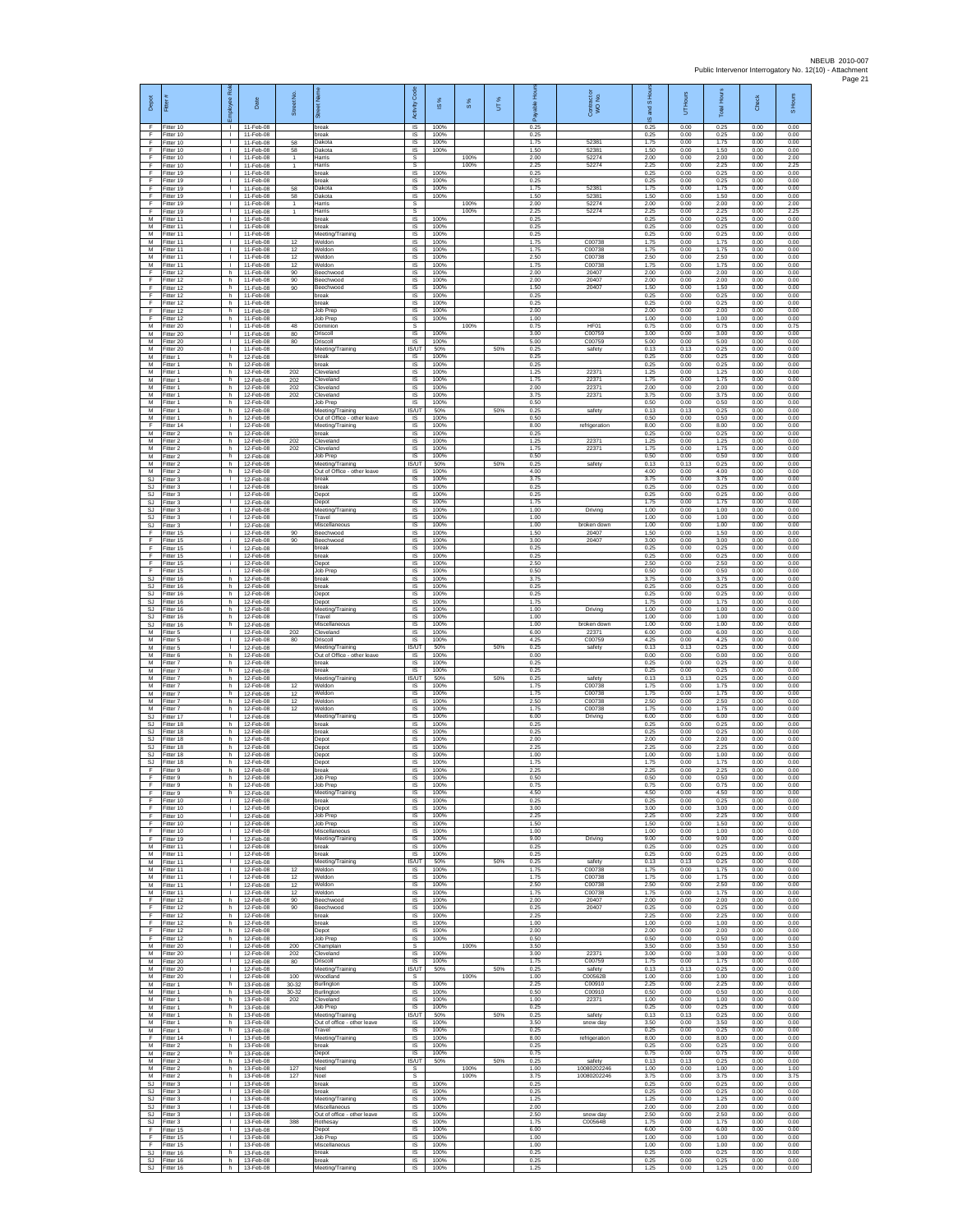| Depot                       | Fitter (                            | Ral<br>ployee                                | Date                                | Street No            | 芿                                                           | Code<br>Activity                       | ⋇<br>$\overline{\omega}$ | 8%   | UT% | តិ                   | Contract or<br>WO No.       | and S Hou<br>$\frac{1}{2}$ | <b>Hours</b><br>5    | Total Hour-          | Check                | S Hours              |
|-----------------------------|-------------------------------------|----------------------------------------------|-------------------------------------|----------------------|-------------------------------------------------------------|----------------------------------------|--------------------------|------|-----|----------------------|-----------------------------|----------------------------|----------------------|----------------------|----------------------|----------------------|
| F.<br>F<br>F                | Fitter 10<br>Fitter 10<br>Fitter 10 | $\mathbf{I}$<br>$\mathbf{I}$<br>$\mathbf{1}$ | 11-Feb-08<br>11-Feb-08<br>11-Feb-08 | 58                   | oreak<br>break<br>Dakota                                    | IS<br>$\sf IS$<br>IS                   | 100%<br>100%<br>100%     |      |     | 0.25<br>0.25<br>1.75 | 52381                       | 0.25<br>0.25<br>1.75       | 0.00<br>0.00<br>0.00 | 0.25<br>0.25<br>1.75 | 0.00<br>0.00<br>0.00 | 0.00<br>0.00<br>0.00 |
| F<br>F                      | Fitter 10<br>Fitter 10              | H.<br>т.                                     | 11-Feb-08<br>11-Feb-08              | 58<br>$\overline{1}$ | Dakota<br>Harris                                            | IS<br>s                                | 100%                     | 100% |     | 1.50<br>2.00         | 52381<br>52274              | 1.50<br>2.00               | 0.00<br>0.00         | 1.50<br>2.00         | 0.00<br>0.00         | 0.00<br>2.00         |
| F<br>F                      | fitter 10<br>Fitter 19              | $\mathbb{R}$<br>$\mathbf{L}$                 | 11-Feb-08<br>11-Feb-08              | $\mathbf{1}$         | Harris<br>break                                             | s<br>$\overline{\mathsf{s}}$           | 100%                     | 100% |     | 2.25<br>0.25         | 52274                       | 2.25<br>0.25               | 0.00<br>0.00         | 2.25<br>0.25         | 0.00<br>0.00         | 2.25<br>0.00         |
| F<br>F                      | Fitter 19<br>Fitter 19              | $\mathbb{R}$<br>т.                           | 11-Feb-08<br>11-Feb-08              | 58                   | break<br>Dakota                                             | IS<br>IS                               | 100%<br>100%             |      |     | 0.25<br>1.75         | 5238                        | 0.25<br>1.75               | 0.00<br>0.00         | 0.25<br>1.75         | 0.00<br>0.00         | 0.00<br>0.00         |
| F<br>F                      | fitter 19<br>Fitter 19              | т.<br>$\mathbf{L}$                           | 11-Feb-08<br>11-Feb-08              | 58<br>$\overline{1}$ | Dakota<br>Harris                                            | IS<br>$\mathsf{s}$                     | 100%                     | 100% |     | 1.50<br>2.00         | 52381<br>52274              | 1.50<br>2.00               | 0.00<br>0.00         | 1.50<br>2.00         | 0.00<br>0.00         | 0.00<br>2.00         |
| F.<br>M<br>M                | Fitter 19<br>fitter 11<br>Fitter 11 | $\mathbf{L}$<br>$\mathbf{I}$<br>л.           | 11-Feb-08<br>11-Feb-08<br>11-Feb-08 | $\mathbf{1}$         | Harris<br>oreak<br>break                                    | $\mathbb S$<br>IS<br><b>IS</b>         | 100%<br>100%             | 100% |     | 2.25<br>0.25<br>0.25 | 52274                       | 2.25<br>0.25<br>0.25       | 0.00<br>0.00<br>0.00 | 2.25<br>0.25<br>0.25 | 0.00<br>0.00<br>0.00 | 2.25<br>0.00<br>0.00 |
| M<br>М                      | Fitter 11<br>Fitter 11              | H.<br>$\mathbb{L}$                           | 11-Feb-08<br>11-Feb-08              | 12                   | Meeting/Training<br>Weldon                                  | IS<br>IS                               | 100%<br>100%             |      |     | 0.25<br>1.75         | C00738                      | 0.25<br>1.75               | 0.00<br>0.00         | 0.25<br>1.75         | 0.00<br>0.00         | 0.00<br>0.00         |
| M<br>M                      | Fitter 11<br>Fitter 11              | $\mathbb{R}$                                 | 11-Feb-08<br>11-Feb-08              | 12<br>12             | Weldon<br>Weldon                                            | IS<br>$\overline{\mathsf{s}}$          | 100%<br>100%             |      |     | 1.75<br>2.50         | C00738<br>C00738            | 1.75<br>2.50               | 0.00<br>0.00         | 1.75<br>2.50         | 0.00<br>0.00         | 0.00<br>0.00         |
| м<br>F<br>F                 | Fitter 11<br>fitter 12<br>Fitter 12 | $\mathbb{R}$<br>h.<br>h.                     | 11-Feb-08<br>11-Feb-08<br>11-Feb-08 | 12<br>90<br>90       | Weldon<br>Beechwood<br><b>Beechwood</b>                     | $\sf IS$<br>$\sf IS$<br><b>IS</b>      | 100%<br>100%<br>100%     |      |     | 1.75<br>2.00<br>2.00 | C00738<br>20407<br>20407    | 1.75<br>2.00<br>2.00       | 0.00<br>0.00<br>0.00 | 1.75<br>2.00<br>2.00 | 0.00<br>0.00<br>0.00 | 0.00<br>0.00<br>0.00 |
| F<br>F                      | Fitter 12<br>Fitter 12              | h.<br>h.                                     | 11-Feb-08<br>11-Feb-08              | 90                   | Beechwood<br>break                                          | IS<br>IS                               | 100%<br>100%             |      |     | 1.50<br>0.25         | 20407                       | 1.50<br>0.25               | 0.00<br>0.00         | 1.50<br>0.25         | 0.00<br>0.00         | 0.00<br>0.00         |
| F<br>F                      | itter 12<br>Fitter 12               | h<br>h.                                      | 11-Feb-08<br>11-Feb-08              |                      | oreak<br>Job Prep                                           | IS<br>IS                               | 100%<br>100%             |      |     | 0.25<br>2.00         |                             | 0.25<br>2.00               | 0.00<br>0.00         | 0.25<br>2.00         | 0.00<br>0.00         | 0.00<br>0.00         |
| F<br>М<br>M                 | Fitter 12<br>Fitter 20              | h<br>$\mathbf{L}$                            | 11-Feb-08<br>11-Feb-08              | 48                   | Job Prep<br>Dominion                                        | IS<br>s<br>IS                          | 100%<br>100%             | 100% |     | 1.00<br>0.75         | HF01                        | 1.00<br>0.75               | 0.00<br>0.00         | 1.00<br>0.75         | 0.00<br>0.00         | 0.00<br>0.75         |
| M<br>М                      | Fitter 20<br>Fitter 20<br>fitter 20 | $\mathbf{I}$<br>H.<br>т.                     | 11-Feb-08<br>11-Feb-08<br>11-Feb-08 | 80<br>80             | Driscoll<br>Driscoll<br>Meeting/Training                    | <b>IS</b><br><b>IS/UT</b>              | 100%<br>50%              |      | 50% | 3.00<br>5.00<br>0.25 | C00759<br>C00759<br>safety  | 3.00<br>5.00<br>0.13       | 0.00<br>0.00<br>0.13 | 3.00<br>5.00<br>0.25 | 0.00<br>0.00<br>0.00 | 0.00<br>0.00<br>0.00 |
| M<br>M                      | itter 1<br>Fitter 1                 | h<br>h.                                      | 12-Feb-08<br>12-Feb-08              |                      | break<br>break                                              | IS<br><b>IS</b>                        | 100%<br>100%             |      |     | 0.25<br>0.25         |                             | 0.25<br>0.25               | 0.00<br>0.00         | 0.25<br>0.25         | 0.00<br>0.00         | 0.00<br>0.00         |
| М<br>M                      | itter 1<br>Fitter 1                 | h<br>h.                                      | 12-Feb-08<br>12-Feb-08              | 202<br>202           | Cleveland<br>Cleveland                                      | IS<br>IS                               | 100%<br>100%             |      |     | 1.25<br>1.75         | 22371<br>22371              | 1.25<br>1.75               | 0.00<br>0.00         | 1.25<br>1.75         | 0.00<br>0.00         | 0.00<br>0.00         |
| M<br>M<br>М                 | fitter 1<br>Fitter 1<br>Fitter 1    | h.<br>h<br>h.                                | 12-Feb-08<br>12-Feb-08<br>12-Feb-08 | 202<br>202           | Cleveland<br>Cleveland<br>Job Prep                          | IS<br>IS<br>$\sf IS$                   | 100%<br>100%<br>100%     |      |     | 2.00<br>3.75<br>0.50 | 22371<br>22371              | 2.00<br>3.75<br>0.50       | 0.00<br>0.00<br>0.00 | 2.00<br>3.75<br>0.50 | 0.00<br>0.00<br>0.00 | 0.00<br>0.00<br>0.00 |
| М<br>M                      | itter 1<br>Fitter 1                 | h.<br>h.                                     | 12-Feb-08<br>12-Feb-08              |                      | Meeting/Training<br>Out of Office - other leave             | IS/UT<br>IS                            | 50%<br>100%              |      | 50% | 0.25<br>0.50         | safety                      | 0.13<br>0.50               | 0.13<br>0.00         | 0.25<br>0.50         | 0.00<br>0.00         | 0.00<br>0.00         |
| F<br>М                      | Fitter 14<br>Fitter 2               | $\mathbf{L}$<br>h                            | 12-Feb-08<br>12-Feb-08              |                      | Meeting/Training<br>break                                   | IS<br>IS                               | 100%<br>100%             |      |     | 8.00<br>0.25         | refrigeration               | 8.00<br>0.25               | 0.00<br>0.00         | 8.00<br>0.25         | 0.00<br>0.00         | 0.00<br>0.00         |
| M<br>M<br>М                 | Fitter 2<br>Fitter 2<br>-itter 2    | h.<br>h.<br>h.                               | 12-Feb-08<br>12-Feb-08<br>12-Feb-08 | 202<br>202           | Cleveland<br>Cleveland                                      | 1S<br>IS<br>$\sf IS$                   | 100%<br>100%<br>100%     |      |     | 1.25<br>1.75<br>0.50 | 22371<br>22371              | 1.25<br>1.75<br>0.50       | 0.00<br>0.00<br>0.00 | 1.25<br>1.75<br>0.50 | 0.00<br>0.00<br>0.00 | 0.00<br>0.00<br>0.00 |
| M<br>M                      | Fitter 2<br>Fitter 2                | h.<br>h.                                     | 12-Feb-08<br>12-Feb-08              |                      | Job Prep<br>Meeting/Training<br>Out of Office - other leave | IS/UT<br>IS                            | 50%<br>100%              |      | 50% | 0.25<br>4.00         | safety                      | 0.13<br>4.00               | 0.13<br>0.00         | 0.25<br>4.00         | 0.00<br>0.00         | 0.00<br>0.00         |
| <b>SJ</b><br><b>SJ</b>      | Fitter 3<br>Fitter 3                | $\mathbb{R}$<br>т.                           | 12-Feb-08<br>12-Feb-08              |                      | preak<br>break                                              | IS<br>IS                               | 100%<br>100%             |      |     | 3.75<br>0.25         |                             | 3.75<br>0.25               | 0.00<br>0.00         | 3.75<br>0.25         | 0.00<br>0.00         | 0.00<br>0.00         |
| SJ<br>SJ                    | Fitter 3<br>Fitter 3                | т.<br>$\mathbf{I}$                           | 12-Feb-08<br>12-Feb-08              |                      | Depot<br>Depot                                              | IS<br>IS                               | 100%<br>100%             |      |     | 0.25<br>1.75         |                             | 0.25<br>1.75               | 0.00<br>0.00         | 0.25<br>1.75         | 0.00<br>0.00         | 0.00<br>0.00         |
| SJ<br>SJ<br><b>SJ</b>       | Fitter 3<br>Fitter 3<br>Fitter 3    | <b>ILL S</b><br>$\mathbf{I}$<br>$\mathbf{L}$ | 12-Feb-08<br>12-Feb-08<br>12-Feb-08 |                      | Meeting/Training<br>Travel<br>Miscellaneous                 | IS<br>$\sf IS$<br>IS                   | 100%<br>100%<br>100%     |      |     | 1.00<br>1.00<br>1.00 | Driving<br>broken down      | 1.00<br>1.00<br>1.00       | 0.00<br>0.00<br>0.00 | 1.00<br>1.00<br>1.00 | 0.00<br>0.00<br>0.00 | 0.00<br>0.00<br>0.00 |
| F<br>F                      | Fitter 15<br>itter 15               | j.<br>÷.                                     | 12-Feb-08<br>12-Feb-08              | 90<br>90             | Beechwood<br>Beechwood                                      | IS<br>IS                               | 100%<br>100%             |      |     | 1.50<br>3.00         | 20407<br>20407              | 1.50<br>3.00               | 0.00<br>0.00         | 1.50<br>3.00         | 0.00<br>0.00         | 0.00<br>0.00         |
| F<br>F                      | fitter 15<br>Fitter 15              | j.<br>i.                                     | 12-Feb-08<br>12-Feb-08              |                      | break<br>break                                              | IS<br>$\overline{\mathsf{s}}$          | 100%<br>100%             |      |     | 0.25<br>0.25         |                             | 0.25<br>0.25               | 0.00<br>0.00         | 0.25<br>0.25         | 0.00<br>0.00         | 0.00<br>0.00         |
| F<br>F<br>SJ                | Fitter 15<br>Fitter 15              | j.<br>÷.                                     | 12-Feb-08<br>12-Feb-08              |                      | Depot<br><b>Job Prep</b>                                    | IS<br>IS<br>IS                         | 100%<br>100%<br>100%     |      |     | 2.50<br>0.50<br>3.75 |                             | 2.50<br>0.50<br>3.75       | 0.00<br>0.00<br>0.00 | 2.50<br>0.50<br>3.75 | 0.00<br>0.00<br>0.00 | 0.00<br>0.00<br>0.00 |
| <b>SJ</b><br><b>SJ</b>      | fitter 16<br>Fitter 16<br>Fitter 16 | h.<br>h<br>h.                                | 12-Feb-08<br>12-Feb-08<br>12-Feb-08 |                      | oreak<br>break<br>Depot                                     | IS<br>$\sf IS$                         | 100%<br>100%             |      |     | 0.25<br>0.25         |                             | 0.25<br>0.25               | 0.00<br>0.00         | 0.25<br>0.25         | 0.00<br>0.00         | 0.00<br>0.00         |
| <b>SJ</b><br><b>SJ</b>      | fitter 16<br>Fitter 16              | h<br>h.                                      | 12-Feb-08<br>12-Feb-08              |                      | Depot<br>Meeting/Training                                   | IS<br>IS                               | 100%<br>100%             |      |     | 1.75<br>1.00         | Driving                     | 1.75<br>1.00               | 0.00<br>0.00         | 1.75<br>1.00         | 0.00<br>0.00         | 0.00<br>0.00         |
| SJ.<br>SJ                   | Fitter 16<br>Fitter 16              | h.<br>h                                      | 12-Feb-08<br>12-Feb-08              |                      | Travel<br>Miscellaneous                                     | IS<br>IS                               | 100%<br>100%             |      |     | 1.00<br>1.00         | broken down                 | 1.00<br>1.00               | 0.00<br>0.00         | 1.00<br>1.00         | 0.00<br>0.00         | 0.00<br>0.00         |
| M<br>M<br>М                 | Fitter 5<br>Fitter 5<br>Fitter 5    | $\mathbb{R}$<br>$\mathbf{L}$<br>$\mathbf{I}$ | 12-Feb-08<br>12-Feb-08<br>12-Feb-08 | 202<br>80            | Cleveland<br>Driscoll<br>Meeting/Training                   | IS<br>$\overline{\mathsf{s}}$<br>IS/UT | 100%<br>100%<br>50%      |      | 50% | 6.00<br>4.25<br>0.25 | 22371<br>C00759<br>safety   | 6.00<br>4.25<br>0.13       | 0.00<br>0.00<br>0.13 | 6.00<br>4.25<br>0.25 | 0.00<br>0.00<br>0.00 | 0.00<br>0.00<br>0.00 |
| M<br>M                      | itter 6<br>Fitter 7                 | h.<br>h.                                     | 12-Feb-08<br>12-Feb-08              |                      | Out of Office - other leave<br>break                        | $\sf IS$<br>IS                         | 100%<br>100%             |      |     | 0.00<br>0.25         |                             | 0.00<br>0.25               | 0.00<br>0.00         | 0.00<br>0.25         | 0.00<br>0.00         | 0.00<br>0.00         |
| M<br>M                      | Fitter 7<br>Fitter 7                | h<br>h.                                      | 12-Feb-08<br>12-Feb-08              |                      | break<br>Meeting/Training                                   | IS<br><b>IS/UT</b>                     | 100%<br>50%              |      | 50% | 0.25<br>0.25         | safety                      | 0.25<br>0.13               | 0.00<br>0.13         | 0.25<br>0.25         | 0.00<br>0.00         | 0.00<br>0.00         |
| M<br>M<br>M                 | itter 7<br>Fitter 7<br>Fitter 7     | h.<br>h.<br>h.                               | 12-Feb-08<br>12-Feb-08<br>12-Feb-08 | 12<br>12<br>12       | Neldon<br>Weldon<br>Weldon                                  | IS<br>IS<br>IS                         | 100%<br>100%<br>100%     |      |     | 1.75<br>1.75<br>2.50 | C00738<br>C00738<br>C00738  | 1.75<br>1.75<br>2.50       | 0.00<br>0.00<br>0.00 | 1.75<br>1.75<br>2.50 | 0.00<br>0.00<br>0.00 | 0.00<br>0.00<br>0.00 |
| М<br><b>SJ</b>              | Fitter 7<br>Fitter 17               | h<br>$\mathbf{L}$                            | 12-Feb-08<br>12-Feb-08              | 12                   | Weldon<br>Meeting/Training                                  | $\sf IS$<br>IS                         | 100%<br>100%             |      |     | 1.75<br>6.00         | C00738<br>Driving           | 1.75<br>6.00               | 0.00<br>0.00         | 1.75<br>6.00         | 0.00<br>0.00         | 0.00<br>0.00         |
| S.I.<br>SJ                  | Fitter 18<br>Fitter 18              | h.<br>h.                                     | 12-Feb-08<br>12-Feb-08              |                      | break<br>break                                              | IS<br>IS                               | 100%<br>100%             |      |     | 0.25<br>0.25         |                             | 0.25<br>0.25               | 0.00<br>0.00         | 0.25<br>0.25         | 0.00<br>0.00         | 0.00<br>0.00         |
| <b>SJ</b><br>SJ.<br>SJ      | fitter 18<br>Fitter 18<br>itter 18  | h<br>h.<br>h                                 | 12-Feb-08<br>12-Feb-08<br>12-Feb-08 |                      | Depot<br>Depot<br>Depot                                     | 1S<br>IS<br>IS                         | 100%<br>100%<br>100%     |      |     | 2.00<br>2.25<br>1.00 |                             | 2.00<br>2.25<br>1.00       | 0.00<br>0.00<br>0.00 | 2.00<br>2.25<br>1.00 | 0.00<br>0.00<br>0.00 | 0.00<br>0.00<br>0.00 |
| $\mathbb{S}\mathbb{J}$<br>F | Fitter 18<br>fitter 9               | h.<br>h.                                     | 12-Feb-08<br>12-Feb-08              |                      | Depot<br>preak                                              | IS<br>IS                               | 100%<br>100%             |      |     | 1.75<br>2.25         |                             | 1.75<br>2.25               | 0.00<br>0.00         | 1.75<br>2.25         | 0.00<br>0.00         | 0.00<br>0.00         |
| F<br>F                      | itter 9<br>Fitter 9                 | h<br>h                                       | 12-Feb-08<br>12-Feb-08              |                      | Job Prep<br>Job Prep                                        | IS<br>IS                               | 100%<br>100%             |      |     | 0.50<br>0.75         |                             | 0.50<br>0.75               | 0.00<br>0.00         | 0.50<br>0.75         | 0.00<br>0.00         | 0.00<br>0.00         |
| F<br>F<br>F.                | Fitter 9<br>Fitter 10<br>Fitter 10  | h.<br><b>ILL S</b>                           | 12-Feb-08<br>12-Feb-08<br>12-Feb-08 |                      | Meeting/Training<br>break<br>Depot                          | IS<br>IS<br>IS.                        | 100%<br>100%<br>100%     |      |     | 4.50<br>0.25<br>3.00 |                             | 4.50<br>0.25<br>3.00       | 0.00<br>0.00<br>0.00 | 4.50<br>0.25<br>3.00 | 0.00<br>0.00<br>0.00 | 0.00<br>0.00<br>0.00 |
| F<br>F.                     | Fitter 10<br>Fitter 10              | т.<br>т                                      | 12-Feb-08<br>12-Feb-08              |                      | Job Prep<br>Job Prep                                        | IS<br>1S                               | 100%<br>100%             |      |     | 2.25<br>1.50         |                             | 2.25<br>1.50               | 0.00<br>0.00         | 2.25<br>1.50         | 0.00<br>0.00         | 0.00<br>0.00         |
| F.<br>F.                    | Fitter 10<br>Fitter 19              | $\mathbf{L}$<br>$\mathbf{L}$                 | 12-Feb-08<br>12-Feb-08              |                      | Miscellaneous<br>Meeting/Training                           | IS<br>$\sf IS$                         | 100%<br>100%             |      |     | 1.00<br>9.00         | Driving                     | 1.00<br>9.00               | 0.00<br>0.00         | 1.00<br>9.00         | 0.00<br>0.00         | 0.00<br>0.00         |
| M<br>M<br>M                 | Fitter 11<br>Fitter 11<br>Fitter 11 | $\mathbb{R}$<br>$\mathbb{R}$                 | 12-Feb-08<br>12-Feb-08<br>12-Feb-08 |                      | break<br>break                                              | $\sf IS$<br><b>IS</b>                  | 100%<br>100%<br>50%      |      |     | 0.25<br>0.25<br>0.25 | safety                      | 0.25<br>0.25<br>0.13       | 0.00<br>0.00<br>0.13 | 0.25<br>0.25<br>0.25 | 0.00<br>0.00<br>0.00 | 0.00<br>0.00<br>0.00 |
| M<br>M                      | Fitter 11<br>Fitter 11              | $\mathbb{R}$<br>$\mathbb{R}$                 | 12-Feb-08<br>12-Feb-08              | 12<br>12             | Meeting/Training<br>Weldon<br>Neldon                        | IS/UT<br>IS<br>IS                      | 100%<br>100%             |      | 50% | 1.75<br>1.75         | C00738<br>C00738            | 1.75<br>1.75               | 0.00<br>0.00         | 1.75<br>1.75         | 0.00<br>0.00         | 0.00<br>0.00         |
| M<br>M                      | Fitter 11<br>Fitter 11              | $\mathbf{1}$<br>$\mathbf{I}$                 | 12-Feb-08<br>12-Feb-08              | 12<br>12             | Weldon<br>Weldon                                            | IS<br><b>IS</b>                        | 100%<br>100%             |      |     | 2.50<br>1.75         | C00738<br>C00738            | 2.50<br>1.75               | 0.00<br>0.00         | 2.50<br>1.75         | 0.00<br>0.00         | 0.00<br>0.00         |
| F<br>F                      | Fitter 12<br>Fitter 12              | h.<br>h.                                     | 12-Feb-08<br>12-Feb-08              | 90<br>90             | Beechwood<br>Beechwood                                      | $\sf IS$<br>IS                         | 100%<br>100%             |      |     | 2.00<br>0.25         | 20407<br>20407              | 2.00<br>0.25               | 0.00<br>0.00         | 2.00<br>0.25         | 0.00<br>0.00         | 0.00<br>0.00         |
| F<br>F<br>Ŧ                 | Fitter 12<br>Fitter 12<br>ltter 12  | h.<br>h.<br>h.                               | 12-Feb-08<br>12-Feb-08<br>12-Feb-08 |                      | hreak<br>break<br>Depot                                     | IS<br>IS<br>1S                         | 100%<br>100%<br>100%     |      |     | 2.25<br>1.00<br>2.00 |                             | 2.25<br>1.00<br>2.00       | 0.00<br>0.00<br>0.00 | 2.25<br>1.00<br>2.00 | 0.00<br>0.00<br>0.00 | 0.00<br>0.00<br>0.00 |
| F<br>М                      | Fitter 12<br>Fitter 20              | h I<br>$\mathbf{L}$                          | 12-Feb-08<br>12-Feb-08              | 200                  | Job Prep<br>Champlain                                       | IS<br>s                                | 100%                     | 100% |     | 0.50<br>3.50         |                             | 0.50<br>3.50               | 0.00<br>0.00         | 0.50<br>3.50         | 0.00<br>0.00         | 0.00<br>3.50         |
| М<br>M                      | Fitter 20<br>Fitter 20              | $\mathbf{L}$<br>$\mathbb{R}$                 | 12-Feb-08<br>12-Feb-08              | 202<br>80            | Cleveland<br>Driscoll                                       | 1S<br>IS                               | 100%<br>100%             |      |     | 3.00<br>1.75         | 22371<br>C00759             | 3.00<br>1.75               | 0.00<br>0.00         | 3.00<br>1.75         | 0.00<br>0.00         | 0.00<br>0.00         |
| M<br>M<br>М                 | Fitter 20<br>Fitter 20<br>fitter 1  | H.<br>$\mathbb{R}^n$<br>h.                   | 12-Feb-08<br>12-Feb-08<br>13-Feb-08 | 100<br>30-32         | Meeting/Training<br>Woodland<br>Burlington                  | IS/UT<br>s<br>IS                       | 50%<br>100%              | 100% | 50% | 0.25<br>1.00<br>2.25 | safety<br>C00562B<br>C00910 | 0.13<br>1.00<br>2.25       | 0.13<br>0.00<br>0.00 | 0.25<br>1.00<br>2.25 | 0.00<br>0.00<br>0.00 | 0.00<br>1.00<br>0.00 |
| M<br>M                      | Fitter 1<br>Fitter 1                | h.<br>h I                                    | 13-Feb-08<br>13-Feb-08              | 30-32<br>202         | Burlington<br>Cleveland                                     | <b>IS</b><br><b>IS</b>                 | 100%<br>100%             |      |     | 0.50<br>1.00         | C00910<br>22371             | 0.50<br>1.00               | 0.00<br>0.00         | 0.50<br>1.00         | 0.00<br>0.00         | 0.00<br>0.00         |
| М<br>M                      | Fitter 1<br>Fitter 1                | h.<br>h.                                     | 13-Feb-08<br>13-Feb-08              |                      | Job Prep<br>Meeting/Training                                | IS<br><b>IS/UT</b>                     | 100%<br>50%              |      | 50% | 0.25<br>0.25         | safety                      | 0.25<br>0.13               | 0.00<br>0.13         | 0.25<br>0.25         | 0.00<br>0.00         | 0.00<br>0.00         |
| M<br>М<br>F.                | Fitter 1<br>Fitter 1<br>Fitter 14   | h I<br>h<br>$\mathbf{L}$                     | 13-Feb-08<br>13-Feb-08<br>13-Feb-08 |                      | Out of office - other leave<br>Travel                       | <b>IS</b><br>$\sf IS$<br>$\sf IS$      | 100%<br>100%<br>100%     |      |     | 3.50<br>0.25<br>8.00 | snow day                    | 3.50<br>0.25<br>8.00       | 0.00<br>0.00<br>0.00 | 3.50<br>0.25<br>8.00 | 0.00<br>0.00<br>0.00 | 0.00<br>0.00<br>0.00 |
| M<br>M                      | Fitter 2<br>Fitter 2                | h.<br>h                                      | 13-Feb-08<br>13-Feb-08              |                      | Meeting/Training<br>break<br>Depot                          | IS<br>IS                               | 100%<br>100%             |      |     | 0.25<br>0.75         | refrigeration               | 0.25<br>0.75               | 0.00<br>0.00         | 0.25<br>0.75         | 0.00<br>0.00         | 0.00<br>0.00         |
| M<br>M                      | Fitter 2<br>Fitter 2                | h.<br>h.                                     | 13-Feb-08<br>13-Feb-08              | 127                  | Meeting/Training<br>Noel                                    | <b>IS/UT</b><br>s                      | 50%                      | 100% | 50% | 0.25<br>1.00         | safety<br>10080202246       | 0.13<br>1.00               | 0.13<br>0.00         | 0.25<br>1.00         | 0.00<br>0.00         | 0.00<br>1.00         |
| M<br><b>SJ</b>              | Fitter 2<br>Fitter 3                | h<br>$\mathbf{I}$<br>$\mathbb{R}$            | 13-Feb-08<br>13-Feb-08              | 127                  | Noel<br>break                                               | s<br><b>IS</b>                         | 100%                     | 100% |     | 3.75<br>0.25         | 10080202246                 | 3.75<br>0.25               | 0.00<br>0.00         | 3.75<br>0.25         | 0.00<br>0.00         | 3.75<br>0.00         |
| SJ<br>SJ.<br>S.I.           | Fitter 3<br>Fitter 3<br>Fitter 3    | $\mathbb{R}$<br>$\mathbb{R}$                 | 13-Feb-08<br>13-Feb-08<br>13-Feb-08 |                      | break<br>Meeting/Training<br>Miscellaneous                  | $\sf IS$<br><b>IS</b><br>IS            | 100%<br>100%<br>100%     |      |     | 0.25<br>1.25<br>2.00 |                             | 0.25<br>1.25<br>2.00       | 0.00<br>0.00<br>0.00 | 0.25<br>1.25<br>2.00 | 0.00<br>0.00<br>0.00 | 0.00<br>0.00<br>0.00 |
| SJ<br>SJ                    | Fitter 3<br>Fitter 3                | т.<br>т                                      | 13-Feb-08<br>13-Feb-08              | 388                  | Out of office - other leave<br>Rothesay                     | IS<br>1S                               | 100%<br>100%             |      |     | 2.50<br>1.75         | snow day<br>C00564B         | 2.50<br>1.75               | 0.00<br>0.00         | 2.50<br>1.75         | 0.00<br>0.00         | 0.00<br>0.00         |
| F<br>F                      | Fitter 15<br>litter 15              | $\mathbf{I}$<br>$\mathbb{R}$                 | 13-Feb-08<br>13-Feb-08              |                      | Depot<br>Job Prep                                           | IS<br>IS                               | 100%<br>100%             |      |     | 6.00<br>1.00         |                             | 6.00<br>1.00               | 0.00<br>0.00         | 6.00<br>1.00         | 0.00<br>0.00         | 0.00<br>0.00         |
| F<br><b>SJ</b><br>SJ        | Fitter 15<br>Fitter 16              | $\mathbf{L}$<br>h.<br>h                      | 13-Feb-08<br>13-Feb-08<br>13-Feb-08 |                      | Miscellaneous<br>break                                      | IS<br>IS                               | 100%<br>100%<br>100%     |      |     | 1.00<br>0.25<br>0.25 |                             | 1.00<br>0.25<br>0.25       | 0.00<br>0.00<br>0.00 | 1.00<br>0.25<br>0.25 | 0.00<br>0.00<br>0.00 | 0.00<br>0.00<br>0.00 |
|                             | Fitter 16<br>SJ Fitter 16           | h.                                           | 13-Feb-08                           |                      | break<br>Meeting/Training                                   | IS<br>$\sf IS$                         | 100%                     |      |     | 1.25                 |                             | 1.25                       | 0.00                 | 1.25                 | 0.00                 | 0.00                 |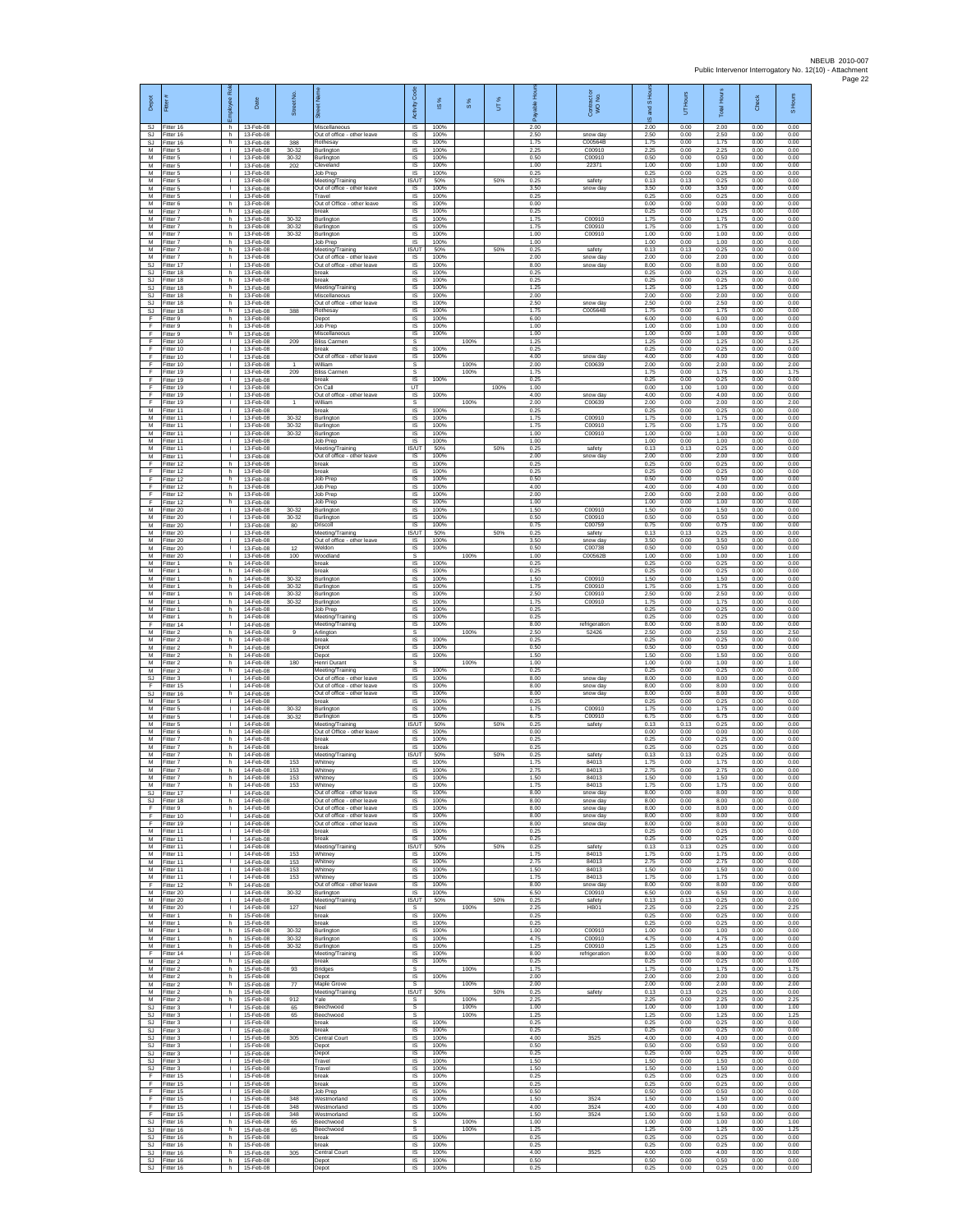| Depot<br><b>SJ</b>                 | Fitter#<br>Fitter 16                   | ployee Roi<br>h.                             | Date<br>13-Feb-08                     | Street No                       | 芿<br>Miscellaneous                                                                        | Code<br>Activity<br>IS            | <b>iS</b> %<br>100%  | $\frac{8}{3}$ | UT%  | 2.00                 | Contract or<br>WO No.            | $\overline{a}$<br><b>Si</b><br>ဖ<br>2.00 | Hours<br>5<br>0.00   | <b>Total Hour</b><br>2.00 | Check<br>0.00        | S Hours<br>0.00      |
|------------------------------------|----------------------------------------|----------------------------------------------|---------------------------------------|---------------------------------|-------------------------------------------------------------------------------------------|-----------------------------------|----------------------|---------------|------|----------------------|----------------------------------|------------------------------------------|----------------------|---------------------------|----------------------|----------------------|
| <b>SJ</b>                          | SJ Fitter 16<br>Fitter 16              | h.<br>h.                                     | 13-Feb-08<br>13-Feb-08                | 388                             | Out of office - other leave<br>Rothesay                                                   | IS<br>$\sf IS$                    | 100%<br>100%         |               |      | 2.50<br>1.75         | snow day<br>C00564B              | 2.50<br>1.75                             | 0.00<br>0.00         | 2.50<br>1.75              | 0.00<br>0.00         | 0.00<br>0.00         |
| M<br>M<br>M                        | Fitter 5<br>Fitter 5<br>Fitter 5       | т<br>$\mathbf{L}$<br>т.                      | 13-Feb-08<br>13-Feb-08<br>13-Feb-08   | $30 - 32$<br>30-32<br>202       | Burlington<br>Burlington<br>Cleveland                                                     | 1S<br>IS<br>IS                    | 100%<br>100%<br>100% |               |      | 2.25<br>0.50<br>1.00 | C00910<br>C00910<br>22371        | 2.25<br>0.50<br>1.00                     | 0.00<br>0.00<br>0.00 | 2.25<br>0.50<br>1.00      | 0.00<br>0.00<br>0.00 | 0.00<br>0.00<br>0.00 |
| М<br>M<br>M                        | Fitter 5<br>itter 5                    | т.<br>$\mathbf{I}$<br>л.                     | 13-Feb-08<br>13-Feb-08                |                                 | Job Prep<br>Meeting/Training<br>Out of office - other leave                               | 1S<br>IS/UT<br>IS                 | 100%<br>50%<br>100%  |               | 50%  | 0.25<br>0.25<br>3.50 | safety<br>snow day               | 0.25<br>0.13<br>3.50                     | 0.00<br>0.13<br>0.00 | 0.25<br>0.25<br>3.50      | 0.00<br>0.00<br>0.00 | 0.00<br>0.00<br>0.00 |
| M<br>М                             | Fitter 5<br>Fitter 5<br>Fitter 6       | $\mathbf{L}$<br>h.                           | 13-Feb-08<br>13-Feb-08<br>13-Feb-08   |                                 | Travel<br>Out of Office - other leave                                                     | $\sf IS$<br>IS                    | 100%<br>100%         |               |      | 0.25<br>0.00         |                                  | 0.25<br>0.00                             | 0.00<br>0.00         | 0.25<br>0.00              | 0.00<br>0.00         | 0.00<br>0.00         |
| M<br>M<br>М                        | Fitter 7<br>Fitter 7<br>Fitter 7       | h.<br>h.<br>h                                | 13-Feb-08<br>13-Feb-08<br>13-Feb-08   | $30 - 32$<br>$30 - 32$          | break<br>Burlington<br>Burlington                                                         | IS<br>IS<br>IS                    | 100%<br>100%<br>100% |               |      | 0.25<br>175<br>1.75  | C00910<br>C00910                 | 0.25<br>1.75<br>1.75                     | 0.00<br>0.00<br>0.00 | 0.25<br>1.75<br>1.75      | 0.00<br>0.00<br>0.00 | 0.00<br>0.00<br>0.00 |
| M<br>M                             | fitter 7<br>Fitter 7                   | h.<br>h.                                     | 13-Feb-08<br>13-Feb-08                | 30-32                           | Burlington<br>Job Prep                                                                    | IS<br>IS                          | 100%<br>100%         |               |      | 1.00<br>1.00         | C00910                           | 1.00<br>1.00                             | 0.00<br>0.00         | 1.00<br>1.00              | 0.00<br>0.00         | 0.00<br>0.00         |
| М<br>M<br><b>SJ</b>                | itter 7<br>Fitter 7<br>fitter 17       | h<br>h.<br>$\mathbf{I}$                      | 13-Feb-08<br>13-Feb-08<br>$13-Feh-08$ |                                 | Meeting/Training<br>Out of office - other leave<br>Out of office - other leave            | IS/UT<br>1S<br>IS                 | 50%<br>100%<br>100%  |               | 50%  | 0.25<br>2.00<br>8.00 | safety<br>snow day<br>snow day   | 0.13<br>2.00<br>8.00                     | 0.13<br>0.00<br>0.00 | 0.25<br>2.00<br>8.00      | 0.00<br>0.00<br>0.00 | 0.00<br>0.00<br>0.00 |
| <b>SJ</b><br><b>SJ</b>             | Fitter 18<br>Fitter 18                 | h<br>h                                       | 13-Feb-08<br>13-Feb-08                |                                 | break<br>break                                                                            | IS<br>IS                          | 100%<br>100%         |               |      | 0.25<br>0.25         |                                  | 0.25<br>0.25                             | 0.00<br>0.00         | 0.25<br>0.25              | 0.00<br>0.00         | 0.00<br>0.00         |
| <b>SJ</b><br><b>SJ</b><br>SJ       | itter 18<br>Fitter 18<br>Fitter 18     | h.<br>h.<br>h.                               | 13-Feb-08<br>13-Feb-08<br>13-Feb-08   |                                 | Meeting/Training<br>Miscellaneous<br>Out of office - other leave                          | IS<br>IS<br>IS                    | 100%<br>100%<br>100% |               |      | 1.25<br>2.00<br>2.50 | snow day                         | 1.25<br>2.00<br>2.50                     | 0.00<br>0.00<br>0.00 | 1.25<br>2.00<br>2.50      | 0.00<br>0.00<br>0.00 | 0.00<br>0.00<br>0.00 |
| SJ<br>F                            | Fitter 18<br>Fitter 9                  | h<br>h.                                      | 13-Feb-08<br>13-Feb-08                | 388                             | <b>Rothesay</b><br>Depot                                                                  | IS<br>1S                          | 100%<br>100%         |               |      | 1.75<br>6.00         | C00564B                          | 1.75<br>6.00                             | 0.00<br>0.00         | 1.75<br>6.00              | 0.00<br>0.00         | 0.00<br>0.00         |
| F<br>F<br>F                        | Fitter 9<br>-itter 9<br>Fitter 10      | h.<br>h<br>т                                 | 13-Feb-08<br>13-Feb-08<br>13-Feb-08   | 209                             | Job Prep<br>Miscellaneous<br><b>Bliss Carmen</b>                                          | IS<br>IS<br>s                     | 100%<br>100%         | 100%          |      | 1.00<br>1.00<br>1.25 |                                  | 1.00<br>1.00<br>1.25                     | 0.00<br>0.00<br>0.00 | 1.00<br>1.00<br>1.25      | 0.00<br>0.00<br>0.00 | 0.00<br>0.00<br>1.25 |
| F<br>F                             | Fitter 10<br>Fitter 10                 | $\mathbf{L}$<br>т.                           | 13-Feb-08<br>13-Feb-08                |                                 | break<br>Out of office - other leave                                                      | $\overline{\mathsf{s}}$<br>IS     | 100%<br>100%         | 100%          |      | 0.25<br>4.00<br>2.00 | snow day<br>C00639               | 0.25<br>4.00                             | 0.00<br>0.00         | 0.25<br>4.00              | 0.00<br>0.00         | 0.00<br>0.00         |
| F<br>F<br>F                        | Fitter 10<br>fitter 19<br>Fitter 19    | т.<br>$\mathbf{I}$<br>л.                     | 13-Feb-08<br>13-Feb-08<br>13-Feb-08   | 209                             | William<br><b>Bliss Carmen</b><br>break                                                   | s<br>s<br>$\overline{\mathsf{s}}$ | 100%                 | 100%          |      | 1.75<br>0.25         |                                  | 2.00<br>1.75<br>0.25                     | 0.00<br>0.00<br>0.00 | 2.00<br>1.75<br>0.25      | 0.00<br>0.00<br>0.00 | 2.00<br>1.75<br>0.00 |
| F<br>F<br>F                        | Fitter 19<br>Fitter 19<br>Fitter 19    | $\mathbf{L}$<br>$\mathbf{I}$<br>$\mathbf{L}$ | 13-Feb-08<br>13-Feb-08<br>13-Feb-08   |                                 | On Call<br>Out of office - other leave<br>William                                         | UT<br>IS<br>s                     | 100%                 | 100%          | 100% | 1.00<br>4.00<br>2.00 | snow day<br>C00639               | 0.00<br>4.00<br>2.00                     | 1.00<br>0.00<br>0.00 | 1.00<br>4.00<br>2.00      | 0.00<br>0.00<br>0.00 | 0.00<br>0.00<br>2.00 |
| M<br>М                             | Fitter 11<br>fitter 11                 | $\mathbf{L}$<br>т.                           | 13-Feb-08<br>13-Feb-08                | $30 - 32$                       | hreak<br>Burlington                                                                       | <b>IS</b><br>IS                   | 100%<br>100%         |               |      | 0.25<br>1.75         | C00910                           | 0.25<br>1.75                             | 0.00<br>0.00         | 0.25<br>1.75              | 0.00<br>0.00         | 0.00<br>0.00         |
| M<br>M<br>М                        | fitter 11<br>Fitter 11<br>Fitter 11    | Τ<br>$\mathbf{L}$<br>т.                      | 13-Feb-08<br>13-Feb-08<br>13-Feb-08   | 30-32<br>30-32                  | Burlington<br>Burlington<br>Job Prep                                                      | IS<br>IS<br>IS                    | 100%<br>100%<br>100% |               |      | 1.75<br>1.00<br>1.00 | C00910<br>C00910                 | 1.75<br>1.00<br>1.00                     | 0.00<br>0.00<br>0.00 | 1.75<br>1.00<br>1.00      | 0.00<br>0.00<br>0.00 | 0.00<br>0.00<br>0.00 |
| M<br>M                             | Fitter 11<br>fitter 11                 | т.<br>$\mathbf{I}$                           | 13-Feb-08<br>13-Feb-08                |                                 | Meeting/Training<br>Out of office - other leave                                           | <b>IS/UT</b><br>IS                | 50%<br>100%          |               | 50%  | 0.25<br>2.00         | safety<br>snow day               | 0.13<br>2.00                             | 0.13<br>0.00         | 0.25<br>2.00              | 0.00<br>0.00         | 0.00<br>0.00         |
| E<br>F<br>F                        | Fitter 12<br>Fitter 12<br>fitter 12    | h<br>h<br>h.                                 | 13-Feb-08<br>13-Feb-08<br>13-Feb-08   |                                 | break<br>break<br>Job Prep                                                                | IS<br>1S<br>IS                    | 100%<br>100%<br>100% |               |      | 0.25<br>0.25<br>0.50 |                                  | 0.25<br>0.25<br>0.50                     | 0.00<br>0.00<br>0.00 | 0.25<br>0.25<br>0.50      | 0.00<br>0.00<br>0.00 | 0.00<br>0.00<br>0.00 |
| Æ<br>F                             | Fitter 12<br>Fitter 12                 | h.<br>h.                                     | 13-Feb-08<br>13-Feb-08                |                                 | Job Prep<br>Job Prep                                                                      | <b>IS</b><br><b>IS</b>            | 100%<br>100%         |               |      | 4.00<br>2.00         |                                  | 4.00<br>200                              | 0.00<br>0.00         | 4.00<br>200               | 0.00<br>0.00         | 0.00<br>0.00         |
| F<br>M<br>M                        | Fitter 12<br>Fitter 20<br>Fitter 20    | h<br>$\mathbf{I}$<br>л.                      | 13-Feb-08<br>13-Feb-08<br>13-Feb-08   | $30 - 32$<br>$30 - 32$          | Job Prep<br>Burlington<br>Burlington                                                      | IS<br>1S<br>IS                    | 100%<br>100%<br>100% |               |      | 1.00<br>1.50<br>0.50 | C00910<br>C00910                 | 1.00<br>1.50<br>0.50                     | 0.00<br>0.00<br>0.00 | 1.00<br>1.50<br>0.50      | 0.00<br>0.00<br>0.00 | 0.00<br>0.00<br>0.00 |
| М<br>M                             | Fitter 20<br>fitter 20                 | т.<br>Τ                                      | 13-Feb-08<br>13-Feb-08                | 80                              | Driscoll<br>Meeting/Training                                                              | $\sf IS$<br>IS/UT                 | 100%<br>50%          |               | 50%  | 0.75<br>0.25         | C00759<br>safety                 | 0.75<br>0.13                             | 0.00<br>0.13         | 0.75<br>0.25              | 0.00<br>0.00         | 0.00<br>0.00         |
| M<br>M<br>M                        | Fitter 20<br>Fitter 20<br>Fitter 20    | т.<br>т.<br>т.                               | 13-Feb-08<br>13-Feb-08<br>13-Feb-08   | 12<br>100                       | Out of office - other leave<br>Weldon<br>Woodland                                         | IS<br>IS<br>s                     | 100%<br>100%         | 100%          |      | 3.50<br>0.50<br>1.00 | snow day<br>C00738<br>C00562B    | 3.50<br>0.50<br>1.00                     | 0.00<br>0.00<br>0.00 | 3.50<br>0.50<br>1.00      | 0.00<br>0.00<br>0.00 | 0.00<br>0.00<br>1.00 |
| M<br>M                             | itter 1<br>Fitter 1                    | h<br>h.                                      | 14-Feb-08<br>14-Feb-08                |                                 | break<br>break                                                                            | IS<br>IS                          | 100%<br>100%         |               |      | 0.25<br>0.25         |                                  | 0.25<br>0.25                             | 0.00<br>0.00         | 0.25<br>0.25              | 0.00<br>0.00         | 0.00<br>0.00         |
| M<br>М<br>M                        | Fitter 1<br>Fitter 1<br>Fitter 1       | h.<br>h.<br>h.                               | 14-Feb-08<br>14-Feb-08<br>14-Feb-08   | 30-32<br>$30 - 32$<br>30-32     | Burlington<br>Burlington<br>Burlington                                                    | $\sf IS$<br>IS<br>IS              | 100%<br>100%<br>100% |               |      | 1.50<br>1.75<br>2.50 | C00910<br>C00910<br>C00910       | 1.50<br>1.75<br>2.50                     | 0.00<br>0.00<br>0.00 | 1.50<br>1.75<br>2.50      | 0.00<br>0.00<br>0.00 | 0.00<br>0.00<br>0.00 |
| M<br>М                             | Fitter 1<br>Fitter 1                   | h.<br>h                                      | 14-Feb-08<br>14-Feb-08                | $30 - 32$                       | Burlington<br>Job Prep                                                                    | IS<br>IS                          | 100%<br>100%         |               |      | 175<br>0.25          | C00910                           | 1.75<br>0.25                             | 0.00<br>0.00         | 1.75<br>0.25              | 0.00<br>0.00         | 0.00<br>0.00         |
| M<br>F<br>М                        | fitter 1<br>Fitter 14<br>itter 2       | h<br>$\mathbf{L}$<br>h                       | 14-Feb-08<br>14-Feb-08<br>14-Feb-08   | 9                               | Meeting/Training<br>Meeting/Training<br>Arlington                                         | 1S<br>IS<br>s                     | 100%<br>100%         | 100%          |      | 0.25<br>8.00<br>2.50 | refrigeration<br>52426           | 0.25<br>8.00<br>2.50                     | 0.00<br>0.00<br>0.00 | 0.25<br>8.00<br>2.50      | 0.00<br>0.00<br>0.00 | 0.00<br>0.00<br>2.50 |
| М<br>M                             | Fitter 2<br>fitter 2                   | h.<br>h.                                     | 14-Feb-08<br>14-Feb-08                |                                 | break<br>Depot                                                                            | 1S<br>IS                          | 100%<br>100%         |               |      | 0.25<br>0.50         |                                  | 0.25<br>0.50                             | 0.00<br>0.00         | 0.25<br>0.50              | 0.00<br>0.00         | 0.00<br>0.00         |
| M<br>М<br>M                        | Fitter 2<br>Fitter 2<br>itter 2        | h<br>h<br>h                                  | 14-Feb-08<br>14-Feb-08<br>14-Feb-08   | 180                             | Depot<br><b>Henri Durant</b><br>Meeting/Training                                          | IS<br>s<br>IS                     | 100%<br>100%         | 100%          |      | 1.50<br>1.00<br>0.25 |                                  | 1.50<br>1.00<br>0.25                     | 0.00<br>0.00<br>0.00 | 1.50<br>1.00<br>0.25      | 0.00<br>0.00<br>0.00 | 0.00<br>1.00<br>0.00 |
| <b>SJ</b><br>F<br>SJ               | Fitter 3<br>Fitter 15<br>Fitter 16     | л.<br>$\mathbf{L}$<br>h                      | 14-Feb-08<br>14-Feb-08<br>14-Feb-08   |                                 | Out of office - other leave<br>Out of office - other leave<br>Out of office - other leave | IS<br>IS<br>IS                    | 100%<br>100%<br>100% |               |      | 8.00<br>8.00<br>8.00 | snow day<br>snow day<br>snow day | 8.00<br>8.00<br>8.00                     | 0.00<br>0.00<br>0.00 | 8.00<br>8.00<br>8.00      | 0.00<br>0.00<br>0.00 | 0.00<br>0.00<br>0.00 |
| M<br>M                             | Fitter 5<br>Fitter 5                   | т<br>$\mathbf{L}$                            | 14-Feb-08<br>14-Feb-08                | $30 - 32$                       | break<br>Burlington                                                                       | 1S<br>IS                          | 100%<br>100%         |               |      | 0.25<br>1.75         | C00910                           | 0.25<br>1.75                             | 0.00<br>0.00         | 0.25<br>1.75              | 0.00<br>0.00         | 0.00<br>0.00         |
| М<br>M<br>M                        | -itter 5<br>fitter 5<br>Fitter 6       | т.<br>т<br>h.                                | 14-Feb-08<br>14-Feb-08<br>14-Feb-08   | $30 - 32$                       | Burlington<br>Meeting/Training<br>Out of Office - other leave                             | $\sf IS$<br>IS/UT<br><b>IS</b>    | 100%<br>50%<br>100%  |               | 50%  | 6.75<br>0.25<br>0.00 | C00910<br>safety                 | 6.75<br>0.13<br>0.00                     | 0.00<br>0.13<br>0.00 | 6.75<br>0.25<br>0.00      | 0.00<br>0.00<br>0.00 | 0.00<br>0.00<br>0.00 |
| M<br>М                             | Fitter 7<br>Fitter 7                   | h<br>h                                       | 14-Feb-08<br>14-Feb-08                |                                 | break<br>break                                                                            | IS<br>IS                          | 100%<br>100%         |               |      | 0.25<br>0.25         |                                  | 0.25<br>0.25                             | 0.00<br>0.00         | 0.25<br>0.25              | 0.00<br>0.00         | 0.00<br>0.00         |
| M<br>M<br>M                        | fitter 7<br>Fitter 7<br>Fitter 7       | h.<br>h.<br>h.                               | 14-Feb-08<br>14-Feb-08<br>14-Feb-08   | 153<br>153                      | Meeting/Training<br>Whitney<br>Whitney                                                    | IS/UT<br>IS<br>$\sf IS$           | 50%<br>100%<br>100%  |               | 50%  | 0.25<br>1.75<br>2.75 | safety<br>84013<br>84013         | 0.13<br>1.75<br>2.75                     | 0.13<br>0.00<br>0.00 | 0.25<br>1.75<br>2.75      | 0.00<br>0.00<br>0.00 | 0.00<br>0.00<br>0.00 |
| M<br>M                             | Fitter 7<br>Fitter 7                   | h<br>h                                       | 14-Feb-08<br>14-Feb-08                | 153<br>153                      | Whitney<br>Whitney                                                                        | IS<br>- IS                        | 100%<br>100%         |               |      | 1.50<br>1.75         | 84013<br>84013                   | 1.50<br>1.75                             | 0.00<br>0.00         | 1.50<br>1.75              | 0.00<br>0.00         | 0.00<br>0.00         |
| SJ<br>F                            | S.I Fitter 17<br>Fitter 18<br>fitter 9 | <b>I</b><br>h.<br>h.                         | 14-Feb-08<br>14-Feb-08<br>14-Feb-08   |                                 | Out of office - other leave<br>Out of office - other leave<br>Out of office - other leave | IS<br>IS<br>IS                    | 100%<br>100%<br>100% |               |      | 8.00<br>8.00<br>8.00 | snow day<br>snow day<br>snow day | 8.00<br>8.00<br>8.00                     | 0.00<br>0.00<br>0.00 | 8.00<br>8.00<br>8.00      | 0.00<br>0.00<br>0.00 | 0.00<br>0.00<br>0.00 |
| F<br>F                             | Fitter 10<br>Fitter 19                 | $\mathbf{L}$<br>$\mathbb{R}$                 | 14-Feb-08<br>14-Feb-08                |                                 | Out of office - other leave<br>Out of office - other leave                                | IS<br>IS                          | 100%<br>100%         |               |      | 8.00<br>8.00         | snow day<br>snow day             | 8.00<br>8.00                             | 0.00<br>0.00         | 8.00<br>8.00              | 0.00<br>0.00         | 0.00<br>0.00         |
| M<br>M<br>M                        | Fitter 11<br>Fitter 11<br>Fitter 11    | т.<br>$\mathbf{L}$<br>т.                     | 14-Feb-08<br>14-Feb-08<br>14-Feb-08   |                                 | break<br>break<br>Meeting/Training                                                        | IS<br>IS<br>IS/UT                 | 100%<br>100%<br>50%  |               | 50%  | 0.25<br>0.25<br>0.25 | safety                           | 0.25<br>0.25<br>0.13                     | 0.00<br>0.00<br>0.13 | 0.25<br>0.25<br>0.25      | 0.00<br>0.00<br>0.00 | 0.00<br>0.00<br>0.00 |
| M<br>M<br>M                        | Fitter 11<br>fitter 11<br>Fitter 11    | т.<br>т.<br>$\mathbf{I}$                     | 14-Feb-08<br>14-Feb-08<br>14-Feb-08   | 153<br>153<br>153               | Whitney<br>Whitney<br>Whitney                                                             | IS<br>IS<br><b>IS</b>             | 100%<br>100%<br>100% |               |      | 1.75<br>2.75<br>1.50 | 84013<br>84013<br>84013          | 1.75<br>2.75<br>1.50                     | 0.00<br>0.00<br>0.00 | 1.75<br>2.75<br>1.50      | 0.00<br>0.00<br>0.00 | 0.00<br>0.00<br>0.00 |
| M<br>F                             | Fitter 11<br>Fitter 12                 | <b>ILL S</b><br>h                            | 14-Feb-08<br>14-Feb-08                | 153                             | Whitney<br>Out of office - other leave                                                    | IS<br>IS                          | 100%<br>100%         |               |      | 175<br>8.00          | 84013<br>snow day                | 1.75<br>8.00                             | 0.00<br>0.00         | 1.75<br>8.00              | 0.00<br>0.00         | 0.00<br>0.00         |
| M<br>M<br>м                        | Fitter 20<br>Fitter 20<br>Fitter 20    | $\mathbb{R}$<br>$\mathbf{L}$<br>т.           | 14-Feb-08<br>14-Feb-08<br>14-Feb-08   | 30-32<br>127                    | Burlington<br>Meeting/Training<br>Noel                                                    | IS<br>IS/UT<br>s                  | 100%<br>50%          | 100%          | 50%  | 6.50<br>0.25<br>2.25 | C00910<br>safety<br><b>HB01</b>  | 6.50<br>0.13<br>2.25                     | 0.00<br>0.13<br>0.00 | 6.50<br>0.25<br>2.25      | 0.00<br>0.00<br>0.00 | 0.00<br>0.00<br>2.25 |
| M<br>M                             | Fitter 1<br>Fitter 1                   | h.<br>h.                                     | 15-Feb-08<br>15-Feb-08                |                                 | break<br>break                                                                            | <b>IS</b><br>IS.                  | 100%<br>100%         |               |      | 0.25<br>0.25         |                                  | 0.25<br>0.25                             | 0.00<br>0.00         | 0.25<br>0.25              | 0.00<br>0.00         | 0.00<br>0.00         |
| M<br>M<br>M                        | Fitter 1<br>Fitter 1<br>Fitter 1       | h.<br>h<br>h.                                | 15-Feb-08<br>15-Feb-08<br>15-Feb-08   | $30 - 32$<br>30-32<br>$30 - 32$ | Burlington<br>Burlington<br>Burlington                                                    | IS<br>1S<br>IS                    | 100%<br>100%<br>100% |               |      | 1.00<br>4.75<br>1.25 | C00910<br>C00910<br>C00910       | 1.00<br>4.75<br>1.25                     | 0.00<br>0.00<br>0.00 | 1.00<br>4.75<br>1.25      | 0.00<br>0.00<br>0.00 | 0.00<br>0.00<br>0.00 |
| F<br>M                             | Fitter 14<br>Fitter 2                  | $\mathbf{I}$<br>h.                           | 15-Feb-08<br>15-Feb-08                |                                 | Meeting/Training<br>break                                                                 | IS<br>$\sf IS$                    | 100%<br>100%         |               |      | 8.00<br>0.25         | refrigeration                    | 8.00<br>0.25                             | 0.00<br>0.00         | 8.00<br>0.25              | 0.00<br>0.00         | 0.00<br>0.00         |
| М<br>M<br>M                        | Fitter 2<br>Fitter 2<br>Fitter 2       | h.<br>h.<br>h.                               | 15-Feb-08<br>15-Feb-08<br>15-Feb-08   | 93<br>77                        | Bridges<br>Depot<br>Maple Grove                                                           | s<br><b>IS</b><br>s               | 100%                 | 100%<br>100%  |      | 1.75<br>2.00<br>2.00 |                                  | 1.75<br>2.00<br>2.00                     | 0.00<br>0.00<br>0.00 | 1.75<br>2.00<br>2.00      | 0.00<br>0.00<br>0.00 | 1.75<br>0.00<br>2.00 |
| М<br>M                             | Fitter 2<br>fitter 2                   | h<br>h.                                      | 15-Feb-08<br>15-Feb-08                | 912                             | Meeting/Training<br>Yale                                                                  | <b>IS/UT</b><br>s                 | 50%                  | 100%          | 50%  | 0.25<br>2.25         | safety                           | 0.13<br>2.25                             | 0.13<br>0.00         | 0.25<br>2.25              | 0.00<br>0.00         | 0.00<br>2.25         |
| SJ<br>SJ<br>$\mathbb{S}\mathbb{J}$ | Fitter 3<br>Fitter 3<br>Fitter 3       | $\mathbf{L}$<br>$\mathbf{L}$                 | 15-Feb-08<br>15-Feb-08<br>15-Feb-08   | 65<br>65                        | Beechwood<br>Beechwood<br>break                                                           | s<br>s<br>1S                      | 100%                 | 100%<br>100%  |      | 1.00<br>1.25<br>0.25 |                                  | 1.00<br>1.25<br>0.25                     | 0.00<br>0.00<br>0.00 | 1.00<br>1.25<br>0.25      | 0.00<br>0.00<br>0.00 | 1.00<br>1.25<br>0.00 |
| SJ.<br>SJ                          | Fitter 3<br>Fitter 3                   | $\mathbf{L}$<br>$\mathbf{L}$                 | 15-Feb-08<br>15-Feb-08                | 305                             | break<br>Central Court                                                                    | IS<br>IS                          | 100%<br>100%         |               |      | 0.25<br>4.00         | 3525                             | 0.25<br>4.00                             | 0.00<br>0.00         | 0.25<br>4.00              | 0.00<br>0.00         | 0.00<br>0.00         |
| <b>SJ</b><br>SJ<br>SJ.             | Fitter 3<br>fitter 3<br>Fitter 3       | $\mathbf{L}$<br>$\mathbf{L}$<br>л.           | 15-Feb-08<br>15-Feb-08<br>15-Feb-08   |                                 | Depot<br>Depot<br>Travel                                                                  | IS<br>IS<br>IS                    | 100%<br>100%<br>100% |               |      | 0.50<br>0.25<br>1.50 |                                  | 0.50<br>0.25<br>1.50                     | 0.00<br>0.00<br>0.00 | 0.50<br>0.25<br>1.50      | 0.00<br>0.00<br>0.00 | 0.00<br>0.00<br>0.00 |
| SJ<br>F<br>F.                      | Fitter 3<br>Fitter 15<br>Fitter 15     | <b>ILL S</b><br>т.<br>т                      | 15-Feb-08<br>15-Feb-08<br>15-Feb-08   |                                 | Travel<br>break<br>break                                                                  | IS<br>IS<br>1S                    | 100%<br>100%<br>100% |               |      | 1.50<br>0.25<br>0.25 |                                  | 1.50<br>0.25<br>0.25                     | 0.00<br>0.00<br>0.00 | 1.50<br>0.25<br>0.25      | 0.00<br>0.00<br>0.00 | 0.00<br>0.00<br>0.00 |
| F.<br>F                            | Fitter 15<br>Fitter 15                 | $\mathbf{L}$<br>$\mathbb{L}$                 | 15-Feb-08<br>15-Feb-08                | 348                             | Job Prep<br>Westmorland                                                                   | IS<br>$\sf IS$                    | 100%<br>100%         |               |      | 0.50<br>1.50         | 3524                             | 0.50<br>1.50                             | 0.00<br>0.00         | 0.50<br>1.50              | 0.00<br>0.00         | 0.00<br>0.00         |
| F<br>F<br>SJ.                      | Fitter 15<br>Fitter 15<br>Fitter 16    | т<br>$\mathbf{L}$<br>h.                      | 15-Feb-08<br>15-Feb-08<br>15-Feb-08   | 348<br>348<br>65                | Westmorland<br>Westmorland<br>Beechwood                                                   | IS<br><b>IS</b><br>s              | 100%<br>100%         | 100%          |      | 4.00<br>1.50<br>1.00 | 3524<br>3524                     | 4.00<br>1.50<br>1.00                     | 0.00<br>0.00<br>0.00 | 4.00<br>1.50<br>1.00      | 0.00<br>0.00<br>0.00 | 0.00<br>0.00<br>1.00 |
| <b>SJ</b><br>SJ                    | Fitter 16<br>fitter 16                 | h.<br>h                                      | 15-Feb-08<br>15-Feb-08                | 65                              | Beechwood<br>break                                                                        | s<br>IS                           | 100%                 | 100%          |      | 1.25<br>0.25         |                                  | 1.25<br>0.25                             | 0.00<br>0.00         | 1.25<br>0.25              | 0.00<br>0.00         | 1.25<br>0.00         |
| SJ<br>SJ<br>SJ                     | Fitter 16<br>Fitter 16<br>Fitter 16    | h.<br>h.<br>h.                               | 15-Feb-08<br>15-Feb-08<br>15-Feb-08   | 305                             | break<br>Central Court<br>Depot                                                           | IS<br>IS<br>IS                    | 100%<br>100%<br>100% |               |      | 0.25<br>4.00<br>0.50 | 3525                             | 0.25<br>4.00<br>0.50                     | 0.00<br>0.00<br>0.00 | 0.25<br>4.00<br>0.50      | 0.00<br>0.00<br>0.00 | 0.00<br>0.00<br>0.00 |
| <b>SJ</b>                          | Fitter 16                              | h.                                           | 15-Feb-08                             |                                 | Depot                                                                                     | IS                                | 100%                 |               |      | 0.25                 |                                  | 0.25                                     | 0.00                 | 0.25                      | 0.00                 | 0.00                 |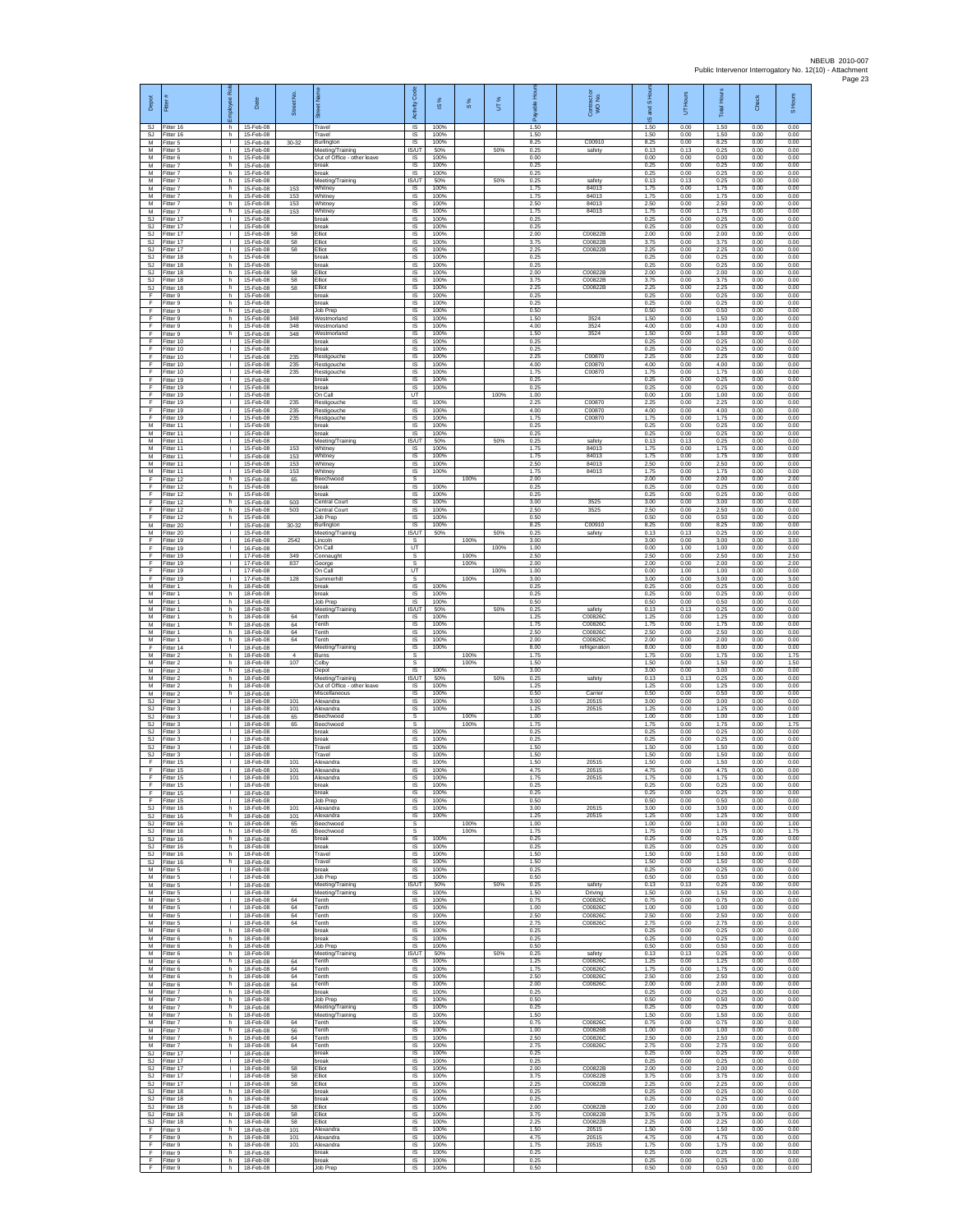| Depot<br>SJ                               | Fitter#<br>Fitter 16                | ployee Rol<br>h.                   | Date<br>15-Feb-08                   | Street No.            | ā<br>Travel                                              | Code<br>Activity<br>$\overline{\mathsf{s}}$ | s,<br>$\overline{\omega}$<br>100% | $\frac{8}{3}$ | UT%  | 휸<br>able<br>ஃ<br>1.50 | Contract or<br>WO No.         | S Hou<br><b>Pole</b><br>ö,<br>1.50 | Hours<br>ŝ<br>0.00   | <b>Total Hours</b><br>1.50 | Check<br>0.00        | S Hours<br>0.00      |
|-------------------------------------------|-------------------------------------|------------------------------------|-------------------------------------|-----------------------|----------------------------------------------------------|---------------------------------------------|-----------------------------------|---------------|------|------------------------|-------------------------------|------------------------------------|----------------------|----------------------------|----------------------|----------------------|
| SJ<br>M                                   | Fitter 16<br>Fitter 5               | h.<br>$\mathbf{I}$                 | 15-Feb-08<br>15-Feb-08              | $30 - 32$             | Travel<br>Burlington                                     | $\sf IS$<br>$\sf IS$                        | 100%<br>100%                      |               |      | 1.50<br>8.25           | C00910                        | 1.50<br>8.25                       | 0.00<br>0.00         | 1.50<br>8.25               | 0.00<br>0.00         | 0.00<br>0.00         |
| M<br>M<br>М                               | Fitter 5<br>Fitter 6<br>fitter 7    | л.<br>h.<br>h                      | 15-Feb-08<br>15-Feb-08<br>15-Feb-08 |                       | Meeting/Training<br>Out of Office - other leave<br>break | IS/UT<br>IS<br>IS                           | 50%<br>100%<br>100%               |               | 50%  | 0.25<br>0.00<br>0.25   | safety                        | 0.13<br>0.00<br>0.25               | 0.13<br>0.00<br>0.00 | 0.25<br>0.00<br>0.25       | 0.00<br>0.00<br>0.00 | 0.00<br>0.00<br>0.00 |
| M<br>M                                    | itter 7<br>Fitter 7                 | h.<br>h.                           | 15-Feb-08<br>15-Feb-08              |                       | break<br>Meeting/Training                                | IS<br><b>IS/UT</b>                          | 100%<br>50%                       |               | 50%  | 0.25<br>0.25           | safety                        | 0.25<br>0.13                       | 0.00<br>0.13         | 0.25<br>0.25               | 0.00<br>0.00         | 0.00<br>0.00         |
| М<br>M                                    | Fitter 7<br>Fitter 7                | h<br>h                             | 15-Feb-08<br>15-Feb-08              | 153<br>153            | Whitney<br>Whitney                                       | IS<br>$\sf IS$                              | 100%<br>100%                      |               |      | 1.75<br>1.75           | 84013<br>84013                | 1.75<br>1.75                       | 0.00<br>0.00         | 1.75<br>1.75               | 0.00<br>0.00         | 0.00<br>0.00         |
| M<br>M<br>SJ                              | Fitter 7<br>Fitter 7<br>Fitter 17   | h.<br>h<br>т.                      | 15-Feb-08<br>15-Feb-08<br>15-Feb-08 | 153<br>153            | Whitney<br><b>Whitney</b><br>break                       | IS<br>IS<br>1S                              | 100%<br>100%<br>100%              |               |      | 2.50<br>1.75<br>0.25   | 84013<br>84013                | 2.50<br>1.75<br>0.25               | 0.00<br>0.00<br>0.00 | 2.50<br>1.75<br>0.25       | 0.00<br>0.00<br>0.00 | 0.00<br>0.00<br>0.00 |
| <b>SJ</b><br>SJ.                          | fitter 17<br>Fitter 17              | $\mathbf{I}$<br>л.                 | 15-Feb-08<br>15-Feb-08              | 58                    | break<br>Elliot                                          | IS<br><b>IS</b>                             | 100%<br>100%                      |               |      | 0.25<br>2.00           | C00822B                       | 0.25<br>2.00                       | 0.00<br>0.00         | 0.25<br>2.00               | 0.00<br>0.00         | 0.00<br>0.00         |
| SJ<br>SJ<br><b>SJ</b>                     | Fitter 17<br>Fitter 17<br>-itter 18 | л.<br>т.<br>h.                     | 15-Feb-08<br>15-Feb-08<br>15-Feb-08 | 58<br>58              | Filint<br>Elliot<br>break                                | IS<br>IS<br>1S                              | 100%<br>100%<br>100%              |               |      | 375<br>2.25<br>0.25    | C00822B<br>C00822B            | 3.75<br>2.25<br>0.25               | 0.00<br>0.00<br>0.00 | 3.75<br>2.25<br>0.25       | 0.00<br>0.00<br>0.00 | 0.00<br>0.00<br>0.00 |
| SJ<br>SJ                                  | Fitter 18<br>Fitter 18              | h.<br>h                            | 15-Feb-08<br>15-Feb-08              | 58                    | break<br>Elliot                                          | IS<br>$\sf IS$                              | 100%<br>100%                      |               |      | 0.25<br>2.00           | C00822B                       | 0.25<br>2.00                       | 0.00<br>0.00         | 0.25<br>2.00               | 0.00<br>0.00         | 0.00<br>0.00         |
| SJ<br><b>SJ</b>                           | fitter 18<br>Fitter 18              | h.<br>h.                           | 15-Feb-08<br>15-Feb-08              | 58<br>58              | <b>Elliot</b><br>Elliot                                  | 1S<br>IS                                    | 100%<br>100%                      |               |      | 3.75<br>2.25           | C00822B<br>C00822B            | 3.75<br>2.25                       | 0.00<br>0.00         | 3.75<br>2.25               | 0.00<br>0.00         | 0.00<br>0.00         |
| F<br>F<br>F                               | Fitter 9<br>Fitter 9<br>Fitter 9    | h<br>h.<br>h                       | 15-Feb-08<br>15-Feb-08<br>15-Feb-08 |                       | break<br>break<br>Job Prep                               | IS<br>1S<br>IS                              | 100%<br>100%<br>100%              |               |      | 0.25<br>0.25<br>0.50   |                               | 0.25<br>0.25<br>0.50               | 0.00<br>0.00<br>0.00 | 0.25<br>0.25<br>0.50       | 0.00<br>0.00<br>0.00 | 0.00<br>0.00<br>0.00 |
| E<br>F                                    | Fitter 9<br>Fitter 9                | h.<br>h.                           | 15-Feb-08<br>15-Feb-08              | 348<br>348            | Westmorland<br>Westmorland                               | <b>IS</b><br>$\sf IS$                       | 100%<br>100%                      |               |      | 1.50<br>4.00           | 3524<br>3524                  | 1.50<br>4.00                       | 0.00<br>0.00         | 1.50<br>4.00               | 0.00<br>0.00         | 0.00<br>0.00         |
| F<br>F<br>F                               | itter 9<br>Fitter 10<br>Fitter 10   | h<br>л.<br>$\mathbf{L}$            | 15-Feb-08<br>15-Feb-08<br>15-Feb-08 | 348                   | Westmorland<br>break<br>break                            | IS<br><b>IS</b><br>IS                       | 100%<br>100%<br>100%              |               |      | 1.50<br>0.25<br>0.25   | 3524                          | 1.50<br>0.25<br>0.25               | 0.00<br>0.00<br>0.00 | 1.50<br>0.25<br>0.25       | 0.00<br>0.00<br>0.00 | 0.00<br>0.00<br>0.00 |
| F<br>F                                    | Fitter 10<br>Fitter 10              | ٠<br>Τ                             | 15-Feb-08<br>15-Feb-08              | 235<br>235            | Restigouche<br>Restigouche                               | IS<br>1S                                    | 100%<br>100%                      |               |      | 2.25<br>4.00           | C00870<br>C00870              | 2.25<br>4.00                       | 0.00<br>0.00         | 2.25<br>4.00               | 0.00<br>0.00         | 0.00<br>0.00         |
| F<br>F                                    | Fitter 10<br>Fitter 19              | л.<br>т.                           | 15-Feb-08<br>15-Feb-08              | 235                   | Restigouche<br>break                                     | IS<br>IS                                    | 100%<br>100%                      |               |      | 1.75<br>0.25           | C00870                        | 1.75<br>0.25                       | 0.00<br>0.00         | 1.75<br>0.25               | 0.00<br>0.00         | 0.00<br>0.00         |
| F<br>F<br>F                               | Fitter 19<br>Fitter 19<br>Fitter 19 | $\mathbf{L}$<br>$\mathbf{I}$<br>т. | 15-Feb-08<br>15-Feb-08<br>15-Feb-08 | 235                   | break<br>On Call<br>Restigouche                          | $\sf IS$<br>UT<br>IS                        | 100%<br>100%                      |               | 100% | 0.25<br>1.00<br>2.25   | C00870                        | 0.25<br>0.00<br>2.25               | 0.00<br>1.00<br>0.00 | 0.25<br>1.00<br>2.25       | 0.00<br>0.00<br>0.00 | 0.00<br>0.00<br>0.00 |
| F<br>F                                    | Fitter 19<br>fitter 19              | т.<br>$\mathbf{I}$                 | 15-Feb-08<br>15-Feb-08              | 235<br>235            | Restigouche<br>Restigouche                               | IS<br>IS                                    | 100%<br>100%                      |               |      | 4.00<br>1.75           | C00870<br>C00870              | 4.00<br>1.75                       | 0.00<br>0.00         | 4.00<br>1.75               | 0.00<br>0.00         | 0.00<br>0.00         |
| M<br>M                                    | Fitter 11<br>Fitter 11              | л.<br>$\mathbf{L}$                 | 15-Feb-08<br>15-Feb-08              |                       | break<br>break                                           | IS<br>IS                                    | 100%<br>100%                      |               |      | 0.25<br>0.25           |                               | 0.25<br>0.25                       | 0.00<br>0.00         | 0.25<br>0.25               | 0.00<br>0.00         | 0.00<br>0.00         |
| М<br>M<br>M                               | Fitter 11<br>Fitter 11<br>Fitter 11 | ٠<br>Τ<br>л.                       | 15-Feb-08<br>15-Feb-08<br>15-Feb-08 | 153<br>153            | Meeting/Training<br>Whitney<br>Whitney                   | IS/UT<br>IS<br>IS                           | 50%<br>100%<br>100%               |               | 50%  | 0.25<br>1.75<br>1.75   | safety<br>84013<br>84013      | 0.13<br>1.75<br>1.75               | 0.13<br>0.00<br>0.00 | 0.25<br>1.75<br>1.75       | 0.00<br>0.00<br>0.00 | 0.00<br>0.00<br>0.00 |
| М<br>M                                    | Fitter 11<br>fitter 11              | т.<br>Τ                            | 15-Feb-08<br>15-Feb-08              | 153<br>153            | Whitney<br>Whitney                                       | $\sf IS$<br>1S                              | 100%<br>100%                      |               |      | 2.50<br>1.75           | 84013<br>84013                | 2.50<br>1.75                       | 0.00<br>0.00         | 2.50<br>1.75               | 0.00<br>0.00         | 0.00<br>0.00         |
| F<br>F                                    | Fitter 12<br>Fitter 12              | h.<br>h                            | 15-Feb-08<br>15-Feb-08              | 65                    | <b>Beechwood</b><br>break                                | s<br>IS                                     | 100%                              | 100%          |      | 2.00<br>0.25<br>0.25   |                               | 2.00<br>0.25                       | 0.00<br>0.00         | 2.00<br>0.25               | 0.00<br>0.00         | 2.00<br>0.00         |
| F<br>F<br>F                               | Fitter 12<br>fitter 12<br>Fitter 12 | h<br>h<br>h.                       | 15-Feb-08<br>15-Feb-08<br>15-Feb-08 | 503<br>503            | break<br>Central Court<br>Central Court                  | IS<br>IS<br>IS                              | 100%<br>100%<br>100%              |               |      | 3.00<br>2.50           | 3525<br>3525                  | 0.25<br>3.00<br>2.50               | 0.00<br>0.00<br>0.00 | 0.25<br>3.00<br>2.50       | 0.00<br>0.00<br>0.00 | 0.00<br>0.00<br>0.00 |
| F<br>М                                    | Fitter 12<br>fitter 20              | h.<br>$\mathbf{I}$                 | 15-Feb-08<br>15-Feb-08              | $30 - 32$             | Job Prep<br>Burlington                                   | $\sf IS$<br>$\sf IS$                        | 100%<br>100%                      |               |      | 0.50<br>8.25           | C00910                        | 0.50<br>8.25                       | 0.00<br>0.00         | 0.50<br>8.25               | 0.00<br>0.00         | 0.00<br>0.00         |
| M<br>F                                    | Fitter 20<br>Fitter 19              | л.<br>$\mathbf{L}$                 | 15-Feb-08<br>16-Feb-08              | 2542                  | Meeting/Training<br>Lincoln                              | IS/UT<br>s                                  | 50%                               | 100%          | 50%  | 0.25<br>3.00           | safety                        | 0.13<br>3.00                       | 0.13<br>0.00         | 0.25<br>3.00               | 0.00<br>0.00         | 0.00<br>3.00         |
| F<br>F<br>F                               | Fitter 19<br>fitter 19<br>Fitter 19 | т.<br>$\mathbf{I}$<br>$\mathbf{L}$ | 16-Feb-08<br>17-Feb-08<br>17-Feb-08 | 349<br>837            | On Call<br>Connaugh<br>George                            | UT<br>s<br>s                                |                                   | 100%<br>100%  | 100% | 1.00<br>2.50<br>2.00   |                               | 0.00<br>2.50<br>2.00               | 1.00<br>0.00<br>0.00 | 1.00<br>2.50<br>2.00       | 0.00<br>0.00<br>0.00 | 0.00<br>2.50<br>2.00 |
| F<br>F                                    | Fitter 19<br>Fitter 19              | т.<br>$\mathbf{L}$                 | 17-Feb-08<br>17-Feb-08              | 128                   | On Call<br>Summerhill                                    | UT<br>s                                     |                                   | 100%          | 100% | 1.00<br>3.00           |                               | 0.00<br>3.00                       | 1.00<br>0.00         | 1.00<br>3.00               | 0.00<br>0.00         | 0.00<br>3.00         |
| M<br>М                                    | fitter 1<br>Fitter 1                | h.<br>h                            | 18-Feb-08<br>18-Feb-08              |                       | break<br>break                                           | IS<br>IS                                    | 100%<br>100%                      |               |      | 0.25<br>0.25           |                               | 0.25<br>0.25                       | 0.00<br>0.00         | 0.25<br>0.25               | 0.00<br>0.00         | 0.00<br>0.00         |
| М<br>M<br>M                               | Fitter 1<br>fitter 1<br>Fitter 1    | h<br>h<br>h                        | 18-Feb-08<br>18-Feb-08<br>18-Feb-08 | 64                    | Job Prep<br>Meeting/Training<br>Tenth                    | 1S<br><b>IS/UT</b><br>IS                    | 100%<br>50%<br>100%               |               | 50%  | 0.50<br>0.25<br>1.25   | safety<br>C00826C             | 0.50<br>0.13<br>1.25               | 0.00<br>0.13<br>0.00 | 0.50<br>0.25<br>1.25       | 0.00<br>0.00<br>0.00 | 0.00<br>0.00<br>0.00 |
| M<br>М                                    | Fitter 1<br>Fitter 1                | h.<br>h                            | 18-Feb-08<br>18-Feb-08              | 64<br>64              | Tenth<br>Tenth                                           | IS<br>IS                                    | 100%<br>100%                      |               |      | 175<br>2.50            | C00826C<br>C00826C            | 175<br>2.50                        | 0.00<br>0.00         | 175<br>2.50                | 0.00<br>0.00         | 0.00<br>0.00         |
| M<br>F                                    | Fitter 1<br>Fitter 14               | h.<br>$\mathbf{L}$                 | 18-Feb-08<br>18-Feb-08              | 64                    | Tenth<br>Meeting/Training                                | 1S<br>IS                                    | 100%<br>100%                      |               |      | 2.00<br>8.00           | C00826C<br>refrigeration      | 2.00<br>8.00                       | 0.00<br>0.00         | 2.00<br>8.00               | 0.00<br>0.00         | 0.00<br>0.00         |
| М<br>M<br>M                               | Fitter 2<br>fitter 2<br>Fitter 2    | h<br>h.<br>h.                      | 18-Feb-08<br>18-Feb-08<br>18-Feb-08 | $\overline{4}$<br>107 | Burns<br>Colby<br>Depot                                  | s<br>s<br>$\overline{\mathsf{s}}$           | 100%                              | 100%<br>100%  |      | 1.75<br>1.50<br>3.00   |                               | 1.75<br>1.50<br>3.00               | 0.00<br>0.00<br>0.00 | 1.75<br>1.50<br>3.00       | 0.00<br>0.00<br>0.00 | 1.75<br>1.50<br>0.00 |
| м<br>M                                    | Fitter 2<br>Fitter 2                | h<br>h                             | 18-Feb-08<br>18-Feb-08              |                       | Meeting/Training<br>Out of Office - other leave          | IS/UT<br>1S                                 | 50%<br>100%                       |               | 50%  | 0.25<br>1.25           | safety                        | 0.13<br>1.25                       | 0.13<br>0.00         | 0.25<br>1.25               | 0.00<br>0.00         | 0.00<br>0.00         |
| M<br>SJ                                   | Fitter 2<br>Fitter 3                | h<br>л.<br>$\mathbf{L}$            | 18-Feb-08<br>18-Feb-08              | 101                   | Miscellaneous<br>Alexandra                               | IS<br><b>IS</b>                             | 100%<br>100%                      |               |      | 0.50<br>3.00           | Carrie<br>20515               | 0.50<br>3.00                       | 0.00<br>0.00         | 0.50<br>3.00               | 0.00<br>0.00         | 0.00<br>0.00         |
| <b>SJ</b><br>SJ<br><b>SJ</b>              | Fitter 3<br>itter 3<br>Fitter 3     | $\mathbf{I}$<br>л.                 | 18-Feb-08<br>18-Feb-08<br>18-Feb-08 | 101<br>65<br>65       | Alexandra<br>Beechwood<br><b>Beechwood</b>               | $\sf IS$<br>s<br>s                          | 100%                              | 100%<br>100%  |      | 1.25<br>1.00<br>1.75   | 20515                         | 1.25<br>1.00<br>1.75               | 0.00<br>0.00<br>0.00 | 1.25<br>1.00<br>1.75       | 0.00<br>0.00<br>0.00 | 0.00<br>1.00<br>1.75 |
| S.I.<br>SJ                                | Fitter 3<br>itter 3                 | $\mathbf{L}$<br>٠                  | 18-Feb-08<br>18-Feb-08              |                       | break<br>break                                           | IS<br>IS                                    | 100%<br>100%                      |               |      | 0.25<br>0.25           |                               | 0.25<br>0.25                       | 0.00<br>0.00         | 0.25<br>0.25               | 0.00<br>0.00         | 0.00<br>0.00         |
| SJ<br>SJ<br>F                             | itter 3<br>Fitter 3<br>itter 15     | т<br>$\mathbf{L}$<br>т.            | 18-Feb-08<br>18-Feb-08<br>18-Feb-08 | 101                   | Travel<br>Travel<br>Alexandra                            | 1S<br>IS<br>IS                              | 100%<br>100%<br>100%              |               |      | 1.50<br>1.50<br>1.50   | 20515                         | 1.50<br>1.50<br>1.50               | 0.00<br>0.00<br>0.00 | 1.50<br>1.50<br>1.50       | 0.00<br>0.00<br>0.00 | 0.00<br>0.00<br>0.00 |
| F<br>F                                    | Fitter 15<br>ltter 15               | $\mathbf{L}$<br>$\mathbf{I}$       | 18-Feb-08<br>18-Feb-08              | 101<br>101            | Alexandra<br>Alexandra                                   | $\sf IS$<br>IS                              | 100%<br>100%                      |               |      | 4.75<br>1.75           | 20515<br>20515                | 4.75<br>1.75                       | 0.00<br>0.00         | 4.75<br>1.75               | 0.00<br>0.00         | 0.00<br>0.00         |
| F<br>F                                    | Fitter 15<br>Fitter 15              | J.<br>٠                            | 18-Feb-08<br>18-Feb-08              |                       | break<br>break                                           | IS<br>IS                                    | 100%<br>100%                      |               |      | 0.25<br>0.25           |                               | 0.25<br>0.25                       | 0.00<br>0.00         | 0.25<br>0.25               | 0.00<br>0.00         | 0.00<br>0.00         |
| F<br><b>SJ</b><br>SJ.                     | fitter 15<br>Fitter 16<br>Fitter 16 | т.<br>h.<br>h                      | 18-Feb-08<br>18-Feb-08<br>18-Feb-08 | 101<br>101            | Job Prep<br>Alexandra<br>Alexandra                       | IS<br><b>IS</b><br>IS                       | 100%<br>100%<br>100%              |               |      | 0.50<br>3.00<br>1 25   | 20515<br>20515                | 0.50<br>3.00<br>1.25               | 0.00<br>0.00<br>0.00 | 0.50<br>3.00<br>1.25       | 0.00<br>0.00<br>0.00 | 0.00<br>0.00<br>0.00 |
| SJ<br>SJ.                                 | Fitter 16<br>Fitter 16              | h<br>h.                            | 18-Feb-08<br>18-Feb-08              | 65<br>65              | Beechwood<br>Beechwood                                   | s<br>s                                      |                                   | 100%<br>100%  |      | 1.00<br>1.75           |                               | 1.00<br>1.75                       | 0.00<br>0.00         | 1.00<br>1.75               | 0.00<br>0.00         | 1.00<br>1.75         |
| <b>SJ</b>                                 | SJ Fitter 16<br>Fitter 16           | h.<br>h.                           | 18-Feb-08<br>18-Feb-08              |                       | break<br>break                                           | IS<br>$\sf IS$                              | 100%<br>100%                      |               |      | 0.25<br>0.25           |                               | 0.25<br>0.25                       | 0.00<br>0.00         | 0.25<br>0.25               | 0.00<br>0.00         | 0.00<br>0.00         |
| SJ<br>SJ<br>м                             | Fitter 16<br>Fitter 16<br>Fitter 5  | h.<br>h.<br>$\mathbb{R}$           | 18-Feb-08<br>18-Feb-08<br>18-Feb-08 |                       | Travel<br>Travel<br>break                                | IS<br><b>IS</b><br>IS                       | 100%<br>100%<br>100%              |               |      | 1.50<br>1.50<br>0.25   |                               | 1.50<br>1.50<br>0.25               | 0.00<br>0.00<br>0.00 | 1.50<br>1.50<br>0.25       | 0.00<br>0.00<br>0.00 | 0.00<br>0.00<br>0.00 |
| М<br>M                                    | Fitter 5<br>Fitter 5                | т.<br>т.                           | 18-Feb-08<br>18-Feb-08              |                       | Job Prep<br>Meeting/Training                             | IS<br><b>IS/UT</b>                          | 100%<br>50%                       |               | 50%  | 0.50<br>0.25           | safety                        | 0.50<br>0.13                       | 0.00<br>0.13         | 0.50<br>0.25               | 0.00<br>0.00         | 0.00<br>0.00         |
| M<br>M                                    | Fitter 5<br>Fitter 5                | л.<br>$\mathbf{L}$                 | 18-Feb-08<br>18-Feb-08              | 64                    | Meeting/Training<br>Tenth                                | - IS<br>$\sf IS$                            | 100%<br>100%                      |               |      | 1.50<br>0.75           | Driving<br>C00826C            | 1.50<br>0.75                       | 0.00<br>0.00         | 1.50<br>0.75               | 0.00<br>0.00         | 0.00<br>0.00         |
| М<br>M<br>M                               | Fitter 5<br>Fitter 5<br>Fitter 5    | $\mathbb{I}$<br>п.<br>$\mathbf{L}$ | 18-Feb-08<br>18-Feb-08<br>18-Feb-08 | 64<br>64<br>64        | Tenth<br>Tenth<br>Tenth                                  | $\sf IS$<br>IS<br>IS                        | 100%<br>100%<br>100%              |               |      | 1.00<br>2.50<br>275    | C00826C<br>C00826C<br>C00826C | 1.00<br>2.50<br>2.75               | 0.00<br>0.00<br>0.00 | 1.00<br>2.50<br>2.75       | 0.00<br>0.00<br>0.00 | 0.00<br>0.00<br>0.00 |
| М<br>M                                    | itter 6<br>itter 6                  | h<br>h.                            | 18-Feb-08<br>18-Feb-08              |                       | break<br>break                                           | IS<br>IS                                    | 100%<br>100%                      |               |      | 0.25<br>0.25           |                               | 0.25<br>0.25                       | 0.00<br>0.00         | 0.25<br>0.25               | 0.00<br>0.00         | 0.00<br>0.00         |
| M<br>М                                    | Fitter 6<br>Fitter 6                | h.<br>h                            | 18-Feb-08<br>18-Feb-08              |                       | Job Prep<br>Meeting/Training                             | <b>IS</b><br><b>IS/UT</b>                   | 100%<br>50%                       |               | 50%  | 0.50<br>0.25           | safety                        | 0.50<br>0.13                       | 0.00<br>0.13         | 0.50<br>0.25               | 0.00<br>0.00         | 0.00<br>0.00         |
| М<br>M<br>М                               | Fitter 6<br>Fitter 6<br>Fitter 6    | h.<br>h.<br>h                      | 18-Feb-08<br>18-Feb-08<br>18-Feb-08 | 64<br>64<br>64        | Tenth<br>Tenth<br>Tenth                                  | $\sf IS$<br><b>IS</b><br>IS                 | 100%<br>100%<br>100%              |               |      | 1.25<br>1.75<br>2.50   | C00826C<br>C00826C<br>C00826C | 1.25<br>1.75<br>2.50               | 0.00<br>0.00<br>0.00 | 1.25<br>1.75<br>2.50       | 0.00<br>0.00<br>0.00 | 0.00<br>0.00<br>0.00 |
| M<br>M                                    | Fitter 6<br>fitter 7                | h.<br>h.                           | 18-Feb-08<br>18-Feb-08              | 64                    | Tenth<br>break                                           | IS<br>IS                                    | 100%<br>100%                      |               |      | 2.00<br>0.25           | C00826C                       | 2.00<br>0.25                       | 0.00<br>0.00         | 2.00<br>0.25               | 0.00<br>0.00         | 0.00<br>0.00         |
| M<br>M<br>М                               | Fitter 7<br>Fitter 7<br>Fitter 7    | h.<br>h.<br>h                      | 18-Feb-08<br>18-Feb-08<br>18-Feb-08 |                       | Job Prep<br>Meeting/Training<br>Meeting/Training         | IS<br>IS<br>IS                              | 100%<br>100%<br>100%              |               |      | 0.50<br>0.25<br>1.50   |                               | 0.50<br>0.25<br>1.50               | 0.00<br>0.00<br>0.00 | 0.50<br>0.25<br>1.50       | 0.00<br>0.00<br>0.00 | 0.00<br>0.00<br>0.00 |
| M<br>м                                    | Fitter 7<br>Fitter 7                | h<br>h                             | 18-Feb-08<br>18-Feb-08              | 64<br>56              | Tenth<br>Tenth                                           | IS<br>IS                                    | 100%<br>100%                      |               |      | 0.75<br>1.00           | C008260<br>C00826B            | 0.75<br>1.00                       | 0.00<br>0.00         | 0.75<br>1.00               | 0.00<br>0.00         | 0.00<br>0.00         |
| м<br>M                                    | Fitter 7<br>Fitter 7                | h<br>h.                            | 18-Feb-08<br>18-Feb-08              | 64<br>64              | Tenth<br>Tenth                                           | IS<br>1S                                    | 100%<br>100%                      |               |      | 2.50<br>2.75           | C00826C<br>C00826C            | 2.50<br>2.75                       | 0.00<br>0.00         | 2.50<br>2.75               | 0.00<br>0.00         | 0.00<br>0.00         |
| <b>SJ</b><br>SJ                           | Fitter 17<br>Fitter 17              | $\mathbf{L}$<br>$\mathbf{L}$<br>т. | 18-Feb-08<br>18-Feb-08              |                       | break<br>break<br>Elliot                                 | <b>IS</b><br>IS<br>1S                       | 100%<br>100%<br>100%              |               |      | 0.25<br>0.25<br>2.00   | C00822B                       | 0.25<br>0.25<br>2.00               | 0.00<br>0.00<br>0.00 | 0.25<br>0.25<br>2.00       | 0.00<br>0.00<br>0.00 | 0.00<br>0.00<br>0.00 |
| $\mathbb{S}\mathbb{J}$<br><b>SJ</b><br>SJ | Fitter 17<br>Fitter 17<br>Fitter 17 | т.<br>п.                           | 18-Feb-08<br>18-Feb-08<br>18-Feb-08 | 58<br>58<br>58        | <b>Elliot</b><br>Elliot                                  | IS<br>IS                                    | 100%<br>100%                      |               |      | 3.75<br>2.25           | C00822B<br>C00822B            | 3.75<br>2.25                       | 0.00<br>0.00         | 3.75<br>2.25               | 0.00<br>0.00         | 0.00<br>0.00         |
| SJ.<br>SJ                                 | Fitter 18<br>litter 18              | h.<br>h                            | 18-Feb-08<br>18-Feb-08              |                       | break<br>break                                           | $\sf IS$<br>IS                              | 100%<br>100%                      |               |      | 0.25<br>0.25           |                               | 0.25<br>0.25                       | 0.00<br>0.00         | 0.25<br>0.25               | 0.00<br>0.00         | 0.00<br>0.00         |
| <b>SJ</b><br>S.I.<br>SJ                   | Fitter 18<br>Fitter 18<br>Fitter 18 | h.<br>h.                           | 18-Feb-08<br>18-Feb-08<br>18-Feb-08 | 58<br>58<br>58        | Elliot<br>Filint<br>Elliot                               | IS<br>IS<br>IS                              | 100%<br>100%<br>100%              |               |      | 2.00<br>3.75<br>2.25   | C00822B<br>C00822B<br>C00822B | 2.00<br>3.75<br>2.25               | 0.00<br>0.00<br>0.00 | 2.00<br>3.75<br>2.25       | 0.00<br>0.00<br>0.00 | 0.00<br>0.00<br>0.00 |
| F<br>F                                    | fitter 9<br>Fitter 9                | h<br>h.<br>h.                      | 18-Feb-08<br>18-Feb-08              | 101<br>101            | Alexandra<br>Alexandra                                   | IS<br>IS                                    | 100%<br>100%                      |               |      | 1.50<br>4.75           | 20515<br>20515                | 1.50<br>4.75                       | 0.00<br>0.00         | 1.50<br>4.75               | 0.00<br>0.00         | 0.00<br>0.00         |
| F<br>F                                    | -itter 9<br>Fitter 9                | h<br>h.                            | 18-Feb-08<br>18-Feb-08              | 101                   | Alexandra<br>break                                       | IS<br>$\sf IS$                              | 100%<br>100%                      |               |      | 1.75<br>0.25           | 20515                         | 1.75<br>0.25                       | 0.00<br>0.00         | 1.75<br>0.25               | 0.00<br>0.00         | 0.00<br>0.00         |
| F<br>F                                    | Fitter 9<br>Fitter 9                | h.<br>h                            | 18-Feb-08<br>18-Feb-08              |                       | break<br>Job Prep                                        | IS<br>IS                                    | 100%<br>100%                      |               |      | 0.25<br>0.50           |                               | 0.25<br>0.50                       | 0.00<br>0.00         | 0.25<br>0.50               | 0.00<br>0.00         | 0.00<br>0.00         |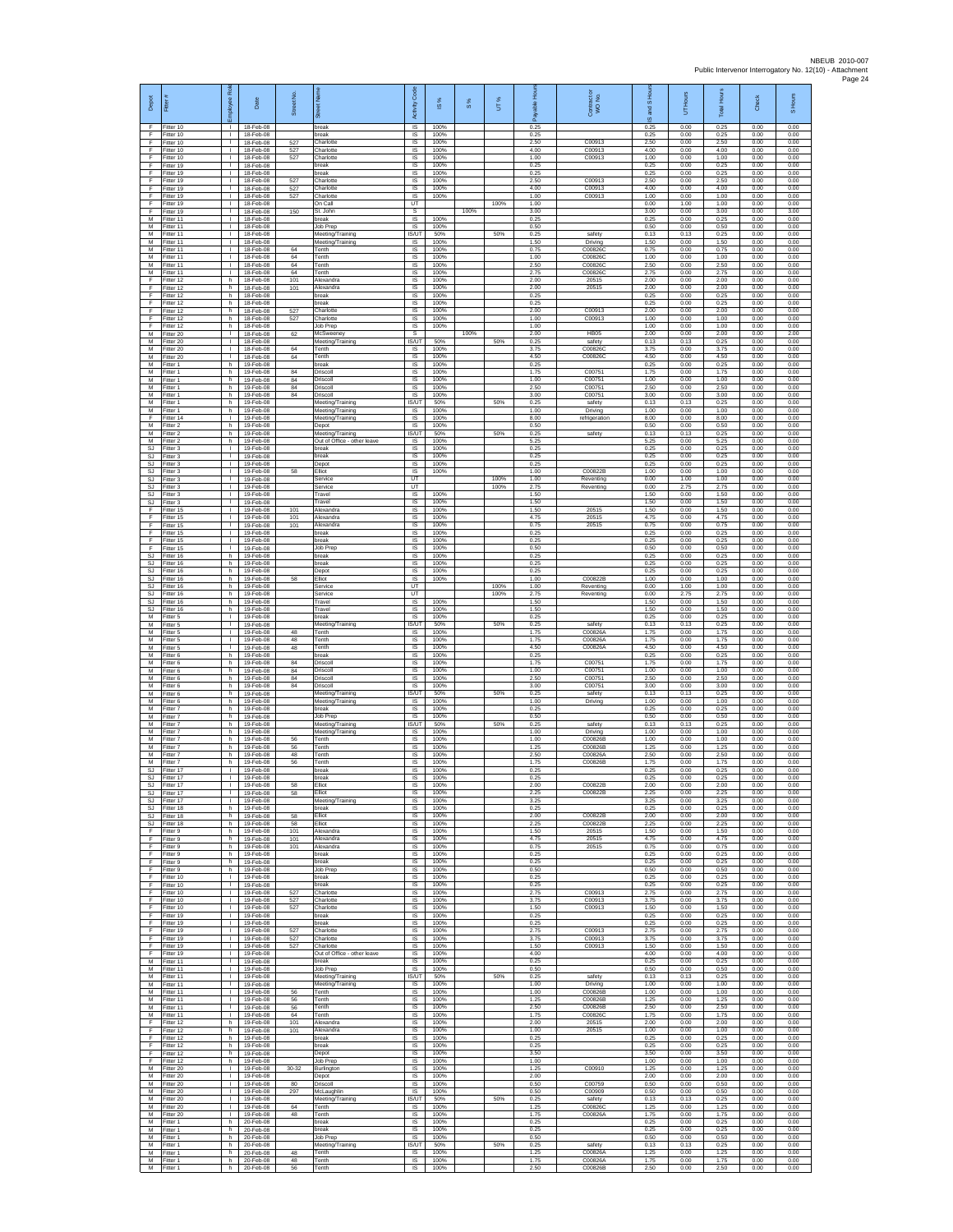| Depot                               | Fitter                              | ē<br>eevolon                                 | Date                                | Street No.        |                                                  | Code<br>Activity                     | 15%                  | $S\%$ | UT%  | ஃ                    | Contract or<br>WO No.         | S Ho<br>g<br>ဖ       | UT Hours             | <b>Total Hours</b>   | Check                | S Hours              |
|-------------------------------------|-------------------------------------|----------------------------------------------|-------------------------------------|-------------------|--------------------------------------------------|--------------------------------------|----------------------|-------|------|----------------------|-------------------------------|----------------------|----------------------|----------------------|----------------------|----------------------|
| F<br>F                              | Fitter 10<br>Fitter 10              | $\mathbf{L}$<br>$\mathbf{I}$                 | 18-Feb-08<br>18-Feb-08              |                   | break<br>oreak                                   | <b>IS</b><br>IS                      | 100%<br>100%         |       |      | 0.25<br>0.25         |                               | 0.25<br>0.25         | 0.00<br>0.00         | 0.25<br>0.25         | 0.00<br>0.00         | 0.00<br>0.00         |
| F<br>F<br>E                         | Fitter 10<br>Fitter 10              | $\mathbb{R}^n$<br>$\mathbf{L}$               | 18-Feb-08<br>18-Feb-08              | 527<br>527<br>527 | Charlotte<br>Charlotte                           | $\sf IS$<br><b>IS</b>                | 100%<br>100%         |       |      | 2.50<br>4.00<br>1.00 | C00913<br>C00913              | 2.50<br>4.00<br>1.00 | 0.00<br>0.00         | 2.50<br>4.00         | 0.00<br>0.00         | 0.00<br>0.00         |
| F<br>F                              | Fitter 10<br>Fitter 19<br>Fitter 19 | т.<br>Τ.<br>т.                               | 18-Feb-08<br>18-Feb-08<br>18-Feb-08 |                   | Charlotte<br>break<br>reak                       | IS<br>1S<br>IS                       | 100%<br>100%<br>100% |       |      | 0.25<br>0.25         | C00913                        | 0.25<br>0.25         | 0.00<br>0.00<br>0.00 | 1.00<br>0.25<br>0.25 | 0.00<br>0.00<br>0.00 | 0.00<br>0.00<br>0.00 |
| E<br>F                              | Fitter 19<br>Fitter 19              | ÷.<br>л.                                     | 18-Feb-08<br>18-Feb-08              | 527<br>527        | Charlotte<br>Charlotte                           | IS<br>IS                             | 100%<br>100%         |       |      | 2.50<br>4.00         | C00913<br>C00913              | 2.50<br>4.00         | 0.00<br>0.00         | 2.50<br>4.00         | 0.00<br>0.00         | 0.00<br>0.00         |
| F<br>F                              | Fitter 19<br>Fitter 19              | $\mathbf{I}$<br>$\mathbb{R}$                 | 18-Feb-08<br>18-Feb-08              | 527               | Charlotte<br>On Call                             | IS<br>UT                             | 100%                 |       | 100% | 1.00<br>1.00         | C00913                        | 1.00<br>0.00         | 0.00<br>1.00         | 1.00<br>1.00         | 0.00<br>0.00         | 0.00<br>0.00         |
| F<br>М<br>M                         | Fitter 19<br>Fitter 11<br>Fitter 11 | $\mathbf{L}$<br>٠<br>т                       | 18-Feb-08<br>18-Feb-08<br>18-Feb-08 | 150               | St. John<br>break<br>Job Prep                    | s<br>IS<br>IS                        | 100%<br>100%         | 100%  |      | 3.00<br>0.25<br>0.50 |                               | 3.00<br>0.25<br>0.50 | 0.00<br>0.00<br>0.00 | 3.00<br>0.25<br>0.50 | 0.00<br>0.00<br>0.00 | 3.00<br>0.00<br>0.00 |
| M<br>М                              | Fitter 11<br>litter 11              | $\mathbf{L}$<br>т.                           | 18-Feb-08<br>18-Feb-08              |                   | Meeting/Training<br>Meeting/Training             | <b>IS/UT</b><br>IS                   | 50%<br>100%          |       | 50%  | 0.25<br>1.50         | safety<br>Driving             | 0.13<br>1.50         | 0.13<br>0.00         | 0.25<br>1.50         | 0.00<br>0.00         | 0.00<br>0.00         |
| M<br>M                              | Fitter 11<br>Fitter 11              | H.<br>$\mathbb{L}$                           | 18-Feb-08<br>18-Feb-08              | 64<br>64          | Tenth<br>Tenth                                   | 1S<br>IS                             | 100%<br>100%         |       |      | 0.75<br>1.00         | C00826C<br>C008260            | 0.75<br>1.00         | 0.00<br>0.00         | 0.75<br>1.00         | 0.00<br>0.00         | 0.00<br>0.00         |
| M<br>М<br>F                         | Fitter 11<br>Fitter 11<br>Fitter 12 | $\mathbf{L}$<br>т.<br>h                      | 18-Feb-08<br>18-Feb-08<br>18-Feb-08 | 64<br>64<br>101   | Tenth<br>Tenth<br>Vexandra                       | IS<br>$\sf IS$<br>IS                 | 100%<br>100%<br>100% |       |      | 2.50<br>2.75<br>2.00 | C008260<br>C008260<br>20515   | 2.50<br>2.75<br>2.00 | 0.00<br>0.00<br>0.00 | 2.50<br>2.75<br>2.00 | 0.00<br>0.00<br>0.00 | 0.00<br>0.00<br>0.00 |
| F<br>F                              | Fitter 12<br>Fitter 12              | h<br>h.                                      | 18-Feb-08<br>18-Feb-08              | 101               | Alexandra<br>break                               | IS<br>IS                             | 100%<br>100%         |       |      | 2.00<br>0.25         | 20515                         | 2.00<br>0.25         | 0.00<br>0.00         | 2.00<br>0.25         | 0.00<br>0.00         | 0.00<br>0.00         |
| F<br>F<br>F                         | Fitter 12<br>Fitter 12              | h<br>h.<br>h.                                | 18-Feb-08<br>18-Feb-08<br>18-Feb-08 | 527               | oreak<br>Charlotte<br>Charlotte                  | IS<br>IS<br><b>IS</b>                | 100%<br>100%<br>100% |       |      | 0.25<br>2.00<br>1.00 | C00913<br>C00913              | 0.25<br>2.00<br>1.00 | 0.00<br>0.00<br>0.00 | 0.25<br>2.00<br>1.00 | 0.00<br>0.00<br>0.00 | 0.00<br>0.00<br>0.00 |
| F<br>M                              | Fitter 12<br>Fitter 12<br>Fitter 20 | h<br>T.                                      | 18-Feb-08<br>18-Feb-08              | 527<br>62         | lob Prep<br>McSweeney                            | $\sf IS$<br>s                        | 100%                 | 100%  |      | 1.00<br>2.00         | HB <sub>05</sub>              | 1.00<br>2.00         | 0.00<br>0.00         | 1.00<br>2.00         | 0.00<br>0.00         | 0.00<br>2.00         |
| M<br>М                              | Fitter 20<br>Fitter 20              | $\mathbf{L}$<br>т.                           | 18-Feb-08<br>18-Feb-08              | 64                | Meeting/Training<br>Tenth                        | <b>IS/UT</b><br>IS                   | 50%<br>100%          |       | 50%  | 0.25<br>3.75         | safety<br>C008260             | 0.13<br>3.75         | 0.13<br>0.00         | 0.25<br>3.75         | 0.00<br>0.00         | 0.00<br>0.00         |
| M<br>М<br>M                         | Fitter 20<br>fitter 1<br>Fitter 1   | т.<br>h<br>h                                 | 18-Feb-08<br>19-Feb-08<br>19-Feb-08 | 64<br>84          | enth<br>reak<br>Driscoll                         | 1S<br>IS<br><b>IS</b>                | 100%<br>100%<br>100% |       |      | 4.50<br>0.25<br>1.75 | C008260<br>C00751             | 4.50<br>0.25<br>1.75 | 0.00<br>0.00<br>0.00 | 4.50<br>0.25<br>1.75 | 0.00<br>0.00<br>0.00 | 0.00<br>0.00<br>0.00 |
| M<br>М                              | -itter 1<br>Fitter 1                | h.<br>h.                                     | 19-Feb-08<br>19-Feb-08              | 84<br>84          | Driscoll<br>Driscoll                             | IS<br>$\sf IS$                       | 100%<br>100%         |       |      | 1.00<br>2.50         | C00751<br>C00751              | 1.00<br>2.50         | 0.00<br>0.00         | 1.00<br>2.50         | 0.00<br>0.00         | 0.00<br>0.00         |
| M<br>M                              | Fitter 1<br>-itter 1                | h<br>h                                       | 19-Feb-08<br>19-Feb-08              | 84                | Driscoll<br>Meeting/Training                     | <b>IS</b><br>IS/UT                   | 100%<br>50%          |       | 50%  | 3.00<br>0.25         | C00751<br>safety              | 3.00<br>0.13         | 0.00<br>0.13         | 3.00<br>0.25         | 0.00<br>0.00         | 0.00<br>0.00         |
| М<br>F<br>M                         | Fitter 1<br>Fitter 14<br>Fitter 2   | h<br>$\mathbf{L}$<br>h                       | 19-Feb-08<br>19-Feb-08<br>19-Feb-08 |                   | Meeting/Training<br>Meeting/Training<br>Depot    | 1S<br>IS<br><b>IS</b>                | 100%<br>100%<br>100% |       |      | 1.00<br>8.00<br>0.50 | Driving<br>refrigeration      | 1.00<br>8.00<br>0.50 | 0.00<br>0.00<br>0.00 | 1.00<br>8.00<br>0.50 | 0.00<br>0.00<br>0.00 | 0.00<br>0.00<br>0.00 |
| М<br>M                              | -itter 2<br>Fitter 2                | h<br>h.                                      | 19-Feb-08<br>19-Feb-08              |                   | Meeting/Training<br>Out of Office - other leave  | IS/UT<br>1S                          | 50%<br>100%          |       | 50%  | 0.25<br>5.25         | safety                        | 0.13<br>5.25         | 0.13<br>0.00         | 0.25<br>5.25         | 0.00<br>0.00         | 0.00<br>0.00         |
| <b>SJ</b><br><b>SJ</b><br>SJ        | Fitter 3<br>Fitter 3<br>Fitter 3    | т.<br>L.<br>$\mathbf{L}$                     | 19-Feb-08<br>19-Feb-08<br>19-Feb-08 |                   | oreak<br>break<br>Depot                          | IS<br>IS<br>IS                       | 100%<br>100%<br>100% |       |      | 0.25<br>0.25<br>0.25 |                               | 0.25<br>0.25<br>0.25 | 0.00<br>0.00<br>0.00 | 0.25<br>0.25<br>0.25 | 0.00<br>0.00<br>0.00 | 0.00<br>0.00<br>0.00 |
| SJ<br><b>SJ</b>                     | fitter 3<br>Fitter 3                | $\mathbf{L}$<br>л.                           | 19-Feb-08<br>19-Feb-08              | 58                | <b>Elliot</b><br>Service                         | IS<br>UT                             | 100%                 |       | 100% | 1.00<br>1.00         | C00822B<br>Reventing          | 1.00<br>0.00         | 0.00<br>1.00         | 1.00<br>1.00         | 0.00<br>0.00         | 0.00<br>0.00         |
| SJ<br>$\mathbb{S}\mathbb{J}$<br>SJ. | Fitter 3<br>Fitter 3                | л.<br>٠<br>$\mathbf{L}$                      | 19-Feb-08<br>19-Feb-08              |                   | Service<br>ravel<br>Travel                       | LIT<br>IS<br>IS                      | 100%<br>100%         |       | 100% | 2.75<br>1.50<br>1.50 | Reventing                     | 0.00<br>1.50<br>1.50 | 2.75<br>0.00<br>0.00 | 2.75<br>1.50<br>1.50 | 0.00<br>0.00<br>0.00 | 0.00<br>0.00<br>0.00 |
| F.<br>F                             | Fitter 3<br>Fitter 15<br>Fitter 15  | $\mathbf{L}$<br>т.                           | 19-Feb-08<br>19-Feb-08<br>19-Feb-08 | 101<br>101        | Alexandra<br>Nexandra                            | IS<br>$\sf IS$                       | 100%<br>100%         |       |      | 1.50<br>4.75         | 20515<br>20515                | 1.50<br>4.75         | 0.00<br>0.00         | 1.50<br>4.75         | 0.00<br>0.00         | 0.00<br>0.00         |
| Ŧ<br>F                              | Fitter 15<br>Fitter 15              | $\mathbf{L}$<br>$\mathbf{L}$                 | 19-Feb-08<br>19-Feb-08              | 101               | Alexandra<br>break                               | $\sf IS$<br><b>IS</b>                | 100%<br>100%         |       |      | 0.75<br>0.25         | 20515                         | 0.75<br>0.25         | 0.00<br>0.00         | 0.75<br>0.25         | 0.00<br>0.00         | 0.00<br>0.00         |
| E<br>F<br><b>SJ</b>                 | Fitter 15<br>Fitter 15<br>fitter 16 | т.<br>H.<br>h                                | 19-Feb-08<br>19-Feb-08<br>19-Feb-08 |                   | reak<br>Job Prep<br>break                        | IS<br>1S<br>IS                       | 100%<br>100%<br>100% |       |      | 0.25<br>0.50<br>0.25 |                               | 0.25<br>0.50<br>0.25 | 0.00<br>0.00<br>0.00 | 0.25<br>0.50<br>0.25 | 0.00<br>0.00<br>0.00 | 0.00<br>0.00<br>0.00 |
| SJ<br>SJ                            | Fitter 16<br>Fitter 16              | h<br>h.                                      | 19-Feb-08<br>19-Feb-08              |                   | break<br>Depot                                   | <b>IS</b><br>IS                      | 100%<br>100%         |       |      | 0.25<br>0.25         |                               | 0.25<br>0.25         | 0.00<br>0.00         | 0.25<br>0.25         | 0.00<br>0.00         | 0.00<br>0.00         |
| SJ<br>SJ.                           | Fitter 16<br>Fitter 16              | h<br>h                                       | 19-Feb-08<br>19-Feb-08<br>19-Feb-08 | 58                | Elliot<br>Service                                | IS<br>UT<br><b>UT</b>                | 100%                 |       | 100% | 1.00<br>1.00<br>2.75 | C00822B<br>Reventing          | 1.00<br>0.00<br>0.00 | 0.00<br>1.00<br>2.75 | 1.00<br>1.00         | 0.00<br>0.00         | 0.00<br>0.00<br>0.00 |
| SJ<br>SJ<br>SJ                      | Fitter 16<br>Fitter 16<br>fitter 16 | h.<br>h<br>h.                                | 19-Feb-08<br>19-Feb-08              |                   | Service<br>Travel<br>Travel                      | IS<br>IS                             | 100%<br>100%         |       | 100% | 1.50<br>1.50         | Reventing                     | 1.50<br>1.50         | 0.00<br>0.00         | 2.75<br>1.50<br>1.50 | 0.00<br>0.00<br>0.00 | 0.00<br>0.00         |
| M<br>М                              | Fitter 5<br>-itter 5                | $\mathbf{L}$<br>т.                           | 19-Feb-08<br>19-Feb-08              |                   | break<br>Meeting/Training                        | IS<br>IS/UT                          | 100%<br>50%          |       | 50%  | 0.25<br>0.25         | safety                        | 0.25<br>0.13         | 0.00<br>0.13         | 0.25<br>0.25         | 0.00<br>0.00         | 0.00<br>0.00         |
| M<br>M<br>M                         | Fitter 5<br>Fitter 5<br>Fitter 5    | H.<br>$\mathbf{L}$<br>$\mathbf{L}$           | 19-Feb-08<br>19-Feb-08<br>19-Feb-08 | 48<br>48<br>48    | Tenth<br>Tenth<br>Tenth                          | IS<br>IS<br>IS                       | 100%<br>100%<br>100% |       |      | 1.75<br>1.75<br>4.50 | C00826A<br>C00826A<br>C00826A | 1.75<br>1.75<br>4.50 | 0.00<br>0.00<br>0.00 | 1.75<br>1.75<br>4.50 | 0.00<br>0.00<br>0.00 | 0.00<br>0.00<br>0.00 |
| М<br>М                              | Fitter 6<br>-itter 6                | h.<br>h                                      | 19-Feb-08<br>19-Feb-08              | 84                | break<br>Oriscol                                 | $\sf IS$<br>IS                       | 100%<br>100%         |       |      | 0.25<br>1.75         | C0075                         | 0.25<br>1.75         | 0.00<br>0.00         | 0.25<br>1.75         | 0.00<br>0.00         | 0.00<br>0.00         |
| M<br>M<br>М                         | Fitter 6<br>Fitter 6<br>Fitter 6    | h<br>h.<br>h                                 | 19-Feb-08<br>19-Feb-08<br>19-Feb-08 | 84<br>84<br>84    | Driscoll<br>Driscoll<br>Driscoll                 | IS<br><b>IS</b><br>IS                | 100%<br>100%<br>100% |       |      | 1.00<br>2.50<br>3.00 | C00751<br>C00751<br>C00751    | 1.00<br>2.50<br>3.00 | 0.00<br>0.00<br>0.00 | 1.00<br>2.50<br>3.00 | 0.00<br>0.00<br>0.00 | 0.00<br>0.00<br>0.00 |
| M<br>M                              | Fitter 6<br>Fitter 6                | h.<br>h.                                     | 19-Feb-08<br>19-Feb-08              |                   | Meeting/Training<br>Meeting/Training             | <b>IS/UT</b><br><b>IS</b>            | 50%<br>100%          |       | 50%  | 0.25<br>1.00         | safety<br>Driving             | 0.13<br>1.00         | 0.13<br>0.00         | 0.25<br>1.00         | 0.00<br>0.00         | 0.00<br>0.00         |
| М<br>M<br>M                         | -itter 7<br>Fitter 7<br>Fitter 7    | h<br>h.<br>h.                                | 19-Feb-08<br>19-Feb-08<br>19-Feb-08 |                   | oreak<br>Job Prep<br>Meeting/Training            | $\sf IS$<br>$\sf IS$<br><b>IS/UT</b> | 100%<br>100%<br>50%  |       | 50%  | 0.25<br>0.50<br>0.25 | safety                        | 0.25<br>0.50<br>0.13 | 0.00<br>0.00<br>0.13 | 0.25<br>0.50<br>0.25 | 0.00<br>0.00<br>0.00 | 0.00<br>0.00<br>0.00 |
| M<br>M                              | Fitter 7<br>Fitter 7                | h<br>h                                       | 19-Feb-08<br>19-Feb-08              | 56                | Meeting/Training<br>Tenth                        | IS<br>IS                             | 100%<br>100%         |       |      | 1.00<br>1.00         | Driving<br>C00826B            | 1.00<br>1.00         | 0.00<br>0.00         | 1.00<br>1.00         | 0.00<br>0.00         | 0.00<br>0.00         |
| M<br>M<br>M                         | itter 7<br>Fitter 7                 | h.<br>h<br>h.                                | 19-Feb-08<br>19-Feb-08              | 56<br>48          | enth<br>Tenth<br>Tenth                           | IS<br>IS<br>IS                       | 100%<br>100%<br>100% |       |      | 1.25<br>2.50<br>1.75 | C00826B<br>C00826A<br>C00826B | 1.25<br>2.50<br>1.75 | 0.00<br>0.00<br>0.00 | 1.25<br>2.50<br>1.75 | 0.00<br>0.00<br>0.00 | 0.00<br>0.00<br>0.00 |
| SJ<br>SJ.                           | Fitter 7<br>Fitter 17<br>Fitter 17  | $\mathbf{I}$<br>$\mathbb{R}$                 | 19-Feb-08<br>19-Feb-08<br>19-Feb-08 | 56                | break<br>reak                                    | $\sf IS$<br><b>IS</b>                | 100%<br>100%         |       |      | 0.25<br>0.25         |                               | 0.25<br>0.25         | 0.00<br>0.00         | 0.25<br>0.25         | 0.00<br>0.00         | 0.00<br>0.00         |
| S.I                                 | Fitter 17<br>SJ Fitter 17           | т.                                           | 19-Feb-08<br>19-Feb-08              | 58<br>58          | Fllint<br>Elliot                                 | <b>IS</b><br>IS                      | 100%<br>100%         |       |      | 2.00<br>2.25         | C00822B<br>C00822B            | 2.00<br>2.25         | 0.00<br>0.00         | 2.00<br>2.25         | 0.00<br>0.00         | 0.00<br>0.00         |
| SJ.<br>SJ.<br>SJ                    | Fitter 17<br>Fitter 18<br>Fitter 18 | т<br>h.<br>h                                 | 19-Feb-08<br>19-Feb-08<br>19-Feb-08 | 58                | Meeting/Training<br>break<br>Elliot              | IS<br><b>IS</b><br>IS                | 100%<br>100%<br>100% |       |      | 3.25<br>0.25<br>2.00 | C00822B                       | 3.25<br>0.25<br>2.00 | 0.00<br>0.00<br>0.00 | 3.25<br>0.25<br>2.00 | 0.00<br>0.00<br>0.00 | 0.00<br>0.00<br>0.00 |
| SJ<br>F                             | Fitter 18<br>Fitter 9               | h.<br>h                                      | 19-Feb-08<br>19-Feb-08              | 58<br>101         | Elliot<br>Alexandra                              | 1S<br>IS                             | 100%<br>100%         |       |      | 2.25<br>1.50         | C00822B<br>20515              | 2.25<br>1.50         | 0.00<br>0.00         | 2.25<br>1.50         | 0.00<br>0.00         | 0.00<br>0.00         |
| F<br>F.<br>F                        | Fitter 9<br>Fitter 9<br>Fitter 9    | h<br>h.<br>h.                                | 19-Feb-08<br>19-Feb-08<br>19-Feb-08 | 101<br>101        | Alexandra<br>Alexandra<br>break                  | IS<br>IS<br>IS                       | 100%<br>100%<br>100% |       |      | 4.75<br>0.75<br>0.25 | 20515<br>20515                | 4.75<br>0.75<br>0.25 | 0.00<br>0.00<br>0.00 | 4.75<br>0.75<br>0.25 | 0.00<br>0.00<br>0.00 | 0.00<br>0.00<br>0.00 |
| F<br>F.                             | Fitter 9<br>Fitter 9                | h.<br>h.                                     | 19-Feb-08<br>19-Feb-08              |                   | break<br>Job Prep                                | <b>IS</b><br><b>IS</b>               | 100%<br>100%         |       |      | 0.25<br>0.50         |                               | 0.25<br>0.50         | 0.00<br>0.00         | 0.25<br>0.50         | 0.00<br>0.00         | 0.00<br>0.00         |
| F<br>F<br>F.                        | Fitter 10<br>Fitter 10<br>Fitter 10 | т.<br>т<br>$\mathbf{I}$                      | 19-Feb-08<br>19-Feb-08<br>19-Feb-08 | 527               | break<br>break<br>Charlotte                      | IS<br>IS<br><b>IS</b>                | 100%<br>100%<br>100% |       |      | 0.25<br>0.25<br>2.75 | C00913                        | 0.25<br>0.25<br>2.75 | 0.00<br>0.00<br>0.00 | 0.25<br>0.25<br>2.75 | 0.00<br>0.00<br>0.00 | 0.00<br>0.00<br>0.00 |
| $\mathsf F$<br>F.                   | Fitter 10<br>Fitter 10              | $\mathbf{L}$<br>$\mathbf{L}$                 | 19-Feb-08<br>19-Feb-08              | 527<br>527        | Charlotte<br>Charlotte                           | $\sf IS$<br>$\sf IS$                 | 100%<br>100%         |       |      | 3.75<br>1.50         | C00913<br>C00913              | 3.75<br>1.50         | 0.00<br>0.00         | 3.75<br>1.50         | 0.00<br>0.00         | 0.00<br>0.00         |
| F<br>F.<br>F                        | Fitter 19<br>Fitter 19<br>Fitter 19 | $\mathbf{L}$<br>т.<br>$\mathbb{L}$           | 19-Feb-08<br>19-Feb-08<br>19-Feb-08 | 527               | break<br>reak<br>Charlotte                       | <b>IS</b><br>IS<br>IS                | 100%<br>100%<br>100% |       |      | 0.25<br>0.25<br>2.75 | C00913                        | 0.25<br>0.25<br>2.75 | 0.00<br>0.00<br>0.00 | 0.25<br>0.25<br>2.75 | 0.00<br>0.00<br>0.00 | 0.00<br>0.00<br>0.00 |
| F<br>F                              | Fitter 19<br>Fitter 19              | $\mathbb{L}$<br>л.                           | 19-Feb-08<br>19-Feb-08              | 527<br>527        | Charlotte<br>Charlotte                           | <b>IS</b><br><b>IS</b>               | 100%<br>100%         |       |      | 3.75<br>1.50         | C00913<br>C00913              | 3.75<br>1.50         | 0.00<br>0.00         | 3.75<br>1.50         | 0.00<br>0.00         | 0.00<br>0.00         |
| F<br>М                              | Fitter 19<br>Fitter 11              | $\mathbf{L}$<br>$\mathbf{L}$                 | 19-Feb-08<br>19-Feb-08              |                   | Out of Office - other leave<br>break             | IS<br>IS                             | 100%<br>100%         |       |      | 4.00<br>0.25         |                               | 4.00<br>0.25         | 0.00<br>0.00         | 4.00<br>0.25         | 0.00<br>0.00         | 0.00<br>0.00         |
| M<br>M<br>M                         | Fitter 11<br>Fitter 11<br>Fitter 11 | $\mathbb{R}$<br>$\mathbf{L}$<br>т.           | 19-Feb-08<br>19-Feb-08<br>19-Feb-08 |                   | Job Prep<br>Meeting/Training<br>Meeting/Training | <b>IS</b><br>IS/UT<br>IS             | 100%<br>50%<br>100%  |       | 50%  | 0.50<br>0.25<br>1.00 | safety<br>Driving             | 0.50<br>0.13<br>1.00 | 0.00<br>0.13<br>0.00 | 0.50<br>0.25<br>1.00 | 0.00<br>0.00<br>0.00 | 0.00<br>0.00<br>0.00 |
| M<br>M                              | Fitter 11<br>Fitter 11              | т<br>$\mathbf{L}$                            | 19-Feb-08<br>19-Feb-08              | 56<br>56          | Tenth<br>Tenth                                   | <b>IS</b><br><b>IS</b>               | 100%<br>100%         |       |      | 1.00<br>1.25         | C00826B<br>C00826B            | 1.00<br>1.25         | 0.00<br>0.00         | 1.00<br>1.25         | 0.00<br>0.00         | 0.00<br>0.00         |
| М<br>М<br>F                         | Fitter 11<br>Fitter 11<br>Fitter 12 | $\mathbf{I}$<br>$\mathbb{L}$<br>h.           | 19-Feb-08<br>19-Feb-08<br>19-Feb-08 | 56<br>64<br>101   | Tenth<br>Tenth<br>Alexandra                      | IS<br>IS<br>IS                       | 100%<br>100%<br>100% |       |      | 2.50<br>1.75<br>2.00 | C00826B<br>C00826C<br>20515   | 2.50<br>1.75<br>2.00 | 0.00<br>0.00<br>0.00 | 2.50<br>1.75<br>2.00 | 0.00<br>0.00<br>0.00 | 0.00<br>0.00<br>0.00 |
| F<br>F.                             | Fitter 12<br>Fitter 12              | h<br>h.                                      | 19-Feb-08<br>19-Feb-08              | 101               | Alexandra<br>break                               | IS<br>IS                             | 100%<br>100%         |       |      | 1.00<br>0.25         | 20515                         | 1.00<br>0.25         | 0.00<br>0.00         | 1.00<br>0.25         | 0.00<br>0.00         | 0.00<br>0.00         |
| F<br>F<br>F.                        | Fitter 12<br>Fitter 12<br>Fitter 12 | h<br>h<br>h.                                 | 19-Feb-08<br>19-Feb-08<br>19-Feb-08 |                   | break<br>Depot<br>lob Prep                       | IS<br><b>IS</b><br><b>IS</b>         | 100%<br>100%<br>100% |       |      | 0.25<br>3.50<br>1.00 |                               | 0.25<br>3.50<br>1.00 | 0.00<br>0.00<br>0.00 | 0.25<br>3.50<br>1.00 | 0.00<br>0.00<br>0.00 | 0.00<br>0.00<br>0.00 |
| М<br>M                              | Fitter 20<br>Fitter 20              | т.<br>т                                      | 19-Feb-08<br>19-Feb-08              | 30-32             | Burlington<br>Depot                              | IS<br><b>IS</b>                      | 100%<br>100%         |       |      | 1.25<br>2.00         | C00910                        | 1.25<br>2.00         | 0.00<br>0.00         | 1.25<br>2.00         | 0.00<br>0.00         | 0.00<br>0.00         |
| М                                   | M Fitter 20<br>Fitter 20            | $\mathbf{L}$<br>т.                           | 19-Feb-08<br>19-Feb-08              | 80<br>297         | Driscoll<br>McLaughlin                           | - IS<br>$\sf IS$                     | 100%<br>100%         |       |      | 0.50<br>0.50         | C00759<br>C00909              | 0.50<br>0.50         | 0.00<br>0.00         | 0.50<br>0.50         | 0.00<br>0.00         | 0.00<br>0.00         |
| M<br>M<br>M                         | Fitter 20<br>Fitter 20<br>Fitter 20 | $\mathbf{L}$<br>$\mathbf{L}$<br>$\mathbb{R}$ | 19-Feb-08<br>19-Feb-08<br>19-Feb-08 | 64<br>48          | Meeting/Training<br>Tenth<br>Tenth               | IS/UT<br>IS.<br>IS                   | 50%<br>100%<br>100%  |       | 50%  | 0.25<br>1.25<br>1.75 | safety<br>C00826C<br>C00826A  | 0.13<br>1.25<br>1.75 | 0.13<br>0.00<br>0.00 | 0.25<br>1.25<br>1.75 | 0.00<br>0.00<br>0.00 | 0.00<br>0.00<br>0.00 |
| M<br>М                              | Fitter 1<br>Fitter 1                | h.<br>h                                      | 20-Feb-08<br>20-Feb-08              |                   | break<br>oreak                                   | IS<br>IS                             | 100%<br>100%         |       |      | 0.25<br>0.25         |                               | 0.25<br>0.25         | 0.00<br>0.00         | 0.25<br>0.25         | 0.00<br>0.00         | 0.00<br>0.00         |
| M<br>M<br>M                         | Fitter 1<br>Fitter 1<br>Fitter 1    | h<br>h.<br>h                                 | 20-Feb-08<br>20-Feb-08<br>20-Feb-08 | 48                | Job Prep<br>Meeting/Training<br>Tenth            | <b>IS</b><br>IS/UT<br>IS             | 100%<br>50%<br>100%  |       | 50%  | 0.50<br>0.25<br>1.25 | safety<br>C00826A             | 0.50<br>0.13<br>1.25 | 0.00<br>0.13<br>0.00 | 0.50<br>0.25<br>1.25 | 0.00<br>0.00<br>0.00 | 0.00<br>0.00<br>0.00 |
| M<br>M                              | Fitter 1<br>Fitter 1                | h                                            | 20-Feb-08<br>h 20-Feb-08            | 48<br>56          | Tenth<br>Tenth                                   | <b>IS</b><br><b>IS</b>               | 100%<br>100%         |       |      | 1.75<br>2.50         | C00826A<br>C00826B            | 1.75<br>2.50         | 0.00<br>0.00         | 1.75<br>2.50         | 0.00<br>0.00         | 0.00<br>0.00         |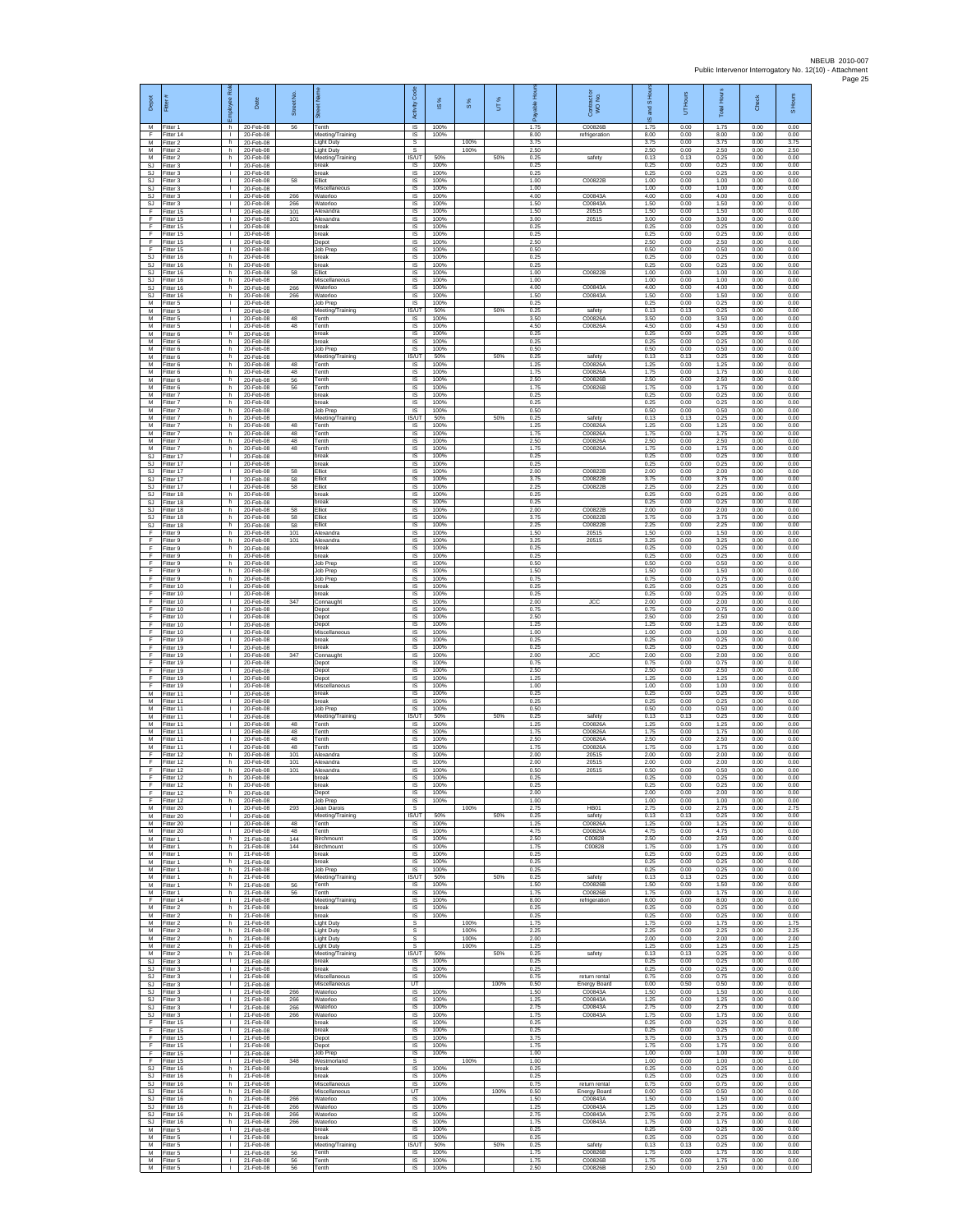| Depot                  | Fiter                               | æ<br>loyee                                     | Date                                  | Street No.        |                                                             | Code<br>Activity                   | IS %                 | 8%                   | UT%  | 휸                    | Contract or<br>WO No.                | and S Hou<br>$\overline{a}$ | UT Hours             | <b>Total Hours</b>   | Check                | S Hours              |
|------------------------|-------------------------------------|------------------------------------------------|---------------------------------------|-------------------|-------------------------------------------------------------|------------------------------------|----------------------|----------------------|------|----------------------|--------------------------------------|-----------------------------|----------------------|----------------------|----------------------|----------------------|
| M<br>F<br>M            | Fitter 1<br>Fitter 14<br>Fitter 2   | h.<br>$\mathbf{L}$<br>h                        | 20-Feb-08<br>20-Feb-08<br>20-Feb-08   | 56                | Tenth<br>Meeting/Training<br>ight Duty                      | $\overline{\mathsf{s}}$<br>IS<br>s | 100%<br>100%         | 100%                 |      | 1.75<br>8.00<br>3.75 | C00826B<br>refrigeration             | 1.75<br>8.00<br>3.75        | 0.00<br>0.00<br>0.00 | 1.75<br>8.00<br>3.75 | 0.00<br>0.00<br>0.00 | 0.00<br>0.00<br>3.75 |
| M<br>M                 | Fitter 2<br>Fitter 2                | h.<br>h.                                       | 20-Feb-08<br>20-Feb-08                |                   | <b>Light Duty</b><br>Meeting/Training                       | s<br><b>IS/UT</b>                  | 50%                  | 100%                 | 50%  | 2.50<br>0.25         | safety                               | 2.50<br>0.13                | 0.00<br>0.13         | 2.50<br>0.25         | 0.00<br>0.00         | 2.50<br>0.00         |
| SJ<br>SJ<br>SJ         | -itter 3<br>Fitter 3<br>Fitter 3    | ٠<br>$\mathbf{L}$<br>$\mathbf{L}$              | 20-Feb-08<br>20-Feb-08<br>20-Feb-08   | 58                | break<br>break<br>Elliot                                    | IS<br>IS<br><b>IS</b>              | 100%<br>100%<br>100% |                      |      | 0.25<br>0.25<br>1.00 | C00822B                              | 0.25<br>0.25<br>1.00        | 0.00<br>0.00<br>0.00 | 0.25<br>0.25<br>1.00 | 0.00<br>0.00<br>0.00 | 0.00<br>0.00<br>0.00 |
| SJ<br>SJ               | -itter 3<br>Fitter 3                | $\mathbf{L}$<br>T.<br>л.                       | 20-Feb-08<br>20-Feb-08                | 266<br>266        | Miscellaneous<br>Waterloo                                   | IS<br>IS<br>IS                     | 100%<br>100%<br>100% |                      |      | 1.00<br>4.00<br>1.50 | C00843A<br>C00843A                   | 1.00<br>4.00<br>1.50        | 0.00<br>0.00<br>0.00 | 1.00<br>4.00<br>1.50 | 0.00<br>0.00<br>0.00 | 0.00<br>0.00<br>0.00 |
| SJ.<br>F<br>Ŧ          | Fitter 3<br>Fitter 15<br>Fitter 15  | T.<br>т.                                       | 20-Feb-08<br>20-Feb-08<br>20-Feb-08   | 101<br>101        | Waterloo<br>Alexandra<br>Alexandra                          | IS<br>IS                           | 100%<br>100%         |                      |      | 1.50<br>3.00         | 20515<br>20515                       | 1.50<br>3.00                | 0.00<br>0.00         | 1.50<br>3.00         | 0.00<br>0.00         | 0.00<br>0.00         |
| Ŧ<br>-F<br>F           | Fitter 15<br>Fitter 15<br>Fitter 15 | ÷.<br>л.<br>л.                                 | 20-Feb-08<br>20-Feb-08<br>20-Feb-08   |                   | oreak<br>break<br>Depot                                     | IS<br>-IS<br>IS                    | 100%<br>100%<br>100% |                      |      | 0.25<br>0.25<br>2.50 |                                      | 0.25<br>0.25<br>2.50        | 0.00<br>0.00<br>0.00 | 0.25<br>0.25<br>2.50 | 0.00<br>0.00<br>0.00 | 0.00<br>0.00<br>0.00 |
| F<br><b>SJ</b>         | Fitter 15<br>Fitter 16              | ٠<br>h                                         | 20-Feb-08<br>20-Feb-08                |                   | Job Prep<br>break                                           | IS<br>IS                           | 100%<br>100%         |                      |      | 0.50<br>0.25         |                                      | 0.50<br>0.25                | 0.00<br>0.00         | 0.50<br>0.25         | 0.00<br>0.00         | 0.00<br>0.00         |
| SJ<br>SJ<br>SJ         | Fitter 16<br>Fitter 16<br>Fitter 16 | h<br>h<br>h.                                   | 20-Feb-08<br>20-Feb-08<br>20-Feb-08   | 58                | break<br>Elliot<br>Miscellaneous                            | IS<br>IS<br>IS                     | 100%<br>100%<br>100% |                      |      | 0.25<br>1.00<br>1.00 | C00822B                              | 0.25<br>1.00<br>1.00        | 0.00<br>0.00<br>0.00 | 0.25<br>1.00<br>1.00 | 0.00<br>0.00<br>0.00 | 0.00<br>0.00<br>0.00 |
| SJ.<br>SJ              | Fitter 16<br>Fitter 16              | h.<br>h.                                       | 20-Feb-08<br>20-Feb-08                | 266<br>266        | Waterloo<br>Waterloo                                        | -IS<br>IS                          | 100%<br>100%         |                      |      | 4.00<br>1.50         | C00843A<br>C00843A                   | 4.00<br>1.50                | 0.00<br>0.00         | 4.00<br>1.50         | 0.00<br>0.00         | 0.00<br>0.00         |
| M<br>M<br>M            | Fitter 5<br>Fitter 5<br>Fitter 5    | H.<br>т.<br>л.                                 | 20-Feb-08<br>20-Feb-08<br>20-Feb-08   | 48                | Job Prep<br>Meeting/Training<br>Tenth                       | IS<br><b>IS/UT</b><br>- IS         | 100%<br>50%<br>100%  |                      | 50%  | 0.25<br>0.25<br>3.50 | safety<br>C00826A                    | 0.25<br>0.13<br>3.50        | 0.00<br>0.13<br>0.00 | 0.25<br>0.25<br>3.50 | 0.00<br>0.00<br>0.00 | 0.00<br>0.00<br>0.00 |
| М<br>М                 | -itter 5<br>Fitter 6                | $\mathbf{L}$<br>h                              | 20-Feb-08<br>20-Feb-08                | 48                | Tenth<br>break                                              | IS<br>$\sf IS$                     | 100%<br>100%         |                      |      | 4.50<br>0.25         | C00826A                              | 4.50<br>0.25                | 0.00<br>0.00         | 4.50<br>0.25         | 0.00<br>0.00         | 0.00<br>0.00         |
| M<br>M<br>M            | Fitter 6<br>Fitter 6<br>-itter 6    | h.<br>h.<br>h                                  | 20-Feb-08<br>20-Feb-08<br>20-Feb-08   |                   | break<br>Job Prep<br>Meeting/Training                       | <b>IS</b><br><b>IS</b><br>IS/UT    | 100%<br>100%<br>50%  |                      | 50%  | 0.25<br>0.50<br>0.25 | safety                               | 0.25<br>0.50<br>0.13        | 0.00<br>0.00<br>0.13 | 0.25<br>0.50<br>0.25 | 0.00<br>0.00<br>0.00 | 0.00<br>0.00<br>0.00 |
| M<br>M                 | Fitter 6<br>Fitter 6                | h<br>h.                                        | 20-Feb-08<br>20-Feb-08                | 48<br>48          | Tenth<br>Tenth                                              | <b>IS</b><br><b>IS</b>             | 100%<br>100%         |                      |      | 1.25<br>1.75         | C00826A<br>C00826A                   | 1.25<br>1.75                | 0.00<br>0.00         | 1.25<br>1.75         | 0.00<br>0.00         | 0.00<br>0.00         |
| ${\sf M}$<br>M<br>M    | itter 6<br>Fitter 6<br>Fitter 7     | h<br>h.<br>h.                                  | 20-Feb-08<br>20-Feb-08<br>20-Feb-08   | 56<br>56          | Tenth<br>Tenth<br>break                                     | IS<br>IS<br>IS                     | 100%<br>100%<br>100% |                      |      | 2.50<br>1.75<br>0.25 | C00826B<br>C00826B                   | 2.50<br>1.75<br>0.25        | 0.00<br>0.00<br>0.00 | 2.50<br>1.75<br>0.25 | 0.00<br>0.00<br>0.00 | 0.00<br>0.00<br>0.00 |
| M<br>M                 | Fitter 7<br>Fitter 7                | h<br>h                                         | 20-Feb-08<br>20-Feb-08                |                   | break<br>Job Prep                                           | IS<br>IS                           | 100%<br>100%         |                      |      | 0.25<br>0.50         |                                      | 0.25<br>0.50                | 0.00<br>0.00         | 0.25<br>0.50         | 0.00<br>0.00         | 0.00<br>0.00         |
| M<br>M<br>M            | itter 7<br>Fitter 7<br>-itter 7     | h<br>h.<br>h.                                  | 20-Feb-08<br>20-Feb-08<br>20-Feb-08   | 48<br>48          | Meeting/Training<br>Tenth<br>Tenth                          | <b>IS/UT</b><br>- IS<br><b>IS</b>  | 50%<br>100%<br>100%  |                      | 50%  | 0.25<br>1.25<br>1.75 | safety<br>C00826A<br>C00826A         | 0.13<br>1.25<br>1.75        | 0.13<br>0.00<br>0.00 | 0.25<br>1.25<br>1.75 | 0.00<br>0.00<br>0.00 | 0.00<br>0.00<br>0.00 |
| M<br>M<br><b>SJ</b>    | Fitter 7<br>Fitter 7                | h<br>h.<br>$\mathbf{L}$                        | 20-Feb-08<br>20-Feb-08<br>20-Feb-08   | 48<br>48          | Tenth<br>Tenth<br>break                                     | IS<br>IS                           | 100%<br>100%         |                      |      | 2.50<br>1.75<br>0.25 | C00826A<br>C00826A                   | 2.50<br>1.75<br>0.25        | 0.00<br>0.00<br>0.00 | 2.50<br>1.75<br>0.25 | 0.00<br>0.00<br>0.00 | 0.00<br>0.00<br>0.00 |
| SJ<br>SJ               | Fitter 17<br>Fitter 17<br>Fitter 17 | τ.<br>$\mathbf{L}$                             | 20-Feb-08<br>20-Feb-08                | 58                | break<br>Elliot                                             | IS<br>IS<br>IS                     | 100%<br>100%<br>100% |                      |      | 0.25<br>2.00         | C00822B                              | 0.25<br>2.00                | 0.00<br>0.00         | 0.25<br>2.00         | 0.00<br>0.00         | 0.00<br>0.00         |
| SJ.<br>SJ<br>SJ        | Fitter 17<br>Fitter 17<br>Fitter 18 | $\mathbf{L}$<br>$\mathbf{L}$<br>h.             | 20-Feb-08<br>20-Feb-08<br>20-Feb-08   | 58<br>58          | Elliot<br>Elliot<br>break                                   | IS<br>IS<br>IS                     | 100%<br>100%<br>100% |                      |      | 3.75<br>2.25<br>0.25 | C00822B<br>C00822B                   | 3.75<br>2.25<br>0.25        | 0.00<br>0.00<br>0.00 | 3.75<br>225<br>0.25  | 0.00<br>0.00<br>0.00 | 0.00<br>0.00<br>0.00 |
| <b>SJ</b><br>SJ        | -itter 18<br>Fitter 18              | h<br>h.                                        | 20-Feb-08<br>20-Feb-08                | 58                | preak<br>Elliot                                             | IS<br>- IS                         | 100%<br>100%         |                      |      | 0.25<br>2.00         | C00822B                              | 0.25<br>2.00                | 0.00<br>0.00         | 0.25<br>2.00         | 0.00<br>0.00         | 0.00<br>0.00         |
| <b>SJ</b><br>SJ<br>-F  | Fitter 18<br>Fitter 18<br>Fitter 9  | h.<br>h<br>h.                                  | 20-Feb-08<br>20-Feb-08<br>20-Feb-08   | 58<br>58<br>101   | Elliot<br><b>Iliot</b><br>Alexandra                         | $\sf IS$<br>$\sf IS$<br>IS         | 100%<br>100%<br>100% |                      |      | 3.75<br>2.25<br>1.50 | C00822B<br>C00822B<br>20515          | 3.75<br>2.25<br>1.50        | 0.00<br>0.00<br>0.00 | 3.75<br>2.25<br>1.50 | 0.00<br>0.00<br>0.00 | 0.00<br>0.00<br>0.00 |
| -F.<br>Ŧ               | Fitter 9<br>-itter 9                | h.<br>h                                        | 20-Feb-08<br>20-Feb-08                | 101               | Alexandra<br>break                                          | IS<br>IS                           | 100%<br>100%         |                      |      | 3.25<br>0.25         | 20515                                | 3.25<br>0.25                | 0.00<br>0.00         | 3.25<br>0.25         | 0.00<br>0.00         | 0.00<br>0.00         |
| Ŧ<br>E<br>$\mathsf F$  | Fitter 9<br>Fitter 9<br>-itter 9    | h<br>h.<br>h                                   | 20-Feb-08<br>20-Feb-08<br>20-Feb-08   |                   | break<br>Job Prep<br>Job Prep                               | IS<br>IS<br>IS                     | 100%<br>100%<br>100% |                      |      | 0.25<br>0.50<br>1.50 |                                      | 0.25<br>0.50<br>1.50        | 0.00<br>0.00<br>0.00 | 0.25<br>0.50<br>1.50 | 0.00<br>0.00<br>0.00 | 0.00<br>0.00<br>0.00 |
| F<br>F                 | Fitter 9<br>Fitter 10               | h.<br>т.                                       | 20-Feb-08<br>20-Feb-08                |                   | Job Prep<br>break                                           | $\sf IS$<br>IS                     | 100%<br>100%         |                      |      | 0.75<br>0.25         |                                      | 0.75<br>0.25                | 0.00<br>0.00         | 0.75<br>0.25         | 0.00<br>0.00         | 0.00<br>0.00         |
| F<br>Ŧ<br>F            | Fitter 10<br>Fitter 10<br>Fitter 10 | T.<br>$\mathbf{I}$<br>÷.                       | 20-Feb-08<br>20-Feb-08<br>20-Feb-08   | 347               | oreak<br>Connaught<br>Depot                                 | IS<br>IS<br>IS                     | 100%<br>100%<br>100% |                      |      | 0.25<br>2.00<br>0.75 | <b>JCC</b>                           | 0.25<br>2.00<br>0.75        | 0.00<br>0.00<br>0.00 | 0.25<br>2.00<br>0.75 | 0.00<br>0.00<br>0.00 | 0.00<br>0.00<br>0.00 |
| -F<br>F                | Fitter 10<br>Fitter 10              | л.<br>л.                                       | 20-Feb-08<br>20-Feb-08                |                   | Depot<br>Depot                                              | - IS<br>IS                         | 100%<br>100%         |                      |      | 2.50<br>1.25         |                                      | 2.50<br>1 25                | 0.00<br>0.00         | 2.50<br>1 25         | 0.00<br>0.00         | 0.00<br>0.00         |
| F<br>F.<br>E           | Fitter 10<br>Fitter 19<br>Fitter 19 | ٠<br>$\mathbf{L}$<br>$\mathbf{L}$              | 20-Feb-08<br>20-Feb-08<br>20-Feb-08   |                   | Miscellaneous<br>break<br>break                             | IS<br>IS<br>IS                     | 100%<br>100%<br>100% |                      |      | 1.00<br>0.25<br>0.25 |                                      | 1.00<br>0.25<br>0.25        | 0.00<br>0.00<br>0.00 | 1.00<br>0.25<br>0.25 | 0.00<br>0.00<br>0.00 | 0.00<br>0.00<br>0.00 |
| F<br>Ŧ                 | Fitter 19<br>Fitter 19              | L.<br>$\mathbf{L}$                             | 20-Feb-08<br>20-Feb-08                | 347               | Connaught<br>Depot                                          | IS<br>IS                           | 100%<br>100%         |                      |      | 2.00<br>0.75         | <b>JCC</b>                           | 2.00<br>0.75                | 0.00<br>0.00         | 2.00<br>0.75         | 0.00<br>0.00         | 0.00<br>0.00         |
| F<br>F<br>F            | Fitter 19<br>Fitter 19<br>Fitter 19 | $\mathbf{L}$<br>$\mathbf{L}$<br>H.             | 20-Feb-08<br>20-Feb-08<br>20-Feb-08   |                   | Depot<br>Depot<br>Miscellaneous                             | - IS<br>IS<br>IS                   | 100%<br>100%<br>100% |                      |      | 2.50<br>1.25<br>1.00 |                                      | 2.50<br>1.25<br>1.00        | 0.00<br>0.00<br>0.00 | 2.50<br>1.25<br>1.00 | 0.00<br>0.00<br>0.00 | 0.00<br>0.00<br>0.00 |
| M<br>M                 | Fitter 11<br>Fitter 11              | т.<br>л.                                       | 20-Feb-08<br>20-Feb-08                |                   | break<br>break                                              | IS<br>- IS                         | 100%<br>100%         |                      |      | 0.25<br>0.25         |                                      | 0.25<br>0.25                | 0.00<br>0.00         | 0.25<br>0.25         | 0.00<br>0.00         | 0.00<br>0.00         |
| М<br>М<br>M            | Fitter 11<br>Fitter 11<br>Fitter 11 | $\mathbf{L}$<br>J.<br>л.                       | 20-Feb-08<br>20-Feb-08<br>20-Feb-08   | 48                | Job Prep<br>Meeting/Training<br>Tenth                       | IS<br>IS/UT<br>- IS                | 100%<br>50%<br>100%  |                      | 50%  | 0.50<br>0.25<br>1.25 | safety<br>C00826A                    | 0.50<br>0.13<br>1.25        | 0.00<br>0.13<br>0.00 | 0.50<br>0.25<br>1.25 | 0.00<br>0.00<br>0.00 | 0.00<br>0.00<br>0.00 |
| M<br>M<br>M            | Fitter 11<br>Fitter 11              | л.<br>J.                                       | 20-Feb-08<br>20-Feb-08                | 48<br>48<br>48    | Tenth<br>Tenth                                              | <b>IS</b><br>IS                    | 100%<br>100%<br>100% |                      |      | 1.75<br>2.50<br>1.75 | C00826A<br>C00826A<br>C00826A        | 1.75<br>2.50                | 0.00<br>0.00<br>0.00 | 1.75<br>2.50         | 0.00<br>0.00         | 0.00<br>0.00<br>0.00 |
| E<br>F                 | Fitter 11<br>Fitter 12<br>Fitter 12 | $\mathbf{L}$<br>h.<br>h                        | 20-Feb-08<br>20-Feb-08<br>20-Feb-08   | 101<br>101        | Tenth<br>Alexandra<br>Alexandra                             | IS<br>- IS<br>IS                   | 100%<br>100%         |                      |      | 2.00<br>2.00         | 20515<br>20515                       | 1.75<br>2.00<br>2.00        | 0.00<br>0.00         | 1.75<br>2.00<br>2.00 | 0.00<br>0.00<br>0.00 | 0.00<br>0.00         |
| F<br>E                 | Fitter 12<br>Fitter 12              | h.<br>h.                                       | 20-Feb-08<br>20-Feb-08                | 101               | Alexandra<br>break                                          | $\sf IS$<br>IS                     | 100%<br>100%         |                      |      | 0.50<br>0.25         | 20515                                | 0.50<br>0.25                | 0.00<br>0.00         | 0.50<br>0.25         | 0.00<br>0.00         | 0.00<br>0.00         |
| E<br>Ŧ<br>F            | Fitter 12<br>Fitter 12<br>Fitter 12 | h<br>h<br>h                                    | 20-Feb-08<br>20-Feb-08<br>20-Feb-08   |                   | break<br>Depot<br>Job Prep                                  | <b>IS</b><br>IS<br><b>IS</b>       | 100%<br>100%<br>100% |                      |      | 0.25<br>2.00<br>1.00 |                                      | 0.25<br>2.00<br>1.00        | 0.00<br>0.00<br>0.00 | 0.25<br>2.00<br>1.00 | 0.00<br>0.00<br>0.00 | 0.00<br>0.00<br>0.00 |
| M<br>M                 | Fitter 20<br>Fitter 20              | л.<br>$\mathbf{L}$<br>т.                       | 20-Feb-08<br>20-Feb-08<br>20-Feb-08   | 293               | Jean Darois<br>Meeting/Training<br>Tenth                    | -S<br>IS/UT<br>IS                  | 50%<br>100%          | 100%                 | 50%  | 2.75<br>0.25<br>1.25 | HB01<br>safety<br>C00826A            | 2.75<br>0.13<br>1.25        | 0.00<br>0.13<br>0.00 | 2.75<br>0.25<br>1.25 | 0.00<br>0.00<br>0.00 | 2.75<br>0.00<br>0.00 |
| M<br>M<br>M            | Fitter 20<br>Fitter 20<br>Fitter 1  | $\mathbf{L}$<br>h                              | 20-Feb-08<br>21-Feb-08                | 48<br>48<br>144   | Tenth<br><b>Birchmount</b>                                  | <b>IS</b><br>IS                    | 100%<br>100%         |                      |      | 4.75<br>2.50         | C00826A<br>C00828                    | 4.75<br>2.50                | 0.00<br>0.00         | 4.75<br>2.50         | 0.00<br>0.00         | 0.00<br>0.00         |
| M<br>M<br>M            | -itter 1<br>Fitter 1<br>Fitter 1    | h.<br>h<br>h.                                  | 21-Feb-08<br>21-Feb-08<br>21-Feb-08   | 144               | Birchmount<br>break<br>break                                | IS<br><b>IS</b><br>- IS            | 100%<br>100%<br>100% |                      |      | 1.75<br>0.25<br>0.25 | C00828                               | 1.75<br>0.25<br>0.25        | 0.00<br>0.00<br>0.00 | 1.75<br>0.25<br>0.25 | 0.00<br>0.00<br>0.00 | 0.00<br>0.00<br>0.00 |
| M<br>M                 | Fitter 1<br>Fitter 1                | h<br>h.                                        | 21-Feb-08<br>21-Feb-08                |                   | Job Prep<br>Meeting/Training                                | IS<br><b>IS/UT</b>                 | 100%<br>50%          |                      | 50%  | 0.25<br>0.25         | safety                               | 0.25<br>0.13                | 0.00<br>0.13         | 0.25<br>0.25         | 0.00<br>0.00         | 0.00<br>0.00         |
| M<br>M<br>F            | Fitter 1<br>Fitter 1<br>Fitter 14   | h.<br>h.<br>$\mathbf{L}$                       | 21-Feb-08<br>21-Feb-08<br>21-Feb-08   | 56<br>56          | Tenth<br>Tenth<br>Meeting/Training                          | <b>IS</b><br>- IS<br>IS            | 100%<br>100%<br>100% |                      |      | 1.50<br>1.75<br>8.00 | C00826E<br>C00826B<br>refrigeration  | 1.50<br>1.75<br>8.00        | 0.00<br>0.00<br>0.00 | 1.50<br>1.75<br>8.00 | 0.00<br>0.00<br>0.00 | 0.00<br>0.00<br>0.00 |
| M<br>M                 | Fitter 2<br>Fitter 2                | h<br>h.                                        | 21-Feb-08<br>21-Feb-08                |                   | break<br>break                                              | IS<br><b>IS</b>                    | 100%<br>100%         |                      |      | 0.25<br>0.25         |                                      | 0.25<br>0.25                | 0.00<br>0.00         | 0.25<br>0.25         | 0.00<br>0.00         | 0.00<br>0.00         |
| M<br>M<br>M            | Fitter 2<br>Fitter 2<br>Fitter 2    | h.<br>h<br>h                                   | 21-Feb-08<br>21-Feb-08<br>21-Feb-08   |                   | <b>Light Duty</b><br><b>Light Duty</b><br><b>Light Duty</b> | s<br>s<br>s                        |                      | 100%<br>100%<br>100% |      | 1.75<br>2.25<br>2.00 |                                      | 1.75<br>2.25<br>2.00        | 0.00<br>0.00<br>0.00 | 1.75<br>2.25<br>2.00 | 0.00<br>0.00<br>0.00 | 1 75<br>2.25<br>2.00 |
| M<br>M                 | Fitter 2<br>Fitter 2                | h.<br>h                                        | 21-Feb-08<br>21-Feb-08                |                   | <b>Light Duty</b><br>Meeting/Training                       | s.<br>IS/UT                        | 50%                  | 100%                 | 50%  | 1.25<br>0.25         | safety                               | 1.25<br>0.13                | 0.00<br>0.13         | 1.25<br>0.25         | 0.00<br>0.00         | 1.25<br>0.00         |
| SJ<br>SJ.<br><b>SJ</b> | Fitter 3<br>Fitter 3<br>Fitter 3    | $\mathbb{R}^n$<br>$\mathbf{L}$<br>$\mathbf{I}$ | $21-Feb-08$<br>21-Feb-08<br>21-Feb-08 |                   | break<br>break<br>Miscellaneous                             | IS<br>- IS<br><b>IS</b>            | 100%<br>100%<br>100% |                      |      | 0.25<br>0.25<br>0.75 | return rental                        | 0.25<br>0.25<br>0.75        | 0.00<br>0.00<br>0.00 | 0.25<br>0.25<br>0.75 | 0.00<br>0.00<br>0.00 | 0.00<br>0.00<br>0.00 |
| SJ<br>SJ               | Fitter 3<br>-itter 3                | H.<br>T.                                       | 21-Feb-08<br>21-Feb-08                | 266               | Miscellaneous<br>Waterloo                                   | UT<br><b>IS</b>                    | 100%                 |                      | 100% | 0.50<br>1.50         | <b>Energy Board</b><br>C00843A       | 0.00<br>1.50                | 0.50<br>0.00         | 0.50<br>1.50         | 0.00<br>0.00         | 0.00<br>0.00         |
| SJ.<br>SJ<br>SJ        | Fitter 3<br>Fitter 3<br>Fitter 3    | т.<br>$\mathbf{L}$<br>$\mathbb{L}$             | 21-Feb-08<br>21-Feb-08<br>21-Feb-08   | 266<br>266<br>266 | Waterloo<br>Waterloo<br>Waterloo                            | <b>IS</b><br><b>IS</b><br>IS       | 100%<br>100%<br>100% |                      |      | 1.25<br>2.75<br>1.75 | C00843A<br>C00843A<br>C00843A        | 1.25<br>2.75<br>1.75        | 0.00<br>0.00<br>0.00 | 1.25<br>2.75<br>1.75 | 0.00<br>0.00<br>0.00 | 0.00<br>0.00<br>0.00 |
| - F<br>F.              | Fitter 15<br>Fitter 15              | $\mathbf{L}$<br>$\mathbf{L}$                   | 21-Feb-08<br>21-Feb-08                |                   | break<br>break                                              | IS<br>IS                           | 100%<br>100%         |                      |      | 0.25<br>0.25         |                                      | 0.25<br>0.25                | 0.00<br>0.00         | 0.25<br>0.25         | 0.00<br>0.00         | 0.00<br>0.00         |
| -F<br>Ŧ<br>F           | Fitter 15<br>Fitter 15<br>Fitter 15 | $\mathbf{L}$<br>$\mathbf{L}$<br>$\mathbf{L}$   | 21-Feb-08<br>21-Feb-08<br>21-Feb-08   |                   | Depot<br>Depot<br>Job Prep                                  | IS<br><b>IS</b><br>- IS            | 100%<br>100%<br>100% |                      |      | 3.75<br>1.75<br>1.00 |                                      | 3.75<br>1.75<br>1.00        | 0.00<br>0.00<br>0.00 | 3.75<br>1.75<br>1.00 | 0.00<br>0.00<br>0.00 | 0.00<br>0.00<br>0.00 |
| F<br>SJ                | Fitter 15<br>Fitter 16              | $\mathbf{L}$<br>h.                             | 21-Feb-08<br>21-Feb-08                | 348               | Westmorland<br>break                                        | s<br>IS                            | 100%                 | 100%                 |      | 1.00<br>0.25         |                                      | 1.00<br>0.25                | 0.00<br>0.00         | 1.00<br>0.25         | 0.00<br>0.00         | 1.00<br>0.00         |
| SJ.<br>SJ.<br>SJ.      | Fitter 16<br>Fitter 16<br>Fitter 16 | h.<br>h.<br>h                                  | 21-Feb-08<br>21-Feb-08<br>21-Feb-08   |                   | break<br>Miscellaneous<br>Miscellaneous                     | <b>IS</b><br><b>IS</b><br>UT       | 100%<br>100%         |                      | 100% | 0.25<br>0.75<br>0.50 | return rental<br><b>Energy Board</b> | 0.25<br>0.75<br>0.00        | 0.00<br>0.00<br>0.50 | 0.25<br>0.75<br>0.50 | 0.00<br>0.00<br>0.00 | 0.00<br>0.00<br>0.00 |
| SJ<br>SJ.              | Fitter 16<br>Fitter 16              | h<br>h.                                        | 21-Feb-08<br>21-Feb-08                | 266<br>266        | Waterloo<br>Waterloo                                        | $\sf IS$<br><b>IS</b>              | 100%<br>100%         |                      |      | 1.50<br>1.25         | C00843A<br>C00843A                   | 1.50<br>1.25                | 0.00<br>0.00         | 1.50<br>1.25         | 0.00<br>0.00         | 0.00<br>0.00         |
| S.I.<br>SJ<br>M        | Fitter 16<br>Fitter 16<br>Fitter 5  | h.<br>h<br>$\mathbf{L}$                        | 21-Feb-08<br>21-Feb-08<br>21-Feb-08   | 266<br>266        | Waterloo<br>Waterloo<br>break                               | <b>IS</b><br>IS<br><b>IS</b>       | 100%<br>100%<br>100% |                      |      | 275<br>1.75<br>0.25  | C00843A<br>C00843A                   | 2.75<br>1.75<br>0.25        | 0.00<br>0.00<br>0.00 | 2.75<br>1.75<br>0.25 | 0.00<br>0.00<br>0.00 | 0.00<br>0.00<br>0.00 |
| M<br>M                 | Fitter 5<br>-itter 5                | $\mathbf{L}$<br>$\mathbf{L}$                   | 21-Feb-08<br>21-Feb-08                |                   | break<br>Meeting/Training                                   | - IS<br>IS/UT                      | 100%<br>50%          |                      | 50%  | 0.25<br>0.25         | safety                               | 0.25<br>0.13                | 0.00<br>0.13         | 0.25<br>0.25         | 0.00<br>0.00         | 0.00<br>0.00         |
| M<br>M<br>M            | Fitter 5<br>Fitter 5<br>Fitter 5    | $\mathbf{L}$<br>$\mathbf{L}$<br>$\mathbf{L}$   | 21-Feb-08<br>21-Feb-08<br>21-Feb-08   | 56<br>56<br>56    | Tenth<br>Tenth<br>Tenth                                     | IS<br><b>IS</b><br>IS              | 100%<br>100%<br>100% |                      |      | 1.75<br>1.75<br>2.50 | C00826B<br>C00826B<br>C00826B        | 1.75<br>1.75<br>2.50        | 0.00<br>0.00<br>0.00 | 1.75<br>1.75<br>2.50 | 0.00<br>0.00<br>0.00 | 0.00<br>0.00<br>0.00 |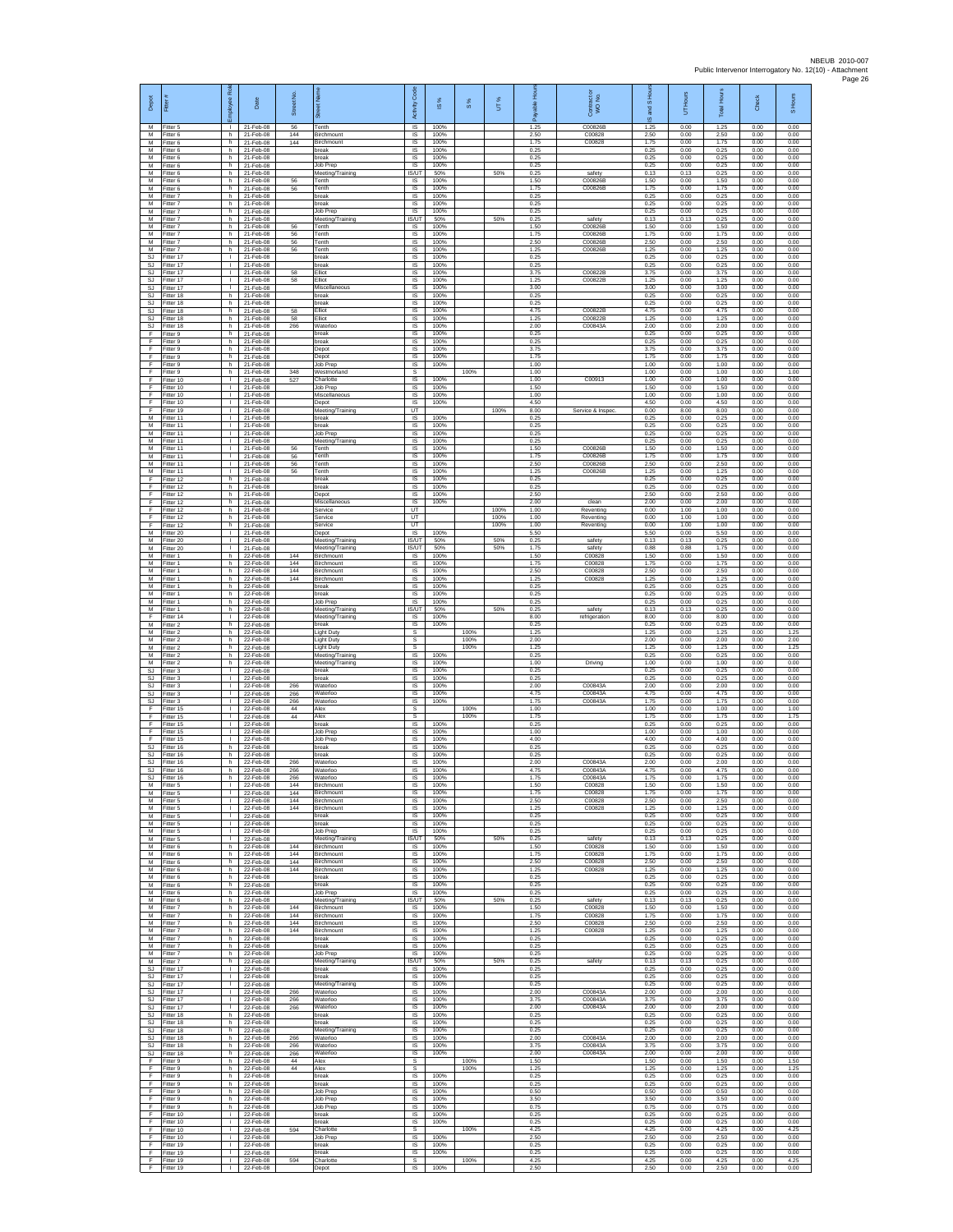| Depot<br>M              | Fitter<br>Fitter 5                  | loyee Rol                                    | Date<br>21-Feb-08                      | Street No.<br>56  | Tenth                                                     | Activity Code<br>IS             | IS %<br>100%         | $\frac{8}{3}$ | UT%          | 1.25                 | Contract or<br>WO No.<br>C00826B | and S Ho<br>$\omega$<br>1.25 | Hours<br>5<br>0.00   | <b>Total Hours</b><br>1.25 | Check<br>0.00        | S Hours<br>0.00      |
|-------------------------|-------------------------------------|----------------------------------------------|----------------------------------------|-------------------|-----------------------------------------------------------|---------------------------------|----------------------|---------------|--------------|----------------------|----------------------------------|------------------------------|----------------------|----------------------------|----------------------|----------------------|
| M<br>M                  | Fitter 6<br>Fitter 6                | h<br>h.                                      | 21-Feb-08<br>21-Feb-08                 | 144<br>144        | Birchmount<br>Birchmount                                  | IS<br>IS                        | 100%<br>100%         |               |              | 2.50<br>1.75         | C00828<br>C00828                 | 2.50<br>1.75                 | 0.00<br>0.00         | 2.50<br>1.75               | 0.00<br>0.00         | 0.00<br>0.00         |
| M<br>M<br>M             | Fitter 6<br>Fitter 6<br>Fitter 6    | h.<br>h.<br>h.                               | 21-Feb-08<br>21-Feb-08<br>21-Feb-08    |                   | break<br>break<br>Job Prep                                | <b>IS</b><br>- IS<br>IS         | 100%<br>100%<br>100% |               |              | 0.25<br>0.25<br>0.25 |                                  | 0.25<br>0.25<br>0.25         | 0.00<br>0.00<br>0.00 | 0.25<br>0.25<br>0.25       | 0.00<br>0.00<br>0.00 | 0.00<br>0.00<br>0.00 |
| M<br>M                  | Fitter 6<br>Fitter 6                | h.<br>h                                      | 21-Feb-08<br>21-Feb-08                 | 56                | Meeting/Training<br>Tenth                                 | <b>IS/UT</b><br><b>IS</b>       | 50%<br>100%          |               | 50%          | 0.25<br>1.50         | safety<br>C00826E                | 0.13<br>1.50                 | 0.13<br>0.00         | 0.25<br>1.50               | 0.00<br>0.00         | 0.00<br>0.00         |
| M<br>M<br>M             | Fitter 6<br>-itter 7<br>Fitter 7    | h.<br>h.<br>h                                | 21-Feb-08<br>21-Feb-08<br>21-Feb-08    | 56                | Tenth<br>break                                            | -IS<br>$\sf IS$<br>$\sf IS$     | 100%<br>100%<br>100% |               |              | 1.75<br>0.25<br>0.25 | C00826B                          | 1.75<br>0.25<br>0.25         | 0.00<br>0.00<br>0.00 | 1.75<br>0.25<br>0.25       | 0.00<br>0.00<br>0.00 | 0.00<br>0.00<br>0.00 |
| M<br>M                  | Fitter 7<br>Fitter 7                | h.<br>h.                                     | 21-Feb-08<br>21-Feb-08                 |                   | break<br>Job Prep<br>Meeting/Training                     | <b>IS</b><br>IS/UT              | 100%<br>50%          |               | 50%          | 0.25<br>0.25         | safety                           | 0.25<br>0.13                 | 0.00<br>0.13         | 0.25<br>0.25               | 0.00<br>0.00         | 0.00<br>0.00         |
| M<br>M                  | -itter 7<br>Fitter 7                | h<br>h.                                      | 21-Feb-08<br>21-Feb-08                 | 56<br>56          | Tenth<br>Tenth                                            | IS<br>IS                        | 100%<br>100%         |               |              | 1.50<br>1.75         | C00826B<br>C00826B               | 1.50<br>1.75                 | 0.00<br>0.00         | 1.50<br>1.75               | 0.00<br>0.00         | 0.00<br>0.00         |
| M<br>${\sf M}$<br>SJ    | Fitter 7<br>itter 7<br>Fitter 17    | h.<br>h.<br>H.                               | 21-Feb-08<br>21-Feb-08<br>21-Feb-08    | 56<br>56          | Tenth<br>Tenth<br>break                                   | -IS<br>IS<br>IS                 | 100%<br>100%<br>100% |               |              | 2.50<br>1.25<br>0.25 | C00826B<br>C00826B               | 2.50<br>1.25<br>0.25         | 0.00<br>0.00<br>0.00 | 2.50<br>1.25<br>0.25       | 0.00<br>0.00<br>0.00 | 0.00<br>0.00<br>0.00 |
| SJ.<br>SJ               | -itter 17<br>Fitter 17              | т.<br>$\mathbf{I}$                           | 21-Feb-08<br>21-Feb-08                 | 58                | break<br>Elliot                                           | IS<br>IS                        | 100%<br>100%         |               |              | 0.25<br>3.75         | C00822B                          | 0.25<br>3.75                 | 0.00<br>0.00         | 0.25<br>3.75               | 0.00<br>0.00         | 0.00<br>0.00         |
| <b>SJ</b><br>SJ<br>-SJ  | Fitter 17<br>fitter 17<br>Fitter 18 | т.<br>т.<br>h.                               | 21-Feb-08<br>21-Feb-08<br>21-Feb-08    | 58                | Elliot<br>Miscellaneous<br>break                          | IS<br>IS<br>-IS                 | 100%<br>100%<br>100% |               |              | 1.25<br>3.00<br>0.25 | C00822B                          | 1.25<br>3.00<br>0.25         | 0.00<br>0.00<br>0.00 | 1.25<br>3.00<br>0.25       | 0.00<br>0.00<br>0.00 | 0.00<br>0.00<br>0.00 |
| SJ<br>SJ                | Fitter 18<br>Fitter 18              | h.<br>h                                      | 21-Feb-08<br>21-Feb-08                 | 58                | hreak<br>Elliot                                           | <b>IS</b><br>IS                 | 100%<br>100%         |               |              | 0.25<br>4.75         | C00822B                          | 0.25<br>4.75                 | 0.00<br>0.00         | 0.25<br>4.75               | 0.00<br>0.00         | 0.00<br>0.00         |
| SJ.<br>SJ               | Fitter 18<br>Fitter 18              | h.<br>h                                      | 21-Feb-08<br>21-Feb-08                 | 58<br>266         | <b>Iliot</b><br>Waterloo                                  | IS<br>IS                        | 100%<br>100%         |               |              | 1.25<br>2.00         | C00822B<br>C00843A               | 1.25<br>2.00                 | 0.00<br>0.00         | 1.25<br>2.00               | 0.00<br>0.00         | 0.00<br>0.00         |
| F<br>Ŧ<br>F             | -itter 9<br>Fitter 9<br>Fitter 9    | h.<br>h.<br>h.                               | 21-Feb-08<br>21-Feb-08<br>21-Feb-08    |                   | break<br>break<br>Depot                                   | IS<br>IS<br><b>IS</b>           | 100%<br>100%<br>100% |               |              | 0.25<br>0.25<br>3.75 |                                  | 0.25<br>0.25<br>3.75         | 0.00<br>0.00<br>0.00 | 0.25<br>0.25<br>3.75       | 0.00<br>0.00<br>0.00 | 0.00<br>0.00<br>0.00 |
| F<br>Ŧ                  | Fitter 9<br>Fitter 9                | h.<br>h.                                     | 21-Feb-08<br>21-Feb-08                 |                   | Depot<br>Job Prep                                         | IS<br>IS                        | 100%<br>100%         |               |              | 1.75<br>1.00         |                                  | 1.75<br>1.00                 | 0.00<br>0.00         | 1.75<br>1.00               | 0.00<br>0.00         | 0.00<br>0.00         |
| F<br>F<br>F             | Fitter 9<br>Fitter 10<br>Fitter 10  | h<br>т.<br>$\mathbf{L}$                      | 21-Feb-08<br>21-Feb-08<br>21-Feb-08    | 348<br>527        | Westmorland<br>Charlotte<br>Job Prep                      | s<br>IS<br>IS                   | 100%<br>100%         | 100%          |              | 1.00<br>1.00<br>1.50 | C00913                           | 1.00<br>1.00<br>1.50         | 0.00<br>0.00<br>0.00 | 1.00<br>1.00<br>1.50       | 0.00<br>0.00<br>0.00 | 1.00<br>0.00<br>0.00 |
| F<br>F                  | Fitter 10<br>Fitter 10              | T.<br>$\mathbf{L}$                           | 21-Feb-08<br>21-Feb-08                 |                   | Miscellaneous<br>Depot                                    | IS<br><b>IS</b>                 | 100%<br>100%         |               |              | 1.00<br>4.50         |                                  | 1.00<br>4.50                 | 0.00<br>0.00         | 1.00<br>4.50               | 0.00<br>0.00         | 0.00<br>0.00         |
| E<br>M<br>M             | Fitter 19<br>Fitter 11              | л.<br>٠<br>$\mathbf{L}$                      | 21-Feb-08<br>21-Feb-08                 |                   | Meeting/Training<br>break                                 | LIT<br>IS                       | 100%<br>100%         |               | 100%         | 8.00<br>0.25         | Service & Inspec                 | 0.00<br>0.25                 | 8.00<br>0.00         | 8.00<br>0.25               | 0.00<br>0.00         | 0.00<br>0.00         |
| M<br>${\sf M}$          | Fitter 11<br>Fitter 11<br>Fitter 11 | $\mathbf{L}$<br>$\mathbf{L}$                 | 21-Feb-08<br>21-Feb-08<br>21-Feb-08    |                   | break<br>Job Prep<br>Meeting/Training                     | IS<br>IS<br>IS                  | 100%<br>100%         |               |              | 0.25<br>0.25<br>0.25 |                                  | 0.25<br>0.25<br>0.25         | 0.00<br>0.00<br>0.00 | 0.25<br>0.25<br>0.25       | 0.00<br>0.00<br>0.00 | 0.00<br>0.00<br>0.00 |
| M<br>M                  | Fitter 11<br>Fitter 11              | $\mathbf{I}$<br>л.                           | 21-Feb-08<br>21-Feb-08                 | 56<br>56          | Tenth<br>Tenth                                            | IS<br>IS                        | 100%<br>100%         |               |              | 1.50<br>1.75         | C00826B<br>C00826B               | 1.50<br>1.75                 | 0.00<br>0.00         | 1.50<br>1.75               | 0.00<br>0.00         | 0.00<br>0.00         |
| M<br>M<br>E             | Fitter 11<br>Fitter 11<br>Fitter 12 | T.<br>т.<br>h                                | 21-Feb-08<br>21-Feb-08<br>21-Feb-08    | 56<br>56          | Tenth<br>Tenth<br>oreak                                   | IS<br>IS<br>IS                  | 100%<br>100%<br>100% |               |              | 2.50<br>1.25<br>0.25 | C00826B<br>C00826B               | 2.50<br>1.25<br>0.25         | 0.00<br>0.00<br>0.00 | 2.50<br>1.25<br>0.25       | 0.00<br>0.00<br>0.00 | 0.00<br>0.00<br>0.00 |
| -F<br>F                 | Fitter 12<br>Fitter 12              | h.<br>h.                                     | 21-Feb-08<br>21-Feb-08                 |                   | break<br>Depot                                            | -IS<br>IS                       | 100%<br>100%         |               |              | 0.25<br>2.50         |                                  | 0.25<br>2.50                 | 0.00<br>0.00         | 0.25<br>2.50               | 0.00<br>0.00         | 0.00<br>0.00         |
| F<br>F<br>E             | Fitter 12<br>Fitter 12<br>Fitter 12 | h<br>h<br>h                                  | 21-Feb-08<br>21-Feb-08<br>21-Feb-08    |                   | Miscellaneous<br>Service<br>Service                       | IS<br>UT<br><b>LIT</b>          | 100%                 |               | 100%<br>100% | 2.00<br>1.00<br>1.00 | clean<br>Reventing<br>Reventing  | 2.00<br>0.00<br>0.00         | 0.00<br>1.00<br>1.00 | 2.00<br>1.00<br>1.00       | 0.00<br>0.00<br>0.00 | 0.00<br>0.00<br>0.00 |
| F<br>M                  | ltter 12<br>Fitter 20               | h.<br>$\mathbf{L}$                           | 21-Feb-08<br>21-Feb-08                 |                   | Service<br>Depot                                          | UT<br>IS                        | 100%                 |               | 100%         | 1.00<br>5.50         | Reventing                        | 0.00<br>5.50                 | 1.00<br>0.00         | 1.00<br>5.50               | 0.00<br>0.00         | 0.00<br>0.00         |
| M<br>M                  | Fitter 20<br>Fitter 20              | $\mathbf{L}$<br>$\mathbf{L}$                 | 21-Feb-08<br>21-Feb-08                 |                   | Meeting/Training<br>Meeting/Training                      | IS/UT<br>IS/UT                  | 50%<br>50%           |               | 50%<br>50%   | 0.25<br>1.75         | safety<br>safety                 | 0.13<br>0.88                 | 0.13<br>0.88         | 0.25<br>1.75               | 0.00<br>0.00         | 0.00<br>0.00         |
| M<br>M<br>M             | Fitter 1<br>Fitter 1<br>Fitter 1    | h.<br>h<br>h.                                | 22-Feb-08<br>22-Feb-08<br>22-Feb-08    | 144<br>144<br>144 | Birchmount<br>Birchmount<br>Birchmount                    | IS<br>IS<br>- IS                | 100%<br>100%<br>100% |               |              | 1.50<br>1.75<br>2.50 | C00828<br>C00828<br>C00828       | 1.50<br>1.75<br>2.50         | 0.00<br>0.00<br>0.00 | 1.50<br>1.75<br>2.50       | 0.00<br>0.00<br>0.00 | 0.00<br>0.00<br>0.00 |
| M<br>M                  | -itter 1<br>Fitter 1                | h.<br>h                                      | 22-Feb-08<br>22-Feb-08                 | 144               | Birchmount<br>break                                       | $\sf IS$<br>$\sf IS$            | 100%<br>100%         |               |              | 1.25<br>0.25         | C00828                           | 1.25<br>0.25                 | 0.00<br>0.00         | 1.25<br>0.25               | 0.00<br>0.00         | 0.00<br>0.00         |
| M<br>M<br>M             | Fitter 1<br>Fitter 1<br>-itter 1    | h.<br>h.<br>h                                | 22-Feb-08<br>22-Feb-08<br>22-Feb-08    |                   | break<br>Job Prep<br>Meeting/Training                     | <b>IS</b><br><b>IS</b><br>IS/UT | 100%<br>100%<br>50%  |               | 50%          | 0.25<br>0.25<br>0.25 | safety                           | 0.25<br>0.25<br>0.13         | 0.00<br>0.00<br>0.13 | 0.25<br>0.25<br>0.25       | 0.00<br>0.00<br>0.00 | 0.00<br>0.00<br>0.00 |
| Ŧ<br>M                  | fitter 14<br>Fitter 2               | $\mathbf{L}$<br>h.                           | 22-Feb-08<br>22-Feb-08                 |                   | Meeting/Training<br>break                                 | <b>IS</b><br>- IS               | 100%<br>100%         |               |              | 8.00<br>0.25         | refrigeration                    | 8.00<br>0.25                 | 0.00<br>0.00         | 8.00<br>0.25               | 0.00<br>0.00         | 0.00<br>0.00         |
| ${\sf M}$<br>M          | itter 2<br>Fitter 2                 | h.<br>h.                                     | 22-Feb-08<br>22-Feb-08                 |                   | Light Duty<br><b>Light Duty</b>                           | s<br>s                          |                      | 100%<br>100%  |              | 1.25<br>2.00         |                                  | 1.25<br>2.00                 | 0.00<br>0.00         | 1.25<br>2.00               | 0.00<br>0.00         | 1.25<br>2.00         |
| M<br>M<br>M             | Fitter 2<br>Fitter 2<br>Fitter 2    | h.<br>h<br>h                                 | 22-Feb-08<br>22-Feb-08<br>22-Feb-08    |                   | <b>Light Dutv</b><br>Meeting/Training<br>Meeting/Training | s<br>IS<br>IS                   | 100%<br>100%         | 100%          |              | 1.25<br>0.25<br>1.00 | Driving                          | 1.25<br>0.25<br>1.00         | 0.00<br>0.00<br>0.00 | 1.25<br>0.25<br>1.00       | 0.00<br>0.00<br>0.00 | 1.25<br>0.00<br>0.00 |
| SJ<br>-SJ               | fitter 3<br>Fitter 3                | т.<br>т.                                     | 22-Feb-08<br>22-Feb-08                 |                   | oreak<br>break                                            | IS<br>- IS                      | 100%<br>100%         |               |              | 0.25<br>0.25         |                                  | 0.25<br>0.25                 | 0.00<br>0.00         | 0.25<br>0.25               | 0.00<br>0.00         | 0.00<br>0.00         |
| SJ<br>SJ<br>SJ.         | -itter 3<br>Fitter 3<br>Fitter 3    | $\mathbf{L}$<br>٠<br>$\mathbf{L}$            | 22-Feb-08<br>22-Feb-08<br>22-Feb-08    | 266<br>266<br>266 | Waterloo<br>Waterloo<br>Waterloo                          | <b>IS</b><br>IS<br>IS           | 100%<br>100%<br>100% |               |              | 2.00<br>4.75<br>1.75 | C00843A<br>C00843A<br>C00843A    | 2.00<br>4.75<br>1.75         | 0.00<br>0.00<br>0.00 | 2.00<br>4.75<br>1.75       | 0.00<br>0.00<br>0.00 | 0.00<br>0.00<br>0.00 |
| F<br>F                  | Fitter 15<br>Fitter 15              | $\mathbf{L}$<br>τ.                           | 22-Feb-08<br>22-Feb-08                 | 44<br>44          | Alex<br>Alex                                              | s<br>s                          |                      | 100%<br>100%  |              | 1.00<br>1.75         |                                  | 1.00<br>1.75                 | 0.00<br>0.00         | 1.00<br>1.75               | 0.00<br>0.00         | 1.00<br>1.75         |
| Ŧ<br>F<br>-F.           | Fitter 15<br>Fitter 15<br>Fitter 15 | $\mathbf{L}$<br>$\mathbf{L}$<br>$\mathbf{L}$ | 22-Feb-08<br>22-Feb-08<br>22-Feb-08    |                   | break<br>Job Prep                                         | <b>IS</b><br>IS<br>IS           | 100%<br>100%<br>100% |               |              | 0.25<br>1.00<br>4.00 |                                  | 0.25<br>1.00<br>4.00         | 0.00<br>0.00<br>0.00 | 0.25<br>1.00<br>4.00       | 0.00<br>0.00<br>0.00 | 0.00<br>0.00<br>0.00 |
| SJ<br><b>SJ</b>         | Fitter 16<br>Fitter 16              | h.<br>h                                      | 22-Feb-08<br>22-Feb-08                 |                   | Job Prep<br>break<br>reak                                 | IS<br>IS                        | 100%<br>100%         |               |              | 0.25<br>0.25         |                                  | 0.25<br>0.25                 | 0.00<br>0.00         | 0.25<br>0.25               | 0.00<br>0.00         | 0.00<br>0.00         |
| SJ<br>SJ.               | Fitter 16<br>Fitter 16              | h.<br>h.                                     | 22-Feb-08<br>22-Feb-08                 | 266<br>266        | Waterloo<br>Waterloo                                      | - IS<br>IS                      | 100%<br>100%         |               |              | 2.00<br>4.75         | C00843A<br>C00843A               | 2.00<br>4.75                 | 0.00<br>0.00         | 2.00<br>4.75               | 0.00<br>0.00         | 0.00<br>0.00         |
| <b>SJ</b><br>M<br>M     | Fitter 16<br>Fitter 5<br>Fitter 5   | h<br>л.<br>$\mathbf{L}$                      | 22-Feb-08<br>22-Feb-08<br>22-Feb-08    | 266<br>144<br>144 | Waterloo<br><b>Birchmount</b><br>Birchmount               | IS<br><b>IS</b><br>IS           | 100%<br>100%<br>100% |               |              | 1.75<br>1.50<br>1.75 | C00843A<br>C00828<br>C00828      | 1.75<br>1.50<br>1.75         | 0.00<br>0.00<br>0.00 | 1.75<br>1.50<br>1.75       | 0.00<br>0.00<br>0.00 | 0.00<br>0.00<br>0.00 |
| M<br>M                  | -itter 5<br>-itter 5                | ٠<br>т.                                      | 22-Feb-08<br>22-Feb-08                 | 144<br>144        | Birchmount<br>Birchmount                                  | IS<br>IS                        | 100%<br>100%         |               |              | 2.50<br>1.25         | C00828<br>C00828                 | 2.50<br>1.25                 | 0.00<br>0.00         | 2.50<br>1.25               | 0.00<br>0.00         | 0.00<br>0.00         |
| M<br>${\sf M}$<br>M     | Fitter 5<br>-itter 5<br>Fitter 5    | $\mathbf{L}$<br>$\mathbf{L}$<br>Τ.           | 22-Feb-08<br>22-Feb-08<br>22-Feb-08    |                   | break<br>break<br>Job Prep                                | - IS<br>IS<br>IS                | 100%<br>100%<br>100% |               |              | 0.25<br>0.25<br>0.25 |                                  | 0.25<br>0.25<br>0.25         | 0.00<br>0.00<br>0.00 | 0.25<br>0.25<br>0.25       | 0.00<br>0.00<br>0.00 | 0.00<br>0.00<br>0.00 |
| M<br>M                  | Fitter 5<br>Fitter 6                | $\mathbf{L}$<br>h                            | 22-Feb-08<br>22-Feb-08                 | 144               | Meeting/Training<br>Birchmount                            | IS/UT<br>IS                     | 50%<br>100%          |               | 50%          | 0.25<br>1.50         | safety<br>C00828                 | 0.13<br>1.50                 | 0.13<br>0.00         | 0.25<br>1.50               | 0.00<br>0.00         | 0.00<br>0.00         |
| M<br>M<br>M             | Fitter 6<br>Fitter 6<br>Fitter 6    | h.<br>h<br>h.                                | 22-Feb-08<br>22-Feb-08<br>22-Feb-08    | 144<br>144<br>144 | Birchmount<br>Birchmount<br><b>Birchmount</b>             | IS<br><b>IS</b><br>- IS         | 100%<br>100%<br>100% |               |              | 1.75<br>2.50<br>1.25 | C00828<br>C00828<br>C00828       | 1.75<br>2.50<br>1.25         | 0.00<br>0.00<br>0.00 | 1.75<br>2.50<br>1.25       | 0.00<br>0.00<br>0.00 | 0.00<br>0.00<br>0.00 |
| M<br>M                  | Fitter 6<br>Fitter 6                | h.<br>h.                                     | 22-Feb-08<br>22-Feb-08                 |                   | break<br>break                                            | <b>IS</b><br>IS                 | 100%<br>100%         |               |              | 0.25<br>0.25         |                                  | 0.25<br>0.25                 | 0.00<br>0.00         | 0.25<br>0.25               | 0.00<br>0.00         | 0.00<br>0.00         |
| M<br>M                  | Fitter 6<br>Fitter 6                | h<br>h.                                      | 22-Feb-08<br>22-Feb-08                 |                   | <b>Job Prep</b><br>Meeting/Training                       | <b>IS</b><br>IS/UT              | 100%<br>50%          |               | 50%          | 0.25<br>0.25         | safety                           | 0.25<br>0.13                 | 0.00<br>0.13         | 0.25<br>0.25               | 0.00<br>0.00         | 0.00<br>0.00         |
| M<br>M<br>M             | Fitter 7<br>Fitter 7<br>Fitter 7    | h.<br>h.<br>h.                               | 22-Feb-08<br>22-Feb-08<br>22-Feb-08    | 144<br>144<br>144 | Birchmount<br>Birchmount<br><b>Birchmount</b>             | IS<br><b>IS</b><br>- IS         | 100%<br>100%<br>100% |               |              | 1.50<br>1.75<br>2.50 | C00828<br>C00828<br>C00828       | 1.50<br>1.75<br>2.50         | 0.00<br>0.00<br>0.00 | 1.50<br>1.75<br>2.50       | 0.00<br>0.00<br>0.00 | 0.00<br>0.00<br>0.00 |
| M<br>M                  | Fitter 7<br>Fitter 7                | h.<br>h.                                     | 22-Feb-08<br>22-Feb-08                 | 144               | Birchmount<br>break                                       | IS<br>IS                        | 100%<br>100%         |               |              | 1.25<br>0.25         | C00828                           | 1.25<br>0.25                 | 0.00<br>0.00         | 1.25<br>0.25               | 0.00<br>0.00         | 0.00<br>0.00         |
| M<br>M<br>M             | Fitter 7<br>Fitter 7<br>Fitter 7    | h.<br>h.<br>h                                | 22-Feb-08<br>22-Feb-08<br>22-Feb-08    |                   | break<br>Job Prep<br>Meeting/Training                     | <b>IS</b><br>- IS<br>IS/UT      | 100%<br>100%<br>50%  |               | 50%          | 0.25<br>0.25<br>0.25 | safety                           | 0.25<br>0.25<br>0.13         | 0.00<br>0.00<br>0.13 | 0.25<br>0.25<br>0.25       | 0.00<br>0.00<br>0.00 | 0.00<br>0.00<br>0.00 |
| SJ<br>-SJ               | Fitter 17<br>Fitter 17              | $\mathbf{L}$<br>$\mathbf{L}$                 | 22-Feb-08<br>22-Feb-08                 |                   | break<br>break                                            | IS<br>- IS                      | 100%<br>100%         |               |              | 0.25<br>0.25         |                                  | 0.25<br>0.25                 | 0.00<br>0.00         | 0.25<br>0.25               | 0.00<br>0.00         | 0.00<br>0.00         |
| S.I.<br>SJ              | Fitter 17<br>Fitter 17              | $\mathbf{L}$<br>т.<br>$\mathbf{L}$           | 22-Feb-08<br>22-Feb-08                 | 266<br>266        | Meeting/Training<br>Waterloo                              | <b>IS</b><br>IS                 | 100%<br>100%<br>100% |               |              | 0.25<br>2.00         | C00843A<br>C00843A               | 0.25<br>2.00                 | 0.00<br>0.00         | 0.25<br>2.00               | 0.00<br>0.00         | 0.00<br>0.00<br>0.00 |
| SJ<br>SJ.<br>SJ         | Fitter 17<br>Fitter 17<br>Fitter 18 | $\mathbf{L}$<br>h.                           | 22-Feb-08<br>22-Feb-08<br>22-Feb-08    | 266               | Waterloo<br>Waterloo<br>break                             | <b>IS</b><br>- IS<br>IS         | 100%<br>100%         |               |              | 3.75<br>2.00<br>0.25 | C00843A                          | 3.75<br>2.00<br>0.25         | 0.00<br>0.00<br>0.00 | 3.75<br>2.00<br>0.25       | 0.00<br>0.00<br>0.00 | 0.00<br>0.00         |
| SJ<br>SJ.               | Fitter 18<br>Fitter 18              | h.<br>h.                                     | 22-Feb-08<br>22-Feb-08                 |                   | break<br>Meeting/Training                                 | IS<br>IS                        | 100%<br>100%         |               |              | 0.25<br>0.25         |                                  | 0.25<br>0.25                 | 0.00<br>0.00         | 0.25<br>0.25               | 0.00<br>0.00         | 0.00<br>0.00         |
| <b>SJ</b><br>SJ<br>SJ   | Fitter 18<br>Fitter 18<br>Fitter 18 | h<br>h.<br>h.                                | 22-Feb-08<br>22-Feb-08<br>22-Feb-08    | 266<br>266<br>266 | Waterloo<br>Waterloo<br>Waterloo                          | IS<br>IS<br><b>IS</b>           | 100%<br>100%<br>100% |               |              | 2.00<br>3.75<br>2.00 | C00843A<br>C00843A<br>C00843A    | 2.00<br>3.75<br>2.00         | 0.00<br>0.00<br>0.00 | 2.00<br>3.75<br>2.00       | 0.00<br>0.00<br>0.00 | 0.00<br>0.00<br>0.00 |
| -F<br>F.                | Fitter 9<br>Fitter 9                | h.<br>h                                      | 22-Feb-08<br>22-Feb-08                 | 44<br>44          | Alex<br>Alex                                              | -S<br>s                         |                      | 100%<br>100%  |              | 1.50<br>1.25         |                                  | 1.50<br>1 25                 | 0.00<br>0.00         | 1.50<br>1 25               | 0.00<br>0.00         | 1.50<br>1 25         |
| $\mathsf F$<br>-F<br>F. | Fitter 9<br>Fitter 9<br>Fitter 9    | h.<br>h.<br>h                                | 22-Feb-08<br>22-Feb-08<br>22-Feb-08    |                   | break<br>break<br>Job Prep                                | IS<br><b>IS</b><br>IS           | 100%<br>100%<br>100% |               |              | 0.25<br>0.25<br>0.50 |                                  | 0.25<br>0.25<br>0.50         | 0.00<br>0.00<br>0.00 | 0.25<br>0.25<br>0.50       | 0.00<br>0.00<br>0.00 | 0.00<br>0.00<br>0.00 |
| -F<br>Ŧ                 | Fitter 9<br>Fitter 9                | h.<br>h.                                     | 22-Feb-08<br>22-Feb-08                 |                   | Job Prep<br><b>Job Prep</b>                               | IS<br><b>IS</b>                 | 100%<br>100%         |               |              | 3.50<br>0.75         |                                  | 3.50<br>0.75                 | 0.00<br>0.00         | 3.50<br>0.75               | 0.00<br>0.00         | 0.00<br>0.00         |
| F<br>F                  | Fitter 10<br>Fitter 10              | i.<br>i.                                     | 22-Feb-08<br>22-Feb-08                 | 594               | break<br>break                                            | - IS<br>IS                      | 100%<br>100%         |               |              | 0.25<br>0.25         |                                  | 0.25<br>0.25                 | 0.00<br>0.00         | 0.25<br>0.25               | 0.00<br>0.00         | 0.00<br>0.00         |
| Ŧ<br>F<br>-F            | Fitter 10<br>Fitter 10<br>Fitter 19 | Ť.<br>j.<br>т.                               | 22-Feb-08<br>22-Feb-08<br>22-Feb-08    |                   | Charlotte<br>Job Prep<br>break                            | s<br>IS<br>- IS                 | 100%<br>100%         | 100%          |              | 4.25<br>2.50<br>0.25 |                                  | 4.25<br>2.50<br>0.25         | 0.00<br>0.00<br>0.00 | 4.25<br>2.50<br>0.25       | 0.00<br>0.00<br>0.00 | 4.25<br>0.00<br>0.00 |
| F.<br>F<br>F            | Fitter 19<br>Fitter 19<br>Fitter 19 | $\mathbf{L}$<br>T.                           | 22-Feb-08<br>22-Feb-08<br>$122-Feb-08$ | 594               | break<br>Charlotte<br>Depot                               | IS<br>s<br>$\mathsf{IS}$        | 100%<br>100%         | 100%          |              | 0.25<br>4.25<br>2.50 |                                  | 0.25<br>4.25<br>2.50         | 0.00<br>0.00<br>0.00 | 0.25<br>4.25<br>2.50       | 0.00<br>0.00<br>0.00 | 0.00<br>4.25<br>0.00 |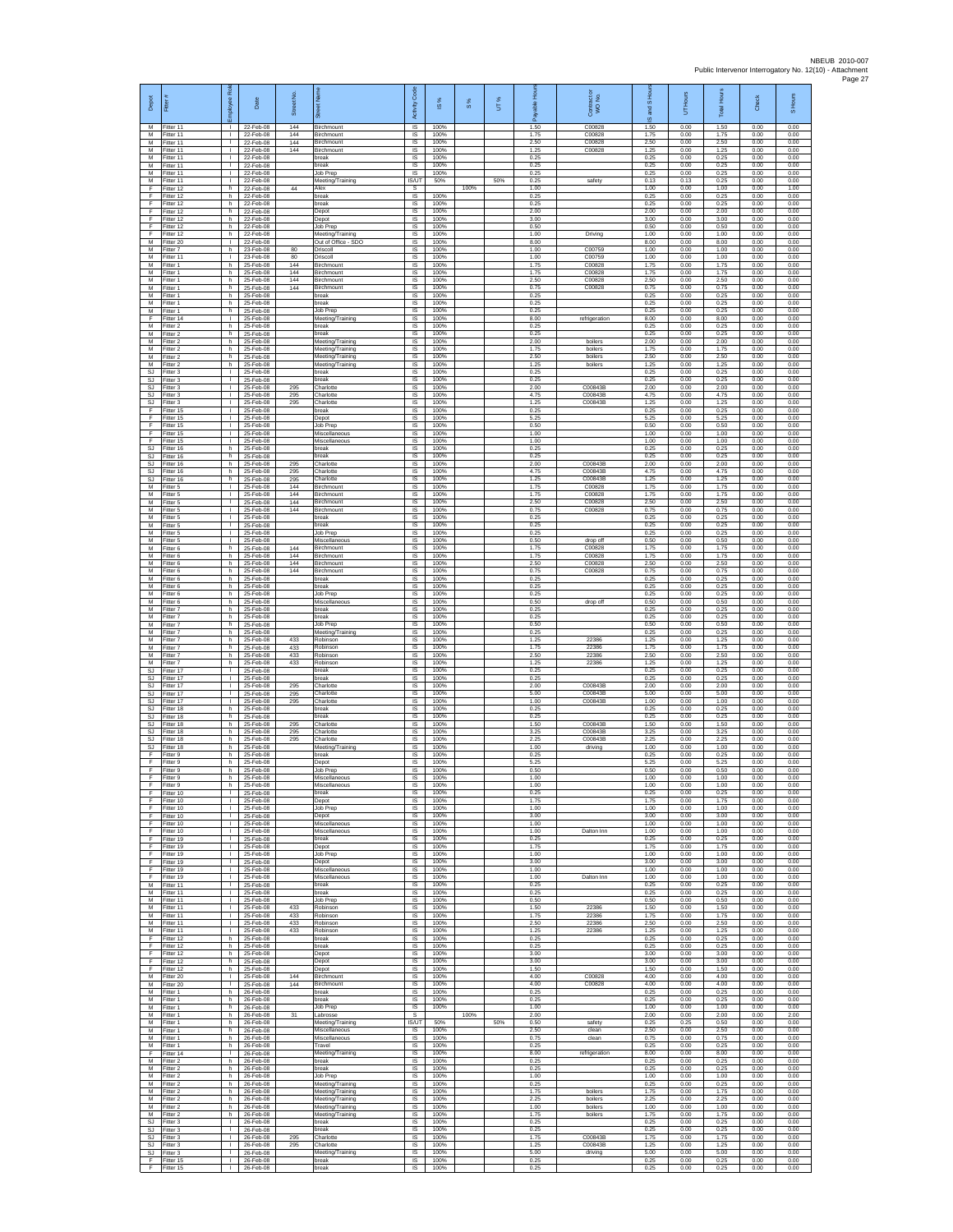| Depot<br>M                                 | Fitter<br>Fitter 11                 | loyee Rol                                    | Date<br>22-Feb-08                   | Street No.<br>144 | Birchmount                                               | Activity Code<br><b>IS</b>     | IS %<br>100%         | $\frac{8}{3}$ | UT% | 1.50                 | Contract or<br>WO No.<br>C00828 | IS <sub>Hot</sub><br>and<br>ဖ<br>1.50 | Hours<br>5<br>0.00   | <b>Total Hours</b><br>1.50 | Check<br>0.00        | S Hours<br>0.00      |
|--------------------------------------------|-------------------------------------|----------------------------------------------|-------------------------------------|-------------------|----------------------------------------------------------|--------------------------------|----------------------|---------------|-----|----------------------|---------------------------------|---------------------------------------|----------------------|----------------------------|----------------------|----------------------|
| M<br>M                                     | Fitter 11<br>Fitter 11              | $\mathbf{L}$<br>$\mathbf{L}$                 | 22-Feb-08<br>22-Feb-08              | 144<br>144        | Birchmount<br>Birchmount                                 | IS<br>IS                       | 100%<br>100%         |               |     | 1.75<br>2.50         | C00828<br>C00828                | 1.75<br>2.50                          | 0.00<br>0.00         | 1.75<br>2.50               | 0.00<br>0.00         | 0.00<br>0.00         |
| M<br>M<br>M                                | Fitter 11<br>Fitter 11<br>Fitter 11 | $\mathbf{L}$<br>$\mathbf{L}$<br>л.           | 22-Feb-08<br>22-Feb-08<br>22-Feb-08 | 144               | Birchmount<br>break<br>break                             | <b>IS</b><br>-IS<br>IS         | 100%<br>100%<br>100% |               |     | 1.25<br>0.25<br>0.25 | C00828                          | 1.25<br>0.25<br>0.25                  | 0.00<br>0.00<br>0.00 | 1.25<br>0.25<br>0.25       | 0.00<br>0.00<br>0.00 | 0.00<br>0.00<br>0.00 |
| M<br>M                                     | Fitter 11<br>Fitter 11              | H.<br>т.                                     | 22-Feb-08<br>22-Feb-08              |                   | Job Prep<br>Meeting/Training                             | IS<br><b>IS/UT</b>             | 100%<br>50%          |               | 50% | 0.25<br>0.25         | safety                          | 0.25<br>0.13                          | 0.00<br>0.13         | 0.25<br>0.25               | 0.00<br>0.00         | 0.00<br>0.00         |
| F<br>F<br>F                                | Fitter 12<br>Fitter 12<br>Fitter 12 | h.<br>h.<br>h                                | 22-Feb-08<br>22-Feb-08<br>22-Feb-08 | 44                | Alex<br>break<br>break                                   | -S<br>$\sf IS$<br>$\sf IS$     | 100%<br>100%         | 100%          |     | 1.00<br>0.25<br>0.25 |                                 | 1.00<br>0.25<br>0.25                  | 0.00<br>0.00<br>0.00 | 1.00<br>0.25<br>0.25       | 0.00<br>0.00<br>0.00 | 1.00<br>0.00<br>0.00 |
| F<br>-F.                                   | Fitter 12<br>Fitter 12              | h.<br>h                                      | 22-Feb-08<br>22-Feb-08              |                   | Depot<br>Depot                                           | <b>IS</b><br><b>IS</b>         | 100%<br>100%         |               |     | 2.00<br>3.00         |                                 | 2.00<br>3.00                          | 0.00<br>0.00         | 2.00<br>3.00               | 0.00<br>0.00         | 0.00<br>0.00         |
| Ŧ<br>Ŧ<br>M                                | Fitter 12<br>Fitter 12<br>Fitter 20 | h<br>h<br>$\mathbf{L}$                       | 22-Feb-08<br>22-Feb-08<br>22-Feb-08 |                   | Job Prep<br>Meeting/Training<br>Out of Office - SDO      | IS<br>IS<br>-IS                | 100%<br>100%<br>100% |               |     | 0.50<br>1.00<br>8.00 | Driving                         | 0.50<br>1.00<br>8.00                  | 0.00<br>0.00<br>0.00 | 0.50<br>1.00<br>8.00       | 0.00<br>0.00<br>0.00 | 0.00<br>0.00<br>0.00 |
| ${\sf M}$<br>M                             | itter 7<br>Fitter 11                | h.<br>H.                                     | 23-Feb-08<br>23-Feb-08              | 80<br>80          | Driscoll<br>Driscoll                                     | IS<br>1S                       | 100%<br>100%         |               |     | 1.00<br>1.00         | C00759<br>C00759                | 1.00<br>1.00                          | 0.00<br>0.00         | 1.00<br>1.00               | 0.00<br>0.00         | 0.00<br>0.00         |
| M<br>M<br>M                                | Fitter 1<br>Fitter 1<br>Fitter 1    | h.<br>h<br>h                                 | 25-Feb-08<br>25-Feb-08<br>25-Feb-08 | 144<br>144<br>144 | Birchmount<br>Birchmount<br>Birchmount                   | IS<br>IS<br>IS                 | 100%<br>100%<br>100% |               |     | 1.75<br>1.75<br>2.50 | C00828<br>C00828<br>C00828      | 1.75<br>1.75<br>2.50                  | 0.00<br>0.00<br>0.00 | 1.75<br>1.75<br>2.50       | 0.00<br>0.00<br>0.00 | 0.00<br>0.00<br>0.00 |
| M<br>M                                     | itter 1<br>Fitter 1                 | h<br>h.                                      | 25-Feb-08<br>25-Feb-08              | 144               | Birchmount<br>break                                      | IS<br>- IS                     | 100%<br>100%         |               |     | 0.75<br>0.25         | C00828                          | 0.75<br>0.25                          | 0.00<br>0.00         | 0.75<br>0.25               | 0.00<br>0.00         | 0.00<br>0.00         |
| M<br>M                                     | -itter 1<br>Fitter 1                | h<br>h<br>$\mathbf{L}$                       | 25-Feb-08<br>25-Feb-08              |                   | break<br>Job Prep                                        | <b>IS</b><br>IS                | 100%<br>100%         |               |     | 0.25<br>0.25         |                                 | 0.25<br>0.25                          | 0.00<br>0.00         | 0.25<br>0.25               | 0.00<br>0.00         | 0.00<br>0.00         |
| F<br>M<br>${\sf M}$                        | Fitter 14<br>Fitter 2<br>-itter 2   | h<br>h.                                      | 25-Feb-08<br>25-Feb-08<br>25-Feb-08 |                   | Meeting/Training<br>break<br>break                       | IS<br>IS<br>IS                 | 100%<br>100%<br>100% |               |     | 8.00<br>0.25<br>0.25 | refrigeration                   | 8.00<br>0.25<br>0.25                  | 0.00<br>0.00<br>0.00 | 8.00<br>0.25<br>0.25       | 0.00<br>0.00<br>0.00 | 0.00<br>0.00<br>0.00 |
| M<br>M                                     | Fitter 2<br>Fitter 2                | h.<br>h.                                     | 25-Feb-08<br>25-Feb-08              |                   | Meeting/Training<br>Meeting/Training                     | IS<br><b>IS</b>                | 100%<br>100%         |               |     | 2.00<br>1.75         | boilers<br>boilers              | 2.00<br>1.75                          | 0.00<br>0.00         | 2.00<br>1.75               | 0.00<br>0.00         | 0.00<br>0.00         |
| M<br>M<br><b>SJ</b>                        | Fitter 2<br>Fitter 2<br>Fitter 3    | h.<br>h.<br>÷.                               | 25-Feb-08<br>25-Feb-08<br>25-Feb-08 |                   | Meeting/Training<br>Meeting/Training<br>preak            | IS<br>IS<br>IS                 | 100%<br>100%<br>100% |               |     | 2.50<br>1.25<br>0.25 | boilers<br>boilers              | 2.50<br>1.25<br>0.25                  | 0.00<br>0.00<br>0.00 | 2.50<br>1.25<br>0.25       | 0.00<br>0.00<br>0.00 | 0.00<br>0.00<br>0.00 |
| <b>SJ</b><br>SJ                            | Fitter 3<br>-itter 3                | т.<br>$\mathbf{L}$                           | 25-Feb-08<br>25-Feb-08              | 295               | break<br>Charlotte                                       | - IS<br>IS                     | 100%<br>100%         |               |     | 0.25<br>2.00         | C00843B                         | 0.25<br>2.00                          | 0.00<br>0.00         | 0.25<br>2.00               | 0.00<br>0.00         | 0.00<br>0.00         |
| SJ<br><b>SJ</b><br>E                       | Fitter 3<br>Fitter 3<br>Fitter 15   | T.<br>$\mathbf{L}$<br>л.                     | 25-Feb-08<br>25-Feb-08<br>25-Feb-08 | 295<br>295        | Charlotte<br>Charlotte<br>hreak                          | $\sf IS$<br><b>IS</b><br>IS    | 100%<br>100%<br>100% |               |     | 4.75<br>1.25<br>0.25 | C00843B<br>C00843B              | 4.75<br>1.25<br>0.25                  | 0.00<br>0.00<br>0.00 | 4.75<br>1.25<br>0.25       | 0.00<br>0.00<br>0.00 | 0.00<br>0.00<br>0.00 |
| Ŧ<br>Ŧ                                     | Fitter 15<br>Fitter 15              | ٠<br>$\mathbf{L}$                            | 25-Feb-08<br>25-Feb-08              |                   | Depot<br>Job Prep                                        | IS<br>IS                       | 100%<br>100%         |               |     | 5.25<br>0.50         |                                 | 5.25<br>0.50                          | 0.00<br>0.00         | 5.25<br>0.50               | 0.00<br>0.00         | 0.00<br>0.00         |
| E<br>$\mathsf F$<br>$\mathbb{S}\mathbb{J}$ | Fitter 15<br>Fitter 15<br>Fitter 16 | $\mathbf{L}$<br>$\mathbf{L}$<br>h.           | 25-Feb-08<br>25-Feb-08<br>25-Feb-08 |                   | Miscellaneous<br>Miscellaneous<br>break                  | IS<br>IS<br>IS                 | 100%<br>100%<br>100% |               |     | 1.00<br>1.00<br>0.25 |                                 | 1.00<br>1.00<br>0.25                  | 0.00<br>0.00<br>0.00 | 1.00<br>1.00<br>0.25       | 0.00<br>0.00<br>0.00 | 0.00<br>0.00<br>0.00 |
| SJ.<br>SJ                                  | Fitter 16<br>Fitter 16              | h.<br>h                                      | 25-Feb-08<br>25-Feb-08              | 295               | preak<br>Charlotte                                       | IS<br>IS                       | 100%<br>100%         |               |     | 0.25<br>2.00         | C00843B                         | 0.25<br>2.00                          | 0.00<br>0.00         | 0.25<br>2.00               | 0.00<br>0.00         | 0.00<br>0.00         |
| <b>SJ</b><br>SJ<br>M                       | Fitter 16<br>fitter 16<br>Fitter 5  | h.<br>h<br>л.                                | 25-Feb-08<br>25-Feb-08<br>25-Feb-08 | 295<br>295<br>144 | Charlotte<br>Charlotte<br><b>Birchmount</b>              | IS<br>IS<br>IS                 | 100%<br>100%<br>100% |               |     | 4.75<br>1.25<br>1.75 | C00843B<br>C00843B<br>C00828    | 4.75<br>1.25<br>1.75                  | 0.00<br>0.00<br>0.00 | 4.75<br>1.25<br>1.75       | 0.00<br>0.00<br>0.00 | 0.00<br>0.00<br>0.00 |
| M<br>M                                     | -itter 5<br>Fitter 5                | л.<br>т.                                     | 25-Feb-08<br>25-Feb-08              | 144<br>144        | Birchmount<br>Birchmount                                 | IS<br>IS                       | 100%<br>100%         |               |     | 1.75<br>2.50         | C00828<br>C00828                | 175<br>2.50                           | 0.00<br>0.00         | 1.75<br>2.50               | 0.00<br>0.00         | 0.00<br>0.00         |
| M<br>M                                     | Fitter 5<br>Fitter 5                | $\mathbf{L}$<br>$\mathbf{L}$                 | 25-Feb-08<br>25-Feb-08              | 144               | Birchmount<br>break                                      | IS<br>IS                       | 100%<br>100%         |               |     | 0.75<br>0.25         | C00828                          | 0.75<br>0.25                          | 0.00<br>0.00         | 0.75<br>0.25               | 0.00<br>0.00         | 0.00<br>0.00         |
| M<br>M<br>M                                | -itter 5<br>Fitter 5<br>Fitter 5    | τ.<br>$\mathbf{L}$<br>$\mathbf{L}$           | 25-Feb-08<br>25-Feb-08<br>25-Feb-08 |                   | break<br>Job Prep<br>Miscellaneous                       | IS<br>IS<br>- IS               | 100%<br>100%<br>100% |               |     | 0.25<br>0.25<br>0.50 | drop off                        | 0.25<br>0.25<br>0.50                  | 0.00<br>0.00<br>0.00 | 0.25<br>0.25<br>0.50       | 0.00<br>0.00<br>0.00 | 0.00<br>0.00<br>0.00 |
| M<br>M                                     | Fitter 6<br>Fitter 6                | h.<br>h.                                     | 25-Feb-08<br>25-Feb-08              | 144<br>144        | Birchmount<br>Birchmount                                 | IS<br>IS                       | 100%<br>100%         |               |     | 1.75<br>1.75         | C00828<br>C00828                | 1.75<br>1.75                          | 0.00<br>0.00         | 1.75<br>1.75               | 0.00<br>0.00         | 0.00<br>0.00         |
| M<br>M<br>${\sf M}$                        | Fitter 6<br>Fitter 6<br>-itter 6    | h<br>h.<br>h.                                | 25-Feb-08<br>25-Feb-08<br>25-Feb-08 | 144<br>144        | Birchmount<br>Birchmount<br>break                        | IS<br>- IS<br>$\sf IS$         | 100%<br>100%<br>100% |               |     | 2.50<br>0.75<br>0.25 | C00828<br>C00828                | 2.50<br>0.75<br>0.25                  | 0.00<br>0.00<br>0.00 | 2.50<br>0.75<br>0.25       | 0.00<br>0.00<br>0.00 | 0.00<br>0.00<br>0.00 |
| M<br>M                                     | Fitter 6<br>Fitter 6                | h<br>h.                                      | 25-Feb-08<br>25-Feb-08              |                   | break<br>Job Prep                                        | $\sf IS$<br><b>IS</b>          | 100%<br>100%         |               |     | 0.25<br>0.25         |                                 | 0.25<br>0.25                          | 0.00<br>0.00         | 0.25<br>0.25               | 0.00<br>0.00         | 0.00<br>0.00         |
| M<br>M<br>M                                | Fitter 6<br>-itter 7<br>Fitter 7    | h.<br>h<br>h.                                | 25-Feb-08<br>25-Feb-08<br>25-Feb-08 |                   | Miscellaneous<br>break<br>break                          | <b>IS</b><br>IS<br>IS          | 100%<br>100%<br>100% |               |     | 0.50<br>0.25<br>0.25 | drop off                        | 0.50<br>0.25<br>0.25                  | 0.00<br>0.00<br>0.00 | 0.50<br>0.25<br>0.25       | 0.00<br>0.00<br>0.00 | 0.00<br>0.00<br>0.00 |
| M<br>${\sf M}$                             | Fitter 7<br>itter 7                 | h.<br>h.                                     | 25-Feb-08<br>25-Feb-08              |                   | Job Prep<br>Meeting/Training                             | - IS<br>IS                     | 100%<br>100%         |               |     | 0.50<br>0.25         |                                 | 0.50<br>0.25                          | 0.00<br>0.00         | 0.50<br>0.25               | 0.00<br>0.00         | 0.00<br>0.00         |
| M<br>M<br>M                                | Fitter 7<br>Fitter 7                | h.<br>h.<br>h                                | 25-Feb-08<br>25-Feb-08<br>25-Feb-08 | 433<br>433<br>433 | Robinson<br>Robinsor<br>Robinson                         | 1S<br>IS<br>IS                 | 100%<br>100%<br>100% |               |     | 1.25<br>1.75<br>2.50 | 22386<br>22386<br>22386         | 1.25<br>1.75<br>2.50                  | 0.00<br>0.00<br>0.00 | 1.25<br>1.75<br>2.50       | 0.00<br>0.00<br>0.00 | 0.00<br>0.00<br>0.00 |
| M<br>SJ                                    | Fitter 7<br>Fitter 7<br>fitter 17   | h<br>т.                                      | 25-Feb-08<br>25-Feb-08              | 433               | Robinsor<br>oreak                                        | IS<br>IS                       | 100%<br>100%         |               |     | 1.25<br>0.25         | 22386                           | 1.25<br>0.25                          | 0.00<br>0.00         | 1.25<br>0.25               | 0.00<br>0.00         | 0.00<br>0.00         |
| -SJ<br>SJ                                  | Fitter 17<br>Fitter 17              | $\mathbf{L}$<br>$\mathbf{L}$                 | 25-Feb-08<br>25-Feb-08              | 295               | break<br>Charlotte                                       | - IS<br><b>IS</b>              | 100%<br>100%         |               |     | 0.25<br>2.00         | C00843B                         | 0.25<br>2.00                          | 0.00<br>0.00         | 0.25<br>2.00               | 0.00<br>0.00         | 0.00<br>0.00         |
| SJ<br>SJ.<br>SJ                            | Fitter 17<br>Fitter 17<br>Fitter 18 | ٠<br>$\mathbf{L}$<br>h                       | 25-Feb-08<br>25-Feb-08<br>25-Feb-08 | 295<br>295        | Charlotte<br>Charlotte<br>break                          | IS<br>IS<br>IS                 | 100%<br>100%<br>100% |               |     | 5.00<br>1.00<br>0.25 | C00843B<br>C00843B              | 5.00<br>1.00<br>0.25                  | 0.00<br>0.00<br>0.00 | 5.00<br>1.00<br>0.25       | 0.00<br>0.00<br>0.00 | 0.00<br>0.00<br>0.00 |
| SJ<br>SJ                                   | Fitter 18<br>Fitter 18              | h.<br>h.                                     | 25-Feb-08<br>25-Feb-08              | 295               | break<br>Charlotte                                       | IS<br>IS                       | 100%<br>100%         |               |     | 0.25<br>1.50         | C00843E                         | 0.25<br>1.50                          | 0.00<br>0.00         | 0.25<br>1.50               | 0.00<br>0.00         | 0.00<br>0.00         |
| SJ.<br>SJ.<br><b>SJ</b>                    | Fitter 18<br>Fitter 18<br>Fitter 18 | h.<br>h.<br>h.                               | 25-Feb-08<br>25-Feb-08<br>25-Feb-08 | 295<br>295        | Charlotte<br>Charlotte<br>Meeting/Training               | IS<br>IS<br>IS                 | 100%<br>100%<br>100% |               |     | 3.25<br>2.25<br>1.00 | C00843B<br>C00843B<br>driving   | 3.25<br>2.25<br>1.00                  | 0.00<br>0.00<br>0.00 | 3.25<br>225<br>1.00        | 0.00<br>0.00<br>0.00 | 0.00<br>0.00<br>0.00 |
| F<br>F                                     | Fitter 9<br>Fitter 9                | h.<br>h.                                     | 25-Feb-08<br>25-Feb-08              |                   | preak<br>Depot                                           | IS<br>- IS                     | 100%<br>100%         |               |     | 0.25<br>5.25         |                                 | 0.25<br>5.25                          | 0.00<br>0.00         | 0.25<br>5.25               | 0.00<br>0.00         | 0.00<br>0.00         |
| $\mathsf F$<br>F<br>E                      | -itter 9<br>Fitter 9<br>Fitter 9    | h.<br>h<br>h                                 | 25-Feb-08<br>25-Feb-08<br>25-Feb-08 |                   | Job Prep<br>Miscellaneous<br>Miscellaneous               | IS<br>IS<br><b>IS</b>          | 100%<br>100%<br>100% |               |     | 0.50<br>1.00<br>1.00 |                                 | 0.50<br>1.00<br>1.00                  | 0.00<br>0.00<br>0.00 | 0.50<br>1.00<br>1.00       | 0.00<br>0.00<br>0.00 | 0.00<br>0.00<br>0.00 |
| -F.<br>F                                   | Fitter 10<br>Fitter 10              | $\mathbf{L}$<br>٠                            | 25-Feb-08<br>25-Feb-08              |                   | break<br>Depot                                           | IS<br>IS                       | 100%<br>100%         |               |     | 0.25<br>1.75         |                                 | 0.25<br>1.75                          | 0.00<br>0.00         | 0.25<br>1.75               | 0.00<br>0.00         | 0.00<br>0.00         |
| Ŧ<br>E<br>$\mathsf F$                      | Fitter 10<br>Fitter 10<br>Fitter 10 | $\mathbf{I}$<br>$\mathbf{L}$<br>$\mathbf{L}$ | 25-Feb-08<br>25-Feb-08<br>25-Feb-08 |                   | Job Prep<br>Depot<br>Miscellaneous                       | IS<br>- IS<br>IS               | 100%<br>100%<br>100% |               |     | 1.00<br>3.00<br>1.00 |                                 | 1.00<br>3.00<br>1.00                  | 0.00<br>0.00<br>0.00 | 1.00<br>3.00<br>1.00       | 0.00<br>0.00<br>0.00 | 0.00<br>0.00<br>0.00 |
| F<br>F                                     | Fitter 10<br>Fitter 19              | τ.<br>т.                                     | 25-Feb-08<br>25-Feb-08              |                   | Miscellaneous<br>break                                   | IS<br>IS                       | 100%<br>100%         |               |     | 1.00<br>0.25         | Dalton Inn                      | 1.00<br>0.25                          | 0.00<br>0.00         | 1.00<br>0.25               | 0.00<br>0.00         | 0.00<br>0.00         |
| E<br>Ŧ<br>Ŧ                                | Fitter 19<br>Fitter 19<br>Fitter 19 | $\mathbf{I}$<br>H.<br>T.                     | 25-Feb-08<br>25-Feb-08<br>25-Feb-08 |                   | Depot<br>Job Prep<br>Depot                               | IS<br>IS<br><b>IS</b>          | 100%<br>100%<br>100% |               |     | 1.75<br>1.00<br>3.00 |                                 | 1.75<br>1.00<br>3.00                  | 0.00<br>0.00<br>0.00 | 1.75<br>1.00<br>3.00       | 0.00<br>0.00<br>0.00 | 0.00<br>0.00<br>0.00 |
| -F<br>F                                    | Fitter 19<br>Fitter 19              | т.<br>$\mathbf{L}$                           | 25-Feb-08<br>25-Feb-08              |                   | Miscellaneous<br>Miscellaneous                           | - IS<br><b>IS</b>              | 100%<br>100%         |               |     | 1.00<br>1.00         | Dalton Inn                      | 1.00<br>1.00                          | 0.00<br>0.00         | 1.00<br>1.00               | 0.00<br>0.00         | 0.00<br>0.00         |
| M<br>M<br>M                                | Fitter 11<br>Fitter 11<br>Fitter 11 | т.<br>$\mathbf{L}$<br>$\mathbf{L}$           | 25-Feb-08<br>25-Feb-08<br>25-Feb-08 |                   | break<br>break<br>Job Prep                               | IS<br>IS<br>IS                 | 100%<br>100%<br>100% |               |     | 0.25<br>0.25<br>0.50 |                                 | 0.25<br>0.25<br>0.50                  | 0.00<br>0.00<br>0.00 | 0.25<br>0.25<br>0.50       | 0.00<br>0.00<br>0.00 | 0.00<br>0.00<br>0.00 |
| M<br>M                                     | Fitter 11<br>Fitter 11              | $\mathbf{L}$<br>т                            | 25-Feb-08<br>25-Feb-08              | 433<br>433        | Robinson<br>Robinson                                     | IS<br><b>IS</b>                | 100%<br>100%         |               |     | 1.50<br>1.75         | 22386<br>22386                  | 1.50<br>1.75                          | 0.00<br>0.00         | 1.50<br>1.75               | 0.00<br>0.00         | 0.00<br>0.00         |
| M<br>M<br>Ŧ                                | Fitter 11<br>Fitter 11<br>Fitter 12 | $\mathbf{L}$<br>$\mathbf{L}$<br>h.           | 25-Feb-08<br>25-Feb-08<br>25-Feb-08 | 433<br>433        | Robinson<br>Robinson<br>break                            | <b>IS</b><br>IS<br>IS          | 100%<br>100%<br>100% |               |     | 2.50<br>1.25<br>0.25 | 22386<br>22386                  | 2.50<br>1.25<br>0.25                  | 0.00<br>0.00<br>0.00 | 2.50<br>1.25<br>0.25       | 0.00<br>0.00<br>0.00 | 0.00<br>0.00<br>0.00 |
| F<br>F                                     | Fitter 12<br>Fitter 12              | h<br>h.                                      | 25-Feb-08<br>25-Feb-08              |                   | break<br>Depot                                           | <b>IS</b><br>- IS              | 100%<br>100%         |               |     | 0.25<br>3.00         |                                 | 0.25<br>3.00                          | 0.00<br>0.00         | 0.25<br>3.00               | 0.00<br>0.00         | 0.00<br>0.00         |
| F.<br>F                                    | Fitter 12<br>Fitter 12              | h<br>h.                                      | 25-Feb-08<br>25-Feb-08              |                   | Depot<br>Depot                                           | $\sf IS$<br>IS                 | 100%<br>100%         |               |     | 3.00<br>1.50         |                                 | 3.00<br>1.50                          | 0.00<br>0.00         | 3.00<br>1.50               | 0.00<br>0.00         | 0.00<br>0.00         |
| M<br>M<br>M                                | Fitter 20<br>Fitter 20<br>Fitter 1  | $\mathbf{L}$<br>$\mathbf{L}$<br>h            | 25-Feb-08<br>25-Feb-08<br>26-Feb-08 | 144<br>144        | <b>Birchmount</b><br>Birchmount<br>break                 | <b>IS</b><br><b>IS</b><br>IS   | 100%<br>100%<br>100% |               |     | 4.00<br>4.00<br>0.25 | C00828<br>C00828                | 4.00<br>4.00<br>0.25                  | 0.00<br>0.00<br>0.00 | 4.00<br>4.00<br>0.25       | 0.00<br>0.00<br>0.00 | 0.00<br>0.00<br>0.00 |
| M<br>M                                     | Fitter 1<br>Fitter 1                | h<br>h.                                      | 26-Feb-08<br>26-Feb-08              |                   | break<br>Job Prep                                        | <b>IS</b><br>- IS              | 100%<br>100%         |               |     | 0.25<br>1.00         |                                 | 0.25<br>1.00                          | 0.00<br>0.00         | 0.25<br>1.00               | 0.00<br>0.00         | 0.00<br>0.00         |
| M<br>M<br>M                                | -itter 1<br>Fitter 1<br>Fitter 1    | h<br>h.<br>h.                                | 26-Feb-08<br>26-Feb-08<br>26-Feb-08 | 31                | Labrosse<br>Meeting/Training<br>Miscellaneous            | s<br><b>IS/UT</b><br>IS        | 50%<br>100%          | 100%          | 50% | 2.00<br>0.50<br>2.50 | safety<br>clean                 | 2.00<br>0.25<br>2.50                  | 0.00<br>0.25<br>0.00 | 2.00<br>0.50<br>2.50       | 0.00<br>0.00<br>0.00 | 2.00<br>0.00<br>0.00 |
| M<br>M                                     | Fitter 1<br>Fitter 1                | h<br>h                                       | 26-Feb-08<br>26-Feb-08              |                   | Miscellaneous<br>Travel                                  | IS<br>IS                       | 100%<br>100%         |               |     | 0.75<br>0.25         | clean                           | 0.75<br>0.25                          | 0.00<br>0.00         | 0.75<br>0.25               | 0.00<br>0.00         | 0.00<br>0.00         |
| F<br>M<br>M                                | Fitter 14<br>Fitter 2<br>Fitter 2   | $\mathbf{I}$<br>h.<br>h.                     | 26-Feb-08<br>26-Feb-08<br>26-Feb-08 |                   | Meeting/Training<br>break<br>break                       | <b>IS</b><br>- IS<br><b>IS</b> | 100%<br>100%<br>100% |               |     | 8.00<br>0.25<br>0.25 | refrigeration                   | 8.00<br>0.25<br>0.25                  | 0.00<br>0.00<br>0.00 | 8.00<br>0.25<br>0.25       | 0.00<br>0.00<br>0.00 | 0.00<br>0.00<br>0.00 |
| M<br>M                                     | Fitter 2<br>Fitter 2                | h.<br>h                                      | 26-Feb-08<br>26-Feb-08              |                   | Job Prep<br>Meeting/Training                             | IS<br><b>IS</b>                | 100%<br>100%         |               |     | 1.00<br>0.25         |                                 | 1.00<br>0.25                          | 0.00<br>0.00         | 1.00<br>0.25               | 0.00<br>0.00         | 0.00<br>0.00         |
| M<br>${\sf M}$<br>M                        | Fitter 2<br>Fitter 2<br>Fitter 2    | h<br>h.<br>h                                 | 26-Feb-08<br>26-Feb-08<br>26-Feb-08 |                   | Meeting/Training<br>Meeting/Training<br>Meeting/Training | IS<br>IS<br><b>IS</b>          | 100%<br>100%<br>100% |               |     | 1.75<br>2.25<br>1.00 | boilers<br>boilers<br>boilers   | 1.75<br>2.25<br>1.00                  | 0.00<br>0.00<br>0.00 | 1.75<br>2.25<br>1.00       | 0.00<br>0.00<br>0.00 | 0.00<br>0.00<br>0.00 |
| M<br>SJ.                                   | Fitter 2<br>Fitter 3                | h.<br>$\mathbf{L}$                           | 26-Feb-08<br>26-Feb-08              |                   | Meeting/Training<br>break                                | - IS<br>IS                     | 100%<br>100%         |               |     | 1.75<br>0.25         | boilers                         | 1.75<br>0.25                          | 0.00<br>0.00         | 1.75<br>0.25               | 0.00<br>0.00         | 0.00<br>0.00         |
| SJ<br>SJ.<br>SJ                            | Fitter 3<br>Fitter 3                | $\mathbf{I}$<br>÷.<br>л.                     | 26-Feb-08<br>26-Feb-08<br>26-Feb-08 | 295<br>295        | break<br>Charlotte<br>Charlotte                          | IS<br>IS<br>-IS                | 100%<br>100%<br>100% |               |     | 0.25<br>1.75<br>1.25 | C00843B<br>C00843B              | 0.25<br>1.75<br>1.25                  | 0.00<br>0.00<br>0.00 | 0.25<br>1.75<br>1.25       | 0.00<br>0.00<br>0.00 | 0.00<br>0.00<br>0.00 |
| SJ.<br>F                                   | Fitter 3<br>Fitter 3<br>Fitter 15   | $\mathbf{L}$<br>T.                           | 26-Feb-08<br>26-Feb-08              |                   | Meeting/Training<br>break                                | IS<br>IS                       | 100%<br>100%         |               |     | 5.00<br>0.25         | driving                         | 5.00<br>0.25                          | 0.00<br>0.00         | 5.00<br>0.25               | 0.00<br>0.00         | 0.00<br>0.00         |
| F                                          | Fitter 15                           | $\mathbf{L}$                                 | 26-Feb-08                           |                   | break                                                    | $\mathsf{IS}$                  | 100%                 |               |     | 0.25                 |                                 | 0.25                                  | 0.00                 | 0.25                       | 0.00                 | 0.00                 |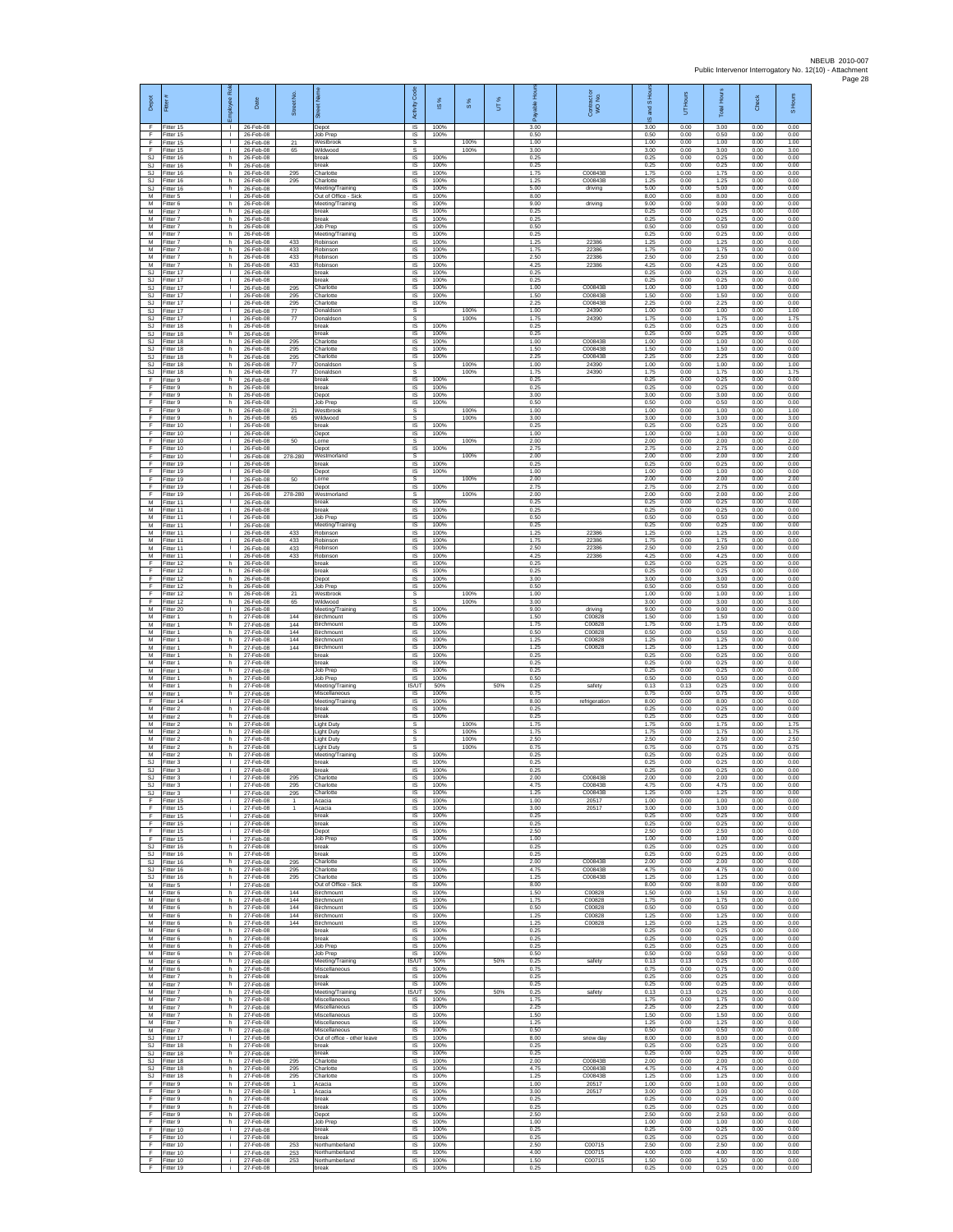| Depot                              | Fitter                              | ē<br>ployee                                  | Date                                | Street No                     | ē                                                     | $\cos$<br>Activity                        | $\overline{\omega}$  | $\frac{8}{3}$ | UT% | elde<br>గొ           | Contract or<br>WO No.         | and S Ho<br>$\overline{\omega}$ | Hours<br>5           | <b>Total Hours</b>   | Check                | S Hours              |
|------------------------------------|-------------------------------------|----------------------------------------------|-------------------------------------|-------------------------------|-------------------------------------------------------|-------------------------------------------|----------------------|---------------|-----|----------------------|-------------------------------|---------------------------------|----------------------|----------------------|----------------------|----------------------|
| F<br>F                             | Fitter 15<br>Fitter 15              | $\mathbf{L}$                                 | 26-Feb-08<br>26-Feb-08              |                               | Depot<br>Job Prep                                     | $\overline{\mathsf{S}}$<br>$\sf IS$       | 100%<br>100%         |               |     | 3.00<br>0.50         |                               | 3.00<br>0.50                    | 0.00<br>0.00         | 3.00<br>0.50         | 0.00<br>0.00         | 0.00<br>0.00         |
| F.<br>F<br><b>SJ</b>               | Fitter 15<br>Fitter 15<br>Fitter 16 | $\mathbf{L}$<br>$\mathbf{L}$<br>h            | 26-Feb-08<br>26-Feb-08<br>26-Feb-08 | 21<br>65                      | Westbrook<br>Wildwood<br>oreak                        | $\mathbb S$<br>s<br>IS                    | 100%                 | 100%<br>100%  |     | 1.00<br>3.00<br>0.25 |                               | 1.00<br>3.00<br>0.25            | 0.00<br>0.00<br>0.00 | 1.00<br>3.00<br>0.25 | 0.00<br>0.00<br>0.00 | 1.00<br>3.00<br>0.00 |
| <b>SJ</b><br><b>SJ</b>             | Fitter 16<br>fitter 16              | h.<br>h.                                     | 26-Feb-08<br>26-Feb-08              | 295                           | oreak<br>Charlotte                                    | IS<br>IS                                  | 100%<br>100%         |               |     | 0.25<br>1.75         | C00843E                       | 0.25<br>1.75                    | 0.00<br>0.00         | 0.25<br>1.75         | 0.00<br>0.00         | 0.00<br>0.00         |
| SJ<br>SJ<br>М                      | Fitter 16<br>Fitter 16<br>Fitter 5  | h.<br>h.<br>$\mathbf{L}$                     | 26-Feb-08<br>26-Feb-08<br>26-Feb-08 | 295                           | Charlotte<br>Meeting/Training<br>Out of Office - Sick | IS<br>IS<br>$\sf IS$                      | 100%<br>100%<br>100% |               |     | 1.25<br>5.00<br>8.00 | C00843B<br>driving            | 1.25<br>5.00<br>8.00            | 0.00<br>0.00<br>0.00 | 1.25<br>5.00<br>8.00 | 0.00<br>0.00<br>0.00 | 0.00<br>0.00<br>0.00 |
| M<br>M                             | Fitter 6<br>Fitter 7                | h<br>h.                                      | 26-Feb-08<br>26-Feb-08              |                               | Meeting/Training<br>break                             | IS<br><b>IS</b>                           | 100%<br>100%         |               |     | 9.00<br>0.25         | driving                       | 9.00<br>0.25                    | 0.00<br>0.00         | 9.00<br>0.25         | 0.00<br>0.00         | 0.00<br>0.00         |
| М<br>M<br>M                        | -itter 7<br>fitter 7<br>Fitter 7    | h.<br>h.<br>h.                               | 26-Feb-08<br>26-Feb-08<br>26-Feb-08 |                               | break<br>Job Prep<br>Meeting/Training                 | IS<br>IS<br>$\overline{s}$                | 100%<br>100%<br>100% |               |     | 0.25<br>0.50<br>0.25 |                               | 0.25<br>0.50<br>0.25            | 0.00<br>0.00<br>0.00 | 0.25<br>0.50<br>0.25 | 0.00<br>0.00<br>0.00 | 0.00<br>0.00<br>0.00 |
| М<br>M                             | itter 7<br>Fitter 7                 | h<br>h.                                      | 26-Feb-08<br>26-Feb-08              | 433<br>433                    | Robinson<br>Robinson                                  | IS<br>IS                                  | 100%<br>100%         |               |     | 1.25<br>1.75         | 22386<br>22386                | 1.25<br>1.75                    | 0.00<br>0.00         | 1.25<br>1.75         | 0.00<br>0.00         | 0.00<br>0.00         |
| M<br>M<br>SJ                       | fitter 7<br>Fitter 7<br>Fitter 17   | h.<br>h<br>$\mathbf{L}$                      | 26-Feb-08<br>26-Feb-08<br>26-Feb-08 | 433<br>433                    | Robinson<br>Robinson<br>oreak                         | IS<br>IS<br>$\sf IS$                      | 100%<br>100%<br>100% |               |     | 2.50<br>4.25<br>0.25 | 22386<br>22386                | 2.50<br>4.25<br>0.25            | 0.00<br>0.00<br>0.00 | 2.50<br>4.25<br>0.25 | 0.00<br>0.00<br>0.00 | 0.00<br>0.00<br>0.00 |
| <b>SJ</b><br>-SJ                   | itter 17<br>Fitter 17               | т.<br>$\mathbf{I}$                           | 26-Feb-08<br>26-Feb-08              | 295                           | oreak<br>Charlotte                                    | IS<br>IS                                  | 100%<br>100%         |               |     | 0.25<br>1.00         | C00843B                       | 0.25<br>1.00                    | 0.00<br>0.00         | 0.25<br>1.00         | 0.00<br>0.00         | 0.00<br>0.00         |
| SJ.<br>SJ                          | Fitter 17<br>Fitter 17              | <b>ILL S</b><br>т.<br>т                      | 26-Feb-08<br>26-Feb-08              | 295<br>295                    | Charlotte<br>Charlotte<br>Donaldson                   | IS<br>IS<br>s                             | 100%<br>100%         | 100%          |     | 1.50<br>2.25<br>1.00 | C00843B<br>C00843B<br>24390   | 1.50<br>2.25<br>1.00            | 0.00<br>0.00<br>0.00 | 1.50<br>2.25<br>1.00 | 0.00<br>0.00<br>0.00 | 0.00<br>0.00<br>1.00 |
| <b>SJ</b><br>SJ<br>SJ              | Fitter 17<br>Fitter 17<br>itter 18  | $\mathbf{L}$<br>h.                           | 26-Feb-08<br>26-Feb-08<br>26-Feb-08 | 77<br>77                      | Donaldson<br>break                                    | s<br>$\sf IS$                             | 100%                 | 100%          |     | 1.75<br>0.25         | 24390                         | 1.75<br>0.25                    | 0.00<br>0.00         | 1.75<br>0.25         | 0.00<br>0.00         | 1.75<br>0.00         |
| SJ<br>SJ.                          | fitter 18<br>Fitter 18              | h.<br>h.                                     | 26-Feb-08<br>26-Feb-08              | 295                           | break<br>Charlotte                                    | $\sf IS$<br>$\overline{\mathsf{s}}$       | 100%<br>100%         |               |     | 0.25<br>1.00         | C00843B                       | 0.25<br>1.00                    | 0.00<br>0.00         | 0.25<br>1.00         | 0.00<br>0.00         | 0.00<br>0.00         |
| SJ.<br><b>SJ</b><br><b>SJ</b>      | Fitter 18<br>Fitter 18<br>itter 18  | h<br>h.<br>h.                                | 26-Feb-08<br>26-Feb-08<br>26-Feb-08 | 295<br>295<br>$\overline{77}$ | Charlotte<br>Charlotte<br>Donaldson                   | IS<br>IS<br>s                             | 100%<br>100%         | 100%          |     | 1.50<br>2.25<br>1.00 | C00843B<br>C00843B<br>24390   | 1.50<br>2.25<br>1.00            | 0.00<br>0.00<br>0.00 | 1.50<br>2.25<br>1.00 | 0.00<br>0.00<br>0.00 | 0.00<br>0.00<br>1.00 |
| SJ<br>F                            | Fitter 18<br>Fitter 9               | h.<br>h.                                     | 26-Feb-08<br>26-Feb-08              | 77                            | Donaldson<br>oreak                                    | s<br>IS                                   | 100%                 | 100%          |     | 1.75<br>0.25         | 24390                         | 1.75<br>0.25                    | 0.00<br>0.00         | 1.75<br>0.25         | 0.00<br>0.00         | 1.75<br>0.00         |
| F<br>F<br>F                        | Fitter 9<br>Fitter 9<br>Fitter 9    | h<br>h.<br>h.                                | 26-Feb-08<br>26-Feb-08<br>26-Feb-08 |                               | break<br>Depot<br>Job Prep                            | $\sf IS$<br>IS<br>IS                      | 100%<br>100%<br>100% |               |     | 0.25<br>3.00<br>0.50 |                               | 0.25<br>3.00<br>0.50            | 0.00<br>0.00<br>0.00 | 0.25<br>3.00<br>0.50 | 0.00<br>0.00<br>0.00 | 0.00<br>0.00<br>0.00 |
| F<br>F                             | fitter 9<br>fitter 9                | h.<br>h.                                     | 26-Feb-08<br>26-Feb-08              | 21<br>65                      | Westbrook<br>Wildwood                                 | s<br>s                                    |                      | 100%<br>100%  |     | 1.00<br>3.00         |                               | 1.00<br>3.00                    | 0.00<br>0.00         | 1.00<br>3.00         | 0.00<br>0.00         | 1.00<br>3.00         |
| F<br>F<br>F                        | Fitter 10<br>Fitter 10<br>Fitter 10 | $\mathbf{L}$<br>$\mathbb{R}$<br>$\mathbf{L}$ | 26-Feb-08<br>26-Feb-08<br>26-Feb-08 | 50                            | break<br>Depot<br>orne                                | $\overline{\mathsf{s}}$<br>IS<br>s        | 100%<br>100%         | 100%          |     | 0.25<br>1.00<br>2.00 |                               | 0.25<br>1.00<br>2.00            | 0.00<br>0.00<br>0.00 | 0.25<br>1.00<br>2.00 | 0.00<br>0.00<br>0.00 | 0.00<br>0.00<br>2.00 |
| F<br>F                             | fitter 10<br>Fitter 10              | т.<br>$\mathbf{L}$                           | 26-Feb-08<br>26-Feb-08              | 278-280                       | Jepot<br>Westmorland                                  | IS<br>s                                   | 100%                 | 100%          |     | 2.75<br>2.00         |                               | 2.75<br>2.00                    | 0.00<br>0.00         | 2.75<br>2.00         | 0.00<br>0.00         | 0.00<br>2.00         |
| F.<br>F<br>F                       | Fitter 19<br>fitter 19<br>Fitter 19 | $\mathbf{L}$<br>$\mathbf{I}$<br>л.           | 26-Feb-08<br>26-Feb-08<br>26-Feb-08 | 50                            | oreak<br>Depot<br>Lorne                               | $\sf IS$<br>IS<br><b>s</b>                | 100%<br>100%         | 100%          |     | 0.25<br>1.00<br>2.00 |                               | 0.25<br>1.00<br>2.00            | 0.00<br>0.00<br>0.00 | 0.25<br>1.00<br>2.00 | 0.00<br>0.00<br>0.00 | 0.00<br>0.00<br>2.00 |
| F<br>F                             | Fitter 19<br>Fitter 19              | <b>I</b><br>т.                               | 26-Feb-08<br>26-Feb-08              | 278-280                       | Depot<br>Westmorland                                  | IS<br>s                                   | 100%                 | 100%          |     | 275<br>2.00          |                               | 275<br>2.00                     | 0.00<br>0.00         | 275<br>2.00          | 0.00<br>0.00         | 0.00<br>2.00         |
| M<br>M<br>М                        | Fitter 11<br>Fitter 11<br>Fitter 11 | $\mathbf{I}$<br>$\mathbf{L}$<br>$\mathbf{L}$ | 26-Feb-08<br>26-Feb-08<br>26-Feb-08 |                               | break<br>break<br>Job Prep                            | IS<br>$\overline{\mathsf{s}}$<br>$\sf IS$ | 100%<br>100%<br>100% |               |     | 0.25<br>0.25<br>0.50 |                               | 0.25<br>0.25<br>0.50            | 0.00<br>0.00<br>0.00 | 0.25<br>0.25<br>0.50 | 0.00<br>0.00<br>0.00 | 0.00<br>0.00<br>0.00 |
| M<br>$\overline{M}$                | fitter 11<br>Fitter 11              | $\mathbf{L}$<br>$\mathbf{L}$                 | 26-Feb-08<br>26-Feb-08              | 433                           | Meeting/Training<br>Robinson                          | $\sf IS$<br>$\overline{\mathsf{s}}$       | 100%<br>100%         |               |     | 0.25<br>1.25         | 22386                         | 0.25<br>1.25                    | 0.00<br>0.00         | 0.25<br>1.25         | 0.00<br>0.00         | 0.00<br>0.00         |
| M<br>M<br>M                        | Fitter 11<br>Fitter 11<br>fitter 11 | $\mathbb{R}$<br>$\mathbf{L}$<br>$\mathbf{I}$ | 26-Feb-08<br>26-Feb-08<br>26-Feb-08 | 433<br>433<br>433             | Robinson<br>Robinson<br>Robinson                      | IS<br>IS<br>IS                            | 100%<br>100%<br>100% |               |     | 1.75<br>2.50<br>4.25 | 22386<br>22386<br>22386       | 1.75<br>2.50<br>4.25            | 0.00<br>0.00<br>0.00 | 1.75<br>2.50<br>4.25 | 0.00<br>0.00<br>0.00 | 0.00<br>0.00<br>0.00 |
| F<br>F                             | Fitter 12<br>Fitter 12              | h.<br>h.                                     | 26-Feb-08<br>26-Feb-08              |                               | break<br>preak                                        | IS<br>IS                                  | 100%<br>100%         |               |     | 0.25<br>0.25         |                               | 0.25<br>0.25                    | 0.00<br>0.00         | 0.25<br>0.25         | 0.00<br>0.00         | 0.00<br>0.00         |
| F<br>F                             | Fitter 12<br>Fitter 12              | h<br>h.                                      | 26-Feb-08<br>26-Feb-08              |                               | Depot<br>Job Prep                                     | $\sf IS$<br>IS                            | 100%<br>100%         |               |     | 3.00<br>0.50         |                               | 3.00<br>0.50                    | 0.00<br>0.00         | 3.00<br>0.50         | 0.00<br>0.00         | 0.00<br>0.00         |
| F<br>F<br>M                        | Fitter 12<br>Fitter 12<br>fitter 20 | h.<br>h.<br>т                                | 26-Feb-08<br>26-Feb-08<br>26-Feb-08 | 21<br>65                      | Westbrook<br>Wildwood<br>Meeting/Training             | s<br>s<br>1S                              | 100%                 | 100%<br>100%  |     | 1.00<br>3.00<br>9.00 | driving                       | 1.00<br>3.00<br>9.00            | 0.00<br>0.00<br>0.00 | 1.00<br>3.00<br>9.00 | 0.00<br>0.00<br>0.00 | 1.00<br>3.00<br>0.00 |
| M<br>М                             | Fitter 1<br>itter 1                 | h.<br>h                                      | 27-Feb-08<br>27-Feb-08              | 144<br>144                    | Birchmount<br>Birchmount                              | $\overline{s}$<br>IS                      | 100%<br>100%         |               |     | 1.50<br>1.75         | C00828<br>C00828              | 1.50<br>1.75                    | 0.00<br>0.00         | 1.50<br>1.75         | 0.00<br>0.00         | 0.00<br>0.00         |
| М<br>M<br>M                        | Fitter 1<br>fitter 1<br>Fitter 1    | h.<br>h.<br>h                                | 27-Feb-08<br>27-Feb-08<br>27-Feb-08 | 144<br>144<br>144             | Birchmount<br>Birchmount<br>Birchmount                | IS<br>IS<br>IS                            | 100%<br>100%<br>100% |               |     | 0.50<br>1.25<br>1.25 | C00828<br>C00828<br>C00828    | 0.50<br>1.25<br>1.25            | 0.00<br>0.00<br>0.00 | 0.50<br>1.25<br>1.25 | 0.00<br>0.00<br>0.00 | 0.00<br>0.00<br>0.00 |
| М<br>M                             | -itter 1<br>itter 1                 | h.<br>h.                                     | 27-Feb-08<br>27-Feb-08              |                               | oreak<br>oreak                                        | $\sf IS$<br>IS                            | 100%<br>100%         |               |     | 0.25<br>0.25         |                               | 0.25<br>0.25                    | 0.00<br>0.00         | 0.25<br>0.25         | 0.00<br>0.00         | 0.00<br>0.00         |
| M<br>M<br>М                        | Fitter 1<br>Fitter 1<br>Fitter 1    | h.<br>h.<br>h                                | 27-Feb-08<br>27-Feb-08<br>27-Feb-08 |                               | Job Prep<br>Job Prep<br>Meeting/Training              | IS<br><b>IS</b><br><b>IS/UT</b>           | 100%<br>100%<br>50%  |               | 50% | 0.25<br>0.50<br>0.25 | safety                        | 0.25<br>0.50<br>0.13            | 0.00<br>0.00<br>0.13 | 0.25<br>0.50<br>0.25 | 0.00<br>0.00<br>0.00 | 0.00<br>0.00<br>0.00 |
| M<br>F                             | Fitter 1<br>Fitter 14               | h.<br>$\mathbf{L}$                           | 27-Feb-08<br>27-Feb-08              |                               | Miscellaneous<br>Meeting/Training                     | IS<br>IS                                  | 100%<br>100%         |               |     | 0.75<br>8.00         | refrigeration                 | 0.75<br>8.00                    | 0.00<br>0.00         | 0.75<br>8.00         | 0.00<br>0.00         | 0.00<br>0.00         |
| М<br>M<br>M                        | itter 2<br>Fitter 2<br>Fitter 2     | h.<br>h.<br>h.                               | 27-Feb-08<br>27-Feb-08<br>27-Feb-08 |                               | break<br>break<br>Light Duty                          | $\sf IS$<br>$\sf IS$<br>s                 | 100%<br>100%         | 100%          |     | 0.25<br>0.25<br>1.75 |                               | 0.25<br>0.25<br>1.75            | 0.00<br>0.00<br>0.00 | 0.25<br>0.25<br>1.75 | 0.00<br>0.00<br>0.00 | 0.00<br>0.00<br>1.75 |
| M<br>М                             | Fitter 2<br>Fitter 2                | h.<br>h.                                     | 27-Feb-08<br>27-Feb-08              |                               | Light Duty<br>ight Duty                               | s<br>s                                    |                      | 100%<br>100%  |     | 1.75<br>2.50         |                               | 1.75<br>2.50                    | 0.00<br>0.00         | 1.75<br>2.50         | 0.00<br>0.00         | 1.75<br>2.50         |
| M<br>M<br>SJ                       | itter 2<br>Fitter 2<br>Fitter 3     | h.<br>h.<br><b>ILL S</b>                     | 27-Feb-08<br>27-Feb-08<br>27-Feb-08 |                               | ight Duty<br>Meeting/Training<br>oreak                | s<br>$\overline{\mathsf{s}}$<br>IS        | 100%<br>100%         | 100%          |     | 0.75<br>0.25<br>0.25 |                               | 0.75<br>0.25<br>0.25            | 0.00<br>0.00<br>0.00 | 0.75<br>0.25<br>0.25 | 0.00<br>0.00<br>0.00 | 0.75<br>0.00<br>0.00 |
| SJ<br>SJ.                          | Fitter 3<br>Fitter 3                | $\mathbf{I}$<br>$\mathbf{L}$                 | 27-Feb-08<br>27-Feb-08              | 295                           | break<br>Charlotte                                    | $\sf IS$<br>IS                            | 100%<br>100%         |               |     | 0.25<br>2.00         | C00843B                       | 0.25<br>2.00                    | 0.00<br>0.00         | 0.25<br>2.00         | 0.00<br>0.00         | 0.00<br>0.00         |
| S.I<br>SJ<br>F                     | Fitter 3<br>Fitter 3<br>fitter 15   | т.<br>i.                                     | 27-Feb-08<br>27-Feb-08<br>27-Feb-08 | 295<br>295<br>$\mathbf{1}$    | Charlotte<br>Charlotte<br>Acacia                      | <b>IS</b><br>IS<br>1S                     | 100%<br>100%<br>100% |               |     | 4.75<br>1.25<br>1.00 | C00843B<br>C00843B<br>20517   | 4 7 5<br>1.25<br>1.00           | 0.00<br>0.00<br>0.00 | 4.75<br>1.25<br>1.00 | 0.00<br>0.00<br>0.00 | 0.00<br>0.00<br>0.00 |
| F<br>F                             | Fitter 15<br>Fitter 15              | i.<br>j.                                     | 27-Feb-08<br>27-Feb-08              | -1                            | Acacia<br>break                                       | IS<br>IS                                  | 100%<br>100%         |               |     | 3.00<br>0.25         | 20517                         | 3.00<br>0.25                    | 0.00<br>0.00         | 3.00<br>0.25         | 0.00<br>0.00         | 0.00<br>0.00         |
| F<br>F<br>E                        | Fitter 15<br>Fitter 15<br>Fitter 15 | i.<br>i.<br>i.                               | 27-Feb-08<br>27-Feb-08<br>27-Feb-08 |                               | break<br>Depot                                        | IS<br>IS<br>IS                            | 100%<br>100%<br>100% |               |     | 0.25<br>2.50<br>1.00 |                               | 0.25<br>2.50<br>1.00            | 0.00<br>0.00<br>0.00 | 0.25<br>2.50<br>1.00 | 0.00<br>0.00<br>0.00 | 0.00<br>0.00<br>0.00 |
| SJ.<br>SJ                          | Fitter 16<br>fitter 16              | h.<br>h.                                     | 27-Feb-08<br>27-Feb-08              |                               | Job Prep<br>break<br>oreak                            | $\sf IS$<br>IS                            | 100%<br>100%         |               |     | 0.25<br>0.25         |                               | 0.25<br>0.25                    | 0.00<br>0.00         | 0.25<br>0.25         | 0.00<br>0.00         | 0.00<br>0.00         |
| -SJ<br>SJ.<br>SJ                   | Fitter 16<br>Fitter 16<br>Fitter 16 | h.<br>h.<br>h.                               | 27-Feb-08<br>27-Feb-08<br>27-Feb-08 | 295<br>295<br>295             | Charlotte<br>Charlotte<br>Charlotte                   | IS<br>IS<br>IS                            | 100%<br>100%<br>100% |               |     | 2.00<br>4.75<br>1.25 | C00843B<br>C00843B<br>C00843B | 2.00<br>4.75<br>1.25            | 0.00<br>0.00<br>0.00 | 2.00<br>4.75<br>1.25 | 0.00<br>0.00<br>0.00 | 0.00<br>0.00<br>0.00 |
| M                                  | Fitter 5<br>M Fitter 6              | $\mathbf{I}$<br>h I                          | 27-Feb-08<br>27-Feb-08              | 144                           | Out of Office - Sick<br>Birchmount                    | 1S<br>IS                                  | 100%<br>100%         |               |     | 8.00<br>1.50         | C00828                        | 8.00<br>1.50                    | 0.00<br>0.00         | 8.00<br>1.50         | 0.00<br>0.00         | 0.00<br>0.00         |
| М<br>M<br>M                        | Fitter 6<br>Fitter 6<br>Fitter 6    | h<br>h<br>h.                                 | 27-Feb-08<br>27-Feb-08<br>27-Feb-08 | 144<br>144<br>144             | Birchmount<br>Birchmount<br>Birchmount                | $\sf IS$<br>$\sf IS$<br>IS                | 100%<br>100%<br>100% |               |     | 1.75<br>0.50<br>1.25 | C00828<br>C00828<br>C00828    | 1.75<br>0.50<br>1.25            | 0.00<br>0.00<br>0.00 | 1.75<br>0.50<br>1.25 | 0.00<br>0.00<br>0.00 | 0.00<br>0.00<br>0.00 |
| M<br>M                             | Fitter 6<br>Fitter 6                | h<br>h                                       | 27-Feb-08<br>27-Feb-08              | 144                           | Birchmount<br>break                                   | IS<br>1S                                  | 100%<br>100%         |               |     | 1.25<br>0.25         | C00828                        | 1.25<br>0.25                    | 0.00<br>0.00         | 1.25<br>0.25         | 0.00<br>0.00         | 0.00<br>0.00         |
| М<br>M<br>М                        | itter 6<br>Fitter 6<br>Fitter 6     | h.<br>h<br>h.                                | 27-Feb-08<br>27-Feb-08<br>27-Feb-08 |                               | break<br>Job Prep<br>Job Prep                         | IS<br>IS<br><b>IS</b>                     | 100%<br>100%<br>100% |               |     | 0.25<br>0.25<br>0.50 |                               | 0.25<br>0.25<br>0.50            | 0.00<br>0.00<br>0.00 | 0.25<br>0.25<br>0.50 | 0.00<br>0.00<br>0.00 | 0.00<br>0.00<br>0.00 |
| М<br>M                             | Fitter 6<br>Fitter 6                | h.<br>h.                                     | 27-Feb-08<br>27-Feb-08              |                               | Meeting/Training<br>Miscellaneous                     | IS/UT<br>- IS                             | 50%<br>100%          |               | 50% | 0.25<br>0.75         | safety                        | 0.13<br>0.75                    | 0.13<br>0.00         | 0.25<br>0.75         | 0.00<br>0.00         | 0.00<br>0.00         |
| M<br>М<br>M                        | Fitter 7<br>Fitter 7                | h.<br>h.                                     | 27-Feb-08<br>27-Feb-08              |                               | break<br>break                                        | IS<br>IS                                  | 100%<br>100%<br>50%  |               |     | 0.25<br>0.25         |                               | 0.25<br>0.25                    | 0.00<br>0.00         | 0.25<br>0.25         | 0.00<br>0.00         | 0.00<br>0.00         |
| M<br>М                             | fitter 7<br>Fitter 7<br>-itter 7    | h.<br>h I<br>h                               | 27-Feb-08<br>27-Feb-08<br>27-Feb-08 |                               | Meeting/Training<br>Miscellaneous<br>Miscellaneous    | <b>IS/UT</b><br><b>IS</b><br>IS           | 100%<br>100%         |               | 50% | 0.25<br>1.75<br>2.25 | safety                        | 0.13<br>1.75<br>2.25            | 0.13<br>0.00<br>0.00 | 0.25<br>1.75<br>2.25 | 0.00<br>0.00<br>0.00 | 0.00<br>0.00<br>0.00 |
| М<br>M<br>M                        | Fitter 7<br>Fitter 7                | h.<br>h.                                     | 27-Feb-08<br>27-Feb-08              |                               | Miscellaneous<br>Miscellaneous                        | 1S<br>IS                                  | 100%<br>100%         |               |     | 1.50<br>1.25         |                               | 1.50<br>1.25                    | 0.00<br>0.00         | 1.50<br>1.25         | 0.00<br>0.00         | 0.00<br>0.00         |
| SJ<br>SJ                           | Fitter 7<br>Fitter 17<br>fitter 18  | h<br>$\mathbb{R}$<br>h.                      | 27-Feb-08<br>27-Feb-08<br>27-Feb-08 |                               | Miscellaneous<br>Out of office - other leave<br>break | IS<br>$\sf IS$<br>IS                      | 100%<br>100%<br>100% |               |     | 0.50<br>8.00<br>0.25 | snow day                      | 0.50<br>8.00<br>0.25            | 0.00<br>0.00<br>0.00 | 0.50<br>8.00<br>0.25 | 0.00<br>0.00<br>0.00 | 0.00<br>0.00<br>0.00 |
| SJ.<br>SJ.                         | Fitter 18<br>Fitter 18              | h.<br>h.                                     | 27-Feb-08<br>27-Feb-08              | 295                           | break<br>Charlotte                                    | IS<br>IS                                  | 100%<br>100%         |               |     | 0.25<br>2.00         | C00843B                       | 0.25<br>2.00                    | 0.00<br>0.00         | 0.25<br>2.00         | 0.00<br>0.00         | 0.00<br>0.00         |
| $\mathbb{S}\mathbb{J}$<br>SJ.<br>F | Fitter 18<br>Fitter 18<br>Fitter 9  | h<br>h<br>h I                                | 27-Feb-08<br>27-Feb-08<br>27-Feb-08 | 295<br>295<br>$\overline{1}$  | Charlotte<br>Charlotte<br>Acacia                      | IS<br>1S<br><b>IS</b>                     | 100%<br>100%<br>100% |               |     | 4.75<br>1.25<br>1.00 | C00843B<br>C00843B<br>20517   | 4.75<br>1.25<br>1.00            | 0.00<br>0.00<br>0.00 | 4.75<br>1.25<br>1.00 | 0.00<br>0.00<br>0.00 | 0.00<br>0.00<br>0.00 |
| F<br>F                             | Fitter 9<br>Fitter 9                | h.<br>h.                                     | 27-Feb-08<br>27-Feb-08              | $\mathbf{1}$                  | Acacia<br>break                                       | $\sf IS$<br>$\sf IS$                      | 100%<br>100%         |               |     | 3.00<br>0.25         | 20517                         | 3.00<br>0.25                    | 0.00<br>0.00         | 3.00<br>0.25         | 0.00<br>0.00         | 0.00<br>0.00         |
| F<br>E<br>F                        | Fitter 9<br>Fitter 9<br>Fitter 9    | h.<br>h<br>h.                                | 27-Feb-08<br>27-Feb-08<br>27-Feb-08 |                               | break<br>Depot<br>Job Prep                            | IS<br>IS<br>IS                            | 100%<br>100%<br>100% |               |     | 0.25<br>2.50<br>1.00 |                               | 0.25<br>2.50<br>1.00            | 0.00<br>0.00<br>0.00 | 0.25<br>2.50<br>1.00 | 0.00<br>0.00<br>0.00 | 0.00<br>0.00<br>0.00 |
| F<br>E                             | fitter 10<br>Fitter 10              | i.<br>j.                                     | 27-Feb-08<br>27-Feb-08              |                               | break<br>break                                        | IS<br>IS                                  | 100%<br>100%         |               |     | 0.25<br>0.25         |                               | 0.25<br>0.25                    | 0.00<br>0.00         | 0.25<br>0.25         | 0.00<br>0.00         | 0.00<br>0.00         |
| F.<br>F<br>F.                      | Fitter 10<br>Fitter 10<br>Fitter 10 | i.<br>i.<br>i.                               | 27-Feb-08<br>27-Feb-08<br>27-Feb-08 | 253<br>253<br>253             | Northumberland<br>Northumberland<br>Northumberland    | IS.<br>$\sf IS$<br>IS.                    | 100%<br>100%<br>100% |               |     | 2.50<br>4.00<br>1.50 | C00715<br>C00715<br>C00715    | 2.50<br>4.00<br>1.50            | 0.00<br>0.00<br>0.00 | 2.50<br>4.00<br>1.50 | 0.00<br>0.00<br>0.00 | 0.00<br>0.00<br>0.00 |
| F.                                 | Fitter 19                           | i.                                           | 27-Feb-08                           |                               | break                                                 | IS                                        | 100%                 |               |     | 0.25                 |                               | 0.25                            | 0.00                 | 0.25                 | 0.00                 | 0.00                 |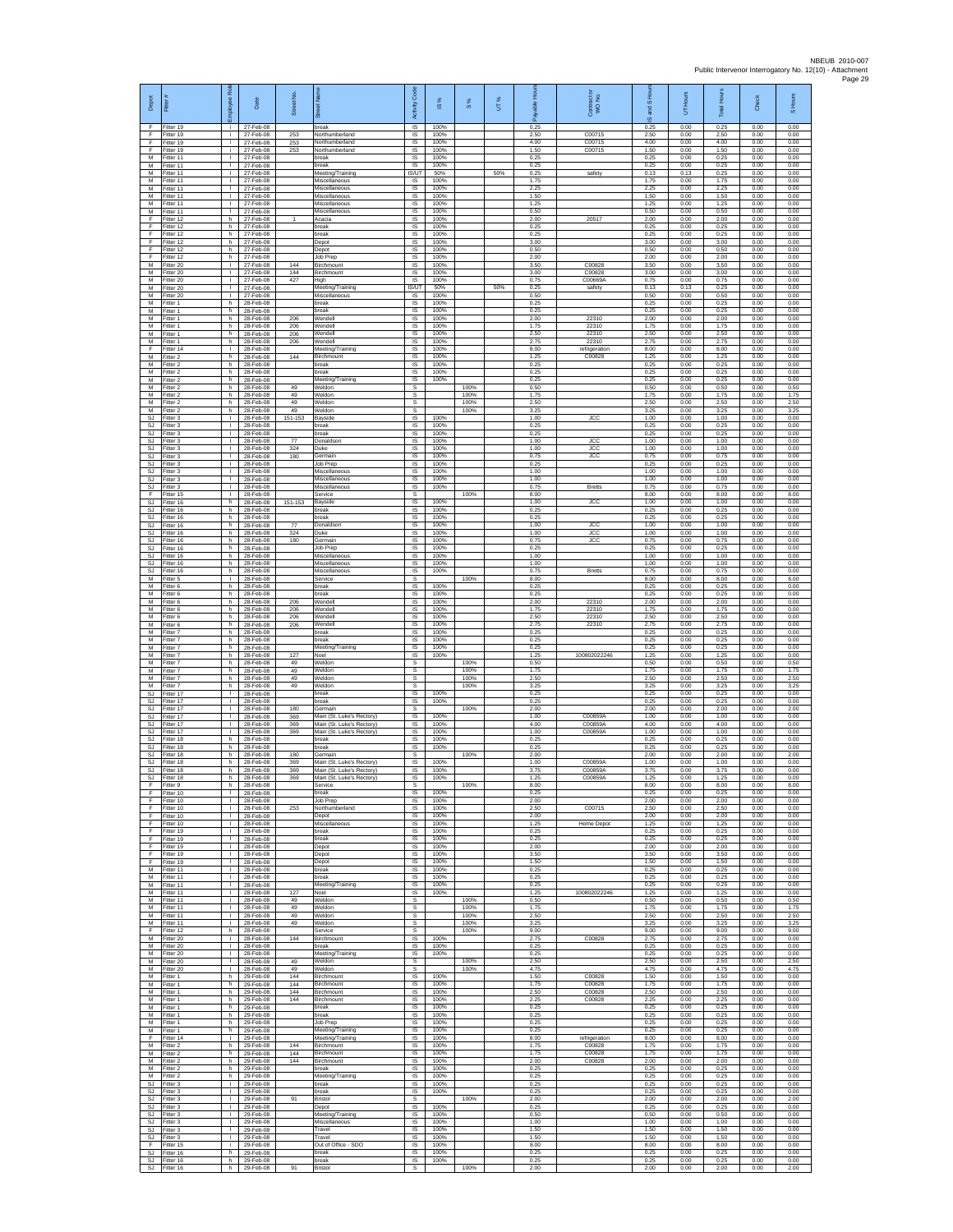| Depot                         | Fitter                              | ployee Rol                                   | Date                                | Street No.        |                                                                   | Code<br>Activity                    | ഇ                    | $\frac{8}{3}$        | UT% | <u>F</u><br>eler<br>Pa | Contract or<br>WO No.         | and S Hour<br>$\overline{\omega}$ | UT Hours             | Total Hours          | Check                | S Hours              |
|-------------------------------|-------------------------------------|----------------------------------------------|-------------------------------------|-------------------|-------------------------------------------------------------------|-------------------------------------|----------------------|----------------------|-----|------------------------|-------------------------------|-----------------------------------|----------------------|----------------------|----------------------|----------------------|
| F<br>F                        | Fitter 19<br>Fitter 19              | i.<br>i.                                     | 27-Feb-08<br>27-Feb-08              | 253               | break<br>Northumberland                                           | $\overline{\mathsf{S}}$<br>$\sf IS$ | 100%<br>100%         |                      |     | 0.25<br>2.50           | C00715                        | 0.25<br>2.50                      | 0.00<br>0.00         | 0.25<br>2.50         | 0.00<br>0.00         | 0.00<br>0.00         |
| F<br>F<br>M                   | litter 19<br>Fitter 19<br>Fitter 11 | j.<br>j.<br>т.                               | 27-Feb-08<br>27-Feb-08<br>27-Feb-08 | 253<br>253        | Northumberland<br>Northumberland<br>break                         | IS<br>IS<br>IS                      | 100%<br>100%<br>100% |                      |     | 4.00<br>1.50<br>0.25   | C00715<br>C00715              | 4.00<br>1.50<br>0.25              | 0.00<br>0.00<br>0.00 | 4.00<br>1.50<br>0.25 | 0.00<br>0.00<br>0.00 | 0.00<br>0.00<br>0.00 |
| M<br>M                        | Fitter 11<br>fitter 11              | $\mathbb{L}$<br>T.                           | 27-Feb-08<br>27-Feb-08              |                   | break<br>Meeting/Training                                         | IS<br><b>IS/UT</b>                  | 100%<br>50%          |                      | 50% | 0.25<br>0.25           | safety                        | 0.25<br>0.13                      | 0.00<br>0.13         | 0.25<br>0.25         | 0.00<br>0.00         | 0.00<br>0.00         |
| M<br>M                        | Fitter 11<br>Fitter 11              | л.<br>$\mathbf{L}$                           | 27-Feb-08<br>27-Feb-08              |                   | Miscellaneous<br>Miscellaneous                                    | IS<br>IS                            | 100%<br>100%         |                      |     | 1.75<br>2.25           |                               | 1.75<br>2.25                      | 0.00<br>0.00         | 1.75<br>2.25         | 0.00<br>0.00         | 0.00<br>0.00         |
| М<br>M<br>M                   | Fitter 11<br>-itter 11<br>Fitter 11 | T.<br>$\mathbf{L}$<br>т.                     | 27-Feb-08<br>27-Feb-08<br>27-Feb-08 |                   | Miscellaneous<br>Miscellaneous<br>Miscellaneous                   | $\sf IS$<br><b>IS</b><br>IS         | 100%<br>100%<br>100% |                      |     | 1.50<br>1.25<br>0.50   |                               | 1.50<br>1.25<br>0.50              | 0.00<br>0.00<br>0.00 | 1.50<br>1.25<br>0.50 | 0.00<br>0.00<br>0.00 | 0.00<br>0.00<br>0.00 |
| F<br>F                        | itter 12<br>fitter 12               | h<br>h.                                      | 27-Feb-08<br>27-Feb-08              |                   | Acacia<br>break                                                   | IS<br>IS                            | 100%<br>100%         |                      |     | 2.00<br>0.25           | 20517                         | 2.00<br>0.25                      | 0.00<br>0.00         | 2.00<br>0.25         | 0.00<br>0.00         | 0.00<br>0.00         |
| F<br>F<br>F                   | Fitter 12<br>itter 12<br>Fitter 12  | h.<br>h<br>h                                 | 27-Feb-08<br>27-Feb-08<br>27-Feb-08 |                   | break<br>Depot<br>Depot                                           | IS<br>IS<br>IS                      | 100%<br>100%<br>100% |                      |     | 0.25<br>3.00<br>0.50   |                               | 0.25<br>3.00<br>0.50              | 0.00<br>0.00<br>0.00 | 0.25<br>3.00<br>0.50 | 0.00<br>0.00<br>0.00 | 0.00<br>0.00<br>0.00 |
| F<br>M                        | fitter 12<br>Fitter 20              | h.<br>L.                                     | 27-Feb-08<br>27-Feb-08              | 144               | Job Prep<br>Birchmount                                            | IS<br>IS                            | 100%<br>100%         |                      |     | 2.00<br>3.50           | C00828                        | 2.00<br>3.50                      | 0.00<br>0.00         | 2.00<br>3.50         | 0.00<br>0.00         | 0.00<br>0.00         |
| М<br>M<br>M                   | Fitter 20<br>itter 20               | $\mathbf{L}$<br>T.                           | 27-Feb-08<br>27-Feb-08<br>27-Feb-08 | 144<br>427        | Birchmount<br>Hiigh                                               | $\sf IS$<br>IS                      | 100%<br>100%         |                      | 50% | 3.00<br>0.75           | C00828<br>C00669A             | 3.00<br>0.75                      | 0.00<br>0.00         | 3.00<br>0.75         | 0.00<br>0.00         | 0.00<br>0.00         |
| M<br>М                        | Fitter 20<br>Fitter 20<br>Fitter 1  | л.<br>л.<br>h                                | 27-Feb-08<br>28-Feb-08              |                   | Meeting/Training<br>Miscellaneous<br>break                        | <b>IS/UT</b><br><b>IS</b><br>IS     | 50%<br>100%<br>100%  |                      |     | 0.25<br>0.50<br>0.25   | safety                        | 0.13<br>0.50<br>0.25              | 0.13<br>0.00<br>0.00 | 0.25<br>0.50<br>0.25 | 0.00<br>0.00<br>0.00 | 0.00<br>0.00<br>0.00 |
| M<br>M                        | Fitter 1<br>Fitter 1                | h.<br>h.                                     | 28-Feb-08<br>28-Feb-08              | 206               | break<br>Wendell                                                  | IS<br>IS                            | 100%<br>100%         |                      |     | 0.25<br>2.00           | 22310                         | 0.25<br>2.00                      | 0.00<br>0.00         | 0.25<br>2.00         | 0.00<br>0.00         | 0.00<br>0.00         |
| М<br>M<br>M                   | itter 1<br>itter 1<br>Fitter 1      | h<br>h.<br>h.                                | 28-Feb-08<br>28-Feb-08<br>28-Feb-08 | 206<br>206<br>206 | Wendell<br>Wendell<br>Wendell                                     | IS<br>$\sf IS$<br><b>IS</b>         | 100%<br>100%<br>100% |                      |     | 1.75<br>2.50<br>2.75   | 22310<br>22310<br>22310       | 1.75<br>2.50<br>2.75              | 0.00<br>0.00<br>0.00 | 1.75<br>2.50<br>2.75 | 0.00<br>0.00<br>0.00 | 0.00<br>0.00<br>0.00 |
| F<br>М                        | Fitter 14<br>Fitter 2               | т.<br>h                                      | 28-Feb-08<br>28-Feb-08              | 144               | Meeting/Training<br>Birchmount                                    | IS<br>IS                            | 100%<br>100%         |                      |     | 8.00<br>1.25           | refrigeration<br>C00828       | 8.00<br>1.25                      | 0.00<br>0.00         | 8.00<br>1.25         | 0.00<br>0.00         | 0.00<br>0.00         |
| М<br>M<br>M                   | itter 2<br>Fitter 2<br>Fitter 2     | h.<br>h.<br>h.                               | 28-Feb-08<br>28-Feb-08<br>28-Feb-08 |                   | oreak<br>break<br>Meeting/Training                                | IS<br>IS<br>IS                      | 100%<br>100%<br>100% |                      |     | 0.25<br>0.25<br>0.25   |                               | 0.25<br>0.25<br>0.25              | 0.00<br>0.00<br>0.00 | 0.25<br>0.25<br>0.25 | 0.00<br>0.00<br>0.00 | 0.00<br>0.00<br>0.00 |
| М<br>M                        | Fitter 2<br>Fitter 2                | h<br>h.                                      | 28-Feb-08<br>28-Feb-08              | 49<br>49          | Weldon<br>Weldon                                                  | s<br>s                              |                      | 100%<br>100%         |     | 0.50<br>1.75           |                               | 0.50<br>1.75                      | 0.00<br>0.00         | 0.50<br>1.75         | 0.00<br>0.00         | 0.50<br>1.75         |
| M<br>М                        | Fitter 2<br>itter 2                 | h<br>h                                       | 28-Feb-08<br>28-Feb-08              | 49<br>49          | Weldon<br>Weldon                                                  | s<br>s                              | 100%                 | 100%<br>100%         |     | 2.50<br>3.25           |                               | 2.50<br>3.25                      | 0.00<br>0.00         | 2.50<br>3.25         | 0.00<br>0.00         | 2.50<br>3.25         |
| <b>SJ</b><br>SJ.<br><b>SJ</b> | fitter 3<br>Fitter 3<br>Fitter 3    | т.<br>$\mathbf{L}$<br>т.                     | 28-Feb-08<br>28-Feb-08<br>28-Feb-08 | 151-153           | Bayside<br>break<br>break                                         | IS<br>$\overline{\mathsf{s}}$<br>IS | 100%<br>100%         |                      |     | 1.00<br>0.25<br>0.25   | <b>JCC</b>                    | 1.00<br>0.25<br>0.25              | 0.00<br>0.00<br>0.00 | 1.00<br>0.25<br>0.25 | 0.00<br>0.00<br>0.00 | 0.00<br>0.00<br>0.00 |
| SJ<br><b>SJ</b>               | Fitter 3<br>fitter 3                | т.<br>T.                                     | 28-Feb-08<br>28-Feb-08              | 77<br>324         | Donaldsor<br>Duke                                                 | IS<br>IS                            | 100%<br>100%         |                      |     | 1.00<br>1.00           | <b>JCC</b><br><b>JCC</b>      | 1.00<br>1.00                      | 0.00<br>0.00         | 1.00<br>1.00         | 0.00<br>0.00         | 0.00<br>0.00         |
| <b>SJ</b><br>SJ<br><b>SJ</b>  | Fitter 3<br>Fitter 3<br>fitter 3    | L.<br>$\mathbf{L}$<br>T.                     | 28-Feb-08<br>28-Feb-08<br>28-Feb-08 | 180               | Germain<br>Job Prep<br>Miscellaneous                              | IS<br>$\sf IS$<br>IS                | 100%<br>100%<br>100% |                      |     | 0.75<br>0.25<br>1.00   | <b>JCC</b>                    | 0.75<br>0.25<br>1.00              | 0.00<br>0.00<br>0.00 | 0.75<br>0.25<br>1.00 | 0.00<br>0.00<br>0.00 | 0.00<br>0.00<br>0.00 |
| SJ.<br><b>SJ</b>              | Fitter 3<br>Fitter 3                | л.<br>л.                                     | 28-Feb-08<br>28-Feb-08              |                   | Miscellaneous<br>Miscellaneous                                    | -IS<br>IS                           | 100%<br>100%         |                      |     | 1.00<br>0.75           | Bretts                        | 1.00<br>0.75                      | 0.00<br>0.00         | 1.00<br>0.75         | 0.00<br>0.00         | 0.00<br>0.00         |
| F<br>SJ<br>SJ                 | Fitter 15<br>Fitter 16<br>Fitter 16 | т.<br>h.<br>h.                               | 28-Feb-08<br>28-Feb-08<br>28-Feb-08 | 151-153           | Service<br>Bayside<br>break                                       | s<br>IS<br>$\overline{\mathsf{s}}$  | 100%<br>100%         | 100%                 |     | 8.00<br>1.00<br>0.25   | <b>JCC</b>                    | 8.00<br>1.00<br>0.25              | 0.00<br>0.00<br>0.00 | 8.00<br>1.00<br>0.25 | 0.00<br>0.00<br>0.00 | 8.00<br>0.00<br>0.00 |
| SJ<br>SJ                      | Fitter 16<br>fitter 16              | h<br>h.                                      | 28-Feb-08<br>28-Feb-08              | 77                | break<br>Donaldson                                                | $\sf IS$<br>IS                      | 100%<br>100%         |                      |     | 0.25<br>1.00           | <b>JCC</b>                    | 0.25<br>1.00                      | 0.00<br>0.00         | 0.25<br>1.00         | 0.00<br>0.00         | 0.00<br>0.00         |
| SJ.<br><b>SJ</b>              | Fitter 16<br>Fitter 16              | h.<br>h                                      | 28-Feb-08<br>28-Feb-08              | 324<br>180        | Duke<br>Germain                                                   | IS<br>IS                            | 100%<br>100%         |                      |     | 1.00<br>0.75           | <b>JCC</b><br><b>JCC</b>      | 1.00<br>0.75                      | 0.00<br>0.00         | 1.00<br>0.75         | 0.00<br>0.00         | 0.00<br>0.00         |
| SJ<br><b>SJ</b><br>SJ         | Fitter 16<br>fitter 16<br>Fitter 16 | h<br>h.<br>h                                 | 28-Feb-08<br>28-Feb-08<br>28-Feb-08 |                   | Job Prep<br>Miscellaneous<br>Miscellaneous                        | IS<br>IS<br>IS                      | 100%<br>100%<br>100% |                      |     | 0.25<br>1.00<br>1.00   |                               | 0.25<br>1.00<br>1.00              | 0.00<br>0.00<br>0.00 | 0.25<br>1.00<br>1.00 | 0.00<br>0.00<br>0.00 | 0.00<br>0.00<br>0.00 |
| SJ<br>М                       | Fitter 16<br>Fitter 5               | h.<br>$\mathbf{L}$                           | 28-Feb-08<br>28-Feb-08              |                   | Miscellaneous<br>Service                                          | IS<br>s                             | 100%                 | 100%                 |     | 0.75<br>8.00           | Bretts                        | 0.75<br>8.00                      | 0.00<br>0.00         | 0.75<br>8.00         | 0.00<br>0.00         | 0.00<br>8.00         |
| M<br>M<br>М                   | Fitter 6<br>Fitter 6<br>-itter 6    | h.<br>h.<br>h                                | 28-Feb-08<br>28-Feb-08<br>28-Feb-08 | 206               | break<br>break<br>Wendell                                         | <b>IS</b><br>IS<br>IS               | 100%<br>100%<br>100% |                      |     | 0.25<br>0.25<br>2.00   | 22310                         | 0.25<br>0.25<br>2.00              | 0.00<br>0.00<br>0.00 | 0.25<br>0.25<br>2.00 | 0.00<br>0.00<br>0.00 | 0.00<br>0.00<br>0.00 |
| M<br>M                        | itter 6<br>Fitter 6                 | h.<br>h.                                     | 28-Feb-08<br>28-Feb-08              | 206<br>206        | Wendell<br>Wendell                                                | IS<br>IS                            | 100%<br>100%         |                      |     | 1.75<br>2.50           | 22310<br>22310                | 1.75<br>2.50                      | 0.00<br>0.00         | 1.75<br>2.50         | 0.00<br>0.00         | 0.00<br>0.00         |
| М<br>М                        | itter 6<br>Fitter 7                 | h<br>h.                                      | 28-Feb-08<br>28-Feb-08              | 206               | Wendell<br>break                                                  | IS<br>IS                            | 100%<br>100%         |                      |     | 2.75<br>0.25           | 22310                         | 2.75<br>0.25                      | 0.00<br>0.00         | 2.75<br>0.25         | 0.00<br>0.00         | 0.00<br>0.00         |
| M<br>M<br>М                   | fitter 7<br>Fitter 7<br>Fitter 7    | h.<br>h<br>h.                                | 28-Feb-08<br>28-Feb-08<br>28-Feb-08 | 127               | preak<br>Meeting/Training<br>Noel                                 | IS<br>IS<br>$\sf IS$                | 100%<br>100%<br>100% |                      |     | 0.25<br>0.25<br>1.25   | 100802022246                  | 0.25<br>0.25<br>1.25              | 0.00<br>0.00<br>0.00 | 0.25<br>0.25<br>1.25 | 0.00<br>0.00<br>0.00 | 0.00<br>0.00<br>0.00 |
| M<br>M                        | itter 7<br>Fitter 7                 | h.<br>h.                                     | 28-Feb-08<br>28-Feb-08              | 49<br>49          | Weldon<br>Weldon                                                  | s<br>s                              |                      | 100%<br>100%         |     | 0.50<br>1.75           |                               | 0.50<br>1.75                      | 0.00<br>0.00         | 0.50<br>1.75         | 0.00<br>0.00         | 0.50<br>1.75         |
| M<br>М<br><b>SJ</b>           | Fitter 7<br>Fitter 7<br>Fitter 17   | h.<br>h<br>Τ                                 | 28-Feb-08<br>28-Feb-08<br>28-Feb-08 | 49<br>49          | Weldon<br>Weldon<br>break                                         | s<br>s<br>IS                        | 100%                 | 100%<br>100%         |     | 2.50<br>3.25<br>0.25   |                               | 2.50<br>3.25<br>0.25              | 0.00<br>0.00<br>0.00 | 2.50<br>3.25<br>0.25 | 0.00<br>0.00<br>0.00 | 2.50<br>3.25<br>0.00 |
| SJ<br>SJ                      | Fitter 17<br>itter 17               | $\mathbf{L}$<br>T.                           | 28-Feb-08<br>28-Feb-08              | 180               | break<br>Germain                                                  | $\overline{\mathsf{s}}$<br>s        | 100%                 | 100%                 |     | 0.25<br>2.00           |                               | 0.25<br>2.00                      | 0.00<br>0.00         | 0.25<br>2.00         | 0.00<br>0.00         | 0.00<br>2.00         |
| SJ<br><b>SJ</b><br>SJ.        | fitter 17<br>Fitter 17<br>Fitter 17 | $\mathbf{L}$<br>т.<br>$\mathbf{I}$           | 28-Feb-08<br>28-Feb-08<br>28-Feb-08 | 369<br>369<br>369 | Main (St. Luke's Rectory)<br>Main (St. Luke's Rectory)            | $\sf IS$<br><b>IS</b><br>IS         | 100%<br>100%<br>100% |                      |     | 1.00<br>4.00<br>1.00   | C00859A<br>C00859A<br>C00859A | 1.00<br>4.00<br>1.00              | 0.00<br>0.00<br>0.00 | 1.00<br>4.00<br>1.00 | 0.00<br>0.00<br>0.00 | 0.00<br>0.00<br>0.00 |
| <b>SJ</b><br><b>SJ</b>        | Fitter 18<br>itter 18               | h<br>h.                                      | 28-Feb-08<br>28-Feb-08              |                   | Main (St. Luke's Rectory)<br>break<br>oreak                       | IS<br>IS                            | 100%<br>100%         |                      |     | 0.25<br>0.25           |                               | 0.25<br>0.25                      | 0.00<br>0.00         | 0.25<br>0.25         | 0.00<br>0.00         | 0.00<br>0.00         |
| <b>SJ</b><br><b>SJ</b>        | Fitter 18<br>Fitter 18              | h<br>h.                                      | 28-Feb-08<br>28-Feb-08              | 180<br>369        | Germain<br>Main (St. Luke's Rectory)                              | .s<br>IS                            | 100%                 | 100%                 |     | 2.00<br>1.00           | C00859A                       | 2.00<br>1.00                      | 0.00<br>0.00         | 2.00<br>1.00         | 0.00<br>0.00         | 2.00<br>0.00         |
| SJ<br>SJ.                     | Fitter 18<br>-itter 18<br>Fitter 9  | h<br>h.<br>h                                 | 28-Feb-08<br>28-Feb-08<br>28-Feb-08 | 369<br>369        | Main (St. Luke's Rectory)<br>Main (St. Luke's Rectory)<br>Service | IS<br>IS<br>S                       | 100%<br>100%         | 100%                 |     | 3.75<br>1.25<br>8.00   | C00859A<br>C00859A            | 3.75<br>1.25<br>8.00              | 0.00<br>0.00<br>0.00 | 3.75<br>1.25<br>8.00 | 0.00<br>0.00<br>0.00 | 0.00<br>0.00<br>8.00 |
| F<br>F                        | Fitter 10<br>Fitter 10              | $\mathbf{L}$<br>т                            | 28-Feb-08<br>28-Feb-08              |                   | break<br><b>Job Prep</b>                                          | IS<br><b>IS</b>                     | 100%<br>100%         |                      |     | 0.25<br>2.00           |                               | 0.25<br>2.00                      | 0.00<br>0.00         | 0.25<br>2.00         | 0.00<br>0.00         | 0.00<br>0.00         |
| F<br>F<br>F                   | Fitter 10<br>Fitter 10<br>Fitter 10 | $\mathbf{L}$<br>$\mathbf{L}$<br>$\mathbb{L}$ | 28-Feb-08<br>28-Feb-08<br>28-Feb-08 | 253               | Northumberland<br>Depot<br>Miscellaneous                          | <b>IS</b><br>IS<br>IS               | 100%<br>100%<br>100% |                      |     | 2.50<br>2.00<br>1.25   | C00715<br><b>Home Depot</b>   | 2.50<br>2.00<br>1.25              | 0.00<br>0.00<br>0.00 | 2.50<br>2.00<br>1.25 | 0.00<br>0.00<br>0.00 | 0.00<br>0.00<br>0.00 |
| F<br>E                        | Fitter 19<br>Fitter 19              | $\mathbf{L}$<br>$\mathbb{R}$                 | 28-Feb-08<br>28-Feb-08              |                   | break<br>break                                                    | IS<br>IS                            | 100%<br>100%         |                      |     | 0.25<br>0.25           |                               | 0.25<br>0.25                      | 0.00<br>0.00         | 0.25<br>0.25         | 0.00<br>0.00         | 0.00<br>0.00         |
| F.<br>F<br>F                  | Fitter 19<br>fitter 19<br>Fitter 19 | $\mathbb{L}$<br>$\mathbf{L}$<br>$\mathbf{L}$ | 28-Feb-08<br>28-Feb-08<br>28-Feb-08 |                   | Depot<br>Depot<br>Depot                                           | IS<br>IS<br><b>IS</b>               | 100%<br>100%<br>100% |                      |     | 2.00<br>3.50<br>1.50   |                               | 2.00<br>3.50<br>1.50              | 0.00<br>0.00<br>0.00 | 2.00<br>3.50<br>1.50 | 0.00<br>0.00<br>0.00 | 0.00<br>0.00<br>0.00 |
| м<br>М                        | Fitter 11<br>Fitter 11              | <b>ILL S</b><br>т.                           | 28-Feb-08<br>28-Feb-08              |                   | break<br>break                                                    | IS<br>IS                            | 100%<br>100%         |                      |     | 0.25<br>0.25           |                               | 0.25<br>0.25                      | 0.00<br>0.00         | 0.25<br>0.25         | 0.00<br>0.00         | 0.00<br>0.00         |
| M                             | Fitter 11<br>M Fitter 11            | $\mathbb{R}$<br>$\mathbf{L}$                 | 28-Feb-08<br>28-Feb-08<br>28-Feb-08 | 127               | Meeting/Training<br>Noel                                          | <b>IS</b><br><b>IS</b>              | 100%<br>100%         |                      |     | 0.25<br>1.25           | 100802022246                  | 0.25<br>1.25                      | 0.00<br>0.00         | 0.25<br>1.25         | 0.00<br>0.00         | 0.00<br>0.00         |
| м<br>M<br>M                   | Fitter 11<br>Fitter 11<br>Fitter 11 | $\mathbf{L}$<br>$\mathbf{L}$<br>$\mathbf{L}$ | 28-Feb-08<br>28-Feb-08              | 49<br>49<br>49    | Weldon<br>Weldon<br>Weldon                                        | $\mathbb S$<br>$\mathbb S$<br>s     |                      | 100%<br>100%<br>100% |     | 0.50<br>1.75<br>2.50   |                               | 0.50<br>1.75<br>2.50              | 0.00<br>0.00<br>0.00 | 0.50<br>1.75<br>2.50 | 0.00<br>0.00<br>0.00 | 0.50<br>1.75<br>2.50 |
| M<br>F                        | Fitter 11<br>Fitter 12              | $\mathbf{L}$<br>h.                           | 28-Feb-08<br>28-Feb-08              | 49                | Weldon<br>Service                                                 | s<br>s                              |                      | 100%<br>100%         |     | 3.25<br>9.00           |                               | 3.25<br>9.00                      | 0.00<br>0.00         | 3.25<br>9.00         | 0.00<br>0.00         | 3.25<br>9.00         |
| М<br>M<br>M                   | fitter 20<br>Fitter 20<br>Fitter 20 | $\mathbf{L}$<br>л.<br>$\mathbf{L}$           | 28-Feb-08<br>28-Feb-08<br>28-Feb-08 | 144               | Birchmount<br>break<br>Meeting/Training                           | IS<br><b>IS</b><br>IS               | 100%<br>100%<br>100% |                      |     | 2.75<br>0.25<br>0.25   | C00828                        | 2.75<br>0.25<br>0.25              | 0.00<br>0.00<br>0.00 | 2.75<br>0.25<br>0.25 | 0.00<br>0.00<br>0.00 | 0.00<br>0.00<br>0.00 |
| М<br>M                        | Fitter 20<br>Fitter 20              | $\mathbf{L}$<br>$\mathbf{L}$                 | 28-Feb-08<br>28-Feb-08              | 49<br>49          | Weldon<br>Weldon                                                  | s<br>s                              |                      | 100%<br>100%         |     | 2.50<br>4.75           |                               | 2.50<br>4.75                      | 0.00<br>0.00         | 2.50<br>4.75         | 0.00<br>0.00         | 2.50<br>4.75         |
| M<br>М<br>M                   | Fitter 1<br>Fitter 1<br>fitter 1    | h.<br>h<br>h.                                | 29-Feb-08<br>29-Feb-08<br>29-Feb-08 | 144<br>144<br>144 | Birchmount<br>Birchmount<br>Birchmount                            | IS<br>IS<br>IS                      | 100%<br>100%<br>100% |                      |     | 1.50<br>1.75<br>2.50   | C00828<br>C00828<br>C00828    | 1.50<br>1.75<br>2.50              | 0.00<br>0.00<br>0.00 | 1.50<br>1.75<br>2.50 | 0.00<br>0.00<br>0.00 | 0.00<br>0.00<br>0.00 |
| M<br>М                        | Fitter 1<br>Fitter 1                | h.<br>h.                                     | 29-Feb-08<br>29-Feb-08              | 144               | Birchmount<br>break                                               | IS<br>IS                            | 100%<br>100%         |                      |     | 2.25<br>0.25           | C00828                        | 2.25<br>0.25                      | 0.00<br>0.00         | 2.25<br>0.25         | 0.00<br>0.00         | 0.00<br>0.00         |
| М<br>M                        | Fitter 1<br>Fitter 1                | h.<br>h.                                     | 29-Feb-08<br>29-Feb-08              |                   | break<br>Job Prep                                                 | 1S<br>IS                            | 100%<br>100%         |                      |     | 0.25<br>0.25           |                               | 0.25<br>0.25                      | 0.00<br>0.00         | 0.25<br>0.25         | 0.00<br>0.00         | 0.00<br>0.00         |
| M<br>F<br>М                   | Fitter 1<br>Fitter 14<br>itter 2    | h<br>$\mathbb{L}$<br>h.                      | 29-Feb-08<br>29-Feb-08<br>29-Feb-08 | 144               | Meeting/Training<br>Meeting/Training<br>Birchmount                | $\sf IS$<br>$\sf IS$<br>IS          | 100%<br>100%<br>100% |                      |     | 0.25<br>8.00<br>1.75   | refrigeration<br>C00828       | 0.25<br>8.00<br>1.75              | 0.00<br>0.00<br>0.00 | 0.25<br>8.00<br>1.75 | 0.00<br>0.00<br>0.00 | 0.00<br>0.00<br>0.00 |
| M<br>M                        | Fitter 2<br>Fitter 2                | h.<br>h.                                     | 29-Feb-08<br>29-Feb-08              | 144<br>144        | Birchmount<br>Birchmount                                          | - IS<br><b>IS</b>                   | 100%<br>100%         |                      |     | 1.75<br>2.00           | C00828<br>C00828              | 1.75<br>2.00                      | 0.00<br>0.00         | 1.75<br>2.00         | 0.00<br>0.00         | 0.00<br>0.00         |
| М<br>M                        | Fitter 2<br>Fitter 2<br>SJ Fitter 3 | h<br>h.<br>$\mathbf{L}$                      | 29-Feb-08<br>29-Feb-08<br>29-Feb-08 |                   | break<br>Meeting/Training<br>break                                | IS<br>IS<br>IS                      | 100%<br>100%<br>100% |                      |     | 0.25<br>0.25<br>0.25   |                               | 0.25<br>0.25<br>0.25              | 0.00<br>0.00<br>0.00 | 0.25<br>0.25<br>0.25 | 0.00<br>0.00<br>0.00 | 0.00<br>0.00<br>0.00 |
| SJ<br>$\mathbb{S}\mathbb{J}$  | Fitter 3<br>Fitter 3                | $\mathbf{L}$<br>$\mathbf{L}$                 | 29-Feb-08<br>29-Feb-08              | 91                | break<br>Bristol                                                  | $\sf IS$<br>$\mathbb S$             | 100%                 | 100%                 |     | 0.25<br>2.00           |                               | 0.25<br>2.00                      | 0.00<br>0.00         | 0.25<br>2.00         | 0.00<br>0.00         | 0.00<br>2.00         |
| SJ.<br><b>SJ</b><br><b>SJ</b> | Fitter 3<br>Fitter 3<br>Fitter 3    | $\mathbf{L}$<br>$\mathbb{R}$<br>$\mathbf{L}$ | 29-Feb-08<br>29-Feb-08<br>29-Feb-08 |                   | Depot<br>Meeting/Training<br>Miscellaneous                        | $\overline{\mathsf{s}}$<br>IS<br>IS | 100%<br>100%<br>100% |                      |     | 0.25<br>0.50<br>1.00   |                               | 0.25<br>0.50<br>1.00              | 0.00<br>0.00<br>0.00 | 0.25<br>0.50<br>1.00 | 0.00<br>0.00<br>0.00 | 0.00<br>0.00<br>0.00 |
| SJ<br>SJ                      | fitter 3<br>Fitter 3                | $\mathbf{L}$<br>л.                           | 29-Feb-08<br>29-Feb-08              |                   | Travel<br>Travel                                                  | IS<br><b>IS</b>                     | 100%<br>100%         |                      |     | 1.50<br>1.50           |                               | 1.50<br>1.50                      | 0.00<br>0.00         | 1.50<br>1.50         | 0.00<br>0.00         | 0.00<br>0.00         |
| F.<br>$\mathbb{S}\mathbb{J}$  | Fitter 15<br>Fitter 16              | i.<br>h                                      | 29-Feb-08<br>29-Feb-08              |                   | Out of Office - SDO<br>break                                      | IS<br>IS                            | 100%<br>100%         |                      |     | 8.00<br>0.25           |                               | 8.00<br>0.25                      | 0.00<br>0.00         | 8.00<br>0.25         | 0.00<br>0.00         | 0.00<br>0.00         |
|                               | SJ Fitter 16<br>SJ Fitter 16        |                                              | h 29-Feb-08<br>h 29-Feb-08          | 91                | break<br><b>Bristol</b>                                           | $\mathsf{IS}$<br>s                  | 100%                 | 100%                 |     | 0.25<br>2.00           |                               | 0.25<br>2.00                      | 0.00<br>0.00         | 0.25<br>2.00         | 0.00<br>0.00         | 0.00<br>2.00         |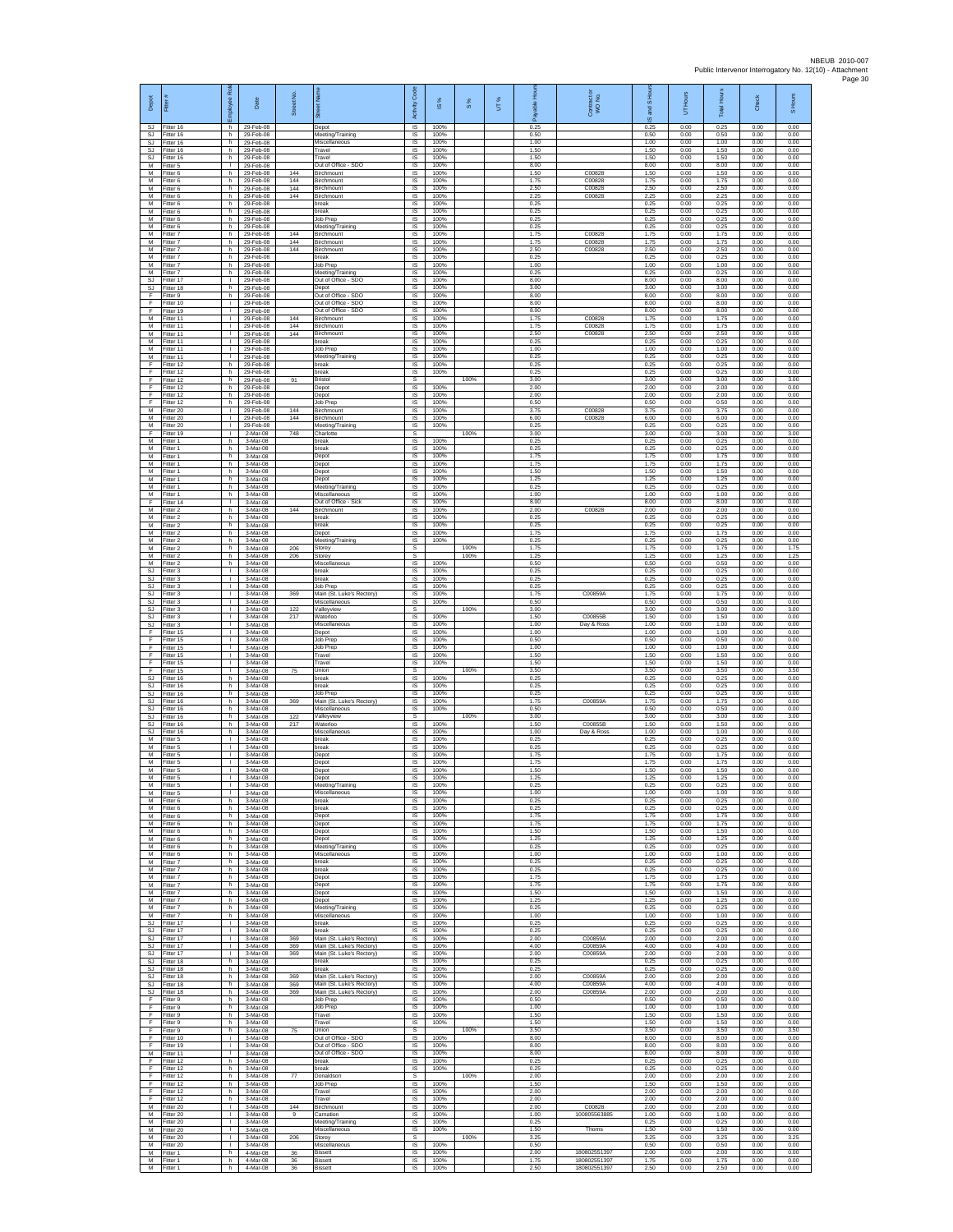| Depot                        | Fitter                              | ployee Rol                         | Date                                | Street No  |                                                                    | Code<br>Activity                    | ഇ                    | $\frac{8}{3}$ | UT% | Ē<br>eler<br>Pa      | Contract or<br>WO No.        | and S Hour<br>$\overline{\omega}$ | UT Hours             | <b>Total Hours</b>   | Check                | S Hours              |
|------------------------------|-------------------------------------|------------------------------------|-------------------------------------|------------|--------------------------------------------------------------------|-------------------------------------|----------------------|---------------|-----|----------------------|------------------------------|-----------------------------------|----------------------|----------------------|----------------------|----------------------|
| SJ<br>SJ                     | Fitter 16<br>Fitter 16              | h.<br>h.                           | 29-Feb-08<br>29-Feb-08              |            | Depot<br>Meeting/Training                                          | $\overline{\mathsf{S}}$<br>$\sf IS$ | 100%<br>100%         |               |     | 0.25<br>0.50         |                              | 0.25<br>0.50                      | 0.00<br>0.00         | 0.25<br>0.50         | 0.00<br>0.00         | 0.00<br>0.00         |
| SJ<br>SJ.<br><b>SJ</b>       | litter 16<br>Fitter 16<br>Fitter 16 | h.<br>h.<br>h.                     | 29-Feb-08<br>29-Feb-08<br>29-Feb-08 |            | Miscellaneous<br>Travel<br>Travel                                  | IS<br>IS<br>IS                      | 100%<br>100%<br>100% |               |     | 1.00<br>1.50<br>1.50 |                              | 1.00<br>1.50<br>1.50              | 0.00<br>0.00<br>0.00 | 1.00<br>1.50<br>1.50 | 0.00<br>0.00<br>0.00 | 0.00<br>0.00<br>0.00 |
| M<br>M                       | Fitter 5<br>itter 6                 | $\mathbb{L}$<br>h                  | 29-Feb-08<br>29-Feb-08              | 144        | Out of Office - SDO<br><b>Birchmount</b>                           | IS<br>IS                            | 100%<br>100%         |               |     | 8.00<br>1.50         | C00828                       | 8.00<br>1.50                      | 0.00<br>0.00         | 8.00<br>1.50         | 0.00<br>0.00         | 0.00<br>0.00         |
| M<br>M                       | Fitter 6<br>Fitter 6                | h.<br>h.                           | 29-Feb-08<br>29-Feb-08              | 144<br>144 | Birchmount<br>Birchmount                                           | <b>IS</b><br>IS                     | 100%<br>100%         |               |     | 1.75<br>2.50         | C00828<br>C00828             | 1.75<br>2.50                      | 0.00<br>0.00         | 1.75<br>2.50         | 0.00<br>0.00         | 0.00<br>0.00         |
| М<br>M<br>M                  | Fitter 6<br>Fitter 6<br>Fitter 6    | h<br>h.<br>h.                      | 29-Feb-08<br>29-Feb-08<br>29-Feb-08 | 144        | Birchmount<br>break<br>break                                       | IS<br>IS<br>IS                      | 100%<br>100%<br>100% |               |     | 2.25<br>0.25<br>0.25 | C00828                       | 2.25<br>0.25<br>0.25              | 0.00<br>0.00<br>0.00 | 2.25<br>0.25<br>0.25 | 0.00<br>0.00<br>0.00 | 0.00<br>0.00<br>0.00 |
| М<br>M                       | Fitter 6<br>itter 6                 | h<br>h.                            | 29-Feb-08<br>29-Feb-08              |            | Job Prep<br>Meeting/Training                                       | IS<br>IS                            | 100%<br>100%         |               |     | 0.25<br>0.25         |                              | 0.25<br>0.25                      | 0.00<br>0.00         | 0.25<br>0.25         | 0.00<br>0.00         | 0.00<br>0.00         |
| M<br>М                       | Fitter 7<br>itter 7                 | h.<br>h                            | 29-Feb-08<br>29-Feb-08              | 144<br>144 | Birchmount<br>Birchmount                                           | IS<br>IS                            | 100%<br>100%         |               |     | 1.75<br>1.75         | C00828<br>C00828             | 1.75<br>1.75                      | 0.00<br>0.00         | 1.75<br>1.75         | 0.00<br>0.00         | 0.00<br>0.00         |
| М<br>M<br>M                  | Fitter 7<br>fitter 7<br>Fitter 7    | h.<br>h.<br>h                      | 29-Feb-08<br>29-Feb-08<br>29-Feb-08 | 144        | Birchmount<br>oreak<br>Job Prep                                    | IS<br>IS                            | 100%<br>100%<br>100% |               |     | 2.50<br>0.25<br>1.00 | C00828                       | 2.50<br>0.25<br>1.00              | 0.00<br>0.00<br>0.00 | 2.50<br>0.25<br>1.00 | 0.00<br>0.00<br>0.00 | 0.00<br>0.00<br>0.00 |
| М<br><b>SJ</b>               | Fitter 7<br>itter 17                | h.<br>$\mathbf{I}$                 | 29-Feb-08<br>29-Feb-08              |            | Meeting/Training<br>Out of Office - SDO                            | IS<br>$\sf IS$<br>IS                | 100%<br>100%         |               |     | 0.25<br>8.00         |                              | 0.25<br>8.00                      | 0.00<br>0.00         | 0.25<br>8.00         | 0.00<br>0.00         | 0.00<br>0.00         |
| <b>SJ</b><br>F               | Fitter 18<br>Fitter 9               | h.<br>h.                           | 29-Feb-08<br>29-Feb-08              |            | Depot<br>Out of Office - SDO                                       | IS<br>IS                            | 100%<br>100%         |               |     | 3.00<br>8.00         |                              | 3.00<br>8.00                      | 0.00<br>0.00         | 3.00<br>8.00         | 0.00<br>0.00         | 0.00<br>0.00         |
| F<br>F<br>M                  | Fitter 10<br>Fitter 19              | ÷<br>j.<br>$\mathbf{L}$            | 29-Feb-08<br>29-Feb-08              | 144        | Out of Office - SDO<br>Out of Office - SDO<br>Birchmount           | IS<br>IS<br>IS                      | 100%<br>100%<br>100% |               |     | 8.00<br>8.00<br>1.75 | C00828                       | 8.00<br>8.00<br>1.75              | 0.00<br>0.00<br>0.00 | 8.00<br>8.00<br>1.75 | 0.00<br>0.00<br>0.00 | 0.00<br>0.00<br>0.00 |
| М<br>M                       | Fitter 11<br>itter 11<br>fitter 11  | T.<br>$\mathbf{L}$                 | 29-Feb-08<br>29-Feb-08<br>29-Feb-08 | 144<br>144 | Birchmount<br>Birchmount                                           | IS<br>$\sf IS$                      | 100%<br>100%         |               |     | 1.75<br>2.50         | C00828<br>C00828             | 1.75<br>2.50                      | 0.00<br>0.00         | 1.75<br>2.50         | 0.00<br>0.00         | 0.00<br>0.00         |
| M<br>M                       | Fitter 11<br>Fitter 11              | т.<br>т.                           | 29-Feb-08<br>29-Feb-08              |            | break<br>Job Prep                                                  | <b>IS</b><br>IS                     | 100%<br>100%         |               |     | 0.25<br>1.00         |                              | 0.25<br>1.00                      | 0.00<br>0.00         | 0.25<br>1.00         | 0.00<br>0.00         | 0.00<br>0.00         |
| М<br>F                       | Fitter 11<br>itter 12               | т.<br>h.                           | 29-Feb-08<br>29-Feb-08              |            | Meeting/Training<br>preak                                          | IS<br>IS<br>IS                      | 100%<br>100%         |               |     | 0.25<br>0.25<br>0.25 |                              | 0.25<br>0.25<br>0.25              | 0.00<br>0.00<br>0.00 | 0.25<br>0.25<br>0.25 | 0.00<br>0.00<br>0.00 | 0.00<br>0.00<br>0.00 |
| F<br>F<br>F                  | Fitter 12<br>Fitter 12<br>Fitter 12 | h.<br>h.<br>h                      | 29-Feb-08<br>29-Feb-08<br>29-Feb-08 | 91         | break<br>Bristol<br>Depot                                          | s<br>$\sf IS$                       | 100%<br>100%         | 100%          |     | 3.00<br>2.00         |                              | 3.00<br>2.00                      | 0.00<br>0.00         | 3.00<br>2.00         | 0.00<br>0.00         | 3.00<br>0.00         |
| F<br>F                       | Fitter 12<br>Fitter 12              | h.<br>h                            | 29-Feb-08<br>29-Feb-08              |            | Depot<br>Job Prep                                                  | IS<br>IS                            | 100%<br>100%         |               |     | 2.00<br>0.50         |                              | 2.00<br>0.50                      | 0.00<br>0.00         | 2.00<br>0.50         | 0.00<br>0.00         | 0.00<br>0.00         |
| М<br>M<br>M                  | fitter 20<br>fitter 20<br>Fitter 20 | т.<br>т<br>$\mathbf{L}$            | 29-Feb-08<br>29-Feb-08<br>29-Feb-08 | 144<br>144 | Birchmount<br>Birchmount<br>Meeting/Training                       | IS<br>IS<br><b>IS</b>               | 100%<br>100%<br>100% |               |     | 3.75<br>6.00<br>0.25 | C00828<br>C00828             | 3.75<br>6.00<br>0.25              | 0.00<br>0.00<br>0.00 | 3.75<br>6.00<br>0.25 | 0.00<br>0.00<br>0.00 | 0.00<br>0.00<br>0.00 |
| F<br>M                       | Fitter 19<br>Fitter 1               | $\mathbf{I}$<br>h                  | 2-Mar-08<br>3-Mar-08                | 748        | Charlotte<br>break                                                 | s<br>IS                             | 100%                 | 100%          |     | 3.00<br>0.25         |                              | 3.00<br>0.25                      | 0.00<br>0.00         | 3.00<br>0.25         | 0.00<br>0.00         | 3.00<br>0.00         |
| M<br>M                       | fitter 1<br>Fitter 1                | h.<br>h                            | 3-Mar-08<br>3-Mar-08                |            | oreak<br>Depot                                                     | IS<br>IS                            | 100%<br>100%         |               |     | 0.25<br>1.75         |                              | 0.25<br>1.75                      | 0.00<br>0.00         | 0.25<br>1.75         | 0.00<br>0.00         | 0.00<br>0.00         |
| М<br>M<br>M                  | Fitter 1<br>fitter 1<br>Fitter 1    | h.<br>h                            | $3-Mar-08$<br>3-Mar-08<br>3-Mar-08  |            | Depot<br>Depot                                                     | $\sf IS$<br>IS                      | 100%<br>100%<br>100% |               |     | 1.75<br>1.50<br>1.25 |                              | 1.75<br>1.50<br>1.25              | 0.00<br>0.00<br>0.00 | 1.75<br>1.50<br>1.25 | 0.00<br>0.00<br>0.00 | 0.00<br>0.00<br>0.00 |
| M<br>М                       | Fitter 1<br>Fitter 1                | h.<br>h.<br>h                      | 3-Mar-08<br>3-Mar-08                |            | Depot<br>Meeting/Training<br>Miscellaneous                         | <b>IS</b><br>IS<br>IS               | 100%<br>100%         |               |     | 0.25<br>1.00         |                              | 0.25<br>1.00                      | 0.00<br>0.00         | 0.25<br>1.00         | 0.00<br>0.00         | 0.00<br>0.00         |
| F<br>M                       | Fitter 14<br>Fitter 2               | т.<br>h.                           | 3-Mar-08<br>3-Mar-08                | 144        | Out of Office - Sick<br><b>Birchmount</b>                          | IS<br>IS                            | 100%<br>100%         |               |     | 8.00<br>2.00         | C00828                       | 8.00<br>2.00                      | 0.00<br>0.00         | 8.00<br>2.00         | 0.00<br>0.00         | 0.00<br>0.00         |
| М<br>M<br>M                  | Fitter 2<br>itter 2<br>Fitter 2     | h.<br>h                            | 3-Mar-08<br>3-Mar-08<br>3-Mar-08    |            | break<br>break                                                     | $\sf IS$<br>IS<br>IS                | 100%<br>100%<br>100% |               |     | 0.25<br>0.25<br>1.75 |                              | 0.25<br>0.25<br>1.75              | 0.00<br>0.00<br>0.00 | 0.25<br>0.25<br>1.75 | 0.00<br>0.00<br>0.00 | 0.00<br>0.00<br>0.00 |
| M<br>М                       | Fitter 2<br>Fitter 2                | h.<br>h<br>h.                      | 3-Mar-08<br>3-Mar-08                | 206        | Depot<br>Meeting/Training<br>Storey                                | IS<br>s                             | 100%                 | 100%          |     | 0.25<br>1.75         |                              | 0.25<br>1.75                      | 0.00<br>0.00         | 0.25<br>1.75         | 0.00<br>0.00         | 0.00<br>1.75         |
| M<br>M                       | itter 2<br>Fitter 2                 | h<br>h.                            | 3-Mar-08<br>3-Mar-08                | 206        | Storey<br>Miscellaneous                                            | s<br><b>IS</b>                      | 100%                 | 100%          |     | 1.25<br>0.50         |                              | 1.25<br>0.50                      | 0.00<br>0.00         | 1.25<br>0.50         | 0.00<br>0.00         | 1.25<br>0.00         |
| SJ<br>SJ                     | Fitter 3<br>Fitter 3                | $\mathbf{L}$<br>T.<br>$\mathbf{I}$ | 3-Mar-08<br>3-Mar-08                |            | oreak<br>break                                                     | IS<br>$\sf IS$<br><b>IS</b>         | 100%<br>100%         |               |     | 0.25<br>0.25<br>0.25 |                              | 0.25<br>0.25                      | 0.00<br>0.00         | 0.25<br>0.25<br>0.25 | 0.00<br>0.00         | 0.00<br>0.00         |
| <b>SJ</b><br><b>SJ</b><br>SJ | Fitter 3<br>Fitter 3<br>-itter 3    | т.<br>٠                            | 3-Mar-08<br>3-Mar-08<br>3-Mar-08    | 369        | Job Prep<br>Main (St. Luke's Rectory)<br>Miscellaneous             | IS<br>IS                            | 100%<br>100%<br>100% |               |     | 1.75<br>0.50         | C00859A                      | 0.25<br>1.75<br>0.50              | 0.00<br>0.00<br>0.00 | 1.75<br>0.50         | 0.00<br>0.00<br>0.00 | 0.00<br>0.00<br>0.00 |
| <b>SJ</b><br>SJ              | fitter 3<br>Fitter 3                | т<br>$\mathbf{L}$                  | 3-Mar-08<br>3-Mar-08                | 122<br>217 | Valleyview<br>Waterloo                                             | s<br>IS                             | 100%                 | 100%          |     | 3.00<br>1.50         | C00855B                      | 3.00<br>1.50                      | 0.00<br>0.00         | 3.00<br>1.50         | 0.00<br>0.00         | 3.00<br>0.00         |
| <b>SJ</b><br>F<br>F          | itter 3<br>Fitter 15                | т.<br>$\mathbf{I}$<br>T.           | 3-Mar-08<br>3-Mar-08<br>3-Mar-08    |            | Miscellaneous<br>Depot<br>Job Prep                                 | IS<br>IS<br>IS                      | 100%<br>100%<br>100% |               |     | 1.00<br>1.00<br>0.50 | Day & Ross                   | 1.00<br>1.00<br>0.50              | 0.00<br>0.00<br>0.00 | 1.00<br>1.00<br>0.50 | 0.00<br>0.00<br>0.00 | 0.00<br>0.00<br>0.00 |
| F<br>F                       | fitter 15<br>Fitter 15<br>Fitter 15 | $\mathbf{I}$<br>$\mathbf{L}$       | 3-Mar-08<br>$3-Mar-08$              |            | Job Prep<br>Travel                                                 | IS<br>$\sf IS$                      | 100%<br>100%         |               |     | 1.00<br>1.50         |                              | 1.00<br>1.50                      | 0.00<br>0.00         | 1.00<br>1.50         | 0.00<br>0.00         | 0.00<br>0.00         |
| F<br>F                       | itter 15<br>Fitter 15               | T.<br>л.                           | 3-Mar-08<br>3-Mar-08                | 75         | Travel<br>Union                                                    | IS<br><b>s</b>                      | 100%                 | 100%          |     | 1.50<br>3.50         |                              | 1.50<br>3.50                      | 0.00<br>0.00         | 1.50<br>3.50         | 0.00<br>0.00         | 0.00<br>3.50         |
| SJ.<br>SJ<br><b>SJ</b>       | Fitter 16<br>Fitter 16<br>Fitter 16 | h.<br>h<br>h.                      | 3-Mar-08<br>3-Mar-08<br>3-Mar-08    |            | break<br>break<br>Job Prep                                         | IS<br>IS<br>IS                      | 100%<br>100%<br>100% |               |     | 0.25<br>0.25<br>0.25 |                              | 0.25<br>0.25<br>0.25              | 0.00<br>0.00<br>0.00 | 0.25<br>0.25<br>0.25 | 0.00<br>0.00<br>0.00 | 0.00<br>0.00<br>0.00 |
| SJ<br>SJ                     | Fitter 16<br>itter 16               | h.<br>h                            | 3-Mar-08<br>3-Mar-08                | 369        | Main (St. Luke's Rectory)<br>Miscellaneou:                         | IS<br>IS                            | 100%<br>100%         |               |     | 1.75<br>0.50         | C00859A                      | 1.75<br>0.50                      | 0.00<br>0.00         | 1.75<br>0.50         | 0.00<br>0.00         | 0.00<br>0.00         |
| SJ<br><b>SJ</b>              | fitter 16<br>Fitter 16              | h.<br>h.                           | 3-Mar-08<br>3-Mar-08                | 122<br>217 | Valleyview<br>Waterloo                                             | $\mathbb S$<br><b>IS</b>            | 100%                 | 100%          |     | 3.00<br>1.50         | C00855B                      | 3.00<br>1.50                      | 0.00<br>0.00         | 3.00<br>1.50         | 0.00<br>0.00         | 3.00<br>0.00         |
| SJ.<br>M<br>M                | Fitter 16<br>Fitter 5<br>itter 5    | h.<br>т.<br>T.                     | 3-Mar-08<br>3-Mar-08<br>3-Mar-08    |            | Miscellaneous<br>break<br>oreak                                    | IS<br>IS<br>IS                      | 100%<br>100%<br>100% |               |     | 1.00<br>0.25<br>0.25 | Day & Ross                   | 1.00<br>0.25<br>0.25              | 0.00<br>0.00<br>0.00 | 1.00<br>0.25<br>0.25 | 0.00<br>0.00<br>0.00 | 0.00<br>0.00<br>0.00 |
| M<br>M                       | Fitter 5<br>Fitter 5                | л.<br>л.                           | 3-Mar-08<br>3-Mar-08                |            | Depot<br>Depot                                                     | IS<br>IS                            | 100%<br>100%         |               |     | 1.75<br>1.75         |                              | 1.75<br>1.75                      | 0.00<br>0.00         | 1.75<br>1.75         | 0.00<br>0.00         | 0.00<br>0.00         |
| М<br>M                       | Fitter 5<br>Fitter 5                | T.<br>$\mathbf{L}$                 | 3-Mar-08<br>3-Mar-08                |            | Depot<br>Depot                                                     | IS<br>IS                            | 100%<br>100%         |               |     | 1.50<br>1.25         |                              | 1.50<br>1.25                      | 0.00<br>0.00         | 1.50<br>1.25         | 0.00<br>0.00         | 0.00<br>0.00         |
| м<br>M<br>M                  | Fitter 5<br>Fitter 5<br>itter 6     | т.<br>h.                           | 3-Mar-08<br>3-Mar-08<br>3-Mar-08    |            | Meeting/Training<br>Miscellaneous<br>break                         | IS<br>IS<br>IS                      | 100%<br>100%<br>100% |               |     | 0.25<br>1.00<br>0.25 |                              | 0.25<br>1.00<br>0.25              | 0.00<br>0.00<br>0.00 | 0.25<br>1.00<br>0.25 | 0.00<br>0.00<br>0.00 | 0.00<br>0.00<br>0.00 |
| M<br>М                       | Fitter 6<br>Fitter 6                | h.<br>h.                           | 3-Mar-08<br>3-Mar-08                |            | break<br>Depot                                                     | IS<br>IS                            | 100%<br>100%         |               |     | 0.25<br>1.75         |                              | 0.25<br>1.75                      | 0.00<br>0.00         | 0.25<br>1.75         | 0.00<br>0.00         | 0.00<br>0.00         |
| М<br>M                       | Fitter 6<br>fitter 6                | h.<br>h.                           | 3-Mar-08<br>3-Mar-08                |            | Depot<br>Depot                                                     | IS<br>IS                            | 100%<br>100%         |               |     | 1.75<br>1.50         |                              | 1.75<br>1.50                      | 0.00<br>0.00         | 1.75<br>1.50         | 0.00<br>0.00         | 0.00<br>0.00         |
| M<br>M<br>М                  | Fitter 6<br>Fitter 6<br>itter 6     | h.<br>h.<br>h.                     | 3-Mar-08<br>3-Mar-08<br>3-Mar-08    |            | Depot<br>Meeting/Training<br>Miscellaneous                         | IS<br>$\sf IS$<br>IS                | 100%<br>100%<br>100% |               |     | 1.25<br>0.25<br>1.00 |                              | 1.25<br>0.25<br>1.00              | 0.00<br>0.00<br>0.00 | 1.25<br>0.25<br>1.00 | 0.00<br>0.00<br>0.00 | 0.00<br>0.00<br>0.00 |
| M<br>M                       | Fitter 7<br>Fitter 7                | h.<br>h.                           | 3-Mar-08<br>3-Mar-08                |            | break<br>hreak                                                     | - IS<br>IS                          | 100%<br>100%         |               |     | 0.25<br>0.25         |                              | 0.25<br>0.25                      | 0.00<br>0.00         | 0.25<br>0.25         | 0.00<br>0.00         | 0.00<br>0.00         |
| М<br>M<br>M                  | Fitter 7<br>Fitter 7<br>Fitter 7    | h<br>h.<br>h.                      | 3-Mar-08<br>3-Mar-08<br>3-Mar-08    |            | Depot<br>Depot<br>Depot                                            | IS<br>IS<br>IS                      | 100%<br>100%<br>100% |               |     | 1.75<br>1.75<br>1.50 |                              | 1.75<br>1.75<br>1.50              | 0.00<br>0.00<br>0.00 | 1.75<br>1.75<br>1.50 | 0.00<br>0.00<br>0.00 | 0.00<br>0.00<br>0.00 |
| М<br>M                       | Fitter 7<br>Fitter 7                | h.<br>h                            | 3-Mar-08<br>3-Mar-08                |            | Depot<br>Meeting/Training                                          | $\sf IS$<br>$\sf IS$                | 100%<br>100%         |               |     | 1.25<br>0.25         |                              | 1.25<br>0.25                      | 0.00<br>0.00         | 1.25<br>0.25         | 0.00<br>0.00         | 0.00<br>0.00         |
| M<br>SJ.                     | Fitter 7<br>Fitter 17               | h.<br>$\mathbf{L}$                 | $3-Mar-08$<br>3-Mar-08              |            | Miscellaneous<br>break                                             | IS<br>IS                            | 100%<br>100%         |               |     | 1.00<br>0.25         |                              | 1.00<br>0.25                      | 0.00<br>0.00         | 1.00<br>0.25         | 0.00<br>0.00         | 0.00<br>0.00         |
| <b>SJ</b><br><b>SJ</b><br>SJ | Fitter 17<br>fitter 17<br>Fitter 17 | т.<br>т.<br>л.                     | 3-Mar-08<br>3-Mar-08<br>3-Mar-08    | 369<br>369 | break<br>Main (St. Luke's Rectory)<br>Main (St. Luke's Rectory)    | IS<br>IS<br>- IS                    | 100%<br>100%<br>100% |               |     | 0.25<br>2.00<br>4.00 | C00859A<br>C00859A           | 0.25<br>2.00<br>4.00              | 0.00<br>0.00<br>0.00 | 0.25<br>2.00<br>4.00 | 0.00<br>0.00<br>0.00 | 0.00<br>0.00<br>0.00 |
| SJ.<br>SJ                    | Fitter 17<br>Fitter 18              | $\mathbf{L}$<br>h.                 | 3-Mar-08<br>3-Mar-08                | 369        | Main (St. Luke's Rectory)<br>break                                 | IS<br>IS                            | 100%<br>100%         |               |     | 2.00<br>0.25         | C00859A                      | 2.00<br>0.25                      | 0.00<br>0.00         | 2.00<br>0.25         | 0.00<br>0.00         | 0.00<br>0.00         |
| SJ.<br>SJ.                   | Fitter 18<br>Fitter 18              | h.<br>h.                           | 3-Mar-08<br>3-Mar-08                | 369        | break<br>Main (St. Luke's Rectory)                                 | <b>IS</b><br>IS                     | 100%<br>100%         |               |     | 0.25<br>2.00         | C00859A                      | 0.25<br>2.00                      | 0.00<br>0.00         | 0.25<br>2.00         | 0.00<br>0.00         | 0.00<br>0.00         |
| SJ<br>SJ<br>F                | Fitter 18<br>fitter 18<br>Fitter 9  | h<br>h<br>h.                       | 3-Mar-08<br>3-Mar-08<br>3-Mar-08    | 369<br>369 | Main (St. Luke's Rectory)<br>Main (St. Luke's Rectory)<br>Job Prep | IS<br>IS<br>IS                      | 100%<br>100%<br>100% |               |     | 4.00<br>2.00<br>0.50 | C00859A<br>C00859A           | 4.00<br>2.00<br>0.50              | 0.00<br>0.00<br>0.00 | 4.00<br>2.00<br>0.50 | 0.00<br>0.00<br>0.00 | 0.00<br>0.00<br>0.00 |
| F<br>F                       | Fitter 9<br>Fitter 9                | h.<br>h.                           | 3-Mar-08<br>3-Mar-08                |            | Job Prep<br>Travel                                                 | IS<br>IS                            | 100%<br>100%         |               |     | 1.00<br>1.50         |                              | 1.00<br>1.50                      | 0.00<br>0.00         | 1.00<br>1.50         | 0.00<br>0.00         | 0.00<br>0.00         |
| F<br>F                       | Fitter 9<br>Fitter 9                | h.<br>h.                           | 3-Mar-08<br>3-Mar-08                | 75         | Travel<br>Union                                                    | IS<br>S                             | 100%                 | 100%          |     | 1.50<br>3.50         |                              | 1.50<br>3.50                      | 0.00<br>0.00         | 1.50<br>3.50         | 0.00<br>0.00         | 0.00<br>3.50         |
| F.<br>F<br>M                 | Fitter 10<br>fitter 19<br>Fitter 11 | i.<br>i.<br>$\mathbf{I}$           | $3-Mar-08$<br>3-Mar-08<br>3-Mar-08  |            | Out of Office - SDO<br>Out of Office - SDO<br>Out of Office - SDO  | $\sf IS$<br>IS<br>IS                | 100%<br>100%<br>100% |               |     | 8.00<br>8.00<br>8.00 |                              | 8.00<br>8.00<br>8.00              | 0.00<br>0.00<br>0.00 | 8.00<br>8.00<br>8.00 | 0.00<br>0.00<br>0.00 | 0.00<br>0.00<br>0.00 |
| F.<br>F                      | Fitter 12<br>Fitter 12              | h.<br>h                            | 3-Mar-08<br>3-Mar-08                |            | break<br>break                                                     | IS<br>IS                            | 100%<br>100%         |               |     | 0.25<br>0.25         |                              | 0.25<br>0.25                      | 0.00<br>0.00         | 0.25<br>0.25         | 0.00<br>0.00         | 0.00<br>0.00         |
| F<br>F                       | Fitter 12<br>Fitter 12              | h<br>h.                            | 3-Mar-08<br>3-Mar-08                | 77         | Donaldson<br>Job Prep                                              | s<br>IS                             | 100%                 | 100%          |     | 2.00<br>1.50         |                              | 2.00<br>1.50                      | 0.00<br>0.00         | 2.00<br>1.50         | 0.00<br>0.00         | 2.00<br>0.00         |
| F<br>F<br>M                  | Fitter 12<br>Fitter 12<br>Fitter 20 | h.<br>h<br>$\mathbf{L}$            | 3-Mar-08<br>3-Mar-08<br>3-Mar-08    | 144        | Travel<br>Travel<br>Birchmount                                     | $\sf IS$<br>$\sf IS$<br>IS          | 100%<br>100%<br>100% |               |     | 2.00<br>2.00<br>2.00 | C00828                       | 2.00<br>2.00<br>2.00              | 0.00<br>0.00<br>0.00 | 2.00<br>2.00<br>2.00 | 0.00<br>0.00<br>0.00 | 0.00<br>0.00<br>0.00 |
| M<br>M                       | Fitter 20<br>Fitter 20              | т.<br>т.                           | 3-Mar-08<br>3-Mar-08                | 9          | Carnation<br>Meeting/Training                                      | IS<br>IS                            | 100%<br>100%         |               |     | 1.00<br>0.25         | 100805563885                 | 1.00<br>0.25                      | 0.00<br>0.00         | 1.00<br>0.25         | 0.00<br>0.00         | 0.00<br>0.00         |
| М<br>M<br>M                  | fitter 20<br>Fitter 20<br>Fitter 20 | т.<br>л.<br>$\mathbf{L}$           | 3-Mar-08<br>3-Mar-08<br>3-Mar-08    | 206        | Miscellaneous<br>Storey<br>Miscellaneous                           | IS<br><b>s</b><br>IS                | 100%<br>100%         | 100%          |     | 1.50<br>3.25<br>0.50 | Thorns                       | 1.50<br>3.25<br>0.50              | 0.00<br>0.00<br>0.00 | 1.50<br>3.25<br>0.50 | 0.00<br>0.00<br>0.00 | 0.00<br>3.25<br>0.00 |
| М<br>M                       | Fitter 1<br>Fitter 1                | h.<br>h.                           | 4-Mar-08<br>4-Mar-08                | 36<br>36   | <b>Bissett</b><br><b>Bissett</b>                                   | $\sf IS$<br>IS                      | 100%<br>100%         |               |     | 2.00<br>1.75         | 180802551397<br>180802551397 | 2.00<br>1.75                      | 0.00<br>0.00         | 2.00<br>1.75         | 0.00<br>0.00         | 0.00<br>0.00         |
| M                            | Fitter 1                            | h.                                 | 4-Mar-08                            | 36         | <b>Bissett</b>                                                     | IS                                  | 100%                 |               |     | 2.50                 | 180802551397                 | 2.50                              | 0.00                 | 2.50                 | 0.00                 | 0.00                 |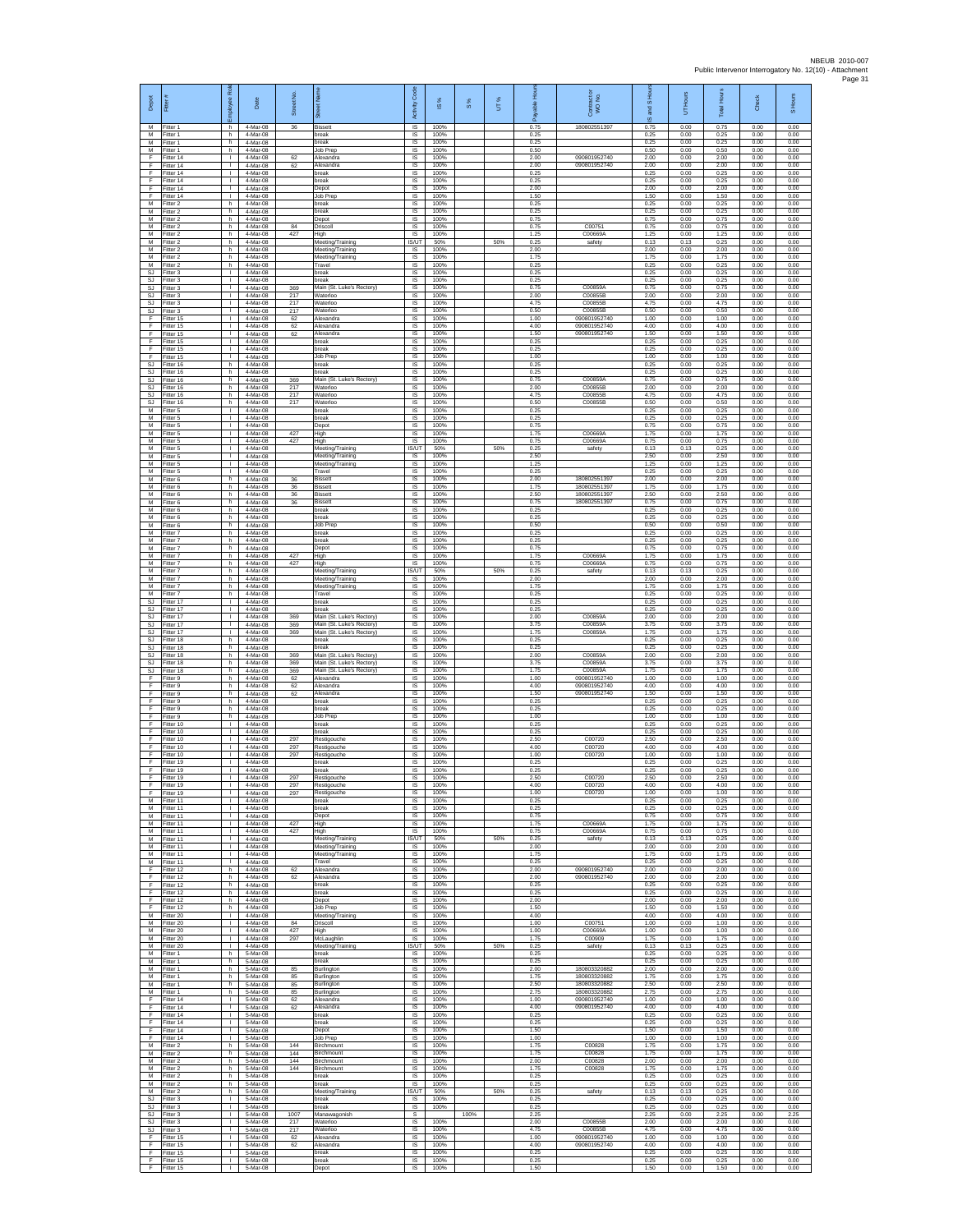| Depot                              | Fitter                              | ē<br>nployee                                 | Date                             | Street No.       |                                                           | Code<br>Activity           | $\frac{8}{3}$        | $\frac{8}{3}$ | UT% | 휸<br>흛<br>æ          | Contract or<br>WO No.                        | and S Hou<br>$\overline{\omega}$ | UT Hours             | <b>Total Hours</b>   | Check                | Hours<br>5           |
|------------------------------------|-------------------------------------|----------------------------------------------|----------------------------------|------------------|-----------------------------------------------------------|----------------------------|----------------------|---------------|-----|----------------------|----------------------------------------------|----------------------------------|----------------------|----------------------|----------------------|----------------------|
| M<br>M                             | Fitter 1<br>Fitter 1                | h.<br>h                                      | 4-Mar-08<br>4-Mar-08             | 36               | <b>Bissett</b><br>reak                                    | IS.<br>IS                  | 100%<br>100%         |               |     | 0.75<br>0.25         | 180802551397                                 | 0.75<br>0.25                     | 0.00<br>0.00         | 0.75<br>0.25         | 0.00<br>0.00         | 0.00<br>0.00         |
| M<br>M<br>F                        | Fitter 1<br>Fitter 1                | h.<br>h.                                     | 4-Mar-08<br>4-Mar-08             |                  | break<br>Job Prep                                         | $\sf IS$<br><b>IS</b>      | 100%<br>100%         |               |     | 0.25<br>0.50         |                                              | 0.25<br>0.50                     | 0.00<br>0.00         | 0.25<br>0.50         | 0.00<br>0.00         | 0.00<br>0.00         |
| F<br>F                             | Fitter 14<br>Fitter 14<br>ltter 14  | $\mathbf{L}$<br>τ.<br>т.                     | 4-Mar-08<br>4-Mar-08<br>4-Mar-08 | 62<br>62         | Alexandra<br>Alexandra<br>oreak                           | IS<br>IS<br>IS             | 100%<br>100%<br>100% |               |     | 2.00<br>2.00<br>0.25 | 090801952740<br>090801952740                 | 2.00<br>2.00<br>0.25             | 0.00<br>0.00<br>0.00 | 2.00<br>2.00<br>0.25 | 0.00<br>0.00<br>0.00 | 0.00<br>0.00<br>0.00 |
| F<br>F                             | Fitter 14<br>Fitter 14              | л.<br>$\mathbf{L}$                           | 4-Mar-08<br>4-Mar-08             |                  | break<br>Depot                                            | <b>IS</b><br>IS            | 100%<br>100%         |               |     | 0.25<br>2.00         |                                              | 0.25<br>2.00                     | 0.00<br>0.00         | 0.25<br>2.00         | 0.00<br>0.00         | 0.00<br>0.00         |
| F<br>M                             | Fitter 14<br>Fitter 2               | $\mathbf{I}$<br>h                            | 4-Mar-08<br>4-Mar-08             |                  | Job Preg<br>break                                         | $\sf IS$<br>IS             | 100%<br>100%         |               |     | 1.50<br>0.25         |                                              | 1.50<br>0.25                     | 0.00<br>0.00         | 1.50<br>0.25         | 0.00<br>0.00         | 0.00<br>0.00         |
| M<br>М<br>М                        | Fitter 2<br>Fitter 2<br>-itter 2    | h<br>h<br>h                                  | 4-Mar-08<br>4-Mar-08<br>4-Mar-08 | 84               | break<br>Depot<br>Driscol                                 | IS<br>IS<br>IS             | 100%<br>100%<br>100% |               |     | 0.25<br>0.75<br>0.75 | C0075 <sup>*</sup>                           | 0.25<br>0.75<br>0.75             | 0.00<br>0.00<br>0.00 | 0.25<br>0.75<br>0.75 | 0.00<br>0.00<br>0.00 | 0.00<br>0.00<br>0.00 |
| M<br>М                             | Fitter 2<br>itter 2                 | h.<br>h                                      | 4-Mar-08<br>4-Mar-08             | 427              | High<br>Meeting/Training                                  | <b>IS</b><br>IS/UT         | 100%<br>50%          |               | 50% | 1.25<br>0.25         | C00669A<br>safety                            | 1.25<br>0.13                     | 0.00<br>0.13         | 1.25<br>0.25         | 0.00<br>0.00         | 0.00<br>0.00         |
| M<br>M                             | Fitter 2<br>Fitter 2                | h.<br>h                                      | 4-Mar-08<br>4-Mar-08             |                  | Meeting/Training<br>Meeting/Training                      | 1S<br>IS                   | 100%<br>100%         |               |     | 2.00<br>1.75         |                                              | 2.00<br>1.75                     | 0.00<br>0.00         | 2.00<br>1.75         | 0.00<br>0.00         | 0.00<br>0.00         |
| M<br>SJ<br>SJ                      | Fitter 2<br>Fitter 3<br>itter 3     | h<br>т.<br>$\mathbf{L}$                      | 4-Mar-08<br>4-Mar-08<br>4-Mar-08 |                  | Travel<br>break<br>reak                                   | IS<br>$\sf IS$<br>IS       | 100%<br>100%<br>100% |               |     | 0.25<br>0.25<br>0.25 |                                              | 0.25<br>0.25<br>0.25             | 0.00<br>0.00<br>0.00 | 0.25<br>0.25<br>0.25 | 0.00<br>0.00<br>0.00 | 0.00<br>0.00<br>0.00 |
| <b>SJ</b><br>SJ                    | Fitter 3<br>Fitter 3                | л.<br>$\mathbf{L}$                           | 4-Mar-08<br>4-Mar-08             | 369<br>217       | Main (St. Luke's Rectory)<br>Waterloo                     | <b>IS</b><br>IS            | 100%<br>100%         |               |     | 0.75<br>2.00         | C00859A<br>C00855B                           | 0.75<br>2.00                     | 0.00<br>0.00         | 0.75<br>2.00         | 0.00<br>0.00         | 0.00<br>0.00         |
| $\mathbb{S}\mathbb{J}$<br>SJ.<br>F | Fitter 3<br>Fitter 3<br>Fitter 15   | т.<br>$\mathbb{L}$<br>$\mathbf{L}$           | 4-Mar-08<br>4-Mar-08<br>4-Mar-08 | 217<br>217<br>62 | Naterloo<br>Waterloo<br>Alexandra                         | IS<br>IS<br><b>IS</b>      | 100%<br>100%<br>100% |               |     | 4.75<br>0.50<br>1.00 | C00855B<br>C00855B<br>090801952740           | 4.75<br>0.50<br>1.00             | 0.00<br>0.00<br>0.00 | 4.75<br>0.50<br>1.00 | 0.00<br>0.00<br>0.00 | 0.00<br>0.00<br>0.00 |
| F<br>Ŧ                             | Fitter 15<br>Fitter 15              | $\mathbf{L}$<br>$\mathbf{L}$                 | 4-Mar-08<br>4-Mar-08             | 62<br>62         | <b>Nexandra</b><br>Alexandra                              | $\sf IS$<br>$\sf IS$       | 100%<br>100%         |               |     | 4.00<br>1.50         | 090801952740<br>090801952740                 | 4.00<br>1.50                     | 0.00<br>0.00         | 4.00<br>1.50         | 0.00<br>0.00         | 0.00<br>0.00         |
| F<br>F                             | Fitter 15<br>Fitter 15              | $\mathbf{L}$<br>$\mathbf{L}$                 | 4-Mar-08<br>4-Mar-08             |                  | break<br>reak                                             | IS<br>IS                   | 100%<br>100%         |               |     | 0.25<br>0.25         |                                              | 0.25<br>0.25                     | 0.00<br>0.00         | 0.25<br>0.25         | 0.00<br>0.00         | 0.00<br>0.00         |
| F<br><b>SJ</b><br>SJ               | Fitter 15<br>fitter 16<br>Fitter 16 | t.<br>h<br>h.                                | 4-Mar-08<br>4-Mar-08<br>4-Mar-08 |                  | Job Prep<br>reak<br>break                                 | IS<br>IS<br><b>IS</b>      | 100%<br>100%<br>100% |               |     | 1.00<br>0.25<br>0.25 |                                              | 1.00<br>0.25<br>0.25             | 0.00<br>0.00<br>0.00 | 1.00<br>0.25<br>0.25 | 0.00<br>0.00<br>0.00 | 0.00<br>0.00<br>0.00 |
| SJ<br>SJ                           | Fitter 16<br>Fitter 16              | h.<br>h                                      | 4-Mar-08<br>4-Mar-08             | 369<br>217       | Main (St. Luke's Rectory)<br>Waterloo                     | IS<br>$\sf IS$             | 100%<br>100%         |               |     | 0.75<br>2.00         | C00859A<br>C00855B                           | 0.75<br>2.00                     | 0.00<br>0.00         | 0.75<br>2.00         | 0.00<br>0.00         | 0.00<br>0.00         |
| SJ.<br><b>SJ</b>                   | Fitter 16<br>Fitter 16              | h.<br>h                                      | 4-Mar-08<br>4-Mar-08             | 217<br>217       | Waterloo<br>Waterloo                                      | IS<br>IS                   | 100%<br>100%         |               |     | 4.75<br>0.50         | C00855B<br>C00855B                           | 4.75<br>0.50                     | 0.00<br>0.00         | 4.75<br>0.50         | 0.00<br>0.00         | 0.00<br>0.00         |
| М<br>M<br>M                        | Fitter 5<br>Fitter 5<br>Fitter 5    | т.<br>$\mathbf{L}$<br>$\mathbf{L}$           | 4-Mar-08<br>4-Mar-08<br>4-Mar-08 |                  | oreak<br>break<br>Depot                                   | IS<br>IS<br><b>IS</b>      | 100%<br>100%<br>100% |               |     | 0.25<br>0.25<br>0.75 |                                              | 0.25<br>0.25<br>0.75             | 0.00<br>0.00<br>0.00 | 0.25<br>0.25<br>0.75 | 0.00<br>0.00<br>0.00 | 0.00<br>0.00<br>0.00 |
| М<br>M                             | -itter 5<br>Fitter 5                | $\mathbf{L}$<br>t.                           | 4-Mar-08<br>4-Mar-08             | 427<br>427       | High<br>High                                              | IS<br>IS                   | 100%<br>100%         |               |     | 1.75<br>0.75         | C00669A<br>C00669A                           | 1.75<br>0.75                     | 0.00<br>0.00         | 1.75<br>0.75         | 0.00<br>0.00         | 0.00<br>0.00         |
| M<br>M<br>М                        | Fitter 5<br>Fitter 5<br>Fitter 5    | $\mathbf{L}$<br>т.<br>т.                     | 4-Mar-08<br>4-Mar-08<br>4-Mar-08 |                  | Meeting/Training<br>Meeting/Training<br>Meeting/Training  | IS/UT<br>IS<br>IS          | 50%<br>100%<br>100%  |               | 50% | 0.25<br>2.50<br>1.25 | safety                                       | 0.13<br>2.50<br>1.25             | 0.13<br>0.00<br>0.00 | 0.25<br>2.50<br>1.25 | 0.00<br>0.00<br>0.00 | 0.00<br>0.00<br>0.00 |
| М<br>M                             | Fitter 5<br>Fitter 6                | т.<br>h.                                     | 4-Mar-08<br>4-Mar-08             | 36               | Travel<br>Bissett                                         | IS<br><b>IS</b>            | 100%<br>100%         |               |     | 0.25<br>2.00         | 18080255139                                  | 0.25<br>2.00                     | 0.00<br>0.00         | 0.25<br>2.00         | 0.00<br>0.00         | 0.00<br>0.00         |
| M<br>М<br>M                        | Fitter 6<br>Fitter 6                | h.<br>h<br>h.                                | 4-Mar-08<br>4-Mar-08             | 36<br>36<br>36   | <b>Bissett</b><br>Sissett<br><b>Bissett</b>               | IS<br>IS<br>IS             | 100%<br>100%<br>100% |               |     | 175<br>2.50<br>0.75  | 180802551397<br>180802551397<br>180802551397 | 1.75<br>2.50<br>0.75             | 0.00<br>0.00<br>0.00 | 1.75<br>2.50<br>0.75 | 0.00<br>0.00<br>0.00 | 0.00<br>0.00<br>0.00 |
| M<br>M                             | Fitter 6<br>Fitter 6<br>-itter 6    | h.<br>h                                      | 4-Mar-08<br>4-Mar-08<br>4-Mar-08 |                  | break<br>oreak                                            | IS<br>$\sf IS$             | 100%<br>100%         |               |     | 0.25<br>0.25         |                                              | 0.25<br>0.25                     | 0.00<br>0.00         | 0.25<br>0.25         | 0.00<br>0.00         | 0.00<br>0.00         |
| M<br>M                             | Fitter 6<br>Fitter 7                | h<br>h.                                      | 4-Mar-08<br>4-Mar-08             |                  | Job Prep<br>break                                         | $\sf IS$<br><b>IS</b>      | 100%<br>100%         |               |     | 0.50<br>0.25         |                                              | 0.50<br>0.25                     | 0.00<br>0.00         | 0.50<br>0.25         | 0.00<br>0.00         | 0.00<br>0.00         |
| М<br>М<br>М                        | Fitter 7<br>Fitter 7<br>itter 7     | h<br>h.<br>h                                 | 4-Mar-08<br>4-Mar-08<br>4-Mar-08 | 427              | reak<br>Depot<br>High                                     | IS<br>IS<br>IS             | 100%<br>100%<br>100% |               |     | 0.25<br>0.75<br>1.75 | C00669/                                      | 0.25<br>0.75<br>1.75             | 0.00<br>0.00<br>0.00 | 0.25<br>0.75<br>1.75 | 0.00<br>0.00<br>0.00 | 0.00<br>0.00<br>0.00 |
| M<br>M                             | -itter 7<br>-itter 7                | h.<br>h.                                     | 4-Mar-08<br>4-Mar-08             | 427              | High<br>Meeting/Training                                  | <b>IS</b><br><b>IS/UT</b>  | 100%<br>50%          |               | 50% | 0.75<br>0.25         | C00669/<br>safety                            | 0.75<br>0.13                     | 0.00<br>0.13         | 0.75<br>0.25         | 0.00<br>0.00         | 0.00<br>0.00         |
| М<br>M<br>M                        | Fitter 7<br>Fitter 7                | h<br>h                                       | 4-Mar-08<br>4-Mar-08             |                  | Meeting/Training<br>Meeting/Training<br>Travel            | $\sf IS$<br>IS             | 100%<br>100%<br>100% |               |     | 2.00<br>1.75<br>0.25 |                                              | 2.00<br>1.75                     | 0.00<br>0.00         | 2.00<br>1.75<br>0.25 | 0.00<br>0.00         | 0.00<br>0.00         |
| SJ<br>SJ.                          | Fitter 7<br>Fitter 17<br>Fitter 17  | h<br>т.<br>$\mathbf{L}$                      | 4-Mar-08<br>4-Mar-08<br>4-Mar-08 |                  | oreak<br>oreak                                            | IS<br>IS<br>IS             | 100%<br>100%         |               |     | 0.25<br>0.25         |                                              | 0.25<br>0.25<br>0.25             | 0.00<br>0.00<br>0.00 | 0.25<br>0.25         | 0.00<br>0.00<br>0.00 | 0.00<br>0.00<br>0.00 |
| SJ.<br>SJ                          | Fitter 17<br>itter 17               | $\mathbf{L}$<br>$\mathbf{L}$                 | 4-Mar-08<br>4-Mar-08             | 369<br>369       | Main (St. Luke's Rectory)<br>Main (St. Luke's Rectory     | <b>IS</b><br>IS            | 100%<br>100%         |               |     | 2.00<br>3.75         | C00859A<br>C00859A                           | 2.00<br>3.75                     | 0.00<br>0.00         | 2.00<br>3.75         | 0.00<br>0.00         | 0.00<br>0.00         |
| SJ<br>SJ<br>SJ                     | Fitter 17<br>-itter 18<br>Fitter 18 | $\mathbf{I}$<br>h<br>h                       | 4-Mar-08<br>4-Mar-08<br>4-Mar-08 | 369              | Main (St. Luke's Rectory)<br>reak<br>oreak                | IS<br>IS<br>IS             | 100%<br>100%<br>100% |               |     | 1.75<br>0.25<br>0.25 | C00859A                                      | 1.75<br>0.25<br>0.25             | 0.00<br>0.00<br>0.00 | 1.75<br>0.25<br>0.25 | 0.00<br>0.00<br>0.00 | 0.00<br>0.00<br>0.00 |
| SJ<br>SJ                           | Fitter 18<br>Fitter 18              | h<br>h                                       | 4-Mar-08<br>4-Mar-08             | 369<br>369       | Main (St. Luke's Rectory)<br>Main (St. Luke's Rectory)    | $\sf IS$<br>IS             | 100%<br>100%         |               |     | 2.00<br>3.75         | C00859A<br>C00859A                           | 2.00<br>3.75                     | 0.00<br>0.00         | 2.00<br>3.75         | 0.00<br>0.00         | 0.00<br>0.00         |
| <b>SJ</b><br>F<br>F                | Fitter 18<br>Fitter 9<br>Fitter 9   | h.<br>h.<br>h                                | 4-Mar-08<br>4-Mar-08<br>4-Mar-08 | 369<br>62<br>62  | Main (St. Luke's Rectory)<br>Alexandra<br><b>Nexandra</b> | <b>IS</b><br>IS<br>IS      | 100%<br>100%<br>100% |               |     | 1.75<br>1.00<br>4.00 | C00859A<br>090801952740<br>090801952740      | 1.75<br>1.00<br>4.00             | 0.00<br>0.00<br>0.00 | 1.75<br>1.00<br>4.00 | 0.00<br>0.00<br>0.00 | 0.00<br>0.00<br>0.00 |
| F<br>F.                            | Fitter 9<br>Fitter 9                | h<br>h.                                      | 4-Mar-08<br>4-Mar-08             | 62               | Alexandra<br>break                                        | IS<br><b>IS</b>            | 100%<br>100%         |               |     | 1.50<br>0.25         | 090801952740                                 | 1.50<br>0.25                     | 0.00<br>0.00         | 1.50<br>0.25         | 0.00<br>0.00         | 0.00<br>0.00         |
| F<br>F<br>F                        | -itter 9<br>Fitter 9<br>Fitter 10   | h<br>h<br>$\mathbf{L}$                       | 4-Mar-08<br>4-Mar-08<br>4-Mar-08 |                  | oreak<br>Job Prep<br>break                                | $\sf IS$<br>$\sf IS$<br>IS | 100%<br>100%<br>100% |               |     | 0.25<br>1.00<br>0.25 |                                              | 0.25<br>1.00<br>0.25             | 0.00<br>0.00<br>0.00 | 0.25<br>1.00<br>0.25 | 0.00<br>0.00<br>0.00 | 0.00<br>0.00<br>0.00 |
| F<br>F                             | Fitter 10<br>Fitter 10              | $\mathbf{L}$<br>t.                           | 4-Mar-08<br>4-Mar-08             | 297              | reak<br>Restigouche                                       | IS<br>IS                   | 100%<br>100%         |               |     | 0.25<br>2.50         | C00720                                       | 0.25<br>2.50                     | 0.00<br>0.00         | 0.25<br>2.50         | 0.00<br>0.00         | 0.00<br>0.00         |
| F<br>E<br>F                        | Fitter 10<br>Fitter 10              | $\mathbf{L}$<br>л.<br>$\mathbf{L}$           | 4-Mar-08<br>4-Mar-08             | 297<br>297       | Restigouche<br>Restigouche<br>$r$ eak                     | IS<br><b>IS</b><br>IS      | 100%<br>100%<br>100% |               |     | 4.00<br>1.00<br>0.25 | C00720<br>C00720                             | 4.00<br>1.00<br>0.25             | 0.00<br>0.00<br>0.00 | 4.00<br>1.00<br>0.25 | 0.00<br>0.00<br>0.00 | 0.00<br>0.00<br>0.00 |
| F<br>F                             | Fitter 19<br>Fitter 19<br>Fitter 19 | T.<br>$\mathbf{L}$                           | 4-Mar-08<br>4-Mar-08<br>4-Mar-08 | 297              | break<br>Restigouche                                      | $\sf IS$<br>IS             | 100%<br>100%         |               |     | 0.25<br>2.50         | C00720                                       | 0.25<br>2.50                     | 0.00<br>0.00         | 0.25<br>2.50         | 0.00<br>0.00         | 0.00<br>0.00         |
| F                                  | -itter 19<br>Fitter 19              | т.                                           | 4-Mar-08<br>4-Mar-08             | 297<br>297       | Restigouche<br>Restigouche                                | <b>IS</b><br>IS            | 100%<br>100%         |               |     | 4.00<br>1.00         | C00720<br>C00720                             | 4.00<br>1.00                     | 0.00<br>0.00         | 4.00<br>1.00         | 0.00<br>0.00         | 0.00<br>0.00         |
| M<br>M<br>${\sf M}$                | Fitter 11<br>Fitter 11<br>Fitter 11 | т<br>$\mathbf{L}$<br>$\mathbb{R}$            | 4-Mar-08<br>4-Mar-08<br>4-Mar-08 |                  | break<br>break<br>Depot                                   | 1S<br>IS.<br>IS            | 100%<br>100%<br>100% |               |     | 0.25<br>0.25<br>0.75 |                                              | 0.25<br>0.25<br>0.75             | 0.00<br>0.00<br>0.00 | 0.25<br>0.25<br>0.75 | 0.00<br>0.00<br>0.00 | 0.00<br>0.00<br>0.00 |
| M<br>M                             | Fitter 11<br>Fitter 11              | $\mathbf{I}$<br>т.                           | 4-Mar-08<br>4-Mar-08             | 427<br>427       | High<br>High                                              | IS<br>IS                   | 100%<br>100%         |               |     | 1.75<br>0.75         | C00669A<br>C00669A                           | 1.75<br>0.75                     | 0.00<br>0.00         | 1.75<br>0.75         | 0.00<br>0.00         | 0.00<br>0.00         |
| M<br>M<br>M                        | Fitter 11<br>Fitter 11<br>Fitter 11 | $\mathbf{I}$<br>$\mathbf{L}$<br>$\mathbf{L}$ | 4-Mar-08<br>4-Mar-08<br>4-Mar-08 |                  | Meeting/Training<br>Meeting/Training<br>Meeting/Training  | IS/UT<br>IS<br>IS          | 50%<br>100%<br>100%  |               | 50% | 0.25<br>2.00<br>1.75 | safety                                       | 0.13<br>2.00<br>1.75             | 0.13<br>0.00<br>0.00 | 0.25<br>2.00<br>1.75 | 0.00<br>0.00<br>0.00 | 0.00<br>0.00<br>0.00 |
| M<br>F.                            | Fitter 11<br>Fitter 12              | л.<br>h                                      | 4-Mar-08<br>4-Mar-08             | 62               | Travel<br>Alexandra                                       | - IS<br>IS                 | 100%<br>100%         |               |     | 0.25<br>2.00         | 090801952740                                 | 0.25<br>200                      | 0.00<br>0.00         | 0.25<br>2.00         | 0.00<br>0.00         | 0.00<br>0.00         |
| F<br>F<br>F.                       | Fitter 12<br>Fitter 12<br>Fitter 12 | h<br>h.<br>h.                                | 4-Mar-08<br>4-Mar-08<br>4-Mar-08 | 62               | Alexandra<br>break<br>break                               | IS<br>1S<br>IS.            | 100%<br>100%<br>100% |               |     | 2.00<br>0.25<br>0.25 | 090801952740                                 | 2.00<br>0.25<br>0.25             | 0.00<br>0.00<br>0.00 | 2.00<br>0.25<br>0.25 | 0.00<br>0.00<br>0.00 | 0.00<br>0.00<br>0.00 |
| F<br>F                             | Fitter 12<br>Fitter 12              | h<br>h                                       | 4-Mar-08<br>4-Mar-08             |                  | Depot<br>Job Prep                                         | $\sf IS$<br>$\sf IS$       | 100%<br>100%         |               |     | 2.00<br>1.50         |                                              | 2.00<br>1.50                     | 0.00<br>0.00         | 2.00<br>1.50         | 0.00<br>0.00         | 0.00<br>0.00         |
| M<br>M                             | Fitter 20<br>Fitter 20              | $\mathbf{L}$<br>$\mathbf{L}$                 | 4-Mar-08<br>4-Mar-08             | 84<br>427        | Meeting/Training<br>Driscoll                              | <b>IS</b><br>IS            | 100%<br>100%         |               |     | 4.00<br>1.00         | C00751<br>C00669A                            | 4.00<br>1.00                     | 0.00<br>0.00         | 4.00<br>1.00         | 0.00<br>0.00         | 0.00<br>0.00         |
| M<br>М<br>M                        | Fitter 20<br>litter 20<br>Fitter 20 | H.<br>т.<br>л.                               | 4-Mar-08<br>4-Mar-08<br>4-Mar-08 | 297              | High<br>McLaughlin<br>Meeting/Training                    | 1S<br>IS<br><b>IS/UT</b>   | 100%<br>100%<br>50%  |               | 50% | 1.00<br>1.75<br>0.25 | C00909<br>safety                             | 1.00<br>1.75<br>0.13             | 0.00<br>0.00<br>0.13 | 1.00<br>1.75<br>0.25 | 0.00<br>0.00<br>0.00 | 0.00<br>0.00<br>0.00 |
| M<br>М                             | Fitter 1<br>Fitter 1                | h<br>$\,$ h                                  | 5-Mar-08<br>5-Mar-08             |                  | hreak<br>break                                            | IS<br>$\sf IS$             | 100%<br>100%         |               |     | 0.25<br>0.25         |                                              | 0.25<br>0.25                     | 0.00<br>0.00         | 0.25<br>0.25         | 0.00<br>0.00         | 0.00<br>0.00         |
| M<br>M<br>М                        | Fitter 1<br>Fitter 1<br>Fitter 1    | h.<br>h<br>h                                 | 5-Mar-08<br>5-Mar-08<br>5-Mar-08 | 85<br>85<br>85   | Burlington<br>Burlington<br>Burlington                    | IS.<br>IS<br>IS            | 100%<br>100%<br>100% |               |     | 2.00<br>1.75<br>2.50 | 180803320882<br>180803320882<br>180803320882 | 2.00<br>1.75<br>2.50             | 0.00<br>0.00<br>0.00 | 2.00<br>1.75<br>2.50 | 0.00<br>0.00<br>0.00 | 0.00<br>0.00<br>0.00 |
| M<br>F                             | Fitter 1<br>Fitter 14               | h.<br><b>I</b>                               | 5-Mar-08<br>5-Mar-08             | 85<br>62         | Burlington<br>Alexandra                                   | IS<br><b>IS</b>            | 100%<br>100%         |               |     | 2.75<br>1.00         | 180803320882<br>090801952740                 | 2.75<br>1.00                     | 0.00<br>0.00         | 2.75<br>1.00         | 0.00<br>0.00         | 0.00<br>0.00         |
| $\mathsf F$<br>F<br>F              | Fitter 14<br>Fitter 14<br>Fitter 14 | $\mathbf{L}$<br>$\mathbb{L}$<br>$\mathbb{L}$ | 5-Mar-08<br>5-Mar-08<br>5-Mar-08 | 62               | Alexandra<br>break<br>oreak                               | IS<br>1S<br>IS             | 100%<br>100%<br>100% |               |     | 4.00<br>0.25<br>0.25 | 090801952740                                 | 4.00<br>0.25<br>0.25             | 0.00<br>0.00<br>0.00 | 4.00<br>0.25<br>0.25 | 0.00<br>0.00<br>0.00 | 0.00<br>0.00<br>0.00 |
| F<br>F.                            | Fitter 14<br>Fitter 14              | $\mathbf{I}$<br>L.                           | 5-Mar-08<br>5-Mar-08             |                  | Depot<br>Job Prep                                         | IS<br>$\sf IS$             | 100%<br>100%         |               |     | 1.50<br>1.00         |                                              | 1.50<br>1.00                     | 0.00<br>0.00         | 1.50<br>1.00         | 0.00<br>0.00         | 0.00<br>0.00         |
| М<br>M<br>M                        | -itter 2<br>Fitter 2                | h.<br>h.                                     | 5-Mar-08<br>5-Mar-08             | 144<br>144       | Birchmount<br>Birchmount                                  | IS<br>-IS                  | 100%<br>100%         |               |     | 1.75<br>1.75<br>2.00 | C00828<br>C00828                             | 1.75<br>1.75                     | 0.00<br>0.00         | 1.75<br>1.75<br>2.00 | 0.00<br>0.00         | 0.00<br>0.00         |
| М<br>M                             | Fitter 2<br>Fitter 2<br>Fitter 2    | h<br>h<br>h.                                 | 5-Mar-08<br>5-Mar-08<br>5-Mar-08 | 144<br>144       | Birchmount<br>Birchmount<br>break                         | IS.<br>IS<br>IS            | 100%<br>100%<br>100% |               |     | 1.75<br>0.25         | C00828<br>C00828                             | 2.00<br>1.75<br>0.25             | 0.00<br>0.00<br>0.00 | 1.75<br>0.25         | 0.00<br>0.00<br>0.00 | 0.00<br>0.00<br>0.00 |
| M                                  | M Fitter 2<br>Fitter 2              | h.<br>h                                      | 5-Mar-08<br>5-Mar-08             |                  | break<br>Meeting/Training                                 | <b>IS</b><br>IS/UT         | 100%<br>50%          |               | 50% | 0.25<br>0.25         | safety                                       | 0.25<br>0.13                     | 0.00<br>0.13         | 0.25<br>0.25         | 0.00<br>0.00         | 0.00<br>0.00         |
| SJ<br>SJ.<br><b>SJ</b>             | Fitter 3<br>Fitter 3<br>Fitter 3    | $\mathbf{L}$<br>$\mathbf{L}$<br>$\mathbb{R}$ | 5-Mar-08<br>5-Mar-08<br>5-Mar-08 | 1007             | break<br>break<br>Manawagonish                            | $\sf IS$<br>IS.<br>s       | 100%<br>100%         | 100%          |     | 0.25<br>0.25<br>2.25 |                                              | 0.25<br>0.25<br>2.25             | 0.00<br>0.00<br>0.00 | 0.25<br>0.25<br>2.25 | 0.00<br>0.00<br>0.00 | 0.00<br>0.00<br>2.25 |
| SJ<br>SJ                           | Fitter 3<br>Fitter 3                | $\mathbb{L}$<br>т.                           | 5-Mar-08<br>5-Mar-08             | 217<br>217       | Waterloo<br>Naterloo                                      | 1S<br>IS                   | 100%<br>100%         |               |     | 2.00<br>4.75         | C00855B<br>C00855E                           | 2.00<br>4.75                     | 0.00<br>0.00         | 2.00<br>4.75         | 0.00<br>0.00         | 0.00<br>0.00         |
| F<br>F<br>F                        | Fitter 15<br>Fitter 15<br>Fitter 15 | л.<br>л.<br>T.                               | 5-Mar-08<br>5-Mar-08<br>5-Mar-08 | 62<br>62         | Alexandra<br>Alexandra<br>break                           | <b>IS</b><br>IS<br>IS      | 100%<br>100%<br>100% |               |     | 1.00<br>4.00<br>0.25 | 090801952740<br>090801952740                 | 1.00<br>4.00<br>0.25             | 0.00<br>0.00<br>0.00 | 1.00<br>4.00<br>0.25 | 0.00<br>0.00<br>0.00 | 0.00<br>0.00<br>0.00 |
| F.<br>F.                           | Fitter 15<br>Fitter 15              | $\mathbf{L}$<br><b>ILL</b>                   | 5-Mar-08<br>5-Mar-08             |                  | break<br>Depot                                            | IS.<br><b>IS</b>           | 100%<br>100%         |               |     | 0.25<br>1.50         |                                              | 0.25<br>1.50                     | 0.00<br>0.00         | 0.25<br>1.50         | 0.00<br>0.00         | 0.00<br>0.00         |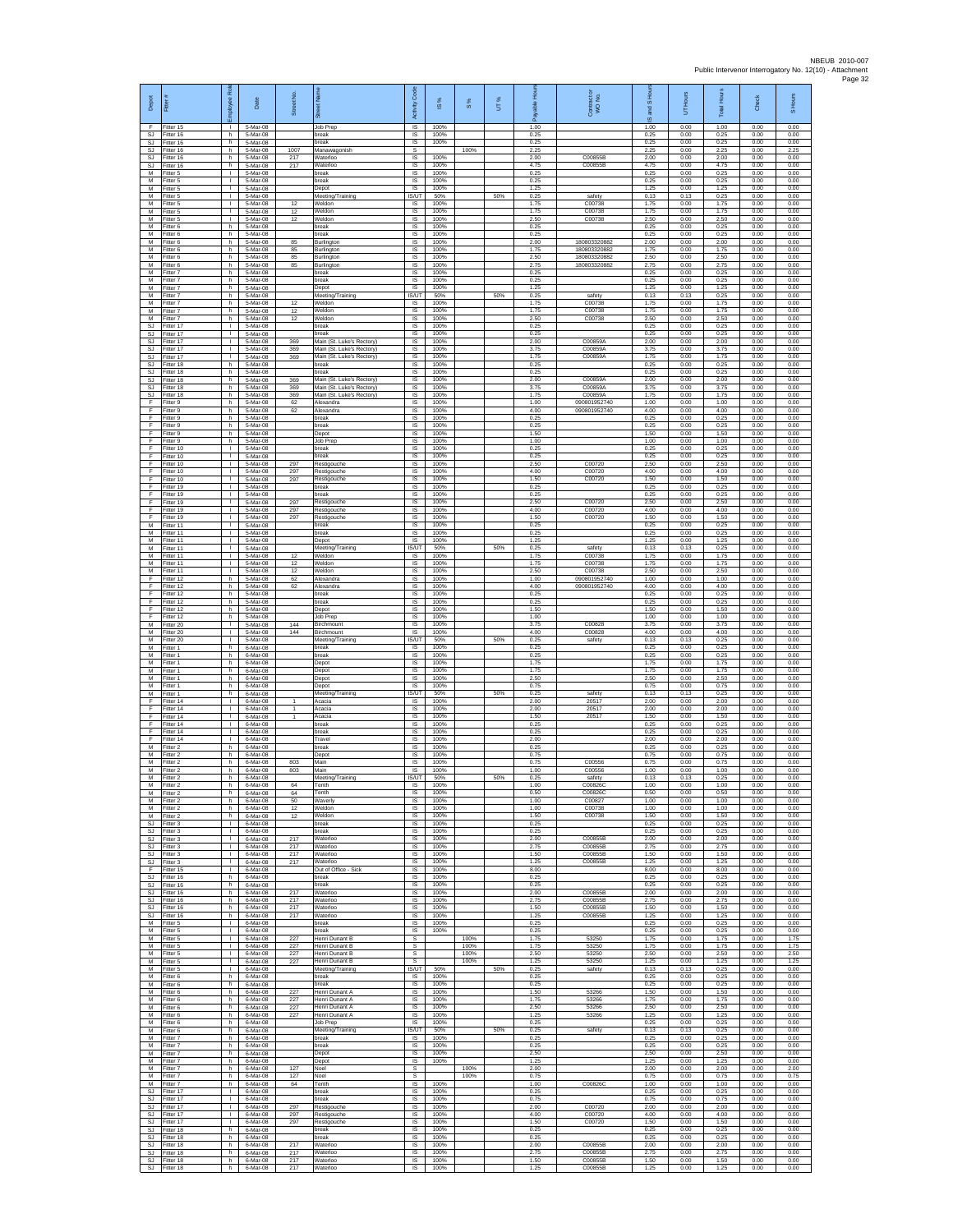| Depot                               |                                           | æ<br>ployee                        | Date                             | Street No         |                                                                                     | $\cos$<br>Activity         | $\overline{\omega}$  | 8%           | UT% | 슬                    | Contract or<br>WO No.         | and S Ho<br>ဖ        | Hours<br>5           | Total Hours          | Check                | S Hours              |
|-------------------------------------|-------------------------------------------|------------------------------------|----------------------------------|-------------------|-------------------------------------------------------------------------------------|----------------------------|----------------------|--------------|-----|----------------------|-------------------------------|----------------------|----------------------|----------------------|----------------------|----------------------|
| F<br>SJ                             | Fitter 15<br>Fitter 16                    | h.                                 | 5-Mar-08<br>5-Mar-08             |                   | Job Prep<br>break                                                                   | $\overline{s}$<br>$\sf IS$ | 100%<br>100%         |              |     | 1.00<br>0.25         |                               | 1.00<br>0.25         | 0.00<br>0.00         | 1.00<br>0.25         | 0.00<br>0.00         | 0.00<br>0.00         |
| SJ<br><b>SJ</b><br><b>SJ</b>        | litter 16<br>Fitter 16<br>Fitter 16       | h<br>h.<br>h                       | 5-Mar-08<br>5-Mar-08<br>5-Mar-08 | 1007<br>217       | break<br>Manawagonish<br>Waterloo                                                   | $\sf IS$<br>s<br>IS        | 100%<br>100%         | 100%         |     | 0.25<br>2.25<br>2.00 | C00855E                       | 0.25<br>2.25<br>2.00 | 0.00<br>0.00<br>0.00 | 0.25<br>2.25<br>2.00 | 0.00<br>0.00<br>0.00 | 0.00<br>2.25<br>0.00 |
| SJ<br>M                             | Fitter 16<br>fitter 5                     | h.<br>$\mathbf{I}$                 | 5-Mar-08<br>5-Mar-08             | 217               | Waterloo<br>oreak                                                                   | IS<br>IS                   | 100%<br>100%         |              |     | 4.75<br>0.25         | C00855B                       | 4.75<br>0.25         | 0.00<br>0.00         | 4.75<br>0.25         | 0.00<br>0.00         | 0.00<br>0.00         |
| M<br>M                              | Fitter 5<br>Fitter 5                      | л.<br>$\mathbf{L}$<br>$\mathbf{L}$ | 5-Mar-08<br>5-Mar-08             |                   | break<br>Depot                                                                      | IS<br>IS                   | 100%<br>100%         |              |     | 0.25<br>1.25         |                               | 0.25<br>1.25         | 0.00<br>0.00         | 0.25<br>1.25         | 0.00<br>0.00         | 0.00<br>0.00         |
| М<br>M<br>M                         | Fitter 5<br>fitter 5<br>Fitter 5          | $\mathbf{1}$<br>$\mathbf{L}$       | 5-Mar-08<br>5-Mar-08<br>5-Mar-08 | 12<br>12          | Meeting/Training<br>Weldon<br>Weldon                                                | IS/UT<br><b>IS</b><br>IS   | 50%<br>100%<br>100%  |              | 50% | 0.25<br>1.75<br>1.75 | safety<br>C00738<br>C00738    | 0.13<br>1.75<br>1.75 | 0.13<br>0.00<br>0.00 | 0.25<br>1.75<br>1.75 | 0.00<br>0.00<br>0.00 | 0.00<br>0.00<br>0.00 |
| М<br>M                              | Fitter 5<br>itter 6                       | т.<br>h                            | 5-Mar-08<br>5-Mar-08             | 12                | Weldon<br>break                                                                     | IS<br>IS                   | 100%<br>100%         |              |     | 2.50<br>0.25         | C00738                        | 2.50<br>0.25         | 0.00<br>0.00         | 2.50<br>0.25         | 0.00<br>0.00         | 0.00<br>0.00         |
| M<br>М<br>М                         | Fitter 6<br>itter 6<br>Fitter 6           | h.<br>h<br>h                       | 5-Mar-08<br>5-Mar-08<br>5-Mar-08 | 85<br>85          | break<br>Burlington<br>Burlington                                                   | IS<br>IS<br>IS             | 100%<br>100%<br>100% |              |     | 0.25<br>2.00<br>1.75 | 180803320882<br>180803320882  | 0.25<br>2.00<br>1.75 | 0.00<br>0.00<br>0.00 | 0.25<br>2.00<br>1.75 | 0.00<br>0.00<br>0.00 | 0.00<br>0.00<br>0.00 |
| M<br>M                              | fitter 6<br>Fitter 6                      | h.<br>h                            | 5-Mar-08<br>5-Mar-08             | 85<br>85          | Burlington<br>Burlington                                                            | IS<br>IS                   | 100%<br>100%         |              |     | 2.50<br>2.75         | 18080332088<br>180803320882   | 2.50<br>2.75         | 0.00<br>0.00         | 2.50<br>2.75         | 0.00<br>0.00         | 0.00<br>0.00         |
| М<br>М                              | Fitter 7<br>itter 7                       | h<br>h.                            | $5-Mar-08$<br>5-Mar-08           |                   | oreak<br>oreak                                                                      | $\sf IS$<br>IS             | 100%<br>100%         |              |     | 0.25<br>0.25         |                               | 0.25<br>0.25         | 0.00<br>0.00         | 0.25<br>0.25         | 0.00<br>0.00         | 0.00<br>0.00         |
| M<br>M<br>М                         | Fitter 7<br>Fitter 7<br>Fitter 7          | h.<br>h<br>h                       | 5-Mar-08<br>5-Mar-08<br>5-Mar-08 | 12                | Depot<br>Meeting/Training<br>Weldon                                                 | IS<br><b>IS/UT</b><br>IS   | 100%<br>50%<br>100%  |              | 50% | 1.25<br>0.25<br>1.75 | safety<br>C00738              | 1.25<br>0.13<br>1.75 | 0.00<br>0.13<br>0.00 | 1.25<br>0.25<br>1.75 | 0.00<br>0.00<br>0.00 | 0.00<br>0.00<br>0.00 |
| M<br>M                              | Fitter 7<br>Fitter 7                      | h<br>h.                            | 5-Mar-08<br>5-Mar-08             | 12<br>12          | Weldon<br>Weldon                                                                    | 1S<br>IS                   | 100%<br>100%         |              |     | 1.75<br>2.50         | C00738<br>C00738              | 1.75<br>2.50         | 0.00<br>0.00         | 1.75<br>2.50         | 0.00<br>0.00         | 0.00<br>0.00         |
| SJ<br>SJ                            | itter 17<br>fitter 17                     | $\mathbb{R}$<br>$\mathbf{L}$       | 5-Mar-08<br>5-Mar-08<br>5-Mar-08 | 369               | break<br>break                                                                      | $\sf IS$<br>$\sf IS$       | 100%<br>100%         |              |     | 0.25<br>0.25<br>2.00 | C00859A                       | 0.25<br>0.25         | 0.00<br>0.00<br>0.00 | 0.25<br>0.25<br>2.00 | 0.00<br>0.00<br>0.00 | 0.00<br>0.00         |
| <b>SJ</b><br>SJ.<br><b>SJ</b>       | Fitter 17<br>Fitter 17<br>Fitter 17       | л.<br>$\mathbf{L}$<br>т.           | 5-Mar-08<br>5-Mar-08             | 369<br>369        | Main (St. Luke's Rectory)<br>Main (St. Luke's Rectory)<br>Main (St. Luke's Rectory  | IS<br>IS<br>IS             | 100%<br>100%<br>100% |              |     | 3.75<br>1.75         | C00859A<br>C00859A            | 2.00<br>3.75<br>1.75 | 0.00<br>0.00         | 3.75<br>1.75         | 0.00<br>0.00         | 0.00<br>0.00<br>0.00 |
| <b>SJ</b><br>SJ                     | itter 18<br>Fitter 18                     | h.<br>h.                           | 5-Mar-08<br>5-Mar-08             |                   | oreak<br>break                                                                      | IS<br>IS                   | 100%<br>100%         |              |     | 0.25<br>0.25         |                               | 0.25<br>0.25         | 0.00<br>0.00         | 0.25<br>0.25         | 0.00<br>0.00         | 0.00<br>0.00         |
| SJ<br>SJ<br><b>SJ</b>               | Fitter 18<br>Fitter 18<br>Fitter 18       | h.<br>h<br>h.                      | 5-Mar-08<br>5-Mar-08<br>5-Mar-08 | 369<br>369<br>369 | Main (St. Luke's Rectory)<br>Main (St. Luke's Rectory)<br>Main (St. Luke's Rectory) | IS<br>$\sf IS$<br>IS       | 100%<br>100%<br>100% |              |     | 2.00<br>3.75<br>1.75 | C00859A<br>C00859A<br>C00859A | 2.00<br>3.75<br>1.75 | 0.00<br>0.00<br>0.00 | 2.00<br>3.75<br>1.75 | 0.00<br>0.00<br>0.00 | 0.00<br>0.00<br>0.00 |
| F<br>F                              | Fitter 9<br>fitter 9                      | h.<br>h.                           | 5-Mar-08<br>5-Mar-08             | 62<br>62          | Alexandra<br>Alexandra                                                              | IS<br>IS                   | 100%<br>100%         |              |     | 1.00<br>4.00         | 090801952740<br>090801952740  | 1.00<br>4.00         | 0.00<br>0.00         | 1.00<br>4.00         | 0.00<br>0.00         | 0.00<br>0.00         |
| F<br>F                              | fitter 9<br>Fitter 9                      | h.<br>h.                           | 5-Mar-08<br>5-Mar-08             |                   | break<br>break                                                                      | IS<br>$\overline{s}$       | 100%<br>100%         |              |     | 0.25<br>0.25         |                               | 0.25<br>0.25         | 0.00<br>0.00         | 0.25<br>0.25         | 0.00<br>0.00         | 0.00<br>0.00         |
| F<br>F<br>F                         | Fitter 9<br>Fitter 9<br>itter 10          | h.<br>h.<br>т.                     | 5-Mar-08<br>5-Mar-08<br>5-Mar-08 |                   | Depot<br>Job Prep<br>oreak                                                          | IS<br>IS<br>IS             | 100%<br>100%<br>100% |              |     | 1.50<br>1.00<br>0.25 |                               | 1.50<br>1.00<br>0.25 | 0.00<br>0.00<br>0.00 | 1.50<br>1.00<br>0.25 | 0.00<br>0.00<br>0.00 | 0.00<br>0.00<br>0.00 |
| F<br>F.                             | Fitter 10<br>Fitter 10                    | $\mathbf{L}$<br>$\mathbf{L}$       | 5-Mar-08<br>$5-Mar-08$           | 297               | break<br>Restigouche                                                                | IS<br>$\sf IS$             | 100%<br>100%         |              |     | 0.25<br>2.50         | C00720                        | 0.25<br>2.50         | 0.00<br>0.00         | 0.25<br>2.50         | 0.00<br>0.00         | 0.00<br>0.00         |
| F<br>F                              | fitter 10<br>Fitter 10                    | $\mathbf{I}$<br>л.                 | 5-Mar-08<br>5-Mar-08             | 297<br>297        | Restigouche<br>Restigouche                                                          | IS<br>IS                   | 100%<br>100%         |              |     | 4.00<br>1.50         | C00720<br>C00720              | 4.00<br>1.50         | 0.00<br>0.00         | 4.00<br>1.50         | 0.00<br>0.00         | 0.00<br>0.00         |
| F<br>F<br>F                         | Fitter 19<br>Fitter 19<br>Fitter 19       | $\mathbf{L}$<br>т.<br>$\mathbf{L}$ | 5-Mar-08<br>5-Mar-08<br>5-Mar-08 | 297               | hreak<br>break<br>Restigouche                                                       | IS<br>IS<br>IS             | 100%<br>100%<br>100% |              |     | 0.25<br>0.25<br>2.50 | C00720                        | 0.25<br>0.25<br>2.50 | 0.00<br>0.00<br>0.00 | 0.25<br>0.25<br>2.50 | 0.00<br>0.00<br>0.00 | 0.00<br>0.00<br>0.00 |
| F<br>F                              | Fitter 19<br>Fitter 19                    | $\mathbf{L}$<br>$\mathbf{L}$       | 5-Mar-08<br>5-Mar-08             | 297<br>297        | Restigouche<br>Restigouche                                                          | $\overline{s}$<br>$\sf IS$ | 100%<br>100%         |              |     | 4.00<br>1.50         | C00720<br>C00720              | 4.00<br>1.50         | 0.00<br>0.00         | 4.00<br>1.50         | 0.00<br>0.00         | 0.00<br>0.00         |
| M<br>M                              | fitter 11<br>Fitter 11                    | $\mathbf{L}$<br>$\mathbf{L}$       | 5-Mar-08<br>5-Mar-08             |                   | break<br>break                                                                      | $\sf IS$<br>IS             | 100%<br>100%         |              |     | 0.25<br>0.25         |                               | 0.25<br>0.25         | 0.00<br>0.00         | 0.25<br>0.25         | 0.00<br>0.00         | 0.00<br>0.00         |
| M<br>М<br>M                         | Fitter 11<br>Fitter 11<br>fitter 11       | $\mathbb{R}$<br>т.<br>$\mathbf{I}$ | 5-Mar-08<br>5-Mar-08<br>5-Mar-08 | 12                | Depot<br>Meeting/Training<br>Neldon                                                 | IS<br><b>IS/UT</b><br>IS   | 100%<br>50%<br>100%  |              | 50% | 1.25<br>0.25<br>1.75 | safety<br>C00738              | 1.25<br>0.13<br>1.75 | 0.00<br>0.13<br>0.00 | 1.25<br>0.25<br>1.75 | 0.00<br>0.00<br>0.00 | 0.00<br>0.00<br>0.00 |
| M<br>M                              | Fitter 11<br>Fitter 11                    | п.<br>$\mathbf{L}$                 | 5-Mar-08<br>5-Mar-08             | 12<br>12          | Weldon<br>Weldon                                                                    | IS<br>IS                   | 100%<br>100%         |              |     | 1.75<br>2.50         | C00738<br>C00738              | 1.75<br>2.50         | 0.00<br>0.00         | 1.75<br>2.50         | 0.00<br>0.00         | 0.00<br>0.00         |
| F<br>F<br>F                         | Fitter 12<br>Fitter 12<br>Fitter 12       | h<br>h.<br>h                       | 5-Mar-08<br>5-Mar-08<br>5-Mar-08 | 62<br>62          | Alexandra<br>Alexandra<br>break                                                     | $\sf IS$<br>IS<br>IS       | 100%<br>100%<br>100% |              |     | 1.00<br>4.00<br>0.25 | 090801952740<br>090801952740  | 1.00<br>4.00<br>0.25 | 0.00<br>0.00<br>0.00 | 1.00<br>4.00<br>0.25 | 0.00<br>0.00<br>0.00 | 0.00<br>0.00<br>0.00 |
| F<br>F                              | Fitter 12<br>fitter 12                    | h.<br>h                            | 5-Mar-08<br>5-Mar-08             |                   | break<br>Depot                                                                      | IS<br>IS                   | 100%<br>100%         |              |     | 0.25<br>1.50         |                               | 0.25<br>1.50         | 0.00<br>0.00         | 0.25<br>1.50         | 0.00<br>0.00         | 0.00<br>0.00         |
| F<br>М                              | Fitter 12<br>itter 20                     | h.<br>$\mathbb{R}$                 | 5-Mar-08<br>5-Mar-08             | 144               | Job Prep<br>Birchmount                                                              | IS<br>IS                   | 100%<br>100%         |              |     | 1.00<br>3.75         | C00828                        | 1.00<br>3.75         | 0.00<br>0.00         | 1.00<br>3.75         | 0.00<br>0.00         | 0.00<br>0.00         |
| М<br>M<br>M                         | Fitter 20<br>fitter 20<br>Fitter 1        | т.<br>$\mathbf{I}$<br>h            | 5-Mar-08<br>5-Mar-08<br>6-Mar-08 | 144               | Birchmount<br>Meeting/Training<br>break                                             | IS<br>IS/UT<br>IS          | 100%<br>50%<br>100%  |              | 50% | 4.00<br>0.25<br>0.25 | C00828<br>safety              | 4.00<br>0.13<br>0.25 | 0.00<br>0.13<br>0.00 | 4.00<br>0.25<br>0.25 | 0.00<br>0.00<br>0.00 | 0.00<br>0.00<br>0.00 |
| М<br>M                              | Fitter 1<br>itter 1                       | h<br>h.                            | $6$ -Mar-08<br>6-Mar-08          |                   | oreak<br>Jepot                                                                      | $\sf IS$<br>IS             | 100%<br>100%         |              |     | 0.25<br>1.75         |                               | 0.25<br>1.75         | 0.00<br>0.00         | 0.25<br>1.75         | 0.00<br>0.00         | 0.00<br>0.00         |
| M<br>M                              | Fitter 1<br>Fitter 1                      | h.<br>h                            | 6-Mar-08<br>6-Mar-08             |                   | Depot<br>Depot                                                                      | IS<br>IS                   | 100%<br>100%         |              |     | 1.75<br>2.50         |                               | 1.75<br>2.50         | 0.00<br>0.00         | 1.75<br>2.50         | 0.00<br>0.00         | 0.00<br>0.00         |
| М<br>M<br>F                         | Fitter 1<br>Fitter 1<br>Fitter 14         | h<br>h.<br>$\mathbf{L}$            | 6-Mar-08<br>6-Mar-08<br>6-Mar-08 | $\overline{1}$    | Depot<br>Meeting/Training<br>Acacia                                                 | IS<br><b>IS/UT</b><br>IS   | 100%<br>50%<br>100%  |              | 50% | 0.75<br>0.25<br>2.00 | safety<br>20517               | 0.75<br>0.13<br>2.00 | 0.00<br>0.13<br>0.00 | 0.75<br>0.25<br>2.00 | 0.00<br>0.00<br>0.00 | 0.00<br>0.00<br>0.00 |
| F<br>F                              | itter 14<br>Fitter 14                     | т.<br>$\mathbf{L}$                 | 6-Mar-08<br>6-Mar-08             | 1                 | Acacia<br>Acacia                                                                    | $\sf IS$<br>$\sf IS$       | 100%<br>100%         |              |     | 2.00<br>1.50         | 20517<br>20517                | 2.00<br>1.50         | 0.00<br>0.00         | 2.00<br>1.50         | 0.00<br>0.00         | 0.00<br>0.00         |
| F<br>F<br>F                         | Fitter 14<br>Fitter 14<br>Fitter 14       | л.<br>$\mathbf{L}$<br>$\mathbf{I}$ | 6-Mar-08<br>6-Mar-08<br>6-Mar-08 |                   | break<br>oreak<br>Travel                                                            | $\overline{s}$<br>IS<br>IS | 100%<br>100%<br>100% |              |     | 0.25<br>0.25<br>2.00 |                               | 0.25<br>0.25<br>2.00 | 0.00<br>0.00<br>0.00 | 0.25<br>0.25<br>2.00 | 0.00<br>0.00<br>0.00 | 0.00<br>0.00<br>0.00 |
| M<br>M                              | itter 2<br>Fitter 2                       | h.<br>h                            | 6-Mar-08<br>6-Mar-08             |                   | oreak<br>Depot                                                                      | IS<br>IS                   | 100%<br>100%         |              |     | 0.25<br>0.75         |                               | 0.25<br>0.75         | 0.00<br>0.00         | 0.25<br>0.75         | 0.00<br>0.00         | 0.00<br>0.00         |
| M<br>М<br>M                         | Fitter 2<br>Fitter 2                      | h.<br>h                            | 6-Mar-08<br>6-Mar-08             | 803<br>803        | Main<br>Main                                                                        | IS<br>$\sf IS$<br>IS/UT    | 100%<br>100%         |              | 50% | 0.75<br>1.00<br>0.25 | C00556<br>C00556              | 0.75<br>1.00<br>0.13 | 0.00<br>0.00         | 0.75<br>1.00<br>0.25 | 0.00<br>0.00         | 0.00<br>0.00         |
| м<br>M                              | Fitter 2<br>Fitter 2<br>Fitter 2          | h.<br>h<br>h.                      | 6-Mar-08<br>6.Mar.08<br>6-Mar-08 | 64<br>64          | Meeting/Training<br>Tenth<br>Tenth                                                  | <b>IS</b><br>IS            | 50%<br>100%<br>100%  |              |     | 1.00<br>0.50         | safety<br>COORPRO<br>C00826C  | 1.00<br>0.50         | 0.13<br>0.00<br>0.00 | 1.00<br>0.50         | 0.00<br>0.00<br>0.00 | 0.00<br>0.00<br>0.00 |
| M<br>M                              | itter 2<br>Fitter 2                       | h.<br>h.                           | 6-Mar-08<br>6-Mar-08             | 50<br>12          | Waverly<br>Weldon                                                                   | 1S<br>IS                   | 100%<br>100%         |              |     | 1.00<br>1.00         | C00827<br>C00738              | 1.00<br>1.00         | 0.00<br>0.00         | 1.00<br>1.00         | 0.00<br>0.00         | 0.00<br>0.00         |
| М<br>SJ<br><b>SJ</b>                | Fitter 2<br>Fitter 3<br>Fitter 3          | h.<br>$\mathbf{L}$<br>$\mathbf{L}$ | 6-Mar-08<br>6-Mar-08<br>6-Mar-08 | 12                | Weldon<br>break<br>break                                                            | IS<br>IS<br>IS             | 100%<br>100%<br>100% |              |     | 1.50<br>0.25<br>0.25 | C00738                        | 1.50<br>0.25<br>0.25 | 0.00<br>0.00<br>0.00 | 1.50<br>0.25<br>0.25 | 0.00<br>0.00<br>0.00 | 0.00<br>0.00<br>0.00 |
| <b>SJ</b><br>SJ                     | Fitter 3<br>Fitter 3                      | $\mathbf{L}$<br>$\Gamma$ .         | 6-Mar-08<br>6-Mar-08             | 217<br>217        | Waterloo<br>Waterloo                                                                | IS<br>$\sf IS$             | 100%<br>100%         |              |     | 2.00<br>2.75         | C00855B<br>C00855B            | 2.00<br>2.75         | 0.00<br>0.00         | 2.00<br>2.75         | 0.00<br>0.00         | 0.00<br>0.00         |
| SJ<br>SJ.                           | itter 3<br>Fitter 3                       | $\mathbf{L}$<br>$\mathbf{L}$       | 6-Mar-08<br>6-Mar-08             | 217<br>217        | Waterloo<br>Waterloo                                                                | IS<br>IS                   | 100%<br>100%         |              |     | 1.50<br>1.25         | C00855E<br>C00855B            | 1.50<br>1.25         | 0.00<br>0.00         | 1.50<br>1.25         | 0.00<br>0.00         | 0.00<br>0.00         |
| F.<br>$\mathbb{S}\mathbb{J}$<br>SJ. | Fitter 15<br>Fitter 16<br>Fitter 16       | <b>ILL</b><br>h<br>h               | 6-Mar-08<br>6-Mar-08<br>6-Mar-08 |                   | Out of Office - Sick<br>break<br>break                                              | IS<br>IS<br>1S             | 100%<br>100%<br>100% |              |     | 8.00<br>0.25<br>0.25 |                               | 8.00<br>0.25<br>0.25 | 0.00<br>0.00<br>0.00 | 8.00<br>0.25<br>0.25 | 0.00<br>0.00<br>0.00 | 0.00<br>0.00<br>0.00 |
| SJ                                  | SJ Fitter 16<br>Fitter 16                 | h.<br>h                            | 6-Mar-08<br>6-Mar-08             | 217<br>217        | Waterloo<br>Waterloo                                                                | IS<br>$\sf IS$             | 100%<br>100%         |              |     | 2.00<br>2.75         | C00855B<br>C00855B            | 2.00<br>2.75         | 0.00<br>0.00         | 2.00<br>2.75         | 0.00<br>0.00         | 0.00<br>0.00         |
| $\mathbb{S}\mathbb{J}$<br>SJ.<br>M  | Fitter 16<br>Fitter 16<br>Fitter 5        | h<br>h.<br>$\mathbb{R}$            | 6-Mar-08<br>6-Mar-08<br>6-Mar-08 | 217<br>217        | Waterloo<br>Waterloo<br>break                                                       | $\sf IS$<br>IS<br>IS       | 100%<br>100%<br>100% |              |     | 1.50<br>1.25<br>0.25 | C00855B<br>C00855B            | 1.50<br>1.25<br>0.25 | 0.00<br>0.00<br>0.00 | 1.50<br>1.25<br>0.25 | 0.00<br>0.00<br>0.00 | 0.00<br>0.00<br>0.00 |
| M<br>М                              | Fitter 5<br>fitter 5                      | $\mathbf{L}$<br>л.                 | 6-Mar-08<br>6-Mar-08             | 227               | break<br>Henri Dunant B                                                             | 1S<br>s                    | 100%                 | 100%         |     | 0.25<br>1.75         | 53250                         | 0.25<br>1.75         | 0.00<br>0.00         | 0.25<br>1.75         | 0.00<br>0.00         | 0.00<br>1.75         |
| M<br>M                              | Fitter 5<br>Fitter 5                      | $\mathbf{I}$<br><b>ILL ST</b>      | 6-Mar-08<br>6-Mar-08             | 227<br>227        | Henri Dunant B<br>Henri Dunant B                                                    | s<br>s                     |                      | 100%<br>100% |     | 1.75<br>2.50         | 53250<br>53250                | 1.75<br>2.50         | 0.00<br>0.00         | 1.75<br>2.50         | 0.00<br>0.00         | 1.75<br>2.50         |
| М<br>M<br>M                         | Fitter 5<br>Fitter 5<br>Fitter 6          | $\mathbf{L}$<br>$\mathbb{R}$<br>h. | 6-Mar-08<br>6-Mar-08<br>6-Mar-08 | 227               | Henri Dunant B<br>Meeting/Training<br>break                                         | $\mathbb S$<br>IS/UT<br>IS | 50%<br>100%          | 100%         | 50% | 1.25<br>0.25<br>0.25 | 53250<br>safety               | 1.25<br>0.13<br>0.25 | 0.00<br>0.13<br>0.00 | 1.25<br>0.25<br>0.25 | 0.00<br>0.00<br>0.00 | 1.25<br>0.00<br>0.00 |
| М<br>M                              | Fitter 6<br>itter 6                       | h<br>h.                            | 6-Mar-08<br>6-Mar-08             | 227               | break<br>Henri Dunant A                                                             | IS<br>1S                   | 100%<br>100%         |              |     | 0.25<br>1.50         | 53266                         | 0.25<br>1.50         | 0.00<br>0.00         | 0.25<br>1.50         | 0.00<br>0.00         | 0.00<br>0.00         |
| M<br>М                              | Fitter 6<br>itter 6                       | h.<br>h<br>h.                      | 6-Mar-08<br>6-Mar-08             | 227<br>227        | Henri Dunant A<br>Henri Dunant A<br>Henri Dunant A                                  | IS<br>IS<br>IS             | 100%<br>100%<br>100% |              |     | 1.75<br>2.50<br>1.25 | 53266<br>53266<br>53266       | 1.75<br>2.50<br>1.25 | 0.00<br>0.00<br>0.00 | 1.75<br>2.50<br>1.25 | 0.00<br>0.00<br>0.00 | 0.00<br>0.00<br>0.00 |
| М<br>M<br>M                         | Fitter 6<br>Fitter 6<br>Fitter 6          | h.<br>h                            | 6-Mar-08<br>6-Mar-08<br>6-Mar-08 | 227               | Job Prep<br>Meeting/Training                                                        | IS<br><b>IS/UT</b>         | 100%<br>50%          |              | 50% | 0.25<br>0.25         | safety                        | 0.25<br>0.13         | 0.00<br>0.13         | 0.25<br>0.25         | 0.00<br>0.00         | 0.00<br>0.00         |
| М<br>М                              | Fitter 7<br>itter 7                       | h.<br>h.                           | $6$ -Mar-08<br>6-Mar-08          |                   | break<br>break                                                                      | $\sf IS$<br>IS             | 100%<br>100%         |              |     | 0.25<br>0.25         |                               | 0.25<br>0.25         | 0.00<br>0.00         | 0.25<br>0.25         | 0.00<br>0.00         | 0.00<br>0.00         |
| M<br>M<br>М                         | Fitter 7<br>Fitter 7<br>Fitter 7          | h<br>h.<br>h                       | 6-Mar-08<br>6-Mar-08<br>6-Mar-08 | 127               | Depot<br>Depot<br>Noel                                                              | IS<br><b>IS</b><br>s       | 100%<br>100%         | 100%         |     | 2.50<br>1 25<br>2.00 |                               | 2.50<br>1 25<br>2.00 | 0.00<br>0.00<br>0.00 | 2.50<br>1 25<br>2.00 | 0.00<br>0.00<br>0.00 | 0.00<br>0.00<br>2.00 |
| M<br>м                              | Fitter 7<br>Fitter 7                      | h<br>h.                            | 6-Mar-08<br>6-Mar-08             | 127<br>64         | Noel<br>Tenth                                                                       | s<br>IS                    | 100%                 | 100%         |     | 0.75<br>1.00         | C00826C                       | 0.75<br>1.00         | 0.00<br>0.00         | 0.75<br>1.00         | 0.00<br>0.00         | 0.75<br>0.00         |
| SJ<br>$\mathbb{S}\mathbb{J}$        | Fitter 17<br>Fitter 17                    | $\mathbb{R}$<br>$\mathbf{L}$       | 6-Mar-08<br>6-Mar-08<br>6-Mar-08 | 297               | break<br>break                                                                      | $\sf IS$<br>$\sf IS$       | 100%<br>100%         |              |     | 0.25<br>0.75         | C00720                        | 0.25<br>0.75         | 0.00<br>0.00         | 0.25<br>0.75         | 0.00<br>0.00<br>0.00 | 0.00<br>0.00         |
| SJ.<br>SJ.<br><b>SJ</b>             | Fitter 17<br>Fitter 17<br>Fitter 17       | $\mathbf{L}$<br>$\mathbf{L}$       | 6-Mar-08<br>6-Mar-08             | 297<br>297        | Restigouche<br>Restigouche<br>Restigouche                                           | IS<br>IS<br>IS             | 100%<br>100%<br>100% |              |     | 2.00<br>4.00<br>1.50 | C00720<br>C00720              | 2.00<br>4.00<br>1.50 | 0.00<br>0.00<br>0.00 | 2.00<br>4.00<br>1.50 | 0.00<br>0.00         | 0.00<br>0.00<br>0.00 |
| SJ<br>SJ                            | fitter 18<br>Fitter 18                    | h<br>h                             | 6-Mar-08<br>6-Mar-08             |                   | break<br>break                                                                      | IS<br>IS                   | 100%<br>100%         |              |     | 0.25<br>0.25         |                               | 0.25<br>0.25         | 0.00<br>0.00         | 0.25<br>0.25         | 0.00<br>0.00         | 0.00<br>0.00         |
| SJ                                  | SJ Fitter 18<br>Fitter 18<br>SJ Fitter 18 | h.<br>h<br>h.                      | 6-Mar-08<br>6-Mar-08<br>6-Mar-08 | 217<br>217<br>217 | Waterloo<br>Waterloo<br>Waterloo                                                    | <b>IS</b><br>IS<br>IS      | 100%<br>100%<br>100% |              |     | 2.00<br>2.75<br>1.50 | C00855B<br>C00855B<br>C00855B | 2.00<br>2.75<br>1.50 | 0.00<br>0.00<br>0.00 | 2.00<br>2.75<br>1.50 | 0.00<br>0.00<br>0.00 | 0.00<br>0.00<br>0.00 |
|                                     | SJ Fitter 18                              | h.                                 | 6-Mar-08                         | 217               | Waterloo                                                                            | IS                         | 100%                 |              |     | 1.25                 | C00855B                       | 1.25                 | 0.00                 | 1.25                 | 0.00                 | 0.00                 |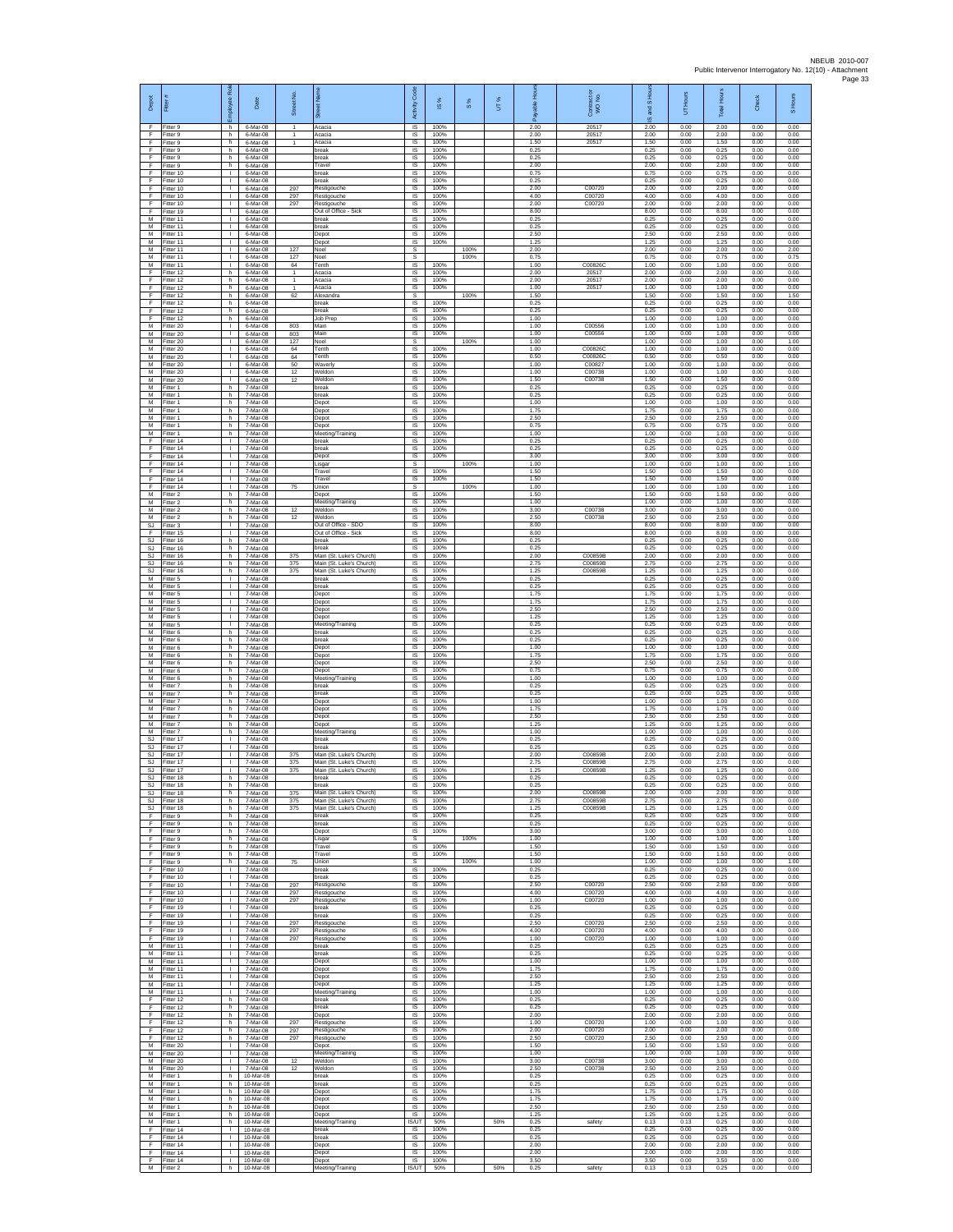| Depot                 | Fitter                              | æ<br>loyee                                     | Date                                | Street No.                   |                                                               | Code<br>Activity                                | IS %                 | 8%   | UT% | 휸                    | Contract or<br>WO No.   | and S Hou<br>ဖ       | UT Hours             | <b>Total Hours</b>   | Check                | S Hours              |
|-----------------------|-------------------------------------|------------------------------------------------|-------------------------------------|------------------------------|---------------------------------------------------------------|-------------------------------------------------|----------------------|------|-----|----------------------|-------------------------|----------------------|----------------------|----------------------|----------------------|----------------------|
| -F<br>F<br>F          | Fitter 9<br>Fitter 9<br>Fitter 9    | h<br>h.<br>h                                   | 6-Mar-08<br>6-Mar-08<br>6-Mar-08    | $\mathbf{1}$<br>$\mathbf{1}$ | Acacia<br>Acacia<br>Acacia                                    | $\overline{\mathsf{s}}$<br>$\sf IS$<br>$\sf IS$ | 100%<br>100%<br>100% |      |     | 2.00<br>2.00<br>1.50 | 20517<br>20517<br>20517 | 2.00<br>2.00<br>1.50 | 0.00<br>0.00<br>0.00 | 2.00<br>2.00<br>1.50 | 0.00<br>0.00<br>0.00 | 0.00<br>0.00<br>0.00 |
| -F<br>-F.             | Fitter 9<br>Fitter 9                | h.<br>h.                                       | 6-Mar-08<br>6-Mar-08                |                              | break<br>hreak                                                | IS<br>IS                                        | 100%<br>100%         |      |     | 0.25<br>0.25         |                         | 0.25<br>0.25         | 0.00<br>0.00         | 0.25<br>0.25         | 0.00<br>0.00         | 0.00<br>0.00         |
| Ŧ<br>Ŧ                | -itter 9<br>Fitter 10               | h<br>$\mathbf{L}$                              | 6-Mar-08<br>6-Mar-08                |                              | Travel<br>break                                               | IS<br>IS                                        | 100%<br>100%         |      |     | 2.00<br>0.75         |                         | 2.00<br>0.75         | 0.00<br>0.00         | 2.00<br>0.75         | 0.00<br>0.00         | 0.00<br>0.00         |
| E<br>$\mathsf F$<br>F | Fitter 10<br>Fitter 10              | $\mathbf{L}$<br>$\mathbf{L}$<br>$\mathbf{L}$   | 6-Mar-08<br>6-Mar-08                | 297                          | break<br>Restigouche                                          | IS<br>IS                                        | 100%<br>100%         |      |     | 0.25<br>2.00         | C00720                  | 0.25<br>2.00         | 0.00<br>0.00         | 0.25<br>2.00         | 0.00<br>0.00         | 0.00<br>0.00         |
| F<br>E                | Fitter 10<br>Fitter 10<br>Fitter 19 | т.<br>T.                                       | 6-Mar-08<br>6-Mar-08<br>6-Mar-08    | 297<br>297                   | Restigouche<br>Restigouche<br>Out of Office - Sick            | $\sf IS$<br>IS<br>IS                            | 100%<br>100%<br>100% |      |     | 4.00<br>2.00<br>8.00 | C00720<br>C00720        | 4.00<br>2.00<br>8.00 | 0.00<br>0.00<br>0.00 | 4.00<br>2.00<br>8.00 | 0.00<br>0.00<br>0.00 | 0.00<br>0.00<br>0.00 |
| M<br>М                | Fitter 11<br>Fitter 11              | $\mathbb{L}$<br>т.                             | 6-Mar-08<br>6-Mar-08                |                              | break<br>break                                                | IS<br>IS                                        | 100%<br>100%         |      |     | 0.25<br>0.25         |                         | 0.25<br>0.25         | 0.00<br>0.00         | 0.25<br>0.25         | 0.00<br>0.00         | 0.00<br>0.00         |
| M<br>M<br>M           | Fitter 11<br>Fitter 11<br>Fitter 11 | л.<br>$\mathbf{L}$<br>т.                       | 6-Mar-08<br>6-Mar-08<br>6-Mar-08    | 127                          | Depot<br>Depot<br>Noel                                        | - IS<br>IS<br>s                                 | 100%<br>100%         | 100% |     | 2.50<br>1.25<br>2.00 |                         | 2.50<br>1.25<br>2.00 | 0.00<br>0.00<br>0.00 | 2.50<br>1.25<br>2.00 | 0.00<br>0.00<br>0.00 | 0.00<br>0.00<br>2.00 |
| M<br>M                | Fitter 11<br>Fitter 11              | т.<br>$\mathbf{L}$                             | 6-Mar-08<br>6-Mar-08                | 127<br>64                    | Noel<br>Tenth                                                 | s<br>IS                                         | 100%                 | 100% |     | 0.75<br>1.00         | C008260                 | 0.75<br>1.00         | 0.00<br>0.00         | 0.75<br>1.00         | 0.00<br>0.00         | 0.75<br>0.00         |
| F<br>Ŧ                | Fitter 12<br>Fitter 12              | h<br>h.                                        | 6-Mar-08<br>6-Mar-08                | 1<br>$\mathbf{1}$            | Acacia<br>Acacia                                              | IS<br>IS                                        | 100%<br>100%         |      |     | 2.00<br>2.00         | 20517<br>20517          | 2.00<br>2.00         | 0.00<br>0.00         | 2.00<br>2.00         | 0.00<br>0.00         | 0.00<br>0.00         |
| F<br>F<br>$\mathsf F$ | Fitter 12<br>Fitter 12<br>Fitter 12 | h.<br>h.<br>h.                                 | 6-Mar-08<br>6-Mar-08<br>6-Mar-08    | $\mathbf{1}$<br>62           | Acacia<br>Alexandra<br>break                                  | - IS<br>s<br>IS                                 | 100%<br>100%         | 100% |     | 1.00<br>1.50<br>0.25 | 20517                   | 1.00<br>1.50<br>0.25 | 0.00<br>0.00<br>0.00 | 1.00<br>1.50<br>0.25 | 0.00<br>0.00<br>0.00 | 0.00<br>1.50<br>0.00 |
| F<br>-F               | Fitter 12<br>Fitter 12              | h.<br>h.                                       | 6-Mar-08<br>6-Mar-08                |                              | break<br>Job Prec                                             | IS<br>- IS                                      | 100%<br>100%         |      |     | 0.25<br>1.00         |                         | 0.25<br>1.00         | 0.00<br>0.00         | 0.25<br>1.00         | 0.00<br>0.00         | 0.00<br>0.00         |
| M<br>М<br>M           | -itter 20<br>Fitter 20              | $\mathbf{L}$<br>T.                             | 6-Mar-08<br>6-Mar-08<br>6-Mar-08    | 803<br>803<br>127            | Main<br>Main                                                  | $\sf IS$<br>$\sf IS$                            | 100%<br>100%         | 100% |     | 1.00<br>1.00<br>1.00 | C00556<br>C00556        | 1.00<br>1.00<br>1.00 | 0.00<br>0.00<br>0.00 | 1.00<br>1.00<br>1.00 | 0.00<br>0.00<br>0.00 | 0.00<br>0.00<br>1.00 |
| M<br>M                | Fitter 20<br>Fitter 20<br>Fitter 20 | т.<br>$\mathbf{L}$<br>٠                        | 6-Mar-08<br>6-Mar-08                | 64<br>64                     | Noel<br>Tenth<br>Tenth                                        | s<br><b>IS</b><br>IS                            | 100%<br>100%         |      |     | 1.00<br>0.50         | C008260<br>C00826C      | 1.00<br>0.50         | 0.00<br>0.00         | 1.00<br>0.50         | 0.00<br>0.00         | 0.00<br>0.00         |
| M<br>M                | Fitter 20<br>Fitter 20              | $\mathbf{L}$<br>л.                             | 6-Mar-08<br>6-Mar-08                | 50<br>12                     | Waverly<br>Weldon                                             | IS<br>- IS                                      | 100%<br>100%         |      |     | 1.00<br>1.00         | C00827<br>C00738        | 1.00<br>1.00         | 0.00<br>0.00         | 1.00<br>1.00         | 0.00<br>0.00         | 0.00<br>0.00         |
| ${\sf M}$<br>М<br>M   | -itter 20<br>Fitter 1<br>Fitter 1   | $\mathbf{L}$<br>h.<br>h.                       | 6-Mar-08<br>7-Mar-08<br>7-Mar-08    | 12                           | Weldon<br>break<br>break                                      | IS<br>IS<br>IS                                  | 100%<br>100%<br>100% |      |     | 1.50<br>0.25<br>0.25 | C00738                  | 1.50<br>0.25<br>0.25 | 0.00<br>0.00<br>0.00 | 1.50<br>0.25<br>0.25 | 0.00<br>0.00<br>0.00 | 0.00<br>0.00<br>0.00 |
| M<br>M                | Fitter 1<br>Fitter 1                | h<br>h                                         | 7-Mar-08<br>7-Mar-08                |                              | Depot<br>Depot                                                | IS<br>IS                                        | 100%<br>100%         |      |     | 1.00<br>1.75         |                         | 1.00<br>1.75         | 0.00<br>0.00         | 1.00<br>1.75         | 0.00<br>0.00         | 0.00<br>0.00         |
| M<br>M                | fitter 1<br>Fitter 1                | h<br>h.                                        | 7-Mar-08<br>7-Mar-08                |                              | Depot<br>Depot                                                | IS<br>- IS                                      | 100%<br>100%         |      |     | 2.50<br>0.75         |                         | 2.50<br>0.75         | 0.00<br>0.00         | 2.50<br>0.75         | 0.00<br>0.00         | 0.00<br>0.00         |
| M<br>F<br>F.          | -itter 1<br>Fitter 14<br>Fitter 14  | h.<br>т.<br>$\mathbf{L}$                       | 7-Mar-08<br>7-Mar-08<br>7-Mar-08    |                              | Meeting/Training<br>break<br>break                            | <b>IS</b><br>IS<br>IS                           | 100%<br>100%<br>100% |      |     | 1.00<br>0.25<br>0.25 |                         | 1.00<br>0.25<br>0.25 | 0.00<br>0.00<br>0.00 | 1.00<br>0.25<br>0.25 | 0.00<br>0.00<br>0.00 | 0.00<br>0.00<br>0.00 |
| E<br>F                | Fitter 14<br>Fitter 14              | $\mathbf{L}$<br>L.                             | 7-Mar-08<br>7-Mar-08                |                              | Depot<br>Lisgar                                               | IS<br>s                                         | 100%                 | 100% |     | 3.00<br>1.00         |                         | 3.00<br>1.00         | 0.00<br>0.00         | 3.00<br>1.00         | 0.00<br>0.00         | 0.00<br>1.00         |
| Ŧ<br>F                | Fitter 14<br>Fitter 14              | $\mathbf{L}$<br>$\mathbf{L}$                   | 7-Mar-08<br>7-Mar-08                |                              | Travel<br>Travel                                              | IS<br><b>IS</b>                                 | 100%<br>100%         |      |     | 1.50<br>1.50         |                         | 1.50<br>1.50         | 0.00<br>0.00         | 1.50<br>1.50         | 0.00<br>0.00         | 0.00<br>0.00         |
| F<br>M<br>M           | Fitter 14<br>Fitter 2<br>Fitter 2   | $\mathbf{L}$<br>h<br>h                         | 7-Mar-08<br>7-Mar-08<br>7-Mar-08    | 75                           | Union<br>Depot<br>Meeting/Training                            | s<br>IS<br>IS                                   | 100%<br>100%         | 100% |     | 1.00<br>1.50<br>1.00 |                         | 1.00<br>1.50<br>1.00 | 0.00<br>0.00<br>0.00 | 1.00<br>1.50<br>1.00 | 0.00<br>0.00<br>0.00 | 1.00<br>0.00<br>0.00 |
| M<br>M                | Fitter 2<br>-itter 2                | h.<br>h.                                       | 7-Mar-08<br>7-Mar-08                | 12<br>12                     | Weldon<br>Weldon                                              | - IS<br>$\sf IS$                                | 100%<br>100%         |      |     | 3.00<br>2.50         | C00738<br>C00738        | 3.00<br>2.50         | 0.00<br>0.00         | 3.00<br>2.50         | 0.00<br>0.00         | 0.00<br>0.00         |
| SJ<br>-F<br>S.I       | -itter 3<br>Fitter 15<br>Fitter 16  | J.<br>т.<br>h.                                 | 7-Mar-08<br>7-Mar-08<br>7-Mar-08    |                              | Out of Office - SDO<br>Out of Office - Sick<br>break          | $\sf IS$<br>IS<br>IS                            | 100%<br>100%<br>100% |      |     | 8.00<br>8.00<br>0.25 |                         | 8.00<br>8.00<br>0.25 | 0.00<br>0.00<br>0.00 | 8.00<br>8.00<br>0.25 | 0.00<br>0.00<br>0.00 | 0.00<br>0.00<br>0.00 |
| <b>SJ</b><br>SJ       | Fitter 16<br>Fitter 16              | h<br>h.                                        | 7-Mar-08<br>7-Mar-08                | 375                          | break<br>Main (St. Luke's Church)                             | IS<br>IS                                        | 100%<br>100%         |      |     | 0.25<br>2.00         | C00859E                 | 0.25<br>2.00         | 0.00<br>0.00         | 0.25<br>2.00         | 0.00<br>0.00         | 0.00<br>0.00         |
| SJ<br>SJ              | Fitter 16<br>Fitter 16              | h.<br>h                                        | 7-Mar-08<br>7-Mar-08                | 375<br>375                   | Main (St. Luke's Church)<br>Main (St. Luke's Church)          | IS<br>IS                                        | 100%<br>100%         |      |     | 2.75<br>1.25         | C00859B<br>C00859B      | 2.75<br>1.25         | 0.00<br>0.00         | 2.75<br>1.25         | 0.00<br>0.00         | 0.00<br>0.00         |
| М<br>M<br>M           | Fitter 5<br>Fitter 5<br>Fitter 5    | $\mathbf{L}$<br>т.<br>T.                       | 7-Mar-08<br>7-Mar-08<br>7-Mar-08    |                              | break<br>break<br>Depot                                       | $\sf IS$<br>IS<br>IS                            | 100%<br>100%<br>100% |      |     | 0.25<br>0.25<br>1.75 |                         | 0.25<br>0.25<br>1.75 | 0.00<br>0.00<br>0.00 | 0.25<br>0.25<br>1.75 | 0.00<br>0.00<br>0.00 | 0.00<br>0.00<br>0.00 |
| M<br>M                | Fitter 5<br>Fitter 5                | $\mathbf{I}$<br>т.                             | 7-Mar-08<br>7-Mar-08                |                              | Depot<br>Depot                                                | IS<br>IS                                        | 100%<br>100%         |      |     | 1.75<br>2.50         |                         | 1.75<br>2.50         | 0.00<br>0.00         | 1.75<br>2.50         | 0.00<br>0.00         | 0.00<br>0.00         |
| M<br>M<br>M           | Fitter 5<br>-itter 5<br>Fitter 6    | л.<br>$\mathbf{L}$<br>h                        | 7-Mar-08<br>7-Mar-08<br>7-Mar-08    |                              | Depot<br>Meeting/Training<br>break                            | - IS<br>IS<br>IS                                | 100%<br>100%<br>100% |      |     | 1.25<br>0.25<br>0.25 |                         | 1.25<br>0.25<br>0.25 | 0.00<br>0.00<br>0.00 | 1.25<br>0.25<br>0.25 | 0.00<br>0.00<br>0.00 | 0.00<br>0.00<br>0.00 |
| M<br>M                | Fitter 6<br>Fitter 6                | h.<br>h.                                       | 7-Mar-08<br>7-Mar-08                |                              | break<br>Depot                                                | IS<br>IS                                        | 100%<br>100%         |      |     | 0.25<br>1.00         |                         | 0.25<br>1.00         | 0.00<br>0.00         | 0.25<br>1.00         | 0.00<br>0.00         | 0.00<br>0.00         |
| M<br>M<br>M           | -itter 6<br>Fitter 6<br>Fitter 6    | h.<br>h.<br>h.                                 | 7-Mar-08<br>7-Mar-08<br>7-Mar-08    |                              | Depot<br>Depot<br>Depot                                       | IS<br>IS<br>- IS                                | 100%<br>100%<br>100% |      |     | 1.75<br>2.50<br>0.75 |                         | 1.75<br>2.50<br>0.75 | 0.00<br>0.00<br>0.00 | 1.75<br>2.50<br>0.75 | 0.00<br>0.00<br>0.00 | 0.00<br>0.00<br>0.00 |
| М<br>M                | Fitter 6<br>Fitter 7                | h.<br>h.                                       | 7-Mar-08<br>7-Mar-08                |                              | Meeting/Training<br>break                                     | IS<br>IS                                        | 100%<br>100%         |      |     | 1.00<br>0.25         |                         | 1.00<br>0.25         | 0.00<br>0.00         | 1.00<br>0.25         | 0.00<br>0.00         | 0.00<br>0.00         |
| M<br>M                | Fitter 7<br>Fitter 7                | h<br>h.                                        | 7-Mar-08<br>7-Mar-08                |                              | break<br>Depot                                                | IS<br>- IS                                      | 100%<br>100%         |      |     | 0.25<br>1.00         |                         | 0.25<br>1.00         | 0.00<br>0.00         | 0.25<br>1.00         | 0.00<br>0.00         | 0.00<br>0.00         |
| М<br>М<br>M           | -itter 7<br>-itter 7<br>Fitter 7    | h<br>h<br>h.                                   | 7-Mar-08<br>7-Mar-08<br>7-Mar-08    |                              | Depot<br>Depot<br>Depot                                       | $\sf IS$<br>IS<br>IS                            | 100%<br>100%<br>100% |      |     | 1.75<br>2.50<br>1.25 |                         | 1.75<br>2.50<br>1.25 | 0.00<br>0.00<br>0.00 | 1.75<br>2.50<br>1.25 | 0.00<br>0.00<br>0.00 | 0.00<br>0.00<br>0.00 |
| M<br>SJ               | Fitter 7<br>Fitter 17               | h.<br>т.<br>$\mathbf{L}$                       | 7-Mar-08<br>7-Mar-08                |                              | Meeting/Training<br>break<br>break                            | <b>IS</b><br>IS                                 | 100%<br>100%<br>100% |      |     | 1.00<br>0.25         |                         | 1.00<br>0.25         | 0.00<br>0.00         | 1.00<br>0.25         | 0.00<br>0.00         | 0.00<br>0.00<br>0.00 |
| SJ<br>SJ.<br>SJ       | Fitter 17<br>Fitter 17<br>Fitter 17 | л.<br>$\mathbf{L}$                             | 7-Mar-08<br>7-Mar-08<br>7-Mar-08    | 375<br>375                   | Main (St. Luke's Church)<br>Main (St. Luke's Church)          | IS<br>- IS<br>IS                                | 100%<br>100%         |      |     | 0.25<br>2.00<br>2.75 | C00859B<br>C00859B      | 0.25<br>2.00<br>2.75 | 0.00<br>0.00<br>0.00 | 0.25<br>2.00<br>2.75 | 0.00<br>0.00<br>0.00 | 0.00<br>0.00         |
| SJ<br>SJ.             | Fitter 17<br>Fitter 18              | $\mathbb{L}$<br>h.                             | 7-Mar-08<br>7-Mar-08                | 375                          | Main (St. Luke's Church)<br>break                             | IS<br>IS                                        | 100%<br>100%         |      |     | 1.25<br>0.25         | C00859B                 | 1.25<br>0.25         | 0.00<br>0.00         | 1.25<br>0.25         | 0.00<br>0.00         | 0.00<br>0.00         |
| <b>SJ</b><br>SJ<br>SJ | Fitter 18<br>Fitter 18<br>Fitter 18 | h<br>h<br>h                                    | 7-Mar-08<br>7-Mar-08<br>7-Mar-08    | 375<br>375                   | break<br>Main (St. Luke's Church)<br>Main (St. Luke's Church) | <b>IS</b><br>IS<br>IS                           | 100%<br>100%<br>100% |      |     | 0.25<br>2.00<br>2.75 | C00859B<br>C00859B      | 0.25<br>2.00<br>2.75 | 0.00<br>0.00<br>0.00 | 0.25<br>2.00<br>2.75 | 0.00<br>0.00<br>0.00 | 0.00<br>0.00<br>0.00 |
| SJ.<br>F.             | Fitter 18<br>Fitter 9               | h.<br>h.                                       | 7-Mar-08<br>7-Mar-08                | 375                          | Main (St. Luke's Church)<br>break                             | - IS<br><b>IS</b>                               | 100%<br>100%         |      |     | 1.25<br>0.25         | C00859B                 | 1.25<br>0.25         | 0.00<br>0.00         | 1.25<br>0.25         | 0.00<br>0.00         | 0.00<br>0.00         |
| F<br>F.<br>F.         | Fitter 9<br>Fitter 9<br>Fitter 9    | h.<br>h<br>h                                   | 7-Mar-08<br>7-Mar-08<br>7-Mar-08    |                              | break<br>Depot                                                | IS<br><b>IS</b><br>s                            | 100%<br>100%         | 100% |     | 0.25<br>3.00<br>1.00 |                         | 0.25<br>3.00<br>1.00 | 0.00<br>0.00<br>0.00 | 0.25<br>3.00<br>1.00 | 0.00<br>0.00<br>0.00 | 0.00<br>0.00<br>1.00 |
| $\mathsf F$<br>Ŧ      | Fitter 9<br>Fitter 9                | h.<br>h                                        | 7-Mar-08<br>7-Mar-08                |                              | Lisgar<br>Travel<br>Travel                                    | $\sf IS$<br><b>IS</b>                           | 100%<br>100%         |      |     | 1.50<br>1.50         |                         | 1.50<br>1.50         | 0.00<br>0.00         | 1.50<br>1.50         | 0.00<br>0.00         | 0.00<br>0.00         |
| F<br>F                | Fitter 9<br>Fitter 10               | h.<br>$\mathbf{L}$                             | 7-Mar-08<br>7-Mar-08                | 75                           | Union<br>break                                                | s.<br>IS                                        | 100%                 | 100% |     | 1.00<br>0.25         |                         | 1.00<br>0.25         | 0.00<br>0.00         | 1.00<br>0.25         | 0.00<br>0.00         | 1.00<br>0.00         |
| F<br>F<br>-F          | Fitter 10<br>Fitter 10<br>Fitter 10 | H.<br>т.<br>$\mathbf{L}$                       | 7-Mar-08<br>7-Mar-08<br>7-Mar-08    | 297<br>297                   | break<br>Restigouche<br>Restigouche                           | IS<br>IS<br>- IS                                | 100%<br>100%<br>100% |      |     | 0.25<br>2.50<br>4.00 | C00720<br>C00720        | 0.25<br>2.50<br>4.00 | 0.00<br>0.00<br>0.00 | 0.25<br>2.50<br>4.00 | 0.00<br>0.00<br>0.00 | 0.00<br>0.00<br>0.00 |
| F.<br>F               | Fitter 10<br>Fitter 19              | $\mathbf{L}$<br>T.                             | 7-Mar-08<br>7-Mar-08                | 297                          | Restigouche<br>break                                          | IS<br>$\sf IS$                                  | 100%<br>100%         |      |     | 1.00<br>0.25         | C00720                  | 1.00<br>0.25         | 0.00<br>0.00         | 1.00<br>0.25         | 0.00<br>0.00         | 0.00<br>0.00         |
| -F<br>F.<br>Ŧ         | Fitter 19<br>Fitter 19<br>Fitter 19 | т.<br>л.<br>т.                                 | 7-Mar-08<br>7.Mar.08<br>7-Mar-08    | 297<br>297                   | break<br>Restigouche<br>Restigouche                           | <b>IS</b><br><b>IS</b><br>IS                    | 100%<br>100%<br>100% |      |     | 0.25<br>2.50<br>4.00 | C00720<br>C00720        | 0.25<br>2.50<br>4.00 | 0.00<br>0.00<br>0.00 | 0.25<br>2.50<br>4.00 | 0.00<br>0.00<br>0.00 | 0.00<br>0.00<br>0.00 |
| Ŧ<br>M                | Fitter 19<br>Fitter 11              | $\mathbf{L}$<br>$\mathbf{L}$                   | 7-Mar-08<br>7-Mar-08                | 297                          | Restigouche<br>break                                          | IS<br><b>IS</b>                                 | 100%<br>100%         |      |     | 1.00<br>0.25         | C00720                  | 1.00<br>0.25         | 0.00<br>0.00         | 1.00<br>0.25         | 0.00<br>0.00         | 0.00<br>0.00         |
| М<br>M<br>M           | Fitter 11<br>Fitter 11<br>Fitter 11 | $\mathbf{L}$<br>$\mathbb{R}^n$<br>$\mathbf{L}$ | 7-Mar-08<br>7-Mar-08<br>7-Mar-08    |                              | break<br>Depot<br>Depot                                       | IS<br>IS<br><b>IS</b>                           | 100%<br>100%<br>100% |      |     | 0.25<br>1.00<br>1.75 |                         | 0.25<br>1.00<br>1.75 | 0.00<br>0.00<br>0.00 | 0.25<br>1.00<br>1.75 | 0.00<br>0.00<br>0.00 | 0.00<br>0.00<br>0.00 |
| M<br>M                | Fitter 11<br>Fitter 11              | $\mathbf{I}$<br>H.                             | 7-Mar-08<br>7-Mar-08                |                              | Depot<br>Depot                                                | IS<br>IS                                        | 100%<br>100%         |      |     | 2.50<br>1.25         |                         | 2.50<br>1.25         | 0.00<br>0.00         | 2.50<br>1.25         | 0.00<br>0.00         | 0.00<br>0.00         |
| M<br>-F               | Fitter 11<br>Fitter 12              | т.<br>h.                                       | 7-Mar-08<br>7-Mar-08                |                              | Meeting/Training<br>break                                     | <b>IS</b><br>- IS                               | 100%<br>100%         |      |     | 1.00<br>0.25         |                         | 1.00<br>0.25         | 0.00<br>0.00         | 1.00<br>0.25         | 0.00<br>0.00         | 0.00<br>0.00         |
| F.<br>F<br>F.         | Fitter 12<br>Fitter 12<br>Fitter 12 | h<br>h<br>h.                                   | 7-Mar-08<br>7-Mar-08<br>7-Mar-08    | 297                          | break<br>Depot<br>Restigouche                                 | <b>IS</b><br>IS<br>IS                           | 100%<br>100%<br>100% |      |     | 0.25<br>2.00<br>1.00 | C00720                  | 0.25<br>2.00<br>1.00 | 0.00<br>0.00<br>0.00 | 0.25<br>2.00<br>1.00 | 0.00<br>0.00<br>0.00 | 0.00<br>0.00<br>0.00 |
| F.<br>$\mathsf F$     | Fitter 12<br>Fitter 12              | h.<br>h.                                       | 7-Mar-08<br>7-Mar-08                | 297<br>297                   | Restigouche<br>Restigouche                                    | IS<br>IS                                        | 100%<br>100%         |      |     | 2.00<br>2.50         | C00720<br>C00720        | 2.00<br>2.50         | 0.00<br>0.00         | 2.00<br>2.50         | 0.00<br>0.00         | 0.00<br>0.00         |
| M<br>M<br>M           | Fitter 20<br>Fitter 20<br>Fitter 20 | т<br>$\mathbf{L}$<br>$\mathbf{L}$              | 7-Mar-08<br>7-Mar-08<br>7-Mar-08    | 12                           | Depot<br>Meeting/Training<br>Weldon                           | <b>IS</b><br><b>IS</b><br>IS                    | 100%<br>100%<br>100% |      |     | 1.50<br>1.00<br>3.00 | C00738                  | 1.50<br>1.00<br>3.00 | 0.00<br>0.00<br>0.00 | 1.50<br>1.00<br>3.00 | 0.00<br>0.00<br>0.00 | 0.00<br>0.00<br>0.00 |
| M<br>M                | Fitter 20<br>Fitter 1               | $\mathbb{L}$<br>h                              | 7-Mar-08<br>10-Mar-08               | 12                           | Weldon<br>break                                               | IS<br>IS                                        | 100%<br>100%         |      |     | 2.50<br>0.25         | C00738                  | 2.50<br>0.25         | 0.00<br>0.00         | 2.50<br>0.25         | 0.00<br>0.00         | 0.00<br>0.00         |
| M<br>M<br>M           | Fitter 1<br>Fitter 1<br>Fitter 1    | h.<br>h.<br>h                                  | 10-Mar-08<br>10-Mar-08<br>10-Mar-08 |                              | break<br>Depot<br>Depot                                       | - IS<br>$\sf IS$<br>$\sf IS$                    | 100%<br>100%<br>100% |      |     | 0.25<br>1.75<br>1.75 |                         | 0.25<br>1.75<br>1.75 | 0.00<br>0.00<br>0.00 | 0.25<br>1.75<br>1.75 | 0.00<br>0.00<br>0.00 | 0.00<br>0.00<br>0.00 |
| M<br>M                | Fitter 1<br>Fitter 1                | h.<br>h.                                       | 10-Mar-08<br>10-Mar-08              |                              | Depot<br>Depot                                                | <b>IS</b><br><b>IS</b>                          | 100%<br>100%         |      |     | 2.50<br>1.25         |                         | 2.50<br>1 25         | 0.00<br>0.00         | 2.50<br>1 25         | 0.00<br>0.00         | 0.00<br>0.00         |
| M<br>Ŧ<br>E           | -itter 1<br>Fitter 14<br>Fitter 14  | h<br>т<br>$\mathbf{L}$                         | 10-Mar-08<br>10-Mar-08<br>10-Mar-08 |                              | Meeting/Training<br>break<br>break                            | IS/UT<br><b>IS</b><br>- IS                      | 50%<br>100%<br>100%  |      | 50% | 0.25<br>0.25<br>0.25 | safety                  | 0.13<br>0.25<br>0.25 | 0.13<br>0.00<br>0.00 | 0.25<br>0.25<br>0.25 | 0.00<br>0.00<br>0.00 | 0.00<br>0.00<br>0.00 |
| F<br>F                | litter 14<br>Fitter 14              | $\mathbf{L}$<br>$\mathbf{L}$                   | 10-Mar-08<br>10-Mar-08              |                              | Depot<br>Depot                                                | IS<br>IS                                        | 100%<br>100%         |      |     | 2.00<br>2.00         |                         | 2.00<br>2.00         | 0.00<br>0.00         | 2.00<br>2.00         | 0.00<br>0.00         | 0.00<br>0.00         |
| F<br>M                | Fitter 14<br>Fitter 2               | т.<br>h.                                       | 10-Mar-08<br>10-Mar-08              |                              | Depot<br>Meeting/Training                                     | <b>IS</b><br>IS/UT                              | 100%<br>50%          |      | 50% | 3.50<br>0.25         | safety                  | 3.50<br>0.13         | 0.00<br>0.13         | 3.50<br>0.25         | 0.00<br>0.00         | 0.00<br>0.00         |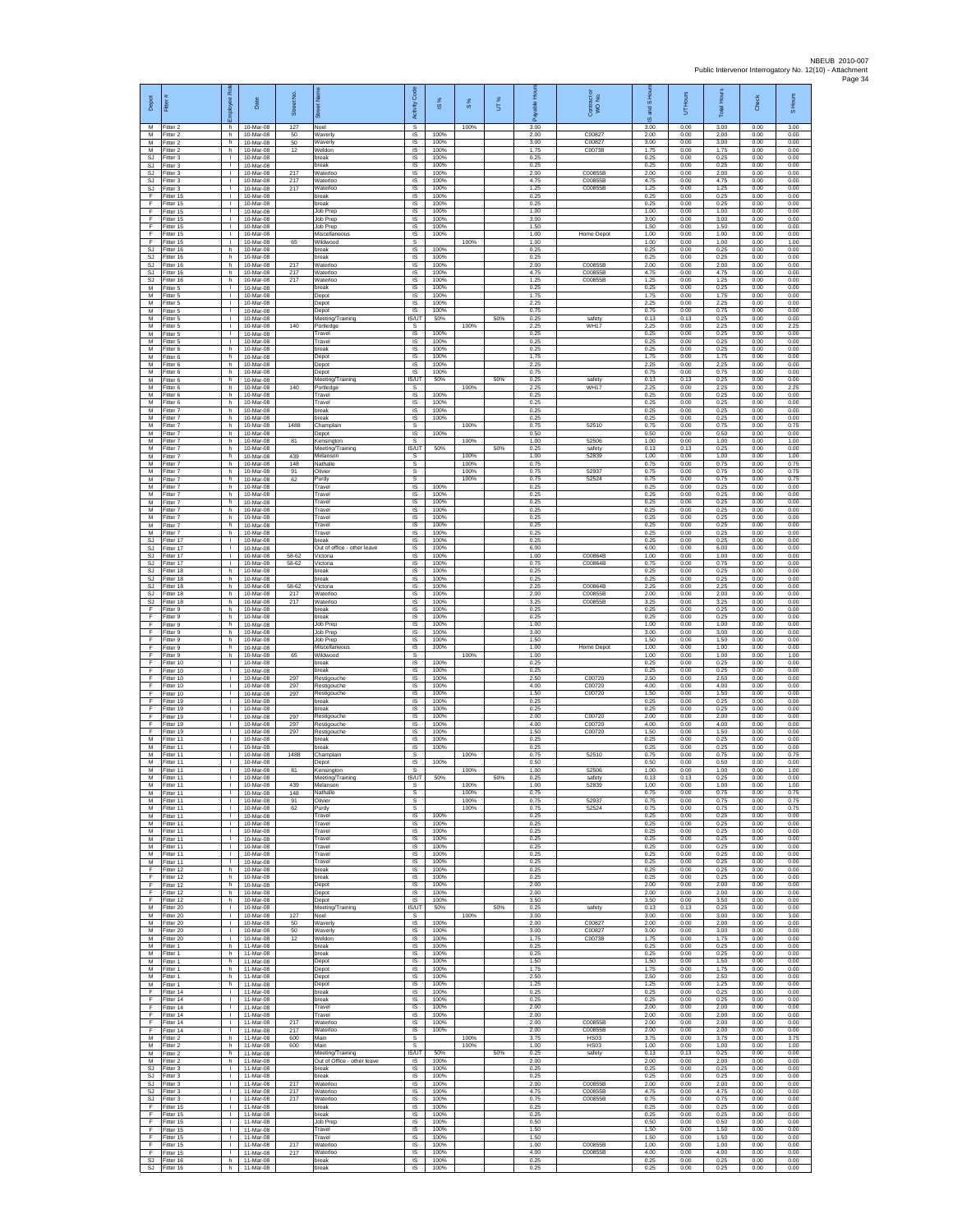| Depot                             | Fitter                              | ployee Rol                         | Date                                  | £<br>Street         | ดิ                                             | Code<br>Activity                    | $\underline{\omega}$ | $\frac{8}{3}$        | UT% | 휸<br>able<br>æ       | Contract or<br>WO No.                | 5<br>g<br>ဖ          | UT Hours             | <b>Total Hours</b>   | Check                | S Hours              |
|-----------------------------------|-------------------------------------|------------------------------------|---------------------------------------|---------------------|------------------------------------------------|-------------------------------------|----------------------|----------------------|-----|----------------------|--------------------------------------|----------------------|----------------------|----------------------|----------------------|----------------------|
| M<br>М                            | Fitter 2<br>Fitter 2                | h.<br>h.                           | 10-Mar-08<br>10-Mar-08                | 127<br>50           | Noel<br><b>Waverly</b>                         | s<br>IS                             | 100%                 | 100%                 |     | 3.00<br>2.00         | C00827                               | 3.00<br>2.00         | 0.00<br>0.00         | 3.00<br>2.00         | 0.00<br>0.00         | 3.00<br>0.00         |
| M<br>M                            | Fitter 2<br>Fitter 2                | h.<br>h.                           | 10-Mar-08<br>10-Mar-08                | $50\,$<br>12        | Waverly<br>Weldon                              | IS<br>IS                            | 100%<br>100%         |                      |     | 3.00<br>1.75         | C00827<br>C00738                     | 3.00<br>1.75         | 0.00<br>0.00         | 3.00<br>1.75         | 0.00<br>0.00         | 0.00<br>0.00         |
| <b>SJ</b><br>SJ<br><b>SJ</b>      | Fitter 3<br>Fitter 3<br>fitter 3    | $\mathbf{L}$<br>т.<br>$\mathbf{I}$ | 10-Mar-08<br>10-Mar-08<br>10-Mar-08   | 217                 | break<br>break<br>Waterloo                     | IS<br>IS.<br>IS                     | 100%<br>100%<br>100% |                      |     | 0.25<br>0.25<br>2.00 | C00855E                              | 0.25<br>0.25<br>2.00 | 0.00<br>0.00<br>0.00 | 0.25<br>0.25<br>2.00 | 0.00<br>0.00<br>0.00 | 0.00<br>0.00<br>0.00 |
| SJ<br>SJ                          | Fitter 3<br>Fitter 3                | л.<br>$\mathbf{L}$                 | 10-Mar-08<br>10-Mar-08                | 217<br>217          | Waterloo<br>Waterloo                           | <b>IS</b><br>IS                     | 100%<br>100%         |                      |     | 4.75<br>1 25         | C00855B<br>C00855B                   | 4.75<br>1.25         | 0.00<br>0.00         | 4.75<br>1.25         | 0.00<br>0.00         | 0.00<br>0.00         |
| F<br>F                            | Fitter 15<br>Fitter 15              | $\mathbf{L}$<br>$\mathbf{I}$       | 10-Mar-08<br>10-Mar-08                |                     | break<br>break                                 | IS<br>IS                            | 100%<br>100%         |                      |     | 0.25<br>0.25         |                                      | 0.25<br>0.25         | 0.00<br>0.00         | 0.25<br>0.25         | 0.00<br>0.00         | 0.00<br>0.00         |
| F<br>F<br>F                       | Fitter 15<br>Fitter 15              | т.<br>т.<br>Τ                      | 10-Mar-08<br>10-Mar-08                |                     | Job Prep<br>Job Prep                           | IS<br>IS                            | 100%<br>100%<br>100% |                      |     | 1.00<br>3.00         |                                      | 1.00<br>3.00         | 0.00<br>0.00         | 1.00<br>3.00         | 0.00<br>0.00         | 0.00<br>0.00         |
| F<br>F                            | fitter 15<br>Fitter 15<br>litter 15 | $\mathbf{L}$<br>т.                 | 10-Mar-08<br>10-Mar-08<br>10-Mar-08   | 65                  | Job Prep<br>Miscellaneous<br>Wildwood          | IS<br>IS<br>s                       | 100%                 | 100%                 |     | 1.50<br>1.00<br>1.00 | Home Depot                           | 1.50<br>1.00<br>1.00 | 0.00<br>0.00<br>0.00 | 1.50<br>1.00<br>1.00 | 0.00<br>0.00<br>0.00 | 0.00<br>0.00<br>1.00 |
| SJ<br><b>SJ</b>                   | Fitter 16<br>fitter 16              | h<br>h                             | 10-Mar-08<br>10-Mar-08                |                     | break<br>preak                                 | IS.<br>IS                           | 100%<br>100%         |                      |     | 0.25<br>0.25         |                                      | 0.25<br>0.25         | 0.00<br>0.00         | 0.25<br>0.25         | 0.00<br>0.00         | 0.00<br>0.00         |
| SJ<br>$\mathbb{S}\mathbb{J}$      | Fitter 16<br>Fitter 16              | h<br>h.                            | 10-Mar-08<br>10-Mar-08                | 217<br>217          | Waterloc<br>Waterloc                           | IS<br>$\sf IS$                      | 100%<br>100%         |                      |     | 2.00<br>4.75         | C00855B<br>C00855B                   | 2.00<br>4.75         | 0.00<br>0.00         | 2.00<br>4.75         | 0.00<br>0.00         | 0.00<br>0.00         |
| <b>SJ</b><br>M<br>M               | fitter 16<br>Fitter 5<br>Fitter 5   | h.<br>л.<br>$\mathbf{L}$           | 10-Mar-08<br>10-Mar-08<br>10-Mar-08   | 217                 | Waterloo<br>break<br>Depot                     | IS<br>IS<br>IS                      | 100%<br>100%<br>100% |                      |     | 1.25<br>0.25<br>1.75 | C00855B                              | 1.25<br>0.25<br>1.75 | 0.00<br>0.00<br>0.00 | 1.25<br>0.25<br>1.75 | 0.00<br>0.00<br>0.00 | 0.00<br>0.00<br>0.00 |
| М<br>M                            | Fitter 5<br>Fitter 5                | т.<br>Τ                            | 10-Mar-08<br>10-Mar-08                |                     | Depot<br>Depot                                 | IS<br>IS                            | 100%<br>100%         |                      |     | 2.25<br>0.75         |                                      | 2.25<br>0.75         | 0.00<br>0.00         | 2.25<br>0.75         | 0.00<br>0.00         | 0.00<br>0.00         |
| M<br>М                            | Fitter 5<br>itter 5                 | $\mathbf{L}$<br>т.                 | 10-Mar-08<br>10-Mar-08                | 140                 | Meeting/Training<br>Portledge                  | <b>IS/UT</b><br>$\mathbb S$         | 50%                  | 100%                 | 50% | 0.25<br>2.25         | safety<br><b>WH17</b>                | 0.13<br>2.25         | 0.13<br>0.00         | 0.25<br>2.25         | 0.00<br>0.00         | 0.00<br>2.25         |
| M<br>M<br>M                       | litter 5<br>Fitter 5<br>Fitter 6    | $\mathbf{L}$<br>$\mathbf{L}$<br>h  | 10-Mar-08<br>10-Mar-08<br>10-Mar-08   |                     | Travel<br>Travel<br>break                      | IS<br>$\overline{\mathsf{s}}$<br>IS | 100%<br>100%<br>100% |                      |     | 0.25<br>0.25<br>0.25 |                                      | 0.25<br>0.25<br>0.25 | 0.00<br>0.00<br>0.00 | 0.25<br>0.25<br>0.25 | 0.00<br>0.00<br>0.00 | 0.00<br>0.00<br>0.00 |
| М<br>М                            | Fitter 6<br>itter 6                 | h<br>h                             | 10-Mar-08<br>10-Mar-08                |                     | Depot<br>Depot                                 | IS<br>IS                            | 100%<br>100%         |                      |     | 1.75<br>2.25         |                                      | 1.75<br>2.25         | 0.00<br>0.00         | 1.75<br>2.25         | 0.00<br>0.00         | 0.00<br>0.00         |
| M<br>M                            | Fitter 6<br>Fitter 6                | h.<br>h.                           | 10-Mar-08<br>10-Mar-08                |                     | Depot<br>Meeting/Training                      | <b>IS</b><br>IS/UT                  | 100%<br>50%          |                      | 50% | 0.75<br>0.25         | safety                               | 0.75<br>0.13         | 0.00<br>0.13         | 0.75<br>0.25         | 0.00<br>0.00         | 0.00<br>0.00         |
| М<br>M<br>M                       | Fitter 6<br>Fitter 6<br>Fitter 6    | h<br>h.<br>h                       | 10-Mar-08<br>10-Mar-08<br>10-Mar-08   | 140                 | Portledge<br>Travel<br>Travel                  | s<br>IS<br>IS                       | 100%<br>100%         | 100%                 |     | 2.25<br>0.25<br>0.25 | WH17                                 | 2.25<br>0.25<br>0.25 | 0.00<br>0.00<br>0.00 | 2.25<br>0.25<br>0.25 | 0.00<br>0.00<br>0.00 | 2.25<br>0.00<br>0.00 |
| М<br>M                            | fitter 7<br>fitter 7                | h<br>h.                            | 10-Mar-08<br>10-Mar-08                |                     | break<br>break                                 | IS<br>1S                            | 100%<br>100%         |                      |     | 0.25<br>0.25         |                                      | 0.25<br>0.25         | 0.00<br>0.00         | 0.25<br>0.25         | 0.00<br>0.00         | 0.00<br>0.00         |
| M<br>М                            | Fitter 7<br>Fitter 7                | h.<br>h                            | 10-Mar-08<br>10-Mar-08                | 1488                | Champlain<br>Depot                             | s<br>IS                             | 100%                 | 100%                 |     | 0.75<br>0.50         | 52510<br>52506                       | 0.75<br>0.50         | 0.00<br>0.00         | 0.75<br>0.50         | 0.00<br>0.00         | 0.75<br>0.00         |
| M<br>M<br>M                       | Fitter 7<br>fitter 7<br>Fitter 7    | h<br>h<br>h                        | 10-Mar-08<br>10-Mar-08<br>10-Mar-08   | 81<br>439           | Kensington<br>Meeting/Training<br>Melanson     | s<br><b>IS/UT</b><br>s              | 50%                  | 100%<br>100%         | 50% | 1.00<br>0.25<br>1.00 | safety<br>52839                      | 1.00<br>0.13<br>1.00 | 0.00<br>0.13<br>0.00 | 1.00<br>0.25<br>1.00 | 0.00<br>0.00<br>0.00 | 1.00<br>0.00<br>1.00 |
| М<br>M                            | Fitter 7<br>fitter 7                | h.<br>h                            | $10-Mar-08$<br>10-Mar-08              | 148<br>91           | Nathalie<br>Olivier                            | $\mathbb S$<br>s                    |                      | 100%<br>100%         |     | 0.75<br>0.75         | 52937                                | 0.75<br>0.75         | 0.00<br>0.00         | 0.75<br>0.75         | 0.00<br>0.00         | 0.75<br>0.75         |
| M<br>M                            | Fitter 7<br>Fitter 7                | h.<br>h.<br>h                      | 10-Mar-08<br>10-Mar-08<br>10-Mar-08   | 62                  | Purdy<br>Travel<br>Travel                      | s<br>IS<br>IS                       | 100%<br>100%         | 100%                 |     | 0.75<br>0.25<br>0.25 | 52524                                | 0.75<br>0.25<br>0.25 | 0.00<br>0.00<br>0.00 | 0.75<br>0.25<br>0.25 | 0.00<br>0.00<br>0.00 | 0.75<br>0.00<br>0.00 |
| М<br>M<br>M                       | Fitter 7<br>Fitter 7<br>Fitter 7    | h.<br>h.                           | 10-Mar-08<br>10-Mar-08                |                     | Travel<br>Travel                               | IS<br>IS                            | 100%<br>100%         |                      |     | 0.25<br>0.25         |                                      | 0.25<br>0.25         | 0.00<br>0.00         | 0.25<br>0.25         | 0.00<br>0.00         | 0.00<br>0.00         |
| М<br>M                            | Fitter 7<br>itter 7                 | h.<br>h                            | 10-Mar-08<br>10-Mar-08                |                     | Travel<br>Travel                               | IS<br>IS                            | 100%<br>100%         |                      |     | 0.25<br>0.25         |                                      | 0.25<br>0.25         | 0.00<br>0.00         | 0.25<br>0.25         | 0.00<br>0.00         | 0.00<br>0.00         |
| M<br><b>SJ</b><br>SJ              | Fitter 7<br>Fitter 17<br>Fitter 17  | h.<br>т.<br>т.                     | 10-Mar-08<br>10-Mar-08<br>10-Mar-08   |                     | Travel<br>break<br>Out of office - other leave | IS<br>IS<br>IS                      | 100%<br>100%<br>100% |                      |     | 0.25<br>0.25<br>6.00 |                                      | 0.25<br>0.25<br>6.00 | 0.00<br>0.00<br>0.00 | 0.25<br>0.25<br>6.00 | 0.00<br>0.00<br>0.00 | 0.00<br>0.00<br>0.00 |
| <b>SJ</b><br>SJ                   | fitter 17<br>Fitter 17              | $\mathbf{I}$<br>$\mathbf{I}$       | 10-Mar-08<br>10-Mar-08                | 58-62<br>58-62      | Victoria<br>Victoria                           | IS<br><b>IS</b>                     | 100%<br>100%         |                      |     | 1.00<br>0.75         | C00864B<br>C00864B                   | 1.00<br>0.75         | 0.00<br>0.00         | 1.00<br>0.75         | 0.00<br>0.00         | 0.00<br>0.00         |
| SJ<br>SJ                          | Fitter 18<br>Fitter 18              | h.<br>h                            | 10-Mar-08<br>10-Mar-08                |                     | break<br>break                                 | IS<br>IS                            | 100%<br>100%         |                      |     | 0.25<br>0.25         |                                      | 0.25<br>0.25         | 0.00<br>0.00         | 0.25<br>0.25         | 0.00<br>0.00         | 0.00<br>0.00         |
| <b>SJ</b><br><b>SJ</b><br>SJ      | Fitter 18<br>Fitter 18<br>Fitter 18 | h.<br>h.<br>h                      | 10-Mar-08<br>10-Mar-08<br>10-Mar-08   | 58-62<br>217<br>217 | Victoria<br>Waterloo<br>Waterloo               | IS<br>IS<br>IS                      | 100%<br>100%<br>100% |                      |     | 2.25<br>2.00<br>3.25 | C00864B<br>C00855B<br>C00855B        | 2.25<br>2.00<br>3.25 | 0.00<br>0.00<br>0.00 | 2.25<br>2.00<br>3.25 | 0.00<br>0.00<br>0.00 | 0.00<br>0.00<br>0.00 |
| F<br>F                            | fitter 9<br>Fitter 9                | h.<br>h.                           | 10-Mar-08<br>10-Mar-08                |                     | break<br>break                                 | IS<br>IS                            | 100%<br>100%         |                      |     | 0.25<br>0.25         |                                      | 0.25<br>0.25         | 0.00<br>0.00         | 0.25<br>0.25         | 0.00<br>0.00         | 0.00<br>0.00         |
| F<br>F                            | itter 9<br>Fitter 9                 | h<br>h.                            | 10-Mar-08<br>10-Mar-08                |                     | Job Prep<br>Job Prep                           | IS<br>1S                            | 100%<br>100%         |                      |     | 1.00<br>3.00         |                                      | 1.00<br>3.00         | 0.00<br>0.00         | 1.00<br>3.00         | 0.00<br>0.00         | 0.00<br>0.00         |
| F<br>F<br>F                       | fitter 9<br>Fitter 9<br>Fitter 9    | h<br>h<br>h.                       | 10-Mar-08<br>10-Mar-08<br>$10-Mar-08$ | 65                  | Job Prep<br>Miscellaneous<br>Wildwood          | IS<br>IS<br>s                       | 100%<br>100%         | 100%                 |     | 1.50<br>1.00<br>1.00 | Home Depo                            | 1.50<br>1.00<br>1.00 | 0.00<br>0.00<br>0.00 | 1.50<br>1.00<br>1.00 | 0.00<br>0.00<br>0.00 | 0.00<br>0.00<br>1.00 |
| F<br>F                            | itter 10<br>Fitter 10               | $\mathbf{I}$<br>л.                 | 10-Mar-08<br>10-Mar-08                |                     | break<br>break                                 | IS<br>IS                            | 100%<br>100%         |                      |     | 0.25<br>0.25         |                                      | 0.25<br>0.25         | 0.00<br>0.00         | 0.25<br>0.25         | 0.00<br>0.00         | 0.00<br>0.00         |
| F<br>F<br>F                       | Fitter 10<br>Fitter 10<br>Fitter 10 | $\mathbf{L}$<br>т.<br>Τ            | 10-Mar-08<br>10-Mar-08<br>10-Mar-08   | 297<br>297          | Restigouche<br>Restigouche<br>Restigouche      | IS<br>IS<br>1S                      | 100%<br>100%<br>100% |                      |     | 2.50<br>4.00<br>1.50 | C00720<br>C00720<br>C00720           | 2.50<br>4.00<br>1.50 | 0.00<br>0.00<br>0.00 | 2.50<br>4.00<br>1.50 | 0.00<br>0.00<br>0.00 | 0.00<br>0.00<br>0.00 |
| F<br>F                            | Fitter 19<br>itter 19               | $\mathbf{L}$<br>т.                 | 10-Mar-08<br>10-Mar-08                | 297                 | break<br>break                                 | IS<br>IS                            | 100%<br>100%         |                      |     | 0.25<br>0.25         |                                      | 0.25<br>0.25         | 0.00<br>0.00         | 0.25<br>0.25         | 0.00<br>0.00         | 0.00<br>0.00         |
| F<br>F                            | Fitter 19<br>Fitter 19              | $\mathbf{L}$<br>т.                 | 10-Mar-08<br>10-Mar-08                | 297<br>297          | Restigouche<br>Restigouche                     | IS<br>IS                            | 100%<br>100%         |                      |     | 2.00<br>4.00         | C00720<br>C00720                     | 2.00<br>4.00         | 0.00<br>0.00         | 2.00<br>4.00         | 0.00<br>0.00         | 0.00<br>0.00         |
| F<br>М<br>M                       | Fitter 19<br>Fitter 11<br>itter 11  | т.<br>т.<br>T.                     | 10-Mar-08<br>10-Mar-08<br>10-Mar-08   | 297                 | Restigouche<br>break<br>break                  | IS<br>IS<br>IS                      | 100%<br>100%<br>100% |                      |     | 1.50<br>0.25<br>0.25 | C00720                               | 1.50<br>0.25<br>0.25 | 0.00<br>0.00<br>0.00 | 1.50<br>0.25<br>0.25 | 0.00<br>0.00<br>0.00 | 0.00<br>0.00<br>0.00 |
| M<br>M                            | Fitter 11<br>Fitter 11              | л.<br>л.                           | 10-Mar-08<br>10-Mar-08                | 1488                | Champlain<br>Depot                             | <b>s</b><br>IS                      | 100%                 | 100%                 |     | 0.75<br>0.50         | 52510                                | 0.75<br>0.50         | 0.00<br>0.00         | 0.75<br>0.50         | 0.00<br>0.00         | 0.75<br>0.00         |
| М<br>M                            | Fitter 11<br>Fitter 11              | T.<br>$\mathbf{I}$                 | 10-Mar-08<br>10-Mar-08                | 81                  | Kensington<br>Meeting/Training                 | s<br>IS/UT                          | 50%                  | 100%                 | 50% | 1.00<br>0.25         | 52506<br>safety                      | 1.00<br>0.13         | 0.00<br>0.13         | 1.00<br>0.25         | 0.00<br>0.00         | 1.00<br>0.00         |
| м<br>M<br>M                       | Fitter 11<br>Fitter 11<br>Fitter 11 | т.<br>т                            | 10-Mar-08<br>10-Mar-08<br>10-Mar-08   | 439<br>148<br>91    | Melanson<br>Nathalie<br>Olivier                | s<br>s                              |                      | 100%<br>100%<br>100% |     | 1.00<br>0.75<br>0.75 | 52839<br>52937                       | 1.00<br>0.75<br>0.75 | 0.00<br>0.00<br>0.00 | 1.00<br>0.75<br>0.75 | 0.00<br>0.00<br>0.00 | 1.00<br>0.75<br>0.75 |
| M<br>М                            | Fitter 11<br>Fitter 11              | $\mathbf{L}$<br>$\mathbf{L}$       | 10-Mar-08<br>10-Mar-08                | 62                  | Purdy<br>Travel                                | s<br>IS                             | 100%                 | 100%                 |     | 0.75<br>0.25         | 52524                                | 0.75<br>0.25         | 0.00<br>0.00         | 0.75<br>0.25         | 0.00<br>0.00         | 0.75<br>0.00         |
| М<br>M                            | Fitter 11<br>Fitter 11              | $\mathbf{L}$<br>$\mathbf{L}$       | 10-Mar-08<br>10-Mar-08                |                     | Travel<br>Travel                               | 1S<br>IS                            | 100%<br>100%         |                      |     | 0.25<br>0.25         |                                      | 0.25<br>0.25         | 0.00<br>0.00         | 0.25<br>0.25         | 0.00<br>0.00         | 0.00<br>0.00         |
| M<br>М<br>М                       | Fitter 11<br>Fitter 11<br>fitter 11 | $\mathbf{L}$<br>$\mathbb{L}$<br>т. | 10-Mar-08<br>10-Mar-08<br>10-Mar-08   |                     | Travel<br>Travel<br>Travel                     | IS<br>$\sf IS$<br>IS                | 100%<br>100%<br>100% |                      |     | 0.25<br>0.25<br>0.25 |                                      | 0.25<br>0.25<br>0.25 | 0.00<br>0.00<br>0.00 | 0.25<br>0.25<br>0.25 | 0.00<br>0.00<br>0.00 | 0.00<br>0.00<br>0.00 |
| M<br>F.                           | Fitter 11<br>Fitter 12              | л.<br>h.                           | 10-Mar-08<br>10-Mar-08                |                     | Travel<br>break                                | IS<br>IS                            | 100%<br>100%         |                      |     | 0.25<br>0.25         |                                      | 0.25<br>0.25         | 0.00<br>0.00         | 0.25<br>0.25         | 0.00<br>0.00         | 0.00<br>0.00         |
| F<br>F<br>F.                      | Fitter 12<br>Fitter 12              | h<br>h.<br>h.                      | 10-Mar-08<br>10-Mar-08                |                     | break<br>Depot<br>Depot                        | IS<br>IS<br><b>IS</b>               | 100%<br>100%<br>100% |                      |     | 0.25<br>2.00<br>2.00 |                                      | 0.25<br>2.00<br>2.00 | 0.00<br>0.00<br>0.00 | 0.25<br>2.00<br>2.00 | 0.00<br>0.00<br>0.00 | 0.00<br>0.00<br>0.00 |
| F<br>M                            | Fitter 12<br>Fitter 12<br>Fitter 20 | h.<br>$\mathbb{R}$                 | 10-Mar-08<br>10-Mar-08<br>10-Mar-08   |                     | Depot<br>Meeting/Training                      | $\sf IS$<br>IS/UT                   | 100%<br>50%          |                      | 50% | 3.50<br>0.25         | safety                               | 3.50<br>0.13         | 0.00<br>0.13         | 3.50<br>0.25         | 0.00<br>0.00         | 0.00<br>0.00         |
| M<br>M                            | Fitter 20<br>Fitter 20              | $\mathbf{L}$<br>т.                 | 10-Mar-08<br>10-Mar-08                | 127<br>50           | Noel<br><b>Waverly</b>                         | s<br>IS                             | 100%                 | 100%                 |     | 3.00<br>2.00         | C00827                               | 3.00<br>2.00         | 0.00<br>0.00         | 3.00<br>2.00         | 0.00<br>0.00         | 3.00<br>0.00         |
| M<br>М<br>M                       | Fitter 20<br>fitter 20              | т.<br>т.<br>h.                     | 10-Mar-08<br>10-Mar-08<br>11-Mar-08   | 50<br>12            | Waverly<br>Weldon<br>break                     | 1S<br>IS<br>IS                      | 100%<br>100%<br>100% |                      |     | 3.00<br>1.75<br>0.25 | C00827<br>C00738                     | 3.00<br>1.75<br>0.25 | 0.00<br>0.00<br>0.00 | 3.00<br>1.75<br>0.25 | 0.00<br>0.00<br>0.00 | 0.00<br>0.00<br>0.00 |
| M<br>М                            | Fitter 1<br>Fitter 1<br>Fitter 1    | h.<br>h.                           | 11-Mar-08<br>11-Mar-08                |                     | break<br>Depot                                 | IS<br>$\sf IS$                      | 100%<br>100%         |                      |     | 0.25<br>1.50         |                                      | 0.25<br>1.50         | 0.00<br>0.00         | 0.25<br>1.50         | 0.00<br>0.00         | 0.00<br>0.00         |
| M<br>M                            | Fitter 1<br>Fitter 1                | h.<br>h.                           | 11-Mar-08<br>11-Mar-08                |                     | Depot<br>Depot                                 | <b>IS</b><br>IS                     | 100%<br>100%         |                      |     | 1.75<br>2.50         |                                      | 1.75<br>2.50         | 0.00<br>0.00         | 1.75<br>2.50         | 0.00<br>0.00         | 0.00<br>0.00         |
| М<br>F<br>F                       | Fitter 1<br>fitter 14<br>Fitter 14  | h<br>Τ<br>$\mathbf{L}$             | 11-Mar-08<br>11-Mar-08<br>11-Mar-08   |                     | Depot<br>break<br>break                        | IS<br>1S<br>IS                      | 100%<br>100%<br>100% |                      |     | 1.25<br>0.25<br>0.25 |                                      | 1.25<br>0.25<br>0.25 | 0.00<br>0.00<br>0.00 | 1.25<br>0.25<br>0.25 | 0.00<br>0.00<br>0.00 | 0.00<br>0.00<br>0.00 |
| F<br>F                            | Fitter 14<br>Fitter 14              | $\mathbf{L}$<br>$\mathbf{L}$       | 11-Mar-08<br>11-Mar-08                |                     | Travel<br>Travel                               | IS<br>1S                            | 100%<br>100%         |                      |     | 2.00<br>2.00         |                                      | 2.00<br>2.00         | 0.00<br>0.00         | 2.00<br>2.00         | 0.00<br>0.00         | 0.00<br>0.00         |
| F<br>F                            | Fitter 14<br>Fitter 14              | т.<br>$\mathbf{L}$                 | 11-Mar-08<br>11-Mar-08                | 217<br>217          | Waterloo<br>Waterloo                           | IS<br>$\sf IS$                      | 100%<br>100%         |                      |     | 2.00<br>2.00         | C00855B<br>C00855B                   | 2.00<br>2.00         | 0.00<br>0.00         | 2.00<br>2.00         | 0.00<br>0.00         | 0.00<br>0.00         |
| М<br>М<br>M                       | Fitter 2<br>itter 2<br>Fitter 2     | h.<br>h.<br>h.                     | 11-Mar-08<br>11-Mar-08<br>11-Mar-08   | 600<br>600          | Main<br>Main<br>Meeting/Training               | $\mathbb S$<br>s<br>IS/UT           | 50%                  | 100%<br>100%         | 50% | 3.75<br>1.00<br>0.25 | <b>HS03</b><br><b>HS03</b><br>safety | 3.75<br>1.00<br>0.13 | 0.00<br>0.00<br>0.13 | 3.75<br>1.00<br>0.25 | 0.00<br>0.00<br>0.00 | 3.75<br>1.00<br>0.00 |
| м<br>SJ                           | Fitter 2<br>Fitter 3                | h.<br>т.                           | 11-Mar-08<br>11-Mar-08                |                     | Out of Office - other leave<br>break           | IS<br>IS                            | 100%<br>100%         |                      |     | 2.00<br>0.25         |                                      | 2.00<br>0.25         | 0.00<br>0.00         | 2.00<br>0.25         | 0.00<br>0.00         | 0.00<br>0.00         |
| SJ.<br>SJ                         | Fitter 3<br>Fitter 3                | т<br>$\mathbf{L}$                  | 11-Mar-08<br>11-Mar-08                | 217                 | break<br>Waterloo                              | IS<br>IS                            | 100%<br>100%         |                      |     | 0.25<br>2.00         | C00855B                              | 0.25<br>2.00         | 0.00<br>0.00         | 0.25<br>2.00         | 0.00<br>0.00         | 0.00<br>0.00         |
| SJ<br>$\mathbb{S}\mathbb{J}$<br>F | Fitter 3<br>Fitter 3<br>Fitter 15   | $\mathbf{L}$<br>$\mathbf{L}$       | 11-Mar-08<br>11-Mar-08<br>11-Mar-08   | 217<br>217          | Waterloc<br>Waterloo<br>break                  | IS<br>$\sf IS$<br>IS.               | 100%<br>100%<br>100% |                      |     | 4.75<br>0.75<br>0.25 | C00855B<br>C00855B                   | 4.75<br>0.75<br>0.25 | 0.00<br>0.00<br>0.00 | 4.75<br>0.75<br>0.25 | 0.00<br>0.00<br>0.00 | 0.00<br>0.00<br>0.00 |
| E<br>F                            | Fitter 15<br>Fitter 15              | $\mathbb{R}$<br>$\mathbf{L}$       | 11-Mar-08<br>11-Mar-08                |                     | break<br>Job Prep                              | IS<br>IS                            | 100%<br>100%         |                      |     | 0.25<br>0.50         |                                      | 0.25<br>0.50         | 0.00<br>0.00         | 0.25<br>0.50         | 0.00<br>0.00         | 0.00<br>0.00         |
| F<br>E<br>F.                      | fitter 15<br>Fitter 15<br>Fitter 15 | т.<br>$\mathbf{I}$<br>$\mathbf{L}$ | 11-Mar-08<br>11-Mar-08<br>11-Mar-08   | 217                 | Travel<br>Travel<br>Waterloo                   | IS<br><b>IS</b><br>IS               | 100%<br>100%<br>100% |                      |     | 1.50<br>1.50<br>1.00 | C00855B                              | 1.50<br>1.50<br>1.00 | 0.00<br>0.00<br>0.00 | 1.50<br>1.50<br>1.00 | 0.00<br>0.00<br>0.00 | 0.00<br>0.00<br>0.00 |
| F<br><b>SJ</b>                    | Fitter 15<br>Fitter 16              | т.<br>h.                           | 11-Mar-08<br>11-Mar-08                | 217                 | Waterloo<br>break                              | $\sf IS$<br><b>IS</b>               | 100%<br>100%         |                      |     | 4.00<br>0.25         | C00855B                              | 4.00<br>0.25         | 0.00<br>0.00         | 4.00<br>0.25         | 0.00<br>0.00         | 0.00<br>0.00         |
|                                   | SJ Fitter 16                        | h.                                 | 11-Mar-08                             |                     | break                                          | IS                                  | 100%                 |                      |     | 0.25                 |                                      | 0.25                 | 0.00                 | 0.25                 | 0.00                 | 0.00                 |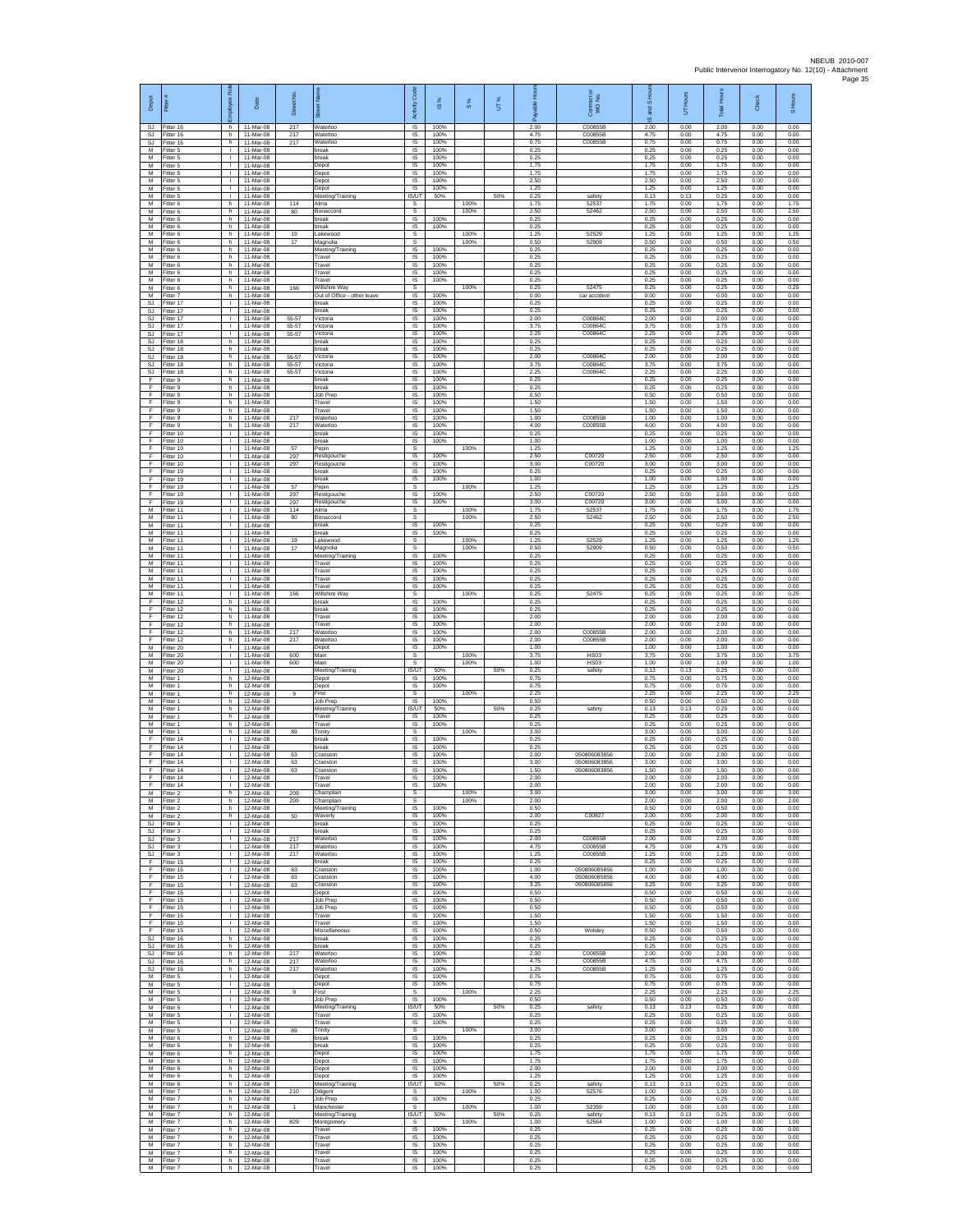| Depot<br><b>SJ</b>      | Fitter #<br>Fitter 16               | Employee Rol<br>h.                           | Date<br>11-Mar-08                   | Street No.<br>217 | set Name<br>Waterloo                         | Code<br>Activity<br><b>IS</b>                      | s,<br>$\overline{\omega}$<br>100% | $\frac{8}{3}$ | UT% | 옾<br>ald<br>å<br>2.00 | Contract or<br>WO No.<br>C00855B | and S Hou<br>$\overline{\omega}$<br>2.00 | UT Hours<br>0.00     | <b>Total Hours</b><br>2.00 | Check<br>0.00        | S Hours<br>0.00      |
|-------------------------|-------------------------------------|----------------------------------------------|-------------------------------------|-------------------|----------------------------------------------|----------------------------------------------------|-----------------------------------|---------------|-----|-----------------------|----------------------------------|------------------------------------------|----------------------|----------------------------|----------------------|----------------------|
| SJ<br>SJ                | Fitter 16<br>litter 16              | h.<br>h.                                     | 11-Mar-08<br>11-Mar-08              | 217<br>217        | Waterloo<br>Waterloo                         | IS<br>$\sf IS$                                     | 100%<br>100%                      |               |     | 4.75<br>0.75          | C00855B<br>C00855B               | 4.75<br>0.75                             | 0.00<br>0.00         | 4.75<br>0.75               | 0.00<br>0.00         | 0.00<br>0.00         |
| M<br>M                  | Fitter 5<br>Fitter 5                | $\mathbf{I}$<br>$\mathbf{L}$                 | 11-Mar-08<br>11-Mar-08              |                   | break<br><b>preak</b>                        | <b>IS</b><br>IS                                    | 100%<br>100%                      |               |     | 0.25<br>0.25          |                                  | 0.25<br>0.25                             | 0.00<br>0.00         | 0.25<br>0.25               | 0.00<br>0.00         | 0.00<br>0.00         |
| М<br>M<br>M             | fitter 5<br>fitter 5<br>Fitter 5    | $\mathbf{I}$<br>$\mathbf{L}$<br>$\mathbf{L}$ | 11-Mar-08<br>11-Mar-08<br>11-Mar-08 |                   | Depot<br>Depot<br>Depot                      | IS<br>1S<br>$\overline{s}$                         | 100%<br>100%<br>100%              |               |     | 1.75<br>1.75<br>2.50  |                                  | 1.75<br>1.75<br>2.50                     | 0.00<br>0.00<br>0.00 | 1.75<br>1.75<br>2.50       | 0.00<br>0.00<br>0.00 | 0.00<br>0.00<br>0.00 |
| М<br>M                  | Fitter 5<br>Fitter 5                | $\mathbf{L}$<br>$\mathbf{L}$                 | 11-Mar-08<br>11-Mar-08              |                   | Depot<br>Meeting/Training                    | IS<br>IS/UT                                        | 100%<br>50%                       |               | 50% | 1.25<br>0.25          | safety                           | 1.25<br>0.13                             | 0.00<br>0.13         | 1.25<br>0.25               | 0.00<br>0.00         | 0.00<br>0.00         |
| M<br>M                  | Fitter 6<br>Fitter 6                | h.<br>h                                      | 11-Mar-08<br>11-Mar-08              | 114<br>80         | Alma<br>Bonaccord                            | s<br>s                                             |                                   | 100%<br>100%  |     | 1.75<br>2.50          | 52537<br>52462                   | 1.75<br>2.50                             | 0.00<br>0.00         | 1.75<br>2.50               | 0.00<br>0.00         | 1.75<br>2.50         |
| М<br>M                  | Fitter 6<br>itter 6                 | h.<br>h.                                     | 11-Mar-08<br>11-Mar-08              |                   | break<br>oreak                               | IS<br>IS                                           | 100%<br>100%                      |               |     | 0.25<br>0.25          |                                  | 0.25<br>0.25                             | 0.00<br>0.00         | 0.25<br>0.25               | 0.00<br>0.00         | 0.00<br>0.00         |
| M<br>M<br>М             | Fitter 6<br>Fitter 6<br>Fitter 6    | h.<br>h.<br>h.                               | 11-Mar-08<br>11-Mar-08<br>11-Mar-08 | 19<br>$17\,$      | Lakewood<br>Magnolia<br>Meeting/Training     | s<br>s<br>IS                                       | 100%                              | 100%<br>100%  |     | 1.25<br>0.50<br>0.25  | 52529<br>52909                   | 1.25<br>0.50<br>0.25                     | 0.00<br>0.00<br>0.00 | 1.25<br>0.50<br>0.25       | 0.00<br>0.00<br>0.00 | 1.25<br>0.50<br>0.00 |
| M<br>M                  | Fitter 6<br>Fitter 6                | h<br>h                                       | 11-Mar-08<br>11-Mar-08              |                   | Travel<br>Travel                             | 1S<br>IS                                           | 100%<br>100%                      |               |     | 0.25<br>0.25          |                                  | 0.25<br>0.25                             | 0.00<br>0.00         | 0.25<br>0.25               | 0.00<br>0.00         | 0.00<br>0.00         |
| М<br>M<br>M             | Fitter 6<br>Fitter 6                | h.<br>h.                                     | 11-Mar-08<br>11-Mar-08<br>11-Mar-08 | 166               | Travel<br>Travel<br>Willshire Wav            | $\sf IS$<br>1S                                     | 100%<br>100%                      | 100%          |     | 0.25<br>0.25<br>0.25  | 52475                            | 0.25<br>0.25<br>0.25                     | 0.00<br>0.00<br>0.00 | 0.25<br>0.25<br>0.25       | 0.00<br>0.00<br>0.00 | 0.00<br>0.00<br>0.25 |
| м<br>SJ                 | Fitter 6<br>Fitter 7<br>Fitter 17   | h.<br>h<br>т.                                | 11-Mar-08<br>11-Mar-08              |                   | Out of Office - other leave<br>break         | s<br>IS<br>1S                                      | 100%<br>100%                      |               |     | 0.00<br>0.25          | car accident                     | 0.00<br>0.25                             | 0.00<br>0.00         | 0.00<br>0.25               | 0.00<br>0.00         | 0.00<br>0.00         |
| SJ<br>SJ                | Fitter 17<br>Fitter 17              | т.<br>л.                                     | 11-Mar-08<br>11-Mar-08              | 55-57             | preak<br>Victoria                            | IS<br>-IS                                          | 100%<br>100%                      |               |     | 0.25<br>2.00          | C00864C                          | 0.25<br>2.00                             | 0.00<br>0.00         | 0.25<br>2.00               | 0.00<br>0.00         | 0.00<br>0.00         |
| SJ<br>SJ                | Fitter 17<br>fitter 17              | $\mathbf{L}$<br>T.                           | 11-Mar-08<br>11-Mar-08              | 55-57<br>55-57    | Victoria<br>Victoria                         | $\sf IS$<br>IS                                     | 100%<br>100%                      |               |     | 3.75<br>2.25          | C00864C<br>C00864C               | 3.75<br>2.25                             | 0.00<br>0.00         | 3.75<br>2.25               | 0.00<br>0.00         | 0.00<br>0.00         |
| <b>SJ</b><br>S.I.<br>SJ | Fitter 18<br>Fitter 18<br>Fitter 18 | h.<br>h<br>h.                                | 11-Mar-08<br>11-Mar-08<br>11-Mar-08 | 55-57             | break<br>oreak<br>Victoria                   | <b>IS</b><br>IS<br>IS                              | 100%<br>100%<br>100%              |               |     | 0.25<br>0.25<br>2.00  | C00864C                          | 0.25<br>0.25<br>2.00                     | 0.00<br>0.00<br>0.00 | 0.25<br>0.25<br>2.00       | 0.00<br>0.00<br>0.00 | 0.00<br>0.00<br>0.00 |
| <b>SJ</b><br>SJ         | fitter 18<br>Fitter 18              | h.<br>h.                                     | 11-Mar-08<br>11-Mar-08              | 55-57<br>55-57    | Victoria<br>Victoria                         | 1S<br>$\overline{\mathsf{s}}$                      | 100%<br>100%                      |               |     | 3.75<br>2.25          | C00864C<br>C00864C               | 3.75<br>2.25                             | 0.00<br>0.00         | 3.75<br>2.25               | 0.00<br>0.00         | 0.00<br>0.00         |
| F<br>F                  | -itter 9<br>Fitter 9                | h<br>h.                                      | 11-Mar-08<br>11-Mar-08              |                   | oreak<br>break                               | IS<br>$\sf IS$                                     | 100%<br>100%                      |               |     | 0.25<br>0.25          |                                  | 0.25<br>0.25                             | 0.00<br>0.00         | 0.25<br>0.25               | 0.00<br>0.00         | 0.00<br>0.00         |
| F<br>F<br>F             | Fitter 9<br>Fitter 9<br>Fitter 9    | h.<br>h<br>h.                                | 11-Mar-08<br>11-Mar-08<br>11-Mar-08 |                   | Job Prep<br>Travel<br>Travel                 | IS<br>IS<br>IS                                     | 100%<br>100%<br>100%              |               |     | 0.50<br>1.50<br>1.50  |                                  | 0.50<br>1.50<br>1.50                     | 0.00<br>0.00<br>0.00 | 0.50<br>1.50<br>1.50       | 0.00<br>0.00<br>0.00 | 0.00<br>0.00<br>0.00 |
| F<br>F                  | fitter 9<br>Fitter 9                | h.<br>h.                                     | 11-Mar-08<br>11-Mar-08              | 217<br>217        | Naterloo<br>Waterloo                         | IS<br><b>IS</b>                                    | 100%<br>100%                      |               |     | 1.00<br>4.00          | C00855E<br>C00855B               | 1.00<br>4.00                             | 0.00<br>0.00         | 1.00<br>4.00               | 0.00<br>0.00         | 0.00<br>0.00         |
| F<br>F                  | Fitter 10<br>Fitter 10              | $\mathbf{L}$<br>т.                           | 11-Mar-08<br>11-Mar-08              |                   | break<br>break                               | IS.<br>IS                                          | 100%<br>100%                      |               |     | 0.25<br>1.00          |                                  | 0.25<br>1.00                             | 0.00<br>0.00         | 0.25<br>1.00               | 0.00<br>0.00         | 0.00<br>0.00         |
| F<br>F<br>F             | Fitter 10<br>Fitter 10<br>Fitter 10 | т<br>$\mathbf{L}$<br>$\mathbf{I}$            | 11-Mar-08<br>11-Mar-08<br>11-Mar-08 | 57<br>297<br>297  | Pepin<br>Restigouche<br>Restigouche          | s<br>IS<br>$\sf IS$                                | 100%<br>100%                      | 100%          |     | 1.25<br>2.50<br>3.00  | C00720<br>C00720                 | 1.25<br>2.50<br>3.00                     | 0.00<br>0.00<br>0.00 | 1.25<br>2.50<br>3.00       | 0.00<br>0.00<br>0.00 | 1.25<br>0.00<br>0.00 |
| F<br>F                  | Fitter 19<br>Fitter 19              | т<br>$\mathbf{L}$                            | 11-Mar-08<br>11-Mar-08              |                   | break<br>break                               | 1S<br>$\overline{\mathsf{s}}$                      | 100%<br>100%                      |               |     | 0.25<br>1.00          |                                  | 0.25<br>1.00                             | 0.00<br>0.00         | 0.25<br>1.00               | 0.00<br>0.00         | 0.00<br>0.00         |
| F<br>F                  | Fitter 19<br>Fitter 19              | $\mathbf{L}$<br>т.                           | 11-Mar-08<br>11-Mar-08              | 57<br>297         | Pepin<br>Restigouche                         | s<br>1S                                            | 100%                              | 100%          |     | 1.25<br>2.50          | C00720                           | 1.25<br>2.50                             | 0.00<br>0.00         | 1.25<br>2.50               | 0.00<br>0.00         | 1.25<br>0.00         |
| F<br>M<br>M             | Fitter 19<br>Fitter 11              | т.<br>$\mathbf{I}$<br>$\mathbf{L}$           | 11-Mar-08<br>11-Mar-08              | 297<br>114        | Restigouche<br>Alma<br>Bonaccord             | IS<br>s                                            | 100%                              | 100%          |     | 3.00<br>1.75          | C00720<br>52537                  | 3.00<br>1.75                             | 0.00<br>0.00         | 3.00<br>1.75               | 0.00<br>0.00         | 0.00<br>1.75         |
| M<br>M                  | Fitter 11<br>fitter 11<br>Fitter 11 | $\mathbf{L}$<br>л.                           | 11-Mar-08<br>11-Mar-08<br>11-Mar-08 | 80                | break<br>break                               | $\mathbb S$<br>$\sf IS$<br>$\overline{\mathsf{s}}$ | 100%<br>100%                      | 100%          |     | 2.50<br>0.25<br>0.25  | 52462                            | 2.50<br>0.25<br>0.25                     | 0.00<br>0.00<br>0.00 | 2.50<br>0.25<br>0.25       | 0.00<br>0.00<br>0.00 | 2.50<br>0.00<br>0.00 |
| M<br>М                  | Fitter 11<br>fitter 11              | $\mathbf{L}$<br>т.                           | 11-Mar-08<br>11-Mar-08              | 19<br>17          | Lakewood<br>Magnolia                         | s<br>s                                             |                                   | 100%<br>100%  |     | 1 25<br>0.50          | 52529<br>52909                   | 1 25<br>0.50                             | 0.00<br>0.00         | 1.25<br>0.50               | 0.00<br>0.00         | 1.25<br>0.50         |
| M<br>M                  | fitter 11<br>Fitter 11              | т.<br>$\mathbf{L}$                           | 11-Mar-08<br>11-Mar-08              |                   | Meeting/Training<br>Travel                   | IS<br>$\overline{s}$                               | 100%<br>100%                      |               |     | 0.25<br>0.25          |                                  | 0.25<br>0.25                             | 0.00<br>0.00         | 0.25<br>0.25               | 0.00<br>0.00         | 0.00<br>0.00         |
| М<br>M<br>M             | Fitter 11<br>Fitter 11<br>Fitter 11 | $\mathbf{L}$<br>$\mathbf{L}$<br>т.           | 11-Mar-08<br>11-Mar-08<br>11-Mar-08 |                   | Travel<br>Travel<br>Travel                   | IS<br>$\sf IS$<br>IS                               | 100%<br>100%<br>100%              |               |     | 0.25<br>0.25<br>0.25  |                                  | 0.25<br>0.25<br>0.25                     | 0.00<br>0.00<br>0.00 | 0.25<br>0.25<br>0.25       | 0.00<br>0.00<br>0.00 | 0.00<br>0.00<br>0.00 |
| M<br>F                  | Fitter 11<br>Fitter 12              | т.<br>h.                                     | 11-Mar-08<br>11-Mar-08              | 166               | Willshire Way<br>break                       | s<br>1S                                            | 100%                              | 100%          |     | 0.25<br>0.25          | 52475                            | 0.25<br>0.25                             | 0.00<br>0.00         | 0.25<br>0.25               | 0.00<br>0.00         | 0.25<br>0.00         |
| F<br>F                  | fitter 12<br>Fitter 12              | h.<br>h.                                     | 11-Mar-08<br>11-Mar-08              |                   | oreak<br>Travel                              | IS<br><b>IS</b>                                    | 100%<br>100%                      |               |     | 0.25<br>2.00          |                                  | 0.25<br>2.00                             | 0.00<br>0.00         | 0.25<br>2.00               | 0.00<br>0.00         | 0.00<br>0.00         |
| F<br>F<br>F             | Fitter 12<br>Fitter 12<br>Fitter 12 | h.<br>h.<br>h.                               | 11-Mar-08<br>11-Mar-08<br>11-Mar-08 | 217<br>217        | Travel<br>Waterloo<br>Waterloo               | IS<br>IS<br>1S                                     | 100%<br>100%<br>100%              |               |     | 2.00<br>2.00<br>2.00  | C00855B<br>C00855B               | 200<br>2.00<br>2.00                      | 0.00<br>0.00<br>0.00 | 2.00<br>2.00<br>2.00       | 0.00<br>0.00<br>0.00 | 0.00<br>0.00<br>0.00 |
| M<br>М                  | Fitter 20<br>Fitter 20              | <b>I</b><br>$\mathbf{I}$                     | 11-Mar-08<br>11-Mar-08              | 600               | Depot<br>Main                                | IS<br>s                                            | 100%                              | 100%          |     | 1.00<br>3.75          | <b>HS03</b>                      | 1.00<br>3.75                             | 0.00<br>0.00         | 1.00<br>3.75               | 0.00<br>0.00         | 0.00<br>3.75         |
| M<br>M                  | fitter 20<br>Fitter 20              | т<br>$\mathbf{L}$                            | 11-Mar-08<br>11-Mar-08              | 600               | Main<br>Meeting/Training                     | s<br><b>IS/UT</b>                                  | 50%                               | 100%          | 50% | 1.00<br>0.25          | <b>HS03</b><br>safety            | 1.00<br>0.13                             | 0.00<br>0.13         | 1.00<br>0.25               | 0.00<br>0.00         | 1.00<br>0.00         |
| м<br>M<br>M             | Fitter 1<br>Fitter 1<br>Fitter 1    | h<br>h.<br>h.                                | 12-Mar-08<br>12-Mar-08<br>12-Mar-08 | $\overline{9}$    | Depot<br>Depot<br>First                      | IS<br>1S<br>s                                      | 100%<br>100%                      | 100%          |     | 0.75<br>0.75<br>2.25  |                                  | 0.75<br>0.75<br>2.25                     | 0.00<br>0.00<br>0.00 | 0.75<br>0.75<br>2.25       | 0.00<br>0.00<br>0.00 | 0.00<br>0.00<br>2.25 |
| M<br>M                  | Fitter 1<br>Fitter 1                | h.<br>h.                                     | 12-Mar-08<br>12-Mar-08              |                   | Job Prep<br>Meeting/Training                 | -IS<br>IS/UT                                       | 100%<br>50%                       |               | 50% | 0.50<br>0.25          | safety                           | 0.50<br>0.13                             | 0.00<br>0.13         | 0.50<br>0.25               | 0.00<br>0.00         | 0.00<br>0.00         |
| М<br>M                  | itter 1<br>Fitter 1                 | h<br>h.                                      | 12-Mar-08<br>12-Mar-08              |                   | Travel<br>Travel                             | $\sf IS$<br>IS                                     | 100%<br>100%                      |               |     | 0.25<br>0.25          |                                  | 0.25<br>0.25                             | 0.00<br>0.00         | 0.25<br>0.25               | 0.00<br>0.00         | 0.00<br>0.00         |
| M<br>F<br>F             | Fitter 1<br>Fitter 14<br>fitter 14  | h<br>т.<br>т                                 | 12-Mar-08<br>12-Mar-08<br>12-Mar-08 | 89                | Trinity<br>break<br>break                    | s<br>IS<br>1S                                      | 100%<br>100%                      | 100%          |     | 3.00<br>0.25<br>0.25  |                                  | 3.00<br>0.25<br>0.25                     | 0.00<br>0.00<br>0.00 | 3.00<br>0.25<br>0.25       | 0.00<br>0.00<br>0.00 | 3.00<br>0.00<br>0.00 |
| F<br>F                  | Fitter 14<br>litter 14              | $\mathbf{L}$<br>$\mathbf{L}$                 | 12-Mar-08<br>12-Mar-08              | 63<br>63          | Cranston<br>Cranston                         | IS<br>IS                                           | 100%<br>100%                      |               |     | 2.00<br>3.00          | 050806083856<br>050806083856     | 2.00<br>3.00                             | 0.00<br>0.00         | 2.00<br>3.00               | 0.00<br>0.00         | 0.00<br>0.00         |
| F<br>F                  | Fitter 14<br>Fitter 14              | $\mathbf{L}$<br>$\mathbf{I}$                 | 12-Mar-08<br>12-Mar-08              | 63                | Cranston<br>Travel                           | IS<br><b>IS</b>                                    | 100%<br>100%                      |               |     | 1.50<br>2.00          | 050806083856                     | 1.50<br>2.00                             | 0.00<br>0.00         | 1.50<br>2.00               | 0.00<br>0.00         | 0.00<br>0.00         |
| F<br>М<br>М             | Fitter 14<br>Fitter 2<br>itter 2    | $\mathbf{I}$<br>h<br>h.                      | 12-Mar-08<br>12-Mar-08<br>12-Mar-08 | 209<br>209        | Travel<br>Champlain<br>Champlain             | IS<br>s<br>s                                       | 100%                              | 100%<br>100%  |     | 2.00<br>3.00<br>2.00  |                                  | 2.00<br>3.00<br>2.00                     | 0.00<br>0.00<br>0.00 | 2.00<br>3.00<br>2.00       | 0.00<br>0.00<br>0.00 | 0.00<br>3.00<br>2.00 |
| M<br>M                  | Fitter 2<br>Fitter 2                | h.<br>h                                      | 12-Mar-08<br>12-Mar-08              | 50                | Meeting/Training<br>Waverly                  | <b>IS</b><br>IS.                                   | 100%<br>100%                      |               |     | 0.50<br>2.00          | C00827                           | 0.50<br>200                              | 0.00<br>0.00         | 0.50<br>2.00               | 0.00<br>0.00         | 0.00<br>0.00         |
| SJ<br><b>SJ</b>         | Fitter 3<br>Fitter 3                | т.<br>т                                      | 12-Mar-08<br>12-Mar-08              |                   | break<br>break                               | IS<br>IS                                           | 100%<br>100%                      |               |     | 0.25<br>0.25          |                                  | 0.25<br>0.25                             | 0.00<br>0.00         | 0.25<br>0.25               | 0.00<br>0.00         | 0.00<br>0.00         |
| SJ<br>SJ<br><b>SJ</b>   | Fitter 3<br>Fitter 3<br>Fitter 3    | $\mathbb{R}$<br>т.<br>т                      | 12-Mar-08<br>12-Mar-08<br>12-Mar-08 | 217<br>217<br>217 | Waterloo<br>Waterloo<br>Waterloo             | IS<br>$\sf IS$<br>IS                               | 100%<br>100%<br>100%              |               |     | 2.00<br>4.75<br>1.25  | C00855B<br>C00855B<br>C00855B    | 2.00<br>4.75<br>1.25                     | 0.00<br>0.00<br>0.00 | 2.00<br>4.75<br>1.25       | 0.00<br>0.00<br>0.00 | 0.00<br>0.00<br>0.00 |
| F<br>F                  | Fitter 15<br>Fitter 15              | $\mathbf{L}$<br>л.                           | 12-Mar-08<br>12-Mar-08              | 63                | break<br>Cranston                            | IS.<br>IS                                          | 100%<br>100%                      |               |     | 0.25<br>1.00          | 050806085856                     | 0.25<br>1.00                             | 0.00<br>0.00         | 0.25<br>1.00               | 0.00<br>0.00         | 0.00<br>0.00         |
| F<br>F                  | Fitter 15<br>Fitter 15              | т.<br>$\mathbf{L}$                           | 12-Mar-08<br>12-Mar-08              | 63<br>63          | Cranston<br>Cranston                         | IS<br>IS                                           | 100%<br>100%                      |               |     | 4.00<br>3.25          | 050806085856<br>050806085856     | 4.00<br>3.25<br>0.50                     | 0.00<br>0.00         | 4.00<br>3.25<br>0.50       | 0.00<br>0.00         | 0.00<br>0.00         |
| F<br>F.<br>F            | Fitter 15<br>Fitter 15<br>litter 15 | $\mathbf{I}$<br>$\mathbf{L}$<br>$\mathbb{L}$ | 12-Mar-08<br>12-Mar-08<br>12-Mar-08 |                   | Depot<br>Job Prep<br>Job Prep                | -IS<br>IS<br>$\sf IS$                              | 100%<br>100%<br>100%              |               |     | 0.50<br>0.50<br>0.50  |                                  | 0.50<br>0.50                             | 0.00<br>0.00<br>0.00 | 0.50<br>0.50               | 0.00<br>0.00<br>0.00 | 0.00<br>0.00<br>0.00 |
| F<br>E                  | Fitter 15<br>Fitter 15              | л.<br>$\mathbf{L}$                           | 12-Mar-08<br>12-Mar-08              |                   | Travel<br>Travel                             | <b>IS</b><br>IS                                    | 100%<br>100%                      |               |     | 1.50<br>1.50          |                                  | 1.50<br>1.50                             | 0.00<br>0.00         | 1.50<br>1.50               | 0.00<br>0.00         | 0.00<br>0.00         |
| F<br>SJ                 | Fitter 15<br>Fitter 16              | т.<br>h.                                     | 12-Mar-08<br>12-Mar-08              |                   | Miscellaneous<br>break                       | IS<br>IS                                           | 100%<br>100%                      |               |     | 0.50<br>0.25          | Wolsley                          | 0.50<br>0.25                             | 0.00<br>0.00         | 0.50<br>0.25               | 0.00<br>0.00         | 0.00<br>0.00         |
| <b>SJ</b><br>SJ<br>SJ   | Fitter 16<br>Fitter 16<br>Fitter 16 | h.<br>h<br>h.                                | 12-Mar-08<br>12-Mar-08<br>12-Mar-08 | 217<br>217        | break<br>Waterloo<br>Waterloo                | IS.<br>IS<br>$\sf IS$                              | 100%<br>100%<br>100%              |               |     | 0.25<br>2.00<br>4.75  | C00855B<br>C00855B               | 0.25<br>2.00<br>4.75                     | 0.00<br>0.00<br>0.00 | 0.25<br>2.00<br>4.75       | 0.00<br>0.00<br>0.00 | 0.00<br>0.00<br>0.00 |
| SJ.<br>М                | Fitter 16<br>Fitter 5               | h.<br>$\mathbf{L}$                           | 12-Mar-08<br>12-Mar-08              | 217               | Waterloo<br>Depot                            | IS<br>IS                                           | 100%<br>100%                      |               |     | 1.25<br>0.75          | C00855B                          | 1.25<br>0.75                             | 0.00<br>0.00         | 1.25<br>0.75               | 0.00<br>0.00         | 0.00<br>0.00         |
| M<br>М                  | Fitter 5<br>fitter 5                | т.<br>т.                                     | 12-Mar-08<br>12-Mar-08              | 9                 | Depot<br>First                               | 1S<br>s                                            | 100%                              | 100%          |     | 0.75<br>2.25          |                                  | 0.75<br>2.25                             | 0.00<br>0.00         | 0.75<br>2.25               | 0.00<br>0.00         | 0.00<br>2.25         |
| M<br>M<br>М             | Fitter 5<br>Fitter 5<br>Fitter 5    | $\mathbf{I}$<br><b>I</b><br>т.               | 12-Mar-08<br>12-Mar-08<br>12-Mar-08 |                   | Job Prep<br>Meeting/Training<br>Travel       | <b>IS</b><br><b>IS/UT</b><br>IS                    | 100%<br>50%<br>100%               |               | 50% | 0.50<br>0.25<br>0.25  | safety                           | 0.50<br>0.13<br>0.25                     | 0.00<br>0.13<br>0.00 | 0.50<br>0.25<br>0.25       | 0.00<br>0.00<br>0.00 | 0.00<br>0.00<br>0.00 |
| M<br>м                  | Fitter 5<br>Fitter 5                | т<br>$\mathbb{R}$                            | 12-Mar-08<br>12-Mar-08              | 89                | Travel<br>Trinity                            | IS<br>$\mathbb{S}$                                 | 100%                              | 100%          |     | 0.25<br>3.00          |                                  | 0.25<br>3.00                             | 0.00<br>0.00         | 0.25<br>3.00               | 0.00<br>0.00         | 0.00<br>3.00         |
| М<br>M                  | Fitter 6<br>Fitter 6                | h.<br>h.                                     | 12-Mar-08<br>12-Mar-08              |                   | break<br>break                               | IS<br>IS                                           | 100%<br>100%                      |               |     | 0.25<br>0.25          |                                  | 0.25<br>0.25                             | 0.00<br>0.00         | 0.25<br>0.25               | 0.00<br>0.00         | 0.00<br>0.00         |
| M<br>м<br>М             | Fitter 6<br>Fitter 6<br>Fitter 6    | h.<br>h.<br>h.                               | 12-Mar-08<br>12-Mar-08<br>12-Mar-08 |                   | Depot<br>Depot<br>Depot                      | IS.<br>IS<br>IS                                    | 100%<br>100%<br>100%              |               |     | 1.75<br>1.75<br>2.00  |                                  | 1.75<br>1.75<br>2.00                     | 0.00<br>0.00<br>0.00 | 1.75<br>1.75<br>2.00       | 0.00<br>0.00<br>0.00 | 0.00<br>0.00<br>0.00 |
| M<br>M                  | Fitter 6<br>Fitter 6                | h<br>h                                       | 12-Mar-08<br>12-Mar-08              |                   | Depot<br>Meeting/Training                    | IS<br>IS/UT                                        | 100%<br>50%                       |               | 50% | 1.25<br>0.25          | safety                           | 1.25<br>0.13                             | 0.00<br>0.13         | 1.25<br>0.25               | 0.00<br>0.00         | 0.00<br>0.00         |
| М<br>М                  | Fitter 7<br>itter 7                 | h.<br>h.                                     | 12-Mar-08<br>12-Mar-08              | 210               | Diligent<br>Job Prep                         | $\mathbb S$<br>$\sf IS$                            | 100%                              | 100%          |     | 1.00<br>0.25          | 52576                            | 1.00<br>0.25                             | 0.00<br>0.00         | 1.00<br>0.25               | 0.00<br>0.00         | 1.00<br>0.00         |
| M<br>M<br>М             | Fitter 7<br>Fitter 7<br>Fitter 7    | h.<br>h<br>h                                 | 12-Mar-08<br>12-Mar-08<br>12-Mar-08 | 829               | Manchester<br>Meeting/Training<br>Montgomery | s<br>IS/UT<br>s                                    | 50%                               | 100%<br>100%  | 50% | 1.00<br>0.25<br>1.00  | 52359<br>safety<br>52564         | 1.00<br>0.13<br>1.00                     | 0.00<br>0.13<br>0.00 | 1.00<br>0.25<br>1.00       | 0.00<br>0.00<br>0.00 | 1.00<br>0.00<br>1.00 |
| M<br>M                  | fitter 7<br>Fitter 7                | h.<br>h.                                     | 12-Mar-08<br>12-Mar-08              |                   | Travel<br>Travel                             | IS<br>IS.                                          | 100%<br>100%                      |               |     | 0.25<br>0.25          |                                  | 0.25<br>0.25                             | 0.00<br>0.00         | 0.25<br>0.25               | 0.00<br>0.00         | 0.00<br>0.00         |
| М<br>М                  | -itter 7<br>Fitter 7                | h<br>h.                                      | 12-Mar-08<br>12-Mar-08              |                   | Travel<br>Travel                             | IS<br>$\sf IS$                                     | 100%<br>100%                      |               |     | 0.25<br>0.25          |                                  | 0.25<br>0.25                             | 0.00<br>0.00         | 0.25<br>0.25               | 0.00<br>0.00         | 0.00<br>0.00         |
| M<br>М                  | Fitter 7<br>Fitter 7                | h.<br>h                                      | 12-Mar-08<br>12-Mar-08              |                   | Travel<br>Travel                             | IS<br>IS                                           | 100%<br>100%                      |               |     | 0.25<br>0.25          |                                  | 0.25<br>0.25                             | 0.00<br>0.00         | 0.25<br>0.25               | 0.00<br>0.00         | 0.00<br>0.00         |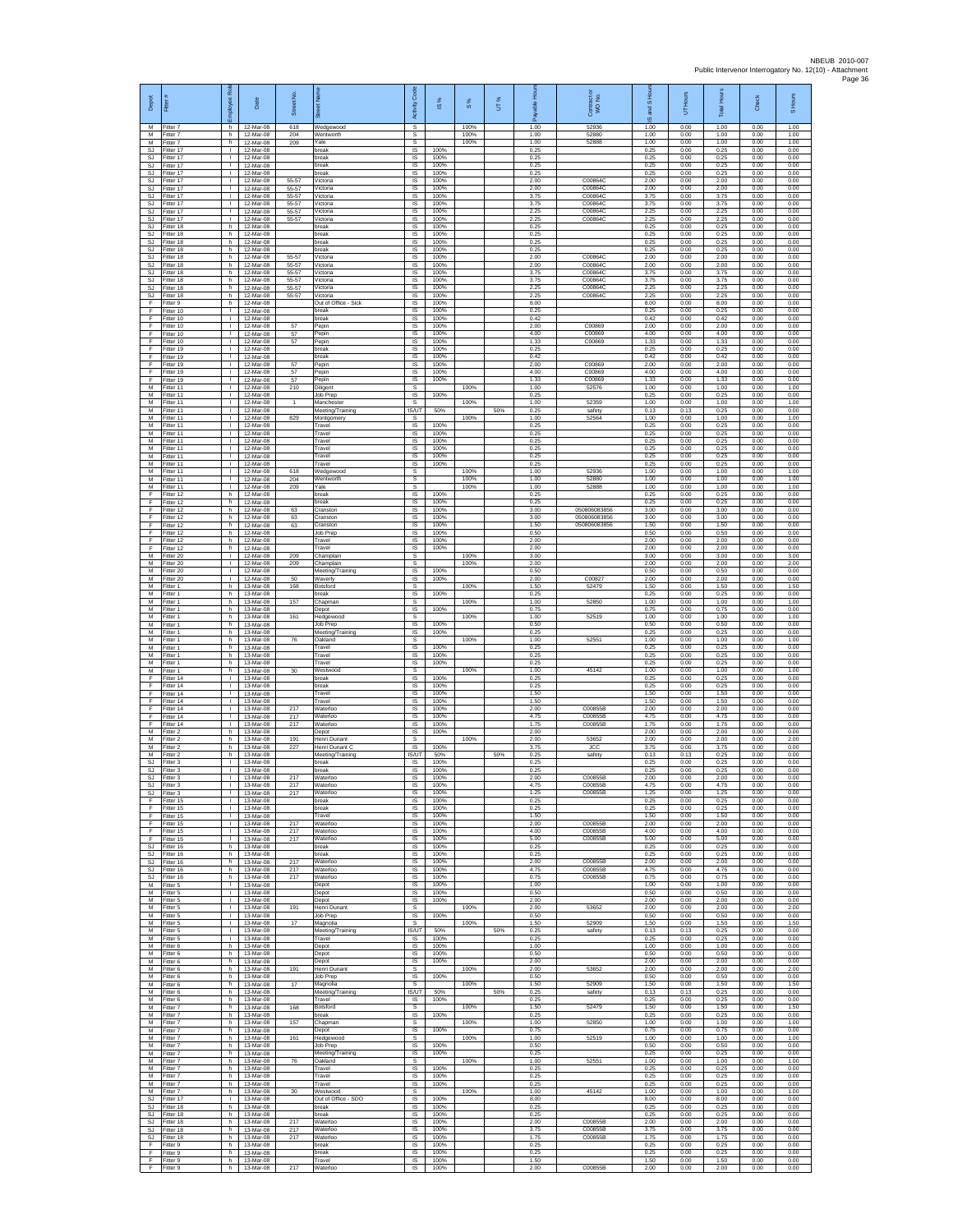| Depot<br>M                         | Fitter#<br>Fitter 7                 | ployee Rol<br>h.                             | Date<br>12-Mar-08                   | Street No<br>618        | 芿<br>Wedgewood                            | Code<br>Activity<br>s               | <b>iS</b> %          | $\frac{8}{3}$<br>100% | UT% | 훈<br>1.00            | Contract or<br>WO No.<br>52936 | $\overline{a}$<br>and<br>ဖ<br>1.00 | Hours<br>5<br>0.00   | Total Hour:<br>1.00  | Check<br>0.00        | S Hours<br>1.00      |
|------------------------------------|-------------------------------------|----------------------------------------------|-------------------------------------|-------------------------|-------------------------------------------|-------------------------------------|----------------------|-----------------------|-----|----------------------|--------------------------------|------------------------------------|----------------------|----------------------|----------------------|----------------------|
| м                                  | M Fitter 7<br>Fitter 7              | h.<br>h.                                     | 12-Mar-08<br>12-Mar-08              | 204<br>209              | Wentworth<br>Yale                         | s<br>$\mathbb S$                    |                      | 100%<br>100%          |     | 1.00<br>1.00         | 52880<br>52888                 | 1.00<br>1.00                       | 0.00<br>0.00         | 1.00<br>1.00         | 0.00<br>0.00         | 1.00<br>1.00         |
| SJ.<br>SJ.<br>SJ.                  | Fitter 17<br>Fitter 17<br>Fitter 17 | т<br>$\mathbf{L}$<br>$\mathbf{L}$            | 12-Mar-08<br>12-Mar-08<br>12-Mar-08 |                         | break<br>break<br>break                   | IS.<br>IS.<br>IS                    | 100%<br>100%<br>100% |                       |     | 0.25<br>0.25<br>0.25 |                                | 0.25<br>0.25<br>0.25               | 0.00<br>0.00<br>0.00 | 0.25<br>0.25<br>0.25 | 0.00<br>0.00<br>0.00 | 0.00<br>0.00<br>0.00 |
| SJ<br><b>SJ</b>                    | Fitter 17<br>Fitter 17              | т.<br>т                                      | 12-Mar-08<br>12-Mar-08              | 55-57                   | break<br>Victoria                         | 1S<br>IS                            | 100%<br>100%         |                       |     | 0.25<br>2.00         | C00864                         | 0.25<br>2.00                       | 0.00<br>0.00         | 0.25<br>2.00         | 0.00<br>0.00         | 0.00<br>0.00         |
| SJ<br><b>SJ</b>                    | Fitter 17<br>Fitter 17              | л.<br>$\mathbf{L}$                           | 12-Mar-08<br>12-Mar-08              | 55-57<br>55-57          | Victoria<br>Victoria                      | IS<br>$\sf IS$                      | 100%<br>100%         |                       |     | 2.00<br>3.75         | C00864C<br>C00864C             | 2.00<br>3.75                       | 0.00<br>0.00         | 2.00<br>3.75         | 0.00<br>0.00         | 0.00<br>0.00         |
| SJ<br>SJ.<br>S.I.                  | Fitter 17<br>Fitter 17<br>Fitter 17 | $\mathbf{L}$<br>$\mathbf{I}$<br>$\mathbf{L}$ | 12-Mar-08<br>12-Mar-08<br>12-Mar-08 | 55-57<br>55-57<br>55-57 | Victoria<br>Victoria<br>Victoria          | $\sf IS$<br>IS<br>IS                | 100%<br>100%<br>100% |                       |     | 3.75<br>2.25<br>2.25 | C00864C<br>C00864C<br>C00864C  | 3.75<br>2.25<br>225                | 0.00<br>0.00<br>0.00 | 3.75<br>2.25<br>2.25 | 0.00<br>0.00<br>0.00 | 0.00<br>0.00<br>0.00 |
| SJ<br>SJ                           | Fitter 18<br>fitter 18              | h.<br>h.                                     | 12-Mar-08<br>12-Mar-08              |                         | break<br>break                            | IS<br>1S                            | 100%<br>100%         |                       |     | 0.25<br>0.25         |                                | 0.25<br>0.25                       | 0.00<br>0.00         | 0.25<br>0.25         | 0.00<br>0.00         | 0.00<br>0.00         |
| SJ<br>SJ<br>$\mathbb{S}\mathbb{J}$ | Fitter 18<br>Fitter 18<br>Fitter 18 | h.<br>h<br>h.                                | 12-Mar-08<br>12-Mar-08<br>12-Mar-08 | 55-57                   | break<br>break<br>Victoria                | IS<br>IS<br>1S                      | 100%<br>100%<br>100% |                       |     | 0.25<br>0.25<br>2.00 | C00864C                        | 0.25<br>0.25<br>2.00               | 0.00<br>0.00<br>0.00 | 0.25<br>0.25<br>2.00 | 0.00<br>0.00<br>0.00 | 0.00<br>0.00<br>0.00 |
| <b>SJ</b><br><b>SJ</b>             | Fitter 18<br>Fitter 18              | h.<br>h                                      | 12-Mar-08<br>12-Mar-08              | 55-57<br>55-57          | Victoria<br>Victoria                      | IS<br>IS                            | 100%<br>100%         |                       |     | 2.00<br>3.75         | C00864C<br>C00864C             | 2.00<br>3.75                       | 0.00<br>0.00         | 2.00<br>3.75         | 0.00<br>0.00         | 0.00<br>0.00         |
| <b>SJ</b><br><b>SJ</b>             | Fitter 18<br>fitter 18              | h.<br>h.                                     | 12-Mar-08<br>12-Mar-08              | 55-57<br>55-57<br>55-57 | Victoria<br>Victoria                      | IS<br>IS                            | 100%<br>100%         |                       |     | 3.75<br>2.25<br>2.25 | C00864C<br>C00864C<br>C008640  | 3.75<br>2.25<br>2.25               | 0.00<br>0.00         | 3.75<br>2.25         | 0.00<br>0.00         | 0.00<br>0.00         |
| <b>SJ</b><br>F<br>F                | Fitter 18<br>Fitter 9<br>Fitter 10  | h.<br>h<br>т.                                | 12-Mar-08<br>12-Mar-08<br>12-Mar-08 |                         | Victoria<br>Out of Office - Sick<br>break | IS<br>IS<br>IS                      | 100%<br>100%<br>100% |                       |     | 8.00<br>0.25         |                                | 8.00<br>0.25                       | 0.00<br>0.00<br>0.00 | 2.25<br>8.00<br>0.25 | 0.00<br>0.00<br>0.00 | 0.00<br>0.00<br>0.00 |
| F<br>F                             | Fitter 10<br>Fitter 10              | т<br>$\mathbf{L}$                            | 12-Mar-08<br>12-Mar-08              | 57                      | break<br>Pepin                            | 1S<br>IS                            | 100%<br>100%         |                       |     | 0.42<br>2.00         | C00869                         | 0.42<br>2.00                       | 0.00<br>0.00         | 0.42<br>2.00         | 0.00<br>0.00         | 0.00<br>0.00         |
| F<br>F<br>F                        | Fitter 10<br>Fitter 10<br>Fitter 19 | т.<br>т<br>$\mathbf{L}$                      | 12-Mar-08<br>12-Mar-08<br>12-Mar-08 | 57<br>57                | Pepin<br>Pepin<br>break                   | $\sf IS$<br>1S<br>IS                | 100%<br>100%<br>100% |                       |     | 4.00<br>1.33<br>0.25 | C00869<br>C00869               | 4.00<br>1.33<br>0.25               | 0.00<br>0.00<br>0.00 | 4.00<br>1.33<br>0.25 | 0.00<br>0.00<br>0.00 | 0.00<br>0.00<br>0.00 |
| F<br>F                             | Fitter 19<br>Fitter 19              | $\mathbf{I}$<br>т.                           | 12-Mar-08<br>12-Mar-08              | 57                      | break<br>Pepin                            | IS<br>1S                            | 100%<br>100%         |                       |     | 0.42<br>2.00         | C00869                         | 0.42<br>2.00                       | 0.00<br>0.00         | 0.42<br>2.00         | 0.00<br>0.00         | 0.00<br>0.00         |
| F<br>F                             | itter 19<br>Fitter 19               | т.<br>$\mathbf{I}$<br>$\mathbf{L}$           | 12-Mar-08<br>12-Mar-08              | 57<br>57                | Pepin<br>Pepin                            | IS<br>IS                            | 100%<br>100%         |                       |     | 4.00<br>1.33         | C00869<br>C00869               | 4.00<br>1.33                       | 0.00<br>0.00         | 4.00<br>1.33         | 0.00<br>0.00         | 0.00<br>0.00         |
| M<br>М<br>M                        | Fitter 11<br>Fitter 11<br>Fitter 11 | $\mathbf{L}$<br>$\mathbf{I}$                 | 12-Mar-08<br>12-Mar-08<br>12-Mar-08 | 210<br>$\overline{1}$   | Diligent<br>Job Prep<br>Manchester        | $\mathbb S$<br>$\sf IS$<br>s        | 100%                 | 100%<br>100%          |     | 1.00<br>0.25<br>1.00 | 52576<br>52359                 | 1.00<br>0.25<br>1.00               | 0.00<br>0.00<br>0.00 | 1.00<br>0.25<br>1.00 | 0.00<br>0.00<br>0.00 | 1.00<br>0.00<br>1.00 |
| M<br>М                             | Fitter 11<br>fitter 11              | $\mathbf{L}$<br>т.                           | 12-Mar-08<br>12-Mar-08              | 829                     | Meeting/Training<br>Montgomery            | <b>IS/UT</b><br>s                   | 50%                  | 100%                  | 50% | 0.25<br>1.00         | safety<br>52564                | 0.13<br>1.00                       | 0.13<br>0.00         | 0.25<br>1.00         | 0.00<br>0.00         | 0.00<br>1.00         |
| M<br>M<br>М                        | fitter 11<br>Fitter 11<br>Fitter 11 | Τ<br>$\mathbf{L}$<br>$\mathbf{I}$            | 12-Mar-08<br>12-Mar-08<br>12-Mar-08 |                         | Travel<br>Travel<br>Travel                | 1S<br>$\overline{\mathsf{s}}$<br>IS | 100%<br>100%<br>100% |                       |     | 0.25<br>0.25<br>0.25 |                                | 0.25<br>0.25<br>0.25               | 0.00<br>0.00<br>0.00 | 0.25<br>0.25<br>0.25 | 0.00<br>0.00<br>0.00 | 0.00<br>0.00<br>0.00 |
| M<br>M                             | Fitter 11<br>fitter 11              | т.<br>$\mathbf{L}$                           | 12-Mar-08<br>12-Mar-08              |                         | Travel<br>Travel                          | IS<br>IS                            | 100%<br>100%         |                       |     | 0.25<br>0.25         |                                | 0.25<br>0.25                       | 0.00<br>0.00         | 0.25<br>0.25         | 0.00<br>0.00         | 0.00<br>0.00         |
| M<br>М<br>M                        | Fitter 11<br>Fitter 11              | т.<br>т.<br>$\mathbf{I}$                     | 12-Mar-08<br>12-Mar-08<br>12-Mar-08 | 618<br>204              | Travel<br>Wedgewood                       | IS<br>s                             | 100%                 | 100%<br>100%          |     | 0.25<br>1.00         | 52936<br>52880                 | 0.25<br>1.00                       | 0.00<br>0.00         | 0.25<br>1.00         | 0.00<br>0.00         | 0.00<br>1.00         |
| M<br>F                             | fitter 11<br>-itter 11<br>Fitter 12 | л.<br>h.                                     | 12-Mar-08<br>12-Mar-08              | 209                     | Wentworth<br>Yale<br>break                | s<br>s<br>IS                        | 100%                 | 100%                  |     | 1.00<br>1.00<br>0.25 | 52888                          | 1.00<br>1.00<br>0.25               | 0.00<br>0.00<br>0.00 | 1.00<br>1.00<br>0.25 | 0.00<br>0.00<br>0.00 | 1.00<br>1.00<br>0.00 |
| F<br>F                             | Fitter 12<br>Fitter 12              | h.<br>h.                                     | 12-Mar-08<br>12-Mar-08              | 63                      | break<br>Cranston                         | IS<br>1S                            | 100%<br>100%         |                       |     | 0.25<br>3.00         | 050806083856                   | 0.25<br>3.00                       | 0.00<br>0.00         | 0.25<br>3.00         | 0.00<br>0.00         | 0.00<br>0.00         |
| F<br>F<br>F                        | Fitter 12<br>Fitter 12<br>ltter 12  | h<br>h<br>h.                                 | 12-Mar-08<br>12-Mar-08<br>12-Mar-08 | 63<br>63                | Cranston<br>Cranston<br>Job Prep          | IS<br>$\sf IS$<br>1S                | 100%<br>100%<br>100% |                       |     | 3.00<br>1.50<br>0.50 | 050806083856<br>050806083856   | 3.00<br>1.50<br>0.50               | 0.00<br>0.00<br>0.00 | 3.00<br>1.50<br>0.50 | 0.00<br>0.00<br>0.00 | 0.00<br>0.00<br>0.00 |
| F<br>F                             | Fitter 12<br>Fitter 12              | h.<br>h.                                     | 12-Mar-08<br>12-Mar-08              |                         | Travel<br>Travel                          | IS<br>IS                            | 100%<br>100%         |                       |     | 2.00<br>2.00         |                                | 2.00<br>2.00                       | 0.00<br>0.00         | 2.00<br>2.00         | 0.00<br>0.00         | 0.00<br>0.00         |
| М<br>M                             | Fitter 20<br>itter 20               | т.<br>т                                      | 12-Mar-08<br>12-Mar-08              | 209<br>209              | Champlain<br>Champlain                    | s<br>s                              |                      | 100%<br>100%          |     | 3.00<br>2.00         |                                | 3.00<br>2.00                       | 0.00<br>0.00         | 3.00<br>2.00         | 0.00<br>0.00         | 3.00<br>2.00         |
| M<br>M<br>М                        | Fitter 20<br>Fitter 20<br>Fitter 1  | л.<br>$\mathbf{L}$<br>h.                     | 12-Mar-08<br>12-Mar-08<br>13-Mar-08 | 50<br>168               | Meeting/Training<br>Waverly<br>Botsford   | $\overline{\mathsf{s}}$<br>IS<br>s  | 100%<br>100%         | 100%                  |     | 0.50<br>2.00<br>1.50 | C00827<br>52479                | 0.50<br>2.00<br>1.50               | 0.00<br>0.00<br>0.00 | 0.50<br>2.00<br>1.50 | 0.00<br>0.00<br>0.00 | 0.00<br>0.00<br>1.50 |
| M<br>M                             | Fitter 1<br>Fitter 1                | h.<br>h                                      | 13-Mar-08<br>13-Mar-08              | 157                     | break<br>Chapman                          | IS<br>s                             | 100%                 | 100%                  |     | 0.25<br>1.00         | 52850                          | 0.25<br>1.00                       | 0.00<br>0.00         | 0.25<br>1.00         | 0.00<br>0.00         | 0.00<br>1.00         |
| М<br>M<br>M                        | Fitter 1<br>fitter 1                | h<br>h.<br>h.                                | 13-Mar-08<br>13-Mar-08              | 161                     | Depot<br>Hedgewood<br>Job Prep            | IS<br>s<br>$\overline{\mathsf{s}}$  | 100%<br>100%         | 100%                  |     | 0.75<br>1.00<br>0.50 | 52519                          | 0.75<br>1.00<br>0.50               | 0.00<br>0.00<br>0.00 | 0.75<br>1.00<br>0.50 | 0.00<br>0.00<br>0.00 | 0.00<br>1.00<br>0.00 |
| М<br>М                             | Fitter 1<br>itter 1<br>Fitter 1     | h<br>h.                                      | 13-Mar-08<br>13-Mar-08<br>13-Mar-08 | 76                      | Meeting/Training<br>Oakland               | IS<br>s                             | 100%                 | 100%                  |     | 0.25<br>1.00         | 52551                          | 0.25<br>1.00                       | 0.00<br>0.00         | 0.25<br>1.00         | 0.00<br>0.00         | 0.00<br>1.00         |
| M<br>M                             | Fitter 1<br>Fitter 1                | h.<br>h                                      | 13-Mar-08<br>13-Mar-08              |                         | Travel<br>Travel                          | $\overline{s}$<br>IS                | 100%<br>100%         |                       |     | 0.25<br>0.25         |                                | 0.25<br>0.25                       | 0.00<br>0.00         | 0.25<br>0.25         | 0.00<br>0.00         | 0.00<br>0.00         |
| М<br>M<br>F                        | Fitter 1<br>itter 1<br>ltter 14     | h.<br>h.<br>$\mathbf{I}$                     | 13-Mar-08<br>13-Mar-08<br>13-Mar-08 | 30                      | Travel<br>Westwood<br>break               | 1S<br>s<br><b>IS</b>                | 100%<br>100%         | 100%                  |     | 0.25<br>1.00<br>0.25 | 45142                          | 0.25<br>1.00<br>0.25               | 0.00<br>0.00<br>0.00 | 0.25<br>1.00<br>0.25 | 0.00<br>0.00<br>0.00 | 0.00<br>1.00<br>0.00 |
| F<br>F                             | Fitter 14<br>Fitter 14              | $\mathbf{L}$<br>т.                           | 13-Mar-08<br>13-Mar-08              |                         | break<br>Travel                           | IS<br>IS                            | 100%<br>100%         |                       |     | 0.25<br>1.50         |                                | 0.25<br>1.50                       | 0.00<br>0.00         | 0.25<br>1.50         | 0.00<br>0.00         | 0.00<br>0.00         |
| F<br>F<br>F                        | Fitter 14<br>Fitter 14<br>litter 14 | Τ<br>$\mathbf{L}$<br>т.                      | 13-Mar-08<br>13-Mar-08<br>13-Mar-08 | 217<br>217              | Travel<br>Waterloo<br>Waterloo            | 1S<br>IS<br>$\sf IS$                | 100%<br>100%<br>100% |                       |     | 1.50<br>2.00<br>4.75 | C00855B<br>C00855B             | 1.50<br>2.00<br>4.75               | 0.00<br>0.00<br>0.00 | 1.50<br>2.00<br>4.75 | 0.00<br>0.00<br>0.00 | 0.00<br>0.00<br>0.00 |
| F<br>M                             | Fitter 14<br>Fitter 2               | т<br>h.                                      | 13-Mar-08<br>13-Mar-08              | 217                     | Waterloo<br>Depot                         | IS<br><b>IS</b>                     | 100%<br>100%         |                       |     | 1.75<br>2.00         | C00855B                        | 1.75<br>2.00                       | 0.00<br>0.00         | 1.75<br>2.00         | 0.00<br>0.00         | 0.00<br>0.00         |
| M<br>М                             | Fitter 2<br>Fitter 2                | h<br>h.                                      | 13-Mar-08<br>13-Mar-08              | 191<br>227              | Henri Dunant<br>Henri Dunant C            | s<br>IS.                            | 100%                 | 100%                  |     | 2.00<br>3.75         | 53652<br><b>JCC</b>            | 2.00<br>3.75                       | 0.00<br>0.00         | 2.00<br>3.75         | 0.00<br>0.00         | 2.00<br>0.00         |
| M<br>SJ<br>SJ                      | fitter 2<br>Fitter 3<br>Fitter 3    | h<br>$\mathbf{I}$<br>$\mathbf{L}$            | 13-Mar-08<br>13-Mar-08<br>13-Mar-08 |                         | Meeting/Training<br>break<br>break        | IS/UT<br>IS<br>IS                   | 50%<br>100%<br>100%  |                       | 50% | 0.25<br>0.25<br>0.25 | safety                         | 0.13<br>0.25<br>0.25               | 0.13<br>0.00<br>0.00 | 0.25<br>0.25<br>0.25 | 0.00<br>0.00<br>0.00 | 0.00<br>0.00<br>0.00 |
| SJ<br>SJ.                          | Fitter 3<br>Fitter 3                | $\mathbf{L}$<br>-1                           | 13-Mar-08<br>13-Mar-08              | 217<br>217              | Waterloo<br>Waterloo                      | IS<br><b>IS</b>                     | 100%<br>100%         |                       |     | 2.00<br>4.75         | C00855B<br>C00855B             | 2.00<br>4.75                       | 0.00<br>0.00         | 2.00<br>4.75         | 0.00<br>0.00         | 0.00<br>0.00         |
| SJ.<br>F<br>F                      | Fitter 3<br>Fitter 15<br>fitter 15  | $\mathbf{L}$<br>т.<br>т                      | 13-Mar-08<br>13-Mar-08<br>13-Mar-08 | 217                     | Waterloo<br>break<br>break                | IS<br>IS<br>IS                      | 100%<br>100%<br>100% |                       |     | 1 25<br>0.25<br>0.25 | C00855B                        | 1.25<br>0.25<br>0.25               | 0.00<br>0.00<br>0.00 | 1.25<br>0.25<br>0.25 | 0.00<br>0.00<br>0.00 | 0.00<br>0.00<br>0.00 |
| F<br>F                             | Fitter 15<br>Fitter 15              | $\mathbf{L}$<br>$\mathbf{L}$                 | 13-Mar-08<br>13-Mar-08              | 217                     | Travel<br>Waterloo                        | IS<br>IS                            | 100%<br>100%         |                       |     | 1.50<br>2.00         | C00855B                        | 1.50<br>2.00                       | 0.00<br>0.00         | 1.50<br>2.00         | 0.00<br>0.00         | 0.00<br>0.00         |
| F<br>F                             | Fitter 15<br>Fitter 15              | т.<br>$\mathbf{L}$                           | 13-Mar-08<br>13-Mar-08              | 217<br>217              | Waterloo<br>Waterloo                      | IS<br>IS                            | 100%<br>100%         |                       |     | 4.00<br>5.00         | C00855B<br>C00855B             | 4.00<br>5.00                       | 0.00<br>0.00         | 4.00<br>5.00         | 0.00<br>0.00         | 0.00<br>0.00         |
| <b>SJ</b><br>SJ<br><b>SJ</b>       | Fitter 16<br>Fitter 16<br>fitter 16 | h<br>h.<br>h.                                | 13-Mar-08<br>13-Mar-08<br>13-Mar-08 | 217                     | break<br>break<br>Waterloo                | IS<br>IS<br>IS                      | 100%<br>100%<br>100% |                       |     | 0.25<br>0.25<br>2.00 | C00855B                        | 0.25<br>0.25<br>2.00               | 0.00<br>0.00<br>0.00 | 0.25<br>0.25<br>2.00 | 0.00<br>0.00<br>0.00 | 0.00<br>0.00<br>0.00 |
| -SJ<br>SJ                          | Fitter 16<br>Fitter 16              | h.<br>h.                                     | 13-Mar-08<br>13-Mar-08              | 217<br>217              | Waterloo<br>Waterloo                      | IS<br>IS                            | 100%<br>100%         |                       |     | 4.75<br>0.75         | C00855B<br>C00855B             | 4.75<br>0.75                       | 0.00<br>0.00         | 4.75<br>0.75         | 0.00<br>0.00         | 0.00<br>0.00         |
| М<br>M<br>м                        | Fitter 5<br>Fitter 5<br>Fitter 5    | т.<br>$\mathbb{R}$<br>$\mathbf{L}$           | 13-Mar-08<br>13-Mar-08<br>13-Mar-08 |                         | Depot<br>Depot<br>Depot                   | IS<br>1S<br>IS                      | 100%<br>100%         |                       |     | 1.00<br>0.50<br>2.00 |                                | 1.00<br>0.50<br>2.00               | 0.00<br>0.00<br>0.00 | 1.00<br>0.50<br>2.00 | 0.00<br>0.00<br>0.00 | 0.00<br>0.00<br>0.00 |
| м<br>M                             | Fitter 5<br>Fitter 5                | т.<br>Τ                                      | 13-Mar-08<br>13-Mar-08              | 191                     | Henri Dunant<br><b>Job Prep</b>           | s<br>IS.                            | 100%<br>100%         | 100%                  |     | 2.00<br>0.50         | 53652                          | 2.00<br>0.50                       | 0.00<br>0.00         | 2.00<br>0.50         | 0.00<br>0.00         | 2.00<br>0.00         |
| M<br>M                             | Fitter 5<br>Fitter 5                | $\mathbf{L}$<br>$\mathbf{L}$                 | 13-Mar-08<br>13-Mar-08              | 17                      | Magnolia<br>Meeting/Training              | s<br>IS/UT                          | 50%                  | 100%                  | 50% | 1.50<br>0.25         | 52909<br>safety                | 1.50<br>0.13                       | 0.00<br>0.13         | 1.50<br>0.25         | 0.00<br>0.00         | 1.50<br>0.00         |
| M<br>M<br>M                        | Fitter 5<br>Fitter 6<br>Fitter 6    | $\mathbf{L}$<br>h.<br>h                      | 13-Mar-08<br>13-Mar-08<br>13-Mar-08 |                         | Travel<br>Depot<br>Depot                  | IS<br>IS<br>IS                      | 100%<br>100%<br>100% |                       |     | 0.25<br>1.00<br>0.50 |                                | 0.25<br>1.00<br>0.50               | 0.00<br>0.00<br>0.00 | 0.25<br>1.00<br>0.50 | 0.00<br>0.00<br>0.00 | 0.00<br>0.00<br>0.00 |
| М<br>М                             | Fitter 6<br>Fitter 6                | h<br>h.                                      | 13-Mar-08<br>13-Mar-08              | 191                     | Depot<br>Henri Dunant                     | $\sf IS$<br>s                       | 100%                 | 100%                  |     | 2.00<br>2.00         | 53652                          | 2.00<br>2.00                       | 0.00<br>0.00         | 2.00<br>2.00         | 0.00<br>0.00         | 0.00<br>2.00         |
| M<br>M<br>М                        | Fitter 6<br>Fitter 6<br>Fitter 6    | h.<br>h.                                     | 13-Mar-08<br>13-Mar-08<br>13-Mar-08 | 17                      | Job Prep<br>Magnolia                      | <b>IS</b><br>s<br><b>IS/UT</b>      | 100%<br>50%          | 100%                  | 50% | 0.50<br>1.50<br>0.25 | 52909                          | 0.50<br>1.50<br>0.13               | 0.00<br>0.00<br>0.13 | 0.50<br>1.50<br>0.25 | 0.00<br>0.00<br>0.00 | 0.00<br>1.50<br>0.00 |
| M<br>M                             | itter 6<br>Fitter 7                 | h<br>h.<br>h.                                | 13-Mar-08<br>13-Mar-08              | 168                     | Meeting/Training<br>Travel<br>Botsford    | $\overline{s}$<br>s                 | 100%                 | 100%                  |     | 0.25<br>1.50         | safety<br>52479                | 0.25<br>1.50                       | 0.00<br>0.00         | 0.25<br>1.50         | 0.00<br>0.00         | 0.00<br>1.50         |
| М<br>М                             | -itter 7<br>Fitter 7                | h.<br>h.                                     | 13-Mar-08<br>13-Mar-08              | 157                     | break<br>Chapman                          | IS<br>s                             | 100%                 | 100%                  |     | 0.25<br>1.00         | 52850                          | 0.25<br>1.00                       | 0.00<br>0.00         | 0.25<br>1.00         | 0.00<br>0.00         | 0.00<br>1.00         |
| M<br>М<br>М                        | Fitter 7<br>Fitter 7<br>Fitter 7    | h.<br>h<br>h.                                | 13-Mar-08<br>13-Mar-08<br>13-Mar-08 | 161                     | Depot<br>Hedgewood<br>Job Prep            | IS<br>s<br>IS.                      | 100%<br>100%         | 100%                  |     | 0.75<br>1.00<br>0.50 | 52519                          | 0.75<br>1.00<br>0.50               | 0.00<br>0.00<br>0.00 | 0.75<br>1.00<br>0.50 | 0.00<br>0.00<br>0.00 | 0.00<br>1.00<br>0.00 |
| М<br>M                             | fitter 7<br>Fitter 7                | h.<br>h.                                     | 13-Mar-08<br>13-Mar-08              | 76                      | Meeting/Training<br>Oakland               | IS<br>s                             | 100%                 | 100%                  |     | 0.25<br>1.00         | 52551                          | 0.25<br>1.00                       | 0.00<br>0.00         | 0.25<br>1.00         | 0.00<br>0.00         | 0.00<br>1.00         |
| M<br>М<br>M                        | Fitter 7<br>Fitter 7                | h<br>h<br>h.                                 | 13-Mar-08<br>13-Mar-08              |                         | Travel<br>Travel<br>Travel                | IS<br>IS<br>1S                      | 100%<br>100%<br>100% |                       |     | 0.25<br>0.25<br>0.25 |                                | 0.25<br>0.25<br>0.25               | 0.00<br>0.00<br>0.00 | 0.25<br>0.25<br>0.25 | 0.00<br>0.00<br>0.00 | 0.00<br>0.00<br>0.00 |
| M<br><b>SJ</b>                     | Fitter 7<br>Fitter 7<br>Fitter 17   | h.<br>т.                                     | 13-Mar-08<br>13-Mar-08<br>13-Mar-08 | 30                      | Westwood<br>Out of Office - SDO           | s<br>IS                             | 100%                 | 100%                  |     | 1.00<br>8.00         | 45142                          | 1.00<br>8.00                       | 0.00<br>0.00         | 1.00<br>8.00         | 0.00<br>0.00         | 1.00<br>0.00         |
| SJ<br>SJ.                          | Fitter 18<br>Fitter 18              | h.<br>h.                                     | 13-Mar-08<br>13-Mar-08              |                         | break<br>break                            | 1S<br>IS                            | 100%<br>100%         |                       |     | 0.25<br>0.25         |                                | 0.25<br>0.25                       | 0.00<br>0.00         | 0.25<br>0.25         | 0.00<br>0.00         | 0.00<br>0.00         |
| SJ.<br>SJ<br><b>SJ</b>             | Fitter 18<br>Fitter 18<br>fitter 18 | h<br>h.<br>h                                 | 13-Mar-08<br>13-Mar-08<br>13-Mar-08 | 217<br>217<br>217       | Waterloo<br>Waterloo<br>Waterloo          | IS<br>IS<br>IS                      | 100%<br>100%<br>100% |                       |     | 2.00<br>3.75<br>1.75 | C00855B<br>C00855B<br>C00855B  | 2.00<br>3.75<br>1.75               | 0.00<br>0.00<br>0.00 | 2.00<br>3.75<br>1.75 | 0.00<br>0.00<br>0.00 | 0.00<br>0.00<br>0.00 |
| F<br>F.                            | Fitter 9<br>Fitter 9                | h.<br>h.                                     | 13-Mar-08<br>13-Mar-08              |                         | break<br>break                            | IS<br>$\sf IS$                      | 100%<br>100%         |                       |     | 0.25<br>0.25         |                                | 0.25<br>0.25                       | 0.00<br>0.00         | 0.25<br>0.25         | 0.00<br>0.00         | 0.00<br>0.00         |
| F<br>F                             | Fitter 9<br>Fitter 9                | h.<br>h                                      | 13-Mar-08<br>13-Mar-08              | 217                     | Travel<br>Waterloo                        | $\sf IS$<br>IS                      | 100%<br>100%         |                       |     | 1.50<br>2.00         | C00855B                        | 1.50<br>2.00                       | 0.00<br>0.00         | 1.50<br>2.00         | 0.00<br>0.00         | 0.00<br>0.00         |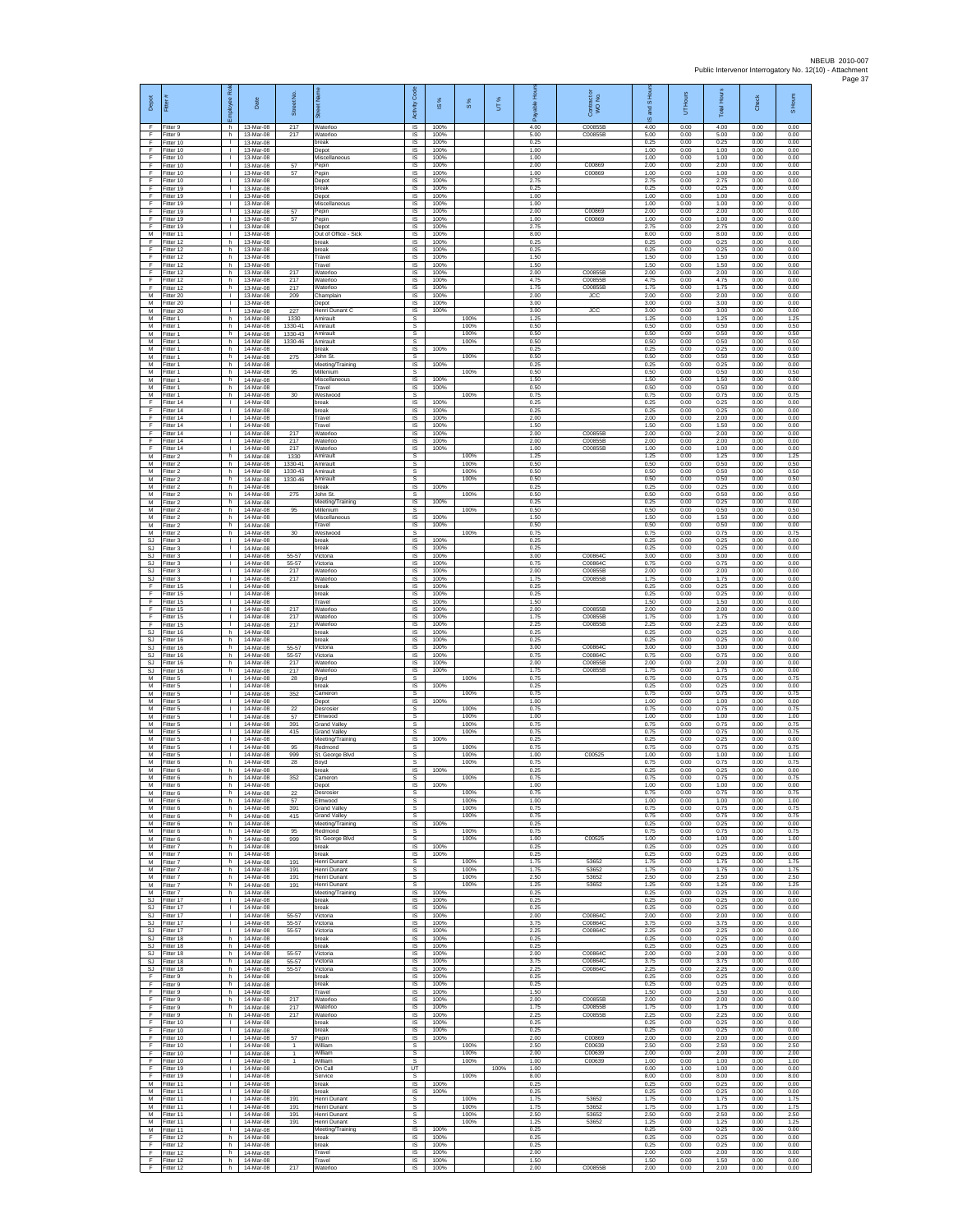| Depot<br>E                   | Fitter#<br>Fitter 9                    | ployee Rol<br>h.                   | Date<br>13-Mar-08                   | Street No.<br>217                  | ö<br>Waterloo                                      | Code<br>Activity<br>$\overline{\mathsf{s}}$ | s,<br>$\overline{\omega}$<br>100% | $\frac{8}{3}$        | UT%  | 휸<br>able<br>æ<br>4.00 | Contract or<br>WO No.<br>C00855B | S Hou<br><b>Pole</b><br>ഇ<br>4.00 | Hours<br>ŝ<br>0.00   | <b>Total Hours</b><br>4.00 | Check<br>0.00        | S Hours<br>0.00      |
|------------------------------|----------------------------------------|------------------------------------|-------------------------------------|------------------------------------|----------------------------------------------------|---------------------------------------------|-----------------------------------|----------------------|------|------------------------|----------------------------------|-----------------------------------|----------------------|----------------------------|----------------------|----------------------|
| F.<br>F                      | Fitter 9<br>litter 10                  | h.<br>$\mathbf{L}$                 | 13-Mar-08<br>13-Mar-08              | 217                                | Waterloc<br>break                                  | $\sf IS$<br>$\sf IS$                        | 100%<br>100%                      |                      |      | 5.00<br>0.25           | C00855B                          | 5.00<br>0.25                      | 0.00<br>0.00         | 5.00<br>0.25               | 0.00<br>0.00         | 0.00<br>0.00         |
| E<br>F<br>F                  | Fitter 10<br>Fitter 10<br>Fitter 10    | л.<br>$\mathbf{L}$<br>т.           | 13-Mar-08<br>13-Mar-08<br>13-Mar-08 | 57                                 | Depot<br>Miscellaneous<br>Pepin                    | <b>IS</b><br>IS<br>IS                       | 100%<br>100%<br>100%              |                      |      | 1.00<br>1.00<br>2.00   | C00869                           | 1.00<br>1.00<br>2.00              | 0.00<br>0.00<br>0.00 | 1.00<br>1.00<br>2.00       | 0.00<br>0.00<br>0.00 | 0.00<br>0.00<br>0.00 |
| F<br>F                       | Fitter 10<br>Fitter 10                 | $\mathbf{L}$<br>$\mathbf{L}$       | 13-Mar-08<br>13-Mar-08              | 57                                 | Pepin<br>Depot                                     | IS<br>IS                                    | 100%<br>100%                      |                      |      | 1.00<br>2.75           | C00869                           | 1.00<br>2.75                      | 0.00<br>0.00         | 1.00<br>2.75               | 0.00<br>0.00         | 0.00<br>0.00         |
| F<br>F                       | Fitter 19<br>Fitter 19                 | т.<br>$\mathbf{L}$                 | 13-Mar-08<br>13-Mar-08              |                                    | break<br>Depot                                     | IS<br>$\sf IS$                              | 100%<br>100%                      |                      |      | 0.25<br>1.00           |                                  | 0.25<br>1.00                      | 0.00<br>0.00         | 0.25<br>1.00               | 0.00<br>0.00         | 0.00<br>0.00         |
| F<br>E<br>F                  | Fitter 19<br>Fitter 19<br>Fitter 19    | т.<br>$\mathbf{I}$<br>т.           | 13-Mar-08<br>13-Mar-08<br>13-Mar-08 | 57<br>57                           | Miscellaneous<br>Pepin<br>Pepin                    | IS<br>IS<br>1S                              | 100%<br>100%<br>100%              |                      |      | 1.00<br>2.00<br>1.00   | C00869<br>C00869                 | 1.00<br>2.00<br>1.00              | 0.00<br>0.00<br>0.00 | 1.00<br>2.00<br>1.00       | 0.00<br>0.00<br>0.00 | 0.00<br>0.00<br>0.00 |
| F<br>M                       | fitter 19<br>Fitter 11                 | $\mathbf{I}$<br>л.                 | 13-Mar-08<br>13-Mar-08              |                                    | Depot<br>Out of Office - Sick                      | IS<br><b>IS</b>                             | 100%<br>100%                      |                      |      | 2.75<br>8.00           |                                  | 2.75<br>8.00                      | 0.00<br>0.00         | 2.75<br>8.00               | 0.00<br>0.00         | 0.00<br>0.00         |
| F<br>F<br>F                  | Fitter 12<br>Fitter 12<br>Fitter 12    | h.<br>h.<br>h.                     | 13-Mar-08<br>13-Mar-08<br>13-Mar-08 |                                    | break<br>break<br>Travel                           | IS<br>IS<br>1S                              | 100%<br>100%<br>100%              |                      |      | 0.25<br>0.25<br>1.50   |                                  | 0.25<br>0.25<br>1.50              | 0.00<br>0.00<br>0.00 | 0.25<br>0.25<br>1.50       | 0.00<br>0.00<br>0.00 | 0.00<br>0.00<br>0.00 |
| F<br>F                       | Fitter 12<br>Fitter 12                 | h<br>h                             | 13-Mar-08<br>13-Mar-08              | 217                                | Travel<br>Waterloc                                 | IS<br>$\sf IS$                              | 100%<br>100%                      |                      |      | 1.50<br>2.00           | C00855B                          | 1.50<br>2.00                      | 0.00<br>0.00         | 1.50<br>2.00               | 0.00<br>0.00         | 0.00<br>0.00         |
| F<br>F                       | Fitter 12<br>Fitter 12                 | h.<br>h.<br>т.                     | 13-Mar-08<br>13-Mar-08<br>13-Mar-08 | 217<br>217                         | Waterloo<br>Waterloo                               | 1S<br>IS                                    | 100%<br>100%                      |                      |      | 4.75<br>1.75<br>2.00   | C00855B<br>C00855B               | 4.75<br>1.75                      | 0.00<br>0.00         | 4.75<br>1.75               | 0.00<br>0.00         | 0.00<br>0.00         |
| М<br>M<br>M                  | Fitter 20<br>Fitter 20<br>Fitter 20    | т.<br>$\mathbf{I}$                 | 13-Mar-08<br>13-Mar-08              | 209<br>227                         | Champlain<br>Depot<br>Henri Dunant C               | IS<br>1S<br>IS                              | 100%<br>100%<br>100%              |                      |      | 3.00<br>3.00           | <b>JCC</b><br><b>1CC</b>         | 2.00<br>3.00<br>3.00              | 0.00<br>0.00<br>0.00 | 2.00<br>3.00<br>3.00       | 0.00<br>0.00<br>0.00 | 0.00<br>0.00<br>0.00 |
| M<br>M                       | Fitter 1<br>Fitter 1                   | h.<br>$\mathsf{h}$ .               | 14-Mar-08<br>14-Mar-08              | 1330<br>1330-41                    | Amirault<br>Amirault                               | s<br>$\mathbb S$                            |                                   | 100%<br>100%         |      | 1.25<br>0.50           |                                  | 1.25<br>0.50                      | 0.00<br>0.00         | 1.25<br>0.50               | 0.00<br>0.00         | 1.25<br>0.50         |
| М<br>M<br>M                  | itter 1<br>Fitter 1<br>Fitter 1        | h<br>h.<br>h.                      | 14-Mar-08<br>14-Mar-08<br>14-Mar-08 | 1330-43<br>1330-46                 | Amirault<br>Amirault<br>break                      | $\mathbb S$<br>s<br>IS                      | 100%                              | 100%<br>100%         |      | 0.50<br>0.50<br>0.25   |                                  | 0.50<br>0.50<br>0.25              | 0.00<br>0.00<br>0.00 | 0.50<br>0.50<br>0.25       | 0.00<br>0.00<br>0.00 | 0.50<br>0.50<br>0.00 |
| М<br>M                       | Fitter 1<br>fitter 1                   | h<br>h.                            | 14-Mar-08<br>14-Mar-08              | 275                                | John St.<br>Meeting/Training                       | s<br>1S                                     | 100%                              | 100%                 |      | 0.50<br>0.25           |                                  | 0.50<br>0.25                      | 0.00<br>0.00         | 0.50<br>0.25               | 0.00<br>0.00         | 0.50<br>0.00         |
| M<br>М<br>М                  | Fitter 1<br>-itter 1<br>Fitter 1       | h.<br>h<br>h.                      | 14-Mar-08<br>14-Mar-08<br>14-Mar-08 | 95                                 | Millenium<br>Miscellaneous                         | s<br>IS<br>$\sf IS$                         | 100%<br>100%                      | 100%                 |      | 0.50<br>1.50<br>0.50   |                                  | 0.50<br>1.50<br>0.50              | 0.00<br>0.00<br>0.00 | 0.50<br>1.50<br>0.50       | 0.00<br>0.00<br>0.00 | 0.50<br>0.00<br>0.00 |
| M<br>F                       | Fitter 1<br>Fitter 14                  | h.<br>τ.                           | 14-Mar-08<br>14-Mar-08              | 30                                 | Travel<br>Westwood<br>break                        | s<br>IS                                     | 100%                              | 100%                 |      | 0.75<br>0.25           |                                  | 0.75<br>0.25                      | 0.00<br>0.00         | 0.75<br>0.25               | 0.00<br>0.00         | 0.75<br>0.00         |
| F<br>F                       | Fitter 14<br>fitter 14                 | т.<br>т.                           | 14-Mar-08<br>14-Mar-08              |                                    | break<br>Travel                                    | IS<br>IS                                    | 100%<br>100%                      |                      |      | 0.25<br>2.00           |                                  | 0.25<br>2.00                      | 0.00<br>0.00         | 0.25<br>2.00               | 0.00<br>0.00         | 0.00<br>0.00         |
| F<br>F<br>F                  | Fitter 14<br>Fitter 14<br>Fitter 14    | л.<br>$\mathbf{L}$<br>т.           | 14-Mar-08<br>14-Mar-08<br>14-Mar-08 | 217<br>217                         | Travel<br>Waterloo<br>Waterloo                     | IS<br>IS<br>IS                              | 100%<br>100%<br>100%              |                      |      | 1.50<br>2.00<br>2.00   | C00855B<br>C00855B               | 1.50<br>2.00<br>2.00              | 0.00<br>0.00<br>0.00 | 1.50<br>2.00<br>2.00       | 0.00<br>0.00<br>0.00 | 0.00<br>0.00<br>0.00 |
| F<br>M                       | Fitter 14<br>Fitter 2                  | $\mathbf{L}$<br>h.                 | 14-Mar-08<br>14-Mar-08              | 217<br>1330                        | Waterloo<br>Amirault                               | 1S<br>s                                     | 100%                              | 100%                 |      | 1.00<br>1.25           | C00855B                          | 1.00<br>1.25                      | 0.00<br>0.00         | 1.00<br>1.25               | 0.00<br>0.00         | 0.00<br>1.25         |
| М<br>M<br>M                  | -itter 2<br>fitter 2<br>Fitter 2       | h<br>h.<br>h.                      | 14-Mar-08<br>14-Mar-08<br>14-Mar-08 | 1330-41<br>1330-43<br>1330-46      | Amirault<br>Amirault<br>Amirault                   | $\mathbb S$<br>s<br>s                       |                                   | 100%<br>100%<br>100% |      | 0.50<br>0.50<br>0.50   |                                  | 0.50<br>0.50<br>0.50              | 0.00<br>0.00<br>0.00 | 0.50<br>0.50<br>0.50       | 0.00<br>0.00<br>0.00 | 0.50<br>0.50<br>0.50 |
| м<br>M                       | Fitter 2<br>Fitter 2                   | h<br>h.                            | 14-Mar-08<br>14-Mar-08              | 275                                | break<br>John St                                   | IS<br>s                                     | 100%                              | 100%                 |      | 0.25<br>0.50           |                                  | 0.25<br>0.50                      | 0.00<br>0.00         | 0.25<br>0.50               | 0.00<br>0.00         | 0.00<br>0.50         |
| M<br>M<br>M                  | fitter 2<br>Fitter 2                   | h.<br>h.                           | 14-Mar-08<br>14-Mar-08              | 95                                 | Meeting/Training<br>Millenium<br>Miscellaneous     | IS<br>s                                     | 100%                              | 100%                 |      | 0.25<br>0.50           |                                  | 0.25<br>0.50                      | 0.00<br>0.00         | 0.25<br>0.50               | 0.00<br>0.00         | 0.00<br>0.50         |
| М<br>M                       | Fitter 2<br>itter 2<br>Fitter 2        | h.<br>h<br>h.                      | 14-Mar-08<br>14-Mar-08<br>14-Mar-08 | 30                                 | Travel<br>Westwood                                 | IS<br>IS<br><b>s</b>                        | 100%<br>100%                      | 100%                 |      | 1.50<br>0.50<br>0.75   |                                  | 1.50<br>0.50<br>0.75              | 0.00<br>0.00<br>0.00 | 1.50<br>0.50<br>0.75       | 0.00<br>0.00<br>0.00 | 0.00<br>0.00<br>0.75 |
| S.I<br>SJ                    | Fitter 3<br>fitter 3                   | $\mathbf{L}$<br>т.                 | 14-Mar-08<br>14-Mar-08              |                                    | break<br>break                                     | IS<br>IS                                    | 100%<br>100%                      |                      |      | 0.25<br>0.25           |                                  | 0.25<br>0.25                      | 0.00<br>0.00         | 0.25<br>0.25               | 0.00<br>0.00         | 0.00<br>0.00         |
| <b>SJ</b><br>SJ<br>SJ        | itter 3<br>Fitter 3<br>Fitter 3        | Τ<br>л.<br>т.                      | 14-Mar-08<br>14-Mar-08<br>14-Mar-08 | 55-57<br>55-57<br>217              | Victoria<br>Victoria<br>Waterloc                   | IS<br>IS<br>IS                              | 100%<br>100%<br>100%              |                      |      | 3.00<br>0.75<br>2.00   | C008640<br>C00864C<br>C00855B    | 3.00<br>0.75<br>2.00              | 0.00<br>0.00<br>0.00 | 3.00<br>0.75<br>2.00       | 0.00<br>0.00<br>0.00 | 0.00<br>0.00<br>0.00 |
| SJ<br>F                      | Fitter 3<br>Fitter 15                  | $\mathbf{L}$<br>т.                 | 14-Mar-08<br>14-Mar-08              | 217                                | Waterloc<br>break                                  | $\sf IS$<br>IS                              | 100%<br>100%                      |                      |      | 1.75<br>0.25           | C00855B                          | 1.75<br>0.25                      | 0.00<br>0.00         | 1.75<br>0.25               | 0.00<br>0.00         | 0.00<br>0.00         |
| E<br>F<br>F                  | Fitter 15<br>Fitter 15                 | т.<br>т.                           | 14-Mar-08<br>14-Mar-08              |                                    | break<br>Travel                                    | IS<br>1S                                    | 100%<br>100%                      |                      |      | 0.25<br>1.50           | C00855E                          | 0.25<br>1.50                      | 0.00<br>0.00         | 0.25<br>1.50               | 0.00<br>0.00         | 0.00<br>0.00         |
| F<br>F                       | fitter 15<br>Fitter 15<br>Fitter 15    | $\mathbf{I}$<br>л.<br>$\mathbf{L}$ | 14-Mar-08<br>14-Mar-08<br>14-Mar-08 | 217<br>217<br>217                  | Waterloo<br>Waterloo<br>Waterloo                   | IS<br>IS<br>IS                              | 100%<br>100%<br>100%              |                      |      | 2.00<br>1.75<br>2.25   | C00855B<br>C00855B               | 2.00<br>1.75<br>2.25              | 0.00<br>0.00<br>0.00 | 2.00<br>1.75<br>2.25       | 0.00<br>0.00<br>0.00 | 0.00<br>0.00<br>0.00 |
| SJ<br>SJ.                    | Fitter 16<br>Fitter 16                 | h.<br>h.                           | 14-Mar-08<br>14-Mar-08              |                                    | break<br>break                                     | IS<br>1S                                    | 100%<br>100%                      |                      |      | 0.25<br>0.25           |                                  | 0.25<br>0.25                      | 0.00<br>0.00         | 0.25<br>0.25               | 0.00<br>0.00         | 0.00<br>0.00         |
| SJ<br>SJ<br>SJ               | Fitter 16<br>Fitter 16<br>fitter 16    | h<br>h<br>h.                       | 14-Mar-08<br>14-Mar-08<br>14-Mar-08 | 55-57<br>55-57<br>217              | Victoria<br>Victoria<br>Waterloo                   | IS<br>$\sf IS$<br>1S                        | 100%<br>100%<br>100%              |                      |      | 3.00<br>0.75<br>2.00   | C00864C<br>C00864C<br>C00855B    | 3.00<br>0.75<br>2.00              | 0.00<br>0.00<br>0.00 | 3.00<br>0.75<br>2.00       | 0.00<br>0.00<br>0.00 | 0.00<br>0.00<br>0.00 |
| <b>SJ</b><br>м               | Fitter 16<br>Fitter 5                  | h.<br>т.                           | 14-Mar-08<br>14-Mar-08              | 217<br>28                          | Waterloo<br>Boyd                                   | IS<br>s                                     | 100%                              | 100%                 |      | 1.75<br>0.75           | C00855B                          | 1.75<br>0.75                      | 0.00<br>0.00         | 1.75<br>0.75               | 0.00<br>0.00         | 0.00<br>0.75         |
| M<br>M<br>M                  | Fitter 5<br>Fitter 5<br>Fitter 5       | т.<br>$\mathbf{I}$<br>л.           | 14-Mar-08<br>14-Mar-08<br>14-Mar-08 | 352                                | break<br>Cameron<br>Depot                          | 1S<br>s<br>$\overline{\mathsf{s}}$          | 100%<br>100%                      | 100%                 |      | 0.25<br>0.75<br>1.00   |                                  | 0.25<br>0.75<br>1.00              | 0.00<br>0.00<br>0.00 | 0.25<br>0.75<br>1.00       | 0.00<br>0.00<br>0.00 | 0.00<br>0.75<br>0.00 |
| M<br>М                       | Fitter 5<br>litter 5                   | $\mathbf{L}$<br>$\mathbf{I}$       | 14-Mar-08<br>14-Mar-08              | 22<br>57                           | Desrosie<br>Elmwood                                | $\mathbb S$<br>$\mathbb S$                  |                                   | 100%<br>100%         |      | 0.75<br>1.00           |                                  | 0.75<br>1.00                      | 0.00<br>0.00         | 0.75<br>1.00               | 0.00<br>0.00         | 0.75<br>1.00         |
| M<br>M<br>М                  | Fitter 5<br>Fitter 5<br>-itter 5       | л.<br>$\mathbf{L}$<br>т.           | 14-Mar-08<br>14-Mar-08<br>14-Mar-08 | 391<br>415                         | <b>Grand Valley</b><br><b>Grand Valley</b>         | $\overline{\mathbf{s}}$<br>s<br>IS          | 100%                              | 100%<br>100%         |      | 0.75<br>0.75<br>0.25   |                                  | 0.75<br>0.75<br>0.25              | 0.00<br>0.00<br>0.00 | 0.75<br>0.75<br>0.25       | 0.00<br>0.00<br>0.00 | 0.75<br>0.75<br>0.00 |
| M<br>M                       | fitter 5<br>Fitter 5                   | $\mathbf{I}$<br>л.                 | 14-Mar-08<br>14-Mar-08              | 95<br>999                          | Meeting/Training<br>Redmond<br>St. George Blvd     | s<br>s                                      |                                   | 100%<br>100%         |      | 0.75<br>1.00           | C00525                           | 0.75<br>1.00                      | 0.00<br>0.00         | 0.75<br>1.00               | 0.00<br>0.00         | 0.75<br>1.00         |
| М<br>М                       | -itter 6<br>Fitter 6                   | h<br>h.                            | 14-Mar-08<br>14-Mar-08              | 28                                 | Boyd<br>break                                      | s<br>IS                                     | 100%                              | 100%                 |      | 0.75<br>0.25           |                                  | 0.75<br>0.25                      | 0.00<br>0.00         | 0.75<br>0.25               | 0.00<br>0.00         | 0.75<br>0.00         |
| M<br>M<br>M                  | Fitter 6<br>Fitter 6<br>Fitter 6       | h.<br>h<br>h                       | 14-Mar-08<br>14-Mar-08<br>14-Mar-08 | 352<br>22                          | Cameron<br>Depot<br>Desrosier                      | s<br>IS<br>s                                | 100%                              | 100%<br>100%         |      | 0.75<br>1.00<br>0.75   |                                  | 0.75<br>1.00<br>0.75              | 0.00<br>0.00<br>0.00 | 0.75<br>1.00<br>0.75       | 0.00<br>0.00<br>0.00 | 0.75<br>0.00<br>0.75 |
| М<br>M                       | itter 6<br>Fitter 6                    | h.<br>h.                           | 14-Mar-08<br>14-Mar-08              | 57<br>391                          | Elmwood<br><b>Grand Valley</b>                     | s<br>s                                      |                                   | 100%<br>100%         |      | 1.00<br>0.75           |                                  | 1.00<br>0.75                      | 0.00<br>0.00         | 1.00<br>0.75               | 0.00<br>0.00         | 1.00<br>0.75         |
| M<br>М<br>M                  | Fitter 6<br>Fitter 6<br>Fitter 6       | h<br>h<br>h                        | 14-Mar-08<br>14-Mar-08<br>14-Mar-08 | 415<br>95                          | <b>Grand Valley</b><br>Meeting/Training<br>Redmond | s<br>1S<br>s                                | 100%                              | 100%<br>100%         |      | 0.75<br>0.25<br>0.75   |                                  | 0.75<br>0.25<br>0.75              | 0.00<br>0.00<br>0.00 | 0.75<br>0.25<br>0.75       | 0.00<br>0.00<br>0.00 | 0.75<br>0.00<br>0.75 |
| м<br>М                       | Fitter 6<br>-itter 7                   | h.<br>h.                           | 14-Mar-08<br>14-Mar-08              | 999                                | St. George Blvd<br>break                           | s<br>IS                                     | 100%                              | 100%                 |      | 1.00<br>0.25           | C00525                           | 1.00<br>0.25                      | 0.00<br>0.00         | 1.00<br>0.25               | 0.00<br>0.00         | 1.00<br>0.00         |
| M<br>M<br>м                  | Fitter 7<br>Fitter 7<br>Fitter 7       | h.<br>h.<br>h.                     | 14-Mar-08<br>14-Mar-08<br>14-Mar-08 | 191<br>191                         | break<br>Henri Dunant<br>Henri Dunant              | <b>IS</b><br>s<br>s                         | 100%                              | 100%<br>100%         |      | 0.25<br>1.75<br>1.75   | 53652<br>53652                   | 0.25<br>1.75<br>1.75              | 0.00<br>0.00<br>0.00 | 0.25<br>1.75<br>1.75       | 0.00<br>0.00<br>0.00 | 0.00<br>1.75<br>1.75 |
| M<br>M                       | Fitter 7<br>Fitter 7                   | h.<br>h                            | 14-Mar-08<br>14-Mar-08              | 191<br>191                         | Henri Dunant<br>Henri Dunant                       | s<br>s                                      |                                   | 100%<br>100%         |      | 2.50<br>1.25           | 53652<br>53652                   | 2.50<br>1.25                      | 0.00<br>0.00         | 2.50<br>1.25               | 0.00<br>0.00         | 2.50<br>1.25         |
| M<br>SJ.                     | Fitter 7<br>Fitter 17                  | h.<br>$\mathbf{L}$                 | 14-Mar-08<br>14-Mar-08              |                                    | Meeting/Training<br>break                          | $\overline{\mathsf{s}}$<br>IS               | 100%<br>100%                      |                      |      | 0.25<br>0.25           |                                  | 0.25<br>0.25                      | 0.00<br>0.00         | 0.25<br>0.25               | 0.00<br>0.00         | 0.00<br>0.00         |
| SJ<br><b>SJ</b><br>S.I.      | fitter 17<br>Fitter 17<br>Fitter 17    | $\mathbb{L}$<br>л.<br>$\mathbf{L}$ | 14-Mar-08<br>14-Mar-08<br>14-Mar-08 | 55-57<br>55-57                     | break<br>Victoria<br>Victoria                      | $\sf IS$<br>IS<br>IS                        | 100%<br>100%<br>100%              |                      |      | 0.25<br>2.00<br>3.75   | C00864C<br>COORGAC               | 0.25<br>2.00<br>3.75              | 0.00<br>0.00<br>0.00 | 0.25<br>2.00<br>3.75       | 0.00<br>0.00<br>0.00 | 0.00<br>0.00<br>0.00 |
| SJ<br>SJ                     | Fitter 17<br>fitter 18                 | т.<br>h.                           | 14-Mar-08<br>14-Mar-08              | 55-57                              | Victoria<br>break                                  | IS<br>IS                                    | 100%<br>100%                      |                      |      | 2.25<br>0.25           | C00864C                          | 2.25<br>0.25                      | 0.00<br>0.00         | 2.25<br>0.25               | 0.00<br>0.00         | 0.00<br>0.00         |
| SJ<br>$\mathbb{S}\mathbb{J}$ | SJ Fitter 18<br>Fitter 18<br>Fitter 18 | h.<br>h.<br>h.                     | 14-Mar-08<br>14-Mar-08<br>14-Mar-08 | 55-57<br>55-57                     | break<br>Victoria<br>Victoria                      | <b>IS</b><br>IS<br>$\sf IS$                 | 100%<br>100%<br>100%              |                      |      | 0.25<br>2.00<br>3.75   | C00864C<br>C00864C               | 0.25<br>2.00<br>3.75              | 0.00<br>0.00<br>0.00 | 0.25<br>2.00<br>3.75       | 0.00<br>0.00<br>0.00 | 0.00<br>0.00<br>0.00 |
| <b>SJ</b><br>F               | Fitter 18<br>Fitter 9                  | h.<br>h                            | 14-Mar-08<br>14-Mar-08              | 55-57                              | Victoria<br>break                                  | IS<br>IS                                    | 100%<br>100%                      |                      |      | 2.25<br>0.25           | C00864C                          | 2.25<br>0.25                      | 0.00<br>0.00         | 2.25<br>0.25               | 0.00<br>0.00         | 0.00<br>0.00         |
| F<br>F<br>F                  | Fitter 9<br>fitter 9<br>Fitter 9       | h.<br>h.<br>h.                     | 14-Mar-08<br>14-Mar-08<br>14-Mar-08 | 217                                | break<br>Travel<br>Waterloo                        | 1S<br>IS<br><b>IS</b>                       | 100%<br>100%<br>100%              |                      |      | 0.25<br>1.50<br>2.00   | C00855B                          | 0.25<br>1.50<br>2.00              | 0.00<br>0.00<br>0.00 | 0.25<br>1.50<br>2.00       | 0.00<br>0.00<br>0.00 | 0.00<br>0.00<br>0.00 |
| F<br>F                       | Fitter 9<br>Fitter 9                   | h.<br>h                            | 14-Mar-08<br>14-Mar-08              | 217<br>217                         | Waterloo<br>Waterloo                               | IS<br>IS                                    | 100%<br>100%                      |                      |      | 1.75<br>2.25           | C00855B<br>C00855B               | 1.75<br>2.25                      | 0.00<br>0.00         | 1.75<br>2.25               | 0.00<br>0.00         | 0.00<br>0.00         |
| F<br>F                       | Fitter 10<br>Fitter 10                 | $\mathbb{R}$<br>$\mathbf{L}$       | 14-Mar-08<br>14-Mar-08              |                                    | break<br>break                                     | 1S<br>IS                                    | 100%<br>100%                      |                      |      | 0.25<br>0.25           |                                  | 0.25<br>0.25                      | 0.00<br>0.00         | 0.25<br>0.25               | 0.00<br>0.00         | 0.00<br>0.00         |
| F<br>F<br>F                  | Fitter 10<br>Fitter 10<br>Fitter 10    | т.<br>т<br>$\mathbf{L}$            | 14-Mar-08<br>14-Mar-08<br>14-Mar-08 | 57<br>$\mathbf{1}$<br>$\mathbf{1}$ | Pepin<br>William<br>William                        | $\sf IS$<br>s<br>s                          | 100%                              | 100%<br>100%         |      | 2.00<br>2.50<br>2.00   | C00869<br>C00639<br>C00639       | 2.00<br>2.50<br>2.00              | 0.00<br>0.00<br>0.00 | 2.00<br>2.50<br>2.00       | 0.00<br>0.00<br>0.00 | 0.00<br>2.50<br>2.00 |
| F<br>F                       | Fitter 10<br>Fitter 19                 | $\mathbf{L}$<br>$\mathbf{L}$       | 14-Mar-08<br>14-Mar-08              | $\mathbf{1}$                       | William<br>On Call                                 | s<br>UT                                     |                                   | 100%                 | 100% | 1.00<br>1.00           | C00639                           | 1.00<br>0.00                      | 0.00<br>1.00         | 1.00<br>1.00               | 0.00<br>0.00         | 1.00<br>0.00         |
| F<br>M<br>M                  | Fitter 19<br>Fitter 11<br>Fitter 11    | т.<br>л.<br>$\mathbf{L}$           | 14-Mar-08<br>14-Mar-08<br>14-Mar-08 |                                    | Service<br>break<br>break                          | s<br>$\overline{\mathsf{s}}$<br>IS          | 100%<br>100%                      | 100%                 |      | 8.00<br>0.25<br>0.25   |                                  | 8.00<br>0.25<br>0.25              | 0.00<br>0.00<br>0.00 | 8.00<br>0.25<br>0.25       | 0.00<br>0.00<br>0.00 | 8.00<br>0.00<br>0.00 |
| М<br>M                       | fitter 11<br>Fitter 11                 | $\mathbb{L}$<br>$\mathbf{I}$       | 14-Mar-08<br>14-Mar-08              | 191<br>191                         | Henri Dunant<br>Henri Dunant                       | $\mathbb S$<br>s                            |                                   | 100%<br>100%         |      | 1.75<br>1.75           | 53652<br>53652                   | 1.75<br>1.75                      | 0.00<br>0.00         | 1.75<br>1.75               | 0.00<br>0.00         | 1.75<br>1.75         |
| M<br>М<br>M                  | Fitter 11<br>Fitter 11<br>fitter 11    | $\mathbf{L}$<br>т.<br>т            | 14-Mar-08<br>14-Mar-08<br>14-Mar-08 | 191<br>191                         | Henri Dunant<br>Henri Dunant<br>Meeting/Training   | s<br>s<br><b>IS</b>                         | 100%                              | 100%<br>100%         |      | 2.50<br>1.25<br>0.25   | 53652<br>53652                   | 2.50<br>1.25<br>0.25              | 0.00<br>0.00<br>0.00 | 2.50<br>1.25<br>0.25       | 0.00<br>0.00<br>0.00 | 2.50<br>1.25<br>0.00 |
| F<br>F                       | Fitter 12<br>Fitter 12                 | h.<br>h                            | 14-Mar-08<br>14-Mar-08              |                                    | break<br>break                                     | IS.<br>IS                                   | 100%<br>100%                      |                      |      | 0.25<br>0.25           |                                  | 0.25<br>0.25                      | 0.00<br>0.00         | 0.25<br>0.25               | 0.00<br>0.00         | 0.00<br>0.00         |
| F<br>F                       | Fitter 12<br>Fitter 12                 | h.<br>h.                           | 14-Mar-08<br>14-Mar-08              |                                    | Travel<br>Travel                                   | $\sf IS$<br>IS                              | 100%<br>100%                      |                      |      | 2.00<br>1.50           |                                  | 2.00<br>1.50                      | 0.00<br>0.00         | 2.00<br>1.50               | 0.00<br>0.00         | 0.00<br>0.00         |
| F                            | Fitter 12                              | h                                  | 14-Mar-08                           | 217                                | Waterloo                                           | IS                                          | 100%                              |                      |      | 2.00                   | C00855B                          | 2.00                              | 0.00                 | 2.00                       | 0.00                 | 0.00                 |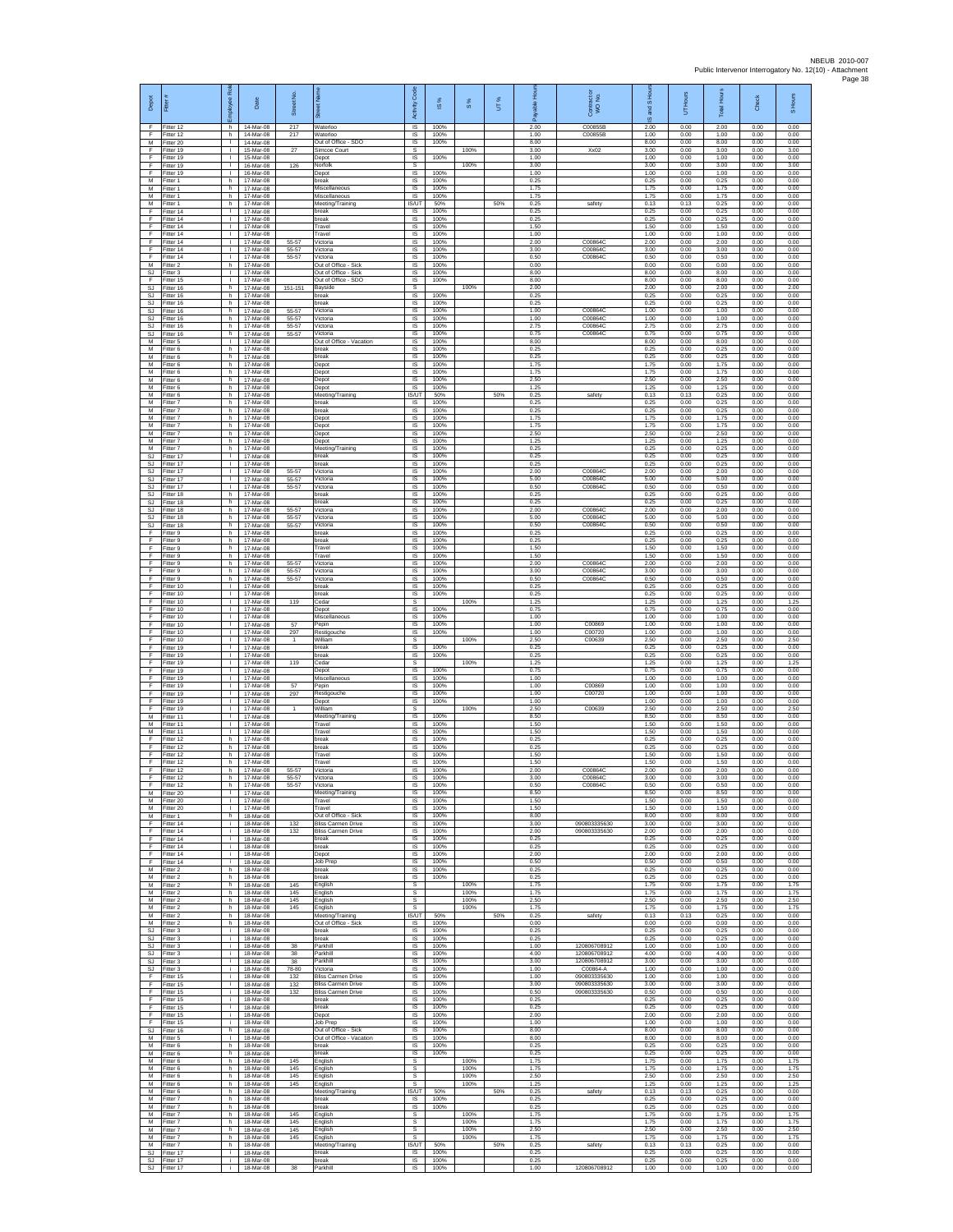| Depot                               | Ē                                   | ē<br>eekoldu<br>١ī                 | Date                                | Street No.              | ā                                                      | Code<br>Activity                | $\frac{8}{15}$       | 8%                   | UT% | டீ                   | Contract or<br>WO No.                    | S Ho<br>g<br>ဖ       | UT Hours             | <b>Total Hours</b>   | Check                | S Hours              |
|-------------------------------------|-------------------------------------|------------------------------------|-------------------------------------|-------------------------|--------------------------------------------------------|---------------------------------|----------------------|----------------------|-----|----------------------|------------------------------------------|----------------------|----------------------|----------------------|----------------------|----------------------|
| F<br>F                              | Fitter 12<br>Fitter 12              | h.<br>h                            | 14-Mar-08<br>14-Mar-08              | 217<br>217              | Waterloo<br>Waterloo                                   | $\overline{s}$<br>$\sf IS$      | 100%<br>100%         |                      |     | 2.00<br>1.00         | C00855B<br>C00855B                       | 2.00<br>1.00         | 0.00<br>0.00         | 2.00<br>1.00         | 0.00<br>0.00         | 0.00<br>0.00         |
| M<br>F                              | Fitter 20<br>Fitter 19              | $\mathbb{R}^n$<br>$\mathbf{L}$     | 14-Mar-08<br>15-Mar-08              | 27                      | Out of Office - SDO<br>Simcoe Court                    | $\sf IS$<br>s                   | 100%                 | 100%                 |     | 8.00<br>3.00         | $X \times 02$                            | 8.00<br>3.00         | 0.00<br>0.00         | 8.00<br>3.00         | 0.00<br>0.00         | 0.00<br>3.00         |
| E<br>F<br>F                         | Fitter 19<br>Fitter 19              | $\mathbf{L}$<br>Τ.<br>т.           | 15-Mar-08<br>16-Mar-08              | 126                     | Depot<br>Norfolk                                       | IS<br>s                         | 100%                 | 100%                 |     | 1.00<br>3.00         |                                          | 1.00<br>3.00         | 0.00<br>0.00         | 1.00<br>3.00         | 0.00<br>0.00         | 0.00<br>3.00         |
| M<br>M                              | Fitter 19<br>Fitter 1<br>-itter 1   | h.<br>h.                           | 16-Mar-08<br>17-Mar-08<br>17-Mar-08 |                         | Depot<br>break<br>Miscellaneous                        | IS<br>- IS<br>IS                | 100%<br>100%<br>100% |                      |     | 1.00<br>0.25<br>1.75 |                                          | 1.00<br>0.25<br>1.75 | 0.00<br>0.00<br>0.00 | 1.00<br>0.25<br>1.75 | 0.00<br>0.00<br>0.00 | 0.00<br>0.00<br>0.00 |
| М<br>M                              | Fitter 1<br>Fitter 1                | h<br>h.                            | 17-Mar-08<br>17-Mar-08              |                         | Miscellaneous<br>Meeting/Training                      | $\sf IS$<br>IS/UT               | 100%<br>50%          |                      | 50% | 1.75<br>0.25         | safety                                   | 1.75<br>0.13         | 0.00<br>0.13         | 1.75<br>0.25         | 0.00<br>0.00         | 0.00<br>0.00         |
| F<br>F                              | Fitter 14<br>Fitter 14              | $\mathbf{L}$<br>٠                  | 17-Mar-08<br>17-Mar-08              |                         | break<br>break                                         | IS.<br>IS                       | 100%<br>100%         |                      |     | 0.25<br>0.25         |                                          | 0.25<br>0.25         | 0.00<br>0.00         | 0.25<br>0.25         | 0.00<br>0.00         | 0.00<br>0.00         |
| F<br>F                              | Fitter 14<br>Fitter 14              | т<br>$\mathbf{L}$                  | 17-Mar-08<br>17-Mar-08              |                         | Travel<br>Travel                                       | IS<br><b>IS</b>                 | 100%<br>100%         |                      |     | 1.50<br>1.00         |                                          | 1.50<br>1.00         | 0.00<br>0.00         | 1.50<br>1.00         | 0.00<br>0.00         | 0.00<br>0.00         |
| F<br>F<br>F                         | Fitter 14<br>Fitter 14<br>Fitter 14 | т.<br>Τ.<br>т.                     | 17-Mar-08<br>17-Mar-08<br>17-Mar-08 | 55-57<br>55-57<br>55-57 | Victoria<br>Victoria<br>Victoria                       | IS<br>1S<br>IS                  | 100%<br>100%<br>100% |                      |     | 2.00<br>3.00<br>0.50 | C00864C<br>C00864C<br>C00864C            | 2.00<br>3.00<br>0.50 | 0.00<br>0.00<br>0.00 | 2.00<br>3.00<br>0.50 | 0.00<br>0.00<br>0.00 | 0.00<br>0.00<br>0.00 |
| M<br>SJ                             | Fitter 2<br>Fitter 3                | h<br>$\mathbf{L}$                  | 17-Mar-08<br>17-Mar-08              |                         | Out of Office - Sick<br>Out of Office - Sick           | IS<br>$\sf IS$                  | 100%<br>100%         |                      |     | 0.00<br>8.00         |                                          | 0.00<br>8.00         | 0.00<br>0.00         | 0.00<br>8.00         | 0.00<br>0.00         | 0.00<br>0.00         |
| F<br><b>SJ</b>                      | Fitter 15<br>Fitter 16              | т.<br>h.                           | 17-Mar-08<br>17-Mar-08              | $151 - 15'$             | Out of Office - SDO<br>Bayside                         | IS<br><b>s</b>                  | 100%                 | 100%                 |     | 8.00<br>2.00         |                                          | 8.00<br>2.00         | 0.00<br>0.00         | 8.00<br>2.00         | 0.00<br>0.00         | 0.00<br>2.00         |
| SJ<br>$\mathbb{S}\mathbb{J}$<br>SJ. | Fitter 16<br>Fitter 16<br>Fitter 16 | h.<br>h<br>h.                      | 17-Mar-08<br>17-Mar-08<br>17-Mar-08 | 55-57                   | break<br>break<br>Victoria                             | IS<br>IS<br>IS                  | 100%<br>100%<br>100% |                      |     | 0.25<br>0.25<br>1.00 | C008640                                  | 0.25<br>0.25<br>1.00 | 0.00<br>0.00<br>0.00 | 0.25<br>0.25<br>1.00 | 0.00<br>0.00<br>0.00 | 0.00<br>0.00<br>0.00 |
| SJ.<br>SJ                           | Fitter 16<br>Fitter 16              | h.<br>h                            | 17-Mar-08<br>17-Mar-08              | 55-57<br>55-57          | Victoria<br>/ictoria                                   | <b>IS</b><br>$\sf IS$           | 100%<br>100%         |                      |     | 1.00<br>2.75         | C00864C<br>C00864C                       | 1.00<br>2.75         | 0.00<br>0.00         | 1.00<br>2.75         | 0.00<br>0.00         | 0.00<br>0.00         |
| SJ<br>M                             | Fitter 16<br>Fitter 5               | h.<br>$\mathbf{L}$                 | 17-Mar-08<br>17-Mar-08              | 55-57                   | Victoria<br>Out of Office - Vacation                   | $\sf IS$<br>IS                  | 100%<br>100%         |                      |     | 0.75<br>8.00         | C00864C                                  | 0.75<br>8.00         | 0.00<br>0.00         | 0.75<br>8.00         | 0.00<br>0.00         | 0.00<br>0.00         |
| М<br>M                              | Fitter 6<br>Fitter 6                | h<br>h.                            | 17-Mar-08<br>17-Mar-08              |                         | break<br>break                                         | IS<br>IS                        | 100%<br>100%         |                      |     | 0.25<br>0.25         |                                          | 0.25<br>0.25         | 0.00<br>0.00         | 0.25<br>0.25         | 0.00<br>0.00         | 0.00<br>0.00         |
| М<br>M<br>M                         | itter 6<br>Fitter 6<br>-itter 6     | h<br>h.<br>h.                      | 17-Mar-08<br>17-Mar-08<br>17-Mar-08 |                         | Depot<br>Depot<br>Depot                                | IS<br>- IS<br>IS                | 100%<br>100%<br>100% |                      |     | 1.75<br>1.75<br>2.50 |                                          | 1.75<br>1.75<br>2.50 | 0.00<br>0.00<br>0.00 | 1.75<br>1.75<br>2.50 | 0.00<br>0.00<br>0.00 | 0.00<br>0.00<br>0.00 |
| М<br>M                              | Fitter 6<br>Fitter 6                | h<br>h.                            | 17-Mar-08<br>17-Mar-08              |                         | Depot<br>Meeting/Training                              | $\sf IS$<br><b>IS/UT</b>        | 100%<br>50%          |                      | 50% | 1.25<br>0.25         | safety                                   | 1.25<br>0.13         | 0.00<br>0.13         | 1.25<br>0.25         | 0.00<br>0.00         | 0.00<br>0.00         |
| M<br>М                              | -itter 7<br>Fitter 7                | h.<br>h                            | 17-Mar-08<br>17-Mar-08              |                         | break<br>break                                         | IS<br>IS                        | 100%<br>100%         |                      |     | 0.25<br>0.25         |                                          | 0.25<br>0.25         | 0.00<br>0.00         | 0.25<br>0.25         | 0.00<br>0.00         | 0.00<br>0.00         |
| M<br>M<br>М                         | -itter 7<br>Fitter 7<br>Fitter 7    | h.<br>h.<br>h                      | 17-Mar-08<br>17-Mar-08<br>17-Mar-08 |                         | Depot<br>Depot<br>Depot                                | IS<br>IS<br>IS                  | 100%<br>100%<br>100% |                      |     | 1.75<br>1.75<br>2.50 |                                          | 1.75<br>1.75<br>2.50 | 0.00<br>0.00<br>0.00 | 1.75<br>1.75<br>2.50 | 0.00<br>0.00<br>0.00 | 0.00<br>0.00<br>0.00 |
| M<br>M                              | Fitter 7<br>Fitter 7                | h.<br>h.                           | 17-Mar-08<br>17-Mar-08              |                         | Depot<br>Meeting/Training                              | IS<br>IS                        | 100%<br>100%         |                      |     | 1.25<br>0.25         |                                          | 1.25<br>0.25         | 0.00<br>0.00         | 1.25<br>0.25         | 0.00<br>0.00         | 0.00<br>0.00         |
| SJ<br>SJ                            | Fitter 17<br>Fitter 17              | T.<br>$\mathbf{L}$                 | 17-Mar-08<br>17-Mar-08              |                         | break<br>break                                         | IS<br>IS                        | 100%<br>100%         |                      |     | 0.25<br>0.25         |                                          | 0.25<br>0.25         | 0.00<br>0.00         | 0.25<br>0.25         | 0.00<br>0.00         | 0.00<br>0.00         |
| SJ<br><b>SJ</b>                     | Fitter 17<br>Fitter 17<br>Fitter 17 | $\mathbf{L}$<br>÷.<br>л.           | 17-Mar-08<br>17-Mar-08<br>17-Mar-08 | $55 - 57$<br>55-57      | Victoria<br>Victoria<br>Victoria                       | IS<br>- IS<br>IS                | 100%<br>100%<br>100% |                      |     | 2.00<br>5.00<br>0.50 | C008640<br>C00864C<br>C00864C            | 2.00<br>5.00<br>0.50 | 0.00<br>0.00<br>0.00 | 2.00<br>5.00<br>0.50 | 0.00<br>0.00<br>0.00 | 0.00<br>0.00<br>0.00 |
| SJ<br>$\mathbb{S}\mathbb{J}$<br>SJ. | Fitter 18<br>Fitter 18              | h<br>h.                            | 17-Mar-08<br>17-Mar-08              | 55-57                   | break<br>break                                         | IS<br>IS                        | 100%<br>100%         |                      |     | 0.25<br>0.25         |                                          | 0.25<br>0.25         | 0.00<br>0.00         | 0.25<br>0.25         | 0.00<br>0.00         | 0.00<br>0.00         |
| SJ<br>SJ                            | Fitter 18<br>Fitter 18              | h<br>h                             | 17-Mar-08<br>17-Mar-08              | 55-57<br>55-57          | Victoria<br>Victoria                                   | IS<br>$\sf IS$                  | 100%<br>100%         |                      |     | 2.00<br>5.00         | C00864C<br>C00864C                       | 2.00<br>5.00         | 0.00<br>0.00         | 2.00<br>5.00         | 0.00<br>0.00         | 0.00<br>0.00         |
| SJ<br>F                             | Fitter 18<br>Fitter 9               | h.<br>h.                           | 17-Mar-08<br>17-Mar-08              | 55-57                   | Victoria<br>break                                      | $\sf IS$<br><b>IS</b>           | 100%<br>100%         |                      |     | 0.50<br>0.25         | C00864C                                  | 0.50<br>0.25         | 0.00<br>0.00         | 0.50<br>0.25         | 0.00<br>0.00         | 0.00<br>0.00         |
| E<br>F<br>F                         | Fitter 9<br>Fitter 9<br>Fitter 9    | h<br>h.<br>h                       | 17-Mar-08<br>17-Mar-08<br>17-Mar-08 |                         | break<br>Travel<br>Travel                              | IS<br>1S<br>IS                  | 100%<br>100%<br>100% |                      |     | 0.25<br>1.50<br>1.50 |                                          | 0.25<br>1.50<br>1.50 | 0.00<br>0.00<br>0.00 | 0.25<br>1.50<br>1.50 | 0.00<br>0.00<br>0.00 | 0.00<br>0.00<br>0.00 |
| E<br>F                              | Fitter 9<br>-itter 9                | h.<br>h.                           | 17-Mar-08<br>17-Mar-08              | 55-57<br>55-57          | Victoria<br>Victoria                                   | - IS<br>IS                      | 100%<br>100%         |                      |     | 2.00<br>3.00         | C00864C<br>C00864C                       | 2.00<br>3.00         | 0.00<br>0.00         | 2.00<br>3.00         | 0.00<br>0.00         | 0.00<br>0.00         |
| F<br>F                              | Fitter 9<br>Fitter 10               | h<br>$\mathbf{L}$                  | 17-Mar-08<br>17-Mar-08              | 55-57                   | Victoria<br>break                                      | $\sf IS$<br><b>IS</b>           | 100%<br>100%         |                      |     | 0.50<br>0.25         | C00864C                                  | 0.50<br>0.25         | 0.00<br>0.00         | 0.50<br>0.25         | 0.00<br>0.00         | 0.00<br>0.00         |
| F.<br>F                             | Fitter 10<br>Fitter 10              | $\mathbf{L}$<br>٠                  | 17-Mar-08<br>17-Mar-08              | 119                     | break<br>Cedar                                         | IS<br>s                         | 100%                 | 100%                 |     | 0.25<br>1.25         |                                          | 0.25<br>1.25         | 0.00<br>0.00         | 0.25<br>1.25         | 0.00<br>0.00         | 0.00<br>1.25         |
| F<br>F<br>F                         | Fitter 10<br>Fitter 10<br>Fitter 10 | $\mathbf{L}$<br>$\mathbf{L}$<br>т. | 17-Mar-08<br>17-Mar-08<br>17-Mar-08 | 57                      | Depot<br>Miscellaneous<br>Pepin                        | IS<br>IS<br>IS                  | 100%<br>100%<br>100% |                      |     | 0.75<br>1.00<br>1.00 | C00869                                   | 0.75<br>1.00<br>1.00 | 0.00<br>0.00<br>0.00 | 0.75<br>1.00<br>1.00 | 0.00<br>0.00<br>0.00 | 0.00<br>0.00<br>0.00 |
| F<br>F                              | Fitter 10<br>Fitter 10              | Τ.<br>т.                           | 17-Mar-08<br>17-Mar-08              | 297                     | Restigouche<br>William                                 | 1S<br>s                         | 100%                 | 100%                 |     | 1.00<br>2.50         | C00720<br>C00639                         | 1.00<br>2.50         | 0.00<br>0.00         | 1.00<br>2.50         | 0.00<br>0.00         | 0.00<br>2.50         |
| E<br>F.                             | Fitter 19<br>Fitter 19              | T.<br>H.                           | 17-Mar-08<br>17-Mar-08              |                         | break<br>break                                         | IS<br>$\sf IS$                  | 100%<br>100%         |                      |     | 0.25<br>0.25         |                                          | 0.25<br>0.25         | 0.00<br>0.00         | 0.25<br>0.25         | 0.00<br>0.00         | 0.00<br>0.00         |
| F<br>F<br>F.                        | Fitter 19<br>Fitter 19<br>Fitter 19 | $\mathbf{L}$<br>÷.<br>$\mathbf{L}$ | 17-Mar-08<br>17-Mar-08<br>17-Mar-08 | 119                     | ceda<br>Depot<br>Miscellaneous                         | s<br>IS<br>IS                   | 100%<br>100%         | 100%                 |     | 1.25<br>0.75<br>1.00 |                                          | 1.25<br>0.75<br>1.00 | 0.00<br>0.00<br>0.00 | 1.25<br>0.75<br>1.00 | 0.00<br>0.00<br>0.00 | 1.25<br>0.00<br>0.00 |
| F<br>F                              | Fitter 19<br>Fitter 19              | ٠<br>$\mathbf{L}$                  | 17-Mar-08<br>17-Mar-08              | 57<br>297               | Pepin<br>Restigouche                                   | IS<br>IS                        | 100%<br>100%         |                      |     | 1.00<br>1.00         | C00869<br>C00720                         | 1.00<br>1.00         | 0.00<br>0.00         | 1.00<br>1.00         | 0.00<br>0.00         | 0.00<br>0.00         |
| F.<br>F                             | Fitter 19<br>Fitter 19              | $\mathbf{L}$<br>T.                 | 17-Mar-08<br>17-Mar-08              |                         | Depot<br>William                                       | <b>IS</b><br>s                  | 100%                 | 100%                 |     | 1.00<br>2.50         | C00639                                   | 1.00<br>2.50         | 0.00<br>0.00         | 1.00<br>2.50         | 0.00<br>0.00         | 0.00<br>2.50         |
| M<br>M                              | Fitter 11<br>Fitter 11              | $\mathbf{L}$<br>$\mathbf{L}$       | 17-Mar-08<br>17-Mar-08              |                         | Meeting/Training<br>Travel                             | $\sf IS$<br>IS                  | 100%<br>100%         |                      |     | 8.50<br>1.50<br>1.50 |                                          | 8.50<br>1.50         | 0.00<br>0.00         | 8.50<br>1.50         | 0.00<br>0.00         | 0.00<br>0.00         |
| M<br>F<br>F                         | Fitter 11<br>Fitter 12<br>Fitter 12 | $\mathbf{L}$<br>h.<br>h            | 17-Mar-08<br>17-Mar-08<br>17-Mar-08 |                         | Travel<br>break<br>oreak                               | IS<br>IS<br>IS                  | 100%<br>100%<br>100% |                      |     | 0.25<br>0.25         |                                          | 1.50<br>0.25<br>0.25 | 0.00<br>0.00<br>0.00 | 1.50<br>0.25<br>0.25 | 0.00<br>0.00<br>0.00 | 0.00<br>0.00<br>0.00 |
| E<br>F                              | Fitter 12<br>Fitter 12              | h.<br>h.                           | 17-Mar-08<br>17-Mar-08              |                         | Travel<br>Travel                                       | <b>IS</b><br>IS                 | 100%<br>100%         |                      |     | 1.50<br>1.50         |                                          | 1.50<br>1.50         | 0.00<br>0.00         | 1.50<br>1.50         | 0.00<br>0.00         | 0.00<br>0.00         |
| F<br>F                              | Fitter 12<br>Fitter 12              | h<br>h                             | 17-Mar-08<br>17-Mar-08              | 55-57<br>55-57          | Victoria<br>Victoria                                   | $\sf IS$<br>IS                  | 100%<br>100%         |                      |     | 2.00<br>3.00         | C00864C<br>C00864C                       | 2.00<br>3.00         | 0.00<br>0.00         | 2.00<br>3.00         | 0.00<br>0.00         | 0.00<br>0.00         |
| М<br>M                              | litter 12<br>Fitter 20<br>Fitter 20 | h<br>т.<br>т                       | 17-Mar-08<br>17-Mar-08<br>17-Mar-08 | 55-57                   | Victoria<br>Meeting/Training<br>Travel                 | <b>IS</b><br>IS<br>IS           | 100%<br>100%<br>100% |                      |     | 0.50<br>8.50<br>1.50 | C00864C                                  | 0.50<br>8.50<br>1.50 | 0.00<br>0.00<br>0.00 | 0.50<br>8.50<br>1.50 | 0.00<br>0.00<br>0.00 | 0.00<br>0.00<br>0.00 |
| M<br>M                              | Fitter 20<br>Fitter 1               | $\mathbf{L}$<br>h.                 | 17-Mar-08<br>18-Mar-08              |                         | Travel<br>Out of Office - Sick                         | IS.<br>IS                       | 100%<br>100%         |                      |     | 1.50<br>8.00         |                                          | 1.50<br>8.00         | 0.00<br>0.00         | 1.50<br>8.00         | 0.00<br>0.00         | 0.00<br>0.00         |
| F<br>F                              | Fitter 14<br>Fitter 14              | i.<br>i.                           | 18-Mar-08<br>18-Mar-08              | 132<br>132              | <b>Bliss Carmen Drive</b><br><b>Bliss Carmen Drive</b> | 1S<br>IS                        | 100%<br>100%         |                      |     | 3.00<br>2.00         | 090803335630<br>090803335630             | 3.00<br>2.00         | 0.00<br>0.00         | 3.00<br>2.00         | 0.00<br>0.00         | 0.00<br>0.00         |
| F<br>F.<br>F                        | Fitter 14<br>Fitter 14<br>Fitter 14 | i.<br>i.<br>i.                     | 18-Mar-08<br>18-Mar-08<br>18-Mar-08 |                         | break<br>break<br>Depot                                | IS<br>IS<br>IS                  | 100%<br>100%<br>100% |                      |     | 0.25<br>0.25<br>2.00 |                                          | 0.25<br>0.25<br>2.00 | 0.00<br>0.00<br>0.00 | 0.25<br>0.25<br>2.00 | 0.00<br>0.00<br>0.00 | 0.00<br>0.00<br>0.00 |
| F<br>M                              | Fitter 14<br>Fitter 2               | j.<br>h.                           | $18-Mar-08$<br>18-Mar-08            |                         | Job Prep<br>break                                      | IS<br>IS.                       | 100%<br>100%         |                      |     | 0.50<br>0.25         |                                          | 0.50<br>0.25         | 0.00<br>0.00         | 0.50<br>0.25         | 0.00<br>0.00         | 0.00<br>0.00         |
| М<br>M                              | Fitter 2<br>Fitter 2                | h<br>h.                            | 18-Mar-08<br>18-Mar-08              | 145                     | break<br>English                                       | 1S<br>s                         | 100%                 | 100%                 |     | 0.25<br>1.75         |                                          | 0.25<br>1.75         | 0.00<br>0.00         | 0.25<br>1.75         | 0.00<br>0.00         | 0.00<br>1.75         |
| M<br>M                              | M Fitter 2<br>Fitter 2<br>Fitter 2  | h.<br>h<br>h.                      | 18-Mar-08<br>18-Mar-08<br>18-Mar-08 | 145<br>145<br>145       | English<br>English<br>English                          | s<br>$\mathbb S$<br>$\mathbb S$ |                      | 100%<br>100%<br>100% |     | 1.75<br>2.50<br>1.75 |                                          | 1.75<br>2.50<br>1.75 | 0.00<br>0.00<br>0.00 | 1.75<br>2.50<br>1.75 | 0.00<br>0.00<br>0.00 | 1.75<br>2.50<br>1.75 |
| M<br>M                              | Fitter 2<br>Fitter 2                | h.<br>h                            | 18-Mar-08<br>18-Mar-08              |                         | Meeting/Training<br>Out of Office - Sick               | <b>IS/UT</b><br>IS              | 50%<br>100%          |                      | 50% | 0.25<br>0.00         | safety                                   | 0.13<br>0.00         | 0.13<br>0.00         | 0.25<br>0.00         | 0.00<br>0.00         | 0.00<br>0.00         |
| SJ<br>SJ                            | Fitter 3<br>Fitter 3                | i.<br>i.                           | 18-Mar-08<br>18-Mar-08              |                         | break<br>break                                         | <b>IS</b><br>IS                 | 100%<br>100%         |                      |     | 0.25<br>0.25         |                                          | 0.25<br>0.25         | 0.00<br>0.00         | 0.25<br>0.25         | 0.00<br>0.00         | 0.00<br>0.00         |
| SJ<br>SJ.                           | Fitter 3<br>Fitter 3                | ÷.<br>i.                           | 18-Mar-08<br>18-Mar-08              | 38<br>38                | Parkhill<br>Parkhill                                   | IS<br>IS                        | 100%<br>100%         |                      |     | 1.00<br>4.00         | 120806708912<br>120806708912             | 1.00<br>4.00         | 0.00<br>0.00         | 1.00<br>4.00         | 0.00<br>0.00         | 0.00<br>0.00         |
| <b>SJ</b><br>SJ.<br>F.              | Fitter 3<br>Fitter 3<br>Fitter 15   | j.<br>i.<br>i.                     | 18-Mar-08<br>18-Mar-08<br>18-Mar-08 | 38<br>78-80<br>132      | Parkhill<br>Victoria<br><b>Bliss Carmen Drive</b>      | $\sf IS$<br><b>IS</b><br>IS     | 100%<br>100%<br>100% |                      |     | 3.00<br>1.00<br>1.00 | 120806708912<br>C00864-A<br>090803335630 | 3.00<br>1.00<br>1.00 | 0.00<br>0.00<br>0.00 | 3.00<br>1.00<br>1.00 | 0.00<br>0.00<br>0.00 | 0.00<br>0.00<br>0.00 |
| F<br>Ŧ                              | Fitter 15<br>Fitter 15              | ÷.<br>i.                           | 18-Mar-08<br>18-Mar-08              | 132<br>132              | <b>Bliss Carmen Drive</b><br><b>Bliss Carmen Drive</b> | 1S<br>IS                        | 100%<br>100%         |                      |     | 3.00<br>0.50         | 090803335630<br>090803335630             | 3.00<br>0.50         | 0.00<br>0.00         | 3.00<br>0.50         | 0.00<br>0.00         | 0.00<br>0.00         |
| F<br>$\mathsf F$                    | Fitter 15<br>Fitter 15              | i.<br>i.                           | 18-Mar-08<br>18-Mar-08              |                         | break<br>break                                         | IS<br>IS                        | 100%<br>100%         |                      |     | 0.25<br>0.25         |                                          | 0.25<br>0.25         | 0.00<br>0.00         | 0.25<br>0.25         | 0.00<br>0.00         | 0.00<br>0.00         |
| F<br>F<br>SJ                        | Fitter 15<br>Fitter 15<br>Fitter 16 | i.<br>i.<br>h                      | 18-Mar-08<br>18-Mar-08<br>18-Mar-08 |                         | Depot<br><b>Job Prep</b><br>Out of Office - Sick       | 1S<br>IS<br>IS                  | 100%<br>100%<br>100% |                      |     | 2.00<br>1.00<br>8.00 |                                          | 2.00<br>1.00<br>8.00 | 0.00<br>0.00<br>0.00 | 2.00<br>1.00<br>8.00 | 0.00<br>0.00<br>0.00 | 0.00<br>0.00<br>0.00 |
| M<br>М                              | Fitter 5<br>Fitter 6                | $\mathbf{L}$<br>h.                 | 18-Mar-08<br>18-Mar-08              |                         | Out of Office - Vacation<br>break                      | IS<br>IS                        | 100%<br>100%         |                      |     | 8.00<br>0.25         |                                          | 8.00<br>0.25         | 0.00<br>0.00         | 8.00<br>0.25         | 0.00<br>0.00         | 0.00<br>0.00         |
| M<br>M                              | Fitter 6<br>Fitter 6                | h.<br>h                            | 18-Mar-08<br>18-Mar-08              | 145                     | break<br>English                                       | - IS<br>s                       | 100%                 | 100%                 |     | 0.25<br>1.75         |                                          | 0.25<br>1.75         | 0.00<br>0.00         | 0.25<br>1.75         | 0.00<br>0.00         | 0.00<br>1.75         |
| М<br>M                              | Fitter 6<br>Fitter 6                | h.<br>h.<br>h.                     | 18-Mar-08<br>18-Mar-08              | 145<br>145              | English<br>English<br>English                          | s<br>s<br>s                     |                      | 100%<br>100%<br>100% |     | 1.75<br>2.50<br>1.25 |                                          | 1.75<br>2.50<br>1.25 | 0.00<br>0.00<br>0.00 | 1.75<br>2.50<br>1.25 | 0.00<br>0.00<br>0.00 | 1.75<br>2.50<br>1.25 |
| M<br>M                              | M Fitter 6<br>Fitter 6<br>Fitter 7  | h<br>h                             | 18-Mar-08<br>18-Mar-08<br>18-Mar-08 | 145                     | Meeting/Training<br>break                              | IS/UT<br>IS                     | 50%<br>100%          |                      | 50% | 0.25<br>0.25         | safety                                   | 0.13<br>0.25         | 0.13<br>0.00         | 0.25<br>0.25         | 0.00<br>0.00         | 0.00<br>0.00         |
| M<br>M                              | Fitter 7<br>Fitter 7                | h<br>h                             | 18-Mar-08<br>18-Mar-08              | 145                     | break<br>English                                       | IS.<br>s                        | 100%                 | 100%                 |     | 0.25<br>1.75         |                                          | 0.25<br>1.75         | 0.00<br>0.00         | 0.25<br>1.75         | 0.00<br>0.00         | 0.00<br>1.75         |
| M<br>М                              | Fitter 7<br>Fitter 7                | h.<br>h.                           | 18-Mar-08<br>18-Mar-08              | 145<br>145              | English<br>English                                     | s<br>s<br>s                     |                      | 100%<br>100%         |     | 1.75<br>2.50<br>1.75 |                                          | 1.75<br>2.50<br>1.75 | 0.00<br>0.00<br>0.00 | 1.75<br>2.50<br>1.75 | 0.00<br>0.00<br>0.00 | 1.75<br>2.50<br>1.75 |
| M<br>M<br>$\mathbb{S}\mathbb{J}$    | Fitter 7<br>Fitter 7<br>Fitter 17   | h.<br>h.<br>Ť.                     | 18-Mar-08<br>18-Mar-08<br>18-Mar-08 | 145                     | English<br>Meeting/Training<br>break                   | IS/UT<br>IS                     | 50%<br>100%          | 100%                 | 50% | 0.25<br>0.25         | safety                                   | 0.13<br>0.25         | 0.13<br>0.00         | 0.25<br>0.25         | 0.00<br>0.00         | 0.00<br>0.00         |
|                                     | SJ Fitter 17<br>SJ Fitter 17        | j.                                 | 18-Mar-08<br>i 18-Mar-08            | 38                      | break<br>Parkhill                                      | <b>IS</b><br><b>IS</b>          | 100%<br>100%         |                      |     | 0.25<br>1.00         | 120806708912                             | 0.25<br>1.00         | 0.00<br>0.00         | 0.25<br>1.00         | 0.00<br>0.00         | 0.00<br>0.00         |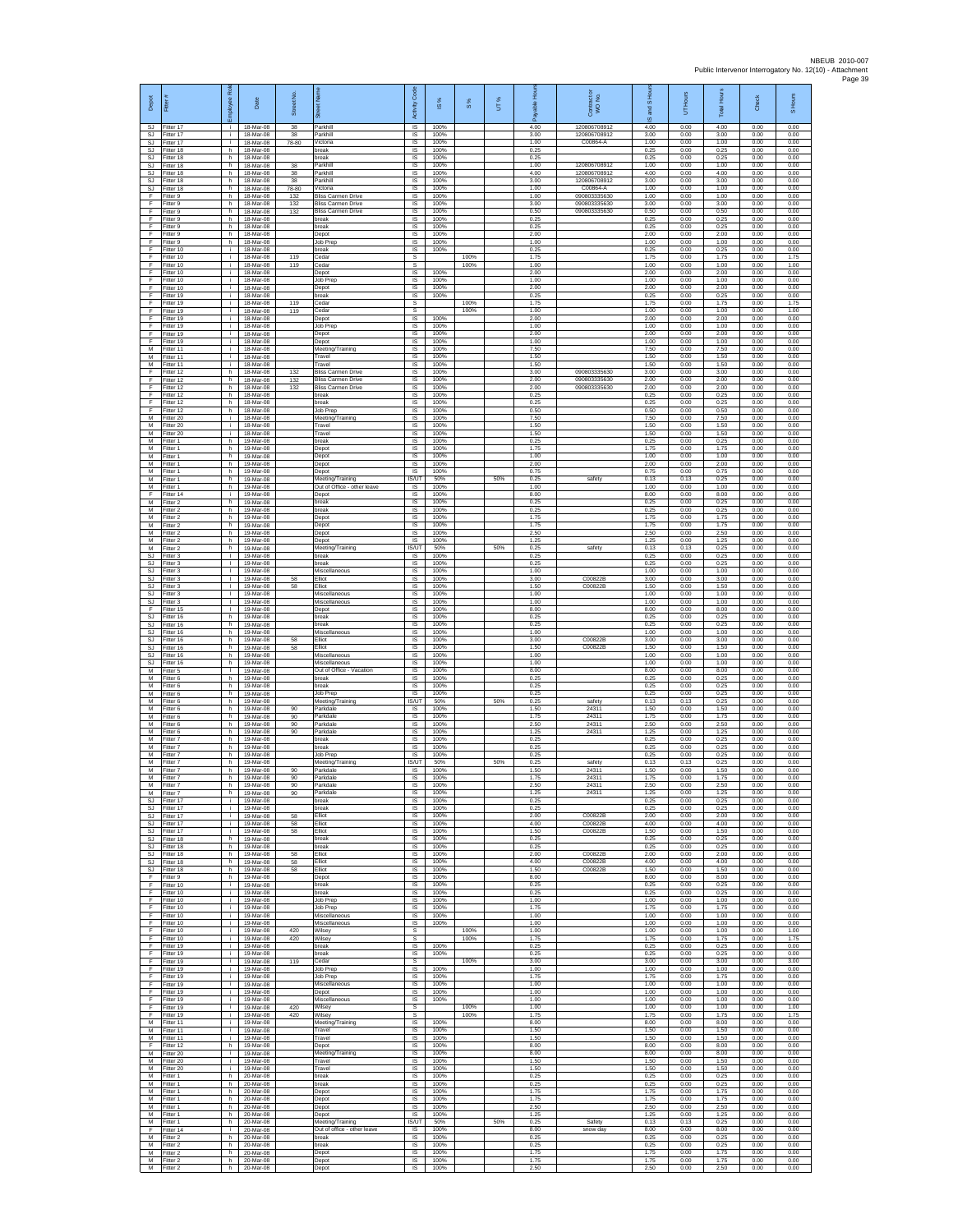| Depot                        | Fitter                                 | Ral<br>aekolo                      | Date                                | £<br>Street       | $\overline{\overline{\overline{}}\overline{\overline{}}\overline{\overline{}}\overline{\overline{}}\overline{\overline{}}\overline{\overline{}}\overline{\overline{}}\overline{\overline{}}\overline{\overline{}}\overline{\overline{}}\overline{\overline{}}\overline{\overline{}}\overline{\overline{}}\overline{\overline{}}\overline{\overline{}}\overline{\overline{}}\overline{\overline{}}\overline{\overline{}}\overline{\overline{}}\overline{\overline{}}\overline{\overline{}}\overline{\overline{}}\overline{\overline{}}\overline{\overline{}}\overline{\overline{}}\overline{\overline{}}\overline{\overline{}}\$<br>あ<br>Parkhill | Code<br>Activity                          | ⋇<br>$\underline{\omega}$ | 8%           | UТ% | 후<br>elde<br>æ       | Contract or<br>WO No.<br>120806708912 | and S Ho<br>$\frac{1}{2}$ | Hours<br>5           | <b>Total Hours</b>   | $\frac{1}{6}$<br>ర్  | S Hours              |
|------------------------------|----------------------------------------|------------------------------------|-------------------------------------|-------------------|--------------------------------------------------------------------------------------------------------------------------------------------------------------------------------------------------------------------------------------------------------------------------------------------------------------------------------------------------------------------------------------------------------------------------------------------------------------------------------------------------------------------------------------------------------------------------------------------------------------------------------------------------|-------------------------------------------|---------------------------|--------------|-----|----------------------|---------------------------------------|---------------------------|----------------------|----------------------|----------------------|----------------------|
| SJ<br>SJ<br><b>SJ</b>        | Fitter 17<br>Fitter 17<br>Fitter 17    | ÷ĩ.<br>j.                          | 18-Mar-08<br>18-Mar-08<br>18-Mar-08 | 38<br>38<br>78-80 | Parkhill<br>Victoria                                                                                                                                                                                                                                                                                                                                                                                                                                                                                                                                                                                                                             | IS<br>$\sf IS$<br><b>IS</b>               | 100%<br>100%<br>100%      |              |     | 4.00<br>3.00<br>1.00 | 120806708912<br>C00864-A              | 4.00<br>3.00<br>1.00      | 0.00<br>0.00<br>0.00 | 4.00<br>3.00<br>1.00 | 0.00<br>0.00<br>0.00 | 0.00<br>0.00<br>0.00 |
| S.I.<br>SJ                   | Fitter 18<br>fitter 18                 | h.<br>h.                           | 18-Mar-08<br>18-Mar-08              |                   | hreak<br>break                                                                                                                                                                                                                                                                                                                                                                                                                                                                                                                                                                                                                                   | <b>IS</b><br>IS                           | 100%<br>100%              |              |     | 0.25<br>0.25         |                                       | 0.25<br>0.25              | 0.00<br>0.00         | 0.25<br>0.25         | 0.00<br>0.00         | 0.00<br>0.00         |
| <b>SJ</b><br>SJ.             | fitter 18<br>Fitter 18                 | h<br>h.                            | 18-Mar-08<br>18-Mar-08              | 38<br>38          | Parkhill<br>Parkhill                                                                                                                                                                                                                                                                                                                                                                                                                                                                                                                                                                                                                             | $\overline{\mathsf{s}}$<br>$\overline{s}$ | 100%<br>100%              |              |     | 1.00<br>4.00         | 120806708912<br>120806708912          | 1.00<br>4.00              | 0.00<br>0.00         | 1.00<br>4.00         | 0.00<br>0.00         | 0.00<br>0.00         |
| SJ<br>SJ                     | Fitter 18<br>Fitter 18                 | h.<br>h.                           | 18-Mar-08<br>18-Mar-08              | 38<br>78-80       | Parkhill<br>Victoria                                                                                                                                                                                                                                                                                                                                                                                                                                                                                                                                                                                                                             | IS<br>IS                                  | 100%<br>100%              |              |     | 3.00<br>1.00         | 120806708912<br>C00864-A              | 3.00<br>1.00              | 0.00<br>0.00         | 3.00<br>1.00         | 0.00<br>0.00         | 0.00<br>0.00         |
| F<br>F<br>F.                 | fitter 9<br>Fitter 9                   | h.<br>h                            | 18-Mar-08<br>18-Mar-08              | 132<br>132        | <b>Bliss Carmen Drive</b><br><b>Bliss Carmen Drive</b>                                                                                                                                                                                                                                                                                                                                                                                                                                                                                                                                                                                           | IS<br>IS                                  | 100%<br>100%              |              |     | 1.00<br>3.00         | 090803335630<br>090803335630          | 1.00<br>3.00              | 0.00<br>0.00         | 1.00<br>3.00         | 0.00<br>0.00         | 0.00<br>0.00         |
| F<br>F                       | Fitter 9<br>itter 9<br>Fitter 9        | h.<br>h.<br>h.                     | 18-Mar-08<br>18-Mar-08<br>18-Mar-08 | 132               | <b>Bliss Carmen Drive</b><br>oreak<br>break                                                                                                                                                                                                                                                                                                                                                                                                                                                                                                                                                                                                      | $\sf IS$<br>IS<br>IS                      | 100%<br>100%<br>100%      |              |     | 0.50<br>0.25<br>0.25 | 090803335630                          | 0.50<br>0.25<br>0.25      | 0.00<br>0.00<br>0.00 | 0.50<br>0.25<br>0.25 | 0.00<br>0.00<br>0.00 | 0.00<br>0.00<br>0.00 |
| F<br>F                       | Fitter 9<br>Fitter 9                   | h<br>h                             | 18-Mar-08<br>18-Mar-08              |                   | Depot<br>Job Prep                                                                                                                                                                                                                                                                                                                                                                                                                                                                                                                                                                                                                                | <b>IS</b><br>IS                           | 100%<br>100%              |              |     | 200<br>1.00          |                                       | 2.00<br>1.00              | 0.00<br>0.00         | 200<br>1.00          | 0.00<br>0.00         | 0.00<br>0.00         |
| F<br>F                       | Fitter 10<br>Fitter 10                 | i.<br>i.                           | 18-Mar-08<br>18-Mar-08              | 119               | break<br>Cedar                                                                                                                                                                                                                                                                                                                                                                                                                                                                                                                                                                                                                                   | 1S<br>s                                   | 100%                      | 100%         |     | 0.25<br>1.75         |                                       | 0.25<br>1.75              | 0.00<br>0.00         | 0.25<br>1.75         | 0.00<br>0.00         | 0.00<br>1.75         |
| F<br>F                       | Fitter 10<br>Fitter 10<br>Fitter 10    | i.<br>j.                           | 18-Mar-08<br>18-Mar-08<br>18-Mar-08 | 119               | Cedar<br>Depot<br>Job Prec                                                                                                                                                                                                                                                                                                                                                                                                                                                                                                                                                                                                                       | $\mathbb S$<br>IS<br>$\overline{s}$       | 100%<br>100%              | 100%         |     | 1.00<br>2.00<br>1.00 |                                       | 1.00<br>2.00<br>1.00      | 0.00<br>0.00<br>0.00 | 1.00<br>2.00<br>1.00 | 0.00<br>0.00<br>0.00 | 1.00<br>0.00<br>0.00 |
| F<br>F<br>F                  | Fitter 10<br>Fitter 19                 | i.<br>j.<br>i.                     | 18-Mar-08<br>18-Mar-08              |                   | Depot<br>break                                                                                                                                                                                                                                                                                                                                                                                                                                                                                                                                                                                                                                   | IS<br>1S                                  | 100%<br>100%              |              |     | 2.00<br>0.25         |                                       | 2.00<br>0.25              | 0.00<br>0.00         | 2.00<br>0.25         | 0.00<br>0.00         | 0.00<br>0.00         |
| F<br>F                       | Fitter 19<br>Fitter 19                 | ÷.<br>÷i.                          | 18-Mar-08<br>18-Mar-08              | 119<br>119        | Cedar<br>Cedar                                                                                                                                                                                                                                                                                                                                                                                                                                                                                                                                                                                                                                   | s<br>s                                    |                           | 100%<br>100% |     | 1.75<br>1.00         |                                       | 1.75<br>1.00              | 0.00<br>0.00         | 1.75<br>1.00         | 0.00<br>0.00         | 1.75<br>1.00         |
| F<br>F                       | Fitter 19<br>Fitter 19                 | j.<br>j.                           | 18-Mar-08<br>18-Mar-08              |                   | Depot<br>Job Preg                                                                                                                                                                                                                                                                                                                                                                                                                                                                                                                                                                                                                                | <b>IS</b><br>$\sf IS$                     | 100%<br>100%              |              |     | 2.00<br>1.00         |                                       | 2.00<br>1.00              | 0.00<br>0.00         | 2.00<br>1.00         | 0.00<br>0.00         | 0.00<br>0.00         |
| F<br>F                       | Fitter 19<br>Fitter 19                 | j.<br>i.                           | 18-Mar-08<br>18-Mar-08              |                   | Depot<br>Depot                                                                                                                                                                                                                                                                                                                                                                                                                                                                                                                                                                                                                                   | <b>IS</b><br>IS.                          | 100%<br>100%              |              |     | 2.00<br>1.00         |                                       | 2.00<br>1.00              | 0.00<br>0.00         | 2.00<br>1.00         | 0.00<br>0.00         | 0.00<br>0.00         |
| М<br>M<br>M                  | Fitter 11<br>fitter 11<br>Fitter 11    | ÷.<br>T<br>i.                      | 18-Mar-08<br>18-Mar-08<br>18-Mar-08 |                   | Meeting/Training<br>Travel<br>Travel                                                                                                                                                                                                                                                                                                                                                                                                                                                                                                                                                                                                             | IS<br>$\overline{\mathsf{s}}$<br>IS       | 100%<br>100%<br>100%      |              |     | 7.50<br>1.50<br>1.50 |                                       | 7.50<br>1.50<br>1.50      | 0.00<br>0.00<br>0.00 | 7.50<br>1.50<br>1.50 | 0.00<br>0.00<br>0.00 | 0.00<br>0.00<br>0.00 |
| F<br>F                       | litter 12<br>Fitter 12                 | h.<br>h                            | 18-Mar-08<br>18-Mar-08              | 132<br>132        | <b>Bliss Carmen Drive</b><br><b>Bliss Carmen Drive</b>                                                                                                                                                                                                                                                                                                                                                                                                                                                                                                                                                                                           | IS<br>IS                                  | 100%<br>100%              |              |     | 3.00<br>2.00         | 090803335630<br>090803335630          | 3.00<br>2.00              | 0.00<br>0.00         | 3.00<br>2.00         | 0.00<br>0.00         | 0.00<br>0.00         |
| F<br>F                       | fitter 12<br>Fitter 12                 | h.<br>h                            | 18-Mar-08<br>18-Mar-08              | 132               | <b>Bliss Carmen Drive</b><br>break                                                                                                                                                                                                                                                                                                                                                                                                                                                                                                                                                                                                               | IS<br>IS                                  | 100%<br>100%              |              |     | 2.00<br>0.25         | 090803335630                          | 2.00<br>0.25              | 0.00<br>0.00         | 2.00<br>0.25         | 0.00<br>0.00         | 0.00<br>0.00         |
| F<br>F                       | Fitter 12<br>itter 12                  | h.<br>h.                           | 18-Mar-08<br>18-Mar-08              |                   | break<br>Job Prep                                                                                                                                                                                                                                                                                                                                                                                                                                                                                                                                                                                                                                | $\sf IS$<br>IS                            | 100%<br>100%              |              |     | 0.25<br>0.50         |                                       | 0.25<br>0.50              | 0.00<br>0.00         | 0.25<br>0.50         | 0.00<br>0.00         | 0.00<br>0.00         |
| M<br>M                       | Fitter 20<br>Fitter 20                 | j.<br>j.<br>÷.                     | 18-Mar-08<br>18-Mar-08              |                   | Meeting/Training<br>Travel<br>Travel                                                                                                                                                                                                                                                                                                                                                                                                                                                                                                                                                                                                             | IS<br>IS.<br>IS                           | 100%<br>100%<br>100%      |              |     | 7.50<br>1.50<br>1.50 |                                       | 7.50<br>1.50<br>1.50      | 0.00<br>0.00<br>0.00 | 7.50<br>1.50<br>1.50 | 0.00<br>0.00<br>0.00 | 0.00<br>0.00<br>0.00 |
| М<br>M<br>M                  | Fitter 20<br>Fitter 1<br>Fitter 1      | h.<br>h.                           | 18-Mar-08<br>19-Mar-08<br>19-Mar-08 |                   | break<br>Depot                                                                                                                                                                                                                                                                                                                                                                                                                                                                                                                                                                                                                                   | $\overline{\mathsf{s}}$<br>IS             | 100%<br>100%              |              |     | 0.25<br>1.75         |                                       | 0.25<br>1.75              | 0.00<br>0.00         | 0.25<br>1.75         | 0.00<br>0.00         | 0.00<br>0.00         |
| М<br>M                       | itter 1<br>Fitter 1                    | h.<br>h.                           | 19-Mar-08<br>19-Mar-08              |                   | Depot<br>Depot                                                                                                                                                                                                                                                                                                                                                                                                                                                                                                                                                                                                                                   | $\sf IS$<br>IS                            | 100%<br>100%              |              |     | 1.00<br>2.00         |                                       | 1.00<br>2.00              | 0.00<br>0.00         | 1.00<br>2.00         | 0.00<br>0.00         | 0.00<br>0.00         |
| M<br>M                       | Fitter 1<br>Fitter 1                   | h.<br>h.                           | 19-Mar-08<br>19-Mar-08              |                   | Depot<br>Meeting/Training                                                                                                                                                                                                                                                                                                                                                                                                                                                                                                                                                                                                                        | $\overline{\mathsf{s}}$<br><b>IS/UT</b>   | 100%<br>50%               |              | 50% | 0.75<br>0.25         | safety                                | 0.75<br>0.13              | 0.00<br>0.13         | 0.75<br>0.25         | 0.00<br>0.00         | 0.00<br>0.00         |
| М<br>F<br>M                  | Fitter 1<br>itter 14                   | h.<br>i.<br>h.                     | 19-Mar-08<br>19-Mar-08              |                   | Out of Office - other leave<br>Depot<br>break                                                                                                                                                                                                                                                                                                                                                                                                                                                                                                                                                                                                    | IS<br>IS<br>IS                            | 100%<br>100%<br>100%      |              |     | 1.00<br>8.00<br>0.25 |                                       | 1.00<br>8.00<br>0.25      | 0.00<br>0.00<br>0.00 | 1.00<br>8.00<br>0.25 | 0.00<br>0.00<br>0.00 | 0.00<br>0.00<br>0.00 |
| M<br>М                       | Fitter 2<br>Fitter 2<br>Fitter 2       | h.<br>h                            | 19-Mar-08<br>19-Mar-08<br>19-Mar-08 |                   | break<br>Depot                                                                                                                                                                                                                                                                                                                                                                                                                                                                                                                                                                                                                                   | IS<br>$\sf IS$                            | 100%<br>100%              |              |     | 0.25<br>1.75         |                                       | 0.25<br>1.75              | 0.00<br>0.00         | 0.25<br>1.75         | 0.00<br>0.00         | 0.00<br>0.00         |
| M<br>M                       | Fitter 2<br>Fitter 2                   | h.<br>h.                           | 19-Mar-08<br>19-Mar-08              |                   | Depot<br>Depot                                                                                                                                                                                                                                                                                                                                                                                                                                                                                                                                                                                                                                   | IS<br>IS.                                 | 100%<br>100%              |              |     | 1.75<br>2.50         |                                       | 1.75<br>2.50              | 0.00<br>0.00         | 1.75<br>2.50         | 0.00<br>0.00         | 0.00<br>0.00         |
| М<br>M                       | itter 2<br>itter 2                     | h<br>h.                            | 19-Mar-08<br>19-Mar-08              |                   | Depot<br>Meeting/Training                                                                                                                                                                                                                                                                                                                                                                                                                                                                                                                                                                                                                        | IS<br><b>IS/UT</b>                        | 100%<br>50%               |              | 50% | 1.25<br>0.25         | safety                                | 1.25<br>0.13              | 0.00<br>0.13         | 1.25<br>0.25         | 0.00<br>0.00         | 0.00<br>0.00         |
| SJ.<br><b>SJ</b>             | Fitter 3<br>Fitter 3                   | $\mathbf{L}$                       | 19-Mar-08<br>19-Mar-08              |                   | break<br>break                                                                                                                                                                                                                                                                                                                                                                                                                                                                                                                                                                                                                                   | IS<br>IS                                  | 100%<br>100%              |              |     | 0.25<br>0.25         |                                       | 0.25<br>0.25              | 0.00<br>0.00         | 0.25<br>0.25         | 0.00<br>0.00         | 0.00<br>0.00         |
| SJ<br>SJ<br>SJ               | Fitter 3<br>Fitter 3<br>Fitter 3       | т.<br>$\mathbf{L}$<br>$\mathbf{L}$ | 19-Mar-08<br>19-Mar-08<br>19-Mar-08 | 58<br>58          | Miscellaneous<br>Elliot<br>Elliot                                                                                                                                                                                                                                                                                                                                                                                                                                                                                                                                                                                                                | IS<br>IS<br>IS                            | 100%<br>100%<br>100%      |              |     | 1.00<br>3.00<br>1.50 | C00822B<br>C00822B                    | 1.00<br>3.00<br>1.50      | 0.00<br>0.00<br>0.00 | 1.00<br>3.00<br>1.50 | 0.00<br>0.00<br>0.00 | 0.00<br>0.00<br>0.00 |
| SJ<br><b>SJ</b>              | Fitter 3<br>itter 3                    | $\mathbf{L}$<br>л.                 | 19-Mar-08<br>19-Mar-08              |                   | Miscellaneous<br>Miscellaneous                                                                                                                                                                                                                                                                                                                                                                                                                                                                                                                                                                                                                   | $\sf IS$<br>IS                            | 100%<br>100%              |              |     | 1.00<br>1.00         |                                       | 1.00<br>1.00              | 0.00<br>0.00         | 1.00<br>1.00         | 0.00<br>0.00         | 0.00<br>0.00         |
| F<br><b>SJ</b>               | Fitter 15<br>Fitter 16                 | $\mathbf{I}$<br>h                  | 19-Mar-08<br>19-Mar-08              |                   | Depot<br>break                                                                                                                                                                                                                                                                                                                                                                                                                                                                                                                                                                                                                                   | IS<br>IS                                  | 100%<br>100%              |              |     | 8.00<br>0.25         |                                       | 8.00<br>0.25              | 0.00<br>0.00         | 8.00<br>0.25         | 0.00<br>0.00         | 0.00<br>0.00         |
| SJ<br>SJ.                    | Fitter 16<br>Fitter 16                 | h<br>h.                            | 19-Mar-08<br>19-Mar-08              |                   | break<br>Miscellaneous                                                                                                                                                                                                                                                                                                                                                                                                                                                                                                                                                                                                                           | IS<br>1S                                  | 100%<br>100%              |              |     | 0.25<br>1.00         |                                       | 0.25<br>1.00              | 0.00<br>0.00         | 0.25<br>1.00         | 0.00<br>0.00         | 0.00<br>0.00         |
| SJ<br><b>SJ</b><br>SJ        | Fitter 16<br>Fitter 16<br>litter 16    | h.<br>h.<br>h                      | 19-Mar-08<br>19-Mar-08<br>19-Mar-08 | 58<br>58          | Elliot<br>Elliot<br>Miscellaneous                                                                                                                                                                                                                                                                                                                                                                                                                                                                                                                                                                                                                | $\overline{s}$<br>$\sf IS$<br>IS          | 100%<br>100%<br>100%      |              |     | 3.00<br>1.50<br>1.00 | C00822B<br>C00822B                    | 3.00<br>1.50<br>1.00      | 0.00<br>0.00<br>0.00 | 3.00<br>1.50<br>1.00 | 0.00<br>0.00<br>0.00 | 0.00<br>0.00<br>0.00 |
| SJ.<br>M                     | Fitter 16<br>Fitter 5                  | h.<br>$\mathbb{R}$                 | 19-Mar-08<br>19-Mar-08              |                   | Miscellaneous<br>Out of Office - Vacation                                                                                                                                                                                                                                                                                                                                                                                                                                                                                                                                                                                                        | $\overline{\mathsf{s}}$<br>IS             | 100%<br>100%              |              |     | 1.00<br>8.00         |                                       | 1.00<br>8.00              | 0.00<br>0.00         | 1.00<br>8.00         | 0.00<br>0.00         | 0.00<br>0.00         |
| M<br>M                       | Fitter 6<br>itter 6                    | h.<br>h.                           | 19-Mar-08<br>19-Mar-08              |                   | break<br>preak                                                                                                                                                                                                                                                                                                                                                                                                                                                                                                                                                                                                                                   | IS.<br>IS                                 | 100%<br>100%              |              |     | 0.25<br>0.25         |                                       | 0.25<br>0.25              | 0.00<br>0.00         | 0.25<br>0.25         | 0.00<br>0.00         | 0.00<br>0.00         |
| M<br>M                       | Fitter 6<br>Fitter 6                   | h.<br>h.                           | 19-Mar-08<br>19-Mar-08              | 90                | Job Prec<br>Meeting/Training                                                                                                                                                                                                                                                                                                                                                                                                                                                                                                                                                                                                                     | IS<br>IS/UT                               | 100%<br>50%               |              | 50% | 0.25<br>0.25         | safety                                | 0.25<br>0.13              | 0.00<br>0.13         | 0.25<br>0.25         | 0.00<br>0.00         | 0.00<br>0.00         |
| М<br>M<br>M                  | Fitter 6<br>Fitter 6<br>Fitter 6       | h<br>h.<br>h                       | 19-Mar-08<br>19-Mar-08<br>19-Mar-08 | 90<br>90          | Parkdale<br>Parkdale<br>Parkdale                                                                                                                                                                                                                                                                                                                                                                                                                                                                                                                                                                                                                 | $\sf IS$<br><b>IS</b><br><b>IS</b>        | 100%<br>100%<br>100%      |              |     | 1.50<br>1.75<br>2.50 | 24311<br>24311<br>24311               | 1.50<br>1.75<br>2.50      | 0.00<br>0.00<br>0.00 | 1.50<br>1.75<br>2.50 | 0.00<br>0.00<br>0.00 | 0.00<br>0.00<br>0.00 |
| М<br>M                       | Titter 6<br>fitter 7                   | h<br>h.                            | 19-Mar-08<br>19-Mar-08              | 90                | Parkdale<br>break                                                                                                                                                                                                                                                                                                                                                                                                                                                                                                                                                                                                                                | IS<br>$\overline{s}$                      | 100%<br>100%              |              |     | 1.25<br>0.25         | 24311                                 | 1.25<br>0.25              | 0.00<br>0.00         | 1.25<br>0.25         | 0.00<br>0.00         | 0.00<br>0.00         |
| $\overline{M}$<br>М          | Fitter 7<br>itter 7                    | h.<br>h                            | 19-Mar-08<br>19-Mar-08              |                   | break<br>Job Prep                                                                                                                                                                                                                                                                                                                                                                                                                                                                                                                                                                                                                                | $\overline{s}$<br>IS                      | 100%<br>100%              |              |     | 0.25<br>0.25         |                                       | 0.25<br>0.25              | 0.00<br>0.00         | 0.25<br>0.25         | 0.00<br>0.00         | 0.00<br>0.00         |
| M<br>M<br>M                  | Fitter 7<br>fitter 7                   | h.<br>h.                           | 19-Mar-08<br>19-Mar-08              | 90                | Meeting/Training<br>Parkdale                                                                                                                                                                                                                                                                                                                                                                                                                                                                                                                                                                                                                     | IS/UT<br>IS                               | 50%<br>100%               |              | 50% | 0.25<br>1.50         | safety<br>24311                       | 0.13<br>1.50              | 0.13<br>0.00         | 0.25<br>1.50         | 0.00<br>0.00         | 0.00<br>0.00         |
| М<br>M                       | -itter 7<br>Fitter 7<br>fitter 7       | h<br>h I<br>h.                     | 19-Mar-08<br>19-Mar-08<br>19-Mar-08 | 90<br>90<br>90    | Parkdale<br>Parkdale<br>Parkdale                                                                                                                                                                                                                                                                                                                                                                                                                                                                                                                                                                                                                 | IS<br>IS<br>IS                            | 100%<br>100%<br>100%      |              |     | 1.75<br>2.50<br>1.25 | 24311<br>24311<br>24311               | 1.75<br>2.50<br>1.25      | 0.00<br>0.00<br>0.00 | 1.75<br>2.50<br>1.25 | 0.00<br>0.00<br>0.00 | 0.00<br>0.00<br>0.00 |
| <b>SJ</b><br><b>SJ</b>       | Fitter 17<br>Fitter 17                 | i.<br>i.                           | 19-Mar-08<br>19-Mar-08              |                   | break<br>hreak                                                                                                                                                                                                                                                                                                                                                                                                                                                                                                                                                                                                                                   | IS<br>IS.                                 | 100%<br>100%              |              |     | 0.25<br>0.25         |                                       | 0.25<br>0.25              | 0.00<br>0.00         | 0.25<br>0.25         | 0.00<br>0.00         | 0.00<br>0.00         |
| <b>SJ</b><br>SJ.             | Fitter 17<br>Fitter 17                 | ÷.<br>$\mathbf{r}$                 | 19-Mar-08<br>19-Mar-08              | 58<br>58          | Elliot<br>Elliot                                                                                                                                                                                                                                                                                                                                                                                                                                                                                                                                                                                                                                 | IS<br>1S                                  | 100%<br>100%              |              |     | 2.00<br>4.00         | C00822B<br>C00822B                    | 2.00<br>4.00              | 0.00<br>0.00         | 2.00<br>4.00         | 0.00<br>0.00         | 0.00<br>0.00         |
| SJ<br>$\mathbb{S}\mathbb{J}$ | SJ Fitter 17<br>Fitter 18<br>Fitter 18 | i.<br>h.<br>h                      | 19-Mar-08<br>19-Mar-08<br>19-Mar-08 | 58                | Elliot<br>break<br>break                                                                                                                                                                                                                                                                                                                                                                                                                                                                                                                                                                                                                         | IS<br>$\sf IS$<br>$\sf IS$                | 100%<br>100%<br>100%      |              |     | 1.50<br>0.25<br>0.25 | C00822B                               | 1.50<br>0.25<br>0.25      | 0.00<br>0.00<br>0.00 | 1.50<br>0.25<br>0.25 | 0.00<br>0.00<br>0.00 | 0.00<br>0.00<br>0.00 |
|                              | SJ Fitter 18<br>SJ Fitter 18           | h.<br>h.                           | 19-Mar-08<br>19-Mar-08              | 58<br>58          | Elliot<br>Elliot                                                                                                                                                                                                                                                                                                                                                                                                                                                                                                                                                                                                                                 | IS<br>IS                                  | 100%<br>100%              |              |     | 2.00<br>4.00         | C00822B<br>C00822B                    | 2.00<br>4.00              | 0.00<br>0.00         | 2.00<br>4.00         | 0.00<br>0.00         | 0.00<br>0.00         |
| <b>SJ</b><br>F               | Fitter 18<br>Fitter 9                  | h.<br>h.                           | 19-Mar-08<br>19-Mar-08              | 58                | Elliot<br>Depot                                                                                                                                                                                                                                                                                                                                                                                                                                                                                                                                                                                                                                  | IS<br>IS                                  | 100%<br>100%              |              |     | 1.50<br>8.00         | C00822B                               | 1.50<br>8.00              | 0.00<br>0.00         | 1.50<br>8.00         | 0.00<br>0.00         | 0.00<br>0.00         |
| F<br>F.                      | Fitter 10<br>Fitter 10                 | i.<br>i.                           | 19-Mar-08<br>19-Mar-08              |                   | break<br>break                                                                                                                                                                                                                                                                                                                                                                                                                                                                                                                                                                                                                                   | <b>IS</b><br>IS.                          | 100%<br>100%              |              |     | 0.25<br>0.25         |                                       | 0.25<br>0.25              | 0.00<br>0.00         | 0.25<br>0.25         | 0.00<br>0.00         | 0.00<br>0.00         |
| F<br>F<br>F.                 | Fitter 10<br>Fitter 10<br>Fitter 10    | ÷.<br>i.<br>i.                     | 19-Mar-08<br>19-Mar-08<br>19-Mar-08 |                   | Job Prep<br>Job Prep<br>Miscellaneous                                                                                                                                                                                                                                                                                                                                                                                                                                                                                                                                                                                                            | $\sf IS$<br><b>IS</b><br>IS               | 100%<br>100%<br>100%      |              |     | 1.00<br>1.75<br>1.00 |                                       | 1.00<br>1.75<br>1.00      | 0.00<br>0.00<br>0.00 | 1.00<br>1.75<br>1.00 | 0.00<br>0.00<br>0.00 | 0.00<br>0.00<br>0.00 |
| F<br>Ŧ                       | Fitter 10<br>Fitter 10                 | i.<br>$\mathbf{i}$                 | 19-Mar-08<br>19-Mar-08              | 420               | Miscellaneous<br>Wilsey                                                                                                                                                                                                                                                                                                                                                                                                                                                                                                                                                                                                                          | 1S<br>s                                   | 100%                      | 100%         |     | 1.00<br>1.00         |                                       | 1.00<br>1.00              | 0.00<br>0.00         | 1.00<br>1.00         | 0.00<br>0.00         | 0.00<br>1.00         |
| F<br>F                       | Fitter 10<br>Fitter 19                 | $\mathbf{I}$<br>i.                 | 19-Mar-08<br>19-Mar-08              | 420               | Wilsey<br>break                                                                                                                                                                                                                                                                                                                                                                                                                                                                                                                                                                                                                                  | s<br>IS                                   | 100%                      | 100%         |     | 1.75<br>0.25         |                                       | 1.75<br>0.25              | 0.00<br>0.00         | 1.75<br>0.25         | 0.00<br>0.00         | 1.75<br>0.00         |
| F<br>F<br>E                  | Fitter 19<br>Fitter 19<br>Fitter 19    | i.<br>j.<br>i.                     | 19-Mar-08<br>19-Mar-08<br>19-Mar-08 | 119               | break<br>Cedar                                                                                                                                                                                                                                                                                                                                                                                                                                                                                                                                                                                                                                   | 1S<br>s<br>IS                             | 100%<br>100%              | 100%         |     | 0.25<br>3.00<br>1.00 |                                       | 0.25<br>3.00<br>1.00      | 0.00<br>0.00<br>0.00 | 0.25<br>3.00<br>1.00 | 0.00<br>0.00<br>0.00 | 0.00<br>3.00<br>0.00 |
| F.<br>F                      | Fitter 19<br>fitter 19                 | i.<br>i.                           | 19-Mar-08<br>19-Mar-08              |                   | Job Prep<br>Job Prep<br>Miscellaneous                                                                                                                                                                                                                                                                                                                                                                                                                                                                                                                                                                                                            | $\sf IS$<br>IS                            | 100%<br>100%              |              |     | 1.75<br>1.00         |                                       | 1.75<br>1.00              | 0.00<br>0.00         | 1.75<br>1.00         | 0.00<br>0.00         | 0.00<br>0.00         |
| F<br>F.                      | Fitter 19<br>Fitter 19                 | i.<br>i.                           | 19-Mar-08<br>19-Mar-08              |                   | Depot<br>Miscellaneous                                                                                                                                                                                                                                                                                                                                                                                                                                                                                                                                                                                                                           | <b>IS</b><br>IS.                          | 100%<br>100%              |              |     | 1.00<br>1.00         |                                       | 1.00<br>1.00              | 0.00<br>0.00         | 1.00<br>1.00         | 0.00<br>0.00         | 0.00<br>0.00         |
| F<br>F.                      | Fitter 19<br>Fitter 19                 | i.<br>$\mathbf{i}$                 | 19-Mar-08<br>19-Mar-08              | 420<br>420        | Wilsey<br>Wilsey                                                                                                                                                                                                                                                                                                                                                                                                                                                                                                                                                                                                                                 | s<br>$\overline{\mathbf{s}}$              |                           | 100%<br>100% |     | 1.00<br>1.75         |                                       | 1.00<br>1.75              | 0.00<br>0.00         | 1.00<br>1.75         | 0.00<br>0.00         | 1.00<br>1.75         |
| М<br>М                       | M Fitter 11<br>Fitter 11<br>Fitter 11  | $\mathbf{I}$<br>i.<br>i.           | 19-Mar-08<br>19-Mar-08<br>19-Mar-08 |                   | Meeting/Training<br>Travel<br>Travel                                                                                                                                                                                                                                                                                                                                                                                                                                                                                                                                                                                                             | $\overline{s}$<br>$\sf IS$<br>IS          | 100%<br>100%<br>100%      |              |     | 8.00<br>1.50<br>1.50 |                                       | 8.00<br>1.50<br>1.50      | 0.00<br>0.00<br>0.00 | 8.00<br>1.50<br>1.50 | 0.00<br>0.00<br>0.00 | 0.00<br>0.00<br>0.00 |
| F<br>M                       | Fitter 12<br>Fitter 20                 | h.<br>i.                           | 19-Mar-08<br>19-Mar-08              |                   | Depot<br>Meeting/Training                                                                                                                                                                                                                                                                                                                                                                                                                                                                                                                                                                                                                        | IS<br>IS                                  | 100%<br>100%              |              |     | 8.00<br>8.00         |                                       | 8.00<br>8.00              | 0.00<br>0.00         | 8.00<br>8.00         | 0.00<br>0.00         | 0.00<br>0.00         |
| M<br>M                       | Fitter 20<br>Fitter 20                 | i.<br>i.                           | 19-Mar-08<br>19-Mar-08              |                   | Travel<br>Travel                                                                                                                                                                                                                                                                                                                                                                                                                                                                                                                                                                                                                                 | 1S<br>IS                                  | 100%<br>100%              |              |     | 1.50<br>1.50         |                                       | 1.50<br>1.50              | 0.00<br>0.00         | 1.50<br>1.50         | 0.00<br>0.00         | 0.00<br>0.00         |
| M<br>М                       | Fitter 1<br>Fitter 1                   | h.<br>h.                           | 20-Mar-08<br>20-Mar-08              |                   | break<br>break                                                                                                                                                                                                                                                                                                                                                                                                                                                                                                                                                                                                                                   | IS<br>IS.                                 | 100%<br>100%              |              |     | 0.25<br>0.25         |                                       | 0.25<br>0.25              | 0.00<br>0.00         | 0.25<br>0.25         | 0.00<br>0.00         | 0.00<br>0.00         |
| М<br>M<br>M                  | Fitter 1<br>Fitter 1<br>Fitter 1       | h.<br>h.<br>h.                     | 20-Mar-08<br>20-Mar-08<br>20-Mar-08 |                   | Depot<br>Depot                                                                                                                                                                                                                                                                                                                                                                                                                                                                                                                                                                                                                                   | $\sf IS$<br><b>IS</b><br>IS               | 100%<br>100%<br>100%      |              |     | 1.75<br>1.75<br>2.50 |                                       | 1.75<br>1.75<br>2.50      | 0.00<br>0.00<br>0.00 | 1.75<br>1.75<br>2.50 | 0.00<br>0.00<br>0.00 | 0.00<br>0.00<br>0.00 |
| М<br>M                       | Fitter 1<br>fitter 1                   | h.<br>h.                           | 20-Mar-08<br>20-Mar-08              |                   | Depot<br>Depot<br>Meeting/Training                                                                                                                                                                                                                                                                                                                                                                                                                                                                                                                                                                                                               | IS<br><b>IS/UT</b>                        | 100%<br>50%               |              | 50% | 1.25<br>0.25         | Safety                                | 1.25<br>0.13              | 0.00<br>0.13         | 1.25<br>0.25         | 0.00<br>0.00         | 0.00<br>0.00         |
| F<br>М                       | Fitter 14<br>itter 2                   | i.<br>h                            | 20-Mar-08<br>20-Mar-08              |                   | Out of office - other leave<br>break                                                                                                                                                                                                                                                                                                                                                                                                                                                                                                                                                                                                             | IS.<br>IS                                 | 100%<br>100%              |              |     | 8.00<br>0.25         | snow day                              | 8.00<br>0.25              | 0.00<br>0.00         | 8.00<br>0.25         | 0.00<br>0.00         | 0.00<br>0.00         |
| М<br>M                       | Fitter 2<br>Fitter 2                   | h.<br>h                            | 20-Mar-08<br>20-Mar-08              |                   | break<br>Depot                                                                                                                                                                                                                                                                                                                                                                                                                                                                                                                                                                                                                                   | IS.<br>IS                                 | 100%<br>100%              |              |     | 0.25<br>1.75         |                                       | 0.25<br>1.75              | 0.00<br>0.00         | 0.25<br>1.75         | 0.00<br>0.00         | 0.00<br>0.00         |
| M<br>M                       | Fitter 2<br>Fitter 2                   | h.<br>h.                           | 20-Mar-08<br>20-Mar-08              |                   | Depot<br>Depot                                                                                                                                                                                                                                                                                                                                                                                                                                                                                                                                                                                                                                   | IS<br>IS                                  | 100%<br>100%              |              |     | 1.75<br>2.50         |                                       | 1.75<br>2.50              | 0.00<br>0.00         | 1.75<br>2.50         | 0.00<br>0.00         | 0.00<br>0.00         |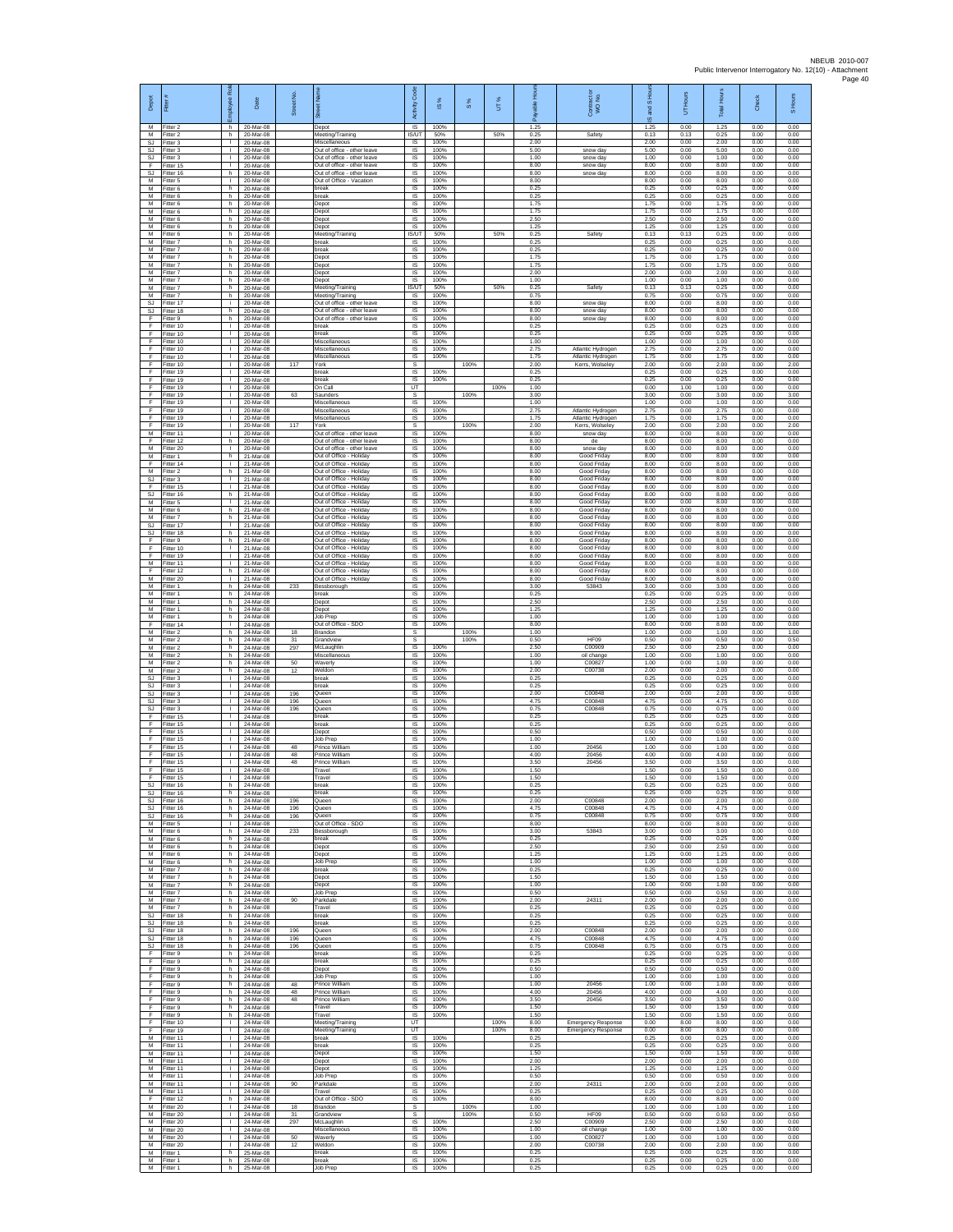| Depot                         | Fitter                              | ã<br>ployee                                  | Date                                  | Street No         |                                                                                | Code<br>Activity                              | $\overline{\omega}$  | 8%   | UT%          |                      | Contract or<br>WO No.                                     | and S Ho<br>$\overline{\omega}$ | Hours<br>5           | Total Hours          | Check                | S Hours              |
|-------------------------------|-------------------------------------|----------------------------------------------|---------------------------------------|-------------------|--------------------------------------------------------------------------------|-----------------------------------------------|----------------------|------|--------------|----------------------|-----------------------------------------------------------|---------------------------------|----------------------|----------------------|----------------------|----------------------|
| м<br>м                        | Fitter 2<br>Fitter 2                | h.<br>h.                                     | 20-Mar-08<br>20-Mar-08                |                   | Depot<br>Meeting/Training                                                      | $\overline{\mathsf{S}}$<br>IS/UT              | 100%<br>50%          |      | 50%          | 1.25<br>0.25         | Safety                                                    | 1.25<br>0.13                    | 0.00<br>0.13         | 1.25<br>0.25         | 0.00<br>0.00         | 0.00<br>0.00         |
| SJ<br><b>SJ</b><br><b>SJ</b>  | Fitter 3<br>Fitter 3<br>Fitter 3    | $\mathbb{R}$<br>$\mathbf{L}$<br>$\mathbb{R}$ | 20-Mar-08<br>20-Mar-08<br>20-Mar-08   |                   | Miscellaneous<br>Out of office - other leave<br>Out of office - other leave    | $\sf IS$<br>IS<br>IS                          | 100%<br>100%<br>100% |      |              | 2.00<br>5.00<br>1.00 | snow day<br>snow day                                      | 2.00<br>5.00<br>1.00            | 0.00<br>0.00<br>0.00 | 2.00<br>5.00<br>1.00 | 0.00<br>0.00<br>0.00 | 0.00<br>0.00<br>0.00 |
| F<br><b>SJ</b>                | Fitter 15<br>fitter 16              | $\mathbf{L}$<br>h.                           | 20-Mar-08<br>20-Mar-08                |                   | Out of office - other leave<br>Out of office - other leave                     | IS<br>IS                                      | 100%<br>100%         |      |              | 8.00<br>8.00         | snow day<br>snow day                                      | 8.00<br>8.00                    | 0.00<br>0.00         | 8.00<br>8.00         | 0.00<br>0.00         | 0.00<br>0.00         |
| M<br>M<br>М                   | Fitter 5<br>Fitter 6<br>Fitter 6    | л.<br>h.<br>h                                | 20-Mar-08<br>20-Mar-08<br>20-Mar-08   |                   | Out of Office - Vacation<br><b>Treak</b><br>break                              | IS<br>IS<br>$\sf IS$                          | 100%<br>100%<br>100% |      |              | 8.00<br>0.25<br>0.25 |                                                           | 8.00<br>0.25<br>0.25            | 0.00<br>0.00<br>0.00 | 8.00<br>0.25<br>0.25 | 0.00<br>0.00<br>0.00 | 0.00<br>0.00<br>0.00 |
| M<br>M                        | fitter 6<br>Fitter 6                | h.<br>h.                                     | 20-Mar-08<br>20-Mar-08                |                   | Depot<br>Depot                                                                 | IS<br>IS                                      | 100%<br>100%         |      |              | 1.75<br>1.75         |                                                           | 1.75<br>1.75                    | 0.00<br>0.00         | 1.75<br>1.75         | 0.00<br>0.00         | 0.00<br>0.00         |
| М<br>M<br>M                   | Titter 6<br>itter 6<br>Fitter 6     | h.<br>h<br>h.                                | 20-Mar-08<br>20-Mar-08<br>20-Mar-08   |                   | Depot<br>Depot<br>Meeting/Training                                             | IS<br>$\overline{\mathsf{s}}$<br><b>IS/UT</b> | 100%<br>100%<br>50%  |      | 50%          | 2.50<br>1.25<br>0.25 | Safety                                                    | 2.50<br>1.25<br>0.13            | 0.00<br>0.00<br>0.13 | 2.50<br>1.25<br>0.25 | 0.00<br>0.00<br>0.00 | 0.00<br>0.00<br>0.00 |
| М<br>M                        | itter 7<br>Fitter 7                 | h<br>h.                                      | 20-Mar-08<br>20-Mar-08                |                   | oreak<br>break                                                                 | IS<br>IS                                      | 100%<br>100%         |      |              | 0.25<br>0.25         |                                                           | 0.25<br>0.25                    | 0.00<br>0.00         | 0.25<br>0.25         | 0.00<br>0.00         | 0.00<br>0.00         |
| M<br>M<br>М                   | fitter 7<br>Fitter 7<br>Fitter 7    | h<br>h<br>h.                                 | 20-Mar-08<br>20-Mar-08<br>20-Mar-08   |                   | Jepot<br>Depot<br>Depot                                                        | IS<br>IS<br>IS                                | 100%<br>100%<br>100% |      |              | 1.75<br>1.75<br>2.00 |                                                           | 1.75<br>1.75<br>2.00            | 0.00<br>0.00<br>0.00 | 1.75<br>1.75<br>2.00 | 0.00<br>0.00<br>0.00 | 0.00<br>0.00<br>0.00 |
| M<br>M                        | itter 7<br>Fitter 7                 | h.<br>h.                                     | 20-Mar-08<br>20-Mar-08                |                   | Jepot<br>Meeting/Training                                                      | IS<br>IS/UT                                   | 100%<br>50%          |      | 50%          | 1.00<br>0.25         | Safety                                                    | 1.00<br>0.13                    | 0.00<br>0.13         | 1.00<br>0.25         | 0.00<br>0.00         | 0.00<br>0.00         |
| M<br>SJ                       | Fitter 7<br>Fitter 17               | h.<br>÷<br>h                                 | 20-Mar-08<br>20-Mar-08                |                   | Meeting/Training<br>Out of office - other leave<br>Out of office - other leave | <b>IS</b><br>IS<br>1S                         | 100%<br>100%<br>100% |      |              | 0.75<br>8.00<br>8.00 | snow day<br>snow day                                      | 0.75<br>8.00<br>8.00            | 0.00<br>0.00<br>0.00 | 0.75<br>8.00<br>8.00 | 0.00<br>0.00<br>0.00 | 0.00<br>0.00<br>0.00 |
| <b>SJ</b><br>F<br>F           | Fitter 18<br>Fitter 9<br>itter 10   | h.<br>$\mathbb{R}$                           | 20-Mar-08<br>20-Mar-08<br>20-Mar-08   |                   | Out of office - other leave<br>break                                           | IS<br>$\sf IS$                                | 100%<br>100%         |      |              | 8.00<br>0.25         | snow day                                                  | 8.00<br>0.25                    | 0.00<br>0.00         | 8.00<br>0.25         | 0.00<br>0.00         | 0.00<br>0.00         |
| F<br>F                        | Fitter 10<br>Fitter 10              | $\mathbf{L}$<br>л.                           | 20-Mar-08<br>20-Mar-08                |                   | break<br>Miscellaneous                                                         | $\sf IS$<br>$\overline{\mathsf{s}}$           | 100%<br>100%         |      |              | 0.25<br>1.00         |                                                           | 0.25<br>1.00                    | 0.00<br>0.00         | 0.25<br>1.00         | 0.00<br>0.00         | 0.00<br>0.00         |
| F<br>F<br>F                   | Fitter 10<br>Fitter 10<br>itter 10  | $\mathbf{L}$<br>$\mathbf{L}$<br>т.           | 20-Mar-08<br>20-Mar-08<br>20-Mar-08   | 117               | Miscellaneous<br>Miscellaneous<br>ork)                                         | IS<br>IS<br>s                                 | 100%<br>100%         | 100% |              | 2.75<br>1.75<br>2.00 | Atlantic Hydrogen<br>Atlantic Hydrogen<br>Kerrs, Wolseley | 2.75<br>1.75<br>2.00            | 0.00<br>0.00<br>0.00 | 2.75<br>1.75<br>2.00 | 0.00<br>0.00<br>0.00 | 0.00<br>0.00<br>2.00 |
| F<br>F                        | Fitter 19<br>Fitter 19              | $\mathbf{I}$<br><b>ILL S</b>                 | 20-Mar-08<br>20-Mar-08                |                   | break<br>oreak                                                                 | <b>IS</b><br><b>IS</b>                        | 100%<br>100%         |      |              | 0.25<br>0.25         |                                                           | 0.25<br>0.25                    | 0.00<br>0.00         | 0.25<br>0.25         | 0.00<br>0.00         | 0.00<br>0.00         |
| F<br>F<br>F                   | Fitter 19<br>Fitter 19<br>Fitter 19 | $\mathbf{I}$<br>$\mathbf{L}$<br>$\mathbb{R}$ | 20-Mar-08<br>20-Mar-08<br>20-Mar-08   | 63                | On Call<br>Saunders<br>Miscellaneous                                           | UT<br>s<br>IS                                 | 100%                 | 100% | 100%         | 1.00<br>3.00<br>1.00 |                                                           | 0.00<br>3.00<br>1.00            | 1.00<br>0.00<br>0.00 | 1.00<br>3.00<br>1.00 | 0.00<br>0.00<br>0.00 | 0.00<br>3.00<br>0.00 |
| F<br>F                        | itter 19<br>fitter 19               | т.<br>т                                      | 20-Mar-08<br>20-Mar-08<br>20-Mar-08   | 117               | Miscellaneous<br>Miscellaneous                                                 | IS<br>1S                                      | 100%<br>100%         | 100% |              | 2.75<br>1.75<br>2.00 | Atlantic Hydrogen<br>Atlantic Hydrogen                    | 2.75<br>1.75                    | 0.00<br>0.00<br>0.00 | 2.75<br>1.75<br>2.00 | 0.00<br>0.00<br>0.00 | 0.00<br>0.00         |
| F<br>М<br>F                   | Fitter 19<br>Fitter 11<br>Fitter 12 | $\mathbf{L}$<br>$\mathbb{R}$<br>h.           | 20-Mar-08<br>20-Mar-08                |                   | York<br>Out of office - other leave<br>Out of office - other leave             | s<br>IS<br>IS                                 | 100%<br>100%         |      |              | 8.00<br>8.00         | Kerrs, Wolseley<br>snow day<br>de                         | 2.00<br>8.00<br>8.00            | 0.00<br>0.00         | 8.00<br>8.00         | 0.00<br>0.00         | 2.00<br>0.00<br>0.00 |
| M<br>M                        | fitter 20<br>Fitter 1               | т.<br>h                                      | 20-Mar-08<br>21-Mar-08                |                   | Out of office - other leave<br>Out of Office - Holiday                         | IS<br>IS                                      | 100%<br>100%         |      |              | 8.00<br>8.00         | snow day<br>Good Friday                                   | 8.00<br>8.00                    | 0.00<br>0.00         | 8.00<br>8.00         | 0.00<br>0.00         | 0.00<br>0.00         |
| F<br>M<br><b>SJ</b>           | Fitter 14<br>itter 2<br>Fitter 3    | $\mathbb{R}$<br>h.<br>$\mathbf{L}$           | 21-Mar-08<br>21-Mar-08<br>21-Mar-08   |                   | Out of Office - Holiday<br>Out of Office - Holiday<br>Out of Office - Holiday  | IS<br>IS<br>IS                                | 100%<br>100%<br>100% |      |              | 8.00<br>8.00<br>8.00 | Good Friday<br>Good Friday<br>Good Friday                 | 8.00<br>8.00<br>8.00            | 0.00<br>0.00<br>0.00 | 8.00<br>8.00<br>8.00 | 0.00<br>0.00<br>0.00 | 0.00<br>0.00<br>0.00 |
| F<br>SJ                       | Fitter 15<br>Fitter 16              | <b>I</b><br>h.                               | 21-Mar-08<br>21-Mar-08                |                   | Out of Office - Holiday<br>Out of Office - Holiday                             | IS<br>IS                                      | 100%<br>100%         |      |              | 8.00<br>8.00         | Good Friday<br>Good Friday                                | 8.00<br>8.00                    | 0.00<br>0.00         | 8.00<br>8.00         | 0.00<br>0.00         | 0.00<br>0.00         |
| M<br>M<br>М                   | Fitter 5<br>Fitter 6<br>-itter 7    | $\mathbf{L}$<br>h.<br>h.                     | 21-Mar-08<br>21-Mar-08<br>21-Mar-08   |                   | Out of Office - Holiday<br>Out of Office - Holiday<br>Out of Office - Holiday  | IS<br>$\overline{s}$<br>$\sf IS$              | 100%<br>100%<br>100% |      |              | 8.00<br>8.00<br>8.00 | Good Friday<br>Good Friday<br>Good Friday                 | 8.00<br>8.00<br>8.00            | 0.00<br>0.00<br>0.00 | 8.00<br>8.00<br>8.00 | 0.00<br>0.00<br>0.00 | 0.00<br>0.00<br>0.00 |
| SJ<br><b>SJ</b>               | fitter 17<br>Fitter 18              | $\mathbf{I}$<br>h.                           | 21-Mar-08<br>21-Mar-08                |                   | Out of Office - Holiday<br>Out of Office - Holiday                             | $\sf IS$<br>$\overline{s}$                    | 100%<br>100%         |      |              | 8.00<br>8.00         | Good Friday<br>Good Friday                                | 8.00<br>8.00                    | 0.00<br>0.00         | 8.00<br>8.00         | 0.00<br>0.00         | 0.00<br>0.00         |
| F<br>F<br>F                   | Fitter 9<br>Fitter 10<br>fitter 19  | h.<br>$\mathbf{L}$<br>$\mathbf{I}$           | 21-Mar-08<br>21-Mar-08<br>21-Mar-08   |                   | Out of Office - Holiday<br>Out of Office - Holiday<br>Out of Office - Holiday  | IS<br>IS<br>IS                                | 100%<br>100%<br>100% |      |              | 8.00<br>8.00<br>8.00 | Good Friday<br>Good Friday<br>Good Friday                 | 8.00<br>8.00<br>8.00            | 0.00<br>0.00<br>0.00 | 8.00<br>8.00<br>8.00 | 0.00<br>0.00<br>0.00 | 0.00<br>0.00<br>0.00 |
| M<br>F                        | Fitter 11<br>Fitter 12              | л.<br>h.                                     | 21-Mar-08<br>21-Mar-08                |                   | Out of Office - Holiday<br>Out of Office - Holiday                             | $\overline{\mathsf{s}}$<br>IS                 | 100%<br>100%         |      |              | 8.00<br>8.00         | Good Friday<br>Good Friday                                | 8.00<br>8.00                    | 0.00<br>0.00         | 8.00<br>8.00         | 0.00<br>0.00         | 0.00<br>0.00         |
| М<br>M<br>M                   | Fitter 20<br>Fitter 1<br>Fitter 1   | $\mathbf{L}$<br>h<br>h.                      | 21-Mar-08<br>24-Mar-08<br>24-Mar-08   | 233               | Out of Office - Holiday<br>Bessborough<br>break                                | $\sf IS$<br>IS<br>IS                          | 100%<br>100%<br>100% |      |              | 8.00<br>3.00<br>0.25 | Good Friday<br>53843                                      | 8.00<br>3.00<br>0.25            | 0.00<br>0.00<br>0.00 | 8.00<br>3.00<br>0.25 | 0.00<br>0.00<br>0.00 | 0.00<br>0.00<br>0.00 |
| М<br>M                        | -itter 1<br>itter 1                 | h<br>h.                                      | 24-Mar-08<br>24-Mar-08                |                   | Depot<br>Depot                                                                 | IS<br>IS                                      | 100%<br>100%         |      |              | 2.50<br>1.25         |                                                           | 2.50<br>1.25                    | 0.00<br>0.00         | 2.50<br>1.25         | 0.00<br>0.00         | 0.00<br>0.00         |
| M<br>F<br>M                   | Fitter 1<br>fitter 14<br>Fitter 2   | h.<br>j.<br>h.                               | 24-Mar-08<br>24-Mar-08<br>24-Mar-08   | 18                | Job Prep<br>Out of Office - SDO<br>Brandon                                     | IS<br>IS<br>s                                 | 100%<br>100%         | 100% |              | 1.00<br>8.00<br>1.00 |                                                           | 1.00<br>8.00<br>1.00            | 0.00<br>0.00<br>0.00 | 1.00<br>8.00<br>1.00 | 0.00<br>0.00<br>0.00 | 0.00<br>0.00<br>1.00 |
| M<br>M                        | fitter 2<br>Fitter 2                | h.<br>h                                      | 24-Mar-08<br>24-Mar-08                | 31<br>297         | <b>Grandview</b><br>McLaughlin                                                 | s<br>IS                                       | 100%                 | 100% |              | 0.50<br>2.50         | <b>HF09</b><br>C00909                                     | 0.50<br>2.50                    | 0.00<br>0.00         | 0.50<br>2.50         | 0.00<br>0.00         | 0.50<br>0.00         |
| М<br>M<br>M                   | Fitter 2<br>itter 2<br>Fitter 2     | h.<br>h.<br>h.                               | 24-Mar-08<br>24-Mar-08<br>24-Mar-08   | 50<br>12          | Miscellaneous<br>Vaverly<br>Weldon                                             | $\sf IS$<br>IS<br>IS                          | 100%<br>100%<br>100% |      |              | 1.00<br>1.00<br>2.00 | oil change<br>C00827<br>C00738                            | 1.00<br>1.00<br>2.00            | 0.00<br>0.00<br>0.00 | 1.00<br>1.00<br>2.00 | 0.00<br>0.00<br>0.00 | 0.00<br>0.00<br>0.00 |
| S.I.<br>SJ                    | Fitter 3<br>Fitter 3                | <b>ILL S</b><br>т.                           | 24-Mar-08<br>24-Mar-08                |                   | hreak<br>oreak                                                                 | IS<br>IS                                      | 100%<br>100%         |      |              | 0.25<br>0.25         |                                                           | 0.25<br>0.25                    | 0.00<br>0.00         | 0.25<br>0.25         | 0.00<br>0.00         | 0.00<br>0.00         |
| <b>SJ</b><br>SJ<br>SJ         | Fitter 3<br>Fitter 3<br>itter 3     | т<br>$\mathbf{L}$<br>т.                      | 24-Mar-08<br>24-Mar-08<br>24-Mar-08   | 196<br>196<br>196 | Queen<br>Queen<br>Queen                                                        | 1S<br>IS<br>$\sf IS$                          | 100%<br>100%<br>100% |      |              | 2.00<br>4.75<br>0.75 | C00848<br>C00848<br>C00848                                | 2.00<br>4.75<br>0.75            | 0.00<br>0.00<br>0.00 | 2.00<br>4.75<br>0.75 | 0.00<br>0.00<br>0.00 | 0.00<br>0.00<br>0.00 |
| F<br>F                        | fitter 15<br>Fitter 15              | $\mathbf{L}$<br>$\mathbf{L}$                 | 24-Mar-08<br>24-Mar-08                |                   | break<br>break                                                                 | $\sf IS$<br>$\overline{s}$                    | 100%<br>100%         |      |              | 0.25<br>0.25         |                                                           | 0.25<br>0.25                    | 0.00<br>0.00         | 0.25<br>0.25         | 0.00<br>0.00         | 0.00<br>0.00         |
| F<br>F<br>F                   | Fitter 15<br>Fitter 15<br>itter 15  | $\mathbb{R}$<br>$\mathbf{L}$<br>T.           | 24-Mar-08<br>24-Mar-08<br>24-Mar-08   | 48                | Depot<br>Job Prep<br>Prince William                                            | IS<br>IS<br>IS                                | 100%<br>100%<br>100% |      |              | 0.50<br>1.00<br>1.00 | 20456                                                     | 0.50<br>1.00<br>1.00            | 0.00<br>0.00<br>0.00 | 0.50<br>1.00<br>1.00 | 0.00<br>0.00<br>0.00 | 0.00<br>0.00<br>0.00 |
| F<br>F                        | Fitter 15<br>Fitter 15              | п.<br><b>ILL S</b>                           | 24-Mar-08<br>24-Mar-08                | 48<br>48          | Prince William<br>Prince William                                               | IS<br>IS                                      | 100%<br>100%         |      |              | 4.00<br>3.50         | 20456<br>20456                                            | 4.00<br>3.50                    | 0.00<br>0.00         | 4.00<br>3.50         | 0.00<br>0.00         | 0.00<br>0.00         |
| F<br>F<br>S.I                 | Fitter 15<br>Fitter 15<br>Fitter 16 | $\mathbf{I}$<br>$\mathbf{L}$<br>h            | 24-Mar-08<br>24-Mar-08<br>24-Mar-08   |                   | Travel<br>Travel<br>hreak                                                      | $\sf IS$<br>IS<br><b>IS</b>                   | 100%<br>100%<br>100% |      |              | 1.50<br>1.50<br>0.25 |                                                           | 1.50<br>1.50<br>0.25            | 0.00<br>0.00<br>0.00 | 1.50<br>1.50<br>0.25 | 0.00<br>0.00<br>0.00 | 0.00<br>0.00<br>0.00 |
| SJ<br>SJ                      | Fitter 16<br>Fitter 16              | h<br>h.                                      | 24-Mar-08<br>24-Mar-08                | 196               | break<br>Queen                                                                 | IS<br>1S                                      | 100%<br>100%         |      |              | 0.25<br>2.00         | C00848                                                    | 0.25<br>2.00                    | 0.00<br>0.00         | 0.25<br>2.00         | 0.00<br>0.00         | 0.00<br>0.00         |
| SJ.<br>SJ<br>M                | Fitter 16<br>Fitter 16<br>Fitter 5  | h I<br>h.<br>$\mathbf{I}$                    | 24-Mar-08<br>24-Mar-08<br>24-Mar-08   | 196<br>196        | Queen<br>Queen<br>Out of Office - SDO                                          | IS<br>IS<br>IS                                | 100%<br>100%<br>100% |      |              | 4.75<br>0.75<br>8.00 | C00848<br>C00848                                          | 4.75<br>0.75<br>8.00            | 0.00<br>0.00<br>0.00 | 4.75<br>0.75<br>8.00 | 0.00<br>0.00<br>0.00 | 0.00<br>0.00<br>0.00 |
| M<br>M                        | Fitter 6<br>Fitter 6                | h.<br>h                                      | 24-Mar-08<br>24-Mar-08                | 233               | Bessborough<br>break                                                           | IS<br>IS                                      | 100%<br>100%         |      |              | 3.00<br>0.25         | 53843                                                     | 3.00<br>0.25                    | 0.00<br>0.00         | 3.00<br>0.25         | 0.00<br>0.00         | 0.00<br>0.00         |
| M<br>М<br>M                   | Fitter 6<br>itter 6<br>Fitter 6     | h.<br>h.<br>h.                               | 24-Mar-08<br>24-Mar-08<br>24-Mar-08   |                   | Depot<br>Depot<br>Job Prep                                                     | $\sf IS$<br>IS<br>IS                          | 100%<br>100%<br>100% |      |              | 2.50<br>1.25<br>1.00 |                                                           | 2.50<br>1.25<br>1.00            | 0.00<br>0.00<br>0.00 | 2.50<br>1.25<br>1.00 | 0.00<br>0.00<br>0.00 | 0.00<br>0.00<br>0.00 |
| M<br>М                        | Fitter 7<br>Fitter 7                | h.<br>h.                                     | 24-Mar-08<br>24-Mar-08                |                   | hreak<br>Depot                                                                 | IS<br>IS                                      | 100%<br>100%         |      |              | 0.25<br>1.50         |                                                           | 0.25<br>1.50                    | 0.00<br>0.00         | 0.25<br>1.50         | 0.00<br>0.00         | 0.00<br>0.00         |
| M<br>м<br>М                   | Fitter 7<br>Fitter 7<br>Fitter 7    | h.<br>h I<br>h                               | 24-Mar-08<br>24-Mar-08<br>24-Mar-08   | 90                | Depot<br>Job Prep<br>Parkdale                                                  | 1S<br>IS<br>$\sf IS$                          | 100%<br>100%<br>100% |      |              | 1.00<br>0.50<br>2.00 | 24311                                                     | 1.00<br>0.50<br>2.00            | 0.00<br>0.00<br>0.00 | 1.00<br>0.50<br>2.00 | 0.00<br>0.00<br>0.00 | 0.00<br>0.00<br>0.00 |
| M<br>SJ.                      | Fitter 7<br>Fitter 18               | h<br>h.                                      | 24-Mar-08<br>24-Mar-08                |                   | Travel<br>break                                                                | $\sf IS$<br><b>IS</b>                         | 100%<br>100%         |      |              | 0.25<br>0.25         |                                                           | 0.25<br>0.25                    | 0.00<br>0.00         | 0.25<br>0.25         | 0.00<br>0.00         | 0.00<br>0.00         |
| SJ.<br><b>SJ</b><br><b>SJ</b> | Fitter 18<br>Fitter 18<br>fitter 18 | h<br>h.<br>h.                                | 24-Mar-08<br>24-Mar-08<br>24-Mar-08   | 196<br>196        | break<br>Queen<br>Queen                                                        | IS<br>IS<br>IS                                | 100%<br>100%<br>100% |      |              | 0.25<br>2.00<br>4.75 | C00848<br>C00848                                          | 0.25<br>2.00<br>4.75            | 0.00<br>0.00<br>0.00 | 0.25<br>2.00<br>4.75 | 0.00<br>0.00<br>0.00 | 0.00<br>0.00<br>0.00 |
| SJ<br>F                       | Fitter 18<br>Fitter 9               | h<br>h.                                      | 24-Mar-08<br>24-Mar-08                | 196               | Queen<br>preak                                                                 | IS<br>IS                                      | 100%<br>100%         |      |              | 0.75<br>0.25         | C00848                                                    | 0.75<br>0.25                    | 0.00<br>0.00         | 0.75<br>0.25         | 0.00<br>0.00         | 0.00<br>0.00         |
| F<br>F<br>F                   | Fitter 9<br>Fitter 9<br>Fitter 9    | h.<br>h.<br>h.                               | 24-Mar-08<br>24-Mar-08<br>24-Mar-08   |                   | break<br>Depot<br>Job Prep                                                     | $\sf IS$<br><b>IS</b><br>IS                   | 100%<br>100%<br>100% |      |              | 0.25<br>0.50<br>1.00 |                                                           | 0.25<br>0.50<br>1.00            | 0.00<br>0.00<br>0.00 | 0.25<br>0.50<br>1.00 | 0.00<br>0.00<br>0.00 | 0.00<br>0.00<br>0.00 |
| F<br>F                        | Fitter 9<br>Fitter 9                | h.<br>h                                      | 24-Mar-08<br>24-Mar-08                | 48<br>48          | Prince William<br>Prince William                                               | IS<br>1S                                      | 100%<br>100%         |      |              | 1.00<br>4.00         | 20456<br>20456                                            | 1.00<br>4.00                    | 0.00<br>0.00         | 1.00<br>4.00         | 0.00<br>0.00         | 0.00<br>0.00         |
| F<br>F<br>F                   | Fitter 9<br>Fitter 9<br>Fitter 9    | h I<br>h.<br>h I                             | 24-Mar-08<br>24-Mar-08<br>24-Mar-08   | 48                | Prince William<br>Travel<br>Travel                                             | <b>IS</b><br>IS<br>1S                         | 100%<br>100%<br>100% |      |              | 3.50<br>1.50<br>1.50 | 20456                                                     | 3.50<br>1.50<br>1.50            | 0.00<br>0.00<br>0.00 | 3.50<br>1.50<br>1.50 | 0.00<br>0.00<br>0.00 | 0.00<br>0.00<br>0.00 |
| F<br>F                        | Fitter 10<br>Fitter 19              | $\mathbb{R}$<br>$\mathbf{L}$                 | 24-Mar-08<br>24-Mar-08                |                   | Meeting/Training<br>Meeting/Training                                           | UT<br>UT                                      |                      |      | 100%<br>100% | 8.00<br>8.00         | <b>Emergency Response</b><br><b>Emergency Response</b>    | 0.00<br>0.00                    | 8.00<br>8.00         | 8.00<br>8.00         | 0.00<br>0.00         | 0.00<br>0.00         |
| М<br>М<br>M                   | Fitter 11<br>fitter 11<br>Fitter 11 | $\mathbf{L}$<br>$\mathbb{R}$                 | 24-Mar-08<br>24-Mar-08<br>24-Mar-08   |                   | break<br>break<br>Depot                                                        | IS<br>IS<br>IS                                | 100%<br>100%<br>100% |      |              | 0.25<br>0.25<br>1.50 |                                                           | 0.25<br>0.25<br>1.50            | 0.00<br>0.00<br>0.00 | 0.25<br>0.25<br>1.50 | 0.00<br>0.00<br>0.00 | 0.00<br>0.00<br>0.00 |
| M<br>М                        | Fitter 11<br>Fitter 11              | $\mathbf{L}$<br>л.                           | 24-Mar-08<br>24-Mar-08                |                   | Depot<br>Depot                                                                 | IS<br>IS                                      | 100%<br>100%         |      |              | 2.00<br>1.25         |                                                           | 2.00<br>1.25                    | 0.00<br>0.00         | 2.00<br>1.25         | 0.00<br>0.00         | 0.00<br>0.00         |
| M<br>M<br>М                   | Fitter 11<br>Fitter 11<br>Fitter 11 | т<br>$\mathbf{L}$<br>$\mathbf{L}$            | 24-Mar-08<br>24-Mar-08<br>24-Mar-08   | 90                | Job Prep<br>Parkdale<br>Travel                                                 | 1S<br>IS<br>$\sf IS$                          | 100%<br>100%<br>100% |      |              | 0.50<br>2.00<br>0.25 | 24311                                                     | 0.50<br>2.00<br>0.25            | 0.00<br>0.00<br>0.00 | 0.50<br>2.00<br>0.25 | 0.00<br>0.00<br>0.00 | 0.00<br>0.00<br>0.00 |
| F.<br>M                       | Fitter 12<br>Fitter 20              | h.<br>$\mathbf{I}$                           | 24-Mar-08<br>24-Mar-08                | 18                | Out of Office - SDO<br>Brandon                                                 | $\sf IS$<br>s                                 | 100%                 | 100% |              | 8.00<br>1.00         |                                                           | 8.00<br>1.00                    | 0.00<br>0.00         | 8.00<br>1.00         | 0.00<br>0.00         | 0.00<br>1.00         |
| M<br>M<br>М                   | Fitter 20<br>Fitter 20<br>fitter 20 | $\mathbf{L}$<br>$\mathbf{L}$<br>$\mathbf{L}$ | 24-Mar-08<br>24-Mar-08<br>24-Mar-08   | 31<br>297         | Grandview<br>McLaughlin<br>Miscellaneous                                       | s<br>1S<br>IS                                 | 100%<br>100%         | 100% |              | 0.50<br>2.50<br>1.00 | HF09<br>C00909<br>oil change                              | 0.50<br>2.50<br>1.00            | 0.00<br>0.00<br>0.00 | 0.50<br>2.50<br>1.00 | 0.00<br>0.00<br>0.00 | 0.50<br>0.00<br>0.00 |
| M<br>M                        | Fitter 20<br>Fitter 20              | $\mathbf{L}$<br>$\mathbf{L}$                 | 24-Mar-08<br>24-Mar-08                | 50<br>12          | Waverly<br>Weldon                                                              | IS<br>IS                                      | 100%<br>100%         |      |              | 1.00<br>2.00         | C00827<br>C00738                                          | 1.00<br>2.00                    | 0.00<br>0.00         | 1.00<br>2.00         | 0.00<br>0.00         | 0.00<br>0.00         |
| М<br>M<br>M                   | Fitter 1<br>Fitter 1<br>Fitter 1    | h<br>h I                                     | 25-Mar-08<br>h 25-Mar-08<br>25-Mar-08 |                   | break<br>break<br>Job Prep                                                     | $\sf IS$<br>IS<br>IS                          | 100%<br>100%<br>100% |      |              | 0.25<br>0.25<br>0.25 |                                                           | 0.25<br>0.25<br>0.25            | 0.00<br>0.00<br>0.00 | 0.25<br>0.25<br>0.25 | 0.00<br>0.00<br>0.00 | 0.00<br>0.00<br>0.00 |
|                               |                                     |                                              |                                       |                   |                                                                                |                                               |                      |      |              |                      |                                                           |                                 |                      |                      |                      |                      |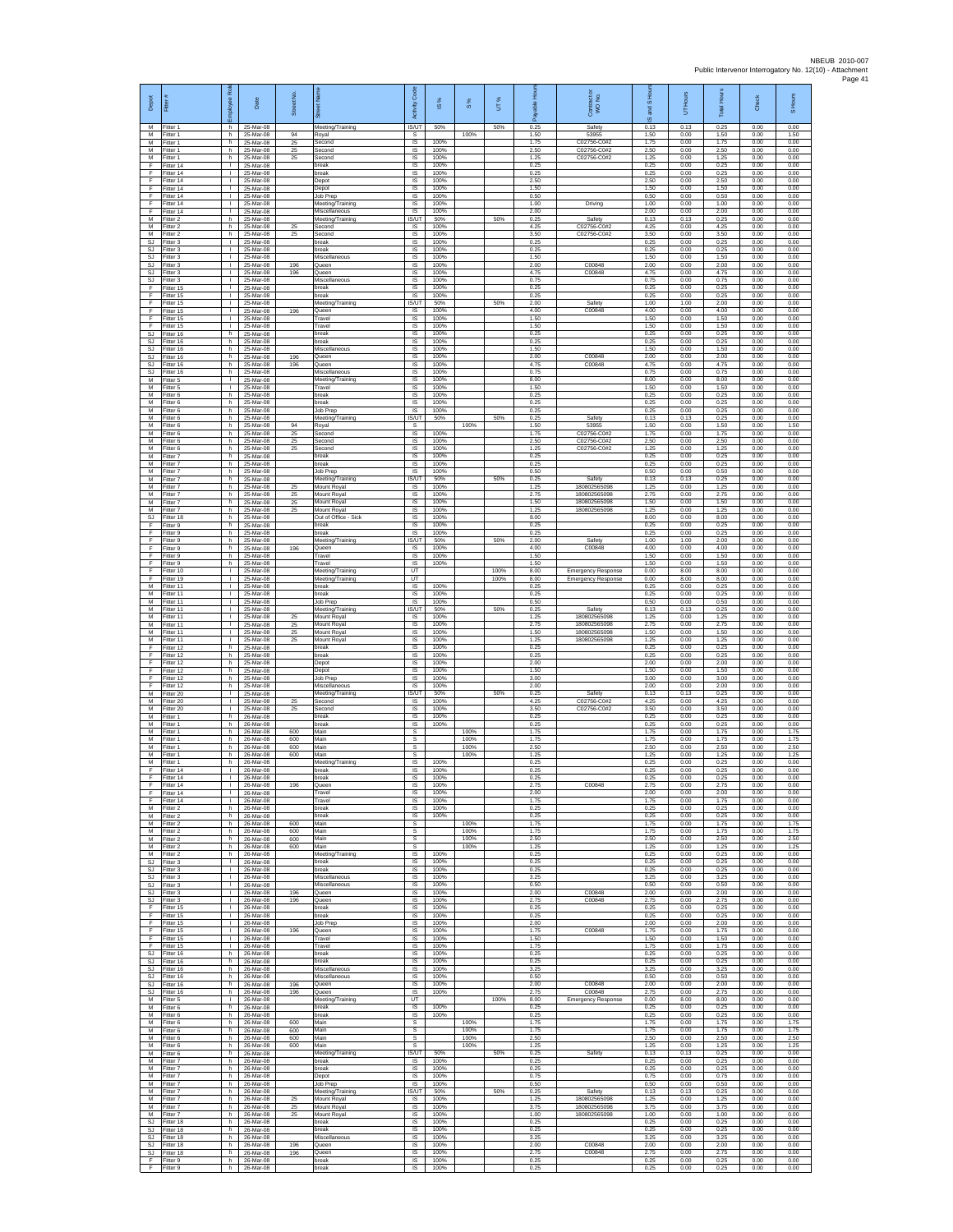| Depot                         | Fitter                              | ē<br>ployee                        | Date                                | Street No.     |                                               | Code<br>Activity                           | $\frac{8}{3}$        | $\frac{8}{3}$ | UT%  | <b>Hou</b><br>山島<br>æ | Contract or<br>WO No.                        | and S Ho<br>$\omega$ | UT Hours             | Total Hours          | Check                | Hours<br>०           |
|-------------------------------|-------------------------------------|------------------------------------|-------------------------------------|----------------|-----------------------------------------------|--------------------------------------------|----------------------|---------------|------|-----------------------|----------------------------------------------|----------------------|----------------------|----------------------|----------------------|----------------------|
| M<br>M                        | Fitter 1<br>-itter 1                | h.<br>h                            | 25-Mar-08<br>25-Mar-08              | 94             | Meeting/Training<br>Royal                     | <b>IS/UT</b><br>s                          | 50%                  | 100%          | 50%  | 0.25<br>1.50          | Safety<br>53955                              | 0.13<br>1.50         | 0.13<br>0.00         | 0.25<br>1.50         | 0.00<br>0.00         | 0.00<br>1.50         |
| M<br>M<br>M                   | Fitter 1<br>Fitter 1<br>Fitter 1    | h<br>h.<br>h                       | 25-Mar-08<br>25-Mar-08<br>25-Mar-08 | 25<br>25<br>25 | Second<br>Second<br>Second                    | $\sf IS$<br><b>IS</b><br>IS                | 100%<br>100%<br>100% |               |      | 1.75<br>2.50<br>1.25  | C02756-C0#2<br>C02756-C0#2<br>C02756-C0#2    | 1.75<br>2.50<br>1.25 | 0.00<br>0.00<br>0.00 | 1.75<br>2.50<br>1.25 | 0.00<br>0.00<br>0.00 | 0.00<br>0.00<br>0.00 |
| F<br>F                        | Fitter 14<br>ltter 14               | Τ.<br>т.                           | 25-Mar-08<br>25-Mar-08              |                | break<br>oreak                                | IS<br>IS                                   | 100%<br>100%         |               |      | 0.25<br>0.25          |                                              | 0.25<br>0.25         | 0.00<br>0.00         | 0.25<br>0.25         | 0.00<br>0.00         | 0.00<br>0.00         |
| F<br>F<br>F                   | Fitter 14<br>litter 14              | л.<br>$\mathbf{L}$<br>$\mathbf{I}$ | 25-Mar-08<br>25-Mar-08              |                | Depot<br>Depot                                | -IS<br>IS                                  | 100%<br>100%         |               |      | 2.50<br>1.50          |                                              | 2.50<br>1.50         | 0.00<br>0.00         | 2.50<br>1.50         | 0.00<br>0.00         | 0.00<br>0.00         |
| F<br>F                        | Fitter 14<br>Fitter 14<br>Fitter 14 | $\mathbf{L}$<br>т.                 | 25-Mar-08<br>25-Mar-08<br>25-Mar-08 |                | Job Prep<br>Meeting/Training<br>Miscellaneous | IS<br>IS<br>IS                             | 100%<br>100%<br>100% |               |      | 0.50<br>1.00<br>2.00  | Driving                                      | 0.50<br>1.00<br>2.00 | 0.00<br>0.00<br>0.00 | 0.50<br>1.00<br>2.00 | 0.00<br>0.00<br>0.00 | 0.00<br>0.00<br>0.00 |
| М<br>М                        | Fitter 2<br>Fitter 2                | h<br>h                             | 25-Mar-08<br>25-Mar-08              | 25             | Meeting/Training<br>Second                    | IS/UT<br>IS                                | 50%<br>100%          |               | 50%  | 0.25<br>4.25          | Safety<br>C02756-C0#2                        | 0.13<br>4.25         | 0.13<br>0.00         | 0.25<br>4.25         | 0.00<br>0.00         | 0.00<br>0.00         |
| M<br>SJ                       | Fitter 2<br>itter 3                 | h.<br>$\mathbf{L}$<br>$\mathbf{I}$ | 25-Mar-08<br>25-Mar-08              | 25             | Second<br>reak<br>break                       | - IS<br>IS<br>IS                           | 100%<br>100%<br>100% |               |      | 3.50<br>0.25<br>0.25  | C02756-C0#2                                  | 3.50<br>0.25<br>0.25 | 0.00<br>0.00<br>0.00 | 3.50<br>0.25<br>0.25 | 0.00<br>0.00<br>0.00 | 0.00<br>0.00<br>0.00 |
| SJ<br>SJ<br>SJ                | Fitter 3<br>Fitter 3<br>-itter 3    | $\mathbf{L}$<br>т.                 | 25-Mar-08<br>25-Mar-08<br>25-Mar-08 | 196            | Miscellaneous<br>Queen                        | IS<br>IS                                   | 100%<br>100%         |               |      | 1.50<br>2.00          | C00848                                       | 1.50<br>2.00         | 0.00<br>0.00         | 1.50<br>2.00         | 0.00<br>0.00         | 0.00<br>0.00         |
| SJ<br>SJ                      | Fitter 3<br>fitter 3                | т.<br>т.                           | 25-Mar-08<br>25-Mar-08              | 196            | Queen<br>Miscellaneous                        | $\sf IS$<br>IS                             | 100%<br>100%         |               |      | 4.75<br>0.75          | C00848                                       | 4.75<br>0.75         | 0.00<br>0.00         | 4.75<br>0.75         | 0.00<br>0.00         | 0.00<br>0.00         |
| F<br>F.<br>F                  | Fitter 15<br>Fitter 15<br>Fitter 15 | л.<br>$\mathbf{L}$<br>٠            | 25-Mar-08<br>25-Mar-08<br>25-Mar-08 |                | break<br>hreak<br>Meeting/Training            | -IS<br>IS<br>IS/UT                         | 100%<br>100%<br>50%  |               | 50%  | 0.25<br>0.25<br>2.00  | Safety                                       | 0.25<br>0.25<br>1.00 | 0.00<br>0.00<br>1.00 | 0.25<br>0.25<br>2.00 | 0.00<br>0.00<br>0.00 | 0.00<br>0.00<br>0.00 |
| F.<br>F.                      | Fitter 15<br>Fitter 15              | $\mathbf{L}$<br>$\mathbf{L}$       | 25-Mar-08<br>25-Mar-08              | 196            | Queen<br>Travel                               | IS<br>- IS                                 | 100%<br>100%         |               |      | 4.00<br>1.50          | C00848                                       | 4.00<br>1.50         | 0.00<br>0.00         | 4.00<br>1.50         | 0.00<br>0.00         | 0.00<br>0.00         |
| F<br>$\mathbb{S}\mathbb{J}$   | Fitter 15<br>Fitter 16              | T.<br>h                            | 25-Mar-08<br>25-Mar-08<br>25-Mar-08 |                | ravel<br>break                                | IS<br>$\sf IS$                             | 100%<br>100%         |               |      | 1.50<br>0.25<br>0.25  |                                              | 1.50<br>0.25<br>0.25 | 0.00<br>0.00<br>0.00 | 1.50<br>0.25<br>0.25 | 0.00<br>0.00<br>0.00 | 0.00<br>0.00<br>0.00 |
| SJ.<br>SJ<br><b>SJ</b>        | Fitter 16<br>Fitter 16<br>Fitter 16 | h.<br>h<br>h                       | 25-Mar-08<br>25-Mar-08              | 196            | break<br>Miscellaneous<br>Queen               | IS<br>IS<br>IS                             | 100%<br>100%<br>100% |               |      | 1.50<br>2.00          | C00848                                       | 1.50<br>2.00         | 0.00<br>0.00         | 1.50<br>2.00         | 0.00<br>0.00         | 0.00<br>0.00         |
| <b>SJ</b><br>SJ               | fitter 16<br>Fitter 16              | h<br>h.                            | 25-Mar-08<br>25-Mar-08              | 196            | Queen<br>Miscellaneous                        | IS<br>-IS                                  | 100%<br>100%         |               |      | 4.75<br>0.75          | C00848                                       | 4.75<br>0.75         | 0.00<br>0.00         | 4.75<br>0.75         | 0.00<br>0.00         | 0.00<br>0.00         |
| M<br>М<br>M                   | -itter 5<br>Fitter 5<br>Fitter 6    | $\mathbf{L}$<br>$\mathbf{I}$<br>h  | 25-Mar-08<br>25-Mar-08<br>25-Mar-08 |                | Meeting/Training<br>Travel<br>break           | IS<br>$\sf IS$<br>IS                       | 100%<br>100%<br>100% |               |      | 8.00<br>1.50<br>0.25  |                                              | 8.00<br>1.50<br>0.25 | 0.00<br>0.00<br>0.00 | 8.00<br>1.50<br>0.25 | 0.00<br>0.00<br>0.00 | 0.00<br>0.00<br>0.00 |
| M<br>М                        | Fitter 6<br>Fitter 6                | h<br>h                             | 25-Mar-08<br>25-Mar-08              |                | hreak<br>Job Prep                             | IS<br>IS                                   | 100%<br>100%         |               |      | 0.25<br>0.25          |                                              | 0.25<br>0.25         | 0.00<br>0.00         | 0.25<br>0.25         | 0.00<br>0.00         | 0.00<br>0.00         |
| M<br>M                        | Fitter 6<br>Fitter 6                | h<br>h.                            | 25-Mar-08<br>25-Mar-08              | 94             | Meeting/Training<br>Roval                     | IS/UT<br>-S                                | 50%                  | 100%          | 50%  | 0.25<br>1.50          | Safety<br>53955                              | 0.13<br>1.50         | 0.13<br>0.00         | 0.25<br>1.50         | 0.00<br>0.00         | 0.00<br>1.50         |
| М<br>M<br>M                   | -itter 6<br>Fitter 6<br>Fitter 6    | h<br>h<br>h                        | 25-Mar-08<br>25-Mar-08<br>25-Mar-08 | 25<br>25<br>25 | Second<br>Second<br>econd                     | IS<br>IS<br>IS                             | 100%<br>100%<br>100% |               |      | 1.75<br>2.50<br>1.25  | C02756-C0#2<br>C02756-C0#2<br>C02756-C0#2    | 1.75<br>2.50<br>1.25 | 0.00<br>0.00<br>0.00 | 1.75<br>2.50<br>1.25 | 0.00<br>0.00<br>0.00 | 0.00<br>0.00<br>0.00 |
| M<br>м                        | Fitter 7<br>Fitter 7                | h<br>h.                            | 25-Mar-08<br>25-Mar-08              |                | oreak<br>break                                | IS<br>$\sf IS$                             | 100%<br>100%         |               |      | 0.25<br>0.25          |                                              | 0.25<br>0.25         | 0.00<br>0.00         | 0.25<br>0.25         | 0.00<br>0.00         | 0.00<br>0.00         |
| М<br>M<br>M                   | Fitter 7<br>Fitter 7<br>Fitter 7    | h<br>h.<br>h.                      | 25-Mar-08<br>25-Mar-08<br>25-Mar-08 | 25             | Job Prep<br>Meeting/Training<br>Mount Royal   | IS<br>IS/UT<br>IS                          | 100%<br>50%<br>100%  |               | 50%  | 0.50<br>0.25<br>1 25  | Safety<br>180802565098                       | 0.50<br>0.13<br>1.25 | 0.00<br>0.13<br>0.00 | 0.50<br>0.25<br>1.25 | 0.00<br>0.00<br>0.00 | 0.00<br>0.00<br>0.00 |
| М<br>M                        | Fitter 7<br>Fitter 7                | h<br>h.                            | 25-Mar-08<br>25-Mar-08              | 25<br>25       | Mount Royal<br>Mount Royal                    | IS<br>IS                                   | 100%<br>100%         |               |      | 2.75<br>1.50          | 180802565098<br>180802565098                 | 2.75<br>1.50         | 0.00<br>0.00         | 2.75<br>1.50         | 0.00<br>0.00         | 0.00<br>0.00         |
| M<br><b>SJ</b>                | Fitter 7<br>Fitter 18               | h.<br>h                            | 25-Mar-08<br>25-Mar-08              | 25             | Mount Royal<br>Out of Office - Sick           | IS<br>IS                                   | 100%<br>100%         |               |      | 1.25<br>8.00          | 180802565098                                 | 1.25<br>8.00         | 0.00<br>0.00         | 1.25<br>8.00         | 0.00<br>0.00         | 0.00<br>0.00         |
| F<br>F<br>E                   | Fitter 9<br>Fitter 9<br>Fitter 9    | h<br>h.<br>h                       | 25-Mar-08<br>25-Mar-08<br>25-Mar-08 |                | break<br>break<br>Meeting/Training            | $\sf IS$<br>- IS<br>IS/UT                  | 100%<br>100%<br>50%  |               | 50%  | 0.25<br>0.25<br>2.00  | Safety                                       | 0.25<br>0.25<br>1.00 | 0.00<br>0.00<br>1.00 | 0.25<br>0.25<br>2.00 | 0.00<br>0.00<br>0.00 | 0.00<br>0.00<br>0.00 |
| F<br>F                        | Fitter 9<br>Fitter 9                | h<br>h                             | 25-Mar-08<br>25-Mar-08              | 196            | Queen<br>Travel                               | 1S<br>IS                                   | 100%<br>100%         |               |      | 4.00<br>1.50          | C00848                                       | 4.00<br>1.50         | 0.00<br>0.00         | 4.00<br>1.50         | 0.00<br>0.00         | 0.00<br>0.00         |
| F<br>F<br>F                   | Fitter 9<br>Fitter 10               | h.<br>$\mathbf{L}$<br>$\mathbf{I}$ | 25-Mar-08<br>25-Mar-08              |                | Travel<br>Meeting/Training                    | -IS<br>UT                                  | 100%                 |               | 100% | 1.50<br>8.00          | <b>Emergency Response</b>                    | 1.50<br>0.00         | 0.00<br>8.00         | 1.50<br>8.00         | 0.00<br>0.00         | 0.00<br>0.00         |
| M<br>M                        | Fitter 19<br>Fitter 11<br>Fitter 11 | $\mathbf{L}$<br>т.                 | 25-Mar-08<br>25-Mar-08<br>25-Mar-08 |                | Meeting/Training<br>break<br>break            | UT<br>IS<br>IS                             | 100%<br>100%         |               | 100% | 8.00<br>0.25<br>0.25  | <b>Emergency Response</b>                    | 0.00<br>0.25<br>0.25 | 8.00<br>0.00<br>0.00 | 8.00<br>0.25<br>0.25 | 0.00<br>0.00<br>0.00 | 0.00<br>0.00<br>0.00 |
| М<br>M                        | Fitter 11<br>Fitter 11              | ٠<br>$\mathbf{L}$                  | 25-Mar-08<br>25-Mar-08              |                | Job Prep<br>Meeting/Training                  | IS<br>IS/UT                                | 100%<br>50%          |               | 50%  | 0.50<br>0.25          | Safety                                       | 0.50<br>0.13         | 0.00<br>0.13         | 0.50<br>0.25         | 0.00<br>0.00         | 0.00<br>0.00         |
| M<br>М<br>М                   | Fitter 11<br>Fitter 11<br>Fitter 11 | $\mathbf{L}$<br>$\mathbf{L}$<br>т. | 25-Mar-08<br>25-Mar-08<br>25-Mar-08 | 25<br>25<br>25 | Mount Roval<br>Mount Royal<br>Mount Royal     | - IS<br>IS<br>IS                           | 100%<br>100%<br>100% |               |      | 1.25<br>275<br>1.50   | 180802565098<br>180802565098<br>180802565098 | 1.25<br>2.75<br>1.50 | 0.00<br>0.00<br>0.00 | 1.25<br>2.75<br>1.50 | 0.00<br>0.00<br>0.00 | 0.00<br>0.00<br>0.00 |
| M<br>E                        | Fitter 11<br>Fitter 12              | T.<br>h                            | 25-Mar-08<br>25-Mar-08              | 25             | Mount Royal<br>break                          | IS<br>IS                                   | 100%<br>100%         |               |      | 1.25<br>0.25          | 180802565098                                 | 1.25<br>0.25         | 0.00<br>0.00         | 1.25<br>0.25         | 0.00<br>0.00         | 0.00<br>0.00         |
| F<br>F<br>F                   | Fitter 12<br>Fitter 12<br>Fitter 12 | h<br>h<br>h.                       | 25-Mar-08<br>25-Mar-08<br>25-Mar-08 |                | break<br>epo)<br>Depot                        | $\sf IS$<br>IS<br>-IS                      | 100%<br>100%<br>100% |               |      | 0.25<br>2.00<br>1.50  |                                              | 0.25<br>2.00<br>1.50 | 0.00<br>0.00<br>0.00 | 0.25<br>2.00<br>1.50 | 0.00<br>0.00<br>0.00 | 0.00<br>0.00<br>0.00 |
| E<br>F                        | Fitter 12<br>Fitter 12              | h.<br>h                            | 25-Mar-08<br>25-Mar-08              |                | Job Prep<br>Miscellaneous                     | IS<br>IS                                   | 100%<br>100%         |               |      | 3.00<br>2.00          |                                              | 3.00<br>2.00         | 0.00<br>0.00         | 3.00<br>2.00         | 0.00<br>0.00         | 0.00<br>0.00         |
| M<br>M                        | Fitter 20<br>Fitter 20              | $\mathbf{L}$<br>$\mathbf{L}$       | 25-Mar-08<br>25-Mar-08              | 25             | Meeting/Training<br>Second                    | IS/UT<br>- IS                              | 50%<br>100%          |               | 50%  | 0.25<br>4.25          | Safety<br>C02756-C0#2                        | 0.13<br>4.25         | 0.13<br>0.00         | 0.25<br>4.25         | 0.00<br>0.00         | 0.00<br>0.00         |
| М<br>M<br>M                   | litter 20<br>Fitter 1<br>Fitter 1   | T.<br>h<br>h.                      | 25-Mar-08<br>26-Mar-08<br>26-Mar-08 | 25             | Second<br>break<br>break                      | IS<br>$\sf IS$<br>IS                       | 100%<br>100%<br>100% |               |      | 3.50<br>0.25<br>0.25  | C02756-C0#2                                  | 3.50<br>0.25<br>0.25 | 0.00<br>0.00<br>0.00 | 3.50<br>0.25<br>0.25 | 0.00<br>0.00<br>0.00 | 0.00<br>0.00<br>0.00 |
| М<br>M                        | Fitter 1<br>Fitter 1                | h<br>h                             | 26-Mar-08<br>26-Mar-08              | 600<br>600     | Main<br>Main                                  | s<br>s                                     |                      | 100%<br>100%  |      | 1.75<br>1.75          |                                              | 1.75<br>1.75         | 0.00<br>0.00         | 1.75<br>1.75         | 0.00<br>0.00         | 1.75<br>1.75         |
| М<br>M<br>M                   | itter 1<br>Fitter 1<br>Fitter 1     | h<br>h.<br>h.                      | 26-Mar-08<br>26-Mar-08<br>26-Mar-08 | 600<br>600     | Main<br>Main<br>Meeting/Training              | s<br>s<br>IS                               | 100%                 | 100%<br>100%  |      | 2.50<br>1.25<br>0.25  |                                              | 2.50<br>1.25<br>0.25 | 0.00<br>0.00<br>0.00 | 2.50<br>1.25<br>0.25 | 0.00<br>0.00<br>0.00 | 2.50<br>1.25<br>0.00 |
| F<br>F                        | Fitter 14<br>Fitter 14              | T.<br>$\mathbb{R}^n$               | 26-Mar-08<br>26-Mar-08              |                | break<br>break                                | $\sf IS$<br>IS                             | 100%<br>100%         |               |      | 0.25<br>0.25          |                                              | 0.25<br>0.25         | 0.00<br>0.00         | 0.25<br>0.25         | 0.00<br>0.00         | 0.00<br>0.00         |
| F<br>F                        | ltter 14<br>Fitter 14               | τ.<br>т                            | 26-Mar-08<br>26-Mar-08              | 196            | Jueen<br>Travel                               | <b>IS</b><br>IS<br>$\overline{\mathsf{s}}$ | 100%<br>100%<br>100% |               |      | 275<br>2.00<br>1.75   | C00848                                       | 275<br>2.00<br>1.75  | 0.00<br>0.00<br>0.00 | 275<br>2.00          | 0.00<br>0.00<br>0.00 | 0.00<br>0.00<br>0.00 |
| M<br>${\sf M}$                | Fitter 14<br>Fitter 2<br>Fitter 2   | h.<br>h                            | 26-Mar-08<br>26-Mar-08<br>26-Mar-08 |                | Travel<br>break<br>oreak                      | <b>IS</b><br>IS                            | 100%<br>100%         |               |      | 0.25<br>0.25          |                                              | 0.25<br>0.25         | 0.00<br>0.00         | 1.75<br>0.25<br>0.25 | 0.00<br>0.00         | 0.00<br>0.00         |
| M<br>M                        | Fitter 2<br>Fitter 2                | h<br>h                             | 26-Mar-08<br>26-Mar-08              | 600<br>600     | Main<br>Main                                  | s<br>s                                     |                      | 100%<br>100%  |      | 1.75<br>1.75          |                                              | 1.75<br>1.75         | 0.00<br>0.00         | 1.75<br>1.75         | 0.00<br>0.00         | 1.75<br>1.75         |
| M<br>M<br>М                   | Fitter 2<br>Fitter 2<br>-itter 2    | h<br>h.<br>h                       | 26-Mar-08<br>26-Mar-08<br>26-Mar-08 | 600<br>600     | Main<br>Main<br>Meeting/Training              | $\mathsf{s}$<br>s<br>IS                    | 100%                 | 100%<br>100%  |      | 2.50<br>1.25<br>0.25  |                                              | 2.50<br>1.25<br>0.25 | 0.00<br>0.00<br>0.00 | 2.50<br>1.25<br>0.25 | 0.00<br>0.00<br>0.00 | 2.50<br>1.25<br>0.00 |
| SJ.<br><b>SJ</b>              | Fitter 3<br>Fitter 3                | л.<br>$\mathbf{L}$                 | 26-Mar-08<br>26-Mar-08              |                | break<br>hreak                                | - IS<br>IS                                 | 100%<br>100%         |               |      | 0.25<br>0.25          |                                              | 0.25<br>0.25         | 0.00<br>0.00         | 0.25<br>0.25         | 0.00<br>0.00         | 0.00<br>0.00         |
| $\mathbb{S}\mathbb{J}$<br>SJ. | Fitter 3<br>Fitter 3<br>SJ Fitter 3 | т.<br>т                            | 26-Mar-08<br>26-Mar-08<br>26-Mar-08 | 196            | Miscellaneous<br>Miscellaneous<br>Queen       | IS<br>IS<br>IS                             | 100%<br>100%<br>100% |               |      | 3.25<br>0.50<br>2.00  | C00848                                       | 3.25<br>0.50<br>2.00 | 0.00<br>0.00<br>0.00 | 3.25<br>0.50<br>2.00 | 0.00<br>0.00<br>0.00 | 0.00<br>0.00<br>0.00 |
| SJ<br>F                       | Fitter 3<br>Fitter 15               | $\mathbf{L}$<br>T.                 | 26-Mar-08<br>26-Mar-08              | 196            | Queen<br>break                                | $\sf IS$<br>$\sf IS$                       | 100%<br>100%         |               |      | 2.75<br>0.25          | C00848                                       | 2.75<br>0.25         | 0.00<br>0.00         | 2.75<br>0.25         | 0.00<br>0.00         | 0.00<br>0.00         |
| F.<br>F.                      | Fitter 15<br>Fitter 15              | $\mathbf{L}$<br>$\mathbf{L}$       | 26-Mar-08<br>26-Mar-08              |                | break<br>Job Prep                             | <b>IS</b><br>IS                            | 100%<br>100%         |               |      | 0.25<br>2.00          |                                              | 0.25<br>2.00         | 0.00<br>0.00         | 0.25<br>2.00         | 0.00<br>0.00         | 0.00<br>0.00         |
| F<br>F<br>F                   | Fitter 15<br>ltter 15<br>Fitter 15  | т.<br>T.<br>л.                     | 26-Mar-08<br>26-Mar-08<br>26-Mar-08 | 196            | Queen<br>Travel<br>Travel                     | IS<br>IS<br>- IS                           | 100%<br>100%<br>100% |               |      | 1.75<br>1.50<br>1.75  | C00848                                       | 1.75<br>1.50<br>1.75 | 0.00<br>0.00<br>0.00 | 1.75<br>1.50<br>1.75 | 0.00<br>0.00<br>0.00 | 0.00<br>0.00<br>0.00 |
| SJ.<br>SJ                     | Fitter 16<br>Fitter 16              | h.<br>$\mathsf h$                  | 26-Mar-08<br>26-Mar-08              |                | hreak<br>break                                | IS<br>$\sf IS$                             | 100%<br>100%         |               |      | 0.25<br>0.25          |                                              | 0.25<br>0.25         | 0.00<br>0.00         | 0.25<br>0.25         | 0.00<br>0.00         | 0.00<br>0.00         |
| SJ.<br>SJ.<br><b>SJ</b>       | Fitter 16<br>Fitter 16<br>Fitter 16 | h<br>h<br>h                        | 26-Mar-08<br>26-Mar-08<br>26-Mar-08 | 196            | Miscellaneous<br>Miscellaneous<br>Queen       | IS<br>IS<br>IS                             | 100%<br>100%<br>100% |               |      | 3.25<br>0.50<br>2.00  | C00848                                       | 3.25<br>0.50<br>2.00 | 0.00<br>0.00<br>0.00 | 3.25<br>0.50<br>2.00 | 0.00<br>0.00<br>0.00 | 0.00<br>0.00<br>0.00 |
| SJ.<br>M                      | Fitter 16<br>Fitter 5               | h.<br>$\mathbf{L}$                 | 26-Mar-08<br>26-Mar-08              | 196            | Queen<br>Meeting/Training                     | IS<br>UT                                   | 100%                 |               | 100% | 2.75<br>8.00          | C00848<br><b>Emergency Response</b>          | 2.75<br>0.00         | 0.00<br>8.00         | 2.75<br>8.00         | 0.00<br>0.00         | 0.00<br>0.00         |
| M<br>M<br>M                   | Fitter 6<br>Fitter 6<br>Fitter 6    | h<br>h.<br>h                       | 26-Mar-08<br>26-Mar-08<br>26-Mar-08 | 600            | oreak<br>break<br>Main                        | IS<br>1S<br>s                              | 100%<br>100%         | 100%          |      | 0.25<br>0.25<br>1.75  |                                              | 0.25<br>0.25<br>1.75 | 0.00<br>0.00<br>0.00 | 0.25<br>0.25<br>1.75 | 0.00<br>0.00<br>0.00 | 0.00<br>0.00<br>1.75 |
| M<br>M                        | Fitter 6<br>Fitter 6                | h<br>h.                            | 26-Mar-08<br>26-Mar-08              | 600<br>600     | Main<br>Main                                  | $\mathsf{s}$<br>$\mathbb S$                |                      | 100%<br>100%  |      | 1.75<br>2.50          |                                              | 1.75<br>2.50         | 0.00<br>0.00         | 1.75<br>2.50         | 0.00<br>0.00         | 1.75<br>2.50         |
| М<br>M<br>M                   | -itter 6<br>Fitter 6                | h<br>h.                            | 26-Mar-08<br>26-Mar-08              | 600            | Main<br>Meeting/Training                      | s<br>IS/UT                                 | 50%                  | 100%          | 50%  | 1.25<br>0.25<br>0.25  | Safety                                       | 1.25<br>0.13         | 0.00<br>0.13         | 1.25<br>0.25         | 0.00<br>0.00         | 1.25<br>0.00         |
| М<br>M                        | Fitter 7<br>Fitter 7<br>Fitter 7    | h.<br>h<br>h.                      | 26-Mar-08<br>26-Mar-08<br>26-Mar-08 |                | break<br>break<br>Depot                       | IS<br>IS<br>IS                             | 100%<br>100%<br>100% |               |      | 0.25<br>0.75          |                                              | 0.25<br>0.25<br>0.75 | 0.00<br>0.00<br>0.00 | 0.25<br>0.25<br>0.75 | 0.00<br>0.00<br>0.00 | 0.00<br>0.00<br>0.00 |
| M                             | M Fitter 7<br>Fitter 7              | h.<br>h                            | 26-Mar-08<br>26-Mar-08              |                | Job Prep<br>Meeting/Training                  | - IS<br>IS/UT                              | 100%<br>50%          |               | 50%  | 0.50<br>0.25          | Safety                                       | 0.50<br>0.13         | 0.00<br>0.13         | 0.50<br>0.25         | 0.00<br>0.00         | 0.00<br>0.00         |
| M<br>M<br>M                   | Fitter 7<br>Fitter 7<br>Fitter 7    | h<br>h.<br>h                       | 26-Mar-08<br>26-Mar-08<br>26-Mar-08 | 25<br>25<br>25 | Mount Royal<br>Mount Roval<br>Mount Royal     | $\sf IS$<br>IS.<br>IS                      | 100%<br>100%<br>100% |               |      | 1.25<br>3.75<br>1.00  | 180802565098<br>180802565098<br>180802565098 | 1.25<br>3.75<br>1.00 | 0.00<br>0.00<br>0.00 | 1.25<br>3.75<br>1.00 | 0.00<br>0.00<br>0.00 | 0.00<br>0.00<br>0.00 |
| SJ<br>SJ                      | Fitter 18<br>Fitter 18              | h<br>h                             | 26-Mar-08<br>26-Mar-08              |                | break<br>oreak                                | IS<br>IS                                   | 100%<br>100%         |               |      | 0.25<br>0.25          |                                              | 0.25<br>0.25         | 0.00<br>0.00         | 0.25<br>0.25         | 0.00<br>0.00         | 0.00<br>0.00         |
| <b>SJ</b><br>SJ.<br>SJ        | Fitter 18<br>Fitter 18<br>Fitter 18 | h.<br>h.<br>h                      | 26-Mar-08<br>26-Mar-08<br>26-Mar-08 | 196<br>196     | Miscellaneous<br>Queen<br>Queen               | - IS<br>IS<br>$\sf IS$                     | 100%<br>100%<br>100% |               |      | 3.25<br>2.00<br>2.75  | C00848<br>C00848                             | 3.25<br>2.00<br>2.75 | 0.00<br>0.00<br>0.00 | 3.25<br>2.00<br>2.75 | 0.00<br>0.00<br>0.00 | 0.00<br>0.00<br>0.00 |
| F.<br>F.                      | Fitter 9<br>Fitter 9                | h<br>h.                            | 26-Mar-08<br>26-Mar-08              |                | break<br>break                                | IS<br><b>IS</b>                            | 100%<br>100%         |               |      | 0.25<br>0.25          |                                              | 0.25<br>0.25         | 0.00<br>0.00         | 0.25<br>0.25         | 0.00<br>0.00         | 0.00<br>0.00         |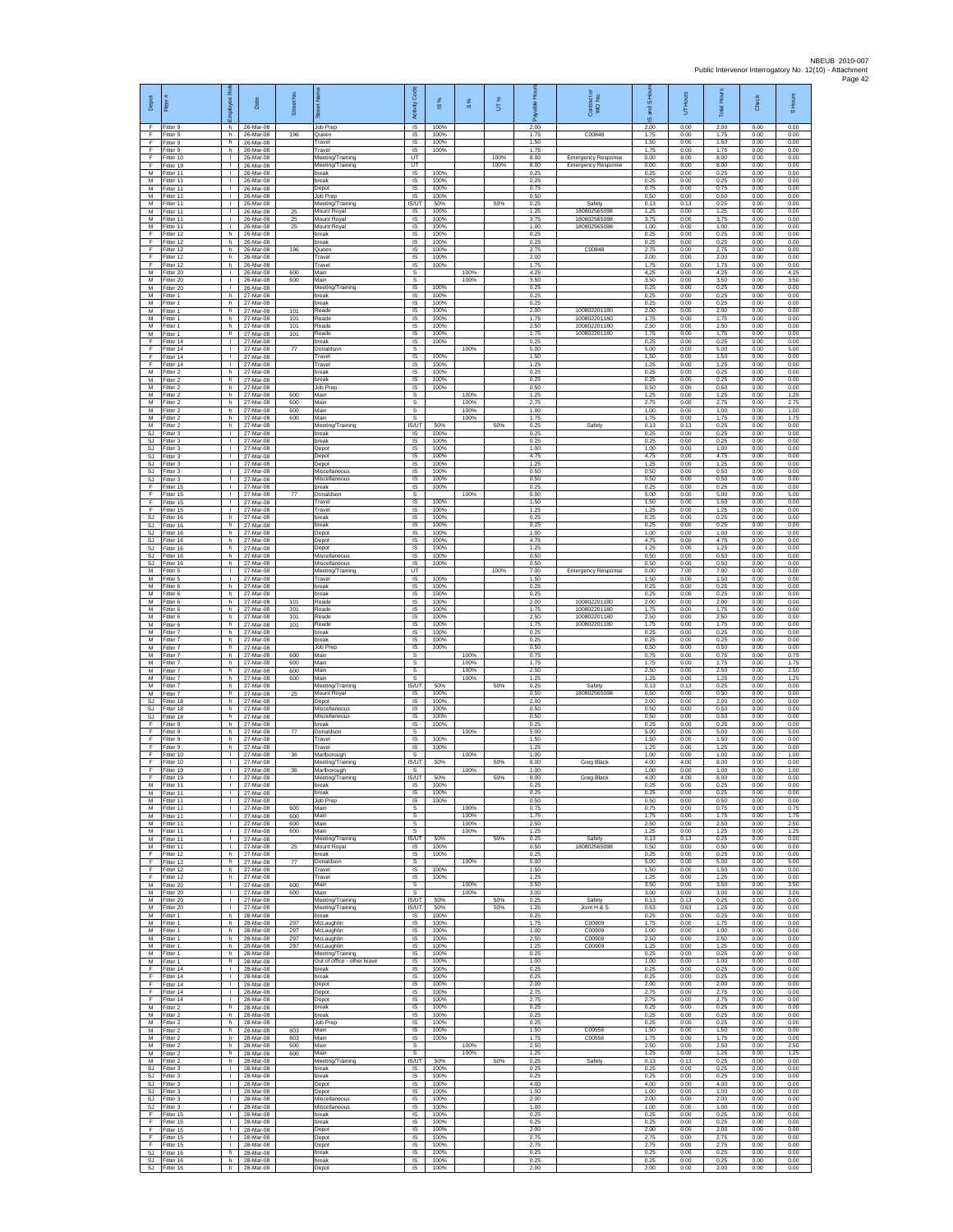| Depot                            |                                       | ă<br>oloyee                                  | Date                                | Street No         |                                                 | <b>Code</b><br>Activity                 | $\overline{\omega}$  | $\frac{8}{3}$        | UТ%        | <b>A</b><br>able<br>æ | Contract or<br>WO No.        | and S Hou<br>$\overline{\omega}$ | UT Hours             | <b>Total Hours</b>   | Check                | S Hours              |
|----------------------------------|---------------------------------------|----------------------------------------------|-------------------------------------|-------------------|-------------------------------------------------|-----------------------------------------|----------------------|----------------------|------------|-----------------------|------------------------------|----------------------------------|----------------------|----------------------|----------------------|----------------------|
| F<br>F                           | Fitter 9<br>Fitter 9                  | h.<br>h                                      | 26-Mar-08<br>26-Mar-08              | 196               | Job Prep<br>Queen                               | $\overline{\mathsf{S}}$<br>$\sf IS$     | 100%<br>100%         |                      |            | 2.00<br>1.75          | C00848                       | 2.00<br>1.75                     | 0.00<br>0.00         | 2.00<br>1.75         | 0.00<br>0.00         | 0.00<br>0.00         |
| F<br>F<br>F                      | Fitter 9<br>Fitter 9<br>Fitter 10     | h.<br>h.<br>$\mathbf{L}$                     | 26-Mar-08<br>26-Mar-08<br>26-Mar-08 |                   | Travel<br>Travel<br>Meeting/Training            | IS<br>IS<br>UT                          | 100%<br>100%         |                      | 100%       | 1.50<br>1.75<br>8.00  | <b>Emergency Response</b>    | 1.50<br>1.75<br>0.00             | 0.00<br>0.00<br>8.00 | 1.50<br>1.75<br>8.00 | 0.00<br>0.00<br>0.00 | 0.00<br>0.00<br>0.00 |
| F<br>M                           | Fitter 19<br>fitter 11                | $\mathbf{L}$<br>$\mathbf{I}$                 | 26-Mar-08<br>26-Mar-08              |                   | Meeting/Training<br>break                       | UT<br>IS                                | 100%                 |                      | 100%       | 8.00<br>0.25          | <b>Emergency Response</b>    | 0.00<br>0.25                     | 8.00<br>0.00         | 8.00<br>0.25         | 0.00<br>0.00         | 0.00<br>0.00         |
| M<br>M                           | Fitter 11<br>Fitter 11                | л.<br>$\mathbf{L}$<br>т.                     | 26-Mar-08<br>26-Mar-08              |                   | break<br>Depot                                  | IS<br>IS                                | 100%<br>100%         |                      |            | 0.25<br>0.75          |                              | 0.25<br>0.75                     | 0.00<br>0.00         | 0.25<br>0.75         | 0.00<br>0.00         | 0.00<br>0.00         |
| М<br>M<br>M                      | Fitter 11<br>Fitter 11<br>Fitter 11   | $\mathbf{L}$<br>$\mathbb{R}$                 | 26-Mar-08<br>26-Mar-08<br>26-Mar-08 | 25                | Job Prep<br>Meeting/Training<br>Mount Royal     | $\sf IS$<br>IS/UT<br>IS                 | 100%<br>50%<br>100%  |                      | 50%        | 0.50<br>0.25<br>1.25  | Safety<br>180802565098       | 0.50<br>0.13<br>1.25             | 0.00<br>0.13<br>0.00 | 0.50<br>0.25<br>1.25 | 0.00<br>0.00<br>0.00 | 0.00<br>0.00<br>0.00 |
| M<br>M                           | Fitter 11<br>itter 11                 | т.<br>$\mathbf{L}$                           | 26-Mar-08<br>26-Mar-08              | 25<br>25          | Mount Royal<br>Mount Royal                      | IS<br>1S                                | 100%<br>100%         |                      |            | 3.75<br>1.00          | 180802565098<br>180802565098 | 3.75<br>1.00                     | 0.00<br>0.00         | 3.75<br>1.00         | 0.00<br>0.00         | 0.00<br>0.00         |
| F<br>F<br>F                      | Fitter 12<br>itter 12                 | h.<br>h.<br>h.                               | 26-Mar-08<br>26-Mar-08              |                   | break<br>break<br>Queen                         | $\overline{s}$<br>IS<br>IS              | 100%<br>100%<br>100% |                      |            | 0.25<br>0.25<br>2.75  | C00848                       | 0.25<br>0.25<br>2.75             | 0.00<br>0.00<br>0.00 | 0.25<br>0.25<br>2.75 | 0.00<br>0.00<br>0.00 | 0.00<br>0.00<br>0.00 |
| F<br>F                           | Fitter 12<br>fitter 12<br>Fitter 12   | h.<br>h                                      | 26-Mar-08<br>26-Mar-08<br>26-Mar-08 | 196               | Travel<br>Travel                                | IS<br>$\sf IS$                          | 100%<br>100%         |                      |            | 2.00<br>1.75          |                              | 2.00<br>1.75                     | 0.00<br>0.00         | 2.00<br>1.75         | 0.00<br>0.00         | 0.00<br>0.00         |
| М<br>М                           | Fitter 20<br>itter 20                 | $\mathbf{L}$<br>т.                           | 26-Mar-08<br>26-Mar-08              | 600<br>600        | Main<br>Main                                    | $\mathbb S$<br>s                        |                      | 100%<br>100%         |            | 4.25<br>3.50          |                              | 4.25<br>3.50                     | 0.00<br>0.00         | 4.25<br>3.50         | 0.00<br>0.00         | 4.25<br>3.50         |
| M<br>M                           | Fitter 20<br>Fitter 1                 | $\mathbf{I}$<br>h<br>h                       | 26-Mar-08<br>27-Mar-08              |                   | Meeting/Training<br>break<br>break              | IS<br>IS<br>IS                          | 100%<br>100%<br>100% |                      |            | 0.25<br>0.25<br>0.25  |                              | 0.25<br>0.25<br>0.25             | 0.00<br>0.00<br>0.00 | 0.25<br>0.25<br>0.25 | 0.00<br>0.00<br>0.00 | 0.00<br>0.00<br>0.00 |
| М<br>M<br>M                      | Fitter 1<br>Fitter 1<br>Fitter 1      | h.<br>h.                                     | 27-Mar-08<br>27-Mar-08<br>27-Mar-08 | 101<br>101        | Reade<br>Reade                                  | $\overline{\mathsf{s}}$<br>IS           | 100%<br>100%         |                      |            | 2.00<br>1.75          | 100802201180<br>100802201180 | 2.00<br>1.75                     | 0.00<br>0.00         | 2.00<br>1.75         | 0.00<br>0.00         | 0.00<br>0.00         |
| М<br>M                           | itter 1<br>Fitter 1                   | h.<br>h.                                     | 27-Mar-08<br>27-Mar-08              | 101<br>101        | Reade<br>Reade                                  | $\sf IS$<br>IS                          | 100%<br>100%         |                      |            | 2.50<br>1.75          | 100802201180<br>100802201180 | 2.50<br>1.75                     | 0.00<br>0.00         | 2.50<br>1.75         | 0.00<br>0.00         | 0.00<br>0.00         |
| F<br>F<br>F                      | Fitter 14<br>Fitter 14<br>Fitter 14   | $\mathbf{L}$<br>$\mathbb{R}$<br>т.           | 27-Mar-08<br>27-Mar-08<br>27-Mar-08 | 77                | break<br>Donaldsor<br>Travel                    | $\overline{s}$<br>s<br>IS               | 100%<br>100%         | 100%                 |            | 0.25<br>5.00<br>1.50  |                              | 0.25<br>5.00<br>1.50             | 0.00<br>0.00<br>0.00 | 0.25<br>5.00<br>1.50 | 0.00<br>0.00<br>0.00 | 0.00<br>5.00<br>0.00 |
| F<br>M                           | itter 14<br>Fitter 2                  | т.<br>h.                                     | 27-Mar-08<br>27-Mar-08              |                   | Travel<br>break                                 | IS<br>IS                                | 100%<br>100%         |                      |            | 1.25<br>0.25          |                              | 1.25<br>0.25                     | 0.00<br>0.00         | 1.25<br>0.25         | 0.00<br>0.00         | 0.00<br>0.00         |
| M<br>М                           | Fitter 2<br>Fitter 2                  | h.<br>h                                      | 27-Mar-08<br>27-Mar-08              |                   | break<br><b>Job Prep</b>                        | IS.<br>$\sf IS$                         | 100%<br>100%         |                      |            | 0.25<br>0.50          |                              | 0.25<br>0.50                     | 0.00<br>0.00         | 0.25<br>0.50         | 0.00<br>0.00         | 0.00<br>0.00         |
| M<br>M<br>М                      | Fitter 2<br>Fitter 2<br>itter 2       | h.<br>h.<br>h.                               | 27-Mar-08<br>27-Mar-08<br>27-Mar-08 | 600<br>600<br>600 | Main<br>Main<br>Main                            | s<br>s<br>s                             |                      | 100%<br>100%<br>100% |            | 1.25<br>2.75<br>1.00  |                              | 1.25<br>2.75<br>1.00             | 0.00<br>0.00<br>0.00 | 1.25<br>2.75<br>1.00 | 0.00<br>0.00<br>0.00 | 1.25<br>2.75<br>1.00 |
| M<br>M                           | itter 2<br>Fitter 2                   | h.<br>h.                                     | 27-Mar-08<br>27-Mar-08              | 600               | Main<br>Meeting/Training                        | $\overline{\mathbf{s}}$<br><b>IS/UT</b> | 50%                  | 100%                 | 50%        | 1.75<br>0.25          | Safety                       | 1.75<br>0.13                     | 0.00<br>0.13         | 1.75<br>0.25         | 0.00<br>0.00         | 1.75<br>0.00         |
| <b>SJ</b><br>SJ                  | Fitter 3<br>Fitter 3                  | $\mathbb{R}$<br>т.                           | 27-Mar-08<br>27-Mar-08              |                   | break<br>break                                  | IS<br>IS                                | 100%<br>100%         |                      |            | 0.25<br>0.25          |                              | 0.25<br>0.25                     | 0.00<br>0.00         | 0.25<br>0.25         | 0.00<br>0.00         | 0.00<br>0.00         |
| <b>SJ</b><br><b>SJ</b><br>SJ     | Fitter 3<br>Fitter 3<br>Fitter 3      | $\mathbf{L}$<br>$\mathbf{L}$<br>$\mathbb{R}$ | 27-Mar-08<br>27-Mar-08<br>27-Mar-08 |                   | epot<br>Depot<br>Depot                          | IS<br>IS<br>$\sf IS$                    | 100%<br>100%<br>100% |                      |            | 1.00<br>4.75<br>1.25  |                              | 1.00<br>4.75<br>1.25             | 0.00<br>0.00<br>0.00 | 1.00<br>4.75<br>1.25 | 0.00<br>0.00<br>0.00 | 0.00<br>0.00<br>0.00 |
| <b>SJ</b><br>SJ.                 | itter 3<br>Fitter 3                   | л.<br>л.                                     | 27-Mar-08<br>27-Mar-08              |                   | Miscellaneous<br>Miscellaneous                  | IS<br>IS                                | 100%<br>100%         |                      |            | 0.50<br>0.50          |                              | 0.50<br>0.50                     | 0.00<br>0.00         | 0.50<br>0.50         | 0.00<br>0.00         | 0.00<br>0.00         |
| F<br>F<br>F                      | Fitter 15<br>Fitter 15<br>Fitter 15   | <b>I</b><br>$\mathbf{I}$<br>$\mathbb{R}$     | 27-Mar-08<br>27-Mar-08<br>27-Mar-08 | 77                | hreak<br>Donaldson<br>Travel                    | IS<br>s<br>1S                           | 100%<br>100%         | 100%                 |            | 0.25<br>5.00<br>1.50  |                              | 0.25<br>5.00<br>1.50             | 0.00<br>0.00<br>0.00 | 0.25<br>5.00<br>1.50 | 0.00<br>0.00<br>0.00 | 0.00<br>5.00<br>0.00 |
| F<br><b>SJ</b>                   | Fitter 15<br>Fitter 16                | h.                                           | 27-Mar-08<br>27-Mar-08              |                   | Travel<br>break                                 | $\overline{s}$<br>$\sf IS$              | 100%<br>100%         |                      |            | 1.25<br>0.25          |                              | 1.25<br>0.25                     | 0.00<br>0.00         | 1.25<br>0.25         | 0.00<br>0.00         | 0.00<br>0.00         |
| SJ<br>SJ.<br><b>SJ</b>           | litter 16<br>Fitter 16<br>Fitter 16   | h.<br>h.<br>h                                | 27-Mar-08<br>27-Mar-08<br>27-Mar-08 |                   | break<br>Depot                                  | IS<br>IS<br>IS                          | 100%<br>100%<br>100% |                      |            | 0.25<br>1.00          |                              | 0.25<br>1.00<br>4.75             | 0.00<br>0.00<br>0.00 | 0.25<br>1.00         | 0.00<br>0.00<br>0.00 | 0.00<br>0.00<br>0.00 |
| SJ<br><b>SJ</b>                  | Fitter 16<br>fitter 16                | h.<br>h.                                     | 27-Mar-08<br>27-Mar-08              |                   | Depot<br>Depot<br>Miscellaneous                 | IS<br>IS                                | 100%<br>100%         |                      |            | 4.75<br>1.25<br>0.50  |                              | 1.25<br>0.50                     | 0.00<br>0.00         | 4.75<br>1.25<br>0.50 | 0.00<br>0.00         | 0.00<br>0.00         |
| <b>SJ</b><br>М                   | Fitter 16<br>Fitter 5                 | h.<br>$\mathbf{L}$                           | 27-Mar-08<br>27-Mar-08              |                   | Miscellaneous<br>Meeting/Training               | IS<br>UT                                | 100%                 |                      | 100%       | 0.50<br>7.00          | <b>Emergency Response</b>    | 0.50<br>0.00                     | 0.00<br>7.00         | 0.50<br>7.00         | 0.00<br>0.00         | 0.00<br>0.00         |
| М<br>M<br>M                      | Fitter 5<br>Fitter 6<br>Fitter 6      | $\mathbf{I}$<br>h<br>h                       | 27-Mar-08<br>27-Mar-08<br>27-Mar-08 |                   | Travel<br>break<br>break                        | $\sf IS$<br>IS<br>IS                    | 100%<br>100%<br>100% |                      |            | 1.50<br>0.25<br>0.25  |                              | 1.50<br>0.25<br>0.25             | 0.00<br>0.00<br>0.00 | 1.50<br>0.25<br>0.25 | 0.00<br>0.00<br>0.00 | 0.00<br>0.00<br>0.00 |
| М<br>M                           | Titter 6<br>itter 6                   | h<br>h.                                      | 27-Mar-08<br>27-Mar-08              | 101<br>101        | Reade<br>Reade                                  | IS<br>$\overline{\mathsf{s}}$           | 100%<br>100%         |                      |            | 2.00<br>1.75          | 100802201180<br>100802201180 | 2.00<br>1.75                     | 0.00<br>0.00         | 2.00<br>1.75         | 0.00<br>0.00         | 0.00<br>0.00         |
| M<br>М                           | Fitter 6<br>itter 6                   | h.<br>h                                      | 27-Mar-08<br>27-Mar-08              | 101<br>101        | Reade<br>Reade                                  | $\overline{s}$<br>IS                    | 100%<br>100%         |                      |            | 2.50<br>1.75<br>0.25  | 100802201180<br>100802201180 | 2.50<br>1.75                     | 0.00<br>0.00         | 2.50<br>1.75         | 0.00<br>0.00         | 0.00<br>0.00         |
| М<br>M<br>M                      | Fitter 7<br>fitter 7<br>Fitter 7      | h.<br>h.<br>h                                | 27-Mar-08<br>27-Mar-08<br>27-Mar-08 |                   | break<br>preak<br>Job Prep                      | IS<br>IS<br>$\sf IS$                    | 100%<br>100%<br>100% |                      |            | 0.25<br>0.50          |                              | 0.25<br>0.25<br>0.50             | 0.00<br>0.00<br>0.00 | 0.25<br>0.25<br>0.50 | 0.00<br>0.00<br>0.00 | 0.00<br>0.00<br>0.00 |
| М<br>М                           | Fitter 7<br>itter 7                   | h.<br>h.                                     | 27-Mar-08<br>27-Mar-08              | 600<br>600        | Main<br>Main                                    | $\mathbb S$<br>s                        |                      | 100%<br>100%<br>100% |            | 0.75<br>1.75          |                              | 0.75<br>1.75                     | 0.00<br>0.00         | 0.75<br>1.75         | 0.00<br>0.00         | 0.75<br>1.75         |
| M<br>M<br>М                      | Fitter 7<br>Fitter 7<br>Fitter 7      | h.<br>h<br>h                                 | 27-Mar-08<br>27-Mar-08<br>27-Mar-08 | 600<br>600        | Main<br>Main<br>Meeting/Training                | s<br>$\mathbf{s}$<br>IS/UT              | 50%                  | 100%                 | 50%        | 2.50<br>1.25<br>0.25  | Safety                       | 2.50<br>1.25<br>0.13             | 0.00<br>0.00<br>0.13 | 2.50<br>1.25<br>0.25 | 0.00<br>0.00<br>0.00 | 2.50<br>1.25<br>0.00 |
| M<br>SJ                          | Fitter 7<br>Fitter 18                 | h.<br>h.                                     | 27-Mar-08<br>27-Mar-08              | 25                | Mount Royal<br>Depot                            | IS.<br>IS                               | 100%<br>100%         |                      |            | 0.50<br>2.00          | 180802565098                 | 0.50<br>2.00                     | 0.00<br>0.00         | 0.50<br>2.00         | 0.00<br>0.00         | 0.00<br>0.00         |
| SJ<br>SJ<br>F                    | itter 18<br>fitter 18<br>Fitter 9     | h.<br>h.<br>h.                               | 27-Mar-08<br>27-Mar-08<br>27-Mar-08 |                   | Miscellaneous<br>Miscellaneous<br>break         | $\sf IS$<br>IS<br>$\overline{s}$        | 100%<br>100%<br>100% |                      |            | 0.50<br>0.50<br>0.25  |                              | 0.50<br>0.50<br>0.25             | 0.00<br>0.00<br>0.00 | 0.50<br>0.50<br>0.25 | 0.00<br>0.00<br>0.00 | 0.00<br>0.00<br>0.00 |
| F<br>F                           | Fitter 9<br>Fitter 9                  | h.<br>h.                                     | 27-Mar-08<br>27-Mar-08              | 77                | Donaldson<br>Travel                             | s<br>IS                                 | 100%                 | 100%                 |            | 5.00<br>1.50          |                              | 5.00<br>1.50                     | 0.00<br>0.00         | 5.00<br>1.50         | 0.00<br>0.00         | 5.00<br>0.00         |
| F<br>F<br>F                      | itter 9<br>Fitter 10<br>Fitter 10     | h.<br>л.<br><b>I</b>                         | 27-Mar-08<br>27-Mar-08<br>27-Mar-08 | 36                | Travel<br>Marlborough<br>Meeting/Training       | IS<br><b>s</b><br><b>IS/UT</b>          | 100%<br>50%          | 100%                 | 50%        | 1.25<br>1.00<br>8.00  | Greg Black                   | 1.25<br>1.00<br>4.00             | 0.00<br>0.00<br>4.00 | 1.25<br>1.00<br>8.00 | 0.00<br>0.00<br>0.00 | 0.00<br>1.00<br>0.00 |
| F<br>F                           | Fitter 19<br>Fitter 19                | $\mathbf{I}$<br>$\mathbf{L}$                 | 27-Mar-08<br>27-Mar-08              | 36                | Marlborough<br>Meeting/Training                 | s<br><b>IS/UT</b>                       | 50%                  | 100%                 | 50%        | 1.00<br>8.00          | <b>Greg Black</b>            | 1.00<br>4.00                     | 0.00<br>4.00         | 1.00<br>8.00         | 0.00<br>0.00         | 1.00<br>0.00         |
| м<br>M                           | Fitter 11<br>Fitter 11                | H.<br>$\mathbf{L}$                           | 27-Mar-08<br>27-Mar-08              |                   | breal<br>break                                  | <b>IS</b><br>1S                         | 100%<br>100%         |                      |            | 0.25<br>0.25          |                              | 0.25<br>0.25                     | 0.00<br>0.00         | 0.25<br>0.25         | 0.00<br>0.00         | 0.00<br>0.00         |
| M<br>M<br>М                      | Fitter 11<br>Fitter 11<br>Fitter 11   | т<br>$\mathbf{L}$<br>$\mathbb{R}$            | 27-Mar-08<br>27-Mar-08<br>27-Mar-08 | 600<br>600        | <b>Job Prep</b><br>Main<br>Main                 | IS.<br>s<br>s                           | 100%                 | 100%<br>100%         |            | 0.50<br>0.75<br>1.75  |                              | 0.50<br>0.75<br>1.75             | 0.00<br>0.00<br>0.00 | 0.50<br>0.75<br>1.75 | 0.00<br>0.00<br>0.00 | 0.00<br>0.75<br>1.75 |
| М<br>M                           | Fitter 11<br>Fitter 11                | $\mathbb{R}$<br>$\mathbb{R}$                 | 27-Mar-08<br>27-Mar-08              | 600<br>600        | Main<br>Main                                    | s<br>s                                  |                      | 100%<br>100%         |            | 2.50<br>1.25          |                              | 2.50<br>1.25                     | 0.00<br>0.00         | 2.50<br>1.25         | 0.00<br>0.00         | 2.50<br>1.25         |
| M<br>M<br>F                      | Fitter 11<br>Fitter 11<br>fitter 12   | <b>ILL</b><br>$\mathbb{R}^n$                 | 27-Mar-08<br>27-Mar-08<br>27-Mar-08 | 25                | Meeting/Training<br>Mount Royal<br>break        | IS/UT<br>IS<br>IS                       | 50%<br>100%<br>100%  |                      | 50%        | 0.25<br>0.50<br>0.25  | Safety<br>180802565098       | 0.13<br>0.50<br>0.25             | 0.13<br>0.00<br>0.00 | 0.25<br>0.50<br>0.25 | 0.00<br>0.00<br>0.00 | 0.00<br>0.00<br>0.00 |
| F<br>F.                          | Fitter 12<br>Fitter 12                | h.<br>h.<br>h.                               | 27-Mar-08<br>27-Mar-08              | 77                | Donaldson<br>Travel                             | s<br>IS.                                | 100%                 | 100%                 |            | 5.00<br>1.50          |                              | 5.00<br>1.50                     | 0.00<br>0.00         | 5.00<br>1.50         | 0.00<br>0.00         | 5.00<br>0.00         |
| F<br>M                           | Fitter 12<br>Fitter 20                | h.<br><b>ILL</b>                             | 27-Mar-08<br>27-Mar-08              | 600               | Travel<br>Main                                  | 1S<br>s                                 | 100%                 | 100%                 |            | 1.25<br>3.50          |                              | 1.25<br>3.50                     | 0.00<br>0.00         | 1.25<br>3.50         | 0.00<br>0.00         | 0.00<br>3.50         |
| М<br>M                           | M Fitter 20<br>Fitter 20<br>Fitter 20 | $\mathbf{L}$<br>$\mathbf{L}$<br>$\mathbb{R}$ | 27-Mar-08<br>27-Mar-08<br>27-Mar-08 | 600               | Main<br>Meeting/Training<br>Meeting/Training    | s.<br>IS/UT<br>IS/UT                    | 50%<br>50%           | 100%                 | 50%<br>50% | 3.00<br>0.25<br>1.25  | Safety<br>Joint H & S        | 3.00<br>0.13<br>0.63             | 0.00<br>0.13<br>0.63 | 3.00<br>0.25<br>1.25 | 0.00<br>0.00<br>0.00 | 3.00<br>0.00<br>0.00 |
| M<br>M                           | Fitter 1<br>Fitter 1                  | h I<br>h.                                    | 28-Mar-08<br>28-Mar-08              | 297               | break<br>McLaughlin                             | IS<br>IS                                | 100%<br>100%         |                      |            | 0.25<br>1.75          | C00909                       | 0.25<br>1.75                     | 0.00<br>0.00         | 0.25<br>1.75         | 0.00<br>0.00         | 0.00<br>0.00         |
| M<br>М<br>M                      | Fitter 1<br>fitter 1<br>Fitter 1      | h.<br>h.<br>h.                               | 28-Mar-08<br>28-Mar-08<br>28-Mar-08 | 297<br>297<br>297 | McLaughlin<br>McLaughlin<br>McLaughlin          | 1S<br>IS<br>IS                          | 100%<br>100%<br>100% |                      |            | 1.00<br>2.50<br>1.25  | C00909<br>C00909<br>C00909   | 1.00<br>2.50<br>1.25             | 0.00<br>0.00<br>0.00 | 1.00<br>2.50<br>1.25 | 0.00<br>0.00<br>0.00 | 0.00<br>0.00<br>0.00 |
| М<br>М                           | Fitter 1<br>Fitter 1                  | h.<br>h.                                     | 28-Mar-08<br>28-Mar-08              |                   | Meeting/Training<br>Out of office - other leave | IS.<br>$\sf IS$                         | 100%<br>100%         |                      |            | 0.25<br>1.00          |                              | 0.25<br>1.00                     | 0.00<br>0.00         | 0.25<br>1.00         | 0.00<br>0.00         | 0.00<br>0.00         |
| F<br>F<br>F                      | Fitter 14<br>Fitter 14<br>Fitter 14   | $\mathbf{1}$<br>$\mathbf{I}$<br>$\mathbf{L}$ | 28-Mar-08<br>28-Mar-08<br>28-Mar-08 |                   | break<br>break<br>Depot                         | IS<br>IS<br>1S                          | 100%<br>100%<br>100% |                      |            | 0.25<br>0.25<br>2.00  |                              | 0.25<br>0.25<br>2.00             | 0.00<br>0.00<br>0.00 | 0.25<br>0.25<br>2.00 | 0.00<br>0.00<br>0.00 | 0.00<br>0.00<br>0.00 |
| Ŧ<br>F                           | ltter 14<br>Fitter 14                 | т<br>$\mathbf{I}$                            | 28-Mar-08<br>28-Mar-08              |                   | Depot<br>Depot                                  | IS.<br>IS                               | 100%<br>100%         |                      |            | 2.75<br>2.75          |                              | 2.75<br>2.75                     | 0.00<br>0.00         | 2.75<br>2.75         | 0.00<br>0.00         | 0.00<br>0.00         |
| М<br>М<br>M                      | Fitter 2<br>Fitter 2<br>Fitter 2      | h.<br>h.<br>h.                               | 28-Mar-08<br>28-Mar-08<br>28-Mar-08 |                   | break<br>break<br>Job Prep                      | IS<br>1S<br>1S                          | 100%<br>100%<br>100% |                      |            | 0.25<br>0.25<br>0.25  |                              | 0.25<br>0.25<br>0.25             | 0.00<br>0.00<br>0.00 | 0.25<br>0.25<br>0.25 | 0.00<br>0.00<br>0.00 | 0.00<br>0.00<br>0.00 |
| M<br>М                           | Fitter 2<br>Fitter 2                  | h<br>h                                       | 28-Mar-08<br>28-Mar-08              | 803<br>803        | Main<br>Main                                    | $\sf IS$<br>$\sf IS$                    | 100%<br>100%         |                      |            | 1.50<br>1.75          | C00556<br>C00556             | 1.50<br>1.75                     | 0.00<br>0.00         | 1.50<br>1.75         | 0.00<br>0.00         | 0.00<br>0.00         |
| М<br>M<br>M                      | itter 2<br>Fitter 2<br>Fitter 2       | h.<br>h.<br>h.                               | 28-Mar-08<br>28-Mar-08<br>28-Mar-08 | 600<br>600        | Main<br>Main                                    | s<br>s<br>IS/UT                         | 50%                  | 100%<br>100%         | 50%        | 2.50<br>1.25<br>0.25  |                              | 2.50<br>1.25<br>0.13             | 0.00<br>0.00<br>0.13 | 2.50<br>1.25<br>0.25 | 0.00<br>0.00<br>0.00 | 2.50<br>1.25<br>0.00 |
| SJ<br>SJ.                        | Fitter 3<br>Fitter 3                  | $\mathbf{L}$<br>т                            | 28-Mar-08<br>28-Mar-08              |                   | Meeting/Training<br>break<br>break              | 1S<br>IS.                               | 100%<br>100%         |                      |            | 0.25<br>0.25          | Safety                       | 0.25<br>0.25                     | 0.00<br>0.00         | 0.25<br>0.25         | 0.00<br>0.00         | 0.00<br>0.00         |
| SJ                               | SJ Fitter 3<br>Fitter 3               | $\mathbf{I}$<br>$\mathbf{L}$<br>$\mathbf{L}$ | 28-Mar-08<br>28-Mar-08              |                   | Depot<br>Depot                                  | IS<br>$\sf IS$                          | 100%<br>100%         |                      |            | 4.00<br>1.00          |                              | 4.00<br>1.00                     | 0.00<br>0.00         | 4.00<br>1.00         | 0.00<br>0.00         | 0.00<br>0.00         |
| $\mathbb{S}\mathbb{J}$<br>F.     | Fitter 3<br>SJ Fitter 3<br>Fitter 15  | $\mathbf{L}$<br>$\mathbf{L}$                 | 28-Mar-08<br>28-Mar-08<br>28-Mar-08 |                   | Miscellaneous<br>Miscellaneous<br>break         | $\sf IS$<br>IS<br>IS                    | 100%<br>100%<br>100% |                      |            | 2.00<br>1.00<br>0.25  |                              | 2.00<br>1.00<br>0.25             | 0.00<br>0.00<br>0.00 | 2.00<br>1.00<br>0.25 | 0.00<br>0.00<br>0.00 | 0.00<br>0.00<br>0.00 |
| F<br>F                           | Fitter 15<br>ltter 15                 | $\mathbf{L}$<br>$\mathbf{I}$                 | 28-Mar-08<br>28-Mar-08              |                   | break<br>Depot                                  | IS<br>IS                                | 100%<br>100%<br>100% |                      |            | 0.25<br>2.00          |                              | 0.25<br>2.00                     | 0.00<br>0.00         | 0.25<br>2.00<br>2.75 | 0.00<br>0.00         | 0.00<br>0.00         |
| F<br>F<br>$\mathbb{S}\mathbb{J}$ | Fitter 15<br>Fitter 15<br>Fitter 16   | $\mathbf{I}$<br><b>ILL</b><br>h.             | 28-Mar-08<br>28-Mar-08<br>28-Mar-08 |                   | Depot<br>Depot<br>break                         | IS<br>IS.<br>$\sf IS$                   | 100%<br>100%         |                      |            | 2.75<br>2.75<br>0.25  |                              | 2.75<br>2.75<br>0.25             | 0.00<br>0.00<br>0.00 | 2.75<br>0.25         | 0.00<br>0.00<br>0.00 | 0.00<br>0.00<br>0.00 |
|                                  | SJ Fitter 16<br>SJ Fitter 16          | h.<br>h.                                     | 28-Mar-08<br>28-Mar-08              |                   | break<br>Depot                                  | IS.<br>IS                               | 100%<br>100%         |                      |            | 0.25<br>2.00          |                              | 0.25<br>2.00                     | 0.00<br>0.00         | 0.25<br>2.00         | 0.00<br>0.00         | 0.00<br>0.00         |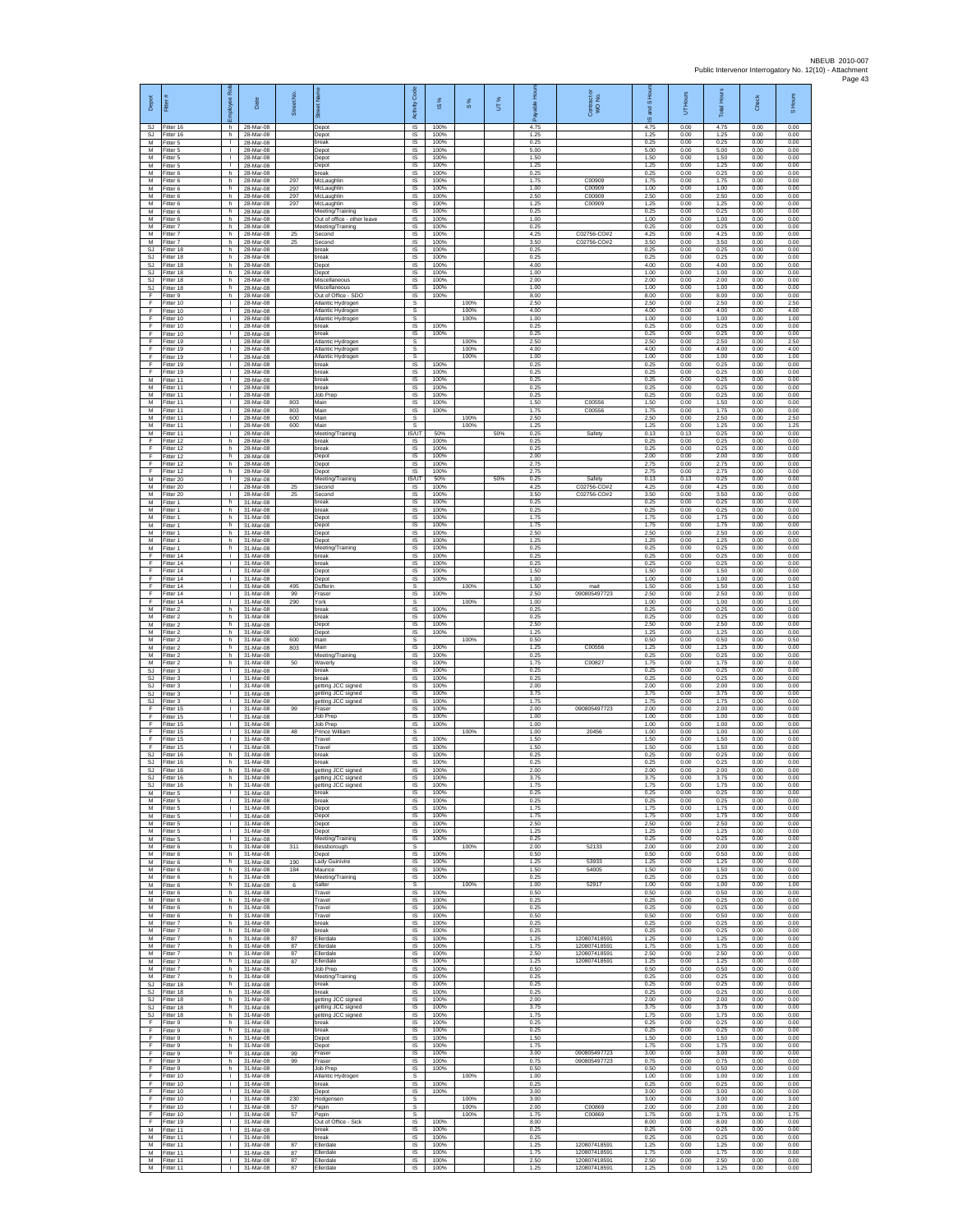| Depot                               | Fitter#                             | ployee Rol-                                  | Date                                | Street No  | ē<br>ā                                                         | Code<br>Activity                    | ⋇<br>$\overline{\omega}$ | $S\%$                | UT% | able<br>តិ           | Contract or<br>WO No.        | and S Hou<br>$\frac{1}{2}$ | Hours<br>5           | Total Hours          | Check                | S Hours              |
|-------------------------------------|-------------------------------------|----------------------------------------------|-------------------------------------|------------|----------------------------------------------------------------|-------------------------------------|--------------------------|----------------------|-----|----------------------|------------------------------|----------------------------|----------------------|----------------------|----------------------|----------------------|
| SJ<br>SJ<br>M                       | Fitter 16<br>Fitter 16              | h.<br>h<br>$\mathbb{R}$                      | 28-Mar-08<br>28-Mar-08              |            | Depot<br>Depot                                                 | IS<br>$\sf IS$<br>IS                | 100%<br>100%             |                      |     | 4.75<br>1.25<br>0.25 |                              | 4.75<br>1.25<br>0.25       | 0.00<br>0.00         | 4.75<br>1.25<br>0.25 | 0.00<br>0.00<br>0.00 | 0.00<br>0.00<br>0.00 |
| M<br>М                              | Fitter 5<br>Fitter 5<br>-itter 5    | т.                                           | 28-Mar-08<br>28-Mar-08<br>28-Mar-08 |            | break<br>Depot                                                 | IS<br>IS                            | 100%<br>100%<br>100%     |                      |     | 5.00<br>1.50         |                              | 5.00<br>1.50               | 0.00<br>0.00<br>0.00 | 5.00<br>1.50         | 0.00<br>0.00         | 0.00<br>0.00         |
| M<br>M                              | Fitter 5<br>Fitter 6                | $\mathbb{R}$<br>h.                           | 28-Mar-08<br>28-Mar-08              |            | Depot<br>Depot<br>break                                        | IS<br>$\overline{\mathsf{s}}$       | 100%<br>100%             |                      |     | 1.25<br>0.25         |                              | 1.25<br>0.25               | 0.00<br>0.00         | 1.25<br>0.25         | 0.00<br>0.00         | 0.00<br>0.00         |
| М<br>М                              | -itter 6<br>Fitter 6                | h<br>h.                                      | 28-Mar-08<br>28-Mar-08              | 297<br>297 | McLaughlin<br>McLaughlin                                       | IS<br>IS                            | 100%<br>100%             |                      |     | 1.75<br>1.00         | C00909<br>C00909             | 1.75<br>1.00               | 0.00<br>0.00         | 1.75<br>1.00         | 0.00<br>0.00         | 0.00<br>0.00         |
| M<br>M                              | Fitter 6<br>Fitter 6                | h<br>h                                       | 28-Mar-08<br>28-Mar-08              | 297<br>297 | McLaughlin<br>McLaughlin                                       | IS<br>IS                            | 100%<br>100%             |                      |     | 2.50<br>1.25         | C00909<br>C00909             | 2.50<br>1.25               | 0.00<br>0.00         | 2.50<br>1.25         | 0.00<br>0.00         | 0.00<br>0.00         |
| М<br>М                              | Fitter 6<br>Fitter 6                | h.<br>h                                      | 28-Mar-08<br>28-Mar-08              |            | Meeting/Training<br>Out of office - other leave                | $\sf IS$<br>IS                      | 100%<br>100%             |                      |     | 0.25<br>1.00         |                              | 0.25<br>1.00               | 0.00<br>0.00         | 0.25<br>1.00         | 0.00<br>0.00         | 0.00<br>0.00         |
| M<br>M                              | Fitter 7<br>Fitter 7                | h.<br>h.                                     | 28-Mar-08<br>28-Mar-08              | 25         | Meeting/Training<br>Second                                     | <b>IS</b><br>IS                     | 100%<br>100%             |                      |     | 0.25<br>4 25         | C02756-CO#2                  | 0.25<br>4.25               | 0.00<br>0.00         | 0.25<br>4.25         | 0.00<br>0.00         | 0.00<br>0.00         |
| М<br><b>SJ</b>                      | Fitter 7<br>Fitter 18               | h<br>h                                       | 28-Mar-08<br>28-Mar-08              | 25         | Second<br>break                                                | IS<br>IS                            | 100%<br>100%             |                      |     | 3.50<br>0.25         | C02756-CO#2                  | 3.50<br>0.25               | 0.00<br>0.00         | 3.50<br>0.25         | 0.00<br>0.00         | 0.00<br>0.00         |
| SJ<br>SJ                            | Fitter 18<br>Fitter 18              | h.<br>h                                      | 28-Mar-08<br>28-Mar-08              |            | break<br>Depot                                                 | <b>IS</b><br>$\sf IS$               | 100%<br>100%             |                      |     | 0.25<br>4.00         |                              | 0.25<br>4.00               | 0.00<br>0.00         | 0.25<br>4.00         | 0.00<br>0.00         | 0.00<br>0.00         |
| $\mathbb{S}\mathbb{J}$<br>SJ.<br>SJ | Fitter 18<br>Fitter 18<br>Fitter 18 | h.<br>h.<br>h                                | 28-Mar-08<br>28-Mar-08<br>28-Mar-08 |            | Depot<br>Miscellaneous<br>Miscellaneous                        | IS<br>IS<br>IS                      | 100%<br>100%<br>100%     |                      |     | 1.00<br>2.00<br>1.00 |                              | 1.00<br>2.00<br>1.00       | 0.00<br>0.00<br>0.00 | 1.00<br>2.00<br>1.00 | 0.00<br>0.00<br>0.00 | 0.00<br>0.00<br>0.00 |
| F<br>F                              | Fitter 9<br>Fitter 10               | h.<br>$\mathbf{I}$                           | 28-Mar-08<br>28-Mar-08              |            | Out of Office - SDO<br>Atlantic Hydrogen                       | 1S<br>s                             | 100%                     | 100%                 |     | 8.00<br>2.50         |                              | 8.00<br>2.50               | 0.00<br>0.00         | 8.00<br>2.50         | 0.00<br>0.00         | 0.00<br>2.50         |
| F<br>F                              | Fitter 10<br>Fitter 10              | л.<br>$\mathbf{L}$                           | 28-Mar-08<br>28-Mar-08              |            | Atlantic Hydrogen<br>Atlantic Hydrogen                         | s<br>s                              |                          | 100%<br>100%         |     | 4.00<br>1.00         |                              | 4.00<br>1.00               | 0.00<br>0.00         | 4.00<br>1.00         | 0.00<br>0.00         | 4.00<br>1.00         |
| F<br>F                              | Fitter 10<br>Fitter 10              | т.<br>$\mathbb{R}$                           | 28-Mar-08<br>28-Mar-08              |            | break<br>break                                                 | $\sf IS$<br>IS                      | 100%<br>100%             |                      |     | 0.25<br>0.25         |                              | 0.25<br>0.25               | 0.00<br>0.00         | 0.25<br>0.25         | 0.00<br>0.00         | 0.00<br>0.00         |
| E<br>F<br>F                         | Fitter 19<br>Fitter 19<br>Fitter 19 | $\mathbf{L}$<br>т.<br>$\mathbf{L}$           | 28-Mar-08<br>28-Mar-08<br>28-Mar-08 |            | Atlantic Hydrogen<br>Atlantic Hydrogen<br>Atlantic Hydrogen    | s<br>s<br>s                         |                          | 100%<br>100%<br>100% |     | 2.50<br>4.00<br>1.00 |                              | 2.50<br>4.00<br>1.00       | 0.00<br>0.00<br>0.00 | 2.50<br>4.00<br>1.00 | 0.00<br>0.00<br>0.00 | 2.50<br>4.00<br>1.00 |
| F<br>F                              | Fitter 19<br>Fitter 19              | л.<br>$\mathbb{R}$                           | 28-Mar-08<br>28-Mar-08              |            | break<br>reak                                                  | $\overline{s}$<br>IS                | 100%<br>100%             |                      |     | 0.25<br>0.25         |                              | 0.25<br>0.25               | 0.00<br>0.00         | 0.25<br>0.25         | 0.00<br>0.00         | 0.00<br>0.00         |
| М<br>M                              | Fitter 11<br>Fitter 11              | $\mathbf{L}$<br>т.                           | 28-Mar-08<br>28-Mar-08              |            | break<br>preak                                                 | IS.<br>IS                           | 100%<br>100%             |                      |     | 0.25<br>0.25         |                              | 0.25<br>0.25               | 0.00<br>0.00         | 0.25<br>0.25         | 0.00<br>0.00         | 0.00<br>0.00         |
| M<br>М                              | Fitter 11<br>Fitter 11              | $\mathbf{I}$<br>$\mathbf{L}$                 | 28-Mar-08<br>28-Mar-08              | 803        | <b>Job Prep</b><br>Main                                        | IS<br>$\sf IS$                      | 100%<br>100%             |                      |     | 0.25<br>1.50         | C00556                       | 0.25<br>1.50               | 0.00<br>0.00         | 0.25<br>1.50         | 0.00<br>0.00         | 0.00<br>0.00         |
| М<br>M                              | fitter 11<br>Fitter 11              | $\mathbf{I}$<br>л.                           | 28-Mar-08<br>28-Mar-08              | 803<br>600 | Main<br>Main                                                   | IS<br>s                             | 100%                     | 100%                 |     | 1.75<br>2.50         | C00556                       | 1.75<br>2.50               | 0.00<br>0.00         | 1.75<br>2.50         | 0.00<br>0.00         | 0.00<br>2.50         |
| M<br>М<br>F                         | Fitter 11<br>Fitter 11              | $\mathbf{L}$<br>т.<br>h.                     | 28-Mar-08<br>28-Mar-08<br>28-Mar-08 | 600        | Main<br>Meeting/Training<br>break                              | s<br><b>IS/UT</b><br>IS             | 50%<br>100%              | 100%                 | 50% | 1.25<br>0.25<br>0.25 | Safety                       | 1.25<br>0.13<br>0.25       | 0.00<br>0.13<br>0.00 | 1.25<br>0.25<br>0.25 | 0.00<br>0.00<br>0.00 | 1.25<br>0.00<br>0.00 |
| F<br>F                              | Fitter 12<br>Fitter 12<br>itter 12  | h.<br>h                                      | 28-Mar-08<br>28-Mar-08              |            | break<br>Depot                                                 | IS<br>$\sf IS$                      | 100%<br>100%             |                      |     | 0.25<br>2.00         |                              | 0.25<br>2.00               | 0.00<br>0.00         | 0.25<br>2.00         | 0.00<br>0.00         | 0.00<br>0.00         |
| F<br>F                              | Fitter 12<br>Fitter 12              | h<br>h.                                      | 28-Mar-08<br>28-Mar-08              |            | Depot<br>Depot                                                 | $\sf IS$<br>$\overline{\mathsf{s}}$ | 100%<br>100%             |                      |     | 2.75<br>2.75         |                              | 2.75<br>2.75               | 0.00<br>0.00         | 2.75<br>2.75         | 0.00<br>0.00         | 0.00<br>0.00         |
| M<br>М                              | Fitter 20<br>Fitter 20              | $\mathbb{R}$<br>т.                           | 28-Mar-08<br>28-Mar-08              | 25         | Meeting/Training<br>Second                                     | IS/UT<br>IS                         | 50%<br>100%              |                      | 50% | 0.25<br>4.25         | Safety<br>C02756-CO#2        | 0.13<br>4.25               | 0.13<br>0.00         | 0.25<br>4.25         | 0.00<br>0.00         | 0.00<br>0.00         |
| M<br>M                              | Fitter 20<br>Fitter 1               | т.<br>h.                                     | 28-Mar-08<br>31-Mar-08              | 25         | Second<br>break                                                | IS<br><b>IS</b>                     | 100%<br>100%             |                      |     | 3.50<br>0.25         | C02756-CO#2                  | 3.50<br>0.25               | 0.00<br>0.00         | 3.50<br>0.25         | 0.00<br>0.00         | 0.00<br>0.00         |
| М<br>М<br>M                         | Fitter 1<br>Fitter 1<br>Fitter 1    | h.<br>h<br>h.                                | 31-Mar-08<br>31-Mar-08<br>31-Mar-08 |            | preak<br>Depot                                                 | IS<br>$\sf IS$<br><b>IS</b>         | 100%<br>100%<br>100%     |                      |     | 0.25<br>1.75<br>1.75 |                              | 0.25<br>1.75<br>1.75       | 0.00<br>0.00<br>0.00 | 0.25<br>1.75<br>1.75 | 0.00<br>0.00<br>0.00 | 0.00<br>0.00<br>0.00 |
| M<br>М                              | Fitter 1<br>itter 1                 | h.<br>h.                                     | 31-Mar-08<br>31-Mar-08              |            | Depot<br>Depot<br>Depot                                        | IS<br>IS                            | 100%<br>100%             |                      |     | 2.50<br>1.25         |                              | 2.50<br>1.25               | 0.00<br>0.00         | 2.50<br>1.25         | 0.00<br>0.00         | 0.00<br>0.00         |
| M<br>F                              | Fitter 1<br>Fitter 14               | h<br>л.                                      | 31-Mar-08<br>31-Mar-08              |            | Meeting/Training<br>break                                      | IS<br>$\overline{\mathsf{s}}$       | 100%<br>100%             |                      |     | 0.25<br>0.25         |                              | 0.25<br>0.25               | 0.00<br>0.00         | 0.25<br>0.25         | 0.00<br>0.00         | 0.00<br>0.00         |
| F<br>F                              | Fitter 14<br>Fitter 14              | $\mathbb{R}$<br>т.                           | 31-Mar-08<br>31-Mar-08              |            | oreak<br>Depot                                                 | IS<br>IS                            | 100%<br>100%             |                      |     | 0.25<br>1.50         |                              | 0.25<br>1.50               | 0.00<br>0.00         | 0.25<br>1.50         | 0.00<br>0.00         | 0.00<br>0.00         |
| F<br>F                              | Fitter 14<br>Fitter 14              | т.<br>л.                                     | 31-Mar-08<br>31-Mar-08              | 495        | Depot<br>Dufferir                                              | IS<br>s                             | 100%                     | 100%                 |     | 1.00<br>1.50         | mai                          | 1.00<br>1.50               | 0.00<br>0.00         | 1.00<br>1.50         | 0.00<br>0.00         | 0.00<br>1.50         |
| F<br>F                              | Fitter 14<br>Fitter 14              | $\mathbb{R}$<br>т.                           | 31-Mar-08<br>31-Mar-08<br>31-Mar-08 | 99<br>290  | Fraser<br>York                                                 | $\sf IS$<br>s<br><b>IS</b>          | 100%<br>100%             | 100%                 |     | 2.50<br>1.00<br>0.25 | 090805497723                 | 2.50<br>1.00<br>0.25       | 0.00<br>0.00<br>0.00 | 2.50<br>1.00<br>0.25 | 0.00<br>0.00<br>0.00 | 0.00<br>1.00<br>0.00 |
| M<br>M<br>М                         | Fitter 2<br>Fitter 2<br>Fitter 2    | h.<br>h.<br>h.                               | 31-Mar-08<br>31-Mar-08              |            | break<br>preak<br>Depot                                        | IS<br>IS                            | 100%<br>100%             |                      |     | 0.25<br>2.50         |                              | 0.25<br>2.50               | 0.00<br>0.00         | 0.25<br>2.50         | 0.00<br>0.00         | 0.00<br>0.00         |
| M<br>M                              | Fitter 2<br>Fitter 2                | h<br>h.                                      | 31-Mar-08<br>31-Mar-08              | 600        | Depot<br>main                                                  | 1S<br>s                             | 100%                     | 100%                 |     | 1.25<br>0.50         |                              | 1.25<br>0.50               | 0.00<br>0.00         | 1.25<br>0.50         | 0.00<br>0.00         | 0.00<br>0.50         |
| М<br>M                              | -itter 2<br>Fitter 2                | h<br>h.                                      | 31-Mar-08<br>31-Mar-08              | 803        | Main<br>Meeting/Training                                       | IS<br>IS                            | 100%<br>100%             |                      |     | 1.25<br>0.25         | C00556                       | 1.25<br>0.25               | 0.00<br>0.00         | 1.25<br>0.25         | 0.00<br>0.00         | 0.00<br>0.00         |
| M<br>SJ                             | Fitter 2<br>Fitter 3                | h.<br>$\mathbb{R}$                           | 31-Mar-08<br>31-Mar-08              | 50         | Waverly<br>reak                                                | $\overline{s}$<br>IS                | 100%<br>100%             |                      |     | 1.75<br>0.25         | C00827                       | 1.75<br>0.25               | 0.00<br>0.00         | 1.75<br>0.25         | 0.00<br>0.00         | 0.00<br>0.00         |
| SJ<br>SJ                            | Fitter 3<br>Fitter 3                | $\mathbf{L}$<br>$\mathbf{I}$<br>л.           | 31-Mar-08<br>31-Mar-08              |            | break<br>jetting JCC signed<br>getting JCC signed              | 1S<br>IS<br><b>IS</b>               | 100%<br>100%<br>100%     |                      |     | 0.25<br>2.00<br>3.75 |                              | 0.25<br>2.00<br>3.75       | 0.00<br>0.00<br>0.00 | 0.25<br>2.00<br>3.75 | 0.00<br>0.00<br>0.00 | 0.00<br>0.00<br>0.00 |
| SJ<br>SJ<br>F                       | Fitter 3<br>Fitter 3<br>Fitter 15   | $\mathbf{L}$<br>т.                           | 31-Mar-08<br>31-Mar-08<br>31-Mar-08 | 99         | getting JCC signed<br>Fraser                                   | IS<br>$\sf IS$                      | 100%<br>100%             |                      |     | 1.75<br>2.00         | 090805497723                 | 1.75<br>2.00               | 0.00<br>0.00         | 1.75<br>2.00         | 0.00<br>0.00         | 0.00<br>0.00         |
| F<br>E                              | Fitter 15<br>Fitter 15              | $\mathbb{R}$<br>$\mathbf{L}$                 | 31-Mar-08<br>31-Mar-08              |            | Job Prep<br>Job Prep                                           | IS<br>IS                            | 100%<br>100%             |                      |     | 1.00<br>1.00         |                              | 1.00<br>1.00               | 0.00<br>0.00         | 1.00<br>1.00         | 0.00<br>0.00         | 0.00<br>0.00         |
| F<br>F                              | Fitter 15<br>Fitter 15              | т.<br>$\mathbf{L}$                           | 31-Mar-08<br>31-Mar-08              | 48         | Prince William<br>Travel                                       | s<br>1S                             | 100%                     | 100%                 |     | 1.00<br>1.50         | 20456                        | 1.00<br>1.50               | 0.00<br>0.00         | 1.00<br>1.50         | 0.00<br>0.00         | 1.00<br>0.00         |
| F<br>SJ                             | Fitter 15<br>Fitter 16              | $\mathbf{L}$<br>h                            | 31-Mar-08<br>31-Mar-08              |            | Travel<br>reak                                                 | IS<br>IS                            | 100%<br>100%             |                      |     | 1.50<br>0.25         |                              | 1.50<br>0.25               | 0.00<br>0.00         | 1.50<br>0.25         | 0.00<br>0.00         | 0.00<br>0.00         |
| SJ<br><b>SJ</b><br>SJ               | Fitter 16<br>Fitter 16<br>Fitter 16 | h.<br>h<br>h                                 | 31-Mar-08<br>31-Mar-08<br>31-Mar-08 |            | break<br>getting JCC signed<br>getting JCC signed              | IS<br>IS<br>IS                      | 100%<br>100%<br>100%     |                      |     | 0.25<br>2.00<br>3.75 |                              | 0.25<br>2.00<br>3.75       | 0.00<br>0.00<br>0.00 | 0.25<br>2.00<br>3.75 | 0.00<br>0.00<br>0.00 | 0.00<br>0.00<br>0.00 |
| SJ<br>М                             | Fitter 16<br>Fitter 5               | h  <br>$\mathbf{L}$                          | 31-Mar-08<br>31-Mar-08              |            | getting JCC signed<br>break                                    | IS<br>IS                            | 100%<br>100%             |                      |     | 1.75<br>0.25         |                              | 1.75<br>0.25               | 0.00<br>0.00         | 1.75<br>0.25         | 0.00<br>0.00         | 0.00<br>0.00         |
| M<br>M                              | Fitter 5<br>Fitter 5                | л.<br>$\mathbf{L}$                           | 31-Mar-08<br>31-Mar-08              |            | break<br>Depot                                                 | IS<br>IS.                           | 100%<br>100%             |                      |     | 0.25<br>1.75         |                              | 0.25<br>1.75               | 0.00<br>0.00         | 0.25<br>1.75         | 0.00<br>0.00         | 0.00<br>0.00         |
| М<br>M                              | Fitter 5<br>Fitter 5                | $\mathbf{L}$<br>τ                            | 31-Mar-08<br>31-Mar-08              |            | Depot<br>Depot                                                 | IS<br>IS                            | 100%<br>100%             |                      |     | 1.75<br>2.50         |                              | 1.75<br>2.50               | 0.00<br>0.00         | 1.75<br>2.50         | 0.00<br>0.00         | 0.00<br>0.00         |
| M<br>М<br>M                         | Fitter 5<br>Fitter 5                | $\mathbf{L}$<br>$\mathbf{L}$                 | 31-Mar-08<br>31-Mar-08              |            | Depot<br>Meeting/Training                                      | IS<br>$\sf IS$                      | 100%<br>100%             |                      |     | 1.25<br>0.25         |                              | 1.25<br>0.25               | 0.00<br>0.00         | 1.25<br>0.25         | 0.00<br>0.00         | 0.00<br>0.00         |
| M<br>M                              | Fitter 6<br>Fitter 6<br>Fitter 6    | h<br>h.<br>h                                 | 31-Mar-08<br>31-Mar-08<br>31-Mar-08 | 311<br>190 | Bessborough<br>Depot<br>Lady Guinivire                         | s<br>$\overline{s}$<br>IS           | 100%<br>100%             | 100%                 |     | 2.00<br>0.50<br>1.25 | 52133<br>53933               | 2.00<br>0.50<br>1.25       | 0.00<br>0.00<br>0.00 | 2.00<br>0.50<br>1.25 | 0.00<br>0.00<br>0.00 | 2.00<br>0.00<br>0.00 |
| M<br>M                              | Fitter 6<br>Fitter 6                | h.<br>h.                                     | 31-Mar-08<br>31-Mar-08              | 184        | Maurice<br>Meeting/Training                                    | 1S<br>IS                            | 100%<br>100%             |                      |     | 1.50<br>0.25         | 54005                        | 1.50<br>0.25               | 0.00<br>0.00         | 1.50<br>0.25         | 0.00<br>0.00         | 0.00<br>0.00         |
| M<br>M                              | Fitter 6<br>Fitter 6                | h.<br>h                                      | 31-Mar-08<br>31-Mar-08              | 6          | Salter<br>Travel                                               | s<br>IS                             | 100%                     | 100%                 |     | 1.00<br>0.50         | 52917                        | 1.00<br>0.50               | 0.00<br>0.00         | 1.00<br>0.50         | 0.00<br>0.00         | 1.00<br>0.00         |
| М<br>M                              | Fitter 6<br>Fitter 6                | h.<br>h                                      | 31-Mar-08<br>31-Mar-08              |            | Travel<br>Travel                                               | $\sf IS$<br>IS                      | 100%<br>100%<br>100%     |                      |     | 0.25<br>0.25<br>0.50 |                              | 0.25<br>0.25<br>0.50       | 0.00<br>0.00         | 0.25<br>0.25         | 0.00<br>0.00         | 0.00<br>0.00         |
| M<br>М<br>M                         | Fitter 6<br>Fitter 7<br>Fitter 7    | h<br>h.<br>h.                                | 31-Mar-08<br>31-Mar-08<br>31-Mar-08 |            | Travel<br>break<br>break                                       | IS<br>IS<br>IS                      | 100%<br>100%             |                      |     | 0.25<br>0.25         |                              | 0.25<br>0.25               | 0.00<br>0.00<br>0.00 | 0.50<br>0.25<br>0.25 | 0.00<br>0.00<br>0.00 | 0.00<br>0.00<br>0.00 |
| M<br>М                              | Fitter 7<br>Fitter 7                | h.<br>h                                      | 31-Mar-08<br>31-Mar-08              | 87<br>87   | Ellerdale<br>Ellerdale                                         | $\overline{s}$<br>IS                | 100%<br>100%             |                      |     | 1.25<br>1.75         | 120807418591<br>120807418591 | 1.25<br>1.75               | 0.00<br>0.00         | 1.25<br>1.75         | 0.00<br>0.00         | 0.00<br>0.00         |
| ${\sf M}$<br>M                      | Fitter 7<br>Fitter 7                | h.<br>h                                      | 31-Mar-08<br>31-Mar-08              | 87<br>87   | Ellerdale<br>Ellerdale                                         | IS<br>IS                            | 100%<br>100%             |                      |     | 2.50<br>1.25         | 120807418591<br>120807418591 | 2.50<br>1.25               | 0.00<br>0.00         | 2.50<br>1.25         | 0.00<br>0.00         | 0.00<br>0.00         |
| M<br>M                              | Fitter 7<br>Fitter 7                | h.<br>h.                                     | 31-Mar-08<br>31-Mar-08              |            | Job Prep<br>Meeting/Training                                   | $\sf IS$<br>IS                      | 100%<br>100%             |                      |     | 0.50<br>0.25         |                              | 0.50<br>0.25               | 0.00<br>0.00         | 0.50<br>0.25         | 0.00<br>0.00         | 0.00<br>0.00         |
| <b>SJ</b><br>-SJ<br>SJ.             | Fitter 18<br>Fitter 18<br>Fitter 18 | h<br>h.<br>h                                 | 31-Mar-08<br>31-Mar-08<br>31-Mar-08 |            | break<br>break                                                 | IS<br><b>IS</b><br>IS.              | 100%<br>100%<br>100%     |                      |     | 0.25<br>0.25<br>2.00 |                              | 0.25<br>0.25<br>2.00       | 0.00<br>0.00<br>0.00 | 0.25<br>0.25<br>2.00 | 0.00<br>0.00<br>0.00 | 0.00<br>0.00<br>0.00 |
| SJ<br>SJ.                           | Fitter 18<br>Fitter 18              | h.<br>h.                                     | 31-Mar-08<br>31-Mar-08              |            | getting JCC signed<br>getting JCC signed<br>getting JCC signed | IS<br>IS                            | 100%<br>100%             |                      |     | 3.75<br>1.75         |                              | 3.75<br>1.75               | 0.00<br>0.00         | 3.75<br>1.75         | 0.00<br>0.00         | 0.00<br>0.00         |
| F<br>$\mathsf F$                    | Fitter 9<br>Fitter 9                | h.<br>h.                                     | 31-Mar-08<br>31-Mar-08              |            | break<br>oreak                                                 | $\overline{s}$<br>$\sf IS$          | 100%<br>100%             |                      |     | 0.25<br>0.25         |                              | 0.25<br>0.25               | 0.00<br>0.00         | 0.25<br>0.25         | 0.00<br>0.00         | 0.00<br>0.00         |
| Ŧ<br>F                              | Fitter 9<br>Fitter 9                | h.<br>h.                                     | 31-Mar-08<br>31-Mar-08              |            | Depot<br>Depot                                                 | $\sf IS$<br>$\overline{s}$          | 100%<br>100%             |                      |     | 1.50<br>1.75         |                              | 1.50<br>1.75               | 0.00<br>0.00         | 1.50<br>1.75         | 0.00<br>0.00         | 0.00<br>0.00         |
| E<br>Ŧ                              | Fitter 9<br>Fitter 9                | h<br>h.<br>h                                 | 31-Mar-08<br>31-Mar-08<br>31-Mar-08 | 99<br>99   | Fraser<br>Fraser<br>Job Prep                                   | IS<br>IS.<br>IS                     | 100%<br>100%<br>100%     |                      |     | 3.00<br>0.75<br>0.50 | 090805497723<br>090805497723 | 3.00<br>0.75<br>0.50       | 0.00<br>0.00<br>0.00 | 3.00<br>0.75<br>0.50 | 0.00<br>0.00<br>0.00 | 0.00<br>0.00<br>0.00 |
| F<br>E<br>F.                        | Fitter 9<br>Fitter 10<br>Fitter 10  | $\mathbf{L}$<br>$\mathbb{R}$                 | 31-Mar-08<br>31-Mar-08              |            | Atlantic Hydroger<br>hreak                                     | -S<br>IS                            | 100%                     | 100%                 |     | 1.00<br>0.25         |                              | 1.00<br>0.25               | 0.00<br>0.00         | 1.00<br>0.25         | 0.00<br>0.00         | 1.00<br>0.00         |
| F<br>F                              | Fitter 10<br>Fitter 10              | $\mathbf{L}$<br>$\mathbb{R}$                 | 31-Mar-08<br>31-Mar-08              | 230        | Depot<br>Hodgensen                                             | IS<br>s                             | 100%                     | 100%                 |     | 3.00<br>3.00         |                              | 3.00<br>3.00               | 0.00<br>0.00         | 3.00<br>3.00         | 0.00<br>0.00         | 0.00<br>3.00         |
| E<br>F                              | Fitter 10<br>Fitter 10              | $\mathbf{L}$<br>$\mathbf{L}$                 | 31-Mar-08<br>31-Mar-08              | 57<br>57   | Pepin<br>Pepin                                                 | s<br>s                              |                          | 100%<br>100%         |     | 2.00<br>1.75         | C00869<br>C00869             | 2.00<br>1.75               | 0.00<br>0.00         | 2.00<br>1.75         | 0.00<br>0.00         | 2.00<br>1.75         |
| Ŧ<br>M                              | Fitter 19<br>Fitter 11              | $\mathbb{R}$<br>$\mathbf{L}$                 | 31-Mar-08<br>31-Mar-08              |            | Out of Office - Sick<br>break                                  | <b>IS</b><br>$\overline{s}$         | 100%<br>100%             |                      |     | 8.00<br>0.25         |                              | 8.00<br>0.25               | 0.00<br>0.00         | 8.00<br>0.25         | 0.00<br>0.00         | 0.00<br>0.00         |
| М<br>М<br>M                         | Fitter 11<br>Fitter 11<br>Fitter 11 | $\mathbf{L}$<br>$\mathbf{L}$<br>$\mathbf{L}$ | 31-Mar-08<br>31-Mar-08<br>31-Mar-08 | 87<br>87   | reak<br>Ellerdale<br>Ellerdale                                 | IS<br>1S<br>IS                      | 100%<br>100%<br>100%     |                      |     | 0.25<br>1.25<br>1.75 | 120807418591<br>120807418591 | 0.25<br>1.25<br>1.75       | 0.00<br>0.00<br>0.00 | 0.25<br>1.25<br>1.75 | 0.00<br>0.00<br>0.00 | 0.00<br>0.00<br>0.00 |
| M<br>M                              | Fitter 11<br>Fitter 11              | $\mathbf{I}$<br>$\mathbb{R}$                 | 31-Mar-08<br>31-Mar-08              | 87<br>87   | Ellerdale<br>Ellerdale                                         | $\sf IS$<br>IS                      | 100%<br>100%             |                      |     | 2.50<br>1.25         | 120807418591<br>120807418591 | 2.50<br>1.25               | 0.00<br>0.00         | 2.50<br>1.25         | 0.00<br>0.00         | 0.00<br>0.00         |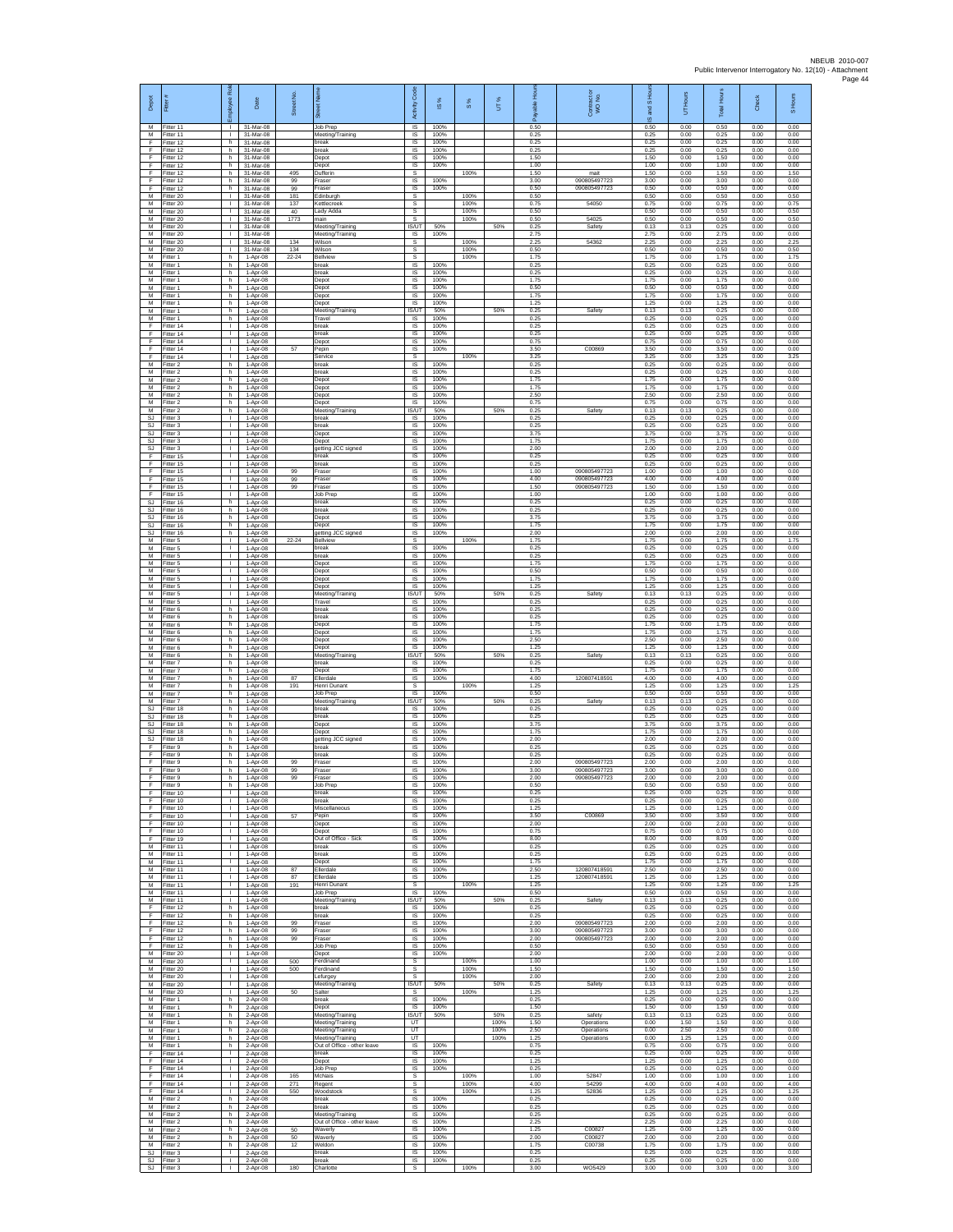| Depot                                     | Fitter #                            | æ<br>loyee                                     | Date                                 | Street No.        |                                                            | Code<br>Activity                  | IS %                 | 8%                   | UT%          | able Hou<br>ஃ        | Contract or<br>WO No.                        | and S Hou<br>$\overline{9}$ | UT Hours             | <b>Total Hours</b>   | Check                | S Hours              |
|-------------------------------------------|-------------------------------------|------------------------------------------------|--------------------------------------|-------------------|------------------------------------------------------------|-----------------------------------|----------------------|----------------------|--------------|----------------------|----------------------------------------------|-----------------------------|----------------------|----------------------|----------------------|----------------------|
| M<br>M<br>F                               | Fitter 11<br>Fitter 11<br>Fitter 12 | $\mathbf{L}$<br><b>ILL S</b><br>h              | 31-Mar-08<br>31-Mar-08<br>31-Mar-08  |                   | Job Prep<br>Meeting/Training<br>break                      | <b>IS</b><br>$\sf IS$<br>$\sf IS$ | 100%<br>100%<br>100% |                      |              | 0.50<br>0.25<br>0.25 |                                              | 0.50<br>0.25<br>0.25        | 0.00<br>0.00<br>0.00 | 0.50<br>0.25<br>0.25 | 0.00<br>0.00<br>0.00 | 0.00<br>0.00<br>0.00 |
| -F<br>-F.                                 | Fitter 12<br>Fitter 12              | h.<br>h.                                       | 31-Mar-08<br>31-Mar-08               |                   | break<br>Depot                                             | -IS<br>IS                         | 100%<br>100%         |                      |              | 0.25<br>1.50         |                                              | 0.25<br>1.50                | 0.00<br>0.00         | 0.25<br>1.50         | 0.00<br>0.00         | 0.00<br>0.00         |
| Ŧ<br>Ŧ                                    | Fitter 12<br>Fitter 12              | h.<br>h.                                       | 31-Mar-08<br>31-Mar-08               | 495               | Depot<br>Dufferin                                          | IS<br>s                           | 100%<br>100%         | 100%                 |              | 1.00<br>1.50         | mait<br>090805497723                         | 1.00<br>1.50                | 0.00<br>0.00<br>0.00 | 1.00<br>1.50<br>3.00 | 0.00<br>0.00<br>0.00 | 0.00<br>1.50         |
| F<br>$\mathsf F$<br>M                     | Fitter 12<br>ltter 12<br>Fitter 20  | h.<br>h<br>$\mathbf{L}$                        | 31-Mar-08<br>31-Mar-08<br>31-Mar-08  | 99<br>99<br>181   | Fraser<br>raser<br>Edinburgh                               | IS<br>IS<br>s                     | 100%                 | 100%                 |              | 3.00<br>0.50<br>0.50 | 090805497723                                 | 3.00<br>0.50<br>0.50        | 0.00<br>0.00         | 0.50<br>0.50         | 0.00<br>0.00         | 0.00<br>0.00<br>0.50 |
| M<br>M                                    | Fitter 20<br>Fitter 20              | $\mathbf{L}$<br>$\mathbf{I}$                   | 31-Mar-08<br>31-Mar-08               | 137<br>40         | <ettlecreel<br>ady Adda.</ettlecreel<br>                   | s<br>s                            |                      | 100%<br>100%         |              | 0.75<br>0.50         | 54050                                        | 0.75<br>0.50                | 0.00<br>0.00         | 0.75<br>0.50         | 0.00<br>0.00         | 0.75<br>0.50         |
| M<br>М                                    | Fitter 20<br>fitter 20              | Τ.<br>т.                                       | 31-Mar-08<br>31-Mar-08               | 1773              | main<br>Meeting/Training                                   | s<br>IS/UT                        | 50%                  | 100%                 | 50%          | 0.50<br>0.25         | 54025<br>Safety                              | 0.50<br>0.13                | 0.00<br>0.13         | 0.50<br>0.25         | 0.00<br>0.00         | 0.50<br>0.00         |
| M<br>М<br>M                               | Fitter 20<br>Fitter 20<br>Fitter 20 | $\mathbf{L}$<br>$\mathbf{L}$<br>$\mathbf{I}$   | 31-Mar-08<br>31-Mar-08<br>31-Mar-08  | 134<br>134        | Meeting/Training<br>Wilson<br>Nilson                       | IS<br>s<br>s                      | 100%                 | 100%<br>100%         |              | 2.75<br>2.25<br>0.50 | 54362                                        | 2.75<br>2.25<br>0.50        | 0.00<br>0.00<br>0.00 | 2.75<br>2.25<br>0.50 | 0.00<br>0.00<br>0.00 | 0.00<br>2.25<br>0.50 |
| M<br>M                                    | Fitter 1<br>Fitter 1                | h.<br>h.                                       | 1-Apr-08<br>1-Apr-08                 | $22 - 24$         | Bellview<br>break                                          | s<br>IS                           | 100%                 | 100%                 |              | 1.75<br>0.25         |                                              | 1.75<br>0.25                | 0.00<br>0.00         | 1.75<br>0.25         | 0.00<br>0.00         | 1.75<br>0.00         |
| M<br>M                                    | Fitter 1<br>Fitter 1                | h.<br>h.                                       | 1-Apr-08<br>1-Apr-08                 |                   | break<br>Depot                                             | IS<br>1S                          | 100%<br>100%         |                      |              | 0.25<br>1.75         |                                              | 0.25<br>1.75                | 0.00<br>0.00         | 0.25<br>1.75         | 0.00<br>0.00         | 0.00<br>0.00         |
| M<br>М<br>М                               | Fitter 1<br>Fitter 1<br>Fitter 1    | h.<br>h.<br>h.                                 | 1-Apr-08<br>1-Apr-08<br>1-Apr-08     |                   | Depot<br>Depot<br>Depot                                    | <b>IS</b><br>IS<br>IS             | 100%<br>100%<br>100% |                      |              | 0.50<br>1.75<br>1.25 |                                              | 0.50<br>1.75<br>1.25        | 0.00<br>0.00<br>0.00 | 0.50<br>1.75<br>1.25 | 0.00<br>0.00<br>0.00 | 0.00<br>0.00<br>0.00 |
| M<br>M                                    | Fitter 1<br>Fitter 1                | h.<br>h.                                       | 1-Apr-08<br>1-Apr-08                 |                   | Meeting/Training<br>Travel                                 | IS/UT<br>- IS                     | 50%<br>100%          |                      | 50%          | 0.25<br>0.25         | Safety                                       | 0.13<br>0.25                | 0.13<br>0.00         | 0.25<br>0.25         | 0.00<br>0.00         | 0.00<br>0.00         |
| $\mathsf F$<br>F                          | Fitter 14<br>Fitter 14              | $\mathbf{L}$<br>T.                             | 1-Apr-08<br>1-Apr-08                 |                   | break<br>oreak                                             | $\sf IS$<br>IS                    | 100%<br>100%         |                      |              | 0.25<br>0.25         |                                              | 0.25<br>0.25                | 0.00<br>0.00         | 0.25<br>0.25         | 0.00<br>0.00         | 0.00<br>0.00         |
| F<br>F<br>Ŧ                               | Fitter 14<br>Fitter 14<br>Fitter 14 | $\mathbf{L}$<br>$\mathbf{L}$<br>$\mathbf{I}$   | $1-Apr-08$<br>1-Apr-08<br>1-Apr-08   | 57                | Depot<br>Pepin<br>Service                                  | <b>IS</b><br>IS<br>s              | 100%<br>100%         | 100%                 |              | 0.75<br>3.50<br>3.25 | C00869                                       | 0.75<br>3.50<br>3.25        | 0.00<br>0.00<br>0.00 | 0.75<br>3.50<br>3.25 | 0.00<br>0.00<br>0.00 | 0.00<br>0.00<br>3.25 |
| M<br>M                                    | Fitter 2<br>Fitter 2                | h.<br>h.                                       | 1-Apr-08<br>1-Apr-08                 |                   | break<br>break                                             | IS<br><b>IS</b>                   | 100%<br>100%         |                      |              | 0.25<br>0.25         |                                              | 0.25<br>0.25                | 0.00<br>0.00         | 0.25<br>0.25         | 0.00<br>0.00         | 0.00<br>0.00         |
| ${\sf M}$<br>${\sf M}$                    | -itter 2<br>Fitter 2                | h.<br>h.                                       | 1-Apr-08<br>1-Apr-08                 |                   | Depot<br>Depot                                             | IS<br>$\sf IS$                    | 100%<br>100%         |                      |              | 1.75<br>1.75         |                                              | 1.75<br>1.75                | 0.00<br>0.00         | 1.75<br>1.75         | 0.00<br>0.00         | 0.00<br>0.00         |
| M<br>M<br>M                               | Fitter 2<br>Fitter 2<br>Fitter 2    | h.<br>h<br>h.                                  | 1-Apr-08<br>1-Apr-08<br>1-Apr-08     |                   | Depot<br>Depot<br>Meeting/Training                         | IS<br>IS<br><b>IS/UT</b>          | 100%<br>100%<br>50%  |                      | 50%          | 2.50<br>0.75<br>0.25 | Safety                                       | 2.50<br>0.75<br>0.13        | 0.00<br>0.00<br>0.13 | 2.50<br>0.75<br>0.25 | 0.00<br>0.00<br>0.00 | 0.00<br>0.00<br>0.00 |
| SJ<br>-SJ                                 | Fitter 3<br>Fitter 3                | $\mathbf{L}$<br>$\mathbf{L}$                   | 1-Apr-08<br>1-Apr-08                 |                   | break<br>break                                             | IS<br><b>IS</b>                   | 100%<br>100%         |                      |              | 0.25<br>0.25         |                                              | 0.25<br>0.25                | 0.00<br>0.00         | 0.25<br>0.25         | 0.00<br>0.00         | 0.00<br>0.00         |
| SJ<br>$\mathbb{S}\mathbb{J}$<br><b>SJ</b> | -itter 3<br>Fitter 3                | <b>I</b><br>L.<br>$\mathbf{L}$                 | 1-Apr-08<br>1-Apr-08                 |                   | Depot<br>Depot                                             | IS<br>IS<br>1S                    | 100%<br>100%<br>100% |                      |              | 3.75<br>1.75<br>2.00 |                                              | 3.75<br>1.75<br>2.00        | 0.00<br>0.00<br>0.00 | 3.75<br>1.75<br>2.00 | 0.00<br>0.00<br>0.00 | 0.00<br>0.00<br>0.00 |
| F<br>$\mathsf F$                          | Fitter 3<br>Fitter 15<br>Fitter 15  | $\mathbf{L}$<br>$\mathbf{L}$                   | 1-Apr-08<br>1-Apr-08<br>1-Apr-08     |                   | getting JCC signed<br>break<br>break                       | IS<br>IS                          | 100%<br>100%         |                      |              | 0.25<br>0.25         |                                              | 0.25<br>0.25                | 0.00<br>0.00         | 0.25<br>0.25         | 0.00<br>0.00         | 0.00<br>0.00         |
| Ŧ<br>F                                    | Fitter 15<br>Fitter 15              | $\mathbf{L}$<br>$\mathbf{L}$                   | 1-Apr-08<br>1-Apr-08                 | 99<br>99          | <b>Fraser</b><br>Fraser                                    | 1S<br><b>IS</b>                   | 100%<br>100%         |                      |              | 1.00<br>4.00         | 090805497723<br>090805497723                 | 1.00<br>4.00                | 0.00<br>0.00         | 1.00<br>4.00         | 0.00<br>0.00         | 0.00<br>0.00         |
| F<br>F<br>SJ                              | Fitter 15<br>Fitter 15<br>Fitter 16 | $\mathbf{L}$<br>τ.<br>h                        | 1-Apr-08<br>1-Apr-08                 | 99                | raser<br>Job Prep<br>break                                 | IS<br>IS<br>IS                    | 100%<br>100%<br>100% |                      |              | 1.50<br>1.00<br>0.25 | 090805497723                                 | 1.50<br>1.00<br>0.25        | 0.00<br>0.00<br>0.00 | 1.50<br>1.00<br>0.25 | 0.00<br>0.00<br>0.00 | 0.00<br>0.00<br>0.00 |
| SJ<br>SJ                                  | Fitter 16<br>Fitter 16              | h.<br>h.                                       | 1-Apr-08<br>1-Apr-08<br>1-Apr-08     |                   | break<br>Depot                                             | -IS<br>$\sf IS$                   | 100%<br>100%         |                      |              | 0.25<br>3.75         |                                              | 0.25<br>3.75                | 0.00<br>0.00         | 0.25<br>3.75         | 0.00<br>0.00         | 0.00<br>0.00         |
| SJ<br><b>SJ</b>                           | Fitter 16<br>Fitter 16              | h<br>h.                                        | 1-Apr-08<br>$1-Apr-08$               |                   | Depot<br>getting JCC signed                                | $\sf IS$<br><b>IS</b>             | 100%<br>100%         |                      |              | 1.75<br>2.00         |                                              | 1.75<br>2.00                | 0.00<br>0.00         | 1.75<br>2.00         | 0.00<br>0.00         | 0.00<br>0.00         |
| M<br>M<br>M                               | Fitter 5<br>Fitter 5<br>Fitter 5    | $\mathbf{L}$<br>L.<br>$\mathbf{L}$             | 1-Apr-08<br>1-Apr-08<br>1-Apr-08     | $22 - 24$         | Bellview<br>oreak<br>break                                 | s<br>IS<br>IS                     | 100%<br>100%         | 100%                 |              | 1.75<br>0.25<br>0.25 |                                              | 1.75<br>0.25<br>0.25        | 0.00<br>0.00<br>0.00 | 1.75<br>0.25<br>0.25 | 0.00<br>0.00<br>0.00 | 1.75<br>0.00<br>0.00 |
| M<br>${\sf M}$                            | Fitter 5<br>-itter 5                | $\mathbf{L}$<br>$\mathbf{L}$                   | 1-Apr-08<br>1-Apr-08                 |                   | Depot<br>Depot                                             | IS<br>IS                          | 100%<br>100%         |                      |              | 1.75<br>0.50         |                                              | 1.75<br>0.50                | 0.00<br>0.00         | 1.75<br>0.50         | 0.00<br>0.00         | 0.00<br>0.00         |
| М<br>M                                    | Fitter 5<br>Fitter 5                | $\mathbb{R}^n$<br>$\mathbf{L}$                 | 1-Apr-08<br>1-Apr-08                 |                   | Depot<br>Depot                                             | $\sf IS$<br>IS                    | 100%<br>100%         |                      |              | 1.75<br>1.25         |                                              | 1.75<br>1.25                | 0.00<br>0.00         | 1.75<br>1.25         | 0.00<br>0.00         | 0.00<br>0.00         |
| M<br>M<br>М                               | Fitter 5<br>Fitter 5<br>Fitter 6    | $\mathbf{I}$<br>H.<br>h.                       | 1-Apr-08<br>1-Apr-08<br>1-Apr-08     |                   | Meeting/Training<br>Travel<br>break                        | IS/UT<br>1S<br>IS                 | 50%<br>100%<br>100%  |                      | 50%          | 0.25<br>0.25<br>0.25 | Safety                                       | 0.13<br>0.25<br>0.25        | 0.13<br>0.00<br>0.00 | 0.25<br>0.25<br>0.25 | 0.00<br>0.00<br>0.00 | 0.00<br>0.00<br>0.00 |
| M<br>М                                    | Fitter 6<br>-itter 6                | h.<br>h.                                       | 1-Apr-08<br>1-Apr-08                 |                   | break<br>Depot                                             | <b>IS</b><br>IS                   | 100%<br>100%         |                      |              | 0.25<br>1.75         |                                              | 0.25<br>1.75                | 0.00<br>0.00         | 0.25<br>175          | 0.00<br>0.00         | 0.00<br>0.00         |
| M<br>M<br>M                               | Fitter 6<br>Fitter 6<br>Fitter 6    | h.<br>h.<br>h.                                 | 1-Apr-08<br>1-Apr-08<br>1-Apr-08     |                   | Depot<br>Depot<br>Depot                                    | IS<br>IS<br>IS                    | 100%<br>100%<br>100% |                      |              | 1.75<br>2.50<br>1.25 |                                              | 1.75<br>2.50<br>1.25        | 0.00<br>0.00<br>0.00 | 1.75<br>2.50<br>1.25 | 0.00<br>0.00<br>0.00 | 0.00<br>0.00<br>0.00 |
| M<br>М                                    | Fitter 6<br>Fitter 7                | h.<br>h.                                       | 1-Apr-08<br>1-Apr-08                 |                   | Meeting/Training<br>break                                  | IS/UT<br><b>IS</b>                | 50%<br>100%          |                      | 50%          | 0.25<br>0.25         | Safety                                       | 0.13<br>0.25                | 0.13<br>0.00         | 0.25<br>0.25         | 0.00<br>0.00         | 0.00<br>0.00         |
| M<br>М<br>М                               | Fitter 7<br>Fitter 7<br>Fitter 7    | h.<br>h<br>h.                                  | 1-Apr-08<br>1-Apr-08<br>1-Apr-08     | 87<br>191         | Depot<br>Ellerdale<br>lenri Dunant                         | <b>IS</b><br>IS<br>s              | 100%<br>100%         | 100%                 |              | 1.75<br>4.00<br>1.25 | 120807418591                                 | 1.75<br>4.00<br>1.25        | 0.00<br>0.00<br>0.00 | 1.75<br>4.00<br>1.25 | 0.00<br>0.00<br>0.00 | 0.00<br>0.00<br>1.25 |
| M<br>M                                    | Fitter 7<br>Fitter 7                | h.<br>h.                                       | 1-Apr-08<br>1-Apr-08                 |                   | Job Prep<br>Meeting/Training                               | IS<br>IS/UT                       | 100%<br>50%          |                      | 50%          | 0.50<br>0.25         | Safety                                       | 0.50<br>0.13                | 0.00<br>0.13         | 0.50<br>0.25         | 0.00<br>0.00         | 0.00<br>0.00         |
| SJ<br>SJ<br>SJ.                           | Fitter 18<br>Fitter 18<br>Fitter 18 | h.<br>h<br>h.                                  | 1-Apr-08<br>1-Apr-08<br>$1-Apr-08$   |                   | break<br>break                                             | $\sf IS$<br>$\sf IS$<br>IS        | 100%<br>100%<br>100% |                      |              | 0.25<br>0.25<br>3.75 |                                              | 0.25<br>0.25<br>3.75        | 0.00<br>0.00<br>0.00 | 0.25<br>0.25<br>3.75 | 0.00<br>0.00<br>0.00 | 0.00<br>0.00<br>0.00 |
| SJ.<br><b>SJ</b>                          | Fitter 18<br>Fitter 18              | h<br>h                                         | 1-Apr-08<br>1-Apr-08                 |                   | Depot<br>Depot<br>jetting JCC signed                       | IS<br>IS                          | 100%<br>100%         |                      |              | 1.75<br>2.00         |                                              | 1.75<br>2.00                | 0.00<br>0.00         | 1.75<br>2.00         | 0.00<br>0.00         | 0.00<br>0.00         |
| Ŧ<br>E                                    | Fitter 9<br>Fitter 9                | h.<br>h.                                       | 1-Apr-08<br>1-Apr-08                 |                   | break<br>break                                             | IS<br><b>IS</b>                   | 100%<br>100%         |                      |              | 0.25<br>0.25         |                                              | 0.25<br>0.25                | 0.00<br>0.00         | 0.25<br>0.25         | 0.00<br>0.00         | 0.00<br>0.00         |
| F<br>$\mathsf F$<br>F                     | -itter 9<br>Fitter 9<br>Fitter 9    | h.<br>h.<br>h                                  | 1-Apr-08<br>1-Apr-08<br>1-Apr-08     | 99<br>99<br>99    | raser<br>Fraser<br>Fraser                                  | IS<br>$\sf IS$<br><b>IS</b>       | 100%<br>100%<br>100% |                      |              | 2.00<br>3.00<br>2.00 | 090805497723<br>090805497723<br>090805497723 | 2.00<br>3.00<br>2.00        | 0.00<br>0.00<br>0.00 | 2.00<br>3.00<br>2.00 | 0.00<br>0.00<br>0.00 | 0.00<br>0.00<br>0.00 |
| F<br>Ŧ                                    | Fitter 9<br>Fitter 10               | h<br>٠                                         | 1-Apr-08<br>$1-Apr-08$               |                   | Job Prep<br>break                                          | IS<br>IS                          | 100%<br>100%         |                      |              | 0.50<br>0.25         |                                              | 0.50<br>0.25                | 0.00<br>0.00         | 0.50<br>0.25         | 0.00<br>0.00         | 0.00<br>0.00         |
| Ŧ<br>- F                                  | Fitter 10<br>Fitter 10              | т.<br>$\mathbf{L}$<br>H.                       | 1-Apr-08<br>1-Apr-08                 |                   | break<br>Miscellaneous                                     | IS<br>-IS<br>IS                   | 100%<br>100%<br>100% |                      |              | 0.25<br>1.25<br>3.50 |                                              | 0.25<br>1.25<br>3.50        | 0.00<br>0.00<br>0.00 | 0.25<br>1.25<br>3.50 | 0.00<br>0.00<br>0.00 | 0.00<br>0.00<br>0.00 |
| F.<br>$\mathsf F$<br>-F                   | Fitter 10<br>Fitter 10<br>Fitter 10 | τ.<br>$\mathbf{L}$                             | $1-Apr-08$<br>1-Apr-08<br>1-Apr-08   | 57                | Pepin<br>Depot<br>Depot                                    | IS<br>IS                          | 100%<br>100%         |                      |              | 2.00<br>0.75         | C00869                                       | 2.00<br>0.75                | 0.00<br>0.00         | 2.00<br>0.75         | 0.00<br>0.00         | 0.00<br>0.00         |
| F.<br>M                                   | Fitter 19<br>Fitter 11              | $\mathbf{L}$<br>$\mathbf{L}$                   | 1-Apr-08<br>1-Apr-08                 |                   | Out of Office - Sick<br>break                              | IS<br>$\sf IS$                    | 100%<br>100%         |                      |              | 8.00<br>0.25         |                                              | 8.00<br>0.25                | 0.00<br>0.00         | 8.00<br>0.25         | 0.00<br>0.00         | 0.00<br>0.00         |
| M<br>M<br>M                               | Fitter 11<br>Fitter 11<br>Fitter 11 | т<br>$\mathbb{R}$                              | 1-Apr-08<br>$1-Apr-08$<br>1-Apr-08   | 87                | break<br>Depot<br>Ellerdale                                | IS<br><b>IS</b><br>IS             | 100%<br>100%<br>100% |                      |              | 0.25<br>1.75<br>2.50 | 120807418591                                 | 0.25<br>1.75<br>2.50        | 0.00<br>0.00<br>0.00 | 0.25<br>1.75<br>2.50 | 0.00<br>0.00<br>0.00 | 0.00<br>0.00<br>0.00 |
| M<br>M                                    | Fitter 11<br>Fitter 11              | $\mathbb{L}$<br>$\mathbf{L}$                   | 1-Apr-08<br>1-Apr-08                 | 87<br>191         | Ellerdale<br>Henri Dunant                                  | IS<br>s                           | 100%                 | 100%                 |              | 1.25<br>1.25         | 120807418591                                 | 1.25<br>1.25                | 0.00<br>0.00         | 1.25<br>1.25         | 0.00<br>0.00         | 0.00<br>1.25         |
| M<br>M                                    | Fitter 11<br>Fitter 11              | $\mathbf{L}$<br>$\mathbf{L}$                   | 1-Apr-08<br>1-Apr-08                 |                   | Job Prep<br>Meeting/Training                               | IS<br>IS/UT                       | 100%<br>50%          |                      | 50%          | 0.50<br>0.25         | Safety                                       | 0.50<br>0.13                | 0.00<br>0.13         | 0.50<br>0.25         | 0.00<br>0.00         | 0.00<br>0.00         |
| F<br>-F<br>F.                             | Fitter 12<br>Fitter 12<br>Fitter 12 | h<br>h.<br>h                                   | 1-Apr-08<br>$1-Apr-08$<br>1-Apr-08   | 99                | break<br>break<br>Fraser                                   | IS<br>IS<br>IS                    | 100%<br>100%<br>100% |                      |              | 0.25<br>0.25<br>2.00 | 090805497723                                 | 0.25<br>0.25<br>2.00        | 0.00<br>0.00<br>0.00 | 0.25<br>0.25<br>2.00 | 0.00<br>0.00<br>0.00 | 0.00<br>0.00<br>0.00 |
| Ŧ<br>Ŧ                                    | Fitter 12<br>Fitter 12              | h.<br>h.                                       | 1-Apr-08<br>1-Apr-08                 | 99<br>99          | raser<br>Fraser                                            | IS<br>IS                          | 100%<br>100%         |                      |              | 3.00<br>2.00         | 090805497723<br>090805497723                 | 3.00<br>2.00                | 0.00<br>0.00         | 3.00<br>2.00         | 0.00<br>0.00         | 0.00<br>0.00         |
| F.<br>M<br>${\sf M}$                      | Fitter 12<br>Fitter 20<br>Fitter 20 | h.<br>$\mathbb{R}$<br>$\mathbf{L}$             | 1-Apr-08<br>1-Apr-08<br>1-Apr-08     | 500               | Job Prep<br>Depot<br>Ferdinand                             | IS.<br>IS<br>s                    | 100%<br>100%         | 100%                 |              | 0.50<br>2.00<br>1.00 |                                              | 0.50<br>2.00<br>1.00        | 0.00<br>0.00<br>0.00 | 0.50<br>2.00<br>1.00 | 0.00<br>0.00<br>0.00 | 0.00<br>0.00<br>1.00 |
| M<br>M                                    | Fitter 20<br>Fitter 20              | $\mathbf{L}$<br>т.                             | 1-Apr-08<br>1-Apr-08                 | 500               | Ferdinand<br>Lefurgey                                      | s<br>s                            |                      | 100%<br>100%         |              | 1.50<br>2.00         |                                              | 1.50<br>2.00                | 0.00<br>0.00         | 1.50<br>2.00         | 0.00<br>0.00         | 1.50<br>2.00         |
| M<br>M                                    | Fitter 20<br>Fitter 20              | $\mathbb{L}$<br>$\mathbf{L}$                   | 1-Apr-08<br>1-Apr-08                 | 50                | Meeting/Training<br>Salter                                 | IS/UT<br>s                        | 50%<br>100%          | 100%                 | 50%          | 0.25<br>1.25         | Safety                                       | 0.13<br>1.25                | 0.13<br>0.00         | 0.25<br>1.25<br>0.25 | 0.00<br>0.00         | 0.00<br>1.25         |
| M<br>M<br>M                               | Fitter 1<br>Fitter 1<br>Fitter 1    | h.<br>h<br>h.                                  | $2-Apr-08$<br>$2-Apr-08$<br>2-Apr-08 |                   | break<br>Depot<br>Meeting/Training                         | IS<br><b>IS</b><br><b>IS/UT</b>   | 100%<br>50%          |                      | 50%          | 0.25<br>1.50<br>0.25 | safety                                       | 0.25<br>1.50<br>0.13        | 0.00<br>0.00<br>0.13 | 1.50<br>0.25         | 0.00<br>0.00<br>0.00 | 0.00<br>0.00<br>0.00 |
| M<br>M                                    | Fitter 1<br>Fitter 1                | h.<br>h.                                       | 2-Apr-08<br>2-Apr-08                 |                   | Meeting/Training<br>Meeting/Training                       | UT<br>UT                          |                      |                      | 100%<br>100% | 1.50<br>2.50         | Operations<br>Operations                     | 0.00<br>0.00                | 1.50<br>2.50         | 1.50<br>2.50         | 0.00<br>0.00         | 0.00<br>0.00         |
| M<br>M<br>F                               | Fitter 1<br>Fitter 1<br>Fitter 14   | h.<br>h.                                       | 2-Apr-08<br>2-Apr-08<br>2-Apr-08     |                   | Meeting/Training<br>Out of Office - other leave<br>break   | UT<br>IS<br><b>IS</b>             | 100%<br>100%         |                      | 100%         | 1.25<br>0.75<br>0.25 | Operations                                   | 0.00<br>0.75<br>0.25        | 1.25<br>0.00<br>0.00 | 1.25<br>0.75<br>0.25 | 0.00<br>0.00<br>0.00 | 0.00<br>0.00<br>0.00 |
| F<br>F.                                   | Fitter 14<br>Fitter 14              | $\mathbf{L}$<br>$\mathbf{L}$                   | 2-Apr-08<br>2-Apr-08                 |                   | Depot<br>Job Prep                                          | IS<br>1S                          | 100%<br>100%         |                      |              | 1.25<br>0.25         |                                              | 1.25<br>0.25                | 0.00<br>0.00         | 1.25<br>0.25         | 0.00<br>0.00         | 0.00<br>0.00         |
| F<br>F<br>F.                              | Fitter 14<br>Fitter 14<br>Fitter 14 | $\mathbf{L}$<br>$\mathbf{L}$<br>$\mathbf{L}$   | 2-Apr-08<br>2-Apr-08<br>2-Apr-08     | 165<br>271<br>550 | McNais<br>Regent<br>Woodstock                              | s<br>s<br>$\mathbb{S}$            |                      | 100%<br>100%<br>100% |              | 1.00<br>4.00<br>1.25 | 52847<br>54299<br>52836                      | 1.00<br>4.00<br>1.25        | 0.00<br>0.00<br>0.00 | 1.00<br>4.00<br>1.25 | 0.00<br>0.00<br>0.00 | 1.00<br>4.00<br>1.25 |
| M<br>M                                    | Fitter 2<br>Fitter 2                | h<br>h.                                        | 2-Apr-08<br>2-Apr-08                 |                   | break<br>break                                             | $\sf IS$<br>IS                    | 100%<br>100%         |                      |              | 0.25<br>0.25         |                                              | 0.25<br>0.25                | 0.00<br>0.00         | 0.25<br>0.25         | 0.00<br>0.00         | 0.00<br>0.00         |
| M<br>M<br>M                               | Fitter 2<br>Fitter 2<br>Fitter 2    | h<br>h.<br>h.                                  | 2-Apr-08<br>2-Apr-08<br>2-Apr-08     | 50                | Meeting/Training<br>Out of Office - other leave<br>Waverly | IS<br>IS<br>IS                    | 100%<br>100%<br>100% |                      |              | 0.25<br>2.25<br>1.25 | C00827                                       | 0.25<br>2.25<br>1.25        | 0.00<br>0.00<br>0.00 | 0.25<br>2.25<br>1.25 | 0.00<br>0.00<br>0.00 | 0.00<br>0.00<br>0.00 |
| M<br>M                                    | Fitter 2<br>-itter 2                | h.<br>h.                                       | 2-Apr-08<br>2-Apr-08                 | 50<br>12          | Waverly<br>Weldon                                          | <b>IS</b><br>IS                   | 100%<br>100%         |                      |              | 2.00<br>1.75         | C00827<br>C00738                             | 2.00<br>1.75                | 0.00<br>0.00         | 2.00<br>1.75         | 0.00<br>0.00         | 0.00<br>0.00         |
| SJ<br>SJ.                                 | Fitter 3<br>Fitter 3<br>SJ Fitter 3 | $\mathbb{R}^n$<br>$\mathbf{L}$<br>$\mathbf{1}$ | 2-Apr-08<br>$2-Apr-08$<br>2-Apr-08   | 180               | break<br>reak<br>Charlotte                                 | $\sf IS$<br>IS<br>s               | 100%<br>100%         | 100%                 |              | 0.25<br>0.25<br>3.00 | WO5429                                       | 0.25<br>0.25<br>3.00        | 0.00<br>0.00<br>0.00 | 0.25<br>0.25<br>3.00 | 0.00<br>0.00<br>0.00 | 0.00<br>0.00<br>3.00 |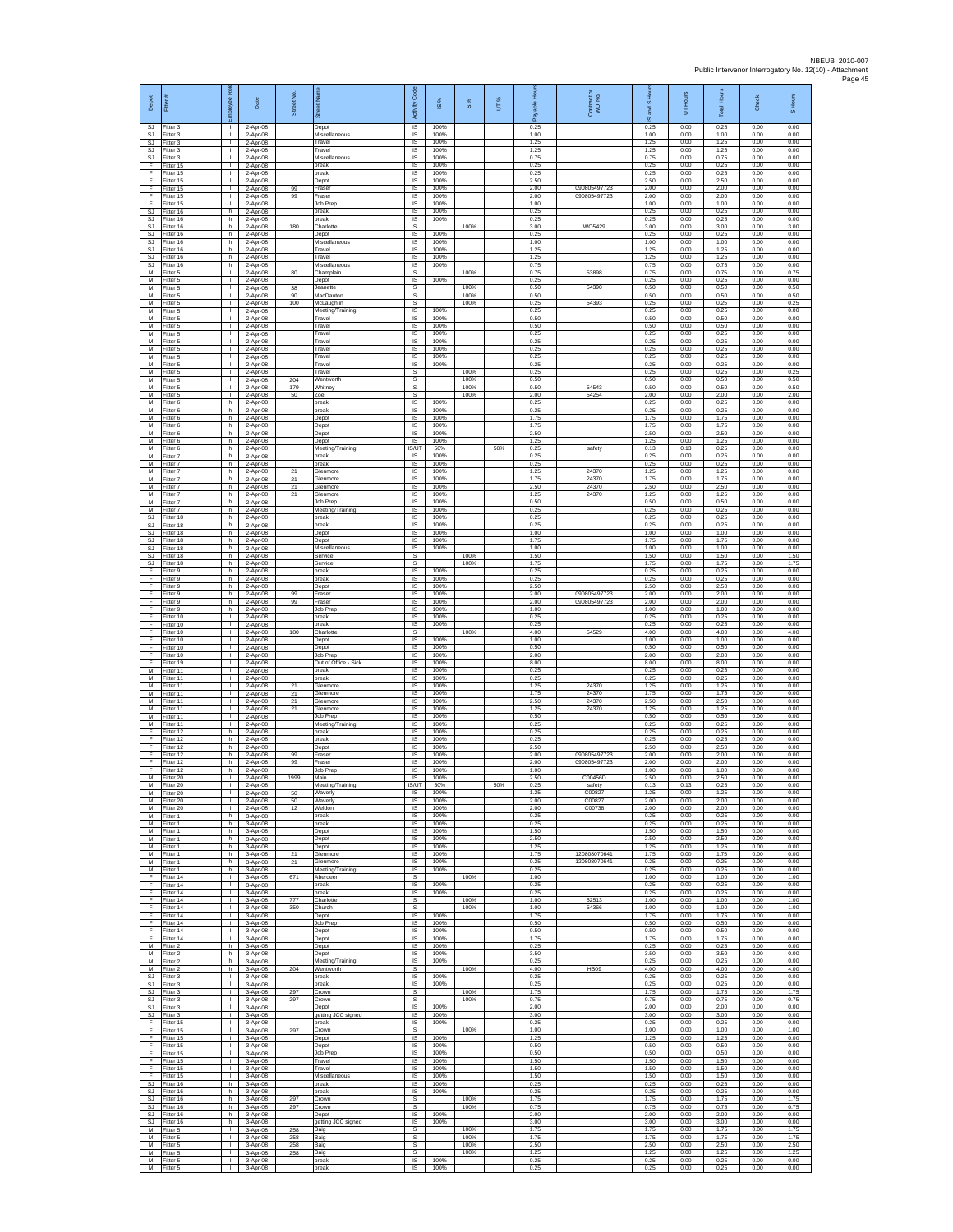| Depot<br>SJ            | Fitter#<br>Fitter 3                 | Employee Rol<br>$\mathbf{L}$       | Date<br>2-Apr-08                   | Street No.      | eet Nan<br>ā<br>Depot                  | Code<br>Activity<br><b>IS</b>  | s,<br>$\overline{\omega}$<br>100% | $\frac{8}{3}$ | UT% | 훈<br>ald<br>å<br>0.25 | Contract or<br>WO No.        | and S Hou<br>$\overline{\omega}$<br>0.25 | UT Hours<br>0.00     | <b>Total Hours</b><br>0.25 | Check<br>0.00        | S Hours<br>0.00      |
|------------------------|-------------------------------------|------------------------------------|------------------------------------|-----------------|----------------------------------------|--------------------------------|-----------------------------------|---------------|-----|-----------------------|------------------------------|------------------------------------------|----------------------|----------------------------|----------------------|----------------------|
| SJ<br>SJ               | Fitter 3<br>itter 3                 | $\mathbf{L}$<br>$\mathbf{L}$       | 2-Apr-08<br>2-Apr-08               |                 | Miscellaneous<br>Travel                | IS<br>$\sf IS$                 | 100%<br>100%                      |               |     | 1.00<br>1.25          |                              | 1.00<br>1.25                             | 0.00<br>0.00         | 1.00<br>1.25               | 0.00<br>0.00         | 0.00<br>0.00         |
| <b>SJ</b><br>SJ.       | Fitter 3<br>Fitter 3                | $\mathbf{I}$<br>$\mathbf{L}$       | 2-Apr-08<br>2-Apr-08               |                 | Travel<br>Miscellaneous                | <b>IS</b><br>IS                | 100%<br>100%                      |               |     | 1.25<br>0.75          |                              | 1.25<br>0.75                             | 0.00<br>0.00         | 1.25<br>0.75               | 0.00<br>0.00         | 0.00<br>0.00         |
| F<br>F<br>F            | fitter 15<br>ltter 15<br>Fitter 15  | т.<br>т<br>$\mathbf{L}$            | 2-Apr-08<br>2-Apr-08               |                 | break<br>break<br>Depot                | IS<br>IS<br>$\overline{s}$     | 100%<br>100%<br>100%              |               |     | 0.25<br>0.25<br>2.50  |                              | 0.25<br>0.25<br>2.50                     | 0.00<br>0.00<br>0.00 | 0.25<br>0.25<br>2.50       | 0.00<br>0.00<br>0.00 | 0.00<br>0.00<br>0.00 |
| F<br>F                 | Fitter 15<br>Fitter 15              | $\mathbf{L}$<br>$\mathbf{L}$       | 2-Apr-08<br>2-Apr-08<br>2-Apr-08   | 99<br>99        | Fraser<br>Fraser                       | IS<br>$\sf IS$                 | 100%<br>100%                      |               |     | 2.00<br>2.00          | 090805497723<br>090805497723 | 2.00<br>2.00                             | 0.00<br>0.00         | 2.00<br>2.00               | 0.00<br>0.00         | 0.00<br>0.00         |
| F<br><b>SJ</b>         | Fitter 15<br>Fitter 16              | т.<br>h                            | 2-Apr-08<br>2-Apr-08               |                 | Job Prep<br>oreak                      | IS<br>IS                       | 100%<br>100%                      |               |     | 1.00<br>0.25          |                              | 1.00<br>0.25                             | 0.00<br>0.00         | 1.00<br>0.25               | 0.00<br>0.00         | 0.00<br>0.00         |
| SJ<br><b>SJ</b>        | Fitter 16<br>fitter 16              | h.<br>h                            | 2-Apr-08<br>2-Apr-08               | 180             | break<br>Charlotte                     | 1S<br>s                        | 100%                              | 100%          |     | 0.25<br>3.00          | WO5429                       | 0.25<br>3.00                             | 0.00<br>0.00         | 0.25<br>3.00               | 0.00<br>0.00         | 0.00<br>3.00         |
| <b>SJ</b><br>SJ<br>SJ  | Fitter 16<br>Fitter 16<br>Fitter 16 | h.<br>h.<br>h.                     | 2-Apr-08<br>$2-Apr-08$<br>2-Apr-08 |                 | Depot<br>Miscellaneous<br>Travel       | <b>IS</b><br>IS<br>IS          | 100%<br>100%<br>100%              |               |     | 0.25<br>1.00<br>1.25  |                              | 0.25<br>1.00<br>1.25                     | 0.00<br>0.00<br>0.00 | 0.25<br>1.00<br>1.25       | 0.00<br>0.00<br>0.00 | 0.00<br>0.00<br>0.00 |
| <b>SJ</b><br><b>SJ</b> | Fitter 16<br>Fitter 16              | h.<br>h                            | 2-Apr-08<br>2-Apr-08               |                 | Travel<br>Miscellaneous                | 1S<br>IS                       | 100%<br>100%                      |               |     | 1.25<br>0.75          |                              | 1.25<br>0.75                             | 0.00<br>0.00         | 1.25<br>0.75               | 0.00<br>0.00         | 0.00<br>0.00         |
| М<br>M<br>M            | Fitter 5<br>fitter 5                | т.<br>т                            | 2-Apr-08<br>2-Apr-08               | 80              | Champlain<br>Depot                     | s<br>1S                        | 100%                              | 100%<br>100%  |     | 0.75<br>0.25<br>0.50  | 53898<br>54390               | 0.75<br>0.25<br>0.50                     | 0.00<br>0.00<br>0.00 | 0.75<br>0.25<br>0.50       | 0.00<br>0.00<br>0.00 | 0.75<br>0.00<br>0.50 |
| М<br>М                 | Fitter 5<br>Fitter 5<br>Fitter 5    | $\mathbf{L}$<br>$\mathbf{L}$<br>т. | 2-Apr-08<br>2-Apr-08<br>2-Apr-08   | 38<br>90<br>100 | Jeanette<br>MacDauton<br>McLaughlin    | s<br>s<br>s                    |                                   | 100%<br>100%  |     | 0.50<br>0.25          | 54393                        | 0.50<br>0.25                             | 0.00<br>0.00         | 0.50<br>0.25               | 0.00<br>0.00         | 0.50<br>0.25         |
| M<br>M                 | Fitter 5<br>Fitter 5                | т.<br>л.                           | 2-Apr-08<br>2-Apr-08               |                 | Meeting/Training<br>Travel             | IS<br>IS                       | 100%<br>100%                      |               |     | 0.25<br>0.50          |                              | 0.25<br>0.50                             | 0.00<br>0.00         | 0.25<br>0.50               | 0.00<br>0.00         | 0.00<br>0.00         |
| М<br>М                 | Fitter 5<br>litter 5                | $\mathbf{L}$<br>T.                 | 2-Apr-08<br>2-Apr-08               |                 | Travel<br>Travel                       | $\sf IS$<br>IS                 | 100%<br>100%                      |               |     | 0.50<br>0.25          |                              | 0.50<br>0.25                             | 0.00<br>0.00         | 0.50<br>0.25               | 0.00<br>0.00         | 0.00<br>0.00         |
| M<br>M<br>М            | Fitter 5<br>Fitter 5<br>Fitter 5    | л.<br>$\mathbf{L}$<br>т.           | 2-Apr-08<br>2-Apr-08<br>2-Apr-08   |                 | Travel<br>Travel<br>Travel             | <b>IS</b><br>IS<br>IS          | 100%<br>100%<br>100%              |               |     | 0.25<br>0.25<br>0.25  |                              | 0.25<br>0.25<br>0.25                     | 0.00<br>0.00<br>0.00 | 0.25<br>0.25<br>0.25       | 0.00<br>0.00<br>0.00 | 0.00<br>0.00<br>0.00 |
| M<br>M                 | fitter 5<br>Fitter 5                | Τ<br>л.                            | 2-Apr-08<br>2-Apr-08               |                 | Travel<br>Travel                       | IS<br>s                        | 100%                              | 100%          |     | 0.25<br>0.25          |                              | 0.25<br>0.25                             | 0.00<br>0.00         | 0.25<br>0.25               | 0.00<br>0.00         | 0.00<br>0.25         |
| М<br>М                 | -itter 5<br>Fitter 5                | $\mathbf{L}$<br>$\mathbf{L}$       | 2-Apr-08<br>2-Apr-08               | 204<br>179      | Wentworth<br>Whitney                   | s<br>$\mathbb S$               |                                   | 100%<br>100%  |     | 0.50<br>0.50          | 54543                        | 0.50<br>0.50                             | 0.00<br>0.00         | 0.50<br>0.50               | 0.00<br>0.00         | 0.50<br>0.50         |
| M<br>М<br>М            | Fitter 5<br>Fitter 6<br>Fitter 6    | т.<br>h<br>h                       | 2-Apr-08<br>2-Apr-08<br>$2-Apr-08$ | 50              | Zoel<br>break<br>break                 | s<br>IS<br>1S                  | 100%<br>100%                      | 100%          |     | 2.00<br>0.25<br>0.25  | 54254                        | 2.00<br>0.25<br>0.25                     | 0.00<br>0.00<br>0.00 | 2.00<br>0.25<br>0.25       | 0.00<br>0.00<br>0.00 | 2.00<br>0.00<br>0.00 |
| M<br>M                 | itter 6<br>Fitter 6                 | h.<br>h.                           | 2-Apr-08<br>2-Apr-08               |                 | Depot<br>Depot                         | IS<br><b>IS</b>                | 100%<br>100%                      |               |     | 1.75<br>1.75          |                              | 1.75<br>1.75                             | 0.00<br>0.00         | 1.75<br>1.75               | 0.00<br>0.00         | 0.00<br>0.00         |
| M<br>М                 | Fitter 6<br>Fitter 6                | h<br>h.                            | $2-Apr-08$<br>2-Apr-08             |                 | Depot<br>Depot                         | IS<br>IS                       | 100%<br>100%                      |               |     | 2.50<br>1.25          |                              | 2.50<br>1.25                             | 0.00<br>0.00         | 2.50<br>1.25               | 0.00<br>0.00         | 0.00<br>0.00         |
| M<br>M<br>М            | Fitter 6<br>Fitter 7<br>-itter 7    | h.<br>h.<br>h.                     | 2-Apr-08<br>2-Apr-08<br>2-Apr-08   |                 | Meeting/Training<br>break<br>break     | <b>IS/UT</b><br>IS<br>$\sf IS$ | 50%<br>100%<br>100%               |               | 50% | 0.25<br>0.25<br>0.25  | safety                       | 0.13<br>0.25<br>0.25                     | 0.13<br>0.00<br>0.00 | 0.25<br>0.25<br>0.25       | 0.00<br>0.00<br>0.00 | 0.00<br>0.00<br>0.00 |
| M<br>M                 | fitter 7<br>Fitter 7                | h.<br>h.                           | 2-Apr-08<br>2-Apr-08               | 21<br>21        | Glenmore<br>Glenmore                   | 1S<br>$\overline{\mathsf{s}}$  | 100%<br>100%                      |               |     | 1.25<br>1.75          | 24370<br>24370               | 1.25<br>1.75                             | 0.00<br>0.00         | 1.25<br>1.75               | 0.00<br>0.00         | 0.00<br>0.00         |
| м<br>M                 | Fitter 7<br>Fitter 7                | h<br>h.                            | 2-Apr-08<br>2-Apr-08               | 21<br>21        | Glenmore<br>Glenmore                   | IS<br>IS                       | 100%<br>100%                      |               |     | 2.50<br>1.25          | 24370<br>24370               | 2.50<br>1.25                             | 0.00<br>0.00         | 2.50<br>1.25               | 0.00<br>0.00         | 0.00<br>0.00         |
| M<br>M<br>SJ           | Fitter 7<br>Fitter 7<br>Fitter 18   | h.<br>h.<br>h.                     | 2-Apr-08<br>2-Apr-08               |                 | Job Prep<br>Meeting/Training<br>break  | IS<br><b>IS</b><br>$\sf IS$    | 100%<br>100%<br>100%              |               |     | 0.50<br>0.25<br>0.25  |                              | 0.50<br>0.25<br>0.25                     | 0.00<br>0.00<br>0.00 | 0.50<br>0.25<br>0.25       | 0.00<br>0.00<br>0.00 | 0.00<br>0.00<br>0.00 |
| SJ<br><b>SJ</b>        | litter 18<br>Fitter 18              | h<br>h.                            | 2-Apr-08<br>2-Apr-08<br>2-Apr-08   |                 | break<br>Depot                         | IS<br><b>IS</b>                | 100%<br>100%                      |               |     | 0.25<br>1.00          |                              | 0.25<br>1.00                             | 0.00<br>0.00         | 0.25<br>1.00               | 0.00<br>0.00         | 0.00<br>0.00         |
| S.I<br><b>SJ</b>       | Fitter 18<br>fitter 18              | h.<br>h.                           | 2-Apr-08<br>2-Apr-08               |                 | Depot<br>Miscellaneous                 | IS<br>IS                       | 100%<br>100%                      |               |     | 1 75<br>1.00          |                              | 1.75<br>1.00                             | 0.00<br>0.00         | 1.75<br>1.00               | 0.00<br>0.00         | 0.00<br>0.00         |
| <b>SJ</b><br><b>SJ</b> | fitter 18<br>Fitter 18              | h.<br>h.                           | 2-Apr-08<br>2-Apr-08               |                 | Service<br>Service<br>break            | s<br>s                         | 100%                              | 100%<br>100%  |     | 1.50<br>1.75<br>0.25  |                              | 1.50<br>1.75<br>0.25                     | 0.00<br>0.00         | 1.50<br>1.75               | 0.00<br>0.00<br>0.00 | 1.50<br>1.75<br>0.00 |
| F<br>F<br>F            | Fitter 9<br>Fitter 9<br>Fitter 9    | h<br>$\mathsf{h}$<br>h.            | 2-Apr-08<br>2-Apr-08<br>2-Apr-08   |                 | break<br>Depot                         | IS<br>$\sf IS$<br>IS           | 100%<br>100%                      |               |     | 0.25<br>2.50          |                              | 0.25<br>2.50                             | 0.00<br>0.00<br>0.00 | 0.25<br>0.25<br>2.50       | 0.00<br>0.00         | 0.00<br>0.00         |
| F<br>F                 | Fitter 9<br>Fitter 9                | h<br>h.                            | 2-Apr-08<br>2-Apr-08               | 99<br>99        | Fraser<br>Fraser                       | IS<br>1S                       | 100%<br>100%                      |               |     | 2.00<br>2.00          | 090805497723<br>090805497723 | 2.00<br>2.00                             | 0.00<br>0.00         | 2.00<br>2.00               | 0.00<br>0.00         | 0.00<br>0.00         |
| F<br>F<br>F            | fitter 9<br>Fitter 10               | h<br>л.<br>$\mathbf{L}$            | 2-Apr-08<br>2-Apr-08               |                 | Job Prep<br>break<br><b>preak</b>      | IS<br><b>IS</b><br>IS          | 100%<br>100%<br>100%              |               |     | 1.00<br>0.25<br>0.25  |                              | 1.00<br>0.25<br>0.25                     | 0.00<br>0.00<br>0.00 | 1.00<br>0.25<br>0.25       | 0.00<br>0.00<br>0.00 | 0.00<br>0.00<br>0.00 |
| F<br>F                 | Fitter 10<br>Fitter 10<br>Fitter 10 | $\mathbf{I}$<br>т                  | $2-Apr-08$<br>2-Apr-08<br>2-Apr-08 | 180             | Charlotte<br>Depot                     | s<br>IS                        | 100%                              | 100%          |     | 4.00<br>1.00          | 54529                        | 4.00<br>1.00                             | 0.00<br>0.00         | 4.00<br>1.00               | 0.00<br>0.00         | 4.00<br>0.00         |
| F<br>F                 | Fitter 10<br>Fitter 10              | $\mathbf{L}$<br>$\mathbf{I}$       | 2-Apr-08<br>2-Apr-08               |                 | Depot<br>Job Prep                      | IS<br>$\sf IS$                 | 100%<br>100%                      |               |     | 0.50<br>2.00          |                              | 0.50<br>2.00                             | 0.00<br>0.00         | 0.50<br>2.00               | 0.00<br>0.00         | 0.00<br>0.00         |
| F<br>M<br>м            | fitter 19<br>Fitter 11<br>Fitter 11 | т<br>$\mathbf{L}$<br>$\mathbf{L}$  | 2-Apr-08<br>2-Apr-08<br>2-Apr-08   |                 | Out of Office - Sick<br>break<br>break | 1S<br>IS<br>IS                 | 100%<br>100%<br>100%              |               |     | 8.00<br>0.25<br>0.25  |                              | 8.00<br>0.25<br>0.25                     | 0.00<br>0.00<br>0.00 | 8.00<br>0.25<br>0.25       | 0.00<br>0.00<br>0.00 | 0.00<br>0.00<br>0.00 |
| M<br>M                 | Fitter 11<br>Fitter 11              | т.<br>$\mathbf{I}$                 | 2-Apr-08<br>2-Apr-08               | 21<br>21        | Glenmore<br><b>Glenmore</b>            | 1S<br>IS                       | 100%<br>100%                      |               |     | 1.25<br>1.75          | 24370<br>24370               | 1.25<br>1.75                             | 0.00<br>0.00         | 1.25<br>1.75               | 0.00<br>0.00         | 0.00<br>0.00         |
| M<br>M                 | Fitter 11<br>Fitter 11              | л.<br>$\mathbf{L}$                 | 2-Apr-08<br>2-Apr-08               | 21<br>21        | Glenmore<br>Glenmore                   | IS<br>$\sf IS$                 | 100%<br>100%                      |               |     | 2.50<br>1.25          | 24370<br>24370               | 2.50<br>1.25                             | 0.00<br>0.00         | 2.50<br>1.25               | 0.00<br>0.00         | 0.00<br>0.00         |
| М<br>M<br>F            | fitter 11<br>Fitter 11<br>Fitter 12 | T.<br>л.<br>h                      | 2-Apr-08<br>2-Apr-08<br>2-Apr-08   |                 | Job Prep<br>Meeting/Training<br>break  | IS<br><b>IS</b><br>IS          | 100%<br>100%<br>100%              |               |     | 0.50<br>0.25<br>0.25  |                              | 0.50<br>0.25<br>0.25                     | 0.00<br>0.00<br>0.00 | 0.50<br>0.25<br>0.25       | 0.00<br>0.00<br>0.00 | 0.00<br>0.00<br>0.00 |
| F<br>F                 | Fitter 12<br>fitter 12              | h.<br>h.                           | 2-Apr-08<br>2-Apr-08               |                 | break<br>Depot                         | IS<br>IS                       | 100%<br>100%                      |               |     | 0.25<br>2.50          |                              | 0.25<br>2.50                             | 0.00<br>0.00         | 0.25<br>2.50               | 0.00<br>0.00         | 0.00<br>0.00         |
| F<br>F                 | Fitter 12<br>Fitter 12              | h.<br>h                            | 2-Apr-08<br>2-Apr-08               | 99<br>99        | Fraser<br>Fraser                       | IS<br>IS                       | 100%<br>100%                      |               |     | 2.00<br>2.00          | 090805497723<br>090805497723 | 2.00<br>2.00                             | 0.00<br>0.00         | 2.00<br>2.00               | 0.00<br>0.00         | 0.00<br>0.00         |
| F<br>M<br>M            | Fitter 12<br>Fitter 20<br>Fitter 20 | h.<br>$\mathbf{I}$<br>$\mathbf{I}$ | 2-Apr-08<br>2-Apr-08<br>2-Apr-08   | 1999            | Job Prep<br>Main<br>Meeting/Training   | IS<br>IS<br>IS/UT              | 100%<br>100%<br>50%               |               | 50% | 1.00<br>2.50<br>0.25  | C00456D<br>safety            | 1.00<br>2.50<br>0.13                     | 0.00<br>0.00<br>0.13 | 1.00<br>2.50<br>0.25       | 0.00<br>0.00<br>0.00 | 0.00<br>0.00<br>0.00 |
| M<br>М                 | Fitter 20<br>fitter 20              | т.<br>т.                           | 2-Apr-08<br>2-Apr-08               | 50<br>50        | Waverly<br>Waverly                     | IS<br>IS                       | 100%<br>100%                      |               |     | 1.25<br>2.00          | C00827<br>C00827             | 1.25<br>2.00                             | 0.00<br>0.00         | 1.25<br>2.00               | 0.00<br>0.00         | 0.00<br>0.00         |
| M<br>M                 | Fitter 20<br>Fitter 1               | л.<br>h.                           | 2-Apr-08<br>3-Apr-08               | 12              | Weldon<br>break                        | IS<br>IS.                      | 100%<br>100%                      |               |     | 2.00<br>0.25          | C00738                       | 2.00<br>0.25                             | 0.00<br>0.00         | 2.00<br>0.25               | 0.00<br>0.00         | 0.00<br>0.00         |
| М<br>M<br>м            | Fitter 1<br>Fitter 1<br>Fitter 1    | h<br>h.<br>h                       | 3-Apr-08<br>3-Apr-08               |                 | break<br>Depot                         | IS<br>IS                       | 100%<br>100%<br>100%              |               |     | 0.25<br>1.50<br>2.50  |                              | 0.25<br>1.50<br>2.50                     | 0.00<br>0.00         | 0.25<br>1.50<br>2.50       | 0.00<br>0.00<br>0.00 | 0.00<br>0.00<br>0.00 |
| М<br>M                 | Fitter 1<br>Fitter 1                | h<br>h.                            | 3-Apr-08<br>3-Apr-08<br>3-Apr-08   | 21              | Depot<br>Depot<br>Glenmore             | IS<br>$\sf IS$<br>IS           | 100%<br>100%                      |               |     | 1.25<br>1.75          | 12080807064                  | 1.25<br>1.75                             | 0.00<br>0.00<br>0.00 | 1.25<br>1.75               | 0.00<br>0.00         | 0.00<br>0.00         |
| M<br>м                 | Fitter 1<br>Fitter 1                | h.<br>h.                           | 3-Apr-08<br>3-Apr-08               | 21              | Glenmore<br>Meeting/Training           | IS.<br>IS                      | 100%<br>100%                      |               |     | 0.25<br>0.25          | 120808070641                 | 0.25<br>0.25                             | 0.00<br>0.00         | 0.25<br>0.25               | 0.00<br>0.00         | 0.00<br>0.00         |
| F<br>F<br>F            | Fitter 14<br>Fitter 14<br>Fitter 14 | т.<br>$\mathbf{L}$<br>$\mathbf{I}$ | 3-Apr-08<br>3-Apr-08               | 671             | Aberdeen<br>break<br>break             | s<br>IS<br>IS                  | 100%<br>100%                      | 100%          |     | 1.00<br>0.25<br>0.25  |                              | 1.00<br>0.25<br>0.25                     | 0.00<br>0.00<br>0.00 | 1.00<br>0.25<br>0.25       | 0.00<br>0.00<br>0.00 | 1.00<br>0.00<br>0.00 |
| F.<br>F                | Fitter 14<br>litter 14              | $\mathbf{L}$<br>$\mathbb{L}$       | 3-Apr-08<br>3-Apr-08<br>3-Apr-08   | 777<br>350      | Charlotte<br>Church                    | $\mathbb{S}$<br>$\mathbb S$    |                                   | 100%<br>100%  |     | 1.00<br>1.00          | 52513<br>54366               | 1.00<br>1.00                             | 0.00<br>0.00         | 1.00<br>1.00               | 0.00<br>0.00         | 1.00<br>1.00         |
| F<br>E                 | Fitter 14<br>Fitter 14              | л.<br>$\mathbf{L}$                 | 3-Apr-08<br>3-Apr-08               |                 | Depot<br>Job Prep                      | IS<br>IS.                      | 100%<br>100%                      |               |     | 1.75<br>0.50          |                              | 1.75<br>0.50                             | 0.00<br>0.00         | 1.75<br>0.50               | 0.00<br>0.00         | 0.00<br>0.00         |
| F<br>F<br>M            | Fitter 14<br>Fitter 14<br>Fitter 2  | т.<br>Τ<br>h.                      | 3-Apr-08<br>3-Apr-08<br>3-Apr-08   |                 | Depot<br>Depot<br>Depot                | IS<br>IS<br>IS.                | 100%<br>100%<br>100%              |               |     | 0.50<br>1.75<br>0.25  |                              | 0.50<br>1.75<br>0.25                     | 0.00<br>0.00<br>0.00 | 0.50<br>1.75<br>0.25       | 0.00<br>0.00<br>0.00 | 0.00<br>0.00<br>0.00 |
| М<br>М                 | Fitter 2<br>Fitter 2                | h<br>$\mathsf{h}$                  | 3-Apr-08<br>3-Apr-08               |                 | Depot<br>Meeting/Training              | IS<br>$\sf IS$                 | 100%<br>100%                      |               |     | 3.50<br>0.25          |                              | 3.50<br>0.25                             | 0.00<br>0.00         | 3.50<br>0.25               | 0.00<br>0.00         | 0.00<br>0.00         |
| M<br>SJ                | Fitter 2<br>Fitter 3                | h.<br>$\mathbf{L}$                 | 3-Apr-08<br>3-Apr-08               | 204             | Wentworth<br>break                     | s<br>IS                        | 100%                              | 100%          |     | 4.00<br>0.25          | HB09                         | 4.00<br>0.25                             | 0.00<br>0.00         | 4.00<br>0.25               | 0.00<br>0.00         | 4.00<br>0.00         |
| SJ<br><b>SJ</b><br>SJ. | Fitter 3<br>fitter 3<br>Fitter 3    | т.<br>т.<br>л.                     | 3-Apr-08<br>3-Apr-08<br>3-Apr-08   | 297<br>297      | break<br>Crown<br>Crown                | 1S<br>s<br>s                   | 100%                              | 100%<br>100%  |     | 0.25<br>1.75<br>0.75  |                              | 0.25<br>1.75<br>0.75                     | 0.00<br>0.00<br>0.00 | 0.25<br>1.75<br>0.75       | 0.00<br>0.00<br>0.00 | 0.00<br>1.75<br>0.75 |
| SJ<br>SJ               | Fitter 3<br>Fitter 3                | $\mathbf{L}$<br>т.                 | 3-Apr-08<br>3-Apr-08               |                 | Depot<br>getting JCC signed            | IS.<br>IS                      | 100%<br>100%                      |               |     | 2.00<br>3.00          |                              | 200<br>3.00                              | 0.00<br>0.00         | 2.00<br>3.00               | 0.00<br>0.00         | 0.00<br>0.00         |
| F<br>F                 | Fitter 15<br>Fitter 15              | т<br>$\mathbb{R}$                  | 3-Apr-08<br>3-Apr-08               | 297             | break<br>Crown                         | IS<br>s                        | 100%                              | 100%          |     | 0.25<br>1.00          |                              | 0.25<br>1.00                             | 0.00<br>0.00         | 0.25<br>1.00               | 0.00<br>0.00         | 0.00<br>1.00         |
| F<br>F<br>F            | Fitter 15<br>Fitter 15<br>Fitter 15 | т.<br>т<br>$\mathbf{L}$            | 3-Apr-08<br>3-Apr-08<br>3-Apr-08   |                 | Depot<br>Depot<br>Job Prep             | $\sf IS$<br>IS<br>IS.          | 100%<br>100%<br>100%              |               |     | 1.25<br>0.50<br>0.50  |                              | 1.25<br>0.50<br>0.50                     | 0.00<br>0.00<br>0.00 | 1.25<br>0.50<br>0.50       | 0.00<br>0.00<br>0.00 | 0.00<br>0.00<br>0.00 |
| F<br>F                 | Fitter 15<br>Fitter 15              | $\mathbf{L}$<br>т.                 | 3-Apr-08<br>3-Apr-08               |                 | Travel<br>Travel                       | IS<br>1S                       | 100%<br>100%                      |               |     | 1.50<br>1.50          |                              | 1.50<br>1.50                             | 0.00<br>0.00         | 1.50<br>1.50               | 0.00<br>0.00         | 0.00<br>0.00         |
| F<br>SJ                | Fitter 15<br>Fitter 16              | т.<br>h                            | 3-Apr-08<br>3-Apr-08               |                 | Miscellaneous<br>break                 | IS<br>-IS                      | 100%<br>100%                      |               |     | 1.50<br>0.25          |                              | 1.50<br>0.25                             | 0.00<br>0.00         | 1.50<br>0.25               | 0.00<br>0.00         | 0.00<br>0.00         |
| SJ<br>SJ<br><b>SJ</b>  | Fitter 16<br>litter 16<br>Fitter 16 | h.<br>h.<br>h.                     | 3-Apr-08<br>3-Apr-08<br>3-Apr-08   | 297<br>297      | break<br>Crown<br>Crown                | IS<br>$\mathbb S$<br>s         | 100%                              | 100%<br>100%  |     | 0.25<br>1.75<br>0.75  |                              | 0.25<br>1.75<br>0.75                     | 0.00<br>0.00<br>0.00 | 0.25<br>1.75<br>0.75       | 0.00<br>0.00<br>0.00 | 0.00<br>1.75<br>0.75 |
| S.I.<br>SJ             | Fitter 16<br>Fitter 16              | h.<br>h                            | 3-Apr-08<br>3-Apr-08               |                 | Depot<br>getting JCC signed            | IS.<br>1S                      | 100%<br>100%                      |               |     | 2.00<br>3.00          |                              | 2.00<br>3.00                             | 0.00<br>0.00         | 2.00<br>3.00               | 0.00<br>0.00         | 0.00<br>0.00         |
| M<br>M                 | fitter 5<br>Fitter 5                | т<br>$\mathbf{L}$                  | 3-Apr-08<br>3-Apr-08               | 258<br>258      | Baig<br>Baig                           | s<br>s                         |                                   | 100%<br>100%  |     | 1.75<br>1.75<br>2.50  |                              | 1.75<br>1.75                             | 0.00<br>0.00         | 1.75<br>1.75               | 0.00<br>0.00         | 1.75<br>1.75<br>2.50 |
| М<br>М<br>M            | Fitter 5<br>Fitter 5<br>Fitter 5    | $\mathbf{L}$<br>$\mathbf{L}$<br>т. | 3-Apr-08<br>3-Apr-08<br>3-Apr-08   | 258<br>258      | Baig<br>Baig<br>break                  | s<br>$\mathbb S$<br>IS         | 100%                              | 100%<br>100%  |     | 1.25<br>0.25          |                              | 2.50<br>1.25<br>0.25                     | 0.00<br>0.00<br>0.00 | 2.50<br>1.25<br>0.25       | 0.00<br>0.00<br>0.00 | 1.25<br>0.00         |
| м                      | Fitter 5                            | т.                                 | 3-Apr-08                           |                 | oreak                                  | IS                             | 100%                              |               |     | 0.25                  |                              | 0.25                                     | 0.00                 | 0.25                       | 0.00                 | 0.00                 |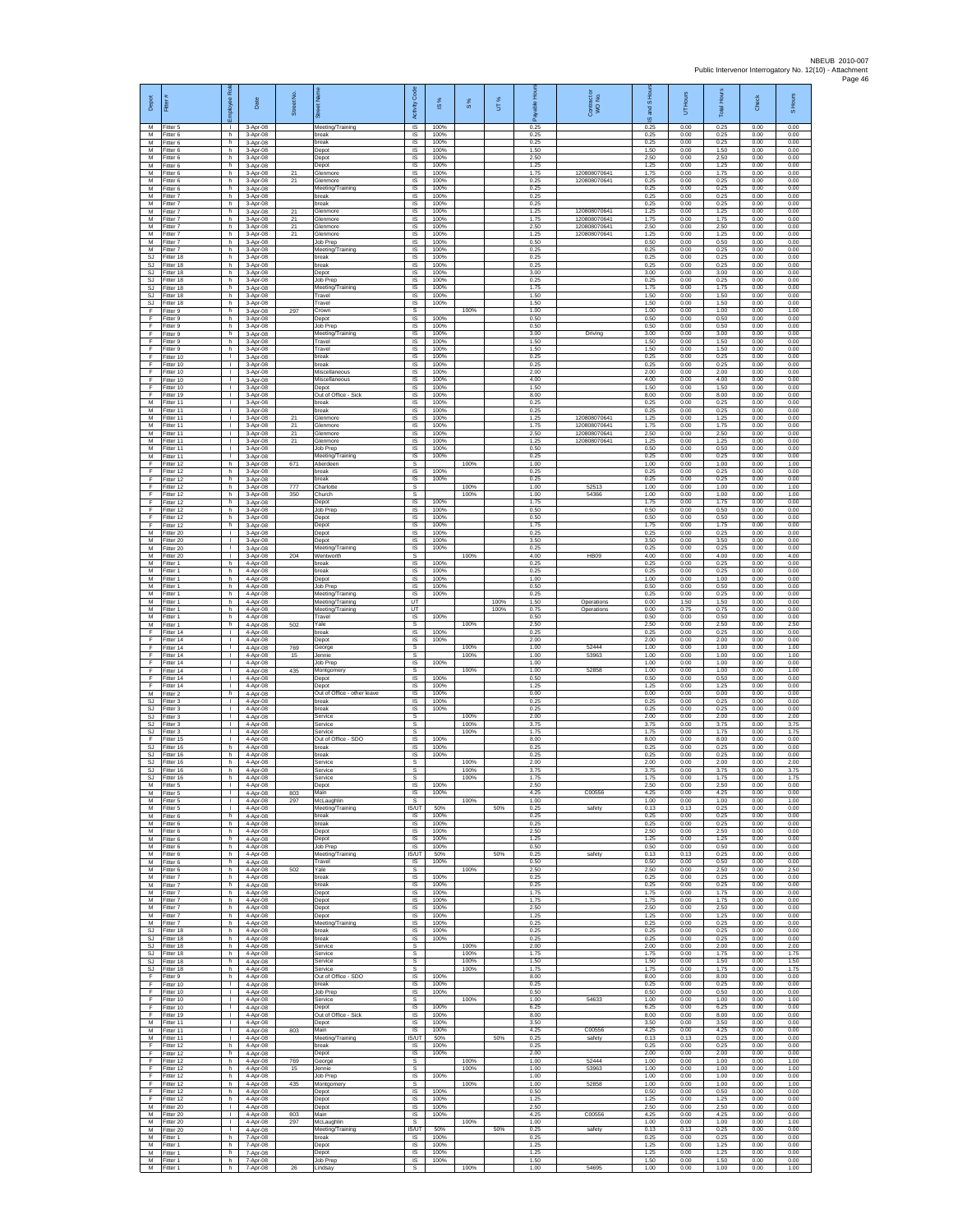| Depot                                     | Fitter #                               | Rol<br>loyee                       | Date                             | Street No.         |                                                | Code<br>Activity               | IS %                 | 8%           | UT%          | able Hou<br>۶        | Contract or<br>WO No.                       | and S Ho<br>$\overline{\omega}$ | UT Hours             | <b>IHours</b><br>Total | Check                | S Hours              |
|-------------------------------------------|----------------------------------------|------------------------------------|----------------------------------|--------------------|------------------------------------------------|--------------------------------|----------------------|--------------|--------------|----------------------|---------------------------------------------|---------------------------------|----------------------|------------------------|----------------------|----------------------|
| M<br>M<br>M                               | Fitter 5<br>Fitter 6<br>-itter 6       | п.<br>h.<br>h                      | 3-Apr-08<br>3-Apr-08<br>3-Apr-08 |                    | Meeting/Training<br>break<br>oreak             | <b>IS</b><br>IS<br>IS          | 100%<br>100%<br>100% |              |              | 0.25<br>0.25<br>0.25 |                                             | 0.25<br>0.25<br>0.25            | 0.00<br>0.00<br>0.00 | 0.25<br>0.25<br>0.25   | 0.00<br>0.00<br>0.00 | 0.00<br>0.00<br>0.00 |
| M<br>M                                    | Fitter 6<br>Fitter 6                   | h.<br>h.                           | 3-Apr-08<br>3-Apr-08             |                    | Depot<br>Depot                                 | -IS<br>IS                      | 100%<br>100%         |              |              | 1.50<br>2.50         |                                             | 1.50<br>2.50                    | 0.00<br>0.00         | 1.50<br>2.50           | 0.00<br>0.00         | 0.00<br>0.00         |
| М<br>M                                    | Fitter 6<br>Fitter 6                   | h<br>h.                            | 3-Apr-08<br>3-Apr-08             | $^{21}$            | Depot<br>Glenmore                              | IS<br>IS                       | 100%<br>100%         |              |              | 1.25<br>1.75         | 12080807064                                 | 1.25<br>1.75                    | 0.00<br>0.00         | 1.25<br>1.75           | 0.00<br>0.00         | 0.00<br>0.00         |
| M<br>М<br>M                               | Fitter 6<br>Fitter 6<br>Fitter 7       | h.<br>h<br>h.                      | 3-Apr-08<br>3-Apr-08<br>3-Apr-08 | 21                 | Glenmore<br>Meeting/Training<br>break          | IS<br>IS<br>IS                 | 100%<br>100%<br>100% |              |              | 0.25<br>0.25<br>0.25 | 120808070641                                | 0.25<br>0.25<br>0.25            | 0.00<br>0.00<br>0.00 | 0.25<br>0.25<br>0.25   | 0.00<br>0.00<br>0.00 | 0.00<br>0.00<br>0.00 |
| M<br>М                                    | Fitter 7<br>Fitter 7                   | h.<br>h                            | 3-Apr-08<br>3-Apr-08             | 21                 | oreak<br>Glenmore                              | IS<br>IS                       | 100%<br>100%         |              |              | 0.25<br>1.25         | 120808070641                                | 0.25<br>1.25                    | 0.00<br>0.00         | 0.25<br>1.25           | 0.00<br>0.00         | 0.00<br>0.00         |
| М<br>М                                    | Fitter 7<br>Fitter 7                   | h<br>h                             | 3-Apr-08<br>3-Apr-08             | $^{21}$<br>$^{21}$ | <b>Slenmore</b><br>Slenmore                    | IS<br>IS                       | 100%<br>100%         |              |              | 1.75<br>2.50         | 120808070641<br>120808070641                | 1.75<br>2.50                    | 0.00<br>0.00         | 1.75<br>2.50           | 0.00<br>0.00         | 0.00<br>0.00         |
| M<br>M<br>М                               | Fitter 7<br>-itter 7<br>Fitter 7       | h.<br>h.<br>h                      | 3-Apr-08<br>3-Apr-08<br>3-Apr-08 | 21                 | Glenmore<br>Job Prep<br>Meeting/Training       | -IS<br>IS<br>IS                | 100%<br>100%<br>100% |              |              | 1.25<br>0.50<br>0.25 | 120808070641                                | 1.25<br>0.50<br>0.25            | 0.00<br>0.00<br>0.00 | 1.25<br>0.50<br>0.25   | 0.00<br>0.00<br>0.00 | 0.00<br>0.00<br>0.00 |
| SJ.<br>SJ                                 | Fitter 18<br>Fitter 18                 | h.<br>h.                           | 3-Apr-08<br>3-Apr-08             |                    | break<br>break                                 | IS<br>IS                       | 100%<br>100%         |              |              | 0.25<br>0.25         |                                             | 0.25<br>0.25                    | 0.00<br>0.00         | 0.25<br>0.25           | 0.00<br>0.00         | 0.00<br>0.00         |
| SJ<br>SJ.<br>SJ.                          | Fitter 18<br>Fitter 18<br>Fitter 18    | h<br>h<br>h.                       | 3-Apr-08<br>3-Apr-08<br>3-Apr-08 |                    | Depot<br>Job Prep                              | IS<br>IS<br><b>IS</b>          | 100%<br>100%<br>100% |              |              | 3.00<br>0.25<br>1.75 |                                             | 3.00<br>0.25<br>1.75            | 0.00<br>0.00<br>0.00 | 3.00<br>0.25<br>1.75   | 0.00<br>0.00<br>0.00 | 0.00<br>0.00<br>0.00 |
| SJ<br>SJ                                  | Fitter 18<br>Fitter 18                 | h<br>h.                            | 3-Apr-08<br>3-Apr-08             |                    | Meeting/Training<br>ravel<br>Travel            | IS<br>IS                       | 100%<br>100%         |              |              | 1.50<br>1.50         |                                             | 1.50<br>1.50                    | 0.00<br>0.00         | 1.50<br>1.50           | 0.00<br>0.00         | 0.00<br>0.00         |
| F<br>F                                    | Fitter 9<br>Fitter 9                   | h<br>h.                            | 3-Apr-08<br>3-Apr-08             | 297                | crown<br>Depot                                 | s<br>IS                        | 100%                 | 100%         |              | 1.00<br>0.50         |                                             | 1.00<br>0.50                    | 0.00<br>0.00         | 1.00<br>0.50           | 0.00<br>0.00         | 1.00<br>0.00         |
| F.<br>F<br>F                              | -itter 9<br>-itter 9<br>Fitter 9       | h.<br>h<br>h.                      | 3-Apr-08<br>3-Apr-08<br>3-Apr-08 |                    | Job Prep<br>Meeting/Training<br>Travel         | $\sf IS$<br>IS<br>IS           | 100%<br>100%<br>100% |              |              | 0.50<br>3.00<br>1.50 | Driving                                     | 0.50<br>3.00<br>1.50            | 0.00<br>0.00<br>0.00 | 0.50<br>3.00<br>1.50   | 0.00<br>0.00<br>0.00 | 0.00<br>0.00<br>0.00 |
| F.<br>F                                   | Fitter 9<br>Fitter 10                  | h.<br>т.                           | 3-Apr-08<br>3-Apr-08             |                    | Travel<br>break                                | IS<br>IS                       | 100%<br>100%         |              |              | 1.50<br>0.25         |                                             | 1.50<br>0.25                    | 0.00<br>0.00         | 1.50<br>0.25           | 0.00<br>0.00         | 0.00<br>0.00         |
| Ŧ<br>F.                                   | Fitter 10<br>Fitter 10                 | т<br>$\mathbf{L}$                  | 3-Apr-08<br>3-Apr-08             |                    | break<br>Miscellaneous                         | IS<br>- IS                     | 100%<br>100%         |              |              | 0.25<br>2.00         |                                             | 0.25<br>2.00                    | 0.00<br>0.00         | 0.25<br>2.00           | 0.00<br>0.00         | 0.00<br>0.00         |
| F<br>F<br>F                               | Fitter 10<br>Fitter 10<br>Fitter 19    | л.<br>$\mathbb{L}$<br>$\mathbf{L}$ | 3-Apr-08<br>3-Apr-08<br>3-Apr-08 |                    | Miscellaneous<br>Depot<br>Out of Office - Sick | IS<br>IS<br>IS                 | 100%<br>100%<br>100% |              |              | 4.00<br>1.50<br>8.00 |                                             | 4.00<br>1.50<br>8.00            | 0.00<br>0.00<br>0.00 | 4.00<br>1.50<br>8.00   | 0.00<br>0.00<br>0.00 | 0.00<br>0.00<br>0.00 |
| М<br>М                                    | Fitter 11<br>Fitter 11                 | т.<br>t.                           | 3-Apr-08<br>3-Apr-08             |                    | break<br>break                                 | IS<br>IS                       | 100%<br>100%         |              |              | 0.25<br>0.25         |                                             | 0.25<br>0.25                    | 0.00<br>0.00         | 0.25<br>0.25           | 0.00<br>0.00         | 0.00<br>0.00         |
| М<br>M                                    | Fitter 11<br>Fitter 11                 | т.<br>л.<br>л.                     | 3-Apr-08<br>3-Apr-08             | 21<br>21           | Slenmore<br>Glenmore<br>Glenmore               | IS<br>-IS<br>IS                | 100%<br>100%<br>100% |              |              | 1.25<br>1.75<br>2.50 | 12080807064<br>120808070641<br>120808070641 | 1.25<br>1.75<br>2.50            | 0.00<br>0.00<br>0.00 | 1.25<br>1.75<br>2.50   | 0.00<br>0.00<br>0.00 | 0.00<br>0.00<br>0.00 |
| M<br>М<br>M                               | Fitter 11<br>Fitter 11<br>Fitter 11    | ٠<br>$\mathbf{L}$                  | 3-Apr-08<br>3-Apr-08<br>3-Apr-08 | 21<br>21           | <b>Slenmore</b><br>Job Prep                    | IS<br>IS                       | 100%<br>100%         |              |              | 1.25<br>0.50         | 120808070641                                | 1.25<br>0.50                    | 0.00<br>0.00         | 1.25<br>0.50           | 0.00<br>0.00         | 0.00<br>0.00         |
| M<br>F                                    | Fitter 11<br>Fitter 12                 | $\mathbf{L}$<br>h                  | 3-Apr-08<br>3-Apr-08             | 671                | Meeting/Training<br>Aberdeen                   | IS<br>s                        | 100%                 | 100%         |              | 0.25<br>1.00         |                                             | 0.25<br>1.00                    | 0.00<br>0.00         | 0.25<br>1.00           | 0.00<br>0.00         | 0.00<br>1.00         |
| Ŧ<br>F<br>F                               | Fitter 12<br>Fitter 12<br>Fitter 12    | h.<br>h.<br>h                      | 3-Apr-08<br>3-Apr-08<br>3-Apr-08 | 777                | break<br>break<br>Charlotte                    | IS<br>IS<br>s                  | 100%<br>100%         | 100%         |              | 0.25<br>0.25<br>1.00 | 52513                                       | 0.25<br>0.25<br>1.00            | 0.00<br>0.00<br>0.00 | 0.25<br>0.25<br>1.00   | 0.00<br>0.00<br>0.00 | 0.00<br>0.00<br>1.00 |
| F<br>F                                    | Fitter 12<br>Fitter 12                 | h<br>h                             | 3-Apr-08<br>3-Apr-08             | 350                | Church<br>Jepot                                | s<br>IS                        | 100%                 | 100%         |              | 1.00<br>1.75         | 54366                                       | 1.00<br>1.75                    | 0.00<br>0.00         | 1.00<br>1.75           | 0.00<br>0.00         | 1.00<br>0.00         |
| E<br>F                                    | Fitter 12<br>Fitter 12                 | h.<br>h.                           | 3-Apr-08<br>3-Apr-08             |                    | Job Prec<br>Depot                              | - IS<br>$\sf IS$               | 100%<br>100%         |              |              | 0.50<br>0.50         |                                             | 0.50<br>0.50                    | 0.00<br>0.00         | 0.50<br>0.50           | 0.00<br>0.00         | 0.00<br>0.00         |
| F<br>M<br>M                               | Fitter 12<br>Fitter 20<br>Fitter 20    | h<br>л.<br>л.                      | 3-Apr-08<br>3-Apr-08<br>3-Apr-08 |                    | Depot<br>Depot<br>Depot                        | IS<br>-IS<br>IS                | 100%<br>100%<br>100% |              |              | 1.75<br>0.25<br>3.50 |                                             | 1.75<br>0.25<br>3.50            | 0.00<br>0.00<br>0.00 | 1.75<br>0.25<br>3.50   | 0.00<br>0.00<br>0.00 | 0.00<br>0.00<br>0.00 |
| М<br>M                                    | Fitter 20<br>fitter 20                 | ٠<br>$\mathbb{R}$                  | 3-Apr-08<br>3-Apr-08             | 204                | Meeting/Training<br>Wentworth                  | IS<br>s                        | 100%                 | 100%         |              | 0.25<br>4.00         | <b>HB09</b>                                 | 0.25<br>4.00                    | 0.00<br>0.00         | 0.25<br>4.00           | 0.00<br>0.00         | 0.00<br>4.00         |
| M<br>М<br>M                               | Fitter 1<br>Fitter 1                   | h.<br>h<br>h.                      | 4-Apr-08<br>4-Apr-08             |                    | break<br>reak                                  | IS<br>IS                       | 100%<br>100%         |              |              | 0.25<br>0.25         |                                             | 0.25<br>0.25                    | 0.00<br>0.00         | 0.25<br>0.25           | 0.00<br>0.00         | 0.00<br>0.00         |
| M<br>M                                    | Fitter 1<br>Fitter 1<br>Fitter 1       | h.<br>h                            | 4-Apr-08<br>4-Apr-08<br>4-Apr-08 |                    | Depot<br>Job Prep<br>Meeting/Training          | IS<br>IS<br>IS                 | 100%<br>100%<br>100% |              |              | 1.00<br>0.50<br>0.25 |                                             | 1.00<br>0.50<br>0.25            | 0.00<br>0.00<br>0.00 | 1.00<br>0.50<br>0.25   | 0.00<br>0.00<br>0.00 | 0.00<br>0.00<br>0.00 |
| М<br>М                                    | Fitter 1<br>Fitter 1                   | h<br>h                             | 4-Apr-08<br>4-Apr-08             |                    | Meeting/Training<br>Meeting/Training           | UT<br>UT                       |                      |              | 100%<br>100% | 1.50<br>0.75         | Operations<br>Operations                    | 0.00<br>0.00                    | 1.50<br>0.75         | 1.50<br>0.75           | 0.00<br>0.00         | 0.00<br>0.00         |
| M<br>M<br>F                               | Fitter 1<br>-itter 1<br>Fitter 14      | h.<br>h.<br>τ.                     | 4-Apr-08<br>4-Apr-08<br>4-Apr-08 | 502                | Travel<br>Yale <sup>.</sup><br>oreak           | - IS<br>s<br>IS                | 100%<br>100%         | 100%         |              | 0.50<br>2.50<br>0.25 |                                             | 0.50<br>2.50<br>0.25            | 0.00<br>0.00<br>0.00 | 0.50<br>2.50<br>0.25   | 0.00<br>0.00<br>0.00 | 0.00<br>2.50<br>0.00 |
| F<br>F.                                   | Fitter 14<br>Fitter 14                 | $\mathbb{R}$<br>$\mathbf{L}$       | 4-Apr-08<br>4-Apr-08             | 769                | Depot<br>George                                | IS<br>$\mathsf{s}$             | 100%                 | 100%         |              | 2.00<br>1.00         | 52444                                       | 2.00<br>1.00                    | 0.00<br>0.00         | 2.00<br>1.00           | 0.00<br>0.00         | 0.00<br>1.00         |
| F<br>F<br>F                               | Fitter 14<br>Fitter 14<br>Fitter 14    | т.<br>т<br>$\mathbf{L}$            | 4-Apr-08<br>4-Apr-08<br>4-Apr-08 | 15<br>435          | Jennie<br>Job Prep<br>Montgomery               | $\mathbb S$<br>IS<br>s         | 100%                 | 100%<br>100% |              | 1.00<br>1.00<br>1.00 | 53963<br>52858                              | 1.00<br>1.00<br>1.00            | 0.00<br>0.00<br>0.00 | 1.00<br>1.00<br>1.00   | 0.00<br>0.00<br>0.00 | 1.00<br>0.00<br>1.00 |
| F<br>F                                    | Fitter 14<br>Fitter 14                 | $\mathbf{L}$<br>L.                 | 4-Apr-08<br>4-Apr-08             |                    | epot<br>Depot                                  | IS<br>IS                       | 100%<br>100%         |              |              | 0.50<br>1.25         |                                             | 0.50<br>1.25                    | 0.00<br>0.00         | 0.50<br>1.25           | 0.00<br>0.00         | 0.00<br>0.00         |
| M<br>SJ                                   | Fitter 2<br>Fitter 3                   | h<br>л.                            | 4-Apr-08<br>4-Apr-08             |                    | Out of Office - other leave<br>break           | IS<br>-IS                      | 100%<br>100%         |              |              | 0.00<br>0.25         |                                             | 0.00<br>0.25                    | 0.00<br>0.00         | 0.00<br>0.25           | 0.00<br>0.00         | 0.00<br>0.00         |
| SJ<br>$\mathbb{S}\mathbb{J}$<br><b>SJ</b> | -itter 3<br>-itter 3<br>Fitter 3       | $\mathbf{L}$<br>$\mathbf{L}$<br>л. | 4-Apr-08<br>4-Apr-08<br>4-Apr-08 |                    | break<br>Service<br>Service                    | IS<br>s<br>s                   | 100%                 | 100%<br>100% |              | 0.25<br>2.00<br>3.75 |                                             | 0.25<br>2.00<br>3.75            | 0.00<br>0.00<br>0.00 | 0.25<br>2.00<br>3.75   | 0.00<br>0.00<br>0.00 | 0.00<br>2.00<br>3.75 |
| SJ.<br>F                                  | Fitter 3<br>Fitter 15                  | л.<br>٠                            | 4-Apr-08<br>4-Apr-08             |                    | Service<br>Out of Office - SDO                 | s<br>IS                        | 100%                 | 100%         |              | 1 75<br>8.00         |                                             | 1.75<br>8.00                    | 0.00<br>0.00         | 1.75<br>8.00           | 0.00<br>0.00         | 1.75<br>0.00         |
| SJ.<br>SJ<br>SJ                           | Fitter 16<br>Fitter 16<br>Fitter 16    | h<br>h.<br>h                       | 4-Apr-08<br>4-Apr-08<br>4-Apr-08 |                    | break<br>break<br>Service                      | IS<br>IS<br>s                  | 100%<br>100%         | 100%         |              | 0.25<br>0.25<br>2.00 |                                             | 0.25<br>0.25<br>2.00            | 0.00<br>0.00<br>0.00 | 0.25<br>0.25<br>2.00   | 0.00<br>0.00<br>0.00 | 0.00<br>0.00<br>2.00 |
| SJ<br>SJ                                  | Fitter 16<br>Fitter 16                 | h<br>h.                            | 4-Apr-08<br>4-Apr-08             |                    | Service<br>Service                             | $\mathbb S$<br>s               |                      | 100%<br>100% |              | 3.75<br>1.75         |                                             | 3.75<br>1.75                    | 0.00<br>0.00         | 3.75<br>1.75           | 0.00<br>0.00         | 3.75<br>1.75         |
| M<br>M                                    | Fitter 5<br>Fitter 5                   | H.<br>I.                           | 4-Apr-08<br>4-Apr-08             | 803                | Depot<br>Main                                  | IS<br>IS                       | 100%<br>100%         |              |              | 2.50<br>4.25         | C00556                                      | 2.50<br>4.25                    | 0.00<br>0.00         | 2.50<br>4.25           | 0.00<br>0.00         | 0.00<br>0.00         |
| М<br>M<br>M                               | Fitter 5<br>Fitter 5<br>Fitter 6       | T.<br>л.<br>h.                     | 4-Apr-08<br>4-Apr-08<br>4-Apr-08 | 297                | McLaughlin<br>Meeting/Training<br>break        | s<br><b>IS/UT</b><br><b>IS</b> | 50%<br>100%          | 100%         | 50%          | 1.00<br>0.25<br>0.25 | safety                                      | 1.00<br>0.13<br>0.25            | 0.00<br>0.13<br>0.00 | 1.00<br>0.25<br>0.25   | 0.00<br>0.00<br>0.00 | 1.00<br>0.00<br>0.00 |
| М<br>M                                    | Fitter 6<br>Fitter 6                   | h<br>h                             | 4-Apr-08<br>4-Apr-08             |                    | break<br>Depot                                 | IS<br>IS                       | 100%<br>100%         |              |              | 0.25<br>2.50         |                                             | 0.25<br>2.50                    | 0.00<br>0.00         | 0.25<br>2.50           | 0.00<br>0.00         | 0.00<br>0.00         |
| M<br>M                                    | M Fitter 6<br>Fitter 6<br>Fitter 6     | h.<br>h<br>h.                      | 4-Apr-08<br>4-Apr-08<br>4-Apr-08 |                    | Depot<br>Job Prep<br>Meeting/Training          | IS<br>IS<br><b>IS/UT</b>       | 100%<br>100%<br>50%  |              | 50%          | 1 25<br>0.50<br>0.25 | safety                                      | 1.25<br>0.50<br>0.13            | 0.00<br>0.00<br>0.13 | 1.25<br>0.50<br>0.25   | 0.00<br>0.00<br>0.00 | 0.00<br>0.00<br>0.00 |
| M<br>М                                    | Fitter 6<br>Fitter 6                   | h.<br>h                            | 4-Apr-08<br>4-Apr-08             | 502                | Travel<br>Yale                                 | IS.<br>s                       | 100%                 | 100%         |              | 0.50<br>2.50         |                                             | 0.50<br>2.50                    | 0.00<br>0.00         | 0.50<br>2.50           | 0.00<br>0.00         | 0.00<br>2.50         |
| M<br>M<br>M                               | Fitter 7<br>Fitter 7<br>Fitter 7       | ħ<br>h.<br>h                       | 4-Apr-08<br>4-Apr-08<br>4-Apr-08 |                    | break<br>break<br>Depot                        | 1S<br>IS<br>- IS               | 100%<br>100%<br>100% |              |              | 0.25<br>0.25<br>1.75 |                                             | 0.25<br>0.25<br>1.75            | 0.00<br>0.00<br>0.00 | 0.25<br>0.25<br>1.75   | 0.00<br>0.00<br>0.00 | 0.00<br>0.00<br>0.00 |
| M<br>M                                    | Fitter 7<br>Fitter 7                   | $\mathsf{h}$<br>h                  | 4-Apr-08<br>4-Apr-08             |                    | Depot<br>Depot                                 | IS<br>IS                       | 100%<br>100%         |              |              | 1.75<br>2.50         |                                             | 1.75<br>2.50                    | 0.00<br>0.00         | 1.75<br>2.50           | 0.00<br>0.00         | 0.00<br>0.00         |
| M<br>M                                    | Fitter 7<br>Fitter 7                   | h.<br>h.                           | 4-Apr-08<br>4-Apr-08             |                    | Depot<br>Meeting/Training                      | - IS<br>IS                     | 100%<br>100%         |              |              | 1.25<br>0.25         |                                             | 1.25<br>0.25                    | 0.00<br>0.00         | 1.25<br>0.25           | 0.00<br>0.00         | 0.00<br>0.00         |
| SJ<br>SJ.                                 | Fitter 18<br>Fitter 18<br>SJ Fitter 18 | h<br>h.<br>h.                      | 4-Apr-08<br>4-Apr-08<br>4-Apr-08 |                    | break<br>break<br>Service                      | IS<br>IS<br>s                  | 100%<br>100%         | 100%         |              | 0.25<br>0.25<br>2.00 |                                             | 0.25<br>0.25<br>2.00            | 0.00<br>0.00<br>0.00 | 0.25<br>0.25<br>2.00   | 0.00<br>0.00<br>0.00 | 0.00<br>0.00<br>2.00 |
| SJ.<br>SJ                                 | Fitter 18<br>Fitter 18                 | h<br>h                             | 4-Apr-08<br>4-Apr-08             |                    | Service<br>Service                             | s<br>s                         |                      | 100%<br>100% |              | 1.75<br>1.50         |                                             | 1.75<br>1.50                    | 0.00<br>0.00         | 1.75<br>1.50           | 0.00<br>0.00         | 1.75<br>1.50         |
| SJ.<br>F                                  | Fitter 18<br>Fitter 9                  | h<br>h                             | 4-Apr-08<br>4-Apr-08             |                    | Service<br>Out of Office - SDO                 | s<br>IS                        | 100%                 | 100%         |              | 1.75<br>8.00         |                                             | 1.75<br>8.00                    | 0.00<br>0.00         | 1.75<br>8.00           | 0.00<br>0.00         | 1.75<br>0.00         |
| F<br>Ŧ<br>F                               | Fitter 10<br>Fitter 10<br>Fitter 10    | Τ.<br>$\mathbf{L}$<br>л.           | 4-Apr-08<br>4-Apr-08<br>4-Apr-08 |                    | break<br>Job Prep<br>Service                   | <b>IS</b><br>IS<br>-S          | 100%<br>100%         | 100%         |              | 0.25<br>0.50<br>1.00 | 54633                                       | 0.25<br>0.50<br>1.00            | 0.00<br>0.00<br>0.00 | 0.25<br>0.50<br>1.00   | 0.00<br>0.00<br>0.00 | 0.00<br>0.00<br>1.00 |
| F<br>F                                    | Fitter 10<br>Fitter 19                 | $\mathbf{L}$<br>т.                 | 4-Apr-08<br>4-Apr-08             |                    | Depot<br>Out of Office - Sick                  | IS<br>IS                       | 100%<br>100%<br>100% |              |              | 6.25<br>8.00         |                                             | 6.25<br>8.00                    | 0.00<br>0.00         | 6.25<br>8.00           | 0.00<br>0.00         | 0.00<br>0.00         |
| M<br>M                                    | Fitter 11<br>M Fitter 11<br>Fitter 11  | т<br>$\mathbf{L}$<br>т.            | 4-Apr-08<br>4-Apr-08<br>4-Apr-08 | 803                | Depot<br>Main<br>Meeting/Training              | IS<br>IS<br>IS/UT              | 100%<br>50%          |              | 50%          | 3.50<br>4.25<br>0.25 | C00556<br>safety                            | 3.50<br>4.25<br>0.13            | 0.00<br>0.00<br>0.13 | 3.50<br>4.25<br>0.25   | 0.00<br>0.00<br>0.00 | 0.00<br>0.00<br>0.00 |
| F<br>F                                    | Fitter 12<br>Fitter 12                 | h<br>h.                            | 4-Apr-08<br>4-Apr-08             |                    | break<br>Depot                                 | $\overline{s}$<br><b>IS</b>    | 100%<br>100%         |              |              | 0.25<br>2.00         |                                             | 0.25<br>2.00                    | 0.00<br>0.00         | 0.25<br>2.00           | 0.00<br>0.00         | 0.00<br>0.00         |
| E<br>F<br>F                               | Fitter 12<br>Fitter 12<br>Fitter 12    | h<br>h<br>h.                       | 4-Apr-08<br>4-Apr-08<br>4-Apr-08 | 769<br>15          | George<br>Jennie<br>Job Prep                   | s<br>s<br>IS                   | 100%                 | 100%<br>100% |              | 1.00<br>1.00<br>1.00 | 52444<br>53963                              | 1.00<br>1.00<br>1.00            | 0.00<br>0.00<br>0.00 | 1.00<br>1.00<br>1.00   | 0.00<br>0.00<br>0.00 | 1.00<br>1.00<br>0.00 |
| F<br>F.                                   | Fitter 12<br>Fitter 12                 | h<br>h.                            | 4-Apr-08<br>4-Apr-08             | 435                | Montgomery<br>Depot                            | -S<br>$\sf IS$                 | 100%                 | 100%         |              | 1.00<br>0.50         | 52858                                       | 1.00<br>0.50                    | 0.00<br>0.00         | 1.00<br>0.50           | 0.00<br>0.00         | 1.00<br>0.00         |
| F<br>M<br>M                               | Fitter 12<br>Fitter 20<br>Fitter 20    | h<br>л.<br>$\mathbf{L}$            | 4-Apr-08<br>4-Apr-08<br>4-Apr-08 | 803                | Depot<br>Depot<br><b>Main</b>                  | IS<br>IS<br>IS                 | 100%<br>100%<br>100% |              |              | 1.25<br>2.50<br>4.25 | C00556                                      | 1.25<br>2.50<br>4.25            | 0.00<br>0.00<br>0.00 | 1.25<br>2.50<br>4.25   | 0.00<br>0.00<br>0.00 | 0.00<br>0.00<br>0.00 |
| М<br>M                                    | Fitter 20<br>Fitter 20                 | т.<br>т                            | 4-Apr-08<br>4-Apr-08             | 297                | McLaughlin<br>Meeting/Training                 | s<br><b>IS/UT</b>              | 50%                  | 100%         | 50%          | 1.00<br>0.25         | safety                                      | 1.00<br>0.13                    | 0.00<br>0.13         | 1.00<br>0.25           | 0.00<br>0.00         | 1.00<br>0.00         |
| M<br>${\sf M}$<br>M                       | Fitter 1<br>-itter 1                   | h.<br>h                            | 7-Apr-08<br>7-Apr-08             |                    | break<br>Depot                                 | IS.<br>IS                      | 100%<br>100%         |              |              | 0.25<br>1.25         |                                             | 0.25<br>1.25                    | 0.00<br>0.00         | 0.25<br>1.25           | 0.00<br>0.00         | 0.00<br>0.00         |
| M<br>M                                    | Fitter 1<br>Fitter 1<br>Fitter 1       | $\mathsf{h}$<br>h<br>h.            | 7-Apr-08<br>7-Apr-08<br>7-Apr-08 | 26                 | Depot<br>Job Prep<br>Lindsay                   | $\sf IS$<br>IS<br>s            | 100%<br>100%         | 100%         |              | 1.25<br>1.50<br>1.00 | 54695                                       | 1.25<br>1.50<br>1.00            | 0.00<br>0.00<br>0.00 | 1.25<br>1.50<br>1.00   | 0.00<br>0.00<br>0.00 | 0.00<br>0.00<br>1.00 |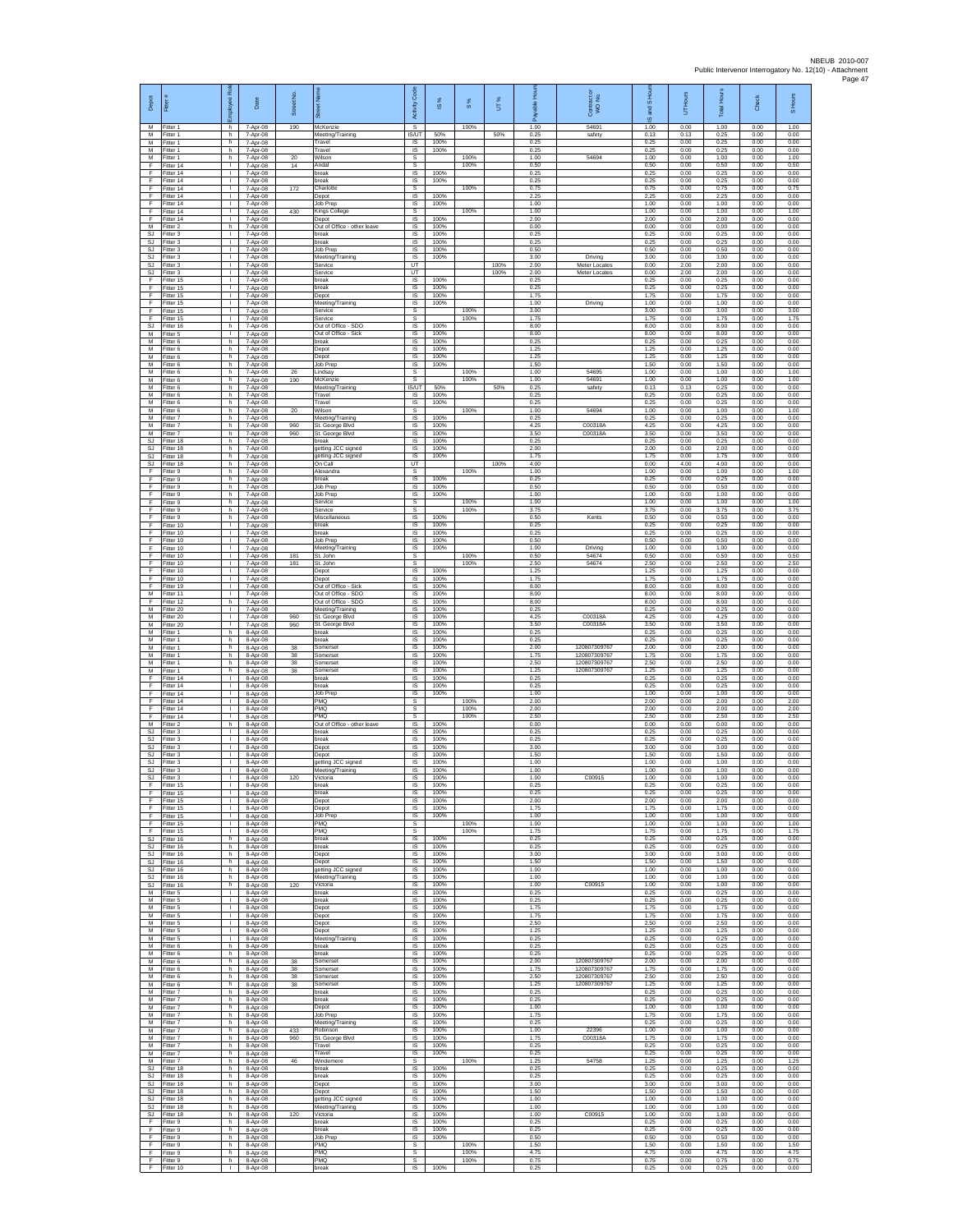| Depot                                    | Fitter #                               | æ<br>Employee                      | Date                             | Street No.     |                                                      | Code<br>Activity             | IS %                 | $\frac{8}{3}$ | UT%  | 윤<br>ald             | Contract or<br>WO No.                        | and S Hou<br>$\overline{\omega}$ | UT Hours             | <b>Total Hours</b>   | Check                | S Hours              |
|------------------------------------------|----------------------------------------|------------------------------------|----------------------------------|----------------|------------------------------------------------------|------------------------------|----------------------|---------------|------|----------------------|----------------------------------------------|----------------------------------|----------------------|----------------------|----------------------|----------------------|
| M<br>M<br>M                              | Fitter 1<br>Fitter 1<br>-itter 1       | h.<br>h<br>h                       | 7-Apr-08<br>7-Apr-08<br>7-Apr-08 | 190            | McKenzie<br>Meeting/Training<br>Travel               | s<br>IS/UT<br>IS             | 50%<br>100%          | 100%          | 50%  | 1.00<br>0.25<br>0.25 | 54691<br>safety                              | 1.00<br>0.13<br>0.25             | 0.00<br>0.13<br>0.00 | 1.00<br>0.25<br>0.25 | 0.00<br>0.00<br>0.00 | 1.00<br>0.00<br>0.00 |
| M<br>M                                   | Fitter 1<br>Fitter 1                   | h.<br>h.                           | 7-Apr-08<br>7-Apr-08             | 20             | Travel<br>Nilson                                     | IS<br>s                      | 100%                 | 100%          |      | 0.25<br>1.00         | 54694                                        | 0.25<br>1.00                     | 0.00<br>0.00         | 0.25<br>1.00         | 0.00<br>0.00         | 0.00<br>1.00         |
| F<br>F                                   | Fitter 14<br>Fitter 14                 | т.<br>т                            | 7-Apr-08<br>7-Apr-08             | 14             | <b>Andal</b><br>oreak                                | s<br>1S                      | 100%                 | 100%          |      | 0.50<br>0.25         |                                              | 0.50<br>0.25                     | 0.00<br>0.00         | 0.50<br>0.25         | 0.00<br>0.00         | 0.50<br>0.00         |
| F.<br>F<br>F                             | Fitter 14<br>Fitter 14                 | $\mathbf{L}$<br>л.<br>$\mathbf{L}$ | 7-Apr-08<br>7-Apr-08             | 172            | break<br>Charlotte                                   | IS.<br>s                     | 100%                 | 100%          |      | 0.25<br>0.75         |                                              | 0.25<br>0.75                     | 0.00<br>0.00         | 0.25<br>0.75         | 0.00<br>0.00         | 0.00<br>0.75         |
| F<br>F                                   | Fitter 14<br>Fitter 14<br>Fitter 14    | л.<br>$\mathbf{I}$                 | 7-Apr-08<br>7-Apr-08<br>7-Apr-08 | 430            | Depot<br>Job Prec<br>Kings College                   | $\sf IS$<br>- IS<br>s        | 100%<br>100%         | 100%          |      | 2.25<br>1.00<br>1.00 |                                              | 2.25<br>1.00<br>1.00             | 0.00<br>0.00<br>0.00 | 2.25<br>1.00<br>1.00 | 0.00<br>0.00<br>0.00 | 0.00<br>0.00<br>1.00 |
| Ŧ<br>М                                   | Fitter 14<br>-itter 2                  | т.<br>h                            | 7-Apr-08<br>7-Apr-08             |                | Depot<br>Out of Office - other leave                 | IS<br>IS                     | 100%<br>100%         |               |      | 2.00<br>0.00         |                                              | 2.00<br>0.00                     | 0.00<br>0.00         | 2.00<br>0.00         | 0.00<br>0.00         | 0.00<br>0.00         |
| <b>SJ</b><br>SJ.<br>SJ                   | Fitter 3<br>-itter 3<br>Fitter 3       | л.<br>л.<br>т.                     | 7-Apr-08<br>7-Apr-08<br>7-Apr-08 |                | break<br>reak<br>Job Prep                            | -IS<br>IS<br>IS              | 100%<br>100%<br>100% |               |      | 0.25<br>0.25<br>0.50 |                                              | 0.25<br>0.25<br>0.50             | 0.00<br>0.00<br>0.00 | 0.25<br>0.25<br>0.50 | 0.00<br>0.00<br>0.00 | 0.00<br>0.00<br>0.00 |
| <b>SJ</b><br>SJ                          | Fitter 3<br>Fitter 3                   | $\mathbf{L}$<br>$\mathbf{L}$       | 7-Apr-08<br>7-Apr-08             |                | Meeting/Training<br>Service                          | IS<br>UT                     | 100%                 |               | 100% | 3.00<br>2.00         | Driving<br>Meter Locates                     | 3.00<br>0.00                     | 0.00<br>2.00         | 3.00<br>2.00         | 0.00<br>0.00         | 0.00<br>0.00         |
| <b>SJ</b><br>F                           | Fitter 3<br>Fitter 15                  | $\mathbb{L}$<br>т                  | 7-Apr-08<br>7-Apr-08             |                | Service<br>break                                     | UT<br>IS                     | 100%                 |               | 100% | 2.00<br>0.25         | Meter Locates                                | 0.00<br>0.25                     | 2.00<br>0.00         | 2.00<br>0.25         | 0.00<br>0.00         | 0.00<br>0.00         |
| F<br>F<br>F                              | Fitter 15<br>Fitter 15<br>Fitter 15    | $\mathbf{L}$<br>т.<br>L.           | 7-Apr-08<br>7-Apr-08<br>7-Apr-08 |                | break<br>Depot<br>Meeting/Training                   | <b>IS</b><br>IS<br>1S        | 100%<br>100%<br>100% |               |      | 0.25<br>1.75<br>1.00 | Driving                                      | 0.25<br>1.75<br>1.00             | 0.00<br>0.00<br>0.00 | 0.25<br>1.75<br>1.00 | 0.00<br>0.00<br>0.00 | 0.00<br>0.00<br>0.00 |
| F<br>E                                   | Fitter 15<br>Fitter 15                 | т.<br>л.                           | 7-Apr-08<br>7-Apr-08             |                | Service<br>Service                                   | s<br>-S                      |                      | 100%<br>100%  |      | 3.00<br>1.75         |                                              | 3.00<br>1.75                     | 0.00<br>0.00         | 3.00<br>1.75         | 0.00<br>0.00         | 3.00<br>1.75         |
| SJ.<br>М<br>М                            | Fitter 16<br>-itter 5<br>Fitter 6      | h<br>$\mathbf{I}$<br>h.            | 7-Apr-08<br>7-Apr-08<br>7-Apr-08 |                | Out of Office - SDO<br>Out of Office - Sick<br>break | $\sf IS$<br>$\sf IS$<br>IS   | 100%<br>100%<br>100% |               |      | 8.00<br>8.00<br>0.25 |                                              | 8.00<br>8.00<br>0.25             | 0.00<br>0.00<br>0.00 | 8.00<br>8.00<br>0.25 | 0.00<br>0.00<br>0.00 | 0.00<br>0.00<br>0.00 |
| M<br>М                                   | Fitter 6<br>Fitter 6                   | h.<br>h                            | 7-Apr-08<br>7-Apr-08             |                | Depot<br>Depot                                       | IS<br>IS                     | 100%<br>100%         |               |      | 1.25<br>1.25         |                                              | 1.25<br>1.25                     | 0.00<br>0.00         | 1.25<br>1.25         | 0.00<br>0.00         | 0.00<br>0.00         |
| М<br>M                                   | Fitter 6<br>Fitter 6                   | h.<br>h.                           | 7-Apr-08<br>7-Apr-08             | 26             | Job Prep<br>Lindsav                                  | 1S<br>-S                     | 100%                 | 100%          |      | 1.50<br>1.00         | 54695                                        | 1.50<br>1.00                     | 0.00<br>0.00         | 1.50<br>1.00         | 0.00<br>0.00         | 0.00<br>1.00         |
| М<br>М<br>M                              | -itter 6<br>Fitter 6<br>Fitter 6       | h<br>h.<br>h.                      | 7-Apr-08<br>7-Apr-08<br>7-Apr-08 | 190            | McKenzie<br>Meeting/Training<br>Travel               | s<br>IS/UT<br><b>IS</b>      | 50%<br>100%          | 100%          | 50%  | 1.00<br>0.25<br>0.25 | 54691<br>safety                              | 1.00<br>0.13<br>0.25             | 0.00<br>0.13<br>0.00 | 1.00<br>0.25<br>0.25 | 0.00<br>0.00<br>0.00 | 1.00<br>0.00<br>0.00 |
| М<br>M                                   | Fitter 6<br>Fitter 6                   | h<br>h                             | 7-Apr-08<br>7-Apr-08             | 20             | Travel<br>Wilson                                     | IS<br>s                      | 100%                 | 100%          |      | 0.25<br>1.00         | 54694                                        | 0.25<br>1.00                     | 0.00<br>0.00         | 0.25<br>1.00         | 0.00<br>0.00         | 0.00<br>1.00         |
| М<br>M                                   | Fitter 7<br>Fitter 7                   | h<br>h.                            | 7-Apr-08<br>7-Apr-08             | 960            | Neeting/Training<br>St. George Blvd                  | IS<br>IS                     | 100%<br>100%         |               |      | 0.25<br>4.25         | C00318A                                      | 0.25<br>4.25                     | 0.00<br>0.00         | 0.25<br>4.25         | 0.00<br>0.00         | 0.00<br>0.00         |
| M<br>$\mathbb{S}\mathbb{J}$<br><b>SJ</b> | Fitter 7<br>Fitter 18<br>Fitter 18     | h.<br>h<br>h.                      | 7-Apr-08<br>7-Apr-08<br>7-Apr-08 | 960            | St. George Blvd<br>oreak<br>getting JCC signed       | IS<br>IS<br>1S               | 100%<br>100%<br>100% |               |      | 3.50<br>0.25<br>2.00 | C00318A                                      | 3.50<br>0.25<br>2.00             | 0.00<br>0.00<br>0.00 | 3.50<br>0.25<br>2.00 | 0.00<br>0.00<br>0.00 | 0.00<br>0.00<br>0.00 |
| SJ<br>SJ                                 | Fitter 18<br>Fitter 18                 | h.<br>h                            | 7-Apr-08<br>7-Apr-08             |                | getting JCC signed<br>On Call                        | IS<br>UT                     | 100%                 |               | 100% | 1.75<br>4.00         |                                              | 1.75<br>0.00                     | 0.00<br>4.00         | 1.75<br>4.00         | 0.00<br>0.00         | 0.00<br>0.00         |
| F<br>F<br>F                              | Fitter 9<br>Fitter 9<br>Fitter 9       | h.<br>h.<br>h                      | 7-Apr-08<br>7-Apr-08<br>7-Apr-08 |                | Alexandra<br>break<br>Job Prep                       | s<br>IS.<br>IS               | 100%<br>100%         | 100%          |      | 1.00<br>0.25<br>0.50 |                                              | 1.00<br>0.25<br>0.50             | 0.00<br>0.00<br>0.00 | 1.00<br>0.25<br>0.50 | 0.00<br>0.00<br>0.00 | 1.00<br>0.00<br>0.00 |
| F<br>F                                   | Fitter 9<br>Fitter 9                   | h<br>h                             | 7-Apr-08<br>7-Apr-08             |                | Job Prep<br>Service                                  | 1S<br>s                      | 100%                 | 100%          |      | 1.00<br>1.00         |                                              | 1.00<br>1.00                     | 0.00<br>0.00         | 1.00<br>1.00         | 0.00<br>0.00         | 0.00<br>1.00         |
| F<br>F                                   | Fitter 9<br>Fitter 9                   | h.<br>h.                           | 7-Apr-08<br>7-Apr-08             |                | Service<br>Miscellaneous                             | s<br>$\sf IS$                | 100%                 | 100%          |      | 3.75<br>0.50         | Kents                                        | 3.75<br>0.50                     | 0.00<br>0.00         | 3.75<br>0.50         | 0.00<br>0.00         | 3.75<br>0.00         |
| F<br>F<br>F.                             | Fitter 10<br>Fitter 10<br>Fitter 10    | $\mathbf{I}$<br>л.<br>$\mathbf{L}$ | 7-Apr-08<br>7-Apr-08<br>7-Apr-08 |                | break<br>break<br>lob Prep                           | $\sf IS$<br>IS<br>IS         | 100%<br>100%<br>100% |               |      | 0.25<br>0.25<br>0.50 |                                              | 0.25<br>0.25<br>0.50             | 0.00<br>0.00<br>0.00 | 0.25<br>0.25<br>0.50 | 0.00<br>0.00<br>0.00 | 0.00<br>0.00<br>0.00 |
| F<br>Ŧ                                   | Fitter 10<br>Fitter 10                 | т.<br>$\mathbf{L}$                 | 7-Apr-08<br>7-Apr-08             | 181            | Meeting/Training<br>St. John                         | IS<br>s                      | 100%                 | 100%          |      | 1.00<br>0.50         | Driving<br>54674                             | 1.00<br>0.50                     | 0.00<br>0.00         | 1.00<br>0.50         | 0.00<br>0.00         | 0.00<br>0.50         |
| F.<br>F<br>F                             | Fitter 10<br>Fitter 10<br>Fitter 10    | $\mathbf{L}$<br>л.<br>$\mathbf{L}$ | 7-Apr-08<br>7-Apr-08<br>7-Apr-08 | 181            | St. John<br>Depot<br>Depot                           | s<br>IS<br>$\sf IS$          | 100%<br>100%         | 100%          |      | 2.50<br>1.25<br>1.75 | 54674                                        | 2.50<br>1.25<br>1.75             | 0.00<br>0.00<br>0.00 | 2.50<br>1.25<br>1.75 | 0.00<br>0.00<br>0.00 | 2.50<br>0.00<br>0.00 |
| F<br>М                                   | Fitter 19<br>Fitter 11                 | т.<br>т.                           | 7-Apr-08<br>7-Apr-08             |                | Out of Office - Sick<br>Out of Office - SDO          | IS<br>IS                     | 100%<br>100%         |               |      | 8.00<br>8.00         |                                              | 8.00<br>8.00                     | 0.00<br>0.00         | 8.00<br>8.00         | 0.00<br>0.00         | 0.00<br>0.00         |
| Ŧ<br>М<br>M                              | Fitter 12<br>fitter 20<br>Fitter 20    | h<br>$\mathbf{L}$<br>т.            | 7-Apr-08<br>7-Apr-08<br>7-Apr-08 | 960            | Out of Office - SDO<br>Meeting/Training              | IS<br>IS<br><b>IS</b>        | 100%<br>100%<br>100% |               |      | 8.00<br>0.25<br>4.25 | C00318A                                      | 8.00<br>0.25<br>4.25             | 0.00<br>0.00<br>0.00 | 8.00<br>0.25<br>4.25 | 0.00<br>0.00<br>0.00 | 0.00<br>0.00<br>0.00 |
| M<br>М                                   | Fitter 20<br>Fitter 1                  | $\mathbf{L}$<br>h                  | 7-Apr-08<br>8-Apr-08             | 960            | St. George Blvd<br>St. George Blvd<br>oreak          | IS<br>IS                     | 100%<br>100%         |               |      | 3.50<br>0.25         | C00318A                                      | 3.50<br>0.25                     | 0.00<br>0.00         | 3.50<br>0.25         | 0.00<br>0.00         | 0.00<br>0.00         |
| M<br>M                                   | Fitter 1<br>Fitter 1                   | h.<br>h.                           | 8-Apr-08<br>8-Apr-08             | 38             | oreak<br>Somerset                                    | 1S<br>IS                     | 100%<br>100%         |               |      | 0.25<br>2.00         | 120807309767                                 | 0.25<br>2.00                     | 0.00<br>0.00         | 0.25<br>2.00         | 0.00<br>0.00         | 0.00<br>0.00         |
| M<br>M<br>M                              | Fitter 1<br>Fitter 1<br>Fitter 1       | h<br>h.<br>h.                      | 8-Apr-08<br>8-Apr-08<br>8-Apr-08 | 38<br>38<br>38 | Somerset<br>Somerset<br>Somerset                     | IS<br>1S<br><b>IS</b>        | 100%<br>100%<br>100% |               |      | 1.75<br>2.50<br>1.25 | 120807309767<br>120807309767<br>120807309767 | 1.75<br>2.50<br>1.25             | 0.00<br>0.00<br>0.00 | 1.75<br>2.50<br>1.25 | 0.00<br>0.00<br>0.00 | 0.00<br>0.00<br>0.00 |
| F<br>F                                   | Fitter 14<br>Fitter 14                 | $\mathbf{L}$<br>H.                 | 8-Apr-08<br>8-Apr-08             |                | reak<br>break                                        | IS<br>1S                     | 100%<br>100%         |               |      | 0.25<br>0.25         |                                              | 0.25<br>0.25                     | 0.00<br>0.00         | 0.25<br>0.25         | 0.00<br>0.00         | 0.00<br>0.00         |
| F<br>F<br>F                              | Fitter 14<br>Fitter 14<br>Fitter 14    | т.<br>л.<br>$\mathbf{L}$           | 8-Apr-08<br>8-Apr-08<br>8-Apr-08 |                | Job Prep<br>PMQ<br>PMQ                               | IS<br>-S<br>$\mathbb{S}$     | 100%                 | 100%<br>100%  |      | 1.00<br>2.00<br>2.00 |                                              | 1.00<br>2.00<br>2.00             | 0.00<br>0.00<br>0.00 | 1.00<br>2.00<br>2.00 | 0.00<br>0.00<br>0.00 | 0.00<br>2.00<br>2.00 |
| F<br>M                                   | Fitter 14<br>Fitter 2                  | T.<br>h.                           | 8-Apr-08<br>8-Apr-08             |                | PMQ<br>Out of Office - other leave                   | s<br>$\overline{\mathsf{s}}$ | 100%                 | 100%          |      | 2.50<br>0.00         |                                              | 2.50<br>0.00                     | 0.00<br>0.00         | 2.50<br>0.00         | 0.00<br>0.00         | 2.50<br>0.00         |
| <b>SJ</b><br>SJ<br>SJ                    | Fitter 3<br>Fitter 3<br>Fitter 3       | $\mathbf{L}$<br>٠<br>$\mathbb{L}$  | 8-Apr-08<br>8-Apr-08<br>8-Apr-08 |                | oreak<br>oreak<br>Depot                              | IS.<br>IS<br>IS              | 100%<br>100%<br>100% |               |      | 0.25<br>0.25<br>3.00 |                                              | 0.25<br>0.25<br>3.00             | 0.00<br>0.00<br>0.00 | 0.25<br>0.25<br>3.00 | 0.00<br>0.00<br>0.00 | 0.00<br>0.00<br>0.00 |
| SJ<br>SJ                                 | Fitter 3<br>Fitter 3                   | $\mathbf{L}$<br>л.                 | 8-Apr-08<br>8-Apr-08             |                | Depot<br>getting JCC signed                          | <b>IS</b><br>IS              | 100%<br>100%         |               |      | 1.50<br>1.00         |                                              | 1.50<br>1.00                     | 0.00<br>0.00         | 1.50<br>1.00         | 0.00<br>0.00         | 0.00<br>0.00         |
| SJ<br>SJ<br>E                            | Fitter 3<br>Fitter 3                   | $\mathbf{L}$<br>т.                 | 8-Apr-08<br>8-Apr-08             | 120            | Meeting/Training<br>Victoria                         | $\sf IS$<br>IS               | 100%<br>100%         |               |      | 1.00<br>1.00         | C00915                                       | 1.00<br>1.00                     | 0.00<br>0.00         | 1.00<br>1.00         | 0.00<br>0.00         | 0.00<br>0.00         |
| F<br>F                                   | Fitter 15<br>Fitter 15<br>ltter 15     | л.<br>т.<br>т.                     | 8-Apr-08<br>8-Apr-08<br>8-Apr-08 |                | break<br>break<br>Depot                              | <b>IS</b><br>IS<br>IS        | 100%<br>100%<br>100% |               |      | 0.25<br>0.25<br>2.00 |                                              | 0.25<br>0.25<br>2.00             | 0.00<br>0.00<br>0.00 | 0.25<br>0.25<br>2.00 | 0.00<br>0.00<br>0.00 | 0.00<br>0.00<br>0.00 |
| F<br>F.                                  | Fitter 15<br>Fitter 15                 | л.<br>$\mathbf{L}$                 | 8-Apr-08<br>8-Apr-08             |                | Depot<br>lob Prep                                    | - IS<br>IS.                  | 100%<br>100%         |               |      | 1.75<br>1.00         |                                              | 1.75<br>1.00                     | 0.00<br>0.00         | 1.75<br>1.00         | 0.00<br>0.00         | 0.00<br>0.00         |
| F<br>F.                                  | Fitter 15<br>Fitter 15<br>SJ Fitter 16 | т.<br>т<br>h.                      | 8-Apr-08<br>8-Apr-08<br>8-Apr-08 |                | PMQ<br>PMQ<br>break                                  | s<br>s<br>IS                 | 100%                 | 100%<br>100%  |      | 1.00<br>1.75<br>0.25 |                                              | 1.00<br>1.75<br>0.25             | 0.00<br>0.00<br>0.00 | 1.00<br>1.75<br>0.25 | 0.00<br>0.00<br>0.00 | 1.00<br>1.75<br>0.00 |
| SJ<br>SJ.                                | Fitter 16<br>Fitter 16                 | h<br>h.                            | 8-Apr-08<br>8-Apr-08             |                | break<br>Depot                                       | $\sf IS$<br>IS               | 100%<br>100%         |               |      | 0.25<br>3.00         |                                              | 0.25<br>3.00                     | 0.00<br>0.00         | 0.25<br>3.00         | 0.00<br>0.00         | 0.00<br>0.00         |
| SJ<br>SJ                                 | SJ Fitter 16<br>Fitter 16<br>Fitter 16 | h.<br>h<br>h.                      | 8-Apr-08<br>8-Apr-08<br>8-Apr-08 |                | Depot<br>getting JCC signed<br>Meeting/Training      | IS.<br>IS<br>IS              | 100%<br>100%<br>100% |               |      | 1.50<br>1.00<br>1.00 |                                              | 1.50<br>1.00<br>1.00             | 0.00<br>0.00<br>0.00 | 1.50<br>1.00<br>1.00 | 0.00<br>0.00<br>0.00 | 0.00<br>0.00<br>0.00 |
| SJ.<br>M                                 | Fitter 16<br>Fitter 5                  | h.<br>$\mathbf{I}$                 | 8-Apr-08<br>8-Apr-08             | 120            | Victoria<br>break                                    | IS<br>- IS                   | 100%<br>100%         |               |      | 1.00<br>0.25         | C00915                                       | 1.00<br>0.25                     | 0.00<br>0.00         | 1.00<br>0.25         | 0.00<br>0.00         | 0.00<br>0.00         |
| M<br>М<br>M                              | Fitter 5<br>Fitter 5                   | $\mathbf{L}$<br>T.                 | 8-Apr-08<br>8-Apr-08             |                | break<br>Depot                                       | IS<br>$\sf IS$<br>IS         | 100%<br>100%         |               |      | 0.25<br>1.75<br>1.75 |                                              | 0.25<br>1.75                     | 0.00<br>0.00         | 0.25<br>1.75         | 0.00<br>0.00<br>0.00 | 0.00<br>0.00<br>0.00 |
| M<br>М                                   | Fitter 5<br>Fitter 5<br>Fitter 5       | л.<br>$\mathbf{L}$<br>т.           | 8-Apr-08<br>8-Apr-08<br>8-Apr-08 |                | Depot<br>Depot<br>Depot                              | IS<br>IS                     | 100%<br>100%<br>100% |               |      | 2.50<br>1.25         |                                              | 1.75<br>2.50<br>1.25             | 0.00<br>0.00<br>0.00 | 1.75<br>2.50<br>1.25 | 0.00<br>0.00         | 0.00<br>0.00         |
| M                                        | Fitter 5<br>M Fitter 6                 | т<br>h                             | 8-Apr-08<br>8-Apr-08             |                | Meeting/Training<br>break                            | IS<br>IS.                    | 100%<br>100%         |               |      | 0.25<br>0.25         |                                              | 0.25<br>0.25                     | 0.00<br>0.00         | 0.25<br>0.25         | 0.00<br>0.00         | 0.00<br>0.00         |
| ${\sf M}$<br>M<br>M                      | Fitter 6<br>Fitter 6<br>Fitter 6       | h<br>h<br>h.                       | 8-Apr-08<br>8-Apr-08<br>8-Apr-08 | $_{38}$<br>38  | oreak<br>Somerset<br>Somerset                        | IS<br>$\sf IS$<br><b>IS</b>  | 100%<br>100%<br>100% |               |      | 0.25<br>2.00<br>1.75 | 120807309767<br>120807309767                 | 0.25<br>2.00<br>1.75             | 0.00<br>0.00<br>0.00 | 0.25<br>2.00<br>1.75 | 0.00<br>0.00<br>0.00 | 0.00<br>0.00<br>0.00 |
| M<br>M                                   | Fitter 6<br>Fitter 6                   | h<br>h.                            | 8-Apr-08<br>8-Apr-08             | 38<br>38       | Somerset<br>Somerset                                 | IS<br>1S                     | 100%<br>100%         |               |      | 2.50<br>1.25         | 120807309767<br>120807309767                 | 2.50<br>1.25                     | 0.00<br>0.00         | 2.50<br>1.25         | 0.00<br>0.00         | 0.00<br>0.00         |
| М<br>M<br>M                              | Fitter 7<br>Fitter 7<br>Fitter 7       | h.<br>h.<br>h.                     | 8-Apr-08<br>8-Apr-08<br>8-Apr-08 |                | oreak<br>break<br>Depot                              | IS<br>- IS<br>IS             | 100%<br>100%<br>100% |               |      | 0.25<br>0.25<br>1.00 |                                              | 0.25<br>0.25<br>1.00             | 0.00<br>0.00<br>0.00 | 0.25<br>0.25<br>1.00 | 0.00<br>0.00<br>0.00 | 0.00<br>0.00<br>0.00 |
| М<br>M                                   | Fitter 7<br>Fitter 7                   | h<br>h.                            | 8-Apr-08<br>8-Apr-08             |                | Job Prep<br>Meeting/Training                         | IS<br>1S                     | 100%<br>100%         |               |      | 1.75<br>0.25         |                                              | 1.75<br>0.25                     | 0.00<br>0.00         | 1.75<br>0.25         | 0.00<br>0.00         | 0.00<br>0.00         |
| M<br>M                                   | M Fitter 7<br>Fitter 7<br>Fitter 7     | h.<br>h<br>h                       | 8-Apr-08<br>8-Apr-08<br>8-Apr-08 | 433<br>960     | Robinson<br>St. George Blvd<br>Travel                | IS<br>IS<br>IS               | 100%<br>100%<br>100% |               |      | 1.00<br>1.75<br>0.25 | 22396<br>C00318A                             | 1.00<br>1.75<br>0.25             | 0.00<br>0.00<br>0.00 | 1.00<br>1.75<br>0.25 | 0.00<br>0.00<br>0.00 | 0.00<br>0.00<br>0.00 |
| M<br>М                                   | Fitter 7<br>Fitter 7                   | h.<br>h                            | 8-Apr-08<br>8-Apr-08             | 46             | Travel<br>Windemere                                  | <b>IS</b><br>s               | 100%                 | 100%          |      | 0.25<br>1.25         | 54758                                        | 0.25<br>1.25                     | 0.00<br>0.00         | 0.25<br>1.25         | 0.00<br>0.00         | 0.00<br>1.25         |
| SJ<br>SJ.                                | Fitter 18<br>Fitter 18                 | h.<br>h.                           | 8-Apr-08<br>8-Apr-08             |                | break<br>oreak                                       | 1S<br>IS<br>- IS             | 100%<br>100%<br>100% |               |      | 0.25<br>0.25<br>3.00 |                                              | 0.25<br>0.25<br>3.00             | 0.00<br>0.00<br>0.00 | 0.25<br>0.25<br>3.00 | 0.00<br>0.00<br>0.00 | 0.00<br>0.00<br>0.00 |
| SJ<br>SJ.<br>SJ                          | Fitter 18<br>Fitter 18<br>Fitter 18    | h<br>$\mathsf{h}$<br>h             | 8-Apr-08<br>8-Apr-08<br>8-Apr-08 |                | Depot<br>Depot<br>getting JCC signed                 | $\sf IS$<br>$\sf IS$         | 100%<br>100%         |               |      | 1.50<br>1.00         |                                              | 1.50<br>1.00                     | 0.00<br>0.00         | 1.50<br>1.00         | 0.00<br>0.00         | 0.00<br>0.00         |
| <b>SJ</b><br>SJ.                         | Fitter 18<br>Fitter 18                 | h.<br>h.                           | 8-Apr-08<br>8-Apr-08             | 120            | Meeting/Training<br>Victoria                         | IS<br>IS.                    | 100%<br>100%         |               |      | 1.00<br>1.00         | C00915                                       | 1.00<br>1.00                     | 0.00<br>0.00         | 1.00<br>1.00         | 0.00<br>0.00         | 0.00<br>0.00         |
| F<br>Ŧ<br>F.                             | Fitter 9<br>Fitter 9<br>Fitter 9       | h<br>h.<br>h.                      | 8-Apr-08<br>8-Apr-08<br>8-Apr-08 |                | oreak<br>break<br><b>Job Prep</b>                    | IS<br>IS<br><b>IS</b>        | 100%<br>100%<br>100% |               |      | 0.25<br>0.25<br>0.50 |                                              | 0.25<br>0.25<br>0.50             | 0.00<br>0.00<br>0.00 | 0.25<br>0.25<br>0.50 | 0.00<br>0.00<br>0.00 | 0.00<br>0.00<br>0.00 |
| $\mathsf F$<br>F                         | Fitter 9<br>Fitter 9                   | h<br>h                             | 8-Apr-08<br>8-Apr-08             |                | PMQ<br>PMQ                                           | s<br>$\mathbb S$             |                      | 100%<br>100%  |      | 1.50<br>4.75         |                                              | 1.50<br>4.75                     | 0.00<br>0.00         | 1.50<br>4.75         | 0.00<br>0.00         | 1.50<br>4.75         |
| F<br>F.                                  | Fitter 9<br>Fitter 10                  | h<br>$\mathbf{L}$                  | 8-Apr-08<br>8-Apr-08             |                | PMQ<br>break                                         | s<br>IS                      | 100%                 | 100%          |      | 0.75<br>0.25         |                                              | 0.75<br>0.25                     | 0.00<br>0.00         | 0.75<br>0.25         | 0.00<br>0.00         | 0.75<br>0.00         |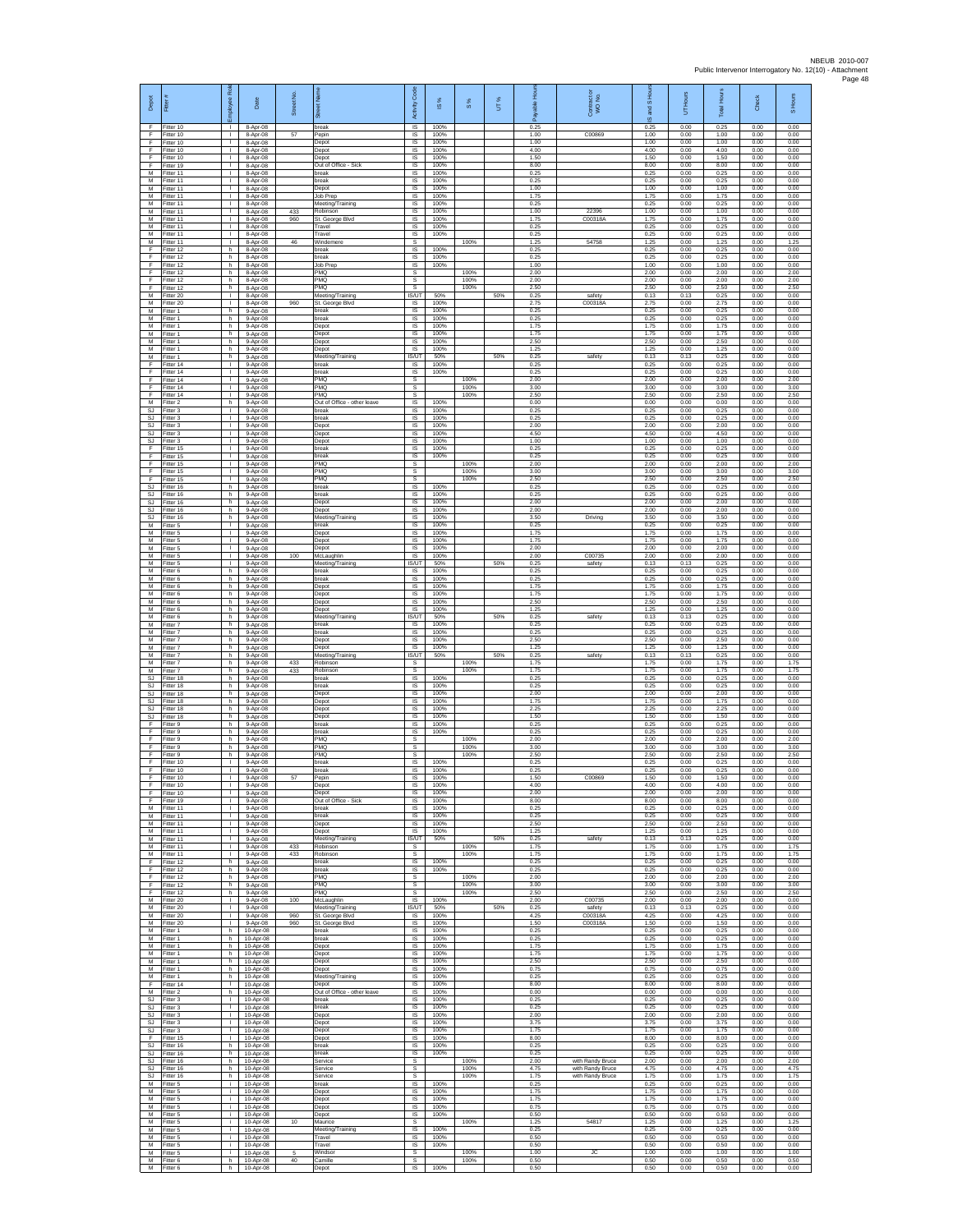| Depot                         | Fitter #                            | æ<br>nployee                                 | Date                                 | Street No. | Street Nar                                               | Code<br>Activity             | ×,<br>$\overline{\omega}$ | 8%                   | UT% | 윤<br>able<br>Æ       | Contract or<br>WO No.                | S Hour<br>g<br>ဖ     | <b>Hours</b><br>5    | <b>Total Hours</b>   | <b>Check</b>         | S Hours              |
|-------------------------------|-------------------------------------|----------------------------------------------|--------------------------------------|------------|----------------------------------------------------------|------------------------------|---------------------------|----------------------|-----|----------------------|--------------------------------------|----------------------|----------------------|----------------------|----------------------|----------------------|
| F<br>F<br>F                   | Fitter 10<br>Fitter 10<br>Fitter 10 | л.<br>$\mathbf{L}$<br>$\mathbf{L}$           | 8-Apr-08<br>8-Apr-08<br>8-Apr-08     | 57         | break<br>Pepin<br>Depot                                  | IS<br>IS<br>$\mathsf{IS}$    | 100%<br>100%<br>100%      |                      |     | 0.25<br>1.00<br>1.00 | C00869                               | 0.25<br>1.00<br>1.00 | 0.00<br>0.00<br>0.00 | 0.25<br>1.00<br>1.00 | 0.00<br>0.00<br>0.00 | 0.00<br>0.00<br>0.00 |
| F<br>F                        | Fitter 10<br>Fitter 10              | $\mathbf{L}$<br>$\mathbf{L}$                 | 8-Apr-08<br>8-Apr-08                 |            | Depot<br>Depot                                           | IS<br>1S                     | 100%<br>100%              |                      |     | 4.00<br>1.50         |                                      | 4.00<br>1.50         | 0.00<br>0.00         | 4.00<br>1.50         | 0.00<br>0.00         | 0.00<br>0.00         |
| Ŧ<br>M<br>M                   | Fitter 19<br>Fitter 11<br>Fitter 11 | $\mathbf{L}$<br>$\mathbf{L}$<br>$\mathbf{L}$ | 8-Apr-08<br>8-Apr-08<br>8-Apr-08     |            | Out of Office - Sick<br>break<br>break                   | IS<br>IS<br><b>IS</b>        | 100%<br>100%<br>100%      |                      |     | 8.00<br>0.25<br>0.25 |                                      | 8.00<br>0.25<br>0.25 | 0.00<br>0.00<br>0.00 | 8.00<br>0.25<br>0.25 | 0.00<br>0.00<br>0.00 | 0.00<br>0.00<br>0.00 |
| М<br>M<br>M                   | Fitter 11<br>Fitter 11              | т.<br>$\mathbf{L}$                           | 8-Apr-08<br>8-Apr-08                 |            | Depot<br>Job Prep                                        | IS<br>$\overline{s}$         | 100%<br>100%              |                      |     | 1.00<br>1.75         |                                      | 1.00<br>1.75         | 0.00<br>0.00         | 1.00<br>1.75         | 0.00<br>0.00         | 0.00<br>0.00         |
| М<br>M                        | Fitter 11<br>Fitter 11<br>Fitter 11 | $\mathbf{L}$<br>$\mathbf{I}$<br>т            | 8-Apr-08<br>8-Apr-08<br>8-Apr-08     | 433<br>960 | Meeting/Training<br>Robinson<br>St. George Blvd          | IS<br>$\sf IS$<br>1S         | 100%<br>100%<br>100%      |                      |     | 0.25<br>1.00<br>1.75 | 22396<br>C00318A                     | 0.25<br>1.00<br>1.75 | 0.00<br>0.00<br>0.00 | 0.25<br>1.00<br>1.75 | 0.00<br>0.00<br>0.00 | 0.00<br>0.00<br>0.00 |
| M<br>M                        | Fitter 11<br>Fitter 11              | $\mathbf{L}$<br>$\mathbf{L}$<br>$\mathbf{L}$ | 8-Apr-08<br>8-Apr-08                 |            | Travel<br>Travel<br>Windemere                            | IS<br>IS<br>s                | 100%<br>100%              | 100%                 |     | 0.25<br>0.25<br>1.25 | 54758                                | 0.25<br>0.25<br>1.25 | 0.00<br>0.00<br>0.00 | 0.25<br>0.25<br>1.25 | 0.00<br>0.00<br>0.00 | 0.00<br>0.00<br>1.25 |
| М<br>F<br>F                   | Fitter 11<br>Fitter 12<br>Fitter 12 | h.<br>h.                                     | 8-Apr-08<br>8-Apr-08<br>8-Apr-08     | 46         | oreak<br>break                                           | IS<br>IS                     | 100%<br>100%              |                      |     | 0.25<br>0.25         |                                      | 0.25<br>0.25         | 0.00<br>0.00         | 0.25<br>0.25         | 0.00<br>0.00         | 0.00<br>0.00         |
| $\mathsf F$<br>F<br>-F        | Fitter 12<br>Fitter 12<br>Fitter 12 | h.<br>h<br>h.                                | 8-Apr-08<br>8-Apr-08<br>8-Apr-08     |            | Job Prep<br>PMQ<br>PMQ                                   | IS<br>s<br>s                 | 100%                      | 100%<br>100%         |     | 1.00<br>2.00<br>2.00 |                                      | 1.00<br>2.00<br>2.00 | 0.00<br>0.00<br>0.00 | 1.00<br>2.00<br>2.00 | 0.00<br>0.00<br>0.00 | 0.00<br>2.00<br>2.00 |
| E<br>М                        | Fitter 12<br>Fitter 20              | h.<br>т.                                     | 8-Apr-08<br>8-Apr-08                 |            | PMO<br>Meeting/Training                                  | $\mathbf{s}$<br><b>IS/UT</b> | 50%                       | 100%                 | 50% | 2.50<br>0.25         | safety                               | 2.50<br>0.13         | 0.00<br>0.13         | 2.50<br>0.25         | 0.00<br>0.00         | 2.50<br>0.00         |
| M<br>M<br>M                   | Fitter 20<br>Fitter 1<br>Fitter 1   | т<br>h.<br>h                                 | 8-Apr-08<br>9-Apr-08                 | 960        | St. George Blvd<br>break<br>break                        | <b>IS</b><br>IS.<br>IS       | 100%<br>100%<br>100%      |                      |     | 2.75<br>0.25<br>0.25 | C00318A                              | 2.75<br>0.25<br>0.25 | 0.00<br>0.00<br>0.00 | 2.75<br>0.25<br>0.25 | 0.00<br>0.00<br>0.00 | 0.00<br>0.00<br>0.00 |
| М<br>M                        | Fitter 1<br>Fitter 1                | h.<br>h.                                     | 9-Apr-08<br>9-Apr-08<br>9-Apr-08     |            | Depot<br>Depot                                           | $\sf IS$<br>IS               | 100%<br>100%              |                      |     | 1.75<br>1.75         |                                      | 1.75<br>1.75         | 0.00<br>0.00         | 1.75<br>1.75         | 0.00<br>0.00         | 0.00<br>0.00         |
| M<br>М<br>M                   | Fitter 1<br>Fitter 1<br>Fitter 1    | h.<br>h.<br>h                                | 9-Apr-08<br>9-Apr-08<br>9-Apr-08     |            | Depot<br>Depot<br>Meeting/Training                       | IS<br>1S<br>IS/UT            | 100%<br>100%<br>50%       |                      | 50% | 2.50<br>1.25<br>0.25 | safety                               | 2.50<br>1.25<br>0.13 | 0.00<br>0.00<br>0.13 | 2.50<br>1.25<br>0.25 | 0.00<br>0.00<br>0.00 | 0.00<br>0.00<br>0.00 |
| F<br>F                        | Fitter 14<br>Fitter 14              | $\mathbf{L}$<br>$\mathbf{L}$                 | 9-Apr-08<br>9-Apr-08                 |            | break<br>hreak                                           | <b>IS</b><br>IS.             | 100%<br>100%              |                      |     | 0.25<br>0.25         |                                      | 0.25<br>0.25         | 0.00<br>0.00         | 0.25<br>0.25         | 0.00<br>0.00         | 0.00<br>0.00         |
| F<br>F<br>E                   | Fitter 14<br>Fitter 14<br>Fitter 14 | т.<br>$\mathbf{L}$<br>$\mathbf{L}$           | 9-Apr-08<br>$9-Apr-08$<br>9-Apr-08   |            | PMQ<br>PMQ<br>PMO                                        | s<br>s<br>s                  |                           | 100%<br>100%<br>100% |     | 2.00<br>3.00<br>2.50 |                                      | 2.00<br>3.00<br>2.50 | 0.00<br>0.00<br>0.00 | 2.00<br>3.00<br>2.50 | 0.00<br>0.00<br>0.00 | 2.00<br>3.00<br>2.50 |
| M<br>SJ                       | Fitter 2<br>Fitter 3                | h<br>т                                       | 9-Apr-08<br>9-Apr-08                 |            | Out of Office - other leave<br>break                     | IS<br>1S                     | 100%<br>100%              |                      |     | 0.00<br>0.25         |                                      | 0.00<br>0.25         | 0.00<br>0.00         | 0.00<br>0.25         | 0.00<br>0.00         | 0.00<br>0.00         |
| SJ.<br>SJ<br>SJ               | Fitter 3<br>Fitter 3<br>Fitter 3    | $\mathbf{L}$<br>$\mathbf{L}$<br>$\mathbf{L}$ | 9-Apr-08<br>9-Apr-08<br>9-Apr-08     |            | break<br>Depot<br>Depot                                  | <b>IS</b><br>IS<br>1S        | 100%<br>100%<br>100%      |                      |     | 0.25<br>2.00<br>4.50 |                                      | 0.25<br>2.00<br>4.50 | 0.00<br>0.00<br>0.00 | 0.25<br>2.00<br>4.50 | 0.00<br>0.00<br>0.00 | 0.00<br>0.00<br>0.00 |
| <b>SJ</b><br>F                | Fitter 3<br>Fitter 15               | $\mathbf{L}$<br>$\mathbf{L}$                 | 9-Apr-08<br>9-Apr-08                 |            | Depot<br>break                                           | IS<br>IS                     | 100%<br>100%              |                      |     | 1.00<br>0.25         |                                      | 1.00<br>0.25         | 0.00<br>0.00         | 1.00<br>0.25         | 0.00<br>0.00         | 0.00<br>0.00         |
| $\mathsf F$<br>F<br>-F        | Fitter 15<br>Fitter 15<br>Fitter 15 | $\mathbf{L}$<br>T.<br>$\mathbf{L}$           | 9-Apr-08<br>9-Apr-08<br>9-Apr-08     |            | break<br>PMQ<br>PMQ                                      | $\sf IS$<br>s<br>s           | 100%                      | 100%<br>100%         |     | 0.25<br>2.00<br>3.00 |                                      | 0.25<br>2.00<br>3.00 | 0.00<br>0.00<br>0.00 | 0.25<br>2.00<br>3.00 | 0.00<br>0.00<br>0.00 | 0.00<br>2.00<br>3.00 |
| -F<br>SJ                      | Fitter 15<br>Fitter 16              | $\mathbf{L}$<br>h                            | 9-Apr-08<br>9-Apr-08                 |            | PMO<br>break                                             | s<br>1S                      | 100%                      | 100%                 |     | 2.50<br>0.25         |                                      | 2.50<br>0.25         | 0.00<br>0.00         | 2.50<br>0.25         | 0.00<br>0.00         | 2.50<br>0.00         |
| SJ<br><b>SJ</b><br>SJ         | Fitter 16<br>Fitter 16<br>Fitter 16 | h.<br>h.<br>h                                | 9-Apr-08<br>9-Apr-08<br>9-Apr-08     |            | break<br>Depot<br>Depot                                  | 1S<br>IS<br>IS               | 100%<br>100%<br>100%      |                      |     | 0.25<br>2.00<br>2.00 |                                      | 0.25<br>2.00<br>2.00 | 0.00<br>0.00<br>0.00 | 0.25<br>2.00<br>2.00 | 0.00<br>0.00<br>0.00 | 0.00<br>0.00<br>0.00 |
| SJ<br>M                       | Fitter 16<br>Fitter 5               | h.<br>$\mathbf{L}$                           | 9-Apr-08<br>9-Apr-08                 |            | Meeting/Training<br>break                                | $\sf IS$<br>IS.              | 100%<br>100%              |                      |     | 3.50<br>0.25         | Driving                              | 3.50<br>0.25         | 0.00<br>0.00         | 3.50<br>0.25         | 0.00<br>0.00         | 0.00<br>0.00         |
| M<br>М<br>M                   | Fitter 5<br>Fitter 5<br>Fitter 5    | $\mathbf{L}$<br>$\mathbf{L}$<br>$\mathbf{L}$ | 9-Apr-08<br>9-Apr-08<br>9-Apr-08     |            | Depot<br>Depot<br>Depot                                  | IS<br>1S<br>IS               | 100%<br>100%<br>100%      |                      |     | 1.75<br>1.75<br>2.00 |                                      | 1.75<br>1.75<br>2.00 | 0.00<br>0.00<br>0.00 | 1.75<br>1.75<br>2.00 | 0.00<br>0.00<br>0.00 | 0.00<br>0.00<br>0.00 |
| M<br>M                        | Fitter 5<br>Fitter 5                | $\mathbf{L}$<br>$\mathbf{L}$                 | 9-Apr-08<br>9-Apr-08                 | 100        | McLaughlin<br>Meeting/Training                           | IS<br>IS/UT                  | 100%<br>50%               |                      | 50% | 2.00<br>0.25         | C00735<br>safety                     | 2.00<br>0.13         | 0.00<br>0.13         | 2.00<br>0.25         | 0.00<br>0.00         | 0.00<br>0.00         |
| М<br>M<br>M                   | Fitter 6<br>Fitter 6<br>Fitter 6    | h.<br>h.<br>h.                               | 9-Apr-08<br>9-Apr-08<br>9-Apr-08     |            | break<br>break<br>Depot                                  | IS<br>IS<br>IS               | 100%<br>100%<br>100%      |                      |     | 0.25<br>0.25<br>1.75 |                                      | 0.25<br>0.25<br>1.75 | 0.00<br>0.00<br>0.00 | 0.25<br>0.25<br>1.75 | 0.00<br>0.00<br>0.00 | 0.00<br>0.00<br>0.00 |
| М<br>M                        | Fitter 6<br>Fitter 6                | h.<br>h.                                     | 9-Apr-08<br>9-Apr-08                 |            | Depot<br>Depot                                           | $\sf IS$<br>1S               | 100%<br>100%              |                      |     | 1.75<br>2.50         |                                      | 1.75<br>2.50         | 0.00<br>0.00         | 1.75<br>2.50         | 0.00<br>0.00         | 0.00<br>0.00         |
| M<br>M<br>M                   | Fitter 6<br>Fitter 6<br>Fitter 7    | h.<br>h.<br>h.                               | 9-Apr-08<br>9-Apr-08<br>9-Apr-08     |            | Depot<br>Meeting/Training<br>break                       | IS<br><b>IS/UT</b><br>1S     | 100%<br>50%<br>100%       |                      | 50% | 1.25<br>0.25<br>0.25 | safety                               | 1.25<br>0.13<br>0.25 | 0.00<br>0.13<br>0.00 | 1.25<br>0.25<br>0.25 | 0.00<br>0.00<br>0.00 | 0.00<br>0.00<br>0.00 |
| M<br>M<br>M                   | Fitter 7<br>Fitter 7<br>Fitter 7    | h<br>h.<br>h.                                | 9-Apr-08<br>9-Apr-08<br>9-Apr-08     |            | oreak<br>Depot<br>Depot                                  | IS<br>IS<br>$\sf IS$         | 100%<br>100%<br>100%      |                      |     | 0.25<br>2.50<br>1.25 |                                      | 0.25<br>2.50<br>1.25 | 0.00<br>0.00<br>0.00 | 0.25<br>2.50<br>1.25 | 0.00<br>0.00<br>0.00 | 0.00<br>0.00<br>0.00 |
| M<br>M                        | Fitter 7<br>Fitter 7                | h<br>h.                                      | 9-Apr-08<br>9-Apr-08                 | 433        | Meeting/Training<br>Robinson                             | IS/UT<br>s                   | 50%                       | 100%                 | 50% | 0.25<br>1.75         | safety                               | 0.13<br>1.75         | 0.13<br>0.00         | 0.25<br>1.75         | 0.00<br>0.00         | 0.00<br>1.75         |
| M<br>SJ<br><b>SJ</b>          | Fitter 7<br>Fitter 18<br>Fitter 18  | h.<br>h.<br>h.                               | 9-Apr-08<br>9-Apr-08<br>9-Apr-08     | 433        | Robinson<br>break<br>break                               | s<br>1S<br>IS                | 100%<br>100%              | 100%                 |     | 1.75<br>0.25<br>0.25 |                                      | 1.75<br>0.25<br>0.25 | 0.00<br>0.00<br>0.00 | 1.75<br>0.25<br>0.25 | 0.00<br>0.00<br>0.00 | 1 75<br>0.00<br>0.00 |
| SJ.<br><b>SJ</b>              | Fitter 18<br>Fitter 18              | h.<br>h                                      | 9-Apr-08<br>9-Apr-08                 |            | Depot<br>Depot                                           | IS<br>IS                     | 100%<br>100%              |                      |     | 2.00<br>1.75         |                                      | 2.00<br>1.75         | 0.00<br>0.00         | 2.00<br>1.75         | 0.00<br>0.00         | 0.00<br>0.00         |
| SJ<br>SJ.<br>F                | Fitter 18<br>Fitter 18<br>Fitter 9  | h.<br>h.<br>h.                               | 9-Apr-08<br>$9-Apr-08$<br>9-Apr-08   |            | Depot<br>Depot<br>break                                  | $\sf IS$<br>IS<br>IS         | 100%<br>100%<br>100%      |                      |     | 2.25<br>1.50<br>0.25 |                                      | 2.25<br>1.50<br>0.25 | 0.00<br>0.00<br>0.00 | 2.25<br>1.50<br>0.25 | 0.00<br>0.00<br>0.00 | 0.00<br>0.00<br>0.00 |
| Ŧ<br>F                        | Fitter 9<br>Fitter 9                | h.<br>h                                      | 9-Apr-08<br>9-Apr-08                 |            | break<br>PMQ                                             | IS.<br>s                     | 100%                      | 100%                 |     | 0.25<br>2.00         |                                      | 0.25<br>2.00         | 0.00<br>0.00         | 0.25<br>2.00         | 0.00<br>0.00         | 0.00<br>2.00         |
| -F<br>F<br>F                  | Fitter 9<br>Fitter 9<br>Fitter 10   | h.<br>h.<br>т.                               | 9-Apr-08<br>9-Apr-08<br>9-Apr-08     |            | PMQ<br>PMO<br>break                                      | s<br>s<br>1S                 | 100%                      | 100%<br>100%         |     | 3.00<br>2.50<br>0.25 |                                      | 3.00<br>2.50<br>0.25 | 0.00<br>0.00<br>0.00 | 3.00<br>2.50<br>0.25 | 0.00<br>0.00<br>0.00 | 3.00<br>2.50<br>0.00 |
| F<br>F                        | Fitter 10<br>Fitter 10              | $\mathbf{L}$<br>$\mathbf{L}$                 | 9-Apr-08<br>9-Apr-08                 | 57         | break<br>Pepin                                           | $\mathsf{IS}$<br>$\sf IS$    | 100%<br>100%              |                      |     | 0.25<br>1.50         | C00869                               | 0.25<br>1.50         | 0.00<br>0.00         | 0.25<br>1.50         | 0.00<br>0.00         | 0.00<br>0.00         |
| F<br>F<br>F                   | Fitter 10<br>Fitter 10<br>Fitter 19 | ٠<br>т<br>$\mathbf{L}$                       | 9-Apr-08<br>9-Apr-08<br>9-Apr-08     |            | Depot<br>Depot<br>Out of Office - Sick                   | IS<br>1S<br>IS               | 100%<br>100%<br>100%      |                      |     | 4.00<br>2.00<br>8.00 |                                      | 4.00<br>2.00<br>8.00 | 0.00<br>0.00<br>0.00 | 4.00<br>2.00<br>8.00 | 0.00<br>0.00<br>0.00 | 0.00<br>0.00<br>0.00 |
| M<br>M                        | Fitter 11<br>Fitter 11              | $\mathbf{L}$<br>$\mathbf{L}$                 | 9-Apr-08<br>9-Apr-08                 |            | break<br>break                                           | <b>IS</b><br>1S              | 100%<br>100%              |                      |     | 0.25<br>0.25         |                                      | 0.25<br>0.25         | 0.00<br>0.00         | 0.25<br>0.25         | 0.00<br>0.00         | 0.00<br>0.00         |
| M<br>M<br>M                   | Fitter 11<br>Fitter 11<br>Fitter 11 | $\mathbf{L}$<br>л.<br>$\mathbb{R}^n$         | $9-Apr-08$<br>9-Apr-08<br>9-Apr-08   |            | Depot<br>Depot<br>Meeting/Training                       | IS<br><b>IS</b><br>IS/UT     | 100%<br>100%<br>50%       |                      | 50% | 2.50<br>1.25<br>0.25 | safety                               | 2.50<br>1.25<br>0.13 | 0.00<br>0.00<br>0.13 | 2.50<br>1.25<br>0.25 | 0.00<br>0.00<br>0.00 | 0.00<br>0.00<br>0.00 |
| M<br>M<br>F.                  | Fitter 11<br>Fitter 11<br>Fitter 12 | $\mathbf{L}$<br>л.                           | 9-Apr-08<br>$9-Apr-08$               | 433<br>433 | Robinson<br>Robinson<br>break                            | s<br>s<br><b>IS</b>          | 100%                      | 100%<br>100%         |     | 1.75<br>1.75<br>0.25 |                                      | 1.75<br>1.75<br>0.25 | 0.00<br>0.00<br>0.00 | 1.75<br>1.75<br>0.25 | 0.00<br>0.00<br>0.00 | 1.75<br>1.75<br>0.00 |
| F<br>F.                       | Fitter 12<br>Fitter 12              | h.<br>h<br>h.                                | 9-Apr-08<br>9-Apr-08<br>9-Apr-08     |            | break<br>PMQ                                             | 1S<br>s                      | 100%                      | 100%                 |     | 0.25<br>2.00         |                                      | 0.25<br>2.00         | 0.00<br>0.00         | 0.25<br>2.00         | 0.00<br>0.00         | 0.00<br>2.00         |
| F.<br>$\mathsf F$<br>M        | Fitter 12<br>Fitter 12<br>Fitter 20 | h.<br>h.<br>$\mathbf{L}$                     | 9-Apr-08<br>9-Apr-08<br>9-Apr-08     | 100        | PMQ<br>PMQ<br>McLaughlin                                 | -S<br>s<br>$\sf IS$          | 100%                      | 100%<br>100%         |     | 3.00<br>2.50<br>2.00 | C00735                               | 3.00<br>2.50<br>2.00 | 0.00<br>0.00<br>0.00 | 3.00<br>2.50<br>2.00 | 0.00<br>0.00<br>0.00 | 3.00<br>2.50<br>0.00 |
| M<br>M                        | Fitter 20<br>Fitter 20              | $\mathbf{L}$<br>$\mathbf{L}$                 | $9-Apr-08$<br>9-Apr-08               | 960        | Meeting/Training<br>St. George Blvd                      | IS/UT<br>IS                  | 50%<br>100%               |                      | 50% | 0.25<br>4.25         | safety<br>C00318A                    | 0.13<br>4.25         | 0.13<br>0.00         | 0.25<br>4.25         | 0.00<br>0.00         | 0.00<br>0.00         |
| M<br>M<br>M                   | Fitter 20<br>Fitter 1<br>Fitter 1   | $\mathbf{L}$<br>h<br>h.                      | $9-Apr-08$<br>10-Apr-08<br>10-Apr-08 | 960        | St. George Blvd<br>break<br>break                        | 1S<br>IS<br>IS               | 100%<br>100%<br>100%      |                      |     | 1.50<br>0.25<br>0.25 | C00318A                              | 1.50<br>0.25<br>0.25 | 0.00<br>0.00<br>0.00 | 1.50<br>0.25<br>0.25 | 0.00<br>0.00<br>0.00 | 0.00<br>0.00<br>0.00 |
| M<br>${\sf M}$                | Fitter 1<br>Fitter 1                | h.<br>h.                                     | 10-Apr-08<br>10-Apr-08               |            | Depot<br>Depot                                           | <b>IS</b><br>1S              | 100%<br>100%              |                      |     | 1.75<br>1.75         |                                      | 1.75<br>1.75         | 0.00<br>0.00         | 1.75<br>1.75         | 0.00<br>0.00         | 0.00<br>0.00         |
| M<br>M<br>М                   | Fitter 1<br>Fitter 1<br>Fitter 1    | h<br>h.<br>h.                                | 10-Apr-08<br>10-Apr-08<br>10-Apr-08  |            | Depot<br>Depot                                           | IS<br>IS<br>$\sf IS$         | 100%<br>100%<br>100%      |                      |     | 2.50<br>0.75<br>0.25 |                                      | 2.50<br>0.75<br>0.25 | 0.00<br>0.00<br>0.00 | 2.50<br>0.75<br>0.25 | 0.00<br>0.00<br>0.00 | 0.00<br>0.00<br>0.00 |
| Ŧ<br>M                        | Fitter 14<br>Fitter 2               | т<br>h.                                      | 10-Apr-08<br>10-Apr-08               |            | Meeting/Training<br>Depot<br>Out of Office - other leave | IS<br>IS.                    | 100%<br>100%              |                      |     | 8.00<br>0.00         |                                      | 8.00<br>0.00         | 0.00<br>0.00         | 8.00<br>0.00         | 0.00<br>0.00         | 0.00<br>0.00         |
| <b>SJ</b><br><b>SJ</b><br>SJ. | Fitter 3<br>Fitter 3<br>Fitter 3    | $\mathbf{L}$<br>$\mathbf{L}$<br>$\mathbf{L}$ | 10-Apr-08<br>10-Apr-08<br>10-Apr-08  |            | break<br>break<br>Depot                                  | IS<br>1S<br>IS               | 100%<br>100%<br>100%      |                      |     | 0.25<br>0.25<br>2.00 |                                      | 0.25<br>0.25<br>2.00 | 0.00<br>0.00<br>0.00 | 0.25<br>0.25<br>2.00 | 0.00<br>0.00<br>0.00 | 0.00<br>0.00<br>0.00 |
| <b>SJ</b><br>SJ.              | Fitter 3<br>Fitter 3                | $\mathbf{L}$<br>$\mathbb{R}^n$               | 10-Apr-08<br>10-Apr-08               |            | Depot<br>Depot                                           | IS<br>IS                     | 100%<br>100%              |                      |     | 3.75<br>1.75         |                                      | 3.75<br>1.75         | 0.00<br>0.00         | 3.75<br>1.75         | 0.00<br>0.00         | 0.00<br>0.00         |
| F<br>SJ.<br>S.I.              | Fitter 15<br>Fitter 16<br>Fitter 16 | $\mathbf{L}$<br>h.<br>h.                     | 10-Apr-08<br>10-Apr-08               |            | Depot<br>break<br>hreak                                  | $\sf IS$<br>IS<br><b>IS</b>  | 100%<br>100%<br>100%      |                      |     | 8.00<br>0.25<br>0.25 |                                      | 8.00<br>0.25<br>0.25 | 0.00<br>0.00<br>0.00 | 8.00<br>0.25<br>0.25 | 0.00<br>0.00<br>0.00 | 0.00<br>0.00<br>0.00 |
| <b>SJ</b><br>SJ.              | Fitter 16<br>Fitter 16              | h.<br>h.                                     | 10-Apr-08<br>10-Apr-08<br>10-Apr-08  |            | Service<br>Service                                       | s<br>s                       |                           | 100%<br>100%         |     | 2.00<br>4.75         | with Randy Bruce<br>with Randy Bruce | 2.00<br>4.75         | 0.00<br>0.00         | 2.00<br>4.75         | 0.00<br>0.00         | 2.00<br>4.75         |
| <b>SJ</b><br>M<br>M           | Fitter 16<br>Fitter 5<br>Fitter 5   | h.<br>i.<br>i.                               | 10-Apr-08<br>10-Apr-08<br>10-Apr-08  |            | Service<br>break<br>Depot                                | -S<br>IS<br>IS               | 100%<br>100%              | 100%                 |     | 1.75<br>0.25<br>1.75 | with Randy Bruce                     | 1.75<br>0.25<br>1.75 | 0.00<br>0.00<br>0.00 | 1.75<br>0.25<br>1.75 | 0.00<br>0.00<br>0.00 | 1.75<br>0.00<br>0.00 |
| M<br>M                        | Fitter 5<br>Fitter 5                | i.<br>i.                                     | 10-Apr-08<br>10-Apr-08               |            | Depot<br>Depot                                           | IS<br>IS                     | 100%<br>100%              |                      |     | 1.75<br>0.75         |                                      | 1.75<br>0.75         | 0.00<br>0.00         | 1.75<br>0.75         | 0.00<br>0.00         | 0.00<br>0.00         |
| M<br>M<br>M                   | Fitter 5<br>Fitter 5<br>Fitter 5    | i.<br>i.<br>j.                               | 10-Apr-08<br>10-Apr-08<br>10-Apr-08  | 10         | Depot<br>Maurice<br>Meeting/Training                     | IS.<br>s<br>IS               | 100%<br>100%              | 100%                 |     | 0.50<br>1.25<br>0.25 | 54817                                | 0.50<br>1.25<br>0.25 | 0.00<br>0.00<br>0.00 | 0.50<br>1.25<br>0.25 | 0.00<br>0.00<br>0.00 | 0.00<br>1.25<br>0.00 |
| M<br>${\sf M}$                | Fitter 5<br>Fitter 5                | i.<br>÷.                                     | 10-Apr-08<br>10-Apr-08               |            | Travel<br>Travel                                         | <b>IS</b><br>1S              | 100%<br>100%              |                      |     | 0.50<br>0.50         |                                      | 0.50<br>0.50         | 0.00<br>0.00         | 0.50<br>0.50         | 0.00<br>0.00         | 0.00<br>0.00         |
| M<br>M<br>M                   | Fitter 5<br>Fitter 6<br>Fitter 6    | i.<br>h.<br>h.                               | 10-Apr-08<br>10-Apr-08<br>10-Apr-08  | 5<br>40    | Windsor<br>Camille<br>Depot                              | s<br>$\mathsf{s}$<br>IS      | 100%                      | 100%<br>100%         |     | 1.00<br>0.50<br>0.50 | JC                                   | 1.00<br>0.50<br>0.50 | 0.00<br>0.00<br>0.00 | 1.00<br>0.50<br>0.50 | 0.00<br>0.00<br>0.00 | 1.00<br>0.50<br>0.00 |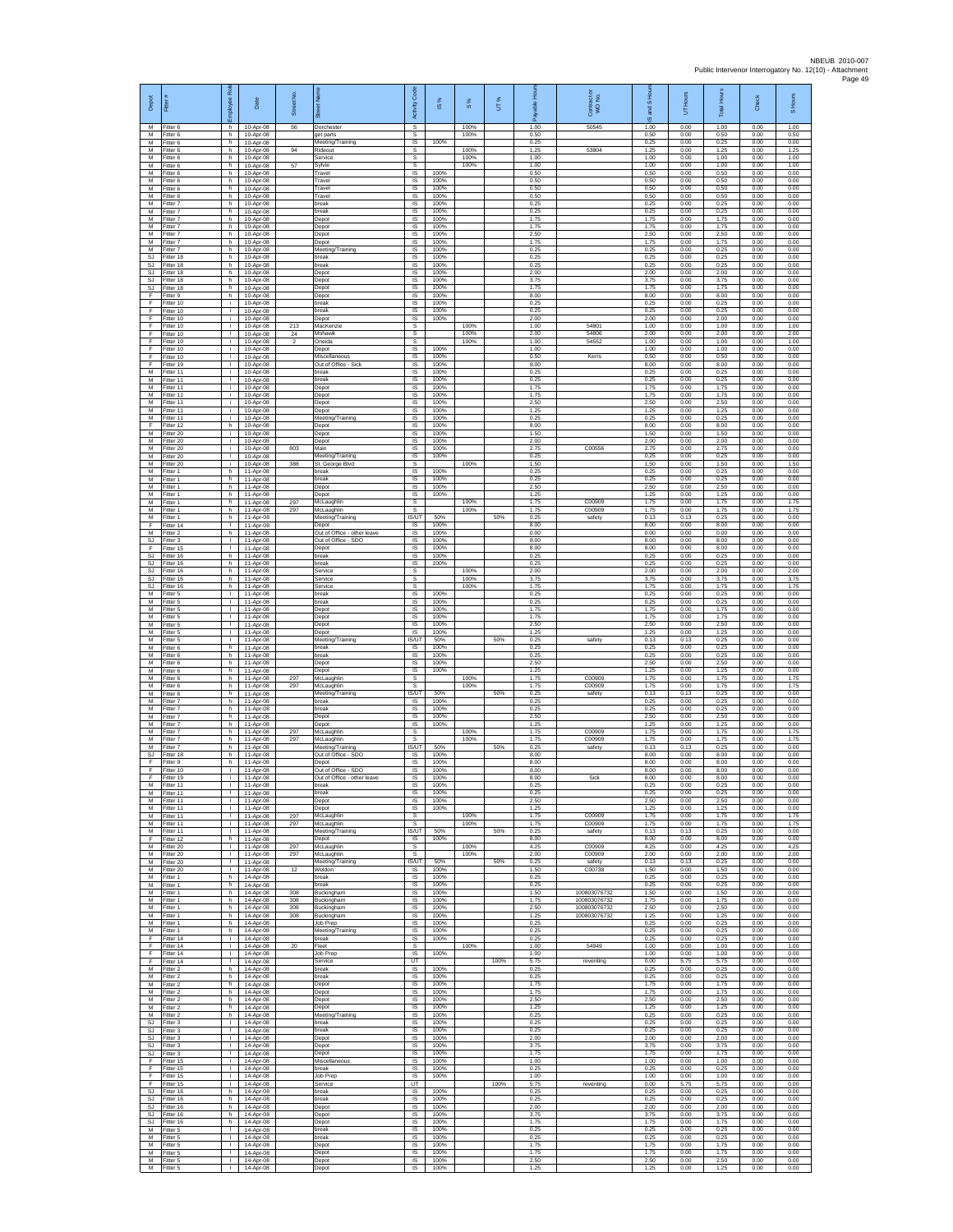| Depot                                     | Fitter                              | å<br>ployee                                  | Date                                | Street No       |                                                          | <b>Code</b><br>Activity                         | 1S%                  | $\frac{8}{3}$ | UТ%  | <b>A</b><br>able<br>గొ | Contract or<br>WO No.        | and S Hou<br>$\overline{\omega}$ | UT Hours             | <b>Total Hours</b>   | Check                | S Hours              |
|-------------------------------------------|-------------------------------------|----------------------------------------------|-------------------------------------|-----------------|----------------------------------------------------------|-------------------------------------------------|----------------------|---------------|------|------------------------|------------------------------|----------------------------------|----------------------|----------------------|----------------------|----------------------|
| M<br>М                                    | Fitter 6<br>Fitter 6                | h.<br>h                                      | 10-Apr-08<br>10-Apr-08              | 56              | Dorchester<br>get parts                                  | $\overline{\mathbf{s}}$<br>$\mathbb S$          |                      | 100%<br>100%  |      | 1.00<br>0.50           | 50545                        | 1.00<br>0.50                     | 0.00<br>0.00         | 1.00<br>0.50         | 0.00<br>0.00         | 1.00<br>0.50         |
| M<br>$\overline{M}$<br>M                  | Fitter 6<br>Fitter 6<br>Fitter 6    | h.<br>h.<br>h.                               | 10-Apr-08<br>10-Apr-08<br>10-Apr-08 | 94              | Meeting/Training<br>Rideout<br>Service                   | IS<br>s<br>s                                    | 100%                 | 100%<br>100%  |      | 0.25<br>1.25<br>1.00   | 53804                        | 0.25<br>1.25<br>1.00             | 0.00<br>0.00<br>0.00 | 0.25<br>1.25<br>1.00 | 0.00<br>0.00<br>0.00 | 0.00<br>1.25<br>1.00 |
| M<br>M                                    | Fitter 6<br>itter 6                 | h.<br>h                                      | 10-Apr-08<br>10-Apr-08              | 57              | Sylvie<br>Travel                                         | s<br>IS                                         | 100%                 | 100%          |      | 1.00<br>0.50           |                              | 1.00<br>0.50                     | 0.00<br>0.00         | 1.00<br>0.50         | 0.00<br>0.00         | 1.00<br>0.00         |
| M<br>M                                    | Fitter 6<br>Fitter 6                | h.<br>h.                                     | 10-Apr-08<br>10-Apr-08              |                 | Travel<br>Travel                                         | IS<br>IS                                        | 100%<br>100%         |               |      | 0.50<br>0.50           |                              | 0.50<br>0.50                     | 0.00<br>0.00         | 0.50<br>0.50         | 0.00<br>0.00         | 0.00<br>0.00         |
| М<br>M<br>M                               | Fitter 6<br>Fitter 7<br>Fitter 7    | h<br>h<br>h.                                 | 10-Apr-08<br>10-Apr-08<br>10-Apr-08 |                 | Travel<br>break<br>break                                 | $\sf IS$<br>IS<br>IS                            | 100%<br>100%<br>100% |               |      | 0.50<br>0.25<br>0.25   |                              | 0.50<br>0.25<br>0.25             | 0.00<br>0.00<br>0.00 | 0.50<br>0.25<br>0.25 | 0.00<br>0.00<br>0.00 | 0.00<br>0.00<br>0.00 |
| М<br>M                                    | Fitter 7<br>fitter 7                | h.<br>h                                      | 10-Apr-08<br>10-Apr-08              |                 | Depot<br>Depot                                           | IS<br>$\overline{\mathsf{s}}$                   | 100%<br>100%         |               |      | 1.75<br>1.75           |                              | 1.75<br>1.75                     | 0.00<br>0.00         | 1.75<br>1.75         | 0.00<br>0.00         | 0.00<br>0.00         |
| $\overline{M}$<br>М                       | Fitter 7<br>itter 7                 | h.<br>h.                                     | 10-Apr-08<br>10-Apr-08              |                 | Depot<br>Depot                                           | $\overline{\mathsf{s}}$<br>IS                   | 100%<br>100%         |               |      | 2.50<br>1.75           |                              | 2.50<br>1.75                     | 0.00<br>0.00         | 2.50<br>1.75         | 0.00<br>0.00         | 0.00<br>0.00         |
| M<br><b>SJ</b><br><b>SJ</b>               | Fitter 7<br>fitter 18<br>Fitter 18  | h.<br>h<br>h                                 | 10-Apr-08<br>10-Apr-08<br>10-Apr-08 |                 | Meeting/Training<br>preak<br>break                       | IS<br>IS<br>IS                                  | 100%<br>100%<br>100% |               |      | 0.25<br>0.25<br>0.25   |                              | 0.25<br>0.25<br>0.25             | 0.00<br>0.00<br>0.00 | 0.25<br>0.25<br>0.25 | 0.00<br>0.00<br>0.00 | 0.00<br>0.00<br>0.00 |
| SJ<br><b>SJ</b>                           | Fitter 18<br>itter 18               | h<br>h.                                      | 10-Apr-08<br>10-Apr-08              |                 | Depot<br>Depot                                           | $\sf IS$<br>IS                                  | 100%<br>100%         |               |      | 2.00<br>3.75           |                              | 2.00<br>3.75                     | 0.00<br>0.00         | 2.00<br>3.75         | 0.00<br>0.00         | 0.00<br>0.00         |
| <b>SJ</b><br>F                            | Fitter 18<br>Fitter 9               | h.<br>h.                                     | 10-Apr-08<br>10-Apr-08              |                 | Depot<br>Depot                                           | IS<br>IS.                                       | 100%<br>100%         |               |      | 1.75<br>8.00           |                              | 1.75<br>8.00                     | 0.00<br>0.00         | 1.75<br>8.00         | 0.00<br>0.00         | 0.00<br>0.00         |
| F<br>F<br>F                               | Fitter 10<br>Fitter 10<br>Fitter 10 | i.<br>T<br>i.                                | 10-Apr-08<br>10-Apr-08<br>10-Apr-08 |                 | break<br>break<br>Depot                                  | IS<br>1S<br>$\overline{s}$                      | 100%<br>100%<br>100% |               |      | 0.25<br>0.25<br>2.00   |                              | 0.25<br>0.25<br>2.00             | 0.00<br>0.00<br>0.00 | 0.25<br>0.25<br>2.00 | 0.00<br>0.00<br>0.00 | 0.00<br>0.00<br>0.00 |
| F<br>F                                    | Fitter 10<br>Fitter 10              | i.<br>j.                                     | 10-Apr-08<br>10-Apr-08              | 213<br>$\bf 24$ | MacKenzi<br>Mohawk                                       | $\mathbb S$<br>$\mathbb S$                      |                      | 100%<br>100%  |      | 1.00<br>2.00           | 54801<br>54806               | 1.00<br>2.00                     | 0.00<br>0.00         | 1.00<br>2.00         | 0.00<br>0.00         | 1.00<br>2.00         |
| F<br>F                                    | Fitter 10<br>Fitter 10              | j.<br>j.                                     | 10-Apr-08<br>10-Apr-08              |                 | Oneida<br>Depot                                          | s<br>IS                                         | 100%                 | 100%          |      | 1.00<br>1.00           | 54552                        | 1.00<br>1.00                     | 0.00<br>0.00         | 1.00<br>1.00         | 0.00<br>0.00         | 1.00<br>0.00         |
| F<br>F<br>M                               | Fitter 10<br>fitter 19<br>Fitter 11 | ÷.<br>т.<br>j.                               | 10-Apr-08<br>10-Apr-08<br>10-Apr-08 |                 | Miscellaneous<br>Out of Office - Sick<br>break           | IS<br>IS<br>IS                                  | 100%<br>100%<br>100% |               |      | 0.50<br>8.00<br>0.25   | Kerrs                        | 0.50<br>8.00<br>0.25             | 0.00<br>0.00<br>0.00 | 0.50<br>8.00<br>0.25 | 0.00<br>0.00<br>0.00 | 0.00<br>0.00<br>0.00 |
| M<br>М                                    | Fitter 11<br>Fitter 11              | i.<br>j.                                     | 10-Apr-08<br>10-Apr-08              |                 | break<br>Depot                                           | IS<br>$\sf IS$                                  | 100%<br>100%         |               |      | 0.25<br>1.75           |                              | 0.25<br>1.75                     | 0.00<br>0.00         | 0.25<br>1.75         | 0.00<br>0.00         | 0.00<br>0.00         |
| M<br>M                                    | Fitter 11<br>Fitter 11              | $\mathbf{i}$<br>÷.                           | 10-Apr-08<br>10-Apr-08              |                 | Depot<br>Depot                                           | IS<br>IS                                        | 100%<br>100%         |               |      | 1.75<br>2.50           |                              | 1.75<br>2.50                     | 0.00<br>0.00         | 1.75<br>2.50         | 0.00<br>0.00         | 0.00<br>0.00         |
| М<br>M<br>F                               | fitter 11<br>itter 11<br>Fitter 12  | ÷.<br>T<br>h.                                | 10-Apr-08<br>10-Apr-08<br>10-Apr-08 |                 | Depot<br>Meeting/Training<br>Depot                       | IS<br>$\overline{\mathsf{s}}$<br>$\overline{s}$ | 100%<br>100%<br>100% |               |      | 1.25<br>0.25<br>8.00   |                              | 1.25<br>0.25<br>8.00             | 0.00<br>0.00<br>0.00 | 1.25<br>0.25<br>8.00 | 0.00<br>0.00<br>0.00 | 0.00<br>0.00<br>0.00 |
| М<br>M                                    | Fitter 20<br>Fitter 20              | j.<br>÷.                                     | 10-Apr-08<br>10-Apr-08              |                 | Depot<br>Depot                                           | IS<br>IS                                        | 100%<br>100%         |               |      | 1.50<br>2.00           |                              | 1.50<br>2.00                     | 0.00<br>0.00         | 1.50<br>2.00         | 0.00<br>0.00         | 0.00<br>0.00         |
| M<br>M                                    | fitter 20<br>Fitter 20              | i.<br>÷                                      | $10-Anr-08$<br>10-Apr-08            | 803             | Main<br>Meeting/Training                                 | IS<br>$\sf IS$                                  | 100%<br>100%         |               |      | 2.75<br>0.25           | C00556                       | 2.75<br>0.25                     | 0.00<br>0.00         | 2.75<br>0.25         | 0.00<br>0.00         | 0.00<br>0.00         |
| М<br>M<br>M                               | Fitter 20<br>fitter 1<br>Fitter 1   | i.<br>h.<br>h.                               | 10-Apr-08<br>11-Apr-08<br>11-Apr-08 | 388             | St. George Blvd<br>break<br>break                        | $\mathbb S$<br>IS<br>IS                         | 100%<br>100%         | 100%          |      | 1.50<br>0.25<br>0.25   |                              | 1.50<br>0.25<br>0.25             | 0.00<br>0.00<br>0.00 | 1.50<br>0.25<br>0.25 | 0.00<br>0.00<br>0.00 | 1.50<br>0.00<br>0.00 |
| M<br>М                                    | Fitter 1<br>Fitter 1                | h<br>h                                       | 11-Apr-08<br>11-Apr-08              |                 | Depot<br>Depot                                           | IS<br>IS                                        | 100%<br>100%         |               |      | 2.50<br>1.25           |                              | 2.50<br>1.25                     | 0.00<br>0.00         | 2.50<br>1.25         | 0.00<br>0.00         | 0.00<br>0.00         |
| M<br>M<br>М                               | Fitter 1<br>Fitter 1<br>Fitter 1    | h.<br>h.<br>h.                               | 11-Apr-08<br>11-Apr-08<br>11-Apr-08 | 297<br>297      | McLaughlin<br>McLaughlin                                 | s<br>s<br>IS/UT                                 | 50%                  | 100%<br>100%  | 50%  | 1.75<br>1.75<br>0.25   | C00909<br>C00909<br>safety   | 1.75<br>1.75<br>0.13             | 0.00<br>0.00<br>0.13 | 1.75<br>1.75<br>0.25 | 0.00<br>0.00<br>0.00 | 1.75<br>1.75<br>0.00 |
| F<br>M                                    | fitter 14<br>Fitter 2               | $\mathbf{I}$<br>h.                           | 11-Apr-08<br>11-Apr-08              |                 | Meeting/Training<br>Depot<br>Out of Office - other leave | IS<br>$\overline{s}$                            | 100%<br>100%         |               |      | 8.00<br>0.00           |                              | 8.00<br>0.00                     | 0.00<br>0.00         | 8.00<br>0.00         | 0.00<br>0.00         | 0.00<br>0.00         |
| <b>SJ</b><br>F                            | Fitter 3<br>Fitter 15               | $\mathbb{R}$<br>$\mathbf{L}$                 | 11-Apr-08<br>11-Apr-08              |                 | Out of Office - SDO<br>Depot                             | IS<br>1S                                        | 100%<br>100%         |               |      | 8.00<br>8.00           |                              | 8.00<br>8.00                     | 0.00<br>0.00         | 8.00<br>8.00         | 0.00<br>0.00         | 0.00<br>0.00         |
| <b>SJ</b><br>SJ<br>$\mathbb{S}\mathbb{J}$ | fitter 16<br>Fitter 16<br>Fitter 16 | h.<br>h.<br>h.                               | 11-Apr-08<br>11-Apr-08<br>11-Apr-08 |                 | break<br>break<br>Service                                | IS<br>IS<br>s                                   | 100%<br>100%         | 100%          |      | 0.25<br>0.25<br>2.00   |                              | 0.25<br>0.25<br>2.00             | 0.00<br>0.00<br>0.00 | 0.25<br>0.25<br>2.00 | 0.00<br>0.00<br>0.00 | 0.00<br>0.00<br>2.00 |
| SJ<br><b>SJ</b>                           | Fitter 16<br>Fitter 16              | h<br>h.                                      | 11-Apr-08<br>11-Apr-08              |                 | Service<br>Service                                       | $\mathbb S$<br>s                                |                      | 100%<br>100%  |      | 3.75<br>1.75           |                              | 3.75<br>1.75                     | 0.00<br>0.00         | 3.75<br>1.75         | 0.00<br>0.00         | 3.75<br>1.75         |
| M<br>М<br>M                               | Fitter 5<br>Fitter 5<br>fitter 5    | $\mathbb{R}$<br>т.<br>т                      | 11-Apr-08<br>11-Apr-08<br>11-Apr-08 |                 | break<br>break<br>Depot                                  | IS<br>IS<br>$\overline{\mathsf{s}}$             | 100%<br>100%<br>100% |               |      | 0.25<br>0.25<br>1.75   |                              | 0.25<br>0.25<br>1.75             | 0.00<br>0.00<br>0.00 | 0.25<br>0.25<br>1.75 | 0.00<br>0.00<br>0.00 | 0.00<br>0.00<br>0.00 |
| M<br>М                                    | Fitter 5<br>litter 5                | $\mathbf{L}$<br>$\mathbf{L}$                 | 11-Apr-08<br>11-Apr-08              |                 | Depot<br>Depot                                           | IS<br>IS                                        | 100%<br>100%         |               |      | 1.75<br>2.50           |                              | 1.75<br>2.50                     | 0.00<br>0.00         | 1.75<br>2.50         | 0.00<br>0.00         | 0.00<br>0.00         |
| М<br>M                                    | Fitter 5<br>fitter 5                | $\mathbf{L}$<br>$\mathbf{I}$                 | 11-Apr-08<br>11-Apr-08              |                 | Depot<br>Meeting/Training                                | <b>IS</b><br>IS/UT                              | 100%<br>50%          |               | 50%  | 1.25<br>0.25           | safety                       | 1.25<br>0.13                     | 0.00<br>0.13         | 1.25<br>0.25         | 0.00<br>0.00         | 0.00<br>0.00         |
| M<br>М<br>М                               | Fitter 6<br>Fitter 6<br>itter 6     | h<br>h.<br>h.                                | 11-Apr-08<br>11-Apr-08<br>11-Apr-08 |                 | break<br>oreak<br>Jepot                                  | IS<br>$\sf IS$<br>IS                            | 100%<br>100%<br>100% |               |      | 0.25<br>0.25<br>2.50   |                              | 0.25<br>0.25<br>2.50             | 0.00<br>0.00<br>0.00 | 0.25<br>0.25<br>2.50 | 0.00<br>0.00<br>0.00 | 0.00<br>0.00<br>0.00 |
| M<br>M                                    | Fitter 6<br>Fitter 6                | h.<br>h                                      | 11-Apr-08<br>11-Apr-08              | 297             | Depot<br>McLaughlin                                      | IS<br>s                                         | 100%                 | 100%          |      | 1.25<br>1.75           | C00909                       | 1.25<br>1.75                     | 0.00<br>0.00         | 1.25<br>1.75         | 0.00<br>0.00         | 0.00<br>1.75         |
| М<br>M<br>M                               | Fitter 6<br>Fitter 6<br>Fitter 7    | h<br>h<br>h.                                 | 11-Apr-08<br>11-Apr-08              | 297             | McLaughlin<br>Meeting/Training<br>break                  | s<br><b>IS/UT</b><br>IS                         | 50%<br>100%          | 100%          | 50%  | 1.75<br>0.25<br>0.25   | C00909<br>safety             | 1.75<br>0.13<br>0.25             | 0.00<br>0.13<br>0.00 | 1.75<br>0.25<br>0.25 | 0.00<br>0.00<br>0.00 | 1.75<br>0.00<br>0.00 |
| М<br>M                                    | itter 7<br>Fitter 7                 | h.<br>h                                      | 11-Apr-08<br>11-Apr-08<br>11-Apr-08 |                 | oreak<br>Depot                                           | $\sf IS$<br>$\sf IS$                            | 100%<br>100%         |               |      | 0.25<br>2.50           |                              | 0.25<br>2.50                     | 0.00<br>0.00         | 0.25<br>2.50         | 0.00<br>0.00         | 0.00<br>0.00         |
| $\overline{M}$<br>M                       | Fitter 7<br>Fitter 7                | h.<br>h.                                     | 11-Apr-08<br>11-Apr-08              | 297             | Depot<br>McLaughlin                                      | $\overline{s}$<br>s                             | 100%                 | 100%          |      | 1.25<br>1.75           | C00909                       | 1.25<br>1.75                     | 0.00<br>0.00         | 1.25<br>1.75         | 0.00<br>0.00         | 0.00<br>1.75         |
| М<br>M<br>SJ                              | Fitter 7<br>itter 7<br>Fitter 18    | h.<br>h.<br>h.                               | 11-Apr-08<br>11-Apr-08<br>11-Apr-08 | 297             | McLaughlin<br>Meeting/Training<br>Out of Office - SDC    | s<br>IS/UT<br>IS                                | 50%<br>100%          | 100%          | 50%  | 1.75<br>0.25<br>8.00   | C00909<br>safety             | 1.75<br>0.13<br>8.00             | 0.00<br>0.13<br>0.00 | 1.75<br>0.25<br>8.00 | 0.00<br>0.00<br>0.00 | 1.75<br>0.00<br>0.00 |
| F<br>F                                    | Fitter 9<br>Fitter 10               | h.<br>$\mathbf{I}$                           | 11-Apr-08<br>11-Apr-08              |                 | Depot<br>Out of Office - SDO                             | IS<br>$\sf IS$                                  | 100%<br>100%         |               |      | 8.00<br>8.00           |                              | 8.00<br>8.00                     | 0.00<br>0.00         | 8.00<br>8.00         | 0.00<br>0.00         | 0.00<br>0.00         |
| F<br>м<br>M                               | Fitter 19<br>Fitter 11<br>Fitter 11 | i.<br>л<br>$\mathbf{L}$                      | 11-Apr-08<br>11-Apr-08<br>11-Apr-08 |                 | Out of Office - other leave<br>break<br>break            | IS<br><b>IS</b><br>1S                           | 100%<br>100%<br>100% |               |      | 8.00<br>0.25<br>0.25   | Sick                         | 8.00<br>0.25<br>0.25             | 0.00<br>0.00<br>0.00 | 8.00<br>0.25<br>0.25 | 0.00<br>0.00<br>0.00 | 0.00<br>0.00<br>0.00 |
| M<br>M                                    | Fitter 11<br>Fitter 11              | т<br>$\mathbf{I}$                            | 11-Apr-08<br>11-Apr-08              |                 | Depot<br>Depot                                           | IS.<br>$\overline{\mathsf{s}}$                  | 100%<br>100%         |               |      | 2.50<br>1.25           |                              | 2.50<br>1.25                     | 0.00<br>0.00         | 2.50<br>1.25         | 0.00<br>0.00         | 0.00<br>0.00         |
| М<br>М                                    | Fitter 11<br>Fitter 11              | $\mathbf{L}$<br>$\mathbf{L}$                 | 11-Apr-08<br>11-Apr-08              | 297<br>297      | McLaughlin<br>McLaughlin                                 | s<br>s                                          |                      | 100%<br>100%  |      | 1.75<br>1.75           | C00909<br>C00909             | 1.75<br>1.75                     | 0.00<br>0.00         | 1.75<br>1.75         | 0.00<br>0.00         | 1.75<br>1.75         |
| M<br>F<br>M                               | Fitter 11<br>Fitter 12<br>Fitter 20 | $\mathbf{I}$<br>h.<br>$\Gamma$ .             | 11-Apr-08<br>11-Apr-08<br>11-Apr-08 | 297             | Meeting/Training<br>Depot<br>McLaughlin                  | <b>IS/UT</b><br>IS<br>s                         | 50%<br>100%          | 100%          | 50%  | 0.25<br>8.00<br>4.25   | safety<br>C00909             | 0.13<br>8.00<br>4.25             | 0.13<br>0.00<br>0.00 | 0.25<br>8.00<br>4.25 | 0.00<br>0.00<br>0.00 | 0.00<br>0.00<br>4.25 |
| М<br>M                                    | fitter 20<br>Fitter 20              | $\mathbb{R}$<br>$\mathbf{1}$                 | 11-Apr-08<br>11-Apr-08              | 297             | McLaughlin<br>Meeting/Training                           | s<br><b>IS/UT</b>                               | 50%                  | 100%          | 50%  | 2.00<br>0.25           | C00909<br>safety             | 2.00<br>0.13                     | 0.00<br>0.13         | 2.00<br>0.25         | 0.00<br>0.00         | 2.00<br>0.00         |
| M<br>М<br>M                               | Fitter 20<br>Fitter 1<br>Fitter 1   | <b>ILL</b><br>h.<br>h.                       | 11-Apr-08<br>14-Apr-08<br>14-Apr-08 | 12              | Weldon<br>break<br>break                                 | <b>IS</b><br>1S<br>$\overline{s}$               | 100%<br>100%<br>100% |               |      | 1.50<br>0.25<br>0.25   | C00738                       | 1.50<br>0.25<br>0.25             | 0.00<br>0.00<br>0.00 | 1.50<br>0.25<br>0.25 | 0.00<br>0.00<br>0.00 | 0.00<br>0.00<br>0.00 |
| M<br>М                                    | Fitter 1<br>Fitter 1                | h.<br>h.                                     | 14-Apr-08<br>14-Apr-08              | 308<br>308      | Buckingham<br>Buckingham                                 | IS<br>$\sf IS$                                  | 100%<br>100%         |               |      | 1.50<br>1.75           | 100803076732<br>100803076732 | 1.50<br>1.75                     | 0.00<br>0.00         | 1.50<br>1.75         | 0.00<br>0.00         | 0.00<br>0.00         |
| M<br>M                                    | Fitter 1<br>Fitter 1                | h<br>h.                                      | 14-Apr-08<br>14-Apr-08              | 308<br>308      | Buckingham<br>Buckingham                                 | IS<br>IS                                        | 100%<br>100%         |               |      | 2.50<br>1.25           | 100803076732<br>100803076732 | 2.50<br>1.25                     | 0.00<br>0.00         | 2.50<br>1.25         | 0.00<br>0.00         | 0.00<br>0.00         |
| M<br>M<br>F                               | Fitter 1<br>Fitter 1<br>fitter 14   | h.<br>h.<br>$\mathbf{L}$                     | 14-Apr-08<br>14-Apr-08<br>14-Apr-08 |                 | Job Prep<br>Meeting/Training<br>break                    | IS<br>1S<br>IS                                  | 100%<br>100%<br>100% |               |      | 0.25<br>0.25<br>0.25   |                              | 0.25<br>0.25<br>0.25             | 0.00<br>0.00<br>0.00 | 0.25<br>0.25<br>0.25 | 0.00<br>0.00<br>0.00 | 0.00<br>0.00<br>0.00 |
| F<br>F.                                   | Fitter 14<br>Fitter 14              | л.<br><b>ILL</b>                             | 14-Apr-08<br>14-Apr-08              | 20              | Fleet<br>Job Prep                                        | s<br>IS.                                        | 100%                 | 100%          |      | 1.00<br>1.00           | 54949                        | 1.00<br>1.00                     | 0.00<br>0.00         | 1.00<br>1.00         | 0.00<br>0.00         | 1.00<br>0.00         |
| F<br>M<br>M                               | Fitter 14<br>Fitter 2<br>Fitter 2   | $\mathbb{L}$<br>h.<br>h.                     | 14-Apr-08<br>14-Apr-08<br>14-Apr-08 |                 | Service<br>break<br>break                                | UT<br>IS.<br>IS.                                | 100%<br>100%         |               | 100% | 5.75<br>0.25<br>0.25   | reventing                    | 0.00<br>0.25<br>0.25             | 5.75<br>0.00<br>0.00 | 5.75<br>0.25<br>0.25 | 0.00<br>0.00<br>0.00 | 0.00<br>0.00<br>0.00 |
| М<br>M                                    | Fitter 2<br>itter 2                 | h<br>h                                       | 14-Apr-08<br>14-Apr-08              |                 | Depot<br>Depot                                           | 1S<br>1S                                        | 100%<br>100%         |               |      | 1.75<br>1.75           |                              | 1.75<br>1.75                     | 0.00<br>0.00         | 1.75<br>1.75         | 0.00<br>0.00         | 0.00<br>0.00         |
| M<br>М<br>М                               | Fitter 2<br>Fitter 2<br>Fitter 2    | h.<br>h.<br>h                                | 14-Apr-08<br>14-Apr-08<br>14-Apr-08 |                 | Depot<br>Depot<br>Meeting/Training                       | IS<br>IS<br>1S                                  | 100%<br>100%<br>100% |               |      | 2.50<br>1.25<br>0.25   |                              | 2.50<br>1.25<br>0.25             | 0.00<br>0.00<br>0.00 | 2.50<br>1.25<br>0.25 | 0.00<br>0.00<br>0.00 | 0.00<br>0.00<br>0.00 |
| <b>SJ</b><br>SJ                           | Fitter 3<br>Fitter 3                | $\mathbb{R}$<br>$\mathbf{L}$                 | 14-Apr-08<br>14-Apr-08              |                 | break<br>break                                           | IS<br>IS                                        | 100%<br>100%         |               |      | 0.25<br>0.25           |                              | 0.25<br>0.25                     | 0.00<br>0.00         | 0.25<br>0.25         | 0.00<br>0.00         | 0.00<br>0.00         |
| SJ<br>SJ                                  | Fitter 3<br>fitter 3                | $\mathbb{L}$<br>$\mathbf{I}$                 | 14-Apr-08<br>14-Apr-08              |                 | Depot<br>Depot                                           | $\sf IS$<br>IS                                  | 100%<br>100%         |               |      | 2.00<br>3.75           |                              | 2.00<br>3.75                     | 0.00<br>0.00         | 2.00<br>3.75         | 0.00<br>0.00         | 0.00<br>0.00         |
| SJ.<br>F.<br>F                            | Fitter 3<br>Fitter 15<br>Fitter 15  | $\mathbf{1}$<br><b>ILL</b><br>л.             | 14-Apr-08<br>14-Apr-08<br>14-Apr-08 |                 | Depot<br>Miscellaneous<br>break                          | IS<br>IS.<br>1S                                 | 100%<br>100%<br>100% |               |      | 1.75<br>1.00<br>0.25   |                              | 1.75<br>1.00<br>0.25             | 0.00<br>0.00<br>0.00 | 1.75<br>1.00<br>0.25 | 0.00<br>0.00<br>0.00 | 0.00<br>0.00<br>0.00 |
| F.<br>F.                                  | Fitter 15<br>Fitter 15              | τ<br>$\mathbf{L}$                            | 14-Apr-08<br>14-Apr-08              |                 | Job Prep<br>Service                                      | IS.<br>UT                                       | 100%                 |               | 100% | 1.00<br>5.75           | reventing                    | 1.00<br>0.00                     | 0.00<br>5.75         | 1.00<br>5.75         | 0.00<br>0.00         | 0.00<br>0.00         |
| SJ<br>$\mathbb{S}\mathbb{J}$<br>SJ.       | Fitter 16<br>Fitter 16<br>Fitter 16 | h.<br>h<br>h.                                | 14-Apr-08<br>14-Apr-08<br>14-Apr-08 |                 | break<br>break<br>Depot                                  | $\sf IS$<br>$\sf IS$<br>IS                      | 100%<br>100%<br>100% |               |      | 0.25<br>0.25<br>2.00   |                              | 0.25<br>0.25<br>2.00             | 0.00<br>0.00<br>0.00 | 0.25<br>0.25<br>2.00 | 0.00<br>0.00<br>0.00 | 0.00<br>0.00<br>0.00 |
| SJ.<br><b>SJ</b>                          | Fitter 16<br>Fitter 16              | h.<br>h.                                     | 14-Apr-08<br>14-Apr-08              |                 | Depot<br>Depot                                           | IS<br>IS                                        | 100%<br>100%         |               |      | 3.75<br>1.75           |                              | 3.75<br>1.75                     | 0.00<br>0.00         | 3.75<br>1.75         | 0.00<br>0.00         | 0.00<br>0.00         |
| М<br>M<br>M                               | fitter 5<br>Fitter 5                | $\mathbb{R}$<br>$\mathbf{L}$<br>$\mathbb{R}$ | 14-Apr-08<br>14-Apr-08              |                 | break<br>break                                           | IS<br>IS<br>IS.                                 | 100%<br>100%<br>100% |               |      | 0.25<br>0.25<br>1.75   |                              | 0.25<br>0.25<br>1.75             | 0.00<br>0.00<br>0.00 | 0.25<br>0.25<br>1.75 | 0.00<br>0.00<br>0.00 | 0.00<br>0.00<br>0.00 |
| М<br>M                                    | Fitter 5<br>Fitter 5<br>Fitter 5    | л.<br>$\mathbf{L}$                           | 14-Apr-08<br>14-Apr-08<br>14-Apr-08 |                 | Depot<br>Depot<br>Depot                                  | $\sf IS$<br>IS                                  | 100%<br>100%         |               |      | 1.75<br>2.50           |                              | 1.75<br>2.50                     | 0.00<br>0.00         | 1.75<br>2.50         | 0.00<br>0.00         | 0.00<br>0.00         |
|                                           | M Fitter 5                          | $\mathbf{L}$                                 | 14-Apr-08                           |                 | Depot                                                    | IS                                              | 100%                 |               |      | 1.25                   |                              | 1.25                             | 0.00                 | 1.25                 | 0.00                 | 0.00                 |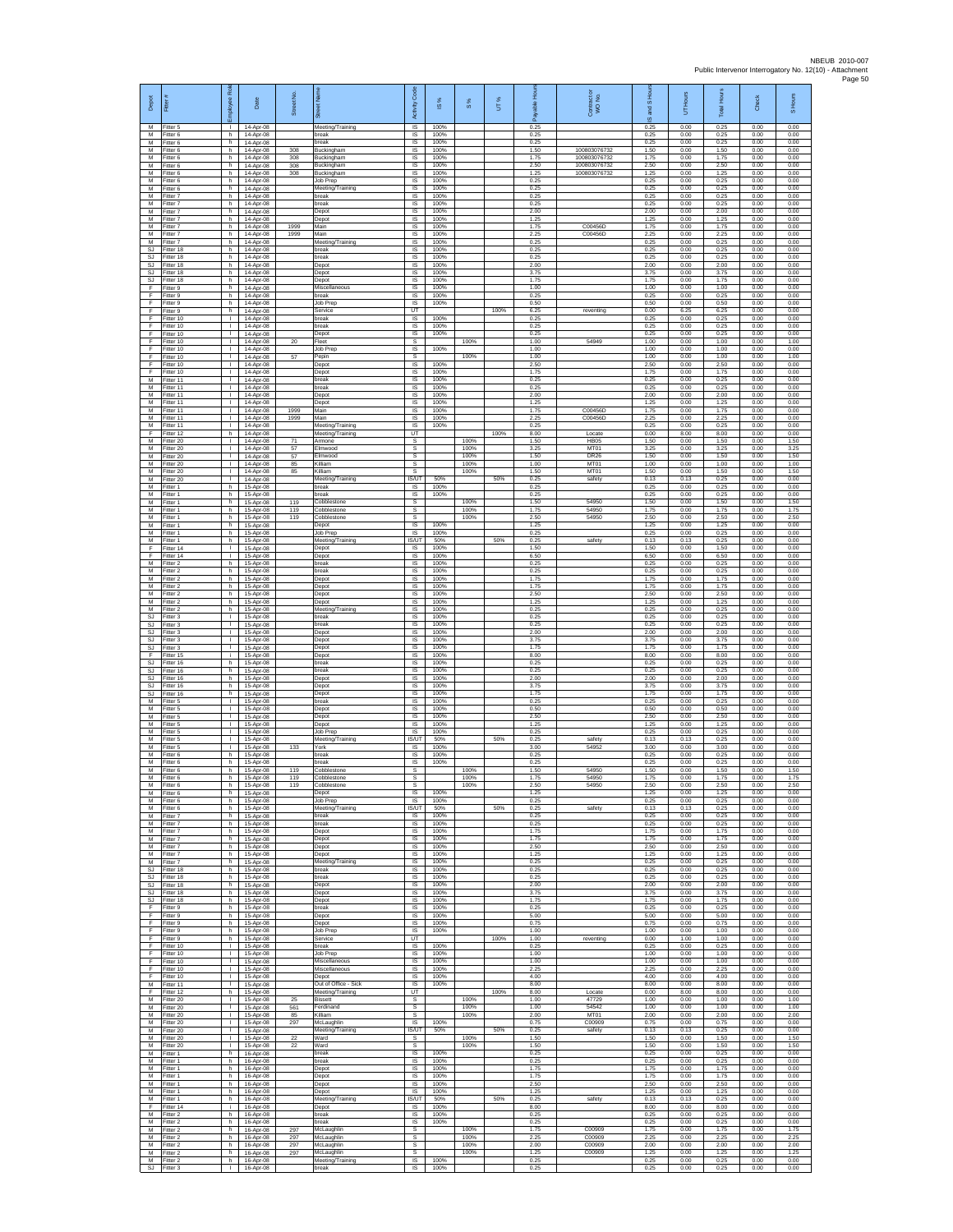| Depot                    | Ē                                   | æ<br>eekolo                                  | Date                                  | Street No.     | ā                                                 | Code<br>Activity          | ×,<br>$\overline{\omega}$ | $\frac{8}{3}$        | UT%  | <b>Hou</b><br>able<br>æ | Contract or<br>WO No.        | and S Hou<br>ဖ       | UT Hours             | <b>IHours</b><br>Total | Check                | S Hours              |
|--------------------------|-------------------------------------|----------------------------------------------|---------------------------------------|----------------|---------------------------------------------------|---------------------------|---------------------------|----------------------|------|-------------------------|------------------------------|----------------------|----------------------|------------------------|----------------------|----------------------|
| М<br>${\sf M}$<br>M      | Fitter 5<br>Fitter 6<br>Fitter 6    | $\mathbf{I}$<br>h.<br>h.                     | 14-Apr-08<br>14-Apr-08<br>14-Apr-08   |                | Meeting/Training<br>break<br>break                | IS<br>$\sf IS$<br>IS.     | 100%<br>100%<br>100%      |                      |      | 0.25<br>0.25<br>0.25    |                              | 0.25<br>0.25<br>0.25 | 0.00<br>0.00<br>0.00 | 0.25<br>0.25<br>0.25   | 0.00<br>0.00<br>0.00 | 0.00<br>0.00<br>0.00 |
| M<br>M                   | Fitter 6<br>Fitter 6                | h.<br>h.                                     | 14-Apr-08<br>14-Apr-08                | 308<br>308     | Buckingham<br>Buckingham                          | IS<br>IS                  | 100%<br>100%              |                      |      | 1.50<br>1.75            | 100803076732<br>100803076732 | 1.50<br>1.75         | 0.00<br>0.00         | 1.50<br>1.75           | 0.00<br>0.00         | 0.00<br>0.00         |
| M<br>M<br>M              | Fitter 6<br>Fitter 6<br>Fitter 6    | h.<br>h.<br>h                                | 14-Apr-08<br>14-Apr-08<br>14-Apr-08   | 308<br>308     | Buckingham<br>Buckingham<br>Job Prep              | IS<br><b>IS</b><br>IS     | 100%<br>100%<br>100%      |                      |      | 2.50<br>1.25<br>0.25    | 10080307673<br>100803076732  | 2.50<br>1.25<br>0.25 | 0.00<br>0.00<br>0.00 | 2.50<br>1.25<br>0.25   | 0.00<br>0.00<br>0.00 | 0.00<br>0.00<br>0.00 |
| M<br>M                   | Fitter 6<br>Fitter 7                | h.<br>h                                      | 14-Apr-08<br>14-Apr-08                |                | Meeting/Training<br>break                         | IS<br>IS                  | 100%<br>100%              |                      |      | 0.25<br>0.25            |                              | 0.25<br>0.25         | 0.00<br>0.00         | 0.25<br>0.25           | 0.00<br>0.00         | 0.00<br>0.00         |
| M<br>M<br>M              | Fitter 7<br>-itter 7<br>Fitter 7    | h.<br>h.<br>h.                               | 14-Apr-08<br>14-Apr-08<br>14-Apr-08   |                | break<br>Depot<br>Depot                           | IS<br>IS<br>1S            | 100%<br>100%<br>100%      |                      |      | 0.25<br>2.00<br>1.25    |                              | 0.25<br>2.00<br>1.25 | 0.00<br>0.00<br>0.00 | 0.25<br>2.00<br>1.25   | 0.00<br>0.00<br>0.00 | 0.00<br>0.00<br>0.00 |
| M<br>М                   | Fitter 7<br>Fitter 7                | h.<br>h                                      | 14-Apr-08<br>14-Apr-08                | 1999<br>1999   | Main<br>Main                                      | IS<br>IS                  | 100%<br>100%              |                      |      | 1.75<br>2.25            | C00456D<br>C00456D           | 1.75<br>2.25         | 0.00<br>0.00         | 1.75<br>2.25           | 0.00<br>0.00         | 0.00<br>0.00         |
| M<br><b>SJ</b><br>SJ     | Fitter 7<br>-itter 18<br>Fitter 18  | h.<br>h.<br>h.                               | 14-Apr-08<br>14-Apr-08<br>14-Apr-08   |                | Meeting/Training<br>oreak<br>break                | IS<br>IS<br>-IS           | 100%<br>100%<br>100%      |                      |      | 0.25<br>0.25<br>0.25    |                              | 0.25<br>0.25<br>0.25 | 0.00<br>0.00<br>0.00 | 0.25<br>0.25<br>0.25   | 0.00<br>0.00<br>0.00 | 0.00<br>0.00<br>0.00 |
| SJ<br>SJ                 | Fitter 18<br>Fitter 18              | h.<br>h                                      | 14-Apr-08<br>14-Apr-08                |                | Depot<br>Depot                                    | $\sf IS$<br>IS            | 100%<br>100%              |                      |      | 2.00<br>3.75            |                              | 2.00<br>3.75         | 0.00<br>0.00         | 2.00<br>3.75           | 0.00<br>0.00         | 0.00<br>0.00         |
| <b>SJ</b><br>-F.<br>Ŧ    | Fitter 18<br>Fitter 9<br>Fitter 9   | h.<br>h.<br>h.                               | 14-Apr-08<br>14-Apr-08<br>14-Apr-08   |                | Depot<br>Miscellaneous<br>break                   | <b>IS</b><br>IS<br>IS     | 100%<br>100%<br>100%      |                      |      | 1.75<br>1.00<br>0.25    |                              | 1.75<br>1.00<br>0.25 | 0.00<br>0.00<br>0.00 | 1.75<br>1.00<br>0.25   | 0.00<br>0.00<br>0.00 | 0.00<br>0.00<br>0.00 |
| F.<br>F                  | Fitter 9<br>Fitter 9                | h.<br>h.                                     | 14-Apr-08<br>14-Apr-08                |                | <b>Job Prep</b><br>Service                        | IS<br>UT                  | 100%                      |                      | 100% | 0.50<br>6.25            | reventing                    | 0.50<br>0.00         | 0.00<br>6.25         | 0.50<br>6.25           | 0.00<br>0.00         | 0.00<br>0.00         |
| F<br>F<br>F              | Fitter 10<br>Fitter 10<br>Fitter 10 | $\mathbb{R}$<br>$\mathbf{L}$<br>$\mathbf{L}$ | 14-Apr-08<br>14-Apr-08<br>14-Apr-08   |                | oreak<br>break<br>Depot                           | IS<br>$\sf IS$<br>IS      | 100%<br>100%<br>100%      |                      |      | 0.25<br>0.25<br>0.25    |                              | 0.25<br>0.25<br>0.25 | 0.00<br>0.00<br>0.00 | 0.25<br>0.25<br>0.25   | 0.00<br>0.00<br>0.00 | 0.00<br>0.00<br>0.00 |
| F<br>Ŧ                   | Fitter 10<br>Fitter 10              | $\mathbb{R}$<br>$\mathbb{L}$                 | 14-Apr-08<br>14-Apr-08                | 20             | Fleet<br>Job Prep                                 | s<br>1S                   | 100%                      | 100%                 |      | 1.00<br>1.00            | 54949                        | 1.00<br>1.00         | 0.00<br>0.00         | 1.00<br>1.00           | 0.00<br>0.00         | 1.00<br>0.00         |
| Ŧ<br>F<br>F              | Fitter 10<br>Fitter 10              | т.<br>$\mathbf{L}$<br>$\mathbf{L}$           | 14-Apr-08<br>14-Apr-08                | 57             | Pepin<br>Depot                                    | s<br>IS<br>IS             | 100%<br>100%              | 100%                 |      | 1.00<br>2.50<br>1.75    |                              | 1.00<br>2.50<br>1.75 | 0.00<br>0.00<br>0.00 | 1.00<br>2.50<br>1.75   | 0.00<br>0.00<br>0.00 | 1.00<br>0.00<br>0.00 |
| M<br>M                   | Fitter 10<br>Fitter 11<br>Fitter 11 | L.<br>$\mathbf{L}$                           | 14-Apr-08<br>14-Apr-08<br>14-Apr-08   |                | Depot<br>break<br>break                           | IS<br>IS                  | 100%<br>100%              |                      |      | 0.25<br>0.25            |                              | 0.25<br>0.25         | 0.00<br>0.00         | 0.25<br>0.25           | 0.00<br>0.00         | 0.00<br>0.00         |
| M<br>M<br>M              | Fitter 11<br>Fitter 11              | $\mathbf{L}$<br>$\mathbf{L}$<br>т            | 14-Apr-08<br>14-Apr-08                | 1999           | Depot<br>Depot                                    | IS<br>IS                  | 100%<br>100%<br>100%      |                      |      | 2.00<br>1.25            | C00456D                      | 2.00<br>1.25         | 0.00<br>0.00         | 2.00<br>1.25           | 0.00<br>0.00         | 0.00<br>0.00         |
| M<br>М                   | Fitter 11<br>Fitter 11<br>Fitter 11 | $\mathbf{L}$<br>$\mathbf{L}$                 | 14-Apr-08<br>$14-Anr-08$<br>14-Apr-08 | 1999           | Main<br>Main<br>Meeting/Training                  | 1S<br><b>IS</b><br>IS     | 100%<br>100%              |                      |      | 1.75<br>2.25<br>0.25    | C00456D                      | 1.75<br>2.25<br>0.25 | 0.00<br>0.00<br>0.00 | 1.75<br>2.25<br>0.25   | 0.00<br>0.00<br>0.00 | 0.00<br>0.00<br>0.00 |
| F<br>M                   | Fitter 12<br>Fitter 20              | h.<br>$\mathbf{L}$                           | 14-Apr-08<br>14-Apr-08                | 71             | Meeting/Training<br>Armone                        | UT<br>s                   |                           | 100%                 | 100% | 8.00<br>1.50            | Locate<br><b>HB05</b>        | 0.00<br>1.50         | 8.00<br>0.00         | 8.00<br>1.50           | 0.00<br>0.00         | 0.00<br>1.50         |
| M<br>M<br>М              | Fitter 20<br>Fitter 20<br>Fitter 20 | л.<br>$\mathbf{L}$<br>T.                     | 14-Apr-08<br>14-Apr-08<br>14-Apr-08   | 57<br>57<br>85 | Elmwood<br>Imwood<br>Killiam                      | s<br>$\mathbb{S}$<br>s    |                           | 100%<br>100%<br>100% |      | 3.25<br>1.50<br>1.00    | MT01<br><b>DR26</b><br>MT01  | 3.25<br>1.50<br>1.00 | 0.00<br>0.00<br>0.00 | 3.25<br>1.50<br>1.00   | 0.00<br>0.00<br>0.00 | 3.25<br>1.50<br>1.00 |
| $\overline{M}$<br>M      | Fitter 20<br>Fitter 20              | $\mathbf{L}$<br>$\mathbf{L}$                 | 14-Apr-08<br>14-Apr-08                | 85             | Killiam<br>Meeting/Training                       | s<br><b>ISAIT</b>         | 50%                       | 100%                 | 50%  | 1.50<br>0.25            | MT01<br>safety               | 1.50<br>0.13         | 0.00<br>0.13         | 1.50<br>0.25           | 0.00<br>0.00         | 1.50<br>0.00         |
| M<br>M<br>M              | Fitter 1<br>Fitter 1<br>Fitter 1    | h.<br>h.<br>h.                               | 15-Apr-08<br>15-Apr-08<br>15-Apr-08   | 119            | break<br>oreak<br>Cobblestone                     | IS<br>1S<br>s             | 100%<br>100%              | 100%                 |      | 0.25<br>0.25<br>1.50    | 54950                        | 0.25<br>0.25<br>1.50 | 0.00<br>0.00<br>0.00 | 0.25<br>0.25<br>1.50   | 0.00<br>0.00<br>0.00 | 0.00<br>0.00<br>1.50 |
| ${\sf M}$<br>${\sf M}$   | itter 1<br>Fitter 1                 | h<br>h.                                      | 15-Apr-08<br>15-Apr-08                | 119<br>119     | cobblestone<br>Cobblestone                        | s<br>$\mathbb S$          |                           | 100%<br>100%         |      | 1.75<br>2.50            | 54950<br>54950               | 1.75<br>2.50         | 0.00<br>0.00         | 1.75<br>2.50           | 0.00<br>0.00         | 1.75<br>2.50         |
| M<br>M<br>M              | Fitter 1<br>Fitter 1<br>Fitter 1    | h.<br>h<br>h.                                | 15-Apr-08<br>15-Apr-08<br>15-Apr-08   |                | Depot<br>Job Prep<br>Meeting/Training             | IS.<br>IS<br><b>IS/UT</b> | 100%<br>100%<br>50%       |                      | 50%  | 1.25<br>0.25<br>0.25    | safety                       | 1.25<br>0.25<br>0.13 | 0.00<br>0.00<br>0.13 | 1.25<br>0.25<br>0.25   | 0.00<br>0.00<br>0.00 | 0.00<br>0.00<br>0.00 |
| F<br>F                   | Fitter 14<br>Fitter 14              | $\mathbf{L}$<br>$\mathbf{L}$                 | 15-Apr-08<br>15-Apr-08                |                | Depot<br>Depot                                    | IS<br><b>IS</b>           | 100%<br>100%              |                      |      | 1.50<br>6.50            |                              | 1.50<br>6.50         | 0.00<br>0.00         | 1.50<br>6.50           | 0.00<br>0.00         | 0.00<br>0.00         |
| M<br>M                   | Fitter 2<br>Fitter 2                | h<br>h.                                      | 15-Apr-08<br>15-Apr-08                |                | break<br>break                                    | IS<br>IS                  | 100%<br>100%              |                      |      | 0.25<br>0.25            |                              | 0.25<br>0.25         | 0.00<br>0.00         | 0.25<br>0.25           | 0.00<br>0.00         | 0.00<br>0.00         |
| M<br>M<br>${\sf M}$      | Fitter 2<br>Fitter 2<br>Fitter 2    | h<br>h<br>h.                                 | 15-Apr-08<br>15-Apr-08<br>15-Apr-08   |                | Depot<br>Depot<br>Depot                           | IS<br>IS<br>IS            | 100%<br>100%<br>100%      |                      |      | 1.75<br>1.75<br>2.50    |                              | 1.75<br>1.75<br>2.50 | 0.00<br>0.00<br>0.00 | 1.75<br>1.75<br>2.50   | 0.00<br>0.00<br>0.00 | 0.00<br>0.00<br>0.00 |
| M<br>M                   | Fitter 2<br>Fitter 2                | h.<br>h.                                     | 15-Apr-08<br>15-Apr-08                |                | Depot<br>Meeting/Training                         | 1S<br><b>IS</b>           | 100%<br>100%              |                      |      | 1.25<br>0.25            |                              | 1.25<br>0.25         | 0.00<br>0.00         | 1.25<br>0.25           | 0.00<br>0.00         | 0.00<br>0.00         |
| SJ<br>SJ<br><b>SJ</b>    | Fitter 3<br>Fitter 3<br>Fitter 3    | $\mathbb{R}$<br>Τ.<br>л.                     | 15-Apr-08<br>15-Apr-08<br>15-Apr-08   |                | break<br>break<br>Depot                           | IS<br>IS<br>IS            | 100%<br>100%<br>100%      |                      |      | 0.25<br>0.25<br>2.00    |                              | 0.25<br>0.25<br>2.00 | 0.00<br>0.00<br>0.00 | 0.25<br>0.25<br>2.00   | 0.00<br>0.00<br>0.00 | 0.00<br>0.00<br>0.00 |
| SJ<br>SJ                 | Fitter 3<br>Fitter 3                | $\mathbf{L}$<br>$\mathbf{L}$                 | 15-Apr-08<br>15-Apr-08                |                | Depot<br>Depot                                    | -IS<br>$\sf IS$           | 100%<br>100%              |                      |      | 3.75<br>1.75            |                              | 3.75<br>1.75         | 0.00<br>0.00         | 3.75<br>1.75           | 0.00<br>0.00         | 0.00<br>0.00         |
| F<br><b>SJ</b><br>SJ.    | Fitter 15<br>Fitter 16<br>Fitter 16 | Ť.<br>h.<br>h.                               | 15-Apr-08<br>15-Apr-08<br>15-Apr-08   |                | Depot<br>break<br>break                           | IS<br><b>IS</b><br>IS     | 100%<br>100%<br>100%      |                      |      | 8.00<br>0.25<br>0.25    |                              | 8.00<br>0.25<br>0.25 | 0.00<br>0.00<br>0.00 | 8.00<br>0.25<br>0.25   | 0.00<br>0.00<br>0.00 | 0.00<br>0.00<br>0.00 |
| <b>SJ</b><br>SJ          | Fitter 16<br>Fitter 16              | h.<br>h.                                     | 15-Apr-08<br>15-Apr-08                |                | Depot<br>Depot                                    | IS<br>IS                  | 100%<br>100%              |                      |      | 2.00<br>3.75            |                              | 2.00<br>3.75         | 0.00<br>0.00         | 2.00<br>3.75           | 0.00<br>0.00         | 0.00<br>0.00         |
| SJ<br>M<br>М             | Fitter 16<br>-itter 5<br>Fitter 5   | h.<br>$\mathbb{R}$<br>$\mathbb{R}^n$         | 15-Apr-08<br>15-Apr-08<br>15-Apr-08   |                | Depot<br>break                                    | IS<br>IS<br>$\sf IS$      | 100%<br>100%<br>100%      |                      |      | 1.75<br>0.25<br>0.50    |                              | 1.75<br>0.25<br>0.50 | 0.00<br>0.00<br>0.00 | 1.75<br>0.25<br>0.50   | 0.00<br>0.00<br>0.00 | 0.00<br>0.00<br>0.00 |
| M<br>M                   | Fitter 5<br>Fitter 5                | $\mathbf{L}$<br>$\mathbf{L}$                 | 15-Apr-08<br>15-Apr-08                |                | Depot<br>Depot<br>Depot                           | IS<br>IS                  | 100%<br>100%              |                      |      | 2.50<br>1 25            |                              | 2.50<br>1.25         | 0.00<br>0.00         | 2.50<br>1.25           | 0.00<br>0.00         | 0.00<br>0.00         |
| M<br>М<br>M              | Fitter 5<br>Fitter 5<br>Fitter 5    | $\mathbb{L}$<br>$\mathbf{L}$<br>л.           | 15-Apr-08<br>15-Apr-08<br>15-Apr-08   | 133            | Job Prep<br>Meeting/Training<br>York              | IS<br>IS/UT<br>- IS       | 100%<br>50%<br>100%       |                      | 50%  | 0.25<br>0.25<br>3.00    | safety<br>54952              | 0.25<br>0.13<br>3.00 | 0.00<br>0.13<br>0.00 | 0.25<br>0.25<br>3.00   | 0.00<br>0.00<br>0.00 | 0.00<br>0.00<br>0.00 |
| M<br>M                   | -itter 6<br>Fitter 6                | h.<br>h.                                     | 15-Apr-08<br>15-Apr-08                |                | oreak<br>break                                    | IS<br>IS                  | 100%<br>100%              |                      |      | 0.25<br>0.25            |                              | 0.25<br>0.25         | 0.00<br>0.00         | 0.25<br>0.25           | 0.00<br>0.00         | 0.00<br>0.00         |
| M<br>M                   | Fitter 6<br>Fitter 6                | h.<br>h                                      | 15-Apr-08<br>15-Apr-08                | 119<br>119     | Cobblestone<br>Cobblestone                        | s<br>s                    |                           | 100%<br>100%         |      | 1.50<br>1.75            | 54950<br>54950               | 1.50<br>1.75         | 0.00<br>0.00         | 1.50<br>1.75           | 0.00<br>0.00         | 1.50<br>1.75         |
| M<br>$\overline{M}$<br>M | Fitter 6<br>Fitter 6<br>Fitter 6    | h<br>h.<br>h.                                | 15-Apr-08<br>15-Apr-08<br>15-Apr-08   | 119            | Cobblestone<br>Depot<br>Job Prep                  | s<br>1S<br>IS.            | 100%<br>100%              | 100%                 |      | 2.50<br>1.25<br>0.25    | 54950                        | 2.50<br>1.25<br>0.25 | 0.00<br>0.00<br>0.00 | 2.50<br>1.25<br>0.25   | 0.00<br>0.00<br>0.00 | 2.50<br>0.00<br>0.00 |
| M<br>M                   | Fitter 6<br>Fitter 7                | h.<br>h.                                     | 15-Apr-08<br>15-Apr-08                |                | Meeting/Training<br>break                         | IS/UT<br>IS.              | 50%<br>100%               |                      | 50%  | 0.25<br>0.25            | safety                       | 0.13<br>0.25         | 0.13<br>0.00         | 0.25<br>0.25           | 0.00<br>0.00         | 0.00<br>0.00         |
| M<br>M<br>M              | Fitter 7<br>Fitter 7<br>Fitter 7    | h.<br>h.<br>h.                               | 15-Apr-08<br>15-Apr-08<br>15-Apr-08   |                | break<br>Depot<br>Depot                           | IS<br>-IS<br>$\sf IS$     | 100%<br>100%<br>100%      |                      |      | 0.25<br>1.75<br>1.75    |                              | 0.25<br>1.75<br>1.75 | 0.00<br>0.00<br>0.00 | 0.25<br>1.75<br>1.75   | 0.00<br>0.00<br>0.00 | 0.00<br>0.00<br>0.00 |
| M<br>M                   | Fitter 7<br>Fitter 7                | h<br>h.                                      | 15-Apr-08<br>15-Apr-08                |                | Depot<br>Depot                                    | IS<br>IS                  | 100%<br>100%              |                      |      | 2.50<br>1.25            |                              | 2.50<br>1.25         | 0.00<br>0.00         | 2.50<br>1.25           | 0.00<br>0.00         | 0.00<br>0.00         |
| M<br>SJ<br>SJ            | Fitter 7<br>Fitter 18<br>Fitter 18  | h<br>h.<br>h.                                | 15-Apr-08<br>15-Apr-08<br>15-Apr-08   |                | Meeting/Training<br>break<br>break                | IS<br>IS<br>IS            | 100%<br>100%<br>100%      |                      |      | 0.25<br>0.25<br>0.25    |                              | 0.25<br>0.25<br>0.25 | 0.00<br>0.00<br>0.00 | 0.25<br>0.25<br>0.25   | 0.00<br>0.00<br>0.00 | 0.00<br>0.00<br>0.00 |
| SJ<br>SJ                 | Fitter 18<br>Fitter 18              | h.<br>h.                                     | 15-Apr-08<br>15-Apr-08                |                | Depot<br>Depot                                    | <b>IS</b><br>IS           | 100%<br>100%              |                      |      | 2.00<br>3.75            |                              | 2.00<br>3.75         | 0.00<br>0.00         | 2.00<br>3.75           | 0.00<br>0.00         | 0.00<br>0.00         |
| SJ<br>F<br>F             | Fitter 18<br>Fitter 9<br>Fitter 9   | h.<br>h.<br>h.                               | 15-Apr-08<br>15-Apr-08<br>15-Apr-08   |                | Depot<br>break<br>Depot                           | $\sf IS$<br>IS.<br>IS     | 100%<br>100%<br>100%      |                      |      | 1.75<br>0.25<br>5.00    |                              | 1.75<br>0.25<br>5.00 | 0.00<br>0.00<br>0.00 | 1.75<br>0.25<br>5.00   | 0.00<br>0.00<br>0.00 | 0.00<br>0.00<br>0.00 |
| Ŧ<br>Ŧ                   | Fitter 9<br>Fitter 9                | h.<br>h.                                     | 15-Apr-08<br>15-Apr-08                |                | Depot<br><b>Job Prep</b>                          | IS<br>IS                  | 100%<br>100%              |                      |      | 0.75<br>1.00            |                              | 0.75<br>1.00         | 0.00<br>0.00         | 0.75<br>1.00           | 0.00<br>0.00         | 0.00<br>0.00         |
| -F<br>F.<br>$\mathsf F$  | Fitter 9<br>Fitter 10<br>Fitter 10  | h.<br><b>ILL S</b><br>τ.                     | 15-Apr-08<br>15-Apr-08<br>15-Apr-08   |                | Service<br>hreak<br>Job Prep                      | UT<br>IS<br>IS            | 100%<br>100%              |                      | 100% | 1.00<br>0.25<br>1.00    | reventing                    | 0.00<br>0.25<br>1.00 | 1.00<br>0.00<br>0.00 | 1.00<br>0.25<br>1.00   | 0.00<br>0.00<br>0.00 | 0.00<br>0.00<br>0.00 |
| F.<br>F.                 | Fitter 10<br>Fitter 10              | $\mathbb{R}$<br>$\mathbf{L}$                 | 15-Apr-08<br>15-Apr-08                |                | Miscellaneous<br>Miscellaneous                    | IS<br>IS                  | 100%<br>100%              |                      |      | 1.00<br>2.25            |                              | 1.00<br>2.25         | 0.00<br>0.00         | 1.00<br>2.25           | 0.00<br>0.00         | 0.00<br>0.00         |
| $\mathsf F$<br>M<br>F    | Fitter 10<br>Fitter 11<br>Fitter 12 | $\mathbf{L}$<br>$\mathbb{R}$<br>h.           | 15-Apr-08<br>15-Apr-08<br>15-Apr-08   |                | Depot<br>Out of Office - Sick<br>Meeting/Training | $\sf IS$<br>IS<br>UT      | 100%<br>100%              |                      | 100% | 4.00<br>8.00<br>8.00    | Locate                       | 4.00<br>8.00<br>0.00 | 0.00<br>0.00<br>8.00 | 4.00<br>8.00<br>8.00   | 0.00<br>0.00<br>0.00 | 0.00<br>0.00<br>0.00 |
| M<br>M                   | Fitter 20<br>Fitter 20              | $\mathbb{R}$<br>$\mathbb{L}$                 | 15-Apr-08<br>15-Apr-08                | 25<br>561      | <b>Bissett</b><br>erdinand                        | s<br>s                    |                           | 100%<br>100%         |      | 1.00<br>1.00            | 47729<br>54542               | 1.00<br>1.00         | 0.00<br>0.00         | 1.00<br>1.00           | 0.00<br>0.00         | 1.00<br>1.00         |
| M<br>M                   | Fitter 20<br>Fitter 20              | $\mathbf{L}$<br>$\mathbf{L}$<br>$\mathbf{L}$ | 15-Apr-08<br>15-Apr-08                | 85<br>297      | Killiam<br>McLaughlin                             | s<br>IS                   | 100%                      | 100%                 |      | 2.00<br>0.75            | MT01<br>C00909               | 2.00<br>0.75         | 0.00<br>0.00         | 2.00<br>0.75           | 0.00<br>0.00         | 2.00<br>0.00         |
| M<br>M<br>M              | Fitter 20<br>Fitter 20<br>Fitter 20 | $\mathbf{I}$<br>$\mathbf{L}$                 | 15-Apr-08<br>15-Apr-08<br>15-Apr-08   | 22<br>22       | Meeting/Training<br>Ward<br>Ward                  | IS/UT<br>s<br>s           | 50%                       | 100%<br>100%         | 50%  | 0.25<br>1.50<br>1.50    | safety                       | 0.13<br>1.50<br>1.50 | 0.13<br>0.00<br>0.00 | 0.25<br>1.50<br>1.50   | 0.00<br>0.00<br>0.00 | 0.00<br>1.50<br>1.50 |
| M<br>M                   | Fitter 1<br>Fitter 1                | h<br>h.                                      | 16-Apr-08<br>16-Apr-08                |                | break<br>break                                    | IS<br>IS                  | 100%<br>100%              |                      |      | 0.25<br>0.25            |                              | 0.25<br>0.25         | 0.00<br>0.00         | 0.25<br>0.25           | 0.00<br>0.00         | 0.00<br>0.00         |
| M<br>M<br>${\sf M}$      | Fitter 1<br>Fitter 1<br>Fitter 1    | h.<br>h.<br>h.                               | 16-Apr-08<br>16-Apr-08<br>16-Apr-08   |                | Depot<br>Depot<br>Depot                           | IS<br>IS.<br>IS           | 100%<br>100%<br>100%      |                      |      | 1.75<br>1.75<br>2.50    |                              | 1.75<br>1.75<br>2.50 | 0.00<br>0.00<br>0.00 | 1.75<br>1.75<br>2.50   | 0.00<br>0.00<br>0.00 | 0.00<br>0.00<br>0.00 |
| М<br>M                   | Fitter 1<br>Fitter 1                | h.<br>h.                                     | 16-Apr-08<br>16-Apr-08                |                | Depot<br>Meeting/Training                         | $\sf IS$<br>IS/UT         | 100%<br>50%               |                      | 50%  | 1.25<br>0.25            | safety                       | 1.25<br>0.13         | 0.00<br>0.13         | 1.25<br>0.25           | 0.00<br>0.00         | 0.00<br>0.00         |
| E<br>M<br>M              | Fitter 14<br>Fitter 2<br>Fitter 2   | j.<br>h.<br>h.                               | 16-Apr-08<br>16-Apr-08<br>16-Apr-08   |                | Depot<br>break<br>oreak                           | IS<br>1S<br>IS            | 100%<br>100%<br>100%      |                      |      | 8.00<br>0.25<br>0.25    |                              | 8.00<br>0.25<br>0.25 | 0.00<br>0.00<br>0.00 | 8.00<br>0.25<br>0.25   | 0.00<br>0.00<br>0.00 | 0.00<br>0.00<br>0.00 |
| M<br>M                   | Fitter 2<br>-itter 2                | h.<br>h.                                     | 16-Apr-08<br>16-Apr-08                | 297<br>297     | McLaughlin<br>McLaughlin                          | <b>s</b><br>s             |                           | 100%<br>100%         |      | 1.75<br>2.25            | C00909<br>C00909             | 1.75<br>2.25         | 0.00<br>0.00         | 1.75<br>2.25           | 0.00<br>0.00         | 1.75<br>2.25         |
| M<br>M                   | Fitter 2<br>Fitter 2<br>M Fitter 2  | h.<br>h<br>h.                                | 16-Apr-08<br>16-Apr-08<br>16-Apr-08   | 297<br>297     | McLaughlin<br>McLaughlin<br>Meeting/Training      | s<br>s<br>IS              | 100%                      | 100%<br>100%         |      | 2.00<br>1.25<br>0.25    | C00909<br>C00909             | 2.00<br>1.25<br>0.25 | 0.00<br>0.00<br>0.00 | 2.00<br>1.25<br>0.25   | 0.00<br>0.00<br>0.00 | 2.00<br>1.25<br>0.00 |
| SJ                       | Fitter 3                            | - 1                                          | 16-Apr-08                             |                | break                                             | $\sf IS$                  | 100%                      |                      |      | 0.25                    |                              | 0.25                 | 0.00                 | 0.25                   | 0.00                 | 0.00                 |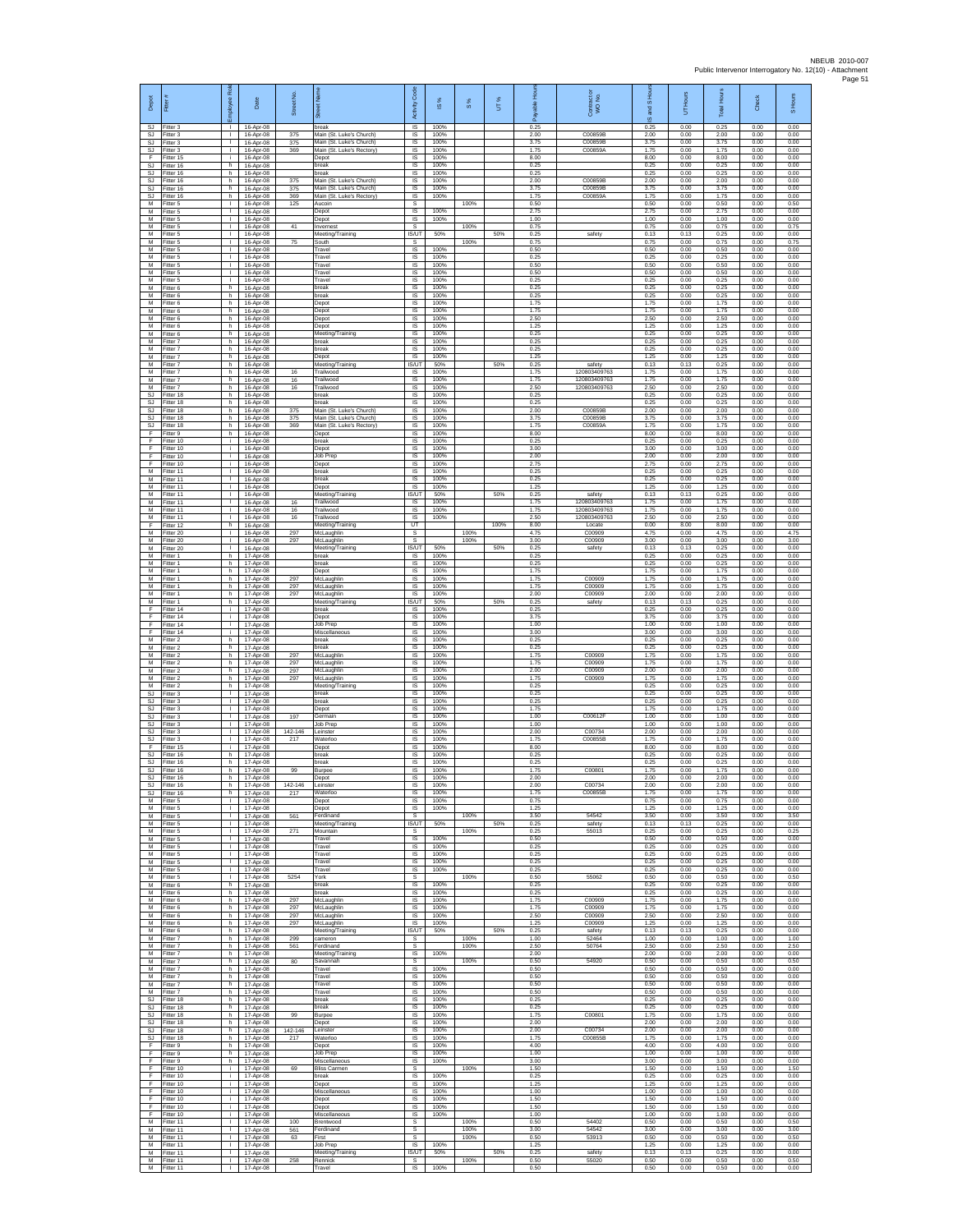|                       |                                                         | Rol                                          |                                     | et No.         |                                                       | Code                            |                      |               |      | 옾                    |                              | S Hou                | 'Hours               | Hours                | 훘                    |                      |
|-----------------------|---------------------------------------------------------|----------------------------------------------|-------------------------------------|----------------|-------------------------------------------------------|---------------------------------|----------------------|---------------|------|----------------------|------------------------------|----------------------|----------------------|----------------------|----------------------|----------------------|
| Depot                 | Fitter                                                  | eekoldu                                      | Date                                | あ              | Street                                                | Activity                        | $\overline{\omega}$  | $\frac{8}{3}$ | UT%  | able<br>កី           | Contract of<br>WO No.        | g<br>ဖ               | 5                    | Total                | 5                    | S Hours              |
|                       | SJ Fitter 3<br>SJ Fitter 3                              | -11<br>$\mathbf{I}$                          | 16-Apr-08<br>16-Apr-08              | 375            | break<br>Main (St. Luke's Church)                     | IS<br>$\sf IS$                  | 100%<br>100%         |               |      | 0.25<br>2.00         | C00859B                      | 0.25<br>2.00         | 0.00<br>0.00         | 0.25<br>2.00         | 0.00<br>0.00         | 0.00<br>0.00         |
|                       | SJ Fitter 3<br>SJ Fitter 3                              | $\mathbf{1}$<br><b>T</b>                     | 16-Apr-08<br>16-Apr-08              | 375<br>369     | Main (St. Luke's Church)<br>Main (St. Luke's Rectory) | IS<br>IS.                       | 100%<br>100%         |               |      | 3.75<br>175          | C00859B<br>C00859A           | 3.75<br>1.75         | 0.00<br>0.00         | 3.75<br>1.75         | 0.00<br>0.00         | 0.00<br>0.00         |
| F                     | Fitter 15<br>SJ Fitter 16                               | ÷.<br>h.                                     | 16-Apr-08<br>16-Apr-08              |                | Depot<br>break                                        | IS<br>IS.                       | 100%<br>100%         |               |      | 8.00<br>0.25         |                              | 8.00<br>0.25         | 0.00<br>0.00         | 8.00<br>0.25         | 0.00<br>0.00         | 0.00<br>0.00         |
|                       | SJ Fitter 16<br>SJ Fitter 16                            | h.<br>h                                      | 16-Apr-08<br>16-Apr-08              | 375            | break<br>Main (St. Luke's Church)                     | IS.<br>IS                       | 100%<br>100%         |               |      | 0.25<br>2.00         | C00859B                      | 0.25<br>2.00         | 0.00<br>0.00         | 0.25<br>2.00         | 0.00<br>0.00         | 0.00<br>0.00         |
| <u>SJ</u><br><u>s</u> | Fitter 16<br>Fitter 16                                  | h.<br>h.                                     | 16-Apr-08<br>16-Apr-08              | 375<br>369     | Main (St. Luke's Church)<br>Main (St. Luke's Rectory) | IS<br>IS                        | 100%<br>100%         |               |      | 3.75<br>1.75         | C00859B<br>C00859A           | 3.75<br>1.75         | 0.00<br>0.00         | 3.75<br>1.75         | 0.00<br>0.00         | 0.00<br>0.00         |
| M                     | M Fitter 5<br>Fitter 5                                  | $\mathbf{L}$<br>$\mathbf{L}$                 | 16-Apr-08<br>16-Apr-08              | 125            | Aucoin<br>Depot                                       | s<br>$\sf IS$                   | 100%                 | 100%          |      | 0.50<br>2.75         |                              | 0.50<br>2.75         | 0.00<br>0.00         | 0.50<br>2.75         | 0.00<br>0.00         | 0.50<br>0.00         |
| M                     | Fitter 5<br>M Fitter 5                                  | $\mathbf{L}$<br>-11<br><b>T</b>              | 16-Apr-08<br>16-Apr-08              | 41             | Depot<br>Invernest                                    | IS<br>s                         | 100%                 | 100%          |      | 1.00<br>0.75         |                              | 1.00<br>0.75         | 0.00<br>0.00         | 1.00<br>0.75         | 0.00<br>0.00         | 0.00<br>0.75         |
| M<br>M<br>M           | Fitter 5<br>Fitter 5<br>Fitter 5                        | т.<br>$\mathbf{L}$                           | 16-Apr-08<br>16-Apr-08              | 75             | Meeting/Training<br>South<br>Travel                   | IS/UT<br>s<br>IS.               | 50%<br>100%          | 100%          | 50%  | 0.25<br>0.75<br>0.50 | safety                       | 0.13<br>0.75<br>0.50 | 0.13<br>0.00<br>0.00 | 0.25<br>0.75<br>0.50 | 0.00<br>0.00<br>0.00 | 0.00<br>0.75<br>0.00 |
| M.                    | M Fitter 5<br>Fitter 5                                  | $\mathbf{L}$<br>$\mathbf{I}$                 | 16-Apr-08<br>16-Apr-08<br>16-Apr-08 |                | Travel<br>Travel                                      | IS.<br>IS                       | 100%<br>100%         |               |      | 0.25<br>0.50         |                              | 0.25<br>0.50         | 0.00<br>0.00         | 0.25<br>0.50         | 0.00<br>0.00         | 0.00<br>0.00         |
| M                     | Fitter 5<br>M Fitter 5                                  | $\mathbf{L}$<br>л.                           | 16-Apr-08<br>16-Apr-08              |                | Travel<br>Travel                                      | IS<br>IS.                       | 100%<br>100%         |               |      | 0.50<br>0.25         |                              | 0.50<br>0.25         | 0.00<br>0.00         | 0.50<br>0.25         | 0.00<br>0.00         | 0.00<br>0.00         |
| М                     | M Fitter 6<br>Fitter 6                                  | h<br>h                                       | 16-Apr-08<br>16-Apr-08              |                | break<br>break                                        | IS<br>IS                        | 100%<br>100%         |               |      | 0.25<br>0.25         |                              | 0.25<br>0.25         | 0.00<br>0.00         | 0.25<br>0.25         | 0.00<br>0.00         | 0.00<br>0.00         |
| M                     | Fitter 6<br>M Fitter 6                                  | h<br>h.                                      | 16-Apr-08<br>16-Apr-08              |                | Depot<br>Depot                                        | IS<br>IS                        | 100%<br>100%         |               |      | 1.75<br>1.75         |                              | 1.75<br>1.75         | 0.00<br>0.00         | 1.75<br>1.75         | 0.00<br>0.00         | 0.00<br>0.00         |
| M                     | M Fitter 6<br>Fitter 6                                  | h<br>$\,$ h                                  | 16-Apr-08<br>16-Apr-08              |                | Depot<br>Depot                                        | IS<br>$\sf IS$                  | 100%<br>100%         |               |      | 2.50<br>1.25         |                              | 2.50<br>1.25         | 0.00<br>0.00         | 2.50<br>1.25         | 0.00<br>0.00         | 0.00<br>0.00         |
| M<br>M                | Fitter 6<br>Fitter 7                                    | h.<br>h.                                     | 16-Apr-08<br>16-Apr-08              |                | Meeting/Training<br>break                             | IS<br>IS                        | 100%<br>100%         |               |      | 0.25<br>0.25         |                              | 0.25<br>0.25         | 0.00<br>0.00         | 0.25<br>0.25         | 0.00<br>0.00         | 0.00<br>0.00         |
| M<br>M<br>M           | Fitter 7<br>Fitter 7<br>Fitter 7                        | h<br>h.<br>h.                                | 16-Apr-08<br>16-Apr-08<br>16-Apr-08 |                | break<br>Depot                                        | IS<br><b>IS</b><br><b>IS/UT</b> | 100%<br>100%<br>50%  |               | 50%  | 0.25<br>1.25<br>0.25 | safety                       | 0.25<br>1.25<br>0.13 | 0.00<br>0.00<br>0.13 | 0.25<br>1.25<br>0.25 | 0.00<br>0.00<br>0.00 | 0.00<br>0.00<br>0.00 |
| $M_{-}$<br>M          | Fitter 7<br>Fitter 7                                    | h.<br>h.                                     | 16-Apr-08<br>16-Apr-08              | 16<br>16       | Meeting/Training<br>Trailwood<br>Trailwood            | IS<br>IS                        | 100%<br>100%         |               |      | 1.75<br>1.75         | 120803409763<br>120803409763 | 1.75<br>1.75         | 0.00<br>0.00         | 1.75<br>1.75         | 0.00<br>0.00         | 0.00<br>0.00         |
| $M_{-}$               | Fitter 7<br>SJ Fitter 18                                | h<br>h                                       | 16-Apr-08<br>16-Apr-08              | 16             | Trailwood<br>break                                    | IS<br>IS                        | 100%<br>100%         |               |      | 2.50<br>0.25         | 120803409763                 | 2.50<br>0.25         | 0.00<br>0.00         | 2.50<br>0.25         | 0.00<br>0.00         | 0.00<br>0.00         |
| SJ                    | Fitter 18                                               | h.<br>h                                      | 16-Apr-08<br>16-Apr-08              | 375            | break<br>Main (St. Luke's Church)                     | $\sf IS$<br>IS                  | 100%<br>100%         |               |      | 0.25<br>2.00         | C00859B                      | 0.25<br>2.00         | 0.00<br>0.00         | 0.25<br>2.00         | 0.00<br>0.00         | 0.00<br>0.00         |
| SJ                    | SJ Fitter 18<br>SJ Fitter 18<br>Fitter 18               | h<br>h                                       | 16-Anr-08<br>16-Apr-08              | 375<br>369     | Main (St. Luke's Church)<br>Main (St. Luke's Rectory) | IS<br>IS                        | 100%<br>100%         |               |      | 3.75<br>175          | C00859B<br>C00859A           | 3.75<br>1.75         | 0.00<br>0.00         | 3.75<br>1.75         | 0.00<br>0.00         | 0.00<br>0.00         |
| F.<br>$\frac{F}{F}$   | Fitter 9<br>Fitter 10                                   | h<br>i.                                      | 16-Apr-08<br>16-Apr-08              |                | Depot<br>break                                        | IS<br>$\overline{s}$            | 100%<br>100%         |               |      | 8.00<br>0.25         |                              | 8.00<br>0.25         | 0.00<br>0.00         | 8.00<br>0.25         | 0.00<br>0.00         | 0.00<br>0.00         |
| $\frac{F}{F}$         | Fitter 10<br>Fitter 10                                  | i.<br>j.                                     | 16-Apr-08<br>16-Apr-08              |                | Depot<br>Job Prep                                     | $\sf IS$<br>IS                  | 100%<br>100%         |               |      | 3.00<br>2.00         |                              | 3.00<br>2.00         | 0.00<br>0.00         | 3.00<br>2.00         | 0.00<br>0.00         | 0.00<br>0.00         |
|                       | Fitter 10<br>M Fitter 11                                | i.<br>$\mathbf{L}$<br>$\mathbf{1}$           | 16-Apr-08<br>16-Apr-08              |                | Depot<br>break<br>break                               | IS<br>IS<br>IS                  | 100%<br>100%<br>100% |               |      | 2.75<br>0.25<br>0.25 |                              | 2.75<br>0.25<br>0.25 | 0.00<br>0.00<br>0.00 | 2.75<br>0.25<br>0.25 | 0.00<br>0.00<br>0.00 | 0.00<br>0.00<br>0.00 |
| M<br>M                | M Fitter 11<br>Fitter 11<br>Fitter 11                   | $\mathbf{L}$<br>$\mathbf{I}$                 | 16-Apr-08<br>16-Apr-08<br>16-Apr-08 |                | Depot<br>Meeting/Training                             | IS<br><b>IS/UT</b>              | 100%<br>50%          |               | 50%  | 1.25<br>0.25         | safety                       | 1.25<br>0.13         | 0.00<br>0.13         | 1.25<br>0.25         | 0.00<br>0.00         | 0.00<br>0.00         |
|                       | M Fitter 11<br>M Fitter 11                              | -11<br>$\mathbf{L}$                          | 16-Apr-08<br>16-Apr-08              | 16<br>16       | Trailwood<br>Trailwood                                | IS<br>IS                        | 100%<br>100%         |               |      | 1.75<br>1.75         | 120803409763<br>120803409763 | 1.75<br>1.75         | 0.00<br>0.00         | 1.75<br>1.75         | 0.00<br>0.00         | 0.00<br>0.00         |
| M                     | Fitter 11<br>F Fitter 12                                | $\mathbf{I}$<br>h                            | 16-Apr-08<br>16-Apr-08              | 16             | Trailwood<br>Meeting/Training                         | $\sf IS$<br>UT                  | 100%                 |               | 100% | 2.50<br>8.00         | 120803409763<br>Locate       | 2.50<br>0.00         | 0.00<br>8.00         | 2.50<br>8.00         | 0.00<br>0.00         | 0.00<br>0.00         |
| M<br>M                | Fitter 20<br>Fitter 20                                  | <b>T</b><br>τ.                               | 16-Apr-08<br>16-Apr-08              | 297<br>297     | McLaughlin<br>McLaughlin                              | s.<br>s                         |                      | 100%<br>100%  |      | 4.75<br>3.00         | C00909<br>C00909             | 4.75<br>3.00         | 0.00<br>0.00         | 4.75<br>3.00         | 0.00<br>0.00         | 4.75<br>3.00         |
| M                     | Fitter 20<br>M Fitter 1                                 | $\mathbb{R}$<br>h.                           | 16-Apr-08<br>17-Apr-08              |                | Meeting/Training<br>break                             | <b>IS/UT</b><br><b>IS</b>       | 50%<br>100%          |               | 50%  | 0.25<br>0.25         | safety                       | 0.13<br>0.25         | 0.13<br>0.00         | 0.25<br>0.25         | 0.00<br>0.00         | 0.00<br>0.00         |
| M<br>M                | Fitter 1<br>Fitter 1                                    | h<br>h.                                      | 17-Apr-08<br>17-Apr-08              |                | break<br>Depot                                        | IS<br>IS                        | 100%<br>100%         |               |      | 0.25<br>1.75         |                              | 0.25<br>1.75         | 0.00<br>0.00         | 0.25<br>1.75         | 0.00<br>0.00         | 0.00<br>0.00         |
| M                     | Fitter 1<br>M Fitter 1                                  | h<br>h                                       | 17-Apr-08<br>17-Apr-08              | 297<br>297     | McLaughlin<br>McLaughlin                              | IS<br>IS                        | 100%<br>100%         |               |      | 1.75<br>1.75         | C00909<br>C00909             | 1.75<br>1.75         | 0.00<br>0.00         | 1.75<br>1.75         | 0.00<br>0.00         | 0.00<br>0.00         |
| M<br>М<br>F           | Fitter 1<br>Fitter 1<br>Fitter 14                       | h<br>h<br>ΙĹ.                                | 17-Apr-08<br>17-Apr-08<br>17-Apr-08 | 297            | McLaughlin<br>Meeting/Training<br>break               | IS<br><b>IS/UT</b><br>IS        | 100%<br>50%<br>100%  |               | 50%  | 2.00<br>0.25<br>0.25 | C00909<br>safety             | 2.00<br>0.13<br>0.25 | 0.00<br>0.13<br>0.00 | 2.00<br>0.25<br>0.25 | 0.00<br>0.00<br>0.00 | 0.00<br>0.00<br>0.00 |
| F<br>F                | Fitter 14<br>Fitter 14                                  | $\mathbf{i}$<br>÷.                           | 17-Apr-08<br>17-Apr-08              |                | Depot<br>Job Prep                                     | IS<br>IS                        | 100%<br>100%         |               |      | 3.75<br>1.00         |                              | 3.75<br>1.00         | 0.00<br>0.00         | 3.75<br>1.00         | 0.00<br>0.00         | 0.00<br>0.00         |
| F.                    | Fitter 14<br>M Fitter 2                                 | i.<br>h.                                     | 17-Apr-08<br>17-Apr-08              |                | Miscellaneous<br>break                                | $\overline{s}$<br>IS.           | 100%<br>100%         |               |      | 3.00<br>0.25         |                              | 3.00<br>0.25         | 0.00<br>0.00         | 3.00<br>0.25         | 0.00<br>0.00         | 0.00<br>0.00         |
| M<br>M                | Fitter 2<br>Fitter 2                                    | h<br>$\mathsf{h}$                            | 17-Apr-08<br>17-Apr-08              | 297            | break<br>McLaughlin                                   | IS<br>$\sf IS$                  | 100%<br>100%         |               |      | 0.25<br>1.75         | C00909                       | 0.25<br>1.75         | 0.00<br>0.00         | 0.25<br>1.75         | 0.00<br>0.00         | 0.00<br>0.00         |
| M                     | Fitter 2<br>M Fitter 2                                  | h.<br>h.                                     | 17-Apr-08<br>17-Apr-08              | 297<br>297     | McLaughlin<br>McLaughlin                              | IS.<br>IS                       | 100%<br>100%         |               |      | 1.75<br>2.00         | C00909<br>C00909             | 1.75<br>2.00         | 0.00<br>0.00         | 1.75<br>2.00         | 0.00<br>0.00         | 0.00<br>0.00         |
| М<br>M                | Fitter 2<br>Fitter 2                                    | h<br>h                                       | 17-Apr-08<br>17-Apr-08              | 297            | McLaughlin<br>Meeting/Training                        | IS<br>IS                        | 100%<br>100%         |               |      | 1.75<br>0.25         | C00909                       | 1.75<br>0.25         | 0.00<br>0.00         | 1.75<br>0.25         | 0.00<br>0.00         | 0.00<br>0.00         |
|                       | SJ Fitter 3<br>SJ Fitter 3                              | п.<br><b>TELEVISION</b>                      | 17-Apr-08<br>17-Apr-08              |                | break<br>break                                        | IS<br>IS                        | 100%<br>100%         |               |      | 0.25<br>0.25         |                              | 0.25<br>0.25         | 0.00<br>0.00         | 0.25<br>0.25         | 0.00<br>0.00         | 0.00<br>0.00         |
|                       | SJ Fitter 3<br>SJ Fitter 3<br>SJ Fitter 3               | $\mathbf{L}$<br>$\mathbf{L}$<br>$\mathbf{L}$ | 17-Apr-08<br>17-Apr-08<br>17-Apr-08 | 197            | Depot<br>Germain<br>Job Prep                          | $\sf IS$<br>IS<br>IS            | 100%<br>100%<br>100% |               |      | 1.75<br>1.00<br>1.00 | C00612F                      | 1.75<br>1.00<br>1.00 | 0.00<br>0.00<br>0.00 | 1.75<br>1.00<br>1.00 | 0.00<br>0.00<br>0.00 | 0.00<br>0.00<br>0.00 |
|                       | SJ Fitter 3                                             | т.<br>$\mathbf{L}$                           | 17-Apr-08<br>17-Apr-08              | 142-146<br>217 | Leinster<br>Waterloo                                  | IS<br>$\overline{s}$            | 100%<br>100%         |               |      | 2.00<br>1.75         | C00734<br>C00855B            | 2.00<br>1.75         | 0.00<br>0.00         | 2.00<br>1.75         | 0.00<br>0.00         | 0.00<br>0.00         |
|                       | SJ Fitter 3<br>F Fitter 15<br>Fitter 15<br>SJ Fitter 16 | j.<br>h                                      | 17-Apr-08<br>17-Apr-08              |                | Depot<br>break                                        | IS.<br>IS                       | 100%<br>100%         |               |      | 8.00<br>0.25         |                              | 8.00<br>0.25         | 0.00<br>0.00         | 8.00<br>0.25         | 0.00<br>0.00         | 0.00<br>0.00         |
|                       | SJ Fitter 16<br>SJ Fitter 16                            | h.<br>h.                                     | 17-Apr-08<br>17-Apr-08              | 99             | break<br><b>Burpee</b>                                | IS<br>IS                        | 100%<br>100%         |               |      | 0.25<br>1.75         | C00801                       | 0.25<br>1.75         | 0.00<br>0.00         | 0.25<br>1.75         | 0.00<br>0.00         | 0.00<br>0.00         |
|                       | ittor 16<br>SJ Fitter 16                                | h<br>h                                       | $17.$ Apr<br>.NR<br>17-Apr-08       | 142-146        | Leinster                                              | IS.                             | 100%                 |               |      | 2.00                 | C00734                       | 2 O.C<br>2.00        | 0.00                 | ን በበ<br>2.00         | 0.00                 | 0.00                 |
|                       | SJ Fitter 16<br>M Fitter 5<br>M Fitter 5                | h<br>п.<br>$\mathbf{L}$                      | 17-Apr-08<br>17-Apr-08              | 217            | Waterloo<br>Depot                                     | IS<br>IS                        | 100%<br>100%         |               |      | 1.75<br>0.75<br>1 25 | C00855B                      | 1.75<br>0.75         | 0.00<br>0.00         | 1.75<br>0.75         | 0.00<br>0.00         | 0.00<br>0.00         |
|                       | M Fitter 5<br>M Fitter 5                                | т.<br>$\mathbf{L}$                           | 17-Apr-08<br>17-Apr-08              | 561            | Depot<br>Ferdinand<br>Meeting/Training                | $\sf IS$<br>s<br>IS/UT          | 100%<br>50%          | 100%          | 50%  | 3.50<br>0.25         | 54542<br>safety              | 1.25<br>3.50<br>0.13 | 0.00<br>0.00<br>0.13 | 1.25<br>3.50<br>0.25 | 0.00<br>0.00<br>0.00 | 0.00<br>3.50<br>0.00 |
|                       | M Fitter 5<br>M Fitter 5                                | $\mathbf{L}$<br>$\mathbf{L}$                 | 17-Apr-08<br>17-Apr-08<br>17-Apr-08 | 271            | Mountain<br>Travel                                    | s.<br>IS                        | 100%                 | 100%          |      | 0.25<br>0.50         | 55013                        | 0.25<br>0.50         | 0.00<br>0.00         | 0.25<br>0.50         | 0.00<br>0.00         | 0.25<br>0.00         |
| M                     | Fitter 5<br>M Fitter 5                                  | $\mathbf{L}$<br>$\mathbf{L}$                 | 17-Apr-08<br>17-Apr-08              |                | Travel<br>Travel                                      | IS<br><b>IS</b>                 | 100%<br>100%         |               |      | 0.25<br>0.25         |                              | 0.25<br>0.25         | 0.00<br>0.00         | 0.25<br>0.25         | 0.00<br>0.00         | 0.00<br>0.00         |
|                       | M Fitter 5<br>M Fitter 5                                | $\mathbf{1}$<br>л.                           | 17-Apr-08<br>17-Apr-08              |                | Travel<br>Travel                                      | IS<br>1S                        | 100%<br>100%         |               |      | 0.25<br>0.25         |                              | 0.25<br>0.25         | 0.00<br>0.00         | 0.25<br>0.25         | 0.00<br>0.00         | 0.00<br>0.00         |
| $\overline{M}$        | Fitter 5<br>M Fitter 6                                  | $\mathbf{I}$<br>h                            | 17-Apr-08<br>17-Apr-08              | 5254           | York<br>break                                         | s<br>IS                         | 100%                 | 100%          |      | 0.50<br>0.25         | 55062                        | 0.50<br>0.25         | 0.00<br>0.00         | 0.50<br>0.25         | 0.00<br>0.00         | 0.50<br>0.00         |
|                       | M Fitter 6<br>M Fitter 6                                | h.<br>h                                      | 17-Apr-08<br>17-Apr-08              | 297            | break<br>McLaughlin                                   | IS<br>$\sf IS$                  | 100%<br>100%         |               |      | 0.25<br>1.75         | C00909                       | 0.25<br>1.75         | 0.00<br>0.00         | 0.25<br>1.75         | 0.00<br>0.00         | 0.00<br>0.00         |
|                       | M Fitter 6<br>M Fitter 6                                | h.<br>h.                                     | 17-Apr-08<br>17-Apr-08              | 297<br>297     | McLaughlin<br>McLaughlin                              | IS.<br>IS                       | 100%<br>100%         |               |      | 1.75<br>2.50         | C00909<br>C00909             | 1.75<br>2.50         | 0.00<br>0.00         | 1.75<br>2.50         | 0.00<br>0.00         | 0.00<br>0.00         |
| M                     | Fitter 6<br>M Fitter 6<br>M Fitter 7                    | h<br>h.<br>h.                                | 17-Apr-08<br>17-Apr-08<br>17-Apr-08 | 297<br>299     | McLaughlin<br>Meeting/Training<br>cameron             | IS<br><b>IS/UT</b><br>s.        | 100%<br>50%          | 100%          | 50%  | 1.25<br>0.25<br>1.00 | C00909<br>safety<br>52464    | 1.25<br>0.13<br>1.00 | 0.00<br>0.13<br>0.00 | 1.25<br>0.25<br>1.00 | 0.00<br>0.00<br>0.00 | 0.00<br>0.00<br>1.00 |
|                       | M Fitter 7<br>M Fitter 7                                | h<br>h.                                      | 17-Apr-08<br>17-Apr-08              | 561            | Ferdinand<br>Meeting/Training                         | s<br>$\overline{S}$             | 100%                 | 100%          |      | 2.50<br>2.00         | 50764                        | 2.50<br>2.00         | 0.00<br>0.00         | 2.50<br>2.00         | 0.00<br>0.00         | 2.50<br>0.00         |
|                       | M Fitter 7<br>M Fitter 7                                | h<br>h                                       | 17-Apr-08<br>17-Apr-08              | 80             | Savannah<br>Travel                                    | s<br>IS                         | 100%                 | 100%          |      | 0.50<br>0.50         | 54920                        | 0.50<br>0.50         | 0.00<br>0.00         | 0.50<br>0.50         | 0.00<br>0.00         | 0.50<br>0.00         |
|                       | M Fitter 7<br>M Fitter 7                                | h<br>h                                       | 17-Apr-08<br>17-Apr-08              |                | Travel<br>Travel                                      | IS<br>IS                        | 100%<br>100%         |               |      | 0.50<br>0.50         |                              | 0.50<br>0.50         | 0.00<br>0.00         | 0.50<br>0.50         | 0.00<br>0.00         | 0.00<br>0.00         |
|                       | M Fitter 7<br>SJ Fitter 18                              | h<br>h.                                      | 17-Apr-08<br>17-Apr-08              |                | Travel<br>break                                       | IS<br>$\sf IS$                  | 100%<br>100%         |               |      | 0.50<br>0.25         |                              | 0.50<br>0.25         | 0.00<br>0.00         | 0.50<br>0.25         | 0.00<br>0.00         | 0.00<br>0.00         |
|                       | SJ Fitter 18<br>SJ Fitter 18                            | h<br>h.                                      | 17-Apr-08<br>17-Apr-08              | 99             | break<br>Burpee                                       | IS<br>IS.                       | 100%<br>100%         |               |      | 0.25<br>1.75         | C00801                       | 0.25<br>1.75         | 0.00<br>0.00         | 0.25<br>1.75         | 0.00<br>0.00         | 0.00<br>0.00         |
|                       | SJ Fitter 18<br>SJ Fitter 18                            | h.<br>h                                      | 17-Apr-08<br>17-Apr-08              | 142-146        | Depot<br>Leinster                                     | IS.<br>IS                       | 100%<br>100%         |               |      | 2.00<br>2.00         | C00734                       | 2.00<br>2.00         | 0.00<br>0.00         | 2.00<br>2.00         | 0.00<br>0.00         | 0.00<br>0.00         |
| SJ<br>F               | Fitter 18<br>Fitter 9                                   | $\,$ h<br>h.                                 | 17-Apr-08<br>17-Apr-08              | 217            | Waterloo<br>Depot                                     | $\sf IS$<br>$\sf IS$<br>IS      | 100%<br>100%<br>100% |               |      | 1.75<br>4.00<br>1.00 | C00855B                      | 1.75<br>4.00<br>1.00 | 0.00<br>0.00<br>0.00 | 1.75<br>4.00         | 0.00<br>0.00<br>0.00 | 0.00<br>0.00<br>0.00 |
| F.                    | F Fitter 9<br>F Fitter 9<br>Fitter 10                   | h<br>h.<br>i.                                | 17-Apr-08<br>17-Apr-08<br>17-Apr-08 | 69             | Job Prep<br>Miscellaneous<br><b>Bliss Carmen</b>      | IS<br>s                         | 100%                 | 100%          |      | 3.00<br>1.50         |                              | 3.00<br>1.50         | 0.00<br>0.00         | 1.00<br>3.00<br>1.50 | 0.00<br>0.00         | 0.00<br>1.50         |
|                       | F Fitter 10                                             |                                              | i 17-Apr-08                         |                | break                                                 | $\mathsf{IS}$                   | 100%                 |               |      | 0.25                 |                              | 0.25                 | 0.00                 | 0.25                 | 0.00                 | 0.00                 |

F Fitter 10 | i | 17-Apr-08 | Depot | IS | 100% | | 1.25 | | 1.25 | 0.00 | 0.00 | 0.00 F Fitter 10 i 17-Apr-08 Miscellaneous IS 100% 1.00 1.00 0.00 1.00 0.00 0.00 F Fitter 10 | i | 17-Apr-08 | Depot | IS | 100% | | 1.50 | | 1.50 | 0.00 | 1.50 | 0.00 | 0.00 F |Fitter 10 | i | 17-Apr-08 | Depot | IS | 100% | | | | 1.50 | | 1.50 | 0.00 | 1.50 | 0.00 | 0.00 | 0 F Fitter 10 i 17-Apr-08 Miscellaneous IS 100% 1.00 1.00 0.00 1.00 0.00 0.00 M Fitter 11 I 17-Apr-08 100 Brentwood S 100% 0.50 54402 0.50 0.00 0.50 0.00 0.50 M Fitter 11 I 17-Apr-08 561 Ferdinand S 100% 3.00 54542 3.00 0.00 3.00 0.00 3.00 M Fitter 11 I 17-Apr-08 63 First S 100% 0.50 53913 0.50 0.00 0.50 0.00 0.50 M Fitter 11 | | | 17-Apr-08 | |Job Prep | IS | 100% | | 1.25 | 1.25 | 1.25 | 0.00 | 0.00 | 0.00 | 0.00 M Fitter 11 I 17-Apr-08 Meeting/Training IS/UT 50% 50% 0.25 safety 0.13 0.13 0.25 0.00 0.00 M Fitter 11 I 17-Apr-08 258 Rennick S 100% 0.50 55020 0.50 0.00 0.50 0.00 0.50 M Fitter 11 I 17-Apr-08 Travel IS 100% 0.50 0.50 0.00 0.50 0.00 0.00

Depot Fitter #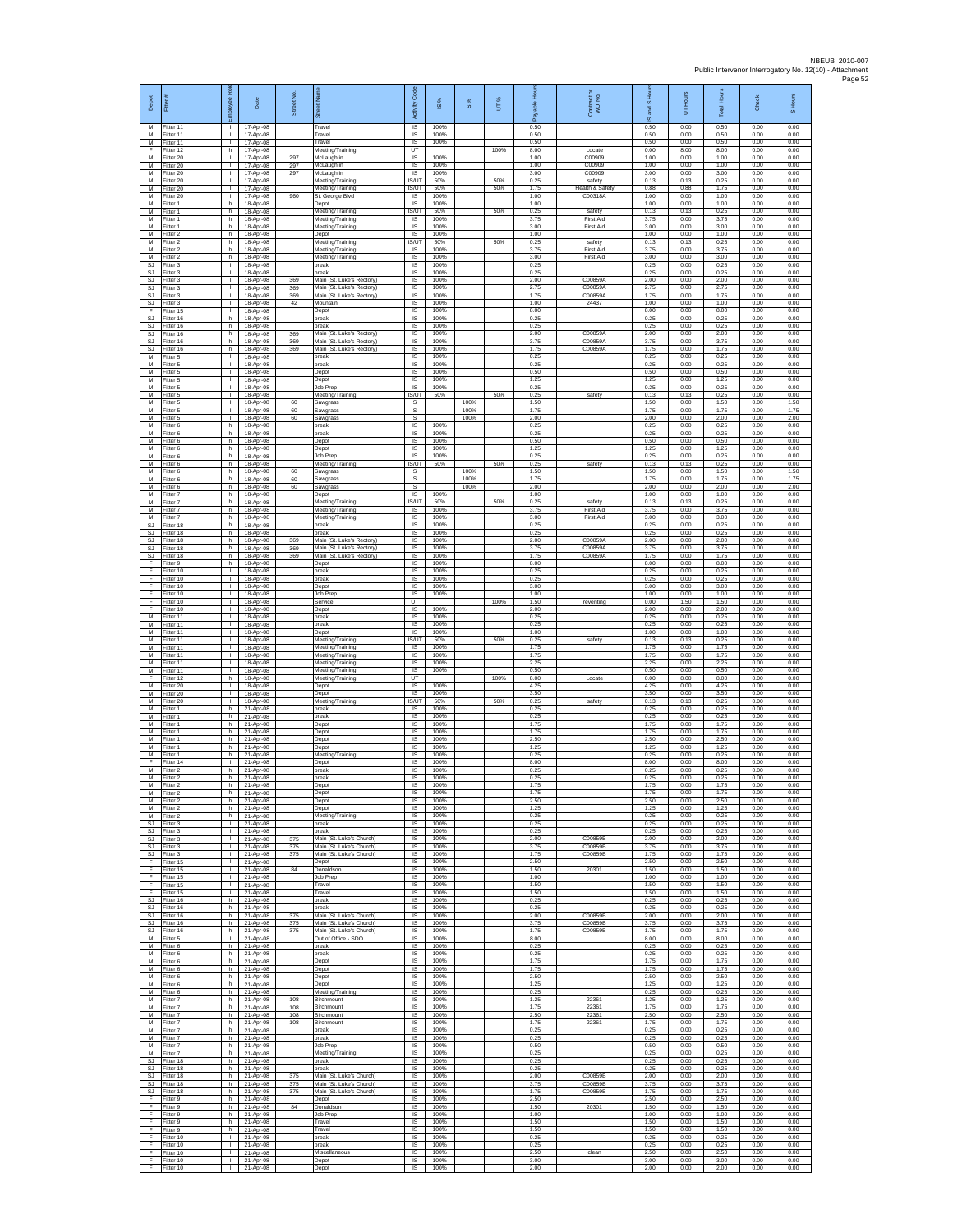| Depot                   |                                     | ă<br>ployee                                   | Date                                | Street No         |                                                                                  | <b>Code</b><br>Activity                   | $\underline{\omega}$ | $\frac{8}{3}$ | UТ%        | <b>A</b><br>able<br>æ | Contract or<br>WO No.                | and S Hou<br>$\overline{\omega}$ | UT Hours             | <b>Total Hours</b>   | Check                | S Hours              |
|-------------------------|-------------------------------------|-----------------------------------------------|-------------------------------------|-------------------|----------------------------------------------------------------------------------|-------------------------------------------|----------------------|---------------|------------|-----------------------|--------------------------------------|----------------------------------|----------------------|----------------------|----------------------|----------------------|
| м<br>М                  | Fitter 11<br>Fitter 11              | $\mathbb{R}$                                  | 17-Apr-08<br>17-Apr-08              |                   | Travel<br>Travel                                                                 | $\overline{\mathsf{S}}$<br>$\sf IS$       | 100%<br>100%         |               |            | 0.50<br>0.50          |                                      | 0.50<br>0.50                     | 0.00<br>0.00         | 0.50<br>0.50         | 0.00<br>0.00         | 0.00<br>0.00         |
| M<br>F<br>M             | Fitter 11<br>Fitter 12<br>Fitter 20 | $\mathbf{L}$<br>h.<br>$\mathbf{L}$            | 17-Apr-08<br>17-Apr-08<br>17-Apr-08 | 297               | Travel<br>Meeting/Training<br>McLaughlin                                         | IS<br>UT<br>IS                            | 100%<br>100%         |               | 100%       | 0.50<br>8.00<br>1.00  | Locate<br>C00909                     | 0.50<br>0.00<br>1.00             | 0.00<br>8.00<br>0.00 | 0.50<br>8.00<br>1.00 | 0.00<br>0.00<br>0.00 | 0.00<br>0.00<br>0.00 |
| M<br>M                  | Fitter 20<br>fitter 20              | т.<br>$\mathbf{I}$                            | 17-Apr-08<br>17-Apr-08              | 297<br>297        | McLaughlin<br>McLaughlin                                                         | IS<br>IS                                  | 100%<br>100%         |               |            | 1.00<br>3.00          | C00909<br>C00909                     | 1.00<br>3.00                     | 0.00<br>0.00         | 1.00<br>3.00         | 0.00<br>0.00         | 0.00<br>0.00         |
| M<br>M                  | Fitter 20<br>Fitter 20              | п.<br>$\mathbb{R}$                            | 17-Apr-08<br>17-Apr-08              |                   | Meeting/Training<br>Meeting/Training                                             | <b>IS/UT</b><br>IS/UT                     | 50%<br>50%           |               | 50%<br>50% | 0.25<br>1.75          | safety<br>Health & Safety            | 0.13<br>0.88                     | 0.13<br>0.88         | 0.25<br>1.75         | 0.00<br>0.00         | 0.00<br>0.00         |
| М<br>M<br>M             | Fitter 20<br>fitter 1<br>Fitter 1   | $\mathbf{I}$<br>h.<br>h.                      | 17-Apr-08<br>18-Apr-08<br>18-Apr-08 | 960               | St. George Blyd<br>Depot<br>Meeting/Training                                     | $\sf IS$<br>IS<br><b>IS/UT</b>            | 100%<br>100%<br>50%  |               | 50%        | 1.00<br>1.00<br>0.25  | C00318A<br>safety                    | 1.00<br>1.00<br>0.13             | 0.00<br>0.00<br>0.13 | 1.00<br>1.00<br>0.25 | 0.00<br>0.00<br>0.00 | 0.00<br>0.00<br>0.00 |
| М<br>M                  | -itter 1<br>itter 1                 | h<br>h                                        | 18-Apr-08<br>18-Apr-08              |                   | Meeting/Training<br>Meeting/Training                                             | IS<br>$\overline{\mathsf{s}}$             | 100%<br>100%         |               |            | 3.75<br>3.00          | <b>First Aid</b><br><b>First Aid</b> | 3.75<br>3.00                     | 0.00<br>0.00         | 3.75<br>3.00         | 0.00<br>0.00         | 0.00<br>0.00         |
| M<br>М                  | Fitter 2<br>itter 2                 | h.<br>h                                       | 18-Apr-08<br>18-Apr-08              |                   | Depot<br>Meeting/Training                                                        | $\overline{s}$<br>IS/UT                   | 100%<br>50%          |               | 50%        | 1.00<br>0.25          | safety                               | 1.00<br>0.13                     | 0.00<br>0.13         | 1.00<br>0.25         | 0.00<br>0.00         | 0.00<br>0.00         |
| M<br>M<br><b>SJ</b>     | Fitter 2<br>fitter 2                | h.<br>h.<br>п.                                | 18-Apr-08<br>18-Apr-08              |                   | Meeting/Training<br>Meeting/Training                                             | 1S<br>IS                                  | 100%<br>100%         |               |            | 3.75<br>3.00          | <b>First Aid</b><br><b>First Aid</b> | 3.75<br>3.00<br>0.25             | 0.00<br>0.00         | 3.75<br>3.00<br>0.25 | 0.00<br>0.00         | 0.00<br>0.00         |
| SJ<br><b>SJ</b>         | Fitter 3<br>Fitter 3<br>itter 3     | $\mathbb{R}$<br>$\mathbf{I}$                  | 18-Apr-08<br>18-Apr-08<br>18-Apr-08 | 369               | break<br>oreak<br>Main (St. Luke's Rectory)                                      | IS<br>$\sf IS$<br>IS                      | 100%<br>100%<br>100% |               |            | 0.25<br>0.25<br>2.00  | C00859A                              | 0.25<br>2.00                     | 0.00<br>0.00<br>0.00 | 0.25<br>2.00         | 0.00<br>0.00<br>0.00 | 0.00<br>0.00<br>0.00 |
| -SJ<br>SJ.              | Fitter 3<br>Fitter 3                | л.<br>$\mathbf{L}$                            | 18-Anr-08<br>18-Apr-08              | 369<br>369        | Main (St. Luke's Rectory)<br>Main (St. Luke's Rectory)                           | IS<br>IS.                                 | 100%<br>100%         |               |            | 2.75<br>1.75          | C00859A<br>C00859A                   | 2.75<br>1.75                     | 0.00<br>0.00         | 2.75<br>1.75         | 0.00<br>0.00         | 0.00<br>0.00         |
| SJ<br>F<br><b>SJ</b>    | Fitter 3<br>Fitter 15<br>Fitter 16  | т.<br>т<br>h.                                 | 18-Apr-08<br>18-Apr-08              | 42                | Mountain<br>Depot<br>break                                                       | IS<br>1S<br>IS                            | 100%<br>100%<br>100% |               |            | 1.00<br>8.00<br>0.25  | 24437                                | 1.00<br>8.00<br>0.25             | 0.00<br>0.00<br>0.00 | 1.00<br>8.00<br>0.25 | 0.00<br>0.00<br>0.00 | 0.00<br>0.00<br>0.00 |
| SJ<br>SJ                | itter 16<br>fitter 16               | h.<br>h.                                      | 18-Apr-08<br>18-Apr-08<br>18-Apr-08 | 369               | oreak<br>Main (St. Luke's Rectory)                                               | $\sf IS$<br>IS                            | 100%<br>100%         |               |            | 0.25<br>2.00          | C00859A                              | 0.25<br>2.00                     | 0.00<br>0.00         | 0.25<br>2.00         | 0.00<br>0.00         | 0.00<br>0.00         |
| <b>SJ</b><br><b>SJ</b>  | Fitter 16<br>Fitter 16              | h.<br>h                                       | 18-Apr-08<br>18-Apr-08              | 369<br>369        | Main (St. Luke's Rectory)<br>Main (St. Luke's Rectory)                           | $\overline{s}$<br>IS                      | 100%<br>100%         |               |            | 3.75<br>1.75          | C00859A<br>C00859A                   | 3.75<br>1.75                     | 0.00<br>0.00         | 3.75<br>1.75         | 0.00<br>0.00         | 0.00<br>0.00         |
| М<br>М<br>M             | Fitter 5<br>itter 5                 | т.<br>$\mathbf{I}$<br>$\mathbf{I}$            | 18-Apr-08<br>18-Apr-08              |                   | break<br>preak<br>Depot                                                          | IS<br>IS<br>IS                            | 100%<br>100%<br>100% |               |            | 0.25<br>0.25<br>0.50  |                                      | 0.25<br>0.25<br>0.50             | 0.00<br>0.00<br>0.00 | 0.25<br>0.25<br>0.50 | 0.00<br>0.00<br>0.00 | 0.00<br>0.00<br>0.00 |
| M<br>М                  | Fitter 5<br>Fitter 5<br>Fitter 5    | $\mathbf{L}$<br>$\mathbf{I}$                  | 18-Apr-08<br>18-Apr-08<br>18-Apr-08 |                   | Depot<br>Job Prep                                                                | IS<br>$\sf IS$                            | 100%<br>100%         |               |            | 1.25<br>0.25          |                                      | 1.25<br>0.25                     | 0.00<br>0.00         | 1.25<br>0.25         | 0.00<br>0.00         | 0.00<br>0.00         |
| M<br>M                  | Fitter 5<br>Fitter 5                | $\mathbf{L}$<br>$\mathbf{L}$                  | 18-Apr-08<br>18-Apr-08              | 60                | Meeting/Training<br>Sawgrass                                                     | IS/UT<br>s                                | 50%                  | 100%          | 50%        | 0.25<br>1.50          | safety                               | 0.13<br>1.50                     | 0.13<br>0.00         | 0.25<br>1.50         | 0.00<br>0.00         | 0.00<br>1.50         |
| М<br>M<br>M             | fitter 5<br>itter 5<br>Fitter 6     | т.<br>т<br>h.                                 | 18-Apr-08<br>18-Apr-08<br>18-Apr-08 | 60<br>60          | Sawgrass<br>Sawgrass<br>break                                                    | s<br>s<br>$\overline{s}$                  | 100%                 | 100%<br>100%  |            | 1.75<br>2.00<br>0.25  |                                      | 1.75<br>2.00<br>0.25             | 0.00<br>0.00<br>0.00 | 1.75<br>2.00<br>0.25 | 0.00<br>0.00<br>0.00 | 1.75<br>2.00<br>0.00 |
| М<br>M                  | Titter 6<br>Fitter 6                | h<br>h.                                       | 18-Apr-08<br>18-Apr-08              |                   | break<br>Depot                                                                   | IS<br>IS                                  | 100%<br>100%         |               |            | 0.25<br>0.50          |                                      | 0.25<br>0.50                     | 0.00<br>0.00         | 0.25<br>0.50         | 0.00<br>0.00         | 0.00<br>0.00         |
| M<br>M                  | fitter 6<br>Fitter 6                | h.<br>h                                       | 18-Anr-08<br>18-Apr-08              |                   | Depot<br>Job Prep                                                                | IS<br>IS                                  | 100%<br>100%         |               |            | 1.25<br>0.25          |                                      | 1.25<br>0.25                     | 0.00<br>0.00         | 1.25<br>0.25         | 0.00<br>0.00         | 0.00<br>0.00         |
| М<br>M<br>M             | Fitter 6<br>itter 6<br>Fitter 6     | h.<br>h.<br>h.                                | 18-Apr-08<br>18-Apr-08<br>18-Anr-08 | 60<br>60          | Meeting/Training<br>Sawgrass                                                     | IS/UT<br>s<br>s                           | 50%                  | 100%<br>100%  | 50%        | 0.25<br>1.50<br>1.75  | safety                               | 0.13<br>1.50<br>1.75             | 0.13<br>0.00<br>0.00 | 0.25<br>1.50<br>1.75 | 0.00<br>0.00<br>0.00 | 0.00<br>1.50<br>1.75 |
| M<br>М                  | Fitter 6<br>Fitter 7                | h.<br>h                                       | 18-Apr-08<br>18-Apr-08              | 60                | Sawgrass<br>Sawgrass<br>Depot                                                    | s<br>IS                                   | 100%                 | 100%          |            | 2.00<br>1.00          |                                      | 2.00<br>1.00                     | 0.00<br>0.00         | 2.00<br>1.00         | 0.00<br>0.00         | 200<br>0.00          |
| M<br>M                  | Fitter 7<br>Fitter 7                | h.<br>h.                                      | 18-Apr-08<br>18-Apr-08              |                   | Meeting/Training<br>Meeting/Training                                             | <b>IS/UT</b><br><b>IS</b>                 | 50%<br>100%          |               | 50%        | 0.25<br>3.75          | safety<br>First Aid                  | 0.13<br>3.75                     | 0.13<br>0.00         | 0.25<br>3.75         | 0.00<br>0.00         | 0.00<br>0.00         |
| М<br>SJ<br>SJ.          | Fitter 7<br>fitter 18<br>Fitter 18  | h.<br>h<br>h.                                 | 18-Apr-08<br>18-Apr-08<br>18-Apr-08 |                   | Meeting/Training<br>break<br>break                                               | $\sf IS$<br>IS<br>IS                      | 100%<br>100%<br>100% |               |            | 3.00<br>0.25<br>0.25  | First Aid                            | 3.00<br>0.25<br>0.25             | 0.00<br>0.00<br>0.00 | 3.00<br>0.25<br>0.25 | 0.00<br>0.00<br>0.00 | 0.00<br>0.00<br>0.00 |
| <b>SJ</b><br>SJ         | Fitter 18<br>Fitter 18              | h<br>h.                                       | 18-Apr-08<br>18-Apr-08              | 369<br>369        | Main (St. Luke's Rectory)<br>Main (St. Luke's Rectory)                           | IS<br>IS                                  | 100%<br>100%         |               |            | 2.00<br>3.75          | C00859A<br>C00859A                   | 2.00<br>3.75                     | 0.00<br>0.00         | 2.00<br>3.75         | 0.00<br>0.00         | 0.00<br>0.00         |
| <b>SJ</b><br>F          | fitter 18<br>Fitter 9               | h.<br>h.                                      | 18-Apr-08<br>18-Apr-08              | 369               | Main (St. Luke's Rectory)<br>Depot                                               | IS<br>IS                                  | 100%<br>100%         |               |            | 1.75<br>8.00          | C00859A                              | 1.75<br>8.00                     | 0.00<br>0.00         | 1.75<br>8.00         | 0.00<br>0.00         | 0.00<br>0.00         |
| F<br>F<br>F             | Fitter 10<br>Fitter 10<br>Fitter 10 | $\mathbb{R}$<br>$\mathbf{I}$<br>$\mathbf{L}$  | 18-Apr-08<br>18-Apr-08<br>18-Apr-08 |                   | break<br>break<br>Depot                                                          | <b>IS</b><br>$\sf IS$<br><b>IS</b>        | 100%<br>100%<br>100% |               |            | 0.25<br>0.25<br>3.00  |                                      | 0.25<br>0.25<br>3.00             | 0.00<br>0.00<br>0.00 | 0.25<br>0.25<br>3.00 | 0.00<br>0.00<br>0.00 | 0.00<br>0.00<br>0.00 |
| F<br>F                  | Fitter 10<br>Fitter 10              | $\mathbf{I}$<br>т.                            | 18-Apr-08<br>18-Apr-08              |                   | Job Prep<br>Service                                                              | <b>IS</b><br>UT                           | 100%                 |               | 100%       | 1.00<br>1.50          | reventing                            | 1.00<br>0.00                     | 0.00<br>1.50         | 1.00<br>1.50         | 0.00<br>0.00         | 0.00<br>0.00         |
| F<br>M                  | fitter 10<br>Fitter 11              | т<br>$\mathbf{L}$                             | 18-Apr-08<br>18-Apr-08              |                   | Depot<br>break                                                                   | $\overline{s}$<br>$\overline{\mathsf{s}}$ | 100%<br>100%         |               |            | 2.00<br>0.25          |                                      | 2.00<br>0.25                     | 0.00<br>0.00         | 2.00<br>0.25         | 0.00<br>0.00         | 0.00<br>0.00         |
| М<br>M<br>M             | fitter 11<br>Fitter 11<br>fitter 11 | $\mathbf{L}$<br>т.<br>$\mathbf{I}$            | 18-Apr-08<br>18-Apr-08<br>18-Apr-08 |                   | break<br>Depot<br>Meeting/Training                                               | IS<br><b>IS</b><br>IS/UT                  | 100%<br>100%<br>50%  |               | 50%        | 0.25<br>1.00<br>0.25  | safety                               | 0.25<br>1.00<br>0.13             | 0.00<br>0.00<br>0.13 | 0.25<br>1.00<br>0.25 | 0.00<br>0.00<br>0.00 | 0.00<br>0.00<br>0.00 |
| M<br>М                  | Fitter 11<br>Fitter 11              | п.<br>$\mathbb{R}$                            | 18-Apr-08<br>18-Apr-08              |                   | Meeting/Training<br>Meeting/Training                                             | IS<br>$\sf IS$                            | 100%<br>100%         |               |            | 1.75<br>1.75          |                                      | 1.75<br>1.75                     | 0.00<br>0.00         | 1.75<br>1.75         | 0.00<br>0.00         | 0.00<br>0.00         |
| M<br>M<br>F             | itter 11<br>fitter 11<br>Fitter 12  | т.<br>л.<br>h.                                | 18-Apr-08<br>18-Apr-08              |                   | Meeting/Training<br>Meeting/Training                                             | IS<br>IS<br><b>LIT</b>                    | 100%<br>100%         |               | 100%       | 2.25<br>0.50<br>8.00  |                                      | 2.25<br>0.50<br>0.00             | 0.00<br>0.00<br>8.00 | 2.25<br>0.50<br>8.00 | 0.00<br>0.00<br>0.00 | 0.00<br>0.00<br>0.00 |
| М<br>M                  | Fitter 20<br>Fitter 20              | т.<br>т                                       | 18-Apr-08<br>18-Apr-08<br>18-Apr-08 |                   | Meeting/Training<br>Depot<br>Depot                                               | IS<br>$\overline{s}$                      | 100%<br>100%         |               |            | 4.25<br>3.50          | Locate                               | 4.25<br>3.50                     | 0.00<br>0.00         | 4.25<br>3.50         | 0.00<br>0.00         | 0.00<br>0.00         |
| M<br>М                  | Fitter 20<br>itter 1                | $\mathbf{L}$<br>h.                            | 18-Apr-08<br>21-Apr-08              |                   | Meeting/Training<br>oreak                                                        | <b>IS/UT</b><br>$\sf IS$                  | 50%<br>100%          |               | 50%        | 0.25<br>0.25          | safety                               | 0.13<br>0.25                     | 0.13<br>0.00         | 0.25<br>0.25         | 0.00<br>0.00         | 0.00<br>0.00         |
| M<br>M<br>M             | itter 1<br>Fitter 1<br>Fitter 1     | h.<br>h.<br>h.                                | 21-Apr-08<br>21-Apr-08<br>21-Apr-08 |                   | break<br>Depot<br>Depot                                                          | IS<br>$\overline{s}$<br>IS                | 100%<br>100%<br>100% |               |            | 0.25<br>1.75<br>1.75  |                                      | 0.25<br>1.75<br>1.75             | 0.00<br>0.00<br>0.00 | 0.25<br>1.75<br>1.75 | 0.00<br>0.00<br>0.00 | 0.00<br>0.00<br>0.00 |
| М<br>M                  | Fitter 1<br>itter 1                 | h.<br>h.                                      | 21-Apr-08<br>21-Apr-08              |                   | Depot<br>Depot                                                                   | IS<br>IS                                  | 100%<br>100%         |               |            | 2.50<br>1.25          |                                      | 2.50<br>1.25                     | 0.00<br>0.00         | 2.50<br>1.25         | 0.00<br>0.00         | 0.00<br>0.00         |
| M<br>F                  | Fitter 1<br>Fitter 14               | h.<br><b>I</b>                                | 21-Apr-08<br>21-Apr-08              |                   | Meeting/Training<br>Depot                                                        | IS<br>IS                                  | 100%<br>100%         |               |            | 0.25<br>8.00          |                                      | 0.25<br>8.00                     | 0.00<br>0.00         | 0.25<br>8.00         | 0.00<br>0.00         | 0.00<br>0.00         |
| М<br>M<br>м             | Fitter 2<br>Fitter 2<br>Fitter 2    | h.<br>h<br>h                                  | 21-Apr-08<br>21-Apr-08<br>21-Apr-08 |                   | break<br>reak<br>Depot                                                           | IS<br>IS<br><b>IS</b>                     | 100%<br>100%<br>100% |               |            | 0.25<br>0.25<br>1.75  |                                      | 0.25<br>0.25<br>1.75             | 0.00<br>0.00<br>0.00 | 0.25<br>0.25<br>1.75 | 0.00<br>0.00<br>0.00 | 0.00<br>0.00<br>0.00 |
| M<br>M                  | Fitter 2<br>itter 2                 | h.<br>h                                       | 21-Apr-08<br>21-Apr-08              |                   | Depot<br>Depot                                                                   | IS<br>$\overline{s}$                      | 100%<br>100%         |               |            | 1.75<br>2.50          |                                      | 1.75<br>2.50                     | 0.00<br>0.00         | 1.75<br>2.50         | 0.00<br>0.00         | 0.00<br>0.00         |
| M<br>М                  | Fitter 2<br>Fitter 2                | h.<br>h.                                      | $21-Anr-08$<br>21-Apr-08            |                   | Depot<br>Meeting/Training                                                        | IS<br>IS                                  | 100%<br>100%         |               |            | 1.25<br>0.25          |                                      | 1.25<br>0.25                     | 0.00<br>0.00         | 1.25<br>0.25         | 0.00<br>0.00         | 0.00<br>0.00         |
| SJ<br>SJ.<br>SJ         | Fitter 3<br>Fitter 3<br>Fitter 3    | $\mathbf{L}$<br>$\mathbf{I}$<br><b>ILL S</b>  | 21-Apr-08<br>21-Apr-08<br>21-Apr-08 | 375               | break<br>break<br>Main (St. Luke's Church)                                       | IS<br>IS<br>IS                            | 100%<br>100%<br>100% |               |            | 0.25<br>0.25<br>2.00  | C00859B                              | 0.25<br>0.25<br>2.00             | 0.00<br>0.00<br>0.00 | 0.25<br>0.25<br>2.00 | 0.00<br>0.00<br>0.00 | 0.00<br>0.00<br>0.00 |
| SJ<br><b>SJ</b>         | Fitter 3<br>itter 3                 | $\mathbf{I}$<br>$\mathbf{L}$                  | 21-Apr-08<br>21-Apr-08              | 375<br>375        | Main (St. Luke's Church)<br>Main (St. Luke's Church)                             | $\sf IS$<br>IS                            | 100%<br>100%         |               |            | 3.75<br>1.75          | C00859B<br>C00859B                   | 3.75<br>1.75                     | 0.00<br>0.00         | 3.75<br>1.75         | 0.00<br>0.00         | 0.00<br>0.00         |
| F<br>F.<br>F            | Fitter 15<br>Fitter 15<br>Fitter 15 | $\mathbf{1}$<br><b>ILL ST</b><br>$\mathbf{L}$ | 21-Anr-08<br>21-Apr-08<br>21-Apr-08 | 84                | Depot<br>Donaldson<br>Job Prep                                                   | <b>IS</b><br>IS<br>IS                     | 100%<br>100%<br>100% |               |            | 2.50<br>1.50<br>1.00  | 20301                                | 2.50<br>1.50<br>1.00             | 0.00<br>0.00<br>0.00 | 2.50<br>1.50<br>1.00 | 0.00<br>0.00<br>0.00 | 0.00<br>0.00<br>0.00 |
| F<br>F.                 | Fitter 15<br>Fitter 15              | $\mathbf{I}$<br>$\mathbf{I}$                  | 21-Apr-08<br>21-Apr-08              |                   | Travel<br>Travel                                                                 | 1S<br>IS                                  | 100%<br>100%         |               |            | 1.50<br>1.50          |                                      | 1.50<br>1.50                     | 0.00<br>0.00         | 1.50<br>1.50         | 0.00<br>0.00         | 0.00<br>0.00         |
| <b>SJ</b><br>SJ         | Fitter 16<br>Fitter 16              | h.<br>h.                                      | 21-Apr-08<br>21-Apr-08              |                   | break<br>break                                                                   | $\sf IS$<br>IS                            | 100%<br>100%         |               |            | 0.25<br>0.25          |                                      | 0.25<br>0.25                     | 0.00<br>0.00         | 0.25<br>0.25         | 0.00<br>0.00         | 0.00<br>0.00         |
| SJ.<br>SJ.<br><b>SJ</b> | Fitter 16<br>Fitter 16<br>Fitter 16 | h.<br>h.<br>h.                                | 21-Apr-08<br>21-Apr-08<br>21-Apr-08 | 375<br>375<br>375 | Main (St. Luke's Church)<br>Main (St. Luke's Church)<br>Main (St. Luke's Church) | IS<br>IS<br>1S                            | 100%<br>100%<br>100% |               |            | 2.00<br>3.75<br>1.75  | C00859B<br>C00859B<br>C00859B        | 2.00<br>3.75<br>1.75             | 0.00<br>0.00<br>0.00 | 2.00<br>3.75<br>1.75 | 0.00<br>0.00<br>0.00 | 0.00<br>0.00<br>0.00 |
| М<br>M                  | fitter 5<br>Fitter 6                | $\mathbf{L}$<br>h.                            | 21-Apr-08<br>21-Apr-08              |                   | Out of Office - SDO<br>break                                                     | IS<br>IS                                  | 100%<br>100%         |               |            | 8.00<br>0.25          |                                      | 8.00<br>0.25                     | 0.00<br>0.00         | 8.00<br>0.25         | 0.00<br>0.00         | 0.00<br>0.00         |
| М<br>М                  | Fitter 6<br>Fitter 6                | h.<br>h.                                      | 21-Apr-08<br>21-Apr-08              |                   | break<br>Depot                                                                   | IS.<br>$\sf IS$                           | 100%<br>100%         |               |            | 0.25<br>1.75          |                                      | 0.25<br>1.75                     | 0.00<br>0.00         | 0.25<br>1.75         | 0.00<br>0.00         | 0.00<br>0.00         |
| M<br>M<br>М             | Fitter 6<br>Fitter 6<br>Fitter 6    | h.<br>h.<br>h                                 | 21-Apr-08<br>21-Apr-08<br>21-Apr-08 |                   | Depot<br>Depot<br>Depot                                                          | <b>IS</b><br>IS<br>IS                     | 100%<br>100%<br>100% |               |            | 1.75<br>2.50<br>1.25  |                                      | 1.75<br>2.50<br>1.25             | 0.00<br>0.00<br>0.00 | 1.75<br>2.50<br>1.25 | 0.00<br>0.00<br>0.00 | 0.00<br>0.00<br>0.00 |
| M<br>M                  | itter 6<br>Fitter 7                 | h.<br>h.                                      | 21-Apr-08<br>21-Apr-08              | 108               | Meeting/Training<br>Birchmount                                                   | 1S<br>IS                                  | 100%<br>100%         |               |            | 0.25<br>1.25          | 22361                                | 0.25<br>1.25                     | 0.00<br>0.00         | 0.25<br>1.25         | 0.00<br>0.00         | 0.00<br>0.00         |
| М<br>М                  | itter 7<br>Fitter 7                 | h.<br>h                                       | 21-Apr-08<br>21-Apr-08              | 108<br>108        | Birchmount<br>Birchmount                                                         | IS<br>1S                                  | 100%<br>100%         |               |            | 1.75<br>2.50          | 22361<br>22361                       | 1.75<br>2.50                     | 0.00<br>0.00         | 1.75<br>2.50         | 0.00<br>0.00         | 0.00<br>0.00         |
| M<br>M<br>М             | Fitter 7<br>Fitter 7<br>Fitter 7    | h.<br>h.<br>h                                 | 21-Apr-08<br>21-Apr-08<br>21-Apr-08 | 108               | Birchmount<br>break<br>break                                                     | IS<br>IS<br>$\sf IS$                      | 100%<br>100%<br>100% |               |            | 1.75<br>0.25<br>0.25  | 22361                                | 1.75<br>0.25<br>0.25             | 0.00<br>0.00<br>0.00 | 1.75<br>0.25<br>0.25 | 0.00<br>0.00<br>0.00 | 0.00<br>0.00<br>0.00 |
| М<br>M                  | itter 7<br>Fitter 7                 | h.<br>h.                                      | 21-Apr-08<br>21-Apr-08              |                   | Job Prep<br>Meeting/Training                                                     | IS<br><b>IS</b>                           | 100%<br>100%         |               |            | 0.50<br>0.25          |                                      | 0.50<br>0.25                     | 0.00<br>0.00         | 0.50<br>0.25         | 0.00<br>0.00         | 0.00<br>0.00         |
| SJ.<br><b>SJ</b><br>SJ. | Fitter 18<br>Fitter 18<br>Fitter 18 | h<br>h<br>h.                                  | 21-Apr-08<br>21-Apr-08              | 375               | hreak<br>break<br>Main (St. Luke's Church)                                       | IS.<br>IS<br>1S                           | 100%<br>100%<br>100% |               |            | 0.25<br>0.25<br>2.00  | C00859B                              | 0.25<br>0.25<br>2.00             | 0.00<br>0.00<br>0.00 | 0.25<br>0.25<br>2.00 | 0.00<br>0.00<br>0.00 | 0.00<br>0.00<br>0.00 |
| SJ                      | SJ Fitter 18<br>Fitter 18           | h.<br>h                                       | 21-Apr-08<br>21-Apr-08<br>21-Apr-08 | 375<br>375        | Main (St. Luke's Church)<br>Main (St. Luke's Church)                             | <b>IS</b><br>$\sf IS$                     | 100%<br>100%         |               |            | 3.75<br>1.75          | C00859B<br>C00859B                   | 3.75<br>1.75                     | 0.00<br>0.00         | 3.75<br>1.75         | 0.00<br>0.00         | 0.00<br>0.00         |
| F<br>F                  | Fitter 9<br>Fitter 9                | h.<br>h.                                      | 21-Apr-08<br>21-Apr-08              | 84                | Depot<br>Donaldson                                                               | IS<br>IS                                  | 100%<br>100%         |               |            | 2.50<br>1.50          | 20301                                | 2.50<br>1.50                     | 0.00<br>0.00         | 2.50<br>1.50         | 0.00<br>0.00         | 0.00<br>0.00         |
| E<br>F<br>F             | Fitter 9<br>Fitter 9<br>fitter 9    | h.<br>h.<br>h.                                | 21-Apr-08<br>21-Apr-08<br>21-Apr-08 |                   | Job Prep<br>Travel<br>Travel                                                     | IS<br>IS<br>IS                            | 100%<br>100%<br>100% |               |            | 1.00<br>1.50<br>1.50  |                                      | 1.00<br>1.50<br>1.50             | 0.00<br>0.00<br>0.00 | 1.00<br>1.50<br>1.50 | 0.00<br>0.00<br>0.00 | 0.00<br>0.00<br>0.00 |
| E<br>F.                 | Fitter 10<br>Fitter 10              | $\mathbf{1}$<br><b>ILL S</b>                  | 21-Apr-08<br>21-Apr-08              |                   | break<br>break                                                                   | <b>IS</b><br>IS.                          | 100%<br>100%         |               |            | 0.25<br>0.25          |                                      | 0.25<br>0.25                     | 0.00<br>0.00         | 0.25<br>0.25         | 0.00<br>0.00         | 0.00<br>0.00         |
| F<br>F.                 | Fitter 10<br>Fitter 10              | $\mathbf{I}$<br><b>ILL</b>                    | 21-Apr-08<br>21-Apr-08              |                   | Miscellaneous<br>Depot                                                           | $\sf IS$<br>IS                            | 100%<br>100%         |               |            | 2.50<br>3.00          | clean                                | 2.50<br>3.00                     | 0.00<br>0.00         | 2.50<br>3.00         | 0.00<br>0.00         | 0.00<br>0.00         |
| F.                      | Fitter 10                           | $\mathbf{L}$                                  | 21-Apr-08                           |                   | Depot                                                                            | IS                                        | 100%                 |               |            | 2.00                  |                                      | 2.00                             | 0.00                 | 2.00                 | 0.00                 | 0.00                 |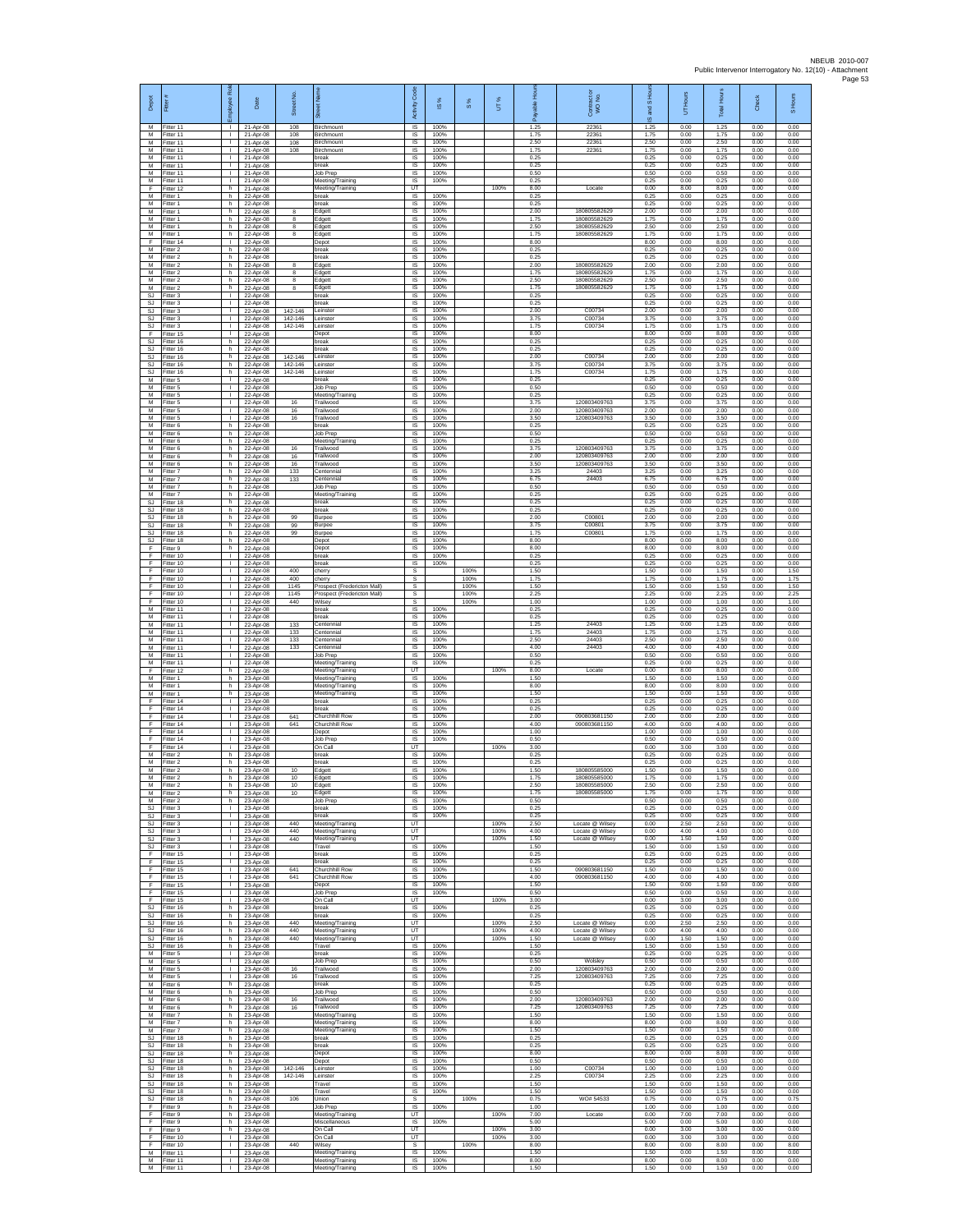| Depot                               | Fitter                              | ã<br>ployee                                  | Date                                  | £,<br>Street             |                                                          | Code<br>Activity                                   | $\overline{\omega}$  | $\frac{8}{3}$ | UT%                  |                      | Contract or<br>WO No.                                 | and S Ho<br>ဖ        | Hours<br>5           | <b>Total Hours</b>   | Check                | S Hours              |
|-------------------------------------|-------------------------------------|----------------------------------------------|---------------------------------------|--------------------------|----------------------------------------------------------|----------------------------------------------------|----------------------|---------------|----------------------|----------------------|-------------------------------------------------------|----------------------|----------------------|----------------------|----------------------|----------------------|
| м<br>М                              | Fitter 11<br>Fitter 11              | $\mathbf{L}$                                 | 21-Apr-08<br>21-Apr-08                | 108<br>108               | Birchmount<br>Birchmount                                 | $\overline{s}$<br>$\sf IS$                         | 100%<br>100%         |               |                      | 1.25<br>1.75         | 22361<br>22361                                        | 1.25<br>1.75         | 0.00<br>0.00         | 1.25<br>1.75         | 0.00<br>0.00         | 0.00<br>0.00         |
| M<br>$\overline{M}$<br>M            | fitter 11<br>Fitter 11<br>Fitter 11 | $\mathbf{L}$<br>$\mathbf{L}$<br>$\mathbb{R}$ | 21-Apr-08<br>21-Apr-08<br>21-Apr-08   | 108<br>108               | Birchmount<br>Birchmount<br>break                        | $\sf IS$<br><b>IS</b><br>IS                        | 100%<br>100%<br>100% |               |                      | 2.50<br>1.75<br>0.25 | 22361<br>22361                                        | 2.50<br>1.75<br>0.25 | 0.00<br>0.00<br>0.00 | 2.50<br>1.75<br>0.25 | 0.00<br>0.00<br>0.00 | 0.00<br>0.00<br>0.00 |
| M<br>M                              | Fitter 11<br>fitter 11              | $\mathbf{L}$<br>$\mathbf{I}$                 | 21-Apr-08<br>21-Apr-08                |                          | break<br>Job Prep                                        | IS<br>IS                                           | 100%<br>100%         |               |                      | 0.25<br>0.50         |                                                       | 0.25<br>0.50         | 0.00<br>0.00         | 0.25<br>0.50         | 0.00<br>0.00         | 0.00<br>0.00         |
| M<br>F<br>М                         | Fitter 11<br>Fitter 12<br>Fitter 1  | л.<br>h.<br>h                                | 21-Apr-08<br>21-Apr-08<br>22-Apr-08   |                          | Meeting/Training<br>Meeting/Training<br>break            | IS<br>UT<br>$\sf IS$                               | 100%<br>100%         |               | 100%                 | 0.25<br>8.00<br>0.25 | Locate                                                | 0.25<br>0.00<br>0.25 | 0.00<br>8.00<br>0.00 | 0.25<br>8.00<br>0.25 | 0.00<br>0.00<br>0.00 | 0.00<br>0.00<br>0.00 |
| M<br>M                              | fitter 1<br>Fitter 1                | h.<br>h.                                     | 22-Apr-08<br>22-Apr-08                | 8                        | break<br>Edgett                                          | IS<br><b>IS</b>                                    | 100%<br>100%         |               |                      | 0.25<br>2.00         | 180805582629                                          | 0.25<br>2.00         | 0.00<br>0.00         | 0.25<br>2.00         | 0.00<br>0.00         | 0.00<br>0.00         |
| М<br>M<br>M                         | itter 1<br>itter 1<br>Fitter 1      | h<br>h<br>h.                                 | 22-Apr-08<br>22-Apr-08<br>22-Apr-08   | 8<br>$\overline{8}$<br>8 | Edgett<br>Edgett<br>Edgett                               | IS<br>IS<br>IS                                     | 100%<br>100%<br>100% |               |                      | 1.75<br>2.50<br>1.75 | 180805582629<br>180805582629<br>180805582629          | 1.75<br>2.50<br>1.75 | 0.00<br>0.00<br>0.00 | 1.75<br>2.50<br>1.75 | 0.00<br>0.00<br>0.00 | 0.00<br>0.00<br>0.00 |
| F<br>M                              | fitter 14<br>Fitter 2               | $\mathbb{R}$<br>h.                           | 22-Apr-08<br>22-Apr-08                |                          | Depot<br>break                                           | IS<br>IS                                           | 100%<br>100%         |               |                      | 8.00<br>0.25         |                                                       | 8.00<br>0.25         | 0.00<br>0.00         | 8.00<br>0.25         | 0.00<br>0.00         | 0.00<br>0.00         |
| M<br>M<br>М                         | fitter 2<br>Fitter 2<br>Fitter 2    | h.<br>h<br>h.                                | 22-Anr-08<br>22-Apr-08<br>22-Apr-08   | $^{\rm 8}$               | oreak<br>Edgett                                          | IS<br>IS<br>$\sf IS$                               | 100%<br>100%<br>100% |               |                      | 0.25<br>2.00<br>1.75 | 180805582629<br>180805582629                          | 0.25<br>2.00<br>1.75 | 0.00<br>0.00<br>0.00 | 0.25<br>2.00<br>1.75 | 0.00<br>0.00<br>0.00 | 0.00<br>0.00<br>0.00 |
| М<br>M                              | itter 2<br>Fitter 2                 | h.<br>h.                                     | 22-Apr-08<br>22-Apr-08                | 8<br>8                   | Edgett<br>Edgett<br>Edgett                               | IS<br>IS                                           | 100%<br>100%         |               |                      | 2.50<br>1.75         | 180805582629<br>180805582629                          | 2.50<br>1.75         | 0.00<br>0.00         | 2.50<br>1.75         | 0.00<br>0.00         | 0.00<br>0.00         |
| S.I.<br>SJ                          | Fitter 3<br>Fitter 3                | <b>ILL S</b><br>т.<br>т                      | 22-Apr-08<br>22-Apr-08                | 142-146                  | <b>preak</b><br>oreak<br>einster                         | <b>IS</b><br>IS<br>1S                              | 100%<br>100%<br>100% |               |                      | 0.25<br>0.25<br>2.00 | C00734                                                | 0.25<br>0.25<br>2.00 | 0.00<br>0.00<br>0.00 | 0.25<br>0.25<br>2.00 | 0.00<br>0.00<br>0.00 | 0.00<br>0.00<br>0.00 |
| <b>SJ</b><br>SJ<br>SJ               | Fitter 3<br>Fitter 3<br>itter 3     | $\mathbf{L}$<br>т.                           | 22-Apr-08<br>22-Apr-08<br>22-Apr-08   | 142-146<br>142-146       | Leinster<br>einster                                      | IS<br>$\sf IS$                                     | 100%<br>100%         |               |                      | 3.75<br>1.75         | C00734<br>C00734                                      | 3.75<br>1.75         | 0.00<br>0.00         | 3.75<br>1.75         | 0.00<br>0.00         | 0.00<br>0.00         |
| F<br><b>SJ</b>                      | fitter 15<br>Fitter 16              | $\mathbf{I}$<br>h.                           | 22-Apr-08<br>22-Apr-08                |                          | Depot<br>break                                           | $\sf IS$<br>$\overline{s}$                         | 100%<br>100%         |               |                      | 8.00<br>0.25         |                                                       | 8.00<br>0.25         | 0.00<br>0.00         | 8.00<br>0.25         | 0.00<br>0.00         | 0.00<br>0.00         |
| <b>SJ</b><br><b>SJ</b><br><b>SJ</b> | Fitter 16<br>Fitter 16<br>itter 16  | h<br>h.<br>h.                                | 22-Apr-08<br>22-Apr-08<br>22-Apr-08   | 142-146<br>142-146       | oreak<br>einster<br>einster                              | IS<br>IS<br>IS                                     | 100%<br>100%<br>100% |               |                      | 0.25<br>2.00<br>3.75 | C00734<br>C00734                                      | 0.25<br>2.00<br>3.75 | 0.00<br>0.00<br>0.00 | 0.25<br>2.00<br>3.75 | 0.00<br>0.00<br>0.00 | 0.00<br>0.00<br>0.00 |
| <b>SJ</b><br>M                      | Fitter 16<br>Fitter 5               | h.<br><b>ILL S</b>                           | 22-Apr-08<br>22-Apr-08                | 142-146                  | Leinster<br>preak                                        | IS<br>IS                                           | 100%<br>100%         |               |                      | 1.75<br>0.25         | C00734                                                | 1.75<br>0.25         | 0.00<br>0.00         | 1.75<br>0.25         | 0.00<br>0.00         | 0.00<br>0.00         |
| М<br>M<br>M                         | Fitter 5<br>Fitter 5<br>Fitter 5    | $\mathbf{I}$<br>$\mathbf{L}$<br>$\mathbb{R}$ | 22-Apr-08<br>22-Apr-08<br>22-Apr-08   | 16                       | Job Prep<br>Meeting/Training<br>Trailwood                | $\sf IS$<br>IS<br>IS                               | 100%<br>100%<br>100% |               |                      | 0.50<br>0.25<br>3.75 | 120803409763                                          | 0.50<br>0.25<br>3.75 | 0.00<br>0.00<br>0.00 | 0.50<br>0.25<br>3.75 | 0.00<br>0.00<br>0.00 | 0.00<br>0.00<br>0.00 |
| М<br>M                              | fitter 5<br>itter 5                 | т.<br>т                                      | 22-Apr-08<br>22-Apr-08                | 16<br>16                 | Trailwood<br>Trailwood                                   | IS<br>IS                                           | 100%<br>100%         |               |                      | 2.00<br>3.50         | 120803409763<br>120803409763                          | 2.00<br>3.50         | 0.00<br>0.00         | 2.00<br>3.50         | 0.00<br>0.00         | 0.00<br>0.00         |
| M<br>М<br>M                         | Fitter 6<br>Fitter 6<br>Fitter 6    | h.<br>h.<br>h.                               | 22-Apr-08<br>22-Apr-08<br>22-Apr-08   |                          | break<br>Job Prep<br>Meeting/Training                    | IS<br>IS<br>IS                                     | 100%<br>100%<br>100% |               |                      | 0.25<br>0.50<br>0.25 |                                                       | 0.25<br>0.50<br>0.25 | 0.00<br>0.00<br>0.00 | 0.25<br>0.50<br>0.25 | 0.00<br>0.00<br>0.00 | 0.00<br>0.00<br>0.00 |
| M<br>M                              | fitter 6<br>Fitter 6                | h.<br>h                                      | 22-Anr-08<br>22-Apr-08                | 16<br>16                 | railwood<br>Trailwood                                    | IS<br>IS                                           | 100%<br>100%         |               |                      | 3.75<br>2.00         | 120803409763<br>120803409763                          | 3.75<br>2.00         | 0.00<br>0.00         | 3.75<br>2.00         | 0.00<br>0.00         | 0.00<br>0.00         |
| М<br>M<br>M                         | Fitter 6<br>itter 7<br>Fitter 7     | h.<br>h.<br>h.                               | 22-Apr-08<br>22-Apr-08<br>$22-Anf-08$ | 16<br>133<br>133         | Trailwood<br>Centennial<br>Centennial                    | $\sf IS$<br>IS<br>IS                               | 100%<br>100%<br>100% |               |                      | 3.50<br>3.25<br>6.75 | 120803409763<br>24403<br>24403                        | 3.50<br>3.25<br>6.75 | 0.00<br>0.00<br>0.00 | 3.50<br>3.25<br>6.75 | 0.00<br>0.00<br>0.00 | 0.00<br>0.00<br>0.00 |
| M<br>М                              | Fitter 7<br>Fitter 7                | h<br>h                                       | 22-Apr-08<br>22-Apr-08                |                          | Job Prep<br>Meeting/Training                             | IS<br>IS                                           | 100%<br>100%         |               |                      | 0.50<br>0.25         |                                                       | 0.50<br>0.25         | 0.00<br>0.00         | 0.50<br>0.25         | 0.00<br>0.00         | 0.00<br>0.00         |
| <b>SJ</b><br>SJ<br>SJ               | fitter 18<br>Fitter 18<br>Fitter 18 | h<br>h.<br>h.                                | 22-Apr-08<br>22-Apr-08<br>22-Apr-08   | 99                       | break<br>break<br>Burpee                                 | IS<br>$\overline{s}$<br>$\sf IS$                   | 100%<br>100%<br>100% |               |                      | 0.25<br>0.25<br>2.00 | C00801                                                | 0.25<br>0.25<br>2.00 | 0.00<br>0.00<br>0.00 | 0.25<br>0.25<br>2.00 | 0.00<br>0.00<br>0.00 | 0.00<br>0.00<br>0.00 |
| SJ<br>SJ.                           | litter 18<br>Fitter 18              | h.<br>h.                                     | 22-Apr-08<br>22-Apr-08                | 99<br>99                 | Burpee<br>Burpee                                         | $\sf IS$<br>IS                                     | 100%<br>100%         |               |                      | 3.75<br>1.75         | C00801<br>C00801                                      | 3.75<br>1.75         | 0.00<br>0.00         | 3.75<br>1.75         | 0.00<br>0.00         | 0.00<br>0.00         |
| <b>SJ</b><br>F<br>F                 | Fitter 18<br>Fitter 9<br>fitter 10  | h<br>h.<br>$\mathbf{I}$                      | 22-Apr-08<br>22-Apr-08<br>22-Apr-08   |                          | Depot<br>Depot<br>break                                  | IS<br>IS<br>IS                                     | 100%<br>100%<br>100% |               |                      | 8.00<br>8.00<br>0.25 |                                                       | 8.00<br>8.00<br>0.25 | 0.00<br>0.00<br>0.00 | 8.00<br>8.00<br>0.25 | 0.00<br>0.00<br>0.00 | 0.00<br>0.00<br>0.00 |
| F<br>F                              | Fitter 10<br>Fitter 10              | л.<br>$\mathbf{L}$                           | 22-Apr-08<br>22-Apr-08                | 400                      | break<br>cherry                                          | IS<br>s                                            | 100%                 | 100%          |                      | 0.25<br>1.50         |                                                       | 0.25<br>1.50         | 0.00<br>0.00         | 0.25<br>1.50         | 0.00<br>0.00         | 0.00<br>1.50         |
| F<br>F<br>F                         | Fitter 10<br>Fitter 10<br>Fitter 10 | $\mathbf{L}$<br>$\mathbf{L}$<br>$\mathbb{R}$ | 22-Apr-08<br>22-Apr-08                | 400<br>1145<br>1145      | cherry<br>Prospect (Fredericton Mall)                    | s<br>s                                             |                      | 100%<br>100%  |                      | 1.75<br>1.50<br>2.25 |                                                       | 1.75<br>1.50<br>2.25 | 0.00<br>0.00<br>0.00 | 1.75<br>1.50<br>2.25 | 0.00<br>0.00<br>0.00 | 1.75<br>1.50<br>2.25 |
| F<br>M                              | Fitter 10<br>fitter 11              | т.<br>т                                      | 22-Apr-08<br>22-Apr-08<br>22-Apr-08   | 440                      | Prospect (Fredericton Mall)<br>Wilsey<br>break           | s<br>s<br>1S                                       | 100%                 | 100%<br>100%  |                      | 1.00<br>0.25         |                                                       | 1.00<br>0.25         | 0.00<br>0.00         | 1.00<br>0.25         | 0.00<br>0.00         | 1.00<br>0.00         |
| M<br>М                              | Fitter 11<br>fitter 11              | $\mathbf{L}$<br>$\mathbb{R}$                 | 22-Apr-08<br>22-Apr-08                | 133                      | break<br>Centennial                                      | IS<br>IS                                           | 100%<br>100%         |               |                      | 0.25<br>1.25<br>1.75 | 24403<br>24403                                        | 0.25<br>1.25         | 0.00<br>0.00         | 0.25<br>1.25         | 0.00<br>0.00         | 0.00<br>0.00         |
| M<br>M<br>M                         | Fitter 11<br>fitter 11<br>Fitter 11 | $\mathbf{L}$<br>T.<br>п.                     | 22-Apr-08<br>22-Apr-08<br>22-Apr-08   | 133<br>133<br>133        | Centennial<br>entennial<br>Centennial                    | IS<br>IS<br>IS                                     | 100%<br>100%<br>100% |               |                      | 2.50<br>4.00         | 24403<br>24403                                        | 1.75<br>2.50<br>4.00 | 0.00<br>0.00<br>0.00 | 1.75<br>2.50<br>4.00 | 0.00<br>0.00<br>0.00 | 0.00<br>0.00<br>0.00 |
| M<br>M                              | Fitter 11<br>itter 11               | $\mathbb{R}$<br>т.                           | 22-Apr-08<br>22-Apr-08                |                          | Job Prep<br>Meeting/Training                             | $\sf IS$<br>IS<br>UT                               | 100%<br>100%         |               | 100%                 | 0.50<br>0.25<br>8.00 |                                                       | 0.50<br>0.25         | 0.00<br>0.00         | 0.50<br>0.25         | 0.00<br>0.00         | 0.00<br>0.00         |
| F<br>M<br>М                         | fitter 12<br>Fitter 1<br>Fitter 1   | h.<br>h.<br>h                                | 22-Apr-08<br>23-Apr-08<br>23-Apr-08   |                          | Meeting/Training<br>Meeting/Training<br>Meeting/Training | <b>IS</b><br>IS                                    | 100%<br>100%         |               |                      | 1.50<br>8.00         | Locate                                                | 0.00<br>1.50<br>8.00 | 8.00<br>0.00<br>0.00 | 8.00<br>1.50<br>8.00 | 0.00<br>0.00<br>0.00 | 0.00<br>0.00<br>0.00 |
| M<br>F<br>F                         | Fitter 1<br>Fitter 14               | h<br>$\mathbf{L}$                            | 23-Apr-08<br>23-Apr-08                |                          | Meeting/Training<br>break                                | 1S<br>IS                                           | 100%<br>100%         |               |                      | 1.50<br>0.25         |                                                       | 1.50<br>0.25         | 0.00<br>0.00         | 1.50<br>0.25         | 0.00<br>0.00         | 0.00<br>0.00         |
| F<br>F                              | itter 14<br>Fitter 14<br>Fitter 14  | т.<br>$\mathbf{I}$<br>л.                     | 23-Apr-08<br>23-Apr-08<br>23-Apr-08   | 641<br>641               | oreak<br>Churchhill Row<br>Churchhill Row                | $\sf IS$<br>$\sf IS$<br>IS                         | 100%<br>100%<br>100% |               |                      | 0.25<br>2.00<br>4.00 | 090803681150<br>090803681150                          | 0.25<br>2.00<br>4.00 | 0.00<br>0.00<br>0.00 | 0.25<br>2.00<br>4.00 | 0.00<br>0.00<br>0.00 | 0.00<br>0.00<br>0.00 |
| F<br>F<br>F                         | Fitter 14<br>Fitter 14              | $\mathbf{L}$<br>т.                           | 23-Apr-08<br>23-Apr-08                |                          | Depot<br>Job Prep                                        | IS<br>IS                                           | 100%<br>100%         |               |                      | 1.00<br>0.50         |                                                       | 1.00<br>0.50         | 0.00<br>0.00         | 1.00<br>0.50         | 0.00<br>0.00         | 0.00<br>0.00         |
| M<br>M                              | itter 14<br>Fitter 2<br>Fitter 2    | j.<br>h.<br>h.                               | 23-Apr-08<br>23-Apr-08<br>23-Apr-08   |                          | On Call<br>break<br><b>preak</b>                         | UT<br>IS<br>IS                                     | 100%<br>100%         |               | 100%                 | 3.00<br>0.25<br>0.25 |                                                       | 0.00<br>0.25<br>0.25 | 3.00<br>0.00<br>0.00 | 3.00<br>0.25<br>0.25 | 0.00<br>0.00<br>0.00 | 0.00<br>0.00<br>0.00 |
| М<br>M<br>м                         | Fitter 2<br>Fitter 2                | h.<br>h.                                     | 23-Apr-08<br>23-Apr-08                | 10<br>10                 | Edgett<br>Edgett                                         | $\sf IS$<br>IS                                     | 100%<br>100%<br>100% |               |                      | 1.50<br>1.75<br>2.50 | 180805585000<br>180805585000<br>180805585000          | 1.50<br>1.75<br>2.50 | 0.00<br>0.00         | 1.50<br>1.75<br>2.50 | 0.00<br>0.00         | 0.00<br>0.00         |
| M<br>M                              | Fitter 2<br>Fitter 2<br>Fitter 2    | h<br>h<br>h                                  | 23-Apr-08<br>23-Apr-08<br>23-Apr-08   | 10<br>10                 | Edgett<br>Edgett<br>Job Prep                             | <b>IS</b><br>IS<br>IS                              | 100%<br>100%         |               |                      | 1.75<br>0.50         | 180805585000                                          | 1.75<br>0.50         | 0.00<br>0.00<br>0.00 | 1.75<br>0.50         | 0.00<br>0.00<br>0.00 | 0.00<br>0.00<br>0.00 |
| <b>SJ</b><br>SJ                     | Fitter 3<br>Fitter 3                | $\mathbf{I}$<br>$\mathbb{R}$<br>$\mathbb{R}$ | 23-Apr-08<br>23-Apr-08                |                          | break<br>break<br>Meeting/Training                       | $\overline{\mathsf{s}}$<br><b>IS</b><br>UT         | 100%<br>100%         |               | 100%                 | 0.25<br>0.25<br>2.50 | Locate @ Wilsey                                       | 0.25<br>0.25<br>0.00 | 0.00<br>0.00<br>2.50 | 0.25<br>0.25<br>2.50 | 0.00<br>0.00<br>0.00 | 0.00<br>0.00<br>0.00 |
| SJ<br>SJ.<br>SJ                     | Fitter 3<br>Fitter 3<br>Fitter 3    | $\mathbb{R}$<br>$\mathbf{L}$                 | 23-Apr-08<br>23-Apr-08<br>23-Apr-08   | 440<br>440<br>440        | Meeting/Training<br>Meeting/Training                     | UT<br>UT                                           |                      |               | 100%<br>100%         | 4.00<br>1.50         | Locate @ Wilsey<br>Locate @ Wilsey                    | 0.00<br>0.00         | 4.00<br>1.50         | 4.00<br>1.50         | 0.00<br>0.00         | 0.00<br>0.00         |
| SJ<br>F<br>F                        | Fitter 3<br>fitter 15<br>Fitter 15  | $\Gamma$ .<br>$\mathbf{L}$<br>$\mathbf{L}$   | 23-Apr-08<br>23-Apr-08<br>23-Anr-08   |                          | Travel<br>oreak<br>break                                 | IS<br>IS<br>IS                                     | 100%<br>100%<br>100% |               |                      | 1.50<br>0.25<br>0.25 |                                                       | 1.50<br>0.25<br>0.25 | 0.00<br>0.00<br>0.00 | 1.50<br>0.25<br>0.25 | 0.00<br>0.00<br>0.00 | 0.00<br>0.00<br>0.00 |
| F.<br>F                             | Fitter 15<br>Fitter 15              | $\mathbf{L}$<br>$\mathbf{L}$                 | 23-Apr-08<br>23-Apr-08                | 641<br>641               | Churchhill Row<br>Churchhill Row                         | IS<br>IS                                           | 100%<br>100%         |               |                      | 1.50<br>4.00         | 090803681150<br>090803681150                          | 1.50<br>4.00         | 0.00<br>0.00         | 1.50<br>4.00         | 0.00<br>0.00         | 0.00<br>0.00         |
| F.<br>F.                            | Fitter 15<br>Fitter 15              | т<br>$\mathbf{L}$                            | 23-Apr-08<br>23-Apr-08                |                          | Depot<br>Job Prep                                        | 1S<br>IS                                           | 100%<br>100%         |               |                      | 1.50<br>0.50         |                                                       | 1.50<br>0.50         | 0.00<br>0.00         | 1.50<br>0.50         | 0.00<br>0.00         | 0.00<br>0.00         |
| F<br>$\mathbb{S}\mathbb{J}$<br>SJ.  | Fitter 15<br>Fitter 16<br>Fitter 16 | $\mathbf{L}$<br>h<br>h.                      | 23-Apr-08<br>23-Apr-08<br>23-Anr-08   |                          | On Call<br>break<br>break                                | UT<br>$\sf IS$<br>IS.                              | 100%<br>100%         |               | 100%                 | 3.00<br>0.25<br>0.25 |                                                       | 0.00<br>0.25<br>0.25 | 3.00<br>0.00<br>0.00 | 3.00<br>0.25<br>0.25 | 0.00<br>0.00<br>0.00 | 0.00<br>0.00<br>0.00 |
| SJ.<br><b>SJ</b><br><b>SJ</b>       | Fitter 16<br>Fitter 16<br>fitter 16 | h<br>h<br>h                                  | 23-Apr-08<br>23-Apr-08<br>23-Apr-08   | 440<br>440<br>440        | Meeting/Training<br>Meeting/Training<br>Meeting/Training | UT<br>UT<br>UT                                     |                      |               | 100%<br>100%<br>100% | 2.50<br>4.00<br>1.50 | Locate @ Wilsey<br>Locate @ Wilsey<br>Locate @ Wilsey | 0.00<br>0.00<br>0.00 | 2.50<br>4.00<br>1.50 | 2.50<br>4.00<br>1.50 | 0.00<br>0.00<br>0.00 | 0.00<br>0.00<br>0.00 |
| SJ<br>M                             | Fitter 16<br>Fitter 5               | h<br>$\mathbf{I}$                            | 23-Apr-08<br>23-Apr-08                |                          | Travel<br>hreak                                          | <b>IS</b><br>IS                                    | 100%<br>100%         |               |                      | 1.50<br>0.25         |                                                       | 1.50<br>0.25         | 0.00<br>0.00         | 1.50<br>0.25         | 0.00<br>0.00         | 0.00<br>0.00         |
| М<br>M<br>M                         | Fitter 5<br>Fitter 5<br>Fitter 5    | $\mathbb{R}$<br>$\mathbf{L}$<br>$\mathbf{I}$ | 23-Apr-08<br>23-Apr-08                | 16                       | Job Prep<br>Trailwood                                    | $\sf IS$<br><b>IS</b><br>IS                        | 100%<br>100%<br>100% |               |                      | 0.50<br>2.00<br>7.25 | Wolsley<br>120803409763<br>120803409763               | 0.50<br>2.00<br>7.25 | 0.00<br>0.00<br>0.00 | 0.50<br>2.00<br>7.25 | 0.00<br>0.00<br>0.00 | 0.00<br>0.00<br>0.00 |
| М<br>M                              | Fitter 6<br>Fitter 6                | h<br>h                                       | 23-Apr-08<br>23-Apr-08<br>23-Apr-08   | 16                       | Trailwood<br>break<br>Job Prep                           | IS<br>1S                                           | 100%<br>100%         |               |                      | 0.25<br>0.50         |                                                       | 0.25<br>0.50         | 0.00<br>0.00         | 0.25<br>0.50         | 0.00<br>0.00         | 0.00<br>0.00         |
| M<br>М<br>М                         | Fitter 6<br>Fitter 6<br>Fitter 7    | h.<br>h.<br>h.                               | 23-Apr-08<br>23-Apr-08<br>23-Apr-08   | 16<br>16                 | Trailwood<br>Trailwood<br>Meeting/Training               | IS<br>IS<br>IS                                     | 100%<br>100%<br>100% |               |                      | 2.00<br>7.25<br>1.50 | 120803409763<br>120803409763                          | 2.00<br>7.25<br>1.50 | 0.00<br>0.00<br>0.00 | 2.00<br>7.25<br>1.50 | 0.00<br>0.00<br>0.00 | 0.00<br>0.00<br>0.00 |
| M<br>M                              | Fitter 7<br>Fitter 7                | h.<br>h                                      | 23-Apr-08<br>23-Apr-08                |                          | Meeting/Training<br>Meeting/Training                     | IS<br>IS                                           | 100%<br>100%         |               |                      | 8.00<br>1.50         |                                                       | 8.00<br>1.50         | 0.00<br>0.00         | 8.00<br>1.50         | 0.00<br>0.00         | 0.00<br>0.00         |
| SJ<br>SJ<br>SJ.                     | Fitter 18<br>fitter 18<br>Fitter 18 | h<br>h.<br>h.                                | 23-Apr-08<br>23-Apr-08<br>23-Apr-08   |                          | break<br>oreak<br>Depot                                  | $\sf IS$<br>IS<br>IS                               | 100%<br>100%<br>100% |               |                      | 0.25<br>0.25<br>8.00 |                                                       | 0.25<br>0.25<br>8.00 | 0.00<br>0.00<br>0.00 | 0.25<br>0.25<br>8.00 | 0.00<br>0.00<br>0.00 | 0.00<br>0.00<br>0.00 |
| <b>SJ</b><br>SJ                     | Fitter 18<br>Fitter 18              | h.<br>h                                      | 23-Apr-08<br>23-Apr-08                | 142-146                  | Depot<br>Leinster                                        | IS<br>IS                                           | 100%<br>100%         |               |                      | 0.50<br>1.00         | C00734                                                | 0.50<br>1.00         | 0.00<br>0.00         | 0.50<br>1.00         | 0.00<br>0.00         | 0.00<br>0.00         |
| SJ.                                 | Fitter 18<br>SJ Fitter 18           | h<br>h.                                      | 23-Apr-08<br>23-Apr-08                | 142-146                  | Leinster<br>Travel                                       | 1S<br>IS                                           | 100%<br>100%         |               |                      | 2.25<br>1.50         | C00734                                                | 2.25<br>1.50         | 0.00<br>0.00         | 2.25<br>1.50         | 0.00<br>0.00         | 0.00<br>0.00         |
| SJ<br>$\mathbb{S}\mathbb{J}$<br>F   | Fitter 18<br>Fitter 18<br>Fitter 9  | h.<br>h<br>h.                                | 23-Apr-08<br>23-Apr-08<br>23-Apr-08   | 106                      | Travel<br>Union<br>Job Prep                              | $\sf IS$<br>$\mathbb S$<br>$\overline{\mathsf{s}}$ | 100%<br>100%         | 100%          |                      | 1.50<br>0.75<br>1.00 | WO# 54533                                             | 1.50<br>0.75<br>1.00 | 0.00<br>0.00<br>0.00 | 1.50<br>0.75<br>1.00 | 0.00<br>0.00<br>0.00 | 0.00<br>0.75<br>0.00 |
| E<br>F                              | Fitter 9<br>Fitter 9                | h<br>h.                                      | 23-Apr-08<br>23-Apr-08                |                          | Meeting/Training<br>Miscellaneous                        | UT<br>1S                                           | 100%                 |               | 100%                 | 7.00<br>5.00         | Locate                                                | 0.00<br>5.00         | 7.00<br>0.00         | 7.00<br>5.00         | 0.00<br>0.00         | 0.00<br>0.00         |
| F<br>E<br>F                         | fitter 9<br>Fitter 10<br>Fitter 10  | h.<br><b>ILL ST</b>                          | 23-Apr-08<br>23-Apr-08<br>23-Apr-08   | 440                      | On Call<br>On Call<br>Wilsey                             | UT<br>UT<br>s                                      |                      | 100%          | 100%<br>100%         | 3.00<br>3.00<br>8.00 |                                                       | 0.00<br>0.00<br>8.00 | 3.00<br>3.00<br>0.00 | 3.00<br>3.00<br>8.00 | 0.00<br>0.00<br>0.00 | 0.00<br>0.00<br>8.00 |
| М<br>M                              | Fitter 11<br>Fitter 11              | $\mathbf{L}$<br><b>ILL</b>                   | 23-Apr-08<br>23-Apr-08                |                          | Meeting/Training<br>Meeting/Training                     | $\sf IS$<br><b>IS</b>                              | 100%<br>100%         |               |                      | 1.50<br>8.00         |                                                       | 1.50<br>8.00         | 0.00<br>0.00         | 1.50<br>8.00         | 0.00<br>0.00         | 0.00<br>0.00         |
| M                                   | Fitter 11                           | $\mathbf{L}$                                 | 23-Apr-08                             |                          | Meeting/Training                                         | IS                                                 | 100%                 |               |                      | 1.50                 |                                                       | 1.50                 | 0.00                 | 1.50                 | 0.00                 | 0.00                 |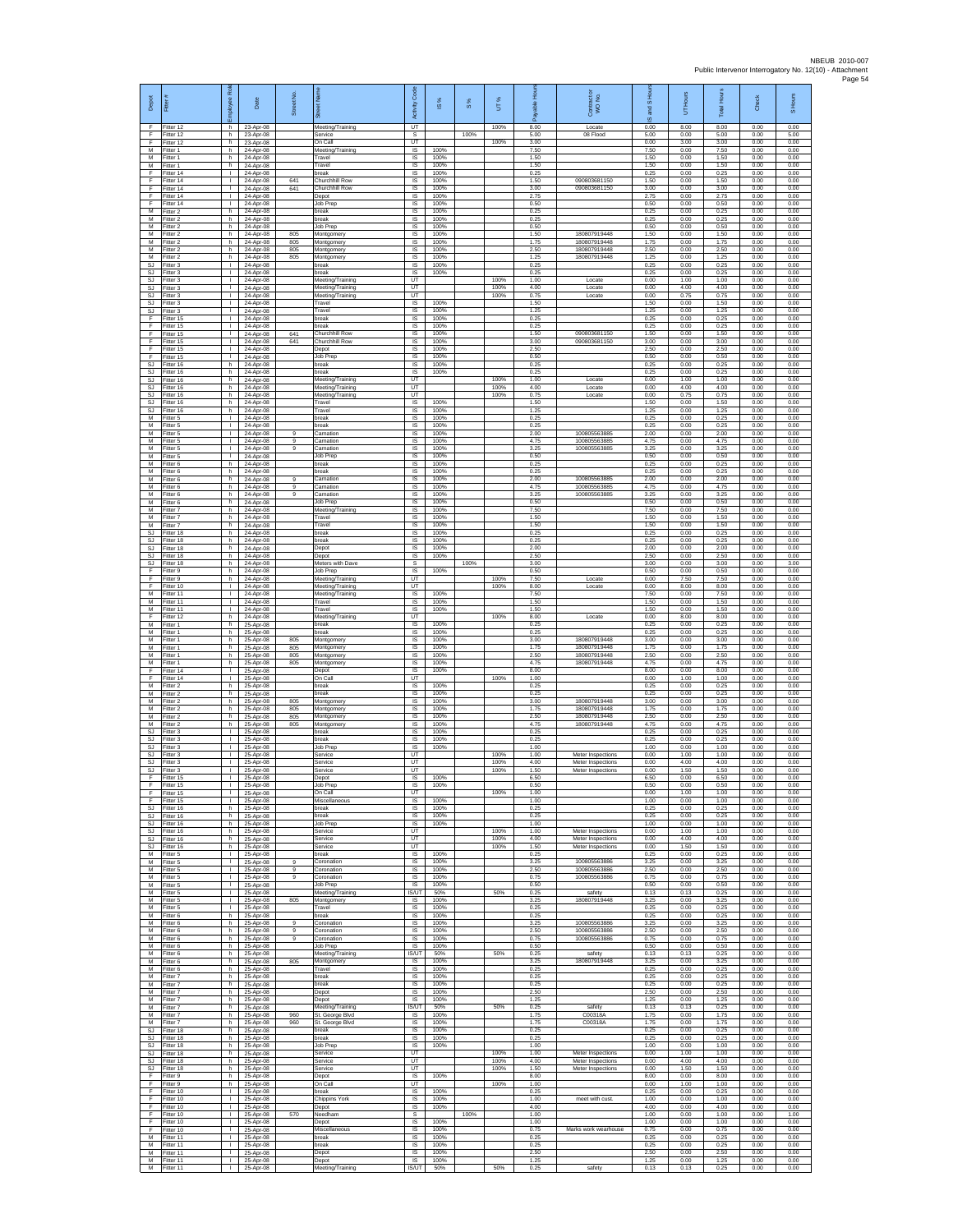| Depot                         | Fitter                                | 짍<br>aevolo                                  | Date                                | Street No                | ሬ                                                        | Code<br>Activity<br>UT                    | ⋇<br>$\underline{\omega}$ | $S\%$ | 5                    | 후<br>able<br>గొ<br>8.00 | Contract or<br>WO No.                  | and S Ho<br>$\overline{\omega}$ | Hours<br>5<br>8.00   | Hour<br>Total <sup>1</sup><br>8.00 | 효<br>ర్              | S Hours<br>0.00      |
|-------------------------------|---------------------------------------|----------------------------------------------|-------------------------------------|--------------------------|----------------------------------------------------------|-------------------------------------------|---------------------------|-------|----------------------|-------------------------|----------------------------------------|---------------------------------|----------------------|------------------------------------|----------------------|----------------------|
| F.<br>F<br>F                  | Fitter 12<br>Fitter 12<br>Fitter 12   | h.<br>h<br>h.                                | 23-Apr-08<br>23-Apr-08<br>23-Apr-08 |                          | Meeting/Training<br>Service<br>On Call                   | $\mathbb S$<br>UT.                        |                           | 100%  | 100%<br>100%         | 5.00<br>3.00            | Locate<br>08 Flood                     | 0.00<br>5.00<br>0.00            | 0.00<br>3.00         | 5.00<br>3.00                       | 0.00<br>0.00<br>0.00 | 5.00<br>0.00         |
| M<br>М                        | Fitter 1<br>fitter 1                  | h<br>h                                       | 24-Apr-08<br>24-Apr-08              |                          | Meeting/Training<br>Travel                               | IS<br>IS                                  | 100%<br>100%              |       |                      | 7.50<br>1.50            |                                        | 7.50<br>1.50                    | 0.00<br>0.00         | 7.50<br>1.50                       | 0.00<br>0.00         | 0.00<br>0.00         |
| M<br>F                        | fitter 1<br>Fitter 14                 | h.<br>$\mathbf{L}$                           | 24-Apr-08<br>24-Apr-08              |                          | Travel<br>break                                          | $\overline{\mathsf{s}}$<br>$\overline{s}$ | 100%<br>100%              |       |                      | 1.50<br>0.25            |                                        | 1.50<br>0.25                    | 0.00<br>0.00         | 1.50<br>0.25                       | 0.00<br>0.00         | 0.00<br>0.00         |
| F<br>F                        | litter 14<br>Fitter 14                | $\mathbf{L}$<br>т.                           | 24-Apr-08<br>24-Apr-08              | 641<br>641               | Churchhill Row<br>Churchhill Row                         | IS<br>IS                                  | 100%<br>100%              |       |                      | 1.50<br>3.00            | 090803681150<br>090803681150           | 1.50<br>3.00                    | 0.00<br>0.00         | 1.50<br>3.00                       | 0.00<br>0.00         | 0.00<br>0.00         |
| F<br>F                        | fitter 14<br>Fitter 14                | т.<br>$\mathbf{L}$                           | 24-Anr-08<br>24-Apr-08              |                          | Depot<br>Job Prep                                        | IS<br>IS                                  | 100%<br>100%              |       |                      | 2.75<br>0.50            |                                        | 2.75<br>0.50                    | 0.00<br>0.00         | 2.75<br>0.50                       | 0.00<br>0.00         | 0.00<br>0.00         |
| м<br>M<br>M                   | Fitter 2<br>itter 2<br>Fitter 2       | h.<br>h.                                     | 24-Apr-08<br>24-Apr-08<br>24-Apr-08 |                          | oreak<br>preak<br>Job Prec                               | $\sf IS$<br>IS<br>IS                      | 100%<br>100%<br>100%      |       |                      | 0.25<br>0.25<br>0.50    |                                        | 0.25<br>0.25<br>0.50            | 0.00<br>0.00<br>0.00 | 0.25<br>0.25<br>0.50               | 0.00<br>0.00<br>0.00 | 0.00<br>0.00<br>0.00 |
| M<br>М                        | Fitter 2<br>Fitter 2                  | h.<br>h<br>h                                 | 24-Apr-08<br>24-Apr-08              | 805<br>805               | Montgomery<br>Montgomery                                 | <b>IS</b><br>IS                           | 100%<br>100%              |       |                      | 1.50<br>1.75            | 180807919448<br>180807919448           | 1.50<br>1.75                    | 0.00<br>0.00         | 1.50<br>1.75                       | 0.00<br>0.00         | 0.00<br>0.00         |
| $\overline{M}$<br>M           | Fitter 2<br>Fitter 2                  | h.<br>h.                                     | 24-Apr-08<br>24-Apr-08              | 805<br>805               | Montgomery<br>Montgomery                                 | 1S<br>$\overline{s}$                      | 100%<br>100%              |       |                      | 2.50<br>1.25            | 180807919448<br>180807919448           | 2.50<br>1.25                    | 0.00<br>0.00         | 2.50<br>1.25                       | 0.00<br>0.00         | 0.00<br>0.00         |
| SJ<br>SJ                      | Fitter 3<br>itter 3                   | $\mathbf{L}$<br>$\mathbf{L}$                 | 24-Apr-08<br>24-Apr-08              |                          | oreak<br>break                                           | $\sf IS$<br>IS                            | 100%<br>100%              |       |                      | 0.25<br>0.25            |                                        | 0.25<br>0.25                    | 0.00<br>0.00         | 0.25<br>0.25                       | 0.00<br>0.00         | 0.00<br>0.00         |
| <b>SJ</b><br><b>SJ</b>        | Fitter 3<br>Fitter 3                  | $\mathbf{L}$<br>$\mathbf{L}$                 | 24-Apr-08<br>24-Apr-08              |                          | Meeting/Training<br>Meeting/Training                     | UT<br>UT                                  |                           |       | 100%<br>100%         | 1.00<br>4.00            | Locate<br>Locate                       | 0.00<br>0.00                    | 1.00<br>4.00         | 1.00<br>4.00                       | 0.00<br>0.00         | 0.00<br>0.00         |
| SJ<br>SJ                      | Fitter 3<br>Fitter 3                  | т.<br>$\mathbf{I}$<br>л.                     | 24-Apr-08<br>24-Apr-08              |                          | Meeting/Training<br>Travel<br>Travel                     | UT<br>IS<br><b>IS</b>                     | 100%<br>100%              |       | 100%                 | 0.75<br>1.50<br>1.25    | Locate                                 | 0.00<br>1.50<br>1.25            | 0.75<br>0.00<br>0.00 | 0.75<br>1.50<br>1.25               | 0.00<br>0.00<br>0.00 | 0.00<br>0.00<br>0.00 |
| SJ<br>F<br>F                  | Fitter 3<br>Fitter 15<br>Fitter 15    | $\mathbf{L}$<br>$\mathbf{I}$                 | 24-Apr-08<br>24-Apr-08<br>24-Apr-08 |                          | hreak<br>break                                           | IS<br>$\sf IS$                            | 100%<br>100%              |       |                      | 0.25<br>0.25            |                                        | 0.25<br>0.25                    | 0.00<br>0.00         | 0.25<br>0.25                       | 0.00<br>0.00         | 0.00<br>0.00         |
| F<br>F                        | Fitter 15<br>Fitter 15                | $\mathbf{L}$<br>$\mathbf{L}$                 | 24-Apr-08<br>24-Apr-08              | 641<br>641               | Churchhill Row<br>Churchhill Row                         | <b>IS</b><br>IS.                          | 100%<br>100%              |       |                      | 1.50<br>3.00            | 090803681150<br>090803681150           | 1.50<br>3.00                    | 0.00<br>0.00         | 1.50<br>3.00                       | 0.00<br>0.00         | 0.00<br>0.00         |
| F<br>F                        | Fitter 15<br>fitter 15                | ٠<br>т                                       | 24-Apr-08<br>24-Apr-08              |                          | Depot<br>Job Prep                                        | IS<br>$\overline{\mathsf{s}}$             | 100%<br>100%              |       |                      | 2.50<br>0.50            |                                        | 2.50<br>0.50                    | 0.00<br>0.00         | 2.50<br>0.50                       | 0.00<br>0.00         | 0.00<br>0.00         |
| <b>SJ</b><br>SJ               | Fitter 16<br>litter 16                | h.<br>h.                                     | 24-Apr-08<br>24-Apr-08              |                          | break<br>break                                           | $\overline{s}$<br>IS                      | 100%<br>100%              |       |                      | 0.25<br>0.25            |                                        | 0.25<br>0.25                    | 0.00<br>0.00         | 0.25<br>0.25                       | 0.00<br>0.00         | 0.00<br>0.00         |
| SJ<br>SJ<br>SJ                | Fitter 16<br>fitter 16<br>Fitter 16   | h.<br>h<br>h                                 | 24-Apr-08<br>24-Anr-08<br>24-Apr-08 |                          | Meeting/Training<br>Meeting/Training<br>Meeting/Training | UT<br>UT<br>UT                            |                           |       | 100%<br>100%<br>100% | 1.00<br>4.00<br>0.75    | Locate<br>Locate<br>Locate             | 0.00<br>0.00<br>0.00            | 1.00<br>4.00<br>0.75 | 1.00<br>4.00<br>0.75               | 0.00<br>0.00<br>0.00 | 0.00<br>0.00<br>0.00 |
| SJ<br><b>SJ</b>               | Fitter 16<br>itter 16                 | h.<br>h.                                     | 24-Apr-08<br>24-Apr-08              |                          | Travel<br>Travel                                         | $\sf IS$<br>IS                            | 100%<br>100%              |       |                      | 1.50<br>1.25            |                                        | 1.50<br>1.25                    | 0.00<br>0.00         | 1.50<br>1.25                       | 0.00<br>0.00         | 0.00<br>0.00         |
| M<br>M                        | Fitter 5<br>Fitter 5                  | $\mathbf{I}$<br><b>I</b>                     | 24-Anr-08<br>24-Apr-08              |                          | break<br>hreak                                           | IS<br>IS.                                 | 100%<br>100%              |       |                      | 0.25<br>0.25            |                                        | 0.25<br>0.25                    | 0.00<br>0.00         | 0.25<br>0.25                       | 0.00<br>0.00         | 0.00<br>0.00         |
| М<br>M                        | Fitter 5<br>Fitter 5                  | т.<br>т                                      | 24-Apr-08<br>24-Apr-08              | $\overline{9}$<br>$_{9}$ | Carnation<br>Carnation                                   | IS<br>$\overline{\mathsf{s}}$             | 100%<br>100%              |       |                      | 2.00<br>4.75            | 100805563885<br>100805563885           | 2.00<br>4.75                    | 0.00<br>0.00         | 2.00<br>4.75                       | 0.00<br>0.00         | 0.00<br>0.00         |
| M<br>М<br>M                   | Fitter 5<br>itter 5<br>Fitter 6       | $\mathbf{L}$<br>h                            | 24-Apr-08<br>24-Apr-08<br>24-Apr-08 | 9                        | Carnation<br>Job Prep<br>break                           | IS<br>$\sf IS$<br>IS                      | 100%<br>100%<br>100%      |       |                      | 3.25<br>0.50<br>0.25    | 100805563885                           | 3.25<br>0.50<br>0.25            | 0.00<br>0.00<br>0.00 | 3.25<br>0.50<br>0.25               | 0.00<br>0.00<br>0.00 | 0.00<br>0.00<br>0.00 |
| M<br>M                        | Fitter 6<br>Fitter 6                  | h.<br>h.                                     | 24-Apr-08<br>24-Apr-08              | $\mathbf{Q}$             | break<br>Carnation                                       | $\overline{s}$<br>IS                      | 100%<br>100%              |       |                      | 0.25<br>2.00            | 100805563885                           | 0.25<br>2.00                    | 0.00<br>0.00         | 0.25<br>2.00                       | 0.00<br>0.00         | 0.00<br>0.00         |
| М<br>M                        | Fitter 6<br>fitter 6                  | h.<br>h.                                     | 24-Apr-08<br>24-Apr-08              | 9<br>9                   | Carnation<br>Carnation                                   | IS<br>IS                                  | 100%<br>100%              |       |                      | 4.75<br>3.25            | 100805563885<br>100805563885           | 4.75<br>3.25                    | 0.00<br>0.00         | 4.75<br>3.25                       | 0.00<br>0.00         | 0.00<br>0.00         |
| M<br>M                        | Fitter 6<br>Fitter 7                  | h.<br>h.                                     | 24-Apr-08<br>24-Apr-08              |                          | Job Prep<br>Meeting/Training                             | IS<br>IS                                  | 100%<br>100%              |       |                      | 0.50<br>7.50            |                                        | 0.50<br>7.50                    | 0.00<br>0.00         | 0.50<br>7.50                       | 0.00<br>0.00         | 0.00<br>0.00         |
| М<br>M<br>S.I                 | Fitter 7<br>Fitter 7                  | h<br>h.                                      | 24-Apr-08<br>24-Anr-08              |                          | Travel<br>Travel<br>hreak                                | $\sf IS$<br>IS<br>IS.                     | 100%<br>100%<br>100%      |       |                      | 1.50<br>1.50<br>0.25    |                                        | 1.50<br>1.50<br>0.25            | 0.00<br>0.00         | 1.50<br>1.50<br>0.25               | 0.00<br>0.00<br>0.00 | 0.00<br>0.00         |
| SJ<br><b>SJ</b>               | Fitter 18<br>itter 18<br>fitter 18    | h.<br>h<br>h.                                | 24-Apr-08<br>24-Apr-08<br>24-Apr-08 |                          | break<br>Depot                                           | IS<br>1S                                  | 100%<br>100%              |       |                      | 0.25<br>2.00            |                                        | 0.25<br>2.00                    | 0.00<br>0.00<br>0.00 | 0.25<br>2.00                       | 0.00<br>0.00         | 0.00<br>0.00<br>0.00 |
| SJ.<br>SJ                     | Fitter 18<br>Fitter 18                | h.<br>h.                                     | 24-Apr-08<br>24-Apr-08              |                          | Depot<br>Meters with Dave                                | $\overline{s}$<br>s                       | 100%                      | 100%  |                      | 2.50<br>3.00            |                                        | 2.50<br>3.00                    | 0.00<br>0.00         | 2.50<br>3.00                       | 0.00<br>0.00         | 0.00<br>3.00         |
| F<br>F                        | Fitter 9<br>itter 9                   | h.<br>h.                                     | 24-Apr-08<br>24-Apr-08              |                          | <b>Job Prep</b><br>Meeting/Training                      | IS.<br>UT                                 | 100%                      |       | 100%                 | 0.50<br>7.50            | Locate                                 | 0.50<br>0.00                    | 0.00<br>7.50         | 0.50<br>7.50                       | 0.00<br>0.00         | 0.00<br>0.00         |
| F<br>М                        | Fitter 10<br>Fitter 11                | $\mathbf{L}$<br>$\mathbf{L}$                 | 24-Apr-08<br>24-Apr-08              |                          | Meeting/Training<br>Meeting/Training                     | UT<br>IS                                  | 100%                      |       | 100%                 | 8.00<br>7.50            | Locate                                 | 0.00<br>7.50                    | 8.00<br>0.00         | 8.00<br>7.50                       | 0.00<br>0.00         | 0.00<br>0.00         |
| M<br>M<br>F                   | fitter 11<br>Fitter 11<br>Fitter 12   | л.<br>л.<br>h                                | 24-Apr-08<br>24-Apr-08<br>24-Apr-08 |                          | Travel<br>Travel<br>Meeting/Training                     | IS<br>IS<br><b>LIT</b>                    | 100%<br>100%              |       | 100%                 | 1.50<br>1.50<br>8.00    | Locate                                 | 1.50<br>1.50<br>0.00            | 0.00<br>0.00<br>8.00 | 1.50<br>1.50<br>8.00               | 0.00<br>0.00<br>0.00 | 0.00<br>0.00<br>0.00 |
| М<br>M                        | Fitter 1<br>Fitter 1                  | h.<br>h.                                     | 25-Apr-08<br>25-Apr-08              |                          | break<br>break                                           | IS<br>1S                                  | 100%<br>100%              |       |                      | 0.25<br>0.25            |                                        | 0.25<br>0.25                    | 0.00<br>0.00         | 0.25<br>0.25                       | 0.00<br>0.00         | 0.00<br>0.00         |
| M<br>М                        | Fitter 1<br>Fitter 1                  | h.<br>h.                                     | 25-Apr-08<br>25-Apr-08              | 805<br>805               | Montgomery<br>Montgomery                                 | $\overline{s}$<br>$\sf IS$                | 100%<br>100%              |       |                      | 3.00<br>1.75            | 180807919448<br>180807919448           | 3.00<br>1.75                    | 0.00<br>0.00         | 3.00<br>1.75                       | 0.00<br>0.00         | 0.00<br>0.00         |
| M<br>M                        | Fitter 1<br>Fitter 1                  | h<br>h.                                      | 25-Apr-08<br>25-Apr-08              | 805<br>805               | Montgomery<br>Montgomery                                 | IS<br>$\overline{\mathsf{s}}$             | 100%<br>100%              |       |                      | 2.50<br>4.75            | 180807919448<br>180807919448           | 2.50<br>4.75                    | 0.00<br>0.00         | 2.50<br>4.75                       | 0.00<br>0.00         | 0.00<br>0.00         |
| F<br>F<br>M                   | Fitter 14<br>Fitter 14<br>Fitter 2    | $\mathbb{R}$<br>т.<br>h.                     | 25-Apr-08<br>25-Apr-08<br>25-Apr-08 |                          | Depot<br>On Call<br>break                                | IS<br>UT<br>IS                            | 100%<br>100%              |       | 100%                 | 8.00<br>1.00<br>0.25    |                                        | 8.00<br>0.00<br>0.25            | 0.00<br>1.00<br>0.00 | 8.00<br>1.00<br>0.25               | 0.00<br>0.00<br>0.00 | 0.00<br>0.00<br>0.00 |
| M<br>M                        | Fitter 2<br>Fitter 2                  | h.<br>h.                                     | 25-Apr-08<br>25-Apr-08              | 805                      | break<br>Montgomery                                      | IS<br>IS                                  | 100%<br>100%              |       |                      | 0.25<br>3.00            | 180807919448                           | 0.25<br>3.00                    | 0.00<br>0.00         | 0.25<br>3.00                       | 0.00<br>0.00         | 0.00<br>0.00         |
| М<br>M                        | Fitter 2<br>Fitter 2                  | h<br>h.                                      | 25-Apr-08<br>25-Apr-08              | 805<br>805               | Montgomery<br>Montgomery                                 | $\sf IS$<br>IS                            | 100%<br>100%              |       |                      | 1.75<br>2.50            | 180807919448<br>180807919448           | 1.75<br>2.50                    | 0.00<br>0.00         | 1.75<br>2.50                       | 0.00<br>0.00         | 0.00<br>0.00         |
| M<br>SJ<br>SJ                 | Fitter 2<br>-itter 3<br>fitter 3      | h.<br>τ.<br>т                                | 25-Apr-08<br>25-Apr-08<br>25-Apr-08 | 805                      | Montgomery<br>break<br>break                             | <b>IS</b><br>IS<br>$\overline{s}$         | 100%<br>100%<br>100%      |       |                      | 4.75<br>0.25<br>0.25    | 180807919448                           | 4.75<br>0.25<br>0.25            | 0.00<br>0.00<br>0.00 | 4.75<br>0.25<br>0.25               | 0.00<br>0.00<br>0.00 | 0.00<br>0.00<br>0.00 |
| SJ.<br>SJ                     | Fitter 3<br>itter 3                   | $\mathbf{L}$<br>л.                           | 25-Apr-08<br>25-Apr-08              |                          | <b>Job Prep</b><br>Service                               | $\overline{s}$<br>UT                      | 100%                      |       | 100%                 | 1.00<br>1.00            | Meter Inspections                      | 1.00<br>0.00                    | 0.00<br>1.00         | 1.00<br>1.00                       | 0.00<br>0.00         | 0.00<br>0.00         |
| SJ<br>SJ.                     | Fitter 3<br>Fitter 3                  | т.<br>л.                                     | 25-Apr-08<br>25-Apr-08              |                          | Service<br>Service                                       | UT<br>UT                                  |                           |       | 100%<br>100%         | 4.00<br>1.50            | Meter Inspections<br>Meter Inspections | 0.00<br>0.00                    | 4.00<br>1.50         | 4.00<br>1.50                       | 0.00<br>0.00         | 0.00<br>0.00         |
| F<br>F                        | itter 15<br>Fitter 15                 | л.                                           | 25-Apr-08<br>25-Apr-08              |                          | Depot<br>Job Prep                                        | IS<br>IS                                  | 100%<br>100%              |       |                      | 6.50<br>0.50            |                                        | 6.50<br>0.50                    | 0.00<br>0.00         | 6.50<br>0.50                       | 0.00<br>0.00         | 0.00<br>0.00         |
| F<br>F<br>S.I.                | Fitter 15<br>Fitter 15                | $\mathbf{L}$                                 | 25-Apr-08<br>25-Apr-08              |                          | On Call<br>Miscellaneous<br>hreak                        | UT<br><b>IS</b><br>IS.                    | 100%<br>100%              |       | 100%                 | 1.00<br>1.00<br>0.25    |                                        | 0.00<br>1.00<br>0.25            | 1.00<br>0.00         | 1.00<br>1.00<br>0.25               | 0.00<br>0.00<br>0.00 | 0.00<br>0.00         |
| SJ<br>SJ.                     | Fitter 16<br>Fitter 16<br>Fitter 16   | h.<br>h<br>h.                                | 25-Apr-08<br>25-Apr-08              |                          | break<br>Job Prep                                        | 1S<br>$\overline{s}$                      | 100%<br>100%              |       |                      | 0.25<br>1.00            |                                        | 0.25<br>1.00                    | 0.00<br>0.00<br>0.00 | 0.25<br>1.00                       | 0.00<br>0.00         | 0.00<br>0.00<br>0.00 |
| <b>SJ</b>                     | SJ Fitter 16<br>Fitter 16             | h I<br>h.                                    | 25-Apr-08<br>25-Apr-08<br>25-Apr-08 |                          | Service<br>Service                                       | UT<br>UT                                  |                           |       | 100%<br>100%         | 1.00<br>4.00            | Meter Inspections<br>Meter Inspections | 0.00<br>0.00                    | 1.00<br>4.00         | 1.00<br>4.00                       | 0.00<br>0.00         | 0.00<br>0.00         |
| $\mathbb{S}\mathbb{J}$<br>M   | Fitter 16<br>Fitter 5                 | h.<br>$\mathbf{I}$                           | 25-Apr-08<br>25-Apr-08              |                          | Service<br>break                                         | UT.<br>IS.                                | 100%                      |       | 100%                 | 1.50<br>0.25            | Meter Inspections                      | 0.00<br>0.25                    | 1.50<br>0.00         | 1.50<br>0.25                       | 0.00<br>0.00         | 0.00<br>0.00         |
| M<br>M                        | Fitter 5<br>Fitter 5                  | $\mathbf{L}$<br>$\mathbf{L}$                 | 25-Apr-08<br>25-Apr-08              | $\mathbf{Q}$<br>9        | Coronation<br>Coronation                                 | IS<br>IS                                  | 100%<br>100%              |       |                      | 3.25<br>2.50            | 100805563886<br>100805563886           | 3.25<br>2.50                    | 0.00<br>0.00         | 3.25<br>2.50                       | 0.00<br>0.00         | 0.00<br>0.00         |
| M<br>M<br>M                   | Fitter 5<br>Fitter 5<br>Fitter 5      | $\mathbf{L}$<br>$\mathbb{R}$                 | 25-Apr-08<br>25-Apr-08<br>25-Apr-08 | 9                        | Coronation<br>Job Prep<br>Meeting/Training               | IS<br>- IS<br>IS/UT                       | 100%<br>100%<br>50%       |       | 50%                  | 0.75<br>0.50<br>0.25    | 100805563886<br>safety                 | 0.75<br>0.50<br>0.13            | 0.00<br>0.00<br>0.13 | 0.75<br>0.50<br>0.25               | 0.00<br>0.00<br>0.00 | 0.00<br>0.00<br>0.00 |
| М<br>M                        | Fitter 5<br>Fitter 5                  | $\mathbb{R}$<br>$\mathbf{L}$                 | 25-Apr-08<br>25-Apr-08              | 805                      | Montgomery<br>Travel                                     | $\sf IS$<br><b>IS</b>                     | 100%<br>100%              |       |                      | 3.25<br>0.25            | 180807919448                           | 3.25<br>0.25                    | 0.00<br>0.00         | 3.25<br>0.25                       | 0.00<br>0.00         | 0.00<br>0.00         |
| M<br>М                        | Fitter 6<br>itter 6                   | h.<br>h.                                     | 25-Apr-08<br>25-Apr-08              | 9                        | hreak<br>Coronation                                      | IS<br>1S                                  | 100%<br>100%              |       |                      | 0.25<br>3.25            | 100805563886                           | 0.25<br>3.25                    | 0.00<br>0.00         | 0.25<br>3.25                       | 0.00<br>0.00         | 0.00<br>0.00         |
| M<br>M                        | itter 6<br>Fitter 6                   | h.<br>h.                                     | 25-Apr-08<br>25-Anr-08              | $\overline{9}$<br>9      | Coronation<br>Coronation                                 | $\overline{s}$<br>IS<br>IS                | 100%<br>100%<br>100%      |       |                      | 2.50<br>0.75<br>0.50    | 100805563886<br>100805563886           | 2.50<br>0.75<br>0.50            | 0.00<br>0.00         | 2.50<br>0.75<br>0.50               | 0.00<br>0.00         | 0.00<br>0.00         |
| М<br>М<br>M                   | Fitter 6<br>Fitter 6<br>Fitter 6      | h.<br>h.<br>h.                               | 25-Apr-08<br>25-Apr-08<br>25-Apr-08 | 805                      | Job Prep<br>Meeting/Training<br>Montgomery               | <b>IS/UT</b><br>IS                        | 50%<br>100%               |       | 50%                  | 0.25<br>3.25            | safety<br>180807919448                 | 0.13<br>3.25                    | 0.00<br>0.13<br>0.00 | 0.25<br>3.25                       | 0.00<br>0.00<br>0.00 | 0.00<br>0.00<br>0.00 |
| M<br>M                        | Fitter 6<br>Fitter 7                  | h.<br>h.                                     | 25-Apr-08<br>25-Apr-08              |                          | Travel<br>break                                          | IS<br>$\sf IS$                            | 100%<br>100%              |       |                      | 0.25<br>0.25            |                                        | 0.25<br>0.25                    | 0.00<br>0.00         | 0.25<br>0.25                       | 0.00<br>0.00         | 0.00<br>0.00         |
| М<br>M                        | itter 7<br>Fitter 7                   | h.<br>h.                                     | 25-Apr-08<br>25-Apr-08              |                          | break<br>Depot                                           | IS<br>IS                                  | 100%<br>100%              |       |                      | 0.25<br>2.50            |                                        | 0.25<br>2.50                    | 0.00<br>0.00         | 0.25<br>2.50                       | 0.00<br>0.00         | 0.00<br>0.00         |
| M<br>М                        | Fitter 7<br>Fitter 7                  | h.<br>h.                                     | 25-Apr-08<br>25-Apr-08              |                          | Depot<br>Meeting/Training                                | <b>IS</b><br><b>IS/UT</b>                 | 100%<br>50%<br>100%       |       | 50%                  | 1.25<br>0.25            | safety<br>C00318A                      | 1.25<br>0.13                    | 0.00<br>0.13         | 1.25<br>0.25                       | 0.00<br>0.00         | 0.00<br>0.00         |
| M<br>SJ                       | Fitter 7<br>M Fitter 7<br>Fitter 18   | h.<br>h.<br>h.                               | 25-Apr-08<br>25-Apr-08<br>25-Apr-08 | 960<br>960               | St. George Blvd<br>St. George Blvd<br>break              | <b>IS</b><br>IS<br>$\sf IS$               | 100%<br>100%              |       |                      | 1.75<br>1.75<br>0.25    | C00318A                                | 1.75<br>1.75<br>0.25            | 0.00<br>0.00<br>0.00 | 1.75<br>1.75<br>0.25               | 0.00<br>0.00<br>0.00 | 0.00<br>0.00<br>0.00 |
| $\mathbb{S}\mathbb{J}$<br>SJ. | Fitter 18<br>Fitter 18                | h<br>h.                                      | 25-Apr-08<br>25-Apr-08              |                          | break<br>Job Prep                                        | $\sf IS$<br>IS.                           | 100%<br>100%              |       |                      | 0.25<br>1.00            |                                        | 0.25<br>1.00                    | 0.00<br>0.00         | 0.25<br>1.00                       | 0.00<br>0.00         | 0.00<br>0.00         |
| SJ.<br><b>SJ</b>              | Fitter 18<br>Fitter 18                | h.<br>h.                                     | 25-Apr-08<br>25-Apr-08              |                          | Service<br>Service                                       | UT<br>UT                                  |                           |       | 100%<br>100%         | 1.00<br>4.00            | Meter Inspections<br>Meter Inspections | 0.00<br>0.00                    | 1.00<br>4.00         | 1.00<br>4.00                       | 0.00<br>0.00         | 0.00<br>0.00         |
| SJ<br>F                       | Fitter 18<br>Fitter 9                 | h.<br>h.                                     | 25-Apr-08<br>25-Apr-08              |                          | Service<br>Depot                                         | UT<br>IS.                                 | 100%                      |       | 100%                 | 1.50<br>8.00            | Meter Inspections                      | 0.00<br>8.00                    | 1.50<br>0.00         | 1.50<br>8.00                       | 0.00<br>0.00         | 0.00<br>0.00         |
| F.<br>F<br>F.                 | Fitter 9<br>Fitter 10<br>Fitter 10    | h.<br>$\mathbb{R}$<br><b>ILL</b>             | 25-Apr-08<br>25-Apr-08<br>25-Apr-08 |                          | On Call<br>break                                         | UT<br>$\sf IS$<br>IS.                     | 100%<br>100%              |       | 100%                 | 1.00<br>0.25<br>1.00    | meet with cust                         | 0.00<br>0.25<br>1.00            | 1.00<br>0.00<br>0.00 | 1.00<br>0.25<br>1.00               | 0.00<br>0.00<br>0.00 | 0.00<br>0.00<br>0.00 |
| F.<br>F                       | Fitter 10<br>Fitter 10                | $\mathbb{R}$<br>т.                           | 25-Apr-08<br>25-Apr-08              | 570                      | <b>Chippins York</b><br>Depot<br>Needham                 | IS.<br>s                                  | 100%                      | 100%  |                      | 4.00<br>1.00            |                                        | 4.00<br>1.00                    | 0.00<br>0.00         | 4.00<br>1.00                       | 0.00<br>0.00         | 0.00<br>1.00         |
| Ŧ<br>F                        | Fitter 10<br>Fitter 10                | т<br>$\mathbf{L}$                            | 25-Apr-08<br>25-Apr-08              |                          | Depot<br>Miscellaneous                                   | IS.<br>IS                                 | 100%<br>100%              |       |                      | 1.00<br>0.75            | Marks work wearhouse                   | 1.00<br>0.75                    | 0.00<br>0.00         | 1.00<br>0.75                       | 0.00<br>0.00         | 0.00<br>0.00         |
| М<br>М                        | Fitter 11<br>Fitter 11                | $\mathbb{R}$<br>$\mathbf{L}$                 | 25-Apr-08<br>25-Apr-08              |                          | break<br>break                                           | IS<br>1S                                  | 100%<br>100%              |       |                      | 0.25<br>0.25            |                                        | 0.25<br>0.25                    | 0.00<br>0.00         | 0.25<br>0.25                       | 0.00<br>0.00         | 0.00<br>0.00         |
| M<br>M                        | Fitter 11<br>Fitter 11<br>M Fitter 11 | $\mathbf{L}$<br>$\mathbf{L}$<br>$\mathbf{L}$ | 25-Apr-08<br>25-Apr-08<br>25-Apr-08 |                          | Depot<br>Depot<br>Meeting/Training                       | IS<br>IS<br>IS/UT                         | 100%<br>100%<br>50%       |       | 50%                  | 2.50<br>1.25<br>0.25    | safety                                 | 2.50<br>1.25<br>0.13            | 0.00<br>0.00<br>0.13 | 2.50<br>1.25<br>0.25               | 0.00<br>0.00<br>0.00 | 0.00<br>0.00<br>0.00 |
|                               |                                       |                                              |                                     |                          |                                                          |                                           |                           |       |                      |                         |                                        |                                 |                      |                                    |                      |                      |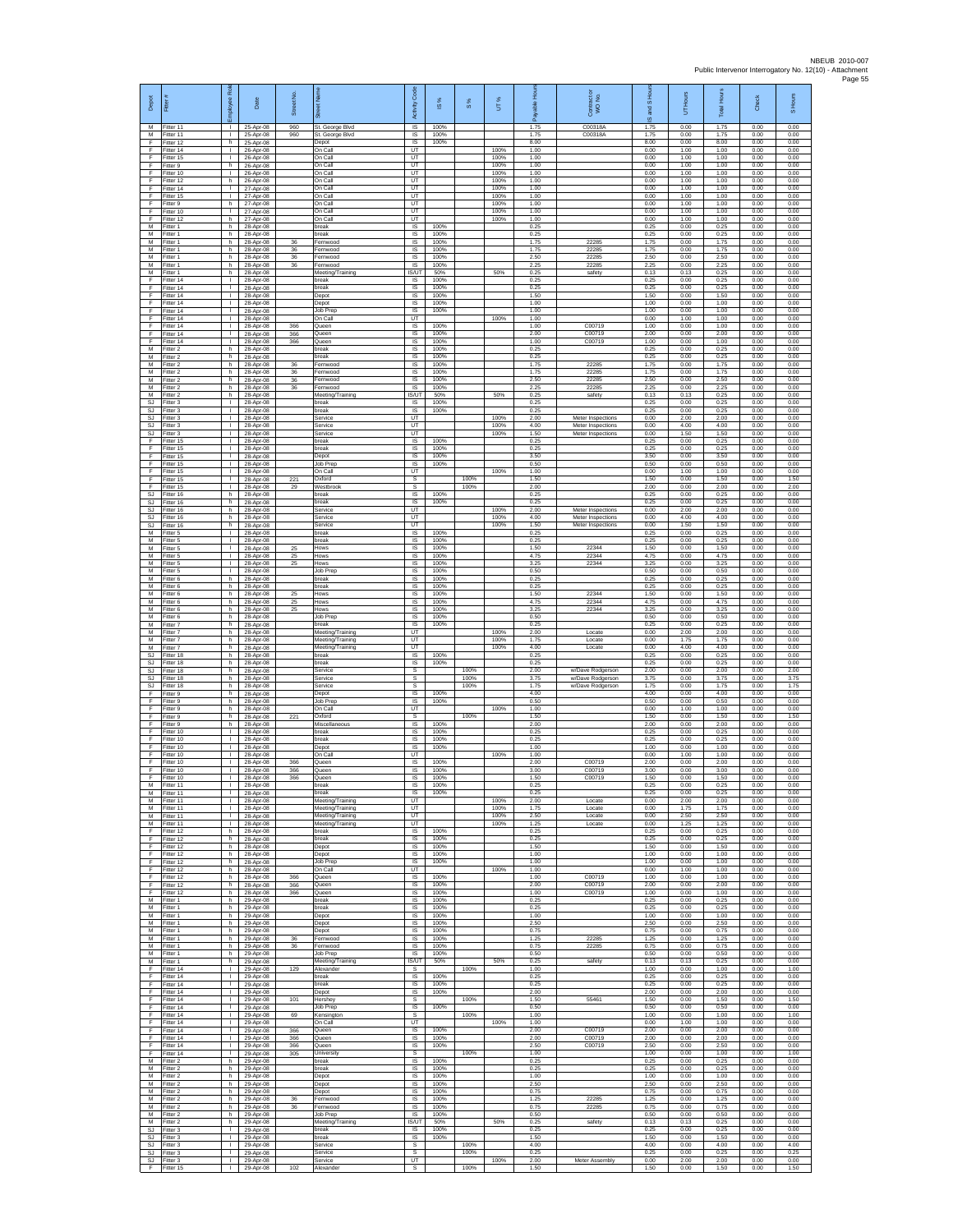| Depot                  | Fitter                              | 盈<br>loyee                                   | Date                                | Street No.     |                                             | Code<br>Activity                          | IS %                 | 8%           | UT%                  | 훈<br>自身<br>æ         | Contract or<br>WO No.                  | S Ho<br>g<br>$\overline{9}$ | UT Hours             | <b>Total Hours</b>   | Check                | S Hours              |
|------------------------|-------------------------------------|----------------------------------------------|-------------------------------------|----------------|---------------------------------------------|-------------------------------------------|----------------------|--------------|----------------------|----------------------|----------------------------------------|-----------------------------|----------------------|----------------------|----------------------|----------------------|
| M<br>M<br>F            | Fitter 11<br>Fitter 11<br>itter 12  | т.<br>$\mathbf{L}$<br>h                      | 25-Apr-08<br>25-Apr-08<br>25-Apr-08 | 960<br>960     | St. George Blvd<br>St. George Blvd<br>Depot | $\overline{\mathsf{s}}$<br>IS<br>$\sf IS$ | 100%<br>100%<br>100% |              |                      | 1.75<br>1.75<br>8.00 | C00318A<br>C00318A                     | 1.75<br>1.75<br>8.00        | 0.00<br>0.00<br>0.00 | 1.75<br>1.75<br>8.00 | 0.00<br>0.00<br>0.00 | 0.00<br>0.00<br>0.00 |
| -F<br>E                | Fitter 14<br>Fitter 15              | $\mathbf{L}$<br>л.                           | 26-Apr-08<br>26-Apr-08              |                | On Call<br>On Call                          | UT<br><b>LIT</b>                          |                      |              | 100%<br>100%         | 1.00<br>1.00         |                                        | 0.00<br>0.00                | 1.00<br>1.00         | 1.00<br>1.00         | 0.00<br>0.00         | 0.00<br>0.00         |
| F<br>Ŧ<br>E            | -itter 9<br>Fitter 10<br>Fitter 12  | h.<br>$\mathbf{L}$<br>h.                     | 26-Apr-08<br>26-Apr-08<br>26-Apr-08 |                | On Call<br>On Call<br>On Call               | UT<br>UT<br>UT                            |                      |              | 100%<br>100%<br>100% | 1.00<br>1.00<br>1.00 |                                        | 0.00<br>0.00<br>0.00        | 1.00<br>1.00<br>1.00 | 1.00<br>1.00<br>1.00 | 0.00<br>0.00<br>0.00 | 0.00<br>0.00<br>0.00 |
| $\mathsf F$<br>F       | Fitter 14<br>Fitter 15              | $\mathbf{L}$<br>$\mathbf{L}$                 | 27-Apr-08<br>27-Apr-08              |                | On Call<br>On Call                          | UT<br>UT                                  |                      |              | 100%<br>100%         | 1.00<br>1.00         |                                        | 0.00<br>0.00                | 1.00<br>1.00         | 1.00<br>1.00         | 0.00<br>0.00         | 0.00<br>0.00         |
| F<br>F<br>Ŧ            | Fitter 9<br>Fitter 10<br>Fitter 12  | h.<br>T.<br>h.                               | 27-Apr-08<br>27-Apr-08<br>27-Apr-08 |                | On Call<br>On Call<br>On Call               | UT<br><b>UT</b><br>UT                     |                      |              | 100%<br>100%<br>100% | 1.00<br>1.00<br>1.00 |                                        | 0.00<br>0.00<br>0.00        | 1.00<br>1.00<br>1.00 | 1.00<br>1.00<br>1.00 | 0.00<br>0.00<br>0.00 | 0.00<br>0.00<br>0.00 |
| М<br>M                 | Fitter 1<br>Fitter 1                | h<br>h.                                      | 28-Apr-08<br>28-Apr-08              |                | preak<br>break                              | IS<br>IS                                  | 100%<br>100%         |              |                      | 0.25<br>0.25         |                                        | 0.25<br>0.25                | 0.00<br>0.00         | 0.25<br>0.25         | 0.00<br>0.00         | 0.00<br>0.00         |
| M<br>M<br>M            | -itter 1<br>Fitter 1<br>Fitter 1    | h.<br>h.<br>h.                               | 28-Apr-08<br>28-Apr-08<br>28-Apr-08 | 36<br>36<br>36 | Fernwood<br>ernwood<br>Fernwood             | IS<br>IS<br>IS                            | 100%<br>100%<br>100% |              |                      | 1.75<br>1.75<br>2.50 | 22285<br>22285<br>22285                | 175<br>1.75<br>2.50         | 0.00<br>0.00<br>0.00 | 1.75<br>1.75<br>2.50 | 0.00<br>0.00<br>0.00 | 0.00<br>0.00<br>0.00 |
| M<br>M                 | Fitter 1<br>-itter 1                | h<br>h.                                      | 28-Apr-08<br>28-Apr-08              | 36             | Fernwood<br>Meeting/Training                | IS.<br>IS/UT                              | 100%<br>50%          |              | 50%                  | 2.25<br>0.25         | 22285<br>safety                        | 2.25<br>0.13                | 0.00<br>0.13         | 2.25<br>0.25         | 0.00<br>0.00         | 0.00<br>0.00         |
| Ŧ<br>F<br>F            | Fitter 14<br>Fitter 14              | т<br>$\mathbf{L}$<br>$\mathbf{L}$            | 28-Apr-08<br>28-Apr-08              |                | break<br>break                              | <b>IS</b><br>IS                           | 100%<br>100%         |              |                      | 0.25<br>0.25<br>1.50 |                                        | 0.25<br>0.25<br>1.50        | 0.00<br>0.00         | 0.25<br>0.25         | 0.00<br>0.00         | 0.00<br>0.00         |
| F<br>F                 | Fitter 14<br>Fitter 14<br>Fitter 14 | H.<br>$\mathbf{L}$                           | 28-Apr-08<br>28-Apr-08<br>28-Apr-08 |                | Depot<br>Depot<br>Job Prep                  | IS<br>1S<br>IS                            | 100%<br>100%<br>100% |              |                      | 1.00<br>1.00         |                                        | 1.00<br>1.00                | 0.00<br>0.00<br>0.00 | 1.50<br>1.00<br>1.00 | 0.00<br>0.00<br>0.00 | 0.00<br>0.00<br>0.00 |
| F<br>F                 | Fitter 14<br>Fitter 14              | $\mathbf{L}$<br>$\mathbf{L}$                 | 28-Apr-08<br>28-Apr-08              | 366            | On Call<br>Queen                            | UT<br>$\sf IS$                            | 100%                 |              | 100%                 | 1.00<br>1.00         | C00719                                 | 0.00<br>1.00                | 1.00<br>0.00         | 1.00<br>1.00         | 0.00<br>0.00         | 0.00<br>0.00         |
| F<br>F<br>M            | Fitter 14<br>Fitter 14<br>Fitter 2  | T.<br>т.<br>h.                               | 28-Apr-08<br>28-Apr-08<br>28-Apr-08 | 366<br>366     | Queen<br>Queen<br>break                     | $\sf IS$<br>IS<br>IS                      | 100%<br>100%<br>100% |              |                      | 2.00<br>1.00<br>0.25 | C00719<br>C00719                       | 2.00<br>1.00<br>0.25        | 0.00<br>0.00<br>0.00 | 2.00<br>1.00<br>0.25 | 0.00<br>0.00<br>0.00 | 0.00<br>0.00<br>0.00 |
| M<br>M                 | -itter 2<br>-itter 2                | h<br>h.                                      | 28-Apr-08<br>28-Apr-08              | 36             | break<br>Fernwood                           | IS<br>IS                                  | 100%<br>100%         |              |                      | 0.25<br>1.75         | 22285                                  | 0.25<br>1.75                | 0.00<br>0.00         | 0.25<br>1.75         | 0.00<br>0.00         | 0.00<br>0.00         |
| M<br>${\sf M}$<br>М    | Fitter 2<br>itter 2<br>Fitter 2     | h.<br>h<br>h.                                | 28-Apr-08<br>28-Apr-08<br>28-Apr-08 | 36<br>36<br>36 | Fernwood<br>Fernwood<br>Fernwood            | IS<br>IS<br>$\sf IS$                      | 100%<br>100%<br>100% |              |                      | 1.75<br>2.50<br>2.25 | 22285<br>22285<br>22285                | 1.75<br>2.50<br>2.25        | 0.00<br>0.00<br>0.00 | 1.75<br>2.50<br>2.25 | 0.00<br>0.00<br>0.00 | 0.00<br>0.00<br>0.00 |
| M<br>SJ                | Fitter 2<br>Fitter 3                | h.<br>$\mathbf{I}$                           | 28-Anr-08<br>28-Apr-08              |                | Meeting/Training<br>break                   | <b>IS/UT</b><br>IS                        | 50%<br>100%          |              | 50%                  | 0.25<br>0.25         | safety                                 | 0.13<br>0.25                | 0.13<br>0.00         | 0.25<br>0.25         | 0.00<br>0.00         | 0.00<br>0.00         |
| <b>SJ</b><br>SJ<br>-SJ | Fitter 3<br>fitter 3<br>Fitter 3    | $\mathbb{L}$<br>$\mathbf{L}$<br>л.           | 28-Apr-08<br>28-Apr-08<br>28-Apr-08 |                | break<br>Service<br>Service                 | IS<br>UT<br>UT                            | 100%                 |              | 100%<br>100%         | 0.25<br>2.00<br>4.00 | Meter Inspections<br>Meter Inspections | 0.25<br>0.00<br>0.00        | 0.00<br>2.00<br>4.00 | 0.25<br>2.00<br>4.00 | 0.00<br>0.00<br>0.00 | 0.00<br>0.00<br>0.00 |
| SJ<br>$\mathsf F$      | -itter 3<br>Fitter 15               | $\mathbf{L}$<br>т.                           | 28-Apr-08<br>28-Apr-08              |                | Service<br>break                            | UT<br>IS                                  | 100%                 |              | 100%                 | 1.50<br>0.25         | Meter Inspections                      | 0.00<br>0.25                | 1.50<br>0.00         | 1.50<br>0.25         | 0.00<br>0.00         | 0.00<br>0.00         |
| Ŧ<br>E<br>$\mathsf F$  | Fitter 15<br>Fitter 15<br>Fitter 15 | $\mathbf{L}$<br>$\mathbf{L}$<br>τ.           | 28-Apr-08<br>28-Apr-08<br>28-Apr-08 |                | break<br>Depot<br>Job Prep                  | IS<br>IS<br>$\sf IS$                      | 100%<br>100%<br>100% |              |                      | 0.25<br>3.50<br>0.50 |                                        | 0.25<br>3.50<br>0.50        | 0.00<br>0.00<br>0.00 | 0.25<br>3.50<br>0.50 | 0.00<br>0.00<br>0.00 | 0.00<br>0.00<br>0.00 |
| Ŧ<br>F                 | Fitter 15<br>Fitter 15              | $\mathbf{L}$<br>$\mathbf{L}$                 | 28-Apr-08<br>28-Apr-08              | 221            | On Call<br>Oxford                           | UT<br>-S                                  |                      | 100%         | 100%                 | 1.00<br>1.50         |                                        | 0.00<br>1.50                | 1.00<br>0.00         | 1.00<br>1.50         | 0.00<br>0.00         | 0.00<br>1.50         |
| F<br>SJ<br><b>SJ</b>   | Fitter 15<br>Fitter 16              | $\mathbf{L}$<br>h.<br>h                      | 28-Apr-08<br>28-Apr-08<br>28-Anr-08 | 29             | Westbrook<br>break<br>oreak                 | s<br>IS<br>IS                             | 100%<br>100%         | 100%         |                      | 2.00<br>0.25<br>0.25 |                                        | 2.00<br>0.25<br>0.25        | 0.00<br>0.00<br>0.00 | 2.00<br>0.25<br>0.25 | 0.00<br>0.00<br>0.00 | 2.00<br>0.00<br>0.00 |
| SJ<br>SJ               | Fitter 16<br>Fitter 16<br>Fitter 16 | h.<br>h.                                     | 28-Apr-08<br>28-Apr-08              |                | Service<br>Service                          | UT<br>UT                                  |                      |              | 100%<br>100%         | 2.00<br>4.00         | Meter Inspections<br>Meter Inspections | 0.00<br>0.00                | 2.00<br>4.00         | 2.00<br>4.00         | 0.00<br>0.00         | 0.00<br>0.00         |
| SJ<br>M                | Fitter 16<br>Fitter 5               | h<br>$\mathbf{L}$                            | 28-Apr-08<br>28-Anr-08              |                | Service<br>break                            | UT<br>IS                                  | 100%                 |              | 100%                 | 1.50<br>0.25         | Meter Inspections                      | 0.00<br>0.25                | 1.50<br>0.00         | 1.50<br>0.25         | 0.00<br>0.00         | 0.00<br>0.00         |
| M<br>M<br>M            | Fitter 5<br>-itter 5<br>Fitter 5    | $\mathbf{L}$<br>$\mathbb{L}$<br>$\mathbf{L}$ | 28-Apr-08<br>28-Apr-08<br>28-Apr-08 | 25<br>25       | break<br>Hows<br><b>Hows</b>                | IS<br>IS<br>IS                            | 100%<br>100%<br>100% |              |                      | 0.25<br>1.50<br>4.75 | 22344<br>22344                         | 0.25<br>1.50<br>4.75        | 0.00<br>0.00<br>0.00 | 0.25<br>1.50<br>4.75 | 0.00<br>0.00<br>0.00 | 0.00<br>0.00<br>0.00 |
| M<br>${\sf M}$         | Fitter 5<br>-itter 5                | $\mathbf{L}$<br>$\mathbf{L}$                 | 28-Apr-08<br>28-Apr-08              | 25             | Hows<br>Job Prep                            | IS<br>IS                                  | 100%<br>100%         |              |                      | 3.25<br>0.50         | 22344                                  | 3.25<br>0.50                | 0.00<br>0.00         | 3.25<br>0.50         | 0.00<br>0.00         | 0.00<br>0.00         |
| M<br>M<br>M            | Fitter 6<br>Fitter 6<br>Fitter 6    | h.<br>h.<br>h                                | 28-Apr-08<br>28-Apr-08<br>28-Apr-08 | 25             | break<br>break<br>Hows                      | $\sf IS$<br>IS<br>IS                      | 100%<br>100%<br>100% |              |                      | 0.25<br>0.25<br>1.50 | 22344                                  | 0.25<br>0.25<br>1.50        | 0.00<br>0.00<br>0.00 | 0.25<br>0.25<br>1.50 | 0.00<br>0.00<br>0.00 | 0.00<br>0.00<br>0.00 |
| M<br>M                 | Fitter 6<br>Fitter 6                | h.<br>h                                      | 28-Apr-08<br>28-Apr-08              | 25<br>25       | Hows<br><b>Hows</b>                         | 1S<br>IS                                  | 100%<br>100%         |              |                      | 4.75<br>3.25         | 22344<br>22344                         | 4.75<br>3.25                | 0.00<br>0.00         | 4.75<br>3.25         | 0.00<br>0.00         | 0.00<br>0.00         |
| M<br>M<br>M            | Fitter 6<br>-itter 7<br>Fitter 7    | h.<br>h.<br>h.                               | 28-Apr-08<br>28-Apr-08<br>28-Apr-08 |                | Job Prep<br>break<br>Meeting/Training       | IS<br><b>IS</b><br>UT                     | 100%<br>100%         |              | 100%                 | 0.50<br>0.25<br>2.00 | Locate                                 | 0.50<br>0.25<br>0.00        | 0.00<br>0.00<br>2.00 | 0.50<br>0.25<br>2.00 | 0.00<br>0.00<br>0.00 | 0.00<br>0.00<br>0.00 |
| M<br>м                 | Fitter 7<br>Fitter 7                | h.<br>h                                      | 28-Apr-08<br>28-Apr-08              |                | Meeting/Training<br>Meeting/Training        | UT<br>UT                                  |                      |              | 100%<br>100%         | 1.75<br>4.00         | Locate<br>Locate                       | 0.00<br>0.00                | 1.75<br>4.00         | 1.75<br>4.00         | 0.00<br>0.00         | 0.00<br>0.00         |
| SJ<br>SJ<br>SJ.        | Fitter 18<br>Fitter 18<br>Fitter 18 | h.<br>h.<br>h.                               | 28-Apr-08<br>28-Apr-08<br>28-Apr-08 |                | break<br>break<br>Service                   | $\sf IS$<br>IS<br>s                       | 100%<br>100%         | 100%         |                      | 0.25<br>0.25<br>2.00 | w/Dave Rodgerson                       | 0.25<br>0.25<br>2.00        | 0.00<br>0.00<br>0.00 | 0.25<br>0.25<br>2.00 | 0.00<br>0.00<br>0.00 | 0.00<br>0.00<br>2.00 |
| <b>SJ</b><br>SJ        | Fitter 18<br>Fitter 18              | h.<br>h.                                     | 28-Apr-08<br>28-Apr-08              |                | Service<br>Service                          | s<br>s                                    |                      | 100%<br>100% |                      | 3.75<br>1.75         | w/Dave Rodgerson<br>w/Dave Rodgerson   | 3.75<br>1.75                | 0.00<br>0.00         | 3.75<br>1.75         | 0.00<br>0.00         | 3.75<br>1.75         |
| F<br>F<br>F            | Fitter 9<br>Fitter 9<br>-itter 9    | h<br>h.<br>h.                                | 28-Apr-08<br>28-Apr-08<br>28-Apr-08 |                | Depot<br>Job Prep<br>On Call                | IS<br>IS<br>UT                            | 100%<br>100%         |              | 100%                 | 4.00<br>0.50<br>1.00 |                                        | 4.00<br>0.50<br>0.00        | 0.00<br>0.00<br>1.00 | 4.00<br>0.50<br>1.00 | 0.00<br>0.00<br>0.00 | 0.00<br>0.00<br>0.00 |
| F<br>-F                | -itter 9<br>Fitter 9                | h<br>h.                                      | 28-Apr-08<br>28-Apr-08              | 221            | <b>Dxford</b><br>Miscellaneous              | s<br>$\overline{\mathsf{s}}$              | 100%                 | 100%         |                      | 1.50<br>2.00         |                                        | 1.50<br>2.00                | 0.00<br>0.00         | 1.50<br>2.00         | 0.00<br>0.00         | 1.50<br>0.00         |
| -F.<br>Ŧ<br>Ŧ          | Fitter 10<br>Fitter 10<br>Fitter 10 | л.<br>т.<br>$\mathbf{L}$                     | 28-Apr-08<br>28-Apr-08<br>28-Apr-08 |                | break<br>break<br>Depot                     | IS.<br>IS<br>IS                           | 100%<br>100%<br>100% |              |                      | 0.25<br>0.25<br>1.00 |                                        | 0.25<br>0.25<br>1.00        | 0.00<br>0.00<br>0.00 | 0.25<br>0.25<br>1.00 | 0.00<br>0.00<br>0.00 | 0.00<br>0.00<br>0.00 |
| E<br>$\mathsf F$       | Fitter 10<br>Fitter 10              | $\mathbf{L}$<br>$\mathbf{L}$                 | 28-Apr-08<br>28-Apr-08              | 366            | On Call<br>Queen                            | UT<br>IS                                  | 100%                 |              | 100%                 | 1.00<br>2.00         | C00719                                 | 0.00<br>2.00                | 1.00<br>0.00         | 1.00<br>2.00         | 0.00<br>0.00         | 0.00<br>0.00         |
| F<br>F<br>M            | Fitter 10<br>Fitter 10<br>Fitter 11 | $\mathbf{L}$<br>H.<br>H.                     | 28-Apr-08<br>28-Apr-08              | 366<br>366     | Queen<br>Queen<br>break                     | IS<br>IS<br>IS                            | 100%<br>100%<br>100% |              |                      | 3.00<br>1.50<br>0.25 | C00719<br>C00719                       | 3.00<br>1.50<br>0.25        | 0.00<br>0.00<br>0.00 | 3.00<br>1.50<br>0.25 | 0.00<br>0.00<br>0.00 | 0.00<br>0.00<br>0.00 |
| M<br>M                 | Fitter 11<br>Fitter 11              | ٠<br>т.                                      | 28-Apr-08<br>28-Apr-08<br>28-Apr-08 |                | break<br>Meeting/Training                   | 1S<br>UT                                  | 100%                 |              | 100%                 | 0.25<br>2.00         | Locate                                 | 0.25<br>0.00                | 0.00<br>2.00         | 0.25<br>2.00         | 0.00<br>0.00         | 0.00<br>0.00         |
| M<br>M                 | Fitter 11<br>Fitter 11              | л.<br>$\mathbf{L}$<br>$\mathbf{I}$           | 28-Apr-08<br>28-Apr-08              |                | Meeting/Training<br>Meeting/Training        | UT<br><b>UT</b><br>UT                     |                      |              | 100%<br>100%<br>100% | 1.75<br>2.50<br>1.25 | Locate<br>Locate<br>Locate             | 0.00<br>0.00<br>0.00        | 1.75<br>2.50<br>1.25 | 1.75<br>2.50<br>1.25 | 0.00<br>0.00<br>0.00 | 0.00<br>0.00<br>0.00 |
| M<br>F<br>F.           | Fitter 11<br>Fitter 12<br>Fitter 12 | h.<br>h                                      | 28-Apr-08<br>28-Apr-08<br>28-Apr-08 |                | Meeting/Training<br>break<br>break          | <b>IS</b><br>IS                           | 100%<br>100%         |              |                      | 0.25<br>0.25         |                                        | 0.25<br>0.25                | 0.00<br>0.00         | 0.25<br>0.25         | 0.00<br>0.00         | 0.00<br>0.00         |
| -F<br>Ŧ                | Fitter 12<br>Fitter 12              | h.<br>h.                                     | 28-Apr-08<br>28-Apr-08<br>28-Apr-08 |                | Depot<br>Depot                              | $\sf IS$<br>IS                            | 100%<br>100%         |              |                      | 1.50<br>1.00         |                                        | 1.50<br>1.00<br>1.00        | 0.00<br>0.00<br>0.00 | 1.50<br>1.00         | 0.00<br>0.00         | 0.00<br>0.00<br>0.00 |
| F<br>F<br>F            | Fitter 12<br>Fitter 12<br>Fitter 12 | h.<br>h.<br>h.                               | 28-Apr-08<br>28-Apr-08              | 366            | Job Prep<br>On Call<br>Queen                | IS.<br>UT<br>IS                           | 100%<br>100%         |              | 100%                 | 1.00<br>1.00<br>1.00 | C00719                                 | 0.00<br>1.00                | 1.00<br>0.00         | 1.00<br>1.00<br>1.00 | 0.00<br>0.00<br>0.00 | 0.00<br>0.00         |
| F<br>E                 | Fitter 12<br>Fitter 12              | h.<br>h.                                     | 28-Anr-08<br>28-Apr-08              | 366<br>366     | Queen<br>Queen                              | IS<br>IS                                  | 100%<br>100%         |              |                      | 2.00<br>1.00         | C00719<br>C00719                       | 2.00<br>1.00                | 0.00<br>0.00         | 2.00<br>1.00         | 0.00<br>0.00         | 0.00<br>0.00         |
| M<br>M<br>M            | Fitter 1<br>Fitter 1<br>Fitter 1    | h.<br>h<br>h.                                | 29-Apr-08<br>29-Apr-08<br>29-Apr-08 |                | break<br>break<br>Depot                     | IS<br>$\sf IS$<br>IS                      | 100%<br>100%<br>100% |              |                      | 0.25<br>0.25<br>1.00 |                                        | 0.25<br>0.25<br>1.00        | 0.00<br>0.00<br>0.00 | 0.25<br>0.25<br>1.00 | 0.00<br>0.00<br>0.00 | 0.00<br>0.00<br>0.00 |
| M<br>M<br>M            | Fitter 1<br>Fitter 1<br>Fitter 1    | h.<br>h.<br>h                                | 29-Apr-08<br>29-Apr-08<br>29-Apr-08 | 36             | Depot<br>Depot<br>Fernwood                  | IS.<br>IS<br>IS                           | 100%<br>100%<br>100% |              |                      | 2.50<br>0.75<br>1.25 | 22285                                  | 2.50<br>0.75<br>1.25        | 0.00<br>0.00<br>0.00 | 2.50<br>0.75<br>1.25 | 0.00<br>0.00<br>0.00 | 0.00<br>0.00<br>0.00 |
| M<br>М                 | Fitter 1<br>Fitter 1                | h.<br>h                                      | 29-Apr-08<br>29-Apr-08              | 36             | Fernwood<br>Job Prep                        | IS.<br>IS                                 | 100%<br>100%         |              |                      | 0.75<br>0.50         | 22285                                  | 0.75<br>0.50                | 0.00<br>0.00         | 0.75<br>0.50         | 0.00<br>0.00         | 0.00<br>0.00         |
| ${\sf M}$<br>F         | Fitter 1<br>Fitter 14               | h.<br>$\mathbf{L}$                           | 29-Apr-08<br>29-Apr-08              | 129            | Meeting/Training<br>Alexander               | IS/UT<br>s                                | 50%                  | 100%         | 50%                  | 0.25<br>1.00         | safety                                 | 0.13<br>1.00                | 0.13<br>0.00         | 0.25<br>1.00         | 0.00<br>0.00         | 0.00<br>1.00         |
| E<br>Ŧ<br>Ŧ            | Fitter 14<br>Fitter 14<br>ltter 14  | $\mathbf{I}$<br>H.<br>$\mathbf{L}$           | 29-Apr-08<br>29-Apr-08<br>29-Apr-08 |                | break<br>break<br>Depot                     | IS<br><b>IS</b><br>IS                     | 100%<br>100%<br>100% |              |                      | 0.25<br>0.25<br>2.00 |                                        | 0.25<br>0.25<br>2.00        | 0.00<br>0.00<br>0.00 | 0.25<br>0.25<br>2.00 | 0.00<br>0.00<br>0.00 | 0.00<br>0.00<br>0.00 |
| -F<br>F.               | Fitter 14<br>Fitter 14              | л.<br>л.                                     | 29-Apr-08<br>29-Apr-08              | 101            | Hershey<br>Job Prep                         | s<br>IS.                                  | 100%                 | 100%         |                      | 1.50<br>0.50         | 55461                                  | 1.50<br>0.50                | 0.00<br>0.00         | 1.50<br>0.50         | 0.00<br>0.00         | 1.50<br>0.00         |
| F<br>-F<br>F.          | Fitter 14<br>Fitter 14<br>Fitter 14 | $\mathbf{I}$<br>$\mathbf{L}$<br>$\mathbb{R}$ | 29-Apr-08<br>29-Apr-08<br>29-Apr-08 | 69<br>366      | Kensington<br>On Call<br>Queen              | s<br>UT<br>IS                             | 100%                 | 100%         | 100%                 | 1.00<br>1.00<br>2.00 | C00719                                 | 1.00<br>0.00<br>2.00        | 0.00<br>1.00<br>0.00 | 1.00<br>1.00<br>2.00 | 0.00<br>0.00<br>0.00 | 1.00<br>0.00<br>0.00 |
| -F<br>Ŧ                | Fitter 14<br>Fitter 14              | $\mathbf{L}$<br>т                            | 29-Apr-08<br>29-Apr-08              | 366<br>366     | Queen<br>Queen                              | IS<br>IS                                  | 100%<br>100%         |              |                      | 2.00<br>2.50         | C00719<br>C00719                       | 2.00<br>2.50                | 0.00<br>0.00         | 2.00<br>2.50         | 0.00<br>0.00         | 0.00<br>0.00         |
| F<br>M<br>М            | Fitter 14<br>Fitter 2<br>Fitter 2   | $\mathbf{L}$<br>h.<br>h.                     | 29-Apr-08<br>29-Apr-08<br>29-Apr-08 | 305            | University<br>break<br>break                | s<br>IS<br><b>IS</b>                      | 100%<br>100%         | 100%         |                      | 1.00<br>0.25<br>0.25 |                                        | 1.00<br>0.25<br>0.25        | 0.00<br>0.00<br>0.00 | 1.00<br>0.25<br>0.25 | 0.00<br>0.00<br>0.00 | 1.00<br>0.00<br>0.00 |
| M<br>M                 | Fitter 2<br>Fitter 2                | h.<br>h.                                     | 29-Apr-08<br>29-Apr-08              |                | Depot<br>Depot                              | IS<br><b>IS</b>                           | 100%<br>100%         |              |                      | 1.00<br>2.50         |                                        | 1.00<br>2.50                | 0.00<br>0.00         | 1.00<br>2.50         | 0.00<br>0.00         | 0.00<br>0.00         |
| M<br>M<br>M            | Fitter 2<br>Fitter 2<br>Fitter 2    | h.<br>h<br>h.                                | 29-Apr-08<br>29-Apr-08<br>29-Apr-08 | 36<br>36       | Depot<br>Fernwood<br>Fernwood               | IS<br>$\sf IS$<br>IS                      | 100%<br>100%<br>100% |              |                      | 0.75<br>1.25<br>0.75 | 22285<br>22285                         | 0.75<br>1.25<br>0.75        | 0.00<br>0.00<br>0.00 | 0.75<br>1.25<br>0.75 | 0.00<br>0.00<br>0.00 | 0.00<br>0.00<br>0.00 |
| M<br>M                 | Fitter 2<br>Fitter 2                | h.<br>h.                                     | 29-Apr-08<br>29-Apr-08              |                | Job Prep<br>Meeting/Training                | <b>IS</b><br><b>IS/UT</b>                 | 100%<br>50%          |              | 50%                  | 0.50<br>0.25         | safety                                 | 0.50<br>0.13                | 0.00<br>0.13         | 0.50<br>0.25         | 0.00<br>0.00         | 0.00<br>0.00         |
| <b>SJ</b><br>SJ.       | Fitter 3<br>Fitter 3                | т<br>$\mathbf{L}$<br>$\mathbf{L}$            | 29-Apr-08<br>29-Apr-08              |                | break<br>break<br>Service                   | <b>IS</b><br><b>IS</b>                    | 100%<br>100%         | 100%         |                      | 0.25<br>1.50<br>4.00 |                                        | 0.25<br>1.50                | 0.00<br>0.00         | 0.25<br>1.50         | 0.00<br>0.00         | 0.00<br>0.00         |
| <b>SJ</b><br>SJ<br>SJ. | -itter 3<br>Fitter 3<br>Fitter 3    | $\mathbf{L}$<br>$\mathbf{L}$                 | 29-Apr-08<br>29-Apr-08<br>29-Apr-08 |                | Service<br>Service                          | s<br>$\mathbb{S}$<br>UT.                  |                      | 100%         | 100%                 | 0.25<br>2.00         | Meter Assembly                         | 4.00<br>0.25<br>0.00        | 0.00<br>0.00<br>2.00 | 4.00<br>0.25<br>2.00 | 0.00<br>0.00<br>0.00 | 4.00<br>0.25<br>0.00 |
| F                      | Fitter 15                           | $\mathbf{L}$                                 | 29-Apr-08                           | 102            | Alexander                                   | s                                         |                      | 100%         |                      | 1.50                 |                                        | 1.50                        | 0.00                 | 1.50                 | 0.00                 | 1.50                 |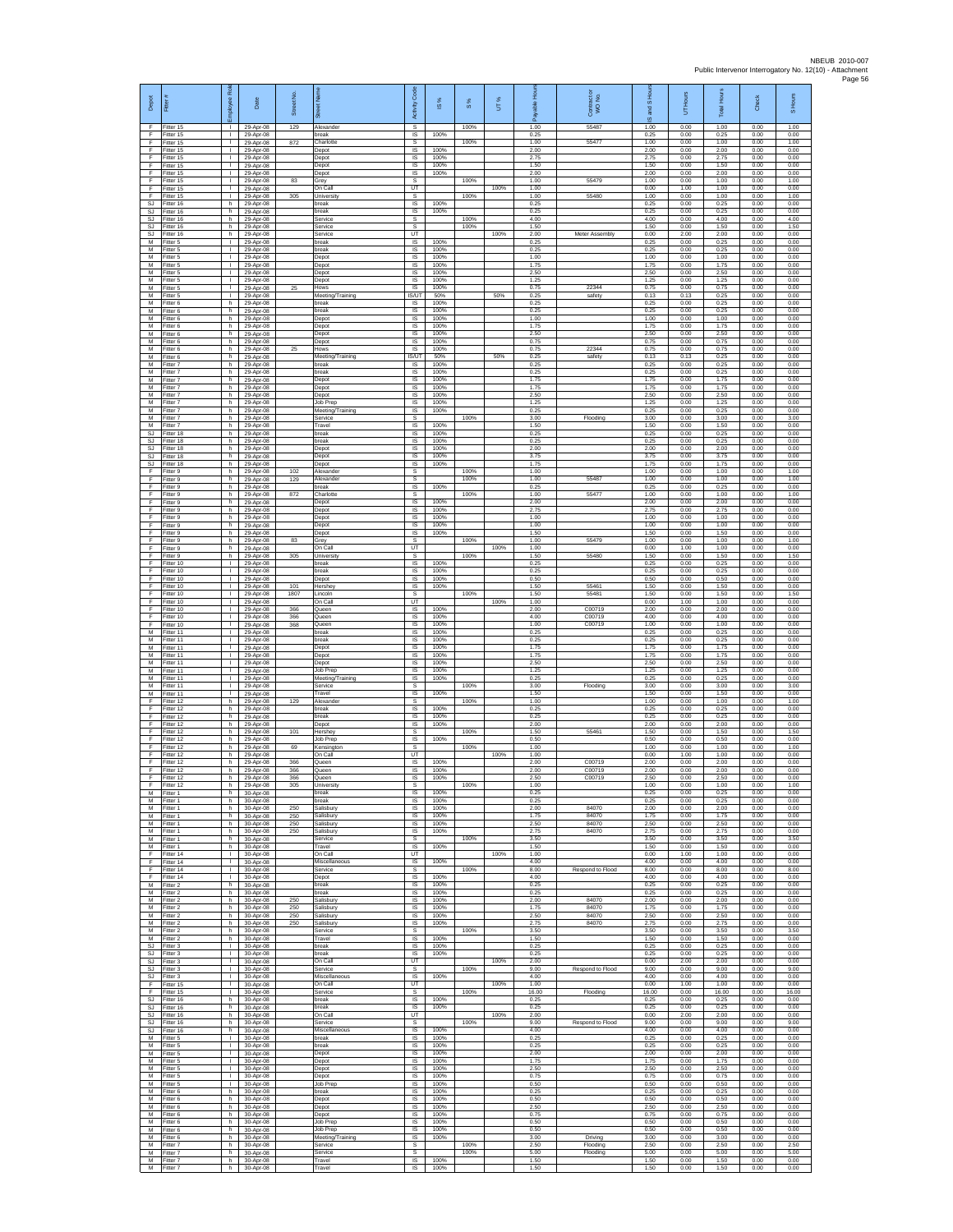| Depot                 | Fitter                              | Rol<br>loyee                                 | Date                                | Street No.  |                                        | Code<br>Activity             | IS %                 | 8%           | UT%  | able Hou<br>۶         | Contract or<br>WO No.           | and S Hou<br>$\overline{9}$ | UT Hours             | <b>Total Hours</b>    | Check                | S Hours               |
|-----------------------|-------------------------------------|----------------------------------------------|-------------------------------------|-------------|----------------------------------------|------------------------------|----------------------|--------------|------|-----------------------|---------------------------------|-----------------------------|----------------------|-----------------------|----------------------|-----------------------|
| -F<br>F<br>F          | Fitter 15<br>Fitter 15              | $\mathbf{L}$<br><b>ILL S</b><br>T.           | 29-Apr-08<br>29-Apr-08              | 129         | Alexander<br>break                     | s<br>$\sf IS$                | 100%                 | 100%         |      | 1.00<br>0.25          | 55487                           | 1.00<br>0.25                | 0.00<br>0.00         | 1.00<br>0.25          | 0.00<br>0.00         | 1.00<br>0.00          |
| -F<br>-F.             | Fitter 15<br>Fitter 15<br>Fitter 15 | $\mathbf{L}$<br>$\mathbf{L}$                 | 29-Apr-08<br>29-Apr-08<br>29-Apr-08 | 872         | Charlotte<br>Depot<br>Depot            | s<br>IS<br>IS                | 100%<br>100%         | 100%         |      | 1.00<br>2.00<br>275   | 55477                           | 1.00<br>2.00<br>2.75        | 0.00<br>0.00<br>0.00 | 1.00<br>2.00<br>275   | 0.00<br>0.00<br>0.00 | 1.00<br>0.00<br>0.00  |
| Ŧ<br>Ŧ                | Fitter 15<br>Fitter 15              | L.<br>$\mathbf{L}$                           | 29-Apr-08<br>29-Apr-08              |             | Depot<br>Depot                         | IS<br>IS                     | 100%<br>100%         |              |      | 1.50<br>2.00          |                                 | 1.50<br>2.00                | 0.00<br>0.00         | 1.50<br>2.00          | 0.00<br>0.00         | 0.00<br>0.00          |
| E<br>$\mathsf F$      | Fitter 15<br>Fitter 15              | $\mathbf{L}$<br>$\mathbb{R}$                 | 29-Apr-08<br>29-Apr-08              | 83          | Grev<br>On Call                        | s<br>UT                      |                      | 100%         | 100% | 1.00<br>1.00          | 55479                           | 1.00<br>0.00                | 0.00<br>1.00         | 1.00<br>1.00          | 0.00<br>0.00         | 1.00<br>0.00          |
| F<br>SJ               | Fitter 15<br>Fitter 16              | $\mathbf{L}$<br>h.                           | 29-Apr-08<br>29-Apr-08              | 305         | University<br>break                    | s<br>IS                      | 100%                 | 100%         |      | 1.00<br>0.25          | 55480                           | 1.00<br>0.25                | 0.00<br>0.00         | 1.00<br>0.25          | 0.00<br>0.00         | 1.00<br>0.00          |
| <b>SJ</b><br>SJ<br>SJ | Fitter 16<br>Fitter 16<br>Fitter 16 | h<br>h.<br>h.                                | 29-Apr-08<br>29-Apr-08<br>29-Apr-08 |             | break<br>Service<br>Service            | IS<br>s<br>s                 | 100%                 | 100%<br>100% |      | 0.25<br>4.00<br>1.50  |                                 | 0.25<br>4.00<br>1.50        | 0.00<br>0.00<br>0.00 | 0.25<br>4.00<br>1.50  | 0.00<br>0.00<br>0.00 | 0.00<br>4.00<br>1.50  |
| <b>SJ</b><br>M        | Fitter 16<br>Fitter 5               | h.<br><b>I</b>                               | 29-Apr-08<br>29-Apr-08              |             | Service<br>break                       | UT<br>IS                     | 100%                 |              | 100% | 2.00<br>0.25          | Meter Assembly                  | 0.00<br>0.25                | 2.00<br>0.00         | 2.00<br>0.25          | 0.00<br>0.00         | 0.00<br>0.00          |
| M<br>M                | Fitter 5<br>Fitter 5                | L.<br>$\mathbb{R}$                           | 29-Apr-08<br>29-Apr-08              |             | oreak<br>Depot                         | IS<br>1S                     | 100%<br>100%         |              |      | 0.25<br>1.00          |                                 | 0.25<br>1.00                | 0.00<br>0.00         | 0.25<br>1.00          | 0.00<br>0.00         | 0.00<br>0.00          |
| м<br>${\sf M}$<br>M   | Fitter 5<br>Fitter 5<br>Fitter 5    | <b>ILL ST</b><br>$\mathbf{L}$<br>т           | 29-Apr-08<br>29-Apr-08<br>29-Apr-08 |             | Depot<br>Depot<br>Depot                | IS<br>IS<br>1S               | 100%<br>100%<br>100% |              |      | 1.75<br>2.50<br>1.25  |                                 | 1.75<br>2.50<br>1.25        | 0.00<br>0.00<br>0.00 | 1.75<br>2.50<br>1.25  | 0.00<br>0.00<br>0.00 | 0.00<br>0.00<br>0.00  |
| M<br>M                | Fitter 5<br>Fitter 5                | $\mathbf{L}$<br>$\mathbf{L}$                 | 29-Apr-08<br>29-Apr-08              | 25          | Hows<br>Meeting/Training               | <b>IS</b><br>IS/UT           | 100%<br>50%          |              | 50%  | 0.75<br>0.25          | 22344<br>safety                 | 0.75<br>0.13                | 0.00<br>0.13         | 0.75<br>0.25          | 0.00<br>0.00         | 0.00<br>0.00          |
| М<br>M                | Fitter 6<br>Fitter 6                | h.<br>h.                                     | 29-Apr-08<br>29-Apr-08              |             | break<br>oreak                         | IS.<br>IS                    | 100%<br>100%         |              |      | 0.25<br>0.25          |                                 | 0.25<br>0.25                | 0.00<br>0.00         | 0.25<br>0.25          | 0.00<br>0.00         | 0.00<br>0.00          |
| M<br>M<br>М           | Fitter 6<br>-itter 6<br>Fitter 6    | h.<br>h.<br>h                                | 29-Apr-08<br>29-Apr-08<br>29-Apr-08 |             | Depot<br>Depot                         | IS<br>$\sf IS$<br>IS         | 100%<br>100%<br>100% |              |      | 1.00<br>1.75<br>2.50  |                                 | 1.00<br>1.75<br>2.50        | 0.00<br>0.00<br>0.00 | 1.00<br>1.75<br>2.50  | 0.00<br>0.00<br>0.00 | 0.00<br>0.00<br>0.00  |
| M<br>M                | Fitter 6<br>Fitter 6                | h.<br>h                                      | 29-Apr-08<br>29-Apr-08              | 25          | Depot<br>Depot<br>Hows                 | IS<br>IS                     | 100%<br>100%         |              |      | 0.75<br>0.75          | 22344                           | 0.75<br>0.75                | 0.00<br>0.00         | 0.75<br>0.75          | 0.00<br>0.00         | 0.00<br>0.00          |
| M<br>М                | Fitter 6<br>Fitter 7                | h.<br>h.                                     | 29-Apr-08<br>29-Apr-08              |             | Meeting/Training<br>break              | <b>IS/UT</b><br><b>IS</b>    | 50%<br>100%          |              | 50%  | 0.25<br>0.25          | safety                          | 0.13<br>0.25                | 0.13<br>0.00         | 0.25<br>0.25          | 0.00<br>0.00         | 0.00<br>0.00          |
| M<br>${\sf M}$        | Fitter 7<br>-itter 7                | h.<br>h.                                     | 29-Apr-08<br>29-Apr-08              |             | break<br>Depot                         | <b>IS</b><br>IS              | 100%<br>100%         |              |      | 0.25<br>1.75          |                                 | 0.25<br>1.75                | 0.00<br>0.00         | 0.25<br>1.75          | 0.00<br>0.00         | 0.00<br>0.00          |
| ${\sf M}$<br>M<br>M   | Fitter 7<br>Fitter 7<br>Fitter 7    | h.<br>h.<br>h                                | 29-Apr-08<br>29-Apr-08<br>29-Apr-08 |             | Depot<br>Depot<br>Job Prep             | $\sf IS$<br>IS<br>IS         | 100%<br>100%<br>100% |              |      | 1.75<br>2.50<br>1.25  |                                 | 1.75<br>2.50<br>1.25        | 0.00<br>0.00<br>0.00 | 1.75<br>2.50<br>1.25  | 0.00<br>0.00<br>0.00 | 0.00<br>0.00<br>0.00  |
| M<br>M                | Fitter 7<br>Fitter 7                | h.<br>h.                                     | 29-Apr-08<br>29-Apr-08              |             | Meeting/Training<br>Service            | IS<br>s                      | 100%                 | 100%         |      | 0.25<br>3.00          | Flooding                        | 0.25<br>3.00                | 0.00<br>0.00         | 0.25<br>3.00          | 0.00<br>0.00         | 0.00<br>3.00          |
| M<br>SJ               | Fitter 7<br>Fitter 18               | h.<br>h                                      | 29-Apr-08<br>29-Apr-08              |             | Travel<br>break                        | IS<br>IS                     | 100%<br>100%         |              |      | 1.50<br>0.25          |                                 | 1.50<br>0.25                | 0.00<br>0.00         | 1.50<br>0.25          | 0.00<br>0.00         | 0.00<br>0.00          |
| SJ<br>SJ.<br>SJ       | Fitter 18<br>Fitter 18<br>Fitter 18 | h.<br>h.<br>h.                               | 29-Apr-08<br>29-Apr-08<br>29-Apr-08 |             | break<br>Depot<br>Depot                | IS<br>1S<br>IS               | 100%<br>100%<br>100% |              |      | 0.25<br>2.00<br>3.75  |                                 | 0.25<br>2.00<br>3.75        | 0.00<br>0.00<br>0.00 | 0.25<br>2.00<br>3.75  | 0.00<br>0.00<br>0.00 | 0.00<br>0.00<br>0.00  |
| <b>SJ</b><br>Ŧ        | Fitter 18<br>Fitter 9               | h.<br>h.                                     | 29-Apr-08<br>29-Apr-08              | 102         | Depot<br>Alexander                     | IS<br>s                      | 100%                 | 100%         |      | 1.75<br>1.00          |                                 | 1.75<br>1.00                | 0.00<br>0.00         | 1.75<br>1.00          | 0.00<br>0.00         | 0.00<br>1.00          |
| F<br>F                | Fitter 9<br>Fitter 9                | h.<br>h                                      | 29-Apr-08<br>29-Apr-08              | 129         | Alexander<br>reak                      | s<br>IS                      | 100%                 | 100%         |      | 1.00<br>0.25          | 55487                           | 1.00<br>0.25                | 0.00<br>0.00         | 1.00<br>0.25          | 0.00<br>0.00         | 1.00<br>0.00          |
| F<br>F<br>F           | Fitter 9<br>Fitter 9<br>Fitter 9    | h.<br>h.<br>h.                               | 29-Apr-08<br>29-Apr-08<br>29-Apr-08 | 872         | Charlotte<br>Depot<br>Depot            | s<br>IS<br>-IS               | 100%<br>100%         | 100%         |      | 1.00<br>2.00<br>2.75  | 55477                           | 1.00<br>2.00<br>2.75        | 0.00<br>0.00<br>0.00 | 1.00<br>2.00<br>2.75  | 0.00<br>0.00<br>0.00 | 1.00<br>0.00<br>0.00  |
| F<br>F                | Fitter 9<br>Fitter 9                | h.<br>h                                      | 29-Apr-08<br>29-Apr-08              |             | Depot<br>Depot                         | $\sf IS$<br>$\sf IS$         | 100%<br>100%         |              |      | 1.00<br>1.00          |                                 | 1.00<br>1.00                | 0.00<br>0.00         | 1.00<br>1.00          | 0.00<br>0.00         | 0.00<br>0.00          |
| -F<br>-F.             | Fitter 9<br>Fitter 9                | h.<br>h.                                     | 29-Apr-08<br>29-Apr-08              | 83          | Depot<br>Grey                          | <b>IS</b><br>s               | 100%                 | 100%         |      | 1.50<br>1.00          | 55479                           | 1.50<br>1.00                | 0.00<br>0.00         | 1.50<br>1.00          | 0.00<br>0.00         | 0.00<br>1.00          |
| Ŧ<br>Ŧ<br>E           | Fitter 9<br>Fitter 9<br>Fitter 10   | h.<br>h.                                     | 29-Apr-08<br>29-Apr-08              | 305         | On Call<br><b>University</b><br>break  | UT<br>s<br>IS.               | 100%                 | 100%         | 100% | 1.00<br>1.50<br>0.25  | 55480                           | 0.00<br>1.50<br>0.25        | 1.00<br>0.00<br>0.00 | 1.00<br>1.50<br>0.25  | 0.00<br>0.00<br>0.00 | 0.00<br>1.50<br>0.00  |
| $\mathsf F$<br>F      | Fitter 10<br>Fitter 10              | $\mathbb{R}$<br>$\mathbf{L}$                 | 29-Apr-08<br>29-Apr-08<br>29-Apr-08 |             | reak<br>Depot                          | IS<br>$\sf IS$               | 100%<br>100%         |              |      | 0.25<br>0.50          |                                 | 0.25<br>0.50                | 0.00<br>0.00         | 0.25<br>0.50          | 0.00<br>0.00         | 0.00<br>0.00          |
| F<br>F                | Fitter 10<br>Fitter 10              | $\mathbf{L}$<br>$\mathbf{I}$                 | 29-Apr-08<br>29-Apr-08              | 101<br>1807 | Hershev<br>incoln                      | IS<br>s                      | 100%                 | 100%         |      | 1.50<br>1.50          | 55461<br>55481                  | 1.50<br>1.50                | 0.00<br>0.00         | 1.50<br>1.50          | 0.00<br>0.00         | 0.00<br>1.50          |
| Ŧ<br>Ŧ                | Fitter 10<br>Fitter 10              | Τ.<br>т.                                     | 29-Apr-08<br>29-Apr-08<br>29-Apr-08 | 366         | On Call<br>Queen                       | UT<br>IS<br><b>IS</b>        | 100%<br>100%         |              | 100% | 1.00<br>2.00<br>4.00  | C00719<br>C00719                | 0.00<br>2.00<br>4.00        | 1.00<br>0.00<br>0.00 | 1.00<br>2.00<br>4.00  | 0.00<br>0.00<br>0.00 | 0.00<br>0.00<br>0.00  |
| -F<br>F<br>M          | Fitter 10<br>Fitter 10<br>Fitter 11 | $\mathbf{L}$<br>$\mathbf{L}$<br>L.           | 29-Apr-08<br>29-Apr-08              | 366<br>368  | Queen<br>Queen<br>break                | IS<br>IS                     | 100%<br>100%         |              |      | 1.00<br>0.25          | C00719                          | 1.00<br>0.25                | 0.00<br>0.00         | 1.00<br>0.25          | 0.00<br>0.00         | 0.00<br>0.00          |
| M<br>м                | Fitter 11<br>Fitter 11              | $\mathbf{L}$<br>$\mathbf{L}$                 | 29-Apr-08<br>29-Apr-08              |             | break<br>Depot                         | 1S<br>IS                     | 100%<br>100%         |              |      | 0.25<br>1.75          |                                 | 0.25<br>1.75                | 0.00<br>0.00         | 0.25<br>1.75          | 0.00<br>0.00         | 0.00<br>0.00          |
| M<br>M<br>M           | Fitter 11<br>Fitter 11<br>Fitter 11 | $\mathbf{L}$<br>$\mathbf{L}$<br>$\mathbf{L}$ | 29-Apr-08<br>29-Apr-08<br>29-Apr-08 |             | Depot<br>Depot<br>Job Prep             | IS<br>1S<br><b>IS</b>        | 100%<br>100%<br>100% |              |      | 1.75<br>2.50<br>1.25  |                                 | 1.75<br>2.50<br>1.25        | 0.00<br>0.00<br>0.00 | 1.75<br>2.50<br>1.25  | 0.00<br>0.00<br>0.00 | 0.00<br>0.00<br>0.00  |
| M<br>${\sf M}$        | Fitter 11<br>Fitter 11              | $\mathbf{L}$<br>$\mathbf{L}$                 | 29-Apr-08<br>29-Apr-08              |             | Meeting/Training<br>Service            | IS<br>s                      | 100%                 | 100%         |      | 0.25<br>3.00          | Flooding                        | 0.25<br>3.00                | 0.00<br>0.00         | 0.25<br>3.00          | 0.00<br>0.00         | 0.00<br>3.00          |
| M<br>F                | Fitter 11<br>Fitter 12              | $\mathbf{L}$<br>h.                           | 29-Apr-08<br>29-Apr-08              | 129         | Travel<br>Alexander                    | IS<br><b>s</b>               | 100%                 | 100%         |      | 1.50<br>1.00          |                                 | 1.50<br>1.00                | 0.00<br>0.00         | 1.50<br>1.00          | 0.00<br>0.00         | 0.00<br>1.00          |
| F<br>F<br>-F          | Fitter 12<br>Fitter 12<br>Fitter 12 | h.<br>h                                      | 29-Apr-08<br>29-Apr-08<br>29-Anr-08 |             | break<br>oreak                         | $\sf IS$<br>IS<br>IS         | 100%<br>100%         |              |      | 0.25<br>0.25<br>2.00  |                                 | 0.25<br>0.25<br>2.00        | 0.00<br>0.00<br>0.00 | 0.25<br>0.25<br>2.00  | 0.00<br>0.00<br>0.00 | 0.00<br>0.00<br>0.00  |
| -F.<br>Ŧ              | Fitter 12<br>Fitter 12              | h.<br>h<br>h.                                | 29-Apr-08<br>29-Apr-08              | 101         | Depot<br>Hershey<br>Job Prep           | s<br>IS                      | 100%<br>100%         | 100%         |      | 1.50<br>0.50          | 55461                           | 1.50<br>0.50                | 0.00<br>0.00         | 1.50<br>0.50          | 0.00<br>0.00         | 1.50<br>0.00          |
| Ŧ<br>E                | Fitter 12<br>Fitter 12              | h.<br>h.                                     | 29-Apr-08<br>29-Apr-08              | 69          | Kensington<br>On Call                  | s<br>UT                      |                      | 100%         | 100% | 1.00<br>1.00          |                                 | 1.00<br>0.00                | 0.00<br>1.00         | 1.00<br>1.00          | 0.00<br>0.00         | 1.00<br>0.00          |
| F<br>$\mathsf F$<br>F | ltter 12<br>Fitter 12               | h<br>h                                       | 29-Apr-08<br>29-Apr-08              | 366<br>366  | Queen<br>Queen                         | IS<br>$\sf IS$               | 100%<br>100%         |              |      | 2.00<br>2.00          | C00719<br>C00719                | 2.00<br>2.00<br>2.50        | 0.00<br>0.00<br>0.00 | 2.00<br>2.00<br>2.50  | 0.00<br>0.00         | 0.00<br>0.00          |
| E<br>M                | Fitter 12<br>Fitter 12<br>Fitter 1  | h.<br>h<br>h                                 | 29-Apr-08<br>29-Apr-08<br>30-Apr-08 | 366<br>305  | Queen<br>University<br>break           | IS<br>s<br>IS                | 100%<br>100%         | 100%         |      | 2.50<br>1.00<br>0.25  | C00719                          | 1.00<br>0.25                | 0.00<br>0.00         | 1.00<br>0.25          | 0.00<br>0.00<br>0.00 | 0.00<br>1.00<br>0.00  |
| M<br>M                | -itter 1<br>Fitter 1                | h.<br>h.                                     | 30-Apr-08<br>30-Apr-08              | 250         | break<br>Salisbury                     | IS<br>- IS                   | 100%<br>100%         |              |      | 0.25<br>2.00          | 84070                           | 0.25<br>2.00                | 0.00<br>0.00         | 0.25<br>2.00          | 0.00<br>0.00         | 0.00<br>0.00          |
| M<br>M<br>M           | Fitter 1<br>Fitter 1                | h<br>h.<br>h.                                | 30-Apr-08<br>30-Apr-08              | 250<br>250  | Salisbury<br>salisbury<br>Salisbury    | IS<br>IS<br>IS               | 100%<br>100%<br>100% |              |      | 175<br>2.50<br>2.75   | 84070<br>84070<br>84070         | 1.75<br>2.50<br>2.75        | 0.00<br>0.00<br>0.00 | 175<br>2.50<br>2.75   | 0.00<br>0.00<br>0.00 | 0.00<br>0.00<br>0.00  |
| M<br>${\sf M}$        | Fitter 1<br>Fitter 1<br>Fitter 1    | h.<br>h.                                     | 30-Apr-08<br>30-Apr-08<br>30-Apr-08 | 250         | Service<br>Travel                      | s<br>$\sf IS$                | 100%                 | 100%         |      | 3.50<br>1.50          |                                 | 3.50<br>1.50                | 0.00<br>0.00         | 3.50<br>1.50          | 0.00<br>0.00         | 3.50<br>0.00          |
| Ŧ<br>F                | Fitter 14<br>Fitter 14              | $\mathbb{R}$<br>$\mathbf{I}$                 | 30-Apr-08<br>30-Apr-08              |             | On Call<br>Miscellaneous               | UT<br><b>IS</b>              | 100%                 |              | 100% | 1.00<br>4.00          |                                 | 0.00<br>4.00                | 1.00<br>0.00         | 1.00<br>4.00          | 0.00<br>0.00         | 0.00<br>0.00          |
| F<br>F<br>M           | Fitter 14<br>Fitter 14<br>Fitter 2  | $\mathbf{L}$<br>$\mathbb{L}$<br>h.           | 30-Apr-08<br>30-Apr-08<br>30-Apr-08 |             | Service<br>Depot<br>break              | s<br>1S<br>IS                | 100%<br>100%         | 100%         |      | 8.00<br>4.00<br>0.25  | Respond to Flood                | 8.00<br>4.00<br>0.25        | 0.00<br>0.00<br>0.00 | 8.00<br>4.00<br>0.25  | 0.00<br>0.00<br>0.00 | 8.00<br>0.00<br>0.00  |
| M<br>M                | Fitter 2<br>Fitter 2                | h.<br>h.                                     | 30-Apr-08<br>30-Apr-08              | 250         | break<br>Salisbury                     | - IS<br>IS                   | 100%<br>100%         |              |      | 0.25<br>2.00          | 84070                           | 0.25<br>2.00                | 0.00<br>0.00         | 0.25<br>2.00          | 0.00<br>0.00         | 0.00<br>0.00          |
| M<br>M                | Fitter 2<br>Fitter 2                | h<br>h.                                      | 30-Apr-08<br>30-Apr-08              | 250<br>250  | Salisbury<br>Salisbury                 | $\sf IS$<br>IS               | 100%<br>100%         |              |      | 1.75<br>2.50          | 84070<br>84070                  | 1.75<br>2.50                | 0.00<br>0.00         | 1.75<br>2.50          | 0.00<br>0.00         | 0.00<br>0.00          |
| M<br>M<br>M           | Fitter 2<br>Fitter 2<br>Fitter 2    | h<br>h.<br>h.                                | 30-Apr-08<br>30-Apr-08<br>30-Apr-08 | 250         | Salisbury<br>Service<br>Travel         | IS<br>s<br>IS                | 100%<br>100%         | 100%         |      | 275<br>3.50<br>1.50   | 84070                           | 2.75<br>3.50<br>1.50        | 0.00<br>0.00<br>0.00 | 275<br>3.50<br>1.50   | 0.00<br>0.00<br>0.00 | 0.00<br>3.50<br>0.00  |
| SJ<br><b>SJ</b>       | Fitter 3<br>Fitter 3                | $\mathbf{I}$<br>$\mathbf{I}$                 | 30-Apr-08<br>30-Apr-08              |             | break<br>break                         | IS.<br>IS                    | 100%<br>100%         |              |      | 0.25<br>0.25          |                                 | 0.25<br>0.25                | 0.00<br>0.00         | 0.25<br>0.25          | 0.00<br>0.00         | 0.00<br>0.00          |
| <b>SJ</b><br>SJ.      | Fitter 3<br>Fitter 3                | $\mathbf{L}$<br>$\mathbf{L}$                 | 30-Apr-08<br>30-Apr-08              |             | On Call<br>Service                     | UT<br>s                      |                      | 100%         | 100% | 2.00<br>9.00          | Respond to Flood                | 0.00<br>9.00                | 2.00<br>0.00         | 2.00<br>9.00          | 0.00<br>0.00         | 0.00<br>9.00          |
| <b>SJ</b><br>Ŧ<br>Ŧ   | Fitter 3<br>Fitter 15<br>Fitter 15  | $\mathbf{I}$<br>$\mathbf{L}$<br>$\mathbf{L}$ | 30-Apr-08<br>30-Apr-08<br>30-Apr-08 |             | Miscellaneous<br>On Call<br>Service    | IS<br>UT<br>s                | 100%                 | 100%         | 100% | 4.00<br>1.00<br>16.00 | Flooding                        | 4.00<br>0.00<br>16.00       | 0.00<br>1.00<br>0.00 | 4.00<br>1.00<br>16.00 | 0.00<br>0.00<br>0.00 | 0.00<br>0.00<br>16.00 |
| -SJ<br>SJ             | Fitter 16<br>Fitter 16              | h.<br>h                                      | 30-Apr-08<br>30-Apr-08              |             | break<br>hreak                         | IS<br>IS.                    | 100%<br>100%         |              |      | 0.25<br>0.25          |                                 | 0.25<br>0.25                | 0.00<br>0.00         | 0.25<br>0.25          | 0.00<br>0.00         | 0.00<br>0.00          |
| SJ<br>SJ.             | Fitter 16<br>Fitter 16              | h.<br>h.                                     | 30-Apr-08<br>30-Apr-08              |             | On Call<br>Service                     | UT<br>s                      |                      | 100%         | 100% | 2.00<br>9.00          | Respond to Flood                | 0.00<br>9.00                | 2.00<br>0.00         | 2.00<br>9.00          | 0.00<br>0.00         | 0.00<br>9.00          |
| <b>SJ</b><br>M<br>M   | Fitter 16<br>Fitter 5<br>Fitter 5   | h.<br>$\mathbb{R}$<br>$\mathbb{R}$           | 30-Apr-08<br>30-Apr-08<br>30-Apr-08 |             | Miscellaneous<br>break<br>break        | IS<br>IS<br>IS               | 100%<br>100%<br>100% |              |      | 4.00<br>0.25<br>0.25  |                                 | 4.00<br>0.25<br>0.25        | 0.00<br>0.00<br>0.00 | 4.00<br>0.25<br>0.25  | 0.00<br>0.00<br>0.00 | 0.00<br>0.00<br>0.00  |
| M<br>M                | Fitter 5<br>Fitter 5                | $\mathbb{R}$                                 | 30-Apr-08<br>30-Apr-08              |             | Depot<br>Depot                         | <b>IS</b><br>IS              | 100%<br>100%         |              |      | 2.00<br>1.75          |                                 | 2.00<br>1.75                | 0.00<br>0.00         | 2.00<br>1.75          | 0.00<br>0.00         | 0.00<br>0.00          |
| ${\sf M}$<br>M        | Fitter 5<br>Fitter 5                | $\mathbf{L}$<br>$\mathbf{L}$                 | 30-Apr-08<br>30-Apr-08              |             | Depot<br>Depot                         | 1S<br>IS                     | 100%<br>100%         |              |      | 2.50<br>0.75          |                                 | 2.50<br>0.75                | 0.00<br>0.00         | 2.50<br>0.75          | 0.00<br>0.00         | 0.00<br>0.00          |
| M<br>M<br>M           | Fitter 5<br>Fitter 6<br>Fitter 6    | $\mathbf{L}$<br>h.<br>h                      | 30-Apr-08<br>30-Apr-08<br>30-Apr-08 |             | Job Prep<br>break<br>Depot             | - IS<br>$\sf IS$<br>$\sf IS$ | 100%<br>100%<br>100% |              |      | 0.50<br>0.25<br>0.50  |                                 | 0.50<br>0.25<br>0.50        | 0.00<br>0.00<br>0.00 | 0.50<br>0.25<br>0.50  | 0.00<br>0.00<br>0.00 | 0.00<br>0.00<br>0.00  |
| M<br>M                | Fitter 6<br>Fitter 6                | h.<br>h                                      | 30-Apr-08<br>30-Apr-08              |             | Depot<br>Depot                         | - IS<br>IS                   | 100%<br>100%         |              |      | 2.50<br>0.75          |                                 | 2.50<br>0.75                | 0.00<br>0.00         | 2.50<br>0.75          | 0.00<br>0.00         | 0.00<br>0.00          |
| M<br>M                | Fitter 6<br>Fitter 6                | h.<br>h.                                     | 30-Apr-08<br>30-Apr-08              |             | Job Prep<br><b>Job Prep</b>            | IS<br>IS                     | 100%<br>100%         |              |      | 0.50<br>0.50          |                                 | 0.50<br>0.50                | 0.00<br>0.00         | 0.50<br>0.50          | 0.00<br>0.00         | 0.00<br>0.00          |
| M<br>М<br>M           | Fitter 6<br>-itter 7<br>Fitter 7    | h.<br>h<br>h.                                | 30-Apr-08<br>30-Apr-08<br>30-Apr-08 |             | Meeting/Training<br>Service<br>Service | <b>IS</b><br>s<br>s          | 100%                 | 100%<br>100% |      | 3.00<br>2.50<br>5.00  | Driving<br>Flooding<br>Flooding | 3.00<br>2.50<br>5.00        | 0.00<br>0.00<br>0.00 | 3.00<br>2.50<br>5.00  | 0.00<br>0.00<br>0.00 | 0.00<br>2.50<br>5.00  |
| M<br>M                | Fitter 7<br>Fitter 7                | h.<br>h.                                     | 30-Apr-08<br>30-Apr-08              |             | Travel<br>Travel                       | IS.<br>IS                    | 100%<br>100%         |              |      | 1.50<br>1.50          |                                 | 1.50<br>1.50                | 0.00<br>0.00         | 1.50<br>1.50          | 0.00<br>0.00         | 0.00<br>0.00          |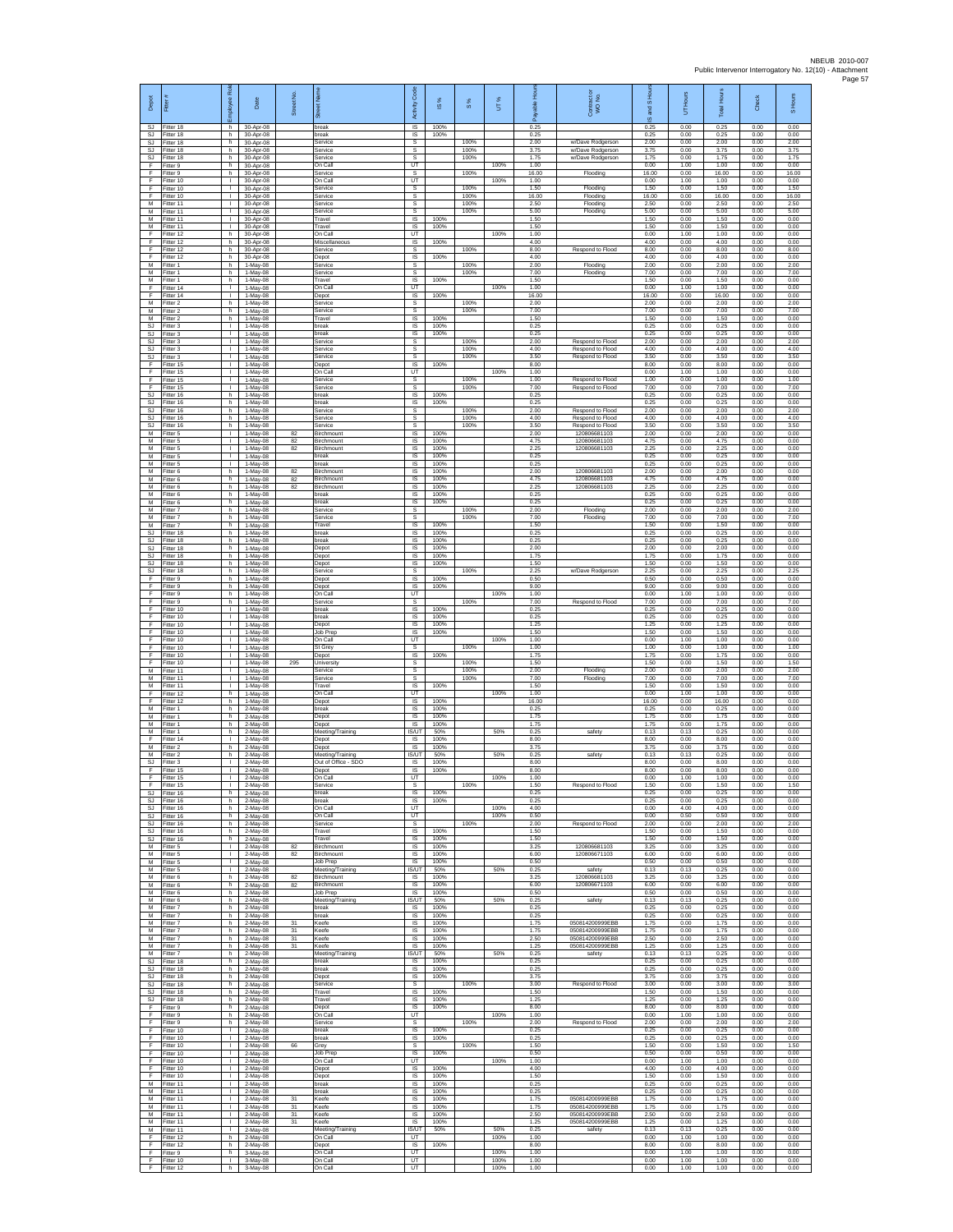| Depot                  | Fitter                              | Roj<br>eekoldt                               | Date                                | Street No. |                                         | Code<br>Activity               | $\underline{\omega}$ | 8%                   | UT%          | 훞<br>alda             | Contract or<br>WO No.                                    | and S Ho<br>$\overline{\omega}$ | 5                    | Total Hours           | Check                | S Hours               |
|------------------------|-------------------------------------|----------------------------------------------|-------------------------------------|------------|-----------------------------------------|--------------------------------|----------------------|----------------------|--------------|-----------------------|----------------------------------------------------------|---------------------------------|----------------------|-----------------------|----------------------|-----------------------|
| SJ<br>SJ               | Fitter 18<br>Fitter 18              | h.<br>h                                      | 30-Apr-08<br>30-Apr-08              |            | break<br>oreak                          | $\overline{\mathsf{s}}$<br>IS  | 100%<br>100%         |                      |              | 0.25<br>0.25          |                                                          | 0.25<br>0.25                    | 0.00<br>0.00         | 0.25<br>0.25          | 0.00<br>0.00         | 0.00<br>0.00          |
| SJ<br>SJ.<br><b>SJ</b> | Fitter 18<br>Fitter 18<br>Fitter 18 | h<br>h.<br>h                                 | 30-Apr-08<br>30-Apr-08<br>30-Apr-08 |            | Service<br>Service<br>Service           | s<br>s<br>s                    |                      | 100%<br>100%<br>100% |              | 2.00<br>3.75<br>1.75  | w/Dave Rodgerson<br>w/Dave Rodgerson<br>w/Dave Rodgerson | 2.00<br>3.75<br>1.75            | 0.00<br>0.00<br>0.00 | 2.00<br>3.75<br>1.75  | 0.00<br>0.00<br>0.00 | 2.00<br>3.75<br>1.75  |
| F<br>F                 | Fitter 9<br>fitter 9                | h.<br>h                                      | 30-Apr-08<br>30-Apr-08              |            | On Call<br>Service                      | UT<br>s                        |                      | 100%                 | 100%         | 1.00<br>16.00         | Flooding                                                 | 0.00<br>16.00                   | 1.00<br>0.00         | 1.00<br>16.00         | 0.00<br>0.00         | 0.00<br>16.00         |
| E<br>F                 | Fitter 10<br>Fitter 10              | л.<br>$\mathbf{L}$                           | 30-Apr-08<br>30-Apr-08              |            | On Call<br>Service                      | UT<br>s                        |                      | 100%                 | 100%         | 1.00<br>1.50          | Flooding                                                 | 0.00<br>1.50                    | 1.00<br>0.00         | 1.00<br>1.50          | 0.00<br>0.00         | 0.00<br>1.50          |
| F<br>M<br>M            | Fitter 10<br>Fitter 11<br>Fitter 11 | $\mathbf{I}$<br>$\mathbf{I}$<br>т.           | 30-Apr-08<br>30-Apr-08<br>30-Apr-08 |            | Service<br>Service<br>Service           | s<br>s<br>s                    |                      | 100%<br>100%<br>100% |              | 16.00<br>2.50<br>5.00 | Flooding<br>Flooding<br>Flooding                         | 16.00<br>2.50<br>5.00           | 0.00<br>0.00<br>0.00 | 16.00<br>2.50<br>5.00 | 0.00<br>0.00<br>0.00 | 16.00<br>2.50<br>5.00 |
| М<br>M                 | Fitter 11<br>Fitter 11              | ٠<br>$\mathbf{I}$                            | 30-Apr-08<br>30-Apr-08              |            | Travel<br>Travel                        | IS<br>IS                       | 100%<br>100%         |                      |              | 1.50<br>1.50          |                                                          | 1.50<br>1.50                    | 0.00<br>0.00         | 1.50<br>1.50          | 0.00<br>0.00         | 0.00<br>0.00          |
| F<br>F                 | Fitter 12<br>itter 12               | h.<br>h                                      | 30-Apr-08<br>30-Apr-08              |            | On Call<br>Miscellaneous                | UT<br>IS                       | 100%                 |                      | 100%         | 1.00<br>4.00          |                                                          | 0.00<br>4.00                    | 1.00<br>0.00         | 1.00<br>4.00          | 0.00<br>0.00         | 0.00<br>0.00          |
| F<br>Е<br>M            | Fitter 12<br>Fitter 12              | h.<br>h                                      | 30-Apr-08<br>30-Apr-08              |            | Service<br>Depot                        | s<br>IS                        | 100%                 | 100%<br>100%         |              | 8.00<br>4.00          | Respond to Flood                                         | 8.00<br>4.00                    | 0.00<br>0.00         | 8.00<br>4.00          | 0.00<br>0.00         | 8.00<br>0.00          |
| М<br>M                 | Fitter 1<br>Fitter 1<br>itter 1     | h<br>h.<br>h                                 | 1-May-08<br>1-May-08<br>1-May-08    |            | Service<br>Service<br>Travel            | s<br>$\mathbb S$<br>IS         | 100%                 | 100%                 |              | 2.00<br>7.00<br>1.50  | Flooding<br>Flooding                                     | 2.00<br>7.00<br>1.50            | 0.00<br>0.00<br>0.00 | 2.00<br>7.00<br>1.50  | 0.00<br>0.00<br>0.00 | 2.00<br>7.00<br>0.00  |
| Е<br>F                 | Fitter 14<br>Fitter 14              | л.<br>$\mathbf{L}$                           | 1-May-08<br>1-May-08                |            | On Call<br>Depot                        | UT<br>IS                       | 100%                 |                      | 100%         | 1.00<br>16.00         |                                                          | 0.00<br>16.00                   | 1.00<br>0.00         | 1.00<br>16.00         | 0.00<br>0.00         | 0.00<br>0.00          |
| М<br>M<br>M            | Fitter 2<br>Fitter 2                | h<br>h.<br>h.                                | 1-May-08<br>1-May-08                |            | Service<br>Service<br>Travel            | s<br>s<br>IS                   | 100%                 | 100%<br>100%         |              | 2.00<br>7.00<br>1.50  |                                                          | 2.00<br>7.00<br>1.50            | 0.00<br>0.00<br>0.00 | 2.00<br>7.00<br>1.50  | 0.00<br>0.00<br>0.00 | 2.00<br>7.00<br>0.00  |
| <b>SJ</b><br>SJ        | Fitter 2<br>itter 3<br>Fitter 3     | т.<br>$\mathbf{I}$                           | 1-May-08<br>1-May-08<br>1-May-08    |            | oreak<br>break                          | IS<br>IS                       | 100%<br>100%         |                      |              | 0.25<br>0.25          |                                                          | 0.25<br>0.25                    | 0.00<br>0.00         | 0.25<br>0.25          | 0.00<br>0.00         | 0.00<br>0.00          |
| SJ.<br>SJ              | Fitter 3<br>Fitter 3                | $\mathbf{L}$<br>$\mathbb{R}$                 | 1-May-08<br>1-May-08                |            | Service<br>Service                      | s<br>s                         |                      | 100%<br>100%         |              | 2.00<br>4.00          | Respond to Flood<br>Respond to Flood                     | 2.00<br>4.00                    | 0.00<br>0.00         | 2.00<br>4.00          | 0.00<br>0.00         | 2.00<br>4.00          |
| <b>SJ</b><br>F         | Fitter 3<br>itter 15                | т.<br>л.                                     | 1-May-08<br>1-May-08                |            | Service<br>Depot                        | s<br>IS<br>UT                  | 100%                 | 100%                 | 100%         | 3.50<br>8.00<br>1.00  | Respond to Flood                                         | 3.50<br>8.00                    | 0.00<br>0.00<br>1.00 | 3.50<br>8.00<br>1.00  | 0.00<br>0.00<br>0.00 | 3.50<br>0.00          |
| E<br>F<br>F            | Fitter 15<br>Fitter 15<br>Fitter 15 | л.<br>$\mathbf{L}$<br>$\mathbf{I}$           | 1-May-08<br>1-May-08<br>1-May-08    |            | On Call<br>Service<br>Service           | s<br>s                         |                      | 100%<br>100%         |              | 1.00<br>7.00          | Respond to Flood<br>Respond to Flood                     | 0.00<br>1.00<br>7.00            | 0.00<br>0.00         | 1.00<br>7.00          | 0.00<br>0.00         | 0.00<br>1.00<br>7.00  |
| SJ<br><b>SJ</b>        | Fitter 16<br>Fitter 16              | h<br>h                                       | 1-May-08<br>1-May-08                |            | break<br>break                          | IS<br>IS                       | 100%<br>100%         |                      |              | 0.25<br>0.25          |                                                          | 0.25<br>0.25                    | 0.00<br>0.00         | 0.25<br>0.25          | 0.00<br>0.00         | 0.00<br>0.00          |
| SJ<br><b>SJ</b><br>SJ. | itter 16<br>itter 16<br>Fitter 16   | h<br>h<br>h.                                 | 1-May-08<br>1-May-08<br>$1-Mav-08$  |            | Service<br>Service<br>Service           | s<br>s<br>s                    |                      | 100%<br>100%<br>100% |              | 2.00<br>4.00<br>3.50  | Respond to Flood<br>Respond to Flood<br>Respond to Flood | 2.00<br>4.00<br>3.50            | 0.00<br>0.00<br>0.00 | 2.00<br>4.00<br>3.50  | 0.00<br>0.00<br>0.00 | 2.00<br>4.00<br>3.50  |
| М<br>М                 | itter 5<br>Fitter 5                 | $\mathbb{R}$<br>т.                           | 1-May-08<br>1-May-08                | 82<br>82   | Birchmount<br>Birchmount                | IS<br>IS                       | 100%<br>100%         |                      |              | 2.00<br>4.75          | 120806681103<br>120806681103                             | 2.00<br>4.75                    | 0.00<br>0.00         | 2.00<br>4.75          | 0.00<br>0.00         | 0.00<br>0.00          |
| M<br>M                 | Fitter 5<br>Fitter 5                | ÷.<br>L.                                     | 1-May-08<br>1-May-08                | 82         | Birchmount<br>break                     | IS<br>IS                       | 100%<br>100%         |                      |              | 2.25<br>0.25          | 120806681103                                             | 2.25<br>0.25                    | 0.00<br>0.00         | 2.25<br>0.25          | 0.00<br>0.00         | 0.00<br>0.00          |
| М<br>M                 | Fitter 5<br>itter 6                 | $\mathbf{L}$<br>h                            | 1-May-08<br>1-May-08<br>1-May-08    | 82         | break<br>Birchmount                     | $\sf IS$<br>IS                 | 100%<br>100%         |                      |              | 0.25<br>2.00<br>4.75  | 120806681103<br>120806681103                             | 0.25<br>2.00<br>4.75            | 0.00<br>0.00<br>0.00 | 0.25<br>2.00<br>4.75  | 0.00<br>0.00<br>0.00 | 0.00<br>0.00          |
| M<br>M<br>М            | Fitter 6<br>Fitter 6<br>Fitter 6    | h<br>h<br>h                                  | 1-May-08<br>1-May-08                | 82<br>82   | Birchmount<br>Birchmount<br>break       | <b>IS</b><br>IS<br>IS          | 100%<br>100%<br>100% |                      |              | 2.25<br>0.25          | 120806681103                                             | 2.25<br>0.25                    | 0.00<br>0.00         | 2.25<br>0.25          | 0.00<br>0.00         | 0.00<br>0.00<br>0.00  |
| M<br>M                 | Fitter 6<br>Fitter 7                | h<br>h.                                      | 1-May-08<br>1-May-08                |            | break<br>Service                        | IS<br>s                        | 100%                 | 100%                 |              | 0.25<br>2.00          | Flooding                                                 | 0.25<br>2.00                    | 0.00<br>0.00         | 0.25<br>2.00          | 0.00<br>0.00         | 0.00<br>2.00          |
| М<br>M                 | itter 7<br>Fitter 7                 | h<br>$\,$ h                                  | 1-May-08<br>1-May-08<br>1-May-08    |            | Service<br>Travel                       | $\mathbb S$<br>IS<br><b>IS</b> | 100%<br>100%         | 100%                 |              | 7.00<br>1.50<br>0.25  | Flooding                                                 | 7.00<br>1.50<br>0.25            | 0.00<br>0.00<br>0.00 | 7.00<br>1.50<br>0.25  | 0.00<br>0.00<br>0.00 | 7.00<br>0.00<br>0.00  |
| SJ.<br><b>SJ</b><br>SJ | Fitter 18<br>Fitter 18<br>Fitter 18 | h.<br>h<br>h                                 | 1-May-08<br>1-May-08                |            | break<br>oreak<br>Depot                 | IS<br>IS                       | 100%<br>100%         |                      |              | 0.25<br>2.00          |                                                          | 0.25<br>2.00                    | 0.00<br>0.00         | 0.25<br>2.00          | 0.00<br>0.00         | 0.00<br>0.00          |
| SJ<br>SJ               | itter 18<br>Fitter 18               | h<br>h                                       | 1-May-08<br>1-May-08                |            | Depot<br>Depot                          | IS<br><b>IS</b>                | 100%<br>100%         |                      |              | 1.75<br>1.50          |                                                          | 1.75<br>1.50                    | 0.00<br>0.00         | 1.75<br>1.50          | 0.00<br>0.00         | 0.00<br>0.00          |
| SJ<br>F                | Fitter 18<br>Fitter 9               | h<br>h                                       | 1-May-08<br>1-May-08                |            | Service<br>Depot                        | s<br>$\sf IS$                  | 100%                 | 100%                 |              | 2.25<br>0.50          | w/Dave Rodgerson                                         | 2.25<br>0.50                    | 0.00<br>0.00         | 2.25<br>0.50          | 0.00<br>0.00         | 2.25<br>0.00          |
| E<br>F<br>F            | Fitter 9<br>Fitter 9<br>-itter 9    | h<br>h<br>h                                  | 1-May-08<br>1-May-08<br>1-May-08    |            | Depot<br>On Call<br>Service             | IS<br>UT<br>s                  | 100%                 | 100%                 | 100%         | 9.00<br>1.00<br>7.00  | Respond to Flood                                         | 9.00<br>0.00<br>7.00            | 0.00<br>1.00<br>0.00 | 9.00<br>1.00<br>7.00  | 0.00<br>0.00<br>0.00 | 0.00<br>0.00<br>7.00  |
| F<br>F                 | Fitter 10<br>Fitter 10              | $\mathbb{R}$<br>т.                           | 1-May-08<br>1-May-08                |            | break<br>break                          | 1S<br><b>IS</b>                | 100%<br>100%         |                      |              | 0.25<br>0.25          |                                                          | 0.25<br>0.25                    | 0.00<br>0.00         | 0.25<br>0.25          | 0.00<br>0.00         | 0.00<br>0.00          |
| F<br>F                 | Fitter 10<br>Fitter 10              | т.<br>т.<br>÷.                               | 1-May-08<br>1-May-08<br>1-May-08    |            | Depot<br>Job Prep<br>On Call            | IS<br>1S<br>UT                 | 100%<br>100%         |                      | 100%         | 1.25<br>1.50<br>1.00  |                                                          | 1.25<br>1.50<br>0.00            | 0.00<br>0.00<br>1.00 | 1.25<br>1.50<br>1.00  | 0.00<br>0.00<br>0.00 | 0.00<br>0.00<br>0.00  |
| F                      | Fitter 10<br>Fitter 10<br>Fitter 10 | L.<br>$\mathbf{L}$                           | 1-May-08<br>1-May-08                |            | St Grey<br>Depot                        | s<br>$\sf IS$                  | 100%                 | 100%                 |              | 1.00<br>1.75          |                                                          | 1.00<br>1.75                    | 0.00<br>0.00         | 1.00<br>1.75          | 0.00<br>0.00         | 1.00<br>0.00          |
| F<br>M                 | itter 10<br>Fitter 11               | ÷.<br>л.                                     | 1-May-08<br>1-May-08                | 295        | University<br>Service                   | s<br>s                         |                      | 100%<br>100%         |              | 1.50<br>2.00          | Flooding                                                 | 1.50<br>2.00                    | 0.00<br>0.00         | 1.50<br>2.00          | 0.00<br>0.00         | 1.50<br>2.00          |
| M<br>М<br>E            | Fitter 11<br>Fitter 11<br>Fitter 12 | $\mathbf{L}$<br>τ.<br>h                      | 1-May-08<br>1-May-08<br>1-May-08    |            | Service<br>Travel<br>On Call            | s<br>IS<br>UT                  | 100%                 | 100%                 | 100%         | 7.00<br>1.50<br>1.00  | Flooding                                                 | 7.00<br>1.50<br>0.00            | 0.00<br>0.00<br>1.00 | 7.00<br>1.50<br>1.00  | 0.00<br>0.00<br>0.00 | 7.00<br>0.00<br>0.00  |
| F<br>М                 | Fitter 12<br>itter 1                | h.<br>h                                      | 1-May-08<br>2-May-08                |            | Depot<br>oreak                          | <b>IS</b><br>IS                | 100%<br>100%         |                      |              | 16.00<br>0.25         |                                                          | 16.00<br>0.25                   | 0.00<br>0.00         | 16.00<br>0.25         | 0.00<br>0.00         | 0.00<br>0.00          |
| M<br>M                 | Fitter 1<br>Fitter 1                | $\,$ h<br>h.                                 | 2-May-08<br>2-May-08                |            | Depot<br>Depot                          | IS<br>IS                       | 100%<br>100%         |                      |              | 1.75<br>1.75          |                                                          | 1.75<br>1.75                    | 0.00<br>0.00         | 1.75<br>1.75          | 0.00<br>0.00         | 0.00<br>0.00          |
| м<br>F<br>M            | Fitter 1<br>Fitter 14<br>itter 2    | h<br>$\mathbf{I}$<br>h                       | 2-May-08<br>2-May-08<br>2-May-08    |            | Meeting/Training<br>Depot<br>Depot      | IS/UT<br>IS<br>IS              | 50%<br>100%<br>100%  |                      | 50%          | 0.25<br>8.00<br>3.75  | safety                                                   | 0.13<br>8.00<br>3.75            | 0.13<br>0.00<br>0.00 | 0.25<br>8.00<br>3.75  | 0.00<br>0.00<br>0.00 | 0.00<br>0.00<br>0.00  |
| M<br>SJ                | Fitter 2<br>Fitter 3                | h<br>$\mathbf{L}$                            | 2-May-08<br>2-May-08                |            | Meeting/Training<br>Out of Office - SDO | IS/UT<br>IS                    | 50%<br>100%          |                      | 50%          | 0.25<br>8.00          | safety                                                   | 0.13<br>8.00                    | 0.13<br>0.00         | 0.25<br>8.00          | 0.00<br>0.00         | 0.00<br>0.00          |
| F<br>E                 | Fitter 15<br>Fitter 15              | T.<br>л.                                     | 2-May-08<br>$2-Mav-08$              |            | Depot<br>On Call                        | $\sf IS$<br>UT                 | 100%                 |                      | 100%         | 8.00<br>1.00          |                                                          | 8.00<br>0.00                    | 0.00<br>1.00         | 8.00<br>1.00          | 0.00<br>0.00         | 0.00<br>0.00          |
| SJ<br>SJ               | Fitter 15<br>Fitter 16<br>Fitter 16 | h.<br>h.                                     | 2-May-08<br>2-May-08<br>2-May-08    |            | Service<br>break<br>break               | s<br>IS<br>$\overline{s}$      | 100%<br>100%         | 100%                 |              | 1.50<br>0.25<br>0.25  | Respond to Flood                                         | 1.50<br>0.25<br>0.25            | 0.00<br>0.00<br>0.00 | 1.50<br>0.25<br>0.25  | 0.00<br>0.00<br>0.00 | 1.50<br>0.00<br>0.00  |
| SJ.<br>SJ              | Fitter 16<br>Fitter 16              | h.<br>h                                      | 2-May-08<br>2-May-08                |            | On Call<br>On Call                      | UT<br>UT                       |                      |                      | 100%<br>100% | 4.00<br>0.50          |                                                          | 0.00<br>0.00                    | 4.00<br>0.50         | 4.00<br>0.50          | 0.00<br>0.00         | 0.00<br>0.00          |
| SJ<br>SJ.              | Fitter 16<br>Fitter 16              | h.<br>h.                                     | 2-May-08<br>$2-Mav-08$              |            | Service<br>Travel                       | s<br>IS                        | 100%                 | 100%                 |              | 2.00<br>1.50          | Respond to Flood                                         | 2.00<br>1.50                    | 0.00<br>0.00         | 2.00<br>1.50          | 0.00<br>0.00         | 2.00<br>0.00          |
| SJ<br>M<br>М           | Fitter 16<br>Fitter 5<br>Fitter 5   | h<br>$\mathbf{1}$<br>т.                      | 2-May-08<br>2-May-08<br>2-May-08    | 82<br>82   | Travel<br>Birchmount<br>Birchmount      | $\sf IS$<br>IS<br>IS           | 100%<br>100%<br>100% |                      |              | 1.50<br>3.25<br>6.00  | 120806681103<br>120806671103                             | 1.50<br>3.25<br>6.00            | 0.00<br>0.00<br>0.00 | 1.50<br>3.25<br>6.00  | 0.00<br>0.00<br>0.00 | 0.00<br>0.00<br>0.00  |
| M<br>M                 | Fitter 5<br>Fitter 5                | л.<br>$\mathbf{L}$                           | $2$ -May-08<br>2-May-08             |            | Job Prep<br>Meeting/Training            | <b>IS</b><br><b>IS/UT</b>      | 100%<br>50%          |                      | 50%          | 0.50<br>0.25          | safety                                                   | 0.50<br>0.13                    | 0.00<br>0.13         | 0.50<br>0.25          | 0.00<br>0.00         | 0.00<br>0.00          |
| M<br>M                 | Fitter 6<br>Fitter 6                | h<br>h.                                      | 2-May-08<br>2-May-08                | 82<br>82   | Birchmount<br>Birchmount                | IS<br>IS                       | 100%<br>100%         |                      |              | 3.25<br>6.00          | 120806681103<br>120806671103                             | 3.25<br>6.00                    | 0.00<br>0.00         | 3.25<br>6.00          | 0.00<br>0.00         | 0.00<br>0.00          |
| м<br>М<br>M            | Fitter 6<br>Fitter 6<br>Fitter 7    | h.<br>h<br>$\mathsf{h}$                      | 2-May-08<br>2-May-08<br>2-May-08    |            | Job Prep<br>Meeting/Training<br>break   | <b>IS</b><br>IS/UT<br>IS       | 100%<br>50%<br>100%  |                      | 50%          | 0.50<br>0.25<br>0.25  | safety                                                   | 0.50<br>0.13<br>0.25            | 0.00<br>0.13<br>0.00 | 0.50<br>0.25<br>0.25  | 0.00<br>0.00<br>0.00 | 0.00<br>0.00<br>0.00  |
| M<br>M                 | Fitter 7<br>Fitter 7                | h.<br>h                                      | 2-May-08<br>2-May-08                | 31         | break<br>Keefe                          | IS<br>IS                       | 100%<br>100%         |                      |              | 0.25<br>1.75          | 050814200999EBB                                          | 0.25<br>1.75                    | 0.00<br>0.00         | 0.25<br>1.75          | 0.00<br>0.00         | 0.00<br>0.00          |
| M<br>М                 | Fitter 7<br>Fitter 7                | h<br>h                                       | 2-May-08<br>2-May-08                | 31<br>31   | Keefe<br>Keefe                          | 1S<br>IS<br><b>IS</b>          | 100%<br>100%         |                      |              | 1.75<br>2.50<br>1.25  | 050814200999EBB<br>050814200999EBE<br>050814200999EBB    | 1.75<br>2.50<br>1.25            | 0.00<br>0.00<br>0.00 | 1.75<br>2.50<br>1.25  | 0.00<br>0.00<br>0.00 | 0.00<br>0.00          |
| M<br>M<br>SJ           | Fitter 7<br>Fitter 7<br>Fitter 18   | h.<br>h.<br>h                                | 2-May-08<br>2-May-08<br>2-May-08    | 31         | Keefe<br>Meeting/Training<br>break      | <b>IS/UT</b><br>$\sf IS$       | 100%<br>50%<br>100%  |                      | 50%          | 0.25<br>0.25          | safety                                                   | 0.13<br>0.25                    | 0.13<br>0.00         | 0.25<br>0.25          | 0.00<br>0.00         | 0.00<br>0.00<br>0.00  |
| SJ.<br><b>SJ</b>       | Fitter 18<br>Fitter 18              | h.<br>h                                      | 2-May-08<br>2-May-08                |            | break<br>Depot                          | IS.<br>IS                      | 100%<br>100%         |                      |              | 0.25<br>3.75          |                                                          | 0.25<br>3.75                    | 0.00<br>0.00         | 0.25<br>3.75          | 0.00<br>0.00         | 0.00<br>0.00          |
| SJ<br>SJ<br>SJ.        | Fitter 18<br>Fitter 18<br>Fitter 18 | h<br>h.<br>h.                                | 2-May-08<br>2-May-08<br>2-May-08    |            | Service<br>Travel<br>Travel             | s<br>IS<br>IS                  | 100%<br>100%         | 100%                 |              | 3.00<br>1.50<br>1.25  | Respond to Flood                                         | 3.00<br>1.50<br>1.25            | 0.00<br>0.00<br>0.00 | 3.00<br>1.50<br>1.25  | 0.00<br>0.00<br>0.00 | 3.00<br>0.00<br>0.00  |
| F<br>F                 | Fitter 9<br>Fitter 9                | h<br>h.                                      | 2-May-08<br>2-May-08                |            | Depot<br>On Call                        | IS<br>UT                       | 100%                 |                      | 100%         | 8.00<br>1.00          |                                                          | 8.00<br>0.00                    | 0.00<br>1.00         | 8.00<br>1.00          | 0.00<br>0.00         | 0.00<br>0.00          |
| F<br>E                 | Fitter 9<br>Fitter 10               | h<br>$\mathbf{I}$                            | 2-May-08<br>2-May-08                |            | Service<br>break                        | s<br>$\sf IS$                  | 100%                 | 100%                 |              | 2.00<br>0.25          | Respond to Flood                                         | 2.00<br>0.25                    | 0.00<br>0.00         | 2.00<br>0.25          | 0.00<br>0.00         | 2.00<br>0.00          |
| F<br>E<br>-F           | Fitter 10<br>Fitter 10<br>Fitter 10 | $\mathbb T$<br>$\mathbf{L}$<br>л.            | 2-May-08<br>2-May-08<br>$2-May-08$  | 66         | break<br>Grey<br>Job Prep               | $\sf IS$<br>s<br>IS            | 100%<br>100%         | 100%                 |              | 0.25<br>1.50<br>0.50  |                                                          | 0.25<br>1.50<br>0.50            | 0.00<br>0.00<br>0.00 | 0.25<br>1.50<br>0.50  | 0.00<br>0.00<br>0.00 | 0.00<br>1.50<br>0.00  |
| E<br>F                 | Fitter 10<br>Fitter 10              | <b>I</b><br>т.                               | 2-May-08<br>2-May-08                |            | On Call<br>Depot                        | UT<br>IS                       | 100%                 |                      | 100%         | 1.00<br>4.00          |                                                          | 0.00<br>4.00                    | 1.00<br>0.00         | 1.00<br>4.00          | 0.00<br>0.00         | 0.00<br>0.00          |
| F.<br>м                | Fitter 10<br>Fitter 11              | т<br>$\mathbf{L}$                            | 2-May-08<br>2-May-08                |            | Depot<br>break                          | 1S<br>IS                       | 100%<br>100%         |                      |              | 1.50<br>0.25          |                                                          | 1.50<br>0.25                    | 0.00<br>0.00         | 1.50<br>0.25          | 0.00<br>0.00         | 0.00<br>0.00          |
| М<br>M<br>M            | Fitter 11<br>Fitter 11<br>Fitter 11 | $\mathbf{L}$<br>$\mathbf{L}$<br>$\mathbf{L}$ | 2-May-08<br>2-May-08<br>2-May-08    | 31<br>31   | break<br>Keefe<br>Keefe                 | $\sf IS$<br>IS<br>IS           | 100%<br>100%<br>100% |                      |              | 0.25<br>1.75<br>1.75  | 050814200999EBB<br>050814200999EBB                       | 0.25<br>1.75<br>1.75            | 0.00<br>0.00<br>0.00 | 0.25<br>1.75<br>1.75  | 0.00<br>0.00<br>0.00 | 0.00<br>0.00<br>0.00  |
| M<br>M                 | Fitter 11<br>Fitter 11              | $\mathbf{L}$<br>т.                           | 2-May-08<br>2-May-08                | 31<br>31   | Keefe<br>Keefe                          | IS<br>IS                       | 100%<br>100%         |                      |              | 2.50<br>1.25          | 050814200999EBB<br>050814200999EBB                       | 2.50<br>1.25                    | 0.00<br>0.00         | 2.50<br>1.25          | 0.00<br>0.00         | 0.00<br>0.00          |
| М<br>F                 | Fitter 11<br>Fitter 12              | $\mathbf{L}$<br>h.                           | 2-May-08<br>2-May-08                |            | Meeting/Training<br>On Call             | <b>IS/UT</b><br>UT             | 50%                  |                      | 50%<br>100%  | 0.25<br>1.00          | safety                                                   | 0.13<br>0.00                    | 0.13<br>1.00         | 0.25<br>1.00          | 0.00<br>0.00         | 0.00<br>0.00          |
| F<br>F<br>F.           | Fitter 12<br>Fitter 9<br>Fitter 10  | h.<br>h<br>$\mathbb{R}$                      | 2-May-08<br>3-May-08<br>3-May-08    |            | Depot<br>On Call<br>On Call             | <b>IS</b><br>UT<br>UT          | 100%                 |                      | 100%<br>100% | 8.00<br>1.00<br>1.00  |                                                          | 8.00<br>0.00<br>0.00            | 0.00<br>1.00<br>1.00 | 8.00<br>1.00<br>1.00  | 0.00<br>0.00<br>0.00 | 0.00<br>0.00<br>0.00  |
| F.                     | Fitter 12                           | h                                            | 3-May-08                            |            | On Call                                 | UT                             |                      |                      | 100%         | 1.00                  |                                                          | 0.00                            | 1.00                 | 1.00                  | 0.00                 | 0.00                  |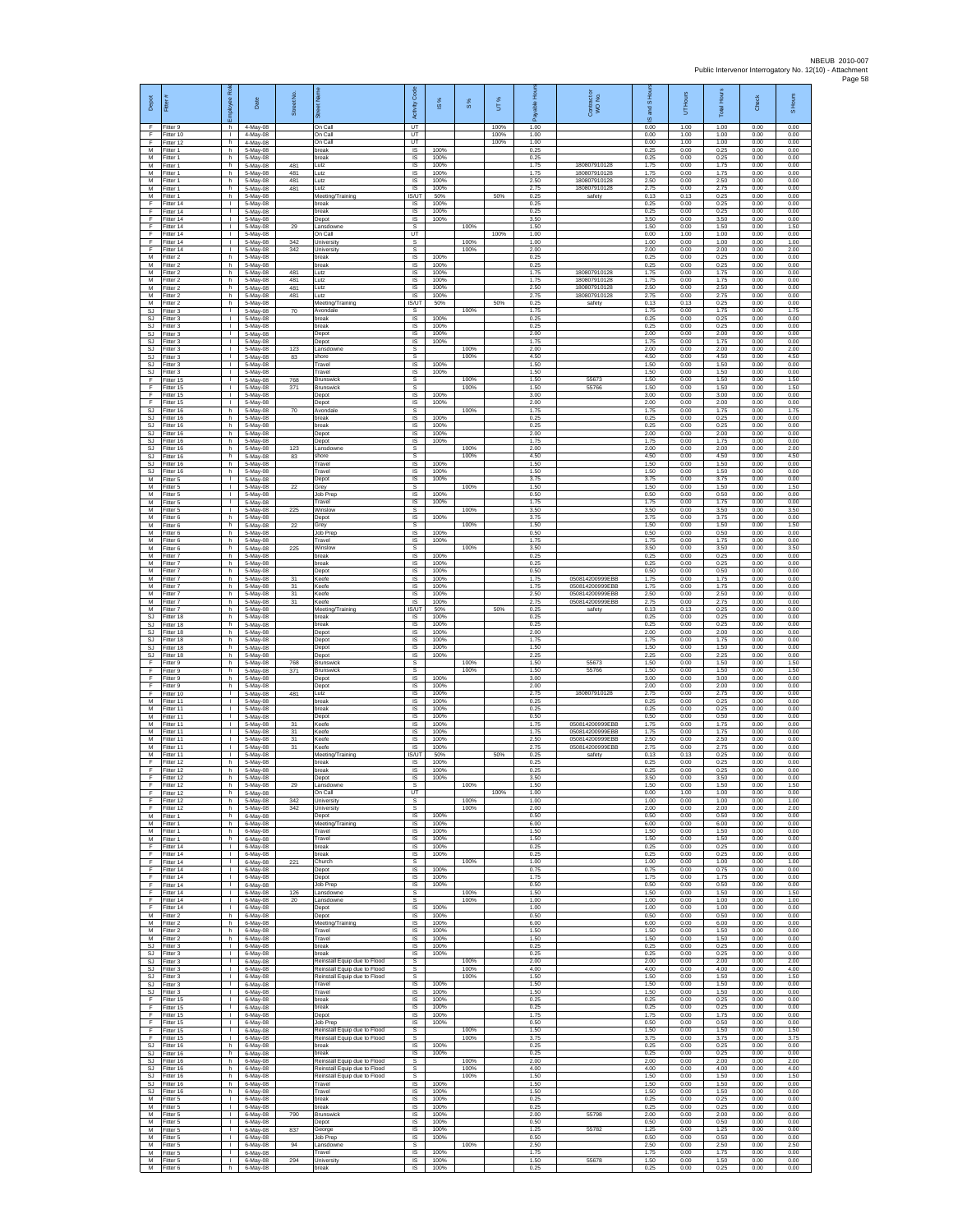| Depot                         | Fitter                              | æ<br>loyee                                     | Date                             | Street No.     |                                                                                              | Code<br>Activity                   | IS %                 | $\frac{8}{3}$        | UT%                  | 휸                    | Contract or<br>WO No.                                 | and S Hou<br>$\overline{\omega}$ | UT Hours             | <b>Total Hours</b>   | Check                | S Hours              |
|-------------------------------|-------------------------------------|------------------------------------------------|----------------------------------|----------------|----------------------------------------------------------------------------------------------|------------------------------------|----------------------|----------------------|----------------------|----------------------|-------------------------------------------------------|----------------------------------|----------------------|----------------------|----------------------|----------------------|
| -F<br>F<br>F                  | Fitter 9<br>Fitter 10<br>Fitter 12  | h.<br>$\mathbf{L}$<br>h                        | 4-May-08<br>4-May-08<br>4-May-08 |                | On Call<br>On Call<br>On Call                                                                | UT<br>UT<br>UT                     |                      |                      | 100%<br>100%<br>100% | 1.00<br>1.00<br>1.00 |                                                       | 0.00<br>0.00<br>0.00             | 1.00<br>1.00<br>1.00 | 1.00<br>1.00<br>1.00 | 0.00<br>0.00<br>0.00 | 0.00<br>0.00<br>0.00 |
| M<br>M                        | Fitter 1<br>Fitter 1                | h.<br>h.                                       | 5-May-08<br>5-May-08             |                | break<br>break                                                                               | <b>IS</b><br><b>IS</b>             | 100%<br>100%         |                      |                      | 0.25<br>0.25         |                                                       | 0.25<br>0.25                     | 0.00<br>0.00         | 0.25<br>0.25         | 0.00<br>0.00         | 0.00<br>0.00         |
| M<br>M<br>M                   | -itter 1<br>Fitter 1                | h<br>h.<br>h.                                  | 5-May-08<br>5-May-08             | 481<br>481     | Lutz<br>Lutz<br>Lutz                                                                         | IS<br>IS<br><b>IS</b>              | 100%<br>100%<br>100% |                      |                      | 1.75<br>1.75<br>2.50 | 180807910128<br>180807910128<br>180807910128          | 1.75<br>1.75<br>2.50             | 0.00<br>0.00<br>0.00 | 1.75<br>1.75<br>2.50 | 0.00<br>0.00<br>0.00 | 0.00<br>0.00<br>0.00 |
| ${\sf M}$<br>М                | Fitter 1<br>-itter 1<br>Fitter 1    | h<br>h.                                        | 5-May-08<br>5-May-08<br>5-May-08 | 481<br>481     | Lutz<br>Meeting/Training                                                                     | IS<br>IS/UT                        | 100%<br>50%          |                      | 50%                  | 2.75<br>0.25         | 180807910128<br>safety                                | 2.75<br>0.13                     | 0.00<br>0.13         | 2.75<br>0.25         | 0.00<br>0.00         | 0.00<br>0.00         |
| F<br>F                        | Fitter 14<br>Fitter 14              | т.<br>T.                                       | 5-May-08<br>5-May-08             |                | break<br>break                                                                               | - IS<br>IS                         | 100%<br>100%         |                      |                      | 0.25<br>0.25         |                                                       | 0.25<br>0.25                     | 0.00<br>0.00         | 0.25<br>0.25         | 0.00<br>0.00         | 0.00<br>0.00         |
| Ŧ<br>F<br>F                   | Fitter 14<br>Fitter 14<br>Fitter 14 | τ.<br>т.<br>л.                                 | 5-May-08<br>5-May-08<br>5-May-08 | 29             | Depot<br>ansdowne<br>On Call                                                                 | IS<br>s<br>UT                      | 100%                 | 100%                 | 100%                 | 3.50<br>1.50<br>1.00 |                                                       | 3.50<br>1.50<br>0.00             | 0.00<br>0.00<br>1.00 | 3.50<br>1.50<br>1.00 | 0.00<br>0.00<br>0.00 | 0.00<br>1.50<br>0.00 |
| F<br>F                        | Fitter 14<br>Fitter 14              | л.<br>т.                                       | 5-May-08<br>5-May-08             | 342<br>342     | University<br>University                                                                     | s<br>s                             |                      | 100%<br>100%         |                      | 1.00<br>2.00         |                                                       | 1.00<br>2.00                     | 0.00<br>0.00         | 1.00<br>2.00         | 0.00<br>0.00         | 1.00<br>2.00         |
| M<br>м<br>M                   | Fitter 2<br>Fitter 2<br>Fitter 2    | h.<br>h.<br>h.                                 | 5-May-08<br>5-May-08<br>5-May-08 | 481            | break<br>break<br>Lutz                                                                       | IS<br>IS<br>IS                     | 100%<br>100%<br>100% |                      |                      | 0.25<br>0.25<br>1.75 | 180807910128                                          | 0.25<br>0.25<br>1.75             | 0.00<br>0.00<br>0.00 | 0.25<br>0.25<br>1.75 | 0.00<br>0.00<br>0.00 | 0.00<br>0.00<br>0.00 |
| M<br>M                        | Fitter 2<br>Fitter 2                | h.<br>h.                                       | 5-May-08<br>5-May-08             | 481<br>481     | Lutz<br>Lutz                                                                                 | IS<br>- IS                         | 100%<br>100%         |                      |                      | 1.75<br>2.50         | 180807910128<br>180807910128                          | 1.75<br>2.50                     | 0.00<br>0.00         | 1.75<br>2.50         | 0.00<br>0.00         | 0.00<br>0.00         |
| М<br>M<br><b>SJ</b>           | Fitter 2<br>Fitter 2<br>Fitter 3    | h.<br>h.<br>$\mathbf{L}$                       | 5-May-08<br>5-May-08<br>5-May-08 | 481<br>70      | Lutz<br>Meeting/Training<br>Avondale                                                         | IS<br><b>IS/UT</b><br>s            | 100%<br>50%          | 100%                 | 50%                  | 2.75<br>0.25<br>1.75 | 180807910128<br>safety                                | 2.75<br>0.13<br>1.75             | 0.00<br>0.13<br>0.00 | 2.75<br>0.25<br>1.75 | 0.00<br>0.00<br>0.00 | 0.00<br>0.00<br>1.75 |
| <b>SJ</b><br>SJ               | Fitter 3<br>-itter 3                | т.<br>$\mathbf{L}$                             | 5-May-08<br>5-May-08             |                | break<br>break                                                                               | IS<br>$\sf IS$                     | 100%<br>100%         |                      |                      | 0.25<br>0.25         |                                                       | 0.25<br>0.25                     | 0.00<br>0.00         | 0.25<br>0.25         | 0.00<br>0.00         | 0.00<br>0.00         |
| SJ<br><b>SJ</b><br>S.I        | -itter 3<br>Fitter 3<br>Fitter 3    | T.<br>т.<br>л.                                 | 5-May-08<br>5-May-08             | 123            | Depot<br>Depot<br>Lansdowne                                                                  | $\sf IS$<br>IS<br>s                | 100%<br>100%         | 100%                 |                      | 2.00<br>1.75<br>2.00 |                                                       | 2.00<br>1.75<br>2.00             | 0.00<br>0.00<br>0.00 | 2.00<br>1.75<br>2.00 | 0.00<br>0.00<br>0.00 | 0.00<br>0.00<br>2.00 |
| <b>SJ</b><br>SJ               | Fitter 3<br>Fitter 3                | т.<br>$\mathbf{L}$                             | 5-May-08<br>5-May-08<br>5-May-08 | 83             | shore<br>Travel                                                                              | s<br><b>IS</b>                     | 100%                 | 100%                 |                      | 4.50<br>1.50         |                                                       | 4.50<br>1.50                     | 0.00<br>0.00         | 4.50<br>1.50         | 0.00<br>0.00         | 4.50<br>0.00         |
| SJ<br>F<br>F                  | Fitter 3<br>Fitter 15               | $\mathbf{L}$<br>$\mathbf{L}$<br>$\mathbb{R}^n$ | 5-May-08<br>5-May-08             | 768<br>371     | Travel<br>Brunswick                                                                          | <b>IS</b><br>s                     | 100%                 | 100%                 |                      | 1.50<br>1.50         | 55673                                                 | 1.50<br>1.50                     | 0.00<br>0.00         | 1.50<br>1.50         | 0.00<br>0.00         | 0.00<br>1.50         |
| F<br>F                        | Fitter 15<br>Fitter 15<br>Fitter 15 | $\mathbf{L}$<br>$\mathbf{I}$                   | 5-May-08<br>5-May-08<br>5-May-08 |                | <b>Brunswick</b><br>Depot<br>Depot                                                           | $\mathbb S$<br><b>IS</b><br>IS     | 100%<br>100%         | 100%                 |                      | 1.50<br>3.00<br>2.00 | 55766                                                 | 1.50<br>3.00<br>2.00             | 0.00<br>0.00<br>0.00 | 1.50<br>3.00<br>2.00 | 0.00<br>0.00<br>0.00 | 1.50<br>0.00<br>0.00 |
| <b>SJ</b><br><b>SJ</b><br>-SJ | Fitter 16<br>Fitter 16<br>Fitter 16 | h<br>h<br>h.                                   | 5-May-08<br>5-May-08             | 70             | Avondale<br>oreak<br>break                                                                   | s<br>IS<br>IS                      | 100%<br>100%         | 100%                 |                      | 1.75<br>0.25<br>0.25 |                                                       | 1.75<br>0.25<br>0.25             | 0.00<br>0.00<br>0.00 | 1.75<br>0.25<br>0.25 | 0.00<br>0.00<br>0.00 | 1.75<br>0.00<br>0.00 |
| SJ<br>$\mathbb{S}\mathbb{J}$  | Fitter 16<br>Fitter 16              | h.<br>h                                        | 5-May-08<br>5-May-08<br>5-May-08 |                | Depot<br>Depot                                                                               | <b>IS</b><br>IS                    | 100%<br>100%         |                      |                      | 2.00<br>1.75         |                                                       | 2.00<br>1.75                     | 0.00<br>0.00         | 2.00<br>1.75         | 0.00<br>0.00         | 0.00<br>0.00         |
| SJ.<br>SJ                     | Fitter 16<br>Fitter 16              | h.<br>h                                        | 5-May-08<br>5-May-08             | 123<br>83      | Lansdowne<br>shore                                                                           | s<br>s                             |                      | 100%<br>100%         |                      | 2.00<br>4.50         |                                                       | 2.00<br>4.50                     | 0.00<br>0.00         | 2.00<br>4.50         | 0.00<br>0.00         | 2.00<br>4.50         |
| <b>SJ</b><br>SJ<br>M          | Fitter 16<br>Fitter 16<br>Fitter 5  | h.<br>h.<br>$\mathbf{L}$                       | 5-May-08<br>5-May-08<br>5-May-08 |                | Travel<br>Travel<br>Depot                                                                    | $\sf IS$<br>IS<br><b>IS</b>        | 100%<br>100%<br>100% |                      |                      | 1.50<br>1.50<br>3.75 |                                                       | 1.50<br>1.50<br>3.75             | 0.00<br>0.00<br>0.00 | 1.50<br>1.50<br>3.75 | 0.00<br>0.00<br>0.00 | 0.00<br>0.00<br>0.00 |
| М<br>M                        | Fitter 5<br>Fitter 5                | $\mathbf{L}$<br>L.                             | 5-May-08<br>5-May-08             | 22             | Grey<br>Job Prep                                                                             | s<br>IS                            | 100%                 | 100%                 |                      | 1.50<br>0.50         |                                                       | 1.50<br>0.50                     | 0.00<br>0.00         | 1.50<br>0.50         | 0.00<br>0.00         | 1.50<br>0.00         |
| M<br>M<br>М                   | Fitter 5<br>Fitter 5<br>-itter 6    | т.<br>т.<br>h.                                 | 5-May-08<br>5-May-08<br>5-May-08 | 225            | Travel<br>Winslov<br>Depot                                                                   | IS<br>s<br>IS                      | 100%<br>100%         | 100%                 |                      | 1.75<br>3.50<br>3.75 |                                                       | 1.75<br>3.50<br>3.75             | 0.00<br>0.00<br>0.00 | 1.75<br>3.50<br>3.75 | 0.00<br>0.00<br>0.00 | 0.00<br>3.50<br>0.00 |
| М<br>M                        | Fitter 6<br>Fitter 6                | h<br>h.                                        | 5-May-08<br>5-May-08             | $^{22}$        | Grey<br>Job Prep                                                                             | s<br>$\overline{\mathsf{s}}$       | 100%                 | 100%                 |                      | 1.50<br>0.50         |                                                       | 1.50<br>0.50                     | 0.00<br>0.00         | 1.50<br>0.50         | 0.00<br>0.00         | 1.50<br>0.00         |
| M<br>M<br>M                   | Fitter 6<br>-itter 6<br>Fitter 7    | h.<br>h<br>h.                                  | 5-May-08<br>5-May-08<br>5-May-08 | 225            | Travel<br>Winslow<br>break                                                                   | <b>IS</b><br>s<br>IS               | 100%<br>100%         | 100%                 |                      | 1.75<br>3.50<br>0.25 |                                                       | 1.75<br>3.50<br>0.25             | 0.00<br>0.00<br>0.00 | 1.75<br>3.50<br>0.25 | 0.00<br>0.00<br>0.00 | 0.00<br>3.50<br>0.00 |
| M<br>${\sf M}$                | Fitter 7<br>-itter 7                | h.<br>h                                        | 5-May-08<br>5-May-08             |                | break<br>Depot                                                                               | <b>IS</b><br>IS                    | 100%<br>100%         |                      |                      | 0.25<br>0.50         |                                                       | 0.25<br>0.50                     | 0.00<br>0.00         | 0.25<br>0.50         | 0.00<br>0.00         | 0.00<br>0.00         |
| M<br>M<br>M                   | Fitter 7<br>Fitter 7<br>Fitter 7    | h.<br>h.<br>h                                  | 5-May-08<br>5-May-08<br>5-May-08 | 31<br>31<br>31 | Keefe<br>Keefe<br>Keefe                                                                      | $\sf IS$<br>IS<br>IS               | 100%<br>100%<br>100% |                      |                      | 1.75<br>1.75<br>2.50 | 050814200999EBB<br>050814200999EBB<br>050814200999EBB | 1.75<br>1.75<br>2.50             | 0.00<br>0.00<br>0.00 | 1.75<br>1.75<br>2.50 | 0.00<br>0.00<br>0.00 | 0.00<br>0.00<br>0.00 |
| M<br>М                        | Fitter 7<br>fitter 7                | h.<br>h                                        | 5-May-08<br>5-May-08             | 31             | Keefe<br>Meeting/Training                                                                    | IS<br><b>IS/UT</b>                 | 100%<br>50%          |                      | 50%                  | 2.75<br>0.25         | 050814200999EBB<br>safety                             | 2.75<br>0.13                     | 0.00<br>0.13         | 2.75<br>0.25         | 0.00<br>0.00         | 0.00<br>0.00         |
| SJ.<br>SJ<br>SJ               | Fitter 18<br>Fitter 18<br>Fitter 18 | h.<br>h.<br>h.                                 | 5-May-08<br>5-May-08<br>5-May-08 |                | break<br>break<br>Depot                                                                      | <b>IS</b><br>IS<br>IS              | 100%<br>100%<br>100% |                      |                      | 0.25<br>0.25<br>2.00 |                                                       | 0.25<br>0.25<br>2.00             | 0.00<br>0.00<br>0.00 | 0.25<br>0.25<br>2.00 | 0.00<br>0.00<br>0.00 | 0.00<br>0.00<br>0.00 |
| SJ.<br>SJ                     | Fitter 18<br>Fitter 18              | h.<br>h.                                       | 5-May-08<br>5-May-08             |                | Depot<br>Depot                                                                               | IS<br>IS                           | 100%<br>100%         |                      |                      | 1.75<br>1.50         |                                                       | 1.75<br>1.50                     | 0.00<br>0.00         | 1.75<br>1.50         | 0.00<br>0.00         | 0.00<br>0.00         |
| SJ<br>Ŧ<br>F                  | Fitter 18<br>Fitter 9<br>Fitter 9   | h.<br>h.<br>h.                                 | 5-May-08<br>5-May-08<br>5-May-08 | 768<br>371     | Depot<br>Brunswick<br><b>Brunswick</b>                                                       | IS<br>s<br>s                       | 100%                 | 100%<br>100%         |                      | 2.25<br>1.50<br>1.50 | 55673<br>55766                                        | 2.25<br>1.50<br>1.50             | 0.00<br>0.00<br>0.00 | 2.25<br>1.50<br>1.50 | 0.00<br>0.00<br>0.00 | 0.00<br>1.50<br>1.50 |
| F<br>$\mathsf F$              | Fitter 9<br>Fitter 9                | h.<br>h.                                       | 5-May-08<br>5-May-08             |                | Depot<br>Depot                                                                               | IS<br>IS                           | 100%<br>100%         |                      |                      | 3.00<br>2.00         |                                                       | 3.00<br>2.00                     | 0.00<br>0.00         | 3.00<br>2.00         | 0.00<br>0.00         | 0.00<br>0.00         |
| F<br>M<br>М                   | -itter 10<br>Fitter 11<br>Fitter 11 | T.<br>т.<br>$\mathbf{L}$                       | 5-May-08<br>5-May-08<br>5-May-08 | 481            | Lutz<br>break<br>break                                                                       | IS<br>IS<br>$\sf IS$               | 100%<br>100%<br>100% |                      |                      | 2.75<br>0.25<br>0.25 | 180807910128                                          | 2.75<br>0.25<br>0.25             | 0.00<br>0.00<br>0.00 | 2.75<br>0.25<br>0.25 | 0.00<br>0.00<br>0.00 | 0.00<br>0.00<br>0.00 |
| М<br>M                        | Fitter 11<br>Fitter 11              | J.<br>т.                                       | 5-May-08<br>5-May-08             | 31             | Depot<br>Keefe                                                                               | $\sf IS$<br>IS                     | 100%<br>100%         |                      |                      | 0.50<br>1.75         | 050814200999EBB                                       | 0.50<br>1.75                     | 0.00<br>0.00         | 0.50<br>1.75         | 0.00<br>0.00         | 0.00<br>0.00         |
| M<br>M<br>M                   | Fitter 11<br>Fitter 11<br>Fitter 11 | л.<br>٠<br>$\mathbf{L}$                        | 5-May-08<br>5-May-08<br>5-May-08 | 31<br>31<br>31 | Keefe<br>Keefe<br>Keefe                                                                      | <b>IS</b><br>IS<br>IS              | 100%<br>100%<br>100% |                      |                      | 1.75<br>2.50<br>2.75 | 050814200999ERR<br>050814200999EBB<br>050814200999EBB | 1.75<br>2.50<br>2.75             | 0.00<br>0.00<br>0.00 | 1.75<br>2.50<br>2.75 | 0.00<br>0.00<br>0.00 | 0.00<br>0.00<br>0.00 |
| M<br>F                        | Fitter 11<br>Fitter 12              | л.<br>h                                        | 5-May-08<br>5-May-08             |                | Meeting/Training<br>break                                                                    | IS/UT<br>IS                        | 50%<br>100%          |                      | 50%                  | 0.25<br>0.25         | safety                                                | 0.13<br>0.25                     | 0.13<br>0.00         | 0.25<br>0.25         | 0.00<br>0.00         | 0.00<br>0.00         |
| F<br>F<br>E                   | Fitter 12<br>Fitter 12<br>Fitter 12 | h.<br>h.<br>h                                  | 5-May-08<br>5-May-08<br>5-May-08 | 29             | break<br>Depot<br>Lansdowne                                                                  | $\sf IS$<br>IS<br>S.               | 100%<br>100%         | 100%                 |                      | 0.25<br>3.50<br>1.50 |                                                       | 0.25<br>3.50<br>1.50             | 0.00<br>0.00<br>0.00 | 0.25<br>3.50<br>1.50 | 0.00<br>0.00<br>0.00 | 0.00<br>0.00<br>1.50 |
| Ŧ<br>Ŧ                        | Fitter 12<br>Fitter 12              | h<br>h                                         | 5-May-08<br>5-May-08             | 342            | On Call<br>University                                                                        | UT<br>s                            |                      | 100%                 | 100%                 | 1.00<br>1.00         |                                                       | 0.00<br>1.00                     | 1.00<br>0.00         | 1.00<br>1.00         | 0.00<br>0.00         | 0.00<br>1.00         |
| -F<br>M<br>M                  | Fitter 12<br>Fitter 1<br>Fitter 1   | h.<br>h.<br>h.                                 | 5-May-08<br>6-May-08<br>6-May-08 | 342            | University<br>Depot<br>Meeting/Training                                                      | s<br><b>IS</b><br>IS               | 100%<br>100%         | 100%                 |                      | 2.00<br>0.50<br>6.00 |                                                       | 2.00<br>0.50<br>6.00             | 0.00<br>0.00<br>0.00 | 2.00<br>0.50<br>6.00 | 0.00<br>0.00<br>0.00 | 2.00<br>0.00<br>0.00 |
| M<br>M                        | Fitter 1<br>Fitter 1                | h.<br>h.                                       | 6-May-08<br>6-May-08             |                | Travel<br>Travel                                                                             | <b>IS</b><br>IS                    | 100%<br>100%         |                      |                      | 1.50<br>1.50         |                                                       | 1.50<br>1.50                     | 0.00<br>0.00         | 1.50<br>1.50         | 0.00<br>0.00         | 0.00<br>0.00         |
| F<br>Ŧ<br>F                   | Fitter 14<br>Fitter 14<br>Fitter 14 | $\mathbf{L}$<br>$\mathbf{L}$<br>$\mathbf{L}$   | 6-May-08<br>6-May-08<br>6-May-08 | 221            | break<br>break<br>Church                                                                     | IS<br><b>IS</b><br>-S              | 100%<br>100%         | 100%                 |                      | 0.25<br>0.25<br>1.00 |                                                       | 0.25<br>0.25<br>1.00             | 0.00<br>0.00<br>0.00 | 0.25<br>0.25<br>1.00 | 0.00<br>0.00<br>0.00 | 0.00<br>0.00<br>1.00 |
| F<br>F                        | Fitter 14<br>Fitter 14              | $\mathbf{L}$<br>Τ.                             | 6-May-08<br>6-May-08             |                | Depot<br>Depot                                                                               | IS<br>IS                           | 100%<br>100%         |                      |                      | 0.75<br>1.75         |                                                       | 0.75<br>1.75                     | 0.00<br>0.00         | 0.75<br>1.75         | 0.00<br>0.00         | 0.00<br>0.00         |
| F<br>F<br>F.                  | Fitter 14<br>Fitter 14<br>Fitter 14 | т.<br>$\mathbf{L}$<br>$\mathbf{L}$             | 6-May-08<br>6-May-08<br>6-May-08 | 126<br>20      | Job Prep<br>Lansdowne<br>Lansdowne                                                           | <b>IS</b><br>-S<br>s               | 100%                 | 100%<br>100%         |                      | 0.50<br>1.50<br>1.00 |                                                       | 0.50<br>1.50<br>1.00             | 0.00<br>0.00<br>0.00 | 0.50<br>1.50<br>1.00 | 0.00<br>0.00<br>0.00 | 0.00<br>1.50<br>1.00 |
| F<br>M                        | Fitter 14<br>Fitter 2               | T.<br>h.                                       | 6-May-08<br>6-May-08             |                | Depot<br>Depot                                                                               | $\sf IS$<br><b>IS</b>              | 100%<br>100%         |                      |                      | 1.00<br>0.50         |                                                       | 1.00<br>0.50                     | 0.00<br>0.00         | 1.00<br>0.50         | 0.00<br>0.00         | 0.00<br>0.00         |
| M<br>M<br>M                   | Fitter 2<br>Fitter 2<br>Fitter 2    | h<br>h.<br>h.                                  | 6-May-08<br>6-May-08<br>6-May-08 |                | Meeting/Training<br>Travel<br>Travel                                                         | <b>IS</b><br>IS<br><b>IS</b>       | 100%<br>100%<br>100% |                      |                      | 6.00<br>1.50<br>1.50 |                                                       | 6.00<br>1.50<br>1.50             | 0.00<br>0.00<br>0.00 | 6.00<br>1.50<br>1.50 | 0.00<br>0.00<br>0.00 | 0.00<br>0.00<br>0.00 |
| SJ<br>SJ                      | Fitter 3<br>Fitter 3                | $\mathbf{L}$<br>$\mathbf{L}$                   | 6-May-08<br>6-May-08             |                | break<br>break                                                                               | <b>IS</b><br>IS                    | 100%<br>100%         |                      |                      | 0.25<br>0.25         |                                                       | 0.25<br>0.25                     | 0.00<br>0.00         | 0.25<br>0.25         | 0.00<br>0.00         | 0.00<br>0.00         |
| SJ<br>SJ.<br>SJ               | Fitter 3<br>Fitter 3<br>Fitter 3    | $\mathbb{R}^n$<br>$\mathbf{L}$<br>$\mathbf{I}$ | 6-May-08<br>6-May-08<br>6-May-08 |                | Reinstall Equip due to Flood<br>Reinstall Equip due to Flood<br>Reinstall Equip due to Flood | $\mathbb S$<br>s<br>s              |                      | 100%<br>100%<br>100% |                      | 2.00<br>4.00<br>1.50 |                                                       | 2.00<br>4.00<br>1.50             | 0.00<br>0.00<br>0.00 | 2.00<br>4.00<br>1.50 | 0.00<br>0.00<br>0.00 | 2.00<br>4.00<br>1.50 |
| SJ<br>SJ                      | Fitter 3<br>Fitter 3                | $\mathbf{L}$<br>т.                             | 6-May-08<br>6-May-08             |                | Travel<br>Travel                                                                             | IS<br><b>IS</b>                    | 100%<br>100%         |                      |                      | 1.50<br>1.50         |                                                       | 1.50<br>1.50                     | 0.00<br>0.00         | 1.50<br>1.50         | 0.00<br>0.00         | 0.00<br>0.00         |
| F<br>F.<br>$\mathsf F$        | Fitter 15<br>Fitter 15<br>Fitter 15 | $\mathbf{L}$<br>л.<br>$\mathbf{I}$             | 6-May-08<br>6-May-08<br>6-May-08 |                | break<br>break<br>Depot                                                                      | - IS<br><b>IS</b><br>IS            | 100%<br>100%<br>100% |                      |                      | 0.25<br>0.25<br>1.75 |                                                       | 0.25<br>0.25<br>1.75             | 0.00<br>0.00<br>0.00 | 0.25<br>0.25<br>1.75 | 0.00<br>0.00<br>0.00 | 0.00<br>0.00<br>0.00 |
| -F<br>F.                      | Fitter 15<br>Fitter 15              | $\mathbf{L}$<br>$\mathbf{L}$                   | 6-May-08<br>6-May-08             |                | Job Prep<br>Reinstall Equip due to Flood                                                     | <b>IS</b><br>$\mathsf{s}$          | 100%                 | 100%                 |                      | 0.50<br>1.50         |                                                       | 0.50<br>1.50                     | 0.00<br>0.00         | 0.50<br>1.50         | 0.00<br>0.00         | 0.00<br>1.50         |
| -F<br>SJ<br>SJ.               | Fitter 15<br>Fitter 16<br>Fitter 16 | $\mathbf{L}$<br>h.<br>h.                       | 6-May-08<br>6-May-08<br>6-May-08 |                | Reinstall Equip due to Flood<br>break<br>break                                               | $\mathbb S$<br><b>IS</b><br>- IS   | 100%<br>100%         | 100%                 |                      | 3.75<br>0.25<br>0.25 |                                                       | 3.75<br>0.25<br>0.25             | 0.00<br>0.00<br>0.00 | 3.75<br>0.25<br>0.25 | 0.00<br>0.00<br>0.00 | 3.75<br>0.00<br>0.00 |
| <b>SJ</b><br>SJ               | Fitter 16<br>Fitter 16              | h<br>h.                                        | 6-May-08<br>6-May-08             |                | Reinstall Equip due to Flood<br>Reinstall Equip due to Flood                                 | s<br>s                             |                      | 100%<br>100%         |                      | 2.00<br>4.00         |                                                       | 2.00<br>4.00                     | 0.00<br>0.00         | 2.00<br>4.00         | 0.00<br>0.00         | 2.00<br>4.00         |
| SJ.<br>SJ<br>SJ.              | Fitter 16<br>Fitter 16<br>Fitter 16 | h.<br>h.<br>h.                                 | 6-May-08<br>6-May-08<br>6-May-08 |                | Reinstall Equip due to Flood<br>Travel<br>Travel                                             | s<br>$\overline{\mathsf{s}}$<br>IS | 100%<br>100%         | 100%                 |                      | 1.50<br>1.50<br>1.50 |                                                       | 1.50<br>1.50<br>1.50             | 0.00<br>0.00<br>0.00 | 1.50<br>1.50<br>1.50 | 0.00<br>0.00<br>0.00 | 1.50<br>0.00<br>0.00 |
| M<br>M                        | Fitter 5<br>Fitter 5                | T.<br>$\mathbf{L}$                             | 6-May-08<br>6-May-08             |                | break<br>break                                                                               | $\sf IS$<br><b>IS</b>              | 100%<br>100%         |                      |                      | 0.25<br>0.25         |                                                       | 0.25<br>0.25                     | 0.00<br>0.00         | 0.25<br>0.25         | 0.00<br>0.00         | 0.00<br>0.00         |
| M<br>M<br>M                   | Fitter 5<br>Fitter 5<br>Fitter 5    | $\mathbf{L}$<br>$\mathbf{I}$<br>$\mathbf{L}$   | 6-May-08<br>6-May-08<br>6-May-08 | 790<br>837     | Brunswick<br>Depot<br>George                                                                 | <b>IS</b><br>IS<br><b>IS</b>       | 100%<br>100%<br>100% |                      |                      | 2.00<br>0.50<br>1.25 | 55798<br>55782                                        | 200<br>0.50<br>1.25              | 0.00<br>0.00<br>0.00 | 2.00<br>0.50<br>1.25 | 0.00<br>0.00<br>0.00 | 0.00<br>0.00<br>0.00 |
| M<br>М                        | Fitter 5<br>-itter 5                | $\mathbf{L}$<br>$\mathbf{L}$                   | 6-May-08<br>6-May-08             | 94             | Job Prep<br>Lansdowne                                                                        | - IS<br>s                          | 100%                 | 100%                 |                      | 0.50<br>2.50         |                                                       | 0.50<br>2.50                     | 0.00<br>0.00         | 0.50<br>2.50         | 0.00<br>0.00         | 0.00<br>2.50         |
| M<br>M<br>M                   | Fitter 5<br>Fitter 5<br>Fitter 6    | $\mathbf{L}$<br>$\mathbf{L}$<br>h.             | 6-May-08<br>6-May-08<br>6-May-08 | 294            | Travel<br>University<br>break                                                                | IS<br><b>IS</b><br>IS              | 100%<br>100%<br>100% |                      |                      | 1.75<br>1.50<br>0.25 | 55678                                                 | 1.75<br>1.50<br>0.25             | 0.00<br>0.00<br>0.00 | 1.75<br>1.50<br>0.25 | 0.00<br>0.00<br>0.00 | 0.00<br>0.00<br>0.00 |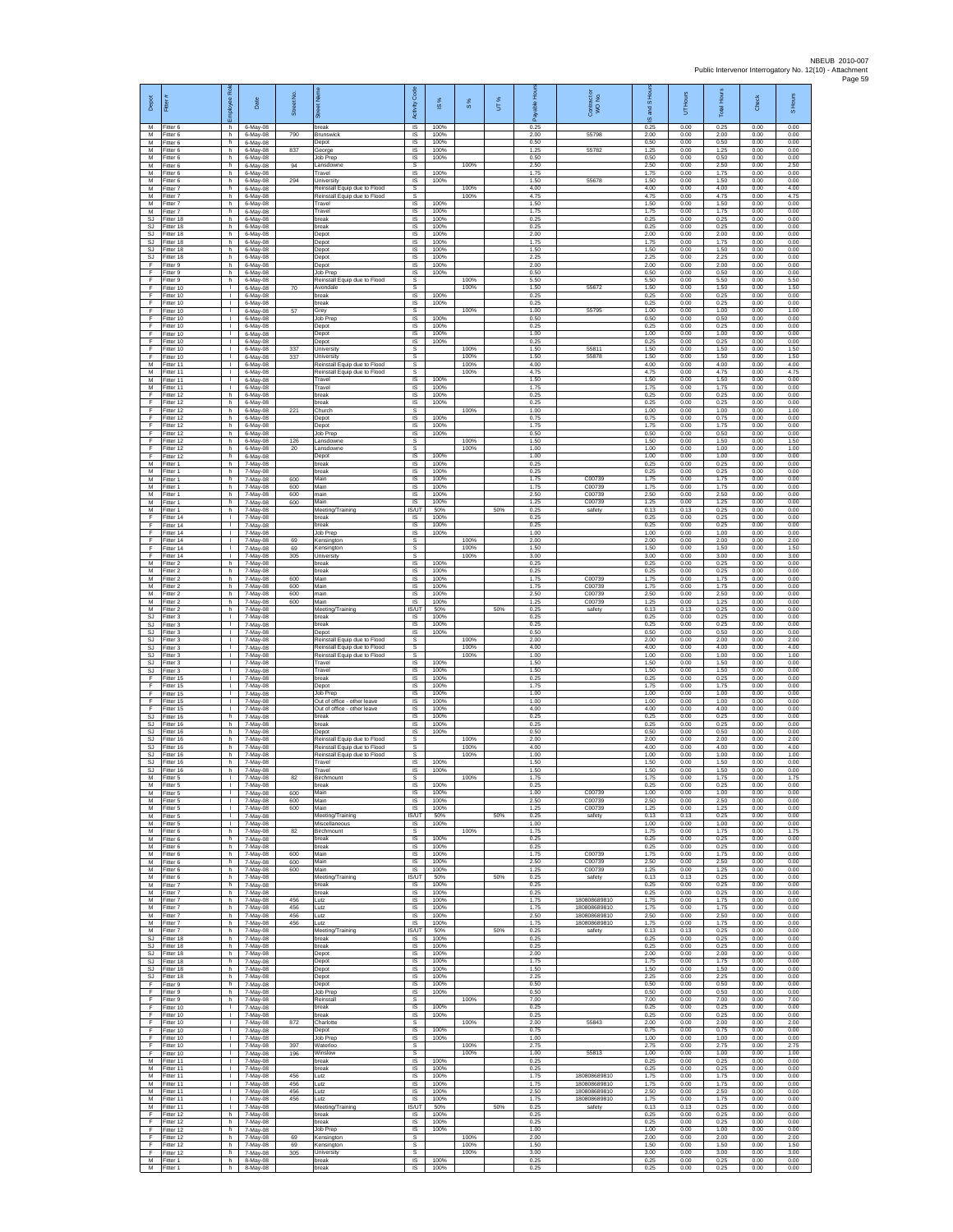| Depot                               | Fitter                                 | æ<br>eekoli                                  | Date                             | Street No.        | $\frac{1}{8}$<br>芿                                                                           | Code<br>Activity                 | $\frac{8}{3}$        | 8%                   | UT% | 옾<br>ahle<br>Ē       | Contract or<br>WO No.                        | and S Ho<br>ဖ        | Hours<br>5           | <b>Total Hours</b>   | Check                | S Hours              |
|-------------------------------------|----------------------------------------|----------------------------------------------|----------------------------------|-------------------|----------------------------------------------------------------------------------------------|----------------------------------|----------------------|----------------------|-----|----------------------|----------------------------------------------|----------------------|----------------------|----------------------|----------------------|----------------------|
| M<br>M<br>M                         | Fitter 6<br>Fitter 6<br>Fitter 6       | h<br>h.<br>h                                 | 6-May-08<br>6-May-08<br>6-May-08 | 790               | break<br>Brunswick<br>Depot                                                                  | IS<br>IS<br>IS                   | 100%<br>100%<br>100% |                      |     | 0.25<br>2.00<br>0.50 | 55798                                        | 0.25<br>2.00<br>0.50 | 0.00<br>0.00<br>0.00 | 0.25<br>2.00<br>0.50 | 0.00<br>0.00<br>0.00 | 0.00<br>0.00<br>0.00 |
| M<br>М<br>M                         | Fitter 6<br>Fitter 6<br>Fitter 6       | h.<br>h<br>h.                                | 6-May-08<br>6-May-08<br>6-May-08 | 837<br>94         | George<br>Job Prep<br>Lansdowne                                                              | IS<br>IS<br>-S                   | 100%<br>100%         | 100%                 |     | 1.25<br>0.50<br>2.50 | 55782                                        | 1.25<br>0.50<br>2.50 | 0.00<br>0.00<br>0.00 | 1.25<br>0.50<br>2.50 | 0.00<br>0.00<br>0.00 | 0.00<br>0.00<br>2.50 |
| M<br>М                              | Fitter 6<br>Fitter 6                   | h.<br>h.                                     | 6-May-08<br>6-May-08             | 294               | Travel<br>University                                                                         | IS<br>1S                         | 100%<br>100%         |                      |     | 1.75<br>1.50         | 55678                                        | 175<br>1.50          | 0.00<br>0.00         | 1.75<br>1.50         | 0.00<br>0.00         | 0.00<br>0.00         |
| M<br>M<br>${\sf M}$                 | Fitter 7<br>Fitter 7<br>itter 7        | h.<br>h.<br>h                                | 6-May-08<br>6-May-08<br>6-May-08 |                   | Reinstall Equip due to Flood<br>Reinstall Equip due to Flood<br>Travel                       | s<br>s<br>$\sf IS$               | 100%                 | 100%<br>100%         |     | 4.00<br>4.75<br>1.50 |                                              | 4.00<br>4.75<br>1.50 | 0.00<br>0.00<br>0.00 | 4.00<br>4.75<br>1.50 | 0.00<br>0.00<br>0.00 | 4.00<br>4.75<br>0.00 |
| M<br>SJ.<br><b>SJ</b>               | Fitter 7<br>Fitter 18<br>Fitter 18     | h<br>h.<br>h                                 | 6-May-08<br>6-May-08<br>6-May-08 |                   | Travel<br>break<br>break                                                                     | $\sf IS$<br>IS<br>IS             | 100%<br>100%<br>100% |                      |     | 1.75<br>0.25<br>0.25 |                                              | 1.75<br>0.25<br>0.25 | 0.00<br>0.00<br>0.00 | 1.75<br>0.25<br>0.25 | 0.00<br>0.00<br>0.00 | 0.00<br>0.00<br>0.00 |
| <b>SJ</b><br><b>SJ</b>              | Fitter 18<br>Fitter 18                 | h.<br>h                                      | 6-May-08<br>6-May-08             |                   | Depot<br>Depot                                                                               | 1S<br>IS                         | 100%<br>100%         |                      |     | 2.00<br>1.75         |                                              | 2.00<br>1.75         | 0.00<br>0.00         | 2.00<br>1.75         | 0.00<br>0.00         | 0.00<br>0.00         |
| SJ<br>SJ<br>F                       | Fitter 18<br>Fitter 18<br>Fitter 9     | h.<br>h.<br>h.                               | 6-May-08<br>6-May-08<br>6-May-08 |                   | Depot<br>Depot<br>Depot                                                                      | IS<br>IS.<br>$\sf IS$            | 100%<br>100%<br>100% |                      |     | 1.50<br>2.25<br>2.00 |                                              | 1.50<br>2.25<br>2.00 | 0.00<br>0.00<br>0.00 | 1.50<br>2.25<br>2.00 | 0.00<br>0.00<br>0.00 | 0.00<br>0.00<br>0.00 |
| F<br>-F.<br>Ŧ                       | Fitter 9<br>Fitter 9<br>Fitter 10      | h.<br>h.<br>$\mathbf{I}$                     | 6-May-08<br>6-May-08<br>6-May-08 | 70                | Job Prep<br>Reinstall Equip due to Flood<br>Avondale                                         | IS<br>s<br>s                     | 100%                 | 100%<br>100%         |     | 0.50<br>5.50<br>1.50 | 55672                                        | 0.50<br>5.50<br>1.50 | 0.00<br>0.00<br>0.00 | 0.50<br>5.50<br>1.50 | 0.00<br>0.00<br>0.00 | 0.00<br>5.50<br>1.50 |
| Ŧ<br>E                              | Fitter 10<br>Fitter 10                 | $\mathbf{L}$<br>$\mathbf{L}$                 | 6-May-08<br>6-May-08             |                   | break<br>break                                                                               | IS<br>IS                         | 100%<br>100%         |                      |     | 0.25<br>0.25         |                                              | 0.25<br>0.25         | 0.00<br>0.00         | 0.25<br>0.25         | 0.00<br>0.00         | 0.00<br>0.00         |
| $\mathsf F$<br>F<br>F               | Fitter 10<br>Fitter 10<br>Fitter 10    | $\mathbf{L}$<br>τ.<br>$\mathbf{L}$           | 6-May-08<br>6-May-08<br>6-May-08 | 57                | Grey<br>Job Prep<br>Depot                                                                    | s<br>1S<br>$\overline{s}$        | 100%<br>100%         | 100%                 |     | 1.00<br>0.50<br>0.25 | 55795                                        | 1.00<br>0.50<br>0.25 | 0.00<br>0.00<br>0.00 | 1.00<br>0.50<br>0.25 | 0.00<br>0.00<br>0.00 | 1.00<br>0.00<br>0.00 |
| F<br>Ŧ<br>F                         | Fitter 10<br>Fitter 10                 | T.<br>τ.<br>T.                               | 6-May-08<br>6-May-08             |                   | Depot<br>Depot                                                                               | IS<br>IS                         | 100%<br>100%         | 100%                 |     | 1.00<br>0.25         | 55811                                        | 1.00<br>0.25         | 0.00<br>0.00         | 1.00<br>0.25         | 0.00<br>0.00         | 0.00<br>0.00         |
| -F<br>M                             | Fitter 10<br>Fitter 10<br>Fitter 11    | $\mathbf{L}$<br>$\mathbf{L}$                 | 6-May-08<br>6-May-08<br>6-May-08 | 337<br>337        | <b>Jniversity</b><br>University<br>Reinstall Equip due to Flood                              | s<br>s<br>s                      |                      | 100%<br>100%         |     | 1.50<br>1.50<br>4.00 | 55878                                        | 1.50<br>1.50<br>4.00 | 0.00<br>0.00<br>0.00 | 1.50<br>1.50<br>4.00 | 0.00<br>0.00<br>0.00 | 1.50<br>1.50<br>4.00 |
| M<br>M<br>M                         | Fitter 11<br>Fitter 11<br>Fitter 11    | $\mathbf{I}$<br>$\mathbf{L}$<br>$\mathbf{L}$ | 6-May-08<br>6-May-08<br>6-May-08 |                   | Reinstall Equip due to Flood<br>Travel<br>Travel                                             | s<br>IS<br>IS                    | 100%<br>100%         | 100%                 |     | 4.75<br>1.50<br>1.75 |                                              | 4.75<br>1.50<br>1.75 | 0.00<br>0.00<br>0.00 | 4.75<br>1.50<br>1.75 | 0.00<br>0.00<br>0.00 | 4.75<br>0.00<br>0.00 |
| F<br>Ŧ                              | Fitter 12<br>Fitter 12                 | h.<br>h                                      | 6-May-08<br>6-May-08             |                   | break<br>break                                                                               | $\sf IS$<br>$\sf IS$             | 100%<br>100%         |                      |     | 0.25<br>0.25         |                                              | 0.25<br>0.25         | 0.00<br>0.00         | 0.25<br>0.25         | 0.00<br>0.00         | 0.00<br>0.00         |
| F<br>F<br>Ŧ                         | Fitter 12<br>Fitter 12<br>Fitter 12    | h.<br>h<br>h.                                | 6-May-08<br>6-May-08<br>6-May-08 | 221               | Church<br>Depot<br>Depot                                                                     | s<br>IS<br>IS                    | 100%<br>100%         | 100%                 |     | 1.00<br>0.75<br>1.75 |                                              | 1.00<br>0.75<br>1.75 | 0.00<br>0.00<br>0.00 | 1.00<br>0.75<br>1.75 | 0.00<br>0.00<br>0.00 | 1.00<br>0.00<br>0.00 |
| F<br>F                              | Fitter 12<br>Fitter 12                 | h<br>h.                                      | 6-May-08<br>6-May-08             | 126               | Job Prep<br>Lansdowne                                                                        | IS<br>-S                         | 100%                 | 100%                 |     | 0.50<br>1.50         |                                              | 0.50<br>1.50         | 0.00<br>0.00         | 0.50<br>1.50         | 0.00<br>0.00         | 0.00<br>1.50         |
| $\mathsf F$<br>F<br>M               | Fitter 12<br>Fitter 12<br>Fitter 1     | h.<br>h.<br>h.                               | 6-May-08<br>6-May-08<br>7-May-08 | $20\,$            | Lansdowne<br>Depot<br>break                                                                  | s<br>$\sf IS$<br>IS              | 100%<br>100%         | 100%                 |     | 1.00<br>1.00<br>0.25 |                                              | 1.00<br>1.00<br>0.25 | 0.00<br>0.00<br>0.00 | 1.00<br>1.00<br>0.25 | 0.00<br>0.00<br>0.00 | 1.00<br>0.00<br>0.00 |
| M<br>M                              | Fitter 1<br>-itter 1                   | h.<br>h.                                     | 7-May-08<br>7-May-08             | 600               | break<br>Main                                                                                | IS<br>IS                         | 100%<br>100%         |                      |     | 0.25<br>1.75         | C00739                                       | 0.25<br>1.75         | 0.00<br>0.00         | 0.25<br>1.75         | 0.00<br>0.00         | 0.00<br>0.00         |
| M<br>M<br>${\sf M}$                 | Fitter 1<br>Fitter 1<br>-itter 1       | h.<br>h.<br>h.                               | 7-May-08<br>7-May-08<br>7-May-08 | 600<br>600<br>600 | Main<br>main<br>Main                                                                         | IS<br>IS<br>IS                   | 100%<br>100%<br>100% |                      |     | 1.75<br>2.50<br>1.25 | C00739<br>C00739<br>C00739                   | 1.75<br>2.50<br>1.25 | 0.00<br>0.00<br>0.00 | 1.75<br>2.50<br>1.25 | 0.00<br>0.00<br>0.00 | 0.00<br>0.00<br>0.00 |
| М<br>F                              | Fitter 1<br>-itter 14                  | h.<br>т.                                     | 7-May-08<br>7-May-08             |                   | Meeting/Training<br>break                                                                    | IS/UT<br>IS                      | 50%<br>100%          |                      | 50% | 0.25<br>0.25         | safety                                       | 0.13<br>0.25         | 0.13<br>0.00         | 0.25<br>0.25         | 0.00<br>0.00         | 0.00<br>0.00         |
| F<br>Ŧ<br>Ŧ                         | Fitter 14<br>Fitter 14<br>Fitter 14    | $\mathbf{I}$<br>$\mathbf{I}$<br>т.           | 7-May-08<br>7-May-08<br>7-May-08 | 69                | oreak<br>Job Prep<br>Kensington                                                              | IS<br>1S<br>s                    | 100%<br>100%         | 100%                 |     | 0.25<br>1.00<br>2.00 |                                              | 0.25<br>1.00<br>2.00 | 0.00<br>0.00<br>0.00 | 0.25<br>1.00<br>2.00 | 0.00<br>0.00<br>0.00 | 0.00<br>0.00<br>2.00 |
| F<br>E                              | Fitter 14<br>Fitter 14                 | т.<br>$\mathbf{L}$                           | 7-May-08<br>7-May-08             | 69<br>305         | Kensington<br>University                                                                     | s<br>s                           |                      | 100%<br>100%         |     | 1.50<br>3.00         |                                              | 1.50<br>3.00         | 0.00<br>0.00         | 1.50<br>3.00         | 0.00<br>0.00         | 1.50<br>3.00         |
| M<br>M<br>м                         | Fitter 2<br>Fitter 2<br>Fitter 2       | h.<br>h.<br>h.                               | 7-May-08<br>7-May-08<br>7-May-08 | 600               | break<br>break<br>Main                                                                       | 1S<br>IS<br>IS                   | 100%<br>100%<br>100% |                      |     | 0.25<br>0.25<br>1.75 | C00739                                       | 0.25<br>0.25<br>1.75 | 0.00<br>0.00<br>0.00 | 0.25<br>0.25<br>1.75 | 0.00<br>0.00<br>0.00 | 0.00<br>0.00<br>0.00 |
| ${\sf M}$<br>M                      | -itter 2<br>Fitter 2                   | h<br>h                                       | 7-May-08<br>7-May-08             | 600<br>600        | Main<br>main                                                                                 | $\sf IS$<br>$\sf IS$             | 100%<br>100%         |                      |     | 1.75<br>2.50         | C00739<br>C00739                             | 1.75<br>2.50         | 0.00<br>0.00         | 1.75<br>2.50         | 0.00<br>0.00         | 0.00<br>0.00         |
| M<br>M<br><b>SJ</b>                 | Fitter 2<br>Fitter 2<br>Fitter 3       | h.<br>h<br>τ.                                | 7-May-08<br>7-May-08<br>7-May-08 | 600               | Main<br>Meeting/Training<br>break                                                            | IS<br><b>IS/UT</b><br>IS         | 100%<br>50%<br>100%  |                      | 50% | 1.25<br>0.25<br>0.25 | C00739<br>safety                             | 1.25<br>0.13<br>0.25 | 0.00<br>0.13<br>0.00 | 1.25<br>0.25<br>0.25 | 0.00<br>0.00<br>0.00 | 0.00<br>0.00<br>0.00 |
| <b>SJ</b><br>SJ                     | Fitter 3<br>Fitter 3                   | $\mathbf{L}$<br>л.                           | 7-May-08<br>7-May-08             |                   | preak<br>Depot                                                                               | IS<br>IS                         | 100%<br>100%         |                      |     | 0.25<br>0.50         |                                              | 0.25<br>0.50         | 0.00<br>0.00         | 0.25<br>0.50         | 0.00<br>0.00         | 0.00<br>0.00         |
| SJ<br>$\mathbb{S}\mathbb{J}$<br>SJ. | -itter 3<br>Fitter 3<br>Fitter 3       | $\mathbf{L}$<br>$\mathbf{L}$<br>$\mathbf{L}$ | 7-May-08<br>7-May-08<br>7-May-08 |                   | Reinstall Equip due to Flood<br>Reinstall Equip due to Flood<br>Reinstall Equip due to Flood | s<br>$\mathbb S$<br>s            |                      | 100%<br>100%<br>100% |     | 2.00<br>4.00<br>1.00 |                                              | 2.00<br>4.00<br>1.00 | 0.00<br>0.00<br>0.00 | 2.00<br>4.00<br>1.00 | 0.00<br>0.00<br>0.00 | 2.00<br>4.00<br>1.00 |
| S.I<br><b>SJ</b>                    | Fitter 3<br>Fitter 3                   | $\mathbf{L}$<br>$\mathbf{I}$                 | 7-May-08<br>7-May-08             |                   | Travel<br>Travel                                                                             | IS<br>IS                         | 100%<br>100%         |                      |     | 1.50<br>1.50         |                                              | 1.50<br>1.50         | 0.00<br>0.00         | 1.50<br>1.50         | 0.00<br>0.00         | 0.00<br>0.00         |
| Ŧ<br>E<br>$\mathsf F$               | Fitter 15<br>Fitter 15<br>Fitter 15    | $\mathbf{L}$<br>$\mathbf{L}$<br>$\mathbf{L}$ | 7-May-08<br>7-May-08<br>7-May-08 |                   | break<br>Depot<br>Job Prep                                                                   | IS<br>IS<br>IS                   | 100%<br>100%<br>100% |                      |     | 0.25<br>1.75<br>1.00 |                                              | 0.25<br>1.75<br>1.00 | 0.00<br>0.00<br>0.00 | 0.25<br>1.75<br>1.00 | 0.00<br>0.00<br>0.00 | 0.00<br>0.00<br>0.00 |
| F<br>F                              | Fitter 15<br>Fitter 15                 | L.<br>$\mathbf{L}$                           | 7-May-08<br>7-May-08             |                   | Out of office - other leave<br>Out of office - other leave                                   | 1S<br>IS                         | 100%<br>100%         |                      |     | 1.00<br>4.00         |                                              | 1.00<br>4.00         | 0.00<br>0.00         | 1.00<br>4.00         | 0.00<br>0.00         | 0.00<br>0.00         |
| <b>SJ</b><br>SJ<br>SJ               | Fitter 16<br>Fitter 16<br>Fitter 16    | h<br>h.<br>h                                 | 7-May-08<br>7-May-08<br>7-May-08 |                   | break<br>break<br>Depot                                                                      | IS<br>IS<br>IS                   | 100%<br>100%<br>100% |                      |     | 0.25<br>0.25<br>0.50 |                                              | 0.25<br>0.25<br>0.50 | 0.00<br>0.00<br>0.00 | 0.25<br>0.25<br>0.50 | 0.00<br>0.00<br>0.00 | 0.00<br>0.00<br>0.00 |
| SJ.<br>SJ.                          | Fitter 16<br>Fitter 16                 | h.<br>h.                                     | 7-May-08<br>7-May-08             |                   | Reinstall Equip due to Flood<br>Reinstall Equip due to Flood                                 | -S<br>s                          |                      | 100%<br>100%         |     | 2.00<br>4.00         |                                              | 2.00<br>4.00         | 0.00<br>0.00         | 2.00<br>400          | 0.00<br>0.00         | 2.00<br>4.00         |
| $\mathbb{S}\mathbb{J}$<br>SJ.       | Fitter 16<br>Fitter 16<br>SJ Fitter 16 | h<br>h.<br>h                                 | 7-May-08<br>7-May-08<br>7-May-08 |                   | Reinstall Equip due to Flood<br>Travel<br>Travel                                             | s<br>IS<br>IS                    | 100%<br>100%         | 100%                 |     | 1.00<br>1.50<br>1.50 |                                              | 1.00<br>1.50<br>1.50 | 0.00<br>0.00<br>0.00 | 1.00<br>1.50<br>1.50 | 0.00<br>0.00<br>0.00 | 1.00<br>0.00<br>0.00 |
| M<br>M                              | Fitter 5<br>Fitter 5                   | $\mathbf{L}$                                 | 7-May-08<br>7-May-08             | 82                | Birchmount<br>break                                                                          | s<br>IS                          | 100%                 | 100%                 |     | 1.75<br>0.25         |                                              | 1.75<br>0.25         | 0.00<br>0.00         | 1.75<br>0.25         | 0.00<br>0.00         | 1.75<br>0.00         |
| M<br>M<br>M                         | Fitter 5<br>Fitter 5<br>Fitter 5       | л.<br>$\mathbf{L}$<br>τ.                     | 7-May-08<br>7-May-08<br>7-May-08 | 600<br>600<br>600 | Main<br>Main<br>Main                                                                         | IS.<br>IS<br><b>IS</b>           | 100%<br>100%<br>100% |                      |     | 1.00<br>2.50<br>1.25 | C00739<br>C00739<br>C00739                   | 1.00<br>2.50<br>1.25 | 0.00<br>0.00<br>0.00 | 1.00<br>2.50<br>1.25 | 0.00<br>0.00<br>0.00 | 0.00<br>0.00<br>0.00 |
| M<br>M                              | Fitter 5<br>Fitter 5                   | $\mathbf{L}$<br>$\mathbf{L}$                 | 7-May-08<br>7-May-08             |                   | Meeting/Training<br>Miscellaneous                                                            | IS/UT<br><b>IS</b>               | 50%<br>100%          |                      | 50% | 0.25<br>1.00         | safety                                       | 0.13<br>1.00         | 0.13<br>0.00         | 0.25<br>1.00         | 0.00<br>0.00         | 0.00<br>0.00         |
| M<br>M<br>M                         | -itter 6<br>Fitter 6<br>Fitter 6       | h.<br>h.<br>h.                               | 7-May-08<br>7-May-08<br>7-May-08 | 82                | Birchmount<br>break<br>break                                                                 | s<br>$\sf IS$<br><b>IS</b>       | 100%<br>100%         | 100%                 |     | 1.75<br>0.25<br>0.25 |                                              | 1.75<br>0.25<br>0.25 | 0.00<br>0.00<br>0.00 | 1.75<br>0.25<br>0.25 | 0.00<br>0.00<br>0.00 | 1.75<br>0.00<br>0.00 |
| M<br>M<br>M                         | Fitter 6<br>-itter 6                   | h.<br>h.                                     | 7-May-08<br>7-May-08             | 600<br>600        | <b>Main</b><br>Main                                                                          | IS.<br>IS                        | 100%<br>100%         |                      |     | 1.75<br>2.50         | C00739<br>C00739                             | 175<br>2.50          | 0.00<br>0.00         | 1.75<br>2.50         | 0.00<br>0.00         | 0.00<br>0.00         |
| M<br>М                              | Fitter 6<br>Fitter 6<br>-itter 7       | h.<br>h.<br>h                                | 7-May-08<br>7-May-08<br>7-May-08 | 600               | Main<br>Meeting/Training<br>break                                                            | IS<br>IS/UT<br>IS                | 100%<br>50%<br>100%  |                      | 50% | 1.25<br>0.25<br>0.25 | C00739<br>safety                             | 1.25<br>0.13<br>0.25 | 0.00<br>0.13<br>0.00 | 1.25<br>0.25<br>0.25 | 0.00<br>0.00<br>0.00 | 0.00<br>0.00<br>0.00 |
| ${\sf M}$<br>M                      | Fitter 7<br>Fitter 7                   | h.<br>h.                                     | 7-May-08<br>7-May-08             | 456               | break<br>Lutz                                                                                | <b>IS</b><br>IS                  | 100%<br>100%         |                      |     | 0.25<br>1.75         | 180808689810                                 | 0.25<br>1.75         | 0.00<br>0.00         | 0.25<br>1.75         | 0.00<br>0.00         | 0.00<br>0.00         |
| M<br>M<br>M                         | Fitter 7<br>Fitter 7<br>Fitter 7       | h<br>h.<br>h.                                | 7-May-08<br>7-May-08<br>7-May-08 | 456<br>456<br>456 | Lutz<br>Lutz<br>Lutz                                                                         | IS<br>IS<br>IS                   | 100%<br>100%<br>100% |                      |     | 1.75<br>2.50<br>1.75 | 180808689810<br>180808689810<br>180808689810 | 1.75<br>2.50<br>1.75 | 0.00<br>0.00<br>0.00 | 1.75<br>2.50<br>1.75 | 0.00<br>0.00<br>0.00 | 0.00<br>0.00<br>0.00 |
| M<br>SJ.                            | Fitter 7<br>Fitter 18                  | h.<br>h.<br>h.                               | 7-May-08<br>7-May-08             |                   | Meeting/Training<br>break<br>break                                                           | <b>IS/UT</b><br><b>IS</b><br>IS  | 50%<br>100%<br>100%  |                      | 50% | 0.25<br>0.25<br>0.25 | safety                                       | 0.13<br>0.25<br>0.25 | 0.13<br>0.00<br>0.00 | 0.25<br>0.25<br>0.25 | 0.00<br>0.00<br>0.00 | 0.00<br>0.00<br>0.00 |
| SJ<br>SJ.<br><b>SJ</b>              | Fitter 18<br>Fitter 18<br>Fitter 18    | h.<br>h.                                     | 7-May-08<br>7-May-08<br>7-May-08 |                   | Depot<br>Depot                                                                               | IS<br>IS                         | 100%<br>100%         |                      |     | 2.00<br>1.75         |                                              | 2.00<br>1.75         | 0.00<br>0.00         | 2.00<br>1.75         | 0.00<br>0.00         | 0.00<br>0.00         |
| SJ<br>SJ                            | Fitter 18<br>Fitter 18                 | h<br>h                                       | 7-May-08<br>7-May-08             |                   | Depot<br>Depot                                                                               | IS<br>$\sf IS$                   | 100%<br>100%         |                      |     | 1.50<br>2.25         |                                              | 1.50<br>2.25         | 0.00<br>0.00         | 1.50<br>2.25         | 0.00<br>0.00         | 0.00<br>0.00         |
| F<br>F<br>Ŧ                         | Fitter 9<br>Fitter 9<br>Fitter 9       | h.<br>h.<br>h.                               | 7-May-08<br>7-May-08<br>7-May-08 |                   | Depot<br>Job Prep<br>Reinstall                                                               | IS.<br>IS<br>s                   | 100%<br>100%         | 100%                 |     | 0.50<br>0.50<br>7.00 |                                              | 0.50<br>0.50<br>7.00 | 0.00<br>0.00<br>0.00 | 0.50<br>0.50<br>7.00 | 0.00<br>0.00<br>0.00 | 0.00<br>0.00<br>7.00 |
| F<br>F                              | Fitter 10<br>Fitter 10                 | т.<br>л.<br>$\mathbf{L}$                     | 7-May-08<br>7-May-08             |                   | oreak<br>break<br>Charlotte                                                                  | IS<br>IS<br>s.                   | 100%<br>100%         |                      |     | 0.25<br>0.25<br>2.00 | 55843                                        | 0.25<br>0.25<br>2.00 | 0.00<br>0.00<br>0.00 | 0.25<br>0.25<br>2.00 | 0.00<br>0.00         | 0.00<br>0.00<br>2.00 |
| F.<br>F<br>F.                       | Fitter 10<br>Fitter 10<br>Fitter 10    | $\mathbf{L}$<br>$\mathbb{R}^n$               | 7-May-08<br>7-May-08<br>7-May-08 | 872               | Depot<br>Job Prep                                                                            | $\sf IS$<br><b>IS</b>            | 100%<br>100%         | 100%                 |     | 0.75<br>1.00         |                                              | 0.75<br>1.00         | 0.00<br>0.00         | 0.75<br>1.00         | 0.00<br>0.00<br>0.00 | 0.00<br>0.00         |
| F.<br>Ŧ                             | Fitter 10<br>Fitter 10                 | л.<br>$\mathbf{I}$<br>$\mathbf{L}$           | 7-May-08<br>7-May-08             | 397<br>196        | Waterloo<br>Winslow                                                                          | s<br>s                           |                      | 100%<br>100%         |     | 2.75<br>1.00         | 55813                                        | 275<br>1.00          | 0.00<br>0.00         | 2.75<br>1.00         | 0.00<br>0.00         | 2.75<br>1.00         |
| M<br>M<br>M                         | Fitter 11<br>Fitter 11<br>Fitter 11    | $\mathbf{L}$<br>$\mathbf{L}$                 | 7-May-08<br>7-May-08<br>7-May-08 | 456               | break<br>break<br>Lutz                                                                       | <b>IS</b><br>$\mathsf{IS}$<br>IS | 100%<br>100%<br>100% |                      |     | 0.25<br>0.25<br>1.75 | 180808689810                                 | 0.25<br>0.25<br>1.75 | 0.00<br>0.00<br>0.00 | 0.25<br>0.25<br>1.75 | 0.00<br>0.00<br>0.00 | 0.00<br>0.00<br>0.00 |
| M<br>M                              | Fitter 11<br>Fitter 11                 | H.<br>т.                                     | 7-May-08<br>7-May-08             | 456<br>456        | Lutz<br>Lutz                                                                                 | IS<br>IS                         | 100%<br>100%         |                      |     | 1.75<br>2.50         | 180808689810<br>180808689810                 | 1.75<br>2.50         | 0.00<br>0.00         | 1.75<br>2.50         | 0.00<br>0.00         | 0.00<br>0.00         |
| M<br>M<br>F                         | Fitter 11<br>Fitter 11<br>Fitter 12    | $\mathbf{I}$<br>H.<br>h.                     | 7-May-08<br>7-May-08<br>7-May-08 | 456               | Lutz<br>Meeting/Training<br>break                                                            | IS<br><b>IS/UT</b><br>IS         | 100%<br>50%<br>100%  |                      | 50% | 1.75<br>0.25<br>0.25 | 180808689810<br>safety                       | 1.75<br>0.13<br>0.25 | 0.00<br>0.13<br>0.00 | 1.75<br>0.25<br>0.25 | 0.00<br>0.00<br>0.00 | 0.00<br>0.00<br>0.00 |
| -F<br>F.                            | Fitter 12<br>Fitter 12                 | h.<br>h.                                     | 7-May-08<br>7-May-08             |                   | break<br>Job Prep                                                                            | IS<br>IS.                        | 100%<br>100%         |                      |     | 0.25<br>1.00         |                                              | 0.25<br>1.00         | 0.00<br>0.00         | 0.25<br>1.00         | 0.00<br>0.00         | 0.00<br>0.00         |
| F<br>F.<br>F.                       | Fitter 12<br>Fitter 12<br>Fitter 12    | h<br>h<br>h.                                 | 7-May-08<br>7-May-08<br>7-May-08 | 69<br>69<br>305   | Kensington<br>Kensington<br>University                                                       | s<br>s<br>$\mathsf{s}$           |                      | 100%<br>100%<br>100% |     | 2.00<br>1.50<br>3.00 |                                              | 2.00<br>1.50<br>3.00 | 0.00<br>0.00<br>0.00 | 2.00<br>1.50<br>3.00 | 0.00<br>0.00<br>0.00 | 2.00<br>1.50<br>3.00 |
| M<br>M                              | Fitter 1<br>Fitter 1                   | h<br>h                                       | 8-May-08<br>8-May-08             |                   | break<br>break                                                                               | $\sf IS$<br>IS                   | 100%<br>100%         |                      |     | 0.25<br>0.25         |                                              | 0.25<br>0.25         | 0.00<br>0.00         | 0.25<br>0.25         | 0.00<br>0.00         | 0.00<br>0.00         |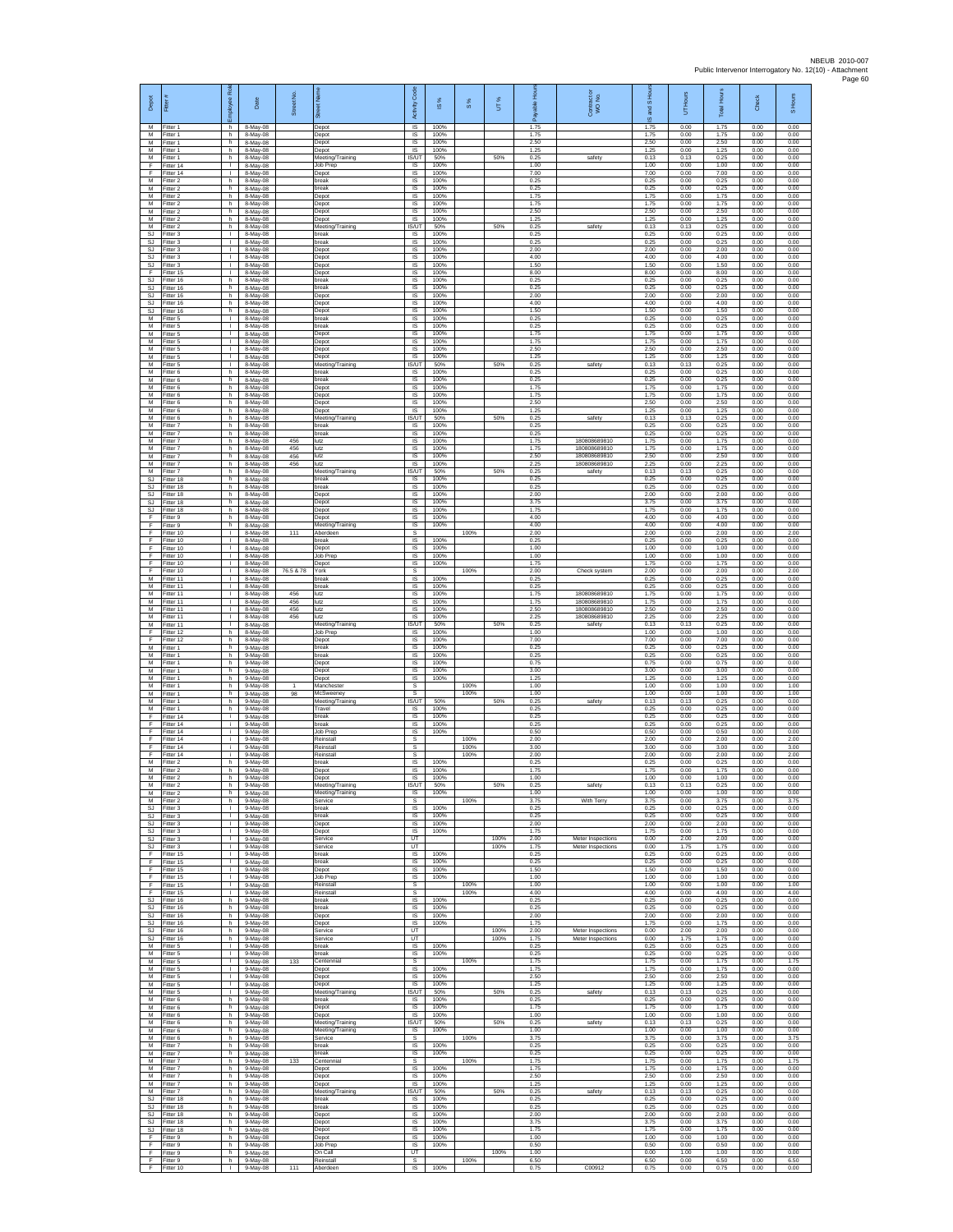| Depot<br>M                   | Fitter #<br>Fitter 1                | Employee Rol<br>h.                 | Date<br>8-May-08                   | Street No.        | ā<br>Depot                                      | Code<br>Activity<br>$\overline{\mathsf{s}}$ | s,<br>$\overline{\omega}$<br>100% | 8%           | UT%          | 휸<br>able<br>æ<br>1.75 | Contract or<br>WO No.                        | S Hou<br><b>Pole</b><br>ö,<br>1.75 | Hours<br>ŝ<br>0.00   | Total Hours<br>1.75  | Check<br>0.00        | S Hours<br>0.00      |
|------------------------------|-------------------------------------|------------------------------------|------------------------------------|-------------------|-------------------------------------------------|---------------------------------------------|-----------------------------------|--------------|--------------|------------------------|----------------------------------------------|------------------------------------|----------------------|----------------------|----------------------|----------------------|
| M<br>M                       | Fitter 1<br>itter 1                 | h.<br>h                            | 8-May-08<br>8-May-08               |                   | Depot<br>Depot                                  | $\sf IS$<br>$\sf IS$                        | 100%<br>100%                      |              |              | 1.75<br>2.50           |                                              | 1.75<br>2.50                       | 0.00<br>0.00         | 1.75<br>2.50         | 0.00<br>0.00         | 0.00<br>0.00         |
| M<br>M<br>F                  | Fitter 1<br>Fitter 1<br>fitter 14   | h.<br>h.<br>т.                     | 8-May-08<br>8-May-08<br>8-May-08   |                   | Depot<br>Meeting/Training<br>Job Prep           | $\overline{\mathsf{s}}$<br>IS/UT<br>IS      | 100%<br>50%<br>100%               |              | 50%          | 1.25<br>0.25<br>1.00   | safety                                       | 1.25<br>0.13<br>1.00               | 0.00<br>0.13<br>0.00 | 1.25<br>0.25<br>1.00 | 0.00<br>0.00<br>0.00 | 0.00<br>0.00<br>0.00 |
| F<br>M                       | fitter 14<br>Fitter 2               | т.<br>h.                           | 8-May-08<br>8-May-08               |                   | Depot<br>break                                  | 1S<br><b>IS</b>                             | 100%<br>100%                      |              |              | 7.00<br>0.25           |                                              | 7.00<br>0.25                       | 0.00<br>0.00         | 7.00<br>0.25         | 0.00<br>0.00         | 0.00<br>0.00         |
| М<br>M<br>M                  | Fitter 2<br>Fitter 2<br>Fitter 2    | h<br>h<br>h.                       | 8-May-08<br>8-May-08<br>8-May-08   |                   | break<br>Depot<br>Depot                         | IS<br>$\sf IS$<br>IS                        | 100%<br>100%<br>100%              |              |              | 0.25<br>1.75<br>1.75   |                                              | 0.25<br>1.75<br>1.75               | 0.00<br>0.00<br>0.00 | 0.25<br>1.75<br>1.75 | 0.00<br>0.00<br>0.00 | 0.00<br>0.00<br>0.00 |
| M<br>M                       | Fitter 2<br>Fitter 2                | h<br>h                             | 8-May-08<br>8-May-08               |                   | Depot<br>Depot                                  | IS<br>IS                                    | 100%<br>100%                      |              |              | 2.50<br>1.25           |                                              | 2.50<br>1.25                       | 0.00<br>0.00         | 2.50<br>1.25         | 0.00<br>0.00         | 0.00<br>0.00         |
| M<br><b>SJ</b><br>SJ         | itter 2<br>Fitter 3<br>Fitter 3     | h<br>п.<br>$\mathbf{L}$            | 8-May-08<br>8-May-08<br>8-May-08   |                   | Meeting/Training<br>break<br>break              | <b>IS/UT</b><br>IS<br>IS                    | 50%<br>100%<br>100%               |              | 50%          | 0.25<br>0.25<br>0.25   | safety                                       | 0.13<br>0.25<br>0.25               | 0.13<br>0.00<br>0.00 | 0.25<br>0.25<br>0.25 | 0.00<br>0.00<br>0.00 | 0.00<br>0.00<br>0.00 |
| SJ<br><b>SJ</b>              | Fitter 3<br>Fitter 3                | т.<br>Τ                            | 8-May-08<br>8-May-08               |                   | Depot<br>Depot                                  | IS<br>1S                                    | 100%<br>100%                      |              |              | 2.00<br>4.00           |                                              | 2.00<br>4.00                       | 0.00<br>0.00         | 2.00<br>4.00         | 0.00<br>0.00         | 0.00<br>0.00         |
| <b>SJ</b><br>F<br><b>SJ</b>  | Fitter 3<br>Fitter 15<br>Fitter 16  | л.<br>т.<br>ħ                      | 8-May-08<br>8-May-08<br>8-May-08   |                   | Depot<br>Depot<br>break                         | IS<br>$\sf IS$<br>1S                        | 100%<br>100%<br>100%              |              |              | 1.50<br>8.00<br>0.25   |                                              | 1.50<br>8.00<br>0.25               | 0.00<br>0.00<br>0.00 | 1.50<br>8.00<br>0.25 | 0.00<br>0.00<br>0.00 | 0.00<br>0.00<br>0.00 |
| SJ.<br><b>SJ</b><br>SJ       | Fitter 16<br>Fitter 16<br>Fitter 16 | h.<br>h<br>h.                      | 8-May-08<br>8-May-08<br>8-May-08   |                   | break<br>Depot<br>Depot                         | IS<br>IS<br>1S                              | 100%<br>100%<br>100%              |              |              | 0.25<br>2.00<br>4.00   |                                              | 0.25<br>2.00<br>4.00               | 0.00<br>0.00<br>0.00 | 0.25<br>2.00<br>4.00 | 0.00<br>0.00<br>0.00 | 0.00<br>0.00<br>0.00 |
| <b>SJ</b><br>M               | Fitter 16<br>Fitter 5               | h<br>л.                            | 8-May-08<br>8-May-08               |                   | Depot<br>break                                  | IS<br>IS                                    | 100%<br>100%                      |              |              | 1.50<br>0.25           |                                              | 1.50<br>0.25                       | 0.00<br>0.00         | 1.50<br>0.25         | 0.00<br>0.00         | 0.00<br>0.00         |
| M<br>М<br>M                  | Fitter 5<br>litter 5<br>Fitter 5    | $\mathbf{L}$<br>$\mathbf{I}$<br>л. | 8-May-08<br>8-May-08<br>8-May-08   |                   | break<br>Depot<br>Depot                         | $\sf IS$<br>IS<br><b>IS</b>                 | 100%<br>100%<br>100%              |              |              | 0.25<br>1.75<br>1.75   |                                              | 0.25<br>1.75<br>1.75               | 0.00<br>0.00<br>0.00 | 0.25<br>1.75<br>1.75 | 0.00<br>0.00<br>0.00 | 0.00<br>0.00<br>0.00 |
| M<br>М                       | Fitter 5<br>Fitter 5                | $\mathbf{L}$<br>٠                  | 8-May-08<br>8-May-08               |                   | Depot<br>Depot                                  | IS<br>IS                                    | 100%<br>100%                      |              |              | 2.50<br>1.25           |                                              | 2.50<br>1.25                       | 0.00<br>0.00         | 2.50<br>1.25         | 0.00<br>0.00         | 0.00<br>0.00         |
| M<br>M<br>М                  | fitter 5<br>Fitter 6<br>-itter 6    | Τ<br>h.<br>h                       | 8-May-08<br>8-May-08<br>8-May-08   |                   | Meeting/Training<br>break<br>break              | IS/UT<br>IS<br>IS                           | 50%<br>100%<br>100%               |              | 50%          | 0.25<br>0.25<br>0.25   | safety                                       | 0.13<br>0.25<br>0.25               | 0.13<br>0.00<br>0.00 | 0.25<br>0.25<br>0.25 | 0.00<br>0.00<br>0.00 | 0.00<br>0.00<br>0.00 |
| М<br>M                       | Fitter 6<br>Fitter 6                | h<br>h.                            | 8-May-08<br>8-May-08               |                   | Depot<br>Depot                                  | $\sf IS$<br>IS                              | 100%<br>100%                      |              |              | 1.75<br>1.75           |                                              | 1.75<br>1.75                       | 0.00<br>0.00         | 1.75<br>1.75         | 0.00<br>0.00         | 0.00<br>0.00         |
| M<br>М<br>М                  | Fitter 6<br>Fitter 6<br>itter 6     | h<br>h<br>h                        | 8-May-08<br>8-May-08<br>8-May-08   |                   | Depot<br>Depot<br>Meeting/Training              | IS<br>IS<br><b>IS/UT</b>                    | 100%<br>100%<br>50%               |              | 50%          | 2.50<br>1.25<br>0.25   | safety                                       | 2.50<br>1.25<br>0.13               | 0.00<br>0.00<br>0.13 | 2.50<br>1.25<br>0.25 | 0.00<br>0.00<br>0.00 | 0.00<br>0.00<br>0.00 |
| M<br>M                       | Fitter 7<br>Fitter 7                | h.<br>h                            | 8-May-08<br>8-May-08               |                   | break<br>break                                  | IS<br>IS                                    | 100%<br>100%                      |              |              | 0.25<br>0.25           |                                              | 0.25<br>0.25                       | 0.00<br>0.00         | 0.25<br>0.25         | 0.00<br>0.00         | 0.00<br>0.00         |
| М<br>M<br>M                  | Fitter 7<br>Fitter 7<br>Fitter 7    | h<br>h.<br>h.                      | 8-May-08<br>8-May-08<br>8-May-08   | 456<br>456<br>456 | lutz<br>lutz<br>lutz                            | IS<br>1S<br>IS                              | 100%<br>100%<br>100%              |              |              | 1.75<br>1.75<br>2.50   | 180808689810<br>180808689810<br>180808689810 | 1.75<br>1.75<br>2.50               | 0.00<br>0.00<br>0.00 | 1.75<br>1.75<br>2.50 | 0.00<br>0.00<br>0.00 | 0.00<br>0.00<br>0.00 |
| М<br>M                       | -itter 7<br>fitter 7                | h<br>h.                            | 8-May-08<br>8-May-08               | 456               | lutz<br>Meeting/Training                        | $\sf IS$<br>IS/UT                           | 100%<br>50%                       |              | 50%          | 2.25<br>0.25<br>0.25   | 180808689810<br>safety                       | 2.25<br>0.13                       | 0.00<br>0.13<br>0.00 | 2.25<br>0.25<br>0.25 | 0.00<br>0.00<br>0.00 | 0.00<br>0.00<br>0.00 |
| <b>SJ</b><br><b>SJ</b><br>SJ | Fitter 18<br>Fitter 18<br>Fitter 18 | h.<br>h<br>h                       | 8-May-08<br>8-May-08<br>8-May-08   |                   | break<br>break<br>Depot                         | <b>IS</b><br>IS<br>IS                       | 100%<br>100%<br>100%              |              |              | 0.25<br>2.00           |                                              | 0.25<br>0.25<br>2.00               | 0.00<br>0.00         | 0.25<br>2.00         | 0.00<br>0.00         | 0.00<br>0.00         |
| SJ<br>SJ                     | fitter 18<br>Fitter 18              | h<br>h.                            | 8-May-08<br>8-May-08               |                   | Depot<br>Depot                                  | IS<br>IS                                    | 100%<br>100%                      |              |              | 3.75<br>1.75           |                                              | 3.75<br>1.75                       | 0.00<br>0.00         | 3.75<br>1.75         | 0.00<br>0.00         | 0.00<br>0.00         |
| F<br>F<br>F                  | Fitter 9<br>itter 9<br>Fitter 10    | h<br>h<br>л.                       | 8-May-08<br>8-May-08<br>8-May-08   | 111               | Depot<br>Meeting/Training<br>Aberdeen           | $\sf IS$<br>IS<br><b>s</b>                  | 100%<br>100%                      | 100%         |              | 4.00<br>4.00<br>2.00   |                                              | 4.00<br>4.00<br>2.00               | 0.00<br>0.00<br>0.00 | 4.00<br>4.00<br>2.00 | 0.00<br>0.00<br>0.00 | 0.00<br>0.00<br>2.00 |
| F<br>F<br>F                  | Fitter 10<br>Fitter 10              | $\mathbf{L}$<br>т.<br>Τ            | 8-May-08<br>8-May-08               |                   | hreak<br>Depot                                  | <b>IS</b><br>IS                             | 100%<br>100%<br>100%              |              |              | 0.25<br>1.00           |                                              | 0.25<br>1.00                       | 0.00<br>0.00         | 0.25<br>1.00         | 0.00<br>0.00         | 0.00<br>0.00         |
| F<br>F                       | Fitter 10<br>Fitter 10<br>Fitter 10 | л.<br>т.                           | 8-May-08<br>8-May-08<br>8-May-08   | 76.5 & 78         | <b>Job Prep</b><br>Depot<br>York                | 1S<br>IS<br>s                               | 100%                              | 100%         |              | 1.00<br>1.75<br>2.00   | Check system                                 | 1.00<br>1.75<br>2.00               | 0.00<br>0.00<br>0.00 | 1.00<br>1.75<br>2.00 | 0.00<br>0.00<br>0.00 | 0.00<br>0.00<br>2.00 |
| M<br>M<br>M                  | Fitter 11<br>Fitter 11              | $\mathbf{L}$<br>$\mathbf{I}$       | 8-May-08<br>8-May-08               | 456               | break<br>break                                  | $\sf IS$<br><b>IS</b>                       | 100%<br>100%                      |              |              | 0.25<br>0.25           | 180808689810                                 | 0.25<br>0.25                       | 0.00<br>0.00         | 0.25<br>0.25         | 0.00<br>0.00         | 0.00<br>0.00         |
| М<br>M                       | Fitter 11<br>Fitter 11<br>fitter 11 | т.<br>т.<br>$\mathbf{I}$           | 8-May-08<br>8-May-08<br>8-May-08   | 456<br>456        | lutz<br>lutz<br>lutz                            | IS<br>1S<br>IS                              | 100%<br>100%<br>100%              |              |              | 1.75<br>1.75<br>2.50   | 180808689810<br>180808689810                 | 1.75<br>1.75<br>2.50               | 0.00<br>0.00<br>0.00 | 1.75<br>1.75<br>2.50 | 0.00<br>0.00<br>0.00 | 0.00<br>0.00<br>0.00 |
| M<br>M<br>F                  | -itter 11<br>Fitter 11<br>Fitter 12 | л.<br>$\mathbf{L}$<br>h            | 8-May-08<br>8-May-08<br>8-May-08   | 456               | lutz<br>Meeting/Training<br>Job Prep            | <b>IS</b><br>IS/UT<br>IS                    | 100%<br>50%<br>100%               |              | 50%          | 2.25<br>0.25<br>1.00   | 180808689810<br>safety                       | 2.25<br>0.13<br>1.00               | 0.00<br>0.13<br>0.00 | 2.25<br>0.25<br>1.00 | 0.00<br>0.00<br>0.00 | 0.00<br>0.00<br>0.00 |
| F<br>M                       | Fitter 12<br>Fitter 1               | h.<br>h.                           | 8-May-08<br>9-May-08               |                   | Depot<br>break                                  | 1S<br>IS                                    | 100%<br>100%                      |              |              | 7.00<br>0.25           |                                              | 7.00<br>0.25                       | 0.00<br>0.00         | 7.00<br>0.25         | 0.00<br>0.00         | 0.00<br>0.00         |
| М<br>M<br>M                  | Fitter 1<br>fitter 1<br>Fitter 1    | h<br>h.<br>h.                      | 9-May-08<br>9-May-08<br>9-May-08   |                   | break<br>Depot<br>Depot                         | $\sf IS$<br>1S<br>IS                        | 100%<br>100%<br>100%              |              |              | 0.25<br>0.75<br>3.00   |                                              | 0.25<br>0.75<br>3.00               | 0.00<br>0.00<br>0.00 | 0.25<br>0.75<br>3.00 | 0.00<br>0.00<br>0.00 | 0.00<br>0.00<br>0.00 |
| м<br>M                       | Fitter 1<br>Fitter 1                | h<br>h                             | 9-May-08<br>9-May-08               |                   | Depot<br>Manchester                             | IS<br>s                                     | 100%                              | 100%         |              | 1.25<br>1.00           |                                              | 1.25<br>1.00                       | 0.00<br>0.00         | 1.25<br>1.00         | 0.00<br>0.00         | 0.00<br>1.00         |
| M<br>M<br>М                  | Fitter 1<br>Fitter 1<br>Fitter 1    | h<br>h<br>$\mathsf{h}$ .           | 9-May-08<br>9-May-08<br>9-May-08   | 98                | McSweeney<br>Meeting/Training<br>Travel         | s<br>IS/UT<br>IS                            | 50%<br>100%                       | 100%         | 50%          | 1.00<br>0.25<br>0.25   | safety                                       | 1.00<br>0.13<br>0.25               | 0.00<br>0.13<br>0.00 | 1.00<br>0.25<br>0.25 | 0.00<br>0.00<br>0.00 | 1.00<br>0.00<br>0.00 |
| F<br>F                       | fitter 14<br>Fitter 14              | j.<br>÷i.                          | 9-May-08<br>9-May-08               |                   | break<br>break                                  | IS<br>$\overline{\mathsf{s}}$               | 100%<br>100%                      |              |              | 0.25<br>0.25           |                                              | 0.25<br>0.25                       | 0.00<br>0.00         | 0.25<br>0.25         | 0.00<br>0.00         | 0.00<br>0.00         |
| F<br>F<br>F                  | Fitter 14<br>Fitter 14<br>fitter 14 | i.<br>÷<br>j.                      | 9-May-08<br>9-May-08<br>9-May-08   |                   | .lob Prep<br>Reinstall<br>Reinstall             | IS<br>s<br>s                                | 100%                              | 100%<br>100% |              | 0.50<br>2.00<br>3.00   |                                              | 0.50<br>2.00<br>3.00               | 0.00<br>0.00<br>0.00 | 0.50<br>2.00<br>3.00 | 0.00<br>0.00<br>0.00 | 0.00<br>2.00<br>3.00 |
| F<br>М                       | Fitter 14<br>Fitter 2               | j.<br>h                            | 9-May-08<br>9-May-08               |                   | Reinstall<br>break                              | s<br>IS                                     | 100%                              | 100%         |              | 2.00<br>0.25           |                                              | 2.00<br>0.25                       | 0.00<br>0.00         | 2.00<br>0.25         | 0.00<br>0.00         | 2.00<br>0.00         |
| М<br>M<br>M                  | Fitter 2<br>Fitter 2<br>Fitter 2    | h.<br>h<br>h                       | 9-May-08<br>9-May-08<br>9-May-08   |                   | Depot<br>Depot<br>Meeting/Training              | IS<br>IS<br>IS/UT                           | 100%<br>100%<br>50%               |              | 50%          | 1.75<br>1.00<br>0.25   | safety                                       | 1.75<br>1.00<br>0.13               | 0.00<br>0.00<br>0.13 | 1.75<br>1.00<br>0.25 | 0.00<br>0.00<br>0.00 | 0.00<br>0.00<br>0.00 |
| M<br>М                       | Fitter 2<br>itter 2                 | h.<br>h.                           | 9-May-08<br>9-May-08               |                   | Meeting/Training<br>Service                     | 1S<br>s                                     | 100%                              | 100%         |              | 1.00<br>3.75           | With Terry                                   | 1.00<br>3.75                       | 0.00<br>0.00         | 1.00<br>3.75         | 0.00<br>0.00         | 0.00<br>3.75         |
| <b>SJ</b><br>SJ<br>SJ        | Fitter 3<br>Fitter 3<br>Fitter 3    | $\mathbf{I}$<br>$\mathbf{L}$<br>т. | 9-May-08<br>9-May-08<br>9-May-08   |                   | break<br>break<br>Depot                         | $\overline{\mathsf{s}}$<br>IS<br>IS         | 100%<br>100%<br>100%              |              |              | 0.25<br>0.25<br>2.00   |                                              | 0.25<br>0.25<br>2.00               | 0.00<br>0.00<br>0.00 | 0.25<br>0.25<br>2.00 | 0.00<br>0.00<br>0.00 | 0.00<br>0.00<br>0.00 |
| SJ.                          | Fitter 3<br>SJ Fitter 3             | т<br>$\mathbb{R}$                  | 9-May-08<br>9-May-08               |                   | Depot<br>Service                                | IS<br>UT                                    | 100%                              |              | 100%         | 1.75<br>2.00           | Meter Inspections                            | 1.75<br>0.00                       | 0.00<br>2.00         | 1.75<br>2.00         | 0.00<br>0.00         | 0.00<br>0.00         |
| SJ<br>F<br>F                 | Fitter 3<br>Fitter 15<br>Fitter 15  | $\mathbb{L}$<br>Τ<br>$\mathbf{L}$  | 9-May-08<br>9-May-08<br>9-May-08   |                   | Service<br>break<br>break                       | UT<br>IS<br><b>IS</b>                       | 100%<br>100%                      |              | 100%         | 1.75<br>0.25<br>0.25   | Meter Inspections                            | 0.00<br>0.25<br>0.25               | 1.75<br>0.00<br>0.00 | 1.75<br>0.25<br>0.25 | 0.00<br>0.00<br>0.00 | 0.00<br>0.00<br>0.00 |
| F<br>F<br>F                  | Fitter 15<br>Fitter 15<br>Fitter 15 | $\mathbb{R}$<br>т.<br>т.           | 9-May-08<br>9-May-08               |                   | Depot<br>Job Prep<br>Reinstall                  | IS<br>IS.<br>s                              | 100%<br>100%                      | 100%         |              | 1.50<br>1.00<br>1.00   |                                              | 1.50<br>1.00<br>1.00               | 0.00<br>0.00<br>0.00 | 1.50<br>1.00<br>1.00 | 0.00<br>0.00<br>0.00 | 0.00<br>0.00<br>1.00 |
| E<br>SJ.                     | Fitter 15<br>Fitter 16              | л.<br>h.                           | 9-May-08<br>9-May-08<br>9-May-08   |                   | Reinstall<br>break                              | s<br>$\sf IS$                               | 100%                              | 100%         |              | 4.00<br>0.25           |                                              | 4.00<br>0.25                       | 0.00<br>0.00         | 4.00<br>0.25         | 0.00<br>0.00         | 4.00<br>0.00         |
| SJ<br><b>SJ</b><br>S.I.      | fitter 16<br>Fitter 16<br>Fitter 16 | h<br>h.<br>h.                      | 9-May-08<br>$9-May-08$<br>9-May-08 |                   | break<br>Depot<br>Depot                         | $\sf IS$<br>IS<br>IS                        | 100%<br>100%<br>100%              |              |              | 0.25<br>2.00<br>1.75   |                                              | 0.25<br>2.00<br>1.75               | 0.00<br>0.00<br>0.00 | 0.25<br>2.00<br>1.75 | 0.00<br>0.00<br>0.00 | 0.00<br>0.00<br>0.00 |
| SJ<br>SJ                     | Fitter 16<br>fitter 16              | h<br>h.                            | 9-May-08<br>9-May-08               |                   | Service<br>Service                              | UT<br>UT                                    |                                   |              | 100%<br>100% | 2.00<br>1.75           | Meter Inspections<br>Meter Inspections       | 0.00<br>0.00                       | 2.00<br>1.75         | 2.00<br>1.75         | 0.00<br>0.00         | 0.00<br>0.00         |
| м<br>М                       | Fitter 5<br>Fitter 5                | $\mathbf{L}$<br>т.                 | 9-May-08<br>9-May-08               |                   | break<br>break                                  | <b>IS</b><br>IS                             | 100%<br>100%                      |              |              | 0.25<br>0.25           |                                              | 0.25<br>0.25                       | 0.00<br>0.00         | 0.25<br>0.25         | 0.00<br>0.00         | 0.00<br>0.00         |
| М<br>M<br>М                  | Fitter 5<br>Fitter 5<br>Fitter 5    | $\mathbb T$<br>т.<br>т.            | 9-May-08<br>9-May-08<br>9-May-08   | 133               | Centennial<br>Depot<br>Depot                    | s<br>IS<br>IS                               | 100%<br>100%                      | 100%         |              | 1.75<br>1.75<br>2.50   |                                              | 1.75<br>1.75<br>2.50               | 0.00<br>0.00<br>0.00 | 1.75<br>1.75<br>2.50 | 0.00<br>0.00<br>0.00 | 1.75<br>0.00<br>0.00 |
| M<br>M<br>M                  | Fitter 5<br>fitter 5<br>Fitter 6    | т.<br>т.<br>h.                     | 9-May-08<br>9-May-08<br>9-May-08   |                   | Depot<br>Meeting/Training<br>break              | 1S<br><b>IS/UT</b><br><b>IS</b>             | 100%<br>50%<br>100%               |              | 50%          | 1.25<br>0.25<br>0.25   | safety                                       | 1.25<br>0.13<br>0.25               | 0.00<br>0.13<br>0.00 | 1.25<br>0.25<br>0.25 | 0.00<br>0.00<br>0.00 | 0.00<br>0.00<br>0.00 |
| M<br>М                       | Fitter 6<br>Fitter 6                | h.<br>h                            | 9-May-08<br>9-May-08               |                   | Depot<br>Depot                                  | IS<br>IS                                    | 100%<br>100%                      |              |              | 1.75<br>1.00           |                                              | 1.75<br>1.00                       | 0.00<br>0.00         | 1.75<br>1.00         | 0.00<br>0.00         | 0.00<br>0.00         |
| M<br>м<br>М                  | Fitter 6<br>Fitter 6<br>Fitter 6    | h.<br>h<br>h                       | 9-May-08<br>9-May-08<br>9-May-08   |                   | Meeting/Training<br>Meeting/Training<br>Service | <b>IS/UT</b><br>IS<br>s                     | 50%<br>100%                       | 100%         | 50%          | 0.25<br>1.00<br>3.75   | safety                                       | 0.13<br>1.00<br>3.75               | 0.13<br>0.00<br>0.00 | 0.25<br>1.00<br>3.75 | 0.00<br>0.00<br>0.00 | 0.00<br>0.00<br>3.75 |
| M<br>M                       | Fitter 7<br>Fitter 7                | h.<br>h.                           | 9-May-08<br>9-May-08               |                   | break<br>break                                  | IS<br><b>IS</b>                             | 100%<br>100%                      |              |              | 0.25<br>0.25           |                                              | 0.25<br>0.25                       | 0.00<br>0.00         | 0.25<br>0.25         | 0.00<br>0.00         | 0.00<br>0.00         |
| м<br>М<br>M                  | Fitter 7<br>Fitter 7<br>Fitter 7    | h<br>h<br>h                        | 9-May-08<br>9-May-08<br>9-May-08   | 133               | Centennial<br>Depot<br>Depot                    | s<br>1S<br>IS                               | 100%<br>100%                      | 100%         |              | 1.75<br>1.75<br>2.50   |                                              | 1.75<br>1.75<br>2.50               | 0.00<br>0.00<br>0.00 | 1.75<br>1.75<br>2.50 | 0.00<br>0.00<br>0.00 | 1.75<br>0.00<br>0.00 |
| M<br>М                       | Fitter 7<br>Fitter 7                | h<br>$\mathsf{h}$ .                | 9-May-08<br>9-May-08               |                   | Depot<br>Meeting/Training                       | <b>IS</b><br>IS/UT                          | 100%<br>50%                       |              | 50%          | 1.25<br>0.25           | safety                                       | 1.25<br>0.13                       | 0.00<br>0.13         | 1.25<br>0.25         | 0.00<br>0.00         | 0.00<br>0.00         |
| SJ<br>SJ.<br>S.I.            | fitter 18<br>Fitter 18<br>Fitter 18 | h<br>h.<br>h.                      | 9-May-08<br>$9-May-08$<br>9-May-08 |                   | break<br>break<br>Depot                         | $\sf IS$<br><b>IS</b><br>IS                 | 100%<br>100%<br>100%              |              |              | 0.25<br>0.25<br>2.00   |                                              | 0.25<br>0.25<br>200                | 0.00<br>0.00<br>0.00 | 0.25<br>0.25<br>2.00 | 0.00<br>0.00<br>0.00 | 0.00<br>0.00<br>0.00 |
| SJ<br>SJ                     | Fitter 18<br>fitter 18              | h<br>h.                            | 9-May-08<br>9-May-08               |                   | Depot<br>Depot                                  | IS<br>1S                                    | 100%<br>100%                      |              |              | 3.75<br>1.75           |                                              | 3.75<br>1.75                       | 0.00<br>0.00         | 3.75<br>1.75         | 0.00<br>0.00         | 0.00<br>0.00         |
| F<br>F<br>F                  | Fitter 9<br>itter 9<br>Fitter 9     | h.<br>h<br>h.                      | 9-May-08<br>9-May-08<br>9-May-08   |                   | Depot<br>Job Prep<br>On Call                    | IS<br>IS<br>UT                              | 100%<br>100%                      |              | 100%         | 1.00<br>0.50<br>1.00   |                                              | 1.00<br>0.50<br>0.00               | 0.00<br>0.00<br>1.00 | 1.00<br>0.50<br>1.00 | 0.00<br>0.00<br>0.00 | 0.00<br>0.00<br>0.00 |
| F<br>F                       | Fitter 9<br>Fitter 10               | h.<br>J.                           | 9-May-08<br>9-May-08               | 111               | Reinstall<br>Aberdeer                           | s<br>IS                                     | 100%                              | 100%         |              | 6.50<br>0.75           | C00912                                       | 6.50<br>0.75                       | 0.00<br>0.00         | 6.50<br>0.75         | 0.00<br>0.00         | 6.50<br>0.00         |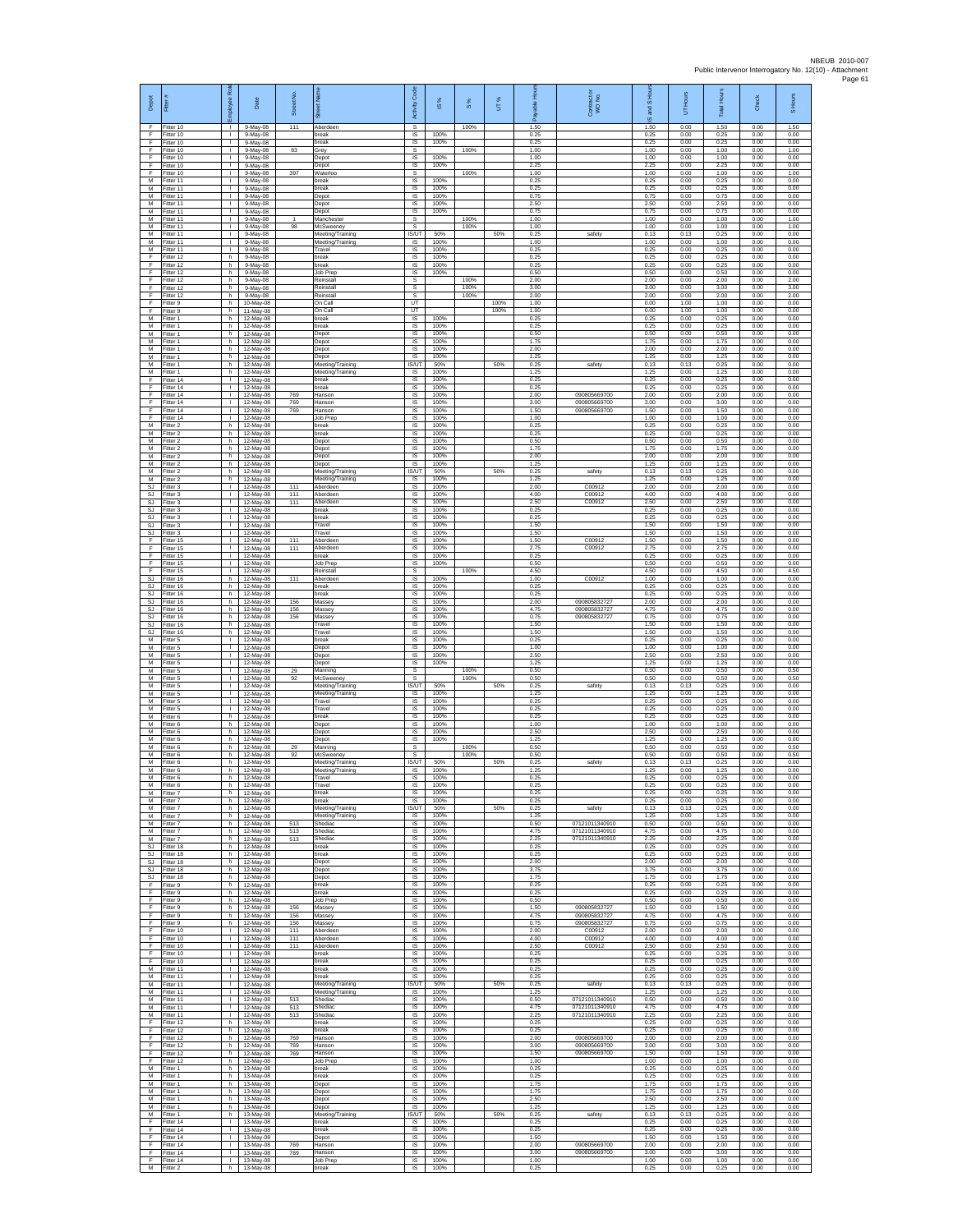| Depot                        | 륟                                             | ē<br>ployee                                  | Date                                | Street No.         | $\overline{R}$                                   | Code<br>Activity                  | $\frac{8}{3}$        | 8%           | UT%  | 。<br>王<br>able<br>டீ | Contract or<br>WO No.                              | S Hour<br>ma<br>$\overline{\omega}$ | UT Hours             | <b>Total Hours</b>   | Check                | S Hours              |
|------------------------------|-----------------------------------------------|----------------------------------------------|-------------------------------------|--------------------|--------------------------------------------------|-----------------------------------|----------------------|--------------|------|----------------------|----------------------------------------------------|-------------------------------------|----------------------|----------------------|----------------------|----------------------|
| E<br>F<br>Ŧ                  | Fitter 10<br>Fitter 10                        | л.<br>т.<br>$\mathbf{L}$                     | 9-May-08<br>9-May-08<br>9-May-08    | 111                | Aberdeen<br>break                                | s<br>$\sf IS$                     | 100%                 | 100%         |      | 1.50<br>0.25         |                                                    | 1.50<br>0.25                        | 0.00<br>0.00         | 1.50<br>0.25         | 0.00<br>0.00         | 1.50<br>0.00         |
| F<br>E                       | Fitter 10<br>Fitter 10<br>Fitter 10           | $\mathbf{L}$<br>$\mathbf{L}$                 | 9-May-08<br>9-May-08                | 83                 | break<br>Grev<br>Depot                           | $\sf IS$<br>s<br>IS               | 100%<br>100%         | 100%         |      | 0.25<br>1.00<br>1.00 |                                                    | 0.25<br>1.00<br>1.00                | 0.00<br>0.00<br>0.00 | 0.25<br>1.00<br>1.00 | 0.00<br>0.00<br>0.00 | 0.00<br>1.00<br>0.00 |
| Ŧ<br>F                       | Fitter 10<br>Fitter 10                        | τ.<br>$\mathbf{L}$                           | 9-May-08<br>9-May-08                | 397                | Depot<br>Waterloo                                | IS<br>s                           | 100%                 | 100%         |      | 2.25<br>1.00         |                                                    | 2.25<br>1.00                        | 0.00<br>0.00         | 2.25<br>1.00         | 0.00<br>0.00         | 0.00<br>1.00         |
| M<br>М                       | Fitter 11<br>Fitter 11                        | $\mathbf{L}$<br>$\mathbf{L}$                 | 9-May-08<br>9-May-08                |                    | break<br>hreak                                   | IS<br>IS                          | 100%<br>100%         |              |      | 0.25<br>0.25         |                                                    | 0.25<br>0.25                        | 0.00<br>0.00         | 0.25<br>0.25         | 0.00<br>0.00         | 0.00<br>0.00         |
| М<br>M<br>M                  | Fitter 11<br>Fitter 11<br>Fitter 11           | T.<br>$\mathbf{L}$<br>т.                     | 9-May-08<br>9-May-08<br>9-May-08    |                    | Depot<br>Depot<br>Depot                          | $\sf IS$<br>IS<br>IS              | 100%<br>100%<br>100% |              |      | 0.75<br>2.50<br>0.75 |                                                    | 0.75<br>2.50<br>0.75                | 0.00<br>0.00<br>0.00 | 0.75<br>2.50<br>0.75 | 0.00<br>0.00<br>0.00 | 0.00<br>0.00<br>0.00 |
| M<br>M                       | Fitter 11<br>Fitter 11                        | $\mathbf{I}$<br>т                            | 9-May-08<br>9-May-08                | $\mathbf{1}$<br>98 | Manchester<br>McSweeney                          | s<br>s                            |                      | 100%<br>100% |      | 1.00<br>1.00         |                                                    | 1.00<br>1.00                        | 0.00<br>0.00         | 1.00<br>1.00         | 0.00<br>0.00         | 1.00<br>1.00         |
| M<br>${\sf M}$               | Fitter 11<br>Fitter 11                        | л.<br>$\mathbf{L}$<br>τ.                     | 9-May-08<br>9-May-08                |                    | Meeting/Training<br>Meeting/Training<br>Travel   | <b>IS/UT</b><br>IS<br>IS          | 50%<br>100%<br>100%  |              | 50%  | 0.25<br>1.00<br>0.25 | safety                                             | 0.13<br>1.00<br>0.25                | 0.13<br>0.00<br>0.00 | 0.25<br>1.00<br>0.25 | 0.00<br>0.00<br>0.00 | 0.00<br>0.00<br>0.00 |
| М<br>F<br>F                  | Fitter 11<br>ltter <sub>12</sub><br>Fitter 12 | h<br>h.                                      | 9-May-08<br>9-May-08<br>9-May-08    |                    | reak<br>break                                    | IS<br>IS                          | 100%<br>100%         |              |      | 0.25<br>0.25         |                                                    | 0.25<br>0.25                        | 0.00<br>0.00         | 0.25<br>0.25         | 0.00<br>0.00         | 0.00<br>0.00         |
| $\mathsf F$<br>F             | Fitter 12<br>Fitter 12                        | h.<br>h                                      | 9-May-08<br>9-May-08                |                    | Job Prep<br>Reinstall                            | $\sf IS$<br>s                     | 100%                 | 1009         |      | 0.50<br>2.00         |                                                    | 0.50<br>2.00                        | 0.00<br>0.00         | 0.50<br>2.00         | 0.00<br>0.00         | 0.00<br>2.00         |
| -F<br>E<br>F                 | Fitter 12<br>Fitter 12<br>Fitter 9            | h.<br>h.<br>h                                | 9-May-08<br>9-May-08<br>10-May-08   |                    | Reinstall<br>Reinstall<br>On Call                | -S<br>s<br>UT                     |                      | 100%<br>100% | 100% | 3.00<br>2.00<br>1.00 |                                                    | 3.00<br>2.00<br>0.00                | 0.00<br>0.00<br>1.00 | 3.00<br>2.00<br>1.00 | 0.00<br>0.00<br>0.00 | 3.00<br>2.00<br>0.00 |
| Ŧ<br>M                       | Fitter 9<br>Fitter 1                          | h.<br>h.                                     | 11-May-08<br>12-May-08              |                    | On Call<br>break                                 | UT<br><b>IS</b>                   | 100%                 |              | 100% | 1.00<br>0.25         |                                                    | 0.00<br>0.25                        | 1.00<br>0.00         | 1.00<br>0.25         | 0.00<br>0.00         | 0.00<br>0.00         |
| ${\sf M}$<br>M               | itter 1<br>Fitter 1                           | h<br>h                                       | 12-May-08<br>12-May-08              |                    | break<br>Depot                                   | $\sf IS$<br>$\sf IS$              | 100%<br>100%         |              |      | 0.25<br>0.50         |                                                    | 0.25<br>0.50                        | 0.00<br>0.00         | 0.25<br>0.50         | 0.00<br>0.00         | 0.00<br>0.00         |
| M<br>M<br>M                  | Fitter 1<br>Fitter 1<br>Fitter 1              | h.<br>h.<br>h.                               | 12-May-08<br>12-May-08<br>12-May-08 |                    | Depot<br>Depot<br>Depot                          | IS<br>IS<br>IS                    | 100%<br>100%<br>100% |              |      | 1.75<br>2.00<br>1.25 |                                                    | 1.75<br>2.00<br>1.25                | 0.00<br>0.00<br>0.00 | 1.75<br>2.00<br>1.25 | 0.00<br>0.00<br>0.00 | 0.00<br>0.00<br>0.00 |
| М<br>M                       | fitter 1<br>Fitter 1                          | h<br>h.                                      | 12-May-08<br>12-May-08              |                    | Meeting/Training<br>Meeting/Training             | IS/UT<br><b>IS</b>                | 50%<br>100%          |              | 50%  | 0.25<br>1.25         | safety                                             | 0.13<br>1.25                        | 0.13<br>0.00         | 0.25<br>1.25         | 0.00<br>0.00         | 0.00<br>0.00         |
| $\mathsf F$<br>F<br>F.       | Fitter 14<br>Fitter 14                        | $\mathbf{L}$<br>T.<br>$\mathbf{L}$           | 12-May-08<br>12-May-08<br>12-May-08 | 769                | break<br>break                                   | IS.<br>$\sf IS$<br>IS             | 100%<br>100%<br>100% |              |      | 0.25<br>0.25<br>2.00 | 090805669700                                       | 0.25<br>0.25<br>2.00                | 0.00<br>0.00<br>0.00 | 0.25<br>0.25<br>2.00 | 0.00<br>0.00<br>0.00 | 0.00<br>0.00<br>0.00 |
| E<br>Ŧ                       | Fitter 14<br>Fitter 14<br>Fitter 14           | $\mathbf{L}$<br>т.                           | 12-May-08<br>12-May-08              | 769<br>769         | Hansor<br>Hanson<br>Hanson                       | IS<br>IS                          | 100%<br>100%         |              |      | 3.00<br>1.50         | 090805669700<br>090805669700                       | 3.00<br>1.50                        | 0.00<br>0.00         | 3.00<br>1.50         | 0.00<br>0.00         | 0.00<br>0.00         |
| Ŧ<br>M                       | Fitter 14<br>Fitter 2                         | $\mathbf{L}$<br>h.                           | 12-May-08<br>12-May-08              |                    | Job Prep<br>break                                | IS<br>IS                          | 100%<br>100%         |              |      | 1.00<br>0.25         |                                                    | 1.00<br>0.25                        | 0.00<br>0.00         | 1.00<br>0.25         | 0.00<br>0.00         | 0.00<br>0.00         |
| ${\sf M}$<br>М<br>M          | -itter 2<br>Fitter 2<br>Fitter 2              | h.<br>h.<br>h.                               | 12-May-08<br>12-May-08<br>12-May-08 |                    | break<br>Depot<br>Depot                          | IS<br>1S<br>IS                    | 100%<br>100%<br>100% |              |      | 0.25<br>0.50<br>1.75 |                                                    | 0.25<br>0.50<br>1.75                | 0.00<br>0.00<br>0.00 | 0.25<br>0.50<br>1.75 | 0.00<br>0.00<br>0.00 | 0.00<br>0.00<br>0.00 |
| M<br>${\sf M}$               | Fitter 2<br>Fitter 2                          | h<br>h.                                      | 12-May-08<br>12-May-08              |                    | Depot<br>Depot                                   | IS<br>IS                          | 100%<br>100%         |              |      | 2.00<br>1.25         |                                                    | 2.00<br>1.25                        | 0.00<br>0.00         | 2.00<br>1.25         | 0.00<br>0.00         | 0.00<br>0.00         |
| М<br>M<br>SJ.                | itter 2<br>Fitter 2<br>Fitter 3               | h<br>h.<br>л.                                | 12-May-08<br>12-May-08<br>12-May-08 | 111                | Meeting/Training<br>Meeting/Training<br>Aberdeen | IS/UT<br><b>IS</b><br>IS          | 50%<br>100%<br>100%  |              | 50%  | 0.25<br>1.25<br>2.00 | safety<br>C00912                                   | 0.13<br>1.25<br>200                 | 0.13<br>0.00<br>0.00 | 0.25<br>1.25<br>200  | 0.00<br>0.00<br>0.00 | 0.00<br>0.00<br>0.00 |
| SJ<br>SJ.                    | Fitter 3<br>Fitter 3                          | $\mathbf{I}$<br>$\mathbf{L}$                 | 12-May-08<br>12-May-08              | 111<br>111         | Aberdeen<br>Aberdeen                             | IS<br>IS                          | 100%<br>100%         |              |      | 4.00<br>2.50         | C00912<br>C00912                                   | 4.00<br>2.50                        | 0.00<br>0.00         | 4.00<br>2.50         | 0.00<br>0.00         | 0.00<br>0.00         |
| SJ<br>SJ                     | Fitter 3<br>-itter 3                          | $\mathbf{L}$<br>$\mathbf{L}$<br>$\mathbf{L}$ | 12-May-08<br>12-May-08              |                    | break<br>break                                   | IS<br>$\sf IS$                    | 100%<br>100%<br>100% |              |      | 0.25<br>0.25         |                                                    | 0.25<br>0.25                        | 0.00<br>0.00         | 0.25<br>0.25         | 0.00<br>0.00         | 0.00<br>0.00         |
| SJ<br>SJ.<br>E               | Fitter 3<br>Fitter 3<br>Fitter 15             | $\mathbf{L}$<br>$\mathbf{L}$                 | 12-May-08<br>12-May-08<br>12-May-08 | 111                | Travel<br>Travel<br>Aberdeer                     | $\sf IS$<br><b>IS</b><br>IS       | 100%<br>100%         |              |      | 1.50<br>1.50<br>1.50 | C00912                                             | 1.50<br>1.50<br>1.50                | 0.00<br>0.00<br>0.00 | 1.50<br>1.50<br>1.50 | 0.00<br>0.00<br>0.00 | 0.00<br>0.00<br>0.00 |
| Ŧ<br>F                       | Fitter 15<br>Fitter 15                        | H.<br>T.                                     | 12-May-08<br>12-May-08              | 111                | Aberdeen<br>oreak                                | IS<br>IS                          | 100%<br>100%         |              |      | 2.75<br>0.25         | C00912                                             | 2.75<br>0.25                        | 0.00<br>0.00         | 2.75<br>0.25         | 0.00<br>0.00         | 0.00<br>0.00         |
| F<br>F<br>SJ                 | Fitter 15<br>Fitter 15<br>Fitter 16           | т.<br>$\mathbf{L}$<br>h                      | 12-May-08<br>12-May-08<br>12-May-08 | 111                | Job Prep<br>Reinstall<br>Aberdeer                | IS<br>s<br>$\sf IS$               | 100%<br>100%         | 100%         |      | 0.50<br>4.50<br>1.00 | C0091                                              | 0.50<br>4.50<br>1.00                | 0.00<br>0.00<br>0.00 | 0.50<br>4.50<br>1.00 | 0.00<br>0.00<br>0.00 | 0.00<br>4.50<br>0.00 |
| SJ.<br>SJ.                   | Fitter 16<br>Fitter 16                        | h.<br>h.                                     | 12-May-08<br>12-May-08              |                    | break<br>break                                   | <b>IS</b><br>IS                   | 100%<br>100%         |              |      | 0.25<br>0.25         |                                                    | 0.25<br>0.25                        | 0.00<br>0.00         | 0.25<br>0.25         | 0.00<br>0.00         | 0.00<br>0.00         |
| <b>SJ</b><br>SJ<br>SJ.       | Fitter 16<br>Fitter 16<br>Fitter 16           | h<br>h.<br>h.                                | 12-May-08<br>12-May-08<br>12-May-08 | 156<br>156<br>156  | Massey<br>Massey<br>Massey                       | IS<br>IS<br><b>IS</b>             | 100%<br>100%<br>100% |              |      | 2.00<br>4.75<br>0.75 | 090805832727<br>090805832727<br>090805832727       | 2.00<br>4.75<br>0.75                | 0.00<br>0.00<br>0.00 | 2.00<br>4.75<br>0.75 | 0.00<br>0.00<br>0.00 | 0.00<br>0.00<br>0.00 |
| SJ<br>$\mathbb{S}\mathbb{J}$ | Fitter 16<br>Fitter 16                        | h.<br>h.                                     | 12-May-08<br>12-May-08              |                    | Travel<br>Travel                                 | IS<br>1S                          | 100%<br>100%         |              |      | 1.50<br>1.50         |                                                    | 1.50<br>1.50                        | 0.00<br>0.00         | 1.50<br>1.50         | 0.00<br>0.00         | 0.00<br>0.00         |
| M<br>M                       | Fitter 5<br>Fitter 5                          | $\mathbf{L}$<br>$\mathbf{L}$                 | 12-May-08<br>12-May-08              |                    | preak<br>Depot                                   | IS<br>IS                          | 100%<br>100%         |              |      | 0.25<br>1.00         |                                                    | 0.25<br>1.00                        | 0.00<br>0.00         | 0.25<br>1.00         | 0.00<br>0.00         | 0.00<br>0.00         |
| ${\sf M}$<br>М<br>M          | -itter 5<br>fitter 5<br>Fitter 5              | $\mathbf{L}$<br>т.<br>$\mathbf{L}$           | 12-May-08<br>12-May-08<br>12-May-08 | 29                 | Depot<br>Depot<br>Manning                        | $\sf IS$<br>IS<br>-S              | 100%<br>100%         | 100%         |      | 2.50<br>1.25<br>0.50 |                                                    | 2.50<br>1.25<br>0.50                | 0.00<br>0.00<br>0.00 | 2.50<br>1.25<br>0.50 | 0.00<br>0.00<br>0.00 | 0.00<br>0.00<br>0.50 |
| M<br>М                       | Fitter 5<br>Fitter 5                          | $\mathbf{L}$<br>т.                           | 12-May-08<br>12-May-08              | 92                 | McSweeney<br>Meeting/Training                    | s<br>IS/UT                        | 50%                  | 100%         | 50%  | 0.50<br>0.25         | safety                                             | 0.50<br>0.13                        | 0.00<br>0.13         | 0.50<br>0.25         | 0.00<br>0.00         | 0.50<br>0.00         |
| M<br>M<br>M                  | Fitter 5<br>Fitter 5<br>itter 5               | $\mathbf{L}$<br>$\mathbf{L}$<br>$\mathbf{L}$ | 12-May-08<br>12-May-08<br>12-May-08 |                    | Meeting/Training<br>Travel<br>Travel             | <b>IS</b><br><b>IS</b><br>IS      | 100%<br>100%<br>100% |              |      | 1.25<br>0.25<br>0.25 |                                                    | 1.25<br>0.25<br>0.25                | 0.00<br>0.00<br>0.00 | 1.25<br>0.25<br>0.25 | 0.00<br>0.00<br>0.00 | 0.00<br>0.00<br>0.00 |
| M<br>M                       | Fitter 6<br>Fitter 6                          | h.<br>h.                                     | 12-May-08<br>12-May-08              |                    | break<br>Depot                                   | $\sf IS$<br>IS                    | 100%<br>100%         |              |      | 0.25<br>1.00         |                                                    | 0.25<br>1.00                        | 0.00<br>0.00         | 0.25<br>1.00         | 0.00<br>0.00         | 0.00<br>0.00         |
| M<br>М<br>M                  | Fitter 6<br>Fitter 6<br>itter 6               | h.<br>h.<br>h.                               | 12-May-08<br>12-May-08<br>12-May-08 | 29                 | Depot<br>Depot<br>Manning                        | IS<br>IS<br>s                     | 100%<br>100%         | 100%         |      | 2.50<br>1.25<br>0.50 |                                                    | 2.50<br>1.25<br>0.50                | 0.00<br>0.00<br>0.00 | 2.50<br>1.25<br>0.50 | 0.00<br>0.00<br>0.00 | 0.00<br>0.00<br>0.50 |
| M<br>М                       | Fitter 6<br>-itter 6                          | h.<br>h.                                     | 12-May-08<br>12-May-08              | 92                 | McSweeney<br>Meeting/Training                    | -S<br>IS/UT                       | 50%                  | 100%         | 50%  | 0.50<br>0.25         | safety                                             | 0.50<br>0.13                        | 0.00<br>0.13         | 0.50<br>0.25         | 0.00<br>0.00         | 0.50<br>0.00         |
| M<br>M<br>M                  | Fitter 6<br>Fitter 6<br>Fitter 6              | h.<br>h.<br>h                                | 12-May-08<br>12-May-08              |                    | Meeting/Training<br>Travel<br>Travel             | $\sf IS$<br>IS<br><b>IS</b>       | 100%<br>100%<br>100% |              |      | 1.25<br>0.25<br>0.25 |                                                    | 1.25<br>0.25<br>0.25                | 0.00<br>0.00<br>0.00 | 1.25<br>0.25<br>0.25 | 0.00<br>0.00<br>0.00 | 0.00<br>0.00<br>0.00 |
| M<br>M                       | Fitter 7<br>Fitter 7                          | h<br>h                                       | 12-May-08<br>12-May-08<br>12-May-08 |                    | break<br>break                                   | IS<br>IS                          | 100%<br>100%         |              |      | 0.25<br>0.25         |                                                    | 0.25<br>0.25                        | 0.00<br>0.00         | 0.25<br>0.25         | 0.00<br>0.00         | 0.00<br>0.00         |
| M<br>M                       | Fitter 7<br>-itter 7                          | h.<br>h                                      | 12-May-08<br>12-May-08              |                    | Meeting/Training<br>Meeting/Training             | <b>IS/UT</b><br>IS                | 50%<br>100%          |              | 50%  | 0.25<br>1.25         | safety                                             | 0.13<br>1.25                        | 0.13<br>0.00         | 0.25<br>1.25         | 0.00<br>0.00         | 0.00<br>0.00         |
| ${\sf M}$<br>M<br>M          | Fitter 7<br>Fitter 7<br>Fitter 7              | h.<br>h.<br>h.                               | 12-May-08<br>12-May-08<br>12-May-08 | 513<br>513<br>513  | Shediac<br>Shediac<br>Shediac                    | 1S<br>IS<br>IS                    | 100%<br>100%<br>100% |              |      | 0.50<br>4.75<br>2.25 | 07121011340910<br>07121011340910<br>07121011340910 | 0.50<br>4.75<br>2.25                | 0.00<br>0.00<br>0.00 | 0.50<br>4.75<br>2.25 | 0.00<br>0.00<br>0.00 | 0.00<br>0.00<br>0.00 |
| SJ.<br>SJ                    | Fitter 18<br>Fitter 18                        | h.<br>h.                                     | 12-May-08<br>12-May-08              |                    | break<br>break                                   | IS<br>IS                          | 100%<br>100%         |              |      | 0.25<br>0.25         |                                                    | 0.25<br>0.25                        | 0.00<br>0.00         | 0.25<br>0.25         | 0.00<br>0.00         | 0.00<br>0.00         |
| SJ.<br><b>SJ</b><br>SJ       | Fitter 18<br>Fitter 18<br>Fitter 18           | h.<br>h.<br>h.                               | 12-May-08<br>12-May-08<br>12-May-08 |                    | Depot<br>Depot<br>Depot                          | IS<br>IS<br>IS                    | 100%<br>100%<br>100% |              |      | 2.00<br>3.75<br>1.75 |                                                    | 2.00<br>3.75<br>1.75                | 0.00<br>0.00<br>0.00 | 2.00<br>3.75<br>1.75 | 0.00<br>0.00<br>0.00 | 0.00<br>0.00<br>0.00 |
| -F<br>F.                     | Fitter 9<br>Fitter 9                          | h.<br>h.                                     | 12-May-08<br>12-May-08              |                    | break<br>break                                   | IS<br>IS.                         | 100%<br>100%         |              |      | 0.25<br>0.25         |                                                    | 0.25<br>0.25                        | 0.00<br>0.00         | 0.25<br>0.25         | 0.00<br>0.00         | 0.00<br>0.00         |
| $\mathsf F$<br>F<br>-F       | Fitter 9<br>Fitter 9<br>Fitter 9              | h.<br>h<br>h.                                | 12-May-08<br>12-May-08<br>12-May-08 | 156<br>156         | Job Prep<br>Massey<br>Massey                     | $\sf IS$<br>$\sf IS$<br>IS        | 100%<br>100%<br>100% |              |      | 0.50<br>1.50<br>4.75 | 090805832727<br>090805832727                       | 0.50<br>1.50<br>4.75                | 0.00<br>0.00<br>0.00 | 0.50<br>1.50<br>4.75 | 0.00<br>0.00<br>0.00 | 0.00<br>0.00<br>0.00 |
| -F<br>Ŧ                      | Fitter 9<br>Fitter 10                         | h.<br>H.                                     | 12-May-08<br>12-May-08              | 156<br>111         | Massey<br>Aberdeen                               | IS<br><b>IS</b>                   | 100%<br>100%         |              |      | 0.75<br>2.00         | 090805832727<br>C00912                             | 0.75<br>2.00                        | 0.00<br>0.00         | 0.75<br>2.00         | 0.00<br>0.00         | 0.00<br>0.00         |
| Ŧ<br>F<br>F.                 | Fitter 10<br>Fitter 10                        | $\mathbf{L}$<br>$\mathbf{L}$<br>$\mathbf{L}$ | 12-May-08<br>12-May-08              | 111<br>111         | Aberdeen<br>Aberdeen<br>break                    | IS<br>IS<br>IS.                   | 100%<br>100%<br>100% |              |      | 4.00<br>2.50<br>0.25 | C00912<br>C00912                                   | 4.00<br>2.50<br>0.25                | 0.00<br>0.00<br>0.00 | 4.00<br>2.50<br>0.25 | 0.00<br>0.00<br>0.00 | 0.00<br>0.00<br>0.00 |
| F<br>M                       | Fitter 10<br>Fitter 10<br>Fitter 11           | $\mathbf{L}$<br>$\mathbb{R}$                 | 12-May-08<br>12-May-08<br>12-May-08 |                    | break<br>break                                   | $\sf IS$<br><b>IS</b>             | 100%<br>100%         |              |      | 0.25<br>0.25         |                                                    | 0.25<br>0.25                        | 0.00<br>0.00         | 0.25<br>0.25         | 0.00<br>0.00         | 0.00<br>0.00         |
| M<br>M<br>M                  | Fitter 11<br>Fitter 11                        | $\mathbf{L}$<br>L.                           | 12-May-08<br>12-May-08              |                    | break<br>Meeting/Training                        | IS.<br><b>IS/UT</b>               | 100%<br>50%<br>100%  |              | 50%  | 0.25<br>0.25         | safety                                             | 0.25<br>0.13                        | 0.00<br>0.13         | 0.25<br>0.25         | 0.00<br>0.00         | 0.00<br>0.00         |
| M<br>M                       | Fitter 11<br>Fitter 11<br>Fitter 11           | $\mathbf{L}$<br>$\mathbf{L}$<br>$\mathbf{L}$ | 12-May-08<br>12-May-08<br>12-May-08 | 513<br>513         | Meeting/Training<br>Shediac<br>Shediac           | $\overline{s}$<br><b>IS</b><br>IS | 100%<br>100%         |              |      | 1.25<br>0.50<br>4.75 | 07121011340910<br>07121011340910                   | 1.25<br>0.50<br>4.75                | 0.00<br>0.00<br>0.00 | 1.25<br>0.50<br>4.75 | 0.00<br>0.00<br>0.00 | 0.00<br>0.00<br>0.00 |
| M<br>F                       | Fitter 11<br>Fitter 12                        | Τ.<br>h.                                     | 12-May-08<br>12-May-08              | 513                | Shediac<br>oreak                                 | <b>IS</b><br>IS                   | 100%<br>100%         |              |      | 2.25<br>0.25         | 07121011340910                                     | 2.25<br>0.25                        | 0.00<br>0.00         | 2.25<br>0.25         | 0.00<br>0.00         | 0.00<br>0.00         |
| F<br>F.<br>Ŧ                 | Fitter 12<br>Fitter 12<br>Fitter 12           | h.<br>h.<br>h.                               | 12-May-08<br>12-May-08<br>12-May-08 | 769<br>769         | break<br>Hanson<br>Hanson                        | IS<br>IS<br>IS                    | 100%<br>100%<br>100% |              |      | 0.25<br>2.00<br>3.00 | 090805669700<br>090805669700                       | 0.25<br>2.00<br>3.00                | 0.00<br>0.00<br>0.00 | 0.25<br>2.00<br>3.00 | 0.00<br>0.00<br>0.00 | 0.00<br>0.00<br>0.00 |
| -F<br>F.                     | Fitter 12<br>Fitter 12                        | h.<br>h                                      | 12-May-08<br>12-May-08              | 769                | Hanson<br>Job Prep                               | IS<br>IS.                         | 100%<br>100%         |              |      | 1.50<br>1.00         | 090805669700                                       | 1.50<br>1.00                        | 0.00<br>0.00         | 1.50<br>1.00         | 0.00<br>0.00         | 0.00<br>0.00         |
| M<br>M                       | Fitter 1<br>Fitter 1<br>M Fitter 1            | h.<br>h.<br>h.                               | 13-May-08<br>13-May-08              |                    | break<br>break<br>Depot                          | IS<br>IS<br><b>IS</b>             | 100%<br>100%<br>100% |              |      | 0.25<br>0.25<br>1.75 |                                                    | 0.25<br>0.25<br>1.75                | 0.00<br>0.00<br>0.00 | 0.25<br>0.25<br>1.75 | 0.00<br>0.00<br>0.00 | 0.00<br>0.00<br>0.00 |
| М<br>M                       | -itter 1<br>Fitter 1                          | h.<br>h                                      | 13-May-08<br>13-May-08<br>13-May-08 |                    | Depot<br>Depot                                   | $\sf IS$<br>$\sf IS$              | 100%<br>100%         |              |      | 1.75<br>2.50         |                                                    | 1.75<br>2.50                        | 0.00<br>0.00         | 1.75<br>2.50         | 0.00<br>0.00         | 0.00<br>0.00         |
| M<br>M<br>F                  | Fitter 1<br>Fitter 1<br>Fitter 14             | h.<br>h.<br>H.                               | 13-May-08<br>13-May-08<br>13-May-08 |                    | Depot<br>Meeting/Training<br>break               | IS<br>IS/UT<br><b>IS</b>          | 100%<br>50%<br>100%  |              | 50%  | 1.25<br>0.25<br>0.25 | safety                                             | 1.25<br>0.13<br>0.25                | 0.00<br>0.13<br>0.00 | 1.25<br>0.25<br>0.25 | 0.00<br>0.00<br>0.00 | 0.00<br>0.00<br>0.00 |
| F<br>-F                      | ltter 14<br>Fitter 14                         | T.<br>л.                                     | 13-May-08<br>13-May-08              |                    | preak<br>Depot                                   | IS<br>IS                          | 100%<br>100%         |              |      | 0.25<br>1.50         |                                                    | 0.25<br>1.50                        | 0.00<br>0.00         | 0.25<br>1.50         | 0.00<br>0.00         | 0.00<br>0.00         |
| F.<br>F<br>-F                | Fitter 14<br>Fitter 14                        | $\mathbf{L}$<br>T.<br>$\mathbf{L}$           | 13-May-08<br>13-May-08<br>13-May-08 | 769<br>769         | Hanson<br>Hanson                                 | IS<br>$\sf IS$<br>IS              | 100%<br>100%<br>100% |              |      | 2.00<br>3.00<br>1.00 | 090805669700<br>090805669700                       | 2.00<br>3.00<br>1.00                | 0.00<br>0.00<br>0.00 | 2.00<br>3.00<br>1.00 | 0.00<br>0.00<br>0.00 | 0.00<br>0.00<br>0.00 |
|                              | Fitter 14<br>M Fitter 2                       | h.                                           | 13-May-08                           |                    | Job Prep<br>break                                | IS.                               | 100%                 |              |      | 0.25                 |                                                    | 0.25                                | 0.00                 | 0.25                 | 0.00                 | 0.00                 |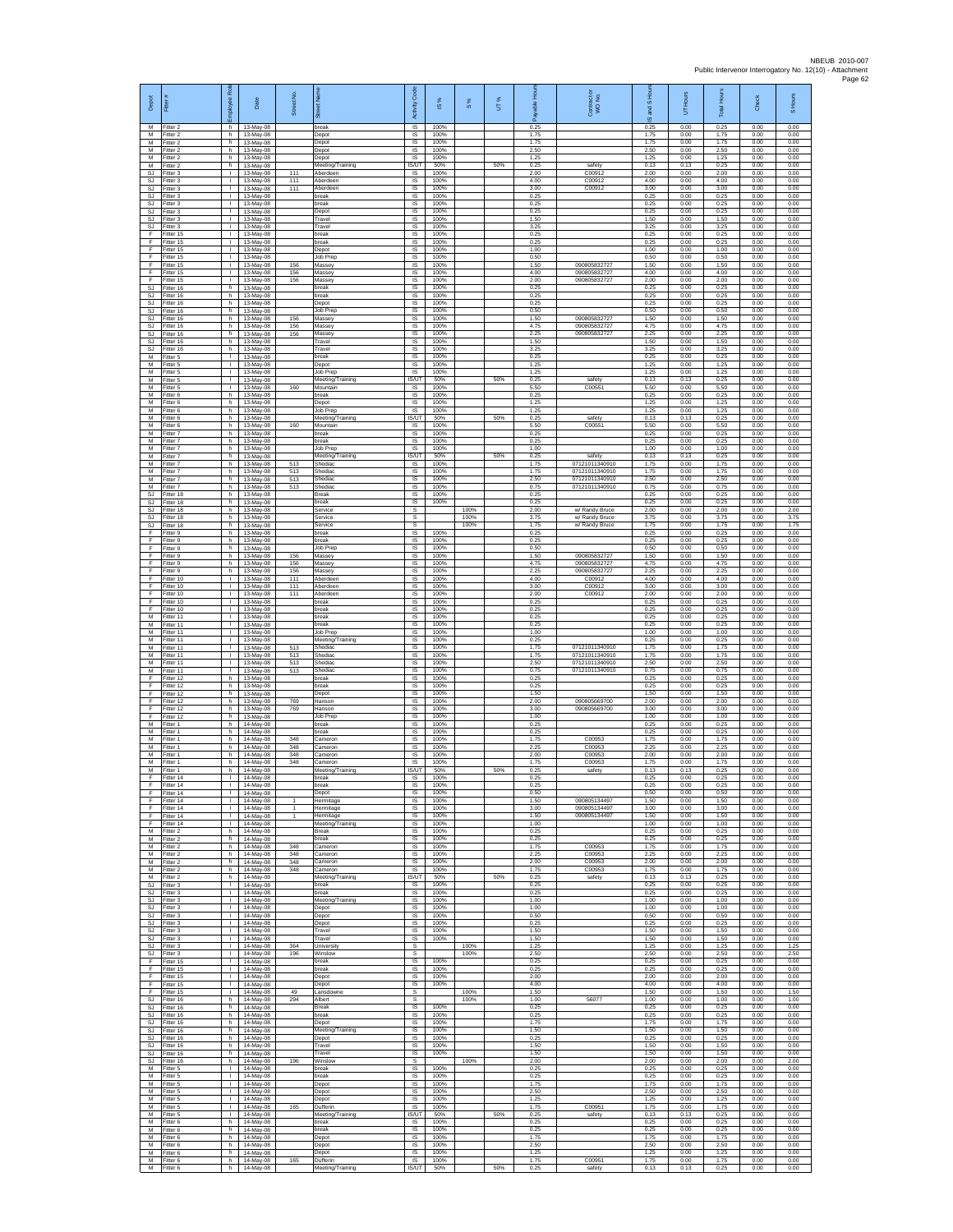| Depot                                      | Fiter                                  | Rol<br>loyee                                 | Date                                  | Street No.         |                                           | Code<br>Activity                  | IS %                 | 8%           | UT% | able Hou<br>இ        | Contract or<br>WO No.                              | and S Hou<br>$\overline{9}$ | UT Hours             | Total Hours          | Check                | S Hours              |
|--------------------------------------------|----------------------------------------|----------------------------------------------|---------------------------------------|--------------------|-------------------------------------------|-----------------------------------|----------------------|--------------|-----|----------------------|----------------------------------------------------|-----------------------------|----------------------|----------------------|----------------------|----------------------|
| M<br>M<br>M                                | Fitter 2<br>Fitter 2<br>Fitter 2       | h.<br>h.<br>h                                | 13-May-08<br>13-May-08<br>13-May-08   |                    | break<br>Depot<br>Depot                   | <b>IS</b><br>$\sf IS$<br>$\sf IS$ | 100%<br>100%<br>100% |              |     | 0.25<br>1.75<br>1.75 |                                                    | 0.25<br>1.75<br>1.75        | 0.00<br>0.00<br>0.00 | 0.25<br>1.75<br>1.75 | 0.00<br>0.00<br>0.00 | 0.00<br>0.00<br>0.00 |
| M<br>M                                     | Fitter 2<br>Fitter 2                   | h.<br>h                                      | 13-May-08<br>13-May-08                |                    | Depot<br>Depot                            | <b>IS</b><br><b>IS</b>            | 100%<br>100%         |              |     | 2.50<br>1 25         |                                                    | 2.50<br>1.25                | 0.00<br>0.00         | 2.50<br>1.25         | 0.00<br>0.00         | 0.00<br>0.00         |
| M<br>SJ                                    | -itter 2<br>Fitter 3                   | h.<br>$\mathbf{L}$                           | 13-May-08<br>13-May-08                | 111                | Meeting/Training<br>Aberdeen              | IS/UT<br>IS                       | 50%<br>100%          |              | 50% | 0.25<br>2.00         | safety<br>C00912                                   | 0.13<br>2.00                | 0.13<br>0.00         | 0.25<br>2.00         | 0.00<br>0.00         | 0.00<br>0.00         |
| SJ<br>SJ                                   | Fitter 3<br>-itter 3                   | $\mathbf{L}$<br>$\mathbb{R}$                 | 13-May-08<br>13-May-08                | 111<br>111         | Aberdeen<br>Aberdeen                      | <b>IS</b><br>IS                   | 100%<br>100%         |              |     | 4.00<br>3.00         | C00912<br>C00912                                   | 4.00<br>3.00                | 0.00<br>0.00         | 4.00<br>3.00         | 0.00<br>0.00         | 0.00<br>0.00         |
| SJ<br>SJ.<br>SJ                            | Fitter 3<br>Fitter 3<br>Fitter 3       | $\mathbf{L}$<br>$\mathbf{L}$<br>$\mathbf{I}$ | 13-May-08<br>13-May-08<br>13-May-08   |                    | break<br>reak<br>Depot                    | $\sf IS$<br>IS<br>IS              | 100%<br>100%<br>100% |              |     | 0.25<br>0.25<br>0.25 |                                                    | 0.25<br>0.25<br>0.25        | 0.00<br>0.00<br>0.00 | 0.25<br>0.25<br>0.25 | 0.00<br>0.00<br>0.00 | 0.00<br>0.00<br>0.00 |
| SJ<br>SJ                                   | Fitter 3<br>Fitter 3                   | Τ.<br>т.                                     | 13-May-08<br>13-May-08                |                    | Travel<br>Travel                          | IS<br>IS                          | 100%<br>100%         |              |     | 1.50<br>3.25         |                                                    | 1.50<br>3.25                | 0.00<br>0.00         | 1.50<br>3.25         | 0.00<br>0.00         | 0.00<br>0.00         |
| F<br>F                                     | Fitter 15<br>Fitter 15                 | $\mathbf{L}$<br>$\mathbf{L}$                 | 13-May-08<br>13-May-08                |                    | break<br>break                            | -IS<br>IS                         | 100%<br>100%         |              |     | 0.25<br>0.25         |                                                    | 0.25<br>0.25                | 0.00<br>0.00         | 0.25<br>0.25         | 0.00<br>0.00         | 0.00<br>0.00         |
| F<br>F.<br>F                               | Fitter 15<br>Fitter 15<br>Fitter 15    | L.<br>$\mathbf{L}$<br><b>ILL ST</b>          | 13-May-08<br>13-May-08<br>13-May-08   | 156                | Depot<br>Job Prep<br>Massey               | IS<br>IS<br>IS                    | 100%<br>100%<br>100% |              |     | 1.00<br>0.50<br>1.50 | 090805832727                                       | 1.00<br>0.50<br>1.50        | 0.00<br>0.00<br>0.00 | 1.00<br>0.50<br>1.50 | 0.00<br>0.00<br>0.00 | 0.00<br>0.00<br>0.00 |
| F<br>Ŧ                                     | Fitter 15<br>Fitter 15                 | $\mathbf{L}$<br>$\mathbf{L}$                 | 13-May-08<br>13-May-08                | 156<br>156         | Massey<br>Massey                          | IS<br>1S                          | 100%<br>100%         |              |     | 4.00<br>2.00         | 090805832727<br>090805832727                       | 4.00<br>2.00                | 0.00<br>0.00         | 4.00<br>2.00         | 0.00<br>0.00         | 0.00<br>0.00         |
| <b>SJ</b><br>SJ                            | Fitter 16<br>Fitter 16                 | h.<br>h                                      | 13-May-08<br>13-May-08                |                    | break<br>oreak                            | <b>IS</b><br>IS                   | 100%<br>100%         |              |     | 0.25<br>0.25         |                                                    | 0.25<br>0.25                | 0.00<br>0.00         | 0.25<br>0.25         | 0.00<br>0.00         | 0.00<br>0.00         |
| $\mathbb{S}\mathbb{J}$<br>SJ.<br><b>SJ</b> | Fitter 16<br>Fitter 16                 | h.<br>h<br>h.                                | 13-May-08<br>13-May-08                | 156                | Depot<br>Job Prep<br>Massey               | IS<br>IS<br>-IS                   | 100%<br>100%<br>100% |              |     | 0.25<br>0.50<br>1.50 | 090805832727                                       | 0.25<br>0.50<br>1.50        | 0.00<br>0.00<br>0.00 | 0.25<br>0.50<br>1.50 | 0.00<br>0.00<br>0.00 | 0.00<br>0.00<br>0.00 |
| <b>SJ</b><br>SJ                            | Fitter 16<br>Fitter 16<br>Fitter 16    | h.<br>h                                      | 13-May-08<br>13-May-08<br>13-May-08   | 156<br>156         | Massey<br>Massey                          | $\sf IS$<br>IS                    | 100%<br>100%         |              |     | 4.75<br>2.25         | 090805832727<br>090805832727                       | 4.75<br>2.25                | 0.00<br>0.00         | 4.75<br>2.25         | 0.00<br>0.00         | 0.00<br>0.00         |
| <b>SJ</b><br>SJ.                           | Fitter 16<br>Fitter 16                 | h.<br>h                                      | 13-May-08<br>13-May-08                |                    | Travel<br>Travel                          | <b>IS</b><br>IS                   | 100%<br>100%         |              |     | 1.50<br>3.25         |                                                    | 1.50<br>3.25                | 0.00<br>0.00         | 1.50<br>3.25         | 0.00<br>0.00         | 0.00<br>0.00         |
| M<br>М<br>M                                | Fitter 5<br>Fitter 5<br>Fitter 5       | $\mathbf{I}$<br>$\mathbf{L}$<br>$\mathbf{L}$ | 13-May-08<br>13-May-08<br>13-May-08   |                    | oreak<br>Depot<br>Job Prep                | IS<br>IS<br><b>IS</b>             | 100%<br>100%<br>100% |              |     | 0.25<br>1.25<br>1.25 |                                                    | 0.25<br>1.25<br>1.25        | 0.00<br>0.00<br>0.00 | 0.25<br>1.25<br>1.25 | 0.00<br>0.00<br>0.00 | 0.00<br>0.00<br>0.00 |
| ${\sf M}$<br>М                             | -itter 5<br>Fitter 5                   | $\mathbf{L}$<br>$\mathbf{L}$                 | 13-May-08<br>13-May-08                | 160                | Meeting/Training<br>Mountain              | IS/UT<br>$\sf IS$                 | 50%<br>100%          |              | 50% | 0.25<br>5.50         | safety<br>C00551                                   | 0.13<br>5.50                | 0.13<br>0.00         | 0.25<br>5.50         | 0.00<br>0.00         | 0.00<br>0.00         |
| M<br>M                                     | Fitter 6<br>Fitter 6                   | h.<br>h                                      | 13-May-08<br>13-May-08                |                    | break<br>Depot                            | IS<br>IS                          | 100%<br>100%         |              |     | 0.25<br>1.25         |                                                    | 0.25<br>1.25                | 0.00<br>0.00         | 0.25<br>1.25         | 0.00<br>0.00         | 0.00<br>0.00         |
| M<br>M<br>M                                | Fitter 6<br>Fitter 6<br>Fitter 6       | h.<br>h.<br>h.                               | 13-May-08<br>13-May-08<br>13-May-08   | 160                | Job Prep<br>Meeting/Training<br>Mountain  | IS<br>IS/UT<br>-IS                | 100%<br>50%<br>100%  |              | 50% | 1.25<br>0.25<br>5.50 | safety<br>C0055                                    | 1.25<br>0.13<br>5.50        | 0.00<br>0.13<br>0.00 | 1.25<br>0.25<br>5.50 | 0.00<br>0.00<br>0.00 | 0.00<br>0.00<br>0.00 |
| M<br>M                                     | Fitter 7<br>Fitter 7                   | h<br>h.                                      | 13-May-08<br>13-May-08                |                    | break<br>break                            | IS<br>IS                          | 100%<br>100%         |              |     | 0.25<br>0.25         |                                                    | 0.25<br>0.25                | 0.00<br>0.00         | 0.25<br>0.25         | 0.00<br>0.00         | 0.00<br>0.00         |
| M<br>M                                     | Fitter 7<br>Fitter 7                   | h.<br>h.                                     | 13-May-08<br>13-May-08                |                    | Job Prep<br>Meeting/Training              | IS<br><b>IS/UT</b>                | 100%<br>50%          |              | 50% | 1.00<br>0.25         | safety                                             | 1.00<br>0.13                | 0.00<br>0.13         | 1.00<br>0.25         | 0.00<br>0.00         | 0.00<br>0.00         |
| M<br>M<br>M                                | -itter 7<br>Fitter 7<br>Fitter 7       | h.<br>h.<br>h.                               | 13-May-08<br>13-May-08<br>13-May-08   | 513<br>513<br>513  | Shediac<br>Shediac<br>Shediac             | IS<br>1S<br><b>IS</b>             | 100%<br>100%<br>100% |              |     | 1.75<br>1.75<br>2.50 | 07121011340910<br>07121011340910<br>07121011340910 | 1.75<br>1.75<br>2.50        | 0.00<br>0.00<br>0.00 | 1.75<br>1.75<br>2.50 | 0.00<br>0.00<br>0.00 | 0.00<br>0.00<br>0.00 |
| М<br>$\mathbb{S}\mathbb{J}$                | Fitter 7<br>Fitter 18                  | h<br>h.                                      | 13-May-08<br>13-May-08                | 513                | Shediac<br>Break                          | IS<br>IS                          | 100%<br>100%         |              |     | 0.75<br>0.25         | 07121011340910                                     | 0.75<br>0.25                | 0.00<br>0.00         | 0.75<br>0.25         | 0.00<br>0.00         | 0.00<br>0.00         |
| SJ.<br>SJ                                  | -itter 18<br>Fitter 18                 | h.<br>h.                                     | 13-May-08<br>13-May-08                |                    | oreak<br>Service                          | IS<br><b>s</b>                    | 100%                 | 100%         |     | 0.25<br>2.00         | w/ Randy Bruce                                     | 0.25<br>2.00                | 0.00<br>0.00         | 0.25<br>2.00         | 0.00<br>0.00         | 0.00<br>2.00         |
| SJ<br>SJ<br>-F                             | Fitter 18<br>Fitter 18<br>Fitter 9     | h.<br>h<br>h.                                | 13-May-08<br>13-May-08<br>13-May-08   |                    | Service<br>Service<br>break               | $\mathbb S$<br>s<br>IS            | 100%                 | 100%<br>100% |     | 3.75<br>1.75<br>0.25 | w/ Randy Bruce<br>w/ Randy Bruce                   | 3.75<br>1.75<br>0.25        | 0.00<br>0.00<br>0.00 | 3.75<br>1.75<br>0.25 | 0.00<br>0.00<br>0.00 | 3.75<br>1.75<br>0.00 |
| -F.<br>Ŧ                                   | Fitter 9<br>Fitter 9                   | h.<br>h.                                     | 13-May-08<br>13-May-08                |                    | <b>oreak</b><br>Job Prep                  | IS<br>IS                          | 100%<br>100%         |              |     | 0.25<br>0.50         |                                                    | 0.25<br>0.50                | 0.00<br>0.00         | 0.25<br>0.50         | 0.00<br>0.00         | 0.00<br>0.00         |
| Ŧ<br>E                                     | Fitter 9<br>Fitter 9                   | h.<br>h.                                     | 13-May-08<br>13-May-08                | 156<br>156         | Massey<br>Massey                          | IS<br><b>IS</b>                   | 100%<br>100%         |              |     | 1.50<br>4.75         | 090805832727<br>090805832727                       | 1.50<br>4.75                | 0.00<br>0.00         | 1.50<br>4.75         | 0.00<br>0.00         | 0.00<br>0.00         |
| $\mathsf F$<br>F<br>F                      | -itter 9<br>Fitter 10<br>Fitter 10     | h<br>$\mathbf{L}$<br>$\mathbf{L}$            | 13-May-08<br>13-May-08<br>13-May-08   | 156<br>111<br>111  | Massey<br>Aberdeer<br>Aberdeer            | IS<br>$\sf IS$<br>IS              | 100%<br>100%<br>100% |              |     | 2.25<br>4.00<br>3.00 | 090805832727<br>C00912<br>C00912                   | 2.25<br>4.00<br>3.00        | 0.00<br>0.00<br>0.00 | 2.25<br>4.00<br>3.00 | 0.00<br>0.00<br>0.00 | 0.00<br>0.00<br>0.00 |
| F<br>Ŧ                                     | Fitter 10<br>Fitter 10                 | $\mathbf{I}$<br>Τ.                           | 13-May-08<br>13-May-08                | 111                | Aberdeer<br>break                         | IS<br>IS                          | 100%<br>100%         |              |     | 2.00<br>0.25         | C00912                                             | 2.00<br>0.25                | 0.00<br>0.00         | 2.00<br>0.25         | 0.00<br>0.00         | 0.00<br>0.00         |
| F<br>$\overline{M}$                        | Fitter 10<br>Fitter 11                 | т.<br>$\mathbf{L}$                           | 13-May-08<br>13-May-08                |                    | oreak<br>break                            | IS<br>-IS                         | 100%<br>100%         |              |     | 0.25<br>0.25         |                                                    | 0.25<br>0.25                | 0.00<br>0.00         | 0.25<br>0.25         | 0.00<br>0.00         | 0.00<br>0.00         |
| M<br>M<br>M                                | Fitter 11<br>Fitter 11<br>Fitter 11    | $\mathbf{L}$<br>L.<br>$\mathbf{L}$           | 13-May-08<br>13-May-08<br>13-May-08   |                    | preak<br>Job Prep<br>Meeting/Training     | IS<br>IS<br>IS                    | 100%<br>100%<br>100% |              |     | 0.25<br>1.00<br>0.25 |                                                    | 0.25<br>1.00<br>0.25        | 0.00<br>0.00<br>0.00 | 0.25<br>1.00<br>0.25 | 0.00<br>0.00<br>0.00 | 0.00<br>0.00<br>0.00 |
| M<br>M                                     | Fitter 11<br>Fitter 11                 | <b>ILL ST</b><br>$\mathbf{L}$                | 13-May-08<br>13-May-08                | 513<br>513         | Shediac<br>Shediac                        | IS<br>IS                          | 100%<br>100%         |              |     | 1.75<br>1.75         | 07121011340910<br>07121011340910                   | 1.75<br>1.75                | 0.00<br>0.00         | 1.75<br>1.75         | 0.00<br>0.00         | 0.00<br>0.00         |
| M<br>M<br>F                                | Fitter 11<br>Fitter 11<br>Fitter 12    | $\mathbf{L}$<br>$\mathbf{L}$<br>h            | 13-May-08<br>13-May-08<br>13-May-08   | 513<br>513         | Shediac<br>Shediac<br>reak                | 1S<br><b>IS</b><br>IS             | 100%<br>100%<br>100% |              |     | 2.50<br>0.75<br>0.25 | 07121011340910<br>07121011340910                   | 2.50<br>0.75<br>0.25        | 0.00<br>0.00<br>0.00 | 2.50<br>0.75<br>0.25 | 0.00<br>0.00<br>0.00 | 0.00<br>0.00<br>0.00 |
| F<br>F                                     | Fitter 12<br>Fitter 12                 | h.<br>h.                                     | 13-May-08<br>13-May-08                |                    | break<br>Depot                            | IS<br>IS                          | 100%<br>100%         |              |     | 0.25<br>1.50         |                                                    | 0.25<br>1.50                | 0.00<br>0.00         | 0.25<br>1.50         | 0.00<br>0.00         | 0.00<br>0.00         |
| F<br>F                                     | Fitter 12<br>ltter 12                  | h.<br>h.                                     | 13-May-08<br>13-May-08                | 769<br>769         | Hanson<br>lanson                          | -IS<br>$\sf IS$                   | 100%<br>100%         |              |     | 2.00<br>3.00         | 090805669700<br>090805669700                       | 2.00<br>3.00                | 0.00<br>0.00         | 2.00<br>3.00         | 0.00<br>0.00         | 0.00<br>0.00         |
| F<br>$\overline{M}$<br>M                   | Fitter 12<br>Fitter 1<br>Fitter 1      | h<br>h.<br>h                                 | 13-May-08<br>14-May-08<br>14-May-08   |                    | Job Prep<br>break<br>preak                | IS<br><b>IS</b><br>IS             | 100%<br>100%<br>100% |              |     | 1.00<br>0.25<br>0.25 |                                                    | 1.00<br>0.25<br>0.25        | 0.00<br>0.00<br>0.00 | 1.00<br>0.25<br>0.25 | 0.00<br>0.00<br>0.00 | 0.00<br>0.00<br>0.00 |
| M<br>M                                     | -itter 1<br>Fitter 1                   | h.<br>h.                                     | 14-May-08<br>14-May-08                | 348<br>348         | ameron<br>Cameron                         | IS<br>IS                          | 100%<br>100%         |              |     | 1.75<br>2.25         | C00953<br>C00953                                   | 1.75<br>2.25                | 0.00<br>0.00         | 1.75<br>2.25         | 0.00<br>0.00         | 0.00<br>0.00         |
| M<br>${\sf M}$                             | Fitter 1<br>-itter 1                   | h.<br>h                                      | 14-May-08<br>14-May-08                | 348<br>348         | Cameron<br>ameron,                        | <b>IS</b><br>IS                   | 100%<br>100%         |              |     | 2.00<br>1.75         | C00953<br>C00953                                   | 2.00<br>1.75                | 0.00<br>0.00         | 2.00<br>1.75         | 0.00<br>0.00         | 0.00<br>0.00         |
| М<br>F<br>E                                | Fitter 1<br>Fitter 14<br>Fitter 14     | h<br>$\mathbf{L}$<br>H.                      | 14-May-08<br>14-May-08<br>14-May-08   |                    | Meeting/Training<br>break<br>break        | IS/UT<br><b>IS</b><br><b>IS</b>   | 50%<br>100%<br>100%  |              | 50% | 0.25<br>0.25<br>0.25 | safety                                             | 0.13<br>0.25<br>0.25        | 0.13<br>0.00<br>0.00 | 0.25<br>0.25<br>0.25 | 0.00<br>0.00<br>0.00 | 0.00<br>0.00<br>0.00 |
| Ŧ<br>Ŧ                                     | Fitter 14<br>Fitter 14                 | т.<br>т.                                     | 14-May-08<br>14-May-08                | -1                 | Depot<br>Hermitage                        | IS<br>IS                          | 100%<br>100%         |              |     | 0.50<br>1.50         | 09080513449                                        | 0.50<br>1.50                | 0.00<br>0.00         | 0.50<br>1.50         | 0.00<br>0.00         | 0.00<br>0.00         |
| -F<br>F                                    | Fitter 14<br>Fitter 14                 | <b>I</b><br><b>ILL S</b>                     | $14$ -May-08<br>14-May-08             | -1<br>$\mathbf{1}$ | Hermitage<br>Hermitage                    | -IS<br>IS                         | 100%<br>100%         |              |     | 3.00<br>1.50         | 090805134497<br>090805134497                       | 3.00<br>1.50                | 0.00<br>0.00         | 3.00<br>1.50         | 0.00<br>0.00         | 0.00<br>0.00         |
| F<br>M<br>M                                | Fitter 14<br>Fitter 2<br>Fitter 2      | L.<br>h.<br>h.                               | 14-May-08<br>14-May-08<br>14-May-08   |                    | Meeting/Training<br><b>Break</b><br>break | IS<br>IS<br>IS                    | 100%<br>100%<br>100% |              |     | 1.00<br>0.25<br>0.25 |                                                    | 1.00<br>0.25<br>0.25        | 0.00<br>0.00<br>0.00 | 1.00<br>0.25<br>0.25 | 0.00<br>0.00<br>0.00 | 0.00<br>0.00<br>0.00 |
| M<br>M                                     | Fitter 2<br>Fitter 2                   | h.<br>h.                                     | 14-May-08<br>14-May-08                | 348<br>348         | Cameron<br>Cameron                        | IS<br>1S                          | 100%<br>100%         |              |     | 1.75<br>2.25         | C00953<br>C00953                                   | 1.75<br>2.25                | 0.00<br>0.00         | 1.75<br>2.25         | 0.00<br>0.00         | 0.00<br>0.00         |
| M<br>M<br>M                                | Fitter 2<br>Fitter 2                   | h.<br>h.<br>h.                               | 14-May-08<br>14-May-08                | 348<br>348         | Cameron<br>Cameron                        | <b>IS</b><br>IS<br><b>IS/UT</b>   | 100%<br>100%<br>50%  |              | 50% | 2.00<br>1.75<br>0.25 | C00953<br>C00953<br>safety                         | 2.00<br>1.75<br>0.13        | 0.00<br>0.00<br>0.13 | 2.00<br>1.75<br>0.25 | 0.00<br>0.00<br>0.00 | 0.00<br>0.00<br>0.00 |
| SJ.<br>SJ                                  | Fitter 2<br>Fitter 3<br>Fitter 3       | $\mathbf{L}$                                 | 14-May-08<br>$14-Mav-08$<br>14-May-08 |                    | Meeting/Training<br>break<br>break        | IS<br>- IS                        | 100%<br>100%         |              |     | 0.25<br>0.25         |                                                    | 0.25<br>0.25                | 0.00<br>0.00         | 0.25<br>0.25         | 0.00<br>0.00         | 0.00<br>0.00         |
| SJ.<br>SJ                                  | Fitter 3<br>Fitter 3                   | $\mathbb{R}$<br>$\mathbf{I}$                 | 14-May-08<br>14-May-08                |                    | Meeting/Training<br>Depot                 | IS<br>$\sf IS$                    | 100%<br>100%         |              |     | 1.00<br>1.00         |                                                    | 1.00<br>1.00                | 0.00<br>0.00         | 1.00<br>1.00         | 0.00<br>0.00         | 0.00<br>0.00         |
| SJ.<br>S.I.<br>SJ                          | Fitter 3<br>Fitter 3<br>Fitter 3       | $\mathbf{L}$<br>H.<br>$\mathbf{L}$           | 14-May-08<br>14-May-08<br>14-May-08   |                    | Depot<br>Depot<br>Travel                  | - IS<br>IS<br>IS                  | 100%<br>100%<br>100% |              |     | 0.50<br>0.25<br>1.50 |                                                    | 0.50<br>0.25<br>1.50        | 0.00<br>0.00<br>0.00 | 0.50<br>0.25<br>1.50 | 0.00<br>0.00<br>0.00 | 0.00<br>0.00<br>0.00 |
| SJ<br><b>SJ</b>                            | Fitter 3<br>Fitter 3                   | $\mathbb{R}$<br>$\mathbf{I}$                 | 14-May-08<br>14-May-08                | 364                | Travel<br>University                      | 1S<br>s                           | 100%                 | 100%         |     | 1.50<br>1.25         |                                                    | 1.50<br>1.25                | 0.00<br>0.00         | 1.50<br>1.25         | 0.00<br>0.00         | 0.00<br>1.25         |
| SJ<br>F                                    | Fitter 3<br>Fitter 15                  | $\mathbf{L}$<br>$\mathbf{L}$                 | 14-May-08<br>14-May-08                | 196                | Winslow<br>break                          | s<br>$\sf IS$                     | 100%                 | 100%         |     | 2.50<br>0.25         |                                                    | 2.50<br>0.25                | 0.00<br>0.00         | 2.50<br>0.25         | 0.00<br>0.00         | 2.50<br>0.00         |
| F<br>E<br>Ŧ                                | Fitter 15<br>Fitter 15<br>Fitter 15    | $\mathbf{L}$<br>$\mathbf{I}$<br>$\mathbf{L}$ | 14-May-08<br>14-May-08<br>14-May-08   |                    | break<br>Depot<br>Depot                   | IS<br>IS<br>1S                    | 100%<br>100%<br>100% |              |     | 0.25<br>2.00<br>4.00 |                                                    | 0.25<br>2.00<br>4.00        | 0.00<br>0.00<br>0.00 | 0.25<br>2.00<br>4.00 | 0.00<br>0.00<br>0.00 | 0.00<br>0.00<br>0.00 |
| Ŧ<br>-SJ                                   | Fitter 15<br>Fitter 16                 | $\mathbf{L}$<br>h.                           | 14-May-08<br>14-May-08                | 49<br>294          | ansdowne<br>Albert                        | s<br>s                            |                      | 100%<br>100% |     | 1.50<br>1.00         | 56077                                              | 1.50<br>1.00                | 0.00<br>0.00         | 1.50<br>1.00         | 0.00<br>0.00         | 1.50<br>1.00         |
| SJ<br>SJ                                   | Fitter 16<br>Fitter 16                 | h<br>h.                                      | 14-May-08<br>14-May-08                |                    | <b>Break</b><br>break                     | IS<br>IS                          | 100%<br>100%<br>100% |              |     | 0.25<br>0.25         |                                                    | 0.25<br>0.25                | 0.00<br>0.00         | 0.25<br>0.25         | 0.00<br>0.00         | 0.00<br>0.00         |
| SJ.<br>SJ                                  | Fitter 16<br>SJ Fitter 16<br>Fitter 16 | h.<br>h I<br>h.                              | 14-May-08<br>14-May-08<br>14-May-08   |                    | Depot<br>Meeting/Training<br>Depot        | IS<br>IS<br>IS                    | 100%<br>100%         |              |     | 1.75<br>1.50<br>0.25 |                                                    | 1.75<br>1.50<br>0.25        | 0.00<br>0.00<br>0.00 | 1.75<br>1.50<br>0.25 | 0.00<br>0.00<br>0.00 | 0.00<br>0.00<br>0.00 |
| SJ<br>SJ.                                  | Fitter 16<br>Fitter 16                 | h.<br>h.                                     | 14-May-08<br>14-May-08                |                    | Travel<br>Travel                          | IS<br><b>IS</b>                   | 100%<br>100%         |              |     | 1.50<br>1.50         |                                                    | 1.50<br>1.50                | 0.00<br>0.00         | 1.50<br>1.50         | 0.00<br>0.00         | 0.00<br>0.00         |
| SJ<br>M<br>M                               | Fitter 16<br>Fitter 5<br>Fitter 5      | h<br>$\mathbf{L}$<br>$\mathbf{L}$            | 14-May-08<br>14-May-08<br>14-May-08   | 196                | Winslow<br>break<br>break                 | s<br>1S<br>IS                     | 100%<br>100%         | 100%         |     | 2.00<br>0.25<br>0.25 |                                                    | 2.00<br>0.25<br>0.25        | 0.00<br>0.00<br>0.00 | 2.00<br>0.25<br>0.25 | 0.00<br>0.00<br>0.00 | 2.00<br>0.00<br>0.00 |
| M<br>M                                     | Fitter 5<br>Fitter 5                   | $\mathbf{L}$<br>$\mathbf{L}$                 | 14-May-08<br>14-May-08                |                    | Depot<br>Depot                            | - IS<br>$\sf IS$                  | 100%<br>100%         |              |     | 1.75<br>2.50         |                                                    | 1.75<br>2.50                | 0.00<br>0.00         | 1.75<br>2.50         | 0.00<br>0.00         | 0.00<br>0.00         |
| M<br>M<br>M                                | Fitter 5<br>Fitter 5<br>Fitter 5       | $\mathbf{I}$<br>$\mathbf{L}$<br>H.           | 14-May-08<br>14-May-08                | 165                | Depot<br>Dufferin                         | IS<br>IS<br><b>ISAIT</b>          | 100%<br>100%<br>50%  |              | 50% | 1.25<br>1.75<br>0.25 | C00951                                             | 1.25<br>1.75<br>0.13        | 0.00<br>0.00<br>0.13 | 1.25<br>1.75<br>0.25 | 0.00<br>0.00<br>0.00 | 0.00<br>0.00<br>0.00 |
| M<br>M                                     | Fitter 6<br>Fitter 6                   | h.<br>h.                                     | 14-May-08<br>14-May-08<br>14-May-08   |                    | Meeting/Training<br>break<br>break        | IS<br>IS                          | 100%<br>100%         |              |     | 0.25<br>0.25         | safety                                             | 0.25<br>0.25                | 0.00<br>0.00         | 0.25<br>0.25         | 0.00<br>0.00         | 0.00<br>0.00         |
| M<br>М                                     | Fitter 6<br>-itter 6                   | h.<br>h.                                     | 14-May-08<br>14-May-08                |                    | Depot<br>Depot                            | <b>IS</b><br>IS                   | 100%<br>100%         |              |     | 1.75<br>2.50         |                                                    | 1.75<br>2.50                | 0.00<br>0.00         | 1.75<br>2.50         | 0.00<br>0.00         | 0.00<br>0.00         |
| M<br>M<br>M                                | Fitter 6<br>Fitter 6<br>Fitter 6       | h.<br>h.<br>h.                               | 14-May-08<br>14-May-08<br>14-May-08   | 165                | Depot<br>Dufferin<br>Meeting/Training     | $\sf IS$<br>IS.<br>IS/UT          | 100%<br>100%<br>50%  |              | 50% | 1.25<br>1.75<br>0.25 | C00951<br>safety                                   | 1.25<br>1.75<br>0.13        | 0.00<br>0.00<br>0.13 | 1.25<br>1.75<br>0.25 | 0.00<br>0.00<br>0.00 | 0.00<br>0.00<br>0.00 |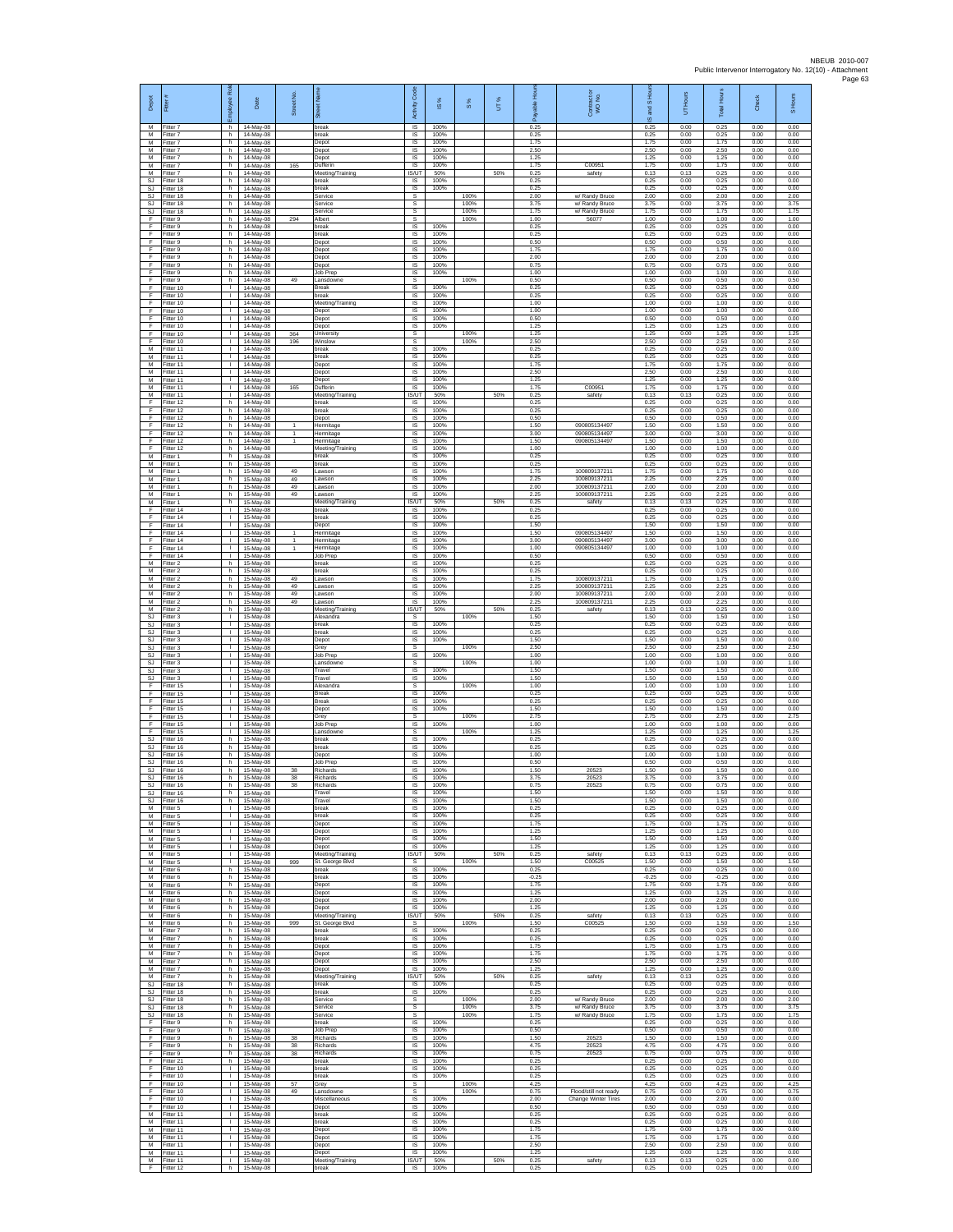| Depot                              | Fitter                              | ployee Rol                         | Date                                | Street No                      |                                           | Code<br>Activity                    | ഇ                    | $\frac{8}{3}$        | UT% | <u>F</u><br>eler<br>Pa<br>గొ | Contract or<br>WO No.                              | and S Hour<br>$\overline{\mathfrak{G}}$ | UT Hours             | Total Hours          | Check                | S Hours              |
|------------------------------------|-------------------------------------|------------------------------------|-------------------------------------|--------------------------------|-------------------------------------------|-------------------------------------|----------------------|----------------------|-----|------------------------------|----------------------------------------------------|-----------------------------------------|----------------------|----------------------|----------------------|----------------------|
| м<br>М                             | Fitter 7<br>Fitter 7                | h.<br>h.                           | 14-May-08<br>14-May-08              |                                | break<br>break                            | $\overline{\mathsf{S}}$<br>$\sf IS$ | 100%<br>100%         |                      |     | 0.25<br>0.25                 |                                                    | 0.25<br>0.25                            | 0.00<br>0.00         | 0.25<br>0.25         | 0.00<br>0.00         | 0.00<br>0.00         |
| M<br>$\overline{M}$<br>M           | itter 7<br>Fitter 7<br>Fitter 7     | h.<br>h.                           | 14-May-08<br>14-May-08              |                                | Depot<br>Depot                            | IS<br>IS<br>IS                      | 100%<br>100%<br>100% |                      |     | 1.75<br>2.50<br>1.25         |                                                    | 1.75<br>2.50<br>1.25                    | 0.00<br>0.00<br>0.00 | 1.75<br>2.50<br>1.25 | 0.00<br>0.00<br>0.00 | 0.00<br>0.00<br>0.00 |
| M<br>M                             | Fitter 7<br>fitter 7                | h<br>h.<br>h                       | 14-May-08<br>14-May-08<br>14-May-08 | 165                            | Depot<br>Dufferin<br>Meeting/Training     | IS<br><b>IS/UT</b>                  | 100%<br>50%          |                      | 50% | 1.75<br>0.25                 | C00951<br>safety                                   | 1.75<br>0.13                            | 0.00<br>0.13         | 1.75<br>0.25         | 0.00<br>0.00         | 0.00<br>0.00         |
| SJ<br>SJ                           | Fitter 18<br>Fitter 18              | h<br>h.                            | 14-May-08<br>14-May-08              |                                | break<br><b>preak</b>                     | IS<br>IS                            | 100%<br>100%         |                      |     | 0.25<br>0.25                 |                                                    | 0.25<br>0.25                            | 0.00<br>0.00         | 0.25<br>0.25         | 0.00<br>0.00         | 0.00<br>0.00         |
| SJ<br><b>SJ</b><br><b>SJ</b>       | Fitter 18<br>Fitter 18<br>Fitter 18 | h.<br>h.<br>h.                     | 14-May-08<br>14-May-08<br>14-May-08 |                                | Service<br>Service<br>Service             | s<br>s<br>s                         |                      | 100%<br>100%<br>100% |     | 2.00<br>3.75<br>1.75         | w/ Randy Bruce<br>w/ Randy Bruce<br>w/ Randy Bruce | 2.00<br>3.75<br>1.75                    | 0.00<br>0.00<br>0.00 | 2.00<br>3.75<br>1.75 | 0.00<br>0.00<br>0.00 | 2.00<br>3.75<br>1.75 |
| F<br>F                             | Fitter 9<br>itter 9                 | h<br>h.                            | 14-May-08<br>14-May-08              | 294                            | Albert<br>break                           | s<br>IS                             | 100%                 | 100%                 |     | 1.00<br>0.25                 | 56077                                              | 1.00<br>0.25                            | 0.00<br>0.00         | 1.00<br>0.25         | 0.00<br>0.00         | 1.00<br>0.00         |
| F<br>F<br>F                        | Fitter 9<br>itter 9<br>Fitter 9     | h.<br>h<br>h.                      | 14-May-08<br>14-May-08<br>14-May-08 |                                | break<br>Depot<br>Depot                   | $\overline{s}$<br>IS<br>IS          | 100%<br>100%<br>100% |                      |     | 0.25<br>0.50<br>1.75         |                                                    | 0.25<br>0.50<br>1.75                    | 0.00<br>0.00<br>0.00 | 0.25<br>0.50<br>1.75 | 0.00<br>0.00<br>0.00 | 0.00<br>0.00<br>0.00 |
| F<br>F                             | Fitter 9<br>Fitter 9                | h<br>h                             | 14-May-08<br>14-May-08              |                                | Depot<br>Depot                            | IS<br>IS                            | 100%<br>100%         |                      |     | 2.00<br>0.75                 |                                                    | 2.00<br>0.75                            | 0.00<br>0.00         | 2.00<br>0.75         | 0.00<br>0.00         | 0.00<br>0.00         |
| F<br>F                             | Fitter 9<br>itter 9                 | h.<br>h                            | 14-May-08<br>14-May-08              | 49                             | Job Prep<br>ansdowne                      | $\sf IS$<br>s<br>IS                 | 100%<br>100%         | 100%                 |     | 1.00<br>0.50<br>0.25         |                                                    | 1.00<br>0.50<br>0.25                    | 0.00<br>0.00<br>0.00 | 1.00<br>0.50<br>0.25 | 0.00<br>0.00<br>0.00 | 0.00<br>0.50<br>0.00 |
| F<br>F<br>F                        | Fitter 10<br>Fitter 10<br>Fitter 10 | л.<br>л.<br>т.                     | 14-May-08<br>14-May-08<br>14-May-08 |                                | <b>Break</b><br>hreak<br>Meeting/Training | IS<br>IS                            | 100%<br>100%         |                      |     | 0.25<br>1.00                 |                                                    | 0.25<br>1.00                            | 0.00<br>0.00         | 0.25<br>1.00         | 0.00<br>0.00         | 0.00<br>0.00         |
| F<br>F                             | Fitter 10<br>Fitter 10              | Τ<br>л.                            | 14-May-08<br>14-May-08              |                                | Depot<br>Depot                            | IS<br>IS                            | 100%<br>100%         |                      |     | 1.00<br>0.50                 |                                                    | 1.00<br>0.50                            | 0.00<br>0.00         | 1.00<br>0.50         | 0.00<br>0.00         | 0.00<br>0.00         |
| F<br>F<br>F                        | itter 10<br>litter 10<br>Fitter 10  | т.<br>$\mathbf{L}$<br>т.           | 14-May-08<br>14-May-08<br>14-May-08 | 364<br>196                     | Depot<br><b>University</b><br>Winslow     | IS<br>s<br>s                        | 100%                 | 100%<br>100%         |     | 1.25<br>1.25<br>2.50         |                                                    | 1.25<br>1.25<br>2.50                    | 0.00<br>0.00<br>0.00 | 1.25<br>1.25<br>2.50 | 0.00<br>0.00<br>0.00 | 0.00<br>1.25<br>2.50 |
| M<br>М                             | Fitter 11<br>Fitter 11              | т.<br>$\mathbf{I}$                 | 14-May-08<br>14-May-08              |                                | break<br>break                            | IS<br>IS                            | 100%<br>100%         |                      |     | 0.25<br>0.25                 |                                                    | 0.25<br>0.25                            | 0.00<br>0.00         | 0.25<br>0.25         | 0.00<br>0.00         | 0.00<br>0.00         |
| M<br>M<br>M                        | itter 11<br>Fitter 11<br>Fitter 11  | $\mathbf{I}$<br>л.<br>л.           | 14-May-08<br>14-May-08<br>14-May-08 |                                | Depot<br>Depot<br>Depot                   | IS<br>IS<br>IS                      | 100%<br>100%<br>100% |                      |     | 1.75<br>2.50<br>1.25         |                                                    | 1.75<br>2.50<br>1.25                    | 0.00<br>0.00<br>0.00 | 1.75<br>2.50<br>1.25 | 0.00<br>0.00<br>0.00 | 0.00<br>0.00<br>0.00 |
| М<br>M                             | Fitter 11<br>Fitter 11              | $\mathbf{I}$<br>$\mathbf{L}$       | 14-May-08<br>14-May-08              | 165                            | Dufferin<br>Meeting/Training              | $\sf IS$<br>IS/UT                   | 100%<br>50%          |                      | 50% | 1.75<br>0.25                 | C00951<br>safety                                   | 1.75<br>0.13                            | 0.00<br>0.13         | 1.75<br>0.25         | 0.00<br>0.00         | 0.00<br>0.00         |
| F<br>F<br>F                        | Fitter 12<br>fitter 12              | h<br>h.                            | 14-May-08<br>14-May-08              |                                | break<br>break                            | IS<br>IS                            | 100%<br>100%<br>100% |                      |     | 0.25<br>0.25                 |                                                    | 0.25<br>0.25                            | 0.00<br>0.00         | 0.25<br>0.25         | 0.00<br>0.00         | 0.00<br>0.00         |
| F<br>F                             | fitter 12<br>Fitter 12<br>Fitter 12 | h.<br>h.<br>h                      | 14-May-08<br>14-May-08<br>14-May-08 | $\mathbf{1}$<br>$\mathbf{1}$   | Depot<br>Hermitage<br>Hermitage           | IS<br><b>IS</b><br>IS               | 100%<br>100%         |                      |     | 0.50<br>1.50<br>3.00         | 090805134497<br>090805134497                       | 0.50<br>1.50<br>3.00                    | 0.00<br>0.00<br>0.00 | 0.50<br>1.50<br>3.00 | 0.00<br>0.00<br>0.00 | 0.00<br>0.00<br>0.00 |
| F<br>F                             | Fitter 12<br>fitter 12              | h.<br>h                            | 14-May-08<br>14-May-08              |                                | Hermitage<br>Meeting/Training             | IS<br>IS                            | 100%<br>100%         |                      |     | 1.50<br>1.00                 | 090805134497                                       | 1.50<br>1.00                            | 0.00<br>0.00         | 1.50<br>1.00         | 0.00<br>0.00         | 0.00<br>0.00         |
| M<br>М<br>M                        | Fitter 1<br>Fitter 1<br>fitter 1    | h<br>h.<br>h                       | 15-May-08<br>15-May-08<br>15-May-08 | 49                             | break<br>break<br>awson                   | IS<br>$\sf IS$<br>IS                | 100%<br>100%<br>100% |                      |     | 0.25<br>0.25<br>1.75         | 10080913721                                        | 0.25<br>0.25<br>1.75                    | 0.00<br>0.00<br>0.00 | 0.25<br>0.25<br>1.75 | 0.00<br>0.00<br>0.00 | 0.00<br>0.00<br>0.00 |
| M<br>M                             | Fitter 1<br>Fitter 1                | h.<br>h.                           | 15-May-08<br>15-May-08              | 49<br>49                       | Lawson<br>awson                           | <b>IS</b><br>IS                     | 100%<br>100%         |                      |     | 2.25<br>2.00                 | 100809137211<br>100809137211                       | 2.25<br>200                             | 0.00<br>0.00         | 2.25<br>200          | 0.00<br>0.00         | 0.00<br>0.00         |
| М<br>M<br>F                        | Fitter 1<br>Fitter 1<br>Fitter 14   | h.<br>h.<br>л.                     | 15-May-08<br>15-May-08<br>15-May-08 | 49                             | awson<br>Meeting/Training<br>break        | IS<br>IS/UT<br><b>IS</b>            | 100%<br>50%<br>100%  |                      | 50% | 2.25<br>0.25<br>0.25         | 100809137211<br>safety                             | 2.25<br>0.13<br>0.25                    | 0.00<br>0.13<br>0.00 | 2.25<br>0.25<br>0.25 | 0.00<br>0.00<br>0.00 | 0.00<br>0.00<br>0.00 |
| F<br>F                             | Fitter 14<br>litter 14              | т.<br>$\mathbf{L}$                 | 15-May-08<br>15-May-08              |                                | break<br>Depot                            | $\sf IS$<br>IS                      | 100%<br>100%         |                      |     | 0.25<br>1.50                 |                                                    | 0.25<br>1.50                            | 0.00<br>0.00         | 0.25<br>1.50         | 0.00<br>0.00         | 0.00<br>0.00         |
| F<br>F                             | Fitter 14<br>Fitter 14              | $\mathbf{L}$<br>т.                 | 15-May-08<br>15-May-08              | $\overline{1}$<br>$\mathbf{1}$ | Hermitage<br>Hermitag                     | IS<br>IS                            | 100%<br>100%         |                      |     | 1.50<br>3.00                 | 090805134497<br>090805134497                       | 1.50<br>3.00                            | 0.00<br>0.00         | 1.50<br>3.00         | 0.00<br>0.00         | 0.00<br>0.00         |
| F<br>F<br>M                        | Fitter 14<br>fitter 14<br>Fitter 2  | $\mathbf{I}$<br>$\mathbf{I}$<br>h  | 15-May-08<br>15-May-08<br>15-May-08 | $\mathbf{1}$                   | Hermitage<br>Job Prep<br>break            | IS<br>IS<br>IS                      | 100%<br>100%<br>100% |                      |     | 1.00<br>0.50<br>0.25         | 090805134497                                       | 1.00<br>0.50<br>0.25                    | 0.00<br>0.00<br>0.00 | 1.00<br>0.50<br>0.25 | 0.00<br>0.00<br>0.00 | 0.00<br>0.00<br>0.00 |
| M<br>М                             | Fitter 2<br>Fitter 2                | h.<br>h.                           | 15-May-08<br>15-May-08              | 49                             | oreak<br>awson                            | IS<br>$\sf IS$                      | 100%<br>100%         |                      |     | 0.25<br>1.75                 | 100809137211                                       | 0.25<br>1.75                            | 0.00<br>0.00         | 0.25<br>1.75         | 0.00<br>0.00         | 0.00<br>0.00         |
| M<br>M                             | Fitter 2<br>Fitter 2                | h.<br>h.                           | 15-May-08<br>15-May-08              | 49<br>49<br>49                 | awson.<br>Lawson                          | <b>IS</b><br>IS                     | 100%<br>100%         |                      |     | 2.25<br>2.00                 | 100809137211<br>100809137211                       | 2.25<br>200                             | 0.00<br>0.00         | 2.25<br>2.00         | 0.00<br>0.00         | 0.00<br>0.00         |
| М<br>M<br>SJ                       | Fitter 2<br>fitter 2<br>Fitter 3    | h<br>h.<br>$\mathbf{L}$            | 15-May-08<br>15-May-08<br>15-May-08 |                                | awson<br>Meeting/Training<br>Alexandra    | IS<br><b>IS/UT</b><br>s             | 100%<br>50%          | 100%                 | 50% | 2.25<br>0.25<br>1.50         | 100809137211<br>safety                             | 2.25<br>0.13<br>1.50                    | 0.00<br>0.13<br>0.00 | 2.25<br>0.25<br>1.50 | 0.00<br>0.00<br>0.00 | 0.00<br>0.00<br>1.50 |
| $\mathbb{S}\mathbb{J}$<br>SJ       | itter 3<br>Fitter 3                 | т.<br>т.                           | 15-May-08<br>15-May-08              |                                | break<br>break                            | IS<br>IS                            | 100%<br>100%         |                      |     | 0.25<br>0.25                 |                                                    | 0.25<br>0.25                            | 0.00<br>0.00         | 0.25<br>0.25         | 0.00<br>0.00         | 0.00<br>0.00         |
| SJ<br>SJ<br>$\mathbb{S}\mathbb{J}$ | fitter 3<br>Fitter 3<br>Fitter 3    | T.<br>$\mathbf{I}$<br>$\mathbf{L}$ | 15-May-08<br>15-May-08<br>15-May-08 |                                | Depot<br>Grey<br>Job Prep                 | IS<br>s<br>$\sf IS$                 | 100%<br>100%         | 100%                 |     | 1.50<br>2.50<br>1.00         |                                                    | 1.50<br>2.50<br>1.00                    | 0.00<br>0.00<br>0.00 | 1.50<br>2.50<br>1.00 | 0.00<br>0.00<br>0.00 | 0.00<br>2.50<br>0.00 |
| <b>SJ</b><br><b>SJ</b>             | itter 3<br>Fitter 3                 | T.<br>л.                           | 15-May-08<br>15-May-08              |                                | ansdowne<br>Travel                        | s<br><b>IS</b>                      | 100%                 | 100%                 |     | 1.00<br>1.50                 |                                                    | 1.00<br>1.50                            | 0.00<br>0.00         | 1.00<br>1.50         | 0.00<br>0.00         | 1.00<br>0.00         |
| SJ.<br>F<br>F                      | Fitter 3<br>Fitter 15<br>Fitter 15  | л.<br>т.<br>т                      | 15-May-08<br>15-May-08<br>15-May-08 |                                | Travel<br>Alexandra<br>Break              | IS<br>s<br>IS                       | 100%<br>100%         | 100%                 |     | 1.50<br>1.00<br>0.25         |                                                    | 1.50<br>1.00<br>0.25                    | 0.00<br>0.00<br>0.00 | 1.50<br>1.00<br>0.25 | 0.00<br>0.00<br>0.00 | 0.00<br>1.00<br>0.00 |
| F<br>F                             | Fitter 15<br>itter 15               | $\mathbf{L}$<br>$\mathbf{I}$       | 15-May-08<br>15-May-08              |                                | <b>Break</b><br>Depot                     | $\overline{\mathsf{s}}$<br>$\sf IS$ | 100%<br>100%         |                      |     | 0.25<br>1.50                 |                                                    | 0.25<br>1.50                            | 0.00<br>0.00         | 0.25<br>1.50         | 0.00<br>0.00         | 0.00<br>0.00         |
| F<br>F<br>F                        | Fitter 15<br>Fitter 15              | $\mathbf{L}$<br>т.<br>$\mathbf{I}$ | 15-May-08<br>15-May-08              |                                | Grey<br>Job Prep                          | $\mathbb S$<br>IS                   | 100%                 | 100%                 |     | 2.75<br>1.00<br>1.25         |                                                    | 2.75<br>1.00<br>1.25                    | 0.00<br>0.00         | 2.75<br>1.00         | 0.00<br>0.00         | 2.75<br>0.00<br>1.25 |
| <b>SJ</b><br><b>SJ</b>             | Fitter 15<br>Fitter 16<br>itter 16  | h<br>h.                            | 15-May-08<br>15-May-08<br>15-May-08 |                                | Lansdowne<br>break<br>preak               | s<br>IS<br>IS                       | 100%<br>100%         | 100%                 |     | 0.25<br>0.25                 |                                                    | 0.25<br>0.25                            | 0.00<br>0.00<br>0.00 | 1.25<br>0.25<br>0.25 | 0.00<br>0.00<br>0.00 | 0.00<br>0.00         |
| <b>SJ</b><br><b>SJ</b>             | Fitter 16<br>Fitter 16              | h<br>h.                            | 15-May-08<br>15-May-08              |                                | Depot<br>Job Prep                         | IS<br>IS                            | 100%<br>100%         |                      |     | 1.00<br>0.50                 |                                                    | 1.00<br>0.50                            | 0.00<br>0.00         | 1.00<br>0.50         | 0.00<br>0.00         | 0.00<br>0.00         |
| SJ<br>SJ.<br>S.I                   | Fitter 16<br>Fitter 16<br>Fitter 16 | h.<br>h.<br>h                      | 15-May-08<br>15-May-08<br>15-May-08 | 38<br>38<br>38                 | Richards<br>Richards<br>Richards          | $\sf IS$<br>IS<br><b>IS</b>         | 100%<br>100%<br>100% |                      |     | 1.50<br>3.75<br>0.75         | 20523<br>20523<br>20523                            | 1.50<br>3.75<br>0.75                    | 0.00<br>0.00<br>0.00 | 1.50<br>3.75<br>0.75 | 0.00<br>0.00<br>0.00 | 0.00<br>0.00<br>0.00 |
| SJ<br>SJ                           | Fitter 16<br>Fitter 16              | h<br>h.                            | 15-May-08<br>15-May-08              |                                | Travel<br>Travel                          | IS<br>IS                            | 100%<br>100%         |                      |     | 1.50<br>1.50                 |                                                    | 1.50<br>1.50                            | 0.00<br>0.00         | 1.50<br>1.50         | 0.00<br>0.00         | 0.00<br>0.00         |
| M<br>М<br>М                        | Fitter 5<br>Fitter 5<br>Fitter 5    | $\mathbf{L}$<br>т.<br>$\mathbf{L}$ | 15-May-08<br>15-May-08<br>15-May-08 |                                | break<br>break<br>Depot                   | IS<br>IS<br>IS                      | 100%<br>100%<br>100% |                      |     | 0.25<br>0.25<br>1.75         |                                                    | 0.25<br>0.25<br>1.75                    | 0.00<br>0.00<br>0.00 | 0.25<br>0.25<br>1.75 | 0.00<br>0.00<br>0.00 | 0.00<br>0.00<br>0.00 |
| M<br>M                             | Fitter 5<br>Fitter 5                | т.<br>$\mathbf{I}$                 | 15-May-08<br>15-May-08              |                                | Depot<br>Depot                            | IS<br>IS                            | 100%<br>100%         |                      |     | 1.25<br>1.50                 |                                                    | 1.25<br>1.50                            | 0.00<br>0.00         | 1.25<br>1.50         | 0.00<br>0.00         | 0.00<br>0.00         |
| M<br>М<br>M                        | Fitter 5<br>fitter 5<br>Fitter 5    | $\mathbb{L}$<br>т.<br>л.           | 15-May-08<br>15-May-08<br>15-May-08 | 999                            | Depot<br>Meeting/Training                 | $\sf IS$<br><b>IS/UT</b><br>s       | 100%<br>50%          | 100%                 | 50% | 1.25<br>0.25<br>1.50         | safety<br>C00525                                   | 1.25<br>0.13<br>1.50                    | 0.00<br>0.13<br>0.00 | 1.25<br>0.25<br>1.50 | 0.00<br>0.00<br>0.00 | 0.00<br>0.00<br>1.50 |
| M<br>М                             | Fitter 6<br>Fitter 6                | h.<br>h                            | 15-May-08<br>15-May-08              |                                | St. George Blvd<br>break<br>break         | IS<br>IS                            | 100%<br>100%         |                      |     | 0.25<br>$-0.25$              |                                                    | 0.25<br>$-0.25$                         | 0.00<br>0.00         | 0.25<br>$-0.25$      | 0.00<br>0.00         | 0.00<br>0.00         |
| M<br>M                             | Fitter 6<br>Fitter 6                | h.<br>h.                           | 15-May-08<br>15-May-08              |                                | Depot<br>Depot                            | IS<br><b>IS</b>                     | 100%<br>100%         |                      |     | 1.75<br>1.25                 |                                                    | 1.75<br>1.25                            | 0.00<br>0.00         | 1.75<br>1.25         | 0.00<br>0.00         | 0.00<br>0.00         |
| М<br>М<br>M                        | Fitter 6<br>Fitter 6<br>Fitter 6    | h.<br>h<br>h.                      | 15-May-08<br>15-May-08<br>15-May-08 |                                | Depot<br>Depot<br>Meeting/Training        | $\sf IS$<br>$\sf IS$<br>IS/UT       | 100%<br>100%<br>50%  |                      | 50% | 2.00<br>1.25<br>0.25         | safety                                             | 2.00<br>1.25<br>0.13                    | 0.00<br>0.00<br>0.13 | 2.00<br>1.25<br>0.25 | 0.00<br>0.00<br>0.00 | 0.00<br>0.00<br>0.00 |
| M<br>M                             | Fitter 6<br>Fitter 7                | h<br>h.                            | 15-May-08<br>15-May-08              | 999                            | St. George Blvd<br>break                  | s<br>IS                             | 100%                 | 100%                 |     | 1.50<br>0.25                 | C00525                                             | 1.50<br>0.25                            | 0.00<br>0.00         | 1.50<br>0.25         | 0.00<br>0.00         | 1.50<br>0.00         |
| М<br>M<br>M                        | fitter 7<br>Fitter 7<br>Fitter 7    | h.<br>h.<br>h.                     | 15-May-08<br>15-May-08<br>15-May-08 |                                | break<br>Depot<br>Depot                   | IS<br><b>IS</b><br>IS               | 100%<br>100%<br>100% |                      |     | 0.25<br>1.75<br>1.75         |                                                    | 0.25<br>1.75<br>1.75                    | 0.00<br>0.00<br>0.00 | 0.25<br>1.75<br>1.75 | 0.00<br>0.00<br>0.00 | 0.00<br>0.00<br>0.00 |
| М<br>M                             | Fitter 7<br>Fitter 7                | h.<br>h.                           | 15-May-08<br>15-May-08              |                                | Depot<br>Depot                            | $\sf IS$<br>IS                      | 100%<br>100%         |                      |     | 2.50<br>1.25                 |                                                    | 2.50<br>1.25                            | 0.00<br>0.00         | 2.50<br>1.25         | 0.00<br>0.00         | 0.00<br>0.00         |
| M<br>SJ                            | Fitter 7<br>Fitter 18               | h.<br>h                            | 15-May-08<br>15-May-08              |                                | Meeting/Training<br>break                 | IS/UT<br>IS                         | 50%<br>100%          |                      | 50% | 0.25<br>0.25                 | safety                                             | 0.13<br>0.25                            | 0.13<br>0.00         | 0.25<br>0.25         | 0.00<br>0.00         | 0.00<br>0.00         |
| <b>SJ</b><br>SJ<br>SJ              | Fitter 18<br>Fitter 18<br>Fitter 18 | h.<br>h.<br>h                      | 15-May-08<br>15-May-08<br>15-May-08 |                                | break<br>Service<br>Service               | IS<br>s<br>s                        | 100%                 | 100%<br>100%         |     | 0.25<br>2.00<br>3.75         | w/ Randy Bruce<br>w/ Randy Bruce                   | 0.25<br>2.00<br>3.75                    | 0.00<br>0.00<br>0.00 | 0.25<br>2.00<br>3.75 | 0.00<br>0.00<br>0.00 | 0.00<br>2.00<br>3.75 |
| $\mathbb{S}\mathbb{J}$<br>F        | Fitter 18<br>Fitter 9               | h.<br>h.                           | 15-May-08<br>15-May-08              |                                | Service<br>break                          | s<br>IS                             | 100%                 | 100%                 |     | 1.75<br>0.25                 | w/ Randy Bruce                                     | 1.75<br>0.25                            | 0.00<br>0.00         | 1.75<br>0.25         | 0.00<br>0.00         | 1.75<br>0.00         |
| F<br>F.<br>F                       | Fitter 9<br>Fitter 9<br>fitter 9    | h<br>h.<br>h.                      | 15-May-08<br>15-May-08<br>15-May-08 | 38<br>38                       | Job Prep<br>Richards<br>Richards          | $\sf IS$<br>$\sf IS$<br>IS          | 100%<br>100%<br>100% |                      |     | 0.50<br>1.50<br>4.75         | 20523<br>20523                                     | 0.50<br>1.50<br>4.75                    | 0.00<br>0.00<br>0.00 | 0.50<br>1.50<br>4.75 | 0.00<br>0.00<br>0.00 | 0.00<br>0.00<br>0.00 |
| F<br>F.                            | Fitter 9<br>Fitter 21               | h.<br>h.                           | 15-May-08<br>15-May-08              | 38                             | Richards<br>break                         | IS<br>IS                            | 100%<br>100%         |                      |     | 0.75<br>0.25                 | 20523                                              | 0.75<br>0.25                            | 0.00<br>0.00         | 0.75<br>0.25         | 0.00<br>0.00         | 0.00<br>0.00         |
| F<br>F<br>F                        | Fitter 10<br>Fitter 10<br>Fitter 10 | т.<br>Τ<br>$\mathbf{L}$            | 15-May-08<br>15-May-08              | 57                             | break<br>break<br>Grey                    | IS<br>IS<br>s                       | 100%<br>100%         | 100%                 |     | 0.25<br>0.25<br>4.25         |                                                    | 0.25<br>0.25<br>4.25                    | 0.00<br>0.00<br>0.00 | 0.25<br>0.25<br>4.25 | 0.00<br>0.00<br>0.00 | 0.00<br>0.00<br>4.25 |
| F<br>F                             | Fitter 10<br>Fitter 10              | $\mathbb{L}$<br>$\mathbf{L}$       | 15-May-08<br>15-May-08<br>15-May-08 | 49                             | Lansdown<br>Miscellaneous                 | $\mathbb S$<br>$\sf IS$             | 100%                 | 100%                 |     | 0.75<br>2.00                 | Flood/still not ready<br>Change Winter Tires       | 0.75<br>2.00                            | 0.00<br>0.00         | 0.75<br>2.00         | 0.00<br>0.00         | 0.75<br>0.00         |
| F<br>M                             | Fitter 10<br>Fitter 11              | л.<br>т.                           | 15-May-08<br>15-May-08              |                                | Depot<br>break                            | $\overline{\mathsf{s}}$<br>IS       | 100%<br>100%         |                      |     | 0.50<br>0.25                 |                                                    | 0.50<br>0.25                            | 0.00<br>0.00         | 0.50<br>0.25         | 0.00<br>0.00         | 0.00<br>0.00         |
| M<br>М<br>M                        | Fitter 11<br>fitter 11<br>Fitter 11 | т.<br>т.<br>л.                     | 15-May-08<br>15-May-08<br>15-May-08 |                                | break<br>Depot<br>Depot                   | IS<br>IS<br>IS                      | 100%<br>100%<br>100% |                      |     | 0.25<br>1.75<br>1.75         |                                                    | 0.25<br>1.75<br>1.75                    | 0.00<br>0.00<br>0.00 | 0.25<br>1.75<br>1.75 | 0.00<br>0.00<br>0.00 | 0.00<br>0.00<br>0.00 |
| M<br>М                             | Fitter 11<br>Fitter 11              | $\mathbf{L}$<br>т.                 | 15-May-08<br>15-May-08              |                                | Depot<br>Depot                            | IS<br>IS                            | 100%<br>100%         |                      |     | 2.50<br>1.25                 |                                                    | 2.50<br>1.25                            | 0.00<br>0.00         | 2.50<br>1.25         | 0.00<br>0.00         | 0.00<br>0.00         |
| M<br>F.                            | Fitter 11<br>Fitter 12              | $\mathbf{L}$                       | 15-May-08<br>h 15-May-08            |                                | Meeting/Training<br>break                 | IS/UT<br>IS                         | 50%<br>100%          |                      | 50% | 0.25<br>0.25                 | safety                                             | 0.13<br>0.25                            | 0.13<br>0.00         | 0.25<br>0.25         | 0.00<br>0.00         | 0.00<br>0.00         |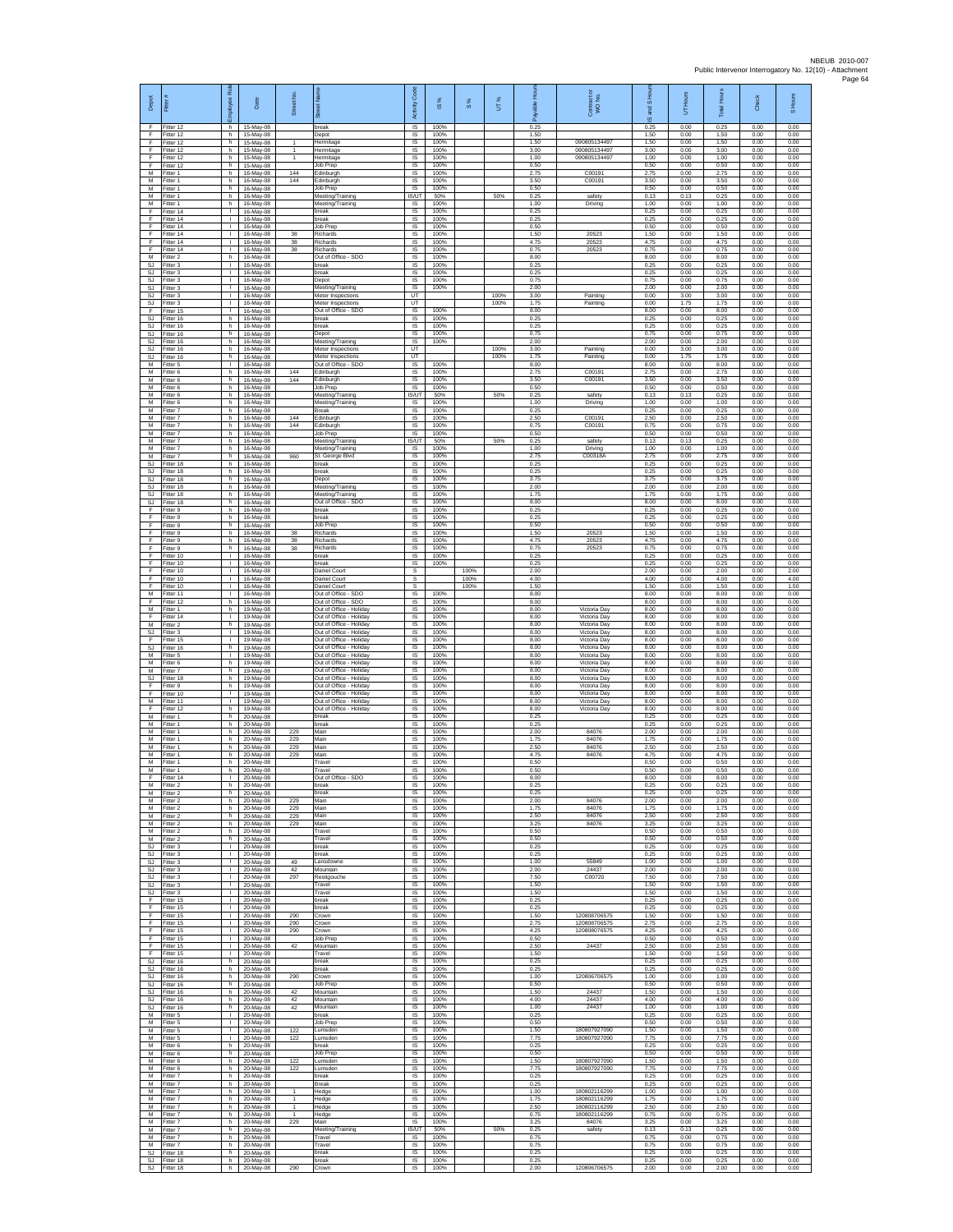| Depot                                    | Fite                                | š<br>ployee                        | Date                                | Street No.                                   | $\overline{\mathbb{R}}$                                                       | Code<br>Activity            | $\frac{8}{3}$        | $\frac{8}{3}$ | UT%          | டீ                   | Contract or<br>WO No.                        | S Hou<br>g<br>ဖ      | UT Hours             | <b>Total Hours</b>   | Check                | S Hours              |
|------------------------------------------|-------------------------------------|------------------------------------|-------------------------------------|----------------------------------------------|-------------------------------------------------------------------------------|-----------------------------|----------------------|---------------|--------------|----------------------|----------------------------------------------|----------------------|----------------------|----------------------|----------------------|----------------------|
| E<br>F                                   | Fitter 12<br>ltter 12               | h.<br>h                            | 15-May-08<br>15-May-08              |                                              | break<br>Depo <sup>®</sup>                                                    | $\overline{s}$<br>$\sf IS$  | 100%<br>100%         |               |              | 0.25<br>1.50         |                                              | 0.25<br>1.50         | 0.00<br>0.00         | 0.25<br>1.50         | 0.00<br>0.00         | 0.00<br>0.00         |
| Ŧ<br>F<br>E                              | Fitter 12<br>Fitter 12<br>Fitter 12 | h<br>h.<br>h.                      | 15-May-08<br>15-May-08<br>15-May-08 | 1<br>$\mathbf{1}$<br>1                       | Hermitage<br>Hermitage<br>Hermitage                                           | $\sf IS$<br><b>IS</b><br>IS | 100%<br>100%<br>100% |               |              | 1.50<br>3.00<br>1.00 | 090805134497<br>090805134497<br>090805134497 | 1.50<br>3.00<br>1.00 | 0.00<br>0.00<br>0.00 | 1.50<br>3.00<br>1.00 | 0.00<br>0.00<br>0.00 | 0.00<br>0.00<br>0.00 |
| Ŧ<br>M                                   | Fitter 12<br>fitter 1               | h.<br>h                            | 15-May-08<br>16-May-08              | 144                                          | Job Prep<br>dinburgh                                                          | 1S<br>IS                    | 100%<br>100%         |               |              | 0.50<br>2.75         | C00191                                       | 0.50<br>2.75         | 0.00<br>0.00         | 0.50<br>2.75         | 0.00<br>0.00         | 0.00<br>0.00         |
| M<br>М                                   | Fitter 1<br>-itter 1                | h.<br>h.                           | 16-May-08<br>16-May-08              | 144                                          | Edinburgh<br>Job Prep                                                         | IS<br>IS                    | 100%<br>100%         |               |              | 3.50<br>0.50         | C00191                                       | 3.50<br>0.50         | 0.00<br>0.00         | 3.50<br>0.50         | 0.00<br>0.00         | 0.00<br>0.00         |
| M<br>M<br>F                              | Fitter 1<br>Fitter 1<br>Fitter 14   | h<br>h.<br>т.                      | 16-May-08<br>16-May-08<br>16-May-08 |                                              | Meeting/Training<br>Meeting/Training<br>break                                 | IS/UT<br>IS.<br>IS          | 50%<br>100%<br>100%  |               | 50%          | 0.25<br>1.00<br>0.25 | safety<br>Driving                            | 0.13<br>1.00<br>0.25 | 0.13<br>0.00<br>0.00 | 0.25<br>1.00<br>0.25 | 0.00<br>0.00<br>0.00 | 0.00<br>0.00<br>0.00 |
| F<br>Ŧ                                   | Fitter 14<br>Fitter 14              | т.<br>$\mathbf{L}$                 | 16-May-08<br>16-May-08              |                                              | break<br>Job Prep                                                             | IS<br>IS                    | 100%<br>100%         |               |              | 0.25<br>0.50         |                                              | 0.25<br>0.50         | 0.00<br>0.00         | 0.25<br>0.50         | 0.00<br>0.00         | 0.00<br>0.00         |
| F<br>F                                   | Fitter 14<br>Fitter 14              | $\mathbf{L}$<br>т.                 | 16-May-08<br>16-May-08              | 38<br>38                                     | Richards<br>Richards                                                          | IS<br>IS                    | 100%<br>100%         |               |              | 1.50<br>4.75         | 20523<br>20523                               | 1.50<br>4.75         | 0.00<br>0.00         | 1.50<br>4.75         | 0.00<br>0.00         | 0.00<br>0.00         |
| F<br>M<br>SJ                             | Fitter 14<br>Fitter 2<br>Fitter 3   | $\mathbb{L}$<br>h<br>$\mathbf{L}$  | 16-May-08<br>16-May-08<br>16-May-08 | 38                                           | Richards<br>Out of Office - SDO<br>break                                      | 1S<br>IS<br>IS              | 100%<br>100%<br>100% |               |              | 0.75<br>8.00<br>0.25 | 20523                                        | 0.75<br>8.00<br>0.25 | 0.00<br>0.00<br>0.00 | 0.75<br>8.00<br>0.25 | 0.00<br>0.00<br>0.00 | 0.00<br>0.00<br>0.00 |
| SJ<br>SJ                                 | -itter 3<br>itter 3                 | $\mathbf{L}$<br>÷.                 | 16-May-08<br>16-May-08              |                                              | break<br>Depot                                                                | $\sf IS$<br>IS              | 100%<br>100%         |               |              | 0.25<br>0.75         |                                              | 0.25<br>0.75         | 0.00<br>0.00         | 0.25<br>0.75         | 0.00<br>0.00         | 0.00<br>0.00         |
| -SJ<br>SJ.                               | Fitter 3<br>Fitter 3                | $\mathbf{L}$<br>л.<br>٠            | 16-May-08<br>16-May-08              |                                              | Meeting/Training<br>Meter Inspections<br>Meter Inspections                    | IS<br><b>LIT</b><br>UT      | 100%                 |               | 100%<br>100% | 2.00<br>3.00<br>1.75 | Painting<br>Painting                         | 2.00<br>0.00<br>0.00 | 0.00<br>3.00<br>1.75 | 2.00<br>3.00<br>1.75 | 0.00<br>0.00<br>0.00 | 0.00<br>0.00<br>0.00 |
| $\mathbb{S}\mathbb{J}$<br>F<br><b>SJ</b> | Fitter 3<br>Fitter 15<br>Fitter 16  | $\mathbf{L}$<br>h.                 | 16-May-08<br>16-May-08<br>16-May-08 |                                              | Out of Office - SDO<br>break                                                  | IS<br>IS                    | 100%<br>100%         |               |              | 8.00<br>0.25         |                                              | 8.00<br>0.25         | 0.00<br>0.00         | 8.00<br>0.25         | 0.00<br>0.00         | 0.00<br>0.00         |
| SJ<br>$\mathbb{S}\mathbb{J}$             | itter 16<br>Fitter 16               | h<br>h.                            | 16-May-08<br>16-May-08              |                                              | break<br>Depot                                                                | $\sf IS$<br>$\sf IS$        | 100%<br>100%         |               |              | 0.25<br>0.75         |                                              | 0.25<br>0.75         | 0.00<br>0.00         | 0.25<br>0.75         | 0.00<br>0.00         | 0.00<br>0.00         |
| SJ.<br>SJ<br><b>SJ</b>                   | Fitter 16<br>Fitter 16<br>Fitter 16 | h.<br>h<br>h.                      | 16-May-08<br>16-May-08<br>16-May-08 |                                              | Meeting/Training<br>Meter Inspections<br>Meter Inspections                    | IS<br>UT<br>UT              | 100%                 |               | 100%<br>100% | 2.00<br>3.00<br>1.75 | Painting<br>Painting                         | 2.00<br>0.00<br>0.00 | 0.00<br>3.00<br>1.75 | 2.00<br>3.00<br>1.75 | 0.00<br>0.00<br>0.00 | 0.00<br>0.00<br>0.00 |
| М<br>M                                   | fitter 5<br>Fitter 6                | т.<br>h.                           | 16-May-08<br>16-May-08              | 144                                          | Out of Office - SDO<br>Edinburgh                                              | IS<br>IS                    | 100%<br>100%         |               |              | 8.00<br>2.75         | C00191                                       | 8.00<br>2.75         | 0.00<br>0.00         | 8.00<br>2.75         | 0.00<br>0.00         | 0.00<br>0.00         |
| М<br>М                                   | -itter 6<br>Fitter 6                | h.<br>h                            | 16-May-08<br>16-May-08              | 144                                          | Edinburgh<br>Job Prep                                                         | IS.<br>$\sf IS$             | 100%<br>100%         |               |              | 3.50<br>0.50         | C00191                                       | 3.50<br>0.50         | 0.00<br>0.00         | 3.50<br>0.50         | 0.00<br>0.00         | 0.00<br>0.00         |
| M<br>M<br>M                              | Fitter 6<br>Fitter 6<br>-itter 7    | h.<br>h<br>h                       | 16-May-08<br>16-May-08<br>16-May-08 |                                              | Meeting/Training<br>Meeting/Training<br>Break                                 | IS/UT<br>IS<br>IS           | 50%<br>100%<br>100%  |               | 50%          | 0.25<br>1.00<br>0.25 | safety<br>Driving                            | 0.13<br>1.00<br>0.25 | 0.13<br>0.00<br>0.00 | 0.25<br>1.00<br>0.25 | 0.00<br>0.00<br>0.00 | 0.00<br>0.00<br>0.00 |
| M<br>M                                   | Fitter 7<br>Fitter 7                | h.<br>h.                           | 16-May-08<br>16-May-08              | 144<br>144                                   | dinburgh<br>Edinburgh                                                         | IS<br>IS                    | 100%<br>100%         |               |              | 2.50<br>0.75         | C0019<br>C00191                              | 2.50<br>0.75         | 0.00<br>0.00         | 2.50<br>0.75         | 0.00<br>0.00         | 0.00<br>0.00         |
| ${\sf M}$<br>M<br>M                      | -itter 7<br>Fitter 7<br>Fitter 7    | h<br>h.<br>h                       | 16-May-08<br>16-May-08<br>16-May-08 |                                              | Job Prep<br>Meeting/Training<br>Meeting/Training                              | IS<br><b>IS/UT</b><br>IS    | 100%<br>50%<br>100%  |               | 50%          | 0.50<br>0.25<br>1.00 | safety<br>Driving                            | 0.50<br>0.13<br>1.00 | 0.00<br>0.13<br>0.00 | 0.50<br>0.25<br>1.00 | 0.00<br>0.00<br>0.00 | 0.00<br>0.00<br>0.00 |
| M<br>SJ                                  | Fitter 7<br>Fitter 18               | h.<br>h.                           | 16-May-08<br>16-May-08              | 960                                          | St. George Blvd<br>break                                                      | IS<br>IS                    | 100%<br>100%         |               |              | 2.75<br>0.25         | C00318A                                      | 2.75<br>0.25         | 0.00<br>0.00         | 2.75<br>0.25         | 0.00<br>0.00         | 0.00<br>0.00         |
| SJ<br>-SJ                                | fitter 18<br>Fitter 18              | h<br>h.                            | 16-May-08<br>16-May-08              |                                              | reak<br>Depot                                                                 | IS<br>-IS                   | 100%<br>100%<br>100% |               |              | 0.25<br>3.75<br>2.00 |                                              | 0.25<br>3.75<br>200  | 0.00<br>0.00         | 0.25<br>3.75         | 0.00<br>0.00         | 0.00<br>0.00         |
| SJ.<br>SJ<br>SJ.                         | Fitter 18<br>Fitter 18<br>Fitter 18 | h.<br>h<br>h.                      | 16-May-08<br>16-May-08<br>16-May-08 |                                              | Meeting/Training<br>Meeting/Training<br>Out of Office - SDO                   | IS<br>IS<br>IS              | 100%<br>100%         |               |              | 1.75<br>8.00         |                                              | 1.75<br>8.00         | 0.00<br>0.00<br>0.00 | 2.00<br>1.75<br>8.00 | 0.00<br>0.00<br>0.00 | 0.00<br>0.00<br>0.00 |
| F<br>F                                   | Fitter 9<br>-itter 9                | h.<br>h                            | 16-May-08<br>16-May-08              |                                              | break<br>break                                                                | IS<br>$\sf IS$              | 100%<br>100%         |               |              | 0.25<br>0.25         |                                              | 0.25<br>0.25         | 0.00<br>0.00         | 0.25<br>0.25         | 0.00<br>0.00         | 0.00<br>0.00         |
| F<br>F<br>E                              | Fitter 9<br>Fitter 9<br>Fitter 9    | h<br>h.<br>h.                      | 16-May-08<br>16-May-08<br>16-May-08 | 38<br>38                                     | Job Prep<br>Richards<br>Richards                                              | $\sf IS$<br>IS<br>IS        | 100%<br>100%<br>100% |               |              | 0.50<br>1.50<br>4.75 | 20523<br>20523                               | 0.50<br>1.50<br>4.75 | 0.00<br>0.00<br>0.00 | 0.50<br>1.50<br>4.75 | 0.00<br>0.00<br>0.00 | 0.00<br>0.00<br>0.00 |
| Ŧ<br>F                                   | Fitter 9<br>fitter 10               | h.<br>т.                           | 16-May-08<br>16-May-08              | 38                                           | Richards<br>reak                                                              | 1S<br>IS                    | 100%<br>100%         |               |              | 0.75<br>0.25         | 20523                                        | 0.75<br>0.25         | 0.00<br>0.00         | 0.75<br>0.25         | 0.00<br>0.00         | 0.00<br>0.00         |
| F<br>F                                   | Fitter 10<br>Fitter 10              | $\mathbf{L}$<br>т.                 | 16-May-08<br>16-May-08              |                                              | break<br>Daniel Court                                                         | IS<br>s                     | 100%                 | 100%          |              | 0.25<br>2.00         |                                              | 0.25<br>2.00         | 0.00<br>0.00         | 0.25<br>2.00         | 0.00<br>0.00         | 0.00<br>2.00         |
| F<br>F<br>M                              | Fitter 10<br>Fitter 10<br>Fitter 11 | T.<br>т.<br>т.                     | 16-May-08<br>16-May-08<br>16-May-08 |                                              | Daniel Court<br>Daniel Court<br>Out of Office - SDO                           | $\mathbb S$<br>s<br>IS      | 100%                 | 100%<br>100%  |              | 4.00<br>1.50<br>8.00 |                                              | 4.00<br>1.50<br>8.00 | 0.00<br>0.00<br>0.00 | 4.00<br>1.50<br>8.00 | 0.00<br>0.00<br>0.00 | 4.00<br>1.50<br>0.00 |
| F<br>M                                   | ltter 12<br>Fitter 1                | h<br>h.                            | 16-May-08<br>19-May-08              |                                              | Out of Office - SDO<br>Out of Office - Holiday                                | IS<br>IS                    | 100%<br>100%         |               |              | 8.00<br>8.00         | Victoria Day                                 | 8.00<br>8.00         | 0.00<br>0.00         | 8.00<br>8.00         | 0.00<br>0.00         | 0.00<br>0.00         |
| F<br>${\sf M}$<br>$\mathbb{S}\mathbb{J}$ | Fitter 14<br>-itter 2<br>Fitter 3   | л.<br>h.<br>L.                     | 19-May-08<br>19-May-08<br>19-May-08 |                                              | Out of Office - Holiday<br>Out of Office - Holiday<br>Out of Office - Holiday | <b>IS</b><br>IS<br>IS       | 100%<br>100%<br>100% |               |              | 8.00<br>8.00<br>8.00 | Victoria Day<br>Victoria Day<br>Victoria Day | 8.00<br>8.00<br>8.00 | 0.00<br>0.00<br>0.00 | 8.00<br>8.00<br>8.00 | 0.00<br>0.00<br>0.00 | 0.00<br>0.00<br>0.00 |
| E<br>SJ                                  | ltter <sub>15</sub><br>Fitter 16    | T.<br>h                            | 19-May-08<br>19-May-08              |                                              | Out of Office - Holiday<br>Out of Office - Holiday                            | IS<br>IS                    | 100%<br>100%         |               |              | 8.00<br>8.00         | Victoria Day<br>Victoria Day                 | 8.00<br>8.00         | 0.00<br>0.00         | 8.00<br>8.00         | 0.00<br>0.00         | 0.00<br>0.00         |
| М<br>М                                   | -itter 5<br>itter 6                 | $\mathbf{L}$<br>h                  | 19-May-08<br>19-May-08              |                                              | Out of Office - Holiday<br>Out of Office - Holiday                            | $\sf IS$<br>IS              | 100%<br>100%         |               |              | 8.00<br>8.00         | Victoria Day<br>Victoria Day                 | 8.00<br>8.00         | 0.00<br>0.00         | 8.00<br>8.00         | 0.00<br>0.00         | 0.00<br>0.00         |
| M<br>SJ.<br>F                            | Fitter 7<br>Fitter 18<br>Fitter 9   | h.<br>h.<br>h                      | 19-May-08<br>19-May-08<br>19-May-08 |                                              | Out of Office - Holiday<br>Out of Office - Holiday<br>Out of Office - Holiday | IS<br>IS<br>IS              | 100%<br>100%<br>100% |               |              | 8.00<br>8.00<br>8.00 | Victoria Day<br>Victoria Day<br>Victoria Day | 8.00<br>8.00<br>8.00 | 0.00<br>0.00<br>0.00 | 8.00<br>8.00<br>8.00 | 0.00<br>0.00<br>0.00 | 0.00<br>0.00<br>0.00 |
| F<br>M                                   | Fitter 10<br>Fitter 11              | т.<br>$\mathbf{L}$                 | 19-May-08<br>19-May-08              |                                              | Out of Office - Holiday<br>Out of Office - Holiday                            | IS<br>IS                    | 100%<br>100%         |               |              | 8.00<br>8.00         | Victoria Day<br>Victoria Day                 | 8.00<br>8.00         | 0.00<br>0.00         | 8.00<br>8.00         | 0.00<br>0.00         | 0.00<br>0.00         |
| F<br>M<br>M                              | itter 12<br>Fitter 1<br>Fitter 1    | h<br>h<br>h.                       | 19-May-08<br>20-May-08<br>20-May-08 |                                              | Out of Office - Holiday<br>break<br>break                                     | $\sf IS$<br>$\sf IS$<br>IS  | 100%<br>100%<br>100% |               |              | 8.00<br>0.25<br>0.25 | Victoria Day                                 | 8.00<br>0.25<br>0.25 | 0.00<br>0.00<br>0.00 | 8.00<br>0.25<br>0.25 | 0.00<br>0.00<br>0.00 | 0.00<br>0.00<br>0.00 |
| M<br>М                                   | Fitter 1<br>Fitter 1                | h.<br>h.                           | 20-May-08<br>20-May-08              | 229<br>229                                   | Main<br>Main                                                                  | IS<br>IS                    | 100%<br>100%         |               |              | 2.00<br>1.75         | 84076<br>84076                               | 2.00<br>1.75         | 0.00<br>0.00         | 2.00<br>1.75         | 0.00<br>0.00         | 0.00<br>0.00         |
| M<br>M<br>M                              | fitter 1<br>Fitter 1<br>-itter 1    | h.<br>h.<br>h.                     | 20-May-08<br>20-May-08<br>20-May-08 | 229<br>229                                   | Main<br>Main<br>Travel                                                        | IS<br>IS<br>IS.             | 100%<br>100%<br>100% |               |              | 2.50<br>4.75<br>0.50 | 84076<br>84076                               | 2.50<br>4.75<br>0.50 | 0.00<br>0.00<br>0.00 | 2.50<br>4.75<br>0.50 | 0.00<br>0.00<br>0.00 | 0.00<br>0.00<br>0.00 |
| М<br>E                                   | Fitter 1<br>Fitter 14               | h<br>$\mathbf{L}$                  | 20-May-08<br>20-May-08              |                                              | Travel<br>Out of Office - SDO                                                 | $\sf IS$<br>IS              | 100%<br>100%         |               |              | 0.50<br>8.00         |                                              | 0.50<br>8.00         | 0.00<br>0.00         | 0.50<br>8.00         | 0.00<br>0.00         | 0.00<br>0.00         |
| M<br>M<br>$\overline{M}$                 | Fitter 2<br>Fitter 2                | h<br>h                             | 20-May-08<br>20-May-08              | 229                                          | oreak<br>break<br>Main                                                        | <b>IS</b><br>IS             | 100%<br>100%<br>100% |               |              | 0.25<br>0.25<br>2.00 | 84076                                        | 0.25<br>0.25<br>2.00 | 0.00<br>0.00<br>0.00 | 0.25<br>0.25<br>2.00 | 0.00<br>0.00<br>0.00 | 0.00<br>0.00<br>0.00 |
| M<br>M                                   | Fitter 2<br>Fitter 2<br>-itter 2    | h.<br>h.<br>h.                     | 20-May-08<br>20-May-08<br>20-May-08 | 229<br>229                                   | Main<br>Main                                                                  | IS<br>IS.<br>IS             | 100%<br>100%         |               |              | 1.75<br>2.50         | 84076<br>84076                               | 1.75<br>2.50         | 0.00<br>0.00         | 1.75<br>2.50         | 0.00<br>0.00         | 0.00<br>0.00         |
| M<br>M                                   | Fitter 2<br>Fitter 2                | h.<br>h.                           | 20-May-08<br>20-May-08              | 229                                          | Main<br>Travel                                                                | 1S<br>IS                    | 100%<br>100%         |               |              | 3.25<br>0.50         | 84076                                        | 3.25<br>0.50         | 0.00<br>0.00         | 3.25<br>0.50         | 0.00<br>0.00         | 0.00<br>0.00         |
| M<br>SJ.<br>SJ                           | Fitter 2<br>Fitter 3<br>Fitter 3    | h<br>$\mathbb{L}$<br>$\mathbf{L}$  | 20-May-08<br>20-May-08<br>20-May-08 |                                              | Travel<br>break<br>oreak                                                      | IS<br>IS<br>IS              | 100%<br>100%<br>100% |               |              | 0.50<br>0.25<br>0.25 |                                              | 0.50<br>0.25<br>0.25 | 0.00<br>0.00<br>0.00 | 0.50<br>0.25<br>0.25 | 0.00<br>0.00<br>0.00 | 0.00<br>0.00<br>0.00 |
| SJ.<br>SJ.                               | Fitter 3<br>Fitter 3                | л.<br>л.                           | $20$ -May-08<br>20-May-08           | 49<br>42                                     | Lansdowne<br>Mountain                                                         | IS<br>IS                    | 100%<br>100%         |               |              | 1.00<br>2.00         | 55849<br>24437                               | 1.00<br>200          | 0.00<br>0.00         | 1.00<br>200          | 0.00<br>0.00         | 0.00<br>0.00         |
| $\mathbb{S}\mathbb{J}$<br><b>SJ</b>      | Fitter 3<br>Fitter 3<br>SJ Fitter 3 | т.<br>$\mathbf{L}$<br>$\mathbf{L}$ | 20-May-08<br>20-May-08<br>20-May-08 | 297                                          | Restigouche<br>Travel<br>Travel                                               | IS<br>IS<br>IS.             | 100%<br>100%<br>100% |               |              | 7.50<br>1.50<br>1.50 | C00720                                       | 7.50<br>1.50<br>1.50 | 0.00<br>0.00<br>0.00 | 7.50<br>1.50<br>1.50 | 0.00<br>0.00<br>0.00 | 0.00<br>0.00<br>0.00 |
| F<br>F                                   | Fitter 15<br>Fitter 15              | $\mathbf{L}$<br>T.                 | 20-May-08<br>20-May-08              |                                              | break<br>break                                                                | $\sf IS$<br>$\sf IS$        | 100%<br>100%         |               |              | 0.25<br>0.25         |                                              | 0.25<br>0.25         | 0.00<br>0.00         | 0.25<br>0.25         | 0.00<br>0.00         | 0.00<br>0.00         |
| F<br>-F.                                 | Fitter 15<br>Fitter 15              | $\mathbf{L}$<br>$\mathbf{L}$       | 20-May-08<br>20-May-08              | 290<br>290                                   | Crown<br>Crown                                                                | IS<br>IS                    | 100%<br>100%         |               |              | 1.50<br>2.75         | 120808706575<br>120808706575                 | 1.50<br>2.75         | 0.00<br>0.00         | 1.50<br>2.75         | 0.00<br>0.00         | 0.00<br>0.00         |
| Ŧ<br>Ŧ<br>F                              | Fitter 15<br>ltter 15<br>Fitter 15  | H.<br>T.<br>л.                     | 20-May-08<br>20-May-08<br>20-May-08 | 290<br>42                                    | Crown<br>Job Prep<br>Mountain                                                 | <b>IS</b><br>IS<br>IS       | 100%<br>100%<br>100% |               |              | 4.25<br>0.50<br>2.50 | 120808076575<br>24437                        | 4.25<br>0.50<br>2.50 | 0.00<br>0.00<br>0.00 | 4.25<br>0.50<br>2.50 | 0.00<br>0.00<br>0.00 | 0.00<br>0.00<br>0.00 |
| F.<br>$\mathbb{S}\mathbb{J}$             | Fitter 15<br>Fitter 16              | $\mathbf{L}$<br>h.                 | 20-May-08<br>20-May-08              |                                              | Travel<br>break                                                               | IS.<br>$\sf IS$             | 100%<br>100%         |               |              | 1.50<br>0.25         |                                              | 1.50<br>0.25         | 0.00<br>0.00         | 1.50<br>0.25         | 0.00<br>0.00         | 0.00<br>0.00         |
| SJ.<br>SJ.<br><b>SJ</b>                  | Fitter 16<br>Fitter 16<br>Fitter 16 | h.<br>h<br>h.                      | 20-May-08<br>20-May-08<br>20-May-08 | 290                                          | break<br>Crown<br>Job Prep                                                    | <b>IS</b><br>IS<br>IS       | 100%<br>100%<br>100% |               |              | 0.25<br>1.00<br>0.50 | 120806706575                                 | 0.25<br>1.00<br>0.50 | 0.00<br>0.00<br>0.00 | 0.25<br>1.00<br>0.50 | 0.00<br>0.00<br>0.00 | 0.00<br>0.00<br>0.00 |
| SJ<br>SJ.                                | Fitter 16<br>Fitter 16              | h.<br>h.                           | 20-May-08<br>20-May-08              | 42<br>42                                     | Mountain<br>Mountain                                                          | IS<br><b>IS</b>             | 100%<br>100%         |               |              | 1.50<br>4.00         | 24437<br>24437                               | 1.50<br>4.00         | 0.00<br>0.00         | 1.50<br>4.00         | 0.00<br>0.00         | 0.00<br>0.00         |
| SJ<br>M<br>M                             | Fitter 16<br>Fitter 5<br>Fitter 5   | h.<br>H.<br>$\mathbb{L}$           | 20-May-08<br>20-May-08<br>20-May-08 | 42                                           | Mountain<br>break<br>Job Prep                                                 | IS<br>IS<br>IS              | 100%<br>100%<br>100% |               |              | 1.00<br>0.25<br>0.50 | 24437                                        | 1.00<br>0.25<br>0.50 | 0.00<br>0.00<br>0.00 | 1.00<br>0.25<br>0.50 | 0.00<br>0.00<br>0.00 | 0.00<br>0.00<br>0.00 |
| M<br>M                                   | Fitter 5<br>Fitter 5                | $\mathbf{L}$<br>$\mathbf{L}$       | 20-May-08<br>20-May-08              | 122<br>122                                   | Lumsden<br>Lumsden                                                            | IS<br>IS                    | 100%<br>100%         |               |              | 1.50<br>7.75         | 180807927090<br>180807927090                 | 1.50<br>7.75         | 0.00<br>0.00         | 1.50<br>7.75         | 0.00<br>0.00         | 0.00<br>0.00         |
| M<br>M                                   | Fitter 6<br>Fitter 6                | h<br>h.                            | 20-May-08<br>20-May-08              |                                              | oreak<br>Job Prep                                                             | IS<br>-IS                   | 100%<br>100%         |               |              | 0.25<br>0.50<br>1.50 | 180807927090                                 | 0.25<br>0.50<br>1.50 | 0.00<br>0.00         | 0.25<br>0.50         | 0.00<br>0.00         | 0.00<br>0.00         |
| M<br>M<br>M                              | Fitter 6<br>Fitter 6<br>Fitter 7    | h.<br>h.<br>h.                     | 20-May-08<br>20-May-08<br>20-May-08 | 122<br>122                                   | Lumsden<br>Lumsden<br>break                                                   | IS.<br>IS<br>IS             | 100%<br>100%<br>100% |               |              | 7.75<br>0.25         | 180807927090                                 | 7.75<br>0.25         | 0.00<br>0.00<br>0.00 | 1.50<br>7.75<br>0.25 | 0.00<br>0.00<br>0.00 | 0.00<br>0.00<br>0.00 |
| M<br>M                                   | Fitter 7<br>-itter 7                | h.<br>h                            | 20-May-08<br>20-May-08              | $\mathbf{1}$                                 | <b>Break</b><br>Hedge                                                         | <b>IS</b><br>$\sf IS$       | 100%<br>100%         |               |              | 0.25<br>1.00         | 180802116299                                 | 0.25<br>1.00         | 0.00<br>0.00         | 0.25<br>1.00         | 0.00<br>0.00         | 0.00<br>0.00         |
| M<br>M<br>M                              | Fitter 7<br>Fitter 7<br>Fitter 7    | h<br>h.<br>h.                      | 20-May-08<br>20-May-08<br>20-May-08 | $\mathbf{1}$<br>$\mathbf{1}$<br>$\mathbf{1}$ | Hedge<br>Hedge<br>Hedge                                                       | $\sf IS$<br>IS.<br>IS       | 100%<br>100%<br>100% |               |              | 1.75<br>2.50<br>0.75 | 180802116299<br>180802116299<br>180802116299 | 1.75<br>2.50<br>0.75 | 0.00<br>0.00<br>0.00 | 1.75<br>2.50<br>0.75 | 0.00<br>0.00<br>0.00 | 0.00<br>0.00<br>0.00 |
| M<br>M                                   | Fitter 7<br>Fitter 7                | h.<br>h                            | 20-May-08<br>20-May-08              | 229                                          | Main<br>Meeting/Training                                                      | IS<br>IS/UT                 | 100%<br>50%          |               | 50%          | 3.25<br>0.25         | 84076<br>safety                              | 3.25<br>0.13         | 0.00<br>0.13         | 3.25<br>0.25         | 0.00<br>0.00         | 0.00<br>0.00         |
| M<br>M<br>SJ                             | Fitter 7<br>Fitter 7<br>Fitter 18   | h.<br>h.<br>h                      | 20-May-08<br>20-May-08<br>20-May-08 |                                              | Travel<br>Travel<br>break                                                     | <b>IS</b><br>IS<br>$\sf IS$ | 100%<br>100%<br>100% |               |              | 0.75<br>0.75<br>0.25 |                                              | 0.75<br>0.75<br>0.25 | 0.00<br>0.00<br>0.00 | 0.75<br>0.75<br>0.25 | 0.00<br>0.00<br>0.00 | 0.00<br>0.00<br>0.00 |
| SJ.                                      | Fitter 18<br>SJ Fitter 18           | h<br>h.                            | 20-May-08<br>20-May-08              | 290                                          | break<br>Crown                                                                | <b>IS</b><br><b>IS</b>      | 100%<br>100%         |               |              | 0.25<br>2.00         | 120806706575                                 | 0.25<br>2.00         | 0.00<br>0.00         | 0.25<br>2.00         | 0.00<br>0.00         | 0.00<br>0.00         |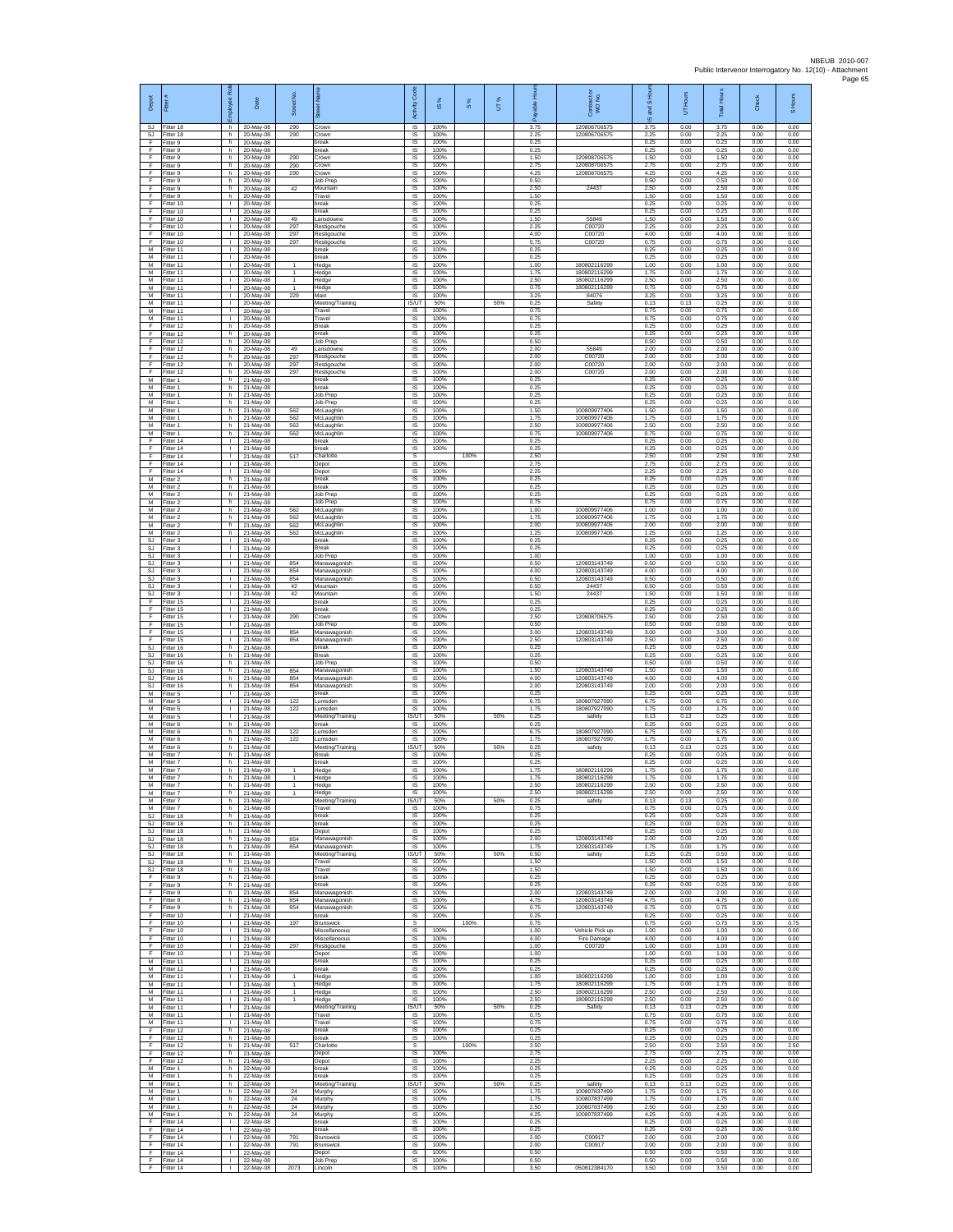| Depot                             | Ē                                   | ē<br>ployee                                  | Date                                  | Street No.                   |                                          | Code<br>Activity                       | 1S%                  | S %  | UT% | æ                    | Contract or<br>WO No.                        | S Ho<br>g<br>ဖ       | UT Hours             | <b>Total Hours</b>   | Check                | S Hours              |
|-----------------------------------|-------------------------------------|----------------------------------------------|---------------------------------------|------------------------------|------------------------------------------|----------------------------------------|----------------------|------|-----|----------------------|----------------------------------------------|----------------------|----------------------|----------------------|----------------------|----------------------|
| SJ.<br>SJ                         | Fitter 18<br>Fitter 18              | h.<br>h                                      | 20-May-08<br>20-May-08                | 290<br>290                   | Crown<br>Crown                           | IS.<br>IS                              | 100%<br>100%         |      |     | 3.75<br>2.25         | 120806706575<br>120806706575                 | 3.75<br>2.25         | 0.00<br>0.00         | 3.75<br>2.25         | 0.00<br>0.00         | 0.00<br>0.00         |
| F<br>F                            | Fitter 9<br>Fitter 9                | h.<br>h.                                     | 20-May-08<br>20-May-08                |                              | break<br>break                           | $\sf IS$<br><b>IS</b>                  | 100%<br>100%         |      |     | 0.25<br>0.25         |                                              | 0.25<br>0.25         | 0.00<br>0.00         | 0.25<br>0.25         | 0.00<br>0.00         | 0.00<br>0.00         |
| E<br>F<br>F                       | Fitter 9<br>Fitter 9<br>Fitter 9    | h<br>h.<br>h.                                | 20-May-08<br>20-May-08<br>20-May-08   | 290<br>290<br>290            | crown<br>Crown<br>crown                  | IS<br>1S<br>IS                         | 100%<br>100%<br>100% |      |     | 1.50<br>2.75<br>4.25 | 120808706575<br>120808706575<br>120808706575 | 1.50<br>2.75<br>4.25 | 0.00<br>0.00<br>0.00 | 1.50<br>2.75<br>4.25 | 0.00<br>0.00<br>0.00 | 0.00<br>0.00<br>0.00 |
| E<br>F                            | Fitter 9<br>-itter 9                | h<br>h.                                      | 20-May-08<br>20-May-08                | 42                           | Job Prec<br>Mountain                     | IS<br>IS                               | 100%<br>100%         |      |     | 0.50<br>2.50         | 24437                                        | 0.50<br>2.50         | 0.00<br>0.00         | 0.50<br>2.50         | 0.00<br>0.00         | 0.00<br>0.00         |
| F<br>F                            | Fitter 9<br>Fitter 10               | h<br>$\mathbf{L}$                            | 20-May-08<br>20-May-08                |                              | Travel<br>break                          | IS<br><b>IS</b>                        | 100%<br>100%         |      |     | 1.50<br>0.25         |                                              | 1.50<br>0.25         | 0.00<br>0.00         | 1.50<br>0.25         | 0.00<br>0.00         | 0.00<br>0.00         |
| F.<br>F                           | Fitter 10<br>Fitter 10              | $\mathbf{L}$<br>٠                            | 20-May-08<br>20-May-08                | 49                           | break<br>ansdowne.                       | IS<br>IS                               | 100%<br>100%         |      |     | 0.25<br>1.50         | 55849                                        | 0.25<br>1.50         | 0.00<br>0.00         | 0.25<br>1.50         | 0.00<br>0.00         | 0.00<br>0.00         |
| F<br>F                            | Fitter 10<br>Fitter 10              | т<br>$\mathbf{L}$                            | 20-May-08<br>20-May-08                | 297<br>297                   | Restigouche<br>Restigouche               | IS<br>IS                               | 100%<br>100%         |      |     | 2.25<br>4.00         | C00720<br>C00720                             | 2.25<br>4.00         | 0.00<br>0.00         | 2.25<br>4.00         | 0.00<br>0.00         | 0.00<br>0.00         |
| F<br>M<br>M                       | Fitter 10<br>Fitter 11<br>Fitter 11 | т.<br>Τ.<br>$\mathbb{L}$                     | 20-May-08<br>20-May-08<br>20-May-08   | 297                          | Restigouche<br>break<br>oreak            | IS<br>1S<br>IS                         | 100%<br>100%<br>100% |      |     | 0.75<br>0.25<br>0.25 | C00720                                       | 0.75<br>0.25<br>0.25 | 0.00<br>0.00<br>0.00 | 0.75<br>0.25<br>0.25 | 0.00<br>0.00<br>0.00 | 0.00<br>0.00<br>0.00 |
| M<br>M                            | Fitter 11<br>Fitter 11              | T.<br>$\mathbb{L}$                           | 20-May-08<br>20-May-08                | $\mathbf{1}$                 | Hedge<br>Hedge                           | IS<br>$\sf IS$                         | 100%<br>100%         |      |     | 1.00<br>1.75         | 18080211629<br>180802116299                  | 1.00<br>1.75         | 0.00<br>0.00         | 1.00<br>1.75         | 0.00<br>0.00         | 0.00<br>0.00         |
| М<br>M                            | Fitter 11<br>Fitter 11              | ÷.<br>л.                                     | 20-May-08<br>20-May-08                | -1<br>-1                     | Hedge<br>Hedge                           | IS<br>IS                               | 100%<br>100%         |      |     | 2.50<br>0.75         | 180802116299<br>180802116299                 | 2.50<br>0.75         | 0.00<br>0.00         | 2.50<br>0.75         | 0.00<br>0.00         | 0.00<br>0.00         |
| M<br>М<br>M                       | Fitter 11<br>Fitter 11<br>Fitter 11 | $\mathbf{L}$<br>٠<br>т                       | 20-May-08<br>20-May-08<br>20-May-08   | 229                          | Main<br>Meeting/Training<br>Travel       | <b>IS</b><br>IS/UT<br><b>IS</b>        | 100%<br>50%<br>100%  |      | 50% | 3.25<br>0.25<br>0.75 | 84076<br>Safety                              | 3.25<br>0.13<br>0.75 | 0.00<br>0.13<br>0.00 | 3.25<br>0.25<br>0.75 | 0.00<br>0.00<br>0.00 | 0.00<br>0.00<br>0.00 |
| M<br>F                            | Fitter 11<br>Fitter 12              | $\mathbf{L}$<br>h                            | 20-May-08<br>20-May-08                |                              | Travel<br>Break                          | <b>IS</b><br>$\sf IS$                  | 100%<br>100%         |      |     | 0.75<br>0.25         |                                              | 0.75<br>0.25         | 0.00<br>0.00         | 0.75<br>0.25         | 0.00<br>0.00         | 0.00<br>0.00         |
| F<br>F                            | Fitter 12<br>Fitter 12              | h.<br>h.                                     | 20-May-08<br>20-May-08                |                              | break<br>Job Prep                        | $\sf IS$<br>IS                         | 100%<br>100%         |      |     | 0.25<br>0.50         |                                              | 0.25<br>0.50         | 0.00<br>0.00         | 0.25<br>0.50         | 0.00<br>0.00         | 0.00<br>0.00         |
| F<br>F                            | Fitter 12<br>Fitter 12              | h.<br>h.                                     | 20-May-08<br>20-May-08                | 49<br>297                    | ansdowne<br>Restigouche                  | IS<br>IS                               | 100%<br>100%         |      |     | 2.00<br>2.00         | 55849<br>C00720                              | 2.00<br>2.00         | 0.00<br>0.00         | 2.00<br>2.00         | 0.00<br>0.00         | 0.00<br>0.00         |
| F<br>E<br>M                       | Fitter 12<br>Fitter 12<br>Fitter 1  | h<br>h<br>h.                                 | 20-May-08<br>20-May-08<br>21-May-08   | 297<br>297                   | Restigouche<br>Restigouche<br>break      | IS<br>IS<br>IS                         | 100%<br>100%<br>100% |      |     | 2.00<br>2.00<br>0.25 | C00720<br>C00720                             | 2.00<br>2.00<br>0.25 | 0.00<br>0.00<br>0.00 | 2.00<br>2.00<br>0.25 | 0.00<br>0.00<br>0.00 | 0.00<br>0.00<br>0.00 |
| М<br>M                            | Fitter 1<br>Fitter 1                | h.<br>h                                      | 21-May-08<br>21-May-08                |                              | break<br>Job Prep                        | $\sf IS$<br><b>IS</b>                  | 100%<br>100%         |      |     | 0.25<br>0.25         |                                              | 0.25<br>0.25         | 0.00<br>0.00         | 0.25<br>0.25         | 0.00<br>0.00         | 0.00<br>0.00         |
| M<br>М                            | Fitter 1<br>Fitter 1                | h<br>h                                       | 21-May-08<br>21-May-08                | 562                          | Job Prep<br>McLaughlin                   | IS<br>1S                               | 100%<br>100%         |      |     | 0.25<br>1.50         | 100809977406                                 | 0.25<br>1.50         | 0.00<br>0.00         | 0.25<br>1.50         | 0.00<br>0.00         | 0.00<br>0.00         |
| M<br>M                            | Fitter 1<br>Fitter 1                | h.<br>h                                      | 21-May-08<br>21-May-08                | 562<br>562                   | McLaughlin<br>McLaughlin                 | IS<br>IS<br>IS                         | 100%<br>100%<br>100% |      |     | 1.75<br>2.50<br>0.75 | 100809977406<br>100809977406<br>100809977406 | 1.75<br>2.50<br>0.75 | 0.00<br>0.00<br>0.00 | 1.75<br>2.50<br>0.75 | 0.00<br>0.00<br>0.00 | 0.00<br>0.00<br>0.00 |
| М<br>F<br>F                       | Fitter 1<br>Fitter 14<br>Fitter 14  | h<br>Τ.<br>$\mathbb{L}$                      | 21-May-08<br>21-May-08<br>21-May-08   | 562                          | McLaughlin<br>break<br>reak              | 1S<br>IS                               | 100%<br>100%         |      |     | 0.25<br>0.25         |                                              | 0.25<br>0.25         | 0.00<br>0.00         | 0.25<br>0.25         | 0.00<br>0.00         | 0.00<br>0.00         |
| E<br>F.                           | Fitter 14<br>Fitter 14              | L.<br>$\mathbf{L}$                           | 21-May-08<br>21-May-08                | 517                          | Charlotte<br>Depot                       | s<br>$\sf IS$                          | 100%                 | 100% |     | 2.50<br>2.75         |                                              | 2.50<br>2.75         | 0.00<br>0.00         | 2.50<br>2.75         | 0.00<br>0.00         | 2.50<br>0.00         |
| F<br>M                            | ltter 14<br>Fitter 2                | T.<br>h                                      | 21-May-08<br>21-May-08                |                              | Depot<br>break                           | IS<br>IS                               | 100%<br>100%         |      |     | 2.25<br>0.25         |                                              | 2.25<br>0.25         | 0.00<br>0.00         | 2.25<br>0.25         | 0.00<br>0.00         | 0.00<br>0.00         |
| M<br>М<br>M                       | Fitter 2<br>Fitter 2<br>Fitter 2    | h.<br>h<br>h.                                | 21-May-08<br>21-May-08<br>21-May-08   |                              | <b>preak</b><br>Job Prep<br>Job Prep     | IS<br>1S<br>IS                         | 100%<br>100%<br>100% |      |     | 0.25<br>0.25<br>0.75 |                                              | 0.25<br>0.25<br>0.75 | 0.00<br>0.00<br>0.00 | 0.25<br>0.25<br>0.75 | 0.00<br>0.00<br>0.00 | 0.00<br>0.00<br>0.00 |
| M<br>М                            | Fitter 2<br>-itter 2                | h<br>h                                       | 21-May-08<br>21-May-08                | 562<br>562                   | McLaughlin<br>McLaughlin                 | IS<br>$\sf IS$                         | 100%<br>100%         |      |     | 1.00<br>1.75         | 100809977406<br>100809977406                 | 1.00<br>1.75         | 0.00<br>0.00         | 1.00<br>1.75         | 0.00<br>0.00         | 0.00<br>0.00         |
| M<br>M                            | Fitter 2<br>Fitter 2                | h.<br>h.                                     | 21-May-08<br>21-May-08                | 562<br>562                   | McLaughlin<br>McLaughlin                 | $\sf IS$<br><b>IS</b>                  | 100%<br>100%         |      |     | 2.00<br>1.25         | 100809977406<br>100809977406                 | 2.00<br>1.25         | 0.00<br>0.00         | 2.00<br>1.25         | 0.00<br>0.00         | 0.00<br>0.00         |
| SJ<br><b>SJ</b>                   | Fitter 3<br>Fitter 3                | т.<br>Τ.<br>т.                               | 21-May-08<br>21-May-08                |                              | oreak<br>Break                           | IS<br>1S                               | 100%<br>100%<br>100% |      |     | 0.25<br>0.25         |                                              | 0.25<br>0.25         | 0.00<br>0.00         | 0.25<br>0.25         | 0.00<br>0.00         | 0.00<br>0.00         |
| <b>SJ</b><br><b>SJ</b><br>SJ      | fitter 3<br>Fitter 3<br>-itter 3    | ÷.<br>л.                                     | 21-May-08<br>21-May-08<br>21-May-08   | 854<br>854                   | Job Prep<br>Manawagonish<br>Manawagonish | IS<br>IS<br>IS                         | 100%<br>100%         |      |     | 1.00<br>0.50<br>4.00 | 120803143749<br>120803143749                 | 1.00<br>0.50<br>4.00 | 0.00<br>0.00<br>0.00 | 1.00<br>0.50<br>4.00 | 0.00<br>0.00<br>0.00 | 0.00<br>0.00<br>0.00 |
| SJ<br><b>SJ</b>                   | Fitter 3<br>Fitter 3                | $\mathbf{I}$<br>$\mathbf{L}$                 | 21-May-08<br>21-May-08                | 854<br>42                    | Manawagonish<br>Mountain                 | $\sf IS$<br><b>IS</b>                  | 100%<br>100%         |      |     | 0.50<br>0.50         | 120803143749<br>24437                        | 0.50<br>0.50         | 0.00<br>0.00         | 0.50<br>0.50         | 0.00<br>0.00         | 0.00<br>0.00         |
| SJ<br>F                           | Fitter 3<br>Fitter 15               | $\mathbf{L}$<br>٠                            | 21-May-08<br>21-May-08                | 42                           | Mountain<br>oreak                        | IS<br>1S                               | 100%<br>100%         |      |     | 1.50<br>0.25         | 24437                                        | 1.50<br>0.25         | 0.00<br>0.00         | 1.50<br>0.25         | 0.00<br>0.00         | 0.00<br>0.00         |
| F<br>F                            | Fitter 15<br>Fitter 15              | т<br>$\mathbf{L}$<br>т.                      | 21-May-08<br>21-May-08                | 290                          | break<br>Crown<br>Job Prep               | IS<br>IS<br>IS                         | 100%<br>100%<br>100% |      |     | 0.25<br>2.50<br>0.50 | 120808706575                                 | 0.25<br>2.50<br>0.50 | 0.00<br>0.00<br>0.00 | 0.25<br>2.50<br>0.50 | 0.00<br>0.00<br>0.00 | 0.00<br>0.00<br>0.00 |
| F<br>F<br>F                       | Fitter 15<br>Fitter 15<br>Fitter 15 | Τ.<br>т.                                     | 21-May-08<br>21-May-08<br>21-May-08   | 854<br>854                   | Manawagonish<br>Manawagonish             | 1S<br>IS                               | 100%<br>100%         |      |     | 3.00<br>2.50         | 120803143749<br>120803143749                 | 3.00<br>2.50         | 0.00<br>0.00         | 3.00<br>2.50         | 0.00<br>0.00         | 0.00<br>0.00         |
| SJ<br>SJ                          | Fitter 16<br>Fitter 16              | h<br>h.                                      | 21-May-08<br>21-May-08                |                              | break<br>Break                           | IS<br>$\sf IS$                         | 100%<br>100%         |      |     | 0.25<br>0.25         |                                              | 0.25<br>0.25         | 0.00<br>0.00         | 0.25<br>0.25         | 0.00<br>0.00         | 0.00<br>0.00         |
| SJ<br><b>SJ</b>                   | fitter 16<br>Fitter 16              | h<br>h                                       | 21-May-08<br>21-May-08                | 854                          | lob Prep<br>Manawagonish                 | IS<br>IS                               | 100%<br>100%         |      |     | 0.50<br>1.50<br>4.00 | 120803143749<br>120803143749                 | 0.50<br>1.50<br>4.00 | 0.00<br>0.00         | 0.50<br>1.50         | 0.00<br>0.00         | 0.00<br>0.00         |
| SJ<br>$\mathbb{S}\mathbb{J}$<br>M | Fitter 16<br>Fitter 16<br>Fitter 5  | h<br>h<br>$\mathbf{L}$                       | 21-May-08<br>21-May-08<br>21-May-08   | 854<br>854                   | Manawagonish<br>Manawagonish<br>break    | <b>IS</b><br>IS<br>IS                  | 100%<br>100%<br>100% |      |     | 2.00<br>0.25         | 120803143749                                 | 2.00<br>0.25         | 0.00<br>0.00<br>0.00 | 4.00<br>2.00<br>0.25 | 0.00<br>0.00<br>0.00 | 0.00<br>0.00<br>0.00 |
| м<br>М                            | Fitter 5<br>-itter 5                | $\mathbf{L}$<br>T.                           | 21-May-08<br>21-May-08                | 122<br>122                   | Lumsden<br>umsder                        | <b>IS</b><br>$\sf IS$                  | 100%<br>100%         |      |     | 6.75<br>1.75         | 180807927090<br>180807927090                 | 6.75<br>1.75         | 0.00<br>0.00         | 6.75<br>1.75         | 0.00<br>0.00         | 0.00<br>0.00         |
| M<br>M                            | Fitter 5<br>Fitter 6                | $\mathbf{L}$<br>h                            | 21-May-08<br>21-May-08                |                              | Meeting/Training<br>break                | IS/UT<br><b>IS</b>                     | 50%<br>100%          |      | 50% | 0.25<br>0.25         | safety                                       | 0.13<br>0.25         | 0.13<br>0.00         | 0.25<br>0.25         | 0.00<br>0.00         | 0.00<br>0.00         |
| M<br>M<br>M                       | Fitter 6<br>Fitter 6<br>itter 6     | h.<br>h.<br>h.                               | 21-May-08<br>21-May-08<br>21-May-08   | 122<br>122                   | umsden.<br>umsder<br>Meeting/Training    | IS<br>IS<br><b>IS/UT</b>               | 100%<br>100%<br>50%  |      | 50% | 6.75<br>1.75<br>0.25 | 180807927090<br>180807927090<br>safety       | 6.75<br>1.75<br>0.13 | 0.00<br>0.00<br>0.13 | 6.75<br>1.75<br>0.25 | 0.00<br>0.00<br>0.00 | 0.00<br>0.00<br>0.00 |
| M<br>M                            | Fitter 7<br>Fitter 7                | h.<br>h                                      | 21-May-08<br>21-May-08                |                              | Break<br>break                           | IS<br>IS                               | 100%<br>100%         |      |     | 0.25<br>0.25         |                                              | 0.25<br>0.25         | 0.00<br>0.00         | 0.25<br>0.25         | 0.00<br>0.00         | 0.00<br>0.00         |
| М<br>M                            | Fitter 7<br>Fitter 7                | h<br>h                                       | 21-May-08<br>21-May-08                | $\mathbf{1}$<br>$\mathbf{1}$ | Hedge<br>Hedge                           | $\sf IS$<br><b>IS</b>                  | 100%<br>100%         |      |     | 1.75<br>1.75         | 180802116299<br>180802116299                 | 1.75<br>1.75         | 0.00<br>0.00         | 1.75<br>1.75         | 0.00<br>0.00         | 0.00<br>0.00         |
| м<br>М<br>M                       | Fitter 7<br>Fitter 7                | h<br>h                                       | 21-May-08<br>21-May-08                | $\overline{1}$               | Hedge<br>Hedge<br>Meeting/Training       | <b>IS</b><br>IS<br><b>IS/UT</b>        | 100%<br>100%<br>50%  |      |     | 2.50<br>2.50<br>0.25 | 180802116299<br>180802116299                 | 2.50<br>2.50         | 0.00<br>0.00         | 2.50<br>2.50         | 0.00<br>0.00<br>0.00 | 0.00<br>0.00<br>0.00 |
| M<br>SJ                           | Fitter 7<br>Fitter 7<br>Fitter 18   | h.<br>h.<br>h                                | 21-May-08<br>21-May-08<br>21-May-08   |                              | Travel<br>break                          | <b>IS</b><br>IS                        | 100%<br>100%         |      | 50% | 0.75<br>0.25         | safety                                       | 0.13<br>0.75<br>0.25 | 0.13<br>0.00<br>0.00 | 0.25<br>0.75<br>0.25 | 0.00<br>0.00         | 0.00<br>0.00         |
| SJ<br>SJ.                         | Fitter 18<br>Fitter 18              | h.<br>h.                                     | 21-May-08<br>21-May-08                |                              | break<br>Depot                           | 1S<br>IS                               | 100%<br>100%         |      |     | 0.25<br>0.25         |                                              | 0.25<br>0.25         | 0.00<br>0.00         | 0.25<br>0.25         | 0.00<br>0.00         | 0.00<br>0.00         |
| SJ<br>SJ.                         | Fitter 18<br>Fitter 18              | h<br>h.                                      | 21-May-08<br>21-May-08                | 854<br>854                   | Manawagonish<br>Manawagonish             | IS<br>IS                               | 100%<br>100%         |      |     | 2.00<br>1.75         | 120803143749<br>120803143749                 | 2.00<br>1.75         | 0.00<br>0.00         | 2.00<br>1.75         | 0.00<br>0.00         | 0.00<br>0.00         |
| SJ<br>SJ.<br>SJ.                  | Fitter 18<br>Fitter 18<br>Fitter 18 | h.<br>h.<br>h                                | 21-May-08<br>21-May-08<br>21-May-08   |                              | Meeting/Training<br>Travel<br>Travel     | <b>IS/UT</b><br><b>IS</b><br><b>IS</b> | 50%<br>100%<br>100%  |      | 50% | 0.50<br>1.50<br>1.50 | safety                                       | 0.25<br>1.50<br>1.50 | 0.25<br>0.00<br>0.00 | 0.50<br>1.50<br>1.50 | 0.00<br>0.00<br>0.00 | 0.00<br>0.00<br>0.00 |
| F<br>F.                           | Fitter 9<br>Fitter 9                | h<br>h.                                      | 21-May-08<br>21-May-08                |                              | break<br>break                           | IS<br>IS                               | 100%<br>100%         |      |     | 0.25<br>0.25         |                                              | 0.25<br>0.25         | 0.00<br>0.00         | 0.25<br>0.25         | 0.00<br>0.00         | 0.00<br>0.00         |
| F.<br>$\mathsf F$                 | Fitter 9<br>Fitter 9                | h.<br>h                                      | 21-May-08<br>21-May-08                | 854<br>854                   | Manawagonish<br>Manawagonish             | <b>IS</b><br>$\sf IS$                  | 100%<br>100%         |      |     | 2.00<br>4.75         | 120803143749<br>120803143749                 | 2.00<br>4.75         | 0.00<br>0.00         | 2.00<br>4.75         | 0.00<br>0.00         | 0.00<br>0.00         |
| F.<br>F<br>F.                     | Fitter 9<br>Fitter 10<br>Fitter 10  | h<br>$\mathbb{R}$                            | 21-May-08<br>21-May-08                | 854<br>197                   | Manawagonish<br>break<br>Brunswick       | $\sf IS$<br><b>IS</b><br>s             | 100%<br>100%         | 100% |     | 0.75<br>0.25<br>0.75 | 120803143749                                 | 0.75<br>0.25<br>0.75 | 0.00<br>0.00<br>0.00 | 0.75<br>0.25         | 0.00<br>0.00         | 0.00<br>0.00<br>0.75 |
| F<br>F                            | Fitter 10<br>Fitter 10              | $\mathbf{L}$<br>H.                           | 21-May-08<br>21-May-08<br>21-May-08   |                              | Miscellaneous<br>Miscellaneous           | 1S<br>IS                               | 100%<br>100%         |      |     | 1.00<br>4.00         | Vehicle Pick up<br><b>Fire Damage</b>        | 1.00<br>4.00         | 0.00<br>0.00         | 0.75<br>1.00<br>4.00 | 0.00<br>0.00<br>0.00 | 0.00<br>0.00         |
| F<br>F                            | Fitter 10<br>Fitter 10              | л.<br>$\mathbf{L}$                           | 21-May-08<br>21-May-08                | 297                          | Restigouche<br>Depot                     | <b>IS</b><br>IS                        | 100%<br>100%         |      |     | 1.00<br>1.00         | C00720                                       | 1.00<br>1.00         | 0.00<br>0.00         | 1.00<br>1.00         | 0.00<br>0.00         | 0.00<br>0.00         |
| М<br>M<br>M                       | Fitter 11<br>Fitter 11              | $\mathbf{L}$<br>$\mathbf{L}$<br>$\mathbf{L}$ | 21-May-08<br>21-May-08                | $\mathbf{1}$                 | break<br>break                           | IS<br><b>IS</b><br><b>IS</b>           | 100%<br>100%<br>100% |      |     | 0.25<br>0.25         | 180802116299                                 | 0.25<br>0.25<br>1.00 | 0.00<br>0.00<br>0.00 | 0.25<br>0.25         | 0.00<br>0.00         | 0.00<br>0.00<br>0.00 |
| M<br>M                            | Fitter 11<br>Fitter 11<br>Fitter 11 | т.<br>т                                      | 21-May-08<br>21-May-08<br>21-May-08   | $\mathbf{1}$<br>$\mathbf{1}$ | Hedge<br>Hedge<br>Hedge                  | IS<br><b>IS</b>                        | 100%<br>100%         |      |     | 1.00<br>1.75<br>2.50 | 180802116299<br>180802116299                 | 1.75<br>2.50         | 0.00<br>0.00         | 1.00<br>1.75<br>2.50 | 0.00<br>0.00<br>0.00 | 0.00<br>0.00         |
| M<br>М                            | Fitter 11<br>Fitter 11              | $\mathbf{L}$<br>л.                           | 21-May-08<br>21-May-08                | $\overline{1}$               | Hedge<br>Meeting/Training                | <b>IS</b><br>IS/UT                     | 100%<br>50%          |      | 50% | 2.50<br>0.25         | 180802116299<br>Safety                       | 2.50<br>0.13         | 0.00<br>0.13         | 2.50<br>0.25         | 0.00<br>0.00         | 0.00<br>0.00         |
| M<br>M                            | Fitter 11<br>Fitter 11              | $\mathbf{L}$<br>$\mathbf{L}$                 | 21-May-08<br>21-May-08                |                              | Travel<br>Travel                         | <b>IS</b><br>IS                        | 100%<br>100%         |      |     | 0.75<br>0.75         |                                              | 0.75<br>0.75         | 0.00<br>0.00         | 0.75<br>0.75         | 0.00<br>0.00         | 0.00<br>0.00         |
| F<br>F<br>F                       | Fitter 12<br>Fitter 12<br>Fitter 12 | h<br>h<br>h.                                 | 21-May-08<br>21-May-08<br>21-May-08   | 517                          | break<br>break<br>Charlotte              | IS<br>IS<br>s                          | 100%<br>100%         | 100% |     | 0.25<br>0.25<br>2.50 |                                              | 0.25<br>0.25<br>2.50 | 0.00<br>0.00<br>0.00 | 0.25<br>0.25<br>2.50 | 0.00<br>0.00<br>0.00 | 0.00<br>0.00<br>2.50 |
| F<br>F.                           | Fitter 12<br>Fitter 12              | h.<br>h                                      | 21-May-08<br>21-May-08                |                              | Depot<br>Depot                           | $\overline{\mathsf{s}}$<br><b>IS</b>   | 100%<br>100%         |      |     | 2.75<br>2.25         |                                              | 2.75<br>2.25         | 0.00<br>0.00         | 2.75<br>2.25         | 0.00<br>0.00         | 0.00<br>0.00         |
| М<br>M                            | Fitter 1<br>Fitter 1                | h<br>h.                                      | 22-May-08<br>22-May-08                |                              | break<br>break                           | IS<br>IS                               | 100%<br>100%         |      |     | 0.25<br>0.25         |                                              | 0.25<br>0.25         | 0.00<br>0.00         | 0.25<br>0.25         | 0.00<br>0.00         | 0.00<br>0.00         |
| М<br>M                            | M Fitter 1<br>Fitter 1              | h.<br>h                                      | 22-May-08<br>22-May-08                | 24<br>24                     | Meeting/Training<br>Murphy               | IS/UT<br>IS                            | 50%<br>100%<br>100%  |      | 50% | 0.25<br>1.75<br>1.75 | safety<br>100807837499<br>100807837499       | 0.13<br>1.75         | 0.13<br>0.00         | 0.25<br>1.75         | 0.00<br>0.00         | 0.00<br>0.00         |
| M<br>М                            | Fitter 1<br>Fitter 1<br>Fitter 1    | h<br>h.<br>h.                                | 22-May-08<br>22-May-08<br>22-May-08   | 24<br>24                     | Murphy<br>Murphy<br>Murphy               | $\sf IS$<br><b>IS</b><br>IS            | 100%<br>100%         |      |     | 2.50<br>4.25         | 100807837499<br>100807837499                 | 1.75<br>2.50<br>4.25 | 0.00<br>0.00<br>0.00 | 1.75<br>2.50<br>4.25 | 0.00<br>0.00<br>0.00 | 0.00<br>0.00<br>0.00 |
| F<br>F                            | Fitter 14<br>ltter 14               | Τ.<br>$\mathbf{L}$                           | 22-May-08<br>22-May-08                |                              | break<br>oreak                           | 1S<br>IS                               | 100%<br>100%         |      |     | 0.25<br>0.25         |                                              | 0.25<br>0.25         | 0.00<br>0.00         | 0.25<br>0.25         | 0.00<br>0.00         | 0.00<br>0.00         |
| E<br>F.                           | Fitter 14<br>Fitter 14              | л.<br>H.                                     | 22-May-08<br>22-May-08                | 791<br>791                   | Brunswick<br>Brunswick                   | <b>IS</b><br>IS                        | 100%<br>100%         |      |     | 2.00<br>2.00         | C00917<br>C00917                             | 2.00<br>2.00         | 0.00<br>0.00         | 2.00<br>2.00         | 0.00<br>0.00         | 0.00<br>0.00         |
| F<br>F.<br>F.                     | Fitter 14<br>Fitter 14<br>Fitter 14 | $\mathbf{I}$<br>$\mathbf{L}$                 | 22-May-08<br>22-May-08<br>I 22-May-08 | 2073                         | Depot<br>Job Prep<br>Lincoln             | IS<br>IS<br>IS                         | 100%<br>100%<br>100% |      |     | 0.50<br>0.50<br>3.50 | 050812384170                                 | 0.50<br>0.50<br>3.50 | 0.00<br>0.00<br>0.00 | 0.50<br>0.50<br>3.50 | 0.00<br>0.00<br>0.00 | 0.00<br>0.00<br>0.00 |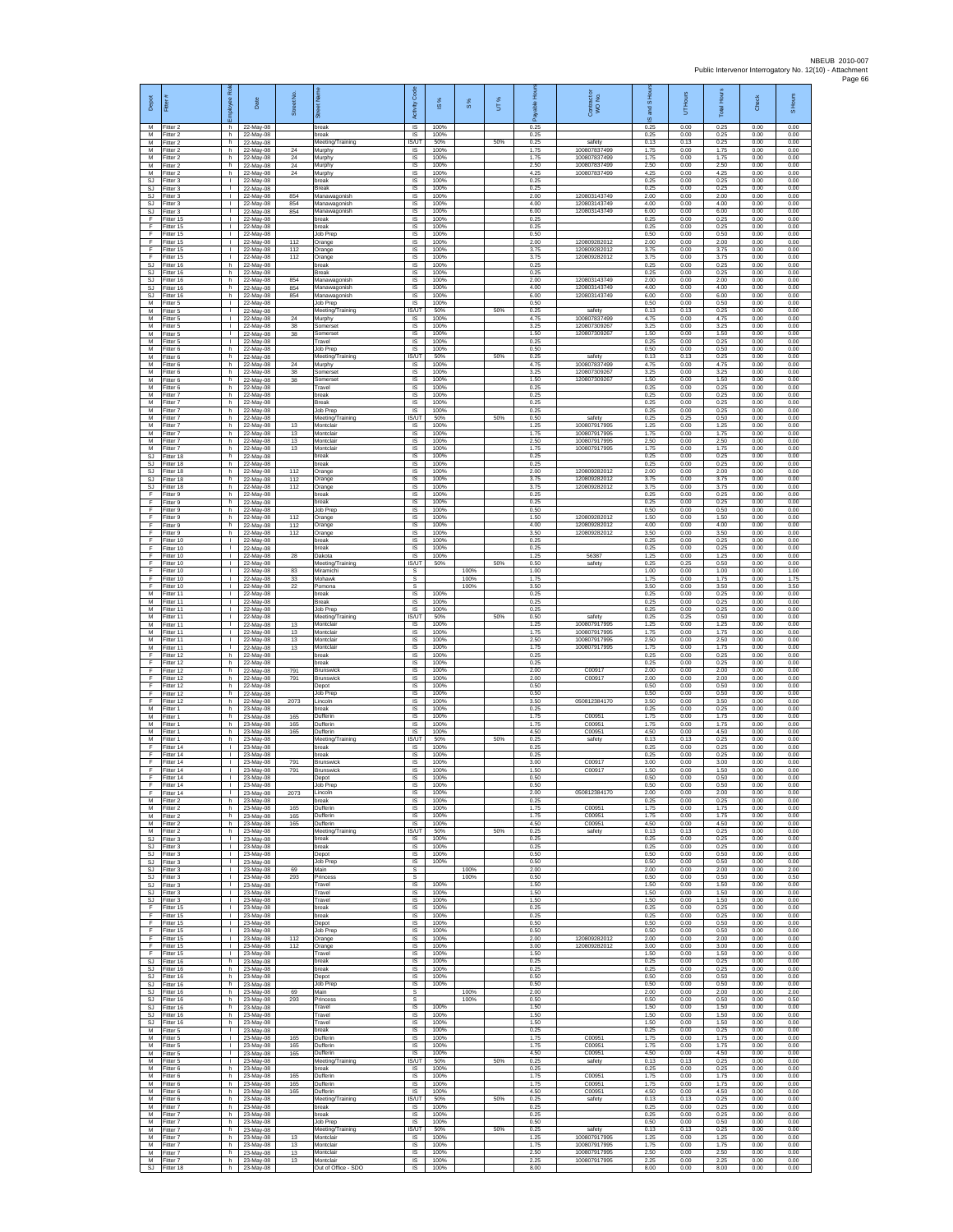| Depot                   | Ē                                             | æ<br>eeko                                      | Date                                | Street No.        | ā                                             | Code<br>Activity                   | ×,<br>ഇ              | $\frac{8}{3}$        | UT% | able<br>ஃ            | Contract or<br>WO No.                        | S Hou<br>g<br>ဖ      | BJ DH<br>5           | <b>Total Hours</b>   | <b>Check</b>         | S Hours              |
|-------------------------|-----------------------------------------------|------------------------------------------------|-------------------------------------|-------------------|-----------------------------------------------|------------------------------------|----------------------|----------------------|-----|----------------------|----------------------------------------------|----------------------|----------------------|----------------------|----------------------|----------------------|
| М<br>M<br>M             | Fitter 2<br>Fitter 2<br>Fitter 2              | h<br>h.<br>h.                                  | 22-May-08<br>22-May-08<br>22-May-08 |                   | break<br>break<br>Meeting/Training            | IS<br>IS<br>IS/UT                  | 100%<br>100%<br>50%  |                      | 50% | 0.25<br>0.25<br>0.25 | safety                                       | 0.25<br>0.25<br>0.13 | 0.00<br>0.00<br>0.13 | 0.25<br>0.25<br>0.25 | 0.00<br>0.00<br>0.00 | 0.00<br>0.00<br>0.00 |
| M<br>M                  | Fitter 2<br>Fitter 2                          | h<br>h.                                        | 22-May-08<br>22-May-08              | 24<br>24          | Murphy<br>Murphy                              | IS<br>IS                           | 100%<br>100%         |                      |     | 1.75<br>1.75         | 100807837499<br>100807837499<br>100807837499 | 1.75<br>1.75         | 0.00<br>0.00         | 1.75<br>1.75         | 0.00<br>0.00         | 0.00<br>0.00         |
| M<br>M<br>SJ            | itter 2<br>Fitter 2<br>Fitter 3               | h<br>h.<br><b>I</b>                            | 22-May-08<br>22-May-08<br>22-May-08 | 24<br>24          | Murphy<br>Murphy<br>break                     | IS<br><b>IS</b><br><b>IS</b>       | 100%<br>100%<br>100% |                      |     | 2.50<br>4.25<br>0.25 | 100807837499                                 | 2.50<br>4.25<br>0.25 | 0.00<br>0.00<br>0.00 | 2.50<br>4.25<br>0.25 | 0.00<br>0.00<br>0.00 | 0.00<br>0.00<br>0.00 |
| SJ<br>SJ.               | Fitter 3<br>Fitter 3                          | т.<br>$\mathbf{L}$                             | 22-May-08<br>22-May-08              | 854               | Break<br>Manawagonish                         | IS<br>IS                           | 100%<br>100%         |                      |     | 0.25<br>2.00         | 120803143749                                 | 0.25<br>2.00         | 0.00<br>0.00         | 0.25<br>2.00         | 0.00<br>0.00         | 0.00<br>0.00         |
| SJ<br>SJ<br>Ŧ           | Fitter 3<br>-itter 3<br>Fitter 15             | $\mathbf{L}$<br>H.<br>$\mathbf{L}$             | 22-May-08<br>22-May-08<br>22-May-08 | 854<br>854        | Manawagonish<br>Manawagonish<br>break         | IS<br>IS<br>IS                     | 100%<br>100%<br>100% |                      |     | 4.00<br>6.00<br>0.25 | 120803143749<br>120803143749                 | 4.00<br>6.00<br>0.25 | 0.00<br>0.00<br>0.00 | 4.00<br>6.00<br>0.25 | 0.00<br>0.00<br>0.00 | 0.00<br>0.00<br>0.00 |
| F<br>F<br>F             | Fitter 15<br>Fitter 15                        | $\mathbf{L}$<br>$\mathbf{L}$<br>H.             | 22-May-08<br>22-May-08              | 112               | break<br>Job Prep<br>Orange                   | IS<br>IS<br>IS                     | 100%<br>100%<br>100% |                      |     | 0.25<br>0.50<br>2.00 | 120809282012                                 | 0.25<br>0.50<br>2.00 | 0.00<br>0.00<br>0.00 | 0.25<br>0.50<br>2.00 | 0.00<br>0.00<br>0.00 | 0.00<br>0.00<br>0.00 |
| F<br>-F                 | Fitter 15<br>ltter <sub>15</sub><br>Fitter 15 | т.<br>$\mathbf{L}$                             | 22-May-08<br>22-May-08<br>22-May-08 | 112<br>112        | Orange<br>Orange                              | IS<br>IS                           | 100%<br>100%         |                      |     | 3.75<br>3.75         | 12080928201<br>120809282012                  | 3.75<br>3.75         | 0.00<br>0.00         | 3.75<br>3.75         | 0.00<br>0.00         | 0.00<br>0.00         |
| SJ<br>SJ<br>-SJ         | Fitter 16<br>Fitter 16<br>Fitter 16           | h.<br>h<br>h.                                  | 22-May-08<br>22-May-08<br>22-May-08 | 854               | break<br>Break<br>Manawagonish                | IS<br>$\sf IS$<br>IS               | 100%<br>100%<br>100% |                      |     | 0.25<br>0.25<br>2.00 | 120803143749                                 | 0.25<br>0.25<br>2.00 | 0.00<br>0.00<br>0.00 | 0.25<br>0.25<br>2.00 | 0.00<br>0.00<br>0.00 | 0.00<br>0.00<br>0.00 |
| S.I<br><b>SJ</b>        | Fitter 16<br>Fitter 16                        | h.<br>h.                                       | 22-May-08<br>22-May-08              | 854<br>854        | Manawagonish<br>Manawagonish                  | IS<br>IS                           | 100%<br>100%         |                      |     | 4.00<br>6.00         | 120803143749<br>120803143749                 | 4.00<br>6.00         | 0.00<br>0.00         | 4.00<br>6.00         | 0.00<br>0.00         | 0.00<br>0.00         |
| M<br>M<br>${\sf M}$     | Fitter 5<br>Fitter 5<br>-itter 5              | $\mathbf{L}$<br>$\mathbf{L}$<br>$\mathbf{L}$   | 22-May-08<br>22-May-08<br>22-May-08 | 24                | Job Prep<br>Meeting/Training<br>Murphy        | IS<br>IS/UT<br>IS                  | 100%<br>50%<br>100%  |                      | 50% | 0.50<br>0.25<br>4.75 | safety<br>100807837499                       | 0.50<br>0.13<br>4.75 | 0.00<br>0.13<br>0.00 | 0.50<br>0.25<br>4.75 | 0.00<br>0.00<br>0.00 | 0.00<br>0.00<br>0.00 |
| M<br>M                  | Fitter 5<br>Fitter 5                          | $\mathbb{R}^n$<br>$\mathbf{L}$                 | 22-May-08<br>22-May-08              | $38\,$<br>38      | Somerset<br>Somerset                          | IS<br><b>IS</b>                    | 100%<br>100%         |                      |     | 3.25<br>1.50         | 120807309267<br>120807309267                 | 3.25<br>1.50         | 0.00<br>0.00         | 3.25<br>1.50         | 0.00<br>0.00         | 0.00<br>0.00         |
| M<br>M<br>M             | Fitter 5<br>Fitter 6<br>Fitter 6              | $\mathbf{L}$<br>h.<br>h                        | 22-May-08<br>22-May-08<br>22-May-08 |                   | Travel<br>Job Prep<br>Meeting/Training        | IS<br>IS<br><b>IS/UT</b>           | 100%<br>100%<br>50%  |                      | 50% | 0.25<br>0.50<br>0.25 | safety                                       | 0.25<br>0.50<br>0.13 | 0.00<br>0.00<br>0.13 | 0.25<br>0.50<br>0.25 | 0.00<br>0.00<br>0.00 | 0.00<br>0.00<br>0.00 |
| M<br>M                  | Fitter 6<br>-itter 6                          | h.<br>h.                                       | 22-May-08<br>22-May-08              | 24<br>$38\,$      | Murphy<br>Somerset                            | <b>IS</b><br>IS                    | 100%<br>100%         |                      |     | 4.75<br>3.25         | 100807837499<br>120807309267                 | 4.75<br>3.25         | 0.00<br>0.00         | 4.75<br>3.25         | 0.00<br>0.00         | 0.00<br>0.00         |
| M<br>M<br>M             | Fitter 6<br>Fitter 6<br>Fitter 7              | h<br>h<br>h                                    | 22-May-08<br>22-May-08<br>22-May-08 | 38                | Somerse<br>Travel<br>break                    | IS<br>IS<br>IS                     | 100%<br>100%<br>100% |                      |     | 1.50<br>0.25<br>0.25 | 120807309267                                 | 1.50<br>0.25<br>0.25 | 0.00<br>0.00<br>0.00 | 1.50<br>0.25<br>0.25 | 0.00<br>0.00<br>0.00 | 0.00<br>0.00<br>0.00 |
| M<br>M                  | -itter 7<br>Fitter 7                          | h.<br>h.                                       | 22-May-08<br>22-May-08              |                   | Break<br>Job Prep                             | IS<br>IS                           | 100%<br>100%         |                      |     | 0.25<br>0.25         |                                              | 0.25<br>0.25         | 0.00<br>0.00         | 0.25<br>0.25         | 0.00<br>0.00         | 0.00<br>0.00         |
| M<br>М<br>M             | Fitter 7<br>Fitter 7<br>Fitter 7              | h.<br>h.<br>h.                                 | 22-May-08<br>22-May-08<br>22-May-08 | 13<br>13          | Meeting/Training<br>Montclair<br>Montclair    | <b>IS/UT</b><br>IS<br>IS           | 50%<br>100%<br>100%  |                      | 50% | 0.50<br>1.25<br>1.75 | safety<br>100807917995<br>100807917995       | 0.25<br>1.25<br>1.75 | 0.25<br>0.00<br>0.00 | 0.50<br>1.25<br>1.75 | 0.00<br>0.00<br>0.00 | 0.00<br>0.00<br>0.00 |
| M<br>M                  | Fitter 7<br>Fitter 7                          | h<br>h.                                        | 22-May-08<br>22-May-08              | 13<br>13          | Montclair<br>Montclair                        | IS<br><b>IS</b>                    | 100%<br>100%         |                      |     | 2.50<br>1.75         | 100807917995<br>100807917995                 | 2.50<br>1.75         | 0.00<br>0.00         | 2.50<br>1.75         | 0.00<br>0.00         | 0.00<br>0.00         |
| SJ<br>SJ<br>-SJ         | Fitter 18<br>litter 18<br>Fitter 18           | h.<br>h<br>h.                                  | 22-May-08<br>22-May-08<br>22-May-08 | 112               | break<br>oreak<br>Orange                      | $\sf IS$<br>$\sf IS$<br>IS         | 100%<br>100%<br>100% |                      |     | 0.25<br>0.25<br>2.00 | 120809282012                                 | 0.25<br>0.25<br>2.00 | 0.00<br>0.00<br>0.00 | 0.25<br>0.25<br>2.00 | 0.00<br>0.00<br>0.00 | 0.00<br>0.00<br>0.00 |
| S.I<br><b>SJ</b>        | Fitter 18<br>Fitter 18                        | h<br>h                                         | 22-May-08<br>22-May-08              | 112<br>112        | Orange<br>Orange                              | <b>IS</b><br>IS                    | 100%<br>100%         |                      |     | 3.75<br>3.75         | 120809282012<br>120809282012                 | 3.75<br>3.75         | 0.00<br>0.00         | 3.75<br>3.75         | 0.00<br>0.00         | 0.00<br>0.00         |
| F.<br>E<br>$\mathsf F$  | Fitter 9<br>Fitter 9<br>itter 9               | h.<br>h.<br>h                                  | 22-May-08<br>22-May-08<br>22-May-08 |                   | break<br>break<br>Job Prep                    | IS<br>IS<br>IS                     | 100%<br>100%<br>100% |                      |     | 0.25<br>0.25<br>0.50 |                                              | 0.25<br>0.25<br>0.50 | 0.00<br>0.00<br>0.00 | 0.25<br>0.25<br>0.50 | 0.00<br>0.00<br>0.00 | 0.00<br>0.00<br>0.00 |
| F<br>F                  | Fitter 9<br>Fitter 9                          | h.<br>h.                                       | 22-May-08<br>22-May-08              | 112<br>112        | Orange<br>Orange                              | IS<br><b>IS</b>                    | 100%<br>100%         |                      |     | 1.50<br>4.00         | 120809282012<br>120809282012                 | 1.50<br>4.00         | 0.00<br>0.00         | 1.50<br>4.00         | 0.00<br>0.00         | 0.00<br>0.00         |
| F<br>Ŧ<br>F             | Fitter 9<br>Fitter 10<br>Fitter 10            | h.<br>H.<br>$\mathbf{L}$                       | 22-May-08<br>22-May-08<br>22-May-08 | 112               | Orange<br>break<br>oreak                      | IS<br>IS<br>IS                     | 100%<br>100%<br>100% |                      |     | 3.50<br>0.25<br>0.25 | 120809282012                                 | 3.50<br>0.25<br>0.25 | 0.00<br>0.00<br>0.00 | 3.50<br>0.25<br>0.25 | 0.00<br>0.00<br>0.00 | 0.00<br>0.00<br>0.00 |
| -F<br>F                 | Fitter 10<br>Fitter 10                        | $\mathbf{L}$<br>$\mathbf{L}$                   | 22-May-08<br>22-May-08              | 28                | Dakota<br>Meeting/Training                    | <b>IS</b><br>IS/UT                 | 100%<br>50%          |                      | 50% | 1.25<br>0.50         | 56387<br>safety                              | 1.25<br>0.25         | 0.00<br>0.25         | 1.25<br>0.50         | 0.00<br>0.00         | 0.00<br>0.00         |
| $\mathsf F$<br>F.<br>E  | Fitter 10<br>Fitter 10<br>Fitter 10           | ٠<br>$\mathbf{L}$<br>$\mathbf{L}$              | 22-May-08<br>22-May-08<br>22-May-08 | 83<br>33<br>22    | Miramichi<br>Mohawk<br>Pomona                 | s<br>s<br>s                        |                      | 100%<br>100%<br>100% |     | 1.00<br>1.75<br>3.50 |                                              | 1.00<br>1.75<br>3.50 | 0.00<br>0.00<br>0.00 | 1.00<br>1.75<br>3.50 | 0.00<br>0.00<br>0.00 | 1.00<br>1.75<br>3.50 |
| ${\sf M}$<br>M          | Fitter 11<br>Fitter 11                        | H.<br>т                                        | 22-May-08<br>22-May-08              |                   | break<br>Break                                | $\sf IS$<br>IS                     | 100%<br>100%         |                      |     | 0.25<br>0.25         |                                              | 0.25<br>0.25         | 0.00<br>0.00         | 0.25<br>0.25         | 0.00<br>0.00         | 0.00<br>0.00         |
| M<br>M<br>M             | Fitter 11<br>Fitter 11<br>Fitter 11           | $\mathbf{L}$<br>$\mathbf{L}$<br>H.             | 22-May-08<br>22-May-08<br>22-May-08 | 13                | Job Prep<br>Meeting/Training<br>Montclair     | <b>IS</b><br>IS/UT<br>IS           | 100%<br>50%<br>100%  |                      | 50% | 0.25<br>0.50<br>1.25 | safety<br>100807917995                       | 0.25<br>0.25<br>1.25 | 0.00<br>0.25<br>0.00 | 0.25<br>0.50<br>1.25 | 0.00<br>0.00<br>0.00 | 0.00<br>0.00<br>0.00 |
| M<br>M                  | -itter 11<br>Fitter 11                        | т.<br>т.<br>$\mathbf{L}$                       | 22-May-08<br>22-May-08              | 13<br>13          | Montclair<br>Montclair                        | IS<br>IS                           | 100%<br>100%         |                      |     | 1.75<br>2.50         | 100807917995<br>100807917995                 | 1.75<br>2.50         | 0.00<br>0.00         | 1.75<br>2.50         | 0.00<br>0.00         | 0.00<br>0.00         |
| M<br>F<br>-F            | Fitter 11<br>litter 12<br>Fitter 12           | h<br>h.                                        | 22-May-08<br>22-May-08<br>22-May-08 | 13                | Montclair<br>oreak<br>break                   | IS<br>IS<br>IS                     | 100%<br>100%<br>100% |                      |     | 1.75<br>0.25<br>0.25 | 100807917995                                 | 1.75<br>0.25<br>0.25 | 0.00<br>0.00<br>0.00 | 1.75<br>0.25<br>0.25 | 0.00<br>0.00<br>0.00 | 0.00<br>0.00<br>0.00 |
| -F.<br>Ŧ<br>F           | Fitter 12<br>Fitter 12                        | h.<br>h<br>h.                                  | 22-May-08<br>22-May-08              | 791<br>791        | <b>Brunswick</b><br><b>Brunswick</b>          | IS<br>IS<br>IS                     | 100%<br>100%<br>100% |                      |     | 2.00<br>2.00<br>0.50 | C00917<br>C00917                             | 200<br>2.00<br>0.50  | 0.00<br>0.00<br>0.00 | 200<br>2.00<br>0.50  | 0.00<br>0.00<br>0.00 | 0.00<br>0.00<br>0.00 |
| F<br>$\mathsf F$        | Fitter 12<br>Fitter 12<br>ltter 12            | h.<br>h                                        | 22-May-08<br>22-May-08<br>22-May-08 | 2073              | Depot<br>Job Prep<br>Lincoln                  | IS<br>IS                           | 100%<br>100%         |                      |     | 0.50<br>3.50         | 050812384170                                 | 0.50<br>3.50         | 0.00<br>0.00         | 0.50<br>3.50         | 0.00<br>0.00         | 0.00<br>0.00         |
| M<br>M<br>M             | Fitter 1<br>Fitter 1<br>Fitter 1              | h.<br>h.<br>h                                  | 23-May-08<br>23-May-08<br>23-May-08 | 165<br>165        | break<br>Dufferin<br>Dufferin                 | IS<br>IS<br>IS                     | 100%<br>100%<br>100% |                      |     | 0.25<br>1.75<br>1.75 | C00951<br>C00951                             | 0.25<br>1.75<br>1.75 | 0.00<br>0.00<br>0.00 | 0.25<br>1.75<br>1.75 | 0.00<br>0.00<br>0.00 | 0.00<br>0.00<br>0.00 |
| M<br>M                  | Fitter 1<br>fitter 1                          | h.<br>h.                                       | 23-May-08<br>23-May-08              | 165               | Dufferin<br>Meeting/Training                  | IS<br><b>IS/UT</b>                 | 100%<br>50%          |                      | 50% | 4.50<br>0.25         | C00951<br>safety                             | 4.50<br>0.13         | 0.00<br>0.13         | 4.50<br>0.25         | 0.00<br>0.00         | 0.00<br>0.00         |
| -F<br>F<br>F            | Fitter 14<br>Fitter 14<br>Fitter 14           | л.<br>л.<br>т.                                 | 23-May-08<br>23-May-08<br>23-May-08 | 791               | break<br>hreak<br>Brunswick                   | <b>IS</b><br>IS<br>IS              | 100%<br>100%<br>100% |                      |     | 0.25<br>0.25<br>3.00 | C00917                                       | 0.25<br>0.25<br>3.00 | 0.00<br>0.00<br>0.00 | 0.25<br>0.25<br>3.00 | 0.00<br>0.00<br>0.00 | 0.00<br>0.00<br>0.00 |
| F.<br>F                 | Fitter 14<br>Fitter 14                        | $\mathbf{L}$<br>L                              | 23-May-08<br>23-May-08              | 791               | Brunswick<br>Depot                            | IS<br>IS                           | 100%<br>100%         |                      |     | 1.50<br>0.50         | C00917                                       | 1.50<br>0.50         | 0.00<br>0.00         | 1.50<br>0.50         | 0.00<br>0.00         | 0.00<br>0.00         |
| F<br>M                  | Fitter 14<br>Fitter 14<br>Fitter 2            | $\mathbf{L}$<br>h.                             | 23-May-08<br>23-May-08<br>23-May-08 | 2073              | Job Prep<br>Lincoln<br>break                  | IS<br>IS<br><b>IS</b>              | 100%<br>100%<br>100% |                      |     | 0.50<br>2.00<br>0.25 | 050812384170                                 | 0.50<br>2.00<br>0.25 | 0.00<br>0.00<br>0.00 | 0.50<br>2.00<br>0.25 | 0.00<br>0.00<br>0.00 | 0.00<br>0.00<br>0.00 |
| M<br>M                  | Fitter 2<br>Fitter 2                          | h<br>h.                                        | 23-May-08<br>23-May-08              | 165<br>165        | Dufferin<br>Dufferin                          | IS<br>IS                           | 100%<br>100%         |                      |     | 1.75<br>1.75         | C00951<br>C00951                             | 1.75<br>1.75         | 0.00<br>0.00         | 1.75<br>1.75         | 0.00<br>0.00         | 0.00<br>0.00         |
| M<br>M<br>SJ.           | Fitter 2<br>Fitter 2<br>-itter 3              | h.<br>h.<br>$\mathbf{L}$                       | 23-May-08<br>23-May-08<br>23-May-08 | 165               | Dufferin<br>Meeting/Training<br>break         | IS<br><b>IS/UT</b><br>IS           | 100%<br>50%<br>100%  |                      | 50% | 4.50<br>0.25<br>0.25 | C00951<br>safety                             | 4.50<br>0.13<br>0.25 | 0.00<br>0.13<br>0.00 | 4.50<br>0.25<br>0.25 | 0.00<br>0.00<br>0.00 | 0.00<br>0.00<br>0.00 |
| SJ<br>SJ.               | Fitter 3<br>Fitter 3                          | T.<br>л.                                       | 23-May-08<br>23-May-08              |                   | break<br>Depot                                | $\sf IS$<br><b>IS</b>              | 100%<br>100%         |                      |     | 0.25<br>0.50         |                                              | 0.25<br>0.50         | 0.00<br>0.00         | 0.25<br>0.50         | 0.00<br>0.00         | 0.00<br>0.00         |
| S.I.<br>SJ<br><b>SJ</b> | Fitter 3<br>Fitter 3<br>Fitter 3              | $\mathbf{L}$<br>т.<br>$\mathbf{L}$             | 23-May-08<br>23-May-08<br>23-May-08 | 69<br>293         | Job Prep<br>Main<br>Princess                  | <b>IS</b><br>s<br>s                | 100%                 | 100%<br>100%         |     | 0.50<br>2.00<br>0.50 |                                              | 0.50<br>2.00<br>0.50 | 0.00<br>0.00<br>0.00 | 0.50<br>2.00<br>0.50 | 0.00<br>0.00<br>0.00 | 0.00<br>2.00<br>0.50 |
| <b>SJ</b><br>SJ         | Fitter 3<br>-itter 3                          | $\mathbf{L}$<br>$\mathbf{L}$                   | 23-May-08<br>23-May-08              |                   | Travel<br>Travel                              | <b>IS</b><br>IS                    | 100%<br>100%         |                      |     | 1.50<br>1.50         |                                              | 1.50<br>1.50         | 0.00<br>0.00         | 1.50<br>1.50         | 0.00<br>0.00         | 0.00<br>0.00         |
| SJ<br>F<br>F            | Fitter 3<br>Fitter 15<br>Fitter 15            | $\mathbb{R}^n$<br>$\mathbf{L}$<br>$\mathbf{L}$ | 23-May-08<br>23-May-08<br>23-May-08 |                   | Travel<br>break<br>break                      | IS<br><b>IS</b><br>IS              | 100%<br>100%<br>100% |                      |     | 1.50<br>0.25<br>0.25 |                                              | 1.50<br>0.25<br>0.25 | 0.00<br>0.00<br>0.00 | 1.50<br>0.25<br>0.25 | 0.00<br>0.00<br>0.00 | 0.00<br>0.00<br>0.00 |
| Ŧ<br>Ŧ                  | Fitter 15<br>Fitter 15                        | Τ.<br>$\mathbf{I}$                             | 23-May-08<br>23-May-08              |                   | Depot<br>Job Prep                             | IS<br>IS                           | 100%<br>100%         |                      |     | 0.50<br>0.50         | 120809282012                                 | 0.50<br>0.50         | 0.00<br>0.00         | 0.50<br>0.50         | 0.00<br>0.00         | 0.00<br>0.00         |
| -F<br>F.<br>F           | Fitter 15<br>Fitter 15<br>Fitter 15           | $\mathbf{L}$<br>$\mathbf{L}$<br>т.             | 23-May-08<br>23-May-08<br>23-May-08 | 112<br>112        | Orange<br>Orange<br>Travel                    | - IS<br><b>IS</b><br>IS            | 100%<br>100%<br>100% |                      |     | 2.00<br>3.00<br>1.50 | 120809282012                                 | 2.00<br>3.00<br>1.50 | 0.00<br>0.00<br>0.00 | 2.00<br>3.00<br>1.50 | 0.00<br>0.00<br>0.00 | 0.00<br>0.00<br>0.00 |
| <b>SJ</b>               | Fitter 16<br>SJ Fitter 16                     | h.<br>h                                        | 23-May-08<br>23-May-08              |                   | break<br>break                                | IS<br>IS                           | 100%<br>100%         |                      |     | 0.25<br>0.25         |                                              | 0.25<br>0.25         | 0.00<br>0.00         | 0.25<br>0.25         | 0.00<br>0.00         | 0.00<br>0.00         |
| SJ<br>SJ<br>SJ.         | Fitter 16<br>Fitter 16<br>Fitter 16           | h.<br>h.<br>h.                                 | 23-May-08<br>23-May-08<br>23-May-08 | 69                | Depot<br><b>Job Prep</b><br>Main              | IS<br><b>IS</b><br>-S              | 100%<br>100%         | 100%                 |     | 0.50<br>0.50<br>2.00 |                                              | 0.50<br>0.50<br>2.00 | 0.00<br>0.00<br>0.00 | 0.50<br>0.50<br>2.00 | 0.00<br>0.00<br>0.00 | 0.00<br>0.00<br>2.00 |
| SJ<br>SJ                | Fitter 16<br>Fitter 16                        | h<br>h.<br>h.                                  | 23-May-08<br>23-May-08<br>23-May-08 | 293               | Princess<br>Travel<br>Travel                  | s<br>IS<br><b>IS</b>               | 100%<br>100%         | 100%                 |     | 0.50<br>1.50<br>1.50 |                                              | 0.50<br>1.50<br>1.50 | 0.00<br>0.00<br>0.00 | 0.50<br>1.50<br>1.50 | 0.00<br>0.00<br>0.00 | 0.50<br>0.00<br>0.00 |
| SJ.<br>SJ<br>M          | Fitter 16<br>Fitter 16<br>Fitter 5            | h.<br>$\mathbf{L}$                             | 23-May-08<br>23-May-08              |                   | Travel<br>break                               | - IS<br>IS                         | 100%<br>100%         |                      |     | 1.50<br>0.25         |                                              | 1.50<br>0.25         | 0.00<br>0.00         | 1.50<br>0.25         | 0.00<br>0.00         | 0.00<br>0.00         |
| M<br>M<br>M             | Fitter 5<br>Fitter 5<br>Fitter 5              | T.<br>$\mathbf{L}$<br>л.                       | 23-May-08<br>23-May-08              | 165<br>165<br>165 | Dufferin<br>Dufferin<br>Dufferin              | $\sf IS$<br><b>IS</b><br><b>IS</b> | 100%<br>100%<br>100% |                      |     | 1.75<br>1.75<br>4.50 | C00951<br>C00951<br>C00951                   | 1.75<br>1.75<br>4.50 | 0.00<br>0.00<br>0.00 | 1.75<br>1.75<br>4.50 | 0.00<br>0.00<br>0.00 | 0.00<br>0.00<br>0.00 |
| M<br>M                  | -itter 5<br>Fitter 6                          | т.<br>h.                                       | 23-May-08<br>23-May-08<br>23-May-08 |                   | Meeting/Training<br>break                     | IS/UT<br><b>IS</b>                 | 50%<br>100%          |                      | 50% | 0.25<br>0.25         | safety                                       | 0.13<br>0.25         | 0.13<br>0.00         | 0.25<br>0.25         | 0.00<br>0.00         | 0.00<br>0.00         |
| M<br>${\sf M}$<br>M     | Fitter 6<br>-itter 6<br>Fitter 6              | h.<br>h.<br>h                                  | 23-May-08<br>23-May-08<br>23-May-08 | 165<br>165<br>165 | Dufferin<br>Dufferin<br>Dufferin              | - IS<br>IS<br>IS                   | 100%<br>100%<br>100% |                      |     | 1.75<br>1.75<br>4.50 | C00951<br>C00951<br>C00951                   | 1.75<br>1.75<br>4.50 | 0.00<br>0.00<br>0.00 | 1.75<br>1.75<br>4.50 | 0.00<br>0.00<br>0.00 | 0.00<br>0.00<br>0.00 |
| M<br>M                  | Fitter 6<br>Fitter 7                          | h.<br>h.                                       | 23-May-08<br>23-May-08              |                   | Meeting/Training<br>break                     | IS/UT<br><b>IS</b>                 | 50%<br>100%          |                      | 50% | 0.25<br>0.25         | safety                                       | 0.13<br>0.25         | 0.13<br>0.00         | 0.25<br>0.25         | 0.00<br>0.00         | 0.00<br>0.00         |
| M<br>M<br>M             | Fitter 7<br>Fitter 7<br>Fitter 7              | h.<br>h<br>h.                                  | 23-May-08<br>23-May-08<br>23-May-08 |                   | break<br>Job Prep<br>Meeting/Training         | IS<br><b>IS</b><br>IS/UT           | 100%<br>100%<br>50%  |                      | 50% | 0.25<br>0.50<br>0.25 | safety                                       | 0.25<br>0.50<br>0.13 | 0.00<br>0.00<br>0.13 | 0.25<br>0.50<br>0.25 | 0.00<br>0.00<br>0.00 | 0.00<br>0.00<br>0.00 |
| M<br>M                  | -itter 7<br>Fitter 7                          | h.<br>h                                        | 23-May-08<br>23-May-08              | 13<br>13          | Montclair<br>Montclair                        | <b>IS</b><br>IS                    | 100%<br>100%         |                      |     | 1.25<br>1.75         | 100807917995<br>100807917995                 | 1.25<br>1.75         | 0.00<br>0.00         | 1.25<br>1.75         | 0.00<br>0.00         | 0.00<br>0.00         |
| M<br>SJ.                | Fitter 7<br>M Fitter 7<br>Fitter 18           | h<br>h<br>h                                    | 23-May-08<br>23-May-08<br>23-May-08 | 13<br>13          | Montclair<br>Montclair<br>Out of Office - SDO | <b>IS</b><br>$\mathsf{IS}$<br>IS   | 100%<br>100%<br>100% |                      |     | 2.50<br>2.25<br>8.00 | 100807917995<br>100807917995                 | 2.50<br>2.25<br>8.00 | 0.00<br>0.00<br>0.00 | 2.50<br>2.25<br>8.00 | 0.00<br>0.00<br>0.00 | 0.00<br>0.00<br>0.00 |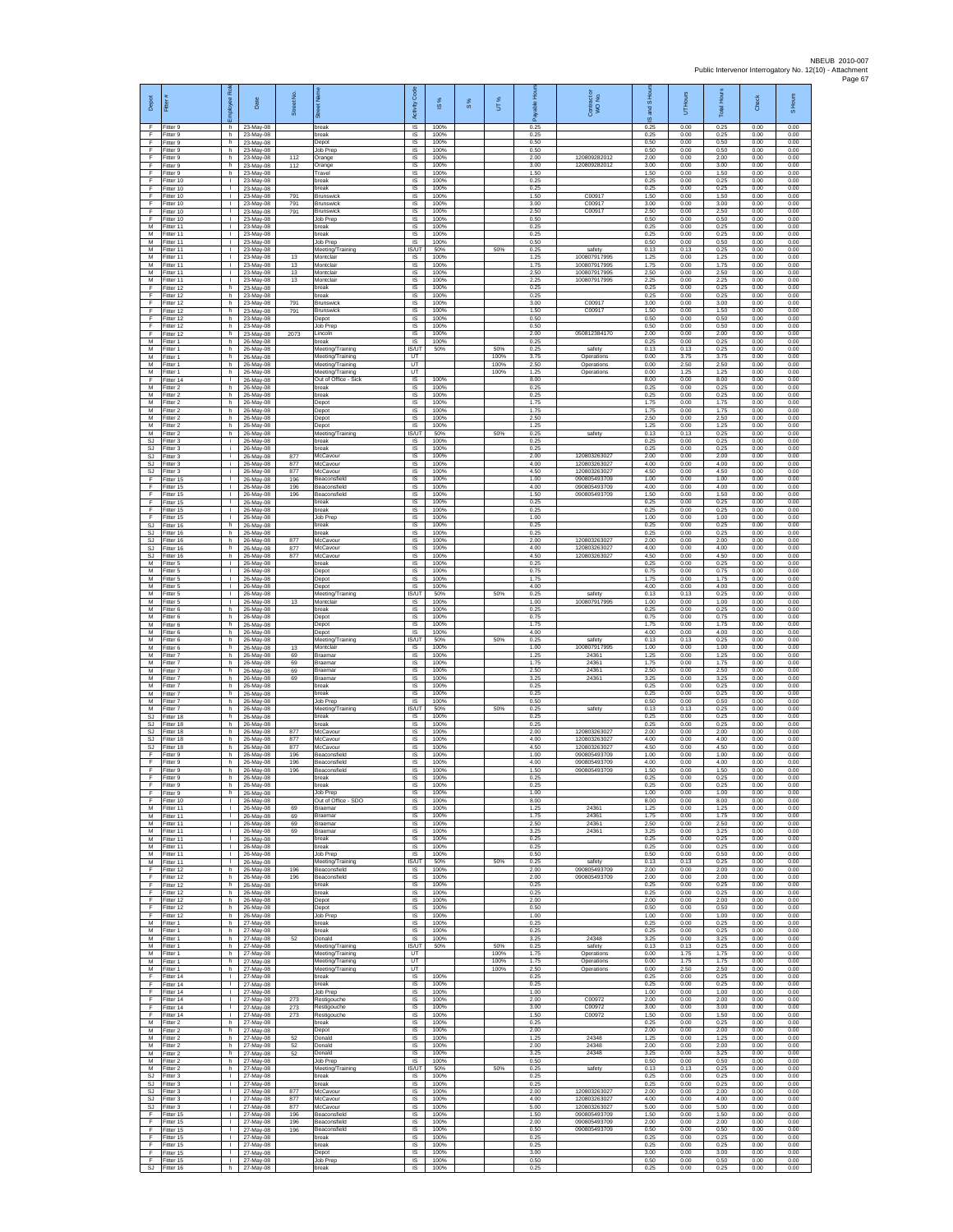| Depot                              | Fitter                                 | æ<br>loyee                                   | Date                                | Street No.        |                                              | Code<br>Activity                  | IS %                 | 8% | UT%          | able Hou<br>۶        | Contract or<br>WO No.                        | and S Ho<br>$\overline{9}$ | UT Hours             | Total Hours          | Check                | S Hours              |
|------------------------------------|----------------------------------------|----------------------------------------------|-------------------------------------|-------------------|----------------------------------------------|-----------------------------------|----------------------|----|--------------|----------------------|----------------------------------------------|----------------------------|----------------------|----------------------|----------------------|----------------------|
| -F<br>F<br>F                       | Fitter 9<br>Fitter 9<br>Fitter 9       | h.<br>h.<br>h                                | 23-May-08<br>23-May-08<br>23-May-08 |                   | break<br>break<br>Depot                      | <b>IS</b><br>$\sf IS$<br>$\sf IS$ | 100%<br>100%<br>100% |    |              | 0.25<br>0.25<br>0.50 |                                              | 0.25<br>0.25<br>0.50       | 0.00<br>0.00<br>0.00 | 0.25<br>0.25<br>0.50 | 0.00<br>0.00<br>0.00 | 0.00<br>0.00<br>0.00 |
| -F<br>-F.                          | Fitter 9<br>Fitter 9                   | h.<br>h.                                     | 23-May-08<br>23-May-08              | 112               | Job Prep<br>Orange                           | <b>IS</b><br>IS                   | 100%<br>100%         |    |              | 0.50<br>2.00         | 120809282012                                 | 0.50<br>2.00               | 0.00<br>0.00         | 0.50<br>2.00         | 0.00<br>0.00         | 0.00<br>0.00         |
| Ŧ<br>Ŧ                             | -itter 9<br>Fitter 9                   | h.<br>h.                                     | 23-May-08<br>23-May-08              | 112               | Orange<br>Travel                             | IS<br>IS                          | 100%<br>100%         |    |              | 3.00<br>1.50         | 120809282012                                 | 3.00<br>1.50               | 0.00<br>0.00         | 3.00<br>1.50         | 0.00<br>0.00         | 0.00<br>0.00         |
| E<br>F<br>F                        | Fitter 10<br>Fitter 10<br>Fitter 10    | $\mathbf{L}$<br>$\mathbf{L}$<br>$\mathbf{L}$ | 23-May-08<br>23-May-08<br>23-May-08 | 791               | break<br>reak<br><b>Brunswick</b>            | IS<br>IS<br>$\sf IS$              | 100%<br>100%<br>100% |    |              | 0.25<br>0.25<br>1.50 | C00917                                       | 0.25<br>0.25<br>1.50       | 0.00<br>0.00<br>0.00 | 0.25<br>0.25<br>1.50 | 0.00<br>0.00<br>0.00 | 0.00<br>0.00<br>0.00 |
| F<br>F                             | Fitter 10<br>Fitter 10                 | $\mathbf{L}$<br>$\mathbf{I}$                 | 23-May-08<br>23-May-08              | 791<br>791        | <b>Brunswick</b><br><b>Brunswick</b>         | IS<br>IS                          | 100%<br>100%         |    |              | 3.00<br>2.50         | C00917<br>C00917                             | 3.00<br>2.50               | 0.00<br>0.00         | 3.00<br>2.50         | 0.00<br>0.00         | 0.00<br>0.00         |
| Ŧ<br>M                             | Fitter 10<br>Fitter 11                 | Τ.<br>т.                                     | 23-May-08<br>23-May-08              |                   | Job Prep<br>oreak                            | IS<br>IS                          | 100%<br>100%         |    |              | 0.50<br>0.25         |                                              | 0.50<br>0.25               | 0.00<br>0.00         | 0.50<br>0.25         | 0.00<br>0.00         | 0.00<br>0.00         |
| M<br>М<br>M                        | Fitter 11<br>Fitter 11<br>Fitter 11    | $\mathbf{L}$<br>$\mathbf{L}$<br>$\mathbf{I}$ | 23-May-08<br>23-May-08<br>23-May-08 |                   | break<br>lob Prep<br>Meeting/Training        | - IS<br>IS<br><b>IS/UT</b>        | 100%<br>100%<br>50%  |    | 50%          | 0.25<br>0.50<br>0.25 | safety                                       | 0.25<br>0.50<br>0.13       | 0.00<br>0.00<br>0.13 | 0.25<br>0.50<br>0.25 | 0.00<br>0.00<br>0.00 | 0.00<br>0.00<br>0.00 |
| M<br>M                             | Fitter 11<br>Fitter 11                 | $\mathbf{L}$<br>$\mathbf{H}$                 | 23-May-08<br>23-May-08              | 13<br>13          | Montclair<br>Montclair                       | IS<br>IS                          | 100%<br>100%         |    |              | 1.25<br>1.75         | 100807917995<br>100807917995                 | 1.25<br>1.75               | 0.00<br>0.00         | 1.25<br>1.75         | 0.00<br>0.00         | 0.00<br>0.00         |
| M<br>М                             | Fitter 11<br>Fitter 11                 | $\mathbf{L}$<br>$\mathbf{L}$                 | 23-May-08<br>23-May-08              | 13<br>13          | Montclair<br>Montclair                       | IS<br>1S                          | 100%<br>100%         |    |              | 2.50<br>2.25         | 100807917995<br>100807917995                 | 2.50<br>2.25               | 0.00<br>0.00         | 2.50<br>2.25         | 0.00<br>0.00         | 0.00<br>0.00         |
| F<br>F<br>F                        | Fitter 12<br>Fitter 12<br>Fitter 12    | h.<br>h.<br>h.                               | 23-May-08<br>23-May-08<br>23-May-08 | 791               | break<br>reak<br><b>Brunswick</b>            | <b>IS</b><br>IS<br>IS             | 100%<br>100%<br>100% |    |              | 0.25<br>0.25<br>3.00 | C00917                                       | 0.25<br>0.25<br>3.00       | 0.00<br>0.00<br>0.00 | 0.25<br>0.25<br>3.00 | 0.00<br>0.00<br>0.00 | 0.00<br>0.00<br>0.00 |
| F<br>F                             | Fitter 12<br>Fitter 12                 | h.<br>h.                                     | 23-May-08<br>23-May-08              | 791               | Brunswick<br>Depot                           | IS<br>-IS                         | 100%<br>100%         |    |              | 1.50<br>0.50         | C00917                                       | 1.50<br>0.50               | 0.00<br>0.00         | 1.50<br>0.50         | 0.00<br>0.00         | 0.00<br>0.00         |
| $\mathsf F$<br>F<br>$\overline{M}$ | Fitter 12<br>Fitter 12<br>Fitter 1     | h.<br>h<br>h.                                | 23-May-08<br>23-May-08<br>26-May-08 | 2073              | <b>Job Prep</b><br>.incoln<br>break          | $\sf IS$<br>IS<br><b>IS</b>       | 100%<br>100%<br>100% |    |              | 0.50<br>2.00<br>0.25 | 050812384170                                 | 0.50<br>2.00<br>0.25       | 0.00<br>0.00<br>0.00 | 0.50<br>2.00<br>0.25 | 0.00<br>0.00<br>0.00 | 0.00<br>0.00<br>0.00 |
| M<br>M                             | Fitter 1<br>Fitter 1                   | h<br>h.                                      | 26-May-08<br>26-May-08              |                   | Meeting/Training<br>Meeting/Training         | <b>ISAIT</b><br>UT                | 50%                  |    | 50%<br>100%  | 0.25<br>3.75         | safety<br>Operations                         | 0.13<br>0.00               | 0.13<br>3.75         | 0.25<br>3.75         | 0.00<br>0.00         | 0.00<br>0.00         |
| М<br>M                             | Fitter 1<br>Fitter 1                   | h.<br>h.                                     | 26-May-08<br>26-May-08              |                   | Meeting/Training<br>Meeting/Training         | UT<br>UT                          |                      |    | 100%<br>100% | 2.50<br>1.25         | Operations<br>Operations                     | 0.00<br>0.00               | 2.50<br>1.25         | 2.50<br>1.25         | 0.00<br>0.00         | 0.00<br>0.00         |
| F<br>M<br>M                        | itter 14<br>Fitter 2<br>Fitter 2       | $\mathbf{L}$<br>$h_{\perp}$<br>h.            | 26-May-08<br>26-May-08<br>26-May-08 |                   | Out of Office - Sicl<br>break<br>break       | IS<br>$\sf IS$<br>IS              | 100%<br>100%<br>100% |    |              | 8.00<br>0.25<br>0.25 |                                              | 8.00<br>0.25<br>0.25       | 0.00<br>0.00<br>0.00 | 8.00<br>0.25<br>0.25 | 0.00<br>0.00<br>0.00 | 0.00<br>0.00<br>0.00 |
| M<br>M                             | Fitter 2<br>Fitter 2                   | h<br>h.                                      | 26-May-08<br>26-May-08              |                   | Depot<br>Depot                               | IS<br>IS                          | 100%<br>100%         |    |              | 1.75<br>1.75         |                                              | 1.75<br>1.75               | 0.00<br>0.00         | 1.75<br>1.75         | 0.00<br>0.00         | 0.00<br>0.00         |
| M<br>M                             | Fitter 2<br>Fitter 2                   | h.<br>h.                                     | 26-May-08<br>26-May-08              |                   | Depot<br>Depot                               | IS<br><b>IS</b>                   | 100%<br>100%         |    |              | 2.50<br>1.25         |                                              | 2.50<br>1.25               | 0.00<br>0.00         | 2.50<br>1.25         | 0.00<br>0.00         | 0.00<br>0.00         |
| M<br>SJ<br>SJ.                     | -itter 2<br>Fitter 3<br>Fitter 3       | h.<br>i.<br>i.                               | 26-May-08<br>26-May-08              |                   | Meeting/Training<br>break<br>oreak           | <b>IS/UT</b><br>IS<br>1S          | 50%<br>100%<br>100%  |    | 50%          | 0.25<br>0.25<br>0.25 | safety                                       | 0.13<br>0.25<br>0.25       | 0.13<br>0.00<br>0.00 | 0.25<br>0.25<br>0.25 | 0.00<br>0.00<br>0.00 | 0.00<br>0.00<br>0.00 |
| SJ<br>SJ                           | Fitter 3<br>-itter 3                   | i.<br>i.                                     | 26-May-08<br>26-May-08<br>26-May-08 | 877<br>877        | McCavour<br>McCavour                         | IS<br>IS                          | 100%<br>100%         |    |              | 2.00<br>4.00         | 120803263027<br>120803263027                 | 2.00<br>4.00               | 0.00<br>0.00         | 2.00<br>4.00         | 0.00<br>0.00         | 0.00<br>0.00         |
| SJ<br>F                            | Fitter 3<br>Fitter 15                  | j.<br>$\mathbf{L}$                           | 26-May-08<br>26-May-08              | 877<br>196        | McCavour<br>Beaconsfield                     | IS<br><b>IS</b>                   | 100%<br>100%         |    |              | 4.50<br>1.00         | 120803263027<br>090805493709                 | 4.50<br>1.00               | 0.00<br>0.00         | 4.50<br>1.00         | 0.00<br>0.00         | 0.00<br>0.00         |
| -F<br>F<br>F                       | Fitter 15<br>Fitter 15<br>ltter 15     | $\mathbf{L}$<br>Τ.<br>$\mathbf{L}$           | 26-May-08<br>26-May-08<br>26-May-08 | 196<br>196        | Beaconsfield<br>Beaconsfield<br>oreak        | IS<br>IS<br>IS                    | 100%<br>100%<br>100% |    |              | 4.00<br>1.50<br>0.25 | 090805493709<br>090805493709                 | 4.00<br>1.50<br>0.25       | 0.00<br>0.00<br>0.00 | 4.00<br>1.50<br>0.25 | 0.00<br>0.00<br>0.00 | 0.00<br>0.00<br>0.00 |
| F<br>F                             | Fitter 15<br>Fitter 15                 | $\mathbf{L}$<br>$\mathbf{L}$                 | 26-May-08<br>26-May-08              |                   | break<br>Job Prep                            | <b>IS</b><br>$\sf IS$             | 100%<br>100%         |    |              | 0.25<br>1.00         |                                              | 0.25<br>1.00               | 0.00<br>0.00         | 0.25<br>1.00         | 0.00<br>0.00         | 0.00<br>0.00         |
| SJ<br>-SJ<br>SJ.                   | Fitter 16<br>Fitter 16<br>Fitter 16    | h<br>h.<br>h.                                | 26-May-08<br>26-May-08              | 877               | break<br>break<br>McCavour                   | IS<br><b>IS</b><br>IS             | 100%<br>100%<br>100% |    |              | 0.25<br>0.25<br>2.00 | 120803263027                                 | 0.25<br>0.25<br>2.00       | 0.00<br>0.00<br>0.00 | 0.25<br>0.25<br>2.00 | 0.00<br>0.00<br>0.00 | 0.00<br>0.00<br>0.00 |
| <b>SJ</b><br>SJ                    | Fitter 16<br>Fitter 16                 | h<br>h.                                      | 26-May-08<br>26-May-08<br>26-May-08 | 877<br>877        | McCavour<br>McCavour                         | IS<br>IS                          | 100%<br>100%         |    |              | 4.00<br>4.50         | 120803263027<br>120803263027                 | 4.00<br>4.50               | 0.00<br>0.00         | 4.00<br>4.50         | 0.00<br>0.00         | 0.00<br>0.00         |
| M<br>${\sf M}$                     | Fitter 5<br>-itter 5                   | $\mathbf{L}$<br>$\mathbb{L}$                 | 26-May-08<br>26-May-08              |                   | break<br>Depot                               | IS<br>IS                          | 100%<br>100%         |    |              | 0.25<br>0.75         |                                              | 0.25<br>0.75               | 0.00<br>0.00         | 0.25<br>0.75         | 0.00<br>0.00         | 0.00<br>0.00         |
| M<br>M<br>M                        | Fitter 5<br>Fitter 5<br>Fitter 5       | $\mathbf{L}$<br>$\mathbf{L}$<br>$\mathbf{I}$ | 26-May-08<br>26-May-08<br>26-May-08 |                   | Depot<br>Depot<br>Meeting/Training           | $\sf IS$<br>IS<br>IS/UT           | 100%<br>100%<br>50%  |    | 50%          | 1.75<br>4.00<br>0.25 | safety                                       | 1.75<br>4.00<br>0.13       | 0.00<br>0.00<br>0.13 | 1.75<br>4.00<br>0.25 | 0.00<br>0.00<br>0.00 | 0.00<br>0.00<br>0.00 |
| M<br>M                             | Fitter 5<br>Fitter 6                   | $\mathbf{L}$<br>h                            | 26-May-08<br>26-May-08              | 13                | Montclai<br>oreak                            | 1S<br>IS                          | 100%<br>100%         |    |              | 1.00<br>0.25         | 100807917995                                 | 1.00<br>0.25               | 0.00<br>0.00         | 1.00<br>0.25         | 0.00<br>0.00         | 0.00<br>0.00         |
| M<br>M                             | Fitter 6<br>-itter 6                   | h.<br>h.<br>h.                               | 26-May-08<br>26-May-08              |                   | Depot<br>Depot                               | <b>IS</b><br>IS<br>IS             | 100%<br>100%<br>100% |    |              | 0.75<br>1.75<br>4.00 |                                              | 0.75<br>1.75<br>4.00       | 0.00<br>0.00<br>0.00 | 0.75<br>1.75<br>4.00 | 0.00<br>0.00<br>0.00 | 0.00<br>0.00<br>0.00 |
| M<br>M<br>M                        | Fitter 6<br>Fitter 6<br>Fitter 6       | h.<br>h.                                     | 26-May-08<br>26-May-08<br>26-May-08 | 13                | Depot<br>Meeting/Training<br>Montclair       | <b>IS/UT</b><br>IS                | 50%<br>100%          |    | 50%          | 0.25<br>1.00         | safety<br>100807917995                       | 0.13<br>1.00               | 0.13<br>0.00         | 0.25<br>1.00         | 0.00<br>0.00         | 0.00<br>0.00         |
| M<br>M                             | -itter 7<br>Fitter 7                   | h.<br>h.                                     | 26-May-08<br>26-May-08<br>26-May-08 | 69<br>69          | Braemar<br>Braemar                           | IS<br>1S                          | 100%<br>100%         |    |              | 1.25<br>1.75         | 24361<br>24361                               | 1.25<br>1.75               | 0.00<br>0.00<br>0.00 | 1.25<br>1.75<br>2.50 | 0.00<br>0.00<br>0.00 | 0.00<br>0.00         |
| M<br>М<br>M                        | Fitter 7<br>Fitter 7<br>Fitter 7       | h.<br>h.<br>h.                               | 26-May-08<br>26-May-08              | 69<br>69          | Braemar<br>Braemar<br>break                  | <b>IS</b><br>IS<br>IS             | 100%<br>100%<br>100% |    |              | 2.50<br>3.25<br>0.25 | 24361<br>24361                               | 2.50<br>3.25<br>0.25       | 0.00<br>0.00         | 3.25<br>0.25         | 0.00<br>0.00         | 0.00<br>0.00<br>0.00 |
| M<br>M                             | Fitter 7<br>Fitter 7                   | h.<br>h.                                     | 26-May-08<br>26-May-08              |                   | oreak<br>Job Prec                            | IS<br>-IS                         | 100%<br>100%         |    |              | 0.25<br>0.50         |                                              | 0.25<br>0.50               | 0.00<br>0.00         | 0.25<br>0.50         | 0.00<br>0.00         | 0.00<br>0.00         |
| M<br>SJ<br>-SJ                     | -itter 7<br>Fitter 18<br>Fitter 18     | h.<br>h<br>h.                                | 26-May-08<br>26-May-08<br>26-May-08 |                   | Meeting/Training<br>break<br>break           | IS/UT<br>IS<br>IS                 | 50%<br>100%<br>100%  |    | 50%          | 0.25<br>0.25<br>0.25 | safety                                       | 0.13<br>0.25<br>0.25       | 0.13<br>0.00<br>0.00 | 0.25<br>0.25<br>0.25 | 0.00<br>0.00<br>0.00 | 0.00<br>0.00<br>0.00 |
| SJ.<br><b>SJ</b>                   | Fitter 18<br>Fitter 18                 | h<br>h                                       | 26-May-08<br>26-May-08              | 877<br>877        | McCavour<br>McCavour                         | IS<br>IS                          | 100%<br>100%         |    |              | 2.00<br>4.00         | 120803263027<br>120803263027                 | 2.00<br>4.00               | 0.00<br>0.00         | 2.00<br>4.00         | 0.00<br>0.00         | 0.00<br>0.00         |
| SJ<br>E<br>F                       | Fitter 18<br>Fitter 9<br>-itter 9      | h.<br>h.<br>h.                               | 26-May-08<br>26-May-08<br>26-May-08 | 877<br>196<br>196 | McCavour<br>Beaconsfield<br>Beaconsfield     | IS<br><b>IS</b><br>IS             | 100%<br>100%<br>100% |    |              | 4.50<br>1.00<br>4.00 | 120803263027<br>090805493709<br>090805493709 | 4.50<br>1.00<br>4.00       | 0.00<br>0.00<br>0.00 | 4.50<br>1.00<br>4.00 | 0.00<br>0.00<br>0.00 | 0.00<br>0.00<br>0.00 |
| F<br>F                             | Fitter 9<br>Fitter 9                   | h.<br>h.                                     | 26-May-08<br>26-May-08              | 196               | Beaconsfield<br>break                        | $\sf IS$<br><b>IS</b>             | 100%<br>100%         |    |              | 1.50<br>0.25         | 090805493709                                 | 1.50<br>0.25               | 0.00<br>0.00         | 1.50<br>0.25         | 0.00<br>0.00         | 0.00<br>0.00         |
| E<br>Ŧ                             | Fitter 9<br>Fitter 9                   | h<br>h                                       | 26-May-08<br>26-May-08              |                   | break<br><b>Job Prep</b>                     | <b>IS</b><br>IS                   | 100%<br>100%         |    |              | 0.25<br>1.00         |                                              | 0.25<br>1.00               | 0.00<br>0.00         | 0.25<br>1.00         | 0.00<br>0.00         | 0.00<br>0.00         |
| Ŧ<br>M<br>M                        | Fitter 10<br>Fitter 11<br>Fitter 11    | т.<br>$\mathbf{L}$<br><b>ILL S</b>           | 26-May-08<br>26-May-08<br>26-May-08 | 69<br>69          | Out of Office - SDO<br>Braemar<br>Braemar    | IS<br>- IS<br>IS                  | 100%<br>100%<br>100% |    |              | 8.00<br>1.25<br>175  | 24361<br>24361                               | 8.00<br>1.25<br>1.75       | 0.00<br>0.00<br>0.00 | 8.00<br>1.25<br>175  | 0.00<br>0.00<br>0.00 | 0.00<br>0.00<br>0.00 |
| M<br>M                             | Fitter 11<br>Fitter 11                 | τ.<br>$\mathbf{L}$                           | 26-May-08<br>26-May-08              | 69<br>69          | Braemar<br>Braemar                           | IS<br>IS                          | 100%<br>100%         |    |              | 2.50<br>3.25         | 24361<br>24361                               | 2.50<br>3.25               | 0.00<br>0.00         | 2.50<br>3.25         | 0.00<br>0.00         | 0.00<br>0.00         |
| M<br>${\sf M}$<br>M                | Fitter 11<br>Fitter 11<br>Fitter 11    | $\mathbf{L}$<br>$\mathbb{L}$<br>т            | 26-May-08<br>26-May-08<br>26-May-08 |                   | break<br>break<br><b>Job Prep</b>            | IS<br>$\sf IS$<br>IS              | 100%<br>100%<br>100% |    |              | 0.25<br>0.25<br>0.50 |                                              | 0.25<br>0.25<br>0.50       | 0.00<br>0.00<br>0.00 | 0.25<br>0.25<br>0.50 | 0.00<br>0.00<br>0.00 | 0.00<br>0.00<br>0.00 |
| M<br>F                             | Fitter 11<br>Fitter 12                 | $\mathbf{I}$<br>h.                           | 26-May-08<br>26-May-08              | 196               | Meeting/Training<br>Beaconsfield             | <b>IS/UT</b><br>IS                | 50%<br>100%          |    | 50%          | 0.25<br>2.00         | safety<br>090805493709                       | 0.13<br>2.00               | 0.13<br>0.00         | 0.25<br>2.00         | 0.00<br>0.00         | 0.00<br>0.00         |
| F<br>F                             | Fitter 12<br>Fitter 12                 | h.<br>h.                                     | 26-May-08<br>26-May-08              | 196               | Beaconsfield<br>break                        | IS<br>IS                          | 100%<br>100%<br>100% |    |              | 2.00<br>0.25<br>0.25 | 090805493709                                 | 2.00<br>0.25<br>0.25       | 0.00<br>0.00<br>0.00 | 2.00<br>0.25<br>0.25 | 0.00<br>0.00<br>0.00 | 0.00<br>0.00<br>0.00 |
| -F<br>F.<br>F                      | Fitter 12<br>Fitter 12<br>Fitter 12    | h.<br>h.<br>h                                | 26-May-08<br>26-May-08<br>26-May-08 |                   | break<br>Depot<br>Depot                      | -IS<br>$\sf IS$<br>IS             | 100%<br>100%         |    |              | 2.00<br>0.50         |                                              | 2.00<br>0.50               | 0.00<br>0.00         | 2.00<br>0.50         | 0.00<br>0.00         | 0.00<br>0.00         |
| -F<br>M                            | Fitter 12<br>Fitter 1                  | h.<br>h                                      | 26-May-08<br>27-May-08              |                   | Job Prep<br>break                            | IS<br>IS                          | 100%<br>100%         |    |              | 1.00<br>0.25         |                                              | 1.00<br>0.25               | 0.00<br>0.00         | 1.00<br>0.25         | 0.00<br>0.00         | 0.00<br>0.00         |
| M<br>M<br>M                        | Fitter 1<br>Fitter 1<br>Fitter 1       | h.<br>h.<br>h.                               | 27-May-08<br>27-May-08              | 52                | break<br>Donald<br>Meeting/Training          | IS<br>IS<br><b>IS/UT</b>          | 100%<br>100%<br>50%  |    | 50%          | 0.25<br>3.25<br>0.25 | 24348<br>safety                              | 0.25<br>3.25<br>0.13       | 0.00<br>0.00<br>0.13 | 0.25<br>3.25<br>0.25 | 0.00<br>0.00<br>0.00 | 0.00<br>0.00<br>0.00 |
| M<br>${\sf M}$                     | Fitter 1<br>Fitter 1                   | h<br>h.                                      | 27-May-08<br>27-May-08<br>27-May-08 |                   | Meeting/Training<br>Meeting/Training         | UT<br>UT                          |                      |    | 100%<br>100% | 1.75<br>1.75         | Operations<br>Operations                     | 0.00<br>0.00               | 1.75<br>1.75         | 1.75<br>1.75         | 0.00<br>0.00         | 0.00<br>0.00         |
| M<br>E                             | Fitter 1<br>Fitter 14                  | h.<br>$\mathbf{I}$                           | 27-May-08<br>27-May-08              |                   | Meeting/Training<br>break                    | UT<br>IS                          | 100%                 |    | 100%         | 2.50<br>0.25         | Operations                                   | 0.00<br>0.25               | 2.50<br>0.00         | 2.50<br>0.25         | 0.00<br>0.00         | 0.00<br>0.00         |
| Ŧ<br>Ŧ<br>-F                       | Fitter 14<br>Fitter 14<br>Fitter 14    | $\mathbf{L}$<br>$\mathbf{L}$<br>$\mathbf{L}$ | 27-May-08<br>27-May-08<br>27-May-08 | 273               | break<br>Job Prep<br>Restigouche             | 1S<br>IS<br>-IS                   | 100%<br>100%<br>100% |    |              | 0.25<br>1.00<br>2.00 | C00972                                       | 0.25<br>1.00<br>2.00       | 0.00<br>0.00<br>0.00 | 0.25<br>1.00<br>2.00 | 0.00<br>0.00<br>0.00 | 0.00<br>0.00<br>0.00 |
| F.<br>F                            | Fitter 14<br>Fitter 14                 | H.<br>L.                                     | 27-May-08<br>27-May-08              | 273<br>273        | Restigouche<br>Restigouche                   | IS<br>IS                          | 100%<br>100%         |    |              | 3.00<br>1.50         | C00972<br>C00972                             | 3.00<br>1.50               | 0.00<br>0.00         | 3.00<br>1.50         | 0.00<br>0.00         | 0.00<br>0.00         |
| M<br>M<br>${\sf M}$                | Fitter 2<br>Fitter 2<br>Fitter 2       | h.<br>h I<br>h.                              | 27-May-08<br>27-May-08<br>27-May-08 | 52                | break<br>Depot<br>Donald                     | 1S<br>IS<br>IS                    | 100%<br>100%<br>100% |    |              | 0.25<br>2.00<br>1.25 | 24348                                        | 0.25<br>2.00<br>1.25       | 0.00<br>0.00<br>0.00 | 0.25<br>2.00<br>1.25 | 0.00<br>0.00<br>0.00 | 0.00<br>0.00<br>0.00 |
| M<br>M                             | Fitter 2<br>Fitter 2                   | h.<br>h.                                     | 27-May-08<br>27-May-08              | 52<br>52          | Donald<br>Donald                             | IS<br><b>IS</b>                   | 100%<br>100%         |    |              | 2.00<br>3.25         | 24348<br>24348                               | 2.00<br>3.25               | 0.00<br>0.00         | 2.00<br>3.25         | 0.00<br>0.00         | 0.00<br>0.00         |
| M<br>M                             | Fitter 2<br>Fitter 2                   | h.<br>h.<br>$\mathbf{L}$                     | 27-May-08<br>27-May-08<br>27-May-08 |                   | Job Prep<br>Meeting/Training<br>break        | IS<br><b>IS/UT</b><br>IS          | 100%<br>50%<br>100%  |    | 50%          | 0.50<br>0.25<br>0.25 | safety                                       | 0.50<br>0.13<br>0.25       | 0.00<br>0.13<br>0.00 | 0.50<br>0.25<br>0.25 | 0.00<br>0.00<br>0.00 | 0.00<br>0.00<br>0.00 |
| SJ.<br>SJ<br>SJ.                   | Fitter 3<br>Fitter 3<br>Fitter 3       | $\mathbf{L}$<br>$\mathbf{L}$                 | 27-May-08<br>27-May-08              | 877               | break<br>McCavour                            | - IS<br>$\sf IS$                  | 100%<br>100%         |    |              | 0.25<br>2.00         | 120803263027                                 | 0.25<br>2.00               | 0.00<br>0.00         | 0.25<br>2.00         | 0.00<br>0.00         | 0.00<br>0.00         |
| SJ<br>SJ.                          | Fitter 3<br>Fitter 3                   | $\mathbf{I}$<br>$\mathbf{L}$                 | 27-May-08<br>27-May-08              | 877<br>877        | McCavour<br>McCavour                         | IS<br>IS                          | 100%<br>100%         |    |              | 4.00<br>5.00         | 120803263027<br>120803263027                 | 4.00<br>5.00               | 0.00<br>0.00         | 4.00<br>5.00         | 0.00<br>0.00         | 0.00<br>0.00         |
| F.<br>Ŧ<br>Ŧ                       | Fitter 15<br>Fitter 15<br>Fitter 15    | H.<br>L.<br>$\mathbf{L}$                     | 27-May-08<br>27-May-08<br>27-May-08 | 196<br>196<br>196 | Beaconsfield<br>Beaconsfield<br>Beaconsfield | IS<br>IS<br>IS                    | 100%<br>100%<br>100% |    |              | 1.50<br>2.00<br>0.50 | 090805493709<br>090805493709<br>090805493709 | 1.50<br>2.00<br>0.50       | 0.00<br>0.00<br>0.00 | 1.50<br>2.00<br>0.50 | 0.00<br>0.00<br>0.00 | 0.00<br>0.00<br>0.00 |
| -F.<br>$\mathsf F$                 | Fitter 15<br>Fitter 15                 | $\mathbf{L}$<br>$\mathbf{L}$                 | 27-May-08<br>27-May-08              |                   | break<br>reak                                | <b>IS</b><br>IS                   | 100%<br>100%         |    |              | 0.25<br>0.25         |                                              | 0.25<br>0.25               | 0.00<br>0.00         | 0.25<br>0.25         | 0.00<br>0.00         | 0.00<br>0.00         |
| F<br>F                             | Fitter 15<br>Fitter 15<br>SJ Fitter 16 | $\mathbf{L}$<br>$\mathbf{L}$<br>h.           | 27-May-08<br>27-May-08<br>27-May-08 |                   | Depot<br>Job Prep<br>break                   | $\sf IS$<br>IS<br>IS              | 100%<br>100%<br>100% |    |              | 3.00<br>0.50<br>0.25 |                                              | 3.00<br>0.50<br>0.25       | 0.00<br>0.00<br>0.00 | 3.00<br>0.50<br>0.25 | 0.00<br>0.00<br>0.00 | 0.00<br>0.00<br>0.00 |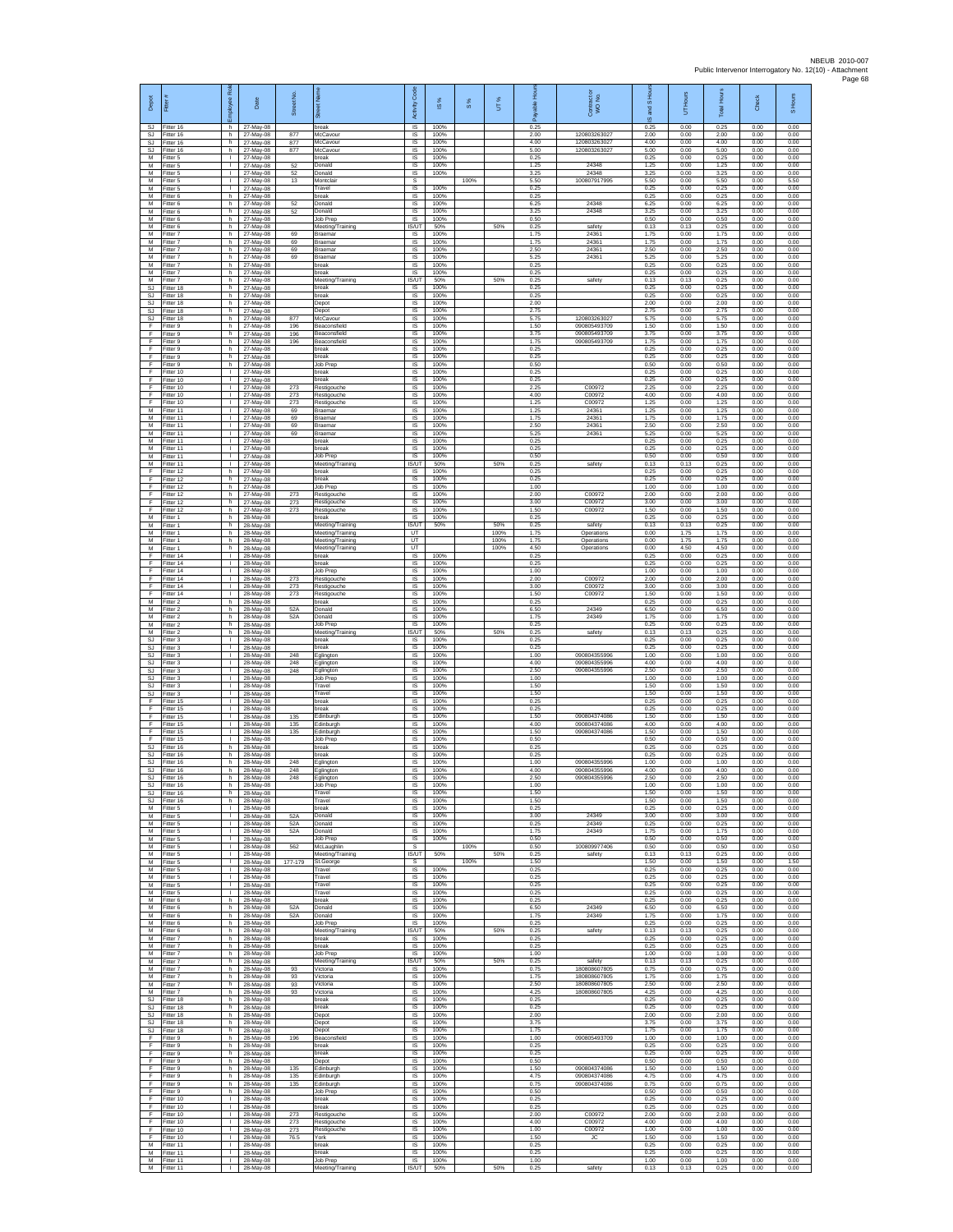| Depot                               | Fitter                                        | ē<br>ployee                        | Date                                | ş<br><b>Street</b> |                                               | Code<br>Activity                        | ഇ                    | $\frac{8}{3}$ | UT%          | Ē<br>å               | Contract or<br>WO No.                        | and S Hou<br>$\overline{\omega}$ | UT Hours             | Total Hours          | Check                | S Hours              |
|-------------------------------------|-----------------------------------------------|------------------------------------|-------------------------------------|--------------------|-----------------------------------------------|-----------------------------------------|----------------------|---------------|--------------|----------------------|----------------------------------------------|----------------------------------|----------------------|----------------------|----------------------|----------------------|
| SJ<br>SJ                            | Fitter 16<br>Fitter 16                        | h.<br>h.                           | 27-May-08<br>27-May-08              | 877                | break<br>McCavou                              | $\overline{\mathsf{S}}$<br>$\sf IS$     | 100%<br>100%         |               |              | 0.25<br>2.00         | 120803263027                                 | 0.25<br>2.00                     | 0.00<br>0.00         | 0.25<br>2.00         | 0.00<br>0.00         | 0.00<br>0.00         |
| SJ<br>SJ.<br>M                      | litter 16<br>Fitter 16<br>Fitter 5            | h.<br>h.<br>т.                     | 27-May-08<br>27-May-08<br>27-May-08 | 877<br>877         | McCavour<br>McCavour<br>break                 | IS<br>IS<br>IS                          | 100%<br>100%<br>100% |               |              | 4.00<br>5.00<br>0.25 | 120803263027<br>120803263027                 | 4.00<br>5.00<br>0.25             | 0.00<br>0.00<br>0.00 | 4.00<br>5.00<br>0.25 | 0.00<br>0.00<br>0.00 | 0.00<br>0.00<br>0.00 |
| M<br>M                              | Fitter 5<br>fitter 5                          | $\mathbb{L}$<br>T.                 | 27-May-08<br>27-May-08              | 52<br>52           | Donald<br>Donald                              | IS<br>IS                                | 100%<br>100%         |               |              | 1.25<br>3.25         | 24348<br>24348                               | 1.25<br>3.25                     | 0.00<br>0.00         | 1.25<br>3.25         | 0.00<br>0.00         | 0.00<br>0.00         |
| M<br>M<br>М                         | Fitter 5<br>Fitter 5<br>Fitter 6              | л.<br>$\mathbf{L}$<br>h            | 27-May-08<br>27-May-08<br>27-May-08 | 13                 | Montclair<br>Travel<br>break                  | .s<br>IS<br>$\sf IS$                    | 100%<br>100%         | 100%          |              | 5.50<br>0.25<br>0.25 | 100807917995                                 | 5.50<br>0.25<br>0.25             | 0.00<br>0.00<br>0.00 | 5.50<br>0.25<br>0.25 | 0.00<br>0.00<br>0.00 | 5.50<br>0.00<br>0.00 |
| M<br>M                              | fitter 6<br>Fitter 6                          | h.<br>h.                           | 27-May-08<br>27-May-08              | 52<br>52           | Donald<br>Donald                              | <b>IS</b><br>IS                         | 100%<br>100%         |               |              | 6.25<br>3.25         | 24348<br>24348                               | 6.25<br>3.25                     | 0.00<br>0.00         | 6.25<br>3.25         | 0.00<br>0.00         | 0.00<br>0.00         |
| М<br>M<br>M                         | -itter 6<br>itter 6<br>Fitter 7               | h<br>h.<br>h.                      | 27-May-08<br>27-May-08<br>27-May-08 | 69                 | Job Prep<br>Meeting/Training<br>Braemar       | IS<br><b>IS/UT</b><br><b>IS</b>         | 100%<br>50%<br>100%  |               | 50%          | 0.50<br>0.25<br>1.75 | safety<br>24361                              | 0.50<br>0.13<br>1.75             | 0.00<br>0.13<br>0.00 | 0.50<br>0.25<br>1.75 | 0.00<br>0.00<br>0.00 | 0.00<br>0.00<br>0.00 |
| М<br>M                              | itter 7<br>Fitter 7                           | h<br>h.                            | 27-May-08<br>27-May-08              | 69<br>69           | Braemar<br>Braemar                            | IS<br>IS                                | 100%<br>100%         |               |              | 1.75<br>2.50         | 24361<br>24361                               | 1.75<br>2.50                     | 0.00<br>0.00         | 1.75<br>2.50         | 0.00<br>0.00         | 0.00<br>0.00         |
| M<br>M<br>М                         | fitter 7<br>Fitter 7<br>Fitter 7              | h.<br>h<br>h.                      | 27-May-08<br>27-May-08<br>27-May-08 | 69                 | Braemar<br>break<br>break                     | IS<br>IS<br>$\sf IS$                    | 100%<br>100%<br>100% |               |              | 5.25<br>0.25<br>0.25 | 24361                                        | 5.25<br>0.25<br>0.25             | 0.00<br>0.00<br>0.00 | 5.25<br>0.25<br>0.25 | 0.00<br>0.00<br>0.00 | 0.00<br>0.00<br>0.00 |
| M<br><b>SJ</b>                      | itter 7<br>-itter 18                          | h.<br>h.                           | 27-May-08<br>27-May-08              |                    | Meeting/Training<br>break                     | <b>IS/UT</b><br>-IS                     | 50%<br>100%          |               | 50%          | 0.25<br>0.25         | safety                                       | 0.13<br>0.25                     | 0.13<br>0.00         | 0.25<br>0.25         | 0.00<br>0.00         | 0.00<br>0.00         |
| S.I.<br>SJ                          | Fitter 18<br>Fitter 18                        | h.<br>h                            | 27-May-08<br>27-May-08              |                    | break<br>Depot                                | IS<br>IS                                | 100%<br>100%         |               |              | 0.25<br>2.00         |                                              | 0.25<br>2.00                     | 0.00<br>0.00         | 0.25<br>2.00         | 0.00<br>0.00         | 0.00<br>0.00         |
| <b>SJ</b><br>SJ<br>F                | Fitter 18<br>Fitter 18<br>itter 9             | h.<br>h.<br>h                      | 27-May-08<br>27-May-08<br>27-May-08 | 877<br>196         | Depot<br>McCavour<br>Beaconsfield             | IS<br>IS<br>IS                          | 100%<br>100%<br>100% |               |              | 2.75<br>5.75<br>1.50 | 120803263027<br>090805493709                 | 2.75<br>5.75<br>1.50             | 0.00<br>0.00<br>0.00 | 2.75<br>5.75<br>1.50 | 0.00<br>0.00<br>0.00 | 0.00<br>0.00<br>0.00 |
| F<br>F                              | Fitter 9<br>Fitter 9                          | h.<br>h.                           | 27-May-08<br>27-May-08              | 196<br>196         | Beaconsfield<br>Beaconsfield                  | $\sf IS$<br>$\overline{\mathsf{s}}$     | 100%<br>100%         |               |              | 3.75<br>1.75         | 090805493709<br>090805493709                 | 3.75<br>1.75                     | 0.00<br>0.00         | 3.75<br>1.75         | 0.00<br>0.00         | 0.00<br>0.00         |
| F<br>F<br>F                         | Fitter 9<br>Fitter 9<br>itter 9               | h<br>h.<br>h.                      | 27-May-08<br>27-May-08<br>27-May-08 |                    | break<br>break<br>Job Prep                    | IS<br>IS<br>IS                          | 100%<br>100%<br>100% |               |              | 0.25<br>0.25<br>0.50 |                                              | 0.25<br>0.25<br>0.50             | 0.00<br>0.00<br>0.00 | 0.25<br>0.25<br>0.50 | 0.00<br>0.00<br>0.00 | 0.00<br>0.00<br>0.00 |
| F<br>F                              | Fitter 10<br>Fitter 10                        | л.<br>л.                           | 27-May-08<br>27-May-08              |                    | break<br>break                                | IS<br>IS                                | 100%<br>100%         |               |              | 0.25<br>0.25         |                                              | 0.25<br>0.25                     | 0.00<br>0.00         | 0.25<br>0.25         | 0.00<br>0.00         | 0.00<br>0.00         |
| F<br>F<br>F                         | Fitter 10<br>Fitter 10<br>Fitter 10           | T.<br>$\mathbf{L}$<br>т.           | 27-May-08<br>27-May-08<br>27-May-08 | 273<br>273<br>273  | Restigouche<br>Restigouche<br>Restigouche     | $\sf IS$<br><b>IS</b><br>IS             | 100%<br>100%<br>100% |               |              | 2.25<br>4.00<br>1.25 | C00972<br>C00972<br>C00972                   | 2.25<br>4.00<br>1.25             | 0.00<br>0.00<br>0.00 | 2.25<br>4.00<br>1.25 | 0.00<br>0.00<br>0.00 | 0.00<br>0.00<br>0.00 |
| М<br>M                              | fitter 11<br>fitter 11                        | т.<br>т                            | 27-May-08<br>27-May-08              | 69<br>69           | Braemar<br>Braemar                            | IS<br>IS                                | 100%<br>100%         |               |              | 1.25<br>1.75         | 24361<br>24361                               | 1.25<br>1.75                     | 0.00<br>0.00         | 1.25<br>1.75         | 0.00<br>0.00         | 0.00<br>0.00         |
| M<br>М<br>M                         | Fitter 11<br>Fitter 11<br>Fitter 11           | $\mathbf{L}$<br>т.<br>$\mathbf{I}$ | 27-May-08<br>27-May-08<br>27-May-08 | 69<br>69           | Braemar<br>Braemar<br>break                   | IS<br>IS<br>IS                          | 100%<br>100%<br>100% |               |              | 2.50<br>5.25<br>0.25 | 24361<br>24361                               | 2.50<br>5 25<br>0.25             | 0.00<br>0.00<br>0.00 | 2.50<br>5.25<br>0.25 | 0.00<br>0.00<br>0.00 | 0.00<br>0.00<br>0.00 |
| M<br>M                              | fitter 11<br>Fitter 11                        | T.<br>L.                           | 27-May-08<br>27-May-08              |                    | oreak<br><b>Job Prep</b>                      | IS<br><b>IS</b>                         | 100%<br>100%         |               |              | 0.25<br>0.50         |                                              | 0.25<br>0.50                     | 0.00<br>0.00         | 0.25<br>0.50         | 0.00<br>0.00         | 0.00<br>0.00         |
| М<br>F<br>F                         | Fitter 11<br>itter 12                         | $\mathbf{L}$<br>h.                 | 27-May-08<br>27-May-08<br>27-May-08 |                    | Meeting/Training<br>oreak                     | IS/UT<br>IS                             | 50%<br>100%<br>100%  |               | 50%          | 0.25<br>0.25<br>0.25 | safety                                       | 0.13<br>0.25<br>0.25             | 0.13<br>0.00<br>0.00 | 0.25<br>0.25<br>0.25 | 0.00<br>0.00<br>0.00 | 0.00<br>0.00<br>0.00 |
| F<br>F                              | ltter <sub>12</sub><br>Fitter 12<br>Fitter 12 | h.<br>h.<br>h                      | 27-May-08<br>27-May-08              | 273                | break<br>Job Prep<br>Restigouche              | -IS<br>IS<br>IS                         | 100%<br>100%         |               |              | 1.00<br>2.00         | C00972                                       | 1.00<br>2.00                     | 0.00<br>0.00         | 1.00<br>2.00         | 0.00<br>0.00         | 0.00<br>0.00         |
| F<br>F                              | Fitter 12<br>Fitter 12                        | h.<br>h.                           | 27-May-08<br>27-May-08              | 273<br>273         | Restigouche<br>Restigouche                    | IS<br>IS                                | 100%<br>100%         |               |              | 3.00<br>1.50         | C00972<br>C00972                             | 3.00<br>1.50                     | 0.00<br>0.00         | 3.00<br>1.50         | 0.00<br>0.00         | 0.00<br>0.00         |
| М<br>M<br>M                         | Fitter 1<br>itter 1<br>Fitter 1               | h.<br>h.<br>h.                     | 28-May-08<br>28-May-08<br>28-May-08 |                    | break<br>Meeting/Training<br>Meeting/Training | $\sf IS$<br>IS/UT<br>UT                 | 100%<br>50%          |               | 50%<br>100%  | 0.25<br>0.25<br>1.75 | safety<br>Operations                         | 0.25<br>0.13<br>0.00             | 0.00<br>0.13<br>1.75 | 0.25<br>0.25<br>1.75 | 0.00<br>0.00<br>0.00 | 0.00<br>0.00<br>0.00 |
| M<br>М                              | Fitter 1<br>Fitter 1                          | h<br>h.                            | 28-May-08<br>28-May-08              |                    | Meeting/Training<br>Meeting/Training          | UT<br>UT                                |                      |               | 100%<br>100% | 1.75<br>4.50         | Operations<br>Operations                     | 0.00<br>0.00                     | 1.75<br>4.50         | 1.75<br>4.50         | 0.00<br>0.00         | 0.00<br>0.00         |
| F<br>F<br>F                         | itter 14<br>Fitter 14<br>Fitter 14            | T.<br>л.<br>$\mathbf{L}$           | 28-May-08<br>28-May-08<br>28-May-08 |                    | oreak<br>break<br>Job Prep                    | IS<br>IS<br>IS                          | 100%<br>100%<br>100% |               |              | 0.25<br>0.25<br>1.00 |                                              | 0.25<br>0.25<br>1.00             | 0.00<br>0.00<br>0.00 | 0.25<br>0.25<br>1.00 | 0.00<br>0.00<br>0.00 | 0.00<br>0.00<br>0.00 |
| F<br>F                              | Fitter 14<br>Fitter 14                        | T.<br>$\mathbf{I}$                 | 28-May-08<br>28-May-08              | 273<br>273         | Restigouche<br>Restigouche                    | IS<br>IS                                | 100%<br>100%         |               |              | 2.00<br>3.00         | C00972<br>C00972                             | 2.00<br>3.00                     | 0.00<br>0.00         | 2.00<br>3.00         | 0.00<br>0.00         | 0.00<br>0.00         |
| F<br>М<br>M                         | Fitter 14<br>Fitter 2<br>fitter 2             | т.<br>h<br>h.                      | 28-May-08<br>28-May-08<br>28-May-08 | 273<br>52A         | Restigouche<br>break<br>Donald                | IS<br>IS<br>IS                          | 100%<br>100%<br>100% |               |              | 1.50<br>0.25<br>6.50 | C00972<br>24349                              | 1.50<br>0.25<br>6.50             | 0.00<br>0.00<br>0.00 | 1.50<br>0.25<br>6.50 | 0.00<br>0.00<br>0.00 | 0.00<br>0.00<br>0.00 |
| M<br>М                              | Fitter 2<br>itter 2                           | h.<br>h                            | 28-May-08<br>28-May-08              | 52A                | Donald<br>Job Prep                            | IS<br>IS                                | 100%<br>100%         |               |              | 1.75<br>0.25         | 24349                                        | 1.75<br>0.25                     | 0.00<br>0.00         | 1.75<br>0.25         | 0.00<br>0.00         | 0.00<br>0.00         |
| М<br><b>SJ</b><br><b>SJ</b>         | Fitter 2<br>fitter 3<br>Fitter 3              | h.<br>T.<br>$\mathbf{I}$           | 28-May-08<br>28-May-08              |                    | Meeting/Training<br>oreak<br>oreak            | <b>IS/UT</b><br>IS                      | 50%<br>100%<br>100%  |               | 50%          | 0.25<br>0.25<br>0.25 | safety                                       | 0.13<br>0.25<br>0.25             | 0.13<br>0.00<br>0.00 | 0.25<br>0.25<br>0.25 | 0.00<br>0.00<br>0.00 | 0.00<br>0.00<br>0.00 |
| SJ<br>SJ                            | Fitter 3<br>itter 3                           | $\mathbf{L}$<br>T.                 | 28-May-08<br>28-May-08<br>28-May-08 | 248<br>248         | Eglington<br>Eglington                        | IS<br>$\sf IS$<br>IS                    | 100%<br>100%         |               |              | 1.00<br>4.00         | 090804355996<br>090804355996                 | 1.00<br>4.00                     | 0.00<br>0.00         | 1.00<br>4.00         | 0.00<br>0.00         | 0.00<br>0.00         |
| <b>SJ</b><br><b>SJ</b>              | Fitter 3<br>Fitter 3                          | л.<br>л.                           | 28-May-08<br>28-May-08              | 248                | Eglington<br>Job Prep                         | IS<br>IS                                | 100%<br>100%         |               |              | 2.50<br>1.00         | 090804355996                                 | 2.50<br>1.00                     | 0.00<br>0.00         | 2.50<br>1.00         | 0.00<br>0.00         | 0.00<br>0.00         |
| SJ<br><b>SJ</b><br>F                | Fitter 3<br>Fitter 3<br>Fitter 15             | ٠<br>т<br>$\mathbf{L}$             | 28-May-08<br>28-May-08<br>28-May-08 |                    | Travel<br>Travel<br>break                     | IS<br>IS<br>IS                          | 100%<br>100%<br>100% |               |              | 1.50<br>1.50<br>0.25 |                                              | 1.50<br>1.50<br>0.25             | 0.00<br>0.00<br>0.00 | 1.50<br>1.50<br>0.25 | 0.00<br>0.00<br>0.00 | 0.00<br>0.00<br>0.00 |
| F<br>F                              | itter 15<br>Fitter 15                         | $\mathbf{I}$<br>$\mathbf{L}$       | 28-May-08<br>28-May-08              | 135                | break<br>Edinburgh                            | IS<br>$\sf IS$                          | 100%<br>100%         |               |              | 0.25<br>1.50         | 090804374086                                 | 0.25<br>1.50                     | 0.00<br>0.00         | 0.25<br>1.50         | 0.00<br>0.00         | 0.00<br>0.00         |
| F<br>F<br>F                         | Fitter 15<br>Fitter 15<br>Fitter 15           | т.<br>$\mathbf{I}$<br>T.           | 28-May-08<br>28-May-08<br>28-May-08 | 135<br>135         | Edinburgh<br>Edinburgh<br>Job Prep            | <b>IS</b><br>IS<br>IS                   | 100%<br>100%<br>100% |               |              | 4.00<br>1.50<br>0.50 | 090804374086<br>090804374086                 | 4.00<br>1.50<br>0.50             | 0.00<br>0.00<br>0.00 | 4.00<br>1.50<br>0.50 | 0.00<br>0.00<br>0.00 | 0.00<br>0.00<br>0.00 |
| <b>SJ</b><br><b>SJ</b>              | itter 16<br>Fitter 16                         | h.<br>h.                           | 28-May-08<br>28-May-08              |                    | preak<br>break                                | IS<br>IS                                | 100%<br>100%         |               |              | 0.25<br>0.25<br>1.00 | 000804355006                                 | 0.25<br>0.25                     | 0.00<br>0.00         | 0.25<br>0.25         | 0.00<br>0.00         | 0.00<br>0.00         |
| <b>SJ</b><br>SJ<br>SJ.              | Fitter 16<br>Fitter 16<br>Fitter 16           | h.<br>h.<br>h.                     | 28-May-08<br>28-May-08<br>28-May-08 | 248<br>248<br>248  | Eglington<br>Eglington<br>Eglington           | IS<br>$\sf IS$<br>IS                    | 100%<br>100%<br>100% |               |              | 4.00<br>2.50         | 090804355996<br>090804355996                 | 1.00<br>4.00<br>2.50             | 0.00<br>0.00<br>0.00 | 1.00<br>4.00<br>2.50 | 0.00<br>0.00<br>0.00 | 0.00<br>0.00<br>0.00 |
| S.I<br>SJ                           | Fitter 16<br>Fitter 16                        | h<br>h.                            | 28-May-08<br>28-May-08              |                    | Job Prep<br>Travel                            | <b>IS</b><br>IS                         | 100%<br>100%         |               |              | 1.00<br>1.50         |                                              | 1.00<br>1.50                     | 0.00<br>0.00         | 1.00<br>1.50         | 0.00<br>0.00         | 0.00<br>0.00         |
| SJ<br>M<br>М                        | Fitter 16<br>Fitter 5<br>Fitter 5             | h.<br>$\mathbf{L}$<br>$\mathbf{L}$ | 28-May-08<br>28-May-08<br>28-May-08 | 52A                | Travel<br>break<br>Donald                     | IS<br><b>IS</b><br>IS                   | 100%<br>100%<br>100% |               |              | 1.50<br>0.25<br>3.00 | 24349                                        | 1.50<br>0.25<br>3.00             | 0.00<br>0.00<br>0.00 | 1.50<br>0.25<br>3.00 | 0.00<br>0.00<br>0.00 | 0.00<br>0.00<br>0.00 |
| М<br>M                              | Fitter 5<br>Fitter 5                          | $\mathbf{L}$<br>т.                 | 28-May-08<br>28-May-08              | 52A<br>52A         | Donald<br>Donald                              | IS<br>IS                                | 100%<br>100%         |               |              | 0.25<br>1.75         | 24349<br>24349                               | 0.25<br>1.75                     | 0.00<br>0.00         | 0.25<br>1.75         | 0.00<br>0.00         | 0.00<br>0.00         |
| M<br>M<br>М                         | Fitter 5<br>Fitter 5<br>fitter 5              | т.<br>$\mathbb{L}$<br>т.           | 28-May-08<br>28-May-08<br>28-May-08 | 562                | Job Prep<br>McLaughlin<br>Meeting/Training    | $\sf IS$<br>$\mathbb S$<br><b>IS/UT</b> | 100%<br>50%          | 100%          | 50%          | 0.50<br>0.50<br>0.25 | 100809977406<br>safety                       | 0.50<br>0.50<br>0.13             | 0.00<br>0.00<br>0.13 | 0.50<br>0.50<br>0.25 | 0.00<br>0.00<br>0.00 | 0.00<br>0.50<br>0.00 |
| M<br>M                              | Fitter 5<br>Fitter 5                          | $\mathbf{I}$<br>$\mathbb{R}$       | 28-May-08<br>28-May-08              | 177-179            | St.George<br>Travel                           | s<br>IS                                 | 100%                 | 100%          |              | 1.50<br>0.25         |                                              | 1.50<br>0.25                     | 0.00<br>0.00         | 1.50<br>0.25         | 0.00<br>0.00         | 1.50<br>0.00         |
| М<br>M<br>M                         | Fitter 5<br>Fitter 5<br>Fitter 5              | т.<br>т<br>$\mathbf{L}$            | 28-May-08<br>28-May-08<br>28-May-08 |                    | Travel<br>Travel<br>Travel                    | IS<br><b>IS</b><br><b>IS</b>            | 100%<br>100%<br>100% |               |              | 0.25<br>0.25<br>0.25 |                                              | 0.25<br>0.25<br>0.25             | 0.00<br>0.00<br>0.00 | 0.25<br>0.25<br>0.25 | 0.00<br>0.00<br>0.00 | 0.00<br>0.00<br>0.00 |
| М<br>M                              | Fitter 6<br>Fitter 6                          | h.<br>h                            | 28-May-08<br>28-May-08              | 52A                | break<br>Donald                               | $\sf IS$<br>$\sf IS$                    | 100%<br>100%         |               |              | 0.25<br>6.50         | 24349                                        | 0.25<br>6.50                     | 0.00<br>0.00         | 0.25<br>6.50         | 0.00<br>0.00         | 0.00<br>0.00         |
| M<br>M<br>M                         | Fitter 6<br>Fitter 6<br>Fitter 6              | h.<br>h.<br>h.                     | 28-May-08<br>28-May-08<br>28-May-08 | 52A                | Donald<br>Job Prep<br>Meeting/Training        | IS<br>IS<br>IS/UT                       | 100%<br>100%<br>50%  |               | 50%          | 1.75<br>0.25<br>0.25 | 24349<br>safety                              | 1.75<br>0.25<br>0.13             | 0.00<br>0.00<br>0.13 | 1.75<br>0.25<br>0.25 | 0.00<br>0.00<br>0.00 | 0.00<br>0.00<br>0.00 |
| М<br>M                              | fitter 7<br>Fitter 7                          | h.<br>h.                           | 28-May-08<br>28-May-08              |                    | break<br>break                                | <b>IS</b><br><b>IS</b>                  | 100%<br>100%         |               |              | 0.25<br>0.25         |                                              | 0.25<br>0.25                     | 0.00<br>0.00         | 0.25<br>0.25         | 0.00<br>0.00         | 0.00<br>0.00         |
| M<br>М<br>M                         | Fitter 7<br>Fitter 7<br>Fitter 7              | h.<br>h.<br>h.                     | 28-May-08<br>28-May-08<br>28-May-08 | 93                 | Job Prep<br>Meeting/Training<br>Victoria      | <b>IS</b><br>IS/UT<br><b>IS</b>         | 100%<br>50%<br>100%  |               | 50%          | 1.00<br>0.25<br>0.75 | safety<br>180808607805                       | 1.00<br>0.13<br>0.75             | 0.00<br>0.13<br>0.00 | 1.00<br>0.25<br>0.75 | 0.00<br>0.00<br>0.00 | 0.00<br>0.00<br>0.00 |
| M<br>М                              | Fitter 7<br>Fitter 7                          | h.<br>h                            | 28-May-08<br>28-May-08              | 93<br>93           | Victoria<br>Victoria                          | IS<br>IS                                | 100%<br>100%         |               |              | 1.75<br>2.50         | 180808607805<br>180808607805                 | 1.75<br>2.50                     | 0.00<br>0.00         | 1.75<br>2.50         | 0.00<br>0.00         | 0.00<br>0.00         |
| M<br>SJ<br>SJ                       | Fitter 7<br>Fitter 18<br>Fitter 18            | h<br>h.<br>h                       | 28-May-08<br>28-May-08<br>28-May-08 | 93                 | Victoria<br>break<br>break                    | IS<br>IS<br>IS                          | 100%<br>100%<br>100% |               |              | 4.25<br>0.25<br>0.25 | 180808607805                                 | 4.25<br>0.25<br>0.25             | 0.00<br>0.00<br>0.00 | 4.25<br>0.25<br>0.25 | 0.00<br>0.00<br>0.00 | 0.00<br>0.00<br>0.00 |
| $\mathbb{S}\mathbb{J}$<br><b>SJ</b> | Fitter 18<br>Fitter 18                        | h.<br>h.                           | 28-May-08<br>28-May-08              |                    | Depot<br>Depot                                | IS<br>IS                                | 100%<br>100%         |               |              | 2.00<br>3.75         |                                              | 2.00<br>3.75                     | 0.00<br>0.00         | 2.00<br>3.75         | 0.00<br>0.00         | 0.00<br>0.00         |
| SJ.<br>F<br>F                       | Fitter 18<br>Fitter 9<br>fitter 9             | h<br>h.<br>h.                      | 28-May-08<br>28-May-08<br>28-May-08 | 196                | Depot<br>Beaconsfield<br>break                | $\sf IS$<br>$\sf IS$<br>IS              | 100%<br>100%<br>100% |               |              | 1.75<br>1.00<br>0.25 | 090805493709                                 | 1.75<br>1.00<br>0.25             | 0.00<br>0.00<br>0.00 | 1.75<br>1.00<br>0.25 | 0.00<br>0.00<br>0.00 | 0.00<br>0.00<br>0.00 |
| F<br>F.                             | Fitter 9<br>Fitter 9                          | h.<br>h.                           | 28-May-08<br>28-May-08              |                    | break<br>Depot                                | -IS<br>IS                               | 100%<br>100%         |               |              | 0.25<br>0.50         |                                              | 0.25<br>0.50                     | 0.00<br>0.00         | 0.25<br>0.50         | 0.00<br>0.00         | 0.00<br>0.00         |
| F<br>F                              | Fitter 9<br>Fitter 9                          | h<br>h                             | 28-May-08<br>28-May-08              | 135<br>135         | Edinburgh<br>Edinburgh<br>Edinburgh           | IS<br>IS<br>IS                          | 100%<br>100%<br>100% |               |              | 1.50<br>4.75<br>0.75 | 090804374086<br>090804374086<br>090804374086 | 1.50<br>4.75<br>0.75             | 0.00<br>0.00<br>0.00 | 1.50<br>4.75<br>0.75 | 0.00<br>0.00<br>0.00 | 0.00<br>0.00<br>0.00 |
| F<br>F<br>F                         | Fitter 9<br>Fitter 9<br>Fitter 10             | h I<br>h.<br>$\mathbf{L}$          | 28-May-08<br>28-May-08<br>28-May-08 | 135                | Job Prep<br>break                             | $\sf IS$<br>$\sf IS$                    | 100%<br>100%         |               |              | 0.50<br>0.25         |                                              | 0.50<br>0.25                     | 0.00<br>0.00         | 0.50<br>0.25         | 0.00<br>0.00         | 0.00<br>0.00         |
| F<br>E                              | Fitter 10<br>Fitter 10                        | $\mathbf{L}$<br>т.                 | 28-May-08<br>28-May-08              | 273                | break<br>Restigouche                          | <b>IS</b><br>IS                         | 100%<br>100%         |               |              | 0.25<br>2.00         | C00972                                       | 0.25<br>2.00                     | 0.00<br>0.00         | 0.25<br>2.00         | 0.00<br>0.00         | 0.00<br>0.00         |
| F<br>F<br>F                         | Fitter 10<br>fitter 10<br>Fitter 10           | $\mathbf{L}$<br>т.<br>т.           | 28-May-08<br>28-May-08<br>28-May-08 | 273<br>273<br>76.5 | Restigouche<br>Restigouche<br>York            | IS<br>IS<br>IS                          | 100%<br>100%<br>100% |               |              | 4.00<br>1.00<br>1.50 | C00972<br>C00972<br>JC                       | 4.00<br>1.00<br>1.50             | 0.00<br>0.00<br>0.00 | 4.00<br>1.00<br>1.50 | 0.00<br>0.00<br>0.00 | 0.00<br>0.00<br>0.00 |
| M<br>М                              | Fitter 11<br>Fitter 11                        | $\mathbf{L}$<br>т.                 | 28-May-08<br>28-May-08              |                    | break<br>break                                | IS<br>$\sf IS$                          | 100%<br>100%         |               |              | 0.25<br>0.25         |                                              | 0.25<br>0.25                     | 0.00<br>0.00         | 0.25<br>0.25         | 0.00<br>0.00         | 0.00<br>0.00         |
| M<br>M                              | Fitter 11<br>Fitter 11                        | $\mathbf{L}$<br>$\mathbb{L}$       | 28-May-08<br>28-May-08              |                    | Job Prep<br>Meeting/Training                  | <b>IS</b><br>IS/UT                      | 100%<br>50%          |               | 50%          | 1.00<br>0.25         | safety                                       | 1.00<br>0.13                     | 0.00<br>0.13         | 1.00<br>0.25         | 0.00<br>0.00         | 0.00<br>0.00         |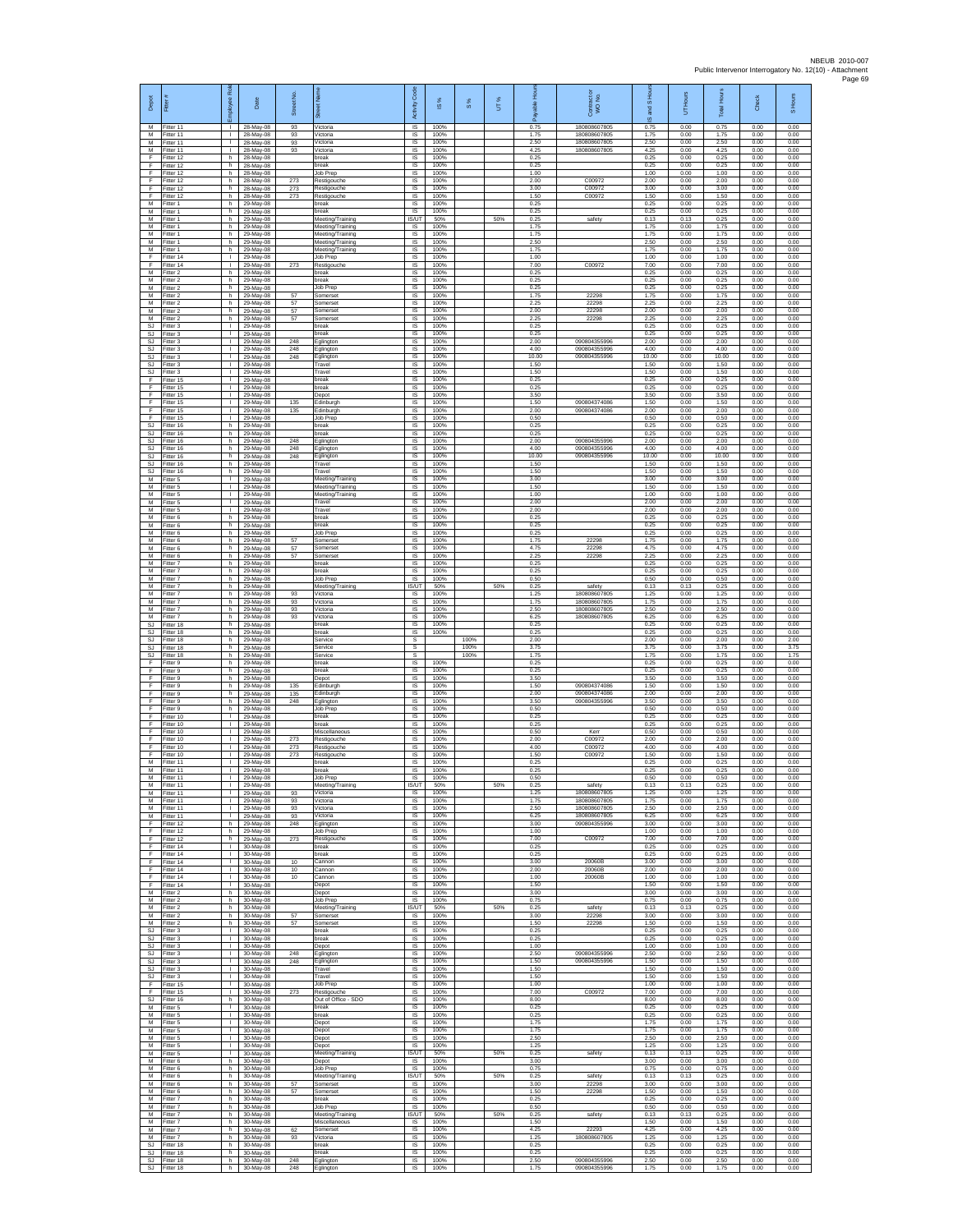| Depot                               | 륟                                                   | 2<br>eevold                        | Date                                               | Street No.        | $\overline{\mathbb{R}}$                  | Code<br>Activity                   | $\frac{8}{3}$                | $\frac{8}{3}$ | UT% | டீ                           | Contract or<br>WO No.                        | S Hour<br>g<br>$\overline{\omega}$ | UT Hours                     | <b>Total Hours</b>           | Check                        | S Hours                      |
|-------------------------------------|-----------------------------------------------------|------------------------------------|----------------------------------------------------|-------------------|------------------------------------------|------------------------------------|------------------------------|---------------|-----|------------------------------|----------------------------------------------|------------------------------------|------------------------------|------------------------------|------------------------------|------------------------------|
| м<br>M<br>M                         | Fitter 11<br>Fitter 11                              | т.<br>$\mathbf{L}$                 | 28-May-08<br>28-May-08                             | 93<br>93          | Victoria<br>Victoria                     | $\overline{s}$<br>$\sf IS$         | 100%<br>100%                 |               |     | 0.75<br>1.75<br>2.50         | 180808607805<br>180808607805<br>180808607805 | 0.75<br>1.75                       | 0.00<br>0.00                 | 0.75<br>1.75<br>2.50         | 0.00<br>0.00                 | 0.00<br>0.00<br>0.00         |
| M<br>E                              | Fitter 11<br>Fitter 11<br>Fitter 12                 | $\mathbf{L}$<br>h.                 | 28-May-08<br>28-May-08<br>28-May-08                | 93<br>93          | Victoria<br>Victoria<br>break            | $\sf IS$<br><b>IS</b><br>IS        | 100%<br>100%<br>100%         |               |     | 4.25<br>0.25                 | 180808607805                                 | 2.50<br>4.25<br>0.25               | 0.00<br>0.00<br>0.00         | 4.25<br>0.25                 | 0.00<br>0.00<br>0.00         | 0.00<br>0.00                 |
| Ŧ<br>F                              | Fitter 12<br>fitter 12                              | h.<br>h                            | 28-May-08<br>28-May-08                             |                   | break<br>Job Prep                        | 1S<br>IS                           | 100%<br>100%                 |               |     | 0.25<br>1.00                 |                                              | 0.25<br>1.00                       | 0.00<br>0.00                 | 0.25<br>1.00                 | 0.00<br>0.00                 | 0.00<br>0.00                 |
| F<br>F                              | Fitter 12<br>Fitter 12                              | h.<br>h.                           | 28-May-08<br>28-May-08                             | 273<br>273        | Restigouche<br>Restigouche               | IS<br>IS                           | 100%<br>100%                 |               |     | 2.00<br>3.00                 | C00972<br>C00972                             | 2.00<br>3.00                       | 0.00<br>0.00                 | 2.00<br>3.00                 | 0.00<br>0.00                 | 0.00<br>0.00                 |
| F<br>M<br>M                         | Fitter 12<br>Fitter 1<br>Fitter 1                   | h<br>h.<br>h.                      | 28-May-08<br>29-May-08<br>29-May-08                | 273               | Restigouche<br>break<br>break            | $\sf IS$<br>IS<br>IS               | 100%<br>100%<br>100%         |               |     | 1.50<br>0.25<br>0.25         | C00972                                       | 1.50<br>0.25<br>0.25               | 0.00<br>0.00<br>0.00         | 1.50<br>0.25<br>0.25         | 0.00<br>0.00<br>0.00         | 0.00<br>0.00<br>0.00         |
| M<br>M                              | -itter 1<br>Fitter 1                                | h.<br>h.                           | 29-May-08<br>29-May-08                             |                   | Meeting/Training<br>Meeting/Training     | IS/UT<br>IS                        | 50%<br>100%                  |               | 50% | 0.25<br>1.75                 | safety                                       | 0.13<br>1.75                       | 0.13<br>0.00                 | 0.25<br>1.75                 | 0.00<br>0.00                 | 0.00<br>0.00                 |
| M<br>${\sf M}$                      | Fitter 1<br>-itter 1                                | h.<br>h.                           | 29-May-08<br>29-May-08                             |                   | Meeting/Training<br>Meeting/Training     | <b>IS</b><br>IS                    | 100%<br>100%                 |               |     | 1.75<br>2.50                 |                                              | 1.75<br>2.50                       | 0.00<br>0.00                 | 1.75<br>2.50                 | 0.00<br>0.00                 | 0.00<br>0.00                 |
| М<br>F<br>-F                        | Fitter 1<br>ltter 14                                | h.<br>$\mathbf{L}$<br>т.           | 29-May-08<br>29-May-08                             |                   | Meeting/Training<br>Job Prep             | IS<br>IS<br>IS                     | 100%<br>100%<br>100%         |               |     | 1.75<br>1.00<br>7.00         | C00972                                       | 1.75<br>1.00<br>7.00               | 0.00<br>0.00<br>0.00         | 1.75<br>1.00<br>7.00         | 0.00<br>0.00<br>0.00         | 0.00<br>0.00<br>0.00         |
| ${\sf M}$<br>М                      | Fitter 14<br>Fitter 2<br>itter 2                    | h.<br>h.                           | 29-May-08<br>29-May-08<br>29-May-08                | 273               | Restigouche<br>break<br>reak             | $\sf IS$<br>IS                     | 100%<br>100%                 |               |     | 0.25<br>0.25                 |                                              | 0.25<br>0.25                       | 0.00<br>0.00                 | 0.25<br>0.25                 | 0.00<br>0.00                 | 0.00<br>0.00                 |
| M<br>M                              | Fitter 2<br>Fitter 2                                | h.<br>h.                           | 29-May-08<br>29-May-08                             | 57                | Job Prep<br>Somerset                     | IS<br>IS                           | 100%<br>100%                 |               |     | 0.25<br>1.75                 | 22298                                        | 0.25<br>175                        | 0.00<br>0.00                 | 0.25<br>1.75                 | 0.00<br>0.00                 | 0.00<br>0.00                 |
| М<br>M<br>M                         | Fitter 2<br>Fitter 2<br>Fitter 2                    | h<br>h.<br>h.                      | 29-May-08<br>29-May-08<br>29-May-08                | 57<br>57<br>57    | Somerset<br>Somerset<br>Somerset         | IS<br>IS<br>IS                     | 100%<br>100%<br>100%         |               |     | 2.25<br>2.00<br>2.25         | 22298<br>22298<br>22298                      | 2.25<br>2.00<br>2.25               | 0.00<br>0.00<br>0.00         | 2.25<br>2.00<br>2.25         | 0.00<br>0.00<br>0.00         | 0.00<br>0.00<br>0.00         |
| <b>SJ</b><br>$\mathbb{S}\mathbb{J}$ | itter 3<br>Fitter 3                                 | т.<br>$\mathbf{I}$                 | 29-May-08<br>29-May-08                             |                   | oreak<br>break                           | $\sf IS$<br>$\sf IS$               | 100%<br>100%                 |               |     | 0.25<br>0.25                 |                                              | 0.25<br>0.25                       | 0.00<br>0.00                 | 0.25<br>0.25                 | 0.00<br>0.00                 | 0.00<br>0.00                 |
| SJ.<br>SJ                           | Fitter 3<br>Fitter 3                                | $\mathbf{L}$<br>$\mathbf{L}$       | 29-May-08<br>29-May-08                             | 248<br>248        | Eglington<br>Eglington                   | IS<br>IS                           | 100%<br>100%                 |               |     | 2.00<br>4.00                 | 090804355996<br>090804355996                 | 2.00<br>4.00                       | 0.00<br>0.00                 | 2.00<br>4.00                 | 0.00<br>0.00                 | 0.00<br>0.00                 |
| <b>SJ</b><br>SJ<br>SJ               | Fitter 3<br>fitter 3<br>Fitter 3                    | τ.<br>т.<br>л.                     | 29-May-08<br>29-May-08<br>29-May-08                | 248               | Eglington<br>Travel<br>Travel            | IS<br>IS<br>IS                     | 100%<br>100%<br>100%         |               |     | 10.00<br>1.50<br>1.50        | 090804355996                                 | 10.00<br>1.50<br>1.50              | 0.00<br>0.00<br>0.00         | 10.00<br>1.50<br>1.50        | 0.00<br>0.00<br>0.00         | 0.00<br>0.00<br>0.00         |
| F<br>F                              | Fitter 15<br>Fitter 15                              | $\mathbf{L}$<br>T.                 | 29-May-08<br>29-May-08                             |                   | break<br>break                           | IS.<br>$\sf IS$                    | 100%<br>100%                 |               |     | 0.25<br>0.25                 |                                              | 0.25<br>0.25                       | 0.00<br>0.00                 | 0.25<br>0.25                 | 0.00<br>0.00                 | 0.00<br>0.00                 |
| F.<br>E                             | Fitter 15<br>Fitter 15                              | $\mathbf{L}$<br>T.                 | 29-May-08<br>29-May-08                             | 135               | Depot<br>Edinburgh                       | IS<br>IS                           | 100%<br>100%                 |               |     | 3.50<br>1.50                 | 090804374086                                 | 3.50<br>1.50                       | 0.00<br>0.00                 | 3.50<br>1.50                 | 0.00<br>0.00                 | 0.00<br>0.00                 |
| Ŧ<br>Ŧ<br>SJ.                       | Fitter 15<br>Fitter 15<br>Fitter 16                 | т.<br>$\mathbf{L}$<br>h.           | 29-May-08<br>29-May-08<br>29-May-08                | 135               | Edinburgh<br>Job Prep<br>break           | IS<br>IS<br>IS                     | 100%<br>100%<br>100%         |               |     | 2.00<br>0.50<br>0.25         | 090804374086                                 | 2.00<br>0.50<br>0.25               | 0.00<br>0.00<br>0.00         | 2.00<br>0.50<br>0.25         | 0.00<br>0.00<br>0.00         | 0.00<br>0.00<br>0.00         |
| SJ<br><b>SJ</b>                     | Fitter 16<br>Fitter 16                              | h<br>h.                            | 29-May-08<br>29-May-08                             | 248               | oreak<br>Eglington                       | IS<br>1S                           | 100%<br>100%                 |               |     | 0.25<br>2.00                 | 090804355996                                 | 0.25<br>2.00                       | 0.00<br>0.00                 | 0.25<br>2.00                 | 0.00<br>0.00                 | 0.00<br>0.00                 |
| SJ.<br>SJ<br>SJ                     | -itter 16<br>Fitter 16<br>Fitter 16                 | h<br>h.<br>h.                      | 29-May-08<br>29-May-08<br>29-May-08                | 248<br>248        | glington<br>Eglington<br>Travel          | IS<br>IS<br>IS                     | 100%<br>100%<br>100%         |               |     | 4.00<br>10.00<br>1.50        | 090804355996<br>090804355996                 | 4.00<br>10.00<br>1.50              | 0.00<br>0.00<br>0.00         | 4.00<br>10.00<br>1.50        | 0.00<br>0.00<br>0.00         | 0.00<br>0.00<br>0.00         |
| SJ<br>M                             | Fitter 16<br>Fitter 5                               | h<br>$\mathbf{L}$                  | 29-May-08<br>29-May-08                             |                   | Travel<br>Meeting/Training               | IS<br>IS                           | 100%<br>100%                 |               |     | 1.50<br>3.00                 |                                              | 1.50<br>3.00                       | 0.00<br>0.00                 | 1.50<br>3.00                 | 0.00<br>0.00                 | 0.00<br>0.00                 |
| M<br>M                              | Fitter 5<br>Fitter 5                                | л.<br>т.                           | 29-May-08<br>29-May-08                             |                   | Meeting/Training<br>Meeting/Training     | IS<br>IS                           | 100%<br>100%                 |               |     | 1.50<br>1.00                 |                                              | 1.50<br>1.00                       | 0.00<br>0.00                 | 1.50<br>1.00                 | 0.00<br>0.00                 | 0.00<br>0.00                 |
| M<br>M<br>M                         | Fitter 5<br>Fitter 5<br>-itter 6                    | $\mathbf{L}$<br>$\mathbf{L}$<br>h. | 29-May-08<br>29-May-08<br>29-May-08                |                   | Travel<br>Travel<br>break                | IS<br>IS<br>$\sf IS$               | 100%<br>100%<br>100%         |               |     | 2.00<br>2.00<br>0.25         |                                              | 2.00<br>2.00<br>0.25               | 0.00<br>0.00<br>0.00         | 2.00<br>2.00<br>0.25         | 0.00<br>0.00<br>0.00         | 0.00<br>0.00<br>0.00         |
| M<br>M                              | Fitter 6<br>Fitter 6                                | h.<br>h.                           | 29-May-08<br>29-May-08                             |                   | break<br>Job Prep                        | $\sf IS$<br><b>IS</b>              | 100%<br>100%                 |               |     | 0.25<br>0.25                 |                                              | 0.25<br>0.25                       | 0.00<br>0.00                 | 0.25<br>0.25                 | 0.00<br>0.00                 | 0.00<br>0.00                 |
| M<br>M                              | Fitter 6<br>Fitter 6                                | h.<br>h.                           | 29-May-08<br>29-May-08                             | 57<br>57          | Somerset<br>Somerset                     | IS<br>1S                           | 100%<br>100%                 |               |     | 1.75<br>4.75                 | 22298<br>22298                               | 1.75<br>4.75                       | 0.00<br>0.00                 | 1.75<br>4.75                 | 0.00<br>0.00                 | 0.00<br>0.00                 |
| M<br>M<br>М                         | itter 6<br>Fitter 7<br>-itter 7                     | h.<br>h.<br>h.                     | 29-May-08<br>29-May-08<br>29-May-08                | 57                | Somerset<br>break<br>hreak               | IS<br>IS<br>IS                     | 100%<br>100%<br>100%         |               |     | 2.25<br>0.25<br>0.25         | 22298                                        | 2.25<br>0.25<br>0.25               | 0.00<br>0.00<br>0.00         | 2.25<br>0.25<br>0.25         | 0.00<br>0.00<br>0.00         | 0.00<br>0.00<br>0.00         |
| M<br>M                              | Fitter 7<br>Fitter 7                                | h.<br>h.                           | 29-May-08<br>29-May-08                             |                   | Job Prep<br>Meeting/Training             | $\sf IS$<br>IS/UT                  | 100%<br>50%                  |               | 50% | 0.50<br>0.25                 | safety                                       | 0.50<br>0.13                       | 0.00<br>0.13                 | 0.50<br>0.25                 | 0.00<br>0.00                 | 0.00<br>0.00                 |
| M<br>M                              | Fitter 7<br>-itter 7                                | h.<br>h.                           | 29-May-08<br>29-May-08                             | 93<br>93          | Victoria<br>Victoria                     | IS.<br>IS                          | 100%<br>100%                 |               |     | 1.25<br>1.75                 | 180808607805<br>180808607805                 | 1.25<br>1.75                       | 0.00<br>0.00                 | 1.25<br>1.75                 | 0.00<br>0.00                 | 0.00<br>0.00                 |
| M<br>M<br>SJ                        | Fitter 7<br>Fitter 7<br>Fitter 18                   | h.<br>h.<br>h.                     | 29-May-08<br>29-May-08<br>29-May-08                | 93<br>93          | Victoria<br>Victoria<br>oreak            | IS<br>IS<br>IS                     | 100%<br>100%<br>100%         |               |     | 2.50<br>6.25<br>0.25         | 180808607805<br>180808607805                 | 2.50<br>6.25<br>0.25               | 0.00<br>0.00<br>0.00         | 2.50<br>6.25<br>0.25         | 0.00<br>0.00<br>0.00         | 0.00<br>0.00<br>0.00         |
| SJ<br>SJ.                           | Fitter 18<br>-itter 18                              | h.<br>h.                           | 29-May-08<br>29-May-08                             |                   | break<br>Service                         | 1S<br>s                            | 100%                         | 100%          |     | 0.25<br>2.00                 |                                              | 0.25<br>2.00                       | 0.00<br>0.00                 | 0.25<br>2.00                 | 0.00<br>0.00                 | 0.00<br>2.00                 |
| SJ<br>SJ<br>F                       | Fitter 18<br>Fitter 18<br>fitter 9                  | h.<br>h.<br>h                      | 29-May-08<br>29-May-08<br>29-May-08                |                   | Service<br>Service<br>reak               | s<br>$\mathbb{S}$<br>IS            | 100%                         | 100%<br>100%  |     | 3.75<br>1.75<br>0.25         |                                              | 3.75<br>1.75<br>0.25               | 0.00<br>0.00<br>0.00         | 3.75<br>1.75<br>0.25         | 0.00<br>0.00<br>0.00         | 3.75<br>1.75<br>0.00         |
| -F<br>E                             | Fitter 9<br>Fitter 9                                | h.<br>h.                           | 29-May-08<br>29-May-08                             |                   | break<br>Depot                           | IS<br>IS.                          | 100%<br>100%                 |               |     | 0.25<br>3.50                 |                                              | 0.25<br>3.50                       | 0.00<br>0.00                 | 0.25<br>3.50                 | 0.00<br>0.00                 | 0.00<br>0.00                 |
| F<br>F.<br>E                        | Fitter 9<br>Fitter 9<br>Fitter 9                    | h<br>h.<br>h.                      | 29-May-08<br>29-May-08                             | 135<br>135<br>248 | Edinburgh<br>Edinburgh<br>Eglington      | IS<br>IS<br>IS                     | 100%<br>100%<br>100%         |               |     | 1.50<br>2.00<br>3.50         | 090804374086<br>090804374086<br>090804355996 | 1.50<br>2.00<br>3.50               | 0.00<br>0.00<br>0.00         | 1.50<br>2.00<br>3.50         | 0.00<br>0.00<br>0.00         | 0.00<br>0.00<br>0.00         |
| $\mathsf F$<br>Ŧ                    | itter 9<br>Fitter 10                                | h<br>$\mathbf{I}$                  | 29-May-08<br>29-May-08<br>29-May-08                |                   | <b>Job Prep</b><br>break                 | $\sf IS$<br>$\sf IS$               | 100%<br>100%                 |               |     | 0.50<br>0.25                 |                                              | 0.50                               | 0.00                         |                              |                              |                              |
| F<br>-F.                            | Fitter 10<br>Fitter 10<br>Fitter 10                 | $\mathbf{L}$                       | 29-May-08                                          |                   | break<br>Miscellaneous                   | IS                                 | 100%                         |               |     |                              |                                              | 0.25                               | 0.00                         | 0.50<br>0.25                 | 0.00<br>0.00                 | 0.00<br>0.00                 |
| Ŧ<br>F<br>-F                        |                                                     | $\mathbf{L}$                       | 29-May-08                                          |                   |                                          | IS                                 | 100%                         |               |     | 0.25<br>0.50                 | Kerr                                         | 0.25<br>0.50                       | 0.00<br>0.00                 | 0.25<br>0.50                 | 0.00<br>0.00                 | 0.00<br>0.00                 |
|                                     | fitter 10                                           | $\mathbb{L}$<br>÷.<br>$\mathbf{L}$ | 29-May-08<br>29-May-08                             | 273<br>273        | Restigouche<br>Restigouche               | IS<br>IS<br>IS                     | 100%<br>100%<br>100%         |               |     | 2.00<br>4.00<br>1.50         | C00972<br>C00972<br>C00972                   | 2.00<br>4.00<br>1.50               | 0.00<br>0.00<br>0.00         | 2.00<br>4.00<br>1.50         | 0.00<br>0.00<br>0.00         | 0.00<br>0.00<br>0.00         |
| M<br>M                              | Fitter 10<br>Fitter 11<br>Fitter 11                 | л.<br>T.                           | 29-May-08<br>29-May-08<br>29-May-08                | 273               | Restigouche<br>break<br>break            | IS.<br>$\sf IS$                    | 100%<br>100%                 |               |     | 0.25<br>0.25                 |                                              | 0.25<br>0.25                       | 0.00<br>0.00                 | 0.25<br>0.25                 | 0.00<br>0.00                 | 0.00<br>0.00                 |
| M<br>M                              | Fitter 11<br>Fitter 11                              | $\mathbf{L}$                       | 29-May-08<br>29-May-08                             |                   | Job Prep<br>Meeting/Training             | IS<br><b>IS/UT</b>                 | 100%<br>50%                  |               | 50% | 0.50<br>0.25                 | safety                                       | 0.50<br>0.13                       | 0.00<br>0.13                 | 0.50<br>0.25                 | 0.00<br>0.00                 | 0.00<br>0.00                 |
| M<br>M<br>M                         | Fitter 11<br>Fitter 11<br>Fitter 11                 | т.<br>т<br>$\mathbf{L}$            | 29-May-08<br>29-May-08<br>29-May-08                | 93<br>93<br>93    | Victoria<br>Victoria<br>Victoria         | <b>IS</b><br><b>IS</b><br>IS.      | 100%<br>100%<br>100%         |               |     | 1.25<br>1.75<br>2.50         | 180808607805<br>180808607805<br>180808607805 | 1.25<br>1.75<br>2.50               | 0.00<br>0.00<br>0.00         | 1.25<br>1.75<br>2.50         | 0.00<br>0.00<br>0.00         | 0.00<br>0.00<br>0.00         |
| M<br>F                              | Fitter 11<br>Fitter 12                              | $\mathbf{L}$<br>h.                 | 29-May-08<br>29-May-08                             | 93<br>248         | Victoria<br>Eglington                    | IS<br>IS                           | 100%<br>100%                 |               |     | 6.25<br>3.00                 | 180808607805<br>090804355996                 | 6.25<br>3.00                       | 0.00<br>0.00                 | 6.25<br>3.00                 | 0.00<br>0.00                 | 0.00<br>0.00                 |
| F<br>-F<br>F.                       | Fitter 12<br>Fitter 12<br>Fitter 14                 | h.<br>h.<br>$\mathbb{L}$           | 29-May-08<br>29-May-08<br>30-May-08                | 273               | Job Prep<br>Restigouche<br>break         | IS<br>IS<br>IS                     | 100%<br>100%<br>100%         |               |     | 1.00<br>7.00<br>0.25         | C00972                                       | 1.00<br>7.00<br>0.25               | 0.00<br>0.00<br>0.00         | 1.00<br>7.00<br>0.25         | 0.00<br>0.00<br>0.00         | 0.00<br>0.00<br>0.00         |
| Ŧ<br>-F                             | ltter 14<br>Fitter 14                               | $\mathbf{L}$<br>л.                 | 30-May-08<br>30-May-08                             | 10                | preak<br>Cannon                          | IS<br>IS                           | 100%<br>100%                 |               |     | 0.25<br>3.00                 | 20060B                                       | 0.25<br>3.00                       | 0.00<br>0.00                 | 0.25<br>3.00                 | 0.00<br>0.00                 | 0.00<br>0.00                 |
| F.<br>F                             | Fitter 14<br>Fitter 14                              | л.<br>$\mathbb{L}$<br>$\mathbf{L}$ | 30-May-08<br>30-May-08                             | 10<br>10          | Cannon<br>Cannon                         | IS.<br>IS                          | 100%<br>100%<br>100%         |               |     | 2.00<br>1.00                 | 20060B<br>20060B                             | 200<br>1.00                        | 0.00<br>0.00                 | 200<br>1.00                  | 0.00<br>0.00                 | 0.00<br>0.00                 |
| F.<br>M                             | Fitter 14<br>M Fitter 2<br>Fitter 2                 | h.<br>h.                           | 30-May-08<br>30-May-08<br>30-May-08                |                   | Depot<br>Depot<br>Job Prep               | IS<br>IS.<br>$\sf IS$              | 100%<br>100%                 |               |     | 1.50<br>3.00<br>0.75         |                                              | 1.50<br>3.00<br>0.75               | 0.00<br>0.00<br>0.00         | 1.50<br>3.00<br>0.75         | 0.00<br>0.00<br>0.00         | 0.00<br>0.00<br>0.00         |
| M<br>M                              | Fitter 2<br>Fitter 2                                | h<br>h.                            | 30-May-08<br>30-May-08                             | 57                | Meeting/Training<br>Somerset             | IS/UT<br>IS                        | 50%<br>100%                  |               | 50% | 0.25<br>3.00                 | safety<br>22298                              | 0.13<br>3.00                       | 0.13<br>0.00                 | 0.25<br>3.00                 | 0.00<br>0.00                 | 0.00<br>0.00                 |
| M<br>SJ<br><b>SJ</b>                | Fitter 2<br>Fitter 3<br>Fitter 3                    | h.<br>H.<br>$\mathbf{L}$           | 30-May-08<br>30-May-08<br>30-May-08                | 57                | Somerset<br>break<br>oreak               | IS<br><b>IS</b><br>IS              | 100%<br>100%<br>100%         |               |     | 1.50<br>0.25<br>0.25         | 22298                                        | 1.50<br>0.25<br>0.25               | 0.00<br>0.00<br>0.00         | 1.50<br>0.25<br>0.25         | 0.00<br>0.00<br>0.00         | 0.00<br>0.00<br>0.00         |
| <b>SJ</b><br>SJ.                    | Fitter 3<br>Fitter 3                                | $\mathbf{L}$<br>$\mathbf{L}$       | 30-May-08<br>30-May-08                             | 248               | Depot<br>Eglington                       | IS<br>IS                           | 100%<br>100%                 |               |     | 1.00<br>2.50                 | 090804355996                                 | 1.00<br>2.50                       | 0.00<br>0.00                 | 1.00<br>2.50                 | 0.00<br>0.00                 | 0.00<br>0.00                 |
| SJ<br>SJ.<br><b>SJ</b>              | Fitter 3<br>Fitter 3<br>Fitter 3                    | $\mathbf{L}$<br>$\mathbb{R}$<br>т. | 30-May-08<br>30-May-08                             | 248               | Eglington<br>Travel<br>Travel            | $\sf IS$<br><b>IS</b><br>IS.       | 100%<br>100%<br>100%         |               |     | 1.50<br>1.50<br>1.50         | 090804355996                                 | 1.50<br>1.50<br>1.50               | 0.00<br>0.00<br>0.00         | 1.50<br>1.50<br>1.50         | 0.00<br>0.00<br>0.00         | 0.00<br>0.00<br>0.00         |
| F<br>Ŧ                              | Fitter 15<br>Fitter 15                              | $\mathbb{L}$<br>$\mathbf{L}$       | 30-May-08<br>30-May-08<br>30-May-08                | 273               | Job Prep<br>Restigouche                  | IS<br>IS                           | 100%<br>100%                 |               |     | 1.00<br>7.00                 | C00972                                       | 1.00<br>7.00                       | 0.00<br>0.00                 | 1.00<br>7.00                 | 0.00<br>0.00                 | 0.00<br>0.00                 |
| SJ.<br>M                            | Fitter 16<br>Fitter 5                               | h.<br>$\mathbf{L}$                 | 30-May-08<br>30-May-08                             |                   | Out of Office - SDO<br>break             | IS<br>IS                           | 100%<br>100%                 |               |     | 8.00<br>0.25                 |                                              | 8.00<br>0.25                       | 0.00<br>0.00                 | 8.00<br>0.25                 | 0.00<br>0.00                 | 0.00<br>0.00                 |
| М<br>M<br>M                         | Fitter 5<br>Fitter 5<br>Fitter 5                    | Τ.<br>L.<br>$\mathbf{L}$           | 30-May-08<br>30-May-08<br>30-May-08                |                   | break<br>Depot<br>Depot                  | <b>IS</b><br>IS<br>IS              | 100%<br>100%<br>100%         |               |     | 0.25<br>1.75<br>1.75         |                                              | 0.25<br>1.75<br>1.75               | 0.00<br>0.00<br>0.00         | 0.25<br>1.75<br>1.75         | 0.00<br>0.00<br>0.00         | 0.00<br>0.00<br>0.00         |
| M<br>M                              | Fitter 5<br>Fitter 5                                | $\mathbb{L}$<br>T.                 | 30-May-08<br>30-May-08                             |                   | Depot<br>Depot                           | IS<br>IS                           | 100%<br>100%                 |               |     | 2.50<br>1.25                 |                                              | 2.50<br>1.25                       | 0.00<br>0.00                 | 2.50<br>1.25                 | 0.00<br>0.00                 | 0.00<br>0.00                 |
| M<br>M<br>M                         | Fitter 5<br>Fitter 6<br>Fitter 6                    | $\mathbf{L}$<br>h<br>h.            | 30-May-08<br>30-May-08<br>30-May-08                |                   | Meeting/Training<br>Depot<br>Job Prep    | IS/UT<br>IS.<br>IS                 | 50%<br>100%<br>100%          |               | 50% | 0.25<br>3.00<br>0.75         | safety                                       | 0.13<br>3.00<br>0.75               | 0.13<br>0.00<br>0.00         | 0.25<br>3.00<br>0.75         | 0.00<br>0.00<br>0.00         | 0.00<br>0.00<br>0.00         |
| M<br>M                              | Fitter 6<br>Fitter 6                                | h.<br>h.                           | 30-May-08<br>30-May-08                             | 57                | Meeting/Training<br>Somerset             | <b>IS/UT</b><br>IS.                | 50%<br>100%                  |               | 50% | 0.25<br>3.00                 | safety<br>22298                              | 0.13<br>3.00                       | 0.13<br>0.00                 | 0.25<br>3.00                 | 0.00<br>0.00                 | 0.00<br>0.00                 |
| М<br>M<br>M                         | -itter 6<br>Fitter 7<br>Fitter 7                    | h.<br>h<br>h.                      | 30-May-08<br>30-May-08<br>30-May-08                | 57                | Somerset<br>break<br>Job Prep            | $\sf IS$<br>$\sf IS$<br>$\sf IS$   | 100%<br>100%<br>100%         |               |     | 1.50<br>0.25<br>0.50         | 22298                                        | 1.50<br>0.25<br>0.50               | 0.00<br>0.00<br>0.00         | 1.50<br>0.25<br>0.50         | 0.00<br>0.00<br>0.00         | 0.00<br>0.00<br>0.00         |
| M<br>M                              | Fitter 7<br>Fitter 7                                | h.<br>h.                           | 30-May-08<br>30-May-08                             |                   | Meeting/Training<br>Miscellaneous        | IS/UT<br><b>IS</b>                 | 50%<br>100%                  |               | 50% | 0.25<br>1.50                 | safety                                       | 0.13<br>1.50                       | 0.13<br>0.00                 | 0.25<br>1.50                 | 0.00<br>0.00                 | 0.00<br>0.00                 |
| M<br>M                              | Fitter 7<br>Fitter 7                                | h.<br>h.                           | 30-May-08<br>30-May-08                             | 62<br>93          | Somerset<br>Victoria                     | IS<br>IS                           | 100%<br>100%                 |               |     | 4.25<br>1.25                 | 22293<br>180808607805                        | 4.25<br>1.25                       | 0.00<br>0.00                 | 4.25<br>1.25                 | 0.00<br>0.00                 | 0.00<br>0.00                 |
| SJ<br><b>SJ</b><br>SJ.              | Fitter 18<br>Fitter 18<br>Fitter 18<br>SJ Fitter 18 | h.<br>h<br>h.                      | 30-May-08<br>30-May-08<br>30-May-08<br>h 30-May-08 | 248<br>248        | break<br>break<br>Eglington<br>Eglington | IS<br>$\sf IS$<br><b>IS</b><br>IS. | 100%<br>100%<br>100%<br>100% |               |     | 0.25<br>0.25<br>2.50<br>1.75 | 090804355996<br>090804355996                 | 0.25<br>0.25<br>2.50<br>1.75       | 0.00<br>0.00<br>0.00<br>0.00 | 0.25<br>0.25<br>2.50<br>1.75 | 0.00<br>0.00<br>0.00<br>0.00 | 0.00<br>0.00<br>0.00<br>0.00 |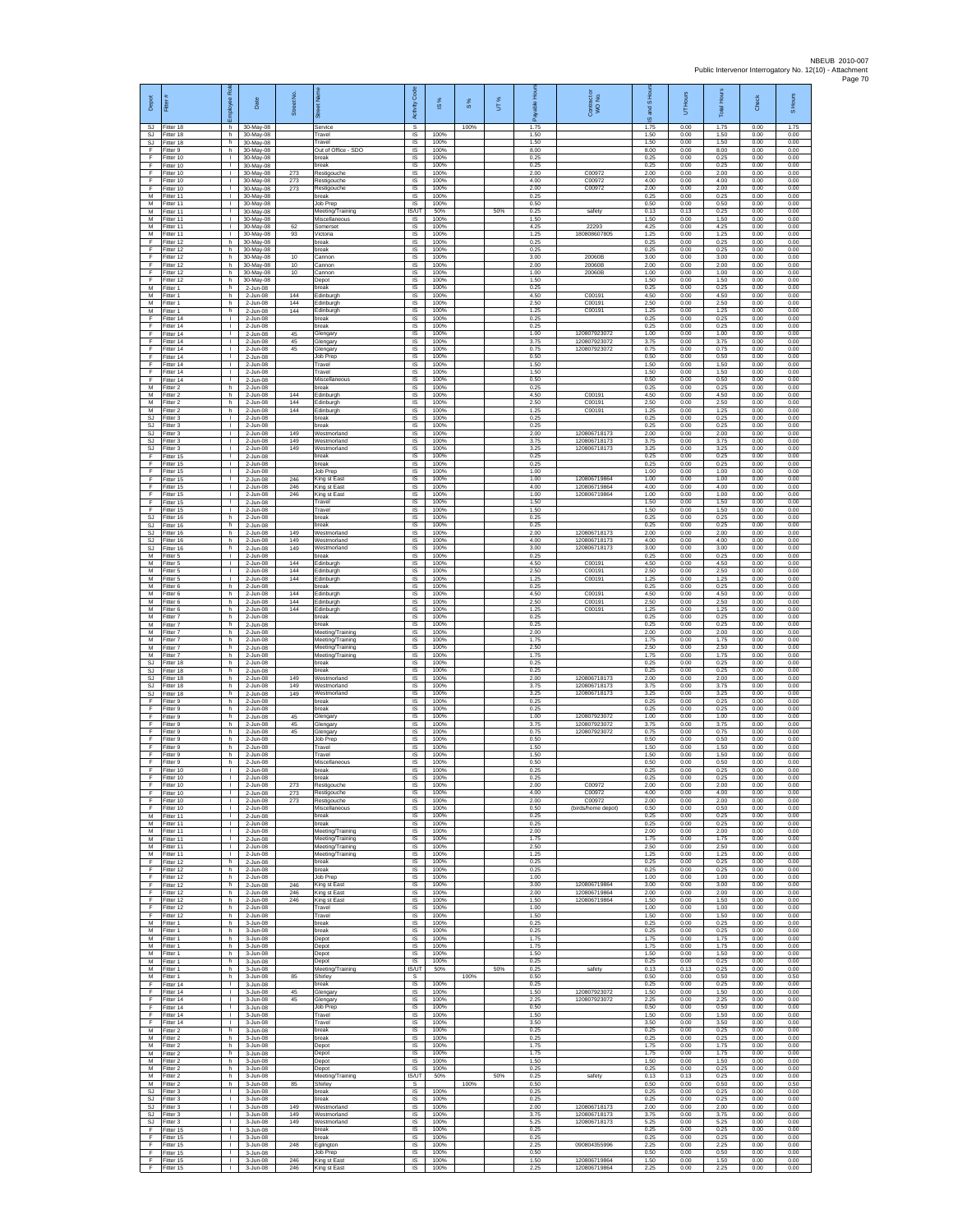| Depot                               | Fitter                              | ē<br>eevolon                                 | Date                                  | Street No.        |                                               | Code<br>Activity                  | 1S%                  | $\frac{8}{3}$ | UT% | 훆<br>æ               | Contract or<br>WO No.        | S Ho<br>g<br>ဖ       | UT Hours             | <b>Total Hours</b>   | Check                | S Hours              |
|-------------------------------------|-------------------------------------|----------------------------------------------|---------------------------------------|-------------------|-----------------------------------------------|-----------------------------------|----------------------|---------------|-----|----------------------|------------------------------|----------------------|----------------------|----------------------|----------------------|----------------------|
| SJ.<br>SJ                           | Fitter 18<br>Fitter 18              | h.<br>h                                      | 30-May-08<br>30-May-08                |                   | Service<br>Travel                             | s<br>IS                           | 100%                 | 100%          |     | 1.75<br>1.50         |                              | 1.75<br>1.50         | 0.00<br>0.00         | 1.75<br>1.50         | 0.00<br>0.00         | 1.75<br>0.00         |
| SJ<br>F                             | Fitter 18<br>Fitter 9               | h.<br>h                                      | 30-May-08<br>30-May-08                |                   | Travel<br>Out of Office - SDO                 | $\sf IS$<br><b>IS</b>             | 100%<br>100%         |               |     | 1.50<br>8.00         |                              | 1.50<br>8.00         | 0.00<br>0.00         | 1.50<br>8.00         | 0.00<br>0.00         | 0.00<br>0.00         |
| E<br>F<br>F                         | Fitter 10<br>Fitter 10<br>Fitter 10 | $\mathbf{L}$<br>Τ.<br>т.                     | 30-May-08<br>30-May-08<br>30-May-08   | 273               | oreak<br>break<br>Restigouche                 | IS<br>1S<br>IS                    | 100%<br>100%<br>100% |               |     | 0.25<br>0.25<br>2.00 | C0097                        | 0.25<br>0.25<br>2.00 | 0.00<br>0.00<br>0.00 | 0.25<br>0.25<br>2.00 | 0.00<br>0.00<br>0.00 | 0.00<br>0.00<br>0.00 |
| F<br>F                              | Fitter 10<br>Fitter 10              | л.<br>л.                                     | 30-May-08<br>30-May-08                | 273<br>273        | Restigouche<br>Restigouche                    | IS<br>IS                          | 100%<br>100%         |               |     | 4.00<br>2.00         | C00972<br>C00972             | 4.00<br>2.00         | 0.00<br>0.00         | 4.00<br>2.00         | 0.00<br>0.00         | 0.00<br>0.00         |
| М<br>M                              | Fitter 11<br>Fitter 11              | $\mathbf{I}$<br>$\mathbf{L}$                 | 30-May-08<br>30-May-08                |                   | break<br>Job Prep                             | $\sf IS$<br>IS                    | 100%<br>100%         |               |     | 0.25<br>0.50         |                              | 0.25<br>0.50         | 0.00<br>0.00         | 0.25<br>0.50         | 0.00<br>0.00         | 0.00<br>0.00         |
| M<br>М                              | Fitter 11<br>Fitter 11              | $\mathbf{L}$<br>٠                            | 30-May-08<br>30-May-08                |                   | Meeting/Training<br>Miscellaneous             | IS/UT<br>1S                       | 50%<br>100%          |               | 50% | 0.25<br>1.50         | safety                       | 0.13<br>1.50         | 0.13<br>0.00         | 0.25<br>1.50         | 0.00<br>0.00         | 0.00<br>0.00         |
| М<br>M<br>F                         | Fitter 11<br>Fitter 11<br>litter 12 | т<br>$\mathbf{L}$<br>h                       | 30-May-08<br>30-May-08<br>30-May-08   | 62<br>93          | Somerset<br>Victoria<br>reak                  | IS<br>IS<br>IS                    | 100%<br>100%<br>100% |               |     | 4.25<br>1.25<br>0.25 | 22293<br>180808607805        | 4.25<br>1.25<br>0.25 | 0.00<br>0.00<br>0.00 | 4.25<br>1.25<br>0.25 | 0.00<br>0.00<br>0.00 | 0.00<br>0.00<br>0.00 |
| F<br>F                              | Fitter 12<br>Fitter 12              | h.<br>h                                      | 30-May-08<br>30-May-08                | 10                | break<br>Cannor                               | 1S<br>IS                          | 100%<br>100%         |               |     | 0.25<br>3.00         | 20060E                       | 0.25<br>3.00         | 0.00<br>0.00         | 0.25<br>3.00         | 0.00<br>0.00         | 0.00<br>0.00         |
| E<br>F                              | Fitter 12<br>Fitter 12              | h<br>h.                                      | 30-May-08<br>30-May-08                | 10<br>10          | Cannon<br>Cannon                              | IS<br>$\sf IS$                    | 100%<br>100%         |               |     | 2.00<br>1.00         | 20060E<br>20060B             | 2.00<br>1.00         | 0.00<br>0.00         | 2.00<br>1.00         | 0.00<br>0.00         | 0.00<br>0.00         |
| F<br>M<br>M                         | Fitter 12<br>Fitter 1<br>Fitter 1   | h<br>h<br>h                                  | 30-May-08<br>2-Jun-08<br>2-Jun-08     | 144               | Depot<br>break<br>Edinburgh                   | IS<br>IS<br><b>IS</b>             | 100%<br>100%<br>100% |               |     | 1.50<br>0.25<br>4.50 | C00191                       | 1.50<br>0.25<br>4.50 | 0.00<br>0.00<br>0.00 | 1.50<br>0.25<br>4.50 | 0.00<br>0.00<br>0.00 | 0.00<br>0.00<br>0.00 |
| М<br>M                              | Fitter 1<br>Fitter 1                | h<br>h.                                      | 2-Jun-08<br>2-Jun-08                  | 144<br>144        | dinburgh<br>Edinburgh                         | 1S<br>IS                          | 100%<br>100%         |               |     | 2.50<br>1.25         | C00191<br>C00191             | 2.50<br>1.25         | 0.00<br>0.00         | 2.50<br>1.25         | 0.00<br>0.00         | 0.00<br>0.00         |
| F<br>F                              | Fitter 14<br>Fitter 14              | $\mathbf{L}$<br>$\mathbf{L}$                 | 2-Jun-08<br>2-Jun-08                  |                   | break<br>reak                                 | IS<br>$\sf IS$                    | 100%<br>100%         |               |     | 0.25<br>0.25         |                              | 0.25<br>0.25         | 0.00<br>0.00         | 0.25<br>0.25         | 0.00<br>0.00         | 0.00<br>0.00         |
| F<br>F                              | Fitter 14<br>Fitter 14              | $\mathbf{L}$<br>$\mathbf{L}$                 | 2-Jun-08<br>2-Jun-08                  | 45<br>45          | Glengary<br>Glengary                          | $\sf IS$<br>IS                    | 100%<br>100%         |               |     | 1.00<br>3.75         | 12080792307<br>120807923072  | 1.00<br>3.75         | 0.00<br>0.00         | 1.00<br>3.75         | 0.00<br>0.00         | 0.00<br>0.00         |
| F<br>F<br>F                         | Fitter 14<br>Fitter 14<br>ltter 14  | $\mathbf{L}$<br>Τ.<br>H.                     | 2-Jun-08<br>2-Jun-08<br>2-Jun-08      | 45                | Glengary<br>Job Prep<br>Travel                | IS<br>IS<br>IS                    | 100%<br>100%<br>100% |               |     | 0.75<br>0.50<br>1.50 | 120807923072                 | 0.75<br>0.50<br>1.50 | 0.00<br>0.00<br>0.00 | 0.75<br>0.50<br>1.50 | 0.00<br>0.00<br>0.00 | 0.00<br>0.00<br>0.00 |
| E<br>F                              | Fitter 14<br>Fitter 14              | л.<br>$\mathbf{L}$                           | 2-Jun-08<br>2-Jun-08                  |                   | Travel<br>Miscellaneous                       | IS<br>IS                          | 100%<br>100%         |               |     | 1.50<br>0.50         |                              | 1.50<br>0.50         | 0.00<br>0.00         | 1.50<br>0.50         | 0.00<br>0.00         | 0.00<br>0.00         |
| М<br>M                              | Fitter 2<br>Fitter 2                | h<br>h                                       | 2-Jun-08<br>2-Jun-08                  | 144               | break<br>Edinburgh                            | $\sf IS$<br>IS                    | 100%<br>100%         |               |     | 0.25<br>4.50         | C00191                       | 0.25<br>4.50         | 0.00<br>0.00         | 0.25<br>4.50         | 0.00<br>0.00         | 0.00<br>0.00         |
| M<br>М<br>SJ                        | Fitter 2<br>Fitter 2<br>Fitter 3    | h.<br>h<br>$\mathbf{L}$                      | 2-Jun-08<br>2-Jun-08<br>2-Jun-08      | 144<br>144        | Edinburgh<br>dinburgh<br>break                | IS<br>1S<br>IS                    | 100%<br>100%<br>100% |               |     | 2.50<br>1.25<br>0.25 | C00191<br>C00191             | 2.50<br>1.25<br>0.25 | 0.00<br>0.00<br>0.00 | 2.50<br>1.25<br>0.25 | 0.00<br>0.00<br>0.00 | 0.00<br>0.00<br>0.00 |
| SJ.<br>SJ                           | Fitter 3<br>-itter 3                | $\mathbf{I}$<br>$\mathbf{L}$                 | 2-Jun-08<br>2-Jun-08                  | 149               | break<br>Westmorland                          | IS<br>IS                          | 100%<br>100%         |               |     | 0.25<br>2.00         | 120806718173                 | 0.25<br>2.00         | 0.00<br>0.00         | 0.25<br>2.00         | 0.00<br>0.00         | 0.00<br>0.00         |
| SJ<br>SJ.                           | Fitter 3<br>Fitter 3                | Τ.<br>H.                                     | 2-Jun-08<br>2-Jun-08                  | 149<br>149        | Westmorland<br>Vestmorland                    | 1S<br>IS                          | 100%<br>100%         |               |     | 3.75<br>3.25         | 120806718173<br>120806718173 | 3.75<br>3.25         | 0.00<br>0.00         | 3.75<br>3.25         | 0.00<br>0.00         | 0.00<br>0.00         |
| E<br>F.<br>F                        | Fitter 15<br>Fitter 15<br>ltter 15  | $\mathbf{I}$<br>$\mathbf{L}$<br>$\mathbb{L}$ | 2-Jun-08<br>2-Jun-08<br>2-Jun-08      |                   | break<br>break<br>lob Prep                    | IS<br>IS<br>IS                    | 100%<br>100%<br>100% |               |     | 0.25<br>0.25<br>1.00 |                              | 0.25<br>0.25<br>1.00 | 0.00<br>0.00<br>0.00 | 0.25<br>0.25<br>1.00 | 0.00<br>0.00<br>0.00 | 0.00<br>0.00<br>0.00 |
| F<br>E                              | Fitter 15<br>Fitter 15              | л.<br>$\mathbf{L}$                           | 2-Jun-08<br>2-Jun-08                  | 246<br>246        | King st East<br>King st East                  | IS<br>IS                          | 100%<br>100%         |               |     | 1.00<br>4.00         | 120806719864<br>120806719864 | 1.00<br>4.00         | 0.00<br>0.00         | 1.00<br>4.00         | 0.00<br>0.00         | 0.00<br>0.00         |
| F<br>F                              | Fitter 15<br>Fitter 15              | ٠<br>т                                       | 2-Jun-08<br>2-Jun-08                  | 246               | King st East<br>Travel                        | 1S<br>IS                          | 100%<br>100%         |               |     | 1.00<br>1.50         | 120806719864                 | 1.00<br>1.50         | 0.00<br>0.00         | 1.00<br>1.50         | 0.00<br>0.00         | 0.00<br>0.00         |
| F<br>SJ                             | Fitter 15<br>Fitter 16              | $\mathbf{L}$<br>h.                           | 2-Jun-08<br>2-Jun-08                  |                   | Travel<br>break                               | IS<br>$\sf IS$                    | 100%<br>100%         |               |     | 1.50<br>0.25         |                              | 1.50<br>0.25         | 0.00<br>0.00         | 1.50<br>0.25         | 0.00<br>0.00         | 0.00<br>0.00         |
| SJ<br>SJ.<br>SJ                     | Fitter 16<br>Fitter 16<br>Fitter 16 | h.<br>h.<br>h                                | 2-Jun-08<br>2-Jun-08<br>2-Jun-08      | 149<br>149        | break<br>Westmorland<br>Westmorland           | $\sf IS$<br>IS<br>IS              | 100%<br>100%<br>100% |               |     | 0.25<br>2.00<br>4.00 | 120806718173<br>120806718173 | 0.25<br>2.00<br>4.00 | 0.00<br>0.00<br>0.00 | 0.25<br>2.00<br>4.00 | 0.00<br>0.00<br>0.00 | 0.00<br>0.00<br>0.00 |
| <b>SJ</b><br>М                      | Fitter 16<br>Fitter 5               | h.<br>$\mathbb{L}$                           | 2-Jun-08<br>2-Jun-08                  | 149               | Westmorland<br>reak                           | 1S<br>IS                          | 100%<br>100%         |               |     | 3.00<br>0.25         | 120806718173                 | 3.00<br>0.25         | 0.00<br>0.00         | 3.00<br>0.25         | 0.00<br>0.00         | 0.00<br>0.00         |
| M<br>M                              | Fitter 5<br>-itter 5                | л.<br>л.                                     | $2 - Jun-08$<br>2-Jun-08              | 144<br>144        | Edinburgh<br>Edinburgh                        | <b>IS</b><br>IS                   | 100%<br>100%         |               |     | 4.50<br>2.50         | C00191<br>C00191             | 4.50<br>2.50         | 0.00<br>0.00         | 4.50<br>2.50         | 0.00<br>0.00         | 0.00<br>0.00         |
| М<br>M                              | Fitter 5<br>Fitter 6                | $\mathbf{I}$<br>h                            | 2-Jun-08<br>2-Jun-08                  | 144               | dinburgh<br>reak                              | $\sf IS$<br><b>IS</b>             | 100%<br>100%         |               |     | 1.25<br>0.25         | C00191<br>C00191             | 1.25<br>0.25         | 0.00<br>0.00         | 1.25<br>0.25         | 0.00<br>0.00         | 0.00<br>0.00         |
| M<br>М<br>M                         | Fitter 6<br>Fitter 6<br>Fitter 6    | h.<br>h<br>h.                                | 2-Jun-08<br>2-Jun-08<br>2-Jun-08      | 144<br>144<br>144 | Edinburgh<br>dinburgh<br>Edinburgh            | IS<br>1S<br>IS                    | 100%<br>100%<br>100% |               |     | 4.50<br>2.50<br>1.25 | C00191<br>C00191             | 4.50<br>2.50<br>1.25 | 0.00<br>0.00<br>0.00 | 4.50<br>2.50<br>1.25 | 0.00<br>0.00<br>0.00 | 0.00<br>0.00<br>0.00 |
| M<br>М                              | Fitter 7<br>-itter 7                | h.<br>h.                                     | 2-Jun-08<br>2-Jun-08                  |                   | break<br>oreak                                | IS<br>IS                          | 100%<br>100%         |               |     | 0.25<br>0.25         |                              | 0.25<br>0.25         | 0.00<br>0.00         | 0.25<br>0.25         | 0.00<br>0.00         | 0.00<br>0.00         |
| M<br>M                              | Fitter 7<br>Fitter 7                | h.<br>h.                                     | 2-Jun-08<br>2-Jun-08                  |                   | Meeting/Training<br>Meeting/Training          | 1S<br>IS                          | 100%<br>100%         |               |     | 2.00<br>1.75         |                              | 2.00<br>1.75         | 0.00<br>0.00         | 2.00<br>1.75         | 0.00<br>0.00         | 0.00<br>0.00         |
| M<br>М<br>SJ                        | Fitter 7<br>Fitter 7<br>Fitter 18   | h<br>h.<br>h                                 | $2 - Jun-08$<br>2-Jun-08<br>2-Jun-08  |                   | Meeting/Training<br>Meeting/Training<br>oreak | IS<br>$\sf IS$<br>IS              | 100%<br>100%<br>100% |               |     | 2.50<br>1.75<br>0.25 |                              | 2.50<br>1.75<br>0.25 | 0.00<br>0.00<br>0.00 | 2.50<br>1.75<br>0.25 | 0.00<br>0.00<br>0.00 | 0.00<br>0.00<br>0.00 |
| <b>SJ</b><br>SJ                     | Fitter 18<br>Fitter 18              | h.<br>h.                                     | 2-Jun-08<br>2-Jun-08                  | 149               | break<br>Westmorland                          | IS<br><b>IS</b>                   | 100%<br>100%         |               |     | 0.25<br>2.00         | 120806718173                 | 0.25<br>2.00         | 0.00<br>0.00         | 0.25<br>2.00         | 0.00<br>0.00         | 0.00<br>0.00         |
| $\mathbb{S}\mathbb{J}$<br><b>SJ</b> | Fitter 18<br>Fitter 18              | h<br>h.                                      | 2-Jun-08<br>2-Jun-08                  | 149<br>149        | Westmorland<br>Westmorland                    | 1S<br>IS                          | 100%<br>100%         |               |     | 3.75<br>3.25         | 120806718173<br>120806718173 | 3.75<br>3.25         | 0.00<br>0.00         | 3.75<br>3.25         | 0.00<br>0.00         | 0.00<br>0.00         |
| F.<br>F<br>F                        | Fitter 9<br>-itter 9<br>Fitter 9    | h.<br>h.<br>h.                               | 2-Jun-08<br>2-Jun-08<br>2-Jun-08      | 45                | break<br>reak<br>Glengary                     | <b>IS</b><br>$\sf IS$<br>$\sf IS$ | 100%<br>100%<br>100% |               |     | 0.25<br>0.25<br>1.00 | 120807923072                 | 0.25<br>0.25<br>1.00 | 0.00<br>0.00<br>0.00 | 0.25<br>0.25<br>1.00 | 0.00<br>0.00<br>0.00 | 0.00<br>0.00<br>0.00 |
| F<br>F                              | Fitter 9<br>Fitter 9                | h.<br>h                                      | 2-Jun-08<br>2-Jun-08                  | 45<br>45          | Glengary<br>Glengary                          | IS<br>IS                          | 100%<br>100%         |               |     | 3.75<br>0.75         | 120807923072<br>120807923072 | 3.75<br>0.75         | 0.00<br>0.00         | 3.75<br>0.75         | 0.00<br>0.00         | 0.00<br>0.00         |
| F<br>F                              | Fitter 9<br>Fitter 9                | h.<br>h.                                     | 2-Jun-08<br>2-Jun-08                  |                   | Job Prep<br>Travel                            | IS<br>IS                          | 100%<br>100%         |               |     | 0.50<br>1.50         |                              | 0.50<br>1.50         | 0.00<br>0.00         | 0.50<br>1.50         | 0.00<br>0.00         | 0.00<br>0.00         |
| E<br>F<br>F                         | Fitter 9<br>Fitter 9<br>Fitter 10   | h.<br>h.<br>T.                               | 2-Jun-08<br>2-Jun-08<br>2-Jun-08      |                   | Travel<br>Miscellaneous                       | IS<br>IS<br>$\sf IS$              | 100%<br>100%<br>100% |               |     | 1.50<br>0.50<br>0.25 |                              | 1.50<br>0.50<br>0.25 | 0.00<br>0.00<br>0.00 | 1.50<br>0.50<br>0.25 | 0.00<br>0.00<br>0.00 | 0.00<br>0.00<br>0.00 |
| F                                   | Fitter 10<br>-itter 10              | $\mathbf{L}$                                 | 2-Jun-08<br>2-Jun-08                  | 273               | break<br>break<br>Restigouche                 | IS<br><b>IS</b>                   | 100%<br>100%         |               |     | 0.25<br>2.00         | C00972                       | 0.25<br>2.00         | 0.00<br>0.00         | 0.25<br>2.00         | 0.00<br>0.00         | 0.00<br>0.00         |
| F<br>F                              | Fitter 10<br>Fitter 10              | τ.<br>т                                      | $2-Jun-08$<br>2-Jun-08                | 273<br>273        | Restigouche<br>Restigouche                    | IS<br>IS                          | 100%<br>100%         |               |     | 4.00<br>2.00         | C00972<br>C00972             | 4.00<br>2.00         | 0.00<br>0.00         | 4.00<br>2.00         | 0.00<br>0.00         | 0.00<br>0.00         |
| F<br>М                              | Fitter 10<br>Fitter 11              | $\mathbf{I}$<br>$\mathbf{L}$                 | 2-Jun-08<br>2-Jun-08                  |                   | Miscellaneous<br>break                        | <b>IS</b><br>IS                   | 100%<br>100%         |               |     | 0.50<br>0.25         | (birds/home denot)           | 0.50<br>0.25         | 0.00<br>0.00         | 0.50<br>0.25         | 0.00<br>0.00         | 0.00<br>0.00         |
| M<br>M<br>M                         | Fitter 11<br>Fitter 11<br>Fitter 11 | Τ.<br>$\mathbb{L}$<br>$\mathbf{L}$           | 2-Jun-08<br>2-Jun-08<br>2-Jun-08      |                   | break<br>Meeting/Training<br>Meeting/Training | IS<br>IS<br>IS                    | 100%<br>100%<br>100% |               |     | 0.25<br>2.00<br>1.75 |                              | 0.25<br>2.00<br>1.75 | 0.00<br>0.00<br>0.00 | 0.25<br>2.00<br>1.75 | 0.00<br>0.00<br>0.00 | 0.00<br>0.00<br>0.00 |
| M<br>М                              | Fitter 11<br>Fitter 11              | $\mathbf{L}$<br>$\mathbf{L}$                 | 2-Jun-08<br>2-Jun-08                  |                   | Meeting/Training<br>Meeting/Training          | IS<br><b>IS</b>                   | 100%<br>100%         |               |     | 2.50<br>1.25         |                              | 2.50<br>1.25         | 0.00<br>0.00         | 2.50<br>1.25         | 0.00<br>0.00         | 0.00<br>0.00         |
| F<br>F.<br>F                        | Fitter 12<br>Fitter 12<br>Fitter 12 | h.<br>h.<br>h                                | $2 - lim-0.8$<br>2-Jun-08<br>2-Jun-08 |                   | break<br>break<br>Job Prep                    | <b>IS</b><br><b>IS</b><br>IS      | 100%<br>100%<br>100% |               |     | 0.25<br>0.25<br>1.00 |                              | 0.25<br>0.25<br>1.00 | 0.00<br>0.00<br>0.00 | 0.25<br>0.25<br>1.00 | 0.00<br>0.00<br>0.00 | 0.00<br>0.00<br>0.00 |
| F.<br>F.                            | Fitter 12<br>Fitter 12              | h.<br>h.                                     | 2-Jun-08<br>2-Jun-08                  | 246<br>246        | King st East<br>King st East                  | IS<br><b>IS</b>                   | 100%<br>100%         |               |     | 3.00<br>2.00         | 120806719864<br>120806719864 | 3.00<br>2.00         | 0.00<br>0.00         | 3.00<br>2.00         | 0.00<br>0.00         | 0.00<br>0.00         |
| F<br>F                              | Fitter 12<br>Fitter 12              | h<br>h                                       | $2\text{-Jun-08}$<br>2-Jun-08         | 246               | King st East<br>Travel                        | $\sf IS$<br>$\sf IS$              | 100%<br>100%         |               |     | 1.50<br>1.00         | 120806719864                 | 1.50<br>1.00         | 0.00<br>0.00         | 1.50<br>1.00         | 0.00<br>0.00         | 0.00<br>0.00         |
| F<br>M<br>М                         | Fitter 12<br>Fitter 1<br>Fitter 1   | h<br>h<br>h.                                 | 2-Jun-08<br>3-Jun-08<br>3-Jun-08      |                   | Travel<br>break<br>break                      | <b>IS</b><br>IS<br><b>IS</b>      | 100%<br>100%<br>100% |               |     | 1.50<br>0.25<br>0.25 |                              | 1.50<br>0.25<br>0.25 | 0.00<br>0.00<br>0.00 | 1.50<br>0.25<br>0.25 | 0.00<br>0.00<br>0.00 | 0.00<br>0.00<br>0.00 |
| М<br>M                              | Fitter 1<br>Fitter 1                | h.<br>h.                                     | 3-Jun-08<br>$3 - Jun-08$              |                   | Depot<br>Depot                                | IS<br><b>IS</b>                   | 100%<br>100%         |               |     | 1.75<br>1.75         |                              | 1.75<br>1.75         | 0.00<br>0.00         | 1.75<br>1.75         | 0.00<br>0.00         | 0.00<br>0.00         |
| M<br>М                              | Fitter 1<br>Fitter 1                | h.<br>$\,$ h                                 | 3-Jun-08<br>3-Jun-08                  |                   | Depot<br>Depot                                | IS<br>IS                          | 100%<br>100%         |               |     | 1.50<br>0.25         |                              | 1.50<br>0.25         | 0.00<br>0.00         | 1.50<br>0.25         | 0.00<br>0.00         | 0.00<br>0.00         |
| M<br>M<br>F                         | Fitter 1<br>Fitter 1<br>Fitter 14   | h<br>h.<br>т.                                | 3-Jun-08<br>3-Jun-08<br>3-Jun-08      | 85                | Meeting/Training<br>Shirley<br>break          | IS/UT<br>s<br>IS                  | 50%<br>100%          | 100%          | 50% | 0.25<br>0.50<br>0.25 | safety                       | 0.13<br>0.50<br>0.25 | 0.13<br>0.00<br>0.00 | 0.25<br>0.50<br>0.25 | 0.00<br>0.00<br>0.00 | 0.00<br>0.50<br>0.00 |
| Ŧ<br>F                              | Fitter 14<br>Fitter 14              | т<br>$\mathbf{I}$                            | 3-Jun-08<br>3-Jun-08                  | 45<br>45          | Glengary<br>Glengary                          | <b>IS</b><br><b>IS</b>            | 100%<br>100%         |               |     | 1.50<br>2.25         | 120807923072<br>120807923072 | 1.50<br>2.25         | 0.00<br>0.00         | 1.50<br>2.25         | 0.00<br>0.00         | 0.00<br>0.00         |
| $\mathsf F$<br>F                    | Fitter 14<br>Fitter 14              | $\mathbb{R}$<br>$\mathbb{L}$                 | 3-Jun-08<br>3-Jun-08                  |                   | Job Prep<br>Travel                            | IS<br><b>IS</b>                   | 100%<br>100%         |               |     | 0.50<br>1.50         |                              | 0.50<br>1.50         | 0.00<br>0.00         | 0.50<br>1.50         | 0.00<br>0.00         | 0.00<br>0.00         |
| F<br>M                              | Fitter 14<br>Fitter 2               | $\mathbf{L}$<br>h.                           | 3-Jun-08<br>3-Jun-08                  |                   | Travel<br>break                               | IS<br>IS                          | 100%<br>100%         |               |     | 3.50<br>0.25         |                              | 3.50<br>0.25         | 0.00<br>0.00         | 3.50<br>0.25         | 0.00<br>0.00         | 0.00<br>0.00         |
| M<br>М<br>M                         | Fitter 2<br>Fitter 2<br>Fitter 2    | h.<br>h.<br>h.                               | 3-Jun-08<br>3-Jun-08<br>3-Jun-08      |                   | break<br>Depot<br>Depot                       | IS<br>IS<br><b>IS</b>             | 100%<br>100%<br>100% |               |     | 0.25<br>1.75<br>1.75 |                              | 0.25<br>1.75<br>1.75 | 0.00<br>0.00<br>0.00 | 0.25<br>1.75<br>1.75 | 0.00<br>0.00<br>0.00 | 0.00<br>0.00<br>0.00 |
| M<br>М                              | Fitter 2<br>Fitter 2                | h.<br>h.                                     | 3-Jun-08<br>$3 - Jun-08$              |                   | Depot<br>Depot                                | <b>IS</b><br>IS                   | 100%<br>100%         |               |     | 1.50<br>0.25         |                              | 1.50<br>0.25         | 0.00<br>0.00         | 1.50<br>0.25         | 0.00<br>0.00         | 0.00<br>0.00         |
| M                                   | Fitter 2<br>M Fitter 2              | h.<br>h                                      | 3-Jun-08<br>3-Jun-08                  | 85                | Meeting/Training<br>Shirley                   | <b>IS/UT</b><br>s.                | 50%                  | 100%          | 50% | 0.25<br>0.50         | safety                       | 0.13<br>0.50         | 0.13<br>0.00         | 0.25<br>0.50         | 0.00<br>0.00         | 0.00<br>0.50         |
| SJ<br><b>SJ</b><br>SJ.              | Fitter 3<br>Fitter 3<br>Fitter 3    | л.<br>$\mathbb{R}^n$<br>$\mathbf{I}$         | $3 - Jun-08$<br>3-Jun-08<br>3-Jun-08  | 149               | oreak<br>break<br>Westmorland                 | $\sf IS$<br>$\sf IS$<br><b>IS</b> | 100%<br>100%<br>100% |               |     | 0.25<br>0.25<br>2.00 | 120806718173                 | 0.25<br>0.25<br>2.00 | 0.00<br>0.00<br>0.00 | 0.25<br>0.25<br>2.00 | 0.00<br>0.00<br>0.00 | 0.00<br>0.00<br>0.00 |
| SJ.<br>SJ.                          | Fitter 3<br>Fitter 3                | л.<br>Τ.                                     | 3-Jun-08<br>3-Jun-08                  | 149<br>149        | Westmorland<br>Westmorland                    | IS<br>IS                          | 100%<br>100%         |               |     | 3.75<br>5.25         | 120806718173<br>120806718173 | 3.75<br>5.25         | 0.00<br>0.00         | 3.75<br>5.25         | 0.00<br>0.00         | 0.00<br>0.00         |
| F<br>F                              | ltter 15<br>Fitter 15               | $\mathbf{L}$<br>л.                           | 3-Jun-08<br>3-Jun-08                  |                   | break<br>break                                | IS<br><b>IS</b>                   | 100%<br>100%         |               |     | 0.25<br>0.25         |                              | 0.25<br>0.25         | 0.00<br>0.00         | 0.25<br>0.25         | 0.00<br>0.00         | 0.00<br>0.00         |
| F.<br>F<br>F.                       | Fitter 15<br>Fitter 15              | $\mathbf{L}$<br>$\mathbf{L}$<br>$\mathbb{R}$ | 3-Jun-08<br>3-Jun-08<br>3-Jun-08      | 248<br>246        | Eglington<br>Job Prep                         | IS<br>IS<br><b>IS</b>             | 100%<br>100%<br>100% |               |     | 2.25<br>0.50<br>1.50 | 090804355996<br>120806719864 | 2.25<br>0.50<br>1.50 | 0.00<br>0.00<br>0.00 | 2.25<br>0.50<br>1.50 | 0.00<br>0.00<br>0.00 | 0.00<br>0.00<br>0.00 |
| F.                                  | Fitter 15<br>Fitter 15              |                                              | 1 3-Jun-08                            | 246               | King st East<br>King st East                  | <b>IS</b>                         | 100%                 |               |     | 2.25                 | 120806719864                 | 2.25                 | 0.00                 | 2.25                 | 0.00                 | 0.00                 |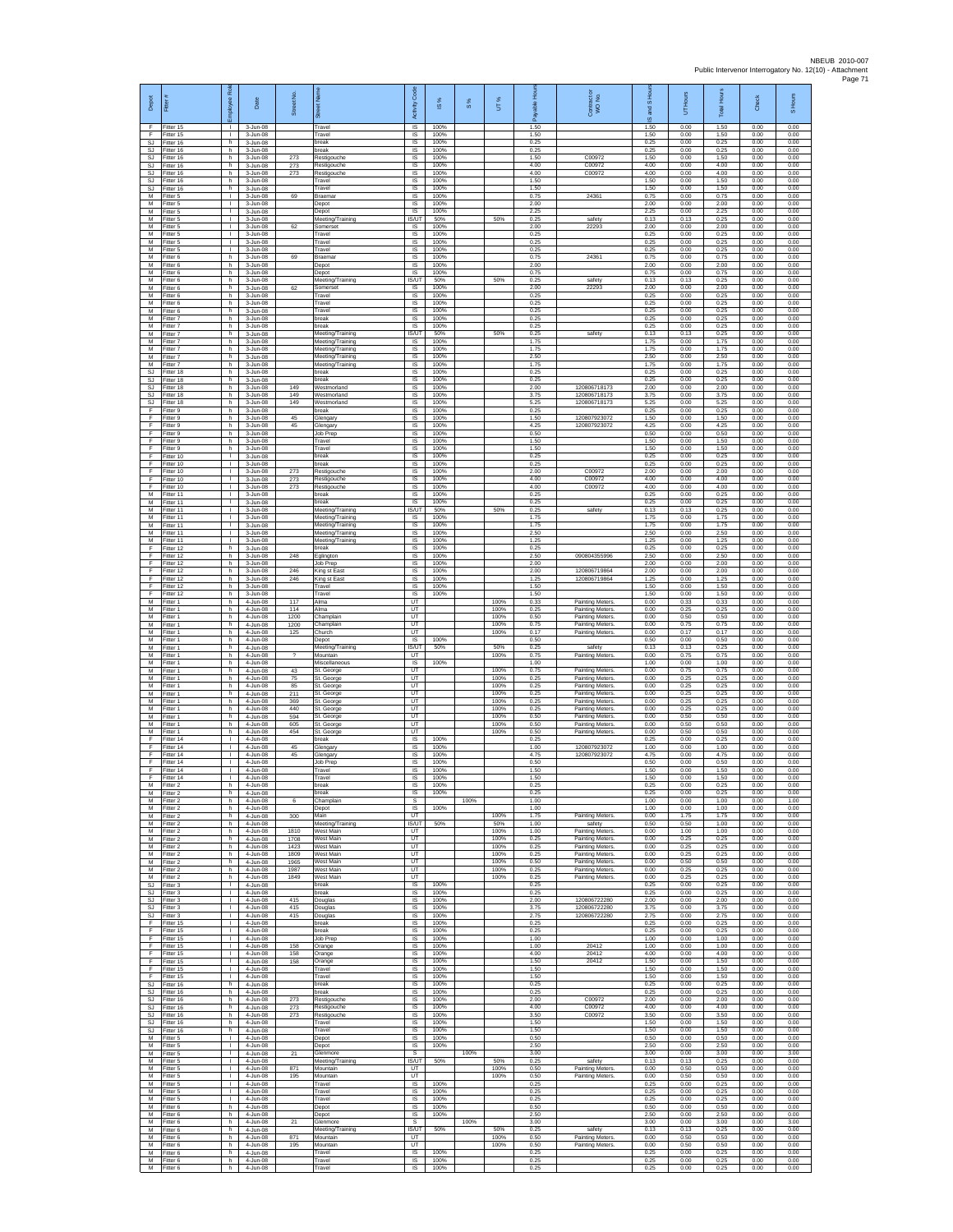| Depot                         | Fitter                               | Rol<br>nployee                               | Date                                 | Street No.               |                                                         | Code<br>Activity                  | $\frac{8}{3}$        | $\frac{8}{3}$ | UT%                  | 휸<br>흛               | Contract or<br>WO No.                                                      | and S Hou<br>ဖ       | UT Hours             | <b>Total Hours</b>   | Check                | S Hours              |
|-------------------------------|--------------------------------------|----------------------------------------------|--------------------------------------|--------------------------|---------------------------------------------------------|-----------------------------------|----------------------|---------------|----------------------|----------------------|----------------------------------------------------------------------------|----------------------|----------------------|----------------------|----------------------|----------------------|
| F<br>F                        | Fitter 15<br>Fitter 15               | л.<br>$\mathbf{I}$                           | 3-Jun-08<br>3-Jun-08                 |                          | Travel<br>Travel                                        | IS.<br>IS                         | 100%<br>100%         |               |                      | 1.50<br>1.50         |                                                                            | 1.50<br>1.50         | 0.00<br>0.00         | 1.50<br>1.50         | 0.00<br>0.00         | 0.00<br>0.00         |
| $\mathbb{S}\mathbb{J}$<br>SJ. | Fitter 16<br>Fitter 16               | h.<br>h.                                     | 3-Jun-08<br>3-Jun-08                 |                          | break<br>break                                          | $\sf IS$<br><b>IS</b>             | 100%<br>100%         |               |                      | 0.25<br>0.25         |                                                                            | 0.25<br>0.25         | 0.00<br>0.00         | 0.25<br>0.25         | 0.00<br>0.00         | 0.00<br>0.00         |
| SJ<br><b>SJ</b><br><b>SJ</b>  | Fitter 16<br>Fitter 16<br>fitter 16  | h<br>h<br>h                                  | 3-Jun-08<br>3-Jun-08<br>3-Jun-08     | 273<br>273<br>273        | Restigouche<br>Restigouche<br>Restigouche               | IS<br>1S<br>IS                    | 100%<br>100%<br>100% |               |                      | 1.50<br>4.00<br>4.00 | C00972<br>C00972<br>C00972                                                 | 1.50<br>4.00<br>4.00 | 0.00<br>0.00<br>0.00 | 1.50<br>4.00<br>4.00 | 0.00<br>0.00<br>0.00 | 0.00<br>0.00<br>0.00 |
| SJ<br>SJ                      | Fitter 16<br>Fitter 16               | h.<br>h.                                     | 3-Jun-08<br>3-Jun-08                 |                          | Travel<br>ravel                                         | <b>IS</b><br>IS                   | 100%<br>100%         |               |                      | 1.50<br>1.50         |                                                                            | 1.50<br>1.50         | 0.00<br>0.00         | 1.50<br>1.50         | 0.00<br>0.00         | 0.00<br>0.00         |
| М<br>M                        | Fitter 5<br>Fitter 5                 | $\mathbf{I}$<br>$\mathbb{R}$                 | 3-Jun-08<br>3-Jun-08                 | 69                       | <b>Braemar</b><br>Depot                                 | $\sf IS$<br>IS                    | 100%<br>100%         |               |                      | 0.75<br>2.00         | 24361                                                                      | 0.75<br>2.00         | 0.00<br>0.00         | 0.75<br>2.00         | 0.00<br>0.00         | 0.00<br>0.00         |
| M<br>М                        | Fitter 5<br>Fitter 5                 | $\mathbf{L}$<br>٠                            | 3-Jun-08<br>3-Jun-08                 |                          | Depot<br>Neeting/Training                               | IS<br>IS/UT                       | 100%<br>50%          |               | 50%                  | 2.25<br>0.25         | safety                                                                     | 2.25<br>0.13         | 0.00<br>0.13         | 2.25<br>0.25         | 0.00<br>0.00         | 0.00<br>0.00         |
| М<br>M                        | Fitter 5<br>Fitter 5                 | т<br>т.                                      | 3-Jun-08<br>3-Jun-08                 | 62                       | Somerset<br>Travel                                      | IS<br><b>IS</b>                   | 100%<br>100%         |               |                      | 2.00<br>0.25<br>0.25 | 22293                                                                      | 2.00<br>0.25         | 0.00<br>0.00         | 2.00<br>0.25         | 0.00<br>0.00         | 0.00<br>0.00         |
| М<br>М<br>M                   | itter 5<br>Fitter 5<br>Fitter 6      | т.<br>L.<br>h                                | 3-Jun-08<br>3-Jun-08<br>3-Jun-08     | 69                       | ravel<br>Travel<br>Braemar                              | IS<br>1S<br>IS                    | 100%<br>100%<br>100% |               |                      | 0.25<br>0.75         | 24361                                                                      | 0.25<br>0.25<br>0.75 | 0.00<br>0.00<br>0.00 | 0.25<br>0.25<br>0.75 | 0.00<br>0.00<br>0.00 | 0.00<br>0.00<br>0.00 |
| M<br>М                        | -itter 6<br>Fitter 6                 | h<br>h                                       | 3-Jun-08<br>3-Jun-08                 |                          | Depot<br>Depot                                          | IS<br>$\sf IS$                    | 100%<br>100%         |               |                      | 2.00<br>0.75         |                                                                            | 2.00<br>0.75         | 0.00<br>0.00         | 2.00<br>0.75         | 0.00<br>0.00         | 0.00<br>0.00         |
| М<br>M                        | -itter 6<br>Fitter 6                 | h<br>h.                                      | 3-Jun-08<br>3-Jun-08                 | 62                       | Meeting/Training<br>Somerset                            | IS/UT<br>IS                       | 50%<br>100%          |               | 50%                  | 0.25<br>2.00         | safety<br>22293                                                            | 0.13<br>2.00         | 0.13<br>0.00         | 0.25<br>2.00         | 0.00<br>0.00         | 0.00<br>0.00         |
| M<br>М<br>M                   | Fitter 6<br>Fitter 6<br>Fitter 6     | h.<br>h<br>h.                                | 3-Jun-08<br>3-Jun-08<br>3-Jun-08     |                          | ravel<br>Travel<br>Travel                               | IS<br>IS<br>IS                    | 100%<br>100%<br>100% |               |                      | 0.25<br>0.25<br>0.25 |                                                                            | 0.25<br>0.25<br>0.25 | 0.00<br>0.00<br>0.00 | 0.25<br>0.25<br>0.25 | 0.00<br>0.00<br>0.00 | 0.00<br>0.00<br>0.00 |
| M<br>М                        | Fitter 7<br>itter 7                  | h.<br>h                                      | 3-Jun-08<br>3-Jun-08                 |                          | break<br>oreak                                          | <b>IS</b><br>$\sf IS$             | 100%<br>100%         |               |                      | 0.25<br>0.25         |                                                                            | 0.25<br>0.25         | 0.00<br>0.00         | 0.25<br>0.25         | 0.00<br>0.00         | 0.00<br>0.00         |
| M<br>M                        | Fitter 7<br>Fitter 7                 | h.<br>h.                                     | 3-Jun-08<br>3-Jun-08                 |                          | Meeting/Training<br>Meeting/Training                    | IS/UT<br>IS.                      | 50%<br>100%          |               | 50%                  | 0.25<br>1.75         | safety                                                                     | 0.13<br>1.75         | 0.13<br>0.00         | 0.25<br>1.75         | 0.00<br>0.00         | 0.00<br>0.00         |
| М<br>М                        | Fitter 7<br>Fitter 7                 | h<br>h                                       | 3-Jun-08<br>3-Jun-08                 |                          | Meeting/Training<br>Meeting/Training                    | IS<br>IS                          | 100%<br>100%         |               |                      | 1.75<br>2.50         |                                                                            | 1.75<br>2.50         | 0.00<br>0.00         | 1.75<br>2.50         | 0.00<br>0.00         | 0.00<br>0.00         |
| М<br>SJ<br>SJ                 | fitter 7<br>Fitter 18<br>Fitter 18   | h<br>h.<br>h.                                | 3-Jun-08<br>3-Jun-08<br>3-Jun-08     |                          | Meeting/Training<br>break<br>reak                       | IS<br>IS<br>IS                    | 100%<br>100%<br>100% |               |                      | 1.75<br>0.25<br>0.25 |                                                                            | 1.75<br>0.25<br>0.25 | 0.00<br>0.00<br>0.00 | 1.75<br>0.25<br>0.25 | 0.00<br>0.00<br>0.00 | 0.00<br>0.00<br>0.00 |
| SJ<br>SJ.                     | Fitter 18<br>Fitter 18               | h.<br>h                                      | 3-Jun-08<br>3-Jun-08                 | 149<br>149               | Westmorland<br>Westmorland                              | $\sf IS$<br>IS                    | 100%<br>100%         |               |                      | 2.00<br>3.75         | 120806718173<br>120806718173                                               | 2.00<br>3.75         | 0.00<br>0.00         | 2.00<br>3.75         | 0.00<br>0.00         | 0.00<br>0.00         |
| SJ<br>F                       | Fitter 18<br>Fitter 9                | h<br>h                                       | 3-Jun-08<br>3-Jun-08                 | 149                      | Westmorland<br>oreak                                    | IS<br>IS                          | 100%<br>100%         |               |                      | 5.25<br>0.25         | 120806718173                                                               | 5.25<br>0.25         | 0.00<br>0.00         | 5.25<br>0.25         | 0.00<br>0.00         | 0.00<br>0.00         |
| F<br>F<br>F                   | Fitter 9<br>Fitter 9<br>-itter 9     | h.<br>h.<br>h                                | 3-Jun-08<br>3-Jun-08<br>3-Jun-08     | 45<br>45                 | Glengary<br>Glengary<br>Job Prep                        | IS<br>IS<br>IS                    | 100%<br>100%<br>100% |               |                      | 1.50<br>4.25<br>0.50 | 120807923072<br>120807923072                                               | 1.50<br>4.25<br>0.50 | 0.00<br>0.00<br>0.00 | 1.50<br>4.25<br>0.50 | 0.00<br>0.00<br>0.00 | 0.00<br>0.00<br>0.00 |
| F<br>F                        | Fitter 9<br>Fitter 9                 | h<br>h                                       | 3-Jun-08<br>3-Jun-08                 |                          | Travel<br>Travel                                        | IS<br>IS                          | 100%<br>100%         |               |                      | 1.50<br>1.50         |                                                                            | 1.50<br>1.50         | 0.00<br>0.00         | 1.50<br>1.50         | 0.00<br>0.00         | 0.00<br>0.00         |
| E<br>F                        | Fitter 10<br>Fitter 10               | $\mathbf{I}$<br>$\mathbf{L}$                 | 3-Jun-08<br>3-Jun-08                 |                          | oreak<br>break                                          | IS<br>$\sf IS$                    | 100%<br>100%         |               |                      | 0.25<br>0.25         |                                                                            | 0.25<br>0.25         | 0.00<br>0.00         | 0.25<br>0.25         | 0.00<br>0.00         | 0.00<br>0.00         |
| F<br>F<br>F                   | Fitter 10<br>Fitter 10               | $\mathbf{L}$<br>÷.<br>$\mathbf{L}$           | 3-Jun-08<br>3-Jun-08                 | 273<br>273               | Restigouche<br>Restigouche                              | IS<br><b>IS</b><br>IS             | 100%<br>100%<br>100% |               |                      | 2.00<br>4.00<br>4.00 | C0097<br>C00972                                                            | 2.00<br>4.00<br>4.00 | 0.00<br>0.00<br>0.00 | 2.00<br>4.00<br>4.00 | 0.00<br>0.00<br>0.00 | 0.00<br>0.00<br>0.00 |
| М<br>M                        | Fitter 10<br>Fitter 11<br>Fitter 11  | ٠<br>$\mathbf{L}$                            | 3-Jun-08<br>3-Jun-08<br>3-Jun-08     | 273                      | Restigouche<br>oreak<br>break                           | IS<br>IS                          | 100%<br>100%         |               |                      | 0.25<br>0.25         | C00972                                                                     | 0.25<br>0.25         | 0.00<br>0.00         | 0.25<br>0.25         | 0.00<br>0.00         | 0.00<br>0.00         |
| M<br>M                        | Fitter 11<br>Fitter 11               | $\mathbf{L}$<br>т.                           | 3-Jun-08<br>3-Jun-08                 |                          | Meeting/Training<br>Meeting/Training                    | <b>IS/UT</b><br>$\sf IS$          | 50%<br>100%          |               | 50%                  | 0.25<br>1.75         | safety                                                                     | 0.13<br>1.75         | 0.13<br>0.00         | 0.25<br>1.75         | 0.00<br>0.00         | 0.00<br>0.00         |
| M<br>M                        | Fitter 11<br>Fitter 11               | $\mathbf{L}$<br>т.                           | 3-Jun-08<br>3-Jun-08                 |                          | Meeting/Training<br>Meeting/Training                    | $\sf IS$<br>IS                    | 100%<br>100%         |               |                      | 1.75<br>2.50         |                                                                            | 1.75<br>2.50         | 0.00<br>0.00         | 1.75<br>2.50         | 0.00<br>0.00         | 0.00<br>0.00         |
| М<br>F<br>F                   | Fitter 11<br>Fitter 12<br>Fitter 12  | $\mathbf{L}$<br>h<br>h                       | 3-Jun-08<br>3-Jun-08<br>3-Jun-08     | 248                      | Meeting/Training<br>break<br>glington                   | IS<br>1S<br>IS                    | 100%<br>100%<br>100% |               |                      | 1.25<br>0.25<br>2.50 | 090804355996                                                               | 1.25<br>0.25<br>2.50 | 0.00<br>0.00<br>0.00 | 1.25<br>0.25<br>2.50 | 0.00<br>0.00<br>0.00 | 0.00<br>0.00<br>0.00 |
| F<br>F                        | Fitter 12<br>Fitter 12               | h.<br>h.                                     | 3-Jun-08<br>3-Jun-08                 | 246                      | Job Prep<br><b>King st East</b>                         | <b>IS</b><br>IS                   | 100%<br>100%         |               |                      | 2.00<br>2.00         | 120806719864                                                               | 2.00<br>2.00         | 0.00<br>0.00         | 2.00<br>2.00         | 0.00<br>0.00         | 0.00<br>0.00         |
| F<br>F                        | Fitter 12<br>Fitter 12               | h<br>h                                       | 3-Jun-08<br>3-Jun-08                 | 246                      | King st East<br>Travel                                  | $\sf IS$<br>IS                    | 100%<br>100%         |               |                      | 1.25<br>1.50         | 120806719864                                                               | 1.25<br>1.50         | 0.00<br>0.00         | 1.25<br>1.50         | 0.00<br>0.00         | 0.00<br>0.00         |
| F<br>М                        | Fitter 12<br>Fitter 1                | h<br>h                                       | 3-Jun-08<br>4-Jun-08                 | 117                      | Travel<br>Alma                                          | IS<br>UT                          | 100%                 |               | 100%                 | 1.50<br>0.33         | Painting Meters                                                            | 1.50<br>0.00         | 0.00<br>0.33         | 1.50<br>0.33         | 0.00<br>0.00         | 0.00<br>0.00         |
| М<br>M<br>М                   | Fitter 1<br>Fitter 1<br>itter 1      | h<br>h.<br>h                                 | 4-Jun-08<br>4-Jun-08<br>4-Jun-08     | 114<br>1200<br>1200      | Alma<br>Champlain<br>Champlain                          | UT<br>UT<br>UT                    |                      |               | 100%<br>100%<br>100% | 0.25<br>0.50<br>0.75 | <b>Painting Meters</b><br><b>Painting Meters</b><br><b>Painting Meters</b> | 0.00<br>0.00<br>0.00 | 0.25<br>0.50<br>0.75 | 0.25<br>0.50<br>0.75 | 0.00<br>0.00<br>0.00 | 0.00<br>0.00<br>0.00 |
| М<br>M                        | Fitter 1<br>Fitter 1                 | h.<br>h                                      | 4-Jun-08<br>4-Jun-08                 | 125                      | Church<br>Depot                                         | UT<br>IS                          | 100%                 |               | 100%                 | 0.17<br>0.50         | Painting Meters.                                                           | 0.00<br>0.50         | 0.17<br>0.00         | 0.17<br>0.50         | 0.00<br>0.00         | 0.00<br>0.00         |
| M<br>М                        | -itter 1<br>-itter 1                 | h<br>h                                       | 4-Jun-08<br>4-Jun-08                 | $\overline{\phantom{a}}$ | Meeting/Training<br>Mountain                            | IS/UT<br>UT                       | 50%                  |               | 50%<br>100%          | 0.25<br>0.75         | safety<br>Painting Meters                                                  | 0.13<br>0.00         | 0.13<br>0.75         | 0.25<br>0.75         | 0.00<br>0.00         | 0.00<br>0.00         |
| М<br>M<br>M                   | itter 1<br>Fitter 1<br>Fitter 1      | h<br>h.<br>h.                                | 4-Jun-08<br>4-Jun-08<br>4-Jun-08     | 43<br>75                 | <i><b>Aiscellaneous</b></i><br>St. George<br>St. George | IS<br>UT<br><b>UT</b>             | 100%                 |               | 100%<br>100%         | 1.00<br>0.75<br>0.25 | <b>Painting Meters</b>                                                     | 1.00<br>0.00<br>0.00 | 0.00<br>0.75<br>0.25 | 1.00<br>0.75<br>0.25 | 0.00<br>0.00<br>0.00 | 0.00<br>0.00<br>0.00 |
| М<br>M                        | Fitter 1<br>Fitter 1                 | h<br>h.                                      | 4-Jun-08<br>4-Jun-08                 | 85<br>211                | St. George<br>St. George                                | UT<br>UT                          |                      |               | 100%<br>100%         | 0.25<br>0.25         | Painting Meters<br>Painting Meters.<br><b>Painting Meters</b>              | 0.00<br>0.00         | 0.25<br>0.25         | 0.25<br>0.25         | 0.00<br>0.00         | 0.00<br>0.00         |
| M<br>M                        | Fitter 1<br>itter 1                  | h.<br>h                                      | 4-Jun-08<br>4-Jun-08                 | 369<br>440               | St. George<br>St. George                                | UT<br>UT                          |                      |               | 100%<br>100%         | 0.25<br>0.25         | Painting Meters<br><b>Painting Meters</b>                                  | 0.00<br>0.00         | 0.25<br>0.25         | 0.25<br>0.25         | 0.00<br>0.00         | 0.00<br>0.00         |
| M<br>M                        | Fitter 1<br>Fitter 1                 | h<br>h.                                      | 4-Jun-08<br>4-Jun-08                 | 594<br>605               | St. George<br>St. George                                | UT<br>UT                          |                      |               | 100%<br>100%         | 0.50<br>0.50         | Painting Meters<br><b>Painting Meters</b>                                  | 0.00<br>0.00         | 0.50<br>0.50         | 0.50<br>0.50         | 0.00<br>0.00         | 0.00<br>0.00         |
| М<br>F<br>F                   | Fitter 1<br>Fitter 14<br>fitter 14   | h<br>$\mathbf{I}$<br>т.                      | 4-Jun-08<br>4-Jun-08<br>4-Jun-08     | 454<br>45                | St. George<br>oreak<br>ilengary                         | UT<br>IS<br>IS                    | 100%<br>100%         |               | 100%                 | 0.50<br>0.25<br>1.00 | <b>Painting Meters</b><br>12080792307                                      | 0.00<br>0.25<br>1.00 | 0.50<br>0.00<br>0.00 | 0.50<br>0.25<br>1.00 | 0.00<br>0.00<br>0.00 | 0.00<br>0.00<br>0.00 |
| E<br>F                        | Fitter 14<br>Fitter 14               | л.<br>$\mathbf{L}$                           | 4-Jun-08<br>4-Jun-08                 | 45                       | Glengary<br>Job Prep                                    | <b>IS</b><br>IS                   | 100%<br>100%         |               |                      | 4.75<br>0.50         | 120807923072                                                               | 4.75<br>0.50         | 0.00<br>0.00         | 4.75<br>0.50         | 0.00<br>0.00         | 0.00<br>0.00         |
| F<br>F                        | Fitter 14<br>Fitter 14               | T.<br>$\mathbf{L}$                           | 4-Jun-08<br>4-Jun-08                 |                          | Travel<br>Travel                                        | $\sf IS$<br>IS                    | 100%<br>100%         |               |                      | 1.50<br>1.50         |                                                                            | 1.50<br>1.50         | 0.00<br>0.00         | 1.50<br>1.50         | 0.00<br>0.00         | 0.00<br>0.00         |
| M<br>M<br>M                   | Fitter 2<br>Fitter 2<br>Fitter 2     | h<br>h<br>F                                  | 4-Jun-08<br>4-Jun-08<br>4-Jun-08     | 6                        | oreak<br>break<br>Champlain                             | IS<br>IS<br>s                     | 100%<br>100%         | 100%          |                      | 0.25<br>0.25<br>1.00 |                                                                            | 0.25<br>0.25<br>1.00 | 0.00<br>0.00<br>0.00 | 0.25<br>0.25<br>1.00 | 0.00<br>0.00<br>0.00 | 0.00<br>0.00<br>1.00 |
| M<br>${\sf M}$                | Fitter 2<br>Fitter 2                 | h.<br>h                                      | 4-Jun-08<br>4-Jun-08                 | 300                      | Depot<br>Main                                           | IS.<br>UT                         | 100%                 |               | 100%                 | 1.00<br>1.75         | <b>Painting Meters</b>                                                     | 1.00<br>0.00         | 0.00<br>1.75         | 1.00<br>1.75         | 0.00<br>0.00         | 0.00<br>0.00         |
| M<br>M                        | Fitter 2<br>Fitter 2                 | h<br>h                                       | 4-Jun-08<br>4-Jun-08                 | 1810                     | Meeting/Training<br>West Main                           | IS/UT<br>UT                       | 50%                  |               | 50%<br>100%          | 1.00<br>1.00         | safety<br><b>Painting Meters</b>                                           | 0.50<br>0.00         | 0.50<br>1.00         | 1.00<br>1.00         | 0.00<br>0.00         | 0.00<br>0.00         |
| M<br>M<br>M                   | Fitter 2<br>Fitter 2<br>-itter 2     | h<br>h.<br>h.                                | 4-Jun-08<br>4-Jun-08<br>4-Jun-08     | 1708<br>1423<br>1809     | West Main<br>West Main<br><b>Nest Main</b>              | UT<br>UT<br>UT                    |                      |               | 100%<br>100%<br>100% | 0.25<br>0.25<br>0.25 | <b>Painting Meters</b><br>Painting Meters<br><b>Painting Meters</b>        | 0.00<br>0.00<br>0.00 | 0.25<br>0.25<br>0.25 | 0.25<br>0.25<br>0.25 | 0.00<br>0.00<br>0.00 | 0.00<br>0.00<br>0.00 |
| M<br>M                        | Fitter 2<br>Fitter 2                 | h.<br>h.                                     | 4-Jun-08<br>4-Jun-08                 | 1965<br>1987             | West Main<br><b>Mest Main</b>                           | UT<br><b>UT</b>                   |                      |               | 100%<br>100%         | 0.50<br>0.25         | <b>Painting Meters</b><br>Painting Meters.                                 | 0.00<br>0.00         | 0.50<br>0.25         | 0.50<br>0.25         | 0.00<br>0.00         | 0.00<br>0.00         |
| М<br>SJ.                      | Fitter 2<br>Fitter 3                 | h<br>т                                       | 4-Jun-08<br>4-Jun-08                 | 1849                     | West Main<br>break                                      | UT<br>IS                          | 100%                 |               | 100%                 | 0.25<br>0.25         | <b>Painting Meters</b>                                                     | 0.00<br>0.25         | 0.25<br>0.00         | 0.25<br>0.25         | 0.00<br>0.00         | 0.00<br>0.00         |
| SJ                            | SJ Fitter 3<br>Fitter 3              | <b>I</b><br>$\mathbf{L}$<br>$\mathbb{R}^n$   | 4-Jun-08<br>4-Jun-08                 | 415                      | break<br>Douglas                                        | IS<br>$\sf IS$                    | 100%<br>100%<br>100% |               |                      | 0.25<br>2.00         | 120806722280                                                               | 0.25<br>2.00         | 0.00<br>0.00         | 0.25<br>2.00         | 0.00<br>0.00         | 0.00<br>0.00         |
| SJ<br>E                       | Fitter 3<br>SJ Fitter 3<br>Fitter 15 | $\mathbf{L}$<br>$\mathbf{L}$                 | 4-Jun-08<br>4-Jun-08<br>4-Jun-08     | 415<br>415               | Douglas<br>Douglas<br>oreak                             | $\sf IS$<br><b>IS</b><br>IS       | 100%<br>100%         |               |                      | 3.75<br>2.75<br>0.25 | 120806722280<br>120806722280                                               | 3.75<br>2.75<br>0.25 | 0.00<br>0.00<br>0.00 | 3.75<br>2.75<br>0.25 | 0.00<br>0.00<br>0.00 | 0.00<br>0.00<br>0.00 |
| F<br>F                        | Fitter 15<br>Fitter 15               | H.<br>т.                                     | 4-Jun-08<br>4-Jun-08                 |                          | break<br>Job Prep                                       | 1S<br>IS                          | 100%<br>100%         |               |                      | 0.25<br>1.00         |                                                                            | 0.25<br>1.00         | 0.00<br>0.00         | 0.25<br>1.00         | 0.00<br>0.00         | 0.00<br>0.00         |
| F<br>F.                       | Fitter 15<br>Fitter 15               | л.<br>л.                                     | 4-Jun-08<br>4-Jun-08                 | 158<br>158               | Orange<br>Orange                                        | - IS<br>IS                        | 100%<br>100%         |               |                      | 1.00<br>4.00         | 20412<br>20412                                                             | 1.00<br>4.00         | 0.00<br>0.00         | 1.00<br>4.00         | 0.00<br>0.00         | 0.00<br>0.00         |
| F<br>F<br>F.                  | Fitter 15<br>Fitter 15<br>Fitter 15  | $\mathbf{L}$<br>$\mathbf{L}$<br>$\mathbf{L}$ | 4-Jun-08<br>$4 - lim-08$<br>4-Jun-08 | 158                      | Orange<br>Travel<br>Travel                              | $\sf IS$<br>IS.<br>IS             | 100%<br>100%<br>100% |               |                      | 1.50<br>1.50<br>1.50 | 20412                                                                      | 1.50<br>1.50<br>1.50 | 0.00<br>0.00<br>0.00 | 1.50<br>1.50<br>1.50 | 0.00<br>0.00<br>0.00 | 0.00<br>0.00<br>0.00 |
| SJ<br>SJ.                     | Fitter 16<br>Fitter 16               | h<br>h                                       | 4-Jun-08<br>4-Jun-08                 |                          | break<br>break                                          | IS<br>IS                          | 100%<br>100%         |               |                      | 0.25<br>0.25         |                                                                            | 0.25<br>0.25         | 0.00<br>0.00         | 0.25<br>0.25         | 0.00<br>0.00         | 0.00<br>0.00         |
| SJ.<br>SJ                     | Fitter 16<br>Fitter 16               | h.<br>h                                      | 4-Jun-08<br>4-Jun-08                 | 273<br>273               | Restigouche<br>Restigouche                              | <b>IS</b><br>IS                   | 100%<br>100%         |               |                      | 2.00<br>4.00         | C00972<br>C00972                                                           | 2.00<br>4.00         | 0.00<br>0.00         | 2.00<br>4.00         | 0.00<br>0.00         | 0.00<br>0.00         |
| SJ<br>SJ.<br>SJ               | Fitter 16<br>Fitter 16<br>Fitter 16  | h.<br>h.                                     | 4-Jun-08<br>4-Jun-08                 | 273                      | Restigouche<br>Travel                                   | 1S<br>IS<br>IS                    | 100%<br>100%<br>100% |               |                      | 3.50<br>1.50<br>1.50 | C00972                                                                     | 3.50<br>1.50<br>1.50 | 0.00<br>0.00         | 3.50<br>1.50<br>1.50 | 0.00<br>0.00         | 0.00<br>0.00<br>0.00 |
| M<br>М                        | Fitter 5<br>Fitter 5                 | h<br>Τ.<br>т.                                | 4-Jun-08<br>4-Jun-08<br>4-Jun-08     |                          | Travel<br>Depot<br>Depot                                | $\sf IS$<br>IS                    | 100%<br>100%         |               |                      | 0.50<br>2.50         |                                                                            | 0.50<br>2.50         | 0.00<br>0.00<br>0.00 | 0.50<br>2.50         | 0.00<br>0.00<br>0.00 | 0.00<br>0.00         |
| M<br>M                        | Fitter 5<br>Fitter 5                 | л.<br>$\mathbf{L}$                           | 4-Jun-08<br>4-Jun-08                 | 21                       | Glenmore<br>Meeting/Training                            | -S<br><b>ISAIT</b>                | 50%                  | 100%          | 50%                  | 3.00<br>0.25         | safety                                                                     | 3.00<br>0.13         | 0.00<br>0.13         | 3.00<br>0.25         | 0.00<br>0.00         | 3.00<br>0.00         |
| М<br>M                        | Fitter 5<br>Fitter 5                 | т.<br>т                                      | 4-Jun-08<br>4-Jun-08                 | 871<br>195               | Mountain<br>Mountain                                    | UT<br>UT                          | 100%                 |               | 100%<br>100%         | 0.50<br>0.50         | Painting Meters.<br><b>Painting Meters</b>                                 | 0.00<br>0.00<br>0.25 | 0.50<br>0.50         | 0.50<br>0.50         | 0.00<br>0.00<br>0.00 | 0.00<br>0.00         |
| М<br>M                        | M Fitter 5<br>Fitter 5<br>Fitter 5   | $\mathbf{L}$<br>$\mathbf{L}$<br>$\mathbf{L}$ | 4-Jun-08<br>4-Jun-08<br>4-Jun-08     |                          | Travel<br>Travel<br>Travel                              | <b>IS</b><br>$\sf IS$<br>$\sf IS$ | 100%<br>100%         |               |                      | 0.25<br>0.25<br>0.25 |                                                                            | 0.25<br>0.25         | 0.00<br>0.00<br>0.00 | 0.25<br>0.25<br>0.25 | 0.00<br>0.00         | 0.00<br>0.00<br>0.00 |
| M<br>M                        | Fitter 6<br>Fitter 6                 | h.<br>h                                      | 4-Jun-08<br>4-Jun-08                 |                          | Depot<br>Depot                                          | IS.<br>IS                         | 100%<br>100%         |               |                      | 0.50<br>2.50         |                                                                            | 0.50<br>2.50         | 0.00<br>0.00         | 0.50<br>2.50         | 0.00<br>0.00         | 0.00<br>0.00         |
| M<br>М                        | Fitter 6<br>Fitter 6                 | h<br>h                                       | 4-Jun-08<br>4-Jun-08                 | $^{21}$                  | <b>Glenmore</b><br>Meeting/Training                     | s<br><b>IS/UT</b>                 | 50%                  | 100%          | 50%                  | 3.00<br>0.25         | safety                                                                     | 3.00<br>0.13         | 0.00<br>0.13         | 3.00<br>0.25         | 0.00<br>0.00         | 3.00<br>0.00         |
| M<br>M<br>М                   | Fitter 6<br>Fitter 6<br>Fitter 6     | h.<br>h.<br>h                                | 4-Jun-08<br>4-Jun-08<br>4-Jun-08     | 871<br>195               | Mountain<br>Mountain<br>Travel                          | UT<br><b>UT</b><br>$\sf IS$       | 100%                 |               | 100%<br>100%         | 0.50<br>0.50<br>0.25 | <b>Painting Meters</b><br>Painting Meters.                                 | 0.00<br>0.00<br>0.25 | 0.50<br>0.50<br>0.00 | 0.50<br>0.50<br>0.25 | 0.00<br>0.00<br>0.00 | 0.00<br>0.00<br>0.00 |
| M                             | M Fitter 6<br>Fitter 6               | h<br>h.                                      | 4-Jun-08<br>4-Jun-08                 |                          | Travel<br>Travel                                        | $\mathsf{IS}$<br><b>IS</b>        | 100%<br>100%         |               |                      | 0.25<br>0.25         |                                                                            | 0.25<br>0.25         | 0.00<br>0.00         | 0.25<br>0.25         | 0.00<br>0.00         | 0.00<br>0.00         |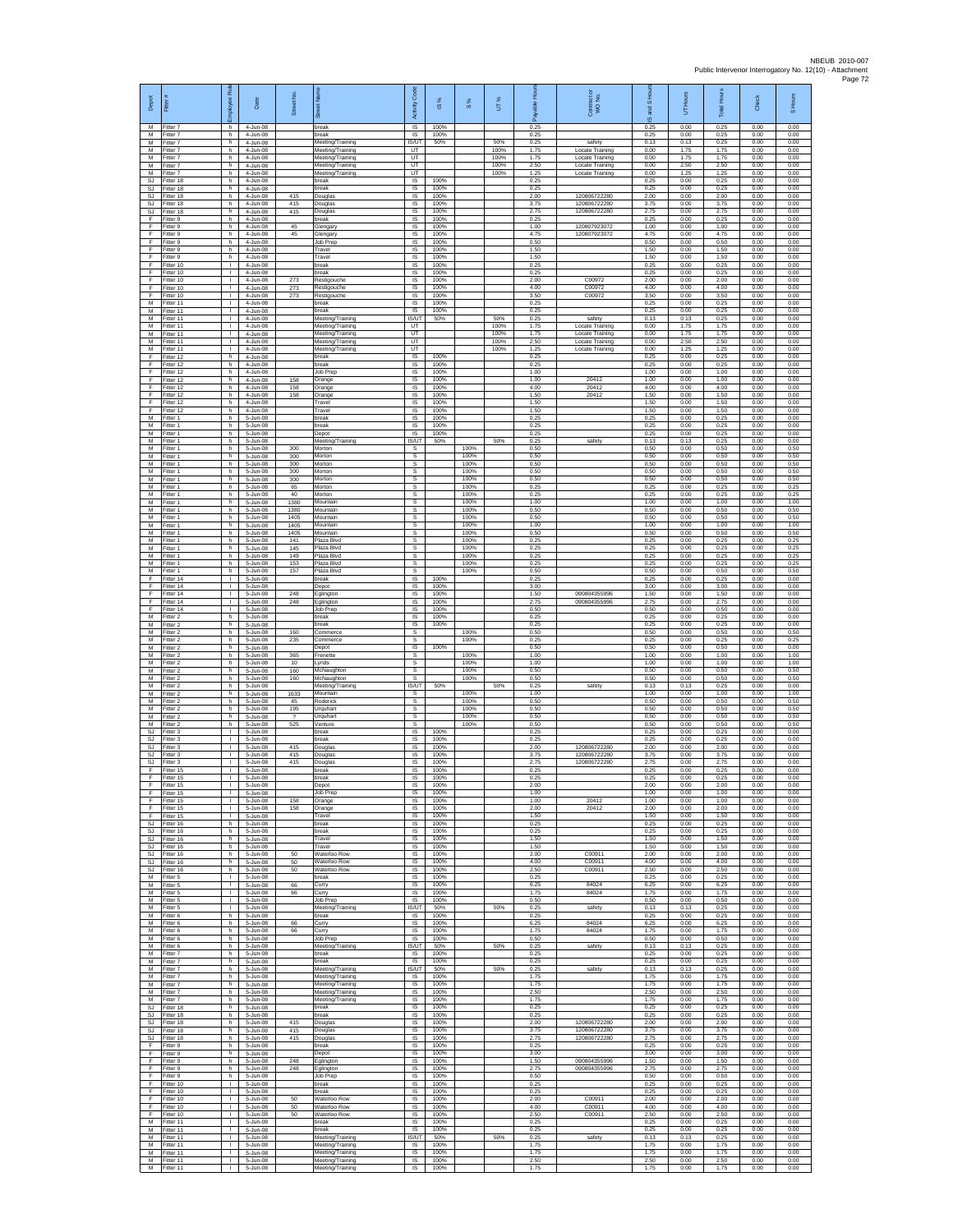| Depot<br>M                  | Fitter<br>-itter 7                  | ē<br>eekoldu<br>ů<br>h.            | Date<br>4-Jun-08                     | Street No                             | <b>Teg</b><br>苆<br>break                                 | Code<br>Activity<br>IS          | 1S%<br>100%          | 8%                   | UT%          | able<br>កី<br>0.25   | Contract c<br>WO No.                      | S Hou<br>g<br>$\overline{\omega}$<br>0.25 | UT Hours<br>0.00     | Total Hours<br>0.25  | Check<br>0.00        | S Hours<br>0.00      |
|-----------------------------|-------------------------------------|------------------------------------|--------------------------------------|---------------------------------------|----------------------------------------------------------|---------------------------------|----------------------|----------------------|--------------|----------------------|-------------------------------------------|-------------------------------------------|----------------------|----------------------|----------------------|----------------------|
| M<br>M                      | Fitter 7<br>Fitter 7                | h<br>h.                            | 4-Jun-08<br>4-Jun-08                 |                                       | break<br>Meeting/Training                                | $\sf IS$<br>IS/UT               | 100%<br>50%          |                      | 50%          | 0.25<br>0.25         | safety                                    | 0.25<br>0.13                              | 0.00<br>0.13         | 0.25<br>0.25         | 0.00<br>0.00         | 0.00<br>0.00         |
| M<br>М                      | Fitter 7<br>Fitter 7                | h.<br>h.                           | 4-Jun-08<br>4-Jun-08                 |                                       | Meeting/Training<br>Meeting/Training                     | <b>LIT</b><br>UT                |                      |                      | 100%<br>100% | 1.75<br>1.75         | Locate Training<br>Locate Training        | 0.00<br>0.00                              | 1.75<br>1.75         | 1.75<br>1.75         | 0.00<br>0.00         | 0.00<br>0.00         |
| M<br>M                      | Fitter 7<br>Fitter 7                | h.<br>h.                           | 4-Jun-08<br>4-Jun-08                 |                                       | Meeting/Training<br>Meeting/Training<br>break            | UT<br>UT<br>IS                  | 100%                 |                      | 100%<br>100% | 2.50<br>1.25<br>0.25 | <b>Locate Training</b><br>Locate Training | 0.00<br>0.00<br>0.25                      | 2.50<br>1.25<br>0.00 | 2.50<br>1.25<br>0.25 | 0.00<br>0.00<br>0.00 | 0.00<br>0.00         |
| SJ<br>SJ<br>SJ.             | Fitter 18<br>Fitter 18<br>Fitter 18 | h<br>h.<br>h.                      | 4-Jun-08<br>4-Jun-08<br>4-Jun-08     | 415                                   | break<br>Douglas                                         | 1S<br>IS                        | 100%<br>100%         |                      |              | 0.25<br>2.00         | 120806722280                              | 0.25<br>2.00                              | 0.00<br>0.00         | 0.25<br>2.00         | 0.00<br>0.00         | 0.00<br>0.00<br>0.00 |
| SJ<br>SJ                    | Fitter 18<br>Fitter 18              | h<br>h.                            | 4-Jun-08<br>4-Jun-08                 | 415<br>415                            | Douglas<br>Douglas                                       | IS<br>IS                        | 100%<br>100%         |                      |              | 3.75<br>2.75         | 120806722280<br>120806722280              | 3.75<br>2.75                              | 0.00<br>0.00         | 3.75<br>2.75         | 0.00<br>0.00         | 0.00<br>0.00         |
| F<br>F                      | Fitter 9<br>Fitter 9                | h<br>h.                            | 4-Jun-08<br>4-Jun-08                 | 45                                    | break<br>Glengary                                        | IS<br>-IS                       | 100%<br>100%         |                      |              | 0.25<br>1.00         | 120807923072                              | 0.25<br>1.00                              | 0.00<br>0.00         | 0.25<br>1.00         | 0.00<br>0.00         | 0.00<br>0.00         |
| E<br>F<br>F                 | Fitter 9<br>Fitter 9<br>Fitter 9    | h.<br>h<br>h.                      | 4-Jun-08<br>4-Jun-08<br>4-Jun-08     | 45                                    | Glengary<br>Job Prep<br>Travel                           | IS<br>IS<br>IS                  | 100%<br>100%<br>100% |                      |              | 4.75<br>0.50<br>1.50 | 120807923072                              | 4.75<br>0.50<br>1.50                      | 0.00<br>0.00<br>0.00 | 4.75<br>0.50<br>1.50 | 0.00<br>0.00<br>0.00 | 0.00<br>0.00<br>0.00 |
| F.<br>F                     | Fitter 9<br>Fitter 10               | h<br>$\mathbf{L}$                  | 4-Jun-08<br>4-Jun-08                 |                                       | Travel<br>break                                          | IS<br>$\sf IS$                  | 100%<br>100%         |                      |              | 1.50<br>0.25         |                                           | 1.50<br>0.25                              | 0.00<br>0.00         | 1.50<br>0.25         | 0.00<br>0.00         | 0.00<br>0.00         |
| F<br>F                      | Fitter 10<br>Fitter 10              | $\mathbf{L}$<br>$\mathbf{L}$       | 4-Jun-08<br>4-Jun-08                 | 273                                   | break<br>Restigouche                                     | $\sf IS$<br>IS                  | 100%<br>100%         |                      |              | 0.25<br>2.00         | C00972                                    | 0.25<br>2.00                              | 0.00<br>0.00         | 0.25<br>2.00         | 0.00<br>0.00         | 0.00<br>0.00         |
| E<br>F<br>M                 | Fitter 10<br>Fitter 10              | $\mathbf{L}$<br>Τ.<br>т.           | 4-Jun-08<br>4-Jun-08<br>4-Jun-08     | 273<br>273                            | Restigouche<br>Restigouche<br>break                      | IS<br>1S<br>IS                  | 100%<br>100%<br>100% |                      |              | 4.00<br>3.50<br>0.25 | C00972<br>C00972                          | 4.00<br>3.50<br>0.25                      | 0.00<br>0.00<br>0.00 | 4.00<br>3.50<br>0.25 | 0.00<br>0.00<br>0.00 | 0.00<br>0.00<br>0.00 |
| M<br>M                      | Fitter 11<br>Fitter 11<br>Fitter 11 | ÷.<br>$\mathbf{L}$                 | 4-Jun-08<br>4-Jun-08                 |                                       | break<br>Meeting/Training                                | <b>IS</b><br><b>IS/UT</b>       | 100%<br>50%          |                      | 50%          | 0.25<br>0.25         | safety                                    | 0.25<br>0.13                              | 0.00<br>0.13         | 0.25<br>0.25         | 0.00<br>0.00         | 0.00<br>0.00         |
| М<br>M                      | Fitter 11<br>Fitter 11              | T.<br>$\mathbf{L}$                 | 4-Jun-08<br>4-Jun-08                 |                                       | Meeting/Training<br>Meeting/Training                     | UT<br>UT                        |                      |                      | 100%<br>100% | 1.75<br>1.75         | Locate Training<br>Locate Training        | 0.00<br>0.00                              | 1.75<br>1.75         | 1.75<br>1.75         | 0.00<br>0.00         | 0.00<br>0.00         |
| M<br>М<br>F                 | Fitter 11<br>Fitter 11<br>ltter 12  | л.<br>т.<br>h                      | 4-Jun-08<br>4-Jun-08<br>4-Jun-08     |                                       | Meeting/Training<br>Meeting/Training<br>break            | <b>LIT</b><br>UT<br>IS          | 100%                 |                      | 100%<br>100% | 2.50<br>1.25<br>0.25 | Locate Training<br>Locate Training        | 0.00<br>0.00<br>0.25                      | 2.50<br>1.25<br>0.00 | 2.50<br>1.25<br>0.25 | 0.00<br>0.00<br>0.00 | 0.00<br>0.00<br>0.00 |
| F<br>F                      | Fitter 12<br>Fitter 12              | h.<br>h                            | 4-Jun-08<br>4-Jun-08                 |                                       | break<br>Job Prep                                        | IS<br>IS                        | 100%<br>100%         |                      |              | 0.25<br>1.00         |                                           | 0.25<br>1.00                              | 0.00<br>0.00         | 0.25<br>1.00         | 0.00<br>0.00         | 0.00<br>0.00         |
| F<br>F                      | Fitter 12<br>Fitter 12              | h.<br>h.                           | 4-Jun-08<br>4-Jun-08                 | 158<br>158                            | Orange<br>Orange                                         | 1S<br>IS                        | 100%<br>100%         |                      |              | 1.00<br>4.00         | 20412<br>20412                            | 1.00<br>4.00                              | 0.00<br>0.00         | 1.00<br>4.00         | 0.00<br>0.00         | 0.00<br>0.00         |
| F<br>F<br>F                 | Fitter 12<br>Fitter 12<br>Fitter 12 | h<br>h.<br>h                       | 4-Jun-08<br>4-Jun-08<br>4-Jun-08     | 158                                   | Orange<br>Travel<br>Travel                               | $\sf IS$<br>$\sf IS$<br>IS      | 100%<br>100%<br>100% |                      |              | 1.50<br>1.50<br>1.50 | 20412                                     | 1.50<br>1.50<br>1.50                      | 0.00<br>0.00<br>0.00 | 1.50<br>1.50<br>1.50 | 0.00<br>0.00<br>0.00 | 0.00<br>0.00<br>0.00 |
| M<br>M                      | Fitter 1<br>Fitter 1                | h.<br>h.                           | 5-Jun-08<br>5-Jun-08                 |                                       | break<br>break                                           | IS<br><b>IS</b>                 | 100%<br>100%         |                      |              | 0.25<br>0.25         |                                           | 0.25<br>0.25                              | 0.00<br>0.00         | 0.25<br>0.25         | 0.00<br>0.00         | 0.00<br>0.00         |
| М<br>M                      | Fitter 1<br>Fitter 1                | h<br>h.                            | 5-Jun-08<br>5-Jun-08                 |                                       | Depot<br>Meeting/Training                                | IS<br><b>IS/UT</b>              | 100%<br>50%          |                      | 50%          | 0.25<br>0.25         | safety                                    | 0.25<br>0.13                              | 0.00<br>0.13         | 0.25<br>0.25         | 0.00<br>0.00         | 0.00<br>0.00         |
| M<br>М<br>M                 | Fitter 1<br>-itter 1<br>Fitter 1    | h.<br>h<br>h.                      | 5-Jun-08<br>5-Jun-08<br>5-Jun-08     | 300<br>300<br>300                     | Morton<br>Mortor<br>Morton                               | s<br>$\mathbb S$<br>$\mathbb S$ |                      | 100%<br>100%<br>100% |              | 0.50<br>0.50<br>0.50 |                                           | 0.50<br>0.50<br>0.50                      | 0.00<br>0.00<br>0.00 | 0.50<br>0.50<br>0.50 | 0.00<br>0.00<br>0.00 | 0.50<br>0.50<br>0.50 |
| M<br>М                      | Fitter 1<br>Fitter 1                | h.<br>h                            | 5-Jun-08<br>5-Jun-08                 | 300<br>300                            | Morton<br>Morton                                         | s<br>s                          |                      | 100%<br>100%         |              | 0.50<br>0.50         |                                           | 0.50<br>0.50                              | 0.00<br>0.00         | 0.50<br>0.50         | 0.00<br>0.00         | 0.50<br>0.50         |
| М<br>M                      | Fitter 1<br>Fitter 1                | h.<br>h.                           | 5-Jun-08<br>5-Jun-08                 | 65<br>40                              | Morton<br>Morton                                         | s<br>s                          |                      | 100%<br>100%         |              | 0.25<br>0.25         |                                           | 0.25<br>0.25                              | 0.00<br>0.00         | 0.25<br>0.25         | 0.00<br>0.00         | 0.25<br>0.25         |
| M<br>M<br>М                 | Fitter 1<br>-itter 1<br>Fitter 1    | h.<br>h.<br>h.                     | 5-Jun-08<br>5-Jun-08<br>5-Jun-08     | 1380<br>1380<br>1405                  | Mountain<br>Mountain                                     | s<br>s<br>$\mathbb S$           |                      | 100%<br>100%<br>100% |              | 1.00<br>0.50<br>0.50 |                                           | 1.00<br>0.50<br>0.50                      | 0.00<br>0.00<br>0.00 | 1.00<br>0.50<br>0.50 | 0.00<br>0.00<br>0.00 | 1.00<br>0.50<br>0.50 |
| M<br>M                      | Fitter 1<br>Fitter 1                | h.<br>h.                           | 5-Jun-08<br>5-Jun-08                 | 1405<br>1405                          | Mountain<br>Mountain<br>Mountain                         | s<br>s                          |                      | 100%<br>100%         |              | 1.00<br>0.50         |                                           | 1.00<br>0.50                              | 0.00<br>0.00         | 1.00<br>0.50         | 0.00<br>0.00         | 1.00<br>0.50         |
| М<br>M                      | Fitter 1<br>-itter 1                | h<br>h.                            | 5-Jun-08<br>5-Jun-08                 | 141<br>145                            | Plaza Blvd<br>Plaza Blvd                                 | s<br>s                          |                      | 100%<br>100%         |              | 0.25<br>0.25         |                                           | 0.25<br>0.25                              | 0.00<br>0.00         | 0.25<br>0.25         | 0.00<br>0.00         | 0.25<br>0.25         |
| M<br>М                      | Fitter 1<br>-itter 1                | h.<br>h<br>h.                      | 5-Jun-08<br>5-Jun-08                 | 149<br>153                            | Plaza Blvd<br>Plaza Blvd<br>Plaza Blvd                   | s<br>s<br>s                     |                      | 100%<br>100%<br>100% |              | 0.25<br>0.25<br>0.50 |                                           | 0.25<br>0.25<br>0.50                      | 0.00<br>0.00<br>0.00 | 0.25<br>0.25<br>0.50 | 0.00<br>0.00<br>0.00 | 0.25<br>0.25<br>0.50 |
| М<br>F<br>E                 | Fitter 1<br>Fitter 14<br>Fitter 14  | $\mathbf{L}$<br>$\mathbf{L}$       | 5-Jun-08<br>5-Jun-08<br>5-Jun-08     | 157                                   | break<br>Depot                                           | IS<br>IS                        | 100%<br>100%         |                      |              | 0.25<br>3.00         |                                           | 0.25<br>3.00                              | 0.00<br>0.00         | 0.25<br>3.00         | 0.00<br>0.00         | 0.00<br>0.00         |
| F.<br>F                     | Fitter 14<br>ltter 14               | $\mathbb{R}$<br>т.                 | 5-Jun-08<br>5-Jun-08                 | 248<br>248                            | Eglington<br>Eglington                                   | IS<br>IS                        | 100%<br>100%         |                      |              | 1.50<br>2.75         | 090804355996<br>090804355996              | 1.50<br>2.75                              | 0.00<br>0.00         | 1.50<br>2.75         | 0.00<br>0.00         | 0.00<br>0.00         |
| F<br>M<br>М                 | Fitter 14<br>Fitter 2<br>Fitter 2   | ÷.<br>h.<br>h                      | 5-Jun-08<br>5-Jun-08<br>5-Jun-08     |                                       | Job Prep<br>break<br>break                               | - IS<br>IS<br>IS                | 100%<br>100%<br>100% |                      |              | 0.50<br>0.25<br>0.25 |                                           | 0.50<br>0.25<br>0.25                      | 0.00<br>0.00<br>0.00 | 0.50<br>0.25<br>0.25 | 0.00<br>0.00<br>0.00 | 0.00<br>0.00<br>0.00 |
| M<br>M                      | Fitter 2<br>Fitter 2                | h.<br>h.                           | 5-Jun-08<br>5-Jun-08                 | 160<br>235                            | Commerce<br>Commerce                                     | s<br>s                          |                      | 100%<br>100%         |              | 0.50<br>0.25         |                                           | 0.50<br>0.25                              | 0.00<br>0.00         | 0.50<br>0.25         | 0.00<br>0.00         | 0.50<br>0.25         |
| M<br>M                      | -itter 2<br>Fitter 2                | h<br>h.                            | 5-Jun-08<br>5-Jun-08                 | 365                                   | Depot<br>Frenette                                        | $\sf IS$<br>$\mathbb S$         | 100%                 | 100%                 |              | 0.50<br>1.00         |                                           | 0.50<br>1.00                              | 0.00<br>0.00         | 0.50<br>1.00         | 0.00<br>0.00         | 0.00<br>1.00         |
| M<br>М<br>М                 | Fitter 2<br>Fitter 2<br>Fitter 2    | h.<br>h<br>h.                      | 5-Jun-08<br>5-Jun-08<br>5-Jun-08     | 10<br>160<br>160                      | Lynds<br>McNaughton<br>McNaughton                        | s<br>s<br>s                     |                      | 100%<br>100%<br>100% |              | 1.00<br>0.50<br>0.50 |                                           | 1.00<br>0.50<br>0.50                      | 0.00<br>0.00<br>0.00 | 1.00<br>0.50<br>0.50 | 0.00<br>0.00<br>0.00 | 1.00<br>0.50<br>0.50 |
| M<br>M                      | Fitter 2<br>Fitter 2                | h<br>h.                            | 5-Jun-08<br>5-Jun-08                 | 1633                                  | Meeting/Training<br>Mountain                             | IS/UT<br>s                      | 50%                  | 100%                 | 50%          | 0.25<br>1.00         | safety                                    | 0.13<br>1.00                              | 0.13<br>0.00         | 0.25<br>1.00         | 0.00<br>0.00         | 0.00<br>1.00         |
| M<br>М<br>M                 | -itter 2<br>Fitter 2<br>Fitter 2    | h.<br>h<br>h.                      | 5-Jun-08<br>5-Jun-08<br>$5 - lim-08$ | 45<br>195<br>$\overline{\phantom{a}}$ | Roderick<br>Urquhart<br>Urquhart                         | s<br>$\mathbb S$<br>s           |                      | 100%<br>100%<br>100% |              | 0.50<br>0.50<br>0.50 |                                           | 0.50<br>0.50<br>0.50                      | 0.00<br>0.00<br>0.00 | 0.50<br>0.50<br>0.50 | 0.00<br>0.00<br>0.00 | 0.50<br>0.50<br>0.50 |
| M<br>SJ                     | Fitter 2<br>Fitter 3                | h.<br>т.                           | 5-Jun-08<br>5-Jun-08                 | 525                                   | Venture<br>break                                         | s<br>IS                         | 100%                 | 100%                 |              | 0.50<br>0.25         |                                           | 0.50<br>0.25                              | 0.00<br>0.00         | 0.50<br>0.25         | 0.00<br>0.00         | 0.50<br>0.00         |
| SJ<br>SJ.                   | Fitter 3<br>Fitter 3                | $\mathbb{R}$<br>$\mathbf{L}$       | 5-Jun-08<br>5-Jun-08                 | 415                                   | break<br>Douglas                                         | IS<br>IS                        | 100%<br>100%         |                      |              | 0.25<br>2.00         | 120806722280                              | 0.25<br>2.00                              | 0.00<br>0.00         | 0.25<br>2.00         | 0.00<br>0.00         | 0.00<br>0.00         |
| SJ<br>SJ<br>F               | -itter 3<br>Fitter 3<br>Fitter 15   | $\mathbf{L}$<br>H.<br>H.           | 5-Jun-08<br>5-Jun-08<br>5-Jun-08     | 415<br>415                            | Douglas<br>Douglas<br>break                              | IS<br>1S<br>IS                  | 100%<br>100%<br>100% |                      |              | 3.75<br>2.75<br>0.25 | 120806722280<br>120806722280              | 3.75<br>2.75<br>0.25                      | 0.00<br>0.00<br>0.00 | 3.75<br>2.75<br>0.25 | 0.00<br>0.00<br>0.00 | 0.00<br>0.00<br>0.00 |
| F                           | Fitter 15<br>Fitter 15              | ٠                                  | $5 - Jun-08$<br>5-Jun-08             |                                       | break<br>Depot                                           | IS<br>IS                        | 100%<br>100%         |                      |              | 0.25<br>2.00         |                                           | 0.25<br>2.00                              | 0.00<br>0.00         | 0.25<br>2.00         | 0.00<br>0.00         | 0.00<br>0.00         |
| F<br>F<br>F.                | ltter 15<br>Fitter 15<br>Fitter 15  | $\mathbf{L}$<br>÷.<br>$\mathbf{L}$ | 5-Jun-08<br>5-Jun-08<br>5-Jun-08     | 158<br>158                            | Job Prep<br>Orange                                       | IS<br>- IS<br>IS.               | 100%<br>100%<br>100% |                      |              | 1.00<br>1.00<br>2.00 | 20412<br>20412                            | 1.00<br>1.00<br>2.00                      | 0.00<br>0.00<br>0.00 | 1.00<br>1.00<br>200  | 0.00<br>0.00<br>0.00 | 0.00<br>0.00<br>0.00 |
| F<br><b>SJ</b>              | Fitter 15<br>Fitter 16              | т.<br>h.                           | 5-Jun-08<br>5-Jun-08                 |                                       | Orange<br>Travel<br>break                                | IS<br>IS                        | 100%<br>100%         |                      |              | 1.50<br>0.25         |                                           | 1.50<br>0.25                              | 0.00<br>0.00         | 1.50<br>0.25         | 0.00<br>0.00         | 0.00<br>0.00         |
| SJ                          | SJ Fitter 16<br>Fitter 16           | h.<br>h                            | 5-Jun-08<br>5-Jun-08                 |                                       | break<br>Travel                                          | <b>IS</b><br>$\sf IS$           | 100%<br>100%         |                      |              | 0.25<br>1.50         |                                           | 0.25<br>1.50                              | 0.00<br>0.00         | 0.25<br>1.50         | 0.00<br>0.00         | 0.00<br>0.00         |
| <b>SJ</b><br>SJ.<br>SJ      | Fitter 16<br>Fitter 16<br>Fitter 16 | h<br>h.<br>h                       | 5-Jun-08<br>5-Jun-08<br>5-Jun-08     | 50<br>50                              | Travel<br>Waterloo Row<br>Waterloo Row                   | $\sf IS$<br>IS<br>IS            | 100%<br>100%<br>100% |                      |              | 1.50<br>2.00<br>4.00 | C00911<br>C00911                          | 1.50<br>2.00<br>4.00                      | 0.00<br>0.00<br>0.00 | 1.50<br>2.00<br>4.00 | 0.00<br>0.00<br>0.00 | 0.00<br>0.00<br>0.00 |
| SJ<br>M                     | Fitter 16<br>Fitter 5               | h.<br>τ.                           | 5-Jun-08<br>5-Jun-08                 | 50                                    | Waterloo Row<br>break                                    | 1S<br>IS                        | 100%<br>100%         |                      |              | 2.50<br>0.25         | C00911                                    | 2.50<br>0.25                              | 0.00<br>0.00         | 2.50<br>0.25         | 0.00<br>0.00         | 0.00<br>0.00         |
| M<br>M                      | Fitter 5<br>Fitter 5                | л.<br>H.<br>$\mathbf{L}$           | 5-Jun-08<br>5-Jun-08                 | 66<br>66                              | Curry<br>Curry                                           | IS<br>IS                        | 100%<br>100%         |                      |              | 6.25<br>1.75         | 84024<br>84024                            | 6.25<br>1.75                              | 0.00<br>0.00         | 6.25<br>1.75         | 0.00<br>0.00         | 0.00<br>0.00         |
| М<br>M<br>M                 | Fitter 5<br>Fitter 5<br>Fitter 6    | $\mathbf{L}$<br>h.                 | 5-Jun-08<br>5-Jun-08<br>5-Jun-08     |                                       | Job Prep<br>Meeting/Training<br>break                    | $\sf IS$<br>IS/UT<br>IS.        | 100%<br>50%<br>100%  |                      | 50%          | 0.50<br>0.25<br>0.25 | safety                                    | 0.50<br>0.13<br>0.25                      | 0.00<br>0.13<br>0.00 | 0.50<br>0.25<br>0.25 | 0.00<br>0.00<br>0.00 | 0.00<br>0.00<br>0.00 |
| М<br>M                      | Fitter 6<br>Fitter 6                | h<br>h.                            | 5-Jun-08<br>5-Jun-08                 | 66<br>66                              | Curry<br>Curry                                           | IS<br>IS                        | 100%<br>100%         |                      |              | 6.25<br>1.75         | 84024<br>84024                            | 6.25<br>1.75                              | 0.00<br>0.00         | 6.25<br>1.75         | 0.00<br>0.00         | 0.00<br>0.00         |
| M<br>М<br>M                 | Fitter 6<br>Fitter 6<br>Fitter 7    | h<br>h<br>h.                       | 5-Jun-08<br>5-Jun-08<br>5-Jun-08     |                                       | Job Prep<br>Meeting/Training<br>break                    | <b>IS</b><br>IS/UT<br><b>IS</b> | 100%<br>50%<br>100%  |                      | 50%          | 0.50<br>0.25<br>0.25 | safety                                    | 0.50<br>0.13<br>0.25                      | 0.00<br>0.13<br>0.00 | 0.50<br>0.25<br>0.25 | 0.00<br>0.00<br>0.00 | 0.00<br>0.00<br>0.00 |
| M<br>M                      | Fitter 7<br>Fitter 7                | h.<br>h                            | 5-Jun-08<br>5-Jun-08                 |                                       | break<br>Meeting/Training                                | $\overline{s}$<br>IS/UT         | 100%<br>50%          |                      | 50%          | 0.25<br>0.25         | safety                                    | 0.25<br>0.13                              | 0.00<br>0.13         | 0.25<br>0.25         | 0.00<br>0.00         | 0.00<br>0.00         |
| M<br>М<br>M                 | Fitter 7<br>Fitter 7<br>Fitter 7    | h.<br>h.<br>h.                     | 5-Jun-08<br>5-Jun-08<br>5-Jun-08     |                                       | Meeting/Training<br>Meeting/Training<br>Meeting/Training | IS<br>IS<br>IS                  | 100%<br>100%<br>100% |                      |              | 1.75<br>1.75<br>2.50 |                                           | 1.75<br>1.75<br>2.50                      | 0.00<br>0.00<br>0.00 | 1.75<br>1.75<br>2.50 | 0.00<br>0.00<br>0.00 | 0.00<br>0.00<br>0.00 |
| M<br>$\mathbb{S}\mathbb{J}$ | Fitter 7<br>Fitter 18               | h.<br>h                            | 5-Jun-08<br>5-Jun-08                 |                                       | Meeting/Training<br>break                                | IS<br>IS                        | 100%<br>100%         |                      |              | 1.75<br>0.25         |                                           | 1.75<br>0.25                              | 0.00<br>0.00         | 1.75<br>0.25         | 0.00<br>0.00         | 0.00<br>0.00         |
| SJ.                         | Fitter 18<br>SJ Fitter 18           | h.<br>h                            | 5-Jun-08<br>5-Jun-08                 | 415                                   | break<br>Douglas                                         | IS<br>IS                        | 100%<br>100%         |                      |              | 0.25<br>2.00         | 120806722280                              | 0.25<br>2.00                              | 0.00<br>0.00         | 0.25<br>2.00         | 0.00<br>0.00         | 0.00<br>0.00         |
| SJ<br>SJ<br>F               | Fitter 18<br>Fitter 18<br>Fitter 9  | h<br>h.<br>h.                      | 5-Jun-08<br>5-Jun-08<br>5-Jun-08     | 415<br>415                            | Douglas<br>Douglas<br>break                              | $\sf IS$<br>$\sf IS$<br>IS      | 100%<br>100%<br>100% |                      |              | 3.75<br>2.75<br>0.25 | 120806722280<br>120806722280              | 3.75<br>2.75<br>0.25                      | 0.00<br>0.00<br>0.00 | 3.75<br>2.75<br>0.25 | 0.00<br>0.00<br>0.00 | 0.00<br>0.00<br>0.00 |
| F.<br>F                     | Fitter 9<br>Fitter 9                | h<br>h.                            | 5-Jun-08<br>5-Jun-08                 | 248                                   | Depot<br>Eglington                                       | IS<br>1S                        | 100%<br>100%         |                      |              | 3.00<br>1.50         | 090804355996                              | 3.00<br>1.50                              | 0.00<br>0.00         | 3.00<br>1.50         | 0.00<br>0.00         | 0.00<br>0.00         |
| F<br>F                      | Fitter 9<br>Fitter 9                | h.<br>h.                           | 5-Jun-08<br>$5 - Jun-08$             | 248                                   | Eglington<br>Job Prep                                    | IS<br>IS                        | 100%<br>100%         |                      |              | 2.75<br>0.50         | 090804355996                              | 2.75<br>0.50                              | 0.00<br>0.00         | 2.75<br>0.50         | 0.00<br>0.00         | 0.00<br>0.00         |
| F.<br>F<br>F                | Fitter 10<br>Fitter 10<br>Fitter 10 | $\mathbf{L}$<br>T.<br>$\mathbf{L}$ | 5-Jun-08<br>5-Jun-08<br>5-Jun-08     | 50                                    | break<br>break<br>Waterloo Row                           | IS<br>IS<br><b>IS</b>           | 100%<br>100%<br>100% |                      |              | 0.25<br>0.25<br>2.00 | C00911                                    | 0.25<br>0.25<br>2.00                      | 0.00<br>0.00<br>0.00 | 0.25<br>0.25<br>2.00 | 0.00<br>0.00<br>0.00 | 0.00<br>0.00<br>0.00 |
| F.<br>F                     | Fitter 10<br>Fitter 10              | $\mathbf{L}$<br>т.                 | 5-Jun-08<br>5-Jun-08                 | 50<br>50                              | Waterloo Row<br>Waterloo Row                             | <b>IS</b><br>IS                 | 100%<br>100%         |                      |              | 4.00<br>2.50         | C00911<br>C00911                          | 4.00<br>2.50                              | 0.00<br>0.00         | 4.00<br>2.50         | 0.00<br>0.00         | 0.00<br>0.00         |
| M<br>M                      | Fitter 11<br>Fitter 11              | т<br>$\mathbf{L}$                  | 5-Jun-08<br>5-Jun-08                 |                                       | break<br>break                                           | IS<br><b>IS</b>                 | 100%<br>100%         |                      |              | 0.25<br>0.25         |                                           | 0.25<br>0.25                              | 0.00<br>0.00         | 0.25<br>0.25         | 0.00<br>0.00         | 0.00<br>0.00         |
| ${\sf M}$<br>M<br>M         | Fitter 11<br>Fitter 11<br>Fitter 11 | т.<br>L.<br>$\mathbf{L}$           | 5-Jun-08<br>5-Jun-08<br>5-Jun-08     |                                       | Meeting/Training<br>Meeting/Training<br>Meeting/Training | IS/UT<br><b>IS</b><br>IS        | 50%<br>100%<br>100%  |                      | 50%          | 0.25<br>1.75<br>1.75 | safety                                    | 0.13<br>1.75<br>1.75                      | 0.13<br>0.00<br>0.00 | 0.25<br>1.75<br>1.75 | 0.00<br>0.00<br>0.00 | 0.00<br>0.00<br>0.00 |
| M                           | Fitter 11<br>M Fitter 11            | ٠<br>$\mathbb{R}$                  | $5 - Jun-08$<br>5-Jun-08             |                                       | Meeting/Training<br>Meeting/Training                     | $\sf IS$<br>IS                  | 100%<br>100%         |                      |              | 2.50<br>1.75         |                                           | 2.50<br>1.75                              | 0.00<br>0.00         | 2.50<br>1.75         | 0.00<br>0.00         | 0.00<br>0.00         |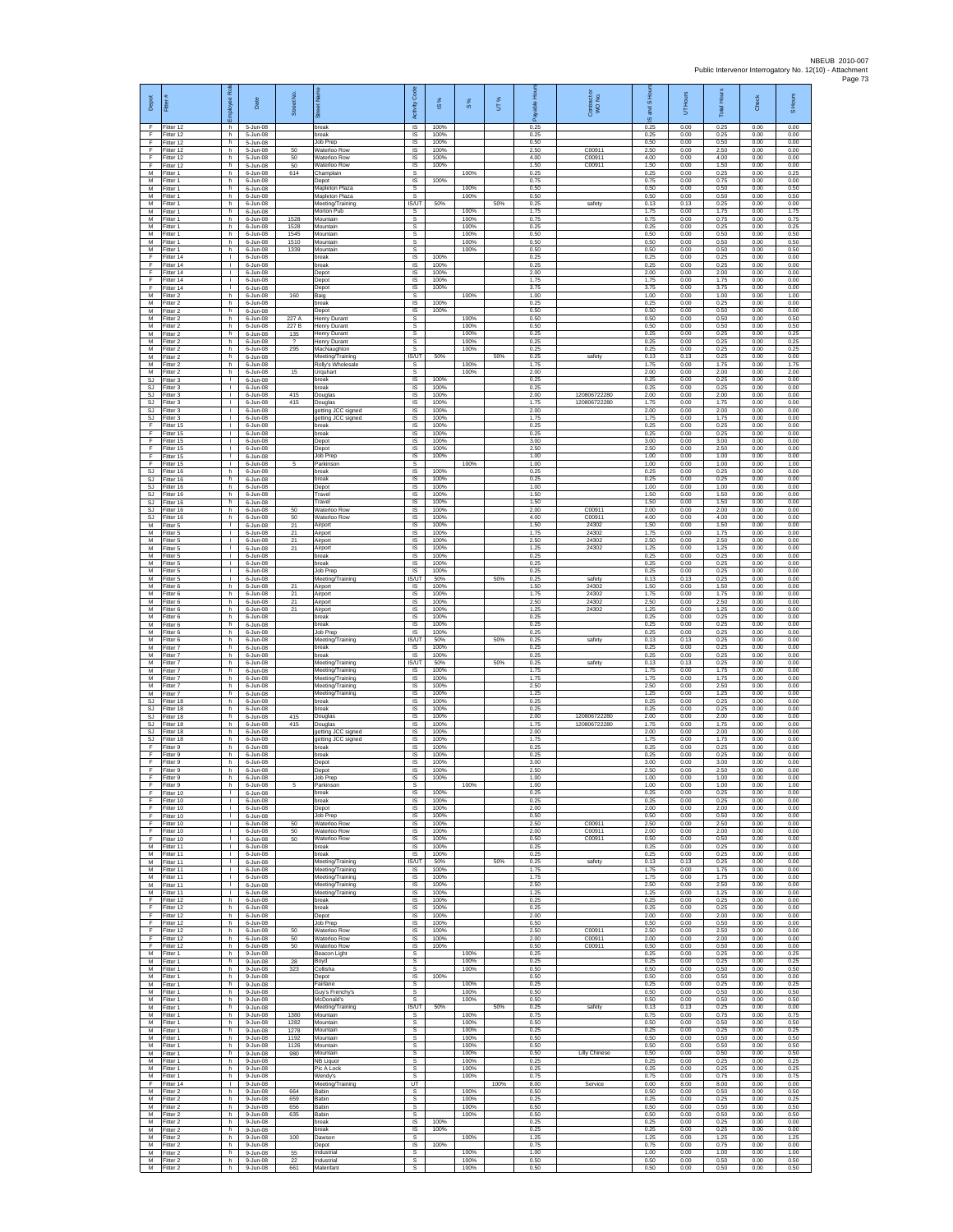| Depot<br>F                   | Fitter#<br>Fitter 12                | ployee Rol<br>h.                             | Date<br>5-Jun-08                       | Street No             | 芿<br>break                                               | code<br>Activity<br><b>IS</b>                   | IS %<br>100%         | S %                  | UT%  | 0.25                 | Contract or<br>WO No.      | and S Ho<br>ဖ<br>0.25 | Hours<br>5<br>0.00   | <b>Total Hours</b><br>0.25 | Check<br>0.00        | S Hours<br>0.00      |
|------------------------------|-------------------------------------|----------------------------------------------|----------------------------------------|-----------------------|----------------------------------------------------------|-------------------------------------------------|----------------------|----------------------|------|----------------------|----------------------------|-----------------------|----------------------|----------------------------|----------------------|----------------------|
| F.<br>F                      | Fitter 12<br>Fitter 12              | h.<br>h.                                     | 5-Jun-08<br>5-Jun-08                   |                       | break<br>Job Prep                                        | IS<br>$\sf IS$                                  | 100%<br>100%         |                      |      | 0.25<br>0.50         |                            | 0.25<br>0.50          | 0.00<br>0.00         | 0.25<br>0.50               | 0.00<br>0.00         | 0.00<br>0.00         |
| F<br>F<br>F                  | ltter 12<br>Fitter 12<br>Fitter 12  | h.<br>h.<br>h                                | 5-Jun-08<br>5-Jun-08<br>5-Jun-08       | 50<br>50<br>50        | Waterloo Row<br>Waterloo Row<br>Waterloo Row             | IS<br>IS<br>IS                                  | 100%<br>100%<br>100% |                      |      | 2.50<br>4.00<br>1.50 | C00911<br>C00911<br>C00911 | 2.50<br>4.00<br>1.50  | 0.00<br>0.00<br>0.00 | 2.50<br>4.00<br>1.50       | 0.00<br>0.00<br>0.00 | 0.00<br>0.00<br>0.00 |
| M<br>M                       | Fitter 1<br>Fitter 1                | h.<br>h.                                     | 6-Jun-08<br>6-Jun-08                   | 614                   | Champlain<br>Depot                                       | s<br>IS                                         | 100%                 | 100%                 |      | 0.25<br>0.75         |                            | 0.25<br>0.75          | 0.00<br>0.00         | 0.25<br>0.75               | 0.00<br>0.00         | 0.25<br>0.00         |
| M<br>M<br>М                  | Fitter 1<br>Fitter 1<br>Fitter 1    | h.<br>h<br>h                                 | 6-Jun-08<br>6-Jun-08<br>6-Jun-08       |                       | Mapleton Plaza<br>Mapleton Plaza<br>Meeting/Training     | s<br>s<br>IS/UT                                 | 50%                  | 100%<br>100%         | 50%  | 0.50<br>0.50<br>0.25 | safety                     | 0.50<br>0.50<br>0.13  | 0.00<br>0.00<br>0.13 | 0.50<br>0.50<br>0.25       | 0.00<br>0.00<br>0.00 | 0.50<br>0.50<br>0.00 |
| M<br>M                       | Fitter 1<br>Fitter 1                | h.<br>h.                                     | 6-Jun-08<br>6-Jun-08                   | 1528                  | Morton Pub<br>Mountain                                   | s<br>s                                          |                      | 100%<br>100%         |      | 1.75<br>0.75         |                            | 1.75<br>0.75          | 0.00<br>0.00         | 1.75<br>0.75               | 0.00<br>0.00         | 1.75<br>0.75         |
| М<br>M<br>M                  | Fitter 1<br>fitter 1<br>Fitter 1    | h<br>h.<br>h.                                | 6-Jun-08<br>6-Jun-08<br>6-Jun-08       | 1528<br>1545<br>1510  | Mountain<br>Mountain<br>Mountain                         | s<br>s<br>s                                     |                      | 100%<br>100%<br>100% |      | 0.25<br>0.50<br>0.50 |                            | 0.25<br>0.50<br>0.50  | 0.00<br>0.00<br>0.00 | 0.25<br>0.50<br>0.50       | 0.00<br>0.00<br>0.00 | 0.25<br>0.50<br>0.50 |
| М<br>F                       | itter 1<br>Fitter 14                | h<br>$\mathbf{L}$                            | 6-Jun-08<br>6-Jun-08                   | 1339                  | Mountain<br>break                                        | s<br>1S                                         | 100%                 | 100%                 |      | 0.50<br>0.25         |                            | 0.50<br>0.25          | 0.00<br>0.00         | 0.50<br>0.25               | 0.00<br>0.00         | 0.50<br>0.00         |
| F<br>E<br>F                  | Fitter 14<br>Fitter 14<br>Fitter 14 | $\mathbf{L}$<br>т.<br>т.                     | 6-Jun-08<br>6-Jun-08<br>6-Jun-08       |                       | break<br>Depot<br>Depot                                  | IS<br>IS<br>IS                                  | 100%<br>100%<br>100% |                      |      | 0.25<br>2.00<br>1.75 |                            | 0.25<br>2.00<br>1.75  | 0.00<br>0.00<br>0.00 | 0.25<br>2.00<br>1.75       | 0.00<br>0.00<br>0.00 | 0.00<br>0.00<br>0.00 |
| F<br>M                       | fitter 14<br>Fitter 2               | т<br>h.                                      | 6-Jun-08<br>6-Jun-08                   | 160                   | Depot<br>Baig                                            | IS<br><b>s</b>                                  | 100%                 | 100%                 |      | 3.75<br>1.00         |                            | 3.75<br>1.00          | 0.00<br>0.00         | 3.75<br>1.00               | 0.00<br>0.00         | 0.00<br>1.00         |
| M<br>М<br>M                  | Fitter 2<br>Fitter 2<br>Fitter 2    | h.<br>h<br>h.                                | $6$ -Jun-08<br>6-Jun-08<br>6-Jun-08    | 227 A                 | hreak<br>Depot<br><b>Henry Durant</b>                    | IS<br>IS<br>s                                   | 100%<br>100%         | 100%                 |      | 0.25<br>0.50<br>0.50 |                            | 0.25<br>0.50<br>0.50  | 0.00<br>0.00<br>0.00 | 0.25<br>0.50<br>0.50       | 0.00<br>0.00<br>0.00 | 0.00<br>0.00<br>0.50 |
| M<br>М                       | Fitter 2<br>-itter 2                | h.<br>h                                      | 6-Jun-08<br>6-Jun-08                   | 227 B<br>135          | <b>Henry Durant</b><br>Henry Durant                      | s<br>$\mathbb S$                                |                      | 100%<br>100%         |      | 0.50<br>0.25         |                            | 0.50<br>0.25          | 0.00<br>0.00         | 0.50<br>0.25               | 0.00<br>0.00         | 0.50<br>0.25         |
| M<br>M<br>M                  | fitter 2<br>Fitter 2<br>Fitter 2    | h.<br>h.<br>h                                | 6-Jun-08<br>6-Jun-08<br>6-Jun-08       | $\overline{?}$<br>295 | <b>Henry Durant</b><br>MacNaughton<br>Meeting/Training   | s<br>s<br>IS/UT                                 | 50%                  | 100%<br>100%         | 50%  | 0.25<br>0.25<br>0.25 | safety                     | 0.25<br>0.25<br>0.13  | 0.00<br>0.00<br>0.13 | 0.25<br>0.25<br>0.25       | 0.00<br>0.00<br>0.00 | 0.25<br>0.25<br>0.00 |
| М<br>M                       | Fitter 2<br>fitter 2                | h.<br>h.                                     | 6-Jun-08<br>6-Jun-08                   | 15                    | Rolly's Wholesale<br>Urquhart                            | s<br>s                                          |                      | 100%<br>100%         |      | 1.75<br>2.00         |                            | 1.75<br>2.00          | 0.00<br>0.00         | 1.75<br>2.00               | 0.00<br>0.00         | 1.75<br>2.00         |
| SJ<br>SJ<br>SJ               | Fitter 3<br>Fitter 3<br>Fitter 3    | $\mathbf{I}$<br>$\mathbf{L}$<br>$\mathbf{L}$ | 6-Jun-08<br>6-Jun-08<br>6-Jun-08       | 415                   | break<br>break<br>Douglas                                | $\overline{\mathsf{s}}$<br>$\sf IS$<br>$\sf IS$ | 100%<br>100%<br>100% |                      |      | 0.25<br>0.25<br>2.00 | 120806722280               | 0.25<br>0.25<br>2.00  | 0.00<br>0.00<br>0.00 | 0.25<br>0.25<br>2.00       | 0.00<br>0.00<br>0.00 | 0.00<br>0.00<br>0.00 |
| -SJ<br>S.I                   | Fitter 3<br>Fitter 3                | $\mathbf{I}$<br>л.                           | 6-Jun-08<br>6-Jun-08                   | 415                   | Douglas<br>getting JCC signed                            | IS<br>IS                                        | 100%<br>100%         |                      |      | 1.75<br>2.00         | 120806722280               | 1.75<br>200           | 0.00<br>0.00         | 1.75<br>200                | 0.00<br>0.00         | 0.00<br>0.00         |
| SJ<br>F<br>F                 | fitter 3<br>fitter 15<br>Fitter 15  | т.<br>Τ<br>л.                                | 6-Jun-08<br>6-Jun-08<br>6-Jun-08       |                       | getting JCC signed<br>break<br>break                     | IS<br>IS<br>$\overline{\mathsf{s}}$             | 100%<br>100%<br>100% |                      |      | 1.75<br>0.25<br>0.25 |                            | 1.75<br>0.25<br>0.25  | 0.00<br>0.00<br>0.00 | 1.75<br>0.25<br>0.25       | 0.00<br>0.00<br>0.00 | 0.00<br>0.00<br>0.00 |
| F<br>F                       | Fitter 15<br>Fitter 15              | т.<br>т.                                     | 6-Jun-08<br>6-Jun-08                   |                       | Depot<br>Depot                                           | IS<br>IS                                        | 100%<br>100%         |                      |      | 3.00<br>2.50         |                            | 3.00<br>2.50          | 0.00<br>0.00         | 3.00<br>2.50               | 0.00<br>0.00         | 0.00<br>0.00         |
| F<br>F<br>SJ                 | Fitter 15<br>Fitter 15<br>Fitter 16 | $\mathbf{I}$<br>$\mathbf{I}$<br>h.           | 6-Jun-08<br>6-Jun-08<br>6-Jun-08       | 5                     | Job Prep<br>Parkinson<br>break                           | IS<br>s<br>IS                                   | 100%<br>100%         | 100%                 |      | 1.00<br>1.00<br>0.25 |                            | 1.00<br>1.00<br>0.25  | 0.00<br>0.00<br>0.00 | 1.00<br>1.00<br>0.25       | 0.00<br>0.00<br>0.00 | 0.00<br>1.00<br>0.00 |
| <b>SJ</b><br><b>SJ</b>       | fitter 16<br>litter 16              | h<br>h.                                      | 6-Jun-08<br>6-Jun-08                   |                       | preak<br>Depot                                           | IS<br>IS                                        | 100%<br>100%         |                      |      | 0.25<br>1.00         |                            | 0.25<br>1.00          | 0.00<br>0.00         | 0.25<br>1.00               | 0.00<br>0.00         | 0.00<br>0.00         |
| SJ<br>SJ<br>SJ.              | Fitter 16<br>Fitter 16<br>Fitter 16 | h.<br>h<br>h.                                | $6$ -Jun-08<br>6-Jun-08<br>6-Jun-08    | 50                    | Travel<br>Travel<br>Waterloo Row                         | IS<br>IS<br>IS                                  | 100%<br>100%<br>100% |                      |      | 1.50<br>1.50<br>2.00 | C00911                     | 1.50<br>1.50<br>2.00  | 0.00<br>0.00<br>0.00 | 1.50<br>1.50<br>2.00       | 0.00<br>0.00<br>0.00 | 0.00<br>0.00<br>0.00 |
| SJ.<br>М                     | Fitter 16<br>Fitter 5               | h<br>т.                                      | 6-Jun-08<br>6-Jun-08                   | 50<br>21              | Waterloo Row<br>Airport                                  | IS<br>$\sf IS$                                  | 100%<br>100%         |                      |      | 4.00<br>1.50         | C00911<br>24302            | 4.00<br>1.50          | 0.00<br>0.00         | 4.00<br>1.50               | 0.00<br>0.00         | 0.00<br>0.00         |
| M<br>M<br>M                  | fitter 5<br>Fitter 5<br>Fitter 5    | т<br>л.<br>т.                                | 6-Jun-08<br>6-Jun-08<br>6-Jun-08       | 21<br>21<br>21        | Airport<br>Airport<br>Airport                            | IS<br>IS<br>IS                                  | 100%<br>100%<br>100% |                      |      | 1.75<br>2.50<br>1.25 | 24302<br>24302<br>24302    | 1.75<br>2.50<br>1.25  | 0.00<br>0.00<br>0.00 | 1.75<br>2.50<br>1.25       | 0.00<br>0.00<br>0.00 | 0.00<br>0.00<br>0.00 |
| M<br>M                       | Fitter 5<br>itter 5                 | т.<br>T.                                     | 6-Jun-08<br>6-Jun-08                   |                       | break<br>preak                                           | IS<br>IS                                        | 100%<br>100%         |                      |      | 0.25<br>0.25         |                            | 0.25<br>0.25          | 0.00<br>0.00         | 0.25<br>0.25               | 0.00<br>0.00         | 0.00<br>0.00         |
| M<br>M                       | Fitter 5<br>Fitter 5                | л.<br>$\mathbf{L}$                           | 6-Jun-08<br>6-Jun-08                   | 21                    | Job Prep<br>Meeting/Training                             | IS<br>IS/UT                                     | 100%<br>50%          |                      | 50%  | 0.25<br>0.25         | safety                     | 0.25<br>0.13          | 0.00<br>0.13         | 0.25<br>0.25               | 0.00<br>0.00         | 0.00<br>0.00         |
| М<br>M<br>M                  | Fitter 6<br>Fitter 6<br>Fitter 6    | h<br>h.<br>h.                                | 6-Jun-08<br>6-Jun-08<br>6-Jun-08       | 21<br>21              | Airport<br>Airport<br>Airport                            | $\sf IS$<br>IS<br>IS                            | 100%<br>100%<br>100% |                      |      | 1.50<br>1.75<br>2.50 | 24302<br>24302<br>24302    | 1.50<br>1.75<br>2.50  | 0.00<br>0.00<br>0.00 | 1.50<br>1.75<br>2.50       | 0.00<br>0.00<br>0.00 | 0.00<br>0.00<br>0.00 |
| М<br>M                       | Fitter 6<br>itter 6                 | h<br>h.                                      | 6-Jun-08<br>6-Jun-08                   | 21                    | Airport<br>break                                         | IS<br>IS                                        | 100%<br>100%<br>100% |                      |      | 1.25<br>0.25<br>0.25 | 24302                      | 1.25<br>0.25<br>0.25  | 0.00<br>0.00<br>0.00 | 1.25<br>0.25<br>0.25       | 0.00<br>0.00<br>0.00 | 0.00<br>0.00<br>0.00 |
| M<br>М<br>M                  | Fitter 6<br>itter 6<br>Fitter 6     | h.<br>h<br>h.                                | 6-Jun-08<br>6-Jun-08<br>6-Jun-08       |                       | break<br>Job Prep<br>Meeting/Training                    | IS<br>IS<br><b>IS/UT</b>                        | 100%<br>50%          |                      | 50%  | 0.25<br>0.25         | safety                     | 0.25<br>0.13          | 0.00<br>0.13         | 0.25<br>0.25               | 0.00<br>0.00         | 0.00<br>0.00         |
| M<br>M                       | Fitter 7<br>Fitter 7                | h.<br>h                                      | 6-Jun-08<br>6-Jun-08                   |                       | break<br>break                                           | IS<br>IS                                        | 100%<br>100%         |                      |      | 0.25<br>0.25         |                            | 0.25<br>0.25          | 0.00<br>0.00         | 0.25<br>0.25               | 0.00<br>0.00         | 0.00<br>0.00         |
| М<br>М<br>M                  | Fitter 7<br>itter 7<br>Fitter 7     | h.<br>h.<br>h.                               | 6-Jun-08<br>6-Jun-08<br>6-Jun-08       |                       | Meeting/Training<br>Meeting/Training<br>Meeting/Training | <b>IS/UT</b><br>IS<br>IS                        | 50%<br>100%<br>100%  |                      | 50%  | 0.25<br>1.75<br>1.75 | safety                     | 0.13<br>1.75<br>1.75  | 0.13<br>0.00<br>0.00 | 0.25<br>1.75<br>1.75       | 0.00<br>0.00<br>0.00 | 0.00<br>0.00<br>0.00 |
| M<br>М                       | Fitter 7<br>Fitter 7                | h.<br>h                                      | 6-Jun-08<br>6-Jun-08                   |                       | Meeting/Training<br>Meeting/Training                     | IS<br>IS                                        | 100%<br>100%         |                      |      | 2.50<br>1.25         |                            | 2.50<br>1.25          | 0.00<br>0.00         | 2.50<br>1.25               | 0.00<br>0.00         | 0.00<br>0.00         |
| <b>SJ</b><br>SJ<br><b>SJ</b> | Fitter 18<br>Fitter 18<br>Fitter 18 | h.<br>h.<br>h                                | 6-Jun-08<br>6-Jun-08<br>6-Jun-08       | 415                   | break<br>break<br>Douglas                                | IS<br>IS<br>$\sf IS$                            | 100%<br>100%<br>100% |                      |      | 0.25<br>0.25<br>2.00 | 120806722280               | 0.25<br>0.25<br>2.00  | 0.00<br>0.00<br>0.00 | 0.25<br>0.25<br>2.00       | 0.00<br>0.00<br>0.00 | 0.00<br>0.00<br>0.00 |
| SJ<br><b>SJ</b>              | fitter 18<br>Fitter 18              | h.<br>h.                                     | 6-Jun-08<br>$6$ -Jun-08                | 415                   | Douglas<br>getting JCC signed                            | IS<br><b>IS</b>                                 | 100%<br>100%         |                      |      | 1.75<br>2.00<br>1.75 | 120806722280               | 1.75<br>2.00          | 0.00<br>0.00         | 1.75<br>2.00               | 0.00<br>0.00         | 0.00<br>0.00         |
| <b>SJ</b><br>F<br>F          | Fitter 18<br>Fitter 9<br>fitter 9   | h<br>h.<br>h.                                | 6-Jun-08<br>6-Jun-08<br>6-Jun-08       |                       | getting JCC signed<br>break<br>oreak                     | IS<br>IS<br>IS                                  | 100%<br>100%<br>100% |                      |      | 0.25<br>0.25         |                            | 1.75<br>0.25<br>0.25  | 0.00<br>0.00<br>0.00 | 1.75<br>0.25<br>0.25       | 0.00<br>0.00<br>0.00 | 0.00<br>0.00<br>0.00 |
| F<br>F.                      | Fitter 9<br>Fitter 9                | h.<br>h.                                     | 6-Jun-08<br>6-Jun-08                   |                       | Depot<br>Depot                                           | IS<br>$\sf IS$                                  | 100%<br>100%         |                      |      | 3.00<br>2.50         |                            | 3.00<br>2.50          | 0.00<br>0.00         | 3.00<br>2.50               | 0.00<br>0.00         | 0.00<br>0.00         |
| F<br>F<br>F.                 | Fitter 9<br>Fitter 9<br>Fitter 10   | h.<br>h<br>$\mathbf{L}$                      | 6-Jun-08<br>6-Jun-08<br>6-Jun-08       | 5                     | Job Prep<br>Parkinson<br>break                           | IS<br><b>s</b><br>IS                            | 100%<br>100%         | 100%                 |      | 1.00<br>1.00<br>0.25 |                            | 1.00<br>1.00<br>0.25  | 0.00<br>0.00<br>0.00 | 1.00<br>1.00<br>0.25       | 0.00<br>0.00<br>0.00 | 0.00<br>1.00<br>0.00 |
| F<br>F                       | Fitter 10<br>Fitter 10              | т.<br>т                                      | 6-Jun-08<br>6-Jun-08                   |                       | break<br>Depot                                           | IS<br><b>IS</b><br><b>IS</b>                    | 100%<br>100%<br>100% |                      |      | 0.25<br>2.00<br>0.50 |                            | 0.25<br>2.00<br>0.50  | 0.00<br>0.00<br>0.00 | 0.25<br>2.00<br>0.50       | 0.00<br>0.00<br>0.00 | 0.00<br>0.00<br>0.00 |
| F<br>F<br>F                  | Fitter 10<br>Fitter 10<br>Fitter 10 | $\mathbf{L}$<br>$\mathbf{L}$<br>$\mathbf{L}$ | 6-Jun-08<br>6-Jun-08<br>6-Jun-08       | 50<br>$50\,$          | Job Prep<br>Waterloo Row<br>Waterloo Row                 | IS<br>IS                                        | 100%<br>100%         |                      |      | 2.50<br>2.00         | C00911<br>C00911           | 2.50<br>2.00          | 0.00<br>0.00         | 2.50<br>2.00               | 0.00<br>0.00         | 0.00<br>0.00         |
| F<br>M                       | Fitter 10<br>Fitter 11              | $\mathbf{L}$<br>т.                           | 6-Jun-08<br>6-Jun-08                   | 50                    | Waterloo Row<br>break                                    | IS<br>IS                                        | 100%<br>100%         |                      |      | 0.50<br>0.25         | C00911                     | 0.50<br>0.25          | 0.00<br>0.00         | 0.50<br>0.25               | 0.00<br>0.00         | 0.00<br>0.00         |
| M<br>М<br>M                  | Fitter 11<br>fitter 11<br>Fitter 11 | $\mathbf{L}$<br>т<br>$\mathbf{I}$            | 6-Jun-08<br>6-Jun-08<br>$6 - lim - 08$ |                       | break<br>Meeting/Training<br>Meeting/Training            | IS<br><b>IS/UT</b><br>- IS                      | 100%<br>50%<br>100%  |                      | 50%  | 0.25<br>0.25<br>1.75 | safety                     | 0.25<br>0.13<br>1.75  | 0.00<br>0.13<br>0.00 | 0.25<br>0.25<br>1.75       | 0.00<br>0.00<br>0.00 | 0.00<br>0.00<br>0.00 |
| M<br>М<br>M                  | Fitter 11<br>Fitter 11              | <b>ILL S</b><br>т.<br>т                      | 6-Jun-08<br>6-Jun-08                   |                       | Meeting/Training<br>Meeting/Training<br>Meeting/Training | IS<br>IS<br>IS                                  | 100%<br>100%<br>100% |                      |      | 175<br>2.50<br>1.25  |                            | 1.75<br>2.50<br>1.25  | 0.00<br>0.00<br>0.00 | 1.75<br>2.50<br>1.25       | 0.00<br>0.00<br>0.00 | 0.00<br>0.00<br>0.00 |
| F<br>F                       | Fitter 11<br>Fitter 12<br>Fitter 12 | h.<br>h                                      | 6-Jun-08<br>6-Jun-08<br>6-Jun-08       |                       | break<br>break                                           | IS<br>$\sf IS$                                  | 100%<br>100%         |                      |      | 0.25<br>0.25         |                            | 0.25<br>0.25          | 0.00<br>0.00         | 0.25<br>0.25               | 0.00<br>0.00         | 0.00<br>0.00         |
| F<br>F<br>E                  | ltter 12<br>Fitter 12               | h.<br>h.                                     | 6-Jun-08<br>$6 - lim-08$               | 50                    | Depot<br>Job Prep                                        | IS<br>IS                                        | 100%<br>100%         |                      |      | 2.00<br>0.50         |                            | 2.00<br>0.50          | 0.00<br>0.00         | 2.00<br>0.50               | 0.00<br>0.00         | 0.00<br>0.00         |
| F<br>F                       | Fitter 12<br>Fitter 12<br>Fitter 12 | h.<br>h.<br>h.                               | 6-Jun-08<br>6-Jun-08<br>6-Jun-08       | 50<br>50              | Waterloo Row<br>Waterloo Row<br>Waterloo Row             | IS<br>IS<br>IS                                  | 100%<br>100%<br>100% |                      |      | 2.50<br>2.00<br>0.50 | C00911<br>C00911<br>C00911 | 2.50<br>2.00<br>0.50  | 0.00<br>0.00<br>0.00 | 2.50<br>2.00<br>0.50       | 0.00<br>0.00<br>0.00 | 0.00<br>0.00<br>0.00 |
| M<br>M                       | Fitter 1<br>Fitter 1                | h<br>h.                                      | 9-Jun-08<br>9-Jun-08                   | 28                    | Beacon Light<br>Boyd                                     | s<br>$\mathbb S$                                |                      | 100%<br>100%         |      | 0.25<br>0.25         |                            | 0.25<br>0.25          | 0.00<br>0.00         | 0.25<br>0.25               | 0.00<br>0.00         | 0.25<br>0.25         |
| М<br>M<br>M                  | Fitter 1<br>Fitter 1<br>Fitter 1    | h.<br>h.<br>h.                               | 9-Jun-08<br>$9 - lim-08$<br>9-Jun-08   | 323                   | Collisha<br>Depot<br>Fairlane                            | s<br><b>IS</b><br>s                             | 100%                 | 100%<br>100%         |      | 0.50<br>0.50<br>0.25 |                            | 0.50<br>0.50<br>0.25  | 0.00<br>0.00<br>0.00 | 0.50<br>0.50<br>0.25       | 0.00<br>0.00<br>0.00 | 0.50<br>0.00<br>0.25 |
| М<br>M                       | Fitter 1<br>fitter 1                | h<br>h.                                      | 9-Jun-08<br>9-Jun-08                   |                       | Guy's Frenchy's<br>McDonald's                            | s<br>s                                          |                      | 100%<br>100%         |      | 0.50<br>0.50         |                            | 0.50<br>0.50          | 0.00<br>0.00         | 0.50<br>0.50               | 0.00<br>0.00         | 0.50<br>0.50         |
| M<br>М<br>М                  | Fitter 1<br>Fitter 1<br>Fitter 1    | h.<br>h<br>h.                                | 9-Jun-08<br>9-Jun-08<br>9-Jun-08       | 1380<br>1282          | Meeting/Training<br>Mountain<br>Mountain                 | <b>IS/UT</b><br>s<br>s                          | 50%                  | 100%<br>100%         | 50%  | 0.25<br>0.75<br>0.50 | safety                     | 0.13<br>0.75<br>0.50  | 0.13<br>0.00<br>0.00 | 0.25<br>0.75<br>0.50       | 0.00<br>0.00<br>0.00 | 0.00<br>0.75<br>0.50 |
| M<br>М                       | Fitter 1<br>Fitter 1                | h.<br>h                                      | 9-Jun-08<br>9-Jun-08                   | 1278<br>1192          | Mountain<br>Mountain                                     | s<br>s                                          |                      | 100%<br>100%         |      | 0.25<br>0.50         |                            | 0.25<br>0.50          | 0.00<br>0.00         | 0.25<br>0.50               | 0.00<br>0.00         | 0.25<br>0.50         |
| М<br>М<br>M                  | Fitter 1<br>fitter 1<br>Fitter 1    | h.<br>h.<br>h.                               | 9-Jun-08<br>9-Jun-08<br>9-Jun-08       | 1126<br>980           | Mountain<br>Mountain<br><b>NB Liquor</b>                 | s<br>s<br>s                                     |                      | 100%<br>100%<br>100% |      | 0.50<br>0.50<br>0.25 | <b>Lilly Chinese</b>       | 0.50<br>0.50<br>0.25  | 0.00<br>0.00<br>0.00 | 0.50<br>0.50<br>0.25       | 0.00<br>0.00<br>0.00 | 0.50<br>0.50<br>0.25 |
| M<br>М                       | Fitter 1<br>Fitter 1                | h<br>h                                       | $9 - Jun - 08$<br>9-Jun-08             |                       | Pic A Lock<br>Wendy's                                    | s<br>s                                          |                      | 100%<br>100%         |      | 0.25<br>0.75         |                            | 0.25<br>0.75          | 0.00<br>0.00         | 0.25<br>0.75               | 0.00<br>0.00         | 0.25<br>0.75         |
| F<br>M<br>М                  | Fitter 14<br>Fitter 2<br>Fitter 2   | Τ<br>h.<br>h                                 | 9-Jun-08<br>9-Jun-08<br>9-Jun-08       | 664<br>659            | Meeting/Training<br><b>Babin</b><br>Babin                | UT<br>S.<br>s                                   |                      | 100%<br>100%         | 100% | 8.00<br>0.50<br>0.25 | Service                    | 0.00<br>0.50<br>0.25  | 8.00<br>0.00<br>0.00 | 8.00<br>0.50<br>0.25       | 0.00<br>0.00<br>0.00 | 0.00<br>0.50<br>0.25 |
| M<br>M                       | Fitter 2<br>Fitter 2                | h.<br>h.                                     | 9-Jun-08<br>9-Jun-08                   | 656<br>635            | Babin<br><b>Babin</b>                                    | s<br>s                                          |                      | 100%<br>100%         |      | 0.50<br>0.50         |                            | 0.50<br>0.50          | 0.00<br>0.00         | 0.50<br>0.50               | 0.00<br>0.00         | 0.50<br>0.50         |
| M<br>М<br>M                  | Fitter 2<br>Fitter 2<br>fitter 2    | h<br>h.<br>h.                                | 9-Jun-08<br>9-Jun-08<br>9-Jun-08       | 100                   | break<br>break<br>Dawson                                 | IS<br>IS<br>s                                   | 100%<br>100%         | 100%                 |      | 0.25<br>0.25<br>1.25 |                            | 0.25<br>0.25<br>1.25  | 0.00<br>0.00<br>0.00 | 0.25<br>0.25<br>1.25       | 0.00<br>0.00<br>0.00 | 0.00<br>0.00<br>1.25 |
| M<br>M                       | Fitter 2<br>Fitter 2                | h<br>h.                                      | $9 - Jun - 08$<br>9-Jun-08             | 55                    | Depot<br>Industrial                                      | IS<br>s                                         | 100%                 | 100%                 |      | 0.75<br>1.00         |                            | 0.75<br>1.00          | 0.00<br>0.00         | 0.75<br>1.00               | 0.00<br>0.00         | 0.00<br>1.00         |
| М<br>M                       | Fitter 2<br>Fitter 2                | h.<br>h.                                     | 9-Jun-08<br>9-Jun-08                   | 22<br>661             | Industrial<br>Malenfant                                  | s<br>s                                          |                      | 100%<br>100%         |      | 0.50<br>0.50         |                            | 0.50<br>0.50          | 0.00<br>0.00         | 0.50<br>0.50               | 0.00<br>0.00         | 0.50<br>0.50         |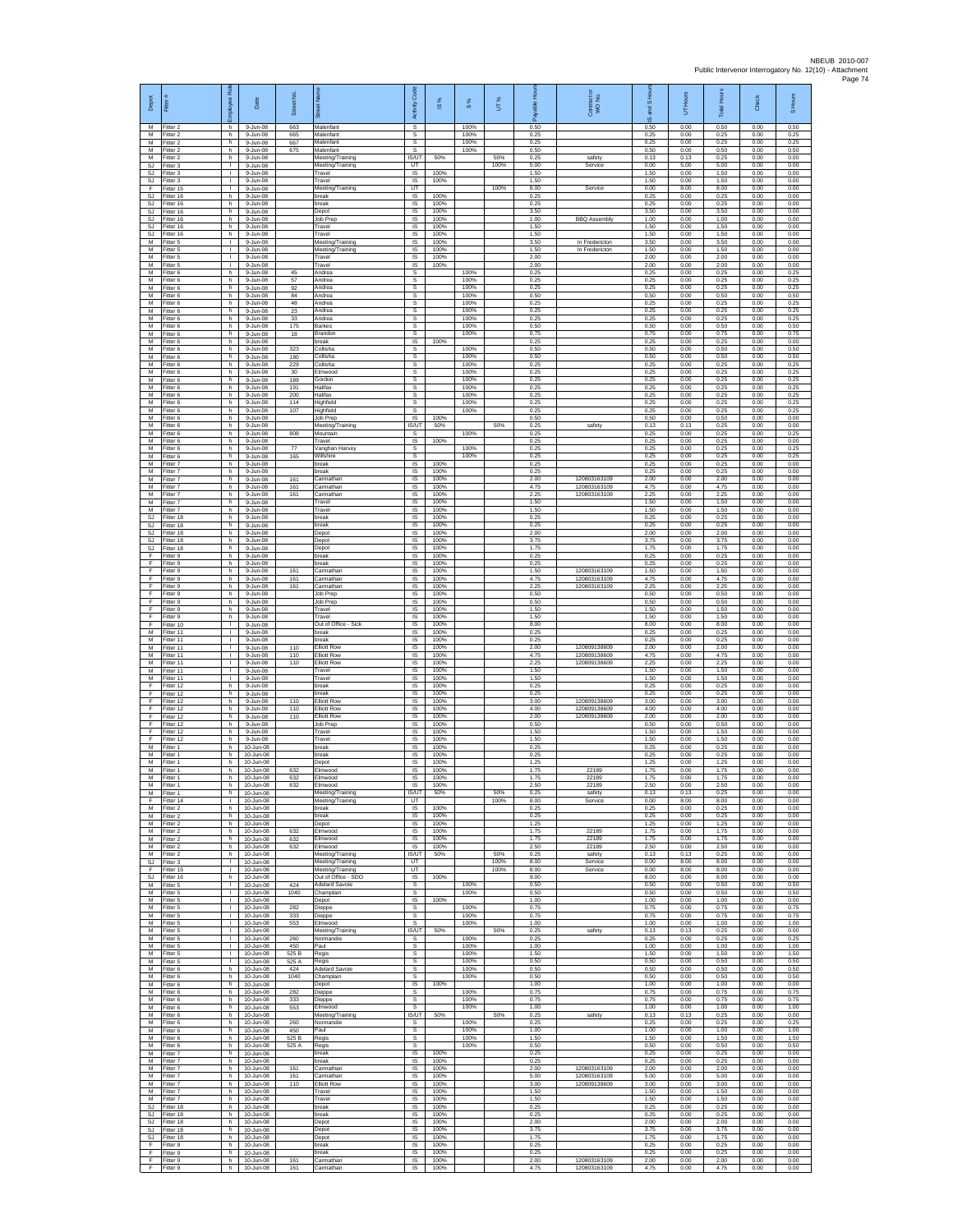| Depot<br>М                                 | Fitter#<br>Fitter 2                 | ployee Rol<br>h.                   | Date<br>9-Jun-08                          | Street No<br>663      | $\overline{8}$<br>Malenfant                                    | Code<br>Activity<br>s                   | IS %                 | $S\%$<br>100%        | UT%         | តិ<br>0.50           | Contract or<br>WO No.                        | and S Ho<br>$\overline{\omega}$<br>0.50 | Hours<br>5<br>0.00   | Hour<br>Total<br>0.50 | Check<br>0.00        | S Hours<br>0.50      |
|--------------------------------------------|-------------------------------------|------------------------------------|-------------------------------------------|-----------------------|----------------------------------------------------------------|-----------------------------------------|----------------------|----------------------|-------------|----------------------|----------------------------------------------|-----------------------------------------|----------------------|-----------------------|----------------------|----------------------|
| М<br>M                                     | Fitter 2<br>Fitter 2                | h<br>h.                            | 9-Jun-08<br>9-Jun-08                      | 665<br>667            | Malenfant<br>Malenfant                                         | s<br>s                                  |                      | 100%<br>100%         |             | 0.25<br>0.25         |                                              | 0.25<br>0.25                            | 0.00<br>0.00         | 0.25<br>0.25          | 0.00<br>0.00         | 0.25<br>0.25         |
| M<br>М                                     | Fitter 2<br>itter 2                 | h<br>h                             | 9-Jun-08<br>9-Jun-08                      | 675                   | Malenfant<br>Meeting/Training                                  | s<br><b>IS/UT</b>                       | 50%                  | 100%                 | 50%         | 0.50<br>0.25         | safety                                       | 0.50<br>0.13                            | 0.00<br>0.13         | 0.50<br>0.25          | 0.00<br>0.00         | 0.50<br>0.00         |
| <b>SJ</b><br>SJ.                           | Fitter 3<br>Fitter 3                | $\mathbf{L}$<br>$\mathbf{L}$       | 9-Jun-08<br>9-Jun-08                      |                       | Meeting/Training<br>Travel                                     | UT<br>IS                                | 100%                 |                      | 100%        | 5.00<br>1.50         | Service                                      | 0.00<br>1.50                            | 5.00<br>0.00         | 5.00<br>1.50          | 0.00<br>0.00         | 0.00<br>0.00         |
| $\mathbb{S}\mathbb{J}$<br>F                | -itter 3<br>Fitter 15               | т.<br>т.                           | 9-Jun-08<br>9-Jun-08                      |                       | Travel<br>Meeting/Training                                     | IS<br>UT                                | 100%                 |                      | 100%        | 1.50<br>8.00         | Service                                      | 1.50<br>0.00                            | 0.00<br>8.00         | 1.50<br>8.00          | 0.00<br>0.00         | 0.00<br>0.00         |
| <b>SJ</b><br>SJ.                           | -itter 16<br>Fitter 16              | h.<br>h.                           | 9-Jun-08<br>9-Jun-08                      |                       | break<br>break                                                 | IS<br>IS                                | 100%<br>100%         |                      |             | 0.25<br>0.25         |                                              | 0.25<br>0.25                            | 0.00<br>0.00         | 0.25<br>0.25          | 0.00<br>0.00         | 0.00<br>0.00         |
| SJ<br>SJ<br>SJ                             | Fitter 16<br>itter 16<br>Fitter 16  | h.<br>h<br>h.                      | 9-Jun-08<br>9-Jun-08<br>9-Jun-08          |                       | Depot<br>Job Prep<br>Travel                                    | $\sf IS$<br>IS<br><b>IS</b>             | 100%<br>100%<br>100% |                      |             | 3.50<br>1.00<br>1.50 | <b>BBQ Assembly</b>                          | 3.50<br>1.00<br>1.50                    | 0.00<br>0.00<br>0.00 | 3.50<br>1.00<br>1.50  | 0.00<br>0.00<br>0.00 | 0.00<br>0.00<br>0.00 |
| <b>SJ</b><br>М                             | Fitter 16<br>Fitter 5               | h<br>٠                             | 9-Jun-08<br>9-Jun-08                      |                       | Travel<br>Meeting/Training                                     | IS<br>IS                                | 100%<br>100%         |                      |             | 1.50<br>3.50         | In Fredericton                               | 1.50<br>3.50                            | 0.00<br>0.00         | 1.50<br>3.50          | 0.00<br>0.00         | 0.00<br>0.00         |
| M<br>M                                     | Fitter 5<br>Fitter 5                | т.<br>$\mathbf{L}$                 | 9-Jun-08<br>$9 - Jun - 08$                |                       | Meeting/Training<br>Travel                                     | IS<br>IS                                | 100%<br>100%         |                      |             | 1.50<br>2.00         | In Fredericton                               | 1.50<br>2.00                            | 0.00<br>0.00         | 1.50<br>2.00          | 0.00<br>0.00         | 0.00<br>0.00         |
| М<br>M                                     | Fitter 5<br>Fitter 6                | $\mathbf{L}$<br>h                  | $9 - Jun-08$<br>9-Jun-08                  | 45                    | Travel<br>Andrea                                               | IS<br>s                                 | 100%                 | 100%                 |             | 2.00<br>0.25         |                                              | 2.00<br>0.25                            | 0.00<br>0.00         | 2.00<br>0.25          | 0.00<br>0.00         | 0.00<br>0.25         |
| M<br>м                                     | Fitter 6<br>Fitter 6                | h.<br>h                            | 9-Jun-08<br>9-Jun-08                      | 57<br>92              | Andrea<br>Andrea                                               | s<br>s                                  |                      | 100%<br>100%         |             | 0.25<br>0.25         |                                              | 0.25<br>0.25                            | 0.00<br>0.00         | 0.25<br>0.25          | 0.00<br>0.00         | 0.25<br>0.25         |
| М<br>M<br>M                                | Fitter 6<br>Fitter 6                | h<br>h<br>h.                       | 9-Jun-08<br>9-Jun-08                      | 84<br>48              | Andrea<br>Andrea<br>Andrea                                     | s<br>s<br>s                             |                      | 100%<br>100%<br>100% |             | 0.50<br>0.25<br>0.25 |                                              | 0.50<br>0.25<br>0.25                    | 0.00<br>0.00<br>0.00 | 0.50<br>0.25<br>0.25  | 0.00<br>0.00<br>0.00 | 0.50<br>0.25<br>0.25 |
| М<br>М                                     | Fitter 6<br>Fitter 6<br>Fitter 6    | h<br>h                             | $9 - Jun - 08$<br>9-Jun-08<br>9-Jun-08    | 23<br>33<br>175       | Andrea<br>Barkes                                               | s<br>s                                  |                      | 100%<br>100%         |             | 0.25<br>0.50         |                                              | 0.25<br>0.50                            | 0.00<br>0.00         | 0.25<br>0.50          | 0.00<br>0.00         | 0.25<br>0.50         |
| M<br>M                                     | Fitter 6<br>Fitter 6                | h.<br>h                            | 9-Jun-08<br>9-Jun-08                      | 18                    | Brandon<br>break                                               | s<br>IS                                 | 100%                 | 100%                 |             | 0.75<br>0.25         |                                              | 0.75<br>0.25                            | 0.00<br>0.00         | 0.75<br>0.25          | 0.00<br>0.00         | 0.75<br>0.00         |
| М<br>M                                     | -itter 6<br>Fitter 6                | h<br>h.                            | 9-Jun-08<br>9-Jun-08                      | 323<br>180            | Collisha<br>Collisha                                           | s<br>s                                  |                      | 100%<br>100%         |             | 0.50<br>0.50         |                                              | 0.50<br>0.50                            | 0.00<br>0.00         | 0.50<br>0.50          | 0.00<br>0.00         | 0.50<br>0.50         |
| M<br>М                                     | Fitter 6<br>itter 6                 | h.<br>h                            | $9 - Jun - 08$<br>9-Jun-08                | 229<br>30             | Collisha<br>Elmwood                                            | s<br>s                                  |                      | 100%<br>100%         |             | 0.25<br>0.25         |                                              | 0.25<br>0.25                            | 0.00<br>0.00         | 0.25<br>0.25          | 0.00<br>0.00         | 0.25<br>0.25         |
| М<br>M<br>M                                | Fitter 6<br>Fitter 6                | h.<br>h.                           | 9-Jun-08<br>9-Jun-08                      | 189<br>191            | Gordon<br>Halifax                                              | s<br>s                                  |                      | 100%<br>100%         |             | 0.25<br>0.25         |                                              | 0.25<br>0.25                            | 0.00<br>0.00         | 0.25<br>0.25          | 0.00<br>0.00         | 0.25<br>0.25         |
| М<br>М                                     | Fitter 6<br>Fitter 6<br>itter 6     | h<br>h.<br>h                       | $9 - Jun-08$<br>9-Jun-08<br>9-Jun-08      | 200<br>114<br>107     | Halifax<br>Highfield<br>Highfield                              | s<br>$\mathbb S$<br>s                   |                      | 100%<br>100%<br>100% |             | 0.25<br>0.25<br>0.25 |                                              | 0.25<br>0.25<br>0.25                    | 0.00<br>0.00<br>0.00 | 0.25<br>0.25<br>0.25  | 0.00<br>0.00<br>0.00 | 0.25<br>0.25<br>0.25 |
| M<br>M                                     | Fitter 6<br>Fitter 6                | h.<br>h.                           | 9-Jun-08<br>9-Jun-08                      |                       | Job Prep<br>Meeting/Training                                   | $\overline{\mathsf{s}}$<br><b>IS/UT</b> | 100%<br>50%          |                      | 50%         | 0.50<br>0.25         | safety                                       | 0.50<br>0.13                            | 0.00<br>0.13         | 0.50<br>0.25          | 0.00<br>0.00         | 0.00<br>0.00         |
| М<br>M                                     | Fitter 6<br>Fitter 6                | h<br>h.                            | 9-Jun-08<br>9-Jun-08                      | 808                   | Mountain<br>Travel                                             | s<br>1S                                 | 100%                 | 100%                 |             | 0.25<br>0.25         |                                              | 0.25<br>0.25                            | 0.00<br>0.00         | 0.25<br>0.25          | 0.00<br>0.00         | 0.25<br>0.00         |
| M<br>М                                     | Fitter 6<br>-itter 6                | h.<br>h                            | 9-Jun-08<br>9-Jun-08                      | 77<br>165             | Vanghan Harvey<br>Willshire                                    | s<br>$\mathbb S$                        |                      | 100%<br>100%         |             | 0.25<br>0.25         |                                              | 0.25<br>0.25                            | 0.00<br>0.00         | 0.25<br>0.25          | 0.00<br>0.00         | 0.25<br>0.25         |
| M<br>M<br>М                                | Fitter 7<br>Fitter 7                | $\,$ h<br>h.<br>h                  | 9-Jun-08<br>9-Jun-08                      | 161                   | break<br>break                                                 | IS<br>$\overline{\mathsf{s}}$           | 100%<br>100%<br>100% |                      |             | 0.25<br>0.25<br>2.00 | 120803163109                                 | 0.25<br>0.25<br>2.00                    | 0.00<br>0.00         | 0.25<br>0.25<br>2.00  | 0.00<br>0.00<br>0.00 | 0.00<br>0.00<br>0.00 |
| М<br>M                                     | Fitter 7<br>Fitter 7<br>Fitter 7    | h<br>h                             | 9-Jun-08<br>9-Jun-08<br>9-Jun-08          | 161<br>161            | Carmathar<br>Carmathar<br>Carmathar                            | IS<br>IS<br>IS                          | 100%<br>100%         |                      |             | 4.75<br>2.25         | 120803163109<br>120803163109                 | 4.75<br>2.25                            | 0.00<br>0.00<br>0.00 | 4.75<br>2.25          | 0.00<br>0.00         | 0.00<br>0.00         |
| M<br>М                                     | Fitter 7<br>Fitter 7                | h.<br>h.                           | $9 - Jun - 08$<br>9-Jun-08                |                       | Travel<br>Travel                                               | IS<br>IS                                | 100%<br>100%         |                      |             | 1.50<br>1.50         |                                              | 1.50<br>1.50                            | 0.00<br>0.00         | 1.50<br>1.50          | 0.00<br>0.00         | 0.00<br>0.00         |
| SJ<br><b>SJ</b>                            | Fitter 18<br>Fitter 18              | h<br>h                             | 9-Jun-08<br>9-Jun-08                      |                       | break<br>break                                                 | $\sf IS$<br>IS                          | 100%<br>100%         |                      |             | 0.25<br>0.25         |                                              | 0.25<br>0.25                            | 0.00<br>0.00         | 0.25<br>0.25          | 0.00<br>0.00         | 0.00<br>0.00         |
| <b>SJ</b><br><b>SJ</b>                     | Fitter 18<br>itter 18               | h<br>h                             | 9-Jun-08<br>9-Jun-08                      |                       | Depot<br>Depot                                                 | IS<br>IS                                | 100%<br>100%         |                      |             | 2.00<br>3.75         |                                              | 2.00<br>3.75                            | 0.00<br>0.00         | 2.00<br>3.75          | 0.00<br>0.00         | 0.00<br>0.00         |
| <b>SJ</b><br>F                             | Fitter 18<br>Fitter 9               | h<br>h.                            | 9-Jun-08<br>9-Jun-08                      |                       | Depot<br>break                                                 | IS<br>IS                                | 100%<br>100%         |                      |             | 1.75<br>0.25<br>0.25 |                                              | 1.75<br>0.25                            | 0.00<br>0.00         | 1.75<br>0.25          | 0.00<br>0.00         | 0.00<br>0.00         |
| F<br>F<br>F                                | -itter 9<br>Fitter 9<br>Fitter 9    | h<br>h<br>h.                       | 9-Jun-08<br>9-Jun-08<br>9-Jun-08          | 161<br>161            | oreak<br>Carmathar<br>Carmathar                                | IS<br>IS<br><b>IS</b>                   | 100%<br>100%<br>100% |                      |             | 1.50<br>4.75         | 120803163109<br>120803163109                 | 0.25<br>1.50<br>4.75                    | 0.00<br>0.00<br>0.00 | 0.25<br>1.50<br>4.75  | 0.00<br>0.00<br>0.00 | 0.00<br>0.00<br>0.00 |
| Е<br>F                                     | Fitter 9<br>Fitter 9                | h.<br>h                            | 9-Jun-08<br>9-Jun-08                      | 161                   | Carmathar<br>Job Prep                                          | IS<br>$\sf IS$                          | 100%<br>100%         |                      |             | 2.25<br>0.50         | 120803163109                                 | 22!<br>0.50                             | 0.00<br>0.00         | 225<br>0.50           | 0.00<br>0.00         | 0.00<br>0.00         |
|                                            | Fitter 9<br>Fitter 9                | h<br>h.                            | 9-Jun-08<br>$9 - Jun - 08$                |                       | Job Prep<br>Travel                                             | IS<br><b>IS</b>                         | 100%<br>100%         |                      |             | 0.50<br>1.50         |                                              | 0.50<br>1.50                            | 0.00<br>0.00         | 0.50<br>1.50          | 0.00<br>0.00         | 0.00<br>0.00         |
| E<br>F                                     | Fitter 9<br>Fitter 10               | h<br>٠                             | 9-Jun-08<br>9-Jun-08                      |                       | Travel<br>Out of Office - Sick                                 | IS<br>IS                                | 100%<br>100%         |                      |             | 1.50<br>8.00         |                                              | 1.50<br>8.00                            | 0.00<br>0.00         | 1.50<br>8.00          | 0.00<br>0.00         | 0.00<br>0.00         |
| M<br>M                                     | Fitter 11<br>Fitter 11              | т.<br>$\mathbf{L}$                 | 9-Jun-08<br>$9 - Jun - 08$                |                       | break<br>break                                                 | IS<br>IS                                | 100%<br>100%         |                      |             | 0.25<br>0.25         |                                              | 0.25<br>0.25                            | 0.00<br>0.00         | 0.25<br>0.25          | 0.00<br>0.00         | 0.00<br>0.00         |
| М<br>M<br>M                                | Fitter 11<br>Fitter 11<br>Fitter 11 | т.<br>$\mathbf{L}$<br>$\mathbf{L}$ | 9-Jun-08<br>9-Jun-08<br>9-Jun-08          | 110<br>110<br>110     | <b>Elliott Rov</b><br><b>Elliott Row</b><br><b>Elliott Row</b> | IS<br>IS<br>IS                          | 100%<br>100%<br>100% |                      |             | 2.00<br>4.75<br>2.25 | 120809138609<br>120809138609<br>120809138609 | 2.00<br>4.75<br>2.25                    | 0.00<br>0.00<br>0.00 | 2.00<br>4.75<br>2.25  | 0.00<br>0.00<br>0.00 | 0.00<br>0.00<br>0.00 |
| м<br>М                                     | Fitter 11<br>Fitter 11              | $\mathbf{L}$<br>т.                 | 9-Jun-08<br>9-Jun-08                      |                       | Travel<br>Travel                                               | IS<br>1S                                | 100%<br>100%         |                      |             | 1.50<br>1.50         |                                              | 1.50<br>1.50                            | 0.00<br>0.00         | 1.50<br>1.50          | 0.00<br>0.00         | 0.00<br>0.00         |
| Е<br>E                                     | Fitter 12<br>Fitter 12              | h<br>h.                            | 9-Jun-08<br>$9 - Jun - 08$                |                       | break<br>break                                                 | IS<br>IS                                | 100%<br>100%         |                      |             | 0.25<br>0.25         |                                              | 0.25<br>0.25                            | 0.00<br>0.00         | 0.25<br>0.25          | 0.00<br>0.00         | 0.00<br>0.00         |
| F<br>F                                     | Fitter 12<br>Fitter 12              | h<br>h                             | 9-Jun-08<br>9-Jun-08                      | 110<br>110            | <b>Elliott Row</b><br><b>Elliott Row</b>                       | IS<br>$\sf IS$                          | 100%<br>100%         |                      |             | 3.00<br>4.00         | 120809138609<br>120809138609                 | 3.00<br>4.00                            | 0.00<br>0.00         | 3.00<br>4.00          | 0.00<br>0.00         | 0.00<br>0.00         |
| F<br>E                                     | Fitter 12<br>Fitter 12              | h<br>h                             | $9 - lim-08$<br>9-Jun-08                  | 110                   | <b>Elliott Row</b><br>Job Prep                                 | IS<br>IS                                | 100%<br>100%         |                      |             | 2.00<br>0.50         | 120809138609                                 | 2.00<br>0.50                            | 0.00<br>0.00         | 2.00<br>0.50          | 0.00<br>0.00         | 0.00<br>0.00         |
| F<br>F<br>M                                | Fitter 12<br>Fitter 12<br>Fitter 1  | h<br>h<br>h.                       | 9-Jun-08<br>9-Jun-08<br>10-Jun-08         |                       | Travel<br>Travel<br>break                                      | IS<br>1S<br>IS                          | 100%<br>100%<br>100% |                      |             | 1.50<br>1.50<br>0.25 |                                              | 1.50<br>1.50<br>0.25                    | 0.00<br>0.00<br>0.00 | 1.50<br>1.50<br>0.25  | 0.00<br>0.00<br>0.00 | 0.00<br>0.00<br>0.00 |
| М<br>М                                     | itter 1<br>Fitter 1                 | h<br>h                             | 10-Jun-08<br>10-Jun-08                    |                       | break<br>Depot                                                 | IS<br>IS                                | 100%<br>100%         |                      |             | 0.25<br>1.25         |                                              | 0.25<br>1.25                            | 0.00<br>0.00         | 0.25<br>1.25          | 0.00<br>0.00         | 0.00<br>0.00         |
| M<br>M                                     | Fitter 1<br>-itter 1                | h.<br>h                            | $10 - \frac{1}{2}$<br>10-Jun-08           | 632<br>632            | Elmwood<br>Elmwood                                             | IS<br>IS                                | 100%<br>100%         |                      |             | 1.75<br>1.75         | 22189<br>22189                               | 1.75<br>1.75                            | 0.00<br>0.00         | 1.75<br>1.75          | 0.00<br>0.00         | 0.00<br>0.00         |
| М<br>М                                     | itter 1<br>Fitter 1                 | h.<br>h                            | 10-Jun-08<br>10-Jun-08                    | 632                   | Elmwood<br>Meeting/Training                                    | IS<br><b>IS/UT</b>                      | 100%<br>50%          |                      | 50%         | 2.50<br>0.25         | 22189<br>safety                              | 2.50<br>0.13                            | 0.00<br>0.13         | 2.50<br>0.25          | 0.00<br>0.00         | 0.00<br>0.00         |
| F<br>M<br>М                                | Fitter 14<br>Fitter 2<br>Fitter 2   | л.<br>h<br>h                       | 10-Jun-08<br>10-Jun-08<br>10-Jun-08       |                       | Meeting/Training<br>break<br>break                             | UT<br>IS.<br>IS                         | 100%<br>100%         |                      | 100%        | 8.00<br>0.25<br>0.25 | Service                                      | 0.00<br>0.25<br>0.25                    | 8.00<br>0.00<br>0.00 | 8.00<br>0.25<br>0.25  | 0.00<br>0.00<br>0.00 | 0.00<br>0.00<br>0.00 |
| M<br>M                                     | Fitter 2<br>Fitter 2                | h.<br>h.                           | 10-Jun-08<br>10-Jun-08                    | 632                   | Depot<br>Elmwood                                               | IS<br>IS.                               | 100%<br>100%         |                      |             | 1.25<br>1.75         | 22189                                        | 1.25<br>1.75                            | 0.00<br>0.00         | 1.25<br>1.75          | 0.00<br>0.00         | 0.00<br>0.00         |
| М<br>M                                     | Fitter 2<br>Fitter 2                | h<br>$\,$ h                        | 10-Jun-08<br>10-Jun-08                    | 632<br>632            | Elmwood<br>Elmwood                                             | $\sf IS$<br>$\sf IS$                    | 100%<br>100%         |                      |             | 1.75<br>2.50         | 22189<br>22189                               | 1.75<br>2.50                            | 0.00<br>0.00         | 1.75<br>2.50          | 0.00<br>0.00         | 0.00<br>0.00         |
| M<br>SJ                                    | Fitter 2<br>Fitter 3                | h.<br>$\mathbb{R}$                 | 10-Jun-08<br>10-Jun-08                    |                       | Meeting/Training<br>Meeting/Training                           | IS/UT<br>UT                             | 50%                  |                      | 50%<br>100% | 0.25<br>8.00         | safety<br>Service                            | 0.13<br>0.00                            | 0.13<br>8.00         | 0.25<br>8.00          | 0.00<br>0.00         | 0.00<br>0.00         |
| F<br><b>SJ</b>                             | Fitter 15<br>Fitter 16              | т.<br>h.<br>$\mathbf{I}$           | 10-Jun-08<br>10-Jun-08                    |                       | Meeting/Training<br>Out of Office - SDO<br>Adelard Savoie      | UT<br>IS<br>s                           | 100%                 | 100%                 | 100%        | 8.00<br>8.00<br>0.50 | Service                                      | 0.00<br>8.00<br>0.50                    | 8.00<br>0.00<br>0.00 | 8.00<br>8.00<br>0.50  | 0.00<br>0.00<br>0.00 | 0.00<br>0.00<br>0.50 |
| M<br>М<br>М                                | Fitter 5<br>Fitter 5<br>Fitter 5    | $\mathbf{L}$<br>$\mathbb{L}$       | 10-Jun-08<br>10-Jun-08<br>$10 - Jun-08$   | 424<br>1040           | Champlain<br>Depot                                             | s<br>IS                                 | 100%                 | 100%                 |             | 0.50<br>1.00         |                                              | 0.50<br>1.00                            | 0.00<br>0.00         | 0.50<br>1.00          | 0.00<br>0.00         | 0.50<br>0.00         |
| M<br>M                                     | Fitter 5<br>Fitter 5                | $\mathbf{L}$<br>$\mathbf{L}$       | 10-Jun-08<br>10-Jun-08                    | 282<br>333            | Dieppe<br>Dieppe                                               | s<br>s                                  |                      | 100%<br>100%         |             | 0.75<br>0.75         |                                              | 0.75<br>0.75                            | 0.00<br>0.00         | 0.75<br>0.75          | 0.00<br>0.00         | 0.75<br>0.75         |
| М<br>M                                     | Fitter 5<br>Fitter 5                | т.<br>л.                           | 10-Jun-08<br>10-Jun-08                    | 553                   | Elmwood<br>Meeting/Training                                    | s<br><b>IS/UT</b>                       | 50%                  | 100%                 | 50%         | 1.00<br>0.25         | safety                                       | 1.00<br>0.13                            | 0.00<br>0.13         | 1.00<br>0.25          | 0.00<br>0.00         | 1.00<br>0.00         |
| M<br>М                                     | Fitter 5<br>Fitter 5                | л.<br>$\mathbb{R}$<br>т.           | 10-Jun-08<br>10-Jun-08                    | 260<br>450            | Normandie<br>Paul                                              | s.<br>s<br>s                            |                      | 100%<br>100%<br>100% |             | 0.25<br>1.00<br>1.50 |                                              | 0.25<br>1.00<br>1.50                    | 0.00<br>0.00<br>0.00 | 0.25<br>1.00<br>1.50  | 0.00<br>0.00<br>0.00 | 0.25<br>1.00<br>1.50 |
| М<br>M<br>M                                | Fitter 5<br>Fitter 5<br>Fitter 6    | $\mathbf{L}$<br>h                  | 10-Jun-08<br>$10 - \ln 0.08$<br>10-Jun-08 | 525 B<br>525 A<br>424 | Regis<br>Regis<br><b>Adelard Savoie</b>                        | s<br>s                                  |                      | 100%<br>100%         |             | 0.50<br>0.50         |                                              | 0.50<br>0.50                            | 0.00<br>0.00         | 0.50<br>0.50          | 0.00<br>0.00         | 0.50<br>0.50         |
| М<br>М                                     | Fitter 6<br>Fitter 6                | h.<br>h                            | 10-Jun-08<br>10-Jun-08                    | 1040                  | Champlain<br>Depot                                             | $\mathsf{s}$<br>IS                      | 100%                 | 100%                 |             | 0.50<br>1.00         |                                              | 0.50<br>1.00                            | 0.00<br>0.00         | 0.50<br>1.00          | 0.00<br>0.00         | 0.50<br>0.00         |
| M<br>M                                     | Fitter 6<br>Fitter 6                | h.<br>h                            | 10-Jun-08<br>10-Jun-08                    | 282<br>333            | Dieppe<br>Dieppe                                               | s<br>s                                  |                      | 100%<br>100%         |             | 0.75<br>0.75         |                                              | 0.75<br>0.75                            | 0.00<br>0.00         | 0.75<br>0.75          | 0.00<br>0.00         | 0.75<br>0.75         |
| М<br>M                                     | Fitter 6<br>Fitter 6                | h<br>h                             | 10-Jun-08<br>10-Jun-08                    | 553                   | Elmwood<br>Meeting/Training                                    | s<br><b>IS/UT</b>                       | 50%                  | 100%                 | 50%         | 1.00<br>0.25         | safety                                       | 1.00<br>0.13                            | 0.00<br>0.13         | 1.00<br>0.25          | 0.00<br>0.00         | 1.00<br>0.00         |
| M<br>М                                     | Fitter 6<br>Fitter 6                | h.<br>h                            | 10-Jun-08<br>10-Jun-08                    | 260<br>450            | Normandie<br>Paul                                              | s.<br>$\mathbb S$                       |                      | 100%<br>100%         |             | 0.25<br>1.00         |                                              | 0.25<br>1.00                            | 0.00<br>0.00         | 0.25<br>1.00          | 0.00<br>0.00         | 0.25<br>1.00         |
| М<br>M<br>M                                | Fitter 6<br>Fitter 6<br>Fitter 7    | $\mathsf{h}$<br>h.<br>h.           | 10-Jun-08<br>10-Jun-08<br>10-Jun-08       | 525 B<br>525 A        | Regis<br>Regis<br>break                                        | $\mathbb S$<br>s<br>IS                  | 100%                 | 100%<br>100%         |             | 1.50<br>0.50<br>0.25 |                                              | 1.50<br>0.50<br>0.25                    | 0.00<br>0.00<br>0.00 | 1.50<br>0.50<br>0.25  | 0.00<br>0.00<br>0.00 | 1.50<br>0.50<br>0.00 |
| М<br>M                                     | Fitter 7<br>Fitter 7                | h.<br>h                            | 10-Jun-08<br>10-Jun-08                    | 161                   | break<br>Carmathan                                             | 1S<br>IS                                | 100%<br>100%         |                      |             | 0.25<br>2.00         | 120803163109                                 | 0.25<br>2.00                            | 0.00<br>0.00         | 0.25<br>2.00          | 0.00<br>0.00         | 0.00<br>0.00         |
| M<br>М                                     | Fitter 7<br>Fitter 7                | h.<br>h.                           | 10-Jun-08<br>10-Jun-08                    | 161<br>110            | Carmathan<br><b>Elliott Row</b>                                | IS<br>IS                                | 100%<br>100%         |                      |             | 5.00<br>3.00         | 120803163109<br>120809138609                 | 5.00<br>3.00                            | 0.00<br>0.00         | 5.00<br>3.00          | 0.00<br>0.00         | 0.00<br>0.00         |
| М<br>M                                     | Fitter 7<br>Fitter 7                | h<br>h.                            | 10-Jun-08<br>10-Jun-08                    |                       | Travel<br>Travel                                               | $\sf IS$<br><b>IS</b>                   | 100%<br>100%         |                      |             | 1.50<br>1.50         |                                              | 1.50<br>1.50                            | 0.00<br>0.00         | 1.50<br>1.50          | 0.00<br>0.00         | 0.00<br>0.00         |
| S.I<br>SJ                                  | Fitter 18<br>Fitter 18              | h.<br>h                            | 10-Jun-08<br>10-Jun-08                    |                       | break<br>break                                                 | IS<br>IS                                | 100%<br>100%<br>100% |                      |             | 0.25<br>0.25         |                                              | 0.25<br>0.25                            | 0.00<br>0.00         | 0.25<br>0.25          | 0.00<br>0.00         | 0.00<br>0.00         |
| <b>SJ</b><br>SJ.<br>$\mathbb{S}\mathbb{J}$ | Fitter 18<br>Fitter 18<br>Fitter 18 | h.<br>h.<br>h                      | 10-Jun-08<br>10-Jun-08<br>$10 - Jun-08$   |                       | Depot<br>Depot<br>Depot                                        | IS<br>IS<br>IS                          | 100%<br>100%         |                      |             | 2.00<br>3.75<br>1.75 |                                              | 2.00<br>3.75<br>1.75                    | 0.00<br>0.00<br>0.00 | 2.00<br>3.75<br>1.75  | 0.00<br>0.00<br>0.00 | 0.00<br>0.00<br>0.00 |
| F<br>F                                     | Fitter 9<br>Fitter 9                | h.<br>h.                           | 10-Jun-08<br>10-Jun-08                    |                       | break<br>oreak                                                 | 1S<br>IS                                | 100%<br>100%         |                      |             | 0.25<br>0.25         |                                              | 0.25<br>0.25                            | 0.00<br>0.00         | 0.25<br>0.25          | 0.00<br>0.00         | 0.00<br>0.00         |
| F<br>F                                     | Fitter 9<br>Fitter 9                | h<br>h.                            | 10-Jun-08<br>10-Jun-08                    | 161<br>161            | Carmathan<br>Carmathar                                         | $\sf IS$<br>IS                          | 100%<br>100%         |                      |             | 2.00<br>4.75         | 120803163109<br>120803163109                 | 2.00<br>4.75                            | 0.00<br>0.00         | 2.00<br>4.75          | 0.00<br>0.00         | 0.00<br>0.00         |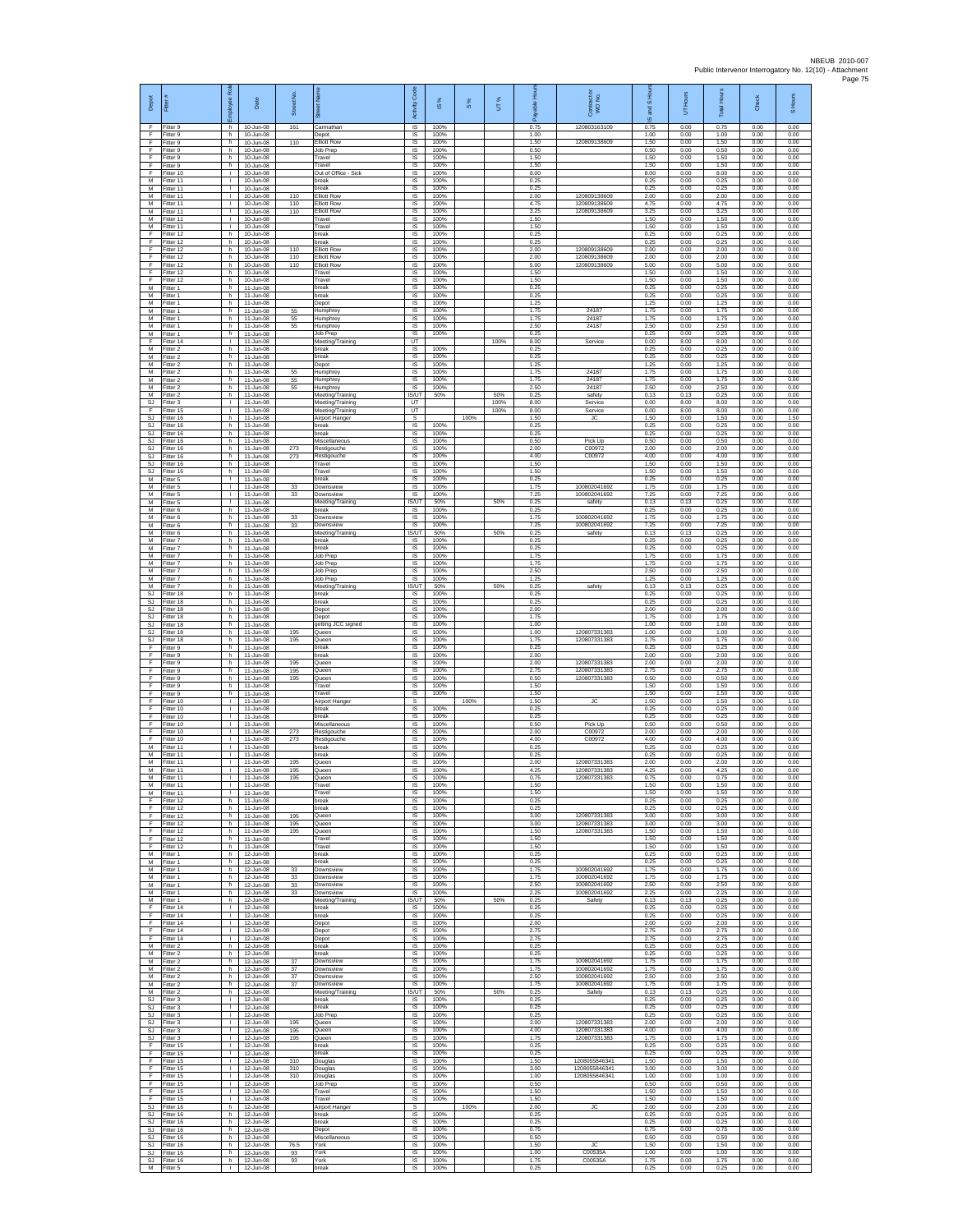| Depot                               | Fitter                              | æ<br>loyee                                   | Date                                      | Street No.     |                                                                | Code<br>Activity                    | IS %                 | $\frac{8}{3}$ | UT%          | 휸                    | Contract or<br>WO No.                        | and S Hou<br>$\overline{\omega}$ | UT Hours             | <b>Total Hours</b>   | Check                | S Hours              |
|-------------------------------------|-------------------------------------|----------------------------------------------|-------------------------------------------|----------------|----------------------------------------------------------------|-------------------------------------|----------------------|---------------|--------------|----------------------|----------------------------------------------|----------------------------------|----------------------|----------------------|----------------------|----------------------|
| -F<br>F<br>F                        | Fitter 9<br>Fitter 9                | h.<br>h.                                     | 10-Jun-08<br>10-Jun-08                    | 161            | Carmathar<br>Depot                                             | $\overline{\mathsf{s}}$<br>$\sf IS$ | 100%<br>100%         |               |              | 0.75<br>1.00         | 120803163109                                 | 0.75<br>1.00                     | 0.00<br>0.00         | 0.75<br>1.00         | 0.00<br>0.00         | 0.00<br>0.00         |
| -F<br>E                             | Fitter 9<br>Fitter 9<br>Fitter 9    | h<br>h.<br>h.                                | 10-Jun-08<br>10-Jun-08<br>10-Jun-08       | 110            | lliott Row<br>Job Prep<br>Travel                               | $\sf IS$<br>IS<br>IS                | 100%<br>100%<br>100% |               |              | 1.50<br>0.50<br>1.50 | 120809138609                                 | 1.50<br>0.50<br>1.50             | 0.00<br>0.00<br>0.00 | 1.50<br>0.50<br>1.50 | 0.00<br>0.00<br>0.00 | 0.00<br>0.00<br>0.00 |
| Ŧ<br>Ŧ                              | -itter 9<br>Fitter 10               | h<br>т.                                      | 10-Jun-08<br>10-Jun-08                    |                | Travel<br>Out of Office - Sick                                 | IS<br>IS                            | 100%<br>100%         |               |              | 1.50<br>8.00         |                                              | 1.50<br>8.00                     | 0.00<br>0.00         | 1.50<br>8.00         | 0.00<br>0.00         | 0.00<br>0.00         |
| M<br>${\sf M}$<br>M                 | Fitter 11<br>Fitter 11              | $\mathbf{L}$<br>$\mathbf{L}$<br>T.           | 10-Jun-08<br>10-Jun-08                    | 110            | break<br>break                                                 | IS<br>IS                            | 100%<br>100%         |               |              | 0.25<br>0.25         |                                              | 0.25<br>0.25                     | 0.00<br>0.00         | 0.25<br>0.25         | 0.00<br>0.00         | 0.00<br>0.00         |
| M<br>M                              | Fitter 11<br>Fitter 11<br>Fitter 11 | л.<br>T.                                     | 10-Jun-08<br>10-Jun-08<br>10-Jun-08       | 110<br>110     | <b>Elliott Row</b><br><b>Elliott Row</b><br><b>Elliott Row</b> | $\sf IS$<br>IS<br>IS                | 100%<br>100%<br>100% |               |              | 2.00<br>4.75<br>3.25 | 120809138609<br>120809138609<br>120809138609 | 2.00<br>4.75<br>3.25             | 0.00<br>0.00<br>0.00 | 2.00<br>4.75<br>3.25 | 0.00<br>0.00<br>0.00 | 0.00<br>0.00<br>0.00 |
| M<br>M                              | Fitter 11<br>Fitter 11              | т.<br>÷.                                     | 10-Jun-08<br>10-Jun-08                    |                | Travel<br>Travel                                               | IS<br>IS                            | 100%<br>100%         |               |              | 1.50<br>1.50         |                                              | 1.50<br>1.50                     | 0.00<br>0.00         | 1.50<br>1.50         | 0.00<br>0.00         | 0.00<br>0.00         |
| F<br>F<br>F                         | Fitter 12<br>Fitter 12<br>Fitter 12 | h.<br>h.<br>h                                | 10-Jun-08<br>10-Jun-08<br>10-Jun-08       | 110            | break<br>hreak<br><b>Elliott Row</b>                           | IS<br>IS<br>IS                      | 100%<br>100%<br>100% |               |              | 0.25<br>0.25<br>2.00 | 120809138609                                 | 0.25<br>0.25<br>2.00             | 0.00<br>0.00<br>0.00 | 0.25<br>0.25<br>2.00 | 0.00<br>0.00<br>0.00 | 0.00<br>0.00<br>0.00 |
| F.<br>F                             | Fitter 12<br>Fitter 12              | h<br>h                                       | 10-Jun-08<br>10-Jun-08                    | 110<br>110     | <b>Elliott Row</b><br><b>Elliott Row</b>                       | IS<br>IS                            | 100%<br>100%         |               |              | 2.00<br>5.00         | 120809138609<br>120809138609                 | 2.00<br>5.00                     | 0.00<br>0.00         | 2.00<br>5.00         | 0.00<br>0.00         | 0.00<br>0.00         |
| F<br>Ŧ                              | ltter 12<br>Fitter 12               | h<br>h.                                      | 10-Jun-08<br>10-Jun-08                    |                | Travel<br>Travel                                               | IS<br>IS                            | 100%<br>100%         |               |              | 1.50<br>1.50         |                                              | 1.50<br>1.50                     | 0.00<br>0.00         | 1.50<br>1.50         | 0.00<br>0.00         | 0.00<br>0.00         |
| M<br>М<br>M                         | Fitter 1<br>Fitter 1<br>Fitter 1    | h.<br>h.<br>h.                               | 11-Jun-08<br>11-Jun-08<br>11-Jun-08       |                | break<br>break<br>Depot                                        | - IS<br>IS<br>IS                    | 100%<br>100%<br>100% |               |              | 0.25<br>0.25<br>1.25 |                                              | 0.25<br>0.25<br>1.25             | 0.00<br>0.00<br>0.00 | 0.25<br>0.25<br>1.25 | 0.00<br>0.00<br>0.00 | 0.00<br>0.00<br>0.00 |
| M<br>M                              | Fitter 1<br>Fitter 1                | h<br>h.                                      | 11-Jun-08<br>11-Jun-08                    | 55<br>55       | Humphrey<br>Humphrey                                           | IS<br>IS                            | 100%<br>100%         |               |              | 1.75<br>1.75         | 2418<br>24187                                | 1.75<br>1.75                     | 0.00<br>0.00         | 1.75<br>1.75         | 0.00<br>0.00         | 0.00<br>0.00         |
| М<br>М<br>-F                        | -itter 1<br>-itter 1<br>Fitter 14   | h<br>h<br>т.                                 | 11-Jun-08<br>11-Jun-08<br>11-Jun-08       | 55             | Humphrey<br>Job Prep                                           | $\sf IS$<br>$\sf IS$<br>UT          | 100%<br>100%         |               | 100%         | 2.50<br>0.25<br>8.00 | 24187                                        | 2.50<br>0.25<br>0.00             | 0.00<br>0.00<br>8.00 | 2.50<br>0.25<br>8.00 | 0.00<br>0.00<br>0.00 | 0.00<br>0.00<br>0.00 |
| M<br>M                              | Fitter 2<br>-itter 2                | h.<br>h                                      | 11-Jun-08<br>11-Jun-08                    |                | Meeting/Training<br>break<br>break                             | <b>IS</b><br>IS                     | 100%<br>100%         |               |              | 0.25<br>0.25         | Service                                      | 0.25<br>0.25                     | 0.00<br>0.00         | 0.25<br>0.25         | 0.00<br>0.00         | 0.00<br>0.00         |
| M<br>M                              | Fitter 2<br>Fitter 2                | h.<br>h.                                     | 11-Jun-08<br>11-Jun-08                    | 55             | Depot<br><b>Humphrey</b>                                       | IS<br>IS                            | 100%<br>100%         |               |              | 1.25<br>1.75         | 24187                                        | 1.25<br>1.75                     | 0.00<br>0.00         | 1.25<br>1.75         | 0.00<br>0.00         | 0.00<br>0.00         |
| ${\sf M}$<br>M<br>M                 | itter 2<br>Fitter 2<br>Fitter 2     | h<br>h.<br>h.                                | 11-Jun-08<br>11-Jun-08<br>$11$ -Jun-08    | 55<br>55       | Humphre<br>Humphrey<br>Meeting/Training                        | IS<br>IS<br><b>IS/UT</b>            | 100%<br>100%<br>50%  |               | 50%          | 1.75<br>2.50<br>0.25 | 24187<br>24187<br>safety                     | 1.75<br>2.50<br>0.13             | 0.00<br>0.00<br>0.13 | 1.75<br>2.50<br>0.25 | 0.00<br>0.00<br>0.00 | 0.00<br>0.00<br>0.00 |
| <b>SJ</b><br>F                      | Fitter 3<br>Fitter 15               | T.<br>T.                                     | 11-Jun-08<br>11-Jun-08                    |                | Meeting/Training<br>Meeting/Training                           | UT<br>UT                            |                      |               | 100%<br>100% | 8.00<br>8.00         | Service<br>Service                           | 0.00<br>0.00                     | 8.00<br>8.00         | 8.00<br>8.00         | 0.00<br>0.00         | 0.00<br>0.00         |
| <b>SJ</b><br>-SJ                    | Fitter 16<br>Fitter 16              | h<br>h.                                      | 11-Jun-08<br>11-Jun-08                    |                | Airport Hanger<br>break                                        | s<br>IS                             | 100%                 | 100%          |              | 1.50<br>0.25         | G                                            | 1.50<br>0.25                     | 0.00<br>0.00         | 1.50<br>0.25         | 0.00<br>0.00         | 1.50<br>0.00         |
| SJ<br>$\mathbb{S}\mathbb{J}$<br>SJ. | Fitter 16<br>Fitter 16<br>Fitter 16 | h.<br>h<br>h.                                | 11-Jun-08<br>11-Jun-08<br>11-Jun-08       | 273            | break<br>Miscellaneous<br>Restigouche                          | <b>IS</b><br>IS<br>IS               | 100%<br>100%<br>100% |               |              | 0.25<br>0.50<br>2.00 | Pick Up<br>C00972                            | 0.25<br>0.50<br>2.00             | 0.00<br>0.00<br>0.00 | 0.25<br>0.50<br>2.00 | 0.00<br>0.00<br>0.00 | 0.00<br>0.00<br>0.00 |
| SJ<br><b>SJ</b>                     | Fitter 16<br>Fitter 16              | h.<br>h.                                     | 11-Jun-08<br>11-Jun-08                    | 273            | Restigouche<br>Travel                                          | IS<br>IS                            | 100%<br>100%         |               |              | 4.00<br>1.50         | C00972                                       | 4.00<br>1.50                     | 0.00<br>0.00         | 4.00<br>1.50         | 0.00<br>0.00         | 0.00<br>0.00         |
| SJ<br>M<br>M                        | Fitter 16<br>Fitter 5<br>Fitter 5   | h<br>л.<br>$\mathbf{L}$                      | 11-Jun-08<br>11-Jun-08<br>11-Jun-08       | 33             | Travel<br>break<br>Downsview                                   | IS<br>IS<br>IS                      | 100%<br>100%<br>100% |               |              | 1.50<br>0.25<br>1.75 | 100802041692                                 | 1.50<br>0.25<br>1.75             | 0.00<br>0.00<br>0.00 | 1.50<br>0.25<br>1.75 | 0.00<br>0.00<br>0.00 | 0.00<br>0.00<br>0.00 |
| M<br>M                              | Fitter 5<br>Fitter 5                | $\mathbf{L}$<br>÷.                           | 11-Jun-08<br>11-Jun-08                    | 33             | Downsview<br>Meeting/Training                                  | IS<br><b>IS/UT</b>                  | 100%<br>50%          |               | 50%          | 7.25<br>0.25         | 100802041692<br>safety                       | 7.25<br>0.13                     | 0.00<br>0.13         | 7.25<br>0.25         | 0.00<br>0.00         | 0.00<br>0.00         |
| M<br>М                              | Fitter 6<br>-itter 6                | h.<br>h.                                     | 11-Jun-08<br>11-Jun-08                    | 33             | break<br>Downsview                                             | <b>IS</b><br>$\sf IS$               | 100%<br>100%         |               |              | 0.25<br>1.75         | 100802041692                                 | 0.25<br>1.75                     | 0.00<br>0.00         | 0.25<br>1.75         | 0.00<br>0.00         | 0.00<br>0.00         |
| М<br>M<br>M                         | Fitter 6<br>Fitter 6<br>Fitter 7    | h<br>h.<br>h.                                | 11-Jun-08<br>11-Jun-08<br>11-Jun-08       | 33             | Downsview<br>Meeting/Training<br>break                         | $\sf IS$<br>IS/UT<br>IS             | 100%<br>50%<br>100%  |               | 50%          | 7.25<br>0.25<br>0.25 | 100802041692<br>safety                       | 7.25<br>0.13<br>0.25             | 0.00<br>0.13<br>0.00 | 7.25<br>0.25<br>0.25 | 0.00<br>0.00<br>0.00 | 0.00<br>0.00<br>0.00 |
| M<br>M                              | -itter 7<br>Fitter 7                | h<br>h                                       | 11-Jun-08<br>11-Jun-08                    |                | break<br>Job Prep                                              | IS<br>IS                            | 100%<br>100%         |               |              | 0.25<br>1.75         |                                              | 0.25<br>1.75                     | 0.00<br>0.00         | 0.25<br>1.75         | 0.00<br>0.00         | 0.00<br>0.00         |
| M<br>${\sf M}$                      | Fitter 7<br>-itter 7                | h.<br>h                                      | 11-Jun-08<br>11-Jun-08                    |                | Job Prep<br>Job Prep                                           | IS<br>IS                            | 100%<br>100%         |               |              | 1.75<br>2.50         |                                              | 1.75<br>2.50                     | 0.00<br>0.00         | 1.75<br>2.50         | 0.00<br>0.00         | 0.00<br>0.00         |
| M<br>M<br>SJ                        | Fitter 7<br>Fitter 7<br>Fitter 18   | h<br>h.<br>h                                 | 11-Jun-08<br>11-Jun-08<br>11-Jun-08       |                | Job Prep<br>Meeting/Training<br>break                          | $\sf IS$<br><b>IS/UT</b><br>IS      | 100%<br>50%<br>100%  |               | 50%          | 1.25<br>0.25<br>0.25 | safety                                       | 1.25<br>0.13<br>0.25             | 0.00<br>0.13<br>0.00 | 1.25<br>0.25<br>0.25 | 0.00<br>0.00<br>0.00 | 0.00<br>0.00<br>0.00 |
| <b>SJ</b><br>SJ                     | Fitter 18<br>fitter 18              | h.<br>h                                      | 11-Jun-08<br>11-Jun-08                    |                | break<br>Depot                                                 | IS<br>IS                            | 100%<br>100%         |               |              | 0.25<br>2.00         |                                              | 0.25<br>2.00                     | 0.00<br>0.00         | 0.25<br>2.00         | 0.00<br>0.00         | 0.00<br>0.00         |
| -SJ<br>SJ<br>$\mathbb{S}\mathbb{J}$ | Fitter 18<br>Fitter 18<br>Fitter 18 | h.<br>h.<br>h                                | 11-Jun-08<br>11-Jun-08<br>11-Jun-08       | 195            | Depot<br>getting JCC signed<br>Queen                           | IS<br>IS<br>IS                      | 100%<br>100%<br>100% |               |              | 1.75<br>1.00<br>1.00 | 120807331383                                 | 1.75<br>1.00<br>1.00             | 0.00<br>0.00<br>0.00 | 1.75<br>1.00<br>1.00 | 0.00<br>0.00<br>0.00 | 0.00<br>0.00<br>0.00 |
| SJ.<br>F                            | Fitter 18<br>Fitter 9               | h<br>h                                       | 11-Jun-08<br>11-Jun-08                    | 195            | Queen<br>break                                                 | IS<br>IS                            | 100%<br>100%         |               |              | 1.75<br>0.25         | 120807331383                                 | 1.75<br>0.25                     | 0.00<br>0.00         | 1.75<br>0.25         | 0.00<br>0.00         | 0.00<br>0.00         |
| F<br>Ŧ<br>F                         | -itter 9<br>Fitter 9<br>Fitter 9    | h.<br>h.<br>h.                               | 11-Jun-08<br>11-Jun-08<br>11-Jun-08       | 195<br>195     | break<br>Queen<br>Queen                                        | IS<br>IS<br>-IS                     | 100%<br>100%<br>100% |               |              | 2.00<br>2.00<br>2.75 | 120807331383<br>120807331383                 | 2.00<br>2.00<br>2.75             | 0.00<br>0.00<br>0.00 | 2.00<br>2.00<br>2.75 | 0.00<br>0.00<br>0.00 | 0.00<br>0.00<br>0.00 |
| F<br>F                              | Fitter 9<br>Fitter 9                | h.<br>h.                                     | 11-Jun-08<br>$11$ -Jun-08                 | 195            | Queen<br>Travel                                                | IS<br>IS                            | 100%<br>100%         |               |              | 0.50<br>1.50         | 120807331383                                 | 0.50<br>1.50                     | 0.00<br>0.00         | 0.50<br>1.50         | 0.00<br>0.00         | 0.00<br>0.00         |
| F<br>F<br>F                         | Fitter 9<br>Fitter 10               | h<br>л.<br>$\mathbf{L}$                      | 11-Jun-08<br>11-Jun-08                    |                | Travel<br>Airport Hanger                                       | IS<br>s                             | 100%                 | 100%          |              | 1.50<br>1.50         | <b>JC</b>                                    | 1.50<br>1.50                     | 0.00<br>0.00         | 1.50<br>1.50         | 0.00<br>0.00         | 0.00<br>1.50         |
| F<br>F                              | Fitter 10<br>Fitter 10<br>Fitter 10 | л.                                           | 11-Jun-08<br>11-Jun-08<br>$11 - \ln 0.08$ |                | break<br>break<br>Miscellaneous                                | $\sf IS$<br>$\sf IS$<br>IS          | 100%<br>100%<br>100% |               |              | 0.25<br>0.25<br>0.50 | Pick Up                                      | 0.25<br>0.25<br>0.50             | 0.00<br>0.00<br>0.00 | 0.25<br>0.25<br>0.50 | 0.00<br>0.00<br>0.00 | 0.00<br>0.00<br>0.00 |
| -F.<br>F                            | Fitter 10<br>Fitter 10              | л.<br>٠                                      | 11-Jun-08<br>11-Jun-08                    | 273<br>273     | Restigouche<br>Restigouche                                     | <b>IS</b><br>IS                     | 100%<br>100%         |               |              | 2.00<br>4.00         | C00972<br>C00972                             | 2.00<br>4.00                     | 0.00<br>0.00         | 2.00<br>4.00         | 0.00<br>0.00         | 0.00<br>0.00         |
| $\overline{M}$<br>м<br>${\sf M}$    | Fitter 11<br>Fitter 11<br>Fitter 11 | $\mathbf{L}$<br>л.<br>$\mathbf{L}$           | 11-Jun-08<br>11-Jun-08<br>11-Jun-08       | 195            | break<br>break<br>Queen                                        | IS<br>-IS<br>IS                     | 100%<br>100%<br>100% |               |              | 0.25<br>0.25<br>2.00 | 120807331383                                 | 0.25<br>0.25<br>2.00             | 0.00<br>0.00<br>0.00 | 0.25<br>0.25<br>2.00 | 0.00<br>0.00<br>0.00 | 0.00<br>0.00<br>0.00 |
| М<br>M                              | Fitter 11<br>Fitter 11              | $\mathbf{L}$<br>T.                           | 11-Jun-08<br>11-Jun-08                    | 195<br>195     | Queen<br>Queen                                                 | $\sf IS$<br>IS                      | 100%<br>100%         |               |              | 4.25<br>0.75         | 120807331383<br>120807331383                 | 4.25<br>0.75                     | 0.00<br>0.00         | 4.25<br>0.75         | 0.00<br>0.00         | 0.00<br>0.00         |
| M<br>M<br>F                         | Fitter 11<br>Fitter 11<br>Fitter 12 | H.<br>T.<br>h                                | 11-Jun-08<br>11-Jun-08<br>11-Jun-08       |                | Travel<br>Travel<br>break                                      | <b>IS</b><br>IS<br>IS               | 100%<br>100%<br>100% |               |              | 1.50<br>1.50<br>0.25 |                                              | 1.50<br>1.50<br>0.25             | 0.00<br>0.00<br>0.00 | 1.50<br>1.50<br>0.25 | 0.00<br>0.00<br>0.00 | 0.00<br>0.00<br>0.00 |
| -F<br>F                             | Fitter 12<br>Fitter 12              | h.<br>h                                      | 11-Jun-08<br>11-Jun-08                    | 195            | break<br>Queen                                                 | - IS<br><b>IS</b>                   | 100%<br>100%         |               |              | 0.25<br>3.00         | 120807331383                                 | 0.25<br>3.00                     | 0.00<br>0.00         | 0.25<br>3.00         | 0.00<br>0.00         | 0.00<br>0.00         |
| $\mathsf F$<br>F.<br>F.             | Fitter 12<br>Fitter 12              | h<br>h                                       | 11-Jun-08<br>11-Jun-08                    | 195<br>195     | Queen<br>Queen                                                 | IS<br>IS                            | 100%<br>100%         |               |              | 3.00<br>1.50         | 120807331383<br>120807331383                 | 3.00<br>1.50                     | 0.00<br>0.00         | 3.00<br>1.50         | 0.00<br>0.00         | 0.00<br>0.00         |
| $\mathsf F$<br>M                    | Fitter 12<br>Fitter 12<br>Fitter 1  | h<br>h.<br>h.                                | 11-Jun-08<br>11-Jun-08<br>12-Jun-08       |                | Travel<br>Travel<br>break                                      | IS<br>IS<br><b>IS</b>               | 100%<br>100%<br>100% |               |              | 1.50<br>1.50<br>0.25 |                                              | 1.50<br>1.50<br>0.25             | 0.00<br>0.00<br>0.00 | 1.50<br>1.50<br>0.25 | 0.00<br>0.00<br>0.00 | 0.00<br>0.00<br>0.00 |
| M<br>M                              | Fitter 1<br>Fitter 1                | h.<br>h                                      | 12-Jun-08<br>12-Jun-08                    | 33             | break<br>Downsview                                             | - IS<br>IS                          | 100%<br>100%         |               |              | 0.25<br>1.75         | 100802041692<br>100802041692                 | 0.25<br>1.75                     | 0.00<br>0.00         | 0.25<br>1.75         | 0.00<br>0.00         | 0.00<br>0.00         |
| M<br>M<br>M                         | Fitter 1<br>Fitter 1<br>Fitter 1    | h.<br>h<br>h.                                | 12-Jun-08<br>12-Jun-08<br>12-Jun-08       | 33<br>33<br>33 | Downsview<br>Downsview<br>Downsview                            | IS<br><b>IS</b><br>- IS             | 100%<br>100%<br>100% |               |              | 1.75<br>2.50<br>2.25 | 100802041692<br>100802041692                 | 1.75<br>2.50<br>2.25             | 0.00<br>0.00<br>0.00 | 1.75<br>2.50<br>2.25 | 0.00<br>0.00<br>0.00 | 0.00<br>0.00<br>0.00 |
| M<br>F                              | Fitter 1<br>Fitter 14               | h<br>T.                                      | 12-Jun-08<br>12-Jun-08                    |                | Meeting/Training<br>break                                      | IS/UT<br>IS                         | 50%<br>100%          |               | 50%          | 0.25<br>0.25         | Safety                                       | 0.13<br>0.25                     | 0.13<br>0.00         | 0.25<br>0.25         | 0.00<br>0.00         | 0.00<br>0.00         |
| -F<br>F.<br>Ŧ                       | Fitter 14<br>Fitter 14<br>Fitter 14 | т.<br>л.<br>т.                               | 12-Jun-08<br>$12 - \ln 0.08$<br>12-Jun-08 |                | break<br>Depot<br>Depot                                        | <b>IS</b><br><b>IS</b><br>IS        | 100%<br>100%<br>100% |               |              | 0.25<br>2.00<br>2.75 |                                              | 0.25<br>200<br>2.75              | 0.00<br>0.00<br>0.00 | 0.25<br>2.00<br>2.75 | 0.00<br>0.00<br>0.00 | 0.00<br>0.00<br>0.00 |
| Ŧ<br>M                              | Fitter 14<br>Fitter 2               | $\mathbf{L}$<br>h.                           | 12-Jun-08<br>12-Jun-08                    |                | Depot<br>break                                                 | IS<br><b>IS</b>                     | 100%<br>100%         |               |              | 2.75<br>0.25         |                                              | 2.75<br>0.25                     | 0.00<br>0.00         | 2.75<br>0.25         | 0.00<br>0.00         | 0.00<br>0.00         |
| М<br>M<br>M                         | Fitter 2<br>Fitter 2<br>Fitter 2    | h<br>h.<br>h.                                | 12-Jun-08<br>12-Jun-08<br>$12 - \ln 0.08$ | 37<br>37       | break<br>Downsview<br>Downsview                                | IS<br>IS<br><b>IS</b>               | 100%<br>100%<br>100% |               |              | 0.25<br>1.75<br>1.75 | 100802041692<br>100802041692                 | 0.25<br>1.75<br>1.75             | 0.00<br>0.00<br>0.00 | 0.25<br>1.75<br>1.75 | 0.00<br>0.00<br>0.00 | 0.00<br>0.00<br>0.00 |
| M<br>M                              | Fitter 2<br>Fitter 2                | h<br>h.                                      | 12-Jun-08<br>12-Jun-08                    | 37<br>37       | Downsview<br>Downsview                                         | IS<br>IS                            | 100%<br>100%         |               |              | 2.50<br>1.75         | 100802041692<br>100802041692                 | 2.50<br>1.75                     | 0.00<br>0.00         | 2.50<br>1.75         | 0.00<br>0.00         | 0.00<br>0.00         |
| M<br>-SJ                            | Fitter 2<br>Fitter 3                | h<br>$\mathbf{L}$<br>$\mathbf{L}$            | 12-Jun-08<br>12-Jun-08                    |                | Meeting/Training<br>break<br>break                             | <b>IS/UT</b><br>- IS                | 50%<br>100%          |               | 50%          | 0.25<br>0.25         | Safety                                       | 0.13<br>0.25<br>0.25             | 0.13<br>0.00         | 0.25<br>0.25         | 0.00<br>0.00         | 0.00<br>0.00         |
| SJ<br>SJ<br>SJ.                     | Fitter 3<br>Fitter 3<br>Fitter 3    | $\mathbf{I}$<br>$\mathbf{L}$                 | 12-Jun-08<br>12-Jun-08<br>12-Jun-08       | 195            | Job Prep<br>Queen                                              | <b>IS</b><br>IS<br>IS               | 100%<br>100%<br>100% |               |              | 0.25<br>0.25<br>2.00 | 120807331383                                 | 0.25<br>2.00                     | 0.00<br>0.00<br>0.00 | 0.25<br>0.25<br>2.00 | 0.00<br>0.00<br>0.00 | 0.00<br>0.00<br>0.00 |
| <b>SJ</b>                           | SJ Fitter 3<br>Fitter 3             | $\mathbf{L}$<br>$\mathbf{L}$                 | 12-Jun-08<br>12-Jun-08                    | 195<br>195     | Queen<br>Queen                                                 | IS<br>IS                            | 100%<br>100%         |               |              | 4.00<br>1.75         | 120807331383<br>120807331383                 | 4.00<br>1.75                     | 0.00<br>0.00         | 4.00<br>1.75         | 0.00<br>0.00         | 0.00<br>0.00         |
| Ŧ<br>F<br>F                         | Fitter 15<br>Fitter 15<br>Fitter 15 | т<br>$\mathbf{L}$<br>$\mathbf{L}$            | 12-Jun-08<br>12-Jun-08<br>12-Jun-08       | 310            | break<br>break<br>Douglas                                      | <b>IS</b><br>- IS<br>IS             | 100%<br>100%<br>100% |               |              | 0.25<br>0.25<br>1.50 | 1208055846341                                | 0.25<br>0.25<br>1.50             | 0.00<br>0.00<br>0.00 | 0.25<br>0.25<br>1.50 | 0.00<br>0.00<br>0.00 | 0.00<br>0.00<br>0.00 |
| F.<br>F                             | Fitter 15<br>Fitter 15              | $\mathbb{L}$<br>$\mathbf{L}$                 | 12-Jun-08<br>12-Jun-08                    | 310<br>310     | Douglas<br>Douglas                                             | IS<br><b>IS</b>                     | 100%<br>100%         |               |              | 3.00<br>1.00         | 1208055846341<br>1208055846341               | 3.00<br>1.00                     | 0.00<br>0.00         | 3.00<br>1.00         | 0.00<br>0.00         | 0.00<br>0.00         |
| F<br>F.<br>F                        | Fitter 15<br>Fitter 15<br>Fitter 15 | $\mathbf{L}$<br>$\mathbf{L}$<br>$\mathbf{I}$ | 12-Jun-08<br>12-Jun-08<br>12-Jun-08       |                | Job Prep<br>Travel<br>Travel                                   | - IS<br>$\sf IS$<br>IS              | 100%<br>100%<br>100% |               |              | 0.50<br>1.50<br>1.50 |                                              | 0.50<br>1.50<br>1.50             | 0.00<br>0.00<br>0.00 | 0.50<br>1.50<br>1.50 | 0.00<br>0.00<br>0.00 | 0.00<br>0.00<br>0.00 |
| -SJ<br>S.I.                         | Fitter 16<br>Fitter 16              | h.<br>h.                                     | 12-Jun-08<br>12-Jun-08                    |                | Airport Hanger<br>break                                        | -S<br><b>IS</b>                     | 100%                 | 100%          |              | 2.00<br>0.25         | <b>JC</b>                                    | 2.00<br>0.25                     | 0.00<br>0.00         | 2.00<br>0.25         | 0.00<br>0.00         | 2.00<br>0.00         |
| SJ<br>SJ<br>SJ.                     | Fitter 16<br>Fitter 16              | h<br>h<br>h.                                 | 12-Jun-08<br>12-Jun-08<br>12-Jun-08       |                | break<br>Depot<br>Miscellaneous                                | IS<br><b>IS</b><br>- IS             | 100%<br>100%<br>100% |               |              | 0.25<br>0.75<br>0.50 |                                              | 0.25<br>0.75<br>0.50             | 0.00<br>0.00<br>0.00 | 0.25<br>0.75<br>0.50 | 0.00<br>0.00<br>0.00 | 0.00<br>0.00<br>0.00 |
| SJ<br>SJ                            | Fitter 16<br>Fitter 16<br>Fitter 16 | h<br>h                                       | 12-Jun-08<br>12-Jun-08                    | 76.5<br>93     | York<br>York                                                   | IS<br>IS                            | 100%<br>100%         |               |              | 1.50<br>1.00         | JC<br>C00535A                                | 1.50<br>1.00                     | 0.00<br>0.00         | 1.50<br>1.00         | 0.00<br>0.00         | 0.00<br>0.00         |
| SJ.                                 | Fitter 16<br>M Fitter 5             | h.<br>$\mathbf{L}$                           | 12-Jun-08<br>12-Jun-08                    | 93             | York<br>break                                                  | <b>IS</b><br>IS                     | 100%<br>100%         |               |              | 1.75<br>0.25         | C00535A                                      | 1.75<br>0.25                     | 0.00<br>0.00         | 1.75<br>0.25         | 0.00<br>0.00         | 0.00<br>0.00         |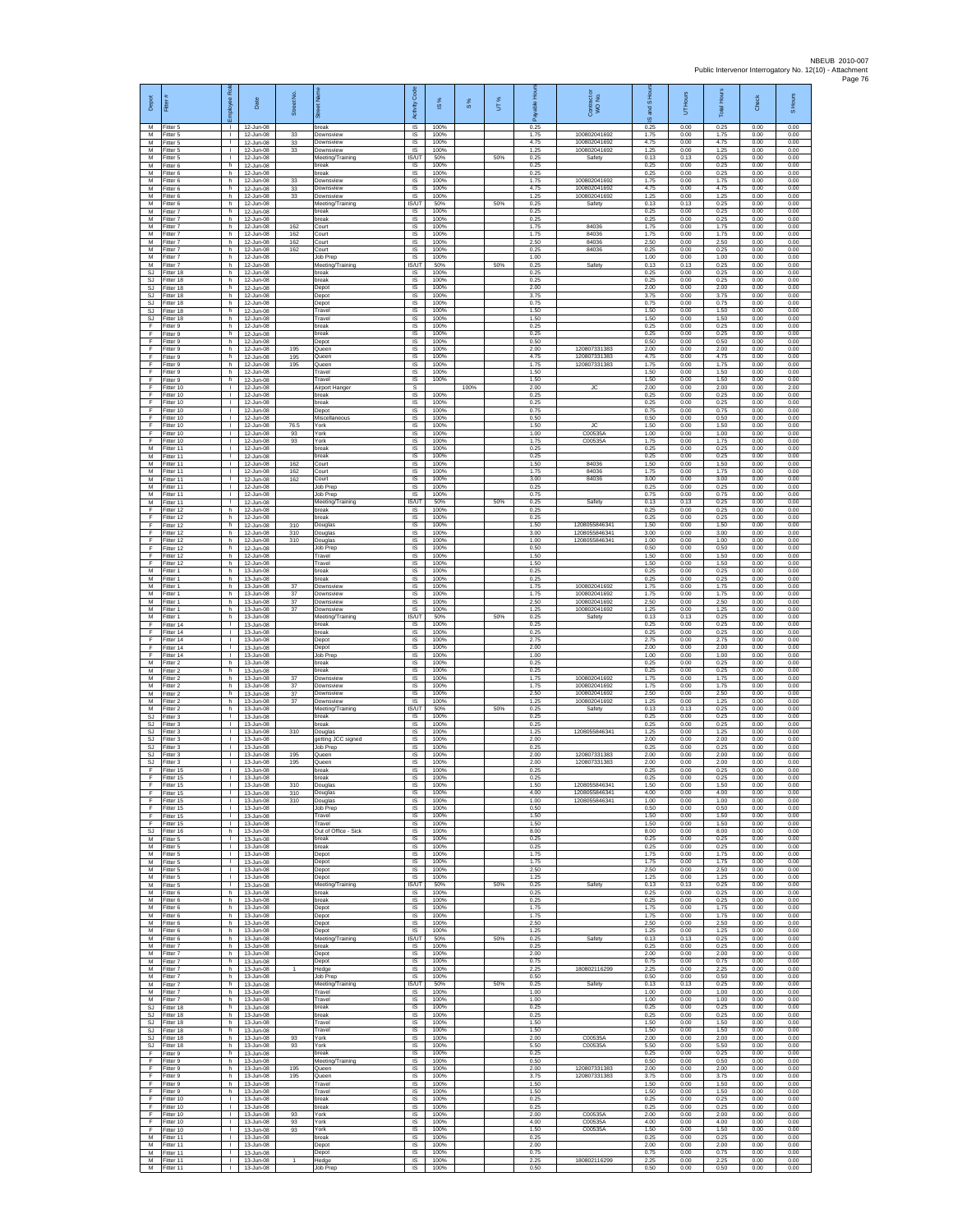| Depot                               | 륟                                   | š<br>ployee                                  | Date                                             | Street No.   |                                          | Code<br>Activity                  | $\frac{8}{3}$        | $\frac{8}{3}$ | UТ% | 。<br>王<br>டீ         | Contract or<br>WO No.                  | S Hou<br>g<br>$\overline{\omega}$ | UT Hours             | <b>Total Hours</b>   | Check                | S Hours              |
|-------------------------------------|-------------------------------------|----------------------------------------------|--------------------------------------------------|--------------|------------------------------------------|-----------------------------------|----------------------|---------------|-----|----------------------|----------------------------------------|-----------------------------------|----------------------|----------------------|----------------------|----------------------|
| M<br>M                              | Fitter 5<br>-itter 5                | т.                                           | 12-Jun-08<br>12-Jun-08                           | 33           | break<br>Downsview                       | $\overline{s}$<br>IS              | 100%<br>100%         |               |     | 0.25<br>1.75         | 100802041692                           | 0.25<br>1.75                      | 0.00<br>0.00         | 0.25<br>1.75         | 0.00<br>0.00         | 0.00<br>0.00         |
| M<br>M<br>M                         | Fitter 5<br>Fitter 5<br>Fitter 5    | $\mathbf{L}$<br>$\mathbf{L}$<br>$\mathbf{L}$ | 12-Jun-08<br>12-Jun-08<br>12-Jun-08              | 33<br>33     | Downsview<br>Downsview                   | $\sf IS$<br><b>IS</b><br>IS/UT    | 100%<br>100%<br>50%  |               |     | 4.75<br>1.25<br>0.25 | 100802041692<br>100802041692           | 4.75<br>1.25<br>0.13              | 0.00<br>0.00<br>0.13 | 4.75<br>1.25<br>0.25 | 0.00<br>0.00<br>0.00 | 0.00<br>0.00<br>0.00 |
| M<br>М                              | Fitter 6<br>itter 6                 | h.<br>h                                      | 12-Jun-08<br>12-Jun-08                           |              | Meeting/Training<br>break<br>reak        | <b>IS</b><br>IS                   | 100%<br>100%         |               | 50% | 0.25<br>0.25         | Safety                                 | 0.25<br>0.25                      | 0.00<br>0.00         | 0.25<br>0.25         | 0.00<br>0.00         | 0.00<br>0.00         |
| M<br>${\sf M}$                      | Fitter 6<br>-itter 6                | h.<br>h.                                     | 12-Jun-08<br>12-Jun-08                           | 33<br>$33\,$ | Downsview<br>Downsview                   | IS<br>IS                          | 100%<br>100%         |               |     | 1.75<br>4.75         | 100802041692<br>100802041692           | 1.75<br>4.75                      | 0.00<br>0.00         | 1.75<br>4.75         | 0.00<br>0.00         | 0.00<br>0.00         |
| M<br>M                              | Fitter 6<br>Fitter 6                | h<br>h.                                      | 12-Jun-08<br>12-Jun-08                           | 33           | Downsview<br>Meeting/Training            | IS<br><b>IS/UT</b>                | 100%<br>50%          |               | 50% | 1.25<br>0.25         | 100802041692<br>Safety                 | 1.25<br>0.13                      | 0.00<br>0.13         | 1.25<br>0.25         | 0.00<br>0.00         | 0.00<br>0.00         |
| M<br>M<br>M                         | Fitter 7<br>-itter 7<br>Fitter 7    | h.<br>h<br>h.                                | 12-Jun-08<br>12-Jun-08<br>12-Jun-08              | 162          | oreak<br>break<br>Court                  | IS.<br>IS<br>IS                   | 100%<br>100%<br>100% |               |     | 0.25<br>0.25<br>1.75 | 84036                                  | 0.25<br>0.25<br>1.75              | 0.00<br>0.00<br>0.00 | 0.25<br>0.25<br>1.75 | 0.00<br>0.00<br>0.00 | 0.00<br>0.00<br>0.00 |
| M<br>${\sf M}$                      | Fitter 7<br>-itter 7                | h.<br>h.                                     | 12-Jun-08<br>12-Jun-08                           | 162<br>162   | Court<br>Court                           | IS<br>IS                          | 100%<br>100%         |               |     | 1.75<br>2.50         | 84036<br>84036                         | 1.75<br>2.50                      | 0.00<br>0.00         | 1.75<br>2.50         | 0.00<br>0.00         | 0.00<br>0.00         |
| М<br>M                              | Fitter 7<br>Fitter 7                | h.<br>h.                                     | 12-Jun-08<br>12-Jun-08                           | 162          | Court<br>Job Prep                        | 1S<br>IS                          | 100%<br>100%         |               |     | 0.25<br>1.00         | 84036                                  | 0.25<br>1.00                      | 0.00<br>0.00         | 0.25<br>1.00         | 0.00<br>0.00         | 0.00<br>0.00         |
| M<br>SJ                             | Fitter 7<br>Fitter 18               | h.<br>h.                                     | 12-Jun-08<br>12-Jun-08                           |              | Meeting/Training<br>break                | IS/UT<br>$\sf IS$                 | 50%<br>100%          |               | 50% | 0.25<br>0.25         | Safety                                 | 0.13<br>0.25                      | 0.13<br>0.00         | 0.25<br>0.25         | 0.00<br>0.00         | 0.00<br>0.00         |
| SJ<br>-SJ<br>SJ.                    | fitter 18<br>Fitter 18<br>Fitter 18 | h<br>h.<br>h                                 | 12-Jun-08<br>12-Jun-08<br>12-Jun-08              |              | oreak<br>Depot<br>Depot                  | IS<br>IS<br>IS                    | 100%<br>100%<br>100% |               |     | 0.25<br>2.00<br>3.75 |                                        | 0.25<br>2.00<br>3.75              | 0.00<br>0.00<br>0.00 | 0.25<br>2.00<br>3.75 | 0.00<br>0.00<br>0.00 | 0.00<br>0.00<br>0.00 |
| $\mathbb{S}\mathbb{J}$<br>SJ.       | Fitter 18<br>Fitter 18              | h<br>h.                                      | 12-Jun-08<br>12-Jun-08                           |              | Depot<br>Travel                          | IS<br>IS                          | 100%<br>100%         |               |     | 0.75<br>1.50         |                                        | 0.75<br>1.50                      | 0.00<br>0.00         | 0.75<br>1.50         | 0.00<br>0.00         | 0.00<br>0.00         |
| SJ<br>F<br>Ŧ                        | Fitter 18<br>-itter 9               | h.<br>h<br>h.                                | 12-Jun-08<br>12-Jun-08                           |              | Travel<br>break                          | IS<br>$\sf IS$                    | 100%<br>100%         |               |     | 1.50<br>0.25         |                                        | 1.50<br>0.25                      | 0.00<br>0.00         | 1.50<br>0.25         | 0.00<br>0.00         | 0.00<br>0.00         |
| F<br>F                              | Fitter 9<br>Fitter 9<br>Fitter 9    | h.<br>h                                      | 12-Jun-08<br>12-Jun-08<br>12-Jun-08              | 195          | break<br>Depot<br>Queen                  | $\sf IS$<br>IS<br>IS              | 100%<br>100%<br>100% |               |     | 0.25<br>0.50<br>2.00 | 120807331383                           | 0.25<br>0.50<br>2.00              | 0.00<br>0.00<br>0.00 | 0.25<br>0.50<br>2.00 | 0.00<br>0.00<br>0.00 | 0.00<br>0.00<br>0.00 |
| Ŧ<br>Ŧ                              | Fitter 9<br>Fitter 9                | h.<br>h                                      | 12-Jun-08<br>12-Jun-08                           | 195<br>195   | Queen<br>Queen                           | IS<br>IS                          | 100%<br>100%         |               |     | 4.75<br>1.75         | 120807331383<br>120807331383           | 4.75<br>1.75                      | 0.00<br>0.00         | 4.75<br>1.75         | 0.00<br>0.00         | 0.00<br>0.00         |
| F<br>$\mathsf F$                    | Fitter 9<br>-itter 9                | h.<br>h                                      | 12-Jun-08<br>12-Jun-08                           |              | Travel<br>Travel                         | IS<br>IS                          | 100%<br>100%         |               |     | 1.50<br>1.50         |                                        | 1.50<br>1.50                      | 0.00<br>0.00         | 1.50<br>1.50         | 0.00<br>0.00         | 0.00<br>0.00         |
| F<br>F.<br>E                        | Fitter 10<br>Fitter 10<br>Fitter 10 | $\mathbf{L}$<br>$\mathbf{L}$<br>$\mathbf{L}$ | 12-Jun-08<br>12-Jun-08<br>12-Jun-08              |              | Airport Hanger<br>break<br>break         | $\mathbb S$<br>IS<br>IS           | 100%<br>100%         | 100%          |     | 2.00<br>0.25<br>0.25 | <b>JC</b>                              | 2.00<br>0.25<br>0.25              | 0.00<br>0.00<br>0.00 | 2.00<br>0.25<br>0.25 | 0.00<br>0.00<br>0.00 | 2.00<br>0.00<br>0.00 |
| Ŧ<br>Ŧ                              | Fitter 10<br>Fitter 10              | $\mathbf{I}$<br>$\mathbf{L}$                 | 12-Jun-08<br>12-Jun-08                           |              | Depot<br>Miscellaneous                   | IS<br>IS                          | 100%<br>100%         |               |     | 0.75<br>0.50         |                                        | 0.75<br>0.50                      | 0.00<br>0.00         | 0.75<br>0.50         | 0.00<br>0.00         | 0.00<br>0.00         |
| F<br>$\mathsf F$                    | Fitter 10<br>Fitter 10              | $\mathbf{L}$<br>$\mathbf{L}$                 | 12-Jun-08<br>12-Jun-08                           | 76.5<br>93   | York<br>York                             | IS<br>IS                          | 100%<br>100%         |               |     | 1.50<br>1.00         | JC<br>C00535/                          | 1.50<br>1.00                      | 0.00<br>0.00         | 1.50<br>1.00         | 0.00<br>0.00         | 0.00<br>0.00         |
| F<br>M<br>M                         | Fitter 10<br>-itter 11<br>Fitter 11 | τ.<br>$\mathbf{L}$<br>$\mathbb{R}$           | 12-Jun-08<br>12-Jun-08<br>12-Jun-08              | 93           | York<br>reak<br>oreak                    | 1S<br>IS<br>IS                    | 100%<br>100%<br>100% |               |     | 1.75<br>0.25<br>0.25 | C00535A                                | 1.75<br>0.25<br>0.25              | 0.00<br>0.00<br>0.00 | 1.75<br>0.25<br>0.25 | 0.00<br>0.00<br>0.00 | 0.00<br>0.00<br>0.00 |
| М<br>М                              | Fitter 11<br>fitter 11              | $\mathbf{L}$<br>т.                           | 12-Jun-08<br>12-Jun-08                           | 162<br>162   | Court<br>Court                           | IS<br>IS                          | 100%<br>100%         |               |     | 1.50<br>1.75         | 84036<br>84036                         | 1.50<br>1.75                      | 0.00<br>0.00         | 1.50<br>1.75         | 0.00<br>0.00         | 0.00<br>0.00         |
| M<br>M                              | Fitter 11<br>Fitter 11              | т.<br>л.                                     | 12-Jun-08<br>12-Jun-08                           | 162          | Court<br><b>Job Prep</b>                 | IS<br>IS                          | 100%<br>100%         |               |     | 3.00<br>0.25         | 84036                                  | 3.00<br>0.25                      | 0.00<br>0.00         | 3.00<br>0.25         | 0.00<br>0.00         | 0.00<br>0.00         |
| M<br>M<br>E                         | Fitter 11<br>Fitter 11<br>Fitter 12 | $\mathbf{I}$<br>$\mathbf{L}$<br>h.           | 12-Jun-08<br>12-Jun-08<br>12-Jun-08              |              | Job Prep<br>Meeting/Training<br>break    | IS<br>IS/UT<br>IS.                | 100%<br>50%<br>100%  |               | 50% | 0.75<br>0.25<br>0.25 | Safety                                 | 0.75<br>0.13<br>0.25              | 0.00<br>0.13<br>0.00 | 0.75<br>0.25<br>0.25 | 0.00<br>0.00<br>0.00 | 0.00<br>0.00<br>0.00 |
| F<br>F                              | ltter 12<br>Fitter 12               | h<br>h                                       | 12-Jun-08<br>12-Jun-08                           | 310          | break<br>Douglas                         | $\sf IS$<br>$\sf IS$              | 100%<br>100%         |               |     | 0.25<br>1.50         | 1208055846341                          | 0.25<br>1.50                      | 0.00<br>0.00         | 0.25<br>1.50         | 0.00<br>0.00         | 0.00<br>0.00         |
| F<br>F                              | Fitter 12<br>Fitter 12              | h.<br>h.                                     | 12-Jun-08<br>12-Jun-08                           | 310<br>310   | Douglas<br>Douglas                       | IS<br>IS                          | 100%<br>100%         |               |     | 3.00<br>1.00         | 1208055846341<br>1208055846341         | 3.00<br>1.00                      | 0.00<br>0.00         | 3.00<br>1.00         | 0.00<br>0.00         | 0.00<br>0.00         |
| Ŧ<br>F<br>-F                        | Fitter 12<br>Fitter 12              | h.<br>h<br>h.                                | 12-Jun-08<br>12-Jun-08                           |              | Job Prep<br>Travel<br>Travel             | 1S<br>IS<br>IS                    | 100%<br>100%<br>100% |               |     | 0.50<br>1.50<br>1.50 |                                        | 0.50<br>1.50<br>1.50              | 0.00<br>0.00<br>0.00 | 0.50<br>1.50<br>1.50 | 0.00<br>0.00<br>0.00 | 0.00<br>0.00<br>0.00 |
| M<br>М                              | Fitter 12<br>-itter 1<br>Fitter 1   | h.<br>h                                      | 12-Jun-08<br>13-Jun-08<br>13-Jun-08              |              | break<br>break                           | IS<br>$\sf IS$                    | 100%<br>100%         |               |     | 0.25<br>0.25         |                                        | 0.25<br>0.25                      | 0.00<br>0.00         | 0.25<br>0.25         | 0.00<br>0.00         | 0.00<br>0.00         |
| M<br>M                              | Fitter 1<br>Fitter 1                | h.<br>h.                                     | 13-Jun-08<br>13-Jun-08                           | 37<br>37     | Downsview<br>Downsview                   | IS<br>IS                          | 100%<br>100%         |               |     | 1.75<br>1.75         | 100802041692<br>100802041692           | 1.75<br>1.75                      | 0.00<br>0.00         | 1.75<br>1.75         | 0.00<br>0.00         | 0.00<br>0.00         |
| M<br>M<br>M                         | -itter 1<br>Fitter 1                | h<br>h.                                      | 13-Jun-08<br>13-Jun-08<br>13-Jun-08              | 37<br>37     | Downsview<br>Downsview                   | IS<br>IS<br><b>IS/UT</b>          | 100%<br>100%<br>50%  |               | 50% | 2.50<br>1.25<br>0.25 | 100802041692<br>100802041692<br>Safety | 2.50<br>1.25<br>0.13              | 0.00<br>0.00<br>0.13 | 2.50<br>1.25<br>0.25 | 0.00<br>0.00<br>0.00 | 0.00<br>0.00<br>0.00 |
| F<br>F                              | Fitter 1<br>Fitter 14<br>Fitter 14  | h.<br>$\mathbf{L}$<br>H.                     | 13-Jun-08<br>13-Jun-08                           |              | Meeting/Training<br>break<br>break       | IS<br>1S                          | 100%<br>100%         |               |     | 0.25<br>0.25         |                                        | 0.25<br>0.25                      | 0.00<br>0.00         | 0.25<br>0.25         | 0.00<br>0.00         | 0.00<br>0.00         |
| F<br>F                              | ltter 14<br>Fitter 14               | $\mathbf{L}$<br>$\mathbb{R}$                 | 13-Jun-08<br>13-Jun-08                           |              | Depot<br>Depot                           | IS<br>IS                          | 100%<br>100%         |               |     | 2.75<br>2.00         |                                        | 2.75<br>2.00                      | 0.00<br>0.00         | 2.75<br>2.00         | 0.00<br>0.00         | 0.00<br>0.00         |
| $\mathsf F$<br>М                    | Fitter 14<br>fitter 2               | H.<br>h.                                     | 13-Jun-08<br>13-Jun-08                           |              | Job Prep<br>oreak                        | $\sf IS$<br>IS                    | 100%<br>100%         |               |     | 1.00<br>0.25         |                                        | 1.00<br>0.25                      | 0.00<br>0.00         | 1.00<br>0.25         | 0.00<br>0.00         | 0.00<br>0.00         |
| M<br>M<br>М                         | Fitter 2<br>Fitter 2<br>Fitter 2    | h.<br>h.<br>h                                | 13-Jun-08<br>13-Jun-08<br>13-Jun-08              | 37<br>$37\,$ | break<br>Downsview<br>Downsview          | IS<br>IS<br>IS                    | 100%<br>100%<br>100% |               |     | 0.25<br>1.75<br>1.75 | 100802041692<br>100802041692           | 0.25<br>1.75<br>1.75              | 0.00<br>0.00<br>0.00 | 0.25<br>1.75<br>1.75 | 0.00<br>0.00<br>0.00 | 0.00<br>0.00<br>0.00 |
| M<br>M                              | Fitter 2<br>Fitter 2                | h.<br>h.                                     | $13 - \ln 08$<br>13-Jun-08                       | 37<br>37     | Downsview<br>Downsview                   | IS<br><b>IS</b>                   | 100%<br>100%         |               |     | 2.50<br>1.25         | 100802041692<br>100802041692           | 2.50<br>1.25                      | 0.00<br>0.00         | 2.50<br>1.25         | 0.00<br>0.00         | 0.00<br>0.00         |
| ${\sf M}$<br>$\mathbb{S}\mathbb{J}$ | itter 2<br>Fitter 3<br>Fitter 3     | h<br>$\mathbf{I}$                            | 13-Jun-08<br>13-Jun-08<br>$13$ -Jun-08           |              | Meeting/Training<br>break                | IS/UT<br>$\sf IS$<br>IS           | 50%<br>100%<br>100%  |               | 50% | 0.25<br>0.25<br>0.25 | Safety                                 | 0.13<br>0.25<br>0.25              | 0.13<br>0.00<br>0.00 | 0.25<br>0.25<br>0.25 | 0.00<br>0.00<br>0.00 | 0.00<br>0.00<br>0.00 |
| SJ.<br><b>SJ</b><br><b>SJ</b>       | Fitter 3<br>Fitter 3                | $\mathbf{L}$<br>$\mathbf{L}$<br>$\mathbf{I}$ | 13-Jun-08<br>13-Jun-08                           | 310          | break<br>Douglas<br>getting JCC signed   | IS<br>IS                          | 100%<br>100%         |               |     | 1.25<br>2.00         | 1208055846341                          | 1.25<br>2.00                      | 0.00<br>0.00         | 1.25<br>2.00         | 0.00<br>0.00         | 0.00<br>0.00         |
| SJ<br>SJ                            | fitter 3<br>Fitter 3                | т.<br>$\mathbf{L}$                           | 13-Jun-08<br>13-Jun-08                           | 195          | Job Prep<br>Queen                        | IS<br>-IS                         | 100%<br>100%         |               |     | 0.25<br>2.00         | 120807331383                           | 0.25<br>2.00                      | 0.00<br>0.00         | 0.25<br>2.00         | 0.00<br>0.00         | 0.00<br>0.00         |
| <b>SJ</b><br>F<br>F                 | Fitter 3<br>Fitter 15<br>Fitter 15  | $\mathbf{L}$<br>T.<br>$\mathbf{L}$           | 13-Jun-08<br>13-Jun-08<br>13-Jun-08              | 195          | Queen<br>break<br>break                  | IS.<br>$\sf IS$<br>IS             | 100%<br>100%<br>100% |               |     | 2.00<br>0.25<br>0.25 | 120807331383                           | 2.00<br>0.25<br>0.25              | 0.00<br>0.00<br>0.00 | 2.00<br>0.25<br>0.25 | 0.00<br>0.00<br>0.00 | 0.00<br>0.00<br>0.00 |
| Ŧ                                   | Fitter 15<br>Fitter 15              | т.                                           | 13-Jun-08<br>13-Jun-08                           | 310<br>310   | Douglas<br>Douglas                       | <b>IS</b><br>IS                   | 100%<br>100%         |               |     | 1.50<br>4.00         | 1208055846341<br>1208055846341         | 1.50<br>4.00                      | 0.00<br>0.00         | 1.50<br>4.00         | 0.00<br>0.00         | 0.00<br>0.00         |
| F<br>F                              | Fitter 15<br>Fitter 15              | $\mathbf{L}$<br>$\mathbf{L}$                 | 13-Jun-08<br>$13 - \frac{100}{200}$              | 310          | Douglas<br>Job Prep                      | <b>IS</b><br>IS.                  | 100%<br>100%         |               |     | 1.00<br>0.50         | 1208055846341                          | 1.00<br>0.50                      | 0.00<br>0.00         | 1.00<br>0.50         | 0.00<br>0.00         | 0.00<br>0.00         |
| $\mathsf F$<br>F<br>SJ.             | Fitter 15<br>Fitter 15<br>Fitter 16 | $\mathbf{L}$<br>H.<br>h                      | 13-Jun-08<br>13-Jun-08<br>$13 - \frac{100}{200}$ |              | Travel<br>Travel<br>Out of Office - Sick | IS<br>1S<br>IS                    | 100%<br>100%<br>100% |               |     | 1.50<br>1.50<br>8.00 |                                        | 1.50<br>1.50<br>8.00              | 0.00<br>0.00<br>0.00 | 1.50<br>1.50<br>8.00 | 0.00<br>0.00<br>0.00 | 0.00<br>0.00<br>0.00 |
| M<br>M                              | Fitter 5<br>Fitter 5                | л.<br>$\mathbb{L}$                           | 13-Jun-08<br>13-Jun-08                           |              | break<br>break                           | IS<br>IS                          | 100%<br>100%         |               |     | 0.25<br>0.25         |                                        | 0.25<br>0.25                      | 0.00<br>0.00         | 0.25<br>0.25         | 0.00<br>0.00         | 0.00<br>0.00         |
| M<br>M                              | -itter 5<br>Fitter 5                | $\mathbf{L}$<br>л.                           | 13-Jun-08<br>13-Jun-08                           |              | Depot<br>Depot                           | IS<br>IS                          | 100%<br>100%         |               |     | 1.75<br>1.75         |                                        | 1.75<br>1.75                      | 0.00<br>0.00         | 1.75<br>1.75         | 0.00<br>0.00         | 0.00<br>0.00         |
| M<br>${\sf M}$<br>M                 | Fitter 5<br>Fitter 5<br>Fitter 5    | $\mathbf{L}$<br>$\mathbf{I}$<br>$\mathbf{L}$ | 13-Jun-08<br>13-Jun-08<br>13-Jun-08              |              | Depot<br>Depot<br>Meeting/Training       | IS.<br>IS<br><b>IS/UT</b>         | 100%<br>100%<br>50%  |               | 50% | 2.50<br>1.25<br>0.25 | Safety                                 | 2.50<br>1.25<br>0.13              | 0.00<br>0.00<br>0.13 | 2.50<br>1.25<br>0.25 | 0.00<br>0.00<br>0.00 | 0.00<br>0.00<br>0.00 |
| M<br>${\sf M}$                      | Fitter 6<br>Fitter 6                | h.<br>h.                                     | 13-Jun-08<br>13-Jun-08                           |              | break<br>break                           | IS.<br>$\sf IS$                   | 100%<br>100%         |               |     | 0.25<br>0.25         |                                        | 0.25<br>0.25                      | 0.00<br>0.00         | 0.25<br>0.25         | 0.00<br>0.00         | 0.00<br>0.00         |
| M<br>M                              | Fitter 6<br>Fitter 6                | h<br>h.                                      | 13-Jun-08<br>13-Jun-08                           |              | Depot<br>Depot                           | $\sf IS$<br>IS.                   | 100%<br>100%         |               |     | 1.75<br>1.75         |                                        | 1.75<br>1.75                      | 0.00<br>0.00         | 1.75<br>1.75         | 0.00<br>0.00         | 0.00<br>0.00         |
| M<br>M<br>M                         | Fitter 6<br>Fitter 6<br>Fitter 6    | h.<br>h.<br>h.                               | 13-Jun-08<br>13-Jun-08<br>13-Jun-08              |              | Depot<br>Depot<br>Meeting/Training       | IS<br><b>IS</b><br>IS/UT          | 100%<br>100%<br>50%  |               | 50% | 2.50<br>1.25<br>0.25 | Safety                                 | 2.50<br>1.25<br>0.13              | 0.00<br>0.00<br>0.13 | 2.50<br>1.25<br>0.25 | 0.00<br>0.00<br>0.00 | 0.00<br>0.00<br>0.00 |
| M<br>M                              | Fitter 7<br>Fitter 7                | h.<br>h.                                     | 13-Jun-08<br>13-Jun-08                           |              | break<br>Depot                           | <b>IS</b><br>IS                   | 100%<br>100%         |               |     | 0.25<br>2.00         |                                        | 0.25<br>2.00                      | 0.00<br>0.00         | 0.25<br>2.00         | 0.00<br>0.00         | 0.00<br>0.00         |
| ${\sf M}$<br>M                      | Fitter 7<br>Fitter 7                | h<br>h.                                      | 13-Jun-08<br>13-Jun-08                           | $\mathbf{1}$ | Depot<br>Hedge                           | $\sf IS$<br><b>IS</b>             | 100%<br>100%         |               |     | 0.75<br>2.25         | 180802116299                           | 0.75<br>2.25                      | 0.00<br>0.00         | 0.75<br>2.25         | 0.00<br>0.00         | 0.00<br>0.00         |
| M<br>M<br>M                         | Fitter 7<br>Fitter 7<br>Fitter 7    | h<br>h.<br>h.                                | 13-Jun-08<br>13-Jun-08<br>13-Jun-08              |              | Job Prep<br>Meeting/Training<br>Travel   | IS.<br>IS/UT<br><b>IS</b>         | 100%<br>50%<br>100%  |               | 50% | 0.50<br>0.25<br>1.00 | Safety                                 | 0.50<br>0.13<br>1.00              | 0.00<br>0.13<br>0.00 | 0.50<br>0.25<br>1.00 | 0.00<br>0.00<br>0.00 | 0.00<br>0.00<br>0.00 |
| M<br>SJ                             | Fitter 7<br>Fitter 18               | h.<br>h                                      | 13-Jun-08<br>13-Jun-08                           |              | Travel<br>break                          | <b>IS</b><br>IS                   | 100%<br>100%         |               |     | 1.00<br>0.25         |                                        | 1.00<br>0.25                      | 0.00<br>0.00         | 1.00<br>0.25         | 0.00<br>0.00         | 0.00<br>0.00         |
| SJ<br>SJ.                           | Fitter 18<br>Fitter 18              | h.<br>h.                                     | 13-Jun-08<br>13-Jun-08                           |              | break<br>Travel                          | <b>IS</b><br>IS                   | 100%<br>100%         |               |     | 0.25<br>1.50         |                                        | 0.25<br>1.50                      | 0.00<br>0.00         | 0.25<br>1.50         | 0.00<br>0.00         | 0.00<br>0.00         |
| <b>SJ</b><br>SJ.<br>SJ              | Fitter 18<br>Fitter 18<br>Fitter 18 | h<br>h.<br>h.                                | 13-Jun-08<br>13-Jun-08<br>13-Jun-08              | 93<br>93     | Travel<br>York<br>York                   | IS<br>IS<br>IS                    | 100%<br>100%<br>100% |               |     | 1.50<br>2.00<br>5.50 | C00535A<br>C00535A                     | 1.50<br>2.00<br>5.50              | 0.00<br>0.00<br>0.00 | 1.50<br>2.00<br>5.50 | 0.00<br>0.00<br>0.00 | 0.00<br>0.00<br>0.00 |
| -F<br>F.                            | Fitter 9<br>Fitter 9                | h.<br>h                                      | 13-Jun-08<br>13-Jun-08                           |              | break<br>Meeting/Training                | IS<br>IS.                         | 100%<br>100%         |               |     | 0.25<br>0.50         |                                        | 0.25<br>0.50                      | 0.00<br>0.00         | 0.25<br>0.50         | 0.00<br>0.00         | 0.00<br>0.00         |
| F<br>-F                             | Fitter 9<br>Fitter 9                | h.<br>h.                                     | 13-Jun-08<br>13-Jun-08                           | 195<br>195   | Queen<br>Queen                           | IS<br>IS                          | 100%<br>100%         |               |     | 2.00<br>3.75         | 120807331383<br>120807331383           | 2.00<br>3.75                      | 0.00<br>0.00         | 2.00<br>3.75         | 0.00<br>0.00         | 0.00<br>0.00         |
| F.<br>$\mathsf F$<br>F.             | Fitter 9<br>Fitter 9<br>Fitter 10   | h.<br>h.<br>$\mathbf{L}$                     | 13-Jun-08<br>13-Jun-08<br>13-Jun-08              |              | Travel<br>Travel<br>break                | <b>IS</b><br>$\sf IS$<br>$\sf IS$ | 100%<br>100%<br>100% |               |     | 1.50<br>1.50<br>0.25 |                                        | 1.50<br>1.50<br>0.25              | 0.00<br>0.00<br>0.00 | 1.50<br>1.50<br>0.25 | 0.00<br>0.00<br>0.00 | 0.00<br>0.00<br>0.00 |
| F<br>F.                             | Fitter 10<br>Fitter 10              | $\mathbf{L}$<br>$\mathbf{L}$                 | 13-Jun-08<br>13-Jun-08                           | 93           | break<br>York                            | IS.<br>IS                         | 100%<br>100%         |               |     | 0.25<br>2.00         | C00535A                                | 0.25<br>2.00                      | 0.00<br>0.00         | 0.25<br>2.00         | 0.00<br>0.00         | 0.00<br>0.00         |
| Ŧ<br>Ŧ                              | Fitter 10<br>Fitter 10              | τ.<br>т.                                     | 13-Jun-08<br>13-Jun-08                           | 93<br>93     | York<br>York                             | IS<br>IS                          | 100%<br>100%         |               |     | 4.00<br>1.50         | C00535A<br>C00535A                     | 4.00<br>1.50                      | 0.00<br>0.00         | 4.00<br>1.50         | 0.00<br>0.00         | 0.00<br>0.00         |
| M<br>M<br>M                         | Fitter 11<br>Fitter 11<br>Fitter 11 | $\mathbf{L}$<br>$\mathbf{L}$<br>T.           | 13-Jun-08<br>13-Jun-08<br>13-Jun-08              |              | break<br>Depot<br>Depot                  | IS<br>IS<br>$\sf IS$              | 100%<br>100%<br>100% |               |     | 0.25<br>2.00<br>0.75 |                                        | 0.25<br>2.00<br>0.75              | 0.00<br>0.00<br>0.00 | 0.25<br>2.00<br>0.75 | 0.00<br>0.00<br>0.00 | 0.00<br>0.00<br>0.00 |
| M                                   | Fitter 11<br>M Fitter 11            | $\mathbf{L}$<br>$\mathbf{1}$                 | 13-Jun-08<br>13-Jun-08                           | $\mathbf{1}$ | Hedge<br>Job Prep                        | <b>IS</b><br>IS.                  | 100%<br>100%         |               |     | 2.25<br>0.50         | 180802116299                           | 2.25<br>0.50                      | 0.00<br>0.00         | 2.25<br>0.50         | 0.00<br>0.00         | 0.00<br>0.00         |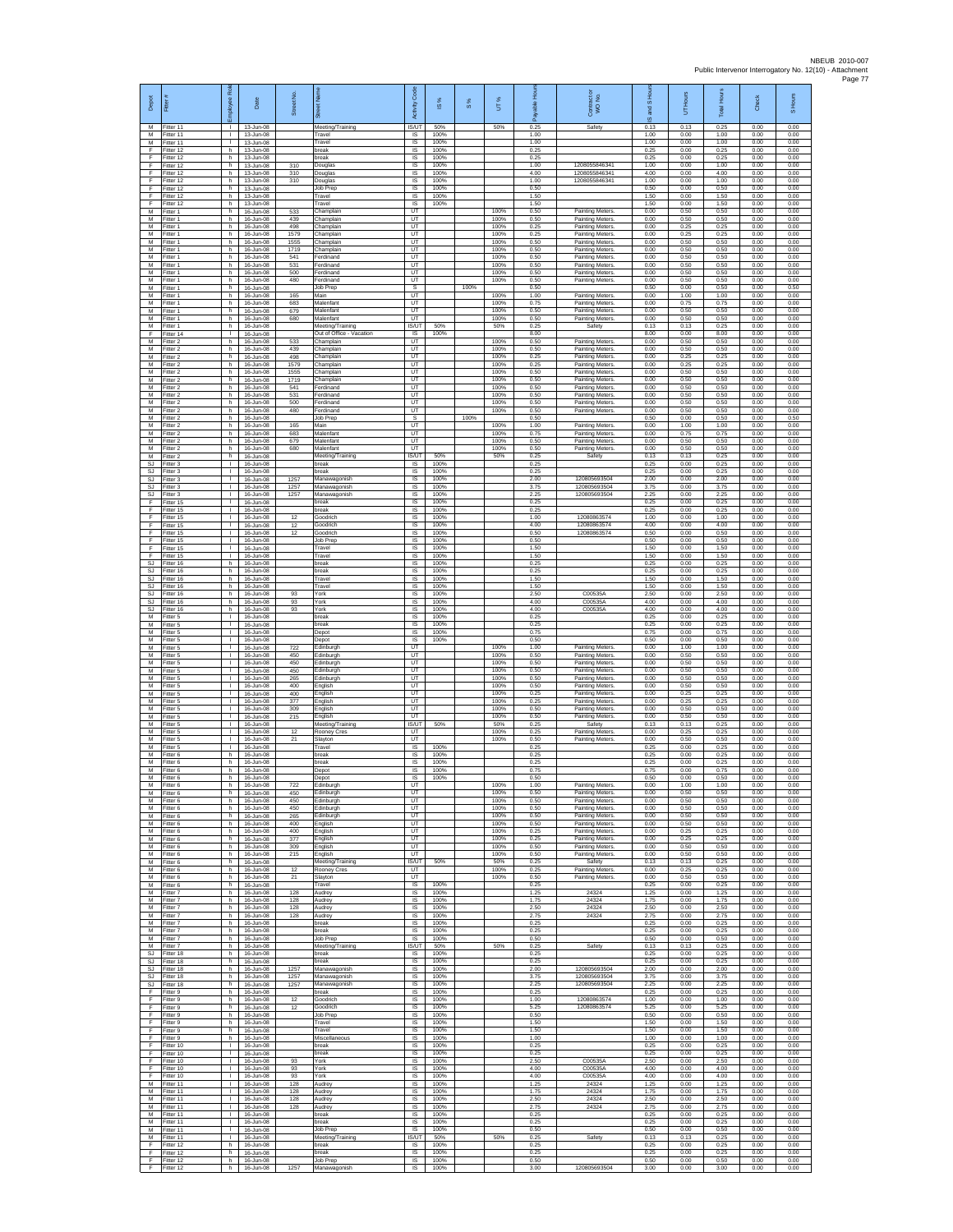| Depot                       | Fitter                                 | 웂<br>aekolo                        | Date                                             | Street No.          |                                                   | Activity Code              | <b>iS%</b>           | 8%   | UT%                  | 훞<br>able<br>ஃ       | Contract or<br>WO No.                                                      | IS and SHC           | UT Hours             | Total Hours          | Check                | S Hours              |
|-----------------------------|----------------------------------------|------------------------------------|--------------------------------------------------|---------------------|---------------------------------------------------|----------------------------|----------------------|------|----------------------|----------------------|----------------------------------------------------------------------------|----------------------|----------------------|----------------------|----------------------|----------------------|
| M<br>M<br>M                 | Fitter 11<br>Fitter 11<br>Fitter 11    | л.<br>$\mathbf{L}$<br>τ.           | 13-Jun-08<br>13-Jun-08<br>13-Jun-08              |                     | Meeting/Training<br>Travel<br>Travel              | IS/UT<br>IS<br>IS          | 50%<br>100%<br>100%  |      | 50%                  | 0.25<br>1.00<br>1.00 | Safety                                                                     | 0.13<br>1.00<br>1.00 | 0.13<br>0.00<br>0.00 | 0.25<br>1.00<br>1.00 | 0.00<br>0.00<br>0.00 | 0.00<br>0.00<br>0.00 |
| F<br>F<br>F                 | Fitter 12<br>Fitter 12<br>Fitter 12    | h<br>h<br>h.                       | 13-Jun-08<br>13-Jun-08<br>13-Jun-08              | 310                 | break<br>reak<br>Douglas                          | IS<br>IS<br>-IS            | 100%<br>100%<br>100% |      |                      | 0.25<br>0.25<br>1.00 | 120805584634                                                               | 0.25<br>0.25<br>1.00 | 0.00<br>0.00<br>0.00 | 0.25<br>0.25<br>1.00 | 0.00<br>0.00<br>0.00 | 0.00<br>0.00<br>0.00 |
| E<br>F<br>F                 | Fitter 12<br>Fitter 12                 | h.<br>h<br>h.                      | 13-Jun-08<br>13-Jun-08                           | 310<br>310          | Douglas<br><b>Douglas</b><br>Job Prep             | IS<br>IS<br>IS             | 100%<br>100%<br>100% |      |                      | 4.00<br>1.00<br>0.50 | 1208055846341<br>1208055846341                                             | 4.00<br>1.00<br>0.50 | 0.00<br>0.00<br>0.00 | 4.00<br>1.00<br>0.50 | 0.00<br>0.00<br>0.00 | 0.00<br>0.00<br>0.00 |
| F<br>F                      | Fitter 12<br>Fitter 12<br>Fitter 12    | h<br>h                             | 13-Jun-08<br>13-Jun-08<br>13-Jun-08              |                     | Travel<br>ravel                                   | IS<br>IS                   | 100%<br>100%         |      |                      | 1.50<br>1.50         |                                                                            | 1.50<br>1.50         | 0.00<br>0.00         | 1.50<br>1.50         | 0.00<br>0.00         | 0.00<br>0.00         |
| M<br>M<br>M                 | Fitter 1<br>Fitter 1<br>Fitter 1       | h<br>h.<br>h                       | 16-Jun-08<br>16-Jun-08<br>16-Jun-08              | 533<br>439<br>498   | Champlair<br>Champlain<br>hamplain,               | UT<br>UT<br>UT             |                      |      | 100%<br>100%<br>100% | 0.50<br>0.50<br>0.25 | <b>Painting Meters</b><br>Painting Meters.<br><b>Painting Meters</b>       | 0.00<br>0.00<br>0.00 | 0.50<br>0.50<br>0.25 | 0.50<br>0.50<br>0.25 | 0.00<br>0.00<br>0.00 | 0.00<br>0.00<br>0.00 |
| M<br>M                      | Fitter 1<br>Fitter 1                   | h<br>h                             | 16-Jun-08<br>16-Jun-08                           | 1579<br>1555        | hamplair<br>hamplair                              | UT<br>UT                   |                      |      | 100%<br>100%         | 0.25<br>0.50         | <b>Painting Meters</b><br><b>Painting Meters</b>                           | 0.00<br>0.00         | 0.25<br>0.50         | 0.25<br>0.50         | 0.00<br>0.00         | 0.00<br>0.00         |
| M<br>M<br>М                 | Fitter 1<br>-itter 1<br>Fitter 1       | h.<br>h.<br>h                      | 16-Jun-08<br>16-Jun-08<br>16-Jun-08              | 1719<br>541<br>531  | Champlair<br>erdinand<br>erdinand                 | UT<br>UT<br>UT             |                      |      | 100%<br>100%<br>100% | 0.50<br>0.50<br>0.50 | <b>Painting Meters</b><br>Painting Meters<br><b>Painting Meters</b>        | 0.00<br>0.00<br>0.00 | 0.50<br>0.50<br>0.50 | 0.50<br>0.50<br>0.50 | 0.00<br>0.00<br>0.00 | 0.00<br>0.00<br>0.00 |
| M<br>M<br>М                 | Fitter 1<br>Fitter 1<br>Fitter 1       | h.<br>h.<br>h                      | 16-Jun-08<br>16-Jun-08<br>16-Jun-08              | 500<br>480          | erdinand<br><b>Ferdinand</b><br>Job Prep          | UT<br><b>UT</b><br>s       |                      | 100% | 100%<br>100%         | 0.50<br>0.50<br>0.50 | <b>Painting Meters</b><br>Painting Meters                                  | 0.00<br>0.00<br>0.50 | 0.50<br>0.50<br>0.00 | 0.50<br>0.50<br>0.50 | 0.00<br>0.00<br>0.00 | 0.00<br>0.00<br>0.50 |
| M<br>M                      | Fitter 1<br>Fitter 1                   | h.<br>h.                           | 16-Jun-08<br>16-Jun-08                           | 165<br>683          | Main<br>Malenfant                                 | UT<br>UT                   |                      |      | 100%<br>100%         | 1.00<br>0.75         | <b>Painting Meters</b><br>Painting Meters.                                 | 0.00<br>0.00         | 1.00<br>0.75         | 1.00<br>0.75         | 0.00<br>0.00         | 0.00<br>0.00         |
| М<br>M<br>M                 | -itter 1<br>Fitter 1<br>Fitter 1       | h<br>h<br>h.                       | 16-Jun-08<br>16-Jun-08<br>16-Jun-08              | 679<br>680          | Malenfant<br>Malenfant<br>Meeting/Training        | UT<br>UT<br><b>IS/UT</b>   | 50%                  |      | 100%<br>100%<br>50%  | 0.50<br>0.50<br>0.25 | <b>Painting Meters</b><br>Painting Meters.<br>Safety                       | 0.00<br>0.00<br>0.13 | 0.50<br>0.50<br>0.13 | 0.50<br>0.50<br>0.25 | 0.00<br>0.00<br>0.00 | 0.00<br>0.00<br>0.00 |
| E<br>M<br>М                 | Fitter 14<br>Fitter 2<br>itter 2       | τ.<br>h<br>h                       | 16-Jun-08<br>16-Jun-08<br>16-Jun-08              | 533<br>439          | Out of Office - Vacation<br>Champlair<br>hamplair | IS<br>UT<br>UT             | 100%                 |      | 100%<br>100%         | 8.00<br>0.50<br>0.50 | Painting Meters.<br><b>Painting Meters</b>                                 | 8.00<br>0.00<br>0.00 | 0.00<br>0.50<br>0.50 | 8.00<br>0.50<br>0.50 | 0.00<br>0.00<br>0.00 | 0.00<br>0.00<br>0.00 |
| M<br>M                      | Fitter 2<br>Fitter 2                   | h.<br>h.                           | 16-Jun-08<br>16-Jun-08                           | 498<br>1579         | Champlair<br>hamplain,                            | UT<br><b>UT</b>            |                      |      | 100%<br>100%         | 0.25<br>0.25         | <b>Painting Meters</b><br>Painting Meters                                  | 0.00<br>0.00         | 0.25<br>0.25         | 0.25<br>0.25         | 0.00<br>0.00         | 0.00<br>0.00         |
| М<br>M<br>M                 | Fitter 2<br>Fitter 2<br>Fitter 2       | h<br>h.<br>h.                      | 16-Jun-08<br>16-Jun-08<br>16-Jun-08              | 1555<br>1719<br>541 | hamplain,<br>hamplair<br>erdinand                 | UT<br>UT<br>UT             |                      |      | 100%<br>100%<br>100% | 0.50<br>0.50<br>0.50 | Painting Meters.<br><b>Painting Meters</b><br><b>Painting Meters</b>       | 0.00<br>0.00<br>0.00 | 0.50<br>0.50<br>0.50 | 0.50<br>0.50<br>0.50 | 0.00<br>0.00<br>0.00 | 0.00<br>0.00<br>0.00 |
| M<br>M<br>M                 | -itter 2<br>Fitter 2                   | h<br>h                             | 16-Jun-08<br>16-Jun-08                           | 531<br>500<br>480   | erdinand<br>erdinand                              | UT<br>UT                   |                      |      | 100%<br>100%<br>100% | 0.50<br>0.50         | <b>Painting Meters</b><br>Painting Meters                                  | 0.00<br>0.00         | 0.50<br>0.50<br>0.50 | 0.50<br>0.50<br>0.50 | 0.00<br>0.00<br>0.00 | 0.00<br>0.00<br>0.00 |
| M<br>М                      | Fitter 2<br>Fitter 2<br>Fitter 2       | h.<br>h<br>h.                      | 16-Jun-08<br>16-Jun-08<br>16-Jun-08              | 165                 | erdinand<br>Job Prep<br>Main                      | UT<br>s<br>UT              |                      | 100% | 100%                 | 0.50<br>0.50<br>1.00 | Painting Meters<br>Painting Meters.                                        | 0.00<br>0.50<br>0.00 | 0.00<br>1.00         | 0.50<br>1.00         | 0.00<br>0.00         | 0.50<br>0.00         |
| M<br>M<br>M                 | Fitter 2<br>Fitter 2<br>-itter 2       | h<br>h.<br>h.                      | 16-Jun-08<br>16-Jun-08<br>16-Jun-08              | 683<br>679<br>680   | Malenfant<br>Malenfant<br>Malenfant               | UT<br>UT<br>LIT            |                      |      | 100%<br>100%<br>100% | 0.75<br>0.50<br>0.50 | <b>Painting Meters</b><br><b>Painting Meters</b><br><b>Painting Meters</b> | 0.00<br>0.00<br>0.00 | 0.75<br>0.50<br>0.50 | 0.75<br>0.50<br>0.50 | 0.00<br>0.00<br>0.00 | 0.00<br>0.00<br>0.00 |
| М<br><b>SJ</b>              | Fitter 2<br>Fitter 3                   | h<br>л.                            | 16-Jun-08<br>16-Jun-08                           |                     | Meeting/Training<br>break                         | IS/UT<br><b>IS</b>         | 50%<br>100%          |      | 50%                  | 0.25<br>0.25         | Safety                                                                     | 0.13<br>0.25         | 0.13<br>0.00         | 0.25<br>0.25         | 0.00<br>0.00         | 0.00<br>0.00         |
| <b>SJ</b><br>SJ<br>SJ.      | Fitter 3<br>Fitter 3<br>Fitter 3       | л.<br>٠<br>$\mathbf{L}$            | 16-Jun-08<br>16-Jun-08<br>16-Jun-08              | 1257<br>1257        | hreak<br>Manawagonish<br>Manawagonish             | IS<br>IS<br>IS             | 100%<br>100%<br>100% |      |                      | 0.25<br>2.00<br>3.75 | 120805693504<br>120805693504                                               | 0.25<br>2.00<br>3.75 | 0.00<br>0.00<br>0.00 | 0.25<br>2.00<br>3.75 | 0.00<br>0.00<br>0.00 | 0.00<br>0.00<br>0.00 |
| SJ<br>F<br>F                | Fitter 3<br>Fitter 15                  | $\mathbf{L}$<br>$\mathbf{L}$<br>т. | 16-Jun-08<br>16-Jun-08                           | 1257                | Manawagonish<br>reak<br>break                     | - IS<br>IS<br>IS           | 100%<br>100%<br>100% |      |                      | 2.25<br>0.25<br>0.25 | 120805693504                                                               | 2.25<br>0.25<br>0.25 | 0.00<br>0.00<br>0.00 | 2.25<br>0.25<br>0.25 | 0.00<br>0.00<br>0.00 | 0.00<br>0.00<br>0.00 |
| F<br>F                      | Fitter 15<br>Fitter 15<br>Fitter 15    | $\mathbf{L}$<br>т.                 | 16-Jun-08<br>16-Jun-08<br>16-Jun-08              | 12<br>12            | soodrich<br>Goodrich                              | IS<br>IS                   | 100%<br>100%         |      |                      | 1.00<br>4.00         | 12080863574<br>12080863574                                                 | 1.00<br>4.00         | 0.00<br>0.00         | 1.00<br>4.00         | 0.00<br>0.00         | 0.00<br>0.00         |
| F<br>F<br>F                 | Fitter 15<br>ltter 15<br>Fitter 15     | T.<br>т.<br>л.                     | 16-Jun-08<br>16-Jun-08<br>16-Jun-08              | 12                  | <b>Soodrich</b><br>lob Prep<br>Travel             | IS<br>IS<br>-IS            | 100%<br>100%<br>100% |      |                      | 0.50<br>0.50<br>1.50 | 12080863574                                                                | 0.50<br>0.50<br>1.50 | 0.00<br>0.00<br>0.00 | 0.50<br>0.50<br>1.50 | 0.00<br>0.00<br>0.00 | 0.00<br>0.00<br>0.00 |
| E<br>$\mathbb{S}\mathbb{J}$ | Fitter 15<br>Fitter 16                 | л.<br>h                            | 16-Jun-08<br>16-Jun-08                           |                     | Travel<br>break                                   | IS<br>IS                   | 100%<br>100%         |      |                      | 1.50<br>0.25         |                                                                            | 1.50<br>0.25         | 0.00<br>0.00         | 1.50<br>0.25         | 0.00<br>0.00         | 0.00<br>0.00         |
| <b>SJ</b><br>SJ<br>SJ       | Fitter 16<br>Fitter 16<br>Fitter 16    | h<br>h<br>h                        | 16-Jun-08<br>16-Jun-08<br>16-Jun-08              |                     | break<br>Travel<br>ravel                          | IS<br>IS<br>IS             | 100%<br>100%<br>100% |      |                      | 0.25<br>1.50<br>1.50 |                                                                            | 0.25<br>1.50<br>1.50 | 0.00<br>0.00<br>0.00 | 0.25<br>1.50<br>1.50 | 0.00<br>0.00<br>0.00 | 0.00<br>0.00<br>0.00 |
| SJ<br><b>SJ</b><br>SJ       | Fitter 16<br>Fitter 16<br>Fitter 16    | h<br>h.                            | 16-Jun-08<br>16-Jun-08                           | 93<br>93<br>93      | ork)<br>York<br>York                              | $\sf IS$<br>IS<br>IS       | 100%<br>100%<br>100% |      |                      | 2.50<br>4.00<br>4.00 | C00535A<br>C00535A<br>C00535A                                              | 2.50<br>4.00<br>4.00 | 0.00<br>0.00<br>0.00 | 2.50<br>4.00<br>4.00 | 0.00<br>0.00<br>0.00 | 0.00<br>0.00<br>0.00 |
| M<br>M                      | Fitter 5<br>Fitter 5                   | h<br>$\mathbb{L}$<br>т.            | 16-Jun-08<br>16-Jun-08<br>16-Jun-08              |                     | break<br>reak                                     | IS<br>IS                   | 100%<br>100%         |      |                      | 0.25<br>0.25         |                                                                            | 0.25<br>0.25         | 0.00<br>0.00         | 0.25<br>0.25         | 0.00<br>0.00         | 0.00<br>0.00         |
| M<br>M<br>М                 | Fitter 5<br>-itter 5<br>Fitter 5       | л.<br>$\mathbf{L}$<br>$\mathbf{I}$ | 16-Jun-08<br>16-Jun-08<br>16-Jun-08              | 722                 | Depot<br>Depot<br>dinburgh                        | -IS<br>IS<br>UT            | 100%<br>100%         |      | 100%                 | 0.75<br>0.50<br>1.00 | <b>Painting Meters</b>                                                     | 0.75<br>0.50<br>0.00 | 0.00<br>0.00<br>1.00 | 0.75<br>0.50<br>1.00 | 0.00<br>0.00<br>0.00 | 0.00<br>0.00<br>0.00 |
| M<br>M<br>М                 | Fitter 5<br>Fitter 5<br>Fitter 5       | $\mathbf{I}$<br>л.<br>٠            | 16-Jun-08<br>16-Jun-08<br>16-Jun-08              | 450<br>450<br>450   | Edinburgh<br>dinburgh<br>dinburgh                 | UT<br>LIT<br>UT            |                      |      | 100%<br>100%<br>100% | 0.50<br>0.50<br>0.50 | <b>Painting Meters</b><br>Painting Meters<br>Painting Meters.              | 0.00<br>0.00<br>0.00 | 0.50<br>0.50<br>0.50 | 0.50<br>0.50<br>0.50 | 0.00<br>0.00<br>0.00 | 0.00<br>0.00<br>0.00 |
| M<br>M                      | Fitter 5<br>Fitter 5                   | $\mathbf{L}$<br>$\mathbf{L}$<br>т. | 16-Jun-08<br>16-Jun-08                           | 265<br>400          | dinburgh<br>English                               | UT<br>UT<br>UT             |                      |      | 100%<br>100%<br>100% | 0.50<br>0.50<br>0.25 | <b>Painting Meters</b><br>Painting Meters.                                 | 0.00<br>0.00         | 0.50<br>0.50<br>0.25 | 0.50<br>0.50<br>0.25 | 0.00<br>0.00<br>0.00 | 0.00<br>0.00<br>0.00 |
| М<br>M<br>M                 | -itter 5<br>Fitter 5<br>Fitter 5       | T.<br>л.                           | 16-Jun-08<br>16-Jun-08<br>16-Jun-08              | 400<br>377<br>309   | Inglish<br><b>English</b><br>:nalish              | UT<br>UT                   |                      |      | 100%<br>100%         | 0.25<br>0.50         | <b>Painting Meters</b><br>Painting Meters.<br><b>Painting Meters</b>       | 0.00<br>0.00<br>0.00 | 0.25<br>0.50         | 0.25<br>0.50         | 0.00<br>0.00         | 0.00<br>0.00         |
| M<br>M<br>М                 | Fitter 5<br>Fitter 5<br>Fitter 5       | $\mathbf{I}$<br>т.                 | 16-Jun-08<br>16-Jun-08<br>16-Jun-08              | 215<br>12           | Inglish<br>Meeting/Training<br>Rooney Cres        | UT<br><b>IS/UT</b><br>UT   | 50%                  |      | 100%<br>50%<br>100%  | 0.50<br>0.25<br>0.25 | <b>Painting Meters</b><br>Safety<br><b>Painting Meters</b>                 | 0.00<br>0.13<br>0.00 | 0.50<br>0.13<br>0.25 | 0.50<br>0.25<br>0.25 | 0.00<br>0.00<br>0.00 | 0.00<br>0.00<br>0.00 |
| M<br>M<br>M                 | Fitter 5<br>Fitter 5<br>Fitter 6       | л.<br>л.<br>h                      | 16-Jun-08<br>16-Jun-08<br>16-Jun-08              | 21                  | Slayton<br>ravel<br>oreak                         | UT<br>IS<br>IS             | 100%<br>100%         |      | 100%                 | 0.50<br>0.25<br>0.25 | <b>Painting Meters</b>                                                     | 0.00<br>0.25<br>0.25 | 0.50<br>0.00<br>0.00 | 0.50<br>0.25<br>0.25 | 0.00<br>0.00<br>0.00 | 0.00<br>0.00<br>0.00 |
| M<br>M                      | Fitter 6<br>Fitter 6                   | h.<br>h                            | 16-Jun-08<br>16-Jun-08                           |                     | break<br>Depot                                    | IS<br>IS                   | 100%<br>100%         |      |                      | 0.25<br>0.75         |                                                                            | 0.25<br>0.75         | 0.00<br>0.00         | 0.25<br>0.75         | 0.00<br>0.00         | 0.00<br>0.00         |
| M<br>M                      | Fitter 6<br>Fitter 6<br>M Fitter 6     | h<br>h<br>h.                       | 16-Jun-08<br>16-Jun-08<br>16-Jun-08              | 722<br>450          | Depo<br>Edinburgh<br>Edinburgh                    | IS<br>UT<br>UT             | 100%                 |      | 100%<br>100%         | 0.50<br>1.00<br>0.50 | Painting Meters.<br>Painting Meters.                                       | 0.50<br>0.00<br>0.00 | 0.00<br>1.00<br>0.50 | 0.50<br>1.00<br>0.50 | 0.00<br>0.00<br>0.00 | 0.00<br>0.00<br>0.00 |
| M<br>M<br>M                 | Fitter 6<br>Fitter 6<br>Fitter 6       | h<br>h.<br>h                       | 16-Jun-08<br>16-Jun-08<br>16-Jun-08              | 450<br>450<br>265   | Edinburgh<br>Edinburgh<br>dinburgh                | UT<br>UT<br>UT             |                      |      | 100%<br>100%<br>100% | 0.50<br>0.50<br>0.50 | Painting Meters<br>Painting Meters.<br><b>Painting Meters</b>              | 0.00<br>0.00<br>0.00 | 0.50<br>0.50<br>0.50 | 0.50<br>0.50<br>0.50 | 0.00<br>0.00<br>0.00 | 0.00<br>0.00<br>0.00 |
| M<br>M                      | Fitter 6<br>Fitter 6                   | h.<br>h.                           | 16-Jun-08<br>16-Jun-08                           | 400<br>400          | English<br>English                                | UT<br>UT                   |                      |      | 100%<br>100%         | 0.50<br>0.25         | Painting Meters.<br>Painting Meters.                                       | 0.00<br>0.00         | 0.50<br>0.25         | 0.50<br>0.25         | 0.00<br>0.00         | 0.00<br>0.00         |
| М<br>M<br>M                 | Fitter 6<br>Fitter 6<br>Fitter 6       | h<br>h.<br>h                       | 16-Jun-08<br>16-Jun-08<br>16-Jun-08              | 377<br>309<br>215   | English<br>English<br>English                     | UT<br>UT<br><b>LIT</b>     |                      |      | 100%<br>100%<br>100% | 0.25<br>0.50<br>0.50 | <b>Painting Meters</b><br>Painting Meters.<br>Painting Meters.             | 0.00<br>0.00<br>0.00 | 0.25<br>0.50<br>0.50 | 0.25<br>0.50<br>0.50 | 0.00<br>0.00<br>0.00 | 0.00<br>0.00<br>0.00 |
| М<br>M                      | Fitter 6<br>Fitter 6                   | h<br>h.                            | 16-Jun-08<br>16-Jun-08<br>$16 - \frac{100}{200}$ | 12                  | Meeting/Training<br>Rooney Cres                   | <b>IS/UT</b><br>UT<br>UT   | 50%                  |      | 50%<br>100%<br>100%  | 0.25<br>0.25<br>0.50 | Safety<br>Painting Meters.                                                 | 0.13<br>0.00<br>0.00 | 0.13<br>0.25<br>0.50 | 0.25<br>0.25<br>0.50 | 0.00<br>0.00<br>0.00 | 0.00<br>0.00<br>0.00 |
| M<br>M<br>M                 | Fitter 6<br>-itter 6<br>Fitter 7       | h.<br>h<br>h.                      | 16-Jun-08<br>16-Jun-08                           | 21<br>128           | Slavton<br>Travel<br>Audrey                       | IS<br>1S                   | 100%<br>100%         |      |                      | 0.25<br>1.25         | Painting Meters.<br>24324                                                  | 0.25<br>1.25         | 0.00<br>0.00         | 0.25<br>1.25         | 0.00<br>0.00         | 0.00<br>0.00         |
| M<br>M<br>M                 | Fitter 7<br>Fitter 7<br>Fitter 7       | h<br>h<br>h                        | 16-Jun-08<br>16-Jun-08<br>16-Jun-08              | 128<br>128<br>128   | Audrey<br>Audrey<br>Audrey                        | IS<br>IS<br>IS             | 100%<br>100%<br>100% |      |                      | 1.75<br>2.50<br>2.75 | 24324<br>24324<br>24324                                                    | 1.75<br>2.50<br>2.75 | 0.00<br>0.00<br>0.00 | 1.75<br>2.50<br>2.75 | 0.00<br>0.00<br>0.00 | 0.00<br>0.00<br>0.00 |
| М<br>M                      | Fitter 7<br>Fitter 7                   | h<br>h.                            | 16-Jun-08<br>16-Jun-08                           |                     | break<br>break                                    | IS<br>- IS                 | 100%<br>100%         |      |                      | 0.25<br>0.25         |                                                                            | 0.25<br>0.25         | 0.00<br>0.00         | 0.25<br>0.25         | 0.00<br>0.00         | 0.00<br>0.00         |
| M<br>М<br>SJ.               | Fitter 7<br>Fitter 7<br>Fitter 18      | h.<br>h<br>h.                      | 16-Jun-08<br>16-Jun-08<br>16-Jun-08              |                     | lob Prep<br>Meeting/Training<br>break             | IS.<br>IS/UT<br><b>IS</b>  | 100%<br>50%<br>100%  |      | 50%                  | 0.50<br>0.25<br>0.25 | Safety                                                                     | 0.50<br>0.13<br>0.25 | 0.00<br>0.13<br>0.00 | 0.50<br>0.25<br>0.25 | 0.00<br>0.00<br>0.00 | 0.00<br>0.00<br>0.00 |
| SJ<br>SJ                    | SJ Fitter 18<br>Fitter 18<br>Fitter 18 | h.<br>h<br>h                       | $16 - \frac{1}{2}$<br>16-Jun-08<br>16-Jun-08     | 1257<br>1257        | break<br>Manawagonish<br>Manawagonish             | IS<br>IS<br>$\sf IS$       | 100%<br>100%<br>100% |      |                      | 0.25<br>2.00<br>3.75 | 120805693504<br>120805693504                                               | 0.25<br>2.00<br>3.75 | 0.00<br>0.00<br>0.00 | 0.25<br>2.00<br>3.75 | 0.00<br>0.00<br>0.00 | 0.00<br>0.00<br>0.00 |
| SJ.<br>F.                   | Fitter 18<br>Fitter 9                  | h.<br>h                            | 16-Jun-08<br>16-Jun-08                           | 1257                | Manawagonish<br>oreak                             | IS<br>IS                   | 100%<br>100%         |      |                      | 2.25<br>0.25         | 120805693504                                                               | 2.25<br>0.25         | 0.00<br>0.00         | 2.25<br>0.25         | 0.00<br>0.00         | 0.00<br>0.00         |
| F<br>F<br>F                 | Fitter 9<br>Fitter 9<br>Fitter 9       | h<br>h<br>h.                       | 16-Jun-08<br>16-Jun-08<br>16-Jun-08              | 12<br>12            | <b>Soodrich</b><br>Soodrich<br>Job Prep           | IS<br>IS<br>- IS           | 100%<br>100%<br>100% |      |                      | 1.00<br>5.25<br>0.50 | 12080863574<br>12080863574                                                 | 1.00<br>5.25<br>0.50 | 0.00<br>0.00<br>0.00 | 1.00<br>5.25<br>0.50 | 0.00<br>0.00<br>0.00 | 0.00<br>0.00<br>0.00 |
| F.<br>F<br>F                | Fitter 9<br>Fitter 9<br>Fitter 9       | h<br>h<br>h.                       | 16-Jun-08<br>16-Jun-08<br>16-Jun-08              |                     | Travel<br>Travel<br>Miscellaneous                 | IS<br>$\sf IS$<br>IS       | 100%<br>100%<br>100% |      |                      | 1.50<br>1.50<br>1.00 |                                                                            | 1.50<br>1.50<br>1.00 | 0.00<br>0.00<br>0.00 | 1.50<br>1.50<br>1.00 | 0.00<br>0.00<br>0.00 | 0.00<br>0.00<br>0.00 |
| F.<br>F                     | Fitter 10<br>Fitter 10                 | $\mathbf{L}$<br>т.                 | 16-Jun-08<br>16-Jun-08                           |                     | hreak<br>break                                    | IS<br>IS                   | 100%<br>100%         |      |                      | 0.25<br>0.25         |                                                                            | 0.25<br>0.25         | 0.00<br>0.00         | 0.25<br>0.25         | 0.00<br>0.00         | 0.00<br>0.00         |
| F<br>F.<br>F                | Fitter 10<br>Fitter 10<br>Fitter 10    | т<br>л.                            | 16-Jun-08<br>16-Jun-08<br>16-Jun-08              | 93<br>93<br>93      | York<br>York<br>York                              | IS<br><b>IS</b><br>IS      | 100%<br>100%<br>100% |      |                      | 2.50<br>4.00<br>4.00 | C00535A<br>C00535A<br>C00535A                                              | 2.50<br>4.00<br>4.00 | 0.00<br>0.00<br>0.00 | 2.50<br>4.00<br>4.00 | 0.00<br>0.00<br>0.00 | 0.00<br>0.00<br>0.00 |
| M<br>M<br>M                 | Fitter 11<br>Fitter 11                 | т.<br>$\mathbf{L}$                 | 16-Jun-08<br>16-Jun-08                           | 128<br>128          | Audrey<br>Audrey                                  | IS<br>IS                   | 100%<br>100%         |      |                      | 1.25<br>1.75<br>2.50 | 24324<br>24324<br>24324                                                    | 1.25<br>1.75<br>2.50 | 0.00<br>0.00         | 1.25<br>1.75<br>2.50 | 0.00<br>0.00         | 0.00<br>0.00         |
| M<br>M                      | Fitter 11<br>Fitter 11<br>Fitter 11    | τ.<br>$\mathbb{L}$<br>T.           | 16-Jun-08<br>16-Jun-08<br>16-Jun-08              | 128<br>128          | Audrey<br>Audrey<br>break                         | IS<br>1S<br>IS             | 100%<br>100%<br>100% |      |                      | 2.75<br>0.25         | 24324                                                                      | 2.75<br>0.25         | 0.00<br>0.00<br>0.00 | 2.75<br>0.25         | 0.00<br>0.00<br>0.00 | 0.00<br>0.00<br>0.00 |
| M<br>м<br>М                 | Fitter 11<br>Fitter 11<br>Fitter 11    | л.<br>$\mathbf{L}$<br>т.           | 16-Jun-08<br>16-Jun-08<br>16-Jun-08              |                     | break<br>.lob Prep<br>Meeting/Training            | - IS<br><b>IS</b><br>IS/UT | 100%<br>100%<br>50%  |      | 50%                  | 0.25<br>0.50<br>0.25 | Safety                                                                     | 0.25<br>0.50<br>0.13 | 0.00<br>0.00<br>0.13 | 0.25<br>0.50<br>0.25 | 0.00<br>0.00<br>0.00 | 0.00<br>0.00<br>0.00 |
| F<br>F.                     | Fitter 12<br>Fitter 12                 | h<br>h.                            | 16-Jun-08<br>16-Jun-08                           |                     | break<br>break                                    | IS<br>IS                   | 100%<br>100%         |      |                      | 0.25<br>0.25         |                                                                            | 0.25<br>0.25         | 0.00<br>0.00         | 0.25<br>0.25         | 0.00<br>0.00         | 0.00<br>0.00         |
| $\mathsf F$<br>F.           | Fitter 12<br>Fitter 12                 | h<br>h                             | 16-Jun-08<br>16-Jun-08                           | 1257                | Job Prep<br>Manawagonish                          | $\sf IS$<br>IS             | 100%<br>100%         |      |                      | 0.50<br>3.00         | 120805693504                                                               | 0.50<br>3.00         | 0.00<br>0.00         | 0.50<br>3.00         | 0.00<br>0.00         | 0.00<br>0.00         |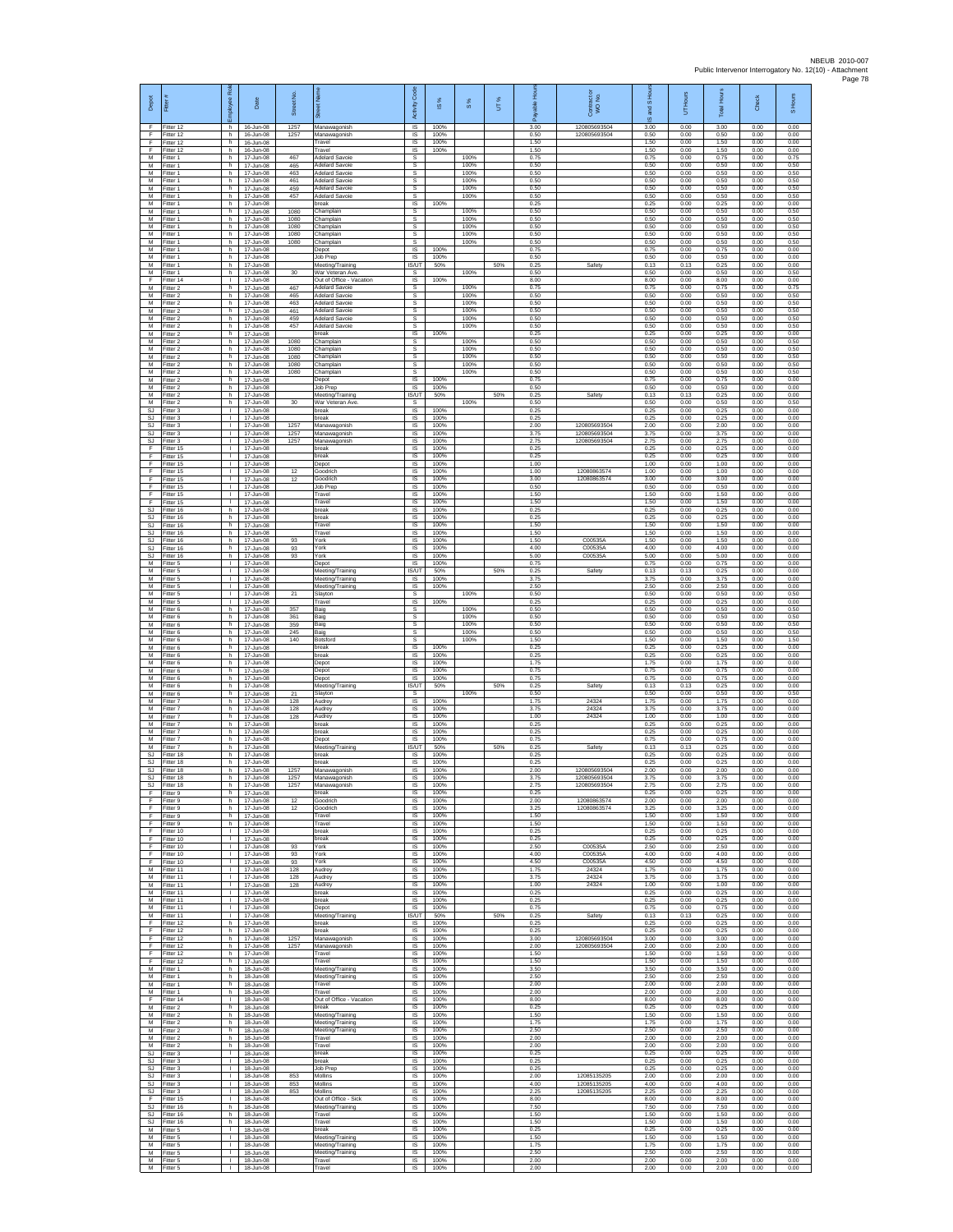| Depot                 | Fitter #                             | <b>R</b><br>Employee                 | Date                                | Street No.           |                                                                      | Code<br>Activity                   | ×,<br>$\overline{\omega}$ | 8%                   | UT% | 훈<br>able<br>Æ       | Contract or<br>WO No.        | S Hou<br>g<br>ဖ      | UT Hours             | <b>Total Hours</b>   | <b>Check</b>         | S Hours              |
|-----------------------|--------------------------------------|--------------------------------------|-------------------------------------|----------------------|----------------------------------------------------------------------|------------------------------------|---------------------------|----------------------|-----|----------------------|------------------------------|----------------------|----------------------|----------------------|----------------------|----------------------|
| $\mathsf F$<br>F<br>F | Fitter 12<br>Fitter 12<br>Fitter 12  | h<br>h<br>h.                         | 16-Jun-08<br>16-Jun-08<br>16-Jun-08 | 1257<br>1257         | Manawagonish<br>Manawagonish<br>Travel                               | IS<br>$\sf IS$<br>IS.              | 100%<br>100%<br>100%      |                      |     | 3.00<br>0.50<br>1.50 | 120805693504<br>120805693504 | 3.00<br>0.50<br>1.50 | 0.00<br>0.00<br>0.00 | 3.00<br>0.50<br>1.50 | 0.00<br>0.00<br>0.00 | 0.00<br>0.00<br>0.00 |
| E<br>M<br>М           | Fitter 12<br>Fitter 1<br>Fitter 1    | h.<br>h.<br>h                        | 16-Jun-08<br>17-Jun-08<br>17-Jun-08 | 467<br>465           | ravel<br><b>Adelard Savoie</b><br><b>Adelard Savoie</b>              | IS<br>s<br>s                       | 100%                      | 100%<br>100%         |     | 1.50<br>0.75<br>0.50 |                              | 1.50<br>0.75<br>0.50 | 0.00<br>0.00<br>0.00 | 1.50<br>0.75<br>0.50 | 0.00<br>0.00<br>0.00 | 0.00<br>0.75<br>0.50 |
| M<br>M                | Fitter 1<br>Fitter 1                 | h.<br>h                              | 17-Jun-08<br>17-Jun-08              | 463<br>461           | <b>Adelard Savoie</b><br><b>Adelard Savoie</b>                       | s<br>s                             |                           | 100%<br>100%         |     | 0.50<br>0.50         |                              | 0.50<br>0.50         | 0.00<br>0.00         | 0.50<br>0.50         | 0.00<br>0.00         | 0.50<br>0.50         |
| М<br>M<br>M           | Fitter 1<br>Fitter 1<br>Fitter 1     | h<br>h.<br>h                         | 17-Jun-08<br>17-Jun-08<br>17-Jun-08 | 459<br>457           | delard Savoie<br><b>Adelard Savoie</b><br>break                      | s<br>s<br>IS                       | 100%                      | 100%<br>100%         |     | 0.50<br>0.50<br>0.25 |                              | 0.50<br>0.50<br>0.25 | 0.00<br>0.00<br>0.00 | 0.50<br>0.50<br>0.25 | 0.00<br>0.00<br>0.00 | 0.50<br>0.50<br>0.00 |
| M<br>M<br>M           | Fitter 1<br>Fitter 1<br>Fitter 1     | h<br>h.<br>h.                        | 17-Jun-08<br>17-Jun-08<br>17-Jun-08 | 1080<br>1080<br>1080 | Champlain<br>Champlain<br>Champlain                                  | s<br>s<br>s.                       |                           | 100%<br>100%<br>100% |     | 0.50<br>0.50<br>0.50 |                              | 0.50<br>0.50<br>0.50 | 0.00<br>0.00<br>0.00 | 0.50<br>0.50<br>0.50 | 0.00<br>0.00<br>0.00 | 0.50<br>0.50<br>0.50 |
| M<br>M                | Fitter 1<br>Fitter 1                 | h<br>h                               | 17-Jun-08<br>17-Jun-08              | 1080<br>1080         | Champlain<br>Champlain                                               | s<br>s                             |                           | 100%<br>100%         |     | 0.50<br>0.50         |                              | 0.50<br>0.50         | 0.00<br>0.00         | 0.50<br>0.50         | 0.00<br>0.00         | 0.50<br>0.50         |
| M<br>M<br>M           | Fitter 1<br>Fitter 1<br>-itter 1     | h<br>h.<br>h.                        | 17-Jun-08<br>17-Jun-08<br>17-Jun-08 |                      | Depot<br>Job Prep<br>Meeting/Training                                | IS<br>IS<br>IS/UT                  | 100%<br>100%<br>50%       |                      | 50% | 0.75<br>0.50<br>0.25 | Safety                       | 0.75<br>0.50<br>0.13 | 0.00<br>0.00<br>0.13 | 0.75<br>0.50<br>0.25 | 0.00<br>0.00<br>0.00 | 0.00<br>0.00<br>0.00 |
| М<br>F<br>M           | -itter 1<br>Fitter 14<br>Fitter 2    | h<br>л.<br>h.                        | 17-Jun-08<br>17-Jun-08<br>17-Jun-08 | 30<br>467            | War Veteran Ave<br>Out of Office - Vacation<br><b>Adelard Savoie</b> | -S<br>$\overline{\mathsf{s}}$<br>s | 100%                      | 100%<br>100%         |     | 0.50<br>8.00<br>0.75 |                              | 0.50<br>8.00<br>0.75 | 0.00<br>0.00<br>0.00 | 0.50<br>8.00<br>0.75 | 0.00<br>0.00<br>0.00 | 0.50<br>0.00<br>0.75 |
| М<br>M                | Fitter 2<br>Fitter 2                 | h<br>h.                              | 17-Jun-08<br>17-Jun-08              | 465<br>463           | delard Savoie<br><b>Adelard Savoie</b>                               | s<br>s                             |                           | 100%<br>100%         |     | 0.50<br>0.50         |                              | 0.50<br>0.50         | 0.00<br>0.00         | 0.50<br>0.50         | 0.00<br>0.00         | 0.50<br>0.50         |
| м<br>М<br>M           | Fitter 2<br>Fitter 2<br>Fitter 2     | h.<br>h<br>h.                        | 17-Jun-08<br>17-Jun-08<br>17-Jun-08 | 461<br>459<br>457    | <b>Adelard Savoie</b><br>Adelard Savoie<br><b>Adelard Savoie</b>     | s.<br>s<br>s                       |                           | 100%<br>100%<br>100% |     | 0.50<br>0.50<br>0.50 |                              | 0.50<br>0.50<br>0.50 | 0.00<br>0.00<br>0.00 | 0.50<br>0.50<br>0.50 | 0.00<br>0.00<br>0.00 | 0.50<br>0.50<br>0.50 |
| M<br>M<br>M           | Fitter 2<br>Fitter 2<br>Fitter 2     | h.<br>h<br>h.                        | 17-Jun-08<br>17-Jun-08<br>17-Jun-08 | 1080<br>1080         | oreak<br>hamplain,<br>Champlain                                      | IS.<br>s<br>s                      | 100%                      | 100%<br>100%         |     | 0.25<br>0.50<br>0.50 |                              | 0.25<br>0.50<br>0.50 | 0.00<br>0.00<br>0.00 | 0.25<br>0.50<br>0.50 | 0.00<br>0.00<br>0.00 | 0.00<br>0.50<br>0.50 |
| M<br>M                | Fitter 2<br>Fitter 2                 | h<br>h.                              | 17-Jun-08<br>17-Jun-08              | 1080<br>1080         | Champlain<br>Champlain                                               | s<br>s                             |                           | 100%<br>100%         |     | 0.50<br>0.50         |                              | 0.50<br>0.50         | 0.00<br>0.00         | 0.50<br>0.50         | 0.00<br>0.00         | 0.50<br>0.50         |
| M<br>М<br>M           | -itter 2<br>Fitter 2<br>Fitter 2     | h.<br>h<br>h.                        | 17-Jun-08<br>17-Jun-08<br>17-Jun-08 | 1080                 | Champlain<br>Depot<br>Job Prep                                       | s<br>1S<br>IS                      | 100%<br>100%              | 100%                 |     | 0.50<br>0.75<br>0.50 |                              | 0.50<br>0.75<br>0.50 | 0.00<br>0.00<br>0.00 | 0.50<br>0.75<br>0.50 | 0.00<br>0.00<br>0.00 | 0.50<br>0.00<br>0.00 |
| м<br>M<br>SJ.         | Fitter 2<br>Fitter 2<br>Fitter 3     | h.<br>h<br>т                         | 17-Jun-08<br>17-Jun-08<br>17-Jun-08 | 30                   | Meeting/Training<br>War Veteran Ave<br>break                         | IS/UT<br>s<br>IS                   | 50%<br>100%               | 100%                 | 50% | 0.25<br>0.50<br>0.25 | Safety                       | 0.13<br>0.50<br>0.25 | 0.13<br>0.00<br>0.00 | 0.25<br>0.50<br>0.25 | 0.00<br>0.00<br>0.00 | 0.00<br>0.50<br>0.00 |
| SJ.<br>SJ             | Fitter 3<br>Fitter 3                 | $\mathbf{L}$<br>$\mathbf{L}$         | 17-Jun-08<br>17-Jun-08              | 1257                 | break<br>Manawagonish                                                | <b>IS</b><br>IS                    | 100%<br>100%              |                      |     | 0.25<br>2.00         | 120805693504                 | 0.25<br>2.00         | 0.00<br>0.00         | 0.25<br>2.00         | 0.00<br>0.00         | 0.00<br>0.00         |
| SJ<br>SJ.<br>F        | Fitter 3<br>Fitter 3<br>Fitter 15    | H.<br>т.<br>л.                       | 17-Jun-08<br>17-Jun-08<br>17-Jun-08 | 1257<br>1257         | Manawagonish<br>Manawagonish<br>break                                | 1S<br>IS<br>IS                     | 100%<br>100%<br>100%      |                      |     | 3.75<br>2.75<br>0.25 | 120805693504<br>120805693504 | 3.75<br>2.75<br>0.25 | 0.00<br>0.00<br>0.00 | 3.75<br>2.75<br>0.25 | 0.00<br>0.00<br>0.00 | 0.00<br>0.00<br>0.00 |
| F.<br>F<br>F          | Fitter 15<br>Fitter 15<br>Fitter 15  | л.<br>$\mathbf{L}$<br>л.             | 17-Jun-08<br>17-Jun-08<br>17-Jun-08 | 12                   | break<br>Depot<br>Goodrich                                           | $\sf IS$<br>IS<br>IS               | 100%<br>100%<br>100%      |                      |     | 0.25<br>1.00<br>1.00 | 12080863574                  | 0.25<br>1.00<br>1.00 | 0.00<br>0.00<br>0.00 | 0.25<br>1.00<br>1.00 | 0.00<br>0.00<br>0.00 | 0.00<br>0.00<br>0.00 |
| F.<br>F               | Fitter 15<br>Fitter 15               | л.<br>٠                              | 17-Jun-08<br>17-Jun-08              | 12                   | <b>Soodrich</b><br>lob Prep                                          | IS<br>IS                           | 100%<br>100%              |                      |     | 3.00<br>0.50         | 12080863574                  | 3.00<br>0.50         | 0.00<br>0.00         | 3.00<br>0.50         | 0.00<br>0.00         | 0.00<br>0.00         |
| F.<br>F<br>SJ         | Fitter 15<br>Fitter 15<br>Fitter 16  | $\mathbf{L}$<br>$\mathbf{L}$<br>h    | 17-Jun-08<br>17-Jun-08<br>17-Jun-08 |                      | Travel<br>Travel<br>reak                                             | 1S<br><b>IS</b><br>IS              | 100%<br>100%<br>100%      |                      |     | 1.50<br>1.50<br>0.25 |                              | 1.50<br>1.50<br>0.25 | 0.00<br>0.00<br>0.00 | 1.50<br>1.50<br>0.25 | 0.00<br>0.00<br>0.00 | 0.00<br>0.00<br>0.00 |
| SJ<br>SJ.             | Fitter 16<br>Fitter 16               | h.<br>h.                             | 17-Jun-08<br>$17 - \ln 0.08$        |                      | break<br>Travel                                                      | $\sf IS$<br>IS.                    | 100%<br>100%              |                      |     | 0.25<br>1.50<br>1.50 |                              | 0.25<br>1.50<br>1.50 | 0.00<br>0.00         | 0.25<br>1.50<br>1.50 | 0.00<br>0.00         | 0.00<br>0.00         |
| SJ<br><b>SJ</b><br>SJ | Fitter 16<br>Fitter 16<br>fitter 16  | h<br>h<br>h                          | 17-Jun-08<br>17-Jun-08<br>17-Jun-08 | 93<br>93             | ravel<br>York<br>York                                                | IS<br>IS<br>IS                     | 100%<br>100%<br>100%      |                      |     | 1.50<br>4.00         | C00535A<br>C00535/           | 1.50<br>4.00         | 0.00<br>0.00<br>0.00 | 1.50<br>4.00         | 0.00<br>0.00<br>0.00 | 0.00<br>0.00<br>0.00 |
| <b>SJ</b><br>M<br>М   | Fitter 16<br>Fitter 5<br>Fitter 5    | h.<br>$\mathbf{L}$<br>т.             | 17-Jun-08<br>17-Jun-08<br>17-Jun-08 | 93                   | York<br>Depot<br>Meeting/Training                                    | IS<br>IS<br>IS/UT                  | 100%<br>100%<br>50%       |                      | 50% | 5.00<br>0.75<br>0.25 | C00535A<br>Safety            | 5.00<br>0.75<br>0.13 | 0.00<br>0.00<br>0.13 | 5.00<br>0.75<br>0.25 | 0.00<br>0.00<br>0.00 | 0.00<br>0.00<br>0.00 |
| M<br>м                | Fitter 5<br>Fitter 5                 | $\mathbb{R}$<br>$\mathbf{L}$         | 17-Jun-08<br>17-Jun-08              |                      | Meeting/Training<br>Meeting/Training                                 | $\mathsf{IS}$<br>IS                | 100%<br>100%              |                      |     | 3.75<br>2.50         |                              | 3.75<br>2.50         | 0.00<br>0.00         | 3.75<br>2.50         | 0.00<br>0.00         | 0.00<br>0.00         |
| М<br>M<br>M           | Fitter 5<br>Fitter 5<br>Fitter 6     | т.<br>т<br>h.                        | 17-Jun-08<br>17-Jun-08<br>17-Jun-08 | 21<br>357            | Slayton<br>Travel<br>Baig                                            | s<br>IS<br>s                       | 100%                      | 100%<br>100%         |     | 0.50<br>0.25<br>0.50 |                              | 0.50<br>0.25<br>0.50 | 0.00<br>0.00<br>0.00 | 0.50<br>0.25<br>0.50 | 0.00<br>0.00<br>0.00 | 0.50<br>0.00<br>0.50 |
| М<br>M<br>M           | Fitter 6<br>Fitter 6<br>Fitter 6     | h<br>h<br>h                          | 17-Jun-08<br>17-Jun-08<br>17-Jun-08 | 361<br>359<br>245    | Baig<br>Baig<br>Baig                                                 | s<br>s<br>s                        |                           | 100%<br>100%<br>100% |     | 0.50<br>0.50<br>0.50 |                              | 0.50<br>0.50<br>0.50 | 0.00<br>0.00<br>0.00 | 0.50<br>0.50<br>0.50 | 0.00<br>0.00<br>0.00 | 0.50<br>0.50<br>0.50 |
| M<br>M                | Fitter 6<br>Fitter 6                 | h.<br>h.                             | 17-Jun-08<br>17-Jun-08              | 140                  | Botsford<br>break                                                    | s<br>$\sf IS$                      | 100%                      | 100%                 |     | 1.50<br>0.25         |                              | 1.50<br>0.25         | 0.00<br>0.00         | 1.50<br>0.25         | 0.00<br>0.00         | 1.50<br>0.00         |
| М<br>M<br>M           | -itter 6<br>Fitter 6<br>Fitter 6     | h<br>h.<br>h.                        | 17-Jun-08<br>17-Jun-08<br>17-Jun-08 |                      | oreak<br>Depot<br>Depot                                              | $\sf IS$<br>IS<br>IS               | 100%<br>100%<br>100%      |                      |     | 0.25<br>1.75<br>0.75 |                              | 0.25<br>1.75<br>0.75 | 0.00<br>0.00<br>0.00 | 0.25<br>1.75<br>0.75 | 0.00<br>0.00<br>0.00 | 0.00<br>0.00<br>0.00 |
| М<br>M<br>м           | Fitter 6<br>Fitter 6<br>Fitter 6     | h<br>h.<br>h.                        | 17-Jun-08<br>17-Jun-08<br>17-Jun-08 | 21                   | Depot<br>Meeting/Training<br>Slavton                                 | IS<br><b>IS/UT</b><br>s.           | 100%<br>50%               | 100%                 | 50% | 0.75<br>0.25<br>0.50 | Safety                       | 0.75<br>0.13<br>0.50 | 0.00<br>0.13<br>0.00 | 0.75<br>0.25<br>0.50 | 0.00<br>0.00<br>0.00 | 0.00<br>0.00<br>0.50 |
| М<br>M                | Fitter 7<br>Fitter 7                 | h<br>h.                              | 17-Jun-08<br>17-Jun-08              | 128<br>128           | Audrey<br>Audrey                                                     | IS<br>$\sf IS$                     | 100%<br>100%              |                      |     | 1.75<br>3.75         | 24324<br>24324               | 1.75<br>3.75         | 0.00<br>0.00         | 1.75<br>3.75         | 0.00<br>0.00         | 0.00<br>0.00         |
| M<br>M<br>M           | Fitter 7<br>Fitter 7<br>Fitter 7     | h.<br>h<br>h.                        | 17-Jun-08<br>17-Jun-08<br>17-Jun-08 | 128                  | Audrey<br>reak<br>break                                              | IS<br>IS<br>1S                     | 100%<br>100%<br>100%      |                      |     | 1.00<br>0.25<br>0.25 | 24324                        | 1.00<br>0.25<br>0.25 | 0.00<br>0.00<br>0.00 | 1.00<br>0.25<br>0.25 | 0.00<br>0.00<br>0.00 | 0.00<br>0.00<br>0.00 |
| M<br>M<br>SJ.         | Fitter 7<br>Fitter 7<br>Fitter 18    | h.<br>h.<br>h.                       | 17-Jun-08<br>17-Jun-08<br>17-Jun-08 |                      | Depot<br>Meeting/Training<br><b>preak</b>                            | IS<br>IS/UT<br>IS                  | 100%<br>50%<br>100%       |                      | 50% | 0.75<br>0.25<br>0.25 | Safety                       | 0.75<br>0.13<br>0.25 | 0.00<br>0.13<br>0.00 | 0.75<br>0.25<br>0.25 | 0.00<br>0.00<br>0.00 | 0.00<br>0.00<br>0.00 |
| SJ<br>SJ.             | Fitter 18<br>Fitter 18               | h<br>h.                              | 17-Jun-08<br>17-Jun-08              | 1257                 | break<br>Manawagonish                                                | IS<br>IS                           | 100%<br>100%              |                      |     | 0.25<br>2.00         | 120805693504                 | 0.25<br>2.00         | 0.00<br>0.00         | 0.25<br>2.00         | 0.00<br>0.00         | 0.00<br>0.00         |
| SJ.<br>SJ<br>F        | Fitter 18<br>Fitter 18<br>Fitter 9   | h.<br>h<br>h.                        | 17-Jun-08<br>17-Jun-08<br>17-Jun-08 | 1257<br>1257         | Manawagonish<br>Manawagonish<br>break                                | IS<br>IS<br>1S                     | 100%<br>100%<br>100%      |                      |     | 3.75<br>2.75<br>0.25 | 120805693504<br>120805693504 | 3.75<br>2.75<br>0.25 | 0.00<br>0.00<br>0.00 | 3.75<br>2.75<br>0.25 | 0.00<br>0.00<br>0.00 | 0.00<br>0.00<br>0.00 |
| F<br>E<br>F           | Fitter 9<br>Fitter 9<br>Fitter 9     | h.<br>h<br>h.                        | 17-Jun-08<br>17-Jun-08<br>17-Jun-08 | 12<br>12             | Goodrich<br><b>Soodrich</b><br>Travel                                | <b>IS</b><br>IS<br>1S              | 100%<br>100%<br>100%      |                      |     | 2.00<br>3.25<br>1.50 | 12080863574<br>12080863574   | 2.00<br>3.25<br>1.50 | 0.00<br>0.00<br>0.00 | 2.00<br>3.25<br>1.50 | 0.00<br>0.00<br>0.00 | 0.00<br>0.00<br>0.00 |
| F<br>F                | Fitter 9<br>Fitter 10                | h.<br>л.<br>$\mathbf{L}$             | 17-Jun-08<br>17-Jun-08              |                      | Travel<br>break                                                      | IS<br>- IS                         | 100%<br>100%              |                      |     | 1.50<br>0.25         |                              | 1.50<br>0.25         | 0.00<br>0.00         | 1.50<br>0.25         | 0.00<br>0.00         | 0.00<br>0.00         |
| F.<br>F<br>F          | Fitter 10<br>Fitter 10<br>Fitter 10  | $\mathbf{I}$<br>л.                   | 17-Jun-08<br>17-Jun-08<br>17-Jun-08 | 93<br>93             | break<br>York<br>York                                                | $\sf IS$<br>IS<br>- IS             | 100%<br>100%<br>100%      |                      |     | 0.25<br>2.50<br>4.00 | C00535A<br>C00535A           | 0.25<br>2.50<br>4.00 | 0.00<br>0.00<br>0.00 | 0.25<br>2.50<br>4.00 | 0.00<br>0.00<br>0.00 | 0.00<br>0.00<br>0.00 |
| F.<br>М<br>M          | Fitter 10<br>Fitter 11<br>Fitter 11  | $\mathbf{L}$<br>т.<br>т              | 17-Jun-08<br>17-Jun-08<br>17-Jun-08 | 93<br>128<br>128     | York<br>Audrey<br>Audrey                                             | IS<br>IS<br>IS                     | 100%<br>100%<br>100%      |                      |     | 4.50<br>1.75<br>3.75 | C00535A<br>24324<br>24324    | 4.50<br>1.75<br>3.75 | 0.00<br>0.00<br>0.00 | 4.50<br>1.75<br>3.75 | 0.00<br>0.00<br>0.00 | 0.00<br>0.00<br>0.00 |
| ${\sf M}$             | M Fitter 11<br>Fitter 11             | $\mathbf{L}$<br>л.                   | 17-Jun-08<br>17-Jun-08              | 128                  | Audrey<br>oreak                                                      | <b>IS</b><br>IS                    | 100%<br>100%              |                      |     | 1.00<br>0.25         | 24324                        | 1.00<br>0.25         | 0.00<br>0.00         | 1.00<br>0.25         | 0.00<br>0.00         | 0.00<br>0.00         |
| M<br>м<br>М           | Fitter 11<br>Fitter 11<br>Fitter 11  | $\mathbf{L}$<br>$\mathbf{L}$<br>л.   | 17-Jun-08<br>17-Jun-08<br>17-Jun-08 |                      | break<br>Depot<br>Meeting/Training                                   | $\sf IS$<br>IS<br>IS/UT            | 100%<br>100%<br>50%       |                      | 50% | 0.25<br>0.75<br>0.25 | Safety                       | 0.25<br>0.75<br>0.13 | 0.00<br>0.00<br>0.13 | 0.25<br>0.75<br>0.25 | 0.00<br>0.00<br>0.00 | 0.00<br>0.00<br>0.00 |
| F<br>F<br>F           | Fitter 12<br>Fitter 12<br>Fitter 12  | h<br>h<br>h.                         | 17-Jun-08<br>17-Jun-08<br>17-Jun-08 | 1257                 | break<br>oreak<br>Manawagonish                                       | 1S<br>IS<br>- IS                   | 100%<br>100%<br>100%      |                      |     | 0.25<br>0.25<br>3.00 | 120805693504                 | 0.25<br>0.25<br>3.00 | 0.00<br>0.00<br>0.00 | 0.25<br>0.25<br>3.00 | 0.00<br>0.00<br>0.00 | 0.00<br>0.00<br>0.00 |
| F.<br>F               | Fitter 12<br>Fitter 12               | h.<br>h                              | 17-Jun-08<br>17-Jun-08              | 1257                 | Manawagonish<br>Travel                                               | IS.<br>IS                          | 100%<br>100%              |                      |     | 2.00<br>1.50         | 120805693504                 | 2.00<br>1.50         | 0.00<br>0.00         | 2.00<br>1.50         | 0.00<br>0.00         | 0.00<br>0.00         |
| F<br>M                | Fitter 12<br>M Fitter 1<br>Fitter 1  | h<br>h.<br>h                         | 17-Jun-08<br>18-Jun-08<br>18-Jun-08 |                      | Travel<br>Meeting/Training<br>Meeting/Training                       | IS<br>IS<br>IS                     | 100%<br>100%<br>100%      |                      |     | 1.50<br>3.50<br>2.50 |                              | 1.50<br>3.50<br>2.50 | 0.00<br>0.00<br>0.00 | 1.50<br>3.50<br>2.50 | 0.00<br>0.00<br>0.00 | 0.00<br>0.00<br>0.00 |
| M<br>M<br>E           | Fitter 1<br>Fitter 1<br>Fitter 14    | h.<br>h.<br>$\mathbb{R}$             | 18-Jun-08<br>18-Jun-08              |                      | Travel<br>Travel                                                     | IS<br>IS.<br>IS                    | 100%<br>100%<br>100%      |                      |     | 2.00<br>2.00<br>8.00 |                              | 2.00<br>2.00<br>8.00 | 0.00<br>0.00<br>0.00 | 2.00<br>2.00<br>8.00 | 0.00<br>0.00<br>0.00 | 0.00<br>0.00<br>0.00 |
| M<br>M                | Fitter 2<br>Fitter 2                 | h<br>h.                              | 18-Jun-08<br>18-Jun-08<br>18-Jun-08 |                      | Out of Office - Vacation<br>break<br>Meeting/Training                | IS<br>IS                           | 100%<br>100%              |                      |     | 0.25<br>1.50         |                              | 0.25<br>1.50         | 0.00<br>0.00         | 0.25<br>1.50         | 0.00<br>0.00         | 0.00<br>0.00         |
| M<br>M<br>M           | Fitter 2<br>Fitter 2<br>Fitter 2     | h.<br>h<br>h                         | 18-Jun-08<br>18-Jun-08<br>18-Jun-08 |                      | Meeting/Training<br>Meeting/Training<br>Travel                       | - IS<br>IS<br>$\sf IS$             | 100%<br>100%<br>100%      |                      |     | 1.75<br>2.50<br>2.00 |                              | 1.75<br>2.50<br>2.00 | 0.00<br>0.00<br>0.00 | 1.75<br>2.50<br>2.00 | 0.00<br>0.00<br>0.00 | 0.00<br>0.00<br>0.00 |
| M<br><b>SJ</b>        | Fitter 2<br>Fitter 3                 | h.<br>$\mathbf{L}$                   | 18-Jun-08<br>18-Jun-08              |                      | Travel<br>hreak                                                      | IS<br>IS                           | 100%<br>100%              |                      |     | 2.00<br>0.25         |                              | 2.00<br>0.25         | 0.00<br>0.00         | 2.00<br>0.25         | 0.00<br>0.00         | 0.00<br>0.00         |
| SJ<br>SJ.             | Fitter 3<br>Fitter 3<br>SJ Fitter 3  | т.<br>т<br>$\mathbf{L}$              | 18-Jun-08<br>18-Jun-08<br>18-Jun-08 | 853                  | break<br><b>Job Prep</b><br>Mollins                                  | IS<br>IS<br>IS.                    | 100%<br>100%<br>100%      |                      |     | 0.25<br>0.25<br>2.00 | 12085135205                  | 0.25<br>0.25<br>2.00 | 0.00<br>0.00<br>0.00 | 0.25<br>0.25<br>2.00 | 0.00<br>0.00<br>0.00 | 0.00<br>0.00<br>0.00 |
| <b>SJ</b><br>SJ<br>F  | Fitter 3<br>Fitter 3<br>Fitter 15    | л.<br>$\mathbb{R}^n$<br>$\mathbf{L}$ | 18-Jun-08<br>18-Jun-08<br>18-Jun-08 | 853<br>853           | Mollins<br>Mollins<br>Out of Office - Sick                           | IS<br>$\sf IS$<br>IS.              | 100%<br>100%<br>100%      |                      |     | 4.00<br>2.25<br>8.00 | 12085135205<br>12085135205   | 4.00<br>2.25<br>8.00 | 0.00<br>0.00<br>0.00 | 4.00<br>2.25<br>8.00 | 0.00<br>0.00<br>0.00 | 0.00<br>0.00<br>0.00 |
| SJ.<br>SJ.            | Fitter 16<br>Fitter 16               | h<br>h.                              | 18-Jun-08<br>18-Jun-08              |                      | Meeting/Training<br>Travel                                           | IS<br>1S                           | 100%<br>100%              |                      |     | 7.50<br>1.50         |                              | 7.50<br>1.50         | 0.00<br>0.00         | 7.50<br>1.50         | 0.00<br>0.00         | 0.00<br>0.00         |
| SJ<br>M<br>M          | fitter 16<br>Fitter 5<br>Fitter 5    | h<br>л.<br>л.                        | 18-Jun-08<br>18-Jun-08<br>18-Jun-08 |                      | Travel<br>break<br>Meeting/Training                                  | IS<br>- IS<br>IS                   | 100%<br>100%<br>100%      |                      |     | 1.50<br>0.25<br>1.50 |                              | 1.50<br>0.25<br>1.50 | 0.00<br>0.00<br>0.00 | 1.50<br>0.25<br>1.50 | 0.00<br>0.00<br>0.00 | 0.00<br>0.00<br>0.00 |
| М                     | Fitter 5<br>M Fitter 5<br>M Fitter 5 | т.<br>$\mathbb{R}$<br>$\mathbf{L}$   | 18-Jun-08<br>18-Jun-08<br>18-Jun-08 |                      | Meeting/Training<br>Meeting/Training<br>Travel                       | IS<br>IS<br>IS                     | 100%<br>100%<br>100%      |                      |     | 1.75<br>2.50<br>2.00 |                              | 1.75<br>2.50<br>2.00 | 0.00<br>0.00<br>0.00 | 1.75<br>2.50<br>2.00 | 0.00<br>0.00<br>0.00 | 0.00<br>0.00<br>0.00 |
| M                     | Fitter 5                             | $\mathbb{R}$                         | 18-Jun-08                           |                      | Travel                                                               | IS                                 | 100%                      |                      |     | 2.00                 |                              | 2.00                 | 0.00                 | 2.00                 | 0.00                 | 0.00                 |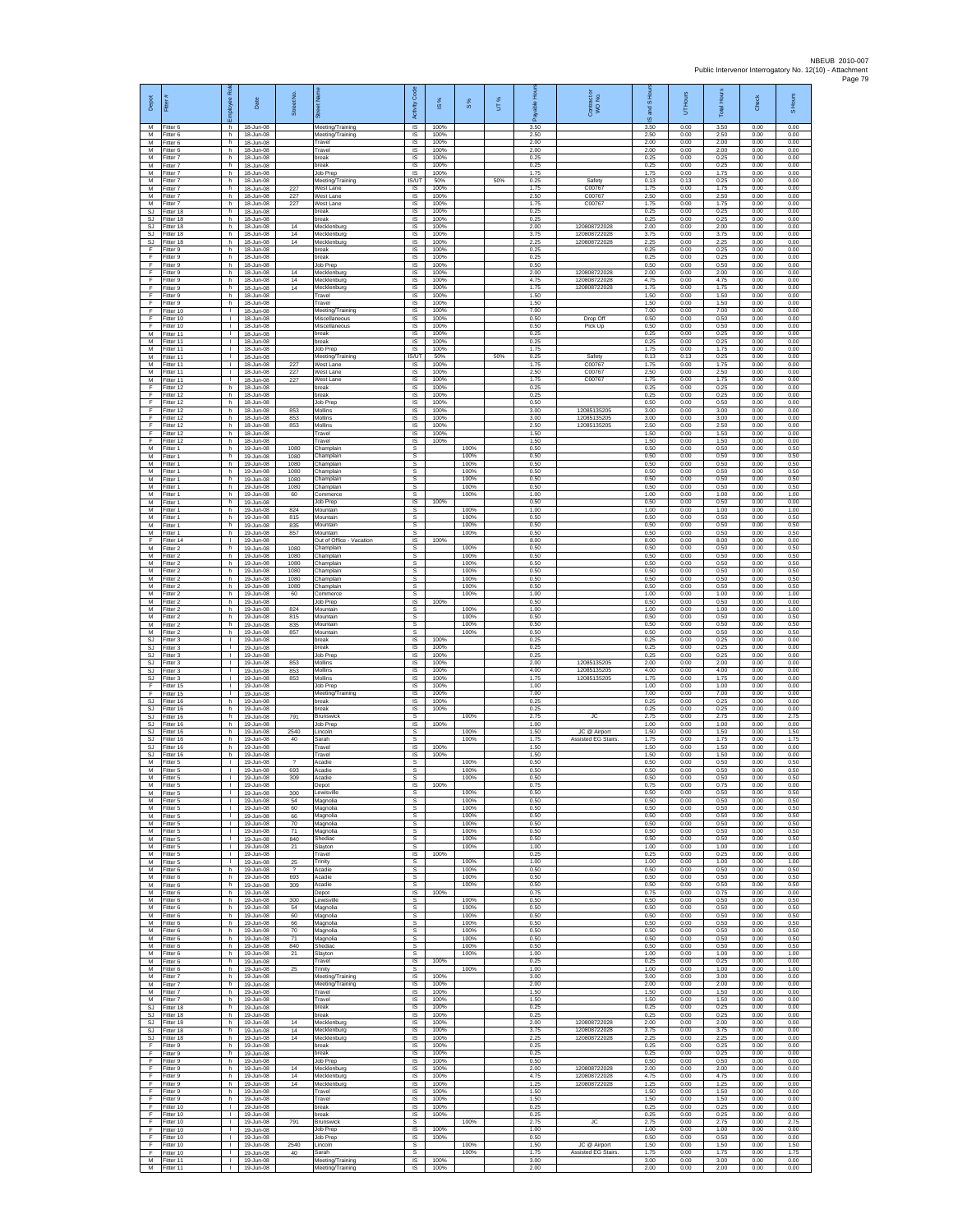| Depot<br>M                          | Fitter<br>Fitter 6                  | bloyee Rol<br>h.                             | Date<br>18-Jun-08                   | Street No.                             | łī<br>Meeting/Training                | code<br>Activity<br>IS      | IS %<br>100%         | 8%                   | UT% | able Hou<br>δ<br>3.50 | Contract or<br>WO No.                     | and S Ho<br>$\overline{\omega}$<br>3.50 | UT Hours<br>0.00     | <b>Total Hours</b><br>3.50 | Check<br>0.00        | S Hours<br>0.00      |
|-------------------------------------|-------------------------------------|----------------------------------------------|-------------------------------------|----------------------------------------|---------------------------------------|-----------------------------|----------------------|----------------------|-----|-----------------------|-------------------------------------------|-----------------------------------------|----------------------|----------------------------|----------------------|----------------------|
| M<br>M                              | Fitter 6<br>Fitter 6                | h.<br>h.                                     | 18-Jun-08<br>18-Jun-08              |                                        | Meeting/Training<br>Travel            | IS<br>IS                    | 100%<br>100%         |                      |     | 2.50<br>2.00          |                                           | 2.50<br>2.00                            | 0.00<br>0.00         | 2.50<br>2.00               | 0.00<br>0.00         | 0.00<br>0.00         |
| M<br>M<br>M                         | Fitter 6<br>Fitter 7<br>Fitter 7    | h.<br>h.<br>h.                               | 18-Jun-08<br>18-Jun-08<br>18-Jun-08 |                                        | Travel<br>break<br>preak              | IS<br><b>IS</b><br>IS       | 100%<br>100%<br>100% |                      |     | 2.00<br>0.25<br>0.25  |                                           | 2.00<br>0.25<br>0.25                    | 0.00<br>0.00<br>0.00 | 2.00<br>0.25<br>0.25       | 0.00<br>0.00<br>0.00 | 0.00<br>0.00<br>0.00 |
| M<br>M                              | Fitter 7<br>Fitter 7                | h.<br>h.                                     | 18-Jun-08<br>18-Jun-08              |                                        | Job Prep<br>Meeting/Training          | IS<br>IS/UT                 | 100%<br>50%          |                      | 50% | 1.75<br>0.25          | Safety                                    | 1.75<br>0.13                            | 0.00<br>0.13         | 1.75<br>0.25               | 0.00<br>0.00         | 0.00<br>0.00         |
| M<br>М                              | Fitter 7<br>-itter 7                | h.<br>h.                                     | 18-Jun-08<br>18-Jun-08              | 227<br>227                             | West Lane<br>West Lane                | IS<br>$\sf IS$              | 100%<br>100%         |                      |     | 1.75<br>2.50          | C00767<br>C00767                          | 1.75<br>2.50                            | 0.00<br>0.00         | 1.75<br>2.50               | 0.00<br>0.00         | 0.00<br>0.00         |
| M<br><b>SJ</b><br>SJ.               | Fitter 7<br>Fitter 18<br>Fitter 18  | h.<br>h.<br>h                                | 18-Jun-08<br>18-Jun-08<br>18-Jun-08 | 227                                    | West Lane<br>break<br>hreak           | $\sf IS$<br>IS<br>IS        | 100%<br>100%<br>100% |                      |     | 1.75<br>0.25<br>0.25  | C00767                                    | 1.75<br>0.25<br>0.25                    | 0.00<br>0.00<br>0.00 | 1.75<br>0.25<br>0.25       | 0.00<br>0.00<br>0.00 | 0.00<br>0.00<br>0.00 |
| <b>SJ</b><br>SJ                     | Fitter 18<br>Fitter 18              | h.<br>h.                                     | 18-Jun-08<br>18-Jun-08              | 14<br>14                               | Mecklenburg<br>Mecklenburg            | IS<br>IS                    | 100%<br>100%         |                      |     | 2.00<br>3.75          | 120808722028<br>120808722028              | 2.00<br>3.75                            | 0.00<br>0.00         | 2.00<br>3.75               | 0.00<br>0.00         | 0.00<br>0.00         |
| SJ<br>F<br>F                        | Fitter 18<br>-itter 9<br>Fitter 9   | h.<br>h.<br>h.                               | 18-Jun-08<br>18-Jun-08<br>18-Jun-08 | 14                                     | Mecklenburg<br>reak<br>break          | <b>IS</b><br>IS<br>1S       | 100%<br>100%<br>100% |                      |     | 2.25<br>0.25<br>0.25  | 120808722028                              | 2.25<br>0.25<br>0.25                    | 0.00<br>0.00<br>0.00 | 2.25<br>0.25<br>0.25       | 0.00<br>0.00<br>0.00 | 0.00<br>0.00<br>0.00 |
| F<br>F                              | Fitter 9<br>Fitter 9                | h.<br>h                                      | 18-Jun-08<br>18-Jun-08              | 14                                     | Job Prep<br>Mecklenburg               | IS<br>IS                    | 100%<br>100%         |                      |     | 0.50<br>2.00          | 120808722028                              | 0.50<br>2.00                            | 0.00<br>0.00         | 0.50<br>2.00               | 0.00<br>0.00         | 0.00<br>0.00         |
| Ŧ<br>Ŧ                              | Fitter 9<br>Fitter 9                | h.<br>h.                                     | 18-Jun-08<br>18-Jun-08              | 14<br>14                               | Mecklenburg<br>Mecklenburg            | IS<br>IS                    | 100%<br>100%         |                      |     | 4.75<br>1.75          | 120808722028<br>120808722028              | 4.75<br>1.75                            | 0.00<br>0.00         | 4.75<br>1.75               | 0.00<br>0.00         | 0.00<br>0.00         |
| -F<br>F<br>$\mathsf F$              | Fitter 9<br>Fitter 9<br>Fitter 10   | h.<br>h<br>L.                                | 18-Jun-08<br>18-Jun-08<br>18-Jun-08 |                                        | Travel<br>Travel<br>Meeting/Training  | <b>IS</b><br>IS<br>IS       | 100%<br>100%<br>100% |                      |     | 1.50<br>1.50<br>7.00  |                                           | 1.50<br>1.50<br>7.00                    | 0.00<br>0.00<br>0.00 | 1.50<br>1.50<br>7.00       | 0.00<br>0.00<br>0.00 | 0.00<br>0.00<br>0.00 |
| Ŧ<br>E                              | Fitter 10<br>Fitter 10              | $\mathbf{L}$<br>$\mathbf{L}$                 | 18-Jun-08<br>18-Jun-08              |                                        | Miscellaneous<br>Miscellaneous        | 1S<br>IS                    | 100%<br>100%         |                      |     | 0.50<br>0.50          | Drop Of<br>Pick Up                        | 0.50<br>0.50                            | 0.00<br>0.00         | 0.50<br>0.50               | 0.00<br>0.00         | 0.00<br>0.00         |
| ${\sf M}$<br>M<br>M                 | Fitter 11<br>Fitter 11<br>Fitter 11 | $\mathbf{L}$<br>$\mathbb{R}$<br>$\mathbf{L}$ | 18-Jun-08<br>18-Jun-08<br>18-Jun-08 |                                        | break<br>break<br>Job Prep            | $\sf IS$<br>1S<br><b>IS</b> | 100%<br>100%<br>100% |                      |     | 0.25<br>0.25<br>1.75  |                                           | 0.25<br>0.25<br>1.75                    | 0.00<br>0.00<br>0.00 | 0.25<br>0.25<br>1.75       | 0.00<br>0.00<br>0.00 | 0.00<br>0.00<br>0.00 |
| M<br>M                              | Fitter 11<br>Fitter 11              | $\mathbf{L}$<br>Τ.                           | 18-Jun-08<br>18-Jun-08              | 227                                    | Meeting/Training<br>West Lane         | IS/UT<br>1S                 | 50%<br>100%          |                      | 50% | 0.25<br>1.75          | Safety<br>C00767                          | 0.13<br>1.75                            | 0.13<br>0.00         | 0.25<br>1.75               | 0.00<br>0.00         | 0.00<br>0.00         |
| M<br>M                              | Fitter 11<br>Fitter 11              | $\mathbf{L}$<br>$\mathbf{L}$                 | 18-Jun-08<br>18-Jun-08              | 227<br>227                             | Vest Lane<br>West Lane                | IS<br><b>IS</b>             | 100%<br>100%         |                      |     | 2.50<br>1.75          | C00767<br>C00767                          | 2.50<br>1.75                            | 0.00<br>0.00         | 2.50<br>1.75               | 0.00<br>0.00         | 0.00<br>0.00         |
| $\mathsf F$<br>F<br>F               | Fitter 12<br>Fitter 12<br>Fitter 12 | h.<br>h.<br>h.                               | 18-Jun-08<br>18-Jun-08<br>18-Jun-08 |                                        | break<br>break<br>Job Prep            | $\sf IS$<br>$\sf IS$<br>IS  | 100%<br>100%<br>100% |                      |     | 0.25<br>0.25<br>0.50  |                                           | 0.25<br>0.25<br>0.50                    | 0.00<br>0.00<br>0.00 | 0.25<br>0.25<br>0.50       | 0.00<br>0.00<br>0.00 | 0.00<br>0.00<br>0.00 |
| -F.<br>Ŧ                            | Fitter 12<br>Fitter 12              | h.<br>h.                                     | 18-Jun-08<br>18-Jun-08              | 853<br>853                             | Mollins<br>Mollins                    | IS<br>IS                    | 100%<br>100%         |                      |     | 3.00<br>3.00          | 12085135205<br>12085135205                | 3.00<br>3.00                            | 0.00<br>0.00         | 3.00<br>3.00               | 0.00<br>0.00         | 0.00<br>0.00         |
| Ŧ<br>F<br>$\mathsf F$               | Fitter 12<br>Fitter 12<br>ltter 12  | h.<br>h.<br>h                                | 18-Jun-08<br>18-Jun-08<br>18-Jun-08 | 853                                    | Mollins<br>Travel<br>Travel           | IS<br>IS<br>IS              | 100%<br>100%<br>100% |                      |     | 2.50<br>1.50<br>1.50  | 12085135205                               | 2.50<br>1.50<br>1.50                    | 0.00<br>0.00<br>0.00 | 2.50<br>1.50<br>1.50       | 0.00<br>0.00<br>0.00 | 0.00<br>0.00<br>0.00 |
| M<br>M                              | Fitter 1<br>Fitter 1                | h.<br>h.                                     | 19-Jun-08<br>19-Jun-08              | 1080<br>1080                           | Champlair<br>Champlain                | s<br>s                      |                      | 100%<br>100%         |     | 0.50<br>0.50          |                                           | 0.50<br>0.50                            | 0.00<br>0.00         | 0.50<br>0.50               | 0.00<br>0.00         | 0.50<br>0.50         |
| M<br>M<br>M                         | Fitter 1<br>Fitter 1<br>Fitter 1    | h<br>h.<br>h.                                | 19-Jun-08<br>19-Jun-08<br>19-Jun-08 | 1080<br>1080<br>1080                   | Champlain<br>Champlain<br>Champlain   | s<br>s<br>s                 |                      | 100%<br>100%<br>100% |     | 0.50<br>0.50<br>0.50  |                                           | 0.50<br>0.50<br>0.50                    | 0.00<br>0.00<br>0.00 | 0.50<br>0.50<br>0.50       | 0.00<br>0.00<br>0.00 | 0.50<br>0.50<br>0.50 |
| M<br>M                              | Fitter 1<br>-itter 1                | h.<br>h                                      | 19-Jun-08<br>19-Jun-08              | 1080<br>60                             | Champlain<br>Commerce                 | s<br>s                      |                      | 100%<br>100%         |     | 0.50<br>1.00          |                                           | 0.50<br>1.00                            | 0.00<br>0.00         | 0.50<br>1.00               | 0.00<br>0.00         | 0.50<br>1.00         |
| M<br>M                              | Fitter 1<br>Fitter 1                | h.<br>h.                                     | 19-Jun-08<br>19-Jun-08              | 824                                    | Job Prep<br>Mountain                  | IS<br>s                     | 100%                 | 100%                 |     | 0.50<br>1.00          |                                           | 0.50<br>1.00                            | 0.00<br>0.00         | 0.50<br>1.00               | 0.00<br>0.00         | 0.00<br>1.00         |
| M<br>M<br>М                         | Fitter 1<br>Fitter 1<br>Fitter 1    | h.<br>h.<br>h.                               | 19-Jun-08<br>19-Jun-08<br>19-Jun-08 | 815<br>835<br>857                      | Mountain<br>Mountain<br>Mountain      | s<br>s<br>s                 |                      | 100%<br>100%<br>100% |     | 0.50<br>0.50<br>0.50  |                                           | 0.50<br>0.50<br>0.50                    | 0.00<br>0.00<br>0.00 | 0.50<br>0.50<br>0.50       | 0.00<br>0.00<br>0.00 | 0.50<br>0.50<br>0.50 |
| F<br>M                              | Fitter 14<br>Fitter 2               | $\mathbf{L}$<br>h                            | 19-Jun-08<br>19-Jun-08              | 1080                                   | Out of Office - Vacation<br>Champlain | IS<br>s                     | 100%                 | 100%                 |     | 8.00<br>0.50          |                                           | 8.00<br>0.50                            | 0.00<br>0.00         | 8.00<br>0.50               | 0.00<br>0.00         | 0.00<br>0.50         |
| M<br>M<br>M                         | Fitter 2<br>Fitter 2                | h.<br>h.<br>h.                               | 19-Jun-08<br>19-Jun-08              | 1080<br>1080<br>1080                   | Champlain<br>Champlain<br>Champlain   | s<br>s<br>s                 |                      | 100%<br>100%<br>100% |     | 0.50<br>0.50<br>0.50  |                                           | 0.50<br>0.50<br>0.50                    | 0.00<br>0.00<br>0.00 | 0.50<br>0.50<br>0.50       | 0.00<br>0.00<br>0.00 | 0.50<br>0.50<br>0.50 |
| М<br>M                              | Fitter 2<br>-itter 2<br>Fitter 2    | h.<br>h.                                     | 19-Jun-08<br>19-Jun-08<br>19-Jun-08 | 1080<br>1080                           | Champlain<br>Champlain                | $\mathbb S$<br>s            |                      | 100%<br>100%         |     | 0.50<br>0.50          |                                           | 0.50<br>0.50                            | 0.00<br>0.00         | 0.50<br>0.50               | 0.00<br>0.00         | 0.50<br>0.50         |
| M<br>M                              | Fitter 2<br>Fitter 2                | h.<br>h.                                     | 19-Jun-08<br>19-Jun-08              | 60                                     | Commerce<br>Job Prep                  | s<br>IS                     | 100%                 | 100%                 |     | 1.00<br>0.50          |                                           | 1.00<br>0.50                            | 0.00<br>0.00         | 1.00<br>0.50               | 0.00<br>0.00         | 1.00<br>0.00         |
| M<br>M<br>M                         | Fitter 2<br>-itter 2<br>Fitter 2    | h.<br>h.<br>h.                               | 19-Jun-08<br>19-Jun-08<br>19-Jun-08 | 824<br>815<br>835                      | Mountain<br>Mountain<br>Mountain      | s<br>s<br>s                 |                      | 100%<br>100%<br>100% |     | 1.00<br>0.50<br>0.50  |                                           | 1.00<br>0.50<br>0.50                    | 0.00<br>0.00<br>0.00 | 1.00<br>0.50<br>0.50       | 0.00<br>0.00<br>0.00 | 1.00<br>0.50<br>0.50 |
| ${\sf M}$<br>$\mathbb{S}\mathbb{J}$ | -itter 2<br>Fitter 3                | h<br>$\mathbf{L}$                            | 19-Jun-08<br>19-Jun-08              | 857                                    | Mountain<br>break                     | s<br>1S                     | 100%                 | 100%                 |     | 0.50<br>0.25          |                                           | 0.50<br>0.25                            | 0.00<br>0.00         | 0.50<br>0.25               | 0.00<br>0.00         | 0.50<br>0.00         |
| SJ.<br>SJ<br><b>SJ</b>              | Fitter 3<br>Fitter 3<br>Fitter 3    | $\mathbf{L}$<br>$\mathbf{I}$<br>τ.           | 19-Jun-08<br>19-Jun-08<br>19-Jun-08 | 853                                    | oreak<br>Job Prep<br>Mollins          | IS<br>IS<br>IS              | 100%<br>100%<br>100% |                      |     | 0.25<br>0.25<br>2.00  | 12085135205                               | 0.25<br>0.25<br>2.00                    | 0.00<br>0.00<br>0.00 | 0.25<br>0.25<br>2.00       | 0.00<br>0.00<br>0.00 | 0.00<br>0.00<br>0.00 |
| <b>SJ</b><br>SJ.                    | Fitter 3<br>Fitter 3                | $\mathbf{L}$<br>$\mathbf{L}$                 | 19-Jun-08<br>19-Jun-08              | 853<br>853                             | Mollins<br>Mollins                    | IS<br><b>IS</b>             | 100%<br>100%         |                      |     | 4.00<br>1.75          | 1208513520<br>12085135205                 | 4.00<br>1.75                            | 0.00<br>0.00         | 4.00<br>1.75               | 0.00<br>0.00         | 0.00<br>0.00         |
| F.<br>$\mathsf F$                   | Fitter 15<br>Fitter 15              | <b>I</b><br>$\mathbb{L}$                     | 19-Jun-08<br>19-Jun-08              |                                        | Job Prep<br>Meeting/Training          | IS<br>IS                    | 100%<br>100%         |                      |     | 1.00<br>7.00          |                                           | 1.00<br>7.00                            | 0.00<br>0.00         | 1.00<br>7.00               | 0.00<br>0.00         | 0.00<br>0.00         |
| <b>SJ</b><br>SJ<br>SJ               | Fitter 16<br>Fitter 16<br>Fitter 16 | h.<br>h.<br>h.                               | 19-Jun-08<br>19-Jun-08<br>19-Jun-08 | 791                                    | break<br>break<br><b>Brunswick</b>    | 1S<br>IS<br>s               | 100%<br>100%         | 100%                 |     | 0.25<br>0.25<br>2.75  | JC                                        | 0.25<br>0.25<br>2.75                    | 0.00<br>0.00<br>0.00 | 0.25<br>0.25<br>2.75       | 0.00<br>0.00<br>0.00 | 0.00<br>0.00<br>2.75 |
| SJ<br>SJ.                           | Fitter 16<br>Fitter 16              | h.<br>h.                                     | 19-Jun-08<br>19-Jun-08              | 2540                                   | Job Prep<br>Lincoln                   | IS<br>s                     | 100%                 | 100%                 |     | 1.00<br>1.50          | .IC @ Airport                             | 1.00<br>1.50                            | 0.00<br>0.00         | 1.00<br>1.50               | 0.00<br>0.00         | 0.00<br>1.50         |
| SJ.<br><b>SJ</b><br>SJ              | Fitter 16<br>Fitter 16<br>Fitter 16 | h<br>h.<br>h                                 | 19-Jun-08<br>19-Jun-08<br>19-Jun-08 | 40                                     | Sarah<br>ravel<br>Travel              | s<br>IS<br>IS               | 100%<br>100%         | 100%                 |     | 1.75<br>1.50<br>1.50  | Assisted EG Stairs                        | 1.75<br>1.50<br>1.50                    | 0.00<br>0.00<br>0.00 | 1.75<br>1.50<br>1.50       | 0.00<br>0.00<br>0.00 | 1.75<br>0.00<br>0.00 |
| M<br>M                              | Fitter 5<br>-itter 5                | $\mathbf{L}$<br>$\mathbf{L}$                 | 19-Jun-08<br>19-Jun-08              | $\overline{\phantom{a}}$<br>693        | Acadie<br>Acadie                      | s<br>$\mathbb S$            |                      | 100%<br>100%         |     | 0.50<br>0.50          |                                           | 0.50<br>0.50                            | 0.00<br>0.00         | 0.50<br>0.50               | 0.00<br>0.00         | 0.50<br>0.50         |
| M<br>M<br>M                         | Fitter 5<br>Fitter 5<br>Fitter 5    | T.<br>л.<br>$\mathbf{L}$                     | 19-Jun-08<br>19-Jun-08<br>19-Jun-08 | 309<br>300                             | Acadie<br>Depot<br>Lewisville         | s<br><b>IS</b><br>s         | 100%                 | 100%<br>100%         |     | 0.50<br>0.75<br>0.50  |                                           | 0.50<br>0.75<br>0.50                    | 0.00<br>0.00<br>0.00 | 0.50<br>0.75<br>0.50       | 0.00<br>0.00<br>0.00 | 0.50<br>0.00<br>0.50 |
| M<br>M                              | Fitter 5<br>Fitter 5                | $\mathbb{L}$<br>$\mathbf{L}$                 | 19-Jun-08<br>19-Jun-08              | 54<br>60                               | Magnolia<br>Magnolia                  | s<br>s                      |                      | 100%<br>100%         |     | 0.50<br>0.50          |                                           | 0.50<br>0.50                            | 0.00<br>0.00         | 0.50<br>0.50               | 0.00<br>0.00         | 0.50<br>0.50         |
| м<br>${\sf M}$                      | Fitter 5<br>-itter 5                | $\mathbf{I}$<br>$\mathbf{L}$                 | 19-Jun-08<br>19-Jun-08              | 66<br>70                               | Magnolia<br>Magnolia                  | s<br>s                      |                      | 100%<br>100%         |     | 0.50<br>0.50          |                                           | 0.50<br>0.50                            | 0.00<br>0.00         | 0.50<br>0.50               | 0.00<br>0.00         | 0.50<br>0.50         |
| M<br>M<br>M                         | Fitter 5<br>Fitter 5<br>Fitter 5    | $\mathbf{L}$<br>$\mathbf{L}$<br>$\mathbf{I}$ | 19-Jun-08<br>19-Jun-08<br>19-Jun-08 | 71<br>840<br>21                        | Magnolia<br>Shediac<br>Slayton        | s<br>s<br>s                 |                      | 100%<br>100%<br>100% |     | 0.50<br>0.50<br>1.00  |                                           | 0.50<br>0.50<br>1.00                    | 0.00<br>0.00<br>0.00 | 0.50<br>0.50<br>1.00       | 0.00<br>0.00<br>0.00 | 0.50<br>0.50<br>1.00 |
| M<br>M                              | Fitter 5<br>Fitter 5                | $\mathbf{L}$<br>$\mathbf{L}$                 | 19-Jun-08<br>19-Jun-08              | 25                                     | Travel<br>Trinity                     | 1S<br>s                     | 100%                 | 100%                 |     | 0.25<br>1.00          |                                           | 0.25<br>1.00                            | 0.00<br>0.00         | 0.25<br>1.00               | 0.00<br>0.00         | 0.00<br>1.00         |
| M<br>M<br>M                         | Fitter 6<br>Fitter 6<br>Fitter 6    | h.<br>h<br>h.                                | 19-Jun-08<br>19-Jun-08<br>19-Jun-08 | $\overline{\phantom{a}}$<br>693<br>309 | Acadie<br>Acadie<br>Acadie            | s<br>s<br>s                 |                      | 100%<br>100%<br>100% |     | 0.50<br>0.50<br>0.50  |                                           | 0.50<br>0.50<br>0.50                    | 0.00<br>0.00<br>0.00 | 0.50<br>0.50<br>0.50       | 0.00<br>0.00<br>0.00 | 0.50<br>0.50<br>0.50 |
| M<br>M                              | Fitter 6<br>Fitter 6                | h<br>h.                                      | 19-Jun-08<br>19-Jun-08              | 300                                    | Depot<br>Lewisville                   | <b>IS</b><br>$\mathsf{s}$   | 100%                 | 100%                 |     | 0.75<br>0.50          |                                           | 0.75<br>0.50                            | 0.00<br>0.00         | 0.75<br>0.50               | 0.00<br>0.00         | 0.00<br>0.50         |
| M<br>M                              | Fitter 6<br>Fitter 6                | h.<br>h                                      | 19-Jun-08<br>19-Jun-08              | 54<br>60                               | Magnolia<br>Magnolia                  | $\mathbb S$<br>s            |                      | 100%<br>100%         |     | 0.50<br>0.50          |                                           | 0.50<br>0.50                            | 0.00<br>0.00         | 0.50<br>0.50               | 0.00<br>0.00         | 0.50<br>0.50         |
| M<br>M<br>M                         | Fitter 6<br>Fitter 6<br>Fitter 6    | h.<br>h<br>h.                                | 19-Jun-08<br>19-Jun-08<br>19-Jun-08 | 66<br>70<br>71                         | Magnolia<br>Magnolia<br>Magnolia      | s<br>s<br>s                 |                      | 100%<br>100%<br>100% |     | 0.50<br>0.50<br>0.50  |                                           | 0.50<br>0.50<br>0.50                    | 0.00<br>0.00<br>0.00 | 0.50<br>0.50<br>0.50       | 0.00<br>0.00<br>0.00 | 0.50<br>0.50<br>0.50 |
| M<br>M                              | Fitter 6<br>Fitter 6                | h.<br>h.                                     | 19-Jun-08<br>19-Jun-08              | 840<br>21                              | Shediac<br>Slayton                    | s<br>s                      |                      | 100%<br>100%         |     | 0.50<br>1.00          |                                           | 0.50<br>1.00                            | 0.00<br>0.00         | 0.50<br>1.00               | 0.00<br>0.00         | 0.50<br>1.00         |
| M<br>M<br>M                         | Fitter 6<br>Fitter 6<br>Fitter 7    | h.<br>h.<br>h.                               | 19-Jun-08<br>19-Jun-08<br>19-Jun-08 | 25                                     | Travel<br>Trinity<br>Meeting/Training | IS<br>s<br>IS.              | 100%<br>100%         | 100%                 |     | 0.25<br>1.00<br>3.00  |                                           | 0.25<br>1.00<br>3.00                    | 0.00<br>0.00<br>0.00 | 0.25<br>1.00<br>3.00       | 0.00<br>0.00<br>0.00 | 0.00<br>1.00<br>0.00 |
| M<br>M                              | Fitter 7<br>Fitter 7                | h.<br>h.                                     | 19-Jun-08<br>19-Jun-08              |                                        | Meeting/Training<br>Travel            | IS.<br>IS                   | 100%<br>100%         |                      |     | 2.00<br>1.50          |                                           | 2.00<br>1.50                            | 0.00<br>0.00         | 2.00<br>1.50               | 0.00<br>0.00         | 0.00<br>0.00         |
| M<br>SJ.                            | Fitter 7<br>Fitter 18               | h.<br>h                                      | 19-Jun-08<br>19-Jun-08              |                                        | Travel<br>break                       | IS<br><b>IS</b>             | 100%<br>100%         |                      |     | 1.50<br>0.25          |                                           | 1.50<br>0.25                            | 0.00<br>0.00         | 1.50<br>0.25               | 0.00<br>0.00         | 0.00<br>0.00         |
| SJ<br>SJ<br>SJ.                     | Fitter 18<br>Fitter 18<br>Fitter 18 | h<br>h.<br>h                                 | 19-Jun-08<br>19-Jun-08<br>19-Jun-08 | 14<br>14                               | break<br>Mecklenburg<br>Mecklenburg   | IS<br>IS.<br>IS             | 100%<br>100%<br>100% |                      |     | 0.25<br>2.00<br>3.75  | 120808722028<br>120808722028              | 0.25<br>2.00<br>3.75                    | 0.00<br>0.00<br>0.00 | 0.25<br>2.00<br>3.75       | 0.00<br>0.00<br>0.00 | 0.00<br>0.00<br>0.00 |
| SJ<br>Ŧ                             | Fitter 18<br>Fitter 9               | h<br>h.                                      | 19-Jun-08<br>19-Jun-08              | 14                                     | Mecklenburg<br>break                  | IS<br>1S                    | 100%<br>100%         |                      |     | 2.25<br>0.25          | 120808722028                              | 2.25<br>0.25                            | 0.00<br>0.00         | 2.25<br>0.25               | 0.00<br>0.00         | 0.00<br>0.00         |
| Ŧ<br>-F<br>F.                       | Fitter 9<br>Fitter 9<br>Fitter 9    | h.<br>h.<br>h.                               | 19-Jun-08<br>19-Jun-08<br>19-Jun-08 | 14                                     | break<br>Job Prep<br>Mecklenburg      | IS<br>-IS<br>IS.            | 100%<br>100%<br>100% |                      |     | 0.25<br>0.50<br>2.00  | 120808722028                              | 0.25<br>0.50<br>2.00                    | 0.00<br>0.00<br>0.00 | 0.25<br>0.50<br>2.00       | 0.00<br>0.00<br>0.00 | 0.00<br>0.00<br>0.00 |
| $\mathsf F$<br>-F                   | Fitter 9<br>Fitter 9                | h.<br>h.                                     | 19-Jun-08<br>19-Jun-08              | 14<br>14                               | Mecklenburg<br>Mecklenburg            | IS<br>IS                    | 100%<br>100%         |                      |     | 4.75<br>1.25          | 120808722028<br>120808722028              | 4.75<br>1.25                            | 0.00<br>0.00         | 4.75<br>1.25               | 0.00<br>0.00         | 0.00<br>0.00         |
| F.<br>-F<br>F                       | Fitter 9<br>Fitter 9<br>Fitter 10   | h.<br>h.<br>$\mathbb{R}$                     | 19-Jun-08<br>19-Jun-08<br>19-Jun-08 |                                        | Travel<br>Travel<br>break             | IS<br>IS<br>1S              | 100%<br>100%<br>100% |                      |     | 1.50<br>1.50<br>0.25  |                                           | 1.50<br>1.50<br>0.25                    | 0.00<br>0.00<br>0.00 | 1.50<br>1.50<br>0.25       | 0.00<br>0.00<br>0.00 | 0.00<br>0.00<br>0.00 |
| F<br>-F                             | Fitter 10<br>Fitter 10              | $\mathbf{I}$<br>$\mathbf{L}$                 | 19-Jun-08<br>19-Jun-08              | 791                                    | break<br>Brunswick                    | <b>IS</b><br>s              | 100%                 | 100%                 |     | 0.25<br>275           | <b>JC</b>                                 | 0.25<br>2.75                            | 0.00<br>0.00         | 0.25<br>2.75               | 0.00<br>0.00         | 0.00<br>2.75         |
| Ŧ<br>F                              | Fitter 10<br>Fitter 10              | $\mathbb{L}$<br>$\mathbf{L}$                 | 19-Jun-08<br>19-Jun-08              |                                        | Job Prep<br>Job Prep                  | 1S<br>IS                    | 100%<br>100%         |                      |     | 1.00<br>0.50          |                                           | 1.00<br>0.50                            | 0.00<br>0.00         | 1.00<br>0.50               | 0.00<br>0.00         | 0.00<br>0.00         |
| F<br>F.<br>${\sf M}$                | Fitter 10<br>Fitter 10<br>Fitter 11 | $\mathbf{L}$<br>$\mathbf{L}$<br>$\mathbf{L}$ | 19-Jun-08<br>19-Jun-08<br>19-Jun-08 | 2540<br>40                             | Lincoln<br>Sarah<br>Meeting/Training  | <b>s</b><br>s<br>$\sf IS$   | 100%                 | 100%<br>100%         |     | 1.50<br>1.75<br>3.00  | JC @ Airport<br><b>Assisted EG Stairs</b> | 1.50<br>1.75<br>3.00                    | 0.00<br>0.00<br>0.00 | 1.50<br>1.75<br>3.00       | 0.00<br>0.00<br>0.00 | 1.50<br>1.75<br>0.00 |
|                                     | M Fitter 11                         | - 11                                         | 19-Jun-08                           |                                        | Meeting/Training                      | <b>IS</b>                   | 100%                 |                      |     | 2.00                  |                                           | 2.00                                    | 0.00                 | 2.00                       | 0.00                 | 0.00                 |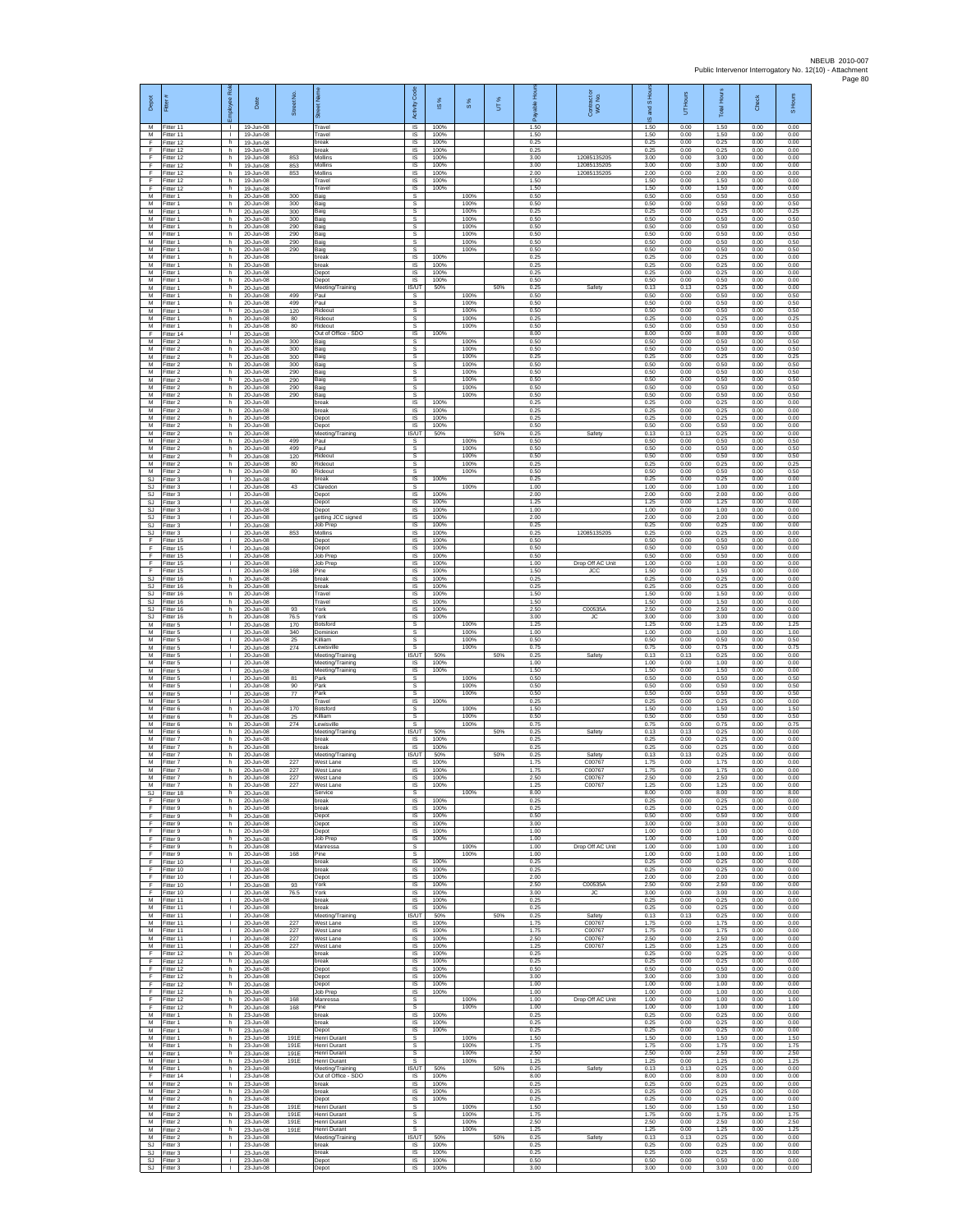| Depot                               | Fitter #                            | æ<br>loyee                                   | Date                                                | Street No.        |                                                         | Code<br>Activity                    | IS %                 | $\frac{8}{3}$        | UT% | 휸                    | Contract or<br>WO No.          | and S Hou<br>$\overline{\omega}$ | UT Hours             | <b>Total Hours</b>   | Check                | S Hours              |
|-------------------------------------|-------------------------------------|----------------------------------------------|-----------------------------------------------------|-------------------|---------------------------------------------------------|-------------------------------------|----------------------|----------------------|-----|----------------------|--------------------------------|----------------------------------|----------------------|----------------------|----------------------|----------------------|
| M<br>M<br>F                         | Fitter 11<br>Fitter 11<br>litter 12 | л.<br>$\mathbf{L}$<br>h                      | 19-Jun-08<br>19-Jun-08<br>19-Jun-08                 |                   | Travel<br>Travel<br>break                               | $\overline{\mathsf{s}}$<br>IS<br>IS | 100%<br>100%<br>100% |                      |     | 1.50<br>1.50<br>0.25 |                                | 1.50<br>1.50<br>0.25             | 0.00<br>0.00<br>0.00 | 1.50<br>1.50<br>0.25 | 0.00<br>0.00<br>0.00 | 0.00<br>0.00<br>0.00 |
| -F<br>E                             | Fitter 12<br>Fitter 12              | h.<br>h.                                     | 19-Jun-08<br>19-Jun-08                              | 853               | break<br>Mollins                                        | IS<br>IS                            | 100%<br>100%         |                      |     | 0.25<br>3.00         | 12085135205                    | 0.25<br>3.00                     | 0.00<br>0.00         | 0.25<br>3.00         | 0.00<br>0.00         | 0.00<br>0.00         |
| Ŧ<br>Ŧ<br>E                         | ltter 12<br>Fitter 12               | h<br>h<br>h.                                 | 19-Jun-08<br>19-Jun-08                              | 853<br>853        | Mollins<br>Mollins<br>Travel                            | IS<br>IS<br><b>IS</b>               | 100%<br>100%<br>100% |                      |     | 3.00<br>2.00<br>1.50 | 12085135205<br>12085135205     | 3.00<br>2.00<br>1.50             | 0.00<br>0.00<br>0.00 | 3.00<br>2.00<br>1.50 | 0.00<br>0.00<br>0.00 | 0.00<br>0.00<br>0.00 |
| $\mathsf F$<br>M                    | Fitter 12<br>ltter 12<br>Fitter 1   | h<br>h                                       | 19-Jun-08<br>19-Jun-08<br>20-Jun-08                 | 300               | Travel<br>Baig                                          | IS<br>s                             | 100%                 | 100%                 |     | 1.50<br>0.50         |                                | 1.50<br>0.50                     | 0.00<br>0.00         | 1.50<br>0.50         | 0.00<br>0.00         | 0.00<br>0.50         |
| M<br>M                              | Fitter 1<br>Fitter 1                | h.<br>h                                      | 20-Jun-08<br>20-Jun-08                              | 300<br>300        | Baig<br>Baig                                            | s<br>s                              |                      | 100%<br>100%         |     | 0.50<br>0.25         |                                | 0.50<br>0.25                     | 0.00<br>0.00         | 0.50<br>0.25         | 0.00<br>0.00         | 0.50<br>0.25         |
| M<br>M<br>M                         | Fitter 1<br>Fitter 1<br>Fitter 1    | h<br>h<br>h.                                 | 20-Jun-08<br>20-Jun-08<br>20-Jun-08                 | 300<br>290<br>290 | Baig<br>Baig<br>Baig                                    | s<br>s<br>s                         |                      | 100%<br>100%<br>100% |     | 0.50<br>0.50<br>0.50 |                                | 0.50<br>0.50<br>0.50             | 0.00<br>0.00<br>0.00 | 0.50<br>0.50<br>0.50 | 0.00<br>0.00<br>0.00 | 0.50<br>0.50<br>0.50 |
| M<br>M                              | -itter 1<br>Fitter 1                | h.<br>h                                      | 20-Jun-08<br>20-Jun-08                              | 290<br>290        | Baig<br>Baig                                            | s<br>s                              |                      | 100%<br>100%         |     | 0.50<br>0.50         |                                | 0.50<br>0.50                     | 0.00<br>0.00         | 0.50<br>0.50         | 0.00<br>0.00         | 0.50<br>0.50         |
| M<br>M<br>M                         | Fitter 1<br>Fitter 1<br>-itter 1    | h<br>h<br>h                                  | 20-Jun-08<br>20-Jun-08<br>20-Jun-08                 |                   | break<br>break<br>Depot                                 | IS<br>IS<br>IS                      | 100%<br>100%<br>100% |                      |     | 0.25<br>0.25<br>0.25 |                                | 0.25<br>0.25<br>0.25             | 0.00<br>0.00<br>0.00 | 0.25<br>0.25<br>0.25 | 0.00<br>0.00<br>0.00 | 0.00<br>0.00<br>0.00 |
| M<br>M                              | Fitter 1<br>Fitter 1                | h.<br>h.                                     | 20-Jun-08<br>$20 - \frac{1}{2}$                     |                   | Depot<br>Meeting/Training                               | IS<br><b>IS/UT</b>                  | 100%<br>50%          |                      | 50% | 0.50<br>0.25         | Safety                         | 0.50<br>0.13                     | 0.00<br>0.13         | 0.50<br>0.25         | 0.00<br>0.00         | 0.00<br>0.00         |
| M<br>М<br>M                         | Fitter 1<br>Fitter 1                | h.<br>h.<br>h                                | 20-Jun-08<br>20-Jun-08                              | 499<br>499        | Paul<br>Paul<br>Rideout                                 | s<br>s<br>s                         |                      | 100%<br>100%<br>100% |     | 0.50<br>0.50<br>0.50 |                                | 0.50<br>0.50<br>0.50             | 0.00<br>0.00<br>0.00 | 0.50<br>0.50<br>0.50 | 0.00<br>0.00<br>0.00 | 0.50<br>0.50<br>0.50 |
| M<br>М                              | Fitter 1<br>Fitter 1<br>-itter 1    | h.<br>h.                                     | 20-Jun-08<br>20-Jun-08<br>20-Jun-08                 | 120<br>80<br>80   | Rideout<br>Rideout                                      | s<br>$\mathbb S$                    |                      | 100%<br>100%         |     | 0.25<br>0.50         |                                | 0.25<br>0.50                     | 0.00<br>0.00         | 0.25<br>0.50         | 0.00<br>0.00         | 0.25<br>0.50         |
| F<br>M                              | litter 14<br>Fitter 2               | J.<br>h.                                     | 20-Jun-08<br>20-Jun-08                              | 300               | Out of Office - SDO<br>Baig                             | $\sf IS$<br>s                       | 100%                 | 100%                 |     | 8.00<br>0.50         |                                | 8.00<br>0.50                     | 0.00<br>0.00         | 8.00<br>0.50         | 0.00<br>0.00         | 0.00<br>0.50         |
| M<br>M<br>M                         | Fitter 2<br>-itter 2<br>Fitter 2    | h.<br>h<br>h                                 | 20-Jun-08<br>20-Jun-08<br>20-Jun-08                 | 300<br>300<br>300 | Baig<br>Baig<br>Baig                                    | s<br>s<br>s                         |                      | 100%<br>100%<br>100% |     | 0.50<br>0.25<br>0.50 |                                | 0.50<br>0.25<br>0.50             | 0.00<br>0.00<br>0.00 | 0.50<br>0.25<br>0.50 | 0.00<br>0.00<br>0.00 | 0.50<br>0.25<br>0.50 |
| M<br>${\sf M}$                      | Fitter 2<br>itter 2                 | h.<br>h                                      | 20-Jun-08<br>20-Jun-08                              | 290<br>290        | Baig<br>Baig                                            | s<br>s                              |                      | 100%<br>100%         |     | 0.50<br>0.50         |                                | 0.50<br>0.50                     | 0.00<br>0.00         | 0.50<br>0.50         | 0.00<br>0.00         | 0.50<br>0.50         |
| М<br>M<br>M                         | Fitter 2<br>Fitter 2<br>Fitter 2    | h.<br>h.<br>h                                | 20-Jun-08<br>$20 - \frac{1}{2}$ lun-08<br>20-Jun-08 | 290<br>290        | Baig<br>Baig<br>break                                   | $\mathbb S$<br>s<br>IS              | 100%                 | 100%<br>100%         |     | 0.50<br>0.50<br>0.25 |                                | 0.50<br>0.50<br>0.25             | 0.00<br>0.00<br>0.00 | 0.50<br>0.50<br>0.25 | 0.00<br>0.00<br>0.00 | 0.50<br>0.50<br>0.00 |
| M<br>М                              | Fitter 2<br>itter 2                 | h<br>h                                       | 20-Jun-08<br>20-Jun-08                              |                   | break<br>Depot                                          | IS<br>IS                            | 100%<br>100%         |                      |     | 0.25<br>0.25         |                                | 0.25<br>0.25                     | 0.00<br>0.00         | 0.25<br>0.25         | 0.00<br>0.00         | 0.00<br>0.00         |
| M<br>М<br>М                         | Fitter 2<br>-itter 2<br>Fitter 2    | h.<br>h.<br>h                                | 20-Jun-08<br>20-Jun-08<br>20-Jun-08                 | 499               | Depot<br>Meeting/Training<br>Paul                       | <b>IS</b><br>IS/UT<br>s             | 100%<br>50%          | 100%                 | 50% | 0.50<br>0.25<br>0.50 | Safety                         | 0.50<br>0.13<br>0.50             | 0.00<br>0.13<br>0.00 | 0.50<br>0.25<br>0.50 | 0.00<br>0.00<br>0.00 | 0.00<br>0.00<br>0.50 |
| M<br>M                              | Fitter 2<br>Fitter 2                | h.<br>h                                      | 20-Jun-08<br>20-Jun-08                              | 499<br>120        | Paul<br>Rideout                                         | s<br>$\mathbb{S}$                   |                      | 100%<br>100%         |     | 0.50<br>0.50         |                                | 0.50<br>0.50                     | 0.00<br>0.00         | 0.50<br>0.50         | 0.00<br>0.00         | 0.50<br>0.50         |
| M<br>M<br>SJ.                       | -itter 2<br>Fitter 2<br>Fitter 3    | h.<br>h<br>$\mathbf{L}$                      | 20-Jun-08<br>20-Jun-08<br>$20 - \frac{1}{2}$        | 80<br>80          | Rideout<br>Rideout<br>break                             | $\mathbb S$<br>s<br><b>IS</b>       | 100%                 | 100%<br>100%         |     | 0.25<br>0.50<br>0.25 |                                | 0.25<br>0.50<br>0.25             | 0.00<br>0.00<br>0.00 | 0.25<br>0.50<br>0.25 | 0.00<br>0.00<br>0.00 | 0.25<br>0.50<br>0.00 |
| <b>SJ</b><br>$\mathbb{S}\mathbb{J}$ | Fitter 3<br>Fitter 3                | $\mathbf{L}$<br>L.                           | 20-Jun-08<br>20-Jun-08                              | 43                | Claredon<br>Depot                                       | s<br>IS                             | 100%                 | 100%                 |     | 1.00<br>2.00         |                                | 1.00<br>2.00                     | 0.00<br>0.00         | 1.00<br>2.00         | 0.00<br>0.00         | 1.00<br>0.00         |
| <b>SJ</b><br>SJ                     | Fitter 3<br>Fitter 3                | т.<br>т.                                     | $20 - \frac{1}{2}$ lun-08<br>20-Jun-08              |                   | Depot<br>Depot                                          | IS<br>-IS                           | 100%<br>100%         |                      |     | 1.25<br>1.00         |                                | 1.25<br>1.00                     | 0.00<br>0.00         | 1.25<br>1.00         | 0.00<br>0.00         | 0.00<br>0.00         |
| SJ<br>SJ<br>-SJ                     | -itter 3<br>-itter 3<br>Fitter 3    | $\mathbf{L}$<br>J.<br>т.                     | 20-Jun-08<br>20-Jun-08<br>20-Jun-08                 | 853               | getting JCC signed<br>Job Prep<br>Mollins               | $\sf IS$<br>$\sf IS$<br>IS          | 100%<br>100%<br>100% |                      |     | 2.00<br>0.25<br>0.25 | 12085135205                    | 2.00<br>0.25<br>0.25             | 0.00<br>0.00<br>0.00 | 2.00<br>0.25<br>0.25 | 0.00<br>0.00<br>0.00 | 0.00<br>0.00<br>0.00 |
| E<br>Ŧ                              | Fitter 15<br>Fitter 15              | $\mathbf{L}$<br>т.                           | 20-Jun-08<br>20-Jun-08                              |                   | Depot<br>Depot                                          | IS<br>IS                            | 100%<br>100%         |                      |     | 0.50<br>0.50         |                                | 0.50<br>0.50                     | 0.00<br>0.00         | 0.50<br>0.50         | 0.00<br>0.00         | 0.00<br>0.00         |
| Ŧ<br>E<br>$\mathsf F$               | Fitter 15<br>Fitter 15<br>Fitter 15 | $\mathbf{L}$<br>$\mathbf{L}$<br>$\mathbf{L}$ | 20-Jun-08<br>20-Jun-08<br>20-Jun-08                 | 168               | Job Prep<br>Job Prep<br>Pine                            | IS<br>IS<br>IS                      | 100%<br>100%<br>100% |                      |     | 0.50<br>1.00<br>1.50 | Drop Off AC Unit<br><b>JCC</b> | 0.50<br>1.00<br>1.50             | 0.00<br>0.00<br>0.00 | 0.50<br>1.00<br>1.50 | 0.00<br>0.00<br>0.00 | 0.00<br>0.00<br>0.00 |
| $\mathbb{S}\mathbb{J}$<br><b>SJ</b> | Fitter 16<br>Fitter 16              | h.<br>h.                                     | 20-Jun-08<br>20-Jun-08                              |                   | break<br>break                                          | $\sf IS$<br>IS                      | 100%<br>100%         |                      |     | 0.25<br>0.25         |                                | 0.25<br>0.25                     | 0.00<br>0.00         | 0.25<br>0.25         | 0.00<br>0.00         | 0.00<br>0.00         |
| SJ<br><b>SJ</b>                     | Fitter 16<br>Fitter 16              | h<br>h.                                      | 20-Jun-08<br>20-Jun-08                              |                   | Travel<br>Travel                                        | IS<br>IS                            | 100%<br>100%         |                      |     | 1.50<br>1.50         |                                | 1.50<br>1.50                     | 0.00<br>0.00         | 1.50<br>1.50         | 0.00<br>0.00         | 0.00<br>0.00         |
| <b>SJ</b><br><b>SJ</b><br>M         | Fitter 16<br>Fitter 16<br>-itter 5  | h<br>h.<br>л.                                | 20-Jun-08<br>20-Jun-08<br>20-Jun-08                 | 93<br>76.5<br>170 | York<br>York<br>Botsford                                | IS<br><b>IS</b><br>s                | 100%<br>100%         | 100%                 |     | 2.50<br>3.00<br>1.25 | C00535/<br><b>JC</b>           | 2.50<br>3.00<br>1.25             | 0.00<br>0.00<br>0.00 | 2.50<br>3.00<br>1.25 | 0.00<br>0.00<br>0.00 | 0.00<br>0.00<br>1.25 |
| M<br>M                              | Fitter 5<br>Fitter 5                | т.<br>$\mathbf{L}$                           | 20-Jun-08<br>20-Jun-08                              | 340<br>25         | Dominior<br>Killiam                                     | s<br>s                              |                      | 100%<br>100%         |     | 1.00<br>0.50         |                                | 1.00<br>0.50                     | 0.00<br>0.00         | 1.00<br>0.50         | 0.00<br>0.00         | 1.00<br>0.50         |
| M<br>M<br>M                         | Fitter 5<br>Fitter 5<br>Fitter 5    | $\mathbf{L}$<br>τ.<br>$\mathbf{L}$           | 20-Jun-08<br>20-Jun-08<br>20-Jun-08                 | 274               | Lewisville<br>Meeting/Training<br>Meeting/Training      | s<br>IS/UT<br><b>IS</b>             | 50%<br>100%          | 100%                 | 50% | 0.75<br>0.25<br>1.00 | Safety                         | 0.75<br>0.13<br>1.00             | 0.00<br>0.13<br>0.00 | 0.75<br>0.25<br>1.00 | 0.00<br>0.00<br>0.00 | 0.75<br>0.00<br>0.00 |
| M<br>М                              | Fitter 5<br>Fitter 5                | $\mathbf{L}$<br>$\mathbf{L}$                 | 20-Jun-08<br>20-Jun-08                              | 81                | Meeting/Training<br>Park                                | <b>IS</b><br>s                      | 100%                 | 100%                 |     | 1.50<br>0.50         |                                | 1.50<br>0.50                     | 0.00<br>0.00         | 1.50<br>0.50         | 0.00<br>0.00         | 0.00<br>0.50         |
| М<br>M<br>M                         | Fitter 5<br>Fitter 5<br>Fitter 5    | H.<br>т.<br>л.                               | 20-Jun-08<br>20-Jun-08<br>20-Jun-08                 | 90<br>77          | Park<br>Park<br>Travel                                  | s<br>s<br>$\overline{\mathsf{s}}$   | 100%                 | 100%<br>100%         |     | 0.50<br>0.50<br>0.25 |                                | 0.50<br>0.50<br>0.25             | 0.00<br>0.00<br>0.00 | 0.50<br>0.50<br>0.25 | 0.00<br>0.00<br>0.00 | 0.50<br>0.50<br>0.00 |
| ${\sf M}$<br>М                      | -itter 6<br>-itter 6                | h<br>h                                       | 20-Jun-08<br>20-Jun-08                              | 170<br>25         | Botsford<br><b>Killiam</b>                              | $\mathbb S$<br>s                    |                      | 100%<br>100%         |     | 1.50<br>0.50         |                                | 1.50<br>0.50                     | 0.00<br>0.00         | 1.50<br>0.50         | 0.00<br>0.00         | 1.50<br>0.50         |
| M<br>M<br>M                         | Fitter 6<br>Fitter 6<br>-itter 7    | h.<br>h<br>h                                 | $20 - \frac{1}{2}$ lun-08<br>20-Jun-08<br>20-Jun-08 | 274               | Lewisville<br>Meeting/Training<br>break                 | s<br>IS/UT<br>IS                    | 50%<br>100%          | 100%                 | 50% | 0.75<br>0.25<br>0.25 | Safety                         | 0.75<br>0.13<br>0.25             | 0.00<br>0.13<br>0.00 | 0.75<br>0.25<br>0.25 | 0.00<br>0.00<br>0.00 | 0.75<br>0.00<br>0.00 |
| M<br>M                              | Fitter 7<br>Fitter 7                | h.<br>h.                                     | 20-Jun-08<br>20-Jun-08                              |                   | break<br>Meeting/Training                               | IS<br>IS/UT                         | 100%<br>50%          |                      | 50% | 0.25<br>0.25         | Safety                         | 0.25<br>0.13                     | 0.00<br>0.13         | 0.25<br>0.25         | 0.00<br>0.00         | 0.00<br>0.00         |
| ${\sf M}$<br>М<br>M                 | -itter 7<br>Fitter 7<br>Fitter 7    | h<br>h<br>h.                                 | 20-Jun-08<br>20-Jun-08<br>20-Jun-08                 | 227<br>227<br>227 | West Lane<br>West Lane<br>West Lane                     | IS<br>$\sf IS$<br>IS                | 100%<br>100%<br>100% |                      |     | 1.75<br>1.75<br>2.50 | C00767<br>C00767<br>C00767     | 1.75<br>1.75<br>2.50             | 0.00<br>0.00<br>0.00 | 1.75<br>1.75<br>2.50 | 0.00<br>0.00<br>0.00 | 0.00<br>0.00<br>0.00 |
| M<br>SJ                             | Fitter 7<br>Fitter 18               | h<br>h                                       | 20-Jun-08<br>20-Jun-08                              | 227               | West Lane<br>Service                                    | <b>IS</b><br>s                      | 100%                 | 100%                 |     | 1.25<br>8.00         | C00767                         | 1.25<br>8.00                     | 0.00<br>0.00         | 1.25<br>8.00         | 0.00<br>0.00         | 0.00<br>8.00         |
| F<br>-F<br>F.                       | Fitter 9<br>Fitter 9<br>Fitter 9    | h<br>h.<br>h                                 | 20-Jun-08<br>20-Jun-08<br>20-Jun-08                 |                   | break<br>break<br>Depot                                 | IS<br>- IS<br><b>IS</b>             | 100%<br>100%<br>100% |                      |     | 0.25<br>0.25<br>0.50 |                                | 0.25<br>0.25<br>0.50             | 0.00<br>0.00<br>0.00 | 0.25<br>0.25<br>0.50 | 0.00<br>0.00<br>0.00 | 0.00<br>0.00<br>0.00 |
| $\mathsf F$<br>-F                   | Fitter 9<br>Fitter 9                | h.<br>h                                      | 20-Jun-08<br>20-Jun-08                              |                   | Depot<br>Depot                                          | IS<br><b>IS</b>                     | 100%<br>100%         |                      |     | 3.00<br>1.00         |                                | 3.00<br>1.00                     | 0.00<br>0.00         | 3.00<br>1.00         | 0.00<br>0.00         | 0.00<br>0.00         |
| F.<br>$\mathsf F$                   | Fitter 9<br>Fitter 9                | h<br>h.                                      | 20-Jun-08<br>20-Jun-08                              |                   | Job Prep<br>Manressa                                    | IS<br>s                             | 100%                 | 100%                 |     | 1.00<br>1.00         | Drop Off AC Unit               | 1.00<br>1.00                     | 0.00<br>0.00         | 1.00<br>1.00         | 0.00<br>0.00         | 0.00<br>1.00         |
| Ŧ<br>F<br>F                         | Fitter 9<br>Fitter 10<br>Fitter 10  | h<br>$\mathbf{L}$<br>$\mathbf{L}$            | 20-Jun-08<br>$20 - \frac{1}{2}$<br>20-Jun-08        | 168               | Pine<br>break<br>break                                  | s<br><b>IS</b><br>IS                | 100%<br>100%         | 100%                 |     | 1.00<br>0.25<br>0.25 |                                | 1.00<br>0.25<br>0.25             | 0.00<br>0.00<br>0.00 | 1.00<br>0.25<br>0.25 | 0.00<br>0.00<br>0.00 | 1.00<br>0.00<br>0.00 |
| F<br>F                              | Fitter 10<br>Fitter 10              | $\mathbb{L}$<br>т.                           | 20-Jun-08<br>20-Jun-08                              | 93                | Depot<br>York                                           | IS<br>IS                            | 100%<br>100%         |                      |     | 2.00<br>2.50         | C00535A                        | 2.00<br>2.50                     | 0.00<br>0.00         | 2.00<br>2.50         | 0.00<br>0.00         | 0.00<br>0.00         |
| -F<br>M<br>M                        | Fitter 10<br>Fitter 11<br>Fitter 11 | $\mathbf{L}$<br>$\mathbf{L}$<br>T.           | 20-Jun-08<br>20-Jun-08<br>20-Jun-08                 | 76.5              | York<br>break<br>break                                  | - IS<br>IS<br>IS                    | 100%<br>100%<br>100% |                      |     | 3.00<br>0.25<br>0.25 | JC                             | 3.00<br>0.25<br>0.25             | 0.00<br>0.00<br>0.00 | 3.00<br>0.25<br>0.25 | 0.00<br>0.00<br>0.00 | 0.00<br>0.00<br>0.00 |
| M<br>M                              | Fitter 11<br>Fitter 11              | т.<br>л.                                     | $20 - \frac{1}{2}$<br>20-Jun-08                     | 227               | Meeting/Training<br>West Lane                           | <b>IS/UT</b><br><b>IS</b>           | 50%<br>100%          |                      | 50% | 0.25<br>1.75         | Safety<br>C00767               | 0.13<br>1.75                     | 0.13<br>0.00         | 0.25<br>1.75         | 0.00<br>0.00         | 0.00<br>0.00         |
| M<br>M<br>M                         | Fitter 11<br>Fitter 11<br>Fitter 11 | т.<br>$\mathbf{L}$<br>$\mathbf{L}$           | 20-Jun-08<br>20-Jun-08<br>20-Jun-08                 | 227<br>227<br>227 | West Lane<br>West Lane<br>West Lane                     | IS<br><b>IS</b><br><b>IS</b>        | 100%<br>100%<br>100% |                      |     | 1.75<br>2.50<br>1.25 | C00767<br>C00767<br>C00767     | 1.75<br>2.50<br>1.25             | 0.00<br>0.00<br>0.00 | 1.75<br>2.50<br>1.25 | 0.00<br>0.00<br>0.00 | 0.00<br>0.00<br>0.00 |
| F<br>F                              | Fitter 12<br>Fitter 12              | h<br>h                                       | 20-Jun-08<br>20-Jun-08                              |                   | break<br>break                                          | IS<br>IS                            | 100%<br>100%         |                      |     | 0.25<br>0.25         |                                | 0.25<br>0.25                     | 0.00<br>0.00         | 0.25<br>0.25         | 0.00<br>0.00         | 0.00<br>0.00         |
| F<br>F                              | Fitter 12<br>Fitter 12              | h.<br>h                                      | 20-Jun-08<br>20-Jun-08                              |                   | Depot<br>Depot                                          | <b>IS</b><br>IS                     | 100%<br>100%         |                      |     | 0.50<br>3.00         |                                | 0.50<br>3.00                     | 0.00<br>0.00         | 0.50<br>3.00         | 0.00<br>0.00         | 0.00<br>0.00         |
| Ŧ<br>Ŧ<br>-F                        | Fitter 12<br>Fitter 12<br>Fitter 12 | h.<br>h<br>h.                                | 20-Jun-08<br>20-Jun-08<br>20-Jun-08                 | 168               | Depot<br>Job Prep<br>Manressa                           | IS<br><b>IS</b><br>-S               | 100%<br>100%         | 100%                 |     | 1.00<br>1.00<br>1.00 | Drop Off AC Unit               | 1.00<br>1.00<br>1.00             | 0.00<br>0.00<br>0.00 | 1.00<br>1.00<br>1.00 | 0.00<br>0.00<br>0.00 | 0.00<br>0.00<br>1.00 |
| F<br>M                              | Fitter 12<br>Fitter 1               | h<br>h.                                      | 20-Jun-08<br>23-Jun-08                              | 168               | Pine<br>break                                           | s<br>IS                             | 100%                 | 100%                 |     | 1.00<br>0.25         |                                | 1.00<br>0.25                     | 0.00<br>0.00         | 1.00<br>0.25         | 0.00<br>0.00         | 1.00<br>0.00         |
| M<br>M<br>M                         | Fitter 1<br>Fitter 1<br>Fitter 1    | h<br>h.<br>h.                                | 23-Jun-08<br>23-Jun-08<br>23-Jun-08                 | 191E              | break<br>Depot<br>Henri Durant                          | <b>IS</b><br>IS<br>s                | 100%<br>100%         | 100%                 |     | 0.25<br>0.25<br>1.50 |                                | 0.25<br>0.25<br>1.50             | 0.00<br>0.00<br>0.00 | 0.25<br>0.25<br>1.50 | 0.00<br>0.00<br>0.00 | 0.00<br>0.00<br>1.50 |
| M<br>M                              | Fitter 1<br>Fitter 1                | h.<br>h.                                     | 23-Jun-08<br>23-Jun-08                              | 191E<br>191E      | Henri Durant<br>Henri Durant                            | s<br>s.                             |                      | 100%<br>100%         |     | 1.75<br>2.50         |                                | 1.75<br>2.50                     | 0.00<br>0.00         | 1.75<br>2.50         | 0.00<br>0.00         | 1.75<br>2.50         |
| M<br>М<br>F                         | Fitter 1<br>Fitter 1<br>Fitter 14   | h<br>h.<br>$\mathbf{L}$                      | 23-Jun-08<br>23-Jun-08<br>23-Jun-08                 | 191E              | Henri Durant<br>Meeting/Training<br>Out of Office - SDO | s<br><b>IS/UT</b><br><b>IS</b>      | 50%<br>100%          | 100%                 | 50% | 1.25<br>0.25<br>8.00 | Safety                         | 1.25<br>0.13<br>8.00             | 0.00<br>0.13<br>0.00 | 1.25<br>0.25<br>8.00 | 0.00<br>0.00<br>0.00 | 1.25<br>0.00<br>0.00 |
| M<br>M                              | Fitter 2<br>Fitter 2                | h.<br>h                                      | 23-Jun-08<br>23-Jun-08                              |                   | break<br>break                                          | - IS<br>IS                          | 100%<br>100%         |                      |     | 0.25<br>0.25         |                                | 0.25<br>0.25                     | 0.00<br>0.00         | 0.25<br>0.25         | 0.00<br>0.00         | 0.00<br>0.00         |
| M<br>M<br>M                         | Fitter 2<br>Fitter 2<br>Fitter 2    | h<br>h.<br>h.                                | 23-Jun-08<br>23-Jun-08<br>23-Jun-08                 | 191E<br>191E      | Depot<br>Henri Durant<br>Henri Durant                   | IS<br>-S<br>s                       | 100%                 | 100%<br>100%         |     | 0.25<br>1.50<br>1.75 |                                | 0.25<br>1.50<br>1.75             | 0.00<br>0.00<br>0.00 | 0.25<br>1.50<br>1.75 | 0.00<br>0.00<br>0.00 | 0.00<br>1.50<br>175  |
| M<br>M                              | Fitter 2<br>Fitter 2                | h<br>h                                       | 23-Jun-08<br>23-Jun-08                              | 191E<br>191E      | Henri Durant<br>Henri Durant                            | s<br>s                              |                      | 100%<br>100%         |     | 2.50<br>1.25         |                                | 2.50<br>1.25                     | 0.00<br>0.00         | 2.50<br>1.25         | 0.00<br>0.00         | 2.50<br>1.25         |
| M<br>SJ                             | Fitter 2<br>-itter 3                | h.<br>$\mathbf{L}$<br>$\mathbf{L}$           | 23-Jun-08<br>23-Jun-08                              |                   | Meeting/Training<br>break                               | IS/UT<br>IS                         | 50%<br>100%          |                      | 50% | 0.25<br>0.25         | Safety                         | 0.13<br>0.25                     | 0.13<br>0.00         | 0.25<br>0.25         | 0.00<br>0.00         | 0.00<br>0.00         |
| SJ<br>SJ.                           | Fitter 3<br>Fitter 3<br>SJ Fitter 3 | $\mathbf{L}$<br>$\mathbf{L}$                 | 23-Jun-08<br>23-Jun-08<br>23-Jun-08                 |                   | break<br>Depot<br>Depot                                 | IS<br><b>IS</b><br>IS               | 100%<br>100%<br>100% |                      |     | 0.25<br>0.50<br>3.00 |                                | 0.25<br>0.50<br>3.00             | 0.00<br>0.00<br>0.00 | 0.25<br>0.50<br>3.00 | 0.00<br>0.00<br>0.00 | 0.00<br>0.00<br>0.00 |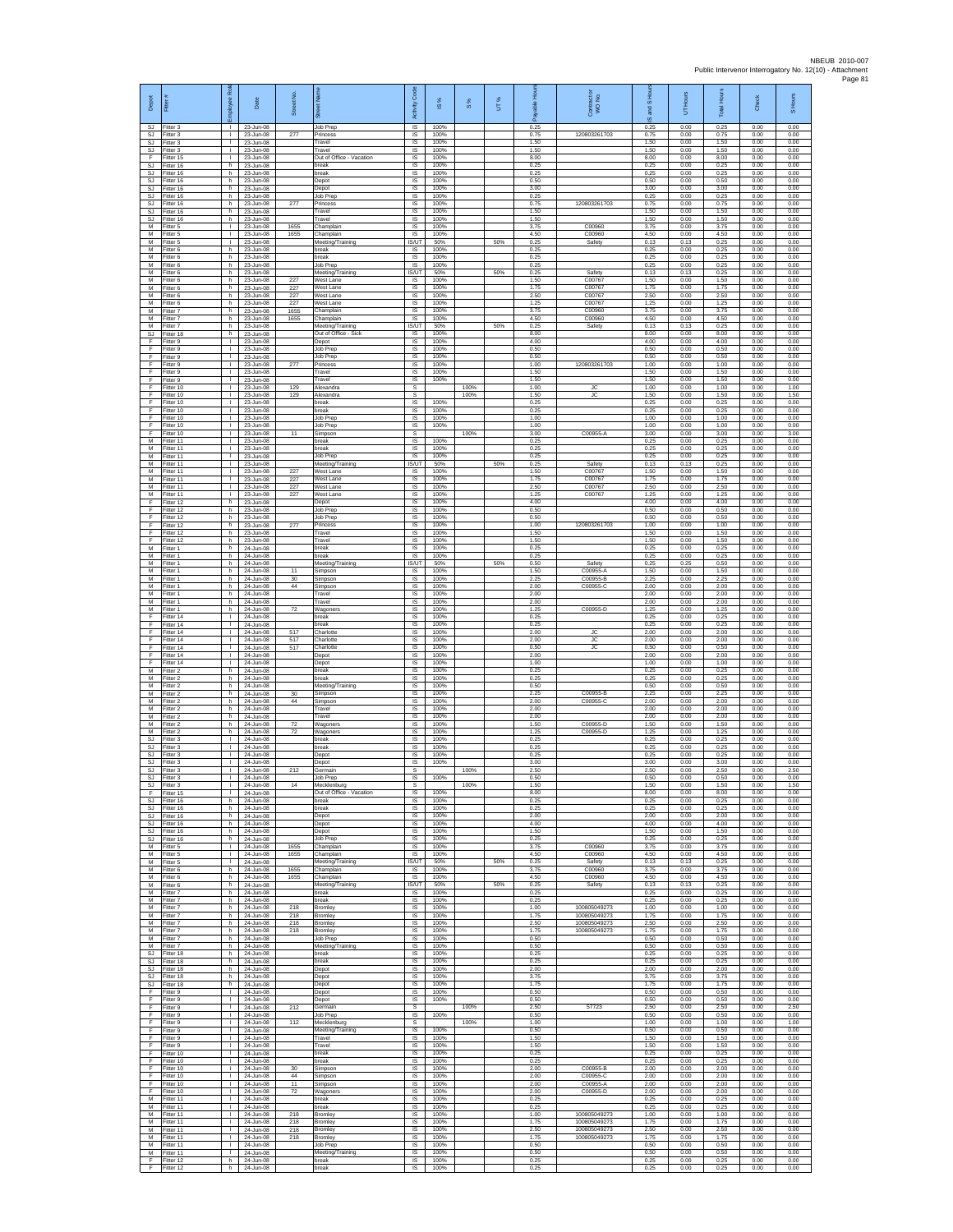| Depot                       | Fitter                              | Rol<br>ployee                                | Date                                | Street No.        |                                                     | Code<br>Activity                  | $\frac{8}{3}$        | $\frac{8}{3}$ | UT% | <b>R</b><br>흛<br>æ   | Contract or<br>WO No.                        | and S Hou<br>$\overline{\omega}$ | UT Hours             | <b>Total Hours</b>   | Check                | Hours<br>5           |
|-----------------------------|-------------------------------------|----------------------------------------------|-------------------------------------|-------------------|-----------------------------------------------------|-----------------------------------|----------------------|---------------|-----|----------------------|----------------------------------------------|----------------------------------|----------------------|----------------------|----------------------|----------------------|
| SJ.<br>SJ<br>SJ             | Fitter 3<br>Fitter 3                | $\mathbf{L}$<br>т.<br>$\mathbb{L}$           | 23-Jun-08<br>23-Jun-08              | 277               | Job Prep<br><sup>2</sup> rincess                    | IS.<br>IS                         | 100%<br>100%<br>100% |               |     | 0.25<br>0.75         | 120803261703                                 | 0.25<br>0.75                     | 0.00<br>0.00         | 0.25<br>0.75         | 0.00<br>0.00         | 0.00<br>0.00         |
| SJ.<br>F                    | Fitter 3<br>Fitter 3<br>Fitter 15   | $\mathbf{L}$<br>$\mathbf{L}$                 | 23-Jun-08<br>23-Jun-08<br>23-Jun-08 |                   | Travel<br>Travel<br>Out of Office - Vacation        | $\sf IS$<br><b>IS</b><br>IS       | 100%<br>100%         |               |     | 1.50<br>1.50<br>8.00 |                                              | 1.50<br>1.50<br>8.00             | 0.00<br>0.00<br>0.00 | 1.50<br>1.50<br>8.00 | 0.00<br>0.00<br>0.00 | 0.00<br>0.00<br>0.00 |
| <b>SJ</b><br>SJ             | Fitter 16<br>fitter 16              | h<br>h                                       | 23-Jun-08<br>23-Jun-08              |                   | break<br>oreak                                      | 1S<br>IS                          | 100%<br>100%         |               |     | 0.25<br>0.25         |                                              | 0.25<br>0.25                     | 0.00<br>0.00         | 0.25<br>0.25         | 0.00<br>0.00         | 0.00<br>0.00         |
| SJ<br>SJ.                   | Fitter 16<br>Fitter 16              | h.<br>h.                                     | 23-Jun-08<br>23-Jun-08              |                   | Depot<br>Depot                                      | <b>IS</b><br>IS                   | 100%<br>100%         |               |     | 0.50<br>3.00         |                                              | 0.50<br>3.00                     | 0.00<br>0.00         | 0.50<br>3.00         | 0.00<br>0.00         | 0.00<br>0.00         |
| SJ<br>SJ.<br>SJ             | Fitter 16<br>Fitter 16<br>Fitter 16 | h<br>h.<br>h                                 | 23-Jun-08<br>23-Jun-08<br>23-Jun-08 | 277               | Job Prep<br>Princess<br>Travel                      | $\sf IS$<br>IS<br>IS              | 100%<br>100%<br>100% |               |     | 0.25<br>0.75<br>1.50 | 120803261703                                 | 0.25<br>0.75<br>1.50             | 0.00<br>0.00<br>0.00 | 0.25<br>0.75<br>1.50 | 0.00<br>0.00<br>0.00 | 0.00<br>0.00<br>0.00 |
| SJ<br>М                     | Fitter 16<br>Fitter 5               | h<br>H.                                      | 23-Jun-08<br>23-Jun-08              | 1655              | ravel<br>Champlair                                  | IS<br>IS                          | 100%<br>100%         |               |     | 1.50<br>3.75         | C00960                                       | 1.50<br>3.75                     | 0.00<br>0.00         | 1.50<br>3.75         | 0.00<br>0.00         | 0.00<br>0.00         |
| M<br>М                      | Fitter 5<br>-itter 5                | т.<br>$\mathbf{L}$                           | 23-Jun-08<br>23-Jun-08              | 1655              | Champlain<br>Meeting/Training                       | <b>IS</b><br>IS/UT                | 100%<br>50%          |               | 50% | 4.50<br>0.25         | C00960<br>Safety                             | 4.50<br>0.13                     | 0.00<br>0.13         | 4.50<br>0.25         | 0.00<br>0.00         | 0.00<br>0.00         |
| М<br>M<br>M                 | Fitter 6<br>Fitter 6<br>-itter 6    | h<br>h<br>h                                  | 23-Jun-08<br>23-Jun-08<br>23-Jun-08 |                   | break<br>oreak<br>Job Prep                          | IS.<br>IS<br>IS                   | 100%<br>100%<br>100% |               |     | 0.25<br>0.25<br>0.25 |                                              | 0.25<br>0.25<br>0.25             | 0.00<br>0.00<br>0.00 | 0.25<br>0.25<br>0.25 | 0.00<br>0.00<br>0.00 | 0.00<br>0.00<br>0.00 |
| М<br>М                      | Fitter 6<br>-itter 6                | h<br>h                                       | 23-Jun-08<br>23-Jun-08              | 227               | Meeting/Training<br>Vest Lane                       | IS/UT<br>IS                       | 50%<br>100%          |               | 50% | 0.25<br>1.50         | Safety<br>C00767                             | 0.13<br>1.50                     | 0.13<br>0.00         | 0.25<br>1.50         | 0.00<br>0.00         | 0.00<br>0.00         |
| M<br>M                      | Fitter 6<br>Fitter 6                | h.<br>h.                                     | 23-Jun-08<br>23-Jun-08              | 227<br>227        | West Lane<br>West Lane                              | IS<br>IS                          | 100%<br>100%         |               |     | 1.75<br>2.50         | C00767<br>C00767                             | 1.75<br>2.50                     | 0.00<br>0.00         | 1.75<br>2.50         | 0.00<br>0.00         | 0.00<br>0.00         |
| М<br>M<br>M                 | Fitter 6<br>Fitter 7                | h<br>h<br>h.                                 | 23-Jun-08<br>23-Jun-08              | 227<br>1655       | <b>Nest Lane</b><br>Champlain<br>Champlain          | IS<br>IS<br><b>IS</b>             | 100%<br>100%<br>100% |               |     | 1.25<br>3.75<br>4.50 | C00767<br>C00960<br>C00960                   | 1.25<br>3.75<br>4.50             | 0.00<br>0.00<br>0.00 | 1.25<br>3.75<br>4.50 | 0.00<br>0.00<br>0.00 | 0.00<br>0.00<br>0.00 |
| М<br>$\mathbb{S}\mathbb{J}$ | Fitter 7<br>-itter 7<br>Fitter 18   | h<br>h.                                      | 23-Jun-08<br>23-Jun-08<br>23-Jun-08 | 1655              | feeting/Training<br>Out of Office - Sick            | IS/UT<br>$\sf IS$                 | 50%<br>100%          |               | 50% | 0.25<br>8.00         | Safety                                       | 0.13<br>8.00                     | 0.13<br>0.00         | 0.25<br>8.00         | 0.00<br>0.00         | 0.00<br>0.00         |
| F<br>F                      | Fitter 9<br>Fitter 9                | $\mathbf{L}$<br>$\mathbf{L}$                 | 23-Jun-08<br>23-Jun-08              |                   | Depot<br>Job Prep                                   | <b>IS</b><br>IS                   | 100%<br>100%         |               |     | 4.00<br>0.50         |                                              | 4.00<br>0.50                     | 0.00<br>0.00         | 4.00<br>0.50         | 0.00<br>0.00         | 0.00<br>0.00         |
| F<br>F<br>E                 | Fitter 9<br>Fitter 9<br>Fitter 9    | т.<br>$\mathbf{L}$<br>л.                     | 23-Jun-08<br>23-Jun-08              | 277               | Job Prep<br>rincess<br>Travel                       | IS<br>IS<br>IS                    | 100%<br>100%<br>100% |               |     | 0.50<br>1.00<br>1.50 | 120803261703                                 | 0.50<br>1.00<br>1.50             | 0.00<br>0.00<br>0.00 | 0.50<br>1.00<br>1.50 | 0.00<br>0.00<br>0.00 | 0.00<br>0.00<br>0.00 |
| F<br>F                      | -itter 9<br>Fitter 10               | л.<br>$\mathbf{I}$                           | 23-Jun-08<br>23-Jun-08<br>23-Jun-08 | 129               | Travel<br>Alexandra                                 | IS<br>$\mathbb S$                 | 100%                 | 100%          |     | 1.50<br>1.00         | <b>JC</b>                                    | 1.50<br>1.00                     | 0.00<br>0.00         | 1.50<br>1.00         | 0.00<br>0.00         | 0.00<br>1.00         |
| F<br>F                      | Fitter 10<br>Fitter 10              | $\mathbf{L}$<br>T.                           | 23-Jun-08<br>23-Jun-08              | 129               | Alexandra<br>oreak                                  | s<br>IS                           | 100%                 | 100%          |     | 1.50<br>0.25         | <b>JC</b>                                    | 1.50<br>0.25                     | 0.00<br>0.00         | 1.50<br>0.25         | 0.00<br>0.00         | 1.50<br>0.00         |
| F<br>F<br>F                 | Fitter 10<br>Fitter 10<br>Fitter 10 | ٠<br>$\mathbf{L}$<br>$\mathbf{L}$            | 23-Jun-08<br>23-Jun-08<br>23-Jun-08 |                   | oreak<br>Job Prep<br>Job Prep                       | IS<br>IS<br><b>IS</b>             | 100%<br>100%<br>100% |               |     | 0.25<br>1.00<br>1.00 |                                              | 0.25<br>1.00<br>1.00             | 0.00<br>0.00<br>0.00 | 0.25<br>1.00<br>1.00 | 0.00<br>0.00<br>0.00 | 0.00<br>0.00<br>0.00 |
| F<br>М                      | Fitter 10<br>Fitter 11              | $\mathbf{L}$<br>t.                           | 23-Jun-08<br>23-Jun-08              | 11                | Simpson<br>oreak                                    | s<br>IS                           | 100%                 | 100%          |     | 3.00<br>0.25         | C00955-A                                     | 3.00<br>0.25                     | 0.00<br>0.00         | 3.00<br>0.25         | 0.00<br>0.00         | 3.00<br>0.00         |
| M<br>M                      | Fitter 11<br>Fitter 11              | $\mathbf{L}$<br>л.                           | 23-Jun-08<br>23-Jun-08              |                   | reak<br>Job Prep                                    | IS<br><b>IS</b>                   | 100%<br>100%         |               |     | 0.25<br>0.25         |                                              | 0.25<br>0.25                     | 0.00<br>0.00         | 0.25<br>0.25         | 0.00<br>0.00         | 0.00<br>0.00         |
| М<br>М<br>M                 | Fitter 11<br>Fitter 11<br>Fitter 11 | т.<br>т.<br>÷.                               | 23-Jun-08<br>23-Jun-08<br>23-Jun-08 | 227<br>227        | Meeting/Training<br>Vest Lane<br>West Lane          | IS/UT<br>IS<br><b>IS</b>          | 50%<br>100%<br>100%  |               | 50% | 0.25<br>1.50<br>1.75 | Safety<br>C00767<br>C00767                   | 0.13<br>1.50<br>1.75             | 0.13<br>0.00<br>0.00 | 0.25<br>1.50<br>1.75 | 0.00<br>0.00<br>0.00 | 0.00<br>0.00<br>0.00 |
| M<br>М                      | Fitter 11<br>Fitter 11              | $\mathbf{L}$<br>٠                            | 23-Jun-08<br>23-Jun-08              | 227<br>227        | West Lane<br><b>Nest Lane</b>                       | IS<br>IS                          | 100%<br>100%         |               |     | 2.50<br>1.25         | C00767<br>C00767                             | 2.50<br>1.25                     | 0.00<br>0.00         | 2.50<br>1.25         | 0.00<br>0.00         | 0.00<br>0.00         |
| F<br>F                      | Fitter 12<br>Fitter 12              | h<br>h.                                      | 23-Jun-08<br>23-Jun-08              |                   | Depot<br>Job Prep                                   | IS<br>IS                          | 100%<br>100%         |               |     | 4.00<br>0.50         |                                              | 4.00<br>0.50                     | 0.00<br>0.00         | 4.00<br>0.50         | 0.00<br>0.00         | 0.00<br>0.00         |
| F<br>Ŧ<br>F                 | Fitter 12<br>Fitter 12<br>Fitter 12 | h<br>h.<br>h.                                | 23-Jun-08<br>23-Jun-08<br>23-Jun-08 | 277               | lob Prep<br>Princess<br>Travel                      | $\sf IS$<br>$\sf IS$<br><b>IS</b> | 100%<br>100%<br>100% |               |     | 0.50<br>1.00<br>1.50 | 120803261703                                 | 0.50<br>1.00<br>1.50             | 0.00<br>0.00<br>0.00 | 0.50<br>1.00<br>1.50 | 0.00<br>0.00<br>0.00 | 0.00<br>0.00<br>0.00 |
| F<br>М                      | Fitter 12<br>Fitter 1               | h<br>h.                                      | 23-Jun-08<br>24-Jun-08              |                   | Travel<br>break                                     | IS<br>1S                          | 100%<br>100%         |               |     | 1.50<br>0.25         |                                              | 1.50<br>0.25                     | 0.00<br>0.00         | 1.50<br>0.25         | 0.00<br>0.00         | 0.00<br>0.00         |
| М<br>M<br>M                 | fitter 1<br>-itter 1                | h<br>h.<br>h.                                | 24-Jun-08<br>24-Jun-08              | 11                | preak<br>Meeting/Training                           | IS<br><b>IS/UT</b><br>IS          | 100%<br>50%<br>100%  |               | 50% | 0.25<br>0.50<br>1.50 | Safety<br>C00955-A                           | 0.25<br>0.25<br>1.50             | 0.00<br>0.25<br>0.00 | 0.25<br>0.50<br>1.50 | 0.00<br>0.00<br>0.00 | 0.00<br>0.00<br>0.00 |
| М<br>M                      | -itter 1<br>Fitter 1<br>Fitter 1    | h<br>h.                                      | 24-Jun-08<br>24-Jun-08<br>24-Jun-08 | 30<br>44          | Simpson<br>Simpson<br>Simpson                       | $\sf IS$<br>IS                    | 100%<br>100%         |               |     | 2.25<br>2.00         | C00955-B<br>C00955-C                         | 2.25<br>2.00                     | 0.00<br>0.00         | 2.25<br>2.00         | 0.00<br>0.00         | 0.00<br>0.00         |
| M<br>М                      | Fitter 1<br>Fitter 1                | h<br>h                                       | 24-Jun-08<br>24-Jun-08              |                   | Travel<br>Travel                                    | IS<br>IS                          | 100%<br>100%         |               |     | 2.00<br>2.00         |                                              | 2.00<br>2.00                     | 0.00<br>0.00         | 2.00<br>2.00         | 0.00<br>0.00         | 0.00<br>0.00         |
| М<br>F<br>F                 | Fitter 1<br>Fitter 14<br>Fitter 14  | h<br>л.<br>$\mathbf{L}$                      | 24-Jun-08<br>24-Jun-08<br>24-Jun-08 | 72                | Wagoners<br>break<br>reak                           | IS<br><b>IS</b><br>IS             | 100%<br>100%<br>100% |               |     | 1.25<br>0.25<br>0.25 | C00955-D                                     | 1.25<br>0.25<br>0.25             | 0.00<br>0.00<br>0.00 | 1.25<br>0.25<br>0.25 | 0.00<br>0.00<br>0.00 | 0.00<br>0.00<br>0.00 |
| F<br>F                      | Fitter 14<br>Fitter 14              | $\mathbf{I}$<br>$\mathbf{L}$                 | 24-Jun-08<br>24-Jun-08              | 517<br>517        | Charlotte<br>Charlotte                              | 1S<br>IS                          | 100%<br>100%         |               |     | 2.00<br>2.00         | ЪC<br><b>JC</b>                              | 2.00<br>2.00                     | 0.00<br>0.00         | 2.00<br>2.00         | 0.00<br>0.00         | 0.00<br>0.00         |
| F<br>F<br>F                 | Fitter 14<br>Fitter 14<br>ltter 14  | л.<br>$\mathbf{L}$<br>т.                     | 24-Jun-08<br>24-Jun-08<br>24-Jun-08 | 517               | Charlotte<br>Depot<br>Depot                         | IS<br>$\sf IS$<br>IS              | 100%<br>100%<br>100% |               |     | 0.50<br>2.00<br>1.00 | <b>JC</b>                                    | 0.50<br>2.00<br>1.00             | 0.00<br>0.00<br>0.00 | 0.50<br>2.00<br>1.00 | 0.00<br>0.00<br>0.00 | 0.00<br>0.00<br>0.00 |
| M<br>M                      | Fitter 2<br>Fitter 2                | h.<br>h.                                     | 24-Jun-08<br>24-Jun-08              |                   | break<br>hreak                                      | <b>IS</b><br>IS                   | 100%<br>100%         |               |     | 0.25<br>0.25         |                                              | 0.25<br>0.25                     | 0.00<br>0.00         | 0.25<br>0.25         | 0.00<br>0.00         | 0.00<br>0.00         |
| М<br>M<br>M                 | Fitter 2<br>Fitter 2<br>Fitter 2    | h<br>h<br>h.                                 | 24-Jun-08<br>24-Jun-08<br>24-Jun-08 | 30<br>44          | Meeting/Training<br>Simpson<br>Simpson              | IS<br>IS<br><b>IS</b>             | 100%<br>100%<br>100% |               |     | 0.50<br>2.25<br>2.00 | C00955-E<br>C00955-C                         | 0.50<br>2.25<br>2.00             | 0.00<br>0.00<br>0.00 | 0.50<br>2.25<br>2.00 | 0.00<br>0.00<br>0.00 | 0.00<br>0.00<br>0.00 |
| М<br>M                      | -itter 2<br>Fitter 2                | h<br>h.                                      | 24-Jun-08<br>24-Jun-08              |                   | ravel<br>Travel                                     | $\sf IS$<br>$\sf IS$              | 100%<br>100%         |               |     | 2.00<br>2.00         |                                              | 2.00<br>2.00                     | 0.00<br>0.00         | 2.00<br>2.00         | 0.00<br>0.00         | 0.00<br>0.00         |
| M<br>M                      | Fitter 2<br>Fitter 2                | h.<br>h                                      | 24-Jun-08<br>24-Jun-08              | 72<br>72          | Wagoners<br>Wagoners                                | <b>IS</b><br>IS                   | 100%<br>100%         |               |     | 1.50<br>1.25         | C00955-D<br>C00955-D                         | 1.50<br>1.25                     | 0.00<br>0.00         | 1.50<br>1.25         | 0.00<br>0.00         | 0.00<br>0.00         |
| SJ<br>SJ<br>SJ              | Fitter 3<br>fitter 3<br>Fitter 3    | т.<br>т.<br>л.                               | 24-Jun-08<br>24-Jun-08<br>24-Jun-08 |                   | oreak<br>reak<br>Depot                              | IS<br>IS<br><b>IS</b>             | 100%<br>100%<br>100% |               |     | 0.25<br>0.25<br>0.25 |                                              | 0.25<br>0.25<br>0.25             | 0.00<br>0.00<br>0.00 | 0.25<br>0.25<br>0.25 | 0.00<br>0.00<br>0.00 | 0.00<br>0.00<br>0.00 |
| SJ<br>SJ                    | Fitter 3<br>Fitter 3                | л.<br>T.                                     | 24-Jun-08<br>24-Jun-08              | 212               | Depot<br>Germain                                    | IS<br>s                           | 100%                 | 100%          |     | 3.00<br>2.50         |                                              | 3.00<br>2.50                     | 0.00<br>0.00         | 3.00<br>2.50         | 0.00<br>0.00         | 0.00<br>2.50         |
| <b>SJ</b><br>S.I<br>Ŧ       | Fitter 3<br>Fitter 3<br>Fitter 15   | $\mathbf{L}$<br>т.                           | 24-Jun-08<br>24-Jun-08<br>24-Jun-08 | 14                | Job Prep<br>Mecklenburg<br>Out of Office - Vacation | IS<br>S<br>IS                     | 100%<br>100%         | 100%          |     | 0.50<br>1.50<br>8.00 |                                              | 0.50<br>1.50<br>8.00             | 0.00<br>0.00<br>0.00 | 0.50<br>1.50<br>8.00 | 0.00<br>0.00<br>0.00 | 0.00<br>1.50<br>0.00 |
| sJ.                         | Fitter 16<br>SJ Fitter 16           | h<br>h.                                      | 24-Jun-08<br>24-Jun-08              |                   | break<br>break                                      | 1S<br>IS.                         | 100%<br>100%         |               |     | 0.25<br>0.25         |                                              | 0.25<br>0.25                     | 0.00<br>0.00         | 0.25<br>0.25         | 0.00<br>0.00         | 0.00<br>0.00         |
| SJ<br>SJ<br>SJ.             | Fitter 16<br>Fitter 16<br>Fitter 16 | h<br>h.<br>h.                                | 24-Jun-08<br>24-Jun-08<br>24-Jun-08 |                   | Depot<br>Depot<br>Depot                             | IS<br>IS<br>IS                    | 100%<br>100%<br>100% |               |     | 2.00<br>4.00<br>1.50 |                                              | 2.00<br>4.00<br>1.50             | 0.00<br>0.00<br>0.00 | 2.00<br>4.00<br>1.50 | 0.00<br>0.00<br>0.00 | 0.00<br>0.00<br>0.00 |
| <b>SJ</b><br>M              | Fitter 16<br>Fitter 5               | h<br>$\mathbf{L}$                            | 24-Jun-08<br>24-Jun-08              | 1655              | Job Prep<br>Champlain                               | IS<br>IS                          | 100%<br>100%         |               |     | 0.25<br>3.75         | C00960                                       | 0.25<br>3.75                     | 0.00<br>0.00         | 0.25<br>3.75         | 0.00<br>0.00         | 0.00<br>0.00         |
| М<br>M                      | Fitter 5<br>Fitter 5                | т.<br>л.                                     | 24-Jun-08<br>24-Jun-08              | 1655              | Champlain<br>Meeting/Training                       | IS<br><b>IS/UT</b>                | 100%<br>50%          |               | 50% | 4.50<br>0.25         | C00960<br>Safety                             | 4.50<br>0.13                     | 0.00<br>0.13         | 4.50<br>0.25         | 0.00<br>0.00         | 0.00<br>0.00         |
| M<br>М<br>M                 | Fitter 6<br>Fitter 6<br>Fitter 6    | h.<br>h<br>h.                                | 24-Jun-08<br>24-Jun-08<br>24-Jun-08 | 1655<br>1655      | Champlain<br>Champlain<br>Meeting/Training          | IS.<br>IS<br><b>IS/UT</b>         | 100%<br>100%<br>50%  |               | 50% | 3.75<br>4.50<br>0.25 | C00960<br>C00960<br>Safety                   | 3.75<br>4.50<br>0.13             | 0.00<br>0.00<br>0.13 | 3.75<br>4.50<br>0.25 | 0.00<br>0.00<br>0.00 | 0.00<br>0.00<br>0.00 |
| M                           | M Fitter 7<br>Fitter 7              | h.<br>h                                      | 24-Jun-08<br>24-Jun-08              |                   | break<br>oreak                                      | IS<br>$\sf IS$                    | 100%<br>100%         |               |     | 0.25<br>0.25         |                                              | 0.25<br>0.25                     | 0.00<br>0.00         | 0.25<br>0.25         | 0.00<br>0.00         | 0.00<br>0.00         |
| M<br>M<br>M                 | Fitter 7<br>Fitter 7<br>Fitter 7    | h<br>h.<br>h                                 | 24-Jun-08<br>24-Jun-08<br>24-Jun-08 | 218<br>218<br>218 | Bromley<br>Bromley<br>Bromley                       | $\sf IS$<br>IS.<br>IS             | 100%<br>100%<br>100% |               |     | 1.00<br>1.75<br>2.50 | 100805049273<br>100805049273<br>100805049273 | 1.00<br>1.75<br>2.50             | 0.00<br>0.00<br>0.00 | 1.00<br>1.75<br>2.50 | 0.00<br>0.00<br>0.00 | 0.00<br>0.00<br>0.00 |
| M<br>М                      | Fitter 7<br>Fitter 7                | h.<br>h.                                     | 24-Jun-08<br>24-Jun-08              | 218               | Bromley<br>Job Prep                                 | IS.<br>IS                         | 100%<br>100%         |               |     | 1.75<br>0.50         | 100805049273                                 | 1.75<br>0.50                     | 0.00<br>0.00         | 1.75<br>0.50         | 0.00<br>0.00         | 0.00<br>0.00         |
| M<br>SJ.<br>SJ              | Fitter 7<br>Fitter 18<br>Fitter 18  | h.<br>h.<br>$\,$ h                           | 24-Jun-08<br>24-Jun-08<br>24-Jun-08 |                   | Meeting/Training<br>break<br>break                  | IS<br>IS<br>$\sf IS$              | 100%<br>100%<br>100% |               |     | 0.50<br>0.25<br>0.25 |                                              | 0.50<br>0.25<br>0.25             | 0.00<br>0.00<br>0.00 | 0.50<br>0.25<br>0.25 | 0.00<br>0.00<br>0.00 | 0.00<br>0.00<br>0.00 |
| SJ.<br>SJ.                  | Fitter 18<br>Fitter 18              | h<br>h.                                      | 24-Jun-08<br>24-Jun-08              |                   | Depot<br>Depot                                      | IS.<br>IS                         | 100%<br>100%         |               |     | 2.00<br>3.75         |                                              | 2.00<br>3.75                     | 0.00<br>0.00         | 2.00<br>3.75         | 0.00<br>0.00         | 0.00<br>0.00         |
| SJ<br>F                     | Fitter 18<br>Fitter 9               | h<br>т                                       | 24-Jun-08<br>24-Jun-08              |                   | Depot<br>Depot                                      | IS<br>IS                          | 100%<br>100%         |               |     | 1.75<br>0.50         |                                              | 1.75<br>0.50<br>0.50             | 0.00<br>0.00         | 1.75<br>0.50<br>0.50 | 0.00<br>0.00<br>0.00 | 0.00<br>0.00         |
| F<br>$\mathsf F$<br>F       | Fitter 9<br>Fitter 9<br>Fitter 9    | $\mathbf{L}$<br>$\mathbf{L}$<br>$\mathbb{L}$ | 24-Jun-08<br>24-Jun-08<br>24-Jun-08 | 212               | Depot<br>Germain<br>Job Prep                        | <b>IS</b><br>s<br>1S              | 100%<br>100%         | 100%          |     | 0.50<br>2.50<br>0.50 | 57723                                        | 2.50<br>0.50                     | 0.00<br>0.00<br>0.00 | 2.50<br>0.50         | 0.00<br>0.00         | 0.00<br>2.50<br>0.00 |
| F<br>F                      | Fitter 9<br>Fitter 9                | H.<br>$\mathbf{I}$                           | 24-Jun-08<br>24-Jun-08              | 112               | Mecklenburg<br>Meeting/Training                     | s<br>IS                           | 100%                 | 100%          |     | 1.00<br>0.50         |                                              | 1.00<br>0.50                     | 0.00<br>0.00         | 1.00<br>0.50         | 0.00<br>0.00         | 1.00<br>0.00         |
| F.<br>F<br>F                | Fitter 9<br>Fitter 9<br>Fitter 10   | $\mathbf{L}$<br>$\mathbf{L}$<br>л.           | 24-Jun-08<br>24-Jun-08<br>24-Jun-08 |                   | Travel<br>Travel<br>break                           | IS<br>IS<br>IS                    | 100%<br>100%<br>100% |               |     | 1.50<br>1.50<br>0.25 |                                              | 1.50<br>1.50<br>0.25             | 0.00<br>0.00<br>0.00 | 1.50<br>1.50<br>0.25 | 0.00<br>0.00<br>0.00 | 0.00<br>0.00<br>0.00 |
| F.<br>F                     | Fitter 10<br>Fitter 10              | $\mathbf{L}$<br>т.                           | 24-Jun-08<br>24-Jun-08              | 30                | hreak<br>Simpson                                    | IS.<br>IS                         | 100%<br>100%         |               |     | 0.25<br>2.00         | C00955-B                                     | 0.25<br>2.00                     | 0.00<br>0.00         | 0.25<br>2.00         | 0.00<br>0.00         | 0.00<br>0.00         |
| F.<br>F.                    | Fitter 10<br>Fitter 10              | т<br>$\mathbf{L}$                            | 24-Jun-08<br>24-Jun-08              | 44<br>11          | Simpson<br>Simpson                                  | IS<br><b>IS</b>                   | 100%<br>100%         |               |     | 2.00<br>2.00         | C00955-C<br>C00955-A                         | 2.00<br>2.00                     | 0.00<br>0.00         | 2.00<br>2.00         | 0.00<br>0.00         | 0.00<br>0.00         |
| F<br>M<br>M                 | Fitter 10<br>Fitter 11<br>Fitter 11 | $\mathbf{L}$<br>$\mathbb{L}$<br>$\mathbf{L}$ | 24-Jun-08<br>24-Jun-08<br>24-Jun-08 | 72                | Nagoners<br>break<br>break                          | $\sf IS$<br>$\sf IS$<br>IS.       | 100%<br>100%<br>100% |               |     | 2.00<br>0.25<br>0.25 | C00955-D                                     | 2.00<br>0.25<br>0.25             | 0.00<br>0.00<br>0.00 | 2.00<br>0.25<br>0.25 | 0.00<br>0.00<br>0.00 | 0.00<br>0.00<br>0.00 |
| M<br>M                      | Fitter 11<br>Fitter 11              | $\mathbf{L}$<br>$\mathbf{I}$                 | 24-Jun-08<br>24-Jun-08              | 218<br>218        | Bromley<br>Bromley                                  | IS<br>1S                          | 100%<br>100%         |               |     | 1.00<br>1.75         | 100805049273<br>100805049273                 | 1.00<br>1.75                     | 0.00<br>0.00         | 1.00<br>1.75         | 0.00<br>0.00         | 0.00<br>0.00         |
| М<br>M<br>M                 | Fitter 11<br>Fitter 11<br>Fitter 11 | $\mathbf{L}$<br>л.<br>$\mathbf{L}$           | 24-Jun-08<br>24-Jun-08<br>24-Jun-08 | 218<br>218        | Bromley<br>Bromley<br>Job Prep                      | IS<br>IS<br>IS                    | 100%<br>100%<br>100% |               |     | 2.50<br>1.75<br>0.50 | 100805049273<br>100805049273                 | 2.50<br>1.75<br>0.50             | 0.00<br>0.00<br>0.00 | 2.50<br>1.75<br>0.50 | 0.00<br>0.00<br>0.00 | 0.00<br>0.00<br>0.00 |
| М<br>F.                     | Fitter 11<br>Fitter 12              | $\mathbf{I}$<br>h                            | 24-Jun-08<br>24-Jun-08              |                   | Meeting/Training<br>break                           | $\sf IS$<br>IS.                   | 100%<br>100%         |               |     | 0.50<br>0.25         |                                              | 0.50<br>0.25                     | 0.00<br>0.00         | 0.50<br>0.25         | 0.00<br>0.00         | 0.00<br>0.00         |
| F.                          | Fitter 12                           | h.                                           | 24-Jun-08                           |                   | break                                               | <b>IS</b>                         | 100%                 |               |     | 0.25                 |                                              | 0.25                             | 0.00                 | 0.25                 | 0.00                 | 0.00                 |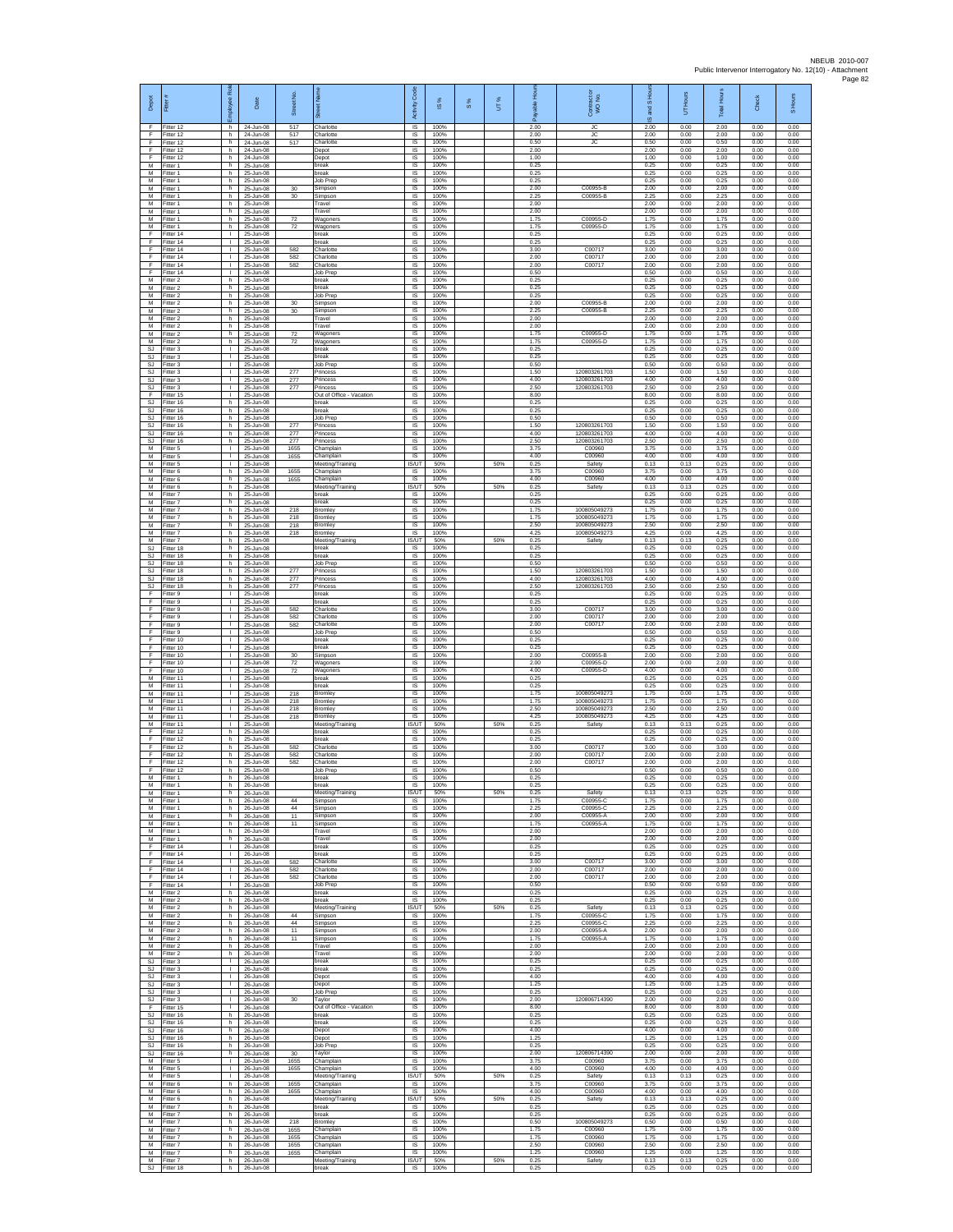| Depot                               | Fitter                              | æ<br>loyee                                   | Date                                   | Street No.           |                                                  | Code<br>Activity                  | IS %                 | 8% | UT% | able Hou<br>۶        | Contract or<br>WO No.                  | and S Ho<br>$\overline{9}$ | UT Hours             | Total Hours          | Check                | S Hours              |
|-------------------------------------|-------------------------------------|----------------------------------------------|----------------------------------------|----------------------|--------------------------------------------------|-----------------------------------|----------------------|----|-----|----------------------|----------------------------------------|----------------------------|----------------------|----------------------|----------------------|----------------------|
| -F<br>F<br>F                        | Fitter 12<br>Fitter 12<br>Fitter 12 | h.<br>h.<br>h                                | 24-Jun-08<br>24-Jun-08<br>24-Jun-08    | 517<br>517<br>517    | Charlotte<br>Charlotte<br>Charlotte              | <b>IS</b><br>$\sf IS$<br>$\sf IS$ | 100%<br>100%<br>100% |    |     | 2.00<br>2.00<br>0.50 | JC<br>JС<br><b>JC</b>                  | 2.00<br>2.00<br>0.50       | 0.00<br>0.00<br>0.00 | 2.00<br>2.00<br>0.50 | 0.00<br>0.00<br>0.00 | 0.00<br>0.00<br>0.00 |
| -F<br>E                             | Fitter 12<br>Fitter 12              | h.<br>h.                                     | 24-Jun-08<br>24-Jun-08                 |                      | Depot<br>Depot                                   | IS<br>IS                          | 100%<br>100%         |    |     | 2.00<br>1.00         |                                        | 2.00<br>1.00               | 0.00<br>0.00         | 2.00<br>1.00         | 0.00<br>0.00         | 0.00<br>0.00         |
| M<br>M                              | Fitter 1<br>Fitter 1                | h.<br>h.                                     | 25-Jun-08<br>25-Jun-08                 |                      | break<br>break                                   | IS<br>IS                          | 100%<br>100%         |    |     | 0.25<br>0.25         |                                        | 0.25<br>0.25               | 0.00<br>0.00         | 0.25<br>0.25         | 0.00<br>0.00         | 0.00<br>0.00         |
| M<br>M<br>M                         | Fitter 1<br>-itter 1<br>Fitter 1    | h.<br>h<br>h.                                | 25-Jun-08<br>25-Jun-08<br>25-Jun-08    | 30<br>30             | Job Prep<br>Simpson                              | IS<br>IS<br>$\sf IS$              | 100%<br>100%<br>100% |    |     | 0.25<br>2.00<br>2.25 | C00955-B<br>C00955-B                   | 0.25<br>2.00<br>2.25       | 0.00<br>0.00<br>0.00 | 0.25<br>2.00<br>2.25 | 0.00<br>0.00<br>0.00 | 0.00<br>0.00<br>0.00 |
| M<br>M                              | Fitter 1<br>Fitter 1                | h.<br>h                                      | 25-Jun-08<br>25-Jun-08                 |                      | Simpson<br>Travel<br>Travel                      | IS<br>IS                          | 100%<br>100%         |    |     | 2.00<br>2.00         |                                        | 2.00<br>2.00               | 0.00<br>0.00         | 2.00<br>2.00         | 0.00<br>0.00         | 0.00<br>0.00         |
| M<br>M                              | Fitter 1<br>Fitter 1                | h.<br>h.                                     | 25-Jun-08<br>25-Jun-08                 | 72<br>72             | Wagoners<br>Wagoners                             | 1S<br>IS                          | 100%<br>100%         |    |     | 1.75<br>1.75         | C00955-D<br>C00955-D                   | 1.75<br>1.75               | 0.00<br>0.00         | 1.75<br>1.75         | 0.00<br>0.00         | 0.00<br>0.00         |
| -F<br>F<br>F                        | Fitter 14<br>Fitter 14<br>Fitter 14 | $\mathbf{L}$<br>$\mathbf{L}$<br>L.           | 25-Jun-08<br>$25$ -Jun-08<br>25-Jun-08 | 582                  | break<br><b>oreak</b><br>harlotte                | -IS<br>IS<br>IS                   | 100%<br>100%<br>100% |    |     | 0.25<br>0.25<br>3.00 | C00717                                 | 0.25<br>0.25<br>3.00       | 0.00<br>0.00<br>0.00 | 0.25<br>0.25<br>3.00 | 0.00<br>0.00<br>0.00 | 0.00<br>0.00<br>0.00 |
| F.<br>F                             | Fitter 14<br>Fitter 14              | $\mathbf{L}$<br>$\mathbf{H}$                 | 25-Jun-08<br>25-Jun-08                 | 582<br>582           | Charlotte<br>Charlotte                           | 1S<br>IS                          | 100%<br>100%         |    |     | 2.00<br>2.00         | C00717<br>C00717                       | 2.00<br>2.00               | 0.00<br>0.00         | 2.00<br>2.00         | 0.00<br>0.00         | 0.00<br>0.00         |
| $\mathsf F$<br>M                    | Fitter 14<br>Fitter 2               | $\mathbf{L}$<br>h.                           | 25-Jun-08<br>25-Jun-08                 |                      | Job Prep<br>break                                | IS<br>1S                          | 100%<br>100%         |    |     | 0.50<br>0.25         |                                        | 0.50<br>0.25               | 0.00<br>0.00         | 0.50<br>0.25         | 0.00<br>0.00         | 0.00<br>0.00         |
| M<br>М<br>M                         | Fitter 2<br>Fitter 2<br>Fitter 2    | h.<br>h.<br>h.                               | 25-Jun-08<br>25-Jun-08<br>25-Jun-08    | $30\,$               | break<br>Job Prep<br>Simpson                     | <b>IS</b><br>IS<br>IS             | 100%<br>100%<br>100% |    |     | 0.25<br>0.25<br>2.00 | C00955-B                               | 0.25<br>0.25<br>2.00       | 0.00<br>0.00<br>0.00 | 0.25<br>0.25<br>2.00 | 0.00<br>0.00<br>0.00 | 0.00<br>0.00<br>0.00 |
| M<br>M                              | Fitter 2<br>Fitter 2                | h.<br>h.                                     | 25-Jun-08<br>25-Jun-08                 | 30                   | Simpson<br>Travel                                | IS<br>-IS                         | 100%<br>100%         |    |     | 2.25<br>2.00         | C00955-B                               | 2.25<br>2.00               | 0.00<br>0.00         | 2.25<br>2.00         | 0.00<br>0.00         | 0.00<br>0.00         |
| М<br>М<br>M                         | -itter 2<br>Fitter 2<br>Fitter 2    | h.<br>h<br>h.                                | 25-Jun-08<br>25-Jun-08<br>25-Jun-08    | 72<br>72             | Travel<br>Wagoners                               | $\sf IS$<br>IS<br>IS              | 100%<br>100%<br>100% |    |     | 2.00<br>1.75<br>1.75 | C00955-D<br>C00955-D                   | 2.00<br>1.75<br>1.75       | 0.00<br>0.00<br>0.00 | 2.00<br>1.75<br>1.75 | 0.00<br>0.00<br>0.00 | 0.00<br>0.00<br>0.00 |
| S.I<br><b>SJ</b>                    | Fitter 3<br>Fitter 3                | $\mathbf{L}$<br>$\mathbf{I}$                 | 25-Jun-08<br>25-Jun-08                 |                      | Wagoners<br>break<br>break                       | IS<br>IS                          | 100%<br>100%         |    |     | 0.25<br>0.25         |                                        | 0.25<br>0.25               | 0.00<br>0.00         | 0.25<br>0.25         | 0.00<br>0.00         | 0.00<br>0.00         |
| SJ<br>SJ.                           | Fitter 3<br>Fitter 3                | $\mathbf{L}$<br>$\mathbf{L}$                 | 25-Jun-08<br>25-Jun-08                 | 277                  | Job Prep<br>Princess                             | 1S<br><b>IS</b>                   | 100%<br>100%         |    |     | 0.50<br>1.50         | 120803261703                           | 0.50<br>1.50               | 0.00<br>0.00         | 0.50<br>1.50         | 0.00<br>0.00         | 0.00<br>0.00         |
| SJ<br>SJ<br>F                       | -itter 3<br>Fitter 3<br>Fitter 15   | $\mathbf{L}$<br>$\mathbf{L}$                 | 25-Jun-08<br>25-Jun-08<br>25-Jun-08    | 277<br>277           | Princess<br>Princess<br>Out of Office - Vacation | IS<br>$\sf IS$<br>IS              | 100%<br>100%<br>100% |    |     | 4.00<br>2.50<br>8.00 | 120803261703<br>120803261703           | 4.00<br>2.50<br>8.00       | 0.00<br>0.00<br>0.00 | 4.00<br>2.50<br>8.00 | 0.00<br>0.00<br>0.00 | 0.00<br>0.00<br>0.00 |
| SJ<br><b>SJ</b>                     | Fitter 16<br>Fitter 16              | h<br>h.                                      | 25-Jun-08<br>25-Jun-08                 |                      | break<br>break                                   | IS<br>IS                          | 100%<br>100%         |    |     | 0.25<br>0.25         |                                        | 0.25<br>0.25               | 0.00<br>0.00         | 0.25<br>0.25         | 0.00<br>0.00         | 0.00<br>0.00         |
| SJ<br>-SJ                           | Fitter 16<br>Fitter 16              | h.<br>h.                                     | 25-Jun-08<br>25-Jun-08                 | 277                  | Job Prep<br>Princess                             | IS<br><b>IS</b>                   | 100%<br>100%         |    |     | 0.50<br>1.50         | 120803261703                           | 0.50<br>1.50               | 0.00<br>0.00         | 0.50<br>1.50         | 0.00<br>0.00         | 0.00<br>0.00         |
| SJ<br>$\mathbb{S}\mathbb{J}$<br>M   | Fitter 16<br>Fitter 16<br>Fitter 5  | h<br>h.<br>$\mathbf{L}$                      | 25-Jun-08<br>25-Jun-08<br>25-Jun-08    | 277<br>277<br>1655   | Princess<br>rincess<br>Champlair                 | IS<br>IS<br>IS                    | 100%<br>100%<br>100% |    |     | 4.00<br>2.50<br>3.75 | 120803261703<br>120803261703<br>C00960 | 4.00<br>2.50<br>3.75       | 0.00<br>0.00<br>0.00 | 4.00<br>2.50<br>3.75 | 0.00<br>0.00<br>0.00 | 0.00<br>0.00<br>0.00 |
| м<br>M                              | Fitter 5<br>-itter 5                | $\mathbf{L}$<br>$\mathbf{L}$                 | 25-Jun-08<br>25-Jun-08                 | 1655                 | Champlain<br>Neeting/Training                    | IS<br>IS/UT                       | 100%<br>50%          |    | 50% | 4.00<br>0.25         | C00960<br>Safety                       | 4.00<br>0.13               | 0.00<br>0.13         | 4.00<br>0.25         | 0.00<br>0.00         | 0.00<br>0.00         |
| M<br>M                              | Fitter 6<br>Fitter 6                | h.<br>h.                                     | 25-Jun-08<br>25-Jun-08                 | 1655<br>1655         | Champlain<br>Champlain                           | <b>IS</b><br>IS.                  | 100%<br>100%<br>50%  |    |     | 3.75<br>4.00<br>0.25 | C00960<br>C00960                       | 3.75<br>4.00               | 0.00<br>0.00         | 3.75<br>4.00<br>0.25 | 0.00<br>0.00         | 0.00<br>0.00         |
| M<br>M<br>M                         | Fitter 6<br>Fitter 7<br>Fitter 7    | h.<br>h.<br>h.                               | 25-Jun-08<br>25-Jun-08<br>25-Jun-08    |                      | Meeting/Training<br>break<br>oreak               | IS/UT<br>1S<br>IS                 | 100%<br>100%         |    | 50% | 0.25<br>0.25         | Safety                                 | 0.13<br>0.25<br>0.25       | 0.13<br>0.00<br>0.00 | 0.25<br>0.25         | 0.00<br>0.00<br>0.00 | 0.00<br>0.00<br>0.00 |
| M<br>М                              | Fitter 7<br>-itter 7                | h.<br>h.                                     | 25-Jun-08<br>25-Jun-08                 | 218<br>218           | <b>Bromley</b><br>Bromley                        | -IS<br>$\sf IS$                   | 100%<br>100%         |    |     | 1.75<br>1.75         | 100805049273<br>100805049273           | 1.75<br>1.75               | 0.00<br>0.00         | 1.75<br>1.75         | 0.00<br>0.00         | 0.00<br>0.00         |
| M<br>M<br>M                         | Fitter 7<br>Fitter 7<br>Fitter 7    | h<br>h.<br>h.                                | 25-Jun-08<br>25-Jun-08<br>25-Jun-08    | 218<br>218           | Bromley<br>Bromley<br>Meeting/Training           | IS<br><b>IS</b><br><b>ISAIT</b>   | 100%<br>100%<br>50%  |    | 50% | 2.50<br>4.25<br>0.25 | 100805049273<br>100805049273<br>Safety | 2.50<br>4.25<br>0.13       | 0.00<br>0.00<br>0.13 | 2.50<br>4.25<br>0.25 | 0.00<br>0.00<br>0.00 | 0.00<br>0.00<br>0.00 |
| <b>SJ</b><br>SJ                     | Fitter 18<br>Fitter 18              | h.<br>h.                                     | 25-Jun-08<br>25-Jun-08                 |                      | break<br>break                                   | IS<br>IS                          | 100%<br>100%         |    |     | 0.25<br>0.25         |                                        | 0.25<br>0.25               | 0.00<br>0.00         | 0.25<br>0.25         | 0.00<br>0.00         | 0.00<br>0.00         |
| SJ<br>SJ                            | Fitter 18<br>Fitter 18              | h.<br>h                                      | 25-Jun-08<br>25-Jun-08                 | 277                  | Job Prep<br>Princess                             | IS<br>IS                          | 100%<br>100%         |    |     | 0.50<br>1.50         | 120803261703                           | 0.50<br>1.50               | 0.00<br>0.00         | 0.50<br>1.50         | 0.00<br>0.00         | 0.00<br>0.00         |
| <b>SJ</b><br>SJ.<br>F               | Fitter 18<br>Fitter 18<br>Fitter 9  | h.<br>h.<br>т.                               | 25-Jun-08<br>25-Jun-08<br>25-Jun-08    | 277<br>277           | Princess<br>Princess<br>break                    | $\sf IS$<br>IS<br>IS              | 100%<br>100%<br>100% |    |     | 4.00<br>2.50<br>0.25 | 120803261703<br>120803261703           | 4.00<br>2.50<br>0.25       | 0.00<br>0.00<br>0.00 | 4.00<br>2.50<br>0.25 | 0.00<br>0.00<br>0.00 | 0.00<br>0.00<br>0.00 |
| Ŧ<br>Ŧ                              | Fitter 9<br>Fitter 9                | $\mathbf{L}$<br>$\mathbb{L}$                 | 25-Jun-08<br>25-Jun-08                 | 582                  | break<br>Charlotte                               | 1S<br>IS                          | 100%<br>100%         |    |     | 0.25<br>3.00         | C00717                                 | 0.25<br>3.00               | 0.00<br>0.00         | 0.25<br>3.00         | 0.00<br>0.00         | 0.00<br>0.00         |
| -F<br>F<br>F                        | Fitter 9<br>-itter 9<br>Fitter 9    | $\mathbf{L}$<br>$\mathbf{L}$<br>L.           | 25-Jun-08<br>$25$ -Jun-08<br>25-Jun-08 | 582<br>582           | Charlotte<br>Charlotte<br>Job Prep               | -IS<br>IS<br>IS                   | 100%<br>100%<br>100% |    |     | 2.00<br>2.00<br>0.50 | C00717<br>C00717                       | 2.00<br>200<br>0.50        | 0.00<br>0.00<br>0.00 | 2.00<br>2.00<br>0.50 | 0.00<br>0.00<br>0.00 | 0.00<br>0.00<br>0.00 |
| F.<br>F                             | Fitter 10<br>Fitter 10              | $\mathbf{L}$<br><b>ILL S</b>                 | 25-Jun-08<br>25-Jun-08                 |                      | break<br>break                                   | 1S<br>IS                          | 100%<br>100%         |    |     | 0.25<br>0.25         |                                        | 0.25<br>0.25               | 0.00<br>0.00         | 0.25<br>0.25         | 0.00<br>0.00         | 0.00<br>0.00         |
| F<br>Ŧ<br>F                         | Fitter 10<br>Fitter 10<br>Fitter 10 | $\mathbf{L}$<br>$\mathbf{L}$<br>$\mathbf{L}$ | 25-Jun-08<br>25-Jun-08<br>25-Jun-08    | 30<br>72<br>72       | Simpson<br>Wagoners<br>Wagoners                  | IS<br>1S<br><b>IS</b>             | 100%<br>100%<br>100% |    |     | 2.00<br>2.00<br>4.00 | C00955-B<br>C00955-D<br>C00955-D       | 2.00<br>2.00<br>4.00       | 0.00<br>0.00<br>0.00 | 2.00<br>2.00<br>4.00 | 0.00<br>0.00<br>0.00 | 0.00<br>0.00<br>0.00 |
| M<br>M                              | Fitter 11<br>Fitter 11              | $\mathbf{L}$<br>$\mathbf{L}$                 | 25-Jun-08<br>25-Jun-08                 |                      | oreak<br>break                                   | IS<br>1S                          | 100%<br>100%         |    |     | 0.25<br>0.25         |                                        | 0.25<br>0.25               | 0.00<br>0.00         | 0.25<br>0.25         | 0.00<br>0.00         | 0.00<br>0.00         |
| M<br>M                              | Fitter 11<br>Fitter 11              | $\mathbb{L}$<br>$\mathbf{L}$<br>$\mathbf{L}$ | 25-Jun-08<br>25-Jun-08                 | 218<br>218           | Bromley<br>Bromley                               | IS<br>-IS                         | 100%<br>100%         |    |     | 1.75<br>1.75         | 100805049273<br>100805049273           | 1.75<br>1.75               | 0.00<br>0.00         | 1.75<br>1.75         | 0.00<br>0.00         | 0.00<br>0.00         |
| М<br>М<br>M                         | Fitter 11<br>Fitter 11<br>Fitter 11 | T.<br>$\mathbf{L}$                           | 25-Jun-08<br>25-Jun-08<br>25-Jun-08    | 218<br>218           | Bromley<br>Bromley<br>Meeting/Training           | $\sf IS$<br>IS<br><b>IS/UT</b>    | 100%<br>100%<br>50%  |    | 50% | 2.50<br>4.25<br>0.25 | 100805049273<br>100805049273<br>Safety | 2.50<br>4.25<br>0.13       | 0.00<br>0.00<br>0.13 | 2.50<br>4.25<br>0.25 | 0.00<br>0.00<br>0.00 | 0.00<br>0.00<br>0.00 |
| E<br>Ŧ                              | Fitter 12<br>Fitter 12              | h<br>h.                                      | 25-Jun-08<br>25-Jun-08                 |                      | break<br>reak                                    | IS.<br>IS                         | 100%<br>100%         |    |     | 0.25<br>0.25         |                                        | 0.25<br>0.25               | 0.00<br>0.00         | 0.25<br>0.25         | 0.00<br>0.00         | 0.00<br>0.00         |
| Ŧ<br>E<br>F                         | Fitter 12<br>Fitter 12<br>ltter 12  | h<br>h.<br>h                                 | 25-Jun-08<br>25-Jun-08<br>25-Jun-08    | 582<br>582<br>582    | Charlotte<br>Charlotte<br>Charlotte              | IS<br><b>IS</b><br>IS             | 100%<br>100%<br>100% |    |     | 3.00<br>2.00<br>2.00 | C00717<br>C00717<br>C00717             | 3.00<br>2.00<br>2.00       | 0.00<br>0.00<br>0.00 | 3.00<br>2.00<br>2.00 | 0.00<br>0.00<br>0.00 | 0.00<br>0.00<br>0.00 |
| F<br>M                              | Fitter 12<br>Fitter 1               | h<br>h.                                      | 25-Jun-08<br>26-Jun-08                 |                      | Job Prep<br>break                                | $\sf IS$<br>IS                    | 100%<br>100%         |    |     | 0.50<br>0.25         |                                        | 0.50<br>0.25               | 0.00<br>0.00         | 0.50<br>0.25         | 0.00<br>0.00         | 0.00<br>0.00         |
| M<br>M<br>M                         | Fitter 1<br>Fitter 1<br>-itter 1    | h<br>h<br>h.                                 | 26-Jun-08<br>26-Jun-08<br>26-Jun-08    | 44                   | break<br>Meeting/Training<br>Simpson             | <b>IS</b><br><b>IS/UT</b><br>IS   | 100%<br>50%<br>100%  |    | 50% | 0.25<br>0.25<br>1.75 | Safety<br>C00955-                      | 0.25<br>0.13<br>1.75       | 0.00<br>0.13<br>0.00 | 0.25<br>0.25<br>1.75 | 0.00<br>0.00<br>0.00 | 0.00<br>0.00<br>0.00 |
| M<br>M                              | Fitter 1<br>Fitter 1                | h.<br>h                                      | 26-Jun-08<br>26-Jun-08                 | 44<br>11             | Simpson<br>Simpson                               | - IS<br>IS                        | 100%<br>100%         |    |     | 2.25<br>2.00         | C00955-C<br>C00955-A                   | 2.25<br>2.00               | 0.00<br>0.00         | 2.25<br>2.00         | 0.00<br>0.00         | 0.00<br>0.00         |
| M<br>M<br>M                         | Fitter 1<br>Fitter 1<br>Fitter 1    | h.<br>h.<br>h.                               | 26-Jun-08<br>26-Jun-08<br>26-Jun-08    | 11                   | Simpson<br>Travel<br>Travel                      | IS<br>IS<br>IS                    | 100%<br>100%<br>100% |    |     | 1.75<br>2.00<br>2.00 | C00955-A                               | 1.75<br>2.00<br>2.00       | 0.00<br>0.00<br>0.00 | 1.75<br>2.00<br>2.00 | 0.00<br>0.00<br>0.00 | 0.00<br>0.00<br>0.00 |
| F<br>Ŧ                              | Fitter 14<br>Fitter 14              | $\mathbf{L}$<br>$\mathbf{L}$                 | 26-Jun-08<br>26-Jun-08                 |                      | break<br>break                                   | IS<br>IS                          | 100%<br>100%         |    |     | 0.25<br>0.25         |                                        | 0.25<br>0.25               | 0.00<br>0.00         | 0.25<br>0.25         | 0.00<br>0.00         | 0.00<br>0.00         |
| F<br>F                              | Fitter 14<br>Fitter 14              | $\mathbf{I}$<br>$\mathbf{L}$                 | 26-Jun-08<br>26-Jun-08                 | 582<br>582           | Charlotte<br>Charlotte                           | <b>IS</b><br>IS                   | 100%<br>100%         |    |     | 3.00<br>2.00         | C00717<br>C00717                       | 3.00<br>2.00               | 0.00<br>0.00         | 3.00<br>2.00         | 0.00<br>0.00         | 0.00<br>0.00<br>0.00 |
| F<br>F<br>M                         | Fitter 14<br>Fitter 14<br>Fitter 2  | $\mathbf{L}$<br>$\mathbf{L}$<br>h.           | 26-Jun-08<br>26-Jun-08<br>26-Jun-08    | 582                  | Charlotte<br>Job Prep<br>break                   | IS<br>IS<br>-IS                   | 100%<br>100%<br>100% |    |     | 2.00<br>0.50<br>0.25 | C00717                                 | 2.00<br>0.50<br>0.25       | 0.00<br>0.00<br>0.00 | 2.00<br>0.50<br>0.25 | 0.00<br>0.00<br>0.00 | 0.00<br>0.00         |
| M<br>M                              | Fitter 2<br>Fitter 2                | h.<br>h                                      | 26-Jun-08<br>26-Jun-08                 |                      | break<br>Meeting/Training                        | $\sf IS$<br>IS/UT                 | 100%<br>50%          |    | 50% | 0.25<br>0.25         | Safety                                 | 0.25<br>0.13               | 0.00<br>0.13         | 0.25<br>0.25         | 0.00<br>0.00         | 0.00<br>0.00         |
| M<br>M<br>M                         | Fitter 2<br>Fitter 2<br>Fitter 2    | h.<br>h<br>h.                                | 26-Jun-08<br>26-Jun-08<br>26-Jun-08    | 44<br>44<br>11       | Simpson<br>Simpson<br>Simpson                    | <b>IS</b><br>IS<br>IS             | 100%<br>100%<br>100% |    |     | 1.75<br>2.25<br>2.00 | C00955-C<br>C00955-C<br>C00955-A       | 1.75<br>2.25<br>2.00       | 0.00<br>0.00<br>0.00 | 1.75<br>2.25<br>2.00 | 0.00<br>0.00<br>0.00 | 0.00<br>0.00<br>0.00 |
| M<br>M                              | Fitter 2<br>Fitter 2                | h.<br>h.                                     | 26-Jun-08<br>26-Jun-08                 | 11                   | Simpson<br>Travel                                | IS<br>IS.                         | 100%<br>100%         |    |     | 1.75<br>2.00         | C00955-A                               | 1.75<br>2.00               | 0.00<br>0.00         | 1.75<br>2.00         | 0.00<br>0.00         | 0.00<br>0.00         |
| М<br>SJ                             | Fitter 2<br>Fitter 3                | h<br>$\mathbf{L}$<br>$\mathbf{L}$            | 26-Jun-08<br>26-Jun-08<br>26-Jun-08    |                      | Travel<br>break                                  | IS<br>$\sf IS$<br>IS              | 100%<br>100%         |    |     | 2.00<br>0.25<br>0.25 |                                        | 2.00<br>0.25<br>0.25       | 0.00<br>0.00<br>0.00 | 2.00<br>0.25<br>0.25 | 0.00<br>0.00<br>0.00 | 0.00<br>0.00<br>0.00 |
| SJ.<br><b>SJ</b><br>SJ              | Fitter 3<br>Fitter 3<br>Fitter 3    | т.<br>$\mathbf{L}$                           | 26-Jun-08<br>26-Jun-08                 |                      | break<br>Depot<br>Depot                          | IS<br>1S                          | 100%<br>100%<br>100% |    |     | 4.00<br>1.25         |                                        | 4.00<br>1.25               | 0.00<br>0.00         | 4.00<br>1.25         | 0.00<br>0.00         | 0.00<br>0.00         |
| SJ<br>SJ.                           | Fitter 3<br>Fitter 3                | $\mathbf{L}$<br>$\mathbf{L}$                 | 26-Jun-08<br>26-Jun-08                 | 30                   | <b>Job Prep</b><br>Tavlor                        | IS<br>-IS                         | 100%<br>100%         |    |     | 0.25<br>2.00         | 120806714390                           | 0.25<br>2.00               | 0.00<br>0.00         | 0.25<br>2.00         | 0.00<br>0.00         | 0.00<br>0.00         |
| F.<br>$\mathbb{S}\mathbb{J}$<br>SJ. | Fitter 15<br>Fitter 16<br>Fitter 16 | H.<br>h.<br>h.                               | 26-Jun-08<br>26-Jun-08<br>26-Jun-08    |                      | Out of Office - Vacation<br>break<br>break       | IS<br>IS<br>1S                    | 100%<br>100%<br>100% |    |     | 8.00<br>0.25<br>0.25 |                                        | 8.00<br>0.25<br>0.25       | 0.00<br>0.00<br>0.00 | 8.00<br>0.25<br>0.25 | 0.00<br>0.00<br>0.00 | 0.00<br>0.00<br>0.00 |
| <b>SJ</b><br>SJ                     | Fitter 16<br>Fitter 16              | h.<br>h.                                     | 26-Jun-08<br>26-Jun-08                 |                      | Depot<br>Depot                                   | IS<br>IS                          | 100%<br>100%         |    |     | 4.00<br>1.25         |                                        | 4.00<br>1.25               | 0.00<br>0.00         | 4.00<br>1.25         | 0.00<br>0.00         | 0.00<br>0.00         |
| SJ<br>SJ.<br>M                      | Fitter 16<br>Fitter 16<br>Fitter 5  | h<br>h.<br>$\mathbb{R}$                      | 26-Jun-08<br>26-Jun-08<br>26-Jun-08    | 30<br>1655           | <b>Job Prep</b><br>Tavlor<br>Champlain           | IS<br><b>IS</b><br>IS             | 100%<br>100%<br>100% |    |     | 0.25<br>2.00<br>375  | 120806714390<br>C00960                 | 0.25<br>2.00<br>3.75       | 0.00<br>0.00<br>0.00 | 0.25<br>2.00<br>3.75 | 0.00<br>0.00<br>0.00 | 0.00<br>0.00<br>0.00 |
| М<br>M                              | Fitter 5<br>Fitter 5                | $\mathbf{L}$<br>$\mathbf{L}$                 | 26-Jun-08<br>26-Jun-08                 | 1655                 | Champlain<br>Meeting/Training                    | 1S<br><b>IS/UT</b>                | 100%<br>50%          |    | 50% | 4.00<br>0.25         | C00960<br>Safety                       | 4.00<br>0.13               | 0.00<br>0.13         | 4.00<br>0.25         | 0.00<br>0.00         | 0.00<br>0.00         |
| M<br>M<br>M                         | Fitter 6<br>Fitter 6<br>Fitter 6    | h.<br>h.<br>h                                | 26-Jun-08<br>26-Jun-08<br>26-Jun-08    | 1655<br>1655         | Champlain<br>Champlain                           | <b>IS</b><br>IS<br>IS/UT          | 100%<br>100%<br>50%  |    | 50% | 3.75<br>4.00<br>0.25 | C00960<br>C00960<br>Safety             | 3.75<br>4.00<br>0.13       | 0.00<br>0.00<br>0.13 | 3.75<br>4.00<br>0.25 | 0.00<br>0.00<br>0.00 | 0.00<br>0.00<br>0.00 |
| M<br>M                              | Fitter 7<br>Fitter 7                | h.<br>h                                      | 26-Jun-08<br>26-Jun-08                 |                      | Meeting/Training<br>break<br>break               | <b>IS</b><br>IS                   | 100%<br>100%         |    |     | 0.25<br>0.25         |                                        | 0.25<br>0.25               | 0.00<br>0.00         | 0.25<br>0.25         | 0.00<br>0.00         | 0.00<br>0.00         |
| M<br>M<br>M                         | Fitter 7<br>Fitter 7                | h.<br>h.<br>h.                               | 26-Jun-08<br>26-Jun-08                 | 218<br>1655          | Bromley<br>Champlain<br>Champlain                | IS<br>IS<br><b>IS</b>             | 100%<br>100%<br>100% |    |     | 0.50<br>1.75<br>1.75 | 100805049273<br>C00960<br>C00960       | 0.50<br>1.75<br>1.75       | 0.00<br>0.00<br>0.00 | 0.50<br>1.75<br>1.75 | 0.00<br>0.00<br>0.00 | 0.00<br>0.00<br>0.00 |
| M<br>M                              | Fitter 7<br>-itter 7<br>Fitter 7    | h<br>h                                       | 26-Jun-08<br>26-Jun-08<br>26-Jun-08    | 1655<br>1655<br>1655 | Champlain<br>Champlain                           | IS<br>$\sf IS$                    | 100%<br>100%         |    |     | 2.50<br>1.25         | C00960<br>C00960                       | 2.50<br>1.25               | 0.00<br>0.00         | 2.50<br>1.25         | 0.00<br>0.00         | 0.00<br>0.00         |
| M<br><b>SJ</b>                      | Fitter 7<br>Fitter 18               | h.<br>h.                                     | 26-Jun-08<br>26-Jun-08                 |                      | Meeting/Training<br>break                        | IS/UT<br>IS                       | 50%<br>100%          |    | 50% | 0.25<br>0.25         | Safety                                 | 0.13<br>0.25               | 0.13<br>0.00         | 0.25<br>0.25         | 0.00<br>0.00         | 0.00<br>0.00         |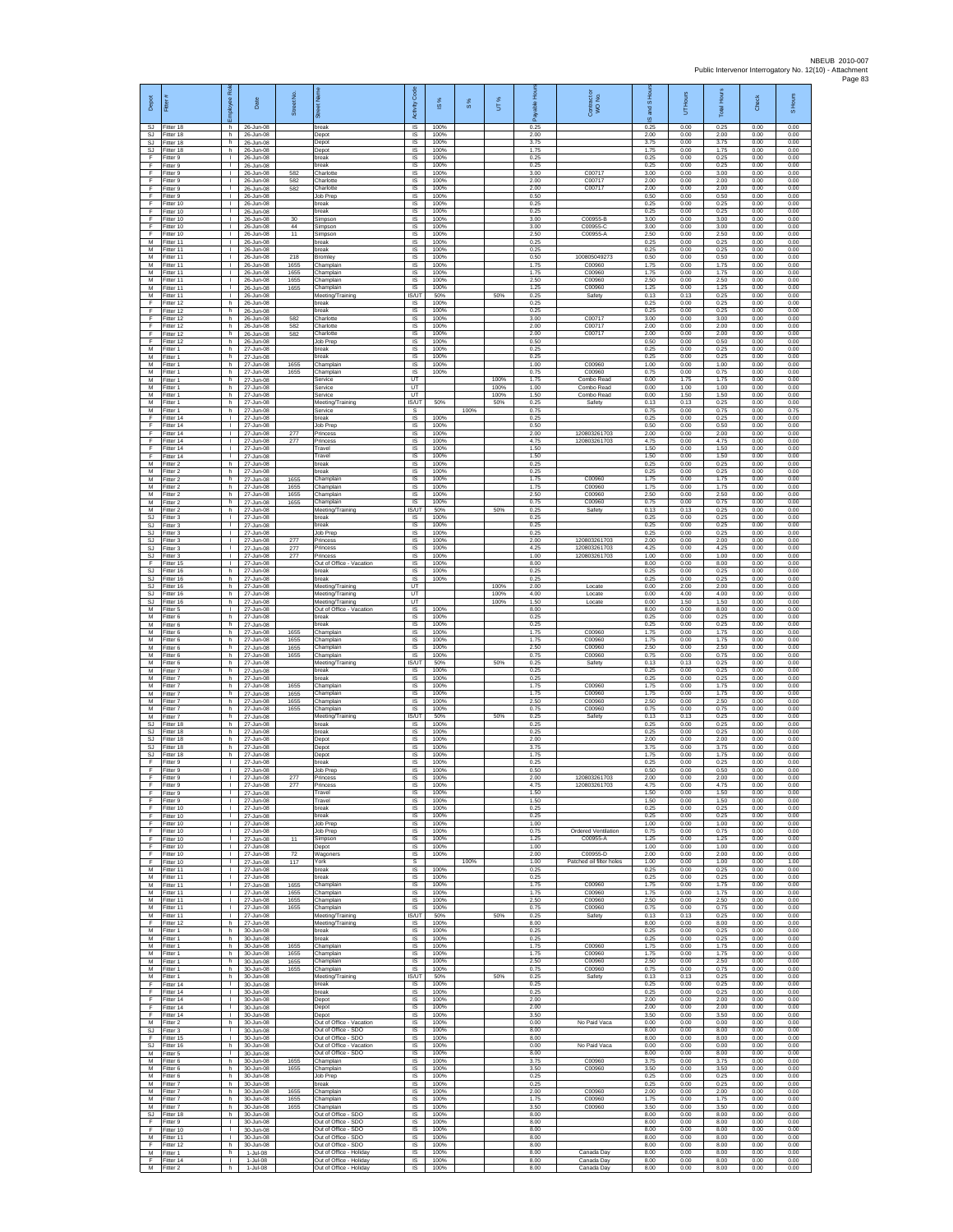| Depot                  | Fitter                              | ē<br>nployee                       | Date                                         | Street No.   |                                                                        | Code<br>Activity               | 1S%                  | $\frac{8}{3}$ | UT%          | 훆<br>ஃ               | Contract or<br>WO No.                | S Hour<br>g<br>ဖ     | UT Hours             | <b>Total Hours</b>   | Check                | S Hours              |
|------------------------|-------------------------------------|------------------------------------|----------------------------------------------|--------------|------------------------------------------------------------------------|--------------------------------|----------------------|---------------|--------------|----------------------|--------------------------------------|----------------------|----------------------|----------------------|----------------------|----------------------|
| SJ.<br><b>SJ</b>       | Fitter 18<br>Fitter 18              | h.<br>h                            | 26-Jun-08<br>26-Jun-08                       |              | break<br>Depot                                                         | IS.<br>IS                      | 100%<br>100%         |               |              | 0.25<br>2.00         |                                      | 0.25<br>2.00         | 0.00<br>0.00         | 0.25<br>2.00         | 0.00<br>0.00         | 0.00<br>0.00         |
| SJ<br>SJ.              | Fitter 18<br>Fitter 18              | h.<br>h                            | 26-Jun-08<br>26-Jun-08                       |              | Depot<br>Depot                                                         | $\sf IS$<br><b>IS</b>          | 100%<br>100%         |               |              | 3.75<br>1.75         |                                      | 3.75<br>1.75         | 0.00<br>0.00         | 3.75<br>1.75         | 0.00<br>0.00         | 0.00<br>0.00         |
| F<br>Ŧ<br>F            | Fitter 9<br>Fitter 9<br>Fitter 9    | $\mathbf{L}$<br>Τ.<br>$\mathbb{L}$ | 26-Jun-08<br>26-Jun-08<br>26-Jun-08          | 582          | oreak<br>break<br>Charlotte                                            | IS<br>1S<br>IS                 | 100%<br>100%<br>100% |               |              | 0.25<br>0.25<br>3.00 | C0071                                | 0.25<br>0.25<br>3.00 | 0.00<br>0.00<br>0.00 | 0.25<br>0.25<br>3.00 | 0.00<br>0.00<br>0.00 | 0.00<br>0.00<br>0.00 |
| E<br>F                 | Fitter 9<br>-itter 9                | л.<br>$\mathbf{L}$                 | 26-Jun-08<br>26-Jun-08                       | 582<br>582   | Charlotte<br>Charlotte                                                 | IS<br>IS                       | 100%<br>100%         |               |              | 2.00<br>2.00         | C00717<br>C00717                     | 2.00<br>2.00         | 0.00<br>0.00         | 2.00<br>2.00         | 0.00<br>0.00         | 0.00<br>0.00         |
| F<br>F                 | Fitter 9<br>Fitter 10               | $\mathbf{I}$<br>$\mathbf{L}$       | 26-Jun-08<br>26-Jun-08                       |              | Job Prep<br>break                                                      | $\sf IS$<br><b>IS</b>          | 100%<br>100%         |               |              | 0.50<br>0.25         |                                      | 0.50<br>0.25         | 0.00<br>0.00         | 0.50<br>0.25         | 0.00<br>0.00         | 0.00<br>0.00         |
| F<br>F                 | Fitter 10<br>Fitter 10              | $\mathbf{L}$<br>٠                  | 26-Jun-08<br>26-Jun-08                       | 30           | break<br>Simpson                                                       | IS<br>1S                       | 100%<br>100%         |               |              | 0.25<br>3.00         | C00955-B                             | 0.25<br>3.00         | 0.00<br>0.00         | 0.25<br>3.00         | 0.00<br>0.00         | 0.00<br>0.00         |
| Ŧ<br>F<br>М            | Fitter 10<br>Fitter 10<br>Fitter 11 | $\mathbf{L}$<br>$\mathbf{L}$<br>т. | 26-Jun-08<br>26-Jun-08<br>26-Jun-08          | 44<br>11     | Simpson<br>Simpson<br>reak                                             | IS<br>IS<br>IS                 | 100%<br>100%<br>100% |               |              | 3.00<br>2.50<br>0.25 | C00955-C<br>C00955-A                 | 3.00<br>2.50<br>0.25 | 0.00<br>0.00<br>0.00 | 3.00<br>2.50<br>0.25 | 0.00<br>0.00<br>0.00 | 0.00<br>0.00<br>0.00 |
| M<br>M                 | Fitter 11<br>-itter 11              | Τ.<br>H.                           | 26-Jun-08<br>26-Jun-08                       | 218          | break<br><b>Bromley</b>                                                | 1S<br>IS                       | 100%<br>100%         |               |              | 0.25<br>0.50         | 10080504927                          | 0.25<br>0.50         | 0.00<br>0.00         | 0.25<br>0.50         | 0.00<br>0.00         | 0.00<br>0.00         |
| M<br>М                 | Fitter 11<br>Fitter 11              | T.<br>$\mathbb{L}$                 | 26-Jun-08<br>26-Jun-08                       | 1655<br>1655 | Champlain<br>Champlain                                                 | IS<br>$\sf IS$                 | 100%<br>100%         |               |              | 1.75<br>1.75         | C00960<br>C00960                     | 1.75<br>1.75         | 0.00<br>0.00         | 1.75<br>1.75         | 0.00<br>0.00         | 0.00<br>0.00         |
| М<br>M<br>M            | Fitter 11<br>Fitter 11<br>Fitter 11 | т.<br>л.<br>$\mathbf{L}$           | 26-Jun-08<br>26-Jun-08<br>26-Jun-08          | 1655<br>1655 | hamplain<br>Champlain<br>Meeting/Training                              | IS<br><b>IS</b><br>IS/UT       | 100%<br>100%<br>50%  |               | 50%          | 2.50<br>1.25<br>0.25 | C00960<br>C00960<br>Safety           | 2.50<br>1.25<br>0.13 | 0.00<br>0.00<br>0.13 | 2.50<br>1.25<br>0.25 | 0.00<br>0.00<br>0.00 | 0.00<br>0.00<br>0.00 |
| F<br>F                 | Fitter 12<br>Fitter 12              | h<br>h.                            | 26-Jun-08<br>26-Jun-08                       |              | break<br>break                                                         | 1S<br>IS                       | 100%<br>100%         |               |              | 0.25<br>0.25         |                                      | 0.25<br>0.25         | 0.00<br>0.00         | 0.25<br>0.25         | 0.00<br>0.00         | 0.00<br>0.00         |
| F<br>F                 | Fitter 12<br>Fitter 12              | h.<br>h                            | 26-Jun-08<br>26-Jun-08                       | 582<br>582   | Charlotte<br>Charlotte                                                 | IS<br>$\sf IS$                 | 100%<br>100%         |               |              | 3.00<br>2.00         | C00717<br>C00717                     | 3.00<br>2.00         | 0.00<br>0.00         | 3.00<br>2.00         | 0.00<br>0.00         | 0.00<br>0.00         |
| F<br>F<br>М            | Fitter 12<br>Fitter 12<br>Fitter 1  | h.<br>h.<br>h                      | 26-Jun-08<br>26-Jun-08<br>27-Jun-08          | 582          | Charlotte<br>Job Prep<br>oreak                                         | $\sf IS$<br>IS<br>IS           | 100%<br>100%<br>100% |               |              | 2.00<br>0.50<br>0.25 | C00717                               | 2.00<br>0.50<br>0.25 | 0.00<br>0.00<br>0.00 | 2.00<br>0.50<br>0.25 | 0.00<br>0.00<br>0.00 | 0.00<br>0.00<br>0.00 |
| М<br>М                 | Fitter 1<br>itter 1                 | h.<br>h                            | 27-Jun-08<br>27-Jun-08                       | 1655         | break<br>hamplain                                                      | IS<br>IS                       | 100%<br>100%         |               |              | 0.25<br>1.00         | C00960                               | 0.25<br>1.00         | 0.00<br>0.00         | 0.25<br>1.00         | 0.00<br>0.00         | 0.00<br>0.00         |
| M<br>M                 | Fitter 1<br>-itter 1                | h<br>h.                            | 27-Jun-08<br>27-Jun-08                       | 1655         | Champlain<br><b>Rervice</b>                                            | <b>IS</b><br>UT                | 100%                 |               | 100%         | 0.75<br>1.75         | C00960<br>Combo Read                 | 0.75<br>0.00         | 0.00<br>1.75         | 0.75<br>1.75         | 0.00<br>0.00         | 0.00<br>0.00         |
| М<br>M<br>M            | Fitter 1<br>Fitter 1<br>-itter 1    | h<br>h<br>h                        | 27-Jun-08<br>27-Jun-08<br>27-Jun-08          |              | Service<br>Service                                                     | UT<br>UT<br>IS/UT              | 50%                  |               | 100%<br>100% | 1.00<br>1.50<br>0.25 | Combo Read<br>Combo Read             | 0.00<br>0.00<br>0.13 | 1.00<br>1.50<br>0.13 | 1.00<br>1.50<br>0.25 | 0.00<br>0.00<br>0.00 | 0.00<br>0.00<br>0.00 |
| М<br>F                 | Fitter 1<br>Fitter 14               | h<br>$\mathbf{L}$                  | 27-Jun-08<br>27-Jun-08                       |              | Meeting/Training<br>Service<br>break                                   | s<br>IS                        | 100%                 | 100%          | 50%          | 0.75<br>0.25         | Safety                               | 0.75<br>0.25         | 0.00<br>0.00         | 0.75<br>0.25         | 0.00<br>0.00         | 0.75<br>0.00         |
| F<br>F                 | Fitter 14<br>Fitter 14              | $\mathbf{L}$<br>$\mathbf{L}$       | 27-Jun-08<br>27-Jun-08                       | 277          | Job Prep<br>Princess                                                   | IS<br>IS                       | 100%<br>100%         |               |              | 0.50<br>2.00         | 120803261703                         | 0.50<br>2.00         | 0.00<br>0.00         | 0.50<br>2.00         | 0.00<br>0.00         | 0.00<br>0.00         |
| F<br>F<br>E            | Fitter 14<br>Fitter 14<br>Fitter 14 | Τ.<br>$\mathbb{L}$<br>T.           | 27-Jun-08<br>27-Jun-08<br>27-Jun-08          | 277          | Princess<br>Travel<br>Travel                                           | IS<br>IS<br>IS                 | 100%<br>100%<br>100% |               |              | 4.75<br>1.50<br>1.50 | 120803261703                         | 4.75<br>1.50<br>1.50 | 0.00<br>0.00<br>0.00 | 4.75<br>1.50<br>1.50 | 0.00<br>0.00<br>0.00 | 0.00<br>0.00<br>0.00 |
| М<br>М                 | Fitter 2<br>Fitter 2                | h.<br>h                            | 27-Jun-08<br>27-Jun-08                       |              | break<br>reak                                                          | IS<br>IS                       | 100%<br>100%         |               |              | 0.25<br>0.25         |                                      | 0.25<br>0.25         | 0.00<br>0.00         | 0.25<br>0.25         | 0.00<br>0.00         | 0.00<br>0.00         |
| M<br>M                 | Fitter 2<br>Fitter 2                | h<br>h.                            | 27-Jun-08<br>27-Jun-08                       | 1655<br>1655 | Champlain<br>Champlain                                                 | IS<br>IS                       | 100%<br>100%         |               |              | 1.75<br>1.75         | C00960<br>C00960                     | 1.75<br>175          | 0.00<br>0.00         | 1.75<br>1.75         | 0.00<br>0.00         | 0.00<br>0.00         |
| М<br>M<br>M            | Fitter 2<br>Fitter 2<br>Fitter 2    | h<br>h.<br>h.                      | 27-Jun-08<br>27-Jun-08<br>27-Jun-08          | 1655<br>1655 | hamplain<br>Champlain<br>Meeting/Training                              | IS<br>IS<br><b>IS/UT</b>       | 100%<br>100%<br>50%  |               | 50%          | 2.50<br>0.75<br>0.25 | C00960<br>C00960<br>Safety           | 2.50<br>0.75<br>0.13 | 0.00<br>0.00<br>0.13 | 2.50<br>0.75<br>0.25 | 0.00<br>0.00<br>0.00 | 0.00<br>0.00<br>0.00 |
| SJ<br>SJ               | -itter 3<br>Fitter 3                | $\mathbf{L}$<br>$\mathbf{L}$       | 27-Jun-08<br>27-Jun-08                       |              | oreak<br>break                                                         | $\sf IS$<br>$\sf IS$           | 100%<br>100%         |               |              | 0.25<br>0.25         |                                      | 0.25<br>0.25         | 0.00<br>0.00         | 0.25<br>0.25         | 0.00<br>0.00         | 0.00<br>0.00         |
| SJ.<br>SJ              | Fitter 3<br>Fitter 3                | $\mathbf{L}$<br>т.                 | 27-Jun-08<br>27-Jun-08                       | 277          | Job Prep<br>Princess                                                   | IS<br>IS                       | 100%<br>100%         |               |              | 0.25<br>2.00         | 120803261703                         | 0.25<br>2.00         | 0.00<br>0.00         | 0.25<br>2.00         | 0.00<br>0.00         | 0.00<br>0.00         |
| <b>SJ</b><br>SJ        | Fitter 3<br>Fitter 3                | Τ.<br>$\mathbf{L}$                 | 27-Jun-08<br>27-Jun-08                       | 277<br>277   | Princess<br><sup>2</sup> rincess<br>Out of Office - Vacation           | 1S<br>IS<br>IS                 | 100%<br>100%<br>100% |               |              | 4.25<br>1.00<br>8.00 | 120803261703<br>120803261703         | 4.25<br>1.00<br>8.00 | 0.00<br>0.00<br>0.00 | 4.25<br>1.00<br>8.00 | 0.00<br>0.00<br>0.00 | 0.00<br>0.00<br>0.00 |
| F<br>SJ.<br>SJ         | Fitter 15<br>Fitter 16<br>Fitter 16 | ÷.<br>h.<br>h                      | 27-Jun-08<br>27-Jun-08<br>27-Jun-08          |              | break<br>break                                                         | IS<br>IS                       | 100%<br>100%         |               |              | 0.25<br>0.25         |                                      | 0.25<br>0.25         | 0.00<br>0.00         | 0.25<br>0.25         | 0.00<br>0.00         | 0.00<br>0.00         |
| SJ.<br>SJ              | Fitter 16<br>Fitter 16              | h<br>h.                            | 27-Jun-08<br>27-Jun-08                       |              | Meeting/Training<br>Meeting/Training                                   | UT<br><b>UT</b>                |                      |               | 100%<br>100% | 2.00<br>4.00         | Locate<br>Locate                     | 0.00<br>0.00         | 2.00<br>4.00         | 2.00<br>4.00         | 0.00<br>0.00         | 0.00<br>0.00         |
| SJ<br>М                | Fitter 16<br>Fitter 5               | h<br>$\mathbf{L}$                  | 27-Jun-08<br>27-Jun-08                       |              | Meeting/Training<br>Out of Office - Vacation                           | UT<br>IS                       | 100%                 |               | 100%         | 1.50<br>8.00         | Locate                               | 0.00<br>8.00         | 1.50<br>0.00         | 1.50<br>8.00         | 0.00<br>0.00         | 0.00<br>0.00         |
| M<br>М<br>M            | Fitter 6<br>-itter 6<br>Fitter 6    | h.<br>h<br>h.                      | 27-Jun-08<br>27-Jun-08<br>27-Jun-08          | 1655         | break<br>reak<br>Champlain                                             | IS<br>IS<br>1S                 | 100%<br>100%<br>100% |               |              | 0.25<br>0.25<br>1.75 | C00960                               | 0.25<br>0.25<br>1.75 | 0.00<br>0.00<br>0.00 | 0.25<br>0.25<br>1.75 | 0.00<br>0.00<br>0.00 | 0.00<br>0.00<br>0.00 |
| M<br>M                 | Fitter 6<br>Fitter 6                | h<br>h                             | 27-Jun-08<br>27-Jun-08                       | 1655<br>1655 | Champlain<br>Champlain                                                 | IS<br>IS                       | 100%<br>100%         |               |              | 1.75<br>2.50         | C00960<br>C00960                     | 1.75<br>2.50         | 0.00<br>0.00         | 1.75<br>2.50         | 0.00<br>0.00         | 0.00<br>0.00         |
| М<br>М                 | Fitter 6<br>Titter 6                | h.<br>h                            | 27-Jun-08<br>27-Jun-08                       | 1655         | Champlain<br>Meeting/Training                                          | $\sf IS$<br>IS/UT              | 100%<br>50%          |               | 50%          | 0.75<br>0.25         | C00960<br>Safety                     | 0.75<br>0.13         | 0.00<br>0.13         | 0.75<br>0.25         | 0.00<br>0.00         | 0.00<br>0.00         |
| M<br>M<br>М            | Fitter 7<br>Fitter 7<br>Fitter 7    | h<br>h.<br>h                       | 27-Jun-08<br>27-Jun-08<br>27-Jun-08          | 1655         | break<br>break<br>hamplain                                             | <b>IS</b><br><b>IS</b><br>IS   | 100%<br>100%<br>100% |               |              | 0.25<br>0.25<br>1.75 | C00960                               | 0.25<br>0.25<br>1.75 | 0.00<br>0.00<br>0.00 | 0.25<br>0.25<br>1.75 | 0.00<br>0.00<br>0.00 | 0.00<br>0.00<br>0.00 |
| M<br>M                 | Fitter 7<br>Fitter 7                | h.<br>h.                           | 27-Jun-08<br>27-Jun-08                       | 1655<br>1655 | Champlain<br>Champlain                                                 | IS<br><b>IS</b>                | 100%<br>100%         |               |              | 1.75<br>2.50         | C00960<br>C00960                     | 1.75<br>2.50         | 0.00<br>0.00         | 1.75<br>2.50         | 0.00<br>0.00         | 0.00<br>0.00         |
| М<br>M<br>SJ.          | -itter 7<br>Fitter 7<br>Fitter 18   | h<br>h.                            | 27-Jun-08<br>27-Jun-08<br>27-Jun-08          | 1655         | Champlair<br>Meeting/Training                                          | $\sf IS$<br>IS/UT<br><b>IS</b> | 100%<br>50%<br>100%  |               | 50%          | 0.75<br>0.25<br>0.25 | C00960<br>Safety                     | 0.75<br>0.13<br>0.25 | 0.00<br>0.13<br>0.00 | 0.75<br>0.25<br>0.25 | 0.00<br>0.00<br>0.00 | 0.00<br>0.00<br>0.00 |
| SJ.<br><b>SJ</b>       | Fitter 18<br>Fitter 18              | h.<br>h<br>h.                      | 27-Jun-08<br>27-Jun-08                       |              | break<br>oreak<br>Depot                                                | IS<br>IS                       | 100%<br>100%         |               |              | 0.25<br>2.00         |                                      | 0.25<br>2.00         | 0.00<br>0.00         | 0.25<br>2.00         | 0.00<br>0.00         | 0.00<br>0.00         |
| <b>SJ</b><br><b>SJ</b> | Fitter 18<br>Fitter 18              | h.<br>h                            | 27-Jun-08<br>27-Jun-08                       |              | Depot<br>Depot                                                         | IS<br>IS                       | 100%<br>100%         |               |              | 3.75<br>1.75         |                                      | 3.75<br>1.75         | 0.00<br>0.00         | 3.75<br>1.75         | 0.00<br>0.00         | 0.00<br>0.00         |
| F<br>F<br>Ŧ            | Fitter 9<br>Fitter 9<br>Fitter 9    | $\mathbf{L}$<br>T.<br>$\mathbf{L}$ | 27-Jun-08<br>27-Jun-08<br>27-Jun-08          | 277          | break<br>Job Prep<br>Princes                                           | IS<br>$\sf IS$<br>IS           | 100%<br>100%<br>100% |               |              | 0.25<br>0.50<br>2.00 | 120803261703                         | 0.25<br>0.50<br>2.00 | 0.00<br>0.00<br>0.00 | 0.25<br>0.50<br>2.00 | 0.00<br>0.00<br>0.00 | 0.00<br>0.00<br>0.00 |
| F                      | -itter 9<br>Fitter 9                | т.                                 | 27-Jun-08<br>27-Jun-08                       | 277          | Princess<br>Travel                                                     | <b>IS</b><br>IS                | 100%<br>100%         |               |              | 4.75<br>1.50         | 120803261703                         | 475<br>1.50          | 0.00<br>0.00         | 4 75<br>1.50         | 0.00<br>0.00         | 0.00<br>0.00         |
| F<br>F                 | Fitter 9<br>Fitter 10               | т<br>$\mathbf{L}$                  | 27-Jun-08<br>27-Jun-08                       |              | Travel<br>break                                                        | IS<br><b>IS</b>                | 100%<br>100%         |               |              | 1.50<br>0.25         |                                      | 1.50<br>0.25         | 0.00<br>0.00         | 1.50<br>0.25         | 0.00<br>0.00         | 0.00<br>0.00         |
| F<br>F<br>F            | Fitter 10<br>Fitter 10<br>Fitter 10 | $\mathbb{R}$<br>Τ.<br>H.           | 27-Jun-08<br>27-Jun-08<br>27-Jun-08          |              | break<br>Job Prep<br>Job Prep                                          | IS<br>1S<br>IS                 | 100%<br>100%<br>100% |               |              | 0.25<br>1.00<br>0.75 | Ordered Ventilation                  | 0.25<br>1.00<br>0.75 | 0.00<br>0.00<br>0.00 | 0.25<br>1.00<br>0.75 | 0.00<br>0.00<br>0.00 | 0.00<br>0.00<br>0.00 |
| E<br>F.                | Fitter 10<br>Fitter 10              | $\mathbf{I}$<br>$\mathbf{L}$       | 27-Jun-08<br>27-Jun-08                       | 11           | Simpson<br>Depot                                                       | IS<br>IS                       | 100%<br>100%         |               |              | 1.25<br>1.00         | C00955-A                             | 1.25<br>1.00         | 0.00<br>0.00         | 1.25<br>1.00         | 0.00<br>0.00         | 0.00<br>0.00         |
| F<br>F                 | Fitter 10<br>Fitter 10              | $\mathbb{L}$<br>л.                 | 27-Jun-08<br>$27$ -Jun-08                    | 72<br>117    | Wagoners<br>York                                                       | IS<br>-S                       | 100%                 | 100%          |              | 2.00<br>1.00         | C00955-D<br>Patched oil filter holes | 2.00<br>1.00         | 0.00<br>0.00         | 2.00<br>1.00         | 0.00<br>0.00         | 0.00<br>1.00         |
| M<br>М<br>M            | Fitter 11<br>Fitter 11<br>Fitter 11 | $\mathbf{L}$<br>т.<br>т            | 27-Jun-08<br>27-Jun-08<br>27-Jun-08          | 1655         | break<br>break<br>Champlain                                            | <b>IS</b><br>IS<br>IS          | 100%<br>100%<br>100% |               |              | 0.25<br>0.25<br>1.75 | C00960                               | 0.25<br>0.25<br>1.75 | 0.00<br>0.00<br>0.00 | 0.25<br>0.25<br>1.75 | 0.00<br>0.00<br>0.00 | 0.00<br>0.00<br>0.00 |
| М                      | M Fitter 11<br>Fitter 11            | $\mathbf{I}$<br>$\mathbf{L}$       | 27-Jun-08<br>27-Jun-08                       | 1655<br>1655 | Champlain<br>Champlain                                                 | <b>IS</b><br>$\sf IS$          | 100%<br>100%         |               |              | 1.75<br>2.50         | C00960<br>C00960                     | 1.75<br>2.50         | 0.00<br>0.00         | 1.75<br>2.50         | 0.00<br>0.00         | 0.00<br>0.00         |
| M<br>M<br>E            | Fitter 11<br>Fitter 11              | $\mathbf{L}$<br>$\mathbf{L}$       | 27-Jun-08<br>27-Jun-08                       | 1655         | Champlain<br>Meeting/Training                                          | $\sf IS$<br>IS/UT              | 100%<br>50%          |               | 50%          | 0.75<br>0.25         | C00960<br>Safety                     | 0.75<br>0.13         | 0.00<br>0.13         | 0.75<br>0.25         | 0.00<br>0.00         | 0.00<br>0.00         |
| M<br>M                 | Fitter 12<br>Fitter 1<br>Fitter 1   | h<br>h.<br>h                       | 27-Jun-08<br>30-Jun-08<br>30-Jun-08          |              | Meeting/Training<br>break<br>preak                                     | IS<br><b>IS</b><br>IS          | 100%<br>100%<br>100% |               |              | 8.00<br>0.25<br>0.25 |                                      | 8.00<br>0.25<br>0.25 | 0.00<br>0.00<br>0.00 | 8.00<br>0.25<br>0.25 | 0.00<br>0.00<br>0.00 | 0.00<br>0.00<br>0.00 |
| M<br>M                 | Fitter 1<br>Fitter 1                | h.<br>h.                           | 30-Jun-08<br>30-Jun-08                       | 1655<br>1655 | Champlain<br>Champlain                                                 | <b>IS</b><br>IS                | 100%<br>100%         |               |              | 1.75<br>1.75         | C00960<br>C00960                     | 1.75<br>1.75         | 0.00<br>0.00         | 1.75<br>1.75         | 0.00<br>0.00         | 0.00<br>0.00         |
| М<br>M<br>M            | Fitter 1<br>Fitter 1<br>Fitter 1    | $\mathsf h$<br>h<br>h.             | 30-Jun-08<br>30-Jun-08<br>$30 - \frac{1}{2}$ | 1655<br>1655 | Champlain<br>Champlain<br>Meeting/Training                             | IS<br><b>IS</b><br>IS/UT       | 100%<br>100%<br>50%  |               |              | 2.50<br>0.75<br>0.25 | C00960<br>C00960                     | 2.50<br>0.75<br>0.13 | 0.00<br>0.00<br>0.13 | 2.50<br>0.75<br>0.25 | 0.00<br>0.00<br>0.00 | 0.00<br>0.00<br>0.00 |
| F<br>Ŧ                 | Fitter 14<br>Fitter 14              | т.<br>т                            | 30-Jun-08<br>30-Jun-08                       |              | break<br>break                                                         | IS<br><b>IS</b>                | 100%<br>100%         |               | 50%          | 0.25<br>0.25         | Safety                               | 0.25<br>0.25         | 0.00<br>0.00         | 0.25<br>0.25         | 0.00<br>0.00         | 0.00<br>0.00         |
| F<br>$\mathsf F$       | Fitter 14<br>Fitter 14              | $\mathbf{L}$<br>$\mathbf{I}$       | 30-Jun-08<br>30-Jun-08                       |              | Depot<br>Depot                                                         | <b>IS</b><br>IS                | 100%<br>100%         |               |              | 2.00<br>2.00         |                                      | 2.00<br>2.00         | 0.00<br>0.00         | 2.00<br>2.00         | 0.00<br>0.00         | 0.00<br>0.00         |
| F<br>M                 | Fitter 14<br>Fitter 2               | $\mathbb{L}$<br>h.<br>$\mathbf{I}$ | 30-Jun-08<br>30-Jun-08                       |              | Depot<br>Out of Office - Vacation                                      | IS<br>IS                       | 100%<br>100%         |               |              | 3.50<br>0.00         | No Paid Vaca                         | 3.50<br>0.00         | 0.00<br>0.00         | 3.50<br>0.00         | 0.00<br>0.00         | 0.00<br>0.00         |
| SJ.<br>F<br><b>SJ</b>  | Fitter 3<br>Fitter 15<br>Fitter 16  | $\mathbf{L}$<br>h.                 | 30-Jun-08<br>30-Jun-08<br>30-Jun-08          |              | Out of Office - SDO<br>Out of Office - SDO<br>Out of Office - Vacation | IS<br>IS<br>IS                 | 100%<br>100%<br>100% |               |              | 8.00<br>8.00<br>0.00 | No Paid Vaca                         | 8.00<br>8.00<br>0.00 | 0.00<br>0.00<br>0.00 | 8.00<br>8.00<br>0.00 | 0.00<br>0.00<br>0.00 | 0.00<br>0.00<br>0.00 |
| M<br>M                 | Fitter 5<br>Fitter 6                | л.<br>h                            | 30-Jun-08<br>30-Jun-08                       | 1655         | Out of Office - SDO<br>Champlain                                       | <b>IS</b><br><b>IS</b>         | 100%<br>100%         |               |              | 8.00<br>3.75         | C00960                               | 8.00<br>3.75         | 0.00<br>0.00         | 8.00<br>3.75         | 0.00<br>0.00         | 0.00<br>0.00         |
| М<br>M                 | Fitter 6<br>Fitter 6                | h<br>h.<br>h.                      | 30-Jun-08<br>30-Jun-08                       | 1655         | Champlain<br><b>Job Prep</b><br>break                                  | IS<br><b>IS</b><br><b>IS</b>   | 100%<br>100%<br>100% |               |              | 3.50<br>0.25<br>0.25 | C00960                               | 3.50<br>0.25<br>0.25 | 0.00<br>0.00<br>0.00 | 3.50<br>0.25<br>0.25 | 0.00<br>0.00<br>0.00 | 0.00<br>0.00<br>0.00 |
| М<br>M                 | M Fitter 7<br>Fitter 7<br>Fitter 7  | h<br>h                             | 30-Jun-08<br>30-Jun-08<br>30-Jun-08          | 1655<br>1655 | Champlain<br>Champlain                                                 | $\sf IS$<br>$\sf IS$           | 100%<br>100%         |               |              | 2.00<br>1.75         | C00960<br>C00960                     | 2.00<br>1.75         | 0.00<br>0.00         | 2.00<br>1.75         | 0.00<br>0.00         | 0.00<br>0.00         |
| M<br><b>SJ</b>         | Fitter 7<br>Fitter 18               | h.<br>h                            | 30-Jun-08<br>30-Jun-08                       | 1655         | Champlain<br>Out of Office - SDO                                       | <b>IS</b><br>IS                | 100%<br>100%         |               |              | 3.50<br>8.00         | C00960                               | 3.50<br>8.00         | 0.00<br>0.00         | 3.50<br>8.00         | 0.00<br>0.00         | 0.00<br>0.00         |
| F<br>F                 | Fitter 9<br>Fitter 10               | Τ.<br>т.<br>л.                     | 30-Jun-08<br>30-Jun-08                       |              | Out of Office - SDO<br>Out of Office - SDO<br>Out of Office - SDO      | 1S<br>IS<br><b>IS</b>          | 100%<br>100%<br>100% |               |              | 8.00<br>8.00<br>8.00 |                                      | 8.00<br>8.00<br>8.00 | 0.00<br>0.00<br>0.00 | 8.00<br>8.00<br>8.00 | 0.00<br>0.00<br>0.00 | 0.00<br>0.00<br>0.00 |
| M<br>F<br>М            | Fitter 11<br>Fitter 12<br>Fitter 1  | h.<br>h                            | 30-Jun-08<br>30-Jun-08<br>1-Jul-08           |              | Out of Office - SDO<br>Out of Office - Holiday                         | IS<br>IS                       | 100%<br>100%         |               |              | 8.00<br>8.00         | Canada Day                           | 8.00<br>8.00         | 0.00<br>0.00         | 8.00<br>8.00         | 0.00<br>0.00         | 0.00<br>0.00         |
| F.<br>M                | Fitter 14<br>Fitter 2               | $\mathbf{L}$<br>h I                | $1$ -Jul-08<br>1-Jul-08                      |              | Out of Office - Holiday<br>Out of Office - Holiday                     | <b>IS</b><br><b>IS</b>         | 100%<br>100%         |               |              | 8.00<br>8.00         | Canada Day<br>Canada Day             | 8.00<br>8.00         | 0.00<br>0.00         | 8.00<br>8.00         | 0.00<br>0.00         | 0.00<br>0.00         |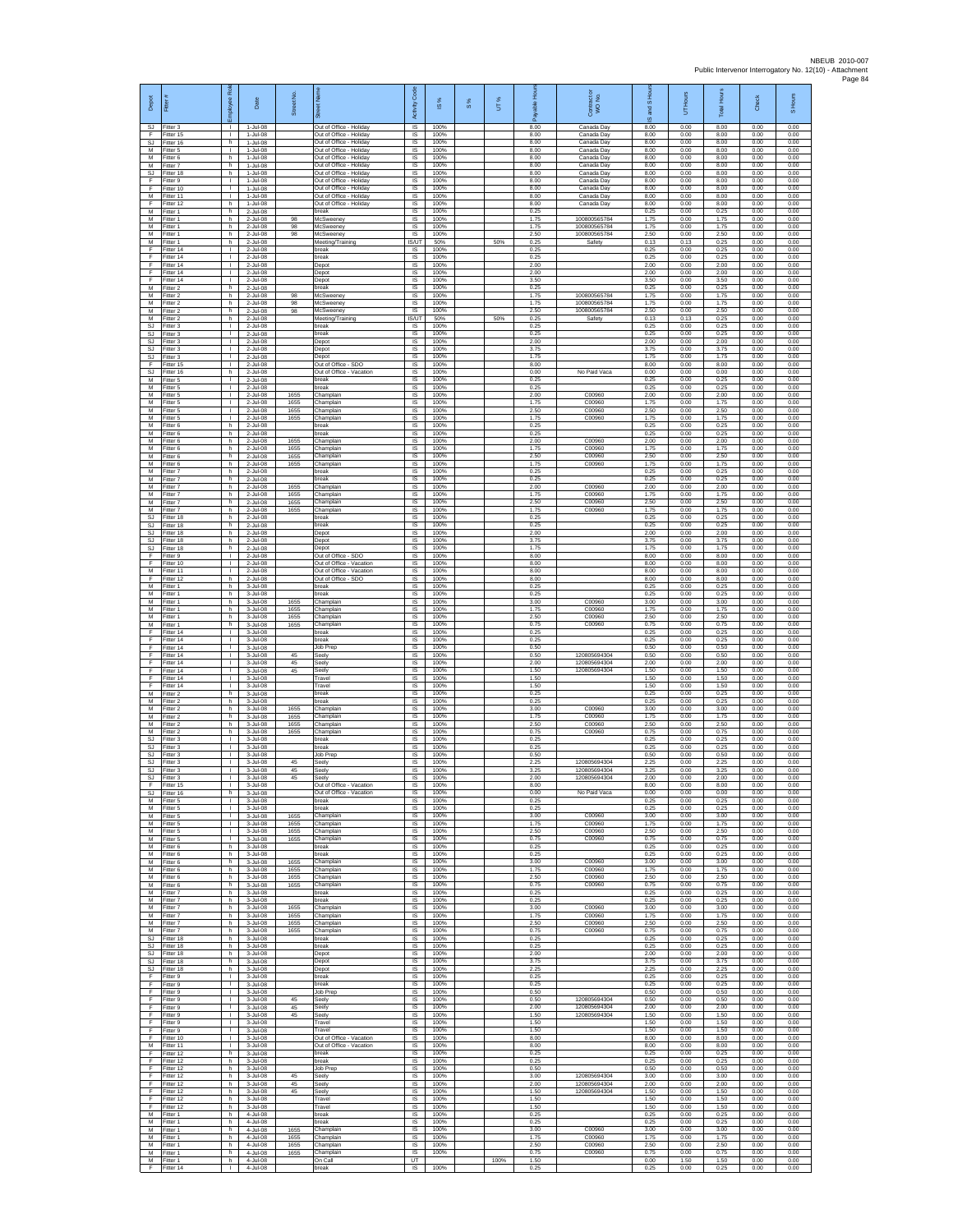| Depot<br>SJ.                 | Fitter #<br>Fitter 3                  | ployee Ro<br>л.                    | Date<br>1-Jul-08                      | Street No.           | Out of Office - Holiday                                                       | Code<br>Activity<br>IS       | IS %<br>100%         | $\frac{8}{3}$ | UT%  | 오<br>8.00            | Contract or<br>WO No.<br>Canada Day    | I <sub>SHo</sub><br><b>Tana</b><br>$\omega$<br>8.00 | Hours<br>5<br>0.00   | <b>Total Hours</b><br>8.00 | Check<br>0.00        | S Hours<br>0.00      |
|------------------------------|---------------------------------------|------------------------------------|---------------------------------------|----------------------|-------------------------------------------------------------------------------|------------------------------|----------------------|---------------|------|----------------------|----------------------------------------|-----------------------------------------------------|----------------------|----------------------------|----------------------|----------------------|
| F.<br>SJ                     | Fitter 15<br>Fitter 16                | $\mathbf{L}$<br>h                  | 1-Jul-08<br>1-Jul-08                  |                      | Out of Office - Holiday<br>Out of Office - Holiday                            | IS<br>IS                     | 100%<br>100%         |               |      | 8.00<br>8.00         | Canada Day<br>Canada Day               | 8.00<br>8.00                                        | 0.00<br>0.00         | 8.00<br>8.00               | 0.00<br>0.00         | 0.00<br>0.00         |
| M<br>M<br>M                  | Fitter 5<br>Fitter 6<br>Fitter 7      | т<br>h.<br>h                       | 1-Jul-08<br>$1-Jul-08$<br>1-Jul-08    |                      | Out of Office - Holiday<br>Out of Office - Holiday<br>Out of Office - Holiday | IS<br><b>IS</b><br>IS        | 100%<br>100%<br>100% |               |      | 8.00<br>8.00<br>8.00 | Canada Day<br>Canada Day<br>Canada Day | 8.00<br>8.00<br>8.00                                | 0.00<br>0.00<br>0.00 | 8.00<br>8.00<br>8.00       | 0.00<br>0.00<br>0.00 | 0.00<br>0.00<br>0.00 |
| <b>SJ</b><br>F               | Fitter 18<br>Fitter 9                 | h.<br>T.                           | 1-Jul-08<br>$1-Jul-08$                |                      | Out of Office - Holiday<br>Out of Office - Holiday                            | 1S<br>IS                     | 100%<br>100%         |               |      | 8.00<br>8.00         | Canada Day<br>Canada Day               | 8.00<br>8.00                                        | 0.00<br>0.00         | 8.00<br>8.00               | 0.00<br>0.00         | 0.00<br>0.00         |
| E<br>M<br>F                  | Fitter 10<br>Fitter 11<br>Fitter 12   | л.<br>т.<br>h.                     | $1$ -Jul-08<br>1-Jul-08<br>$1-Jul-08$ |                      | Out of Office - Holiday<br>Out of Office - Holiday<br>Out of Office - Holiday | - IS<br>$\sf IS$<br>$\sf IS$ | 100%<br>100%<br>100% |               |      | 8.00<br>8.00<br>8.00 | Canada Day<br>Canada Day<br>Canada Day | 8.00<br>8.00<br>8.00                                | 0.00<br>0.00<br>0.00 | 8.00<br>8.00<br>8.00       | 0.00<br>0.00<br>0.00 | 0.00<br>0.00<br>0.00 |
| M<br>M                       | Fitter 1<br>Fitter 1                  | h.<br>h.                           | 2-Jul-08<br>2-Jul-08                  | 98                   | break<br>McSweeney                                                            | IS<br>IS                     | 100%<br>100%         |               |      | 0.25<br>175          | 100800565784                           | 0.25<br>1.75                                        | 0.00<br>0.00         | 0.25<br>1.75               | 0.00<br>0.00         | 0.00<br>0.00         |
| М<br>M<br>M                  | Fitter 1<br>Fitter 1<br>Fitter 1      | h<br>h.<br>h.                      | 2-Jul-08<br>2-Jul-08<br>2-Jul-08      | 98<br>98             | McSweeney<br>McSweeney<br>Meeting/Training                                    | IS<br>IS<br><b>IS/UT</b>     | 100%<br>100%<br>50%  |               | 50%  | 1.75<br>2.50<br>0.25 | 100800565784<br>100800565784<br>Safety | 1.75<br>2.50<br>0.13                                | 0.00<br>0.00<br>0.13 | 1.75<br>2.50<br>0.25       | 0.00<br>0.00<br>0.00 | 0.00<br>0.00<br>0.00 |
| F<br>F                       | Fitter 14<br>Fitter 14                | $\mathbf{L}$<br>τ.                 | 2-Jul-08<br>2-Jul-08                  |                      | reak<br>break                                                                 | IS<br>1S                     | 100%<br>100%         |               |      | 0.25<br>0.25         |                                        | 0.25<br>0.25                                        | 0.00<br>0.00         | 0.25<br>0.25               | 0.00<br>0.00         | 0.00<br>0.00         |
| F<br>F<br>F                  | Fitter 14<br>Fitter 14<br>Fitter 14   | $\mathbf{L}$<br>т.<br>т.           | $2$ -Jul-08<br>2-Jul-08<br>2-Jul-08   |                      | Depot<br>Depot<br>Depot                                                       | IS<br>IS<br>IS               | 100%<br>100%<br>100% |               |      | 2.00<br>2.00<br>3.50 |                                        | 2.00<br>2.00<br>3.50                                | 0.00<br>0.00<br>0.00 | 2.00<br>2.00<br>3.50       | 0.00<br>0.00<br>0.00 | 0.00<br>0.00<br>0.00 |
| М<br>M                       | Fitter 2<br>Fitter 2                  | h<br>h.<br>h.                      | 2-Jul-08<br>2-Jul-08                  | 98                   | oreak<br>McSweeney                                                            | IS<br>-IS<br>IS              | 100%<br>100%<br>100% |               |      | 0.25<br>1.75<br>175  | 100800565784<br>100800565784           | 0.25<br>1.75<br>1.75                                | 0.00<br>0.00<br>0.00 | 0.25<br>1.75<br>1.75       | 0.00<br>0.00<br>0.00 | 0.00<br>0.00<br>0.00 |
| M<br>М<br>M                  | Fitter 2<br>Fitter 2<br>Fitter 2      | h<br>h.                            | 2-Jul-08<br>2-Jul-08<br>2-Jul-08      | 98<br>98             | McSweeney<br>McSweeney<br>Meeting/Training                                    | IS<br><b>IS/UT</b>           | 100%<br>50%          |               | 50%  | 2.50<br>0.25         | 100800565784<br>Safety                 | 2.50<br>0.13                                        | 0.00<br>0.13         | 2.50<br>0.25               | 0.00<br>0.00         | 0.00<br>0.00         |
| SJ<br>SJ<br>SJ.              | Fitter 3<br>Fitter 3<br>Fitter 3      | $\mathbf{L}$<br>т.<br>т            | 2-Jul-08<br>2-Jul-08<br>2-Jul-08      |                      | break<br>oreak<br>Depot                                                       | IS<br>IS<br>1S               | 100%<br>100%<br>100% |               |      | 0.25<br>0.25<br>2.00 |                                        | 0.25<br>0.25<br>2.00                                | 0.00<br>0.00<br>0.00 | 0.25<br>0.25<br>2.00       | 0.00<br>0.00<br>0.00 | 0.00<br>0.00<br>0.00 |
| SJ.<br>SJ                    | Fitter 3<br>Fitter 3                  | $\mathbf{L}$<br>$\mathbf{L}$       | 2-Jul-08<br>2-Jul-08                  |                      | Depot<br>Depot                                                                | <b>IS</b><br>IS              | 100%<br>100%         |               |      | 3.75<br>1.75         |                                        | 3.75<br>1.75                                        | 0.00<br>0.00         | 3.75<br>1.75               | 0.00<br>0.00         | 0.00<br>0.00         |
| F<br><b>SJ</b><br>M          | Fitter 15<br>Fitter 16<br>Fitter 5    | $\mathbb{L}$<br>h<br>л.            | 2-Jul-08<br>$2$ -Jul-08<br>2-Jul-08   |                      | Out of Office - SDO<br>Out of Office - Vacation<br>break                      | IS<br>IS<br><b>IS</b>        | 100%<br>100%<br>100% |               |      | 8.00<br>0.00<br>0.25 | No Paid Vaca                           | 8.00<br>0.00<br>0.25                                | 0.00<br>0.00<br>0.00 | 8.00<br>0.00<br>0.25       | 0.00<br>0.00<br>0.00 | 0.00<br>0.00<br>0.00 |
| M<br>М                       | Fitter 5<br>Fitter 5                  | л.<br>T.                           | 2-Jul-08<br>2-Jul-08                  | 1655                 | oreak<br>Champlain                                                            | $\sf IS$<br>$\sf IS$         | 100%<br>100%         |               |      | 0.25<br>2.00         | C00960                                 | 0.25<br>2.00                                        | 0.00<br>0.00         | 0.25<br>2.00               | 0.00<br>0.00         | 0.00<br>0.00         |
| M<br>M<br>М                  | Fitter 5<br>Fitter 5<br>Fitter 5      | $\mathbf{I}$<br>$\mathbf{L}$<br>٠  | 2-Jul-08<br>$2$ -Jul-08<br>2-Jul-08   | 1655<br>1655<br>1655 | Champlain<br>Champlain                                                        | IS<br>IS<br>IS               | 100%<br>100%<br>100% |               |      | 1.75<br>2.50<br>1.75 | C00960<br>C00960<br>C00960             | 1.75<br>2.50<br>1.75                                | 0.00<br>0.00<br>0.00 | 1.75<br>2.50<br>1.75       | 0.00<br>0.00<br>0.00 | 0.00<br>0.00<br>0.00 |
| M<br>M                       | Fitter 6<br>Fitter 6                  | h.<br>h.                           | 2-Jul-08<br>2-Jul-08                  |                      | Champlain<br>break<br>break                                                   | IS<br><b>IS</b>              | 100%<br>100%         |               |      | 0.25<br>0.25         |                                        | 0.25<br>0.25                                        | 0.00<br>0.00         | 0.25<br>0.25               | 0.00<br>0.00         | 0.00<br>0.00         |
| М<br>M<br>M                  | Fitter 6<br>Fitter 6<br>Fitter 6      | h<br>h<br>h.                       | 2-Jul-08<br>2-Jul-08<br>$2$ -Jul-08   | 1655<br>1655<br>1655 | Champlain<br>Champlain<br>Champlain                                           | IS<br>IS<br>IS               | 100%<br>100%<br>100% |               |      | 2.00<br>1.75<br>2.50 | C00960<br>C00960<br>C00960             | 2.00<br>1.75<br>2.50                                | 0.00<br>0.00<br>0.00 | 2.00<br>1.75<br>2.50       | 0.00<br>0.00<br>0.00 | 0.00<br>0.00<br>0.00 |
| M<br>M                       | Fitter 6<br>Fitter 7                  | h<br>h                             | 2-Jul-08<br>2-Jul-08                  | 1655                 | Champlain<br>break                                                            | IS<br>1S                     | 100%<br>100%         |               |      | 1.75<br>0.25         | C00960                                 | 1.75<br>0.25                                        | 0.00<br>0.00         | 1.75<br>0.25               | 0.00<br>0.00         | 0.00<br>0.00         |
| М<br>M<br>M                  | Fitter 7<br>Fitter 7                  | h<br>h.<br>h.                      | 2-Jul-08<br>$2$ -Jul-08               | 1655                 | reak<br>Champlain                                                             | IS<br>-IS<br>IS              | 100%<br>100%<br>100% |               |      | 0.25<br>2.00<br>175  | C00960<br>C00960                       | 0.25<br>2.00<br>175                                 | 0.00<br>0.00<br>0.00 | 0.25<br>2.00<br>1.75       | 0.00<br>0.00<br>0.00 | 0.00<br>0.00<br>0.00 |
| М<br>M                       | -itter 7<br>Fitter 7<br>Fitter 7      | h<br>h.                            | 2-Jul-08<br>2-Jul-08<br>2-Jul-08      | 1655<br>1655<br>1655 | Champlain<br>Champlain<br>Champlain                                           | IS<br>1S                     | 100%<br>100%         |               |      | 2.50<br>1.75         | C00960<br>C00960                       | 2.50<br>1.75                                        | 0.00<br>0.00         | 2.50<br>1.75               | 0.00<br>0.00         | 0.00<br>0.00         |
| SJ<br>SJ<br>SJ.              | Fitter 18<br>Fitter 18<br>Fitter 18   | h<br>h<br>h.                       | 2-Jul-08<br>2-Jul-08<br>2-Jul-08      |                      | break<br>oreak<br>Depot                                                       | IS<br>IS<br>1S               | 100%<br>100%<br>100% |               |      | 0.25<br>0.25<br>2.00 |                                        | 0.25<br>0.25<br>2.00                                | 0.00<br>0.00<br>0.00 | 0.25<br>0.25<br>2.00       | 0.00<br>0.00<br>0.00 | 0.00<br>0.00<br>0.00 |
| SJ.<br>SJ                    | Fitter 18<br>Fitter 18                | h.<br>h                            | 2-Jul-08<br>2-Jul-08                  |                      | Depot<br>Depot                                                                | <b>IS</b><br>IS              | 100%<br>100%         |               |      | 3.75<br>1.75         |                                        | 3.75<br>1.75                                        | 0.00<br>0.00         | 3.75<br>1.75               | 0.00<br>0.00         | 0.00<br>0.00         |
| Ŧ<br>F                       | Fitter 9<br>Fitter 10                 | L.<br>T.<br>л.                     | 2-Jul-08<br>$2$ -Jul-08               |                      | Out of Office - SDO<br>Out of Office - Vacation<br>Out of Office - Vacation   | IS<br>IS<br><b>IS</b>        | 100%<br>100%<br>100% |               |      | 8.00<br>8.00<br>8.00 |                                        | 8.00<br>8.00<br>8.00                                | 0.00<br>0.00<br>0.00 | 8.00<br>8.00<br>8.00       | 0.00<br>0.00<br>0.00 | 0.00<br>0.00<br>0.00 |
| М<br>F<br>М                  | Fitter 11<br>Fitter 12<br>Fitter 1    | h.<br>h.                           | $2$ -Jul-08<br>2-Jul-08<br>3-Jul-08   |                      | Out of Office - SDO<br>break                                                  | $\sf IS$<br>$\sf IS$         | 100%<br>100%         |               |      | 8.00<br>0.25         |                                        | 8.00<br>0.25                                        | 0.00<br>0.00         | 8.00<br>0.25               | 0.00<br>0.00         | 0.00<br>0.00         |
| M<br>M<br>М                  | Fitter 1<br>Fitter 1<br>Fitter 1      | h.<br>h.<br>h                      | 3-Jul-08<br>3-Jul-08<br>3-Jul-08      | 1655<br>1655         | break<br>Champlain                                                            | IS<br>IS<br>IS               | 100%<br>100%<br>100% |               |      | 0.25<br>3.00<br>1.75 | C00960<br>C00960                       | 0.25<br>3.00<br>1.75                                | 0.00<br>0.00<br>0.00 | 0.25<br>3.00<br>1.75       | 0.00<br>0.00<br>0.00 | 0.00<br>0.00<br>0.00 |
| M<br>M                       | Fitter 1<br>Fitter 1                  | h.<br>h.                           | 3-Jul-08<br>3-Jul-08                  | 1655<br>1655         | hamplain<br>Champlain<br>Champlain                                            | IS<br><b>IS</b>              | 100%<br>100%         |               |      | 2.50<br>0.75         | C00960<br>C00960                       | 2.50<br>0.75                                        | 0.00<br>0.00         | 2.50<br>0.75               | 0.00<br>0.00         | 0.00<br>0.00         |
| F<br>F<br>F                  | Fitter 14<br>Fitter 14<br>Fitter 14   | $\mathbf{L}$<br>τ.<br>$\mathbf{L}$ | 3-Jul-08<br>3-Jul-08<br>3-Jul-08      |                      | reak<br>break<br>Job Prep                                                     | IS<br>1S<br>IS               | 100%<br>100%<br>100% |               |      | 0.25<br>0.25<br>0.50 |                                        | 0.25<br>0.25<br>0.50                                | 0.00<br>0.00<br>0.00 | 0.25<br>0.25<br>0.50       | 0.00<br>0.00<br>0.00 | 0.00<br>0.00<br>0.00 |
| F<br>Ŧ                       | Fitter 14<br>Fitter 14                | т.<br>τ.                           | 3-Jul-08<br>3-Jul-08                  | 45<br>45             | Seely<br>Seely                                                                | IS<br>IS                     | 100%<br>100%         |               |      | 0.50<br>2.00         | 12080569430<br>120805694304            | 0.50<br>2.00                                        | 0.00<br>0.00         | 0.50<br>2.00               | 0.00<br>0.00         | 0.00<br>0.00         |
| F<br>F<br>F                  | ltter 14<br>Fitter 14<br>Fitter 14    | $\mathbf{L}$<br>л.<br>$\mathbf{L}$ | 3-Jul-08<br>3-Jul-08<br>3-Jul-08      | 45                   | eely<br>Travel<br>Travel                                                      | IS<br>- IS<br>IS             | 100%<br>100%<br>100% |               |      | 1.50<br>1.50<br>1.50 | 120805694304                           | 1.50<br>1.50<br>1.50                                | 0.00<br>0.00<br>0.00 | 1.50<br>1.50<br>1.50       | 0.00<br>0.00<br>0.00 | 0.00<br>0.00<br>0.00 |
| М<br>M                       | Fitter 2<br>Fitter 2                  | h<br>h.                            | 3-Jul-08<br>3-Jul-08                  |                      | break<br>oreak                                                                | IS<br>1S                     | 100%<br>100%         |               |      | 0.25<br>0.25         |                                        | 0.25<br>0.25                                        | 0.00<br>0.00         | 0.25<br>0.25               | 0.00<br>0.00         | 0.00<br>0.00         |
| м<br>M<br>M                  | Fitter 2<br>Fitter 2<br>Fitter 2      | h<br>h<br>h.                       | 3-Jul-08<br>3-Jul-08<br>3-Jul-08      | 1655<br>1655<br>1655 | Champlain<br>Champlain<br>Champlain                                           | IS<br>IS<br>IS               | 100%<br>100%<br>100% |               |      | 3.00<br>1.75<br>2.50 | C00960<br>C00960<br>C00960             | 3.00<br>1.75<br>2.50                                | 0.00<br>0.00<br>0.00 | 3.00<br>1.75<br>2.50       | 0.00<br>0.00<br>0.00 | 0.00<br>0.00<br>0.00 |
| M<br><b>SJ</b>               | Fitter 2<br>Fitter 3                  | h.<br>$\mathbf{L}$                 | 3-Jul-08<br>3-Jul-08                  | 1655                 | Champlain<br>reak                                                             | <b>IS</b><br>IS              | 100%<br>100%         |               |      | 0.75<br>0.25         | C00960                                 | 0.75<br>0.25                                        | 0.00<br>0.00         | 0.75<br>0.25               | 0.00<br>0.00         | 0.00<br>0.00         |
| SJ<br><b>SJ</b><br><b>SJ</b> | Fitter 3<br>Fitter 3<br>Fitter 3      | $\mathbb{L}$<br>$\mathbf{L}$<br>л. | 3-Jul-08<br>$3 -$ Jul-08<br>3-Jul-08  | 45                   | preak<br>lob Prep<br>Seely                                                    | IS<br>IS<br><b>IS</b>        | 100%<br>100%<br>100% |               |      | 0.25<br>0.50<br>2.25 | 120805694304                           | 0.25<br>0.50<br>2.25                                | 0.00<br>0.00<br>0.00 | 0.25<br>0.50<br>2.25       | 0.00<br>0.00<br>0.00 | 0.00<br>0.00<br>0.00 |
| SJ<br>SJ                     | Fitter 3<br>Fitter 3                  | $\mathbf{L}$<br>$\mathbf{I}$       | 3-Jul-08<br>3-Jul-08                  | 45<br>45             | Seely<br>Seely                                                                | IS<br>IS                     | 100%<br>100%         |               |      | 3.25<br>2.00         | 120805694304<br>120805694304           | 3.25<br>2.00                                        | 0.00<br>0.00         | 3.25<br>2.00               | 0.00<br>0.00         | 0.00<br>0.00         |
| E<br>М                       | Fitter 15<br>SJ Fitter 16<br>Fitter 5 | л.<br>h<br>т.                      | 3-Jul-08<br>3-Jul-08<br>3-Jul-08      |                      | Out of Office - Vacation<br>Out of Office - Vacation<br>break                 | <b>IS</b><br>IS<br>IS        | 100%<br>100%<br>100% |               |      | 8.00<br>0.00<br>0.25 | No Paid Vaca                           | 8.00<br>0.00<br>0.25                                | 0.00<br>0.00<br>0.00 | 8.00<br>0.00<br>0.25       | 0.00<br>0.00<br>0.00 | 0.00<br>0.00<br>0.00 |
| M<br>M                       | -itter 5<br>Fitter 5                  | т<br>$\mathbf{L}$                  | 3-Jul-08<br>3-Jul-08                  | 1655                 | break<br>Champlain                                                            | IS<br>IS.                    | 100%<br>100%         |               |      | 0.25<br>3.00         | C00960                                 | 0.25<br>3.00                                        | 0.00<br>0.00         | 0.25<br>3.00               | 0.00<br>0.00         | 0.00<br>0.00         |
| M<br>M<br>M                  | Fitter 5<br>Fitter 5<br>Fitter 5      | $\mathbf{L}$<br>L.<br>$\mathbf{L}$ | 3-Jul-08<br>3-Jul-08<br>3-Jul-08      | 1655<br>1655<br>1655 | Champlain<br>Champlain<br>Champlain                                           | IS<br>1S<br>IS               | 100%<br>100%<br>100% |               |      | 1.75<br>2.50<br>0.75 | C00960<br>C00960<br>C00960             | 1.75<br>2.50<br>0.75                                | 0.00<br>0.00<br>0.00 | 1.75<br>2.50<br>0.75       | 0.00<br>0.00<br>0.00 | 0.00<br>0.00<br>0.00 |
| M<br>M                       | Fitter 6<br>Fitter 6                  | h<br>h.                            | 3-Jul-08<br>3-Jul-08                  |                      | break<br>break                                                                | IS<br>1S                     | 100%<br>100%         |               |      | 0.25<br>0.25         |                                        | 0.25<br>0.25                                        | 0.00<br>0.00         | 0.25<br>0.25               | 0.00<br>0.00         | 0.00<br>0.00         |
| М<br>M<br>M                  | Fitter 6<br>Fitter 6<br>Fitter 6      | h.<br>h.<br>h                      | 3-Jul-08<br>3-Jul-08<br>3-Jul-08      | 1655<br>1655<br>1655 | Champlain<br>Champlain<br>Champlain                                           | IS<br>- IS<br>IS             | 100%<br>100%<br>100% |               |      | 3.00<br>1.75<br>2.50 | C00960<br>C00960<br>C00960             | 3.00<br>1.75<br>2.50                                | 0.00<br>0.00<br>0.00 | 3.00<br>1.75<br>2.50       | 0.00<br>0.00<br>0.00 | 0.00<br>0.00<br>0.00 |
| М<br>M                       | Fitter 6<br>Fitter 7                  | h<br>h.                            | 3-Jul-08<br>3-Jul-08                  | 1655                 | Champlain<br>break                                                            | IS<br>1S                     | 100%<br>100%         |               |      | 0.75<br>0.25         | C00960                                 | 0.75<br>0.25                                        | 0.00<br>0.00         | 0.75<br>0.25               | 0.00<br>0.00         | 0.00<br>0.00         |
| М<br>M                       | M Fitter 7<br>Fitter 7<br>Fitter 7    | h.<br>h<br>h                       | 3-Jul-08<br>3-Jul-08<br>3-Jul-08      | 1655<br>1655         | break<br>Champlain<br>Champlain                                               | IS<br>IS<br>IS               | 100%<br>100%<br>100% |               |      | 0.25<br>3.00<br>1.75 | C00960<br>C00960                       | 0.25<br>3.00<br>1.75                                | 0.00<br>0.00<br>0.00 | 0.25<br>3.00<br>1.75       | 0.00<br>0.00<br>0.00 | 0.00<br>0.00<br>0.00 |
| M<br>M                       | Fitter 7<br>Fitter 7                  | h.<br>h                            | 3-Jul-08<br>3-Jul-08                  | 1655<br>1655         | Champlain<br>Champlain                                                        | <b>IS</b><br>IS              | 100%<br>100%         |               |      | 2.50<br>0.75         | C00960<br>C00960                       | 2.50<br>0.75                                        | 0.00<br>0.00         | 2.50<br>0.75               | 0.00<br>0.00         | 0.00<br>0.00         |
| SJ<br>SJ.<br>SJ              | Fitter 18<br>Fitter 18<br>Fitter 18   | h.<br>h.<br>h                      | 3-Jul-08<br>$3-Jul-08$<br>3-Jul-08    |                      | break<br>oreak<br>Depot                                                       | 1S<br>IS<br>- IS             | 100%<br>100%<br>100% |               |      | 0.25<br>0.25<br>2.00 |                                        | 0.25<br>0.25<br>2.00                                | 0.00<br>0.00<br>0.00 | 0.25<br>0.25<br>2.00       | 0.00<br>0.00<br>0.00 | 0.00<br>0.00<br>0.00 |
| SJ.<br>SJ                    | Fitter 18<br>Fitter 18                | $\mathsf{h}$<br>$\,$ h             | 3-Jul-08<br>3-Jul-08                  |                      | Depot<br>Depot                                                                | $\sf IS$<br>$\sf IS$         | 100%<br>100%         |               |      | 3.75<br>2.25         |                                        | 3.75<br>2.25                                        | 0.00<br>0.00         | 3.75<br>2.25               | 0.00<br>0.00         | 0.00<br>0.00         |
| F.<br>F.<br>F                | Fitter 9<br>Fitter 9<br>Fitter 9      | $\mathbf{I}$<br>$\mathbf{L}$<br>т. | 3-Jul-08<br>3-Jul-08<br>3-Jul-08      |                      | break<br><b>oreak</b><br>Job Prep                                             | IS<br>IS<br>IS               | 100%<br>100%<br>100% |               |      | 0.25<br>0.25<br>0.50 |                                        | 0.25<br>0.25<br>0.50                                | 0.00<br>0.00<br>0.00 | 0.25<br>0.25<br>0.50       | 0.00<br>0.00<br>0.00 | 0.00<br>0.00<br>0.00 |
| Ŧ<br>F.                      | Fitter 9<br>Fitter 9                  | т<br>$\mathbf{L}$                  | 3-Jul-08<br>3-Jul-08                  | 45<br>45             | Seely<br>Seelv                                                                | IS<br><b>IS</b>              | 100%<br>100%         |               |      | 0.50<br>2.00         | 120805694304<br>120805694304           | 0.50<br>2.00                                        | 0.00<br>0.00         | 0.50<br>2.00               | 0.00<br>0.00         | 0.00<br>0.00         |
| $\mathsf F$<br>F<br>F        | Fitter 9<br>Fitter 9<br>Fitter 9      | $\mathbf{L}$<br>H.<br>$\mathbf{L}$ | 3-Jul-08<br>3-Jul-08<br>3-Jul-08      | 45                   | Seely<br>Travel<br>Travel                                                     | IS<br>1S<br>IS               | 100%<br>100%<br>100% |               |      | 1.50<br>1.50<br>1.50 | 120805694304                           | 1.50<br>1.50<br>1.50                                | 0.00<br>0.00<br>0.00 | 1.50<br>1.50<br>1.50       | 0.00<br>0.00<br>0.00 | 0.00<br>0.00<br>0.00 |
| F<br>M                       | Fitter 10<br>Fitter 11                | $\mathbf{L}$<br>$\mathbb{L}$       | 3-Jul-08<br>3-Jul-08                  |                      | Out of Office - Vacation<br>Out of Office - Vacation                          | IS<br>IS                     | 100%<br>100%         |               |      | 8.00<br>8.00         |                                        | 8.00<br>8.00                                        | 0.00<br>0.00         | 8.00<br>8.00               | 0.00<br>0.00         | 0.00<br>0.00         |
| F<br>F<br>F                  | Fitter 12<br>Fitter 12<br>Fitter 12   | h.<br>h.<br>h                      | 3-Jul-08<br>3-Jul-08<br>3-Jul-08      |                      | break<br>break<br>lob Prep                                                    | IS<br>- IS<br>IS.            | 100%<br>100%<br>100% |               |      | 0.25<br>0.25<br>0.50 |                                        | 0.25<br>0.25<br>0.50                                | 0.00<br>0.00<br>0.00 | 0.25<br>0.25<br>0.50       | 0.00<br>0.00<br>0.00 | 0.00<br>0.00<br>0.00 |
| F<br>F.                      | Fitter 12<br>Fitter 12                | h<br>h.                            | 3-Jul-08<br>3-Jul-08                  | 45<br>45             | Seely<br>Seely                                                                | IS<br>IS                     | 100%<br>100%         |               |      | 3.00<br>2.00         | 120805694304<br>120805694304           | 3.00<br>2.00                                        | 0.00<br>0.00         | 3.00<br>2.00               | 0.00<br>0.00         | 0.00<br>0.00         |
| F.<br>F<br>F                 | Fitter 12<br>Fitter 12<br>Fitter 12   | h.<br>h<br>h.                      | 3-Jul-08<br>3-Jul-08<br>3-Jul-08      | 45                   | .<br>Seely<br>Travel<br>Travel                                                | IS<br>IS<br>1S               | 100%<br>100%<br>100% |               |      | 1.50<br>1.50<br>1.50 | 120805694304                           | 1.50<br>1.50<br>1.50                                | 0.00<br>0.00<br>0.00 | 1.50<br>1.50<br>1.50       | 0.00<br>0.00<br>0.00 | 0.00<br>0.00<br>0.00 |
| M<br>M                       | Fitter 1<br>Fitter 1                  | h.<br>h                            | 4-Jul-08<br>4-Jul-08                  |                      | break<br>oreak                                                                | IS.<br>IS                    | 100%<br>100%         |               |      | 0.25<br>0.25         |                                        | 0.25<br>0.25                                        | 0.00<br>0.00         | 0.25<br>0.25               | 0.00<br>0.00         | 0.00<br>0.00         |
| М<br>M<br>M                  | Fitter 1<br>Fitter 1<br>Fitter 1      | h<br>h<br>h.                       | 4-Jul-08<br>4-Jul-08<br>4-Jul-08      | 1655<br>1655<br>1655 | Champlain<br>Champlain<br>Champlain                                           | IS<br>IS<br><b>IS</b>        | 100%<br>100%<br>100% |               |      | 3.00<br>1.75<br>2.50 | C00960<br>C00960<br>C00960             | 3.00<br>1.75<br>2.50                                | 0.00<br>0.00<br>0.00 | 3.00<br>1.75<br>2.50       | 0.00<br>0.00<br>0.00 | 0.00<br>0.00<br>0.00 |
| M<br>М                       | Fitter 1<br>Fitter 1                  | $\mathsf{h}$<br>$\,$ h             | 4-Jul-08<br>4-Jul-08                  | 1655                 | Champlain<br>On Call                                                          | IS<br>UT                     | 100%                 |               | 100% | 0.75<br>1.50         | C00960                                 | 0.75<br>0.00                                        | 0.00<br>1.50         | 0.75<br>1.50               | 0.00<br>0.00         | 0.00<br>0.00         |
| F                            | Fitter 14                             | $\mathbf{L}$                       | 4-Jul-08                              |                      | break                                                                         | IS                           | 100%                 |               |      | 0.25                 |                                        | 0.25                                                | 0.00                 | 0.25                       | 0.00                 | 0.00                 |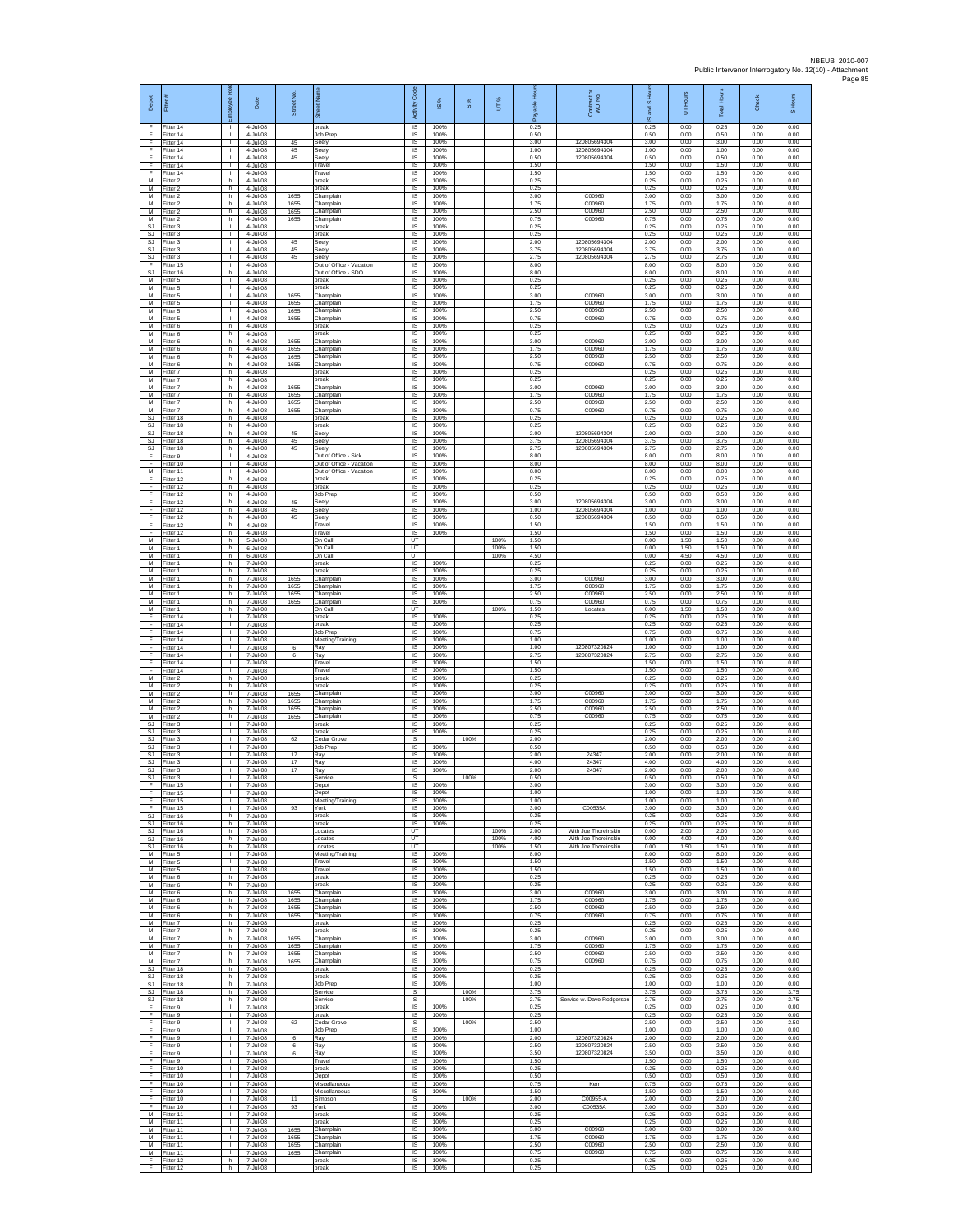| Depot<br>E                          | Fitter #<br>Fitter 14               | oloyee Rol<br>$\mathbf{L}$         | Date<br>4-Jul-08                 | Street No.           | bet Nar<br>ชิ<br>break                                    | Code<br>Activity<br><b>IS</b>       | $\overline{\omega}$<br>100% | $\frac{8}{3}$ | UT%                  | 옾<br>을<br>å<br>0.25  | Contract or<br>WO No.                        | <b>ISHou</b><br>g<br>$\omega$<br>0.25 | UT Hours<br>0.00     | <b>IHours</b><br>Total<br>0.25 | Check<br>0.00        | S Hours<br>0.00      |
|-------------------------------------|-------------------------------------|------------------------------------|----------------------------------|----------------------|-----------------------------------------------------------|-------------------------------------|-----------------------------|---------------|----------------------|----------------------|----------------------------------------------|---------------------------------------|----------------------|--------------------------------|----------------------|----------------------|
| F.<br>F                             | Fitter 14<br>litter 14              | $\mathbf{L}$<br>T.                 | 4-Jul-08<br>4-Jul-08             | 45                   | Job Prep<br>Seely                                         | IS<br>IS                            | 100%<br>100%                |               |                      | 0.50<br>3.00         | 120805694304                                 | 0.50<br>3.00                          | 0.00<br>0.00         | 0.50<br>3.00                   | 0.00<br>0.00         | 0.00<br>0.00         |
| E<br>F                              | Fitter 14<br>Fitter 14              | л.<br>$\mathbf{L}$                 | 4-Jul-08<br>4-Jul-08             | 45<br>45             | Seelv<br>Seely                                            | <b>IS</b><br>IS                     | 100%<br>100%                |               |                      | 1.00<br>0.50         | 120805694304<br>120805694304                 | 1.00<br>0.50                          | 0.00<br>0.00         | 1.00<br>0.50                   | 0.00<br>0.00         | 0.00<br>0.00         |
| F<br>F<br>M                         | Fitter 14<br>Fitter 14<br>Fitter 2  | т.<br>т<br>h.                      | 4-Jul-08<br>4-Jul-08<br>4-Jul-08 |                      | Travel<br>Travel<br>break                                 | IS<br>IS<br>$\overline{\mathsf{s}}$ | 100%<br>100%<br>100%        |               |                      | 1.50<br>1.50<br>0.25 |                                              | 1.50<br>1.50<br>0.25                  | 0.00<br>0.00<br>0.00 | 1.50<br>1.50<br>0.25           | 0.00<br>0.00<br>0.00 | 0.00<br>0.00<br>0.00 |
| М<br>M                              | Fitter 2<br>Fitter 2                | h<br>h                             | 4-Jul-08<br>4-Jul-08             | 1655                 | oreak<br>Champlain                                        | IS<br>$\sf IS$                      | 100%<br>100%                |               |                      | 0.25<br>3.00         | C00960                                       | 0.25<br>3.00                          | 0.00<br>0.00         | 0.25<br>3.00                   | 0.00<br>0.00         | 0.00<br>0.00         |
| M<br>M<br>М                         | Fitter 2<br>Fitter 2<br>Fitter 2    | h.<br>h<br>h.                      | 4-Jul-08<br>4-Jul-08<br>4-Jul-08 | 1655<br>1655<br>1655 | Champlain<br>Champlain<br>Champlain                       | IS<br>IS<br>1S                      | 100%<br>100%<br>100%        |               |                      | 1.75<br>2.50<br>0.75 | C00960<br>C00960<br>C00960                   | 1.75<br>2.50<br>0.75                  | 0.00<br>0.00<br>0.00 | 1.75<br>2.50<br>0.75           | 0.00<br>0.00<br>0.00 | 0.00<br>0.00<br>0.00 |
| SJ<br>SJ.                           | fitter 3<br>Fitter 3                | $\mathbf{I}$<br>л.                 | 4-Jul-08<br>4-Jul-08             |                      | oreak<br>break                                            | IS<br>-IS                           | 100%<br>100%                |               |                      | 0.25<br>0.25         |                                              | 0.25<br>0.25                          | 0.00<br>0.00         | 0.25<br>0.25                   | 0.00<br>0.00         | 0.00<br>0.00         |
| SJ<br>SJ<br><b>SJ</b>               | Fitter 3<br>Fitter 3                | $\mathbf{L}$<br>$\mathbb{L}$<br>т  | 4-Jul-08<br>4-Jul-08<br>4-Jul-08 | 45<br>45<br>45       | Seely<br>Seely<br>Seely                                   | IS<br>IS<br>IS                      | 100%<br>100%<br>100%        |               |                      | 2.00<br>3.75<br>2.75 | 120805694304<br>120805694304<br>120805694304 | 2.00<br>3.75<br>2.75                  | 0.00<br>0.00<br>0.00 | 2.00<br>3.75<br>2.75           | 0.00<br>0.00<br>0.00 | 0.00<br>0.00<br>0.00 |
| F<br>SJ                             | Fitter 3<br>Fitter 15<br>Fitter 16  | $\mathbf{L}$<br>h.                 | 4-Jul-08<br>4-Jul-08             |                      | Out of Office - Vacation<br>Out of Office - SDO           | IS<br>$\sf IS$                      | 100%<br>100%                |               |                      | 8.00<br>8.00         |                                              | 8.00<br>8.00                          | 0.00<br>0.00         | 8.00<br>8.00                   | 0.00<br>0.00         | 0.00<br>0.00         |
| M<br>M                              | fitter 5<br>Fitter 5                | т<br>$\mathbf{L}$                  | 4-Jul-08<br>4-Jul-08             |                      | break<br>break                                            | 1S<br><b>IS</b>                     | 100%<br>100%                |               |                      | 0.25<br>0.25         |                                              | 0.25<br>0.25                          | 0.00<br>0.00         | 0.25<br>0.25                   | 0.00<br>0.00         | 0.00<br>0.00         |
| м<br>M<br>M                         | Fitter 5<br>Fitter 5<br>Fitter 5    | $\mathbf{L}$<br>т.<br>т.           | 4-Jul-08<br>4-Jul-08<br>4-Jul-08 | 1655<br>1655<br>1655 | Champlain<br>Champlain<br>Champlain                       | IS<br>1S<br>IS                      | 100%<br>100%<br>100%        |               |                      | 3.00<br>1.75<br>2.50 | C00960<br>C00960<br>C00960                   | 3.00<br>1.75<br>2.50                  | 0.00<br>0.00<br>0.00 | 3.00<br>1.75<br>2.50           | 0.00<br>0.00<br>0.00 | 0.00<br>0.00<br>0.00 |
| M<br>M                              | Fitter 5<br>Fitter 6                | л.<br>h.                           | 4-Jul-08<br>4-Jul-08             | 1655                 | Champlain<br>break                                        | -IS<br>$\sf IS$                     | 100%<br>100%                |               |                      | 0.75<br>0.25         | C00960                                       | 0.75<br>0.25                          | 0.00<br>0.00         | 0.75<br>0.25                   | 0.00<br>0.00         | 0.00<br>0.00         |
| М<br>M<br>M                         | itter 6<br>Fitter 6<br>Fitter 6     | h<br>h.<br>h.                      | 4-Jul-08<br>4-Jul-08<br>4-Jul-08 | 1655<br>1655         | oreak<br>Champlain<br>Champlain                           | IS<br><b>IS</b><br>IS               | 100%<br>100%<br>100%        |               |                      | 0.25<br>3.00<br>175  | C00960<br>C00960                             | 0.25<br>3.00<br>1.75                  | 0.00<br>0.00<br>0.00 | 0.25<br>3.00<br>1.75           | 0.00<br>0.00<br>0.00 | 0.00<br>0.00<br>0.00 |
| М<br>M                              | Fitter 6<br>itter 6                 | h.<br>h.                           | 4-Jul-08<br>4-Jul-08             | 1655<br>1655         | Champlain<br>Champlain                                    | IS<br>IS                            | 100%<br>100%                |               |                      | 2.50<br>0.75         | C00960<br>C00960                             | 2.50<br>0.75                          | 0.00<br>0.00         | 2.50<br>0.75                   | 0.00<br>0.00         | 0.00<br>0.00         |
| M<br>М<br>М                         | Fitter 7<br>itter 7<br>Fitter 7     | h.<br>h<br>h                       | 4-Jul-08<br>4-Jul-08<br>4-Jul-08 | 1655                 | break<br>oreak<br>Champlain                               | IS<br>IS<br>$\sf IS$                | 100%<br>100%<br>100%        |               |                      | 0.25<br>0.25<br>3.00 | C00960                                       | 0.25<br>0.25<br>3.00                  | 0.00<br>0.00<br>0.00 | 0.25<br>0.25<br>3.00           | 0.00<br>0.00<br>0.00 | 0.00<br>0.00<br>0.00 |
| M<br>M                              | Fitter 7<br>Fitter 7                | h.<br>h                            | 4-Jul-08<br>4-Jul-08             | 1655<br>1655         | Champlain<br>Champlain                                    | IS<br>IS                            | 100%<br>100%                |               |                      | 1.75<br>2.50         | C00960<br>C00960                             | 1.75<br>2.50                          | 0.00<br>0.00         | 1.75<br>2.50                   | 0.00<br>0.00         | 0.00<br>0.00         |
| М<br><b>SJ</b><br>SJ.               | Fitter 7<br>itter 18<br>Fitter 18   | h.<br>h.<br>h.                     | 4-Jul-08<br>4-Jul-08<br>4-Jul-08 | 1655                 | Champlain<br>oreak<br>break                               | IS<br>IS<br><b>IS</b>               | 100%<br>100%<br>100%        |               |                      | 0.75<br>0.25<br>0.25 | C00960                                       | 0.75<br>0.25<br>0.25                  | 0.00<br>0.00<br>0.00 | 0.75<br>0.25<br>0.25           | 0.00<br>0.00<br>0.00 | 0.00<br>0.00<br>0.00 |
| SJ<br>SJ                            | Fitter 18<br>Fitter 18              | h.<br>h.                           | 4-Jul-08<br>4-Jul-08             | 45<br>45             | Seely<br>Seely                                            | IS.<br>IS                           | 100%<br>100%                |               |                      | 2.00<br>3.75         | 120805694304<br>120805694304                 | 2.00<br>3.75                          | 0.00<br>0.00         | 2.00<br>3.75                   | 0.00<br>0.00         | 0.00<br>0.00         |
| <b>SJ</b><br>F<br>F                 | Fitter 18<br>Fitter 9<br>Fitter 10  | h.<br>$\mathbf{L}$<br>$\mathbb{L}$ | 4-Jul-08<br>4-Jul-08<br>4-Jul-08 | 45                   | Seely<br>Out of Office - Sick<br>Out of Office - Vacation | IS<br>IS<br>$\sf IS$                | 100%<br>100%<br>100%        |               |                      | 2.75<br>8.00<br>8.00 | 120805694304                                 | 2.75<br>8.00<br>8.00                  | 0.00<br>0.00<br>0.00 | 2.75<br>8.00<br>8.00           | 0.00<br>0.00<br>0.00 | 0.00<br>0.00<br>0.00 |
| M<br>F                              | Fitter 11<br>Fitter 12              | т<br>h.                            | 4-Jul-08<br>4-Jul-08             |                      | Out of Office - Vacation<br>break                         | 1S<br>$\overline{\mathsf{s}}$       | 100%<br>100%                |               |                      | 8.00<br>0.25         |                                              | 8.00<br>0.25                          | 0.00<br>0.00         | 8.00<br>0.25                   | 0.00<br>0.00         | 0.00<br>0.00         |
| F<br>F                              | Fitter 12<br>Fitter 12              | h<br>h.                            | 4-Jul-08<br>4-Jul-08             |                      | break<br>Job Preg                                         | IS<br>IS                            | 100%<br>100%                |               |                      | 0.25<br>0.50         | 120805694304                                 | 0.25<br>0.50                          | 0.00<br>0.00         | 0.25<br>0.50                   | 0.00<br>0.00         | 0.00<br>0.00         |
| F<br>F<br>F                         | litter 12<br>Fitter 12<br>Fitter 12 | h.<br>h.<br>h.                     | 4-Jul-08<br>4-Jul-08<br>4-Jul-08 | 45<br>45<br>45       | Seely<br>Seely<br>Seely                                   | IS<br><b>IS</b><br>$\sf IS$         | 100%<br>100%<br>100%        |               |                      | 3.00<br>1.00<br>0.50 | 120805694304<br>120805694304                 | 3.00<br>1.00<br>0.50                  | 0.00<br>0.00<br>0.00 | 3.00<br>1.00<br>0.50           | 0.00<br>0.00<br>0.00 | 0.00<br>0.00<br>0.00 |
| F<br>F                              | fitter 12<br>Fitter 12              | h<br>h.                            | 4-Jul-08<br>4-Jul-08             |                      | Travel<br>Travel                                          | $\sf IS$<br><b>IS</b>               | 100%<br>100%                |               |                      | 1.50<br>1.50         |                                              | 1.50<br>1.50                          | 0.00<br>0.00         | 1.50<br>1.50                   | 0.00<br>0.00         | 0.00<br>0.00         |
| M<br>М<br>M                         | Fitter 1<br>fitter 1<br>fitter 1    | h.<br>h.<br>h.                     | 5-Jul-08<br>6-Jul-08<br>6-Jul-08 |                      | On Call<br>On Call<br>On Call                             | <b>UT</b><br>UT<br>UT               |                             |               | 100%<br>100%<br>100% | 1.50<br>1.50<br>4.50 |                                              | 0.00<br>0.00<br>0.00                  | 1.50<br>1.50<br>4.50 | 1.50<br>1.50<br>4.50           | 0.00<br>0.00<br>0.00 | 0.00<br>0.00<br>0.00 |
| M<br>М                              | Fitter 1<br>Fitter 1                | h.<br>h                            | 7-Jul-08<br>7-Jul-08             |                      | break<br>oreak                                            | IS.<br>IS                           | 100%<br>100%                |               |                      | 0.25<br>0.25         |                                              | 0.25<br>0.25                          | 0.00<br>0.00         | 0.25<br>0.25                   | 0.00<br>0.00         | 0.00<br>0.00         |
| M<br>M<br>M                         | Fitter 1<br>Fitter 1<br>Fitter 1    | h<br>h.<br>h                       | 7-Jul-08<br>7-Jul-08<br>7-Jul-08 | 1655<br>1655<br>1655 | Champlain<br>Champlain<br>Champlain                       | $\sf IS$<br>IS<br>IS                | 100%<br>100%<br>100%        |               |                      | 3.00<br>1.75<br>2.50 | C00960<br>C00960<br>C00960                   | 3.00<br>1.75<br>2.50                  | 0.00<br>0.00<br>0.00 | 3.00<br>1.75<br>2.50           | 0.00<br>0.00<br>0.00 | 0.00<br>0.00<br>0.00 |
| М<br>M                              | Fitter 1<br>fitter 1                | h.<br>h                            | 7-Jul-08<br>7-Jul-08             | 1655                 | Champlain<br>On Call                                      | 1S<br>UT                            | 100%                        |               | 100%                 | 0.75<br>1.50         | C00960<br>Locates                            | 0.75<br>0.00                          | 0.00<br>1.50         | 0.75<br>1.50                   | 0.00<br>0.00         | 0.00<br>0.00         |
| E<br>F<br>F                         | Fitter 14<br>Fitter 14<br>Fitter 14 | л.<br>$\mathbf{L}$<br>$\mathbb{L}$ | 7-Jul-08<br>7-Jul-08<br>7-Jul-08 |                      | break<br><b>preak</b><br>Job Prep                         | <b>IS</b><br>IS<br>IS               | 100%<br>100%<br>100%        |               |                      | 0.25<br>0.25<br>0.75 |                                              | 0.25<br>0.25<br>0.75                  | 0.00<br>0.00<br>0.00 | 0.25<br>0.25<br>0.75           | 0.00<br>0.00<br>0.00 | 0.00<br>0.00<br>0.00 |
| F<br>F                              | Fitter 14<br>Fitter 14              | т<br>$\mathbf{L}$                  | 7-Jul-08<br>7-Jul-08             | 6                    | Meeting/Training<br>Ray                                   | 1S<br>IS                            | 100%<br>100%                |               |                      | 1.00<br>1.00         | 120807320824                                 | 1.00<br>1.00                          | 0.00<br>0.00         | 1.00<br>1.00                   | 0.00<br>0.00         | 0.00<br>0.00         |
| F<br>F<br>F                         | Fitter 14<br>ltter 14<br>Fitter 14  | т.<br>т<br>л.                      | 7-Jul-08<br>7-Jul-08<br>7-Jul-08 | 6                    | Ray<br>Travel<br>Travel                                   | $\sf IS$<br>1S<br>IS                | 100%<br>100%<br>100%        |               |                      | 2.75<br>1.50<br>1.50 | 120807320824                                 | 2.75<br>1.50<br>1.50                  | 0.00<br>0.00<br>0.00 | 2.75<br>1.50<br>1.50           | 0.00<br>0.00<br>0.00 | 0.00<br>0.00<br>0.00 |
| М<br>M                              | Fitter 2<br>Fitter 2                | h<br>h.                            | 7-Jul-08<br>7-Jul-08             |                      | break<br>break                                            | IS<br>1S                            | 100%<br>100%                |               |                      | 0.25<br>0.25         |                                              | 0.25<br>0.25                          | 0.00<br>0.00         | 0.25<br>0.25                   | 0.00<br>0.00         | 0.00<br>0.00         |
| M<br>M<br>M                         | Fitter 2<br>Fitter 2                | h<br>h.                            | 7-Jul-08<br>7-Jul-08             | 1655<br>1655         | Champlain<br>Champlain                                    | IS<br>-IS                           | 100%<br>100%                |               |                      | 3.00<br>1.75         | C00960<br>C00960                             | 3.00<br>1.75                          | 0.00<br>0.00         | 3.00<br>1.75                   | 0.00<br>0.00         | 0.00<br>0.00         |
| М<br><b>SJ</b>                      | Fitter 2<br>itter 2<br>Fitter 3     | h.<br>h<br>$\mathbf{I}$            | 7-Jul-08<br>7-Jul-08<br>7-Jul-08 | 1655<br>1655         | Champlain<br>Champlain<br>break                           | $\sf IS$<br>IS<br><b>IS</b>         | 100%<br>100%<br>100%        |               |                      | 2.50<br>0.75<br>0.25 | C00960<br>C00960                             | 2.50<br>0.75<br>0.25                  | 0.00<br>0.00<br>0.00 | 2.50<br>0.75<br>0.25           | 0.00<br>0.00<br>0.00 | 0.00<br>0.00<br>0.00 |
| S.I.<br>SJ                          | Fitter 3<br>-itter 3                | $\mathbf{L}$<br>$\mathbb{L}$<br>т  | 7-Jul-08<br>7-Jul-08             | 62                   | oreak<br>Cedar Grove                                      | IS<br>s                             | 100%<br>100%                | 100%          |                      | 0.25<br>2.00         |                                              | 0.25<br>2.00<br>0.50                  | 0.00<br>0.00         | 0.25<br>2.00<br>0.50           | 0.00<br>0.00<br>0.00 | 0.00<br>2.00<br>0.00 |
| SJ<br><b>SJ</b><br>SJ               | fitter 3<br>Fitter 3<br>Fitter 3    | $\mathbf{L}$<br>$\mathbf{L}$       | 7-Jul-08<br>7-Jul-08<br>7-Jul-08 | 17<br>17             | Job Prep<br>Ray<br>Ray                                    | 1S<br>IS<br>IS                      | 100%<br>100%                |               |                      | 0.50<br>2.00<br>4.00 | 24347<br>24347                               | 2.00<br>4.00                          | 0.00<br>0.00<br>0.00 | 2.00<br>4.00                   | 0.00<br>0.00         | 0.00<br>0.00         |
| $\mathbb{S}\mathbb{J}$<br><b>SJ</b> | Fitter 3<br>Fitter 3                | $\mathbf{L}$<br>л.                 | 7-Jul-08<br>7-Jul-08             | $17\,$               | Ray<br>Service                                            | IS<br>s                             | 100%                        | 100%          |                      | 2.00<br>0.50         | 24347                                        | 2.00<br>0.50                          | 0.00<br>0.00         | 2.00<br>0.50                   | 0.00<br>0.00         | 0.00<br>0.50         |
| F<br>F<br>F                         | Fitter 15<br>Fitter 15<br>fitter 15 | $\mathbf{I}$<br>т.<br>т.           | 7-Jul-08<br>7-Jul-08<br>7-Jul-08 |                      | Depot<br>Depot<br>Meeting/Training                        | IS<br>IS<br>IS                      | 100%<br>100%<br>100%        |               |                      | 3.00<br>1.00<br>1.00 |                                              | 3.00<br>1.00<br>1.00                  | 0.00<br>0.00<br>0.00 | 3.00<br>1.00<br>1.00           | 0.00<br>0.00<br>0.00 | 0.00<br>0.00<br>0.00 |
| F<br>SJ.                            | Fitter 15<br>Fitter 16              | л.<br>h.                           | 7-Jul-08<br>7-Jul-08             | 93                   | York<br>break                                             | IS<br>IS.                           | 100%<br>100%                |               |                      | 3.00<br>0.25         | C00535A                                      | 3.00<br>0.25                          | 0.00<br>0.00         | 3.00<br>0.25                   | 0.00<br>0.00         | 0.00<br>0.00         |
| SJ<br>SJ.<br>SJ                     | Fitter 16<br>Fitter 16<br>Fitter 16 | h<br>h.<br>h.                      | 7-Jul-08<br>7-Jul-08<br>7-Jul-08 |                      | break<br>Locates<br>Locates                               | IS<br>UT<br>UT                      | 100%                        |               | 100%<br>100%         | 0.25<br>2.00<br>4.00 | With Joe Thoreinskin<br>With Joe Thoreinskin | 0.25<br>0.00<br>0.00                  | 0.00<br>2.00<br>4.00 | 0.25<br>2.00<br>4.00           | 0.00<br>0.00<br>0.00 | 0.00<br>0.00<br>0.00 |
| SJ<br>M                             | Fitter 16<br>Fitter 5               | h.<br>т                            | 7-Jul-08<br>7-Jul-08             |                      | Locates<br>Meeting/Training                               | UT<br><b>IS</b>                     | 100%                        |               | 100%                 | 1.50<br>8.00         | With Joe Thoreinskin                         | 0.00<br>8.00                          | 1.50<br>0.00         | 1.50<br>8.00                   | 0.00<br>0.00         | 0.00<br>0.00         |
| M<br>м<br>M                         | Fitter 5<br>Fitter 5<br>Fitter 6    | $\mathbf{L}$<br>л.<br>h.           | 7-Jul-08<br>7-Jul-08<br>7-Jul-08 |                      | Travel<br>Travel<br>break                                 | IS.<br>IS<br>1S                     | 100%<br>100%<br>100%        |               |                      | 1.50<br>1.50<br>0.25 |                                              | 1.50<br>1.50<br>0.25                  | 0.00<br>0.00<br>0.00 | 1.50<br>1.50<br>0.25           | 0.00<br>0.00<br>0.00 | 0.00<br>0.00<br>0.00 |
| M<br>M                              | Fitter 6<br>Fitter 6                | h.<br>h.                           | 7-Jul-08<br>7-Jul-08             | 1655                 | preak<br>Champlain                                        | IS<br>-IS                           | 100%<br>100%                |               |                      | 0.25<br>3.00         | C00960                                       | 0.25<br>3.00                          | 0.00<br>0.00         | 0.25<br>3.00                   | 0.00<br>0.00         | 0.00<br>0.00         |
| M<br>М<br>M                         | Fitter 6<br>Fitter 6<br>Fitter 6    | h.<br>h<br>h.                      | 7-Jul-08<br>7-Jul-08<br>7-Jul-08 | 1655<br>1655<br>1655 | Champlain<br>Champlain<br>Champlain                       | IS<br>$\sf IS$<br>-IS               | 100%<br>100%<br>100%        |               |                      | 1.75<br>2.50<br>0.75 | C00960<br>C00960<br>C00960                   | 1.75<br>2.50<br>0.75                  | 0.00<br>0.00<br>0.00 | 1.75<br>2.50<br>0.75           | 0.00<br>0.00<br>0.00 | 0.00<br>0.00<br>0.00 |
| M<br>М                              | Fitter 7<br>-itter 7                | h.<br>h                            | 7-Jul-08<br>7-Jul-08             |                      | break<br>break                                            | IS<br>IS                            | 100%<br>100%                |               |                      | 0.25<br>0.25         |                                              | 0.25<br>0.25                          | 0.00<br>0.00         | 0.25<br>0.25                   | 0.00<br>0.00         | 0.00<br>0.00         |
| M<br>M<br>М                         | fitter 7<br>Fitter 7<br>Fitter 7    | h.<br>h.<br>h                      | 7-Jul-08<br>7-Jul-08<br>7-Jul-08 | 1655<br>1655<br>1655 | Champlain<br>Champlain<br>Champlain                       | IS<br>IS.<br>IS                     | 100%<br>100%<br>100%        |               |                      | 3.00<br>1.75<br>2.50 | C00960<br>C00960<br>C00960                   | 3.00<br>1.75<br>2.50                  | 0.00<br>0.00<br>0.00 | 3.00<br>1.75<br>2.50           | 0.00<br>0.00<br>0.00 | 0.00<br>0.00<br>0.00 |
| M<br><b>SJ</b>                      | Fitter 7<br>Fitter 18               | h<br>h.                            | 7-Jul-08<br>7-Jul-08             | 1655                 | Champlain<br>break                                        | $\sf IS$<br>IS                      | 100%<br>100%                |               |                      | 0.75<br>0.25         | C00960                                       | 0.75<br>0.25                          | 0.00<br>0.00         | 0.75<br>0.25                   | 0.00<br>0.00         | 0.00<br>0.00         |
| <b>SJ</b><br>SJ<br><b>SJ</b>        | Fitter 18<br>Fitter 18<br>fitter 18 | h<br>h.<br>h                       | 7-Jul-08<br>7-Jul-08<br>7-Jul-08 |                      | break<br>Job Prep<br>Service                              | IS<br>1S<br>s                       | 100%<br>100%                | 100%          |                      | 0.25<br>1.00<br>3.75 |                                              | 0.25<br>1.00<br>3.75                  | 0.00<br>0.00<br>0.00 | 0.25<br>1.00<br>3.75           | 0.00<br>0.00<br>0.00 | 0.00<br>0.00<br>3.75 |
| SJ.<br>F                            | Fitter 18<br>Fitter 9               | h.<br>$\mathbf{L}$                 | 7-Jul-08<br>7-Jul-08             |                      | Service<br>break                                          | s<br>IS.                            | 100%                        | 100%          |                      | 2.75<br>0.25         | Service w. Dave Rodgerson                    | 2.75<br>0.25                          | 0.00<br>0.00         | 2.75<br>0.25                   | 0.00<br>0.00         | 2.75<br>0.00         |
| F<br>F<br>F                         | Fitter 9<br>Fitter 9<br>Fitter 9    | т.<br>т<br>$\mathbf{L}$            | 7-Jul-08<br>7-Jul-08<br>7-Jul-08 | 62                   | break<br>Cedar Grove                                      | IS<br>s<br>IS                       | 100%<br>100%                | 100%          |                      | 0.25<br>2.50<br>1.00 |                                              | 0.25<br>2.50<br>1.00                  | 0.00<br>0.00<br>0.00 | 0.25<br>2.50<br>1.00           | 0.00<br>0.00<br>0.00 | 0.00<br>2.50<br>0.00 |
| F<br>F                              | Fitter 9<br>Fitter 9                | $\mathbf{L}$<br>т                  | 7-Jul-08<br>7-Jul-08             | 6<br>6               | Job Prep<br>Ray<br>Ray                                    | $\sf IS$<br>IS                      | 100%<br>100%                |               |                      | 2.00<br>2.50         | 120807320824<br>120807320824                 | 2.00<br>2.50                          | 0.00<br>0.00         | 2.00<br>2.50                   | 0.00<br>0.00         | 0.00<br>0.00         |
| F<br>F                              | Fitter 9<br>Fitter 9                | $\mathbf{L}$<br>$\mathbf{L}$       | 7-Jul-08<br>7-Jul-08             | 6                    | Ray<br>Travel                                             | IS<br>IS                            | 100%<br>100%                |               |                      | 3.50<br>1.50         | 120807320824                                 | 3.50<br>1.50                          | 0.00<br>0.00         | 3.50<br>1.50                   | 0.00<br>0.00         | 0.00<br>0.00         |
| F<br>F<br>F                         | Fitter 10<br>Fitter 10<br>Fitter 10 | т.<br>т.<br>л.                     | 7-Jul-08<br>7-Jul-08<br>7-Jul-08 |                      | break<br>Depot<br>Miscellaneous                           | 1S<br>IS<br>IS                      | 100%<br>100%<br>100%        |               |                      | 0.25<br>0.50<br>0.75 | Kerr                                         | 0.25<br>0.50<br>0.75                  | 0.00<br>0.00<br>0.00 | 0.25<br>0.50<br>0.75           | 0.00<br>0.00<br>0.00 | 0.00<br>0.00<br>0.00 |
| F<br>F                              | Fitter 10<br>litter 10              | $\mathbb{R}$<br>T.                 | 7-Jul-08<br>7-Jul-08             | 11                   | Miscellaneous<br>Simpson                                  | $\sf IS$<br>s                       | 100%                        | 100%          |                      | 1.50<br>2.00         | C00955-A                                     | 1.50<br>2.00                          | 0.00<br>0.00         | 1.50<br>2.00                   | 0.00<br>0.00         | 0.00<br>2.00         |
| F<br>M<br>М                         | Fitter 10<br>Fitter 11<br>Fitter 11 | $\mathbf{I}$<br>$\mathbf{L}$<br>т. | 7-Jul-08<br>7-Jul-08<br>7-Jul-08 | 93                   | York<br>break<br>break                                    | IS<br>IS.<br>IS                     | 100%<br>100%<br>100%        |               |                      | 3.00<br>0.25<br>0.25 | C00535A                                      | 3.00<br>0.25<br>0.25                  | 0.00<br>0.00<br>0.00 | 3.00<br>0.25<br>0.25           | 0.00<br>0.00<br>0.00 | 0.00<br>0.00<br>0.00 |
| M<br>M                              | fitter 11<br>Fitter 11              | т<br>$\mathbf{L}$                  | 7-Jul-08<br>7-Jul-08             | 1655<br>1655         | Champlain<br>Champlain                                    | IS<br>IS                            | 100%<br>100%                |               |                      | 3.00<br>1.75         | C00960<br>C00960                             | 3.00<br>1.75                          | 0.00<br>0.00         | 3.00<br>1.75                   | 0.00<br>0.00         | 0.00<br>0.00         |
| М<br>М<br>F                         | litter 11<br>Fitter 11<br>-itter 12 | $\mathbf{L}$<br>$\mathbf{I}$<br>h. | 7-Jul-08<br>7-Jul-08<br>7-Jul-08 | 1655<br>1655         | Champlain<br>Champlain<br>break                           | IS<br>$\sf IS$<br>IS                | 100%<br>100%<br>100%        |               |                      | 2.50<br>0.75<br>0.25 | C00960<br>C00960                             | 2.50<br>0.75<br>0.25                  | 0.00<br>0.00<br>0.00 | 2.50<br>0.75<br>0.25           | 0.00<br>0.00<br>0.00 | 0.00<br>0.00<br>0.00 |
| F                                   | Fitter 12                           | h                                  | 7-Jul-08                         |                      | oreak                                                     | IS                                  | 100%                        |               |                      | 0.25                 |                                              | 0.25                                  | 0.00                 | 0.25                           | 0.00                 | 0.00                 |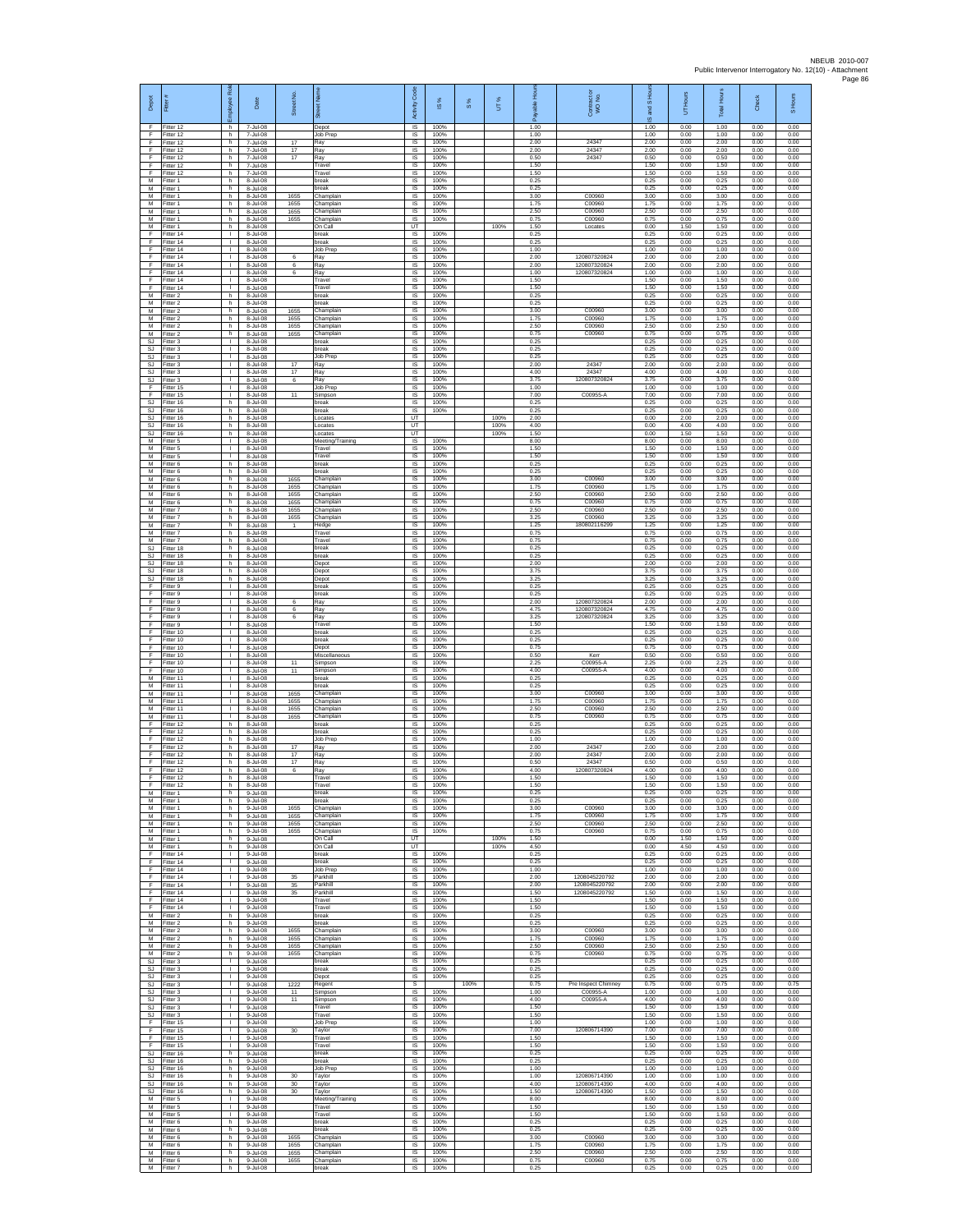| Depot                        | Fitter #                            | <b>R</b><br>Employee               | Date                             | Street No.           | 罚                                     | Code<br>Activity       | ×,<br>$\overline{\omega}$ | 8%   | UT%          | Вq<br>able<br>æ      | Contract or<br>WO No.                       | and S Hou<br>$\overline{\omega}$ | UT Hours             | <b>IHours</b><br>Total | Check                | S Hours              |
|------------------------------|-------------------------------------|------------------------------------|----------------------------------|----------------------|---------------------------------------|------------------------|---------------------------|------|--------------|----------------------|---------------------------------------------|----------------------------------|----------------------|------------------------|----------------------|----------------------|
| F<br>F<br>F                  | Fitter 12<br>Fitter 12<br>Fitter 12 | h<br>h<br>h.                       | 7-Jul-08<br>7-Jul-08<br>7-Jul-08 | 17                   | Depot<br>Job Prep<br>Ray              | IS<br>$\sf IS$<br>IS   | 100%<br>100%<br>100%      |      |              | 1.00<br>1.00<br>2.00 | 24347                                       | 1.00<br>1.00<br>2.00             | 0.00<br>0.00<br>0.00 | 1.00<br>1.00<br>2.00   | 0.00<br>0.00<br>0.00 | 0.00<br>0.00<br>0.00 |
| E<br>F                       | Fitter 12<br>Fitter 12              | h<br>h                             | 7-Jul-08<br>7-Jul-08             | 17<br>17             | Ray<br>Ray                            | IS<br>IS               | 100%<br>100%              |      |              | 2.00<br>0.50         | 24347<br>24347                              | 2.00<br>0.50                     | 0.00<br>0.00         | 2.00<br>0.50           | 0.00<br>0.00         | 0.00<br>0.00         |
| F<br>F<br>M                  | Fitter 12<br>Fitter 12<br>Fitter 1  | h<br>h.<br>h.                      | 7-Jul-08<br>7-Jul-08<br>8-Jul-08 |                      | Travel<br>Travel<br>break             | IS<br>- IS<br>IS       | 100%<br>100%<br>100%      |      |              | 1.50<br>1.50<br>0.25 |                                             | 1.50<br>1.50<br>0.25             | 0.00<br>0.00<br>0.00 | 1.50<br>1.50<br>0.25   | 0.00<br>0.00<br>0.00 | 0.00<br>0.00<br>0.00 |
| М<br>M<br>M                  | Fitter 1<br>Fitter 1<br>Fitter 1    | h<br>h<br>h.                       | 8-Jul-08<br>8-Jul-08<br>8-Jul-08 | 1655<br>1655         | break<br>Champlain<br>Champlain       | IS<br>IS<br>IS         | 100%<br>100%<br>100%      |      |              | 0.25<br>3.00<br>1.75 | C00960<br>C00960                            | 0.25<br>3.00<br>1.75             | 0.00<br>0.00<br>0.00 | 0.25<br>3.00<br>1.75   | 0.00<br>0.00<br>0.00 | 0.00<br>0.00<br>0.00 |
| М<br>M<br>M                  | Fitter 1<br>Fitter 1                | h<br>h.                            | 8-Jul-08<br>8-Jul-08             | 1655<br>1655         | hamplain,<br>Champlain                | $\sf IS$<br>IS         | 100%<br>100%              |      | 100%         | 2.50<br>0.75         | C00960<br>C00960                            | 2.50<br>0.75<br>0.00             | 0.00<br>0.00<br>1.50 | 2.50<br>0.75<br>1.50   | 0.00<br>0.00<br>0.00 | 0.00<br>0.00<br>0.00 |
| F<br>F                       | Fitter 1<br>Fitter 14<br>Fitter 14  | h.<br>$\mathbf{L}$<br>$\mathbb{L}$ | 8-Jul-08<br>8-Jul-08<br>8-Jul-08 |                      | On Call<br>oreak<br>break             | UT<br>IS<br>IS         | 100%<br>100%              |      |              | 1.50<br>0.25<br>0.25 | Locates                                     | 0.25<br>0.25                     | 0.00<br>0.00         | 0.25<br>0.25           | 0.00<br>0.00         | 0.00<br>0.00         |
| F<br>E<br>F                  | Fitter 14<br>Fitter 14<br>Fitter 14 | $\mathbf{L}$<br>л.<br>$\mathbf{L}$ | 8-Jul-08<br>8-Jul-08<br>8-Jul-08 | 6<br>6               | Job Prep<br>Ray<br>Ray                | IS<br>- IS<br>$\sf IS$ | 100%<br>100%<br>100%      |      |              | 1.00<br>2.00<br>2.00 | 120807320824<br>120807320824                | 1.00<br>2.00<br>2.00             | 0.00<br>0.00<br>0.00 | 1.00<br>2.00<br>2.00   | 0.00<br>0.00<br>0.00 | 0.00<br>0.00<br>0.00 |
| F<br>F                       | Fitter 14<br>Fitter 14              | $\mathbf{L}$<br>л.                 | 8-Jul-08<br>8-Jul-08             | 6                    | Ray<br>Travel                         | IS<br>IS               | 100%<br>100%              |      |              | 1.00<br>1.50         | 120807320824                                | 1.00<br>1.50                     | 0.00<br>0.00         | 1.00<br>1.50           | 0.00<br>0.00         | 0.00<br>0.00         |
| F.<br>М<br>M                 | Fitter 14<br>Fitter 2<br>Fitter 2   | л.<br>h<br>h.                      | 8-Jul-08<br>8-Jul-08<br>8-Jul-08 |                      | Travel<br>break<br>break              | IS<br>IS<br>IS         | 100%<br>100%<br>100%      |      |              | 1.50<br>0.25<br>0.25 |                                             | 1.50<br>0.25<br>0.25             | 0.00<br>0.00<br>0.00 | 1.50<br>0.25<br>0.25   | 0.00<br>0.00<br>0.00 | 0.00<br>0.00<br>0.00 |
| M<br>М<br>M                  | Fitter 2<br>Fitter 2                | h.<br>h<br>h.                      | 8-Jul-08<br>8-Jul-08             | 1655<br>1655         | Champlain<br>Champlain                | IS<br>IS               | 100%<br>100%              |      |              | 3.00<br>1.75         | C00960<br>C00960                            | 3.00<br>1.75                     | 0.00<br>0.00         | 3.00<br>1.75           | 0.00<br>0.00         | 0.00<br>0.00         |
| M<br>SJ                      | Fitter 2<br>Fitter 2<br>Fitter 3    | h.<br>$\mathbf{L}$                 | 8-Jul-08<br>8-Jul-08<br>8-Jul-08 | 1655<br>1655         | Champlain<br>Champlain<br>reak        | $\sf IS$<br>IS<br>IS   | 100%<br>100%<br>100%      |      |              | 2.50<br>0.75<br>0.25 | C00960<br>C00960                            | 2.50<br>0.75<br>0.25             | 0.00<br>0.00<br>0.00 | 2.50<br>0.75<br>0.25   | 0.00<br>0.00<br>0.00 | 0.00<br>0.00<br>0.00 |
| <b>SJ</b><br>SJ<br><b>SJ</b> | Fitter 3<br>Fitter 3<br>Fitter 3    | Τ.<br>T.<br>л.                     | 8-Jul-08<br>8-Jul-08<br>8-Jul-08 | 17                   | break<br>Job Prep<br>Ray              | IS<br>IS<br>- IS       | 100%<br>100%<br>100%      |      |              | 0.25<br>0.25<br>2.00 | 24347                                       | 0.25<br>0.25<br>2.00             | 0.00<br>0.00<br>0.00 | 0.25<br>0.25<br>2.00   | 0.00<br>0.00<br>0.00 | 0.00<br>0.00<br>0.00 |
| SJ<br>SJ                     | Fitter 3<br>Fitter 3                | л.<br>٠                            | 8-Jul-08<br>8-Jul-08             | 17<br>6              | Ray<br>Ray                            | IS<br>IS               | 100%<br>100%              |      |              | 4.00<br>3.75         | 24347<br>120807320824                       | 4.00<br>3.75                     | 0.00<br>0.00         | 4.00<br>3.75           | 0.00<br>0.00         | 0.00<br>0.00         |
| F<br>F.<br>SJ                | Fitter 15<br>Fitter 15<br>Fitter 16 | $\mathbb{R}$<br>$\mathbb{R}$<br>h  | 8-Jul-08<br>8-Jul-08<br>8-Jul-08 | 11                   | Job Prep<br>Simpson<br>break          | IS<br>IS<br>IS         | 100%<br>100%<br>100%      |      |              | 1.00<br>7.00<br>0.25 | C00955-A                                    | 1.00<br>7.00<br>0.25             | 0.00<br>0.00<br>0.00 | 1.00<br>7.00<br>0.25   | 0.00<br>0.00<br>0.00 | 0.00<br>0.00<br>0.00 |
| SJ.<br>SJ.                   | Fitter 16<br>Fitter 16              | h<br>h.                            | 8-Jul-08<br>8-Jul-08             |                      | break<br>Locates                      | IS<br>UT<br>UT         | 100%                      |      | 100%<br>100% | 0.25<br>2.00<br>4.00 |                                             | 0.25<br>0.00<br>0.00             | 0.00<br>2.00<br>4.00 | 0.25<br>2.00<br>4.00   | 0.00<br>0.00<br>0.00 | 0.00<br>0.00<br>0.00 |
| SJ<br>SJ<br>M                | Fitter 16<br>Fitter 16<br>Fitter 5  | h<br>h<br>$\mathbf{L}$             | 8-Jul-08<br>8-Jul-08<br>8-Jul-08 |                      | ocates<br>Locates<br>Meeting/Training | UT<br>IS               | 100%                      |      | 100%         | 1.50<br>8.00         |                                             | 0.00<br>8.00                     | 1.50<br>0.00         | 1.50<br>8.00           | 0.00<br>0.00         | 0.00<br>0.00         |
| M<br>M<br>М                  | Fitter 5<br>-itter 5<br>-itter 6    | л.<br>$\mathbf{L}$<br>h            | 8-Jul-08<br>8-Jul-08<br>8-Jul-08 |                      | Travel<br>Travel<br>oreak             | - IS<br>$\sf IS$<br>IS | 100%<br>100%<br>100%      |      |              | 1.50<br>1.50<br>0.25 |                                             | 1.50<br>1.50<br>0.25             | 0.00<br>0.00<br>0.00 | 1.50<br>1.50<br>0.25   | 0.00<br>0.00<br>0.00 | 0.00<br>0.00<br>0.00 |
| M<br>M                       | Fitter 6<br>Fitter 6                | h.<br>h.                           | 8-Jul-08<br>8-Jul-08             | 1655                 | break<br>Champlain                    | IS<br>IS               | 100%<br>100%              |      |              | 0.25<br>3.00         | C00960                                      | 0.25<br>3.00                     | 0.00<br>0.00         | 0.25<br>3.00           | 0.00<br>0.00         | 0.00<br>0.00         |
| М<br>M<br>M                  | Fitter 6<br>Fitter 6<br>Fitter 6    | h<br>h.<br>h.                      | 8-Jul-08<br>8-Jul-08<br>8-Jul-08 | 1655<br>1655<br>1655 | hamplain,<br>Champlain<br>Champlain   | IS<br>IS<br>IS         | 100%<br>100%<br>100%      |      |              | 1.75<br>2.50<br>0.75 | C00960<br>C00960<br>C00960                  | 1.75<br>2.50<br>0.75             | 0.00<br>0.00<br>0.00 | 1.75<br>2.50<br>0.75   | 0.00<br>0.00<br>0.00 | 0.00<br>0.00<br>0.00 |
| М<br>M                       | -itter 7<br>Fitter 7                | h<br>h.                            | 8-Jul-08<br>8-Jul-08             | 1655<br>1655         | hamplain,<br>Champlain                | IS<br>$\sf IS$         | 100%<br>100%              |      |              | 2.50<br>3.25         | C00960<br>C00960                            | 2.50<br>3.25                     | 0.00<br>0.00         | 2.50<br>3.25           | 0.00<br>0.00         | 0.00<br>0.00         |
| M<br>M<br>M                  | Fitter 7<br>Fitter 7<br>Fitter 7    | h.<br>h<br>h                       | 8-Jul-08<br>8-Jul-08<br>8-Jul-08 | 1                    | Hedge<br>Travel<br>Travel             | IS<br>IS<br>IS         | 100%<br>100%<br>100%      |      |              | 1.25<br>0.75<br>0.75 | 180802116299                                | 1.25<br>0.75<br>0.75             | 0.00<br>0.00<br>0.00 | 1.25<br>0.75<br>0.75   | 0.00<br>0.00<br>0.00 | 0.00<br>0.00<br>0.00 |
| SJ<br><b>SJ</b>              | Fitter 18<br>Fitter 18              | h<br>h.                            | 8-Jul-08<br>8-Jul-08             |                      | oreak<br>break                        | IS<br>- IS             | 100%<br>100%              |      |              | 0.25<br>0.25         |                                             | 0.25<br>0.25                     | 0.00<br>0.00         | 0.25<br>0.25           | 0.00<br>0.00         | 0.00<br>0.00         |
| SJ<br>SJ<br>SJ.              | Fitter 18<br>Fitter 18<br>Fitter 18 | h.<br>h<br>h                       | 8-Jul-08<br>8-Jul-08<br>8-Jul-08 |                      | Depot<br>Depot<br>Depot               | IS<br>IS<br>IS         | 100%<br>100%<br>100%      |      |              | 2.00<br>3.75<br>3.25 |                                             | 2.00<br>3.75<br>3.25             | 0.00<br>0.00<br>0.00 | 2.00<br>3.75<br>3.25   | 0.00<br>0.00<br>0.00 | 0.00<br>0.00<br>0.00 |
| F<br>F<br>F                  | Fitter 9<br>Fitter 9<br>Fitter 9    | $\mathbb{R}$<br>т.<br>т            | 8-Jul-08<br>8-Jul-08<br>8-Jul-08 | 6                    | break<br>break<br>Ray                 | IS<br>$\sf IS$<br>IS   | 100%<br>100%<br>100%      |      |              | 0.25<br>0.25<br>2.00 | 120807320824                                | 0.25<br>0.25<br>2.00             | 0.00<br>0.00<br>0.00 | 0.25<br>0.25<br>2.00   | 0.00<br>0.00<br>0.00 | 0.00<br>0.00<br>0.00 |
| F<br>F                       | Fitter 9<br>Fitter 9                | $\mathbf{L}$<br>$\mathbf{L}$       | 8-Jul-08<br>8-Jul-08             | 6<br>6               | Ray<br>Ray                            | IS<br>IS               | 100%<br>100%              |      |              | 4.75<br>3.25         | 120807320824<br>120807320824                | 4.75<br>3.25                     | 0.00<br>0.00         | 4.75<br>3.25           | 0.00<br>0.00         | 0.00<br>0.00         |
| F<br>F<br>F                  | Fitter 9<br>Fitter 10<br>Fitter 10  | $\mathbf{I}$<br>$\mathbf{L}$<br>л. | 8-Jul-08<br>8-Jul-08<br>8-Jul-08 |                      | Travel<br>preak<br>break              | IS<br>IS<br>- IS       | 100%<br>100%<br>100%      |      |              | 1.50<br>0.25<br>0.25 |                                             | 1.50<br>0.25<br>0.25             | 0.00<br>0.00<br>0.00 | 1.50<br>0.25<br>0.25   | 0.00<br>0.00<br>0.00 | 0.00<br>0.00<br>0.00 |
| F<br>F                       | Fitter 10<br>litter 10              | $\mathbf{L}$<br>$\mathbf{L}$       | 8-Jul-08<br>8-Jul-08             |                      | Depot<br>Miscellaneous                | $\sf IS$<br>IS         | 100%<br>100%<br>100%      |      |              | 0.75<br>0.50         | Kerr<br>C00955-A                            | 0.75<br>0.50                     | 0.00<br>0.00         | 0.75<br>0.50           | 0.00<br>0.00         | 0.00<br>0.00         |
| F<br>F.<br>М                 | Fitter 10<br>Fitter 10<br>Fitter 11 | л.<br>л.<br>τ.                     | 8-Jul-08<br>8-Jul-08<br>8-Jul-08 | 11<br>11             | Simpson<br>Simpson<br>oreak           | IS<br>IS<br>IS         | 100%<br>100%              |      |              | 2.25<br>4.00<br>0.25 | C00955-A                                    | 2.25<br>4.00<br>0.25             | 0.00<br>0.00<br>0.00 | 2.25<br>4.00<br>0.25   | 0.00<br>0.00<br>0.00 | 0.00<br>0.00<br>0.00 |
| M<br>M<br>${\sf M}$          | Fitter 11<br>Fitter 11<br>Fitter 11 | т<br>$\mathbf{L}$<br>л.            | 8-Jul-08<br>8-Jul-08<br>8-Jul-08 | 1655<br>1655         | oreak<br>Champlain<br>Champlain       | IS<br>IS<br>IS         | 100%<br>100%<br>100%      |      |              | 0.25<br>3.00<br>1.75 | C00960<br>C00960                            | 0.25<br>3.00<br>1.75             | 0.00<br>0.00<br>0.00 | 0.25<br>3.00<br>1.75   | 0.00<br>0.00<br>0.00 | 0.00<br>0.00<br>0.00 |
| M<br>M                       | Fitter 11<br>Fitter 11              | $\mathbf{L}$<br>$\mathbb{R}$       | 8-Jul-08<br>8-Jul-08             | 1655<br>1655         | Champlain<br>Champlain                | $\sf IS$<br>IS         | 100%<br>100%              |      |              | 2.50<br>0.75         | C00960<br>C00960                            | 2.50<br>0.75                     | 0.00<br>0.00         | 2.50<br>0.75           | 0.00<br>0.00         | 0.00<br>0.00         |
| E<br>Ŧ<br>F                  | Fitter 12<br>Fitter 12<br>Fitter 12 | h<br>h<br>h                        | 8-Jul-08<br>8-Jul-08<br>8-Jul-08 |                      | reak<br>break<br>Job Prep             | IS<br>IS<br>IS         | 100%<br>100%<br>100%      |      |              | 0.25<br>0.25<br>1.00 |                                             | 0.25<br>0.25<br>1.00             | 0.00<br>0.00<br>0.00 | 0.25<br>0.25<br>1.00   | 0.00<br>0.00<br>0.00 | 0.00<br>0.00<br>0.00 |
| F<br>F.                      | Fitter 12<br>Fitter 12              | h.<br>h.                           | 8-Jul-08<br>8-Jul-08             | 17<br>17             | Ray<br>Ray                            | - IS<br>IS             | 100%<br>100%              |      |              | 2.00<br>2.00         | 24347<br>24347                              | 2.00<br>200                      | 0.00<br>0.00         | 2.00<br>200            | 0.00<br>0.00         | 0.00<br>0.00         |
| F<br>F<br>F.                 | Fitter 12<br>Fitter 12<br>Fitter 12 | h<br>h<br>h                        | 8-Jul-08<br>8-Jul-08<br>8-Jul-08 | 17<br>6              | Ray<br>Ray<br>Travel                  | IS<br>IS<br>IS         | 100%<br>100%<br>100%      |      |              | 0.50<br>4.00<br>1.50 | 24347<br>120807320824                       | 0.50<br>4.00<br>1.50             | 0.00<br>0.00<br>0.00 | 0.50<br>4.00<br>1.50   | 0.00<br>0.00<br>0.00 | 0.00<br>0.00<br>0.00 |
| F<br>M<br>M                  | Fitter 12<br>Fitter 1<br>Fitter 1   | h<br>h<br>h.                       | 8-Jul-08<br>9-Jul-08<br>9-Jul-08 |                      | Travel<br>break<br>break              | IS<br>1S<br><b>IS</b>  | 100%<br>100%<br>100%      |      |              | 1.50<br>0.25<br>0.25 |                                             | 1.50<br>0.25<br>0.25             | 0.00<br>0.00<br>0.00 | 1.50<br>0.25<br>0.25   | 0.00<br>0.00<br>0.00 | 0.00<br>0.00<br>0.00 |
| M<br>M                       | Fitter 1<br>Fitter 1                | h<br>h.                            | 9-Jul-08<br>9-Jul-08             | 1655<br>1655         | hamplain,<br>Champlain                | IS<br>IS               | 100%<br>100%              |      |              | 3.00<br>1.75         | C00960<br>C00960                            | 3.00<br>1.75                     | 0.00<br>0.00         | 3.00<br>1.75           | 0.00<br>0.00         | 0.00<br>0.00         |
| M<br>M<br>M                  | Fitter 1<br>Fitter 1<br>-itter 1    | h<br>h<br>h.                       | 9-Jul-08<br>9-Jul-08<br>9-Jul-08 | 1655<br>1655         | hamplair<br>Champlain<br>On Call      | IS<br>-IS<br>UT        | 100%<br>100%              |      | 100%         | 2.50<br>0.75<br>1.50 | C00960<br>C00960                            | 2.50<br>0.75<br>0.00             | 0.00<br>0.00<br>1.50 | 2.50<br>0.75<br>1.50   | 0.00<br>0.00<br>0.00 | 0.00<br>0.00<br>0.00 |
| М<br>F                       | -itter 1<br>Fitter 14               | h<br>л.                            | 9-Jul-08<br>9-Jul-08             |                      | <b>On Call</b><br>break               | UT<br>- IS             | 100%                      |      | 100%         | 4.50<br>0.25         |                                             | 0.00<br>0.25                     | 4.50<br>0.00         | 4.50<br>0.25           | 0.00<br>0.00         | 0.00<br>0.00         |
| F.<br>F<br>F                 | Fitter 14<br>Fitter 14<br>Fitter 14 | $\mathbf{L}$<br>т.<br>т            | 9-Jul-08<br>9-Jul-08<br>9-Jul-08 | 35                   | hreak<br>Job Prep<br>Parkhill         | IS<br>IS<br>IS         | 100%<br>100%<br>100%      |      |              | 0.25<br>1.00<br>2.00 | 1208045220792                               | 0.25<br>1.00<br>2.00             | 0.00<br>0.00<br>0.00 | 0.25<br>1.00<br>2.00   | 0.00<br>0.00<br>0.00 | 0.00<br>0.00<br>0.00 |
| F.<br>$\mathsf F$<br>F       | Fitter 14<br>litter 14<br>Fitter 14 | $\mathbf{L}$<br>л.<br>$\mathbf{L}$ | 9-Jul-08<br>9-Jul-08<br>9-Jul-08 | 35<br>35             | Parkhill<br>Parkhill                  | <b>IS</b><br>IS<br>IS  | 100%<br>100%<br>100%      |      |              | 2.00<br>1.50<br>1.50 | 1208045220792<br>1208045220792              | 2.00<br>1.50<br>1.50             | 0.00<br>0.00<br>0.00 | 2.00<br>1.50<br>1.50   | 0.00<br>0.00<br>0.00 | 0.00<br>0.00<br>0.00 |
| F<br>M                       | Fitter 14<br>Fitter 2               | $\mathbf{L}$<br>h                  | 9-Jul-08<br>9-Jul-08             |                      | Travel<br>Travel<br>oreak             | IS.<br>IS              | 100%<br>100%              |      |              | 1.50<br>0.25         |                                             | 1.50<br>0.25                     | 0.00<br>0.00         | 1.50<br>0.25           | 0.00<br>0.00         | 0.00<br>0.00         |
| M<br>М<br>M                  | Fitter 2<br>-itter 2<br>Fitter 2    | ħ<br>h<br>h.                       | 9-Jul-08<br>9-Jul-08<br>9-Jul-08 | 1655<br>1655         | break<br>hamplair<br>Champlain        | IS<br>IS<br>- IS       | 100%<br>100%<br>100%      |      |              | 0.25<br>3.00<br>1.75 | C00960<br>C00960                            | 0.25<br>3.00<br>1.75             | 0.00<br>0.00<br>0.00 | 0.25<br>3.00<br>1.75   | 0.00<br>0.00<br>0.00 | 0.00<br>0.00<br>0.00 |
| м<br>М                       | Fitter 2<br>Fitter 2                | h<br>h                             | 9-Jul-08<br>9-Jul-08             | 1655<br>1655         | Champlain<br>Champlain                | IS<br>IS               | 100%<br>100%              |      |              | 2.50<br>0.75         | C00960<br>C00960                            | 2.50<br>0.75                     | 0.00<br>0.00         | 2.50<br>0.75           | 0.00<br>0.00         | 0.00<br>0.00         |
| SJ.<br>SJ                    | Fitter 3<br>SJ Fitter 3<br>Fitter 3 | $\mathbb{R}$<br>$\mathbb{R}$<br>т. | 9-Jul-08<br>9-Jul-08<br>9-Jul-08 |                      | break<br>break<br>Depot               | IS<br>IS<br>IS         | 100%<br>100%<br>100%      |      |              | 0.25<br>0.25<br>0.25 |                                             | 0.25<br>0.25<br>0.25             | 0.00<br>0.00<br>0.00 | 0.25<br>0.25<br>0.25   | 0.00<br>0.00<br>0.00 | 0.00<br>0.00<br>0.00 |
| SJ.<br>SJ.<br>SJ.            | Fitter 3<br>Fitter 3<br>Fitter 3    | т<br>$\mathbf{L}$<br>$\mathbf{L}$  | 9-Jul-08<br>9-Jul-08             | 1222<br>11<br>11     | Regent<br>Simpson                     | s<br><b>IS</b><br>IS   | 100%<br>100%              | 100% |              | 0.75<br>1.00<br>4.00 | Pre Inspect Chimney<br>C00955-A<br>C00955-A | 0.75<br>1.00<br>4.00             | 0.00<br>0.00<br>0.00 | 0.75<br>1.00<br>4.00   | 0.00<br>0.00<br>0.00 | 0.75<br>0.00<br>0.00 |
| SJ<br>SJ.                    | Fitter 3<br>Fitter 3                | $\mathbf{I}$<br>$\mathbf{L}$       | 9-Jul-08<br>9-Jul-08<br>9-Jul-08 |                      | Simpson<br>ravel<br>ravel             | IS<br>IS               | 100%<br>100%              |      |              | 1.50<br>1.50         |                                             | 1.50<br>1.50                     | 0.00<br>0.00         | 1.50<br>1.50           | 0.00<br>0.00         | 0.00<br>0.00         |
| F<br>F.<br>F                 | Fitter 15<br>Fitter 15<br>Fitter 15 | л.<br>$\mathbf{L}$<br>$\mathbf{I}$ | 9-Jul-08<br>9-Jul-08<br>9-Jul-08 | $30\,$               | Job Prec<br>Taylor<br>Travel          | -IS<br>$\sf IS$<br>IS  | 100%<br>100%<br>100%      |      |              | 1.00<br>7.00<br>1.50 | 120806714390                                | 1.00<br>7.00<br>1.50             | 0.00<br>0.00<br>0.00 | 1.00<br>7.00<br>1.50   | 0.00<br>0.00<br>0.00 | 0.00<br>0.00<br>0.00 |
| F<br>SJ.                     | Fitter 15<br>Fitter 16              | л.<br>h.                           | 9-Jul-08<br>9-Jul-08             |                      | Travel<br>hreak                       | - IS<br>IS             | 100%<br>100%              |      |              | 1.50<br>0.25         |                                             | 1.50<br>0.25                     | 0.00<br>0.00         | 1.50<br>0.25           | 0.00<br>0.00         | 0.00<br>0.00         |
| SJ<br><b>SJ</b><br>SJ.       | Fitter 16<br>Fitter 16<br>Fitter 16 | h<br>h.<br>h.                      | 9-Jul-08<br>9-Jul-08<br>9-Jul-08 | 30                   | break<br>Job Prep<br>Tavlor           | IS<br>IS<br><b>IS</b>  | 100%<br>100%<br>100%      |      |              | 0.25<br>1.00<br>1.00 | 120806714390                                | 0.25<br>1.00<br>1.00             | 0.00<br>0.00<br>0.00 | 0.25<br>1.00<br>1.00   | 0.00<br>0.00<br>0.00 | 0.00<br>0.00<br>0.00 |
| SJ<br>SJ<br>M                | Fitter 16<br>Fitter 16<br>Fitter 5  | h<br>h<br>$\mathbb{R}$             | 9-Jul-08<br>9-Jul-08<br>9-Jul-08 | 30<br>30             | Taylor<br>Taylor                      | IS<br>IS<br>IS         | 100%<br>100%<br>100%      |      |              | 4.00<br>1.50<br>8.00 | 120806714390<br>120806714390                | 4.00<br>1.50<br>8.00             | 0.00<br>0.00<br>0.00 | 4.00<br>1.50<br>8.00   | 0.00<br>0.00<br>0.00 | 0.00<br>0.00<br>0.00 |
| M<br>M                       | Fitter 5<br>Fitter 5                | $\mathbf{L}$<br>Τ.                 | 9-Jul-08<br>9-Jul-08             |                      | Meeting/Training<br>Travel<br>Travel  | IS<br>IS               | 100%<br>100%              |      |              | 1.50<br>1.50         |                                             | 1.50<br>1.50                     | 0.00<br>0.00         | 1.50<br>1.50           | 0.00<br>0.00         | 0.00<br>0.00         |
| M<br>M<br>M                  | -itter 6<br>Fitter 6<br>-itter 6    | h<br>h.<br>h.                      | 9-Jul-08<br>9-Jul-08<br>9-Jul-08 | 1655                 | oreak<br>break<br>Champlain           | IS<br>-IS<br>IS        | 100%<br>100%<br>100%      |      |              | 0.25<br>0.25<br>3.00 | C00960                                      | 0.25<br>0.25<br>3.00             | 0.00<br>0.00<br>0.00 | 0.25<br>0.25<br>3.00   | 0.00<br>0.00<br>0.00 | 0.00<br>0.00<br>0.00 |
| M<br>M                       | Fitter 6<br>Fitter 6                | h<br>h                             | 9-Jul-08<br>9-Jul-08             | 1655<br>1655         | Champlain<br>Champlair                | IS<br>IS               | 100%<br>100%              |      |              | 1.75<br>2.50         | C00960<br>C00960                            | 1.75<br>2.50                     | 0.00<br>0.00         | 1.75<br>2.50           | 0.00<br>0.00         | 0.00<br>0.00         |
| М                            | M Fitter 6<br>Fitter 7              | h.<br>h                            | 9-Jul-08<br>9-Jul-08             | 1655                 | Champlain<br>break                    | IS<br>IS               | 100%<br>100%              |      |              | 0.75<br>0.25         | C00960                                      | 0.75<br>0.25                     | 0.00<br>0.00         | 0.75<br>0.25           | 0.00<br>0.00         | 0.00<br>0.00         |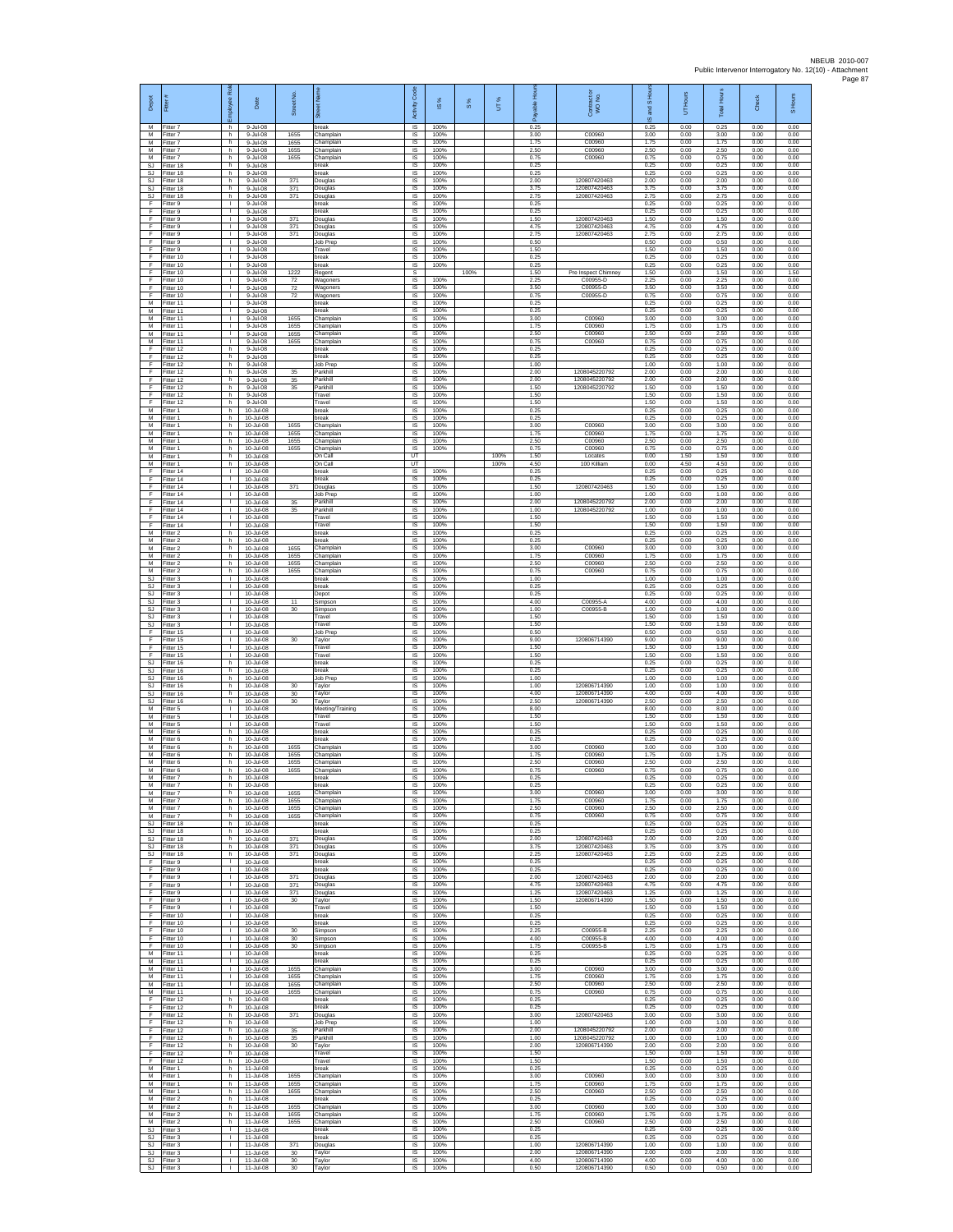| Depot                        | Fitter #                            | Rol<br>aekoy                                 | Date                                      | Street No.              |                                      | Code<br>Activity                    | IS %                 | $\frac{8}{3}$ | UT%  | 윤<br>ale             | Contract or<br>WO No.           | and S Ho<br>$\overline{a}$ | UT Hours             | <b>Total Hours</b>   | Check                | S Hours              |
|------------------------------|-------------------------------------|----------------------------------------------|-------------------------------------------|-------------------------|--------------------------------------|-------------------------------------|----------------------|---------------|------|----------------------|---------------------------------|----------------------------|----------------------|----------------------|----------------------|----------------------|
| M<br>M<br>M                  | Fitter 7<br>Fitter 7                | h.<br>h.                                     | 9-Jul-08<br>9-Jul-08                      | 1655                    | break<br>Champlair                   | $\overline{\mathsf{s}}$<br>$\sf IS$ | 100%<br>100%         |               |      | 0.25<br>3.00         | C00960<br>C00960                | 0.25<br>3.00               | 0.00<br>0.00         | 0.25<br>3.00         | 0.00<br>0.00         | 0.00<br>0.00         |
| M<br>M                       | -itter 7<br>Fitter 7<br>Fitter 7    | h<br>h.<br>h.                                | 9-Jul-08<br>9-Jul-08<br>9-Jul-08          | 1655<br>1655<br>1655    | Champlain<br>Champlain<br>Champlain  | $\sf IS$<br>IS<br>IS                | 100%<br>100%<br>100% |               |      | 1.75<br>2.50<br>0.75 | C00960<br>C00960                | 1.75<br>2.50<br>0.75       | 0.00<br>0.00<br>0.00 | 1.75<br>2.50<br>0.75 | 0.00<br>0.00<br>0.00 | 0.00<br>0.00<br>0.00 |
| SJ<br><b>SJ</b>              | Fitter 18<br>Fitter 18              | h<br>h.                                      | 9-Jul-08<br>9-Jul-08                      |                         | oreak<br>oreak                       | IS<br>IS                            | 100%<br>100%         |               |      | 0.25<br>0.25         |                                 | 0.25<br>0.25               | 0.00<br>0.00         | 0.25<br>0.25         | 0.00<br>0.00         | 0.00<br>0.00         |
| SJ<br>SJ                     | Fitter 18<br>Fitter 18              | h.<br>h                                      | 9-Jul-08<br>9-Jul-08                      | 371<br>371              | Douglas<br>Douglas                   | IS<br>IS                            | 100%<br>100%         |               |      | 2.00<br>3.75         | 120807420463<br>120807420463    | 2.00<br>3.75               | 0.00<br>0.00         | 2.00<br>3.75         | 0.00<br>0.00         | 0.00<br>0.00         |
| SJ<br>F                      | Fitter 18<br>Fitter 9               | h.<br>$\mathbf{L}$                           | 9-Jul-08<br>$9 -$ Jul-08                  | 371                     | Douglas<br>preak                     | $\sf IS$<br><b>IS</b>               | 100%<br>100%         |               |      | 2.75<br>0.25         | 120807420463                    | 2.75<br>0.25               | 0.00<br>0.00         | 2.75<br>0.25         | 0.00<br>0.00         | 0.00<br>0.00         |
| F<br>F<br>F                  | Fitter 9<br>Fitter 9<br>Fitter 9    | т.<br>$\mathbf{I}$<br>$\mathbf{L}$           | 9-Jul-08<br>9-Jul-08<br>9-Jul-08          | 371<br>371              | oreak<br>Douglas<br>Douglas          | IS<br>IS<br>IS                      | 100%<br>100%<br>100% |               |      | 0.25<br>1.50<br>4.75 | 120807420463<br>120807420463    | 0.25<br>1.50<br>4.75       | 0.00<br>0.00<br>0.00 | 0.25<br>1.50<br>4.75 | 0.00<br>0.00<br>0.00 | 0.00<br>0.00<br>0.00 |
| F<br>F                       | Fitter 9<br>Fitter 9                | л.<br>$\mathbf{L}$                           | 9-Jul-08<br>9-Jul-08                      | 371                     | Douglas<br>Job Prep                  | <b>IS</b><br>IS                     | 100%<br>100%         |               |      | 2.75<br>0.50         | 120807420463                    | 2.75<br>0.50               | 0.00<br>0.00         | 2.75<br>0.50         | 0.00<br>0.00         | 0.00<br>0.00         |
| F<br>F                       | Fitter 9<br>Fitter 10               | ٠<br>$\mathbf{L}$                            | 9-Jul-08<br>9-Jul-08                      |                         | Travel<br>break                      | IS<br>1S                            | 100%<br>100%         |               |      | 1.50<br>0.25         |                                 | 1.50<br>0.25               | 0.00<br>0.00         | 1.50<br>0.25         | 0.00<br>0.00         | 0.00<br>0.00         |
| F.<br>F<br>F                 | Fitter 10<br>Fitter 10<br>Fitter 10 | $\mathbf{L}$<br>т.<br>т                      | 9-Jul-08<br>9-Jul-08<br>9-Jul-08          | 1222<br>$\overline{72}$ | break<br>Regent<br>Wagoners          | IS<br>s<br>1S                       | 100%<br>100%         | 100%          |      | 0.25<br>1.50<br>2.25 | Pre Inspect Chimney<br>C00955-D | 0.25<br>1.50<br>2.25       | 0.00<br>0.00<br>0.00 | 0.25<br>1.50<br>2.25 | 0.00<br>0.00<br>0.00 | 0.00<br>1.50<br>0.00 |
| F<br>F                       | Fitter 10<br>Fitter 10              | т.<br>т.                                     | 9-Jul-08<br>9-Jul-08                      | 72<br>72                | Wagoners<br>Nagoners                 | <b>IS</b><br>IS                     | 100%<br>100%         |               |      | 3.50<br>0.75         | C00955-D<br>C00955-D            | 3.50<br>0.75               | 0.00<br>0.00         | 3.50<br>0.75         | 0.00<br>0.00         | 0.00<br>0.00         |
| М<br>M                       | Fitter 11<br>Fitter 11              | L.<br>т.                                     | 9-Jul-08<br>$9 -$ Jul-08                  |                         | break<br>reak                        | IS<br>IS                            | 100%<br>100%         |               |      | 0.25<br>0.25         |                                 | 0.25<br>0.25               | 0.00<br>0.00         | 0.25<br>0.25         | 0.00<br>0.00         | 0.00<br>0.00         |
| M<br>M                       | Fitter 11<br>Fitter 11              | т.<br>т.<br>$\mathbf{L}$                     | 9-Jul-08<br>9-Jul-08                      | 1655<br>1655            | Champlain<br>Champlair               | <b>IS</b><br>$\sf IS$               | 100%<br>100%         |               |      | 3.00<br>1.75         | C00960<br>C00960<br>C00960      | 3.00<br>1.75               | 0.00<br>0.00         | 3.00<br>1.75         | 0.00<br>0.00         | 0.00<br>0.00         |
| М<br>M<br>F                  | Fitter 11<br>Fitter 11<br>Fitter 12 | л.<br>h.                                     | 9-Jul-08<br>9-Jul-08<br>9-Jul-08          | 1655<br>1655            | Champlain<br>Champlain<br>reak       | IS<br>IS<br>IS                      | 100%<br>100%<br>100% |               |      | 2.50<br>0.75<br>0.25 | C00960                          | 2.50<br>0.75<br>0.25       | 0.00<br>0.00<br>0.00 | 2.50<br>0.75<br>0.25 | 0.00<br>0.00<br>0.00 | 0.00<br>0.00<br>0.00 |
| F<br>F                       | Fitter 12<br>Fitter 12              | h<br>h                                       | 9-Jul-08<br>9-Jul-08                      |                         | oreak<br>Job Prep                    | IS<br>IS                            | 100%<br>100%         |               |      | 0.25<br>1.00         |                                 | 0.25<br>1.00               | 0.00<br>0.00         | 0.25<br>1.00         | 0.00<br>0.00         | 0.00<br>0.00         |
| F.<br>F                      | Fitter 12<br>Fitter 12              | h.<br>h                                      | 9-Jul-08<br>9-Jul-08                      | 35<br>35                | Parkhill<br>arkhill                  | <b>IS</b><br>IS                     | 100%<br>100%         |               |      | 2.00<br>2.00         | 1208045220792<br>1208045220792  | 2.00<br>2.00               | 0.00<br>0.00         | 2.00<br>2.00         | 0.00<br>0.00         | 0.00<br>0.00         |
| F<br>F<br>F                  | Fitter 12<br>Fitter 12<br>Fitter 12 | h<br>h.<br>h                                 | 9-Jul-08<br>$9 -$ Jul-08<br>9-Jul-08      | 35                      | Parkhill<br>Travel<br>Travel         | $\sf IS$<br>- IS<br>IS              | 100%<br>100%<br>100% |               |      | 1.50<br>1.50<br>1.50 | 1208045220792                   | 1.50<br>1.50<br>1.50       | 0.00<br>0.00<br>0.00 | 1.50<br>1.50<br>1.50 | 0.00<br>0.00<br>0.00 | 0.00<br>0.00<br>0.00 |
| М<br>М                       | Fitter 1<br>Fitter 1                | h<br>h                                       | 10-Jul-08<br>10-Jul-08                    |                         | break<br>reak                        | IS<br>IS                            | 100%<br>100%         |               |      | 0.25<br>0.25         |                                 | 0.25<br>0.25               | 0.00<br>0.00         | 0.25<br>0.25         | 0.00<br>0.00         | 0.00<br>0.00         |
| M<br>M                       | Fitter 1<br>-itter 1                | h.<br>h.                                     | 10-Jul-08<br>10-Jul-08                    | 1655<br>1655            | Champlain<br>Champlain               | <b>IS</b><br>IS                     | 100%<br>100%         |               |      | 3.00<br>175          | C00960<br>C00960                | 3.00<br>1.75               | 0.00<br>0.00         | 3.00<br>1.75         | 0.00<br>0.00         | 0.00<br>0.00         |
| М<br>M<br>M                  | Fitter 1<br>Fitter 1<br>Fitter 1    | h<br>h.<br>h                                 | 10-Jul-08<br>10-Jul-08<br>10-Jul-08       | 1655<br>1655            | hamplain<br>Champlain<br>On Call     | IS<br>1S<br><b>IT</b>               | 100%<br>100%         |               | 100% | 2.50<br>0.75<br>1.50 | C00960<br>C00960<br>Locates     | 2.50<br>0.75<br>0.00       | 0.00<br>0.00<br>1.50 | 2.50<br>0.75<br>1.50 | 0.00<br>0.00<br>0.00 | 0.00<br>0.00<br>0.00 |
| M<br>F                       | Fitter 1<br>Fitter 14               | h<br>т                                       | 10-Jul-08<br>10-Jul-08                    |                         | On Call<br>break                     | UT<br>IS                            | 100%                 |               | 100% | 4.50<br>0.25         | 100 Killiam                     | 0.00<br>0.25               | 4.50<br>0.00         | 4.50<br>0.25         | 0.00<br>0.00         | 0.00<br>0.00         |
| F<br>F                       | Fitter 14<br>Fitter 14              | $\mathbf{L}$<br>$\mathbf{L}$                 | 10-Jul-08<br>10-Jul-08                    | 371                     | break<br>Douglas                     | IS.<br>IS                           | 100%<br>100%         |               |      | 0.25<br>1.50         | 120807420463                    | 0.25<br>1.50               | 0.00<br>0.00         | 0.25<br>1.50         | 0.00<br>0.00         | 0.00<br>0.00         |
| F<br>F<br>E                  | Fitter 14<br>Fitter 14<br>Fitter 14 | τ.<br>$\mathbf{L}$<br>л.                     | 10-Jul-08<br>10-Jul-08<br>10-Jul-08       | 35<br>35                | Job Prep<br>Parkhill<br>Parkhill     | IS<br>IS<br><b>IS</b>               | 100%<br>100%<br>100% |               |      | 1.00<br>2.00<br>1.00 | 1208045220792<br>1208045220792  | 1.00<br>2.00<br>1.00       | 0.00<br>0.00<br>0.00 | 1.00<br>2.00<br>1.00 | 0.00<br>0.00<br>0.00 | 0.00<br>0.00<br>0.00 |
| F<br>F                       | Fitter 14<br>Fitter 14              | $\mathbf{L}$<br>T.                           | 10-Jul-08<br>10-Jul-08                    |                         | Travel<br>Travel                     | $\sf IS$<br>IS                      | 100%<br>100%         |               |      | 1.50<br>1.50         |                                 | 1.50<br>1.50               | 0.00<br>0.00         | 1.50<br>1.50         | 0.00<br>0.00         | 0.00<br>0.00         |
| M<br>M                       | Fitter 2<br>Fitter 2                | h.<br>h.                                     | 10-Jul-08<br>10-Jul-08                    |                         | break<br>reak                        | IS<br>IS                            | 100%<br>100%         |               |      | 0.25<br>0.25         |                                 | 0.25<br>0.25               | 0.00<br>0.00         | 0.25<br>0.25         | 0.00<br>0.00         | 0.00<br>0.00         |
| М<br>M<br>M                  | Fitter 2<br>-itter 2<br>Fitter 2    | h<br>h<br>h.                                 | 10-Jul-08<br>10-Jul-08<br>10-Jul-08       | 1655<br>1655<br>1655    | Champlain<br>Champlain<br>Champlain  | IS<br>IS<br>IS                      | 100%<br>100%<br>100% |               |      | 3.00<br>1.75<br>2.50 | C00960<br>C00960<br>C00960      | 3.00<br>1.75<br>2.50       | 0.00<br>0.00<br>0.00 | 3.00<br>1.75<br>2.50 | 0.00<br>0.00<br>0.00 | 0.00<br>0.00<br>0.00 |
| М<br>$\mathbb{S}\mathbb{J}$  | Fitter 2<br>Fitter 3                | h<br>$\mathbf{L}$                            | 10-Jul-08<br>10-Jul-08                    | 1655                    | Champlain<br>break                   | IS<br>$\sf IS$                      | 100%<br>100%         |               |      | 0.75<br>1.00         | C00960                          | 0.75<br>1.00               | 0.00<br>0.00         | 0.75<br>1.00         | 0.00<br>0.00         | 0.00<br>0.00         |
| SJ.<br>SJ                    | Fitter 3<br>-itter 3                | т.<br>т.                                     | 10-Jul-08<br>10-Jul-08                    |                         | reak<br>Depot                        | <b>IS</b><br>IS                     | 100%<br>100%         |               |      | 0.25<br>0.25         |                                 | 0.25<br>0.25               | 0.00<br>0.00         | 0.25<br>0.25         | 0.00<br>0.00         | 0.00<br>0.00         |
| <b>SJ</b><br>SJ<br><b>SJ</b> | Fitter 3<br>Fitter 3<br>Fitter 3    | т.<br>T.<br>÷.                               | 10-Jul-08<br>10-Jul-08<br>10-Jul-08       | 11<br>30                | Simpson<br>Simpson<br>Travel         | IS<br>IS<br>-IS                     | 100%<br>100%<br>100% |               |      | 4.00<br>1.00<br>1.50 | C00955-A<br>C00955-B            | 4.00<br>1.00<br>1.50       | 0.00<br>0.00<br>0.00 | 4.00<br>1.00<br>1.50 | 0.00<br>0.00<br>0.00 | 0.00<br>0.00<br>0.00 |
| SJ.<br>F                     | -itter 3<br>Fitter 15               | $\mathbf{L}$<br>٠                            | 10-Jul-08<br>10-Jul-08                    |                         | Travel<br>lob Prep                   | IS<br>IS                            | 100%<br>100%         |               |      | 1.50<br>0.50         |                                 | 1.50<br>0.50               | 0.00<br>0.00         | 1.50<br>0.50         | 0.00<br>0.00         | 0.00<br>0.00         |
| F<br>F.                      | Fitter 15<br>Fitter 15              | $\mathbf{L}$<br>$\mathbf{L}$                 | 10-Jul-08<br>10-Jul-08                    | 30                      | Taylor<br>Travel                     | 1S<br>IS                            | 100%<br>100%         |               |      | 9.00<br>1.50         | 120806714390                    | 9.00<br>1.50               | 0.00<br>0.00         | 9.00<br>1.50         | 0.00<br>0.00         | 0.00<br>0.00         |
| F<br>SJ.<br>SJ.              | Fitter 15<br>Fitter 16<br>Fitter 16 | т.<br>h.<br>h.                               | 10-Jul-08<br>10-Jul-08<br>10-Jul-08       |                         | Travel<br>break<br>break             | IS<br>1S<br><b>IS</b>               | 100%<br>100%<br>100% |               |      | 1.50<br>0.25<br>0.25 |                                 | 1.50<br>0.25<br>0.25       | 0.00<br>0.00<br>0.00 | 1.50<br>0.25<br>0.25 | 0.00<br>0.00<br>0.00 | 0.00<br>0.00<br>0.00 |
| SJ<br>SJ                     | Fitter 16<br>Fitter 16              | h<br>h                                       | 10-Jul-08<br>10-Jul-08                    | 30                      | Job Preg<br>Taylor                   | IS<br>IS                            | 100%<br>100%         |               |      | 1.00<br>1.00         | 120806714390                    | 1.00<br>1.00               | 0.00<br>0.00         | 1.00<br>1.00         | 0.00<br>0.00         | 0.00<br>0.00         |
| SJ.<br>SJ                    | Fitter 16<br>Fitter 16              | h<br>h                                       | 10-Jul-08<br>10-Jul-08                    | 30<br>30                | Taylor<br>Taylor                     | IS<br><b>IS</b>                     | 100%<br>100%         |               |      | 4.00<br>2.50         | 120806714390<br>120806714390    | 4.00<br>2.50               | 0.00<br>0.00         | 4.00<br>2.50         | 0.00<br>0.00         | 0.00<br>0.00         |
| М<br>М<br>M                  | -itter 5<br>-itter 5<br>Fitter 5    | $\mathbf{L}$<br>T.<br>л.                     | 10-Jul-08<br>10-Jul-08<br>10-Jul-08       |                         | Meeting/Training<br>Travel<br>Travel | $\sf IS$<br>IS<br>IS                | 100%<br>100%<br>100% |               |      | 8.00<br>1.50<br>1.50 |                                 | 8.00<br>1.50<br>1.50       | 0.00<br>0.00<br>0.00 | 8.00<br>1.50<br>1.50 | 0.00<br>0.00<br>0.00 | 0.00<br>0.00<br>0.00 |
| M<br>М                       | Fitter 6<br>Fitter 6                | h.<br>h                                      | 10-Jul-08<br>10-Jul-08                    |                         | preak<br>oreak                       | IS<br>IS                            | 100%<br>100%         |               |      | 0.25<br>0.25         |                                 | 0.25<br>0.25               | 0.00<br>0.00         | 0.25<br>0.25         | 0.00<br>0.00         | 0.00<br>0.00         |
| M<br>M                       | Fitter 6<br>Fitter 6                | h.<br>h.                                     | 10-Jul-08<br>10-Jul-08                    | 1655<br>1655            | Champlair<br>Champlain               | IS<br><b>IS</b>                     | 100%<br>100%<br>100% |               |      | 3.00<br>1.75<br>2.50 | C00960<br>C00960<br>C00960      | 3.00<br>1.75<br>2.50       | 0.00<br>0.00         | 3.00<br>1.75<br>2.50 | 0.00<br>0.00<br>0.00 | 0.00<br>0.00<br>0.00 |
| М<br>М<br>M                  | -itter 6<br>Fitter 6<br>Fitter 7    | h<br>h.<br>h.                                | 10-Jul-08<br>10-Jul-08<br>10-Jul-08       | 1655<br>1655            | hamplain,<br>Champlain<br>break      | IS<br>$\sf IS$<br>IS                | 100%<br>100%         |               |      | 0.75<br>0.25         | C00960                          | 0.75<br>0.25               | 0.00<br>0.00<br>0.00 | 0.75<br>0.25         | 0.00<br>0.00         | 0.00<br>0.00         |
| M<br>M                       | Fitter 7<br>Fitter 7                | h<br>h                                       | 10-Jul-08<br>10-Jul-08                    | 1655                    | break<br>Champlain                   | <b>IS</b><br>IS                     | 100%<br>100%         |               |      | 0.25<br>3.00         | C00960                          | 0.25<br>3.00               | 0.00<br>0.00         | 0.25<br>3.00         | 0.00<br>0.00         | 0.00<br>0.00         |
| М<br>M<br>M                  | Fitter 7<br>Fitter 7<br>Fitter 7    | h<br>h.<br>h                                 | 10-Jul-08<br>10-Jul-08<br>10-Jul-08       | 1655<br>1655<br>1655    | Champlain<br>Champlain<br>Champlain  | IS<br>- IS<br>IS                    | 100%<br>100%<br>100% |               |      | 1.75<br>2.50<br>0.75 | C00960<br>C00960<br>C00960      | 1.75<br>2.50<br>0.75       | 0.00<br>0.00<br>0.00 | 1.75<br>2.50<br>0.75 | 0.00<br>0.00<br>0.00 | 0.00<br>0.00<br>0.00 |
| SJ<br>SJ.                    | Fitter 18<br>Fitter 18              | h<br>h.                                      | 10-Jul-08<br>10-Jul-08                    |                         | break<br>break                       | IS<br>IS                            | 100%<br>100%         |               |      | 0.25<br>0.25         |                                 | 0.25<br>0.25               | 0.00<br>0.00         | 0.25<br>0.25         | 0.00<br>0.00         | 0.00<br>0.00         |
| SJ                           | SJ Fitter 18<br>Fitter 18           | h.<br>h                                      | 10-Jul-08<br>10-Jul-08                    | 371<br>371              | Douglas<br>Douglas                   | IS<br>IS                            | 100%<br>100%         |               |      | 2.00<br>3.75         | 120807420463<br>120807420463    | 2.00<br>3.75               | 0.00<br>0.00         | 2.00<br>3.75         | 0.00<br>0.00         | 0.00<br>0.00         |
| SJ.<br>F<br>F.               | Fitter 18<br>Fitter 9<br>Fitter 9   | h.<br>$\mathbf{L}$<br>л.                     | 10-Jul-08<br>10-Jul-08<br>10-Jul-08       | 371                     | Douglas<br>break<br>reak             | 1S<br>IS.<br>IS                     | 100%<br>100%<br>100% |               |      | 2.25<br>0.25<br>0.25 | 120807420463                    | 2.25<br>0.25<br>0.25       | 0.00<br>0.00<br>0.00 | 2.25<br>0.25<br>0.25 | 0.00<br>0.00<br>0.00 | 0.00<br>0.00<br>0.00 |
| F<br>F                       | Fitter 9<br>Fitter 9                | τ.<br>$\mathbf{L}$                           | 10-Jul-08<br>10-Jul-08                    | 371<br>371              | Douglas<br>Douglas                   | 1S<br>IS                            | 100%<br>100%         |               |      | 2.00<br>4.75         | 120807420463<br>120807420463    | 2.00<br>4.75               | 0.00<br>0.00         | 2.00<br>4.75         | 0.00<br>0.00         | 0.00<br>0.00         |
| F<br>F.                      | Fitter 9<br>Fitter 9                | л.<br>$\mathbb{R}$                           | 10-Jul-08<br>10-Jul-08                    | 371<br>30               | Douglas<br>Taylor                    | - IS<br>IS                          | 100%<br>100%         |               |      | 1.25<br>1.50         | 120807420463<br>120806714390    | 1.25<br>1.50               | 0.00<br>0.00         | 1.25<br>1.50         | 0.00<br>0.00         | 0.00<br>0.00         |
| F<br>F<br>F.                 | Fitter 9<br>Fitter 10<br>Fitter 10  | T.<br>л.<br>л.                               | 10-Jul-08<br>10-Jul-08<br>$10 - ln1 - 08$ |                         | Travel<br>break<br><b>preak</b>      | $\sf IS$<br>IS<br>IS                | 100%<br>100%<br>100% |               |      | 1.50<br>0.25<br>0.25 |                                 | 1.50<br>0.25<br>0.25       | 0.00<br>0.00<br>0.00 | 1.50<br>0.25<br>0.25 | 0.00<br>0.00<br>0.00 | 0.00<br>0.00<br>0.00 |
| F<br>F                       | Fitter 10<br>Fitter 10              | т.<br>т                                      | 10-Jul-08<br>10-Jul-08                    | 30<br>30                | Simpson<br>Simpson                   | IS<br>IS                            | 100%<br>100%         |               |      | 2.25<br>4.00         | C00955-B<br>C00955-B            | 2.25<br>4.00               | 0.00<br>0.00         | 2.25<br>4.00         | 0.00<br>0.00         | 0.00<br>0.00         |
| F.<br>М<br>M                 | Fitter 10<br>Fitter 11              | $\mathbf{L}$<br>$\mathbf{L}$<br>$\mathbf{L}$ | 10-Jul-08<br>10-Jul-08                    | 30                      | Simpson<br>oreak                     | IS.<br>IS                           | 100%<br>100%         |               |      | 1.75<br>0.25         | C00955-B                        | 1.75<br>0.25               | 0.00<br>0.00         | 1.75<br>0.25         | 0.00<br>0.00         | 0.00<br>0.00         |
| M<br>M                       | Fitter 11<br>Fitter 11<br>Fitter 11 | $\mathbf{L}$<br>τ.                           | 10-Jul-08<br>10-Jul-08<br>10-Jul-08       | 1655<br>1655            | break<br>Champlain<br>Champlair      | $\sf IS$<br><b>IS</b><br>IS         | 100%<br>100%<br>100% |               |      | 0.25<br>3.00<br>1.75 | C00960<br>C00960                | 0.25<br>3.00<br>1.75       | 0.00<br>0.00<br>0.00 | 0.25<br>3.00<br>1.75 | 0.00<br>0.00<br>0.00 | 0.00<br>0.00<br>0.00 |
| M<br>М                       | Fitter 11<br>Fitter 11              | $\mathbb{L}$<br>$\mathbf{L}$                 | 10-Jul-08<br>10-Jul-08                    | 1655<br>1655            | Champlain<br>Champlain               | 1S<br>IS                            | 100%<br>100%         |               |      | 2.50<br>0.75         | C00960<br>C00960                | 2.50<br>0.75               | 0.00<br>0.00         | 2.50<br>0.75         | 0.00<br>0.00         | 0.00<br>0.00         |
| F<br>F<br>F                  | Fitter 12<br>Fitter 12<br>Fitter 12 | h.<br>h<br>h                                 | 10-Jul-08<br>10-Jul-08<br>10-Jul-08       | 371                     | break<br><b>Treak</b><br>Douglas     | - IS<br>IS<br>IS                    | 100%<br>100%<br>100% |               |      | 0.25<br>0.25<br>3.00 | 120807420463                    | 0.25<br>0.25<br>3.00       | 0.00<br>0.00<br>0.00 | 0.25<br>0.25<br>3.00 | 0.00<br>0.00<br>0.00 | 0.00<br>0.00<br>0.00 |
| F<br>F.                      | Fitter 12<br>Fitter 12              | h.<br>h.                                     | 10-Jul-08<br>10-Jul-08                    | 35                      | Job Prep<br>Parkhill                 | 1S<br>IS                            | 100%<br>100%         |               |      | 1.00<br>2.00         | 1208045220792                   | 1.00<br>2.00               | 0.00<br>0.00         | 1.00<br>2.00         | 0.00<br>0.00         | 0.00<br>0.00         |
| F<br>F                       | Fitter 12<br>Fitter 12              | h<br>h                                       | 10-Jul-08<br>10-Jul-08                    | 35<br>30                | Parkhill<br>Taylor                   | IS<br>IS                            | 100%<br>100%         |               |      | 1.00<br>2.00         | 1208045220792<br>120806714390   | 1.00<br>2.00               | 0.00<br>0.00         | 1.00<br>2.00         | 0.00<br>0.00         | 0.00<br>0.00         |
| F<br>E<br>M                  | Fitter 12<br>Fitter 12<br>Fitter 1  | h.<br>h<br>h.                                | 10-Jul-08<br>10-Jul-08<br>11-Jul-08       |                         | Travel<br>Travel<br>break            | <b>IS</b><br>IS<br>1S               | 100%<br>100%<br>100% |               |      | 1.50<br>1.50<br>0.25 |                                 | 1.50<br>1.50<br>0.25       | 0.00<br>0.00<br>0.00 | 1.50<br>1.50<br>0.25 | 0.00<br>0.00<br>0.00 | 0.00<br>0.00<br>0.00 |
| M<br>M                       | Fitter 1<br>Fitter 1                | h.<br>h                                      | 11-Jul-08<br>11-Jul-08                    | 1655<br>1655            | Champlain<br>Champlain               | IS<br>- IS                          | 100%<br>100%         |               |      | 3.00<br>1.75         | C00960<br>C00960                | 3.00<br>1.75               | 0.00<br>0.00         | 3.00<br>1.75         | 0.00<br>0.00         | 0.00<br>0.00         |
| M<br>М                       | Fitter 1<br>Fitter 2                | h.<br>h                                      | 11-Jul-08<br>11-Jul-08                    | 1655                    | Champlain<br>oreak                   | $\sf IS$<br>IS                      | 100%<br>100%         |               |      | 2.50<br>0.25         | C00960                          | 2.50<br>0.25               | 0.00<br>0.00         | 2.50<br>0.25         | 0.00<br>0.00         | 0.00<br>0.00         |
| M<br>м<br>M                  | Fitter 2<br>Fitter 2<br>Fitter 2    | h.<br>h<br>h                                 | 11-Jul-08<br>11-Jul-08<br>11-Jul-08       | 1655<br>1655<br>1655    | Champlain<br>Champlain<br>Champlain  | IS<br>IS.<br>IS                     | 100%<br>100%<br>100% |               |      | 3.00<br>175<br>2.50  | C00960<br>C00960<br>C00960      | 3.00<br>1.75<br>2.50       | 0.00<br>0.00<br>0.00 | 3.00<br>1.75<br>2.50 | 0.00<br>0.00<br>0.00 | 0.00<br>0.00<br>0.00 |
| SJ.                          | Fitter 3<br>SJ Fitter 3             | т<br>$\mathbf{L}$                            | 11-Jul-08<br>11-Jul-08                    |                         | break<br>break                       | IS<br><b>IS</b>                     | 100%<br>100%         |               |      | 0.25<br>0.25         |                                 | 0.25<br>0.25               | 0.00<br>0.00         | 0.25<br>0.25         | 0.00<br>0.00         | 0.00<br>0.00         |
| SJ<br>SJ                     | -itter 3<br>Fitter 3                | $\mathbf{L}$<br>$\mathbf{L}$                 | 11-Jul-08<br>11-Jul-08                    | 371<br>$30\,$           | Douglas<br>Taylor                    | IS<br>$\sf IS$                      | 100%<br>100%         |               |      | 1.00<br>2.00         | 120806714390<br>120806714390    | 1.00<br>2.00               | 0.00<br>0.00         | 1.00<br>2.00         | 0.00<br>0.00         | 0.00<br>0.00         |
| SJ.<br>SJ.                   | Fitter 3<br>Fitter 3                | $\mathbb{R}$<br>$\mathbf{L}$                 | 11-Jul-08<br>11-Jul-08                    | 30<br>30                | Tavlor<br>Taylor                     | IS<br>IS                            | 100%<br>100%         |               |      | 4.00<br>0.50         | 120806714390<br>120806714390    | 4.00<br>0.50               | 0.00<br>0.00         | 4.00<br>0.50         | 0.00<br>0.00         | 0.00<br>0.00         |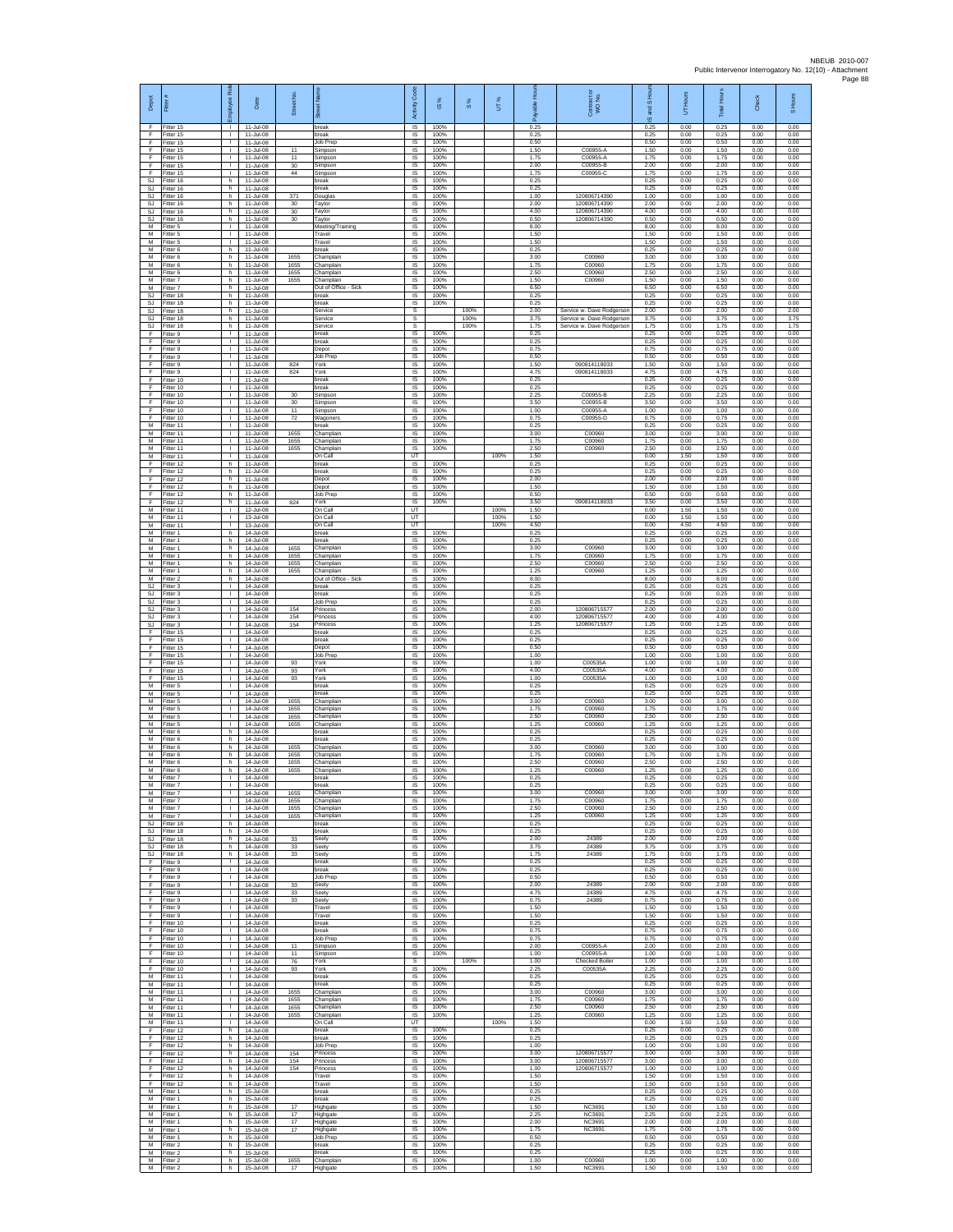| Depot                       | Fitter                              | æ<br>ployee                                  | Date                                    | Street No            |                                         | Code<br>Activity                          | $\overline{\omega}$  | $\frac{8}{3}$ | UT%          | 슬                    | Contract or<br>WO No.                                  | and S Ho<br>$\overline{\omega}$ | Hours<br>5           | <b>Total Hours</b>   | Check                | S Hours              |
|-----------------------------|-------------------------------------|----------------------------------------------|-----------------------------------------|----------------------|-----------------------------------------|-------------------------------------------|----------------------|---------------|--------------|----------------------|--------------------------------------------------------|---------------------------------|----------------------|----------------------|----------------------|----------------------|
| F<br>F                      | Fitter 15<br>Fitter 15              | $\mathbb{R}$                                 | 11-Jul-08<br>11-Jul-08                  |                      | break<br>break                          | $\overline{s}$<br>$\sf IS$                | 100%<br>100%         |               |              | 0.25<br>0.25         |                                                        | 0.25<br>0.25                    | 0.00<br>0.00         | 0.25<br>0.25         | 0.00<br>0.00         | 0.00<br>0.00         |
| F<br>F<br>F                 | Fitter 15<br>Fitter 15<br>Fitter 15 | $\mathbf{L}$<br>$\mathbf{L}$<br>$\mathbf{L}$ | 11-Jul-08<br>11-Jul-08<br>11-Jul-08     | 11<br>11             | Job Prep<br>Simpson<br>Simpson          | $\sf IS$<br>IS<br>IS                      | 100%<br>100%<br>100% |               |              | 0.50<br>1.50<br>1.75 | C00955-A<br>C00955-A                                   | 0.50<br>1.50<br>1.75            | 0.00<br>0.00<br>0.00 | 0.50<br>1.50<br>1.75 | 0.00<br>0.00<br>0.00 | 0.00<br>0.00<br>0.00 |
| F<br>F                      | Fitter 15<br>fitter 15              | $\mathbf{L}$<br>$\mathbf{I}$                 | 11-Jul-08<br>11-Jul-08                  | 30<br>44             | Simpson<br>Simpson                      | IS<br>IS                                  | 100%<br>100%         |               |              | 2.00<br>1.75         | C00955-B<br>C00955-C                                   | 2.00<br>1.75                    | 0.00<br>0.00         | 2.00<br>1.75         | 0.00<br>0.00         | 0.00<br>0.00         |
| SJ<br>SJ<br>SJ              | Fitter 16<br>Fitter 16<br>Fitter 16 | h.<br>h.<br>h                                | 11-Jul-08<br>11-Jul-08<br>11-Jul-08     | 371                  | break<br><b>preak</b><br>Douglas        | IS<br>IS<br>$\sf IS$                      | 100%<br>100%<br>100% |               |              | 0.25<br>0.25<br>1.00 | 120806714390                                           | 0.25<br>0.25<br>1.00            | 0.00<br>0.00<br>0.00 | 0.25<br>0.25<br>1.00 | 0.00<br>0.00<br>0.00 | 0.00<br>0.00<br>0.00 |
| <b>SJ</b><br><b>SJ</b>      | -itter 16<br>Fitter 16              | h.<br>h.                                     | 11-Jul-08<br>11-Jul-08                  | 30<br>30             | Taylor<br>Taylor                        | IS<br>IS                                  | 100%<br>100%         |               |              | 2.00<br>4.00         | 120806714390<br>120806714390                           | 2.00<br>4.00                    | 0.00<br>0.00         | 2.00<br>4.00         | 0.00<br>0.00         | 0.00<br>0.00         |
| SJ<br>M                     | Fitter 16<br>itter 5                | h<br>т                                       | 11-Jul-08<br>11-Jul-08                  | 30                   | Taylor<br>Meeting/Training              | IS<br>IS                                  | 100%<br>100%         |               |              | 0.50<br>8.00         | 120806714390                                           | 0.50<br>8.00                    | 0.00<br>0.00         | 0.50<br>8.00         | 0.00<br>0.00         | 0.00<br>0.00         |
| M<br>М<br>М                 | Fitter 5<br>litter 5<br>Fitter 6    | $\mathbf{L}$<br>$\mathbf{I}$<br>h.           | 11-Jul-08<br>11-Jul-08<br>11-Jul-08     |                      | Travel<br>Travel<br>oreak               | IS<br>IS<br>IS                            | 100%<br>100%<br>100% |               |              | 1.50<br>1.50<br>0.25 |                                                        | 1.50<br>1.50<br>0.25            | 0.00<br>0.00<br>0.00 | 1.50<br>1.50<br>0.25 | 0.00<br>0.00<br>0.00 | 0.00<br>0.00<br>0.00 |
| M<br>M                      | fitter 6<br>Fitter 6                | h.<br>h                                      | 11-Jul-08<br>11-Jul-08                  | 1655<br>1655         | Champlair<br>Champlain                  | IS<br>IS                                  | 100%<br>100%         |               |              | 3.00<br>1.75         | C00960<br>C00960                                       | 3.00<br>1.75                    | 0.00<br>0.00         | 3.00<br>1.75         | 0.00<br>0.00         | 0.00<br>0.00         |
| М<br>М                      | Fitter 6<br>itter 7                 | h.<br>h.                                     | 11-Jul-08<br>11-Jul-08                  | 1655<br>1655         | Champlair<br>Champlain                  | $\sf IS$<br>IS                            | 100%<br>100%         |               |              | 2.50<br>1.50         | C00960<br>C00960                                       | 2.50<br>1.50                    | 0.00<br>0.00         | 2.50<br>1.50         | 0.00<br>0.00         | 0.00<br>0.00         |
| M<br>S.I.<br>SJ             | Fitter 7<br>Fitter 18<br>Fitter 18  | h.<br>h.<br>h                                | 11-Jul-08<br>11-Jul-08<br>11-Jul-08     |                      | Out of Office<br>Sick<br>preak<br>break | IS<br>IS<br>IS                            | 100%<br>100%<br>100% |               |              | 6.50<br>0.25<br>0.25 |                                                        | 6.50<br>0.25<br>0.25            | 0.00<br>0.00<br>0.00 | 6.50<br>0.25<br>0.25 | 0.00<br>0.00<br>0.00 | 0.00<br>0.00<br>0.00 |
| <b>SJ</b><br>SJ             | Fitter 18<br>Fitter 18              | h.<br>h.                                     | 11-Jul-08<br>11-Jul-08                  |                      | Service<br>Service                      | s<br>s                                    |                      | 100%<br>100%  |              | 2.00<br>3.75         | Service w. Dave Rodgerson<br>Service w. Dave Rodgerson | 2.00<br>3.75                    | 0.00<br>0.00         | 2.00<br>3.75         | 0.00<br>0.00         | 2.00<br>3.75         |
| SJ<br>F                     | itter 18<br>itter 9                 | h.<br>$\mathbf{I}$                           | 11-Jul-08<br>11-Jul-08<br>11-Jul-08     |                      | Service<br>break                        | $\mathbb S$<br>$\sf IS$<br>$\overline{s}$ | 100%<br>100%         | 100%          |              | 1.75<br>0.25<br>0.25 | Service w. Dave Rodgerson                              | 1.75<br>0.25<br>0.25            | 0.00<br>0.00<br>0.00 | 1.75<br>0.25<br>0.25 | 0.00<br>0.00<br>0.00 | 1.75<br>0.00<br>0.00 |
| F<br>F<br>F                 | Fitter 9<br>Fitter 9<br>Fitter 9    | л.<br>$\mathbb{R}$<br>т                      | 11-Jul-08<br>11-Jul-08                  |                      | break<br>Depot<br><b>Job Prep</b>       | IS<br>IS                                  | 100%<br>100%         |               |              | 0.75<br>0.50         |                                                        | 0.75<br>0.50                    | 0.00<br>0.00         | 0.75<br>0.50         | 0.00<br>0.00         | 0.00<br>0.00         |
| F<br>F                      | itter 9<br>Fitter 9                 | $\mathbf{I}$<br>$\mathbf{I}$                 | 11-Jul-08<br>11-Jul-08                  | 824<br>824           | York<br>York                            | IS<br>IS                                  | 100%<br>100%         |               |              | 1.50<br>4.75         | 090814118033<br>090814118033                           | 1.50<br>4.75                    | 0.00<br>0.00         | 1.50<br>4.75         | 0.00<br>0.00         | 0.00<br>0.00         |
| F<br>F<br>F                 | Fitter 10<br>Fitter 10<br>Fitter 10 | <b>I</b><br>$\mathbf{I}$<br>$\mathbf{L}$     | 11-Jul-08<br>11-Jul-08<br>11-Jul-08     | 30                   | oreak<br>break                          | IS<br>$\sf IS$<br>IS                      | 100%<br>100%<br>100% |               |              | 0.25<br>0.25<br>2.25 | C00955-B                                               | 0.25<br>0.25<br>2.25            | 0.00<br>0.00         | 0.25<br>0.25<br>2.25 | 0.00<br>0.00<br>0.00 | 0.00<br>0.00<br>0.00 |
| F<br>F                      | Fitter 10<br>itter 10               | т.<br>т.                                     | 11-Jul-08<br>11-Jul-08                  | 30<br>11             | Simpson<br>Simpson<br>Simpson           | IS<br>IS                                  | 100%<br>100%         |               |              | 3.50<br>1.00         | C00955-B<br>C00955-A                                   | 3.50<br>1.00                    | 0.00<br>0.00<br>0.00 | 3.50<br>1.00         | 0.00<br>0.00         | 0.00<br>0.00         |
| F<br>M                      | fitter 10<br>Fitter 11              | т<br>$\mathbf{L}$                            | 11-Jul-08<br>11-Jul-08                  | 72                   | Nagoners<br>break                       | IS<br>$\overline{s}$                      | 100%<br>100%         |               |              | 0.75<br>0.25         | C00955-D                                               | 0.75<br>0.25                    | 0.00<br>0.00         | 0.75<br>0.25         | 0.00<br>0.00         | 0.00<br>0.00         |
| М<br>M<br>M                 | litter 11<br>Fitter 11<br>fitter 11 | $\mathbf{L}$<br>$\mathbf{L}$<br>$\mathbf{I}$ | 11-Jul-08<br>11-Jul-08<br>11-Jul-08     | 1655<br>1655<br>1655 | Champlain<br>Champlair<br>Champlair     | IS<br>IS<br>IS                            | 100%<br>100%<br>100% |               |              | 3.00<br>1.75<br>2.50 | C00960<br>C00960<br>C00960                             | 3.00<br>1.75<br>2.50            | 0.00<br>0.00<br>0.00 | 3.00<br>1.75<br>2.50 | 0.00<br>0.00<br>0.00 | 0.00<br>0.00<br>0.00 |
| M<br>F                      | Fitter 11<br>Fitter 12              | $\mathbf{L}$<br>h.                           | 11-Jul-08<br>11-Jul-08                  |                      | On Call<br>break                        | UT<br>$\sf IS$                            | 100%                 |               | 100%         | 1.50<br>0.25         |                                                        | 0.00<br>0.25                    | 1.50<br>0.00         | 1.50<br>0.25         | 0.00<br>0.00         | 0.00<br>0.00         |
| F<br>E                      | itter 12<br>Fitter 12               | h.<br>h.                                     | 11-Jul-08<br>11-Jul-08                  |                      | oreak<br>Depot                          | IS<br>IS                                  | 100%<br>100%         |               |              | 0.25<br>2.00         |                                                        | 0.25<br>2.00                    | 0.00<br>0.00         | 0.25<br>2.00         | 0.00<br>0.00         | 0.00<br>0.00         |
| F<br>F<br>F                 | Fitter 12<br>Fitter 12<br>Fitter 12 | h<br>h<br>h                                  | 11-Jul-08<br>11-Jul-08<br>11-Jul-08     | 824                  | Depot<br>Job Prep<br>York               | IS<br>IS<br>IS                            | 100%<br>100%<br>100% |               |              | 1.50<br>0.50<br>3.50 | 090814118033                                           | 1.50<br>0.50<br>3.50            | 0.00<br>0.00<br>0.00 | 1.50<br>0.50<br>3.50 | 0.00<br>0.00<br>0.00 | 0.00<br>0.00<br>0.00 |
| M<br>М                      | Fitter 11<br>Fitter 11              | $\mathbf{L}$<br>т.                           | 12-Jul-08<br>13-Jul-08                  |                      | On Call<br>On Call                      | UT<br>UT                                  |                      |               | 100%<br>100% | 1.50<br>1.50         |                                                        | 0.00<br>0.00                    | 1.50<br>1.50         | 1.50<br>1.50         | 0.00<br>0.00         | 0.00<br>0.00         |
| M<br>$\overline{M}$<br>M    | fitter 11<br>Fitter 1               | $\mathbf{L}$<br>h.                           | 13-Jul-08<br>14-Jul-08                  |                      | On Call<br>break<br>preak               | UT<br>IS                                  | 100%                 |               | 100%         | 4.50<br>0.25<br>0.25 |                                                        | 0.00<br>0.25                    | 4.50<br>0.00         | 4.50<br>0.25<br>0.25 | 0.00<br>0.00         | 0.00<br>0.00         |
| M<br>M                      | Fitter 1<br>Fitter 1<br>itter 1     | h<br>h.<br>h.                                | 14-Jul-08<br>14-Jul-08<br>14-Jul-08     | 1655<br>1655         | Champlair<br>Champlain                  | IS<br>IS<br>IS                            | 100%<br>100%<br>100% |               |              | 3.00<br>1.75         | C00960<br>C00960                                       | 0.25<br>3.00<br>1.75            | 0.00<br>0.00<br>0.00 | 3.00<br>1.75         | 0.00<br>0.00<br>0.00 | 0.00<br>0.00<br>0.00 |
| M<br>M                      | Fitter 1<br>Fitter 1                | h.<br>h.                                     | 14-Jul-08<br>14-Jul-08                  | 1655<br>1655         | Champlain<br>Champlain                  | IS<br>IS                                  | 100%<br>100%         |               |              | 2.50<br>1.25         | C00960<br>C00960                                       | 2.50<br>1.25                    | 0.00<br>0.00         | 2.50<br>1.25         | 0.00<br>0.00         | 0.00<br>0.00         |
| М<br><b>SJ</b><br><b>SJ</b> | Fitter 2<br>fitter 3<br>Fitter 3    | h<br>$\mathbf{L}$<br>$\mathbb{R}$            | 14-Jul-08<br>14-Jul-08<br>14-Jul-08     |                      | Out of Office - Sick<br>break<br>break  | $\sf IS$<br>IS<br>IS                      | 100%<br>100%<br>100% |               |              | 8.00<br>0.25<br>0.25 |                                                        | 8.00<br>0.25<br>0.25            | 0.00<br>0.00<br>0.00 | 8.00<br>0.25<br>0.25 | 0.00<br>0.00<br>0.00 | 0.00<br>0.00<br>0.00 |
| SJ<br><b>SJ</b>             | -itter 3<br>fitter 3                | т.<br>Τ                                      | 14-Jul-08<br>14-Jul-08                  | 154                  | Job Prep<br>Princess                    | IS<br>IS                                  | 100%<br>100%         |               |              | 0.25<br>2.00         | 120806715577                                           | 0.25<br>2.00                    | 0.00<br>0.00         | 0.25<br>2.00         | 0.00<br>0.00         | 0.00<br>0.00         |
| SJ.<br><b>SJ</b>            | Fitter 3<br>itter 3                 | $\mathbf{L}$<br>$\mathbb{R}$                 | 14-Jul-08<br>14-Jul-08                  | 154<br>154           | Princess<br>Princess                    | IS<br>IS                                  | 100%<br>100%         |               |              | 4.00<br>1.25         | 120806715577<br>120806715577                           | 4.00<br>1.25                    | 0.00<br>0.00         | 4.00<br>1.25         | 0.00<br>0.00         | 0.00<br>0.00         |
| F<br>F<br>E                 | Fitter 15<br>fitter 15<br>Fitter 15 | $\mathbf{L}$<br>$\mathbf{I}$<br>п.           | 14-Jul-08<br>14-Jul-08<br>14-Jul-08     |                      | break<br>oreak<br>Depot                 | IS<br>IS<br>IS                            | 100%<br>100%<br>100% |               |              | 0.25<br>0.25<br>0.50 |                                                        | 0.25<br>0.25<br>0.50            | 0.00<br>0.00<br>0.00 | 0.25<br>0.25<br>0.50 | 0.00<br>0.00<br>0.00 | 0.00<br>0.00<br>0.00 |
| F<br>F                      | Fitter 15<br>itter 15               | $\mathbb{R}$<br>T.                           | 14-Jul-08<br>14-Jul-08                  | 93                   | Job Prep<br>York                        | $\sf IS$<br>IS                            | 100%<br>100%         |               |              | 1.00<br>1.00         | C00535A                                                | 1.00<br>1.00                    | 0.00<br>0.00         | 1.00<br>1.00         | 0.00<br>0.00         | 0.00<br>0.00         |
| F<br>F                      | litter 15<br>Fitter 15              | л.<br>$\mathbf{L}$<br>т.                     | 14-Jul-08<br>14-Jul-08                  | 93<br>93             | York<br>York<br>break                   | IS<br>IS<br>IS                            | 100%<br>100%<br>100% |               |              | 4.00<br>1.00<br>0.25 | C00535A<br>C00535A                                     | 4.00<br>1.00<br>0.25            | 0.00<br>0.00<br>0.00 | 4.00<br>1.00<br>0.25 | 0.00<br>0.00<br>0.00 | 0.00<br>0.00<br>0.00 |
| М<br>M<br>M                 | Fitter 5<br>Fitter 5<br>Fitter 5    | Τ<br>$\mathbf{L}$                            | 14-Jul-08<br>14-Jul-08<br>14-Jul-08     | 1655                 | oreak<br>Champlain                      | 1S<br>IS                                  | 100%<br>100%         |               |              | 0.25<br>3.00         | C00960                                                 | 0.25<br>3.00                    | 0.00<br>0.00         | 0.25<br>3.00         | 0.00<br>0.00         | 0.00<br>0.00         |
| М<br>M                      | itter 5<br>litter <sub>5</sub>      | т.<br>$\mathbf{L}$                           | 14-Jul-08<br>14-Jul-08                  | 1655<br>1655         | Champlair<br>Champlain                  | $\sf IS$<br>$\sf IS$                      | 100%<br>100%         |               |              | 1.75<br>2.50         | C00960<br>C00960                                       | 1.75<br>2.50                    | 0.00<br>0.00         | 1.75<br>2.50         | 0.00<br>0.00         | 0.00<br>0.00         |
| M<br>M<br>М                 | Fitter 5<br>Fitter 6<br>Fitter 6    | л.<br>h<br>h.                                | 14-Jul-08<br>14-Jul-08<br>14-Jul-08     | 1655                 | Champlain<br>oreak<br>oreak             | $\overline{s}$<br>IS<br>IS                | 100%<br>100%<br>100% |               |              | 1.25<br>0.25<br>0.25 | C00960                                                 | 1.25<br>0.25<br>0.25            | 0.00<br>0.00<br>0.00 | 1.25<br>0.25<br>0.25 | 0.00<br>0.00<br>0.00 | 0.00<br>0.00<br>0.00 |
| M<br>M                      | itter 6<br>Fitter 6                 | h.<br>h.                                     | 14-Jul-08<br>14-Jul-08                  | 1655<br>1655         | Champlair<br>Champlain                  | IS<br>IS                                  | 100%<br>100%         |               |              | 3.00<br>1.75         | C00960<br>C00960                                       | 3.00<br>1.75                    | 0.00<br>0.00         | 3.00<br>1.75         | 0.00<br>0.00         | 0.00<br>0.00         |
| M<br>М<br>M                 | Fitter 6<br>Fitter 6<br>Fitter 7    | h.<br>h<br><b>I</b>                          | 14-Jul-08<br>14-Jul-08<br>14-Jul-08     | 1655<br>1655         | Champlain<br>Champlair<br>areak         | IS<br>$\sf IS$<br>IS                      | 100%<br>100%<br>100% |               |              | 2.50<br>1.25<br>0.25 | C00960<br>C00960                                       | 2.50<br>1.25<br>0.25            | 0.00<br>0.00<br>0.00 | 2.50<br>1.25<br>0.25 | 0.00<br>0.00<br>0.00 | 0.00<br>0.00<br>0.00 |
| м<br>М                      | Fitter 7<br>Fitter 7                | т.                                           | 14-Jul-08<br>14-Jul-08                  | 1655                 | hreak<br>Champlain                      | IS<br>IS                                  | 100%<br>100%         |               |              | 0.25<br>3.00         | C00960                                                 | 0.25<br>3.00                    | 0.00<br>0.00         | 0.25<br>3.00         | 0.00<br>0.00         | 0.00<br>0.00         |
| M<br>M                      | fitter 7<br>Fitter 7                | т<br>$\mathbf{I}$                            | 14-Jul-08<br>14-Jul-08                  | 1655<br>1655         | Champlain<br>Champlain                  | 1S<br>IS                                  | 100%<br>100%         |               |              | 1.75<br>2.50         | C00960<br>C00960                                       | 1.75<br>2.50                    | 0.00<br>0.00         | 1.75<br>2.50         | 0.00<br>0.00         | 0.00<br>0.00         |
| М<br>SJ<br>SJ.              | Fitter 7<br>Fitter 18<br>fitter 18  | $\mathbb{R}$<br>h<br>h                       | 14-Jul-08<br>14-Jul-08<br>14-Jul-08     | 1655                 | Champlain<br>break<br>oreak             | IS<br>IS<br>IS                            | 100%<br>100%<br>100% |               |              | 1.25<br>0.25<br>0.25 | C00960                                                 | 1.25<br>0.25<br>0.25            | 0.00<br>0.00<br>0.00 | 1.25<br>0.25<br>0.25 | 0.00<br>0.00<br>0.00 | 0.00<br>0.00<br>0.00 |
| SJ<br>SJ                    | Fitter 18<br>Fitter 18              | h<br>h.                                      | 14-Jul-08<br>14-Jul-08                  | 33<br>33             | Seely<br>Seely                          | IS<br>$\sf IS$                            | 100%<br>100%         |               |              | 2.00<br>3.75         | 24389<br>24389                                         | 2.00<br>3.75                    | 0.00<br>0.00         | 2.00<br>3.75         | 0.00<br>0.00         | 0.00<br>0.00         |
| <b>SJ</b><br>F<br>F         | fitter 18<br>Fitter 9<br>Fitter 9   | h<br>$\mathbf{L}$<br><b>ILL S</b>            | 14-Jul-08<br>$14 - h + 08$<br>14-Jul-08 | 33                   | Seely<br>break<br><b>preak</b>          | IS<br>IS<br>IS                            | 100%<br>100%<br>100% |               |              | 1.75<br>0.25<br>0.25 | 24389                                                  | 1.75<br>0.25<br>0.25            | 0.00<br>0.00<br>0.00 | 1.75<br>0.25<br>0.25 | 0.00<br>0.00<br>0.00 | 0.00<br>0.00<br>0.00 |
| F<br>F                      | Fitter 9<br>Fitter 9                | т.<br>т                                      | 14-Jul-08<br>$14 - h h - 08$            | 33                   | Job Prep<br>Seely                       | IS<br>1S                                  | 100%<br>100%         |               |              | 0.50<br>2.00         | 24389                                                  | 0.50<br>2.00                    | 0.00<br>0.00         | 0.50<br>2.00         | 0.00<br>0.00         | 0.00<br>0.00         |
| F<br>F                      | Fitter 9<br>Fitter 9                | $\mathbf{I}$<br>$\mathbb{R}$                 | 14-Jul-08<br>14-Jul-08                  | 33<br>33             | Seely<br>Seely                          | IS<br>$\sf IS$                            | 100%<br>100%         |               |              | 4.75<br>0.75         | 24389<br>24389                                         | 4.75<br>0.75                    | 0.00<br>0.00         | 4.75<br>0.75         | 0.00<br>0.00         | 0.00<br>0.00         |
| F<br>F<br>F                 | Fitter 9<br>Fitter 9<br>Fitter 10   | $\mathbb{R}$<br>$\mathbf{I}$<br>$\mathbb{R}$ | 14-Jul-08<br>14-Jul-08<br>14-Jul-08     |                      | Travel<br>Travel<br>break               | $\sf IS$<br>IS<br>IS                      | 100%<br>100%<br>100% |               |              | 1.50<br>1.50<br>0.25 |                                                        | 1.50<br>1.50<br>0.25            | 0.00<br>0.00<br>0.00 | 1.50<br>1.50<br>0.25 | 0.00<br>0.00<br>0.00 | 0.00<br>0.00<br>0.00 |
| F<br>F                      | Fitter 10<br>fitter 10              | $\mathbf{L}$<br>л.                           | 14-Jul-08<br>14-Jul-08                  |                      | break<br>Job Prep                       | IS<br>IS                                  | 100%<br>100%         |               |              | 0.75<br>0.75         |                                                        | 0.75<br>0.75                    | 0.00<br>0.00         | 0.75<br>0.75         | 0.00<br>0.00         | 0.00<br>0.00         |
| F<br>F.<br>F                | Fitter 10<br>Fitter 10<br>Fitter 10 | $\mathbf{I}$<br>$\mathbf{L}$<br>$\mathbb{R}$ | 14-Jul-08<br>14-Jul-08<br>14-Jul-08     | 11<br>11<br>76       | Simpson<br>Simpson<br>York              | IS<br>IS<br>s                             | 100%<br>100%         | 100%          |              | 2.00<br>1.00<br>1.00 | C00955-A<br>C00955-A<br>Checked Boile                  | 2.00<br>1.00<br>1.00            | 0.00<br>0.00<br>0.00 | 2.00<br>1.00<br>1.00 | 0.00<br>0.00<br>0.00 | 0.00<br>0.00<br>1.00 |
| F<br>M<br>М                 | Fitter 10<br>Fitter 11<br>Fitter 11 | $\mathbf{I}$<br>$\mathbf{I}$<br>т.           | $14 - h + 08$<br>14-Jul-08<br>14-Jul-08 | 93                   | York<br>break<br>break                  | <b>IS</b><br>IS<br>IS                     | 100%<br>100%<br>100% |               |              | 2.25<br>0.25<br>0.25 | C00535A                                                | 2.25<br>0.25<br>0.25            | 0.00<br>0.00<br>0.00 | 2.25<br>0.25<br>0.25 | 0.00<br>0.00<br>0.00 | 0.00<br>0.00<br>0.00 |
| M<br>M                      | fitter 11<br>Fitter 11              | т<br>$\mathbf{I}$                            | 14-Jul-08<br>14-Jul-08                  | 1655<br>1655         | Champlain<br>Champlain                  | 1S<br>IS                                  | 100%<br>100%         |               |              | 3.00<br>1.75         | C00960<br>C00960                                       | 3.00<br>1.75                    | 0.00<br>0.00         | 3.00<br>1.75         | 0.00<br>0.00         | 0.00<br>0.00         |
| М<br>М                      | fitter 11<br>Fitter 11              | $\mathbb{R}$<br>$\mathbf{I}$                 | 14-Jul-08<br>14-Jul-08                  | 1655<br>1655         | Champlain<br>Champlair                  | IS<br>IS                                  | 100%<br>100%         |               |              | 2.50<br>1.25         | C00960<br>C00960                                       | 2.50<br>1.25                    | 0.00<br>0.00         | 2.50<br>1.25         | 0.00<br>0.00         | 0.00<br>0.00         |
| M<br>F<br>F                 | Fitter 11<br>Fitter 12<br>Fitter 12 | $\mathbf{L}$<br>h<br>h                       | 14-Jul-08<br>14-Jul-08<br>14-Jul-08     |                      | On Call<br>break<br>break               | UT<br>IS<br>IS                            | 100%<br>100%         |               | 100%         | 1.50<br>0.25<br>0.25 |                                                        | 0.00<br>0.25<br>0.25            | 1.50<br>0.00<br>0.00 | 1.50<br>0.25<br>0.25 | 0.00<br>0.00<br>0.00 | 0.00<br>0.00<br>0.00 |
| F<br>F                      | fitter 12<br>Fitter 12              | h.<br>h                                      | 14-Jul-08<br>14-Jul-08                  | 154                  | Job Prep<br>Princess                    | IS<br>IS                                  | 100%<br>100%         |               |              | 1.00<br>3.00         | 120806715577                                           | 1.00<br>3.00                    | 0.00<br>0.00         | 1.00<br>3.00         | 0.00<br>0.00         | 0.00<br>0.00         |
| F<br>F<br>F                 | Fitter 12<br>Fitter 12<br>Fitter 12 | h<br>h<br>h                                  | 14-Jul-08<br>14-Jul-08<br>14-Jul-08     | 154<br>154           | Princess<br>Princess<br>Travel          | IS<br>IS<br>1S                            | 100%<br>100%<br>100% |               |              | 3.00<br>1.00<br>1.50 | 120806715577<br>120806715577                           | 3.00<br>1.00<br>1.50            | 0.00<br>0.00<br>0.00 | 3.00<br>1.00<br>1.50 | 0.00<br>0.00<br>0.00 | 0.00<br>0.00<br>0.00 |
| F.<br>М                     | Fitter 12<br>-itter 1               | h.<br>h.                                     | 14-Jul-08<br>15-Jul-08                  |                      | Travel<br>break                         | IS<br>$\sf IS$                            | 100%<br>100%         |               |              | 1.50<br>0.25         |                                                        | 1.50<br>0.25                    | 0.00<br>0.00         | 1.50<br>0.25         | 0.00<br>0.00         | 0.00<br>0.00         |
| M<br>$\overline{M}$<br>M    | Fitter 1<br>Fitter 1<br>Fitter 1    | h.<br>h.                                     | 15-Jul-08<br>15-Jul-08<br>15-Jul-08     | 17<br>17             | break<br>Highgate                       | $\sf IS$<br>IS<br>IS                      | 100%<br>100%<br>100% |               |              | 0.25<br>1.50<br>2.25 | <b>NC3691</b><br>NC3691                                | 0.25<br>1.50<br>2.25            | 0.00<br>0.00<br>0.00 | 0.25<br>1.50<br>2.25 | 0.00<br>0.00<br>0.00 | 0.00<br>0.00<br>0.00 |
| М<br>М                      | Fitter 1<br>fitter 1                | h.<br>h<br>h                                 | 15-Jul-08<br>15-Jul-08                  | 17<br>17             | Highgate<br>Highgate<br>Highgate        | IS<br>IS                                  | 100%<br>100%         |               |              | 2.00<br>1.75         | NC3691<br><b>NC3691</b>                                | 2.00<br>1.75                    | 0.00<br>0.00         | 2.00<br>1.75         | 0.00<br>0.00         | 0.00<br>0.00         |
| M<br>M                      | Fitter 1<br>Fitter 2                | h.<br>h                                      | 15-Jul-08<br>15-Jul-08                  |                      | Job Prep<br>oreak                       | IS<br><b>IS</b>                           | 100%<br>100%         |               |              | 0.50<br>0.25         |                                                        | 0.50<br>0.25                    | 0.00<br>0.00         | 0.50<br>0.25         | 0.00<br>0.00         | 0.00<br>0.00         |
| М<br>M<br>M                 | Fitter 2<br>Fitter 2<br>Fitter 2    | h<br>h.<br>h.                                | 15-Jul-08<br>15-Jul-08<br>15-Jul-08     | 1655<br>17           | break<br>Champlair<br>Highgate          | $\sf IS$<br>IS<br>IS                      | 100%<br>100%<br>100% |               |              | 0.25<br>1.00<br>1.50 | C00960<br>NC3691                                       | 0.25<br>1.00<br>1.50            | 0.00<br>0.00<br>0.00 | 0.25<br>1.00<br>1.50 | 0.00<br>0.00<br>0.00 | 0.00<br>0.00<br>0.00 |
|                             |                                     |                                              |                                         |                      |                                         |                                           |                      |               |              |                      |                                                        |                                 |                      |                      |                      |                      |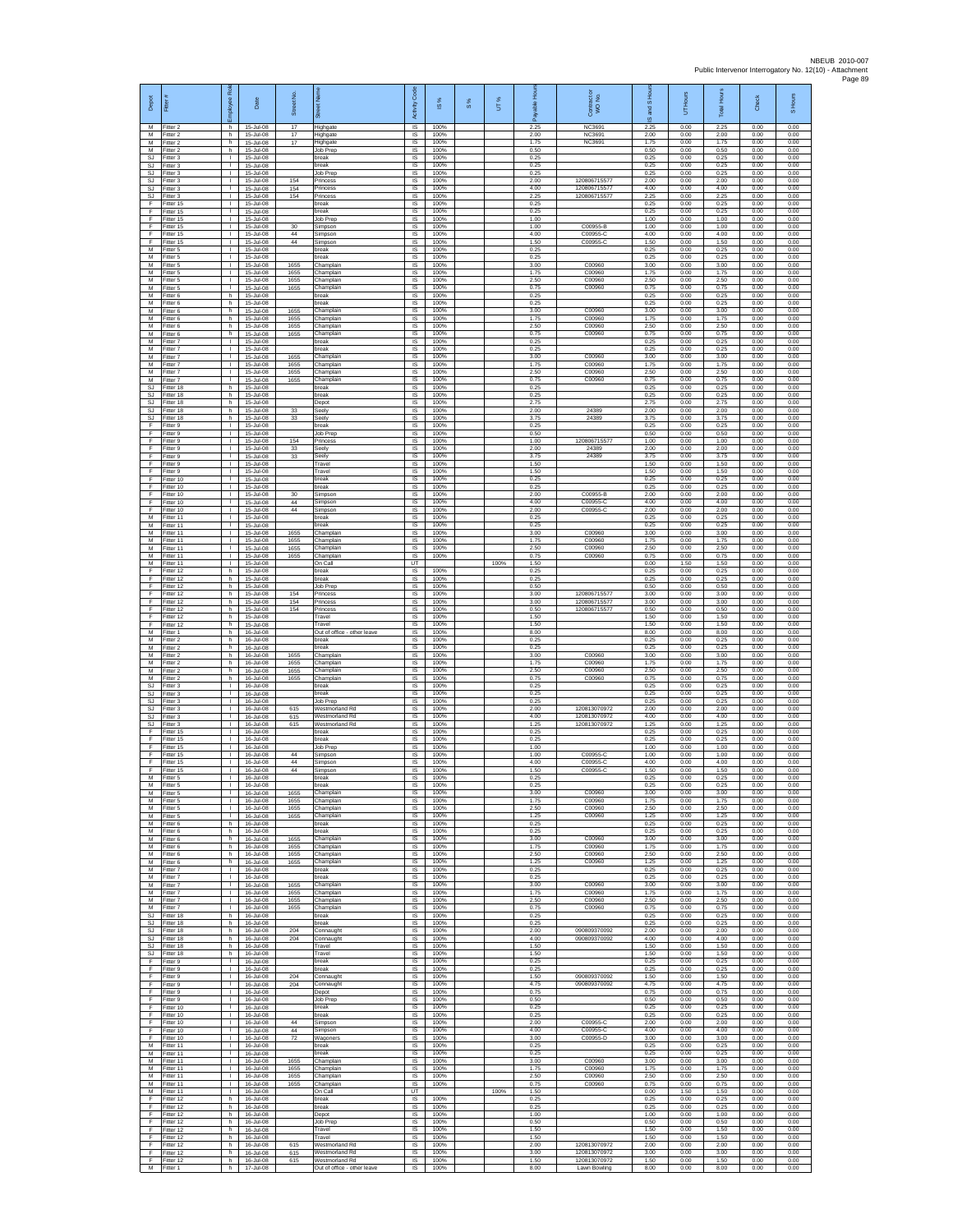| Depot<br>M             | Fitter<br>Fitter 2                  | loyee Rol<br>h.                              | Date<br>15-Jul-08                       | Street No.<br>17 | 荷<br>Highgate                                                   | code<br>Activity<br>IS     | IS %<br>100%         | $\frac{8}{3}$ | UT%  | able Hou<br>δ<br>2.25 | Contract or<br>WO No.<br>NC3691              | and S Ho<br>$\overline{\omega}$<br>2.25 | Hours<br>5<br>0.00   | <b>Total</b> Hour<br>2.25 | Check<br>0.00        | S Hours<br>0.00      |
|------------------------|-------------------------------------|----------------------------------------------|-----------------------------------------|------------------|-----------------------------------------------------------------|----------------------------|----------------------|---------------|------|-----------------------|----------------------------------------------|-----------------------------------------|----------------------|---------------------------|----------------------|----------------------|
| M                      | M Fitter 2<br>Fitter 2              | h.<br>h.                                     | 15-Jul-08<br>15-Jul-08                  | 17<br>17         | Highgate<br>lighgate                                            | IS<br>IS                   | 100%<br>100%         |               |      | 2.00<br>1.75          | NC3691<br>NC3691                             | 2.00<br>1.75                            | 0.00<br>0.00         | 2.00<br>1.75              | 0.00<br>0.00         | 0.00<br>0.00         |
| M<br>SJ.<br><b>SJ</b>  | Fitter 2<br>Fitter 3<br>Fitter 3    | h.<br>$\mathbf{L}$<br>$\mathbf{L}$           | 15-Jul-08<br>15-Jul-08<br>15-Jul-08     |                  | Job Prep<br>break<br>reak                                       | IS<br><b>IS</b><br>IS      | 100%<br>100%<br>100% |               |      | 0.50<br>0.25<br>0.25  |                                              | 0.50<br>0.25<br>0.25                    | 0.00<br>0.00<br>0.00 | 0.50<br>0.25<br>0.25      | 0.00<br>0.00<br>0.00 | 0.00<br>0.00<br>0.00 |
| <b>SJ</b><br><b>SJ</b> | Fitter 3<br>Fitter 3                | $\mathbf{L}$<br>$\mathbf{L}$                 | 15-Jul-08<br>15-Jul-08                  | 154              | Job Prep<br>Princess                                            | IS<br>IS                   | 100%<br>100%         |               |      | 0.25<br>2.00          | 12080671557                                  | 0.25<br>2.00                            | 0.00<br>0.00         | 0.25<br>2.00              | 0.00<br>0.00         | 0.00<br>0.00         |
| SJ<br>SJ               | Fitter 3<br>-itter 3                | $\mathbf{L}$<br>$\mathbf{L}$                 | 15-Jul-08<br>15-Jul-08                  | 154<br>154       | Princess<br>Princess                                            | -IS<br>$\sf IS$            | 100%<br>100%         |               |      | 4.00<br>2.25          | 12080671557<br>120806715577                  | 4.00<br>2.25                            | 0.00<br>0.00         | 4.00<br>2.25              | 0.00<br>0.00         | 0.00<br>0.00         |
| F<br>F<br>-F.          | Fitter 15<br>Fitter 15<br>Fitter 15 | $\mathbf{L}$<br>$\mathbf{L}$<br><b>I</b>     | 15-Jul-08<br>15-Jul-08<br>15-Jul-08     |                  | break<br>break<br>Job Prep                                      | $\sf IS$<br>IS<br>IS       | 100%<br>100%<br>100% |               |      | 0.25<br>0.25<br>1.00  |                                              | 0.25<br>0.25<br>1.00                    | 0.00<br>0.00<br>0.00 | 0.25<br>0.25<br>1.00      | 0.00<br>0.00<br>0.00 | 0.00<br>0.00<br>0.00 |
| Ŧ<br>Ŧ                 | Fitter 15<br>Fitter 15              | L.<br>$\mathbf{L}$                           | 15-Jul-08<br>15-Jul-08                  | 30<br>44         | Simpson<br>Simpson                                              | IS<br>IS                   | 100%<br>100%         |               |      | 1.00<br>4.00          | C00955-B<br>C00955-C                         | 1.00<br>4.00                            | 0.00<br>0.00         | 1.00<br>4.00              | 0.00<br>0.00         | 0.00<br>0.00         |
| E<br>M<br>М            | Fitter 15<br>-itter 5<br>Fitter 5   | $\mathbf{L}$<br>$\mathbf{L}$<br>$\mathbf{L}$ | 15-Jul-08<br>15-Jul-08<br>15-Jul-08     | 44               | Simpson<br>reak<br>break                                        | <b>IS</b><br>IS<br>1S      | 100%<br>100%<br>100% |               |      | 1.50<br>0.25<br>0.25  | C00955-C                                     | 1.50<br>0.25<br>0.25                    | 0.00<br>0.00<br>0.00 | 1.50<br>0.25<br>0.25      | 0.00<br>0.00<br>0.00 | 0.00<br>0.00<br>0.00 |
| M<br>M                 | Fitter 5<br>Fitter 5                | $\mathbf{L}$<br>$\mathbf{I}$                 | 15-Jul-08<br>15-Jul-08                  | 1655<br>1655     | Champlain<br>Champlain                                          | IS<br>IS                   | 100%<br>100%         |               |      | 3.00<br>1.75          | C00960<br>C00960                             | 3.00<br>1.75                            | 0.00<br>0.00         | 3.00<br>1.75              | 0.00<br>0.00         | 0.00<br>0.00         |
| M<br>M                 | Fitter 5<br>Fitter 5                | H.<br>$\mathbf{L}$                           | 15-Jul-08<br>15-Jul-08                  | 1655<br>1655     | Champlain<br>Champlain                                          | IS<br>IS                   | 100%<br>100%         |               |      | 2.50<br>0.75          | C00960<br>C00960                             | 2.50<br>0.75                            | 0.00<br>0.00         | 2.50<br>0.75              | 0.00<br>0.00         | 0.00<br>0.00         |
| M<br>M<br>M            | Fitter 6<br>Fitter 6<br>Fitter 6    | h.<br>h<br>h.                                | 15-Jul-08<br>15-Jul-08<br>15-Jul-08     | 1655             | break<br>reak<br>hamplain                                       | -IS<br>IS<br>IS            | 100%<br>100%<br>100% |               |      | 0.25<br>0.25<br>3.00  | C00960                                       | 0.25<br>0.25<br>3.00                    | 0.00<br>0.00<br>0.00 | 0.25<br>0.25<br>3.00      | 0.00<br>0.00<br>0.00 | 0.00<br>0.00<br>0.00 |
| M<br>M                 | Fitter 6<br>Fitter 6                | h.<br>h                                      | 15-Jul-08<br>15-Jul-08                  | 1655<br>1655     | Champlain<br>Champlain                                          | 1S<br>IS                   | 100%<br>100%         |               |      | 1.75<br>2.50          | C00960<br>C00960                             | 1.75<br>2.50                            | 0.00<br>0.00         | 1.75<br>2.50              | 0.00<br>0.00         | 0.00<br>0.00         |
| M<br>M<br>M            | -itter 6<br>Fitter 7<br>Fitter 7    | h.<br>$\mathbb{R}$<br>$\mathbf{L}$           | 15-Jul-08<br>15-Jul-08<br>15-Jul-08     | 1655             | Champlain<br>break<br>break                                     | IS<br>1S<br><b>IS</b>      | 100%<br>100%<br>100% |               |      | 0.75<br>0.25<br>0.25  | C00960                                       | 0.75<br>0.25<br>0.25                    | 0.00<br>0.00<br>0.00 | 0.75<br>0.25<br>0.25      | 0.00<br>0.00<br>0.00 | 0.00<br>0.00<br>0.00 |
| M<br>M                 | Fitter 7<br>Fitter 7                | $\mathbb{R}$<br>Τ.                           | 15-Jul-08<br>15-Jul-08                  | 1655<br>1655     | Champlain<br>Champlain                                          | IS<br>IS                   | 100%<br>100%         |               |      | 3.00<br>1.75          | C00960<br>C00960                             | 3.00<br>1.75                            | 0.00<br>0.00         | 3.00<br>1.75              | 0.00<br>0.00         | 0.00<br>0.00         |
| M<br>M                 | Fitter 7<br>Fitter 7                | $\mathbf{L}$<br>$\mathbf{L}$                 | 15-Jul-08<br>15-Jul-08                  | 1655<br>1655     | Champlain<br>Champlain                                          | IS<br>-IS                  | 100%<br>100%         |               |      | 2.50<br>0.75          | C00960<br>C00960                             | 2.50<br>0.75                            | 0.00<br>0.00         | 2.50<br>0.75              | 0.00<br>0.00         | 0.00<br>0.00         |
| SJ<br>SJ<br><b>SJ</b>  | Fitter 18<br>Fitter 18<br>Fitter 18 | h.<br>h.<br>h.                               | 15-Jul-08<br>15-Jul-08<br>15-Jul-08     |                  | break<br>break<br>Depot                                         | $\sf IS$<br>$\sf IS$<br>IS | 100%<br>100%<br>100% |               |      | 0.25<br>0.25<br>2.75  |                                              | 0.25<br>0.25<br>2.75                    | 0.00<br>0.00<br>0.00 | 0.25<br>0.25<br>2.75      | 0.00<br>0.00<br>0.00 | 0.00<br>0.00<br>0.00 |
| SJ.<br><b>SJ</b>       | Fitter 18<br>Fitter 18              | h.<br>h.                                     | 15- lul-08<br>15-Jul-08                 | 33<br>33         | Seely<br>Seely                                                  | IS<br>IS                   | 100%<br>100%         |               |      | 2.00<br>3.75          | 24389<br>24389                               | 200<br>3.75                             | 0.00<br>0.00         | 2.00<br>3.75              | 0.00<br>0.00         | 0.00<br>0.00         |
| Ŧ<br>E<br>$\mathsf F$  | Fitter 9<br>Fitter 9<br>-itter 9    | $\mathbf{L}$<br>$\mathbf{L}$<br>$\mathbb{R}$ | 15-Jul-08<br>15-Jul-08<br>15-Jul-08     | 154              | break<br>Job Prep<br>Princess                                   | IS<br><b>IS</b><br>IS      | 100%<br>100%<br>100% |               |      | 0.25<br>0.50<br>1.00  | 120806715577                                 | 0.25<br>0.50<br>1.00                    | 0.00<br>0.00<br>0.00 | 0.25<br>0.50<br>1.00      | 0.00<br>0.00<br>0.00 | 0.00<br>0.00<br>0.00 |
| F<br>F                 | Fitter 9<br>Fitter 9                | Τ.<br>$\mathbf{L}$                           | 15-Jul-08<br>15-Jul-08                  | $_{33}$<br>33    | Seely<br>Seely                                                  | IS<br>IS                   | 100%<br>100%         |               |      | 2.00<br>3.75          | 24389<br>24389                               | 2.00<br>3.75                            | 0.00<br>0.00         | 2.00<br>3.75              | 0.00<br>0.00         | 0.00<br>0.00         |
| F<br>Ŧ<br>F            | Fitter 9<br>Fitter 9<br>Fitter 10   | т.<br>$\mathbb{L}$<br>$\mathbf{L}$           | 15-Jul-08<br>15-Jul-08<br>15-Jul-08     |                  | Travel<br>Travel<br>break                                       | IS<br>1S<br>IS             | 100%<br>100%<br>100% |               |      | 1.50<br>1.50<br>0.25  |                                              | 1.50<br>1.50<br>0.25                    | 0.00<br>0.00<br>0.00 | 1.50<br>1.50<br>0.25      | 0.00<br>0.00<br>0.00 | 0.00<br>0.00<br>0.00 |
| -F<br>F                | Fitter 10<br>Fitter 10              | $\mathbf{L}$<br>$\mathbf{L}$                 | 15-Jul-08<br>15-Jul-08                  | 30               | break<br>Simpson                                                | -IS<br>IS                  | 100%<br>100%         |               |      | 0.25<br>2.00          | C00955-B                                     | 0.25<br>2.00                            | 0.00<br>0.00         | 0.25<br>2.00              | 0.00<br>0.00         | 0.00<br>0.00         |
| F<br>F                 | Fitter 10<br>Fitter 10              | L.<br>$\mathbf{L}$                           | 15-Jul-08<br>15-Jul-08                  | 44<br>$\bf 44$   | Simpson<br>Simpson                                              | IS<br>1S                   | 100%<br>100%         |               |      | 4.00<br>2.00          | C00955-C<br>C00955-C                         | 4.00<br>2.00                            | 0.00<br>0.00         | 4.00<br>2.00              | 0.00<br>0.00         | 0.00<br>0.00         |
| м<br>M<br>M            | Fitter 11<br>Fitter 11<br>Fitter 11 | $\mathbb{R}$<br>$\mathbf{L}$<br>$\mathbf{L}$ | 15-Jul-08<br>15-Jul-08<br>15-Jul-08     | 1655             | break<br>oreak<br>Champlain                                     | IS<br>IS<br>1S             | 100%<br>100%<br>100% |               |      | 0.25<br>0.25<br>3.00  | C00960                                       | 0.25<br>0.25<br>3.00                    | 0.00<br>0.00<br>0.00 | 0.25<br>0.25<br>3.00      | 0.00<br>0.00<br>0.00 | 0.00<br>0.00<br>0.00 |
| M<br>M                 | Fitter 11<br>Fitter 11              | $\mathbf{L}$<br>$\mathbf{L}$                 | 15-Jul-08<br>15-Jul-08                  | 1655<br>1655     | Champlain<br>Champlain                                          | <b>IS</b><br>IS            | 100%<br>100%         |               |      | 1.75<br>2.50          | C00960<br>C00960                             | 1.75<br>2.50                            | 0.00<br>0.00         | 1.75<br>2.50              | 0.00<br>0.00         | 0.00<br>0.00         |
| M<br>M<br>F            | Fitter 11<br>Fitter 11              | $\mathbf{L}$<br>$\mathbf{L}$<br>h.           | 15-Jul-08<br>15-Jul-08<br>15-Jul-08     | 1655             | Champlain<br>On Call<br>break                                   | IS<br>UT<br>- IS           | 100%<br>100%         |               | 100% | 0.75<br>1.50<br>0.25  | C00960                                       | 0.75<br>0.00<br>0.25                    | 0.00<br>1.50<br>0.00 | 0.75<br>1.50<br>0.25      | 0.00<br>0.00<br>0.00 | 0.00<br>0.00<br>0.00 |
| F<br>F                 | Fitter 12<br>Fitter 12<br>Fitter 12 | h.<br>h.                                     | 15-Jul-08<br>15-Jul-08                  |                  | break<br>Job Prep                                               | $\sf IS$<br>$\sf IS$       | 100%<br>100%         |               |      | 0.25<br>0.50          |                                              | 0.25<br>0.50                            | 0.00<br>0.00         | 0.25<br>0.50              | 0.00<br>0.00         | 0.00<br>0.00         |
| F<br>-F.               | Fitter 12<br>Fitter 12              | h.<br>h.                                     | 15-Jul-08<br>15-Jul-08                  | 154<br>154       | Princess<br>Princess                                            | IS<br>IS                   | 100%<br>100%         |               |      | 3.00<br>3.00          | 120806715577<br>120806715577                 | 3.00<br>3.00                            | 0.00<br>0.00         | 3.00<br>3.00              | 0.00<br>0.00         | 0.00<br>0.00         |
| Ŧ<br>Ŧ<br>E            | Fitter 12<br>Fitter 12<br>Fitter 12 | h.<br>h.<br>h.                               | 15-Jul-08<br>15-Jul-08<br>15-Jul-08     | 154              | rincess<br>Travel<br>Travel                                     | IS<br>IS<br><b>IS</b>      | 100%<br>100%<br>100% |               |      | 0.50<br>1.50<br>1.50  | 120806715577                                 | 0.50<br>1.50<br>1.50                    | 0.00<br>0.00<br>0.00 | 0.50<br>1.50<br>1.50      | 0.00<br>0.00<br>0.00 | 0.00<br>0.00<br>0.00 |
| М<br>М                 | -itter 1<br>Fitter 2                | h<br>h.                                      | 16-Jul-08<br>16-Jul-08                  |                  | Out of office - other leave<br>break                            | IS<br>1S                   | 100%<br>100%         |               |      | 8.00<br>0.25          |                                              | 8.00<br>0.25                            | 0.00<br>0.00         | 8.00<br>0.25              | 0.00<br>0.00         | 0.00<br>0.00         |
| M<br>M<br>M            | Fitter 2<br>Fitter 2<br>Fitter 2    | h.<br>h<br>h.                                | 16-Jul-08<br>16-Jul-08<br>16-Jul-08     | 1655<br>1655     | reak<br>Champlain<br>Champlair                                  | IS<br>IS<br>IS             | 100%<br>100%<br>100% |               |      | 0.25<br>3.00<br>1.75  | C00960<br>C00960                             | 0.25<br>3.00<br>1.75                    | 0.00<br>0.00<br>0.00 | 0.25<br>3.00<br>1.75      | 0.00<br>0.00<br>0.00 | 0.00<br>0.00<br>0.00 |
| M<br>M                 | Fitter 2<br>Fitter 2                | h.<br>h.                                     | 16-Jul-08<br>16-Jul-08                  | 1655<br>1655     | Champlain<br>Champlain                                          | IS<br>-IS                  | 100%<br>100%         |               |      | 2.50<br>0.75          | C00960<br>C00960                             | 2.50<br>0.75                            | 0.00<br>0.00         | 2.50<br>0.75              | 0.00<br>0.00         | 0.00<br>0.00         |
| SJ<br>SJ<br>SJ.        | Fitter 3<br>Fitter 3<br>Fitter 3    | <b>ILL S</b><br>τ.<br>$\mathbf{L}$           | 16-Jul-08<br>16-Jul-08<br>16-Jul-08     |                  | break<br>oreak<br>Job Prep                                      | IS<br>IS<br>1S             | 100%<br>100%<br>100% |               |      | 0.25<br>0.25<br>0.25  |                                              | 0.25<br>0.25<br>0.25                    | 0.00<br>0.00<br>0.00 | 0.25<br>0.25<br>0.25      | 0.00<br>0.00<br>0.00 | 0.00<br>0.00<br>0.00 |
| SJ<br>SJ               | Fitter 3<br>Fitter 3                | $\mathbf{L}$<br>$\mathbf{L}$                 | 16-Jul-08<br>16-Jul-08                  | 615<br>615       | Westmorland Rd<br>Westmorland Rd                                | IS<br>IS                   | 100%<br>100%         |               |      | 2.00<br>4.00          | 120813070972<br>120813070972                 | 2.00<br>4.00                            | 0.00<br>0.00         | 2.00<br>4.00              | 0.00<br>0.00         | 0.00<br>0.00         |
| SJ<br>F                | Fitter 3<br>Fitter 15               | $\mathbf{L}$<br>$\mathbf{L}$                 | 16-Jul-08<br>16-Jul-08                  | 615              | <b>Westmorland Rd</b><br>break                                  | 1S<br><b>IS</b>            | 100%<br>100%         |               |      | 1.25<br>0.25          | 120813070972                                 | 1.25<br>0.25                            | 0.00<br>0.00         | 1.25<br>0.25              | 0.00<br>0.00         | 0.00<br>0.00         |
| F<br>Ŧ<br>F            | Fitter 15<br>Fitter 15<br>Fitter 15 | $\mathbb{R}$<br>Τ.<br>т.                     | 16-Jul-08<br>16-Jul-08<br>16-Jul-08     | 44               | oreak<br>Job Prep<br>Simpson                                    | IS<br>IS<br>IS             | 100%<br>100%<br>100% |               |      | 0.25<br>1.00<br>1.00  | C00955-0                                     | 0.25<br>1.00<br>1.00                    | 0.00<br>0.00<br>0.00 | 0.25<br>1.00<br>1.00      | 0.00<br>0.00<br>0.00 | 0.00<br>0.00<br>0.00 |
| F<br>F                 | Fitter 15<br>Fitter 15              | $\mathbf{L}$<br>$\mathbf{L}$                 | 16-Jul-08<br>16-Jul-08                  | 44<br>44         | Simpson<br>Simpson                                              | <b>IS</b><br>$\sf IS$      | 100%<br>100%         |               |      | 4.00<br>1.50          | C00955-C<br>C00955-C                         | 4.00<br>1.50                            | 0.00<br>0.00         | 4.00<br>1.50              | 0.00<br>0.00         | 0.00<br>0.00         |
| M<br>M<br>M            | Fitter 5<br>Fitter 5<br>Fitter 5    | T.<br>л.<br>$\mathbf{L}$                     | 16-Jul-08<br>16-Jul-08<br>16-Jul-08     | 1655             | break<br>break<br>Champlain                                     | IS<br><b>IS</b><br>IS      | 100%<br>100%<br>100% |               |      | 0.25<br>0.25<br>3.00  | C00960                                       | 0.25<br>0.25<br>3.00                    | 0.00<br>0.00<br>0.00 | 0.25<br>0.25<br>3.00      | 0.00<br>0.00<br>0.00 | 0.00<br>0.00<br>0.00 |
| M<br>M                 | Fitter 5<br>-itter 5                | т.<br>$\mathbf{L}$                           | 16-Jul-08<br>16-Jul-08                  | 1655<br>1655     | Champlain<br>Champlain                                          | IS<br>IS                   | 100%<br>100%         |               |      | 1.75<br>2.50          | C00960<br>C00960                             | 1.75<br>2.50                            | 0.00<br>0.00         | 1.75<br>2.50              | 0.00<br>0.00         | 0.00<br>0.00         |
| M<br>${\sf M}$<br>M    | Fitter 5<br>-itter 6<br>Fitter 6    | $\mathbf{L}$<br>h.<br>h.                     | 16-Jul-08<br>16-Jul-08<br>16-Jul-08     | 1655             | Champlain<br>oreak<br>break                                     | <b>IS</b><br>IS<br>IS      | 100%<br>100%<br>100% |               |      | 1.25<br>0.25<br>0.25  | C00960                                       | 1.25<br>0.25<br>0.25                    | 0.00<br>0.00<br>0.00 | 1.25<br>0.25<br>0.25      | 0.00<br>0.00<br>0.00 | 0.00<br>0.00<br>0.00 |
| M<br>M                 | Fitter 6<br>Fitter 6                | h<br>h                                       | 16-Jul-08<br>16-Jul-08                  | 1655<br>1655     | Champlain<br>Champlain                                          | IS<br>IS                   | 100%<br>100%         |               |      | 3.00<br>1.75          | C00960<br>C00960                             | 3.00<br>1.75                            | 0.00<br>0.00         | 3.00<br>1.75              | 0.00<br>0.00         | 0.00<br>0.00         |
| M<br>M<br>M            | Fitter 6<br>Fitter 6                | h.<br>h.                                     | 16-Jul-08<br>16-Jul-08<br>$16 - h + 08$ | 1655<br>1655     | Champlain<br>Champlain                                          | 1S<br>IS                   | 100%<br>100%<br>100% |               |      | 2.50<br>1.25<br>0.25  | C00960<br>C00960                             | 2.50<br>1.25<br>0.25                    | 0.00<br>0.00<br>0.00 | 2.50<br>1.25<br>0.25      | 0.00<br>0.00<br>0.00 | 0.00<br>0.00         |
| M<br>M                 | Fitter 7<br>Fitter 7<br>Fitter 7    | $\mathbf{L}$<br><b>I</b><br>L.               | 16-Jul-08<br>16-Jul-08                  | 1655             | break<br><b>preak</b><br>Champlain                              | -IS<br>IS<br>IS            | 100%<br>100%         |               |      | 0.25<br>3.00          | C00960                                       | 0.25<br>3.00                            | 0.00<br>0.00         | 0.25<br>3.00              | 0.00<br>0.00         | 0.00<br>0.00<br>0.00 |
| M<br>M                 | Fitter 7<br>Fitter 7                | $\mathbf{L}$<br>$\mathbb{R}$                 | 16-Jul-08<br>16-Jul-08                  | 1655<br>1655     | Champlain<br>Champlain                                          | 1S<br>IS                   | 100%<br>100%         |               |      | 1.75<br>2.50          | C00960<br>C00960                             | 1.75<br>2.50                            | 0.00<br>0.00         | 1.75<br>2.50              | 0.00<br>0.00         | 0.00<br>0.00         |
| M<br><b>SJ</b><br>SJ.  | Fitter 7<br>Fitter 18<br>Fitter 18  | $\mathbf{L}$<br>h.<br>h.                     | 16-Jul-08<br>16-Jul-08<br>16-Jul-08     | 1655             | Champlain<br>break<br>break                                     | IS<br>IS<br><b>IS</b>      | 100%<br>100%<br>100% |               |      | 0.75<br>0.25<br>0.25  | C00960                                       | 0.75<br>0.25<br>0.25                    | 0.00<br>0.00<br>0.00 | 0.75<br>0.25<br>0.25      | 0.00<br>0.00<br>0.00 | 0.00<br>0.00<br>0.00 |
| SJ.<br>SJ              | Fitter 18<br>Fitter 18              | h.<br>h.                                     | 16-Jul-08<br>16-Jul-08                  | 204<br>204       | Connaught<br>Connaught                                          | IS<br>IS                   | 100%<br>100%         |               |      | 2.00<br>4.00          | 090809370092<br>090809370092                 | 2.00<br>4.00                            | 0.00<br>0.00         | 2.00<br>4.00              | 0.00<br>0.00         | 0.00<br>0.00         |
| SJ.<br>SJ<br>F         | Fitter 18<br>Fitter 18<br>Fitter 9  | h.<br>h.<br>$\mathbf{L}$                     | 16-Jul-08<br>16-Jul-08<br>16-Jul-08     |                  | Travel<br>Travel<br>break                                       | IS<br>-IS<br>$\sf IS$      | 100%<br>100%<br>100% |               |      | 1.50<br>1.50<br>0.25  |                                              | 1.50<br>1.50<br>0.25                    | 0.00<br>0.00<br>0.00 | 1.50<br>1.50<br>0.25      | 0.00<br>0.00<br>0.00 | 0.00<br>0.00<br>0.00 |
| F<br>-F                | Fitter 9<br>Fitter 9                | $\mathbf{L}$<br>$\mathbb{R}$                 | 16-Jul-08<br>$16 - h + 08$              | 204              | break<br>Connaught                                              | $\sf IS$<br>IS             | 100%<br>100%         |               |      | 0.25<br>1.50          | 090809370092                                 | 0.25<br>1.50                            | 0.00<br>0.00         | 0.25<br>1.50              | 0.00<br>0.00         | 0.00<br>0.00         |
| -F.<br>Ŧ               | Fitter 9<br>Fitter 9                | <b>I</b><br>L.                               | $16 - h h - 08$<br>16-Jul-08            | 204              | Connaught<br>Depot                                              | IS<br>IS                   | 100%<br>100%<br>100% |               |      | 4.75<br>0.75          | 090809370092                                 | 4.75<br>0.75                            | 0.00<br>0.00         | 4.75<br>0.75              | 0.00<br>0.00         | 0.00<br>0.00<br>0.00 |
| F<br>F.<br>$\mathsf F$ | Fitter 9<br>Fitter 10<br>Fitter 10  | $\mathbb{R}$<br>$\mathbf{L}$<br>$\mathbb{R}$ | 16-Jul-08<br>16-Jul-08<br>16-Jul-08     |                  | Job Prep<br>break<br>oreak                                      | IS<br><b>IS</b><br>IS      | 100%<br>100%         |               |      | 0.50<br>0.25<br>0.25  |                                              | 0.50<br>0.25<br>0.25                    | 0.00<br>0.00<br>0.00 | 0.50<br>0.25<br>0.25      | 0.00<br>0.00<br>0.00 | 0.00<br>0.00         |
| F.<br>F                | Fitter 10<br>Fitter 10              | $\mathbf{L}$<br>$\mathbf{L}$                 | 16-Jul-08<br>16-Jul-08                  | 44<br>44         | Simpson<br>Simpson                                              | 1S<br>IS                   | 100%<br>100%         |               |      | 2.00<br>4.00          | C00955-C<br>C00955-C                         | 2.00<br>4.00                            | 0.00<br>0.00         | 2.00<br>4.00              | 0.00<br>0.00         | 0.00<br>0.00         |
| E<br>M<br>M            | Fitter 10<br>Fitter 11<br>Fitter 11 | т.<br>$\mathbb{L}$<br>$\mathbf{L}$           | 16-Jul-08<br>16-Jul-08<br>16-Jul-08     | 72               | Wagoners<br>break<br>reak                                       | IS<br>IS<br>IS             | 100%<br>100%<br>100% |               |      | 3.00<br>0.25<br>0.25  | C00955-D                                     | 3.00<br>0.25<br>0.25                    | 0.00<br>0.00<br>0.00 | 3.00<br>0.25<br>0.25      | 0.00<br>0.00<br>0.00 | 0.00<br>0.00<br>0.00 |
| M<br>M                 | Fitter 11<br>Fitter 11              | $\mathbf{L}$<br><b>ILL S</b>                 | 16-Jul-08<br>16-Jul-08                  | 1655<br>1655     | Champlain<br>Champlain                                          | -IS<br>IS                  | 100%<br>100%         |               |      | 3.00<br>175           | C00960<br>C00960                             | 3.00<br>1.75                            | 0.00<br>0.00         | 3.00<br>1.75              | 0.00<br>0.00         | 0.00<br>0.00         |
| M<br>M<br>M            | Fitter 11<br>Fitter 11<br>Fitter 11 | τ.<br>$\mathbf{L}$<br>$\mathbf{L}$           | 16-Jul-08<br>16-Jul-08<br>16-Jul-08     | 1655<br>1655     | Champlain<br>Champlain<br>On Call                               | IS<br>IS<br>UT             | 100%<br>100%         |               | 100% | 2.50<br>0.75<br>1.50  | C00960<br>C00960                             | 2.50<br>0.75<br>0.00                    | 0.00<br>0.00<br>1.50 | 2.50<br>0.75<br>1.50      | 0.00<br>0.00<br>0.00 | 0.00<br>0.00<br>0.00 |
| F<br>Ŧ                 | Fitter 12<br>Fitter 12              | h.<br>h.                                     | 16-Jul-08<br>16-Jul-08                  |                  | break<br>break                                                  | IS<br>IS                   | 100%<br>100%         |               |      | 0.25<br>0.25          |                                              | 0.25<br>0.25                            | 0.00<br>0.00         | 0.25<br>0.25              | 0.00<br>0.00         | 0.00<br>0.00         |
| F<br>F<br>Ŧ            | Fitter 12<br>Fitter 12<br>Fitter 12 | h.<br>h.<br>h.                               | 16-Jul-08<br>16-Jul-08<br>16-Jul-08     |                  | Depot<br>Job Prep<br>Travel                                     | <b>IS</b><br>IS<br>IS      | 100%<br>100%<br>100% |               |      | 1.00<br>0.50<br>1.50  |                                              | 1.00<br>0.50<br>1.50                    | 0.00<br>0.00<br>0.00 | 1.00<br>0.50<br>1.50      | 0.00<br>0.00<br>0.00 | 0.00<br>0.00<br>0.00 |
| F<br>-F                | Fitter 12<br>Fitter 12              | h.<br>h.                                     | 16-Jul-08<br>16-Jul-08                  | 615              | Travel<br>Westmorland Rd                                        | IS<br>-IS                  | 100%<br>100%         |               |      | 1.50<br>2.00          | 120813070972                                 | 1.50<br>2.00                            | 0.00<br>0.00         | 1.50<br>2.00              | 0.00<br>0.00         | 0.00<br>0.00         |
| F.<br>F<br>M           | Fitter 12<br>Fitter 12<br>Fitter 1  | h.<br>h.<br>h                                | 16-Jul-08<br>16-Jul-08<br>17-Jul-08     | 615<br>615       | Westmorland Rd<br>Westmorland Rd<br>Out of office - other leave | IS<br>$\sf IS$<br>IS.      | 100%<br>100%<br>100% |               |      | 3.00<br>1.50<br>8.00  | 120813070972<br>120813070972<br>Lawn Bowling | 3.00<br>1.50<br>8.00                    | 0.00<br>0.00<br>0.00 | 3.00<br>1.50<br>8.00      | 0.00<br>0.00<br>0.00 | 0.00<br>0.00<br>0.00 |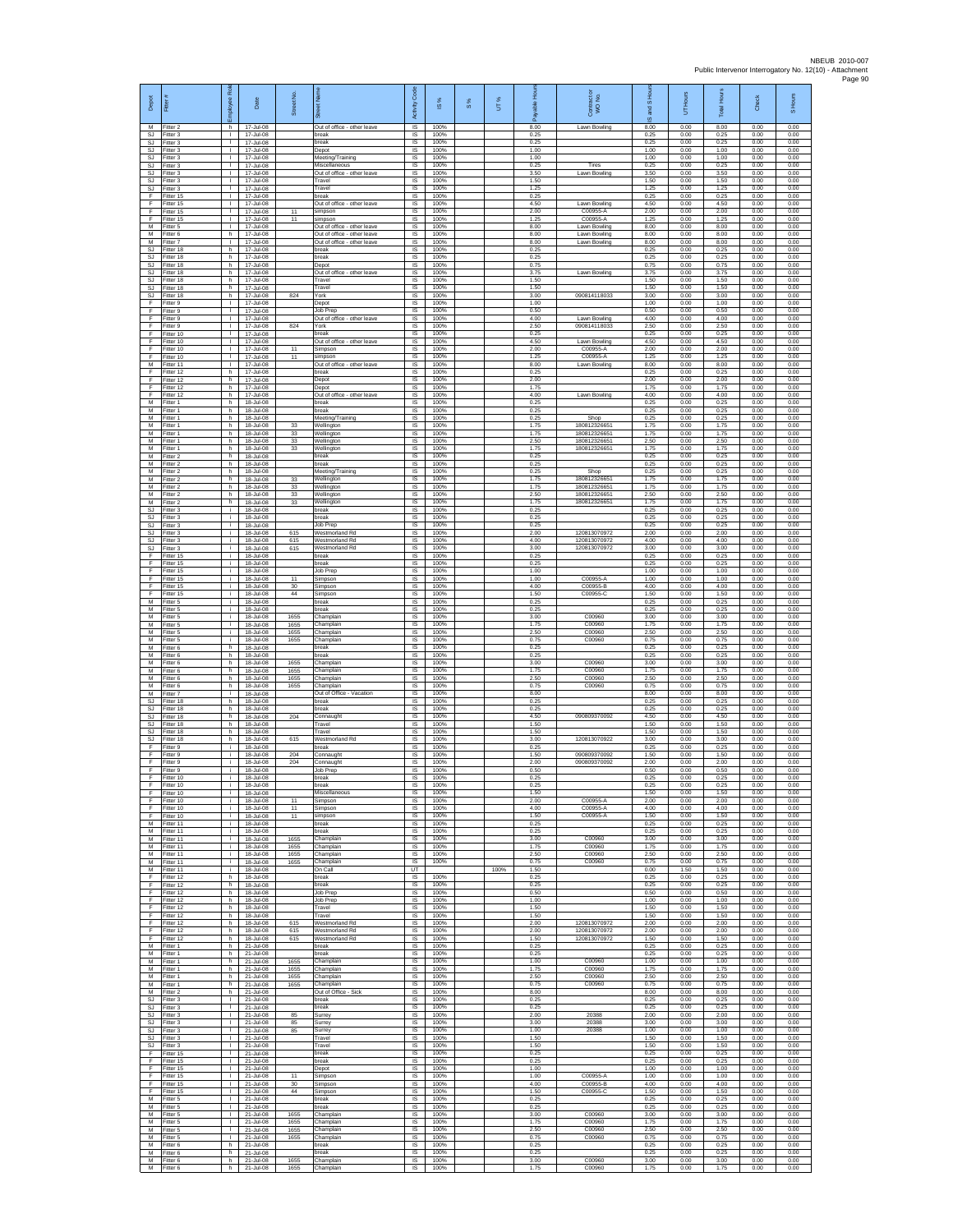| Depot                           | Fitter                              | æ<br>loyee                                   | Date                                      | Street No.           |                                                            | Code<br>Activity            | IS %                 | 8% | UT%  | able Hou<br>ஃ        | Contract or<br>WO No.                        | and S Ho<br>$\overline{9}$ | UT Hours             | Total Hours          | Check                | S Hours              |
|---------------------------------|-------------------------------------|----------------------------------------------|-------------------------------------------|----------------------|------------------------------------------------------------|-----------------------------|----------------------|----|------|----------------------|----------------------------------------------|----------------------------|----------------------|----------------------|----------------------|----------------------|
| M<br>SJ<br>SJ                   | Fitter 2<br>Fitter 3<br>Fitter 3    | h.<br>$\mathbf{L}$<br>T.                     | 17-Jul-08<br>17-Jul-08<br>17-Jul-08       |                      | Out of office - other leave<br>break<br>break              | IS<br>$\sf IS$<br>$\sf IS$  | 100%<br>100%<br>100% |    |      | 8.00<br>0.25<br>0.25 | Lawn Bowling                                 | 8.00<br>0.25<br>0.25       | 0.00<br>0.00<br>0.00 | 8.00<br>0.25<br>0.25 | 0.00<br>0.00<br>0.00 | 0.00<br>0.00<br>0.00 |
| -SJ<br>SJ.                      | Fitter 3<br>Fitter 3                | $\mathbf{L}$<br>$\mathbf{L}$                 | 17-Jul-08<br>17-Jul-08                    |                      | Depot<br>Meeting/Training                                  | <b>IS</b><br>IS             | 100%<br>100%         |    |      | 1.00<br>1.00         |                                              | 1.00<br>1.00               | 0.00<br>0.00         | 1.00<br>1.00         | 0.00<br>0.00         | 0.00<br>0.00         |
| <b>SJ</b><br>SJ                 | -itter 3<br>Fitter 3                | т.<br>$\mathbf{L}$                           | 17-Jul-08<br>17-Jul-08                    |                      | Miscellaneous<br>Out of office - other leave               | IS<br>IS                    | 100%<br>100%         |    |      | 0.25<br>3.50         | Tires<br>Lawn Bowling                        | 0.25<br>3.50               | 0.00<br>0.00         | 0.25<br>3.50         | 0.00<br>0.00         | 0.00<br>0.00         |
| SJ<br>SJ                        | Fitter 3<br>-itter 3                | $\mathbf{L}$<br>$\mathbf{L}$                 | 17-Jul-08<br>17-Jul-08                    |                      | Travel<br>Travel                                           | <b>IS</b><br>IS             | 100%<br>100%         |    |      | 1.50<br>1.25         |                                              | 1.50<br>1.25               | 0.00<br>0.00         | 1.50<br>1.25         | 0.00<br>0.00         | 0.00<br>0.00         |
| $\mathsf F$<br>F<br>F           | Fitter 15<br>Fitter 15              | H.<br>$\mathbf{L}$<br>$\mathbf{I}$           | 17-Jul-08<br>17-Jul-08                    |                      | break<br>Out of office - other leave                       | $\sf IS$<br>IS              | 100%<br>100%         |    |      | 0.25<br>4.50<br>2.00 | Lawn Bowling<br>C00955-A                     | 0.25<br>4.50               | 0.00<br>0.00         | 0.25<br>4.50<br>2.00 | 0.00<br>0.00         | 0.00<br>0.00         |
| Ŧ<br>М                          | Fitter 15<br>Fitter 15<br>Fitter 5  | H.<br>$\mathbf{L}$                           | 17-Jul-08<br>17-Jul-08<br>17-Jul-08       | 11<br>11             | simpson<br>simpson<br>Out of office - other leave          | IS<br>IS<br>IS              | 100%<br>100%<br>100% |    |      | 1.25<br>8.00         | C00955-A<br>Lawn Bowling                     | 2.00<br>1.25<br>8.00       | 0.00<br>0.00<br>0.00 | 1.25<br>8.00         | 0.00<br>0.00<br>0.00 | 0.00<br>0.00<br>0.00 |
| M<br>M                          | Fitter 6<br>Fitter 7                | h.<br>$\mathbf{L}$                           | 17-Jul-08<br>17-Jul-08                    |                      | Out of office - other leave<br>Out of office - other leave | -IS<br>IS                   | 100%<br>100%         |    |      | 8.00<br>8.00         | Lawn Bowling<br>Lawn Bowling                 | 8.00<br>8.00               | 0.00<br>0.00         | 8.00<br>8.00         | 0.00<br>0.00         | 0.00<br>0.00         |
| SJ<br>SJ.                       | Fitter 18<br>Fitter 18              | h.<br>h.                                     | 17-Jul-08<br>17-Jul-08                    |                      | break<br>break                                             | IS<br>1S                    | 100%<br>100%         |    |      | 0.25<br>0.25         |                                              | 0.25<br>0.25               | 0.00<br>0.00         | 0.25<br>0.25         | 0.00<br>0.00         | 0.00<br>0.00         |
| SJ<br>SJ<br>SJ                  | Fitter 18<br>Fitter 18<br>Fitter 18 | h.<br>h.<br>h.                               | 17-Jul-08<br>17-Jul-08<br>17-Jul-08       |                      | Depot<br>Out of office - other leave<br>Travel             | IS<br>IS<br>1S              | 100%<br>100%<br>100% |    |      | 0.75<br>3.75<br>1.50 | Lawn Bowling                                 | 0.75<br>3.75<br>1.50       | 0.00<br>0.00<br>0.00 | 0.75<br>3.75<br>1.50 | 0.00<br>0.00<br>0.00 | 0.00<br>0.00<br>0.00 |
| SJ.<br>SJ                       | Fitter 18<br>Fitter 18              | h.<br>h.                                     | 17-Jul-08<br>17-Jul-08                    | 824                  | Travel<br>York                                             | <b>IS</b><br>IS             | 100%<br>100%         |    |      | 1.50<br>3.00         | 090814118033                                 | 1.50<br>3.00               | 0.00<br>0.00         | 1.50<br>3.00         | 0.00<br>0.00         | 0.00<br>0.00         |
| F<br>F                          | Fitter 9<br>Fitter 9                | $\mathbb{L}$<br>т.                           | 17-Jul-08<br>17-Jul-08                    |                      | Depot<br>Job Prec                                          | IS<br>IS                    | 100%<br>100%         |    |      | 1.00<br>0.50         |                                              | 1.00<br>0.50               | 0.00<br>0.00         | 1.00<br>0.50         | 0.00<br>0.00         | 0.00<br>0.00         |
| F<br>$\mathsf F$<br>F           | Fitter 9<br>-itter 9<br>Fitter 10   | $\mathbf{L}$<br>$\mathbf{L}$<br>T.           | 17-Jul-08<br>17-Jul-08<br>17-Jul-08       | 824                  | Out of office - other leave<br>York<br>oreak               | -IS<br>$\sf IS$<br>IS       | 100%<br>100%<br>100% |    |      | 4.00<br>2.50<br>0.25 | Lawn Bowling<br>090814118033                 | 4.00<br>2.50<br>0.25       | 0.00<br>0.00<br>0.00 | 4.00<br>2.50<br>0.25 | 0.00<br>0.00<br>0.00 | 0.00<br>0.00<br>0.00 |
| F<br>E                          | Fitter 10<br>Fitter 10              | л.<br>$\mathbf{L}$                           | 17-Jul-08<br>17-Jul-08                    | 11                   | Out of office - other leave<br>Simpson                     | <b>IS</b><br>IS             | 100%<br>100%         |    |      | 4.50<br>2.00         | Lawn Bowling<br>C00955-A                     | 4.50<br>2.00               | 0.00<br>0.00         | 4.50<br>2.00         | 0.00<br>0.00         | 0.00<br>0.00         |
| Ŧ<br>M                          | Fitter 10<br>Fitter 11              | т.<br>$\mathbf{L}$                           | 17-Jul-08<br>17-Jul-08                    | 11                   | simpson<br>Out of office - other leave                     | IS<br>IS                    | 100%<br>100%         |    |      | 1.25<br>8.00         | C00955-A<br>Lawn Bowling                     | 1.25<br>8.00               | 0.00<br>0.00         | 1.25<br>8.00         | 0.00<br>0.00         | 0.00<br>0.00         |
| F<br>$\mathsf F$<br>$\mathsf F$ | Fitter 12<br>ltter 12<br>Fitter 12  | h.<br>h<br>h.                                | 17-Jul-08<br>17-Jul-08<br>17-Jul-08       |                      | break<br>Depot<br>Depot                                    | <b>IS</b><br>IS<br>$\sf IS$ | 100%<br>100%<br>100% |    |      | 0.25<br>2.00<br>1.75 |                                              | 0.25<br>2.00<br>1.75       | 0.00<br>0.00<br>0.00 | 0.25<br>2.00<br>1.75 | 0.00<br>0.00<br>0.00 | 0.00<br>0.00<br>0.00 |
| F<br>M                          | Fitter 12<br>Fitter 1               | h.<br>h                                      | 17-Jul-08<br>18-Jul-08                    |                      | Out of office - other leave<br>break                       | IS<br>IS                    | 100%<br>100%         |    |      | 4.00<br>0.25         | Lawn Bowling                                 | 4.00<br>0.25               | 0.00<br>0.00         | 4.00<br>0.25         | 0.00<br>0.00         | 0.00<br>0.00         |
| M<br>M<br>$\overline{M}$        | Fitter 1<br>Fitter 1                | h.<br>h                                      | 18-Jul-08<br>18-Jul-08<br>18-Jul-08       |                      | break<br>Meeting/Training                                  | IS<br>IS                    | 100%<br>100%         |    |      | 0.25<br>0.25         | Shop                                         | 0.25<br>0.25               | 0.00<br>0.00         | 0.25<br>0.25<br>1.75 | 0.00<br>0.00         | 0.00<br>0.00         |
| М<br>М                          | Fitter 1<br>Fitter 1<br>Fitter 1    | h.<br>h.<br>h.                               | 18-Jul-08<br>18-Jul-08                    | 33<br>33<br>33       | Wellington<br>Wellington<br>Nellington                     | <b>IS</b><br>IS<br>IS       | 100%<br>100%<br>100% |    |      | 1.75<br>1.75<br>2.50 | 18081232665<br>180812326651<br>180812326651  | 1.75<br>1.75<br>2.50       | 0.00<br>0.00<br>0.00 | 175<br>2.50          | 0.00<br>0.00<br>0.00 | 0.00<br>0.00<br>0.00 |
| M<br>M                          | Fitter 1<br>Fitter 2                | h.<br>h.                                     | 18-Jul-08<br>18-Jul-08                    | 33                   | Wellington<br>break                                        | IS<br>IS                    | 100%<br>100%         |    |      | 1.75<br>0.25         | 180812326651                                 | 1.75<br>0.25               | 0.00<br>0.00         | 1.75<br>0.25         | 0.00<br>0.00         | 0.00<br>0.00         |
| M<br>M                          | -itter 2<br>Fitter 2                | h.<br>h.                                     | 18-Jul-08<br>18-Jul-08                    |                      | break<br>Meeting/Training                                  | IS<br>IS                    | 100%<br>100%         |    |      | 0.25<br>0.25         | Shop                                         | 0.25<br>0.25               | 0.00<br>0.00         | 0.25<br>0.25         | 0.00<br>0.00         | 0.00<br>0.00         |
| M<br>M<br>M                     | Fitter 2<br>Fitter 2<br>Fitter 2    | h.<br>h.<br>h.                               | 18-Jul-08<br>18-Jul-08<br>18-Jul-08       | 33<br>33<br>$_{33}$  | Wellington<br>Wellington<br>Wellington                     | <b>IS</b><br>IS<br>IS       | 100%<br>100%<br>100% |    |      | 1.75<br>1.75<br>2.50 | 180812326651<br>180812326651<br>180812326651 | 1.75<br>1.75<br>2.50       | 0.00<br>0.00<br>0.00 | 1.75<br>1.75<br>2.50 | 0.00<br>0.00<br>0.00 | 0.00<br>0.00<br>0.00 |
| M<br>SJ                         | Fitter 2<br>Fitter 3                | h<br>j.                                      | 18-Jul-08<br>18-Jul-08                    | 33                   | Vellington<br>break                                        | IS<br><b>IS</b>             | 100%<br>100%         |    |      | 1.75<br>0.25         | 18081232665                                  | 1.75<br>0.25               | 0.00<br>0.00         | 1.75<br>0.25         | 0.00<br>0.00         | 0.00<br>0.00         |
| SJ<br>SJ                        | -itter 3<br>Fitter 3                | i.<br>j.                                     | 18-Jul-08<br>18-Jul-08                    |                      | break<br>Job Prep                                          | $\sf IS$<br>IS              | 100%<br>100%         |    |      | 0.25<br>0.25         |                                              | 0.25<br>0.25               | 0.00<br>0.00         | 0.25<br>0.25         | 0.00<br>0.00         | 0.00<br>0.00         |
| <b>SJ</b><br>SJ.<br><b>SJ</b>   | Fitter 3<br>Fitter 3<br>Fitter 3    | Ť.<br>i.<br>÷.                               | 18-Jul-08<br>18-Jul-08<br>18-Jul-08       | 615<br>615<br>615    | Westmorland Ro<br>Westmorland Rd<br>Westmorland Rd         | <b>IS</b><br>IS<br>IS       | 100%<br>100%<br>100% |    |      | 2.00<br>4.00<br>3.00 | 120813070972<br>120813070972<br>120813070972 | 2.00<br>4.00<br>3.00       | 0.00<br>0.00<br>0.00 | 2.00<br>4.00<br>3.00 | 0.00<br>0.00<br>0.00 | 0.00<br>0.00<br>0.00 |
| Ŧ<br>F                          | Fitter 15<br>Fitter 15              | i.<br>i.                                     | 18-Jul-08<br>18-Jul-08                    |                      | break<br>break                                             | IS<br>IS                    | 100%<br>100%         |    |      | 0.25<br>0.25         |                                              | 0.25<br>0.25               | 0.00<br>0.00         | 0.25<br>0.25         | 0.00<br>0.00         | 0.00<br>0.00         |
| $\mathsf F$<br>$\mathsf F$      | Fitter 15<br>Fitter 15              | ÷.<br>i.                                     | 18-Jul-08<br>18-Jul-08                    | 11                   | Job Prep<br>Simpson                                        | IS<br>$\sf IS$              | 100%<br>100%         |    |      | 1.00<br>1.00         | C00955-A                                     | 1.00<br>1.00               | 0.00<br>0.00         | 1.00<br>1.00         | 0.00<br>0.00         | 0.00<br>0.00         |
| F<br>F<br>M                     | Fitter 15<br>Fitter 15<br>Fitter 5  | ÷.<br>Ť.<br>Ť.                               | 18-Jul-08<br>18-Jul-08<br>18-Jul-08       | 30<br>44             | Simpson<br>Simpson<br>break                                | IS<br>IS<br>IS              | 100%<br>100%<br>100% |    |      | 4.00<br>1.50<br>0.25 | C00955-B<br>C00955-C                         | 4.00<br>1.50<br>0.25       | 0.00<br>0.00<br>0.00 | 4.00<br>1.50<br>0.25 | 0.00<br>0.00<br>0.00 | 0.00<br>0.00<br>0.00 |
| M<br>M                          | Fitter 5<br>Fitter 5                | i.<br>Ť.                                     | 18-Jul-08<br>18-Jul-08                    | 1655                 | reak<br>Champlain                                          | IS<br>-IS                   | 100%<br>100%         |    |      | 0.25<br>3.00         | C00960                                       | 0.25<br>3.00               | 0.00<br>0.00         | 0.25<br>3.00         | 0.00<br>0.00         | 0.00<br>0.00         |
| M<br>M                          | -itter 5<br>Fitter 5                | i.<br>÷.                                     | 18-Jul-08<br>18-Jul-08                    | 1655<br>1655         | Champlain<br>Champlain                                     | IS<br>IS                    | 100%<br>100%         |    |      | 1.75<br>2.50         | C00960<br>C00960                             | 1.75<br>2.50               | 0.00<br>0.00         | 175<br>2.50          | 0.00<br>0.00         | 0.00<br>0.00         |
| M<br>M<br>M                     | Fitter 5<br>Fitter 6<br>-itter 6    | j.<br>h.<br>h.                               | 18-Jul-08<br>18-Jul-08<br>18-Jul-08       | 1655                 | Champlain<br>break<br>oreak                                | 1S<br>IS<br>IS              | 100%<br>100%<br>100% |    |      | 0.75<br>0.25<br>0.25 | C00960                                       | 0.75<br>0.25<br>0.25       | 0.00<br>0.00<br>0.00 | 0.75<br>0.25<br>0.25 | 0.00<br>0.00<br>0.00 | 0.00<br>0.00<br>0.00 |
| M<br>M                          | Fitter 6<br>Fitter 6                | h.<br>h.                                     | 18-Jul-08<br>18-Jul-08                    | 1655<br>1655         | Champlain<br>Champlain                                     | 1S<br><b>IS</b>             | 100%<br>100%         |    |      | 3.00<br>1.75         | C00960<br>C00960                             | 3.00<br>1.75               | 0.00<br>0.00         | 3.00<br>1.75         | 0.00<br>0.00         | 0.00<br>0.00         |
| М<br>M                          | Fitter 6<br>Fitter 6                | h<br>h.                                      | 18-Jul-08<br>18-Jul-08                    | 1655<br>1655         | Champlain<br>Champlain                                     | IS<br>IS                    | 100%<br>100%         |    |      | 2.50<br>0.75         | C00960<br>C00960                             | 2.50<br>0.75               | 0.00<br>0.00         | 2.50<br>0.75         | 0.00<br>0.00         | 0.00<br>0.00         |
| M<br>SJ<br>SJ                   | Fitter 7<br>Fitter 18<br>Fitter 18  | i.<br>h.<br>h.                               | 18-Jul-08<br>18-Jul-08<br>18-Jul-08       |                      | Out of Office - Vacation<br>break<br>oreak                 | IS<br>-IS<br>$\sf IS$       | 100%<br>100%<br>100% |    |      | 8.00<br>0.25<br>0.25 |                                              | 8.00<br>0.25<br>0.25       | 0.00<br>0.00<br>0.00 | 8.00<br>0.25<br>0.25 | 0.00<br>0.00<br>0.00 | 0.00<br>0.00<br>0.00 |
| SJ<br>-SJ                       | Fitter 18<br>Fitter 18              | h<br>h.                                      | 18-Jul-08<br>18-Jul-08                    | 204                  | Connaught<br>Travel                                        | IS<br><b>IS</b>             | 100%<br>100%         |    |      | 4.50<br>1.50         | 090809370092                                 | 4.50<br>1.50               | 0.00<br>0.00         | 4.50<br>1.50         | 0.00<br>0.00         | 0.00<br>0.00         |
| SJ.<br><b>SJ</b>                | Fitter 18<br>Fitter 18              | h.<br>h                                      | 18-Jul-08<br>18-Jul-08                    | 615                  | Travel<br>Nestmorland Rd                                   | IS<br>IS                    | 100%<br>100%         |    |      | 1.50<br>3.00         | 120813070922                                 | 1.50<br>3.00               | 0.00<br>0.00         | 1.50<br>3.00         | 0.00<br>0.00         | 0.00<br>0.00         |
| Ŧ<br>E<br>$\mathsf F$           | Fitter 9<br>Fitter 9<br>-itter 9    | i.<br>i.<br>÷.                               | 18-Jul-08<br>18-Jul-08<br>18-Jul-08       | 204<br>204           | oreak<br>Connaught<br>:onnaugh                             | IS<br><b>IS</b><br>IS       | 100%<br>100%<br>100% |    |      | 0.25<br>1.50<br>2.00 | 090809370092<br>090809370092                 | 0.25<br>1.50<br>2.00       | 0.00<br>0.00<br>0.00 | 0.25<br>1.50<br>2.00 | 0.00<br>0.00<br>0.00 | 0.00<br>0.00<br>0.00 |
| F<br>F                          | Fitter 9<br>Fitter 10               | i.<br>Ť.                                     | 18-Jul-08<br>18-Jul-08                    |                      | Job Prep<br>break                                          | $\sf IS$<br>IS              | 100%<br>100%         |    |      | 0.50<br>0.25         |                                              | 0.50<br>0.25               | 0.00<br>0.00         | 0.50<br>0.25         | 0.00<br>0.00         | 0.00<br>0.00         |
| E<br>Ŧ                          | Fitter 10<br>Fitter 10              | i.                                           | 18-Jul-08<br>18-Jul-08                    |                      | break<br>Miscellaneous                                     | <b>IS</b><br>IS             | 100%<br>100%         |    |      | 0.25<br>1.50         |                                              | 0.25<br>1.50               | 0.00<br>0.00         | 0.25<br>1.50         | 0.00<br>0.00         | 0.00<br>0.00         |
| Ŧ<br>-F<br>F                    | Fitter 10<br>Fitter 10<br>Fitter 10 | j.<br>i.<br>j.                               | 18-Jul-08<br>18-Jul-08<br>18-Jul-08       | 11<br>11<br>11       | Simpson<br>Simpson<br>simpson                              | IS<br>- IS<br>IS            | 100%<br>100%<br>100% |    |      | 2.00<br>4.00<br>1.50 | C00955-A<br>C00955-A<br>C00955-A             | 2.00<br>4.00<br>1.50       | 0.00<br>0.00<br>0.00 | 2.00<br>4.00<br>1.50 | 0.00<br>0.00<br>0.00 | 0.00<br>0.00<br>0.00 |
| M<br>M                          | Fitter 11<br>Fitter 11              | ÷.<br>i.                                     | 18-Jul-08<br>18-Jul-08                    |                      | break<br>break                                             | IS<br>IS                    | 100%<br>100%         |    |      | 0.25<br>0.25         |                                              | 0.25<br>0.25               | 0.00<br>0.00         | 0.25<br>0.25         | 0.00<br>0.00         | 0.00<br>0.00         |
| M<br>${\sf M}$                  | Fitter 11<br>Fitter 11              | i.<br>i.                                     | 18-Jul-08<br>18-Jul-08                    | 1655<br>1655         | Champlain<br>Champlain                                     | IS<br>IS                    | 100%<br>100%         |    |      | 3.00<br>1.75         | C00960<br>C00960                             | 3.00<br>1.75               | 0.00<br>0.00         | 3.00<br>1.75         | 0.00<br>0.00         | 0.00<br>0.00         |
| M<br>M<br>M                     | Fitter 11<br>Fitter 11<br>Fitter 11 | i.<br>i.<br>i.                               | 18-Jul-08<br>$18 - hL - 08$<br>18-Jul-08  | 1655<br>1655         | Champlain<br>Champlain<br>On Call                          | 1S<br>IS.<br>UT             | 100%<br>100%         |    | 100% | 2.50<br>0.75<br>1.50 | C00960<br>C00960                             | 2.50<br>0.75<br>0.00       | 0.00<br>0.00<br>1.50 | 2.50<br>0.75<br>1.50 | 0.00<br>0.00<br>0.00 | 0.00<br>0.00<br>0.00 |
| F<br>F                          | Fitter 12<br>Fitter 12              | h.<br>h.                                     | 18-Jul-08<br>18-Jul-08                    |                      | break<br>break                                             | IS<br>IS                    | 100%<br>100%         |    |      | 0.25<br>0.25         |                                              | 0.25<br>0.25               | 0.00<br>0.00         | 0.25<br>0.25         | 0.00<br>0.00         | 0.00<br>0.00         |
| -F<br>F.                        | Fitter 12<br>Fitter 12              | h.<br>h.                                     | 18-Jul-08<br>18-Jul-08                    |                      | Job Prep<br>Job Prep                                       | - IS<br>IS                  | 100%<br>100%         |    |      | 0.50<br>1.00         |                                              | 0.50<br>1.00               | 0.00<br>0.00         | 0.50<br>1.00         | 0.00<br>0.00         | 0.00<br>0.00         |
| F<br>-F<br>F.                   | Fitter 12<br>Fitter 12<br>Fitter 12 | h<br>h.<br>h                                 | 18-Jul-08<br>18-Jul-08<br>$18 - h h - 08$ | 615                  | Travel<br>Travel<br>Westmorland Rd                         | $\sf IS$<br>IS<br>IS        | 100%<br>100%<br>100% |    |      | 1.50<br>1.50<br>2.00 | 120813070972                                 | 1.50<br>1.50<br>2.00       | 0.00<br>0.00<br>0.00 | 1.50<br>1.50<br>2.00 | 0.00<br>0.00<br>0.00 | 0.00<br>0.00<br>0.00 |
| Ŧ<br>Ŧ                          | Fitter 12<br>Fitter 12              | h.<br>h.                                     | 18-Jul-08<br>18-Jul-08                    | 615<br>615           | Westmorland Rd<br>Westmorland Rd                           | IS<br>1S                    | 100%<br>100%         |    |      | 2.00<br>1.50         | 120813070972<br>120813070972                 | 2.00<br>1.50               | 0.00<br>0.00         | 2.00<br>1.50         | 0.00<br>0.00         | 0.00<br>0.00         |
| M<br>М                          | Fitter 1<br>Fitter 1                | h.<br>h                                      | 21-Jul-08<br>21-Jul-08                    |                      | break<br>reak                                              | IS.<br>IS                   | 100%<br>100%         |    |      | 0.25<br>0.25         |                                              | 0.25<br>0.25               | 0.00<br>0.00         | 0.25<br>0.25         | 0.00<br>0.00         | 0.00<br>0.00         |
| M<br>M<br>M                     | Fitter 1<br>Fitter 1<br>Fitter 1    | h.<br>h.<br>h                                | 21-Jul-08<br>21-Jul-08<br>21-Jul-08       | 1655<br>1655<br>1655 | Champlain<br>Champlain<br>Champlain                        | $\sf IS$<br>IS<br>IS        | 100%<br>100%<br>100% |    |      | 1.00<br>1.75<br>2.50 | C00960<br>C00960<br>C00960                   | 1.00<br>1.75<br>2.50       | 0.00<br>0.00<br>0.00 | 1.00<br>1.75<br>2.50 | 0.00<br>0.00<br>0.00 | 0.00<br>0.00<br>0.00 |
| M<br>M                          | Fitter 1<br>Fitter 2                | h.<br>h.                                     | 21-Jul-08<br>21-Jul-08                    | 1655                 | Champlain<br>Out of Office - Sick                          | 1S<br>IS                    | 100%<br>100%         |    |      | 0.75<br>8.00         | C00960                                       | 0.75<br>8.00               | 0.00<br>0.00         | 0.75<br>8.00         | 0.00<br>0.00         | 0.00<br>0.00         |
| -SJ<br>SJ<br>SJ                 | Fitter 3<br>Fitter 3<br>Fitter 3    | $\mathbf{L}$<br><b>ILL S</b><br>$\mathbf{L}$ | 21-Jul-08<br>21-Jul-08<br>21-Jul-08       | 85                   | break<br>hreak<br>Surrey                                   | - IS<br>IS<br>IS            | 100%<br>100%<br>100% |    |      | 0.25<br>0.25<br>2.00 | 20388                                        | 0.25<br>0.25<br>2.00       | 0.00<br>0.00<br>0.00 | 0.25<br>0.25<br>2.00 | 0.00<br>0.00<br>0.00 | 0.00<br>0.00<br>0.00 |
| SJ.<br><b>SJ</b>                | Fitter 3<br>Fitter 3                | $\mathbb{R}$<br>$\mathbf{L}$                 | 21-Jul-08<br>21-Jul-08                    | 85<br>85             | Surrey<br>Surrey                                           | 1S<br>IS                    | 100%<br>100%         |    |      | 3.00<br>1.00         | 20388<br>20388                               | 3.00<br>1.00               | 0.00<br>0.00         | 3.00<br>1.00         | 0.00<br>0.00         | 0.00<br>0.00         |
| SJ<br>SJ                        | Fitter 3<br>Fitter 3                | $\mathbf{L}$<br>$\mathbf{L}$                 | 21-Jul-08<br>21-Jul-08                    |                      | Travel<br>Travel                                           | IS<br>IS                    | 100%<br>100%         |    |      | 1.50<br>1.50         |                                              | 1.50<br>1.50               | 0.00<br>0.00         | 1.50<br>1.50         | 0.00<br>0.00         | 0.00<br>0.00         |
| F<br>F<br>F.                    | Fitter 15<br>Fitter 15              | $\mathbf{I}$<br>$\mathbf{L}$<br>$\mathbf{L}$ | 21-Jul-08<br>21-Jul-08                    |                      | break<br>oreak                                             | <b>IS</b><br>IS<br>1S       | 100%<br>100%<br>100% |    |      | 0.25<br>0.25<br>1.00 |                                              | 0.25<br>0.25<br>1.00       | 0.00<br>0.00<br>0.00 | 0.25<br>0.25<br>1.00 | 0.00<br>0.00<br>0.00 | 0.00<br>0.00<br>0.00 |
| F<br>F                          | Fitter 15<br>Fitter 15<br>Fitter 15 | $\mathbf{L}$<br>$\mathbf{L}$                 | 21-Jul-08<br>21-Jul-08<br>21-Jul-08       | 11<br>30             | Depot<br>Simpson<br>Simpson                                | IS<br>- IS                  | 100%<br>100%         |    |      | 1.00<br>4.00         | C00955-A<br>C00955-B                         | 1.00<br>4.00               | 0.00<br>0.00         | 1.00<br>4.00         | 0.00<br>0.00         | 0.00<br>0.00         |
| F.<br>M                         | Fitter 15<br>Fitter 5               | $\mathbf{L}$<br>T.                           | 21-Jul-08<br>21-Jul-08                    | 44                   | Simpson<br>oreak                                           | $\sf IS$<br>IS              | 100%<br>100%         |    |      | 1.50<br>0.25         | C00955-C                                     | 1.50<br>0.25               | 0.00<br>0.00         | 1.50<br>0.25         | 0.00<br>0.00         | 0.00<br>0.00         |
| M<br>M<br>M                     | Fitter 5<br>Fitter 5<br>Fitter 5    | $\mathbf{L}$<br><b>ILL S</b><br>H.           | 21-Jul-08<br>21-Jul-08<br>21-Jul-08       | 1655<br>1655         | break<br>Champlain<br>Champlain                            | - IS<br>IS<br>IS            | 100%<br>100%<br>100% |    |      | 0.25<br>3.00<br>1.75 | C00960<br>C00960                             | 0.25<br>3.00<br>1.75       | 0.00<br>0.00<br>0.00 | 0.25<br>3.00<br>1.75 | 0.00<br>0.00<br>0.00 | 0.00<br>0.00<br>0.00 |
| M<br>M                          | Fitter 5<br>Fitter 5                | $\mathbf{L}$<br>$\mathbf{L}$                 | 21-Jul-08<br>21-Jul-08                    | 1655<br>1655         | Champlain<br>Champlain                                     | IS<br><b>IS</b>             | 100%<br>100%         |    |      | 2.50<br>0.75         | C00960<br>C00960                             | 2.50<br>0.75               | 0.00<br>0.00         | 2.50<br>0.75         | 0.00<br>0.00         | 0.00<br>0.00         |
| M<br>M                          | -itter 6<br>Fitter 6                | h<br>h                                       | 21-Jul-08<br>21-Jul-08                    |                      | reak<br>break                                              | IS<br>$\sf IS$              | 100%<br>100%         |    |      | 0.25<br>0.25         |                                              | 0.25<br>0.25               | 0.00<br>0.00         | 0.25<br>0.25         | 0.00<br>0.00         | 0.00<br>0.00         |
| M<br>M                          | Fitter 6<br>Fitter 6                | h.<br>h.                                     | 21-Jul-08<br>21-Jul-08                    | 1655<br>1655         | Champlain<br>Champlain                                     | IS<br>IS                    | 100%<br>100%         |    |      | 3.00<br>1.75         | C00960<br>C00960                             | 3.00<br>1.75               | 0.00<br>0.00         | 3.00<br>1.75         | 0.00<br>0.00         | 0.00<br>0.00         |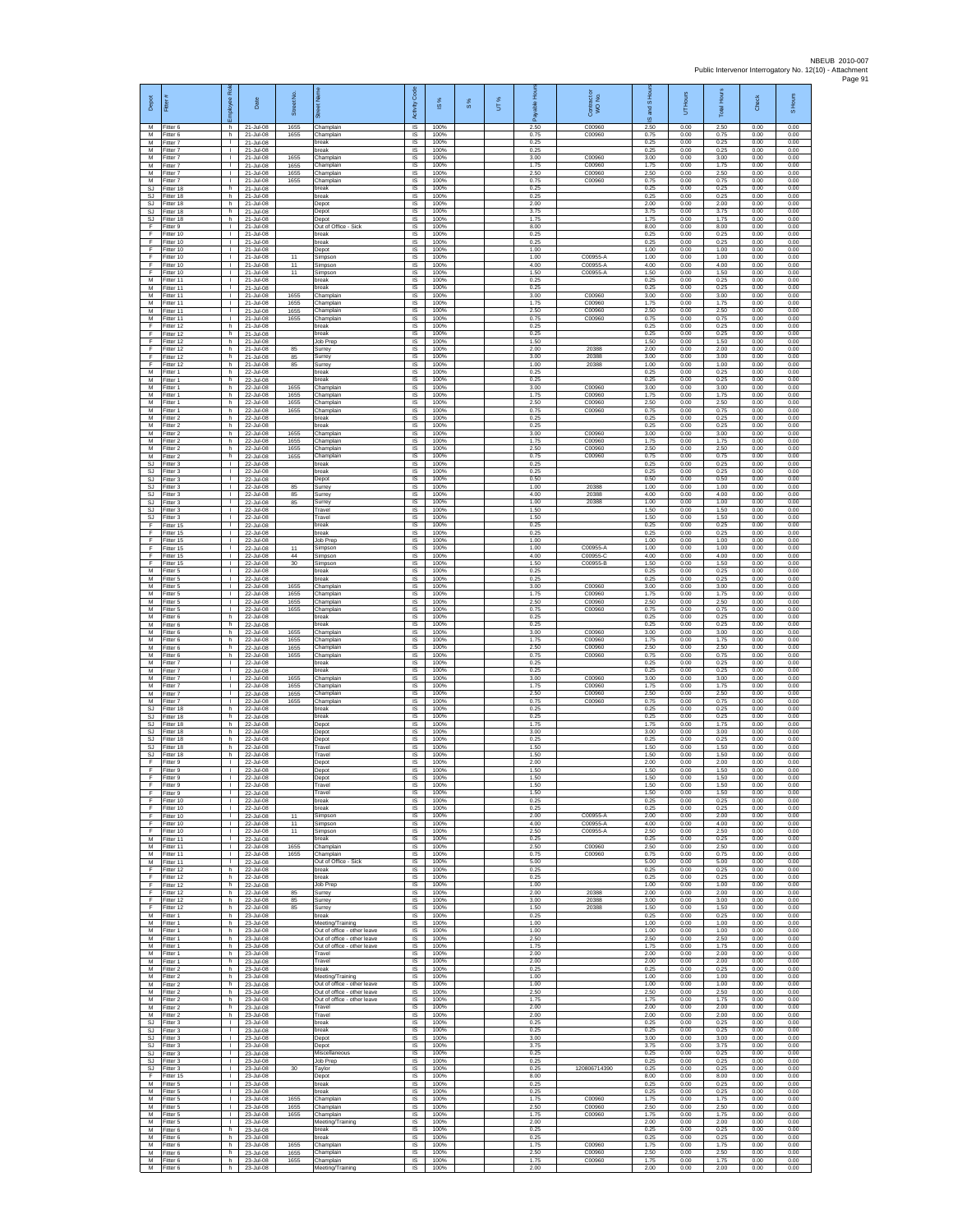| Depot                        | Fitter                              | Rol<br>ployee                            | Date                                               | ş<br><b>Street</b>   |                                                                      | Code<br>Activity                    | $\overline{\omega}$  | $\frac{8}{3}$ | UT% | Ē<br>å               | Contract or<br>WO No.      | IS Hour<br>g<br>$\overline{\omega}$ | UT Hours             | <b>Total Hours</b>   | Check                | S Hours              |
|------------------------------|-------------------------------------|------------------------------------------|----------------------------------------------------|----------------------|----------------------------------------------------------------------|-------------------------------------|----------------------|---------------|-----|----------------------|----------------------------|-------------------------------------|----------------------|----------------------|----------------------|----------------------|
| м<br>М                       | Fitter 6<br>Fitter 6                | h.<br>h.                                 | 21-Jul-08<br>21-Jul-08                             | 1655<br>1655         | Champlain<br>Champlain                                               | $\overline{\mathsf{S}}$<br>$\sf IS$ | 100%<br>100%         |               |     | 2.50<br>0.75         | C00960<br>C00960           | 2.50<br>0.75                        | 0.00<br>0.00         | 2.50<br>0.75         | 0.00<br>0.00         | 0.00<br>0.00         |
| M<br>$\overline{M}$<br>M     | Fitter 7<br>Fitter 7                | $\mathbf{L}$<br>$\mathbf{L}$<br>т.       | 21-Jul-08<br>21-Jul-08                             | 1655                 | break<br>break                                                       | IS<br>IS                            | 100%<br>100%         |               |     | 0.25<br>0.25<br>3.00 | C00960                     | 0.25<br>0.25                        | 0.00<br>0.00         | 0.25<br>0.25         | 0.00<br>0.00         | 0.00<br>0.00         |
| M<br>M                       | Fitter 7<br>Fitter 7<br>fitter 7    | L.<br>T.                                 | 21-Jul-08<br>21-Jul-08<br>21-Jul-08                | 1655<br>1655         | Champlain<br>Champlain<br>Champlain                                  | IS<br>IS<br>IS                      | 100%<br>100%<br>100% |               |     | 1.75<br>2.50         | C00960<br>C00960           | 3.00<br>1.75<br>2.50                | 0.00<br>0.00<br>0.00 | 3.00<br>1.75<br>2.50 | 0.00<br>0.00<br>0.00 | 0.00<br>0.00<br>0.00 |
| M<br>SJ                      | Fitter 7<br>Fitter 18               | л.<br>h.                                 | 21-Jul-08<br>21-Jul-08                             | 1655                 | Champlain<br>oreak                                                   | IS<br>IS                            | 100%<br>100%         |               |     | 0.75<br>0.25         | C00960                     | 0.75<br>0.25                        | 0.00<br>0.00         | 0.75<br>0.25         | 0.00<br>0.00         | 0.00<br>0.00         |
| SJ<br><b>SJ</b>              | Fitter 18<br>-itter 18              | h.<br>h.                                 | 21-Jul-08<br>21-Jul-08                             |                      | break<br>Depot                                                       | IS<br>IS                            | 100%<br>100%         |               |     | 0.25<br>2.00         |                            | 0.25<br>2.00                        | 0.00<br>0.00         | 0.25<br>2.00         | 0.00<br>0.00         | 0.00<br>0.00         |
| <b>SJ</b><br>SJ<br>F         | Fitter 18<br>Fitter 18<br>itter 9   | h.<br>h<br>т                             | 21-Jul-08<br>21-Jul-08<br>21-Jul-08                |                      | Depot<br>Depot<br>Out of Office - Sick                               | IS<br>IS<br>IS                      | 100%<br>100%<br>100% |               |     | 3.75<br>1.75<br>8.00 |                            | 3.75<br>1.75<br>8.00                | 0.00<br>0.00<br>0.00 | 3.75<br>1.75<br>8.00 | 0.00<br>0.00<br>0.00 | 0.00<br>0.00<br>0.00 |
| F<br>F                       | Fitter 10<br>litter 10              | $\mathbf{L}$<br>т.                       | 21-Jul-08<br>21-Jul-08                             |                      | break<br>break                                                       | IS<br>IS                            | 100%<br>100%         |               |     | 0.25<br>0.25         |                            | 0.25<br>0.25                        | 0.00<br>0.00         | 0.25<br>0.25         | 0.00<br>0.00         | 0.00<br>0.00         |
| F<br>F<br>F                  | Fitter 10<br>Fitter 10              | $\mathbf{I}$<br>T.<br>L.                 | 21-Jul-08<br>21-Jul-08<br>21-Jul-08                | 11<br>11             | Depot<br>Simpson                                                     | IS<br>IS                            | 100%<br>100%         |               |     | 1.00<br>1.00         | C00955-A<br>C00955-A       | 1.00<br>1.00<br>4.00                | 0.00<br>0.00         | 1.00<br>1.00         | 0.00<br>0.00         | 0.00<br>0.00         |
| F<br>M                       | Fitter 10<br>Fitter 10<br>fitter 11 | $\mathbf{L}$<br>T.                       | 21-Jul-08<br>21-Jul-08                             | 11                   | Simpson<br>Simpson<br>oreak                                          | IS<br>IS<br>IS                      | 100%<br>100%<br>100% |               |     | 4.00<br>1.50<br>0.25 | C00955-A                   | 1.50<br>0.25                        | 0.00<br>0.00<br>0.00 | 4.00<br>1.50<br>0.25 | 0.00<br>0.00<br>0.00 | 0.00<br>0.00<br>0.00 |
| M<br>M                       | Fitter 11<br>Fitter 11              | л.<br>$\mathbf{L}$                       | 21-Jul-08<br>21-Jul-08                             | 1655                 | break<br>Champlain                                                   | IS<br>IS                            | 100%<br>100%         |               |     | 0.25<br>3.00         | C00960                     | 0.25<br>3.00                        | 0.00<br>0.00         | 0.25<br>3.00         | 0.00<br>0.00         | 0.00<br>0.00         |
| М<br>M<br>M                  | Fitter 11<br>Fitter 11<br>Fitter 11 | т.<br>т<br>л.                            | 21-Jul-08<br>21-Jul-08<br>21-Jul-08                | 1655<br>1655<br>1655 | Champlain<br>Champlain<br>Champlain                                  | IS<br>IS<br>IS                      | 100%<br>100%<br>100% |               |     | 1.75<br>2.50<br>0.75 | C00960<br>C00960<br>C00960 | 1.75<br>2.50<br>0.75                | 0.00<br>0.00<br>0.00 | 1.75<br>2.50<br>0.75 | 0.00<br>0.00<br>0.00 | 0.00<br>0.00<br>0.00 |
| F<br>F                       | itter 12<br>fitter 12               | h<br>h.                                  | 21-Jul-08<br>21-Jul-08                             |                      | break<br>break                                                       | $\sf IS$<br>$\sf IS$                | 100%<br>100%         |               |     | 0.25<br>0.25         |                            | 0.25<br>0.25                        | 0.00<br>0.00         | 0.25<br>0.25         | 0.00<br>0.00         | 0.00<br>0.00         |
| F<br>F                       | Fitter 12<br>Fitter 12              | h.<br>h                                  | 21-Jul-08<br>21-Jul-08                             | 85                   | <b>Job Prep</b><br>Surrey                                            | <b>IS</b><br>IS                     | 100%<br>100%         |               |     | 1.50<br>2.00         | 20388                      | 1.50<br>2.00                        | 0.00<br>0.00         | 1.50<br>2.00         | 0.00<br>0.00         | 0.00<br>0.00         |
| F<br>F<br>M                  | Fitter 12<br>itter 12<br>Fitter 1   | h.<br>h.<br>h.                           | 21-Jul-08<br>21-Jul-08<br>22-Jul-08                | 85<br>85             | Surrey<br>Surrey<br>break                                            | IS<br>IS<br>IS                      | 100%<br>100%<br>100% |               |     | 3.00<br>1.00<br>0.25 | 20388<br>20388             | 3.00<br>1.00<br>0.25                | 0.00<br>0.00<br>0.00 | 3.00<br>1.00<br>0.25 | 0.00<br>0.00<br>0.00 | 0.00<br>0.00<br>0.00 |
| M<br>М                       | Fitter 1<br>Fitter 1                | h.<br>h.                                 | 22-Jul-08<br>22-Jul-08                             | 1655                 | hreak<br>Champlain                                                   | IS<br>IS                            | 100%<br>100%         |               |     | 0.25<br>3.00         | C00960                     | 0.25<br>3.00                        | 0.00<br>0.00         | 0.25<br>3.00         | 0.00<br>0.00         | 0.00<br>0.00         |
| M<br>M                       | Fitter 1<br>Fitter 1                | h.<br>h                                  | 22-Jul-08<br>22-Jul-08                             | 1655<br>1655         | Champlain<br>Champlain                                               | <b>IS</b><br>IS                     | 100%<br>100%         |               |     | 1.75<br>2.50         | C00960<br>C00960           | 1.75<br>2.50                        | 0.00<br>0.00         | 1.75<br>2.50         | 0.00<br>0.00         | 0.00<br>0.00         |
| М<br>M<br>M                  | fitter 1<br>fitter 2<br>Fitter 2    | h<br>h.<br>h.                            | 22-Jul-08<br>22-Jul-08<br>22-Jul-08                | 1655                 | Champlain<br>break<br>break                                          | IS<br>IS<br>IS                      | 100%<br>100%<br>100% |               |     | 0.75<br>0.25<br>0.25 | C00960                     | 0.75<br>0.25<br>0.25                | 0.00<br>0.00<br>0.00 | 0.75<br>0.25<br>0.25 | 0.00<br>0.00<br>0.00 | 0.00<br>0.00<br>0.00 |
| М<br>M                       | Fitter 2<br>Fitter 2                | h<br>h.                                  | 22-Jul-08<br>22-Jul-08                             | 1655<br>1655         | Champlain<br>Champlain                                               | IS<br>IS                            | 100%<br>100%         |               |     | 3.00<br>1.75         | C00960<br>C00960           | 3.00<br>1.75                        | 0.00<br>0.00         | 3.00<br>1.75         | 0.00<br>0.00         | 0.00<br>0.00         |
| M<br>M<br>SJ.                | fitter 2<br>Fitter 2<br>Fitter 3    | h.<br>h.<br>$\mathbf{L}$                 | 22-Jul-08<br>22-Jul-08<br>22-Jul-08                | 1655<br>1655         | Champlain<br>Champlain<br>break                                      | IS<br>IS<br>$\sf IS$                | 100%<br>100%<br>100% |               |     | 2.50<br>0.75<br>0.25 | C00960<br>C00960           | 2.50<br>0.75<br>0.25                | 0.00<br>0.00<br>0.00 | 2.50<br>0.75<br>0.25 | 0.00<br>0.00<br>0.00 | 0.00<br>0.00<br>0.00 |
| <b>SJ</b><br><b>SJ</b>       | fitter 3<br>Fitter 3                | $\mathbf{I}$<br>л.                       | 22-Jul-08<br>22-Jul-08                             |                      | oreak<br>Depot                                                       | IS<br><b>IS</b>                     | 100%<br>100%         |               |     | 0.25<br>0.50         |                            | 0.25<br>0.50                        | 0.00<br>0.00         | 0.25<br>0.50         | 0.00<br>0.00         | 0.00<br>0.00         |
| <b>SJ</b><br>SJ<br><b>SJ</b> | Fitter 3<br>Fitter 3<br>Fitter 3    | л.<br>т.<br>т                            | $22 - \frac{1}{10} - 08$<br>22-Jul-08<br>22-Jul-08 | 85<br>85<br>85       | Surrey<br>Surrey<br>Surrey                                           | IS<br>IS<br>IS                      | 100%<br>100%<br>100% |               |     | 1.00<br>4.00<br>1.00 | 20388<br>20388<br>20388    | 1.00<br>4.00<br>1.00                | 0.00<br>0.00<br>0.00 | 1.00<br>4.00<br>1.00 | 0.00<br>0.00<br>0.00 | 0.00<br>0.00<br>0.00 |
| SJ<br>SJ                     | Fitter 3<br>Fitter 3                | $\mathbf{L}$<br>т.                       | 22-Jul-08<br>22-Jul-08                             |                      | Travel<br>Travel                                                     | IS<br>$\sf IS$                      | 100%<br>100%         |               |     | 1.50<br>1.50         |                            | 1.50<br>1.50                        | 0.00<br>0.00         | 1.50<br>1.50         | 0.00<br>0.00         | 0.00<br>0.00         |
| F<br>F<br>F                  | fitter 15<br>Fitter 15              | $\mathbf{L}$<br>л.<br>т.                 | 22-Jul-08<br>22-Jul-08<br>22-Jul-08                |                      | break<br>break                                                       | IS<br>IS                            | 100%<br>100%         |               |     | 0.25<br>0.25<br>1.00 |                            | 0.25<br>0.25                        | 0.00<br>0.00         | 0.25<br>0.25         | 0.00<br>0.00         | 0.00<br>0.00         |
| F<br>F                       | Fitter 15<br>Fitter 15<br>fitter 15 | $\mathbf{I}$<br>T.                       | 22-Jul-08<br>22-Jul-08                             | 11<br>44             | Job Prep<br>Simpson<br>Simpson                                       | IS<br>IS<br>IS                      | 100%<br>100%<br>100% |               |     | 1.00<br>4.00         | C00955-A<br>C00955-C       | 1.00<br>1.00<br>4.00                | 0.00<br>0.00<br>0.00 | 1.00<br>1.00<br>4.00 | 0.00<br>0.00<br>0.00 | 0.00<br>0.00<br>0.00 |
| F<br>M                       | Fitter 15<br>Fitter 5               | л.<br>л.                                 | 22-Jul-08<br>22-Jul-08                             | 30                   | Simpson<br><b>preak</b>                                              | IS<br>IS                            | 100%<br>100%         |               |     | 1.50<br>0.25         | C00955-B                   | 1.50<br>0.25                        | 0.00<br>0.00         | 1.50<br>0.25         | 0.00<br>0.00         | 0.00<br>0.00         |
| М<br>M<br>M                  | Fitter 5<br>Fitter 5<br>Fitter 5    | T.<br>$\mathbf{I}$<br>т.                 | 22-Jul-08<br>22-Jul-08<br>22-Jul-08                | 1655<br>1655         | break<br>Champlain<br>Champlain                                      | $\sf IS$<br><b>IS</b><br>IS         | 100%<br>100%<br>100% |               |     | 0.25<br>3.00<br>1.75 | C00960<br>C00960           | 0.25<br>3.00<br>1.75                | 0.00<br>0.00<br>0.00 | 0.25<br>3.00<br>1.75 | 0.00<br>0.00<br>0.00 | 0.00<br>0.00<br>0.00 |
| М<br>M                       | Fitter 5<br>fitter 5                | ٠<br>т                                   | 22-Jul-08<br>22-Jul-08                             | 1655<br>1655         | Champlain<br>Champlain                                               | IS<br>IS                            | 100%<br>100%         |               |     | 2.50<br>0.75         | C00960<br>C00960           | 2.50<br>0.75                        | 0.00<br>0.00         | 2.50<br>0.75         | 0.00<br>0.00         | 0.00<br>0.00         |
| M<br>М<br>М                  | Fitter 6<br>itter 6<br>Fitter 6     | h.<br>h<br>h.                            | 22-Jul-08<br>22-Jul-08<br>22-Jul-08                | 1655                 | break<br>break<br>Champlain                                          | IS<br>IS<br>IS                      | 100%<br>100%<br>100% |               |     | 0.25<br>0.25<br>3.00 | C00960                     | 0.25<br>0.25<br>3.00                | 0.00<br>0.00<br>0.00 | 0.25<br>0.25<br>3.00 | 0.00<br>0.00<br>0.00 | 0.00<br>0.00<br>0.00 |
| M<br>M                       | fitter 6<br>Fitter 6                | h.<br>h                                  | 22-Jul-08<br>22-Jul-08                             | 1655<br>1655         | Champlain<br>Champlain                                               | IS<br>IS                            | 100%<br>100%         |               |     | 1.75<br>2.50         | C00960<br>C00960           | 1.75<br>2.50                        | 0.00<br>0.00         | 1.75<br>2.50         | 0.00<br>0.00         | 0.00<br>0.00         |
| М<br>М<br>M                  | Fitter 6<br>itter 7<br>Fitter 7     | h.<br>T.<br>л.                           | 22-Jul-08<br>22-Jul-08<br>22-Jul-08                | 1655                 | Champlain<br>preak<br>break                                          | $\sf IS$<br>IS<br>IS                | 100%<br>100%<br>100% |               |     | 0.75<br>0.25<br>0.25 | C00960                     | 0.75<br>0.25<br>0.25                | 0.00<br>0.00<br>0.00 | 0.75<br>0.25<br>0.25 | 0.00<br>0.00<br>0.00 | 0.00<br>0.00<br>0.00 |
| M<br>М                       | Fitter 7<br>Fitter 7                | $\mathbf{L}$<br>٠                        | 22-Jul-08<br>22-Jul-08                             | 1655<br>1655         | Champlain<br>Champlain                                               | IS<br>IS                            | 100%<br>100%         |               |     | 3.00<br>1.75         | C00960<br>C00960           | 3.00<br>1.75                        | 0.00<br>0.00         | 3.00<br>1.75         | 0.00<br>0.00         | 0.00<br>0.00         |
| M<br>M                       | Fitter 7<br>Fitter 7                | т<br>л.                                  | 22-Jul-08<br>22-Jul-08                             | 1655<br>1655         | Champlain<br>Champlain                                               | IS<br>IS                            | 100%<br>100%         |               |     | 2.50<br>0.75         | C00960<br>C00960           | 2.50<br>0.75                        | 0.00<br>0.00         | 2.50<br>0.75         | 0.00<br>0.00         | 0.00<br>0.00         |
| SJ<br>SJ<br>SJ.              | itter 18<br>fitter 18<br>Fitter 18  | h<br>h.<br>h.                            | 22-Jul-08<br>22-Jul-08<br>22-Jul-08                |                      | break<br>break<br>Depot                                              | $\sf IS$<br>$\sf IS$<br><b>IS</b>   | 100%<br>100%<br>100% |               |     | 0.25<br>0.25<br>1.75 |                            | 0.25<br>0.25<br>1.75                | 0.00<br>0.00<br>0.00 | 0.25<br>0.25<br>1.75 | 0.00<br>0.00<br>0.00 | 0.00<br>0.00<br>0.00 |
| SJ.<br>SJ                    | Fitter 18<br>Fitter 18              | h<br>h                                   | 22-Jul-08<br>22-Jul-08                             |                      | Depot<br>Depot                                                       | IS<br>IS                            | 100%<br>100%         |               |     | 3.00<br>0.25         |                            | 3.00<br>0.25                        | 0.00<br>0.00         | 3.00<br>0.25         | 0.00<br>0.00         | 0.00<br>0.00         |
| <b>SJ</b><br>SJ<br>F         | itter 18<br>Fitter 18<br>Fitter 9   | h.<br>h.<br>$\mathbf{L}$                 | 22-Jul-08<br>22-Jul-08<br>22-Jul-08                |                      | Travel<br>Travel<br>Depot                                            | IS<br>IS<br>IS                      | 100%<br>100%<br>100% |               |     | 1.50<br>1.50<br>2.00 |                            | 1.50<br>1.50<br>2.00                | 0.00<br>0.00<br>0.00 | 1.50<br>1.50<br>2.00 | 0.00<br>0.00<br>0.00 | 0.00<br>0.00<br>0.00 |
| F<br>F                       | Fitter 9<br>Fitter 9                | T.<br>$\mathbf{L}$                       | 22-Jul-08<br>22-Jul-08                             |                      | Depot<br>Depot                                                       | $\sf IS$<br>IS                      | 100%<br>100%         |               |     | 1.50<br>1.50         |                            | 1.50<br>1.50                        | 0.00<br>0.00         | 1.50<br>1.50         | 0.00<br>0.00         | 0.00<br>0.00         |
| F<br>F                       | Fitter 9<br>Fitter 9<br>Fitter 10   | т.<br>т                                  | 22-Jul-08<br>22-Jul-08<br>22-Jul-08                |                      | Travel<br>Travel<br>break                                            | IS<br>IS<br>IS                      | 100%<br>100%<br>100% |               |     | 1.50<br>1.50<br>0.25 |                            | 1.50<br>1.50<br>0.25                | 0.00<br>0.00<br>0.00 | 1.50<br>1.50<br>0.25 | 0.00<br>0.00<br>0.00 | 0.00<br>0.00<br>0.00 |
| F<br>F                       | Fitter 10<br>Fitter 10              | $\mathbf{L}$<br>$\mathbf{L}$             | $22 - hL - 08$<br>22-Jul-08                        | 11                   | break<br>Simpson                                                     | IS<br>IS                            | 100%<br>100%         |               |     | 0.25<br>2.00         | C00955-A                   | 0.25<br>2.00                        | 0.00<br>0.00         | 0.25<br>2.00         | 0.00<br>0.00         | 0.00<br>0.00         |
| F<br>F<br>M                  | Fitter 10<br>Fitter 10              | $\mathbf{L}$<br>$\mathbf{L}$<br>т.       | 22-Jul-08<br>22-Jul-08<br>22-Jul-08                | 11<br>11             | Simpson<br>Simpson                                                   | IS<br>IS                            | 100%<br>100%         |               |     | 4.00<br>2.50<br>0.25 | C00955-A<br>C00955-A       | 4.00<br>2.50<br>0.25                | 0.00<br>0.00         | 4.00<br>2.50<br>0.25 | 0.00<br>0.00         | 0.00<br>0.00         |
| M<br>М                       | Fitter 11<br>Fitter 11<br>fitter 11 | $\mathbb{L}$<br>$\mathbf{L}$             | 22-Jul-08<br>22-Jul-08                             | 1655<br>1655         | break<br>Champlain<br>Champlain                                      | IS<br>$\sf IS$<br>IS                | 100%<br>100%<br>100% |               |     | 2.50<br>0.75         | C00960<br>C00960           | 2.50<br>0.75                        | 0.00<br>0.00<br>0.00 | 2.50<br>0.75         | 0.00<br>0.00<br>0.00 | 0.00<br>0.00<br>0.00 |
| M<br>F.<br>F                 | Fitter 11<br>Fitter 12<br>Fitter 12 | $\mathbf{I}$<br>h.<br>h                  | 22-Jul-08<br>22-Jul-08<br>22-Jul-08                |                      | Out of Office - Sick<br>break<br>break                               | - IS<br>IS<br>IS                    | 100%<br>100%<br>100% |               |     | 5.00<br>0.25<br>0.25 |                            | 5.00<br>0.25<br>0.25                | 0.00<br>0.00<br>0.00 | 5.00<br>0.25<br>0.25 | 0.00<br>0.00<br>0.00 | 0.00<br>0.00<br>0.00 |
| F<br>F                       | Fitter 12<br>Fitter 12              | h.<br>h.                                 | 22-Jul-08<br>22-Jul-08                             | 85                   | Job Prep<br>Surrey                                                   | IS<br>IS                            | 100%<br>100%         |               |     | 1.00<br>2.00         | 20388                      | 1.00<br>2.00                        | 0.00<br>0.00         | 1.00<br>2.00         | 0.00<br>0.00         | 0.00<br>0.00         |
| F<br>F                       | Fitter 12<br>Fitter 12              | h.<br>h                                  | 22-Jul-08<br>22-Jul-08                             | 85<br>85             | Surrey<br>Surrey                                                     | $\sf IS$<br>$\sf IS$                | 100%<br>100%         |               |     | 3.00<br>1.50         | 20388<br>20388             | 3.00<br>1.50                        | 0.00<br>0.00         | 3.00<br>1.50         | 0.00<br>0.00         | 0.00<br>0.00         |
| M<br>M<br>M                  | Fitter 1<br>Fitter 1<br>Fitter 1    | h.<br>h<br>h.                            | 23-Jul-08<br>23-Jul-08<br>23-Jul-08                |                      | break<br>Meeting/Training<br>Out of office - other leave             | IS<br>IS<br>IS                      | 100%<br>100%<br>100% |               |     | 0.25<br>1.00<br>1.00 |                            | 0.25<br>1.00<br>1.00                | 0.00<br>0.00<br>0.00 | 0.25<br>1.00<br>1.00 | 0.00<br>0.00<br>0.00 | 0.00<br>0.00<br>0.00 |
| М<br>M                       | fitter 1<br>Fitter 1                | h.<br>h.<br>h.                           | 23-Jul-08<br>23-Jul-08                             |                      | Out of office - other leave<br>Out of office - other leave<br>Travel | IS<br>- IS<br>IS                    | 100%<br>100%<br>100% |               |     | 2.50<br>1.75<br>2.00 |                            | 2.50<br>1.75<br>2.00                | 0.00<br>0.00<br>0.00 | 2.50<br>1.75<br>2.00 | 0.00<br>0.00<br>0.00 | 0.00<br>0.00<br>0.00 |
| M<br>М<br>M                  | Fitter 1<br>Fitter 1<br>Fitter 2    | h.<br>h.                                 | 23-Jul-08<br>23-Jul-08<br>23-Jul-08                |                      | Travel<br>break                                                      | $\sf IS$<br><b>IS</b>               | 100%<br>100%         |               |     | 2.00<br>0.25         |                            | 2.00<br>0.25                        | 0.00<br>0.00         | 2.00<br>0.25         | 0.00<br>0.00         | 0.00<br>0.00         |
| M<br>М<br>M                  | Fitter 2<br>Fitter 2                | h.<br>h                                  | 23-Jul-08<br>23-Jul-08                             |                      | Meeting/Training<br>Out of office - other leave                      | IS<br>IS                            | 100%<br>100%<br>100% |               |     | 1.00<br>1.00         |                            | 1.00<br>1.00                        | 0.00<br>0.00         | 1.00<br>1.00         | 0.00<br>0.00         | 0.00<br>0.00         |
| M<br>М                       | fitter 2<br>Fitter 2<br>-itter 2    | h.<br>h.<br>h                            | 23-Jul-08<br>23-Jul-08<br>23-Jul-08                |                      | Out of office - other leave<br>Out of office - other leave<br>Travel | IS<br>- IS<br>IS                    | 100%<br>100%         |               |     | 2.50<br>1.75<br>2.00 |                            | 2.50<br>1.75<br>2.00                | 0.00<br>0.00<br>0.00 | 2.50<br>1.75<br>2.00 | 0.00<br>0.00<br>0.00 | 0.00<br>0.00<br>0.00 |
| М<br>SJ                      | Fitter 2<br>Fitter 3                | h.<br>т.                                 | 23-Jul-08<br>23-Jul-08                             |                      | Travel<br>break                                                      | IS<br>IS                            | 100%<br>100%         |               |     | 2.00<br>0.25         |                            | 2.00<br>0.25                        | 0.00<br>0.00         | 2.00<br>0.25         | 0.00<br>0.00         | 0.00<br>0.00         |
| SJ<br>SJ<br><b>SJ</b>        | Fitter 3<br>Fitter 3<br>fitter 3    | $\mathbf{I}$<br>$\Gamma$<br>$\mathbf{L}$ | 23-Jul-08<br>23-Jul-08<br>23-Jul-08                |                      | break<br>Depot<br>Depot                                              | IS<br>$\sf IS$<br>IS                | 100%<br>100%<br>100% |               |     | 0.25<br>3.00<br>3.75 |                            | 0.25<br>3.00<br>3.75                | 0.00<br>0.00<br>0.00 | 0.25<br>3.00<br>3.75 | 0.00<br>0.00<br>0.00 | 0.00<br>0.00<br>0.00 |
| SJ.<br><b>SJ</b>             | Fitter 3<br>Fitter 3                | л.<br><b>ILL S</b>                       | 23-Jul-08<br>23-Jul-08                             |                      | Miscellaneous<br>Job Prep                                            | - IS<br>IS                          | 100%<br>100%         |               |     | 0.25<br>0.25         |                            | 0.25<br>0.25                        | 0.00<br>0.00         | 0.25<br>0.25         | 0.00<br>0.00         | 0.00<br>0.00         |
| SJ<br>F<br>M                 | Fitter 3<br>Fitter 15<br>Fitter 5   | т.<br>т<br>$\mathbf{L}$                  | 23-Jul-08<br>23-Jul-08<br>23-Jul-08                | 30                   | Taylor<br>Depot<br>break                                             | IS<br>IS<br><b>IS</b>               | 100%<br>100%<br>100% |               |     | 0.25<br>8.00<br>0.25 | 120806714390               | 0.25<br>8.00<br>0.25                | 0.00<br>0.00<br>0.00 | 0.25<br>8.00<br>0.25 | 0.00<br>0.00<br>0.00 | 0.00<br>0.00<br>0.00 |
| М<br>M                       | Fitter 5<br>Fitter 5                | $\mathbf{L}$<br>$\mathbf{L}$             | 23-Jul-08<br>23-Jul-08                             | 1655                 | break<br>Champlain                                                   | $\sf IS$<br>$\sf IS$                | 100%<br>100%         |               |     | 0.25<br>1.75         | C00960                     | 0.25<br>1.75                        | 0.00<br>0.00         | 0.25<br>1.75         | 0.00<br>0.00         | 0.00<br>0.00         |
| M<br>M<br>М                  | Fitter 5<br>Fitter 5<br>Fitter 5    | $\mathbf{L}$<br>т.<br>т.                 | 23-Jul-08<br>23-Jul-08<br>23-Jul-08                | 1655<br>1655         | Champlain<br>Champlain<br>Meeting/Training                           | IS<br>IS<br>IS                      | 100%<br>100%<br>100% |               |     | 2.50<br>1.75<br>2.00 | C00960<br>C00960           | 2.50<br>1.75<br>2.00                | 0.00<br>0.00<br>0.00 | 2.50<br>1.75<br>2.00 | 0.00<br>0.00<br>0.00 | 0.00<br>0.00<br>0.00 |
| М<br>M                       | itter 6<br>Fitter 6                 | h.<br>h.                                 | 23-Jul-08<br>23-Jul-08                             |                      | break<br>break                                                       | IS<br>- IS                          | 100%<br>100%         |               |     | 0.25<br>0.25         |                            | 0.25<br>0.25                        | 0.00<br>0.00         | 0.25<br>0.25         | 0.00<br>0.00         | 0.00<br>0.00         |
| M<br>М<br>M                  | Fitter 6<br>Fitter 6                | h.<br>h.                                 | 23-Jul-08<br>23-Jul-08                             | 1655<br>1655         | Champlain<br>Champlain                                               | <b>IS</b><br>$\sf IS$<br><b>IS</b>  | 100%<br>100%<br>100% |               |     | 1.75<br>2.50<br>1.75 | C00960<br>C00960           | 1.75<br>2.50<br>1.75                | 0.00<br>0.00<br>0.00 | 1.75<br>2.50<br>1.75 | 0.00<br>0.00         | 0.00<br>0.00<br>0.00 |
| M                            | Fitter 6<br>Fitter 6                | h.<br>h.                                 | 23-Jul-08<br>23-Jul-08                             | 1655                 | Champlain<br>Meeting/Training                                        | IS                                  | 100%                 |               |     | 2.00                 | C00960                     | 2.00                                | 0.00                 | 2.00                 | 0.00<br>0.00         | 0.00                 |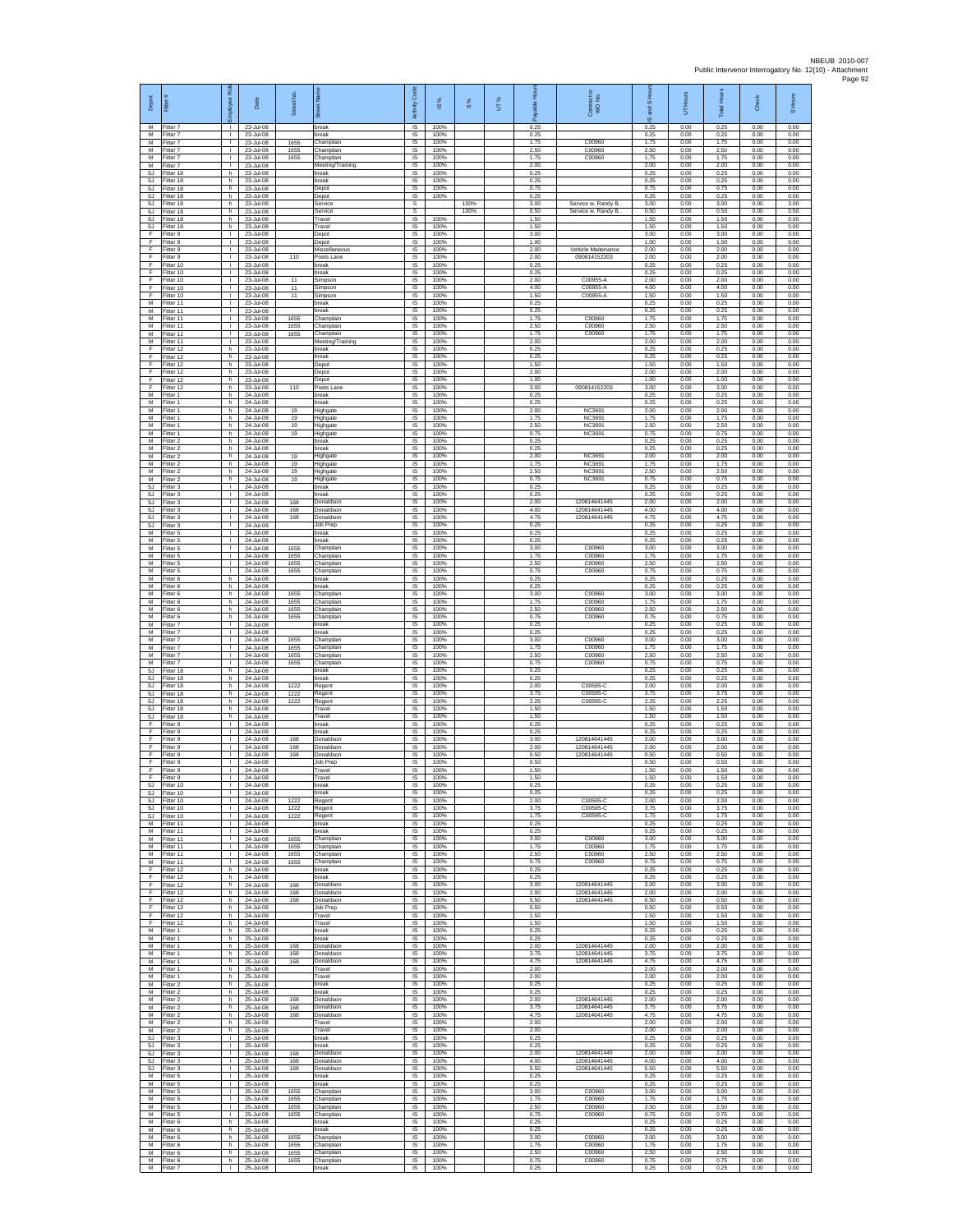| Depot                  | Fitter #                              | Rol<br>loyee                                 | Date                                    | Street No.           | eet Na<br>ā                         | Code<br>Activity            | IS %                 | $S\%$        | UT% | able Hou<br>Ē        | Contract or<br>WO No.                     | and S Ho<br>ö,       | UT Hours             | <b>Total Hours</b>   | Check                | Hours<br>$\overline{a}$ |
|------------------------|---------------------------------------|----------------------------------------------|-----------------------------------------|----------------------|-------------------------------------|-----------------------------|----------------------|--------------|-----|----------------------|-------------------------------------------|----------------------|----------------------|----------------------|----------------------|-------------------------|
| M<br>M<br>M            | Fitter 7<br>Fitter 7<br>-itter 7      | -11<br>$\mathbb{R}$<br>$\mathbf{I}$          | 23-Jul-08<br>23-Jul-08<br>23-Jul-08     | 1655                 | break<br>break<br>Champlain         | <b>IS</b><br>$\sf IS$<br>IS | 100%<br>100%<br>100% |              |     | 0.25<br>0.25<br>1.75 | C00960                                    | 0.25<br>0.25<br>1.75 | 0.00<br>0.00<br>0.00 | 0.25<br>0.25<br>1.75 | 0.00<br>0.00<br>0.00 | 0.00<br>0.00<br>0.00    |
| M<br>M                 | Fitter 7<br>Fitter 7                  | л.<br>л.                                     | 23-Jul-08<br>23-Jul-08                  | 1655<br>1655         | Champlain<br>Champlain              | -IS<br>IS                   | 100%<br>100%         |              |     | 2.50<br>175          | C00960<br>C00960                          | 2.50<br>1.75         | 0.00<br>0.00         | 2.50<br>175          | 0.00<br>0.00         | 0.00<br>0.00            |
| М<br><b>SJ</b>         | Fitter 7<br>Fitter 18                 | J.<br>h                                      | 23-Jul-08<br>23-Jul-08                  |                      | Meeting/Training<br>break           | IS<br>IS                    | 100%<br>100%         |              |     | 2.00<br>0.25         |                                           | 2.00<br>0.25         | 0.00<br>0.00         | 2.00<br>0.25         | 0.00<br>0.00         | 0.00<br>0.00            |
| SJ<br>SJ               | Fitter 18<br>Fitter 18                | h.<br>h<br>h.                                | 23-Jul-08<br>23-Jul-08                  |                      | break<br>Depot                      | IS<br>IS                    | 100%<br>100%         |              |     | 0.25<br>0.75         |                                           | 0.25<br>0.75         | 0.00<br>0.00         | 0.25<br>0.75         | 0.00<br>0.00         | 0.00<br>0.00            |
| SJ<br>SJ.<br>SJ        | Fitter 18<br>Fitter 18<br>Fitter 18   | h.<br>h                                      | 23-Jul-08<br>23-Jul-08<br>23-Jul-08     |                      | Depot<br>Service<br>Service         | $\sf IS$<br>s<br>s          | 100%                 | 100%<br>100% |     | 0.25<br>3.00<br>0.50 | Service w. Randy B<br>Service w. Randy B. | 0.25<br>3.00<br>0.50 | 0.00<br>0.00<br>0.00 | 0.25<br>3.00<br>0.50 | 0.00<br>0.00<br>0.00 | 0.00<br>3.00<br>0.50    |
| <b>SJ</b><br>SJ        | Fitter 18<br>Fitter 18                | h.<br>h                                      | 23-Jul-08<br>23-Jul-08                  |                      | Travel<br>Travel                    | IS<br>IS                    | 100%<br>100%         |              |     | 1.50<br>1.50         |                                           | 1.50<br>1.50         | 0.00<br>0.00         | 1.50<br>1.50         | 0.00<br>0.00         | 0.00<br>0.00            |
| F<br>F<br>F            | Fitter 9<br>-itter 9<br>Fitter 9      | л.<br>$\mathbf{L}$<br>т.                     | 23-Jul-08<br>23-Jul-08<br>23-Jul-08     |                      | Depot<br>Depot<br>Miscellaneous     | <b>IS</b><br>IS<br>IS       | 100%<br>100%<br>100% |              |     | 3.00<br>1.00<br>2.00 | Vehicle Maitenance                        | 3.00<br>1.00<br>2.00 | 0.00<br>0.00<br>0.00 | 3.00<br>1.00<br>2.00 | 0.00<br>0.00<br>0.00 | 0.00<br>0.00<br>0.00    |
| F<br>F                 | Fitter 9<br>Fitter 10                 | $\mathbf{L}$<br><b>ILL S</b>                 | 23-Jul-08<br>23-Jul-08                  | 110                  | Poets Lane<br>break                 | IS<br>IS                    | 100%<br>100%         |              |     | 2.00<br>0.25         | 090814152203                              | 2.00<br>0.25         | 0.00<br>0.00         | 2.00<br>0.25         | 0.00<br>0.00         | 0.00<br>0.00            |
| F<br>Ŧ                 | Fitter 10<br>Fitter 10                | т.<br>т                                      | 23-Jul-08<br>23-Jul-08                  | 11                   | break<br>Simpson                    | IS<br>IS                    | 100%<br>100%         |              |     | 0.25<br>2.00         | C00955-A                                  | 0.25<br>2.00         | 0.00<br>0.00         | 0.25<br>2.00         | 0.00<br>0.00         | 0.00<br>0.00            |
| F<br>F<br>М            | Fitter 10<br>Fitter 10<br>Fitter 11   | $\mathbf{L}$<br>$\mathbf{L}$<br>$\mathbf{I}$ | 23-Jul-08<br>23-Jul-08<br>23-Jul-08     | 11<br>11             | Simpson<br>Simpson<br>break         | IS<br>IS<br>IS              | 100%<br>100%<br>100% |              |     | 4.00<br>1.50<br>0.25 | C00955-A<br>C00955-A                      | 4.00<br>1.50<br>0.25 | 0.00<br>0.00<br>0.00 | 4.00<br>1.50<br>0.25 | 0.00<br>0.00<br>0.00 | 0.00<br>0.00<br>0.00    |
| M<br>M                 | Fitter 11<br>Fitter 11                | T.<br>л.                                     | 23-Jul-08<br>23-Jul-08                  | 1655                 | preak<br>Champlain                  | IS<br><b>IS</b>             | 100%<br>100%         |              |     | 0.25<br>1.75         | C00960                                    | 0.25<br>1.75         | 0.00<br>0.00         | 0.25<br>1.75         | 0.00<br>0.00         | 0.00<br>0.00            |
| M<br>М<br>M            | Fitter 11<br>Fitter 11<br>Fitter 11   | $\mathbf{L}$<br>$\mathbf{I}$<br>п.           | 23-Jul-08<br>23-Jul-08<br>23-Jul-08     | 1655<br>1655         | Champlain<br>Champlain              | $\sf IS$<br>IS<br><b>IS</b> | 100%<br>100%<br>100% |              |     | 2.50<br>1.75<br>2.00 | C00960<br>C00960                          | 2.50<br>1.75<br>2.00 | 0.00<br>0.00<br>0.00 | 2.50<br>1.75<br>2.00 | 0.00<br>0.00<br>0.00 | 0.00<br>0.00<br>0.00    |
| E<br>F                 | Fitter 12<br>Fitter 12                | h.<br>h                                      | 23-Jul-08<br>23-Jul-08                  |                      | Meeting/Training<br>hreak<br>break  | IS<br>IS                    | 100%<br>100%         |              |     | 0.25<br>0.25         |                                           | 0.25<br>0.25         | 0.00<br>0.00         | 0.25<br>0.25         | 0.00<br>0.00         | 0.00<br>0.00            |
| Ŧ<br>F                 | Fitter 12<br>Fitter 12                | h.<br>h.                                     | 23-Jul-08<br>23-Jul-08                  |                      | Depot<br>Depot                      | IS<br>IS                    | 100%<br>100%         |              |     | 1.50<br>2.00         |                                           | 1.50<br>2.00         | 0.00<br>0.00         | 1.50<br>2.00         | 0.00<br>0.00         | 0.00<br>0.00            |
| F<br>F<br>M            | Fitter 12<br>Fitter 12<br>Fitter 1    | h<br>h.<br>h.                                | 23-Jul-08<br>23-Jul-08<br>24-Jul-08     | 110                  | Depot<br>Poets Lane<br>break        | IS<br>$\sf IS$<br><b>IS</b> | 100%<br>100%<br>100% |              |     | 1.00<br>3.00<br>0.25 | 090814152203                              | 1.00<br>3.00<br>0.25 | 0.00<br>0.00<br>0.00 | 1.00<br>3.00<br>0.25 | 0.00<br>0.00<br>0.00 | 0.00<br>0.00<br>0.00    |
| М<br>M                 | Fitter 1<br>Fitter 1                  | h<br>h                                       | 24-Jul-08<br>24-Jul-08                  | 19                   | break<br>Highgate                   | IS<br>IS                    | 100%<br>100%         |              |     | 0.25<br>2.00         | <b>NC3691</b>                             | 0.25<br>2.00         | 0.00<br>0.00         | 0.25<br>2.00         | 0.00<br>0.00         | 0.00<br>0.00            |
| М<br>M                 | fitter 1<br>Fitter 1                  | h<br>h.                                      | 24-Jul-08<br>24-Jul-08                  | 19<br>19             | lighgate<br>Highgate                | IS<br>-IS                   | 100%<br>100%         |              |     | 1.75<br>2.50         | <b>NC3691</b><br>NC3691                   | 1.75<br>2.50         | 0.00<br>0.00         | 1.75<br>2.50         | 0.00<br>0.00         | 0.00<br>0.00            |
| M<br>М<br>M            | -itter 1<br>Fitter 2<br>Fitter 2      | h.<br>h<br>h.                                | 24-Jul-08<br>24-Jul-08<br>24-Jul-08     | 19                   | Highgate<br>break<br>break          | IS<br>IS<br>IS              | 100%<br>100%<br>100% |              |     | 0.75<br>0.25<br>0.25 | NC3691                                    | 0.75<br>0.25<br>0.25 | 0.00<br>0.00<br>0.00 | 0.75<br>0.25<br>0.25 | 0.00<br>0.00<br>0.00 | 0.00<br>0.00<br>0.00    |
| M<br>M                 | Fitter 2<br>Fitter 2                  | h.<br>h                                      | 24-Jul-08<br>24-Jul-08                  | 19<br>19             | Highgate<br>lighgate                | IS<br>IS                    | 100%<br>100%         |              |     | 2.00<br>1.75         | NC3691<br>NC3691                          | 2.00<br>1.75         | 0.00<br>0.00         | 2.00<br>1.75         | 0.00<br>0.00         | 0.00<br>0.00            |
| M<br>M                 | Fitter 2<br>Fitter 2<br>Fitter 3      | h.<br>h.<br>$\mathbf{L}$                     | 24-Jul-08<br>24-Jul-08                  | 19<br>19             | Highgate<br>Highgate<br>break       | IS<br>IS<br>IS              | 100%<br>100%<br>100% |              |     | 2.50<br>0.75<br>0.25 | NC3691<br>NC3691                          | 2.50<br>0.75<br>0.25 | 0.00<br>0.00<br>0.00 | 2.50<br>0.75<br>0.25 | 0.00<br>0.00<br>0.00 | 0.00<br>0.00<br>0.00    |
| SJ<br>SJ<br>SJ.        | Fitter 3<br>Fitter 3                  | т.<br>т.                                     | 24-Jul-08<br>24-Jul-08<br>24-Jul-08     | 168                  | break<br>Donaldson                  | IS<br>IS                    | 100%<br>100%         |              |     | 0.25<br>2.00         | 120814641445                              | 0.25<br>2.00         | 0.00<br>0.00         | 0.25<br>2.00         | 0.00<br>0.00         | 0.00<br>0.00            |
| SJ<br>SJ               | -itter 3<br>-itter 3                  | л.<br>$\mathbf{L}$                           | 24-Jul-08<br>24-Jul-08                  | 168<br>168           | Donaldson<br>Donaldson              | <b>IS</b><br>$\sf IS$       | 100%<br>100%         |              |     | 4.00<br>4.75         | 120814641445<br>120814641445              | 4.00<br>4.75         | 0.00<br>0.00         | 4.00<br>4.75         | 0.00<br>0.00         | 0.00<br>0.00            |
| SJ<br>M<br>M           | -itter 3<br>Fitter 5<br>Fitter 5      | $\mathbf{I}$<br>п.<br>л.                     | 24-Jul-08<br>24-Jul-08<br>24-Jul-08     |                      | Job Prep<br>break<br>hreak          | IS<br><b>IS</b><br>IS       | 100%<br>100%<br>100% |              |     | 0.25<br>0.25<br>0.25 |                                           | 0.25<br>0.25<br>0.25 | 0.00<br>0.00<br>0.00 | 0.25<br>0.25<br>0.25 | 0.00<br>0.00<br>0.00 | 0.00<br>0.00<br>0.00    |
| М<br>M                 | Fitter 5<br>Fitter 5                  | т.<br>т.                                     | 24-Jul-08<br>24-Jul-08                  | 1655<br>1655         | Champlain<br>Champlain              | IS<br>IS                    | 100%<br>100%         |              |     | 3.00<br>1.75         | C00960<br>C00960                          | 3.00<br>1.75         | 0.00<br>0.00         | 3.00<br>1.75         | 0.00<br>0.00         | 0.00<br>0.00            |
| M<br>М                 | Fitter 5<br>Fitter 5                  | т.<br>$\mathbf{L}$                           | 24-Jul-08<br>24-Jul-08                  | 1655<br>1655         | Champlain<br>Champlain              | IS<br>IS                    | 100%<br>100%         |              |     | 2.50<br>0.75         | C00960<br>C00960                          | 2.50<br>0.75         | 0.00<br>0.00         | 2.50<br>0.75         | 0.00<br>0.00         | 0.00<br>0.00            |
| M<br>M<br>M            | Fitter 6<br>Fitter 6<br>Fitter 6      | h.<br>h.<br>h                                | 24-Jul-08<br>24-Jul-08<br>24-Jul-08     | 1655                 | break<br>oreak<br>Champlain         | $\sf IS$<br><b>IS</b><br>IS | 100%<br>100%<br>100% |              |     | 0.25<br>0.25<br>3.00 | C00960                                    | 0.25<br>0.25<br>3.00 | 0.00<br>0.00<br>0.00 | 0.25<br>0.25<br>3.00 | 0.00<br>0.00<br>0.00 | 0.00<br>0.00<br>0.00    |
| М<br>М                 | Fitter 6<br>Fitter 6                  | h<br>h                                       | 24-Jul-08<br>24-Jul-08                  | 1655<br>1655         | Champlain<br>hamplain               | IS<br>IS                    | 100%<br>100%         |              |     | 1.75<br>2.50         | C00960<br>C00960                          | 1.75<br>2.50         | 0.00<br>0.00         | 1.75<br>2.50         | 0.00<br>0.00         | 0.00<br>0.00            |
| M<br>M<br>М            | Fitter 6<br>-itter 7<br>Fitter 7      | h.<br>$\mathbf{L}$<br>т.                     | 24-Jul-08<br>24-Jul-08<br>24-Jul-08     | 1655                 | Champlain<br>hreak<br>break         | <b>IS</b><br>IS<br>IS       | 100%<br>100%<br>100% |              |     | 0.75<br>0.25<br>0.25 | C00960                                    | 0.75<br>0.25<br>0.25 | 0.00<br>0.00<br>0.00 | 0.75<br>0.25<br>0.25 | 0.00<br>0.00<br>0.00 | 0.00<br>0.00<br>0.00    |
| M<br>M                 | Fitter 7<br>Fitter 7                  | $\mathbf{L}$<br><b>ILL S</b>                 | 24-Jul-08<br>24-Jul-08                  | 1655<br>1655         | Champlain<br>Champlain              | IS<br>IS                    | 100%<br>100%         |              |     | 3.00<br>1.75         | C00960<br>C00960                          | 3.00<br>1.75         | 0.00<br>0.00         | 3.00<br>1.75         | 0.00<br>0.00         | 0.00<br>0.00            |
| M<br>M<br><b>SJ</b>    | Fitter 7<br>Fitter 7<br>Fitter 18     | ٠<br>$\mathbf{L}$<br>h.                      | 24-Jul-08<br>24-Jul-08<br>24-Jul-08     | 1655<br>1655         | Champlain<br>Champlain<br>break     | IS<br>IS<br>IS              | 100%<br>100%<br>100% |              |     | 2.50<br>0.75<br>0.25 | C00960<br>C00960                          | 2.50<br>0.75<br>0.25 | 0.00<br>0.00<br>0.00 | 2.50<br>0.75<br>0.25 | 0.00<br>0.00<br>0.00 | 0.00<br>0.00<br>0.00    |
| SJ<br>SJ               | Fitter 18<br>Fitter 18                | h<br>h.                                      | 24-Jul-08<br>24-Jul-08                  | 1222                 | break<br>Regent                     | IS<br>IS                    | 100%<br>100%         |              |     | 0.25<br>2.00         | C00595-C                                  | 0.25<br>2.00         | 0.00<br>0.00         | 0.25<br>2.00         | 0.00<br>0.00         | 0.00<br>0.00            |
| SJ.<br>SJ              | Fitter 18<br>Fitter 18                | h<br>h.                                      | 24-Jul-08<br>24-Jul-08                  | 1222<br>1222         | Regent<br>Regent                    | IS<br><b>IS</b>             | 100%<br>100%         |              |     | 3.75<br>2.25         | C00595-0<br>C00595-C                      | 3.75<br>2.25         | 0.00<br>0.00         | 3.75<br>2.25         | 0.00<br>0.00         | 0.00<br>0.00            |
| SJ<br>SJ<br>F          | Fitter 18<br>Fitter 18<br>Fitter 9    | h<br>$\mathsf{h}$<br>л.                      | 24-Jul-08<br>24-Jul-08<br>24-Jul-08     |                      | Travel<br>Travel<br>break           | $\sf IS$<br>IS<br><b>IS</b> | 100%<br>100%<br>100% |              |     | 1.50<br>1.50<br>0.25 |                                           | 1.50<br>1.50<br>0.25 | 0.00<br>0.00<br>0.00 | 1.50<br>1.50<br>0.25 | 0.00<br>0.00<br>0.00 | 0.00<br>0.00<br>0.00    |
| E<br>F                 | Fitter 9<br>Fitter 9                  | $\mathbf{L}$<br>J.                           | 24-Jul-08<br>24-Jul-08                  | 168                  | hreak<br>Donaldson                  | IS<br>IS                    | 100%<br>100%         |              |     | 0.25<br>3.00         | 120814641445                              | 0.25<br>3.00         | 0.00<br>0.00         | 0.25<br>3.00         | 0.00<br>0.00         | 0.00<br>0.00            |
| F<br>F<br>F            | Fitter 9<br>Fitter 9<br>-itter 9      | т.<br>т.<br>л.                               | 24-Jul-08<br>24-Jul-08<br>24-Jul-08     | 168<br>168           | Donaldson<br>Donaldson<br>Job Prep  | IS<br><b>IS</b><br>IS       | 100%<br>100%<br>100% |              |     | 2.00<br>0.50<br>0.50 | 120814641445<br>120814641445              | 2.00<br>0.50<br>0.50 | 0.00<br>0.00<br>0.00 | 2.00<br>0.50<br>0.50 | 0.00<br>0.00<br>0.00 | 0.00<br>0.00<br>0.00    |
| F<br>F                 | Fitter 9<br>Fitter 9                  | $\mathbf{L}$<br>$\mathbf{I}$                 | 24-Jul-08<br>24-Jul-08                  |                      | Travel<br>Travel                    | $\sf IS$<br><b>IS</b>       | 100%<br>100%         |              |     | 1.50<br>1.50         |                                           | 1.50<br>1.50         | 0.00<br>0.00         | 1.50<br>1.50         | 0.00<br>0.00         | 0.00<br>0.00            |
| S.I<br>SJ<br><b>SJ</b> | Fitter 10<br>Fitter 10<br>Fitter 10   | $\mathbf{I}$<br>٠<br>$\mathbf{I}$            | 24-Jul-08<br>24-Jul-08<br>24-Jul-08     | 1222                 | break<br>break<br>Regent            | <b>IS</b><br>IS<br>IS       | 100%<br>100%<br>100% |              |     | 0.25<br>0.25<br>2.00 | C00595-0                                  | 0.25<br>0.25<br>2.00 | 0.00<br>0.00<br>0.00 | 0.25<br>0.25<br>2.00 | 0.00<br>0.00<br>0.00 | 0.00<br>0.00<br>0.00    |
| SJ.<br>SJ.             | Fitter 10<br>Fitter 10                | $\mathbf{L}$<br>$\mathbf{L}$                 | 24-Jul-08<br>24-Jul-08                  | 1222<br>1222         | Regent<br>Regent                    | -IS<br>IS.                  | 100%<br>100%         |              |     | 3.75<br>1.75         | C00595-C<br>C00595-C                      | 3.75<br>1.75         | 0.00<br>0.00         | 3.75<br>1.75         | 0.00<br>0.00         | 0.00<br>0.00            |
| М<br>M                 | Fitter 11<br>Fitter 11                | т.<br>т                                      | 24-Jul-08<br>24-Jul-08                  |                      | break<br>break                      | IS<br>IS                    | 100%<br>100%         |              |     | 0.25<br>0.25         |                                           | 0.25<br>0.25         | 0.00<br>0.00         | 0.25<br>0.25         | 0.00<br>0.00         | 0.00<br>0.00            |
| M<br>M                 | M Fitter 11<br>Fitter 11<br>Fitter 11 | <b>ILL ST</b><br>т.<br>т                     | 24-Jul-08<br>24-Jul-08<br>24-Jul-08     | 1655<br>1655<br>1655 | Champlain<br>Champlain<br>Champlain | IS<br>IS<br>IS              | 100%<br>100%<br>100% |              |     | 3.00<br>1.75<br>2.50 | C00960<br>C00960<br>C00960                | 3.00<br>1.75<br>2.50 | 0.00<br>0.00<br>0.00 | 3.00<br>1.75<br>2.50 | 0.00<br>0.00<br>0.00 | 0.00<br>0.00<br>0.00    |
| M<br>E                 | Fitter 11<br>Fitter 12                | h                                            | 24-Jul-08<br>24-Jul-08                  | 1655                 | Champlain<br>break                  | IS<br>IS                    | 100%<br>100%         |              |     | 0.75<br>0.25         | C00960                                    | 0.75<br>0.25         | 0.00<br>0.00         | 0.75<br>0.25         | 0.00<br>0.00         | 0.00<br>0.00            |
| F<br>F<br>F            | Fitter 12<br>Fitter 12<br>Fitter 12   | ħ<br>h<br>h                                  | 24-Jul-08<br>24-Jul-08<br>24-Jul-08     | 168<br>168           | break<br>Donaldson<br>Donaldson     | IS<br>IS<br>- IS            | 100%<br>100%<br>100% |              |     | 0.25<br>3.00<br>2.00 | 120814641445<br>120814641445              | 0.25<br>3.00<br>2.00 | 0.00<br>0.00<br>0.00 | 0.25<br>3.00<br>2.00 | 0.00<br>0.00<br>0.00 | 0.00<br>0.00<br>0.00    |
| F.<br>F                | Fitter 12<br>Fitter 12                | h<br>$\,$ h                                  | 24-Jul-08<br>24-Jul-08                  | 168                  | Donaldson<br>Job Prep               | IS<br>IS                    | 100%<br>100%         |              |     | 0.50<br>0.50         | 120814641445                              | 0.50<br>0.50         | 0.00<br>0.00         | 0.50<br>0.50         | 0.00<br>0.00         | 0.00<br>0.00            |
| F<br>F.<br>М           | Fitter 12<br>Fitter 12<br>Fitter 1    | h.<br>h<br>h                                 | 24-Jul-08<br>$24 - h + 08$<br>25-Jul-08 |                      | Travel<br>Travel<br>break           | - IS<br>IS<br>IS            | 100%<br>100%<br>100% |              |     | 1.50<br>1.50<br>0.25 |                                           | 1.50<br>1.50<br>0.25 | 0.00<br>0.00<br>0.00 | 1.50<br>1.50<br>0.25 | 0.00<br>0.00<br>0.00 | 0.00<br>0.00<br>0.00    |
| M<br>M                 | Fitter 1<br>Fitter 1                  | h<br>h.                                      | 25-Jul-08<br>25-Jul-08                  | 168                  | break<br>Donaldson                  | IS<br>IS                    | 100%<br>100%         |              |     | 0.25<br>2.00         | 120814641445                              | 0.25<br>2.00         | 0.00<br>0.00         | 0.25<br>2.00         | 0.00<br>0.00         | 0.00<br>0.00            |
| M<br>M                 | Fitter 1<br>Fitter 1                  | h<br>h                                       | 25-Jul-08<br>25-Jul-08                  | 168<br>168           | Donaldson<br>Donaldson              | IS<br>$\sf IS$              | 100%<br>100%         |              |     | 3.75<br>4.75         | 120814641445<br>120814641445              | 3.75<br>4.75         | 0.00<br>0.00         | 3.75<br>4.75         | 0.00<br>0.00         | 0.00<br>0.00            |
| M<br>M<br>M            | Fitter 1<br>Fitter 1<br>Fitter 2      | h<br>h<br>h.                                 | 25-Jul-08<br>25-Jul-08<br>25-Jul-08     |                      | Travel<br>Travel<br>break           | IS<br>IS<br>IS              | 100%<br>100%<br>100% |              |     | 2.00<br>2.00<br>0.25 |                                           | 2.00<br>2.00<br>0.25 | 0.00<br>0.00<br>0.00 | 2.00<br>2.00<br>0.25 | 0.00<br>0.00<br>0.00 | 0.00<br>0.00<br>0.00    |
| М<br>M                 | Fitter 2<br>Fitter 2                  | h<br>h.                                      | 25-Jul-08<br>25-Jul-08                  | 168                  | break<br>Donaldson                  | IS<br>- IS                  | 100%<br>100%         |              |     | 0.25<br>2.00         | 120814641445                              | 0.25<br>2.00         | 0.00<br>0.00         | 0.25<br>2.00         | 0.00<br>0.00         | 0.00<br>0.00            |
| M<br>М<br>M            | Fitter 2<br>Fitter 2<br>Fitter 2      | h.<br>h<br>h                                 | 25-Jul-08<br>25-Jul-08<br>25-Jul-08     | 168<br>168           | Donaldson<br>Donaldson<br>Travel    | IS.<br>IS<br>IS             | 100%<br>100%<br>100% |              |     | 3.75<br>4.75<br>2.00 | 120814641445<br>120814641445              | 3.75<br>4.75<br>2.00 | 0.00<br>0.00<br>0.00 | 3.75<br>4.75<br>2.00 | 0.00<br>0.00<br>0.00 | 0.00<br>0.00<br>0.00    |
| <b>SJ</b>              | M Fitter 2<br>Fitter 3                | h.<br>т.                                     | 25-Jul-08<br>25-Jul-08                  |                      | Travel<br>break                     | IS<br>IS                    | 100%<br>100%         |              |     | 2.00<br>0.25         |                                           | 2.00<br>0.25         | 0.00<br>0.00         | 2.00<br>0.25         | 0.00<br>0.00         | 0.00<br>0.00            |
| SJ.<br>SJ.             | Fitter 3<br>Fitter 3<br>Fitter 3      | т<br>$\mathbf{L}$                            | 25-Jul-08<br>25-Jul-08                  | 168                  | break<br>Donaldson                  | IS<br>IS                    | 100%<br>100%         |              |     | 0.25<br>2.00<br>4.00 | 120814641445<br>120814641445              | 0.25<br>2.00         | 0.00<br>0.00         | 0.25<br>2.00         | 0.00<br>0.00         | 0.00<br>0.00            |
| SJ<br>SJ<br>M          | Fitter 3<br>Fitter 5                  | т<br>т.                                      | 25-Jul-08<br>25-Jul-08<br>25-Jul-08     | 168<br>168           | Donaldson<br>Donaldson<br>break     | IS<br>IS<br>IS              | 100%<br>100%<br>100% |              |     | 5.50<br>0.25         | 120814641445                              | 4.00<br>5.50<br>0.25 | 0.00<br>0.00<br>0.00 | 4.00<br>5.50<br>0.25 | 0.00<br>0.00<br>0.00 | 0.00<br>0.00<br>0.00    |
| M<br>M                 | Fitter 5<br>Fitter 5                  | л.<br>$\mathbb{R}$                           | 25-Jul-08<br>25-Jul-08                  | 1655                 | break<br>Champlain                  | - IS<br>$\sf IS$            | 100%<br>100%         |              |     | 0.25<br>3.00         | C00960                                    | 0.25<br>3.00         | 0.00<br>0.00         | 0.25<br>3.00         | 0.00<br>0.00         | 0.00<br>0.00            |
| М<br>M<br>M            | -itter 5<br>Fitter 5<br>Fitter 5      | $\mathbf{I}$<br>л.<br>$\mathbf{L}$           | 25-Jul-08<br>25-Jul-08<br>25-Jul-08     | 1655<br>1655<br>1655 | Champlain<br>Champlain<br>Champlain | IS<br>- IS<br>IS.           | 100%<br>100%<br>100% |              |     | 1.75<br>2.50<br>0.75 | C00960<br>C00960<br>C00960                | 1.75<br>2.50<br>0.75 | 0.00<br>0.00<br>0.00 | 1.75<br>2.50<br>0.75 | 0.00<br>0.00<br>0.00 | 0.00<br>0.00<br>0.00    |
| М<br>M                 | Fitter 6<br>Fitter 6                  | h<br>h                                       | 25-Jul-08<br>25-Jul-08                  |                      | break<br>break                      | IS<br>IS                    | 100%<br>100%         |              |     | 0.25<br>0.25         |                                           | 0.25<br>0.25         | 0.00<br>0.00         | 0.25<br>0.25         | 0.00<br>0.00         | 0.00<br>0.00            |
| M<br>${\sf M}$<br>M    | Fitter 6<br>-itter 6<br>Fitter 6      | h.<br>h<br>h                                 | 25-Jul-08<br>25-Jul-08<br>25-Jul-08     | 1655<br>1655<br>1655 | Champlain<br>Champlain              | - IS<br>IS<br>$\sf IS$      | 100%<br>100%<br>100% |              |     | 3.00<br>1.75<br>2.50 | C00960<br>C00960<br>C00960                | 3.00<br>1.75<br>2.50 | 0.00<br>0.00<br>0.00 | 3.00<br>1.75<br>2.50 | 0.00<br>0.00<br>0.00 | 0.00<br>0.00<br>0.00    |
| M<br>M                 | Fitter 6<br>Fitter 7                  | h<br>$\mathbf{1}$                            | 25-Jul-08<br>25-Jul-08                  | 1655                 | Champlain<br>Champlain<br>break     | IS<br>IS                    | 100%<br>100%         |              |     | 0.75<br>0.25         | C00960                                    | 0.75<br>0.25         | 0.00<br>0.00         | 0.75<br>0.25         | 0.00<br>0.00         | 0.00<br>0.00            |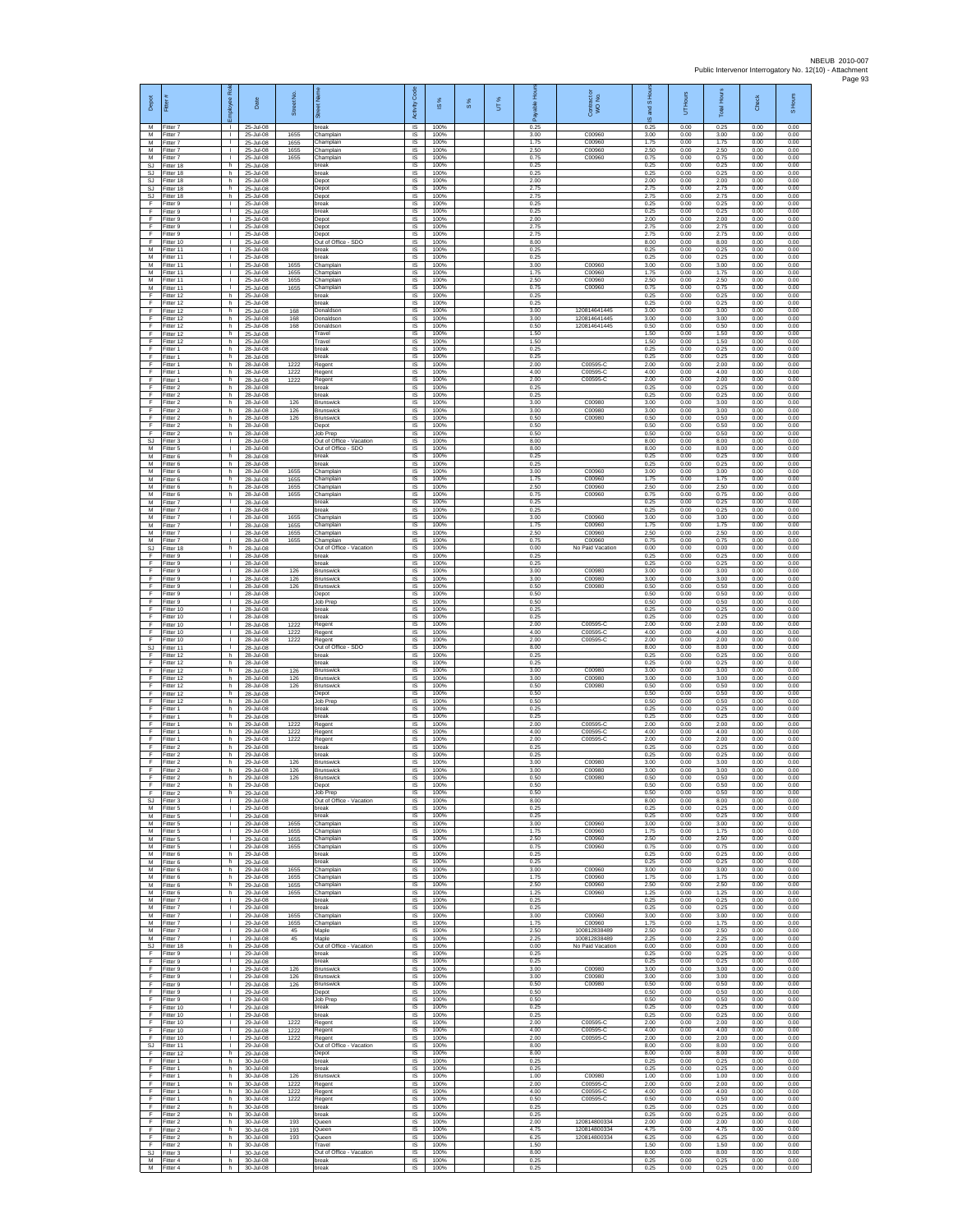| Depot                       | Fitter                              | ē<br>ployee                              | Date                                | ş<br><b>Street</b>   |                                                          | Code<br>Activity                    | $\overline{\omega}$  | $\frac{8}{3}$ | UT% | Ē<br>å               | Contract or<br>WO No.                  | IS Hour<br>g<br>$\overline{\omega}$ | UT Hours             | Total Hours          | Check                | S Hours              |
|-----------------------------|-------------------------------------|------------------------------------------|-------------------------------------|----------------------|----------------------------------------------------------|-------------------------------------|----------------------|---------------|-----|----------------------|----------------------------------------|-------------------------------------|----------------------|----------------------|----------------------|----------------------|
| м<br>М                      | Fitter 7<br>Fitter 7                | $\mathbf{L}$<br>$\mathbf{L}$             | 25-Jul-08<br>25-Jul-08              | 1655                 | break<br>Champlair                                       | $\overline{\mathsf{S}}$<br>$\sf IS$ | 100%<br>100%         |               |     | 0.25<br>3.00         | C00960                                 | 0.25<br>3.00                        | 0.00<br>0.00         | 0.25<br>3.00         | 0.00<br>0.00         | 0.00<br>0.00         |
| M<br>$\overline{M}$         | itter 7<br>Fitter 7                 | $\mathbf{L}$<br>л.                       | 25-Jul-08<br>25-Jul-08              | 1655<br>1655         | Champlain<br>Champlain                                   | IS<br>IS                            | 100%<br>100%         |               |     | 1.75<br>2.50         | C00960<br>C00960                       | 1.75<br>2.50                        | 0.00<br>0.00         | 1.75<br>2.50         | 0.00<br>0.00         | 0.00<br>0.00         |
| M<br>SJ<br><b>SJ</b>        | Fitter 7<br>Fitter 18<br>fitter 18  | т.<br>h.<br>h.                           | 25-Jul-08<br>25-Jul-08<br>25-Jul-08 | 1655                 | Champlain<br>break<br>preak                              | IS<br>IS<br>IS                      | 100%<br>100%<br>100% |               |     | 0.75<br>0.25<br>0.25 | C00960                                 | 0.75<br>0.25<br>0.25                | 0.00<br>0.00<br>0.00 | 0.75<br>0.25<br>0.25 | 0.00<br>0.00<br>0.00 | 0.00<br>0.00<br>0.00 |
| SJ<br>SJ                    | Fitter 18<br>Fitter 18              | h.<br>h.                                 | 25-Jul-08<br>25-Jul-08              |                      | Depot<br>Depot                                           | IS<br>IS                            | 100%<br>100%         |               |     | 2.00<br>2.75         |                                        | 2.00<br>2.75                        | 0.00<br>0.00         | 2.00<br>2.75         | 0.00<br>0.00         | 0.00<br>0.00         |
| SJ<br>F                     | Fitter 18<br>Fitter 9               | h<br>$\mathbf{I}$                        | 25-Jul-08<br>25-Jul-08              |                      | Depot<br>break                                           | $\sf IS$<br><b>IS</b>               | 100%<br>100%         |               |     | 2.75<br>0.25         |                                        | 2.75<br>0.25                        | 0.00<br>0.00         | 2.75<br>0.25         | 0.00<br>0.00         | 0.00<br>0.00         |
| F<br>F<br>F                 | Fitter 9<br>-itter 9<br>fitter 9    | т.<br>٠<br>т                             | 25-Jul-08<br>25-Jul-08<br>25-Jul-08 |                      | break<br>Depot<br>Depot                                  | IS<br>IS<br>IS                      | 100%<br>100%<br>100% |               |     | 0.25<br>2.00<br>2.75 |                                        | 0.25<br>2.00<br>2.75                | 0.00<br>0.00<br>0.00 | 0.25<br>2.00<br>2.75 | 0.00<br>0.00<br>0.00 | 0.00<br>0.00<br>0.00 |
| F<br>F                      | Fitter 9<br>fitter 10               | $\mathbf{L}$<br>т.                       | 25-Jul-08<br>25-Jul-08              |                      | Depot<br>Out of Office - SDO                             | IS<br>IS                            | 100%<br>100%         |               |     | 2.75<br>8.00         |                                        | 2.75<br>8.00                        | 0.00<br>0.00         | 2.75<br>8.00         | 0.00<br>0.00         | 0.00<br>0.00         |
| M<br>M                      | Fitter 11<br>fitter 11              | $\mathbf{I}$<br>T.                       | 25-Jul-08<br>25-Jul-08              |                      | break<br>preak                                           | IS<br>IS                            | 100%<br>100%         |               |     | 0.25<br>0.25         |                                        | 0.25<br>0.25                        | 0.00<br>0.00         | 0.25<br>0.25         | 0.00<br>0.00         | 0.00<br>0.00         |
| M<br>М<br>М                 | Fitter 11<br>Fitter 11<br>itter 11  | L.<br>$\mathbf{L}$<br>T.                 | 25-Jul-08<br>25-Jul-08<br>25-Jul-08 | 1655<br>1655<br>1655 | Champlain<br>Champlain<br>Champlain                      | IS<br>$\sf IS$<br>IS                | 100%<br>100%<br>100% |               |     | 3.00<br>1.75<br>2.50 | C00960<br>C00960<br>C00960             | 3.00<br>1.75<br>2.50                | 0.00<br>0.00<br>0.00 | 3.00<br>1.75<br>2.50 | 0.00<br>0.00<br>0.00 | 0.00<br>0.00<br>0.00 |
| M<br>F                      | Fitter 11<br>Fitter 12              | л.<br>h.                                 | 25-Jul-08<br>25-Jul-08              | 1655                 | Champlain<br>break                                       | IS<br>IS                            | 100%<br>100%         |               |     | 0.75<br>0.25         | C00960                                 | 0.75<br>0.25                        | 0.00<br>0.00         | 0.75<br>0.25         | 0.00<br>0.00         | 0.00<br>0.00         |
| F<br>F                      | Fitter 12<br>Fitter 12              | h<br>h.                                  | 25-Jul-08<br>25-Jul-08              | 168                  | break<br>Donaldson                                       | IS<br>IS                            | 100%<br>100%         |               |     | 0.25<br>3.00         | 120814641445                           | 0.25<br>3.00                        | 0.00<br>0.00         | 0.25<br>3.00         | 0.00<br>0.00         | 0.00<br>0.00         |
| F<br>F                      | Fitter 12<br>itter 12               | h.<br>h                                  | 25-Jul-08<br>25-Jul-08              | 168<br>168           | Donaldson<br>Donaldson                                   | IS<br>IS                            | 100%<br>100%         |               |     | 3.00<br>0.50         | 120814641445<br>120814641445           | 3.00<br>0.50                        | 0.00<br>0.00         | 3.00<br>0.50         | 0.00<br>0.00         | 0.00<br>0.00         |
| F<br>F<br>F                 | litter 12<br>Fitter 12<br>Fitter 1  | h.<br>h.<br>h                            | 25-Jul-08<br>25-Jul-08<br>28-Jul-08 |                      | Travel<br>Travel<br>break                                | $\sf IS$<br><b>IS</b><br>IS         | 100%<br>100%<br>100% |               |     | 1.50<br>1.50<br>0.25 |                                        | 1.50<br>1.50<br>0.25                | 0.00<br>0.00<br>0.00 | 1.50<br>1.50<br>0.25 | 0.00<br>0.00<br>0.00 | 0.00<br>0.00<br>0.00 |
| F<br>F                      | Fitter 1<br>itter 1                 | h<br>h.                                  | 28-Jul-08<br>28-Jul-08              | 1222                 | break<br>Regent                                          | IS<br>IS                            | 100%<br>100%         |               |     | 0.25<br>2.00         | C00595-C                               | 0.25<br>2.00                        | 0.00<br>0.00         | 0.25<br>2.00         | 0.00<br>0.00         | 0.00<br>0.00         |
| F<br>F                      | Fitter 1<br>Fitter 1                | h.<br>h.                                 | 28-Jul-08<br>28-Jul-08              | 1222<br>1222         | Regent<br>Regent                                         | IS<br>IS                            | 100%<br>100%         |               |     | 4.00<br>2.00         | C00595-C<br>C00595-C                   | 4.00<br>2.00                        | 0.00<br>0.00         | 4.00<br>2.00         | 0.00<br>0.00         | 0.00<br>0.00         |
| F<br>F<br>F                 | Fitter 2<br>Fitter 2<br>Fitter 2    | h<br>h.<br>h                             | 28-Jul-08<br>28-Jul-08<br>28-Jul-08 | 126                  | break<br>break<br>Brunswick                              | $\sf IS$<br><b>IS</b><br>IS         | 100%<br>100%<br>100% |               |     | 0.25<br>0.25<br>3.00 | C00980                                 | 0.25<br>0.25<br>3.00                | 0.00<br>0.00<br>0.00 | 0.25<br>0.25<br>3.00 | 0.00<br>0.00<br>0.00 | 0.00<br>0.00<br>0.00 |
| F<br>F                      | fitter 2<br>fitter 2                | h<br>h.                                  | 28-Jul-08<br>28-Jul-08              | 126<br>126           | Brunswick<br>Brunswick                                   | IS<br>IS                            | 100%<br>100%         |               |     | 3.00<br>0.50         | C00980<br>C00980                       | 3.00<br>0.50                        | 0.00<br>0.00         | 3.00<br>0.50         | 0.00<br>0.00         | 0.00<br>0.00         |
| F<br>F                      | Fitter 2<br>Fitter 2                | h.<br>h                                  | 28-Jul-08<br>28-Jul-08              |                      | Depot<br>Job Prep                                        | IS<br>IS                            | 100%<br>100%         |               |     | 0.50<br>0.50         |                                        | 0.50<br>0.50                        | 0.00<br>0.00         | 0.50<br>0.50         | 0.00<br>0.00         | 0.00<br>0.00         |
| SJ<br>M<br>M                | Fitter 3<br>fitter 5<br>Fitter 6    | $\mathbf{I}$<br>T.<br>h                  | 28-Jul-08<br>28-Jul-08<br>28-Jul-08 |                      | Out of Office - Vacation<br>Out of Office - SDO<br>break | IS<br>IS<br>IS                      | 100%<br>100%<br>100% |               |     | 8.00<br>8.00<br>0.25 |                                        | 8.00<br>8.00<br>0.25                | 0.00<br>0.00<br>0.00 | 8.00<br>8.00<br>0.25 | 0.00<br>0.00<br>0.00 | 0.00<br>0.00<br>0.00 |
| М<br>M                      | Fitter 6<br>itter 6                 | h.<br>h.                                 | 28-Jul-08<br>28-Jul-08              | 1655                 | break<br>Champlain                                       | $\sf IS$<br>IS                      | 100%<br>100%         |               |     | 0.25<br>3.00         | C00960                                 | 0.25<br>3.00                        | 0.00<br>0.00         | 0.25<br>3.00         | 0.00<br>0.00         | 0.00<br>0.00         |
| M<br>M                      | Fitter 6<br>Fitter 6                | h<br>h.                                  | 28-Jul-08<br>28-Jul-08              | 1655<br>1655         | Champlain<br>Champlain                                   | -IS<br>IS                           | 100%<br>100%         |               |     | 1.75<br>2.50         | C00960<br>C00960                       | 1.75<br>2.50                        | 0.00<br>0.00         | 1.75<br>2.50         | 0.00<br>0.00         | 0.00<br>0.00         |
| М<br>M<br>M                 | Fitter 6<br>Fitter 7<br>Fitter 7    | h.<br>т.<br>л.                           | 28-Jul-08<br>28-Jul-08<br>28-Jul-08 | 1655                 | Champlain<br>break<br>break                              | IS<br>IS<br>IS                      | 100%<br>100%<br>100% |               |     | 0.75<br>0.25<br>0.25 | C00960                                 | 0.75<br>0.25<br>0.25                | 0.00<br>0.00<br>0.00 | 0.75<br>0.25<br>0.25 | 0.00<br>0.00<br>0.00 | 0.00<br>0.00<br>0.00 |
| М<br>M                      | Fitter 7<br>itter 7                 | т.<br>$\mathbf{L}$                       | 28-Jul-08<br>28-Jul-08              | 1655<br>1655         | Champlain<br>Champlain                                   | $\sf IS$<br>IS                      | 100%<br>100%         |               |     | 3.00<br>1.75         | C00960<br>C00960                       | 3.00<br>1.75                        | 0.00<br>0.00         | 3.00<br>1.75         | 0.00<br>0.00         | 0.00<br>0.00         |
| M<br>M                      | Fitter 7<br>Fitter 7                | $\mathbf{L}$<br>т.                       | 28-Jul-08<br>28-Jul-08              | 1655<br>1655         | Champlain<br>Champlain                                   | IS<br>IS                            | 100%<br>100%         |               |     | 2.50<br>0.75         | C00960<br>C00960                       | 2.50<br>0.75                        | 0.00<br>0.00         | 2.50<br>0.75         | 0.00<br>0.00         | 0.00<br>0.00         |
| SJ<br>F<br>E                | Fitter 18<br>fitter 9               | h<br>T.<br>л.                            | 28-Jul-08<br>28-Jul-08<br>28-Jul-08 |                      | Out of Office - Vacation<br>preak<br>break               | IS<br>IS<br>IS                      | 100%<br>100%<br>100% |               |     | 0.00<br>0.25<br>0.25 | No Paid Vacation                       | 0.00<br>0.25<br>0.25                | 0.00<br>0.00<br>0.00 | 0.00<br>0.25<br>0.25 | 0.00<br>0.00<br>0.00 | 0.00<br>0.00<br>0.00 |
| F<br>F                      | Fitter 9<br>Fitter 9<br>Fitter 9    | $\mathbf{L}$<br>T.                       | 28-Jul-08<br>28-Jul-08              | 126<br>126           | Brunswick<br><b>Brunswick</b>                            | IS<br>$\sf IS$                      | 100%<br>100%         |               |     | 3.00<br>3.00         | C00980<br>C00980                       | 3.00<br>3.00                        | 0.00<br>0.00         | 3.00<br>3.00         | 0.00<br>0.00         | 0.00<br>0.00         |
| F<br>F                      | Fitter 9<br>Fitter 9                | $\mathbf{I}$<br>т.                       | 28-Jul-08<br>28-Jul-08              | 126                  | <b>Brunswick</b><br>Depot                                | <b>IS</b><br>IS                     | 100%<br>100%         |               |     | 0.50<br>0.50         | C00980                                 | 0.50<br>0.50                        | 0.00<br>0.00         | 0.50<br>0.50         | 0.00<br>0.00         | 0.00<br>0.00         |
| F<br>F<br>F                 | Fitter 9<br>fitter 10<br>Fitter 10  | ٠<br>т<br>$\mathbf{L}$                   | 28-Jul-08<br>28-Jul-08<br>28-Jul-08 |                      | Job Prep<br>break<br>break                               | IS<br>IS<br>IS                      | 100%<br>100%<br>100% |               |     | 0.50<br>0.25<br>0.25 |                                        | 0.50<br>0.25<br>0.25                | 0.00<br>0.00<br>0.00 | 0.50<br>0.25<br>0.25 | 0.00<br>0.00<br>0.00 | 0.00<br>0.00<br>0.00 |
| F<br>F                      | litter 10<br>Fitter 10              | т.<br>т.                                 | 28-Jul-08<br>28-Jul-08              | 1222<br>1222         | Regent<br>Regent                                         | IS<br>IS                            | 100%<br>100%         |               |     | 2.00<br>4.00         | C00595-C<br>C00595-C                   | 2.00<br>4.00                        | 0.00<br>0.00         | 2.00<br>4.00         | 0.00<br>0.00         | 0.00<br>0.00         |
| F<br>SJ                     | fitter 10<br>Fitter 11              | T.<br>$\mathbf{I}$                       | 28-Jul-08<br>28-Jul-08              | 1222                 | Regent<br>Out of Office - SDO                            | IS<br>IS                            | 100%<br>100%         |               |     | 2.00<br>8.00         | C00595-C                               | 2.00<br>8.00                        | 0.00<br>0.00         | 2.00<br>8.00         | 0.00<br>0.00         | 0.00<br>0.00         |
| F<br>F<br>F                 | Fitter 12<br>itter 12<br>Fitter 12  | h.<br>h.<br>h.                           | 28-Jul-08<br>28-Jul-08<br>28-Jul-08 | 126                  | break<br>oreak<br>Brunswick                              | $\sf IS$<br>IS<br>IS                | 100%<br>100%<br>100% |               |     | 0.25<br>0.25<br>3.00 | C00980                                 | 0.25<br>0.25<br>3.00                | 0.00<br>0.00<br>0.00 | 0.25<br>0.25<br>3.00 | 0.00<br>0.00<br>0.00 | 0.00<br>0.00<br>0.00 |
| F<br>F                      | Fitter 12<br>Fitter 12              | h.<br>h                                  | 28-Jul-08<br>28-Jul-08              | 126<br>126           | Brunswick<br><b>Brunswick</b>                            | IS<br>IS                            | 100%<br>100%         |               |     | 3.00<br>0.50         | C00980<br>C00980                       | 3.00<br>0.50                        | 0.00<br>0.00         | 3.00<br>0.50         | 0.00<br>0.00         | 0.00<br>0.00         |
| F<br>F                      | Fitter 12<br>Fitter 12              | h.<br>h.                                 | 28-Jul-08<br>28-Jul-08              |                      | Depot<br>Job Prep                                        | IS<br>IS                            | 100%<br>100%         |               |     | 0.50<br>0.50         |                                        | 0.50<br>0.50                        | 0.00<br>0.00         | 0.50<br>0.50         | 0.00<br>0.00         | 0.00<br>0.00         |
| F<br>F<br>F                 | itter 1<br>Fitter 1<br>Fitter 1     | h<br>h.<br>h.                            | 29-Jul-08<br>29-Jul-08<br>29-Jul-08 | 1222                 | break<br>break<br>Regent                                 | $\sf IS$<br>$\sf IS$<br><b>IS</b>   | 100%<br>100%<br>100% |               |     | 0.25<br>0.25<br>2.00 | C00595-C                               | 0.25<br>0.25<br>2.00                | 0.00<br>0.00<br>0.00 | 0.25<br>0.25<br>2.00 | 0.00<br>0.00<br>0.00 | 0.00<br>0.00<br>0.00 |
| F<br>F                      | Fitter 1<br>Fitter 1                | h<br>h                                   | 29-Jul-08<br>29-Jul-08              | 1222<br>1222         | Regent<br>Regent                                         | IS<br>IS                            | 100%<br>100%         |               |     | 4.00<br>2.00         | C00595-C<br>C00595-C                   | 4.00<br>2.00                        | 0.00<br>0.00         | 4.00<br>2.00         | 0.00<br>0.00         | 0.00<br>0.00         |
| F<br>F                      | itter 2<br>Fitter 2                 | h.<br>h                                  | 29-Jul-08<br>29-Jul-08              |                      | break<br>break                                           | IS<br>IS                            | 100%<br>100%         |               |     | 0.25<br>0.25         |                                        | 0.25<br>0.25                        | 0.00<br>0.00         | 0.25<br>0.25         | 0.00<br>0.00         | 0.00<br>0.00         |
| F<br>F<br>F                 | Fitter 2<br>Fitter 2<br>Fitter 2    | h.<br>h<br>h.                            | 29-Jul-08<br>29-Jul-08<br>29-Jul-08 | 126<br>126<br>126    | Brunswick<br>Brunswick<br>Brunswick                      | IS<br>$\sf IS$<br>IS                | 100%<br>100%<br>100% |               |     | 3.00<br>3.00<br>0.50 | C00980<br>C00980<br>C00980             | 3.00<br>3.00<br>0.50                | 0.00<br>0.00<br>0.00 | 3.00<br>3.00<br>0.50 | 0.00<br>0.00<br>0.00 | 0.00<br>0.00<br>0.00 |
| F                           | Fitter 2<br>Fitter 2                | h<br>h                                   | 29-Jul-08<br>29-Jul-08              |                      | Depot<br>Job Prep                                        | IS<br>IS                            | 100%<br>100%         |               |     | 0.50<br>0.50         |                                        | 0.50<br>0.50                        | 0.00<br>0.00         | 0.50<br>0.50         | 0.00<br>0.00         | 0.00<br>0.00         |
| <b>SJ</b><br>$\overline{M}$ | fitter 3<br>Fitter 5                | т<br>$\mathbf{L}$                        | 29-Jul-08<br>29-Jul-08              |                      | Out of Office - Vacation<br>break                        | IS<br>IS                            | 100%<br>100%         |               |     | 8.00<br>0.25         |                                        | 8.00<br>0.25                        | 0.00<br>0.00         | 8.00<br>0.25         | 0.00<br>0.00         | 0.00<br>0.00         |
| М<br>М<br>M                 | -itter 5<br>Fitter 5<br>Fitter 5    | $\mathbf{L}$<br>L.<br>т.                 | 29-Jul-08<br>29-Jul-08<br>29-Jul-08 | 1655<br>1655         | break<br>Champlain<br>Champlain                          | IS<br>IS<br>IS                      | 100%<br>100%<br>100% |               |     | 0.25<br>3.00<br>1.75 | C00960<br>C00960                       | 0.25<br>3.00<br>1.75                | 0.00<br>0.00<br>0.00 | 0.25<br>3.00<br>1.75 | 0.00<br>0.00<br>0.00 | 0.00<br>0.00<br>0.00 |
| M<br>M                      | Fitter 5<br>Fitter 5                | л.<br>$\Gamma$                           | 29-Jul-08<br>29-Jul-08              | 1655<br>1655         | Champlain<br>Champlain                                   | IS<br>$\sf IS$                      | 100%<br>100%         |               |     | 2.50<br>0.75         | C00960<br>C00960                       | 2.50<br>0.75                        | 0.00<br>0.00         | 2.50<br>0.75         | 0.00<br>0.00         | 0.00<br>0.00         |
| М<br>M                      | itter 6<br>Fitter 6                 | h.<br>h.                                 | 29-Jul-08<br>29-Jul-08              |                      | break<br>break                                           | IS<br>- IS                          | 100%<br>100%         |               |     | 0.25<br>0.25         |                                        | 0.25<br>0.25                        | 0.00<br>0.00         | 0.25<br>0.25         | 0.00<br>0.00         | 0.00<br>0.00         |
| M<br>М<br>M                 | Fitter 6<br>Fitter 6<br>Fitter 6    | h.<br>h<br>h.                            | 29-Jul-08<br>29-Jul-08<br>29-Jul-08 | 1655<br>1655<br>1655 | Champlain<br>Champlain<br>Champlain                      | IS<br>IS<br>IS                      | 100%<br>100%<br>100% |               |     | 3.00<br>1.75<br>2.50 | C00960<br>C00960<br>C00960             | 3.00<br>1.75<br>2.50                | 0.00<br>0.00<br>0.00 | 3.00<br>1.75<br>2.50 | 0.00<br>0.00<br>0.00 | 0.00<br>0.00<br>0.00 |
| м<br>М                      | Fitter 6<br>Fitter 7                | h.<br>$\mathbf{L}$                       | 29-Jul-08<br>29-Jul-08              | 1655                 | Champlain<br>break                                       | <b>IS</b><br>$\sf IS$               | 100%<br>100%         |               |     | 1.25<br>0.25         | C00960                                 | 1.25<br>0.25                        | 0.00<br>0.00         | 1.25<br>0.25         | 0.00<br>0.00         | 0.00<br>0.00         |
| M<br>M                      | Fitter 7<br>Fitter 7                | $\mathbf{L}$<br>$\mathbf{L}$             | 29-Jul-08<br>29-Jul-08              | 1655                 | break<br>Champlain                                       | $\sf IS$<br>IS                      | 100%<br>100%         |               |     | 0.25<br>3.00         | C00960                                 | 0.25<br>3.00                        | 0.00<br>0.00         | 0.25<br>3.00         | 0.00<br>0.00         | 0.00<br>0.00         |
| M<br>M<br>М                 | Fitter 7<br>Fitter 7<br>fitter 7    | $\mathbf{L}$<br>$\mathbf{L}$<br>т.       | 29-Jul-08<br>29-Jul-08<br>29-Jul-08 | 1655<br>45<br>45     | Champlain<br>Maple<br>Maple                              | IS<br>IS<br>IS                      | 100%<br>100%<br>100% |               |     | 1.75<br>2.50<br>2.25 | C00960<br>100812838489<br>100812838489 | 1.75<br>2.50<br>2.25                | 0.00<br>0.00<br>0.00 | 1.75<br>2.50<br>2.25 | 0.00<br>0.00<br>0.00 | 0.00<br>0.00<br>0.00 |
| SJ<br>F                     | Fitter 18<br>Fitter 9               | h<br>$\mathbb{R}$                        | 29-Jul-08<br>29-Jul-08              |                      | Out of Office - Vacation<br>hreak                        | IS<br>IS                            | 100%<br>100%         |               |     | 0.00<br>0.25         | No Paid Vacation                       | 0.00<br>0.25                        | 0.00<br>0.00         | 0.00<br>0.25         | 0.00<br>0.00         | 0.00<br>0.00         |
| F<br>F<br>F                 | Fitter 9<br>Fitter 9                | т.<br>$\mathbb{R}$                       | 29-Jul-08<br>29-Jul-08              | 126                  | break<br>Brunswick                                       | IS<br><b>IS</b>                     | 100%<br>100%         |               |     | 0.25<br>3.00         | C00980                                 | 0.25<br>3.00                        | 0.00<br>0.00         | 0.25<br>3.00         | 0.00<br>0.00         | 0.00<br>0.00         |
| F<br>F                      | Fitter 9<br>Fitter 9<br>Fitter 9    | $\mathbf{L}$<br>т.<br>т                  | 29-Jul-08<br>29-Jul-08<br>29-Jul-08 | 126<br>126           | Brunswick<br><b>Brunswick</b><br>Depot                   | IS<br>IS<br>IS                      | 100%<br>100%<br>100% |               |     | 3.00<br>0.50<br>0.50 | C00980<br>C00980                       | 3.00<br>0.50<br>0.50                | 0.00<br>0.00<br>0.00 | 3.00<br>0.50<br>0.50 | 0.00<br>0.00<br>0.00 | 0.00<br>0.00<br>0.00 |
| F<br>F                      | Fitter 9<br>Fitter 10               | $\mathbf{L}$<br>$\mathbf{L}$             | 29-Jul-08<br>29-Jul-08              |                      | Job Prep<br>break                                        | IS<br>IS                            | 100%<br>100%         |               |     | 0.50<br>0.25         |                                        | 0.50<br>0.25                        | 0.00<br>0.00         | 0.50<br>0.25         | 0.00<br>0.00         | 0.00<br>0.00         |
| F<br>F                      | Fitter 10<br>Fitter 10              | $\mathbf{L}$<br>т.                       | 29-Jul-08<br>29-Jul-08              | 1222                 | break<br>Regent                                          | IS<br>IS                            | 100%<br>100%         |               |     | 0.25<br>2.00         | C00595-C                               | 0.25<br>2.00                        | 0.00<br>0.00         | 0.25<br>2.00         | 0.00<br>0.00         | 0.00<br>0.00         |
| F<br>F<br><b>SJ</b>         | Fitter 10<br>Fitter 10<br>fitter 11 | $\mathbf{I}$<br>$\Gamma$<br>$\mathbf{L}$ | 29-Jul-08<br>29-Jul-08<br>29-Jul-08 | 1222<br>1222         | Regent<br>Regent<br>Out of Office - Vacation             | IS<br>IS<br>IS                      | 100%<br>100%<br>100% |               |     | 4.00<br>2.00<br>8.00 | C00595-C<br>C00595-C                   | 4.00<br>2.00<br>8.00                | 0.00<br>0.00<br>0.00 | 4.00<br>2.00<br>8.00 | 0.00<br>0.00<br>0.00 | 0.00<br>0.00<br>0.00 |
| F<br>F.                     | Fitter 12<br>Fitter 1               | h.<br>h                                  | 29-Jul-08<br>30-Jul-08              |                      | Depot<br>break                                           | - IS<br>IS                          | 100%<br>100%         |               |     | 8.00<br>0.25         |                                        | 8.00<br>0.25                        | 0.00<br>0.00         | 8.00<br>0.25         | 0.00<br>0.00         | 0.00<br>0.00         |
| F<br>F                      | Fitter 1<br>Fitter 1                | h<br>h.                                  | 30-Jul-08<br>30-Jul-08              | 126                  | break<br><b>Brunswick</b>                                | IS<br>IS                            | 100%<br>100%         |               |     | 0.25<br>1.00         | C00980<br>C00595-C                     | 0.25<br>1.00                        | 0.00<br>0.00         | 0.25<br>1.00         | 0.00<br>0.00         | 0.00<br>0.00         |
| F<br>F<br>F                 | Fitter 1<br>Fitter 1<br>Fitter 1    | h.<br>h.<br>h                            | 30-Jul-08<br>30-Jul-08<br>30-Jul-08 | 1222<br>1222<br>1222 | Regent<br>Regent<br>Regent                               | <b>IS</b><br>$\sf IS$<br>$\sf IS$   | 100%<br>100%<br>100% |               |     | 2.00<br>4.00<br>0.50 | C00595-C<br>C00595-C                   | 2.00<br>4.00<br>0.50                | 0.00<br>0.00<br>0.00 | 2.00<br>4.00<br>0.50 | 0.00<br>0.00<br>0.00 | 0.00<br>0.00<br>0.00 |
| F<br>F                      | Fitter 2<br>Fitter 2                | h.<br>h                                  | 30-Jul-08<br>30-Jul-08              |                      | break<br>break                                           | IS<br>IS                            | 100%<br>100%         |               |     | 0.25<br>0.25         |                                        | 0.25<br>0.25                        | 0.00<br>0.00         | 0.25<br>0.25         | 0.00<br>0.00         | 0.00<br>0.00         |
| F<br>F                      | Fitter 2<br>itter 2                 | h.<br>h                                  | 30-Jul-08<br>30-Jul-08              | 193<br>193           | Queen<br>Queen                                           | IS<br>IS                            | 100%<br>100%         |               |     | 2.00<br>4.75         | 120814800334<br>120814800334           | 2.00<br>4.75                        | 0.00<br>0.00         | 2.00<br>4.75         | 0.00<br>0.00         | 0.00<br>0.00         |
| F<br>F<br>SJ                | Fitter 2<br>Fitter 2<br>Fitter 3    | h.<br>h.<br>$\mathbf{I}$                 | 30-Jul-08<br>30-Jul-08<br>30-Jul-08 | 193                  | Queen<br>Travel<br>Out of Office - Vacation              | <b>IS</b><br>IS<br>IS               | 100%<br>100%<br>100% |               |     | 6.25<br>1.50<br>8.00 | 120814800334                           | 6.25<br>1.50<br>8.00                | 0.00<br>0.00<br>0.00 | 6.25<br>1.50<br>8.00 | 0.00<br>0.00<br>0.00 | 0.00<br>0.00<br>0.00 |
| M<br>M                      | Fitter 4<br>Fitter 4                | h<br>h.                                  | 30-Jul-08<br>30-Jul-08              |                      | break<br>break                                           | IS<br>IS                            | 100%<br>100%         |               |     | 0.25<br>0.25         |                                        | 0.25<br>0.25                        | 0.00<br>0.00         | 0.25<br>0.25         | 0.00<br>0.00         | 0.00<br>0.00         |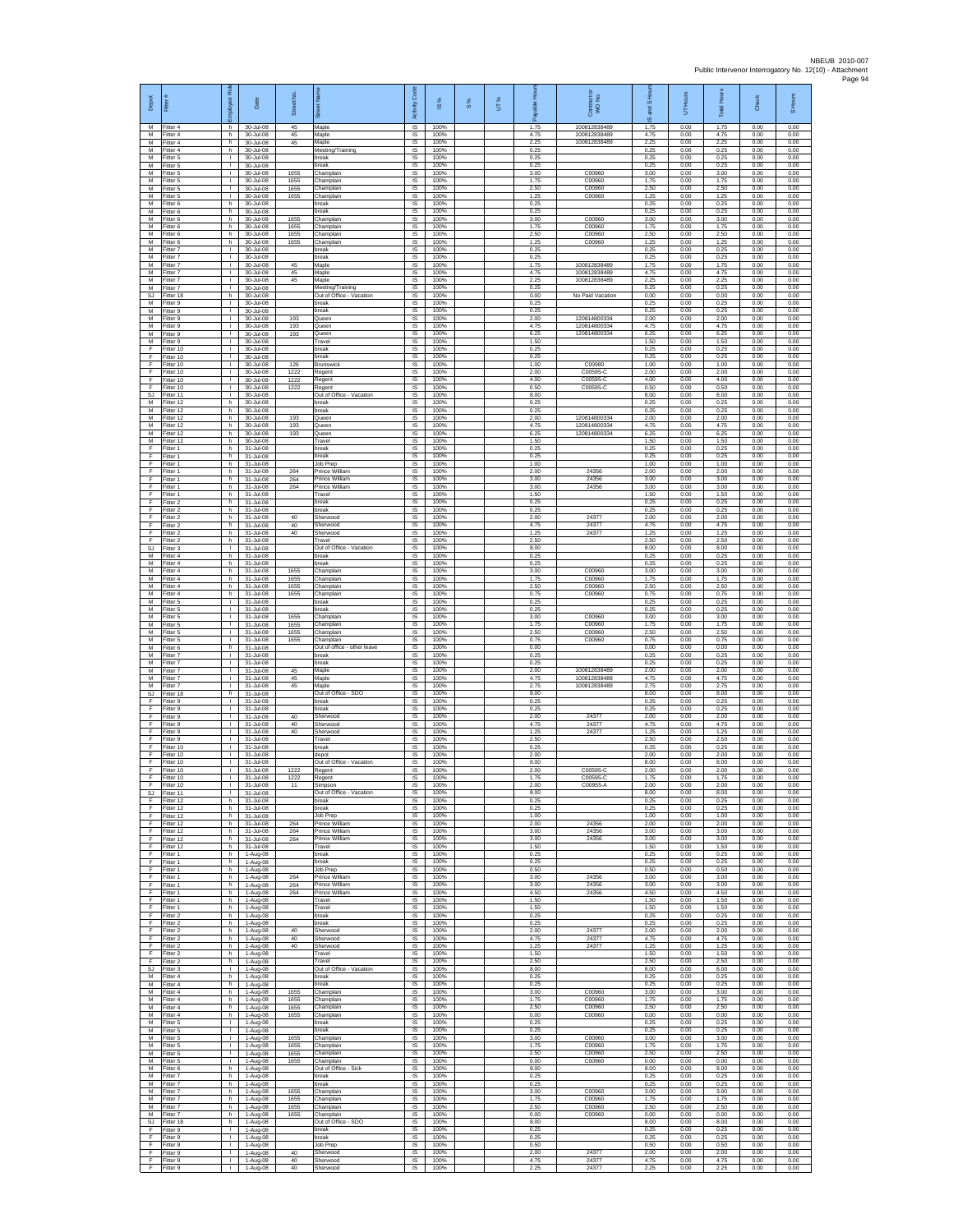| Depot                 | Fitter                              | Role<br>eekoldt                    | Date                                | Street No.           | ä                                             | Code<br>Activity                    | $\frac{8}{3}$        | $\frac{8}{3}$ | UT% | Hours<br>able        | Contract or<br>WO No.                        | and S Hou<br>$\overline{\omega}$ | UT Hours             | <b>Total Hours</b>   | Check                | S Hours              |
|-----------------------|-------------------------------------|------------------------------------|-------------------------------------|----------------------|-----------------------------------------------|-------------------------------------|----------------------|---------------|-----|----------------------|----------------------------------------------|----------------------------------|----------------------|----------------------|----------------------|----------------------|
| M<br>М                | Fitter 4<br>-itter 4                | h.<br>h                            | 30-Jul-08<br>30-Jul-08              | 45<br>45             | Maple<br>Maple                                | $\overline{s}$<br>$\sf IS$          | 100%<br>100%         |               |     | 1.75<br>4.75         | 100812838489<br>100812838489                 | 1.75<br>4.75                     | 0.00<br>0.00         | 1.75<br>4.75         | 0.00<br>0.00         | 0.00<br>0.00         |
| M<br>M                | Fitter 4<br>Fitter 4                | h.<br>h.                           | 30-Jul-08<br>30-Jul-08              | 45                   | Maple<br>Meeting/Training                     | IS<br>IS                            | 100%<br>100%         |               |     | 2.25<br>0.25<br>0.25 | 100812838489                                 | 2.25<br>0.25<br>0.25             | 0.00<br>0.00         | 2.25<br>0.25         | 0.00<br>0.00         | 0.00<br>0.00         |
| М<br>М<br>M           | Fitter 5<br>Fitter 5<br>fitter 5    | л.<br>т.<br>$\mathbf{I}$           | 30-Jul-08<br>30-Jul-08<br>30-Jul-08 | 1655                 | reak<br>oreak<br>Champlain                    | IS<br>IS.<br>IS                     | 100%<br>100%<br>100% |               |     | 0.25<br>3.00         | C00960                                       | 0.25<br>3.00                     | 0.00<br>0.00<br>0.00 | 0.25<br>0.25<br>3.00 | 0.00<br>0.00<br>0.00 | 0.00<br>0.00<br>0.00 |
| M<br>М                | Fitter 5<br>Fitter 5                | л.<br>$\mathbf{L}$                 | 30-Jul-08<br>30-Jul-08              | 1655<br>1655         | Champlain<br>Champlain                        | -IS<br>IS                           | 100%<br>100%         |               |     | 1.75<br>2.50         | C00960<br>C00960                             | 1.75<br>2.50                     | 0.00<br>0.00         | 1.75<br>2.50         | 0.00<br>0.00         | 0.00<br>0.00         |
| М<br>M                | Fitter 5<br>Fitter 6                | $\mathbf{I}$<br>h                  | 30-Jul-08<br>30-Jul-08              | 1655                 | Champlair<br>preak                            | $\sf IS$<br>IS                      | 100%<br>100%         |               |     | 1.25<br>0.25         | C00960                                       | 1.25<br>0.25                     | 0.00<br>0.00         | 1.25<br>0.25         | 0.00<br>0.00         | 0.00<br>0.00         |
| M<br>М<br>M           | Fitter 6<br>-itter 6<br>Fitter 6    | h<br>h<br>h.                       | 30-Jul-08<br>30-Jul-08<br>30-Jul-08 | 1655<br>1655         | break<br>Champlain<br>Champlain               | IS<br>IS<br>IS                      | 100%<br>100%<br>100% |               |     | 0.25<br>3.00<br>1.75 | C00960<br>C00960                             | 0.25<br>3.00<br>1.75             | 0.00<br>0.00<br>0.00 | 0.25<br>3.00<br>1.75 | 0.00<br>0.00<br>0.00 | 0.00<br>0.00<br>0.00 |
| M<br>М                | Fitter 6<br>itter 6                 | h.<br>h                            | 30-Jul-08<br>30-Jul-08              | 1655<br>1655         | Champlain<br>Champlain                        | IS<br>IS                            | 100%<br>100%         |               |     | 2.50<br>1.25         | C00960<br>C00960                             | 2.50<br>1.25                     | 0.00<br>0.00         | 2.50<br>1.25         | 0.00<br>0.00         | 0.00<br>0.00         |
| М<br>M                | Fitter 7<br>Fitter 7                | т.<br>$\mathbf{I}$                 | 30-Jul-08<br>30-Jul-08              |                      | break<br>oreak                                | IS.<br>IS                           | 100%<br>100%         |               |     | 0.25<br>0.25         |                                              | 0.25<br>0.25                     | 0.00<br>0.00         | 0.25<br>0.25         | 0.00<br>0.00         | 0.00<br>0.00         |
| M<br>М<br>М           | Fitter 7<br>Fitter 7<br>itter 7     | $\mathbf{I}$<br>$\mathbf{L}$<br>÷. | 30-Jul-08<br>30-Jul-08<br>30-Jul-08 | 45<br>45<br>45       | Maple<br>Maple<br>Maple                       | IS<br>$\sf IS$<br>IS                | 100%<br>100%<br>100% |               |     | 1.75<br>4.75<br>2.25 | 100812838489<br>100812838489<br>100812838489 | 1.75<br>4.75<br>2.25             | 0.00<br>0.00<br>0.00 | 1.75<br>4.75<br>2.25 | 0.00<br>0.00<br>0.00 | 0.00<br>0.00<br>0.00 |
| M<br><b>SJ</b>        | Fitter 7<br>Fitter 18               | л.<br>h.                           | 30-Jul-08<br>30-Jul-08              |                      | Meeting/Training<br>Out of Office - Vacation  | -IS<br>IS                           | 100%<br>100%         |               |     | 0.25<br>0.00         | No Paid Vacation                             | 0.25<br>0.00                     | 0.00<br>0.00         | 0.25<br>0.00         | 0.00<br>0.00         | 0.00<br>0.00         |
| М<br>M                | Fitter 9<br>Fitter 9                | ٠<br>$\mathbf{L}$                  | 30-Jul-08<br>30-Jul-08              |                      | break<br>break                                | IS<br>IS                            | 100%<br>100%         |               |     | 0.25<br>0.25         |                                              | 0.25<br>0.25                     | 0.00<br>0.00         | 0.25<br>0.25         | 0.00<br>0.00         | 0.00<br>0.00         |
| M<br>М<br>M           | Fitter 9<br>itter 9<br>Fitter 9     | $\mathbf{L}$<br>т.<br>$\mathbf{L}$ | 30-Jul-08<br>30-Jul-08<br>30-Jul-08 | 193<br>193<br>193    | Queen<br>Queen<br>Queen                       | IS<br>IS<br>IS                      | 100%<br>100%<br>100% |               |     | 2.00<br>4.75<br>6.25 | 120814800334<br>120814800334<br>120814800334 | 2.00<br>4.75<br>6.25             | 0.00<br>0.00<br>0.00 | 2.00<br>4.75<br>6.25 | 0.00<br>0.00<br>0.00 | 0.00<br>0.00<br>0.00 |
| M<br>F                | Fitter 9<br>Fitter 10               | т.<br>$\mathbf{L}$                 | 30-Jul-08<br>30-Jul-08              |                      | Travel<br>reak                                | $\overline{s}$<br>IS                | 100%<br>100%         |               |     | 1.50<br>0.25         |                                              | 1.50<br>0.25                     | 0.00<br>0.00         | 1.50<br>0.25         | 0.00<br>0.00         | 0.00<br>0.00         |
| F<br>F                | Fitter 10<br>fitter 10              | т.<br>$\mathbf{I}$                 | 30-Jul-08<br>30-Jul-08              | 126                  | oreak<br><b>Brunswick</b>                     | IS<br>IS                            | 100%<br>100%         |               |     | 0.25<br>1.00         | C00980                                       | 0.25<br>1.00                     | 0.00<br>0.00         | 0.25<br>1.00         | 0.00<br>0.00         | 0.00<br>0.00         |
| F<br>F<br>F           | Fitter 10<br>Fitter 10<br>Fitter 10 | л.<br>$\mathbf{L}$<br>$\mathbf{I}$ | 30-Jul-08<br>30-Jul-08<br>30-Jul-08 | 1222<br>1222<br>1222 | Regent<br>Regent<br>Regent                    | <b>IS</b><br>IS<br>$\sf IS$         | 100%<br>100%<br>100% |               |     | 2.00<br>4.00<br>0.50 | C00595-C<br>C00595-C<br>C00595-C             | 2.00<br>4.00<br>0.50             | 0.00<br>0.00<br>0.00 | 2.00<br>4.00<br>0.50 | 0.00<br>0.00<br>0.00 | 0.00<br>0.00<br>0.00 |
| SJ<br>M               | Fitter 11<br>Fitter 12              | $\mathbf{L}$<br>h                  | 30-Jul-08<br>30-Jul-08              |                      | Out of Office - Vacation<br>break             | IS<br>IS                            | 100%<br>100%         |               |     | 8.00<br>0.25         |                                              | 8.00<br>0.25                     | 0.00<br>0.00         | 8.00<br>0.25         | 0.00<br>0.00         | 0.00<br>0.00         |
| М<br>M<br>M           | itter 12<br>Fitter 12<br>Fitter 12  | h<br>h<br>h.                       | 30-Jul-08<br>30-Jul-08<br>30-Jul-08 | 193<br>193           | break<br>Queen<br>Queen                       | IS<br>IS<br>$\overline{\mathsf{s}}$ | 100%<br>100%<br>100% |               |     | 0.25<br>2.00<br>4.75 | 120814800334<br>120814800334                 | 0.25<br>2.00<br>4.75             | 0.00<br>0.00<br>0.00 | 0.25<br>2.00<br>4.75 | 0.00<br>0.00<br>0.00 | 0.00<br>0.00<br>0.00 |
| М<br>М                | itter 12<br>Fitter 12               | h<br>h                             | 30-Jul-08<br>30-Jul-08              | 193                  | Queen<br>Travel                               | IS<br>IS                            | 100%<br>100%         |               |     | 6.25<br>1.50         | 120814800334                                 | 6.25<br>1.50                     | 0.00<br>0.00         | 6.25<br>1.50         | 0.00<br>0.00         | 0.00<br>0.00         |
| Е<br>Е                | Fitter 1<br>Fitter 1                | h<br>h                             | 31-Jul-08<br>31-Jul-08              |                      | oreak<br>oreak                                | IS<br>IS                            | 100%<br>100%         |               |     | 0.25<br>0.25         |                                              | 0.25<br>0.25                     | 0.00<br>0.00         | 0.25<br>0.25         | 0.00<br>0.00         | 0.00<br>0.00         |
| F                     | Fitter 1<br>itter 1<br>Fitter 1     | h.<br>h<br>h                       | 31-Jul-08<br>31-Jul-08<br>31-Jul-08 | 264<br>264           | Job Prep<br>Prince William<br>Prince William  | $\sf IS$<br>IS<br>-IS               | 100%<br>100%<br>100% |               |     | 1.00<br>2.00<br>3.00 | 24356<br>24356                               | 1.00<br>2.00<br>3.00             | 0.00<br>0.00<br>0.00 | 1.00<br>2.00<br>3.00 | 0.00<br>0.00<br>0.00 | 0.00<br>0.00<br>0.00 |
| E<br>F                | Fitter 1<br>Fitter 1                | h.<br>h                            | 31-Jul-08<br>31-Jul-08              | 264                  | Prince William<br>Travel                      | IS<br>IS                            | 100%<br>100%         |               |     | 3.00<br>1.50         | 24356                                        | 3.00<br>1.50                     | 0.00<br>0.00         | 3.00<br>1.50         | 0.00<br>0.00         | 0.00<br>0.00         |
| F<br>F                | Fitter 2<br>Fitter 2                | h.<br>h.                           | 31-Jul-08<br>31-Jul-08              |                      | break<br>break                                | IS<br>$\overline{\mathsf{s}}$       | 100%<br>100%         |               |     | 0.25<br>0.25         |                                              | 0.25<br>0.25                     | 0.00<br>0.00         | 0.25<br>0.25         | 0.00<br>0.00         | 0.00<br>0.00         |
| F<br>F<br>F           | itter 2<br>Fitter 2<br>Fitter 2     | h<br>h<br>h.                       | 31-Jul-08<br>31-Jul-08<br>31-Jul-08 | 40<br>40<br>40       | Sherwood<br>Sherwood<br>Sherwood              | IS<br>IS<br>IS                      | 100%<br>100%<br>100% |               |     | 2.00<br>4.75<br>1.25 | 24377<br>24377<br>24377                      | 2.00<br>4.75<br>1.25             | 0.00<br>0.00<br>0.00 | 2.00<br>4.75<br>1.25 | 0.00<br>0.00<br>0.00 | 0.00<br>0.00<br>0.00 |
| F<br><b>SJ</b>        | Fitter 2<br>Fitter 3                | h<br>т.                            | 31-Jul-08<br>31-Jul-08              |                      | Travel<br>Out of Office - Vacation            | IS<br>IS.                           | 100%<br>100%         |               |     | 2.50<br>8.00         |                                              | 2.50<br>8.00                     | 0.00<br>0.00         | 2.50<br>8.00         | 0.00<br>0.00         | 0.00<br>0.00         |
| M<br>M                | itter 4<br>Fitter 4                 | h<br>h<br>h.                       | 31-Jul-08<br>31-Jul-08              |                      | oreak<br>break<br>Champlain                   | IS<br>-IS<br>IS                     | 100%<br>100%<br>100% |               |     | 0.25<br>0.25<br>3.00 | C00960                                       | 0.25<br>0.25<br>3.00             | 0.00<br>0.00<br>0.00 | 0.25<br>0.25<br>3.00 | 0.00<br>0.00<br>0.00 | 0.00<br>0.00<br>0.00 |
| М<br>М<br>M           | -itter 4<br>Fitter 4<br>Fitter 4    | h<br>h.                            | 31-Jul-08<br>31-Jul-08<br>31-Jul-08 | 1655<br>1655<br>1655 | Champlain<br>Champlain                        | $\sf IS$<br>IS                      | 100%<br>100%         |               |     | 1.75<br>2.50         | C00960<br>C00960                             | 1.75<br>2.50                     | 0.00<br>0.00         | 1.75<br>2.50         | 0.00<br>0.00         | 0.00<br>0.00         |
| M<br>М                | Fitter 4<br>-itter 5                | h<br>т.                            | 31-Jul-08<br>31-Jul-08              | 1655                 | Champlain<br>break                            | IS<br>IS                            | 100%<br>100%         |               |     | 0.75<br>0.25         | C00960                                       | 0.75<br>0.25                     | 0.00<br>0.00         | 0.75<br>0.25         | 0.00<br>0.00         | 0.00<br>0.00         |
| M<br>M<br>М           | Fitter 5<br>Fitter 5<br>itter 5     | $\mathbf{L}$<br>т.<br>т.           | 31-Jul-08<br>31-Jul-08<br>31-Jul-08 | 1655<br>1655         | oreak<br>Champlain<br>Champlain               | IS<br><b>IS</b><br>IS               | 100%<br>100%<br>100% |               |     | 0.25<br>3.00<br>1.75 | C00960<br>C00960                             | 0.25<br>3.00<br>1.75             | 0.00<br>0.00<br>0.00 | 0.25<br>3.00<br>1.75 | 0.00<br>0.00<br>0.00 | 0.00<br>0.00<br>0.00 |
| М<br>M                | Fitter 5<br>Fitter 5                | т.<br>$\mathbf{I}$                 | 31-Jul-08<br>31-Jul-08              | 1655<br>1655         | Champlain<br>Champlain                        | 1S<br>IS                            | 100%<br>100%         |               |     | 2.50<br>0.75         | C00960<br>C00960                             | 2.50<br>0.75                     | 0.00<br>0.00         | 2.50<br>0.75         | 0.00<br>0.00         | 0.00<br>0.00         |
| M<br>М                | Fitter 6<br>Fitter 7                | h<br>$\mathbf{L}$                  | 31-Jul-08<br>31-Jul-08              |                      | Out of office - other leave<br>oreak          | IS<br>IS                            | 100%<br>100%         |               |     | 0.00<br>0.25         |                                              | 0.00<br>0.25                     | 0.00<br>0.00         | 0.00<br>0.25         | 0.00<br>0.00         | 0.00<br>0.00         |
| М<br>M<br>M           | itter 7<br>Fitter 7<br>Fitter 7     | ÷.<br>л.<br>$\mathbf{L}$           | 31-Jul-08<br>31-Jul-08<br>31-Jul-08 | 45<br>45             | oreak<br>Maple<br>Maple                       | IS<br>-IS<br><b>IS</b>              | 100%<br>100%<br>100% |               |     | 0.25<br>2.00<br>4.75 | 100812838489<br>100812838489                 | 0.25<br>2.00<br>4.75             | 0.00<br>0.00<br>0.00 | 0.25<br>2.00<br>4.75 | 0.00<br>0.00<br>0.00 | 0.00<br>0.00<br>0.00 |
| M<br><b>SJ</b>        | Fitter 7<br>Fitter 18               | τ.<br>h.                           | 31-Jul-08<br>31-Jul-08              | 45                   | Maple<br>Out of Office - SDO                  | IS<br>IS                            | 100%<br>100%         |               |     | 2.75<br>8.00         | 100812838489                                 | 2.75<br>8.00                     | 0.00<br>0.00         | 2.75<br>8.00         | 0.00<br>0.00         | 0.00<br>0.00         |
| F<br>F<br>F           | Fitter 9<br>itter 9<br>Fitter 9     | $\mathbf{L}$<br>т.<br>$\mathbf{L}$ | 31-Jul-08<br>31-Jul-08<br>31-Jul-08 | 40                   | break<br>reak<br>Sherwood                     | <b>IS</b><br>IS<br>IS               | 100%<br>100%<br>100% |               |     | 0.25<br>0.25<br>2.00 | 24377                                        | 0.25<br>0.25<br>2.00             | 0.00<br>0.00<br>0.00 | 0.25<br>0.25<br>2.00 | 0.00<br>0.00<br>0.00 | 0.00<br>0.00<br>0.00 |
| F<br>F                | Fitter 9<br>Fitter 9                | $\mathbf{L}$<br>т.                 | 31-Jul-08<br>31-Jul-08              | 40<br>40             | Sherwood<br>Sherwood                          | $\overline{\mathsf{s}}$<br>IS       | 100%<br>100%         |               |     | 4.75<br>1.25         | 24377<br>24377                               | 4.75<br>1.25                     | 0.00<br>0.00         | 4.75<br>1.25         | 0.00<br>0.00         | 0.00<br>0.00         |
| F<br>F                | Fitter 9<br>fitter 10               | T.<br>÷.<br>л.                     | 31-Jul-08<br>31-Jul-08              |                      | Travel<br>reak<br>depot                       | IS<br>IS<br>-IS                     | 100%<br>100%<br>100% |               |     | 2.50<br>0.25<br>2.00 |                                              | 2.50<br>0.25<br>2.00             | 0.00<br>0.00<br>0.00 | 2.50<br>0.25<br>2.00 | 0.00<br>0.00<br>0.00 | 0.00<br>0.00<br>0.00 |
| E<br>F<br>F           | Fitter 10<br>Fitter 10<br>Fitter 10 | $\mathbf{L}$<br>$\mathbf{I}$       | 31-Jul-08<br>31-Jul-08<br>31-Jul-08 | 1222                 | Out of Office - Vacation<br>Regent            | IS<br>$\sf IS$                      | 100%<br>100%         |               |     | 8.00<br>2.00         | C00595-0                                     | 8.00<br>2.00                     | 0.00<br>0.00         | 8.00<br>2.00         | 0.00<br>0.00         | 0.00<br>0.00         |
| -F                    | Fitter 10<br>Fitter 10              | $\mathbf{L}$                       | 31-Jul-08<br>31-Jul-08              | 1222<br>11           | Regent<br>Simpson                             | IS<br><b>IS</b>                     | 100%<br>100%         |               |     | 1.75<br>2.00         | C00595-C<br>C00955-A                         | 1.75<br>2.00                     | 0.00<br>0.00         | 1.75<br>2.00         | 0.00<br>0.00         | 0.00<br>0.00         |
| SJ<br>F<br>F          | Fitter 11<br>Fitter 12<br>Fitter 12 | т.<br>h<br>h.                      | 31-Jul-08<br>31-Jul-08<br>31-Jul-08 |                      | Out of Office - Vacation<br>break<br>break    | IS<br>IS<br>IS.                     | 100%<br>100%<br>100% |               |     | 8.00<br>0.25<br>0.25 |                                              | 8.00<br>0.25<br>0.25             | 0.00<br>0.00<br>0.00 | 8.00<br>0.25<br>0.25 | 0.00<br>0.00<br>0.00 | 0.00<br>0.00<br>0.00 |
| F<br>F                | Fitter 12<br>Fitter 12              | h<br>h.                            | 31-Jul-08<br>31-Jul-08              | 264                  | Job Prep<br>Prince William                    | IS<br>1S                            | 100%<br>100%         |               |     | 1.00<br>2.00         | 24356                                        | 1.00<br>2.00                     | 0.00<br>0.00         | 1.00<br>2.00         | 0.00<br>0.00         | 0.00<br>0.00         |
| F<br>E                | Fitter 12<br>Fitter 12              | h<br>h                             | 31-Jul-08<br>31-Jul-08              | 264<br>264           | Prince William<br>Prince William              | IS<br>$\sf IS$                      | 100%<br>100%         |               |     | 3.00<br>3.00         | 24356<br>24356                               | 3.00<br>3.00                     | 0.00<br>0.00         | 3.00<br>3.00         | 0.00<br>0.00         | 0.00<br>0.00         |
| F.<br>F<br>-F         | Fitter 12<br>Fitter 1<br>Fitter 1   | h.<br>h<br>h                       | 31-Jul-08<br>1-Aug-08<br>1-Aug-08   |                      | Travel<br>oreak<br>break                      | IS<br>IS<br>-IS                     | 100%<br>100%<br>100% |               |     | 1.50<br>0.25<br>0.25 |                                              | 1.50<br>0.25<br>0.25             | 0.00<br>0.00<br>0.00 | 1.50<br>0.25<br>0.25 | 0.00<br>0.00<br>0.00 | 0.00<br>0.00<br>0.00 |
| -F.<br>F              | Fitter 1<br>Fitter 1                | h.<br>h                            | 1-Aug-08<br>1-Aug-08                | 264                  | lob Prep<br>Prince William                    | IS.<br>IS                           | 100%<br>100%         |               |     | 0.50<br>3.00         | 24356                                        | 0.50<br>3.00                     | 0.00<br>0.00         | 0.50<br>3.00         | 0.00<br>0.00         | 0.00<br>0.00         |
| F<br>F<br>$\mathsf F$ | Fitter 1<br>Fitter 1<br>Fitter 1    | h.<br>h.<br>h                      | 1-Aug-08<br>1-Aug-08                | 264<br>264           | Prince William<br>Prince William<br>Travel    | IS<br>IS.<br>$\sf IS$               | 100%<br>100%<br>100% |               |     | 3.00<br>4.50<br>1.50 | 24356<br>24356                               | 3.00<br>4.50<br>1.50             | 0.00<br>0.00<br>0.00 | 3.00<br>4.50<br>1.50 | 0.00<br>0.00<br>0.00 | 0.00<br>0.00<br>0.00 |
| F<br>F                | Fitter 1<br>Fitter 2                | $\mathsf{h}$<br>h.                 | 1-Aug-08<br>1-Aug-08<br>1-Aug-08    |                      | Travel<br>break                               | $\sf IS$<br>IS.                     | 100%<br>100%         |               |     | 1.50<br>0.25         |                                              | 1.50<br>0.25                     | 0.00<br>0.00         | 1.50<br>0.25         | 0.00<br>0.00         | 0.00<br>0.00         |
| E<br>Ŧ<br>F           | Fitter 2<br>Fitter 2<br>Fitter 2    | h.<br>h.<br>h                      | 1-Aug-08<br>1-Aug-08<br>1-Aug-08    | 40<br>40             | reak<br>Sherwood<br>Sherwood                  | IS<br>IS.<br>IS                     | 100%<br>100%<br>100% |               |     | 0.25<br>2.00<br>4.75 | 24377<br>24377                               | 0.25<br>2.00<br>4.75             | 0.00<br>0.00<br>0.00 | 0.25<br>2.00<br>4.75 | 0.00<br>0.00<br>0.00 | 0.00<br>0.00<br>0.00 |
| E<br>$\mathsf F$      | Fitter 2<br>Fitter 2                | h<br>h.                            | 1-Aug-08<br>1-Aug-08                | 40                   | Sherwood<br>Travel                            | <b>IS</b><br>IS                     | 100%<br>100%         |               |     | 1.25<br>1.50         | 24377                                        | 1.25<br>1.50                     | 0.00<br>0.00         | 1.25<br>1.50         | 0.00<br>0.00         | 0.00<br>0.00         |
| F<br>SJ<br>M          | Fitter 2<br>Fitter 3<br>Fitter 4    | h<br>$\mathbf{L}$<br>h             | 1-Aug-08<br>1-Aug-08<br>1-Aug-08    |                      | Travel<br>Out of Office - Vacation<br>break   | $\sf IS$<br>IS.<br>IS               | 100%<br>100%<br>100% |               |     | 2.50<br>8.00<br>0.25 |                                              | 2.50<br>8.00<br>0.25             | 0.00<br>0.00<br>0.00 | 2.50<br>8.00<br>0.25 | 0.00<br>0.00<br>0.00 | 0.00<br>0.00<br>0.00 |
| М<br>М                | Fitter 4<br>Fitter 4                | h<br>h.                            | 1-Aug-08<br>1-Aug-08                | 1655                 | break<br>Champlain                            | IS<br>IS                            | 100%<br>100%         |               |     | 0.25<br>3.00         | C00960                                       | 0.25<br>3.00                     | 0.00<br>0.00         | 0.25<br>3.00         | 0.00<br>0.00         | 0.00<br>0.00         |
| M<br>М                | Fitter 4<br>-itter 4                | h.<br>h.                           | $1-Auq-08$<br>1-Aug-08              | 1655<br>1655         | Champlain<br>Champlain                        | IS.<br>IS                           | 100%<br>100%         |               |     | 1.75<br>2.50         | C00960<br>C00960                             | 1.75<br>2.50                     | 0.00<br>0.00         | 1.75<br>2.50         | 0.00<br>0.00         | 0.00<br>0.00         |
| М<br>M<br>M           | Fitter 4<br>Fitter 5<br>Fitter 5    | h.<br>$\mathbf{L}$<br>$\mathbf{L}$ | 1-Aug-08<br>1-Aug-08<br>1-Aug-08    | 1655                 | Champlain<br>oreak<br>oreak                   | IS.<br>IS<br>$\sf IS$               | 100%<br>100%<br>100% |               |     | 0.00<br>0.25<br>0.25 | C00960                                       | 0.00<br>0.25<br>0.25             | 0.00<br>0.00<br>0.00 | 0.00<br>0.25<br>0.25 | 0.00<br>0.00<br>0.00 | 0.00<br>0.00<br>0.00 |
| М<br>М                | Fitter 5<br>Fitter 5                | $\mathbb{L}$<br>$\mathbf{L}$       | 1-Aug-08<br>1-Aug-08                | 1655<br>1655         | Champlain<br>Champlain                        | $\sf IS$<br>IS                      | 100%<br>100%         |               |     | 3.00<br>1.75         | C00960<br>C00960                             | 3.00<br>1.75                     | 0.00<br>0.00         | 3.00<br>1.75         | 0.00<br>0.00         | 0.00<br>0.00         |
| M<br>M                | Fitter 5<br>Fitter 5                | л.<br><b>T</b>                     | 1-Aug-08<br>1-Aug-08                | 1655<br>1655         | Champlain<br>Champlain                        | <b>IS</b><br>IS.                    | 100%<br>100%         |               |     | 2.50<br>0.00         | C00960<br>C00960                             | 2.50<br>0.00                     | 0.00<br>0.00         | 2.50<br>0.00         | 0.00<br>0.00         | 0.00<br>0.00         |
| М<br>M<br>M           | Fitter 6<br>Fitter 7<br>Fitter 7    | h<br>h.<br>h.                      | 1-Aug-08<br>1-Aug-08<br>1-Aug-08    |                      | Out of Office - Sick<br>break<br>break        | IS<br>IS<br>IS.                     | 100%<br>100%<br>100% |               |     | 8.00<br>0.25<br>0.25 |                                              | 8.00<br>0.25<br>0.25             | 0.00<br>0.00<br>0.00 | 8.00<br>0.25<br>0.25 | 0.00<br>0.00<br>0.00 | 0.00<br>0.00<br>0.00 |
| М<br>M                | Fitter 7<br>Fitter 7                | h<br>$\mathsf{h}$                  | 1-Aug-08<br>1-Aug-08                | 1655<br>1655         | Champlair<br>Champlain                        | $\sf IS$<br>IS                      | 100%<br>100%         |               |     | 3.00<br>1.75         | C00960<br>C00960                             | 3.00<br>1.75                     | 0.00<br>0.00         | 3.00<br>1.75         | 0.00<br>0.00         | 0.00<br>0.00         |
| M<br>M<br>SJ          | Fitter 7<br>Fitter 7<br>Fitter 18   | h.<br>h.<br>h                      | 1-Aug-08<br>1-Aug-08<br>1-Aug-08    | 1655<br>1655         | Champlain<br>Champlain<br>Out of Office - SDO | $\overline{s}$<br>IS<br>1S          | 100%<br>100%<br>100% |               |     | 2.50<br>0.00<br>8.00 | C00960<br>C00960                             | 2.50<br>0.00<br>8.00             | 0.00<br>0.00<br>0.00 | 2.50<br>0.00<br>8.00 | 0.00<br>0.00<br>0.00 | 0.00<br>0.00<br>0.00 |
| F<br>E                | Fitter 9<br>Fitter 9                | $\mathbf{L}$<br>п.                 | 1-Aug-08<br>1-Aug-08                |                      | break<br>break                                | IS<br>IS                            | 100%<br>100%         |               |     | 0.25<br>0.25         |                                              | 0.25<br>0.25                     | 0.00<br>0.00         | 0.25<br>0.25         | 0.00<br>0.00         | 0.00<br>0.00         |
| F<br>F                | Fitter 9<br>Fitter 9                | $\mathbf{L}$<br>$\mathbf{L}$       | 1-Aug-08<br>1-Aug-08                | 40                   | Job Prep<br>Sherwood                          | IS.<br>$\sf IS$                     | 100%<br>100%         |               |     | 0.50<br>2.00         | 24377                                        | 0.50<br>2.00                     | 0.00<br>0.00         | 0.50<br>2.00         | 0.00<br>0.00         | 0.00<br>0.00         |
| F.<br>F.              | Fitter 9<br>Fitter 9                | $\mathbf{L}$<br>т.                 | 1-Aug-08<br>1-Aug-08                | 40<br>40             | Sherwood<br>Sherwood                          | IS.<br>IS                           | 100%<br>100%         |               |     | 4.75<br>2.25         | 24377<br>24377                               | 4.75<br>2.25                     | 0.00<br>0.00         | 4.75<br>2.25         | 0.00<br>0.00         | 0.00<br>0.00         |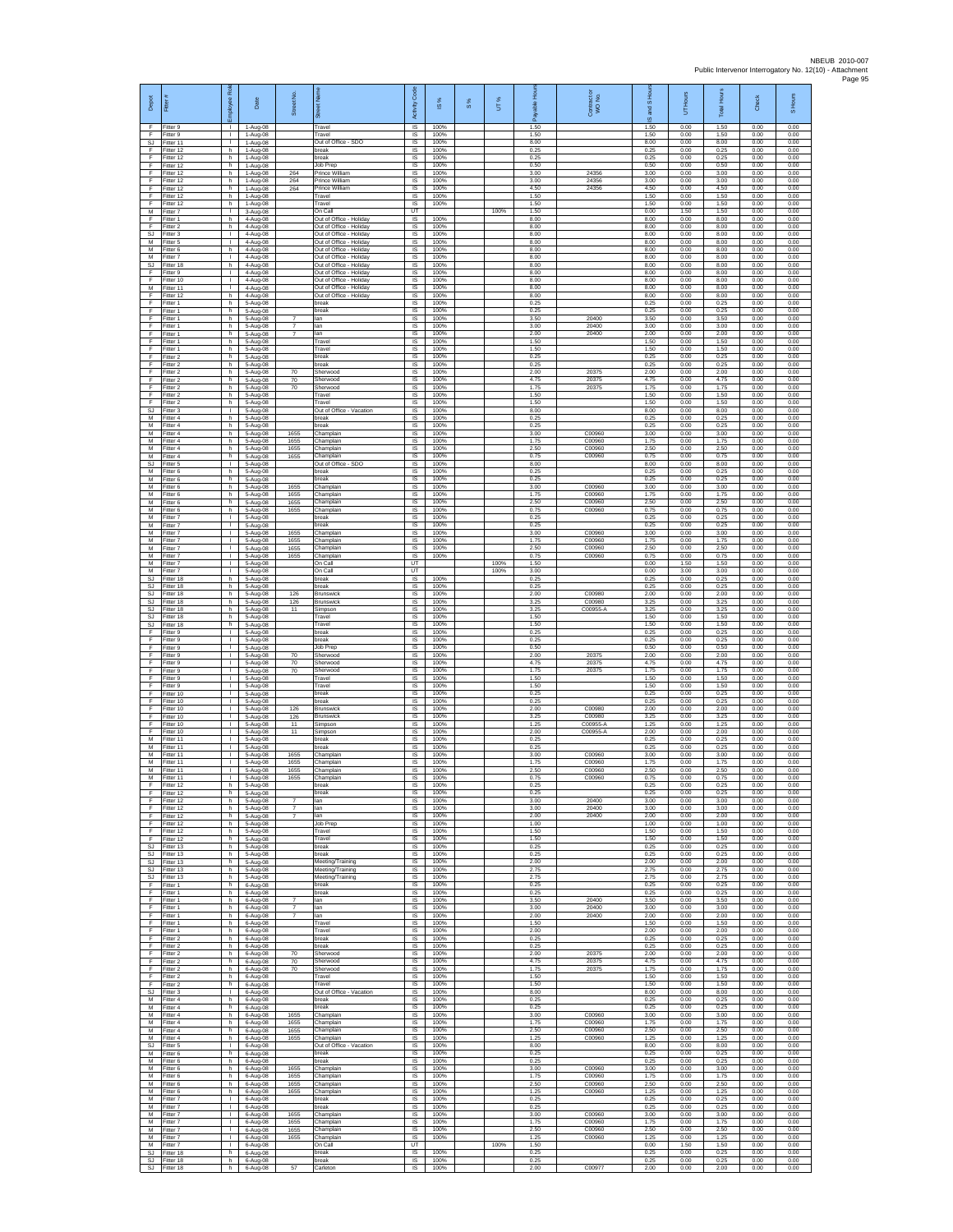| Depot                             | Fitter #                            | æ<br>loyee                         | Date                                | Street No.                       | bet Name<br>あ                                                                 | Code<br>Activity                          | IS %                 | 8% | UT%          | 훞<br>自身<br>இ         | Contract or<br>WO No.      | <b>IS Hou</b><br>ma<br>ဖ | UT Hours             | <b>Total Hours</b>   | Check                | S Hours              |
|-----------------------------------|-------------------------------------|------------------------------------|-------------------------------------|----------------------------------|-------------------------------------------------------------------------------|-------------------------------------------|----------------------|----|--------------|----------------------|----------------------------|--------------------------|----------------------|----------------------|----------------------|----------------------|
| -F<br>F<br>$\mathbb{S}\mathbb{J}$ | Fitter 9<br>Fitter 9<br>Fitter 11   | л.<br>$\mathbf{L}$<br>$\mathbf{L}$ | 1-Aug-08<br>1-Aug-08<br>1-Aug-08    |                                  | Travel<br>Travel<br>Out of Office - SDO                                       | $\overline{\mathsf{s}}$<br>IS<br>$\sf IS$ | 100%<br>100%<br>100% |    |              | 1.50<br>1.50<br>8.00 |                            | 1.50<br>1.50<br>8.00     | 0.00<br>0.00<br>0.00 | 1.50<br>1.50<br>8.00 | 0.00<br>0.00<br>0.00 | 0.00<br>0.00<br>0.00 |
| F<br>E                            | Fitter 12<br>Fitter 12              | h.<br>h.                           | $1-Aug-08$<br>1-Aug-08              |                                  | break<br>break                                                                | IS<br>IS                                  | 100%<br>100%         |    |              | 0.25<br>0.25         |                            | 0.25<br>0.25             | 0.00<br>0.00         | 0.25<br>0.25         | 0.00<br>0.00         | 0.00<br>0.00         |
| F<br>Ŧ                            | Fitter 12<br>Fitter 12              | h.<br>h.                           | 1-Aug-08<br>1-Aug-08                | 264                              | Job Prep<br>Prince William                                                    | IS<br>1S                                  | 100%<br>100%         |    |              | 0.50<br>3.00         | 24356                      | 0.50<br>3.00             | 0.00<br>0.00         | 0.50<br>3.00         | 0.00<br>0.00         | 0.00<br>0.00         |
| E<br>F                            | Fitter 12<br>Fitter 12              | h.<br>h                            | 1-Aug-08<br>1-Aug-08                | 264<br>264                       | Prince William<br>Prince William                                              | <b>IS</b><br>IS                           | 100%<br>100%         |    |              | 3.00<br>4.50         | 24356<br>24356             | 3.00<br>4.50             | 0.00<br>0.00         | 3.00<br>4.50         | 0.00<br>0.00         | 0.00<br>0.00         |
| F<br>F<br>M                       | Fitter 12<br>Fitter 12<br>Fitter 7  | h.<br>h.<br>$\mathbf{L}$           | 1-Aug-08<br>1-Aug-08<br>3-Aug-08    |                                  | Travel<br>Travel<br>On Call                                                   | $\sf IS$<br><b>IS</b><br>UT               | 100%<br>100%         |    | 100%         | 1.50<br>1.50<br>1.50 |                            | 1.50<br>1.50<br>0.00     | 0.00<br>0.00<br>1.50 | 1.50<br>1.50<br>1.50 | 0.00<br>0.00<br>0.00 | 0.00<br>0.00<br>0.00 |
| F<br>F                            | Fitter 1<br>Fitter 2                | h.<br>h                            | 4-Aug-08<br>4-Aug-08                |                                  | Out of Office - Holiday<br>Out of Office - Holiday                            | 1S<br>IS                                  | 100%<br>100%         |    |              | 8.00<br>8.00         |                            | 8.00<br>8.00             | 0.00<br>0.00         | 8.00<br>8.00         | 0.00<br>0.00         | 0.00<br>0.00         |
| -SJ<br>M                          | Fitter 3<br>Fitter 5                | $\mathbf{L}$<br>$\mathbf{L}$<br>h  | 4-Aug-08<br>4-Aug-08                |                                  | Out of Office - Holiday<br>Out of Office - Holiday<br>Out of Office - Holiday | IS<br>IS.<br>IS                           | 100%<br>100%<br>100% |    |              | 8.00<br>8.00<br>8.00 |                            | 8.00<br>8.00<br>8.00     | 0.00<br>0.00<br>0.00 | 8.00<br>8.00<br>8.00 | 0.00<br>0.00<br>0.00 | 0.00<br>0.00<br>0.00 |
| ${\sf M}$<br>M<br>SJ              | Fitter 6<br>Fitter 7<br>Fitter 18   | $\mathbf{L}$<br>h.                 | 4-Aug-08<br>4-Aug-08<br>4-Aug-08    |                                  | Out of Office - Holiday<br>Out of Office - Holiday                            | 1S<br>IS                                  | 100%<br>100%         |    |              | 8.00<br>8.00         |                            | 8.00<br>8.00             | 0.00<br>0.00         | 8.00<br>8.00         | 0.00<br>0.00         | 0.00<br>0.00         |
| F<br>Ŧ                            | Fitter 9<br>Fitter 10               | $\mathbf{I}$<br>т                  | 4-Aug-08<br>4-Aug-08                |                                  | Out of Office - Holiday<br>Out of Office - Holiday                            | IS<br>1S                                  | 100%<br>100%         |    |              | 8.00<br>8.00         |                            | 8.00<br>8.00             | 0.00<br>0.00         | 8.00<br>8.00         | 0.00<br>0.00         | 0.00<br>0.00         |
| M<br>F<br>F                       | Fitter 11<br>Fitter 12<br>Fitter 1  | $\mathbf{L}$<br>h.<br>h.           | $4-Auq-08$<br>4-Aug-08<br>5-Aug-08  |                                  | Out of Office - Holiday<br>Out of Office - Holiday<br>break                   | IS<br>IS<br>1S                            | 100%<br>100%<br>100% |    |              | 8.00<br>8.00<br>0.25 |                            | 8.00<br>8.00<br>0.25     | 0.00<br>0.00<br>0.00 | 8.00<br>8.00<br>0.25 | 0.00<br>0.00<br>0.00 | 0.00<br>0.00<br>0.00 |
| F<br>F                            | Fitter 1<br>Fitter 1                | h<br>h.                            | 5-Aug-08<br>5-Aug-08                | $\overline{7}$                   | break<br>lan                                                                  | IS<br>IS                                  | 100%<br>100%         |    |              | 0.25<br>3.50         | 20400                      | 0.25<br>3.50             | 0.00<br>0.00         | 0.25<br>3.50         | 0.00<br>0.00         | 0.00<br>0.00         |
| $\mathsf F$<br>F                  | Fitter 1<br>Fitter 1                | h.<br>h                            | 5-Aug-08<br>5-Aug-08                | $\overline{7}$<br>$\overline{7}$ | lan<br>lan                                                                    | $\sf IS$<br>$\sf IS$                      | 100%<br>100%         |    |              | 3.00<br>2.00         | 20400<br>20400             | 3.00<br>2.00             | 0.00<br>0.00         | 3.00<br>2.00         | 0.00<br>0.00         | 0.00<br>0.00         |
| -F<br>E<br>F                      | Fitter 1<br>Fitter 1<br>Fitter 2    | h.<br>h.<br>h                      | 5-Aug-08<br>5-Aug-08<br>5-Aug-08    |                                  | Travel<br>Travel<br>break                                                     | IS<br>IS.<br>IS                           | 100%<br>100%<br>100% |    |              | 1.50<br>1.50<br>0.25 |                            | 1.50<br>1.50<br>0.25     | 0.00<br>0.00<br>0.00 | 1.50<br>1.50<br>0.25 | 0.00<br>0.00<br>0.00 | 0.00<br>0.00<br>0.00 |
| Ŧ<br>F                            | Fitter 2<br>Fitter 2                | h.<br>h.                           | 5-Aug-08<br>5-Aug-08                | 70                               | break<br>Sherwood                                                             | 1S<br>IS                                  | 100%<br>100%         |    |              | 0.25<br>2.00         | 20375                      | 0.25<br>2.00             | 0.00<br>0.00         | 0.25<br>2.00         | 0.00<br>0.00         | 0.00<br>0.00         |
| $\mathsf F$<br>F                  | Fitter 2<br>Fitter 2                | h<br>h.                            | 5-Aug-08<br>5-Aug-08                | 70<br>70                         | Sherwood<br>Sherwood                                                          | IS<br>$\sf IS$                            | 100%<br>100%         |    |              | 4.75<br>1.75         | 20375<br>20375             | 4.75<br>1.75             | 0.00<br>0.00         | 4.75<br>1.75         | 0.00<br>0.00         | 0.00<br>0.00         |
| F<br>F<br>SJ                      | Fitter 2<br>Fitter 2<br>Fitter 3    | h.<br>h<br>$\mathbf{L}$            | 5-Aug-08<br>5-Aug-08<br>5-Aug-08    |                                  | Travel<br>Travel<br>Out of Office - Vacation                                  | IS<br>IS<br>IS                            | 100%<br>100%<br>100% |    |              | 1.50<br>1.50<br>8.00 |                            | 1.50<br>1.50<br>8.00     | 0.00<br>0.00<br>0.00 | 1.50<br>1.50<br>8.00 | 0.00<br>0.00<br>0.00 | 0.00<br>0.00<br>0.00 |
| M<br>M                            | Fitter 4<br>Fitter 4                | h<br>h.                            | 5-Aug-08<br>5-Aug-08                |                                  | break<br>break                                                                | IS<br>IS                                  | 100%<br>100%         |    |              | 0.25<br>0.25         |                            | 0.25<br>0.25             | 0.00<br>0.00         | 0.25<br>0.25         | 0.00<br>0.00         | 0.00<br>0.00         |
| M<br>М<br>M                       | Fitter 4<br>Fitter 4<br>Fitter 4    | h.<br>h<br>h.                      | 5-Aug-08<br>5-Aug-08<br>5-Aug-08    | 1655<br>1655<br>1655             | Champlain<br>hamplain<br>Champlain                                            | IS.<br>IS<br>1S                           | 100%<br>100%<br>100% |    |              | 3.00<br>1.75<br>2.50 | C00960<br>C00960<br>C00960 | 3.00<br>1.75<br>2.50     | 0.00<br>0.00<br>0.00 | 3.00<br>1.75<br>2.50 | 0.00<br>0.00<br>0.00 | 0.00<br>0.00<br>0.00 |
| M<br>SJ                           | Fitter 4<br>Fitter 5                | h.<br>$\mathbf{I}$                 | 5-Aug-08<br>5-Aug-08                | 1655                             | Champlain<br>Out of Office - SDO                                              | IS<br>$\sf IS$                            | 100%<br>100%         |    |              | 0.75<br>8.00         | C00960                     | 0.75<br>8.00             | 0.00<br>0.00         | 0.75<br>8.00         | 0.00<br>0.00         | 0.00<br>0.00         |
| M<br>M<br>M                       | Fitter 6<br>Fitter 6<br>Fitter 6    | h.<br>h.                           | 5-Aug-08<br>5-Aug-08                | 1655                             | break<br>break                                                                | 1S<br>IS<br>IS                            | 100%<br>100%<br>100% |    |              | 0.25<br>0.25<br>3.00 | C00960                     | 0.25<br>0.25<br>3.00     | 0.00<br>0.00<br>0.00 | 0.25<br>0.25<br>3.00 | 0.00<br>0.00<br>0.00 | 0.00<br>0.00<br>0.00 |
| M<br>M                            | Fitter 6<br>Fitter 6                | h<br>h.<br>h                       | 5-Aug-08<br>5-Aug-08<br>5-Aug-08    | 1655<br>1655                     | Champlain<br>Champlain<br>hamplain                                            | 1S<br>IS                                  | 100%<br>100%         |    |              | 1.75<br>2.50         | C00960<br>C00960           | 1.75<br>2.50             | 0.00<br>0.00         | 1.75<br>2.50         | 0.00<br>0.00         | 0.00<br>0.00         |
| M<br>M                            | Fitter 6<br>Fitter 7                | h.<br>$\mathbb{R}^n$               | 5-Aug-08<br>5-Aug-08                | 1655                             | Champlain<br>break                                                            | IS<br>IS                                  | 100%<br>100%         |    |              | 0.75<br>0.25         | C00960                     | 0.75<br>0.25             | 0.00<br>0.00         | 0.75<br>0.25         | 0.00<br>0.00         | 0.00<br>0.00         |
| M<br>M<br>M                       | Fitter 7<br>Fitter 7<br>Fitter 7    | T.<br>$\mathbf{L}$<br>$\mathbf{L}$ | 5-Aug-08<br>5-Aug-08<br>5-Aug-08    | 1655<br>1655                     | oreak<br>Champlain<br>Champlain                                               | $\sf IS$<br>IS<br>IS                      | 100%<br>100%<br>100% |    |              | 0.25<br>3.00<br>1.75 | C00960<br>C00960           | 0.25<br>3.00<br>1.75     | 0.00<br>0.00<br>0.00 | 0.25<br>3.00<br>1.75 | 0.00<br>0.00<br>0.00 | 0.00<br>0.00<br>0.00 |
| М<br>M                            | Fitter 7<br>Fitter 7                | т.<br>т                            | 5-Aug-08<br>5-Aug-08                | 1655<br>1655                     | hamplain<br>Champlain                                                         | IS<br>1S                                  | 100%<br>100%         |    |              | 2.50<br>0.75         | C00960<br>C00960           | 2.50<br>0.75             | 0.00<br>0.00         | 2.50<br>0.75         | 0.00<br>0.00         | 0.00<br>0.00         |
| M<br>M                            | Fitter 7<br>Fitter 7                | $\mathbf{L}$<br>$\mathbf{L}$       | 5-Aug-08<br>5-Aug-08                |                                  | On Call<br>On Call                                                            | UT<br>UT                                  |                      |    | 100%<br>100% | 1.50<br>3.00         |                            | 0.00<br>0.00             | 1.50<br>3.00         | 1.50<br>3.00         | 0.00<br>0.00         | 0.00<br>0.00         |
| SJ<br>SJ.<br><b>SJ</b>            | Fitter 18<br>Fitter 18<br>Fitter 18 | h.<br>h.<br>h                      | 5-Aug-08<br>5-Aug-08<br>5-Aug-08    | 126                              | break<br>break<br>Brunswick                                                   | $\sf IS$<br>IS<br>IS                      | 100%<br>100%<br>100% |    |              | 0.25<br>0.25<br>2.00 | C00980                     | 0.25<br>0.25<br>2.00     | 0.00<br>0.00<br>0.00 | 0.25<br>0.25<br>2.00 | 0.00<br>0.00<br>0.00 | 0.00<br>0.00<br>0.00 |
| SJ<br>SJ                          | Fitter 18<br>Fitter 18              | h.<br>h.                           | 5-Aug-08<br>5-Aug-08                | 126<br>11                        | <b>Brunswick</b><br>Simpson                                                   | 1S<br>IS                                  | 100%<br>100%         |    |              | 3.25<br>3.25<br>1.50 | C00980<br>C00955-A         | 3.25<br>3.25<br>1.50     | 0.00<br>0.00         | 3.25<br>3.25<br>1.50 | 0.00<br>0.00         | 0.00<br>0.00         |
| SJ.<br>SJ<br>F                    | Fitter 18<br>Fitter 18<br>Fitter 9  | h.<br>h.<br>т.                     | 5-Aug-08<br>5-Aug-08<br>5-Aug-08    |                                  | Travel<br>Travel<br>break                                                     | IS<br>IS<br>IS                            | 100%<br>100%<br>100% |    |              | 1.50<br>0.25         |                            | 1.50<br>0.25             | 0.00<br>0.00<br>0.00 | 1.50<br>0.25         | 0.00<br>0.00<br>0.00 | 0.00<br>0.00<br>0.00 |
| F<br>F                            | Fitter 9<br>Fitter 9                | т<br>$\mathbb{R}$                  | 5-Aug-08<br>5-Aug-08                |                                  | break<br>Job Prep                                                             | 1S<br>IS                                  | 100%<br>100%         |    |              | 0.25<br>0.50         |                            | 0.25<br>0.50             | 0.00<br>0.00         | 0.25<br>0.50         | 0.00<br>0.00         | 0.00<br>0.00         |
| F<br>Ŧ<br>F                       | Fitter 9<br>Fitter 9<br>Fitter 9    | L.<br>т<br>$\mathbf{L}$            | 5-Aug-08<br>5-Aug-08<br>5-Aug-08    | 70<br>70<br>70                   | Sherwood<br>Sherwood<br>Sherwood                                              | IS<br>1S<br>IS                            | 100%<br>100%<br>100% |    |              | 2.00<br>4.75<br>1.75 | 20375<br>20375<br>20375    | 2.00<br>4.75<br>1.75     | 0.00<br>0.00<br>0.00 | 2.00<br>4.75<br>1.75 | 0.00<br>0.00<br>0.00 | 0.00<br>0.00<br>0.00 |
| F<br>F                            | Fitter 9<br>Fitter 9                | $\mathbf{L}$<br>$\mathbf{L}$       | 5-Aug-08<br>5-Aug-08                |                                  | Travel<br>Travel                                                              | IS<br>1S                                  | 100%<br>100%         |    |              | 1.50<br>1.50         |                            | 1.50<br>1.50             | 0.00<br>0.00         | 1.50<br>1.50         | 0.00<br>0.00         | 0.00<br>0.00         |
| F<br>F<br>F                       | Fitter 10<br>Fitter 10<br>Fitter 10 | т.<br>$\mathbf{L}$<br>$\mathbf{L}$ | 5-Aug-08<br>5-Aug-08<br>5-Aug-08    | 126                              | break<br>break<br><b>Brunswick</b>                                            | IS<br>IS<br>$\sf IS$                      | 100%<br>100%<br>100% |    |              | 0.25<br>0.25<br>2.00 | C00980                     | 0.25<br>0.25<br>2.00     | 0.00<br>0.00<br>0.00 | 0.25<br>0.25<br>2.00 | 0.00<br>0.00<br>0.00 | 0.00<br>0.00<br>0.00 |
| F<br>-F                           | Fitter 10<br>Fitter 10              | T.<br>$\mathbf{L}$                 | 5-Aug-08<br>5-Aug-08                | 126<br>11                        | <b>Brunswick</b><br>Simpson                                                   | $\sf IS$<br>IS                            | 100%<br>100%         |    |              | 3.25<br>1.25         | C00980<br>C00955-A         | 3.25<br>1.25             | 0.00<br>0.00         | 3.25<br>1.25         | 0.00<br>0.00         | 0.00<br>0.00         |
| E<br>М<br>M                       | Fitter 10<br>Fitter 11<br>Fitter 11 | $\mathbf{L}$<br>т.<br>$\mathbf{L}$ | 5-Aug-08<br>5-Aug-08<br>5-Aug-08    | 11                               | Simpson<br>oreak<br>preak                                                     | <b>IS</b><br>IS<br>1S                     | 100%<br>100%<br>100% |    |              | 2.00<br>0.25<br>0.25 | C00955-A                   | 200<br>0.25<br>0.25      | 0.00<br>0.00<br>0.00 | 2.00<br>0.25<br>0.25 | 0.00<br>0.00<br>0.00 | 0.00<br>0.00<br>0.00 |
| M<br>${\sf M}$                    | Fitter 11<br>Fitter 11              | $\mathbf{L}$<br>$\mathbf{L}$       | 5-Aug-08<br>5-Aug-08                | 1655<br>1655                     | Champlain<br>Champlain                                                        | IS<br>IS                                  | 100%<br>100%         |    |              | 3.00<br>1.75         | C00960<br>C00960           | 3.00<br>1.75             | 0.00<br>0.00         | 3.00<br>1.75         | 0.00<br>0.00         | 0.00<br>0.00         |
| М<br>M<br>E                       | Fitter 11<br>Fitter 11<br>Fitter 12 | $\mathbf{L}$<br>$\mathbf{L}$<br>h  | 5-Aug-08<br>$5-A$ un-08<br>5-Aug-08 | 1655<br>1655                     | Champlain<br>Champlain<br>break                                               | IS<br>IS<br>IS                            | 100%<br>100%<br>100% |    |              | 2.50<br>0.75<br>0.25 | C00960<br>C00960           | 2.50<br>0.75<br>0.25     | 0.00<br>0.00<br>0.00 | 2.50<br>0.75<br>0.25 | 0.00<br>0.00<br>0.00 | 0.00<br>0.00<br>0.00 |
| F<br>F                            | Fitter 12<br>Fitter 12              | h.<br>h                            | 5-Aug-08<br>5-Aug-08                | 7                                | break<br>lan                                                                  | 1S<br>1S                                  | 100%<br>100%         |    |              | 0.25<br>3.00         | 20400                      | 0.25<br>3.00             | 0.00<br>0.00         | 0.25<br>3.00         | 0.00<br>0.00         | 0.00<br>0.00         |
| -F<br>F                           | Fitter 12<br>Fitter 12              | h.<br>h.                           | 5-Aug-08<br>5-Aug-08                | $\overline{7}$                   | lan<br>lan                                                                    | IS<br><b>IS</b>                           | 100%<br>100%         |    |              | 3.00<br>2.00         | 20400<br>20400             | 3.00<br>200              | 0.00<br>0.00         | 3.00<br>200          | 0.00<br>0.00         | 0.00<br>0.00         |
| F<br>F.<br>F.                     | Fitter 12<br>Fitter 12<br>Fitter 12 | h.<br>h.<br>h.                     | 5-Aug-08<br>5-Aug-08<br>5-Aug-08    |                                  | Job Prep<br>Travel<br>Travel                                                  | IS<br>1S<br>IS                            | 100%<br>100%<br>100% |    |              | 1.00<br>1.50<br>1.50 |                            | 1.00<br>1.50<br>1.50     | 0.00<br>0.00<br>0.00 | 1.00<br>1.50<br>1.50 | 0.00<br>0.00<br>0.00 | 0.00<br>0.00<br>0.00 |
| <b>SJ</b><br>SJ.                  | Fitter 13<br>Fitter 13              | h.<br>h.                           | 5-Aug-08<br>5-Aug-08                |                                  | break<br>break                                                                | $\sf IS$<br>1S                            | 100%<br>100%         |    |              | 0.25<br>0.25         |                            | 0.25<br>0.25             | 0.00<br>0.00         | 0.25<br>0.25         | 0.00<br>0.00         | 0.00<br>0.00         |
| SJ.<br><b>SJ</b><br><b>SJ</b>     | Fitter 13<br>Fitter 13<br>Fitter 13 | h.<br>h.<br>h.                     | 5-Aug-08<br>5-Aug-08<br>5-Aug-08    |                                  | Meeting/Training<br>Meeting/Training<br>Meeting/Training                      | IS<br>IS<br>1S                            | 100%<br>100%<br>100% |    |              | 2.00<br>2.75<br>2.75 |                            | 2.00<br>2.75<br>2.75     | 0.00<br>0.00<br>0.00 | 2.00<br>2.75<br>2.75 | 0.00<br>0.00<br>0.00 | 0.00<br>0.00<br>0.00 |
| F<br>F                            | Fitter 1<br>Fitter 1                | h.<br>h.                           | 6-Aug-08<br>6-Aug-08                |                                  | break<br>break                                                                | IS<br>IS                                  | 100%<br>100%         |    |              | 0.25<br>0.25         |                            | 0.25<br>0.25             | 0.00<br>0.00         | 0.25<br>0.25         | 0.00<br>0.00         | 0.00<br>0.00         |
| F.<br>F<br>-F                     | Fitter 1<br>Fitter 1<br>Fitter 1    | h.<br>h.<br>h.                     | 6-Aug-08<br>6-Aug-08<br>6-Aug-08    | $\overline{7}$<br>$\overline{7}$ | lan<br>lan<br>lan                                                             | IS<br>$\sf IS$<br>IS                      | 100%<br>100%<br>100% |    |              | 3.50<br>3.00<br>2.00 | 20400<br>20400<br>20400    | 3.50<br>3.00<br>2.00     | 0.00<br>0.00<br>0.00 | 3.50<br>3.00<br>2.00 | 0.00<br>0.00<br>0.00 | 0.00<br>0.00<br>0.00 |
| -F.<br>F                          | Fitter 1<br>Fitter 1                | h.<br>h.                           | 6-Aug-08<br>6-Aug-08                |                                  | Travel<br>Travel                                                              | <b>IS</b><br>1S                           | 100%<br>100%         |    |              | 1.50<br>2.00         |                            | 1.50<br>2.00             | 0.00<br>0.00         | 1.50<br>2.00         | 0.00<br>0.00         | 0.00<br>0.00         |
| F<br>F<br>F                       | Fitter 2<br>Fitter 2<br>Fitter 2    | h.<br>h.<br>h.                     | 6-Aug-08<br>6-Aug-08<br>6-Aug-08    | 70                               | break<br>break<br>Sherwood                                                    | IS<br>IS.<br>IS                           | 100%<br>100%<br>100% |    |              | 0.25<br>0.25<br>2.00 | 20375                      | 0.25<br>0.25<br>2.00     | 0.00<br>0.00<br>0.00 | 0.25<br>0.25<br>2.00 | 0.00<br>0.00<br>0.00 | 0.00<br>0.00<br>0.00 |
| F<br>F                            | Fitter 2<br>Fitter 2                | h.<br>h.                           | 6-Aug-08<br>6-Aug-08                | 70<br>70                         | Sherwood<br>Sherwood                                                          | $\sf IS$<br>IS                            | 100%<br>100%         |    |              | 4.75<br>1.75         | 20375<br>20375             | 4.75<br>1.75             | 0.00<br>0.00         | 4.75<br>1.75         | 0.00<br>0.00         | 0.00<br>0.00         |
| F<br>Ŧ<br>SJ                      | Fitter 2<br>Fitter 2<br>Fitter 3    | h<br>h.<br>$\mathbf{L}$            | 6-Aug-08<br>6-Aug-08<br>6-Aug-08    |                                  | Travel<br>Travel<br>Out of Office - Vacation                                  | IS<br>IS.<br>IS                           | 100%<br>100%<br>100% |    |              | 1.50<br>1.50<br>8.00 |                            | 1.50<br>1.50<br>8.00     | 0.00<br>0.00<br>0.00 | 1.50<br>1.50<br>8.00 | 0.00<br>0.00<br>0.00 | 0.00<br>0.00<br>0.00 |
| M<br>M                            | Fitter 4<br>Fitter 4                | h.<br>h.                           | 6-Aug-08<br>6-Aug-08                |                                  | break<br>hreak                                                                | IS<br><b>IS</b>                           | 100%<br>100%         |    |              | 0.25<br>0.25         |                            | 0.25<br>0.25             | 0.00<br>0.00         | 0.25<br>0.25         | 0.00<br>0.00         | 0.00<br>0.00         |
| М<br>M                            | Fitter 4<br>Fitter 4                | h.<br>h.                           | 6-Aug-08<br>6-Aug-08                | 1655<br>1655                     | Champlain<br>Champlain                                                        | 1S<br>1S                                  | 100%<br>100%         |    |              | 3.00<br>1.75         | C00960<br>C00960           | 3.00<br>1.75             | 0.00<br>0.00         | 3.00<br>1.75         | 0.00<br>0.00         | 0.00<br>0.00         |
| M<br>M<br><b>SJ</b>               | Fitter 4<br>Fitter 4<br>Fitter 5    | h.<br>h.<br>т                      | 6-Aug-08<br>6-Aug-08<br>6-Aug-08    | 1655<br>1655                     | Champlain<br>Champlain<br>Out of Office - Vacation                            | IS<br>IS<br>IS                            | 100%<br>100%<br>100% |    |              | 2.50<br>1.25<br>8.00 | C00960<br>C00960           | 2.50<br>1.25<br>8.00     | 0.00<br>0.00<br>0.00 | 2.50<br>1.25<br>8.00 | 0.00<br>0.00<br>0.00 | 0.00<br>0.00<br>0.00 |
| M<br>M                            | Fitter 6<br>Fitter 6                | h.<br>h.                           | 6-Aug-08<br>6-Aug-08                |                                  | break<br>break                                                                | IS<br>IS                                  | 100%<br>100%         |    |              | 0.25<br>0.25         |                            | 0.25<br>0.25             | 0.00<br>0.00         | 0.25<br>0.25         | 0.00<br>0.00         | 0.00<br>0.00         |
| M<br>M<br>M                       | Fitter 6<br>Fitter 6<br>Fitter 6    | h.<br>h.<br>h.                     | 6-Aug-08<br>6-Aug-08<br>6-Aug-08    | 1655<br>1655<br>1655             | Champlain<br>Champlain<br>Champlain                                           | 1S<br>IS<br>IS                            | 100%<br>100%<br>100% |    |              | 3.00<br>1.75<br>2.50 | C00960<br>C00960<br>C00960 | 3.00<br>1.75<br>2.50     | 0.00<br>0.00<br>0.00 | 3.00<br>1.75<br>2.50 | 0.00<br>0.00<br>0.00 | 0.00<br>0.00<br>0.00 |
| M<br>М                            | Fitter 6<br>Fitter 7                | h.<br>$\mathbf{L}$                 | 6-Aug-08<br>6-Aug-08                | 1655                             | Champlain<br>break                                                            | IS<br>$\sf IS$                            | 100%<br>100%         |    |              | 1.25<br>0.25         | C00960                     | 1.25<br>0.25             | 0.00<br>0.00         | 1.25<br>0.25         | 0.00<br>0.00         | 0.00<br>0.00         |
| M<br>M<br>M                       | Fitter 7<br>Fitter 7<br>Fitter 7    | $\mathbf{L}$<br>$\mathbf{L}$<br>т. | 6-Aug-08<br>6-Aug-08<br>6-Aug-08    | 1655<br>1655                     | break<br>Champlain<br>Champlain                                               | IS<br><b>IS</b><br>IS                     | 100%<br>100%<br>100% |    |              | 0.25<br>3.00<br>1.75 | C00960<br>C00960           | 0.25<br>3.00<br>1.75     | 0.00<br>0.00<br>0.00 | 0.25<br>3.00<br>1.75 | 0.00<br>0.00<br>0.00 | 0.00<br>0.00<br>0.00 |
| M<br>M                            | Fitter 7<br>Fitter 7                | т<br>$\mathbf{L}$                  | 6-Aug-08<br>6-Aug-08                | 1655<br>1655                     | Champlain<br>Champlain                                                        | IS<br>IS                                  | 100%<br>100%         |    |              | 2.50<br>1.25         | C00960<br>C00960           | 2.50<br>1.25             | 0.00<br>0.00         | 2.50<br>1.25         | 0.00<br>0.00         | 0.00<br>0.00         |
| M<br>SJ<br>SJ.                    | Fitter 7<br>Fitter 18<br>Fitter 18  | $\mathbf{L}$<br>h.<br>h.           | 6-Aug-08<br>6-Aug-08<br>6-Aug-08    |                                  | On Call<br>break<br>break                                                     | UT<br>$\sf IS$<br>IS                      | 100%<br>100%         |    | 100%         | 1.50<br>0.25<br>0.25 |                            | 0.00<br>0.25<br>0.25     | 1.50<br>0.00<br>0.00 | 1.50<br>0.25<br>0.25 | 0.00<br>0.00<br>0.00 | 0.00<br>0.00<br>0.00 |
| SJ                                | Fitter 18                           | h.                                 | 6-Aug-08                            | 57                               | Carleton                                                                      | IS                                        | 100%                 |    |              | 2.00                 | C00977                     | 2.00                     | 0.00                 | 2.00                 | 0.00                 | 0.00                 |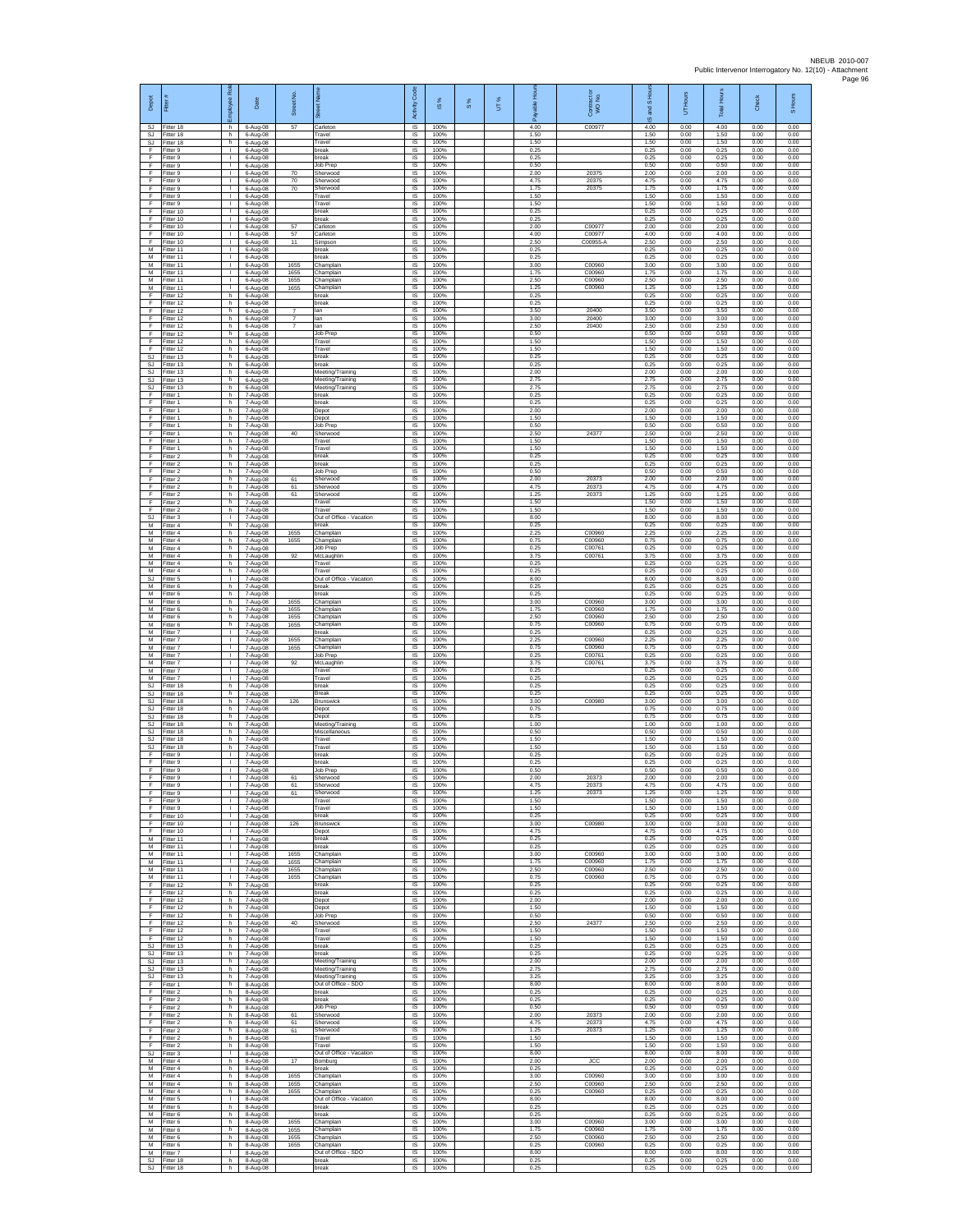| Depot                            | Fitter #                              | Rol<br>aekoy                       | Date                               | Street No.                       |                                               | Activity Code               | IS %                 | 8% | UT% | able Hou<br>۶        | Contract or<br>WO No.      | and S Ho<br>$\overline{\omega}$ | UT Hours             | Total Hours          | Check                | S Hours              |
|----------------------------------|---------------------------------------|------------------------------------|------------------------------------|----------------------------------|-----------------------------------------------|-----------------------------|----------------------|----|-----|----------------------|----------------------------|---------------------------------|----------------------|----------------------|----------------------|----------------------|
| SJ<br>SJ<br>SJ                   | Fitter 18<br>Fitter 18<br>litter 18   | h.<br>h.<br>h                      | 6-Aug-08<br>6-Aug-08<br>6-Aug-08   | 57                               | Carleton<br>Travel<br>Travel                  | <b>IS</b><br>$\sf IS$<br>IS | 100%<br>100%<br>100% |    |     | 4.00<br>1.50<br>1.50 | C00977                     | 4.00<br>1.50<br>1.50            | 0.00<br>0.00<br>0.00 | 4.00<br>1.50<br>1.50 | 0.00<br>0.00<br>0.00 | 0.00<br>0.00<br>0.00 |
| F<br>E                           | Fitter 9<br>Fitter 9                  | л.<br>л.                           | $6-Aug-08$<br>6-Aug-08             |                                  | break<br>reak                                 | IS<br>IS                    | 100%<br>100%         |    |     | 0.25<br>0.25         |                            | 0.25<br>0.25                    | 0.00<br>0.00         | 0.25<br>0.25         | 0.00<br>0.00         | 0.00<br>0.00         |
| F<br>Ŧ                           | Fitter 9<br>Fitter 9                  | τ.<br>$\mathbf{L}$                 | 6-Aug-08<br>6-Aug-08               | 70                               | Job Prep<br>Sherwood                          | IS<br>IS                    | 100%<br>100%         |    |     | 0.50<br>2.00         | 20375                      | 0.50<br>2.00                    | 0.00<br>0.00         | 0.50<br>2.00         | 0.00<br>0.00         | 0.00<br>0.00         |
| F<br>F<br>F                      | Fitter 9<br>Fitter 9                  | $\mathbf{L}$<br>л.<br>T.           | 6-Aug-08<br>6-Aug-08               | 70<br>70                         | Sherwood<br>Sherwood                          | IS<br>IS                    | 100%<br>100%         |    |     | 4.75<br>1.75         | 20375<br>20375             | 4.75<br>1.75                    | 0.00<br>0.00         | 4.75<br>1.75         | 0.00<br>0.00         | 0.00<br>0.00         |
| F<br>F                           | Fitter 9<br>Fitter 9<br>Fitter 10     | л.<br>т.                           | 6-Aug-08<br>6-Aug-08<br>6-Aug-08   |                                  | Travel<br>Travel<br>oreak                     | $\sf IS$<br>IS<br>IS        | 100%<br>100%<br>100% |    |     | 1.50<br>1.50<br>0.25 |                            | 1.50<br>1.50<br>0.25            | 0.00<br>0.00<br>0.00 | 1.50<br>1.50<br>0.25 | 0.00<br>0.00<br>0.00 | 0.00<br>0.00<br>0.00 |
| F<br>F                           | Fitter 10<br>Fitter 10                | т.<br>т.                           | 6-Aug-08<br>6-Aug-08               | 57                               | break<br>arleton                              | IS<br>IS                    | 100%<br>100%         |    |     | 0.25<br>2.00         | C0097                      | 0.25<br>2.00                    | 0.00<br>0.00         | 0.25<br>2.00         | 0.00<br>0.00         | 0.00<br>0.00         |
| F<br>F<br>М                      | Fitter 10<br>Fitter 10<br>Fitter 11   | л.<br>$\mathbf{L}$<br>٠            | 6-Aug-08<br>6-Aug-08<br>6-Aug-08   | 57<br>11                         | Carleton<br>Simpson<br>oreak                  | -IS<br>IS<br>IS             | 100%<br>100%<br>100% |    |     | 4.00<br>2.50<br>0.25 | C00977<br>C00955-A         | 4.00<br>2.50<br>0.25            | 0.00<br>0.00<br>0.00 | 4.00<br>2.50<br>0.25 | 0.00<br>0.00<br>0.00 | 0.00<br>0.00<br>0.00 |
| M<br>м                           | Fitter 11<br>Fitter 11                | $\mathbf{L}$<br>$\mathbf{L}$       | 6-Aug-08<br>6-Aug-08               | 1655                             | oreak<br>Champlain                            | IS<br>IS                    | 100%<br>100%         |    |     | 0.25<br>3.00         | C00960                     | 0.25<br>3.00                    | 0.00<br>0.00         | 0.25<br>3.00         | 0.00<br>0.00         | 0.00<br>0.00         |
| М<br>М                           | Fitter 11<br>Fitter 11                | т.<br>т                            | 6-Aug-08<br>6-Aug-08               | 1655<br>1655                     | Champlain<br>Champlain                        | IS<br>IS                    | 100%<br>100%         |    |     | 1.75<br>2.50         | C00960<br>C00960           | 1.75<br>2.50                    | 0.00<br>0.00         | 1.75<br>2.50         | 0.00<br>0.00         | 0.00<br>0.00         |
| M<br>F<br>F                      | Fitter 11<br>Fitter 12<br>Fitter 12   | $\mathbf{L}$<br>h<br>h.            | 6-Aug-08<br>6-Aug-08<br>6-Aug-08   | 1655                             | Champlain<br>reak<br>break                    | IS<br>IS<br>IS              | 100%<br>100%<br>100% |    |     | 1.25<br>0.25<br>0.25 | C00960                     | 1.25<br>0.25<br>0.25            | 0.00<br>0.00<br>0.00 | 1.25<br>0.25<br>0.25 | 0.00<br>0.00<br>0.00 | 0.00<br>0.00<br>0.00 |
| F<br>F                           | Fitter 12<br>Fitter 12                | h<br>h.                            | 6-Aug-08<br>6-Aug-08               | $\overline{7}$<br>$\overline{7}$ | lan<br>lan                                    | IS<br>-IS                   | 100%<br>100%         |    |     | 3.50<br>3.00         | 20400<br>20400             | 3.50<br>3.00                    | 0.00<br>0.00         | 3.50<br>3.00         | 0.00<br>0.00         | 0.00<br>0.00         |
| F<br>F<br>F                      | Fitter 12<br>litter 12<br>Fitter 12   | h<br>h<br>h.                       | 6-Aug-08<br>$6-Aug-08$             | $\overline{7}$                   | an<br>lob Prep<br>Travel                      | $\sf IS$<br>IS<br>IS        | 100%<br>100%<br>100% |    |     | 2.50<br>0.50<br>1.50 | 20400                      | 2.50<br>0.50<br>1.50            | 0.00<br>0.00<br>0.00 | 2.50<br>0.50<br>1.50 | 0.00<br>0.00<br>0.00 | 0.00<br>0.00<br>0.00 |
| E<br><b>SJ</b>                   | Fitter 12<br>Fitter 13                | h.<br>h                            | $6-Aug-08$<br>6-Aug-08<br>6-Aug-08 |                                  | Travel<br>break                               | IS<br>IS                    | 100%<br>100%         |    |     | 1.50<br>0.25         |                            | 1.50<br>0.25                    | 0.00<br>0.00         | 1.50<br>0.25         | 0.00<br>0.00         | 0.00<br>0.00         |
| SJ.<br>SJ                        | Fitter 13<br>Fitter 13                | h.<br>h.                           | 6-Aug-08<br>6-Aug-08               |                                  | break<br>Meeting/Training                     | IS<br>IS                    | 100%<br>100%         |    |     | 0.25<br>2.00         |                            | 0.25<br>2.00                    | 0.00<br>0.00         | 0.25<br>2.00         | 0.00<br>0.00         | 0.00<br>0.00         |
| SJ<br>SJ<br>F                    | Fitter 13<br>Fitter 13<br>Fitter 1    | h<br>h<br>h.                       | 6-Aug-08<br>6-Aug-08<br>7-Aug-08   |                                  | Meeting/Training<br>Meeting/Training<br>break | IS<br>$\sf IS$<br>IS        | 100%<br>100%<br>100% |    |     | 2.75<br>2.75<br>0.25 |                            | 2.75<br>2.75<br>0.25            | 0.00<br>0.00<br>0.00 | 2.75<br>2.75<br>0.25 | 0.00<br>0.00<br>0.00 | 0.00<br>0.00<br>0.00 |
| F<br>F                           | Fitter 1<br>Fitter 1                  | h<br>h                             | 7-Aug-08<br>7-Aug-08               |                                  | break<br>Depot                                | IS<br>IS                    | 100%<br>100%         |    |     | 0.25<br>2.00         |                            | 0.25<br>2.00                    | 0.00<br>0.00         | 0.25<br>2.00         | 0.00<br>0.00         | 0.00<br>0.00         |
| F<br>F                           | Fitter 1<br>Fitter 1                  | h<br>h.                            | 7-Aug-08<br>7-Aug-08               |                                  | Depot<br>Job Prec                             | IS<br>-IS                   | 100%<br>100%         |    |     | 1.50<br>0.50         |                            | 1.50<br>0.50                    | 0.00<br>0.00         | 1.50<br>0.50         | 0.00<br>0.00         | 0.00<br>0.00         |
| F<br>F<br>F                      | Fitter 1<br>Fitter 1<br>Fitter 1      | h.<br>h<br>h.                      | 7-Aug-08<br>7-Aug-08               | 40                               | Sherwood<br>ravel<br>Travel                   | IS<br>IS<br>IS              | 100%<br>100%<br>100% |    |     | 2.50<br>1.50<br>1.50 | 24377                      | 2.50<br>1.50<br>1.50            | 0.00<br>0.00<br>0.00 | 2.50<br>1.50<br>1.50 | 0.00<br>0.00<br>0.00 | 0.00<br>0.00<br>0.00 |
| F.<br>F                          | Fitter 2<br>Fitter 2                  | h<br>h                             | 7-Aug-08<br>7-Aug-08<br>7-Aug-08   |                                  | break<br>oreak                                | IS<br>IS                    | 100%<br>100%         |    |     | 0.25<br>0.25         |                            | 0.25<br>0.25                    | 0.00<br>0.00         | 0.25<br>0.25         | 0.00<br>0.00         | 0.00<br>0.00         |
| Ŧ<br>F<br>F                      | Fitter 2<br>Fitter 2<br>Fitter 2      | h.<br>h.                           | 7-Aug-08<br>7-Aug-08               | 61                               | Job Prep<br>Sherwood                          | IS<br>IS<br>IS              | 100%<br>100%<br>100% |    |     | 0.50<br>2.00<br>4.75 | 20373<br>20373             | 0.50<br>2.00<br>4.75            | 0.00<br>0.00<br>0.00 | 0.50<br>2.00<br>4.75 | 0.00<br>0.00<br>0.00 | 0.00<br>0.00<br>0.00 |
| F<br>F                           | Fitter 2<br>Fitter 2                  | h<br>h<br>h                        | 7-Aug-08<br>7-Aug-08<br>7-Aug-08   | 61<br>61                         | Sherwood<br>Sherwood<br>ravel                 | IS<br>IS                    | 100%<br>100%         |    |     | 1.25<br>1.50         | 20373                      | 1.25<br>1.50                    | 0.00<br>0.00         | 1.25<br>1.50         | 0.00<br>0.00         | 0.00<br>0.00         |
| E<br>SJ                          | Fitter 2<br>Fitter 3                  | h.<br>л.                           | 7-Aug-08<br>7-Aug-08               |                                  | Travel<br>Out of Office - Vacation            | -IS<br>$\sf IS$             | 100%<br>100%         |    |     | 1.50<br>8.00         |                            | 1.50<br>8.00                    | 0.00<br>0.00         | 1.50<br>8.00         | 0.00<br>0.00         | 0.00<br>0.00         |
| М<br>M<br>M                      | -itter 4<br>Fitter 4<br>Fitter 4      | h<br>h.<br>h.                      | 7-Aug-08<br>7-Aug-08<br>7-Aug-08   | 1655<br>1655                     | oreak<br>Champlain<br>Champlain               | IS<br>IS<br>IS              | 100%<br>100%<br>100% |    |     | 0.25<br>2.25<br>0.75 | C00960<br>C00960           | 0.25<br>2.25<br>0.75            | 0.00<br>0.00<br>0.00 | 0.25<br>2.25<br>0.75 | 0.00<br>0.00<br>0.00 | 0.00<br>0.00<br>0.00 |
| М<br>M                           | Fitter 4<br>-itter 4                  | h<br>h.                            | 7-Aug-08<br>7-Aug-08               | 92                               | lob Prep<br>McLaughlin                        | IS<br>IS                    | 100%<br>100%         |    |     | 0.25<br>3.75         | C00761<br>C00761           | 0.25<br>3.75                    | 0.00<br>0.00         | 0.25<br>3.75         | 0.00<br>0.00         | 0.00<br>0.00         |
| M<br>М<br>$\mathbb{S}\mathbb{J}$ | Fitter 4<br>-itter 4<br>Fitter 5      | h.<br>h<br>T.                      | 7-Aug-08<br>7-Aug-08<br>7-Aug-08   |                                  | Travel<br>Travel<br>Out of Office - Vacation  | IS<br>IS<br>$\sf IS$        | 100%<br>100%<br>100% |    |     | 0.25<br>0.25<br>8.00 |                            | 0.25<br>0.25<br>8.00            | 0.00<br>0.00<br>0.00 | 0.25<br>0.25<br>8.00 | 0.00<br>0.00<br>0.00 | 0.00<br>0.00<br>0.00 |
| M<br>М                           | Fitter 6<br>Fitter 6                  | h.<br>h                            | 7-Aug-08<br>7-Aug-08               |                                  | preak<br>preak                                | IS<br>IS                    | 100%<br>100%         |    |     | 0.25<br>0.25         |                            | 0.25<br>0.25                    | 0.00<br>0.00         | 0.25<br>0.25         | 0.00<br>0.00         | 0.00<br>0.00         |
| М<br>М<br>M                      | Fitter 6<br>Fitter 6<br>Fitter 6      | h<br>h<br>h.                       | 7-Aug-08<br>7-Aug-08               | 1655<br>1655<br>1655             | Champlair<br>Champlain                        | IS<br>IS<br>-IS             | 100%<br>100%<br>100% |    |     | 3.00<br>1.75<br>2.50 | C00960<br>C00960<br>C00960 | 3.00<br>1.75<br>2.50            | 0.00<br>0.00<br>0.00 | 3.00<br>1.75<br>2.50 | 0.00<br>0.00<br>0.00 | 0.00<br>0.00<br>0.00 |
| M<br>М                           | -itter 6<br>Fitter 7                  | h.<br>т.                           | 7-Aug-08<br>7-Aug-08<br>7-Aug-08   | 1655                             | Champlain<br>Champlain<br>oreak               | IS<br>IS                    | 100%<br>100%         |    |     | 0.75<br>0.25         | C00960                     | 0.75<br>0.25                    | 0.00<br>0.00         | 0.75<br>0.25         | 0.00<br>0.00         | 0.00<br>0.00         |
| M<br>м                           | Fitter 7<br>Fitter 7                  | $\mathbf{L}$<br>$\mathbf{L}$       | 7-Aug-08<br>7-Aug-08               | 1655<br>1655                     | Champlair<br>Champlain                        | IS<br>IS                    | 100%<br>100%         |    |     | 2.25<br>0.75         | C00960<br>C00960           | 2.25<br>0.75                    | 0.00<br>0.00         | 2.25<br>0.75         | 0.00<br>0.00         | 0.00<br>0.00         |
| M<br>M<br>M                      | Fitter 7<br>Fitter 7<br>Fitter 7      | т.<br>т<br>$\mathbf{L}$            | 7-Aug-08<br>7-Aug-08<br>7-Aug-08   | 92                               | Job Prep<br>McLaughlin<br>Travel              | $\sf IS$<br>IS<br>IS        | 100%<br>100%<br>100% |    |     | 0.25<br>3.75<br>0.25 | C00761<br>C00761           | 0.25<br>3.75<br>0.25            | 0.00<br>0.00<br>0.00 | 0.25<br>3.75<br>0.25 | 0.00<br>0.00<br>0.00 | 0.00<br>0.00<br>0.00 |
| M<br>SJ                          | Fitter 7<br>Fitter 18                 | h                                  | 7-Aug-08<br>7-Aug-08               |                                  | Travel<br>break                               | IS<br>IS                    | 100%<br>100%         |    |     | 0.25<br>0.25         |                            | 0.25<br>0.25                    | 0.00<br>0.00         | 0.25<br>0.25         | 0.00<br>0.00         | 0.00<br>0.00         |
| SJ.<br>SJ<br>SJ                  | Fitter 18<br>Fitter 18<br>Fitter 18   | h<br>h.<br>h                       | 7-Aug-08<br>7-Aug-08<br>7-Aug-08   | 126                              | 3reak<br>Brunswick<br>Depot                   | IS<br>-IS<br>$\sf IS$       | 100%<br>100%<br>100% |    |     | 0.25<br>3.00<br>0.75 | C00980                     | 0.25<br>3.00<br>0.75            | 0.00<br>0.00<br>0.00 | 0.25<br>3.00<br>0.75 | 0.00<br>0.00<br>0.00 | 0.00<br>0.00<br>0.00 |
| SJ<br><b>SJ</b>                  | Fitter 18<br>Fitter 18                | h<br>h.                            | 7-Aug-08<br>7-Aug-08               |                                  | Depot<br>Meeting/Training                     | IS<br>IS                    | 100%<br>100%         |    |     | 0.75<br>1.00         |                            | 0.75<br>1.00                    | 0.00<br>0.00         | 0.75<br>1.00         | 0.00<br>0.00         | 0.00<br>0.00         |
| SJ.<br>SJ<br>SJ                  | Fitter 18<br>Fitter 18<br>Fitter 18   | h.<br>h<br>h                       | 7-Aug-08<br>7-Aug-08<br>7-Aug-08   |                                  | Miscellaneous<br>Travel<br>Travel             | IS<br>IS<br>IS              | 100%<br>100%<br>100% |    |     | 0.50<br>1.50<br>1.50 |                            | 0.50<br>1.50<br>1.50            | 0.00<br>0.00<br>0.00 | 0.50<br>1.50<br>1.50 | 0.00<br>0.00<br>0.00 | 0.00<br>0.00<br>0.00 |
| F<br>F                           | Fitter 9<br>-itter 9                  | $\mathbf{L}$<br>л.                 | 7-Aug-08<br>7-Aug-08               |                                  | break<br>reak                                 | <b>IS</b><br>IS             | 100%<br>100%         |    |     | 0.25<br>0.25         |                            | 0.25<br>0.25                    | 0.00<br>0.00         | 0.25<br>0.25         | 0.00<br>0.00         | 0.00<br>0.00         |
| F<br>F<br>E                      | Fitter 9<br>Fitter 9<br>Fitter 9      | $\mathbf{L}$<br>$\mathbf{I}$<br>H. | 7-Aug-08<br>7-Aug-08               | 61<br>61                         | Job Prep<br>Sherwood                          | $\sf IS$<br>IS<br><b>IS</b> | 100%<br>100%<br>100% |    |     | 0.50<br>2.00<br>4.75 | 20373<br>20373             | 0.50<br>2.00<br>4.75            | 0.00<br>0.00<br>0.00 | 0.50<br>2.00<br>4.75 | 0.00<br>0.00<br>0.00 | 0.00<br>0.00<br>0.00 |
| F<br>F                           | Fitter 9<br>Fitter 9                  | I.<br>T.                           | 7-Aug-08<br>7-Aug-08<br>7-Aug-08   | 61                               | Sherwood<br>Sherwood<br>Travel                | IS<br>IS                    | 100%<br>100%         |    |     | 1.25<br>1.50         | 20373                      | 1.25<br>1.50                    | 0.00<br>0.00         | 1.25<br>1.50         | 0.00<br>0.00         | 0.00<br>0.00         |
| F<br>F.                          | Fitter 9<br>Fitter 10                 | л.<br>$\mathbf{L}$                 | 7-Aug-08<br>7-Aug-08               |                                  | Travel<br>hreak                               | - IS<br>IS                  | 100%<br>100%         |    |     | 1.50<br>0.25         |                            | 1.50<br>0.25                    | 0.00<br>0.00         | 1.50<br>0.25         | 0.00<br>0.00         | 0.00<br>0.00         |
| F<br>F                           | Fitter 10<br>Fitter 10<br>M Fitter 11 | т.<br>т<br>$\mathbf{L}$            | 7-Aug-08<br>7-Aug-08<br>7-Aug-08   | 126                              | <b>Brunswick</b><br>Depot<br>break            | IS<br>IS<br>IS              | 100%<br>100%<br>100% |    |     | 3.00<br>4.75<br>0.25 | C00980                     | 3.00<br>4.75<br>0.25            | 0.00<br>0.00<br>0.00 | 3.00<br>4.75<br>0.25 | 0.00<br>0.00<br>0.00 | 0.00<br>0.00<br>0.00 |
| M<br>M                           | Fitter 11<br>Fitter 11                | т.<br>т                            | 7-Aug-08<br>7-Aug-08               | 1655                             | break<br>Champlain                            | $\sf IS$<br>IS              | 100%<br>100%         |    |     | 0.25<br>3.00         | C00960                     | 0.25<br>3.00                    | 0.00<br>0.00         | 0.25<br>3.00         | 0.00<br>0.00         | 0.00<br>0.00         |
| M<br>М<br>М                      | Fitter 11<br>Fitter 11<br>Fitter 11   | $\mathbf{L}$<br>$\mathbf{I}$       | 7-Aug-08<br>7-Aug-08<br>7-Aug-08   | 1655<br>1655<br>1655             | Champlain<br>Champlain<br>Champlain           | <b>IS</b><br>IS<br>IS       | 100%<br>100%<br>100% |    |     | 1.75<br>2.50<br>0.75 | C00960<br>C00960<br>C00960 | 1.75<br>2.50<br>0.75            | 0.00<br>0.00<br>0.00 | 1.75<br>2.50<br>0.75 | 0.00<br>0.00<br>0.00 | 0.00<br>0.00<br>0.00 |
| F<br>F                           | Fitter 12<br>Fitter 12                | h<br>h.                            | 7-Aug-08<br>7-Aug-08               |                                  | oreak<br>break                                | IS<br>- IS                  | 100%<br>100%         |    |     | 0.25<br>0.25         |                            | 0.25<br>0.25                    | 0.00<br>0.00         | 0.25<br>0.25         | 0.00<br>0.00         | 0.00<br>0.00         |
| F.<br>F<br>F                     | Fitter 12<br>Fitter 12<br>Fitter 12   | h.<br>h<br>h.                      | 7-Aug-08<br>7-Aug-08<br>7-Aug-08   |                                  | Depot<br>Depot<br>Job Prep                    | $\sf IS$<br>IS<br>IS        | 100%<br>100%<br>100% |    |     | 2.00<br>1.50<br>0.50 |                            | 2.00<br>1.50<br>0.50            | 0.00<br>0.00<br>0.00 | 2.00<br>1.50<br>0.50 | 0.00<br>0.00<br>0.00 | 0.00<br>0.00<br>0.00 |
| F.<br>F                          | Fitter 12<br>Fitter 12                | h.<br>h                            | 7-Aug-08<br>7-Aug-08               | 40                               | Sherwood<br>Travel                            | IS<br>IS                    | 100%<br>100%         |    |     | 2.50<br>1.50         | 24377                      | 2.50<br>1.50                    | 0.00<br>0.00         | 2.50<br>1.50         | 0.00<br>0.00         | 0.00<br>0.00         |
| F                                | Fitter 12<br>SJ Fitter 13             | h.<br>h.                           | 7-Aug-08<br>7-Aug-08               |                                  | Travel<br>break<br>oreak                      | IS<br>IS                    | 100%<br>100%<br>100% |    |     | 1.50<br>0.25<br>0.25 |                            | 1.50<br>0.25                    | 0.00<br>0.00         | 1.50<br>0.25         | 0.00<br>0.00         | 0.00<br>0.00<br>0.00 |
| SJ.<br>SJ<br>SJ.                 | Fitter 13<br>Fitter 13<br>Fitter 13   | h<br>$\mathsf{h}$<br>h             | 7-Aug-08<br>7-Aug-08<br>7-Aug-08   |                                  | Meeting/Training<br>Meeting/Training          | IS<br>$\sf IS$<br>IS        | 100%<br>100%         |    |     | 2.00<br>2.75         |                            | 0.25<br>2.00<br>2.75            | 0.00<br>0.00<br>0.00 | 0.25<br>2.00<br>2.75 | 0.00<br>0.00<br>0.00 | 0.00<br>0.00         |
| SJ<br>F                          | Fitter 13<br>Fitter 1                 | h<br>h.                            | 7-Aug-08<br>8-Aug-08               |                                  | Meeting/Training<br>Out of Office - SDO       | IS<br>IS                    | 100%<br>100%         |    |     | 3.25<br>8.00         |                            | 3.25<br>8.00                    | 0.00<br>0.00         | 3.25<br>8.00         | 0.00<br>0.00         | 0.00<br>0.00         |
| F<br>F<br>F                      | Fitter 2<br>Fitter 2<br>Fitter 2      | h<br>h.<br>h.                      | 8-Aug-08<br>8-Aug-08<br>8-Aug-08   |                                  | break<br>break<br>lob Prep                    | IS<br>-IS<br>IS             | 100%<br>100%<br>100% |    |     | 0.25<br>0.25<br>0.50 |                            | 0.25<br>0.25<br>0.50            | 0.00<br>0.00<br>0.00 | 0.25<br>0.25<br>0.50 | 0.00<br>0.00<br>0.00 | 0.00<br>0.00<br>0.00 |
| F<br>F                           | Fitter 2<br>Fitter 2                  | h<br>h.                            | 8-Aug-08<br>8-Aug-08               | 61<br>61                         | Sherwood<br>Sherwood                          | IS<br>IS                    | 100%<br>100%         |    |     | 2.00<br>4.75         | 20373<br>20373             | 2.00<br>4.75                    | 0.00<br>0.00         | 2.00<br>4.75         | 0.00<br>0.00         | 0.00<br>0.00         |
| F.<br>F<br>F                     | Fitter 2<br>Fitter 2<br>Fitter 2      | h.<br>h<br>h                       | 8-Aug-08<br>8-Aug-08<br>8-Aug-08   | 61                               | Sherwood<br>Travel<br>Travel                  | IS<br>$\sf IS$<br>IS        | 100%<br>100%<br>100% |    |     | 1.25<br>1.50<br>1.50 | 20373                      | 1.25<br>1.50<br>1.50            | 0.00<br>0.00<br>0.00 | 1.25<br>1.50<br>1.50 | 0.00<br>0.00<br>0.00 | 0.00<br>0.00<br>0.00 |
| M                                | SJ Fitter 3<br>Fitter 4               | $\mathbf{L}$<br>h                  | 8-Aug-08<br>8-Aug-08               | 17                               | Out of Office - Vacation<br>Bomburg           | <b>IS</b><br>IS             | 100%<br>100%         |    |     | 8.00<br>2.00         | <b>JCC</b>                 | 8.00<br>2.00                    | 0.00<br>0.00         | 8.00<br>2.00         | 0.00<br>0.00         | 0.00<br>0.00         |
| M<br>M<br>M                      | Fitter 4<br>Fitter 4<br>Fitter 4      | h<br>h.<br>h                       | 8-Aug-08<br>8-Aug-08               | 1655<br>1655                     | break<br>Champlain<br>Champlain               | IS<br>IS<br>-IS             | 100%<br>100%<br>100% |    |     | 0.25<br>3.00<br>2.50 | C00960<br>C00960           | 0.25<br>3.00<br>2.50            | 0.00<br>0.00<br>0.00 | 0.25<br>3.00<br>2.50 | 0.00<br>0.00<br>0.00 | 0.00<br>0.00<br>0.00 |
| M<br>М                           | Fitter 4<br>-itter 5                  | h.<br>I.                           | 8-Aug-08<br>8-Aug-08<br>8-Aug-08   | 1655                             | Champlain<br>Out of Office - Vacation         | $\sf IS$<br>IS              | 100%<br>100%         |    |     | 0.25<br>8.00         | C00960                     | 0.25<br>8.00                    | 0.00<br>0.00         | 0.25<br>8.00         | 0.00<br>0.00         | 0.00<br>0.00         |
| M<br>м                           | Fitter 6<br>Fitter 6                  | h.<br>h.                           | 8-Aug-08<br>8-Aug-08               |                                  | break<br>hreak                                | IS<br>IS                    | 100%<br>100%         |    |     | 0.25<br>0.25         |                            | 0.25<br>0.25                    | 0.00<br>0.00         | 0.25<br>0.25         | 0.00<br>0.00         | 0.00<br>0.00         |
| М<br>M<br>M                      | Fitter 6<br>Fitter 6<br>Fitter 6      | h<br>h<br>h.                       | 8-Aug-08<br>8-Aug-08<br>8-Aug-08   | 1655<br>1655<br>1655             | hamplain<br>Champlain<br>Champlain            | IS<br>IS<br>-IS             | 100%<br>100%<br>100% |    |     | 3.00<br>1.75<br>2.50 | C00960<br>C00960<br>C00960 | 3.00<br>1.75<br>2.50            | 0.00<br>0.00<br>0.00 | 3.00<br>1.75<br>2.50 | 0.00<br>0.00<br>0.00 | 0.00<br>0.00<br>0.00 |
| ${\sf M}$<br>M                   | -itter 6<br>Fitter 7                  | h<br>$\mathbf{L}$                  | 8-Aug-08<br>8-Aug-08               | 1655                             | hamplain<br>Out of Office - SDO               | IS<br>$\sf IS$              | 100%<br>100%         |    |     | 0.25<br>8.00         | C00960                     | 0.25<br>8.00                    | 0.00<br>0.00         | 0.25<br>8.00         | 0.00<br>0.00         | 0.00<br>0.00         |
| <b>SJ</b><br>SJ.                 | Fitter 18<br>Fitter 18                | h<br>h.                            | 8-Aug-08<br>8-Aug-08               |                                  | break<br>break                                | IS<br>IS                    | 100%<br>100%         |    |     | 0.25<br>0.25         |                            | 0.25<br>0.25                    | 0.00<br>0.00         | 0.25<br>0.25         | 0.00<br>0.00         | 0.00<br>0.00         |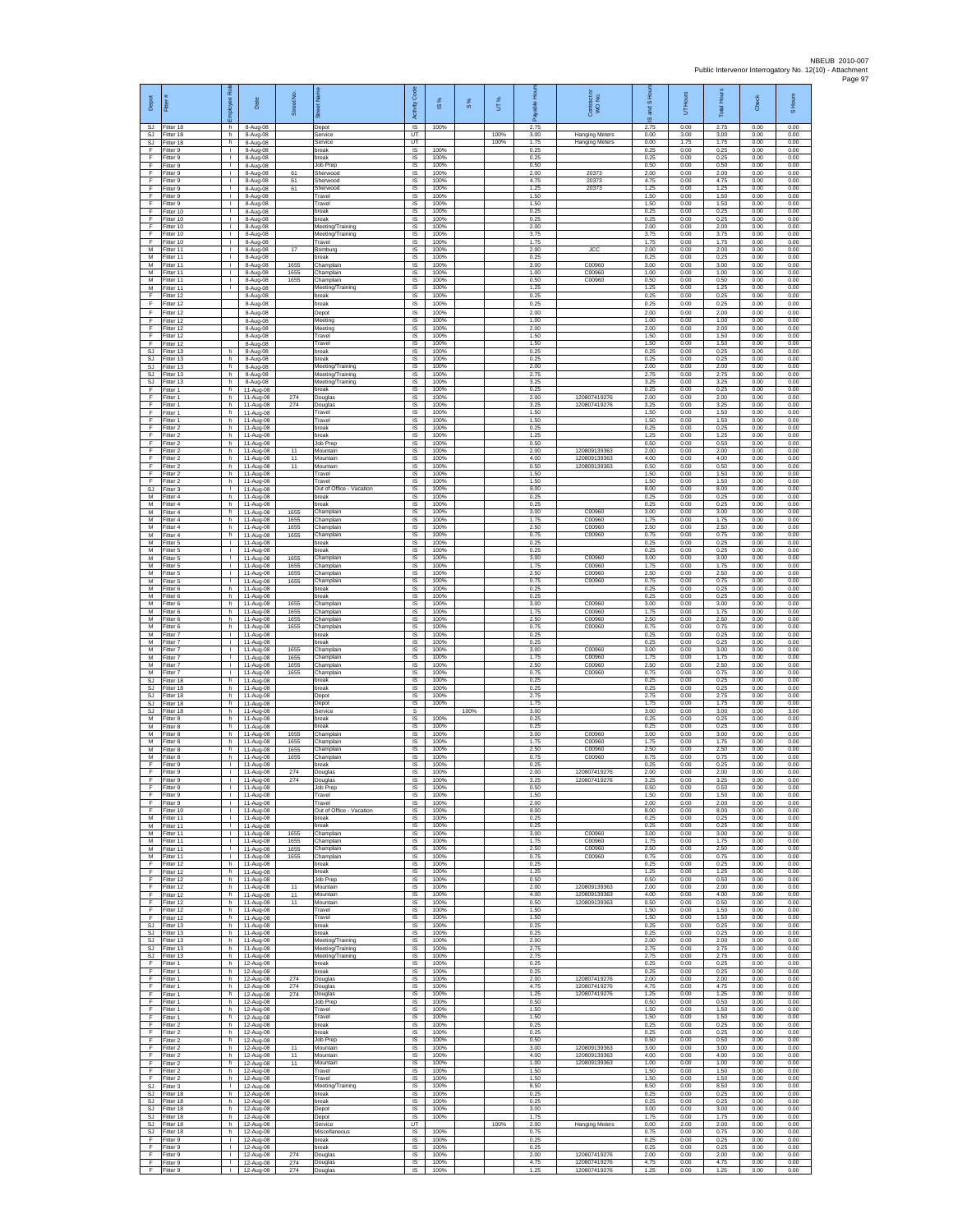| Depot                 | Ē                                   | Rol<br>mployee<br>ħ۳                         | Date                                | Street No.           | eet Na                                        | Code<br>Activity            | $\frac{8}{3}$        | $\frac{8}{3}$ | UT%  | Hours<br>able<br>டீ  | Contract or<br>WO No.        | S Ho<br>g<br>⊛       | UT Hours             | <b>Total Hours</b>   | Check                | S Hours              |
|-----------------------|-------------------------------------|----------------------------------------------|-------------------------------------|----------------------|-----------------------------------------------|-----------------------------|----------------------|---------------|------|----------------------|------------------------------|----------------------|----------------------|----------------------|----------------------|----------------------|
| SJ.<br>SJ             | Fitter 18<br>Fitter 18              | h<br>h                                       | 8-Aug-08<br>8-Aug-08                |                      | Depot<br>Service                              | $\overline{s}$<br>UT        | 100%                 |               | 100% | 2.75<br>3.00         | <b>Hanging Meters</b>        | 2.75<br>0.00         | 0.00<br>3.00         | 2.75<br>3.00         | 0.00<br>0.00         | 0.00<br>0.00         |
| SJ<br>F<br>E          | Fitter 18<br>Fitter 9<br>Fitter 9   | h.<br>$\mathbf{L}$<br>$\mathbf{L}$           | 8-Aug-08<br>8-Aug-08<br>8-Aug-08    |                      | Service<br>break<br>break                     | UT<br><b>IS</b><br>IS       | 100%<br>100%         |               | 100% | 1.75<br>0.25<br>0.25 | <b>Hanging Meters</b>        | 0.00<br>0.25<br>0.25 | 1.75<br>0.00<br>0.00 | 1.75<br>0.25<br>0.25 | 0.00<br>0.00<br>0.00 | 0.00<br>0.00<br>0.00 |
| F<br>F                | Fitter 9<br>Fitter 9                | Τ.<br>т.                                     | 8-Aug-08<br>8-Aug-08                | 61                   | Job Prep<br>Sherwood                          | 1S<br>IS                    | 100%<br>100%         |               |      | 0.50<br>2.00         | 20373                        | 0.50<br>2.00         | 0.00<br>0.00         | 0.50<br>2.00         | 0.00<br>0.00         | 0.00<br>0.00         |
| F<br>F                | Fitter 9<br>-itter 9                | ÷.<br>$\mathbf{L}$                           | 8-Aug-08<br>8-Aug-08                | 61<br>61             | Sherwood<br>Sherwood                          | IS<br>IS                    | 100%<br>100%         |               |      | 4.75<br>1.25         | 20373<br>20373               | 4.75<br>1.25         | 0.00<br>0.00         | 4.75<br>1.25         | 0.00<br>0.00         | 0.00<br>0.00         |
| F<br>F<br>F.          | Fitter 9<br>Fitter 9<br>Fitter 10   | $\mathbf{I}$<br>$\mathbf{L}$<br>$\mathbb{L}$ | 8-Aug-08<br>8-Aug-08<br>8-Aug-08    |                      | Travel<br>Travel<br>break                     | $\sf IS$<br><b>IS</b><br>IS | 100%<br>100%<br>100% |               |      | 1.50<br>1.50<br>0.25 |                              | 1.50<br>1.50<br>0.25 | 0.00<br>0.00<br>0.00 | 1.50<br>1.50<br>0.25 | 0.00<br>0.00<br>0.00 | 0.00<br>0.00<br>0.00 |
| F<br>F                | Fitter 10<br>Fitter 10              | т.<br>$\mathbf{L}$                           | 8-Aug-08<br>8-Aug-08                |                      | break<br>Meeting/Training                     | IS<br>IS                    | 100%<br>100%         |               |      | 0.25<br>2.00         |                              | 0.25<br>2.00         | 0.00<br>0.00         | 0.25<br>2.00         | 0.00<br>0.00         | 0.00<br>0.00         |
| F<br>F                | Fitter 10<br>Fitter 10              | $\mathbf{L}$<br>$\mathbf{L}$                 | 8-Aug-08<br>8-Aug-08                |                      | Meeting/Training<br>Travel                    | IS<br>IS                    | 100%<br>100%         |               |      | 3.75<br>1.75         |                              | 3.75<br>1.75         | 0.00<br>0.00         | 3.75<br>1.75         | 0.00<br>0.00         | 0.00<br>0.00         |
| М<br>M                | Fitter 11<br>Fitter 11              | H.<br>т.                                     | 8-Aug-08<br>8-Aug-08                | 17                   | Bomburg<br>oreak                              | 1S<br>IS                    | 100%<br>100%         |               |      | 2.00<br>0.25         | <b>JCC</b>                   | 2.00<br>0.25         | 0.00<br>0.00         | 2.00<br>0.25         | 0.00<br>0.00         | 0.00<br>0.00         |
| M<br>М<br>М           | Fitter 11<br>Fitter 11<br>Fitter 11 | T.<br>H.<br>т.                               | 8-Aug-08<br>8-Aug-08<br>8-Aug-08    | 1655<br>1655<br>1655 | Champlain<br>Champlain<br>Champlain           | IS<br>$\sf IS$<br>IS        | 100%<br>100%<br>100% |               |      | 3.00<br>1.00<br>0.50 | C00960<br>C00960<br>C00960   | 3.00<br>1.00<br>0.50 | 0.00<br>0.00<br>0.00 | 3.00<br>1.00<br>0.50 | 0.00<br>0.00<br>0.00 | 0.00<br>0.00<br>0.00 |
| M<br>F                | Fitter 11<br>Fitter 12              |                                              | 8-Aug-08<br>8-Aug-08                |                      | Meeting/Training<br>break                     | IS<br>IS                    | 100%<br>100%         |               |      | 1.25<br>0.25         |                              | 1.25<br>0.25         | 0.00<br>0.00         | 1.25<br>0.25         | 0.00<br>0.00         | 0.00<br>0.00         |
| F<br>F                | litter 12<br>litter 12              |                                              | 8-Aug-08<br>8-Aug-08                |                      | break<br>Depot                                | IS<br>IS                    | 100%<br>100%         |               |      | 0.25<br>2.00         |                              | 0.25<br>2.00         | 0.00<br>0.00         | 0.25<br>2.00         | 0.00<br>0.00         | 0.00<br>0.00         |
| F<br>F<br>F           | Fitter 12<br>Fitter 12              |                                              | 8-Aug-08<br>8-Aug-08                |                      | Meeting<br>Meeting                            | IS<br>IS                    | 100%<br>100%         |               |      | 1.00<br>2.00         |                              | 1.00<br>2.00         | 0.00<br>0.00         | 1.00<br>2.00         | 0.00<br>0.00         | 0.00<br>0.00         |
| F<br>SJ               | Fitter 12<br>Fitter 12<br>Fitter 13 | h                                            | 8-Aug-08<br>8-Aug-08<br>8-Aug-08    |                      | Travel<br>Travel<br>break                     | $\sf IS$<br><b>IS</b><br>IS | 100%<br>100%<br>100% |               |      | 1.50<br>1.50<br>0.25 |                              | 1.50<br>1.50<br>0.25 | 0.00<br>0.00<br>0.00 | 1.50<br>1.50<br>0.25 | 0.00<br>0.00<br>0.00 | 0.00<br>0.00<br>0.00 |
| <b>SJ</b><br>SJ       | Fitter 13<br>Fitter 13              | h<br>h.                                      | 8-Aug-08<br>8-Aug-08                |                      | break<br>Meeting/Training                     | IS<br>IS                    | 100%<br>100%         |               |      | 0.25<br>2.00         |                              | 0.25<br>2.00         | 0.00<br>0.00         | 0.25<br>2.00         | 0.00<br>0.00         | 0.00<br>0.00         |
| <b>SJ</b><br>SJ       | Fitter 13<br>Fitter 13              | h.<br>h                                      | 8-Aug-08<br>8-Aug-08                |                      | Meeting/Training<br>Meeting/Training          | IS<br>IS                    | 100%<br>100%         |               |      | 2.75<br>3.25         |                              | 2.75<br>3.25         | 0.00<br>0.00         | 2.75<br>3.25         | 0.00<br>0.00         | 0.00<br>0.00         |
| F<br>F<br>F           | Fitter 1<br>Fitter 1<br>Fitter 1    | h.<br>h<br>h                                 | 11-Aug-08<br>11-Aug-08<br>11-Aug-08 | 274<br>274           | break<br>Douglas<br>Douglas                   | 1S<br>IS<br>$\sf IS$        | 100%<br>100%<br>100% |               |      | 0.25<br>2.00<br>3.25 | 120807419276<br>120807419276 | 0.25<br>2.00<br>3.25 | 0.00<br>0.00<br>0.00 | 0.25<br>2.00<br>3.25 | 0.00<br>0.00<br>0.00 | 0.00<br>0.00<br>0.00 |
| F<br>F                | Fitter 1<br>Fitter 1                | h.<br>h                                      | 11-Aug-08<br>11-Aug-08              |                      | Travel<br>Travel                              | $\sf IS$<br>IS              | 100%<br>100%         |               |      | 1.50<br>1.50         |                              | 1.50<br>1.50         | 0.00<br>0.00         | 1.50<br>1.50         | 0.00<br>0.00         | 0.00<br>0.00         |
| F<br>F                | Fitter 2<br>Fitter 2                | h.<br>h.                                     | 11-Aug-08<br>11-Aug-08              |                      | break<br>break                                | - IS<br>IS                  | 100%<br>100%         |               |      | 0.25<br>1 25         |                              | 0.25<br>1.25         | 0.00<br>0.00         | 0.25<br>1.25         | 0.00<br>0.00         | 0.00<br>0.00         |
| F<br>F<br>F           | Fitter 2<br>Fitter 2<br>Fitter 2    | h<br>h.<br>h.                                | 11-Aug-08<br>11-Aug-08<br>11-Aug-08 | 11<br>11             | Job Prep<br>Mountain<br>Mountain              | IS<br>IS<br><b>IS</b>       | 100%<br>100%<br>100% |               |      | 0.50<br>2.00<br>4.00 | 120809139363<br>120809139363 | 0.50<br>2.00<br>4.00 | 0.00<br>0.00<br>0.00 | 0.50<br>2.00<br>4.00 | 0.00<br>0.00<br>0.00 | 0.00<br>0.00<br>0.00 |
| F<br>F                | -itter 2<br>Fitter 2                | h<br>h                                       | 11-Aug-08<br>11-Aug-08              | 11                   | Mountain<br>Travel                            | $\sf IS$<br>$\sf IS$        | 100%<br>100%         |               |      | 0.50<br>1.50         | 120809139363                 | 0.50<br>1.50         | 0.00<br>0.00         | 0.50<br>1.50         | 0.00<br>0.00         | 0.00<br>0.00         |
| F<br>SJ               | Fitter 2<br>Fitter 3                | h.<br>$\mathbf{L}$                           | 11-Aug-08<br>11-Aug-08              |                      | Travel<br>Out of Office - Vacation            | IS<br>IS                    | 100%<br>100%         |               |      | 1.50<br>8.00         |                              | 1.50<br>8.00         | 0.00<br>0.00         | 1.50<br>8.00         | 0.00<br>0.00         | 0.00<br>0.00         |
| М<br>М<br>M           | Fitter 4<br>itter 4<br>Fitter 4     | h.<br>h<br>h.                                | 11-Aug-08<br>11-Aug-08<br>11-Aug-08 | 1655                 | break<br>oreak<br>Champlain                   | IS<br>IS<br>IS              | 100%<br>100%<br>100% |               |      | 0.25<br>0.25<br>3.00 | C00960                       | 0.25<br>0.25<br>3.00 | 0.00<br>0.00<br>0.00 | 0.25<br>0.25<br>3.00 | 0.00<br>0.00<br>0.00 | 0.00<br>0.00<br>0.00 |
| M<br>М                | Fitter 4<br>Fitter 4                | h.<br>h                                      | 11-Aug-08<br>11-Aug-08              | 1655<br>1655         | Champlain<br>Champlain                        | IS<br>$\sf IS$              | 100%<br>100%         |               |      | 1.75<br>2.50         | C00960<br>C00960             | 1.75<br>2.50         | 0.00<br>0.00         | 1.75<br>2.50         | 0.00<br>0.00         | 0.00<br>0.00         |
| M<br>M                | Fitter 4<br>Fitter 5                | h<br>H.                                      | 11-Aug-08<br>11-Aug-08              | 1655                 | Champlain<br>break                            | IS<br>IS                    | 100%<br>100%         |               |      | 0.75<br>0.25         | C00960                       | 0.75<br>0.25         | 0.00<br>0.00         | 0.75<br>0.25         | 0.00<br>0.00         | 0.00<br>0.00         |
| М<br>M<br>M           | Fitter 5<br>Fitter 5<br>Fitter 5    | т.<br>т<br>$\mathbf{L}$                      | 11-Aug-08<br>11-Aug-08<br>11-Aug-08 | 1655<br>1655         | break<br>Champlain<br>Champlain               | IS<br>IS<br>IS              | 100%<br>100%<br>100% |               |      | 0.25<br>3.00<br>1.75 | C00960<br>C00960             | 0.25<br>3.00<br>1.75 | 0.00<br>0.00<br>0.00 | 0.25<br>3.00<br>1.75 | 0.00<br>0.00<br>0.00 | 0.00<br>0.00<br>0.00 |
| М<br>M                | -itter 5<br>Fitter 5                | $\mathbf{L}$<br>L.                           | 11-Aug-08<br>11-Aug-08              | 1655<br>1655         | Champlain<br>Champlain                        | IS<br>IS                    | 100%<br>100%         |               |      | 2.50<br>0.75         | C00960<br>C00960             | 2.50<br>0.75         | 0.00<br>0.00         | 2.50<br>0.75         | 0.00<br>0.00         | 0.00<br>0.00         |
| M<br>M                | Fitter 6<br>Fitter 6                | h<br>h                                       | 11-Aug-08<br>11-Aug-08              |                      | oreak<br>break                                | IS<br>IS                    | 100%<br>100%         |               |      | 0.25<br>0.25         |                              | 0.25<br>0.25         | 0.00<br>0.00         | 0.25<br>0.25         | 0.00<br>0.00         | 0.00<br>0.00         |
| М<br>М<br>M           | Fitter 6<br>Fitter 6<br>Fitter 6    | h.<br>h<br>h                                 | 11-Aug-08<br>11-Aug-08<br>11-Aug-08 | 1655<br>1655<br>1655 | Champlain<br>Champlain<br>Champlain           | IS<br>IS<br>IS              | 100%<br>100%<br>100% |               |      | 3.00<br>1.75<br>2.50 | C00960<br>C00960<br>C00960   | 3.00<br>1.75<br>2.50 | 0.00<br>0.00<br>0.00 | 3.00<br>1.75<br>2.50 | 0.00<br>0.00<br>0.00 | 0.00<br>0.00<br>0.00 |
| M<br>М                | Fitter 6<br>Fitter 7                | h.<br>٠                                      | 11-Aug-08<br>11-Aug-08              | 1655                 | Champlain<br>break                            | IS<br>IS                    | 100%<br>100%         |               |      | 0.75<br>0.25         | C00960                       | 0.75<br>0.25         | 0.00<br>0.00         | 0.75<br>0.25         | 0.00<br>0.00         | 0.00<br>0.00         |
| M<br>M                | Fitter 7<br>Fitter 7                | $\mathbf{L}$<br>$\mathbf{L}$                 | 11-Aug-08<br>11-Aug-08              | 1655                 | break<br>Champlain                            | IS<br>IS                    | 100%<br>100%         |               |      | 0.25<br>3.00         | C00960                       | 0.25<br>3.00         | 0.00<br>0.00         | 0.25<br>3.00         | 0.00<br>0.00         | 0.00<br>0.00         |
| М<br>M<br>M           | -itter 7<br>Fitter 7<br>Fitter 7    | $\mathbf{L}$<br>L.<br>$\mathbf{L}$           | 11-Aug-08<br>11-Aug-08<br>11-Aug-08 | 1655<br>1655<br>1655 | Champlain<br>Champlain<br>Champlain           | $\sf IS$<br>$\sf IS$<br>IS  | 100%<br>100%<br>100% |               |      | 1.75<br>2.50<br>0.75 | C00960<br>C00960<br>C00960   | 1.75<br>2.50<br>0.75 | 0.00<br>0.00<br>0.00 | 1.75<br>2.50<br>0.75 | 0.00<br>0.00<br>0.00 | 0.00<br>0.00<br>0.00 |
| SJ<br><b>SJ</b>       | Fitter 18<br>Fitter 18              | h<br>h.                                      | 11-Aug-08<br>11-Aug-08              |                      | break<br>break                                | IS<br>1S                    | 100%<br>100%         |               |      | 0.25<br>0.25         |                              | 0.25<br>0.25         | 0.00<br>0.00         | 0.25<br>0.25         | 0.00<br>0.00         | 0.00<br>0.00         |
| SJ<br>SJ<br>SJ        | Fitter 18<br>Fitter 18<br>Fitter 18 | h<br>h.<br>Ъ.                                | 11-Aug-08<br>11-Aug-08              |                      | Depot<br>Depot<br>Service                     | IS<br>IS<br>s               | 100%<br>100%         | 100%          |      | 2.75<br>1.75<br>3.00 |                              | 2.75<br>1.75<br>3.00 | 0.00<br>0.00<br>0.00 | 2.75<br>1.75<br>3.00 | 0.00<br>0.00<br>0.00 | 0.00<br>0.00<br>3.00 |
| М<br>M                | Fitter 8<br>Fitter 8                | h<br>h.                                      | 11-Aug-08<br>11-Aug-08<br>11-Aug-08 |                      | break<br>break                                | $\sf IS$<br>IS              | 100%<br>100%         |               |      | 0.25<br>0.25         |                              | 0.25<br>0.25         | 0.00<br>0.00         | 0.25<br>0.25         | 0.00<br>0.00         | 0.00<br>0.00         |
| M<br>М                | Fitter 8<br>Fitter 8                | h.<br>h                                      | 11-Aug-08<br>11-Aug-08              | 1655<br>1655         | Champlain<br>Champlain                        | IS<br>IS                    | 100%<br>100%         |               |      | 3.00<br>1.75         | C00960<br>C00960             | 3.00<br>1.75         | 0.00<br>0.00         | 3.00<br>1.75         | 0.00<br>0.00         | 0.00<br>0.00         |
| M<br>M<br>F           | Fitter 8<br>Fitter 8<br>-itter 9    | h.<br>h.<br>$\mathbf{L}$                     | 11-Aug-08<br>11-Aug-08<br>11-Aug-08 | 1655<br>1655         | Champlain<br>Champlain<br>break               | IS<br><b>IS</b><br>IS       | 100%<br>100%<br>100% |               |      | 2.50<br>0.75<br>0.25 | C00960<br>C00960             | 2.50<br>0.75<br>0.25 | 0.00<br>0.00<br>0.00 | 2.50<br>0.75<br>0.25 | 0.00<br>0.00<br>0.00 | 0.00<br>0.00<br>0.00 |
| F<br>F                | Fitter 9<br>Fitter 9                | Τ.<br>$\mathbb{L}$                           | 11-Aug-08<br>11-Aug-08              | 274<br>274           | Douglas<br>Douglas                            | 1S<br>IS                    | 100%<br>100%         |               |      | 2.00<br>3.25         | 120807419276<br>120807419276 | 2.00<br>3.25         | 0.00<br>0.00         | 2.00<br>3.25         | 0.00<br>0.00         | 0.00<br>0.00         |
| E<br>F                | Fitter 9<br>Fitter 9                | л.<br>H.                                     | 11-Aug-08<br>11-Aug-08              |                      | Job Prep<br>Travel                            | IS<br>IS                    | 100%<br>100%         |               |      | 0.50<br>1.50         |                              | 0.50<br>1.50         | 0.00<br>0.00         | 0.50<br>1.50         | 0.00<br>0.00         | 0.00<br>0.00         |
| F<br>F<br>м           | Fitter 9<br>Fitter 10<br>Fitter 11  | т.<br>л.<br>$\mathbf{L}$                     | 11-Aug-08<br>11-Aug-08<br>11-Aug-08 |                      | Travel<br>Out of Office - Vacation<br>break   | IS<br>- IS<br><b>IS</b>     | 100%<br>100%<br>100% |               |      | 2.00<br>8.00<br>0.25 |                              | 2.00<br>8.00<br>0.25 | 0.00<br>0.00<br>0.00 | 2.00<br>8.00<br>0.25 | 0.00<br>0.00<br>0.00 | 0.00<br>0.00<br>0.00 |
| М<br>M                | Fitter 11<br>Fitter 11              | т.<br>т                                      | 11-Aug-08<br>11-Aug-08              | 1655                 | break<br>Champlain                            | IS<br>IS                    | 100%<br>100%         |               |      | 0.25<br>3.00         | C00960                       | 0.25<br>3.00         | 0.00<br>0.00         | 0.25<br>3.00         | 0.00<br>0.00         | 0.00<br>0.00         |
| М<br>M                | M Fitter 11<br>Fitter 11            | $\mathbf{L}$<br>т.<br>$\mathbb{R}^n$         | 11-Aug-08<br>11-Aug-08              | 1655<br>1655         | Champlain<br>Champlain                        | <b>IS</b><br>$\sf IS$       | 100%<br>100%         |               |      | 1.75<br>2.50         | C00960<br>C00960             | 1.75<br>2.50         | 0.00<br>0.00         | 1.75<br>2.50         | 0.00<br>0.00         | 0.00<br>0.00         |
| F<br>F.               | Fitter 11<br>Fitter 12<br>Fitter 12 | h.<br>h                                      | 11-Aug-08<br>11-Aug-08<br>11-Aug-08 | 1655                 | Champlain<br>break<br>break                   | $\sf IS$<br>IS.<br>IS       | 100%<br>100%<br>100% |               |      | 0.75<br>0.25<br>1.25 | C00960                       | 0.75<br>0.25<br>1.25 | 0.00<br>0.00<br>0.00 | 0.75<br>0.25<br>1.25 | 0.00<br>0.00<br>0.00 | 0.00<br>0.00<br>0.00 |
| F<br>F                | Fitter 12<br>Fitter 12              | h.<br>h.                                     | 11-Aug-08<br>11-Aug-08              | 11                   | Job Prep<br>Mountain                          | 1S<br>IS                    | 100%<br>100%         |               |      | 0.50<br>2.00         | 120809139363                 | 0.50<br>2.00         | 0.00<br>0.00         | 0.50<br>2.00         | 0.00<br>0.00         | 0.00<br>0.00         |
| F<br>F<br>F           | Fitter 12<br>Fitter 12<br>Fitter 12 | h.<br>h.<br>h.                               | 11-Aug-08<br>11-Aug-08<br>11-Aug-08 | 11<br>11             | Mountain<br>Mountain<br>Travel                | IS<br>IS<br>IS              | 100%<br>100%<br>100% |               |      | 4.00<br>0.50<br>1.50 | 120809139363<br>120809139363 | 4.00<br>0.50<br>1.50 | 0.00<br>0.00<br>0.00 | 4.00<br>0.50<br>1.50 | 0.00<br>0.00<br>0.00 | 0.00<br>0.00<br>0.00 |
| F.<br><b>SJ</b>       | Fitter 12<br>Fitter 13              | h<br>h.                                      | 11-Aug-08<br>11-Aug-08              |                      | Travel<br>break                               | IS<br>IS                    | 100%<br>100%         |               |      | 1.50<br>0.25         |                              | 1.50<br>0.25         | 0.00<br>0.00         | 1.50<br>0.25         | 0.00<br>0.00         | 0.00<br>0.00         |
| SJ<br>SJ.             | Fitter 13<br>Fitter 13              | h<br>h.                                      | 11-Aug-08<br>11-Aug-08              |                      | break<br>Meeting/Training                     | IS<br>IS                    | 100%<br>100%         |               |      | 0.25<br>2.00         |                              | 0.25<br>2.00         | 0.00<br>0.00         | 0.25<br>2.00         | 0.00<br>0.00         | 0.00<br>0.00         |
| SJ.<br>SJ<br>F        | Fitter 13<br>Fitter 13<br>Fitter 1  | h.<br>h<br>h.                                | 11-Aug-08<br>11-Aug-08<br>12-Aug-08 |                      | Meeting/Training<br>Meeting/Training<br>break | IS<br>IS<br>1S              | 100%<br>100%<br>100% |               |      | 2.75<br>2.75<br>0.25 |                              | 2.75<br>2.75<br>0.25 | 0.00<br>0.00<br>0.00 | 2.75<br>2.75<br>0.25 | 0.00<br>0.00<br>0.00 | 0.00<br>0.00<br>0.00 |
| F<br>F                | Fitter 1<br>Fitter 1                | h.<br>h                                      | 12-Aug-08<br>12-Aug-08              | 274                  | break<br>Douglas                              | IS<br>IS                    | 100%<br>100%         |               |      | 0.25<br>2.00         | 120807419276                 | 0.25<br>2.00         | 0.00<br>0.00         | 0.25<br>2.00         | 0.00<br>0.00         | 0.00<br>0.00         |
| F.<br>F               | Fitter 1<br>Fitter 1                | h.<br>h.                                     | 12-Aug-08<br>12-Aug-08              | 274<br>274           | Douglas<br>Douglas                            | IS<br>IS                    | 100%<br>100%         |               |      | 4.75<br>1.25         | 120807419276<br>120807419276 | 4.75<br>1.25         | 0.00<br>0.00         | 4.75<br>1.25         | 0.00<br>0.00         | 0.00<br>0.00         |
| F<br>F.<br>F          | Fitter 1<br>Fitter 1<br>Fitter 1    | h.<br>h<br>h.                                | 12-Aug-08<br>12-Aug-08<br>12-Aug-08 |                      | Job Prep<br>Travel<br>Travel                  | -IS<br>IS<br>IS             | 100%<br>100%<br>100% |               |      | 0.50<br>1.50<br>1.50 |                              | 0.50<br>1.50<br>1.50 | 0.00<br>0.00<br>0.00 | 0.50<br>1.50<br>1.50 | 0.00<br>0.00<br>0.00 | 0.00<br>0.00<br>0.00 |
| F<br>F.               | Fitter 2<br>Fitter 2                | h.<br>h.                                     | 12-Aug-08<br>12-Aug-08              |                      | break<br>break                                | IS<br><b>IS</b>             | 100%<br>100%         |               |      | 0.25<br>0.25         |                              | 0.25<br>0.25         | 0.00<br>0.00         | 0.25<br>0.25         | 0.00<br>0.00         | 0.00<br>0.00         |
| F<br>F                | Fitter 2<br>Fitter 2                | h<br>h                                       | 12-Aug-08<br>12-Aug-08<br>12-Aug-08 | 11                   | Job Prep<br>Mountain                          | $\sf IS$<br>$\sf IS$        | 100%<br>100%<br>100% |               |      | 0.50<br>3.00<br>4.00 | 120809139363<br>120809139363 | 0.50<br>3.00<br>4.00 | 0.00<br>0.00<br>0.00 | 0.50<br>3.00<br>4.00 | 0.00<br>0.00<br>0.00 | 0.00<br>0.00<br>0.00 |
| F<br>F.<br>F          | Fitter 2<br>Fitter 2<br>Fitter 2    | h.<br>h<br>h.                                | 12-Aug-08<br>12-Aug-08              | 11<br>11             | Mountain<br>Mountain<br>Travel                | <b>IS</b><br>IS<br>1S       | 100%<br>100%         |               |      | 1.00<br>1.50         | 120809139363                 | 1.00<br>1.50         | 0.00<br>0.00         | 1.00<br>1.50         | 0.00<br>0.00         | 0.00<br>0.00         |
| F<br>SJ               | Fitter 2<br>Fitter 3                | h.<br>л.                                     | 12-Aug-08<br>12-Aug-08              |                      | Travel<br>Meeting/Training                    | IS<br>IS                    | 100%<br>100%         |               |      | 1.50<br>8.50         |                              | 1.50<br>8.50         | 0.00<br>0.00         | 1.50<br>8.50         | 0.00<br>0.00         | 0.00<br>0.00         |
| SJ.<br>SJ<br>SJ.      | Fitter 18<br>Fitter 18<br>Fitter 18 | h.<br>h<br>h                                 | 12-Aug-08<br>12-Aug-08<br>12-Aug-08 |                      | break<br>break                                | IS<br>$\sf IS$<br><b>IS</b> | 100%<br>100%<br>100% |               |      | 0.25<br>0.25<br>3.00 |                              | 0.25<br>0.25<br>3.00 | 0.00<br>0.00<br>0.00 | 0.25<br>0.25<br>3.00 | 0.00<br>0.00<br>0.00 | 0.00<br>0.00<br>0.00 |
| <b>SJ</b><br>SJ       | Fitter 18<br>Fitter 18              | h.<br>h                                      | 12-Aug-08<br>12-Aug-08              |                      | Depot<br>Depot<br>Service                     | <b>IS</b><br>UT             | 100%                 |               | 100% | 1.75<br>2.00         | <b>Hanging Meters</b>        | 1.75<br>0.00         | 0.00<br>2.00         | 1.75<br>2.00         | 0.00<br>0.00         | 0.00<br>0.00         |
| SJ.<br>F              | Fitter 18<br>Fitter 9               | h.<br>$\mathbf{L}$                           | 12-Aug-08<br>12-Aug-08              |                      | Miscellaneous<br>break                        | <b>IS</b><br>IS             | 100%<br>100%         |               |      | 0.75<br>0.25         |                              | 0.75<br>0.25         | 0.00<br>0.00         | 0.75<br>0.25         | 0.00<br>0.00         | 0.00<br>0.00         |
| $\mathsf F$<br>F<br>F | Fitter 9<br>Fitter 9<br>Fitter 9    | т.<br>$\mathbb{L}$<br>Τ.                     | 12-Aug-08<br>12-Aug-08<br>12-Aug-08 | 274<br>274           | break<br>Douglas<br>Douglas                   | IS<br>1S<br>IS              | 100%<br>100%<br>100% |               |      | 0.25<br>2.00<br>4.75 | 120807419276<br>120807419276 | 0.25<br>2.00<br>4.75 | 0.00<br>0.00<br>0.00 | 0.25<br>2.00<br>4.75 | 0.00<br>0.00<br>0.00 | 0.00<br>0.00<br>0.00 |
| F.                    | Fitter 9                            |                                              | I 12-Aug-08                         | 274                  | Douglas                                       | IS                          | 100%                 |               |      | 1.25                 | 120807419276                 | 1.25                 | 0.00                 | 1.25                 | 0.00                 | 0.00                 |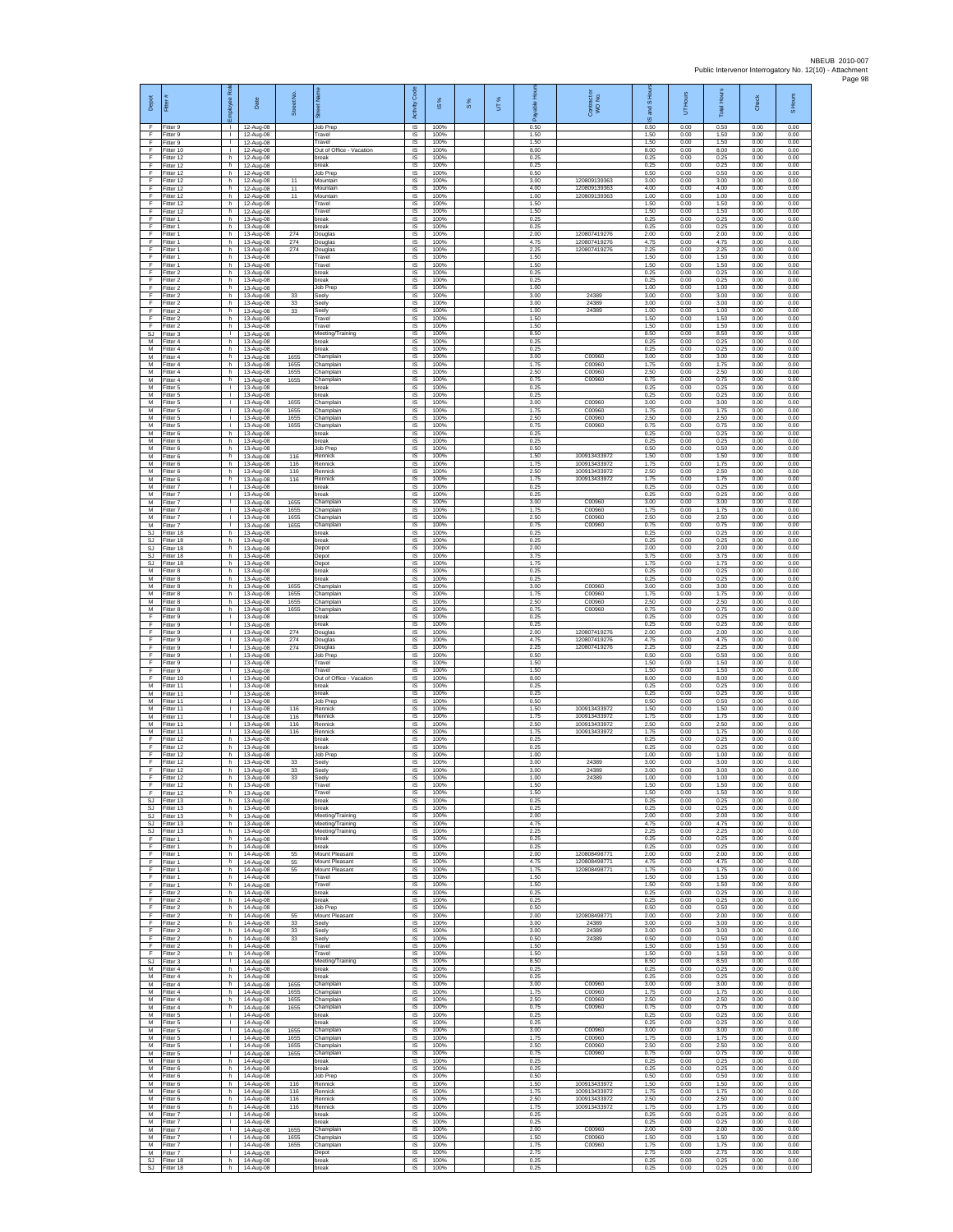| Depot<br>F                    | Fitter#<br>Fitter 9                 | bloyee Rol<br>$\mathbf{I}$                   | Date<br>12-Aug-08                   | Street No.           | 芴<br>Job Prep                              | code<br>Activity<br>IS      | IS %<br>100%         | 8% | UT% | able Hou<br>δ<br>0.50 | Contract or<br>WO No.                        | and S Ho<br>$\overline{\omega}$<br>0.50 | UT Hours<br>0.00     | <b>Total Hours</b><br>0.50 | Check<br>0.00        | S Hours<br>0.00      |
|-------------------------------|-------------------------------------|----------------------------------------------|-------------------------------------|----------------------|--------------------------------------------|-----------------------------|----------------------|----|-----|-----------------------|----------------------------------------------|-----------------------------------------|----------------------|----------------------------|----------------------|----------------------|
| E<br>F                        | Fitter 9<br>Fitter 9                | $\mathbf{L}$<br>$\mathbf{L}$                 | 12-Aug-08<br>12-Aug-08              |                      | Travel<br>Travel                           | IS<br>IS                    | 100%<br>100%         |    |     | 1.50<br>1.50          |                                              | 1.50<br>1.50                            | 0.00<br>0.00         | 1.50<br>1.50               | 0.00<br>0.00         | 0.00<br>0.00         |
| Ŧ<br>F                        | Fitter 10<br>Fitter 12              | т<br>h.                                      | 12-Aug-08<br>12-Aug-08              |                      | Out of Office - Vacation<br>break          | 1S<br><b>IS</b>             | 100%<br>100%         |    |     | 8.00<br>0.25          |                                              | 8.00<br>0.25                            | 0.00<br>0.00         | 8.00<br>0.25               | 0.00<br>0.00         | 0.00<br>0.00         |
| F<br>Ŧ                        | Fitter 12<br>Fitter 12              | h.<br>h.                                     | 12-Aug-08<br>12-Aug-08              |                      | oreak<br>Job Prep                          | IS<br>IS                    | 100%<br>100%         |    |     | 0.25<br>0.50          |                                              | 0.25<br>0.50                            | 0.00<br>0.00         | 0.25<br>0.50               | 0.00<br>0.00         | 0.00<br>0.00         |
| F<br>F<br>F                   | Fitter 12<br>Fitter 12<br>ltter 12  | h.<br>h.<br>h.                               | 12-Aug-08<br>12-Aug-08<br>12-Aug-08 | 11<br>11<br>11       | Mountain<br>Mountain<br>Mountain           | IS<br><b>IS</b><br>$\sf IS$ | 100%<br>100%<br>100% |    |     | 3.00<br>4.00<br>1.00  | 120809139363<br>120809139363<br>120809139363 | 3.00<br>4.00<br>1.00                    | 0.00<br>0.00<br>0.00 | 3.00<br>4.00<br>1.00       | 0.00<br>0.00<br>0.00 | 0.00<br>0.00<br>0.00 |
| F<br>F                        | Fitter 12<br>Fitter 12              | h.<br>h.                                     | 12-Aug-08<br>12-Aug-08              |                      | Travel<br>Travel                           | $\sf IS$<br>IS              | 100%<br>100%         |    |     | 1.50<br>1.50          |                                              | 1.50<br>1.50                            | 0.00<br>0.00         | 1.50<br>1.50               | 0.00<br>0.00         | 0.00<br>0.00         |
| -F.<br>Ŧ                      | Fitter 1<br>Fitter 1                | h.<br>h.                                     | 13-Aug-08<br>13-Aug-08              |                      | break<br>oreak                             | IS<br>IS                    | 100%<br>100%         |    |     | 0.25<br>0.25          |                                              | 0.25<br>0.25                            | 0.00<br>0.00         | 0.25<br>0.25               | 0.00<br>0.00         | 0.00<br>0.00         |
| Ŧ<br>E                        | Fitter 1<br>Fitter 1                | h.<br>h.                                     | 13-Aug-08<br>13-Aug-08              | 274<br>274           | Douglas<br>Douglas                         | IS<br>IS                    | 100%<br>100%         |    |     | 2.00<br>4.75          | 120807419276<br>120807419276                 | 2.00<br>4.75                            | 0.00<br>0.00         | 2.00<br>4.75               | 0.00<br>0.00         | 0.00<br>0.00         |
| F<br>F<br>F                   | -itter 1<br>Fitter 1<br>Fitter 1    | h<br>h.<br>h.                                | 13-Aug-08<br>13-Aug-08<br>13-Aug-08 | 274                  | Douglas<br>Travel<br>Travel                | IS<br>1S<br>IS              | 100%<br>100%<br>100% |    |     | 2.25<br>1.50<br>1.50  | 120807419276                                 | 2.25<br>1.50<br>1.50                    | 0.00<br>0.00<br>0.00 | 2.25<br>1.50<br>1.50       | 0.00<br>0.00<br>0.00 | 0.00<br>0.00<br>0.00 |
| F<br>Ŧ                        | Fitter 2<br>Fitter 2                | h<br>h.                                      | 13-Aug-08<br>13-Aug-08              |                      | break<br>break                             | IS<br>IS                    | 100%<br>100%         |    |     | 0.25<br>0.25          |                                              | 0.25<br>0.25                            | 0.00<br>0.00         | 0.25<br>0.25               | 0.00<br>0.00         | 0.00<br>0.00         |
| Ŧ<br>-F                       | Fitter 2<br>Fitter 2                | h.<br>h.                                     | 13-Aug-08<br>13-Aug-08              | 33                   | Job Prep<br>Seely                          | IS<br><b>IS</b>             | 100%<br>100%         |    |     | 1.00<br>3.00          | 24389                                        | 1.00<br>3.00                            | 0.00<br>0.00         | 1.00<br>3.00               | 0.00<br>0.00         | 0.00<br>0.00         |
| $\mathsf F$<br>F              | Fitter 2<br>Fitter 2                | h<br>h.                                      | 13-Aug-08<br>13-Aug-08              | 33<br>33             | Seely<br>Seely                             | IS<br>IS                    | 100%<br>100%         |    |     | 3.00<br>1.00          | 24389<br>24389                               | 3.00<br>1.00                            | 0.00<br>0.00         | 3.00<br>1.00               | 0.00<br>0.00         | 0.00<br>0.00<br>0.00 |
| Ŧ<br>E<br>SJ                  | Fitter 2<br>Fitter 2<br>Fitter 3    | h.<br>h<br>$\mathbf{L}$                      | 13-Aug-08<br>13-Aug-08<br>13-Aug-08 |                      | Travel<br>Travel<br>Meeting/Training       | 1S<br>IS<br>$\sf IS$        | 100%<br>100%<br>100% |    |     | 1.50<br>1.50<br>8.50  |                                              | 1.50<br>1.50<br>8.50                    | 0.00<br>0.00<br>0.00 | 1.50<br>1.50<br>8.50       | 0.00<br>0.00<br>0.00 | 0.00<br>0.00         |
| M<br>M                        | Fitter 4<br>Fitter 4                | h.<br>h.                                     | 13-Aug-08<br>13-Aug-08              |                      | break<br>break                             | 1S<br>IS                    | 100%<br>100%         |    |     | 0.25<br>0.25          |                                              | 0.25<br>0.25                            | 0.00<br>0.00         | 0.25<br>0.25               | 0.00<br>0.00         | 0.00<br>0.00         |
| M<br>M                        | Fitter 4<br>Fitter 4                | h.<br>h.                                     | 13-Aug-08<br>13-Aug-08              | 1655<br>1655         | Champlain<br>Champlair                     | IS<br>IS                    | 100%<br>100%         |    |     | 3.00<br>1.75          | C00960<br>C00960                             | 3.00<br>1.75                            | 0.00<br>0.00         | 3.00<br>1.75               | 0.00<br>0.00         | 0.00<br>0.00         |
| M<br>M<br>М                   | Fitter 4<br>Fitter 4<br>-itter 5    | h.<br>h.<br>$\mathbf{L}$                     | 13-Aug-08<br>13-Aug-08              | 1655<br>1655         | Champlain<br>Champlain<br>break            | IS<br><b>IS</b><br>$\sf IS$ | 100%<br>100%<br>100% |    |     | 2.50<br>0.75<br>0.25  | C00960<br>C00960                             | 2.50<br>0.75<br>0.25                    | 0.00<br>0.00<br>0.00 | 2.50<br>0.75<br>0.25       | 0.00<br>0.00<br>0.00 | 0.00<br>0.00<br>0.00 |
| М<br>M                        | Fitter 5<br>Fitter 5                | т.<br>$\mathbb{R}$                           | 13-Aug-08<br>13-Aug-08<br>13-Aug-08 | 1655                 | break<br>Champlain                         | $\sf IS$<br>IS              | 100%<br>100%         |    |     | 0.25<br>3.00          | C00960                                       | 0.25<br>3.00                            | 0.00<br>0.00         | 0.25<br>3.00               | 0.00<br>0.00         | 0.00<br>0.00         |
| M<br>M                        | Fitter 5<br>-itter 5                | L.                                           | 13-Aug-08<br>13-Aug-08              | 1655<br>1655         | Champlain<br>Champlain                     | IS<br>IS                    | 100%<br>100%         |    |     | 1 75<br>2.50          | C00960<br>C00960                             | 1.75<br>2.50                            | 0.00<br>0.00         | 175<br>2.50                | 0.00<br>0.00         | 0.00<br>0.00         |
| M<br>M                        | Fitter 5<br>Fitter 6                | $\mathbf{L}$<br>h.                           | 13-Aug-08<br>13-Aug-08              | 1655                 | Champlain<br>break                         | IS<br><b>IS</b>             | 100%<br>100%         |    |     | 0.75<br>0.25          | C00960                                       | 0.75<br>0.25                            | 0.00<br>0.00         | 0.75<br>0.25               | 0.00<br>0.00         | 0.00<br>0.00         |
| M<br>M<br>M                   | -itter 6<br>Fitter 6<br>Fitter 6    | h.<br>h.<br>h.                               | 13-Aug-08<br>13-Aug-08<br>13-Aug-08 | 116                  | oreak<br>Job Prep<br>Rennick               | IS<br>IS<br>IS              | 100%<br>100%<br>100% |    |     | 0.25<br>0.50<br>1.50  | 100913433972                                 | 0.25<br>0.50<br>1.50                    | 0.00<br>0.00<br>0.00 | 0.25<br>0.50<br>1.50       | 0.00<br>0.00<br>0.00 | 0.00<br>0.00<br>0.00 |
| M<br>M                        | Fitter 6<br>Fitter 6                | h<br>h.                                      | 13-Aug-08<br>13-Aug-08              | 116<br>116           | Rennick<br>Rennick                         | IS<br>1S                    | 100%<br>100%         |    |     | 1.75<br>2.50          | 100913433972<br>100913433972                 | 1.75<br>2.50                            | 0.00<br>0.00         | 1.75<br>2.50               | 0.00<br>0.00         | 0.00<br>0.00         |
| M<br>M                        | Fitter 6<br>Fitter 7                | h.<br>$\mathbf{L}$                           | 13-Aug-08<br>13-Aug-08              | 116                  | Rennick<br>break                           | IS<br><b>IS</b>             | 100%<br>100%         |    |     | 1.75<br>0.25          | 100913433972                                 | 1.75<br>0.25                            | 0.00<br>0.00         | 1.75<br>0.25               | 0.00<br>0.00         | 0.00<br>0.00         |
| M<br>M<br>M                   | -itter 7<br>Fitter 7                | $\mathbf{L}$<br>L.<br>$\mathbf{L}$           | 13-Aug-08<br>13-Aug-08              | 1655                 | reak<br>Champlain<br>Champlain             | IS<br>IS<br>1S              | 100%<br>100%<br>100% |    |     | 0.25<br>3.00<br>1.75  | C00960<br>C00960                             | 0.25<br>3.00<br>1.75                    | 0.00<br>0.00<br>0.00 | 0.25<br>3.00<br>1.75       | 0.00<br>0.00<br>0.00 | 0.00<br>0.00<br>0.00 |
| M<br>M                        | Fitter 7<br>Fitter 7<br>-itter 7    | <b>ILL ST</b><br>$\mathbf{L}$                | 13-Aug-08<br>13-Aug-08<br>13-Aug-08 | 1655<br>1655<br>1655 | Champlain<br>Champlain                     | IS<br>$\sf IS$              | 100%<br>100%         |    |     | 2.50<br>0.75          | C00960<br>C00960                             | 2.50<br>0.75                            | 0.00<br>0.00         | 2.50<br>0.75               | 0.00<br>0.00         | 0.00<br>0.00         |
| <b>SJ</b><br>SJ.              | Fitter 18<br>Fitter 18              | h.<br>h.                                     | 13-Aug-08<br>13-Aug-08              |                      | break<br>break                             | 1S<br>IS                    | 100%<br>100%         |    |     | 0.25<br>0.25          |                                              | 0.25<br>0.25                            | 0.00<br>0.00         | 0.25<br>0.25               | 0.00<br>0.00         | 0.00<br>0.00         |
| <b>SJ</b><br><b>SJ</b>        | Fitter 18<br>Fitter 18              | h.<br>h.                                     | 13-Aug-08<br>13-Aug-08              |                      | Depot<br>Depot                             | IS<br>IS                    | 100%<br>100%         |    |     | 2.00<br>3.75          |                                              | 2.00<br>3.75                            | 0.00<br>0.00         | 2.00<br>3.75               | 0.00<br>0.00         | 0.00<br>0.00         |
| SJ<br>M<br>М                  | Fitter 18<br>Fitter 8<br>Fitter 8   | h.<br>h.<br>h.                               | 13-Aug-08<br>13-Aug-08              |                      | Depot<br>break<br>break                    | IS<br><b>IS</b><br>$\sf IS$ | 100%<br>100%<br>100% |    |     | 1.75<br>0.25<br>0.25  |                                              | 1.75<br>0.25<br>0.25                    | 0.00<br>0.00<br>0.00 | 1.75<br>0.25<br>0.25       | 0.00<br>0.00<br>0.00 | 0.00<br>0.00<br>0.00 |
| M<br>M                        | Fitter 8<br>Fitter 8                | h.<br>h.                                     | 13-Aug-08<br>13-Aug-08<br>13-Aug-08 | 1655<br>1655         | Champlain<br>Champlain                     | $\sf IS$<br>IS              | 100%<br>100%         |    |     | 3.00<br>1.75          | C00960<br>C00960                             | 3.00<br>1.75                            | 0.00<br>0.00         | 3.00<br>1.75               | 0.00<br>0.00         | 0.00<br>0.00         |
| M<br>M                        | Fitter 8<br>Fitter 8                | h.<br>h.                                     | 13-Aug-08<br>13-Aug-08              | 1655<br>1655         | Champlain<br>Champlain                     | IS<br>IS                    | 100%<br>100%         |    |     | 2.50<br>0.75          | C00960<br>C00960                             | 2.50<br>0.75                            | 0.00<br>0.00         | 2.50<br>0.75               | 0.00<br>0.00         | 0.00<br>0.00         |
| Ŧ<br>E                        | Fitter 9<br>Fitter 9                | $\mathbf{L}$<br>$\mathbf{L}$                 | 13-Aug-08<br>13-Aug-08              |                      | break<br>break                             | 1S<br>IS                    | 100%<br>100%         |    |     | 0.25<br>0.25          |                                              | 0.25<br>0.25                            | 0.00<br>0.00         | 0.25<br>0.25               | 0.00<br>0.00         | 0.00<br>0.00         |
| $\mathsf F$<br>F<br>F         | -itter 9<br>Fitter 9<br>Fitter 9    | $\mathbf{L}$<br>$\mathbf{L}$<br>$\mathbf{L}$ | 13-Aug-08<br>13-Aug-08<br>13-Aug-08 | 274<br>274<br>274    | Douglas<br>Douglas<br>Douglas              | IS<br>1S<br>IS              | 100%<br>100%<br>100% |    |     | 2.00<br>4.75<br>2.25  | 120807419276<br>120807419276<br>120807419276 | 2.00<br>4.75<br>2.25                    | 0.00<br>0.00<br>0.00 | 2.00<br>4.75<br>2.25       | 0.00<br>0.00<br>0.00 | 0.00<br>0.00<br>0.00 |
| F<br>Ŧ                        | Fitter 9<br>Fitter 9                | т.<br>Τ.                                     | 13-Aug-08<br>13-Aug-08              |                      | Job Prep<br>Travel                         | IS<br>IS                    | 100%<br>100%         |    |     | 0.50<br>1.50          |                                              | 0.50<br>1.50                            | 0.00<br>0.00         | 0.50<br>1.50               | 0.00<br>0.00         | 0.00<br>0.00         |
| Ŧ<br>F                        | Fitter 9<br>Fitter 10               | $\mathbf{L}$<br>$\mathbf{L}$                 | 13-Aug-08<br>13-Aug-08              |                      | Travel<br>Out of Office - Vacation         | IS<br><b>IS</b>             | 100%<br>100%         |    |     | 1.50<br>8.00          |                                              | 1.50<br>8.00                            | 0.00<br>0.00         | 1.50<br>8.00               | 0.00<br>0.00         | 0.00<br>0.00         |
| M<br>M<br>M                   | Fitter 11<br>Fitter 11<br>Fitter 11 | <b>ILL S</b><br>L.<br>$\mathbf{L}$           | 13-Aug-08<br>13-Aug-08<br>13-Aug-08 |                      | break<br>break<br>Job Prep                 | IS<br>IS<br>1S              | 100%<br>100%<br>100% |    |     | 0.25<br>0.25<br>0.50  |                                              | 0.25<br>0.25<br>0.50                    | 0.00<br>0.00<br>0.00 | 0.25<br>0.25<br>0.50       | 0.00<br>0.00<br>0.00 | 0.00<br>0.00<br>0.00 |
| M<br>M                        | Fitter 11<br>Fitter 11              | $\mathbf{L}$<br>$\mathbf{L}$                 | 13-Aug-08<br>13-Aug-08              | 116<br>116           | Rennick<br>Rennick                         | IS<br>$\sf IS$              | 100%<br>100%         |    |     | 1.50<br>1.75          | 100913433972<br>100913433972                 | 1.50<br>1.75                            | 0.00<br>0.00         | 1.50<br>1.75               | 0.00<br>0.00         | 0.00<br>0.00         |
| M<br>M                        | Fitter 11<br>Fitter 11              | $\mathbf{L}$<br>$\mathbf{L}$                 | 13-Aug-08<br>13-Aug-08              | 116<br>116           | Rennick<br>Rennick                         | 1S<br>IS                    | 100%<br>100%         |    |     | 2.50<br>1.75          | 100913433972<br>100913433972                 | 2.50<br>1.75                            | 0.00<br>0.00         | 2.50<br>1.75               | 0.00<br>0.00         | 0.00<br>0.00         |
| E<br>Ŧ<br>F                   | Fitter 12<br>Fitter 12<br>Fitter 12 | h.<br>h.<br>h.                               | 13-Aug-08<br>13-Aug-08<br>13-Aug-08 |                      | oreak<br>break<br>Job Prep                 | IS<br>IS<br>IS              | 100%<br>100%<br>100% |    |     | 0.25<br>0.25<br>1.00  |                                              | 0.25<br>0.25<br>1.00                    | 0.00<br>0.00<br>0.00 | 0.25<br>0.25<br>1.00       | 0.00<br>0.00<br>0.00 | 0.00<br>0.00<br>0.00 |
| F<br>$\mathsf F$              | Fitter 12<br>Fitter 12              | h.<br>h.                                     | 13-Aug-08<br>13-Aug-08              | 33<br>33             | Seely<br>Seely                             | <b>IS</b><br>$\sf IS$       | 100%<br>100%         |    |     | 3.00<br>3.00          | 24389<br>24389                               | 3.00<br>3.00                            | 0.00<br>0.00         | 3.00<br>3.00               | 0.00<br>0.00         | 0.00<br>0.00         |
| F<br>E                        | Fitter 12<br>Fitter 12              | h.<br>h                                      | 13-Aug-08<br>13-Aug-08              | 33                   | Seely<br>Travel                            | IS<br><b>IS</b>             | 100%<br>100%         |    |     | 1.00<br>1.50          | 24389                                        | 1.00<br>1.50                            | 0.00<br>0.00         | 1.00<br>1.50               | 0.00<br>0.00         | 0.00<br>0.00         |
| -F.<br><b>SJ</b><br><b>SJ</b> | Fitter 12<br>Fitter 13<br>Fitter 13 | h.<br>h.<br>h.                               | 13-Aug-08<br>13-Aug-08<br>13-Aug-08 |                      | Travel<br>break<br>break                   | IS<br>IS<br>IS              | 100%<br>100%<br>100% |    |     | 1.50<br>0.25<br>0.25  |                                              | 1.50<br>0.25<br>0.25                    | 0.00<br>0.00<br>0.00 | 1.50<br>0.25<br>0.25       | 0.00<br>0.00<br>0.00 | 0.00<br>0.00<br>0.00 |
| SJ<br><b>SJ</b>               | Fitter 13<br>Fitter 13              | h.<br>h                                      | 13-Aug-08<br>13-Aug-08              |                      | Meeting/Training<br>Meeting/Training       | IS.<br>IS                   | 100%<br>100%         |    |     | 2.00<br>4.75          |                                              | 2.00<br>4.75                            | 0.00<br>0.00         | 2.00<br>4.75               | 0.00<br>0.00         | 0.00<br>0.00         |
| <b>SJ</b><br>F                | Fitter 13<br>Fitter 1               | h.<br>h                                      | 13-Aug-08<br>14-Aug-08              |                      | Meeting/Training<br>break                  | IS<br>IS                    | 100%<br>100%         |    |     | 2.25<br>0.25          |                                              | 2.25<br>0.25                            | 0.00<br>0.00         | 2.25<br>0.25               | 0.00<br>0.00         | 0.00<br>0.00         |
| F<br>Ŧ                        | Fitter 1<br>Fitter 1                | h<br>h.                                      | 14-Aug-08<br>14-Aug-08              | 55                   | break<br>Mount Pleasant                    | IS<br>1S                    | 100%<br>100%         |    |     | 0.25<br>2.00          | 120808498771                                 | 0.25<br>2.00                            | 0.00<br>0.00         | 0.25<br>2.00               | 0.00<br>0.00         | 0.00<br>0.00         |
| Ŧ<br>-F<br>F.                 | Fitter 1<br>Fitter 1<br>Fitter 1    | h.<br>h.<br>h                                | 14-Aug-08<br>14-Aug-08<br>14-Aug-08 | 55<br>55             | Mount Pleasant<br>Mount Pleasant<br>Travel | IS<br>-IS<br>IS             | 100%<br>100%<br>100% |    |     | 4.75<br>1.75<br>1.50  | 120808498771<br>12080849877                  | 4.75<br>1.75<br>1.50                    | 0.00<br>0.00<br>0.00 | 4.75<br>1.75<br>1.50       | 0.00<br>0.00<br>0.00 | 0.00<br>0.00<br>0.00 |
| F<br>F.                       | Fitter 1<br>Fitter 2                | h.<br>h.                                     | 14-Aug-08<br>14-Aug-08              |                      | Travel<br>break                            | IS<br>1S                    | 100%<br>100%         |    |     | 1.50<br>0.25          |                                              | 1.50<br>0.25                            | 0.00<br>0.00         | 1.50<br>0.25               | 0.00<br>0.00         | 0.00<br>0.00         |
| F.<br>$\mathsf F$             | Fitter 2<br>Fitter 2                | h I<br>h.                                    | 14-Aug-08<br>14-Aug-08              | 55                   | break<br>Job Prep<br>Mount Pleasant        | IS<br>IS                    | 100%<br>100%<br>100% |    |     | 0.25<br>0.50          |                                              | 0.25<br>0.50                            | 0.00<br>0.00         | 0.25<br>0.50               | 0.00<br>0.00         | 0.00<br>0.00         |
| Ŧ<br>F<br>F                   | Fitter 2<br>Fitter 2<br>Fitter 2    | h.<br>h.<br>h                                | 14-Aug-08<br>14-Aug-08              | 33<br>33             | Seelv<br>Seely                             | IS<br><b>IS</b><br>IS       | 100%<br>100%         |    |     | 2.00<br>3.00<br>3.00  | 12080849877<br>24389<br>24389                | 2.00<br>3.00<br>3.00                    | 0.00<br>0.00<br>0.00 | 2.00<br>3.00<br>3.00       | 0.00<br>0.00<br>0.00 | 0.00<br>0.00<br>0.00 |
| Ŧ<br>F                        | Fitter 2<br>Fitter 2                | h.<br>h.                                     | 14-Aug-08<br>14-Aug-08<br>14-Aug-08 | 33                   | Seely<br>Travel                            | 1S<br>IS                    | 100%<br>100%         |    |     | 0.50<br>1.50          | 24389                                        | 0.50<br>1.50                            | 0.00<br>0.00         | 0.50<br>1.50               | 0.00<br>0.00         | 0.00<br>0.00         |
| E<br>SJ                       | Fitter 2<br>Fitter 3                | h.<br>$\mathbb{R}$                           | 14-Aug-08<br>14-Aug-08              |                      | Travel<br>Meeting/Training                 | -IS<br>$\sf IS$             | 100%<br>100%         |    |     | 1.50<br>8.50          |                                              | 1.50<br>8.50                            | 0.00<br>0.00         | 1.50<br>8.50               | 0.00<br>0.00         | 0.00<br>0.00         |
| M<br>M<br>M                   | Fitter 4<br>Fitter 4<br>Fitter 4    | h.<br>h.<br>h.                               | 14-Aug-08<br>14-Aug-08              | 1655                 | break<br>break<br>Champlain                | $\sf IS$<br>IS<br>IS        | 100%<br>100%<br>100% |    |     | 0.25<br>0.25<br>3.00  | C00960                                       | 0.25<br>0.25<br>3.00                    | 0.00<br>0.00<br>0.00 | 0.25<br>0.25<br>3.00       | 0.00<br>0.00<br>0.00 | 0.00<br>0.00<br>0.00 |
| M<br>M                        | Fitter 4<br>Fitter 4                | h.<br>h.                                     | 14-Aug-08<br>14-Aug-08<br>14-Aug-08 | 1655<br>1655         | Champlain<br>Champlain                     | IS<br>IS                    | 100%<br>100%         |    |     | 1.75<br>2.50          | C00960<br>C00960                             | 1.75<br>2.50                            | 0.00<br>0.00         | 1.75<br>2.50               | 0.00<br>0.00         | 0.00<br>0.00         |
| M<br>М                        | Fitter 4<br>-itter 5                | h.<br>$\mathbb{R}$                           | 14-Aug-08<br>14-Aug-08              | 1655                 | Champlain<br>oreak                         | <b>IS</b><br>IS             | 100%<br>100%         |    |     | 0.75<br>0.25          | C00960                                       | 0.75<br>0.25                            | 0.00<br>0.00         | 0.75<br>0.25               | 0.00<br>0.00         | 0.00<br>0.00         |
| M<br>M                        | Fitter 5<br>Fitter 5                | $\mathbf{L}$<br>$\mathbf{L}$                 | 14-Aug-08<br>14-Aug-08              | 1655                 | break<br>Champlain                         | 1S<br>IS                    | 100%<br>100%         |    |     | 0.25<br>3.00          | C00960                                       | 0.25<br>3.00                            | 0.00<br>0.00         | 0.25<br>3.00               | 0.00<br>0.00         | 0.00<br>0.00         |
| M<br>M<br>M                   | Fitter 5<br>Fitter 5<br>Fitter 5    | т.<br>$\mathbb{L}$<br>$\mathbf{L}$           | 14-Aug-08<br>14-Aug-08<br>14-Aug-08 | 1655<br>1655<br>1655 | Champlain<br>Champlain<br>Champlain        | IS<br>IS<br>IS              | 100%<br>100%<br>100% |    |     | 1.75<br>2.50<br>0.75  | C00960<br>C00960<br>C00960                   | 1.75<br>2.50<br>0.75                    | 0.00<br>0.00<br>0.00 | 1.75<br>2.50<br>0.75       | 0.00<br>0.00<br>0.00 | 0.00<br>0.00<br>0.00 |
| M<br>M                        | Fitter 6<br>Fitter 6                | h.<br>h.                                     | 14-Aug-08<br>14-Aug-08              |                      | break<br>hreak                             | - IS<br>IS.                 | 100%<br>100%         |    |     | 0.25<br>0.25          |                                              | 0.25<br>0.25                            | 0.00<br>0.00         | 0.25<br>0.25               | 0.00<br>0.00         | 0.00<br>0.00         |
| M<br>M                        | Fitter 6<br>Fitter 6                | h.<br>h.                                     | 14-Aug-08<br>14-Aug-08              | 116                  | Job Prep<br>Rennick                        | IS<br>IS                    | 100%<br>100%         |    |     | 0.50<br>1.50          | 100913433972                                 | 0.50<br>1.50                            | 0.00<br>0.00         | 0.50<br>1.50               | 0.00<br>0.00         | 0.00<br>0.00         |
| M<br>${\sf M}$<br>M           | Fitter 6<br>Fitter 6<br>Fitter 6    | h.<br>h.<br>h                                | 14-Aug-08<br>14-Aug-08<br>14-Aug-08 | 116<br>116<br>116    | Rennick<br>Rennick<br>Rennick              | IS<br>IS<br>1S              | 100%<br>100%<br>100% |    |     | 175<br>2.50<br>1.75   | 100913433972<br>100913433972<br>100913433972 | 1.75<br>2.50<br>1.75                    | 0.00<br>0.00<br>0.00 | 1.75<br>2.50<br>1.75       | 0.00<br>0.00<br>0.00 | 0.00<br>0.00<br>0.00 |
| M<br>M                        | Fitter 7<br>Fitter 7                | $\mathbf{I}$<br>$\mathbf{L}$                 | 14-Aug-08<br>14-Aug-08              |                      | break<br>reak                              | <b>IS</b><br>IS             | 100%<br>100%         |    |     | 0.25<br>0.25          |                                              | 0.25<br>0.25                            | 0.00<br>0.00         | 0.25<br>0.25               | 0.00<br>0.00         | 0.00<br>0.00         |
| M<br>M                        | Fitter 7<br>Fitter 7                | $\mathbb{L}$<br>л.                           | 14-Aug-08<br>14-Aug-08              | 1655<br>1655         | Champlain<br>Champlain                     | IS<br>IS                    | 100%<br>100%         |    |     | 2.00<br>1.50          | C00960<br>C00960                             | 2.00<br>1.50                            | 0.00<br>0.00         | 2.00<br>1.50               | 0.00<br>0.00         | 0.00<br>0.00         |
| M<br>M                        | Fitter 7<br>Fitter 7                | $\mathbf{L}$<br>$\mathbf{L}$                 | 14-Aug-08<br>14-Aug-08              | 1655                 | Champlain<br>Depot                         | -IS<br>IS                   | 100%<br>100%         |    |     | 1.75<br>2.75          | C00960                                       | 1.75<br>2.75                            | 0.00<br>0.00         | 1.75<br>2.75               | 0.00<br>0.00         | 0.00<br>0.00         |
| <b>SJ</b><br>SJ.              | Fitter 18<br>Fitter 18              | h.                                           | 14-Aug-08<br>h 14-Aug-08            |                      | break<br>break                             | $\sf IS$<br>IS              | 100%<br>100%         |    |     | 0.25<br>0.25          |                                              | 0.25<br>0.25                            | 0.00<br>0.00         | 0.25<br>0.25               | 0.00<br>0.00         | 0.00<br>0.00         |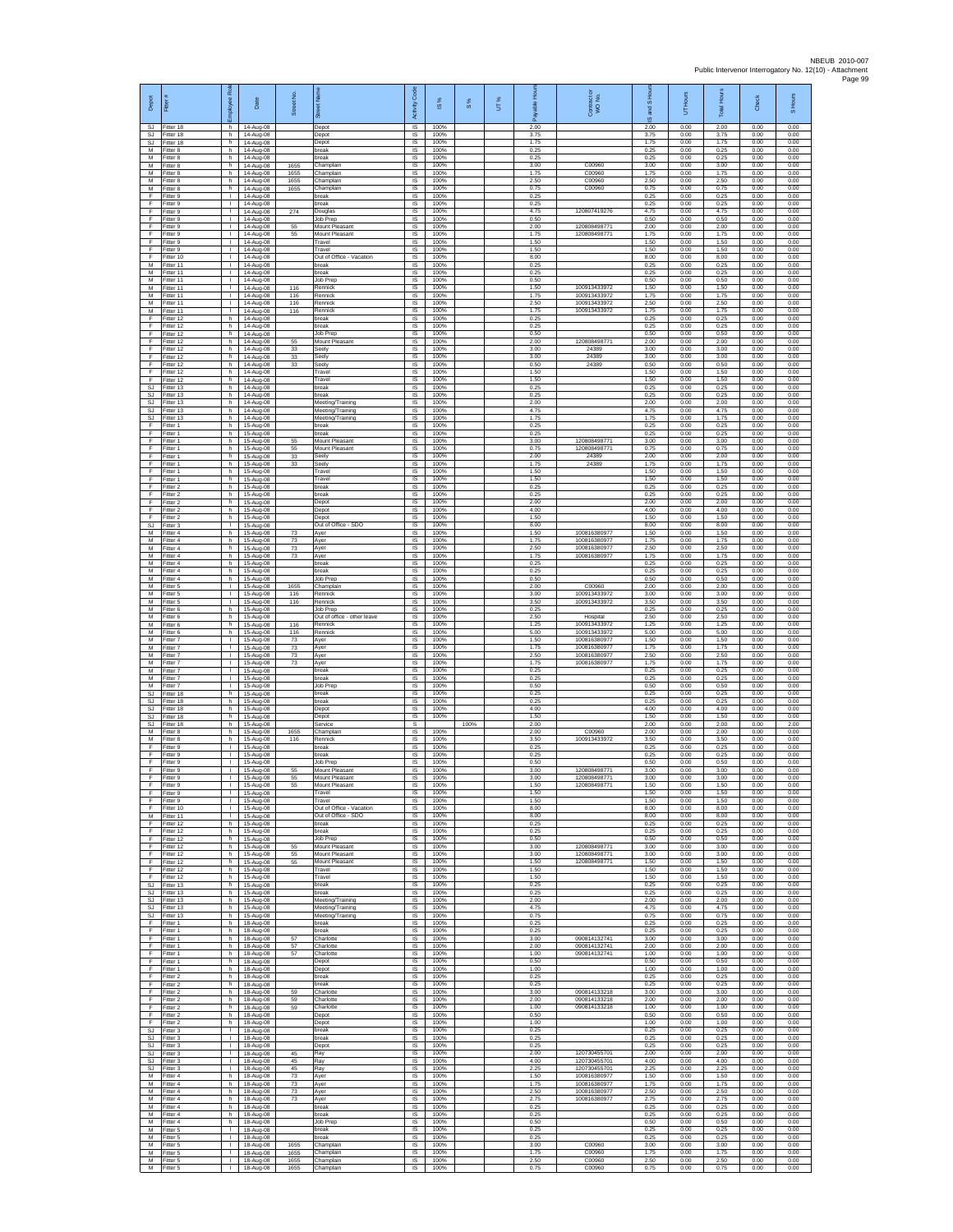| Depot                        |                                        | 2<br>ployee                                   | Date                                | Street No            | ā                                               | $\cos$<br>Activity            | $\overline{\omega}$  | $\frac{8}{3}$ | UT% |                      | Contract or<br>WO No.                        | and S Ho<br>$\overline{\omega}$ | Hours<br>ŝ           | <b>Total Hours</b>   | Check                | S Hours              |
|------------------------------|----------------------------------------|-----------------------------------------------|-------------------------------------|----------------------|-------------------------------------------------|-------------------------------|----------------------|---------------|-----|----------------------|----------------------------------------------|---------------------------------|----------------------|----------------------|----------------------|----------------------|
| SJ<br>SJ                     | Fitter 18<br>Fitter 18                 | h.<br>h.                                      | 14-Aug-08<br>14-Aug-08              |                      | Depot<br>Depot                                  | $\overline{s}$<br>$\sf IS$    | 100%<br>100%         |               |     | 2.00<br>3.75         |                                              | 2.00<br>3.75                    | 0.00<br>0.00         | 2.00<br>3.75         | 0.00<br>0.00         | 0.00<br>0.00         |
| SJ<br>$\overline{M}$<br>M    | litter 18<br>Fitter 8<br>Fitter 8      | h.<br>h.<br>h                                 | 14-Aug-08<br>14-Aug-08<br>14-Aug-08 |                      | Depot<br>break<br>oreak                         | $\sf IS$<br>IS<br>IS          | 100%<br>100%<br>100% |               |     | 1.75<br>0.25<br>0.25 |                                              | 1.75<br>0.25<br>0.25            | 0.00<br>0.00<br>0.00 | 1.75<br>0.25<br>0.25 | 0.00<br>0.00<br>0.00 | 0.00<br>0.00<br>0.00 |
| M<br>M                       | Fitter 8<br>itter 8                    | h.<br>h.                                      | 14-Aug-08<br>14-Aug-08              | 1655<br>1655         | Champlair<br>Champlain                          | IS<br>IS                      | 100%<br>100%         |               |     | 3.00<br>1.75         | C00960<br>C00960                             | 3.00<br>1.75                    | 0.00<br>0.00         | 3.00<br>1.75         | 0.00<br>0.00         | 0.00<br>0.00         |
| M<br>М                       | Fitter 8<br>Fitter 8                   | h<br>h.                                       | 14-Aug-08<br>14-Aug-08              | 1655<br>1655         | Champlain<br>Champlain                          | IS<br>IS                      | 100%<br>100%         |               |     | 2.50<br>0.75         | C00960<br>C00960                             | 2.50<br>0.75                    | 0.00<br>0.00         | 2.50<br>0.75         | 0.00<br>0.00         | 0.00<br>0.00         |
| F<br>F<br>F                  | Fitter 9<br>Fitter 9<br>Fitter 9       | $\mathbf{L}$<br>$\mathbf{L}$<br>$\mathbf{I}$  | 14-Aug-08<br>14-Aug-08<br>14-Aug-08 | 274                  | break<br>preak<br>Douglas                       | $\sf IS$<br>IS<br>IS          | 100%<br>100%<br>100% |               |     | 0.25<br>0.25<br>4.75 | 120807419276                                 | 0.25<br>0.25<br>4.75            | 0.00<br>0.00<br>0.00 | 0.25<br>0.25<br>4.75 | 0.00<br>0.00<br>0.00 | 0.00<br>0.00<br>0.00 |
| F<br>F                       | Fitter 9<br>fitter 9                   | ٠<br>$\mathbf{I}$                             | 14-Aug-08<br>14-Aug-08              | 55                   | Job Prep<br>Mount Pleasant                      | IS<br>IS                      | 100%<br>100%         |               |     | 0.50<br>2.00         | 120808498771                                 | 0.50<br>2.00                    | 0.00<br>0.00         | 0.50<br>2.00         | 0.00<br>0.00         | 0.00<br>0.00         |
| F<br>F                       | Fitter 9<br>itter 9                    | л.<br>т.                                      | 14-Aug-08<br>14-Aug-08              | 55                   | Mount Pleasant<br>Travel                        | IS<br>IS                      | 100%<br>100%         |               |     | 1.75<br>1.50         | 120808498771                                 | 1.75<br>1.50                    | 0.00<br>0.00         | 1.75<br>1.50         | 0.00<br>0.00         | 0.00<br>0.00         |
| F<br>F<br>M                  | Fitter 9<br>fitter 10                  | т.<br>$\mathbf{I}$<br>-11                     | 14-Aug-08<br>14-Aug-08              |                      | Travel<br>Out of Office - Vacation              | IS<br>IS                      | 100%<br>100%         |               |     | 1.50<br>8.00         |                                              | 1.50<br>8.00                    | 0.00<br>0.00         | 1.50<br>8.00         | 0.00<br>0.00         | 0.00<br>0.00         |
| М<br>М                       | Fitter 11<br>Fitter 11<br>itter 11     | $\mathbf{L}$<br>$\mathbf{I}$                  | 14-Aug-08<br>14-Aug-08<br>14-Aug-08 |                      | oreak<br>oreak<br>Job Prep                      | IS<br>$\sf IS$<br>IS          | 100%<br>100%<br>100% |               |     | 0.25<br>0.25<br>0.50 |                                              | 0.25<br>0.25<br>0.50            | 0.00<br>0.00<br>0.00 | 0.25<br>0.25<br>0.50 | 0.00<br>0.00<br>0.00 | 0.00<br>0.00<br>0.00 |
| M<br>M                       | Fitter 11<br>Fitter 11                 | п.<br>$\mathbf{L}$                            | 14-Aug-08<br>14-Aug-08              | 116<br>116           | Rennick<br>Rennick                              | IS<br>IS                      | 100%<br>100%         |               |     | 1.50<br>175          | 100913433972<br>100913433972                 | 1.50<br>1.75                    | 0.00<br>0.00         | 1.50<br>1.75         | 0.00<br>0.00         | 0.00<br>0.00         |
| М<br>M                       | Fitter 11<br>Fitter 11                 | ٠<br>$\mathbf{L}$<br>h.                       | 14-Aug-08<br>14-Aug-08              | 116<br>116           | Rennick<br>Rennick<br>break                     | IS<br>1S<br>IS                | 100%<br>100%<br>100% |               |     | 2.50<br>1.75<br>0.25 | 100913433972<br>100913433972                 | 2.50<br>1.75<br>0.25            | 0.00<br>0.00<br>0.00 | 2.50<br>1.75<br>0.25 | 0.00<br>0.00<br>0.00 | 0.00<br>0.00<br>0.00 |
| F<br>F<br>F                  | Fitter 12<br>itter 12<br>litter 12     | h.<br>h.                                      | 14-Aug-08<br>14-Aug-08<br>14-Aug-08 |                      | break<br>Job Prep                               | $\sf IS$<br>$\sf IS$          | 100%<br>100%         |               |     | 0.25<br>0.50         |                                              | 0.25<br>0.50                    | 0.00<br>0.00         | 0.25<br>0.50         | 0.00<br>0.00         | 0.00<br>0.00         |
| F<br>F                       | Fitter 12<br>Fitter 12                 | h.<br>h                                       | 14-Aug-08<br>14-Aug-08              | 55<br>33             | Mount Pleasant<br>Seely                         | $\overline{\mathsf{s}}$<br>IS | 100%<br>100%         |               |     | 2.00<br>3.00         | 120808498771<br>24389                        | 2.00<br>3.00                    | 0.00<br>0.00         | 2.00<br>3.00         | 0.00<br>0.00         | 0.00<br>0.00         |
| F<br>F                       | Fitter 12<br>itter 12                  | h.<br>h.                                      | 14-Aug-08<br>14-Aug-08              | 33<br>33             | Seely<br>ieely                                  | IS<br>IS<br>IS                | 100%<br>100%<br>100% |               |     | 3.00<br>0.50<br>1.50 | 24389<br>24389                               | 3.00<br>0.50<br>1.50            | 0.00<br>0.00<br>0.00 | 3.00<br>0.50<br>1.50 | 0.00<br>0.00<br>0.00 | 0.00<br>0.00<br>0.00 |
| F<br>F<br>SJ                 | Fitter 12<br>Fitter 12<br>Fitter 13    | h.<br>h.<br>h                                 | 14-Aug-08<br>14-Aug-08<br>14-Aug-08 |                      | Travel<br>Travel<br>break                       | IS<br>$\sf IS$                | 100%<br>100%         |               |     | 1.50<br>0.25         |                                              | 1.50<br>0.25                    | 0.00<br>0.00         | 1.50<br>0.25         | 0.00<br>0.00         | 0.00<br>0.00         |
| <b>SJ</b><br><b>SJ</b>       | Fitter 13<br>Fitter 13                 | h<br>h                                        | 14-Aug-08<br>14-Aug-08              |                      | preak<br>Meeting/Training                       | IS<br>IS                      | 100%<br>100%         |               |     | 0.25<br>2.00         |                                              | 0.25<br>2.00                    | 0.00<br>0.00         | 0.25<br>2.00         | 0.00<br>0.00         | 0.00<br>0.00         |
| SJ<br><b>SJ</b><br>F         | itter 13<br>itter 13<br>Fitter 1       | h.<br>h<br>h.                                 | 14-Aug-08<br>14-Aug-08              |                      | Meeting/Training<br>Meeting/Training<br>break   | IS<br>IS<br>$\overline{s}$    | 100%<br>100%<br>100% |               |     | 4.75<br>1.75<br>0.25 |                                              | 4.75<br>1.75<br>0.25            | 0.00<br>0.00<br>0.00 | 4.75<br>1.75<br>0.25 | 0.00<br>0.00<br>0.00 | 0.00<br>0.00<br>0.00 |
| F<br>F                       | -itter 1<br>Fitter 1                   | h<br>h.                                       | 15-Aug-08<br>15-Aug-08<br>15-Aug-08 | 55                   | oreak<br>Mount Pleasant                         | IS<br>IS                      | 100%<br>100%         |               |     | 0.25<br>3.00         | 120808498771                                 | 0.25<br>3.00                    | 0.00<br>0.00         | 0.25<br>3.00         | 0.00<br>0.00         | 0.00<br>0.00         |
| F<br>F                       | fitter 1<br>Fitter 1                   | h.<br>h                                       | 15-Aug-08<br>15-Aug-08              | 55<br>33             | Mount Pleasant<br>Seely                         | IS<br>IS                      | 100%<br>100%         |               |     | 0.75<br>2.00         | 12080849877<br>24389                         | 0.75<br>2.00                    | 0.00<br>0.00         | 0.75<br>2.00         | 0.00<br>0.00         | 0.00<br>0.00         |
| F<br>F<br>F                  | Fitter 1<br>itter 1                    | h.<br>h.                                      | 15-Aug-08<br>15-Aug-08              | 33                   | Seely<br>ravel                                  | $\sf IS$<br>IS<br>IS          | 100%<br>100%<br>100% |               |     | 1.75<br>1.50<br>1.50 | 24389                                        | 1.75<br>1.50<br>1.50            | 0.00<br>0.00<br>0.00 | 1.75<br>1.50<br>1.50 | 0.00<br>0.00<br>0.00 | 0.00<br>0.00<br>0.00 |
| F<br>F                       | Fitter 1<br>Fitter 2<br>Fitter 2       | h.<br>h<br>h.                                 | 15-Aug-08<br>15-Aug-08<br>15-Aug-08 |                      | Travel<br><b>preak</b><br>break                 | IS<br>IS                      | 100%<br>100%         |               |     | 0.25<br>0.25         |                                              | 0.25<br>0.25                    | 0.00<br>0.00         | 0.25<br>0.25         | 0.00<br>0.00         | 0.00<br>0.00         |
| F<br>F                       | Fitter 2<br>Fitter 2                   | h<br>h.                                       | 15-Aug-08<br>15-Aug-08              |                      | Depot<br>Depot                                  | IS<br>$\overline{s}$          | 100%<br>100%         |               |     | 2.00<br>4.00         |                                              | 2.00<br>4.00                    | 0.00<br>0.00         | 2.00<br>4.00         | 0.00<br>0.00         | 0.00<br>0.00         |
| F<br>SJ<br>M                 | Fitter 2<br>itter 3                    | h.<br>$\mathbf{L}$                            | 15-Aug-08<br>15-Aug-08              |                      | Depot<br>Out of Office - SDO                    | $\sf IS$<br>$\sf IS$          | 100%<br>100%         |               |     | 1.50<br>8.00<br>1.50 | 100816380977                                 | 1.50<br>8.00                    | 0.00<br>0.00         | 1.50<br>8.00<br>1.50 | 0.00<br>0.00         | 0.00<br>0.00         |
| M<br>М                       | Fitter 4<br>Fitter 4<br>Fitter 4       | h.<br>h<br>h.                                 | 15-Aug-08<br>15-Aug-08<br>15-Aug-08 | 73<br>73<br>73       | Aver<br>Ayer<br>Ayer                            | IS<br>IS<br>IS                | 100%<br>100%<br>100% |               |     | 1.75<br>2.50         | 100816380977<br>100816380977                 | 1.50<br>1.75<br>2.50            | 0.00<br>0.00<br>0.00 | 1.75<br>2.50         | 0.00<br>0.00<br>0.00 | 0.00<br>0.00<br>0.00 |
| M<br>M                       | itter 4<br>Fitter 4                    | h.<br>h                                       | 15-Aug-08<br>15-Aug-08              | 73                   | Ayer<br>break                                   | IS<br>IS                      | 100%<br>100%         |               |     | 1.75<br>0.25         | 100816380977                                 | 1.75<br>0.25                    | 0.00<br>0.00         | 1.75<br>0.25         | 0.00<br>0.00         | 0.00<br>0.00         |
| M<br>М                       | Fitter 4<br>Fitter 4                   | h.<br>h                                       | 15-Aug-08<br>15-Aug-08              |                      | reak<br>Job Prep                                | IS<br>$\sf IS$                | 100%<br>100%         |               |     | 0.25<br>0.50         |                                              | 0.25<br>0.50                    | 0.00<br>0.00         | 0.25<br>0.50         | 0.00<br>0.00         | 0.00<br>0.00         |
| M<br>M<br>М                  | fitter 5<br>Fitter 5<br>itter 5        | $\mathbf{L}$<br>$\mathbf{I}$<br>٠             | 15-Aug-08<br>15-Aug-08<br>15-Aug-08 | 1655<br>116<br>116   | Champlair<br>Rennick<br>Rennick                 | IS<br><b>IS</b><br>IS         | 100%<br>100%<br>100% |               |     | 2.00<br>3.00<br>3.50 | C00960<br>100913433972<br>100913433972       | 2.00<br>3.00<br>3.50            | 0.00<br>0.00<br>0.00 | 2.00<br>3.00<br>3.50 | 0.00<br>0.00<br>0.00 | 0.00<br>0.00<br>0.00 |
| M<br>M                       | itter 6<br>Fitter 6                    | h<br>h.                                       | 15-Aug-08<br>15-Aug-08              |                      | Job Prep<br>Out of office - other leave         | IS<br><b>IS</b>               | 100%<br>100%         |               |     | 0.25<br>2.50         | Hospital                                     | 0.25<br>2.50                    | 0.00<br>0.00         | 0.25<br>2.50         | 0.00<br>0.00         | 0.00<br>0.00         |
| М<br>М                       | itter 6<br>Fitter 6                    | h<br>h.                                       | 15-Aug-08<br>15-Aug-08              | 116<br>116           | Rennick<br>Rennick                              | IS<br>IS                      | 100%<br>100%         |               |     | 1.25<br>5.00         | 100913433972<br>100913433972                 | 1.25<br>5.00                    | 0.00<br>0.00         | 1.25<br>5.00         | 0.00<br>0.00         | 0.00<br>0.00         |
| M<br>M<br>М                  | fitter 7<br>Fitter 7<br>Fitter 7       | T.<br>-11<br>$\mathbb{R}$                     | 15-Aug-08<br>15-Aug-08<br>15-Aug-08 | 73<br>73<br>73       | Ayer<br>Ayer<br>Ayer                            | IS<br>IS<br>$\sf IS$          | 100%<br>100%<br>100% |               |     | 1.50<br>1.75<br>2.50 | 100816380977<br>100816380977<br>100816380977 | 1.50<br>1.75<br>2.50            | 0.00<br>0.00<br>0.00 | 1.50<br>1.75<br>2.50 | 0.00<br>0.00<br>0.00 | 0.00<br>0.00<br>0.00 |
| М<br>M                       | itter 7<br>Fitter 7                    | $\mathbf{I}$<br>л.                            | 15-Aug-08<br>15-Aug-08              | 73                   | Ayer<br>break                                   | IS<br>IS                      | 100%<br>100%         |               |     | 1.75<br>0.25         | 100816380977                                 | 1.75<br>0.25                    | 0.00<br>0.00         | 1.75<br>0.25         | 0.00<br>0.00         | 0.00<br>0.00         |
| M<br>М                       | Fitter 7<br>Fitter 7                   | $\mathbf{L}$<br>٠<br>h                        | 15-Aug-08<br>15-Aug-08              |                      | <b>oreak</b><br>Job Prep                        | IS<br>IS                      | 100%<br>100%         |               |     | 0.25<br>0.50         |                                              | 0.25<br>0.50                    | 0.00<br>0.00         | 0.25<br>0.50         | 0.00<br>0.00         | 0.00<br>0.00         |
| <b>SJ</b><br>SJ<br>SJ        | Fitter 18<br>Fitter 18<br>itter 18     | h.<br>h.                                      | 15-Aug-08<br>15-Aug-08<br>15-Aug-08 |                      | oreak<br>break<br>Depot                         | 1S<br><b>IS</b><br>$\sf IS$   | 100%<br>100%<br>100% |               |     | 0.25<br>0.25<br>4.00 |                                              | 0.25<br>0.25<br>4.00            | 0.00<br>0.00<br>0.00 | 0.25<br>0.25<br>4.00 | 0.00<br>0.00<br>0.00 | 0.00<br>0.00<br>0.00 |
| SJ<br>SJ.                    | fitter 18<br>Fitter 18                 | h.<br>h.                                      | 15-Aug-08<br>15-Aug-08              |                      | Depot<br>Service                                | $\sf IS$<br>s                 | 100%                 | 100%          |     | 1.50<br>2.00         |                                              | 1.50<br>2.00                    | 0.00<br>0.00         | 1.50<br>2.00         | 0.00<br>0.00         | 0.00<br>2.00         |
| M<br>М<br>F                  | Fitter 8<br>Fitter 8<br>itter 9        | h<br>h.<br>$\mathbf{I}$                       | 15-Aug-08<br>15-Aug-08<br>15-Aug-08 | 1655<br>116          | Champlair<br>Rennick<br>oreak                   | IS<br>IS<br>IS                | 100%<br>100%<br>100% |               |     | 2.00<br>3.50<br>0.25 | C00960<br>100913433972                       | 2.00<br>3.50<br>0.25            | 0.00<br>0.00<br>0.00 | 2.00<br>3.50<br>0.25 | 0.00<br>0.00<br>0.00 | 0.00<br>0.00<br>0.00 |
| F<br>F                       | Fitter 9<br>Fitter 9                   | п.<br>H.                                      | 15-Aug-08<br>15-Aug-08              |                      | break<br>Job Prep                               | IS<br>IS                      | 100%<br>100%         |               |     | 0.25<br>0.50         |                                              | 0.25<br>0.50                    | 0.00<br>0.00         | 0.25<br>0.50         | 0.00<br>0.00         | 0.00<br>0.00         |
| F<br>F                       | Fitter 9<br>Fitter 9                   | $\mathbf{I}$<br>$\mathbf{L}$                  | 15-Aug-08<br>15-Aug-08              | 55<br>55             | Mount Pleasant<br>Mount Pleasant                | $\sf IS$<br>IS                | 100%<br>100%         |               |     | 3.00<br>3.00         | 120808498771<br>120808498771                 | 3.00<br>3.00                    | 0.00<br>0.00         | 3.00<br>3.00         | 0.00<br>0.00         | 0.00<br>0.00         |
| F<br>F                       | Fitter 9<br>Fitter 9<br>Fitter 9       | H.<br>$\mathbf{L}$<br>т                       | 15-Aug-08<br>15-Aug-08<br>15-Aug-08 | 55                   | Mount Pleasant<br>Travel<br>Travel              | <b>IS</b><br>1S<br>IS         | 100%<br>100%<br>100% |               |     | 1.50<br>1.50<br>1.50 | 120808498771                                 | 1.50<br>1.50<br>1.50            | 0.00<br>0.00<br>0.00 | 1.50<br>1.50<br>1.50 | 0.00<br>0.00<br>0.00 | 0.00<br>0.00<br>0.00 |
| F<br>М                       | Fitter 10<br>Fitter 11                 | $\mathbf{I}$<br>$\mathbb{R}$                  | 15-Aug-08<br>15-Aug-08              |                      | Out of Office - Vacation<br>Out of Office - SDO | IS<br>IS                      | 100%<br>100%         |               |     | 8.00<br>8.00         |                                              | 8.00<br>8.00                    | 0.00<br>0.00         | 8.00<br>8.00         | 0.00<br>0.00         | 0.00<br>0.00         |
| F<br>F                       | Fitter 12<br>Fitter 12                 | h.<br>h.                                      | 15-Aug-08<br>15-Aug-08              |                      | break<br>preak                                  | IS<br>IS                      | 100%<br>100%         |               |     | 0.25<br>0.25         |                                              | 0.25<br>0.25                    | 0.00<br>0.00         | 0.25<br>0.25         | 0.00<br>0.00         | 0.00<br>0.00         |
| E<br>F.<br>F                 | Fitter 12<br>Fitter 12<br>fitter 12    | h<br>h I<br>h                                 | 15-Aug-08<br>15-Aug-08<br>15-Aug-08 | 55<br>55             | Job Prep<br>Mount Pleasant<br>Mount Pleasant    | IS<br>$\sf IS$<br>IS          | 100%<br>100%<br>100% |               |     | 0.50<br>3.00<br>3.00 | 120808498771<br>120808498771                 | 0.50<br>3.00<br>3.00            | 0.00<br>0.00<br>0.00 | 0.50<br>3.00<br>3.00 | 0.00<br>0.00<br>0.00 | 0.00<br>0.00<br>0.00 |
| F<br>F.                      | Fitter 12<br>Fitter 12                 | h.<br>h I                                     | 15-Aug-08<br>15-Aug-08              | 55                   | Mount Pleasant<br>Travel                        | IS<br>IS                      | 100%<br>100%         |               |     | 1.50<br>1.50         | 120808498771                                 | 1.50<br>1.50                    | 0.00<br>0.00         | 1.50<br>1.50         | 0.00<br>0.00         | 0.00<br>0.00         |
| F<br><b>SJ</b>               | Fitter 12<br>Fitter 13                 | h<br>h.<br>h I                                | 15-Aug-08<br>15-Aug-08              |                      | Travel<br>break<br>break                        | IS<br>1S<br>IS                | 100%<br>100%<br>100% |               |     | 1.50<br>0.25<br>0.25 |                                              | 1.50<br>0.25<br>0.25            | 0.00<br>0.00<br>0.00 | 1.50<br>0.25<br>0.25 | 0.00<br>0.00<br>0.00 | 0.00<br>0.00<br>0.00 |
| SJ<br>$\mathbb{S}\mathbb{J}$ | SJ Fitter 13<br>Fitter 13<br>Fitter 13 | h<br>h                                        | 15-Aug-08<br>15-Aug-08<br>15-Aug-08 |                      | Meeting/Training<br>Meeting/Training            | $\sf IS$<br>$\sf IS$          | 100%<br>100%         |               |     | 2.00<br>4.75         |                                              | 2.00<br>4.75                    | 0.00<br>0.00         | 2.00<br>4.75         | 0.00<br>0.00         | 0.00<br>0.00         |
| F.                           | SJ Fitter 13<br>Fitter 1               | h I<br>h                                      | 15-Aug-08<br>18-Aug-08              |                      | Meeting/Training<br>break                       | <b>IS</b><br>IS               | 100%<br>100%         |               |     | 0.75<br>0.25         |                                              | 0.75<br>0.25                    | 0.00<br>0.00         | 0.75<br>0.25         | 0.00<br>0.00         | 0.00<br>0.00         |
| F<br>F<br>F                  | Fitter 1<br>Fitter 1                   | h.<br>h<br>h                                  | 18-Aug-08<br>18-Aug-08<br>18-Aug-08 | 57<br>57             | break<br>Charlotte<br>Charlotte                 | IS<br>IS<br>IS                | 100%<br>100%<br>100% |               |     | 0.25<br>3.00<br>2.00 | 090814132741<br>090814132741                 | 0.25<br>3.00<br>2.00            | 0.00<br>0.00<br>0.00 | 0.25<br>3.00<br>2.00 | 0.00<br>0.00<br>0.00 | 0.00<br>0.00<br>0.00 |
| F.<br>F                      | Fitter 1<br>Fitter 1<br>Fitter 1       | h I<br>h                                      | 18-Aug-08<br>18-Aug-08              | 57                   | Charlotte<br>Depot                              | IS<br>$\sf IS$                | 100%<br>100%         |               |     | 1.00<br>0.50         | 090814132741                                 | 1.00<br>0.50                    | 0.00<br>0.00         | 1.00<br>0.50         | 0.00<br>0.00         | 0.00<br>0.00         |
| F<br>F                       | Fitter 1<br>Fitter 2                   | h.<br>h.                                      | 18-Aug-08<br>18-Aug-08              |                      | Depot<br>break                                  | <b>IS</b><br>IS               | 100%<br>100%         |               |     | 1.00<br>0.25         |                                              | 1.00<br>0.25                    | 0.00<br>0.00         | 1.00<br>0.25         | 0.00<br>0.00         | 0.00<br>0.00         |
| F<br>F<br>F                  | Fitter 2<br>Fitter 2<br>Fitter 2       | h<br>h.<br>h.                                 | 18-Aug-08<br>18-Aug-08<br>18-Aug-08 | 59<br>59             | break<br>Charlotte<br>Charlotte                 | IS<br>1S<br>IS                | 100%<br>100%<br>100% |               |     | 0.25<br>3.00<br>2.00 | 090814133218<br>090814133218                 | 0.25<br>3.00<br>2.00            | 0.00<br>0.00<br>0.00 | 0.25<br>3.00<br>2.00 | 0.00<br>0.00<br>0.00 | 0.00<br>0.00<br>0.00 |
| F<br>F                       | Fitter 2<br>Fitter 2                   | h<br>h.                                       | 18-Aug-08<br>18-Aug-08              | 59                   | Charlotte<br>Depot                              | IS<br>IS                      | 100%<br>100%         |               |     | 1.00<br>0.50         | 090814133218                                 | 1.00<br>0.50                    | 0.00<br>0.00         | 1.00<br>0.50         | 0.00<br>0.00         | 0.00<br>0.00         |
| F<br><b>SJ</b>               | Fitter 2<br>Fitter 3                   | h.<br>$\mathbf{1}$                            | 18-Aug-08<br>18-Aug-08              |                      | Depot<br>break                                  | IS<br>IS                      | 100%<br>100%         |               |     | 1.00<br>0.25         |                                              | 1.00<br>0.25                    | 0.00<br>0.00         | 1.00<br>0.25         | 0.00<br>0.00         | 0.00<br>0.00         |
| SJ<br>SJ<br>SJ.              | Fitter 3<br>itter 3<br>Fitter 3        | $\Gamma$ .<br>$\mathbb{R}$<br>$\mathbf{1}$    | 18-Aug-08<br>18-Aug-08<br>18-Aug-08 | 45                   | break<br>Depot<br>Ray                           | $\sf IS$<br>IS<br>IS          | 100%<br>100%<br>100% |               |     | 0.25<br>0.25<br>2.00 | 120730455701                                 | 0.25<br>0.25<br>2.00            | 0.00<br>0.00<br>0.00 | 0.25<br>0.25<br>2.00 | 0.00<br>0.00<br>0.00 | 0.00<br>0.00<br>0.00 |
| SJ.<br>SJ                    | Fitter 3<br>Fitter 3                   | <b>ILL</b><br>т.                              | 18-Aug-08<br>18-Aug-08              | 45<br>45             | Ray<br>Ray                                      | IS<br>IS                      | 100%<br>100%         |               |     | 4.00<br>2.25         | 120730455701<br>120730455701                 | 4.00<br>2.25                    | 0.00<br>0.00         | 4.00<br>2.25         | 0.00<br>0.00         | 0.00<br>0.00         |
| M<br>M                       | Fitter 4<br>Fitter 4                   | h.<br>h I                                     | 18-Aug-08<br>18-Aug-08              | 73<br>73             | Ayer<br>Aver                                    | 1S<br>IS                      | 100%<br>100%         |               |     | 1.50<br>1.75         | 100816380977<br>100816380977                 | 1.50<br>1.75                    | 0.00<br>0.00         | 1.50<br>1.75         | 0.00<br>0.00         | 0.00<br>0.00         |
| М<br>M<br>M                  | Fitter 4<br>Fitter 4<br>Fitter 4       | h.<br>h.<br>h.                                | 18-Aug-08<br>18-Aug-08<br>18-Aug-08 | 73<br>$73\,$         | Ayer<br>Ayer<br>break                           | $\sf IS$<br>$\sf IS$<br>IS    | 100%<br>100%<br>100% |               |     | 2.50<br>2.75<br>0.25 | 100816380977<br>100816380977                 | 2.50<br>2.75<br>0.25            | 0.00<br>0.00<br>0.00 | 2.50<br>2.75<br>0.25 | 0.00<br>0.00<br>0.00 | 0.00<br>0.00<br>0.00 |
| M<br>M                       | Fitter 4<br>Fitter 4                   | h<br>h.                                       | 18-Aug-08<br>18-Aug-08              |                      | break<br>Job Prep                               | IS<br>IS                      | 100%<br>100%         |               |     | 0.25<br>0.50         |                                              | 0.25<br>0.50                    | 0.00<br>0.00         | 0.25<br>0.50         | 0.00<br>0.00         | 0.00<br>0.00         |
| М<br>M<br>M                  | fitter 5<br>Fitter 5                   | $\mathbf{L}$<br>$\mathbf{L}$<br><b>ILL ST</b> | 18-Aug-08<br>18-Aug-08              |                      | break<br>break                                  | IS<br>IS<br><b>IS</b>         | 100%<br>100%<br>100% |               |     | 0.25<br>0.25<br>3.00 | C00960                                       | 0.25<br>0.25<br>3.00            | 0.00<br>0.00<br>0.00 | 0.25<br>0.25<br>3.00 | 0.00<br>0.00<br>0.00 | 0.00<br>0.00<br>0.00 |
| М<br>M                       | Fitter 5<br>Fitter 5<br>Fitter 5       | л.<br>$\mathbf{I}$                            | 18-Aug-08<br>18-Aug-08<br>18-Aug-08 | 1655<br>1655<br>1655 | Champlain<br>Champlain<br>Champlain             | $\sf IS$<br>IS.               | 100%<br>100%         |               |     | 1.75<br>2.50         | C00960<br>C00960                             | 1.75<br>2.50                    | 0.00<br>0.00         | 1.75<br>2.50         | 0.00<br>0.00         | 0.00<br>0.00         |
| M                            | Fitter 5                               | $\mathbf{L}$                                  | 18-Aug-08                           | 1655                 | Champlain                                       | IS                            | 100%                 |               |     | 0.75                 | C00960                                       | 0.75                            | 0.00                 | 0.75                 | 0.00                 | 0.00                 |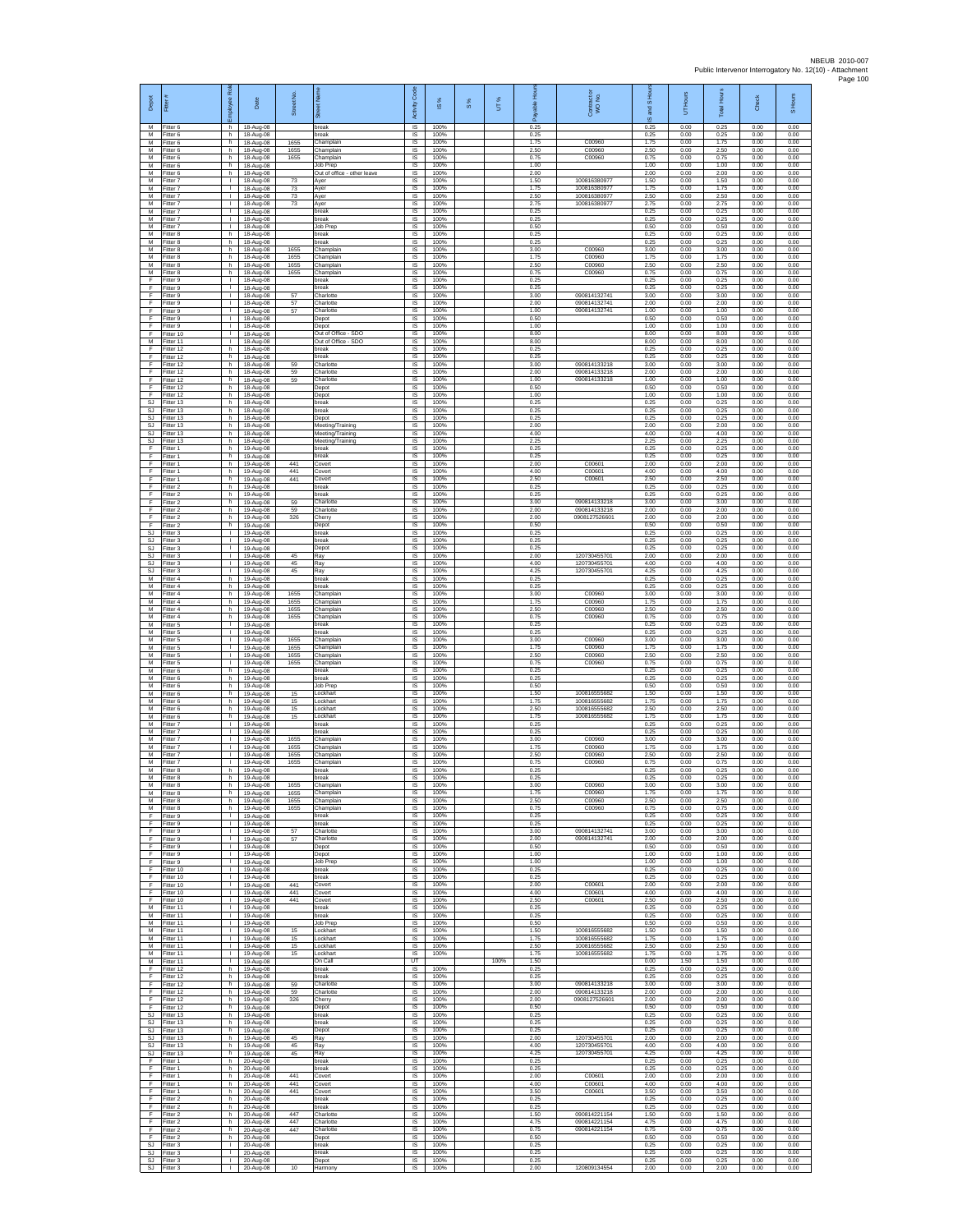| Depot                                    | Fitter                              | Employee Rol                                 | Date                                | Street No.           | ā                                                    | Code<br>Activity                    | $\overline{\omega}$  | $\frac{8}{3}$ | UT%  | elda<br>శ్           | Contract or<br>WO No.                       | S Hour<br>g<br>ဖ     | UT Hours             | <b>Total Hours</b>   | Check                | Hours<br>$\overline{a}$ |
|------------------------------------------|-------------------------------------|----------------------------------------------|-------------------------------------|----------------------|------------------------------------------------------|-------------------------------------|----------------------|---------------|------|----------------------|---------------------------------------------|----------------------|----------------------|----------------------|----------------------|-------------------------|
| M<br>М                                   | Fitter 6<br>Titter 6                | h.<br>h.                                     | 18-Aug-08<br>18-Aug-08              |                      | break<br>break                                       | $\overline{\mathsf{s}}$<br>IS       | 100%<br>100%         |               |      | 0.25<br>0.25         |                                             | 0.25<br>0.25         | 0.00<br>0.00         | 0.25<br>0.25         | 0.00<br>0.00         | 0.00<br>0.00            |
| M<br>M                                   | Fitter 6<br>Fitter 6                | h.<br>h.                                     | 18-Aug-08<br>18-Aug-08              | 1655<br>1655         | Champlain<br>Champlain                               | IS<br>$\overline{\mathsf{s}}$       | 100%<br>100%         |               |      | 1.75<br>2.50         | C00960<br>C00960                            | 1.75<br>2.50         | 0.00<br>0.00         | 1.75<br>2.50         | 0.00<br>0.00         | 0.00<br>0.00            |
| M<br>М<br>М                              | Fitter 6<br>Fitter 6<br>itter 6     | h<br>h.<br>h.                                | 18-Aug-08<br>18-Aug-08<br>18-Aug-08 | 1655                 | Champlain<br>Job Prep<br>Out of office - other leave | IS<br>IS<br>IS                      | 100%<br>100%<br>100% |               |      | 0.75<br>1.00<br>2.00 | C00960                                      | 0.75<br>1.00<br>2.00 | 0.00<br>0.00<br>0.00 | 0.75<br>1.00<br>2.00 | 0.00<br>0.00<br>0.00 | 0.00<br>0.00<br>0.00    |
| M<br>M                                   | Fitter 7<br>Fitter 7                | $\mathbf{I}$<br>$\mathbf{L}$                 | 18-Aug-08<br>18-Aug-08              | 73<br>73             | Ayer<br>Ayer                                         | <b>IS</b><br>IS                     | 100%<br>100%         |               |      | 1.50<br>1.75         | 10081638097<br>100816380977                 | 1.50<br>1.75         | 0.00<br>0.00         | 1.50<br>1.75         | 0.00<br>0.00         | 0.00<br>0.00            |
| М<br>M<br>M                              | Fitter 7<br>Fitter 7<br>Fitter 7    | $\mathbf{L}$<br>$\mathbb{R}$<br>т.           | 18-Aug-08<br>18-Aug-08              | $73\,$<br>73         | Ayer<br>Ayer<br>break                                | $\sf IS$<br>IS<br>IS                | 100%<br>100%<br>100% |               |      | 2.50<br>2.75<br>0.25 | 100816380977<br>100816380977                | 2.50<br>2.75<br>0.25 | 0.00<br>0.00<br>0.00 | 2.50<br>2.75<br>0.25 | 0.00<br>0.00<br>0.00 | 0.00<br>0.00<br>0.00    |
| М<br>M                                   | fitter 7<br>fitter 7                | $\mathbb{L}$<br>т                            | 18-Aug-08<br>18-Aug-08<br>18-Aug-08 |                      | break<br>Job Prep                                    | IS<br>IS                            | 100%<br>100%         |               |      | 0.25<br>0.50         |                                             | 0.25<br>0.50         | 0.00<br>0.00         | 0.25<br>0.50         | 0.00<br>0.00         | 0.00<br>0.00            |
| M<br>М                                   | Fitter 8<br>Fitter 8                | h.<br>h                                      | 18-Aug-08<br>18-Aug-08              |                      | break<br>break                                       | $\overline{\mathsf{s}}$<br>IS       | 100%<br>100%         |               |      | 0.25<br>0.25         |                                             | 0.25<br>0.25         | 0.00<br>0.00         | 0.25<br>0.25         | 0.00<br>0.00         | 0.00<br>0.00            |
| М<br>M<br>M                              | Fitter 8<br>fitter 8<br>Fitter 8    | h.<br>h.<br>h                                | 18-Aug-08<br>18-Aug-08<br>18-Aug-08 | 1655<br>1655<br>1655 | Champlain<br>Champlain<br>Champlain                  | IS<br>IS<br>IS                      | 100%<br>100%<br>100% |               |      | 3.00<br>1.75<br>2.50 | C00960<br>C00960<br>C00960                  | 3.00<br>1.75<br>2.50 | 0.00<br>0.00<br>0.00 | 3.00<br>1.75<br>2.50 | 0.00<br>0.00<br>0.00 | 0.00<br>0.00<br>0.00    |
| М<br>F                                   | Fitter 8<br>itter 9                 | h.<br>т.                                     | 18-Aug-08<br>18-Aug-08              | 1655                 | Champlain<br>oreak                                   | $\sf IS$<br>IS                      | 100%<br>100%         |               |      | 0.75<br>0.25         | C00960                                      | 0.75<br>0.25         | 0.00<br>0.00         | 0.75<br>0.25         | 0.00<br>0.00         | 0.00<br>0.00            |
| F<br>F                                   | Fitter 9<br>Fitter 9                | л.<br>$\mathbf{L}$                           | 18-Aug-08<br>18-Aug-08              | 57                   | break<br>Charlotte                                   | <b>IS</b><br>IS                     | 100%<br>100%         |               |      | 0.25<br>3.00         | 090814132741                                | 0.25<br>3.00         | 0.00<br>0.00         | 0.25<br>3.00         | 0.00<br>0.00         | 0.00<br>0.00            |
| F<br>F<br>F                              | Fitter 9<br>Fitter 9<br>Fitter 9    | $\mathbb{L}$<br>т<br>л.                      | 18-Aug-08<br>18-Aug-08<br>18-Aug-08 | 57<br>57             | Charlotte<br>Charlotte<br>Depot                      | IS<br>IS<br>IS                      | 100%<br>100%<br>100% |               |      | 2.00<br>1.00<br>0.50 | 090814132741<br>090814132741                | 2.00<br>1.00<br>0.50 | 0.00<br>0.00<br>0.00 | 2.00<br>1.00<br>0.50 | 0.00<br>0.00<br>0.00 | 0.00<br>0.00<br>0.00    |
| F<br>F                                   | Fitter 9<br>fitter 10               | $\mathbf{L}$<br>$\mathbf{L}$                 | 18-Aug-08<br>18-Aug-08              |                      | Depot<br>Out of Office - SDO                         | $\sf IS$<br>IS                      | 100%<br>100%         |               |      | 1.00<br>8.00         |                                             | 1.00<br>8.00         | 0.00<br>0.00         | 1.00<br>8.00         | 0.00<br>0.00         | 0.00<br>0.00            |
| M<br>F<br>F                              | Fitter 11<br>Fitter 12<br>Fitter 12 | л.<br>h<br>h.                                | 18-Aug-08<br>18-Aug-08              |                      | Out of Office - SDO<br>break<br>break                | $\overline{\mathsf{s}}$<br>IS<br>IS | 100%<br>100%<br>100% |               |      | 8.00<br>0.25<br>0.25 |                                             | 8.00<br>0.25<br>0.25 | 0.00<br>0.00<br>0.00 | 8.00<br>0.25<br>0.25 | 0.00<br>0.00<br>0.00 | 0.00<br>0.00<br>0.00    |
| F<br>F                                   | fitter 12<br>Fitter 12              | h.<br>h.                                     | 18-Aug-08<br>18-Aug-08<br>18-Aug-08 | 59<br>59             | Charlotte<br>Charlotte                               | IS<br><b>IS</b>                     | 100%<br>100%         |               |      | 3.00<br>2.00         | 090814133218<br>090814133218                | 3.00<br>2.00         | 0.00<br>0.00         | 3.00<br>2.00         | 0.00<br>0.00         | 0.00<br>0.00            |
| F<br>F                                   | Fitter 12<br>Fitter 12              | h.<br>h.                                     | 18-Aug-08<br>18-Aug-08              | 59                   | Charlotte<br>Depot                                   | IS<br>IS                            | 100%<br>100%         |               |      | 1.00<br>0.50         | 090814133218                                | 1.00<br>0.50         | 0.00<br>0.00         | 1.00<br>0.50         | 0.00<br>0.00         | 0.00<br>0.00            |
| F<br><b>SJ</b><br>SJ                     | Fitter 12<br>Fitter 13<br>Fitter 13 | h.<br>h.<br>h.                               | 18-Aug-08<br>18-Aug-08<br>18-Aug-08 |                      | Depot<br>break<br>break                              | IS<br>IS<br>IS                      | 100%<br>100%<br>100% |               |      | 1.00<br>0.25<br>0.25 |                                             | 1.00<br>0.25<br>0.25 | 0.00<br>0.00<br>0.00 | 1.00<br>0.25<br>0.25 | 0.00<br>0.00<br>0.00 | 0.00<br>0.00<br>0.00    |
| <b>SJ</b><br><b>SJ</b>                   | fitter 13<br>Fitter 13              | h.<br>h.                                     | 18-Aug-08<br>18-Aug-08              |                      | Depot<br>Meeting/Training                            | IS<br>IS                            | 100%<br>100%         |               |      | 0.25<br>2.00         |                                             | 0.25<br>2.00         | 0.00<br>0.00         | 0.25<br>2.00         | 0.00<br>0.00         | 0.00<br>0.00            |
| $\mathbb{S}\mathbb{J}$<br>SJ             | fitter 13<br>Fitter 13              | h<br>h.                                      | 18-Aug-08<br>18-Aug-08              |                      | Meeting/Training<br>Meeting/Training                 | IS<br>IS                            | 100%<br>100%         |               |      | 4.00<br>2.25         |                                             | 4.00<br>2.25         | 0.00<br>0.00         | 4.00<br>2.25         | 0.00<br>0.00         | 0.00<br>0.00            |
| F<br>F<br>F                              | fitter 1<br>Fitter 1<br>Fitter 1    | h.<br>h<br>h.                                | 19-Aug-08<br>19-Aug-08<br>19-Aug-08 | 441                  | preak<br>break<br>Covert                             | IS<br>IS<br>$\sf IS$                | 100%<br>100%<br>100% |               |      | 0.25<br>0.25<br>2.00 | C00601                                      | 0.25<br>0.25<br>2.00 | 0.00<br>0.00<br>0.00 | 0.25<br>0.25<br>2.00 | 0.00<br>0.00<br>0.00 | 0.00<br>0.00<br>0.00    |
| F<br>F                                   | itter 1<br>Fitter 1                 | h.<br>h.                                     | 19-Aug-08<br>19-Aug-08              | 441<br>441           | Covert<br>Covert                                     | IS<br><b>IS</b>                     | 100%<br>100%         |               |      | 4.00<br>2.50         | C00601<br>C00601                            | 4.00<br>2.50         | 0.00<br>0.00         | 4.00<br>2.50         | 0.00<br>0.00         | 0.00<br>0.00            |
| F<br>F<br>F                              | Fitter 2<br>Fitter 2                | h.<br>h.<br>h.                               | 19-Aug-08<br>19-Aug-08              | 59                   | break<br>break<br>Charlotte                          | IS<br>IS<br>IS                      | 100%<br>100%<br>100% |               |      | 0.25<br>0.25<br>3.00 | 090814133218                                | 0.25<br>0.25<br>3.00 | 0.00<br>0.00<br>0.00 | 0.25<br>0.25<br>3.00 | 0.00<br>0.00<br>0.00 | 0.00<br>0.00<br>0.00    |
| F<br>F                                   | Fitter 2<br>Fitter 2<br>itter 2     | h.<br>h.                                     | 19-Aug-08<br>19-Aug-08<br>19-Aug-08 | 59<br>326            | Charlotte<br>Chern                                   | IS<br>$\sf IS$                      | 100%<br>100%         |               |      | 2.00<br>2.00         | 090814133218<br>0908127526601               | 2.00<br>2.00         | 0.00<br>0.00         | 2.00<br>2.00         | 0.00<br>0.00         | 0.00<br>0.00            |
| F<br><b>SJ</b>                           | Fitter 2<br>Fitter 3                | h<br>л.                                      | 19-Aug-08<br>19-Aug-08              |                      | Depot<br>break                                       | IS<br>$\overline{\mathsf{s}}$       | 100%<br>100%         |               |      | 0.50<br>0.25         |                                             | 0.50<br>0.25         | 0.00<br>0.00         | 0.50<br>0.25         | 0.00<br>0.00         | 0.00<br>0.00            |
| <b>SJ</b><br><b>SJ</b><br><b>SJ</b>      | Fitter 3<br>Fitter 3<br>itter 3     | $\mathbf{L}$<br>т.<br>т.                     | 19-Aug-08<br>19-Aug-08<br>19-Aug-08 | 45                   | break<br>Depot<br>Ray                                | IS<br>IS<br>IS                      | 100%<br>100%<br>100% |               |      | 0.25<br>0.25<br>2.00 | 120730455701                                | 0.25<br>0.25<br>2.00 | 0.00<br>0.00<br>0.00 | 0.25<br>0.25<br>2.00 | 0.00<br>0.00<br>0.00 | 0.00<br>0.00<br>0.00    |
| SJ<br>SJ                                 | Fitter 3<br>Fitter 3                | т.<br>$\mathbf{L}$                           | 19-Aug-08<br>19-Aug-08              | 45<br>45             | Ray<br>Ray                                           | <b>IS</b><br>IS                     | 100%<br>100%         |               |      | 4.00<br>4.25         | 120730455701<br>120730455701                | 4.00<br>4.25         | 0.00<br>0.00         | 4.00<br>4.25         | 0.00<br>0.00         | 0.00<br>0.00            |
| М<br>M                                   | Fitter 4<br>Fitter 4                | h.<br>h.                                     | 19-Aug-08<br>19-Aug-08              |                      | break<br>break                                       | $\sf IS$<br>IS                      | 100%<br>100%         |               |      | 0.25<br>0.25         |                                             | 0.25<br>0.25         | 0.00<br>0.00         | 0.25<br>0.25         | 0.00<br>0.00         | 0.00<br>0.00            |
| M<br>М<br>M                              | Fitter 4<br>fitter 4<br>fitter 4    | h<br>h.<br>h.                                | 19-Aug-08<br>19-Aug-08<br>19-Aug-08 | 1655<br>1655<br>1655 | Champlain<br>Champlain<br>Champlain                  | IS<br>IS<br>IS                      | 100%<br>100%<br>100% |               |      | 3.00<br>1.75<br>2.50 | C00960<br>C00960<br>C00960                  | 3.00<br>1.75<br>2.50 | 0.00<br>0.00<br>0.00 | 3.00<br>1.75<br>2.50 | 0.00<br>0.00<br>0.00 | 0.00<br>0.00<br>0.00    |
| M<br>М                                   | Fitter 4<br>Fitter 5                | h.<br>$\mathbf{L}$                           | 19-Aug-08<br>19-Aug-08              | 1655                 | Champlain<br>break                                   | $\overline{s}$<br>IS                | 100%<br>100%         |               |      | 0.75<br>0.25         | C00960                                      | 0.75<br>0.25         | 0.00<br>0.00         | 0.75<br>0.25         | 0.00<br>0.00         | 0.00<br>0.00            |
| М<br>M<br>M                              | Fitter 5<br>fitter 5<br>Fitter 5    | т.<br>т.<br>л.                               | 19-Aug-08<br>19-Aug-08<br>19-Aug-08 | 1655<br>1655         | break<br>Champlain<br>Champlain                      | IS<br>IS<br>IS                      | 100%<br>100%<br>100% |               |      | 0.25<br>3.00<br>1.75 | C00960<br>C00960                            | 0.25<br>3.00<br>1.75 | 0.00<br>0.00<br>0.00 | 0.25<br>3.00<br>1.75 | 0.00<br>0.00<br>0.00 | 0.00<br>0.00<br>0.00    |
| М<br>M                                   | Fitter 5<br>fitter 5                | $\mathbb T$<br>т.                            | 19-Aug-08<br>19-Aug-08              | 1655<br>1655         | Champlain<br>Champlain                               | $\sf IS$<br>IS                      | 100%<br>100%         |               |      | 2.50<br>0.75         | C00960<br>C00960                            | 2.50<br>0.75         | 0.00<br>0.00         | 2.50<br>0.75         | 0.00<br>0.00         | 0.00<br>0.00            |
| M<br>M<br>М                              | Fitter 6<br>Fitter 6<br>Fitter 6    | h.<br>h.<br>h.                               | 19-Aug-08<br>19-Aug-08<br>19-Aug-08 |                      | break<br>hreak<br>Job Prep                           | <b>IS</b><br>IS<br>IS               | 100%<br>100%<br>100% |               |      | 0.25<br>0.25<br>0.50 |                                             | 0.25<br>0.25<br>0.50 | 0.00<br>0.00<br>0.00 | 0.25<br>0.25<br>0.50 | 0.00<br>0.00<br>0.00 | 0.00<br>0.00<br>0.00    |
| M<br>M                                   | Fitter 6<br>Fitter 6                | h.<br>h.                                     | 19-Aug-08<br>19-Aug-08              | 15<br>15             | Lockhart<br>Lockhart                                 | IS<br>$\overline{\mathsf{s}}$       | 100%<br>100%         |               |      | 1.50<br>1.75         | 10081655568<br>100816555682                 | 1.50<br>1.75         | 0.00<br>0.00         | 1.50<br>1.75         | 0.00<br>0.00         | 0.00<br>0.00            |
| М<br>M<br>M                              | Fitter 6<br>Fitter 6<br>Fitter 7    | h.<br>h                                      | 19-Aug-08<br>19-Aug-08<br>19-Aug-08 | 15<br>15             | Lockhart<br>Lockhart                                 | $\sf IS$<br>IS<br>IS                | 100%<br>100%<br>100% |               |      | 2.50<br>1.75<br>0.25 | 100816555682<br>100816555682                | 2.50<br>1.75<br>0.25 | 0.00<br>0.00<br>0.00 | 2.50<br>1.75<br>0.25 | 0.00<br>0.00<br>0.00 | 0.00<br>0.00<br>0.00    |
| M<br>M                                   | Fitter 7<br>Fitter 7                | л.<br>$\mathbf{L}$<br>т.                     | 19-Aug-08<br>19-Aug-08              | 1655                 | break<br>break<br>Champlain                          | IS<br>IS                            | 100%<br>100%         |               |      | 0.25<br>3.00         | C00960                                      | 0.25<br>3.00         | 0.00<br>0.00         | 0.25<br>3.00         | 0.00<br>0.00         | 0.00<br>0.00            |
| M<br>M                                   | fitter 7<br>Fitter 7                | $\mathbf{I}$<br>л.                           | 19-Aug-08<br>19-Aug-08              | 1655<br>1655         | Champlain<br>Champlain                               | IS<br><b>IS</b>                     | 100%<br>100%         |               |      | 1.75<br>2.50         | C00960<br>C00960                            | 1.75<br>2.50         | 0.00<br>0.00         | 1.75<br>2.50         | 0.00<br>0.00         | 0.00<br>0.00            |
| M<br>М<br>M                              | Fitter 7<br>Fitter 8<br>itter 8     | $\mathbf{L}$<br>h.<br>h                      | 19-Aug-08<br>19-Aug-08<br>19-Aug-08 | 1655                 | Champlain<br>break                                   | IS<br>$\sf IS$<br>IS.               | 100%<br>100%<br>100% |               |      | 0.75<br>0.25<br>0.25 | C00960                                      | 0.75<br>0.25<br>0.25 | 0.00<br>0.00<br>0.00 | 0.75<br>0.25<br>0.25 | 0.00<br>0.00<br>0.00 | 0.00<br>0.00<br>0.00    |
| M<br>М                                   | Fitter 8<br>Fitter 8                | h.<br>h.                                     | 19-Aug-08<br>19-Aug-08              | 1655<br>1655         | Champlain<br>Champlain                               | IS<br>IS                            | 100%<br>100%         |               |      | 3.00<br>1.75         | C00960<br>C00960                            | 3.00<br>1.75         | 0.00<br>0.00         | 3.00<br>1.75         | 0.00<br>0.00         | 0.00<br>0.00            |
| M<br>M<br>F                              | fitter 8<br>Fitter 8<br>Fitter 9    | h.<br>h.<br>$\mathbf{L}$                     | 19-Aug-08<br>19-Aug-08<br>19-Aug-08 | 1655<br>1655         | Champlain<br>Champlain<br>break                      | IS<br><b>IS</b><br>IS               | 100%<br>100%<br>100% |               |      | 2.50<br>0.75<br>0.25 | C00960<br>C00960                            | 2.50<br>0.75<br>0.25 | 0.00<br>0.00<br>0.00 | 2.50<br>0.75<br>0.25 | 0.00<br>0.00<br>0.00 | 0.00<br>0.00<br>0.00    |
| F<br>F                                   | Fitter 9<br>Fitter 9                | т.<br>т.                                     | 19-Aug-08<br>19-Aug-08              | 57                   | break<br>Charlotte                                   | IS<br>IS                            | 100%<br>100%         |               |      | 0.25<br>3.00         | 090814132741                                | 0.25<br>3.00         | 0.00<br>0.00         | 0.25<br>3.00         | 0.00<br>0.00         | 0.00<br>0.00            |
| F<br>F<br>F                              | Fitter 9<br>Fitter 9<br>fitter 9    | $\mathbf{I}$<br>$\mathbb{L}$<br>$\mathbf{L}$ | 19-Aug-08<br>19-Aug-08<br>19-Aug-08 | 57                   | Charlotte<br>Depot<br>Depot                          | IS<br>$\sf IS$<br>IS                | 100%<br>100%<br>100% |               |      | 2.00<br>0.50<br>1.00 | 090814132741                                | 2.00<br>0.50<br>1.00 | 0.00<br>0.00<br>0.00 | 2.00<br>0.50<br>1.00 | 0.00<br>0.00<br>0.00 | 0.00<br>0.00<br>0.00    |
| F<br>F.                                  | Fitter 9<br>Fitter 10               | $\mathbf{I}$<br>$\mathbf{L}$                 | 19-Aug-08<br>19-Aug-08              |                      | Job Prep<br>break                                    | <b>IS</b><br>IS                     | 100%<br>100%         |               |      | 1.00<br>0.25         |                                             | 1.00<br>0.25         | 0.00<br>0.00         | 1.00<br>0.25         | 0.00<br>0.00         | 0.00<br>0.00            |
| F<br>F                                   | Fitter 10<br>Fitter 10              | т.<br>т<br>$\mathbf{L}$                      | 19-Aug-08<br>19-Aug-08              | 441<br>441           | break<br>Covert<br>Covert                            | IS<br>IS<br><b>IS</b>               | 100%<br>100%<br>100% |               |      | 0.25<br>2.00<br>4.00 | C00601<br>C00601                            | 0.25<br>2.00<br>4.00 | 0.00<br>0.00<br>0.00 | 0.25<br>2.00<br>4.00 | 0.00<br>0.00<br>0.00 | 0.00<br>0.00<br>0.00    |
| F<br>F<br>M                              | Fitter 10<br>Fitter 10<br>Fitter 11 | $\mathbf{L}$<br>$\mathbf{L}$                 | 19-Aug-08<br>19-Aug-08<br>19-Aug-08 | 441                  | Covert<br>break                                      | IS<br>IS                            | 100%<br>100%         |               |      | 2.50<br>0.25         | C00601                                      | 2.50<br>0.25         | 0.00<br>0.00         | 2.50<br>0.25         | 0.00<br>0.00         | 0.00<br>0.00            |
| M<br>M                                   | Fitter 11<br>Fitter 11              | $\mathbf{L}$<br>$\mathbf{L}$                 | 19-Aug-08<br>19-Aug-08              |                      | break<br>Job Prep                                    | IS<br>IS                            | 100%<br>100%         |               |      | 0.25<br>0.50         |                                             | 0.25<br>0.50         | 0.00<br>0.00         | 0.25<br>0.50         | 0.00<br>0.00         | 0.00<br>0.00            |
| М<br>М<br>M                              | Fitter 11<br>fitter 11<br>Fitter 11 | т.<br>$\mathbf{L}$<br>$\mathbf{I}$           | 19-Aug-08<br>19-Aug-08<br>19-Aug-08 | 15<br>15<br>15       | Lockhart<br>Lockhart<br>Lockhart                     | IS<br>IS<br><b>IS</b>               | 100%<br>100%<br>100% |               |      | 1.50<br>1.75<br>2.50 | 100816555682<br>10081655568<br>100816555682 | 1.50<br>1.75<br>2.50 | 0.00<br>0.00<br>0.00 | 1.50<br>1.75<br>2.50 | 0.00<br>0.00<br>0.00 | 0.00<br>0.00<br>0.00    |
| M<br>М<br>F                              | Fitter 11<br>Fitter 11              | $\mathbf{L}$<br>т.                           | 19-Aug-08<br>19-Aug-08              | 15                   | Lockhart<br>On Call                                  | IS<br>UT<br>IS                      | 100%<br>100%         |               | 100% | 1.75<br>1.50<br>0.25 | 100816555682                                | 1.75<br>0.00<br>0.25 | 0.00<br>1.50<br>0.00 | 1.75<br>1.50<br>0.25 | 0.00<br>0.00<br>0.00 | 0.00<br>0.00<br>0.00    |
| F<br>F                                   | Fitter 12<br>Fitter 12<br>Fitter 12 | h<br>h.<br>h                                 | 19-Aug-08<br>19-Aug-08<br>19-Aug-08 | 59                   | break<br>break<br>Charlotte                          | IS<br>IS                            | 100%<br>100%         |               |      | 0.25<br>3.00         | 090814133218                                | 0.25<br>3.00         | 0.00<br>0.00         | 0.25<br>3.00         | 0.00<br>0.00         | 0.00<br>0.00            |
| Ŧ<br>F                                   | Fitter 12<br>Fitter 12              | h.<br>h.                                     | 19-Aug-08<br>19-Aug-08              | 59<br>326            | Charlotte<br>Cherry                                  | IS<br>IS                            | 100%<br>100%         |               |      | 2.00<br>2.00         | 090814133218<br>0908127526601               | 2.00<br>2.00         | 0.00<br>0.00         | 2.00<br>2.00         | 0.00<br>0.00         | 0.00<br>0.00            |
| F<br>$\mathbb{S}\mathbb{J}$<br><b>SJ</b> | Fitter 12<br>Fitter 13<br>-itter 13 | h<br>h.<br>h                                 | 19-Aug-08<br>19-Aug-08<br>19-Aug-08 |                      | Depot<br>break<br>preak                              | IS<br>IS<br>IS                      | 100%<br>100%<br>100% |               |      | 0.50<br>0.25<br>0.25 |                                             | 0.50<br>0.25<br>0.25 | 0.00<br>0.00<br>0.00 | 0.50<br>0.25<br>0.25 | 0.00<br>0.00<br>0.00 | 0.00<br>0.00<br>0.00    |
| <b>SJ</b><br>SJ                          | Fitter 13<br>Fitter 13              | h<br>h.                                      | 19-Aug-08<br>19-Aug-08              | 45                   | Depot<br>Ray                                         | IS<br>$\sf IS$                      | 100%<br>100%         |               |      | 0.25<br>2.00         | 120730455701                                | 0.25<br>2.00         | 0.00<br>0.00         | 0.25<br>2.00         | 0.00<br>0.00         | 0.00<br>0.00            |
| <b>SJ</b><br><b>SJ</b><br>F.             | fitter 13<br>Fitter 13<br>Fitter 1  | h<br>h.<br>h.                                | 19-Aug-08<br>19-Aug-08              | 45<br>45             | Ray<br>Ray<br>break                                  | IS<br>- IS<br>IS                    | 100%<br>100%<br>100% |               |      | 4.00<br>4.25<br>0.25 | 120730455701<br>120730455701                | 4.00<br>4.25<br>0.25 | 0.00<br>0.00<br>0.00 | 4.00<br>4.25<br>0.25 | 0.00<br>0.00<br>0.00 | 0.00<br>0.00<br>0.00    |
| F<br>F                                   | Fitter 1<br>Fitter 1                | h<br>h                                       | 20-Aug-08<br>20-Aug-08<br>20-Aug-08 | 441                  | break<br>Covert                                      | IS<br>IS                            | 100%<br>100%         |               |      | 0.25<br>2.00         | C00601                                      | 0.25<br>2.00         | 0.00<br>0.00         | 0.25<br>2.00         | 0.00<br>0.00         | 0.00<br>0.00            |
| F<br>F                                   | Fitter 1<br>Fitter 1                | h.<br>h.                                     | 20-Aug-08<br>20-Aug-08              | 441<br>441           | Covert<br>Covert                                     | IS<br>$\sf IS$                      | 100%<br>100%         |               |      | 4.00<br>3.50         | C00601<br>C00601                            | 4.00<br>3.50         | 0.00<br>0.00         | 4.00<br>3.50         | 0.00<br>0.00         | 0.00<br>0.00            |
| F<br>F<br>E                              | Fitter 2<br>Fitter 2<br>Fitter 2    | $\mathsf{h}$<br>h.<br>h                      | 20-Aug-08<br>20-Aug-08<br>20-Aug-08 | 447                  | break<br>break<br>Charlotte                          | IS<br>IS<br>IS                      | 100%<br>100%<br>100% |               |      | 0.25<br>0.25<br>1.50 | 090814221154                                | 0.25<br>0.25<br>1.50 | 0.00<br>0.00<br>0.00 | 0.25<br>0.25<br>1.50 | 0.00<br>0.00<br>0.00 | 0.00<br>0.00<br>0.00    |
| F<br>F                                   | Fitter 2<br>itter 2                 | h.<br>h                                      | 20-Aug-08<br>20-Aug-08              | 447<br>447           | Charlotte<br>Charlotte                               | 1S<br>IS                            | 100%<br>100%         |               |      | 4.75<br>0.75         | 090814221154<br>090814221154                | 4.75<br>0.75         | 0.00<br>0.00         | 4.75<br>0.75         | 0.00<br>0.00         | 0.00<br>0.00            |
| E<br>SJ<br>SJ                            | Fitter 2<br>Fitter 3<br>Fitter 3    | h.<br>$\mathbf{L}$<br>т.                     | 20-Aug-08<br>20-Aug-08<br>20-Aug-08 |                      | Depot<br>break<br>break                              | -IS<br>IS<br>IS                     | 100%<br>100%<br>100% |               |      | 0.50<br>0.25<br>0.25 |                                             | 0.50<br>0.25<br>0.25 | 0.00<br>0.00<br>0.00 | 0.50<br>0.25<br>0.25 | 0.00<br>0.00<br>0.00 | 0.00<br>0.00<br>0.00    |
| SJ.                                      | Fitter 3<br>SJ Fitter 3             | $\mathbf{I}$<br>$\mathbf{L}$                 | 20-Aug-08<br>20-Aug-08              | 10                   | Depot<br>Harmony                                     | IS<br>IS                            | 100%<br>100%         |               |      | 0.25<br>2.00         | 120809134554                                | 0.25<br>2.00         | 0.00<br>0.00         | 0.25<br>2.00         | 0.00<br>0.00         | 0.00<br>0.00            |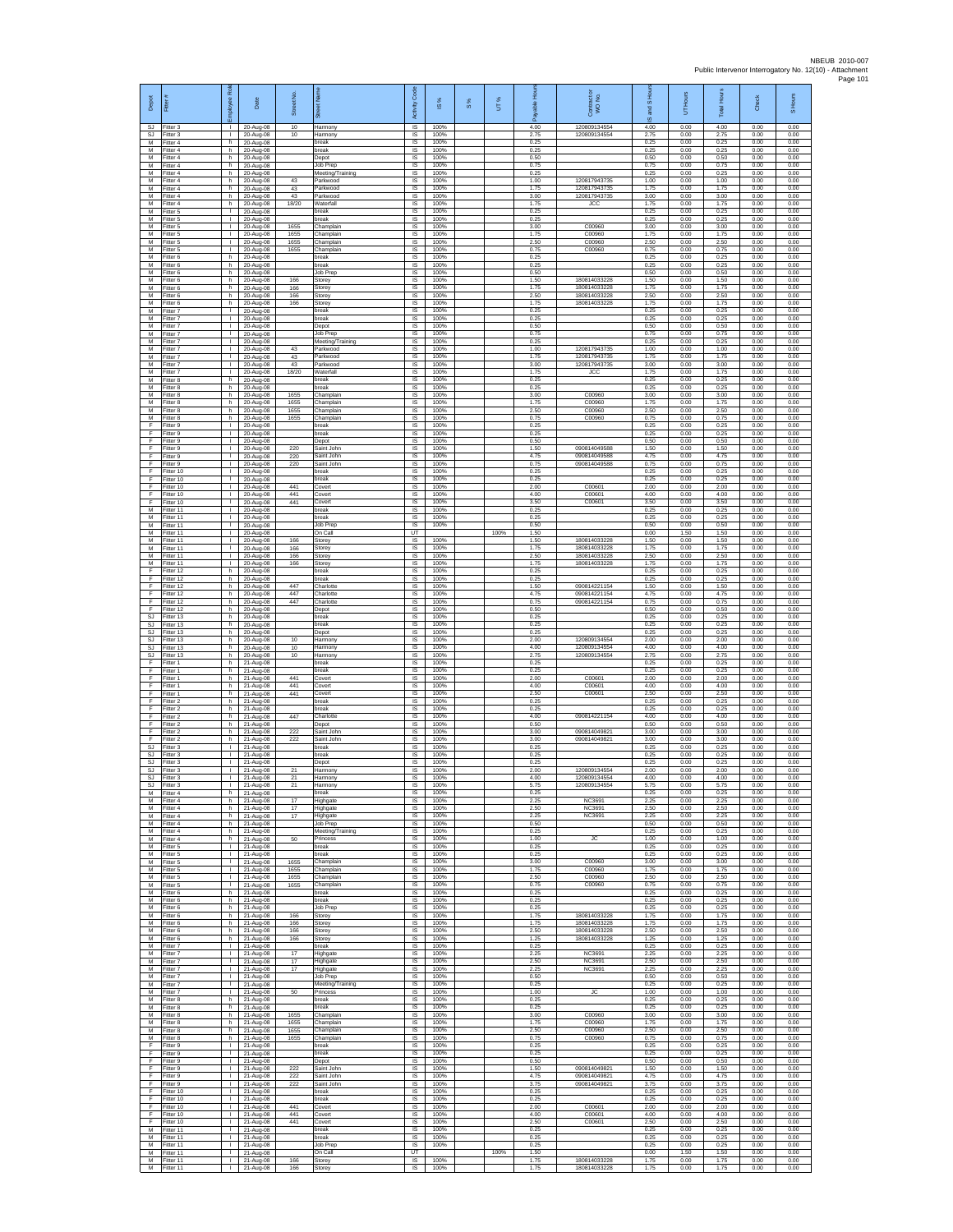| Depot<br><b>SJ</b> | Fitter#<br>Fitter 3                 | ployee Roi                                   | Date<br>20-Aug-08                   | Street No<br>10      | 芿<br>Harmony                             | code<br>Activity<br>IS      | IS %<br>100%         | $\frac{8}{3}$ | UT%  | 훈<br>4.00            | Contract or<br>WO No.<br>120809134554        | $\overline{a}$<br>and<br>ဖ<br>4.00 | Hours<br>5<br>0.00   | <b>Total Hour</b><br>4.00 | Check<br>0.00        | S Hours<br>0.00      |
|--------------------|-------------------------------------|----------------------------------------------|-------------------------------------|----------------------|------------------------------------------|-----------------------------|----------------------|---------------|------|----------------------|----------------------------------------------|------------------------------------|----------------------|---------------------------|----------------------|----------------------|
| М                  | S.I Fitter 3<br>Fitter 4            | $\mathbb{R}$<br>h.                           | 20-Aug-08<br>20-Aug-08              | 10                   | Harmony<br>break                         | IS<br>$\sf IS$              | 100%<br>100%         |               |      | 2.75<br>0.25         | 120809134554                                 | 2.75<br>0.25                       | 0.00<br>0.00         | 2.75<br>0.25              | 0.00<br>0.00         | 0.00<br>0.00         |
| M<br>M<br>M        | -itter 4<br>Fitter 4<br>Fitter 4    | h<br>h.<br>h                                 | 20-Aug-08<br>20-Aug-08<br>20-Aug-08 |                      | break<br>Depot<br>Job Prep               | 1S<br>IS<br>IS              | 100%<br>100%<br>100% |               |      | 0.25<br>0.50<br>0.75 |                                              | 0.25<br>0.50<br>0.75               | 0.00<br>0.00<br>0.00 | 0.25<br>0.50<br>0.75      | 0.00<br>0.00<br>0.00 | 0.00<br>0.00<br>0.00 |
| М<br>M             | Fitter 4<br>itter 4                 | h.<br>h.                                     | 20-Aug-08<br>20-Aug-08              | 43                   | Meeting/Training<br>Parkwood             | 1S<br>IS                    | 100%<br>100%         |               |      | 0.25<br>1.00         | 12081794373                                  | 0.25<br>1.00                       | 0.00<br>0.00         | 0.25<br>1.00              | 0.00<br>0.00         | 0.00<br>0.00         |
| M<br>M             | Fitter 4<br>Fitter 4                | h.<br>h.                                     | 20-Aug-08<br>20-Aug-08              | 43<br>43             | Parkwood<br>Parkwood                     | <b>IS</b><br>$\sf IS$       | 100%<br>100%         |               |      | 1.75<br>3.00         | 120817943735<br>120817943735                 | 1.75<br>3.00                       | 0.00<br>0.00         | 1.75<br>3.00              | 0.00<br>0.00         | 0.00<br>0.00         |
| М<br>M<br>M        | Fitter 4<br>Fitter 5<br>Fitter 5    | h<br>$\mathbb{R}$<br>$\mathbf{L}$            | 20-Aug-08<br>20-Aug-08<br>20-Aug-08 | 18/20                | Waterfall<br>break<br>hreak              | IS<br>IS<br>IS              | 100%<br>100%<br>100% |               |      | 1.75<br>0.25<br>0.25 | <b>JCC</b>                                   | 1.75<br>0.25<br>0.25               | 0.00<br>0.00<br>0.00 | 1.75<br>0.25<br>0.25      | 0.00<br>0.00<br>0.00 | 0.00<br>0.00<br>0.00 |
| М<br>M             | Fitter 5<br>fitter 5                | т.<br>Τ                                      | 20-Aug-08<br>20-Aug-08              | 1655<br>1655         | Champlain<br>Champlain                   | IS<br>1S                    | 100%<br>100%         |               |      | 3.00<br>1.75         | C00960<br>C00960                             | 3.00<br>1.75                       | 0.00<br>0.00         | 3.00<br>1.75              | 0.00<br>0.00         | 0.00<br>0.00         |
| M<br>М<br>M        | Fitter 5<br>itter 5<br>Fitter 6     | $\mathbf{L}$<br>т.<br>h.                     | 20-Aug-08<br>20-Aug-08<br>20-Aug-08 | 1655<br>1655         | Champlain<br>Champlain<br>break          | IS<br>IS<br>1S              | 100%<br>100%<br>100% |               |      | 2.50<br>0.75<br>0.25 | C00960<br>C00960                             | 2.50<br>0.75<br>0.25               | 0.00<br>0.00<br>0.00 | 2.50<br>0.75<br>0.25      | 0.00<br>0.00<br>0.00 | 0.00<br>0.00<br>0.00 |
| M<br>M             | Fitter 6<br>Fitter 6                | h.<br>h                                      | 20-Aug-08<br>20-Aug-08              |                      | break<br>Job Prep                        | IS<br>IS                    | 100%<br>100%         |               |      | 0.25<br>0.50         |                                              | 0.25<br>0.50                       | 0.00<br>0.00         | 0.25<br>0.50              | 0.00<br>0.00         | 0.00<br>0.00         |
| М<br>М<br>M        | Fitter 6<br>itter 6                 | h<br>h                                       | 20-Aug-08<br>20-Aug-08              | 166<br>166           | Storey<br>Storey                         | IS<br>IS<br>IS              | 100%<br>100%         |               |      | 1.50<br>1.75<br>2.50 | 180814033228<br>180814033228<br>180814033228 | 1.50<br>1.75<br>2.50               | 0.00<br>0.00<br>0.00 | 1.50<br>1.75<br>2.50      | 0.00<br>0.00<br>0.00 | 0.00<br>0.00<br>0.00 |
| M<br>М             | Fitter 6<br>Fitter 6<br>Fitter 7    | h.<br>h<br>т.                                | 20-Aug-08<br>20-Aug-08<br>20-Aug-08 | 166<br>166           | Storey<br>Storey<br>break                | IS<br>IS                    | 100%<br>100%<br>100% |               |      | 175<br>0.25          | 180814033228                                 | 1.75<br>0.25                       | 0.00<br>0.00         | 1.75<br>0.25              | 0.00<br>0.00         | 0.00<br>0.00         |
| M<br>M             | Fitter 7<br>Fitter 7                | Τ<br>$\mathbf{L}$                            | 20-Aug-08<br>20-Aug-08              |                      | break<br>Depot                           | 1S<br>IS                    | 100%<br>100%         |               |      | 0.25<br>0.50         |                                              | 0.25<br>0.50                       | 0.00<br>0.00         | 0.25<br>0.50              | 0.00<br>0.00         | 0.00<br>0.00         |
| М<br>M<br>M        | -itter 7<br>fitter 7<br>Fitter 7    | т.<br>т<br>$\mathbf{L}$                      | 20-Aug-08<br>20-Aug-08<br>20-Aug-08 | 43                   | Job Prep<br>Meeting/Training<br>Parkwood | IS<br>1S<br>IS              | 100%<br>100%<br>100% |               |      | 0.75<br>0.25<br>1.00 | 120817943735                                 | 0.75<br>0.25<br>1.00               | 0.00<br>0.00<br>0.00 | 0.75<br>0.25<br>1.00      | 0.00<br>0.00<br>0.00 | 0.00<br>0.00<br>0.00 |
| M<br>М             | Fitter 7<br>Fitter 7                | т.<br>т.                                     | 20-Aug-08<br>20-Aug-08              | 43<br>43             | Parkwood<br>Parkwood                     | IS<br>IS                    | 100%<br>100%         |               |      | 1.75<br>3.00         | 120817943735<br>120817943735                 | 1.75<br>3.00                       | 0.00<br>0.00         | 1.75<br>3.00              | 0.00<br>0.00         | 0.00<br>0.00         |
| M<br>M             | itter 7<br>Fitter 8                 | $\mathbf{I}$<br>h.                           | 20-Aug-08<br>20-Aug-08              | 18/20                | Waterfall<br>break                       | IS<br>IS                    | 100%<br>100%         |               |      | 1.75<br>0.25         | <b>JCC</b>                                   | 1.75<br>0.25                       | 0.00<br>0.00         | 1.75<br>0.25              | 0.00<br>0.00         | 0.00<br>0.00         |
| M<br>М<br>M        | Fitter 8<br>Fitter 8<br>Fitter 8    | h.<br>h<br>h.                                | 20-Aug-08<br>20-Aug-08<br>20-Aug-08 | 1655<br>1655         | break<br>Champlain<br>Champlain          | $\sf IS$<br>IS<br>IS        | 100%<br>100%<br>100% |               |      | 0.25<br>3.00<br>1.75 | C00960<br>C00960                             | 0.25<br>3.00<br>1.75               | 0.00<br>0.00<br>0.00 | 0.25<br>3.00<br>1.75      | 0.00<br>0.00<br>0.00 | 0.00<br>0.00<br>0.00 |
| M<br>М             | Fitter 8<br>fitter 8                | h.<br>h.                                     | 20-Aug-08<br>20-Aug-08              | 1655<br>1655         | Champlain<br>Champlain                   | IS<br>IS                    | 100%<br>100%         |               |      | 2.50<br>0.75         | C00960<br>C00960                             | 2.50<br>0.75                       | 0.00<br>0.00         | 2.50<br>0.75              | 0.00<br>0.00         | 0.00<br>0.00         |
| F<br>F<br>F        | fitter 9<br>Fitter 9<br>Fitter 9    | $\mathbb{R}$<br>$\mathbf{L}$<br>т.           | 20-Aug-08<br>20-Aug-08<br>20-Aug-08 |                      | break<br>break<br>Depot                  | IS<br>IS<br>IS              | 100%<br>100%<br>100% |               |      | 0.25<br>0.25<br>0.50 |                                              | 0.25<br>0.25<br>0.50               | 0.00<br>0.00<br>0.00 | 0.25<br>0.25<br>0.50      | 0.00<br>0.00<br>0.00 | 0.00<br>0.00<br>0.00 |
| F<br>F             | Fitter 9<br>Fitter 9                | т.<br>$\mathbf{L}$                           | 20-Aug-08<br>20-Aug-08              | 220<br>220           | Saint John<br>Saint John                 | IS<br>IS                    | 100%<br>100%         |               |      | 1.50<br>4.75         | 090814049588<br>090814049588                 | 1.50<br>4.75                       | 0.00<br>0.00         | 1.50<br>4.75              | 0.00<br>0.00         | 0.00<br>0.00         |
| E<br>F             | Fitter 9<br>Fitter 10               | т.<br>т.                                     | 20-Aug-08<br>20-Aug-08              | 220                  | Saint John<br>break                      | IS<br>1S                    | 100%<br>100%         |               |      | 0.75<br>0.25         | 090814049588                                 | 0.75<br>0.25                       | 0.00<br>0.00         | 0.75<br>0.25              | 0.00<br>0.00         | 0.00<br>0.00         |
| F<br>F<br>F        | fitter 10<br>Fitter 10<br>Fitter 10 | $\mathbf{I}$<br>л.<br>л.                     | 20-Aug-08<br>20-Aug-08<br>20-Aug-08 | 441<br>441           | oreak<br>Covert<br>Covert                | IS<br><b>IS</b><br>IS       | 100%<br>100%<br>100% |               |      | 0.25<br>2.00<br>4.00 | C00601<br>C00601                             | 0.25<br>2.00<br>4.00               | 0.00<br>0.00<br>0.00 | 0.25<br>2.00<br>400       | 0.00<br>0.00<br>0.00 | 0.00<br>0.00<br>0.00 |
| F<br>M             | Fitter 10<br>Fitter 11              | т.<br>Τ                                      | 20-Aug-08<br>20-Aug-08              | 441                  | Covert<br>break                          | IS<br>1S                    | 100%<br>100%         |               |      | 3.50<br>0.25         | C00601                                       | 3.50<br>0.25                       | 0.00<br>0.00         | 3.50<br>0.25              | 0.00<br>0.00         | 0.00<br>0.00         |
| M<br>М<br>M        | Fitter 11<br>Fitter 11              | H.<br>т.<br>т                                | 20-Aug-08<br>20-Aug-08              |                      | break<br>Job Prep                        | IS<br>$\sf IS$<br>UT        | 100%<br>100%         |               | 100% | 0.25<br>0.50         |                                              | 0.25<br>0.50                       | 0.00<br>0.00         | 0.25<br>0.50              | 0.00<br>0.00         | 0.00<br>0.00         |
| M<br>M             | fitter 11<br>Fitter 11<br>Fitter 11 | $\mathbf{L}$<br>т.                           | 20-Aug-08<br>20-Aug-08<br>20-Aug-08 | 166<br>166           | On Call<br>Storey<br>Storey              | IS<br>IS                    | 100%<br>100%         |               |      | 1.50<br>1.50<br>1.75 | 180814033228<br>180814033228                 | 0.00<br>1.50<br>1.75               | 1.50<br>0.00<br>0.00 | 1.50<br>1.50<br>1.75      | 0.00<br>0.00<br>0.00 | 0.00<br>0.00<br>0.00 |
| M<br>M             | Fitter 11<br>itter 11               | т.<br>$\mathbf{I}$                           | 20-Aug-08<br>20-Aug-08              | 166<br>166           | Storey<br>Storey                         | 1S<br>IS                    | 100%<br>100%         |               |      | 2.50<br>1.75         | 180814033228<br>180814033228                 | 2.50<br>1.75                       | 0.00<br>0.00         | 2.50<br>1.75              | 0.00<br>0.00         | 0.00<br>0.00         |
| F<br>F<br>F        | Fitter 12<br>Fitter 12<br>Fitter 12 | h.<br>h.<br>h.                               | 20-Aug-08<br>20-Aug-08<br>20-Aug-08 | 447                  | break<br>break<br>Charlotte              | <b>IS</b><br>$\sf IS$<br>IS | 100%<br>100%<br>100% |               |      | 0.25<br>0.25<br>1.50 | 090814221154                                 | 0.25<br>0.25<br>1.50               | 0.00<br>0.00<br>0.00 | 0.25<br>0.25<br>1.50      | 0.00<br>0.00<br>0.00 | 0.00<br>0.00<br>0.00 |
| F<br>F             | Fitter 12<br>Fitter 12              | h.<br>h.                                     | 20-Aug-08<br>20-Aug-08              | 447<br>447           | Charlotte<br>Charlotte                   | IS<br>IS                    | 100%<br>100%         |               |      | 4.75<br>0.75         | 090814221154<br>090814221154                 | 4.75<br>0.75                       | 0.00<br>0.00         | 4.75<br>0.75              | 0.00<br>0.00         | 0.00<br>0.00         |
| F<br><b>SJ</b>     | Fitter 12<br>fitter 13              | h<br>h.                                      | 20-Aug-08<br>20-Aug-08              |                      | Depot<br>break                           | IS<br>1S                    | 100%<br>100%         |               |      | 0.50<br>0.25         |                                              | 0.50<br>0.25                       | 0.00<br>0.00         | 0.50<br>0.25              | 0.00<br>0.00         | 0.00<br>0.00         |
| SJ<br>SJ<br>SJ     | Fitter 13<br>itter 13<br>Fitter 13  | h.<br>h<br>h.                                | 20-Aug-08<br>20-Aug-08<br>20-Aug-08 | 10                   | break<br>Depot<br>Harmony                | IS<br>IS<br>1S              | 100%<br>100%<br>100% |               |      | 0.25<br>0.25<br>2.00 | 120809134554                                 | 0.25<br>0.25<br>2.00               | 0.00<br>0.00<br>0.00 | 0.25<br>0.25<br>2.00      | 0.00<br>0.00<br>0.00 | 0.00<br>0.00<br>0.00 |
| <b>SJ</b><br>SJ    | Fitter 13<br>Fitter 13              | h.<br>h                                      | 20-Aug-08<br>20-Aug-08              | 10<br>10             | Harmony<br>Harmony                       | IS<br>IS                    | 100%<br>100%         |               |      | 4.00<br>2.75         | 120809134554<br>120809134554                 | 4.00<br>2.75                       | 0.00<br>0.00         | 4.00<br>2.75              | 0.00<br>0.00         | 0.00<br>0.00         |
| F<br>F<br>F        | Fitter 1<br>fitter 1<br>Fitter 1    | h.<br>h.<br>h.                               | 21-Aug-08<br>21-Aug-08              | 441                  | break<br>break<br>Covert                 | IS<br>IS<br>IS              | 100%<br>100%<br>100% |               |      | 0.25<br>0.25<br>2.00 | C00601                                       | 0.25<br>0.25<br>2.00               | 0.00<br>0.00<br>0.00 | 0.25<br>0.25<br>2.00      | 0.00<br>0.00<br>0.00 | 0.00<br>0.00<br>0.00 |
| F<br>F             | Fitter 1<br>Fitter 1                | h<br>h                                       | 21-Aug-08<br>21-Aug-08<br>21-Aug-08 | 441<br>441           | Covert<br>Covert                         | IS<br>IS                    | 100%<br>100%         |               |      | 4.00<br>2.50         | C00601<br>C00601                             | 4.00<br>2.50                       | 0.00<br>0.00         | 4.00<br>2.50              | 0.00<br>0.00         | 0.00<br>0.00         |
| F<br>F             | Fitter 2<br>Fitter 2                | h.<br>h.                                     | 21-Aug-08<br>21-Aug-08              |                      | break<br>break                           | 1S<br>IS                    | 100%<br>100%         |               |      | 0.25<br>0.25         |                                              | 0.25<br>0.25                       | 0.00<br>0.00         | 0.25<br>0.25              | 0.00<br>0.00         | 0.00<br>0.00         |
| F<br>F<br>F        | -itter 2<br>-itter 2<br>Fitter 2    | h<br>h.<br>h.                                | 21-Aug-08<br>21-Aug-08<br>21-Aug-08 | 447<br>222           | Charlotte<br>Depot<br>Saint John         | IS<br>1S<br>IS              | 100%<br>100%<br>100% |               |      | 4.00<br>0.50<br>3.00 | 090814221154<br>090814049821                 | 4.00<br>0.50<br>3.00               | 0.00<br>0.00<br>0.00 | 4.00<br>0.50<br>3.00      | 0.00<br>0.00<br>0.00 | 0.00<br>0.00<br>0.00 |
| F<br><b>SJ</b>     | Fitter 2<br>Fitter 3                | h.<br>$\mathbf{I}$                           | 21-Aug-08<br>21-Aug-08              | 222                  | Saint John<br>break                      | IS<br>IS                    | 100%<br>100%         |               |      | 3.00<br>0.25         | 090814049821                                 | 3.00<br>0.25                       | 0.00<br>0.00         | 3.00<br>0.25              | 0.00<br>0.00         | 0.00<br>0.00         |
| SJ<br>SJ           | fitter 3<br>Fitter 3                | T.<br>л.                                     | 21-Aug-08<br>21-Aug-08              |                      | preak<br>Depot                           | IS<br>IS                    | 100%<br>100%         |               |      | 0.25<br>0.25         |                                              | 0.25<br>0.25                       | 0.00<br>0.00         | 0.25<br>0.25              | 0.00<br>0.00         | 0.00<br>0.00         |
| SJ<br>SJ<br>-SJ    | Fitter 3<br>Fitter 3<br>Fitter 3    | $\mathbb{R}^n$<br>$\mathbf{L}$<br>- 1        | 21-Aug-08<br>21-Aug-08<br>21-Aug-08 | 21<br>21<br>21       | Harmony<br>Harmony<br>Harmony            | $\sf IS$<br>IS<br><b>IS</b> | 100%<br>100%<br>100% |               |      | 2.00<br>4.00<br>5.75 | 120809134554<br>120809134554<br>120809134554 | 2.00<br>4.00<br>5.75               | 0.00<br>0.00<br>0.00 | 2.00<br>4.00<br>5.75      | 0.00<br>0.00<br>0.00 | 0.00<br>0.00<br>0.00 |
| M<br>М             | Fitter 4<br>Fitter 4                | h.<br>h.                                     | 21-Aug-08<br>21-Aug-08              | 17                   | break<br>Highgate                        | IS<br>IS                    | 100%<br>100%         |               |      | 0.25<br>2.25         | <b>NC3691</b>                                | 0.25<br>2.25                       | 0.00<br>0.00         | 0.25<br>2.25              | 0.00<br>0.00         | 0.00<br>0.00         |
| M<br>M             | itter 4<br>Fitter 4                 | h.<br>h.                                     | 21-Aug-08<br>21-Aug-08              | 17<br>17             | Highgate<br>Highgate                     | IS<br>IS                    | 100%<br>100%<br>100% |               |      | 2.50<br>2.25<br>0.50 | NC3691<br>NC3691                             | 2.50<br>2.25<br>0.50               | 0.00<br>0.00<br>0.00 | 2.50<br>2.25<br>0.50      | 0.00<br>0.00<br>0.00 | 0.00<br>0.00<br>0.00 |
| М<br>М<br>M        | Fitter 4<br>Fitter 4<br>Fitter 4    | h.<br>h.<br>h.                               | 21-Aug-08<br>21-Aug-08<br>21-Aug-08 | 50                   | Job Prep<br>Meeting/Training<br>Princess | IS<br>IS<br>IS              | 100%<br>100%         |               |      | 0.25<br>1.00         | <b>JC</b>                                    | 0.25<br>1.00                       | 0.00<br>0.00         | 0.25<br>1.00              | 0.00<br>0.00         | 0.00<br>0.00         |
| М<br>M             | Fitter 5<br>Fitter 5                | $\mathbf{L}$<br>т.                           | 21-Aug-08<br>21-Aug-08              |                      | break<br>break                           | IS<br>IS                    | 100%<br>100%         |               |      | 0.25<br>0.25         |                                              | 0.25<br>0.25                       | 0.00<br>0.00         | 0.25<br>0.25              | 0.00<br>0.00         | 0.00<br>0.00         |
| М<br>M<br>M        | fitter 5<br>Fitter 5<br>Fitter 5    | т.<br>л.<br>$\mathbf{L}$                     | 21-Aug-08<br>21-Aug-08<br>21-Aug-08 | 1655<br>1655<br>1655 | Champlain<br>Champlain<br>Champlain      | IS<br>IS<br>IS              | 100%<br>100%<br>100% |               |      | 3.00<br>1.75<br>2.50 | C00960<br>C00960<br>C00960                   | 3.00<br>1.75<br>2.50               | 0.00<br>0.00<br>0.00 | 3.00<br>1.75<br>2.50      | 0.00<br>0.00<br>0.00 | 0.00<br>0.00<br>0.00 |
| М<br>M             | Fitter 5<br>Fitter 6                | т.<br>h.                                     | 21-Aug-08<br>21-Aug-08              | 1655                 | Champlain<br>break                       | IS<br>IS                    | 100%<br>100%         |               |      | 0.75<br>0.25         | C00960                                       | 0.75<br>0.25                       | 0.00<br>0.00         | 0.75<br>0.25              | 0.00<br>0.00         | 0.00<br>0.00         |
| м<br>М<br>M        | Fitter 6<br>Fitter 6<br>Fitter 6    | h I<br>h.<br>h                               | 21-Aug-08<br>21-Aug-08<br>21-Aug-08 | 166                  | break<br>Job Prep<br>Storey              | IS<br>IS<br>1S              | 100%<br>100%<br>100% |               |      | 0.25<br>0.25<br>1.75 | 180814033228                                 | 0.25<br>0.25<br>1.75               | 0.00<br>0.00<br>0.00 | 0.25<br>0.25<br>1.75      | 0.00<br>0.00<br>0.00 | 0.00<br>0.00<br>0.00 |
| M<br>M             | Fitter 6<br>Fitter 6                | h.<br>h.                                     | 21-Aug-08<br>21-Aug-08              | 166<br>166           | Storey<br>Storey                         | <b>IS</b><br>IS             | 100%<br>100%         |               |      | 1.75<br>2.50         | 180814033228<br>180814033228                 | 1.75<br>2.50                       | 0.00<br>0.00         | 1.75<br>2.50              | 0.00<br>0.00         | 0.00<br>0.00         |
| M<br>M             | Fitter 6<br>Fitter 7                | h.<br>$\mathbf{L}$                           | 21-Aug-08<br>21-Aug-08              | 166                  | Storey<br>break                          | 1S<br>IS                    | 100%<br>100%         |               |      | 1.25<br>0.25         | 180814033228                                 | 1.25<br>0.25                       | 0.00<br>0.00         | 1.25<br>0.25              | 0.00<br>0.00         | 0.00<br>0.00         |
| M<br>М<br>М        | Fitter 7<br>Fitter 7<br>Fitter 7    | $\mathbf{I}$<br>$\mathbb{R}$<br>$\mathbb{L}$ | 21-Aug-08<br>21-Aug-08<br>21-Aug-08 | 17<br>17<br>17       | Highgate<br>Highgate<br>Highgate         | IS<br>$\sf IS$<br>$\sf IS$  | 100%<br>100%<br>100% |               |      | 2.25<br>2.50<br>2.25 | NC3691<br>NC3691<br>NC3691                   | 2.25<br>2.50<br>2.25               | 0.00<br>0.00<br>0.00 | 2.25<br>2.50<br>2.25      | 0.00<br>0.00<br>0.00 | 0.00<br>0.00<br>0.00 |
| M<br>M             | Fitter 7<br>Fitter 7                | $\mathbb{R}$<br>$\mathbf{L}$                 | 21-Aug-08<br>21-Aug-08              |                      | Job Prep<br>Meeting/Training             | IS<br>IS                    | 100%<br>100%         |               |      | 0.50<br>0.25         |                                              | 0.50<br>0.25                       | 0.00<br>0.00         | 0.50<br>0.25              | 0.00<br>0.00         | 0.00<br>0.00         |
| М<br>M             | Fitter 7<br>fitter 8                | т.<br>h.                                     | 21-Aug-08<br>21-Aug-08              | 50                   | Princess<br>break                        | IS<br>IS<br>IS              | 100%<br>100%<br>100% |               |      | 1.00<br>0.25<br>0.25 | <b>JC</b>                                    | 1.00<br>0.25<br>0.25               | 0.00<br>0.00<br>0.00 | 1.00<br>0.25<br>0.25      | 0.00<br>0.00<br>0.00 | 0.00<br>0.00<br>0.00 |
| M<br>М<br>М        | Fitter 8<br>Fitter 8<br>Fitter 8    | h.<br>h.<br>h.                               | 21-Aug-08<br>21-Aug-08<br>21-Aug-08 | 1655<br>1655         | break<br>Champlain<br>Champlain          | IS<br>IS                    | 100%<br>100%         |               |      | 3.00<br>1.75         | C00960<br>C00960                             | 3.00<br>1.75                       | 0.00<br>0.00         | 3.00<br>1.75              | 0.00<br>0.00         | 0.00<br>0.00         |
| M<br>М             | Fitter 8<br>Fitter 8                | h.<br>h                                      | 21-Aug-08<br>21-Aug-08              | 1655<br>1655         | Champlain<br>Champlain                   | IS<br>IS                    | 100%<br>100%         |               |      | 2.50<br>0.75         | C00960<br>C00960                             | 2.50<br>0.75                       | 0.00<br>0.00         | 2.50<br>0.75              | 0.00<br>0.00         | 0.00<br>0.00         |
| F<br>F<br>F        | Fitter 9<br>fitter 9<br>Fitter 9    | $\mathbf{L}$<br>$\mathbf{L}$<br>л.           | 21-Aug-08<br>21-Aug-08<br>21-Aug-08 |                      | break<br>break<br>Depot                  | IS<br>IS<br>IS              | 100%<br>100%<br>100% |               |      | 0.25<br>0.25<br>0.50 |                                              | 0.25<br>0.25<br>0.50               | 0.00<br>0.00<br>0.00 | 0.25<br>0.25<br>0.50      | 0.00<br>0.00<br>0.00 | 0.00<br>0.00<br>0.00 |
| F<br>F             | Fitter 9<br>Fitter 9                | <b>ILL S</b><br>т.                           | 21-Aug-08<br>21-Aug-08              | 222<br>222           | Saint John<br>Saint John                 | IS<br>IS                    | 100%<br>100%         |               |      | 1.50<br>4.75         | 090814049821<br>090814049821                 | 1.50<br>4.75                       | 0.00<br>0.00         | 1.50<br>4.75              | 0.00<br>0.00         | 0.00<br>0.00         |
| F<br>F             | Fitter 9<br>Fitter 10               | т<br>$\mathbf{L}$                            | 21-Aug-08<br>21-Aug-08              | 222                  | Saint John<br>break                      | 1S<br>IS                    | 100%<br>100%         |               |      | 3.75<br>0.25         | 090814049821                                 | 3.75<br>0.25                       | 0.00<br>0.00         | 3.75<br>0.25              | 0.00<br>0.00         | 0.00<br>0.00         |
| F<br>F<br>F        | Fitter 10<br>Fitter 10<br>Fitter 10 | т.<br>т<br>$\mathbf{L}$                      | 21-Aug-08<br>21-Aug-08<br>21-Aug-08 | 441<br>441           | break<br>Covert<br>Covert                | IS<br>1S<br>IS              | 100%<br>100%<br>100% |               |      | 0.25<br>2.00<br>4.00 | C00601<br>C00601                             | 0.25<br>2.00<br>4.00               | 0.00<br>0.00<br>0.00 | 0.25<br>2.00<br>4.00      | 0.00<br>0.00<br>0.00 | 0.00<br>0.00<br>0.00 |
| F<br>М             | Fitter 10<br>Fitter 11              | л.<br>т.                                     | 21-Aug-08<br>21-Aug-08              | 441                  | Covert<br>break                          | IS<br>IS                    | 100%<br>100%         |               |      | 2.50<br>0.25         | C00601                                       | 2.50<br>0.25                       | 0.00<br>0.00         | 2.50<br>0.25              | 0.00<br>0.00         | 0.00<br>0.00         |
| M<br>M<br>M        | fitter 11<br>Fitter 11              | т.<br>т.<br>$\mathbf{L}$                     | 21-Aug-08<br>21-Aug-08              |                      | break<br>Job Prep                        | IS<br>IS                    | 100%<br>100%         |               |      | 0.25<br>0.25         |                                              | 0.25<br>0.25                       | 0.00<br>0.00         | 0.25<br>0.25              | 0.00<br>0.00         | 0.00<br>0.00         |
| М<br>M             | Fitter 11<br>Fitter 11<br>Fitter 11 | $\mathbf{L}$<br>$\mathbf{I}$                 | 21-Aug-08<br>21-Aug-08<br>21-Aug-08 | 166<br>166           | On Call<br>Storey<br>Storey              | UT<br>IS<br>IS              | 100%<br>100%         |               | 100% | 1.50<br>1.75<br>1.75 | 180814033228<br>180814033228                 | 0.00<br>1.75<br>1.75               | 1.50<br>0.00<br>0.00 | 1.50<br>1.75<br>1.75      | 0.00<br>0.00<br>0.00 | 0.00<br>0.00<br>0.00 |
|                    |                                     |                                              |                                     |                      |                                          |                             |                      |               |      |                      |                                              |                                    |                      |                           |                      |                      |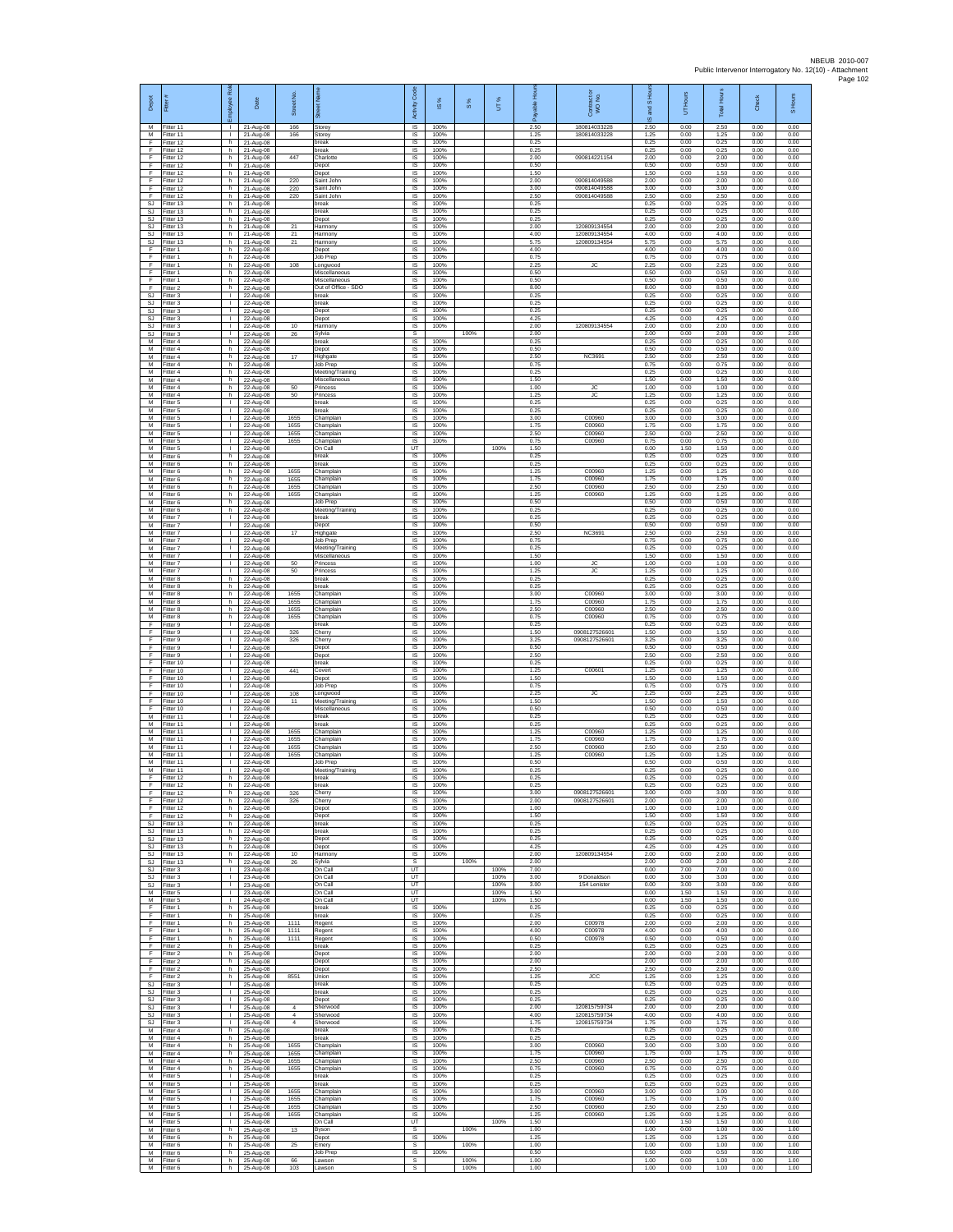| Depot                                     | Fitter                                | ployee Rol                                   | Date                                | Street No                        | あ                                               | Code<br>Activity                          | $\frac{8}{3}$        | $\frac{8}{3}$ | UT%                  | æ                    | ŏ<br>Contract<br>WO No.        | Sand S               | Hours<br>5           | <b>Total Hours</b>   | Check                | S Hours              |
|-------------------------------------------|---------------------------------------|----------------------------------------------|-------------------------------------|----------------------------------|-------------------------------------------------|-------------------------------------------|----------------------|---------------|----------------------|----------------------|--------------------------------|----------------------|----------------------|----------------------|----------------------|----------------------|
| M<br>M<br>F                               | Fitter 11<br>Fitter 11<br>Fitter 12   | л.<br>т.<br>h                                | 21-Aug-08<br>21-Aug-08<br>21-Aug-08 | 166<br>166                       | Storey<br>Storey<br>break                       | IS<br>IS<br>IS                            | 100%<br>100%<br>100% |               |                      | 2.50<br>1.25<br>0.25 | 180814033228<br>180814033228   | 2.50<br>1.25<br>0.25 | 0.00<br>0.00<br>0.00 | 2.50<br>1.25<br>0.25 | 0.00<br>0.00<br>0.00 | 0.00<br>0.00<br>0.00 |
| F<br>F                                    | Fitter 12<br>fitter 12                | h.<br>h.                                     | 21-Aug-08<br>21-Aug-08              | 447                              | break<br>Charlotte                              | IS<br>IS                                  | 100%<br>100%         |               |                      | 0.25<br>2.00         | 090814221154                   | 0.25<br>2.00         | 0.00<br>0.00         | 0.25<br>2.00         | 0.00<br>0.00         | 0.00<br>0.00         |
| F<br>F<br>F                               | Fitter 12<br>Fitter 12<br>Fitter 12   | h.<br>h<br>h                                 | 21-Aug-08<br>21-Aug-08<br>21-Aug-08 | 220                              | Depot<br>Depot<br>Saint John                    | IS<br>IS<br>IS                            | 100%<br>100%<br>100% |               |                      | 0.50<br>1.50<br>2.00 | 090814049588                   | 0.50<br>1.50<br>2.00 | 0.00<br>0.00<br>0.00 | 0.50<br>1.50<br>2.00 | 0.00<br>0.00<br>0.00 | 0.00<br>0.00<br>0.00 |
| F<br>F                                    | Fitter 12<br>Fitter 12                | h.<br>h.                                     | 21-Aug-08<br>21-Aug-08              | 220<br>220                       | Saint John<br>Saint John                        | 1S<br>IS                                  | 100%<br>100%         |               |                      | 3.00<br>2.50         | 090814049588<br>090814049588   | 3.00<br>2.50         | 0.00<br>0.00         | 3.00<br>2.50         | 0.00<br>0.00         | 0.00<br>0.00         |
| $\mathbb{S}\mathbb{J}$<br>SJ<br><b>SJ</b> | Fitter 13<br>litter 13<br>Fitter 13   | h.<br>h.<br>h.                               | 21-Aug-08<br>21-Aug-08<br>21-Aug-08 |                                  | break<br>break<br>Depot                         | IS<br>$\sf IS$<br>$\overline{\mathsf{s}}$ | 100%<br>100%<br>100% |               |                      | 0.25<br>0.25<br>0.25 |                                | 0.25<br>0.25<br>0.25 | 0.00<br>0.00<br>0.00 | 0.25<br>0.25<br>0.25 | 0.00<br>0.00<br>0.00 | 0.00<br>0.00<br>0.00 |
| <b>SJ</b><br>SJ                           | Fitter 13<br>Fitter 13                | h<br>h<br>h.                                 | 21-Aug-08<br>21-Aug-08              | 21<br>21                         | Harmony<br>Harmony                              | IS<br>IS                                  | 100%<br>100%         |               |                      | 2.00<br>4.00         | 120809134554<br>120809134554   | 2.00<br>4.00         | 0.00<br>0.00         | 2.00<br>4.00         | 0.00<br>0.00         | 0.00<br>0.00         |
| SJ<br>F<br>F                              | itter 13<br>Fitter 1<br>Fitter 1      | h.<br>h                                      | 21-Aug-08<br>22-Aug-08<br>22-Aug-08 | 21                               | Harmony<br>Depot<br>Job Prep                    | IS<br>IS<br>IS                            | 100%<br>100%<br>100% |               |                      | 5.75<br>4.00<br>0.75 | 120809134554                   | 5.75<br>4.00<br>0.75 | 0.00<br>0.00<br>0.00 | 5.75<br>4.00<br>0.75 | 0.00<br>0.00<br>0.00 | 0.00<br>0.00<br>0.00 |
| F<br>F<br>F                               | Fitter 1<br>Fitter 1<br>Fitter 1      | h<br>h.<br>h.                                | 22-Aug-08<br>22-Aug-08              | 108                              | Longwood<br>Miscellaneous                       | IS<br>IS<br>IS                            | 100%<br>100%<br>100% |               |                      | 2.25<br>0.50<br>0.50 | JC                             | 2.25<br>0.50<br>0.50 | 0.00<br>0.00<br>0.00 | 2.25<br>0.50<br>0.50 | 0.00<br>0.00<br>0.00 | 0.00<br>0.00<br>0.00 |
| F<br><b>SJ</b>                            | -itter 2<br>fitter 3                  | h.<br>$\mathbb{R}$                           | 22-Aug-08<br>22-Aug-08<br>22-Aug-08 |                                  | Miscellaneous<br>Out of Office - SDO<br>break   | IS<br>IS                                  | 100%<br>100%         |               |                      | 8.00<br>0.25         |                                | 8.00<br>0.25         | 0.00<br>0.00         | 8.00<br>0.25         | 0.00<br>0.00         | 0.00<br>0.00         |
| SJ<br>SJ                                  | Fitter 3<br>Fitter 3                  | $\mathbf{L}$<br>т.                           | 22-Aug-08<br>22-Aug-08              |                                  | break<br>Depot                                  | IS<br>IS                                  | 100%<br>100%         |               |                      | 0.25<br>0.25<br>4.25 |                                | 0.25<br>0.25         | 0.00<br>0.00         | 0.25<br>0.25         | 0.00<br>0.00         | 0.00<br>0.00         |
| SJ<br><b>SJ</b><br>SJ                     | Fitter 3<br>Fitter 3<br>Fitter 3      | т.<br>$\mathbf{I}$<br>т.                     | 22-Aug-08<br>22-Aug-08<br>22-Aug-08 | 10<br>26                         | Depot<br>Harmony<br>Sylvia                      | IS<br>IS<br>s                             | 100%<br>100%         | 100%          |                      | 2.00<br>2.00         | 120809134554                   | 4.25<br>2.00<br>2.00 | 0.00<br>0.00<br>0.00 | 4.25<br>2.00<br>2.00 | 0.00<br>0.00<br>0.00 | 0.00<br>0.00<br>2.00 |
| M<br>M                                    | Fitter 4<br>itter 4                   | h.<br>h                                      | 22-Aug-08<br>22-Aug-08              |                                  | break<br>Depot                                  | 1S<br>IS                                  | 100%<br>100%         |               |                      | 0.25<br>0.50         |                                | 0.25<br>0.50         | 0.00<br>0.00         | 0.25<br>0.50         | 0.00<br>0.00         | 0.00<br>0.00         |
| M<br>M<br>М                               | Fitter 4<br>Fitter 4<br>Fitter 4      | h.<br>h.<br>h                                | 22-Aug-08<br>22-Aug-08<br>22-Aug-08 | 17                               | Highgate<br><b>Job Prep</b><br>Meeting/Training | <b>IS</b><br>IS<br>IS                     | 100%<br>100%<br>100% |               |                      | 2.50<br>0.75<br>0.25 | <b>NC3691</b>                  | 2.50<br>0.75<br>0.25 | 0.00<br>0.00<br>0.00 | 2.50<br>0.75<br>0.25 | 0.00<br>0.00<br>0.00 | 0.00<br>0.00<br>0.00 |
| M<br>M                                    | Fitter 4<br>Fitter 4                  | h.<br>h                                      | 22-Aug-08<br>22-Aug-08              | 50                               | Miscellaneous<br>Princess                       | IS<br>IS                                  | 100%<br>100%         |               |                      | 1.50<br>1.00         | JC                             | 1.50<br>1.00         | 0.00<br>0.00         | 1.50<br>1.00         | 0.00<br>0.00         | 0.00<br>0.00         |
| М<br>M<br>M                               | Fitter 4<br>Fitter 5<br>Fitter 5      | h.<br>$\mathbf{L}$<br>л.                     | 22-Aug-08<br>22-Aug-08<br>22-Aug-08 | 50                               | Princess<br>break<br>break                      | $\sf IS$<br>IS<br>IS                      | 100%<br>100%<br>100% |               |                      | 1.25<br>0.25<br>0.25 | <b>JC</b>                      | 1.25<br>0.25<br>0.25 | 0.00<br>0.00<br>0.00 | 1.25<br>0.25<br>0.25 | 0.00<br>0.00<br>0.00 | 0.00<br>0.00<br>0.00 |
| M<br>М                                    | Fitter 5<br>Fitter 5                  | $\mathbf{L}$<br>т.                           | 22-Aug-08<br>22-Aug-08              | 1655<br>1655                     | Champlain<br>Champlain                          | IS<br>1S                                  | 100%<br>100%         |               |                      | 3.00<br>1.75         | C00960<br>C00960               | 3.00<br>1.75         | 0.00<br>0.00         | 3.00<br>1.75         | 0.00<br>0.00         | 0.00<br>0.00         |
| M<br>M<br>M                               | itter 5<br>Fitter 5<br>Fitter 5       | $\mathbf{I}$<br>л.<br>л.                     | 22-Aug-08<br>22-Aug-08<br>22-Aug-08 | 1655<br>1655                     | Champlain<br>Champlain<br>On Call               | IS<br><b>IS</b><br>UT                     | 100%<br>100%         |               | 100%                 | 2.50<br>0.75<br>1.50 | C00960<br>C00960               | 2.50<br>0.75<br>0.00 | 0.00<br>0.00<br>1.50 | 2.50<br>0.75<br>1.50 | 0.00<br>0.00<br>0.00 | 0.00<br>0.00<br>0.00 |
| М<br>M                                    | Fitter 6<br>Fitter 6                  | h.<br>h.                                     | 22-Aug-08<br>22-Aug-08              |                                  | break<br>break                                  | $\sf IS$<br>IS                            | 100%<br>100%         |               |                      | 0.25<br>0.25         |                                | 0.25<br>0.25         | 0.00<br>0.00         | 0.25<br>0.25         | 0.00<br>0.00         | 0.00<br>0.00         |
| M<br>М<br>M                               | Fitter 6<br>Fitter 6<br>itter 6       | h.<br>h<br>h.                                | 22-Aug-08<br>22-Aug-08<br>22-Aug-08 | 1655<br>1655<br>1655             | Champlain<br>Champlain<br>Champlain             | IS<br>IS<br>1S                            | 100%<br>100%<br>100% |               |                      | 1 25<br>1.75<br>2.50 | C00960<br>C00960<br>C00960     | 1.25<br>1.75<br>2.50 | 0.00<br>0.00<br>0.00 | 1.25<br>1.75<br>2.50 | 0.00<br>0.00<br>0.00 | 0.00<br>0.00<br>0.00 |
| M<br>М                                    | Fitter 6<br>itter 6                   | h.<br>h                                      | 22-Aug-08<br>22-Aug-08              | 1655                             | Champlain<br>Job Prep                           | IS<br>IS                                  | 100%<br>100%         |               |                      | 1.25<br>0.50         | C00960                         | 1.25<br>0.50         | 0.00<br>0.00         | 1.25<br>0.50         | 0.00<br>0.00         | 0.00<br>0.00         |
| М<br>M                                    | Fitter 6<br>Fitter 7                  | h.<br>т.                                     | 22-Aug-08<br>22-Aug-08              |                                  | Meeting/Training<br>break                       | 1S<br>IS                                  | 100%<br>100%         |               |                      | 0.25<br>0.25         |                                | 0.25<br>0.25         | 0.00<br>0.00         | 0.25<br>0.25         | 0.00<br>0.00         | 0.00<br>0.00         |
| M<br>М<br>М                               | Fitter 7<br>Fitter 7<br>itter 7       | т.<br>т.<br>т                                | 22-Aug-08<br>22-Aug-08<br>22-Aug-08 | 17                               | Depot<br>Highgate<br>Job Prep                   | IS<br>IS<br>IS                            | 100%<br>100%<br>100% |               |                      | 0.50<br>2.50<br>0.75 | <b>NC3691</b>                  | 0.50<br>2.50<br>0.75 | 0.00<br>0.00<br>0.00 | 0.50<br>2.50<br>0.75 | 0.00<br>0.00<br>0.00 | 0.00<br>0.00<br>0.00 |
| M<br>M                                    | Fitter 7<br>Fitter 7                  | л.<br>$\mathbf{L}$                           | 22-Aug-08<br>22-Aug-08              |                                  | Meeting/Training<br>Miscellaneous               | IS<br>IS                                  | 100%<br>100%         |               |                      | 0.25<br>1.50         |                                | 0.25<br>1.50         | 0.00<br>0.00         | 0.25<br>1.50         | 0.00<br>0.00         | 0.00<br>0.00         |
| М<br>M<br>M                               | Fitter 7<br>Fitter 7<br>Fitter 8      | т.<br>Τ<br>h                                 | 22-Aug-08<br>22-Aug-08<br>22-Aug-08 | 50<br>50                         | Princess<br>Princess<br>break                   | IS<br>1S<br>IS                            | 100%<br>100%<br>100% |               |                      | 1.00<br>1.25<br>0.25 | <b>JC</b><br><b>JC</b>         | 1.00<br>1.25<br>0.25 | 0.00<br>0.00<br>0.00 | 1.00<br>1.25<br>0.25 | 0.00<br>0.00<br>0.00 | 0.00<br>0.00<br>0.00 |
| М<br>M                                    | itter 8<br>Fitter 8                   | h.<br>h.                                     | 22-Aug-08<br>22-Aug-08              | 1655                             | break<br>Champlain                              | IS<br>IS                                  | 100%<br>100%         |               |                      | 0.25<br>3.00         | C00960                         | 0.25<br>3.00         | 0.00<br>0.00         | 0.25<br>3.00         | 0.00<br>0.00         | 0.00<br>0.00         |
| M<br>M<br>М                               | Fitter 8<br>Fitter 8<br>Fitter 8      | h.<br>h<br>h.                                | 22-Aug-08<br>22-Aug-08<br>22-Aug-08 | 1655<br>1655<br>1655             | Champlain<br>Champlain<br>Champlain             | $\overline{\mathsf{s}}$<br>IS<br>IS       | 100%<br>100%<br>100% |               |                      | 1.75<br>2.50<br>0.75 | C00960<br>C00960<br>C00960     | 1.75<br>2.50<br>0.75 | 0.00<br>0.00<br>0.00 | 1.75<br>2.50<br>0.75 | 0.00<br>0.00<br>0.00 | 0.00<br>0.00<br>0.00 |
| F<br>F                                    | fitter 9<br>Fitter 9                  | т.<br>т.                                     | 22-Aug-08<br>22-Aug-08              | 326                              | break<br>Cherry                                 | IS<br>IS                                  | 100%<br>100%         |               |                      | 0.25<br>1.50         | 0908127526601                  | 0.25<br>1.50         | 0.00<br>0.00         | 0.25<br>1.50         | 0.00<br>0.00         | 0.00<br>0.00         |
| F<br>F<br>F                               | Fitter 9<br>Fitter 9<br>Fitter 9      | $\mathbf{L}$<br>T.<br>$\mathbf{I}$           | 22-Aug-08<br>22-Aug-08<br>22-Aug-08 | 326                              | Cherry<br>Depot<br>Depot                        | IS<br>$\sf IS$<br>IS                      | 100%<br>100%<br>100% |               |                      | 3.25<br>0.50<br>2.50 | 0908127526601                  | 3.25<br>0.50<br>2.50 | 0.00<br>0.00<br>0.00 | 3.25<br>0.50<br>2.50 | 0.00<br>0.00<br>0.00 | 0.00<br>0.00<br>0.00 |
| F<br>F                                    | Fitter 10<br>Fitter 10                | л.<br>т.                                     | 22-Aug-08<br>22-Aug-08              | 441                              | hreak<br>Covert                                 | IS<br>IS                                  | 100%<br>100%         |               |                      | 0.25<br>1.25         | C00601                         | 0.25<br>1.25         | 0.00<br>0.00         | 0.25<br>1.25         | 0.00<br>0.00         | 0.00<br>0.00         |
| F<br>F<br>F                               | Fitter 10<br>Fitter 10<br>Fitter 10   | т<br>л.<br>т.                                | 22-Aug-08<br>22-Aug-08<br>22-Aug-08 | 108                              | Depot<br>Job Prep<br>Longwood                   | IS<br>IS<br>IS                            | 100%<br>100%<br>100% |               |                      | 1.50<br>0.75<br>2.25 | <b>JC</b>                      | 1.50<br>0.75<br>2.25 | 0.00<br>0.00<br>0.00 | 1.50<br>0.75<br>2.25 | 0.00<br>0.00<br>0.00 | 0.00<br>0.00<br>0.00 |
| F<br>F                                    | Fitter 10<br>Fitter 10                | $\mathbb{L}$<br>$\mathbf{L}$                 | 22-Aug-08<br>22-Aug-08              | 11                               | Meeting/Training<br>Miscellaneous               | IS<br>IS                                  | 100%<br>100%         |               |                      | 1.50<br>0.50         |                                | 1.50<br>0.50         | 0.00<br>0.00         | 1.50<br>0.50         | 0.00<br>0.00         | 0.00<br>0.00         |
| M<br>M<br>M                               | Fitter 11<br>Fitter 11                | т.<br>т.<br>$\mathbf{I}$                     | 22-Aug-08<br>22-Aug-08              | 1655                             | break<br>break                                  | IS<br>1S                                  | 100%<br>100%         |               |                      | 0.25<br>0.25         | C00960                         | 0.25<br>0.25         | 0.00<br>0.00         | 0.25<br>0.25         | 0.00<br>0.00         | 0.00<br>0.00         |
| M<br>M                                    | fitter 11<br>Fitter 11<br>Fitter 11   | л.<br>л.                                     | 22-Aug-08<br>22-Aug-08<br>22-Aug-08 | 1655<br>1655                     | Champlain<br>Champlain<br>Champlain             | IS<br><b>IS</b><br>IS                     | 100%<br>100%<br>100% |               |                      | 1.25<br>1.75<br>2.50 | C00960<br>C00960               | 1.25<br>1.75<br>2.50 | 0.00<br>0.00<br>0.00 | 1.25<br>1.75<br>2.50 | 0.00<br>0.00<br>0.00 | 0.00<br>0.00<br>0.00 |
| M<br>M                                    | Fitter 11<br>Fitter 11                | I.<br>т.                                     | 22-Aug-08<br>22-Aug-08              | 1655                             | Champlain<br>Job Prep                           | IS<br>IS                                  | 100%<br>100%         |               |                      | 1.25<br>0.50         | C00960                         | 1.25<br>0.50         | 0.00<br>0.00         | 1.25<br>0.50         | 0.00<br>0.00         | 0.00<br>0.00         |
| F<br>F                                    | M Fitter 11<br>Fitter 12<br>Fitter 12 | $\mathbb{R}$<br>h.<br>h.                     | 22-Aug-08<br>22-Aug-08<br>22-Aug-08 |                                  | Meeting/Training<br>break<br>break              | IS<br>$\sf IS$<br><b>IS</b>               | 100%<br>100%<br>100% |               |                      | 0.25<br>0.25<br>0.25 |                                | 0.25<br>0.25<br>0.25 | 0.00<br>0.00<br>0.00 | 0.25<br>0.25<br>0.25 | 0.00<br>0.00<br>0.00 | 0.00<br>0.00<br>0.00 |
| F<br>F.                                   | Fitter 12<br>Fitter 12                | h.<br>h.                                     | 22-Aug-08<br>22-Aug-08              | 326<br>326                       | Cherry<br>Cherry                                | IS.<br>IS                                 | 100%<br>100%         |               |                      | 3.00<br>2.00         | 0908127526601<br>0908127526601 | 3.00<br>2.00         | 0.00<br>0.00         | 3.00<br>2.00         | 0.00<br>0.00         | 0.00<br>0.00         |
| F<br>F<br>SJ                              | Fitter 12<br>Fitter 12<br>Fitter 13   | h.<br>h.<br>h.                               | 22-Aug-08<br>22-Aug-08<br>22-Aug-08 |                                  | Depot<br>Depot<br>break                         | 1S<br>IS<br>IS                            | 100%<br>100%<br>100% |               |                      | 1.00<br>1.50<br>0.25 |                                | 1.00<br>1.50<br>0.25 | 0.00<br>0.00<br>0.00 | 1.00<br>1.50<br>0.25 | 0.00<br>0.00<br>0.00 | 0.00<br>0.00<br>0.00 |
| SJ<br>SJ                                  | Fitter 13<br>Fitter 13                | h.<br>h.                                     | 22-Aug-08<br>22-Aug-08              |                                  | break<br>Depot                                  | IS<br>$\sf IS$                            | 100%<br>100%         |               |                      | 0.25<br>0.25         |                                | 0.25<br>0.25         | 0.00<br>0.00         | 0.25<br>0.25         | 0.00<br>0.00         | 0.00<br>0.00         |
| -SJ<br>S.I.<br>SJ                         | Fitter 13<br>Fitter 13<br>Fitter 13   | h.<br>h.<br>h                                | 22-Aug-08<br>22-Aug-08<br>22-Aug-08 | 10<br>26                         | Depot<br>Harmony<br>Sylvia                      | <b>IS</b><br>IS<br>s                      | 100%<br>100%         | 100%          |                      | 4.25<br>2.00<br>2.00 | 120809134554                   | 4.25<br>2.00<br>2.00 | 0.00<br>0.00<br>0.00 | 4.25<br>2.00<br>2.00 | 0.00<br>0.00<br>0.00 | 0.00<br>0.00<br>2.00 |
| SJ<br>SJ                                  | fitter 3<br>Fitter 3                  | Τ                                            | 23-Aug-08<br>23-Aug-08              |                                  | On Call<br>On Call                              | UT<br>UT                                  |                      |               | 100%<br>100%         | 7.00<br>3.00         | 9 Donaldson                    | 0.00<br>0.00         | 7.00<br>3.00         | 7.00<br>3.00         | 0.00<br>0.00         | 0.00<br>0.00         |
| SJ<br>М<br>M                              | Fitter 3<br>Fitter 5<br>Fitter 5      | $\mathbf{L}$<br>т<br>$\mathbf{L}$            | 23-Aug-08<br>23-Aug-08<br>24-Aug-08 |                                  | On Call<br>On Call<br>On Call                   | UT<br>UT<br>UT                            |                      |               | 100%<br>100%<br>100% | 3.00<br>1.50<br>1.50 | 154 Lenister                   | 0.00<br>0.00<br>0.00 | 3.00<br>1.50<br>1.50 | 3.00<br>1.50<br>1.50 | 0.00<br>0.00<br>0.00 | 0.00<br>0.00<br>0.00 |
| F<br>F                                    | Fitter 1<br>Fitter 1                  | h<br>h.                                      | 25-Aug-08<br>25-Aug-08              |                                  | break<br>break                                  | IS<br>1S                                  | 100%<br>100%         |               |                      | 0.25<br>0.25         |                                | 0.25<br>0.25         | 0.00<br>0.00         | 0.25<br>0.25         | 0.00<br>0.00         | 0.00<br>0.00         |
| F<br>F<br>F.                              | fitter 1<br>Fitter 1<br>Fitter 1      | h.<br>h.<br>h.                               | 25-Aug-08<br>25-Aug-08<br>25-Aug-08 | 1111<br>1111<br>1111             | Regent<br>Regent<br>Regent                      | IS<br>IS<br>IS                            | 100%<br>100%<br>100% |               |                      | 2.00<br>4.00<br>0.50 | C00978<br>C00978<br>C00978     | 2.00<br>4.00<br>0.50 | 0.00<br>0.00<br>0.00 | 2.00<br>4.00<br>0.50 | 0.00<br>0.00<br>0.00 | 0.00<br>0.00<br>0.00 |
| F<br>F                                    | Fitter 2<br>Fitter 2                  | h<br>h.                                      | 25-Aug-08<br>25-Aug-08              |                                  | break<br>Depot                                  | IS<br>IS                                  | 100%<br>100%         |               |                      | 0.25<br>2.00         |                                | 0.25<br>2.00         | 0.00<br>0.00         | 0.25<br>2.00         | 0.00<br>0.00         | 0.00<br>0.00         |
| F<br>F.<br>F                              | Fitter 2<br>Fitter 2<br>Fitter 2      | h I<br>h.<br>h                               | 25-Aug-08<br>25-Aug-08<br>25-Aug-08 | 8551                             | Depot<br>Depot<br>Union                         | IS<br>$\sf IS$<br>$\sf IS$                | 100%<br>100%<br>100% |               |                      | 2.00<br>2.50<br>1.25 | JCC                            | 2.00<br>2.50<br>1.25 | 0.00<br>0.00<br>0.00 | 2.00<br>2.50<br>1.25 | 0.00<br>0.00<br>0.00 | 0.00<br>0.00<br>0.00 |
| <b>SJ</b><br>SJ.                          | Fitter 3<br>Fitter 3                  | $\mathbf{L}$<br>$\mathbf{L}$                 | 25-Aug-08<br>25-Aug-08              |                                  | break<br>break                                  | IS.<br>IS                                 | 100%<br>100%         |               |                      | 0.25<br>0.25         |                                | 0.25<br>0.25         | 0.00<br>0.00         | 0.25<br>0.25         | 0.00<br>0.00         | 0.00<br>0.00         |
| <b>SJ</b><br>SJ<br><b>SJ</b>              | Fitter 3<br>Fitter 3<br>Fitter 3      | $\mathbf{L}$<br>$\mathbf{L}$<br>л.           | 25-Aug-08<br>25-Aug-08<br>25-Aug-08 | $\overline{4}$<br>$\overline{a}$ | Depot<br>Sherwood<br>Sherwood                   | IS<br>IS<br>IS                            | 100%<br>100%<br>100% |               |                      | 0.25<br>2.00<br>4.00 | 120815759734<br>120815759734   | 0.25<br>2.00<br>4.00 | 0.00<br>0.00<br>0.00 | 0.25<br>2.00<br>4.00 | 0.00<br>0.00<br>0.00 | 0.00<br>0.00<br>0.00 |
| SJ.<br>М                                  | Fitter 3<br>Fitter 4                  | $\mathbb{R}$<br>h.                           | 25-Aug-08<br>25-Aug-08              | $\overline{4}$                   | Sherwood<br>break                               | IS<br>$\sf IS$                            | 100%<br>100%         |               |                      | 1.75<br>0.25         | 120815759734                   | 1.75<br>0.25         | 0.00<br>0.00         | 1.75<br>0.25         | 0.00<br>0.00         | 0.00<br>0.00         |
| M<br>M<br>М                               | Fitter 4<br>Fitter 4<br>-itter 4      | h.<br>h.<br>h                                | 25-Aug-08<br>25-Aug-08<br>25-Aug-08 | 1655<br>1655                     | break<br>Champlain<br>Champlain                 | <b>IS</b><br>IS<br>IS                     | 100%<br>100%<br>100% |               |                      | 0.25<br>3.00<br>1.75 | C00960<br>C00960               | 0.25<br>3.00<br>1.75 | 0.00<br>0.00<br>0.00 | 0.25<br>3.00<br>1.75 | 0.00<br>0.00<br>0.00 | 0.00<br>0.00<br>0.00 |
| M<br>M                                    | fitter 4<br>Fitter 4                  | h.<br>h.                                     | 25-Aug-08<br>25-Aug-08              | 1655<br>1655                     | Champlain<br>Champlain                          | IS<br><b>IS</b>                           | 100%<br>100%         |               |                      | 2.50<br>0.75         | C00960<br>C00960               | 2.50<br>0.75         | 0.00<br>0.00         | 2.50<br>0.75         | 0.00<br>0.00         | 0.00<br>0.00         |
| М<br>М<br>M                               | Fitter 5<br>Fitter 5<br>Fitter 5      | $\mathbf{L}$<br>$\mathbf{L}$<br>$\mathbf{L}$ | 25-Aug-08<br>25-Aug-08<br>25-Aug-08 | 1655                             | break<br>break<br>Champlain                     | IS<br>IS<br>IS                            | 100%<br>100%<br>100% |               |                      | 0.25<br>0.25<br>3.00 | C00960                         | 0.25<br>0.25<br>3.00 | 0.00<br>0.00<br>0.00 | 0.25<br>0.25<br>3.00 | 0.00<br>0.00<br>0.00 | 0.00<br>0.00<br>0.00 |
| М<br>M                                    | Fitter 5<br>Fitter 5                  | т.<br>$\mathbf{L}$                           | 25-Aug-08<br>25-Aug-08              | 1655<br>1655                     | Champlain<br>Champlain                          | IS<br>1S                                  | 100%<br>100%         |               |                      | 1.75<br>2.50         | C00960<br>C00960               | 1.75<br>2.50         | 0.00<br>0.00         | 1.75<br>2.50         | 0.00<br>0.00         | 0.00<br>0.00         |
| М<br>M<br>M                               | fitter 5<br>Fitter 5<br>Fitter 6      | т.<br>$\mathbf{I}$<br>h.                     | 25-Aug-08<br>25-Aug-08<br>25-Aug-08 | 1655<br>13                       | Champlain<br>On Call<br>Byson                   | IS<br>UT<br>s                             | 100%                 | 100%          | 100%                 | 1.25<br>1.50<br>1.00 | C00960                         | 1.25<br>0.00<br>1.00 | 0.00<br>1.50<br>0.00 | 1.25<br>1.50<br>1.00 | 0.00<br>0.00<br>0.00 | 0.00<br>0.00<br>1.00 |
| М<br>M                                    | Fitter 6<br>Fitter 6                  | h<br>h                                       | 25-Aug-08<br>25-Aug-08              | 25                               | Depot<br>Emery                                  | IS<br>s                                   | 100%                 | 100%          |                      | 1.25<br>1.00         |                                | 1.25<br>1.00         | 0.00<br>0.00         | 1.25<br>1.00         | 0.00<br>0.00         | 0.00<br>1.00         |
| M<br>М<br>М                               | Fitter 6<br>Fitter 6<br>Fitter 6      | h.<br>h.<br>h                                | 25-Aug-08<br>25-Aug-08<br>25-Aug-08 | 66<br>103                        | Job Prep<br>Lawson<br>Lawson                    | IS<br>s<br>s                              | 100%                 | 100%<br>100%  |                      | 0.50<br>1.00<br>1.00 |                                | 0.50<br>1.00<br>1.00 | 0.00<br>0.00<br>0.00 | 0.50<br>1.00<br>1.00 | 0.00<br>0.00<br>0.00 | 0.00<br>1.00<br>1.00 |
|                                           |                                       |                                              |                                     |                                  |                                                 |                                           |                      |               |                      |                      |                                |                      |                      |                      |                      |                      |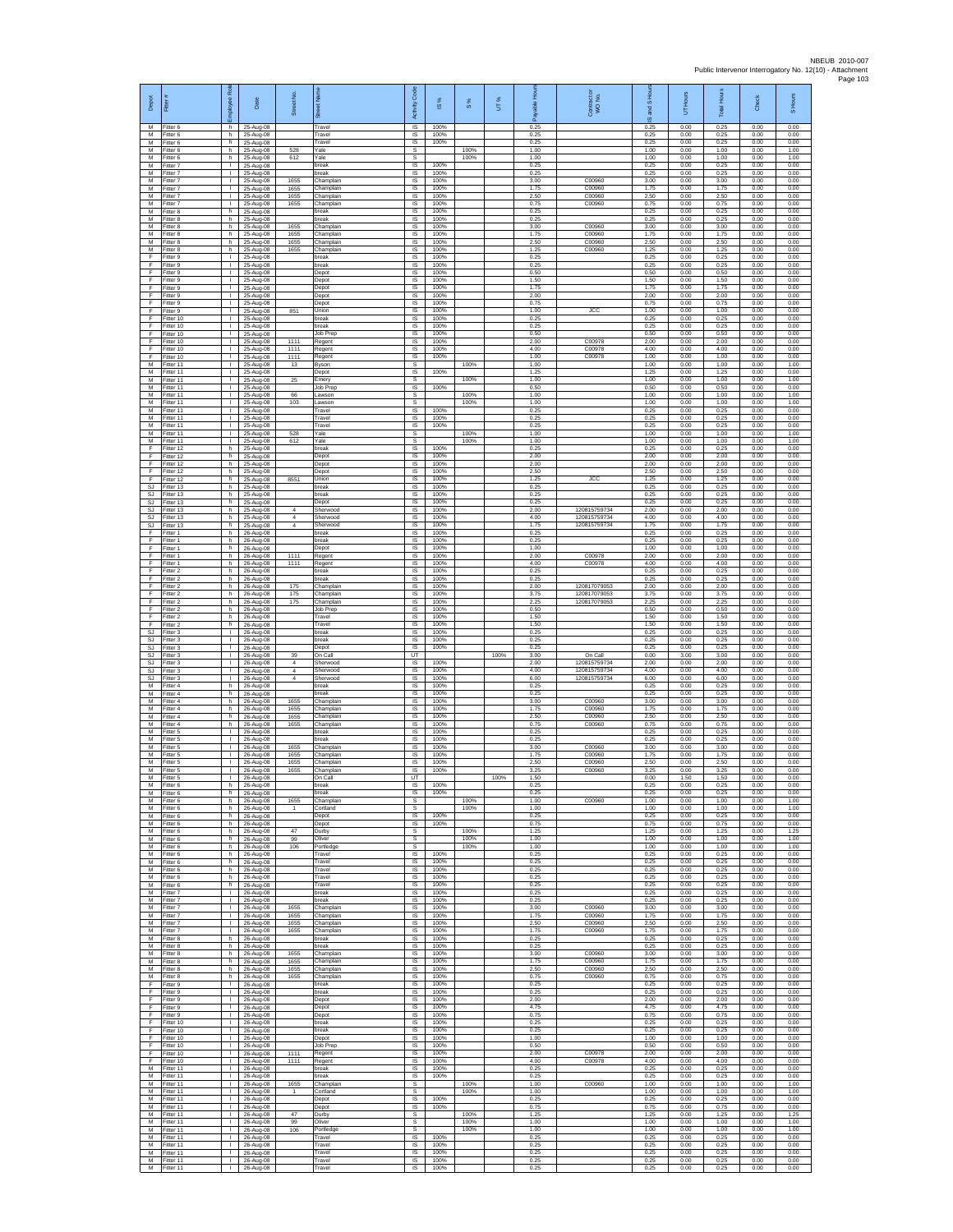| Depot                                            | Fitter #                            | æ<br>loyee                                   | Date                                | Street No.                             |                                     | Code<br>Activity                  | IS %                 | $\frac{8}{3}$ | UT%  | 로                    | Contract or<br>WO No.                   | and S Hou<br>$\overline{\omega}$ | UT Hours             | <b>Total Hours</b>   | Check                | S Hours              |
|--------------------------------------------------|-------------------------------------|----------------------------------------------|-------------------------------------|----------------------------------------|-------------------------------------|-----------------------------------|----------------------|---------------|------|----------------------|-----------------------------------------|----------------------------------|----------------------|----------------------|----------------------|----------------------|
| M<br>M<br>M                                      | Fitter 6<br>Fitter 6                | h.<br>h.                                     | 25-Aug-08<br>25-Aug-08              |                                        | Travel<br>Travel                    | $\overline{\mathsf{s}}$<br>IS     | 100%<br>100%         |               |      | 0.25<br>0.25         |                                         | 0.25<br>0.25                     | 0.00<br>0.00         | 0.25<br>0.25         | 0.00<br>0.00         | 0.00<br>0.00         |
| M<br>M                                           | Fitter 6<br>Fitter 6<br>Fitter 6    | h<br>h.<br>h.                                | 25-Aug-08<br>25-Aug-08<br>25-Aug-08 | 528<br>612                             | Travel<br>Yale<br>Yale              | $\sf IS$<br>-S<br>s               | 100%                 | 100%<br>100%  |      | 0.25<br>1.00<br>1.00 |                                         | 0.25<br>1.00<br>1.00             | 0.00<br>0.00<br>0.00 | 0.25<br>1.00<br>1.00 | 0.00<br>0.00<br>0.00 | 0.00<br>1.00<br>1.00 |
| M<br>M                                           | -itter 7<br>Fitter 7                | т.<br>$\mathbf{L}$                           | 25-Aug-08<br>25-Aug-08              |                                        | break<br>break                      | IS<br>IS                          | 100%<br>100%         |               |      | 0.25<br>0.25         |                                         | 0.25<br>0.25                     | 0.00<br>0.00         | 0.25<br>0.25         | 0.00<br>0.00         | 0.00<br>0.00         |
| M<br>${\sf M}$                                   | Fitter 7<br>-itter 7                | $\mathbf{L}$<br>$\mathbf{L}$                 | 25-Aug-08<br>25-Aug-08              | 1655<br>1655                           | Champlain<br>Champlain              | IS<br>IS                          | 100%<br>100%         |               |      | 3.00<br>1.75         | C00960<br>C00960                        | 3.00<br>1.75                     | 0.00<br>0.00         | 3.00<br>1.75         | 0.00<br>0.00         | 0.00<br>0.00         |
| M<br>M<br>M                                      | Fitter 7<br>Fitter 7<br>Fitter 8    | T.<br>л.<br>h                                | 25-Aug-08<br>25-Aug-08<br>25-Aug-08 | 1655<br>1655                           | Champlain<br>Champlain<br>oreak     | $\sf IS$<br>IS<br>IS              | 100%<br>100%<br>100% |               |      | 2.50<br>0.75<br>0.25 | C00960<br>C00960                        | 2.50<br>0.75<br>0.25             | 0.00<br>0.00<br>0.00 | 2.50<br>0.75<br>0.25 | 0.00<br>0.00<br>0.00 | 0.00<br>0.00<br>0.00 |
| M<br>М                                           | Fitter 8<br>Fitter 8                | h.<br>h                                      | 25-Aug-08<br>25-Aug-08              | 1655                                   | break<br>Champlain                  | IS<br>IS                          | 100%<br>100%         |               |      | 0.25<br>3.00         | C00960                                  | 0.25<br>3.00                     | 0.00<br>0.00         | 0.25<br>3.00         | 0.00<br>0.00         | 0.00<br>0.00         |
| M<br>М                                           | Fitter 8<br>-itter 8                | h.<br>h.                                     | 25-Aug-08<br>25-Aug-08              | 1655<br>1655                           | Champlain<br>Champlain              | IS<br>IS                          | 100%<br>100%         |               |      | 1.75<br>2.50         | C00960<br>C00960                        | 1.75<br>2.50                     | 0.00<br>0.00         | 1.75<br>2.50         | 0.00<br>0.00         | 0.00<br>0.00         |
| M<br>F<br>E                                      | Fitter 8<br>Fitter 9<br>Fitter 9    | h<br>$\mathbf{L}$<br>$\mathbf{L}$            | 25-Aug-08<br>25-Aug-08<br>25-Aug-08 | 1655                                   | Champlain<br>break<br>break         | IS<br>IS<br>IS                    | 100%<br>100%<br>100% |               |      | 1.25<br>0.25<br>0.25 | C00960                                  | 1.25<br>0.25<br>0.25             | 0.00<br>0.00<br>0.00 | 1.25<br>0.25<br>0.25 | 0.00<br>0.00<br>0.00 | 0.00<br>0.00<br>0.00 |
| F<br>Ŧ                                           | -itter 9<br>Fitter 9                | τ.<br>т                                      | 25-Aug-08<br>25-Aug-08              |                                        | Depot<br>Depot                      | $\sf IS$<br>IS                    | 100%<br>100%         |               |      | 0.50<br>1.50         |                                         | 0.50<br>1.50                     | 0.00<br>0.00         | 0.50<br>1.50         | 0.00<br>0.00         | 0.00<br>0.00         |
| F<br>F                                           | Fitter 9<br>Fitter 9                | $\mathbf{L}$<br>$\mathbf{L}$                 | 25-Aug-08<br>25-Aug-08              |                                        | Depot<br>Depot                      | IS<br>IS                          | 100%<br>100%         |               |      | 1.75<br>2.00         |                                         | 1.75<br>2.00                     | 0.00<br>0.00         | 1.75<br>2.00         | 0.00<br>0.00         | 0.00<br>0.00         |
| F<br>F<br>F                                      | Fitter 9<br>Fitter 9<br>Fitter 10   | Τ.<br>T.<br>т.                               | 25-Aug-08<br>25-Aug-08<br>25-Aug-08 | 851                                    | Depot<br>Union<br>break             | IS<br>IS<br><b>IS</b>             | 100%<br>100%<br>100% |               |      | 0.75<br>1.00<br>0.25 | <b>JCC</b>                              | 0.75<br>1.00<br>0.25             | 0.00<br>0.00<br>0.00 | 0.75<br>1.00<br>0.25 | 0.00<br>0.00<br>0.00 | 0.00<br>0.00<br>0.00 |
| F<br>F                                           | Fitter 10<br>Fitter 10              | $\mathbf{L}$<br>J.                           | 25-Aug-08<br>25-Aug-08              |                                        | break<br>Job Prep                   | $\sf IS$<br>$\sf IS$              | 100%<br>100%         |               |      | 0.25<br>0.50         |                                         | 0.25<br>0.50                     | 0.00<br>0.00         | 0.25<br>0.50         | 0.00<br>0.00         | 0.00<br>0.00         |
| F<br>E<br>Ŧ                                      | Fitter 10<br>Fitter 10<br>Fitter 10 | л.<br>л.<br>٠                                | 25-Aug-08<br>25-Aug-08<br>25-Aug-08 | 1111<br>1111<br>1111                   | Regent<br>Regent                    | <b>IS</b><br><b>IS</b><br>IS      | 100%<br>100%<br>100% |               |      | 2.00<br>4.00<br>1.00 | C00978<br>C00978<br>C00978              | 2.00<br>4.00<br>1.00             | 0.00<br>0.00<br>0.00 | 2.00<br>4.00<br>1.00 | 0.00<br>0.00<br>0.00 | 0.00<br>0.00<br>0.00 |
| M<br>м                                           | Fitter 11<br>Fitter 11              | $\mathbf{L}$<br>$\mathbf{L}$                 | 25-Aug-08<br>25-Aug-08              | 13                                     | Regent<br>Byson<br>Depot            | s<br>IS                           | 100%                 | 100%          |      | 1.00<br>1.25         |                                         | 1.00<br>1.25                     | 0.00<br>0.00         | 1.00<br>1.25         | 0.00<br>0.00         | 1.00<br>0.00         |
| ${\sf M}$<br>М                                   | Fitter 11<br>Fitter 11              | $\mathbf{L}$<br>$\mathbb{R}^n$               | 25-Aug-08<br>25-Aug-08              | 25                                     | Emery<br>Job Prep                   | s<br>IS                           | 100%                 | 100%          |      | 1.00<br>0.50         |                                         | 1.00<br>0.50                     | 0.00<br>0.00         | 1.00<br>0.50         | 0.00<br>0.00         | 1.00<br>0.00         |
| M<br>M<br>M                                      | Fitter 11<br>Fitter 11<br>Fitter 11 | т.<br>$\mathbf{I}$<br>$\mathbb{L}$           | 25-Aug-08<br>25-Aug-08<br>25-Aug-08 | 66<br>103                              | .awson<br>.awson<br>Travel          | s<br>s<br>IS                      | 100%                 | 100%<br>100%  |      | 1.00<br>1.00<br>0.25 |                                         | 1.00<br>1.00<br>0.25             | 0.00<br>0.00<br>0.00 | 1.00<br>1.00<br>0.25 | 0.00<br>0.00<br>0.00 | 1.00<br>1.00<br>0.00 |
| M<br>M                                           | Fitter 11<br>Fitter 11              | т.<br>$\mathbf{L}$                           | 25-Aug-08<br>25-Aug-08              |                                        | Travel<br>Travel                    | IS<br>IS                          | 100%<br>100%         |               |      | 0.25<br>0.25         |                                         | 0.25<br>0.25                     | 0.00<br>0.00         | 0.25<br>0.25         | 0.00<br>0.00         | 0.00<br>0.00         |
| M<br>M                                           | Fitter 11<br>Fitter 11              | $\mathbf{L}$<br>٠                            | 25-Aug-08<br>25-Aug-08              | 528<br>612                             | Yale<br>Yale                        | s<br>s                            | 100%                 | 100%<br>100%  |      | 1.00<br>1.00         |                                         | 1.00<br>1.00                     | 0.00<br>0.00         | 1.00<br>1.00         | 0.00<br>0.00         | 1.00<br>1.00         |
| F<br>E<br>$\mathsf F$                            | Fitter 12<br>Fitter 12<br>Fitter 12 | h.<br>h<br>h.                                | 25-Aug-08<br>25-Aug-08<br>25-Aug-08 |                                        | break<br>Depot<br>Depot             | <b>IS</b><br>IS<br>$\sf IS$       | 100%<br>100%         |               |      | 0.25<br>2.00<br>2.00 |                                         | 0.25<br>2.00<br>2.00             | 0.00<br>0.00<br>0.00 | 0.25<br>2.00<br>2.00 | 0.00<br>0.00<br>0.00 | 0.00<br>0.00<br>0.00 |
| Ŧ<br>F                                           | Fitter 12<br>Fitter 12              | h<br>h.                                      | 25-Aug-08<br>25-Aug-08              | 8551                                   | Depot<br>Union                      | IS<br>IS                          | 100%<br>100%         |               |      | 2.50<br>1.25         | <b>JCC</b>                              | 2.50<br>1.25                     | 0.00<br>0.00         | 2.50<br>1.25         | 0.00<br>0.00         | 0.00<br>0.00         |
| <b>SJ</b><br>$\mathbb{S}\mathbb{J}$<br><b>SJ</b> | Fitter 13<br>Fitter 13<br>-itter 13 | h<br>h.<br>h                                 | 25-Aug-08<br>25-Aug-08<br>25-Aug-08 |                                        | break<br>break<br>Depot             | IS<br>IS<br>IS                    | 100%<br>100%<br>100% |               |      | 0.25<br>0.25<br>0.25 |                                         | 0.25<br>0.25<br>0.25             | 0.00<br>0.00<br>0.00 | 0.25<br>0.25<br>0.25 | 0.00<br>0.00<br>0.00 | 0.00<br>0.00<br>0.00 |
| SJ<br><b>SJ</b>                                  | Fitter 13<br>Fitter 13              | h.<br>h.                                     | 25-Aug-08<br>25-Aug-08              | $\overline{a}$<br>$\overline{4}$       | Sherwood<br>Sherwood                | IS<br>IS                          | 100%<br>100%         |               |      | 2.00<br>4.00         | 120815759734<br>120815759734            | 2.00<br>4.00                     | 0.00<br>0.00         | 2.00<br>4.00         | 0.00<br>0.00         | 0.00<br>0.00         |
| SJ<br>-F<br>-F.                                  | Fitter 13<br>Fitter 1<br>Fitter 1   | h<br>h.<br>h.                                | 25-Aug-08<br>26-Aug-08              | $\overline{4}$                         | Sherwood<br>break<br>break          | $\sf IS$<br><b>IS</b><br>IS       | 100%<br>100%<br>100% |               |      | 1.75<br>0.25<br>0.25 | 120815759734                            | 1.75<br>0.25<br>0.25             | 0.00<br>0.00<br>0.00 | 1.75<br>0.25<br>0.25 | 0.00<br>0.00<br>0.00 | 0.00<br>0.00<br>0.00 |
| Ŧ<br>Ŧ                                           | Fitter 1<br>Fitter 1                | h<br>h.                                      | 26-Aug-08<br>26-Aug-08<br>26-Aug-08 | 1111                                   | Depot<br>Regent                     | IS<br>IS                          | 100%<br>100%         |               |      | 1.00<br>2.00         | C00978                                  | 1.00<br>2.00                     | 0.00<br>0.00         | 1.00<br>2.00         | 0.00<br>0.00         | 0.00<br>0.00         |
| E<br>$\mathsf F$                                 | Fitter 1<br>-itter 2                | h.<br>h                                      | 26-Aug-08<br>26-Aug-08              | 1111                                   | Regent<br>break                     | IS<br>IS                          | 100%<br>100%         |               |      | 4.00<br>0.25         | C00978                                  | 4.00<br>0.25                     | 0.00<br>0.00         | 4.00<br>0.25         | 0.00<br>0.00         | 0.00<br>0.00         |
| F<br>F<br>F                                      | Fitter 2<br>Fitter 2<br>Fitter 2    | h.<br>h.<br>h                                | 26-Aug-08<br>26-Aug-08<br>26-Aug-08 | 175<br>175                             | break<br>Champlain<br>Champlain     | $\sf IS$<br>IS<br>IS              | 100%<br>100%<br>100% |               |      | 0.25<br>2.00<br>3.75 | 120817079053<br>120817079053            | 0.25<br>2.00<br>3.75             | 0.00<br>0.00<br>0.00 | 0.25<br>2.00<br>3.75 | 0.00<br>0.00<br>0.00 | 0.00<br>0.00<br>0.00 |
| Ŧ<br>Ŧ                                           | Fitter 2<br>Fitter 2                | h.<br>h                                      | 26-Aug-08<br>26-Aug-08              | 175                                    | Champlain<br>lob Prep               | IS<br>IS                          | 100%<br>100%         |               |      | 2.25<br>0.50         | 120817079053                            | 2.25<br>0.50                     | 0.00<br>0.00         | 2.25<br>0.50         | 0.00<br>0.00         | 0.00<br>0.00         |
| -F<br>F<br>$\mathbb{S}\mathbb{J}$                | Fitter 2<br>Fitter 2<br>Fitter 3    | h.<br>h.<br>т.                               | 26-Aug-08<br>26-Aug-08<br>26-Aug-08 |                                        | Travel<br>Travel<br>break           | <b>IS</b><br>IS<br>IS             | 100%<br>100%<br>100% |               |      | 1.50<br>1.50<br>0.25 |                                         | 1.50<br>1.50<br>0.25             | 0.00<br>0.00<br>0.00 | 1.50<br>1.50<br>0.25 | 0.00<br>0.00<br>0.00 | 0.00<br>0.00<br>0.00 |
| SJ.<br>SJ                                        | Fitter 3<br>Fitter 3                | $\mathbf{L}$<br>$\mathbf{L}$                 | 26-Aug-08<br>26-Aug-08              |                                        | break<br>Depot                      | IS<br>IS                          | 100%<br>100%         |               |      | 0.25<br>0.25         |                                         | 0.25<br>0.25                     | 0.00<br>0.00         | 0.25<br>0.25         | 0.00<br>0.00         | 0.00<br>0.00         |
| SJ<br>SJ<br>SJ.                                  | Fitter 3<br>Fitter 3<br>Fitter 3    | τ.<br>т<br>л.                                | 26-Aug-08<br>26-Aug-08<br>26-Aug-08 | 39<br>$\overline{4}$<br>$\overline{4}$ | On Call<br>Sherwood<br>Sherwood     | UT<br><b>IS</b><br>IS             | 100%<br>100%         |               | 100% | 3.00<br>2.00<br>4.00 | On Call<br>120815759734<br>120815759734 | 0.00<br>2.00<br>4.00             | 3.00<br>0.00<br>0.00 | 3.00<br>2.00<br>4.00 | 0.00<br>0.00<br>0.00 | 0.00<br>0.00<br>0.00 |
| <b>SJ</b><br>М                                   | Fitter 3<br>Fitter 4                | $\mathbf{L}$<br>h.                           | 26-Aug-08<br>26-Aug-08              | $\overline{4}$                         | Sherwood<br>break                   | IS<br>IS                          | 100%<br>100%         |               |      | 6.00<br>0.25         | 120815759734                            | 6.00<br>0.25                     | 0.00<br>0.00         | 6.00<br>0.25         | 0.00<br>0.00         | 0.00<br>0.00         |
| M<br>M                                           | Fitter 4<br>Fitter 4                | h<br>h.                                      | 26-Aug-08<br>26-Aug-08              | 1655                                   | oreak<br>Champlain                  | IS<br><b>IS</b>                   | 100%<br>100%         |               |      | 0.25<br>3.00         | C00960                                  | 0.25<br>3.00                     | 0.00<br>0.00         | 0.25<br>3.00         | 0.00<br>0.00         | 0.00<br>0.00         |
| М<br>М<br>M                                      | -itter 4<br>Fitter 4<br>Fitter 4    | h.<br>h<br>h.                                | 26-Aug-08<br>26-Aug-08<br>26-Aug-08 | 1655<br>1655<br>1655                   | Champlain<br>Champlain<br>Champlain | $\sf IS$<br>$\sf IS$<br><b>IS</b> | 100%<br>100%<br>100% |               |      | 1.75<br>2.50<br>0.75 | C00960<br>C00960<br>C00960              | 1.75<br>2.50<br>0.75             | 0.00<br>0.00<br>0.00 | 1.75<br>2.50<br>0.75 | 0.00<br>0.00<br>0.00 | 0.00<br>0.00<br>0.00 |
| M<br>M                                           | Fitter 5<br>Fitter 5                | л.<br>٠                                      | 26-Aug-08<br>26-Aug-08              |                                        | break<br>break                      | <b>IS</b><br>IS                   | 100%<br>100%         |               |      | 0.25<br>0.25         |                                         | 0.25<br>0.25                     | 0.00<br>0.00         | 0.25<br>0.25         | 0.00<br>0.00         | 0.00<br>0.00         |
| M<br>M<br>${\sf M}$                              | Fitter 5<br>Fitter 5<br>-itter 5    | $\mathbf{L}$<br>$\mathbf{L}$<br>$\mathbf{L}$ | 26-Aug-08<br>26-Aug-08<br>26-Aug-08 | 1655<br>1655<br>1655                   | Champlain<br>Champlain<br>Champlain | IS<br>IS<br>IS                    | 100%<br>100%<br>100% |               |      | 3.00<br>1.75<br>2.50 | C00960<br>C00960<br>C00960              | 3.00<br>1.75<br>2.50             | 0.00<br>0.00<br>0.00 | 3.00<br>1.75<br>2.50 | 0.00<br>0.00<br>0.00 | 0.00<br>0.00<br>0.00 |
| М<br>M                                           | Fitter 5<br>Fitter 5                | $\mathbb{R}^n$<br>$\mathbb{R}^n$             | 26-Aug-08<br>26-Aug-08              | 1655                                   | Champlain<br>On Call                | IS<br>UT                          | 100%                 |               | 100% | 3.25<br>1.50         | C00960                                  | 3.25<br>0.00                     | 0.00<br>1.50         | 3.25<br>1.50         | 0.00<br>0.00         | 0.00<br>0.00         |
| M<br>M<br>M                                      | Fitter 6<br>Fitter 6<br>Fitter 6    | h<br>h<br>h                                  | 26-Aug-08<br>26-Aug-08<br>26-Aug-08 | 1655                                   | break<br>break<br>Champlain         | <b>IS</b><br>IS<br>s              | 100%<br>100%         | 100%          |      | 0.25<br>0.25<br>1.00 | C00960                                  | 0.25<br>0.25<br>1.00             | 0.00<br>0.00<br>0.00 | 0.25<br>0.25<br>1.00 | 0.00<br>0.00<br>0.00 | 0.00<br>0.00<br>1.00 |
| M<br>M                                           | Fitter 6<br>Fitter 6                | h.<br>h                                      | 26-Aug-08<br>26-Aug-08              |                                        | Cortland<br>Depot                   | -S<br><b>IS</b>                   | 100%                 | 100%          |      | 1.00<br>0.25         |                                         | 1.00<br>0.25                     | 0.00<br>0.00         | 1.00<br>0.25         | 0.00<br>0.00         | 1.00<br>0.00         |
| M<br>M<br>M                                      | Fitter 6<br>Fitter 6<br>Fitter 6    | h<br>h<br>h                                  | 26-Aug-08<br>26-Aug-08              | 47<br>99                               | Depot<br>Durby<br>Oliver            | IS<br>s                           | 100%                 | 100%          |      | 0.75<br>1.25<br>1.00 |                                         | 0.75<br>1.25<br>1.00             | 0.00<br>0.00<br>0.00 | 0.75<br>1.25<br>1.00 | 0.00<br>0.00<br>0.00 | 0.00<br>1.25<br>1.00 |
| ${\sf M}$<br>M                                   | Fitter 6<br>Fitter 6                | h.<br>h.                                     | 26-Aug-08<br>26-Aug-08<br>26-Aug-08 | 106                                    | Portledge<br>Travel                 | s<br>s<br><b>IS</b>               | 100%                 | 100%<br>100%  |      | 1.00<br>0.25         |                                         | 1.00<br>0.25                     | 0.00<br>0.00         | 1.00<br>0.25         | 0.00<br>0.00         | 1.00<br>0.00         |
| M<br>М                                           | Fitter 6<br>Fitter 6                | h.<br>h                                      | 26-Aug-08<br>26-Aug-08              |                                        | Travel<br>Travel                    | <b>IS</b><br>IS                   | 100%<br>100%         |               |      | 0.25<br>0.25         |                                         | 0.25<br>0.25                     | 0.00<br>0.00         | 0.25<br>0.25         | 0.00<br>0.00         | 0.00<br>0.00         |
| M<br>M<br>M                                      | Fitter 6<br>Fitter 6<br>Fitter 7    | h.<br>h<br>$\mathbf{L}$                      | 26-Aug-08<br>26-Aug-08<br>26-Aug-08 |                                        | Travel<br>Travel<br>break           | IS<br>IS<br>- IS                  | 100%<br>100%<br>100% |               |      | 0.25<br>0.25<br>0.25 |                                         | 0.25<br>0.25<br>0.25             | 0.00<br>0.00<br>0.00 | 0.25<br>0.25<br>0.25 | 0.00<br>0.00<br>0.00 | 0.00<br>0.00<br>0.00 |
| M<br>M                                           | Fitter 7<br>Fitter 7                | $\mathbf{L}$<br>$\mathbf{I}$                 | 26-Aug-08<br>26-Aug-08              | 1655                                   | break<br>Champlain                  | IS<br>$\sf IS$                    | 100%<br>100%         |               |      | 0.25<br>3.00         | C00960                                  | 0.25<br>3.00                     | 0.00<br>0.00         | 0.25<br>3.00         | 0.00<br>0.00         | 0.00<br>0.00         |
| M<br>M<br>M                                      | Fitter 7<br>Fitter 7<br>Fitter 7    | т.<br>л.<br>т.                               | 26-Aug-08<br>26-Aug-08<br>26-Aug-08 | 1655<br>1655<br>1655                   | Champlain<br>Champlain<br>Champlain | <b>IS</b><br><b>IS</b><br>IS      | 100%<br>100%<br>100% |               |      | 1.75<br>2.50<br>1.75 | C00960<br>C00960<br>C00960              | 1.75<br>2.50<br>1.75             | 0.00<br>0.00<br>0.00 | 1.75<br>2.50<br>1.75 | 0.00<br>0.00<br>0.00 | 0.00<br>0.00<br>0.00 |
| M<br>м                                           | Fitter 8<br>Fitter 8                | h.<br>h.                                     | 26-Aug-08<br>26-Aug-08              |                                        | break<br>break                      | IS<br><b>IS</b>                   | 100%<br>100%         |               |      | 0.25<br>0.25         |                                         | 0.25<br>0.25                     | 0.00<br>0.00         | 0.25<br>0.25         | 0.00<br>0.00         | 0.00<br>0.00         |
| М<br>М<br>M                                      | Fitter 8<br>Fitter 8                | h<br>h                                       | 26-Aug-08<br>26-Aug-08<br>26-Aug-08 | 1655<br>1655<br>1655                   | Champlain<br>Champlain              | IS<br>IS<br><b>IS</b>             | 100%<br>100%<br>100% |               |      | 3.00<br>1.75<br>2.50 | C00960<br>C00960<br>C00960              | 3.00<br>1.75<br>2.50             | 0.00<br>0.00<br>0.00 | 3.00<br>1.75<br>2.50 | 0.00<br>0.00<br>0.00 | 0.00<br>0.00<br>0.00 |
| М<br>Ŧ                                           | Fitter 8<br>Fitter 8<br>Fitter 9    | h.<br>h<br>$\mathbf{L}$                      | 26-Aug-08<br>26-Aug-08              | 1655                                   | Champlain<br>Champlain<br>break     | IS<br>IS                          | 100%<br>100%         |               |      | 0.75<br>0.25         | C00960                                  | 0.75<br>0.25                     | 0.00<br>0.00         | 0.75<br>0.25         | 0.00<br>0.00         | 0.00<br>0.00         |
| Ŧ<br>-F                                          | Fitter 9<br>Fitter 9                | т.<br>$\mathbf{L}$                           | 26-Aug-08<br>26-Aug-08              |                                        | break<br>Depot                      | <b>IS</b><br><b>IS</b>            | 100%<br>100%         |               |      | 0.25<br>2.00         |                                         | 0.25<br>2.00                     | 0.00<br>0.00         | 0.25<br>2.00         | 0.00<br>0.00         | 0.00<br>0.00         |
| F.<br>F<br>-F                                    | Fitter 9<br>Fitter 9<br>Fitter 10   | $\mathbf{L}$<br>$\mathbf{I}$<br>$\mathbf{L}$ | 26-Aug-08<br>26-Aug-08<br>26-Aug-08 |                                        | Depot<br>Depot<br>break             | <b>IS</b><br>IS<br>IS             | 100%<br>100%<br>100% |               |      | 4.75<br>0.75<br>0.25 |                                         | 4.75<br>0.75<br>0.25             | 0.00<br>0.00<br>0.00 | 4.75<br>0.75<br>0.25 | 0.00<br>0.00<br>0.00 | 0.00<br>0.00<br>0.00 |
| F.<br>-F                                         | Fitter 10<br>Fitter 10              | $\mathbf{L}$<br>$\mathbf{L}$                 | 26-Aug-08<br>26-Aug-08              |                                        | break<br>Depot                      | IS<br>IS                          | 100%<br>100%         |               |      | 0.25<br>1.00         |                                         | 0.25<br>1.00                     | 0.00<br>0.00         | 0.25<br>1.00         | 0.00<br>0.00         | 0.00<br>0.00         |
| Ŧ<br>F<br>F                                      | Fitter 10<br>Fitter 10<br>Fitter 10 | т<br>$\mathbf{L}$<br>$\mathbf{L}$            | 26-Aug-08<br>26-Aug-08<br>26-Aug-08 | 1111<br>1111                           | <b>Job Prep</b><br>Regent<br>Regent | <b>IS</b><br>- IS<br>IS           | 100%<br>100%<br>100% |               |      | 0.50<br>2.00<br>4.00 | C00978<br>C00978                        | 0.50<br>2.00<br>4.00             | 0.00<br>0.00<br>0.00 | 0.50<br>2.00<br>4.00 | 0.00<br>0.00<br>0.00 | 0.00<br>0.00<br>0.00 |
| M<br>M                                           | Fitter 11<br>Fitter 11              | $\mathbb{L}$<br>$\mathbf{L}$                 | 26-Aug-08<br>26-Aug-08              |                                        | break<br>oreak                      | IS<br><b>IS</b>                   | 100%<br>100%         |               |      | 0.25<br>0.25         |                                         | 0.25<br>0.25                     | 0.00<br>0.00         | 0.25<br>0.25         | 0.00<br>0.00         | 0.00<br>0.00         |
| M<br>M<br>M                                      | Fitter 11<br>Fitter 11<br>Fitter 11 | $\mathbf{L}$<br>$\mathbf{L}$<br>$\mathbf{I}$ | 26-Aug-08<br>26-Aug-08<br>26-Aug-08 | 1655<br>$\mathbf{1}$                   | Champlain<br>Cortland               | -S<br>$\mathbb S$<br>$\sf IS$     | 100%                 | 100%<br>100%  |      | 1.00<br>1.00<br>0.25 | C00960                                  | 1.00<br>1.00<br>0.25             | 0.00<br>0.00<br>0.00 | 1.00<br>1.00<br>0.25 | 0.00<br>0.00<br>0.00 | 1.00<br>1.00<br>0.00 |
| M<br>M                                           | Fitter 11<br>Fitter 11              | т.<br>л.                                     | 26-Aug-08<br>26-Aug-08              | 47                                     | Depot<br>Depot<br>Durby             | <b>IS</b><br>s                    | 100%                 | 100%          |      | 0.75<br>1.25         |                                         | 0.75<br>1.25                     | 0.00<br>0.00         | 0.75<br>1.25         | 0.00<br>0.00         | 0.00<br>1 25         |
| M<br>M<br>м                                      | Fitter 11<br>Fitter 11              | т.<br>$\mathbf{L}$<br>$\mathbf{L}$           | 26-Aug-08<br>26-Aug-08              | 99<br>106                              | Oliver<br>Portledge<br>Travel       | s<br>s<br><b>IS</b>               | 100%                 | 100%<br>100%  |      | 1.00<br>1.00<br>0.25 |                                         | 1.00<br>1.00<br>0.25             | 0.00<br>0.00<br>0.00 | 1.00<br>1.00<br>0.25 | 0.00<br>0.00<br>0.00 | 1.00<br>1.00<br>0.00 |
| M<br>M                                           | Fitter 11<br>litter 11<br>Fitter 11 | $\mathbf{L}$<br>$\mathbf{L}$                 | 26-Aug-08<br>26-Aug-08<br>26-Aug-08 |                                        | Travel<br>Travel                    | IS<br>IS                          | 100%<br>100%         |               |      | 0.25<br>0.25         |                                         | 0.25<br>0.25                     | 0.00<br>0.00         | 0.25<br>0.25         | 0.00<br>0.00         | 0.00<br>0.00         |
| M<br>M                                           | Fitter 11<br>Fitter 11              | $\mathbf{L}$<br>$\mathbf{I}$                 | 26-Aug-08<br>26-Aug-08              |                                        | Travel<br>Travel                    | <b>IS</b><br>IS                   | 100%<br>100%         |               |      | 0.25<br>0.25         |                                         | 0.25<br>0.25                     | 0.00<br>0.00         | 0.25<br>0.25         | 0.00<br>0.00         | 0.00<br>0.00         |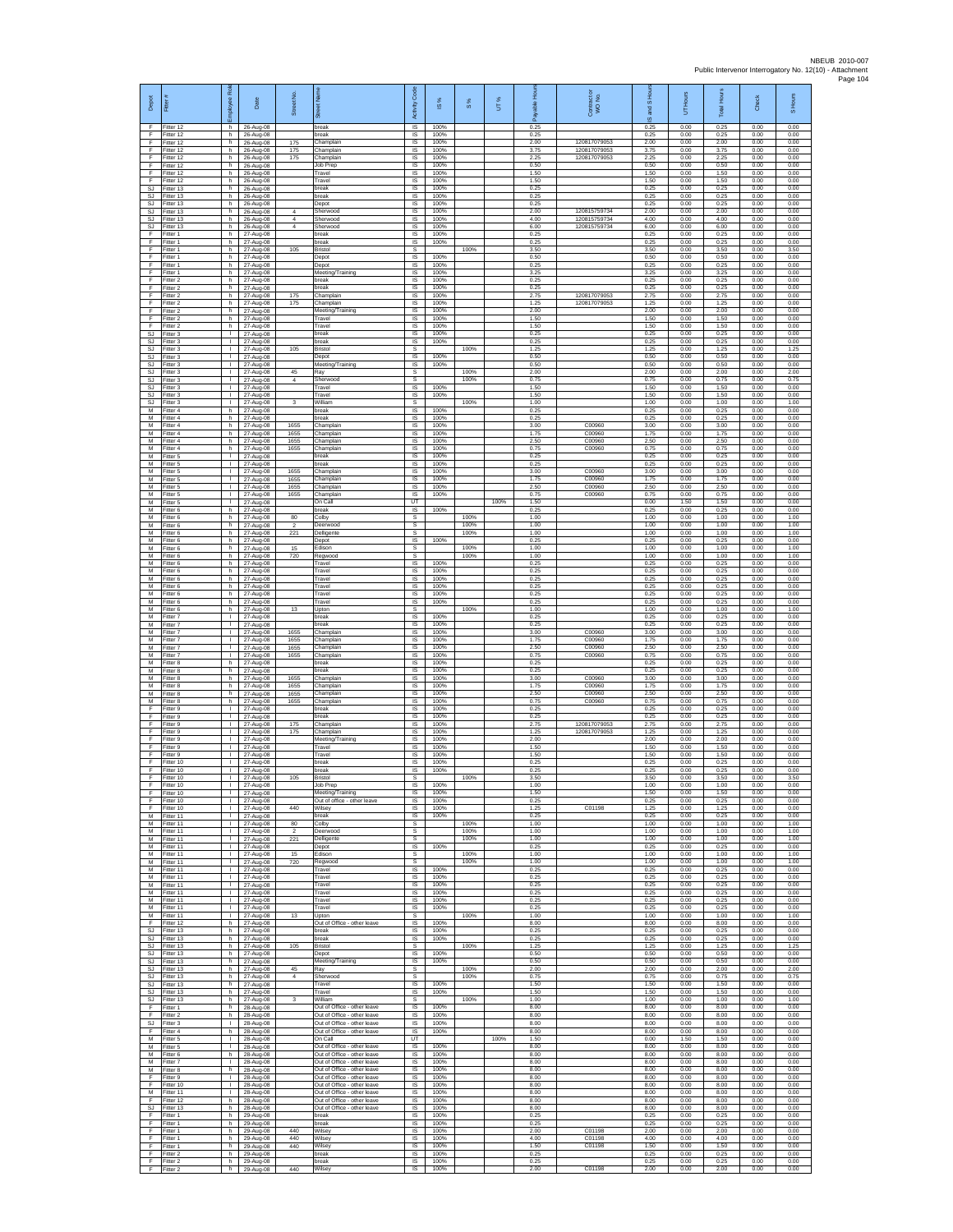| Depot                  | Fitter                              | æ<br>loyee                                   | Date                                | Street No.                  |                                                                                           | Code<br>Activity                                | IS %                 | $\frac{8}{3}$        | UT%  | 휸                    | Contract or<br>WO No.        | and S Hou<br>$\overline{\omega}$ | UT Hours             | <b>Total Hours</b>   | Check                | S Hours              |
|------------------------|-------------------------------------|----------------------------------------------|-------------------------------------|-----------------------------|-------------------------------------------------------------------------------------------|-------------------------------------------------|----------------------|----------------------|------|----------------------|------------------------------|----------------------------------|----------------------|----------------------|----------------------|----------------------|
| -F<br>F<br>F           | Fitter 12<br>Fitter 12<br>Fitter 12 | h.<br>h.<br>h                                | 26-Aug-08<br>26-Aug-08<br>26-Aug-08 | 175                         | break<br>break<br>Champlain                                                               | $\overline{\mathsf{s}}$<br>$\sf IS$<br>$\sf IS$ | 100%<br>100%<br>100% |                      |      | 0.25<br>0.25<br>2.00 | 120817079053                 | 0.25<br>0.25<br>2.00             | 0.00<br>0.00<br>0.00 | 0.25<br>0.25<br>2.00 | 0.00<br>0.00<br>0.00 | 0.00<br>0.00<br>0.00 |
| -F<br>-F.              | Fitter 12<br>Fitter 12              | h.<br>h.                                     | 26-Aug-08<br>26-Aug-08              | 175<br>175                  | Champlain<br>Champlain                                                                    | IS<br>IS                                        | 100%<br>100%         |                      |      | 3.75<br>2.25         | 120817079053<br>120817079053 | 3.75<br>2.25                     | 0.00<br>0.00         | 3.75<br>2.25         | 0.00<br>0.00         | 0.00<br>0.00         |
| Ŧ<br>Ŧ                 | ltter 12<br>Fitter 12               | h<br>h.                                      | 26-Aug-08<br>26-Aug-08              |                             | Job Prep<br>Travel                                                                        | IS<br>IS                                        | 100%<br>100%         |                      |      | 0.50<br>1.50         |                              | 0.50<br>1.50                     | 0.00<br>0.00         | 0.50<br>1.50         | 0.00<br>0.00         | 0.00<br>0.00         |
| E<br>SJ<br><b>SJ</b>   | Fitter 12<br>Fitter 13<br>Fitter 13 | h.<br>h<br>h                                 | 26-Aug-08<br>26-Aug-08<br>26-Aug-08 |                             | Travel<br>break<br>break                                                                  | IS<br>IS<br>$\sf IS$                            | 100%<br>100%<br>100% |                      |      | 1.50<br>0.25<br>0.25 |                              | 1.50<br>0.25<br>0.25             | 0.00<br>0.00<br>0.00 | 1.50<br>0.25<br>0.25 | 0.00<br>0.00<br>0.00 | 0.00<br>0.00<br>0.00 |
| SJ.<br>SJ              | Fitter 13<br>Fitter 13              | h.<br>h                                      | 26-Aug-08<br>26-Aug-08              | $\overline{4}$              | Depot<br>Sherwood                                                                         | IS<br>IS                                        | 100%<br>100%         |                      |      | 0.25<br>2.00         | 120815759734                 | 0.25<br>2.00                     | 0.00<br>0.00         | 0.25<br>2.00         | 0.00<br>0.00         | 0.00<br>0.00         |
| <b>SJ</b><br><b>SJ</b> | Fitter 13<br>Fitter 13              | h<br>h                                       | 26-Aug-08<br>26-Aug-08              | $\overline{4}$<br>4         | Sherwood<br>Sherwood                                                                      | IS<br>IS                                        | 100%<br>100%         |                      |      | 4.00<br>6.00         | 120815759734<br>120815759734 | 4.00<br>6.00                     | 0.00<br>0.00         | 4.00<br>6.00         | 0.00<br>0.00         | 0.00<br>0.00         |
| F<br>F<br>$\mathsf F$  | Fitter 1<br>-itter 1<br>Fitter 1    | h.<br>h.<br>h                                | 27-Aug-08<br>27-Aug-08<br>27-Aug-08 | 105                         | break<br>hreak<br>Bristol                                                                 | IS<br>IS<br>s                                   | 100%<br>100%         | 100%                 |      | 0.25<br>0.25<br>3.50 |                              | 0.25<br>0.25<br>3.50             | 0.00<br>0.00<br>0.00 | 0.25<br>0.25<br>3.50 | 0.00<br>0.00<br>0.00 | 0.00<br>0.00<br>3.50 |
| F.<br>F                | Fitter 1<br>Fitter 1                | h<br>h                                       | 27-Aug-08<br>27-Aug-08              |                             | Depot<br>Depot                                                                            | IS<br>IS                                        | 100%<br>100%         |                      |      | 0.50<br>0.25         |                              | 0.50<br>0.25                     | 0.00<br>0.00         | 0.50<br>0.25         | 0.00<br>0.00         | 0.00<br>0.00         |
| F<br>Ŧ                 | -itter 1<br>Fitter 2                | h.<br>h.                                     | 27-Aug-08<br>27-Aug-08              |                             | Meeting/Training<br>break                                                                 | IS<br>IS                                        | 100%<br>100%         |                      |      | 3.25<br>0.25         |                              | 3.25<br>0.25                     | 0.00<br>0.00         | 3.25<br>0.25         | 0.00<br>0.00         | 0.00<br>0.00         |
| F<br>F<br>$\mathsf F$  | Fitter 2<br>Fitter 2<br>Fitter 2    | h.<br>h<br>h.                                | 27-Aug-08<br>27-Aug-08<br>27-Aug-08 | 175<br>175                  | break<br>Champlain<br>Champlain                                                           | IS<br>IS<br>IS                                  | 100%<br>100%<br>100% |                      |      | 0.25<br>2.75<br>1.25 | 120817079053<br>120817079053 | 0.25<br>2.75<br>1.25             | 0.00<br>0.00<br>0.00 | 0.25<br>2.75<br>1.25 | 0.00<br>0.00<br>0.00 | 0.00<br>0.00<br>0.00 |
| F<br>F                 | Fitter 2<br>Fitter 2                | h<br>h.                                      | 27-Aug-08<br>27-Aug-08              |                             | Meeting/Training<br>Travel                                                                | IS<br>IS                                        | 100%<br>100%         |                      |      | 2.00<br>1.50         |                              | 2.00<br>1.50                     | 0.00<br>0.00         | 2.00<br>1.50         | 0.00<br>0.00         | 0.00<br>0.00         |
| F<br>SJ<br><b>SJ</b>   | -itter 2<br>Fitter 3<br>Fitter 3    | h.<br>J.<br>л.                               | 27-Aug-08<br>27-Aug-08              |                             | Travel<br>break<br>break                                                                  | $\sf IS$<br>$\sf IS$<br>IS                      | 100%<br>100%         |                      |      | 1.50<br>0.25<br>0.25 |                              | 1.50<br>0.25<br>0.25             | 0.00<br>0.00<br>0.00 | 1.50<br>0.25<br>0.25 | 0.00<br>0.00<br>0.00 | 0.00<br>0.00<br>0.00 |
| SJ.<br><b>SJ</b>       | Fitter 3<br>-itter 3                | л.<br>٠                                      | 27-Aug-08<br>27-Aug-08<br>27-Aug-08 | 105                         | <b>Bristol</b><br>Depot                                                                   | s<br>IS                                         | 100%<br>100%         | 100%                 |      | 1.25<br>0.50         |                              | 1.25<br>0.50                     | 0.00<br>0.00         | 1.25<br>0.50         | 0.00<br>0.00         | 1.25<br>0.00         |
| SJ<br>SJ               | Fitter 3<br>Fitter 3                | $\mathbf{L}$<br>л.                           | 27-Aug-08<br>27-Aug-08              | 45                          | Meeting/Training<br>Ray                                                                   | IS<br>s                                         | 100%                 | 100%                 |      | 0.50<br>2.00         |                              | 0.50<br>2.00                     | 0.00<br>0.00         | 0.50<br>2.00         | 0.00<br>0.00         | 0.00<br>2.00         |
| SJ<br>SJ<br>SJ.        | itter 3<br>Fitter 3<br>Fitter 3     | т.<br>T.<br>т.                               | 27-Aug-08<br>27-Aug-08<br>27-Aug-08 | $\overline{4}$              | Sherwood<br>Travel<br>Travel                                                              | s<br>IS<br><b>IS</b>                            | 100%<br>100%         | 100%                 |      | 0.75<br>1.50<br>1.50 |                              | 0.75<br>1.50<br>1.50             | 0.00<br>0.00<br>0.00 | 0.75<br>1.50<br>1.50 | 0.00<br>0.00<br>0.00 | 0.75<br>0.00<br>0.00 |
| SJ<br>M                | Fitter 3<br>Fitter 4                | T.<br>h                                      | 27-Aug-08<br>27-Aug-08              | 3                           | William<br>break                                                                          | s<br>IS                                         | 100%                 | 100%                 |      | 1.00<br>0.25         |                              | 1.00<br>0.25                     | 0.00<br>0.00         | 1.00<br>0.25         | 0.00<br>0.00         | 1.00<br>0.00         |
| M<br>M                 | itter 4<br>Fitter 4                 | h<br>h.                                      | 27-Aug-08<br>27-Aug-08              | 1655                        | reak<br>Champlain                                                                         | IS<br>IS                                        | 100%<br>100%         |                      |      | 0.25<br>3.00         | C00960                       | 0.25<br>3.00                     | 0.00<br>0.00         | 0.25<br>3.00         | 0.00<br>0.00         | 0.00<br>0.00         |
| M<br>M<br>M            | -itter 4<br>Fitter 4<br>Fitter 4    | h.<br>h<br>h                                 | 27-Aug-08<br>27-Aug-08<br>27-Aug-08 | 1655<br>1655<br>1655        | Champlain<br>Champlain<br>Champlain                                                       | <b>IS</b><br>IS<br>IS                           | 100%<br>100%<br>100% |                      |      | 1.75<br>2.50<br>0.75 | C00960<br>C00960<br>C00960   | 1.75<br>2.50<br>0.75             | 0.00<br>0.00<br>0.00 | 1.75<br>2.50<br>0.75 | 0.00<br>0.00<br>0.00 | 0.00<br>0.00<br>0.00 |
| M<br>M                 | Fitter 5<br>-itter 5                | $\mathbf{L}$<br>τ.                           | 27-Aug-08<br>27-Aug-08              |                             | break<br>break                                                                            | IS<br>$\sf IS$                                  | 100%<br>100%         |                      |      | 0.25<br>0.25         |                              | 0.25<br>0.25                     | 0.00<br>0.00         | 0.25<br>0.25         | 0.00<br>0.00         | 0.00<br>0.00         |
| M<br>M                 | Fitter 5<br>Fitter 5                | $\mathbf{L}$<br>$\mathbf{L}$<br>$\mathbf{L}$ | 27-Aug-08<br>27-Aug-08              | 1655<br>1655                | Champlain<br>Champlain                                                                    | IS<br>IS                                        | 100%<br>100%         |                      |      | 3.00<br>1.75<br>2.50 | C00960<br>C00960<br>C00960   | 3.00<br>1.75<br>2.50             | 0.00<br>0.00         | 3.00<br>1.75<br>2.50 | 0.00<br>0.00         | 0.00<br>0.00         |
| M<br>M<br>M            | Fitter 5<br>Fitter 5<br>Fitter 5    | $\mathbf{L}$<br>÷.                           | 27-Aug-08<br>27-Aug-08<br>27-Aug-08 | 1655<br>1655                | Champlain<br>Champlain<br>On Call                                                         | IS<br>IS<br>UT                                  | 100%<br>100%         |                      | 100% | 0.75<br>1.50         | C00960                       | 0.75<br>0.00                     | 0.00<br>0.00<br>1.50 | 0.75<br>1.50         | 0.00<br>0.00<br>0.00 | 0.00<br>0.00<br>0.00 |
| M<br>M                 | Fitter 6<br>-itter 6                | h.<br>h.                                     | 27-Aug-08<br>27-Aug-08              | 80                          | break<br>Colby                                                                            | IS<br>$\mathbb S$                               | 100%                 | 100%                 |      | 0.25<br>1.00         |                              | 0.25<br>1.00                     | 0.00<br>0.00         | 0.25<br>1.00         | 0.00<br>0.00         | 0.00<br>1.00         |
| M<br>M<br>M            | Fitter 6<br>Fitter 6<br>Fitter 6    | h<br>h.<br>h.                                | 27-Aug-08<br>27-Aug-08<br>27-Aug-08 | $\overline{2}$<br>221       | Deerwood<br>Delligente<br>Depot                                                           | s<br>s<br><b>IS</b>                             | 100%                 | 100%<br>100%         |      | 1.00<br>1.00<br>0.25 |                              | 1.00<br>1.00<br>0.25             | 0.00<br>0.00<br>0.00 | 1.00<br>1.00<br>0.25 | 0.00<br>0.00<br>0.00 | 1.00<br>1.00<br>0.00 |
| M<br>M                 | -itter 6<br>-itter 6                | h<br>h                                       | 27-Aug-08<br>27-Aug-08              | 15<br>720                   | Edison<br>Regwood                                                                         | s<br>s                                          |                      | 100%<br>100%         |      | 1.00<br>1.00         |                              | 1.00<br>1.00                     | 0.00<br>0.00         | 1.00<br>1.00         | 0.00<br>0.00         | 1.00<br>1.00         |
| M<br>M                 | Fitter 6<br>-itter 6                | h.<br>h                                      | 27-Aug-08<br>27-Aug-08              |                             | Travel<br>Travel                                                                          | $\overline{\mathsf{s}}$<br>IS                   | 100%<br>100%         |                      |      | 0.25<br>0.25         |                              | 0.25<br>0.25                     | 0.00<br>0.00         | 0.25<br>0.25         | 0.00<br>0.00         | 0.00<br>0.00         |
| M<br>M<br>M            | Fitter 6<br>Fitter 6<br>Fitter 6    | h<br>h.<br>h                                 | 27-Aug-08<br>27-Aug-08<br>27-Aug-08 |                             | Travel<br>Travel<br>Travel                                                                | $\sf IS$<br>IS<br>IS                            | 100%<br>100%<br>100% |                      |      | 0.25<br>0.25<br>0.25 |                              | 0.25<br>0.25<br>0.25             | 0.00<br>0.00<br>0.00 | 0.25<br>0.25<br>0.25 | 0.00<br>0.00<br>0.00 | 0.00<br>0.00<br>0.00 |
| M<br>M                 | Fitter 6<br>Fitter 6                | h<br>h                                       | 27-Aug-08<br>27-Aug-08              | 13                          | Travel<br>Jpton                                                                           | IS<br>s                                         | 100%                 | 100%                 |      | 0.25<br>1.00         |                              | 0.25<br>1.00                     | 0.00<br>0.00         | 0.25<br>1.00         | 0.00<br>0.00         | 0.00<br>1.00         |
| M<br>M<br>M            | Fitter 7<br>-itter 7<br>Fitter 7    | л.<br>$\mathbf{L}$<br>٠                      | 27-Aug-08<br>27-Aug-08<br>27-Aug-08 | 1655                        | break<br>break<br>Champlain                                                               | <b>IS</b><br>IS<br>IS                           | 100%<br>100%<br>100% |                      |      | 0.25<br>0.25<br>3.00 | C00960                       | 0.25<br>0.25<br>3.00             | 0.00<br>0.00<br>0.00 | 0.25<br>0.25<br>3.00 | 0.00<br>0.00<br>0.00 | 0.00<br>0.00<br>0.00 |
| M<br>M                 | Fitter 7<br>Fitter 7                | т.<br>$\mathbf{L}$                           | 27-Aug-08<br>27-Aug-08              | 1655<br>1655                | Champlain<br>Champlain                                                                    | IS<br>IS                                        | 100%<br>100%         |                      |      | 1.75<br>2.50         | C00960<br>C00960             | 1.75<br>2.50                     | 0.00<br>0.00         | 1.75<br>2.50         | 0.00<br>0.00         | 0.00<br>0.00         |
| M<br>M<br>M            | -itter 7<br>Fitter 8<br>Fitter 8    | L.<br>h.<br>h.                               | 27-Aug-08<br>27-Aug-08<br>27-Aug-08 | 1655                        | Champlain<br>break<br>break                                                               | IS<br>IS<br>- IS                                | 100%<br>100%<br>100% |                      |      | 0.75<br>0.25<br>0.25 | C00960                       | 0.75<br>0.25<br>0.25             | 0.00<br>0.00<br>0.00 | 0.75<br>0.25<br>0.25 | 0.00<br>0.00<br>0.00 | 0.00<br>0.00<br>0.00 |
| М<br>М                 | Fitter 8<br>Fitter 8                | h<br>h.                                      | 27-Aug-08<br>27-Aug-08              | 1655<br>1655                | Champlain<br>Champlain                                                                    | IS<br>IS                                        | 100%<br>100%         |                      |      | 3.00<br>1.75         | C00960<br>C00960             | 3.00<br>1.75                     | 0.00<br>0.00         | 3.00<br>1.75         | 0.00<br>0.00         | 0.00<br>0.00         |
| M<br>M                 | Fitter 8<br>Fitter 8                | h<br>h.                                      | 27-Aug-08<br>27-Aug-08              | 1655<br>1655                | Champlain<br>Champlain                                                                    | IS<br>IS                                        | 100%<br>100%         |                      |      | 2.50<br>0.75         | C00960<br>C00960             | 2.50<br>0.75                     | 0.00<br>0.00         | 2.50<br>0.75         | 0.00<br>0.00         | 0.00<br>0.00         |
| $\mathsf F$<br>F<br>-F | -itter 9<br>-itter 9<br>Fitter 9    | $\mathbf{L}$<br>л.                           | 27-Aug-08<br>27-Aug-08<br>27-Aug-08 | 175                         | break<br>reak<br>Champlain                                                                | IS<br>$\sf IS$<br>IS                            | 100%<br>100%<br>100% |                      |      | 0.25<br>0.25<br>2.75 | 120817079053                 | 0.25<br>0.25<br>2.75             | 0.00<br>0.00<br>0.00 | 0.25<br>0.25<br>2.75 | 0.00<br>0.00<br>0.00 | 0.00<br>0.00<br>0.00 |
| -F.<br>F               | Fitter 9<br>-itter 9                | л.                                           | 27-Aug-08<br>27-Aug-08              | 175                         | Champlain<br>Meeting/Training                                                             | <b>IS</b><br>IS                                 | 100%<br>100%         |                      |      | 1.25<br>2.00         | 120817079053                 | 1.25<br>2.00                     | 0.00<br>0.00         | 1.25<br>2.00         | 0.00<br>0.00         | 0.00<br>0.00         |
| Ŧ<br>E<br>$\mathsf F$  | Fitter 9<br>Fitter 9<br>Fitter 10   | $\mathbf{L}$<br>л.<br>$\mathbf{L}$           | 27-Aug-08<br>27-Aug-08<br>27-Aug-08 |                             | Travel<br>Travel<br>break                                                                 | IS<br>- IS<br>IS                                | 100%<br>100%<br>100% |                      |      | 1.50<br>1.50<br>0.25 |                              | 1.50<br>1.50<br>0.25             | 0.00<br>0.00<br>0.00 | 1.50<br>1.50<br>0.25 | 0.00<br>0.00<br>0.00 | 0.00<br>0.00<br>0.00 |
| F<br>F                 | Fitter 10<br>Fitter 10              | $\mathbf{L}$<br>T.                           | 27-Aug-08<br>27-Aug-08              | 105                         | break<br>Bristol                                                                          | $\sf IS$<br>s                                   | 100%                 | 100%                 |      | 0.25<br>3.50         |                              | 0.25<br>3.50                     | 0.00<br>0.00         | 0.25<br>3.50         | 0.00<br>0.00         | 0.00<br>3.50         |
| F<br>Ŧ<br>F            | Fitter 10<br>Fitter 10<br>fitter 10 | T.<br>÷.                                     | 27-Aug-08<br>27-Aug-08<br>27-Aug-08 |                             | Job Prep<br>Meeting/Training<br>Out of office - other leave                               | <b>IS</b><br>IS<br>IS                           | 100%<br>100%<br>100% |                      |      | 1.00<br>1.50<br>0.25 |                              | 1.00<br>1.50<br>0.25             | 0.00<br>0.00<br>0.00 | 1.00<br>1.50<br>0.25 | 0.00<br>0.00<br>0.00 | 0.00<br>0.00<br>0.00 |
| -F<br>M                | Fitter 10<br>Fitter 11              | л.<br>л.                                     | 27-Aug-08<br>27-Aug-08              | 440                         | Wilsev<br>hreak                                                                           | - IS<br><b>IS</b>                               | 100%<br>100%         |                      |      | 1.25<br>0.25         | C01198                       | 1.25<br>0.25                     | 0.00<br>0.00         | 1.25<br>0.25         | 0.00<br>0.00         | 0.00<br>0.00         |
| M<br>M<br>M            | Fitter 11<br>Fitter 11<br>Fitter 11 | ٠<br>$\mathbf{L}$<br>$\mathbf{L}$            | 27-Aug-08<br>27-Aug-08              | 80<br>$\mathfrak{p}$<br>221 | Colby<br>Deerwood                                                                         | s<br>s<br>s                                     |                      | 100%<br>100%<br>100% |      | 1.00<br>1.00<br>1.00 |                              | 1.00<br>1.00<br>1.00             | 0.00<br>0.00<br>0.00 | 1.00<br>1.00<br>1.00 | 0.00<br>0.00<br>0.00 | 1.00<br>1.00<br>1.00 |
| ${\sf M}$<br>M         | Fitter 11<br>Fitter 11              | $\mathbf{L}$<br>т                            | 27-Aug-08<br>27-Aug-08<br>27-Aug-08 | 15                          | Delligente<br>Depot<br>Edison                                                             | $\sf IS$<br>s                                   | 100%                 | 100%                 |      | 0.25<br>1.00         |                              | 0.25<br>1.00                     | 0.00<br>0.00         | 0.25<br>1.00         | 0.00<br>0.00         | 0.00<br>1.00         |
| M<br>M<br>M            | Fitter 11<br>Fitter 11              | $\mathbf{L}$<br>$\mathbf{L}$<br>H.           | 27-Aug-08<br>27-Aug-08              | 720                         | Regwood<br>Travel<br>Travel                                                               | s<br>IS<br>IS                                   | 100%<br>100%         | 100%                 |      | 1.00<br>0.25<br>0.25 |                              | 1.00<br>0.25<br>0.25             | 0.00<br>0.00<br>0.00 | 1.00<br>0.25<br>0.25 | 0.00<br>0.00<br>0.00 | 1.00<br>0.00<br>0.00 |
| M<br>M                 | Fitter 11<br>Fitter 11<br>Fitter 11 | т.<br>т.                                     | 27-Aug-08<br>27-Aug-08<br>27-Aug-08 |                             | Travel<br>Travel                                                                          | IS<br>- IS                                      | 100%<br>100%         |                      |      | 0.25<br>0.25         |                              | 0.25<br>0.25                     | 0.00<br>0.00         | 0.25<br>0.25         | 0.00<br>0.00         | 0.00<br>0.00         |
| M<br>M                 | Fitter 11<br>Fitter 11              | $\mathbf{L}$<br>J.                           | 27-Aug-08<br>27-Aug-08              | 13                          | Travel<br>Travel                                                                          | IS<br>IS                                        | 100%<br>100%         | 100%                 |      | 0.25<br>0.25<br>1.00 |                              | 0.25<br>0.25<br>1.00             | 0.00<br>0.00<br>0.00 | 0.25<br>0.25<br>1.00 | 0.00<br>0.00<br>0.00 | 0.00<br>0.00<br>1.00 |
| M<br>F.<br><b>SJ</b>   | Fitter 11<br>Fitter 12<br>Fitter 13 | л.<br>h.<br>h                                | 27-Aug-08<br>27-Aug-08<br>27-Aug-08 |                             | Upton<br>Out of Office - other leave<br>break                                             | s<br><b>IS</b><br>IS                            | 100%<br>100%         |                      |      | 8.00<br>0.25         |                              | 8.00<br>0.25                     | 0.00<br>0.00         | 8.00<br>0.25         | 0.00<br>0.00         | 0.00<br>0.00         |
| SJ<br>SJ.              | Fitter 13<br>Fitter 13              | h<br>h.                                      | 27-Aug-08<br>27-Aug-08              | 105                         | break<br><b>Bristol</b>                                                                   | <b>IS</b><br>s                                  | 100%                 | 100%                 |      | 0.25<br>1.25         |                              | 0.25<br>1.25                     | 0.00<br>0.00         | 0.25<br>1.25         | 0.00<br>0.00         | 0.00<br>1.25         |
| SJ<br>SJ<br>SJ.        | Fitter 13<br>Fitter 13<br>Fitter 13 | h<br>h.<br>h.                                | 27-Aug-08<br>27-Aug-08<br>27-Aug-08 | 45                          | Depot<br>Meeting/Training<br>Ray                                                          | IS<br>IS<br>s                                   | 100%<br>100%         | 100%                 |      | 0.50<br>0.50<br>2.00 |                              | 0.50<br>0.50<br>2.00             | 0.00<br>0.00<br>0.00 | 0.50<br>0.50<br>2.00 | 0.00<br>0.00<br>0.00 | 0.00<br>0.00<br>2.00 |
| <b>SJ</b><br>SJ        | Fitter 13<br>Fitter 13              | h<br>h.                                      | 27-Aug-08<br>27-Aug-08              | 4                           | Sherwood<br>Travel                                                                        | s<br>IS                                         | 100%                 | 100%                 |      | 0.75<br>1.50         |                              | 0.75<br>1.50                     | 0.00<br>0.00         | 0.75<br>1.50         | 0.00<br>0.00         | 0.75<br>0.00         |
| SJ<br>SJ.<br>F.        | Fitter 13<br>Fitter 13<br>Fitter 1  | h<br>h.<br>h.                                | 27-Aug-08<br>27-Aug-08<br>28-Aug-08 |                             | Travel<br>William<br>Out of Office - other leave                                          | <b>IS</b><br>-S<br><b>IS</b>                    | 100%<br>100%         | 100%                 |      | 1.50<br>1.00<br>8.00 |                              | 1.50<br>1.00<br>8.00             | 0.00<br>0.00<br>0.00 | 1.50<br>1.00<br>8.00 | 0.00<br>0.00<br>0.00 | 0.00<br>1.00<br>0.00 |
| F<br><b>SJ</b>         | Fitter 2<br>Fitter 3                | h.<br>$\mathbf{I}$                           | 28-Aug-08<br>28-Aug-08              |                             | Out of Office - other leave<br>Out of Office - other leave                                | IS<br>IS                                        | 100%<br>100%         |                      |      | 8.00<br>8.00         |                              | 8.00<br>8.00                     | 0.00<br>0.00         | 8.00<br>8.00         | 0.00<br>0.00         | 0.00<br>0.00         |
| F<br>M                 | Fitter 4<br>Fitter 5                | h.<br>$\mathbf{L}$                           | 28-Aug-08<br>28-Aug-08              |                             | Out of Office - other leave<br>On Call                                                    | IS<br>UT                                        | 100%                 |                      | 100% | 8.00<br>1.50         |                              | 8.00<br>0.00                     | 0.00<br>1.50         | 8.00<br>1.50         | 0.00<br>0.00         | 0.00<br>0.00         |
| M<br>M<br>M            | Fitter 5<br>Fitter 6<br>Fitter 7    | $\mathbf{I}$<br>h.<br>$\mathbf{I}$           | 28-Aug-08<br>28-Aug-08<br>28-Aug-08 |                             | Out of Office - other leave<br>Out of Office - other leave<br>Out of Office - other leave | IS<br>IS<br><b>IS</b>                           | 100%<br>100%<br>100% |                      |      | 8.00<br>8.00<br>8.00 |                              | 8.00<br>8.00<br>8.00             | 0.00<br>0.00<br>0.00 | 8.00<br>8.00<br>8.00 | 0.00<br>0.00<br>0.00 | 0.00<br>0.00<br>0.00 |
| M<br>F.                | Fitter 8<br>Fitter 9                | h.<br>$\mathbf{L}$                           | 28-Aug-08<br>28-Aug-08              |                             | Out of Office - other leave<br>Out of Office - other leave                                | - IS<br><b>IS</b>                               | 100%<br>100%         |                      |      | 8.00<br>8.00         |                              | 8.00<br>8.00                     | 0.00<br>0.00         | 8.00<br>8.00         | 0.00<br>0.00         | 0.00<br>0.00         |
| F<br>M<br>E            | Fitter 10<br>Fitter 11<br>Fitter 12 | ٠<br>$\mathbf{L}$<br>h                       | 28-Aug-08<br>28-Aug-08<br>28-Aug-08 |                             | Out of Office - other leave<br>Out of Office - other leave<br>Out of Office - other leave | IS<br><b>IS</b><br>IS                           | 100%<br>100%<br>100% |                      |      | 8.00<br>8.00<br>8.00 |                              | 8.00<br>8.00<br>8.00             | 0.00<br>0.00<br>0.00 | 8.00<br>8.00<br>8.00 | 0.00<br>0.00<br>0.00 | 0.00<br>0.00<br>0.00 |
| SJ<br>Ŧ                | Fitter 13<br>Fitter 1               | h.<br>h.                                     | 28-Aug-08<br>29-Aug-08              |                             | Out of Office - other leave<br>break                                                      | IS<br><b>IS</b>                                 | 100%<br>100%         |                      |      | 8.00<br>0.25         |                              | 8.00<br>0.25                     | 0.00<br>0.00         | 8.00<br>0.25         | 0.00<br>0.00         | 0.00<br>0.00         |
| F<br>F<br>F            | Fitter 1<br>Fitter 1<br>Fitter 1    | h.<br>h<br>h                                 | 29-Aug-08<br>29-Aug-08<br>29-Aug-08 | 440<br>440                  | break<br>Wilsey<br>Wilsey                                                                 | - IS<br>IS<br>IS                                | 100%<br>100%<br>100% |                      |      | 0.25<br>2.00<br>4.00 | C01198<br>C01198             | 0.25<br>2.00<br>4.00             | 0.00<br>0.00<br>0.00 | 0.25<br>2.00<br>4.00 | 0.00<br>0.00<br>0.00 | 0.00<br>0.00<br>0.00 |
| F<br>F                 | Fitter 1<br>Fitter 2                | h<br>h.                                      | 29-Aug-08<br>29-Aug-08              | 440                         | Wilsey<br>break                                                                           | IS<br>- IS                                      | 100%<br>100%         |                      |      | 1.50<br>0.25         | C01198                       | 1.50<br>0.25                     | 0.00<br>0.00         | 1.50<br>0.25         | 0.00<br>0.00         | 0.00<br>0.00         |
| F.<br>Ŧ                | Fitter 2<br>Fitter 2                | h.<br>$\mathsf{h}$                           | 29-Aug-08<br>29-Aug-08              | 440                         | break<br>Wilsey                                                                           | IS<br>IS                                        | 100%<br>100%         |                      |      | 0.25<br>2.00         | C01198                       | 0.25<br>2.00                     | 0.00<br>0.00         | 0.25<br>2.00         | 0.00<br>0.00         | 0.00<br>0.00         |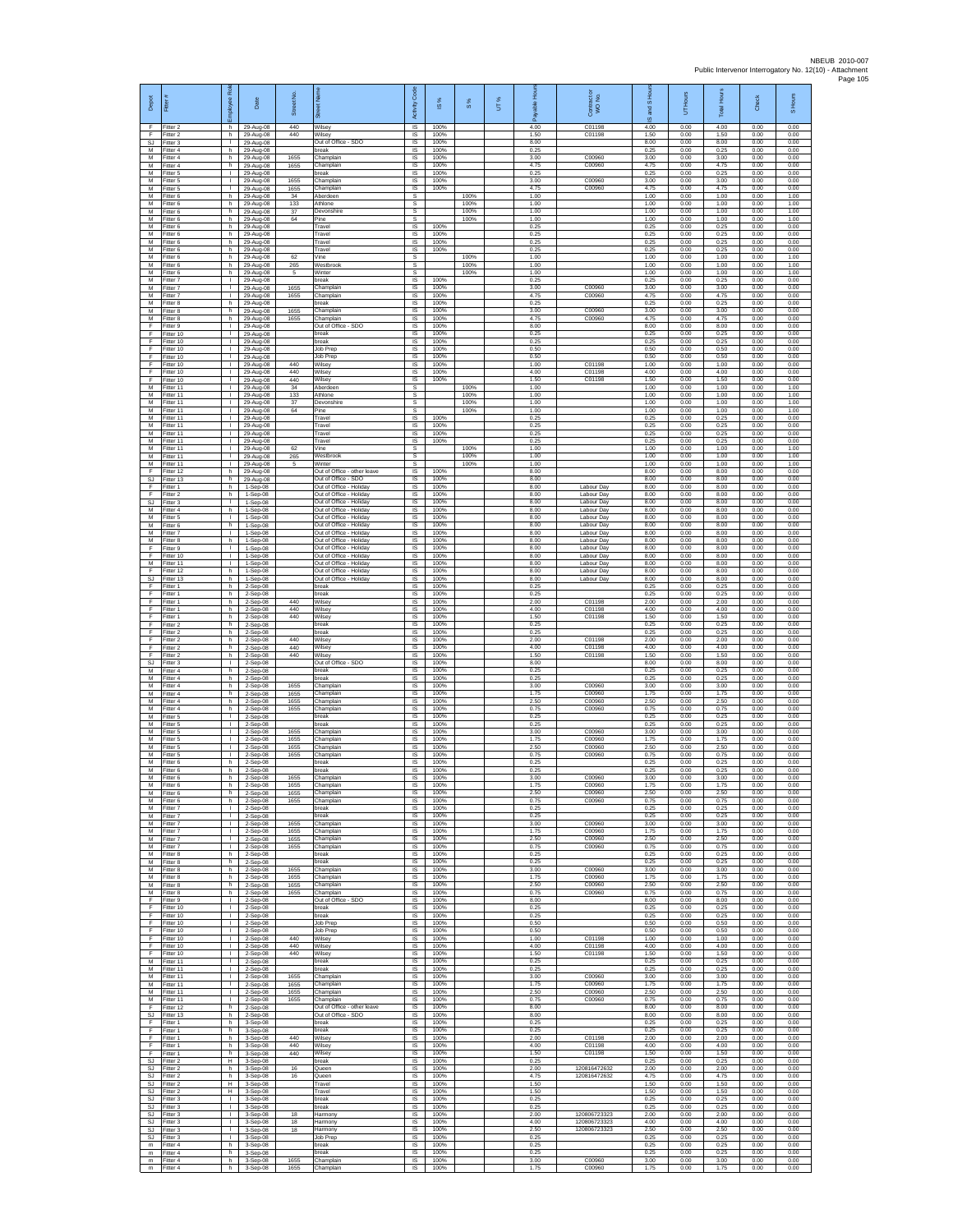| Depot                            | Fitter                              | bloyee Rol                                   | Date                                   | £<br>Street          | 芿                                                                             | Code<br>Activity                    | <b>iS%</b>           | S %                  | UT% | Ŕ.                   | $\overline{a}$<br>Contract of<br>WO No. | ά<br>IS and S        | 5                    | <b>Total Hours</b>   | Check                | S Hours              |
|----------------------------------|-------------------------------------|----------------------------------------------|----------------------------------------|----------------------|-------------------------------------------------------------------------------|-------------------------------------|----------------------|----------------------|-----|----------------------|-----------------------------------------|----------------------|----------------------|----------------------|----------------------|----------------------|
| F<br>F<br><b>SJ</b>              | Fitter 2<br>Fitter 2<br>Fitter 3    | h<br>h.<br>$\mathbf{I}$                      | 29-Aug-08<br>29-Aug-08<br>29-Aug-08    | 440<br>440           | Wilsey<br>Wilsev<br>Out of Office - SDO                                       | IS<br>IS<br>IS                      | 100%<br>100%<br>100% |                      |     | 4.00<br>1.50<br>8.00 | C01198<br>C01198                        | 4.00<br>1.50<br>8.00 | 0.00<br>0.00<br>0.00 | 4.00<br>1.50<br>8.00 | 0.00<br>0.00<br>0.00 | 0.00<br>0.00<br>0.00 |
| М<br>М<br>M                      | Fitter 4<br>itter 4<br>Fitter 4     | h.<br>h.<br>h.                               | 29-Aug-08<br>29-Aug-08<br>29-Aug-08    | 1655<br>1655         | break<br>Champlain<br>Champlain                                               | IS<br>IS<br>IS                      | 100%<br>100%<br>100% |                      |     | 0.25<br>3.00<br>4.75 | C00960<br>C00960                        | 0.25<br>3.00<br>4.75 | 0.00<br>0.00<br>0.00 | 0.25<br>3.00<br>4.75 | 0.00<br>0.00<br>0.00 | 0.00<br>0.00<br>0.00 |
| M<br>М<br>M                      | Fitter 5<br>Fitter 5<br>Fitter 5    | H.<br>т.<br>т                                | 29-Aug-08<br>29-Aug-08<br>29-Aug-08    | 1655<br>1655         | <b>oreak</b><br>Champlain<br>Champlain                                        | IS<br>IS<br>IS                      | 100%<br>100%<br>100% |                      |     | 0.25<br>3.00<br>4.75 | C00960<br>C00960                        | 0.25<br>3.00<br>4.75 | 0.00<br>0.00<br>0.00 | 0.25<br>3.00<br>4.75 | 0.00<br>0.00<br>0.00 | 0.00<br>0.00<br>0.00 |
| M<br>М                           | Fitter 6<br>itter 6                 | h.<br>h.                                     | 29-Aug-08<br>29-Aug-08                 | 34<br>133            | Aberdeen<br>Athlone                                                           | s<br>s                              |                      | 100%<br>100%         |     | 1.00<br>1.00         |                                         | 1.00<br>1.00         | 0.00<br>0.00         | 1.00<br>1.00         | 0.00<br>0.00         | 1.00<br>1.00         |
| M<br>M<br>M                      | Fitter 6<br>Fitter 6<br>Fitter 6    | h.<br>h.<br>h                                | 29-Aug-08<br>29-Aug-08<br>29-Aug-08    | 37<br>64             | Devonshire<br>Pine<br>Travel                                                  | s<br>s<br>IS                        | 100%                 | 100%<br>100%         |     | 1.00<br>1.00<br>0.25 |                                         | 1.00<br>1.00<br>0.25 | 0.00<br>0.00<br>0.00 | 1.00<br>1.00<br>0.25 | 0.00<br>0.00<br>0.00 | 1.00<br>1.00<br>0.00 |
| М<br>M<br>M                      | Fitter 6<br>fitter 6<br>Fitter 6    | h.<br>h.<br>h.                               | 29-Aug-08<br>29-Aug-08<br>29-Aug-08    |                      | Travel<br>Travel<br>Travel                                                    | IS<br>IS<br>IS                      | 100%<br>100%<br>100% |                      |     | 0.25<br>0.25<br>0.25 |                                         | 0.25<br>0.25<br>0.25 | 0.00<br>0.00<br>0.00 | 0.25<br>0.25<br>0.25 | 0.00<br>0.00<br>0.00 | 0.00<br>0.00<br>0.00 |
| M<br>М<br>M                      | Fitter 6<br>Fitter 6                | h<br>h                                       | 29-Aug-08<br>29-Aug-08                 | 62<br>265            | Vine<br>Westbrool                                                             | s<br>$\mathbb S$                    |                      | 100%<br>100%<br>100% |     | 1.00<br>1.00         |                                         | 1.00<br>1.00         | 0.00<br>0.00         | 1.00<br>1.00         | 0.00<br>0.00         | 1.00<br>1.00         |
| M<br>М                           | Fitter 6<br>Fitter 7<br>fitter 7    | h.<br>л.<br>т.                               | 29-Aug-08<br>29-Aug-08<br>29-Aug-08    | 5<br>1655            | Winter<br>hreak<br>Champlain                                                  | s<br>IS<br>IS                       | 100%<br>100%         |                      |     | 1.00<br>0.25<br>3.00 | C00960                                  | 1.00<br>0.25<br>3.00 | 0.00<br>0.00<br>0.00 | 1.00<br>0.25<br>3.00 | 0.00<br>0.00<br>0.00 | 1.00<br>0.00<br>0.00 |
| M<br>M<br>М                      | itter 7<br>Fitter 8<br>Fitter 8     | т<br>h.<br>h                                 | 29-Aug-08<br>29-Aug-08<br>29-Aug-08    | 1655<br>1655         | Champlain<br>break<br>Champlain                                               | IS<br>IS<br>IS                      | 100%<br>100%<br>100% |                      |     | 4.75<br>0.25<br>3.00 | C00960<br>C00960                        | 4.75<br>0.25<br>3.00 | 0.00<br>0.00<br>0.00 | 4.75<br>0.25<br>3.00 | 0.00<br>0.00<br>0.00 | 0.00<br>0.00<br>0.00 |
| M<br>F<br>E                      | Fitter 8<br>fitter 9<br>Fitter 10   | h.<br>т.<br>т.                               | 29-Aug-08<br>29-Aug-08<br>29-Aug-08    | 1655                 | Champlain<br>Out of Office - SDO<br>break                                     | IS<br>IS<br>IS                      | 100%<br>100%<br>100% |                      |     | 4.75<br>8.00<br>0.25 | C00960                                  | 4.75<br>8.00<br>0.25 | 0.00<br>0.00<br>0.00 | 4.75<br>8.00<br>0.25 | 0.00<br>0.00<br>0.00 | 0.00<br>0.00<br>0.00 |
| F<br>F                           | Fitter 10<br>fitter 10              | $\mathbf{L}$<br>$\mathbf{I}$                 | 29-Aug-08<br>29-Aug-08                 |                      | break<br>Job Prep                                                             | IS<br>IS                            | 100%<br>100%         |                      |     | 0.25<br>0.50         |                                         | 0.25<br>0.50         | 0.00<br>0.00         | 0.25<br>0.50         | 0.00<br>0.00         | 0.00<br>0.00         |
| E<br>F<br>F                      | Fitter 10<br>Fitter 10<br>Fitter 10 | л.<br>$\mathbf{L}$<br>т.                     | 29-Aug-08<br>29-Aug-08<br>29-Aug-08    | 440<br>440           | Job Prep<br>Wilsey<br>Wilsey                                                  | IS<br>IS<br>IS                      | 100%<br>100%<br>100% |                      |     | 0.50<br>1.00<br>4.00 | C01198<br>C01198                        | 0.50<br>1.00<br>4.00 | 0.00<br>0.00<br>0.00 | 0.50<br>1.00<br>4.00 | 0.00<br>0.00<br>0.00 | 0.00<br>0.00<br>0.00 |
| F<br>M<br>М                      | Fitter 10<br>Fitter 11<br>Fitter 11 | Τ<br>$\mathbf{L}$<br>т.                      | 29-Aug-08<br>29-Aug-08<br>29-Aug-08    | 440<br>34<br>133     | Wilsey<br>Aberdeen<br>Athlone                                                 | IS<br>s<br>s                        | 100%                 | 100%<br>100%         |     | 1.50<br>1.00<br>1.00 | C01198                                  | 1.50<br>1.00<br>1.00 | 0.00<br>0.00<br>0.00 | 1.50<br>1.00<br>1.00 | 0.00<br>0.00<br>0.00 | 0.00<br>1.00<br>1.00 |
| M<br>M<br>M                      | fitter 11<br>Fitter 11              | $\mathbf{L}$<br>л.<br>т.                     | 29-Aug-08<br>29-Aug-08                 | 37<br>64             | Devonshire<br>Pine                                                            | s<br>s                              |                      | 100%<br>100%         |     | 1.00<br>1.00<br>0.25 |                                         | 1.00<br>1.00         | 0.00<br>0.00         | 1.00<br>1.00         | 0.00<br>0.00         | 1.00<br>1.00         |
| M<br>M                           | Fitter 11<br>Fitter 11<br>itter 11  | L.<br>T.                                     | 29-Aug-08<br>29-Aug-08<br>29-Aug-08    |                      | Travel<br>Travel<br>Travel                                                    | IS<br>1S<br>IS                      | 100%<br>100%<br>100% |                      |     | 0.25<br>0.25         |                                         | 0.25<br>0.25<br>0.25 | 0.00<br>0.00<br>0.00 | 0.25<br>0.25<br>0.25 | 0.00<br>0.00<br>0.00 | 0.00<br>0.00<br>0.00 |
| M<br>M<br>М                      | Fitter 11<br>Fitter 11<br>Fitter 11 | л.<br>л.<br>T.                               | 29-Aug-08<br>29-Aug-08<br>29-Aug-08    | 62<br>265            | Travel<br>Vine<br>Westbrool                                                   | IS<br>s<br>s                        | 100%                 | 100%<br>100%         |     | 0.25<br>1.00<br>1.00 |                                         | 0.25<br>1.00<br>1.00 | 0.00<br>0.00<br>0.00 | 0.25<br>1.00<br>1.00 | 0.00<br>0.00<br>0.00 | 0.00<br>1.00<br>1.00 |
| M<br>F<br>SJ                     | Fitter 11<br>Fitter 12<br>Fitter 13 | $\mathbf{I}$<br>h.<br>h                      | 29-Aug-08<br>29-Aug-08<br>29-Aug-08    | 5                    | Winter<br>Out of Office - other leave<br>Out of Office - SDO                  | s<br>IS<br>IS                       | 100%<br>100%         | 100%                 |     | 1.00<br>8.00<br>8.00 |                                         | 1.00<br>8.00<br>8.00 | 0.00<br>0.00<br>0.00 | 1.00<br>8.00<br>8.00 | 0.00<br>0.00<br>0.00 | 1.00<br>0.00<br>0.00 |
| F<br>F                           | itter 1<br>Fitter 2                 | h.<br>h.                                     | 1-Sep-08<br>1-Sep-08                   |                      | Out of Office - Holiday<br>Out of Office - Holiday                            | IS<br>IS                            | 100%<br>100%         |                      |     | 8.00<br>8.00         | Labour Day<br>Labour Day                | 8.00<br>8.00         | 0.00<br>0.00         | 8.00<br>8.00         | 0.00<br>0.00         | 0.00<br>0.00         |
| $\mathbb{S}\mathbb{J}$<br>М<br>M | itter 3<br>Fitter 4<br>fitter 5     | т.<br>h.<br>$\mathbf{I}$                     | 1-Sep-08<br>1-Sep-08<br>1-Sep-08       |                      | Out of Office - Holiday<br>Out of Office - Holiday<br>Out of Office - Holiday | IS<br>IS<br>IS                      | 100%<br>100%<br>100% |                      |     | 8.00<br>8.00<br>8.00 | Labour Day<br>Labour Day<br>Labour Day  | 8.00<br>8.00<br>8.00 | 0.00<br>0.00<br>0.00 | 8.00<br>8.00<br>8.00 | 0.00<br>0.00<br>0.00 | 0.00<br>0.00<br>0.00 |
| M<br>М<br>M                      | Fitter 6<br>Fitter 7<br>itter 8     | h<br>т.<br>h                                 | 1-Sep-08<br>1-Sep-08<br>1-Sep-08       |                      | Out of Office - Holiday<br>Out of Office - Holiday<br>Out of Office - Holiday | IS<br>IS<br>IS                      | 100%<br>100%<br>100% |                      |     | 8.00<br>8.00<br>8.00 | Labour Day<br>Labour Day<br>Labour Day  | 8.00<br>8.00<br>8.00 | 0.00<br>0.00<br>0.00 | 8.00<br>8.00<br>8.00 | 0.00<br>0.00<br>0.00 | 0.00<br>0.00<br>0.00 |
| F<br>F                           | Fitter 9<br>Fitter 10               | л.<br>л.                                     | 1-Sep-08<br>1-Sep-08                   |                      | Out of Office - Holiday<br>Out of Office - Holiday                            | IS<br>IS                            | 100%<br>100%         |                      |     | 8.00<br>8.00         | Labour Day<br>Labour Day                | 8.00<br>8.00         | 0.00<br>0.00         | 8.00<br>8.00         | 0.00<br>0.00         | 0.00<br>0.00         |
| М<br>F<br>SJ                     | Fitter 11<br>Fitter 12<br>Fitter 13 | ٠<br>h.<br>h.                                | 1-Sep-08<br>1-Sep-08<br>1-Sep-08       |                      | Out of Office - Holiday<br>Out of Office - Holiday<br>Out of Office - Holiday | IS<br>IS<br>IS                      | 100%<br>100%<br>100% |                      |     | 8.00<br>8.00<br>8.00 | Labour Day<br>Labour Day<br>Labour Day  | 8.00<br>8.00<br>8.00 | 0.00<br>0.00<br>0.00 | 8.00<br>8.00<br>8.00 | 0.00<br>0.00<br>0.00 | 0.00<br>0.00<br>0.00 |
| F<br>F<br>F                      | -itter 1<br>Fitter 1<br>Fitter 1    | h.<br>h<br>h.                                | 2-Sep-08<br>2-Sep-08<br>$2-$ Sep $-08$ | 440                  | break<br>break<br>Wilsey                                                      | $\sf IS$<br>$\sf IS$<br><b>IS</b>   | 100%<br>100%<br>100% |                      |     | 0.25<br>0.25<br>2.00 | C01198                                  | 0.25<br>0.25<br>2.00 | 0.00<br>0.00<br>0.00 | 0.25<br>0.25<br>2.00 | 0.00<br>0.00<br>0.00 | 0.00<br>0.00<br>0.00 |
| F<br>F                           | Fitter 1<br>Fitter 1                | h<br>h.                                      | 2-Sep-08<br>2-Sep-08                   | 440<br>440           | Wilsey<br>Wilsey                                                              | IS<br>IS                            | 100%<br>100%         |                      |     | 4.00<br>1.50         | C01198<br>C01198                        | 4.00<br>1.50         | 0.00<br>0.00         | 4.00<br>1.50         | 0.00<br>0.00         | 0.00<br>0.00         |
| F<br>F<br>F                      | fitter 2<br>Fitter 2<br>Fitter 2    | h.<br>h.<br>h.                               | 2-Sep-08<br>2-Sep-08<br>$2-Sep-08$     | 440                  | oreak<br>break<br>Wilsey                                                      | IS<br>IS<br>IS                      | 100%<br>100%<br>100% |                      |     | 0.25<br>0.25<br>2.00 | C01198                                  | 0.25<br>0.25<br>2.00 | 0.00<br>0.00<br>0.00 | 0.25<br>0.25<br>2.00 | 0.00<br>0.00<br>0.00 | 0.00<br>0.00<br>0.00 |
| F<br>F<br>S.I                    | Fitter 2<br>Fitter 2<br>Fitter 3    | h<br>h.<br>л.                                | 2-Sep-08<br>2-Sep-08<br>2-Sep-08       | 440<br>440           | Wilsey<br>Wilsey<br>Out of Office - SDO                                       | $\sf IS$<br>IS<br>IS                | 100%<br>100%<br>100% |                      |     | 4.00<br>1.50<br>8.00 | C01198<br>C01198                        | 4.00<br>1.50<br>8.00 | 0.00<br>0.00<br>0.00 | 4.00<br>1.50<br>8.00 | 0.00<br>0.00<br>0.00 | 0.00<br>0.00<br>0.00 |
| М<br>M<br>M                      | itter 4<br>itter 4<br>Fitter 4      | h.<br>h.<br>h.                               | 2-Sep-08<br>2-Sep-08<br>2-Sep-08       | 1655                 | break<br>break<br>Champlain                                                   | IS<br>IS<br>$\overline{\mathsf{s}}$ | 100%<br>100%<br>100% |                      |     | 0.25<br>0.25<br>3.00 | C00960                                  | 0.25<br>0.25<br>3.00 | 0.00<br>0.00<br>0.00 | 0.25<br>0.25<br>3.00 | 0.00<br>0.00<br>0.00 | 0.00<br>0.00<br>0.00 |
| М<br>M                           | Fitter 4<br>Fitter 4                | h<br>h.                                      | 2-Sep-08<br>2-Sep-08                   | 1655<br>1655         | Champlain<br>Champlain                                                        | IS<br>IS                            | 100%<br>100%         |                      |     | 1.75<br>2.50         | C00960<br>C00960                        | 1.75<br>2.50         | 0.00<br>0.00         | 1.75<br>2.50         | 0.00<br>0.00         | 0.00<br>0.00         |
| M<br>M<br>M                      | fitter 4<br>Fitter 5<br>Fitter 5    | h.<br>т.<br>т.                               | 2-Sep-08<br>2-Sep-08<br>2-Sep-08       | 1655                 | Champlain<br>break<br>break                                                   | IS<br>IS<br>IS                      | 100%<br>100%<br>100% |                      |     | 0.75<br>0.25<br>0.25 | C00960                                  | 0.75<br>0.25<br>0.25 | 0.00<br>0.00<br>0.00 | 0.75<br>0.25<br>0.25 | 0.00<br>0.00<br>0.00 | 0.00<br>0.00<br>0.00 |
| M<br>M<br>M                      | fitter 5<br>Fitter 5<br>Fitter 5    | $\mathbf{I}$<br>л.<br>л.                     | 2-Sep-08<br>2-Sep-08<br>2-Sep-08       | 1655<br>1655<br>1655 | Champlain<br>Champlain<br>Champlain                                           | IS<br>IS<br>IS                      | 100%<br>100%<br>100% |                      |     | 3.00<br>1.75<br>2.50 | C00960<br>C00960<br>C00960              | 3.00<br>1.75<br>2.50 | 0.00<br>0.00<br>0.00 | 3.00<br>1.75<br>2.50 | 0.00<br>0.00<br>0.00 | 0.00<br>0.00<br>0.00 |
| M<br>M                           | Fitter 5<br>Fitter 6<br>M Fitter 6  | I.<br>h.                                     | 2-Sep-08<br>2-Sep-08                   | 1655                 | Champlain<br>break<br>break                                                   | IS<br>IS                            | 100%<br>100%<br>100% |                      |     | 0.75<br>0.25<br>0.25 | C00960                                  | 0.75<br>0.25<br>0.25 | 0.00<br>0.00<br>0.00 | 0.75<br>0.25<br>0.25 | 0.00<br>0.00<br>0.00 | 0.00<br>0.00<br>0.00 |
| M<br>M                           | Fitter 6<br>Fitter 6                | h.<br>h.<br>h.                               | 2-Sep-08<br>2-Sep-08<br>2-Sep-08       | 1655<br>1655         | Champlain<br>Champlain                                                        | IS<br>IS<br>IS                      | 100%<br>100%         |                      |     | 3.00<br>1.75         | C00960<br>C00960                        | 3.00<br>1.75         | 0.00<br>0.00         | 3.00<br>1.75         | 0.00<br>0.00         | 0.00<br>0.00         |
| M<br>M<br>M                      | Fitter 6<br>Fitter 6<br>Fitter 7    | h.<br>h.<br>$\mathbf{L}$                     | $2-Sep-08$<br>$2-Sep-08$<br>2-Sep-08   | 1655<br>1655         | Champlain<br>Champlain<br>break                                               | <b>IS</b><br>IS<br>IS               | 100%<br>100%<br>100% |                      |     | 2.50<br>0.75<br>0.25 | C00960<br>C00960                        | 2.50<br>0.75<br>0.25 | 0.00<br>0.00<br>0.00 | 2.50<br>0.75<br>0.25 | 0.00<br>0.00<br>0.00 | 0.00<br>0.00<br>0.00 |
| M<br>M<br>М                      | fitter 7<br>Fitter 7<br>Fitter 7    | $\mathbf{I}$<br>л.<br>$\mathbf{L}$           | 2-Sep-08<br>2-Sep-08<br>2-Sep-08       | 1655<br>1655         | preak<br>Champlain<br>Champlain                                               | IS<br>- IS<br>IS                    | 100%<br>100%<br>100% |                      |     | 0.25<br>3.00<br>1.75 | C00960<br>C00960                        | 0.25<br>3.00<br>1.75 | 0.00<br>0.00<br>0.00 | 0.25<br>3.00<br>1.75 | 0.00<br>0.00<br>0.00 | 0.00<br>0.00<br>0.00 |
| М<br>M<br>M                      | Fitter 7<br>Fitter 7<br>Fitter 8    | $\mathbf{I}$<br>$\mathbf{I}$                 | 2-Sep-08<br>2-Sep-08                   | 1655<br>1655         | Champlain<br>Champlain<br>break                                               | $\sf IS$<br><b>IS</b><br>IS         | 100%<br>100%<br>100% |                      |     | 2.50<br>0.75<br>0.25 | C00960<br>C00960                        | 2.50<br>0.75<br>0.25 | 0.00<br>0.00<br>0.00 | 2.50<br>0.75<br>0.25 | 0.00<br>0.00         | 0.00<br>0.00<br>0.00 |
| М<br>M                           | Fitter 8<br>fitter 8                | h.<br>h<br>h.                                | 2-Sep-08<br>2-Sep-08<br>$2-Sep-08$     | 1655                 | break<br>Champlain                                                            | IS<br>IS                            | 100%<br>100%         |                      |     | 0.25<br>3.00         | C00960                                  | 0.25<br>3.00         | 0.00<br>0.00         | 0.25<br>3.00         | 0.00<br>0.00<br>0.00 | 0.00<br>0.00         |
| M<br>М<br>М                      | Fitter 8<br>Fitter 8<br>Fitter 8    | h.<br>h.<br>h.                               | 2-Sep-08<br>2-Sep-08<br>2-Sep-08       | 1655<br>1655<br>1655 | Champlain<br>Champlain<br>Champlain                                           | IS<br>IS<br>IS                      | 100%<br>100%<br>100% |                      |     | 1.75<br>2.50<br>0.75 | C00960<br>C00960<br>C00960              | 1.75<br>2.50<br>0.75 | 0.00<br>0.00<br>0.00 | 1.75<br>2.50<br>0.75 | 0.00<br>0.00<br>0.00 | 0.00<br>0.00<br>0.00 |
| F<br>E<br>F                      | Fitter 9<br>Fitter 10<br>Fitter 10  | $\mathbf{L}$<br>т.<br>т.                     | $2-Sep-08$<br>2-Sep-08<br>2-Sep-08     |                      | Out of Office - SDO<br>break<br>break                                         | IS<br>IS<br>IS                      | 100%<br>100%<br>100% |                      |     | 8.00<br>0.25<br>0.25 |                                         | 8.00<br>0.25<br>0.25 | 0.00<br>0.00<br>0.00 | 8.00<br>0.25<br>0.25 | 0.00<br>0.00<br>0.00 | 0.00<br>0.00<br>0.00 |
| F<br>F                           | fitter 10<br>Fitter 10              | т.<br>т.                                     | 2-Sep-08<br>2-Sep-08                   |                      | Job Prep<br>Job Prep                                                          | IS<br>- IS                          | 100%<br>100%         |                      |     | 0.50<br>0.50         |                                         | 0.50<br>0.50         | 0.00<br>0.00         | 0.50<br>0.50         | 0.00<br>0.00         | 0.00<br>0.00         |
| F.<br>F<br>F                     | Fitter 10<br>Fitter 10<br>Fitter 10 | <b>I</b><br>т.<br>т                          | 2-Sep-08<br>2-Sep-08<br>$2-Sep-08$     | 440<br>440<br>440    | Wilsey<br>Wilsey<br>Wilsey                                                    | IS<br>IS<br>IS                      | 100%<br>100%<br>100% |                      |     | 1.00<br>4.00<br>1.50 | C01198<br>C01198<br>C01198              | 1.00<br>4.00<br>1.50 | 0.00<br>0.00<br>0.00 | 1.00<br>4.00<br>1.50 | 0.00<br>0.00<br>0.00 | 0.00<br>0.00<br>0.00 |
| м<br>М<br>M                      | Fitter 11<br>Fitter 11<br>Fitter 11 | $\mathbf{L}$<br>$\mathbf{L}$<br>$\mathbf{L}$ | 2-Sep-08<br>2-Sep-08<br>2-Sep-08       | 1655                 | break<br>break<br>Champlain                                                   | $\sf IS$<br>$\sf IS$<br>$\sf IS$    | 100%<br>100%<br>100% |                      |     | 0.25<br>0.25<br>3.00 | C00960                                  | 0.25<br>0.25<br>3.00 | 0.00<br>0.00<br>0.00 | 0.25<br>0.25<br>3.00 | 0.00<br>0.00<br>0.00 | 0.00<br>0.00<br>0.00 |
| M<br>M                           | Fitter 11<br>Fitter 11              | л.<br>т.                                     | $2-$ Sep $-08$<br>2-Sep-08             | 1655<br>1655         | Champlain<br>Champlain                                                        | IS<br>IS                            | 100%<br>100%         |                      |     | 1.75<br>2.50         | C00960<br>C00960                        | 1.75<br>2.50         | 0.00<br>0.00         | 1.75<br>2.50         | 0.00<br>0.00         | 0.00<br>0.00         |
| М<br>F<br>SJ                     | Fitter 11<br>Fitter 12<br>Fitter 13 | т.<br>h.<br>h.                               | 2-Sep-08<br>2-Sep-08<br>2-Sep-08       | 1655                 | Champlain<br>Out of Office - other leave<br>Out of Office - SDO               | IS<br>IS<br>- IS                    | 100%<br>100%<br>100% |                      |     | 0.75<br>8.00<br>8.00 | C00960                                  | 0.75<br>8.00<br>8.00 | 0.00<br>0.00<br>0.00 | 0.75<br>8.00<br>8.00 | 0.00<br>0.00<br>0.00 | 0.00<br>0.00<br>0.00 |
| F<br>F<br>F                      | Fitter 1<br>Fitter 1<br>Fitter 1    | h.<br>h.<br>h.                               | 3-Sep-08<br>3-Sep-08<br>3-Sep-08       | 440                  | break<br>break<br>Wilsey                                                      | IS<br>IS<br><b>IS</b>               | 100%<br>100%<br>100% |                      |     | 0.25<br>0.25<br>2.00 | C01198                                  | 0.25<br>0.25<br>2.00 | 0.00<br>0.00<br>0.00 | 0.25<br>0.25<br>2.00 | 0.00<br>0.00<br>0.00 | 0.00<br>0.00<br>0.00 |
| F<br>F<br>SJ                     | Fitter 1<br>Fitter 1<br>Fitter 2    | h.<br>h<br>Ŧ                                 | 3-Sep-08<br>3-Sep-08<br>3-Sep-08       | 440<br>440           | Wilsey<br>Wilsey<br>break                                                     | IS<br>IS<br>IS                      | 100%<br>100%<br>100% |                      |     | 4.00<br>1.50<br>0.25 | C01198<br>C01198                        | 4.00<br>1.50<br>0.25 | 0.00<br>0.00<br>0.00 | 4.00<br>1.50<br>0.25 | 0.00<br>0.00<br>0.00 | 0.00<br>0.00<br>0.00 |
| SJ                               | SJ Fitter 2<br>Fitter 2             | h.<br>h                                      | 3-Sep-08<br>3-Sep-08                   | 16<br>16             | Queen<br>Queen                                                                | IS<br>IS                            | 100%<br>100%         |                      |     | 2.00<br>4.75         | 120816472632<br>120816472632            | 2.00<br>4.75         | 0.00<br>0.00         | 2.00<br>4.75         | 0.00<br>0.00         | 0.00<br>0.00         |
| SJ<br>SJ<br><b>SJ</b>            | Fitter 2<br>Fitter 2<br>Fitter 3    | н.<br>Н.<br>т.                               | 3-Sep-08<br>3-Sep-08<br>3-Sep-08       |                      | Travel<br>Travel<br>break                                                     | IS<br>IS<br>IS                      | 100%<br>100%<br>100% |                      |     | 1.50<br>1.50<br>0.25 |                                         | 1.50<br>1.50<br>0.25 | 0.00<br>0.00<br>0.00 | 1.50<br>1.50<br>0.25 | 0.00<br>0.00<br>0.00 | 0.00<br>0.00<br>0.00 |
| SJ<br><b>SJ</b><br>-SJ           | Fitter 3<br>fitter 3<br>Fitter 3    | т.<br>т.<br>л.                               | 3-Sep-08<br>3-Sep-08<br>3-Sep-08       | 18<br>18             | break<br>Harmony<br>Harmony                                                   | IS<br>IS<br>- IS                    | 100%<br>100%<br>100% |                      |     | 0.25<br>2.00<br>4.00 | 120806723323<br>120806723323            | 0.25<br>2.00<br>4.00 | 0.00<br>0.00<br>0.00 | 0.25<br>2.00<br>4.00 | 0.00<br>0.00<br>0.00 | 0.00<br>0.00<br>0.00 |
| <b>SJ</b><br>SJ<br>m             | Fitter 3<br>Fitter 3<br>Fitter 4    | $\mathbf{L}$<br>٠<br>h                       | 3-Sep-08<br>3-Sep-08<br>3-Sep-08       | 18                   | Harmony<br>Job Prep<br>break                                                  | IS<br>IS<br>IS                      | 100%<br>100%<br>100% |                      |     | 2.50<br>0.25<br>0.25 | 120806723323                            | 2.50<br>0.25<br>0.25 | 0.00<br>0.00<br>0.00 | 2.50<br>0.25<br>0.25 | 0.00<br>0.00<br>0.00 | 0.00<br>0.00<br>0.00 |
| m<br>m                           | Fitter 4<br>Fitter 4                | h.<br>h.                                     | 3-Sep-08<br>3-Sep-08                   | 1655                 | break<br>Champlain                                                            | IS<br>$\sf IS$                      | 100%<br>100%         |                      |     | 0.25<br>3.00         | C00960                                  | 0.25<br>3.00         | 0.00<br>0.00         | 0.25<br>3.00         | 0.00<br>0.00         | 0.00<br>0.00         |
| m                                | Fitter 4                            | h                                            | 3-Sep-08                               | 1655                 | Champlain                                                                     | IS                                  | 100%                 |                      |     | 1.75                 | C00960                                  | 1.75                 | 0.00                 | 1.75                 | 0.00                 | 0.00                 |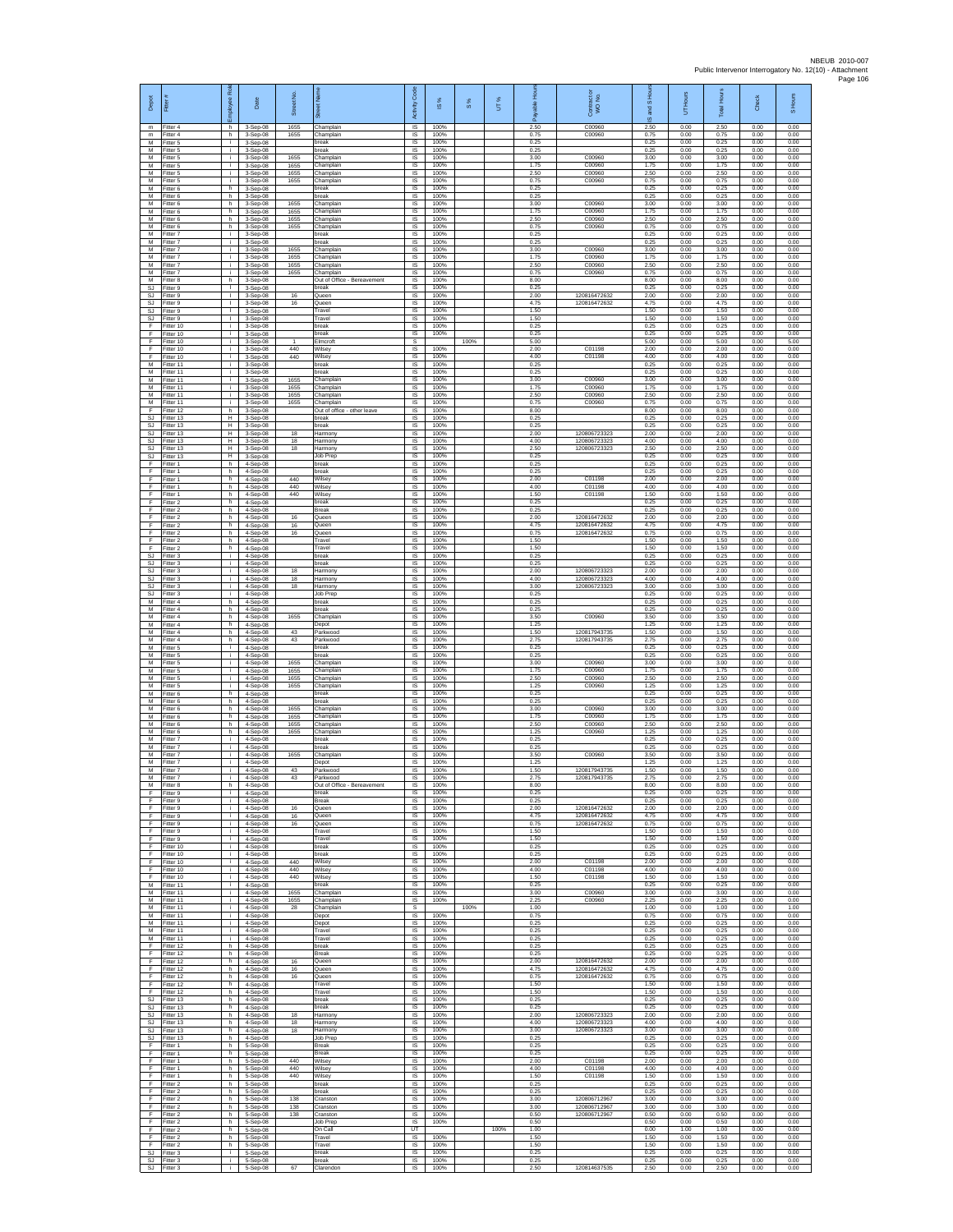| Depot<br>$\mathsf{m}$         | Fitter#<br>Fitter 4                 | loyee Ro<br>h.                     | Date<br>3-Sep-08                         | Street No.<br>1655   | 氯<br>Champlain                                   | c <sub>ode</sub><br>Activity<br>IS | IS %<br>100%         | $\frac{8}{3}$ | UT%  | 운<br>2.50            | ŏ<br>Contract of<br>WO No.<br>C00960         | and S Ho<br>ဖ<br>2.50 | Hours<br>5<br>0.00   | Total Hour:<br>2.50  | Check<br>0.00        | S Hours<br>0.00      |
|-------------------------------|-------------------------------------|------------------------------------|------------------------------------------|----------------------|--------------------------------------------------|------------------------------------|----------------------|---------------|------|----------------------|----------------------------------------------|-----------------------|----------------------|----------------------|----------------------|----------------------|
| m<br>м                        | Fitter 4<br>Fitter 5                | h.<br>i.                           | 3-Sep-08<br>3-Sep-08                     | 1655                 | Champlain<br>oreak                               | IS<br>IS                           | 100%<br>100%         |               |      | 0.75<br>0.25         | C00960                                       | 0.75<br>0.25          | 0.00<br>0.00         | 0.75<br>0.25         | 0.00<br>0.00         | 0.00<br>0.00         |
| M<br>M                        | Fitter 5<br>Fitter 5                | $\mathbf{r}$<br>i.                 | 3-Sep-08<br>3-Sep-08                     | 1655                 | oreak<br>Champlain                               | 1S<br>IS                           | 100%<br>100%         |               |      | 0.25<br>3.00         | C00960                                       | 0.25<br>3.00          | 0.00<br>0.00         | 0.25<br>3.00         | 0.00<br>0.00         | 0.00<br>0.00         |
| M<br>М<br>M                   | Fitter 5<br>Fitter 5<br>Fitter 5    | j.<br>i.<br>i.                     | 3-Sep-08<br>3-Sep-08<br>$3-$ Sep-08      | 1655<br>1655<br>1655 | Champlain<br>Champlain<br>Champlain              | IS<br>IS<br>IS                     | 100%<br>100%<br>100% |               |      | 1.75<br>2.50<br>0.75 | C00960<br>C00960<br>C00960                   | 1.75<br>2.50<br>0.75  | 0.00<br>0.00<br>0.00 | 1.75<br>2.50<br>0.75 | 0.00<br>0.00<br>0.00 | 0.00<br>0.00<br>0.00 |
| M<br>М                        | Fitter 6<br>Fitter 6                | h.<br>h.                           | 3-Sep-08<br>3-Sep-08                     |                      | break<br>reak                                    | <b>IS</b><br>IS                    | 100%<br>100%         |               |      | 0.25<br>0.25         |                                              | 0.25<br>0.25          | 0.00<br>0.00         | 0.25<br>0.25         | 0.00<br>0.00         | 0.00<br>0.00         |
| М<br>M<br>M                   | Fitter 6<br>Fitter 6<br>Fitter 6    | h<br>h.<br>h.                      | 3-Sep-08<br>3-Sep-08<br>3-Sep-08         | 1655<br>1655<br>1655 | hamplain<br>Champlain<br>Champlain               | $\sf IS$<br>IS<br>IS.              | 100%<br>100%<br>100% |               |      | 3.00<br>1.75<br>2.50 | C00960<br>C00960<br>C00960                   | 3.00<br>1.75<br>2.50  | 0.00<br>0.00<br>0.00 | 3.00<br>1.75<br>2.50 | 0.00<br>0.00<br>0.00 | 0.00<br>0.00<br>0.00 |
| M<br>М                        | Fitter 6<br>Fitter 7                | h<br>i.                            | 3-Sep-08<br>3-Sep-08                     | 1655                 | hamplain,<br>oreak                               | IS<br>IS                           | 100%<br>100%         |               |      | 0.75<br>0.25         | C00960                                       | 0.75<br>0.25          | 0.00<br>0.00         | 0.75<br>0.25         | 0.00<br>0.00         | 0.00<br>0.00         |
| M<br>M                        | Fitter 7<br>Fitter 7                | i.<br>j.                           | 3-Sep-08<br>3-Sep-08                     | 1655                 | break<br>Champlain<br>Champlain                  | IS<br>IS                           | 100%<br>100%         |               |      | 0.25<br>3.00         | C00960<br>C00960                             | 0.25<br>3.00          | 0.00<br>0.00         | 0.25<br>3.00         | 0.00<br>0.00         | 0.00<br>0.00         |
| M<br>M<br>M                   | Fitter 7<br>Fitter 7<br>Fitter 7    | i.<br>i.<br>i.                     | 3-Sep-08<br>$3-Sep-08$<br>3-Sep-08       | 1655<br>1655<br>1655 | hamplain<br>Champlain                            | 1S<br>IS<br>IS                     | 100%<br>100%<br>100% |               |      | 1.75<br>2.50<br>0.75 | C00960<br>C00960                             | 1.75<br>2.50<br>0.75  | 0.00<br>0.00<br>0.00 | 1.75<br>2.50<br>0.75 | 0.00<br>0.00<br>0.00 | 0.00<br>0.00<br>0.00 |
| М<br>SJ                       | Fitter 8<br>Fitter 9                | h.<br>$\mathbf{L}$                 | 3-Sep-08<br>3-Sep-08                     |                      | Out of Office - Bereavement<br>reak              | IS<br>IS                           | 100%<br>100%         |               |      | 8.00<br>0.25         |                                              | 8.00<br>0.25          | 0.00<br>0.00         | 8.00<br>0.25         | 0.00<br>0.00         | 0.00<br>0.00         |
| SJ.<br><b>SJ</b><br>SJ        | Fitter 9<br>Fitter 9<br>Fitter 9    | л.<br>$\mathbf{L}$<br>$\mathbf{I}$ | $3-$ Sep $-08$<br>$3-Sep-08$<br>3-Sep-08 | 16<br>16             | Queen<br>Queen<br>ravel                          | <b>IS</b><br>IS.<br>IS             | 100%<br>100%<br>100% |               |      | 2.00<br>4.75<br>1.50 | 120816472632<br>120816472632                 | 2.00<br>4.75<br>1.50  | 0.00<br>0.00<br>0.00 | 2.00<br>4.75<br>1.50 | 0.00<br>0.00<br>0.00 | 0.00<br>0.00<br>0.00 |
| SJ.<br>F                      | Fitter 9<br>Fitter 10               | $\mathbf{L}$<br>i.                 | 3-Sep-08<br>3-Sep-08                     |                      | ravel<br>break                                   | IS<br>IS                           | 100%<br>100%         |               |      | 1.50<br>0.25         |                                              | 1.50<br>0.25          | 0.00<br>0.00         | 1.50<br>0.25         | 0.00<br>0.00         | 0.00<br>0.00         |
| F<br>Ŧ<br>F                   | Fitter 10<br>Fitter 10<br>Fitter 10 | i.<br>i.<br>i.                     | 3-Sep-08<br>3-Sep-08<br>$3-Sep-08$       | $\mathbf{1}$<br>440  | reak<br>Imcroft<br>Wilsev                        | IS<br>s<br>IS                      | 100%<br>100%         | 100%          |      | 0.25<br>5.00<br>2.00 | C01198                                       | 0.25<br>5.00<br>2.00  | 0.00<br>0.00<br>0.00 | 0.25<br>5.00<br>2.00 | 0.00<br>0.00<br>0.00 | 0.00<br>5.00<br>0.00 |
| F<br>М                        | Fitter 10<br>Fitter 11              | i.<br>i.                           | 3-Sep-08<br>3-Sep-08                     | 440                  | Wilsey<br>oreak                                  | IS<br>IS                           | 100%<br>100%         |               |      | 4.00<br>0.25         | C01198                                       | 4.00<br>0.25          | 0.00<br>0.00         | 4.00<br>0.25         | 0.00<br>0.00         | 0.00<br>0.00         |
| M<br>M<br>M                   | Fitter 11<br>Fitter 11              | j.<br>j.                           | 3-Sep-08<br>3-Sep-08                     | 1655                 | reak<br>Champlain                                | IS<br><b>IS</b>                    | 100%<br>100%         |               |      | 0.25<br>3.00         | C00960                                       | 0.25<br>3.00          | 0.00<br>0.00         | 0.25<br>3.00         | 0.00<br>0.00         | 0.00<br>0.00         |
| М<br>M                        | Fitter 11<br>Fitter 11<br>Fitter 11 | i.<br>j.<br>i.                     | 3-Sep-08<br>3-Sep-08<br>3-Sep-08         | 1655<br>1655<br>1655 | Champlain<br>Champlain<br>Champlain              | IS<br>IS<br>IS                     | 100%<br>100%<br>100% |               |      | 1.75<br>2.50<br>0.75 | C00960<br>C00960<br>C00960                   | 1.75<br>2.50<br>0.75  | 0.00<br>0.00<br>0.00 | 1.75<br>2.50<br>0.75 | 0.00<br>0.00<br>0.00 | 0.00<br>0.00<br>0.00 |
| E<br>SJ                       | Fitter 12<br>Fitter 13              | h.<br>н                            | 3-Sep-08<br>3-Sep-08                     |                      | Out of office - other leave<br>oreak             | IS<br>IS                           | 100%<br>100%         |               |      | 8.00<br>0.25         |                                              | 8.00<br>0.25          | 0.00<br>0.00         | 8.00<br>0.25         | 0.00<br>0.00         | 0.00<br>0.00         |
| <b>SJ</b><br>SJ.<br><b>SJ</b> | Fitter 13<br>Fitter 13<br>Fitter 13 | π<br>Н.<br>H                       | 3-Sep-08<br>3-Sep-08<br>3-Sep-08         | 18<br>18             | break<br>Harmony<br>Harmony                      | IS<br>IS<br>IS                     | 100%<br>100%<br>100% |               |      | 0.25<br>2.00<br>4.00 | 120806723323<br>120806723323                 | 0.25<br>2.00<br>4.00  | 0.00<br>0.00<br>0.00 | 0.25<br>2.00<br>4.00 | 0.00<br>0.00<br>0.00 | 0.00<br>0.00<br>0.00 |
| SJ<br>SJ.                     | Fitter 13<br>Fitter 13              | Η<br>Н.                            | 3-Sep-08<br>3-Sep-08                     | 18                   | Harmony<br>Job Prep                              | IS<br>IS                           | 100%<br>100%         |               |      | 2.50<br>0.25         | 120806723323                                 | 2.50<br>0.25          | 0.00<br>0.00         | 2.50<br>0.25         | 0.00<br>0.00         | 0.00<br>0.00         |
| F<br>Ŧ<br>F                   | Fitter 1<br>Fitter 1<br>Fitter 1    | h<br>h.<br>h                       | 4-Sep-08<br>4-Sep-08<br>4-Sep-08         | 440                  | break<br>break<br>Vilsey                         | IS<br>1S<br>IS                     | 100%<br>100%<br>100% |               |      | 0.25<br>0.25<br>2.00 | C01198                                       | 0.25<br>0.25<br>2.00  | 0.00<br>0.00<br>0.00 | 0.25<br>0.25<br>2.00 | 0.00<br>0.00<br>0.00 | 0.00<br>0.00<br>0.00 |
| -F<br>F                       | Fitter 1<br>Fitter 1                | h.<br>h.                           | 4-Sep-08<br>$4-Sep-08$                   | 440<br>440           | Wilsey<br>Wilsey                                 | IS<br>IS.                          | 100%<br>100%         |               |      | 4.00<br>1.50         | C01198<br>C01198                             | 4.00<br>1.50          | 0.00<br>0.00         | 4.00<br>1.50         | 0.00<br>0.00         | 0.00<br>0.00         |
| F<br>F<br>F                   | Fitter 2<br>Fitter 2<br>Fitter 2    | h<br>h.<br>h.                      | 4-Sep-08<br>4-Sep-08                     |                      | reak<br>Break                                    | IS<br>IS                           | 100%<br>100%<br>100% |               |      | 0.25<br>0.25<br>2.00 |                                              | 0.25<br>0.25          | 0.00<br>0.00<br>0.00 | 0.25<br>0.25<br>2.00 | 0.00<br>0.00<br>0.00 | 0.00<br>0.00<br>0.00 |
| F<br>Ŧ                        | Fitter 2<br>Fitter 2                | h<br>h.                            | 4-Sep-08<br>4-Sep-08<br>4-Sep-08         | 16<br>16<br>16       | Queen<br>Queen<br>Queen                          | IS<br>IS<br>IS                     | 100%<br>100%         |               |      | 4.75<br>0.75         | 120816472632<br>120816472632<br>120816472632 | 2.00<br>4.75<br>0.75  | 0.00<br>0.00         | 4.75<br>0.75         | 0.00<br>0.00         | 0.00<br>0.00         |
| F<br>F                        | Fitter 2<br>Fitter 2                | h.<br>h.                           | 4-Sep-08<br>4-Sep-08                     |                      | Travel<br>Travel                                 | IS<br>IS                           | 100%<br>100%         |               |      | 1.50<br>1.50         |                                              | 1.50<br>1.50          | 0.00<br>0.00         | 1.50<br>1.50         | 0.00<br>0.00         | 0.00<br>0.00         |
| SJ<br><b>SJ</b><br>SJ         | Fitter 3<br>Fitter 3<br>Fitter 3    | i.<br>i.<br>j.                     | 4-Sep-08<br>$4-$ Sep $-08$<br>4-Sep-08   | 18                   | break<br>reak<br>Harmony                         | IS<br>IS<br><b>IS</b>              | 100%<br>100%<br>100% |               |      | 0.25<br>0.25<br>2.00 | 120806723323                                 | 0.25<br>0.25<br>2.00  | 0.00<br>0.00<br>0.00 | 0.25<br>0.25<br>2.00 | 0.00<br>0.00<br>0.00 | 0.00<br>0.00<br>0.00 |
| <b>SJ</b><br>SJ               | Fitter 3<br>Fitter 3                | i.<br>j.                           | 4-Sep-08<br>4-Sep-08                     | 18<br>18             | Harmony<br>Harmony                               | IS<br>$\sf IS$                     | 100%<br>100%         |               |      | 4.00<br>3.00         | 120806723323<br>12080672332                  | 4.00<br>3.00          | 0.00<br>0.00         | 4.00<br>3.00         | 0.00<br>0.00         | 0.00<br>0.00         |
| SJ.<br>M<br>М                 | Fitter 3<br>Fitter 4<br>Fitter 4    | i.<br>h.<br>h                      | 4-Sep-08<br>4-Sep-08                     |                      | Job Prep<br>break<br>reak                        | IS<br>IS.<br>IS                    | 100%<br>100%<br>100% |               |      | 0.25<br>0.25<br>0.25 |                                              | 0.25<br>0.25<br>0.25  | 0.00<br>0.00<br>0.00 | 0.25<br>0.25<br>0.25 | 0.00<br>0.00<br>0.00 | 0.00<br>0.00<br>0.00 |
| М<br>M                        | Fitter 4<br>Fitter 4                | h.<br>h.                           | 4-Sep-08<br>4-Sep-08<br>4-Sep-08         | 1655                 | hamplain<br>Depot                                | IS<br>IS                           | 100%<br>100%         |               |      | 3.50<br>1.25         | C00960                                       | 3.50<br>1.25          | 0.00<br>0.00         | 3.50<br>1.25         | 0.00<br>0.00         | 0.00<br>0.00         |
| M<br>М                        | Fitter 4<br>Fitter 4                | h.<br>h.                           | 4-Sep-08<br>4-Sep-08                     | 43<br>43             | Parkwood<br>Parkwood                             | IS<br>1S<br>IS                     | 100%<br>100%         |               |      | 1.50<br>2.75<br>0.25 | 120817943735<br>120817943735                 | 1.50<br>2.75<br>0.25  | 0.00<br>0.00<br>0.00 | 1.50<br>2.75<br>0.25 | 0.00<br>0.00<br>0.00 | 0.00<br>0.00<br>0.00 |
| M<br>M<br>М                   | Fitter 5<br>Fitter 5<br>Fitter 5    | j.<br>i.<br>i.                     | 4-Sep-08<br>4-Sep-08<br>4-Sep-08         | 1655                 | oreak<br>preak<br>hamplain                       | IS<br>IS                           | 100%<br>100%<br>100% |               |      | 0.25<br>3.00         | C00960                                       | 0.25<br>3.00          | 0.00<br>0.00         | 0.25<br>3.00         | 0.00<br>0.00         | 0.00<br>0.00         |
| M<br>M                        | Fitter 5<br>Fitter 5                | i.<br>j.                           | 4-Sep-08<br>4-Sep-08                     | 1655<br>1655         | Champlain<br>Champlain                           | IS<br>IS                           | 100%<br>100%         |               |      | 1.75<br>2.50         | C00960<br>C00960                             | 1.75<br>2.50          | 0.00<br>0.00         | 1.75<br>2.50         | 0.00<br>0.00         | 0.00<br>0.00         |
| M<br>М<br>M                   | Fitter 5<br>Fitter 6<br>Fitter 6    | i.<br>h<br>h.                      | $4-Sep-08$<br>4-Sep-08<br>4-Sep-08       | 1655                 | Champlain<br>oreak<br>oreak                      | IS<br>IS<br>IS                     | 100%<br>100%<br>100% |               |      | 1 25<br>0.25<br>0.25 | C00960                                       | 1 25<br>0.25<br>0.25  | 0.00<br>0.00<br>0.00 | 1.25<br>0.25<br>0.25 | 0.00<br>0.00<br>0.00 | 0.00<br>0.00<br>0.00 |
| M<br>М                        | Fitter 6<br>Fitter 6                | h.<br>h                            | 4-Sep-08<br>4-Sep-08                     | 1655<br>1655         | Champlain<br>hamplain                            | IS<br>$\sf IS$                     | 100%<br>100%         |               |      | 3.00<br>1.75         | C00960<br>C00960                             | 3.00<br>1.75          | 0.00<br>0.00         | 3.00<br>1.75         | 0.00<br>0.00         | 0.00<br>0.00         |
| M<br>M<br>M                   | Fitter 6<br>Fitter 6<br>Fitter 7    | h.<br>h.<br>i.                     | 4-Sep-08<br>4-Sep-08<br>4-Sep-08         | 1655<br>1655         | Champlain<br>Champlain<br>oreak                  | IS<br>IS<br>IS                     | 100%<br>100%<br>100% |               |      | 2.50<br>1.25<br>0.25 | C00960<br>C00960                             | 2.50<br>1.25<br>0.25  | 0.00<br>0.00<br>0.00 | 2.50<br>1.25<br>0.25 | 0.00<br>0.00<br>0.00 | 0.00<br>0.00<br>0.00 |
| М<br>M                        | Fitter 7<br>Fitter 7                | i.<br>i.                           | 4-Sep-08<br>4-Sep-08                     | 1655                 | reak<br>hamplain                                 | IS<br>IS                           | 100%<br>100%         |               |      | 0.25<br>3.50         | C00960                                       | 0.25<br>3.50          | 0.00<br>0.00         | 0.25<br>3.50         | 0.00<br>0.00         | 0.00<br>0.00         |
| M<br>M<br>M                   | Fitter 7<br>Fitter 7<br>Fitter 7    | j.<br>i.                           | 4-Sep-08<br>4-Sep-08                     | 43<br>43             | Depot<br>Parkwood                                | <b>IS</b><br>IS                    | 100%<br>100%         |               |      | 1.25<br>1.50<br>2.75 | 120817943735                                 | 1.25<br>1.50<br>2.75  | 0.00<br>0.00         | 1.25<br>1.50<br>2.75 | 0.00<br>0.00         | 0.00<br>0.00<br>0.00 |
| M<br>-F.                      | Fitter 8<br>Fitter 9                | h<br>i.                            | 4-Sep-08<br>4-Sep-08<br>4-Sep-08         |                      | Parkwood<br>Out of Office - Bereavement<br>break | IS<br><b>IS</b><br>IS              | 100%<br>100%<br>100% |               |      | 8.00<br>0.25         | 120817943735                                 | 8.00<br>0.25          | 0.00<br>0.00<br>0.00 | 8.00<br>0.25         | 0.00<br>0.00<br>0.00 | 0.00<br>0.00         |
| F<br>Ŧ                        | Fitter 9<br>Fitter 9                | ÷.<br>i.                           | 4-Sep-08<br>4-Sep-08                     | 16                   | Break<br>Queen                                   | IS<br>$\overline{s}$               | 100%<br>100%         |               |      | 0.25<br>2.00         | 120816472632<br>120816472632                 | 0.25<br>2.00          | 0.00<br>0.00         | 0.25<br>2.00         | 0.00<br>0.00         | 0.00<br>0.00         |
| E<br>F<br>F                   | Fitter 9<br>Fitter 9<br>Fitter 9    | i.<br>i.<br>i.                     | 4-Sep-08<br>4-Sep-08<br>4-Sep-08         | 16<br>16             | Queen<br>Queen<br>Travel                         | IS.<br>IS<br>IS                    | 100%<br>100%<br>100% |               |      | 4.75<br>0.75<br>1.50 | 120816472632                                 | 4.75<br>0.75<br>1.50  | 0.00<br>0.00<br>0.00 | 4.75<br>0.75<br>1.50 | 0.00<br>0.00<br>0.00 | 0.00<br>0.00<br>0.00 |
| F<br>F                        | Fitter 9<br>Fitter 10               | i.<br>i.                           | 4-Sep-08<br>4-Sep-08                     |                      | Travel<br>break                                  | IS<br>IS                           | 100%<br>100%         |               |      | 1.50<br>0.25         |                                              | 1.50<br>0.25          | 0.00<br>0.00         | 1.50<br>0.25         | 0.00<br>0.00         | 0.00<br>0.00         |
| Ŧ<br>Ŧ<br>-F                  | Fitter 10<br>Fitter 10<br>Fitter 10 | i.<br>i.<br>j.                     | 4-Sep-08<br>4-Sep-08<br>$4-Sep-08$       | 440<br>440           | break<br>Vilsey<br>Wilsey                        | 1S<br>IS<br><b>IS</b>              | 100%<br>100%<br>100% |               |      | 0.25<br>2.00<br>4.00 | C01198<br>C01198                             | 0.25<br>2.00<br>4.00  | 0.00<br>0.00<br>0.00 | 0.25<br>2.00<br>4.00 | 0.00<br>0.00<br>0.00 | 0.00<br>0.00<br>0.00 |
| F.<br>M                       | Fitter 10<br>Fitter 11              | j.<br>i.                           | $4-Sep-08$<br>4-Sep-08                   | 440                  | Wilsey<br>oreak                                  | IS<br>IS                           | 100%<br>100%         |               |      | 1.50<br>0.25         | C01198                                       | 1.50<br>0.25          | 0.00<br>0.00         | 1.50<br>0.25         | 0.00<br>0.00         | 0.00<br>0.00         |
| M<br>M<br>М                   | Fitter 11<br>Fitter 11<br>Fitter 11 | i.<br>i.<br>i.                     | 4-Sep-08<br>4-Sep-08                     | 1655<br>1655<br>28   | Champlain<br>Champlain<br>hamplain               | 1S<br>IS<br>s                      | 100%<br>100%         | 100%          |      | 3.00<br>2.25<br>1.00 | C00960<br>C00960                             | 3.00<br>2.25<br>1.00  | 0.00<br>0.00<br>0.00 | 3.00<br>2.25<br>1.00 | 0.00<br>0.00<br>0.00 | 0.00<br>0.00<br>1.00 |
| M<br>M                        | Fitter 11<br>Fitter 11              | $\mathbf{r}$<br>i.                 | 4-Sep-08<br>4-Sep-08<br>$4-Sen-08$       |                      | Jepot<br>Depot                                   | IS.<br>IS.                         | 100%<br>100%         |               |      | 0.75<br>0.25         |                                              | 0.75<br>0.25          | 0.00<br>0.00         | 0.75<br>0.25         | 0.00<br>0.00         | 0.00<br>0.00         |
| M<br>M                        | Fitter 11<br>Fitter 11              | i.<br>i.                           | 4-Sep-08<br>4-Sep-08                     |                      | Travel<br>Travel                                 | IS<br>1S                           | 100%<br>100%         |               |      | 0.25<br>0.25         |                                              | 0.25<br>0.25          | 0.00<br>0.00         | 0.25<br>0.25         | 0.00<br>0.00         | 0.00<br>0.00         |
| F<br>F<br>F.                  | Fitter 12<br>Fitter 12<br>Fitter 12 | h.<br>h.<br>h.                     | $4-$ Sep-08<br>4-Sep-08<br>4-Sep-08      | $16\,$               | oreak<br><b>Break</b><br>Queen                   | IS<br><b>IS</b><br>IS              | 100%<br>100%<br>100% |               |      | 0.25<br>0.25<br>2.00 | 120816472632                                 | 0.25<br>0.25<br>2.00  | 0.00<br>0.00<br>0.00 | 0.25<br>0.25<br>2.00 | 0.00<br>0.00<br>0.00 | 0.00<br>0.00<br>0.00 |
| F<br>F                        | Fitter 12<br>Fitter 12              | h.<br>h.                           | 4-Sep-08<br>4-Sep-08                     | 16<br>16             | Queen<br>Queen                                   | $\sf IS$<br>- IS                   | 100%<br>100%         |               |      | 4.75<br>0.75         | 120816472632<br>120816472632                 | 4.75<br>0.75          | 0.00<br>0.00         | 4.75<br>0.75         | 0.00<br>0.00         | 0.00<br>0.00         |
| F.<br>F<br><b>SJ</b>          | Fitter 12<br>Fitter 12<br>Fitter 13 | h.<br>h.<br>h.                     | 4-Sep-08<br>4-Sep-08<br>4-Sep-08         |                      | Travel<br>Travel<br>break                        | <b>IS</b><br>IS<br>1S              | 100%<br>100%<br>100% |               |      | 1.50<br>1.50<br>0.25 |                                              | 1.50<br>1.50<br>0.25  | 0.00<br>0.00<br>0.00 | 1.50<br>1.50<br>0.25 | 0.00<br>0.00<br>0.00 | 0.00<br>0.00<br>0.00 |
| SJ.<br>SJ                     | Fitter 13<br>Fitter 13              | h.<br>h.                           | 4-Sep-08<br>4-Sep-08                     | 18                   | break<br>Harmony                                 | IS.<br>IS                          | 100%<br>100%         |               |      | 0.25<br>2.00         | 120806723323                                 | 0.25<br>2.00          | 0.00<br>0.00         | 0.25<br>2.00         | 0.00<br>0.00         | 0.00<br>0.00         |
| SJ<br>SJ.<br>SJ               | Fitter 13<br>Fitter 13              | h.<br>h.                           | 4-Sep-08<br>4-Sep-08                     | 18<br>18             | Harmony<br>Harmony                               | 1S<br>IS<br>IS                     | 100%<br>100%<br>100% |               |      | 4.00<br>3.00<br>0.25 | 120806723323<br>120806723323                 | 4.00<br>3.00<br>0.25  | 0.00<br>0.00<br>0.00 | 4.00<br>3.00         | 0.00<br>0.00         | 0.00<br>0.00<br>0.00 |
| F<br>Ŧ                        | Fitter 13<br>Fitter 1<br>Fitter 1   | h<br>h.<br>h.                      | 4-Sep-08<br>5-Sep-08<br>5-Sep-08         |                      | Job Prep<br>Break<br><b>Break</b>                | IS<br>IS                           | 100%<br>100%         |               |      | 0.25<br>0.25         |                                              | 0.25<br>0.25          | 0.00<br>0.00         | 0.25<br>0.25<br>0.25 | 0.00<br>0.00<br>0.00 | 0.00<br>0.00         |
| -F<br>F.                      | Fitter 1<br>Fitter 1                | h.<br>h.                           | 5-Sep-08<br>5-Sep-08                     | 440<br>440           | Wilsey<br>Wilsey                                 | <b>IS</b><br><b>IS</b>             | 100%<br>100%         |               |      | 2.00<br>4.00         | C01198<br>C01198                             | 2.00<br>4.00          | 0.00<br>0.00         | 2.00<br>4.00         | 0.00<br>0.00         | 0.00<br>0.00         |
| $\mathsf F$<br>F.<br>F        | Fitter 1<br>Fitter 2<br>Fitter 2    | h.<br>h.<br>h.                     | 5-Sep-08<br>5-Sep-08<br>5-Sep-08         | 440                  | Wilsey<br>break<br>break                         | IS<br>1S<br>IS                     | 100%<br>100%<br>100% |               |      | 1.50<br>0.25<br>0.25 | C01198                                       | 1.50<br>0.25<br>0.25  | 0.00<br>0.00<br>0.00 | 1.50<br>0.25<br>0.25 | 0.00<br>0.00<br>0.00 | 0.00<br>0.00<br>0.00 |
| $\mathsf F$<br>F              | Fitter 2<br>Fitter 2                | h.<br>h.                           | 5-Sep-08<br>5-Sep-08                     | 138<br>138           | cranston<br>Cranston                             | IS<br>1S                           | 100%<br>100%         |               |      | 3.00<br>3.00         | 120806712967<br>120806712967                 | 3.00<br>3.00          | 0.00<br>0.00         | 3.00<br>3.00         | 0.00<br>0.00         | 0.00<br>0.00         |
| F.<br>F<br>F                  | Fitter 2<br>Fitter 2<br>Fitter 2    | h.<br>h.<br>h.                     | 5-Sep-08<br>5-Sep-08<br>5-Sep-08         | 138                  | Cranston<br>Job Prep<br>On Call                  | IS<br><b>IS</b><br>UT              | 100%<br>100%         |               | 100% | 0.50<br>0.50<br>1.00 | 120806712967                                 | 0.50<br>0.50<br>0.00  | 0.00<br>0.00<br>1.00 | 0.50<br>0.50<br>1.00 | 0.00<br>0.00<br>0.00 | 0.00<br>0.00<br>0.00 |
| F<br>-F                       | Fitter 2<br>Fitter 2                | h<br>h.                            | $5-Sep-08$<br>5-Sep-08                   |                      | ravel<br>Travel                                  | IS<br><b>IS</b>                    | 100%<br>100%         |               |      | 1.50<br>1.50         |                                              | 1.50<br>1.50          | 0.00<br>0.00         | 1.50<br>1.50         | 0.00<br>0.00         | 0.00<br>0.00         |
| SJ<br>SJ                      | Fitter 3<br>Fitter 3<br>SJ Fitter 3 | i.<br>÷.<br>i.                     | 5-Sep-08<br>5-Sep-08<br>5-Sep-08         | 67                   | break<br>break<br>Clarendon                      | IS<br>$\sf IS$<br>IS               | 100%<br>100%<br>100% |               |      | 0.25<br>0.25<br>2.50 | 120814637535                                 | 0.25<br>0.25<br>2.50  | 0.00<br>0.00<br>0.00 | 0.25<br>0.25<br>2.50 | 0.00<br>0.00<br>0.00 | 0.00<br>0.00<br>0.00 |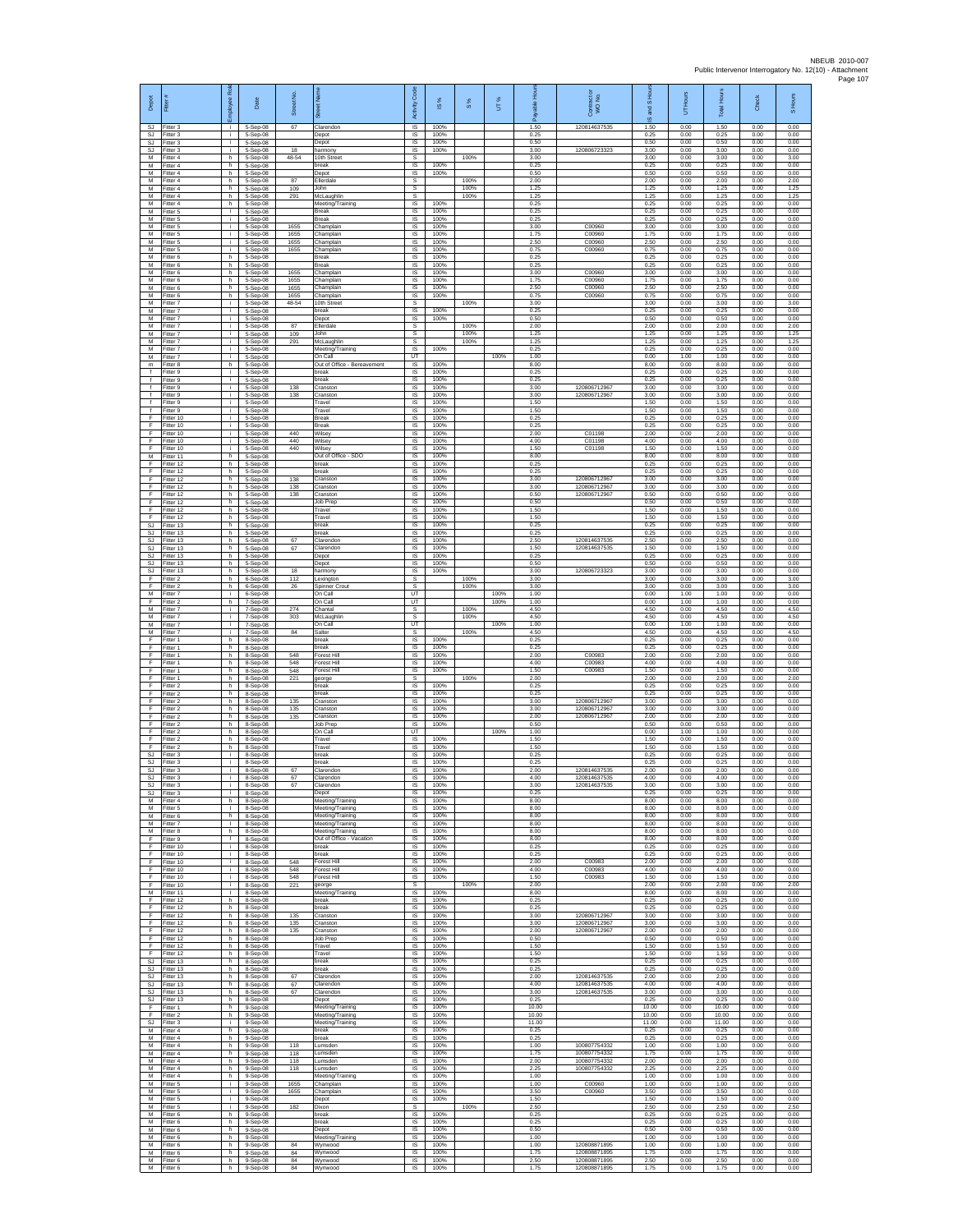| Depot                                       | Fitter                              | æ<br>loyee         | Date                               | Street No.            |                                                                  | Code<br>Activity                                | IS %                 | 8%           | UT%  | 휸                      | Contract or<br>WO No.                        | and S Hou<br>$\overline{\omega}$ | UT Hours             | <b>Total Hours</b>     | Check                | S Hours              |
|---------------------------------------------|-------------------------------------|--------------------|------------------------------------|-----------------------|------------------------------------------------------------------|-------------------------------------------------|----------------------|--------------|------|------------------------|----------------------------------------------|----------------------------------|----------------------|------------------------|----------------------|----------------------|
| SJ<br>SJ<br>SJ                              | Fitter 3<br>Fitter 3<br>Fitter 3    | ÷.<br>i.<br>Ť.     | 5-Sep-08<br>5-Sep-08<br>5-Sep-08   | 67                    | Clarendor<br>Depot                                               | $\overline{\mathsf{s}}$<br>$\sf IS$<br>$\sf IS$ | 100%<br>100%<br>100% |              |      | 1.50<br>0.25<br>0.50   | 120814637535                                 | 1.50<br>0.25<br>0.50             | 0.00<br>0.00<br>0.00 | 1.50<br>0.25<br>0.50   | 0.00<br>0.00<br>0.00 | 0.00<br>0.00<br>0.00 |
| SJ.<br>M                                    | Fitter 3<br>Fitter 4                | j.<br>h.           | 5-Sep-08<br>5-Sep-08               | 18<br>48-54           | Depot<br>harmony<br>10th Street                                  | IS<br>s                                         | 100%                 | 100%         |      | 3.00<br>3.00           | 120806723323                                 | 3.00<br>3.00                     | 0.00<br>0.00         | 3.00<br>3.00           | 0.00<br>0.00         | 0.00<br>3.00         |
| M<br>M                                      | -itter 4<br>Fitter 4                | h<br>h             | 5-Sep-08<br>5-Sep-08               |                       | break<br>Depot                                                   | IS<br>IS                                        | 100%<br>100%         |              |      | 0.25<br>0.50           |                                              | 0.25<br>0.50                     | 0.00<br>0.00         | 0.25<br>0.50           | 0.00<br>0.00         | 0.00<br>0.00         |
| M<br>M<br>M                                 | Fitter 4<br>-itter 4                | h.<br>h            | 5-Sep-08<br>5-Sep-08               | 87<br>109             | Ellerdale<br>John                                                | s<br>s                                          |                      | 100%<br>100% |      | 2.00<br>1.25           |                                              | 2.00<br>1.25                     | 0.00<br>0.00         | 2.00<br>1.25           | 0.00<br>0.00         | 2.00<br>1.25         |
| M<br>M                                      | Fitter 4<br>Fitter 4<br>Fitter 5    | h.<br>h.<br>Ť.     | 5-Sep-08<br>5-Sep-08<br>5-Sep-08   | 291                   | McLaughlin<br>Meeting/Training<br>Break                          | s<br><b>IS</b><br>IS                            | 100%<br>100%         | 100%         |      | 1.25<br>0.25<br>0.25   |                                              | 1.25<br>0.25<br>0.25             | 0.00<br>0.00<br>0.00 | 1.25<br>0.25<br>0.25   | 0.00<br>0.00<br>0.00 | 1.25<br>0.00<br>0.00 |
| M<br>M                                      | Fitter 5<br>Fitter 5                | i.<br>i.           | 5-Sep-08<br>5-Sep-08               | 1655                  | Break<br>Champlain                                               | IS<br>IS                                        | 100%<br>100%         |              |      | 0.25<br>3.00           | C00960                                       | 0.25<br>3.00                     | 0.00<br>0.00         | 0.25<br>3.00           | 0.00<br>0.00         | 0.00<br>0.00         |
| M<br>M                                      | Fitter 5<br>-itter 5                | j.<br>i.<br>÷.     | $5-Sep-08$<br>5-Sep-08             | 1655<br>1655          | Champlain<br>Champlain<br>Champlain                              | IS<br>IS<br>IS                                  | 100%<br>100%<br>100% |              |      | 1.75<br>2.50<br>0.75   | C00960<br>C00960<br>C00960                   | 1.75<br>2.50<br>0.75             | 0.00<br>0.00<br>0.00 | 1.75<br>2.50<br>0.75   | 0.00<br>0.00<br>0.00 | 0.00<br>0.00<br>0.00 |
| M<br>M<br>M                                 | Fitter 5<br>Fitter 6<br>Fitter 6    | h<br>h.            | 5-Sep-08<br>5-Sep-08<br>5-Sep-08   | 1655                  | Break<br>Break                                                   | IS<br>IS                                        | 100%<br>100%         |              |      | 0.25<br>0.25           |                                              | 0.25<br>0.25                     | 0.00<br>0.00         | 0.25<br>0.25           | 0.00<br>0.00         | 0.00<br>0.00         |
| M<br>M                                      | -itter 6<br>Fitter 6                | h<br>h.            | 5-Sep-08<br>5-Sep-08               | 1655<br>1655          | Champlain<br>Champlain                                           | IS<br>IS                                        | 100%<br>100%         |              |      | 3.00<br>1.75           | C00960<br>C00960                             | 3.00<br>1.75                     | 0.00<br>0.00         | 3.00<br>1.75           | 0.00<br>0.00         | 0.00<br>0.00         |
| M<br>М<br>M                                 | Fitter 6<br>Fitter 6<br>Fitter 7    | h.<br>h.<br>i.     | 5-Sep-08<br>5-Sep-08<br>5-Sep-08   | 1655<br>1655<br>48-54 | Champlain<br>Champlain<br>10th Street                            | - IS<br>IS<br>s                                 | 100%<br>100%         | 100%         |      | 2.50<br>0.75<br>3.00   | C00960<br>C00960                             | 2.50<br>0.75<br>3.00             | 0.00<br>0.00<br>0.00 | 2.50<br>0.75<br>3.00   | 0.00<br>0.00<br>0.00 | 0.00<br>0.00<br>3.00 |
| M<br>M                                      | Fitter 7<br>Fitter 7                | i.<br>j.           | 5-Sep-08<br>5-Sep-08               |                       | oreak<br>Depot                                                   | IS<br><b>IS</b>                                 | 100%<br>100%         |              |      | 0.25<br>0.50           |                                              | 0.25<br>0.50                     | 0.00<br>0.00         | 0.25<br>0.50           | 0.00<br>0.00         | 0.00<br>0.00         |
| ${\sf M}$<br>М                              | -itter 7<br>-itter 7                | i.<br>j.           | 5-Sep-08<br>5-Sep-08               | 87<br>109             | Ellerdale<br>lohn                                                | $\mathbb S$<br>s                                |                      | 100%<br>100% |      | 2.00<br>1.25           |                                              | 2.00<br>1.25                     | 0.00<br>0.00         | 2.00<br>1.25           | 0.00<br>0.00         | 2.00<br>1.25         |
| M<br>M<br>M                                 | Fitter 7<br>Fitter 7<br>-itter 7    | j.<br>i.<br>÷.     | 5-Sep-08<br>5-Sep-08<br>5-Sep-08   | 291                   | McLaughlin<br>Meeting/Training<br>On Call                        | s<br><b>IS</b><br>UT                            | 100%                 | 100%         | 100% | 1.25<br>0.25<br>1.00   |                                              | 1.25<br>0.25<br>0.00             | 0.00<br>0.00<br>1.00 | 1.25<br>0.25<br>1.00   | 0.00<br>0.00<br>0.00 | 1.25<br>0.00<br>0.00 |
| m<br>$\ddot{\phantom{1}}$                   | Fitter 8<br>Fitter 9                | h.<br>j.           | 5-Sep-08<br>5-Sep-08               |                       | Out of Office - Bereavement<br>break                             | <b>IS</b><br>IS                                 | 100%<br>100%         |              |      | 8.00<br>0.25           |                                              | 8.00<br>0.25                     | 0.00<br>0.00         | 8.00<br>0.25           | 0.00<br>0.00         | 0.00<br>0.00         |
| $\ddot{\phantom{1}}$<br>$\ddot{\mathbf{f}}$ | itter 9<br>Fitter 9                 | j.<br>i.           | 5-Sep-08<br>5-Sep-08               | 138                   | preak<br>Cranston                                                | IS<br>IS                                        | 100%<br>100%         |              |      | 0.25<br>3.00           | 120806712967                                 | 0.25<br>3.00                     | 0.00<br>0.00         | 0.25<br>3.00           | 0.00<br>0.00<br>0.00 | 0.00<br>0.00         |
| $\ddot{\ }$<br>$\mathbf{f}$<br>Ŧ            | Fitter 9<br>Fitter 9<br>Fitter 9    | i.<br>Ť.<br>i.     | 5-Sep-08<br>5-Sep-08<br>5-Sep-08   | 138                   | Cranston<br>Travel<br>Travel                                     | IS<br>IS<br>IS                                  | 100%<br>100%<br>100% |              |      | 3.00<br>1.50<br>1.50   | 120806712967                                 | 3.00<br>1.50<br>1.50             | 0.00<br>0.00<br>0.00 | 3.00<br>1.50<br>1.50   | 0.00<br>0.00         | 0.00<br>0.00<br>0.00 |
| F<br>F                                      | Fitter 10<br>Fitter 10              | Ť.<br>j.           | 5-Sep-08<br>5-Sep-08               |                       | Break<br>Break                                                   | IS<br>- IS                                      | 100%<br>100%         |              |      | 0.25<br>0.25           |                                              | 0.25<br>0.25                     | 0.00<br>0.00         | 0.25<br>0.25           | 0.00<br>0.00         | 0.00<br>0.00         |
| F<br>$\mathsf F$<br>F.                      | Fitter 10<br>Fitter 10<br>Fitter 10 | i.<br>i.           | 5-Sep-08<br>5-Sep-08<br>5-Sep-08   | 440<br>440<br>440     | Wilsey<br>Wilsey<br>Wilsey                                       | <b>IS</b><br>IS<br>IS                           | 100%<br>100%<br>100% |              |      | 2.00<br>4.00<br>1.50   | C01198<br>C01198<br>C01198                   | 2.00<br>4.00<br>1.50             | 0.00<br>0.00<br>0.00 | 2.00<br>4.00<br>1.50   | 0.00<br>0.00<br>0.00 | 0.00<br>0.00<br>0.00 |
| M<br>F                                      | Fitter 11<br>Fitter 12              | h.<br>h.           | 5-Sep-08<br>5-Sep-08               |                       | Out of Office - SDO<br>break                                     | IS<br>IS                                        | 100%<br>100%         |              |      | 8.00<br>0.25           |                                              | 8.00<br>0.25                     | 0.00<br>0.00         | 8.00<br>0.25           | 0.00<br>0.00         | 0.00<br>0.00         |
| Ŧ<br>F<br>F                                 | Fitter 12<br>Fitter 12<br>Fitter 12 | h.<br>h.<br>h.     | 5-Sep-08<br>5-Sep-08<br>5-Sep-08   | 138<br>138            | break<br>Cranston<br>Cranston                                    | IS<br>IS<br>IS                                  | 100%<br>100%<br>100% |              |      | 0.25<br>3.00<br>3.00   | 120806712967<br>120806712967                 | 0.25<br>3.00<br>3.00             | 0.00<br>0.00<br>0.00 | 0.25<br>3.00<br>3.00   | 0.00<br>0.00<br>0.00 | 0.00<br>0.00<br>0.00 |
| F<br>F                                      | Fitter 12<br>ltter <sub>12</sub>    | h.<br>h            | 5-Sep-08<br>5-Sep-08               | 138                   | Cranston<br>lob Prep                                             | IS<br>IS                                        | 100%<br>100%         |              |      | 0.50<br>0.50           | 120806712967                                 | 0.50<br>0.50                     | 0.00<br>0.00         | 0.50<br>0.50           | 0.00<br>0.00         | 0.00<br>0.00         |
| F<br>F                                      | Fitter 12<br>ltter 12               | h.<br>h.           | 5-Sep-08<br>5-Sep-08               |                       | Travel<br>Travel                                                 | - IS<br>$\sf IS$                                | 100%<br>100%         |              |      | 1.50<br>1.50           |                                              | 1.50<br>1.50                     | 0.00<br>0.00         | 1.50<br>1.50           | 0.00<br>0.00         | 0.00<br>0.00         |
| SJ<br>-SJ<br>SJ.                            | Fitter 13<br>Fitter 13<br>Fitter 13 | h<br>h.<br>h.      | 5-Sep-08<br>5-Sep-08<br>5-Sep-08   | 67                    | break<br>break<br>Clarendon                                      | $\sf IS$<br>IS<br>IS                            | 100%<br>100%<br>100% |              |      | 0.25<br>0.25<br>2.50   | 120814637535                                 | 0.25<br>0.25<br>2.50             | 0.00<br>0.00<br>0.00 | 0.25<br>0.25<br>2.50   | 0.00<br>0.00<br>0.00 | 0.00<br>0.00<br>0.00 |
| <b>SJ</b><br>SJ                             | Fitter 13<br>Fitter 13              | h<br>h             | 5-Sep-08<br>5-Sep-08               | 67                    | Clarendon<br>Depot                                               | IS<br>IS                                        | 100%<br>100%         |              |      | 1.50<br>0.25           | 120814637535                                 | 1.50<br>0.25                     | 0.00<br>0.00         | 1.50<br>0.25           | 0.00<br>0.00         | 0.00<br>0.00         |
| SJ<br>SJ<br>F                               | Fitter 13<br>Fitter 13<br>Fitter 2  | h.<br>h<br>h.      | 5-Sep-08<br>5-Sep-08<br>6-Sep-08   | 18<br>112             | Depot<br>harmony                                                 | IS<br>IS<br>s                                   | 100%<br>100%         | 100%         |      | 0.50<br>3.00<br>3.00   | 120806723323                                 | 0.50<br>3.00<br>3.00             | 0.00<br>0.00<br>0.00 | 0.50<br>3.00<br>3.00   | 0.00<br>0.00<br>0.00 | 0.00<br>0.00<br>3.00 |
| F<br>M                                      | Fitter 2<br>Fitter 7                | h.<br>Ť.           | 6-Sep-08<br>6-Sep-08               | 26                    | Lexington<br>Spinner Crout<br>On Call                            | s<br>UT                                         |                      | 100%         | 100% | 3.00<br>1.00           |                                              | 3.00<br>0.00                     | 0.00<br>1.00         | 3.00<br>1.00           | 0.00<br>0.00         | 3.00<br>0.00         |
| Ŧ<br>M<br>M                                 | Fitter 2<br>Fitter 7<br>Fitter 7    | h<br>i.<br>Ť.      | 7-Sep-08<br>7-Sep-08<br>7-Sep-08   | 274<br>303            | On Call<br>Chantal                                               | UT<br>s<br>s                                    |                      | 100%<br>100% | 100% | 1.00<br>4.50<br>4.50   |                                              | 0.00<br>4.50<br>4.50             | 1.00<br>0.00<br>0.00 | 1.00<br>4.50<br>4.50   | 0.00<br>0.00<br>0.00 | 0.00<br>4.50<br>4.50 |
| M<br>M                                      | -itter 7<br>Fitter 7                | i.<br>÷.           | 7-Sep-08<br>7-Sep-08               | 84                    | McLaughlir<br>On Call<br>Salter                                  | LIT<br>s                                        |                      | 100%         | 100% | 1.00<br>4.50           |                                              | 0.00<br>4.50                     | 1.00<br>0.00         | 1.00<br>4.50           | 0.00<br>0.00         | 0.00<br>4.50         |
| F<br>E                                      | Fitter 1<br>Fitter 1                | h<br>h.            | 8-Sep-08<br>8-Sep-08               |                       | break<br>break                                                   | IS<br>IS                                        | 100%<br>100%         |              |      | 0.25<br>0.25           |                                              | 0.25<br>0.25                     | 0.00<br>0.00         | 0.25<br>0.25           | 0.00<br>0.00         | 0.00<br>0.00         |
| F<br>Ŧ<br>F                                 | -itter 1<br>Fitter 1<br>Fitter 1    | h<br>h.<br>h.      | 8-Sep-08<br>8-Sep-08<br>8-Sep-08   | 548<br>548<br>548     | Forest Hill<br>Forest Hill<br>Forest Hill                        | IS<br>IS<br>- IS                                | 100%<br>100%<br>100% |              |      | 2.00<br>4.00<br>1.50   | C00983<br>C00983<br>C00983                   | 2.00<br>4.00<br>1.50             | 0.00<br>0.00<br>0.00 | 2.00<br>4.00<br>1.50   | 0.00<br>0.00<br>0.00 | 0.00<br>0.00<br>0.00 |
| F<br>F                                      | Fitter 1<br>Fitter 2                | h.<br>h.           | 8-Sep-08<br>8-Sep-08               | 221                   | george<br>break                                                  | s<br>IS                                         | 100%                 | 100%         |      | 2.00<br>0.25           |                                              | 2.00<br>0.25                     | 0.00<br>0.00         | 2.00<br>0.25           | 0.00<br>0.00         | 2.00<br>0.00         |
| F<br>F<br>F                                 | Fitter 2<br>Fitter 2<br>-itter 2    | h<br>h.<br>h       | 8-Sep-08<br>8-Sep-08<br>8-Sep-08   | 135<br>135            | reak<br>Cranston<br>Cranston                                     | IS<br>IS<br>$\sf IS$                            | 100%<br>100%<br>100% |              |      | 0.25<br>3.00<br>3.00   | 12080671296<br>120806712967                  | 0.25<br>3.00<br>3.00             | 0.00<br>0.00<br>0.00 | 0.25<br>3.00<br>3.00   | 0.00<br>0.00<br>0.00 | 0.00<br>0.00<br>0.00 |
| F<br>F                                      | -itter 2<br>Fitter 2                | h<br>h.            | 8-Sep-08<br>$8-Sep-08$             | 135                   | Cranston<br>Job Prep                                             | $\sf IS$<br><b>IS</b>                           | 100%<br>100%         |              |      | 2.00<br>0.50           | 120806712967                                 | 2.00<br>0.50                     | 0.00<br>0.00         | 2.00<br>0.50           | 0.00<br>0.00         | 0.00<br>0.00         |
| -F.<br>Ŧ<br>Ŧ                               | Fitter 2<br>Fitter 2<br>Fitter 2    | h.<br>h<br>h.      | 8-Sep-08<br>8-Sep-08<br>8-Sep-08   |                       | On Call<br>Travel<br>Travel                                      | <b>UT</b><br>IS<br>IS                           | 100%<br>100%         |              | 100% | 1.00<br>1.50<br>1.50   |                                              | 0.00<br>1.50<br>1.50             | 1.00<br>0.00<br>0.00 | 1.00<br>1.50<br>1.50   | 0.00<br>0.00<br>0.00 | 0.00<br>0.00<br>0.00 |
| SJ.<br>SJ                                   | Fitter 3<br>-itter 3                | j.<br>i.           | 8-Sep-08<br>8-Sep-08               |                       | break<br>break                                                   | - IS<br>IS                                      | 100%<br>100%         |              |      | 0.25<br>0.25           |                                              | 0.25<br>0.25                     | 0.00<br>0.00         | 0.25<br>0.25           | 0.00<br>0.00         | 0.00<br>0.00         |
| SJ<br>SJ.<br><b>SJ</b>                      | Fitter 3<br>Fitter 3<br>Fitter 3    | i.<br>i.           | 8-Sep-08<br>8-Sep-08<br>8-Sep-08   | 67<br>67<br>67        | Clarendon<br>Clarendon<br>Clarendon                              | $\sf IS$<br>IS<br><b>IS</b>                     | 100%<br>100%<br>100% |              |      | 2.00<br>4.00<br>3.00   | 120814637535<br>120814637535<br>120814637535 | 2.00<br>4.00<br>3.00             | 0.00<br>0.00<br>0.00 | 2.00<br>4.00<br>3.00   | 0.00<br>0.00<br>0.00 | 0.00<br>0.00<br>0.00 |
| SJ<br>M                                     | Fitter 3<br>-itter 4                | h                  | 8-Sep-08<br>8-Sep-08               |                       | Depot<br>Meeting/Training                                        | IS<br>IS                                        | 100%<br>100%         |              |      | 0.25<br>8.00           |                                              | 0.25<br>8.00                     | 0.00<br>0.00         | 0.25<br>8.00           | 0.00<br>0.00         | 0.00<br>0.00         |
| M<br>M                                      | Fitter 5<br>Fitter 6                | л.<br>h.<br>т.     | 8-Sep-08<br>8-Sep-08               |                       | Meeting/Training<br>Meeting/Training                             | - IS<br><b>IS</b><br>IS                         | 100%<br>100%<br>100% |              |      | 8.00<br>8.00<br>8.00   |                                              | 8.00<br>8.00<br>8.00             | 0.00<br>0.00<br>0.00 | 8.00<br>8.00<br>8.00   | 0.00<br>0.00<br>0.00 | 0.00<br>0.00<br>0.00 |
| M<br>M<br>F.                                | Fitter 7<br>Fitter 8<br>Fitter 9    | h<br>$\mathbb{R}$  | 8-Sep-08<br>8-Sep-08<br>8-Sep-08   |                       | Meeting/Training<br>Meeting/Training<br>Out of Office - Vacation | IS<br>IS                                        | 100%<br>100%         |              |      | 8.00<br>8.00           |                                              | 8.00<br>8.00                     | 0.00<br>0.00         | 8.00<br>8.00           | 0.00<br>0.00         | 0.00<br>0.00         |
| F<br>Ŧ                                      | Fitter 10<br>Fitter 10              | i.<br>i.           | 8-Sep-08<br>8-Sep-08<br>$8-Sen-08$ |                       | break<br>break                                                   | $\sf IS$<br>IS                                  | 100%<br>100%         |              |      | 0.25<br>0.25           |                                              | 0.25<br>0.25                     | 0.00<br>0.00         | 0.25<br>0.25           | 0.00<br>0.00         | 0.00<br>0.00         |
| F<br>F<br>F                                 | Fitter 10<br>Fitter 10<br>Fitter 10 | i.<br>i.<br>i.     | 8-Sep-08<br>8-Sep-08               | 548<br>548<br>548     | Forest Hill<br>Forest Hill<br>Forest Hill                        | - IS<br>IS<br>IS                                | 100%<br>100%<br>100% |              |      | 2.00<br>4.00<br>1.50   | C00983<br>C00983<br>C00983                   | 2.00<br>4.00<br>1.50             | 0.00<br>0.00<br>0.00 | 2.00<br>4.00<br>1.50   | 0.00<br>0.00<br>0.00 | 0.00<br>0.00<br>0.00 |
| F<br>M                                      | Fitter 10<br>Fitter 11              | j.<br>т.           | 8-Sep-08<br>8-Sep-08               | 221                   | george<br>Meeting/Training                                       | s<br><b>IS</b>                                  | 100%                 | 100%         |      | 2.00<br>8.00           |                                              | 2.00<br>8.00                     | 0.00<br>0.00         | 2.00<br>8.00           | 0.00<br>0.00         | 2.00<br>0.00         |
| F<br>F<br>-F                                | Fitter 12<br>Fitter 12<br>Fitter 12 | h<br>h<br>h.       | 8-Sep-08<br>8-Sep-08<br>8-Sep-08   | 135                   | break<br>break<br>Cranston                                       | IS<br>$\sf IS$<br><b>IS</b>                     | 100%<br>100%<br>100% |              |      | 0.25<br>0.25<br>3.00   | 120806712967                                 | 0.25<br>0.25<br>3.00             | 0.00<br>0.00<br>0.00 | 0.25<br>0.25<br>3.00   | 0.00<br>0.00<br>0.00 | 0.00<br>0.00<br>0.00 |
| F.<br>Ŧ                                     | Fitter 12<br>Fitter 12              | h.<br>h            | 8-Sep-08<br>8-Sep-08               | 135<br>135            | Cranston<br>Cranston                                             | <b>IS</b><br>IS                                 | 100%<br>100%         |              |      | 3.00<br>2.00           | 120806712967<br>120806712967                 | 3.00<br>2.00                     | 0.00<br>0.00         | 3.00<br>2.00           | 0.00<br>0.00         | 0.00<br>0.00         |
| Ŧ<br>F.<br>$\mathsf F$                      | Fitter 12<br>Fitter 12<br>Fitter 12 | h<br>h.<br>h       | 8-Sep-08<br>8-Sep-08<br>8-Sep-08   |                       | Job Prep<br>Travel<br>Travel                                     | IS<br><b>IS</b><br>IS                           | 100%<br>100%<br>100% |              |      | 0.50<br>1.50<br>1.50   |                                              | 0.50<br>1.50<br>1.50             | 0.00<br>0.00<br>0.00 | 0.50<br>1.50<br>1.50   | 0.00<br>0.00<br>0.00 | 0.00<br>0.00<br>0.00 |
| SJ<br>SJ.                                   | Fitter 13<br>Fitter 13              | h<br>h.            | 8-Sep-08<br>8-Sep-08               |                       | break<br>break                                                   | IS<br><b>IS</b>                                 | 100%<br>100%         |              |      | 0.25<br>0.25           |                                              | 0.25<br>0.25                     | 0.00<br>0.00         | 0.25<br>0.25           | 0.00<br>0.00         | 0.00<br>0.00         |
| <b>SJ</b><br>SJ<br><b>SJ</b>                | Fitter 13<br>Fitter 13<br>Fitter 13 | h<br>h.<br>h.      | 8-Sep-08<br>8-Sep-08<br>8-Sep-08   | 67<br>67<br>67        | Clarendon<br>Clarendon<br>Clarendon                              | IS<br>IS<br><b>IS</b>                           | 100%<br>100%<br>100% |              |      | 2.00<br>4.00<br>3.00   | 120814637535<br>120814637535<br>120814637535 | 2.00<br>4.00<br>3.00             | 0.00<br>0.00<br>0.00 | 2.00<br>4.00<br>3.00   | 0.00<br>0.00<br>0.00 | 0.00<br>0.00<br>0.00 |
| SJ.<br>F.                                   | Fitter 13<br>Fitter 1               | h.<br>h.           | $8-Sep-08$<br>$9-$ Sep-08          |                       | Depot<br>Meeting/Training                                        | <b>IS</b><br><b>IS</b>                          | 100%<br>100%         |              |      | 0.25<br>10.00          |                                              | 0.25<br>10.00                    | 0.00<br>0.00         | 0.25<br>10.00          | 0.00<br>0.00         | 0.00<br>0.00         |
| F<br><b>SJ</b><br>M                         | Fitter 2<br>Fitter 3<br>Fitter 4    | h<br>i.<br>h.      | 9-Sep-08<br>$9-Sep-08$<br>9-Sep-08 |                       | Meeting/Training<br>Meeting/Training<br>break                    | IS<br>IS<br>IS                                  | 100%<br>100%<br>100% |              |      | 10.00<br>11.00<br>0.25 |                                              | 10.00<br>11.00<br>0.25           | 0.00<br>0.00<br>0.00 | 10.00<br>11.00<br>0.25 | 0.00<br>0.00<br>0.00 | 0.00<br>0.00<br>0.00 |
| M<br>M                                      | Fitter 4<br>Fitter 4                | h.<br>h.           | 9-Sep-08<br>9-Sep-08               | 118                   | break<br>Lumsden                                                 | IS<br><b>IS</b>                                 | 100%<br>100%         |              |      | 0.25<br>1.00           | 100807754332                                 | 0.25<br>1.00                     | 0.00<br>0.00         | 0.25<br>1.00           | 0.00<br>0.00         | 0.00<br>0.00         |
| M<br>M<br>M                                 | Fitter 4<br>Fitter 4<br>Fitter 4    | h.<br>h<br>h.      | 9-Sep-08<br>9-Sep-08<br>9-Sep-08   | 118<br>118<br>118     | Lumsden<br>Lumsden<br>Lumsden                                    | <b>IS</b><br>IS<br>IS                           | 100%<br>100%<br>100% |              |      | 1.75<br>2.00<br>2.25   | 100807754332<br>100807754332<br>100807754332 | 1.75<br>2.00<br>2.25             | 0.00<br>0.00<br>0.00 | 1.75<br>2.00<br>2.25   | 0.00<br>0.00<br>0.00 | 0.00<br>0.00<br>0.00 |
| M<br>M                                      | Fitter 4<br>Fitter 5                | h.<br>j.           | 9-Sep-08<br>9-Sep-08               | 1655                  | Meeting/Training<br>Champlain                                    | IS<br>- IS                                      | 100%<br>100%         |              |      | 1.00<br>1.00           | C00960                                       | 1.00<br>1.00                     | 0.00<br>0.00         | 1.00<br>1.00           | 0.00<br>0.00         | 0.00<br>0.00         |
| M<br>M<br>M                                 | Fitter 5<br>Fitter 5<br>Fitter 5    | i.<br>Ť.<br>j.     | 9-Sep-08<br>9-Sep-08<br>9-Sep-08   | 1655<br>182           | Champlain<br>Depot<br>Dixon                                      | $\sf IS$<br>$\sf IS$<br>-S                      | 100%<br>100%         | 100%         |      | 3.50<br>1.50<br>2.50   | C00960                                       | 3.50<br>1.50<br>2.50             | 0.00<br>0.00<br>0.00 | 3.50<br>1.50<br>2.50   | 0.00<br>0.00<br>0.00 | 0.00<br>0.00<br>2.50 |
| M<br>M                                      | Fitter 6<br>Fitter 6                | h<br>h             | 9-Sep-08<br>9-Sep-08               |                       | break<br>break                                                   | <b>IS</b><br>IS                                 | 100%<br>100%         |              |      | 0.25<br>0.25           |                                              | 0.25<br>0.25                     | 0.00<br>0.00         | 0.25<br>0.25           | 0.00<br>0.00         | 0.00<br>0.00         |
| M<br>M<br>М                                 | Fitter 6<br>Fitter 6<br>-itter 6    | h<br>h.<br>h       | 9-Sep-08<br>$9-$ Sep $-08$         | 84                    | Depot<br>Meeting/Training<br>Wynwood                             | <b>IS</b><br><b>IS</b><br>IS                    | 100%<br>100%<br>100% |              |      | 0.50<br>1.00<br>1.00   | 120808871895                                 | 0.50<br>1.00<br>1.00             | 0.00<br>0.00<br>0.00 | 0.50<br>1.00<br>1.00   | 0.00<br>0.00<br>0.00 | 0.00<br>0.00<br>0.00 |
| M<br>M                                      | Fitter 6<br>Fitter 6                | $\mathsf{h}$<br>h. | 9-Sep-08<br>9-Sep-08<br>9-Sep-08   | $^{\rm 84}$<br>84     | Wynwood<br>Wynwood                                               | IS<br><b>IS</b>                                 | 100%<br>100%         |              |      | 1.75<br>2.50           | 120808871895<br>120808871895                 | 1.75<br>2.50                     | 0.00<br>0.00         | 1.75<br>2.50           | 0.00<br>0.00         | 0.00<br>0.00         |
| M                                           | Fitter 6                            | h.                 | $9-$ Sep $-08$                     | 84                    | Wynwood                                                          | IS                                              | 100%                 |              |      | 1.75                   | 120808871895                                 | 1.75                             | 0.00                 | 1.75                   | 0.00                 | 0.00                 |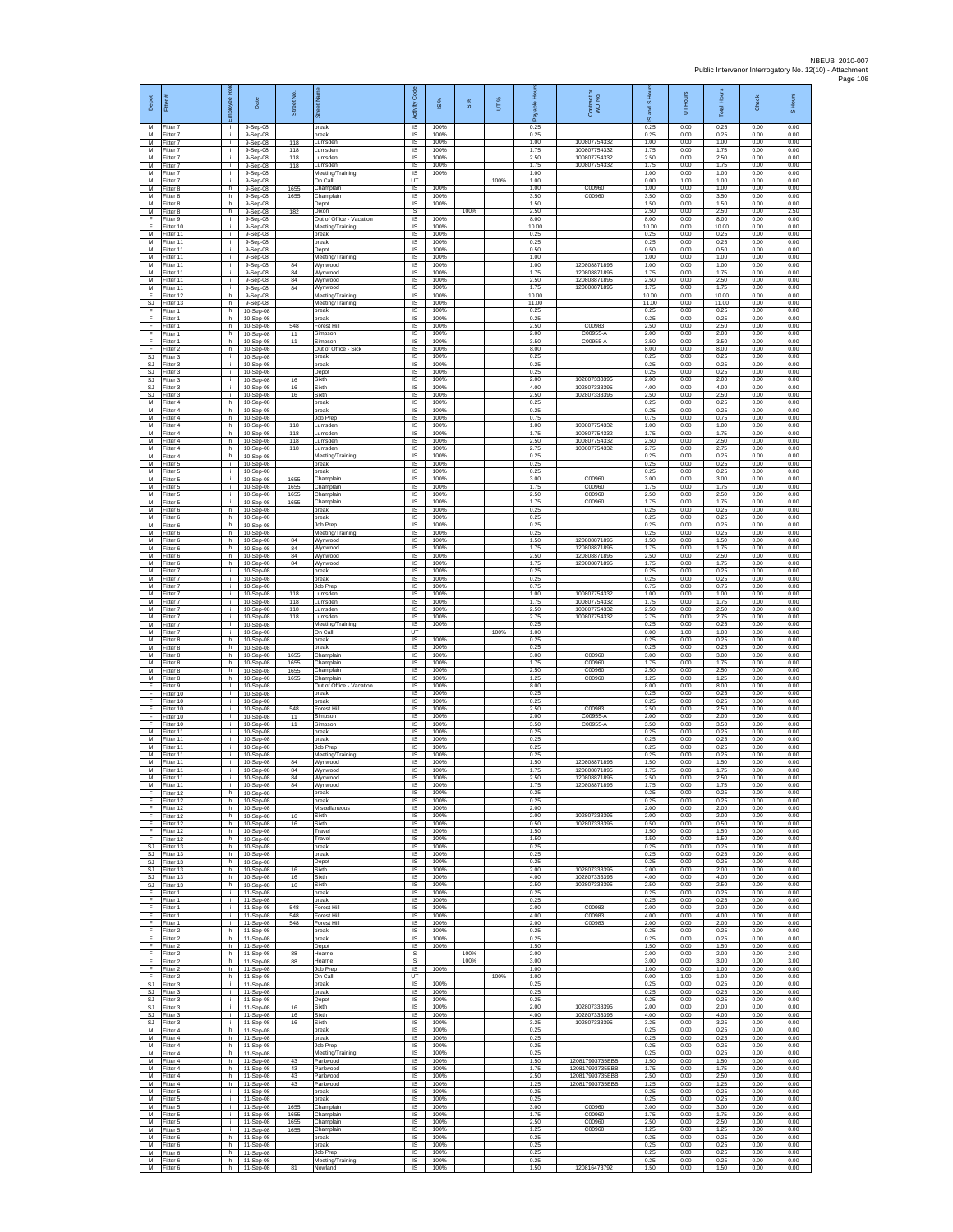| Depot<br>M                   | Fitter#<br>Fitter 7                 | loyee Ro<br>i.           | Date<br>9-Sep-08                         | Street No.        | 岙<br>break                                        | Code<br>Activity<br><b>IS</b> | IS %<br>100%         | $\frac{8}{3}$ | UT%  | 0.25                   | Contract or<br>WO No.                        | and S Ho<br>ဖ<br>0.25  | Hours<br>5<br>0.00   | <b>Total Hours</b><br>0.25 | Check<br>0.00        | S Hours<br>0.00      |
|------------------------------|-------------------------------------|--------------------------|------------------------------------------|-------------------|---------------------------------------------------|-------------------------------|----------------------|---------------|------|------------------------|----------------------------------------------|------------------------|----------------------|----------------------------|----------------------|----------------------|
| M<br>М                       | Fitter 7<br>Fitter 7                | i.<br>i.                 | 9-Sep-08<br>9-Sep-08                     | 118               | break<br>umsden.                                  | IS<br>IS                      | 100%<br>100%         |               |      | 0.25<br>1.00           | 100807754332                                 | 0.25<br>1.00           | 0.00<br>0.00         | 0.25<br>1.00               | 0.00<br>0.00         | 0.00<br>0.00         |
| M<br>M<br>M                  | Fitter 7<br>Fitter 7<br>Fitter 7    | $\mathbf{r}$<br>i.<br>j. | 9-Sep-08<br>$9-$ Sep $-08$<br>9-Sep-08   | 118<br>118<br>118 | Lumsden<br>Lumsden<br>umsden                      | 1S<br><b>IS</b><br>IS         | 100%<br>100%<br>100% |               |      | 1.75<br>2.50<br>1.75   | 100807754332<br>100807754332<br>100807754332 | 1.75<br>2.50<br>1.75   | 0.00<br>0.00<br>0.00 | 1.75<br>2.50<br>1.75       | 0.00<br>0.00<br>0.00 | 0.00<br>0.00<br>0.00 |
| М<br>M                       | Fitter 7<br>Fitter 7                | i.<br>j.                 | 9-Sep-08<br>9-Sep-08                     |                   | Meeting/Training<br>)n Call                       | 1S<br>UT                      | 100%                 |               | 100% | 1.00<br>1.00           |                                              | 1.00<br>0.00           | 0.00<br>1.00         | 1.00<br>1.00               | 0.00<br>0.00         | 0.00<br>0.00         |
| M<br>M                       | Fitter 8<br>Fitter 8                | h.<br>h.                 | 9-Sep-08<br>9-Sep-08                     | 1655<br>1655      | Champlain<br>Champlain                            | <b>IS</b><br>$\sf IS$         | 100%<br>100%         |               |      | 1.00<br>3.50           | C00960<br>C00960                             | 1.00<br>3.50           | 0.00<br>0.00         | 1.00<br>3.50               | 0.00<br>0.00         | 0.00<br>0.00         |
| М<br>M<br>E                  | Fitter 8<br>Fitter 8<br>Fitter 9    | h<br>h.<br>$\mathbf{L}$  | 9-Sep-08<br>9-Sep-08<br>9-Sep-08         | 182               | Depot<br>Dixon<br>Out of Office - Vacation        | IS<br>s<br>IS                 | 100%<br>100%         | 100%          |      | 1.50<br>2.50<br>8.00   |                                              | 1.50<br>2.50<br>8.00   | 0.00<br>0.00<br>0.00 | 1.50<br>2.50<br>8.00       | 0.00<br>0.00<br>0.00 | 0.00<br>2.50<br>0.00 |
| F<br>М                       | Fitter 10<br>Fitter 11              | ÷.<br>T                  | 9-Sep-08<br>9-Sep-08                     |                   | Meeting/Training<br>break                         | IS<br>1S                      | 100%<br>100%         |               |      | 10.00<br>0.25          |                                              | 10.00<br>0.25          | 0.00<br>0.00         | 10.00<br>0.25              | 0.00<br>0.00         | 0.00<br>0.00         |
| M<br>M<br>M                  | Fitter 11<br>Fitter 11<br>Fitter 11 | i.<br>i.<br>i.           | $9-$ Sep $-08$<br>9-Sep-08<br>$9-Sep-08$ |                   | break<br>Depot<br>Meeting/Training                | IS<br>IS<br>1S                | 100%<br>100%<br>100% |               |      | 0.25<br>0.50<br>1.00   |                                              | 0.25<br>0.50<br>1.00   | 0.00<br>0.00<br>0.00 | 0.25<br>0.50<br>1.00       | 0.00<br>0.00<br>0.00 | 0.00<br>0.00<br>0.00 |
| M<br>M                       | Fitter 11<br>Fitter 11              | i.<br>i.                 | $9-Sep-08$<br>9-Sep-08                   | 84<br>84          | Wynwood<br>Wynwood                                | IS<br>IS                      | 100%<br>100%         |               |      | 1.00<br>1.75           | 120808871895<br>120808871895                 | 1.00<br>1.75           | 0.00<br>0.00         | 1.00<br>1.75               | 0.00<br>0.00         | 0.00<br>0.00         |
| М<br>M                       | Fitter 11<br>Fitter 11              | i.<br>j.                 | 9-Sep-08<br>9-Sep-08                     | 84<br>84          | Wynwood<br>Nynwood                                | IS<br>IS                      | 100%<br>100%         |               |      | 2.50<br>1.75           | 120808871895<br>120808871895                 | 2.50<br>1.75           | 0.00<br>0.00         | 2.50<br>1.75               | 0.00<br>0.00         | 0.00<br>0.00         |
| F<br>SJ<br>F                 | Fitter 12<br>Fitter 13<br>Fitter 1  | h.<br>h.<br>h            | 9-Sep-08<br>$9-$ Sep-08<br>10-Sep-08     |                   | Meeting/Training<br>Meeting/Training<br>break     | IS<br>IS.<br>IS               | 100%<br>100%<br>100% |               |      | 10.00<br>11.00<br>0.25 |                                              | 10.00<br>11.00<br>0.25 | 0.00<br>0.00<br>0.00 | 10.00<br>11.00<br>0.25     | 0.00<br>0.00<br>0.00 | 0.00<br>0.00<br>0.00 |
| F<br>E                       | Fitter 1<br>Fitter 1                | h.<br>h.                 | 10-Sep-08<br>10-Sep-08                   | 548               | break<br>Forest Hill                              | 1S<br>IS                      | 100%<br>100%         |               |      | 0.25<br>2.50           | C00983                                       | 0.25<br>2.50           | 0.00<br>0.00         | 0.25<br>2.50               | 0.00<br>0.00         | 0.00<br>0.00         |
| F<br>F<br>F                  | Fitter 1<br>Fitter 1<br>Fitter 2    | h<br>h.<br>h.            | 10-Sep-08<br>10-Sep-08<br>10-Sep-08      | 11<br>11          | Simpson<br>Simpson<br>Out of Office - Sick        | $\sf IS$<br>1S<br>IS          | 100%<br>100%<br>100% |               |      | 2.00<br>3.50<br>8.00   | C00955-A<br>C00955-A                         | 2.00<br>3.50<br>8.00   | 0.00<br>0.00<br>0.00 | 2.00<br>3.50<br>8.00       | 0.00<br>0.00<br>0.00 | 0.00<br>0.00<br>0.00 |
| <b>SJ</b><br>SJ              | Fitter 3<br>Fitter 3                | i.<br>i.                 | 10-Sep-08<br>10-Sep-08                   |                   | break<br>break                                    | IS<br>IS                      | 100%<br>100%         |               |      | 0.25<br>0.25           |                                              | 0.25<br>0.25           | 0.00<br>0.00         | 0.25<br>0.25               | 0.00<br>0.00         | 0.00<br>0.00         |
| <b>SJ</b><br>SJ<br><b>SJ</b> | Fitter 3<br>Fitter 3<br>Fitter 3    | j.<br>j.<br>i.           | 10-Sep-08<br>10-Sep-08                   | 16<br>$16\,$      | Depo<br>Sixth<br>Sixth                            | IS<br>IS<br>IS                | 100%<br>100%<br>100% |               |      | 0.25<br>2.00<br>4.00   | 102807333395<br>102807333395                 | 0.25<br>2.00<br>4.00   | 0.00<br>0.00<br>0.00 | 0.25<br>2.00<br>4.00       | 0.00<br>0.00<br>0.00 | 0.00<br>0.00<br>0.00 |
| SJ<br>M                      | Fitter 3<br>Fitter 4                | j.<br>h.                 | 10-Sep-08<br>10-Sep-08<br>10-Sep-08      | 16                | Sixth<br>break                                    | IS<br>IS                      | 100%<br>100%         |               |      | 2.50<br>0.25           | 10280733339                                  | 2.50<br>0.25           | 0.00<br>0.00         | 2.50<br>0.25               | 0.00<br>0.00         | 0.00<br>0.00         |
| M<br>М<br>M                  | Fitter 4<br>Fitter 4<br>Fitter 4    | h.<br>h<br>h.            | 10-Sep-08<br>10-Sep-08<br>10-Sep-08      | 118               | break<br>Job Prep<br>Lumsden                      | IS<br>IS<br>1S                | 100%<br>100%<br>100% |               |      | 0.25<br>0.75<br>1.00   | 10080775433                                  | 0.25<br>0.75<br>1.00   | 0.00<br>0.00<br>0.00 | 0.25<br>0.75<br>1.00       | 0.00<br>0.00<br>0.00 | 0.00<br>0.00<br>0.00 |
| M<br>M                       | Fitter 4<br>Fitter 4                | h.<br>h                  | 10-Sep-08<br>10-Sep-08                   | 118<br>118        | Lumsden<br>umsden.                                | IS<br>IS                      | 100%<br>100%         |               |      | 1.75<br>2.50           | 100807754332<br>100807754332                 | 1.75<br>2.50           | 0.00<br>0.00         | 1.75<br>2.50               | 0.00<br>0.00         | 0.00<br>0.00         |
| M<br>M                       | Fitter 4<br>Fitter 4                | h.<br>h.                 | 10-Sep-08<br>10-Sep-08                   | 118               | umsden<br>Meeting/Training                        | 1S<br>IS                      | 100%<br>100%         |               |      | 2.75<br>0.25           | 100807754332                                 | 2.75<br>0.25           | 0.00<br>0.00         | 2.75<br>0.25               | 0.00<br>0.00         | 0.00<br>0.00         |
| M<br>М<br>M                  | Fitter 5<br>Fitter 5<br>Fitter 5    | i.<br>i.<br>j.           | 10-Sep-08<br>10-Sep-08<br>10-Sep-08      | 1655              | break<br>break<br>hamplain                        | IS<br>1S<br>IS                | 100%<br>100%<br>100% |               |      | 0.25<br>0.25<br>3.00   | C00960                                       | 0.25<br>0.25<br>3.00   | 0.00<br>0.00<br>0.00 | 0.25<br>0.25<br>3.00       | 0.00<br>0.00<br>0.00 | 0.00<br>0.00<br>0.00 |
| M<br>M                       | Fitter 5<br>Fitter 5                | i.<br>i.                 | 10-Sep-08<br>10-Sep-08                   | 1655<br>1655      | Champlain<br>Champlain                            | IS<br>IS                      | 100%<br>100%         |               |      | 1.75<br>2.50           | C00960<br>C00960                             | 1.75<br>2.50           | 0.00<br>0.00         | 1.75<br>2.50               | 0.00<br>0.00         | 0.00<br>0.00         |
| М<br>M<br>M                  | Fitter 5<br>Fitter 6<br>Fitter 6    | ÷.<br>h.<br>h.           | 10-Sep-08<br>10-Sep-08<br>10-Sep-08      | 1655              | Champlain<br>break<br>break                       | IS<br>1S<br>IS                | 100%<br>100%<br>100% |               |      | 1.75<br>0.25<br>0.25   | C00960                                       | 1.75<br>0.25<br>0.25   | 0.00<br>0.00<br>0.00 | 1.75<br>0.25<br>0.25       | 0.00<br>0.00<br>0.00 | 0.00<br>0.00<br>0.00 |
| M<br>M                       | Fitter 6<br>Fitter 6                | h<br>h.                  | 10-Sep-08<br>10-Sep-08                   |                   | Job Prep<br>Meeting/Training                      | IS<br>1S                      | 100%<br>100%         |               |      | 0.25<br>0.25           |                                              | 0.25<br>0.25           | 0.00<br>0.00         | 0.25<br>0.25               | 0.00<br>0.00         | 0.00<br>0.00         |
| M<br>M<br>М                  | Fitter 6<br>Fitter 6<br>Fitter 6    | h.<br>h.<br>h.           | $10-Sep-08$<br>10-Sep-08<br>10-Sep-08    | 84<br>84<br>84    | Wynwood<br>Wynwood<br>Wynwood                     | IS<br>IS<br>1S                | 100%<br>100%<br>100% |               |      | 1.50<br>1.75<br>2.50   | 120808871895<br>120808871895<br>120808871895 | 1.50<br>1.75<br>2.50   | 0.00<br>0.00<br>0.00 | 1.50<br>1.75<br>2.50       | 0.00<br>0.00<br>0.00 | 0.00<br>0.00<br>0.00 |
| M<br>M                       | Fitter 6<br>Fitter 7                | h<br>j.                  | 10-Sep-08<br>10-Sep-08                   | 84                | Wynwood<br>break                                  | IS<br>IS                      | 100%<br>100%         |               |      | 1.75<br>0.25           | 120808871895                                 | 1.75<br>0.25           | 0.00<br>0.00         | 1.75<br>0.25               | 0.00<br>0.00         | 0.00<br>0.00         |
| M<br>М                       | Fitter 7<br>Fitter 7                | i.<br>j.                 | 10-Sep-08<br>10-Sep-08                   |                   | break<br>Job Prep                                 | $\sf IS$<br>$\sf IS$          | 100%<br>100%         |               |      | 0.25<br>0.75           |                                              | 0.25<br>0.75           | 0.00<br>0.00         | 0.25<br>0.75               | 0.00<br>0.00         | 0.00<br>0.00         |
| M<br>M<br>M                  | Fitter 7<br>Fitter 7<br>Fitter 7    | i.<br>i.<br>÷.           | 10-Sep-08<br>10-Sep-08<br>10-Sep-08      | 118<br>118<br>118 | Lumsden<br>umsden<br>umsden.                      | IS<br>IS<br>IS                | 100%<br>100%<br>100% |               |      | 1.00<br>1.75<br>2.50   | 100807754332<br>100807754332<br>100807754332 | 1.00<br>1.75<br>2.50   | 0.00<br>0.00<br>0.00 | 1.00<br>1.75<br>2.50       | 0.00<br>0.00<br>0.00 | 0.00<br>0.00<br>0.00 |
| M<br>M                       | Fitter 7<br>Fitter 7                | i.<br>i.                 | 10-Sep-08<br>10-Sep-08                   | 118               | Lumsden<br>Meeting/Training                       | 1S<br>IS                      | 100%<br>100%         |               |      | 2.75<br>0.25           | 100807754332                                 | 2.75<br>0.25           | 0.00<br>0.00         | 2.75<br>0.25               | 0.00<br>0.00         | 0.00<br>0.00         |
| M<br>M<br>M                  | Fitter 7<br>Fitter 8<br>Fitter 8    | i.<br>h.<br>h.           | 10-Sep-08<br>10-Sep-08<br>10-Sep-08      |                   | On Call<br>break<br>oreak                         | UT<br>1S<br>IS                | 100%<br>100%         |               | 100% | 1.00<br>0.25<br>0.25   |                                              | 0.00<br>0.25<br>0.25   | 1.00<br>0.00<br>0.00 | 1.00<br>0.25<br>0.25       | 0.00<br>0.00<br>0.00 | 0.00<br>0.00<br>0.00 |
| M<br>М                       | Fitter 8<br>Fitter 8                | h<br>h.                  | 10-Sep-08<br>10-Sep-08                   | 1655<br>1655      | Champlain<br>Champlain                            | IS<br>IS                      | 100%<br>100%         |               |      | 3.00<br>1.75           | C00960<br>C00960                             | 3.00<br>1.75           | 0.00<br>0.00         | 3.00<br>1.75               | 0.00<br>0.00         | 0.00<br>0.00         |
| M<br>M<br>F                  | Fitter 8<br>Fitter 8<br>Fitter 9    | h<br>h.<br>$\mathbf{L}$  | 10-Sep-08<br>10-Sep-08<br>10-Sep-08      | 1655<br>1655      | hamplain<br>Champlain<br>Out of Office - Vacation | IS<br>IS<br>IS.               | 100%<br>100%<br>100% |               |      | 2.50<br>1.25<br>8.00   | C00960<br>C00960                             | 2.50<br>1.25<br>8.00   | 0.00<br>0.00<br>0.00 | 2.50<br>1.25<br>8.00       | 0.00<br>0.00<br>0.00 | 0.00<br>0.00<br>0.00 |
| F<br>F                       | Fitter 10<br>Fitter 10              | ÷.<br>ī.                 | 10-Sep-08<br>10-Sep-08                   |                   | break<br>break                                    | IS<br>1S                      | 100%<br>100%         |               |      | 0.25<br>0.25           |                                              | 0.25<br>0.25           | 0.00<br>0.00         | 0.25<br>0.25               | 0.00<br>0.00         | 0.00<br>0.00         |
| F<br>F<br>F                  | Fitter 10<br>Fitter 10<br>Fitter 10 | i.<br>i.<br>i.           | 10-Sep-08<br>10-Sep-08<br>10-Sep-08      | 548<br>11<br>11   | Forest Hill<br>Simpson<br>Simpson                 | IS<br>$\sf IS$<br>1S          | 100%<br>100%<br>100% |               |      | 2.50<br>2.00<br>3.50   | C00983<br>C00955-A<br>C00955-A               | 2.50<br>2.00<br>3.50   | 0.00<br>0.00<br>0.00 | 2.50<br>2.00<br>3.50       | 0.00<br>0.00<br>0.00 | 0.00<br>0.00<br>0.00 |
| M<br>M                       | Fitter 11<br>Fitter 11              | j.<br>i.                 | $10-Sep-08$<br>10-Sep-08                 |                   | break<br>break                                    | IS<br>IS                      | 100%<br>100%         |               |      | 0.25<br>0.25           |                                              | 0.25<br>0.25           | 0.00<br>0.00         | 0.25<br>0.25               | 0.00<br>0.00         | 0.00<br>0.00         |
| М<br>M<br>M                  | Fitter 11<br>Fitter 11              | i.<br>Ť.<br>j.           | 10-Sep-08<br>10-Sep-08                   | 84                | Job Prep<br>Meeting/Training                      | IS<br>IS<br><b>IS</b>         | 100%<br>100%<br>100% |               |      | 0.25<br>0.25<br>1.50   | 120808871895                                 | 0.25<br>0.25<br>1.50   | 0.00<br>0.00<br>0.00 | 0.25<br>0.25<br>1.50       | 0.00<br>0.00<br>0.00 | 0.00<br>0.00<br>0.00 |
| M<br>M                       | Fitter 11<br>Fitter 11<br>Fitter 11 | i.                       | 10-Sep-08<br>10-Sep-08<br>10-Sep-08      | 84<br>84          | Wynwood<br>Wynwood<br>Wynwood                     | IS<br><b>IS</b>               | 100%<br>100%         |               |      | 1.75<br>2.50           | 120808871895<br>120808871895                 | 1.75<br>2.50           | 0.00<br>0.00         | 1.75<br>2.50               | 0.00<br>0.00         | 0.00<br>0.00         |
| M<br>-F.                     | Fitter 11<br>Fitter 12              | j.<br>h.                 | 10-Sep-08<br>10-Sep-08                   | 84                | Wynwood<br>break                                  | IS<br>IS.                     | 100%<br>100%         |               |      | 1.75<br>0.25           | 120808871895                                 | 1.75<br>0.25           | 0.00<br>0.00         | 1.75<br>0.25               | 0.00<br>0.00         | 0.00<br>0.00         |
| F<br>Ŧ<br>E                  | Fitter 12<br>Fitter 12<br>Fitter 12 | h.<br>h.<br>h.           | 10-Sep-08<br>10-Sep-08<br>10-Sep-08      | 16                | break<br>Miscellaneous<br>Sixth                   | 1S<br>1S<br>IS                | 100%<br>100%<br>100% |               |      | 0.25<br>2.00<br>2.00   | 102807333395                                 | 0.25<br>2.00<br>2.00   | 0.00<br>0.00<br>0.00 | 0.25<br>2.00<br>2.00       | 0.00<br>0.00<br>0.00 | 0.00<br>0.00<br>0.00 |
| F<br>F                       | Fitter 12<br>Fitter 12              | h.<br>h.                 | 10-Sep-08<br>10-Sep-08                   | 16                | Sixth<br>Travel                                   | IS<br>1S                      | 100%<br>100%         |               |      | 0.50<br>1.50           | 102807333395                                 | 0.50<br>1.50           | 0.00<br>0.00         | 0.50<br>1.50               | 0.00<br>0.00         | 0.00<br>0.00         |
| F<br><b>SJ</b><br>SJ         | Fitter 12<br>Fitter 13<br>Fitter 13 | h.<br>h<br>h.            | 10-Sep-08<br>10-Sep-08<br>10-Sep-08      |                   | Travel<br>break<br>break                          | IS<br>IS<br>1S                | 100%<br>100%<br>100% |               |      | 1.50<br>0.25<br>0.25   |                                              | 1.50<br>0.25<br>0.25   | 0.00<br>0.00<br>0.00 | 1.50<br>0.25<br>0.25       | 0.00<br>0.00<br>0.00 | 0.00<br>0.00<br>0.00 |
| SJ<br>SJ.                    | Fitter 13<br>Fitter 13              | h<br>h.                  | 10-Sep-08<br>10-Sep-08                   | 16                | Depot<br>Sixth                                    | IS<br>IS                      | 100%<br>100%         |               |      | 0.25<br>2.00           | 102807333395                                 | 0.25<br>2.00           | 0.00<br>0.00         | 0.25<br>2.00               | 0.00<br>0.00         | 0.00<br>0.00         |
| SJ.<br>SJ                    | Fitter 13<br>Fitter 13              | h.<br>h<br>i.            | 10-Sep-08<br>10-Sep-08                   | $16\,$<br>16      | Sixth<br>Sixth<br>break                           | IS.<br>IS<br>1S               | 100%<br>100%<br>100% |               |      | 4.00<br>2.50<br>0.25   | 102807333395<br>102807333395                 | 4.00<br>2.50<br>0.25   | 0.00<br>0.00<br>0.00 | 4.00<br>2.50<br>0.25       | 0.00<br>0.00<br>0.00 | 0.00<br>0.00<br>0.00 |
| -F<br>F<br>F                 | Fitter 1<br>Fitter 1<br>Fitter 1    | i.<br>i.                 | 11-Sep-08<br>11-Sep-08<br>11-Sep-08      | 548               | break<br>orest Hill                               | IS<br>IS                      | 100%<br>100%         |               |      | 0.25<br>2.00           | C00983                                       | 0.25<br>2.00           | 0.00<br>0.00         | 0.25<br>2.00               | 0.00<br>0.00         | 0.00<br>0.00         |
| F<br>F                       | Fitter 1<br>Fitter 1                | $\mathbf{r}$<br>i.       | 11-Sep-08<br>11-Sep-08                   | 548<br>548        | Forest Hill<br>Forest Hill                        | 1S<br><b>IS</b>               | 100%<br>100%         |               |      | 4.00<br>2.00           | C00983<br>C00983                             | 4.00<br>2.00           | 0.00<br>0.00         | 4.00<br>2.00               | 0.00<br>0.00         | 0.00<br>0.00         |
| F<br>Ŧ<br>F                  | Fitter 2<br>Fitter 2<br>Fitter 2    | h.<br>h.<br>h.           | 11-Sep-08<br>11-Sep-08<br>11-Sep-08      |                   | break<br>break<br>Depot                           | IS<br>IS.<br>IS               | 100%<br>100%<br>100% |               |      | 0.25<br>0.25<br>1.50   |                                              | 0.25<br>0.25<br>1.50   | 0.00<br>0.00<br>0.00 | 0.25<br>0.25<br>1.50       | 0.00<br>0.00<br>0.00 | 0.00<br>0.00<br>0.00 |
| F<br>F.                      | Fitter 2<br>Fitter 2                | h.<br>h.                 | 11-Sep-08<br>11-Sep-08                   | 88<br>88          | Hearne<br>Hearne                                  | -S<br>$\mathbb{S}$            |                      | 100%<br>100%  |      | 2.00<br>3.00           |                                              | 2.00<br>3.00           | 0.00<br>0.00         | 2.00<br>3.00               | 0.00<br>0.00         | 2.00<br>3.00         |
| F<br>F<br>S.I.               | Fitter 2<br>Fitter 2<br>Fitter 3    | h.<br>h.<br>i.           | 11-Sep-08<br>11-Sep-08<br>11-Sep-08      |                   | Job Prep<br>On Call<br>break                      | IS<br>UT<br><b>IS</b>         | 100%<br>100%         |               | 100% | 1.00<br>1.00<br>0.25   |                                              | 1.00<br>0.00<br>0.25   | 0.00<br>1.00<br>0.00 | 1.00<br>1.00<br>0.25       | 0.00<br>0.00<br>0.00 | 0.00<br>0.00<br>0.00 |
| SJ<br>SJ                     | Fitter 3<br>Fitter 3                | ÷.<br>$\mathbf{r}$       | 11-Sep-08<br>11-Sep-08                   |                   | break<br>Depot                                    | IS<br>IS                      | 100%<br>100%         |               |      | 0.25<br>0.25           |                                              | 0.25<br>0.25           | 0.00<br>0.00         | 0.25<br>0.25               | 0.00<br>0.00         | 0.00<br>0.00         |
| <b>SJ</b><br>SJ              | Fitter 3<br>Fitter 3                | i.<br>i.<br>i.           | 11-Sep-08<br>11-Sep-08                   | 16<br>16          | Sixth<br>Sixth<br>Sixth                           | <b>IS</b><br>IS<br>1S         | 100%<br>100%<br>100% |               |      | 2.00<br>4.00<br>3.25   | 102807333395<br>102807333395<br>102807333395 | 2.00<br>4.00<br>3.25   | 0.00<br>0.00<br>0.00 | 2.00<br>4.00<br>3.25       | 0.00<br>0.00<br>0.00 | 0.00<br>0.00<br>0.00 |
| SJ<br>M<br>M                 | Fitter 3<br>Fitter 4<br>Fitter 4    | h.<br>h                  | 11-Sep-08<br>11-Sep-08<br>11-Sep-08      | $16\,$            | break<br>break                                    | IS<br>IS                      | 100%<br>100%         |               |      | 0.25<br>0.25           |                                              | 0.25<br>0.25           | 0.00<br>0.00         | 0.25<br>0.25               | 0.00<br>0.00         | 0.00<br>0.00         |
| M<br>M                       | Fitter 4<br>Fitter 4                | h.<br>h.                 | 11-Sep-08<br>11-Sep-08                   | 43                | Job Prep<br>Meeting/Training                      | 1S<br>IS                      | 100%<br>100%         |               |      | 0.25<br>0.25           | 120817993735EBB                              | 0.25<br>0.25           | 0.00<br>0.00         | 0.25<br>0.25               | 0.00<br>0.00         | 0.00<br>0.00         |
| M<br>M<br>${\sf M}$          | Fitter 4<br>Fitter 4<br>Fitter 4    | h.<br>h.<br>h            | 11-Sep-08<br>11-Sep-08<br>11-Sep-08      | 43<br>43          | Parkwood<br>Parkwood<br>Parkwood                  | IS<br><b>IS</b><br>IS         | 100%<br>100%<br>100% |               |      | 1.50<br>1.75<br>2.50   | 120817993735FBB<br>120817993735EBB           | 1.50<br>1.75<br>2.50   | 0.00<br>0.00<br>0.00 | 1.50<br>1.75<br>2.50       | 0.00<br>0.00<br>0.00 | 0.00<br>0.00<br>0.00 |
| M<br>M                       | Fitter 4<br>Fitter 5                | h.<br>i.                 | 11-Sep-08<br>11-Sep-08                   | 43                | Parkwood<br>break                                 | 1S<br>IS                      | 100%<br>100%         |               |      | 1.25<br>0.25           | 120817993735EBB                              | 1.25<br>0.25           | 0.00<br>0.00         | 1.25<br>0.25               | 0.00<br>0.00         | 0.00<br>0.00         |
| М<br>M<br>M                  | Fitter 5<br>Fitter 5<br>Fitter 5    | i.<br>$\mathbf{r}$<br>i. | 11-Sep-08<br>11-Sep-08<br>11-Sep-08      | 1655<br>1655      | break<br>Champlain<br>Champlain                   | $\sf IS$<br>1S<br>IS          | 100%<br>100%<br>100% |               |      | 0.25<br>3.00<br>1.75   | C00960<br>C00960                             | 0.25<br>3.00<br>1.75   | 0.00<br>0.00<br>0.00 | 0.25<br>3.00<br>1.75       | 0.00<br>0.00<br>0.00 | 0.00<br>0.00<br>0.00 |
| M<br>М                       | Fitter 5<br>Fitter 5                | i.<br>i.                 | 11-Sep-08<br>11-Sep-08                   | 1655<br>1655      | Champlain<br>Champlain                            | IS<br>1S                      | 100%<br>100%         |               |      | 2.50<br>1.25           | C00960<br>C00960                             | 2.50<br>1.25           | 0.00<br>0.00         | 2.50<br>1.25               | 0.00<br>0.00         | 0.00<br>0.00         |
| M<br>M<br>M                  | Fitter 6<br>Fitter 6<br>Fitter 6    | h.<br>h.<br>h.           | 11-Sep-08<br>11-Sep-08<br>11-Sep-08      |                   | oreak<br>break<br>Job Prep                        | IS<br>- IS<br>IS              | 100%<br>100%<br>100% |               |      | 0.25<br>0.25<br>0.25   |                                              | 0.25<br>0.25<br>0.25   | 0.00<br>0.00<br>0.00 | 0.25<br>0.25<br>0.25       | 0.00<br>0.00<br>0.00 | 0.00<br>0.00<br>0.00 |
| ${\sf M}$<br>M               | Fitter 6<br>Fitter 6                | h.<br>h                  | 11-Sep-08<br>11-Sep-08                   | 81                | Meeting/Training<br>Nowland                       | $\sf IS$<br>IS                | 100%<br>100%         |               |      | 0.25<br>1.50           | 120816473792                                 | 0.25<br>1.50           | 0.00<br>0.00         | 0.25<br>1.50               | 0.00<br>0.00         | 0.00<br>0.00         |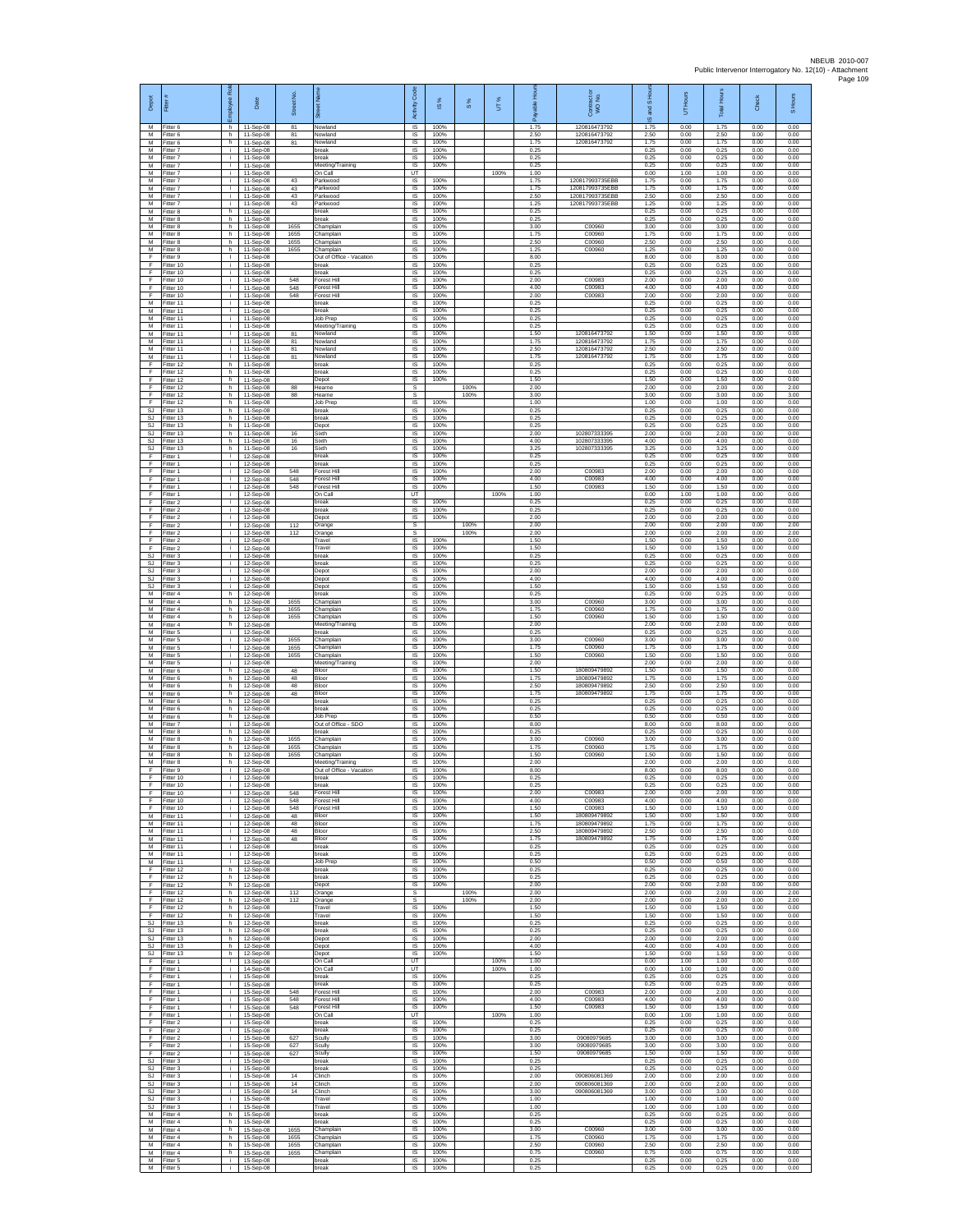| Depot                              | Fitter                              | Rol<br>eevolo      | Date                                  | Street No.           |                                              | Activity Code                        | ġ                    | 8%           | UT%  |                      | Contract or<br>WO No.                        | IS Hour<br>and       | UT Hours             | <b>Total Hours</b>   | Check                | S Hours              |
|------------------------------------|-------------------------------------|--------------------|---------------------------------------|----------------------|----------------------------------------------|--------------------------------------|----------------------|--------------|------|----------------------|----------------------------------------------|----------------------|----------------------|----------------------|----------------------|----------------------|
| M<br>M                             | Fitter 6<br>Fitter 6                | h<br>h             | 11-Sep-08<br>11-Sep-08                | 81<br>81             | Nowland<br>Nowland                           | IS<br>IS                             | 100%<br>100%         |              |      | 1.75<br>2.50         | 120816473792<br>120816473792                 | ဖ<br>1.75<br>2.50    | 0.00<br>0.00         | 1.75<br>2.50         | 0.00<br>0.00         | 0.00<br>0.00         |
| М<br>M                             | Fitter 6<br>itter 7                 | h.<br>Ť.           | 11-Sep-08<br>11-Sep-08                | 81                   | Nowland<br>oreak                             | IS<br>IS                             | 100%<br>100%         |              |      | 1.75<br>0.25         | 120816473792                                 | 1.75<br>0.25         | 0.00<br>0.00         | 1.75<br>0.25         | 0.00<br>0.00         | 0.00<br>0.00         |
| M<br>M                             | Fitter 7<br>Fitter 7                | j.<br>i.           | 11-Sep-08<br>11-Sep-08                |                      | break<br>Meeting/Training                    | - IS<br><b>IS</b>                    | 100%<br>100%         |              |      | 0.25<br>0.25         |                                              | 0.25<br>0.25         | 0.00<br>0.00         | 0.25<br>0.25         | 0.00<br>0.00         | 0.00<br>0.00         |
| M<br>M<br>M                        | -itter 7<br>Fitter 7<br>Fitter 7    | i.<br>i.<br>i.     | 11-Sep-08<br>11-Sep-08<br>11-Sep-08   | 43<br>43             | On Call<br>Parkwood<br>Parkwood              | UT<br>IS<br>IS                       | 100%<br>100%         |              | 100% | 1.00<br>1.75<br>1.75 | 120817993735EBB<br>120817993735EBB           | 0.00<br>1.75<br>1.75 | 1.00<br>0.00<br>0.00 | 1.00<br>1.75<br>1.75 | 0.00<br>0.00<br>0.00 | 0.00<br>0.00<br>0.00 |
| M<br>M                             | -itter 7<br>Fitter 7                | i.<br>i.           | 11-Sep-08<br>11-Sep-08                | 43<br>43             | arkwood<br>Parkwood                          | $\sf IS$<br>IS                       | 100%<br>100%         |              |      | 2.50<br>1.25         | 120817993735EBB<br>120817993735EBB           | 2.50<br>1.25         | 0.00<br>0.00         | 2.50<br>1.25         | 0.00<br>0.00         | 0.00<br>0.00         |
| M<br>M<br>M                        | Fitter 8<br>Fitter 8<br>Fitter 8    | h.<br>h.<br>h.     | 11-Sep-08<br>11-Sep-08<br>11-Sep-08   | 1655                 | break<br>oreak<br>Champlain                  | IS<br>IS<br>IS                       | 100%<br>100%<br>100% |              |      | 0.25<br>0.25<br>3.00 | C00960                                       | 0.25<br>0.25<br>3.00 | 0.00<br>0.00<br>0.00 | 0.25<br>0.25<br>3.00 | 0.00<br>0.00<br>0.00 | 0.00<br>0.00<br>0.00 |
| М<br>M                             | fitter 8<br>Fitter 8                | h<br>h.            | 11-Sep-08<br>11-Sep-08                | 1655<br>1655         | Champlain<br>Champlain                       | IS<br><b>IS</b>                      | 100%<br>100%         |              |      | 1.75<br>2.50         | C00960<br>C00960                             | 1.75<br>2.50         | 0.00<br>0.00         | 1.75<br>2.50         | 0.00<br>0.00         | 0.00<br>0.00         |
| M<br>F                             | -itter 8<br>Fitter 9                | h.<br>٠            | 11-Sep-08<br>11-Sep-08                | 1655                 | Champlain<br>Out of Office - Vacation        | <b>IS</b><br>IS                      | 100%<br>100%         |              |      | 1.25<br>8.00         | C00960                                       | 1 25<br>8.00         | 0.00<br>0.00         | 1.25<br>8.00         | 0.00<br>0.00         | 0.00<br>0.00         |
| F<br>E<br>Ŧ                        | Fitter 10<br>Fitter 10<br>Fitter 10 | i.<br>i.           | 11-Sep-08<br>11-Sep-08<br>11-Sep-08   | 548                  | break<br>break<br>orest Hill                 | <b>IS</b><br><b>IS</b><br>IS         | 100%<br>100%<br>100% |              |      | 0.25<br>0.25<br>2.00 | C00983                                       | 0.25<br>0.25<br>2.00 | 0.00<br>0.00<br>0.00 | 0.25<br>0.25<br>2.00 | 0.00<br>0.00<br>0.00 | 0.00<br>0.00<br>0.00 |
| Ŧ<br>F                             | Fitter 10<br>Fitter 10              | i.<br>i.<br>i.     | 11-Sep-08<br>$11-Sen-08$              | 548<br>548           | Forest Hill<br>Forest Hill                   | IS<br>IS                             | 100%<br>100%         |              |      | 4.00<br>2.00         | C00983<br>C00983                             | 4.00<br>2.00         | 0.00<br>0.00         | 4.00<br>2.00         | 0.00<br>0.00         | 0.00<br>0.00         |
| M<br>${\sf M}$                     | Fitter 11<br>Fitter 11              | j.<br>i.           | 11-Sep-08<br>11-Sep-08                |                      | break<br>break                               | IS<br>IS                             | 100%<br>100%         |              |      | 0.25<br>0.25         |                                              | 0.25<br>0.25         | 0.00<br>0.00         | 0.25<br>0.25         | 0.00<br>0.00         | 0.00<br>0.00         |
| M<br>M<br>${\sf M}$                | -itter 11<br>Fitter 11<br>Fitter 11 | i.<br>j.<br>i.     | 11-Sep-08<br>11-Sep-08<br>11-Sep-08   | 81                   | Job Prep<br>Meeting/Training<br>Nowland      | IS<br>IS<br>$\sf IS$                 | 100%<br>100%<br>100% |              |      | 0.25<br>0.25<br>1.50 | 120816473792                                 | 0.25<br>0.25<br>1.50 | 0.00<br>0.00<br>0.00 | 0.25<br>0.25<br>1.50 | 0.00<br>0.00<br>0.00 | 0.00<br>0.00<br>0.00 |
| M<br>M                             | fitter 11<br>Fitter 11              | Ť.<br>j.           | 11-Sep-08<br>11-Sep-08                | 81<br>81             | Vowland<br>Nowland                           | IS<br>- IS                           | 100%<br>100%         |              |      | 1.75<br>2.50         | 120816473792<br>120816473792                 | 1.75<br>2.50         | 0.00<br>0.00         | 1.75<br>2.50         | 0.00<br>0.00         | 0.00<br>0.00         |
| M<br>F                             | Fitter 11<br>ltter 12               | i.<br>h            | 11-Sep-08<br>11-Sep-08                | 81                   | Nowland<br>break                             | <b>IS</b><br>IS                      | 100%<br>100%         |              |      | 1.75<br>0.25         | 120816473792                                 | 1.75<br>0.25         | 0.00<br>0.00         | 1.75<br>0.25         | 0.00<br>0.00         | 0.00<br>0.00         |
| F.<br>E<br>$\mathsf F$             | Fitter 12<br>Fitter 12<br>Fitter 12 | h.<br>h.<br>h.     | 11-Sep-08<br>11-Sep-08<br>11-Sep-08   | 88                   | break<br>Depot<br>Hearne                     | IS<br>IS<br>$\mathbb S$              | 100%<br>100%         | 100%         |      | 0.25<br>1.50<br>2.00 |                                              | 0.25<br>1.50<br>2.00 | 0.00<br>0.00<br>0.00 | 0.25<br>1.50<br>2.00 | 0.00<br>0.00<br>0.00 | 0.00<br>0.00<br>2.00 |
| F<br>F                             | Fitter 12<br>Fitter 12              | h.<br>h.           | 11-Sep-08<br>11-Sep-08                | 88                   | Hearne<br>Job Prep                           | $\mathbb S$<br><b>IS</b>             | 100%                 | 100%         |      | 3.00<br>1.00         |                                              | 3.00<br>1.00         | 0.00<br>0.00         | 3.00<br>1.00         | 0.00<br>0.00         | 3.00<br>0.00         |
| <b>SJ</b><br>SJ                    | Fitter 13<br>Fitter 13              | h<br>h.            | 11-Sep-08<br>11-Sep-08                |                      | break<br>break                               | IS<br>IS                             | 100%<br>100%         |              |      | 0.25<br>0.25         |                                              | 0.25<br>0.25         | 0.00<br>0.00         | 0.25<br>0.25         | 0.00<br>0.00         | 0.00<br>0.00         |
| SJ<br>SJ<br><b>SJ</b>              | fitter 13<br>Fitter 13<br>Fitter 13 | h<br>h.<br>h       | 11-Sep-08<br>11-Sep-08<br>11-Sep-08   | 16<br>16             | Depot<br>Sixth<br>Sixth                      | IS<br>IS<br><b>IS</b>                | 100%<br>100%<br>100% |              |      | 0.25<br>2.00<br>4.00 | 102807333395<br>102807333305                 | 0.25<br>2.00<br>4.00 | 0.00<br>0.00<br>0.00 | 0.25<br>2.00<br>4.00 | 0.00<br>0.00<br>0.00 | 0.00<br>0.00<br>0.00 |
| SJ<br>F                            | Fitter 13<br>Fitter 1               | h.<br>i.           | 11-Sep-08<br>12-Sep-08                | 16                   | Sixth<br>break                               | IS<br>$\overline{\mathsf{s}}$        | 100%<br>100%         |              |      | 3.25<br>0.25         | 102807333395                                 | 3.25<br>0.25         | 0.00<br>0.00         | 3.25<br>0.25         | 0.00<br>0.00         | 0.00<br>0.00         |
| F<br>Ŧ<br>Ŧ                        | Fitter 1<br>-itter 1<br>Fitter 1    | j.<br>i.<br>i.     | 12-Sep-08<br>12-Sep-08<br>12-Sep-08   | 548<br>548           | break<br>Forest Hil<br>Forest Hill           | IS<br>IS<br>IS                       | 100%<br>100%<br>100% |              |      | 0.25<br>2.00<br>4.00 | C00983<br>C00983                             | 0.25<br>2.00<br>4.00 | 0.00<br>0.00<br>0.00 | 0.25<br>2.00<br>4.00 | 0.00<br>0.00<br>0.00 | 0.00<br>0.00<br>0.00 |
| F<br>$\mathsf F$                   | Fitter 1<br>-itter 1                | i.<br>j.           | 12-Sep-08<br>12-Sep-08                | 548                  | Forest Hill<br>On Call                       | <b>IS</b><br>UT                      | 100%                 |              | 100% | 1.50<br>1.00         | C00983                                       | 1.50<br>0.00         | 0.00<br>1.00         | 1.50<br>1.00         | 0.00<br>0.00         | 0.00<br>0.00         |
| F<br>F                             | Fitter 2<br>Fitter 2                | Ť.<br>i.           | 12-Sep-08<br>12-Sep-08                |                      | break<br>reak                                | IS<br>IS                             | 100%<br>100%         |              |      | 0.25<br>0.25         |                                              | 0.25<br>0.25         | 0.00<br>0.00         | 0.25<br>0.25         | 0.00<br>0.00         | 0.00<br>0.00         |
| F<br>$\mathsf F$<br>F              | Fitter 2<br>Fitter 2<br>Fitter 2    | i.<br>i.<br>Ť.     | 12-Sep-08<br>12-Sep-08<br>12-Sep-08   | 112<br>112           | Depot<br>Orange<br>Orange                    | IS<br>$\mathbb S$<br>s               | 100%                 | 100%<br>100% |      | 2.00<br>2.00<br>2.00 |                                              | 2.00<br>2.00<br>2.00 | 0.00<br>0.00<br>0.00 | 2.00<br>2.00<br>2.00 | 0.00<br>0.00<br>0.00 | 0.00<br>2.00<br>2.00 |
| -F<br>-F.                          | Fitter 2<br>Fitter 2                | j.<br>i.           | 12-Sep-08<br>12-Sep-08                |                      | Travel<br>Travel                             | <b>IS</b><br><b>IS</b>               | 100%<br>100%         |              |      | 1.50<br>1.50         |                                              | 1.50<br>1.50         | 0.00<br>0.00         | 1.50<br>1.50         | 0.00<br>0.00         | 0.00<br>0.00         |
| <b>SJ</b><br>SJ                    | Fitter 3<br>Fitter 3                | i.<br>i.<br>i.     | 12-Sep-08<br>12-Sep-08                |                      | break<br>break<br>Depot                      | IS<br>IS<br>IS                       | 100%<br>100%<br>100% |              |      | 0.25<br>0.25<br>2.00 |                                              | 0.25<br>0.25<br>2.00 | 0.00<br>0.00<br>0.00 | 0.25<br>0.25<br>2.00 | 0.00<br>0.00<br>0.00 | 0.00<br>0.00<br>0.00 |
| SJ<br>SJ<br>$\mathbb{S}\mathbb{J}$ | Fitter 3<br>-itter 3<br>Fitter 3    | i.<br>i.           | 12-Sep-08<br>12-Sep-08<br>12-Sep-08   |                      | Depot<br>Depot                               | $\sf IS$<br>IS                       | 100%<br>100%         |              |      | 4.00<br>1.50         |                                              | 4.00<br>1.50         | 0.00<br>0.00         | 4.00<br>1.50         | 0.00<br>0.00         | 0.00<br>0.00         |
| M<br>M                             | Fitter 4<br>Fitter 4                | h.<br>h.           | 12-Sep-08<br>12-Sep-08                | 1655                 | break<br>Champlain                           | IS<br>IS                             | 100%<br>100%         |              |      | 0.25<br>3.00         | C00960                                       | 0.25<br>3.00         | 0.00<br>0.00         | 0.25<br>3.00         | 0.00<br>0.00         | 0.00<br>0.00         |
| M<br>M<br>M                        | Fitter 4<br>itter 4<br>Fitter 4     | h.<br>h<br>h.      | 12-Sep-08<br>12-Sep-08<br>12-Sep-08   | 1655<br>1655         | Champlain<br>Champlain<br>Meeting/Training   | IS<br>IS<br><b>IS</b>                | 100%<br>100%<br>100% |              |      | 1.75<br>1.50<br>2.00 | C00960<br>C00960                             | 1.75<br>1.50<br>2.00 | 0.00<br>0.00<br>0.00 | 1.75<br>1.50<br>2.00 | 0.00<br>0.00<br>0.00 | 0.00<br>0.00<br>0.00 |
| М<br>M                             | -itter 5<br>Fitter 5                | i.<br>÷.           | 12-Sep-08<br>12-Sep-08                | 1655                 | hreak<br>Champlain                           | <b>IS</b><br>IS                      | 100%<br>100%         |              |      | 0.25<br>3.00         | C00960                                       | 0.25<br>3.00         | 0.00<br>0.00         | 0.25<br>3.00         | 0.00<br>0.00         | 0.00<br>0.00         |
| M<br>M<br>M                        | Fitter 5<br>Fitter 5<br>-itter 5    | i.<br>j.<br>÷.     | 12-Sep-08<br>12-Sep-08<br>12-Sep-08   | 1655<br>1655         | Champlain<br>Champlain                       | <b>IS</b><br><b>IS</b><br>IS         | 100%<br>100%<br>100% |              |      | 1.75<br>1.50<br>2.00 | C00960<br>C00960                             | 1.75<br>1.50<br>2.00 | 0.00<br>0.00<br>0.00 | 1.75<br>1.50<br>2.00 | 0.00<br>0.00<br>0.00 | 0.00<br>0.00<br>0.00 |
| M<br>M                             | Fitter 6<br>Fitter 6                | h.<br>h.           | 12-Sep-08<br>12-Sep-08                | 48<br>48             | Meeting/Training<br>Bloor<br>Bloor           | IS<br>- IS                           | 100%<br>100%         |              |      | 1.50<br>1.75         | 180809479892<br>180809479892                 | 1.50<br>1.75         | 0.00<br>0.00         | 1.50<br>1.75         | 0.00<br>0.00         | 0.00<br>0.00         |
| М<br>М                             | -itter 6<br>Fitter 6                | h.<br>h.<br>h.     | 12-Sep-08<br>12-Sep-08                | 48<br>48             | Bloor<br>Bloor<br>oreak                      | IS<br>IS<br>IS                       | 100%<br>100%<br>100% |              |      | 2.50<br>1.75<br>0.25 | 180809479892<br>180809479892                 | 2.50<br>1.75<br>0.25 | 0.00<br>0.00<br>0.00 | 2.50<br>1.75<br>0.25 | 0.00<br>0.00<br>0.00 | 0.00<br>0.00<br>0.00 |
| M<br>M<br>${\sf M}$                | Fitter 6<br>Fitter 6<br>-itter 6    | h.<br>h.           | 12-Sep-08<br>12-Sep-08<br>12-Sep-08   |                      | break<br>Job Prep                            | IS<br>$\sf IS$                       | 100%<br>100%         |              |      | 0.25<br>0.50         |                                              | 0.25<br>0.50         | 0.00<br>0.00         | 0.25<br>0.50         | 0.00<br>0.00         | 0.00<br>0.00         |
| M<br>M                             | itter 7<br>Fitter 8                 | j.<br>h.           | 12-Sep-08<br>12-Sep-08                |                      | Out of Office - SDO<br>break                 | IS<br>- IS                           | 100%<br>100%         |              |      | 8.00<br>0.25         |                                              | 8.00<br>0.25         | 0.00<br>0.00         | 8.00<br>0.25         | 0.00<br>0.00         | 0.00<br>0.00         |
| M<br>M<br>M                        | Fitter 8<br>Fitter 8<br>Fitter 8    | h<br>h<br>h.       | 12-Sep-08<br>12-Sep-08<br>12-Sep-08   | 1655<br>1655<br>1655 | Champlain<br>Champlain<br>Champlain          | <b>IS</b><br>IS<br>IS                | 100%<br>100%<br>100% |              |      | 3.00<br>1.75<br>1.50 | C00960<br>C00960<br>C00960                   | 3.00<br>1.75<br>1.50 | 0.00<br>0.00<br>0.00 | 3.00<br>1.75<br>1.50 | 0.00<br>0.00<br>0.00 | 0.00<br>0.00<br>0.00 |
| м<br>F                             | Fitter 8<br>Fitter 9                | h.<br>$\mathbf{L}$ | 12-Sep-08<br>12-Sep-08                |                      | Meeting/Training<br>Out of Office - Vacation | - IS<br>$\sf IS$                     | 100%<br>100%         |              |      | 2.00<br>8.00         |                                              | 2.00<br>8.00         | 0.00<br>0.00         | 2.00<br>8.00         | 0.00<br>0.00         | 0.00<br>0.00         |
| F<br>F<br>F                        | Fitter 10<br>Fitter 10<br>Fitter 10 | Ť.<br>i.<br>j.     | 12-Sep-08<br>12-Sep-08<br>12-Sep-08   | 548                  | break<br>break<br>Forest Hill                | <b>IS</b><br><b>IS</b><br>IS         | 100%<br>100%<br>100% |              |      | 0.25<br>0.25<br>2.00 | C00983                                       | 0.25<br>0.25<br>2.00 | 0.00<br>0.00<br>0.00 | 0.25<br>0.25<br>2.00 | 0.00<br>0.00<br>0.00 | 0.00<br>0.00<br>0.00 |
| Ŧ<br>Ŧ                             | Fitter 10<br>fitter 10              | Ť.<br>i.           | 12-Sep-08<br>12-Sep-08                | 548<br>548           | Forest Hill<br>Forest Hill                   | IS<br>IS                             | 100%<br>100%         |              |      | 4.00<br>1.50         | C00983<br>C00983                             | 4.00<br>1.50         | 0.00<br>0.00         | 4.00<br>1.50         | 0.00<br>0.00         | 0.00<br>0.00         |
| M<br>M<br>M                        | Fitter 11<br>Fitter 11<br>Fitter 11 | j.<br>j.<br>i.     | 12-Sep-08<br>12-Sep-08<br>12-Sep-08   | 48<br>48<br>48       | Bloor<br>Bloor<br>Bloor                      | - IS<br><b>IS</b><br>IS              | 100%<br>100%<br>100% |              |      | 1.50<br>175<br>2.50  | 180809479892<br>180800470802<br>180809479892 | 1.50<br>1.75<br>2.50 | 0.00<br>0.00<br>0.00 | 1.50<br>1.75<br>2.50 | 0.00<br>0.00<br>0.00 | 0.00<br>0.00<br>0.00 |
| M<br>M                             | Fitter 11<br>Fitter 11              | i.<br>÷.           | 12-Sep-08<br>12-Sep-08                | 48                   | Bloor<br>break                               | <b>IS</b><br>IS                      | 100%<br>100%         |              |      | 1.75<br>0.25         | 180809479892                                 | 1.75<br>0.25         | 0.00<br>0.00         | 1.75<br>0.25         | 0.00<br>0.00         | 0.00<br>0.00         |
| M<br>M                             | Fitter 11<br>Fitter 11              | Ť.<br>i.           | 12-Sep-08<br>12-Sep-08<br>12-Sep-08   |                      | break<br>Job Prep                            | IS<br>IS                             | 100%<br>100%<br>100% |              |      | 0.25<br>0.50<br>0.25 |                                              | 0.25<br>0.50<br>0.25 | 0.00<br>0.00<br>0.00 | 0.25<br>0.50<br>0.25 | 0.00<br>0.00<br>0.00 | 0.00<br>0.00<br>0.00 |
| F<br>$\mathsf F$<br>F              | Fitter 12<br>Fitter 12<br>Fitter 12 | h.<br>h.<br>h.     | 12-Sep-08<br>12-Sep-08                |                      | break<br>break<br>Depot                      | - IS<br>IS<br>IS                     | 100%<br>100%         |              |      | 0.25<br>2.00         |                                              | 0.25<br>2.00         | 0.00<br>0.00         | 0.25<br>2.00         | 0.00<br>0.00         | 0.00<br>0.00         |
| F<br>-F                            | Fitter 12<br>Fitter 12              | h.<br>h            | 12-Sep-08<br>12-Sep-08                | 112<br>112           | Orange<br>Orange                             | s<br>s                               |                      | 100%<br>100% |      | 2.00<br>2.00         |                                              | 2.00<br>2.00         | 0.00<br>0.00         | 2.00<br>2.00         | 0.00<br>0.00         | 2.00<br>2.00         |
| F.<br>Ŧ<br>-SJ                     | Fitter 12<br>Fitter 12<br>Fitter 13 | h.<br>h<br>h.      | 12-Sep-08<br>12-Sep-08<br>$12-Sen-08$ |                      | Travel<br>Travel<br>break                    | IS<br><b>IS</b><br>- IS              | 100%<br>100%<br>100% |              |      | 1.50<br>1.50<br>0.25 |                                              | 1.50<br>1.50<br>0.25 | 0.00<br>0.00<br>0.00 | 1.50<br>1.50<br>0.25 | 0.00<br>0.00<br>0.00 | 0.00<br>0.00<br>0.00 |
| S.I.<br>SJ                         | Fitter 13<br>Fitter 13              | h<br>h.            | 12-Sep-08<br>12-Sep-08                |                      | break<br>Depot                               | <b>IS</b><br>IS                      | 100%<br>100%         |              |      | 0.25<br>2.00         |                                              | 0.25<br>2.00         | 0.00<br>0.00         | 0.25<br>2.00         | 0.00<br>0.00         | 0.00<br>0.00         |
| SJ.<br>SJ<br>F                     | Fitter 13<br>Fitter 13<br>-itter 1  | h.<br>h.<br>i.     | 12-Sep-08<br>12-Sep-08                |                      | Depot<br>Depot<br>On Call                    | <b>IS</b><br>IS.<br>UT               | 100%<br>100%         |              | 100% | 4.00<br>1.50<br>1.00 |                                              | 4.00<br>1.50<br>0.00 | 0.00<br>0.00<br>1.00 | 4.00<br>1.50<br>1.00 | 0.00<br>0.00<br>0.00 | 0.00<br>0.00<br>0.00 |
| F<br>F.                            | Fitter 1<br>Fitter 1                | i.<br>i.           | 13-Sep-08<br>14-Sep-08<br>15-Sep-08   |                      | On Call<br>break                             | UT<br><b>IS</b>                      | 100%                 |              | 100% | 1.00<br>0.25         |                                              | 0.00<br>0.25         | 1.00<br>0.00         | 1.00<br>0.25         | 0.00<br>0.00         | 0.00<br>0.00         |
| F<br>Ŧ                             | Fitter 1<br>Fitter 1                | j.<br>i.           | 15-Sep-08<br>15-Sep-08                | 548                  | break<br>Forest Hill                         | IS<br>IS                             | 100%<br>100%         |              |      | 0.25<br>2.00         | C00983                                       | 0.25<br>2.00         | 0.00<br>0.00         | 0.25<br>2.00         | 0.00<br>0.00         | 0.00<br>0.00         |
| Ŧ<br>F<br>F.                       | Fitter 1<br>Fitter 1<br>Fitter 1    | j.<br>j.<br>i.     | 15-Sep-08<br>15-Sep-08<br>15-Sep-08   | 548<br>548           | Forest Hill<br>Forest Hill<br>On Call        | <b>IS</b><br><b>IS</b><br><b>LIT</b> | 100%<br>100%         |              | 100% | 4.00<br>1.50<br>1.00 | C00983<br>C00983                             | 4.00<br>1.50<br>0.00 | 0.00<br>0.00<br>1.00 | 4.00<br>1.50<br>1.00 | 0.00<br>0.00<br>0.00 | 0.00<br>0.00<br>0.00 |
| F<br>F.                            | Fitter 2<br>Fitter 2                | Ť.<br>j.           | 15-Sep-08<br>15-Sep-08                |                      | break<br>break                               | IS<br>IS                             | 100%<br>100%         |              |      | 0.25<br>0.25         |                                              | 0.25<br>0.25         | 0.00<br>0.00         | 0.25<br>0.25         | 0.00<br>0.00         | 0.00<br>0.00         |
| F.<br>Ŧ<br>Ŧ                       | Fitter 2<br>Fitter 2<br>Fitter 2    | i.<br>Ť.<br>i.     | 15-Sep-08<br>15-Sep-08<br>15-Sep-08   | 627<br>627<br>627    | Scully<br>Scully<br>Scully                   | <b>IS</b><br>IS<br><b>IS</b>         | 100%<br>100%<br>100% |              |      | 3.00<br>3.00<br>1.50 | 09080979685<br>09080979685<br>09080979685    | 3.00<br>3.00<br>1.50 | 0.00<br>0.00<br>0.00 | 3.00<br>3.00<br>1.50 | 0.00<br>0.00<br>0.00 | 0.00<br>0.00<br>0.00 |
| SJ.<br><b>SJ</b>                   | Fitter 3<br>-itter 3                | i.<br>j.           | 15-Sep-08<br>15-Sep-08                |                      | break<br>break                               | <b>IS</b><br>IS                      | 100%<br>100%         |              |      | 0.25<br>0.25         |                                              | 0.25<br>0.25         | 0.00<br>0.00         | 0.25<br>0.25         | 0.00<br>0.00         | 0.00<br>0.00         |
| <b>SJ</b><br>SJ.<br><b>SJ</b>      | Fitter 3<br>Fitter 3<br>Fitter 3    | i.<br>÷.<br>j.     | 15-Sep-08<br>15-Sep-08<br>15-Sep-08   | 14<br>14<br>14       | Clinch<br>Clinch<br>Clinch                   | IS<br><b>IS</b><br>IS                | 100%<br>100%<br>100% |              |      | 2.00<br>2.00<br>3.00 | 090806081369<br>090806081369<br>090806081369 | 2.00<br>2.00<br>3.00 | 0.00<br>0.00<br>0.00 | 2.00<br>2.00<br>3.00 | 0.00<br>0.00<br>0.00 | 0.00<br>0.00<br>0.00 |
| <b>SJ</b><br>SJ                    | Fitter 3<br>-itter 3                | i.<br>j.           | 15-Sep-08<br>15-Sep-08                |                      | Travel<br>Travel                             | IS<br>IS                             | 100%<br>100%         |              |      | 1.00<br>1.00         |                                              | 1.00<br>1.00         | 0.00<br>0.00         | 1.00<br>1.00         | 0.00<br>0.00         | 0.00<br>0.00         |
| M<br>M<br>M                        | Fitter 4<br>Fitter 4<br>Fitter 4    | h.<br>h<br>h       | 15-Sep-08<br>15-Sep-08<br>15-Sep-08   | 1655                 | break<br>break<br>Champlain                  | - IS<br><b>IS</b><br>IS              | 100%<br>100%<br>100% |              |      | 0.25<br>0.25<br>3.00 | C00960                                       | 0.25<br>0.25<br>3.00 | 0.00<br>0.00<br>0.00 | 0.25<br>0.25<br>3.00 | 0.00<br>0.00<br>0.00 | 0.00<br>0.00<br>0.00 |
| M<br>M                             | Fitter 4<br>Fitter 4                | h<br>h.            | 15-Sep-08<br>15-Sep-08                | 1655<br>1655         | Champlain<br>Champlain                       | IS<br><b>IS</b>                      | 100%<br>100%         |              |      | 1.75<br>2.50         | C00960<br>C00960                             | 1.75<br>2.50         | 0.00<br>0.00         | 1.75<br>2.50         | 0.00<br>0.00         | 0.00<br>0.00         |
| M<br>М<br>M                        | -itter 4<br>Fitter 5<br>Fitter 5    | h<br>j.<br>i.      | 15-Sep-08<br>15-Sep-08<br>15-Sep-08   | 1655                 | Champlain<br>break<br>break                  | $\sf IS$<br>IS<br>IS.                | 100%<br>100%<br>100% |              |      | 0.75<br>0.25<br>0.25 | C00960                                       | 0.75<br>0.25<br>0.25 | 0.00<br>0.00<br>0.00 | 0.75<br>0.25<br>0.25 | 0.00<br>0.00<br>0.00 | 0.00<br>0.00<br>0.00 |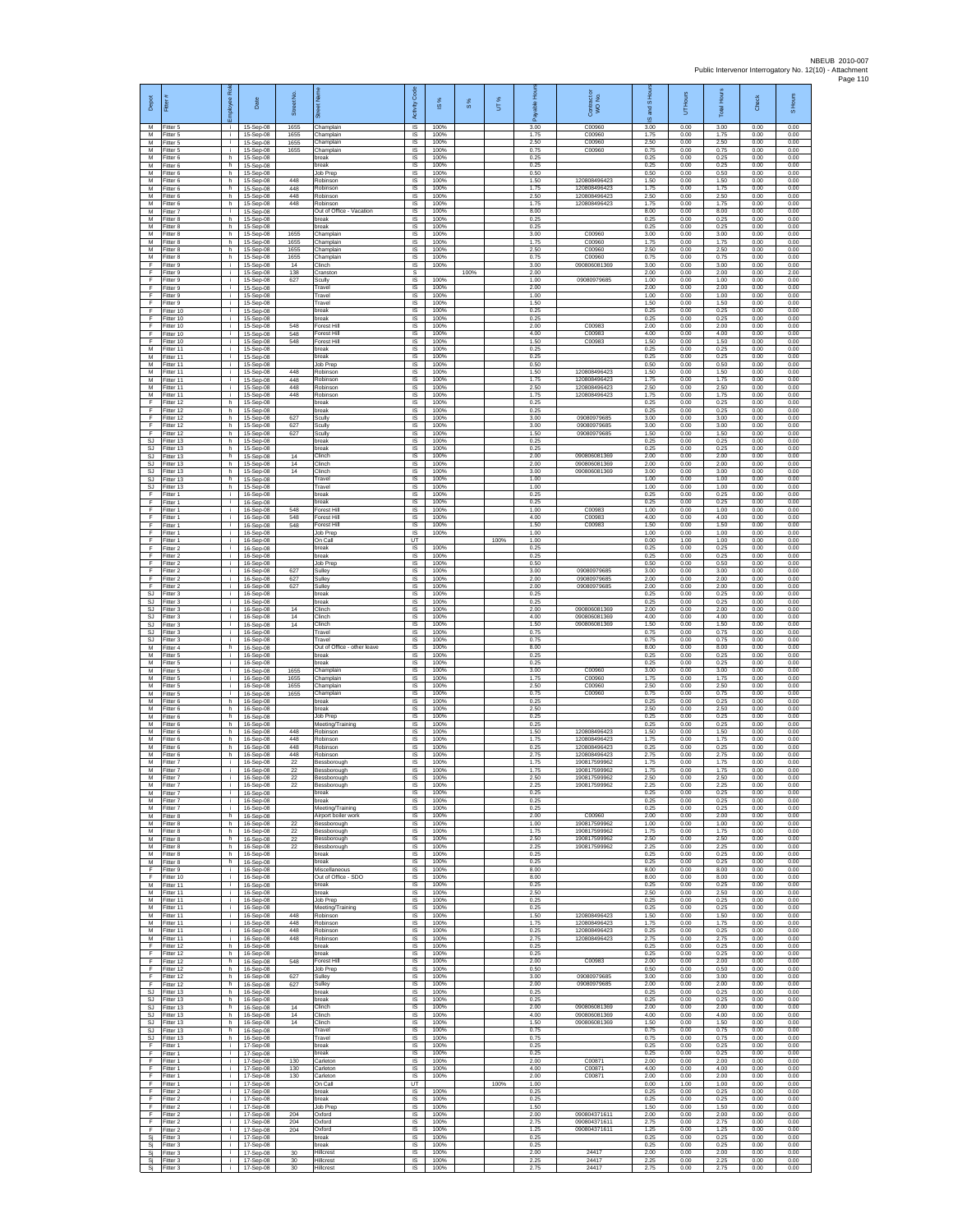| Depot                                | Ē                                   | ᄰ                  | Date                                | Street No.           |                                                        | Code<br>Activity                   | 1S%                  | $\frac{8}{3}$ | UT%  | இ                    | ŏ<br>Contract of<br>WO No.                   | 1S Hou<br>왾<br>ဖ     | Hours<br>5           | <b>Total Hours</b>   | Check                | S Hours              |
|--------------------------------------|-------------------------------------|--------------------|-------------------------------------|----------------------|--------------------------------------------------------|------------------------------------|----------------------|---------------|------|----------------------|----------------------------------------------|----------------------|----------------------|----------------------|----------------------|----------------------|
| M<br>M<br>M                          | Fitter 5<br>Fitter 5<br>Fitter 5    | ÷.<br>Ť.           | 15-Sep-08<br>15-Sep-08<br>15-Sep-08 | 1655<br>1655<br>1655 | Champlain<br>Champlain<br>Champlain                    | IS<br><b>IS</b><br>IS              | 100%<br>100%<br>100% |               |      | 3.00<br>1.75<br>2.50 | C00960<br>C00960<br>C00960                   | 3.00<br>1.75<br>2.50 | 0.00<br>0.00<br>0.00 | 3.00<br>1.75<br>2.50 | 0.00<br>0.00<br>0.00 | 0.00<br>0.00<br>0.00 |
| M<br>М<br>M                          | Fitter 5<br>itter 6<br>Fitter 6     | i.<br>h<br>h.      | 15-Sep-08<br>15-Sep-08<br>15-Sep-08 | 1655                 | Champlain<br>oreak<br>break                            | IS<br>IS<br>- IS                   | 100%<br>100%<br>100% |               |      | 0.75<br>0.25<br>0.25 | C00960                                       | 0.75<br>0.25<br>0.25 | 0.00<br>0.00<br>0.00 | 0.75<br>0.25<br>0.25 | 0.00<br>0.00<br>0.00 | 0.00<br>0.00<br>0.00 |
| M<br>M                               | Fitter 6<br>Fitter 6                | h.<br>h            | 15-Sep-08<br>15-Sep-08              | 448                  | Job Prep<br>Robinson                                   | <b>IS</b><br>IS                    | 100%<br>100%         |               |      | 0.50<br>1.50         | 120808496423                                 | 0.50<br>1.50         | 0.00<br>0.00         | 0.50<br>1.50         | 0.00<br>0.00         | 0.00<br>0.00         |
| M<br>M<br>${\sf M}$                  | Fitter 6<br>Fitter 6<br>itter 6     | h.<br>h.<br>h      | 15-Sep-08<br>15-Sep-08<br>15-Sep-08 | 448<br>448<br>448    | Robinson<br>Robinson<br>Robinson                       | IS<br>IS<br>$\sf IS$               | 100%<br>100%<br>100% |               |      | 1.75<br>2.50<br>1.75 | 120808496423<br>120808496423<br>120808496423 | 1.75<br>2.50<br>1.75 | 0.00<br>0.00<br>0.00 | 1.75<br>2.50<br>1.75 | 0.00<br>0.00<br>0.00 | 0.00<br>0.00<br>0.00 |
| M<br>M                               | Fitter 7<br>Fitter 8                | i.<br>h.           | 15-Sep-08<br>15-Sep-08              |                      | Out of Office - Vacation<br>break                      | $\sf IS$<br>IS                     | 100%<br>100%         |               |      | 8.00<br>0.25         |                                              | 8.00<br>0.25         | 0.00<br>0.00         | 8.00<br>0.25         | 0.00<br>0.00         | 0.00<br>0.00         |
| M<br>M<br>M                          | Fitter 8<br>Fitter 8<br>Fitter 8    | h<br>h.<br>h       | 15-Sep-08<br>15-Sep-08<br>15-Sep-08 | 1655<br>1655         | break<br>Champlain<br>Champlain                        | IS<br>IS<br>IS                     | 100%<br>100%<br>100% |               |      | 0.25<br>3.00<br>1.75 | C00960<br>C00960                             | 0.25<br>3.00<br>1.75 | 0.00<br>0.00<br>0.00 | 0.25<br>3.00<br>1.75 | 0.00<br>0.00<br>0.00 | 0.00<br>0.00<br>0.00 |
| M<br>M                               | Fitter 8<br>Fitter 8                | h.<br>h.           | 15-Sep-08<br>15-Sep-08              | 1655<br>1655         | Champlain<br>Champlain                                 | IS<br>IS                           | 100%<br>100%         |               |      | 2.50<br>0.75         | C00960<br>C00960                             | 2.50<br>0.75         | 0.00<br>0.00         | 2.50<br>0.75         | 0.00<br>0.00         | 0.00<br>0.00         |
| F<br>F<br>E                          | Fitter 9<br>Fitter 9<br>Fitter 9    | Ť.<br>i.<br>i.     | 15-Sep-08<br>15-Sep-08<br>15-Sep-08 | 14<br>138<br>627     | Clinch<br>Cranston<br>Scully                           | $\sf IS$<br>-S<br>IS               | 100%<br>100%         | 100%          |      | 3.00<br>2.00<br>1.00 | 090806081369<br>09080979685                  | 3.00<br>2.00<br>1.00 | 0.00<br>0.00<br>0.00 | 3.00<br>2.00<br>1.00 | 0.00<br>0.00<br>0.00 | 0.00<br>2.00<br>0.00 |
| Ŧ<br>Ŧ                               | -itter 9<br>Fitter 9                | i.<br>i.           | 15-Sep-08<br>15-Sep-08              |                      | Travel<br>Travel                                       | IS<br>IS                           | 100%<br>100%         |               |      | 2.00<br>1.00         |                                              | 2.00<br>1.00         | 0.00<br>0.00         | 2.00<br>1.00         | 0.00<br>0.00         | 0.00<br>0.00         |
| E<br>$\mathsf F$<br>F                | Fitter 9<br>Fitter 10<br>Fitter 10  | i.<br>j.<br>Ť.     | 15-Sep-08<br>15-Sep-08<br>15-Sep-08 |                      | Travel<br>break<br>break                               | IS<br>IS<br>IS                     | 100%<br>100%<br>100% |               |      | 1.50<br>0.25<br>0.25 |                                              | 1.50<br>0.25<br>0.25 | 0.00<br>0.00<br>0.00 | 1.50<br>0.25<br>0.25 | 0.00<br>0.00<br>0.00 | 0.00<br>0.00<br>0.00 |
| F<br>F                               | Fitter 10<br>Fitter 10              | i.<br>Ť.           | 15-Sep-08<br>15-Sep-08              | 548<br>548           | Forest Hill<br>Forest Hill                             | IS<br>IS                           | 100%<br>100%         |               |      | 2.00<br>4.00         | C00983<br>C00983                             | 2.00<br>4.00         | 0.00<br>0.00         | 2.00<br>4.00         | 0.00<br>0.00         | 0.00<br>0.00         |
| Ŧ<br>М<br>M                          | Fitter 10<br>Fitter 11<br>Fitter 11 | i.<br>Ť.<br>i.     | 15-Sep-08<br>15-Sep-08<br>15-Sep-08 | 548                  | Forest Hill<br>oreak<br>break                          | IS<br>IS<br>IS                     | 100%<br>100%<br>100% |               |      | 1.50<br>0.25<br>0.25 | C00983                                       | 1.50<br>0.25<br>0.25 | 0.00<br>0.00<br>0.00 | 1.50<br>0.25<br>0.25 | 0.00<br>0.00<br>0.00 | 0.00<br>0.00<br>0.00 |
| M<br>M                               | Fitter 11<br>Fitter 11              | i.<br>÷.           | 15-Sep-08<br>15-Sep-08              | 448                  | lob Prep<br>Robinsor                                   | IS<br>IS                           | 100%<br>100%         |               |      | 0.50<br>1.50         | 120808496423                                 | 0.50<br>1.50         | 0.00<br>0.00         | 0.50<br>1.50         | 0.00<br>0.00         | 0.00<br>0.00         |
| M<br>м<br>M                          | Fitter 11<br>Fitter 11<br>Fitter 11 | j.<br>i.<br>i.     | 15-Sep-08<br>15-Sep-08<br>15-Sep-08 | 448<br>448<br>448    | Robinson<br>Robinson<br>Robinsor                       | IS<br>IS<br>IS                     | 100%<br>100%<br>100% |               |      | 1.75<br>2.50<br>1.75 | 120808496423<br>120808496423<br>120808496423 | 1.75<br>2.50<br>1.75 | 0.00<br>0.00<br>0.00 | 1.75<br>2.50<br>1.75 | 0.00<br>0.00<br>0.00 | 0.00<br>0.00<br>0.00 |
| F<br>F                               | Fitter 12<br>Fitter 12              | h.<br>h.           | 15-Sep-08<br>15-Sep-08              |                      | break<br>break                                         | $\sf IS$<br><b>IS</b>              | 100%<br>100%         |               |      | 0.25<br>0.25         |                                              | 0.25<br>0.25         | 0.00<br>0.00         | 0.25<br>0.25         | 0.00<br>0.00         | 0.00<br>0.00         |
| -F<br>Ŧ<br>F                         | Fitter 12<br>Fitter 12<br>Fitter 12 | h.<br>h.<br>h      | 15-Sep-08<br>15-Sep-08<br>15-Sep-08 | 627<br>627<br>627    | Scully<br>Scully<br>Scully                             | IS<br>IS<br>IS                     | 100%<br>100%<br>100% |               |      | 3.00<br>3.00<br>1.50 | 09080979685<br>09080979685<br>09080979685    | 3.00<br>3.00<br>1.50 | 0.00<br>0.00<br>0.00 | 3.00<br>3.00<br>1.50 | 0.00<br>0.00<br>0.00 | 0.00<br>0.00<br>0.00 |
| SJ<br><b>SJ</b>                      | Fitter 13<br>Fitter 13              | h.<br>h.           | 15-Sep-08<br>15-Sep-08              |                      | break<br>break                                         | IS<br>IS                           | 100%<br>100%         |               |      | 0.25<br>0.25         |                                              | 0.25<br>0.25         | 0.00<br>0.00         | 0.25<br>0.25         | 0.00<br>0.00         | 0.00<br>0.00         |
| SJ<br>SJ.<br>SJ.                     | Fitter 13<br>Fitter 13<br>Fitter 13 | h<br>h.<br>h.      | 15-Sep-08<br>15-Sep-08<br>15-Sep-08 | 14<br>14<br>14       | Clinch<br>Clinch<br>Clinch                             | $\sf IS$<br><b>IS</b><br><b>IS</b> | 100%<br>100%<br>100% |               |      | 2.00<br>2.00<br>3.00 | 090806081369<br>090806081369<br>090806081369 | 2.00<br>2.00<br>3.00 | 0.00<br>0.00<br>0.00 | 2.00<br>2.00<br>3.00 | 0.00<br>0.00<br>0.00 | 0.00<br>0.00<br>0.00 |
| <b>SJ</b><br>SJ<br>E                 | Fitter 13<br>Fitter 13              | h<br>h.<br>i.      | 15-Sep-08<br>15-Sep-08              |                      | Travel<br>Travel<br>break                              | IS<br>IS<br>- IS                   | 100%<br>100%<br>100% |               |      | 1.00<br>1.00<br>0.25 |                                              | 1.00<br>1.00<br>0.25 | 0.00<br>0.00<br>0.00 | 1.00<br>1.00<br>0.25 | 0.00<br>0.00<br>0.00 | 0.00<br>0.00<br>0.00 |
| $\mathsf F$<br>F                     | Fitter 1<br>-itter 1<br>Fitter 1    | j.<br>Ť.           | 16-Sep-08<br>16-Sep-08<br>16-Sep-08 | 548                  | oreak<br>Forest Hill                                   | IS<br>IS                           | 100%<br>100%         |               |      | 0.25<br>1.00         | C00983                                       | 0.25<br>1.00         | 0.00<br>0.00         | 0.25<br>1.00         | 0.00<br>0.00         | 0.00<br>0.00         |
| F<br>F<br>Ŧ                          | Fitter 1<br>Fitter 1<br>Fitter 1    | i.<br>Ť.<br>i.     | 16-Sep-08<br>16-Sep-08<br>16-Sep-08 | 548<br>548           | Forest Hill<br>Forest Hill<br>Job Prep                 | IS<br>IS<br>IS                     | 100%<br>100%<br>100% |               |      | 4.00<br>1.50<br>1.00 | C00983<br>C00983                             | 4.00<br>1.50<br>1.00 | 0.00<br>0.00<br>0.00 | 4.00<br>1.50<br>1.00 | 0.00<br>0.00<br>0.00 | 0.00<br>0.00<br>0.00 |
| Ŧ<br>-F                              | Fitter 1<br>Fitter 2                | Ť.<br>j.           | 16-Sep-08<br>16-Sep-08              |                      | On Call<br>break                                       | UT<br>IS                           | 100%                 |               | 100% | 1.00<br>0.25         |                                              | 0.00<br>0.25         | 1.00<br>0.00         | 1.00<br>0.25         | 0.00<br>0.00         | 0.00<br>0.00         |
| -F.<br>$\mathsf F$<br>F.             | Fitter 2<br>Fitter 2<br>Fitter 2    | i.<br>÷.<br>i.     | 16-Sep-08<br>16-Sep-08              | 627                  | break<br>Job Prep<br>Sulley                            | <b>IS</b><br>IS<br>IS              | 100%<br>100%<br>100% |               |      | 0.25<br>0.50<br>3.00 | 09080979685                                  | 0.25<br>0.50<br>3.00 | 0.00<br>0.00<br>0.00 | 0.25<br>0.50<br>3.00 | 0.00<br>0.00<br>0.00 | 0.00<br>0.00<br>0.00 |
| E<br>$\mathsf F$                     | Fitter 2<br>itter 2                 | i.<br>i.           | 16-Sep-08<br>16-Sep-08<br>16-Sep-08 | 627<br>627           | Sulley<br>Sulley                                       | IS<br>IS                           | 100%<br>100%         |               |      | 2.00<br>2.00         | 09080979685<br>0908097968                    | 2.00<br>2.00         | 0.00<br>0.00         | 2.00<br>2.00         | 0.00<br>0.00         | 0.00<br>0.00         |
| $\mathbb{S}\mathbb{J}$<br>SJ.<br>SJ. | Fitter 3<br>Fitter 3<br>Fitter 3    | i.<br>j.<br>j.     | 16-Sep-08<br>16-Sep-08<br>16-Sep-08 | 14                   | break<br>break<br>Clinch                               | IS<br>IS<br>IS                     | 100%<br>100%<br>100% |               |      | 0.25<br>0.25<br>2.00 | 090806081369                                 | 0.25<br>0.25<br>2.00 | 0.00<br>0.00<br>0.00 | 0.25<br>0.25<br>2.00 | 0.00<br>0.00<br>0.00 | 0.00<br>0.00<br>0.00 |
| <b>SJ</b><br><b>SJ</b>               | Fitter 3<br>Fitter 3                | Ť.<br>Ť.           | 16-Sep-08<br>16-Sep-08              | 14<br>14             | Clinch<br>Clinch                                       | IS<br>IS                           | 100%<br>100%         |               |      | 4.00<br>1.50         | 090806081369<br>090806081369                 | 4.00<br>1.50         | 0.00<br>0.00         | 4.00<br>1.50         | 0.00<br>0.00         | 0.00<br>0.00         |
| SJ<br>SJ<br>M                        | Fitter 3<br>-itter 3<br>Fitter 4    | j.<br>i.<br>h      | 16-Sep-08<br>16-Sep-08<br>16-Sep-08 |                      | Travel<br>Travel<br>Out of Office - other leave        | IS<br>IS<br>IS                     | 100%<br>100%<br>100% |               |      | 0.75<br>0.75<br>8.00 |                                              | 0.75<br>0.75<br>8.00 | 0.00<br>0.00<br>0.00 | 0.75<br>0.75<br>8.00 | 0.00<br>0.00<br>0.00 | 0.00<br>0.00<br>0.00 |
| M<br>M                               | Fitter 5<br>Fitter 5                | i.<br>i.           | 16-Sep-08<br>16-Sep-08              |                      | break<br>hreak                                         | <b>IS</b><br>IS                    | 100%<br>100%         |               |      | 0.25<br>0.25         |                                              | 0.25<br>0.25         | 0.00<br>0.00         | 0.25<br>0.25         | 0.00<br>0.00         | 0.00<br>0.00         |
| M<br>M<br>M                          | -itter 5<br>Fitter 5<br>Fitter 5    | i.<br>i.<br>i.     | 16-Sep-08<br>16-Sep-08<br>16-Sep-08 | 1655<br>1655<br>1655 | Champlain<br>Champlain<br>Champlain                    | IS<br>IS<br>IS                     | 100%<br>100%<br>100% |               |      | 3.00<br>1.75<br>2.50 | C00960<br>C00960<br>C00960                   | 3.00<br>1.75<br>2.50 | 0.00<br>0.00<br>0.00 | 3.00<br>1.75<br>2.50 | 0.00<br>0.00<br>0.00 | 0.00<br>0.00<br>0.00 |
| M<br>M                               | -itter 5<br>Fitter 6                | j.<br>h            | 16-Sep-08<br>16-Sep-08              | 1655                 | Champlain<br>break                                     | IS<br>IS                           | 100%<br>100%         |               |      | 0.75<br>0.25         | C00960                                       | 0.75<br>0.25         | 0.00<br>0.00         | 0.75<br>0.25         | 0.00<br>0.00         | 0.00<br>0.00         |
| M<br>M<br>M                          | Fitter 6<br>Fitter 6<br>Fitter 6    | h.<br>h<br>h.      | 16-Sep-08<br>16-Sep-08<br>16-Sep-08 |                      | break<br>Job Prep<br>Meeting/Training                  | IS<br>IS<br>IS                     | 100%<br>100%<br>100% |               |      | 2.50<br>0.25<br>0.25 |                                              | 2.50<br>0.25<br>0.25 | 0.00<br>0.00<br>0.00 | 2.50<br>0.25<br>0.25 | 0.00<br>0.00<br>0.00 | 0.00<br>0.00<br>0.00 |
| M<br>M<br>M                          | Fitter 6<br>Fitter 6<br>Fitter 6    | h<br>h.<br>h.      | 16-Sep-08<br>16-Sep-08              | 448<br>448<br>448    | Robinson<br>Robinson<br>Robinson                       | IS<br>- IS<br>IS                   | 100%<br>100%<br>100% |               |      | 1.50<br>1.75<br>0.25 | 120808496423<br>120808496423<br>120808496423 | 1.50<br>1.75<br>0.25 | 0.00<br>0.00<br>0.00 | 1.50<br>1.75<br>0.25 | 0.00<br>0.00<br>0.00 | 0.00<br>0.00<br>0.00 |
| M<br>M                               | Fitter 6<br>Fitter 7                | h<br>i.            | 16-Sep-08<br>16-Sep-08<br>16-Sep-08 | 448<br>22            | Robinson<br>Bessborough                                | IS<br>IS                           | 100%<br>100%         |               |      | 2.75<br>1.75         | 120808496423<br>190817599962                 | 2.75<br>1.75         | 0.00<br>0.00         | 2.75<br>1.75         | 0.00<br>0.00         | 0.00<br>0.00         |
| M<br>M                               | M Fitter 7<br>Fitter 7<br>Fitter 7  | $\mathbf{i}$<br>i. | 16-Sep-08<br>16-Sep-08<br>16-Sep-08 | 22<br>22<br>$22\,$   | Bessborough<br>Bessborough                             | IS<br>IS<br>IS                     | 100%<br>100%<br>100% |               |      | 1.75<br>2.50<br>2.25 | 190817599962<br>190817599962<br>190817599962 | 1.75<br>2.50<br>2.25 | 0.00<br>0.00<br>0.00 | 1.75<br>2.50<br>2.25 | 0.00<br>0.00<br>0.00 | 0.00<br>0.00<br>0.00 |
| M<br>M                               | Fitter 7<br>Fitter 7                | j.<br>j.           | 16-Sep-08<br>16-Sep-08              |                      | Bessborough<br>break<br>break                          | <b>IS</b><br>IS                    | 100%<br>100%         |               |      | 0.25<br>0.25         |                                              | 0.25<br>0.25         | 0.00<br>0.00         | 0.25<br>0.25         | 0.00<br>0.00         | 0.00<br>0.00         |
| M<br>M<br>M                          | Fitter 7<br>Fitter 8<br>Fitter 8    | Ť.<br>h<br>h.      | 16-Sep-08<br>16-Sep-08<br>16-Sep-08 | 22                   | Meeting/Training<br>Airport boiler work<br>Bessborough | IS<br>IS<br>- IS                   | 100%<br>100%<br>100% |               |      | 0.25<br>2.00<br>1.00 | C00960<br>190817599962                       | 0.25<br>2.00<br>1.00 | 0.00<br>0.00<br>0.00 | 0.25<br>2.00<br>1.00 | 0.00<br>0.00<br>0.00 | 0.00<br>0.00<br>0.00 |
| M<br>M                               | Fitter 8<br>Fitter 8                | h.<br>h            | 16-Sep-08<br>16-Sep-08              | $22\,$<br>22         | Bessborough<br>Bessborough                             | <b>IS</b><br>IS                    | 100%<br>100%         |               |      | 1.75<br>2.50         | 100817500062<br>190817599962                 | 1.75<br>2.50         | 0.00<br>0.00         | 1.75<br>2.50         | 0.00<br>0.00         | 0.00<br>0.00         |
| M<br>M<br>M                          | Fitter 8<br>Fitter 8<br>Fitter 8    | h.<br>h.<br>h.     | 16-Sep-08<br>16-Sep-08<br>16-Sep-08 | 22                   | Bessborough<br>break<br>break                          | <b>IS</b><br><b>IS</b><br>IS       | 100%<br>100%<br>100% |               |      | 2.25<br>0.25<br>0.25 | 190817599962                                 | 2.25<br>0.25<br>0.25 | 0.00<br>0.00<br>0.00 | 2.25<br>0.25<br>0.25 | 0.00<br>0.00<br>0.00 | 0.00<br>0.00<br>0.00 |
| Ŧ<br>E                               | Fitter 9<br>Fitter 10               | i.<br>i.           | 16-Sep-08<br>16-Sep-08              |                      | Miscellaneous<br>Out of Office - SDO                   | <b>IS</b><br>- IS                  | 100%<br>100%         |               |      | 8.00<br>8.00         |                                              | 8.00<br>8.00         | 0.00<br>0.00         | 8.00<br>8.00         | 0.00<br>0.00         | 0.00<br>0.00         |
| M<br>М<br>M                          | Fitter 11<br>Fitter 11<br>Fitter 11 | i.<br>i.<br>i.     | 16-Sep-08<br>16-Sep-08<br>16-Sep-08 |                      | break<br>break<br>Job Prep                             | IS<br>IS<br>IS                     | 100%<br>100%<br>100% |               |      | 0.25<br>2.50<br>0.25 |                                              | 0.25<br>2.50<br>0.25 | 0.00<br>0.00<br>0.00 | 0.25<br>2.50<br>0.25 | 0.00<br>0.00<br>0.00 | 0.00<br>0.00<br>0.00 |
| M<br>M                               | Fitter 11<br>Fitter 11              | ÷.<br>Ť.           | 16-Sep-08<br>16-Sep-08              | 448                  | Meeting/Training<br>Robinson                           | IS<br>IS                           | 100%<br>100%         |               |      | 0.25<br>1.50         | 120808496423                                 | 0.25<br>1.50         | 0.00<br>0.00         | 0.25<br>1.50         | 0.00<br>0.00         | 0.00<br>0.00         |
| M<br>M<br>M                          | Fitter 11<br>Fitter 11<br>Fitter 11 | j.<br>j.<br>i.     | 16-Sep-08<br>16-Sep-08<br>16-Sep-08 | 448<br>448<br>448    | Robinson<br>Robinson<br>Robinson                       | IS<br>- IS<br><b>IS</b>            | 100%<br>100%<br>100% |               |      | 1.75<br>0.25<br>275  | 120808496423<br>120808496423<br>120808496423 | 1.75<br>0.25<br>2.75 | 0.00<br>0.00<br>0.00 | 1.75<br>0.25<br>2.75 | 0.00<br>0.00<br>0.00 | 0.00<br>0.00<br>0.00 |
| F<br>-F                              | Fitter 12<br>Fitter 12              | h.<br>h.           | 16-Sep-08<br>16-Sep-08              |                      | break<br>break                                         | IS<br><b>IS</b>                    | 100%<br>100%         |               |      | 0.25<br>0.25         |                                              | 0.25<br>0.25         | 0.00<br>0.00         | 0.25<br>0.25         | 0.00<br>0.00         | 0.00<br>0.00         |
| F.<br>$\mathsf F$<br>F.              | Fitter 12<br>Fitter 12<br>Fitter 12 | h.<br>h<br>h       | 16-Sep-08<br>16-Sep-08<br>16-Sep-08 | 548<br>627           | Forest Hill<br>Job Prep<br>Sulley                      | IS<br>IS<br>$\sf IS$               | 100%<br>100%<br>100% |               |      | 2.00<br>0.50<br>3.00 | C00983<br>09080979685                        | 2.00<br>0.50<br>3.00 | 0.00<br>0.00<br>0.00 | 2.00<br>0.50<br>3.00 | 0.00<br>0.00<br>0.00 | 0.00<br>0.00<br>0.00 |
| F<br>SJ.                             | Fitter 12<br>Fitter 13              | h.<br>h.           | 16-Sep-08<br>16-Sep-08              | 627                  | Sullev<br>break                                        | <b>IS</b><br>IS                    | 100%<br>100%         |               |      | 2.00<br>0.25         | 09080979685                                  | 2.00<br>0.25         | 0.00<br>0.00         | 2.00<br>0.25         | 0.00<br>0.00         | 0.00<br>0.00         |
| SJ<br>SJ.<br>SJ                      | Fitter 13<br>Fitter 13<br>Fitter 13 | h.<br>h.<br>h.     | 16-Sep-08<br>16-Sep-08<br>16-Sep-08 | 14<br>14             | break<br>Clinch<br>Clinch                              | IS<br>IS<br>- IS                   | 100%<br>100%<br>100% |               |      | 0.25<br>2.00<br>4.00 | 090806081369<br>090806081369                 | 0.25<br>2.00<br>4.00 | 0.00<br>0.00<br>0.00 | 0.25<br>2.00<br>4.00 | 0.00<br>0.00<br>0.00 | 0.00<br>0.00<br>0.00 |
| SJ.<br>SJ                            | Fitter 13<br>Fitter 13              | h.<br>h.           | 16-Sep-08<br>16-Sep-08              | 14                   | Clinch<br>Travel                                       | <b>IS</b><br>IS                    | 100%<br>100%         |               |      | 1.50<br>0.75         | 090806081369                                 | 1.50<br>0.75         | 0.00<br>0.00         | 1.50<br>0.75         | 0.00<br>0.00         | 0.00<br>0.00         |
| SJ.<br>F.<br>Ŧ                       | Fitter 13<br>Fitter 1<br>Fitter 1   | h.<br>i.<br>i.     | 16-Sep-08<br>17-Sep-08<br>17-Sep-08 |                      | Travel<br>break<br>break                               | <b>IS</b><br><b>IS</b><br>IS       | 100%<br>100%<br>100% |               |      | 0.75<br>0.25<br>0.25 |                                              | 0.75<br>0.25<br>0.25 | 0.00<br>0.00<br>0.00 | 0.75<br>0.25<br>0.25 | 0.00<br>0.00<br>0.00 | 0.00<br>0.00<br>0.00 |
| Ŧ<br>F.                              | Fitter 1<br>Fitter 1                | i.<br>i.<br>i.     | 17-Sep-08<br>17-Sep-08              | 130<br>130           | Carleton<br>Carleton<br>Carleton                       | <b>IS</b><br><b>IS</b>             | 100%<br>100%         |               |      | 2.00<br>4.00<br>2.00 | C0087<br>C00871                              | 2.00<br>4.00         | 0.00<br>0.00         | 2.00<br>4.00<br>2.00 | 0.00<br>0.00         | 0.00<br>0.00         |
| $\mathsf F$<br>F<br>F                | Fitter 1<br>Fitter 1<br>Fitter 2    | i.<br>j.           | 17-Sep-08<br>17-Sep-08<br>17-Sep-08 | 130                  | On Call<br>break                                       | IS<br>UT<br>IS                     | 100%<br>100%         |               | 100% | 1.00<br>0.25         | C00871                                       | 2.00<br>0.00<br>0.25 | 0.00<br>1.00<br>0.00 | 1.00<br>0.25         | 0.00<br>0.00<br>0.00 | 0.00<br>0.00<br>0.00 |
| F<br>Ŧ<br>Ŧ                          | Fitter 2<br>Fitter 2<br>Fitter 2    | j.<br>Ť.<br>j.     | 17-Sep-08<br>17-Sep-08<br>17-Sep-08 | 204                  | break<br>Job Prep<br>Oxford                            | IS<br>IS<br><b>IS</b>              | 100%<br>100%<br>100% |               |      | 0.25<br>1.50<br>2.00 | 090804371611                                 | 0.25<br>1.50<br>2.00 | 0.00<br>0.00<br>0.00 | 0.25<br>1.50<br>2.00 | 0.00<br>0.00<br>0.00 | 0.00<br>0.00<br>0.00 |
| -F<br>-F.                            | Fitter 2<br>Fitter 2                | j.<br>i.           | 17-Sep-08<br>17-Sep-08              | 204<br>204           | Oxford<br>Oxford                                       | - IS<br><b>IS</b>                  | 100%<br>100%         |               |      | 2.75<br>1.25         | 090804371611<br>090804371611                 | 2.75<br>1 25         | 0.00<br>0.00         | 2.75<br>1 25         | 0.00<br>0.00         | 0.00<br>0.00         |
| Sj<br>Si                             | Fitter 3<br>Fitter 3<br>Fitter 3    | i.<br>j.<br>i.     | 17-Sep-08<br>17-Sep-08              | 30                   | break<br>break<br>Hillcrest                            | IS<br>IS<br>IS                     | 100%<br>100%<br>100% |               |      | 0.25<br>0.25<br>2.00 | 24417                                        | 0.25<br>0.25<br>2.00 | 0.00<br>0.00<br>0.00 | 0.25<br>0.25<br>2.00 | 0.00<br>0.00<br>0.00 | 0.00<br>0.00<br>0.00 |
| Sj<br>Sj<br>Si                       | Fitter 3<br>Fitter 3                | i.<br>i.           | 17-Sep-08<br>17-Sep-08<br>17-Sep-08 | $30\,$<br>30         | Hillcrest<br>Hillcrest                                 | IS<br>$\sf IS$                     | 100%<br>100%         |               |      | 2.25<br>2.75         | 24417<br>24417                               | 2.25<br>2.75         | 0.00<br>0.00         | 2.25<br>2.75         | 0.00<br>0.00         | 0.00<br>0.00         |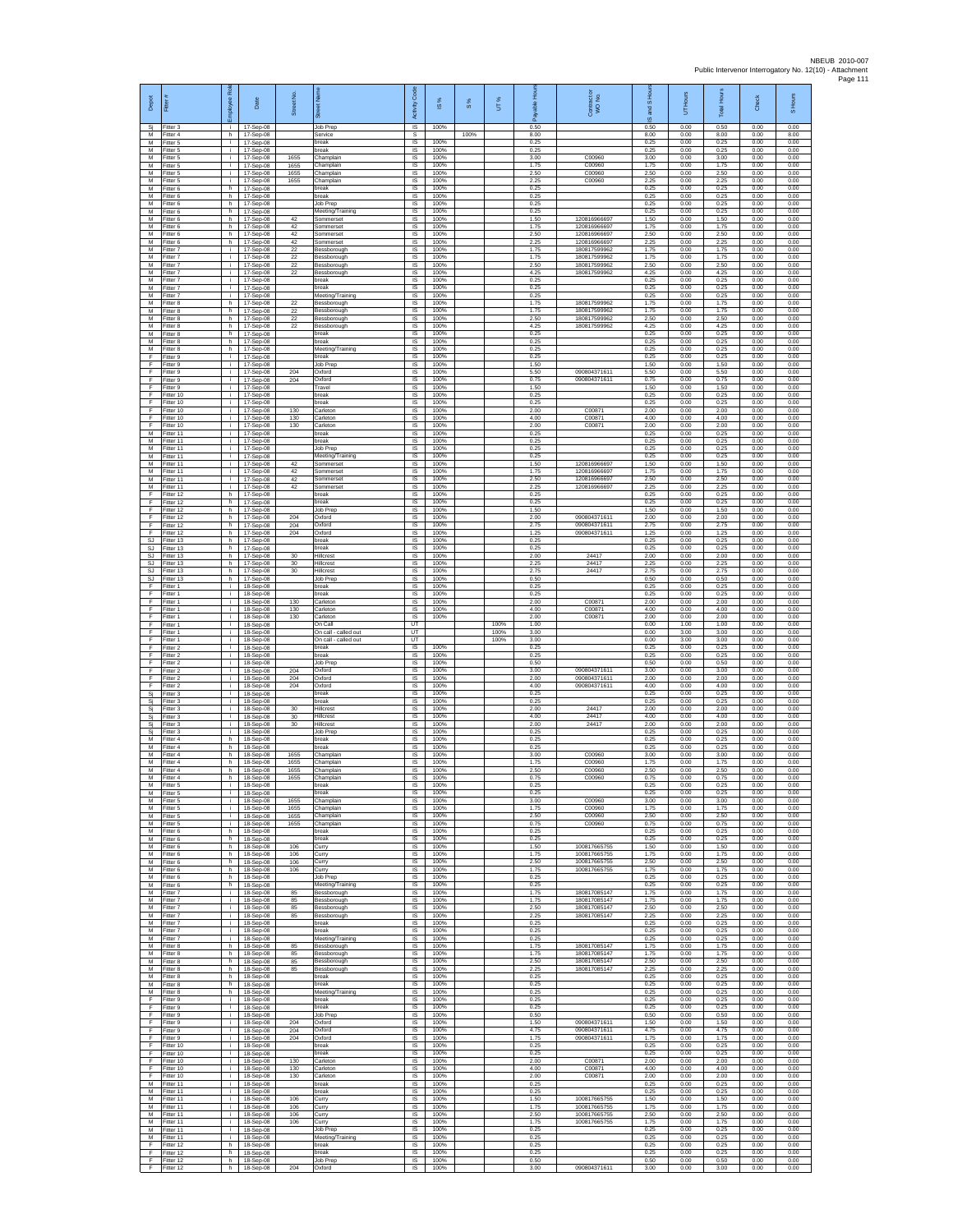| Depot                  | Fitter #                            | Employee Role     | Date                                | ş<br>reet<br>ä    | eet Na<br>ā                                    | Code<br>Activity                          | ×,<br>$\overline{\omega}$ | $S\%$ | UT%          | 훈<br>able<br>Æ       | Contract c<br>WO No.                        | S Hou<br>g<br>$\omega$ | UT Hours             | Total Hours          | Check                | S Hours              |
|------------------------|-------------------------------------|-------------------|-------------------------------------|-------------------|------------------------------------------------|-------------------------------------------|---------------------------|-------|--------------|----------------------|---------------------------------------------|------------------------|----------------------|----------------------|----------------------|----------------------|
| Sj<br>М                | Fitter 3<br>Fitter 4                | j.<br>h.          | 17-Sep-08<br>17-Sep-08              |                   | Job Prep<br>Service                            | IS<br>s                                   | 100%                      | 100%  |              | 0.50<br>8.00         |                                             | 0.50<br>8.00           | 0.00<br>0.00         | 0.50<br>8.00         | 0.00<br>0.00         | 0.00<br>8.00         |
| M<br>M<br>М            | Fitter 5<br>Fitter 5<br>Fitter 5    | i.<br>j.<br>i.    | 17-Sep-08<br>17-Sep-08<br>17-Sep-08 | 1655              | break<br>break<br>Champlair                    | IS<br>IS<br>1S                            | 100%<br>100%<br>100%      |       |              | 0.25<br>0.25<br>3.00 | C00960                                      | 0.25<br>0.25<br>3.00   | 0.00<br>0.00<br>0.00 | 0.25<br>0.25<br>3.00 | 0.00<br>0.00<br>0.00 | 0.00<br>0.00<br>0.00 |
| М<br>M                 | fitter 5<br>Fitter 5                | j.<br>j.          | 17-Sep-08<br>17-Sep-08              | 1655<br>1655      | Champlain<br>Champlain                         | IS<br><b>IS</b>                           | 100%<br>100%              |       |              | 1.75<br>2.50         | C00960<br>C00960                            | 1.75<br>2.50           | 0.00<br>0.00         | 1.75<br>2.50         | 0.00<br>0.00         | 0.00<br>0.00         |
| M<br>М                 | Fitter 5<br>Fitter 6                | i.<br>h.          | 17-Sep-08<br>17-Sep-08              | 1655              | Champlain<br>break                             | IS<br>IS                                  | 100%<br>100%              |       |              | 2.25<br>0.25         | C00960                                      | 2.25<br>0.25           | 0.00<br>0.00         | 2.25<br>0.25         | 0.00<br>0.00         | 0.00<br>0.00         |
| M<br>M<br>М            | Fitter 6<br>Fitter 6<br>Fitter 6    | h<br>h<br>h.      | 17-Sep-08<br>17-Sep-08<br>17-Sep-08 |                   | break<br>Job Prep<br>Meeting/Training          | $\overline{s}$<br>IS<br>$\sf IS$          | 100%<br>100%<br>100%      |       |              | 0.25<br>0.25<br>0.25 |                                             | 0.25<br>0.25<br>0.25   | 0.00<br>0.00<br>0.00 | 0.25<br>0.25<br>0.25 | 0.00<br>0.00<br>0.00 | 0.00<br>0.00<br>0.00 |
| M<br>M                 | itter 6<br>Fitter 6                 | h.<br>h.          | 17-Sep-08<br>17-Sep-08              | 42<br>42          | Sommerset<br>Sommerset                         | IS<br><b>IS</b>                           | 100%<br>100%              |       |              | 1.50<br>1.75         | 12081696669<br>120816966697                 | 1.50<br>1.75           | 0.00<br>0.00         | 1.50<br>1.75         | 0.00<br>0.00         | 0.00<br>0.00         |
| м<br>M                 | Fitter 6<br>Fitter 6                | h<br>h.           | 17-Sep-08<br>17-Sep-08              | 42<br>42          | Sommerset<br>Sommerset                         | IS<br>IS                                  | 100%<br>100%              |       |              | 2.50<br>2.25         | 120816966697<br>120816966697                | 2.50<br>2.25           | 0.00<br>0.00         | 2.50<br>2.25         | 0.00<br>0.00         | 0.00<br>0.00         |
| M<br>M<br>M            | fitter 7<br>Fitter 7<br>Fitter 7    | i.<br>j.<br>j.    | 17-Sep-08<br>17-Sep-08<br>17-Sep-08 | 22<br>22<br>22    | Bessborough<br>Bessborough<br>Bessborough      | IS<br><b>IS</b><br>$\sf IS$               | 100%<br>100%<br>100%      |       |              | 1.75<br>1.75<br>2.50 | 18081759996<br>18081759996<br>180817599962  | 1.75<br>1.75<br>2.50   | 0.00<br>0.00<br>0.00 | 1.75<br>1.75<br>2.50 | 0.00<br>0.00<br>0.00 | 0.00<br>0.00<br>0.00 |
| M<br>M                 | itter 7<br>Fitter 7                 | j.<br>j.          | 17-Sep-08<br>17-Sep-08              | 22                | Bessborough<br>break                           | IS<br>$\overline{\mathsf{s}}$             | 100%<br>100%              |       |              | 4.25<br>0.25         | 180817599962                                | 4.25<br>0.25           | 0.00<br>0.00         | 4.25<br>0.25         | 0.00<br>0.00         | 0.00<br>0.00         |
| M<br>М                 | Fitter 7<br>fitter 7                | i.<br>i.          | 17-Sep-08<br>17-Sep-08              |                   | break<br>Meeting/Training                      | IS<br>IS                                  | 100%<br>100%              |       |              | 0.25<br>0.25         |                                             | 0.25<br>0.25           | 0.00<br>0.00         | 0.25<br>0.25         | 0.00<br>0.00         | 0.00<br>0.00         |
| M<br>M<br>М            | Fitter 8<br>Fitter 8<br>Fitter 8    | h.<br>h.<br>h     | 17-Sep-08<br>17-Sep-08<br>17-Sep-08 | 22<br>22<br>22    | Bessborough<br>Bessborough<br>Bessborough      | IS<br>$\overline{\mathsf{s}}$<br>IS       | 100%<br>100%<br>100%      |       |              | 1.75<br>1.75<br>2.50 | 18081759996<br>180817599962<br>180817599962 | 1.75<br>1.75<br>2.50   | 0.00<br>0.00<br>0.00 | 1.75<br>1.75<br>2.50 | 0.00<br>0.00<br>0.00 | 0.00<br>0.00<br>0.00 |
| M<br>M                 | Fitter 8<br>Fitter 8                | h.<br>h.          | 17-Sep-08<br>17-Sep-08              | $22\,$            | Bessborough<br>break                           | $\sf IS$<br>IS                            | 100%<br>100%              |       |              | 4.25<br>0.25         | 180817599962                                | 4.25<br>0.25           | 0.00<br>0.00         | 4.25<br>0.25         | 0.00<br>0.00         | 0.00<br>0.00         |
| M<br>M                 | Fitter 8<br>Fitter 8                | h<br>h.           | 17-Sep-08<br>17-Sep-08              |                   | break<br>Meeting/Training                      | IS<br>1S                                  | 100%<br>100%              |       |              | 0.25<br>0.25         |                                             | 0.25<br>0.25           | 0.00<br>0.00         | 0.25<br>0.25         | 0.00<br>0.00         | 0.00<br>0.00         |
| F<br>F<br>F            | fitter 9<br>Fitter 9<br>Fitter 9    | i.<br>j.<br>j.    | 17-Sep-08<br>17-Sep-08<br>17-Sep-08 | 204               | break<br>Job Prep<br>Oxford                    | IS<br><b>IS</b><br>IS                     | 100%<br>100%<br>100%      |       |              | 0.25<br>1.50<br>5.50 | 090804371611                                | 0.25<br>1.50<br>5.50   | 0.00<br>0.00<br>0.00 | 0.25<br>1.50<br>5.50 | 0.00<br>0.00<br>0.00 | 0.00<br>0.00<br>0.00 |
| F<br>F                 | Fitter 9<br>Fitter 9                | i.<br>i.          | 17-Sep-08<br>17-Sep-08              | 204               | Oxford<br>Travel                               | IS<br>IS                                  | 100%<br>100%              |       |              | 0.75<br>1.50         | 090804371611                                | 0.75<br>1.50           | 0.00<br>0.00         | 0.75<br>1.50         | 0.00<br>0.00         | 0.00<br>0.00         |
| F<br>F                 | Fitter 10<br>Fitter 10              | j.<br>i.          | 17-Sep-08<br>17-Sep-08              |                   | break<br>break                                 | IS<br>$\sf IS$                            | 100%<br>100%              |       |              | 0.25<br>0.25         |                                             | 0.25<br>0.25           | 0.00<br>0.00         | 0.25<br>0.25         | 0.00<br>0.00         | 0.00<br>0.00         |
| F<br>F<br>F            | Fitter 10<br>Fitter 10<br>Fitter 10 | T<br>j.<br>j.     | 17-Sep-08<br>17-Sep-08<br>17-Sep-08 | 130<br>130<br>130 | Carleton<br>Carleton<br>Carleton               | 1S<br>IS<br>IS                            | 100%<br>100%<br>100%      |       |              | 2.00<br>4.00<br>2.00 | C0087<br>C00871<br>C00871                   | 2.00<br>4.00<br>2.00   | 0.00<br>0.00<br>0.00 | 2.00<br>4.00<br>2.00 | 0.00<br>0.00<br>0.00 | 0.00<br>0.00<br>0.00 |
| M<br>M                 | Fitter 11<br>Fitter 11              | i.<br>i.          | 17-Sep-08<br>17-Sep-08              |                   | break<br>oreak                                 | 1S<br>IS                                  | 100%<br>100%              |       |              | 0.25<br>0.25         |                                             | 0.25<br>0.25           | 0.00<br>0.00         | 0.25<br>0.25         | 0.00<br>0.00         | 0.00<br>0.00         |
| M<br>M<br>М            | Fitter 11<br>Fitter 11<br>fitter 11 | j.<br>i.<br>j.    | 17-Sep-08<br>17-Sep-08<br>17-Sep-08 | 42                | Job Prep<br>Meeting/Training<br>Sommerset      | <b>IS</b><br>$\sf IS$<br>IS               | 100%<br>100%<br>100%      |       |              | 0.25<br>0.25<br>1.50 | 12081696669                                 | 0.25<br>0.25<br>1.50   | 0.00<br>0.00<br>0.00 | 0.25<br>0.25<br>1.50 | 0.00<br>0.00<br>0.00 | 0.00<br>0.00<br>0.00 |
| M<br>M                 | Fitter 11<br>Fitter 11              | j.<br>i.          | 17-Sep-08<br>17-Sep-08              | 42<br>42          | Sommerset<br>Sommerset                         | $\overline{\mathsf{s}}$<br>IS             | 100%<br>100%              |       |              | 1.75<br>2.50         | 120816966697<br>120816966697                | 1.75<br>2.50           | 0.00<br>0.00         | 1.75<br>2.50         | 0.00<br>0.00         | 0.00<br>0.00         |
| М<br>F                 | Fitter 11<br>Fitter 12              | i.<br>h.          | 17-Sep-08<br>17-Sep-08              | 42                | Sommerset<br>break                             | IS<br>IS                                  | 100%<br>100%              |       |              | 2.25<br>0.25         | 120816966697                                | 2.25<br>0.25           | 0.00<br>0.00         | 2.25<br>0.25         | 0.00<br>0.00         | 0.00<br>0.00         |
| F<br>F<br>F            | Fitter 12<br>Fitter 12<br>Fitter 12 | h.<br>h<br>h      | 17-Sep-08<br>17-Sep-08<br>17-Sep-08 | 204               | break<br>Job Prep<br>Oxford                    | IS<br>IS<br>$\sf IS$                      | 100%<br>100%<br>100%      |       |              | 0.25<br>1.50<br>2.00 | 090804371611                                | 0.25<br>1.50<br>2.00   | 0.00<br>0.00<br>0.00 | 0.25<br>1.50<br>2.00 | 0.00<br>0.00<br>0.00 | 0.00<br>0.00<br>0.00 |
| F<br>F                 | Fitter 12<br>Fitter 12              | h.<br>h           | 17-Sep-08<br>17-Sep-08              | 204<br>204        | Oxford<br>Oxford                               | IS<br>IS                                  | 100%<br>100%              |       |              | 2.75<br>1.25         | 090804371611<br>090804371611                | 2.75<br>1.25           | 0.00<br>0.00         | 2.75<br>1.25         | 0.00<br>0.00         | 0.00<br>0.00         |
| <b>SJ</b><br><b>SJ</b> | Fitter 13<br>fitter 13              | h.<br>h.          | 17-Sep-08<br>17-Sep-08              |                   | break<br>preak                                 | IS<br>IS                                  | 100%<br>100%              |       |              | 0.25<br>0.25         |                                             | 0.25<br>0.25           | 0.00<br>0.00         | 0.25<br>0.25         | 0.00<br>0.00         | 0.00<br>0.00         |
| <b>SJ</b><br>SJ<br>SJ  | Fitter 13<br>Fitter 13<br>Fitter 13 | h.<br>h.<br>h.    | 17-Sep-08<br>17-Sep-08<br>17-Sep-08 | 30<br>30<br>30    | Hillcrest<br>Hillcrest<br>Hillcrest            | $\overline{\mathsf{s}}$<br>IS<br>IS       | 100%<br>100%<br>100%      |       |              | 2.00<br>2.25<br>2.75 | 24417<br>24417<br>24417                     | 2.00<br>2.25<br>2.75   | 0.00<br>0.00<br>0.00 | 2.00<br>2.25<br>2.75 | 0.00<br>0.00<br>0.00 | 0.00<br>0.00<br>0.00 |
| <b>SJ</b><br>F         | Fitter 13<br>Fitter 1               | h<br>j.           | 17-Sep-08<br>18-Sep-08              |                   | Job Prep<br>break                              | $\overline{s}$<br>IS                      | 100%<br>100%              |       |              | 0.50<br>0.25         |                                             | 0.50<br>0.25           | 0.00<br>0.00         | 0.50<br>0.25         | 0.00<br>0.00         | 0.00<br>0.00         |
| F<br>F                 | Fitter 1<br>Fitter 1<br>Fitter 1    | i.<br>T           | 18-Sep-08<br>18-Sep-08<br>18-Sep-08 | 130<br>130        | break<br>Carleton<br>Carleton                  | $\sf IS$<br>IS<br>$\overline{\mathsf{s}}$ | 100%<br>100%<br>100%      |       |              | 0.25<br>2.00<br>4.00 | C0087<br>C00871                             | 0.25<br>2.00<br>4.00   | 0.00<br>0.00<br>0.00 | 0.25<br>2.00<br>4.00 | 0.00<br>0.00<br>0.00 | 0.00<br>0.00<br>0.00 |
| F<br>F<br>F            | Fitter 1<br>Fitter 1                | j.<br>i.<br>i.    | 18-Sep-08<br>18-Sep-08              | 130               | Carleton<br>On Call                            | IS<br>UT                                  | 100%                      |       | 100%         | 2.00<br>1.00         | C00871                                      | 2.00<br>0.00           | 0.00<br>1.00         | 2.00<br>1.00         | 0.00<br>0.00         | 0.00<br>0.00         |
| F<br>F                 | Fitter 1<br>Fitter 1                | i.<br>j.          | 18-Sep-08<br>18-Sep-08              |                   | On call - called out<br>On call - called out   | UT<br>UT                                  |                           |       | 100%<br>100% | 3.00<br>3.00         |                                             | 0.00<br>0.00           | 3.00<br>3.00         | 3.00<br>3.00         | 0.00<br>0.00         | 0.00<br>0.00         |
| F<br>F<br>F            | Fitter 2<br>Fitter 2<br>Fitter 2    | i.<br>j.<br>j.    | 18-Sep-08<br>18-Sep-08<br>18-Sep-08 |                   | break<br>break<br>Job Prep                     | $\sf IS$<br>IS<br>$\overline{\mathsf{s}}$ | 100%<br>100%<br>100%      |       |              | 0.25<br>0.25<br>0.50 |                                             | 0.25<br>0.25<br>0.50   | 0.00<br>0.00<br>0.00 | 0.25<br>0.25<br>0.50 | 0.00<br>0.00<br>0.00 | 0.00<br>0.00<br>0.00 |
| F<br>F                 | Fitter 2<br>Fitter 2                | j.<br>i.          | 18-Sep-08<br>18-Sep-08              | 204<br>204        | Oxford<br>Oxford                               | IS<br>IS                                  | 100%<br>100%              |       |              | 3.00<br>2.00         | 090804371611<br>090804371611                | 3.00<br>2.00           | 0.00<br>0.00         | 3.00<br>2.00         | 0.00<br>0.00         | 0.00<br>0.00         |
| F<br>Sj                | Fitter 2<br>Fitter 3<br>Fitter 3    | i.<br>j.<br>÷.    | 18-Sep-08<br>18-Sep-08<br>18-Sep-08 | 204               | Oxford<br>break<br>break                       | IS<br>$\overline{\mathsf{s}}$<br>IS       | 100%<br>100%<br>100%      |       |              | 4.00<br>0.25<br>0.25 | 090804371611                                | 4.00<br>0.25<br>0.25   | 0.00<br>0.00<br>0.00 | 4.00<br>0.25<br>0.25 | 0.00<br>0.00<br>0.00 | 0.00<br>0.00<br>0.00 |
| Sj<br>Si<br>Si         | Fitter 3<br>Fitter 3                | i.<br>i.          | 18-Sep-08<br>18-Sep-08              | $30\,$<br>30      | Hillcrest<br>Hillcrest                         | $\sf IS$<br>IS                            | 100%<br>100%              |       |              | 2.00<br>4.00         | 24417<br>24417                              | 2.00<br>4.00           | 0.00<br>0.00         | 2.00<br>4.00         | 0.00<br>0.00         | 0.00<br>0.00         |
| Sj<br>Sj               | Fitter 3<br>Fitter 3                | j.<br>i.          | 18-Sep-08<br>18-Sep-08              | 30                | Hillcrest<br>Job Prep                          | IS<br>1S                                  | 100%<br>100%              |       |              | 2.00<br>0.25         | 24417                                       | 2.00<br>0.25           | 0.00<br>0.00         | 2.00<br>0.25         | 0.00<br>0.00         | 0.00<br>0.00         |
| M<br>M<br>M            | -itter 4<br>Fitter 4<br>Fitter 4    | h.<br>h.<br>h.    | 18-Sep-08<br>18-Sep-08<br>18-Sep-08 | 1655              | oreak<br>break<br>Champlain                    | IS<br><b>IS</b><br>IS                     | 100%<br>100%<br>100%      |       |              | 0.25<br>0.25<br>3.00 | C00960                                      | 0.25<br>0.25<br>3.00   | 0.00<br>0.00<br>0.00 | 0.25<br>0.25<br>3.00 | 0.00<br>0.00<br>0.00 | 0.00<br>0.00<br>0.00 |
| М<br>M                 | Fitter 4<br>Fitter 4                | h.<br>h.          | 18-Sep-08<br>18-Sep-08              | 1655<br>1655      | Champlain<br>Champlain                         | IS<br>IS                                  | 100%<br>100%              |       |              | 1.75<br>2.50         | C00960<br>C00960                            | 1.75<br>2.50           | 0.00<br>0.00         | 1.75<br>2.50         | 0.00<br>0.00         | 0.00<br>0.00         |
| M<br>М<br>M            | Fitter 4<br>Fitter 5                | h.<br>÷.<br>i.    | 18-Sep-08<br>18-Sep-08              | 1655              | Champlain<br>break<br>break                    | IS<br>IS                                  | 100%<br>100%<br>100%      |       |              | 0.75<br>0.25<br>0.25 | C00960                                      | 0.75<br>0.25<br>0.25   | 0.00<br>0.00<br>0.00 | 0.75<br>0.25<br>0.25 | 0.00<br>0.00<br>0.00 | 0.00<br>0.00<br>0.00 |
| M<br>м                 | fitter 5<br>Fitter 5<br>Fitter 5    | j.<br>j.          | 18-Sep-08<br>18-Sep-08<br>18-Sep-08 | 1655<br>1655      | Champlain<br>Champlain                         | IS<br>IS<br>IS                            | 100%<br>100%              |       |              | 3.00<br>1.75         | C00960<br>C00960                            | 3.00<br>1.75           | 0.00<br>0.00         | 3.00<br>1.75         | 0.00<br>0.00         | 0.00<br>0.00         |
| M<br>M                 | Fitter 5<br>Fitter 5                | ÷<br>i.           | 18-Sep-08<br>18-Sep-08              | 1655<br>1655      | Champlain<br>Champlain                         | IS<br>IS                                  | 100%<br>100%              |       |              | 2.50<br>0.75         | C00960<br>C00960                            | 2.50<br>0.75           | 0.00<br>0.00         | 2.50<br>0.75         | 0.00<br>0.00         | 0.00<br>0.00         |
| M<br>М<br>М            | Fitter 6<br>Fitter 6<br>itter 6     | h<br>h.<br>h.     | 18-Sep-08<br>18-Sep-08<br>18-Sep-08 | 106               | break<br>break<br>Curry                        | - IS<br>$\sf IS$<br>IS                    | 100%<br>100%<br>100%      |       |              | 0.25<br>0.25<br>1.50 | 100817665755                                | 0.25<br>0.25<br>1.50   | 0.00<br>0.00<br>0.00 | 0.25<br>0.25<br>1.50 | 0.00<br>0.00<br>0.00 | 0.00<br>0.00<br>0.00 |
| M<br>M                 | Fitter 6<br>Fitter 6                | h.<br>h.          | 18-Sep-08<br>18-Sep-08              | 106<br>106        | Curry<br>Curry                                 | <b>IS</b><br>IS                           | 100%<br>100%              |       |              | 1.75<br>2.50         | 100817665755<br>100817665755                | 1.75<br>2.50           | 0.00<br>0.00         | 1.75<br>2.50         | 0.00<br>0.00         | 0.00<br>0.00         |
| М<br>M                 | Fitter 6<br>Fitter 6                | h<br>h.           | 18-Sep-08<br>18-Sep-08              | 106               | Curry<br>Job Prep                              | IS<br>IS                                  | 100%<br>100%<br>100%      |       |              | 1.75<br>0.25<br>0.25 | 100817665755                                | 1.75<br>0.25<br>0.25   | 0.00<br>0.00<br>0.00 | 1.75<br>0.25<br>0.25 | 0.00<br>0.00<br>0.00 | 0.00<br>0.00<br>0.00 |
| M<br>М<br>М            | Fitter 6<br>-itter 7<br>Fitter 7    | h.<br>i.<br>j.    | 18-Sep-08<br>18-Sep-08<br>18-Sep-08 | 85<br>85          | Meeting/Training<br>Bessborough<br>Bessborough | <b>IS</b><br>IS<br>$\sf IS$               | 100%<br>100%              |       |              | 1.75<br>1.75         | 180817085147<br>180817085147                | 1.75<br>1.75           | 0.00<br>0.00         | 1.75<br>1.75         | 0.00<br>0.00         | 0.00<br>0.00         |
| M<br>M                 | Fitter 7<br>Fitter 7                | i.<br>÷.          | 18-Sep-08<br>18-Sep-08              | 85<br>85          | Bessborough<br>Bessborough                     | IS<br>IS                                  | 100%<br>100%              |       |              | 2.50<br>2.25         | 180817085147<br>180817085147                | 2.50<br>2.25           | 0.00<br>0.00         | 2.50<br>2.25         | 0.00<br>0.00         | 0.00<br>0.00         |
| М<br>М<br>M            | Fitter 7<br>fitter 7<br>Fitter 7    | ÷<br>i.<br>j.     | 18-Sep-08<br>18-Sep-08              |                   | break<br>break                                 | IS<br>IS<br><b>IS</b>                     | 100%<br>100%<br>100%      |       |              | 0.25<br>0.25<br>0.25 |                                             | 0.25<br>0.25<br>0.25   | 0.00<br>0.00<br>0.00 | 0.25<br>0.25<br>0.25 | 0.00<br>0.00<br>0.00 | 0.00<br>0.00<br>0.00 |
| M<br>М                 | Fitter 8<br>Fitter 8                | h.<br>h           | 18-Sep-08<br>18-Sep-08<br>18-Sep-08 | 85<br>85          | Meeting/Training<br>Bessborough<br>Bessborough | IS<br>IS                                  | 100%<br>100%              |       |              | 1.75<br>1.75         | 180817085147<br>180817085147                | 175<br>1.75            | 0.00<br>0.00         | 1.75<br>1.75         | 0.00<br>0.00         | 0.00<br>0.00         |
| M<br>M                 | Fitter 8<br>Fitter 8                | h<br>h.           | 18-Sep-08<br>18-Sep-08              | 85<br>85          | Bessborough<br>Bessborough                     | IS<br>IS                                  | 100%<br>100%              |       |              | 2.50<br>2.25         | 180817085147<br>180817085147                | 2.50<br>2.25           | 0.00<br>0.00         | 2.50<br>2.25         | 0.00<br>0.00         | 0.00<br>0.00         |
| М<br>M<br>M            | Fitter 8<br>Fitter 8<br>Fitter 8    | h.<br>h.<br>h.    | 18-Sep-08<br>18-Sep-08<br>18-Sep-08 |                   | break<br>break<br>Meeting/Training             | IS<br>IS<br>IS                            | 100%<br>100%<br>100%      |       |              | 0.25<br>0.25<br>0.25 |                                             | 0.25<br>0.25<br>0.25   | 0.00<br>0.00<br>0.00 | 0.25<br>0.25<br>0.25 | 0.00<br>0.00<br>0.00 | 0.00<br>0.00<br>0.00 |
| F<br>F                 | Fitter 9<br>Fitter 9                | i.<br>÷.          | 18-Sep-08<br>18-Sep-08              |                   | break<br>break                                 | IS<br>IS                                  | 100%<br>100%              |       |              | 0.25<br>0.25         |                                             | 0.25<br>0.25           | 0.00<br>0.00         | 0.25<br>0.25         | 0.00<br>0.00         | 0.00<br>0.00         |
| F<br>F<br>F            | Fitter 9<br>Fitter 9                | i.<br>j.<br>i.    | 18-Sep-08<br>18-Sep-08              | 204               | Job Prep<br>Oxford                             | IS<br><b>IS</b>                           | 100%<br>100%              |       |              | 0.50<br>1.50         | 090804371611                                | 0.50<br>1.50           | 0.00<br>0.00         | 0.50<br>1.50         | 0.00<br>0.00         | 0.00<br>0.00         |
| F<br>F                 | Fitter 9<br>itter 9<br>Fitter 10    | ÷.<br>j.          | 18-Sep-08<br>18-Sep-08<br>18-Sep-08 | 204<br>204        | Oxford<br>Oxford<br>break                      | $\sf IS$<br>IS<br><b>IS</b>               | 100%<br>100%<br>100%      |       |              | 4.75<br>1.75<br>0.25 | 090804371611<br>090804371611                | 4.75<br>1.75<br>0.25   | 0.00<br>0.00<br>0.00 | 4.75<br>1.75<br>0.25 | 0.00<br>0.00<br>0.00 | 0.00<br>0.00<br>0.00 |
| E<br>F                 | Fitter 10<br>Fitter 10              | j.<br>i.          | 18-Sep-08<br>18-Sep-08              | 130               | hreak<br>Carleton                              | IS<br>IS                                  | 100%<br>100%              |       |              | 0.25<br>2.00         | C00871                                      | 0.25<br>2.00           | 0.00<br>0.00         | 0.25<br>2.00         | 0.00<br>0.00         | 0.00<br>0.00         |
| F<br>F.                | Fitter 10<br>Fitter 10              | j.<br>i.<br>i.    | 18-Sep-08<br>18-Sep-08              | 130<br>130        | Carleton<br>Carleton<br>break                  | IS<br>IS                                  | 100%<br>100%<br>100%      |       |              | 4.00<br>2.00<br>0.25 | C00871<br>C00871                            | 4.00<br>2.00<br>0.25   | 0.00<br>0.00         | 4.00<br>2.00         | 0.00<br>0.00<br>0.00 | 0.00<br>0.00<br>0.00 |
| М<br>M<br>M            | Fitter 11<br>Fitter 11<br>Fitter 11 | $\mathbf i$<br>j. | 18-Sep-08<br>18-Sep-08<br>18-Sep-08 | 106               | break<br>Curry                                 | IS<br>$\sf IS$<br>IS                      | 100%<br>100%              |       |              | 0.25<br>1.50         | 100817665755                                | 0.25<br>1.50           | 0.00<br>0.00<br>0.00 | 0.25<br>0.25<br>1.50 | 0.00<br>0.00         | 0.00<br>0.00         |
| M<br>M                 | Fitter 11<br>Fitter 11              | i.<br>÷           | 18-Sep-08<br>18-Sep-08              | 106<br>106        | Curry<br>Curry                                 | IS<br>IS                                  | 100%<br>100%              |       |              | 1.75<br>2.50         | 100817665755<br>100817665755                | 1.75<br>2.50           | 0.00<br>0.00         | 1.75<br>2.50         | 0.00<br>0.00         | 0.00<br>0.00         |
| М<br>M<br>M            | fitter 11<br>Fitter 11<br>Fitter 11 | i.<br>÷i.<br>i.   | 18-Sep-08<br>18-Sep-08<br>18-Sep-08 | 106               | Curry<br>Job Prep<br>Meeting/Training          | IS<br>- IS<br>IS                          | 100%<br>100%<br>100%      |       |              | 1.75<br>0.25<br>0.25 | 100817665755                                | 1.75<br>0.25<br>0.25   | 0.00<br>0.00<br>0.00 | 1.75<br>0.25<br>0.25 | 0.00<br>0.00<br>0.00 | 0.00<br>0.00<br>0.00 |
| F<br>F                 | Fitter 12<br>Fitter 12              | h<br>h.           | 18-Sep-08<br>18-Sep-08              |                   | break<br>break                                 | IS<br>IS                                  | 100%<br>100%              |       |              | 0.25<br>0.25         |                                             | 0.25<br>0.25           | 0.00<br>0.00         | 0.25<br>0.25         | 0.00<br>0.00         | 0.00<br>0.00         |
| F<br>F                 | Fitter 12<br>Fitter 12              | h.<br>h           | 18-Sep-08<br>18-Sep-08              | 204               | Job Prep<br>Oxford                             | IS<br>IS                                  | 100%<br>100%              |       |              | 0.50<br>3.00         | 090804371611                                | 0.50<br>3.00           | 0.00<br>0.00         | 0.50<br>3.00         | 0.00<br>0.00         | 0.00<br>0.00         |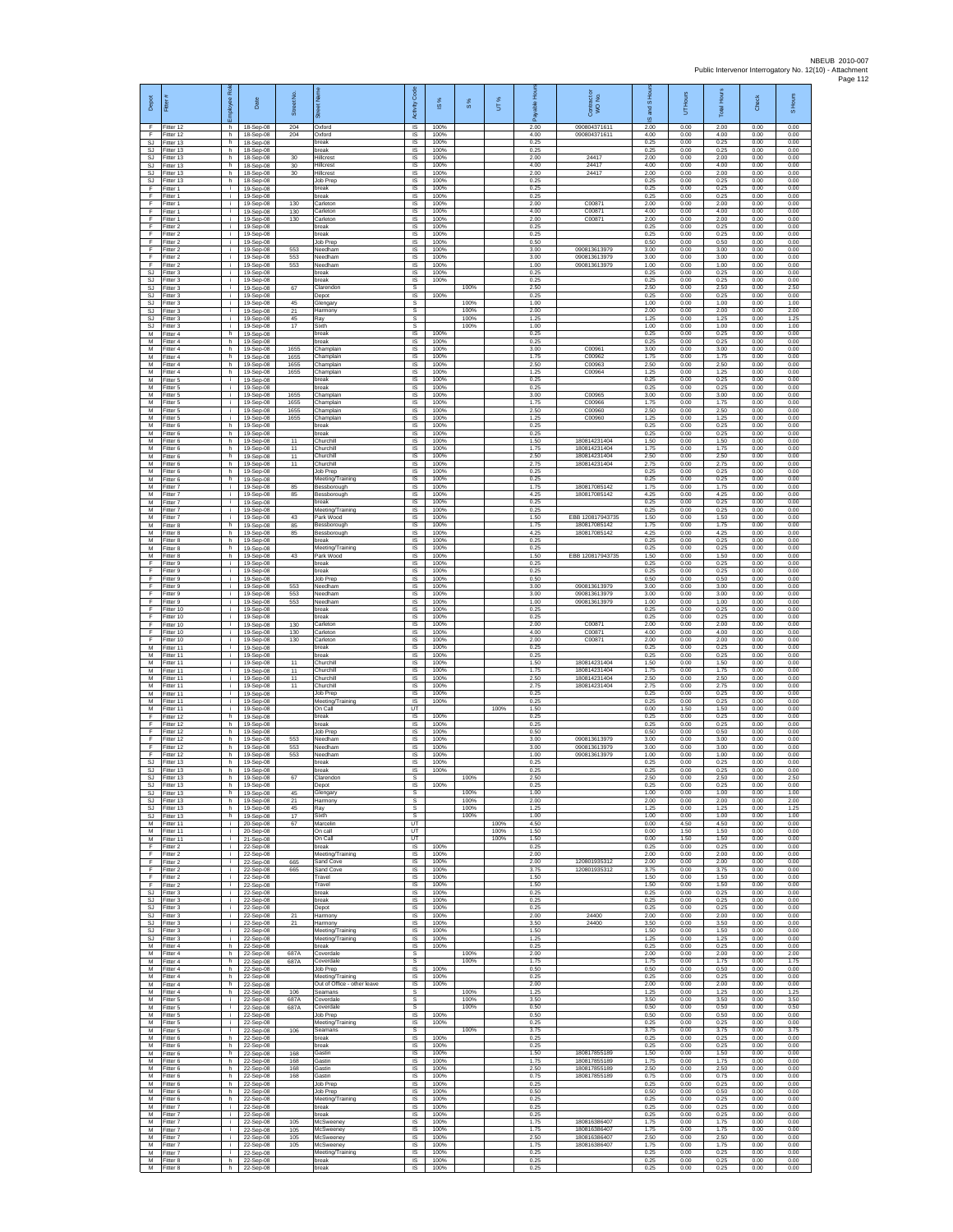| Depot<br>F           | Fitter<br>Fitter 12                 | boyee Role<br>h | Date<br>18-Sep-08                   | Street No.<br>204 | Oxford                                              | Activity Code<br><b>IS</b>         | IS %<br>100%         | $\frac{8}{3}$ | UT%          | 2.00                 | Contract or<br>WO No.<br>090804371611        | and S Ho<br>ဖ<br>2.00 | UT Hours<br>0.00     | <b>Total Hours</b><br>2.00 | Check<br>0.00        | S Hours<br>0.00      |
|----------------------|-------------------------------------|-----------------|-------------------------------------|-------------------|-----------------------------------------------------|------------------------------------|----------------------|---------------|--------------|----------------------|----------------------------------------------|-----------------------|----------------------|----------------------------|----------------------|----------------------|
| E<br><b>SJ</b>       | Fitter 12<br>Fitter 13              | h<br>h.         | 18-Sep-08<br>18-Sep-08              | 204               | Oxford<br>break                                     | IS<br>IS                           | 100%<br>100%         |               |              | 4.00<br>0.25         | 090804371611                                 | 4.00<br>0.25          | 0.00<br>0.00         | 4.00<br>0.25               | 0.00<br>0.00         | 0.00<br>0.00         |
| SJ<br>SJ.<br>SJ      | Fitter 13<br>Fitter 13<br>Fitter 13 | h.<br>h.<br>h.  | 18-Sep-08<br>18-Sep-08<br>18-Sep-08 | 30<br>30          | break<br>Hillcrest<br>Hillcrest                     | <b>IS</b><br><b>IS</b><br>IS       | 100%<br>100%<br>100% |               |              | 0.25<br>2.00<br>4.00 | 24417<br>24417                               | 0.25<br>2.00<br>4.00  | 0.00<br>0.00<br>0.00 | 0.25<br>2.00<br>4.00       | 0.00<br>0.00<br>0.00 | 0.00<br>0.00<br>0.00 |
| SJ<br><b>SJ</b>      | Fitter 13<br>Fitter 13              | h.<br>h         | 18-Sep-08<br>18-Sep-08              | 30                | Hillcrest<br>Job Prep                               | IS<br>IS                           | 100%<br>100%         |               |              | 2.00<br>0.25         | 24417                                        | 2.00<br>0.25          | 0.00<br>0.00         | 2.00<br>0.25               | 0.00<br>0.00         | 0.00<br>0.00         |
| F<br>F.              | Fitter 1<br>-itter 1                | i.<br>i.        | 19-Sep-08<br>19-Sep-08              |                   | break<br>break                                      | - IS<br>$\sf IS$                   | 100%<br>100%         |               |              | 0.25<br>0.25         |                                              | 0.25<br>0.25          | 0.00<br>0.00         | 0.25<br>0.25               | 0.00<br>0.00         | 0.00<br>0.00         |
| F<br>-F<br>-F.       | Fitter 1<br>Fitter 1<br>Fitter 1    | Ť.<br>j.<br>i.  | 19-Sep-08<br>19-Sep-08<br>19-Sep-08 | 130<br>130<br>130 | Carleton<br>Carleton<br>Carleton                    | $\sf IS$<br><b>IS</b><br><b>IS</b> | 100%<br>100%<br>100% |               |              | 2.00<br>4.00<br>2.00 | C00871<br>C00871<br>C00871                   | 2.00<br>4.00<br>2.00  | 0.00<br>0.00<br>0.00 | 2.00<br>4.00<br>200        | 0.00<br>0.00<br>0.00 | 0.00<br>0.00<br>0.00 |
| Ŧ<br>Ŧ               | Fitter 2<br>Fitter 2                | i.              | 19-Sep-08<br>19-Sep-08              |                   | break<br>break                                      | IS<br>IS                           | 100%<br>100%         |               |              | 0.25<br>0.25         |                                              | 0.25<br>0.25          | 0.00<br>0.00         | 0.25<br>0.25               | 0.00<br>0.00         | 0.00<br>0.00         |
| E<br>F<br>F          | Fitter 2<br>itter 2<br>Fitter 2     | i.<br>j.<br>i.  | 19-Sep-08<br>19-Sep-08<br>19-Sep-08 | 553<br>553        | Job Prep<br>Needham<br>Needham                      | <b>IS</b><br>IS<br>IS              | 100%<br>100%<br>100% |               |              | 0.50<br>3.00<br>3.00 | 090813613979<br>090813613979                 | 0.50<br>3.00<br>3.00  | 0.00<br>0.00<br>0.00 | 0.50<br>3.00<br>3.00       | 0.00<br>0.00<br>0.00 | 0.00<br>0.00<br>0.00 |
| F<br>SJ              | Fitter 2<br>Fitter 3                | i.<br>Ť.        | 19-Sep-08<br>19-Sep-08              | 553               | Needham<br>break                                    | IS<br>IS                           | 100%<br>100%         |               |              | 1.00<br>0.25         | 090813613979                                 | 1.00<br>0.25          | 0.00<br>0.00         | 1.00<br>0.25               | 0.00<br>0.00         | 0.00<br>0.00         |
| <b>SJ</b><br>SJ      | Fitter 3<br>fitter 3                | i.<br>Ť.        | 19-Sep-08<br>19-Sep-08              | 67                | break<br>Clarendon                                  | IS<br>s                            | 100%                 | 100%          |              | 0.25<br>2.50         |                                              | 0.25<br>2.50          | 0.00<br>0.00         | 0.25<br>2.50               | 0.00<br>0.00         | 0.00<br>2.50         |
| -SJ<br>SJ<br>SJ      | Fitter 3<br>-itter 3<br>Fitter 3    | j.<br>i.        | 19-Sep-08<br>19-Sep-08<br>19-Sep-08 | 45<br>21          | Depot<br>Glengary<br>Harmony                        | IS<br>s<br>s                       | 100%                 | 100%<br>100%  |              | 0.25<br>1.00<br>2.00 |                                              | 0.25<br>1.00<br>2.00  | 0.00<br>0.00<br>0.00 | 0.25<br>1.00<br>2.00       | 0.00<br>0.00<br>0.00 | 0.00<br>1.00<br>2.00 |
| SJ.<br>SJ            | Fitter 3<br>Fitter 3                | j.<br>i.        | 19-Sep-08<br>19-Sep-08              | 45<br>17          | Ray<br>Sixth                                        | s<br>s                             |                      | 100%<br>100%  |              | 1.25<br>1.00         |                                              | 1.25<br>1.00          | 0.00<br>0.00         | 1.25<br>1.00               | 0.00<br>0.00         | 1.25<br>1.00         |
| M<br>M               | -itter 4<br>Fitter 4                | h.<br>h         | 19-Sep-08<br>19-Sep-08<br>19-Sep-08 | 1655              | break<br>break                                      | $\sf IS$<br>IS                     | 100%<br>100%         |               |              | 0.25<br>0.25<br>3.00 | C00961                                       | 0.25<br>0.25<br>3.00  | 0.00<br>0.00         | 0.25<br>0.25<br>3.00       | 0.00<br>0.00<br>0.00 | 0.00<br>0.00<br>0.00 |
| M<br>M<br>M          | Fitter 4<br>Fitter 4<br>Fitter 4    | h.<br>h<br>h    | 19-Sep-08<br>19-Sep-08              | 1655<br>1655      | Champlain<br>Champlain<br>Champlain                 | <b>IS</b><br>IS<br>IS              | 100%<br>100%<br>100% |               |              | 1.75<br>2.50         | C00962<br>C00963                             | 1.75<br>2.50          | 0.00<br>0.00<br>0.00 | 1.75<br>2.50               | 0.00<br>0.00         | 0.00<br>0.00         |
| M<br>M               | Fitter 4<br>Fitter 5                | h<br>j.         | 19-Sep-08<br>19-Sep-08              | 1655              | Champlain<br>break                                  | IS<br>- IS                         | 100%<br>100%         |               |              | 1.25<br>0.25         | C00964                                       | 1.25<br>0.25          | 0.00<br>0.00         | 1.25<br>0.25               | 0.00<br>0.00         | 0.00<br>0.00         |
| М<br>М<br>M          | -itter 5<br>Fitter 5<br>Fitter 5    | i.<br>j.        | 19-Sep-08<br>19-Sep-08<br>19-Sep-08 | 1655<br>1655      | break<br>Champlain<br>Champlain                     | IS<br>$\sf IS$<br><b>IS</b>        | 100%<br>100%<br>100% |               |              | 0.25<br>3.00<br>1.75 | C00965<br>C00966                             | 0.25<br>3.00<br>1.75  | 0.00<br>0.00<br>0.00 | 0.25<br>3.00<br>1.75       | 0.00<br>0.00<br>0.00 | 0.00<br>0.00<br>0.00 |
| M<br>M               | Fitter 5<br>-itter 5                | i.<br>÷.        | 19-Sep-08<br>19-Sep-08              | 1655<br>1655      | Champlain<br>Champlain                              | IS<br>IS                           | 100%<br>100%         |               |              | 2.50<br>1.25         | C00960<br>C00960                             | 2.50<br>1.25          | 0.00<br>0.00         | 2.50<br>1.25               | 0.00<br>0.00         | 0.00<br>0.00         |
| M<br>M               | Fitter 6<br>Fitter 6                | h<br>h.         | 19-Sep-08<br>19-Sep-08              |                   | break<br>break                                      | IS<br>IS                           | 100%<br>100%         |               |              | 0.25<br>0.25         |                                              | 0.25<br>0.25          | 0.00<br>0.00         | 0.25<br>0.25               | 0.00<br>0.00         | 0.00<br>0.00         |
| M<br>M<br>M          | -itter 6<br>Fitter 6<br>Fitter 6    | h<br>h<br>h.    | 19-Sep-08<br>19-Sep-08<br>19-Sep-08 | 11<br>11<br>11    | Churchill<br>Churchill<br>Churchill                 | IS<br>IS<br>IS                     | 100%<br>100%<br>100% |               |              | 1.50<br>1.75<br>2.50 | 180814231404<br>180814231404<br>180814231404 | 1.50<br>1.75<br>2.50  | 0.00<br>0.00<br>0.00 | 1.50<br>1.75<br>2.50       | 0.00<br>0.00<br>0.00 | 0.00<br>0.00<br>0.00 |
| M<br>M               | Fitter 6<br>Fitter 6                | h<br>h.         | 19-Sep-08<br>19-Sep-08              | 11                | Churchill<br>Job Prep                               | IS<br>IS                           | 100%<br>100%         |               |              | 2.75<br>0.25         | 180814231404                                 | 2.75<br>0.25          | 0.00<br>0.00         | 2.75<br>0.25               | 0.00<br>0.00         | 0.00<br>0.00         |
| M<br>M<br>M          | Fitter 6<br>Fitter 7                | h<br>Ť.<br>i.   | 19-Sep-08<br>19-Sep-08              | 85                | Meeting/Training<br>Bessborough<br>Bessborough      | IS<br>IS<br>IS                     | 100%<br>100%<br>100% |               |              | 0.25<br>1.75<br>4 25 | 180817085142<br>180817085142                 | 0.25<br>1.75<br>4 25  | 0.00<br>0.00<br>0.00 | 0.25<br>1.75<br>4.25       | 0.00<br>0.00<br>0.00 | 0.00<br>0.00<br>0.00 |
| M<br>M               | -itter 7<br>Fitter 7<br>Fitter 7    | ÷.<br>i.        | 19-Sep-08<br>19-Sep-08<br>19-Sep-08 | 85                | break<br>Meeting/Training                           | IS<br>IS                           | 100%<br>100%         |               |              | 0.25<br>0.25         |                                              | 0.25<br>0.25          | 0.00<br>0.00         | 0.25<br>0.25               | 0.00<br>0.00         | 0.00<br>0.00         |
| M<br>M               | Fitter 7<br>Fitter 8                | i.<br>h         | 19-Sep-08<br>19-Sep-08              | 43<br>85          | Park Wood<br>Bessborough                            | IS<br>IS                           | 100%<br>100%         |               |              | 1.50<br>1.75         | EBB 120817943735<br>180817085142             | 1.50<br>1.75          | 0.00<br>0.00         | 1.50<br>1.75               | 0.00<br>0.00         | 0.00<br>0.00         |
| M<br>M<br>M          | Fitter 8<br>Fitter 8<br>Fitter 8    | h.<br>h.<br>h.  | 19-Sep-08<br>19-Sep-08              | 85                | Bessborough<br>break                                | IS<br>- IS<br>IS                   | 100%<br>100%<br>100% |               |              | 4.25<br>0.25<br>0.25 | 180817085142                                 | 4.25<br>0.25<br>0.25  | 0.00<br>0.00<br>0.00 | 4.25<br>0.25<br>0.25       | 0.00<br>0.00<br>0.00 | 0.00<br>0.00<br>0.00 |
| M<br>F               | Fitter 8<br>Fitter 9                | h.<br>i.        | 19-Sep-08<br>19-Sep-08<br>19-Sep-08 | 43                | Meeting/Training<br>Park Wood<br>oreak              | IS<br>IS                           | 100%<br>100%         |               |              | 1.50<br>0.25         | EBB 120817943735                             | 1.50<br>0.25          | 0.00<br>0.00         | 1.50<br>0.25               | 0.00<br>0.00         | 0.00<br>0.00         |
| F<br>$\mathsf F$     | Fitter 9<br>-itter 9                | j.<br>i.        | 19-Sep-08<br>19-Sep-08              |                   | break<br>Job Prep                                   | - IS<br>$\sf IS$                   | 100%<br>100%         |               |              | 0.25<br>0.50         |                                              | 0.25<br>0.50          | 0.00<br>0.00         | 0.25<br>0.50               | 0.00<br>0.00         | 0.00<br>0.00         |
| F<br>F<br>F          | Fitter 9<br>Fitter 9<br>Fitter 9    | Ť.<br>j.<br>i.  | 19-Sep-08<br>19-Sep-08<br>19-Sep-08 | 553<br>553<br>553 | Needham<br>Needham<br>Needham                       | $\sf IS$<br><b>IS</b><br><b>IS</b> | 100%<br>100%<br>100% |               |              | 3.00<br>3.00<br>1.00 | 090813613979<br>090813613979<br>090813613979 | 3.00<br>3.00<br>1.00  | 0.00<br>0.00<br>0.00 | 3.00<br>3.00<br>1.00       | 0.00<br>0.00<br>0.00 | 0.00<br>0.00<br>0.00 |
| Ŧ<br>Ŧ               | Fitter 10<br>Fitter 10              | i.              | 19-Sep-08<br>19-Sep-08              |                   | break<br>break                                      | IS<br>IS                           | 100%<br>100%         |               |              | 0.25<br>0.25         |                                              | 0.25<br>0.25          | 0.00<br>0.00         | 0.25<br>0.25               | 0.00<br>0.00         | 0.00<br>0.00         |
| E<br>F               | Fitter 10<br>Fitter 10              | i.<br>j.        | 19-Sep-08<br>19-Sep-08              | 130<br>130        | Carleton<br>Carleton                                | IS<br>IS                           | 100%<br>100%         |               |              | 2.00<br>4.00         | C00871<br>C00871                             | 2.00<br>4.00          | 0.00<br>0.00         | 2.00<br>4.00               | 0.00<br>0.00         | 0.00<br>0.00         |
| F<br>M<br>M          | Fitter 10<br>Fitter 11<br>Fitter 11 | i.<br>i.<br>Ť.  | 19-Sep-08<br>19-Sep-08<br>19-Sep-08 | 130               | Carleton<br>oreak<br>oreak                          | IS<br>IS<br>IS                     | 100%<br>100%<br>100% |               |              | 2.00<br>0.25<br>0.25 | C00871                                       | 2.00<br>0.25<br>0.25  | 0.00<br>0.00<br>0.00 | 2.00<br>0.25<br>0.25       | 0.00<br>0.00<br>0.00 | 0.00<br>0.00<br>0.00 |
| M<br>M               | Fitter 11<br>Fitter 11              | i.<br>Ť.        | 19-Sep-08<br>19-Sep-08              | 11<br>11          | Churchill<br>Churchill                              | IS<br>IS                           | 100%<br>100%         |               |              | 1.50<br>1.75         | 180814231404<br>180814231404                 | 1.50<br>1.75          | 0.00<br>0.00         | 1.50<br>1.75               | 0.00<br>0.00         | 0.00<br>0.00         |
| M<br>M<br>M          | Fitter 11<br>Fitter 11<br>Fitter 11 | j.<br>i.        | 19-Sep-08<br>19-Sep-08<br>19-Sep-08 | 11<br>11          | Churchill<br>Churchill<br>Job Prep                  | -IS<br><b>IS</b><br>IS             | 100%<br>100%<br>100% |               |              | 2.50<br>275<br>0.25  | 180814231404<br>180814231404                 | 2.50<br>2.75<br>0.25  | 0.00<br>0.00<br>0.00 | 2.50<br>2.75<br>0.25       | 0.00<br>0.00<br>0.00 | 0.00<br>0.00<br>0.00 |
| M<br>M               | Fitter 11<br>Fitter 11              | i.<br>i.        | 19-Sep-08<br>19-Sep-08              |                   | Meeting/Training<br>On Call                         | IS<br>UT                           | 100%                 |               | 100%         | 0.25<br>1.50         |                                              | 0.25<br>0.00          | 0.00<br>1.50         | 0.25<br>1.50               | 0.00<br>0.00         | 0.00<br>0.00         |
| F<br>Ŧ               | Fitter 12<br>Fitter 12              | h.<br>h         | 19-Sep-08<br>19-Sep-08              |                   | break<br>break                                      | IS<br>IS                           | 100%<br>100%         |               |              | 0.25<br>0.25         |                                              | 0.25<br>0.25          | 0.00<br>0.00         | 0.25<br>0.25               | 0.00<br>0.00         | 0.00<br>0.00         |
| F<br>F<br>Ŧ          | Fitter 12<br>Fitter 12<br>Fitter 12 | h.<br>h.<br>h.  | 19-Sep-08<br>19-Sep-08<br>19-Sep-08 | 553<br>553        | Job Prep<br>Needham<br>Needham                      | IS<br>IS<br>IS                     | 100%<br>100%<br>100% |               |              | 0.50<br>3.00<br>3.00 | 090813613979<br>090813613979                 | 0.50<br>3.00<br>3.00  | 0.00<br>0.00<br>0.00 | 0.50<br>3.00<br>3.00       | 0.00<br>0.00<br>0.00 | 0.00<br>0.00<br>0.00 |
| F<br>SJ              | Fitter 12<br>Fitter 13              | h.<br>h.        | 19-Sep-08<br>19-Sep-08              | 553               | Needham<br>break                                    | IS<br>-IS                          | 100%<br>100%         |               |              | 1.00<br>0.25         | 090813613979                                 | 1.00<br>0.25          | 0.00<br>0.00         | 1.00<br>0.25               | 0.00<br>0.00         | 0.00<br>0.00         |
| SJ.<br><b>SJ</b>     | Fitter 13<br>Fitter 13              | h.<br>h         | 19-Sep-08<br>19-Sep-08              | 67                | break<br>Clarendon                                  | IS<br>s                            | 100%                 | 100%          |              | 0.25<br>2.50         |                                              | 0.25<br>2.50          | 0.00<br>0.00         | 0.25<br>2.50               | 0.00<br>0.00         | 0.00<br>2.50         |
| SJ.<br>S.I<br>SJ     | Fitter 13<br>Fitter 13<br>Fitter 13 | h<br>h.<br>h    | 19-Sep-08<br>19-Sep-08<br>19-Sep-08 | 45<br>$^{21}$     | Depot<br>Glengary<br>Harmony                        | -IS<br>s<br>s                      | 100%                 | 100%<br>100%  |              | 0.25<br>1.00<br>2.00 |                                              | 0.25<br>1.00<br>2.00  | 0.00<br>0.00<br>0.00 | 0.25<br>1.00<br>2.00       | 0.00<br>0.00<br>0.00 | 0.00<br>1.00<br>2.00 |
| SJ.<br>SJ.           | Fitter 13<br>Fitter 13              | h<br>h.         | 19-Sep-08<br>19-Sep-08              | 45<br>17          | Ray<br>Sixth                                        | s<br>s.                            |                      | 100%<br>100%  |              | 1.25<br>1.00         |                                              | 1.25<br>1.00          | 0.00<br>0.00         | 1.25<br>1.00               | 0.00<br>0.00         | 1.25<br>1.00         |
| M<br>${\sf M}$       | Fitter 11<br>Fitter 11              | i.<br>i.        | 20-Sep-08<br>20-Sep-08              | 67                | Marcelin<br>On call                                 | UT<br>UT                           |                      |               | 100%<br>100% | 4.50<br>1.50         |                                              | 0.00<br>0.00          | 4.50<br>1.50         | 4.50<br>1.50               | 0.00<br>0.00         | 0.00<br>0.00         |
| M<br>E<br>Ŧ          | Fitter 11<br>Fitter 2<br>Fitter 2   | i.<br>j.<br>i.  | 21-Sep-08<br>22-Sep-08<br>22-Sep-08 |                   | On Call<br>break<br>Meeting/Training                | UT<br>IS<br>IS                     | 100%<br>100%         |               | 100%         | 1.50<br>0.25<br>2.00 |                                              | 0.00<br>0.25<br>2.00  | 1.50<br>0.00<br>0.00 | 1.50<br>0.25<br>2.00       | 0.00<br>0.00<br>0.00 | 0.00<br>0.00<br>0.00 |
| Ŧ<br>-F              | Fitter 2<br>Fitter 2                | j.<br>j.        | 22-Sep-08<br>22-Sep-08              | 665<br>665        | Sand Cove<br>Sand Cove                              | <b>IS</b><br>- IS                  | 100%<br>100%         |               |              | 2.00<br>3.75         | 12080193531<br>120801935312                  | 2.00<br>3.75          | 0.00<br>0.00         | 2.00<br>3.75               | 0.00<br>0.00         | 0.00<br>0.00         |
| F.<br>F<br><b>SJ</b> | Fitter 2<br>Fitter 2<br>Fitter 3    | i.<br>i.<br>i.  | 22-Sep-08<br>22-Sep-08<br>22-Sep-08 |                   | Travel<br>Travel<br>break                           | <b>IS</b><br>IS<br>IS              | 100%<br>100%<br>100% |               |              | 1.50<br>1.50<br>0.25 |                                              | 1.50<br>1.50<br>0.25  | 0.00<br>0.00<br>0.00 | 1.50<br>1.50<br>0.25       | 0.00<br>0.00<br>0.00 | 0.00<br>0.00<br>0.00 |
| SJ.<br>SJ            | Fitter 3<br>Fitter 3                | i.<br>i.        | 22-Sep-08<br>22-Sep-08              |                   | break<br>Depot                                      | IS<br>IS                           | 100%<br>100%         |               |              | 0.25<br>0.25         |                                              | 0.25<br>0.25          | 0.00<br>0.00         | 0.25<br>0.25               | 0.00<br>0.00         | 0.00<br>0.00         |
| SJ<br>SJ.            | Fitter 3<br>Fitter 3                | i.<br>i.        | 22-Sep-08<br>22-Sen-08              | 21<br>21          | Harmony<br>Harmony                                  | <b>IS</b><br><b>IS</b>             | 100%<br>100%         |               |              | 2.00<br>3.50         | 24400<br>24400                               | 2.00<br>3.50          | 0.00<br>0.00         | 2.00<br>3.50               | 0.00<br>0.00         | 0.00<br>0.00         |
| <b>SJ</b><br>SJ<br>M | Fitter 3<br>Fitter 3<br>Fitter 4    | j.<br>i.<br>h.  | 22-Sep-08<br>22-Sep-08<br>22-Sep-08 |                   | Meeting/Training<br>Meeting/Training<br>break       | IS<br>IS<br><b>IS</b>              | 100%<br>100%<br>100% |               |              | 1.50<br>1.25<br>0.25 |                                              | 1.50<br>1.25<br>0.25  | 0.00<br>0.00<br>0.00 | 1.50<br>1.25<br>0.25       | 0.00<br>0.00<br>0.00 | 0.00<br>0.00<br>0.00 |
| M<br>M               | Fitter 4<br>Fitter 4                | h.<br>h.        | 22-Sep-08<br>22-Sep-08              | 687A<br>687A      | Coverdale<br>Coverdale                              | -S<br>$\mathbb S$                  |                      | 100%<br>100%  |              | 2.00<br>1.75         |                                              | 2.00<br>1.75          | 0.00<br>0.00         | 2.00<br>1.75               | 0.00<br>0.00         | 2.00<br>1.75         |
| M<br>M               | Fitter 4<br>Fitter 4                | h.<br>h.        | 22-Sep-08<br>22-Sep-08              |                   | Job Prep<br>Meeting/Training                        | IS<br><b>IS</b>                    | 100%<br>100%         |               |              | 0.50<br>0.25         |                                              | 0.50<br>0.25          | 0.00<br>0.00         | 0.50<br>0.25               | 0.00<br>0.00         | 0.00<br>0.00         |
| M<br>M<br>M          | Fitter 4<br>Fitter 4<br>Fitter 5    | h.<br>h.<br>i.  | 22-Sep-08<br>22-Sep-08<br>22-Sep-08 | 106<br>687A       | Out of Office - other leave<br>Seamans<br>Coverdale | <b>IS</b><br>s<br>s                | 100%                 | 100%<br>100%  |              | 2.00<br>1.25<br>3.50 |                                              | 2.00<br>1.25<br>3.50  | 0.00<br>0.00<br>0.00 | 2.00<br>1.25<br>3.50       | 0.00<br>0.00<br>0.00 | 0.00<br>1.25<br>3.50 |
| м<br>М               | Fitter 5<br>-itter 5                | i.<br>i.        | 22-Sep-08<br>22-Sep-08              | 687A              | Coverdale<br>Job Prep                               | s<br>IS                            | 100%                 | 100%          |              | 0.50<br>0.50         |                                              | 0.50<br>0.50          | 0.00<br>0.00         | 0.50<br>0.50               | 0.00<br>0.00         | 0.50<br>0.00         |
| ${\sf M}$<br>M       | Fitter 5<br>Fitter 5                | i.<br>i.        | 22-Sep-08<br>22-Sep-08              | 106               | Meeting/Training<br>Seamans                         | IS<br>s                            | 100%                 | 100%          |              | 0.25<br>3.75         |                                              | 0.25<br>3.75          | 0.00<br>0.00         | 0.25<br>3.75               | 0.00<br>0.00         | 0.00<br>3.75         |
| M<br>M<br>M          | Fitter 6<br>Fitter 6<br>Fitter 6    | h<br>h.<br>h.   | 22-Sep-08<br>22-Sep-08<br>22-Sep-08 | 168               | break<br>break<br>Gastin                            | IS<br>IS<br>IS                     | 100%<br>100%<br>100% |               |              | 0.25<br>0.25<br>1.50 | 180817855189                                 | 0.25<br>0.25<br>1.50  | 0.00<br>0.00<br>0.00 | 0.25<br>0.25<br>1.50       | 0.00<br>0.00<br>0.00 | 0.00<br>0.00<br>0.00 |
| M<br>M               | Fitter 6<br>Fitter 6                | h.<br>h         | 22-Sep-08<br>22-Sep-08              | 168<br>168        | Gastin<br>Gastin                                    | - IS<br><b>IS</b>                  | 100%<br>100%         |               |              | 1.75<br>2.50         | 180817855189<br>180817855189                 | 1.75<br>2.50          | 0.00<br>0.00         | 1.75<br>2.50               | 0.00<br>0.00         | 0.00<br>0.00         |
| M<br>M<br>M          | Fitter 6<br>Fitter 6<br>Fitter 6    | h.<br>h.<br>h   | 22-Sep-08<br>22-Sep-08              | 168               | Gastin<br>Job Prep<br>Job Prep                      | IS<br><b>IS</b>                    | 100%<br>100%<br>100% |               |              | 0.75<br>0.25<br>0.50 | 180817855189                                 | 0.75<br>0.25<br>0.50  | 0.00<br>0.00<br>0.00 | 0.75<br>0.25               | 0.00<br>0.00         | 0.00<br>0.00         |
| ${\sf M}$<br>M       | Fitter 6<br>Fitter 7                | h.<br>i.        | 22-Sep-08<br>22-Sep-08<br>22-Sep-08 |                   | Meeting/Training<br>break                           | IS<br>IS<br><b>IS</b>              | 100%<br>100%         |               |              | 0.25<br>0.25         |                                              | 0.25<br>0.25          | 0.00<br>0.00         | 0.50<br>0.25<br>0.25       | 0.00<br>0.00<br>0.00 | 0.00<br>0.00<br>0.00 |
| M<br>M               | Fitter 7<br>Fitter 7                | i.<br>i.        | 22-Sep-08<br>22-Sep-08              | 105               | break<br>McSweeney                                  | <b>IS</b><br>IS                    | 100%<br>100%         |               |              | 0.25<br>1.75         | 180816386407                                 | 0.25<br>1.75          | 0.00<br>0.00         | 0.25<br>1.75               | 0.00<br>0.00         | 0.00<br>0.00         |
| M<br>M<br>M          | Fitter 7<br>Fitter 7                | i.<br>j.<br>j.  | 22-Sep-08<br>22-Sep-08              | 105<br>105        | McSweeney<br>McSweeney<br>McSweenev                 | IS<br>IS<br>-IS                    | 100%<br>100%<br>100% |               |              | 1.75<br>2.50<br>1.75 | 180816386407<br>180816386407<br>180816386407 | 1.75<br>2.50<br>1.75  | 0.00<br>0.00<br>0.00 | 1.75<br>2.50<br>1.75       | 0.00<br>0.00<br>0.00 | 0.00<br>0.00<br>0.00 |
| M<br>M               | Fitter 7<br>Fitter 7<br>Fitter 8    | i.<br>h.        | 22-Sep-08<br>22-Sep-08<br>22-Sep-08 | 105               | Meeting/Training<br>break                           | IS<br>IS                           | 100%<br>100%         |               |              | 0.25<br>0.25         |                                              | 0.25<br>0.25          | 0.00<br>0.00         | 0.25<br>0.25               | 0.00<br>0.00         | 0.00<br>0.00         |
| M                    | Fitter 8                            |                 | h 22-Sep-08                         |                   | break                                               | $\mathsf{IS}$                      | 100%                 |               |              | 0.25                 |                                              | 0.25                  | 0.00                 | 0.25                       | 0.00                 | 0.00                 |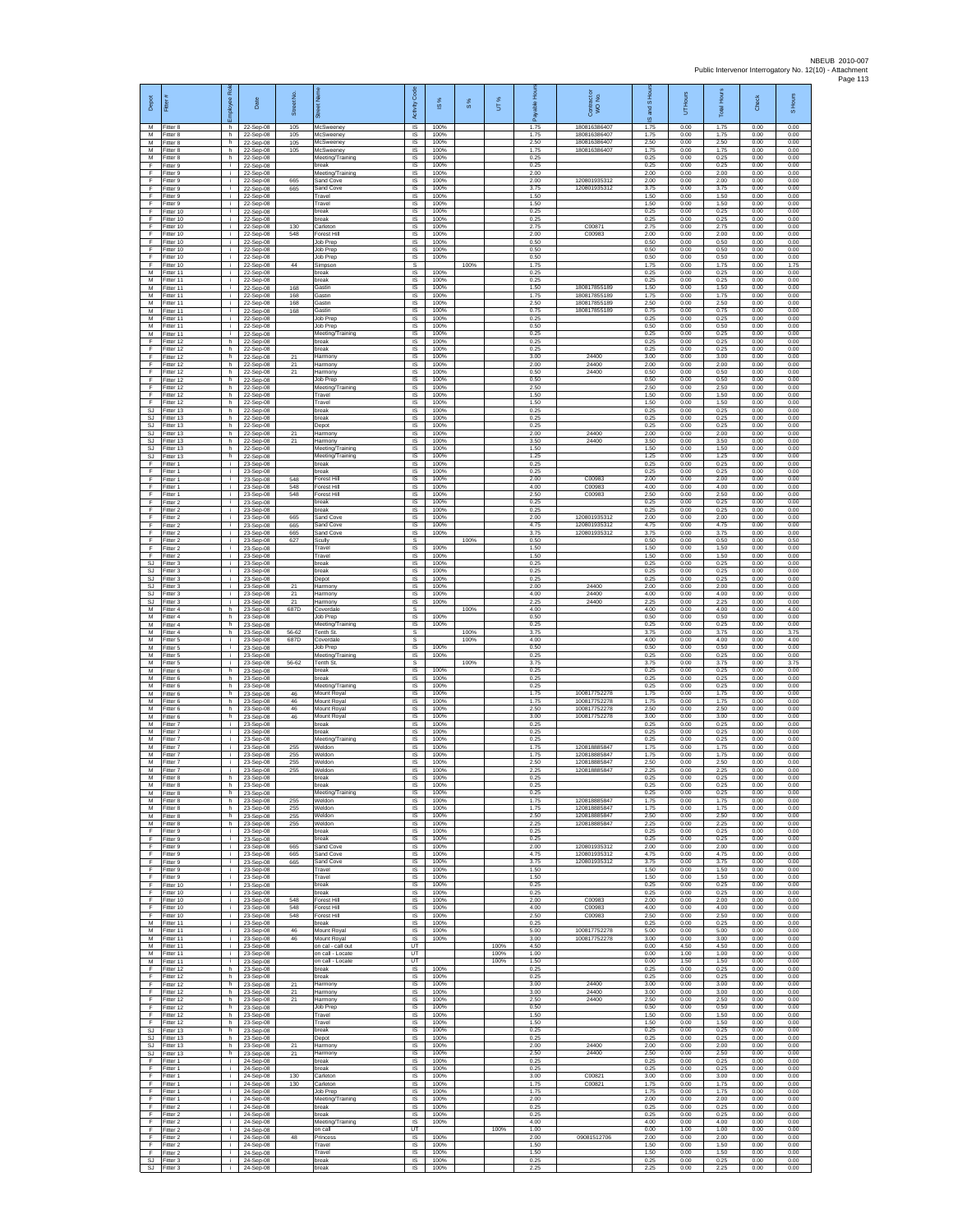| Depot<br>M                          | Fitter #<br>Fitter 8                | Employee Role<br>h.      | Date<br>22-Sep-08                     | Street No.<br>105 | set Name<br><b>McSweeney</b>                  | Code<br>Activity<br><b>IS</b>       | s,<br>$\overline{\omega}$<br>100% | $\frac{8}{3}$ | UT%          | 옾<br>eler<br>Pa<br>å<br>1.75 | Contract or<br>WO No.<br>180816386407        | and S Hou<br>$\overline{\omega}$<br>1.75 | UT Hours<br>0.00     | <b>Total Hours</b><br>1.75 | Check<br>0.00        | S Hours<br>0.00      |
|-------------------------------------|-------------------------------------|--------------------------|---------------------------------------|-------------------|-----------------------------------------------|-------------------------------------|-----------------------------------|---------------|--------------|------------------------------|----------------------------------------------|------------------------------------------|----------------------|----------------------------|----------------------|----------------------|
| M<br>M                              | Fitter 8<br>itter 8                 | h.<br>h.                 | 22-Sep-08<br>22-Sep-08                | 105<br>105        | McSweeney<br>McSweeney                        | IS<br>IS                            | 100%<br>100%                      |               |              | 1.75<br>2.50                 | 180816386407<br>18081638640                  | 1.75<br>2.50                             | 0.00<br>0.00         | 1.75<br>2.50               | 0.00<br>0.00         | 0.00<br>0.00         |
| M<br>M                              | Fitter 8<br>Fitter 8                | h.<br>h                  | 22-Sep-08<br>22-Sep-08                | 105               | McSweenev<br>Meeting/Training                 | <b>IS</b><br>IS                     | 100%<br>100%                      |               |              | 1.75<br>0.25                 | 18081638640                                  | 1.75<br>0.25                             | 0.00<br>0.00         | 1.75<br>0.25               | 0.00<br>0.00         | 0.00<br>0.00         |
| F<br>F                              | Fitter 9<br>Fitter 9                | i.<br>i.                 | 22-Sep-08<br>22-Sep-08                |                   | break<br>Meeting/Training                     | IS<br>IS<br>$\overline{\mathsf{s}}$ | 100%<br>100%<br>100%              |               |              | 0.25<br>2.00<br>2.00         | 120801935312                                 | 0.25<br>2.00<br>2.00                     | 0.00<br>0.00<br>0.00 | 0.25<br>2.00<br>2.00       | 0.00<br>0.00<br>0.00 | 0.00<br>0.00<br>0.00 |
| F<br>F<br>F                         | Fitter 9<br>Fitter 9<br>Fitter 9    | i.<br>i.<br>j.           | 22-Sep-08<br>22-Sep-08<br>22-Sep-08   | 665<br>665        | Sand Cove<br>Sand Cove<br>Travel              | IS<br>$\sf IS$                      | 100%<br>100%                      |               |              | 3.75<br>1.50                 | 120801935312                                 | 3.75<br>1.50                             | 0.00<br>0.00         | 3.75<br>1.50               | 0.00<br>0.00         | 0.00<br>0.00         |
| F<br>E                              | Fitter 9<br>Fitter 10               | j.<br>i.                 | 22-Sep-08<br>22-Sep-08                |                   | Travel<br>break                               | IS<br>IS                            | 100%<br>100%                      |               |              | 1.50<br>0.25                 |                                              | 1.50<br>0.25                             | 0.00<br>0.00         | 1.50<br>0.25               | 0.00<br>0.00         | 0.00<br>0.00         |
| F<br>F                              | Fitter 10<br>fitter 10              | i.<br>i.                 | 22-Sep-08<br>22-Sep-08                | 130               | break<br>Carleton                             | 1S<br>IS                            | 100%<br>100%                      |               |              | 0.25<br>2.75                 | C0087                                        | 0.25<br>2.75                             | 0.00<br>0.00         | 0.25<br>2.75               | 0.00<br>0.00         | 0.00<br>0.00         |
| F<br>F<br>F                         | Fitter 10<br>Fitter 10              | j.<br>i.                 | 22-Sep-08<br>22-Sep-08                | 548               | Forest Hil<br>Job Prep<br>Job Prep            | <b>IS</b><br>IS<br>IS               | 100%<br>100%<br>100%              |               |              | 2.00<br>0.50<br>0.50         | C00983                                       | 2.00<br>0.50<br>0.50                     | 0.00<br>0.00<br>0.00 | 2.00<br>0.50<br>0.50       | 0.00<br>0.00<br>0.00 | 0.00<br>0.00<br>0.00 |
| F<br>F                              | Fitter 10<br>Fitter 10<br>Fitter 10 | i.<br>i.<br>j.           | 22-Sep-08<br>22-Sep-08<br>22-Sep-08   | 44                | Job Prep<br>Simpson                           | 1S<br>$\mathbb{S}$                  | 100%                              | 100%          |              | 0.50<br>1.75                 |                                              | 0.50<br>1.75                             | 0.00<br>0.00         | 0.50<br>1.75               | 0.00<br>0.00         | 0.00<br>1.75         |
| М<br>M                              | Fitter 11<br>Fitter 11              | i.<br>T                  | 22-Sep-08<br>22-Sep-08                |                   | break<br>break                                | $\sf IS$<br>1S                      | 100%<br>100%                      |               |              | 0.25<br>0.25                 |                                              | 0.25<br>0.25                             | 0.00<br>0.00         | 0.25<br>0.25               | 0.00<br>0.00         | 0.00<br>0.00         |
| M<br>м                              | Fitter 11<br>Fitter 11              | i.<br>i.                 | 22-Sep-08<br>22-Sep-08                | 168<br>168        | Gastin<br>Gastin                              | $\overline{s}$<br>IS                | 100%<br>100%                      |               |              | 1.50<br>1.75                 | 180817855189<br>180817855189<br>180817855189 | 1.50<br>1.75                             | 0.00<br>0.00         | 1.50<br>1.75               | 0.00<br>0.00         | 0.00<br>0.00         |
| M<br>M<br>M                         | Fitter 11<br>Fitter 11<br>Fitter 11 | i.<br>i.<br>j.           | 22-Sep-08<br>22-Sep-08<br>22-Sep-08   | 168<br>168        | Gastin<br><b>Gastin</b><br>Job Prep           | 1S<br>IS<br>-IS                     | 100%<br>100%<br>100%              |               |              | 2.50<br>0.75<br>0.25         | 180817855189                                 | 2.50<br>0.75<br>0.25                     | 0.00<br>0.00<br>0.00 | 2.50<br>0.75<br>0.25       | 0.00<br>0.00<br>0.00 | 0.00<br>0.00<br>0.00 |
| M<br>М                              | Fitter 11<br>fitter 11              | j.<br>j.                 | 22-Sep-08<br>22-Sep-08                |                   | Job Prep<br>Meeting/Training                  | $\sf IS$<br>IS                      | 100%<br>100%                      |               |              | 0.50<br>0.25                 |                                              | 0.50<br>0.25                             | 0.00<br>0.00         | 0.50<br>0.25               | 0.00<br>0.00         | 0.00<br>0.00         |
| F<br>F                              | Fitter 12<br>Fitter 12              | h.<br>h                  | 22-Sep-08<br>22-Sep-08                |                   | break<br>break                                | <b>IS</b><br>IS                     | 100%<br>100%                      |               |              | 0.25<br>0.25                 |                                              | 0.25<br>0.25                             | 0.00<br>0.00         | 0.25<br>0.25               | 0.00<br>0.00         | 0.00<br>0.00         |
| F<br>F<br>F                         | Fitter 12<br>ltter 12<br>Fitter 12  | h.<br>h.<br>h.           | 22-Sep-08<br>22-Sep-08                | 21<br>21<br>21    | Harmony<br>Harmony<br>Harmony                 | IS<br>IS<br>IS                      | 100%<br>100%<br>100%              |               |              | 3.00<br>2.00<br>0.50         | 24400<br>24400<br>24400                      | 3.00<br>2.00<br>0.50                     | 0.00<br>0.00<br>0.00 | 3.00<br>2.00<br>0.50       | 0.00<br>0.00<br>0.00 | 0.00<br>0.00<br>0.00 |
| F<br>F                              | Fitter 12<br>Fitter 12              | h<br>h                   | 22-Sep-08<br>22-Sep-08<br>22-Sep-08   |                   | Job Prep<br>Meeting/Training                  | IS<br>$\sf IS$                      | 100%<br>100%                      |               |              | 0.50<br>2.50                 |                                              | 0.50<br>2.50                             | 0.00<br>0.00         | 0.50<br>2.50               | 0.00<br>0.00         | 0.00<br>0.00         |
| F<br>E                              | Fitter 12<br>Fitter 12              | h.<br>h                  | 22-Sep-08<br>22-Sep-08                |                   | Travel<br>Travel                              | IS<br>IS                            | 100%<br>100%                      |               |              | 1.50<br>1.50                 |                                              | 1.50<br>1.50                             | 0.00<br>0.00         | 1.50<br>1.50               | 0.00<br>0.00         | 0.00<br>0.00         |
| <b>SJ</b><br><b>SJ</b><br><b>SJ</b> | Fitter 13<br>fitter 13              | h.<br>h.                 | 22-Sep-08<br>22-Sep-08<br>22-Sep-08   |                   | break<br>oreak                                | IS<br>IS<br><b>IS</b>               | 100%<br>100%                      |               |              | 0.25<br>0.25<br>0.25         |                                              | 0.25<br>0.25<br>0.25                     | 0.00<br>0.00<br>0.00 | 0.25<br>0.25<br>0.25       | 0.00<br>0.00<br>0.00 | 0.00<br>0.00<br>0.00 |
| SJ<br>SJ                            | Fitter 13<br>Fitter 13<br>Fitter 13 | h.<br>h<br>h.            | 22-Sep-08<br>22-Sep-08                | 21<br>21          | Depot<br>Harmony<br>Harmony                   | IS<br>IS                            | 100%<br>100%<br>100%              |               |              | 2.00<br>3.50                 | 24400<br>24400                               | 2.00<br>3.50                             | 0.00<br>0.00         | 2.00<br>3.50               | 0.00<br>0.00         | 0.00<br>0.00         |
| <b>SJ</b><br>SJ                     | Fitter 13<br>Fitter 13              | h.<br>h                  | 22-Sep-08<br>22-Sep-08                |                   | Meeting/Training<br>Meeting/Training          | 1S<br>IS                            | 100%<br>100%                      |               |              | 1.50<br>1.25                 |                                              | 1.50<br>1.25                             | 0.00<br>0.00         | 1.50<br>1.25               | 0.00<br>0.00         | 0.00<br>0.00         |
| F<br>F                              | Fitter 1<br>Fitter 1                | i.<br>Ŧ                  | 23-Sep-08<br>23-Sep-08                |                   | break<br>break                                | $\sf IS$<br>1S                      | 100%<br>100%                      |               |              | 0.25<br>0.25                 |                                              | 0.25<br>0.25                             | 0.00<br>0.00         | 0.25<br>0.25               | 0.00<br>0.00         | 0.00<br>0.00         |
| F<br>F<br>F                         | Fitter 1<br>Fitter 1                | i.<br>i.<br>i.           | 23-Sep-08<br>23-Sep-08                | 548<br>548        | Forest Hill<br>Forest Hill<br>Forest Hill     | $\overline{\mathsf{s}}$<br>IS<br>1S | 100%<br>100%<br>100%              |               |              | 2.00<br>4.00<br>2.50         | C00983<br>C00983<br>C00983                   | 2.00<br>4.00<br>2.50                     | 0.00<br>0.00<br>0.00 | 2.00<br>4.00<br>2.50       | 0.00<br>0.00<br>0.00 | 0.00<br>0.00<br>0.00 |
| F<br>F                              | Fitter 1<br>Fitter 2<br>Fitter 2    | i.<br>j.                 | 23-Sep-08<br>23-Sep-08<br>23-Sep-08   | 548               | oreak<br>break                                | IS<br><b>IS</b>                     | 100%<br>100%                      |               |              | 0.25<br>0.25                 |                                              | 0.25<br>0.25                             | 0.00<br>0.00         | 0.25<br>0.25               | 0.00<br>0.00         | 0.00<br>0.00         |
| F<br>F                              | Fitter 2<br>itter 2                 | j.<br>j.                 | 23-Sep-08<br>23-Sep-08                | 665<br>665        | Sand Cove<br>Sand Cove                        | $\sf IS$<br>IS                      | 100%<br>100%                      |               |              | 2.00<br>4.75                 | 120801935312<br>120801935312                 | 2.00<br>4.75                             | 0.00<br>0.00         | 2.00<br>4.75               | 0.00<br>0.00         | 0.00<br>0.00         |
| E<br>F                              | Fitter 2<br>Fitter 2                | j.<br>i.                 | 23-Sep-08<br>23-Sep-08                | 665<br>627        | Sand Cove<br>Scully                           | <b>IS</b><br>s                      | 100%                              | 100%          |              | 3.75<br>0.50                 | 120801935312                                 | 3.75<br>0.50                             | 0.00<br>0.00         | 3.75<br>0.50               | 0.00<br>0.00         | 0.00<br>0.50         |
| F<br>F<br><b>SJ</b>                 | Fitter 2<br>Fitter 2<br>Fitter 3    | i.<br>i.<br>j.           | 23-Sep-08<br>23-Sep-08                |                   | Travel<br>Travel<br>break                     | IS<br>1S<br>$\overline{\mathsf{s}}$ | 100%<br>100%<br>100%              |               |              | 1.50<br>1.50<br>0.25         |                                              | 1.50<br>1.50<br>0.25                     | 0.00<br>0.00<br>0.00 | 1.50<br>1.50<br>0.25       | 0.00<br>0.00<br>0.00 | 0.00<br>0.00<br>0.00 |
| SJ<br>SJ                            | Fitter 3<br>Fitter 3                | i.<br>j.                 | 23-Sep-08<br>23-Sep-08<br>23-Sep-08   |                   | break<br>Depot                                | IS<br>$\sf IS$                      | 100%<br>100%                      |               |              | 0.25<br>0.25                 |                                              | 0.25<br>0.25                             | 0.00<br>0.00         | 0.25<br>0.25               | 0.00<br>0.00         | 0.00<br>0.00         |
| <b>SJ</b><br><b>SJ</b>              | Fitter 3<br>Fitter 3                | j.<br>i.                 | 23-Sep-08<br>23-Sep-08                | 21<br>21          | Harmony<br>Harmony                            | IS<br>IS                            | 100%<br>100%                      |               |              | 2.00<br>4.00                 | 24400<br>24400                               | 2.00<br>4.00                             | 0.00<br>0.00         | 2.00<br>4.00               | 0.00<br>0.00         | 0.00<br>0.00         |
| SJ<br>M<br>M                        | Fitter 3<br>itter 4                 | i.<br>h.                 | 23-Sep-08<br>23-Sep-08                | 21<br>687D        | Harmony<br>Coverdale                          | 1S<br>s                             | 100%<br>100%                      | 100%          |              | 2.25<br>4.00<br>0.50         | 24400                                        | 2.25<br>4.00                             | 0.00<br>0.00         | 2.25<br>4.00<br>0.50       | 0.00<br>0.00         | 0.00<br>4.00         |
| M<br>М                              | Fitter 4<br>Fitter 4<br>Fitter 4    | h.<br>h.<br>h.           | 23-Sep-08<br>23-Sep-08<br>23-Sep-08   | 56-62             | Job Prep<br>Meeting/Training<br>Tenth St.     | <b>IS</b><br>IS<br>s                | 100%                              | 100%          |              | 0.25<br>3.75                 |                                              | 0.50<br>0.25<br>3.75                     | 0.00<br>0.00<br>0.00 | 0.25<br>3.75               | 0.00<br>0.00<br>0.00 | 0.00<br>0.00<br>3.75 |
| M<br>M                              | Fitter 5<br>Fitter 5                | i.<br>j.                 | 23-Sep-08<br>23-Sep-08                | 687D              | Coverdale<br>Job Prep                         | s<br>IS                             | 100%                              | 100%          |              | 4.00<br>0.50                 |                                              | 4.00<br>0.50                             | 0.00<br>0.00         | 4.00<br>0.50               | 0.00<br>0.00         | 4.00<br>0.00         |
| М<br>M                              | Fitter 5<br>Fitter 5                | i.<br>T                  | 23-Sep-08<br>23-Sep-08                | 56-62             | Meeting/Training<br>Tenth St.                 | $\sf IS$<br>s                       | 100%                              | 100%          |              | 0.25<br>3.75                 |                                              | 0.25<br>3.75                             | 0.00<br>0.00         | 0.25<br>3.75               | 0.00<br>0.00         | 0.00<br>3.75         |
| M<br>м<br>M                         | Fitter 6<br>Fitter 6<br>Fitter 6    | h.<br>h.<br>h.           | 23-Sep-08<br>23-Sep-08<br>23-Sep-08   |                   | break<br>break<br>Meeting/Training            | $\overline{s}$<br>IS<br>1S          | 100%<br>100%<br>100%              |               |              | 0.25<br>0.25<br>0.25         |                                              | 0.25<br>0.25<br>0.25                     | 0.00<br>0.00<br>0.00 | 0.25<br>0.25<br>0.25       | 0.00<br>0.00<br>0.00 | 0.00<br>0.00<br>0.00 |
| M<br>M                              | Fitter 6<br>Fitter 6                | h.<br>h.                 | 23-Sep-08<br>23-Sep-08                | 46<br>46          | Mount Royal<br>Mount Royal                    | IS<br>IS                            | 100%<br>100%                      |               |              | 1.75<br>1.75                 | 100817752278<br>100817752278                 | 1.75<br>1.75                             | 0.00<br>0.00         | 1.75<br>1.75               | 0.00<br>0.00         | 0.00<br>0.00         |
| M<br>М                              | Fitter 6<br>itter 6                 | h.<br>h.                 | 23-Sep-08<br>23-Sep-08                | 46<br>46          | Mount Royal<br>Mount Royal                    | $\sf IS$<br>IS                      | 100%<br>100%                      |               |              | 2.50<br>3.00                 | 100817752278<br>100817752278                 | 2.50<br>3.00                             | 0.00<br>0.00         | 2.50<br>3.00               | 0.00<br>0.00         | 0.00<br>0.00         |
| M<br>M<br>М                         | Fitter 7<br>Fitter 7<br>Fitter 7    | j.<br>i.<br>i.           | 23-Sep-08<br>23-Sep-08<br>23-Sep-08   |                   | break<br>break                                | $\overline{\mathsf{s}}$<br>IS<br>IS | 100%<br>100%<br>100%              |               |              | 0.25<br>0.25<br>0.25         |                                              | 0.25<br>0.25<br>0.25                     | 0.00<br>0.00<br>0.00 | 0.25<br>0.25<br>0.25       | 0.00<br>0.00<br>0.00 | 0.00<br>0.00<br>0.00 |
| M<br>M                              | fitter 7<br>Fitter 7                | i.<br>j.                 | 23-Sep-08<br>23-Sep-08                | 255<br>255        | Meeting/Training<br>Weldon<br>Weldon          | IS<br><b>IS</b>                     | 100%<br>100%                      |               |              | 1.75<br>1.75                 | 12081888584<br>120818885847                  | 1.75<br>1.75                             | 0.00<br>0.00         | 1.75<br>1.75               | 0.00<br>0.00         | 0.00<br>0.00         |
| М<br>М                              | Fitter 7<br>Fitter 7                | ÷.<br>$\mathbf i$        | 23-Sep-08<br>23-Sep-08                | 255<br>255        | Weldon<br>Weldon                              | IS<br>IS                            | 100%<br>100%                      |               |              | 2.50<br>2.25                 | 120818885847<br>120818885847                 | 2.50<br>2.25                             | 0.00<br>0.00         | 2.50<br>2.25               | 0.00<br>0.00         | 0.00<br>0.00         |
| M<br>M                              | Fitter 8<br>Fitter 8                | h.<br>h                  | 23-Sen-08<br>23-Sep-08                |                   | break<br>break                                | <b>IS</b><br>IS                     | 100%<br>100%                      |               |              | 0.25<br>0.25                 |                                              | 0.25<br>0.25                             | 0.00<br>0.00         | 0.25<br>0.25               | 0.00<br>0.00         | 0.00<br>0.00         |
| M<br>М<br>M                         | Fitter 8<br>fitter 8<br>Fitter 8    | h.<br>h.<br>h.           | 23-Sep-08<br>23-Sep-08<br>$23-Sep-08$ | 255<br>255        | Meeting/Training<br>Weldon<br>Weldon          | IS<br>IS<br><b>IS</b>               | 100%<br>100%<br>100%              |               |              | 0.25<br>1.75<br>1.75         | 12081888584<br>120818885847                  | 0.25<br>1.75<br>1.75                     | 0.00<br>0.00<br>0.00 | 0.25<br>1.75<br>1.75       | 0.00<br>0.00<br>0.00 | 0.00<br>0.00<br>0.00 |
| M<br>М                              | Fitter 8<br>Fitter 8                | h.<br>h                  | 23-Sep-08<br>23-Sep-08                | 255<br>255        | Weldon<br>Weldon                              | IS.<br>IS                           | 100%<br>100%                      |               |              | 2.50<br>2.25                 | 120818885847<br>120818885847                 | 2.50<br>2.25                             | 0.00<br>0.00         | 2.50<br>2.25               | 0.00<br>0.00         | 0.00<br>0.00         |
| F<br>F                              | Fitter 9<br>Fitter 9                | i.<br>i.                 | 23-Sep-08<br>23-Sep-08                |                   | break<br>break                                | 1S<br>IS                            | 100%<br>100%                      |               |              | 0.25<br>0.25                 |                                              | 0.25<br>0.25                             | 0.00<br>0.00         | 0.25<br>0.25               | 0.00<br>0.00         | 0.00<br>0.00         |
| F<br>F<br>F                         | Fitter 9<br>Fitter 9<br>Fitter 9    | i.<br>T<br>i.            | 23-Sep-08<br>23-Sep-08<br>23-Sep-08   | 665<br>665<br>665 | Sand Cove<br>Sand Cove<br>Sand Cove           | $\sf IS$<br>IS<br>IS.               | 100%<br>100%<br>100%              |               |              | 2.00<br>4.75<br>3.75         | 120801935312<br>120801935312<br>120801935312 | 2.00<br>4.75<br>3.75                     | 0.00<br>0.00<br>0.00 | 2.00<br>4.75<br>3.75       | 0.00<br>0.00<br>0.00 | 0.00<br>0.00<br>0.00 |
| F<br>F                              | Fitter 9<br>Fitter 9                | i.<br>÷.                 | 23-Sep-08<br>23-Sep-08                |                   | Travel<br>Travel                              | IS<br>IS                            | 100%<br>100%                      |               |              | 1.50<br>1.50                 |                                              | 1.50<br>1.50                             | 0.00<br>0.00         | 1.50<br>1.50               | 0.00<br>0.00         | 0.00<br>0.00         |
| F<br>F                              | Fitter 10<br>Fitter 10              | i.<br>j.                 | 23-Sep-08<br>23-Sep-08                |                   | break<br>break                                | IS<br>-IS                           | 100%<br>100%                      |               |              | 0.25<br>0.25                 |                                              | 0.25<br>0.25                             | 0.00<br>0.00         | 0.25<br>0.25               | 0.00<br>0.00         | 0.00<br>0.00         |
| F.<br>F<br>F                        | Fitter 10<br>litter 10<br>Fitter 10 | $\mathbf{i}$<br>i.<br>j. | 23-Sep-08<br>23-Sep-08<br>$23-Sep-08$ | 548<br>548<br>548 | Forest Hill<br>Forest Hill<br>Forest Hill     | IS<br>$\sf IS$<br><b>IS</b>         | 100%<br>100%<br>100%              |               |              | 2.00<br>4.00<br>2.50         | C00983<br>C00983<br>C00983                   | 2.00<br>4.00<br>2.50                     | 0.00<br>0.00<br>0.00 | 2.00<br>4.00<br>2.50       | 0.00<br>0.00<br>0.00 | 0.00<br>0.00<br>0.00 |
| M<br>М                              | Fitter 11<br>Fitter 11              | j.<br>i.                 | 23-Sep-08<br>23-Sep-08                | 46                | break<br>Mount Royal                          | IS<br>IS                            | 100%<br>100%                      |               |              | 0.25<br>5.00                 | 100817752278                                 | 0.25<br>5.00                             | 0.00<br>0.00         | 0.25<br>5.00               | 0.00<br>0.00         | 0.00<br>0.00         |
| M<br>M                              | Fitter 11<br>Fitter 11              | i.<br>i.                 | 23-Sep-08<br>23-Sep-08                | 46                | Mount Roval<br>on cal - call out              | IS<br>UT                            | 100%                              |               | 100%         | 3.00<br>4.50                 | 100817752278                                 | 3.00<br>0.00                             | 0.00<br>4.50         | 3.00<br>4.50               | 0.00<br>0.00         | 0.00<br>0.00         |
| М<br>М<br>F                         | Fitter 11<br>Fitter 11<br>Fitter 12 | i.<br>j.<br>h.           | 23-Sep-08<br>23-Sep-08                |                   | on call - Locate<br>on call - Locate<br>break | UT<br>UT<br>IS                      | 100%                              |               | 100%<br>100% | 1.00<br>1.50<br>0.25         |                                              | 0.00<br>0.00<br>0.25                     | 1.00<br>1.50<br>0.00 | 1.00<br>1.50<br>0.25       | 0.00<br>0.00<br>0.00 | 0.00<br>0.00<br>0.00 |
| E<br>F                              | Fitter 12<br>Fitter 12              | h<br>h.                  | 23-Sep-08<br>23-Sep-08<br>23-Sep-08   | 21                | break<br>Harmony                              | IS<br>1S                            | 100%<br>100%                      |               |              | 0.25<br>3.00                 | 24400                                        | 0.25<br>3.00                             | 0.00<br>0.00         | 0.25<br>3.00               | 0.00<br>0.00         | 0.00<br>0.00         |
| F<br>F                              | fitter 12<br>Fitter 12              | h<br>h.                  | 23-Sep-08<br>$23-Sep-08$              | $^{21}$<br>21     | Harmony<br>Harmony                            | IS<br>-IS                           | 100%<br>100%                      |               |              | 3.00<br>2.50                 | 24400<br>24400                               | 3.00<br>2.50                             | 0.00<br>0.00         | 3.00<br>2.50               | 0.00<br>0.00         | 0.00<br>0.00         |
| F<br>F                              | Fitter 12<br>Fitter 12              | h<br>h                   | 23-Sep-08<br>23-Sep-08                |                   | Job Prep<br>Travel                            | IS<br>IS                            | 100%<br>100%                      |               |              | 0.50<br>1.50                 |                                              | 0.50<br>1.50                             | 0.00<br>0.00         | 0.50<br>1.50               | 0.00<br>0.00         | 0.00<br>0.00         |
| F<br><b>SJ</b><br><b>SJ</b>         | Fitter 12<br>Fitter 13<br>Fitter 13 | h.<br>h.<br>h.           | 23-Sep-08<br>23-Sep-08<br>23-Sep-08   |                   | Travel<br>break<br>Depot                      | IS<br>IS<br>$\sf IS$                | 100%<br>100%<br>100%              |               |              | 1.50<br>0.25<br>0.25         |                                              | 1.50<br>0.25<br>0.25                     | 0.00<br>0.00<br>0.00 | 1.50<br>0.25<br>0.25       | 0.00<br>0.00<br>0.00 | 0.00<br>0.00<br>0.00 |
| SJ<br>SJ                            | Fitter 13<br>Fitter 13              | h<br>h.                  | 23-Sep-08<br>23-Sep-08                | 21<br>21          | Harmony<br>Harmony                            | IS<br>IS                            | 100%<br>100%                      |               |              | 2.00<br>2.50                 | 24400<br>24400                               | 2.00<br>2.50                             | 0.00<br>0.00         | 2.00<br>2.50               | 0.00<br>0.00         | 0.00<br>0.00         |
| F<br>F                              | Fitter 1<br>Fitter 1                | i.<br>÷.                 | 24-Sep-08<br>24-Sep-08                |                   | break<br>break                                | IS<br>1S                            | 100%<br>100%                      |               |              | 0.25<br>0.25                 |                                              | 0.25<br>0.25                             | 0.00<br>0.00         | 0.25<br>0.25               | 0.00<br>0.00         | 0.00<br>0.00         |
| F<br>F<br>F                         | Fitter 1<br>Fitter 1<br>Fitter 1    | i.<br>j.<br>$\mathbf{i}$ | 24-Sep-08<br>24-Sep-08                | 130<br>130        | Carleton<br>Carleton<br>Job Prep              | IS<br>IS<br>$\sf IS$                | 100%<br>100%<br>100%              |               |              | 3.00<br>1.75<br>1.75         | C00821<br>C00821                             | 3.00<br>1.75<br>1.75                     | 0.00<br>0.00<br>0.00 | 3.00<br>1.75<br>1.75       | 0.00<br>0.00<br>0.00 | 0.00<br>0.00<br>0.00 |
| F<br>F                              | itter 1<br>Fitter 2                 | i.<br>j.                 | 24-Sep-08<br>24-Sep-08<br>$24-Sep-08$ |                   | Meeting/Training<br>break                     | $\sf IS$<br>IS                      | 100%<br>100%                      |               |              | 2.00<br>0.25                 |                                              | 2.00<br>0.25                             | 0.00<br>0.00         | 2.00<br>0.25               | 0.00<br>0.00         | 0.00<br>0.00         |
| F<br>F                              | Fitter 2<br>Fitter 2                | j.<br>÷.                 | 24-Sep-08<br>24-Sep-08                |                   | break<br>Meeting/Training                     | IS.<br>IS                           | 100%<br>100%                      |               |              | 0.25<br>4.00                 |                                              | 0.25<br>4.00                             | 0.00<br>0.00         | 0.25<br>4.00               | 0.00<br>0.00         | 0.00<br>0.00         |
| F<br>F                              | Fitter 2<br>Fitter 2                | T<br>i.                  | 24-Sep-08<br>24-Sep-08                | 48                | on call<br>Princess                           | UT<br>IS.                           | 100%                              |               | 100%         | 1.00<br>2.00                 | 09081512706                                  | 0.00<br>2.00                             | 1.00<br>0.00         | 1.00<br>2.00               | 0.00<br>0.00         | 0.00<br>0.00         |
| F<br>F<br><b>SJ</b>                 | -itter 2<br>Fitter 2<br>Fitter 3    | i.<br>j.<br>j.           | 24-Sep-08<br>24-Sep-08<br>24-Sep-08   |                   | Travel<br>Travel<br>break                     | IS<br>$\sf IS$<br>IS                | 100%<br>100%<br>100%              |               |              | 1.50<br>1.50<br>0.25         |                                              | 1.50<br>1.50<br>0.25                     | 0.00<br>0.00<br>0.00 | 1.50<br>1.50<br>0.25       | 0.00<br>0.00<br>0.00 | 0.00<br>0.00<br>0.00 |
| SJ                                  | Fitter 3                            | ÷.                       | 24-Sep-08                             |                   | oreak                                         | IS                                  | 100%                              |               |              | 2.25                         |                                              | 2.25                                     | 0.00                 | 2.25                       | 0.00                 | 0.00                 |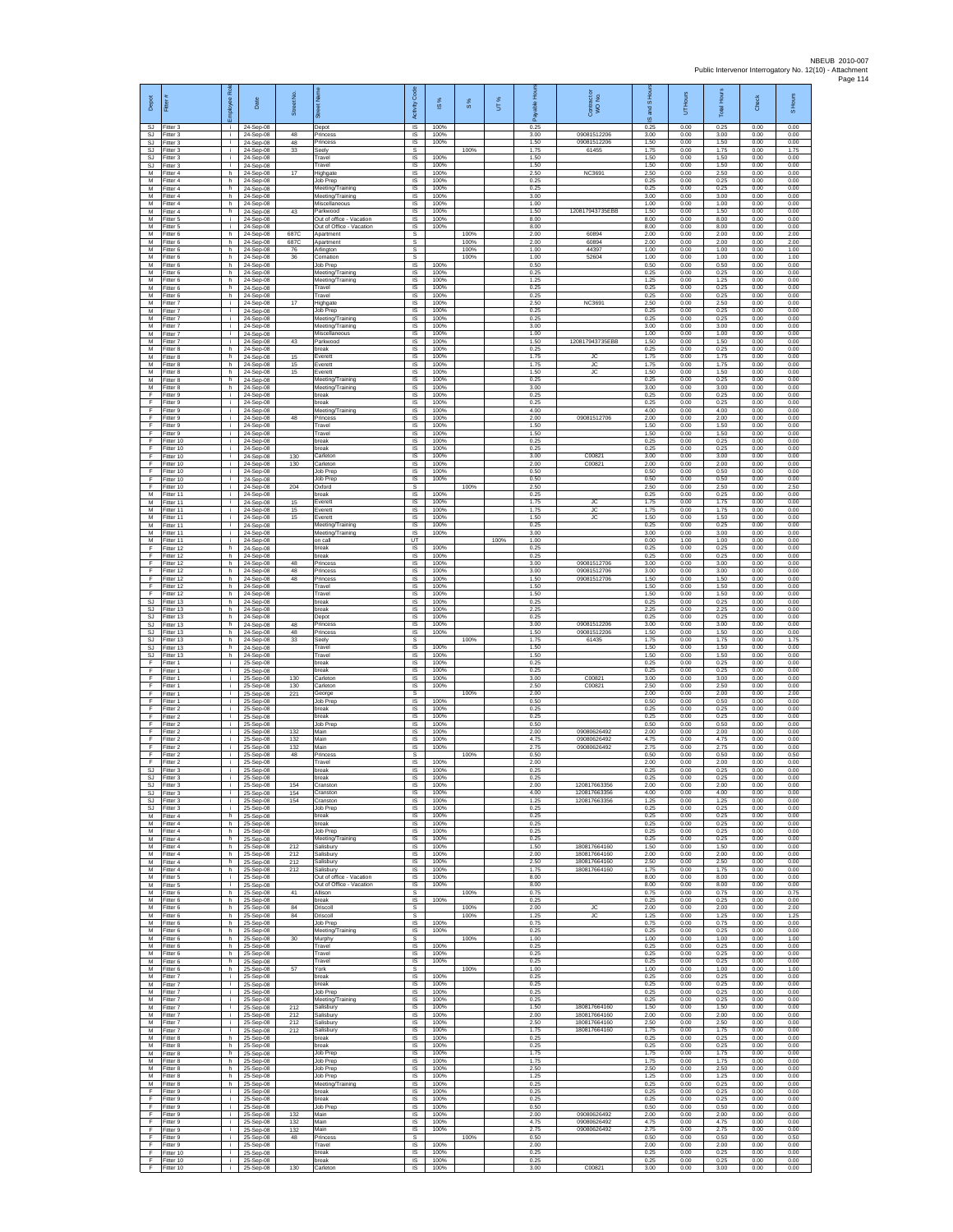| Depot                        | Fitter                              | ployee Rol      | Date                                | Street No         | õ.                                                    | Code<br>Activity                          | $\frac{8}{3}$        | $\frac{8}{3}$ | UT%  | 오<br>æ               | ŏ<br>Contract<br>WO No.                      | IS and S             | Hours<br>5           | <b>Total Hours</b>   | Check                | S Hours              |
|------------------------------|-------------------------------------|-----------------|-------------------------------------|-------------------|-------------------------------------------------------|-------------------------------------------|----------------------|---------------|------|----------------------|----------------------------------------------|----------------------|----------------------|----------------------|----------------------|----------------------|
| SJ<br>SJ<br><b>SJ</b>        | Fitter 3<br>Fitter 3<br>Fitter 3    | ÷i.<br>j.<br>÷. | 24-Sep-08<br>24-Sep-08<br>24-Sep-08 | 48<br>48          | Depot<br>Princess<br>Princess                         | IS<br>IS<br>IS                            | 100%<br>100%<br>100% |               |      | 0.25<br>3.00<br>1.50 | 09081512206<br>09081512206                   | 0.25<br>3.00<br>1.50 | 0.00<br>0.00<br>0.00 | 0.25<br>3.00<br>1.50 | 0.00<br>0.00<br>0.00 | 0.00<br>0.00<br>0.00 |
| SJ<br><b>SJ</b><br><b>SJ</b> | Fitter 3<br>fitter 3<br>Fitter 3    | ÷.<br>j.<br>j.  | 24-Sep-08<br>24-Sep-08<br>24-Sep-08 | 33                | Seely<br>Travel<br>Travel                             | s<br>IS<br><b>IS</b>                      | 100%<br>100%         | 100%          |      | 1.75<br>1.50<br>1.50 | 61455                                        | 1.75<br>1.50<br>1.50 | 0.00<br>0.00<br>0.00 | 1.75<br>1.50<br>1.50 | 0.00<br>0.00<br>0.00 | 1.75<br>0.00<br>0.00 |
| M<br>М                       | Fitter 4<br>Fitter 4                | h<br>h          | 24-Sep-08<br>24-Sep-08              | 17                | Highgate<br>Job Prep                                  | IS<br>IS                                  | 100%<br>100%         |               |      | 2.50<br>0.25         | NC3691                                       | 2.50<br>0.25         | 0.00<br>0.00         | 2.50<br>0.25         | 0.00<br>0.00         | 0.00<br>0.00         |
| M<br>M<br>М                  | Fitter 4<br>Fitter 4<br>itter 4     | h.<br>h<br>h.   | 24-Sep-08<br>24-Sep-08<br>24-Sep-08 |                   | Meeting/Training<br>Meeting/Training<br>Miscellaneous | 1S<br>IS<br>IS                            | 100%<br>100%<br>100% |               |      | 0.25<br>3.00<br>1.00 |                                              | 0.25<br>3.00<br>1.00 | 0.00<br>0.00<br>0.00 | 0.25<br>3.00<br>1.00 | 0.00<br>0.00<br>0.00 | 0.00<br>0.00<br>0.00 |
| M<br>M                       | Fitter 4<br>Fitter 5                | h<br>j.         | 24-Sep-08<br>24-Sep-08              | 43                | Parkwood<br>Out of office - Vacation                  | IS<br>IS                                  | 100%<br>100%         |               |      | 1.50<br>8.00         | 120817943735EBB                              | 1.50<br>8.00         | 0.00<br>0.00         | 1.50<br>8.00         | 0.00<br>0.00         | 0.00<br>0.00         |
| M<br>М<br>M                  | Fitter 5<br>Fitter 6<br>fitter 6    | j.<br>h<br>h.   | 24-Sep-08<br>24-Sep-08<br>24-Sep-08 | 687C<br>687C      | Out of Office - Vacation<br>Apartment<br>Apartment    | IS<br>s<br>s                              | 100%                 | 100%<br>100%  |      | 8.00<br>2.00<br>2.00 | 60894<br>60894                               | 8.00<br>2.00<br>2.00 | 0.00<br>0.00<br>0.00 | 8.00<br>2.00<br>2.00 | 0.00<br>0.00<br>0.00 | 0.00<br>2.00<br>2.00 |
| M<br>M                       | Fitter 6<br>Fitter 6                | h.<br>h         | 24-Sep-08<br>24-Sep-08              | 76<br>36          | Arlington<br>Cornation                                | s<br>s                                    |                      | 100%<br>100%  |      | 1.00<br>1.00         | 44397<br>52604                               | 1.00<br>1.00         | 0.00<br>0.00         | 1.00<br>1.00         | 0.00<br>0.00         | 1.00<br>1.00         |
| М<br>M<br>M                  | Fitter 6<br>Fitter 6<br>Fitter 6    | h<br>h.<br>h.   | 24-Sep-08<br>24-Sep-08<br>24-Sep-08 |                   | Job Prep<br>Meeting/Training<br>Meeting/Training      | $\sf IS$<br>IS<br>IS                      | 100%<br>100%<br>100% |               |      | 0.50<br>0.25<br>1 25 |                                              | 0.50<br>0.25<br>1.25 | 0.00<br>0.00<br>0.00 | 0.50<br>0.25<br>1.25 | 0.00<br>0.00<br>0.00 | 0.00<br>0.00<br>0.00 |
| М<br>M                       | itter 6<br>itter 6                  | h<br>h.         | 24-Sep-08<br>24-Sep-08              |                   | Travel<br>Travel                                      | IS<br>IS                                  | 100%<br>100%         |               |      | 0.25<br>0.25         |                                              | 0.25<br>0.25         | 0.00<br>0.00         | 0.25<br>0.25         | 0.00<br>0.00         | 0.00<br>0.00         |
| M<br>М<br>M                  | Fitter 7<br>Fitter 7<br>Fitter 7    | j.<br>j.<br>÷.  | 24-Sep-08<br>24-Sep-08<br>24-Sep-08 | 17                | Highgate<br>Job Prep<br>Meeting/Training              | IS<br>IS<br>IS                            | 100%<br>100%<br>100% |               |      | 2.50<br>0.25<br>0.25 | <b>NC3691</b>                                | 2.50<br>0.25<br>0.25 | 0.00<br>0.00<br>0.00 | 2.50<br>0.25<br>0.25 | 0.00<br>0.00<br>0.00 | 0.00<br>0.00<br>0.00 |
| M<br>M<br>М                  | fitter 7<br>Fitter 7<br>Fitter 7    | i.<br>÷.<br>÷.  | 24-Sep-08<br>24-Sep-08<br>24-Sep-08 | 43                | Meeting/Training<br>Miscellaneous<br>Parkwood         | IS<br>IS<br>1S                            | 100%<br>100%<br>100% |               |      | 3.00<br>1.00<br>1.50 | 120817943735EBB                              | 3.00<br>1.00<br>1.50 | 0.00<br>0.00<br>0.00 | 3.00<br>1.00<br>1.50 | 0.00<br>0.00<br>0.00 | 0.00<br>0.00<br>0.00 |
| M<br>M                       | fitter 8<br>Fitter 8                | h<br>h.         | 24-Sep-08<br>24-Sep-08              | 15                | break<br>Everett                                      | IS<br><b>IS</b>                           | 100%<br>100%         |               |      | 0.25<br>1.75         | JC.                                          | 0.25<br>1.75         | 0.00<br>0.00         | 0.25<br>1.75         | 0.00<br>0.00         | 0.00<br>0.00         |
| M<br>М<br>M                  | Fitter 8<br>Fitter 8<br>Fitter 8    | h.<br>h<br>h.   | 24-Sep-08<br>24-Sep-08<br>24-Sep-08 | 15<br>15          | Everett<br>Everett<br>Meeting/Training                | IS<br>IS<br>IS                            | 100%<br>100%<br>100% |               |      | 175<br>1.50<br>0.25  | JC<br><b>JC</b>                              | 175<br>1.50<br>0.25  | 0.00<br>0.00<br>0.00 | 1.75<br>1.50<br>0.25 | 0.00<br>0.00<br>0.00 | 0.00<br>0.00<br>0.00 |
| M<br>F                       | Fitter 8<br>Fitter 9                | h.<br>i.        | 24-Sep-08<br>24-Sep-08              |                   | Meeting/Training<br>break                             | IS<br>$\sf IS$                            | 100%<br>100%         |               |      | 3.00<br>0.25         |                                              | 3.00<br>0.25         | 0.00<br>0.00         | 3.00<br>0.25         | 0.00<br>0.00         | 0.00<br>0.00         |
| F<br>F<br>F                  | Fitter 9<br>Fitter 9<br>Fitter 9    | j.<br>j.<br>j.  | 24-Sep-08<br>24-Sep-08<br>24-Sep-08 | 48                | break<br>Meeting/Training<br>Princess                 | IS<br>IS<br>IS                            | 100%<br>100%<br>100% |               |      | 0.25<br>4.00<br>2.00 | 09081512706                                  | 0.25<br>4.00<br>2.00 | 0.00<br>0.00<br>0.00 | 0.25<br>4.00<br>2.00 | 0.00<br>0.00<br>0.00 | 0.00<br>0.00<br>0.00 |
| F<br>F                       | Fitter 9<br>Fitter 9                | ÷.<br>j.        | 24-Sep-08<br>24-Sep-08              |                   | Travel<br>Travel                                      | 1S<br>IS                                  | 100%<br>100%         |               |      | 1.50<br>1.50         |                                              | 1.50<br>1.50         | 0.00<br>0.00         | 1.50<br>1.50         | 0.00<br>0.00         | 0.00<br>0.00         |
| F<br>F<br>F                  | Fitter 10<br>Fitter 10<br>Fitter 10 | ÷i.<br>i.<br>j. | 24-Sep-08<br>24-Sep-08<br>24-Sep-08 | 130               | break<br>hreak<br>Carleton                            | IS<br>IS<br>IS                            | 100%<br>100%<br>100% |               |      | 0.25<br>0.25<br>3.00 | C00821                                       | 0.25<br>0.25<br>3.00 | 0.00<br>0.00<br>0.00 | 0.25<br>0.25<br>3.00 | 0.00<br>0.00<br>0.00 | 0.00<br>0.00<br>0.00 |
| F<br>F                       | Fitter 10<br>Fitter 10              | j.<br>i.        | 24-Sep-08<br>24-Sep-08              | 130               | Carleton<br>Job Prep                                  | IS<br>IS                                  | 100%<br>100%         |               |      | 2.00<br>0.50         | C00821                                       | 2.00<br>0.50         | 0.00<br>0.00         | 2.00<br>0.50         | 0.00<br>0.00         | 0.00<br>0.00         |
| F<br>F<br>M                  | Fitter 10<br>fitter 10<br>Fitter 11 | i.<br>j.<br>i.  | 24-Sep-08<br>24-Sep-08<br>24-Sep-08 | 204               | Job Prep<br>Oxford<br>break                           | IS<br>s<br>$\overline{s}$                 | 100%<br>100%         | 100%          |      | 0.50<br>2.50<br>0.25 |                                              | 0.50<br>2.50<br>0.25 | 0.00<br>0.00<br>0.00 | 0.50<br>2.50<br>0.25 | 0.00<br>0.00<br>0.00 | 0.00<br>2.50<br>0.00 |
| М<br>M                       | Fitter 11<br>Fitter 11              | j.<br>÷.        | 24-Sep-08<br>24-Sep-08              | 15<br>15          | Everett<br>Everett                                    | IS<br>1S                                  | 100%<br>100%         |               |      | 1.75<br>1.75         | AC<br><b>JC</b>                              | 1.75<br>1.75         | 0.00<br>0.00         | 1.75<br>1.75         | 0.00<br>0.00         | 0.00<br>0.00         |
| M<br>M<br>М                  | fitter 11<br>Fitter 11<br>Fitter 11 | i.<br>÷.<br>÷.  | 24-Sep-08<br>24-Sep-08<br>24-Sep-08 | 15                | Everett<br>Meeting/Training<br>Meeting/Training       | IS<br>IS<br>IS                            | 100%<br>100%<br>100% |               |      | 1.50<br>0.25<br>3.00 | JC                                           | 1.50<br>0.25<br>3.00 | 0.00<br>0.00<br>0.00 | 1.50<br>0.25<br>3.00 | 0.00<br>0.00<br>0.00 | 0.00<br>0.00<br>0.00 |
| М<br>F                       | itter 11<br>Fitter 12               | j.<br>h.        | 24-Sep-08<br>24-Sep-08              |                   | on call<br>break                                      | UT<br>IS                                  | 100%                 |               | 100% | 1.00<br>0.25         |                                              | 0.00<br>0.25         | 1.00<br>0.00         | 1.00<br>0.25         | 0.00<br>0.00         | 0.00<br>0.00         |
| F<br>F<br>F                  | Fitter 12<br>Fitter 12<br>Fitter 12 | h<br>h<br>h.    | 24-Sep-08<br>24-Sep-08<br>24-Sep-08 | 48<br>48          | break<br>Princess<br>Princess                         | IS<br>IS<br>1S                            | 100%<br>100%<br>100% |               |      | 0.25<br>3.00<br>3.00 | 09081512706<br>09081512706                   | 0.25<br>3.00<br>3.00 | 0.00<br>0.00<br>0.00 | 0.25<br>3.00<br>3.00 | 0.00<br>0.00<br>0.00 | 0.00<br>0.00<br>0.00 |
| F<br>F                       | Fitter 12<br>Fitter 12              | h<br>h.         | 24-Sep-08<br>24-Sep-08              | 48                | Princess<br>Travel                                    | IS<br>IS                                  | 100%<br>100%         |               |      | 1.50<br>1.50         | 09081512706                                  | 1.50<br>1.50         | 0.00<br>0.00         | 1.50<br>1.50         | 0.00<br>0.00         | 0.00<br>0.00         |
| F<br>SJ.<br>SJ.              | Fitter 12<br>Fitter 13<br>Fitter 13 | h.<br>h.<br>h   | 24-Sep-08<br>24-Sep-08<br>24-Sep-08 |                   | Travel<br>break<br>break                              | $\sf IS$<br>$\overline{\mathsf{s}}$<br>IS | 100%<br>100%<br>100% |               |      | 1.50<br>0.25<br>2.25 |                                              | 1.50<br>0.25<br>2.25 | 0.00<br>0.00<br>0.00 | 1.50<br>0.25<br>2.25 | 0.00<br>0.00<br>0.00 | 0.00<br>0.00<br>0.00 |
| <b>SJ</b><br>SJ              | Fitter 13<br>itter 13               | h.<br>h.        | 24-Sep-08<br>24-Sep-08              | 48                | Depot<br>Princess                                     | IS<br>IS                                  | 100%<br>100%         |               |      | 0.25<br>3.00         | 09081512206                                  | 0.25<br>3.00         | 0.00<br>0.00         | 0.25<br>3.00         | 0.00<br>0.00         | 0.00<br>0.00         |
| <b>SJ</b><br>SJ<br>SJ        | Fitter 13<br>Fitter 13<br>Fitter 13 | h.<br>h<br>h    | 24-Sep-08<br>24-Sep-08<br>24-Sep-08 | 48<br>33          | Princess<br>Seely<br>Travel                           | IS<br>s<br>$\sf IS$                       | 100%<br>100%         | 100%          |      | 1.50<br>1.75<br>1.50 | 09081512206<br>61435                         | 1.50<br>1.75<br>1.50 | 0.00<br>0.00<br>0.00 | 1.50<br>1.75<br>1.50 | 0.00<br>0.00<br>0.00 | 0.00<br>1.75<br>0.00 |
| <b>SJ</b><br>F               | Fitter 13<br>Fitter 1               | h.<br>j.        | 24-Sep-08<br>25-Sep-08              |                   | Travel<br>hreak                                       | IS<br>IS                                  | 100%<br>100%         |               |      | 1.50<br>0.25         |                                              | 1.50<br>0.25         | 0.00<br>0.00         | 1.50<br>0.25         | 0.00<br>0.00         | 0.00<br>0.00         |
| F<br>F<br>F                  | -itter 1<br>Fitter 1<br>Fitter 1    | ÷.<br>i.<br>i.  | 25-Sep-08<br>25-Sep-08<br>25-Sep-08 | 130<br>130        | break<br>Carleton<br>Carleton                         | IS<br>1S<br><b>IS</b>                     | 100%<br>100%<br>100% |               |      | 0.25<br>3.00<br>2.50 | C0082<br>C00821                              | 0.25<br>3.00<br>2.50 | 0.00<br>0.00<br>0.00 | 0.25<br>3.00<br>2.50 | 0.00<br>0.00<br>0.00 | 0.00<br>0.00<br>0.00 |
| F<br>F<br>F                  | Fitter 1<br>Fitter 1<br>Fitter 2    | j.<br>÷.<br>i.  | 25-Sep-08<br>25-Sep-08<br>25-Sep-08 | 221               | George<br><b>Job Prep</b><br>break                    | s<br>IS.<br>IS                            | 100%<br>100%         | 100%          |      | 2.00<br>0.50<br>0.25 |                                              | 2.00<br>0.50<br>0.25 | 0.00<br>0.00<br>0.00 | 2.00<br>0.50<br>0.25 | 0.00<br>0.00<br>0.00 | 2.00<br>0.00<br>0.00 |
| E<br>F                       | Fitter 2<br>Fitter 2                | i.<br>÷.        | 25-Sep-08<br>25-Sep-08              |                   | break<br>Job Prep                                     | IS<br>1S                                  | 100%<br>100%         |               |      | 0.25<br>0.50         |                                              | 0.25<br>0.50         | 0.00<br>0.00         | 0.25<br>0.50         | 0.00<br>0.00         | 0.00<br>0.00         |
| F<br>E<br>F                  | itter 2<br>Fitter 2<br>Fitter 2     | j.<br>j.<br>i.  | 25-Sep-08<br>25-Sep-08<br>25-Sep-08 | 132<br>132<br>132 | Main<br>Main<br><b>Main</b>                           | IS<br><b>IS</b><br>IS                     | 100%<br>100%<br>100% |               |      | 2.00<br>4.75<br>275  | 09080626492<br>09080626492<br>09080626492    | 2.00<br>4.75<br>275  | 0.00<br>0.00<br>0.00 | 2.00<br>4.75<br>275  | 0.00<br>0.00<br>0.00 | 0.00<br>0.00<br>0.00 |
| F<br>F                       | Fitter 2<br>Fitter 2                | ÷.<br>j.        | 25-Sep-08<br>25-Sep-08              | 48                | Princess<br>Travel                                    | s<br>1S                                   | 100%                 | 100%          |      | 0.50<br>2.00         |                                              | 0.50<br>2.00         | 0.00<br>0.00         | 0.50<br>2.00         | 0.00<br>0.00         | 0.50<br>0.00         |
| SJ<br>SJ                     | SJ Fitter 3<br>Fitter 3<br>Fitter 3 | п.<br>i.<br>j.  | 25-Sep-08<br>25-Sep-08<br>25-Sep-08 | 154               | break<br>break<br>Cranston                            | IS<br>$\sf IS$<br><b>IS</b>               | 100%<br>100%<br>100% |               |      | 0.25<br>0.25<br>2.00 | 120817663356                                 | 0.25<br>0.25<br>2.00 | 0.00<br>0.00<br>0.00 | 0.25<br>0.25<br>2.00 | 0.00<br>0.00<br>0.00 | 0.00<br>0.00<br>0.00 |
| <b>SJ</b>                    | S.I Fitter 3<br>Fitter 3            | i.<br>j.        | 25-Sep-08<br>25-Sep-08              | 154<br>154        | Cranston<br>Cranston                                  | IS.<br>IS                                 | 100%<br>100%         |               |      | 4.00<br>1.25         | 120817663356<br>120817663356                 | 4.00<br>1.25         | 0.00<br>0.00         | 4.00<br>1.25         | 0.00<br>0.00         | 0.00<br>0.00         |
| <b>SJ</b><br>M<br>M          | Fitter 3<br>Fitter 4<br>Fitter 4    | ÷.<br>h.<br>h.  | 25-Sep-08<br>25-Sep-08<br>25-Sep-08 |                   | Job Prep<br>break<br>break                            | 1S<br>IS<br>IS                            | 100%<br>100%<br>100% |               |      | 0.25<br>0.25<br>0.25 |                                              | 0.25<br>0.25<br>0.25 | 0.00<br>0.00<br>0.00 | 0.25<br>0.25<br>0.25 | 0.00<br>0.00<br>0.00 | 0.00<br>0.00<br>0.00 |
| M<br>М                       | Fitter 4<br>Fitter 4                | h<br>h.         | 25-Sep-08<br>25-Sep-08              |                   | Job Prep<br>Meeting/Training                          | IS<br>$\sf IS$                            | 100%<br>100%         |               |      | 0.25<br>0.25         |                                              | 0.25<br>0.25         | 0.00<br>0.00         | 0.25<br>0.25         | 0.00<br>0.00         | 0.00<br>0.00         |
| M<br>M<br>М                  | Fitter 4<br>Fitter 4<br>Fitter 4    | h.<br>h.<br>h   | 25-Sep-08<br>25-Sep-08<br>25-Sep-08 | 212<br>212<br>212 | Salisbury<br>Salisbury<br>Salisbury                   | IS<br>IS<br>IS                            | 100%<br>100%<br>100% |               |      | 1.50<br>2.00<br>2.50 | 180817664160<br>180817664160<br>180817664160 | 1.50<br>2.00<br>2.50 | 0.00<br>0.00<br>0.00 | 1.50<br>200<br>2.50  | 0.00<br>0.00<br>0.00 | 0.00<br>0.00<br>0.00 |
| M<br>M                       | fitter 4<br>Fitter 5                | h<br>i.         | 25-Sep-08<br>25-Sep-08              | 212               | Salisbury<br>Out of office - Vacation                 | 1S<br>IS                                  | 100%<br>100%         |               |      | 1.75<br>8.00<br>8.00 | 180817664160                                 | 1.75<br>8.00         | 0.00<br>0.00         | 1.75<br>8.00         | 0.00<br>0.00         | 0.00<br>0.00         |
| М<br>М<br>M                  | -itter 5<br>Fitter 6<br>Fitter 6    | ÷.<br>h.<br>h.  | 25-Sep-08<br>25-Sep-08<br>25-Sep-08 | 41                | Out of Office - Vacation<br>Allison<br>break          | IS<br>s<br>IS                             | 100%<br>100%         | 100%          |      | 0.75<br>0.25         |                                              | 8.00<br>0.75<br>0.25 | 0.00<br>0.00<br>0.00 | 8.00<br>0.75<br>0.25 | 0.00<br>0.00<br>0.00 | 0.00<br>0.75<br>0.00 |
| М<br>М                       | Fitter 6<br>Fitter 6                | h<br>h.         | 25-Sep-08<br>25-Sep-08<br>25-Sep-08 | 84<br>84          | Driscoll<br>Driscoll                                  | s<br>s                                    |                      | 100%<br>100%  |      | 2.00<br>1.25         | JC<br><b>JC</b>                              | 2.00<br>1.25         | 0.00<br>0.00         | 2.00<br>1.25         | 0.00<br>0.00         | 2.00<br>1.25         |
| М<br>M<br>M                  | itter 6<br>Fitter 6<br>Fitter 6     | h.<br>h.<br>h.  | 25-Sep-08<br>25-Sep-08              | 30                | Job Prep<br>Meeting/Training<br>Murphy                | IS<br>IS<br>s                             | 100%<br>100%         | 100%          |      | 0.75<br>0.25<br>1.00 |                                              | 0.75<br>0.25<br>1.00 | 0.00<br>0.00<br>0.00 | 0.75<br>0.25<br>1.00 | 0.00<br>0.00<br>0.00 | 0.00<br>0.00<br>1.00 |
| М<br>M<br>м                  | Fitter 6<br>Fitter 6<br>Fitter 6    | h<br>h<br>h I   | 25-Sep-08<br>25-Sep-08              |                   | Travel<br>Travel<br>Travel                            | IS<br>IS<br>IS                            | 100%<br>100%         |               |      | 0.25<br>0.25<br>0.25 |                                              | 0.25<br>0.25<br>0.25 | 0.00<br>0.00<br>0.00 | 0.25<br>0.25<br>0.25 | 0.00<br>0.00<br>0.00 | 0.00<br>0.00<br>0.00 |
| М<br>M                       | Fitter 6<br>Fitter 7                | h.<br>j.        | 25-Sep-08<br>25-Sep-08<br>25-Sep-08 | 57                | York<br>break                                         | s<br>$\sf IS$                             | 100%<br>100%         | 100%          |      | 1.00<br>0.25         |                                              | 1.00<br>0.25         | 0.00<br>0.00         | 1.00<br>0.25         | 0.00<br>0.00         | 1.00<br>0.00         |
| M<br>M<br>М                  | Fitter 7<br>Fitter 7<br>Fitter 7    | i.<br>i.<br>÷.  | 25-Sep-08<br>25-Sep-08<br>25-Sep-08 |                   | break<br>Job Prep<br>Meeting/Training                 | IS.<br>IS<br>IS                           | 100%<br>100%<br>100% |               |      | 0.25<br>0.25<br>0.25 |                                              | 0.25<br>0.25<br>0.25 | 0.00<br>0.00<br>0.00 | 0.25<br>0.25<br>0.25 | 0.00<br>0.00<br>0.00 | 0.00<br>0.00<br>0.00 |
| M<br>M                       | fitter 7<br>Fitter 7                | i.<br>j.        | 25-Sep-08<br>25-Sep-08              | 212<br>212        | Salisbury<br>Salisbury                                | IS<br>IS                                  | 100%<br>100%         |               |      | 1.50<br>2.00         | 180817664160<br>180817664160                 | 1.50<br>2.00         | 0.00<br>0.00         | 1.50<br>2.00         | 0.00<br>0.00         | 0.00<br>0.00         |
| M<br>М<br>M                  | Fitter 7<br>Fitter 7<br>Fitter 8    | i.<br>j.<br>h.  | 25-Sep-08<br>25-Sep-08<br>25-Sep-08 | 212<br>212        | Salisbury<br>Salisbury<br>break                       | IS<br>$\sf IS$<br>IS                      | 100%<br>100%<br>100% |               |      | 2.50<br>1.75<br>0.25 | 180817664160<br>180817664160                 | 2.50<br>1.75<br>0.25 | 0.00<br>0.00<br>0.00 | 2.50<br>1.75<br>0.25 | 0.00<br>0.00<br>0.00 | 0.00<br>0.00<br>0.00 |
| M<br>М                       | Fitter 8<br>itter 8                 | h<br>h          | 25-Sep-08<br>25-Sep-08              |                   | hreak<br>Job Prep                                     | IS<br>IS                                  | 100%<br>100%         |               |      | 0.25<br>1.75         |                                              | 0.25<br>1.75         | 0.00<br>0.00         | 0.25<br>1.75         | 0.00<br>0.00         | 0.00<br>0.00         |
| M<br>M<br>М                  | fitter 8<br>Fitter 8<br>Fitter 8    | h.<br>h I<br>h  | 25-Sep-08<br>25-Sep-08<br>25-Sep-08 |                   | Job Prep<br>Job Prep<br>Job Prep                      | IS<br>IS<br>IS                            | 100%<br>100%<br>100% |               |      | 1.75<br>2.50<br>1.25 |                                              | 1.75<br>2.50<br>1.25 | 0.00<br>0.00<br>0.00 | 1.75<br>2.50<br>1.25 | 0.00<br>0.00<br>0.00 | 0.00<br>0.00<br>0.00 |
| М<br>F                       | Fitter 8<br>Fitter 9                | h.<br>i.        | 25-Sep-08<br>25-Sep-08              |                   | Meeting/Training<br>break                             | IS<br>IS                                  | 100%<br>100%         |               |      | 0.25<br>0.25         |                                              | 0.25<br>0.25         | 0.00<br>0.00         | 0.25<br>0.25         | 0.00<br>0.00         | 0.00<br>0.00         |
| F<br>F<br>F                  | Fitter 9<br>Fitter 9<br>fitter 9    | i.<br>÷.<br>i.  | 25-Sep-08<br>25-Sep-08<br>25-Sep-08 | 132               | break<br>Job Prep<br>Main                             | IS<br>1S<br>IS                            | 100%<br>100%<br>100% |               |      | 0.25<br>0.50<br>2.00 | 09080626492                                  | 0.25<br>0.50<br>2.00 | 0.00<br>0.00<br>0.00 | 0.25<br>0.50<br>2.00 | 0.00<br>0.00<br>0.00 | 0.00<br>0.00<br>0.00 |
| F<br>F                       | Fitter 9<br>Fitter 9                | j.<br>i.        | 25-Sep-08<br>25-Sep-08              | 132<br>132        | Main<br><b>Main</b>                                   | IS<br>IS                                  | 100%<br>100%         |               |      | 4.75<br>275          | 09080626492<br>09080626492                   | 4.75<br>275          | 0.00<br>0.00         | 4.75<br>2.75         | 0.00<br>0.00         | 0.00<br>0.00         |
| F<br>F<br>F                  | Fitter 9<br>Fitter 9<br>Fitter 10   | ÷.<br>j.<br>i.  | 25-Sep-08<br>25-Sep-08<br>25-Sep-08 | 48                | Princess<br>Travel<br>break                           | s<br>IS<br>IS                             | 100%<br>100%         | 100%          |      | 0.50<br>2.00<br>0.25 |                                              | 0.50<br>2.00<br>0.25 | 0.00<br>0.00<br>0.00 | 0.50<br>2.00<br>0.25 | 0.00<br>0.00<br>0.00 | 0.50<br>0.00<br>0.00 |
| F<br>F                       | Fitter 10<br>Fitter 10              | i.              | 25-Sep-08<br>25-Sep-08              | 130               | break<br>Carleton                                     | IS<br>IS                                  | 100%<br>100%         |               |      | 0.25<br>3.00         | C00821                                       | 0.25<br>3.00         | 0.00<br>0.00         | 0.25<br>3.00         | 0.00<br>0.00         | 0.00<br>0.00         |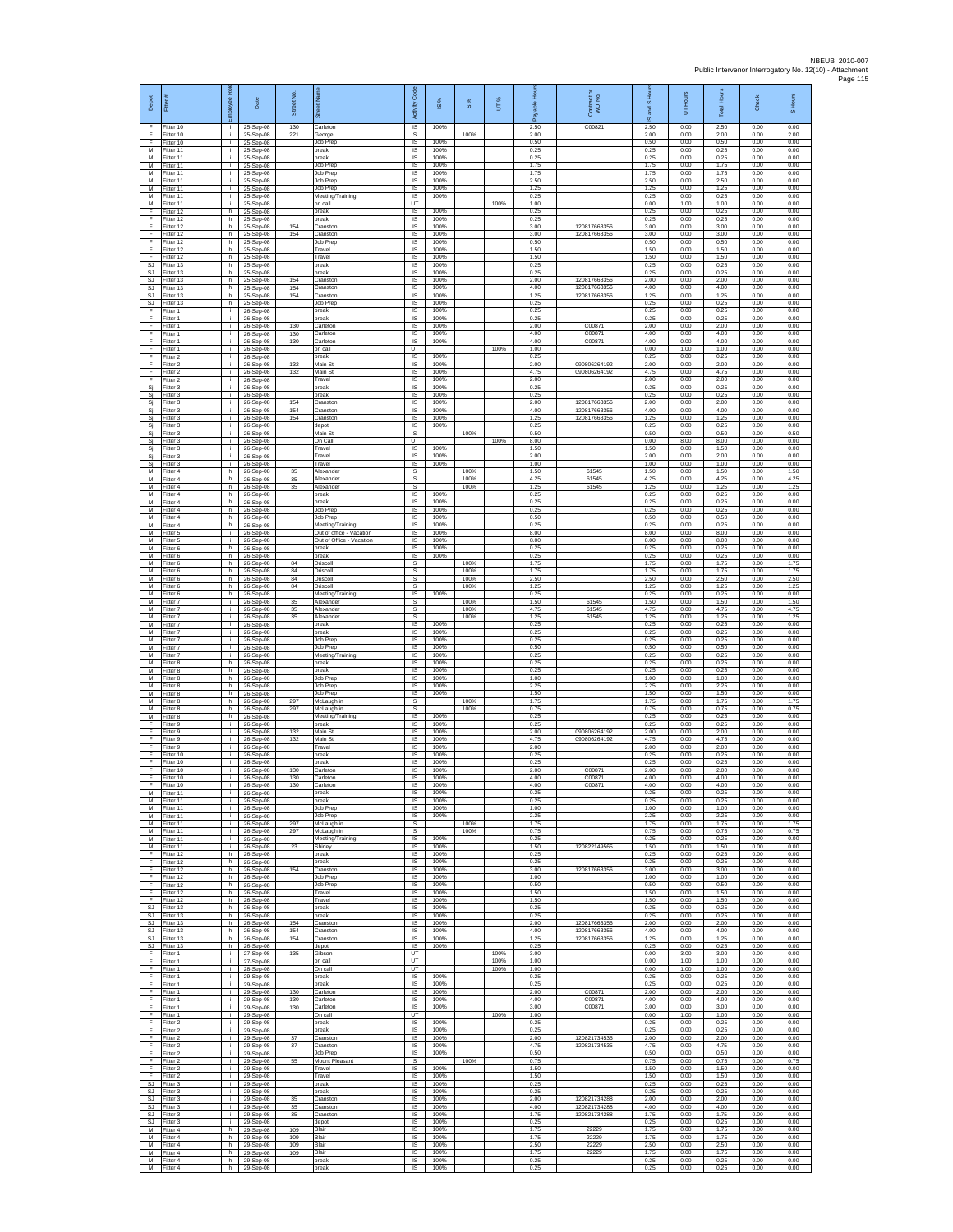| Depot<br>F                    | Fitter#<br>Fitter 10                | ployee Roi<br>. I  | Date<br>25-Sep-08                   | Street No<br>130  | 芿<br>Carleton                                        | Code<br>Activity<br>IS | æ<br>$\frac{0}{2}$<br>100% | $\frac{8}{3}$        | UT%          | 훈<br>2.50            | Contract or<br>WO No.<br>C00821              | £<br>$\overline{a}$<br>and<br>ဖ<br>2.50 | Hours<br>5<br>0.00   | Total Hour:<br>2.50  | Check<br>0.00        | S Hours<br>0.00      |
|-------------------------------|-------------------------------------|--------------------|-------------------------------------|-------------------|------------------------------------------------------|------------------------|----------------------------|----------------------|--------------|----------------------|----------------------------------------------|-----------------------------------------|----------------------|----------------------|----------------------|----------------------|
| F.<br>F                       | Fitter 10<br>Fitter 10              | i.<br>i.           | 25-Sep-08<br>25-Sep-08              | 221               | George<br>Job Prep                                   | s<br>$\sf IS$          | 100%                       | 100%                 |              | 2.00<br>0.50         |                                              | 2.00<br>0.50                            | 0.00<br>0.00         | 2.00<br>0.50         | 0.00<br>0.00         | 2.00<br>0.00         |
| M<br>M                        | Fitter 11<br>Fitter 11              | $\mathbf{r}$<br>i. | 25-Sep-08<br>25-Sep-08              |                   | break<br>break                                       | 1S<br>IS               | 100%<br>100%               |                      |              | 0.25<br>0.25         |                                              | 0.25<br>0.25                            | 0.00<br>0.00         | 0.25<br>0.25         | 0.00<br>0.00         | 0.00<br>0.00         |
| M<br>M<br>M                   | Fitter 11<br>Fitter 11<br>itter 11  | j.<br>i.<br>j.     | 25-Sep-08<br>25-Sep-08<br>25-Sep-08 |                   | Job Prep<br>Job Prep<br>Job Prep                     | IS<br>1S<br>IS         | 100%<br>100%<br>100%       |                      |              | 1.75<br>1.75<br>2.50 |                                              | 1.75<br>1.75<br>2.50                    | 0.00<br>0.00<br>0.00 | 1.75<br>1.75<br>2.50 | 0.00<br>0.00<br>0.00 | 0.00<br>0.00<br>0.00 |
| M<br>M                        | Fitter 11<br>Fitter 11              | j.<br>i.           | 25-Sep-08<br>25-Sep-08              |                   | Job Prep<br>Meeting/Training                         | IS<br>$\sf IS$         | 100%<br>100%               |                      |              | 1.25<br>0.25         |                                              | 1.25<br>0.25                            | 0.00<br>0.00         | 1.25<br>0.25         | 0.00<br>0.00         | 0.00<br>0.00         |
| М<br>F<br>F                   | Fitter 11<br>Fitter 12<br>Fitter 12 | j.<br>h<br>h       | 25-Sep-08<br>25-Sep-08              |                   | on call<br>break<br>break                            | UT<br>IS<br>IS         | 100%<br>100%               |                      | 100%         | 1.00<br>0.25<br>0.25 |                                              | 0.00<br>0.25<br>0.25                    | 1.00<br>0.00<br>0.00 | 1.00<br>0.25<br>0.25 | 0.00<br>0.00<br>0.00 | 0.00<br>0.00<br>0.00 |
| F<br>F                        | Fitter 12<br>Fitter 12              | h.<br>h.           | 25-Sep-08<br>25-Sep-08<br>25-Sep-08 | 154<br>154        | Cranston<br>Cranston                                 | IS<br>1S               | 100%<br>100%               |                      |              | 3.00<br>3.00         | 120817663356<br>120817663356                 | 3.00<br>3.00                            | 0.00<br>0.00         | 3.00<br>3.00         | 0.00<br>0.00         | 0.00<br>0.00         |
| F<br>F                        | Fitter 12<br>Fitter 12              | h.<br>h.           | 25-Sep-08<br>25-Sep-08              |                   | Job Prep<br>Travel                                   | IS<br>IS               | 100%<br>100%               |                      |              | 0.50<br>1.50         |                                              | 0.50<br>1.50                            | 0.00<br>0.00         | 0.50<br>1.50         | 0.00<br>0.00         | 0.00<br>0.00         |
| F<br>SJ<br><b>SJ</b>          | Fitter 12<br>Fitter 13<br>Fitter 13 | h.<br>h.<br>h      | 25-Sep-08<br>25-Sep-08<br>25-Sep-08 |                   | Travel<br>break<br>break                             | 1S<br>IS<br>IS         | 100%<br>100%<br>100%       |                      |              | 1.50<br>0.25<br>0.25 |                                              | 1.50<br>0.25<br>0.25                    | 0.00<br>0.00<br>0.00 | 1.50<br>0.25<br>0.25 | 0.00<br>0.00<br>0.00 | 0.00<br>0.00<br>0.00 |
| <b>SJ</b><br><b>SJ</b>        | Fitter 13<br>itter 13               | h.<br>h.           | 25-Sep-08<br>25-Sep-08              | 154<br>154        | Cranstor<br>Cranston                                 | IS<br>IS               | 100%<br>100%               |                      |              | 2.00<br>4.00         | 120817663356<br>120817663356                 | 2.00<br>4.00                            | 0.00<br>0.00         | 2.00<br>4.00         | 0.00<br>0.00         | 0.00<br>0.00         |
| <b>SJ</b><br>SJ<br>F          | Fitter 13<br>Fitter 13              | h.<br>h<br>÷.      | 25-Sep-08<br>25-Sep-08              | 154               | Cranston<br>Job Prep<br>break                        | IS<br>IS<br>IS         | 100%<br>100%<br>100%       |                      |              | 1.25<br>0.25<br>0.25 | 120817663356                                 | 1.25<br>0.25<br>0.25                    | 0.00<br>0.00<br>0.00 | 1.25<br>0.25<br>0.25 | 0.00<br>0.00<br>0.00 | 0.00<br>0.00<br>0.00 |
| F<br>F                        | Fitter 1<br>Fitter 1<br>Fitter 1    | $\mathbf{i}$<br>j. | 26-Sep-08<br>26-Sep-08<br>26-Sep-08 | 130               | break<br>Carleton                                    | 1S<br>IS               | 100%<br>100%               |                      |              | 0.25<br>2.00         | C00871                                       | 0.25<br>2.00                            | 0.00<br>0.00         | 0.25<br>2.00         | 0.00<br>0.00         | 0.00<br>0.00         |
| F<br>F                        | -itter 1<br>Fitter 1                | ÷.<br>T            | 26-Sep-08<br>26-Sep-08              | 130<br>130        | Carleton<br>Carleton                                 | $\sf IS$<br>IS         | 100%<br>100%               |                      |              | 4.00<br>4.00         | C00871<br>C00871                             | 4.00<br>4.00                            | 0.00<br>0.00         | 4.00<br>4.00         | 0.00<br>0.00         | 0.00<br>0.00         |
| F<br>F<br>F                   | Fitter 1<br>Fitter 2<br>Fitter 2    | i.<br>i.<br>÷.     | 26-Sep-08<br>26-Sep-08<br>26-Sep-08 | 132               | on call<br>break<br>Main St                          | UT<br>IS<br>1S         | 100%<br>100%               |                      | 100%         | 1.00<br>0.25<br>2.00 | 090806264192                                 | 0.00<br>0.25<br>2.00                    | 1.00<br>0.00<br>0.00 | 1.00<br>0.25<br>2.00 | 0.00<br>0.00<br>0.00 | 0.00<br>0.00<br>0.00 |
| F<br>F                        | fitter 2<br>Fitter 2                | j.<br>j.           | 26-Sep-08<br>26-Sep-08              | 132               | Main St<br>Travel                                    | IS<br>IS               | 100%<br>100%               |                      |              | 4.75<br>2.00         | 090806264192                                 | 4.75<br>2.00                            | 0.00<br>0.00         | 4.75<br>2.00         | 0.00<br>0.00         | 0.00<br>0.00         |
| Si<br>Si                      | Fitter 3<br>Fitter 3                | $\mathbf{i}$<br>j. | 26-Sep-08<br>26-Sep-08              |                   | break<br>break                                       | $\sf IS$<br>$\sf IS$   | 100%<br>100%               |                      |              | 0.25<br>0.25         |                                              | 0.25<br>0.25                            | 0.00<br>0.00         | 0.25<br>0.25         | 0.00<br>0.00         | 0.00<br>0.00         |
| Si<br>Sj<br>Sj                | Fitter 3<br>Fitter 3<br>fitter 3    | j.<br>i.<br>÷.     | 26-Sep-08<br>26-Sep-08<br>26-Sep-08 | 154<br>154<br>154 | Cranston<br>Cranston<br>Cranston                     | <b>IS</b><br>IS<br>IS  | 100%<br>100%<br>100%       |                      |              | 2.00<br>4.00<br>1.25 | 120817663356<br>120817663356<br>120817663356 | 2.00<br>4.00<br>1.25                    | 0.00<br>0.00<br>0.00 | 2.00<br>400<br>1.25  | 0.00<br>0.00<br>0.00 | 0.00<br>0.00<br>0.00 |
| Sj<br>Sj                      | fitter 3<br>Fitter 3                | j.<br>i.           | 26-Sep-08<br>26-Sep-08              |                   | depot<br>Main St                                     | 1S<br>s                | 100%                       | 100%                 |              | 0.25<br>0.50         |                                              | 0.25<br>0.50                            | 0.00<br>0.00         | 0.25<br>0.50         | 0.00<br>0.00         | 0.00<br>0.50         |
| Sj<br>Si                      | Fitter 3<br>Fitter 3                | j.<br>÷.<br>i.     | 26-Sep-08<br>26-Sep-08              |                   | On Call<br>Travel                                    | UT<br>1S<br>IS         | 100%<br>100%               |                      | 100%         | 8.00<br>1.50<br>2.00 |                                              | 0.00<br>1.50<br>2.00                    | 8.00<br>0.00<br>0.00 | 8.00<br>1.50<br>2.00 | 0.00<br>0.00<br>0.00 | 0.00<br>0.00<br>0.00 |
| Si<br>Sj<br>М                 | Fitter 3<br>Fitter 3<br>Fitter 4    | ÷.<br>h.           | 26-Sep-08<br>26-Sep-08<br>26-Sep-08 | 35                | Travel<br>Travel<br>Alexander                        | IS<br>s                | 100%                       | 100%                 |              | 1.00<br>1.50         | 61545                                        | 1.00<br>1.50                            | 0.00<br>0.00         | 1.00<br>1.50         | 0.00<br>0.00         | 0.00<br>1.50         |
| M<br>M                        | itter 4<br>Fitter 4                 | h.<br>h.           | 26-Sep-08<br>26-Sep-08              | 35<br>35          | Alexander<br>Alexander                               | s<br>s                 |                            | 100%<br>100%         |              | 4.25<br>1.25         | 6154<br>61545                                | 4.25<br>1.25                            | 0.00<br>0.00         | 4.25<br>1.25         | 0.00<br>0.00         | 4.25<br>1.25         |
| M<br>М<br>M                   | Fitter 4<br>Fitter 4<br>Fitter 4    | h.<br>h.<br>h.     | 26-Sep-08<br>26-Sep-08              |                   | hreak<br>break<br><b>Job Prep</b>                    | IS<br>IS<br>1S         | 100%<br>100%<br>100%       |                      |              | 0.25<br>0.25<br>0.25 |                                              | 0.25<br>0.25<br>0.25                    | 0.00<br>0.00<br>0.00 | 0.25<br>0.25<br>0.25 | 0.00<br>0.00<br>0.00 | 0.00<br>0.00<br>0.00 |
| M<br>М                        | Fitter 4<br>Fitter 4                | h.<br>h.           | 26-Sep-08<br>26-Sep-08<br>26-Sep-08 |                   | Job Prep<br>Meeting/Training                         | IS<br>$\sf IS$         | 100%<br>100%               |                      |              | 0.50<br>0.25         |                                              | 0.50<br>0.25                            | 0.00<br>0.00         | 0.50<br>0.25         | 0.00<br>0.00         | 0.00<br>0.00         |
| M<br>M                        | fitter 5<br>Fitter 5                | T<br>j.            | 26-Sep-08<br>26-Sep-08              |                   | Out of office - Vacation<br>Out of Office - Vacation | 1S<br><b>IS</b>        | 100%<br>100%               |                      |              | 8.00<br>8.00         |                                              | 8.00<br>8.00                            | 0.00<br>0.00         | 8.00<br>8.00         | 0.00<br>0.00         | 0.00<br>0.00         |
| M<br>М<br>M                   | Fitter 6<br>Fitter 6<br>itter 6     | h.<br>h.<br>h.     | 26-Sep-08<br>26-Sep-08<br>26-Sep-08 | 84                | break<br>break<br>Driscoll                           | IS<br>1S<br>s          | 100%<br>100%               | 100%                 |              | 0.25<br>0.25<br>1.75 |                                              | 0.25<br>0.25<br>1.75                    | 0.00<br>0.00<br>0.00 | 0.25<br>0.25<br>1.75 | 0.00<br>0.00<br>0.00 | 0.00<br>0.00<br>1.75 |
| M<br>M                        | Fitter 6<br>Fitter 6                | h.<br>h.           | 26-Sep-08<br>26-Sep-08              | 84<br>84          | Driscoll<br>Driscoll                                 | s<br>s                 |                            | 100%<br>100%         |              | 1.75<br>2.50         |                                              | 1.75<br>2.50                            | 0.00<br>0.00         | 1.75<br>2.50         | 0.00<br>0.00         | 1.75<br>2.50         |
| М<br>M                        | Fitter 6<br>Fitter 6                | h.<br>h.           | 26-Sep-08<br>26-Sep-08              | 84                | Driscoll<br>Meeting/Training                         | s<br><b>IS</b>         | 100%                       | 100%                 |              | 1.25<br>0.25         |                                              | 1.25<br>0.25                            | 0.00<br>0.00         | 1.25<br>0.25         | 0.00<br>0.00         | 1.25<br>0.00         |
| M<br>М<br>M                   | Fitter 7<br>Fitter 7<br>fitter 7    | i.<br>÷.<br>T      | 26-Sep-08<br>26-Sep-08<br>26-Sep-08 | 35<br>35<br>35    | Alexander<br>Alexander<br>Alexander                  | s<br>s<br>s            |                            | 100%<br>100%<br>100% |              | 1.50<br>4.75<br>1.25 | 61545<br>61545<br>61545                      | 1.50<br>4.75<br>1.25                    | 0.00<br>0.00<br>0.00 | 1.50<br>4.75<br>1.25 | 0.00<br>0.00<br>0.00 | 1.50<br>4.75<br>1.25 |
| M<br>М                        | Fitter 7<br>itter 7                 | i.<br>i.           | 26-Sep-08<br>26-Sep-08              |                   | break<br>break                                       | $\overline{s}$<br>IS   | 100%<br>100%               |                      |              | 0.25<br>0.25         |                                              | 0.25<br>0.25                            | 0.00<br>0.00         | 0.25<br>0.25         | 0.00<br>0.00         | 0.00<br>0.00         |
| М<br>M<br>M                   | Fitter 7<br>Fitter 7<br>Fitter 7    | ÷.<br>j.<br>÷.     | 26-Sep-08<br>26-Sep-08              |                   | Job Prep<br>Job Prep                                 | 1S<br>IS<br>IS         | 100%<br>100%<br>100%       |                      |              | 0.25<br>0.50<br>0.25 |                                              | 0.25<br>0.50<br>0.25                    | 0.00<br>0.00<br>0.00 | 0.25<br>0.50<br>0.25 | 0.00<br>0.00<br>0.00 | 0.00<br>0.00<br>0.00 |
| М<br>М                        | Fitter 8<br>itter 8                 | h.<br>h.           | 26-Sep-08<br>26-Sep-08<br>26-Sep-08 |                   | Meeting/Training<br>break<br>break                   | IS<br>IS               | 100%<br>100%               |                      |              | 0.25<br>0.25         |                                              | 0.25<br>0.25                            | 0.00<br>0.00         | 0.25<br>0.25         | 0.00<br>0.00         | 0.00<br>0.00         |
| M<br>M                        | Fitter 8<br>Fitter 8                | h.<br>h            | 26-Sep-08<br>26-Sep-08              |                   | Job Prep<br>Job Prep                                 | IS<br>IS               | 100%<br>100%               |                      |              | 1.00<br>2.25         |                                              | 1.00<br>2.25                            | 0.00<br>0.00         | 1.00<br>2.25         | 0.00<br>0.00         | 0.00<br>0.00         |
| М<br>M<br>M                   | Fitter 8<br>Fitter 8<br>Fitter 8    | h.<br>h.<br>h.     | 26-Sep-08<br>26-Sep-08<br>26-Sep-08 | 297<br>297        | Job Prep<br>McLaughlin<br>McLaughlin                 | IS<br>s<br>s           | 100%                       | 100%<br>100%         |              | 1.50<br>1.75<br>0.75 |                                              | 1.50<br>1.75<br>0.75                    | 0.00<br>0.00<br>0.00 | 1.50<br>1.75<br>0.75 | 0.00<br>0.00<br>0.00 | 0.00<br>1.75<br>0.75 |
| М<br>F                        | Fitter 8<br>fitter 9                | h.<br>Ŧ            | 26-Sep-08<br>26-Sep-08              |                   | Meeting/Training<br>break                            | IS<br>1S               | 100%<br>100%               |                      |              | 0.25<br>0.25         |                                              | 0.25<br>0.25                            | 0.00<br>0.00         | 0.25<br>0.25         | 0.00<br>0.00         | 0.00<br>0.00         |
| F<br>F<br>F                   | Fitter 9<br>Fitter 9<br>Fitter 9    | j.<br>i.<br>Ť.     | 26-Sep-08<br>26-Sep-08<br>26-Sep-08 | 132<br>132        | Main St<br>Main St<br>Travel                         | IS<br>IS<br>IS.        | 100%<br>100%<br>100%       |                      |              | 2.00<br>4.75<br>2.00 | 090806264192<br>090806264192                 | 2.00<br>4.75<br>2.00                    | 0.00<br>0.00<br>0.00 | 2.00<br>4.75<br>2.00 | 0.00<br>0.00<br>0.00 | 0.00<br>0.00<br>0.00 |
| F<br>F                        | fitter 10<br>Fitter 10              | j.<br>j.           | 26-Sep-08<br>26-Sep-08              |                   | oreak<br>break                                       | IS<br>IS               | 100%<br>100%               |                      |              | 0.25<br>0.25         |                                              | 0.25<br>0.25                            | 0.00<br>0.00         | 0.25<br>0.25         | 0.00<br>0.00         | 0.00<br>0.00         |
| F.<br>F                       | Fitter 10<br>Fitter 10              | i.<br>i.           | 26-Sep-08<br>26-Sep-08              | 130<br>130        | Carletor<br>Carleton                                 | $\sf IS$<br>IS         | 100%<br>100%               |                      |              | 2.00<br>4.00         | C00871<br>C00871                             | 2.00<br>4.00                            | 0.00<br>0.00         | 2.00<br>4.00         | 0.00<br>0.00         | 0.00<br>0.00         |
| E<br>м<br>M                   | Fitter 10<br>Fitter 11<br>Fitter 11 | ÷<br>i.<br>÷.      | 26-Sep-08<br>26-Sep-08<br>26-Sep-08 | 130               | Carleton<br>break<br>break                           | <b>IS</b><br>IS<br>IS  | 100%<br>100%<br>100%       |                      |              | 4.00<br>0.25<br>0.25 | C00871                                       | 4.00<br>0.25<br>0.25                    | 0.00<br>0.00<br>0.00 | 4.00<br>0.25<br>0.25 | 0.00<br>0.00<br>0.00 | 0.00<br>0.00<br>0.00 |
| M<br>M                        | fitter 11<br>Fitter 11              | j.<br>i.           | 26-Sep-08<br>26-Sep-08              |                   | <b>Job Prep</b><br>Job Prep                          | IS<br><b>IS</b>        | 100%<br>100%               |                      |              | 1.00<br>2.25         |                                              | 1.00<br>2.25                            | 0.00<br>0.00         | 1.00<br>2.25         | 0.00<br>0.00         | 0.00<br>0.00         |
| М<br>M                        | Fitter 11<br>Fitter 11              | ÷.<br>÷.           | 26-Sep-08<br>26-Sep-08              | 297<br>297        | McLaughlin<br>McLaughlin                             | s<br>s                 |                            | 100%<br>100%         |              | 1.75<br>0.75         |                                              | 1.75<br>0.75                            | 0.00<br>0.00         | 1.75<br>0.75         | 0.00<br>0.00         | 1.75<br>0.75         |
| M<br>M<br>F                   | Fitter 11<br>Fitter 11<br>Fitter 12 | i.<br>÷<br>h       | 26-Sep-08<br>26-Sep-08<br>26-Sep-08 | 23                | Meeting/Training<br>Shirley<br>break                 | IS<br>IS<br>1S         | 100%<br>100%<br>100%       |                      |              | 0.25<br>1.50<br>0.25 | 120822149565                                 | 0.25<br>1.50<br>0.25                    | 0.00<br>0.00<br>0.00 | 0.25<br>1.50<br>0.25 | 0.00<br>0.00<br>0.00 | 0.00<br>0.00<br>0.00 |
| F<br>F                        | fitter 12<br>Fitter 12              | h.<br>h.           | 26-Sep-08<br>26-Sep-08              | 154               | break<br>Cranston                                    | IS<br>IS               | 100%<br>100%               |                      |              | 0.25<br>3.00         | 120817663356                                 | 0.25<br>3.00                            | 0.00<br>0.00         | 0.25<br>3.00         | 0.00<br>0.00         | 0.00<br>0.00         |
| F.<br>F<br>F                  | Fitter 12<br>Fitter 12<br>Fitter 12 | h<br>h<br>h.       | 26-Sep-08<br>26-Sep-08              |                   | Job Prep<br>Job Prep<br>Travel                       | IS<br>IS<br>IS         | 100%<br>100%<br>100%       |                      |              | 1.00<br>0.50<br>1.50 |                                              | 1.00<br>0.50<br>1.50                    | 0.00<br>0.00<br>0.00 | 1.00<br>0.50<br>1.50 | 0.00<br>0.00<br>0.00 | 0.00<br>0.00<br>0.00 |
| F.<br><b>SJ</b>               | Fitter 12<br>Fitter 13              | h.<br>h            | 26-Sep-08<br>26-Sep-08<br>26-Sep-08 |                   | Travel<br>break                                      | IS<br>IS               | 100%<br>100%               |                      |              | 1.50<br>0.25         |                                              | 1.50<br>0.25                            | 0.00<br>0.00         | 1.50<br>0.25         | 0.00<br>0.00         | 0.00<br>0.00         |
| SJ<br>SJ.                     | Fitter 13<br>Fitter 13              | h<br>h.            | 26-Sep-08<br>26-Sep-08              | 154               | break<br>Cranston                                    | 1S<br>IS               | 100%<br>100%               |                      |              | 0.25<br>2.00         | 120817663356                                 | 0.25<br>2.00                            | 0.00<br>0.00         | 0.25<br>2.00         | 0.00<br>0.00         | 0.00<br>0.00         |
| SJ.<br><b>SJ</b><br><b>SJ</b> | Fitter 13<br>Fitter 13<br>Fitter 13 | h.<br>h.<br>h.     | 26-Sep-08<br>26-Sep-08<br>26-Sep-08 | 154<br>154        | Cranston<br>Cranston<br>depot                        | IS<br>1S<br>IS         | 100%<br>100%<br>100%       |                      |              | 4.00<br>1.25<br>0.25 | 120817663356<br>120817663356                 | 4.00<br>1.25<br>0.25                    | 0.00<br>0.00<br>0.00 | 4.00<br>1.25<br>0.25 | 0.00<br>0.00<br>0.00 | 0.00<br>0.00<br>0.00 |
| F<br>F.                       | Fitter 1<br>Fitter 1                | j.<br>$\mathbf{I}$ | 27-Sep-08<br>27-Sep-08              | 135               | Gibson<br>on call                                    | UT<br>UT               |                            |                      | 100%<br>100% | 3.00<br>1.00         |                                              | 0.00<br>0.00                            | 3.00<br>1.00         | 3.00<br>1.00         | 0.00<br>0.00         | 0.00<br>0.00         |
| F<br>F                        | Fitter 1<br>Fitter 1                | ÷.<br>i.           | 28-Sep-08<br>29-Sep-08              |                   | On call<br>break                                     | UT<br><b>IS</b>        | 100%                       |                      | 100%         | 1.00<br>0.25         |                                              | 0.00<br>0.25                            | 1.00<br>0.00         | 1.00<br>0.25         | 0.00<br>0.00         | 0.00<br>0.00         |
| F.<br>F<br>F                  | Fitter 1<br>Fitter 1<br>Fitter 1    | i.<br>÷.<br>i.     | 29-Sep-08<br>29-Sep-08<br>29-Sep-08 | 130<br>130        | break<br>Carleton<br>Carleton                        | IS<br>IS<br>IS         | 100%<br>100%<br>100%       |                      |              | 0.25<br>2.00<br>4.00 | C00871<br>C00871                             | 0.25<br>2.00<br>4.00                    | 0.00<br>0.00<br>0.00 | 0.25<br>2.00<br>4.00 | 0.00<br>0.00<br>0.00 | 0.00<br>0.00<br>0.00 |
| F<br>F.                       | Fitter 1<br>Fitter 1                | i.<br>i.           | 29-Sep-08<br>29-Sep-08              | 130               | Carleton<br>On call                                  | <b>IS</b><br>UT        | 100%                       |                      | 100%         | 3.00<br>1.00         | C00871                                       | 3.00<br>0.00                            | 0.00<br>1.00         | 3.00<br>1.00         | 0.00<br>0.00         | 0.00<br>0.00         |
| F<br>F<br>F                   | Fitter 2<br>Fitter 2                | ÷.<br>i.           | 29-Sep-08<br>29-Sep-08              | 37                | break<br>break                                       | 1S<br>IS               | 100%<br>100%               |                      |              | 0.25<br>0.25         |                                              | 0.25<br>0.25                            | 0.00<br>0.00         | 0.25<br>0.25         | 0.00<br>0.00         | 0.00<br>0.00         |
| F<br>F                        | Fitter 2<br>Fitter 2<br>itter 2     | ÷.<br>÷.<br>i.     | 29-Sep-08<br>29-Sep-08<br>29-Sep-08 | 37                | Cranston<br>Cranstor<br>Job Prep                     | IS<br>IS<br>IS         | 100%<br>100%<br>100%       |                      |              | 2.00<br>4.75<br>0.50 | 120821734535<br>120821734535                 | 2.00<br>4.75<br>0.50                    | 0.00<br>0.00<br>0.00 | 2.00<br>4.75<br>0.50 | 0.00<br>0.00<br>0.00 | 0.00<br>0.00<br>0.00 |
| F<br>F                        | Fitter 2<br>Fitter 2                | j.<br>i.           | 29-Sep-08<br>29-Sep-08              | 55                | Mount Pleasant<br>Travel                             | s<br>IS                | 100%                       | 100%                 |              | 0.75<br>1.50         |                                              | 0.75<br>1.50                            | 0.00<br>0.00         | 0.75<br>1.50         | 0.00<br>0.00         | 0.75<br>0.00         |
| F<br><b>SJ</b>                | Fitter 2<br>Fitter 3<br>SJ Fitter 3 | ÷.<br>i.<br>i.     | 29-Sep-08<br>29-Sep-08<br>29-Sep-08 |                   | Travel<br>break<br>break                             | IS<br>1S<br>IS         | 100%<br>100%<br>100%       |                      |              | 1.50<br>0.25<br>0.25 |                                              | 1.50<br>0.25<br>0.25                    | 0.00<br>0.00<br>0.00 | 1.50<br>0.25<br>0.25 | 0.00<br>0.00<br>0.00 | 0.00<br>0.00<br>0.00 |
| <b>SJ</b><br>SJ               | Fitter 3<br>Fitter 3                | ÷.<br>i.           | 29-Sep-08<br>29-Sep-08              | 35<br>35          | Cranston<br>Cranston                                 | IS<br>1S               | 100%<br>100%               |                      |              | 2.00<br>4.00         | 120821734288<br>120821734288                 | 2.00<br>4.00                            | 0.00<br>0.00         | 2.00<br>4.00         | 0.00<br>0.00         | 0.00<br>0.00         |
| SJ.<br><b>SJ</b>              | Fitter 3<br>Fitter 3                | i.<br>÷.           | 29-Sep-08<br>29-Sep-08              | 35                | Cranston<br>depot                                    | <b>IS</b><br>IS        | 100%<br>100%               |                      |              | 1.75<br>0.25         | 120821734288                                 | 1.75<br>0.25                            | 0.00<br>0.00         | 1.75<br>0.25         | 0.00<br>0.00         | 0.00<br>0.00         |
| М<br>M<br>M                   | Fitter 4<br>fitter 4<br>Fitter 4    | h.<br>h.<br>h.     | 29-Sep-08<br>29-Sep-08<br>29-Sep-08 | 109<br>109<br>109 | Blair<br>Blair<br>Blair                              | IS<br>IS<br>IS         | 100%<br>100%<br>100%       |                      |              | 1.75<br>1.75<br>2.50 | 22229<br>22229<br>22229                      | 1.75<br>1.75<br>2.50                    | 0.00<br>0.00<br>0.00 | 1.75<br>1.75<br>2.50 | 0.00<br>0.00<br>0.00 | 0.00<br>0.00<br>0.00 |
| M<br>М                        | Fitter 4<br>Fitter 4                | h.<br>h.           | 29-Sep-08<br>29-Sep-08              | 109               | Blair<br>break                                       | $\sf IS$<br>$\sf IS$   | 100%<br>100%               |                      |              | 1.75<br>0.25         | 22229                                        | 1.75<br>0.25                            | 0.00<br>0.00         | 1.75<br>0.25         | 0.00<br>0.00         | 0.00<br>0.00         |
| M                             | Fitter 4                            | h.                 | 29-Sep-08                           |                   | break                                                | IS                     | 100%                       |                      |              | 0.25                 |                                              | 0.25                                    | 0.00                 | 0.25                 | 0.00                 | 0.00                 |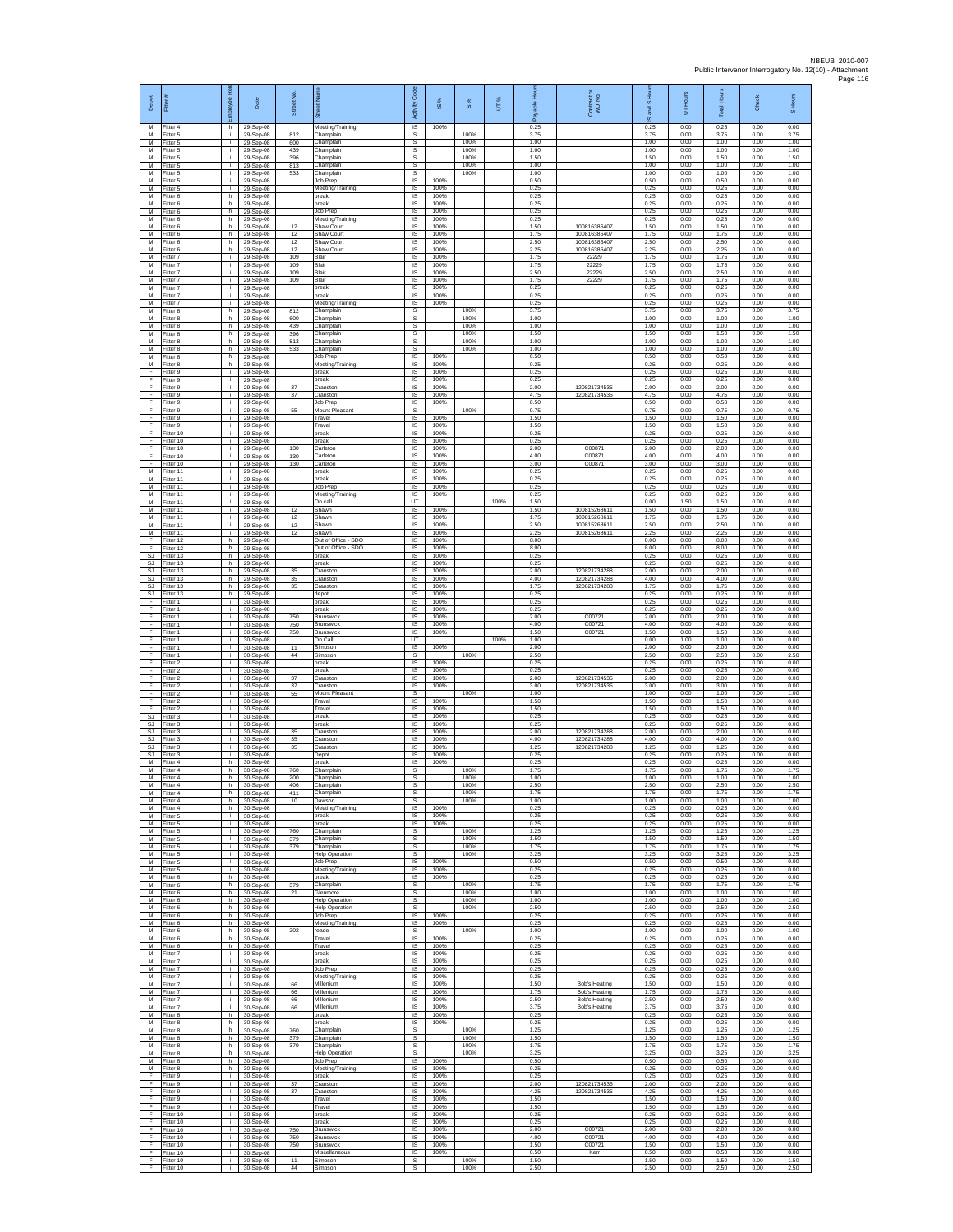| Depot                         | Fitter                              | æ<br>eeko      | Date                                | Street No.        |                                                       | Code<br>Activity                          | IS %                 | 8%                   | UT%  | 훈                    | Contract or<br>WO No.                        | and S Hou<br>$\overline{\omega}$ | UT Hours             | <b>Total Hours</b>   | Check                | S Hours              |
|-------------------------------|-------------------------------------|----------------|-------------------------------------|-------------------|-------------------------------------------------------|-------------------------------------------|----------------------|----------------------|------|----------------------|----------------------------------------------|----------------------------------|----------------------|----------------------|----------------------|----------------------|
| M<br>М<br>M                   | Fitter 4<br>Fitter 5                | h.<br>i.       | 29-Sep-08<br>29-Sep-08              | 812               | Meeting/Training<br>Champlain                         | $\overline{\mathsf{s}}$<br>$\mathbb{S}$   | 100%                 | 100%<br>100%         |      | 0.25<br>3.75         |                                              | 0.25<br>3.75                     | 0.00<br>0.00         | 0.25<br>3.75         | 0.00<br>0.00         | 0.00<br>3.75         |
| M<br>M                        | Fitter 5<br>Fitter 5<br>Fitter 5    | j.<br>i.       | 29-Sep-08<br>29-Sep-08<br>29-Sep-08 | 600<br>439<br>396 | hamplain<br>Champlain<br>Champlain                    | s<br>s<br>s                               |                      | 100%<br>100%         |      | 1.00<br>1.00<br>1.50 |                                              | 1.00<br>1.00<br>1.50             | 0.00<br>0.00<br>0.00 | 1.00<br>1.00<br>1.50 | 0.00<br>0.00<br>0.00 | 1.00<br>1.00<br>1.50 |
| M<br>M                        | -itter 5<br>Fitter 5                | i.             | 29-Sep-08<br>29-Sep-08              | 813<br>533        | Champlain<br>Champlain                                | s<br>s                                    |                      | 100%<br>100%         |      | 1.00<br>1.00         |                                              | 1.00<br>1.00                     | 0.00<br>0.00         | 1.00<br>1.00         | 0.00<br>0.00         | 1.00<br>1.00         |
| M<br>M                        | Fitter 5<br>-itter 5                | i.<br>÷.       | 29-Sep-08<br>29-Sep-08              |                   | Job Prep<br>Meeting/Training                          | IS<br>IS                                  | 100%<br>100%         |                      |      | 0.50<br>0.25         |                                              | 0.50<br>0.25                     | 0.00<br>0.00         | 0.50<br>0.25         | 0.00<br>0.00         | 0.00<br>0.00         |
| M<br>M<br>M                   | Fitter 6<br>Fitter 6<br>Fitter 6    | h<br>h.<br>h   | 29-Sep-08<br>29-Sep-08              |                   | break<br>break                                        | $\sf IS$<br>IS<br>IS                      | 100%<br>100%<br>100% |                      |      | 0.25<br>0.25<br>0.25 |                                              | 0.25<br>0.25<br>0.25             | 0.00<br>0.00<br>0.00 | 0.25<br>0.25<br>0.25 | 0.00<br>0.00<br>0.00 | 0.00<br>0.00<br>0.00 |
| M<br>M                        | Fitter 6<br>Fitter 6                | h.<br>h        | 29-Sep-08<br>29-Sep-08<br>29-Sep-08 | 12                | Job Prep<br>Meeting/Training<br>Shaw Court            | IS<br>IS                                  | 100%<br>100%         |                      |      | 0.25<br>1.50         | 10081638640                                  | 0.25<br>1.50                     | 0.00<br>0.00         | 0.25<br>1.50         | 0.00<br>0.00         | 0.00<br>0.00         |
| M<br>M                        | Fitter 6<br>-itter 6                | h.<br>h.       | 29-Sep-08<br>29-Sep-08              | 12<br>12          | Shaw Court<br>Shaw Court                              | IS<br>IS                                  | 100%<br>100%         |                      |      | 1.75<br>2.50         | 100816386407<br>100816386407                 | 1.75<br>2.50                     | 0.00<br>0.00         | 1.75<br>2.50         | 0.00<br>0.00         | 0.00<br>0.00         |
| M<br>M<br>M                   | Fitter 6<br>Fitter 7                | h<br>i.        | 29-Sep-08<br>29-Sep-08              | 12<br>109         | Shaw Court<br>Blair                                   | IS<br>IS                                  | 100%<br>100%         |                      |      | 2.25<br>1.75         | 100816386407<br>22229<br>22229               | 2.25<br>1.75                     | 0.00<br>0.00         | 2.25<br>1.75         | 0.00<br>0.00         | 0.00<br>0.00         |
| M<br>M                        | Fitter 7<br>-itter 7<br>Fitter 7    | i.<br>i.       | 29-Sep-08<br>29-Sep-08<br>29-Sep-08 | 109<br>109<br>109 | Blair<br>Blair<br>Blair                               | IS<br>IS<br>IS                            | 100%<br>100%<br>100% |                      |      | 1.75<br>2.50<br>1.75 | 22229<br>22229                               | 1.75<br>2.50<br>1.75             | 0.00<br>0.00<br>0.00 | 1.75<br>2.50<br>1.75 | 0.00<br>0.00<br>0.00 | 0.00<br>0.00<br>0.00 |
| M<br>М                        | Fitter 7<br>Fitter 7                | i.<br>i.       | 29-Sep-08<br>29-Sep-08              |                   | break<br>break                                        | - IS<br>IS                                | 100%<br>100%         |                      |      | 0.25<br>0.25         |                                              | 0.25<br>0.25                     | 0.00<br>0.00         | 0.25<br>0.25         | 0.00<br>0.00         | 0.00<br>0.00         |
| M<br>M                        | Fitter 7<br>Fitter 8                | Ť.<br>h        | 29-Sep-08<br>29-Sep-08              | 812               | Meeting/Training<br>Champlain                         | IS<br>s                                   | 100%                 | 100%                 |      | 0.25<br>3.75         |                                              | 0.25<br>3.75                     | 0.00<br>0.00         | 0.25<br>3.75         | 0.00<br>0.00         | 0.00<br>3.75         |
| M<br>М<br>М                   | Fitter 8<br>Fitter 8<br>Fitter 8    | h.<br>h.<br>h  | 29-Sep-08<br>29-Sep-08<br>29-Sep-08 | 600<br>439<br>396 | Champlain<br>Champlain<br>hamplain                    | s<br>$\mathbb S$<br>s                     |                      | 100%<br>100%<br>100% |      | 1.00<br>1.00<br>1.50 |                                              | 1.00<br>1.00<br>1.50             | 0.00<br>0.00<br>0.00 | 1.00<br>1.00<br>1.50 | 0.00<br>0.00<br>0.00 | 1.00<br>1.00<br>1.50 |
| M<br>M                        | Fitter 8<br>Fitter 8                | h.<br>h.       | 29-Sep-08<br>29-Sep-08              | 813<br>533        | Champlain<br>Champlain                                | s<br>s                                    |                      | 100%<br>100%         |      | 1.00<br>1.00         |                                              | 1.00<br>1.00                     | 0.00<br>0.00         | 1.00<br>1.00         | 0.00<br>0.00         | 1.00<br>1.00         |
| M<br>М                        | Fitter 8<br>Fitter 8                | h<br>h.        | 29-Sep-08<br>29-Sep-08              |                   | Job Prep<br>Meeting/Training                          | IS<br>IS                                  | 100%<br>100%         |                      |      | 0.50<br>0.25         |                                              | 0.50<br>0.25                     | 0.00<br>0.00         | 0.50<br>0.25         | 0.00<br>0.00         | 0.00<br>0.00         |
| E<br>$\mathsf F$<br>F         | Fitter 9<br>itter 9<br>Fitter 9     | i.<br>j.<br>i. | 29-Sep-08<br>29-Sep-08<br>29-Sep-08 | $37\,$            | break<br>oreak<br>Cranston                            | IS<br>IS<br>IS                            | 100%<br>100%<br>100% |                      |      | 0.25<br>0.25<br>2.00 | 120821734535                                 | 0.25<br>0.25<br>2.00             | 0.00<br>0.00<br>0.00 | 0.25<br>0.25<br>2.00 | 0.00<br>0.00<br>0.00 | 0.00<br>0.00<br>0.00 |
| F<br>F                        | Fitter 9<br>Fitter 9                | i.<br>Ť.       | 29-Sep-08<br>29-Sep-08              | 37                | Cranston<br>Job Prep                                  | <b>IS</b><br>IS                           | 100%<br>100%         |                      |      | 4.75<br>0.50         | 120821734535                                 | 4.75<br>0.50                     | 0.00<br>0.00         | 4.75<br>0.50         | 0.00<br>0.00         | 0.00<br>0.00         |
| Ŧ<br>Ŧ                        | Fitter 9<br>fitter 9                | i.<br>Ť.       | 29-Sep-08<br>29-Sep-08              | 55                | Mount Pleasant<br>Travel                              | s<br>IS                                   | 100%                 | 100%                 |      | 0.75<br>1.50         |                                              | 0.75<br>1.50                     | 0.00<br>0.00         | 0.75<br>1.50         | 0.00<br>0.00         | 0.75<br>0.00         |
| -F<br>F<br>$\mathsf F$        | Fitter 9<br>Fitter 10<br>Fitter 10  | j.<br>i.       | 29-Sep-08<br>29-Sep-08<br>29-Sep-08 |                   | Travel<br>break<br>break                              | IS<br><b>IS</b><br>IS                     | 100%<br>100%<br>100% |                      |      | 1.50<br>0.25<br>0.25 |                                              | 1.50<br>0.25<br>0.25             | 0.00<br>0.00<br>0.00 | 1.50<br>0.25<br>0.25 | 0.00<br>0.00<br>0.00 | 0.00<br>0.00<br>0.00 |
| Ŧ<br>F                        | Fitter 10<br>Fitter 10              | i.<br>i.       | 29-Sep-08<br>29-Sep-08              | 130<br>130        | Carleton<br>Carleton                                  | IS<br>IS                                  | 100%<br>100%         |                      |      | 2.00<br>4.00         | C0087<br>C00871                              | 2.00<br>4.00                     | 0.00<br>0.00         | 2.00<br>4.00         | 0.00<br>0.00         | 0.00<br>0.00         |
| $\mathsf F$<br>$\overline{M}$ | Fitter 10<br>Fitter 11              | i.<br>i.       | 29-Sep-08<br>29-Sep-08              | 130               | Carleton<br>break                                     | IS<br>IS                                  | 100%<br>100%         |                      |      | 3.00<br>0.25         | C00871                                       | 3.00<br>0.25                     | 0.00<br>0.00         | 3.00<br>0.25         | 0.00<br>0.00         | 0.00<br>0.00         |
| M<br>M<br>M                   | Fitter 11<br>Fitter 11<br>Fitter 11 | i.<br>j.<br>Ť. | 29-Sep-08<br>29-Sep-08<br>29-Sep-08 |                   | break<br>Job Prep<br>Meeting/Training                 | IS<br>IS<br>IS                            | 100%<br>100%<br>100% |                      |      | 0.25<br>0.25<br>0.25 |                                              | 0.25<br>0.25<br>0.25             | 0.00<br>0.00<br>0.00 | 0.25<br>0.25<br>0.25 | 0.00<br>0.00<br>0.00 | 0.00<br>0.00<br>0.00 |
| M<br>M                        | -itter 11<br>Fitter 11              | Ť.<br>j.       | 29-Sep-08<br>29-Sep-08              | 12                | On call<br>Shawn                                      | UT<br>IS                                  | 100%                 |                      | 100% | 1.50<br>1.50         | 10081526861                                  | 0.00<br>1.50                     | 1.50<br>0.00         | 1.50<br>1.50         | 0.00<br>0.00         | 0.00<br>0.00         |
| М<br>M                        | Fitter 11<br>Fitter 11              | i.             | 29-Sep-08<br>29-Sep-08              | 12<br>12          | Shawn<br>Shawn                                        | $\sf IS$<br>$\sf IS$                      | 100%<br>100%         |                      |      | 1.75<br>2.50         | 100815268611<br>100815268611                 | 1.75<br>2.50                     | 0.00<br>0.00         | 1.75<br>2.50         | 0.00<br>0.00         | 0.00<br>0.00         |
| M<br>E<br>F                   | Fitter 11<br>Fitter 12<br>ltter 12  | Ť.<br>h.<br>h  | 29-Sep-08<br>29-Sep-08<br>29-Sep-08 | 12                | Shawn<br>Out of Office - SDO<br>Out of Office - SDO   | IS<br>IS<br>IS                            | 100%<br>100%<br>100% |                      |      | 2.25<br>8.00<br>8.00 | 100815268611                                 | 2.25<br>8.00<br>8.00             | 0.00<br>0.00<br>0.00 | 2.25<br>8.00<br>8.00 | 0.00<br>0.00<br>0.00 | 0.00<br>0.00<br>0.00 |
| SJ<br>SJ                      | Fitter 13<br>Fitter 13              | h<br>h.        | 29-Sep-08<br>29-Sep-08              |                   | break<br>break                                        | IS<br>IS                                  | 100%<br>100%         |                      |      | 0.25<br>0.25         |                                              | 0.25<br>0.25                     | 0.00<br>0.00         | 0.25<br>0.25         | 0.00<br>0.00         | 0.00<br>0.00         |
| SJ<br><b>SJ</b>               | Fitter 13<br>Fitter 13              | h<br>h         | 29-Sep-08<br>29-Sep-08              | 35<br>$35\,$      | Cranston<br>Cranston                                  | IS<br>$\sf IS$                            | 100%<br>100%         |                      |      | 2.00<br>4.00         | 120821734288<br>120821734288                 | 2.00<br>4.00                     | 0.00<br>0.00         | 2.00<br>4.00         | 0.00<br>0.00         | 0.00<br>0.00         |
| SJ.<br>SJ<br>Ŧ                | Fitter 13<br>Fitter 13<br>Fitter 1  | h.<br>h<br>i.  | 29-Sep-08<br>29-Sep-08<br>30-Sep-08 | 35                | Cranston<br>depot<br>break                            | IS<br>IS<br>IS                            | 100%<br>100%<br>100% |                      |      | 1.75<br>0.25<br>0.25 | 120821734288                                 | 1.75<br>0.25<br>0.25             | 0.00<br>0.00<br>0.00 | 1.75<br>0.25<br>0.25 | 0.00<br>0.00<br>0.00 | 0.00<br>0.00<br>0.00 |
| F<br>-F                       | Fitter 1<br>Fitter 1                | Ť.<br>Ť.       | 30-Sep-08<br>30-Sep-08              | 750               | oreak<br><b>Brunswick</b>                             | IS<br>IS                                  | 100%<br>100%         |                      |      | 0.25<br>2.00         | C00721                                       | 0.25<br>2.00                     | 0.00<br>0.00         | 0.25<br>2.00         | 0.00<br>0.00         | 0.00<br>0.00         |
| F<br>F                        | -itter 1<br>Fitter 1                | i.<br>÷.       | 30-Sep-08<br>30-Sep-08              | 750<br>750        | <b>Brunswick</b><br><b>Brunswick</b>                  | IS<br>IS                                  | 100%<br>100%         |                      |      | 4.00<br>1.50         | C00721<br>C00721                             | 4.00<br>1.50                     | 0.00<br>0.00         | 4.00<br>1.50         | 0.00<br>0.00         | 0.00<br>0.00         |
| F.<br>E<br>F                  | Fitter 1<br>Fitter 1<br>-itter 1    | j.<br>i.       | 30-Sep-08<br>30-Sep-08<br>30-Sep-08 | 11<br>$44\,$      | On Call<br>Simpson<br>Simpson                         | UT<br>IS<br>s                             | 100%                 | 100%                 | 100% | 1.00<br>2.00<br>2.50 |                                              | 0.00<br>2.00<br>2.50             | 1.00<br>0.00<br>0.00 | 1.00<br>2.00<br>2.50 | 0.00<br>0.00<br>0.00 | 0.00<br>0.00<br>2.50 |
| Ŧ<br>F                        | Fitter 2<br>Fitter 2                | i.<br>j.       | 30-Sep-08<br>30-Sep-08              |                   | break<br>break                                        | IS<br>IS                                  | 100%<br>100%         |                      |      | 0.25<br>0.25         |                                              | 0.25<br>0.25                     | 0.00<br>0.00         | 0.25<br>0.25         | 0.00<br>0.00         | 0.00<br>0.00         |
| F<br>F                        | Fitter 2<br>Fitter 2                | i.<br>i.       | 30-Sep-08<br>30-Sep-08              | 37<br>$37\,$      | Cranston<br>Cranston                                  | IS<br>IS                                  | 100%<br>100%         |                      |      | 2.00<br>3.00         | 120821734535<br>120821734535                 | 2.00<br>3.00                     | 0.00<br>0.00         | 2.00<br>3.00         | 0.00<br>0.00         | 0.00<br>0.00         |
| F<br>F<br>F                   | Fitter 2<br>Fitter 2<br>-itter 2    | i.<br>j.<br>i. | 30-Sep-08<br>30-Sep-08              | 55                | Mount Pleasant<br>Travel<br>Travel                    | s<br>IS<br>$\sf IS$                       | 100%<br>100%         | 100%                 |      | 1.00<br>1.50<br>1.50 |                                              | 1.00<br>1.50<br>1.50             | 0.00<br>0.00<br>0.00 | 1.00<br>1.50<br>1.50 | 0.00<br>0.00<br>0.00 | 1.00<br>0.00<br>0.00 |
| SJ<br>-SJ                     | -itter 3<br>Fitter 3                | j.             | 30-Sep-08<br>30-Sep-08<br>30-Sep-08 |                   | break<br>break                                        | $\sf IS$<br>IS                            | 100%<br>100%         |                      |      | 0.25<br>0.25         |                                              | 0.25<br>0.25                     | 0.00<br>0.00         | 0.25<br>0.25         | 0.00<br>0.00         | 0.00<br>0.00         |
| S.I<br><b>SJ</b>              | Fitter 3<br>Fitter 3                | i.             | 30-Sep-08<br>30-Sep-08              | 35<br>35          | Cranston<br>Cranston                                  | <b>IS</b><br>IS                           | 100%<br>100%         |                      |      | 2.00<br>4.00         | 120821734288<br>120821734288                 | 2.00<br>4.00                     | 0.00<br>0.00         | 2.00<br>4.00         | 0.00<br>0.00         | 0.00<br>0.00         |
| SJ<br>SJ.<br>${\sf M}$        | Fitter 3<br>Fitter 3<br>-itter 4    | j.<br>j.<br>h  | 30-Sep-08<br>30-Sep-08              | 35                | Cranston<br>Depot<br>break                            | IS<br>IS<br>IS                            | 100%<br>100%<br>100% |                      |      | 1.25<br>0.25<br>0.25 | 120821734288                                 | 1.25<br>0.25<br>0.25             | 0.00<br>0.00<br>0.00 | 1.25<br>0.25<br>0.25 | 0.00<br>0.00<br>0.00 | 0.00<br>0.00<br>0.00 |
| М<br>M                        | Fitter 4<br>Fitter 4                | h.<br>h.       | 30-Sep-08<br>30-Sep-08<br>30-Sep-08 | 760<br>200        | Champlain<br>Champlain                                | s<br>s                                    |                      | 100%<br>100%         |      | 1.75<br>1.00         |                                              | 1.75<br>1.00                     | 0.00<br>0.00         | 1.75<br>1.00         | 0.00<br>0.00         | 1.75<br>1.00         |
| M<br>M                        | Fitter 4<br>Fitter 4                | h<br>h         | 30-Sep-08<br>30-Sep-08              | 406<br>411        | Champlain<br>Champlain                                | s<br>s                                    |                      | 100%<br>100%         |      | 2.50<br>1.75         |                                              | 2.50<br>1.75                     | 0.00<br>0.00         | 2.50<br>1.75         | 0.00<br>0.00         | 2.50<br>1.75         |
| M<br>M<br>M                   | itter 4<br>Fitter 4<br>fitter 5     | h<br>h.<br>i.  | 30-Sep-08<br>30-Sep-08<br>30-Sep-08 | 10                | Dawson<br>Meeting/Training<br>break                   | s<br><b>IS</b><br><b>IS</b>               | 100%<br>100%         | 100%                 |      | 1.00<br>0.25<br>0.25 |                                              | 1.00<br>0.25<br>0.25             | 0.00<br>0.00<br>0.00 | 1.00<br>0.25<br>0.25 | 0.00<br>0.00<br>0.00 | 1.00<br>0.00<br>0.00 |
| M<br>M                        | Fitter 5<br>Fitter 5                | i.<br>i.       | 30-Sep-08<br>30-Sep-08              | 760               | break<br>Champlain                                    | IS<br>s                                   | 100%                 | 100%                 |      | 0.25<br>1.25         |                                              | 0.25<br>1.25                     | 0.00<br>0.00         | 0.25<br>1.25         | 0.00<br>0.00         | 0.00<br>1.25         |
| M<br>${\sf M}$                | Fitter 5<br>Fitter 5                | i.<br>i.       | 30-Sep-08<br>30-Sep-08              | 379<br>379        | Champlain<br>Champlain                                | s<br>s                                    |                      | 100%<br>100%         |      | 1.50<br>1.75         |                                              | 1.50<br>1.75                     | 0.00<br>0.00         | 1.50<br>1.75         | 0.00<br>0.00         | 1.50<br>1.75         |
| M<br>M<br>М                   | Fitter 5<br>Fitter 5<br>Fitter 5    | i.<br>i.<br>i. | 30-Sep-08<br>30-Sep-08<br>30-Sep-08 |                   | <b>Help Operation</b><br>Job Prep<br>Meeting/Training | s<br><b>IS</b><br>IS                      | 100%<br>100%         | 100%                 |      | 3.25<br>0.50<br>0.25 |                                              | 3.25<br>0.50<br>0.25             | 0.00<br>0.00<br>0.00 | 3.25<br>0.50<br>0.25 | 0.00<br>0.00<br>0.00 | 3.25<br>0.00<br>0.00 |
| M<br>M                        | Fitter 6<br>Fitter 6                | h.<br>h        | 30-Sep-08<br>30-Sep-08              | 379               | break<br>Champlain                                    | IS<br>s                                   | 100%                 | 100%                 |      | 0.25<br>1.75         |                                              | 0.25<br>1.75                     | 0.00<br>0.00         | 0.25<br>1.75         | 0.00<br>0.00         | 0.00<br>1.75         |
| M<br>M<br>M                   | Fitter 6<br>-itter 6                | h.<br>h        | 30-Sep-08<br>30-Sep-08              | 21                | Glenmore<br><b>Help Operation</b>                     | s<br>$\mathbb S$                          |                      | 100%<br>100%         |      | 1.00<br>1.00         |                                              | 1.00<br>1.00                     | 0.00<br>0.00         | 1.00<br>1.00         | 0.00<br>0.00         | 1.00<br>1.00         |
| M<br>M                        | Fitter 6<br>Fitter 6<br>Fitter 6    | h<br>h.<br>h.  | 30-Sep-08<br>30-Sep-08<br>30-Sep-08 |                   | <b>Help Operation</b><br>Job Prep<br>Meeting/Training | s<br>$\overline{\mathsf{s}}$<br><b>IS</b> | 100%<br>100%         | 100%                 |      | 2.50<br>0.25<br>0.25 |                                              | 2.50<br>0.25<br>0.25             | 0.00<br>0.00<br>0.00 | 2.50<br>0.25<br>0.25 | 0.00<br>0.00<br>0.00 | 2.50<br>0.00<br>0.00 |
| M<br>M                        | Fitter 6<br>Fitter 6                | h<br>h         | 30-Sep-08<br>30-Sep-08              | 202               | reade<br>Travel                                       | s<br>IS                                   | 100%                 | 100%                 |      | 1.00<br>0.25         |                                              | 1.00<br>0.25                     | 0.00<br>0.00         | 1.00<br>0.25         | 0.00<br>0.00         | 1.00<br>0.00         |
| M<br>${\sf M}$<br>M           | Fitter 6<br>-itter 7                | h.<br>i.<br>j. | 30-Sep-08<br>30-Sep-08              |                   | Travel<br>break                                       | <b>IS</b><br>IS                           | 100%<br>100%         |                      |      | 0.25<br>0.25         |                                              | 0.25<br>0.25                     | 0.00<br>0.00         | 0.25<br>0.25         | 0.00<br>0.00         | 0.00<br>0.00         |
| M<br>M                        | Fitter 7<br>Fitter 7<br>Fitter 7    | j.<br>j.       | 30-Sep-08<br>30-Sep-08<br>30-Sep-08 |                   | break<br>Job Prep<br>Meeting/Training                 | IS<br><b>IS</b><br>IS                     | 100%<br>100%<br>100% |                      |      | 0.25<br>0.25<br>0.25 |                                              | 0.25<br>0.25<br>0.25             | 0.00<br>0.00<br>0.00 | 0.25<br>0.25<br>0.25 | 0.00<br>0.00<br>0.00 | 0.00<br>0.00<br>0.00 |
| M<br>M                        | Fitter 7<br>Fitter 7                | i.<br>j.       | 30-Sep-08<br>30-Sep-08              | 66<br>66          | Millenium<br>Millenium                                | IS<br><b>IS</b>                           | 100%<br>100%         |                      |      | 1.50<br>1.75         | <b>Bob's Heating</b><br><b>Bob's Heating</b> | 1.50<br>1.75                     | 0.00<br>0.00         | 1.50<br>1.75         | 0.00<br>0.00         | 0.00<br>0.00         |
| M<br>M                        | Fitter 7<br>Fitter 7                | j.<br>i.<br>h  | 30-Sep-08<br>30-Sep-08              | 66<br>66          | Millenium<br>Millenium<br>break                       | <b>IS</b><br><b>IS</b><br>IS              | 100%<br>100%<br>100% |                      |      | 2.50<br>3.75<br>0.25 | Bob's Heating<br><b>Bob's Heating</b>        | 2.50<br>3.75<br>0.25             | 0.00<br>0.00<br>0.00 | 2.50<br>3.75<br>0.25 | 0.00<br>0.00<br>0.00 | 0.00<br>0.00<br>0.00 |
| M<br>M<br>м                   | Fitter 8<br>Fitter 8<br>Fitter 8    | h<br>h         | 30-Sep-08<br>30-Sep-08<br>30-Sep-08 | 760               | break<br>Champlain                                    | IS<br>$\mathsf{s}$                        | 100%                 | 100%                 |      | 0.25<br>1.25         |                                              | 0.25<br>1.25                     | 0.00<br>0.00         | 0.25<br>1.25         | 0.00<br>0.00         | 0.00<br>1.25         |
| M<br>M                        | Fitter 8<br>Fitter 8                | h.<br>h        | 30-Sep-08<br>30-Sep-08              | 379<br>379        | Champlain<br>Champlain                                | $\mathbb S$<br>s                          |                      | 100%<br>100%         |      | 1.50<br>1.75         |                                              | 1.50<br>1.75                     | 0.00<br>0.00         | 1.50<br>1.75         | 0.00<br>0.00         | 1.50<br>1.75         |
| M<br>M                        | Fitter 8<br>Fitter 8                | h.<br>h<br>h.  | 30-Sep-08<br>30-Sep-08              |                   | <b>Help Operation</b><br>Job Prep<br>Meeting/Training | s<br>IS<br>IS                             | 100%<br>100%         | 100%                 |      | 3.25<br>0.50<br>0.25 |                                              | 3.25<br>0.50<br>0.25             | 0.00<br>0.00<br>0.00 | 3.25<br>0.50<br>0.25 | 0.00<br>0.00<br>0.00 | 3.25<br>0.00<br>0.00 |
| ${\sf M}$<br>F<br>F           | Fitter 8<br>Fitter 9<br>Fitter 9    | j.<br>j.       | 30-Sep-08<br>30-Sep-08<br>30-Sep-08 | 37                | break<br>Cranston                                     | IS<br>- IS                                | 100%<br>100%         |                      |      | 0.25<br>2.00         | 120821734535                                 | 0.25<br>2.00                     | 0.00<br>0.00         | 0.25<br>2.00         | 0.00<br>0.00         | 0.00<br>0.00         |
| F.<br>F                       | Fitter 9<br>Fitter 9                | i.<br>j.       | 30-Sep-08<br>30-Sep-08              | $37\,$            | Cranston<br>Travel                                    | $\sf IS$<br>$\sf IS$                      | 100%<br>100%         |                      |      | 4.25<br>1.50         | 120821734535                                 | 4.25<br>1.50                     | 0.00<br>0.00         | 4.25<br>1.50         | 0.00<br>0.00         | 0.00<br>0.00         |
| -F<br>-F.<br>Ŧ                | Fitter 9<br>Fitter 10<br>Fitter 10  | j.<br>j.<br>i. | 30-Sep-08<br>30-Sep-08<br>30-Sep-08 |                   | Travel<br>break<br>break                              | <b>IS</b><br><b>IS</b><br>IS              | 100%<br>100%<br>100% |                      |      | 1.50<br>0.25<br>0.25 |                                              | 1.50<br>0.25<br>0.25             | 0.00<br>0.00<br>0.00 | 1.50<br>0.25<br>0.25 | 0.00<br>0.00<br>0.00 | 0.00<br>0.00<br>0.00 |
| Ŧ<br>E                        | Fitter 10<br>Fitter 10              | i.<br>j.       | 30-Sep-08<br>30-Sep-08              | 750<br>750        | Brunswick<br>Brunswick                                | <b>IS</b><br><b>IS</b>                    | 100%<br>100%         |                      |      | 2.00<br>4.00         | C0072<br>C00721                              | 2.00<br>4.00                     | 0.00<br>0.00         | 2.00<br>4.00         | 0.00<br>0.00         | 0.00<br>0.00         |
| $\mathsf F$<br>F.             | Fitter 10<br>Fitter 10              | i.<br>j.       | 30-Sep-08<br>30-Sep-08              | 750               | <b>Brunswick</b><br>Miscellaneous                     | IS<br>IS                                  | 100%<br>100%         |                      |      | 1.50<br>0.50         | C00721<br>Kerr                               | 1.50<br>0.50                     | 0.00<br>0.00         | 1.50<br>0.50         | 0.00<br>0.00         | 0.00<br>0.00         |
| F.<br>-F                      | Fitter 10<br>Fitter 10              | j.<br>j.       | 30-Sep-08<br>30-Sep-08              | 11<br>44          | Simpson<br>Simpson                                    | s<br>s                                    |                      | 100%<br>100%         |      | 1.50<br>2.50         |                                              | 1.50<br>2.50                     | 0.00<br>0.00         | 1.50<br>2.50         | 0.00<br>0.00         | 1.50<br>2.50         |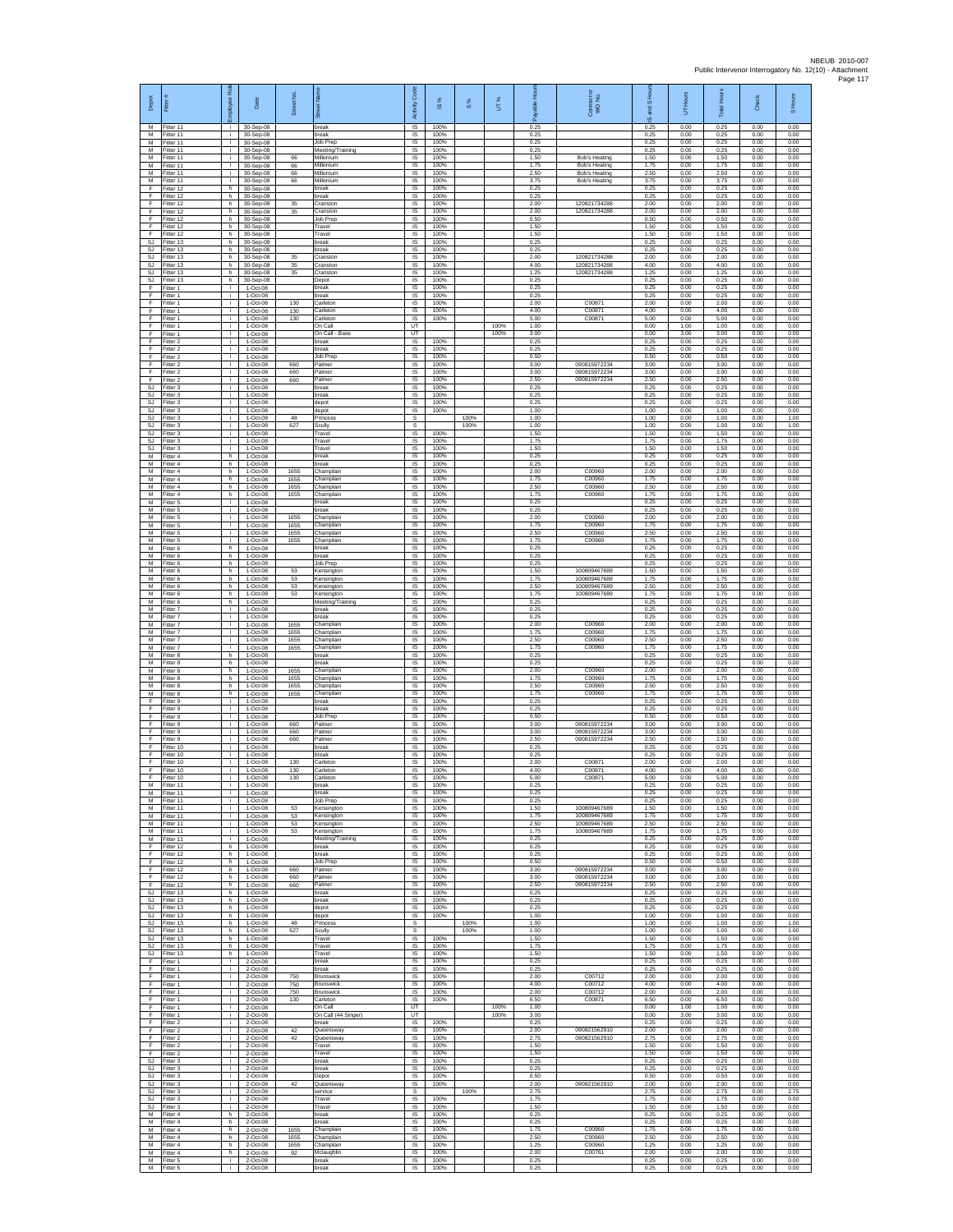| Depot                        | Fitter #                            | loyee Rol          | Date                                | Street No.           | eet Name                                                 | Code<br>Activity               | IS %                 | $\frac{8}{3}$ | UT%          | 훞<br>自信<br>æ         | Contract or<br>WO No.                        | S Ho<br>g<br>$\overline{9}$ | Hours<br>ŝ           | <b>Total Hours</b>   | Check                | S Hours              |
|------------------------------|-------------------------------------|--------------------|-------------------------------------|----------------------|----------------------------------------------------------|--------------------------------|----------------------|---------------|--------------|----------------------|----------------------------------------------|-----------------------------|----------------------|----------------------|----------------------|----------------------|
| M<br>M<br>M                  | Fitter 11<br>Fitter 11<br>Fitter 11 | j.<br>i.<br>i.     | 30-Sep-08<br>30-Sep-08<br>30-Sep-08 |                      | break<br>break<br>ob Prep                                | <b>IS</b><br>IS<br>$\sf IS$    | 100%<br>100%<br>100% |               |              | 0.25<br>0.25<br>0.25 |                                              | 0.25<br>0.25<br>0.25        | 0.00<br>0.00<br>0.00 | 0.25<br>0.25<br>0.25 | 0.00<br>0.00<br>0.00 | 0.00<br>0.00<br>0.00 |
| M<br>M                       | Fitter 11<br>Fitter 11              | i.<br>i.           | 30-Sep-08<br>30-Sep-08              | 66                   | Meeting/Training<br>Millenium                            | IS<br>IS.                      | 100%<br>100%         |               |              | 0.25<br>1.50         | Rob's Heating                                | 0.25<br>1.50                | 0.00<br>0.00         | 0.25<br>1.50         | 0.00<br>0.00         | 0.00<br>0.00         |
| М<br>M                       | Fitter 11<br>Fitter 11              | ÷.<br>i.           | 30-Sep-08<br>30-Sep-08              | 66<br>66             | Millenium<br>Millenium                                   | IS<br>IS                       | 100%<br>100%         |               |              | 1.75<br>2.50         | <b>Bob's Heating</b><br><b>Bob's Heating</b> | 1.75<br>2.50                | 0.00<br>0.00         | 1.75<br>2.50         | 0.00<br>0.00         | 0.00<br>0.00         |
| M<br>F<br>F                  | Fitter 11<br>Fitter 12              | i.<br>h.           | 30-Sep-08<br>30-Sep-08              | 66                   | Millenium<br>oreak                                       | IS<br>IS                       | 100%<br>100%         |               |              | 3.75<br>0.25         | <b>Bob's Heating</b>                         | 3.75<br>0.25                | 0.00<br>0.00         | 3.75<br>0.25         | 0.00<br>0.00         | 0.00<br>0.00         |
| F<br>F                       | Fitter 12<br>Fitter 12<br>Fitter 12 | h.<br>h.<br>h      | 30-Sep-08<br>30-Sep-08<br>30-Sep-08 | 35<br>35             | break<br>Cranston<br>cranston                            | $\sf IS$<br>IS<br>IS           | 100%<br>100%<br>100% |               |              | 0.25<br>2.00<br>2.00 | 120821734288<br>120821734288                 | 0.25<br>2.00<br>2.00        | 0.00<br>0.00<br>0.00 | 0.25<br>2.00<br>2.00 | 0.00<br>0.00<br>0.00 | 0.00<br>0.00<br>0.00 |
| Ŧ<br>F                       | Fitter 12<br>Fitter 12              | h.<br>h            | 30-Sep-08<br>30-Sep-08              |                      | Job Prep<br>ravel                                        | 1S<br>IS                       | 100%<br>100%         |               |              | 0.50<br>1.50         |                                              | 0.50<br>1.50                | 0.00<br>0.00         | 0.50<br>1.50         | 0.00<br>0.00         | 0.00<br>0.00         |
| -F<br>SJ                     | Fitter 12<br>Fitter 13              | h.<br>h.<br>h.     | 30-Sep-08<br>30-Sep-08              |                      | Travel<br>break<br>reak                                  | <b>IS</b><br>IS.<br>IS         | 100%<br>100%<br>100% |               |              | 1.50<br>0.25<br>0.25 |                                              | 1.50<br>0.25<br>0.25        | 0.00<br>0.00<br>0.00 | 1.50<br>0.25<br>0.25 | 0.00<br>0.00<br>0.00 | 0.00<br>0.00<br>0.00 |
| SJ<br>SJ.<br>SJ.             | Fitter 13<br>Fitter 13<br>Fitter 13 | h.<br>h.           | 30-Sep-08<br>30-Sep-08<br>30-Sep-08 | 35<br>35             | cranston<br>cranston                                     | IS<br>IS                       | 100%<br>100%         |               |              | 2.00<br>4.00         | 120821734288<br>120821734288                 | 2.00<br>4.00                | 0.00<br>0.00         | 2.00<br>4.00         | 0.00<br>0.00         | 0.00<br>0.00         |
| SJ<br>SJ                     | Fitter 13<br>Fitter 13              | h<br>h.            | 30-Sep-08<br>30-Sep-08              | 35                   | cranston<br>epot                                         | IS<br>1S                       | 100%<br>100%         |               |              | 1.25<br>0.25         | 120821734288                                 | 1.25<br>0.25                | 0.00<br>0.00         | 1.25<br>0.25         | 0.00<br>0.00         | 0.00<br>0.00         |
| F<br>F<br>F                  | Fitter 1<br>Fitter 1<br>Fitter 1    | i.<br>j.<br>i.     | 1-Oct-08<br>1-Oct-08<br>1-Oct-08    | 130                  | break<br>reak<br>Carleton                                | IS<br>IS<br>IS                 | 100%<br>100%<br>100% |               |              | 0.25<br>0.25<br>2.00 | C00871                                       | 0.25<br>0.25<br>2.00        | 0.00<br>0.00<br>0.00 | 0.25<br>0.25<br>2.00 | 0.00<br>0.00<br>0.00 | 0.00<br>0.00<br>0.00 |
| F<br>F                       | Fitter 1<br>Fitter 1                | i.<br>j.           | 1-Oct-08<br>1-Oct-08                | 130<br>130           | arleton<br>Carleton                                      | IS<br><b>IS</b>                | 100%<br>100%         |               |              | 4.00<br>5.00         | C0087<br>C0087                               | 4.00<br>5.00                | 0.00<br>0.00         | 4.00<br>5.00         | 0.00<br>0.00         | 0.00<br>0.00         |
| $\mathsf F$<br>F             | Fitter 1<br>Fitter 1                | i.<br>i.           | 1-Oct-08<br>1-Oct-08                |                      | On Call<br>On Call - Base                                | UT<br>UT                       |                      |               | 100%<br>100% | 1.00<br>3.00         |                                              | 0.00<br>0.00                | 1.00<br>3.00         | 1.00<br>3.00         | 0.00<br>0.00         | 0.00<br>0.00         |
| -F<br>E<br>F                 | Fitter 2<br>Fitter 2<br>Fitter 2    | j.<br>i.<br>÷.     | 1-Oct-08<br>1-Oct-08<br>1-Oct-08    |                      | break<br>break<br>lob Prep                               | IS<br><b>IS</b><br>IS          | 100%<br>100%<br>100% |               |              | 0.25<br>0.25<br>0.50 |                                              | 0.25<br>0.25<br>0.50        | 0.00<br>0.00<br>0.00 | 0.25<br>0.25<br>0.50 | 0.00<br>0.00<br>0.00 | 0.00<br>0.00<br>0.00 |
| Ŧ<br>F                       | Fitter 2<br>Fitter 2                | i.<br>i.           | 1-Oct-08<br>1-Oct-08                | 660<br>660           | almer<br>Palmer                                          | IS<br>IS                       | 100%<br>100%         |               |              | 3.00<br>3.00         | 090815972234<br>090815972234                 | 3.00<br>3.00                | 0.00<br>0.00         | 3.00<br>3.00         | 0.00<br>0.00         | 0.00<br>0.00         |
| $\mathsf F$<br>SJ            | Fitter 2<br>Fitter 3                | ÷.<br>i.           | 1-Oct-08<br>1-Oct-08                | 660                  | Palmer<br>break                                          | IS<br>$\sf IS$                 | 100%<br>100%         |               |              | 2.50<br>0.25         | 090815972234                                 | 2.50<br>0.25                | 0.00<br>0.00         | 2.50<br>0.25         | 0.00<br>0.00         | 0.00<br>0.00<br>0.00 |
| <b>SJ</b><br><b>SJ</b><br>SJ | Fitter 3<br>Fitter 3<br>Fitter 3    | j.<br>i.<br>i.     | 1-Oct-08<br>1-Oct-08<br>1-Oct-08    |                      | preak<br>depot<br>depot                                  | IS<br>IS<br>IS                 | 100%<br>100%<br>100% |               |              | 0.25<br>0.25<br>1.00 |                                              | 0.25<br>0.25<br>1.00        | 0.00<br>0.00<br>0.00 | 0.25<br>0.25<br>1.00 | 0.00<br>0.00<br>0.00 | 0.00<br>0.00         |
| SJ<br>SJ.                    | Fitter 3<br>Fitter 3                | j.<br>j.           | 1-Oct-08<br>1-Oct-08                | 48<br>627            | rincess<br>Scully                                        | s<br>s                         |                      | 100%<br>100%  |              | 1.00<br>1.00         |                                              | 1.00<br>1.00                | 0.00<br>0.00         | 1.00<br>1.00         | 0.00<br>0.00         | 1.00<br>1.00         |
| SJ<br>SJ<br>SJ.              | Fitter 3<br>Fitter 3<br>Fitter 3    | i.<br>i.<br>i.     | 1-Oct-08<br>1-Oct-08<br>1-Oct-08    |                      | Travel<br>ravel<br>ravel                                 | IS.<br>IS<br>IS                | 100%<br>100%<br>100% |               |              | 1.50<br>1.75<br>1.50 |                                              | 1.50<br>1.75<br>1.50        | 0.00<br>0.00<br>0.00 | 1.50<br>1.75<br>1.50 | 0.00<br>0.00<br>0.00 | 0.00<br>0.00<br>0.00 |
| м<br>М                       | Fitter 4<br>Fitter 4                | h.<br>h            | 1-Oct-08<br>1-Oct-08                |                      | break<br>reak                                            | IS<br>IS                       | 100%<br>100%         |               |              | 0.25<br>0.25         |                                              | 0.25<br>0.25                | 0.00<br>0.00         | 0.25<br>0.25         | 0.00<br>0.00         | 0.00<br>0.00         |
| M<br>M<br>M                  | Fitter 4<br>Fitter 4<br>Fitter 4    | h.<br>h.<br>h.     | 1-Oct-08<br>1-Oct-08<br>1-Oct-08    | 1655<br>1655<br>1655 | hamplair<br>Champlain<br>Champlain                       | IS<br>IS<br>IS                 | 100%<br>100%<br>100% |               |              | 2.00<br>1.75<br>2.50 | C00960<br>C00960<br>C00960                   | 2.00<br>1.75<br>2.50        | 0.00<br>0.00<br>0.00 | 2.00<br>1.75<br>2.50 | 0.00<br>0.00<br>0.00 | 0.00<br>0.00<br>0.00 |
| M<br>M                       | Fitter 4<br>Fitter 5                | h.<br>i.           | 1-Oct-08<br>1-Oct-08                | 1655                 | hamplain<br>reak                                         | IS<br>IS                       | 100%<br>100%         |               |              | 1.75<br>0.25         | C00960                                       | 1.75<br>0.25                | 0.00<br>0.00         | 1.75<br>0.25         | 0.00<br>0.00         | 0.00<br>0.00         |
| M<br>${\sf M}$<br>M          | Fitter 5<br>Fitter 5                | j.<br>i.<br>i.     | 1-Oct-08<br>1-Oct-08                | 1655                 | break<br>Champlair                                       | <b>IS</b><br>IS                | 100%<br>100%         |               |              | 0.25<br>2.00         | C00960                                       | 0.25<br>2.00                | 0.00<br>0.00         | 0.25<br>2.00         | 0.00<br>0.00         | 0.00<br>0.00         |
| M<br>M                       | Fitter 5<br>Fitter 5<br>Fitter 5    | j.<br>i.           | 1-Oct-08<br>1-Oct-08<br>1-Oct-08    | 1655<br>1655<br>1655 | hamplain<br>Champlain<br>Champlain                       | IS<br>IS<br>IS.                | 100%<br>100%<br>100% |               |              | 1.75<br>2.50<br>1.75 | C00960<br>C00960<br>C00960                   | 1.75<br>2.50<br>1.75        | 0.00<br>0.00<br>0.00 | 1.75<br>2.50<br>1.75 | 0.00<br>0.00<br>0.00 | 0.00<br>0.00<br>0.00 |
| М<br>M                       | Fitter 6<br>Fitter 6                | h<br>h.            | 1-Oct-08<br>1-Oct-08                |                      | oreak<br>break                                           | IS<br>IS                       | 100%<br>100%         |               |              | 0.25<br>0.25         |                                              | 0.25<br>0.25                | 0.00<br>0.00         | 0.25<br>0.25         | 0.00<br>0.00         | 0.00<br>0.00         |
| M<br>M<br>M                  | Fitter 6<br>Fitter 6<br>Fitter 6    | h.<br>h<br>h.      | 1-Oct-08<br>1-Oct-08<br>$1-Oct-08$  | 53<br>53             | <b>Job Prep</b><br>Kensington<br>Kensington              | IS<br>IS<br>$\sf IS$           | 100%<br>100%<br>100% |               |              | 0.25<br>1.50<br>1.75 | 100809467689<br>100809467689                 | 0.25<br>1.50<br>1.75        | 0.00<br>0.00<br>0.00 | 0.25<br>1.50<br>1.75 | 0.00<br>0.00<br>0.00 | 0.00<br>0.00<br>0.00 |
| M<br>M                       | Fitter 6<br>Fitter 6                | h.<br>h            | 1-Oct-08<br>1-Oct-08                | 53<br>53             | <b>Kensinator</b><br>Kensingtor                          | IS<br>IS                       | 100%<br>100%         |               |              | 2.50<br>1.75         | 100809467689<br>100809467689                 | 2.50<br>1.75                | 0.00<br>0.00         | 2.50<br>1.75         | 0.00<br>0.00         | 0.00<br>0.00         |
| М<br>M<br>M                  | Fitter 6<br>Fitter 7<br>Fitter 7    | h.<br>i.<br>j.     | 1-Oct-08<br>1-Oct-08<br>1-Oct-08    |                      | Meeting/Training<br>reak<br>break                        | IS<br>IS<br>IS                 | 100%<br>100%<br>100% |               |              | 0.25<br>0.25<br>0.25 |                                              | 0.25<br>0.25<br>0.25        | 0.00<br>0.00<br>0.00 | 0.25<br>0.25<br>0.25 | 0.00<br>0.00<br>0.00 | 0.00<br>0.00<br>0.00 |
| M<br>М                       | Fitter 7<br>Fitter 7                | i.<br>÷.           | 1-Oct-08<br>1-Oct-08                | 1655<br>1655         | Champlain<br>hamplain,                                   | IS.<br>IS                      | 100%<br>100%         |               |              | 2.00<br>1.75         | C00960<br>C00960                             | 2.00<br>1.75                | 0.00<br>0.00         | 2.00<br>1.75         | 0.00<br>0.00         | 0.00<br>0.00         |
| M<br>M<br>M                  | Fitter 7<br>Fitter 7<br>Fitter 8    | i.<br>i.<br>h      | 1-Oct-08<br>1-Oct-08<br>1-Oct-08    | 1655<br>1655         | hamplain<br>Champlain<br>oreak                           | IS<br>IS<br>IS                 | 100%<br>100%<br>100% |               |              | 2.50<br>1.75<br>0.25 | C00960<br>C00960                             | 2.50<br>1.75<br>0.25        | 0.00<br>0.00<br>0.00 | 2.50<br>1.75<br>0.25 | 0.00<br>0.00<br>0.00 | 0.00<br>0.00<br>0.00 |
| M<br>M                       | Fitter 8<br>Fitter 8                | h.<br>h.           | 1-Oct-08<br>1-Oct-08                | 1655                 | oreak<br>Champlain                                       | IS<br>IS                       | 100%<br>100%         |               |              | 0.25<br>2.00         | C00960                                       | 0.25<br>2.00                | 0.00<br>0.00         | 0.25<br>2.00         | 0.00<br>0.00         | 0.00<br>0.00         |
| M<br>M                       | Fitter 8<br>Fitter 8                | h<br>h.            | 1-Oct-08<br>1-Oct-08                | 1655<br>1655         | Champlain<br>hamplain                                    | IS<br>IS                       | 100%<br>100%         |               |              | 1.75<br>2.50         | C00960<br>C00960                             | 1.75<br>2.50                | 0.00<br>0.00         | 1.75<br>2.50         | 0.00<br>0.00         | 0.00<br>0.00         |
| M<br>F<br>F                  | Fitter 8<br>Fitter 9<br>Fitter 9    | h<br>j.<br>i.      | 1-Oct-08<br>1-Oct-08<br>1-Oct-08    | 1655                 | Champlain<br>break<br>break                              | IS<br><b>IS</b><br>IS          | 100%<br>100%<br>100% |               |              | 1.75<br>0.25<br>0.25 | C00960                                       | 1.75<br>0.25<br>0.25        | 0.00<br>0.00<br>0.00 | 1.75<br>0.25<br>0.25 | 0.00<br>0.00<br>0.00 | 0.00<br>0.00<br>0.00 |
| F<br>-F                      | Fitter 9<br>Fitter 9                | i.<br>j.           | 1-Oct-08<br>1-Oct-08                | 660                  | ob Prep<br>Palmer                                        | IS<br>IS                       | 100%<br>100%         |               |              | 0.50<br>3.00         | 090815972234                                 | 0.50<br>3.00                | 0.00<br>0.00         | 0.50<br>3.00         | 0.00<br>0.00         | 0.00<br>0.00         |
| E<br>F<br>Ŧ                  | Fitter 9<br>Fitter 9<br>Fitter 10   | i.<br>i.<br>i.     | 1-Oct-08<br>1-Oct-08<br>1-Oct-08    | 660<br>660           | Palmer<br>almer<br>oreak                                 | IS.<br>IS<br>IS                | 100%<br>100%<br>100% |               |              | 3.00<br>2.50<br>0.25 | 090815972234<br>090815972234                 | 3.00<br>2.50<br>0.25        | 0.00<br>0.00<br>0.00 | 3.00<br>2.50<br>0.25 | 0.00<br>0.00<br>0.00 | 0.00<br>0.00<br>0.00 |
| E<br>$\mathsf F$             | Fitter 10<br>Fitter 10              | i.<br>÷.           | 1-Oct-08<br>1-Oct-08                | 130                  | break<br>Carleton                                        | IS<br>IS                       | 100%<br>100%         |               |              | 0.25<br>2.00         | C00871                                       | 0.25<br>2.00                | 0.00<br>0.00         | 0.25<br>2.00         | 0.00<br>0.00         | 0.00<br>0.00         |
| F<br>F<br>M                  | Fitter 10<br>Fitter 10<br>Fitter 11 | i.<br>i.<br>÷.     | $1-Oct-08$<br>1-Oct-08<br>1-Oct-08  | 130<br>130           | Carleton<br>Carleton<br>break                            | $\sf IS$<br>IS<br>IS           | 100%<br>100%<br>100% |               |              | 4.00<br>5.00<br>0.25 | C00871<br>C00871                             | 4.00<br>5.00<br>0.25        | 0.00<br>0.00<br>0.00 | 4.00<br>5.00<br>0.25 | 0.00<br>0.00<br>0.00 | 0.00<br>0.00<br>0.00 |
| М<br>M                       | Fitter 11<br>Fitter 11              | i.<br>i.           | 1-Oct-08<br>1-Oct-08                |                      | break<br>lob Prep                                        | IS<br>IS                       | 100%<br>100%         |               |              | 0.25<br>0.25         |                                              | 0.25<br>0.25                | 0.00<br>0.00         | 0.25<br>0.25         | 0.00<br>0.00         | 0.00<br>0.00         |
| M<br>M                       | Fitter 11<br>Fitter 11              | j.<br>j.<br>i.     | 1-Oct-08<br>1-Oct-08                | 53<br>53             | Kensington<br>Kensington                                 | - IS<br><b>IS</b><br>IS        | 100%<br>100%<br>100% |               |              | 1.50<br>175<br>2.50  | 100809467689<br>100809467689<br>100809467689 | 1.50<br>1 75<br>2.50        | 0.00<br>0.00<br>0.00 | 1.50<br>1.75<br>2.50 | 0.00<br>0.00<br>0.00 | 0.00<br>0.00<br>0.00 |
| М<br>M<br>M                  | Fitter 11<br>Fitter 11<br>Fitter 11 | i.<br>i.           | 1-Oct-08<br>1-Oct-08<br>1-Oct-08    | 53<br>53             | Censington<br>Kensington<br>Meeting/Training             | IS<br>IS                       | 100%<br>100%         |               |              | 1.75<br>0.25         | 100809467689                                 | 1.75<br>0.25                | 0.00<br>0.00         | 1.75<br>0.25         | 0.00<br>0.00         | 0.00<br>0.00         |
| F<br>F                       | Fitter 12<br>Fitter 12              | h.<br>h.           | 1-Oct-08<br>1-Oct-08                |                      | break<br>break                                           | IS<br>1S                       | 100%<br>100%         |               |              | 0.25<br>0.25         |                                              | 0.25<br>0.25                | 0.00<br>0.00         | 0.25<br>0.25         | 0.00<br>0.00         | 0.00<br>0.00         |
| -F<br>F<br>F                 | Fitter 12<br>Fitter 12<br>Fitter 12 | h.<br>h.<br>h.     | 1-Oct-08<br>1-Oct-08<br>$1-Oct-08$  | 660<br>660           | <b>Job Prep</b><br>Palmer<br>Palmer                      | IS<br>IS<br>IS                 | 100%<br>100%<br>100% |               |              | 0.50<br>3.00<br>3.00 | 090815972234<br>090815972234                 | 0.50<br>3.00<br>3.00        | 0.00<br>0.00<br>0.00 | 0.50<br>3.00<br>3.00 | 0.00<br>0.00<br>0.00 | 0.00<br>0.00<br>0.00 |
| F<br><b>SJ</b>               | Fitter 12<br>Fitter 13              | h<br>h.            | 1-Oct-08<br>1-Oct-08                | 660                  | almer<br>break                                           | IS<br><b>IS</b>                | 100%<br>100%         |               |              | 2.50<br>0.25         | 090815972234                                 | 2.50<br>0.25                | 0.00<br>0.00         | 2.50<br>0.25         | 0.00<br>0.00         | 0.00<br>0.00         |
| SJ.<br><b>SJ</b><br>SJ.      | Fitter 13<br>Fitter 13<br>Fitter 13 | h.<br>h.<br>h.     | 1-Oct-08<br>1-Oct-08<br>1-Oct-08    |                      | break<br>depot<br>depot                                  | IS<br>$\sf IS$<br>IS           | 100%<br>100%<br>100% |               |              | 0.25<br>0.25<br>1.00 |                                              | 0.25<br>0.25<br>1.00        | 0.00<br>0.00<br>0.00 | 0.25<br>0.25<br>1.00 | 0.00<br>0.00<br>0.00 | 0.00<br>0.00<br>0.00 |
| S.I.<br>SJ                   | Fitter 13<br>Fitter 13              | h.<br>h.           | $1-Ort-0.8$<br>1-Oct-08             | 48<br>627            | Princess<br>Scully                                       | s<br>s                         |                      | 100%<br>100%  |              | 1.00<br>1.00         |                                              | 1.00<br>1.00                | 0.00<br>0.00         | 1.00<br>1.00         | 0.00<br>0.00         | 1.00<br>1.00         |
| SJ<br><b>SJ</b><br>SJ        | Fitter 13<br>Fitter 13<br>Fitter 13 | h.<br>h.<br>h.     | 1-Oct-08<br>1-Oct-08<br>1-Oct-08    |                      | ravel<br>Travel<br>Travel                                | 1S<br>$\mathsf{IS}$<br>IS      | 100%<br>100%<br>100% |               |              | 1.50<br>1.75<br>1.50 |                                              | 1.50<br>1.75<br>1.50        | 0.00<br>0.00<br>0.00 | 1.50<br>1.75<br>1.50 | 0.00<br>0.00<br>0.00 | 0.00<br>0.00<br>0.00 |
| F<br>F                       | Fitter 1<br>Fitter 1                | i.<br>j.           | 2-Oct-08<br>2-Oct-08                |                      | break<br>preak                                           | $\sf IS$<br>IS                 | 100%<br>100%         |               |              | 0.25<br>0.25         |                                              | 0.25<br>0.25                | 0.00<br>0.00         | 0.25<br>0.25         | 0.00<br>0.00         | 0.00<br>0.00         |
| F<br>Ŧ<br>Ŧ                  | Fitter 1<br>Fitter 1<br>Fitter 1    | i.<br>i.<br>i.     | 2-Oct-08<br>2-Oct-08<br>2-Oct-08    | 750<br>750<br>750    | <b>Brunswick</b><br><b>Brunswick</b><br><b>Srunswick</b> | IS<br>1S<br>IS                 | 100%<br>100%<br>100% |               |              | 2.00<br>4.00<br>2.00 | C00712<br>C00712<br>C00712                   | 2.00<br>4.00<br>2.00        | 0.00<br>0.00<br>0.00 | 2.00<br>4.00<br>2.00 | 0.00<br>0.00<br>0.00 | 0.00<br>0.00<br>0.00 |
| -F<br>F.                     | Fitter 1<br>Fitter 1                | j.<br>j.           | 2-Oct-08<br>2-Oct-08                | 130                  | Carleton<br>On Call                                      | IS<br><b>LIT</b>               | 100%                 |               | 100%         | 6.50<br>1.00         | C0087                                        | 6.50<br>0.00                | 0.00<br>1.00         | 6.50<br>1.00         | 0.00<br>0.00         | 0.00<br>0.00         |
| F<br>F<br>F                  | Fitter 1<br>Fitter 2<br>Fitter 2    | i.<br>i.<br>i.     | 2-Oct-08<br>2-Oct-08<br>2-Oct-08    | 42                   | On Call (44 Singer)<br>break<br>Queensway                | UT<br>1S<br>IS                 | 100%<br>100%         |               | 100%         | 3.00<br>0.25<br>2.00 | 090821562910                                 | 0.00<br>0.25<br>2.00        | 3.00<br>0.00<br>0.00 | 3.00<br>0.25<br>2.00 | 0.00<br>0.00<br>0.00 | 0.00<br>0.00<br>0.00 |
| F<br>F                       | Fitter 2<br>Fitter 2                | i.<br>$\mathbf{r}$ | 2-Oct-08<br>2-Oct-08                | 42                   | Queensway<br>Travel                                      | IS<br>1S                       | 100%<br>100%         |               |              | 2.75<br>1.50         | 090821562910                                 | 2.75<br>1.50                | 0.00<br>0.00         | 2.75<br>1.50         | 0.00<br>0.00         | 0.00<br>0.00         |
| F<br><b>SJ</b><br>SJ         | Fitter 2<br>Fitter 3<br>Fitter 3    | i.<br>i.<br>i.     | 2-Oct-08<br>2-Oct-08<br>2-Oct-08    |                      | Travel<br>break<br>break                                 | <b>IS</b><br>IS<br>1S          | 100%<br>100%<br>100% |               |              | 1.50<br>0.25<br>0.25 |                                              | 1.50<br>0.25<br>0.25        | 0.00<br>0.00<br>0.00 | 1.50<br>0.25<br>0.25 | 0.00<br>0.00<br>0.00 | 0.00<br>0.00<br>0.00 |
| SJ.<br>SJ                    | Fitter 3<br>Fitter 3                | i.<br>i.           | 2-Oct-08<br>2-Oct-08                | 42                   | epot<br>Queensway                                        | IS<br><b>IS</b>                | 100%<br>100%         |               |              | 0.50<br>2.00         | 090821562910                                 | 0.50<br>2.00                | 0.00<br>0.00         | 0.50<br>2.00         | 0.00<br>0.00         | 0.00<br>0.00         |
| <b>SJ</b><br>SJ<br>SJ.       | Fitter 3<br>Fitter 3<br>Fitter 3    | i.<br>j.<br>j.     | 2-Oct-08<br>2-Oct-08<br>2-Oct-08    |                      | service<br>ravel<br>Travel                               | $\mathbb{S}$<br>$\sf IS$<br>IS | 100%<br>100%         | 100%          |              | 2.75<br>1.75<br>1.50 |                                              | 2.75<br>1.75<br>1.50        | 0.00<br>0.00<br>0.00 | 2.75<br>1.75<br>1.50 | 0.00<br>0.00<br>0.00 | 2.75<br>0.00<br>0.00 |
| M<br>М                       | Fitter 4<br>Fitter 4                | h.<br>h.           | 2-Oct-08<br>2-Oct-08                |                      | break<br>reak                                            | <b>IS</b><br>IS                | 100%<br>100%         |               |              | 0.25<br>0.25         |                                              | 0.25<br>0.25                | 0.00<br>0.00         | 0.25<br>0.25         | 0.00<br>0.00         | 0.00<br>0.00         |
| M<br>M<br>M                  | Fitter 4<br>Fitter 4<br>Fitter 4    | h.<br>h.<br>h.     | 2-Oct-08<br>2-Oct-08<br>2-Oct-08    | 1655<br>1655<br>1655 | Champlain<br>Champlain<br>Champlain                      | 1S<br><b>IS</b><br>IS          | 100%<br>100%<br>100% |               |              | 1.75<br>2.50<br>1.25 | C00960<br>C00960<br>C00960                   | 1.75<br>2.50<br>1.25        | 0.00<br>0.00<br>0.00 | 1.75<br>2.50<br>1.25 | 0.00<br>0.00<br>0.00 | 0.00<br>0.00<br>0.00 |
| M<br>M                       | Fitter 4<br>Fitter 5                | h.<br>j.           | 2-Oct-08<br>2-Oct-08                | 92                   | Mclaughlin<br>break                                      | $\sf IS$<br>IS                 | 100%<br>100%         |               |              | 2.00<br>0.25         | C00761                                       | 2.00<br>0.25                | 0.00<br>0.00         | 2.00<br>0.25         | 0.00<br>0.00         | 0.00<br>0.00         |
| M                            | Fitter 5                            | j.                 | 2-Oct-08                            |                      | break                                                    | IS                             | 100%                 |               |              | 0.25                 |                                              | 0.25                        | 0.00                 | 0.25                 | 0.00                 | 0.00                 |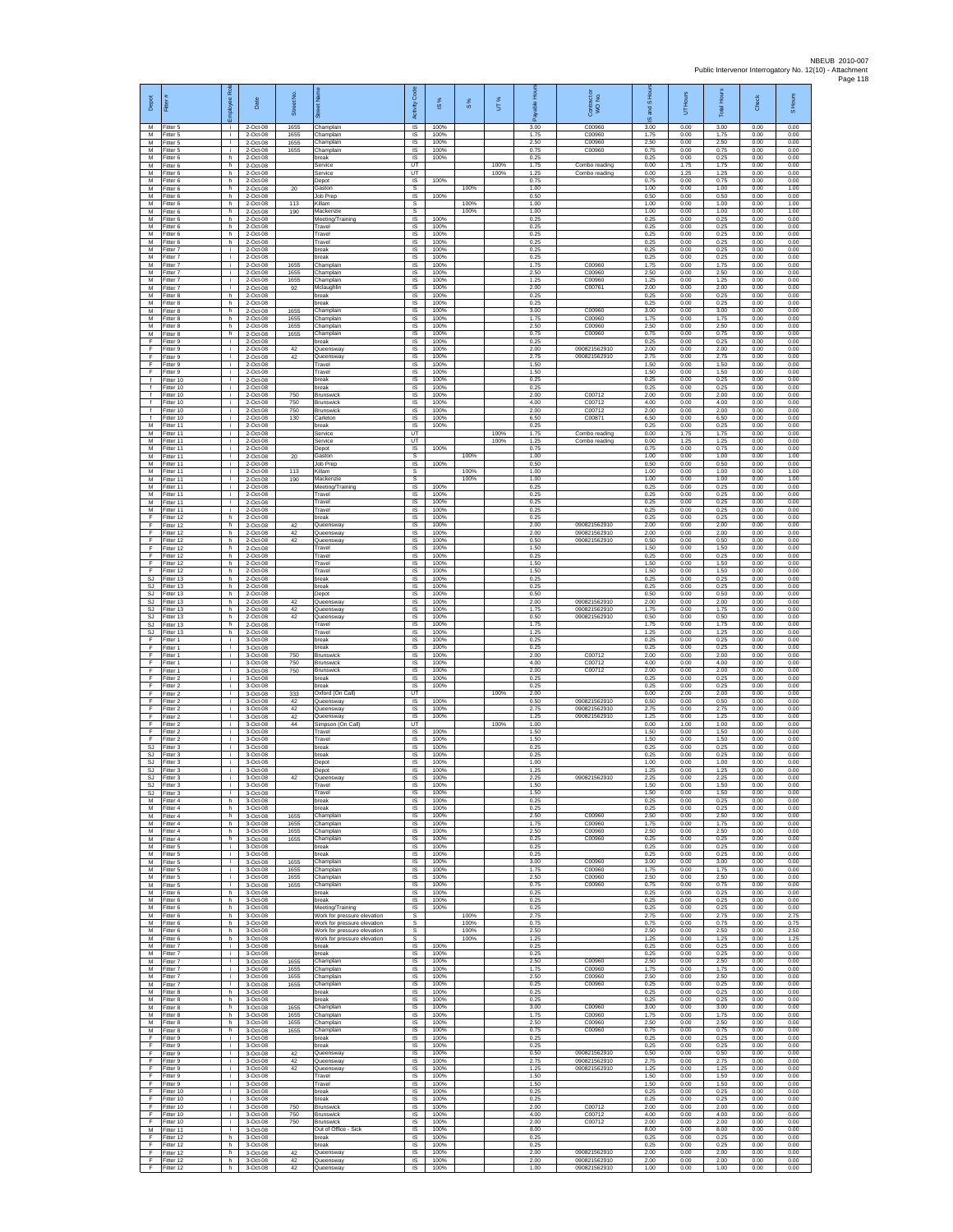| Depot<br>M                                        | Fitter<br>Fitter 5                  | boyee Role<br>÷ĩ. | Date<br>2-Oct-08                 | Street No<br>1655 | Champlain                                                  | Activity Code<br>IS                       | <b>iS%</b><br>100%   | $\frac{8}{3}$ | UT%          | 3.00                 | Contract or<br>WO No.<br>C00960 | I <sub>SH<sub>o</sub></sub><br>and<br>ဖ<br>3.00 | Hours<br>5<br>0.00   | <b>Total Hours</b><br>3.00 | Check<br>0.00        | S Hours<br>0.00      |
|---------------------------------------------------|-------------------------------------|-------------------|----------------------------------|-------------------|------------------------------------------------------------|-------------------------------------------|----------------------|---------------|--------------|----------------------|---------------------------------|-------------------------------------------------|----------------------|----------------------------|----------------------|----------------------|
| M<br>M                                            | Fitter 5<br>Fitter 5                | i.<br>i.          | 2-Oct-08<br>2-Oct-08             | 1655<br>1655      | Champlain<br>Champlain                                     | IS<br>IS                                  | 100%<br>100%         |               |              | 1.75<br>2.50         | C00960<br>C00960                | 1.75<br>2.50                                    | 0.00<br>0.00         | 1.75<br>2.50               | 0.00<br>0.00         | 0.00<br>0.00         |
| M<br>M<br>M                                       | Fitter 5<br>Fitter 6<br>Fitter 6    | i.<br>h.<br>h.    | 2-Oct-08<br>2-Oct-08<br>2-Oct-08 | 1655              | Champlain<br>break<br>Service                              | <b>IS</b><br>IS<br>UT                     | 100%<br>100%         |               | 100%         | 0.75<br>0.25<br>1.75 | C00960<br>Combo reading         | 0.75<br>0.25<br>0.00                            | 0.00<br>0.00<br>1.75 | 0.75<br>0.25<br>1.75       | 0.00<br>0.00<br>0.00 | 0.00<br>0.00<br>0.00 |
| M<br>M                                            | Fitter 6<br>Fitter 6                | h.<br>h           | 2-Oct-08<br>2-Oct-08             |                   | Service<br>Depot                                           | UT<br><b>IS</b>                           | 100%                 |               | 100%         | 1.25<br>0.75         | Combo reading                   | 0.00<br>0.75                                    | 1.25<br>0.00         | 1.25<br>0.75               | 0.00<br>0.00         | 0.00<br>0.00         |
| M<br>М<br>M                                       | Fitter 6<br>-itter 6                | h.<br>h.<br>h     | 2-Oct-08<br>2-Oct-08<br>2-Oct-08 | 20<br>113         | Gaston<br>Job Prep<br>Killam                               | -S<br>$\sf IS$<br>s                       | 100%                 | 100%<br>100%  |              | 1.00<br>0.50<br>1.00 |                                 | 1.00<br>0.50<br>1.00                            | 0.00<br>0.00<br>0.00 | 1.00<br>0.50<br>1.00       | 0.00<br>0.00<br>0.00 | 1.00<br>0.00<br>1.00 |
| M<br>M                                            | Fitter 6<br>Fitter 6<br>Fitter 6    | h.<br>h.          | 2-Oct-08<br>2-Oct-08             | 190               | Mackenzie<br>Meeting/Training                              | s<br><b>IS</b>                            | 100%                 | 100%          |              | 1.00<br>0.25         |                                 | 1.00<br>0.25                                    | 0.00<br>0.00         | 1.00<br>0.25               | 0.00<br>0.00         | 1.00<br>0.00         |
| M<br>M                                            | -itter 6<br>Fitter 6                | h<br>h            | 2-Oct-08<br>2-Oct-08             |                   | Travel<br>Travel                                           | IS<br>IS                                  | 100%<br>100%         |               |              | 0.25<br>0.25         |                                 | 0.25<br>0.25                                    | 0.00<br>0.00         | 0.25<br>0.25               | 0.00<br>0.00         | 0.00<br>0.00         |
| M<br>${\sf M}$<br>M                               | Fitter 6<br>itter 7<br>Fitter 7     | h.<br>j.<br>i.    | 2-Oct-08<br>2-Oct-08<br>2-Oct-08 |                   | Travel<br>break<br>break                                   | <b>IS</b><br>IS<br>1S                     | 100%<br>100%<br>100% |               |              | 0.25<br>0.25<br>0.25 |                                 | 0.25<br>0.25<br>0.25                            | 0.00<br>0.00<br>0.00 | 0.25<br>0.25<br>0.25       | 0.00<br>0.00<br>0.00 | 0.00<br>0.00<br>0.00 |
| M<br>M                                            | Fitter 7<br>Fitter 7                | i.<br>Ť.          | 2-Oct-08<br>2-Oct-08             | 1655<br>1655      | Champlain<br>Champlain                                     | IS<br>IS                                  | 100%<br>100%         |               |              | 1.75<br>2.50         | C00960<br>C00960                | 1.75<br>2.50                                    | 0.00<br>0.00         | 1.75<br>2.50               | 0.00<br>0.00         | 0.00<br>0.00         |
| M<br>M<br>M                                       | Fitter 7<br>itter 7<br>Fitter 8     | i.<br>i.<br>h.    | 2-Oct-08<br>2-Oct-08<br>2-Oct-08 | 1655<br>92        | Champlain<br>Mclaughlin<br>break                           | IS<br>IS<br>IS                            | 100%<br>100%<br>100% |               |              | 1.25<br>2.00<br>0.25 | C00960<br>C00761                | 1.25<br>2.00<br>0.25                            | 0.00<br>0.00<br>0.00 | 1.25<br>2.00<br>0.25       | 0.00<br>0.00<br>0.00 | 0.00<br>0.00<br>0.00 |
| M<br>М                                            | -itter 8<br>Fitter 8                | h.<br>h           | 2-Oct-08<br>2-Oct-08             | 1655              | hreak<br>Champlain                                         | <b>IS</b><br>IS                           | 100%<br>100%         |               |              | 0.25<br>3.00         | C00960                          | 0.25<br>3.00                                    | 0.00<br>0.00         | 0.25<br>3.00               | 0.00<br>0.00         | 0.00<br>0.00         |
| M<br>M                                            | Fitter 8<br>Fitter 8                | h.<br>h.          | 2-Oct-08<br>2-Oct-08             | 1655<br>1655      | Champlain<br>Champlain                                     | IS<br>IS                                  | 100%<br>100%         |               |              | 1.75<br>2.50         | C00960<br>C00960                | 1.75<br>2.50                                    | 0.00<br>0.00         | 1.75<br>2.50               | 0.00<br>0.00         | 0.00<br>0.00         |
| M<br>F<br>F                                       | Fitter 8<br>Fitter 9<br>Fitter 9    | h.<br>j.<br>i.    | 2-Oct-08<br>2-Oct-08<br>2-Oct-08 | 1655<br>42        | Champlain<br>break<br>Queensway                            | IS<br>IS<br>IS                            | 100%<br>100%<br>100% |               |              | 0.75<br>0.25<br>2.00 | C00960<br>090821562910          | 0.75<br>0.25<br>2.00                            | 0.00<br>0.00<br>0.00 | 0.75<br>0.25<br>2.00       | 0.00<br>0.00<br>0.00 | 0.00<br>0.00<br>0.00 |
| F<br>Ŧ                                            | Fitter 9<br>Fitter 9                | i.<br>Ť.          | 2-Oct-08<br>2-Oct-08             | 42                | Queensway<br>Travel                                        | IS<br>IS                                  | 100%<br>100%         |               |              | 2.75<br>1.50         | 090821562910                    | 2.75<br>1.50                                    | 0.00<br>0.00         | 2.75<br>1.50               | 0.00<br>0.00         | 0.00<br>0.00         |
| F<br>$\ddot{\phantom{1}}$<br>$\ddot{\phantom{1}}$ | Fitter 9<br>Fitter 10               | i.<br>j.          | 2-Oct-08<br>2-Oct-08             |                   | Travel<br>break                                            | IS<br><b>IS</b>                           | 100%<br>100%         |               |              | 1.50<br>0.25         |                                 | 1.50<br>0.25                                    | 0.00<br>0.00         | 1.50<br>0.25               | 0.00<br>0.00         | 0.00<br>0.00         |
| $\ddot{\mathbf{f}}$<br>$\ddot{\mathbf{f}}$        | Fitter 10<br>Fitter 10<br>Fitter 10 | i.<br>Ť.<br>i.    | 2-Oct-08<br>2-Oct-08<br>2-Oct-08 | 750<br>750        | break<br><b>Brunswick</b><br>Brunswick                     | IS<br>IS<br><b>IS</b>                     | 100%<br>100%<br>100% |               |              | 0.25<br>2.00<br>4.00 | C00712<br>C00712                | 0.25<br>2.00<br>4.00                            | 0.00<br>0.00<br>0.00 | 0.25<br>2.00<br>4.00       | 0.00<br>0.00<br>0.00 | 0.00<br>0.00<br>0.00 |
| f<br>$\mathbf{f}$                                 | Fitter 10<br>Fitter 10              | i.<br>i.          | 2-Oct-08<br>2-Oct-08             | 750<br>130        | <b>Brunswick</b><br>Carleton                               | IS<br>IS                                  | 100%<br>100%         |               |              | 2.00<br>6.50         | C00712<br>C00871                | 200<br>6.50                                     | 0.00<br>0.00         | 200<br>6.50                | 0.00<br>0.00         | 0.00<br>0.00         |
| M<br>м<br>${\sf M}$                               | Fitter 11<br>Fitter 11<br>Fitter 11 | i.<br>i.<br>j.    | 2-Oct-08<br>2-Oct-08<br>2-Oct-08 |                   | break<br>Service<br>Service                                | IS<br>UT<br>UT                            | 100%                 |               | 100%<br>100% | 0.25<br>1.75<br>1.25 | Combo reading<br>Combo reading  | 0.25<br>0.00<br>0.00                            | 0.00<br>1.75<br>1.25 | 0.25<br>1.75<br>1.25       | 0.00<br>0.00<br>0.00 | 0.00<br>0.00<br>0.00 |
| M<br>M                                            | Fitter 11<br>Fitter 11              | Ť.<br>i.          | 2-Oct-08<br>2-Oct-08             | 20                | Depot<br>Gaston                                            | IS<br>s                                   | 100%                 | 100%          |              | 0.75<br>1.00         |                                 | 0.75<br>1.00                                    | 0.00<br>0.00         | 0.75<br>1.00               | 0.00<br>0.00         | 0.00<br>1.00         |
| M<br>M                                            | Fitter 11<br>Fitter 11              | Ť.<br>i.          | 2-Oct-08<br>2-Oct-08             | 113               | Job Prep<br>Killam                                         | IS<br>s                                   | 100%                 | 100%          |              | 0.50<br>1.00         |                                 | 0.50<br>1.00                                    | 0.00<br>0.00         | 0.50<br>1.00               | 0.00<br>0.00         | 0.00<br>1.00         |
| М<br>M<br>M                                       | Fitter 11<br>Fitter 11<br>Fitter 11 | i.<br>j.<br>i.    | 2-Oct-08<br>2-Oct-08<br>2-Oct-08 | 190               | Mackenzie<br>Meeting/Training<br>Travel                    | s<br>$\overline{\mathsf{s}}$<br><b>IS</b> | 100%<br>100%         | 100%          |              | 1.00<br>0.25<br>0.25 |                                 | 1.00<br>0.25<br>0.25                            | 0.00<br>0.00<br>0.00 | 1.00<br>0.25<br>0.25       | 0.00<br>0.00<br>0.00 | 1.00<br>0.00<br>0.00 |
| M<br>M                                            | Fitter 11<br>Fitter 11              | i.<br>i.          | 2-Oct-08<br>2-Oct-08             |                   | Travel<br>Travel                                           | IS<br>IS                                  | 100%<br>100%         |               |              | 0.25<br>0.25         |                                 | 0.25<br>0.25                                    | 0.00<br>0.00         | 0.25<br>0.25               | 0.00<br>0.00         | 0.00<br>0.00         |
| E<br>F<br>Ŧ                                       | Fitter 12<br>Fitter 12<br>Fitter 12 | h<br>h.<br>h      | 2-Oct-08<br>2-Oct-08<br>2-Oct-08 | 42<br>42          | break<br>Queensway<br>Queensway                            | IS<br>IS<br>IS                            | 100%<br>100%<br>100% |               |              | 0.25<br>2.00<br>2.00 | 090821562910<br>090821562910    | 0.25<br>2.00<br>2.00                            | 0.00<br>0.00<br>0.00 | 0.25<br>2.00<br>2.00       | 0.00<br>0.00<br>0.00 | 0.00<br>0.00<br>0.00 |
| F<br>F                                            | Fitter 12<br>Fitter 12              | h.<br>h.          | 2-Oct-08<br>2-Oct-08             | 42                | Queensway<br>Travel                                        | -IS<br>IS                                 | 100%<br>100%         |               |              | 0.50<br>1.50         | 090821562910                    | 0.50<br>1.50                                    | 0.00<br>0.00         | 0.50<br>1.50               | 0.00<br>0.00         | 0.00<br>0.00         |
| Ŧ<br>F                                            | Fitter 12<br>Fitter 12              | h.<br>h           | 2-Oct-08<br>2-Oct-08             |                   | Travel<br>Travel                                           | IS<br>IS                                  | 100%<br>100%         |               |              | 0.25<br>1.50         |                                 | 0.25<br>1.50                                    | 0.00<br>0.00         | 0.25<br>1.50               | 0.00<br>0.00         | 0.00<br>0.00         |
| -F<br>SJ<br>SJ                                    | Fitter 12<br>Fitter 13<br>Fitter 13 | h.<br>h.<br>h     | 2-Oct-08<br>2-Oct-08<br>2-Oct-08 |                   | Travel<br>break<br>break                                   | -IS<br>$\sf IS$<br>$\sf IS$               | 100%<br>100%<br>100% |               |              | 1.50<br>0.25<br>0.25 |                                 | 1.50<br>0.25<br>0.25                            | 0.00<br>0.00<br>0.00 | 1.50<br>0.25<br>0.25       | 0.00<br>0.00<br>0.00 | 0.00<br>0.00<br>0.00 |
| SJ.<br>S.I                                        | Fitter 13<br>Fitter 13              | h.<br>h.          | 2-Oct-08<br>2-Oct-08             | 42                | Depot<br>Queensway                                         | <b>IS</b><br><b>IS</b>                    | 100%<br>100%         |               |              | 0.50<br>2.00         | 090821562910                    | 0.50<br>2.00                                    | 0.00<br>0.00         | 0.50<br>200                | 0.00<br>0.00         | 0.00<br>0.00         |
| <b>SJ</b><br>SJ                                   | Fitter 13<br>Fitter 13              | h<br>h.           | 2-Oct-08<br>2-Oct-08             | 42<br>42          | Queensway<br>Queensway                                     | IS<br>IS<br>IS                            | 100%<br>100%<br>100% |               |              | 1.75<br>0.50<br>1.75 | 090821562910<br>090821562910    | 1.75<br>0.50<br>1.75                            | 0.00<br>0.00<br>0.00 | 1.75<br>0.50<br>1.75       | 0.00<br>0.00<br>0.00 | 0.00<br>0.00<br>0.00 |
| SJ.<br>SJ<br>F                                    | Fitter 13<br>Fitter 13<br>Fitter 1  | h.<br>h.<br>i.    | 2-Oct-08<br>2-Oct-08<br>3-Oct-08 |                   | Travel<br>Travel<br>break                                  | IS<br>IS                                  | 100%<br>100%         |               |              | 1.25<br>0.25         |                                 | 1.25<br>0.25                                    | 0.00<br>0.00         | 1.25<br>0.25               | 0.00<br>0.00         | 0.00<br>0.00         |
| F<br>F                                            | Fitter 1<br>Fitter 1                | i.<br>Ť.          | 3-Oct-08<br>3-Oct-08             | 750               | break<br><b>Brunswick</b>                                  | <b>IS</b><br>IS                           | 100%<br>100%         |               |              | 0.25<br>2.00         | C00712                          | 0.25<br>2.00                                    | 0.00<br>0.00         | 0.25<br>2.00               | 0.00<br>0.00         | 0.00<br>0.00         |
| Ŧ<br>Ŧ<br>-F                                      | Fitter 1<br>Fitter 1<br>Fitter 2    | i.<br>i.<br>j.    | 3-Oct-08<br>3-Oct-08<br>3-Oct-08 | 750<br>750        | <b>Brunswick</b><br><b>Brunswick</b><br>break              | IS<br>IS<br><b>IS</b>                     | 100%<br>100%<br>100% |               |              | 4.00<br>2.00<br>0.25 | C00712<br>C00712                | 4.00<br>2.00<br>0.25                            | 0.00<br>0.00<br>0.00 | 4.00<br>2.00<br>0.25       | 0.00<br>0.00<br>0.00 | 0.00<br>0.00<br>0.00 |
| F<br>$\mathsf F$                                  | Fitter 2<br>Fitter 2                | i.<br>÷.          | 3-Oct-08<br>3-Oct-08             | 333               | hreak<br>Oxford (On Call)                                  | <b>IS</b><br>UT                           | 100%                 |               | 100%         | 0.25<br>2.00         |                                 | 0.25<br>0.00                                    | 0.00<br>2.00         | 0.25<br>2.00               | 0.00<br>0.00         | 0.00<br>0.00         |
| F<br>E                                            | Fitter 2<br>Fitter 2                | i.<br>i.          | 3-Oct-08<br>3-Oct-08             | 42<br>42          | Queensway<br>Queensway                                     | <b>IS</b><br>IS                           | 100%<br>100%         |               |              | 0.50<br>2.75         | 090821562910<br>090821562910    | 0.50<br>2.75                                    | 0.00<br>0.00         | 0.50<br>2.75               | 0.00<br>0.00         | 0.00<br>0.00         |
| F<br>Ŧ<br>F                                       | -itter 2<br>Fitter 2<br>Fitter 2    | i.<br>i.<br>j.    | 3-Oct-08<br>3-Oct-08<br>3-Oct-08 | 42<br>44          | Queensway<br>Simpson (On Call)<br>Travel                   | IS<br>UT<br><b>IS</b>                     | 100%<br>100%         |               | 100%         | 1.25<br>1.00<br>1.50 | 090821562910                    | 1.25<br>0.00<br>1.50                            | 0.00<br>1.00<br>0.00 | 1.25<br>1.00<br>1.50       | 0.00<br>0.00<br>0.00 | 0.00<br>0.00<br>0.00 |
| -F.<br>SJ                                         | Fitter 2<br>Fitter 3                | j.<br>Ť.          | 3-Oct-08<br>3-Oct-08             |                   | Travel<br>break                                            | IS<br>IS                                  | 100%<br>100%         |               |              | 1.50<br>0.25         |                                 | 1.50<br>0.25                                    | 0.00<br>0.00         | 1.50<br>0.25               | 0.00<br>0.00         | 0.00<br>0.00         |
| <b>SJ</b><br>SJ<br>SJ.                            | Fitter 3<br>Fitter 3<br>Fitter 3    | Ť.<br>j.<br>i.    | 3-Oct-08<br>3-Oct-08<br>3-Oct-08 |                   | break<br>Depot<br>Depot                                    | IS<br>- IS<br>IS                          | 100%<br>100%<br>100% |               |              | 0.25<br>1.00<br>1.25 |                                 | 0.25<br>1.00<br>1.25                            | 0.00<br>0.00<br>0.00 | 0.25<br>1.00<br>1.25       | 0.00<br>0.00<br>0.00 | 0.00<br>0.00<br>0.00 |
| SJ<br>SJ.                                         | Fitter 3<br>Fitter 3                | ÷.                | 3-Oct-08<br>3-Oct-08             | 42                | Queensway<br>Travel                                        | IS<br><b>IS</b>                           | 100%<br>100%         |               |              | 2.25<br>1.50         | 090821562910                    | 2.25<br>1.50                                    | 0.00<br>0.00         | 2.25<br>1.50               | 0.00<br>0.00         | 0.00<br>0.00         |
| S.I.<br>M<br>M                                    | Fitter 3<br>Fitter 4                | ÷.<br>h           | 3-Oct-08<br>3-Oct-08             |                   | Travel<br>break                                            | IS<br>IS                                  | 100%<br>100%<br>100% |               |              | 1.50<br>0.25<br>0.25 |                                 | 1.50<br>0.25<br>0.25                            | 0.00<br>0.00<br>0.00 | 1.50<br>0.25               | 0.00<br>0.00<br>0.00 | 0.00<br>0.00<br>0.00 |
| м<br>${\sf M}$                                    | -itter 4<br>Fitter 4<br>-itter 4    | h<br>h.<br>h      | 3-Oct-08<br>3-Oct-08<br>3-Oct-08 | 1655<br>1655      | break<br>Champlain<br>Champlain                            | IS<br>- IS<br>IS                          | 100%<br>100%         |               |              | 2.50<br>1.75         | C00960<br>C00960                | 2.50<br>1.75                                    | 0.00<br>0.00         | 0.25<br>2.50<br>1.75       | 0.00<br>0.00         | 0.00<br>0.00         |
| M<br>M                                            | Fitter 4<br>Fitter 4                | h.<br>h.          | 3-Oct-08<br>3-Oct-08             | 1655<br>1655      | Champlain<br>Champlain                                     | IS<br><b>IS</b>                           | 100%<br>100%         |               |              | 2.50<br>0.25         | C00960<br>C00960                | 2.50<br>0.25                                    | 0.00<br>0.00         | 2.50<br>0.25               | 0.00<br>0.00         | 0.00<br>0.00         |
| M<br>M<br>M                                       | Fitter 5<br>Fitter 5<br>Fitter 5    | ÷.<br>i.<br>j.    | 3-Oct-08<br>3-Oct-08<br>3-Oct-08 | 1655              | break<br>break<br>Champlain                                | IS<br>IS<br><b>IS</b>                     | 100%<br>100%<br>100% |               |              | 0.25<br>0.25<br>3.00 | C00960                          | 0.25<br>0.25<br>3.00                            | 0.00<br>0.00<br>0.00 | 0.25<br>0.25<br>3.00       | 0.00<br>0.00<br>0.00 | 0.00<br>0.00<br>0.00 |
| M<br>M                                            | Fitter 5<br>Fitter 5                | j.<br>i.          | 3-Oct-08<br>3-Oct-08             | 1655<br>1655      | Champlain<br>Champlain                                     | - IS<br><b>IS</b>                         | 100%<br>100%         |               |              | 1.75<br>2.50         | C00960<br>C00960                | 1.75<br>2.50                                    | 0.00<br>0.00         | 1.75<br>2.50               | 0.00<br>0.00         | 0.00<br>0.00         |
| M<br>M<br>м                                       | Fitter 5<br>Fitter 6<br>Fitter 6    | Ť.<br>h           | 3-Oct-08<br>3-Oct-08             | 1655              | Champlain<br>break<br>break                                | IS<br>IS                                  | 100%<br>100%         |               |              | 0.75<br>0.25<br>0.25 | C00960                          | 0.75<br>0.25<br>0.25                            | 0.00<br>0.00<br>0.00 | 0.75<br>0.25               | 0.00<br>0.00<br>0.00 | 0.00<br>0.00<br>0.00 |
| M<br>M                                            | Fitter 6<br>Fitter 6                | h.<br>h.<br>h.    | 3-Oct-08<br>3-Oct-08<br>3-Oct-08 |                   | Meeting/Training<br>Work for pressure elevation            | IS<br>IS<br>s                             | 100%<br>100%         | 100%          |              | 0.25<br>2.75         |                                 | 0.25<br>2.75                                    | 0.00<br>0.00         | 0.25<br>0.25<br>2.75       | 0.00<br>0.00         | 0.00<br>2.75         |
| M<br>M                                            | Fitter 6<br>Fitter 6                | h.<br>h.          | 3-Oct-08<br>3-Oct-08             |                   | Work for pressure elevation<br>Work for pressure elevation | s<br>s                                    |                      | 100%<br>100%  |              | 0.75<br>2.50         |                                 | 0.75<br>2.50                                    | 0.00<br>0.00         | 0.75<br>2.50               | 0.00<br>0.00         | 0.75<br>2.50         |
| M<br>M<br>M                                       | Fitter 6<br>Fitter 7<br>Fitter 7    | h.<br>i.<br>j.    | 3-Oct-08<br>3-Oct-08<br>3-Oct-08 |                   | Work for pressure elevation<br>break<br>break              | s<br><b>IS</b><br>- IS                    | 100%<br>100%         | 100%          |              | 1.25<br>0.25<br>0.25 |                                 | 1.25<br>0.25<br>0.25                            | 0.00<br>0.00<br>0.00 | 1.25<br>0.25<br>0.25       | 0.00<br>0.00<br>0.00 | 1.25<br>0.00<br>0.00 |
| M<br>M                                            | -itter 7<br>Fitter 7                | i.<br>j.          | 3-Oct-08<br>3-Oct-08             | 1655<br>1655      | Champlain<br>Champlain                                     | IS<br>IS                                  | 100%<br>100%         |               |              | 2.50<br>1.75         | C00960<br>C00960                | 2.50<br>1.75                                    | 0.00<br>0.00         | 2.50<br>1.75               | 0.00<br>0.00         | 0.00<br>0.00         |
| M<br>M                                            | Fitter 7<br>Fitter 7                | j.<br>i.          | 3-Oct-08<br>3-Oct-08             | 1655<br>1655      | Champlain<br>Champlain                                     | <b>IS</b><br><b>IS</b>                    | 100%<br>100%         |               |              | 2.50<br>0.25         | C00960<br>C00960                | 2.50<br>0.25                                    | 0.00<br>0.00         | 2.50<br>0.25               | 0.00<br>0.00         | 0.00<br>0.00         |
| M<br>M<br>м                                       | Fitter 8<br>Fitter 8<br>Fitter 8    | h<br>h<br>h.      | 3-Oct-08<br>3-Oct-08<br>3-Oct-08 | 1655              | break<br>break<br>Champlain                                | IS<br><b>IS</b><br><b>IS</b>              | 100%<br>100%<br>100% |               |              | 0.25<br>0.25<br>3.00 | C00960                          | 0.25<br>0.25<br>3.00                            | 0.00<br>0.00<br>0.00 | 0.25<br>0.25<br>3.00       | 0.00<br>0.00<br>0.00 | 0.00<br>0.00<br>0.00 |
| М<br>${\sf M}$                                    | -itter 8<br>Fitter 8                | h<br>h.           | 3-Oct-08<br>3-Oct-08             | 1655<br>1655      | Champlain<br>Champlain                                     | IS<br>IS                                  | 100%<br>100%         |               |              | 1.75<br>2.50         | C00960<br>C00960                | 1.75<br>2.50                                    | 0.00<br>0.00         | 1.75<br>2.50               | 0.00<br>0.00         | 0.00<br>0.00         |
| M<br>F                                            | Fitter 8<br>Fitter 9                | h.<br>÷.          | 3-Oct-08<br>3-Oct-08             | 1655              | Champlain<br>break                                         | IS<br>IS                                  | 100%<br>100%         |               |              | 0.75<br>0.25         | C00960                          | 0.75<br>0.25                                    | 0.00<br>0.00         | 0.75<br>0.25               | 0.00<br>0.00         | 0.00<br>0.00         |
| Ŧ<br>Ŧ<br>-F                                      | Fitter 9<br>Fitter 9<br>Fitter 9    | Ť.<br>i.<br>j.    | 3-Oct-08<br>3-Oct-08<br>3-Oct-08 | 42<br>42          | break<br>Queensway<br>Queensway                            | IS<br>IS<br>- IS                          | 100%<br>100%<br>100% |               |              | 0.25<br>0.50<br>2.75 | 090821562910<br>090821562910    | 0.25<br>0.50<br>2.75                            | 0.00<br>0.00<br>0.00 | 0.25<br>0.50<br>2.75       | 0.00<br>0.00<br>0.00 | 0.00<br>0.00<br>0.00 |
| F.<br>$\mathsf F$                                 | Fitter 9<br>Fitter 9                | j.<br>i.          | 3-Oct-08<br>3-Oct-08             | 42                | Queensway<br>Travel                                        | <b>IS</b><br>IS                           | 100%<br>100%         |               |              | 1.25<br>1.50         | 090821562910                    | 1 25<br>1.50                                    | 0.00<br>0.00         | 1.25<br>1.50               | 0.00<br>0.00         | 0.00<br>0.00         |
| -F<br>F.<br>-F                                    | Fitter 9<br>Fitter 10<br>Fitter 10  | i.<br>i.<br>i.    | 3-Oct-08<br>3-Oct-08<br>3-Oct-08 |                   | Travel<br>break<br>break                                   | <b>IS</b><br>IS<br>IS                     | 100%<br>100%<br>100% |               |              | 1.50<br>0.25<br>0.25 |                                 | 1.50<br>0.25<br>0.25                            | 0.00<br>0.00<br>0.00 | 1.50<br>0.25<br>0.25       | 0.00<br>0.00<br>0.00 | 0.00<br>0.00<br>0.00 |
| Ŧ<br>F                                            | Fitter 10<br>Fitter 10              | j.<br>i.          | 3-Oct-08<br>3-Oct-08             | 750<br>750        | Brunswick<br>Brunswick                                     | <b>IS</b><br>- IS                         | 100%<br>100%         |               |              | 2.00<br>4.00         | C00712<br>C00712                | 2.00<br>4.00                                    | 0.00<br>0.00         | 2.00<br>4.00               | 0.00<br>0.00         | 0.00<br>0.00         |
| -F.<br>M<br>F                                     | Fitter 10<br>Fitter 11              | i.<br>Ť.<br>h     | 3-Oct-08<br>3-Oct-08<br>3-Oct-08 | 750               | Brunswick<br>Out of Office - Sick<br>break                 | IS<br>IS<br>IS                            | 100%<br>100%<br>100% |               |              | 2.00<br>8.00<br>0.25 | C00712                          | 2.00<br>8.00<br>0.25                            | 0.00<br>0.00<br>0.00 | 2.00<br>8.00<br>0.25       | 0.00<br>0.00<br>0.00 | 0.00<br>0.00<br>0.00 |
| E<br>F.                                           | Fitter 12<br>Fitter 12<br>Fitter 12 | h.<br>h.          | 3-Oct-08<br>3-Oct-08             | 42                | break<br>Queensway                                         | -IS<br>IS                                 | 100%<br>100%         |               |              | 0.25<br>2.00         | 090821562910                    | 0.25<br>2.00                                    | 0.00<br>0.00         | 0.25<br>2.00               | 0.00<br>0.00         | 0.00<br>0.00         |
| F<br>F                                            | Fitter 12<br>Fitter 12              | h<br>h.           | 3-Oct-08<br>3-Oct-08             | 42<br>42          | Queensway<br>Queensway                                     | IS<br>$\mathsf{IS}$                       | 100%<br>100%         |               |              | 2.00<br>1.00         | 090821562910<br>090821562910    | 2.00<br>1.00                                    | 0.00<br>0.00         | 2.00<br>1.00               | 0.00<br>0.00         | 0.00<br>0.00         |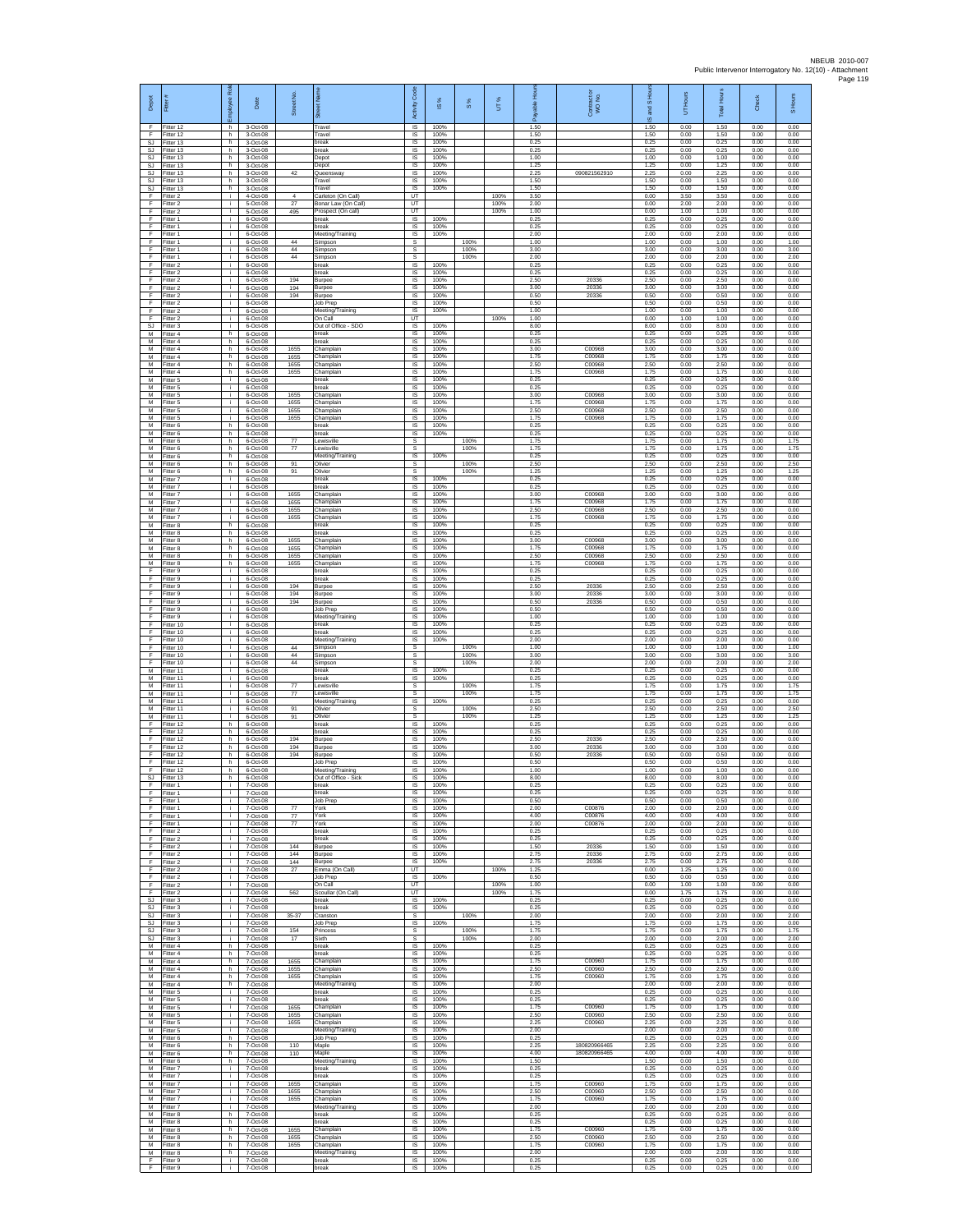| Depot<br>F             | Fitter#<br>Fitter 12                | ployee Rol<br>h.        | Date<br>3-Oct-08                 | Street No            | 芿<br>Travel                                         | Code<br>Activity<br>IS                       | IS %<br>100%         | $\frac{8}{3}$ | UT%          | 훈<br>1.50            | Contract or<br>WO No.        | £<br>$\overline{a}$<br>and<br>ဖ<br>1.50 | Hours<br>5<br>0.00   | Total Hour:<br>1.50  | Check<br>0.00        | S Hours<br>0.00      |
|------------------------|-------------------------------------|-------------------------|----------------------------------|----------------------|-----------------------------------------------------|----------------------------------------------|----------------------|---------------|--------------|----------------------|------------------------------|-----------------------------------------|----------------------|----------------------|----------------------|----------------------|
| F.<br>SJ               | Fitter 12<br>Fitter 13              | h<br>h.                 | 3-Oct-08<br>3-Oct-08             |                      | Travel<br>break                                     | IS<br>$\sf IS$                               | 100%<br>100%         |               |              | 1.50<br>0.25         |                              | 1.50<br>0.25                            | 0.00<br>0.00         | 1.50<br>0.25         | 0.00<br>0.00         | 0.00<br>0.00         |
| SJ<br><b>SJ</b><br>SJ. | Fitter 13<br>Fitter 13<br>Fitter 13 | h<br>h.<br>h            | 3-Oct-08<br>3-Oct-08<br>3-Oct-08 |                      | break<br>Depot<br>Depot                             | 1S<br>IS<br>IS                               | 100%<br>100%<br>100% |               |              | 0.25<br>1.00<br>1.25 |                              | 0.25<br>1.00<br>1.25                    | 0.00<br>0.00<br>0.00 | 0.25<br>1.00<br>1.25 | 0.00<br>0.00<br>0.00 | 0.00<br>0.00<br>0.00 |
| <b>SJ</b><br><b>SJ</b> | Fitter 13<br>Fitter 13              | h.<br>h                 | 3-Oct-08<br>3-Oct-08             | 42                   | Queensway<br>Travel                                 | 1S<br>IS                                     | 100%<br>100%         |               |              | 2.25<br>1.50         | 090821562910                 | 2.25<br>1.50                            | 0.00<br>0.00         | 2.25<br>1.50         | 0.00<br>0.00         | 0.00<br>0.00         |
| SJ<br>F<br>F           | Fitter 13<br>Fitter 2<br>Fitter 2   | h.<br>j.<br>j.          | 3-Oct-08<br>4-Oct-08<br>5-Oct-08 | $\overline{4}$<br>27 | Travel<br>Carleton (On Call)<br>Bonar Law (On Call) | <b>IS</b><br>UT<br>UT                        | 100%                 |               | 100%<br>100% | 1.50<br>3.50<br>2.00 |                              | 1.50<br>0.00<br>0.00                    | 0.00<br>3.50<br>2.00 | 1.50<br>3.50<br>2.00 | 0.00<br>0.00<br>0.00 | 0.00<br>0.00<br>0.00 |
| F<br>F                 | Fitter 2<br>Fitter 1                | j.<br>j.                | 5-Oct-08<br>6-Oct-08             | 495                  | Prospect (On call)<br>hreak                         | UT<br><b>IS</b>                              | 100%                 |               | 100%         | 1.00<br>0.25         |                              | 0.00<br>0.25                            | 1.00<br>0.00         | 1.00<br>0.25         | 0.00<br>0.00         | 0.00<br>0.00         |
| F<br>F<br>F            | Fitter 1<br>fitter 1<br>Fitter 1    | ÷<br>Ŧ<br>j.            | 6-Oct-08<br>6-Oct-08<br>6-Oct-08 | 44                   | break<br>Meeting/Training<br>Simpson                | IS<br>1S<br>s                                | 100%<br>100%         | 100%          |              | 0.25<br>2.00<br>1.00 |                              | 0.25<br>2.00<br>1.00                    | 0.00<br>0.00<br>0.00 | 0.25<br>2.00<br>1.00 | 0.00<br>0.00<br>0.00 | 0.00<br>0.00<br>1.00 |
| F<br>F                 | Fitter 1<br>Fitter 1                | j.<br>÷.                | 6-Oct-08<br>6-Oct-08             | 44<br>44             | Simpson<br>Simpson                                  | s<br>s                                       |                      | 100%<br>100%  |              | 3.00<br>2.00         |                              | 3.00<br>2.00                            | 0.00<br>0.00         | 3.00<br>2.00         | 0.00<br>0.00         | 3.00<br>2.00         |
| F<br>E<br>F            | Fitter 2<br>Fitter 2<br>Fitter 2    | j.<br>÷.<br>÷.          | 6-Oct-08<br>6-Oct-08<br>6-Oct-08 | 194                  | break<br>break<br>Burpee                            | IS<br>IS<br>1S                               | 100%<br>100%<br>100% |               |              | 0.25<br>0.25<br>2.50 | 20336                        | 0.25<br>0.25<br>2.50                    | 0.00<br>0.00<br>0.00 | 0.25<br>0.25<br>2.50 | 0.00<br>0.00<br>0.00 | 0.00<br>0.00<br>0.00 |
| F<br>F                 | itter 2<br>Fitter 2                 | j.<br>j.                | 6-Oct-08<br>6-Oct-08             | 194<br>194           | Burpee<br>Burpee                                    | IS<br>IS                                     | 100%<br>100%         |               |              | 3.00<br>0.50         | 20336<br>20336               | 3.00<br>0.50                            | 0.00<br>0.00         | 3.00<br>0.50         | 0.00<br>0.00         | 0.00<br>0.00         |
| F<br>F<br>F            | Fitter 2<br>Fitter 2<br>Fitter 2    | i.<br>÷<br>$\mathbf{i}$ | 6-Oct-08<br>6-Oct-08<br>6-Oct-08 |                      | Job Prep<br>Meeting/Training<br>On Call             | IS<br>IS<br>UT                               | 100%<br>100%         |               | 100%         | 0.50<br>1.00<br>1.00 |                              | 0.50<br>1.00<br>0.00                    | 0.00<br>0.00<br>1.00 | 0.50<br>1.00<br>1.00 | 0.00<br>0.00<br>0.00 | 0.00<br>0.00<br>0.00 |
| SJ.<br>М               | Fitter 3<br>Fitter 4                | j.<br>h                 | 6-Oct-08<br>6-Oct-08             |                      | Out of Office - SDO<br>break                        | IS<br>$\sf IS$                               | 100%<br>100%         |               |              | 8.00<br>0.25         |                              | 8.00<br>0.25                            | 0.00<br>0.00         | 8.00<br>0.25         | 0.00<br>0.00         | 0.00<br>0.00         |
| M<br>M<br>M            | fitter 4<br>Fitter 4<br>Fitter 4    | h.<br>h.<br>h           | 6-Oct-08<br>6-Oct-08<br>6-Oct-08 | 1655<br>1655         | break<br>Champlain<br>Champlain                     | 1S<br>$\overline{\mathsf{s}}$<br>IS          | 100%<br>100%<br>100% |               |              | 0.25<br>3.00<br>1.75 | C00968<br>C00968             | 0.25<br>3.00<br>1.75                    | 0.00<br>0.00<br>0.00 | 0.25<br>3.00<br>1.75 | 0.00<br>0.00<br>0.00 | 0.00<br>0.00<br>0.00 |
| М<br>M                 | Fitter 4<br>itter 4                 | h.<br>h                 | 6-Oct-08<br>6-Oct-08             | 1655<br>1655         | Champlain<br>Champlain                              | 1S<br>IS                                     | 100%<br>100%         |               |              | 2.50<br>1.75         | C00968<br>C00968             | 2.50<br>1.75                            | 0.00<br>0.00         | 2.50<br>1.75         | 0.00<br>0.00         | 0.00<br>0.00         |
| M<br>M<br>М            | Fitter 5<br>Fitter 5<br>Fitter 5    | j.<br>j.<br>j.          | 6-Oct-08<br>6-Oct-08<br>6-Oct-08 | 1655                 | break<br>break<br>Champlain                         | IS<br>$\sf IS$<br>$\sf IS$                   | 100%<br>100%<br>100% |               |              | 0.25<br>0.25<br>3.00 | C00968                       | 0.25<br>0.25<br>3.00                    | 0.00<br>0.00<br>0.00 | 0.25<br>0.25<br>3.00 | 0.00<br>0.00<br>0.00 | 0.00<br>0.00<br>0.00 |
| M<br>M                 | Fitter 5<br>Fitter 5                | j.<br>i.                | 6-Oct-08<br>6-Oct-08             | 1655<br>1655         | Champlain<br>Champlain                              | IS<br>IS                                     | 100%<br>100%         |               |              | 1.75<br>2.50         | C00968<br>C00968             | 1.75<br>2.50                            | 0.00<br>0.00         | 1.75<br>2.50         | 0.00<br>0.00         | 0.00<br>0.00         |
| М<br>M<br>M            | fitter 5<br>itter 6<br>Fitter 6     | ÷.<br>h.<br>h.          | 6-Oct-08<br>6-Oct-08<br>6-Oct-08 | 1655                 | Champlain<br>break<br>break                         | IS<br>1S<br>$\overline{\mathsf{s}}$          | 100%<br>100%<br>100% |               |              | 1.75<br>0.25<br>0.25 | C00968                       | 1.75<br>0.25<br>0.25                    | 0.00<br>0.00<br>0.00 | 1.75<br>0.25<br>0.25 | 0.00<br>0.00<br>0.00 | 0.00<br>0.00<br>0.00 |
| М<br>M                 | Fitter 6<br>Fitter 6                | h<br>h                  | 6-Oct-08<br>6-Oct-08             | $77\,$<br>$77\,$     | Lewisville<br>Lewisville                            | s<br>s                                       |                      | 100%<br>100%  |              | 1.75<br>1.75         |                              | 1.75<br>1.75                            | 0.00<br>0.00         | 1.75<br>1.75         | 0.00<br>0.00         | 1.75<br>1.75         |
| M<br>M<br>М            | fitter 6<br>Fitter 6<br>Fitter 6    | h.<br>h<br>h            | 6-Oct-08<br>6-Oct-08<br>6-Oct-08 | 91<br>91             | Meeting/Training<br>Olivier<br>Olivier              | IS<br>s<br>s                                 | 100%                 | 100%<br>100%  |              | 0.25<br>2.50<br>1.25 |                              | 0.25<br>2.50<br>1.25                    | 0.00<br>0.00<br>0.00 | 0.25<br>2.50<br>1.25 | 0.00<br>0.00<br>0.00 | 0.00<br>2.50<br>1.25 |
| M<br>M                 | fitter 7<br>Fitter 7                | j.<br>÷i.               | 6-Oct-08<br>6-Oct-08             |                      | break<br>break                                      | IS<br><b>IS</b>                              | 100%<br>100%         |               |              | 0.25<br>0.25         |                              | 0.25<br>0.25                            | 0.00<br>0.00         | 0.25<br>0.25         | 0.00<br>0.00         | 0.00<br>0.00         |
| M<br>М                 | Fitter 7<br>Fitter 7                | i.<br>÷.                | 6-Oct-08<br>6-Oct-08             | 1655<br>1655         | Champlain<br>Champlain                              | IS<br>IS                                     | 100%<br>100%         |               |              | 3.00<br>1.75         | C00968<br>C00968             | 3.00<br>1.75                            | 0.00<br>0.00         | 3.00<br>1.75         | 0.00<br>0.00         | 0.00<br>0.00         |
| M<br>M<br>М            | Fitter 7<br>Fitter 7<br>Fitter 8    | j.<br>j.<br>h           | 6-Oct-08<br>6-Oct-08<br>6-Oct-08 | 1655<br>1655         | Champlain<br>Champlain<br>break                     | 1S<br>IS<br>$\sf IS$                         | 100%<br>100%<br>100% |               |              | 2.50<br>1.75<br>0.25 | C00968<br>C00968             | 2.50<br>1.75<br>0.25                    | 0.00<br>0.00<br>0.00 | 2.50<br>1.75<br>0.25 | 0.00<br>0.00<br>0.00 | 0.00<br>0.00<br>0.00 |
| M<br>M                 | fitter 8<br>Fitter 8                | h.<br>h.                | 6-Oct-08<br>6-Oct-08             | 1655                 | break<br>Champlain                                  | 1S<br>IS                                     | 100%<br>100%         |               |              | 0.25<br>3.00         | C00968                       | 0.25<br>3.00                            | 0.00<br>0.00         | 0.25<br>3.00         | 0.00<br>0.00         | 0.00<br>0.00         |
| M<br>M<br>M            | Fitter 8<br>Fitter 8<br>itter 8     | h<br>h.<br>h            | 6-Oct-08<br>6-Oct-08<br>6-Oct-08 | 1655<br>1655<br>1655 | Champlain<br>Champlain<br>Champlain                 | IS<br>1S<br>IS                               | 100%<br>100%<br>100% |               |              | 1.75<br>2.50<br>1.75 | C00968<br>C00968<br>C00968   | 1.75<br>2.50<br>1.75                    | 0.00<br>0.00<br>0.00 | 1.75<br>2.50<br>1.75 | 0.00<br>0.00<br>0.00 | 0.00<br>0.00<br>0.00 |
| F<br>F                 | Fitter 9<br>Fitter 9                | j.<br>j.                | 6-Oct-08<br>6-Oct-08             |                      | break<br>break                                      | IS<br>$\sf IS$                               | 100%<br>100%         |               |              | 0.25<br>0.25         |                              | 0.25<br>0.25                            | 0.00<br>0.00         | 0.25<br>0.25         | 0.00<br>0.00         | 0.00<br>0.00         |
| F<br>F<br>F            | Fitter 9<br>Fitter 9<br>Fitter 9    | j.<br>j.<br>j.          | 6-Oct-08<br>6-Oct-08<br>6-Oct-08 | 194<br>194<br>194    | Burpee<br>Burpee                                    | $\sf IS$<br>IS<br>IS                         | 100%<br>100%<br>100% |               |              | 2.50<br>3.00<br>0.50 | 20336<br>20336<br>20336      | 2.50<br>3.00<br>0.50                    | 0.00<br>0.00<br>0.00 | 2.50<br>3.00<br>0.50 | 0.00<br>0.00<br>0.00 | 0.00<br>0.00<br>0.00 |
| F<br>F                 | Fitter 9<br>Fitter 9                | ÷<br>Ŧ                  | 6-Oct-08<br>6-Oct-08             |                      | Burpee<br>Job Prep<br>Meeting/Training              | IS<br>1S                                     | 100%<br>100%         |               |              | 0.50<br>1.00         |                              | 0.50<br>1.00                            | 0.00<br>0.00         | 0.50<br>1.00         | 0.00<br>0.00         | 0.00<br>0.00         |
| F<br>F<br>F            | Fitter 10<br>litter 10              | j.<br>j.<br>÷.          | 6-Oct-08<br>6-Oct-08             |                      | break<br>break                                      | IS<br>IS<br>1S                               | 100%<br>100%<br>100% |               |              | 0.25<br>0.25<br>2.00 |                              | 0.25<br>0.25<br>2.00                    | 0.00<br>0.00<br>0.00 | 0.25<br>0.25<br>2.00 | 0.00<br>0.00<br>0.00 | 0.00<br>0.00<br>0.00 |
| F<br>E                 | Fitter 10<br>Fitter 10<br>Fitter 10 | j.<br>÷.                | 6-Oct-08<br>6-Oct-08<br>6-Oct-08 | 44<br>44             | Meeting/Training<br>Simpson<br>Simpson              | s<br>s                                       |                      | 100%<br>100%  |              | 1.00<br>3.00         |                              | 1.00<br>3.00                            | 0.00<br>0.00         | 1.00<br>3.00         | 0.00<br>0.00         | 1.00<br>3.00         |
| F<br>M<br>M            | Fitter 10<br>fitter 11              | ÷.<br>j.                | 6-Oct-08<br>6-Oct-08<br>6-Oct-08 | 44                   | Simpson<br>break                                    | s<br>IS<br>$\overline{\mathsf{s}}$           | 100%                 | 100%          |              | 2.00<br>0.25<br>0.25 |                              | 2.00<br>0.25<br>0.25                    | 0.00<br>0.00<br>0.00 | 2.00<br>0.25<br>0.25 | 0.00<br>0.00<br>0.00 | 2.00<br>0.00<br>0.00 |
| M<br>М                 | Fitter 11<br>Fitter 11<br>Fitter 11 | j.<br>i.<br>÷.          | 6-Oct-08<br>6-Oct-08             | 77<br>77             | break<br>Lewisville<br>ewisville                    | s<br>s                                       | 100%                 | 100%<br>100%  |              | 1.75<br>1.75         |                              | 1.75<br>1.75                            | 0.00<br>0.00         | 1.75<br>1.75         | 0.00<br>0.00         | 1.75<br>1.75         |
| M<br>M                 | Fitter 11<br>Fitter 11              | Ŧ<br>i.                 | 6-Oct-08<br>6-Oct-08             | 91                   | Meeting/Training<br>Olivier                         | IS.<br>s                                     | 100%                 | 100%          |              | 0.25<br>2.50         |                              | 0.25<br>2.50                            | 0.00<br>0.00         | 0.25<br>2.50         | 0.00<br>0.00         | 0.00<br>2.50         |
| м<br>F<br>F            | Fitter 11<br>Fitter 12<br>Fitter 12 | Ť.<br>h.<br>h.          | 6-Oct-08<br>6-Oct-08<br>6-Oct-08 | 91                   | Olivier<br>break<br>break                           | $\mathbb S$<br>IS<br>$\overline{\mathsf{s}}$ | 100%<br>100%         | 100%          |              | 1.25<br>0.25<br>0.25 |                              | 1.25<br>0.25<br>0.25                    | 0.00<br>0.00<br>0.00 | 1.25<br>0.25<br>0.25 | 0.00<br>0.00<br>0.00 | 1.25<br>0.00<br>0.00 |
| E<br>F                 | Fitter 12<br>Fitter 12              | h<br>h                  | 6-Oct-08<br>6-Oct-08             | 194<br>194           | Burpee<br>Burpee                                    | IS<br>1S                                     | 100%<br>100%         |               |              | 2.50<br>3.00         | 20336<br>20336               | 2.50<br>3.00                            | 0.00<br>0.00         | 2.50<br>3.00         | 0.00<br>0.00         | 0.00<br>0.00         |
| F<br>F<br>F.           | Fitter 12<br>Fitter 12<br>Fitter 12 | h.<br>h.<br>h.          | 6-Oct-08<br>6-Oct-08<br>6-Oct-08 | 194                  | Burpee<br>Job Prep<br>Meeting/Training              | IS<br>IS<br>$\sf IS$                         | 100%<br>100%<br>100% |               |              | 0.50<br>0.50<br>1.00 | 20336                        | 0.50<br>0.50<br>1.00                    | 0.00<br>0.00<br>0.00 | 0.50<br>0.50<br>1.00 | 0.00<br>0.00<br>0.00 | 0.00<br>0.00<br>0.00 |
| SJ<br>F                | Fitter 13<br>Fitter 1               | h.<br>-i                | 6-Oct-08<br>7-Oct-08             |                      | Out of Office - Sick<br>break                       | IS<br><b>IS</b>                              | 100%<br>100%         |               |              | 8.00<br>0.25         |                              | 8.00<br>0.25                            | 0.00<br>0.00         | 8.00<br>0.25         | 0.00<br>0.00         | 0.00<br>0.00         |
| F<br>F<br>F            | Fitter 1<br>Fitter 1<br>fitter 1    | i.<br>÷.<br>÷.          | 7-Oct-08<br>7-Oct-08<br>7-Oct-08 | 77                   | break<br>Job Prep<br>York                           | IS<br>IS<br>IS                               | 100%<br>100%<br>100% |               |              | 0.25<br>0.50<br>2.00 | C00876                       | 0.25<br>0.50<br>2.00                    | 0.00<br>0.00<br>0.00 | 0.25<br>0.50<br>2.00 | 0.00<br>0.00<br>0.00 | 0.00<br>0.00<br>0.00 |
| F<br>F                 | Fitter 1<br>Fitter 1                | i.<br>i.                | 7-Oct-08<br>7-Oct-08             | 77<br>77             | York<br>York                                        | <b>IS</b><br>IS                              | 100%<br>100%         |               |              | 4.00<br>2.00         | C00876<br>C00876             | 4.00<br>2.00                            | 0.00<br>0.00         | 4.00<br>2.00         | 0.00<br>0.00         | 0.00<br>0.00         |
| F<br>F<br>F            | Fitter 2<br>Fitter 2<br>Fitter 2    | ÷<br>j.<br>÷.           | 7-Oct-08<br>7-Oct-08<br>7-Oct-08 | 144                  | break<br>break<br>Burpee                            | IS<br>IS<br>IS                               | 100%<br>100%<br>100% |               |              | 0.25<br>0.25<br>1.50 | 20336                        | 0.25<br>0.25<br>1.50                    | 0.00<br>0.00<br>0.00 | 0.25<br>0.25<br>1.50 | 0.00<br>0.00<br>0.00 | 0.00<br>0.00<br>0.00 |
| F<br>F                 | Fitter 2<br>itter 2                 | ÷<br>÷.                 | 7-Oct-08<br>7-Oct-08             | 144<br>144           | Burpee<br>Burpee                                    | 1S<br>IS                                     | 100%<br>100%         |               |              | 2.75<br>2.75         | 20336<br>20336               | 2.75<br>2.75                            | 0.00<br>0.00         | 2.75<br>2.75         | 0.00<br>0.00         | 0.00<br>0.00         |
| F<br>F                 | Fitter 2<br>Fitter 2                | ÷i.<br>j.<br>÷.         | 7-Oct-08<br>7-Oct-08             | 27                   | Emma (On Call)<br>Job Prep<br>On Call               | UT<br><b>IS</b><br>UT                        | 100%                 |               | 100%<br>100% | 1.25<br>0.50<br>1.00 |                              | 0.00<br>0.50<br>0.00                    | 1.25<br>0.00<br>1.00 | 1.25<br>0.50<br>1.00 | 0.00<br>0.00<br>0.00 | 0.00<br>0.00<br>0.00 |
| F<br>F                 | Fitter 2<br>Fitter 2<br>SJ Fitter 3 | ÷.<br>i.                | 7-Oct-08<br>7-Oct-08<br>7-Oct-08 | 562                  | Scoullar (On Call)<br>break                         | UT<br>IS                                     | 100%                 |               | 100%         | 1.75<br>0.25         |                              | 0.00<br>0.25                            | 1.75<br>0.00         | 1.75<br>0.25         | 0.00<br>0.00         | 0.00<br>0.00         |
| SJ<br>SJ               | Fitter 3<br>Fitter 3                | ÷.<br>T                 | 7-Oct-08<br>7-Oct-08             | 35-37                | break<br>Cranston                                   | $\sf IS$<br>s                                | 100%                 | 100%          |              | 0.25<br>2.00         |                              | 0.25<br>2.00                            | 0.00<br>0.00         | 0.25<br>2.00         | 0.00<br>0.00         | 0.00<br>2.00         |
| SJ<br>SJ.<br><b>SJ</b> | Fitter 3<br>Fitter 3<br>Fitter 3    | i.<br>j.<br>÷           | 7-Oct-08<br>7-Oct-08<br>7-Oct-08 | 154<br>17            | Job Prep<br>Princess<br>Sixth                       | IS.<br>s<br>s                                | 100%                 | 100%<br>100%  |              | 1.75<br>1.75<br>2.00 |                              | 1.75<br>1.75<br>2.00                    | 0.00<br>0.00<br>0.00 | 1.75<br>1.75<br>2.00 | 0.00<br>0.00<br>0.00 | 0.00<br>1.75<br>2.00 |
| M<br>M                 | Fitter 4<br>Fitter 4                | h.<br>h                 | 7-Oct-08<br>7-Oct-08             |                      | break<br>break                                      | IS<br>IS                                     | 100%<br>100%         |               |              | 0.25<br>0.25         |                              | 0.25<br>0.25                            | 0.00<br>0.00         | 0.25<br>0.25         | 0.00<br>0.00         | 0.00<br>0.00         |
| М<br>М<br>M            | Fitter 4<br>Fitter 4<br>Fitter 4    | h.<br>h.<br>h.          | 7-Oct-08<br>7-Oct-08<br>7-Oct-08 | 1655<br>1655<br>1655 | Champlain<br>Champlain<br>Champlain                 | $\sf IS$<br>$\sf IS$<br>IS                   | 100%<br>100%<br>100% |               |              | 1.75<br>2.50<br>1.75 | C00960<br>C00960<br>C00960   | 1.75<br>2.50<br>1.75                    | 0.00<br>0.00<br>0.00 | 1.75<br>2.50<br>1.75 | 0.00<br>0.00<br>0.00 | 0.00<br>0.00<br>0.00 |
| M<br>М                 | Fitter 4<br>Fitter 5                | h.<br>j.                | 7-Oct-08<br>7-Oct-08             |                      | Meeting/Training<br>break                           | IS<br>IS                                     | 100%<br>100%         |               |              | 2.00<br>0.25         |                              | 2.00<br>0.25                            | 0.00<br>0.00         | 200<br>0.25          | 0.00<br>0.00         | 0.00<br>0.00         |
| M<br>M<br>М            | fitter 5<br>Fitter 5<br>Fitter 5    | T<br>i.<br>i.           | 7-Oct-08<br>7-Oct-08<br>7-Oct-08 | 1655<br>1655         | break<br>Champlain<br>Champlain                     | IS<br>IS<br>IS                               | 100%<br>100%<br>100% |               |              | 0.25<br>1.75<br>2.50 | C00960<br>C00960             | 0.25<br>1.75<br>2.50                    | 0.00<br>0.00<br>0.00 | 0.25<br>1.75<br>2.50 | 0.00<br>0.00<br>0.00 | 0.00<br>0.00<br>0.00 |
| М<br>M                 | Fitter 5<br>Fitter 5                | ÷<br>j.                 | 7-Oct-08<br>7-Oct-08             | 1655                 | Champlain<br>Meeting/Training                       | IS<br>IS                                     | 100%<br>100%         |               |              | 2.25<br>2.00         | C00960                       | 2.25<br>2.00                            | 0.00<br>0.00         | 2.25<br>2.00         | 0.00<br>0.00         | 0.00<br>0.00         |
| М<br>М<br>М            | Fitter 6<br>Fitter 6<br>itter 6     | h<br>h.<br>h.           | 7-Oct-08<br>7-Oct-08<br>7-Oct-08 | 110<br>110           | Job Prep<br>Maple<br>Maple                          | IS<br>IS<br>IS                               | 100%<br>100%<br>100% |               |              | 0.25<br>2.25<br>4.00 | 180820966465<br>180820966465 | 0.25<br>2.25<br>4.00                    | 0.00<br>0.00<br>0.00 | 0.25<br>2.25<br>4.00 | 0.00<br>0.00<br>0.00 | 0.00<br>0.00<br>0.00 |
| M<br>M                 | Fitter 6<br>Fitter 7                | h.<br>j.                | 7-Oct-08<br>7-Oct-08             |                      | Meeting/Training<br>break                           | IS<br>IS                                     | 100%<br>100%         |               |              | 1.50<br>0.25         |                              | 1.50<br>0.25                            | 0.00<br>0.00         | 1.50<br>0.25         | 0.00<br>0.00         | 0.00<br>0.00         |
| М<br>M<br>M            | Fitter 7<br>Fitter 7<br>Fitter 7    | ÷.<br>T<br>j.           | 7-Oct-08<br>7-Oct-08<br>7-Oct-08 | 1655<br>1655         | break<br>Champlain<br>Champlain                     | IS<br>1S<br>IS                               | 100%<br>100%<br>100% |               |              | 0.25<br>1.75<br>2.50 | C00960<br>C00960             | 0.25<br>1.75<br>2.50                    | 0.00<br>0.00<br>0.00 | 0.25<br>1.75<br>2.50 | 0.00<br>0.00<br>0.00 | 0.00<br>0.00<br>0.00 |
| М<br>M                 | Fitter 7<br>Fitter 7                | ÷.<br>i.                | 7-Oct-08<br>7-Oct-08             | 1655                 | Champlain<br>Meeting/Training                       | $\sf IS$<br>IS                               | 100%<br>100%         |               |              | 1.75<br>2.00         | C00960                       | 1.75<br>2.00                            | 0.00<br>0.00         | 1.75<br>2.00         | 0.00<br>0.00         | 0.00<br>0.00         |
| M<br>М<br>М            | Fitter 8<br>Fitter 8<br>Fitter 8    | h.<br>h<br>h.           | 7-Oct-08<br>7-Oct-08<br>7-Oct-08 | 1655                 | break<br>break<br>Champlain                         | <b>IS</b><br>IS<br>IS                        | 100%<br>100%<br>100% |               |              | 0.25<br>0.25<br>1.75 | C00960                       | 0.25<br>0.25<br>1.75                    | 0.00<br>0.00<br>0.00 | 0.25<br>0.25<br>1.75 | 0.00<br>0.00<br>0.00 | 0.00<br>0.00<br>0.00 |
| M<br>M                 | fitter 8<br>Fitter 8                | h.<br>h                 | 7-Oct-08<br>7-Oct-08             | 1655<br>1655         | Champlain<br>Champlain                              | IS<br>IS                                     | 100%<br>100%         |               |              | 2.50<br>1.75         | C00960<br>C00960             | 2.50<br>1.75                            | 0.00<br>0.00         | 2.50<br>1.75         | 0.00<br>0.00         | 0.00<br>0.00         |
| M<br>F                 | Fitter 8<br>Fitter 9                | h.<br>j.                | 7-Oct-08<br>7-Oct-08             |                      | Meeting/Training<br>break                           | $\sf IS$<br>$\sf IS$                         | 100%<br>100%<br>100% |               |              | 2.00<br>0.25<br>0.25 |                              | 2.00<br>0.25<br>0.25                    | 0.00<br>0.00<br>0.00 | 2.00<br>0.25<br>0.25 | 0.00<br>0.00<br>0.00 | 0.00<br>0.00<br>0.00 |
| F                      | Fitter 9                            | j.                      | 7-Oct-08                         |                      | break                                               | IS                                           |                      |               |              |                      |                              |                                         |                      |                      |                      |                      |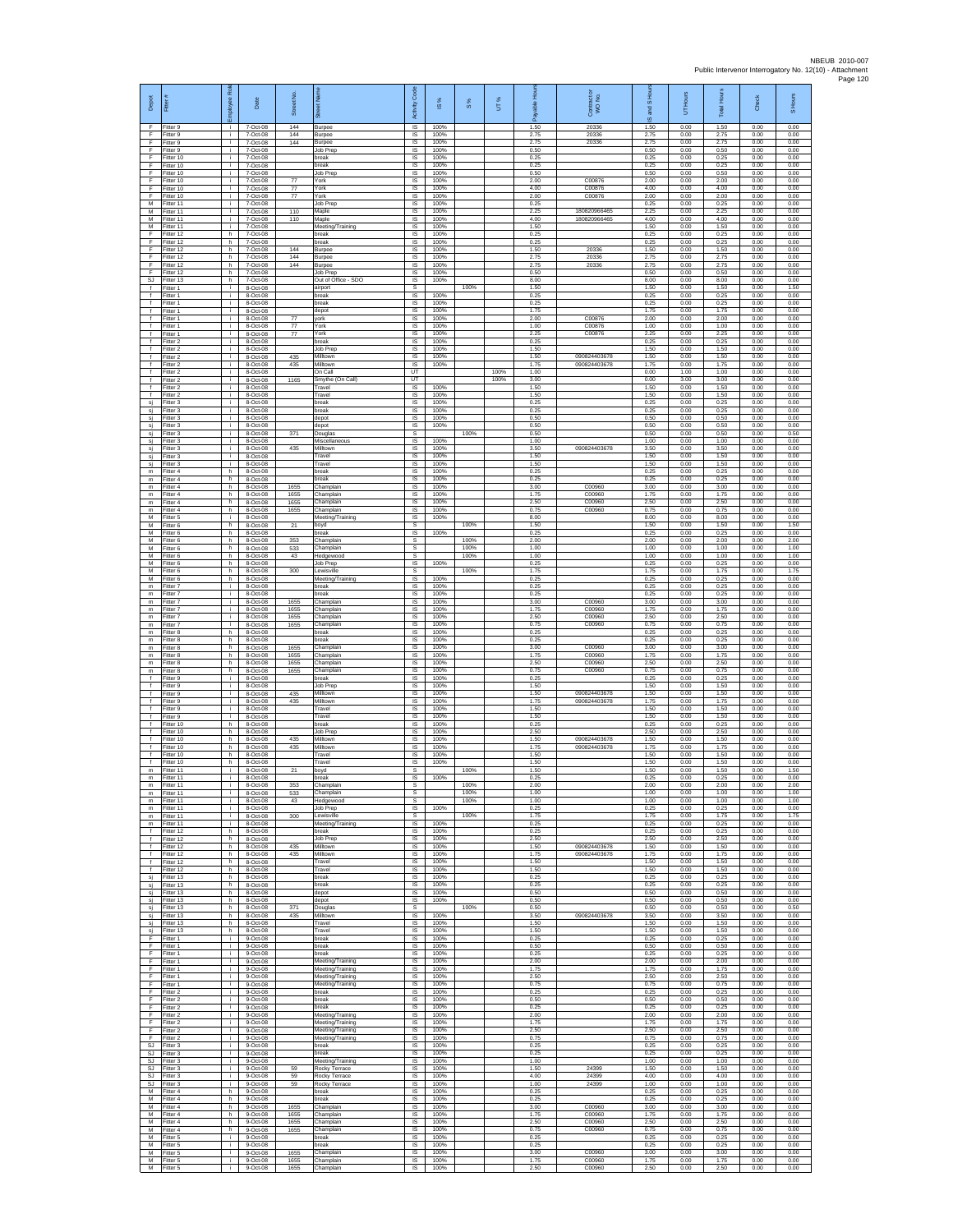| Depot                                                      | Fitter                                | 쥖<br>eekoli    | Date                               | Street No.           | eet Na                                                   | Activity Code                 | 1S%                  | $\frac{8}{3}$ | UT%  | 운<br>Æ               | Contract or<br>WO No.        | and S Hc<br>$\omega$ | Hours<br>5           | <b>Total Hours</b>   | Check                | S Hours              |
|------------------------------------------------------------|---------------------------------------|----------------|------------------------------------|----------------------|----------------------------------------------------------|-------------------------------|----------------------|---------------|------|----------------------|------------------------------|----------------------|----------------------|----------------------|----------------------|----------------------|
| F<br>F<br>F                                                | Fitter 9<br>Fitter 9<br>Fitter 9      | л.<br>j.<br>i. | 7-Oct-08<br>7-Oct-08<br>7-Oct-08   | 144<br>144<br>144    | Burpee<br>Burpee<br>Burpee                               | IS<br>IS<br>IS                | 100%<br>100%<br>100% |               |      | 1.50<br>2.75<br>2.75 | 20336<br>20336<br>20336      | 1.50<br>2.75<br>2.75 | 0.00<br>0.00<br>0.00 | 1.50<br>2.75<br>2.75 | 0.00<br>0.00<br>0.00 | 0.00<br>0.00<br>0.00 |
| F<br>Ŧ<br>-F                                               | Fitter 9<br>Fitter 10<br>Fitter 10    | i.<br>i.<br>j. | 7-Oct-08<br>7-Oct-08<br>7-Oct-08   |                      | Job Prep<br>oreak<br>break                               | IS<br>IS<br><b>IS</b>         | 100%<br>100%<br>100% |               |      | 0.50<br>0.25<br>0.25 |                              | 0.50<br>0.25<br>0.25 | 0.00<br>0.00<br>0.00 | 0.50<br>0.25<br>0.25 | 0.00<br>0.00<br>0.00 | 0.00<br>0.00<br>0.00 |
| E<br>$\mathsf F$                                           | Fitter 10<br>Fitter 10                | i.<br>i.<br>i. | 7-Oct-08<br>7-Oct-08               | $77\,$               | lob Prep<br>ork)                                         | IS.<br>IS                     | 100%<br>100%         |               |      | 0.50<br>2.00         | C00876                       | 0.50<br>2.00         | 0.00<br>0.00         | 0.50<br>2.00         | 0.00<br>0.00         | 0.00<br>0.00         |
| F<br>E<br>${\sf M}$                                        | Fitter 10<br>Fitter 10<br>Fitter 11   | i.<br>i.       | 7-Oct-08<br>7-Oct-08<br>7-Oct-08   | 77<br>77             | 'ork<br>York<br>Job Prep                                 | IS<br>IS<br>$\sf IS$          | 100%<br>100%<br>100% |               |      | 4.00<br>2.00<br>0.25 | C00876<br>C00876             | 4.00<br>2.00<br>0.25 | 0.00<br>0.00<br>0.00 | 4.00<br>2.00<br>0.25 | 0.00<br>0.00<br>0.00 | 0.00<br>0.00<br>0.00 |
| M<br>M<br>М                                                | Fitter 11<br>Fitter 11<br>Fitter 11   | i.<br>i.<br>i. | 7-Oct-08<br>7-Oct-08<br>7-Oct-08   | 110<br>110           | Maple<br>Maple<br>Meeting/Training                       | $\sf IS$<br>IS<br>IS          | 100%<br>100%<br>100% |               |      | 2.25<br>4.00<br>1.50 | 180820966465<br>180820966465 | 2.25<br>4.00<br>1.50 | 0.00<br>0.00<br>0.00 | 2.25<br>4.00<br>1.50 | 0.00<br>0.00<br>0.00 | 0.00<br>0.00<br>0.00 |
| F<br>F                                                     | Fitter 12<br>Fitter 12                | h.<br>h.       | 7-Oct-08<br>7-Oct-08               |                      | break<br>reak                                            | IS<br>IS<br>IS                | 100%<br>100%<br>100% |               |      | 0.25<br>0.25<br>1.50 | 20336                        | 0.25<br>0.25<br>1.50 | 0.00<br>0.00<br>0.00 | 0.25<br>0.25<br>1.50 | 0.00<br>0.00<br>0.00 | 0.00<br>0.00<br>0.00 |
| F<br>F<br>F                                                | Fitter 12<br>Fitter 12<br>Fitter 12   | h.<br>h.<br>h. | 7-Oct-08<br>7-Oct-08<br>7-Oct-08   | 144<br>144<br>144    | Burpee<br>Burpee<br>Burpee                               | IS<br>$\sf IS$                | 100%<br>100%         |               |      | 2.75<br>2.75         | 20336<br>20336               | 2.75<br>2.75         | 0.00<br>0.00         | 2.75<br>2.75         | 0.00<br>0.00         | 0.00<br>0.00         |
| -F<br>SJ.<br>$\ddot{\phantom{1}}$                          | Fitter 12<br>Fitter 13<br>Fitter 1    | h.<br>h.<br>÷. | 7-Oct-08<br>7-Oct-08<br>8-Oct-08   |                      | Job Prep<br>Out of Office - SDO<br>airport               | IS<br>IS<br>s                 | 100%<br>100%         | 100%          |      | 0.50<br>8.00<br>1.50 |                              | 0.50<br>8.00<br>1.50 | 0.00<br>0.00<br>0.00 | 0.50<br>8.00<br>1.50 | 0.00<br>0.00<br>0.00 | 0.00<br>0.00<br>1.50 |
| $\ddot{\ }$<br>$\ddot{\phantom{1}}$<br>$\ddot{\mathbf{f}}$ | Fitter 1<br>Fitter 1                  | i.<br>i.<br>i. | 8-Oct-08<br>8-Oct-08               |                      | break<br>break                                           | IS<br>IS<br>IS                | 100%<br>100%<br>100% |               |      | 0.25<br>0.25<br>1.75 |                              | 0.25<br>0.25<br>1.75 | 0.00<br>0.00<br>0.00 | 0.25<br>0.25<br>1.75 | 0.00<br>0.00         | 0.00<br>0.00<br>0.00 |
| $\ddot{\mathbf{f}}$<br>$\ddot{\ }$                         | Fitter 1<br>Fitter 1<br>Fitter 1      | i.<br>i.       | 8-Oct-08<br>8-Oct-08<br>8-Oct-08   | 77<br>77             | depot<br>york<br>'ork                                    | IS<br>IS                      | 100%<br>100%         |               |      | 2.00<br>1.00         | C00876<br>C00876             | 2.00<br>1.00         | 0.00<br>0.00         | 2.00<br>1.00         | 0.00<br>0.00<br>0.00 | 0.00<br>0.00         |
| $\ddot{\ }$<br>$\mathbf{f}$<br>$\ddot{\ }$                 | Fitter 1<br>Fitter 2<br>Fitter 2      | j.<br>i.<br>i. | 8-Oct-08<br>8-Oct-08<br>8-Oct-08   | 77                   | York<br>break<br>ob Prep                                 | IS<br>IS<br>IS                | 100%<br>100%<br>100% |               |      | 2.25<br>0.25<br>1.50 | C00876                       | 2.25<br>0.25<br>1.50 | 0.00<br>0.00<br>0.00 | 2.25<br>0.25<br>1.50 | 0.00<br>0.00<br>0.00 | 0.00<br>0.00<br>0.00 |
| $\ddot{\ }$<br>$\ddot{\phantom{1}}$<br>$\ddot{\ }$         | Fitter 2<br>Fitter 2<br>Fitter 2      | j.<br>i.<br>÷. | 8-Oct-08<br>8-Oct-08<br>8-Oct-08   | 435<br>435           | Milltown<br>Milltown<br>On Call                          | IS<br><b>IS</b><br>UT         | 100%<br>100%         |               | 100% | 1.50<br>1.75<br>1.00 | 090824403678<br>090824403678 | 1.50<br>175<br>0.00  | 0.00<br>0.00<br>1.00 | 1.50<br>1.75<br>1.00 | 0.00<br>0.00<br>0.00 | 0.00<br>0.00<br>0.00 |
| $\ddot{\phantom{1}}$<br>$\ddot{\phantom{1}}$               | Fitter 2<br>Fitter 2                  | i.<br>i.       | 8-Oct-08<br>8-Oct-08               | 1165                 | Smythe (On Call)<br>Travel                               | UT<br>IS                      | 100%                 |               | 100% | 3.00<br>1.50         |                              | 0.00<br>1.50         | 3.00<br>0.00         | 3.00<br>1.50         | 0.00<br>0.00         | 0.00<br>0.00         |
| $\ddot{\mathbf{f}}$<br>sj<br>sj                            | Fitter 2<br>Fitter 3<br>Fitter 3      | i.<br>i.<br>i. | 8-Oct-08<br>8-Oct-08<br>8-Oct-08   |                      | Travel<br>break<br>break                                 | $\sf IS$<br>$\sf IS$<br>IS    | 100%<br>100%<br>100% |               |      | 1.50<br>0.25<br>0.25 |                              | 1.50<br>0.25<br>0.25 | 0.00<br>0.00<br>0.00 | 1.50<br>0.25<br>0.25 | 0.00<br>0.00<br>0.00 | 0.00<br>0.00<br>0.00 |
| sj<br>sj                                                   | Fitter 3<br>Fitter 3                  | j.<br>i.       | 8-Oct-08<br>8-Oct-08               |                      | depot<br>depot                                           | IS<br>IS                      | 100%<br>100%         |               |      | 0.50<br>0.50         |                              | 0.50<br>0.50         | 0.00<br>0.00         | 0.50<br>0.50         | 0.00<br>0.00         | 0.00<br>0.00         |
| sj<br>sj<br>sj                                             | Fitter 3<br>Fitter 3<br>Fitter 3      | ÷.<br>j.<br>i. | 8-Oct-08<br>8-Oct-08<br>8-Oct-08   | 371<br>435           | Jouglas<br>Miscellaneous<br>Milltown                     | s<br>IS<br>IS.                | 100%<br>100%         | 100%          |      | 0.50<br>1.00<br>3.50 | 090824403678                 | 0.50<br>1.00<br>3.50 | 0.00<br>0.00<br>0.00 | 0.50<br>1.00<br>3.50 | 0.00<br>0.00<br>0.00 | 0.50<br>0.00<br>0.00 |
| si<br>sj<br>${\mathsf m}$                                  | Fitter 3<br>Fitter 3<br>Fitter 4      | j.<br>j.<br>h. | 8-Oct-08<br>8-Oct-08<br>8-Oct-08   |                      | Travel<br>Travel<br>break                                | $\sf IS$<br>- IS<br>IS.       | 100%<br>100%<br>100% |               |      | 1.50<br>1.50<br>0.25 |                              | 1.50<br>1.50<br>0.25 | 0.00<br>0.00<br>0.00 | 1.50<br>1.50<br>0.25 | 0.00<br>0.00<br>0.00 | 0.00<br>0.00<br>0.00 |
| ${\mathsf m}$<br>m                                         | Fitter 4<br>Fitter 4                  | h.<br>h.       | 8-Oct-08<br>8-Oct-08               | 1655                 | reak<br>hamplair                                         | IS<br>IS                      | 100%<br>100%         |               |      | 0.25<br>3.00         | C00960                       | 0.25<br>3.00         | 0.00<br>0.00         | 0.25<br>3.00         | 0.00<br>0.00         | 0.00<br>0.00         |
| m<br>${\sf m}$<br>m                                        | Fitter 4<br>Fitter 4<br>Fitter 4      | h.<br>h.<br>h. | 8-Oct-08<br>8-Oct-08<br>8-Oct-08   | 1655<br>1655<br>1655 | Champlain<br>Champlain<br>Champlain                      | IS<br>IS<br>IS                | 100%<br>100%<br>100% |               |      | 1.75<br>2.50<br>0.75 | C00960<br>C00960<br>C00960   | 1.75<br>2.50<br>0.75 | 0.00<br>0.00<br>0.00 | 1.75<br>2.50<br>0.75 | 0.00<br>0.00<br>0.00 | 0.00<br>0.00<br>0.00 |
| M<br>M<br>М                                                | Fitter 5<br>Fitter 6<br>Fitter 6      | j.<br>h<br>h.  | 8-Oct-08<br>8-Oct-08<br>8-Oct-08   | 21                   | Meeting/Training<br>boyd<br>oreak                        | IS<br>s<br>IS                 | 100%<br>100%         | 100%          |      | 8.00<br>1.50<br>0.25 |                              | 8.00<br>1.50<br>0.25 | 0.00<br>0.00<br>0.00 | 8.00<br>1.50<br>0.25 | 0.00<br>0.00<br>0.00 | 0.00<br>1.50<br>0.00 |
| M<br>M                                                     | Fitter 6<br>Fitter 6                  | h<br>h.        | 8-Oct-08<br>8-Oct-08               | 353<br>533           | hamplain<br>Champlain                                    | s<br>s                        |                      | 100%<br>100%  |      | 2.00<br>1.00         |                              | 2.00<br>1.00         | 0.00<br>0.00         | 2.00<br>1.00         | 0.00<br>0.00         | 2.00<br>1.00         |
| M<br>М<br>M                                                | Fitter 6<br>Fitter 6<br>Fitter 6      | h.<br>h.<br>h. | 8-Oct-08<br>8-Oct-08<br>8-Oct-08   | 43<br>300            | Hedgewood<br>Job Prep<br>ewisville                       | s<br>IS<br>s                  | 100%                 | 100%<br>100%  |      | 1.00<br>0.25<br>1.75 |                              | 1.00<br>0.25<br>1.75 | 0.00<br>0.00<br>0.00 | 1.00<br>0.25<br>1.75 | 0.00<br>0.00<br>0.00 | 1.00<br>0.00<br>1.75 |
| M<br>$\mathsf{m}$<br>m                                     | Fitter 6<br>Fitter 7<br>Fitter 7      | h.<br>i.<br>i. | 8-Oct-08<br>8-Oct-08<br>8-Oct-08   |                      | Meeting/Training<br>break<br>break                       | IS<br>IS<br>$\sf IS$          | 100%<br>100%<br>100% |               |      | 0.25<br>0.25<br>0.25 |                              | 0.25<br>0.25<br>0.25 | 0.00<br>0.00<br>0.00 | 0.25<br>0.25<br>0.25 | 0.00<br>0.00<br>0.00 | 0.00<br>0.00<br>0.00 |
| m<br>$\mathsf{m}$                                          | Fitter 7<br>Fitter 7                  | i.<br>i.       | 8-Oct-08<br>8-Oct-08               | 1655<br>1655         | Champlain<br>Champlain                                   | IS<br>IS                      | 100%<br>100%         |               |      | 3.00<br>1.75         | C00960<br>C00960             | 3.00<br>1.75         | 0.00<br>0.00         | 3.00<br>1.75         | 0.00<br>0.00         | 0.00<br>0.00         |
| m<br>$\mathsf{m}$<br>m                                     | Fitter 7<br>Fitter 7<br>Fitter 8      | i.<br>j.<br>h. | 8-Oct-08<br>8-Oct-08<br>8-Oct-08   | 1655<br>1655         | hamplain<br>hamplain<br>break                            | IS<br>IS<br>IS                | 100%<br>100%<br>100% |               |      | 2.50<br>0.75<br>0.25 | C00960<br>C00960             | 2.50<br>0.75<br>0.25 | 0.00<br>0.00<br>0.00 | 2.50<br>0.75<br>0.25 | 0.00<br>0.00<br>0.00 | 0.00<br>0.00<br>0.00 |
| $\mathsf{m}$<br>m<br>m                                     | Fitter 8<br>Fitter 8<br>Fitter 8      | h.<br>h.<br>h. | 8-Oct-08<br>8-Oct-08<br>8-Oct-08   | 1655<br>1655         | break<br>hamplain<br>Champlain                           | IS<br>$\sf IS$<br>IS          | 100%<br>100%<br>100% |               |      | 0.25<br>3.00<br>1.75 | C00960<br>C00960             | 0.25<br>3.00<br>1.75 | 0.00<br>0.00<br>0.00 | 0.25<br>3.00<br>1.75 | 0.00<br>0.00<br>0.00 | 0.00<br>0.00<br>0.00 |
| m<br>${\mathsf m}$                                         | Fitter 8<br>Fitter 8                  | h.<br>h.       | 8-Oct-08<br>8-Oct-08               | 1655<br>1655         | Champlain<br>hamplain,                                   | IS.<br>IS                     | 100%<br>100%         |               |      | 2.50<br>0.75         | C00960<br>C00960             | 2.50<br>0.75         | 0.00<br>0.00         | 2.50<br>0.75         | 0.00<br>0.00         | 0.00<br>0.00         |
| $\ddot{\ }$<br>$\ddot{\phantom{1}}$<br>$\ddot{\mathbf{f}}$ | Fitter 9<br>Fitter 9<br>Fitter 9      | i.<br>i.<br>j. | 8-Oct-08<br>8-Oct-08<br>8-Oct-08   | 435                  | oreak<br>Job Prep<br>Milltown                            | IS<br>IS<br>IS                | 100%<br>100%<br>100% |               |      | 0.25<br>1.50<br>1.50 | 090824403678                 | 0.25<br>1.50<br>1.50 | 0.00<br>0.00<br>0.00 | 0.25<br>1.50<br>1.50 | 0.00<br>0.00<br>0.00 | 0.00<br>0.00<br>0.00 |
| $\ddot{\mathbf{f}}$<br>$\mathbf{f}$<br>$\ddot{\ }$         | Fitter 9<br>Fitter 9<br>Fitter 9      | i.<br>j.<br>i. | 8-Oct-08<br>8-Oct-08<br>8-Oct-08   | 435                  | Milltown<br>ravel<br>Travel                              | IS<br>IS<br>IS                | 100%<br>100%<br>100% |               |      | 1.75<br>1.50<br>1.50 | 090824403678                 | 1.75<br>1.50<br>1.50 | 0.00<br>0.00<br>0.00 | 1.75<br>1.50<br>1.50 | 0.00<br>0.00         | 0.00<br>0.00<br>0.00 |
| Ŧ<br>-f                                                    | Fitter 10<br>Fitter 10                | h.<br>h        | 8-Oct-08<br>8-Oct-08               |                      | break<br>lob Prep                                        | 1S<br>IS                      | 100%<br>100%         |               |      | 0.25<br>2.50         |                              | 0.25<br>2.50         | 0.00<br>0.00         | 0.25<br>2.50         | 0.00<br>0.00<br>0.00 | 0.00<br>0.00         |
| -f<br>$\ddot{\ }$<br>$\ddot{\ }$                           | Fitter 10<br>Fitter 10<br>Fitter 10   | h.<br>h.<br>h  | 8-Oct-08<br>8-Oct-08<br>8-Oct-08   | 435<br>435           | Milltown<br>Milltown<br>ravel                            | <b>IS</b><br>IS.<br>IS        | 100%<br>100%<br>100% |               |      | 1.50<br>1.75<br>1.50 | 090824403678<br>090824403678 | 1.50<br>1.75<br>1.50 | 0.00<br>0.00<br>0.00 | 1.50<br>1.75<br>1.50 | 0.00<br>0.00<br>0.00 | 0.00<br>0.00<br>0.00 |
| $\ddot{\phantom{1}}$<br>$\mathsf{m}$                       | Fitter 10<br>m Fitter 11<br>Fitter 11 | h.<br>i.<br>i. | 8-Oct-08<br>8-Oct-08<br>8-Oct-08   | 21                   | ravel<br>boyd<br>breal                                   | IS<br>s<br>$\sf IS$           | 100%<br>100%         | 100%          |      | 1.50<br>1.50<br>0.25 |                              | 1.50<br>1.50<br>0.25 | 0.00<br>0.00<br>0.00 | 1.50<br>1.50<br>0.25 | 0.00<br>0.00<br>0.00 | 0.00<br>1.50<br>0.00 |
| m                                                          | Fitter 11<br>m Fitter 11              | i.             | 8-Oct-08<br>8-Oct-08               | 353<br>533           | Champlain<br>Champlain                                   | s<br>s                        |                      | 100%<br>100%  |      | 2.00<br>1.00         |                              | 2.00<br>1.00         | 0.00<br>0.00         | 2.00<br>1.00         | 0.00<br>0.00         | 2.00<br>1.00         |
| m<br>m<br>$\mathsf{m}$                                     | Fitter 11<br>Fitter 11<br>Fitter 11   | j.<br>i.<br>÷. | 8-Oct-08<br>8-Oct-08<br>8-Oct-08   | 43<br>300            | Hedgewood<br>Job Prep<br>ewisville.                      | s<br>IS.<br>s                 | 100%                 | 100%<br>100%  |      | 1.00<br>0.25<br>1.75 |                              | 1.00<br>0.25<br>1.75 | 0.00<br>0.00<br>0.00 | 1.00<br>0.25<br>1.75 | 0.00<br>0.00<br>0.00 | 1.00<br>0.00<br>1.75 |
| ${\mathsf m}$<br>$\ddot{\ }$                               | Fitter 11<br>Fitter 12                | j.<br>h.       | 8-Oct-08<br>8-Oct-08               |                      | Meeting/Training<br>break                                | <b>IS</b><br><b>IS</b>        | 100%<br>100%         |               |      | 0.25<br>0.25         |                              | 0.25<br>0.25         | 0.00<br>0.00         | 0.25<br>0.25         | 0.00<br>0.00         | 0.00<br>0.00         |
| $\ddot{\ }$<br>f<br>f                                      | Fitter 12<br>Fitter 12<br>Fitter 12   | h.<br>h.<br>h. | 8-Oct-08<br>8-Oct-08<br>8-Oct-08   | 435<br>435           | Job Prep<br>Milltown<br>Milltown                         | $\sf IS$<br>- IS<br><b>IS</b> | 100%<br>100%<br>100% |               |      | 2.50<br>1.50<br>1.75 | 090824403678<br>090824403678 | 2.50<br>1.50<br>1.75 | 0.00<br>0.00<br>0.00 | 2.50<br>1.50<br>1.75 | 0.00<br>0.00<br>0.00 | 0.00<br>0.00<br>0.00 |
| $\mathbf{f}$<br>$\overline{f}$<br>sj                       | Fitter 12<br>Fitter 12<br>Fitter 13   | h.<br>h.<br>h. | 8-Oct-08<br>8-Oct-08<br>8-Oct-08   |                      | Travel<br>Travel<br>break                                | IS<br>1S<br><b>IS</b>         | 100%<br>100%<br>100% |               |      | 1.50<br>1.50<br>0.25 |                              | 1.50<br>1.50<br>0.25 | 0.00<br>0.00<br>0.00 | 1.50<br>1.50<br>0.25 | 0.00<br>0.00<br>0.00 | 0.00<br>0.00<br>0.00 |
| sj<br>si                                                   | Fitter 13<br>Fitter 13<br>Fitter 13   | h.<br>h.<br>h. | 8-Oct-08<br>8-Oct-08<br>8-Oct-08   |                      | break<br>depot                                           | IS<br>1S<br>IS                | 100%<br>100%<br>100% |               |      | 0.25<br>0.50<br>0.50 |                              | 0.25<br>0.50<br>0.50 | 0.00<br>0.00<br>0.00 | 0.25<br>0.50<br>0.50 | 0.00<br>0.00<br>0.00 | 0.00<br>0.00<br>0.00 |
| sj<br>sj<br>sj                                             | Fitter 13<br>Fitter 13                | h<br>h.        | 8-Oct-08<br>8-Oct-08               | 371<br>435           | depot<br>Douglas<br>Milltown                             | s<br>IS                       | 100%                 | 100%          |      | 0.50<br>3.50         | 090824403678                 | 0.50<br>3.50         | 0.00<br>0.00         | 0.50<br>3.50         | 0.00<br>0.00         | 0.50<br>0.00         |
| si<br>si<br>-F.                                            | Fitter 13<br>Fitter 13<br>Fitter 1    | h<br>h.<br>j.  | 8-Oct-08<br>8-Oct-08<br>9-Oct-08   |                      | ravel<br>Travel<br>hreak                                 | IS<br><b>IS</b><br><b>IS</b>  | 100%<br>100%<br>100% |               |      | 1.50<br>1.50<br>0.25 |                              | 1.50<br>1.50<br>0.25 | 0.00<br>0.00<br>0.00 | 1.50<br>1.50<br>0.25 | 0.00<br>0.00<br>0.00 | 0.00<br>0.00<br>0.00 |
| F<br>F.<br>F.                                              | Fitter 1<br>Fitter 1                  | i.<br>T        | $9-Oct-08$<br>9-Oct-08             |                      | break<br>break                                           | IS<br>IS                      | 100%<br>100%         |               |      | 0.50<br>0.25         |                              | 0.50<br>0.25         | 0.00<br>0.00         | 0.50<br>0.25         | 0.00<br>0.00         | 0.00<br>0.00         |
| $\mathsf F$<br>F                                           | Fitter 1<br>Fitter 1<br>Fitter 1      | i.<br>i.<br>i. | 9-Oct-08<br>9-Oct-08<br>$9-Oct-08$ |                      | Meeting/Training<br>Meeting/Training<br>Meeting/Training | IS<br>$\sf IS$<br>$\sf IS$    | 100%<br>100%<br>100% |               |      | 2.00<br>1.75<br>2.50 |                              | 2.00<br>1.75<br>2.50 | 0.00<br>0.00<br>0.00 | 2.00<br>1.75<br>2.50 | 0.00<br>0.00<br>0.00 | 0.00<br>0.00<br>0.00 |
| -F<br>F<br>Ŧ                                               | Fitter 1<br>Fitter 2<br>Fitter 2      | i.<br>i.<br>i. | 9-Oct-08<br>9-Oct-08<br>9-Oct-08   |                      | Meeting/Training<br>break<br>break                       | IS<br>IS<br>IS                | 100%<br>100%<br>100% |               |      | 0.75<br>0.25<br>0.50 |                              | 0.75<br>0.25<br>0.50 | 0.00<br>0.00<br>0.00 | 0.75<br>0.25<br>0.50 | 0.00<br>0.00<br>0.00 | 0.00<br>0.00<br>0.00 |
| F.<br>F                                                    | Fitter 2<br>Fitter 2                  | i.<br>j.       | 9-Oct-08<br>9-Oct-08               |                      | reak<br>Meeting/Training                                 | IS<br><b>IS</b>               | 100%<br>100%         |               |      | 0.25<br>2.00         |                              | 0.25<br>2.00         | 0.00<br>0.00         | 0.25<br>2.00         | 0.00<br>0.00         | 0.00<br>0.00         |
| F.<br>F<br>F                                               | Fitter 2<br>Fitter 2<br>Fitter 2      | j.<br>i.<br>i. | 9-Oct-08<br>$9-Oct-08$<br>9-Oct-08 |                      | Meeting/Training<br>Meeting/Training<br>Meeting/Training | <b>IS</b><br>$\sf IS$<br>- IS | 100%<br>100%<br>100% |               |      | 1.75<br>2.50<br>0.75 |                              | 1.75<br>2.50<br>0.75 | 0.00<br>0.00<br>0.00 | 1.75<br>2.50<br>0.75 | 0.00<br>0.00<br>0.00 | 0.00<br>0.00<br>0.00 |
| S.I.<br>SJ<br>SJ                                           | Fitter 3<br>Fitter 3<br>Fitter 3      | i.<br>i.<br>i. | $9-Ort-08$<br>9-Oct-08<br>9-Oct-08 |                      | hreak<br>oreak<br>Neeting/Training                       | IS.<br>IS<br>1S               | 100%<br>100%<br>100% |               |      | 0.25<br>0.25<br>1.00 |                              | 0.25<br>0.25<br>1.00 | 0.00<br>0.00<br>0.00 | 0.25<br>0.25<br>1.00 | 0.00<br>0.00<br>0.00 | 0.00<br>0.00<br>0.00 |
| <b>SJ</b><br>SJ                                            | Fitter 3<br>Fitter 3                  | i.<br>i.       | 9-Oct-08<br>9-Oct-08               | 59<br>59             | Rocky Terrace<br>Rocky Terrace                           | IS<br>IS                      | 100%<br>100%         |               |      | 1.50<br>4.00         | 24399<br>24399               | 1.50<br>4.00         | 0.00<br>0.00         | 1.50<br>4.00         | 0.00<br>0.00         | 0.00<br>0.00         |
| SJ<br>M<br>M                                               | Fitter 3<br>Fitter 4<br>Fitter 4      | i.<br>h.<br>h  | $9-Oct-08$<br>9-Oct-08<br>9-Oct-08 | 59                   | Rocky Terrace<br>preak<br>break                          | IS<br>IS<br>IS                | 100%<br>100%<br>100% |               |      | 1.00<br>0.25<br>0.25 | 24399                        | 1.00<br>0.25<br>0.25 | 0.00<br>0.00<br>0.00 | 1.00<br>0.25<br>0.25 | 0.00<br>0.00<br>0.00 | 0.00<br>0.00<br>0.00 |
| M<br>M<br>M                                                | Fitter 4<br>Fitter 4<br>Fitter 4      | h.<br>h<br>h.  | 9-Oct-08<br>9-Oct-08<br>9-Oct-08   | 1655<br>1655<br>1655 | Champlain<br>Champlain<br>Champlain                      | 1S<br>IS<br><b>IS</b>         | 100%<br>100%<br>100% |               |      | 3.00<br>1.75<br>2.50 | C00960<br>C00960<br>C00960   | 3.00<br>1.75<br>2.50 | 0.00<br>0.00<br>0.00 | 3.00<br>1.75<br>2.50 | 0.00<br>0.00<br>0.00 | 0.00<br>0.00<br>0.00 |
| M<br>${\sf M}$                                             | Fitter 4<br>Fitter 5                  | h.<br>÷.       | 9-Oct-08<br>$9-Oct-08$             | 1655                 | Champlain<br>oreak                                       | IS<br>IS                      | 100%<br>100%         |               |      | 0.75<br>0.25         | C00960                       | 0.75<br>0.25         | 0.00<br>0.00         | 0.75<br>0.25         | 0.00<br>0.00         | 0.00<br>0.00         |
| M<br>M<br>М                                                | Fitter 5<br>Fitter 5<br>Fitter 5      | i.<br>i.<br>i. | 9-Oct-08<br>9-Oct-08<br>9-Oct-08   | 1655<br>1655         | oreak<br>Champlain<br>Champlain                          | IS<br>IS<br>$\sf IS$          | 100%<br>100%<br>100% |               |      | 0.25<br>3.00<br>1.75 | C00960<br>C00960             | 0.25<br>3.00<br>1.75 | 0.00<br>0.00<br>0.00 | 0.25<br>3.00<br>1.75 | 0.00<br>0.00<br>0.00 | 0.00<br>0.00<br>0.00 |
| M                                                          | Fitter 5                              | i.             | $9-Oct-08$                         | 1655                 | Champlain                                                | IS                            | 100%                 |               |      | 2.50                 | C00960                       | 2.50                 | 0.00                 | 2.50                 | 0.00                 | 0.00                 |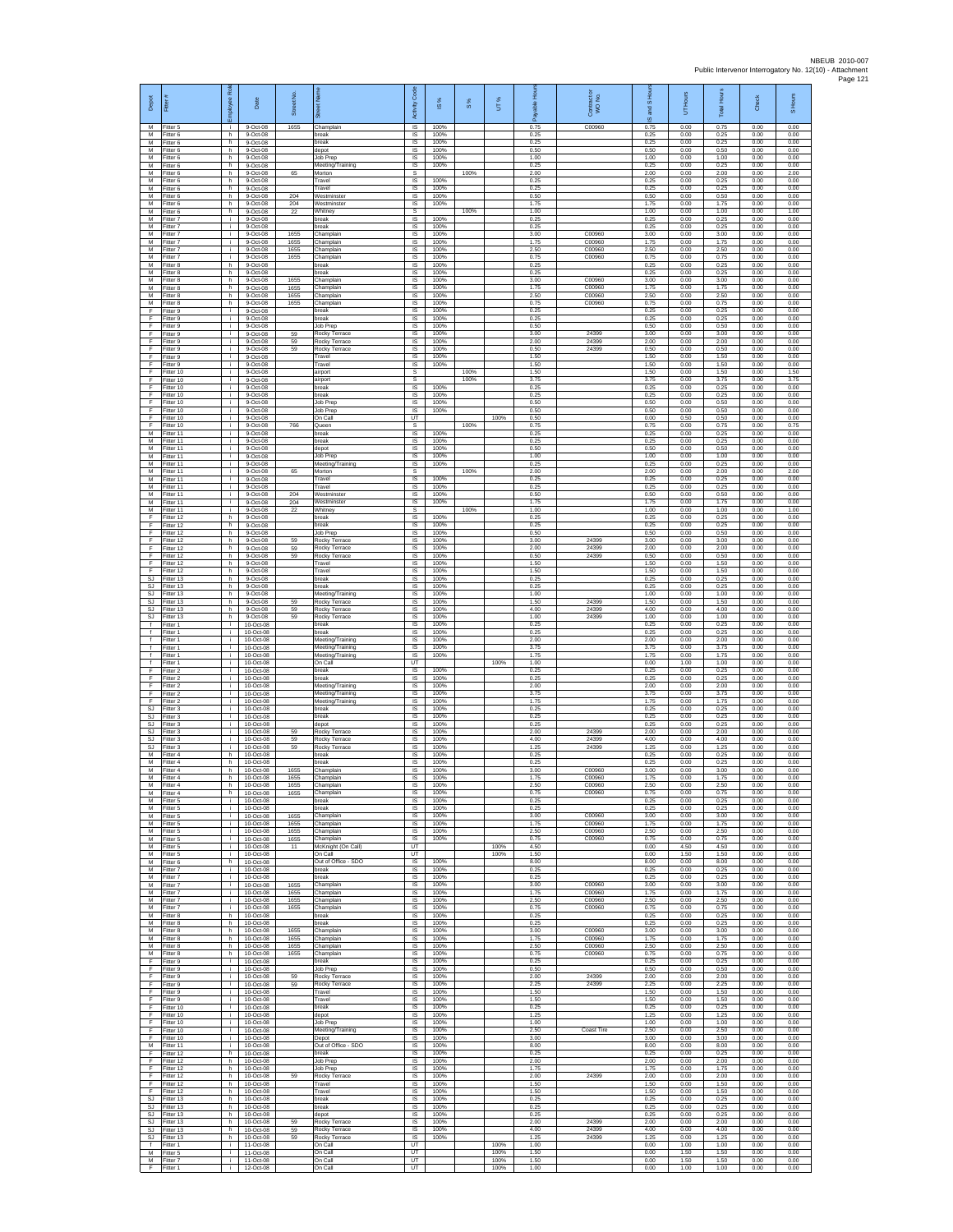| Depot                                              | Fiter                               | æ<br>loyee              | Date                                | Street No.           |                                                      | Code<br>Activity                    | IS %                 | $\frac{8}{3}$ | UT%          | 휸                    | Contract or<br>WO No.      | IS <sub>Hou</sub><br>g<br>$\overline{\omega}$ | UT Hours             | <b>Total Hours</b>   | Check                | S Hours              |
|----------------------------------------------------|-------------------------------------|-------------------------|-------------------------------------|----------------------|------------------------------------------------------|-------------------------------------|----------------------|---------------|--------------|----------------------|----------------------------|-----------------------------------------------|----------------------|----------------------|----------------------|----------------------|
| M<br>M<br>M                                        | Fitter 5<br>Fitter 6<br>Fitter 6    | ÷.<br>h<br>h            | 9-Oct-08<br>9-Oct-08<br>9-Oct-08    | 1655                 | Champlair<br>break<br>break                          | $\overline{\mathsf{s}}$<br>IS<br>IS | 100%<br>100%<br>100% |               |              | 0.75<br>0.25<br>0.25 | C00960                     | 0.75<br>0.25<br>0.25                          | 0.00<br>0.00<br>0.00 | 0.75<br>0.25<br>0.25 | 0.00<br>0.00<br>0.00 | 0.00<br>0.00<br>0.00 |
| M<br>M                                             | Fitter 6<br>Fitter 6                | h.<br>h.                | 9-Oct-08<br>9-Oct-08                |                      | depot<br>Job Prep                                    | <b>IS</b><br><b>IS</b>              | 100%<br>100%         |               |              | 0.50<br>1.00         |                            | 0.50<br>1.00                                  | 0.00<br>0.00         | 0.50<br>1.00         | 0.00<br>0.00         | 0.00<br>0.00         |
| M<br>M                                             | -itter 6<br>Fitter 6                | h<br>h                  | 9-Oct-08<br>9-Oct-08                | 65                   | Meeting/Training<br>Morton                           | IS<br>s                             | 100%                 | 100%          |              | 0.25<br>2.00         |                            | 0.25<br>2.00                                  | 0.00<br>0.00         | 0.25<br>2.00         | 0.00<br>0.00         | 0.00<br>2.00         |
| M<br>${\sf M}$<br>M                                | Fitter 6<br>-itter 6                | h.<br>h                 | 9-Oct-08<br>9-Oct-08                |                      | Travel<br>Travel<br>Westminster                      | IS<br>IS                            | 100%<br>100%         |               |              | 0.25<br>0.25         |                            | 0.25<br>0.25                                  | 0.00<br>0.00         | 0.25<br>0.25         | 0.00<br>0.00         | 0.00<br>0.00         |
| M<br>M                                             | Fitter 6<br>Fitter 6<br>Fitter 6    | $\mathsf{h}$<br>h.<br>h | 9-Oct-08<br>9-Oct-08<br>9-Oct-08    | 204<br>204<br>22     | Westminste<br>Whitney                                | IS<br><b>IS</b><br>s                | 100%<br>100%         | 100%          |              | 0.50<br>1.75<br>1.00 |                            | 0.50<br>1.75<br>1.00                          | 0.00<br>0.00<br>0.00 | 0.50<br>1.75<br>1.00 | 0.00<br>0.00<br>0.00 | 0.00<br>0.00<br>1.00 |
| M<br>M                                             | Fitter 7<br>fitter 7                | Ť.<br>i.                | 9-Oct-08<br>9-Oct-08                |                      | break<br>reak                                        | IS<br>IS                            | 100%<br>100%         |               |              | 0.25<br>0.25         |                            | 0.25<br>0.25                                  | 0.00<br>0.00         | 0.25<br>0.25         | 0.00<br>0.00         | 0.00<br>0.00         |
| M<br>M<br>M                                        | Fitter 7<br>-itter 7                | j.<br>i.<br>÷.          | 9-Oct-08<br>9-Oct-08                | 1655<br>1655         | Champlain<br>Champlain<br>Champlain                  | <b>IS</b><br><b>IS</b><br>IS        | 100%<br>100%<br>100% |               |              | 3.00<br>1.75<br>2.50 | C00960<br>C00960<br>C00960 | 3.00<br>1.75<br>2.50                          | 0.00<br>0.00<br>0.00 | 3.00<br>1.75<br>2.50 | 0.00<br>0.00<br>0.00 | 0.00<br>0.00<br>0.00 |
| M<br>M                                             | Fitter 7<br>Fitter 7<br>Fitter 8    | j.<br>h.                | 9-Oct-08<br>9-Oct-08<br>9-Oct-08    | 1655<br>1655         | Champlain<br>break                                   | IS<br>IS                            | 100%<br>100%         |               |              | 0.75<br>0.25         | C00960                     | 0.75<br>0.25                                  | 0.00<br>0.00         | 0.75<br>0.25         | 0.00<br>0.00         | 0.00<br>0.00         |
| M<br>M                                             | Fitter 8<br>Fitter 8                | h.<br>h.                | 9-Oct-08<br>9-Oct-08                | 1655                 | break<br>Champlain                                   | IS<br><b>IS</b>                     | 100%<br>100%         |               |              | 0.25<br>3.00         | C00960                     | 0.25<br>3.00                                  | 0.00<br>0.00         | 0.25<br>3.00         | 0.00<br>0.00         | 0.00<br>0.00         |
| M<br>M<br>М                                        | Fitter 8<br>Fitter 8<br>Fitter 8    | h.<br>h.<br>h.          | 9-Oct-08<br>9-Oct-08<br>$9-Oct-08$  | 1655<br>1655<br>1655 | Champlain<br>Champlain<br>Champlain                  | - IS<br>IS<br>IS                    | 100%<br>100%<br>100% |               |              | 1.75<br>2.50<br>0.75 | C00960<br>C00960<br>C00960 | 1.75<br>2.50<br>0.75                          | 0.00<br>0.00<br>0.00 | 1.75<br>2.50<br>0.75 | 0.00<br>0.00<br>0.00 | 0.00<br>0.00<br>0.00 |
| F<br>F                                             | Fitter 9<br>Fitter 9                | j.<br>j.                | 9-Oct-08<br>9-Oct-08                |                      | oreak<br>break                                       | IS<br><b>IS</b>                     | 100%<br>100%         |               |              | 0.25<br>0.25         |                            | 0.25<br>0.25                                  | 0.00<br>0.00         | 0.25<br>0.25         | 0.00<br>0.00         | 0.00<br>0.00         |
| F<br>F                                             | -itter 9<br>-itter 9                | i.<br>j.                | 9-Oct-08<br>9-Oct-08                | 59                   | Job Prep<br>Rocky Terrace                            | $\sf IS$<br>$\sf IS$                | 100%<br>100%         |               |              | 0.50<br>3.00         | 24399                      | 0.50<br>3.00                                  | 0.00<br>0.00         | 0.50<br>3.00         | 0.00<br>0.00         | 0.00<br>0.00         |
| -F<br>-F.<br>Ŧ                                     | Fitter 9<br>Fitter 9<br>Fitter 9    | j.<br>i.<br>÷.          | 9-Oct-08<br>9-Oct-08<br>9-Oct-08    | 59<br>59             | Rocky Terrace<br>Rocky Terrace<br>Travel             | IS<br><b>IS</b><br>IS               | 100%<br>100%<br>100% |               |              | 2.00<br>0.50<br>1.50 | 24399<br>24399             | 2.00<br>0.50<br>1.50                          | 0.00<br>0.00<br>0.00 | 2.00<br>0.50<br>1.50 | 0.00<br>0.00<br>0.00 | 0.00<br>0.00<br>0.00 |
| Ŧ<br>E                                             | Fitter 9<br>Fitter 10               | i.<br>j.                | 9-Oct-08<br>9-Oct-08                |                      | Travel<br>airport                                    | <b>IS</b><br>s                      | 100%                 | 100%          |              | 1.50<br>1.50         |                            | 1.50<br>1.50                                  | 0.00<br>0.00         | 1.50<br>1.50         | 0.00<br>0.00         | 0.00<br>1.50         |
| F<br>F                                             | Fitter 10<br>Fitter 10              | j.<br>j.                | 9-Oct-08<br>$9-Oct-08$              |                      | airport<br>break                                     | s<br>IS                             | 100%                 | 100%          |              | 3.75<br>0.25         |                            | 3.75<br>0.25                                  | 0.00<br>0.00         | 3.75<br>0.25         | 0.00<br>0.00         | 3.75<br>0.00         |
| F<br>F<br>Ŧ                                        | Fitter 10<br>Fitter 10<br>Fitter 10 | i.<br>Ť.<br>i.          | 9-Oct-08<br>9-Oct-08<br>9-Oct-08    |                      | break<br>Job Prep<br>Job Prep                        | <b>IS</b><br>IS<br>IS               | 100%<br>100%<br>100% |               |              | 0.25<br>0.50<br>0.50 |                            | 0.25<br>0.50<br>0.50                          | 0.00<br>0.00<br>0.00 | 0.25<br>0.50<br>0.50 | 0.00<br>0.00<br>0.00 | 0.00<br>0.00<br>0.00 |
| Ŧ<br>F                                             | Fitter 10<br>Fitter 10              | i.<br>j.                | 9-Oct-08<br>9-Oct-08                | 766                  | On Call<br>Queen                                     | UT<br>s                             |                      | 100%          | 100%         | 0.50<br>0.75         |                            | 0.00<br>0.75                                  | 0.50<br>0.00         | 0.50<br>0.75         | 0.00<br>0.00         | 0.00<br>0.75         |
| M<br>M<br>M                                        | Fitter 11<br>Fitter 11<br>Fitter 11 | i.<br>i.<br>i.          | 9-Oct-08<br>$9-Oct-08$<br>9-Oct-08  |                      | break<br>break<br>depot                              | <b>IS</b><br>IS<br>IS               | 100%<br>100%<br>100% |               |              | 0.25<br>0.25<br>0.50 |                            | 0.25<br>0.25<br>0.50                          | 0.00<br>0.00<br>0.00 | 0.25<br>0.25<br>0.50 | 0.00<br>0.00<br>0.00 | 0.00<br>0.00<br>0.00 |
| M<br>M                                             | Fitter 11<br>Fitter 11              | i.<br>i.                | 9-Oct-08<br>9-Oct-08                |                      | Job Prep<br>Meeting/Training                         | IS<br>IS                            | 100%<br>100%         |               |              | 1.00<br>0.25         |                            | 1.00<br>0.25                                  | 0.00<br>0.00         | 1.00<br>0.25         | 0.00<br>0.00         | 0.00<br>0.00         |
| M<br>M<br>M                                        | Fitter 11<br>Fitter 11              | i.<br>j.<br>j.          | 9-Oct-08<br>9-Oct-08                | 65                   | Morton<br>Travel<br>Travel                           | s<br>IS<br>IS                       | 100%<br>100%         | 100%          |              | 2.00<br>0.25<br>0.25 |                            | 2.00<br>0.25<br>0.25                          | 0.00<br>0.00<br>0.00 | 2.00<br>0.25<br>0.25 | 0.00<br>0.00<br>0.00 | 2.00<br>0.00<br>0.00 |
| M<br>M                                             | Fitter 11<br>Fitter 11<br>-itter 11 | Ť.<br>Ť.                | 9-Oct-08<br>9-Oct-08<br>9-Oct-08    | 204<br>204           | Westminster<br>Westminster                           | IS<br>IS                            | 100%<br>100%         |               |              | 0.50<br>1.75         |                            | 0.50<br>1.75                                  | 0.00<br>0.00         | 0.50<br>1.75         | 0.00<br>0.00         | 0.00<br>0.00         |
| M<br>F                                             | Fitter 11<br>Fitter 12              | j.<br>h.                | 9-Oct-08<br>9-Oct-08                | 22                   | Whitney<br>break                                     | s<br>IS                             | 100%                 | 100%          |              | 1.00<br>0.25         |                            | 1.00<br>0.25                                  | 0.00<br>0.00         | 1.00<br>0.25         | 0.00<br>0.00         | 1.00<br>0.00         |
| F<br>-F<br>-F.                                     | litter 12<br>Fitter 12<br>Fitter 12 | h<br>h.<br>h.           | 9-Oct-08<br>9-Oct-08<br>9-Oct-08    | 59                   | break<br>Job Prep<br>Rocky Terrace                   | $\sf IS$<br>IS<br>IS                | 100%<br>100%<br>100% |               |              | 0.25<br>0.50<br>3.00 | 24399                      | 0.25<br>0.50<br>3.00                          | 0.00<br>0.00<br>0.00 | 0.25<br>0.50<br>3.00 | 0.00<br>0.00<br>0.00 | 0.00<br>0.00<br>0.00 |
| Ŧ<br>Ŧ                                             | Fitter 12<br>Fitter 12              | h<br>h.                 | 9-Oct-08<br>9-Oct-08                | 59<br>59             | Rocky Terrace<br>Rocky Terrace                       | IS<br>IS                            | 100%<br>100%         |               |              | 2.00<br>0.50         | 24399<br>24399             | 2.00<br>0.50                                  | 0.00<br>0.00         | 2.00<br>0.50         | 0.00<br>0.00         | 0.00<br>0.00         |
| E<br>$\mathsf F$<br>$\mathbb{S}\mathbb{J}$         | Fitter 12<br>Fitter 12<br>Fitter 13 | h.<br>h<br>h            | 9-Oct-08<br>9-Oct-08<br>$9-Oct-08$  |                      | Travel<br>Travel<br>break                            | IS<br>IS<br>IS                      | 100%<br>100%<br>100% |               |              | 1.50<br>1.50<br>0.25 |                            | 1.50<br>1.50<br>0.25                          | 0.00<br>0.00<br>0.00 | 1.50<br>1.50<br>0.25 | 0.00<br>0.00<br>0.00 | 0.00<br>0.00<br>0.00 |
| SJ.<br>SJ                                          | Fitter 13<br>Fitter 13              | h.<br>h                 | 9-Oct-08<br>9-Oct-08                |                      | break<br>Meeting/Training                            | IS<br>IS                            | 100%<br>100%         |               |              | 0.25<br>1.00         |                            | 0.25<br>1.00                                  | 0.00<br>0.00         | 0.25<br>1.00         | 0.00<br>0.00         | 0.00<br>0.00         |
| SJ<br><b>SJ</b>                                    | Fitter 13<br>Fitter 13              | h.<br>h                 | 9-Oct-08<br>9-Oct-08                | 59<br>59<br>59       | Rocky Terrace<br>Rocky Terrace                       | IS<br>IS                            | 100%<br>100%         |               |              | 1.50<br>4.00         | 24399<br>24399             | 1.50<br>4.00                                  | 0.00<br>0.00         | 1.50<br>4.00         | 0.00<br>0.00         | 0.00<br>0.00         |
| SJ.<br>$\ddot{\phantom{1}}$<br>$\ddot{\mathbf{f}}$ | Fitter 13<br>-itter 1<br>Fitter 1   | h.<br>i.<br>i.          | 9-Oct-08<br>10-Oct-08<br>10-Oct-08  |                      | Rocky Terrace<br>break<br>break                      | <b>IS</b><br><b>IS</b><br>IS        | 100%<br>100%<br>100% |               |              | 1.00<br>0.25<br>0.25 | 24399                      | 1.00<br>0.25<br>0.25                          | 0.00<br>0.00<br>0.00 | 1.00<br>0.25<br>0.25 | 0.00<br>0.00<br>0.00 | 0.00<br>0.00<br>0.00 |
| $\ddot{\phantom{1}}$<br>f<br>$\ddot{\phantom{1}}$  | Fitter 1<br>Fitter 1<br>-itter 1    | i.<br>i.<br>i.          | 10-Oct-08<br>10-Oct-08<br>10-Oct-08 |                      | Meeting/Training<br>Meeting/Training                 | IS<br>IS<br>IS                      | 100%<br>100%<br>100% |               |              | 2.00<br>3.75<br>1.75 |                            | 2.00<br>3.75<br>1.75                          | 0.00<br>0.00<br>0.00 | 2.00<br>3.75<br>1.75 | 0.00<br>0.00<br>0.00 | 0.00<br>0.00<br>0.00 |
| Ŧ<br>F                                             | Fitter 1<br>Fitter 2                | i.<br>j.                | 10-Oct-08<br>10-Oct-08              |                      | Meeting/Training<br>On Call<br>break                 | UT<br><b>IS</b>                     | 100%                 |               | 100%         | 1.00<br>0.25         |                            | 0.00<br>0.25                                  | 1.00<br>0.00         | 1.00<br>0.25         | 0.00<br>0.00         | 0.00<br>0.00         |
| F<br>F<br>F                                        | Fitter 2<br>Fitter 2                | j.<br>Ť.<br>i.          | 10-Oct-08<br>10-Oct-08<br>10-Oct-08 |                      | break<br>Meeting/Training<br>Meeting/Training        | IS<br>IS<br>IS                      | 100%<br>100%<br>100% |               |              | 0.25<br>2.00<br>3.75 |                            | 0.25<br>2.00<br>3.75                          | 0.00<br>0.00<br>0.00 | 0.25<br>2.00<br>3.75 | 0.00<br>0.00<br>0.00 | 0.00<br>0.00<br>0.00 |
| -F<br>SJ                                           | Fitter 2<br>Fitter 2<br>-itter 3    | j.<br>j.                | 10-Oct-08<br>10-Oct-08              |                      | Meeting/Training<br>break                            | <b>IS</b><br>$\sf IS$               | 100%<br>100%         |               |              | 1.75<br>0.25         |                            | 1.75<br>0.25                                  | 0.00<br>0.00         | 1.75<br>0.25         | 0.00<br>0.00         | 0.00<br>0.00         |
| SJ<br>SJ.                                          | -itter 3<br>Fitter 3                | j.<br>j.                | 10-Oct-08<br>10-Oct-08              |                      | break<br>depot                                       | $\sf IS$<br><b>IS</b>               | 100%<br>100%         |               |              | 0.25<br>0.25         |                            | 0.25<br>0.25                                  | 0.00<br>0.00         | 0.25<br>0.25         | 0.00<br>0.00         | 0.00<br>0.00         |
| S.I.<br><b>SJ</b><br>SJ                            | Fitter 3<br>Fitter 3<br>Fitter 3    | i.<br>i.                | 10-Oct-08<br>10-Oct-08<br>10-Oct-08 | 59<br>59<br>59       | Rocky Terrace<br>Rocky Terrace<br>Rocky Terrace      | <b>IS</b><br>IS<br>IS               | 100%<br>100%<br>100% |               |              | 2.00<br>4.00<br>1.25 | 24399<br>24399<br>24399    | 2.00<br>4.00<br>1.25                          | 0.00<br>0.00<br>0.00 | 2.00<br>4.00<br>1.25 | 0.00<br>0.00<br>0.00 | 0.00<br>0.00<br>0.00 |
| M<br>М                                             | Fitter 4<br>-itter 4                | h.<br>h                 | 10-Oct-08<br>10-Oct-08              |                      | break<br>break                                       | - IS<br>IS                          | 100%<br>100%         |               |              | 0.25<br>0.25         |                            | 0.25<br>0.25                                  | 0.00<br>0.00         | 0.25<br>0.25         | 0.00<br>0.00         | 0.00<br>0.00         |
| М<br>M<br>M                                        | Fitter 4<br>Fitter 4<br>Fitter 4    | h.<br>h.<br>h           | 10-Oct-08<br>10-Oct-08<br>10-Oct-08 | 1655<br>1655<br>1655 | Champlain<br>Champlain<br>Champlain                  | $\sf IS$<br>IS<br>IS                | 100%<br>100%<br>100% |               |              | 3.00<br>1.75<br>2.50 | C00960<br>C00960<br>C00960 | 3.00<br>1.75<br>2.50                          | 0.00<br>0.00<br>0.00 | 3.00<br>1.75<br>2.50 | 0.00<br>0.00<br>0.00 | 0.00<br>0.00<br>0.00 |
| M<br>M                                             | Fitter 4<br>fitter 5                | h<br>j.                 | 10-Oct-08<br>10-Oct-08              | 1655                 | Champlain<br>oreak                                   | IS<br>IS                            | 100%<br>100%         |               |              | 0.75<br>0.25         | C00960                     | 0.75<br>0.25                                  | 0.00<br>0.00         | 0.75<br>0.25         | 0.00<br>0.00         | 0.00<br>0.00         |
| M<br>M                                             | Fitter 5<br>Fitter 5                | j.<br>j.<br>i.          | 10-Oct-08<br>10-Oct-08<br>10-Oct-08 | 1655                 | break<br>Champlain<br>Champlain                      | - IS<br><b>IS</b><br>IS             | 100%<br>100%<br>100% |               |              | 0.25<br>3.00<br>1.75 | C00960<br>C00960           | 0.25<br>3.00<br>1.75                          | 0.00<br>0.00<br>0.00 | 0.25<br>3.00<br>1.75 | 0.00<br>0.00<br>0.00 | 0.00<br>0.00<br>0.00 |
| M<br>M<br>M                                        | Fitter 5<br>Fitter 5<br>Fitter 5    | i.<br>i.                | $10-Ort-08$<br>10-Oct-08            | 1655<br>1655<br>1655 | Champlain<br>Champlain                               | <b>IS</b><br>IS                     | 100%<br>100%         |               |              | 2.50<br>0.75         | C00960<br>C00960           | 2.50<br>0.75                                  | 0.00<br>0.00         | 2.50<br>0.75         | 0.00<br>0.00         | 0.00<br>0.00         |
| ${\sf M}$<br>M                                     | Fitter 5<br>Fitter 5                | i.<br>i.                | 10-Oct-08<br>10-Oct-08              | 11                   | McKnight (On Call)<br>On Call<br>Out of Office - SDO | UT<br>UT                            |                      |               | 100%<br>100% | 4.50<br>1.50         |                            | 0.00<br>0.00                                  | 4.50<br>1.50         | 4.50<br>1.50         | 0.00<br>0.00         | 0.00<br>0.00         |
| M<br>M<br>M                                        | Fitter 6<br>Fitter 7<br>Fitter 7    | h.<br>i.<br>Ť.          | 10-Oct-08<br>10-Oct-08<br>10-Oct-08 |                      | break<br>break                                       | IS.<br>IS<br>IS                     | 100%<br>100%<br>100% |               |              | 8.00<br>0.25<br>0.25 |                            | 8.00<br>0.25<br>0.25                          | 0.00<br>0.00<br>0.00 | 8.00<br>0.25<br>0.25 | 0.00<br>0.00<br>0.00 | 0.00<br>0.00<br>0.00 |
| M<br>M                                             | Fitter 7<br>Fitter 7                | ÷.<br>j.                | 10-Oct-08<br>10-Oct-08              | 1655<br>1655         | Champlain<br>Champlain                               | IS<br>- IS                          | 100%<br>100%         |               |              | 3.00<br>1.75         | C00960<br>C00960           | 3.00<br>1.75                                  | 0.00<br>0.00         | 3.00<br>1.75         | 0.00<br>0.00         | 0.00<br>0.00         |
| M<br>M<br>M                                        | Fitter 7<br>Fitter 7<br>Fitter 8    | i.<br>Ť.<br>h.          | 10-Oct-08<br>10-Oct-08<br>10-Oct-08 | 1655<br>1655         | Champlain<br>Champlain<br>break                      | IS<br>$\sf IS$<br><b>IS</b>         | 100%<br>100%<br>100% |               |              | 2.50<br>0.75<br>0.25 | C00960<br>C00960           | 2.50<br>0.75<br>0.25                          | 0.00<br>0.00<br>0.00 | 2.50<br>0.75<br>0.25 | 0.00<br>0.00<br>0.00 | 0.00<br>0.00<br>0.00 |
| M<br>M                                             | Fitter 8<br>Fitter 8                | h.<br>h                 | 10-0ct-08<br>10-Oct-08              | 1655                 | hreak<br>Champlain                                   | <b>IS</b><br>IS                     | 100%<br>100%         |               |              | 0.25<br>3.00         | C00960                     | 0.25<br>3.00                                  | 0.00<br>0.00         | 0.25<br>3.00         | 0.00<br>0.00         | 0.00<br>0.00         |
| M<br>M<br>M                                        | Fitter 8<br>Fitter 8<br>-itter 8    | h<br>h.<br>h            | 10-Oct-08<br>10-Oct-08<br>10-Oct-08 | 1655<br>1655<br>1655 | Champlain<br>Champlain<br>Champlain                  | IS<br>- IS<br>IS                    | 100%<br>100%<br>100% |               |              | 1.75<br>2.50<br>0.75 | C00960<br>C00960<br>C00960 | 1.75<br>2.50<br>0.75                          | 0.00<br>0.00<br>0.00 | 1.75<br>2.50<br>0.75 | 0.00<br>0.00<br>0.00 | 0.00<br>0.00<br>0.00 |
| F<br>F                                             | Fitter 9<br>Fitter 9                | i.<br>j.                | 10-Oct-08<br>10-Oct-08              |                      | break<br>Job Prep                                    | IS<br><b>IS</b>                     | 100%<br>100%         |               |              | 0.25<br>0.50         |                            | 0.25<br>0.50                                  | 0.00<br>0.00         | 0.25<br>0.50         | 0.00<br>0.00         | 0.00<br>0.00         |
| E<br>Ŧ<br>Ŧ                                        | Fitter 9<br>Fitter 9<br>Fitter 9    | ÷.<br>i.<br>j.          | 10-Oct-08<br>10-Oct-08<br>10-Oct-08 | 59<br>59             | Rocky Terrace<br>Rocky Terrace<br>Travel             | IS<br>IS<br><b>IS</b>               | 100%<br>100%<br>100% |               |              | 2.00<br>2.25<br>1.50 | 24399<br>24399             | 2.00<br>2.25<br>1.50                          | 0.00<br>0.00<br>0.00 | 2.00<br>2.25<br>1.50 | 0.00<br>0.00<br>0.00 | 0.00<br>0.00<br>0.00 |
| -F<br>F.                                           | Fitter 9<br>Fitter 10               | j.<br>i.                | 10-Oct-08<br>10-Oct-08              |                      | Travel<br>break                                      | - IS<br><b>IS</b>                   | 100%<br>100%         |               |              | 1.50<br>0.25         |                            | 1.50<br>0.25                                  | 0.00<br>0.00         | 1.50<br>0.25         | 0.00<br>0.00         | 0.00<br>0.00         |
| F<br>-F<br>F.                                      | Fitter 10<br>Fitter 10<br>Fitter 10 | Ť.<br>i.<br>i.          | 10-Oct-08<br>10-Oct-08<br>10-Oct-08 |                      | depot<br><b>Job Prep</b>                             | IS<br>IS<br>IS                      | 100%<br>100%<br>100% |               |              | 1.25<br>1.00<br>2.50 |                            | 1.25<br>1.00<br>2.50                          | 0.00<br>0.00<br>0.00 | 1.25<br>1.00<br>2.50 | 0.00<br>0.00<br>0.00 | 0.00<br>0.00<br>0.00 |
| -F<br>M                                            | Fitter 10<br>Fitter 11              | i.<br>i.                | 10-Oct-08<br>10-Oct-08              |                      | Meeting/Training<br>Depot<br>Out of Office - SDO     | IS<br><b>IS</b>                     | 100%<br>100%         |               |              | 3.00<br>8.00         | Coast Tire                 | 3.00<br>8.00                                  | 0.00<br>0.00         | 3.00<br>8.00         | 0.00<br>0.00         | 0.00<br>0.00         |
| F<br>F<br>F.                                       | Fitter 12<br>Fitter 12              | h.<br>h<br>h.           | 10-Oct-08<br>10-Oct-08              |                      | break<br>Job Prep<br>Job Prep                        | <b>IS</b><br>IS<br>IS               | 100%<br>100%<br>100% |               |              | 0.25<br>2.00<br>1.75 |                            | 0.25<br>2.00<br>1.75                          | 0.00<br>0.00<br>0.00 | 0.25<br>2.00<br>1.75 | 0.00<br>0.00<br>0.00 | 0.00<br>0.00<br>0.00 |
| F<br>E                                             | Fitter 12<br>Fitter 12<br>Fitter 12 | h<br>h.                 | 10-Oct-08<br>10-Oct-08<br>10-Oct-08 | 59                   | Rocky Terrace<br>Travel                              | IS<br>- IS                          | 100%<br>100%         |               |              | 2.00<br>1.50         | 24399                      | 2.00<br>1.50                                  | 0.00<br>0.00         | 2.00<br>1.50         | 0.00<br>0.00         | 0.00<br>0.00         |
| F<br>$\mathbb{S}\mathbb{J}$                        | Fitter 12<br>Fitter 13              | h.<br>h                 | 10-Oct-08<br>10-Oct-08<br>10-Oct-08 |                      | Travel<br>break                                      | $\sf IS$<br>$\sf IS$<br><b>IS</b>   | 100%<br>100%         |               |              | 1.50<br>0.25<br>0.25 |                            | 1.50<br>0.25<br>0.25                          | 0.00<br>0.00<br>0.00 | 1.50<br>0.25<br>0.25 | 0.00<br>0.00<br>0.00 | 0.00<br>0.00<br>0.00 |
| SJ.<br>S.I.<br>SJ                                  | Fitter 13<br>Fitter 13<br>Fitter 13 | h.<br>h.<br>h           | 10-Oct-08<br>10-Oct-08              | 59                   | break<br>depot<br>Rocky Terrace                      | <b>IS</b><br>IS                     | 100%<br>100%<br>100% |               |              | 0.25<br>2.00         | 24399                      | 0.25<br>2.00                                  | 0.00<br>0.00         | 0.25<br>2.00         | 0.00<br>0.00         | 0.00<br>0.00         |
| SJ<br>SJ                                           | Fitter 13<br>Fitter 13              | h<br>h.<br>i.           | 10-Oct-08<br>10-Oct-08              | 59<br>59             | Rocky Terrace<br>Rocky Terrace                       | <b>IS</b><br>- IS<br>UT             | 100%<br>100%         |               | 100%         | 4.00<br>1.25<br>1.00 | 24399<br>24399             | 4.00<br>1.25                                  | 0.00<br>0.00         | 4.00<br>1.25         | 0.00<br>0.00         | 0.00<br>0.00<br>0.00 |
| f.<br>M<br>M                                       | -itter 1<br>Fitter 5<br>Fitter 7    | j.<br>j.                | 11-Oct-08<br>11-Oct-08<br>11-Oct-08 |                      | On Call<br>On Call<br>On Call                        | UT<br>UT                            |                      |               | 100%<br>100% | 1.50<br>1.50         |                            | 0.00<br>0.00<br>0.00                          | 1.00<br>1.50<br>1.50 | 1.00<br>1.50<br>1.50 | 0.00<br>0.00<br>0.00 | 0.00<br>0.00         |
| F                                                  | Fitter 1                            | j.                      | 12-Oct-08                           |                      | On Call                                              | UT                                  |                      |               | 100%         | 1.00                 |                            | 0.00                                          | 1.00                 | 1.00                 | 0.00                 | 0.00                 |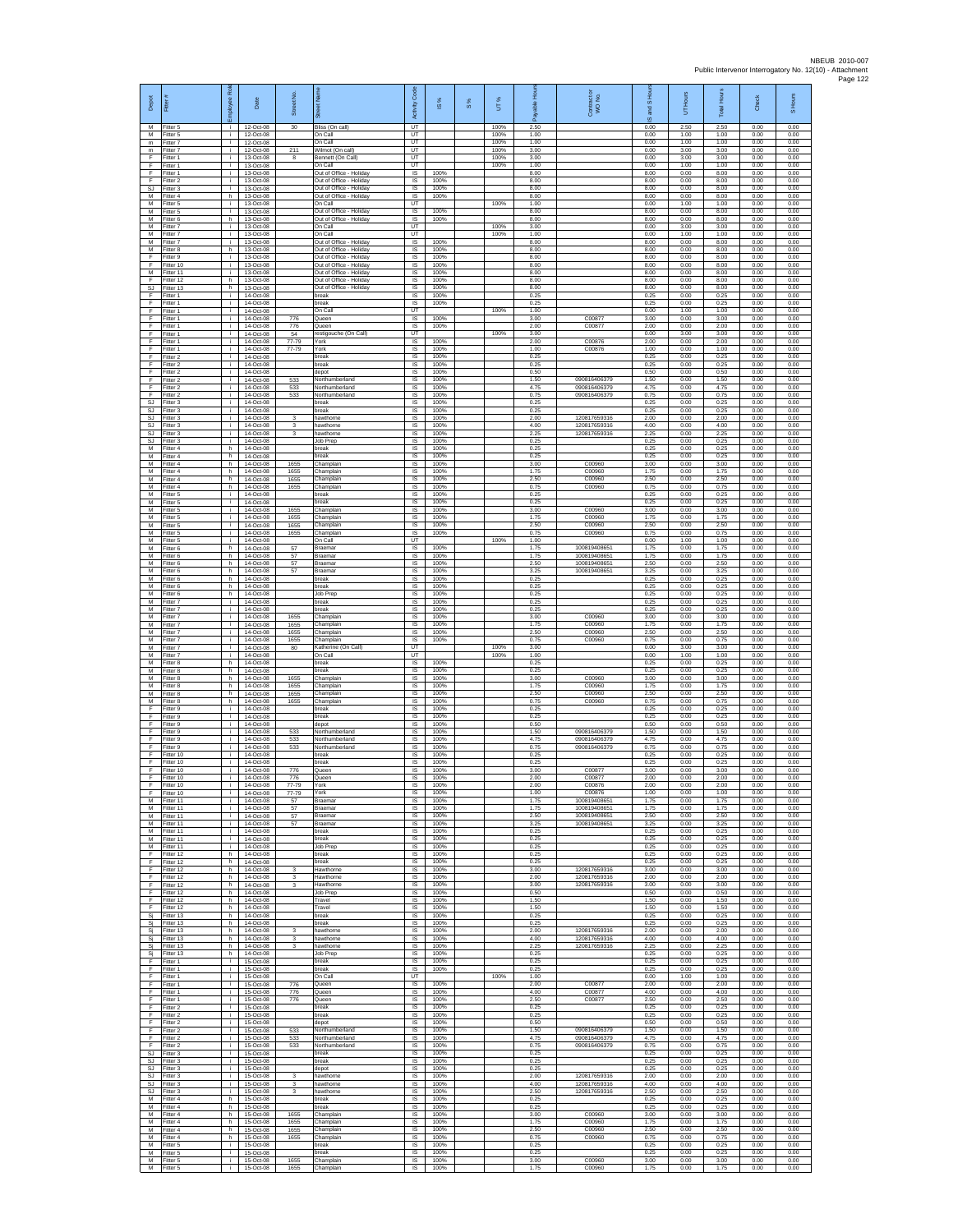| Depot                        | Fitter                              | ployee Role        | Date                                  | Street No                  | 芿                                                                             | Code<br>Activity                          | <b>iS %</b>          | S % | UT%                  | Ŕ.                   | Contract or<br>WO No.                        | 훈<br>IS and S        | 5                    | <b>Total Hours</b>   | Check                | S Hours              |
|------------------------------|-------------------------------------|--------------------|---------------------------------------|----------------------------|-------------------------------------------------------------------------------|-------------------------------------------|----------------------|-----|----------------------|----------------------|----------------------------------------------|----------------------|----------------------|----------------------|----------------------|----------------------|
| M<br>M<br>m                  | Fitter 5<br>Fitter 5<br>Fitter 7    | ÷.<br>j.<br>÷.     | 12-Oct-08<br>12-Oct-08<br>12-Oct-08   | 30                         | Bliss (On call)<br>On Call<br>On Call                                         | UT<br>UT<br>UT                            |                      |     | 100%<br>100%<br>100% | 2.50<br>1.00<br>1.00 |                                              | 0.00<br>0.00<br>0.00 | 2.50<br>1.00<br>1.00 | 2.50<br>1.00<br>1.00 | 0.00<br>0.00<br>0.00 | 0.00<br>0.00<br>0.00 |
| $\mathsf{m}$<br>F<br>F       | Fitter 7<br>itter 1<br>Fitter 1     | ÷.<br>j.<br>÷i.    | 12-Oct-08<br>13-Oct-08<br>13-Oct-08   | 211<br>8                   | Wilmot (On call)<br>Bennett (On Call)<br>On Call                              | UT<br>UT<br>UT                            |                      |     | 100%<br>100%<br>100% | 3.00<br>3.00<br>1.00 |                                              | 0.00<br>0.00<br>0.00 | 3.00<br>3.00<br>1.00 | 3.00<br>3.00<br>1.00 | 0.00<br>0.00<br>0.00 | 0.00<br>0.00<br>0.00 |
| F<br>F                       | Fitter 1<br>Fitter 2                | i.<br>÷.           | 13-Oct-08<br>13-Oct-08                |                            | Out of Office - Holiday<br>Out of Office - Holiday                            | IS<br>IS                                  | 100%<br>100%         |     |                      | 8.00<br>8.00         |                                              | 8.00<br>8.00         | 0.00<br>0.00         | 8.00<br>8.00         | 0.00<br>0.00         | 0.00<br>0.00         |
| SJ<br>M<br>М                 | Fitter 3<br>Fitter 4<br>itter 5     | j.<br>h.<br>i.     | 13-Oct-08<br>$13-Ort-08$<br>13-Oct-08 |                            | Out of Office - Holiday<br>Out of Office - Holiday<br>On Call                 | IS<br>IS<br>UT                            | 100%<br>100%         |     | 100%                 | 8.00<br>8.00<br>1.00 |                                              | 8.00<br>8.00<br>0.00 | 0.00<br>0.00<br>1.00 | 8.00<br>8.00<br>1.00 | 0.00<br>0.00<br>0.00 | 0.00<br>0.00<br>0.00 |
| M<br>M<br>M                  | Fitter 5<br>Fitter 6<br>Fitter 7    | j.<br>h.<br>i.     | 13-Oct-08<br>13-Oct-08<br>13-Oct-08   |                            | Out of Office - Holiday<br>Out of Office - Holiday<br>On Call                 | $\sf IS$<br>$\overline{\mathsf{s}}$<br>UT | 100%<br>100%         |     | 100%                 | 8.00<br>8.00<br>3.00 |                                              | 8.00<br>8.00<br>0.00 | 0.00<br>0.00<br>3.00 | 8.00<br>8.00<br>3.00 | 0.00<br>0.00<br>0.00 | 0.00<br>0.00<br>0.00 |
| М<br>M                       | Fitter 7<br>itter 7                 | ÷.<br>j.           | 13-Oct-08<br>13-Oct-08                |                            | On Call<br>Out of Office - Holiday                                            | UT<br>IS                                  | 100%                 |     | 100%                 | 1.00<br>8.00         |                                              | 0.00<br>8.00         | 1.00<br>0.00         | 1.00<br>8.00         | 0.00<br>0.00         | 0.00<br>0.00         |
| M<br>F<br>F                  | Fitter 8<br>Fitter 9<br>Fitter 10   | h.<br>i.<br>÷      | 13-Oct-08<br>13-Oct-08<br>13-Oct-08   |                            | Out of Office - Holiday<br>Out of Office - Holiday<br>Out of Office - Holiday | IS<br><b>IS</b><br>$\sf IS$               | 100%<br>100%<br>100% |     |                      | 8.00<br>8.00<br>8.00 |                                              | 8.00<br>8.00<br>8.00 | 0.00<br>0.00<br>0.00 | 8.00<br>8.00<br>8.00 | 0.00<br>0.00<br>0.00 | 0.00<br>0.00<br>0.00 |
| M<br>F<br><b>SJ</b>          | Fitter 11<br>Fitter 12<br>Fitter 13 | j.<br>h.<br>h      | 13-Oct-08<br>13-Oct-08<br>13-Oct-08   |                            | Out of Office - Holiday<br>Out of Office - Holiday<br>Out of Office - Holiday | IS<br>IS<br>IS                            | 100%<br>100%<br>100% |     |                      | 8.00<br>8.00<br>8.00 |                                              | 8.00<br>8.00<br>8.00 | 0.00<br>0.00<br>0.00 | 8.00<br>8.00<br>8.00 | 0.00<br>0.00<br>0.00 | 0.00<br>0.00<br>0.00 |
| F<br>F                       | fitter 1<br>Fitter 1                | j.<br>j.           | 14-Oct-08<br>14-Oct-08                |                            | break<br>break                                                                | IS<br>$\overline{\mathsf{s}}$             | 100%<br>100%         |     |                      | 0.25<br>0.25         |                                              | 0.25<br>0.25         | 0.00<br>0.00         | 0.25<br>0.25         | 0.00<br>0.00         | 0.00<br>0.00         |
| F<br>F<br>F                  | Fitter 1<br>Fitter 1<br>Fitter 1    | j.<br>÷.<br>÷.     | 14-Oct-08<br>14-Oct-08<br>14-Oct-08   | 776<br>776                 | On Call<br>Queen<br>Queen                                                     | UT<br>IS<br>IS                            | 100%<br>100%         |     | 100%                 | 1.00<br>3.00<br>2.00 | C00877<br>C00877                             | 0.00<br>3.00<br>2.00 | 1.00<br>0.00<br>0.00 | 1.00<br>3.00<br>2.00 | 0.00<br>0.00<br>0.00 | 0.00<br>0.00<br>0.00 |
| E<br>F<br>F                  | Fitter 1<br>Fitter 1                | ÷.<br>÷.           | 14-Oct-08<br>14-Oct-08                | 54<br>77-79                | restigouche (On Call)<br>York                                                 | UT<br>IS                                  | 100%<br>100%         |     | 100%                 | 3.00<br>2.00         | C00876                                       | 0.00<br>2.00         | 3.00<br>0.00         | 3.00<br>2.00         | 0.00<br>0.00         | 0.00<br>0.00         |
| E<br>F                       | fitter 1<br>Fitter 2<br>Fitter 2    | j.<br>j.<br>i.     | 14-Oct-08<br>14-Oct-08<br>14-Oct-08   | 77-79                      | York<br>break<br><b>oreak</b>                                                 | IS<br>IS<br>IS                            | 100%<br>100%         |     |                      | 1.00<br>0.25<br>0.25 | C00876                                       | 1.00<br>0.25<br>0.25 | 0.00<br>0.00<br>0.00 | 1.00<br>0.25<br>0.25 | 0.00<br>0.00<br>0.00 | 0.00<br>0.00<br>0.00 |
| F<br>F<br>F                  | Fitter 2<br>Fitter 2<br>Fitter 2    | ÷.<br>j.<br>i.     | 14-Oct-08<br>14-Oct-08<br>14-Oct-08   | 533<br>533                 | depot<br>Northumberland<br>Northumberland                                     | IS<br>IS<br>IS                            | 100%<br>100%<br>100% |     |                      | 0.50<br>1.50<br>4.75 | 090816406379<br>090816406379                 | 0.50<br>1.50<br>4.75 | 0.00<br>0.00<br>0.00 | 0.50<br>1.50<br>4.75 | 0.00<br>0.00<br>0.00 | 0.00<br>0.00<br>0.00 |
| F<br>SJ                      | Fitter 2<br>Fitter 3                | ÷.<br>j.           | 14-Oct-08<br>14-Oct-08                | 533                        | Northumberland<br>break                                                       | $\sf IS$<br>IS                            | 100%<br>100%         |     |                      | 0.75<br>0.25         | 090816406379                                 | 0.75<br>0.25         | 0.00<br>0.00         | 0.75<br>0.25         | 0.00<br>0.00         | 0.00<br>0.00         |
| <b>SJ</b><br><b>SJ</b><br>SJ | Fitter 3<br>Fitter 3<br>Fitter 3    | j.<br>j.<br>÷.     | 14-Oct-08<br>14-Oct-08<br>14-Oct-08   | 3<br>3                     | break<br>hawthorne<br>hawthorne                                               | IS<br>IS<br>IS                            | 100%<br>100%<br>100% |     |                      | 0.25<br>2.00<br>4.00 | 120817659316<br>120817659316                 | 0.25<br>2.00<br>4.00 | 0.00<br>0.00<br>0.00 | 0.25<br>2.00<br>4.00 | 0.00<br>0.00<br>0.00 | 0.00<br>0.00<br>0.00 |
| SJ<br><b>SJ</b><br>М         | Fitter 3<br>Fitter 3<br>Fitter 4    | j.<br>÷<br>h.      | 14-Oct-08<br>14-Oct-08<br>14-Oct-08   | 3                          | hawthorne<br>Job Prep<br>oreak                                                | IS<br>IS<br>IS                            | 100%<br>100%<br>100% |     |                      | 2.25<br>0.25<br>0.25 | 120817659316                                 | 2.25<br>0.25<br>0.25 | 0.00<br>0.00<br>0.00 | 2.25<br>0.25<br>0.25 | 0.00<br>0.00<br>0.00 | 0.00<br>0.00<br>0.00 |
| М<br>M                       | Fitter 4<br>Fitter 4                | h<br>h.            | 14-Oct-08<br>14-Oct-08                | 1655                       | break<br>Champlain                                                            | $\sf IS$<br><b>IS</b>                     | 100%<br>100%         |     |                      | 0.25<br>3.00         | C00960                                       | 0.25<br>3.00         | 0.00<br>0.00         | 0.25<br>3.00         | 0.00<br>0.00         | 0.00<br>0.00         |
| M<br>М<br>M                  | Fitter 4<br>itter 4<br>itter 4      | h.<br>h<br>h.      | 14-Oct-08<br>14-Oct-08<br>14-Oct-08   | 1655<br>1655<br>1655       | Champlain<br>Champlain<br>Champlain                                           | IS<br>IS<br>IS                            | 100%<br>100%<br>100% |     |                      | 175<br>2.50<br>0.75  | C00960<br>C00960<br>C00960                   | 1.75<br>2.50<br>0.75 | 0.00<br>0.00<br>0.00 | 1.75<br>2.50<br>0.75 | 0.00<br>0.00<br>0.00 | 0.00<br>0.00<br>0.00 |
| M<br>М                       | Fitter 5<br>itter 5                 | j.<br>j.           | 14-Oct-08<br>14-Oct-08                |                            | break<br>break                                                                | IS<br>IS                                  | 100%<br>100%         |     |                      | 0.25<br>0.25         |                                              | 0.25<br>0.25         | 0.00<br>0.00         | 0.25<br>0.25         | 0.00<br>0.00         | 0.00<br>0.00         |
| M<br>M<br>M                  | Fitter 5<br>fitter 5<br>Fitter 5    | ÷.<br>j.<br>÷.     | 14-Oct-08<br>14-Oct-08<br>14-Oct-08   | 1655<br>1655<br>1655       | Champlain<br>Champlain<br>Champlain                                           | IS<br>IS<br>IS                            | 100%<br>100%<br>100% |     |                      | 3.00<br>1.75<br>2.50 | C00960<br>C00960<br>C00960                   | 3.00<br>1.75<br>2.50 | 0.00<br>0.00<br>0.00 | 3.00<br>1.75<br>2.50 | 0.00<br>0.00<br>0.00 | 0.00<br>0.00<br>0.00 |
| М<br>М<br>M                  | Fitter 5<br>itter 5                 | ÷.<br>j.           | 14-Oct-08<br>14-Oct-08<br>14-Oct-08   | 1655                       | Champlair<br>On Call                                                          | IS<br>UT                                  | 100%<br>100%         |     | 100%                 | 0.75<br>1.00<br>1.75 | C00960<br>100819408651                       | 0.75<br>0.00         | 0.00<br>1.00         | 0.75<br>1.00         | 0.00<br>0.00         | 0.00<br>0.00         |
| M<br>М                       | Fitter 6<br>Fitter 6<br>Fitter 6    | h.<br>h.<br>h      | 14-Oct-08<br>14-Oct-08                | 57<br>57<br>57             | Braemar<br>Braemar<br>Braemar                                                 | IS<br>IS<br>IS                            | 100%<br>100%         |     |                      | 175<br>2.50          | 100819408651<br>100819408651                 | 1.75<br>1.75<br>2.50 | 0.00<br>0.00<br>0.00 | 1.75<br>1.75<br>2.50 | 0.00<br>0.00<br>0.00 | 0.00<br>0.00<br>0.00 |
| M<br>M<br>М                  | Fitter 6<br>Fitter 6<br>itter 6     | h.<br>h.<br>h.     | 14-Oct-08<br>14-Oct-08<br>14-Oct-08   | 57                         | Braemar<br>break<br>break                                                     | IS<br>IS<br>$\sf IS$                      | 100%<br>100%<br>100% |     |                      | 3.25<br>0.25<br>0.25 | 10081940865                                  | 3.25<br>0.25<br>0.25 | 0.00<br>0.00<br>0.00 | 3.25<br>0.25<br>0.25 | 0.00<br>0.00<br>0.00 | 0.00<br>0.00<br>0.00 |
| M<br>M                       | Fitter 6<br>Fitter 7                | $\mathsf{h}$<br>j. | 14-Oct-08<br>14-Oct-08                |                            | Job Prep<br>break                                                             | $\sf IS$<br><b>IS</b>                     | 100%<br>100%         |     |                      | 0.25<br>0.25         |                                              | 0.25<br>0.25         | 0.00<br>0.00         | 0.25<br>0.25         | 0.00<br>0.00         | 0.00<br>0.00         |
| M<br>М<br>M                  | Fitter 7<br>Fitter 7<br>itter 7     | j.<br>÷.<br>j.     | 14-Oct-08<br>14-Oct-08<br>14-Oct-08   | 1655<br>1655               | break<br>Champlair<br>Champlain                                               | IS<br>IS<br>IS                            | 100%<br>100%<br>100% |     |                      | 0.25<br>3.00<br>1.75 | C00960<br>C00960                             | 0.25<br>3.00<br>1.75 | 0.00<br>0.00<br>0.00 | 0.25<br>3.00<br>1.75 | 0.00<br>0.00<br>0.00 | 0.00<br>0.00<br>0.00 |
| M<br>M                       | Fitter 7<br>Fitter 7                | j.<br>i.           | 14-Oct-08<br>14-Oct-08                | 1655<br>1655               | Champlain<br>Champlain                                                        | IS<br><b>IS</b>                           | 100%<br>100%         |     |                      | 2.50<br>0.75         | C00960<br>C00960                             | 2.50<br>0.75         | 0.00<br>0.00         | 2.50<br>0.75         | 0.00<br>0.00         | 0.00<br>0.00         |
| М<br>M<br>M                  | Fitter 7<br>Fitter 7<br>Fitter 8    | ÷<br>j.<br>h.      | 14-Oct-08<br>14-Oct-08<br>14-Oct-08   | 80                         | Katherine (On Call)<br>On Call<br>hreak                                       | UT<br>UT<br>IS                            | 100%                 |     | 100%<br>100%         | 3.00<br>1.00<br>0.25 |                                              | 0.00<br>0.00<br>0.25 | 3.00<br>1.00<br>0.00 | 3.00<br>1.00<br>0.25 | 0.00<br>0.00<br>0.00 | 0.00<br>0.00<br>0.00 |
| М<br>M<br>M                  | fitter 8<br>fitter 8<br>Fitter 8    | h<br>h.<br>h.      | 14-Oct-08<br>14-Oct-08<br>14-Oct-08   | 1655<br>1655               | break<br>Champlain<br>Champlain                                               | IS<br>IS<br><b>IS</b>                     | 100%<br>100%<br>100% |     |                      | 0.25<br>3.00<br>1.75 | C00960<br>C00960                             | 0.25<br>3.00<br>1.75 | 0.00<br>0.00<br>0.00 | 0.25<br>3.00<br>1.75 | 0.00<br>0.00<br>0.00 | 0.00<br>0.00<br>0.00 |
| М<br>M                       | Fitter 8<br>Fitter 8                | h<br>h.            | 14-Oct-08<br>14-Oct-08                | 1655<br>1655               | Champlain<br>Champlain                                                        | IS<br>IS                                  | 100%<br>100%         |     |                      | 2.50<br>0.75         | C00960<br>C00960                             | 2.50<br>0.75         | 0.00<br>0.00         | 2.50<br>0.75         | 0.00<br>0.00         | 0.00<br>0.00         |
| F<br>E<br>F                  | fitter 9<br>Fitter 9<br>Fitter 9    | j.<br>÷.<br>÷.     | 14-Oct-08<br>14-Oct-08<br>14-Oct-08   |                            | oreak<br>break<br>depot                                                       | IS<br>IS<br>IS                            | 100%<br>100%<br>100% |     |                      | 0.25<br>0.25<br>0.50 |                                              | 0.25<br>0.25<br>0.50 | 0.00<br>0.00<br>0.00 | 0.25<br>0.25<br>0.50 | 0.00<br>0.00<br>0.00 | 0.00<br>0.00<br>0.00 |
| F<br>E<br>F                  | fitter 9<br>Fitter 9<br>Fitter 9    | j.<br>÷<br>i.      | 14-Oct-08<br>14-Oct-08<br>14-Oct-08   | 533<br>533<br>533          | Northumberland<br>Northumberland<br>Northumberland                            | IS<br>IS<br>IS                            | 100%<br>100%<br>100% |     |                      | 1.50<br>4.75<br>0.75 | 090816406379<br>090816406379<br>090816406379 | 1.50<br>4.75<br>0.75 | 0.00<br>0.00<br>0.00 | 1.50<br>4.75<br>0.75 | 0.00<br>0.00<br>0.00 | 0.00<br>0.00<br>0.00 |
| F<br>F                       | Fitter 10<br>Fitter 10              | ÷.<br>j.           | 14-Oct-08<br>14-Oct-08                |                            | break<br>break                                                                | IS<br>IS                                  | 100%<br>100%         |     |                      | 0.25<br>0.25         |                                              | 0.25<br>0.25         | 0.00<br>0.00         | 0.25<br>0.25         | 0.00<br>0.00         | 0.00<br>0.00         |
| F.<br>F.<br>F                | Fitter 10<br>Fitter 10<br>Fitter 10 | i.<br>j.<br>÷      | 14-Oct-08<br>14-Oct-08<br>14-Oct-08   | 776<br>776<br>77-79        | Queen<br>Queer<br>York                                                        | IS<br>$\sf IS$<br>IS                      | 100%<br>100%<br>100% |     |                      | 3.00<br>2.00<br>2.00 | C00877<br>C00877<br>C00876                   | 3.00<br>2.00<br>2.00 | 0.00<br>0.00<br>0.00 | 3.00<br>2.00<br>2.00 | 0.00<br>0.00<br>0.00 | 0.00<br>0.00<br>0.00 |
| F<br>M                       | Fitter 10<br>Fitter 11              | j.<br>j.           | 14-Oct-08<br>14-Oct-08                | 77-79<br>57                | York<br>Braemar                                                               | IS<br>IS                                  | 100%<br>100%         |     |                      | 1.00<br>1.75         | C00876<br>100819408651                       | 1.00<br>1.75         | 0.00<br>0.00         | 1.00<br>1.75         | 0.00<br>0.00         | 0.00<br>0.00         |
| M<br>M<br>M                  | Fitter 11<br>itter 11<br>Fitter 11  | i.<br>÷.<br>÷i.    | 14-Oct-08<br>14-Oct-08<br>14-Oct-08   | 57<br>57<br>57             | Braemar<br>Braemar<br>Braemar                                                 | IS<br>IS<br>- IS                          | 100%<br>100%<br>100% |     |                      | 1.75<br>2.50<br>3.25 | 100819408651<br>10081940865<br>10081940865   | 1.75<br>2.50<br>3.25 | 0.00<br>0.00<br>0.00 | 1.75<br>2.50<br>3.25 | 0.00<br>0.00<br>0.00 | 0.00<br>0.00<br>0.00 |
| М<br>М<br>M                  | Fitter 11<br>Fitter 11<br>Fitter 11 | j.<br>j.           | 14-Oct-08<br>14-Oct-08<br>14-Oct-08   |                            | break<br>break                                                                | IS<br>$\sf IS$<br><b>IS</b>               | 100%<br>100%<br>100% |     |                      | 0.25<br>0.25<br>0.25 |                                              | 0.25<br>0.25         | 0.00<br>0.00         | 0.25<br>0.25<br>0.25 | 0.00<br>0.00         | 0.00<br>0.00<br>0.00 |
| F<br>F                       | Fitter 12<br>Fitter 12              | j.<br>h.<br>h      | 14-Oct-08<br>14-Oct-08                |                            | Job Prep<br>break<br>break                                                    | IS<br>IS                                  | 100%<br>100%         |     |                      | 0.25<br>0.25         |                                              | 0.25<br>0.25<br>0.25 | 0.00<br>0.00<br>0.00 | 0.25<br>0.25         | 0.00<br>0.00<br>0.00 | 0.00<br>0.00         |
| F<br>F<br>F                  | ltter 12<br>Fitter 12<br>Fitter 12  | h<br>h.<br>h       | 14-Oct-08<br>14-Oct-08<br>14-Oct-08   | 3<br>3<br>3                | Hawthorne<br>Hawthome<br>Hawthorne                                            | IS<br>IS<br>IS                            | 100%<br>100%<br>100% |     |                      | 3.00<br>2.00<br>3.00 | 120817659316<br>120817659316<br>120817659316 | 3.00<br>2.00<br>3.00 | 0.00<br>0.00<br>0.00 | 3.00<br>2.00<br>3.00 | 0.00<br>0.00<br>0.00 | 0.00<br>0.00<br>0.00 |
| F<br>F                       | Fitter 12<br>Fitter 12              | h.<br>h.           | 14-Oct-08<br>14-Oct-08                |                            | Job Prep<br>Travel                                                            | IS<br>IS                                  | 100%<br>100%         |     |                      | 0.50<br>1.50         |                                              | 0.50<br>1.50         | 0.00<br>0.00         | 0.50<br>1.50         | 0.00<br>0.00         | 0.00<br>0.00         |
| F<br>Si<br>Sj                | Fitter 12<br>Fitter 13<br>fitter 13 | h<br>h.<br>h.      | 14-Oct-08<br>14-Oct-08<br>14-Oct-08   |                            | Travel<br>break<br>break                                                      | IS<br>IS<br>IS                            | 100%<br>100%<br>100% |     |                      | 1.50<br>0.25<br>0.25 |                                              | 1.50<br>0.25<br>0.25 | 0.00<br>0.00<br>0.00 | 1.50<br>0.25<br>0.25 | 0.00<br>0.00<br>0.00 | 0.00<br>0.00<br>0.00 |
| Si<br>Sj                     | Fitter 13<br>Fitter 13              | h.<br>h            | 14-Oct-08<br>14-Oct-08<br>14-Oct-08   | -3<br>3<br>3               | hawthorne<br>hawthorne<br>hawthorne                                           | - IS<br>IS<br>IS                          | 100%<br>100%<br>100% |     |                      | 2.00<br>4.00<br>2.25 | 120817659316<br>120817659316<br>120817659316 | 2.00<br>4.00<br>2.25 | 0.00<br>0.00<br>0.00 | 2.00<br>4.00<br>2.25 | 0.00<br>0.00<br>0.00 | 0.00<br>0.00<br>0.00 |
| Si<br>Si<br>F                | Fitter 13<br>Fitter 13<br>Fitter 1  | h<br>h.<br>i.      | 14-Oct-08<br>15-Oct-08                |                            | <b>Job Prep</b><br>break                                                      | IS<br>$\sf IS$                            | 100%<br>100%         |     |                      | 0.25<br>0.25         |                                              | 0.25<br>0.25         | 0.00<br>0.00         | 0.25<br>0.25         | 0.00<br>0.00         | 0.00<br>0.00         |
| F<br>F<br>F                  | Fitter 1<br>Fitter 1<br>Fitter 1    | ÷.<br>j.<br>j.     | 15-Oct-08<br>15-Oct-08<br>15-Oct-08   | 776                        | break<br>On Call<br>Queen                                                     | $\sf IS$<br>UT<br>IS                      | 100%<br>100%         |     | 100%                 | 0.25<br>1.00<br>2.00 | C00877                                       | 0.25<br>0.00<br>2.00 | 0.00<br>1.00<br>0.00 | 0.25<br>1.00<br>2.00 | 0.00<br>0.00<br>0.00 | 0.00<br>0.00<br>0.00 |
| F<br>F<br>F                  | Fitter 1<br>Fitter 1                | ÷.<br>i.<br>i.     | 15-Oct-08<br>15-Oct-08<br>15-Oct-08   | 776<br>776                 | Queen<br>Queen<br>break                                                       | IS<br>IS<br>IS                            | 100%<br>100%<br>100% |     |                      | 4.00<br>2.50<br>0.25 | C00877<br>C00877                             | 4.00<br>2.50<br>0.25 | 0.00<br>0.00<br>0.00 | 4.00<br>2.50<br>0.25 | 0.00<br>0.00<br>0.00 | 0.00<br>0.00<br>0.00 |
| F<br>F.                      | Fitter 2<br>Fitter 2<br>Fitter 2    | j.<br>j.           | 15-Oct-08<br>15-Oct-08                |                            | break<br>depot                                                                | - IS<br>IS                                | 100%<br>100%         |     |                      | 0.25<br>0.50         |                                              | 0.25<br>0.50         | 0.00<br>0.00         | 0.25<br>0.50         | 0.00<br>0.00         | 0.00<br>0.00         |
| F<br>F<br>F                  | Fitter 2<br>Fitter 2<br>Fitter 2    | j.<br>j.<br>i.     | 15-Oct-08<br>15-Oct-08<br>15-Oct-08   | 533<br>533<br>533          | Northumberland<br>Northumberland<br>Northumberland                            | $\sf IS$<br><b>IS</b><br>IS               | 100%<br>100%<br>100% |     |                      | 1.50<br>4.75<br>0.75 | 090816406379<br>090816406379<br>090816406379 | 1.50<br>4.75<br>0.75 | 0.00<br>0.00<br>0.00 | 1.50<br>4.75<br>0.75 | 0.00<br>0.00<br>0.00 | 0.00<br>0.00<br>0.00 |
| SJ<br>SJ                     | Fitter 3<br>fitter 3                | ÷.<br>i.           | 15-Oct-08<br>15-Oct-08                |                            | break<br>break                                                                | IS<br>IS                                  | 100%<br>100%         |     |                      | 0.25<br>0.25         |                                              | 0.25<br>0.25         | 0.00<br>0.00         | 0.25<br>0.25         | 0.00<br>0.00         | 0.00<br>0.00         |
| SJ<br>SJ                     | SJ Fitter 3<br>Fitter 3<br>Fitter 3 | i.<br>÷.<br>÷.     | 15-Oct-08<br>15-Oct-08<br>15-Oct-08   | $\mathbf 3$<br>$\mathbf 3$ | depot<br>hawthorne<br>hawthorne                                               | IS<br>IS<br>IS                            | 100%<br>100%<br>100% |     |                      | 0.25<br>2.00<br>4.00 | 120817659316<br>120817659316                 | 0.25<br>2.00<br>4.00 | 0.00<br>0.00<br>0.00 | 0.25<br>2.00<br>4.00 | 0.00<br>0.00<br>0.00 | 0.00<br>0.00<br>0.00 |
| SJ<br>M<br>M                 | Fitter 3<br>Fitter 4<br>Fitter 4    | j.<br>h<br>h.      | 15-Oct-08<br>15-Oct-08<br>15-Oct-08   | 3                          | hawthorne<br>break<br>break                                                   | IS<br>IS<br>IS                            | 100%<br>100%<br>100% |     |                      | 2.50<br>0.25<br>0.25 | 120817659316                                 | 2.50<br>0.25<br>0.25 | 0.00<br>0.00<br>0.00 | 2.50<br>0.25<br>0.25 | 0.00<br>0.00<br>0.00 | 0.00<br>0.00<br>0.00 |
| М<br>M                       | fitter 4<br>Fitter 4                | h<br>h.            | 15-Oct-08<br>15-Oct-08                | 1655<br>1655               | Champlain<br>Champlain                                                        | IS<br>- IS                                | 100%<br>100%         |     |                      | 3.00<br>1.75         | C00960<br>C00960                             | 3.00<br>1.75         | 0.00<br>0.00         | 3.00<br>1.75         | 0.00<br>0.00         | 0.00<br>0.00         |
| M<br>М<br>M                  | Fitter 4<br>Fitter 4<br>Fitter 5    | h.<br>h<br>j.      | 15-Oct-08<br>15-Oct-08<br>15-Oct-08   | 1655<br>1655               | Champlain<br>Champlain<br>break                                               | IS<br>IS<br>IS                            | 100%<br>100%<br>100% |     |                      | 2.50<br>0.75<br>0.25 | C00960<br>C00960                             | 2.50<br>0.75<br>0.25 | 0.00<br>0.00<br>0.00 | 2.50<br>0.75<br>0.25 | 0.00<br>0.00<br>0.00 | 0.00<br>0.00<br>0.00 |
| M<br>М                       | Fitter 5<br>Fitter 5                | i.<br>i.           | 15-Oct-08<br>15-Oct-08                | 1655                       | break<br>Champlain                                                            | IS<br>$\sf IS$                            | 100%<br>100%         |     |                      | 0.25<br>3.00         | C00960                                       | 0.25<br>3.00         | 0.00<br>0.00         | 0.25<br>3.00         | 0.00<br>0.00         | 0.00<br>0.00         |
| М                            | Fitter 5                            |                    | 15-Oct-08                             | 1655                       | Champlain                                                                     | IS                                        | 100%                 |     |                      | 1.75                 | C00960                                       | 1.75                 | 0.00                 | 1.75                 | 0.00                 | 0.00                 |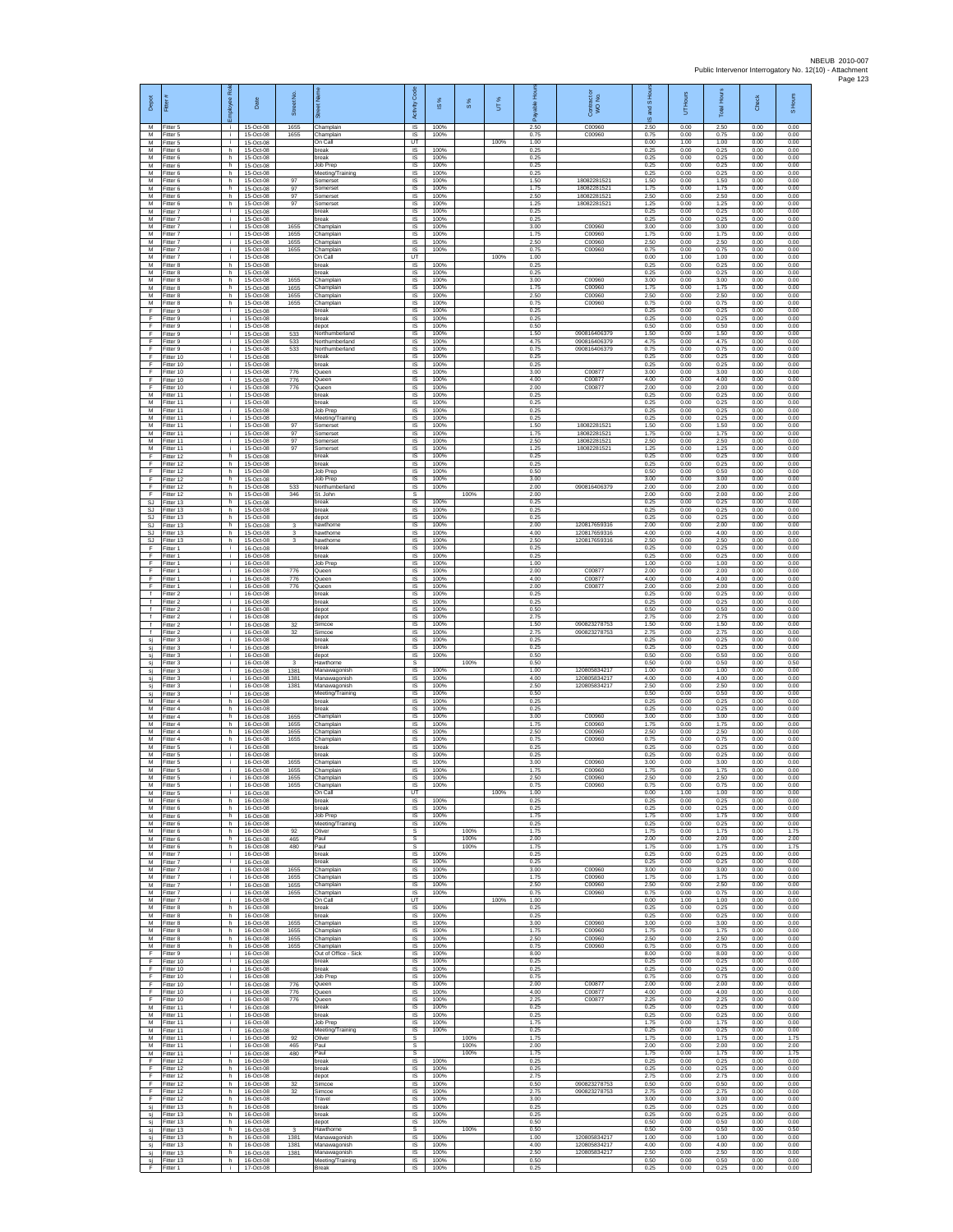| Depot<br>M                                         | Fitter<br>Fitter 5                  | loyee Rol<br>÷ĩ. | Date<br>15-Oct-08                   | Street No.<br>1655   | Champlain                                        | Activity Code<br><b>IS</b>         | IS %<br>100%         | $\frac{8}{3}$ | UT%  | 2.50                 | Contract or<br>WO No.<br>C00960              | and S Ho<br>ဖ<br>2.50 | Hours<br>5<br>0.00   | <b>Total Hours</b><br>2.50 | Check<br>0.00        | S Hours<br>0.00      |
|----------------------------------------------------|-------------------------------------|------------------|-------------------------------------|----------------------|--------------------------------------------------|------------------------------------|----------------------|---------------|------|----------------------|----------------------------------------------|-----------------------|----------------------|----------------------------|----------------------|----------------------|
| M<br>M                                             | Fitter 5<br>Fitter 5                | i.<br>i.         | 15-Oct-08<br>15-Oct-08              | 1655                 | Champlain<br>On Call                             | IS<br>UT                           | 100%                 |               | 100% | 0.75<br>1.00         | C00960                                       | 0.75<br>0.00          | 0.00<br>1.00         | 0.75<br>1.00               | 0.00<br>0.00         | 0.00<br>0.00         |
| M<br>M<br>M                                        | Fitter 6<br>Fitter 6<br>Fitter 6    | h.<br>h.<br>h.   | 15-Oct-08<br>15-Oct-08<br>15-Oct-08 |                      | break<br>break<br>Job Prep                       | <b>IS</b><br><b>IS</b><br>IS       | 100%<br>100%<br>100% |               |      | 0.25<br>0.25<br>0.25 |                                              | 0.25<br>0.25<br>0.25  | 0.00<br>0.00<br>0.00 | 0.25<br>0.25<br>0.25       | 0.00<br>0.00<br>0.00 | 0.00<br>0.00<br>0.00 |
| M<br>M                                             | Fitter 6<br>Fitter 6                | h.<br>h          | 15-Oct-08<br>15-Oct-08              | 97                   | Meeting/Training<br>Somerset                     | IS<br>IS                           | 100%<br>100%         |               |      | 0.25<br>1.50         | 1808228152                                   | 0.25<br>1.50          | 0.00<br>0.00         | 0.25<br>1.50               | 0.00<br>0.00         | 0.00<br>0.00         |
| M<br>${\sf M}$                                     | Fitter 6<br>-itter 6                | h.<br>h.         | 15-Oct-08<br>15-Oct-08              | 97<br>97             | Somerset<br>Somerset                             | - IS<br>$\sf IS$                   | 100%<br>100%         |               |      | 1.75<br>2.50         | 1808228152<br>18082281521                    | 1.75<br>2.50          | 0.00<br>0.00         | 1.75<br>2.50               | 0.00<br>0.00         | 0.00<br>0.00         |
| M<br>M<br>M                                        | Fitter 6<br>Fitter 7<br>Fitter 7    | h<br>i.<br>i.    | 15-Oct-08<br>15-Oct-08<br>15-Oct-08 | 97                   | Somerse<br>break<br>break                        | $\sf IS$<br><b>IS</b><br><b>IS</b> | 100%<br>100%<br>100% |               |      | 1.25<br>0.25<br>0.25 | 1808228152                                   | 1.25<br>0.25<br>0.25  | 0.00<br>0.00<br>0.00 | 1.25<br>0.25<br>0.25       | 0.00<br>0.00<br>0.00 | 0.00<br>0.00<br>0.00 |
| M<br>M                                             | -itter 7<br>Fitter 7                | ÷.<br>i.         | 15-Oct-08<br>15-Oct-08              | 1655<br>1655         | Champlain<br>Champlain                           | IS<br>IS                           | 100%<br>100%         |               |      | 3.00<br>1.75         | C00960<br>C00960                             | 3.00<br>1.75          | 0.00<br>0.00         | 3.00<br>1.75               | 0.00<br>0.00         | 0.00<br>0.00         |
| M<br>${\sf M}$<br>M                                | Fitter 7<br>itter 7<br>Fitter 7     | j.<br>j.<br>i.   | 15-Oct-08<br>15-Oct-08<br>15-Oct-08 | 1655<br>1655         | Champlain<br>Champlain<br>On Call                | IS<br>IS<br>UT                     | 100%<br>100%         |               | 100% | 2.50<br>0.75<br>1.00 | C00960<br>C00960                             | 2.50<br>0.75<br>0.00  | 0.00<br>0.00<br>1.00 | 2.50<br>0.75<br>1.00       | 0.00<br>0.00<br>0.00 | 0.00<br>0.00<br>0.00 |
| M<br>M                                             | Fitter 8<br>Fitter 8                | h.<br>h          | 15-Oct-08<br>15-Oct-08              |                      | oreak<br>oreak                                   | IS<br>IS                           | 100%<br>100%         |               |      | 0.25<br>0.25         |                                              | 0.25<br>0.25          | 0.00<br>0.00         | 0.25<br>0.25               | 0.00<br>0.00         | 0.00<br>0.00         |
| M<br>М                                             | Fitter 8<br>fitter 8                | h<br>h           | 15-Oct-08<br>15-Oct-08              | 1655<br>1655         | Champlain<br>Champlain                           | IS<br>IS                           | 100%<br>100%         |               |      | 3.00<br>1.75         | C00960<br>C00960                             | 3.00<br>1.75          | 0.00<br>0.00         | 3.00<br>1.75               | 0.00<br>0.00         | 0.00<br>0.00         |
| M<br>M<br>F                                        | Fitter 8<br>-itter 8<br>Fitter 9    | h.<br>h.<br>÷.   | 15-Oct-08<br>15-Oct-08<br>15-Oct-08 | 1655<br>1655         | Champlain<br>Champlain<br>break                  | - IS<br><b>IS</b><br>IS            | 100%<br>100%<br>100% |               |      | 2.50<br>0.75<br>0.25 | C00960<br>C00960                             | 2.50<br>0.75<br>0.25  | 0.00<br>0.00<br>0.00 | 2.50<br>0.75<br>0.25       | 0.00<br>0.00<br>0.00 | 0.00<br>0.00<br>0.00 |
| Ŧ<br>E                                             | Fitter 9<br>Fitter 9                | i.<br>i.         | 15-Oct-08<br>15-Oct-08              |                      | break<br>depot                                   | IS<br>IS                           | 100%<br>100%         |               |      | 0.25<br>0.50         |                                              | 0.25<br>0.50          | 0.00<br>0.00         | 0.25<br>0.50               | 0.00<br>0.00         | 0.00<br>0.00         |
| F<br>Ŧ                                             | -itter 9<br>Fitter 9                | i.<br>i.         | 15-Oct-08<br>15-Oct-08<br>15-Oct-08 | 533<br>533<br>533    | Northumberland<br>Northumberland                 | IS<br>IS                           | 100%<br>100%         |               |      | 1.50<br>4.75         | 090816406379<br>090816406379<br>090816406379 | 1.50<br>4.75          | 0.00<br>0.00         | 1.50<br>4.75<br>0.75       | 0.00<br>0.00<br>0.00 | 0.00<br>0.00         |
| F<br>F<br>Ŧ                                        | Fitter 9<br>Fitter 10<br>Fitter 10  | j.<br>j.<br>i.   | 15-Oct-08<br>15-Oct-08              |                      | Northumberland<br>break<br>break                 | IS<br>IS<br>IS                     | 100%<br>100%<br>100% |               |      | 0.75<br>0.25<br>0.25 |                                              | 0.75<br>0.25<br>0.25  | 0.00<br>0.00<br>0.00 | 0.25<br>0.25               | 0.00<br>0.00         | 0.00<br>0.00<br>0.00 |
| F<br>F                                             | Fitter 10<br>Fitter 10              | Ť.<br>j.         | 15-Oct-08<br>15-Oct-08              | 776<br>776           | Queen<br>Queen                                   | IS<br>- IS                         | 100%<br>100%         |               |      | 3.00<br>4.00         | C0087<br>C00877                              | 3.00<br>4.00          | 0.00<br>0.00         | 3.00<br>4.00               | 0.00<br>0.00         | 0.00<br>0.00         |
| F<br>M<br>M                                        | Fitter 10<br>Fitter 11<br>Fitter 11 | i.<br>j.         | 15-Oct-08<br>15-Oct-08<br>15-Oct-08 | 776                  | Queen<br>break<br>break                          | $\sf IS$<br>$\sf IS$<br><b>IS</b>  | 100%<br>100%<br>100% |               |      | 2.00<br>0.25<br>0.25 | C00877                                       | 2.00<br>0.25<br>0.25  | 0.00<br>0.00<br>0.00 | 2.00<br>0.25<br>0.25       | 0.00<br>0.00<br>0.00 | 0.00<br>0.00<br>0.00 |
| M<br>M                                             | Fitter 11<br>Fitter 11              | i.<br>÷.         | 15-Oct-08<br>15-Oct-08              |                      | Job Prep<br>Meeting/Training                     | IS<br>IS                           | 100%<br>100%         |               |      | 0.25<br>0.25         |                                              | 0.25<br>0.25          | 0.00<br>0.00         | 0.25<br>0.25               | 0.00<br>0.00         | 0.00<br>0.00         |
| M<br>M                                             | Fitter 11<br>Fitter 11              | j.<br>j.<br>j.   | 15-Oct-08<br>15-Oct-08              | 97<br>97             | Somerset<br>Somerset                             | IS<br>IS<br>IS                     | 100%<br>100%<br>100% |               |      | 1.50<br>1.75<br>2.50 | 1808228152<br>18082281521<br>18082281521     | 1.50<br>1.75<br>2.50  | 0.00<br>0.00<br>0.00 | 1.50<br>1.75<br>2.50       | 0.00<br>0.00<br>0.00 | 0.00<br>0.00<br>0.00 |
| ${\sf M}$<br>М<br>F                                | Fitter 11<br>Fitter 11<br>Fitter 12 | i.<br>h.         | 15-Oct-08<br>15-Oct-08<br>15-Oct-08 | 97<br>97             | Somerset<br>Somerse<br>oreak                     | IS<br>IS                           | 100%<br>100%         |               |      | 1.25<br>0.25         | 18082281521                                  | 1.25<br>0.25          | 0.00<br>0.00         | 1.25<br>0.25               | 0.00<br>0.00         | 0.00<br>0.00         |
| E<br>Ŧ                                             | Fitter 12<br>Fitter 12              | h<br>h           | 15-Oct-08<br>15-Oct-08              |                      | oreak<br>Job Prep                                | IS<br>IS                           | 100%<br>100%         |               |      | 0.25<br>0.50         |                                              | 0.25<br>0.50          | 0.00<br>0.00         | 0.25<br>0.50               | 0.00<br>0.00         | 0.00<br>0.00         |
| F<br>-F<br>F                                       | Fitter 12<br>Fitter 12<br>Fitter 12 | h<br>h.<br>h.    | 15-Oct-08<br>15-Oct-08<br>15-Oct-08 | 533<br>346           | Job Prep<br>Northumberland<br>St. John           | IS<br><b>IS</b><br>s               | 100%<br>100%         | 100%          |      | 3.00<br>2.00<br>2.00 | 090816406379                                 | 3.00<br>2.00<br>200   | 0.00<br>0.00<br>0.00 | 3.00<br>2.00<br>200        | 0.00<br>0.00<br>0.00 | 0.00<br>0.00<br>2.00 |
| SJ<br>SJ.                                          | Fitter 13<br>Fitter 13              | h<br>h           | 15-Oct-08<br>15-Oct-08              |                      | break<br>break                                   | IS<br>IS                           | 100%<br>100%         |               |      | 0.25<br>0.25         |                                              | 0.25<br>0.25          | 0.00<br>0.00         | 0.25<br>0.25               | 0.00<br>0.00         | 0.00<br>0.00         |
| SJ<br>SJ                                           | Fitter 13<br>Fitter 13              | h<br>h           | 15-Oct-08<br>15-Oct-08              | 3                    | depot<br>hawthorne                               | IS<br>IS                           | 100%<br>100%         |               |      | 0.25<br>2.00         | 120817659316                                 | 0.25<br>2.00          | 0.00<br>0.00         | 0.25<br>2.00               | 0.00<br>0.00         | 0.00<br>0.00         |
| SJ<br>SJ.<br>F                                     | Fitter 13<br>Fitter 13<br>Fitter 1  | h.<br>h.<br>j.   | 15-Oct-08<br>15-Oct-08<br>16-Oct-08 | 3<br>3               | hawthorne<br>hawthorne<br>break                  | IS<br>- IS<br>IS                   | 100%<br>100%<br>100% |               |      | 4.00<br>2.50<br>0.25 | 120817659316<br>120817659316                 | 4.00<br>2.50<br>0.25  | 0.00<br>0.00<br>0.00 | 4.00<br>2.50<br>0.25       | 0.00<br>0.00<br>0.00 | 0.00<br>0.00<br>0.00 |
| Ŧ<br>F                                             | Fitter 1<br>Fitter 1                | Ť.<br>i.         | 16-Oct-08<br>16-Oct-08              |                      | break<br>Job Prep                                | IS<br>IS                           | 100%<br>100%         |               |      | 0.25<br>1.00         |                                              | 0.25<br>1.00          | 0.00<br>0.00         | 0.25<br>1.00               | 0.00<br>0.00         | 0.00<br>0.00         |
| F<br>$\mathsf F$<br>F                              | Fitter 1<br>-itter 1                | Ť.<br>j.         | 16-Oct-08<br>16-Oct-08<br>16-Oct-08 | 776<br>776<br>776    | Queen<br>Queen                                   | - IS<br>$\sf IS$<br>IS             | 100%<br>100%<br>100% |               |      | 2.00<br>4.00<br>2.00 | C0087<br>C00877<br>C00877                    | 2.00<br>4.00<br>2.00  | 0.00<br>0.00<br>0.00 | 2.00<br>4.00<br>2.00       | 0.00<br>0.00<br>0.00 | 0.00<br>0.00<br>0.00 |
| f.<br>$\ddot{\phantom{1}}$                         | Fitter 1<br>Fitter 2<br>Fitter 2    | Ť.<br>j.<br>i.   | 16-Oct-08<br>16-Oct-08              |                      | Queen<br>break<br>break                          | <b>IS</b><br><b>IS</b>             | 100%<br>100%         |               |      | 0.25<br>0.25         |                                              | 0.25<br>0.25          | 0.00<br>0.00         | 0.25<br>0.25               | 0.00<br>0.00         | 0.00<br>0.00         |
| $\ddot{\phantom{1}}$<br>Ŧ                          | -itter 2<br>-itter 2                | ÷.<br>i.         | 16-Oct-08<br>16-Oct-08              |                      | depot<br>depot                                   | IS<br>IS                           | 100%<br>100%         |               |      | 0.50<br>2.75         |                                              | 0.50<br>2.75          | 0.00<br>0.00         | 0.50<br>2.75               | 0.00<br>0.00         | 0.00<br>0.00         |
| $\ddot{\phantom{1}}$<br>$\ddot{\phantom{1}}$<br>si | Fitter 2<br>itter 2<br>Fitter 3     | j.<br>j.<br>i.   | 16-Oct-08<br>16-Oct-08<br>16-Oct-08 | 32<br>32             | Simcoe<br>Simcoe<br>break                        | - IS<br>IS<br>IS                   | 100%<br>100%<br>100% |               |      | 1.50<br>2.75<br>0.25 | 090823278753<br>090823278753                 | 1.50<br>2.75<br>0.25  | 0.00<br>0.00<br>0.00 | 1.50<br>2.75<br>0.25       | 0.00<br>0.00<br>0.00 | 0.00<br>0.00<br>0.00 |
| sj<br>sj                                           | Fitter 3<br>Fitter 3                | i.<br>Ť.         | 16-Oct-08<br>16-Oct-08              |                      | break<br>depot                                   | IS<br>IS                           | 100%<br>100%         |               |      | 0.25<br>0.50         |                                              | 0.25<br>0.50          | 0.00<br>0.00         | 0.25<br>0.50               | 0.00<br>0.00         | 0.00<br>0.00         |
| sj<br>si                                           | Fitter 3<br>Fitter 3                | î.<br>Ť.         | 16-Oct-08<br>16-Oct-08<br>16-Oct-08 | 3<br>1381<br>1381    | Hawthorne<br>Manawagonish                        | s<br>IS<br><b>IS</b>               | 100%<br>100%         | 100%          |      | 0.50<br>1.00<br>4.00 | 120805834217<br>120805834217                 | 0.50<br>1.00<br>4.00  | 0.00<br>0.00<br>0.00 | 0.50<br>1.00               | 0.00<br>0.00<br>0.00 | 0.50<br>0.00<br>0.00 |
| sj<br>sj<br>si                                     | Fitter 3<br>Fitter 3<br>Fitter 3    | j.<br>i.<br>÷.   | 16-Oct-08<br>16-Oct-08              | 1381                 | Manawagonish<br>Manawagonish<br>Meeting/Training | <b>IS</b><br>IS                    | 100%<br>100%         |               |      | 2.50<br>0.50         | 120805834217                                 | 2.50<br>0.50          | 0.00<br>0.00         | 4.00<br>2.50<br>0.50       | 0.00<br>0.00         | 0.00<br>0.00         |
| M<br>M                                             | Fitter 4<br>Fitter 4                | h<br>h.          | 16-Oct-08<br>16-Oct-08              |                      | break<br>break                                   | IS<br>IS                           | 100%<br>100%         |               |      | 0.25<br>0.25         |                                              | 0.25<br>0.25          | 0.00<br>0.00         | 0.25<br>0.25               | 0.00<br>0.00         | 0.00<br>0.00         |
| M<br>M<br>M                                        | -itter 4<br>Fitter 4<br>Fitter 4    | h<br>h<br>h.     | 16-Oct-08<br>16-Oct-08<br>16-Oct-08 | 1655<br>1655<br>1655 | Champlain<br>Champlain<br>Champlain              | IS<br>IS<br>IS                     | 100%<br>100%<br>100% |               |      | 3.00<br>1.75<br>2.50 | C00960<br>C00960<br>C00960                   | 3.00<br>1.75<br>2.50  | 0.00<br>0.00<br>0.00 | 3.00<br>1.75<br>2.50       | 0.00<br>0.00<br>0.00 | 0.00<br>0.00<br>0.00 |
| M<br>М                                             | Fitter 4<br>Fitter 5                | h<br>i.          | 16-Oct-08<br>16-Oct-08              | 1655                 | Champlain<br>break                               | IS<br>IS                           | 100%<br>100%         |               |      | 0.75<br>0.25         | C00960                                       | 0.75<br>0.25          | 0.00<br>0.00         | 0.75<br>0.25               | 0.00<br>0.00         | 0.00<br>0.00         |
| M<br>M                                             | Fitter 5<br>Fitter 5                | Ť.<br>j.         | 16-Oct-08<br>16-Oct-08              | 1655                 | reak<br>Champlain                                | IS<br>-IS                          | 100%<br>100%         |               |      | 0.25<br>3.00         | C00960                                       | 0.25<br>3.00          | 0.00<br>0.00         | 0.25<br>3.00               | 0.00<br>0.00         | 0.00<br>0.00         |
| M<br>M<br>M                                        | -itter 5<br>Fitter 5<br>Fitter 5    | i.<br>÷.         | 16-Oct-08<br>16-Oct-08<br>16-Oct-08 | 1655<br>1655<br>1655 | Champlain<br>Champlain<br>Champlain              | IS<br>IS<br>-IS                    | 100%<br>100%<br>100% |               |      | 1.75<br>2.50<br>0.75 | C00960<br>C00960<br>C00960                   | 1.75<br>2.50<br>0.75  | 0.00<br>0.00<br>0.00 | 1.75<br>2.50<br>0.75       | 0.00<br>0.00<br>0.00 | 0.00<br>0.00<br>0.00 |
| M<br>M                                             | Fitter 5<br>-itter 6                | i.<br>h          | 16-Oct-08<br>16-Oct-08              |                      | On Call<br>break                                 | LIT<br>IS                          | 100%                 |               | 100% | 1.00<br>0.25         |                                              | 0.00<br>0.25          | 1.00<br>0.00         | 1.00<br>0.25               | 0.00<br>0.00         | 0.00<br>0.00         |
| M<br>M<br>${\sf M}$                                | -itter 6<br>Fitter 6<br>-itter 6    | h<br>h.<br>h     | 16-Oct-08<br>16-Oct-08<br>16-Oct-08 |                      | break<br>Job Prep<br>Meeting/Training            | <b>IS</b><br>- IS<br>IS            | 100%<br>100%<br>100% |               |      | 0.25<br>1.75<br>0.25 |                                              | 0.25<br>1.75<br>0.25  | 0.00<br>0.00<br>0.00 | 0.25<br>1.75<br>0.25       | 0.00<br>0.00<br>0.00 | 0.00<br>0.00<br>0.00 |
| M<br>M                                             | Fitter 6<br>Fitter 6                | h.<br>h.         | 16-Oct-08<br>16-Oct-08              | 92<br>465            | Oliver<br>Paul                                   | s<br>s                             |                      | 100%<br>100%  |      | 1.75<br>2.00         |                                              | 1.75<br>2.00          | 0.00<br>0.00         | 1.75<br>2.00               | 0.00<br>0.00         | 1.75<br>2.00         |
| M<br>M                                             | Fitter 6<br>Fitter 7                | h<br>Ť.          | 16-Oct-08<br>16-Oct-08              | 480                  | Paul<br>break                                    | s<br>IS                            | 100%                 | 100%          |      | 1.75<br>0.25         |                                              | 1.75<br>0.25          | 0.00<br>0.00         | 1.75<br>0.25               | 0.00<br>0.00         | 1.75<br>0.00         |
| M<br>M<br>M                                        | Fitter 7<br>Fitter 7<br>-itter 7    | j.<br>j.<br>i.   | 16-Oct-08<br>16-Oct-08<br>16-Oct-08 | 1655<br>1655         | oreak<br>Champlain<br>Champlain                  | <b>IS</b><br>- IS<br><b>IS</b>     | 100%<br>100%<br>100% |               |      | 0.25<br>3.00<br>1.75 | C00960<br>C00960                             | 0.25<br>3.00<br>1.75  | 0.00<br>0.00<br>0.00 | 0.25<br>3.00<br>1.75       | 0.00<br>0.00<br>0.00 | 0.00<br>0.00<br>0.00 |
| M<br>M                                             | Fitter 7<br>Fitter 7                | Ť.<br>i.         | 16-Oct-08<br>16-Oct-08              | 1655<br>1655         | Champlain<br>Champlain                           | IS<br><b>IS</b>                    | 100%<br>100%         |               |      | 2.50<br>0.75         | C00960<br>C00960                             | 2.50<br>0.75          | 0.00<br>0.00         | 2.50<br>0.75               | 0.00<br>0.00         | 0.00<br>0.00         |
| M<br>M<br>M                                        | Fitter 7<br>Fitter 8<br>Fitter 8    | i.<br>h.<br>h    | 16-Oct-08<br>16-Oct-08<br>16-Oct-08 |                      | On Call<br>break<br>break                        | UT<br>IS<br><b>IS</b>              | 100%<br>100%         |               | 100% | 1.00<br>0.25<br>0.25 |                                              | 0.00<br>0.25<br>0.25  | 1.00<br>0.00<br>0.00 | 1.00<br>0.25<br>0.25       | 0.00<br>0.00<br>0.00 | 0.00<br>0.00<br>0.00 |
| M<br>M                                             | Fitter 8<br>Fitter 8                | h.<br>h          | 16-Oct-08<br>16-Oct-08              | 1655<br>1655         | Champlain<br>Champlain                           | - IS<br>IS                         | 100%<br>100%         |               |      | 3.00<br>1.75         | C00960<br>C00960                             | 3.00<br>1.75          | 0.00<br>0.00         | 3.00<br>1.75               | 0.00<br>0.00         | 0.00<br>0.00         |
| M<br>M<br>F                                        | Fitter 8<br>Fitter 8                | h.<br>h<br>j.    | 16-Oct-08<br>16-Oct-08              | 1655<br>1655         | Champlain<br>Champlain<br>Out of Office - Sick   | IS<br><b>IS</b><br>- IS            | 100%<br>100%<br>100% |               |      | 2.50<br>0.75<br>8.00 | C00960<br>C00960                             | 2.50<br>0.75<br>8.00  | 0.00<br>0.00<br>0.00 | 2.50<br>0.75<br>8.00       | 0.00<br>0.00<br>0.00 | 0.00<br>0.00<br>0.00 |
| F.<br>F                                            | Fitter 9<br>Fitter 10<br>Fitter 10  | i.<br>j.         | 16-Oct-08<br>16-Oct-08<br>16-Oct-08 |                      | break<br>break                                   | $\sf IS$<br>IS                     | 100%<br>100%         |               |      | 0.25<br>0.25         |                                              | 0.25<br>0.25          | 0.00<br>0.00         | 0.25<br>0.25               | 0.00<br>0.00         | 0.00<br>0.00         |
| -F<br>F.                                           | Fitter 10<br>Fitter 10              | i.<br>j.         | $16-Ort-08$<br>16-Oct-08            | 776                  | Job Prep<br>Queen                                | <b>IS</b><br><b>IS</b>             | 100%<br>100%         |               |      | 0.75<br>2.00         | C00877                                       | 0.75<br>200           | 0.00<br>0.00         | 0.75<br>2.00               | 0.00<br>0.00         | 0.00<br>0.00         |
| Ŧ<br>Ŧ<br>M                                        | Fitter 10<br>Fitter 10<br>Fitter 11 | i.<br>i.<br>i.   | 16-Oct-08<br>16-Oct-08<br>16-Oct-08 | 776<br>776           | Queen<br>Queen<br>break                          | IS<br><b>IS</b><br>- IS            | 100%<br>100%<br>100% |               |      | 4.00<br>2.25<br>0.25 | C00877<br>C00877                             | 4.00<br>2.25<br>0.25  | 0.00<br>0.00<br>0.00 | 4.00<br>2.25<br>0.25       | 0.00<br>0.00<br>0.00 | 0.00<br>0.00<br>0.00 |
| M<br>M                                             | Fitter 11<br>Fitter 11              | i.<br>i.         | 16-Oct-08<br>16-Oct-08              |                      | break<br>Job Prep                                | IS<br>IS                           | 100%<br>100%         |               |      | 0.25<br>1.75         |                                              | 0.25<br>1.75          | 0.00<br>0.00         | 0.25<br>1.75               | 0.00<br>0.00         | 0.00<br>0.00         |
| M<br>M                                             | Fitter 11<br>Fitter 11              | i.<br>÷.         | 16-Oct-08<br>16-Oct-08              | 92                   | Meeting/Training<br>Oliver                       | <b>IS</b><br>s                     | 100%                 | 100%          |      | 0.25<br>1.75         |                                              | 0.25<br>1.75          | 0.00<br>0.00         | 0.25<br>1.75               | 0.00<br>0.00         | 0.00<br>1.75         |
| M<br>M<br>-F                                       | Fitter 11<br>Fitter 11<br>Fitter 12 | i.<br>j.<br>h.   | 16-Oct-08<br>16-Oct-08<br>16-Oct-08 | 465<br>480           | Paul<br>Paul<br>break                            | s<br>s<br>$\overline{\mathsf{s}}$  | 100%                 | 100%<br>100%  |      | 2.00<br>1.75<br>0.25 |                                              | 2.00<br>1.75<br>0.25  | 0.00<br>0.00<br>0.00 | 2.00<br>1.75<br>0.25       | 0.00<br>0.00<br>0.00 | 2.00<br>1.75<br>0.00 |
| F.<br>$\mathsf F$                                  | Fitter 12<br>Fitter 12              | h.<br>h          | 16-Oct-08<br>16-Oct-08              |                      | break<br>depot                                   | <b>IS</b><br>IS                    | 100%<br>100%         |               |      | 0.25<br>2.75         |                                              | 0.25<br>2.75          | 0.00<br>0.00         | 0.25<br>2.75               | 0.00<br>0.00         | 0.00<br>0.00         |
| -F<br>F.<br>$\mathsf F$                            | Fitter 12<br>Fitter 12<br>Fitter 12 | h<br>h.<br>h.    | 16-Oct-08<br>16-Oct-08<br>16-Oct-08 | 32<br>32             | Simcoe<br>Simcoe<br>Travel                       | <b>IS</b><br>IS<br>IS              | 100%<br>100%<br>100% |               |      | 0.50<br>2.75<br>3.00 | 090823278753<br>090823278753                 | 0.50<br>2.75<br>3.00  | 0.00<br>0.00<br>0.00 | 0.50<br>2.75<br>3.00       | 0.00<br>0.00<br>0.00 | 0.00<br>0.00<br>0.00 |
| si<br>sj                                           | Fitter 13<br>Fitter 13              | h<br>h.          | 16-Oct-08<br>16-Oct-08              |                      | break<br>break                                   | <b>IS</b><br><b>IS</b>             | 100%<br>100%         |               |      | 0.25<br>0.25         |                                              | 0.25<br>0.25          | 0.00<br>0.00         | 0.25<br>0.25               | 0.00<br>0.00         | 0.00<br>0.00         |
| sj<br>sj                                           | Fitter 13<br>Fitter 13              | h<br>h           | 16-Oct-08<br>16-Oct-08              | 3                    | depot<br>Hawthorne                               | IS<br>s                            | 100%                 | 100%          |      | 0.50<br>0.50         |                                              | 0.50<br>0.50          | 0.00<br>0.00         | 0.50<br>0.50               | 0.00<br>0.00         | 0.00<br>0.50         |
| si<br>sj                                           | Fitter 13<br>Fitter 13<br>Fitter 13 | h<br>h.<br>h.    | 16-Oct-08<br>16-Oct-08<br>16-Oct-08 | 1381<br>1381<br>1381 | Manawagonish<br>Manawagonish                     | IS<br>- IS<br>IS                   | 100%<br>100%<br>100% |               |      | 1.00<br>4.00<br>2.50 | 120805834217<br>120805834217<br>120805834217 | 1.00<br>4.00<br>2.50  | 0.00<br>0.00<br>0.00 | 1.00<br>4.00<br>2.50       | 0.00<br>0.00<br>0.00 | 0.00<br>0.00<br>0.00 |
| sj<br>si<br>F                                      | Fitter 13<br>Fitter 1               | h<br>i.          | 16-Oct-08<br>17-Oct-08              |                      | Manawagonish<br>Meeting/Training<br>Break        | IS<br>$\mathsf{IS}$                | 100%<br>100%         |               |      | 0.50<br>0.25         |                                              | 0.50<br>0.25          | 0.00<br>0.00         | 0.50<br>0.25               | 0.00<br>0.00         | 0.00<br>0.00         |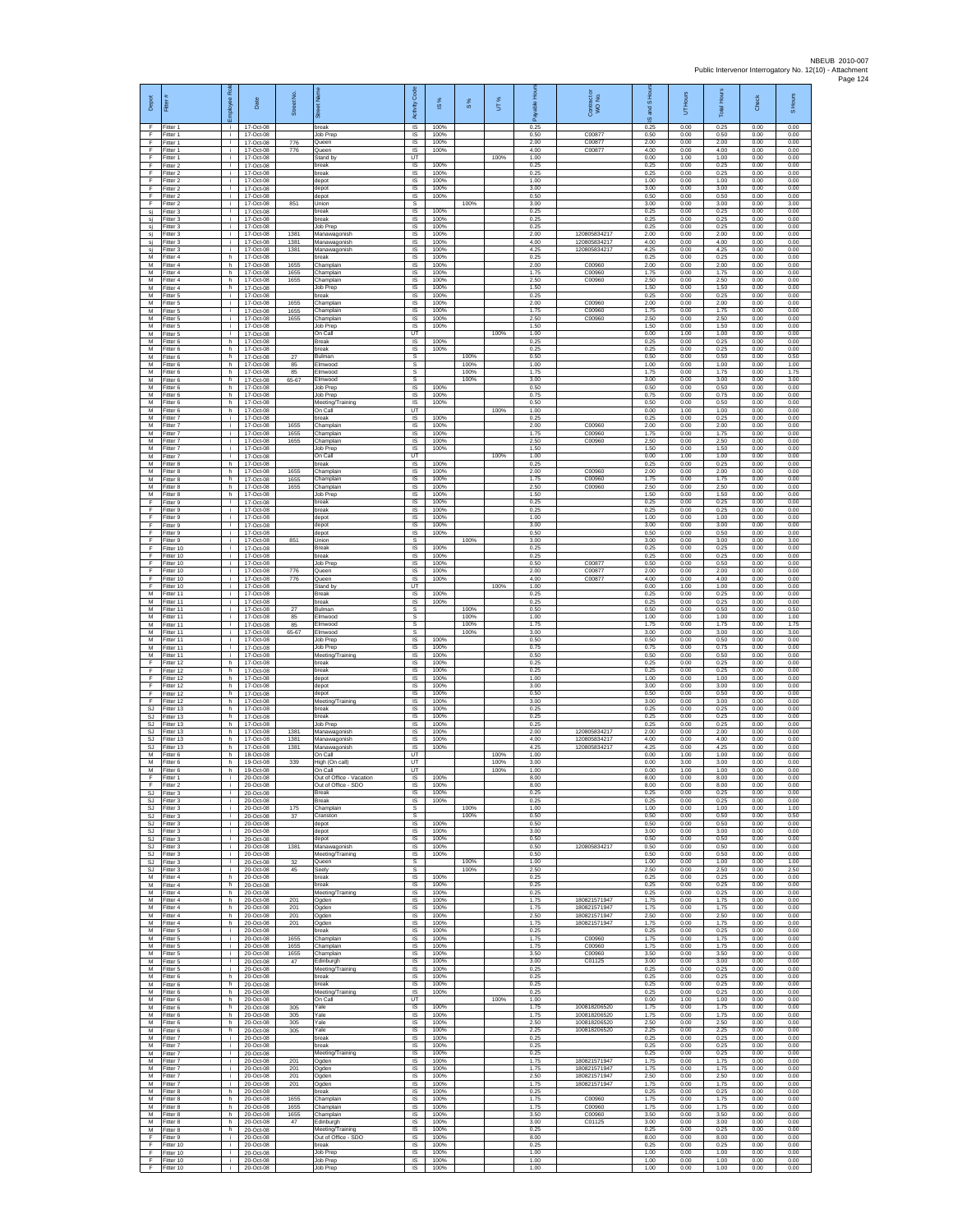| Depot                  | Fitter                              | ployee Rol               | Date                                  | Street No            | õ.                                                         | Code<br>Activity                          | ⋇<br>$\overline{\omega}$ | $\frac{8}{3}$        | UT%          | 훞<br>æ               | Contract<br>WO No.                           | IS and S             | Hours<br>5           | <b>Total Hours</b>   | Check                | S Hours              |
|------------------------|-------------------------------------|--------------------------|---------------------------------------|----------------------|------------------------------------------------------------|-------------------------------------------|--------------------------|----------------------|--------------|----------------------|----------------------------------------------|----------------------|----------------------|----------------------|----------------------|----------------------|
| F<br>F<br>F            | Fitter 1<br>Fitter 1<br>Fitter 1    | ÷i.<br>j.<br>÷.          | 17-Oct-08<br>17-Oct-08<br>17-Oct-08   | 776                  | break<br>Job Prep<br>Queen                                 | IS<br>IS<br>IS                            | 100%<br>100%<br>100%     |                      |              | 0.25<br>0.50<br>2.00 | C00877<br>C00877                             | 0.25<br>0.50<br>2.00 | 0.00<br>0.00<br>0.00 | 0.25<br>0.50<br>2.00 | 0.00<br>0.00<br>0.00 | 0.00<br>0.00<br>0.00 |
| F<br>F<br>F            | Fitter 1<br>fitter 1<br>Fitter 2    | ÷.<br>j.<br>j.           | 17-Oct-08<br>17-Oct-08<br>17-Oct-08   | 776                  | Queen<br>Stand by<br>break                                 | 1S<br>UT<br>IS                            | 100%<br>100%             |                      | 100%         | 4.00<br>1.00<br>0.25 | C00877                                       | 4.00<br>0.00<br>0.25 | 0.00<br>1.00<br>0.00 | 4.00<br>1.00<br>0.25 | 0.00<br>0.00<br>0.00 | 0.00<br>0.00<br>0.00 |
| F<br>F<br>F            | Fitter 2<br>Fitter 2                | i.<br>÷.<br>$\mathbf{i}$ | 17-Oct-08<br>17-Oct-08                |                      | break<br>depot                                             | IS<br>IS<br>1S                            | 100%<br>100%<br>100%     |                      |              | 0.25<br>1.00<br>3.00 |                                              | 0.25<br>1.00<br>3.00 | 0.00<br>0.00<br>0.00 | 0.25<br>1.00<br>3.00 | 0.00<br>0.00<br>0.00 | 0.00<br>0.00<br>0.00 |
| F<br>F                 | Fitter 2<br>Fitter 2<br>-itter 2    | i.<br>÷.                 | 17-Oct-08<br>17-Oct-08<br>17-Oct-08   | 851                  | depot<br>depot<br>Union                                    | IS<br>s                                   | 100%                     | 100%                 |              | 0.50<br>3.00         |                                              | 0.50<br>3.00         | 0.00<br>0.00         | 0.50<br>3.00         | 0.00<br>0.00         | 0.00<br>3.00         |
| sj<br>sj<br>sj         | Fitter 3<br>Fitter 3<br>Fitter 3    | j.<br>j.<br>÷.           | 17-Oct-08<br>17-Oct-08<br>17-Oct-08   |                      | break<br>break<br>Job Prep                                 | $\sf IS$<br>$\overline{\mathsf{s}}$<br>IS | 100%<br>100%<br>100%     |                      |              | 0.25<br>0.25<br>0.25 |                                              | 0.25<br>0.25<br>0.25 | 0.00<br>0.00<br>0.00 | 0.25<br>0.25<br>0.25 | 0.00<br>0.00<br>0.00 | 0.00<br>0.00<br>0.00 |
| sj<br>si               | Fitter 3<br>Fitter 3                | ÷.<br>j.<br>j.           | 17-Oct-08<br>17-Oct-08                | 1381<br>1381         | Manawagonish<br>Manawagonish                               | IS<br>IS<br>IS                            | 100%<br>100%<br>100%     |                      |              | 2.00<br>4.00<br>4.25 | 120805834217<br>12080583421<br>12080583421   | 2.00<br>4.00<br>4.25 | 0.00<br>0.00<br>0.00 | 2.00<br>4.00<br>4.25 | 0.00<br>0.00<br>0.00 | 0.00<br>0.00<br>0.00 |
| sj<br>M<br>М           | Fitter 3<br>Fitter 4<br>Fitter 4    | h.<br>h                  | 17-Oct-08<br>17-Oct-08<br>17-Oct-08   | 1381<br>1655         | Manawagonish<br>hreak<br>Champlain                         | IS<br>$\sf IS$                            | 100%<br>100%             |                      |              | 0.25<br>2.00         | C00960                                       | 0.25<br>2.00         | 0.00<br>0.00         | 0.25<br>2.00         | 0.00<br>0.00         | 0.00<br>0.00         |
| M<br>M<br>М            | Fitter 4<br>Fitter 4<br>fitter 4    | h.<br>h.<br>h.           | 17-Oct-08<br>17-Oct-08<br>17-Oct-08   | 1655<br>1655         | Champlain<br>Champlain<br>Job Prep                         | IS<br>IS<br>IS                            | 100%<br>100%<br>100%     |                      |              | 1.75<br>2.50<br>1.50 | C00960<br>C00960                             | 1.75<br>2.50<br>1.50 | 0.00<br>0.00<br>0.00 | 1.75<br>2.50<br>1.50 | 0.00<br>0.00<br>0.00 | 0.00<br>0.00<br>0.00 |
| M<br>M                 | itter 5<br>Fitter 5                 | j.<br>j.                 | 17-Oct-08<br>17-Oct-08                | 1655                 | break<br>Champlain                                         | IS<br>IS                                  | 100%<br>100%             |                      |              | 0.25<br>2.00         | C00960                                       | 0.25<br>2.00         | 0.00<br>0.00         | 0.25<br>2.00         | 0.00<br>0.00         | 0.00<br>0.00         |
| М<br>M<br>M            | Fitter 5<br>Fitter 5<br>fitter 5    | j.<br>÷.<br>j.           | 17-Oct-08<br>17-Oct-08<br>17-Oct-08   | 1655<br>1655         | Champlain<br>Champlain<br>Job Prep                         | IS<br>IS<br>IS                            | 100%<br>100%<br>100%     |                      |              | 1.75<br>2.50<br>1.50 | C00960<br>C00960                             | 1.75<br>2.50<br>1.50 | 0.00<br>0.00<br>0.00 | 1.75<br>2.50<br>1.50 | 0.00<br>0.00<br>0.00 | 0.00<br>0.00<br>0.00 |
| M<br>М<br>M            | Fitter 5<br>Fitter 6<br>itter 6     | ÷.<br>h<br>h             | 17-Oct-08<br>17-Oct-08<br>17-Oct-08   |                      | On Call<br>Break<br>break                                  | UT<br>IS<br>IS                            | 100%<br>100%             |                      | 100%         | 1.00<br>0.25<br>0.25 |                                              | 0.00<br>0.25<br>0.25 | 1.00<br>0.00<br>0.00 | 1.00<br>0.25<br>0.25 | 0.00<br>0.00<br>0.00 | 0.00<br>0.00<br>0.00 |
| M<br>M                 | Fitter 6<br>Fitter 6                | h.<br>h.                 | 17-Oct-08<br>17-Oct-08                | 27<br>85             | Bulman<br>Elmwood                                          | s<br>s                                    |                          | 100%<br>100%         |              | 0.50<br>1.00         |                                              | 0.50<br>1.00         | 0.00<br>0.00         | 0.50<br>1.00         | 0.00<br>0.00         | 0.50<br>1.00         |
| М<br>M<br>M            | Fitter 6<br>Fitter 6<br>Fitter 6    | h<br>h.<br>h.            | 17-Oct-08<br>17-Oct-08<br>17-Oct-08   | 85<br>65-67          | Elmwood<br>Elmwood<br>Job Prep                             | s<br>s<br>IS                              | 100%                     | 100%<br>100%         |              | 1.75<br>3.00<br>0.50 |                                              | 1.75<br>3.00<br>0.50 | 0.00<br>0.00<br>0.00 | 1.75<br>3.00<br>0.50 | 0.00<br>0.00<br>0.00 | 1.75<br>3.00<br>0.00 |
| М<br>M                 | Fitter 6<br>Fitter 6                | h.<br>h                  | 17-Oct-08<br>17-Oct-08<br>17-Oct-08   |                      | Job Prep<br>Meeting/Training                               | $\sf IS$<br>IS                            | 100%<br>100%             |                      |              | 0.75<br>0.50         |                                              | 0.75<br>0.50         | 0.00<br>0.00         | 0.75<br>0.50         | 0.00<br>0.00         | 0.00<br>0.00         |
| M<br>M<br>М            | Fitter 6<br>Fitter 7<br>Fitter 7    | h.<br>j.<br>÷.           | 17-Oct-08<br>17-Oct-08                | 1655                 | On Call<br>break<br>Champlain                              | UT<br>IS<br>1S                            | 100%<br>100%             |                      | 100%         | 1.00<br>0.25<br>2.00 | C00960                                       | 0.00<br>0.25<br>2.00 | 1.00<br>0.00<br>0.00 | 1.00<br>0.25<br>2.00 | 0.00<br>0.00<br>0.00 | 0.00<br>0.00<br>0.00 |
| M<br>M<br>M            | Fitter 7<br>Fitter 7<br>Fitter 7    | j.<br>÷<br>j.            | 17-Oct-08<br>17-Oct-08<br>17-Oct-08   | 1655<br>1655         | Champlain<br>Champlain<br>Job Prep                         | IS<br><b>IS</b><br>IS                     | 100%<br>100%<br>100%     |                      |              | 1.75<br>2.50<br>1.50 | C00960<br>C00960                             | 1.75<br>2.50<br>1.50 | 0.00<br>0.00<br>0.00 | 1.75<br>2.50<br>1.50 | 0.00<br>0.00<br>0.00 | 0.00<br>0.00<br>0.00 |
| М<br>M                 | Fitter 7<br>Fitter 8                | j.<br>h                  | 17-Oct-08<br>17-Oct-08                |                      | On Call<br>break                                           | UT<br>IS                                  | 100%                     |                      | 100%         | 1.00<br>0.25         |                                              | 0.00<br>0.25         | 1.00<br>0.00         | 1.00<br>0.25         | 0.00<br>0.00         | 0.00<br>0.00         |
| M<br>М<br>M            | Fitter 8<br>Fitter 8<br>fitter 8    | h.<br>h<br>h.            | 17-Oct-08<br>17-Oct-08<br>17-Oct-08   | 1655<br>1655<br>1655 | Champlain<br>Champlain<br>Champlain                        | IS<br>IS<br>1S                            | 100%<br>100%<br>100%     |                      |              | 2.00<br>1.75<br>2.50 | C00960<br>C00960<br>C00960                   | 2.00<br>1.75<br>2.50 | 0.00<br>0.00<br>0.00 | 200<br>1.75<br>2.50  | 0.00<br>0.00<br>0.00 | 0.00<br>0.00<br>0.00 |
| M<br>F                 | Fitter 8<br>itter 9                 | h.<br>j.                 | 17-Oct-08<br>17-Oct-08                |                      | Job Prep<br>break                                          | IS<br>IS                                  | 100%<br>100%             |                      |              | 1.50<br>0.25         |                                              | 1.50<br>0.25         | 0.00<br>0.00         | 1.50<br>0.25         | 0.00<br>0.00         | 0.00<br>0.00         |
| F<br>F<br>E            | Fitter 9<br>Fitter 9<br>Fitter 9    | ÷.<br>j.<br>÷.           | 17-Oct-08<br>17-Oct-08<br>17-Oct-08   |                      | break<br>depot<br>depot                                    | 1S<br>IS<br>IS                            | 100%<br>100%<br>100%     |                      |              | 0.25<br>1.00<br>3.00 |                                              | 0.25<br>1.00<br>3.00 | 0.00<br>0.00<br>0.00 | 0.25<br>1.00<br>3.00 | 0.00<br>0.00<br>0.00 | 0.00<br>0.00<br>0.00 |
| F<br>F<br>F            | Fitter 9<br>fitter 9                | ÷.<br>j.                 | 17-Oct-08<br>17-Oct-08<br>17-Oct-08   | 851                  | depot<br>Union                                             | 1S<br>s<br><b>IS</b>                      | 100%<br>100%             | 100%                 |              | 0.50<br>3.00<br>0.25 |                                              | 0.50<br>3.00<br>0.25 | 0.00<br>0.00<br>0.00 | 0.50<br>3.00<br>0.25 | 0.00<br>0.00<br>0.00 | 0.00<br>3.00<br>0.00 |
| F<br>F                 | Fitter 10<br>Fitter 10<br>Fitter 10 | j.<br>i.<br>÷.           | 17-Oct-08<br>17-Oct-08                |                      | <b>Break</b><br>break<br>Job Prep                          | IS<br>IS                                  | 100%<br>100%             |                      |              | 0.25<br>0.50         | C00877                                       | 0.25<br>0.50         | 0.00<br>0.00         | 0.25<br>0.50         | 0.00<br>0.00         | 0.00<br>0.00         |
| F<br>F<br>F            | Fitter 10<br>Fitter 10<br>litter 10 | $\mathbf{i}$<br>i.<br>÷. | 17-Oct-08<br>17-Oct-08<br>17-Oct-08   | 776<br>776           | Queen<br>Queen<br>Stand by                                 | IS<br>IS<br>UT                            | 100%<br>100%             |                      | 100%         | 2.00<br>4.00<br>1.00 | C00877<br>C00877                             | 2.00<br>4.00<br>0.00 | 0.00<br>0.00<br>1.00 | 2.00<br>4.00<br>1.00 | 0.00<br>0.00<br>0.00 | 0.00<br>0.00<br>0.00 |
| M<br>M                 | Fitter 11<br>Fitter 11              | j.<br>j.                 | 17-Oct-08<br>17-Oct-08                |                      | Break<br>break                                             | $\sf IS$<br>$\overline{\mathsf{s}}$       | 100%<br>100%             |                      |              | 0.25<br>0.25         |                                              | 0.25<br>0.25         | 0.00<br>0.00         | 0.25<br>0.25         | 0.00<br>0.00         | 0.00<br>0.00         |
| M<br>М<br>M            | Fitter 11<br>Fitter 11<br>itter 11  | ÷.<br>÷.<br>j.           | 17-Oct-08<br>17-Oct-08<br>17-Oct-08   | 27<br>85<br>85       | Bulman<br>Elmwood<br><b>Elmwood</b>                        | s<br>s<br>s                               |                          | 100%<br>100%<br>100% |              | 0.50<br>1.00<br>1.75 |                                              | 0.50<br>1.00<br>1.75 | 0.00<br>0.00<br>0.00 | 0.50<br>1.00<br>1.75 | 0.00<br>0.00<br>0.00 | 0.50<br>1.00<br>1.75 |
| M<br>M                 | Fitter 11<br>Fitter 11              | j.<br>i.                 | 17-Oct-08<br>17-Oct-08                | 65-67                | Elmwood<br>Job Prep                                        | s<br>IS                                   | 100%                     | 100%                 |              | 3.00<br>0.50         |                                              | 3.00<br>0.50         | 0.00<br>0.00         | 3.00<br>0.50         | 0.00<br>0.00         | 3.00<br>0.00         |
| М<br>M<br>F            | Fitter 11<br>Fitter 11<br>Fitter 12 | j.<br>j.<br>h.           | 17-Oct-08<br>17-Oct-08<br>17-Oct-08   |                      | Job Prep<br>Meeting/Training<br>hreak                      | $\sf IS$<br>IS<br>IS                      | 100%<br>100%<br>100%     |                      |              | 0.75<br>0.50<br>0.25 |                                              | 0.75<br>0.50<br>0.25 | 0.00<br>0.00<br>0.00 | 0.75<br>0.50<br>0.25 | 0.00<br>0.00<br>0.00 | 0.00<br>0.00<br>0.00 |
| F<br>F<br>F            | ltter 12<br>Fitter 12<br>Fitter 12  | h<br>h.<br>h.            | 17-Oct-08<br>17-Oct-08<br>17-Oct-08   |                      | break<br>depot<br>depot                                    | IS<br>IS<br>IS                            | 100%<br>100%<br>100%     |                      |              | 0.25<br>1.00<br>3.00 |                                              | 0.25<br>1.00<br>3.00 | 0.00<br>0.00<br>0.00 | 0.25<br>1.00<br>3.00 | 0.00<br>0.00<br>0.00 | 0.00<br>0.00<br>0.00 |
| F<br>F                 | Fitter 12<br>Fitter 12              | h<br>h                   | 17-Oct-08<br>17-Oct-08                |                      | depot<br>Meeting/Training                                  | IS<br>IS                                  | 100%<br>100%             |                      |              | 0.50<br>3.00         |                                              | 0.50<br>3.00         | 0.00<br>0.00         | 0.50<br>3.00         | 0.00<br>0.00         | 0.00<br>0.00         |
| SJ<br><b>SJ</b><br>SJ  | Fitter 13<br>Fitter 13<br>Fitter 13 | h.<br>h<br>h             | 17-Oct-08<br>17-Oct-08<br>17-Oct-08   |                      | break<br>break<br>Job Prep                                 | IS<br>IS<br>1S                            | 100%<br>100%<br>100%     |                      |              | 0.25<br>0.25<br>0.25 |                                              | 0.25<br>0.25<br>0.25 | 0.00<br>0.00<br>0.00 | 0.25<br>0.25<br>0.25 | 0.00<br>0.00<br>0.00 | 0.00<br>0.00<br>0.00 |
| <b>SJ</b><br><b>SJ</b> | fitter 13<br>Fitter 13              | h<br>h.                  | 17-Oct-08<br>17-Oct-08<br>17-Oct-08   | 1381<br>1381         | Manawagonish<br>Manawagonish                               | IS<br><b>IS</b>                           | 100%<br>100%             |                      |              | 2.00<br>4.00         | 12080583421<br>120805834217                  | 2.00<br>4.00         | 0.00<br>0.00         | 2.00<br>4.00         | 0.00<br>0.00         | 0.00<br>0.00         |
| SJ.<br>М<br>M          | Fitter 13<br>Fitter 6<br>Fitter 6   | h.<br>h<br>h.            | 18-Oct-08<br>19-Oct-08                | 1381<br>339          | Manawagonish<br>On Call<br>High (On call)                  | IS<br>UT<br>UT                            | 100%                     |                      | 100%<br>100% | 4 25<br>1.00<br>3.00 | 120805834217                                 | 4 25<br>0.00<br>0.00 | 0.00<br>1.00<br>3.00 | 4 25<br>1.00<br>3.00 | 0.00<br>0.00<br>0.00 | 0.00<br>0.00<br>0.00 |
| F<br>F                 | M Fitter 6<br>Fitter 1<br>Fitter 2  | h.<br>i.<br>÷i.          | 19-Oct-08<br>20-Oct-08<br>20-Oct-08   |                      | On Call<br>Out of Office - Vacation<br>Out of Office - SDO | UT<br>IS<br><b>IS</b>                     | 100%<br>100%             |                      | 100%         | 1.00<br>8.00<br>8.00 |                                              | 0.00<br>8.00<br>8.00 | 1.00<br>0.00<br>0.00 | 1.00<br>8.00<br>8.00 | 0.00<br>0.00<br>0.00 | 0.00<br>0.00<br>0.00 |
| SJ.<br><b>SJ</b>       | Fitter 3<br>Fitter 3                | i.<br>i.                 | 20-Oct-08<br>20-Oct-08                |                      | Break<br>Break                                             | IS.<br>IS                                 | 100%<br>100%             |                      |              | 0.25<br>0.25         |                                              | 0.25<br>0.25         | 0.00<br>0.00         | 0.25<br>0.25         | 0.00<br>0.00         | 0.00<br>0.00         |
| <b>SJ</b><br>SJ<br>SJ  | Fitter 3<br>Fitter 3<br>Fitter 3    | ÷<br>÷.<br>j.            | 20-Oct-08<br>20-Oct-08<br>20-Oct-08   | 175<br>37            | Champlain<br>Cranston<br>depot                             | s<br>s<br>$\overline{\mathsf{s}}$         | 100%                     | 100%<br>100%         |              | 1.00<br>0.50<br>0.50 |                                              | 1.00<br>0.50<br>0.50 | 0.00<br>0.00<br>0.00 | 1.00<br>0.50<br>0.50 | 0.00<br>0.00<br>0.00 | 1.00<br>0.50<br>0.00 |
| SJ<br>SJ               | Fitter 3<br>Fitter 3                | i.<br>j.                 | 20-Oct-08<br>20-Oct-08                |                      | depot<br>depot                                             | IS<br>$\sf IS$                            | 100%<br>100%             |                      |              | 3.00<br>0.50         |                                              | 3.00<br>0.50         | 0.00<br>0.00         | 3.00<br>0.50         | 0.00<br>0.00         | 0.00<br>0.00         |
| -SJ<br>S.I.<br>SJ      | Fitter 3<br>Fitter 3<br>Fitter 3    | i.<br>j.<br>÷.           | 20-Oct-08<br>20-Oct-08<br>20-Oct-08   | 1381<br>32           | Manawagonish<br>Meeting/Training<br>Queen                  | <b>IS</b><br>IS<br>s                      | 100%<br>100%             | 100%                 |              | 0.50<br>0.50<br>1.00 | 120805834217                                 | 0.50<br>0.50<br>1.00 | 0.00<br>0.00<br>0.00 | 0.50<br>0.50<br>1.00 | 0.00<br>0.00<br>0.00 | 0.00<br>0.00<br>1.00 |
| <b>SJ</b><br>м<br>М    | fitter 3<br>Fitter 4<br>Fitter 4    | T<br>h.<br>h.            | 20-Oct-08<br>20-Oct-08<br>20-Oct-08   | 45                   | Seely<br>break<br>break                                    | s<br>$\overline{s}$<br>IS                 | 100%<br>100%             | 100%                 |              | 2.50<br>0.25<br>0.25 |                                              | 2.50<br>0.25<br>0.25 | 0.00<br>0.00<br>0.00 | 2.50<br>0.25<br>0.25 | 0.00<br>0.00<br>0.00 | 2.50<br>0.00<br>0.00 |
| М<br>M                 | Fitter 4<br>Fitter 4                | h<br>h.                  | 20-Oct-08<br>$20-Ort-08$              | 201                  | Meeting/Training<br>Ogden                                  | 1S<br>IS                                  | 100%<br>100%             |                      |              | 0.25<br>1.75         | 180821571947                                 | 0.25<br>1.75         | 0.00<br>0.00         | 0.25<br>1.75         | 0.00<br>0.00         | 0.00<br>0.00         |
| М<br>М<br>М            | Fitter 4<br>Fitter 4<br>itter 4     | h<br>h.<br>h.            | 20-Oct-08<br>20-Oct-08<br>20-Oct-08   | 201<br>201<br>201    | Ogden<br>Ogden<br>Ogden                                    | IS<br>IS<br>IS                            | 100%<br>100%<br>100%     |                      |              | 1.75<br>2.50<br>1.75 | 180821571947<br>180821571947<br>180821571947 | 1.75<br>2.50<br>1.75 | 0.00<br>0.00<br>0.00 | 1.75<br>2.50<br>1.75 | 0.00<br>0.00<br>0.00 | 0.00<br>0.00<br>0.00 |
| M<br>M                 | Fitter 5<br>Fitter 5                | j.<br>j.                 | 20-Oct-08<br>20-Oct-08                | 1655                 | break<br>Champlain                                         | IS<br>IS                                  | 100%<br>100%             |                      |              | 0.25<br>1.75         | C00960                                       | 0.25<br>1.75         | 0.00<br>0.00         | 0.25<br>1.75         | 0.00<br>0.00         | 0.00<br>0.00         |
| М<br>M<br>м            | Fitter 5<br>Fitter 5<br>Fitter 5    | ÷.<br>i.<br>i.           | 20-Oct-08<br>20-Oct-08<br>20-Oct-08   | 1655<br>1655<br>47   | Champlain<br>Champlain<br>Edinburgh                        | IS<br>1S<br>IS                            | 100%<br>100%<br>100%     |                      |              | 1.75<br>3.50<br>3.00 | C00960<br>C00960<br>C01125                   | 1.75<br>3.50<br>3.00 | 0.00<br>0.00<br>0.00 | 1.75<br>3.50<br>3.00 | 0.00<br>0.00<br>0.00 | 0.00<br>0.00<br>0.00 |
| М<br>M<br>M            | Fitter 5<br>Fitter 6<br>Fitter 6    | i.<br>h<br>h.            | 20-Oct-08<br>20-Oct-08<br>20-Oct-08   |                      | Meeting/Training<br>break<br>break                         | $\sf IS$<br>$\sf IS$<br><b>IS</b>         | 100%<br>100%<br>100%     |                      |              | 0.25<br>0.25<br>0.25 |                                              | 0.25<br>0.25<br>0.25 | 0.00<br>0.00<br>0.00 | 0.25<br>0.25<br>0.25 | 0.00<br>0.00<br>0.00 | 0.00<br>0.00<br>0.00 |
| M<br>М                 | Fitter 6<br>Fitter 6                | h<br>h.                  | 20-Oct-08<br>20-Oct-08                |                      | Meeting/Training<br>On Call                                | IS<br>UT                                  | 100%                     |                      | 100%         | 0.25<br>1.00         |                                              | 0.25<br>0.00         | 0.00<br>1.00         | 0.25<br>1.00         | 0.00<br>0.00         | 0.00<br>0.00         |
| M<br>M<br>M            | Fitter 6<br>Fitter 6<br>Fitter 6    | h.<br>h.<br>h            | 20-Oct-08<br>20-Oct-08<br>20-Oct-08   | 305<br>305<br>305    | Yale<br>Yale<br>Yale                                       | IS<br><b>IS</b><br>IS                     | 100%<br>100%<br>100%     |                      |              | 1.75<br>1.75<br>2.50 | 100818206520<br>100818206520<br>100818206520 | 1.75<br>1.75<br>2.50 | 0.00<br>0.00<br>0.00 | 1.75<br>1.75<br>2.50 | 0.00<br>0.00<br>0.00 | 0.00<br>0.00<br>0.00 |
| М<br>M                 | Fitter 6<br>Fitter 7                | h.<br>$\mathbf{i}$       | 20-Oct-08<br>20-Oct-08                | 305                  | Yale<br>break<br>break                                     | $\sf IS$<br>IS                            | 100%<br>100%             |                      |              | 2.25<br>0.25         | 100818206520                                 | 2.25<br>0.25         | 0.00<br>0.00         | 2.25<br>0.25         | 0.00<br>0.00         | 0.00<br>0.00         |
| M<br>М<br>M            | Fitter 7<br>-itter 7<br>fitter 7    | j.<br>÷.<br>i.           | $20-Ort-08$<br>20-Oct-08<br>20-Oct-08 | 201                  | Meeting/Training<br>Ogden                                  | IS<br>IS<br>IS                            | 100%<br>100%<br>100%     |                      |              | 0.25<br>0.25<br>1.75 | 180821571947                                 | 0.25<br>0.25<br>1.75 | 0.00<br>0.00<br>0.00 | 0.25<br>0.25<br>1.75 | 0.00<br>0.00<br>0.00 | 0.00<br>0.00<br>0.00 |
| M<br>М<br>М            | Fitter 7<br>Fitter 7<br>Fitter 7    | i.<br>÷.<br>÷            | 20-Oct-08<br>20-Oct-08<br>20-Oct-08   | 201<br>201<br>201    | Ogden<br>Ogden<br>Ogden                                    | <b>IS</b><br>IS<br>IS                     | 100%<br>100%<br>100%     |                      |              | 1.75<br>2.50<br>1.75 | 180821571947<br>180821571947<br>180821571947 | 1.75<br>2.50<br>1.75 | 0.00<br>0.00<br>0.00 | 1.75<br>2.50<br>1.75 | 0.00<br>0.00<br>0.00 | 0.00<br>0.00<br>0.00 |
| M<br>M                 | Fitter 8<br>Fitter 8                | h.<br>h                  | 20-Oct-08<br>20-Oct-08                | 1655                 | break<br>Champlain                                         | IS<br>IS                                  | 100%<br>100%             |                      |              | 0.25<br>1.75         | C00960                                       | 0.25<br>1.75         | 0.00<br>0.00         | 0.25<br>1.75         | 0.00<br>0.00         | 0.00<br>0.00         |
| M<br>M<br>M            | Fitter 8<br>fitter 8<br>Fitter 8    | h.<br>h.<br>h.           | 20-Oct-08<br>20-Oct-08<br>20-Oct-08   | 1655<br>1655<br>47   | Champlain<br>Champlain<br>Edinburgh                        | 1S<br>IS<br>IS                            | 100%<br>100%<br>100%     |                      |              | 1.75<br>3.50<br>3.00 | C00960<br>C00960<br>C01125                   | 1.75<br>3.50<br>3.00 | 0.00<br>0.00<br>0.00 | 1.75<br>3.50<br>3.00 | 0.00<br>0.00<br>0.00 | 0.00<br>0.00<br>0.00 |
| M<br>F<br>F            | Fitter 8<br>Fitter 9                | h.<br>÷.<br>j.           | 20-Oct-08<br>20-Oct-08                |                      | Meeting/Training<br>Out of Office - SDO<br>break           | IS<br>IS<br>IS                            | 100%<br>100%<br>100%     |                      |              | 0.25<br>8.00<br>0.25 |                                              | 0.25<br>8.00<br>0.25 | 0.00<br>0.00<br>0.00 | 0.25<br>8.00<br>0.25 | 0.00<br>0.00<br>0.00 | 0.00<br>0.00<br>0.00 |
| F<br>F.                | Fitter 10<br>Fitter 10<br>Fitter 10 | j.<br>÷.                 | 20-Oct-08<br>20-Oct-08<br>20-Oct-08   |                      | Job Prep<br>Job Prep                                       | IS<br>IS                                  | 100%<br>100%             |                      |              | 1.00<br>1.00         |                                              | 1.00<br>1.00         | 0.00<br>0.00         | 1.00<br>1.00         | 0.00<br>0.00         | 0.00<br>0.00         |
| F                      | Fitter 10                           |                          | 20-Oct-08                             |                      | Job Prep                                                   | IS                                        | 100%                     |                      |              | 1.00                 |                                              | 1.00                 | 0.00                 | 1.00                 | 0.00                 | 0.00                 |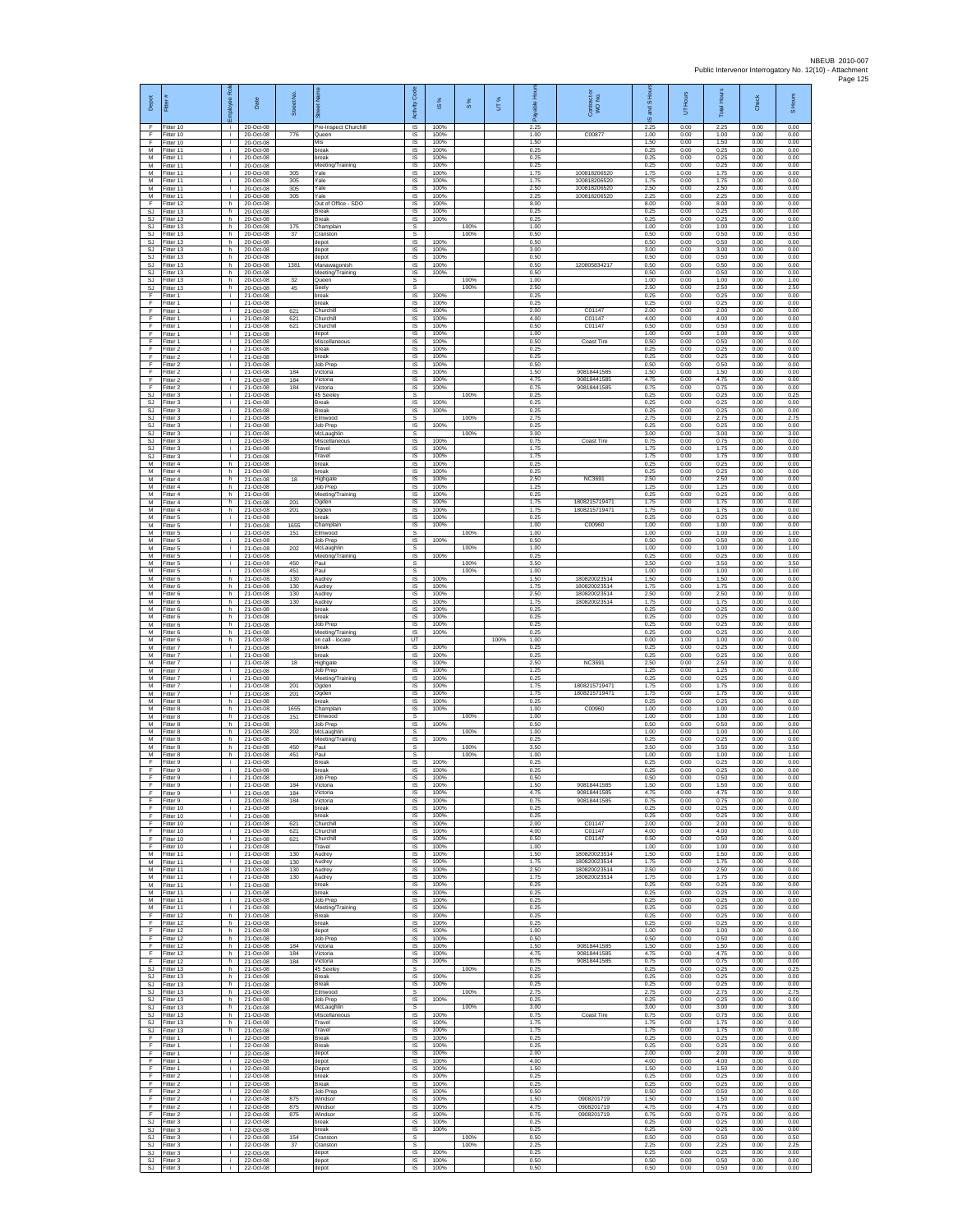| Depot<br>F                          | Fitter#<br>Fitter 10                | ployee Roi<br>- I -  | Date<br>20-Oct-08                   | Street No         | 芿<br>Pre-Inspect Churchill                    | code<br>Activity<br>IS             | <b>iS</b> %<br>100%  | $\frac{8}{3}$ | UT%  | 훈<br>æ<br>2.25       | Contract or<br>WO No.                        | $\overline{a}$<br>and<br>ဖ<br>2.25 | Hours<br>5<br>0.00   | <b>Total</b> Hour<br>2.25 | Check<br>0.00        | S Hours<br>0.00      |
|-------------------------------------|-------------------------------------|----------------------|-------------------------------------|-------------------|-----------------------------------------------|------------------------------------|----------------------|---------------|------|----------------------|----------------------------------------------|------------------------------------|----------------------|---------------------------|----------------------|----------------------|
| F.<br>F                             | Fitter 10<br>Fitter 10              | j.<br>i.             | 20-Oct-08<br>20-Oct-08              | 776               | Queen<br>Mis                                  | IS<br>$\sf IS$                     | 100%<br>100%         |               |      | 1.00<br>1.50         | C00877                                       | 1.00<br>1.50                       | 0.00<br>0.00         | 1.00<br>1.50              | 0.00<br>0.00         | 0.00<br>0.00         |
| M<br>M<br>M                         | Fitter 11<br>Fitter 11<br>Fitter 11 | T<br>j.<br>j.        | 20-Oct-08<br>20-Oct-08<br>20-Oct-08 |                   | break<br>break<br>Meeting/Training            | 1S<br>IS<br>IS                     | 100%<br>100%<br>100% |               |      | 0.25<br>0.25<br>0.25 |                                              | 0.25<br>0.25<br>0.25               | 0.00<br>0.00<br>0.00 | 0.25<br>0.25<br>0.25      | 0.00<br>0.00<br>0.00 | 0.00<br>0.00<br>0.00 |
| M<br>M                              | Fitter 11<br>itter 11               | ÷.<br>j.             | 20-Oct-08<br>20-Oct-08              | 305<br>305        | Yale<br>Yale                                  | 1S<br>IS                           | 100%<br>100%         |               |      | 1.75<br>1.75         | 100818206520<br>100818206520<br>100818206520 | 1.75<br>1.75                       | 0.00<br>0.00         | 1.75<br>1.75              | 0.00<br>0.00         | 0.00<br>0.00         |
| M<br>М<br>F                         | Fitter 11<br>Fitter 11<br>Fitter 12 | ÷i.<br>i.<br>h.      | 20-Oct-08<br>20-Oct-08<br>20-Oct-08 | 305<br>305        | Yale<br>Yale<br>Out of Office - SDO           | IS<br>$\sf IS$<br>IS               | 100%<br>100%<br>100% |               |      | 2.50<br>2.25<br>8.00 | 100818206520                                 | 2.50<br>2.25<br>8.00               | 0.00<br>0.00<br>0.00 | 2.50<br>2.25<br>8.00      | 0.00<br>0.00<br>0.00 | 0.00<br>0.00<br>0.00 |
| <b>SJ</b><br>S.I.                   | Fitter 13<br>Fitter 13              | h.<br>h.             | 20-Oct-08<br>20-Oct-08              |                   | <b>Break</b><br><b>Break</b>                  | IS<br>IS                           | 100%<br>100%         |               |      | 0.25<br>0.25         |                                              | 0.25<br>0.25                       | 0.00<br>0.00         | 0.25<br>0.25              | 0.00<br>0.00         | 0.00<br>0.00         |
| SJ<br><b>SJ</b><br>SJ               | Fitter 13<br>fitter 13<br>Fitter 13 | h<br>h.<br>h.        | 20-Oct-08<br>20-Oct-08<br>20-Oct-08 | 175<br>37         | Champlain<br>Cranston<br>depot                | s<br>s<br>$\overline{s}$           | 100%                 | 100%<br>100%  |      | 1.00<br>0.50<br>0.50 |                                              | 1.00<br>0.50<br>0.50               | 0.00<br>0.00<br>0.00 | 1.00<br>0.50<br>0.50      | 0.00<br>0.00<br>0.00 | 1.00<br>0.50<br>0.00 |
| SJ<br>$\mathbb{S}\mathbb{J}$        | Fitter 13<br>Fitter 13              | h<br>h.              | 20-Oct-08<br>20-Oct-08              |                   | depot<br>depot                                | IS<br>1S<br>IS                     | 100%<br>100%         |               |      | 3.00<br>0.50<br>0.50 | 120805834217                                 | 3.00<br>0.50<br>0.50               | 0.00<br>0.00<br>0.00 | 3.00<br>0.50<br>0.50      | 0.00<br>0.00<br>0.00 | 0.00<br>0.00<br>0.00 |
| SJ.<br><b>SJ</b><br><b>SJ</b>       | Fitter 13<br>Fitter 13<br>Fitter 13 | h.<br>h<br>h         | 20-Oct-08<br>20-Oct-08<br>20-Oct-08 | 1381<br>32        | Manawagonish<br>Meeting/Training<br>Queen     | IS<br>s                            | 100%<br>100%         | 100%          |      | 0.50<br>1.00         |                                              | 0.50<br>1.00                       | 0.00<br>0.00         | 0.50<br>1.00              | 0.00<br>0.00         | 0.00<br>1.00         |
| <b>SJ</b><br>F<br>F                 | fitter 13<br>Fitter 1               | h<br>j.<br>i.        | 20-Oct-08<br>21-Oct-08              | 45                | Seely<br>break<br>hreak                       | s<br>$\overline{\mathsf{s}}$<br>IS | 100%<br>100%         | 100%          |      | 2.50<br>0.25<br>0.25 |                                              | 2.50<br>0.25<br>0.25               | 0.00<br>0.00<br>0.00 | 2.50<br>0.25<br>0.25      | 0.00<br>0.00<br>0.00 | 2.50<br>0.00<br>0.00 |
| F<br>Ŧ                              | Fitter 1<br>Fitter 1<br>Fitter 1    | ÷<br>j.              | 21-Oct-08<br>21-Oct-08<br>21-Oct-08 | 621<br>621        | Churchill<br>Churchill                        | IS<br>1S                           | 100%<br>100%         |               |      | 2.00<br>4.00         | C01147<br>C01147                             | 2.00<br>4.00                       | 0.00<br>0.00         | 2.00<br>4.00              | 0.00<br>0.00         | 0.00<br>0.00         |
| F<br>F<br>F                         | Fitter 1<br>-itter 1<br>Fitter 1    | j.<br>Ť.<br>j.       | 21-Oct-08<br>21-Oct-08<br>21-Oct-08 | 621               | Churchill<br>depot<br>Miscellaneous           | IS<br>IS<br>1S                     | 100%<br>100%<br>100% |               |      | 0.50<br>1.00<br>0.50 | C01147<br>Coast Tire                         | 0.50<br>1.00<br>0.50               | 0.00<br>0.00<br>0.00 | 0.50<br>1.00<br>0.50      | 0.00<br>0.00<br>0.00 | 0.00<br>0.00<br>0.00 |
| F<br>F                              | Fitter 2<br>Fitter 2                | j.<br>i.             | 21-Oct-08<br>21-Oct-08              |                   | <b>Break</b><br>break                         | IS<br>IS                           | 100%<br>100%         |               |      | 0.25<br>0.25         |                                              | 0.25<br>0.25                       | 0.00<br>0.00         | 0.25<br>0.25              | 0.00<br>0.00         | 0.00<br>0.00         |
| F<br>F<br>F                         | Fitter 2<br>fitter 2<br>Fitter 2    | ÷.<br>j.<br>j.       | 21-Oct-08<br>21-Oct-08<br>21-Oct-08 | 184<br>184        | Job Prep<br>Victoria<br>Victoria              | IS<br>IS<br>IS                     | 100%<br>100%<br>100% |               |      | 0.50<br>1.50<br>4.75 | 90818441585<br>90818441585                   | 0.50<br>1.50<br>4.75               | 0.00<br>0.00<br>0.00 | 0.50<br>1.50<br>4.75      | 0.00<br>0.00<br>0.00 | 0.00<br>0.00<br>0.00 |
| F<br>SJ                             | Fitter 2<br>Fitter 3                | j.<br>j.             | 21-Oct-08<br>21-Oct-08              | 184               | Victoria<br>45 Seeley                         | $\sf IS$<br>s                      | 100%                 | 100%          |      | 0.75<br>0.25         | 90818441585                                  | 0.75<br>0.25                       | 0.00<br>0.00         | 0.75<br>0.25              | 0.00<br>0.00         | 0.00<br>0.25         |
| <b>SJ</b><br><b>SJ</b><br><b>SJ</b> | Fitter 3<br>Fitter 3<br>fitter 3    | j.<br>j.<br>÷.       | 21-Oct-08<br>21-Oct-08<br>21-Oct-08 |                   | <b>Break</b><br><b>Break</b><br>Elmwood       | IS<br>IS<br>s                      | 100%<br>100%         | 100%          |      | 0.25<br>0.25<br>2.75 |                                              | 0.25<br>0.25<br>2.75               | 0.00<br>0.00<br>0.00 | 0.25<br>0.25<br>2.75      | 0.00<br>0.00<br>0.00 | 0.00<br>0.00<br>2.75 |
| <b>SJ</b><br>SJ                     | fitter 3<br>Fitter 3                | j.<br>j.             | 21-Oct-08<br>21-Oct-08              |                   | <b>Job Prep</b><br>McLaughlin                 | 1S<br>s                            | 100%                 | 100%          |      | 0.25<br>3.00         |                                              | 0.25<br>3.00                       | 0.00<br>0.00         | 0.25<br>3.00              | 0.00<br>0.00         | 0.00<br>3.00         |
| SJ<br>SJ<br>SJ                      | Fitter 3<br>Fitter 3<br>fitter 3    | i.<br>÷.<br>i.       | 21-Oct-08<br>21-Oct-08<br>21-Oct-08 |                   | Miscellaneous<br>Travel<br>Travel             | IS<br>IS<br>IS                     | 100%<br>100%<br>100% |               |      | 0.75<br>1.75<br>1.75 | Coast Tire                                   | 0.75<br>1.75<br>1.75               | 0.00<br>0.00<br>0.00 | 0.75<br>1.75<br>1.75      | 0.00<br>0.00<br>0.00 | 0.00<br>0.00<br>0.00 |
| M<br>M                              | Fitter 4<br>Fitter 4                | h<br>h.              | 21-Oct-08<br>21-Oct-08              |                   | break<br>break                                | IS<br>1S                           | 100%<br>100%         |               |      | 0.25<br>0.25         |                                              | 0.25<br>0.25                       | 0.00<br>0.00         | 0.25<br>0.25              | 0.00<br>0.00         | 0.00<br>0.00         |
| M<br>M<br>M                         | itter 4<br>Fitter 4<br>Fitter 4     | h<br>h.<br>h.        | 21-Oct-08<br>21-Oct-08<br>21-Oct-08 | 18                | Highgate<br>Job Prep<br>Meeting/Training      | IS<br><b>IS</b><br>IS              | 100%<br>100%<br>100% |               |      | 2.50<br>1.25<br>0.25 | <b>NC3691</b>                                | 2.50<br>1.25<br>0.25               | 0.00<br>0.00<br>0.00 | 2.50<br>1.25<br>0.25      | 0.00<br>0.00<br>0.00 | 0.00<br>0.00<br>0.00 |
| М<br>M                              | Fitter 4<br>Fitter 4                | h<br>h.              | 21-Oct-08<br>21-Oct-08              | 201<br>201        | Ogden<br>Ogden                                | IS<br>1S                           | 100%<br>100%         |               |      | 1.75<br>1.75         | 1808215719471<br>1808215719471               | 1.75<br>1.75                       | 0.00<br>0.00         | 1.75<br>1.75              | 0.00<br>0.00         | 0.00<br>0.00         |
| M<br>М<br>M                         | Fitter 5<br>Fitter 5<br>Fitter 5    | i.<br>Ť.<br>Ŧ        | 21-Oct-08<br>21-Oct-08<br>21-Oct-08 | 1655<br>151       | break<br>Champlain<br>Elmwood                 | IS<br>IS<br>s                      | 100%<br>100%         | 100%          |      | 0.25<br>1.00<br>1.00 | C00960                                       | 0.25<br>1.00<br>1.00               | 0.00<br>0.00<br>0.00 | 0.25<br>1.00<br>1.00      | 0.00<br>0.00<br>0.00 | 0.00<br>0.00<br>1.00 |
| M<br>M                              | Fitter 5<br>Fitter 5                | j.<br>j.             | 21-Oct-08<br>21-Oct-08              | 202               | Job Prep<br>McLaughlin                        | $\overline{\mathsf{s}}$<br>s       | 100%                 | 100%          |      | 0.50<br>1.00         |                                              | 0.50<br>1.00                       | 0.00<br>0.00         | 0.50<br>1.00              | 0.00<br>0.00         | 0.00<br>1.00         |
| M<br>M<br>M                         | Fitter 5<br>itter 5<br>Fitter 5     | ÷.<br>j.<br>÷        | 21-Oct-08<br>21-Oct-08<br>21-Oct-08 | 450<br>451        | Meeting/Training<br>Paul<br>Paul              | IS.<br>s<br>s                      | 100%                 | 100%<br>100%  |      | 0.25<br>3.50<br>1.00 |                                              | 0.25<br>3.50<br>1.00               | 0.00<br>0.00<br>0.00 | 0.25<br>3.50<br>1.00      | 0.00<br>0.00<br>0.00 | 0.00<br>3.50<br>1.00 |
| M<br>М                              | Fitter 6<br>Fitter 6                | $\mathsf{h}$ .<br>h. | 21-Oct-08<br>21-Oct-08              | 130<br>130        | Audrey<br>Audrey                              | $\sf IS$<br>$\sf IS$               | 100%<br>100%         |               |      | 1.50<br>1.75         | 180820023514<br>180820023514                 | 1.50<br>1.75                       | 0.00<br>0.00         | 1.50<br>1.75              | 0.00<br>0.00         | 0.00<br>0.00         |
| M<br>M<br>М                         | Fitter 6<br>Fitter 6<br>Fitter 6    | h.<br>h.<br>h        | 21-Oct-08<br>21-Oct-08<br>21-Oct-08 | 130<br>130        | Audrey<br>Audrey<br>break                     | IS<br>IS<br>IS                     | 100%<br>100%<br>100% |               |      | 2.50<br>175<br>0.25  | 180820023514<br>180820023514                 | 2.50<br>1.75<br>0.25               | 0.00<br>0.00<br>0.00 | 2.50<br>1.75<br>0.25      | 0.00<br>0.00<br>0.00 | 0.00<br>0.00<br>0.00 |
| M<br>M                              | itter 6<br>Fitter 6                 | h.<br>h.             | 21-Oct-08<br>21-Oct-08              |                   | break<br>Job Prep                             | 1S<br>IS                           | 100%<br>100%         |               |      | 0.25<br>0.25<br>0.25 |                                              | 0.25<br>0.25                       | 0.00<br>0.00         | 0.25<br>0.25              | 0.00<br>0.00         | 0.00<br>0.00         |
| М<br>М<br>M                         | itter 6<br>Fitter 6<br>Fitter 7     | h<br>h.<br>÷.        | 21-Oct-08<br>21-Oct-08<br>21-Oct-08 |                   | Meeting/Training<br>on call - locate<br>break | IS<br>UT<br>IS                     | 100%<br>100%         |               | 100% | 1.00<br>0.25         |                                              | 0.25<br>0.00<br>0.25               | 0.00<br>1.00<br>0.00 | 0.25<br>1.00<br>0.25      | 0.00<br>0.00<br>0.00 | 0.00<br>0.00<br>0.00 |
| М<br>М<br>М                         | Fitter 7<br>Fitter 7<br>itter 7     | ÷.<br>÷.<br>j.       | 21-Oct-08<br>21-Oct-08<br>21-Oct-08 | 18                | break<br>Highgate<br>Job Prep                 | IS<br>IS<br>IS                     | 100%<br>100%<br>100% |               |      | 0.25<br>2.50<br>1.25 | <b>NC3691</b>                                | 0.25<br>2.50<br>1.25               | 0.00<br>0.00<br>0.00 | 0.25<br>2.50<br>1.25      | 0.00<br>0.00<br>0.00 | 0.00<br>0.00<br>0.00 |
| M<br>M                              | Fitter 7<br>Fitter 7                | j.<br>i.             | 21-Oct-08<br>21-Oct-08              | 201               | Meeting/Training<br>Ogden                     | IS<br>IS                           | 100%<br>100%         |               |      | 0.25<br>1.75         | 180821571047                                 | 0.25<br>1.75                       | 0.00<br>0.00         | 0.25<br>1.75              | 0.00<br>0.00         | 0.00<br>0.00         |
| М<br>M<br>M                         | Fitter 7<br>Fitter 8<br>Fitter 8    | ÷.<br>h.<br>h.       | 21-Oct-08<br>21-Oct-08<br>21-Oct-08 | 201<br>1655       | Ogden<br>break<br>Champlain                   | IS<br>1S<br>IS                     | 100%<br>100%<br>100% |               |      | 1.75<br>0.25<br>1.00 | 1808215719471<br>C00960                      | 1.75<br>0.25<br>1.00               | 0.00<br>0.00<br>0.00 | 1.75<br>0.25<br>1.00      | 0.00<br>0.00<br>0.00 | 0.00<br>0.00<br>0.00 |
| М<br>M                              | Fitter 8<br>fitter 8                | h<br>h.              | 21-Oct-08<br>21-Oct-08              | 151               | Elmwood<br><b>Job Prep</b>                    | s<br>1S                            | 100%                 | 100%          |      | 1.00<br>0.50         |                                              | 1.00<br>0.50                       | 0.00<br>0.00         | 1.00<br>0.50              | 0.00<br>0.00         | 1.00<br>0.00         |
| M<br>M<br>М                         | Fitter 8<br>Fitter 8<br>Fitter 8    | h.<br>h<br>h.        | 21-Oct-08<br>21-Oct-08<br>21-Oct-08 | 202<br>450        | McLaughlin<br>Meeting/Training<br>Paul        | s<br>IS<br>s                       | 100%                 | 100%<br>100%  |      | 1.00<br>0.25<br>3.50 |                                              | 1.00<br>0.25<br>3.50               | 0.00<br>0.00<br>0.00 | 1.00<br>0.25<br>3.50      | 0.00<br>0.00<br>0.00 | 1.00<br>0.00<br>3.50 |
| M<br>F                              | fitter 8<br>Fitter 9                | h.<br>j.             | 21-Oct-08<br>21-Oct-08              | 451               | Paul<br><b>Break</b>                          | s<br>$\overline{\mathsf{s}}$       | 100%                 | 100%          |      | 1.00<br>0.25         |                                              | 1.00<br>0.25                       | 0.00<br>0.00         | 1.00<br>0.25              | 0.00<br>0.00         | 1.00<br>0.00         |
| F.<br>F<br>F                        | Fitter 9<br>Fitter 9<br>Fitter 9    | i.<br>i.<br>÷        | 21-Oct-08<br>21-Oct-08<br>21-Oct-08 | 184               | break<br>Job Prep<br>Victoria                 | IS<br>IS<br><b>IS</b>              | 100%<br>100%<br>100% |               |      | 0.25<br>0.50<br>1.50 | 90818441585                                  | 0.25<br>0.50<br>1.50               | 0.00<br>0.00<br>0.00 | 0.25<br>0.50<br>1.50      | 0.00<br>0.00<br>0.00 | 0.00<br>0.00<br>0.00 |
| F<br>F<br>F                         | Fitter 9<br>Fitter 9<br>fitter 10   | i.<br>÷.<br>i.       | 21-Oct-08<br>21-Oct-08<br>21-Oct-08 | 184<br>184        | Victoria<br>Victoria<br>break                 | IS<br>IS<br>IS                     | 100%<br>100%<br>100% |               |      | 4.75<br>0.75<br>0.25 | 90818441585<br>90818441585                   | 4.75<br>0.75<br>0.25               | 0.00<br>0.00<br>0.00 | 4.75<br>0.75<br>0.25      | 0.00<br>0.00<br>0.00 | 0.00<br>0.00<br>0.00 |
| F<br>F                              | Fitter 10<br>Fitter 10              | i.<br>i.             | 21-Oct-08<br>21-Oct-08              | 621               | break<br>Churchill                            | <b>IS</b><br>IS                    | 100%<br>100%         |               |      | 0.25<br>2.00         | C01147                                       | 0.25<br>2.00                       | 0.00<br>0.00         | 0.25<br>2.00              | 0.00<br>0.00         | 0.00<br>0.00         |
| F<br>F<br>F                         | Fitter 10<br>Fitter 10<br>Fitter 10 | ÷.<br>i.<br>÷.       | 21-Oct-08<br>21-Oct-08<br>21-Oct-08 | 621<br>621        | Churchill<br>Churchill<br>Travel              | IS<br>IS<br>IS                     | 100%<br>100%<br>100% |               |      | 4.00<br>0.50<br>1.00 | C01147<br>C01147                             | 4.00<br>0.50<br>1.00               | 0.00<br>0.00<br>0.00 | 4.00<br>0.50<br>1.00      | 0.00<br>0.00<br>0.00 | 0.00<br>0.00<br>0.00 |
| M<br>М                              | Fitter 11<br>fitter 11              | ÷.<br>÷.             | 21-Oct-08<br>21-Oct-08              | 130<br>130        | Audrey<br>Audrey                              | 1S<br>IS                           | 100%<br>100%         |               |      | 1.50<br>1.75         | 180820023514<br>180820023514                 | 1.50<br>1.75                       | 0.00<br>0.00         | 1.50<br>1.75              | 0.00<br>0.00         | 0.00<br>0.00         |
| M<br>M<br>М                         | Fitter 11<br>Fitter 11<br>Fitter 11 | j.<br>i.<br>÷.       | 21-Oct-08<br>21-Oct-08<br>21-Oct-08 | 130<br>130        | Audrey<br>Audrey<br>break                     | IS<br>IS<br>IS                     | 100%<br>100%<br>100% |               |      | 2.50<br>175<br>0.25  | 180820023514<br>180820023514                 | 2.50<br>1.75<br>0.25               | 0.00<br>0.00<br>0.00 | 2.50<br>1.75<br>0.25      | 0.00<br>0.00<br>0.00 | 0.00<br>0.00<br>0.00 |
| M<br>м                              | Fitter 11<br>Fitter 11              | i.<br>i.             | 21-Oct-08<br>21-Oct-08              |                   | break<br>Job Prep                             | IS<br>IS                           | 100%<br>100%         |               |      | 0.25<br>0.25         |                                              | 0.25<br>0.25                       | 0.00<br>0.00         | 0.25<br>0.25              | 0.00<br>0.00         | 0.00<br>0.00         |
| М<br>F<br>F                         | Fitter 11<br>ltter 12<br>Fitter 12  | ÷.<br>h.<br>h.       | 21-Oct-08<br>21-Oct-08<br>21-Oct-08 |                   | Meeting/Training<br>Break<br>break            | IS<br>1S<br><b>IS</b>              | 100%<br>100%<br>100% |               |      | 0.25<br>0.25<br>0.25 |                                              | 0.25<br>0.25<br>0.25               | 0.00<br>0.00<br>0.00 | 0.25<br>0.25<br>0.25      | 0.00<br>0.00<br>0.00 | 0.00<br>0.00<br>0.00 |
| F<br>F                              | Fitter 12<br>Fitter 12              | h.<br>h              | 21-Oct-08<br>21-Oct-08              |                   | depot<br>Job Prep                             | IS<br>1S                           | 100%<br>100%         |               |      | 1.00<br>0.50         |                                              | 1.00<br>0.50                       | 0.00<br>0.00         | 1.00<br>0.50              | 0.00<br>0.00         | 0.00<br>0.00         |
| F<br>F<br>F.                        | Fitter 12<br>Fitter 12<br>Fitter 12 | h.<br>h<br>h.        | 21-Oct-08<br>21-Oct-08<br>21-Oct-08 | 184<br>184<br>184 | Victoria<br>Victoria<br>Victoria              | IS<br>IS<br>$\sf IS$               | 100%<br>100%<br>100% |               |      | 1.50<br>4.75<br>0.75 | 90818441585<br>90818441585<br>90818441585    | 1.50<br>4.75<br>0.75               | 0.00<br>0.00<br>0.00 | 1.50<br>4.75<br>0.75      | 0.00<br>0.00<br>0.00 | 0.00<br>0.00<br>0.00 |
| SJ<br>SJ.                           | Fitter 13<br>Fitter 13              | h.<br>h.             | 21-Oct-08<br>21-Oct-08              |                   | 45 Seeley<br><b>Break</b>                     | s<br>IS                            | 100%                 | 100%          |      | 0.25<br>0.25         |                                              | 0.25<br>0.25                       | 0.00<br>0.00         | 0.25<br>0.25              | 0.00<br>0.00         | 0.25<br>0.00         |
| S.I.<br>SJ<br>SJ                    | Fitter 13<br>Fitter 13<br>fitter 13 | h.<br>h<br>h.        | 21-Oct-08<br>21-Oct-08<br>21-Oct-08 |                   | <b>Break</b><br>Elmwood<br><b>Job Prep</b>    | IS<br>s<br>IS                      | 100%<br>100%         | 100%          |      | 0.25<br>2.75<br>0.25 |                                              | 0.25<br>2.75<br>0.25               | 0.00<br>0.00<br>0.00 | 0.25<br>2.75<br>0.25      | 0.00<br>0.00<br>0.00 | 0.00<br>2.75<br>0.00 |
| SJ                                  | SJ Fitter 13<br>Fitter 13           | h.<br>h.             | 21-Oct-08<br>21-Oct-08              |                   | McLaughlin<br>Miscellaneous                   | s<br>IS                            | 100%                 | 100%          |      | 3.00<br>0.75         | Coast Tire                                   | 3.00<br>0.75                       | 0.00<br>0.00         | 3.00<br>0.75              | 0.00<br>0.00         | 3.00<br>0.00         |
| $\mathbb{S}\mathbb{J}$<br>SJ.<br>F  | Fitter 13<br>Fitter 13<br>Fitter 1  | h.<br>h.<br>÷.       | 21-Oct-08<br>21-Oct-08<br>22-Oct-08 |                   | Travel<br>Travel<br><b>Break</b>              | 1S<br>IS<br>IS                     | 100%<br>100%<br>100% |               |      | 1.75<br>1.75<br>0.25 |                                              | 1.75<br>1.75<br>0.25               | 0.00<br>0.00<br>0.00 | 1.75<br>1.75<br>0.25      | 0.00<br>0.00<br>0.00 | 0.00<br>0.00<br>0.00 |
| F<br>F                              | Fitter 1<br>fitter 1                | ÷.<br>i.             | 22-Oct-08<br>22-Oct-08              |                   | <b>Break</b><br>depot                         | IS<br>IS                           | 100%<br>100%         |               |      | 0.25<br>2.00         |                                              | 0.25<br>2.00                       | 0.00<br>0.00         | 0.25<br>2.00              | 0.00<br>0.00         | 0.00<br>0.00         |
| F<br>F<br>F                         | Fitter 1<br>Fitter 1<br>Fitter 2    | j.<br>i.<br>÷.       | 22-Oct-08<br>22-Oct-08<br>22-Oct-08 |                   | depot<br>Depot<br>break                       | IS<br>IS<br>IS                     | 100%<br>100%<br>100% |               |      | 4.00<br>1.50<br>0.25 |                                              | 4.00<br>1.50<br>0.25               | 0.00<br>0.00<br>0.00 | 4.00<br>1.50<br>0.25      | 0.00<br>0.00<br>0.00 | 0.00<br>0.00<br>0.00 |
| Ŧ<br>F                              | Fitter 2<br>Fitter 2                | ÷.<br>i.             | 22-Oct-08<br>22-Oct-08              |                   | Break<br>Job Prep                             | 1S<br>IS                           | 100%<br>100%         |               |      | 0.25<br>0.50         |                                              | 0.25<br>0.50                       | 0.00<br>0.00         | 0.25<br>0.50              | 0.00<br>0.00         | 0.00<br>0.00         |
| F<br>F<br>F                         | Fitter 2<br>Fitter 2<br>Fitter 2    | ÷.<br>i.<br>i.       | 22-Oct-08<br>22-Oct-08<br>22-Oct-08 | 875<br>875<br>875 | Windsor<br>Windsor<br>Windsor                 | IS<br>1S<br>IS.                    | 100%<br>100%<br>100% |               |      | 1.50<br>4.75<br>0.75 | 0908201719<br>0908201719<br>0908201719       | 1.50<br>4.75<br>0.75               | 0.00<br>0.00<br>0.00 | 1.50<br>4.75<br>0.75      | 0.00<br>0.00<br>0.00 | 0.00<br>0.00<br>0.00 |
| SJ<br>SJ                            | Fitter 3<br>Fitter 3                | i.<br>÷.             | 22-Oct-08<br>22-Oct-08              |                   | break<br>break                                | IS<br>IS.                          | 100%<br>100%         | 100%          |      | 0.25<br>0.25         |                                              | 0.25<br>0.25                       | 0.00<br>0.00         | 0.25<br>0.25              | 0.00<br>0.00         | 0.00<br>0.00         |
| SJ<br>SJ<br>SJ                      | fitter 3<br>Fitter 3<br>Fitter 3    | i.<br>j.<br>i.       | 22-Oct-08<br>22-Oct-08<br>22-Oct-08 | 154<br>37         | Cranston<br>Cranston<br>depot                 | s<br>s<br>IS                       | 100%                 | 100%          |      | 0.50<br>2.25<br>0.25 |                                              | 0.50<br>2.25<br>0.25               | 0.00<br>0.00<br>0.00 | 0.50<br>2.25<br>0.25      | 0.00<br>0.00<br>0.00 | 0.50<br>2.25<br>0.00 |
| SJ<br><b>SJ</b>                     | Fitter 3<br>Fitter 3                | j.<br>j.             | 22-Oct-08<br>22-Oct-08              |                   | depot<br>depot                                | $\sf IS$<br>IS                     | 100%<br>100%         |               |      | 0.50<br>0.50         |                                              | 0.50<br>0.50                       | 0.00<br>0.00         | 0.50<br>0.50              | 0.00<br>0.00         | 0.00<br>0.00         |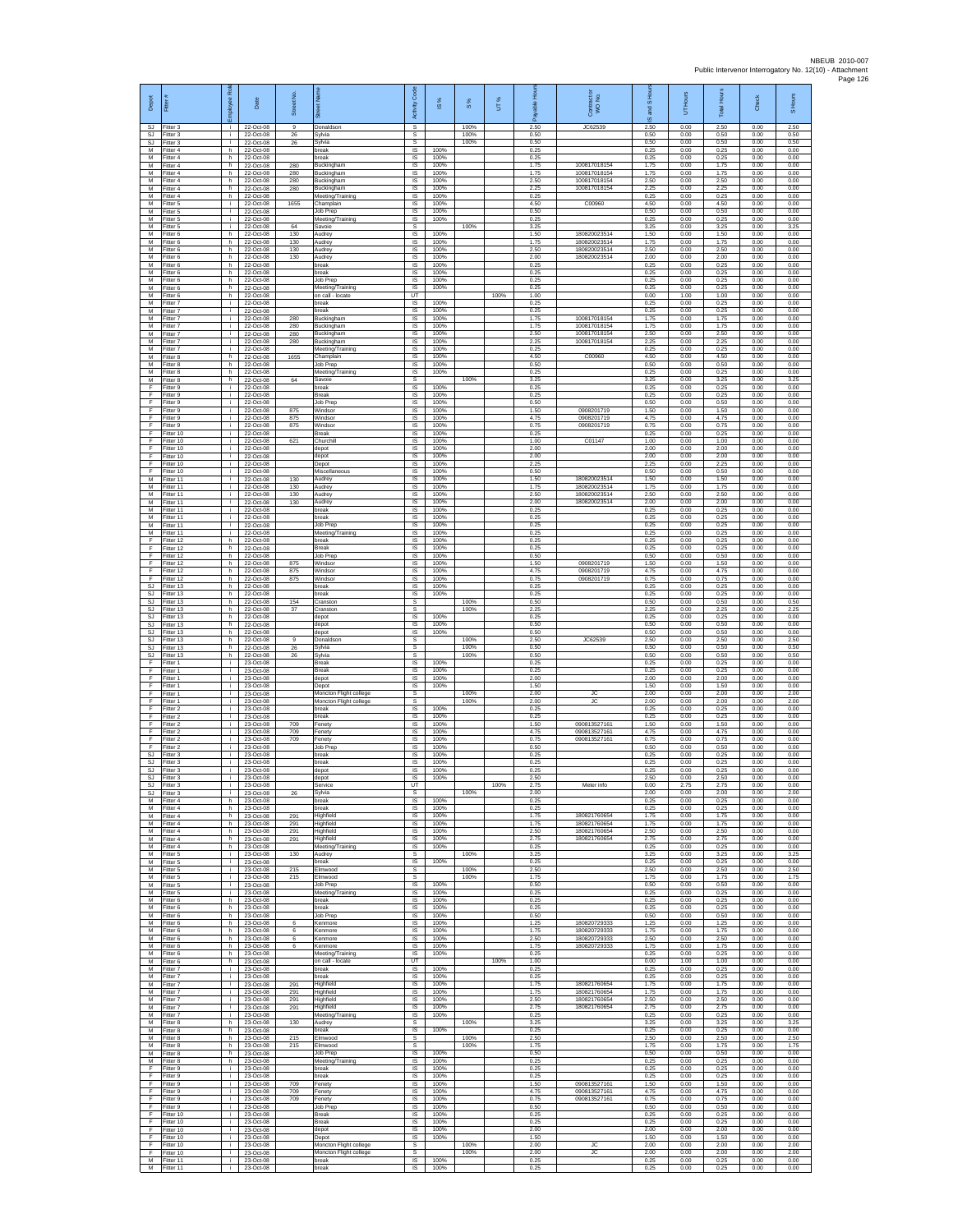| Depot<br><b>SJ</b>      | Fitter#<br>Fitter 3                 | ployee Roi               | Date<br>22-Oct-08                   | Street No<br>$\mathbf{Q}$ | 芿<br>Donaldson                                   | Code<br>Activity<br>s         | <b>iS</b> %          | $\frac{8}{3}$<br>100% | UT%  | 훈<br>δ<br>2.50       | Contract or<br>WO No.<br>JC62539             | $\overline{a}$<br>and<br>ဖ<br>2.50 | Hours<br>5<br>0.00   | <b>Total Hour</b><br>2.50 | Check<br>0.00        | S Hours<br>2.50      |
|-------------------------|-------------------------------------|--------------------------|-------------------------------------|---------------------------|--------------------------------------------------|-------------------------------|----------------------|-----------------------|------|----------------------|----------------------------------------------|------------------------------------|----------------------|---------------------------|----------------------|----------------------|
| SJ                      | SJ Fitter 3<br>Fitter 3             | j.<br>i.                 | 22-Oct-08<br>22-Oct-08              | 26<br>26                  | Sylvia<br>Sylvia                                 | s<br>s                        |                      | 100%<br>100%          |      | 0.50<br>0.50         |                                              | 0.50<br>0.50                       | 0.00<br>0.00         | 0.50<br>0.50              | 0.00<br>0.00         | 0.50<br>0.50         |
| M<br>M<br>M             | -itter 4<br>Fitter 4<br>Fitter 4    | h.<br>h.<br>h.           | 22-Oct-08<br>22-Oct-08<br>22-Oct-08 | 280                       | break<br>break<br>Buckingham                     | IS.<br>IS<br>IS               | 100%<br>100%<br>100% |                       |      | 0.25<br>0.25<br>1.75 | 100817018154                                 | 0.25<br>0.25<br>1.75               | 0.00<br>0.00<br>0.00 | 0.25<br>0.25<br>1.75      | 0.00<br>0.00<br>0.00 | 0.00<br>0.00<br>0.00 |
| M<br>M                  | Fitter 4<br>itter 4                 | h.<br>h.                 | 22-Oct-08<br>22-Oct-08              | 280<br>280                | Buckingham<br>Buckingham                         | 1S<br>IS                      | 100%<br>100%         |                       |      | 1.75<br>2.50         | 100817018154<br>100817018154                 | 1.75<br>2.50                       | 0.00<br>0.00         | 1.75<br>2.50              | 0.00<br>0.00         | 0.00<br>0.00         |
| M<br>M                  | Fitter 4<br>Fitter 4                | h.<br>h.                 | 22-Oct-08<br>22-Oct-08              | 280                       | Buckingham<br>Meeting/Training                   | IS<br>$\sf IS$                | 100%<br>100%         |                       |      | 2.25<br>0.25         | 100817018154                                 | 2.25<br>0.25                       | 0.00<br>0.00         | 2.25<br>0.25              | 0.00<br>0.00         | 0.00<br>0.00         |
| М<br>M<br>M             | Fitter 5<br>Fitter 5<br>Fitter 5    | j.<br>j.<br>j.           | 22-Oct-08<br>22-Oct-08<br>22-Oct-08 | 1655                      | Champlain<br>Job Prep<br>Meeting/Training        | IS<br>IS<br>IS                | 100%<br>100%<br>100% |                       |      | 4.50<br>0.50<br>0.25 | C00960                                       | 4.50<br>0.50<br>0.25               | 0.00<br>0.00<br>0.00 | 4.50<br>0.50<br>0.25      | 0.00<br>0.00<br>0.00 | 0.00<br>0.00<br>0.00 |
| М<br>M                  | Fitter 5<br>itter 6                 | ÷<br>h.                  | 22-Oct-08<br>22-Oct-08              | 64<br>130                 | Savoie<br>Audrey                                 | s<br>1S                       | 100%                 | 100%                  |      | 3.25<br>1.50         | 18082002351                                  | 3.25<br>1.50                       | 0.00<br>0.00         | 3.25<br>1.50              | 0.00<br>0.00         | 3.25<br>0.00         |
| M<br>М<br>M             | Fitter 6<br>-itter 6<br>Fitter 6    | h.<br>h.<br>h.           | 22-Oct-08<br>22-Oct-08<br>22-Oct-08 | 130<br>130<br>130         | Audrey<br>Audrey<br>Audrey                       | IS<br>IS<br>1S                | 100%<br>100%<br>100% |                       |      | 1.75<br>2.50<br>2.00 | 180820023514<br>180820023514<br>180820023514 | 1.75<br>2.50<br>2.00               | 0.00<br>0.00<br>0.00 | 1.75<br>2.50<br>2.00      | 0.00<br>0.00<br>0.00 | 0.00<br>0.00<br>0.00 |
| M<br>M                  | Fitter 6<br>Fitter 6                | h.<br>h                  | 22-Oct-08<br>22-Oct-08              |                           | break<br>break                                   | IS<br>IS                      | 100%<br>100%         |                       |      | 0.25<br>0.25         |                                              | 0.25<br>0.25                       | 0.00<br>0.00         | 0.25<br>0.25              | 0.00<br>0.00         | 0.00<br>0.00         |
| М<br>М<br>M             | Fitter 6<br>itter 6                 | h.<br>h.                 | 22-Oct-08<br>22-Oct-08<br>22-Oct-08 |                           | Job Prep<br>Meeting/Training<br>on call - locate | IS<br>IS                      | 100%<br>100%         |                       | 100% | 0.25<br>0.25<br>1.00 |                                              | 0.25<br>0.25                       | 0.00<br>0.00         | 0.25<br>0.25              | 0.00<br>0.00         | 0.00<br>0.00         |
| M<br>М                  | Fitter 6<br>Fitter 7<br>Fitter 7    | h.<br>i.<br>i.           | 22-Oct-08<br>22-Oct-08              |                           | break<br>break                                   | UT<br>IS<br>IS                | 100%<br>100%         |                       |      | 0.25<br>0.25         |                                              | 0.00<br>0.25<br>0.25               | 1.00<br>0.00<br>0.00 | 1.00<br>0.25<br>0.25      | 0.00<br>0.00<br>0.00 | 0.00<br>0.00<br>0.00 |
| M<br>M                  | Fitter 7<br>Fitter 7                | j.<br>i.                 | 22-Oct-08<br>22-Oct-08              | 280<br>280                | Buckingham<br>Buckingham                         | 1S<br>IS                      | 100%<br>100%         |                       |      | 1.75<br>1.75         | 100817018154<br>100817018154                 | 1.75<br>1.75                       | 0.00<br>0.00         | 1.75<br>1.75              | 0.00<br>0.00         | 0.00<br>0.00         |
| М<br>M<br>M             | -itter 7<br>fitter 7<br>Fitter 7    | Ť.<br>Ŧ<br>j.            | 22-Oct-08<br>22-Oct-08<br>22-Oct-08 | 280<br>280                | Buckingham<br>Buckingham<br>Meeting/Training     | IS<br>1S<br>IS                | 100%<br>100%<br>100% |                       |      | 2.50<br>2.25<br>0.25 | 100817018154<br>100817018154                 | 2.50<br>2.25<br>0.25               | 0.00<br>0.00<br>0.00 | 2.50<br>2.25<br>0.25      | 0.00<br>0.00<br>0.00 | 0.00<br>0.00<br>0.00 |
| M<br>М                  | Fitter 8<br>Fitter 8                | h<br>h.                  | 22-Oct-08<br>22-Oct-08              | 1655                      | Champlain<br>Job Prep                            | IS<br>IS                      | 100%<br>100%         |                       |      | 4.50<br>0.50         | C00960                                       | 4.50<br>0.50                       | 0.00<br>0.00         | 4.50<br>0.50              | 0.00<br>0.00         | 0.00<br>0.00         |
| M<br>M                  | fitter 8<br>Fitter 8                | h.<br>h.                 | 22-Oct-08<br>22-Oct-08              | 64                        | Meeting/Training<br>Savoie                       | IS<br>s                       | 100%                 | 100%                  |      | 0.25<br>3.25         |                                              | 0.25<br>3.25                       | 0.00<br>0.00         | 0.25<br>3.25              | 0.00<br>0.00         | 0.00<br>3.25         |
| F<br>F<br>F             | Fitter 9<br>Fitter 9<br>Fitter 9    | $\mathbf{i}$<br>j.<br>j. | 22-Oct-08<br>22-Oct-08<br>22-Oct-08 |                           | break<br>Break<br>Job Prep                       | $\sf IS$<br>$\sf IS$<br>IS    | 100%<br>100%<br>100% |                       |      | 0.25<br>0.25<br>0.50 |                                              | 0.25<br>0.25<br>0.50               | 0.00<br>0.00<br>0.00 | 0.25<br>0.25<br>0.50      | 0.00<br>0.00<br>0.00 | 0.00<br>0.00<br>0.00 |
| F<br>F                  | Fitter 9<br>Fitter 9                | j.<br>÷.                 | 22-Oct-08<br>22-Oct-08              | 875<br>875                | Windsor<br>Windsor                               | <b>IS</b><br>IS               | 100%<br>100%         |                       |      | 1.50<br>4.75         | 0908201719<br>0908201719                     | 1.50<br>4.75                       | 0.00<br>0.00         | 1.50<br>4.75              | 0.00<br>0.00         | 0.00<br>0.00         |
| F<br>F                  | fitter 9<br>Fitter 10               | j.<br>j.                 | 22-Oct-08<br>22-Oct-08              | 875                       | Windsor<br><b>Break</b>                          | IS<br>IS                      | 100%<br>100%         |                       |      | 0.75<br>0.25<br>1.00 | 0908201719                                   | 0.75<br>0.25                       | 0.00<br>0.00         | 0.75<br>0.25              | 0.00<br>0.00         | 0.00<br>0.00         |
| F<br>F<br>F             | Fitter 10<br>Fitter 10<br>Fitter 10 | j.<br>÷.<br>÷.           | 22-Oct-08<br>22-Oct-08<br>22-Oct-08 | 621                       | Churchill<br>depot<br>depot                      | IS<br>IS<br>IS                | 100%<br>100%<br>100% |                       |      | 2.00<br>2.00         | C01147                                       | 1.00<br>2.00<br>2.00               | 0.00<br>0.00<br>0.00 | 1.00<br>2.00<br>2.00      | 0.00<br>0.00<br>0.00 | 0.00<br>0.00<br>0.00 |
| E<br>F                  | Fitter 10<br>Fitter 10              | ÷.<br>÷.                 | 22-Oct-08<br>22-Oct-08              |                           | Depot<br>Miscellaneous                           | IS<br>1S                      | 100%<br>100%         |                       |      | 2.25<br>0.50         |                                              | 2.25<br>0.50                       | 0.00<br>0.00         | 2.25<br>0.50              | 0.00<br>0.00         | 0.00<br>0.00         |
| M<br>M<br>M             | fitter 11<br>Fitter 11<br>Fitter 11 | j.<br>÷i.<br>i.          | 22-Oct-08<br>22-Oct-08<br>22-Oct-08 | 130<br>130<br>130         | Audrey<br>Audrey<br>Audrey                       | IS<br><b>IS</b><br>IS         | 100%<br>100%<br>100% |                       |      | 1.50<br>1.75<br>2.50 | 18082002351<br>180820023514<br>180820023514  | 1.50<br>1.75<br>2.50               | 0.00<br>0.00<br>0.00 | 1.50<br>1.75<br>2.50      | 0.00<br>0.00<br>0.00 | 0.00<br>0.00<br>0.00 |
| М<br>M                  | Fitter 11<br>Fitter 11              | i.<br>j.                 | 22-Oct-08<br>22-Oct-08              | 130                       | Audrey<br>break                                  | IS<br>1S                      | 100%<br>100%         |                       |      | 2.00<br>0.25         | 180820023514                                 | 2.00<br>0.25                       | 0.00<br>0.00         | 2.00<br>0.25              | 0.00<br>0.00         | 0.00<br>0.00         |
| M<br>М                  | Fitter 11<br>Fitter 11              | i.<br>Ť.                 | 22-Oct-08<br>22-Oct-08              |                           | break<br>Job Prep                                | IS<br>$\sf IS$                | 100%<br>100%         |                       |      | 0.25<br>0.25         |                                              | 0.25<br>0.25                       | 0.00<br>0.00         | 0.25<br>0.25              | 0.00<br>0.00         | 0.00<br>0.00         |
| M<br>F<br>F             | fitter 11<br>Fitter 12<br>Fitter 12 | Ŧ<br>h.<br>h.            | 22-Oct-08<br>22-Oct-08<br>22-Oct-08 |                           | Meeting/Training<br>break<br>Break               | 1S<br>IS<br>IS                | 100%<br>100%<br>100% |                       |      | 0.25<br>0.25<br>0.25 |                                              | 0.25<br>0.25<br>0.25               | 0.00<br>0.00<br>0.00 | 0.25<br>0.25<br>0.25      | 0.00<br>0.00<br>0.00 | 0.00<br>0.00<br>0.00 |
| F<br>F                  | Fitter 12<br>Fitter 12              | h.<br>h                  | 22-Oct-08<br>22-Oct-08              | 875                       | Job Prep<br>Windsor                              | 1S<br>IS                      | 100%<br>100%         |                       |      | 0.50<br>1.50         | 0908201719                                   | 0.50<br>1.50                       | 0.00<br>0.00         | 0.50<br>1.50              | 0.00<br>0.00         | 0.00<br>0.00         |
| F<br>F                  | Fitter 12<br>Fitter 12              | h.<br>h.<br>h.           | 22-Oct-08<br>22-Oct-08              | 875<br>875                | Windsor<br>Windsor                               | <b>IS</b><br>$\sf IS$         | 100%<br>100%         |                       |      | 4.75<br>0.75         | 0908201719<br>0908201719                     | 4.75<br>0.75                       | 0.00<br>0.00         | 4.75<br>0.75              | 0.00<br>0.00         | 0.00<br>0.00         |
| SJ<br><b>SJ</b><br>S.I. | Fitter 13<br>Fitter 13<br>Fitter 13 | h.<br>h.                 | 22-Oct-08<br>22-Oct-08<br>22-Oct-08 | 154                       | break<br>break<br>Cranston                       | $\sf IS$<br>IS<br>s           | 100%<br>100%         | 100%                  |      | 0.25<br>0.25<br>0.50 |                                              | 0.25<br>0.25<br>0.50               | 0.00<br>0.00<br>0.00 | 0.25<br>0.25<br>0.50      | 0.00<br>0.00<br>0.00 | 0.00<br>0.00<br>0.50 |
| SJ<br><b>SJ</b>         | Fitter 13<br>fitter 13              | h<br>h.                  | 22-Oct-08<br>22-Oct-08              | 37                        | Cranston<br>depot                                | s<br>IS                       | 100%                 | 100%                  |      | 2.25<br>0.25         |                                              | 2.25<br>0.25                       | 0.00<br>0.00         | 2.25<br>0.25              | 0.00<br>0.00         | 2.25<br>0.00         |
| SJ<br>SJ<br>SJ          | Fitter 13<br>litter 13<br>Fitter 13 | h.<br>h.<br>h.           | 22-Oct-08<br>22-Oct-08<br>22-Oct-08 | $\overline{9}$            | depot<br>depot<br>Donaldson                      | $\overline{s}$<br>IS<br>s     | 100%<br>100%         | 100%                  |      | 0.50<br>0.50<br>2.50 | JC62539                                      | 0.50<br>0.50<br>2.50               | 0.00<br>0.00<br>0.00 | 0.50<br>0.50<br>2.50      | 0.00<br>0.00<br>0.00 | 0.00<br>0.00<br>2.50 |
| SJ<br>SJ                | Fitter 13<br>Fitter 13              | h.<br>h                  | 22-Oct-08<br>22-Oct-08              | 26<br>26                  | Svlvia<br>Sylvia                                 | s<br>s                        |                      | 100%<br>100%          |      | 0.50<br>0.50         |                                              | 0.50<br>0.50                       | 0.00<br>0.00         | 0.50<br>0.50              | 0.00<br>0.00         | 0.50<br>0.50         |
| F<br>F<br>F             | Fitter 1<br>itter 1<br>Fitter 1     | ÷.<br>j.<br>j.           | 23-Oct-08<br>23-Oct-08<br>23-Oct-08 |                           | Break<br>Break<br>depot                          | IS.<br>IS<br>IS               | 100%<br>100%<br>100% |                       |      | 0.25<br>0.25<br>2.00 |                                              | 0.25<br>0.25<br>2.00               | 0.00<br>0.00<br>0.00 | 0.25<br>0.25<br>2.00      | 0.00<br>0.00<br>0.00 | 0.00<br>0.00<br>0.00 |
| F<br>F                  | Fitter 1<br>Fitter 1                | i.<br>÷.                 | 23-Oct-08<br>23-Oct-08              |                           | Depot<br>Moncton Flight college                  | IS<br>s                       | 100%                 | 100%                  |      | 1.50<br>2.00         | <b>JC</b>                                    | 1.50<br>2.00                       | 0.00<br>0.00         | 1.50<br>2.00              | 0.00<br>0.00         | 0.00<br>2.00         |
| F<br>F                  | Fitter 1<br>Fitter 2                | T<br>i.                  | 23-Oct-08<br>23-Oct-08              |                           | Moncton Flight college<br>break                  | s<br>IS                       | 100%                 | 100%                  |      | 2.00<br>0.25         | <b>JC</b>                                    | 2.00<br>0.25                       | 0.00<br>0.00         | 2.00<br>0.25              | 0.00<br>0.00         | 2.00<br>0.00         |
| F<br>F<br>F             | -itter 2<br>Fitter 2<br>Fitter 2    | Ť.<br>j.<br>j.           | 23-Oct-08<br>23-Oct-08<br>23-Oct-08 | 709<br>709                | break<br>Fenety<br>Fenety                        | $\sf IS$<br>1S<br>IS          | 100%<br>100%<br>100% |                       |      | 0.25<br>1.50<br>4.75 | 09081352716<br>090813527161                  | 0.25<br>1.50<br>4.75               | 0.00<br>0.00<br>0.00 | 0.25<br>1.50<br>4.75      | 0.00<br>0.00<br>0.00 | 0.00<br>0.00<br>0.00 |
| F<br>F                  | Fitter 2<br>Fitter 2                | j.<br>Ť.                 | 23-Oct-08<br>23-Oct-08              | 709                       | Fenety<br>Job Prep                               | IS<br>IS.                     | 100%<br>100%         |                       |      | 0.75<br>0.50         | 090813527161                                 | 0.75<br>0.50                       | 0.00<br>0.00         | 0.75<br>0.50              | 0.00<br>0.00         | 0.00<br>0.00         |
| SJ<br>SJ                | fitter 3<br>Fitter 3                | j.<br>j.                 | 23-Oct-08<br>23-Oct-08              |                           | break<br>break                                   | IS<br>IS                      | 100%<br>100%         |                       |      | 0.25<br>0.25         |                                              | 0.25<br>0.25                       | 0.00<br>0.00         | 0.25<br>0.25              | 0.00<br>0.00         | 0.00<br>0.00         |
| SJ<br>SJ<br>SJ.         | Fitter 3<br>Fitter 3<br>Fitter 3    | i.<br>i.<br>÷            | 23-Oct-08<br>23-Oct-08<br>23-Oct-08 |                           | depot<br>depot<br>Service                        | IS<br>IS<br>UT                | 100%<br>100%         |                       | 100% | 0.25<br>2.50<br>2.75 | Meter info                                   | 0.25<br>2.50<br>0.00               | 0.00<br>0.00<br>2.75 | 0.25<br>2.50<br>2.75      | 0.00<br>0.00<br>0.00 | 0.00<br>0.00<br>0.00 |
| M                       | S.I Fitter 3<br>Fitter 4            | i.<br>h.                 | 23-Oct-08<br>23-Oct-08              | 26                        | Sylvia<br>break                                  | s<br>1S                       | 100%                 | 100%                  |      | 2.00<br>0.25         |                                              | 2.00<br>0.25                       | 0.00<br>0.00         | 200<br>0.25               | 0.00<br>0.00         | 2.00<br>0.00         |
| M<br>M<br>М             | itter 4<br>Fitter 4<br>Fitter 4     | h.<br>h.<br>h.           | 23-Oct-08<br>23-Oct-08<br>23-Oct-08 | 291<br>291                | break<br>Highfield<br>Highfield                  | IS<br><b>IS</b><br>IS         | 100%<br>100%<br>100% |                       |      | 0.25<br>1.75<br>1.75 | 180821760654<br>180821760654                 | 0.25<br>1.75<br>1.75               | 0.00<br>0.00<br>0.00 | 0.25<br>1.75<br>1.75      | 0.00<br>0.00<br>0.00 | 0.00<br>0.00<br>0.00 |
| M<br>M                  | Fitter 4<br>Fitter 4                | h.<br>h.                 | 23-Oct-08<br>23-Oct-08              | 291<br>291                | Highfield<br>Highfield                           | IS<br>IS                      | 100%<br>100%         |                       |      | 2.50<br>2.75         | 180821760654<br>180821760654                 | 2.50<br>2.75                       | 0.00<br>0.00         | 2.50<br>2.75              | 0.00<br>0.00         | 0.00<br>0.00         |
| м<br>M                  | Fitter 4<br>Fitter 5                | h<br>÷.                  | 23-Oct-08<br>23-Oct-08              | 130                       | Meeting/Training<br>Audrey                       | IS<br>s                       | 100%                 | 100%                  |      | 0.25<br>3.25         |                                              | 0.25<br>3.25                       | 0.00<br>0.00         | 0.25<br>3.25              | 0.00<br>0.00         | 0.00<br>3.25         |
| M<br>M<br>M             | fitter 5<br>Fitter 5<br>Fitter 5    | i.<br>j.<br>i.           | 23-Oct-08<br>23-Oct-08<br>23-Oct-08 | 215<br>215                | break<br>Elmwood<br>Elmwood                      | IS<br>s<br>s                  | 100%                 | 100%<br>100%          |      | 0.25<br>2.50<br>175  |                                              | 0.25<br>2.50<br>175                | 0.00<br>0.00<br>0.00 | 0.25<br>2.50<br>1.75      | 0.00<br>0.00<br>0.00 | 0.00<br>2.50<br>1.75 |
| М<br>M                  | Fitter 5<br>Fitter 5                | ÷.<br>i.                 | 23-Oct-08<br>23-Oct-08              |                           | Job Prep<br>Meeting/Training                     | IS<br>1S                      | 100%<br>100%         |                       |      | 0.50<br>0.25         |                                              | 0.50<br>0.25                       | 0.00<br>0.00         | 0.50<br>0.25              | 0.00<br>0.00         | 0.00<br>0.00         |
| M<br>м<br>M             | Fitter 6<br>Fitter 6<br>Fitter 6    | h.<br>h.<br>h.           | 23-Oct-08<br>23-Oct-08<br>23-Oct-08 |                           | break<br>break<br><b>Job Prep</b>                | IS<br>IS<br>1S                | 100%<br>100%<br>100% |                       |      | 0.25<br>0.25<br>0.50 |                                              | 0.25<br>0.25<br>0.50               | 0.00<br>0.00<br>0.00 | 0.25<br>0.25<br>0.50      | 0.00<br>0.00<br>0.00 | 0.00<br>0.00<br>0.00 |
| M<br>M                  | Fitter 6<br>Fitter 6                | h.<br>h.                 | 23-Oct-08<br>23-Oct-08              | 6<br>6                    | Kenmore<br>Kenmore                               | IS<br>IS                      | 100%<br>100%         |                       |      | 1.25<br>1.75         | 180820729333<br>180820729333                 | 1.25<br>1.75                       | 0.00<br>0.00         | 1.25<br>1.75              | 0.00<br>0.00         | 0.00<br>0.00         |
| M<br>M                  | Fitter 6<br>Fitter 6                | h.<br>h.                 | 23-Oct-08<br>23-Oct-08              | 6<br>6                    | Kenmore<br>Kenmore                               | 1S<br>IS<br><b>IS</b>         | 100%<br>100%         |                       |      | 2.50<br>1.75<br>0.25 | 180820729333<br>180820729333                 | 2.50<br>1.75<br>0.25               | 0.00<br>0.00<br>0.00 | 2.50<br>1.75<br>0.25      | 0.00<br>0.00<br>0.00 | 0.00<br>0.00<br>0.00 |
| M<br>M<br>М             | Fitter 6<br>Fitter 6<br>Fitter 7    | h<br>h.<br>j.            | 23-Oct-08<br>23-Oct-08<br>23-Oct-08 |                           | Meeting/Training<br>on call - locate<br>break    | UT<br>$\sf IS$                | 100%<br>100%         |                       | 100% | 1.00<br>0.25         |                                              | 0.00<br>0.25                       | 1.00<br>0.00         | 1.00<br>0.25              | 0.00<br>0.00         | 0.00<br>0.00         |
| M<br>M                  | Fitter 7<br>Fitter 7                | i.<br>j.                 | 23-Oct-08<br>23-Oct-08              | 291                       | break<br>Highfield                               | <b>IS</b><br>IS               | 100%<br>100%         |                       |      | 0.25<br>1.75         | 180821760654                                 | 0.25<br>1.75                       | 0.00<br>0.00         | 0.25<br>1.75              | 0.00<br>0.00         | 0.00<br>0.00         |
| М<br>M<br>M             | Fitter 7<br>fitter 7<br>Fitter 7    | ÷.<br>÷.<br>i.           | 23-Oct-08<br>23-Oct-08              | 291<br>291                | Highfield<br>Highfield<br>Highfield              | IS<br>1S<br>IS                | 100%<br>100%<br>100% |                       |      | 1.75<br>2.50<br>2.75 | 180821760654<br>180821760654<br>180821760654 | 1.75<br>2.50<br>2.75               | 0.00<br>0.00<br>0.00 | 1.75<br>2.50<br>2.75      | 0.00<br>0.00<br>0.00 | 0.00<br>0.00<br>0.00 |
| М<br>М                  | Fitter 7<br>Fitter 8                | i.<br>h.                 | 23-Oct-08<br>23-Oct-08<br>23-Oct-08 | 291<br>130                | Meeting/Training<br>Audrey                       | IS<br>s                       | 100%                 | 100%                  |      | 0.25<br>3.25         |                                              | 0.25<br>3.25                       | 0.00<br>0.00         | 0.25<br>3.25              | 0.00<br>0.00         | 0.00<br>3.25         |
| M<br>М                  | Fitter 8<br>Fitter 8                | h.<br>h                  | 23-Oct-08<br>23-Oct-08              | 215                       | break<br>Elmwood                                 | IS<br>s                       | 100%                 | 100%                  |      | 0.25<br>2.50         |                                              | 0.25<br>2.50                       | 0.00<br>0.00         | 0.25<br>2.50              | 0.00<br>0.00         | 0.00<br>2.50         |
| М<br>М<br>M             | Fitter 8<br>fitter 8<br>Fitter 8    | h.<br>h.<br>h.           | 23-Oct-08<br>23-Oct-08<br>23-Oct-08 | 215                       | Elmwood<br><b>Job Prep</b><br>Meeting/Training   | s<br>IS<br><b>IS</b>          | 100%<br>100%         | 100%                  |      | 1.75<br>0.50<br>0.25 |                                              | 1.75<br>0.50<br>0.25               | 0.00<br>0.00<br>0.00 | 1.75<br>0.50<br>0.25      | 0.00<br>0.00<br>0.00 | 1.75<br>0.00<br>0.00 |
| F.<br>F                 | Fitter 9<br>Fitter 9                | i.<br>÷.                 | 23-Oct-08<br>23-Oct-08              |                           | break<br>break                                   | IS.<br>IS                     | 100%<br>100%         |                       |      | 0.25<br>0.25         |                                              | 0.25<br>0.25                       | 0.00<br>0.00         | 0.25<br>0.25              | 0.00<br>0.00         | 0.00<br>0.00         |
| F.<br>F                 | Fitter 9<br>Fitter 9                | ÷.<br>i.                 | 23-Oct-08<br>23-Oct-08              | 709<br>709                | Fenety<br>Fenety                                 | 1S<br>IS                      | 100%<br>100%         |                       |      | 1.50<br>4.75         | 090813527161<br>090813527161                 | 1.50<br>4.75                       | 0.00<br>0.00         | 1.50<br>4.75              | 0.00<br>0.00         | 0.00<br>0.00         |
| F<br>F<br>F             | Fitter 9<br>Fitter 9<br>Fitter 10   | ÷.<br>i.<br>i.           | 23-Oct-08<br>23-Oct-08<br>23-Oct-08 | 709                       | Fenety<br>Job Prep<br><b>Break</b>               | IS<br>1S<br>IS.               | 100%<br>100%<br>100% |                       |      | 0.75<br>0.50<br>0.25 | 090813527161                                 | 0.75<br>0.50<br>0.25               | 0.00<br>0.00<br>0.00 | 0.75<br>0.50<br>0.25      | 0.00<br>0.00<br>0.00 | 0.00<br>0.00<br>0.00 |
| E<br>F                  | Fitter 10<br>Fitter 10              | ÷.<br>÷.                 | 23-Oct-08<br>23-Oct-08              |                           | Break<br>depot                                   | IS<br>IS                      | 100%<br>100%         |                       |      | 0.25<br>2.00         |                                              | 0.25<br>2.00                       | 0.00<br>0.00         | 0.25<br>2.00              | 0.00<br>0.00         | 0.00<br>0.00         |
| F                       |                                     |                          | 23-Oct-08                           |                           | Depot                                            | IS                            | 100%                 |                       |      |                      |                                              | 1.50                               | 0.00                 |                           | 0.00                 | 0.00                 |
| F                       | Fitter 10<br>Fitter 10              | i.<br>j.                 | 23-Oct-08                           |                           | Moncton Flight college                           | s                             |                      | 100%                  |      | 1.50<br>2.00         | JC                                           | 2.00                               | 0.00                 | 1.50<br>2.00              | 0.00                 | 2.00                 |
| F.<br>М<br>M            | Fitter 10<br>Fitter 11<br>Fitter 11 | j.<br>j.<br>j.           | 23-Oct-08<br>23-Oct-08<br>23-Oct-08 |                           | Moncton Flight college<br>break<br>break         | $\mathbb S$<br>$\sf IS$<br>IS | 100%<br>100%         | 100%                  |      | 2.00<br>0.25<br>0.25 | ${\sf JC}$                                   | 2.00<br>0.25<br>0.25               | 0.00<br>0.00<br>0.00 | 2.00<br>0.25<br>0.25      | 0.00<br>0.00<br>0.00 | 2.00<br>0.00<br>0.00 |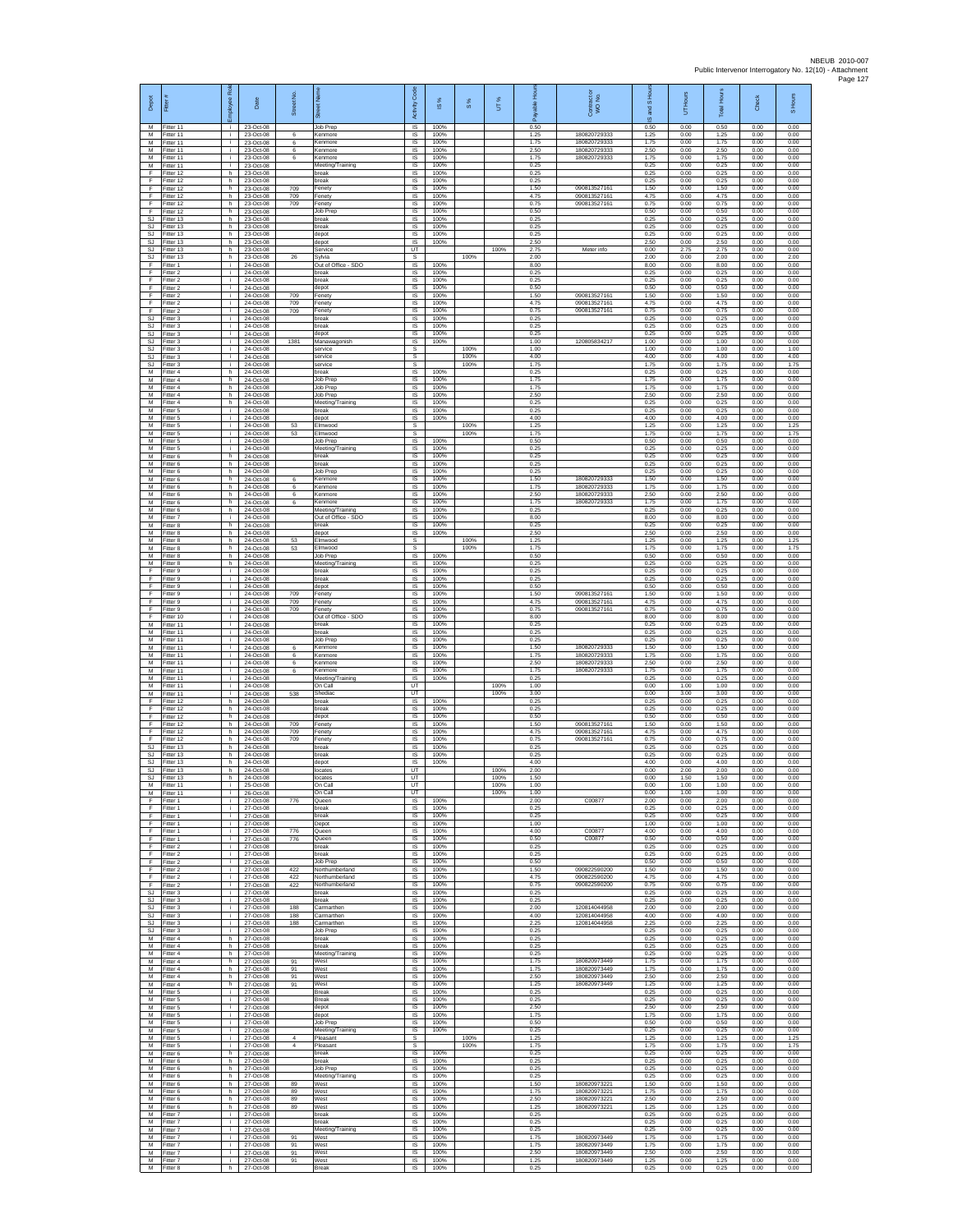| Depot<br>M                   | Fitter#<br>Fitter 11                | ployee Roi<br>- I - | Date<br>23-Oct-08                   | Street No                        | 芿<br>Job Prep                            | Code<br>Activity<br>IS      | <b>iS</b> %<br>100%  | $\frac{8}{3}$ | UT%          | 훈<br>0.50            | Contract or<br>WO No.                       | $\overline{a}$<br>and<br>ဖ<br>0.50 | Hours<br>5<br>0.00   | <b>Total Hour</b><br>0.50 | Check<br>0.00        | S Hours<br>0.00      |
|------------------------------|-------------------------------------|---------------------|-------------------------------------|----------------------------------|------------------------------------------|-----------------------------|----------------------|---------------|--------------|----------------------|---------------------------------------------|------------------------------------|----------------------|---------------------------|----------------------|----------------------|
| м<br>м                       | Fitter 11<br>Fitter 11              | j.<br>i.            | 23-Oct-08<br>23-Oct-08              | 6<br>6                           | Kenmore<br>Kenmore                       | IS<br>$\sf IS$              | 100%<br>100%         |               |              | 1 25<br>1.75         | 180820729333<br>180820729333                | 1.25<br>1.75                       | 0.00<br>0.00         | 1.25<br>1.75              | 0.00<br>0.00         | 0.00<br>0.00         |
| M<br>M<br>M                  | Fitter 11<br>Fitter 11<br>Fitter 11 | Ŧ<br>j.<br>j.       | 23-Oct-08<br>23-Oct-08<br>23-Oct-08 | 6<br>6                           | Kenmore<br>Kenmore<br>Meeting/Training   | 1S<br>IS<br>IS              | 100%<br>100%<br>100% |               |              | 2.50<br>1.75<br>0.25 | 180820729333<br>180820729333                | 2.50<br>1.75<br>0.25               | 0.00<br>0.00<br>0.00 | 2.50<br>1.75<br>0.25      | 0.00<br>0.00<br>0.00 | 0.00<br>0.00<br>0.00 |
| F<br>F                       | Fitter 12<br>Fitter 12              | h.<br>h.            | 23-Oct-08<br>23-Oct-08              |                                  | break<br>preak                           | 1S<br>IS                    | 100%<br>100%         |               |              | 0.25<br>0.25         |                                             | 0.25<br>0.25                       | 0.00<br>0.00         | 0.25<br>0.25              | 0.00<br>0.00         | 0.00<br>0.00         |
| F<br>F<br>F                  | Fitter 12<br>Fitter 12<br>Fitter 12 | h.<br>h.<br>h.      | 23-Oct-08<br>23-Oct-08<br>23-Oct-08 | 709<br>709<br>709                | Fenety<br>Fenety<br>Fenety               | IS<br>$\sf IS$<br>$\sf IS$  | 100%<br>100%<br>100% |               |              | 1.50<br>4.75<br>0.75 | 09081352716<br>090813527161<br>090813527161 | 1.50<br>4.75<br>0.75               | 0.00<br>0.00<br>0.00 | 1.50<br>4.75<br>0.75      | 0.00<br>0.00<br>0.00 | 0.00<br>0.00<br>0.00 |
| F<br>S.I.                    | Fitter 12<br>Fitter 13              | h.<br>h.            | 23-Oct-08<br>23-Oct-08              |                                  | Job Prep<br>break                        | IS<br>IS                    | 100%<br>100%         |               |              | 0.50<br>0.25         |                                             | 0.50<br>0.25                       | 0.00<br>0.00         | 0.50<br>0.25              | 0.00<br>0.00         | 0.00<br>0.00         |
| SJ<br><b>SJ</b>              | Fitter 13<br>fitter 13              | h<br>h.             | 23-Oct-08<br>23-Oct-08              |                                  | break<br>depot                           | IS<br>1S                    | 100%<br>100%         |               |              | 0.25<br>0.25         |                                             | 0.25<br>0.25                       | 0.00<br>0.00         | 0.25<br>0.25              | 0.00<br>0.00         | 0.00<br>0.00         |
| SJ<br>SJ<br>SJ               | Fitter 13<br>Fitter 13<br>Fitter 13 | h.<br>h<br>h.       | 23-Oct-08<br>23-Oct-08<br>23-Oct-08 | 26                               | depot<br>Service<br>Sylvia               | IS<br>UT<br>s               | 100%                 | 100%          | 100%         | 2.50<br>2.75<br>2.00 | Meter info                                  | 2.50<br>0.00<br>2.00               | 0.00<br>2.75<br>0.00 | 2.50<br>2.75<br>2.00      | 0.00<br>0.00<br>0.00 | 0.00<br>0.00<br>2.00 |
| F<br>E                       | Fitter 1<br>Fitter 2                | ÷.<br>÷.            | 24-Oct-08<br>24-Oct-08              |                                  | Out of Office - SDO<br>break             | IS<br>IS                    | 100%<br>100%         |               |              | 8.00<br>0.25         |                                             | 8.00<br>0.25                       | 0.00<br>0.00         | 8.00<br>0.25              | 0.00<br>0.00         | 0.00<br>0.00         |
| F<br>F<br>F                  | Fitter 2<br>itter 2<br>Fitter 2     | ÷.<br>j.<br>j.      | 24-Oct-08<br>24-Oct-08<br>24-Oct-08 | 709                              | break<br>depot<br>Fenety                 | IS<br>IS<br>IS              | 100%<br>100%<br>100% |               |              | 0.25<br>0.50<br>1.50 | 09081352716                                 | 0.25<br>0.50<br>1.50               | 0.00<br>0.00<br>0.00 | 0.25<br>0.50<br>1.50      | 0.00<br>0.00<br>0.00 | 0.00<br>0.00<br>0.00 |
| F<br>F                       | Fitter 2<br>Fitter 2                | i.<br>÷.            | 24-Oct-08<br>24-Oct-08              | 709<br>709                       | Fenety<br>Fenety                         | IS<br>IS                    | 100%<br>100%         |               |              | 4 75<br>0.75         | 090813527161<br>090813527161                | 4.75<br>0.75                       | 0.00<br>0.00         | 4.75<br>0.75              | 0.00<br>0.00         | 0.00<br>0.00         |
| SJ<br>SJ                     | Fitter 3<br>Fitter 3                | j.<br>i.            | 24-Oct-08<br>24-Oct-08              |                                  | break<br>break                           | 1S<br>IS                    | 100%<br>100%         |               |              | 0.25<br>0.25         |                                             | 0.25<br>0.25                       | 0.00<br>0.00         | 0.25<br>0.25              | 0.00<br>0.00         | 0.00<br>0.00         |
| SJ<br><b>SJ</b><br><b>SJ</b> | -itter 3<br>fitter 3<br>Fitter 3    | Ť.<br>j.<br>j.      | 24-Oct-08<br>24-Oct-08<br>24-Oct-08 | 1381                             | depot<br>Manawagonish<br>service         | $\sf IS$<br>1S<br>s         | 100%<br>100%         | 100%          |              | 0.25<br>1.00<br>1.00 | 120805834217                                | 0.25<br>1.00<br>1.00               | 0.00<br>0.00<br>0.00 | 0.25<br>1.00<br>1.00      | 0.00<br>0.00<br>0.00 | 0.00<br>0.00<br>1.00 |
| <b>SJ</b><br><b>SJ</b>       | Fitter 3<br>Fitter 3                | i.<br>÷.            | 24-Oct-08<br>24-Oct-08              |                                  | service<br>service                       | s<br>s                      |                      | 100%<br>100%  |              | 4.00<br>1.75         |                                             | 4.00<br>1.75                       | 0.00<br>0.00         | 4.00<br>1.75              | 0.00<br>0.00         | 4.00<br>1.75         |
| M<br>M<br>M                  | fitter 4<br>Fitter 4<br>Fitter 4    | h.<br>h.<br>h.      | 24-Oct-08<br>24-Oct-08<br>24-Oct-08 |                                  | break<br>Job Prec<br>Job Prep            | IS<br>IS<br>$\sf IS$        | 100%<br>100%<br>100% |               |              | 0.25<br>1.75<br>1.75 |                                             | 0.25<br>1.75<br>1.75               | 0.00<br>0.00<br>0.00 | 0.25<br>1.75<br>1.75      | 0.00<br>0.00<br>0.00 | 0.00<br>0.00<br>0.00 |
| М<br>M                       | Fitter 4<br>Fitter 4                | h<br>h.             | 24-Oct-08<br>24-Oct-08              |                                  | Job Prep<br>Meeting/Training             | IS<br>IS                    | 100%<br>100%         |               |              | 2.50<br>0.25         |                                             | 2.50<br>0.25                       | 0.00<br>0.00         | 2.50<br>0.25              | 0.00<br>0.00         | 0.00<br>0.00         |
| M<br>М                       | Fitter 5<br>fitter 5                | j.<br>÷.            | 24-Oct-08<br>24-Oct-08              |                                  | hreak<br>depot                           | IS<br>IS                    | 100%<br>100%         |               |              | 0.25<br>4.00         |                                             | 0.25<br>4.00                       | 0.00<br>0.00         | 0.25<br>4.00              | 0.00<br>0.00         | 0.00<br>0.00         |
| M<br>M<br>М                  | fitter 5<br>Fitter 5<br>Fitter 5    | j.<br>j.<br>i.      | 24-Oct-08<br>24-Oct-08<br>24-Oct-08 | 53<br>53                         | Elmwood<br>Elmwood<br>Job Prep           | s<br>s<br>IS                | 100%                 | 100%<br>100%  |              | 1.25<br>1.75<br>0.50 |                                             | 1.25<br>1.75<br>0.50               | 0.00<br>0.00<br>0.00 | 1.25<br>1.75<br>0.50      | 0.00<br>0.00<br>0.00 | 1.25<br>1.75<br>0.00 |
| M<br>M                       | Fitter 5<br>fitter 6                | ÷.<br>h.            | 24-Oct-08<br>24-Oct-08              |                                  | Meeting/Training<br>break                | IS<br>IS                    | 100%<br>100%         |               |              | 0.25<br>0.25         |                                             | 0.25<br>0.25                       | 0.00<br>0.00         | 0.25<br>0.25              | 0.00<br>0.00         | 0.00<br>0.00         |
| M<br>М<br>M                  | Fitter 6<br>Fitter 6<br>itter 6     | h<br>h.<br>h        | 24-Oct-08<br>24-Oct-08<br>24-Oct-08 | 6                                | break<br>Job Prep<br>Kenmore             | IS<br>1S<br>IS              | 100%<br>100%<br>100% |               |              | 0.25<br>0.25<br>1.50 | 180820729333                                | 0.25<br>0.25<br>1.50               | 0.00<br>0.00<br>0.00 | 0.25<br>0.25<br>1.50      | 0.00<br>0.00<br>0.00 | 0.00<br>0.00<br>0.00 |
| M<br>M                       | Fitter 6<br>Fitter 6                | h.<br>h.            | 24-Oct-08<br>24-Oct-08              | 6<br>6                           | Kenmore<br>Kenmore                       | IS<br>IS                    | 100%<br>100%         |               |              | 1.75<br>2.50         | 180820729333<br>180820720333                | 1.75<br>2.50                       | 0.00<br>0.00         | 1.75<br>2.50              | 0.00<br>0.00         | 0.00<br>0.00         |
| М<br>M                       | Fitter 6<br>Fitter 6                | h<br>h.             | 24-Oct-08<br>24-Oct-08              | 6                                | Kenmore<br>Meeting/Training              | IS<br>1S                    | 100%<br>100%         |               |              | 1.75<br>0.25         | 180820729333                                | 1.75<br>0.25                       | 0.00<br>0.00         | 1.75<br>0.25              | 0.00<br>0.00         | 0.00<br>0.00         |
| M<br>М<br>M                  | Fitter 7<br>Fitter 8<br>fitter 8    | i.<br>h<br>h.       | 24-Oct-08<br>24-Oct-08<br>24-Oct-08 |                                  | Out of Office - SDO<br>break<br>depot    | IS<br>IS<br>1S              | 100%<br>100%<br>100% |               |              | 8.00<br>0.25<br>2.50 |                                             | 8.00<br>0.25<br>2.50               | 0.00<br>0.00<br>0.00 | 8.00<br>0.25<br>2.50      | 0.00<br>0.00<br>0.00 | 0.00<br>0.00<br>0.00 |
| M<br>M                       | Fitter 8<br>Fitter 8                | h.<br>h             | 24-Oct-08<br>24-Oct-08              | 53<br>53                         | Elmwood<br>Elmwood                       | s<br>s                      |                      | 100%<br>100%  |              | 1.25<br>1.75         |                                             | 1.25<br>1.75                       | 0.00<br>0.00         | 1.25<br>1.75              | 0.00<br>0.00         | 1.25<br>1.75         |
| M<br>M                       | Fitter 8<br>itter 8                 | h.<br>h             | 24-Oct-08<br>24-Oct-08              |                                  | Job Prep<br>Meeting/Training             | IS.<br>IS                   | 100%<br>100%         |               |              | 0.50<br>0.25<br>0.25 |                                             | 0.50<br>0.25                       | 0.00<br>0.00         | 0.50<br>0.25              | 0.00<br>0.00         | 0.00<br>0.00         |
| F<br>F<br>F                  | Fitter 9<br>Fitter 9<br>Fitter 9    | j.<br>i.<br>j.      | 24-Oct-08<br>24-Oct-08<br>24-Oct-08 |                                  | break<br>break<br>depot                  | IS<br>$\sf IS$<br>IS        | 100%<br>100%<br>100% |               |              | 0.25<br>0.50         |                                             | 0.25<br>0.25<br>0.50               | 0.00<br>0.00<br>0.00 | 0.25<br>0.25<br>0.50      | 0.00<br>0.00<br>0.00 | 0.00<br>0.00<br>0.00 |
| F<br>F                       | Fitter 9<br>Fitter 9                | j.<br>i.            | 24-Oct-08<br>24-Oct-08              | 709<br>709                       | Fenety<br>Fenety                         | IS<br>IS                    | 100%<br>100%         |               |              | 1.50<br>4 75         | 090813527161<br>090813527161                | 1.50<br>4.75                       | 0.00<br>0.00         | 1.50<br>4.75              | 0.00<br>0.00         | 0.00<br>0.00         |
| F<br>F<br>M                  | Fitter 9<br>fitter 10<br>Fitter 11  | ÷.<br>j.<br>i.      | 24-Oct-08<br>24-Oct-08<br>24-Oct-08 | 709                              | Fenety<br>Out of Office - SDO<br>break   | IS<br>1S<br>IS              | 100%<br>100%<br>100% |               |              | 0.75<br>8.00<br>0.25 | 090813527161                                | 0.75<br>8.00<br>0.25               | 0.00<br>0.00<br>0.00 | 0.75<br>8.00<br>0.25      | 0.00<br>0.00<br>0.00 | 0.00<br>0.00<br>0.00 |
| М<br>M                       | Fitter 11<br>Fitter 11              | j.<br>÷.            | 24-Oct-08<br>24-Oct-08              |                                  | break<br><b>Job Prep</b>                 | IS<br>1S                    | 100%<br>100%         |               |              | 0.25<br>0.25         |                                             | 0.25<br>0.25                       | 0.00<br>0.00         | 0.25<br>0.25              | 0.00<br>0.00         | 0.00<br>0.00         |
| M<br>M                       | fitter 11<br>Fitter 11              | ÷.<br>÷.            | 24-Oct-08<br>24-Oct-08              | 6<br>6                           | Kenmore<br>Kenmore                       | IS<br>IS                    | 100%<br>100%         |               |              | 1.50<br>1.75         | 180820729333<br>180820729333                | 1.50<br>1.75                       | 0.00<br>0.00         | 1.50<br>1.75              | 0.00<br>0.00         | 0.00<br>0.00         |
| М<br>М<br>M                  | Fitter 11<br>itter 11<br>-itter 11  | ÷.<br>j.<br>j.      | 24-Oct-08<br>24-Oct-08<br>24-Oct-08 | 6<br>6                           | Kenmore<br>Kenmore<br>Meeting/Training   | IS<br>IS<br>IS              | 100%<br>100%<br>100% |               |              | 2.50<br>1.75<br>0.25 | 180820729333<br>18082072933                 | 2.50<br>1.75<br>0.25               | 0.00<br>0.00<br>0.00 | 2.50<br>1.75<br>0.25      | 0.00<br>0.00<br>0.00 | 0.00<br>0.00<br>0.00 |
| M<br>М                       | Fitter 11<br>Fitter 11              | i.<br>÷             | 24-Oct-08<br>24-Oct-08              | 538                              | On Call<br>Shediac                       | <b>UT</b><br>UT             |                      |               | 100%<br>100% | 1.00<br>3.00         |                                             | 0.00<br>0.00                       | 1.00<br>3.00         | 1.00<br>3.00              | 0.00<br>0.00         | 0.00<br>0.00         |
| F<br>F<br>F                  | Fitter 12<br>Fitter 12<br>Fitter 12 | h.<br>h.<br>h       | 24-Oct-08<br>24-Oct-08<br>24-Oct-08 |                                  | break<br>break<br>depot                  | <b>IS</b><br>IS<br>$\sf IS$ | 100%<br>100%<br>100% |               |              | 0.25<br>0.25<br>0.50 |                                             | 0.25<br>0.25<br>0.50               | 0.00<br>0.00<br>0.00 | 0.25<br>0.25<br>0.50      | 0.00<br>0.00<br>0.00 | 0.00<br>0.00<br>0.00 |
| F<br>F                       | ltter 12<br>Fitter 12               | h.<br>h.            | 24-Oct-08<br>24-Oct-08              | 709<br>709                       | Fenety<br>Fenety                         | 1S<br>IS                    | 100%<br>100%         |               |              | 1.50<br>4.75         | 09081352716<br>090813527161                 | 1.50<br>4.75                       | 0.00<br>0.00         | 1.50<br>4.75              | 0.00<br>0.00         | 0.00<br>0.00         |
| E<br><b>SJ</b>               | Fitter 12<br>Fitter 13              | h<br>h.             | 24-Oct-08<br>24-Oct-08              | 709                              | Fenety<br>break                          | IS<br>1S                    | 100%<br>100%         |               |              | 0.75<br>0.25         | 090813527161                                | 0.75<br>0.25                       | 0.00<br>0.00         | 0.75<br>0.25              | 0.00<br>0.00         | 0.00<br>0.00         |
| SJ<br>SJ<br>SJ.              | itter 13<br>Fitter 13<br>Fitter 13  | h.<br>h.<br>h.      | 24-Oct-08<br>24-Oct-08<br>24-Oct-08 |                                  | preak<br>depot<br>locates                | IS<br>IS<br>UT              | 100%<br>100%         |               | 100%         | 0.25<br>4.00<br>2.00 |                                             | 0.25<br>4.00<br>0.00               | 0.00<br>0.00<br>2.00 | 0.25<br>4.00<br>2.00      | 0.00<br>0.00<br>0.00 | 0.00<br>0.00<br>0.00 |
| SJ<br>M                      | Fitter 13<br>Fitter 11              | h.<br>÷             | 24-Oct-08<br>25-Oct-08              |                                  | locates<br>On Call                       | UT<br>UT                    |                      |               | 100%<br>100% | 1.50<br>1.00         |                                             | 0.00<br>0.00                       | 1.50<br>1.00         | 1.50<br>1.00              | 0.00<br>0.00         | 0.00<br>0.00         |
| M<br>F<br>F                  | Fitter 11<br>Fitter 1<br>fitter 1   | i.<br>÷.<br>j.      | 26-Oct-08<br>27-Oct-08<br>27-Oct-08 | 776                              | On Call<br>Queen<br>break                | UT<br>IS<br>IS              | 100%<br>100%         |               | 100%         | 1.00<br>2.00<br>0.25 | C00877                                      | 0.00<br>2.00<br>0.25               | 1.00<br>0.00<br>0.00 | 1.00<br>2.00<br>0.25      | 0.00<br>0.00<br>0.00 | 0.00<br>0.00<br>0.00 |
| F<br>F                       | Fitter 1<br>Fitter 1                | i.<br>i.            | 27-Oct-08<br>27-Oct-08              |                                  | break<br>Depot                           | <b>IS</b><br>IS             | 100%<br>100%         |               |              | 0.25<br>1.00         |                                             | 0.25<br>1.00                       | 0.00<br>0.00         | 0.25<br>1.00              | 0.00<br>0.00         | 0.00<br>0.00         |
| F<br>F<br>F                  | Fitter 1<br>Fitter 1<br>Fitter 2    | ÷<br>j.<br>÷.       | 27-Oct-08<br>27-Oct-08<br>27-Oct-08 | 776<br>776                       | Queen<br>Queen<br>break                  | IS<br>IS                    | 100%<br>100%<br>100% |               |              | 4.00<br>0.50<br>0.25 | C00877<br>C00877                            | 4.00<br>0.50<br>0.25               | 0.00<br>0.00<br>0.00 | 4.00<br>0.50              | 0.00<br>0.00<br>0.00 | 0.00<br>0.00<br>0.00 |
| F<br>F                       | Fitter 2<br>itter 2                 | ÷<br>÷.             | 27-Oct-08<br>27-Oct-08              |                                  | break<br>Job Prep                        | IS<br>IS<br>IS              | 100%<br>100%         |               |              | 0.25<br>0.50         |                                             | 0.25<br>0.50                       | 0.00<br>0.00         | 0.25<br>0.25<br>0.50      | 0.00<br>0.00         | 0.00<br>0.00         |
| F<br>F                       | Fitter 2<br>Fitter 2                | j.<br>i.            | 27-Oct-08<br>27-Oct-08              | 422<br>422                       | Northumberland<br>Northumberland         | IS<br>IS                    | 100%<br>100%         |               |              | 1.50<br>4 7 5        | 090822590200<br>090822590200                | 1.50<br>4.75                       | 0.00<br>0.00         | 1.50<br>4.75              | 0.00<br>0.00         | 0.00<br>0.00         |
| F<br><b>SJ</b><br>SJ.        | Fitter 2<br>Fitter 3<br>Fitter 3    | ÷.<br>i.<br>i.      | 27-Oct-08<br>27-Oct-08<br>27-Oct-08 | 422                              | Northumberland<br>break<br>break         | IS<br>IS<br>IS              | 100%<br>100%<br>100% |               |              | 0.75<br>0.25<br>0.25 | 090822590200                                | 0.75<br>0.25<br>0.25               | 0.00<br>0.00<br>0.00 | 0.75<br>0.25<br>0.25      | 0.00<br>0.00<br>0.00 | 0.00<br>0.00<br>0.00 |
| SJ<br><b>SJ</b>              | Fitter 3<br>Fitter 3                | ÷.<br>$\mathbf{r}$  | 27-Oct-08<br>27-Oct-08              | 188<br>188                       | Carmarthen<br>Carmarthen                 | IS<br>1S                    | 100%<br>100%         |               |              | 2.00<br>4.00         | 120814044958<br>120814044958                | 2.00<br>4.00                       | 0.00<br>0.00         | 2.00<br>4.00              | 0.00<br>0.00         | 0.00<br>0.00         |
| SJ<br>SJ.<br>M               | Fitter 3<br>Fitter 3<br>Fitter 4    | i.<br>i.<br>h.      | 27-Oct-08<br>27-Oct-08<br>27-Oct-08 | 188                              | Carmarthen<br>Job Prep<br>break          | <b>IS</b><br>IS<br>1S       | 100%<br>100%<br>100% |               |              | 2.25<br>0.25<br>0.25 | 120814044958                                | 2.25<br>0.25<br>0.25               | 0.00<br>0.00<br>0.00 | 2.25<br>0.25<br>0.25      | 0.00<br>0.00<br>0.00 | 0.00<br>0.00<br>0.00 |
| M<br>M                       | Fitter 4<br>Fitter 4                | h.<br>h             | 27-Oct-08<br>27-Oct-08              |                                  | break<br>Meeting/Training                | IS<br>IS                    | 100%<br>100%         |               |              | 0.25<br>0.25         |                                             | 0.25<br>0.25                       | 0.00<br>0.00         | 0.25<br>0.25              | 0.00<br>0.00         | 0.00<br>0.00         |
| М<br>М                       | Fitter 4<br>Fitter 4                | h.<br>h.            | 27-Oct-08<br>27-Oct-08              | 91<br>91                         | West<br>West                             | $\sf IS$<br>$\sf IS$        | 100%<br>100%         |               |              | 1.75<br>1.75         | 180820973449<br>180820973449                | 1.75<br>1.75                       | 0.00<br>0.00         | 1.75<br>1.75              | 0.00<br>0.00         | 0.00<br>0.00         |
| M<br>M<br>М                  | Fitter 4<br>Fitter 4<br>Fitter 5    | h.<br>h.<br>i.      | 27-Oct-08<br>27-Oct-08<br>27-Oct-08 | 91<br>91                         | West<br>West<br><b>Break</b>             | IS<br>IS<br>IS              | 100%<br>100%<br>100% |               |              | 2.50<br>1 25<br>0.25 | 180820973449<br>180820973449                | 2.50<br>1.25<br>0.25               | 0.00<br>0.00<br>0.00 | 2.50<br>1.25<br>0.25      | 0.00<br>0.00<br>0.00 | 0.00<br>0.00<br>0.00 |
| M<br>M                       | fitter 5<br>Fitter 5                | i.<br>i.            | 27-Oct-08<br>27-Oct-08              |                                  | Break<br>depot                           | 1S<br>IS                    | 100%<br>100%         |               |              | 0.25<br>2.50         |                                             | 0.25<br>2.50                       | 0.00<br>0.00         | 0.25<br>2.50              | 0.00<br>0.00         | 0.00<br>0.00         |
| М<br>М<br>M                  | -itter 5<br>Fitter 5<br>Fitter 5    | i.<br>÷.<br>j.      | 27-Oct-08<br>27-Oct-08<br>27-Oct-08 |                                  | depot<br>Job Prep                        | IS<br>1S<br>IS              | 100%<br>100%         |               |              | 1.75<br>0.50<br>0.25 |                                             | 1.75<br>0.50<br>0.25               | 0.00<br>0.00<br>0.00 | 1.75<br>0.50<br>0.25      | 0.00<br>0.00<br>0.00 | 0.00<br>0.00<br>0.00 |
| М<br>М                       | Fitter 5<br>Fitter 5                | ÷.<br>÷.            | 27-Oct-08<br>27-Oct-08              | $\overline{4}$<br>$\overline{4}$ | Meeting/Training<br>Pleasant<br>Pleasant | s<br>s                      | 100%                 | 100%<br>100%  |              | 1.25<br>1.75         |                                             | 1.25<br>1.75                       | 0.00<br>0.00         | 1.25<br>1.75              | 0.00<br>0.00         | 1.25<br>1.75         |
| М<br>M                       | itter 6<br>Fitter 6                 | h.<br>h.            | 27-Oct-08<br>27-Oct-08              |                                  | break<br>break                           | IS<br>IS                    | 100%<br>100%         |               |              | 0.25<br>0.25         |                                             | 0.25<br>0.25                       | 0.00<br>0.00         | 0.25<br>0.25              | 0.00<br>0.00         | 0.00<br>0.00         |
| M<br>М<br>M                  | Fitter 6<br>Fitter 6<br>Fitter 6    | h.<br>h<br>h.       | 27-Oct-08<br>27-Oct-08<br>27-Oct-08 | 89                               | Job Prep<br>Meeting/Training<br>West     | IS<br>IS<br>1S              | 100%<br>100%<br>100% |               |              | 0.25<br>0.25<br>1.50 | 180820973221                                | 0.25<br>0.25<br>1.50               | 0.00<br>0.00<br>0.00 | 0.25<br>0.25<br>1.50      | 0.00<br>0.00<br>0.00 | 0.00<br>0.00<br>0.00 |
| M<br>М                       | Fitter 6<br>Fitter 6                | h.<br>h.            | 27-Oct-08<br>27-Oct-08              | 89<br>89                         | West<br>West                             | IS<br>IS                    | 100%<br>100%         |               |              | 1.75<br>2.50         | 180820973221<br>180820973221                | 1.75<br>2.50                       | 0.00<br>0.00         | 1.75<br>2.50              | 0.00<br>0.00         | 0.00<br>0.00         |
| M<br>M                       | Fitter 6<br>Fitter 7                | h.<br>i.            | 27-Oct-08<br>27-Oct-08              | 89                               | West<br>break                            | 1S<br>IS                    | 100%<br>100%         |               |              | 1.25<br>0.25<br>0.25 | 180820973221                                | 1.25<br>0.25                       | 0.00<br>0.00         | 1.25<br>0.25              | 0.00<br>0.00         | 0.00<br>0.00         |
| М<br>М<br>M                  | Fitter 7<br>Fitter 7<br>fitter 7    | ÷.<br>÷.<br>i.      | 27-Oct-08<br>27-Oct-08<br>27-Oct-08 | 91                               | break<br>Meeting/Training<br>West        | IS<br>IS<br>IS              | 100%<br>100%<br>100% |               |              | 0.25<br>1.75         | 180820973449                                | 0.25<br>0.25<br>1.75               | 0.00<br>0.00<br>0.00 | 0.25<br>0.25<br>1.75      | 0.00<br>0.00<br>0.00 | 0.00<br>0.00<br>0.00 |
| M<br>M                       | Fitter 7<br>Fitter 7                | ÷i.<br>i.           | 27-Oct-08<br>27-Oct-08              | 91<br>91                         | West<br>West                             | IS<br>$\sf IS$              | 100%<br>100%         |               |              | 1.75<br>2.50         | 180820973449<br>180820973449                | 1.75<br>2.50                       | 0.00<br>0.00         | 1.75<br>2.50              | 0.00<br>0.00         | 0.00<br>0.00         |
| М<br>M                       | Fitter 7<br>Fitter 8                | j.<br>h             | 27-Oct-08<br>27-Oct-08              | 91                               | West<br><b>Break</b>                     | $\sf IS$<br>IS              | 100%<br>100%         |               |              | 1.25<br>0.25         | 180820973449                                | 1.25<br>0.25                       | 0.00<br>0.00         | 1.25<br>0.25              | 0.00<br>0.00         | 0.00<br>0.00         |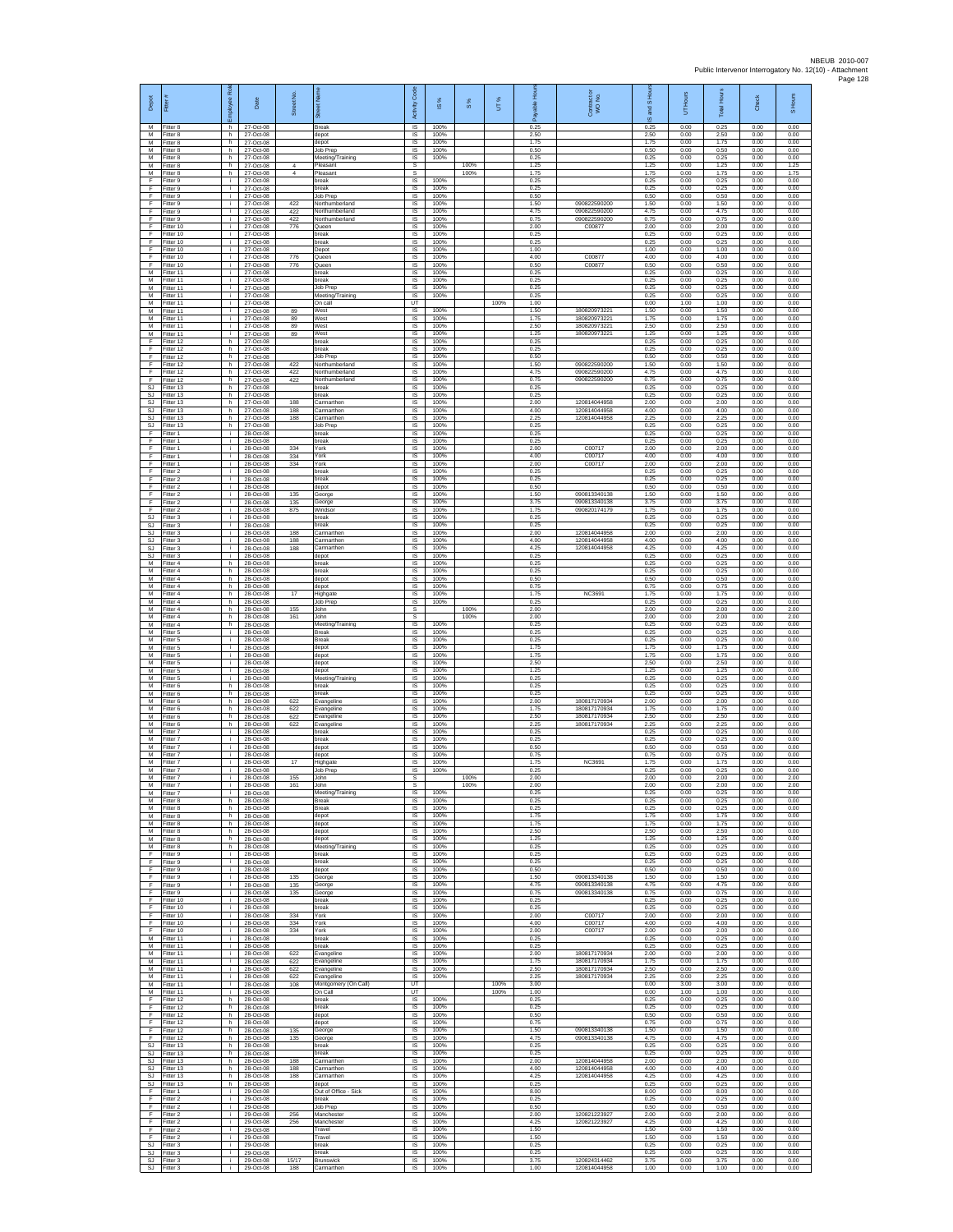| Depot                               | Fitter                              | ployee Rol     | Date                                | Street No         | $\overline{8}$<br>あ                       | Code<br>Activity                                | <b>iS</b> %          | 8%           | UТ%          | Æ                    | Contract or<br>WO No.                        | <b>1SHou</b><br>왾<br>ဖ | UT Hours             | Total Hours          | Check                | S Hours              |
|-------------------------------------|-------------------------------------|----------------|-------------------------------------|-------------------|-------------------------------------------|-------------------------------------------------|----------------------|--------------|--------------|----------------------|----------------------------------------------|------------------------|----------------------|----------------------|----------------------|----------------------|
| M<br>M<br>M                         | Fitter 8<br>Fitter 8<br>Fitter 8    | h<br>h.<br>h   | 27-Oct-08<br>27-Oct-08<br>27-Oct-08 |                   | Break<br>depot<br>depot                   | IS<br>IS<br>IS                                  | 100%<br>100%<br>100% |              |              | 0.25<br>2.50<br>1.75 |                                              | 0.25<br>2.50<br>1.75   | 0.00<br>0.00<br>0.00 | 0.25<br>2.50<br>1.75 | 0.00<br>0.00<br>0.00 | 0.00<br>0.00<br>0.00 |
| М<br>М<br>M                         | Fitter 8<br>itter 8<br>Fitter 8     | h.<br>h.<br>h. | 27-Oct-08<br>27-Oct-08<br>27-Oct-08 | $\overline{a}$    | Job Prep<br>Meeting/Training<br>Pleasant  | IS<br>IS<br>s                                   | 100%<br>100%         | 100%         |              | 0.50<br>0.25<br>1.25 |                                              | 0.50<br>0.25<br>1.25   | 0.00<br>0.00<br>0.00 | 0.50<br>0.25<br>1.25 | 0.00<br>0.00<br>0.00 | 0.00<br>0.00<br>1.25 |
| M<br>F<br>F                         | Fitter 8<br>Fitter 9                | h.<br>i.<br>j. | 27-Oct-08<br>27-Oct-08<br>27-Oct-08 | $\overline{4}$    | Pleasant<br>break<br>break                | s<br>IS<br>1S                                   | 100%<br>100%         | 100%         |              | 1 75<br>0.25<br>0.25 |                                              | 1.75<br>0.25<br>0.25   | 0.00<br>0.00<br>0.00 | 1.75<br>0.25<br>0.25 | 0.00<br>0.00<br>0.00 | 1.75<br>0.00<br>0.00 |
| F<br>F                              | Fitter 9<br>Fitter 9<br>-itter 9    | i.<br>i.       | 27-Oct-08<br>27-Oct-08              | 422               | Job Prep<br>Northumberland                | IS<br>$\sf IS$                                  | 100%<br>100%         |              |              | 0.50<br>1.50         | 090822590200                                 | 0.50<br>1.50           | 0.00<br>0.00         | 0.50<br>1.50         | 0.00<br>0.00         | 0.00<br>0.00         |
| F<br>F<br>F                         | Fitter 9<br>Fitter 9<br>Fitter 10   | j.<br>j.<br>i. | 27-Oct-08<br>27-Oct-08<br>27-Oct-08 | 422<br>422<br>776 | Northumberland<br>Northumberland<br>Queen | $\sf IS$<br>$\overline{\mathsf{s}}$<br>IS       | 100%<br>100%<br>100% |              |              | 4.75<br>0.75<br>2.00 | 090822590200<br>090822590200<br>C00877       | 4.75<br>0.75<br>2.00   | 0.00<br>0.00<br>0.00 | 4.75<br>0.75<br>2.00 | 0.00<br>0.00<br>0.00 | 0.00<br>0.00<br>0.00 |
| F<br>F<br>F                         | Fitter 10<br>Fitter 10              | ÷.<br>j.<br>j. | 27-Oct-08<br>27-Oct-08              |                   | break<br>oreak                            | IS<br>IS<br><b>IS</b>                           | 100%<br>100%<br>100% |              |              | 0.25<br>0.25<br>1.00 |                                              | 0.25<br>0.25<br>1.00   | 0.00<br>0.00<br>0.00 | 0.25<br>0.25<br>1.00 | 0.00<br>0.00<br>0.00 | 0.00<br>0.00<br>0.00 |
| F<br>F                              | Fitter 10<br>Fitter 10<br>Fitter 10 | i.<br>j.       | 27-Oct-08<br>27-Oct-08<br>27-Oct-08 | 776<br>776        | Depot<br>Queen<br>Queen                   | IS<br>$\sf IS$                                  | 100%<br>100%         |              |              | 4.00<br>0.50         | C00877<br>C00877                             | 4.00<br>0.50           | 0.00<br>0.00         | 4.00<br>0.50         | 0.00<br>0.00         | 0.00<br>0.00         |
| M<br>M<br>М                         | Fitter 11<br>Fitter 11<br>Fitter 11 | j.<br>i.<br>i. | 27-Oct-08<br>27-Oct-08<br>27-Oct-08 |                   | break<br><b>oreak</b><br>Job Prep         | <b>IS</b><br>IS<br>IS                           | 100%<br>100%<br>100% |              |              | 0.25<br>0.25<br>0.25 |                                              | 0.25<br>0.25<br>0.25   | 0.00<br>0.00<br>0.00 | 0.25<br>0.25<br>0.25 | 0.00<br>0.00<br>0.00 | 0.00<br>0.00<br>0.00 |
| M<br>M                              | fitter 11<br>Fitter 11              | j.<br>j.       | 27-Oct-08<br>27-Oct-08              |                   | Meeting/Training<br>On call               | IS<br>UT                                        | 100%                 |              | 100%         | 0.25<br>1.00         |                                              | 0.25<br>0.00           | 0.00<br>1.00         | 0.25<br>1.00         | 0.00<br>0.00         | 0.00<br>0.00         |
| М<br>M<br>M                         | Fitter 11<br>Fitter 11<br>Fitter 11 | i.<br>÷.<br>j. | 27-Oct-08<br>27-Oct-08<br>27-Oct-08 | 89<br>89<br>89    | West<br>West<br>West                      | IS<br>IS<br>IS                                  | 100%<br>100%<br>100% |              |              | 1.50<br>1.75<br>2.50 | 18082097322<br>180820973221<br>18082097322   | 1.50<br>1.75<br>2.50   | 0.00<br>0.00<br>0.00 | 1.50<br>1.75<br>2.50 | 0.00<br>0.00<br>0.00 | 0.00<br>0.00<br>0.00 |
| M<br>F<br>F                         | Fitter 11<br>Fitter 12<br>fitter 12 | i.<br>h.<br>h. | 27-Oct-08<br>27-Oct-08<br>27-Oct-08 | 89                | West<br>break<br>oreak                    | IS<br>1S<br>IS                                  | 100%<br>100%<br>100% |              |              | 1.25<br>0.25<br>0.25 | 180820973221                                 | 1.25<br>0.25<br>0.25   | 0.00<br>0.00<br>0.00 | 1.25<br>0.25<br>0.25 | 0.00<br>0.00<br>0.00 | 0.00<br>0.00<br>0.00 |
| F<br>F                              | Fitter 12<br>Fitter 12              | h.<br>h.       | 27-Oct-08<br>27-Oct-08              | 422               | Job Prep<br>Northumberland                | <b>IS</b><br>IS                                 | 100%<br>100%         |              |              | 0.50<br>1.50         | 090822590200                                 | 0.50<br>1.50           | 0.00<br>0.00         | 0.50<br>1.50         | 0.00<br>0.00         | 0.00<br>0.00         |
| F<br>F<br><b>SJ</b>                 | Fitter 12<br>Fitter 12<br>Fitter 13 | h.<br>h.<br>h  | 27-Oct-08<br>27-Oct-08<br>27-Oct-08 | 422<br>422        | Northumberland<br>Northumberland<br>break | IS<br>IS<br>IS                                  | 100%<br>100%<br>100% |              |              | 4.75<br>0.75<br>0.25 | 090822590200<br>090822590200                 | 4.75<br>0.75<br>0.25   | 0.00<br>0.00<br>0.00 | 4.75<br>0.75<br>0.25 | 0.00<br>0.00<br>0.00 | 0.00<br>0.00<br>0.00 |
| SJ<br>SJ<br>SJ.                     | Fitter 13<br>fitter 13<br>Fitter 13 | h.<br>h.<br>h. | 27-Oct-08<br>27-Oct-08<br>27-Oct-08 | 188<br>188        | break<br>Carmarthen<br>Carmarthen         | $\sf IS$<br>$\sf IS$<br>$\overline{\mathsf{s}}$ | 100%<br>100%<br>100% |              |              | 0.25<br>2.00<br>4.00 | 120814044958<br>120814044958                 | 0.25<br>2.00<br>4.00   | 0.00<br>0.00<br>0.00 | 0.25<br>2.00<br>4.00 | 0.00<br>0.00<br>0.00 | 0.00<br>0.00<br>0.00 |
| <b>SJ</b><br>SJ                     | Fitter 13<br>Fitter 13              | h<br>h.        | 27-Oct-08<br>27-Oct-08              | 188               | Carmarthen<br>Job Prep                    | IS<br>1S                                        | 100%<br>100%         |              |              | 225<br>0.25          | 120814044958                                 | 2.25<br>0.25           | 0.00<br>0.00         | 2.25<br>0.25         | 0.00<br>0.00         | 0.00<br>0.00         |
| F<br>F<br>F                         | Fitter 1<br>Fitter 1<br>Fitter 1    | j.<br>j.<br>j. | 28-Oct-08<br>28-Oct-08<br>28-Oct-08 | 334               | oreak<br>break<br>York                    | IS<br><b>IS</b><br>IS                           | 100%<br>100%<br>100% |              |              | 0.25<br>0.25<br>2.00 | C00717                                       | 0.25<br>0.25<br>2.00   | 0.00<br>0.00<br>0.00 | 0.25<br>0.25<br>2.00 | 0.00<br>0.00<br>0.00 | 0.00<br>0.00<br>0.00 |
| F<br>F                              | Fitter 1<br>Fitter 1                | j.<br>j.       | 28-Oct-08<br>28-Oct-08              | 334<br>334        | York<br>York                              | $\sf IS$<br>IS                                  | 100%<br>100%         |              |              | 4.00<br>2.00         | C00717<br>C00717                             | 4.00<br>2.00           | 0.00<br>0.00         | 4.00<br>2.00         | 0.00<br>0.00         | 0.00<br>0.00         |
| F<br>F<br>F                         | Fitter 2<br>Fitter 2<br>fitter 2    | j.<br>i.<br>Ŧ  | 28-Oct-08<br>28-Oct-08<br>28-Oct-08 |                   | break<br>break<br>depot                   | IS<br>IS<br>IS                                  | 100%<br>100%<br>100% |              |              | 0.25<br>0.25<br>0.50 |                                              | 0.25<br>0.25<br>0.50   | 0.00<br>0.00<br>0.00 | 0.25<br>0.25<br>0.50 | 0.00<br>0.00<br>0.00 | 0.00<br>0.00<br>0.00 |
| F<br>F                              | Fitter 2<br>-itter 2                | j.<br>i.       | 28-Oct-08<br>28-Oct-08              | 135<br>135        | George<br>George                          | IS<br>IS                                        | 100%<br>100%         |              |              | 1.50<br>3.75         | 090813340138<br>090813340138                 | 1.50<br>3.75           | 0.00<br>0.00         | 1.50<br>3.75         | 0.00<br>0.00         | 0.00<br>0.00         |
| F<br>SJ<br>SJ                       | Fitter 2<br>Fitter 3<br>Fitter 3    | ÷.<br>j.<br>i. | 28-Oct-08<br>28-Oct-08<br>28-Oct-08 | 875               | Windsor<br>break<br>oreak                 | 1S<br>IS<br>IS                                  | 100%<br>100%<br>100% |              |              | 1.75<br>0.25<br>0.25 | 090820174179                                 | 1.75<br>0.25<br>0.25   | 0.00<br>0.00<br>0.00 | 1.75<br>0.25<br>0.25 | 0.00<br>0.00<br>0.00 | 0.00<br>0.00<br>0.00 |
| <b>SJ</b><br><b>SJ</b><br><b>SJ</b> | Fitter 3<br>itter 3                 | ÷.<br>j.       | 28-Oct-08<br>28-Oct-08<br>28-Oct-08 | 188<br>188        | Carmarthen<br>Carmarthen                  | IS<br>IS<br><b>IS</b>                           | 100%<br>100%         |              |              | 2.00<br>4.00<br>4.25 | 120814044958<br>120814044958<br>120814044958 | 2.00<br>4.00<br>4.25   | 0.00<br>0.00<br>0.00 | 2.00<br>4.00<br>4.25 | 0.00<br>0.00<br>0.00 | 0.00<br>0.00<br>0.00 |
| <b>SJ</b><br>М                      | Fitter 3<br>Fitter 3<br>Fitter 4    | j.<br>i.<br>h. | 28-Oct-08<br>28-Oct-08              | 188               | Carmarthen<br>depot<br>break              | IS<br>IS                                        | 100%<br>100%<br>100% |              |              | 0.25<br>0.25         |                                              | 0.25<br>0.25           | 0.00<br>0.00         | 0.25<br>0.25         | 0.00<br>0.00         | 0.00<br>0.00         |
| M<br>M<br>М                         | Fitter 4<br>Fitter 4<br>itter 4     | h.<br>h.<br>h. | 28-Oct-08<br>28-Oct-08<br>28-Oct-08 |                   | break<br>depot<br>depot                   | IS<br>IS<br>$\sf IS$                            | 100%<br>100%<br>100% |              |              | 0.25<br>0.50<br>0.75 |                                              | 0.25<br>0.50<br>0.75   | 0.00<br>0.00<br>0.00 | 0.25<br>0.50<br>0.75 | 0.00<br>0.00<br>0.00 | 0.00<br>0.00<br>0.00 |
| M<br>M                              | Fitter 4<br>Fitter 4                | h.<br>h.       | 28-Oct-08<br>28-Oct-08              | $17\,$            | Highgate<br>Job Prep                      | $\sf IS$<br>$\overline{\mathsf{s}}$             | 100%<br>100%         |              |              | 1.75<br>0.25         | NC3691                                       | 1.75<br>0.25           | 0.00<br>0.00         | 1.75<br>0.25         | 0.00<br>0.00         | 0.00<br>0.00         |
| M<br>М<br>M                         | Fitter 4<br>Fitter 4<br>fitter 4    | h<br>h.<br>h.  | 28-Oct-08<br>28-Oct-08<br>28-Oct-08 | 155<br>161        | John<br>John<br>Meeting/Training          | s<br>s<br>IS                                    | 100%                 | 100%<br>100% |              | 2.00<br>2.00<br>0.25 |                                              | 2.00<br>2.00<br>0.25   | 0.00<br>0.00<br>0.00 | 2.00<br>2.00<br>0.25 | 0.00<br>0.00<br>0.00 | 2.00<br>2.00<br>0.00 |
| M<br>M                              | Fitter 5<br>Fitter 5                | j.<br>j.       | 28-Oct-08<br>28-Oct-08              |                   | <b>Break</b><br>Break                     | IS<br>IS                                        | 100%<br>100%         |              |              | 0.25<br>0.25         |                                              | 0.25<br>0.25           | 0.00<br>0.00         | 0.25<br>0.25         | 0.00<br>0.00         | 0.00<br>0.00         |
| М<br>M<br>M                         | Fitter 5<br>Fitter 5<br>Fitter 5    | j.<br>j.<br>i. | 28-Oct-08<br>28-Oct-08<br>28-Oct-08 |                   | depot<br>depot<br>depot                   | $\sf IS$<br><b>IS</b><br>IS                     | 100%<br>100%<br>100% |              |              | 1.75<br>1.75<br>2.50 |                                              | 1.75<br>1.75<br>2.50   | 0.00<br>0.00<br>0.00 | 1.75<br>1.75<br>2.50 | 0.00<br>0.00<br>0.00 | 0.00<br>0.00<br>0.00 |
| М<br>M<br>M                         | fitter 5<br>fitter 5                | ÷.<br>j.<br>h. | 28-Oct-08<br>28-Oct-08              |                   | depot<br>Meeting/Training<br>break        | IS<br>IS<br>$\overline{\mathsf{s}}$             | 100%<br>100%<br>100% |              |              | 1.25<br>0.25<br>0.25 |                                              | 1.25<br>0.25<br>0.25   | 0.00<br>0.00<br>0.00 | 1.25<br>0.25<br>0.25 | 0.00<br>0.00<br>0.00 | 0.00<br>0.00<br>0.00 |
| М<br>M                              | Fitter 6<br>Fitter 6<br>Fitter 6    | h<br>h.        | 28-Oct-08<br>28-Oct-08<br>28-Oct-08 | 622               | break<br>Evangeline                       | IS<br>IS                                        | 100%<br>100%         |              |              | 0.25<br>2.00         | 180817170934                                 | 0.25<br>2.00           | 0.00<br>0.00         | 0.25<br>2.00         | 0.00<br>0.00         | 0.00<br>0.00         |
| M<br>M<br>М                         | Fitter 6<br>Fitter 6<br>Fitter 6    | h.<br>h<br>h.  | 28-Oct-08<br>28-Oct-08<br>28-Oct-08 | 622<br>622<br>622 | Evangeline<br>Evangeline<br>Evangeline    | IS<br>IS<br>1S                                  | 100%<br>100%<br>100% |              |              | 1.75<br>2.50<br>2.25 | 180817170934<br>180817170934<br>180817170934 | 1.75<br>2.50<br>2.25   | 0.00<br>0.00<br>0.00 | 1.75<br>2.50<br>2.25 | 0.00<br>0.00<br>0.00 | 0.00<br>0.00<br>0.00 |
| M<br>M                              | fitter 7<br>Fitter 7                | j.<br>j.       | 28-Oct-08<br>28-Oct-08              |                   | oreak<br>break                            | IS<br>-IS                                       | 100%<br>100%         |              |              | 0.25<br>0.25         |                                              | 0.25<br>0.25           | 0.00<br>0.00         | 0.25<br>0.25         | 0.00<br>0.00         | 0.00<br>0.00         |
| M<br>М<br>M                         | Fitter 7<br>Fitter 7<br>Fitter 7    | i.<br>i.<br>j. | 28-Oct-08<br>28-Oct-08<br>28-Oct-08 | 17                | depot<br>depot<br>Highgate                | IS<br>IS<br>IS                                  | 100%<br>100%<br>100% |              |              | 0.50<br>0.75<br>1.75 | <b>NC3691</b>                                | 0.50<br>0.75<br>1.75   | 0.00<br>0.00<br>0.00 | 0.50<br>0.75<br>1.75 | 0.00<br>0.00<br>0.00 | 0.00<br>0.00<br>0.00 |
| M<br>M                              | Fitter 7<br>Fitter 7                | i.<br>i.       | 28-Oct-08<br>28-Oct-08              | 155               | Job Prep<br>John                          | IS<br>s                                         | 100%                 | 100%         |              | 0.25<br>2.00         |                                              | 0.25<br>2.00           | 0.00<br>0.00         | 0.25<br>2.00         | 0.00<br>0.00         | 0.00<br>2.00         |
| M<br>M<br>M                         | Fitter 7<br>Fitter 7<br>Fitter 8    | ÷<br>i.<br>h.  | 28-Oct-08<br>28-Oct-08<br>28-Oct-08 | 161               | John<br>Meeting/Training<br>Break         | $\overline{s}$<br>IS                            | 100%<br>100%         | 100%         |              | 2.00<br>0.25<br>0.25 |                                              | 2.00<br>0.25<br>0.25   | 0.00<br>0.00<br>0.00 | 2.00<br>0.25<br>0.25 | 0.00<br>0.00<br>0.00 | 2.00<br>0.00<br>0.00 |
| M<br>M<br>M                         | Fitter 8<br>Fitter 8<br>Fitter 8    | h.<br>h<br>h.  | 28-Oct-08<br>28-Oct-08<br>28-Oct-08 |                   | Break<br>depot<br>depot                   | <b>IS</b><br>IS<br>-IS                          | 100%<br>100%<br>100% |              |              | 0.25<br>1.75<br>1.75 |                                              | 0.25<br>1.75<br>1.75   | 0.00<br>0.00<br>0.00 | 0.25<br>1.75<br>1.75 | 0.00<br>0.00<br>0.00 | 0.00<br>0.00<br>0.00 |
| М<br>М                              | Fitter 8<br>Fitter 8                | h.<br>h.       | 28-Oct-08<br>28-Oct-08              |                   | depot<br>depot                            | IS<br>$\sf IS$                                  | 100%<br>100%         |              |              | 2.50<br>1.25         |                                              | 2.50<br>1.25           | 0.00<br>0.00         | 2.50<br>1.25         | 0.00<br>0.00         | 0.00<br>0.00         |
| M<br>F<br>F                         | Fitter 8<br>Fitter 9<br>Fitter 9    | h.<br>j.<br>÷. | 28-Oct-08<br>28-Oct-08<br>28-Oct-08 |                   | Meeting/Training<br>break<br>break        | IS<br>IS.<br>IS                                 | 100%<br>100%<br>100% |              |              | 0.25<br>0.25<br>0.25 |                                              | 0.25<br>0.25<br>0.25   | 0.00<br>0.00<br>0.00 | 0.25<br>0.25<br>0.25 | 0.00<br>0.00<br>0.00 | 0.00<br>0.00<br>0.00 |
| F<br>F                              | Fitter 9<br>Fitter 9                | i.<br>i.       | 28-Oct-08<br>28-Oct-08              | 135               | depot<br>George                           | IS<br>IS.                                       | 100%<br>100%         |              |              | 0.50<br>1.50         | 090813340138                                 | 0.50<br>1.50           | 0.00<br>0.00         | 0.50<br>1.50         | 0.00<br>0.00         | 0.00<br>0.00         |
| F<br>F<br>F                         | Fitter 9<br>Fitter 9<br>Fitter 10   | i.<br>÷.<br>j. | 28-Oct-08<br>28-Oct-08<br>28-Oct-08 | 135<br>135        | George<br>George<br>break                 | IS<br>1S<br>IS                                  | 100%<br>100%<br>100% |              |              | 4.75<br>0.75<br>0.25 | 090813340138<br>090813340138                 | 4.75<br>0.75<br>0.25   | 0.00<br>0.00<br>0.00 | 4.75<br>0.75<br>0.25 | 0.00<br>0.00<br>0.00 | 0.00<br>0.00<br>0.00 |
| F<br>F<br>F                         | Fitter 10<br>Fitter 10<br>fitter 10 | ÷.<br>÷.<br>i. | 28-Oct-08<br>28-Oct-08<br>28-Oct-08 | 334<br>334        | oreak<br>York<br>York                     | IS<br>IS<br>IS                                  | 100%<br>100%<br>100% |              |              | 0.25<br>2.00<br>4.00 | C00717<br>C00717                             | 0.25<br>2.00<br>4.00   | 0.00<br>0.00<br>0.00 | 0.25<br>2.00<br>4.00 | 0.00<br>0.00<br>0.00 | 0.00<br>0.00<br>0.00 |
| F<br>M                              | Fitter 10<br>Fitter 11              | j.<br>j.       | 28-Oct-08<br>28-Oct-08              | 334               | York<br>break                             | <b>IS</b><br>IS.                                | 100%<br>100%         |              |              | 2.00<br>0.25         | C00717                                       | 2.00<br>0.25           | 0.00<br>0.00         | 2.00<br>0.25         | 0.00<br>0.00         | 0.00<br>0.00         |
| М<br>M<br>м                         | Fitter 11<br>Fitter 11<br>Fitter 11 | i.<br>i.<br>j. | 28-Oct-08<br>28-Oct-08<br>28-Oct-08 | 622<br>622        | break<br>Evangeline<br>Evangeline         | IS<br>IS<br>IS                                  | 100%<br>100%<br>100% |              |              | 0.25<br>2.00<br>1.75 | 180817170934<br>180817170934                 | 0.25<br>2.00<br>1.75   | 0.00<br>0.00<br>0.00 | 0.25<br>2.00<br>1.75 | 0.00<br>0.00<br>0.00 | 0.00<br>0.00<br>0.00 |
| М<br>M                              | Fitter 11<br>Fitter 11              | i.<br>j.       | 28-Oct-08<br>28-Oct-08              | 622<br>622        | Evangeline<br>Evangeline                  | $\sf IS$<br>$\sf IS$                            | 100%<br>100%         |              |              | 2.50<br>2.25         | 180817170934<br>180817170934                 | 2.50<br>2.25           | 0.00<br>0.00         | 2.50<br>2.25         | 0.00<br>0.00         | 0.00<br>0.00         |
| M<br>M<br>F                         | Fitter 11<br>Fitter 11<br>Fitter 12 | j.<br>i.<br>h. | 28-Oct-08<br>28-Oct-08<br>28-Oct-08 | 108               | Montgomery (On Call)<br>On Call<br>break  | UT<br>UT<br>IS                                  | 100%                 |              | 100%<br>100% | 3.00<br>1.00<br>0.25 |                                              | 0.00<br>0.00<br>0.25   | 3.00<br>1.00<br>0.00 | 3.00<br>1.00<br>0.25 | 0.00<br>0.00<br>0.00 | 0.00<br>0.00<br>0.00 |
| F<br>E<br>F.                        | Fitter 12<br>Fitter 12              | h.<br>h.<br>h. | 28-Oct-08<br>28-Oct-08              |                   | break<br>depot                            | IS<br>IS<br>IS                                  | 100%<br>100%<br>100% |              |              | 0.25<br>0.50<br>0.75 |                                              | 0.25<br>0.50<br>0.75   | 0.00<br>0.00<br>0.00 | 0.25<br>0.50<br>0.75 | 0.00<br>0.00<br>0.00 | 0.00<br>0.00<br>0.00 |
| F<br>F                              | Fitter 12<br>Fitter 12<br>Fitter 12 | h.<br>h        | 28-Oct-08<br>28-Oct-08<br>28-Oct-08 | 135<br>135        | depot<br>George<br>George                 | $\sf IS$<br>IS                                  | 100%<br>100%         |              |              | 1.50<br>4.75         | 090813340138<br>090813340138                 | 1.50<br>4.75           | 0.00<br>0.00         | 1.50<br>4.75         | 0.00<br>0.00         | 0.00<br>0.00         |
| S.I<br>SJ<br><b>SJ</b>              | Fitter 13<br>Fitter 13<br>Fitter 13 | h.<br>h<br>h   | 28-Oct-08<br>28-Oct-08<br>28-Oct-08 | 188               | break<br>break<br>Carmarthen              | IS<br>IS<br>IS                                  | 100%<br>100%<br>100% |              |              | 0.25<br>0.25<br>2.00 | 120814044958                                 | 0.25<br>0.25<br>2.00   | 0.00<br>0.00<br>0.00 | 0.25<br>0.25<br>2.00 | 0.00<br>0.00<br>0.00 | 0.00<br>0.00<br>0.00 |
| <b>SJ</b><br>SJ                     | Fitter 13<br>Fitter 13              | h.<br>h        | 28-Oct-08<br>28-Oct-08              | 188<br>188        | Carmarthen<br>Carmarthen                  | IS.<br>IS                                       | 100%<br>100%         |              |              | 4.00<br>4.25         | 120814044958<br>120814044958                 | 4.00<br>4.25           | 0.00<br>0.00         | 4.00<br>4.25         | 0.00<br>0.00         | 0.00<br>0.00         |
| $\mathbb{S}\mathbb{J}$<br>F<br>F    | Fitter 13<br>Fitter 1<br>Fitter 2   | h.<br>j.<br>i. | 28-Oct-08<br>29-Oct-08<br>29-Oct-08 |                   | depot<br>Out of Office - Sick<br>break    | IS<br>IS<br>IS                                  | 100%<br>100%<br>100% |              |              | 0.25<br>8.00<br>0.25 |                                              | 0.25<br>8.00<br>0.25   | 0.00<br>0.00<br>0.00 | 0.25<br>8.00<br>0.25 | 0.00<br>0.00<br>0.00 | 0.00<br>0.00<br>0.00 |
| F<br>F                              | Fitter 2<br>itter 2                 | ÷.<br>i.       | 29-Oct-08<br>29-Oct-08              | 256               | Job Prep<br>Manchester                    | 1S<br>IS                                        | 100%<br>100%         |              |              | 0.50<br>2.00         | 120821223927<br>120821223927                 | 0.50<br>2.00           | 0.00<br>0.00         | 0.50<br>2.00         | 0.00<br>0.00         | 0.00<br>0.00         |
| F<br>F<br>F                         | Fitter 2<br>Fitter 2<br>Fitter 2    | j.<br>i.<br>÷. | 29-Oct-08<br>29-Oct-08<br>29-Oct-08 | 256               | Manchester<br>Travel<br>Travel            | -IS<br>IS<br>IS                                 | 100%<br>100%<br>100% |              |              | 4.25<br>1.50<br>1.50 |                                              | 4.25<br>1.50<br>1.50   | 0.00<br>0.00<br>0.00 | 4.25<br>1.50<br>1.50 | 0.00<br>0.00<br>0.00 | 0.00<br>0.00<br>0.00 |
| <b>SJ</b><br>SJ                     | Fitter 3<br>SJ Fitter 3<br>Fitter 3 | j.<br>j.<br>i. | 29-Oct-08<br>29-Oct-08<br>29-Oct-08 | 15/17             | break<br>break                            | IS<br>IS<br>$\sf IS$                            | 100%<br>100%<br>100% |              |              | 0.25<br>0.25<br>3.75 | 120824314462                                 | 0.25<br>0.25<br>3.75   | 0.00<br>0.00<br>0.00 | 0.25<br>0.25<br>3.75 | 0.00<br>0.00<br>0.00 | 0.00<br>0.00<br>0.00 |
| SJ                                  | Fitter 3                            |                | 29-Oct-08                           | 188               | Brunswick<br>Carmarthen                   | IS                                              | 100%                 |              |              | 1.00                 | 120814044958                                 | 1.00                   | 0.00                 | 1.00                 | 0.00                 | 0.00                 |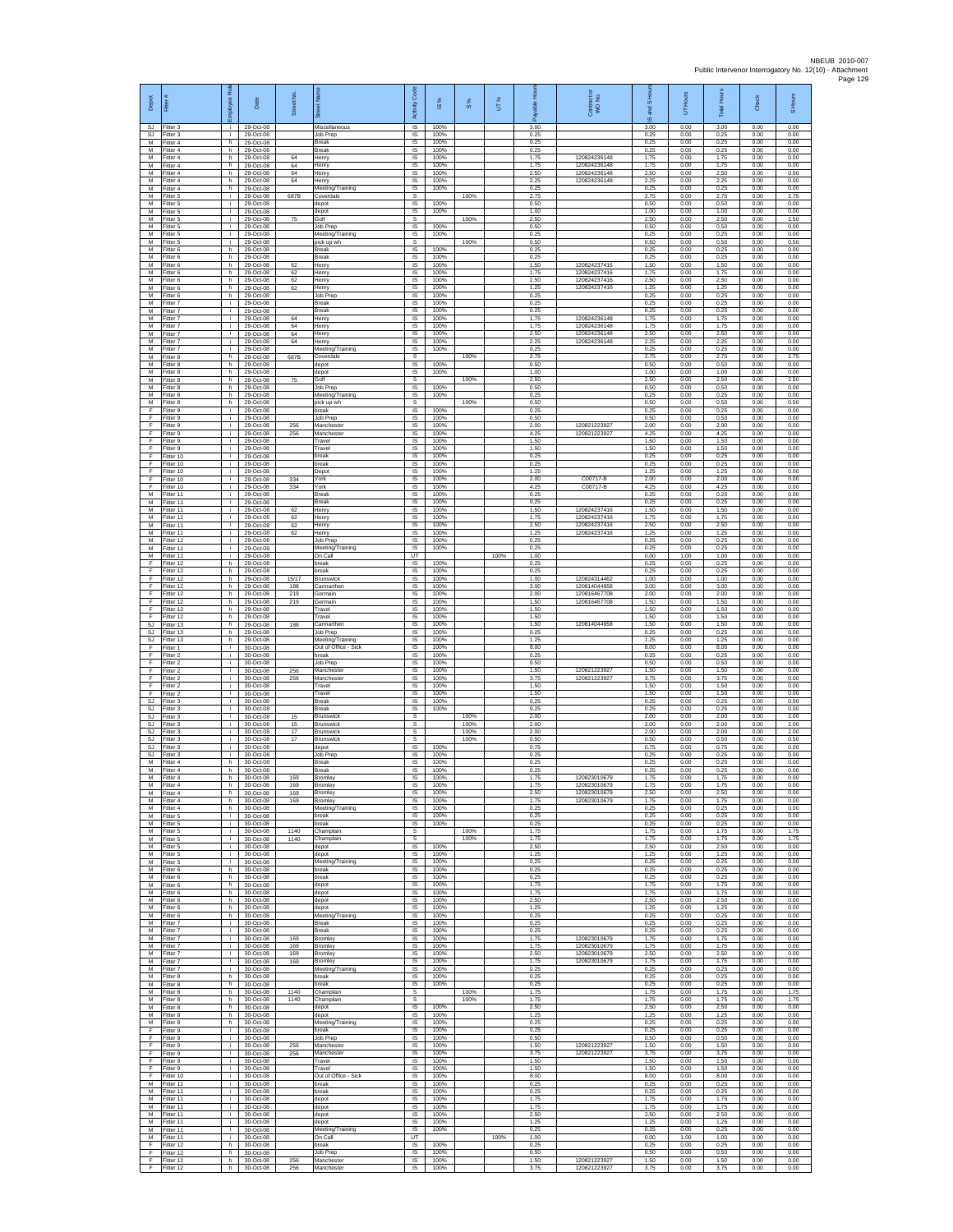| Depot                  | Fitter                              | æ<br>loyee                | Date                                | Street No.        |                                                   | Code<br>Activity                                | IS %                 | $\frac{8}{3}$ | UT%  | 휸                    | Contract or<br>WO No.                        | and S Hou<br>$\overline{\omega}$ | UT Hours             | <b>Total Hours</b>   | Check                | S Hours              |
|------------------------|-------------------------------------|---------------------------|-------------------------------------|-------------------|---------------------------------------------------|-------------------------------------------------|----------------------|---------------|------|----------------------|----------------------------------------------|----------------------------------|----------------------|----------------------|----------------------|----------------------|
| SJ<br>SJ<br>M          | Fitter 3<br>Fitter 3<br>Fitter 4    | ÷.<br>i.<br>h             | 29-Oct-08<br>29-Oct-08<br>29-Oct-08 |                   | Miscellaneou<br>Job Prep                          | $\overline{\mathsf{s}}$<br>$\sf IS$<br>$\sf IS$ | 100%<br>100%<br>100% |               |      | 3.00<br>0.25<br>0.25 |                                              | 3.00<br>0.25<br>0.25             | 0.00<br>0.00<br>0.00 | 3.00<br>0.25<br>0.25 | 0.00<br>0.00<br>0.00 | 0.00<br>0.00<br>0.00 |
| M<br>M                 | Fitter 4<br>Fitter 4                | h.<br>h.                  | 29-Oct-08<br>29-Oct-08              | 64                | Break<br><b>Break</b><br>Henry                    | IS<br>IS                                        | 100%<br>100%         |               |      | 0.25<br>1.75         | 120824236148                                 | 0.25<br>1.75                     | 0.00<br>0.00         | 0.25<br>1.75         | 0.00<br>0.00         | 0.00<br>0.00         |
| M<br>M                 | -itter 4<br>Fitter 4                | h<br>h                    | 29-Oct-08<br>29-Oct-08              | 64<br>64          | Henry<br>Henry                                    | IS<br>IS                                        | 100%<br>100%         |               |      | 1.75<br>2.50         | 120824236148<br>120824236148                 | 1.75<br>2.50                     | 0.00<br>0.00         | 1.75<br>2.50         | 0.00<br>0.00         | 0.00<br>0.00         |
| M<br>M<br>M            | Fitter 4<br>-itter 4                | h.<br>h                   | 29-Oct-08<br>29-Oct-08              | 64                | Henry<br>Meeting/Training                         | IS<br>IS<br>s                                   | 100%<br>100%         |               |      | 2.25<br>0.25         | 120824236148                                 | 2.25<br>0.25                     | 0.00<br>0.00         | 2.25<br>0.25         | 0.00<br>0.00         | 0.00<br>0.00         |
| M<br>M                 | Fitter 5<br>Fitter 5<br>Fitter 5    | i.<br>i.<br>Ť.            | 29-Oct-08<br>29-Oct-08<br>29-Oct-08 | 687B              | Coverdale<br>depot<br>depot                       | IS<br>IS                                        | 100%<br>100%         | 100%          |      | 2.75<br>0.50<br>1.00 |                                              | 2.75<br>0.50<br>1.00             | 0.00<br>0.00<br>0.00 | 2.75<br>0.50<br>1.00 | 0.00<br>0.00<br>0.00 | 2.75<br>0.00<br>0.00 |
| M<br>M                 | Fitter 5<br>Fitter 5                | Ť.                        | 29-Oct-08<br>29-Oct-08              | 75                | Golf<br>lob Prep                                  | s<br>IS                                         | 100%                 | 100%          |      | 2.50<br>0.50         |                                              | 2.50<br>0.50                     | 0.00<br>0.00         | 2.50<br>0.50         | 0.00<br>0.00         | 2.50<br>0.00         |
| M<br>M                 | Fitter 5<br>-itter 5                | Ť.<br>i.<br>h             | 29-Oct-08<br>29-Oct-08              |                   | Meeting/Training<br>pick up wh<br>Break           | <b>IS</b><br>s<br>IS                            | 100%<br>100%         | 100%          |      | 0.25<br>0.50<br>0.25 |                                              | 0.25<br>0.50<br>0.25             | 0.00<br>0.00<br>0.00 | 0.25<br>0.50<br>0.25 | 0.00<br>0.00<br>0.00 | 0.00<br>0.50<br>0.00 |
| M<br>M<br>M            | Fitter 6<br>Fitter 6<br>Fitter 6    | h<br>h.                   | 29-Oct-08<br>29-Oct-08<br>29-Oct-08 | 62                | Break<br>Henry                                    | IS<br>IS                                        | 100%<br>100%         |               |      | 0.25<br>1.50         | 120824237416                                 | 0.25<br>1.50                     | 0.00<br>0.00         | 0.25<br>1.50         | 0.00<br>0.00         | 0.00<br>0.00         |
| M<br>M                 | -itter 6<br>Fitter 6                | h<br>h.                   | 29-Oct-08<br>29-Oct-08              | 62<br>62          | Henry<br>Henry                                    | IS<br>IS                                        | 100%<br>100%         |               |      | 1.75<br>2.50         | 120824237416<br>120824237416                 | 1.75<br>2.50                     | 0.00<br>0.00         | 1.75<br>2.50         | 0.00<br>0.00         | 0.00<br>0.00         |
| M<br>М<br>M            | Fitter 6<br>Fitter 6<br>Fitter 7    | h.<br>h<br>i.             | 29-Oct-08<br>29-Oct-08<br>29-Oct-08 | 62                | Henry<br>Job Prep<br>Break                        | - IS<br>IS<br>IS                                | 100%<br>100%<br>100% |               |      | 1.25<br>0.25<br>0.25 | 120824237416                                 | 1.25<br>0.25<br>0.25             | 0.00<br>0.00<br>0.00 | 1.25<br>0.25<br>0.25 | 0.00<br>0.00<br>0.00 | 0.00<br>0.00<br>0.00 |
| M<br>M                 | Fitter 7<br>Fitter 7                | i.<br>j.                  | 29-Oct-08<br>29-Oct-08              | 64                | Break<br>Henry                                    | IS<br>- IS                                      | 100%<br>100%         |               |      | 0.25<br>1.75         | 120824236148                                 | 0.25<br>1.75                     | 0.00<br>0.00         | 0.25<br>1.75         | 0.00<br>0.00         | 0.00<br>0.00         |
| ${\sf M}$<br>М         | -itter 7<br>-itter 7                | i.<br>j.                  | 29-Oct-08<br>29-Oct-08              | 64<br>64          | Henry<br>Henry                                    | $\sf IS$<br>IS                                  | 100%<br>100%         |               |      | 1.75<br>2.50         | 120824236148<br>120824236148                 | 1.75<br>2.50                     | 0.00<br>0.00         | 1.75<br>2.50         | 0.00<br>0.00         | 0.00<br>0.00         |
| M<br>M<br>M            | Fitter 7<br>Fitter 7<br>Fitter 8    | j.<br>i.<br>h             | 29-Oct-08<br>29-Oct-08<br>29-Oct-08 | 64<br>687B        | Henry<br>Meeting/Training<br>Coverdale            | IS<br><b>IS</b><br>s                            | 100%<br>100%         | 100%          |      | 2.25<br>0.25<br>2.75 | 120824236148                                 | 2.25<br>0.25<br>2.75             | 0.00<br>0.00<br>0.00 | 2.25<br>0.25<br>2.75 | 0.00<br>0.00<br>0.00 | 0.00<br>0.00<br>2.75 |
| M<br>M                 | Fitter 8<br>Fitter 8                | h.<br>h.                  | 29-Oct-08<br>29-Oct-08              |                   | depot<br>depot                                    | <b>IS</b><br>IS                                 | 100%<br>100%         |               |      | 0.50<br>1.00         |                                              | 0.50<br>1.00                     | 0.00<br>0.00         | 0.50<br>1.00         | 0.00<br>0.00         | 0.00<br>0.00         |
| ${\sf M}$<br>М         | itter 8<br>Fitter 8                 | h<br>h.                   | 29-Oct-08<br>29-Oct-08              | 75                | Golf<br>Job Prep                                  | s<br>IS                                         | 100%                 | 100%          |      | 2.50<br>0.50         |                                              | 2.50<br>0.50                     | 0.00<br>0.00         | 2.50<br>0.50<br>0.25 | 0.00<br>0.00<br>0.00 | 2.50<br>0.00         |
| M<br>M<br>F            | Fitter 8<br>Fitter 8<br>Fitter 9    | h.<br>h<br>i.             | 29-Oct-08<br>29-Oct-08<br>29-Oct-08 |                   | Meeting/Training<br>pick up wh<br>break           | <b>IS</b><br>s<br>IS                            | 100%<br>100%         | 100%          |      | 0.25<br>0.50<br>0.25 |                                              | 0.25<br>0.50<br>0.25             | 0.00<br>0.00<br>0.00 | 0.50<br>0.25         | 0.00<br>0.00         | 0.00<br>0.50<br>0.00 |
| F<br>-F                | fitter 9<br>Fitter 9                | Ť.<br>j.                  | 29-Oct-08<br>29-Oct-08              | 256               | Job Prep<br>Manchester                            | IS<br>IS                                        | 100%<br>100%         |               |      | 0.50<br>2.00         | 120821223927                                 | 0.50<br>2.00                     | 0.00<br>0.00         | 0.50<br>2.00         | 0.00<br>0.00         | 0.00<br>0.00         |
| F<br>$\mathsf F$<br>Ŧ  | -itter 9<br>Fitter 9<br>Fitter 9    | i.<br>i.                  | 29-Oct-08<br>29-Oct-08<br>29-Oct-08 | 256               | Manchester<br>Travel<br>Travel                    | <b>IS</b><br>IS<br>IS                           | 100%<br>100%<br>100% |               |      | 4.25<br>1.50<br>1.50 | 120821223927                                 | 4.25<br>1.50<br>1.50             | 0.00<br>0.00<br>0.00 | 4.25<br>1.50<br>1.50 | 0.00<br>0.00<br>0.00 | 0.00<br>0.00<br>0.00 |
| F<br>$\mathsf F$       | Fitter 10<br>Fitter 10              | i.                        | 29-Oct-08<br>29-Oct-08              |                   | break<br>break                                    | IS<br>IS                                        | 100%<br>100%         |               |      | 0.25<br>0.25         |                                              | 0.25<br>0.25                     | 0.00<br>0.00         | 0.25<br>0.25         | 0.00<br>0.00         | 0.00<br>0.00         |
| Ŧ<br>F<br>F            | Fitter 10<br>Fitter 10              | i.<br>j.<br>j.            | 29-Oct-08<br>29-Oct-08<br>29-Oct-08 | 334<br>334        | Depot<br>York                                     | IS<br>IS<br>IS                                  | 100%<br>100%<br>100% |               |      | 1.25<br>2.00<br>4.25 | C00717-B<br>C00717-B                         | 1.25<br>2.00<br>4.25             | 0.00<br>0.00<br>0.00 | 1.25<br>2.00<br>4.25 | 0.00<br>0.00<br>0.00 | 0.00<br>0.00<br>0.00 |
| M<br>M                 | Fitter 10<br>Fitter 11<br>-itter 11 | Ť.                        | 29-Oct-08<br>29-Oct-08              |                   | York<br>Break<br>Break                            | IS<br>IS                                        | 100%<br>100%         |               |      | 0.25<br>0.25         |                                              | 0.25<br>0.25                     | 0.00<br>0.00         | 0.25<br>0.25         | 0.00<br>0.00         | 0.00<br>0.00         |
| M<br>M                 | Fitter 11<br>Fitter 11              | j.<br>i.                  | 29-Oct-08<br>29-Oct-08              | 62<br>62          | Henry<br>Henry                                    | - IS<br>$\sf IS$                                | 100%<br>100%         |               |      | 1.50<br>1.75         | 120824237416<br>120824237416                 | 1.50<br>1.75                     | 0.00<br>0.00         | 1.50<br>1.75         | 0.00<br>0.00         | 0.00<br>0.00         |
| М<br>M<br>M            | Fitter 11<br>Fitter 11<br>Fitter 11 | Ť.<br>i.                  | 29-Oct-08<br>29-Oct-08<br>29-Oct-08 | 62<br>62          | Henry<br>Henry<br>.lob Prep                       | $\sf IS$<br>IS<br>IS                            | 100%<br>100%<br>100% |               |      | 2.50<br>1.25<br>0.25 | 120824237416<br>120824237416                 | 2.50<br>1.25<br>0.25             | 0.00<br>0.00<br>0.00 | 2.50<br>1.25<br>0.25 | 0.00<br>0.00<br>0.00 | 0.00<br>0.00<br>0.00 |
| M<br>М                 | Fitter 11<br>Fitter 11              | ÷.<br>j.                  | 29-Oct-08<br>29-Oct-08              |                   | Meeting/Training<br>On Call                       | IS<br>UT                                        | 100%                 |               | 100% | 0.25<br>1.00         |                                              | 0.25<br>0.00                     | 0.00<br>1.00         | 0.25<br>1.00         | 0.00<br>0.00         | 0.00<br>0.00         |
| E<br>$\mathsf F$<br>F  | Fitter 12<br>ltter 12<br>Fitter 12  | h.<br>h<br>h              | 29-Oct-08<br>29-Oct-08<br>29-Oct-08 | 15/17             | break<br>break                                    | IS<br>IS<br>$\sf IS$                            | 100%<br>100%<br>100% |               |      | 0.25<br>0.25<br>1.00 | 120824314462                                 | 0.25<br>0.25<br>1.00             | 0.00<br>0.00<br>0.00 | 0.25<br>0.25<br>1.00 | 0.00<br>0.00<br>0.00 | 0.00<br>0.00<br>0.00 |
| F<br>F                 | Fitter 12<br>Fitter 12              | h.<br>h                   | 29-Oct-08<br>29-Oct-08              | 188<br>219        | <b>Brunswick</b><br>Carmarther<br>Germain         | IS<br>IS                                        | 100%<br>100%         |               |      | 3.00<br>2.00         | 120814044958<br>120816467708                 | 3.00<br>2.00                     | 0.00<br>0.00         | 3.00<br>2.00         | 0.00<br>0.00         | 0.00<br>0.00         |
| Ŧ<br>F<br>-F           | Fitter 12<br>Fitter 12<br>Fitter 12 | h<br>h<br>h.              | 29-Oct-08<br>29-Oct-08<br>29-Oct-08 | 219               | Germain<br>Travel<br>Travel                       | IS<br>IS<br>IS                                  | 100%<br>100%<br>100% |               |      | 1.50<br>1.50<br>1.50 | 120816467708                                 | 1.50<br>1.50<br>1.50             | 0.00<br>0.00<br>0.00 | 1.50<br>1.50<br>1.50 | 0.00<br>0.00<br>0.00 | 0.00<br>0.00<br>0.00 |
| SJ<br>SJ               | Fitter 13<br>Fitter 13              | h.<br>h                   | 29-Oct-08<br>29-Oct-08              | 188               | armarthen<br>Job Prep                             | IS<br>IS                                        | 100%<br>100%         |               |      | 1.50<br>0.25         | 120814044958                                 | 1.50<br>0.25                     | 0.00<br>0.00         | 1.50<br>0.25         | 0.00<br>0.00         | 0.00<br>0.00         |
| SJ.<br>F<br>F          | Fitter 13<br>Fitter 1<br>-itter 2   | h.<br>i.                  | 29-Oct-08<br>30-Oct-08<br>30-Oct-08 |                   | Meeting/Training<br>Out of Office - Sick<br>break | IS<br>IS<br>IS                                  | 100%<br>100%<br>100% |               |      | 1.25<br>8.00<br>0.25 |                                              | 1.25<br>8.00<br>0.25             | 0.00<br>0.00<br>0.00 | 1.25<br>8.00<br>0.25 | 0.00<br>0.00<br>0.00 | 0.00<br>0.00<br>0.00 |
| Ŧ<br>F                 | Fitter 2<br>Fitter 2                | i.<br>j.                  | 30-Oct-08<br>30-Oct-08              | 256               | Job Prep<br>Manchester                            | IS<br>-IS                                       | 100%<br>100%         |               |      | 0.50<br>1.50         | 120821223927                                 | 0.50<br>1.50                     | 0.00<br>0.00         | 0.50<br>1.50         | 0.00<br>0.00         | 0.00<br>0.00         |
| F<br>$\mathsf F$<br>F  | Fitter 2<br>Fitter 2                | i.<br>i.<br>i.            | 30-Oct-08<br>30-Oct-08              | 256               | Manchester<br>Travel<br>Travel                    | IS<br>IS<br>IS                                  | 100%<br>100%<br>100% |               |      | 3.75<br>1.50<br>1.50 | 120821223927                                 | 3.75<br>1.50<br>1.50             | 0.00<br>0.00<br>0.00 | 3.75<br>1.50<br>1.50 | 0.00<br>0.00<br>0.00 | 0.00<br>0.00<br>0.00 |
| SJ<br>SJ               | Fitter 2<br>Fitter 3<br>-itter 3    | Ť.<br>i.                  | 30-Oct-08<br>30-Oct-08<br>30-Oct-08 |                   | Break<br>Break                                    | - IS<br>$\sf IS$                                | 100%<br>100%         |               |      | 0.25<br>0.25         |                                              | 0.25<br>0.25                     | 0.00<br>0.00         | 0.25<br>0.25         | 0.00<br>0.00         | 0.00<br>0.00         |
| SJ<br>SJ.              | -itter 3<br>Fitter 3                | Ť.                        | 30-Oct-08<br>30-Oct-08              | 15<br>15          | Brunswick<br><b>Brunswick</b>                     | s<br>s                                          |                      | 100%<br>100%  |      | 2.00<br>2.00         |                                              | 2.00<br>2.00                     | 0.00<br>0.00         | 2.00<br>2.00         | 0.00<br>0.00         | 2.00<br>2.00         |
| SJ.<br><b>SJ</b><br>SJ | Fitter 3<br>Fitter 3<br>Fitter 3    | i.<br>i.                  | 30-Oct-08<br>30-Oct-08<br>30-Oct-08 | 17<br>17          | <b>Brunswick</b><br>Brunswick<br>depot            | s<br>s<br>IS                                    | 100%                 | 100%<br>100%  |      | 2.00<br>0.50<br>0.75 |                                              | 2.00<br>0.50<br>0.75             | 0.00<br>0.00<br>0.00 | 2.00<br>0.50<br>0.75 | 0.00<br>0.00<br>0.00 | 2.00<br>0.50<br>0.00 |
| SJ.<br>${\sf M}$       | Fitter 3<br>-itter 4                | j.<br>h                   | $30-Ort-08$<br>30-Oct-08            |                   | Job Prep<br>Break                                 | - IS<br>IS                                      | 100%<br>100%         |               |      | 0.25<br>0.25         |                                              | 0.25<br>0.25                     | 0.00<br>0.00         | 0.25<br>0.25         | 0.00<br>0.00         | 0.00<br>0.00         |
| М<br>M<br>M            | Fitter 4<br>Fitter 4<br>Fitter 4    | $\mathsf{h}$ .<br>h.<br>h | 30-Oct-08<br>30-Oct-08<br>30-Oct-08 | 169<br>169        | <b>Break</b><br><b>Bromley</b><br>Bromley         | $\sf IS$<br>IS<br><b>IS</b>                     | 100%<br>100%<br>100% |               |      | 0.25<br>1.75<br>1.75 | 120823010679<br>120823010679                 | 0.25<br>1.75<br>1.75             | 0.00<br>0.00<br>0.00 | 0.25<br>1.75<br>1.75 | 0.00<br>0.00<br>0.00 | 0.00<br>0.00<br>0.00 |
| M<br>M                 | Fitter 4<br>-itter 4                | h<br>h                    | 30-Oct-08<br>30-Oct-08              | 169<br>169        | Bromley<br>Bromley                                | IS<br>IS                                        | 100%<br>100%         |               |      | 2.50<br>1.75         | 120823010679<br>120823010679                 | 2.50<br>1.75                     | 0.00<br>0.00         | 2.50<br>1.75         | 0.00<br>0.00         | 0.00<br>0.00         |
| M<br>M<br>M            | Fitter 4<br>Fitter 5<br>Fitter 5    | h.<br>i.<br>i.            | 30-Oct-08<br>30-Oct-08<br>30-Oct-08 |                   | Meeting/Training<br>break<br>break                | - IS<br><b>IS</b><br>IS                         | 100%<br>100%<br>100% |               |      | 0.25<br>0.25<br>0.25 |                                              | 0.25<br>0.25<br>0.25             | 0.00<br>0.00<br>0.00 | 0.25<br>0.25<br>0.25 | 0.00<br>0.00<br>0.00 | 0.00<br>0.00<br>0.00 |
| M<br>M                 | Fitter 5<br>Fitter 5                | i.<br>i.                  | 30-Oct-08<br>30-Oct-08              | 1140<br>1140      | Champlain<br>Champlain                            | s<br>s                                          |                      | 100%<br>100%  |      | 1.75<br>1.75         |                                              | 1.75<br>1.75                     | 0.00<br>0.00         | 1.75<br>1.75         | 0.00<br>0.00         | 1.75<br>1.75         |
| ${\sf M}$<br>M<br>M    | Fitter 5<br>Fitter 5<br>Fitter 5    | i.<br>j.<br>i.            | 30-Oct-08<br>30-Oct-08<br>30-Oct-08 |                   | depot<br>depot<br>Meeting/Training                | $\sf IS$<br><b>IS</b><br>IS.                    | 100%<br>100%<br>100% |               |      | 2.50<br>1.25<br>0.25 |                                              | 2.50<br>1.25<br>0.25             | 0.00<br>0.00<br>0.00 | 2.50<br>1.25<br>0.25 | 0.00<br>0.00<br>0.00 | 0.00<br>0.00<br>0.00 |
| М<br>M                 | Fitter 6<br>Fitter 6                | h<br>h.                   | 30-Oct-08<br>30-Oct-08              |                   | break<br>break                                    | IS<br>IS                                        | 100%<br>100%         |               |      | 0.25<br>0.25         |                                              | 0.25<br>0.25                     | 0.00<br>0.00         | 0.25<br>0.25         | 0.00<br>0.00         | 0.00<br>0.00         |
| M<br>M                 | Fitter 6<br>Fitter 6                | h.<br>h.                  | 30-Oct-08<br>30-Oct-08              |                   | depot<br>depot                                    | IS<br>- IS                                      | 100%<br>100%         |               |      | 1.75<br>1.75         |                                              | 1.75<br>1.75                     | 0.00<br>0.00         | 1.75<br>1.75         | 0.00<br>0.00         | 0.00<br>0.00         |
| M<br>M<br>M            | Fitter 6<br>Fitter 6<br>Fitter 6    | h<br>h<br>h.              | 30-Oct-08<br>30-Oct-08<br>30-Oct-08 |                   | depot<br>depot<br>Meeting/Training                | IS<br>$\sf IS$<br><b>IS</b>                     | 100%<br>100%<br>100% |               |      | 2.50<br>1.25<br>0.25 |                                              | 2.50<br>1.25<br>0.25             | 0.00<br>0.00<br>0.00 | 2.50<br>1.25<br>0.25 | 0.00<br>0.00<br>0.00 | 0.00<br>0.00<br>0.00 |
| м<br>M                 | Fitter 7<br>Fitter 7                | i.<br>÷.                  | $30-Ort-08$<br>30-Oct-08            |                   | <b>Break</b><br>Break                             | <b>IS</b><br>IS                                 | 100%<br>100%         |               |      | 0.25<br>0.25         |                                              | 0.25<br>0.25                     | 0.00<br>0.00         | 0.25<br>0.25         | 0.00<br>0.00         | 0.00<br>0.00         |
| M<br>м<br>${\sf M}$    | Fitter 7<br>Fitter 7<br>Fitter 7    | i.<br>i.<br>i.            | 30-Oct-08<br>30-Oct-08<br>30-Oct-08 | 169<br>169<br>169 | Bromley<br>Bromley<br>Bromley                     | IS<br><b>IS</b><br>IS                           | 100%<br>100%<br>100% |               |      | 1.75<br>1.75<br>2.50 | 120823010679<br>120823010679<br>120823010679 | 1.75<br>1.75<br>2.50             | 0.00<br>0.00<br>0.00 | 1.75<br>1.75<br>2.50 | 0.00<br>0.00<br>0.00 | 0.00<br>0.00<br>0.00 |
| M<br>M                 | Fitter 7<br>Fitter 7                | i.<br>j.                  | 30-Oct-08<br>30-Oct-08              | 169               | Bromley<br>Meeting/Training                       | IS<br><b>IS</b>                                 | 100%<br>100%         |               |      | 1.75<br>0.25         | 120823010679                                 | 1.75<br>0.25                     | 0.00<br>0.00         | 1.75<br>0.25         | 0.00<br>0.00         | 0.00<br>0.00         |
| M<br>M<br>M            | Fitter 8<br>Fitter 8<br>Fitter 8    | h<br>h.<br>h              | 30-Oct-08<br>30-Oct-08<br>30-Oct-08 | 1140              | break<br>break<br>Champlain                       | IS<br>IS<br>s                                   | 100%<br>100%         | 100%          |      | 0.25<br>0.25<br>1.75 |                                              | 0.25<br>0.25<br>1.75             | 0.00<br>0.00<br>0.00 | 0.25<br>0.25<br>1.75 | 0.00<br>0.00<br>0.00 | 0.00<br>0.00<br>1.75 |
| M<br>M                 | Fitter 8<br>Fitter 8                | h.<br>h.                  | 30-Oct-08<br>30-Oct-08              | 1140              | Champlain<br>depot                                | s<br><b>IS</b>                                  | 100%                 | 100%          |      | 1.75<br>2.50         |                                              | 1.75<br>2.50                     | 0.00<br>0.00         | 1.75<br>2.50         | 0.00<br>0.00         | 1.75<br>0.00         |
| M<br>M<br>F.           | Fitter 8<br>Fitter 8<br>Fitter 9    | h.<br>h.<br>i.            | 30-Oct-08<br>30-Oct-08<br>30-Oct-08 |                   | depot<br>Meeting/Training<br>break                | IS<br>IS<br>IS                                  | 100%<br>100%<br>100% |               |      | 1.25<br>0.25<br>0.25 |                                              | 1.25<br>0.25<br>0.25             | 0.00<br>0.00<br>0.00 | 1.25<br>0.25<br>0.25 | 0.00<br>0.00<br>0.00 | 0.00<br>0.00<br>0.00 |
| F<br>Ŧ                 | Fitter 9<br>Fitter 9                | i.<br>i.                  | 30-Oct-08<br>30-Oct-08              | 256               | Job Prep<br>Manchester                            | IS<br><b>IS</b>                                 | 100%<br>100%         |               |      | 0.50<br>1.50         | 120821223927                                 | 0.50<br>1.50                     | 0.00<br>0.00         | 0.50<br>1.50         | 0.00<br>0.00         | 0.00<br>0.00         |
| F<br>F<br>F            | Fitter 9<br>Fitter 9<br>Fitter 9    | i.<br>j.<br>i.            | 30-Oct-08<br>30-Oct-08<br>30-Oct-08 | 256               | Manchester<br>Travel<br>Travel                    | <b>IS</b><br>IS<br>IS                           | 100%<br>100%<br>100% |               |      | 3.75<br>1.50<br>1.50 | 120821223927                                 | 3.75<br>1.50<br>1.50             | 0.00<br>0.00<br>0.00 | 3.75<br>1.50<br>1.50 | 0.00<br>0.00<br>0.00 | 0.00<br>0.00<br>0.00 |
| F<br>M                 | Fitter 10<br>Fitter 11              | j.<br>j.                  | 30-Oct-08<br>30-Oct-08              |                   | Out of Office - Sick<br>break                     | IS<br>- IS                                      | 100%<br>100%         |               |      | 8.00<br>0.25         |                                              | 8.00<br>0.25                     | 0.00<br>0.00         | 8.00<br>0.25         | 0.00<br>0.00         | 0.00<br>0.00         |
| M<br>М<br>M            | Fitter 11<br>Fitter 11<br>Fitter 11 | i.<br>Ť.<br>j.            | 30-Oct-08<br>30-Oct-08<br>30-Oct-08 |                   | break<br>depot<br>depot                           | $\sf IS$<br>$\sf IS$<br><b>IS</b>               | 100%<br>100%<br>100% |               |      | 0.25<br>1.75<br>1.75 |                                              | 0.25<br>1.75<br>1.75             | 0.00<br>0.00<br>0.00 | 0.25<br>1.75<br>1.75 | 0.00<br>0.00<br>0.00 | 0.00<br>0.00<br>0.00 |
| м<br>M                 | Fitter 11<br>Fitter 11              | j.<br>Ť.                  | 30-Oct-08<br>30-Oct-08              |                   | depot<br>depot                                    | <b>IS</b><br>IS                                 | 100%<br>100%         |               |      | 2.50<br>1.25         |                                              | 2.50<br>1.25                     | 0.00<br>0.00         | 2.50<br>1.25         | 0.00<br>0.00         | 0.00<br>0.00         |
| M<br>м<br>F            | Fitter 11<br>Fitter 11<br>litter 12 | i.<br>j.<br>h             | 30-Oct-08<br>30-Oct-08<br>30-Oct-08 |                   | Meeting/Training<br>On Call<br>break              | <b>IS</b><br>UT<br>IS                           | 100%<br>100%         |               | 100% | 0.25<br>1.00<br>0.25 |                                              | 0.25<br>0.00<br>0.25             | 0.00<br>1.00<br>0.00 | 0.25<br>1.00<br>0.25 | 0.00<br>0.00<br>0.00 | 0.00<br>0.00<br>0.00 |
| F<br>F                 | Fitter 12<br>Fitter 12              | h.<br>h.                  | 30-Oct-08<br>30-Oct-08              | 256               | Job Prep<br>Manchester                            | IS<br><b>IS</b>                                 | 100%<br>100%         |               |      | 0.50<br>1.50         | 120821223927                                 | 0.50<br>1.50                     | 0.00<br>0.00         | 0.50<br>1.50         | 0.00<br>0.00         | 0.00<br>0.00         |
| -F                     | Fitter 12                           | h.                        | 30-Oct-08                           | 256               | Manchester                                        | IS                                              | 100%                 |               |      | 3.75                 | 120821223927                                 | 3.75                             | 0.00                 | 3.75                 | 0.00                 | 0.00                 |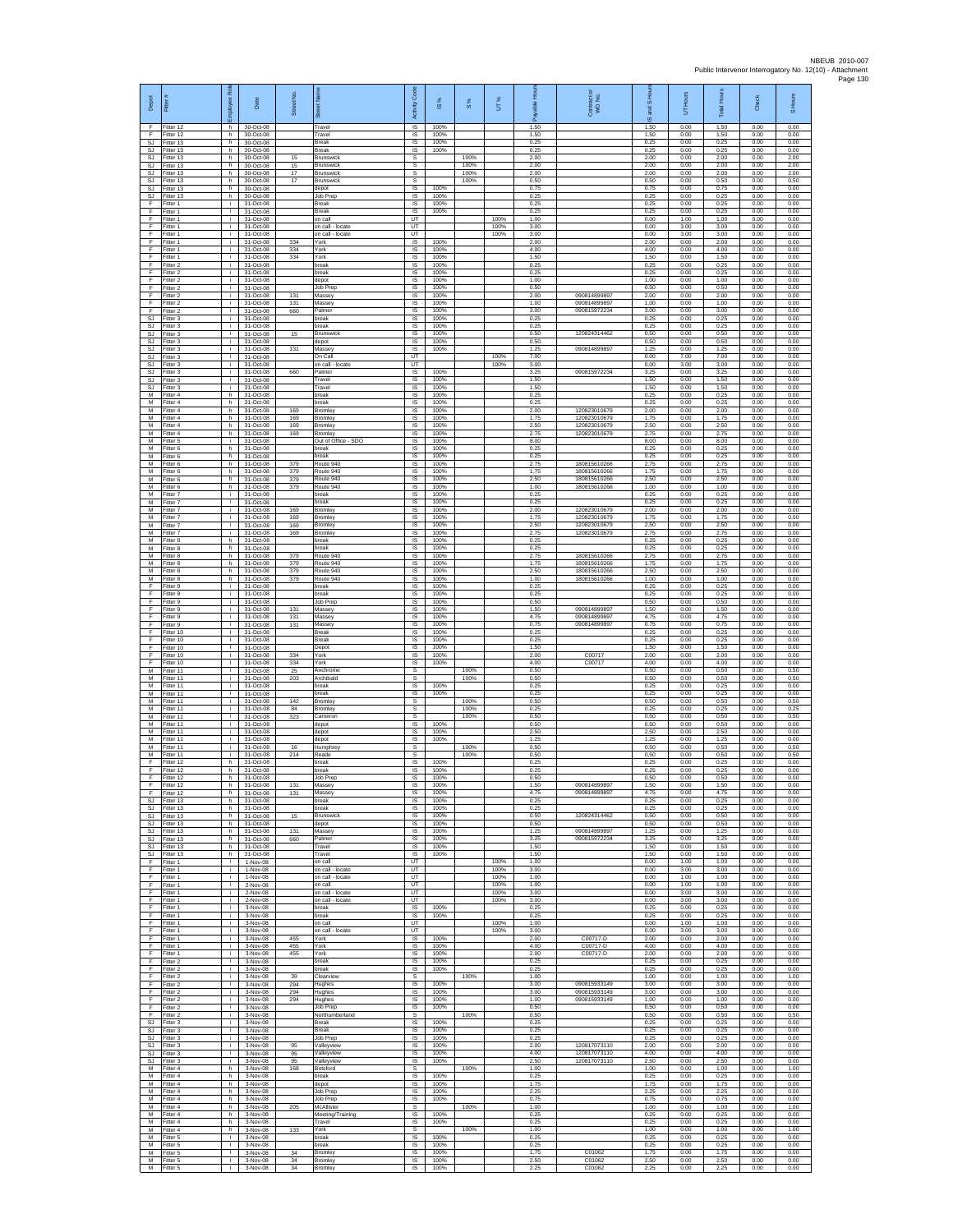| Depot                        | Fitter                              | ployee Rol                   | Date                                  | Street No         | õ.                                              | Code<br>Activity                          | $\frac{8}{3}$        | $\frac{8}{3}$ | UT%                  | 오<br>æ               | Contract or<br>WO No.                        | $\overline{a}$<br><b>SURG</b><br>$\omega$ | Hours<br>5           | <b>Total Hours</b>   | Check                | S Hours              |
|------------------------------|-------------------------------------|------------------------------|---------------------------------------|-------------------|-------------------------------------------------|-------------------------------------------|----------------------|---------------|----------------------|----------------------|----------------------------------------------|-------------------------------------------|----------------------|----------------------|----------------------|----------------------|
| F<br>F<br><b>SJ</b>          | Fitter 12<br>Fitter 12<br>Fitter 13 | h<br>h.<br>h                 | 30-Oct-08<br>30-Oct-08<br>30-Oct-08   |                   | Travel<br>Travel<br><b>Break</b>                | IS<br>IS<br>IS                            | 100%<br>100%<br>100% |               |                      | 1.50<br>1.50<br>0.25 |                                              | 1.50<br>1.50<br>0.25                      | 0.00<br>0.00<br>0.00 | 1.50<br>1.50<br>0.25 | 0.00<br>0.00<br>0.00 | 0.00<br>0.00<br>0.00 |
| SJ<br><b>SJ</b><br><b>SJ</b> | Fitter 13<br>fitter 13<br>Fitter 13 | h.<br>h.<br>h.               | 30-Oct-08<br>30-Oct-08<br>30-Oct-08   | 15<br>15          | Break<br>Brunswick<br><b>Brunswick</b>          | IS.<br>s<br>s                             | 100%                 | 100%<br>100%  |                      | 0.25<br>2.00<br>2.00 |                                              | 0.25<br>2.00<br>2.00                      | 0.00<br>0.00<br>0.00 | 0.25<br>2.00<br>2.00 | 0.00<br>0.00<br>0.00 | 0.00<br>2.00<br>2.00 |
| SJ.<br>SJ                    | Fitter 13<br>Fitter 13              | h<br>h                       | 30-Oct-08<br>30-Oct-08                | 17<br>17          | Brunswick<br><b>Brunswick</b>                   | s<br>s                                    |                      | 100%<br>100%  |                      | 2.00<br>0.50         |                                              | 2.00<br>0.50                              | 0.00<br>0.00         | 2.00<br>0.50         | 0.00<br>0.00         | 2.00<br>0.50         |
| <b>SJ</b><br>SJ<br>F         | Fitter 13<br>Fitter 13<br>Fitter 1  | h.<br>h.<br>j.               | 30-Oct-08<br>30-Oct-08<br>31-Oct-08   |                   | depot<br>Job Prep<br>Break                      | <b>IS</b><br>IS<br>$\sf IS$               | 100%<br>100%<br>100% |               |                      | 0.75<br>0.25<br>0.25 |                                              | 0.75<br>0.25<br>0.25                      | 0.00<br>0.00<br>0.00 | 0.75<br>0.25<br>0.25 | 0.00<br>0.00<br>0.00 | 0.00<br>0.00<br>0.00 |
| F<br>F                       | Fitter 1<br>Fitter 1                | j.<br>j.                     | 31-Oct-08<br>31-Oct-08                |                   | Break<br>on call                                | $\sf IS$<br>UT                            | 100%                 |               | 100%                 | 0.25<br>1.00         |                                              | 0.25<br>0.00                              | 0.00<br>1.00         | 0.25<br>1.00         | 0.00<br>0.00         | 0.00<br>0.00         |
| F<br>F<br>F                  | Fitter 1<br>Fitter 1<br>Fitter 1    | i.<br>÷.<br>j.               | 31-Oct-08<br>31-Oct-08<br>31-Oct-08   | 334               | on call - locate<br>on call - locate<br>York    | UT<br>UT<br>IS                            | 100%                 |               | 100%<br>100%         | 3.00<br>3.00<br>2.00 |                                              | 0.00<br>0.00<br>2.00                      | 3.00<br>3.00<br>0.00 | 3.00<br>3.00<br>2.00 | 0.00<br>0.00<br>0.00 | 0.00<br>0.00<br>0.00 |
| F<br>F                       | Fitter 1<br>Fitter 1                | j.<br>i.                     | 31-Oct-08<br>31-Oct-08                | 334<br>334        | York<br>York                                    | $\overline{\mathsf{s}}$<br>IS             | 100%<br>100%         |               |                      | 4.00<br>1.50         |                                              | 4.00<br>1.50                              | 0.00<br>0.00         | 4.00<br>1.50         | 0.00<br>0.00         | 0.00<br>0.00         |
| F<br>F<br>F                  | Fitter 2<br>Fitter 2<br>Fitter 2    | j.<br>j.<br>j.               | 31-Oct-08<br>31-Oct-08<br>31-Oct-08   |                   | break<br>break<br>depot                         | $\sf IS$<br>IS<br>IS                      | 100%<br>100%<br>100% |               |                      | 0.25<br>0.25<br>1.00 |                                              | 0.25<br>0.25<br>1.00                      | 0.00<br>0.00<br>0.00 | 0.25<br>0.25<br>1.00 | 0.00<br>0.00<br>0.00 | 0.00<br>0.00<br>0.00 |
| F<br>F                       | Fitter 2<br>-itter 2                | ÷.<br>j.                     | 31-Oct-08<br>31-Oct-08                | 131               | Job Prep<br>Massey                              | IS<br>IS                                  | 100%<br>100%         |               |                      | 0.50<br>2.00<br>1.00 | 09081489989<br>090814899897                  | 0.50<br>2.00<br>1.00                      | 0.00<br>0.00<br>0.00 | 0.50<br>2.00<br>1.00 | 0.00<br>0.00<br>0.00 | 0.00<br>0.00<br>0.00 |
| F<br>F<br>SJ                 | Fitter 2<br>Fitter 2<br>Fitter 3    | j.<br>j.<br>÷.               | 31-Oct-08<br>31-Oct-08<br>31-Oct-08   | 131<br>660        | Massey<br>Palmer<br>break                       | IS<br>IS<br>IS                            | 100%<br>100%<br>100% |               |                      | 3.00<br>0.25         | 090815972234                                 | 3.00<br>0.25                              | 0.00<br>0.00         | 3.00<br>0.25         | 0.00<br>0.00         | 0.00<br>0.00         |
| <b>SJ</b><br><b>SJ</b><br>SJ | Fitter 3<br>Fitter 3<br>Fitter 3    | j.<br>÷.<br>÷.               | 31-Oct-08<br>31-Oct-08<br>31-Oct-08   | 15                | break<br><b>Brunswick</b><br>depot              | IS<br>IS<br>1S                            | 100%<br>100%<br>100% |               |                      | 0.25<br>0.50<br>0.50 | 120824314462                                 | 0.25<br>0.50<br>0.50                      | 0.00<br>0.00<br>0.00 | 0.25<br>0.50<br>0.50 | 0.00<br>0.00<br>0.00 | 0.00<br>0.00<br>0.00 |
| <b>SJ</b><br><b>SJ</b>       | fitter 3<br>Fitter 3                | j.<br>÷i.                    | 31-Oct-08<br>31-Oct-08                | 131               | Massey<br>On Call                               | IS<br>UT                                  | 100%                 |               | 100%                 | 1.25<br>7.00         | 090814899897                                 | 1.25<br>0.00                              | 0.00<br>7.00         | 1.25<br>7.00         | 0.00<br>0.00         | 0.00<br>0.00         |
| <b>SJ</b><br>SJ<br>SJ.       | Fitter 3<br>Fitter 3<br>Fitter 3    | j.<br>i.<br>j.               | 31-Oct-08<br>31-Oct-08<br>31-Oct-08   | 660               | on call - locate<br>Palmer<br>Travel            | LIT<br>IS<br>1S                           | 100%<br>100%         |               | 100%                 | 3.00<br>3.25<br>1.50 | 090815972234                                 | 0.00<br>3.25<br>1.50                      | 3.00<br>0.00<br>0.00 | 3.00<br>3.25<br>1.50 | 0.00<br>0.00<br>0.00 | 0.00<br>0.00<br>0.00 |
| SJ<br>М                      | Fitter 3<br>Fitter 4                | i.<br>h.                     | 31-Oct-08<br>31-Oct-08                |                   | Travel<br>break                                 | IS<br>$\sf IS$                            | 100%<br>100%         |               |                      | 1.50<br>0.25         |                                              | 1.50<br>0.25                              | 0.00<br>0.00         | 1.50<br>0.25         | 0.00<br>0.00         | 0.00<br>0.00         |
| M<br>M<br>M                  | Fitter 4<br>Fitter 4<br>Fitter 4    | h.<br>h.<br>h                | 31-Oct-08<br>31-Oct-08<br>31-Oct-08   | 169<br>169        | break<br>Bromley<br>Bromley                     | IS<br>IS<br>IS                            | 100%<br>100%<br>100% |               |                      | 0.25<br>2.00<br>1.75 | 120823010679<br>120823010679                 | 0.25<br>2.00<br>1.75                      | 0.00<br>0.00<br>0.00 | 0.25<br>2.00<br>1.75 | 0.00<br>0.00<br>0.00 | 0.00<br>0.00<br>0.00 |
| M<br>M                       | Fitter 4<br>itter 4                 | h.<br>h                      | 31-Oct-08<br>31-Oct-08                | 169<br>169        | Bromley<br>Bromley                              | 1S<br>IS                                  | 100%<br>100%         |               |                      | 2.50<br>2.75         | 120823010679<br>120823010679                 | 2.50<br>2.75                              | 0.00<br>0.00         | 2.50<br>2.75         | 0.00<br>0.00         | 0.00<br>0.00         |
| M<br>M<br>М                  | Fitter 5<br>Fitter 6<br>Fitter 6    | ÷i.<br>h.<br>h               | 31-Oct-08<br>31-Oct-08<br>31-Oct-08   |                   | Out of Office - SDO<br>break<br>break           | <b>IS</b><br>IS<br>$\sf IS$               | 100%<br>100%<br>100% |               |                      | 8.00<br>0.25<br>0.25 |                                              | 8.00<br>0.25<br>0.25                      | 0.00<br>0.00<br>0.00 | 8.00<br>0.25<br>0.25 | 0.00<br>0.00<br>0.00 | 0.00<br>0.00<br>0.00 |
| M<br>M                       | Fitter 6<br>Fitter 6                | h.<br>h                      | 31-Oct-08<br>31-Oct-08                | 379<br>379        | Route 940<br>Route 940                          | IS<br>IS                                  | 100%<br>100%         |               |                      | 2.75<br>175          | 180815610266<br>180815610266                 | 2.75<br>1.75                              | 0.00<br>0.00         | 2.75<br>1.75         | 0.00<br>0.00         | 0.00<br>0.00         |
| М<br>M<br>M                  | Fitter 6<br>itter 6<br>Fitter 7     | h<br>h.<br>i.                | 31-Oct-08<br>31-Oct-08<br>31-Oct-08   | 379<br>379        | Route 940<br>Route 940<br>break                 | IS<br>1S<br>IS                            | 100%<br>100%<br>100% |               |                      | 2.50<br>1.00<br>0.25 | 180815610266<br>180815610266                 | 2.50<br>1.00<br>0.25                      | 0.00<br>0.00<br>0.00 | 2.50<br>1.00<br>0.25 | 0.00<br>0.00<br>0.00 | 0.00<br>0.00<br>0.00 |
| М<br>М                       | itter 7<br>Fitter 7                 | j.<br>÷.                     | 31-Oct-08<br>31-Oct-08                | 169               | break<br>Bromley                                | IS<br>1S                                  | 100%<br>100%         |               |                      | 0.25<br>2.00         | 120823010679<br>120823010679                 | 0.25<br>2.00                              | 0.00<br>0.00         | 0.25<br>2.00         | 0.00<br>0.00         | 0.00<br>0.00         |
| M<br>М<br>М                  | Fitter 7<br>Fitter 7<br>Fitter 7    | j.<br>÷.<br>÷.               | 31-Oct-08<br>31-Oct-08<br>31-Oct-08   | 169<br>169<br>169 | Bromley<br>Bromley<br>Bromley                   | IS<br>IS<br>IS                            | 100%<br>100%<br>100% |               |                      | 1.75<br>2.50<br>2.75 | 120823010679<br>120823010679                 | 1.75<br>2.50<br>2.75                      | 0.00<br>0.00<br>0.00 | 1.75<br>2.50<br>2.75 | 0.00<br>0.00<br>0.00 | 0.00<br>0.00<br>0.00 |
| М<br>M<br>M                  | itter 8<br>Fitter 8                 | h.<br>h.                     | 31-Oct-08<br>31-Oct-08                |                   | break<br>break                                  | IS<br>IS                                  | 100%<br>100%         |               |                      | 0.25<br>0.25         |                                              | 0.25<br>0.25                              | 0.00<br>0.00         | 0.25<br>0.25         | 0.00<br>0.00         | 0.00<br>0.00         |
| М<br>M                       | Fitter 8<br>Fitter 8<br>Fitter 8    | h.<br>h<br>h.                | 31-Oct-08<br>31-Oct-08<br>31-Oct-08   | 379<br>379<br>379 | Route 940<br>Route 940<br>Route 940             | IS<br>IS<br>1S                            | 100%<br>100%<br>100% |               |                      | 2.75<br>1.75<br>2.50 | 180815610266<br>180815610266<br>180815610266 | 2.75<br>1.75<br>2.50                      | 0.00<br>0.00<br>0.00 | 2.75<br>1.75<br>2.50 | 0.00<br>0.00<br>0.00 | 0.00<br>0.00<br>0.00 |
| M<br>F<br>F                  | Fitter 8<br>-itter 9                | h.<br>÷.<br>j.               | 31-Oct-08<br>31-Oct-08                | 379               | Route 940<br>break                              | IS<br>IS                                  | 100%<br>100%<br>100% |               |                      | 1.00<br>0.25<br>0.25 | 180815610266                                 | 1.00<br>0.25                              | 0.00<br>0.00         | 1.00<br>0.25         | 0.00<br>0.00         | 0.00<br>0.00         |
| F<br>F                       | Fitter 9<br>Fitter 9<br>Fitter 9    | j.<br>i.                     | 31-Oct-08<br>31-Oct-08<br>31-Oct-08   | 131               | break<br>Job Prep<br>Massey                     | $\sf IS$<br>$\overline{\mathsf{s}}$<br>IS | 100%<br>100%         |               |                      | 0.50<br>1.50         | 090814899897                                 | 0.25<br>0.50<br>1.50                      | 0.00<br>0.00<br>0.00 | 0.25<br>0.50<br>1.50 | 0.00<br>0.00<br>0.00 | 0.00<br>0.00<br>0.00 |
| F<br>F<br>F                  | Fitter 9<br>fitter 9                | ÷.<br>j.<br>$\mathbf{I}$     | 31-Oct-08<br>31-Oct-08                | 131<br>131        | Massey<br>Massey<br><b>Break</b>                | IS<br>IS<br>IS                            | 100%<br>100%<br>100% |               |                      | 4.75<br>0.75<br>0.25 | 090814899897<br>090814899897                 | 4.75<br>0.75<br>0.25                      | 0.00<br>0.00<br>0.00 | 4.75<br>0.75<br>0.25 | 0.00<br>0.00<br>0.00 | 0.00<br>0.00<br>0.00 |
| F<br>F                       | Fitter 10<br>Fitter 10<br>Fitter 10 | $\mathbf{L}$<br>$\mathbf{I}$ | 31-Oct-08<br>31-Oct-08<br>31-Oct-08   |                   | <b>Break</b><br>Depot                           | IS<br>$\sf IS$                            | 100%<br>100%         |               |                      | 0.25<br>1.50         |                                              | 0.25<br>1.50                              | 0.00<br>0.00         | 0.25<br>1.50         | 0.00<br>0.00         | 0.00<br>0.00         |
| F<br>F<br>М                  | Fitter 10<br>Fitter 10<br>Fitter 11 | $\mathbf{I}$<br>л.<br>÷.     | 31-Oct-08<br>31-Oct-08<br>31-Oct-08   | 334<br>334<br>25  | York<br>York<br>Anchrome                        | IS<br>IS<br>s                             | 100%<br>100%         | 100%          |                      | 2.00<br>4.00<br>0.50 | C00717<br>C00717                             | 2.00<br>4.00<br>0.50                      | 0.00<br>0.00<br>0.00 | 2.00<br>400<br>0.50  | 0.00<br>0.00<br>0.00 | 0.00<br>0.00<br>0.50 |
| M<br>M                       | fitter 11<br>Fitter 11              | j.<br>j.                     | 31-Oct-08<br>31-Oct-08                | 203               | Archibald<br>break                              | s<br>$\overline{\mathsf{s}}$              | 100%                 | 100%          |                      | 0.50<br>0.25         |                                              | 0.50<br>0.25                              | 0.00<br>0.00         | 0.50<br>0.25         | 0.00<br>0.00         | 0.50<br>0.00         |
| М<br>M<br>M                  | Fitter 11<br>Fitter 11<br>fitter 11 | j.<br>÷.<br>i.               | 31-Oct-08<br>31-Oct-08<br>31-Oct-08   | 142<br>84         | break<br><b>Bromley</b><br>Bromley              | IS<br>s<br>s                              | 100%                 | 100%<br>100%  |                      | 0.25<br>0.50<br>0.25 |                                              | 0.25<br>0.50<br>0.25                      | 0.00<br>0.00<br>0.00 | 0.25<br>0.50<br>0.25 | 0.00<br>0.00<br>0.00 | 0.00<br>0.50<br>0.25 |
| M<br>M                       | Fitter 11<br>Fitter 11              | ÷.<br>÷.                     | 31-Oct-08<br>31-Oct-08                | 323               | Cameron<br>depot                                | s<br>1S                                   | 100%                 | 100%          |                      | 0.50<br>0.50         |                                              | 0.50<br>0.50                              | 0.00<br>0.00         | 0.50<br>0.50         | 0.00<br>0.00         | 0.50<br>0.00         |
| M<br>M<br>M                  | fitter 11<br>Fitter 11<br>Fitter 11 | j.<br>j.<br>i.               | 31-Oct-08<br>31-Oct-08<br>31-Oct-08   | 16                | depot<br>depot<br>Humphrey                      | IS<br>IS<br>s                             | 100%<br>100%         | 100%          |                      | 2.50<br>1.25<br>0.50 |                                              | 2.50<br>1.25<br>0.50                      | 0.00<br>0.00<br>0.00 | 2.50<br>1.25<br>0.50 | 0.00<br>0.00<br>0.00 | 0.00<br>0.00<br>0.50 |
| М<br>F                       | Fitter 11<br>Fitter 12              | ÷.<br>h.                     | 31-Oct-08<br>31-Oct-08                | 214               | Reade<br>break                                  | s<br>1S                                   | 100%                 | 100%          |                      | 0.50<br>0.25         |                                              | 0.50<br>0.25                              | 0.00<br>0.00         | 0.50<br>0.25         | 0.00<br>0.00         | 0.50<br>0.00         |
| F.<br>F.<br>F                | Fitter 12<br>Fitter 12<br>Fitter 12 | h.<br>h.<br>h.               | 31-Oct-08<br>31-Oct-08<br>31-Oct-08   | 131               | break<br>Job Prep<br>Massey                     | IS<br>$\sf IS$<br><b>IS</b>               | 100%<br>100%<br>100% |               |                      | 0.25<br>0.50<br>1.50 | 090814899897                                 | 0.25<br>0.50<br>1.50                      | 0.00<br>0.00<br>0.00 | 0.25<br>0.50<br>1.50 | 0.00<br>0.00<br>0.00 | 0.00<br>0.00<br>0.00 |
| F<br>SJ.<br><b>SJ</b>        | Fitter 12<br>Fitter 13<br>Fitter 13 | h.<br>h.<br>h.               | $31-Ort-08$<br>31-Oct-08<br>31-Oct-08 | 131               | Massey<br>break<br>break                        | IS.<br>IS<br>1S                           | 100%<br>100%<br>100% |               |                      | 4.75<br>0.25<br>0.25 | 090814899897                                 | 4.75<br>0.25<br>0.25                      | 0.00<br>0.00<br>0.00 | 4.75<br>0.25<br>0.25 | 0.00<br>0.00<br>0.00 | 0.00<br>0.00<br>0.00 |
| <b>SJ</b><br><b>SJ</b>       | Fitter 13<br>Fitter 13              | h.<br>h.                     | 31-Oct-08<br>31-Oct-08                | 15                | Brunswick<br>depot                              | IS<br>IS                                  | 100%<br>100%         |               |                      | 0.50<br>0.50         | 120824314462                                 | 0.50<br>0.50                              | 0.00<br>0.00         | 0.50<br>0.50         | 0.00<br>0.00         | 0.00<br>0.00         |
| SJ.<br>SJ<br>SJ.             | Fitter 13<br>Fitter 13<br>Fitter 13 | h.<br>h.<br>h.               | 31-Oct-08<br>31-Oct-08<br>$31-Ort-08$ | 131<br>660        | Massey<br>Palmer<br>Travel                      | IS<br>$\sf IS$<br><b>IS</b>               | 100%<br>100%<br>100% |               |                      | 1.25<br>3.25<br>1.50 | 090814899897<br>090815972234                 | 1.25<br>3.25<br>1.50                      | 0.00<br>0.00<br>0.00 | 1.25<br>3.25<br>1.50 | 0.00<br>0.00<br>0.00 | 0.00<br>0.00<br>0.00 |
| <b>SJ</b><br>F               | Fitter 13<br>Fitter 1               | h.<br>÷.                     | 31-Oct-08<br>1-Nov-08                 |                   | Travel<br>on call                               | <b>IS</b><br>UT                           | 100%                 |               | 100%                 | 1.50<br>1.00         |                                              | 1.50<br>0.00                              | 0.00<br>1.00         | 1.50<br>1.00         | 0.00<br>0.00         | 0.00<br>0.00         |
| F<br>F<br>F                  | fitter 1<br>Fitter 1<br>Fitter 1    | $\mathbf{r}$<br>i.<br>i.     | 1-Nov-08<br>1-Nov-08<br>2-Nov-08      |                   | on call - locate<br>on call - locate<br>on call | UT<br>UT<br>UT                            |                      |               | 100%<br>100%<br>100% | 3.00<br>1.00<br>1.00 |                                              | 0.00<br>0.00<br>0.00                      | 3.00<br>1.00<br>1.00 | 3.00<br>1.00<br>1.00 | 0.00<br>0.00<br>0.00 | 0.00<br>0.00<br>0.00 |
| F<br>F                       | Fitter 1<br>Fitter 1                | ÷.<br>i.                     | 2-Nov-08<br>2-Nov-08                  |                   | on call - locate<br>on call - locate            | UT<br>UT                                  |                      |               | 100%<br>100%         | 3.00<br>3.00         |                                              | 0.00<br>0.00                              | 3.00<br>3.00         | 3.00<br>3.00         | 0.00<br>0.00         | 0.00<br>0.00         |
| F<br>F<br>F                  | Fitter 1<br>Fitter 1<br>fitter 1    | ÷.<br>÷.<br>i.               | 3-Nov-08<br>3-Nov-08<br>3-Nov-08      |                   | break<br>break<br>on call                       | IS<br>1S<br>UT                            | 100%<br>100%         |               | 100%                 | 0.25<br>0.25<br>1.00 |                                              | 0.25<br>0.25<br>0.00                      | 0.00<br>0.00<br>1.00 | 0.25<br>0.25<br>1.00 | 0.00<br>0.00<br>0.00 | 0.00<br>0.00<br>0.00 |
| F<br>F                       | Fitter 1<br>Fitter 1                | j.<br>j.                     | 3-Nov-08<br>3-Nov-08                  | 455<br>455        | on call - locate<br>York<br>York                | UT<br>IS<br>IS                            | 100%<br>100%         |               | 100%                 | 3.00<br>2.00<br>4.00 | C00717-D<br>C00717-D                         | 0.00<br>2.00<br>4.00                      | 3.00<br>0.00<br>0.00 | 3.00<br>2.00<br>4.00 | 0.00<br>0.00<br>0.00 | 0.00<br>0.00<br>0.00 |
| F<br>F<br>F                  | Fitter 1<br>Fitter 1<br>Fitter 2    | ÷.<br>T<br>i.                | 3-Nov-08<br>$3-Nov-08$<br>3-Nov-08    | 455               | York<br>break                                   | IS<br>IS                                  | 100%<br>100%         |               |                      | 2.00<br>0.25         | C00717-D                                     | 2.00<br>0.25                              | 0.00<br>0.00         | 2.00<br>0.25         | 0.00<br>0.00         | 0.00<br>0.00         |
| F<br>F<br>F                  | Fitter 2<br>Fitter 2<br>Fitter 2    | i.<br>j.<br>i.               | 3-Nov-08<br>3-Nov-08<br>3-Nov-08      | 39<br>294         | break<br>Clearview<br>Hughes                    | IS<br>$\mathbb S$<br>$\overline{s}$       | 100%<br>100%         | 100%          |                      | 0.25<br>1.00<br>3.00 | 090815933149                                 | 0.25<br>1.00<br>3.00                      | 0.00<br>0.00<br>0.00 | 0.25<br>1.00<br>3.00 | 0.00<br>0.00<br>0.00 | 0.00<br>1.00<br>0.00 |
| F<br>F                       | Fitter 2<br>Fitter 2                | i.<br>÷                      | 3-Nov-08<br>3-Nov-08                  | 294<br>294        | Hughes<br>Hughes                                | IS<br>IS                                  | 100%<br>100%         |               |                      | 3.00<br>1.00         | 090815933149<br>090815933149                 | 3.00<br>1.00                              | 0.00<br>0.00         | 3.00<br>1.00         | 0.00<br>0.00         | 0.00<br>0.00         |
| F<br>E<br>SJ                 | Fitter 2<br>Fitter 2<br>Fitter 3    | i.<br>j.<br>i.               | 3-Nov-08<br>3-Nov-08<br>3-Nov-08      |                   | Job Prep<br>Northumberland<br><b>Break</b>      | IS<br>s<br>IS                             | 100%<br>100%         | 100%          |                      | 0.50<br>0.50<br>0.25 |                                              | 0.50<br>0.50<br>0.25                      | 0.00<br>0.00<br>0.00 | 0.50<br>0.50<br>0.25 | 0.00<br>0.00<br>0.00 | 0.00<br>0.50<br>0.00 |
| SJ<br>-SJ                    | Fitter 3<br>Fitter 3                | j.<br>j.                     | 3-Nov-08<br>3-Nov-08                  |                   | Break<br>Job Prep                               | $\sf IS$<br><b>IS</b>                     | 100%<br>100%         |               |                      | 0.25<br>0.25         |                                              | 0.25<br>0.25                              | 0.00<br>0.00         | 0.25<br>0.25         | 0.00<br>0.00         | 0.00<br>0.00         |
| SJ.<br>SJ<br>SJ              | Fitter 3<br>-itter 3<br>fitter 3    | j.<br>÷.<br>i.               | 3-Nov-08<br>3-Nov-08<br>3-Nov-08      | 95<br>95<br>95    | Valleyview<br>Valleyview<br>Valleyview          | IS<br>IS<br>1S                            | 100%<br>100%<br>100% |               |                      | 2.00<br>4.00<br>2.50 | 120817073110<br>120817073110<br>120817073110 | 2.00<br>4.00<br>2.50                      | 0.00<br>0.00<br>0.00 | 2.00<br>4.00<br>2.50 | 0.00<br>0.00<br>0.00 | 0.00<br>0.00<br>0.00 |
| M<br>М                       | Fitter 4<br>Fitter 4                | h.<br>h.                     | 3-Nov-08<br>3-Nov-08                  | 168               | Botsford<br>break                               | s<br>IS                                   | 100%                 | 100%          |                      | 1.00<br>0.25         |                                              | 1.00<br>0.25                              | 0.00<br>0.00         | 1.00<br>0.25         | 0.00<br>0.00         | 1.00<br>0.00         |
| М<br>M<br>М                  | Fitter 4<br>Fitter 4<br>Fitter 4    | h<br>h.<br>h                 | 3-Nov-08<br>3-Nov-08<br>3-Nov-08      |                   | depot<br>Job Prep<br>Job Prep                   | IS<br>IS<br>IS                            | 100%<br>100%<br>100% |               |                      | 1.75<br>2.25<br>0.75 |                                              | 1.75<br>2.25<br>0.75                      | 0.00<br>0.00<br>0.00 | 1.75<br>2.25<br>0.75 | 0.00<br>0.00<br>0.00 | 0.00<br>0.00<br>0.00 |
| M<br>М                       | Fitter 4<br>itter 4                 | h<br>h.                      | 3-Nov-08<br>3-Nov-08                  | 205               | McAllister<br>Meeting/Training                  | s<br>IS                                   | 100%                 | 100%          |                      | 1.00<br>0.25         |                                              | 1.00<br>0.25                              | 0.00<br>0.00         | 1.00<br>0.25         | 0.00<br>0.00         | 1.00<br>0.00         |
| M<br>M<br>М                  | Fitter 4<br>Fitter 4<br>Fitter 5    | h.<br>h.<br>т.               | 3-Nov-08<br>3-Nov-08<br>3-Nov-08      | 133               | Travel<br>York<br>break                         | IS<br>s<br>IS                             | 100%<br>100%         | 100%          |                      | 0.25<br>1.00<br>0.25 |                                              | 0.25<br>1.00<br>0.25                      | 0.00<br>0.00<br>0.00 | 0.25<br>1.00<br>0.25 | 0.00<br>0.00<br>0.00 | 0.00<br>1.00<br>0.00 |
| M<br>M                       | Fitter 5<br>Fitter 5                | т.<br>$\mathbf{L}$           | 3-Nov-08<br>3-Nov-08                  | 34                | break<br>Bromley                                | IS<br>IS                                  | 100%<br>100%         |               |                      | 0.25<br>1.75         | C01062                                       | 0.25<br>1.75                              | 0.00<br>0.00         | 0.25<br>1.75         | 0.00<br>0.00         | 0.00<br>0.00         |
| М<br>М                       | Fitter 5<br>Fitter 5                | т.<br>f,                     | 3-Nov-08<br>3-Nov-08                  | 34<br>34          | Bromley<br>Bromley                              | IS<br>IS                                  | 100%<br>100%         |               |                      | 2.50<br>2.25         | C01062<br>C01062                             | 2.50<br>2.25                              | 0.00<br>0.00         | 2.50<br>2.25         | 0.00<br>0.00         | 0.00<br>0.00         |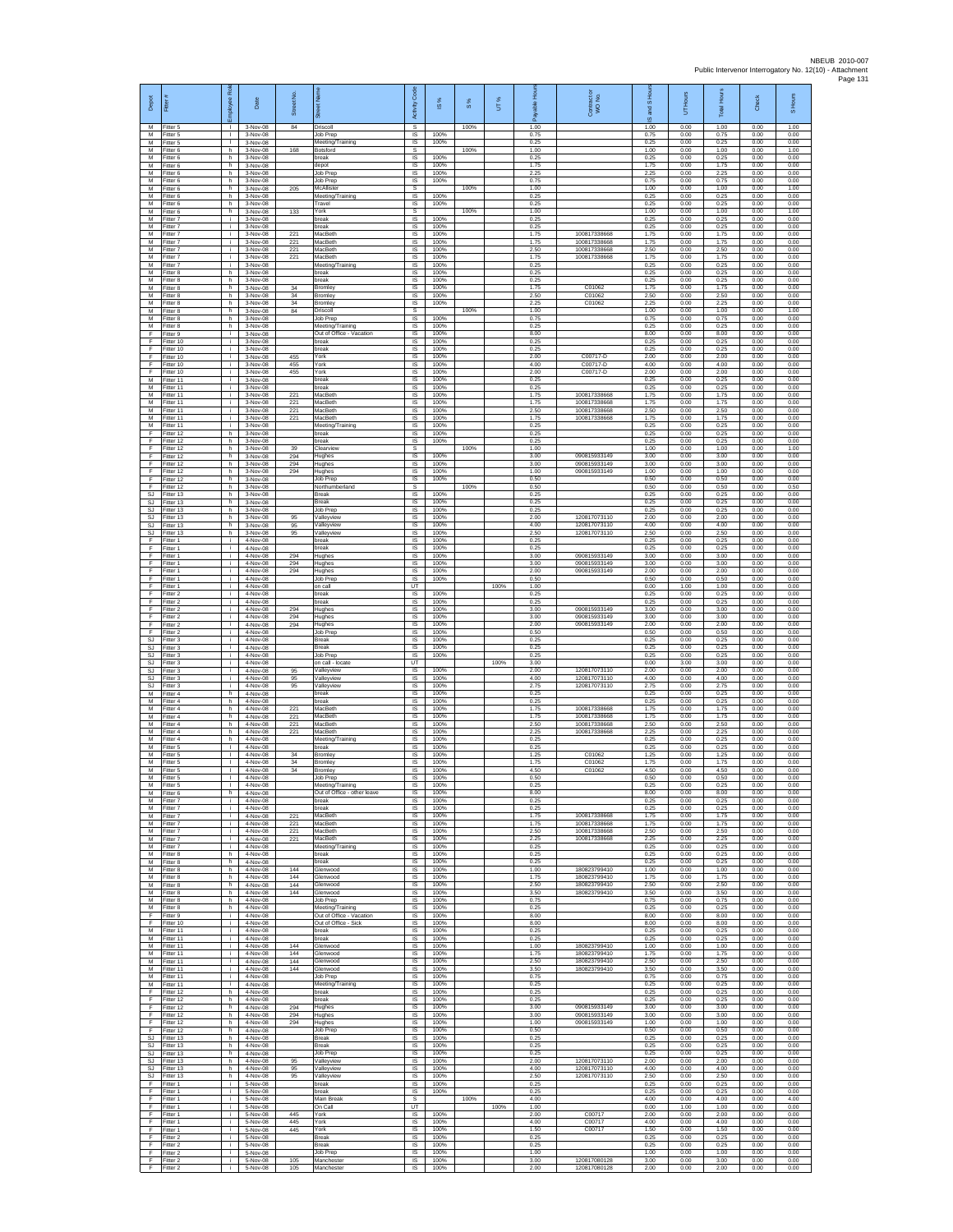| Depot                             | Fitter #                            | <b>R</b><br>Employee                 | Date                              | Street No.        |                                                             | Code<br>Activity      | ×,<br>$\overline{\omega}$ | 8%   | UT%  | Вq<br>able<br>æ      | Contract or<br>WO No.                        | and S Ho<br>$\frac{1}{2}$ | UT Hours             | <b>IHours</b><br>Totall | Check                | S Hours              |
|-----------------------------------|-------------------------------------|--------------------------------------|-----------------------------------|-------------------|-------------------------------------------------------------|-----------------------|---------------------------|------|------|----------------------|----------------------------------------------|---------------------------|----------------------|-------------------------|----------------------|----------------------|
| М<br>M<br>M                       | -itter 5<br>Fitter 5<br>Fitter 5    | л.<br>$\mathbb{R}^n$<br>$\mathbf{L}$ | 3-Nov-08<br>3-Nov-08<br>3-Nov-08  | 84                | <b>Oriscoll</b><br>Job Prep<br>Meeting/Training             | s<br>$\sf IS$<br>IS.  | 100%<br>100%              | 100% |      | 1.00<br>0.75<br>0.25 |                                              | 1.00<br>0.75<br>0.25      | 0.00<br>0.00<br>0.00 | 1.00<br>0.75<br>0.25    | 0.00<br>0.00<br>0.00 | 1.00<br>0.00<br>0.00 |
| M<br>M<br>М                       | Fitter 6<br>Fitter 6<br>Fitter 6    | h<br>h<br>h                          | 3-Nov-08<br>3-Nov-08<br>3-Nov-08  | 168               | Botsford<br>oreak<br>lepot                                  | s<br>IS<br>IS         | 100%<br>100%              | 100% |      | 1.00<br>0.25<br>1.75 |                                              | 1.00<br>0.25<br>1.75      | 0.00<br>0.00<br>0.00 | 1.00<br>0.25<br>1.75    | 0.00<br>0.00<br>0.00 | 1.00<br>0.00<br>0.00 |
| M<br>M                            | Fitter 6<br>Fitter 6                | h.<br>h.                             | 3-Nov-08<br>3-Nov-08              |                   | Job Prec<br>Job Prep                                        | -IS<br>IS             | 100%<br>100%              |      |      | 2.25<br>0.75         |                                              | 2.25<br>0.75              | 0.00<br>0.00         | 2.25<br>0.75            | 0.00<br>0.00         | 0.00<br>0.00         |
| М<br>M<br>M                       | Fitter 6<br>Fitter 6<br>Fitter 6    | h<br>h<br>h.                         | 3-Nov-08<br>3-Nov-08<br>3-Nov-08  | 205               | McAllister<br>Meeting/Training<br>Travel                    | s<br>IS<br>$\sf IS$   | 100%<br>100%              | 100% |      | 1.00<br>0.25<br>0.25 |                                              | 1.00<br>0.25<br>0.25      | 0.00<br>0.00<br>0.00 | 1.00<br>0.25<br>0.25    | 0.00<br>0.00<br>0.00 | 1.00<br>0.00<br>0.00 |
| M<br>M<br>M                       | Fitter 6<br>Fitter 7<br>Fitter 7    | h<br>i.<br>i.                        | 3-Nov-08<br>3-Nov-08<br>3-Nov-08  | 133               | York<br>break<br>break                                      | s<br>IS<br>IS         | 100%<br>100%              | 100% |      | 1.00<br>0.25<br>0.25 |                                              | 1.00<br>0.25<br>0.25      | 0.00<br>0.00<br>0.00 | 1.00<br>0.25<br>0.25    | 0.00<br>0.00<br>0.00 | 1.00<br>0.00<br>0.00 |
| М<br>M                            | Fitter 7<br>Fitter 7                | i.<br>i.                             | 3-Nov-08<br>3-Nov-08              | 221<br>221        | MacBeth<br>MacBeth                                          | IS<br>IS              | 100%<br>100%              |      |      | 1.75<br>1.75         | 10081733866<br>100817338668                  | 1.75<br>1.75              | 0.00<br>0.00         | 1.75<br>1.75            | 0.00<br>0.00         | 0.00<br>0.00         |
| M<br>M<br>M                       | Fitter 7<br>Fitter 7<br>-itter 7    | i.<br>j.<br>i.                       | 3-Nov-08<br>3-Nov-08<br>3-Nov-08  | 221<br>221        | MacBeth<br>MacBeth<br>Meeting/Training                      | IS<br>-IS<br>$\sf IS$ | 100%<br>100%<br>100%      |      |      | 2.50<br>1.75<br>0.25 | 100817338668<br>100817338668                 | 2.50<br>1.75<br>0.25      | 0.00<br>0.00<br>0.00 | 2.50<br>1.75<br>0.25    | 0.00<br>0.00<br>0.00 | 0.00<br>0.00<br>0.00 |
| М<br>M<br>M                       | Fitter 8<br>Fitter 8<br>Fitter 8    | h<br>h.<br>h.                        | 3-Nov-08<br>3-Nov-08<br>3-Nov-08  | 34                | break<br>break<br>Bromley                                   | IS<br>-IS<br>IS       | 100%<br>100%<br>100%      |      |      | 0.25<br>0.25<br>1 75 | C01062                                       | 0.25<br>0.25<br>1.75      | 0.00<br>0.00<br>0.00 | 0.25<br>0.25<br>1.75    | 0.00<br>0.00<br>0.00 | 0.00<br>0.00<br>0.00 |
| М<br>M                            | Fitter 8<br>Fitter 8                | h<br>h.                              | 3-Nov-08<br>3-Nov-08              | 34<br>34          | <b>Bromley</b><br>Bromley                                   | IS<br>IS              | 100%<br>100%              |      |      | 2.50<br>2.25         | C01062<br>C01062                             | 2.50<br>2.25              | 0.00<br>0.00         | 2.50<br>2.25            | 0.00<br>0.00         | 0.00<br>0.00         |
| M<br>М<br>М                       | Fitter 8<br>Fitter 8<br>Fitter 8    | h.<br>h<br>h                         | 3-Nov-08<br>3-Nov-08<br>3-Nov-08  | 84                | Driscoll<br>Job Prep<br>Meeting/Training                    | s<br>IS<br>$\sf IS$   | 100%<br>100%              | 100% |      | 1.00<br>0.75<br>0.25 |                                              | 1.00<br>0.75<br>0.25      | 0.00<br>0.00<br>0.00 | 1.00<br>0.75<br>0.25    | 0.00<br>0.00<br>0.00 | 1.00<br>0.00<br>0.00 |
| F<br>E<br>F                       | Fitter 9<br>Fitter 10<br>Fitter 10  | i.<br>i.<br>÷.                       | 3-Nov-08<br>3-Nov-08<br>3-Nov-08  |                   | Out of Office - Vacation<br>reak<br>break                   | IS<br>IS<br>IS        | 100%<br>100%<br>100%      |      |      | 8.00<br>0.25<br>0.25 |                                              | 8.00<br>0.25<br>0.25      | 0.00<br>0.00<br>0.00 | 8.00<br>0.25<br>0.25    | 0.00<br>0.00<br>0.00 | 0.00<br>0.00<br>0.00 |
| F<br>F                            | Fitter 10<br>Fitter 10              | Ť.<br>j.                             | 3-Nov-08<br>3-Nov-08              | 455<br>455        | York<br>York                                                | IS<br>-IS             | 100%<br>100%              |      |      | 2.00<br>4.00         | C00717-D<br>C00717-D                         | 2.00<br>4.00              | 0.00<br>0.00         | 2.00<br>4.00            | 0.00<br>0.00         | 0.00<br>0.00         |
| F<br>М<br>M                       | Fitter 10<br>Fitter 11<br>Fitter 11 | i.<br>÷.<br>j.                       | 3-Nov-08<br>3-Nov-08<br>3-Nov-08  | 455               | York<br>break<br>break                                      | IS<br>IS<br>IS        | 100%<br>100%<br>100%      |      |      | 2.00<br>0.25<br>0.25 | C00717-D                                     | 2.00<br>0.25<br>0.25      | 0.00<br>0.00<br>0.00 | 2.00<br>0.25<br>0.25    | 0.00<br>0.00<br>0.00 | 0.00<br>0.00<br>0.00 |
| м<br>M<br>M                       | Fitter 11<br>Fitter 11<br>Fitter 11 | i.<br>÷.<br>i.                       | 3-Nov-08<br>3-Nov-08<br>3-Nov-08  | 221<br>221<br>221 | MacBeth<br>MacBeth<br>MacBeth                               | IS<br>IS<br>IS        | 100%<br>100%<br>100%      |      |      | 1.75<br>1.75<br>2.50 | 100817338668<br>100817338668<br>100817338668 | 1.75<br>1.75<br>2.50      | 0.00<br>0.00<br>0.00 | 1.75<br>1.75<br>2.50    | 0.00<br>0.00<br>0.00 | 0.00<br>0.00<br>0.00 |
| M<br>M                            | Fitter 11<br>Fitter 11              | j.<br>j.                             | 3-Nov-08<br>3-Nov-08              | 221               | MacBeth<br>Meeting/Training                                 | - IS<br>IS            | 100%<br>100%              |      |      | 1.75<br>0.25         | 100817338668                                 | 1.75<br>0.25              | 0.00<br>0.00         | 1.75<br>0.25            | 0.00<br>0.00         | 0.00<br>0.00         |
| F<br>F<br>F                       | Fitter 12<br>Fitter 12<br>Fitter 12 | h.<br>h<br>h.                        | 3-Nov-08<br>3-Nov-08<br>3-Nov-08  | 39                | break<br>oreak<br>Clearview                                 | IS<br>IS<br>s         | 100%<br>100%              | 100% |      | 0.25<br>0.25<br>1.00 |                                              | 0.25<br>0.25<br>1.00      | 0.00<br>0.00<br>0.00 | 0.25<br>0.25<br>1.00    | 0.00<br>0.00<br>0.00 | 0.00<br>0.00<br>1.00 |
| F<br>F<br>F                       | Fitter 12<br>litter 12<br>Fitter 12 | h<br>h<br>h.                         | 3-Nov-08<br>3-Nov-08<br>3-Nov-08  | 294<br>294<br>294 | lughes<br>lughes<br>Hughes                                  | $\sf IS$<br>IS<br>IS  | 100%<br>100%<br>100%      |      |      | 3.00<br>3.00<br>1.00 | 090815933149<br>090815933149<br>090815933149 | 3.00<br>3.00<br>1.00      | 0.00<br>0.00<br>0.00 | 3.00<br>3.00<br>1.00    | 0.00<br>0.00<br>0.00 | 0.00<br>0.00<br>0.00 |
| E<br>F                            | Fitter 12<br>Fitter 12              | h.<br>h                              | 3-Nov-08<br>3-Nov-08              |                   | Job Prep<br>Northumberland                                  | IS<br>s               | 100%                      | 100% |      | 0.50<br>0.50         |                                              | 0.50<br>0.50              | 0.00<br>0.00         | 0.50<br>0.50            | 0.00<br>0.00         | 0.00<br>0.50         |
| <b>SJ</b><br>SJ<br>SJ             | Fitter 13<br>Fitter 13<br>Fitter 13 | h.<br>h.<br>h                        | 3-Nov-08<br>3-Nov-08<br>3-Nov-08  |                   | Break<br>Break<br>lob Prep                                  | IS<br>- IS<br>IS      | 100%<br>100%<br>100%      |      |      | 0.25<br>0.25<br>0.25 |                                              | 0.25<br>0.25<br>0.25      | 0.00<br>0.00<br>0.00 | 0.25<br>0.25<br>0.25    | 0.00<br>0.00<br>0.00 | 0.00<br>0.00<br>0.00 |
| SJ<br>SJ.                         | Fitter 13<br>Fitter 13              | h.<br>h.                             | 3-Nov-08<br>3-Nov-08              | 95<br>95          | Valleyview<br>Valleyview                                    | $\sf IS$<br>IS        | 100%<br>100%              |      |      | 2.00<br>4.00<br>2.50 | 120817073110<br>120817073110                 | 2.00<br>4.00<br>2.50      | 0.00<br>0.00         | 2.00<br>4.00<br>2.50    | 0.00<br>0.00         | 0.00<br>0.00         |
| SJ<br>F<br>F                      | Fitter 13<br>Fitter 1<br>Fitter 1   | h<br>i.<br>i.                        | 3-Nov-08<br>4-Nov-08<br>4-Nov-08  | 95                | /alleyview<br>break<br>reak                                 | IS<br>IS<br>IS        | 100%<br>100%<br>100%      |      |      | 0.25<br>0.25         | 120817073110                                 | 0.25<br>0.25              | 0.00<br>0.00<br>0.00 | 0.25<br>0.25            | 0.00<br>0.00<br>0.00 | 0.00<br>0.00<br>0.00 |
| F<br>F<br>F                       | Fitter 1<br>Fitter 1<br>Fitter 1    | j.<br>j.<br>÷.                       | 4-Nov-08<br>4-Nov-08<br>4-Nov-08  | 294<br>294<br>294 | Hughes<br>Hughes<br>Hughes                                  | -IS<br>IS<br>IS       | 100%<br>100%<br>100%      |      |      | 3.00<br>3.00<br>2.00 | 090815933149<br>090815933149<br>090815933149 | 3.00<br>3.00<br>2.00      | 0.00<br>0.00<br>0.00 | 3.00<br>3.00<br>2.00    | 0.00<br>0.00<br>0.00 | 0.00<br>0.00<br>0.00 |
| F.<br>F.                          | Fitter 1<br>Fitter 1                | j.<br>i.                             | 4-Nov-08<br>4-Nov-08              |                   | Job Prep<br>on call                                         | IS<br>UT              | 100%                      |      | 100% | 0.50<br>1.00         |                                              | 0.50<br>0.00              | 0.00<br>1.00         | 0.50<br>1.00            | 0.00<br>0.00         | 0.00<br>0.00         |
| F<br>F<br>F                       | Fitter 2<br>Fitter 2<br>Fitter 2    | ÷.<br>i.<br>i.                       | 4-Nov-08<br>4-Nov-08<br>4-Nov-08  | 294               | break<br>break<br>Hughes                                    | IS<br>IS<br>IS        | 100%<br>100%<br>100%      |      |      | 0.25<br>0.25<br>3.00 | 090815933149                                 | 0.25<br>0.25<br>3.00      | 0.00<br>0.00<br>0.00 | 0.25<br>0.25<br>3.00    | 0.00<br>0.00<br>0.00 | 0.00<br>0.00<br>0.00 |
| F<br>F<br>F                       | Fitter 2<br>Fitter 2<br>Fitter 2    | i.<br>i.<br>i.                       | 4-Nov-08<br>4-Nov-08<br>4-Nov-08  | 294<br>294        | Hughes<br>Hughes<br>Job Prep                                | IS<br>IS<br>IS        | 100%<br>100%<br>100%      |      |      | 3.00<br>2.00<br>0.50 | 090815933149<br>090815933149                 | 3.00<br>2.00<br>0.50      | 0.00<br>0.00<br>0.00 | 3.00<br>2.00<br>0.50    | 0.00<br>0.00<br>0.00 | 0.00<br>0.00<br>0.00 |
| SJ<br>SJ                          | Fitter 3<br>-itter 3                | j.<br>i.                             | 4-Nov-08<br>4-Nov-08              |                   | Break<br>Break                                              | -IS<br>$\sf IS$       | 100%<br>100%              |      |      | 0.25<br>0.25         |                                              | 0.25<br>0.25              | 0.00<br>0.00         | 0.25<br>0.25            | 0.00<br>0.00         | 0.00<br>0.00         |
| SJ<br><b>SJ</b><br>SJ.            | -itter 3<br>Fitter 3<br>Fitter 3    | j.<br>j.<br>i.                       | 4-Nov-08<br>4-Nov-08<br>4-Nov-08  | 95                | Job Prep<br>on call - locate<br>/alleyview                  | IS<br>UT<br>IS        | 100%<br>100%              |      | 100% | 0.25<br>3.00<br>2.00 | 120817073110                                 | 0.25<br>0.00<br>2.00      | 0.00<br>3.00<br>0.00 | 0.25<br>3.00<br>2.00    | 0.00<br>0.00<br>0.00 | 0.00<br>0.00<br>0.00 |
| <b>SJ</b><br>SJ.<br>M             | Fitter 3<br>Fitter 3<br>Fitter 4    | ÷<br>i.<br>h.                        | 4-Nov-08<br>4-Nov-08<br>4-Nov-08  | 95<br>95          | /alleyview<br>Valleyview<br>break                           | IS<br>IS<br>IS        | 100%<br>100%<br>100%      |      |      | 4.00<br>2.75<br>0.25 | 120817073110<br>120817073110                 | 4.00<br>2.75<br>0.25      | 0.00<br>0.00<br>0.00 | 4.00<br>2.75<br>0.25    | 0.00<br>0.00<br>0.00 | 0.00<br>0.00<br>0.00 |
| М<br>M                            | Fitter 4<br>Fitter 4                | h<br>h.                              | 4-Nov-08<br>4-Nov-08              | 221               | reak<br>MacBeth                                             | IS<br>$\sf IS$        | 100%<br>100%              |      |      | 0.25<br>1.75         | 100817338668                                 | 0.25<br>1.75              | 0.00<br>0.00         | 0.25<br>1.75            | 0.00<br>0.00         | 0.00<br>0.00         |
| M<br>M<br>М                       | Fitter 4<br>Fitter 4<br>Fitter 4    | h.<br>h<br>h.                        | 4-Nov-08<br>4-Nov-08<br>4-Nov-08  | 221<br>221<br>221 | MacBeth<br>MacBeth<br>MacBeth                               | IS<br>IS<br>IS        | 100%<br>100%<br>100%      |      |      | 1.75<br>2.50<br>2.25 | 100817338668<br>100817338668<br>100817338668 | 1.75<br>2.50<br>2.25      | 0.00<br>0.00<br>0.00 | 1.75<br>2.50<br>2.25    | 0.00<br>0.00<br>0.00 | 0.00<br>0.00<br>0.00 |
| M<br>M<br>M                       | Fitter 4<br>Fitter 5<br>-itter 5    | h<br>л.<br>$\mathbf{L}$              | 4-Nov-08<br>4-Nov-08<br>4-Nov-08  | 34                | Meeting/Training<br>break<br>Bromley                        | IS<br>-IS<br>IS       | 100%<br>100%<br>100%      |      |      | 0.25<br>0.25<br>1 25 | C01062                                       | 0.25<br>0.25<br>1.25      | 0.00<br>0.00<br>0.00 | 0.25<br>0.25<br>1.25    | 0.00<br>0.00<br>0.00 | 0.00<br>0.00<br>0.00 |
| M<br>M                            | Fitter 5<br>Fitter 5                | ٠<br>$\mathbb{R}^n$                  | 4-Nov-08<br>4-Nov-08              | 34<br>34          | <b>Bromley</b><br>Bromley                                   | IS<br>IS              | 100%<br>100%              |      |      | 1.75<br>4.50         | C01062<br>C01062                             | 1.75<br>4.50              | 0.00<br>0.00         | 1.75<br>4.50            | 0.00<br>0.00         | 0.00<br>0.00         |
| M<br>М<br>M                       | Fitter 5<br>Fitter 5<br>Fitter 6    | L<br>J.<br>h.                        | 4-Nov-08<br>4-Nov-08<br>4-Nov-08  |                   | Job Prep<br>Meeting/Training<br>Out of Office - other leave | IS<br>IS<br>IS        | 100%<br>100%<br>100%      |      |      | 0.50<br>0.25<br>8.00 |                                              | 0.50<br>0.25<br>8.00      | 0.00<br>0.00<br>0.00 | 0.50<br>0.25<br>8.00    | 0.00<br>0.00<br>0.00 | 0.00<br>0.00<br>0.00 |
| M<br>M<br>M                       | Fitter 7<br>Fitter 7<br>Fitter 7    | j.<br>i.<br>÷.                       | 4-Nov-08<br>4-Nov-08<br>4-Nov-08  | 221               | break<br>reak<br>MacBeth                                    | <b>IS</b><br>IS<br>IS | 100%<br>100%<br>100%      |      |      | 0.25<br>0.25<br>1.75 | 100817338668                                 | 0.25<br>0.25<br>1.75      | 0.00<br>0.00<br>0.00 | 0.25<br>0.25<br>1.75    | 0.00<br>0.00<br>0.00 | 0.00<br>0.00<br>0.00 |
| M<br>M                            | Fitter 7<br>Fitter 7                | i.<br>j.                             | 4-Nov-08<br>4-Nov-08              | 221<br>221        | MacBeth<br>MacBeth                                          | IS<br>-IS             | 100%<br>100%              |      |      | 1.75<br>2.50         | 100817338668<br>100817338668                 | 1.75<br>2.50              | 0.00<br>0.00         | 1.75<br>2.50            | 0.00<br>0.00         | 0.00<br>0.00         |
| M<br>М<br>M                       | -itter 7<br>-itter 7<br>Fitter 8    | ÷.<br>j.<br>h.                       | 4-Nov-08<br>4-Nov-08<br>4-Nov-08  | 221               | MacBeth<br>Meeting/Training<br>break                        | $\sf IS$<br>IS<br>IS  | 100%<br>100%<br>100%      |      |      | 2.25<br>0.25<br>0.25 | 100817338668                                 | 2.25<br>0.25<br>0.25      | 0.00<br>0.00<br>0.00 | 2.25<br>0.25<br>0.25    | 0.00<br>0.00<br>0.00 | 0.00<br>0.00<br>0.00 |
| M<br>М<br>M                       | Fitter 8<br>Fitter 8<br>Fitter 8    | h<br>h<br>h.                         | 4-Nov-08<br>4-Nov-08<br>4-Nov-08  | 144<br>144        | hreak<br><b>Slenwood</b><br>Glenwood                        | IS<br>IS<br>IS        | 100%<br>100%<br>100%      |      |      | 0.25<br>1.00<br>1.75 | 180823799410<br>180823799410                 | 0.25<br>1.00<br>1.75      | 0.00<br>0.00<br>0.00 | 0.25<br>1.00<br>1.75    | 0.00<br>0.00<br>0.00 | 0.00<br>0.00<br>0.00 |
| M<br>M                            | Fitter 8<br>-itter 8                | h.<br>h                              | 4-Nov-08<br>4-Nov-08              | 144<br>144        | Glenwood<br>Glenwood                                        | - IS<br>IS            | 100%<br>100%              |      |      | 2.50<br>3.50         | 180823799410<br>180823799410                 | 2.50<br>3.50              | 0.00<br>0.00         | 2.50<br>3.50            | 0.00<br>0.00         | 0.00<br>0.00         |
| M<br>M<br>E                       | Fitter 8<br>Fitter 8<br>Fitter 9    | h<br>h.<br>i.                        | 4-Nov-08<br>4-Nov-08<br>4-Nov-08  |                   | Job Prep<br>Meeting/Training<br>Out of Office - Vacation    | $\sf IS$<br>IS<br>IS  | 100%<br>100%<br>100%      |      |      | 0.75<br>0.25<br>8.00 |                                              | 0.75<br>0.25<br>8.00      | 0.00<br>0.00<br>0.00 | 0.75<br>0.25<br>8.00    | 0.00<br>0.00<br>0.00 | 0.00<br>0.00<br>0.00 |
| F<br>М<br>M                       | Fitter 10<br>Fitter 11<br>Fitter 11 | Ť.<br>i.<br>j.                       | 4-Nov-08<br>4-Nov-08<br>$4-Nn-08$ |                   | Out of Office - Sick<br>oreak<br>break                      | IS<br>IS<br>- IS      | 100%<br>100%<br>100%      |      |      | 8.00<br>0.25<br>0.25 |                                              | 8.00<br>0.25<br>0.25      | 0.00<br>0.00<br>0.00 | 8.00<br>0.25<br>0.25    | 0.00<br>0.00<br>0.00 | 0.00<br>0.00<br>0.00 |
| M<br>М                            | Fitter 11<br>Fitter 11              | j.<br>÷.                             | 4-Nov-08<br>4-Nov-08              | 144<br>144        | Glenwood<br>Glenwood                                        | IS<br>IS              | 100%<br>100%              |      |      | 1.00<br>1.75         | 180823799410<br>180823799410                 | 1.00<br>1.75              | 0.00<br>0.00         | 1.00<br>1.75            | 0.00<br>0.00         | 0.00<br>0.00         |
| M<br>M<br>М                       | Fitter 11<br>Fitter 11<br>Fitter 11 | $\mathbf{I}$<br>i.<br>÷.             | 4-Nov-08<br>4-Nov-08<br>4-Nov-08  | 144<br>144        | Glenwood<br>Glenwood<br>Job Prep                            | IS<br>IS<br>IS        | 100%<br>100%<br>100%      |      |      | 2.50<br>3.50<br>0.75 | 180823799410<br>180823799410                 | 2.50<br>3.50<br>0.75      | 0.00<br>0.00<br>0.00 | 2.50<br>3.50<br>0.75    | 0.00<br>0.00<br>0.00 | 0.00<br>0.00<br>0.00 |
| M<br>F<br>E                       | Fitter 11<br>Fitter 12              | ÷.<br>h.                             | 4-Nov-08<br>4-Nov-08              |                   | Meeting/Training<br>break                                   | IS<br><b>IS</b>       | 100%<br>100%              |      |      | 0.25<br>0.25         |                                              | 0.25<br>0.25              | 0.00<br>0.00         | 0.25<br>0.25            | 0.00<br>0.00         | 0.00<br>0.00         |
| F<br>F                            | Fitter 12<br>Fitter 12<br>Fitter 12 | h<br>h<br>h                          | 4-Nov-08<br>4-Nov-08<br>4-Nov-08  | 294<br>294        | oreak<br>Hughes<br>lughes                                   | IS<br>IS<br>IS        | 100%<br>100%<br>100%      |      |      | 0.25<br>3.00<br>3.00 | 090815933149<br>090815933149                 | 0.25<br>3.00<br>3.00      | 0.00<br>0.00<br>0.00 | 0.25<br>3.00<br>3.00    | 0.00<br>0.00<br>0.00 | 0.00<br>0.00<br>0.00 |
| F<br>F.<br>$\mathbb{S}\mathbb{J}$ | Fitter 12<br>Fitter 12<br>Fitter 13 | h.<br>h.<br>h                        | 4-Nov-08<br>4-Nov-08<br>4-Nov-08  | 294               | Hughes<br>Job Prep<br>Break                                 | -IS<br>$\sf IS$<br>IS | 100%<br>100%<br>100%      |      |      | 1.00<br>0.50<br>0.25 | 090815933149                                 | 1.00<br>0.50<br>0.25      | 0.00<br>0.00<br>0.00 | 1.00<br>0.50<br>0.25    | 0.00<br>0.00<br>0.00 | 0.00<br>0.00<br>0.00 |
| SJ.<br><b>SJ</b>                  | Fitter 13<br>Fitter 13              | h.<br>h.                             | 4-Nov-08<br>4-Nov-08              |                   | Break<br>lob Prep                                           | - IS<br>IS            | 100%<br>100%              |      |      | 0.25<br>0.25         |                                              | 0.25<br>0.25              | 0.00<br>0.00         | 0.25<br>0.25            | 0.00<br>0.00         | 0.00<br>0.00         |
| SJ<br><b>SJ</b><br>SJ.            | Fitter 13<br>Fitter 13<br>Fitter 13 | h<br>h.<br>h.                        | 4-Nov-08<br>4-Nov-08<br>4-Nov-08  | 95<br>95<br>95    | /alleyview<br>Valleyview<br>Vallevview                      | IS<br>IS<br>IS        | 100%<br>100%<br>100%      |      |      | 2.00<br>4.00<br>2.50 | 120817073110<br>120817073110<br>120817073110 | 2.00<br>4.00<br>2.50      | 0.00<br>0.00<br>0.00 | 2.00<br>4.00<br>2.50    | 0.00<br>0.00<br>0.00 | 0.00<br>0.00<br>0.00 |
| F<br>F<br>F                       | Fitter 1<br>Fitter 1<br>Fitter 1    | i.<br>i.<br>i.                       | 5-Nov-08<br>5-Nov-08<br>5-Nov-08  |                   | oreak<br>break<br>Main Break                                | IS<br>$\sf IS$<br>s   | 100%<br>100%              | 100% |      | 0.25<br>0.25<br>4.00 |                                              | 0.25<br>0.25<br>4.00      | 0.00<br>0.00<br>0.00 | 0.25<br>0.25<br>4.00    | 0.00<br>0.00<br>0.00 | 0.00<br>0.00<br>4.00 |
| E<br>F                            | Fitter 1<br>Fitter 1                | i.<br>÷.                             | 5-Nov-08<br>5-Nov-08              | 445               | On Call<br>York                                             | UT<br>IS              | 100%                      |      | 100% | 1.00<br>2.00         | C00717                                       | 0.00<br>2.00              | 1.00<br>0.00         | 1.00<br>2.00            | 0.00<br>0.00         | 0.00<br>0.00         |
| F<br>F<br>F                       | Fitter 1<br>Fitter 1<br>-itter 2    | Ť.<br>j.<br>j.                       | 5-Nov-08<br>5-Nov-08<br>5-Nov-08  | 445<br>445        | rork<br>York<br><b>Break</b>                                | IS<br>- IS<br>IS      | 100%<br>100%<br>100%      |      |      | 4.00<br>1.50<br>0.25 | C00717<br>C00717                             | 4.00<br>1.50<br>0.25      | 0.00<br>0.00<br>0.00 | 4.00<br>1.50<br>0.25    | 0.00<br>0.00<br>0.00 | 0.00<br>0.00<br>0.00 |
| F<br>F<br>F.                      | Fitter 2<br>Fitter 2                | ÷<br>i.                              | 5-Nov-08<br>5-Nov-08              |                   | Break<br>Job Prep                                           | IS<br>IS              | 100%<br>100%              |      |      | 0.25<br>1.00         |                                              | 0.25<br>1.00              | 0.00<br>0.00         | 0.25<br>1.00            | 0.00<br>0.00         | 0.00<br>0.00         |
| F                                 | Fitter 2<br>Fitter 2                | i.<br>i.                             | 5-Nov-08<br>5-Nov-08              | 105<br>105        | Manchester<br>Manchester                                    | IS<br>IS              | 100%<br>100%              |      |      | 3.00<br>2.00         | 120817080128<br>120817080128                 | 3.00<br>2.00              | 0.00<br>0.00         | 3.00<br>2.00            | 0.00<br>0.00         | 0.00<br>0.00         |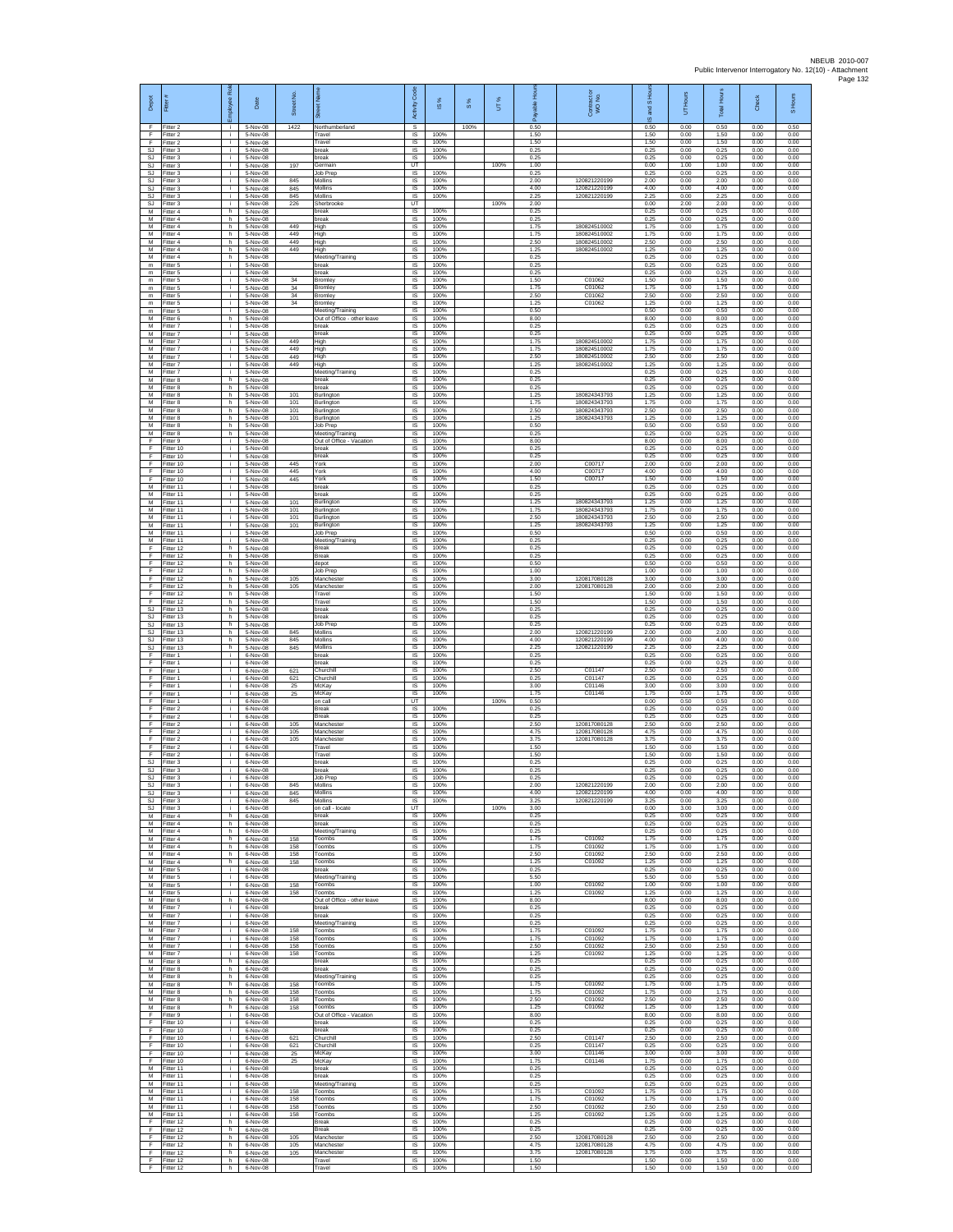| Depot<br>F                          | Fitter<br>Fitter 2                  | ployee Rol<br>÷ĩ. | Date<br>5-Nov-08                   | Street No<br>1422 | あ<br>Northumberland                                        | Code<br>Activity<br>s               | <b>iS</b> %          | $\frac{8}{3}$<br>100% | UT%  | æ<br>0.50            | Contract<br>WO No.                           | $\overline{a}$<br>ट्टू<br>$\omega$<br>0.50 | Hours<br>5<br>0.00   | <b>Total Hours</b><br>0.50 | Check<br>0.00        | S Hours<br>0.50      |
|-------------------------------------|-------------------------------------|-------------------|------------------------------------|-------------------|------------------------------------------------------------|-------------------------------------|----------------------|-----------------------|------|----------------------|----------------------------------------------|--------------------------------------------|----------------------|----------------------------|----------------------|----------------------|
| F<br>F                              | Fitter 2<br>Fitter 2                | j.<br>÷.          | 5-Nov-08<br>5-Nov-08               |                   | Travel<br>Travel                                           | IS<br>IS                            | 100%<br>100%         |                       |      | 1.50<br>1.50         |                                              | 1.50<br>1.50                               | 0.00<br>0.00         | 1.50<br>1.50               | 0.00<br>0.00         | 0.00<br>0.00         |
| <b>SJ</b><br><b>SJ</b><br><b>SJ</b> | Fitter 3<br>fitter 3<br>Fitter 3    | ÷.<br>j.<br>÷i.   | 5-Nov-08<br>5-Nov-08<br>5-Nov-08   | 197               | break<br>break<br>Germain                                  | IS<br>IS<br>UT                      | 100%<br>100%         |                       | 100% | 0.25<br>0.25<br>1.00 |                                              | 0.25<br>0.25<br>0.00                       | 0.00<br>0.00<br>1.00 | 0.25<br>0.25<br>1.00       | 0.00<br>0.00<br>0.00 | 0.00<br>0.00<br>0.00 |
| SJ.<br>SJ                           | Fitter 3<br>Fitter 3                | i.<br>÷.          | 5-Nov-08<br>5-Nov-08               | 845               | Job Prep<br>Mollins                                        | IS<br>IS                            | 100%<br>100%         |                       |      | 0.25<br>2.00         | 120821220199                                 | 0.25<br>2.00                               | 0.00<br>0.00         | 0.25<br>2.00               | 0.00<br>0.00         | 0.00<br>0.00         |
| <b>SJ</b><br>SJ<br>SJ               | Fitter 3<br>Fitter 3<br>itter 3     | j.<br>i.<br>÷.    | $5-Nov-08$<br>5-Nov-08<br>5-Nov-08 | 845<br>845<br>226 | Mollins<br>Mollins<br>Sherbrook                            | 1S<br>IS<br>UT                      | 100%<br>100%         |                       | 100% | 4.00<br>2.25<br>2.00 | 120821220199<br>120821220199                 | 4.00<br>2.25<br>0.00                       | 0.00<br>0.00<br>2.00 | 4.00<br>2.25<br>2.00       | 0.00<br>0.00<br>0.00 | 0.00<br>0.00<br>0.00 |
| M<br>M                              | Fitter 4<br>Fitter 4                | h.<br>h.          | 5-Nov-08<br>5-Nov-08               |                   | break<br>break                                             | $\sf IS$<br>$\overline{\mathsf{s}}$ | 100%<br>100%         |                       |      | 0.25<br>0.25         |                                              | 0.25<br>0.25                               | 0.00<br>0.00         | 0.25<br>0.25               | 0.00<br>0.00         | 0.00<br>0.00         |
| M<br>М<br>M                         | Fitter 4<br>Fitter 4<br>fitter 4    | h<br>h<br>h.      | 5-Nov-08<br>5-Nov-08<br>5-Nov-08   | 449<br>449<br>449 | High<br>High<br>High                                       | IS<br>IS<br>IS                      | 100%<br>100%<br>100% |                       |      | 1.75<br>1.75<br>2.50 | 180824510002<br>180824510002<br>18082451000  | 1.75<br>1.75<br>2.50                       | 0.00<br>0.00<br>0.00 | 1.75<br>1.75<br>2.50       | 0.00<br>0.00<br>0.00 | 0.00<br>0.00<br>0.00 |
| M<br>M                              | Fitter 4<br>Fitter 4                | h.<br>h.          | 5-Nov-08<br>5-Nov-08               | 449               | High<br>Meeting/Training                                   | IS<br>IS                            | 100%<br>100%         |                       |      | 1.25<br>0.25         | 180824510002                                 | 1.25<br>0.25                               | 0.00<br>0.00         | 1.25<br>0.25               | 0.00<br>0.00         | 0.00<br>0.00         |
| $\mathsf{m}$<br>m<br>$\mathsf m$    | Fitter 5<br>Fitter 5<br>Fitter 5    | j.<br>j.<br>i.    | 5-Nov-08<br>5-Nov-08<br>5-Nov-08   | 34                | break<br>break<br>Bromley                                  | IS<br>IS<br>IS                      | 100%<br>100%<br>100% |                       |      | 0.25<br>0.25<br>1.50 | C01062                                       | 0.25<br>0.25<br>1.50                       | 0.00<br>0.00<br>0.00 | 0.25<br>0.25<br>1.50       | 0.00<br>0.00<br>0.00 | 0.00<br>0.00<br>0.00 |
| $\mathsf m$<br>m                    | fitter 5<br>itter 5                 | ÷.<br>j.          | 5-Nov-08<br>5-Nov-08               | 34<br>34          | Bromley<br>Bromley                                         | IS<br>IS                            | 100%<br>100%         |                       |      | 1.75<br>2.50         | C01062<br>C01062                             | 1.75<br>2.50                               | 0.00<br>0.00         | 1.75<br>2.50               | 0.00<br>0.00         | 0.00<br>0.00         |
| ${\mathsf m}$<br>$\mathsf m$<br>M   | Fitter 5<br>Fitter 5<br>Fitter 6    | j.<br>j.<br>h     | 5-Nov-08<br>5-Nov-08<br>5-Nov-08   | 34                | Bromley<br>Meeting/Training<br>Out of Office - other leave | IS<br>IS<br>IS                      | 100%<br>100%<br>100% |                       |      | 1.25<br>0.50<br>8.00 | C01062                                       | 1.25<br>0.50<br>8.00                       | 0.00<br>0.00<br>0.00 | 1.25<br>0.50<br>8.00       | 0.00<br>0.00<br>0.00 | 0.00<br>0.00<br>0.00 |
| M<br>M                              | fitter 7<br>Fitter 7                | j.<br>÷.          | 5-Nov-08<br>5-Nov-08               | 449               | break<br>break                                             | <b>IS</b><br>IS                     | 100%<br>100%         |                       |      | 0.25<br>0.25         | 180824510002                                 | 0.25<br>0.25                               | 0.00<br>0.00         | 0.25<br>0.25               | 0.00<br>0.00         | 0.00<br>0.00         |
| М<br>M<br>M                         | Fitter 7<br>fitter 7<br>Fitter 7    | ÷.<br>j.<br>÷     | 5-Nov-08<br>5-Nov-08<br>5-Nov-08   | 449<br>449        | High<br>High<br>High                                       | 1S<br>IS<br><b>IS</b>               | 100%<br>100%<br>100% |                       |      | 1.75<br>1.75<br>2.50 | 180824510002<br>180824510002                 | 1.75<br>1.75<br>2.50                       | 0.00<br>0.00<br>0.00 | 1.75<br>1.75<br>2.50       | 0.00<br>0.00<br>0.00 | 0.00<br>0.00<br>0.00 |
| M<br>М<br>M                         | Fitter 7<br>Fitter 7                | i.<br>÷.<br>h.    | 5-Nov-08<br>5-Nov-08               | 449               | High<br>Meeting/Training<br>break                          | IS<br>IS<br>IS                      | 100%<br>100%<br>100% |                       |      | 1 25<br>0.25<br>0.25 | 180824510002                                 | 1.25<br>0.25<br>0.25                       | 0.00<br>0.00<br>0.00 | 1 25<br>0.25<br>0.25       | 0.00<br>0.00<br>0.00 | 0.00<br>0.00<br>0.00 |
| M<br>М                              | Fitter 8<br>Fitter 8<br>Fitter 8    | h.<br>h.          | 5-Nov-08<br>5-Nov-08<br>5-Nov-08   | 101               | break<br>Burlington                                        | IS<br>IS                            | 100%<br>100%         |                       |      | 0.25<br>1.25         | 180824343793                                 | 0.25<br>1.25                               | 0.00<br>0.00         | 0.25<br>1.25               | 0.00<br>0.00         | 0.00<br>0.00         |
| M<br>M<br>M                         | Fitter 8<br>Fitter 8<br>Fitter 8    | h.<br>h.<br>h     | 5-Nov-08<br>5-Nov-08<br>5-Nov-08   | 101<br>101<br>101 | Burlington<br>Burlington<br>Burlington                     | IS<br>IS<br>IS                      | 100%<br>100%<br>100% |                       |      | 1.75<br>2.50<br>1.25 | 180824343793<br>180824343793<br>180824343793 | 1.75<br>2.50<br>1.25                       | 0.00<br>0.00<br>0.00 | 1.75<br>2.50<br>1.25       | 0.00<br>0.00<br>0.00 | 0.00<br>0.00<br>0.00 |
| M<br>M                              | Fitter 8<br>itter 8                 | h<br>h            | 5-Nov-08<br>5-Nov-08               |                   | Job Prep<br>Meeting/Training                               | 1S<br>IS                            | 100%<br>100%         |                       |      | 0.50<br>0.25         |                                              | 0.50<br>0.25                               | 0.00<br>0.00         | 0.50<br>0.25               | 0.00<br>0.00         | 0.00<br>0.00         |
| F<br>F<br>F                         | Fitter 9<br>Fitter 10<br>Fitter 10  | ÷i.<br>j.<br>j.   | 5-Nov-08<br>5-Nov-08<br>5-Nov-08   |                   | Out of Office - Vacation<br>break<br>break                 | <b>IS</b><br>IS<br>IS               | 100%<br>100%<br>100% |                       |      | 8.00<br>0.25<br>0.25 |                                              | 8.00<br>0.25<br>0.25                       | 0.00<br>0.00<br>0.00 | 8.00<br>0.25<br>0.25       | 0.00<br>0.00<br>0.00 | 0.00<br>0.00<br>0.00 |
| F<br>F                              | Fitter 10<br>Fitter 10              | j.<br>j.          | 5-Nov-08<br>5-Nov-08               | 445<br>445        | York<br>York                                               | IS<br>IS                            | 100%<br>100%         |                       |      | 2.00<br>4.00         | C00717<br>C00717                             | 2.00<br>4.00                               | 0.00<br>0.00         | 2.00<br>400                | 0.00<br>0.00         | 0.00<br>0.00         |
| F<br>M<br>M                         | Fitter 10<br>fitter 11<br>Fitter 11 | ÷.<br>j.<br>j.    | 5-Nov-08<br>5-Nov-08<br>5-Nov-08   | 445               | York<br>break<br>break                                     | IS<br>1S<br>IS                      | 100%<br>100%<br>100% |                       |      | 1.50<br>0.25<br>0.25 | C00717                                       | 1.50<br>0.25<br>0.25                       | 0.00<br>0.00<br>0.00 | 1.50<br>0.25<br>0.25       | 0.00<br>0.00<br>0.00 | 0.00<br>0.00<br>0.00 |
| М<br>M                              | fitter 11<br>Fitter 11              | j.<br>÷.          | 5-Nov-08<br>5-Nov-08               | 101<br>101        | Burlington<br>Burlington                                   | IS<br>1S                            | 100%<br>100%         |                       |      | 1.25<br>1.75         | 180824343793<br>180824343793                 | 1.25<br>1.75                               | 0.00<br>0.00         | 1.25<br>1.75               | 0.00<br>0.00         | 0.00<br>0.00         |
| M<br>M<br>М                         | fitter 11<br>Fitter 11<br>Fitter 11 | ÷.<br>÷.<br>i.    | 5-Nov-08<br>5-Nov-08<br>5-Nov-08   | 101<br>101        | Burlington<br>Burlington<br>Job Prep                       | IS<br>IS<br>IS                      | 100%<br>100%<br>100% |                       |      | 2.50<br>1.25<br>0.50 | 180824343793<br>180824343793                 | 2.50<br>1.25<br>0.50                       | 0.00<br>0.00<br>0.00 | 2.50<br>1.25<br>0.50       | 0.00<br>0.00<br>0.00 | 0.00<br>0.00<br>0.00 |
| M<br>E                              | itter 11<br>Fitter 12               | j.<br>h.          | 5-Nov-08<br>5-Nov-08               |                   | Meeting/Training<br><b>Break</b>                           | IS<br>IS                            | 100%<br>100%         |                       |      | 0.25<br>0.25         |                                              | 0.25<br>0.25                               | 0.00<br>0.00         | 0.25<br>0.25               | 0.00<br>0.00         | 0.00<br>0.00         |
| F<br>F<br>F                         | Fitter 12<br>Fitter 12<br>Fitter 12 | h.<br>h<br>h.     | 5-Nov-08<br>5-Nov-08<br>5-Nov-08   |                   | <b>Break</b><br>depot<br><b>Job Prep</b>                   | IS<br>IS<br>1S                      | 100%<br>100%<br>100% |                       |      | 0.25<br>0.50<br>1.00 |                                              | 0.25<br>0.50<br>1.00                       | 0.00<br>0.00<br>0.00 | 0.25<br>0.50<br>1.00       | 0.00<br>0.00<br>0.00 | 0.00<br>0.00<br>0.00 |
| F<br>F                              | Fitter 12<br>itter 12               | h.<br>h           | 5-Nov-08<br>5-Nov-08               | 105<br>105        | Manchester<br>Manchest                                     | IS<br>IS                            | 100%<br>100%         |                       |      | 3.00<br>2.00         | 120817080128<br>120817080128                 | 3.00<br>2.00                               | 0.00<br>0.00         | 3.00<br>2.00               | 0.00<br>0.00         | 0.00<br>0.00         |
| F<br>F<br><b>SJ</b>                 | Fitter 12<br>Fitter 12<br>Fitter 13 | h.<br>h.<br>h     | 5-Nov-08<br>5-Nov-08<br>5-Nov-08   |                   | Travel<br>Travel<br>break                                  | IS<br>$\overline{\mathsf{s}}$<br>IS | 100%<br>100%<br>100% |                       |      | 1.50<br>1.50<br>0.25 |                                              | 1.50<br>1.50<br>0.25                       | 0.00<br>0.00<br>0.00 | 1.50<br>1.50<br>0.25       | 0.00<br>0.00<br>0.00 | 0.00<br>0.00<br>0.00 |
| SJ<br>SJ                            | Fitter 13<br>itter 13               | h<br>h            | 5-Nov-08<br>5-Nov-08               |                   | break<br>Job Prep                                          | IS<br>IS                            | 100%<br>100%         |                       |      | 0.25<br>0.25         |                                              | 0.25<br>0.25                               | 0.00<br>0.00         | 0.25<br>0.25               | 0.00<br>0.00         | 0.00<br>0.00         |
| <b>SJ</b><br>SJ<br>SJ               | Fitter 13<br>Fitter 13<br>Fitter 13 | h.<br>h.<br>h     | 5-Nov-08<br>5-Nov-08<br>5-Nov-08   | 845<br>845<br>845 | Mollins<br>Mollins<br>Mollins                              | IS<br>IS<br>$\sf IS$                | 100%<br>100%<br>100% |                       |      | 2.00<br>4.00<br>2.25 | 120821220199<br>120821220199<br>120821220199 | 2.00<br>4.00<br>2.25                       | 0.00<br>0.00<br>0.00 | 2.00<br>4.00<br>2.25       | 0.00<br>0.00<br>0.00 | 0.00<br>0.00<br>0.00 |
| F<br>F                              | Fitter 1<br>Fitter 1                | j.<br>i.          | 6-Nov-08<br>6-Nov-08               |                   | break<br>hreak                                             | IS<br>IS                            | 100%<br>100%         |                       |      | 0.25<br>0.25         |                                              | 0.25<br>0.25                               | 0.00<br>0.00         | 0.25<br>0.25               | 0.00<br>0.00         | 0.00<br>0.00         |
| F<br>F<br>F                         | -itter 1<br>Fitter 1<br>Fitter 1    | ÷.<br>j.<br>j.    | 6-Nov-08<br>6-Nov-08<br>6-Nov-08   | 621<br>621<br>25  | Churchill<br>Churchill<br>McKav                            | IS<br>IS<br>IS                      | 100%<br>100%<br>100% |                       |      | 2.50<br>0.25<br>3.00 | C01147<br>C01147<br>C01146                   | 2.50<br>0.25<br>3.00                       | 0.00<br>0.00<br>0.00 | 2.50<br>0.25<br>3.00       | 0.00<br>0.00<br>0.00 | 0.00<br>0.00<br>0.00 |
| F<br>F                              | Fitter 1<br>Fitter 1                | j.<br>÷.          | 6-Nov-08<br>6-Nov-08               | 25                | McKay<br>on call                                           | IS<br>UT                            | 100%                 |                       | 100% | 1.75<br>0.50         | C01146                                       | 1.75<br>0.00                               | 0.00<br>0.50         | 1.75<br>0.50               | 0.00<br>0.00         | 0.00<br>0.00         |
| F<br>E<br>F                         | Fitter 2<br>Fitter 2<br>Fitter 2    | j.<br>÷.<br>÷.    | 6-Nov-08<br>6-Nov-08<br>6-Nov-08   | 105               | Break<br><b>Break</b><br>Manchester                        | IS<br>IS<br>1S                      | 100%<br>100%<br>100% |                       |      | 0.25<br>0.25<br>2.50 | 120817080128                                 | 0.25<br>0.25<br>2.50                       | 0.00<br>0.00<br>0.00 | 0.25<br>0.25<br>2.50       | 0.00<br>0.00<br>0.00 | 0.00<br>0.00<br>0.00 |
| F<br>E<br>F                         | itter 2<br>Fitter 2                 | j.<br>÷<br>i.     | 6-Nov-08<br>6-Nov-08               | 105<br>105        | Manchester<br>Manchester                                   | IS<br><b>IS</b>                     | 100%<br>100%<br>100% |                       |      | 4.75<br>3.75<br>1.50 | 120817080128<br>120817080128                 | 4.75<br>3.75<br>1.50                       | 0.00<br>0.00         | 4.75<br>3.75<br>1.50       | 0.00<br>0.00         | 0.00<br>0.00         |
| F<br><b>SJ</b>                      | Fitter 2<br>Fitter 2<br>Fitter 3    | ÷.<br>j.          | 6-Nov-08<br>6-Nov-08<br>6-Nov-08   |                   | Travel<br>Travel<br>break                                  | <b>IS</b><br>IS<br>1S               | 100%<br>100%         |                       |      | 1.50<br>0.25         |                                              | 1.50<br>0.25                               | 0.00<br>0.00<br>0.00 | 1.50<br>0.25               | 0.00<br>0.00<br>0.00 | 0.00<br>0.00<br>0.00 |
| SJ.<br>SJ                           | SJ Fitter 3<br>Fitter 3<br>Fitter 3 | i.<br>i.          | 6-Nov-08<br>6-Nov-08<br>6-Nov-08   | 845               | break<br>Job Prep                                          | IS<br>IS<br><b>IS</b>               | 100%<br>100%<br>100% |                       |      | 0.25<br>0.25<br>2.00 | 120821220199                                 | 0.25<br>0.25<br>2.00                       | 0.00<br>0.00<br>0.00 | 0.25<br>0.25<br>2.00       | 0.00<br>0.00<br>0.00 | 0.00<br>0.00<br>0.00 |
| <b>SJ</b>                           | S.I Fitter 3<br>Fitter 3            | ÷i.<br>i.<br>j.   | 6-Nov-08<br>6-Nov-08               | 845<br>845        | Mollins<br><b>Mollins</b><br>Mollins                       | IS.<br>IS                           | 100%<br>100%         |                       |      | 4.00<br>3.25         | 120821220199<br>120821220199                 | 4.00<br>3.25                               | 0.00<br>0.00         | 4.00<br>3.25               | 0.00<br>0.00         | 0.00<br>0.00         |
| <b>SJ</b><br>M<br>M                 | Fitter 3<br>Fitter 4                | ÷<br>h.<br>h.     | 6-Nov-08<br>6-Nov-08               |                   | on call - locate<br>break<br>break                         | UT<br>IS<br>IS                      | 100%<br>100%         |                       | 100% | 3.00<br>0.25<br>0.25 |                                              | 0.00<br>0.25<br>0.25                       | 3.00<br>0.00<br>0.00 | 3.00<br>0.25<br>0.25       | 0.00<br>0.00<br>0.00 | 0.00<br>0.00<br>0.00 |
| M<br>М                              | Fitter 4<br>Fitter 4<br>Fitter 4    | h.<br>h.          | 6-Nov-08<br>6-Nov-08<br>6-Nov-08   | 158               | Meeting/Training<br>Toombs                                 | IS<br>IS                            | 100%<br>100%         |                       |      | 0.25<br>1.75         | C01092                                       | 0.25<br>1.75                               | 0.00<br>0.00         | 0.25<br>1.75               | 0.00<br>0.00         | 0.00<br>0.00         |
| M<br>M<br>М                         | Fitter 4<br>Fitter 4<br>Fitter 4    | h.<br>h.          | 6-Nov-08<br>6-Nov-08<br>6-Nov-08   | 158<br>158<br>158 | Toombs<br>Toombs<br>Toombs                                 | IS<br>IS<br>IS                      | 100%<br>100%<br>100% |                       |      | 1.75<br>2.50<br>1.25 | C01092<br>C01092<br>C01092                   | 1.75<br>2.50<br>1.25                       | 0.00<br>0.00<br>0.00 | 1.75<br>2.50<br>1.25       | 0.00<br>0.00<br>0.00 | 0.00<br>0.00<br>0.00 |
| M<br>M                              | fitter 5<br>Fitter 5                | h<br>i.<br>i.     | 6-Nov-08<br>6-Nov-08               |                   | break<br>Meeting/Training                                  | IS<br>IS                            | 100%<br>100%         |                       |      | 0.25<br>5.50         |                                              | 0.25<br>5.50                               | 0.00<br>0.00         | 0.25<br>5.50               | 0.00<br>0.00         | 0.00<br>0.00         |
| М<br>М<br>M                         | Fitter 5<br>Fitter 5<br>Fitter 6    | i.<br>÷.<br>h.    | 6-Nov-08<br>6-Nov-08<br>6-Nov-08   | 158<br>158        | Toombs<br>Toombs<br>Out of Office - other leave            | IS<br>1S<br>IS                      | 100%<br>100%<br>100% |                       |      | 1.00<br>1.25<br>8.00 | C01092<br>C01092                             | 1.00<br>1.25<br>8.00                       | 0.00<br>0.00<br>0.00 | 1.00<br>1.25<br>8.00       | 0.00<br>0.00<br>0.00 | 0.00<br>0.00<br>0.00 |
| М<br>М                              | Fitter 7<br>Fitter 7                | ÷.<br>÷.          | 6-Nov-08<br>6-Nov-08               |                   | break<br>break                                             | IS<br>IS                            | 100%<br>100%         |                       |      | 0.25<br>0.25         |                                              | 0.25<br>0.25                               | 0.00<br>0.00         | 0.25<br>0.25               | 0.00<br>0.00         | 0.00<br>0.00         |
| М<br>M<br>M                         | fitter 7<br>Fitter 7<br>Fitter 7    | i.<br>j.<br>j.    | 6-Nov-08<br>6-Nov-08<br>6-Nov-08   | 158<br>158        | Meeting/Training<br>Toombs<br>Toombs                       | IS<br>IS<br>IS                      | 100%<br>100%<br>100% |                       |      | 0.25<br>1.75<br>175  | C01092<br>C01092                             | 0.25<br>1.75<br>1.75                       | 0.00<br>0.00<br>0.00 | 0.25<br>1.75<br>1.75       | 0.00<br>0.00<br>0.00 | 0.00<br>0.00<br>0.00 |
| М<br>M                              | Fitter 7<br>Fitter 7                | ÷.<br>i.          | 6-Nov-08<br>6-Nov-08               | 158<br>158        | Toombs<br>Toombs                                           | IS<br>1S                            | 100%<br>100%         |                       |      | 2.50<br>1.25         | C01092<br>C01092                             | 2.50<br>1.25                               | 0.00<br>0.00         | 2.50<br>1.25               | 0.00<br>0.00         | 0.00<br>0.00         |
| M<br>М<br>M                         | Fitter 8<br>Fitter 8<br>Fitter 8    | h.<br>h.<br>h     | 6-Nov-08<br>6-Nov-08<br>6-Nov-08   |                   | break<br>break<br>Meeting/Training                         | IS<br>IS<br>$\sf IS$                | 100%<br>100%<br>100% |                       |      | 0.25<br>0.25<br>0.25 |                                              | 0.25<br>0.25<br>0.25                       | 0.00<br>0.00<br>0.00 | 0.25<br>0.25<br>0.25       | 0.00<br>0.00<br>0.00 | 0.00<br>0.00<br>0.00 |
| M<br>M                              | Fitter 8<br>Fitter 8                | h.<br>h           | 6-Nov-08<br>6-Nov-08               | 158<br>158        | Toombs<br>Toombs                                           | IS.<br>IS                           | 100%<br>100%         |                       |      | 1.75<br>1.75         | C01092<br>C01092                             | 1.75<br>1.75                               | 0.00<br>0.00         | 1.75<br>1.75               | 0.00<br>0.00         | 0.00<br>0.00         |
| М<br>M<br>F                         | Fitter 8<br>fitter 8<br>Fitter 9    | h.<br>h.<br>j.    | 6-Nov-08<br>6-Nov-08<br>6-Nov-08   | 158<br>158        | Toombs<br>Toombs<br>Out of Office - Vacation               | IS<br>IS<br><b>IS</b>               | 100%<br>100%<br>100% |                       |      | 2.50<br>1.25<br>8.00 | C01092<br>C01092                             | 2.50<br>1.25<br>8.00                       | 0.00<br>0.00<br>0.00 | 2.50<br>1.25<br>8.00       | 0.00<br>0.00<br>0.00 | 0.00<br>0.00<br>0.00 |
| F.<br>F                             | Fitter 10<br>Fitter 10              | j.<br>÷.          | 6-Nov-08<br>6-Nov-08               |                   | break<br>break                                             | IS<br>IS                            | 100%<br>100%         |                       |      | 0.25<br>0.25         |                                              | 0.25<br>0.25                               | 0.00<br>0.00         | 0.25<br>0.25               | 0.00<br>0.00         | 0.00<br>0.00         |
| F<br>F<br>F                         | Fitter 10<br>Fitter 10<br>Fitter 10 | j.<br>j.<br>÷.    | 6-Nov-08<br>6-Nov-08<br>6-Nov-08   | 621<br>621<br>25  | Churchill<br>Churchill<br>McKay                            | <b>IS</b><br>IS<br>IS               | 100%<br>100%<br>100% |                       |      | 2.50<br>0.25<br>3.00 | C01147<br>C01147<br>C01146                   | 2.50<br>0.25<br>3.00                       | 0.00<br>0.00<br>0.00 | 2.50<br>0.25<br>3.00       | 0.00<br>0.00<br>0.00 | 0.00<br>0.00<br>0.00 |
| F<br>м                              | Fitter 10<br>Fitter 11              | i.<br>i.<br>i.    | 6-Nov-08<br>6-Nov-08               | 25                | McKay<br>break<br>break                                    | IS<br><b>IS</b>                     | 100%<br>100%<br>100% |                       |      | 1.75<br>0.25<br>0.25 | C01146                                       | 1.75<br>0.25<br>0.25                       | 0.00<br>0.00<br>0.00 | 1.75<br>0.25<br>0.25       | 0.00<br>0.00<br>0.00 | 0.00<br>0.00<br>0.00 |
| М<br>M<br>M                         | Fitter 11<br>Fitter 11<br>Fitter 11 | ÷<br>i.           | 6-Nov-08<br>6-Nov-08<br>6-Nov-08   | 158               | Meeting/Training<br>Toombs                                 | IS<br>IS<br>IS                      | 100%<br>100%         |                       |      | 0.25<br>1.75         | C01092                                       | 0.25<br>1.75                               | 0.00<br>0.00         | 0.25<br>1.75               | 0.00<br>0.00         | 0.00<br>0.00         |
| M<br>M<br>M                         | Fitter 11<br>Fitter 11<br>fitter 11 | ÷.<br>÷<br>÷.     | 6-Nov-08<br>6-Nov-08<br>6-Nov-08   | 158<br>158<br>158 | Toombs<br>Toombs<br>Toombs                                 | IS<br>1S<br>IS                      | 100%<br>100%<br>100% |                       |      | 1.75<br>2.50<br>1.25 | C01092<br>C01092<br>C01092                   | 1.75<br>2.50<br>1.25                       | 0.00<br>0.00<br>0.00 | 1.75<br>2.50<br>1.25       | 0.00<br>0.00<br>0.00 | 0.00<br>0.00<br>0.00 |
| F<br>F                              | Fitter 12<br>Fitter 12              | h.<br>h           | 6-Nov-08<br>6-Nov-08               |                   | <b>Break</b><br><b>Break</b>                               | IS<br>IS                            | 100%<br>100%         |                       |      | 0.25<br>0.25         |                                              | 0.25<br>0.25                               | 0.00<br>0.00         | 0.25<br>0.25               | 0.00<br>0.00         | 0.00<br>0.00         |
| F<br>F<br>F                         | Fitter 12<br>Fitter 12<br>Fitter 12 | h<br>h<br>h.      | 6-Nov-08<br>6-Nov-08<br>6-Nov-08   | 105<br>105<br>105 | Manchester<br>Manchester<br>Manchester                     | IS<br>1S<br>IS                      | 100%<br>100%<br>100% |                       |      | 2.50<br>4.75<br>3.75 | 120817080128<br>120817080128<br>120817080128 | 2.50<br>4.75<br>3.75                       | 0.00<br>0.00<br>0.00 | 2.50<br>4.75<br>3.75       | 0.00<br>0.00<br>0.00 | 0.00<br>0.00<br>0.00 |
| F.<br>F                             | Fitter 12<br>Fitter 12              | h.<br>h           | 6-Nov-08<br>6-Nov-08               |                   | Travel<br>Travel                                           | IS<br>IS                            | 100%<br>100%         |                       |      | 1.50<br>1.50         |                                              | 1.50<br>1.50                               | 0.00<br>0.00         | 1.50<br>1.50               | 0.00<br>0.00         | 0.00<br>0.00         |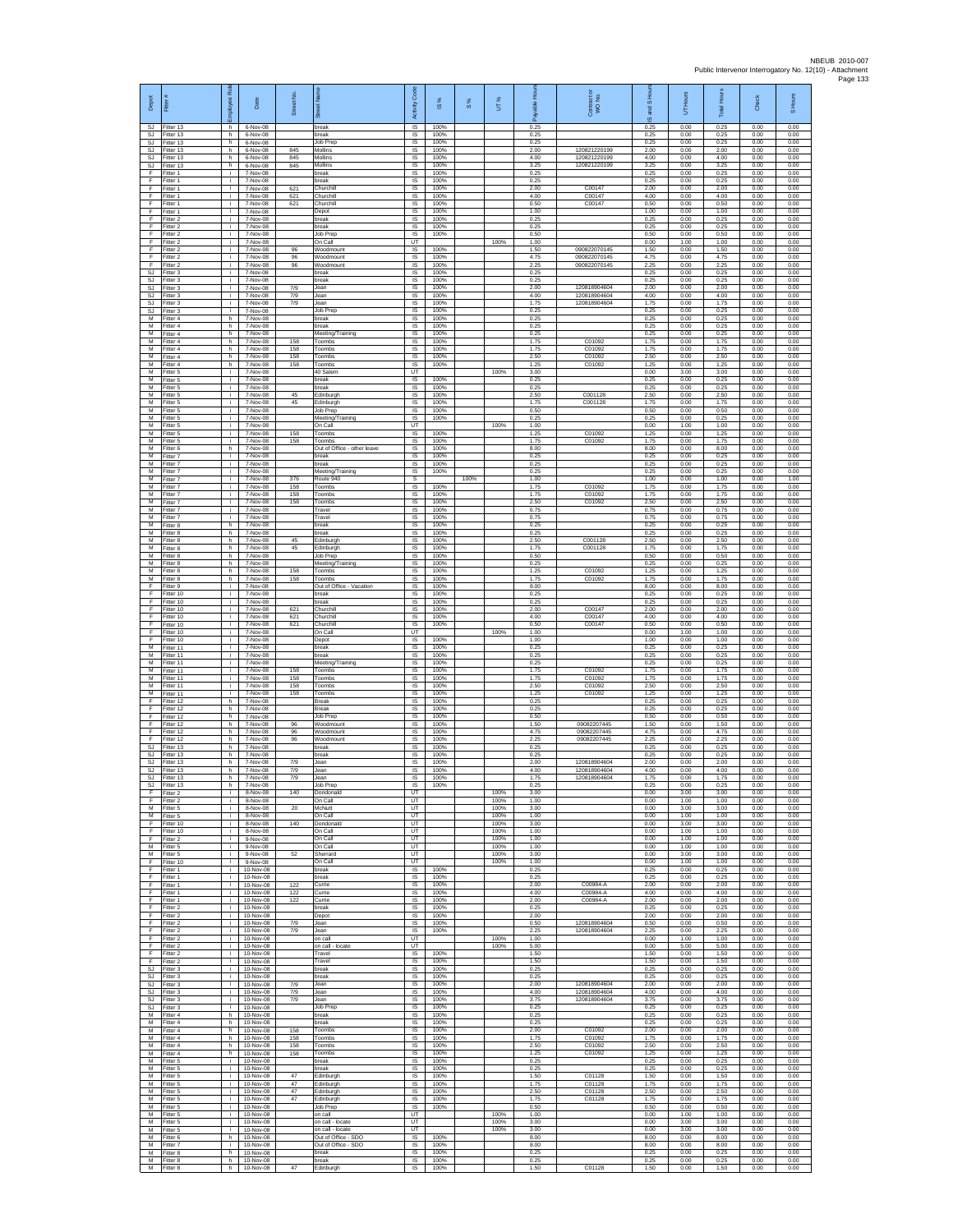| Depot<br>SJ.                               | Fitter #<br>Fitter 13               | ployee Roi<br>h. | Date<br>6-Nov-08                    | Street No.        | 7<br>break                                          | Code<br>Activity<br>IS      | IS %<br>100%         | $\frac{8}{3}$ | UT%                  | 0.25                 | Contract or<br>WO No.                        | I <sub>SHo</sub><br>and<br>$\omega$<br>0.25 | UT Hours<br>0.00     | <b>Total Hours</b><br>0.25 | Check<br>0.00        | S Hours<br>0.00      |
|--------------------------------------------|-------------------------------------|------------------|-------------------------------------|-------------------|-----------------------------------------------------|-----------------------------|----------------------|---------------|----------------------|----------------------|----------------------------------------------|---------------------------------------------|----------------------|----------------------------|----------------------|----------------------|
| <b>SJ</b>                                  | SJ Fitter 13<br>Fitter 13           | h.<br>h          | 6-Nov-08<br>6-Nov-08                |                   | break<br>Job Prep                                   | IS<br>IS                    | 100%<br>100%         |               |                      | 0.25<br>0.25         |                                              | 0.25<br>0.25                                | 0.00<br>0.00         | 0.25<br>0.25               | 0.00<br>0.00         | 0.00<br>0.00         |
| SJ.<br>SJ.                                 | Fitter 13<br>Fitter 13<br>Fitter 13 | h<br>h.          | 6-Nov-08<br>6-Nov-08<br>6-Nov-08    | 845<br>845<br>845 | Mollins<br>Mollins<br>Mollins                       | 1S<br><b>IS</b><br>IS       | 100%<br>100%<br>100% |               |                      | 2.00<br>4.00<br>3.25 | 120821220199<br>120821220199<br>120821220199 | 2.00<br>4.00<br>3.25                        | 0.00<br>0.00         | 2.00<br>4.00<br>3.25       | 0.00<br>0.00<br>0.00 | 0.00<br>0.00<br>0.00 |
| SJ<br>Ŧ<br>F                               | Fitter 1<br>Fitter 1                | h<br>÷.<br>i.    | 7-Nov-08<br>7-Nov-08                |                   | break<br>reak                                       | IS<br>IS                    | 100%<br>100%         |               |                      | 0.25<br>0.25         |                                              | 0.25<br>0.25                                | 0.00<br>0.00<br>0.00 | 0.25<br>0.25               | 0.00<br>0.00         | 0.00<br>0.00         |
| F<br>F                                     | Fitter 1<br>-itter 1                | Ť.<br>i.         | 7-Nov-08<br>7-Nov-08                | 621<br>621        | Churchil<br>Churchill                               | <b>IS</b><br>$\sf IS$       | 100%<br>100%         |               |                      | 2.00<br>4.00         | C00147<br>C00147                             | 2.00<br>4.00                                | 0.00<br>0.00         | 2.00<br>4.00               | 0.00<br>0.00         | 0.00<br>0.00         |
| F<br>F<br>F.                               | Fitter 1<br>Fitter 1<br>Fitter 2    | j.<br>j.<br>i.   | 7-Nov-08<br>7-Nov-08<br>7-Nov-08    | 621               | Churchil<br>Depot<br>oreak                          | $\sf IS$<br>IS<br>IS        | 100%<br>100%<br>100% |               |                      | 0.50<br>1.00<br>0.25 | C00147                                       | 0.50<br>1.00<br>0.25                        | 0.00<br>0.00<br>0.00 | 0.50<br>1.00<br>0.25       | 0.00<br>0.00<br>0.00 | 0.00<br>0.00<br>0.00 |
| F<br>F                                     | Fitter 2<br>Fitter 2                | ÷.<br>i.         | 7-Nov-08<br>7-Nov-08                |                   | break<br>Job Prep                                   | IS<br>IS                    | 100%<br>100%         |               |                      | 0.25<br>0.50         |                                              | 0.25<br>0.50                                | 0.00<br>0.00         | 0.25<br>0.50               | 0.00<br>0.00         | 0.00<br>0.00         |
| F<br>E<br>F                                | Fitter 2<br>-itter 2<br>Fitter 2    | i.<br>i.<br>i.   | 7-Nov-08<br>7-Nov-08<br>7-Nov-08    | 96<br>96          | On Call<br><b>Noodmount</b><br>Woodmount            | UT<br>IS<br>1S              | 100%<br>100%         |               | 100%                 | 1.00<br>1.50<br>4.75 | 090822070145<br>090822070145                 | 0.00<br>1.50<br>4.75                        | 1.00<br>0.00<br>0.00 | 1.00<br>1.50<br>4.75       | 0.00<br>0.00<br>0.00 | 0.00<br>0.00<br>0.00 |
| F<br><b>SJ</b>                             | Fitter 2<br>Fitter 3                | i.<br>÷.         | 7-Nov-08<br>7-Nov-08                | 96                | Woodmount<br>break                                  | IS<br>IS                    | 100%<br>100%         |               |                      | 2.25<br>0.25         | 090822070145                                 | 2.25<br>0.25                                | 0.00<br>0.00         | 2.25<br>0.25               | 0.00<br>0.00         | 0.00<br>0.00         |
| <b>SJ</b><br><b>SJ</b>                     | Fitter 3<br>Fitter 3                | î.<br>i.         | 7-Nov-08<br>7-Nov-08                | 7/9<br>7/9        | break<br>Jean                                       | IS<br>IS                    | 100%<br>100%         |               |                      | 0.25<br>2.00         | 120818904604<br>120818904604                 | 0.25<br>2.00                                | 0.00<br>0.00         | 0.25<br>2.00               | 0.00<br>0.00         | 0.00<br>0.00         |
| <b>SJ</b><br>SJ<br>SJ                      | Fitter 3<br>-itter 3<br>Fitter 3    | j.<br>i.<br>÷.   | 7-Nov-08<br>7-Nov-08<br>7-Nov-08    | 7/9               | Jean<br>lean<br>Job Prep                            | <b>IS</b><br>IS<br>IS       | 100%<br>100%<br>100% |               |                      | 4.00<br>175<br>0.25  | 120818904604                                 | 4.00<br>1.75<br>0.25                        | 0.00<br>0.00<br>0.00 | 4.00<br>1.75<br>0.25       | 0.00<br>0.00<br>0.00 | 0.00<br>0.00<br>0.00 |
| M<br>M                                     | Fitter 4<br>Fitter 4                | h.<br>h.         | 7-Nov-08<br>7-Nov-08                |                   | break<br>break                                      | 1S<br>IS                    | 100%<br>100%         |               |                      | 0.25<br>0.25         |                                              | 0.25<br>0.25                                | 0.00<br>0.00         | 0.25<br>0.25               | 0.00<br>0.00         | 0.00<br>0.00         |
| м<br>М<br>м                                | Fitter 4<br>Fitter 4<br>Fitter 4    | h<br>h.<br>h.    | 7-Nov-08<br>7-Nov-08<br>7-Nov-08    | 158<br>158        | Neeting/Training<br>Toombs<br>Toombs                | IS<br>IS<br><b>IS</b>       | 100%<br>100%<br>100% |               |                      | 0.25<br>1.75<br>1.75 | C01092<br>C01092                             | 0.25<br>1.75<br>1.75                        | 0.00<br>0.00<br>0.00 | 0.25<br>1.75<br>1.75       | 0.00<br>0.00<br>0.00 | 0.00<br>0.00<br>0.00 |
| M<br>М                                     | Fitter 4<br>Fitter 4                | h<br>h           | 7-Nov-08<br>7-Nov-08                | 158<br>158        | Toombs<br>Toombs                                    | IS<br>IS                    | 100%<br>100%         |               |                      | 2.50<br>1.25         | C01092<br>C01092                             | 2.50<br>1.25                                | 0.00<br>0.00         | 2.50<br>1.25               | 0.00<br>0.00         | 0.00<br>0.00         |
| М<br>M<br>M                                | Fitter 5<br>Fitter 5<br>-itter 5    | i.<br>j.<br>i.   | 7-Nov-08<br>7-Nov-08<br>7-Nov-08    |                   | 40 Salem<br>break<br>oreak                          | UT<br><b>IS</b><br>$\sf IS$ | 100%<br>100%         |               | 100%                 | 3.00<br>0.25<br>0.25 |                                              | 0.00<br>0.25<br>0.25                        | 3.00<br>0.00<br>0.00 | 3.00<br>0.25<br>0.25       | 0.00<br>0.00<br>0.00 | 0.00<br>0.00<br>0.00 |
| М<br>M                                     | Fitter 5<br>Fitter 5                | j.<br>j.         | 7-Nov-08<br>7-Nov-08                | 45<br>45          | Edinburgh<br>Edinburgh                              | $\sf IS$<br>IS              | 100%<br>100%         |               |                      | 2.50<br>1.75         | C001128<br>C001128                           | 2.50<br>1.75                                | 0.00<br>0.00         | 2.50<br>1.75               | 0.00<br>0.00         | 0.00<br>0.00         |
| M<br>М<br>М                                | Fitter 5<br>Fitter 5<br>Fitter 5    | i.<br>÷<br>i.    | 7-Nov-08<br>7-Nov-08<br>7-Nov-08    |                   | Job Prep<br>Meeting/Training<br>On Call             | IS<br>IS<br>UT              | 100%<br>100%         |               | 100%                 | 0.50<br>0.25<br>1.00 |                                              | 0.50<br>0.25<br>0.00                        | 0.00<br>0.00<br>1.00 | 0.50<br>0.25<br>1.00       | 0.00<br>0.00<br>0.00 | 0.00<br>0.00<br>0.00 |
| м<br>м                                     | Fitter 5<br>Fitter 5                | j.<br>j.         | 7-Nov-08<br>7-Nov-08                | 158<br>158        | Toombs<br>Toombs                                    | IS<br>IS                    | 100%<br>100%         |               |                      | 1.25<br>1.75         | C01092<br>C01092                             | 1.25<br>1.75                                | 0.00<br>0.00         | 1.25<br>1.75               | 0.00<br>0.00         | 0.00<br>0.00         |
| М<br>M                                     | Fitter 6<br>Fitter 7                | h<br>i.          | 7-Nov-08<br>7-Nov-08                |                   | Out of Office - other leave<br>preak                | IS<br>IS                    | 100%<br>100%         |               |                      | 8.00<br>0.25         |                                              | 8.00<br>0.25                                | 0.00<br>0.00         | 8.00<br>0.25               | 0.00<br>0.00         | 0.00<br>0.00         |
| м<br>М<br>М                                | Fitter 7<br>Fitter 7<br>Fitter 7    | i.<br>i.<br>i.   | 7-Nov-08<br>7-Nov-08<br>7-Nov-08    | 376               | oreak<br>Meeting/Training<br>Route 940              | IS<br>1S<br>s               | 100%<br>100%         | 100%          |                      | 0.25<br>0.25<br>1.00 |                                              | 0.25<br>0.25<br>1.00                        | 0.00<br>0.00<br>0.00 | 0.25<br>0.25<br>1.00       | 0.00<br>0.00<br>0.00 | 0.00<br>0.00<br>1.00 |
| M<br>M                                     | Fitter 7<br>-itter 7                | Ť.<br>i.         | 7-Nov-08<br>7-Nov-08                | 158<br>158        | Toombs<br>Toombs                                    | IS<br>IS                    | 100%<br>100%         |               |                      | 1.75<br>175          | C01092<br>C01092                             | 1.75<br>1.75                                | 0.00<br>0.00         | 1.75<br>1.75               | 0.00<br>0.00         | 0.00<br>0.00         |
| М<br>М<br>M                                | Fitter 7<br>Fitter 7<br>Fitter 7    | ÷<br>i.<br>i.    | 7-Nov-08<br>7-Nov-08<br>7-Nov-08    | 158               | Toombs<br>Travel<br>Travel                          | IS<br>1S<br>IS              | 100%<br>100%<br>100% |               |                      | 2.50<br>0.75<br>0.75 | C01092                                       | 2.50<br>0.75<br>0.75                        | 0.00<br>0.00<br>0.00 | 2.50<br>0.75<br>0.75       | 0.00<br>0.00<br>0.00 | 0.00<br>0.00<br>0.00 |
| м<br>М                                     | Fitter 8<br>Fitter 8                | h<br>h.          | 7-Nov-08<br>7-Nov-08                |                   | break<br>oreak                                      | IS<br>1S                    | 100%<br>100%         |               |                      | 0.25<br>0.25         |                                              | 0.25<br>0.25                                | 0.00<br>0.00         | 0.25<br>0.25               | 0.00<br>0.00         | 0.00<br>0.00         |
| M<br>M<br>М                                | Fitter 8<br>Fitter 8<br>Fitter 8    | h.<br>h<br>h     | 7-Nov-08<br>7-Nov-08<br>7-Nov-08    | 45<br>45          | Edinburah<br>dinburgh:<br>Job Prep                  | <b>IS</b><br>IS<br>IS       | 100%<br>100%<br>100% |               |                      | 2.50<br>1.75<br>0.50 | C001128<br>C001128                           | 2.50<br>1.75<br>0.50                        | 0.00<br>0.00<br>0.00 | 2.50<br>1.75<br>0.50       | 0.00<br>0.00<br>0.00 | 0.00<br>0.00<br>0.00 |
| М<br>M                                     | Fitter 8<br>Fitter 8                | h<br>h           | 7-Nov-08<br>7-Nov-08                | 158               | Meeting/Training<br>Toombs                          | IS<br><b>IS</b>             | 100%<br>100%         |               |                      | 0.25<br>1.25         | C01092                                       | 0.25<br>1.25                                | 0.00<br>0.00         | 0.25<br>1.25               | 0.00<br>0.00         | 0.00<br>0.00         |
| м<br>F                                     | -itter 8<br>Fitter 9                | h.<br>j.         | 7-Nov-08<br>7-Nov-08                | 158               | Toombs<br>Out of Office - Vacation                  | $\sf IS$<br>$\sf IS$        | 100%<br>100%         |               |                      | 1.75<br>8.00         | C01092                                       | 1.75<br>8.00                                | 0.00<br>0.00         | 1.75<br>8.00               | 0.00<br>0.00         | 0.00<br>0.00         |
| F<br>F<br>F                                | Fitter 10<br>Fitter 10<br>Fitter 10 | j.<br>i.<br>÷.   | 7-Nov-08<br>7-Nov-08<br>7-Nov-08    | 621               | break<br>reak<br>hurchill                           | IS<br>IS<br>IS              | 100%<br>100%<br>100% |               |                      | 0.25<br>0.25<br>2.00 | C00147                                       | 0.25<br>0.25<br>2.00                        | 0.00<br>0.00<br>0.00 | 0.25<br>0.25<br>2.00       | 0.00<br>0.00<br>0.00 | 0.00<br>0.00<br>0.00 |
| F<br>F                                     | Fitter 10<br>Fitter 10              | i.<br>i.         | 7-Nov-08<br>7-Nov-08                | 621<br>621        | Churchill<br>Churchill                              | IS<br><b>IS</b>             | 100%<br>100%         |               |                      | 4.00<br>0.50         | C00147<br>C00147                             | 4.00<br>0.50                                | 0.00<br>0.00         | 4.00<br>0.50               | 0.00<br>0.00         | 0.00<br>0.00         |
| E<br>F<br>M                                | Fitter 10<br>Fitter 10<br>Fitter 11 | i.<br>Ť.<br>i.   | 7-Nov-08<br>7-Nov-08<br>7-Nov-08    |                   | On Call<br>Depot<br>break                           | UT<br>IS<br>IS              | 100%<br>100%         |               | 100%                 | 1.00<br>1.00<br>0.25 |                                              | 0.00<br>1.00<br>0.25                        | 1.00<br>0.00<br>0.00 | 1.00<br>1.00<br>0.25       | 0.00<br>0.00<br>0.00 | 0.00<br>0.00<br>0.00 |
| м<br>М                                     | Fitter 11<br>Fitter 11              | ÷.<br>î.         | 7-Nov-08<br>7-Nov-08                |                   | oreak<br>Meeting/Training                           | IS<br>IS                    | 100%<br>100%         |               |                      | 0.25<br>0.25         |                                              | 0.25<br>0.25                                | 0.00<br>0.00         | 0.25<br>0.25               | 0.00<br>0.00         | 0.00<br>0.00         |
| М<br>M<br>M                                | Fitter 11<br>Fitter 11<br>Fitter 11 | i.<br>j.<br>i.   | 7-Nov-08<br>7-Nov-08<br>7-Nov-08    | 158<br>158<br>158 | Toombs<br>Toombs<br>Toombs                          | IS<br>IS<br>IS              | 100%<br>100%<br>100% |               |                      | 1.75<br>1.75<br>2.50 | C01092<br>C01092<br>C01092                   | 1.75<br>1.75<br>2.50                        | 0.00<br>0.00<br>0.00 | 1.75<br>1.75<br>2.50       | 0.00<br>0.00<br>0.00 | 0.00<br>0.00<br>0.00 |
| М<br>F                                     | Fitter 11<br>Fitter 12              | ÷.<br>h.         | 7-Nov-08<br>7-Nov-08                | 158               | Toombs<br>Break                                     | IS<br>1S                    | 100%<br>100%         |               |                      | 1.25<br>0.25         | C01092                                       | 1.25<br>0.25                                | 0.00<br>0.00         | 1.25<br>0.25               | 0.00<br>0.00         | 0.00<br>0.00         |
| F<br>F<br>F                                | Fitter 12<br>Fitter 12<br>Fitter 12 | h.<br>h<br>h.    | 7-Nov-08<br>7-Nov-08<br>7-Nov-08    | 96                | <b>Break</b><br>Job Prep<br>Woodmount               | IS<br>IS<br>IS              | 100%<br>100%<br>100% |               |                      | 0.25<br>0.50<br>1.50 | 09082207445                                  | 0.25<br>0.50<br>1.50                        | 0.00<br>0.00<br>0.00 | 0.25<br>0.50<br>1.50       | 0.00<br>0.00<br>0.00 | 0.00<br>0.00<br>0.00 |
| F<br>E                                     | Fitter 12<br>Fitter 12              | h.<br>h          | 7-Nov-08<br>7-Nov-08                | 96<br>96          | Woodmount<br>Woodmount                              | IS<br>IS                    | 100%<br>100%         |               |                      | 4.75<br>2.25         | 09082207445<br>09082207445                   | 4.75<br>2.25                                | 0.00<br>0.00         | 4.75<br>2.25               | 0.00<br>0.00         | 0.00<br>0.00         |
| <b>SJ</b><br><b>SJ</b>                     | Fitter 13<br>Fitter 13              | h<br>h.<br>h.    | 7-Nov-08<br>7-Nov-08                | 7/9               | oreak<br>reak<br>Jean                               | IS<br>IS<br><b>IS</b>       | 100%<br>100%<br>100% |               |                      | 0.25<br>0.25<br>2.00 | 120818904604                                 | 0.25<br>0.25<br>2.00                        | 0.00<br>0.00<br>0.00 | 0.25<br>0.25<br>2.00       | 0.00<br>0.00<br>0.00 | 0.00<br>0.00<br>0.00 |
| SJ<br>SJ.<br>SJ                            | Fitter 13<br>Fitter 13<br>Fitter 13 | h.<br>h.         | 7-Nov-08<br>7-Nov-08<br>7-Nov-08    | 7/9<br>7/9        | Jean<br>Jean                                        | IS<br>IS                    | 100%<br>100%         |               |                      | 4.00<br>1.75         | 120818904604<br>120818904604                 | 4.00<br>1.75                                | 0.00<br>0.00         | 4.00<br>1.75               | 0.00<br>0.00         | 0.00<br>0.00         |
| SJ.<br>F.                                  | Fitter 13<br>Fitter 2               | h<br>i.          | 7-Nov-08<br>8-Nov-08                | 140               | Job Prep<br>Dondonald                               | <b>IS</b><br><b>IT</b>      | 100%                 |               | 100%                 | 0.25<br>3.00         |                                              | 0.25<br>0.00                                | 0.00<br>3.00         | 0.25<br>3.00               | 0.00<br>0.00         | 0.00<br>0.00         |
| F<br>M<br>M                                | Fitter 2<br>Fitter 5<br>Fitter 5    | ÷<br>i.<br>i.    | 8-Nov-08<br>8-Nov-08<br>8-Nov-08    | 20                | On Call<br>McNutt<br>On Call                        | UT<br>UT<br>UT              |                      |               | 100%<br>100%<br>100% | 1.00<br>3.00<br>1.00 |                                              | 0.00<br>0.00<br>0.00                        | 1.00<br>3.00<br>1.00 | 1.00<br>3.00<br>1.00       | 0.00<br>0.00<br>0.00 | 0.00<br>0.00<br>0.00 |
| E<br>F                                     | Fitter 10<br>Fitter 10              | ÷.<br>Ť.         | 8-Nov-08<br>8-Nov-08                | 140               | Dondonald<br>On Call                                | UT<br>UT                    |                      |               | 100%<br>100%         | 3.00<br>1.00         |                                              | 0.00<br>0.00                                | 3.00<br>1.00         | 3.00<br>1.00               | 0.00<br>0.00         | 0.00<br>0.00         |
| F<br>M<br>M                                | Fitter 2<br>Fitter 5<br>Fitter 5    | i.<br>÷.<br>÷.   | 9-Nov-08<br>9-Nov-08<br>9-Nov-08    | 52                | On Call<br>On Call<br>Sherrard                      | UT<br>UT<br>UT              |                      |               | 100%<br>100%<br>100% | 1.00<br>1.00<br>3.00 |                                              | 0.00<br>0.00<br>0.00                        | 1.00<br>1.00<br>3.00 | 1.00<br>1.00<br>3.00       | 0.00<br>0.00<br>0.00 | 0.00<br>0.00<br>0.00 |
| F<br>F                                     | Fitter 10<br>Fitter 1               | i.<br>j.         | 9-Nov-08<br>10-Nov-08               |                   | On Call<br>break                                    | UT<br><b>IS</b>             | 100%                 |               | 100%                 | 1.00<br>0.25         |                                              | 0.00<br>0.25                                | 1.00<br>0.00         | 1.00<br>0.25               | 0.00<br>0.00         | 0.00<br>0.00         |
| F<br>F<br>F                                | Fitter 1<br>Fitter 1<br>Fitter 1    | i.<br>÷.<br>i.   | 10-Nov-08<br>10-Nov-08<br>10-Nov-08 | 122<br>122        | reak<br>Currie<br>Currie                            | IS.<br>IS<br>1S             | 100%<br>100%<br>100% |               |                      | 0.25<br>2.00<br>4.00 | C00984-A<br>C00984-A                         | 0.25<br>2.00<br>4.00                        | 0.00<br>0.00<br>0.00 | 0.25<br>2.00<br>4.00       | 0.00<br>0.00<br>0.00 | 0.00<br>0.00<br>0.00 |
| F.<br>F                                    | Fitter 1<br>Fitter 2                | j.<br>÷          | 10-Nov-08<br>10-Nov-08              | 122               | Currie<br>oreak                                     | IS<br>IS                    | 100%<br>100%         |               |                      | 2.00<br>0.25         | C00984-A                                     | 2.00<br>0.25                                | 0.00<br>0.00         | 2.00<br>0.25               | 0.00<br>0.00         | 0.00<br>0.00         |
| Ŧ<br>F<br>E                                | Fitter 2<br>Fitter 2                | i.<br>i.         | 10-Nov-08<br>10-Nov-08              | 7/9               | Depot<br>Jean                                       | IS<br><b>IS</b>             | 100%<br>100%         |               |                      | 2.00<br>0.50<br>2.25 | 120818904604                                 | 2.00<br>0.50                                | 0.00<br>0.00         | 2.00<br>0.50<br>2.25       | 0.00<br>0.00         | 0.00<br>0.00         |
| F<br>F                                     | Fitter 2<br>Fitter 2<br>Fitter 2    | i.<br>÷.<br>i.   | 10-Nov-08<br>10-Nov-08<br>10-Nov-08 | 7/9               | Jean<br>on call<br>on call - locate                 | IS<br>UT<br>UT              | 100%                 |               | 100%<br>100%         | 1.00<br>5.00         | 120818904604                                 | 2.25<br>0.00<br>0.00                        | 0.00<br>1.00<br>5.00 | 1.00<br>5.00               | 0.00<br>0.00<br>0.00 | 0.00<br>0.00<br>0.00 |
| F<br>F                                     | Fitter 2<br>Fitter 2                | j.<br>i.         | 10-Nov-08<br>10-Nov-08              |                   | Travel<br>Travel                                    | -IS<br>$\sf IS$             | 100%<br>100%         |               |                      | 1.50<br>1.50         |                                              | 1.50<br>1.50                                | 0.00<br>0.00         | 1.50<br>1.50               | 0.00<br>0.00         | 0.00<br>0.00         |
| $\mathbb{S}\mathbb{J}$<br>SJ.<br><b>SJ</b> | Fitter 3<br>Fitter 3<br>Fitter 3    | j.<br>j.<br>i.   | 10-Nov-08<br>10-Nov-08<br>10-Nov-08 | 7/9               | break<br>break<br>Jean                              | IS<br>IS<br>IS              | 100%<br>100%<br>100% |               |                      | 0.25<br>0.25<br>2.00 | 120818904604                                 | 0.25<br>0.25<br>2.00                        | 0.00<br>0.00<br>0.00 | 0.25<br>0.25<br>2.00       | 0.00<br>0.00<br>0.00 | 0.00<br>0.00<br>0.00 |
| SJ<br>SJ                                   | Fitter 3<br>Fitter 3                | ÷.<br>i.         | 10-Nov-08<br>10-Nov-08              | 7/9<br>7/9        | Jean<br>Jean                                        | IS<br>IS                    | 100%<br>100%         |               |                      | 4.00<br>3.75         | 120818904604<br>120818904604                 | 4.00<br>3.75                                | 0.00<br>0.00         | 4.00<br>3.75               | 0.00<br>0.00         | 0.00<br>0.00         |
| ${\sf M}$<br>M                             | SJ Fitter 3<br>Fitter 4<br>Fitter 4 | i.<br>h<br>h.    | 10-Nov-08<br>10-Nov-08<br>10-Nov-08 |                   | Job Prep<br>oreak<br>break                          | <b>IS</b><br>IS<br>1S       | 100%<br>100%<br>100% |               |                      | 0.25<br>0.25<br>0.25 |                                              | 0.25<br>0.25<br>0.25                        | 0.00<br>0.00<br>0.00 | 0.25<br>0.25<br>0.25       | 0.00<br>0.00<br>0.00 | 0.00<br>0.00<br>0.00 |
| M<br>M                                     | Fitter 4<br>Fitter 4                | h.<br>h          | 10-Nov-08<br>10-Nov-08              | 158<br>158        | Toombs<br>Toombs                                    | IS<br>IS                    | 100%<br>100%         |               |                      | 2.00<br>1.75         | C01092<br>C01092                             | 2.00<br>1.75                                | 0.00<br>0.00         | 2.00<br>1.75               | 0.00<br>0.00         | 0.00<br>0.00         |
| M<br>М<br>M                                | Fitter 4<br>-itter 4<br>Fitter 5    | h<br>h<br>j.     | 10-Nov-08<br>10-Nov-08<br>10-Nov-08 | 158<br>158        | Toombs<br>Toombs<br>break                           | IS<br>IS<br>-IS             | 100%<br>100%<br>100% |               |                      | 2.50<br>1.25<br>0.25 | C01092<br>C01092                             | 2.50<br>1.25<br>0.25                        | 0.00<br>0.00<br>0.00 | 2.50<br>1.25<br>0.25       | 0.00<br>0.00<br>0.00 | 0.00<br>0.00<br>0.00 |
| M<br>М                                     | Fitter 5<br>Fitter 5                | i.<br>÷          | 10-Nov-08<br>10-Nov-08              | 47                | reak<br>dinburgh                                    | IS.<br>IS                   | 100%<br>100%         |               |                      | 0.25<br>1.50         | C01128                                       | 0.25<br>1.50                                | 0.00<br>0.00         | 0.25<br>1.50               | 0.00<br>0.00         | 0.00<br>0.00         |
| M                                          | Fitter 5<br>M Fitter 5              | i.<br>i.         | 10-Nov-08<br>10-Nov-08              | 47<br>47          | Edinburgh<br>Edinburgh                              | IS<br>IS                    | 100%<br>100%         |               |                      | 1.75<br>2.50         | C01128<br>C01128                             | 1.75<br>2.50                                | 0.00<br>0.00         | 1.75<br>2.50               | 0.00<br>0.00         | 0.00<br>0.00         |
| М<br>M<br>M                                | Fitter 5<br>Fitter 5<br>Fitter 5    | ÷.<br>i.<br>i.   | 10-Nov-08<br>10-Nov-08<br>10-Nov-08 | 47                | Edinburgh<br><b>Job Prep</b><br>on call             | IS<br>IS<br>UT              | 100%<br>100%         |               | 100%                 | 1.75<br>0.50<br>1.00 | C01128                                       | 1.75<br>0.50<br>0.00                        | 0.00<br>0.00<br>1.00 | 1.75<br>0.50<br>1.00       | 0.00<br>0.00<br>0.00 | 0.00<br>0.00<br>0.00 |
| M<br>M                                     | Fitter 5<br>Fitter 5                | i.<br>i.         | 10-Nov-08<br>10-Nov-08              |                   | on call - locate<br>on call - locate                | UT<br>UT                    |                      |               | 100%<br>100%         | 3.00<br>3.00         |                                              | 0.00<br>0.00                                | 3.00<br>3.00         | 3.00<br>3.00               | 0.00<br>0.00         | 0.00<br>0.00         |
| M<br>M<br>M                                | Fitter 6<br>Fitter 7<br>Fitter 8    | h<br>j.<br>h.    | 10-Nov-08<br>10-Nov-08<br>10-Nov-08 |                   | Out of Office - SDO<br>Out of Office - SDO<br>break | IS<br><b>IS</b><br>IS       | 100%<br>100%<br>100% |               |                      | 8.00<br>8.00<br>0.25 |                                              | 8.00<br>8.00<br>0.25                        | 0.00<br>0.00<br>0.00 | 8.00<br>8.00<br>0.25       | 0.00<br>0.00<br>0.00 | 0.00<br>0.00<br>0.00 |
| М                                          | Fitter 8<br>M Fitter 8              | $\,$ h<br>h.     | 10-Nov-08<br>10-Nov-08              | 47                | break<br>Edinburgh                                  | $\sf IS$<br>IS              | 100%<br>100%         |               |                      | 0.25<br>1.50         | C01128                                       | 0.25<br>1.50                                | 0.00<br>0.00         | 0.25<br>1.50               | 0.00<br>0.00         | 0.00<br>0.00         |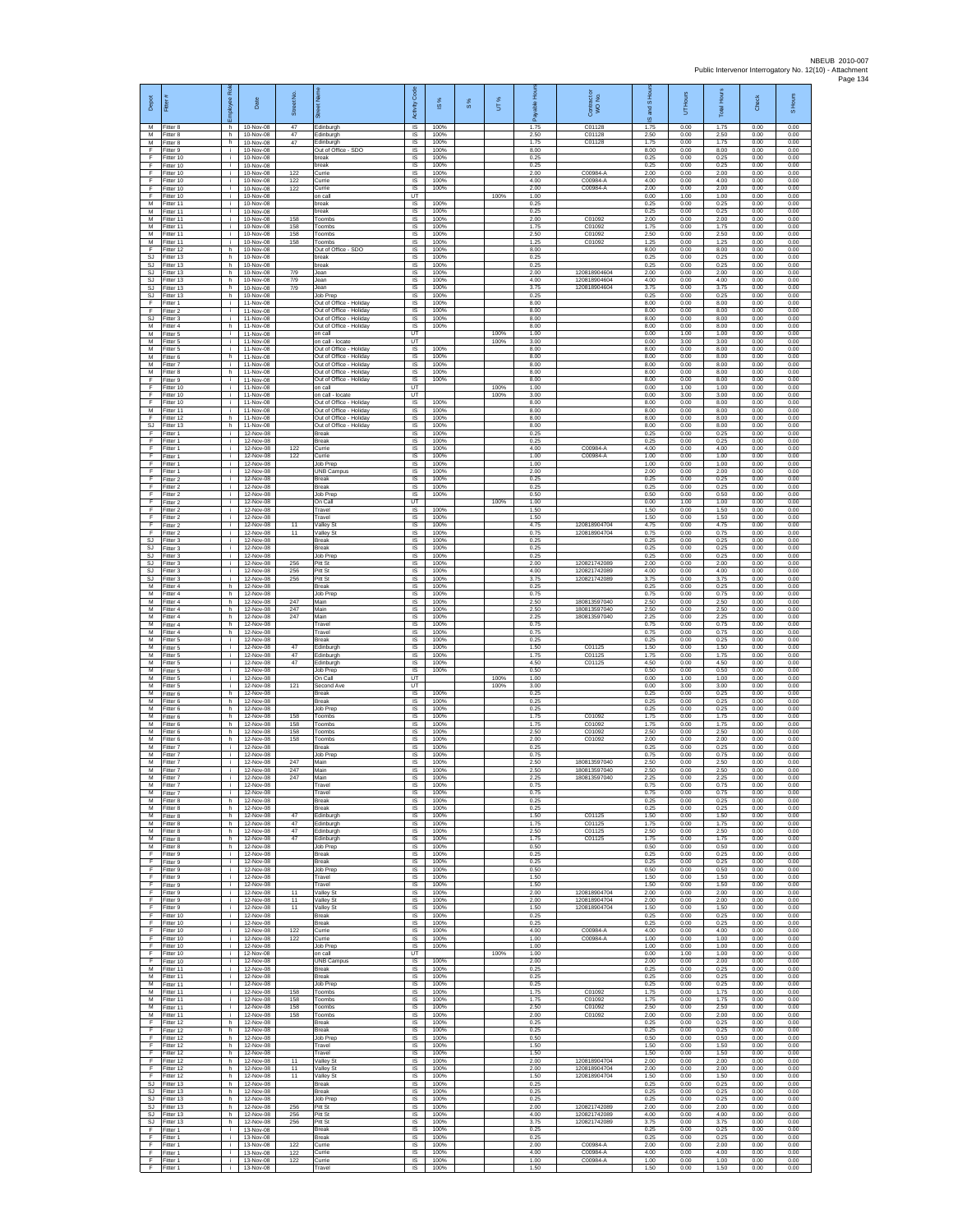| Depot                     | Fitter                              | æ<br>loyee                 | Date                                | Street No         | 岙                                                                             | Code<br>Activity             | $\frac{8}{2}$        | $\frac{8}{3}$ | UT%          | Æ                    | Contract or<br>WO No.                        | $1S$ Ho<br>왾<br>ဖ    | Hours<br>5           | <b>Total Hours</b>   | Check                | S Hours              |
|---------------------------|-------------------------------------|----------------------------|-------------------------------------|-------------------|-------------------------------------------------------------------------------|------------------------------|----------------------|---------------|--------------|----------------------|----------------------------------------------|----------------------|----------------------|----------------------|----------------------|----------------------|
| M<br>M<br>M               | Fitter 8<br>Fitter 8<br>Fitter 8    | h<br>h.<br>h               | 10-Nov-08<br>10-Nov-08<br>10-Nov-08 | 47<br>47<br>47    | Edinburgh<br>Edinburgh<br>Edinburgh                                           | 1S<br>IS<br>IS               | 100%<br>100%<br>100% |               |              | 1.75<br>2.50<br>1.75 | C01128<br>C01128<br>C01128                   | 1.75<br>2.50<br>1.75 | 0.00<br>0.00<br>0.00 | 1.75<br>2.50<br>1.75 | 0.00<br>0.00<br>0.00 | 0.00<br>0.00<br>0.00 |
| F<br>F                    | Fitter 9<br>Fitter 10               | i.<br>i.                   | 10-Nov-08<br>10-Nov-08<br>10-Nov-08 |                   | Out of Office - SDO<br>oreak                                                  | 1S<br>IS<br>IS               | 100%<br>100%<br>100% |               |              | 8.00<br>0.25<br>0.25 |                                              | 8.00<br>0.25<br>0.25 | 0.00<br>0.00<br>0.00 | 8.00<br>0.25<br>0.25 | 0.00<br>0.00<br>0.00 | 0.00<br>0.00<br>0.00 |
| -F<br>E<br>F              | Fitter 10<br>Fitter 10<br>Fitter 10 | j.<br>i.<br>÷.             | 10-Nov-08<br>10-Nov-08              | 122<br>122        | break<br>Currie<br>Currie                                                     | IS.<br>IS                    | 100%<br>100%         |               |              | 2.00<br>4.00         | C00984-A<br>C00984-A                         | 2.00<br>4.00         | 0.00<br>0.00         | 2.00<br>4.00         | 0.00<br>0.00         | 0.00<br>0.00         |
| F<br>E<br>${\sf M}$       | Fitter 10<br>Fitter 10<br>Fitter 11 | i.<br>i.<br>j.             | 10-Nov-08<br>10-Nov-08<br>10-Nov-08 | 122               | Currie<br>on call<br>break                                                    | 1S<br>UT<br>$\sf IS$         | 100%<br>100%         |               | 100%         | 2.00<br>1.00<br>0.25 | C00984-A                                     | 2.00<br>0.00<br>0.25 | 0.00<br>1.00<br>0.00 | 2.00<br>1.00<br>0.25 | 0.00<br>0.00<br>0.00 | 0.00<br>0.00<br>0.00 |
| M<br>M<br>M               | Fitter 11<br>Fitter 11<br>Fitter 11 | i.<br>i.<br>i.             | 10-Nov-08<br>10-Nov-08              | 158<br>158        | break<br>Toombs                                                               | $\sf IS$<br>IS<br>IS         | 100%<br>100%<br>100% |               |              | 0.25<br>2.00<br>1.75 | C01092<br>C01092                             | 0.25<br>2.00<br>1.75 | 0.00<br>0.00<br>0.00 | 0.25<br>2.00<br>1.75 | 0.00<br>0.00<br>0.00 | 0.00<br>0.00<br>0.00 |
| М<br>M                    | Fitter 11<br>Fitter 11              | i.<br>j.                   | 10-Nov-08<br>10-Nov-08<br>10-Nov-08 | 158<br>158        | Toombs<br>Toombs<br>Toombs                                                    | IS<br>IS                     | 100%<br>100%         |               |              | 2.50<br>1.25         | C01092<br>C01092                             | 2.50<br>1.25         | 0.00<br>0.00         | 2.50<br>1.25         | 0.00<br>0.00         | 0.00<br>0.00         |
| -F<br>SJ.<br>SJ           | Fitter 12<br>Fitter 13<br>Fitter 13 | h.<br>h.<br>h.             | 10-Nov-08<br>10-Nov-08<br>10-Nov-08 |                   | Out of Office - SDO<br>break<br>break                                         | IS<br>IS.<br>$\sf IS$        | 100%<br>100%<br>100% |               |              | 8.00<br>0.25<br>0.25 |                                              | 8.00<br>0.25<br>0.25 | 0.00<br>0.00<br>0.00 | 8.00<br>0.25<br>0.25 | 0.00<br>0.00<br>0.00 | 0.00<br>0.00<br>0.00 |
| SJ.<br>S.I<br>SJ          | Fitter 13<br>Fitter 13<br>Fitter 13 | h.<br>h.<br>h.             | 10-Nov-08<br>10-Nov-08<br>10-Nov-08 | 7/9<br>7/9<br>7/9 | Jean<br>Jean<br>Jean                                                          | IS<br>IS<br>IS               | 100%<br>100%<br>100% |               |              | 2.00<br>4.00<br>3.75 | 120818904604<br>120818904604<br>120818904604 | 2.00<br>4.00<br>3.75 | 0.00<br>0.00<br>0.00 | 2.00<br>4.00<br>3.75 | 0.00<br>0.00<br>0.00 | 0.00<br>0.00<br>0.00 |
| SJ<br>E                   | Fitter 13<br>Fitter 1               | h.<br>i.                   | 10-Nov-08<br>11-Nov-08              |                   | Job Prep<br>Out of Office - Holiday                                           | 1S<br>IS                     | 100%<br>100%         |               |              | 0.25<br>8.00         |                                              | 0.25<br>8.00         | 0.00<br>0.00         | 0.25<br>8.00         | 0.00<br>0.00         | 0.00<br>0.00         |
| F<br>SJ<br>M              | Fitter 2<br>Fitter 3<br>Fitter 4    | i.<br>i.<br>h.             | 11-Nov-08<br>11-Nov-08<br>11-Nov-08 |                   | Out of Office - Holiday<br>Out of Office - Holiday<br>Out of Office - Holiday | IS<br>1S<br>$\overline{s}$   | 100%<br>100%<br>100% |               |              | 8.00<br>8.00<br>8.00 |                                              | 8.00<br>8.00<br>8.00 | 0.00<br>0.00<br>0.00 | 8.00<br>8.00<br>8.00 | 0.00<br>0.00<br>0.00 | 0.00<br>0.00<br>0.00 |
| M<br>М<br>M               | Fitter 5<br>Fitter 5<br>Fitter 5    | i.<br>i.<br>j.             | 11-Nov-08<br>11-Nov-08<br>11-Nov-08 |                   | on call<br>on call - locate<br>Out of Office - Holiday                        | UT<br>UT<br>IS               | 100%                 |               | 100%<br>100% | 1.00<br>3.00<br>8.00 |                                              | 0.00<br>0.00<br>8.00 | 1.00<br>3.00<br>0.00 | 1.00<br>3.00<br>8.00 | 0.00<br>0.00<br>0.00 | 0.00<br>0.00<br>0.00 |
| M<br>M                    | Fitter 6<br>Fitter 7                | h.<br>i.                   | 11-Nov-08<br>11-Nov-08              |                   | Out of Office - Holiday<br>Out of Office - Holiday                            | IS<br>IS.                    | 100%<br>100%         |               |              | 8.00<br>8.00         |                                              | 8.00<br>8.00         | 0.00<br>0.00         | 8.00<br>8.00         | 0.00<br>0.00         | 0.00<br>0.00         |
| ${\sf M}$<br>F<br>E       | Fitter 8<br>Fitter 9<br>Fitter 10   | h.<br>i.<br>i.             | 11-Nov-08<br>11-Nov-08<br>11-Nov-08 |                   | Out of Office - Holiday<br>Out of Office - Holiday<br>on call                 | IS<br>IS<br>UT               | 100%<br>100%         |               | 100%         | 8.00<br>8.00<br>1.00 |                                              | 8.00<br>8.00<br>0.00 | 0.00<br>0.00<br>1.00 | 8.00<br>8.00<br>1.00 | 0.00<br>0.00<br>0.00 | 0.00<br>0.00<br>0.00 |
| F<br>F<br>M               | Fitter 10<br>Fitter 10<br>Fitter 11 | i.<br>i.<br>i.             | 11-Nov-08<br>11-Nov-08<br>11-Nov-08 |                   | on call - locate<br>Out of Office - Holiday<br>Out of Office - Holiday        | UT<br>$\sf IS$<br>IS         | 100%<br>100%         |               | 100%         | 3.00<br>8.00<br>8.00 |                                              | 0.00<br>8.00<br>8.00 | 3.00<br>0.00<br>0.00 | 3.00<br>8.00<br>8.00 | 0.00<br>0.00<br>0.00 | 0.00<br>0.00<br>0.00 |
| E<br>SJ                   | Fitter 12<br>Fitter 13              | h.<br>h.                   | 11-Nov-08<br>11-Nov-08              |                   | Out of Office - Holiday<br>Out of Office - Holiday                            | IS<br>1S                     | 100%<br>100%         |               |              | 8.00<br>8.00         |                                              | 8.00<br>8.00         | 0.00<br>0.00         | 8.00<br>8.00         | 0.00<br>0.00         | 0.00<br>0.00         |
| E<br>E<br>E               | Fitter 1<br>Fitter 1<br>Fitter 1    | j.<br>j.<br>i.             | 12-Nov-08<br>12-Nov-08<br>12-Nov-08 | 122               | Break<br><b>Break</b><br>Currie                                               | IS<br>IS<br>IS               | 100%<br>100%<br>100% |               |              | 0.25<br>0.25<br>4.00 | C00984-A                                     | 0.25<br>0.25<br>4.00 | 0.00<br>0.00<br>0.00 | 0.25<br>0.25<br>4.00 | 0.00<br>0.00<br>0.00 | 0.00<br>0.00<br>0.00 |
| F<br>F<br>F.              | Fitter 1<br>Fitter 1<br>Fitter 1    | j.<br>i.<br>i.             | 12-Nov-08<br>12-Nov-08<br>12-Nov-08 | 122               | Currie<br>Job Prep<br><b>UNB Campus</b>                                       | $\sf IS$<br>IS<br>IS         | 100%<br>100%<br>100% |               |              | 1.00<br>1.00<br>2.00 | C00984-A                                     | 1.00<br>1.00<br>200  | 0.00<br>0.00<br>0.00 | 1.00<br>1.00<br>2.00 | 0.00<br>0.00<br>0.00 | 0.00<br>0.00<br>0.00 |
| F<br>F                    | Fitter 2<br>Fitter 2                | ÷.<br>i.                   | 12-Nov-08<br>12-Nov-08              |                   | Break<br>Break                                                                | IS<br>1S                     | 100%<br>100%         |               |              | 0.25<br>0.25         |                                              | 0.25<br>0.25         | 0.00<br>0.00         | 0.25<br>0.25         | 0.00<br>0.00         | 0.00<br>0.00         |
| F<br>F<br>F               | Fitter 2<br>Fitter 2<br>Fitter 2    | i.<br>j.<br>i.             | 12-Nov-08<br>12-Nov-08<br>12-Nov-08 |                   | <b>Job Prep</b><br>On Call<br>Travel                                          | IS<br>UT<br>1S               | 100%<br>100%         |               | 100%         | 0.50<br>1.00<br>1.50 |                                              | 0.50<br>0.00<br>1.50 | 0.00<br>1.00<br>0.00 | 0.50<br>1.00<br>1.50 | 0.00<br>0.00<br>0.00 | 0.00<br>0.00<br>0.00 |
| F<br>F<br>F               | Fitter 2<br>Fitter 2<br>Fitter 2    | i.<br>i.<br>i.             | 12-Nov-08<br>12-Nov-08<br>12-Nov-08 | 11<br>11          | Travel<br>Valley St<br><b>Valley St</b>                                       | IS<br>IS<br>IS               | 100%<br>100%<br>100% |               |              | 1.50<br>4.75<br>0.75 | 120818904704<br>120818904704                 | 1.50<br>4.75<br>0.75 | 0.00<br>0.00<br>0.00 | 1.50<br>4.75<br>0.75 | 0.00<br>0.00<br>0.00 | 0.00<br>0.00<br>0.00 |
| SJ<br>SJ.<br>S.I.         | Fitter 3<br>Fitter 3                | j.<br>j.                   | 12-Nov-08<br>12-Nov-08              |                   | <b>Break</b><br><b>Break</b><br>.lob Prep                                     | IS<br>IS                     | 100%<br>100%         |               |              | 0.25<br>0.25         |                                              | 0.25<br>0.25         | 0.00<br>0.00         | 0.25<br>0.25         | 0.00<br>0.00         | 0.00<br>0.00         |
| SJ<br><b>SJ</b>           | Fitter 3<br>Fitter 3<br>Fitter 3    | i.<br>÷.<br>i.             | 12-Nov-08<br>12-Nov-08<br>12-Nov-08 | 256<br>256        | Pitt St<br>Pitt St                                                            | <b>IS</b><br>IS<br>1S        | 100%<br>100%<br>100% |               |              | 0.25<br>2.00<br>4.00 | 120821742089<br>120821742089                 | 0.25<br>2.00<br>4.00 | 0.00<br>0.00<br>0.00 | 0.25<br>2.00<br>4.00 | 0.00<br>0.00<br>0.00 | 0.00<br>0.00<br>0.00 |
| <b>SJ</b><br>M<br>м       | Fitter 3<br>Fitter 4<br>Fitter 4    | i.<br>h.<br>h.             | 12-Nov-08<br>12-Nov-08<br>12-Nov-08 | 256               | Pitt St<br>Break<br>Job Prep                                                  | IS<br>$\sf IS$<br>$\sf IS$   | 100%<br>100%<br>100% |               |              | 3.75<br>0.25<br>0.75 | 120821742089                                 | 3.75<br>0.25<br>0.75 | 0.00<br>0.00<br>0.00 | 3.75<br>0.25<br>0.75 | 0.00<br>0.00<br>0.00 | 0.00<br>0.00<br>0.00 |
| M<br>M                    | Fitter 4<br>Fitter 4                | h.<br>h.                   | 12-Nov-08<br>12-Nov-08              | 247<br>247        | Main<br>Main                                                                  | IS<br>IS                     | 100%<br>100%         |               |              | 2.50<br>2.50         | 180813597040<br>180813597040                 | 2.50<br>2.50         | 0.00<br>0.00         | 2.50<br>2.50         | 0.00<br>0.00         | 0.00<br>0.00         |
| М<br>М<br>M               | Fitter 4<br>Fitter 4<br>Fitter 4    | h.<br>h<br>h.              | 12-Nov-08<br>12-Nov-08<br>12-Nov-08 | 247               | Main<br>Travel<br>Travel                                                      | 1S<br>IS<br>IS               | 100%<br>100%<br>100% |               |              | 2.25<br>0.75<br>0.75 | 180813597040                                 | 2.25<br>0.75<br>0.75 | 0.00<br>0.00<br>0.00 | 2.25<br>0.75<br>0.75 | 0.00<br>0.00<br>0.00 | 0.00<br>0.00<br>0.00 |
| M<br>М<br>M               | Fitter 5<br>Fitter 5<br>Fitter 5    | j.<br>j.<br>i.             | 12-Nov-08<br>12-Nov-08<br>12-Nov-08 | 47<br>47          | <b>Break</b><br>dinburgh<br>Edinburgh                                         | <b>IS</b><br>$\sf IS$<br>IS  | 100%<br>100%<br>100% |               |              | 0.25<br>1.50<br>1.75 | C01125<br>C01125                             | 0.25<br>1.50<br>1.75 | 0.00<br>0.00<br>0.00 | 0.25<br>1.50<br>1.75 | 0.00<br>0.00<br>0.00 | 0.00<br>0.00<br>0.00 |
| M<br>М<br>$\overline{M}$  | Fitter 5<br>Fitter 5                | i.<br>÷.                   | 12-Nov-08<br>12-Nov-08              | 47                | Edinburgh<br>Job Prep                                                         | <b>IS</b><br>IS<br>UT        | 100%<br>100%         |               | 100%         | 4.50<br>0.50         | C01125                                       | 4.50<br>0.50         | 0.00<br>0.00         | 4.50<br>0.50         | 0.00<br>0.00         | 0.00<br>0.00         |
| M<br>M                    | Fitter 5<br>Fitter 5<br>Fitter 6    | i.<br>i.<br>h.             | 12-Nov-08<br>12-Nov-08<br>12-Nov-08 | 121               | On Call<br>Second Ave<br><b>Break</b>                                         | UT<br>IS                     | 100%                 |               | 100%         | 1.00<br>3.00<br>0.25 |                                              | 0.00<br>0.00<br>0.25 | 1.00<br>3.00<br>0.00 | 1.00<br>3.00<br>0.25 | 0.00<br>0.00<br>0.00 | 0.00<br>0.00<br>0.00 |
| м<br>M<br>M               | Fitter 6<br>Fitter 6<br>Fitter 6    | h.<br>h.<br>h.             | 12-Nov-08<br>12-Nov-08<br>12-Nov-08 | 158               | Break<br>Job Prep<br>Toombs                                                   | 1S<br>IS<br>IS               | 100%<br>100%<br>100% |               |              | 0.25<br>0.25<br>1.75 | C01092                                       | 0.25<br>0.25<br>1.75 | 0.00<br>0.00<br>0.00 | 0.25<br>0.25<br>1.75 | 0.00<br>0.00<br>0.00 | 0.00<br>0.00<br>0.00 |
| М<br>M<br>M               | Fitter 6<br>Fitter 6<br>Fitter 6    | h.<br>h<br>h.              | 12-Nov-08<br>12-Nov-08<br>12-Nov-08 | 158<br>158<br>158 | Toombs<br>oombs<br>Toombs                                                     | 1S<br>IS<br>IS               | 100%<br>100%<br>100% |               |              | 1.75<br>2.50<br>2.00 | C01092<br>C01092<br>C01092                   | 1.75<br>2.50<br>2.00 | 0.00<br>0.00<br>0.00 | 1.75<br>2.50<br>2.00 | 0.00<br>0.00<br>0.00 | 0.00<br>0.00<br>0.00 |
| M<br>м                    | Fitter 7<br>Fitter 7                | i.<br>÷.                   | 12-Nov-08<br>12-Nov-08              |                   | <b>Break</b><br>Job Prep                                                      | <b>IS</b><br>IS              | 100%<br>100%         |               |              | 0.25<br>0.75         |                                              | 0.25<br>0.75         | 0.00<br>0.00         | 0.25<br>0.75         | 0.00<br>0.00         | 0.00<br>0.00         |
| M<br>M<br>м               | Fitter 7<br>Fitter 7<br>Fitter 7    | i.<br>i.<br>i.             | 12-Nov-08<br>12-Nov-08<br>12-Nov-08 | 247<br>247<br>247 | Main<br>Main<br>Mair                                                          | 1S<br>IS<br>$\sf IS$         | 100%<br>100%<br>100% |               |              | 2.50<br>2.50<br>2.25 | 180813597040<br>180813597040<br>180813597040 | 2.50<br>2.50<br>2.25 | 0.00<br>0.00<br>0.00 | 2.50<br>2.50<br>2.25 | 0.00<br>0.00<br>0.00 | 0.00<br>0.00<br>0.00 |
| M<br>M<br>M               | Fitter 7<br>Fitter 7<br>Fitter 8    | i.<br>h.                   | 12-Nov-08<br>12-Nov-08<br>12-Nov-08 |                   | Travel<br>Travel<br><b>Break</b>                                              | IS<br>IS<br>IS               | 100%<br>100%<br>100% |               |              | 0.75<br>0.75<br>0.25 |                                              | 0.75<br>0.75<br>0.25 | 0.00<br>0.00<br>0.00 | 0.75<br>0.75<br>0.25 | 0.00<br>0.00<br>0.00 | 0.00<br>0.00<br>0.00 |
| м<br>M                    | Fitter 8<br>Fitter 8                | h.<br>h                    | 12-Nov-08<br>12-Nov-08              | 47                | <b>Break</b><br>dinburgh                                                      | IS.<br>IS                    | 100%<br>100%         |               |              | 0.25<br>1.50         | C0112                                        | 0.25<br>1.50         | 0.00<br>0.00         | 0.25<br>1.50         | 0.00<br>0.00         | 0.00<br>0.00         |
| M<br>M<br>м               | Fitter 8<br>Fitter 8<br>Fitter 8    | h.<br>h.<br>h.             | 12-Nov-08<br>12-Nov-08<br>12-Nov-08 | 47<br>47<br>47    | Edinburgh<br>Edinburgh<br>Edinburgh                                           | IS<br>IS<br>$\sf IS$         | 100%<br>100%<br>100% |               |              | 1.75<br>2.50<br>1.75 | C01125<br>C01125<br>C01125                   | 1.75<br>2.50<br>1.75 | 0.00<br>0.00<br>0.00 | 1.75<br>2.50<br>1.75 | 0.00<br>0.00<br>0.00 | 0.00<br>0.00<br>0.00 |
| M<br>F.<br>F              | Fitter 8<br>Fitter 9<br>Fitter 9    | h.<br>i.<br>i.             | 12-Nov-08<br>12-Nov-08<br>12-Nov-08 |                   | Job Prep<br><b>Break</b><br>Break                                             | <b>IS</b><br><b>IS</b><br>IS | 100%<br>100%<br>100% |               |              | 0.50<br>0.25<br>0.25 |                                              | 0.50<br>0.25<br>0.25 | 0.00<br>0.00<br>0.00 | 0.50<br>0.25<br>0.25 | 0.00<br>0.00<br>0.00 | 0.00<br>0.00<br>0.00 |
| ஈ<br>F<br>F               | Fitter 9<br>Fitter 9                | ÷.<br>i.<br>i.             | 12-Nov-08<br>12-Nov-08<br>12-Nov-08 |                   | <b>Job Prep</b><br>Travel<br>Travel                                           | IS<br>IS<br>IS               | 100%<br>100%<br>100% |               |              | 0.50<br>1.50<br>1.50 |                                              | 0.50<br>1.50<br>1.50 | 0.00<br>0.00<br>0.00 | 0.50<br>1.50<br>1.50 | 0.00<br>0.00<br>0.00 | 0.00<br>0.00<br>0.00 |
| Ŧ<br>F                    | Fitter 9<br>Fitter 9<br>Fitter 9    | i.<br>i.                   | 12-Nov-08<br>12-Nov-08              | 11<br>11          | Valley St<br>Valley St                                                        | 1S<br>IS                     | 100%<br>100%         |               |              | 2.00<br>2.00         | 120818904704<br>120818904704                 | 2.00<br>2.00         | 0.00<br>0.00         | 2.00<br>2.00         | 0.00<br>0.00         | 0.00<br>0.00         |
| F<br>Ŧ<br>$\mathsf{F}$    | Fitter 9<br>Fitter 10<br>Fitter 10  | i.<br>i.<br>÷.             | 12-Nov-08<br>12-Nov-08<br>12-Nov-08 | 11                | Valley St<br>Break<br>Break                                                   | IS<br>1S<br>IS               | 100%<br>100%<br>100% |               |              | 1.50<br>0.25<br>0.25 | 120818904704                                 | 1.50<br>0.25<br>0.25 | 0.00<br>0.00<br>0.00 | 1.50<br>0.25<br>0.25 | 0.00<br>0.00<br>0.00 | 0.00<br>0.00<br>0.00 |
| - F<br>F.<br>$\mathsf{F}$ | Fitter 10<br>Fitter 10<br>Fitter 10 | i.<br>j.<br>i.             | 12-Nov-08<br>12-Nov-08<br>12-Nov-08 | 122<br>122        | Currie<br>Currie<br>Job Prep                                                  | IS<br><b>IS</b><br>IS        | 100%<br>100%<br>100% |               |              | 4.00<br>1.00<br>1.00 | C00984-A<br>C00984-A                         | 4.00<br>1.00<br>1.00 | 0.00<br>0.00<br>0.00 | 4.00<br>1.00<br>1.00 | 0.00<br>0.00<br>0.00 | 0.00<br>0.00<br>0.00 |
| F.<br>F.                  | Fitter 10<br>Fitter 10              | ÷.<br>i.                   | 12-Nov-08<br>12-Nov-08              |                   | on call<br><b>UNB Campus</b>                                                  | UT<br>IS                     | 100%                 |               | 100%         | 1.00<br>2.00         |                                              | 0.00<br>2.00         | 1.00<br>0.00         | 1.00<br>2.00         | 0.00<br>0.00         | 0.00<br>0.00         |
| M<br>M<br>M               | Fitter 11<br>Fitter 11<br>Fitter 11 | i.<br>i.<br>i.             | 12-Nov-08<br>12-Nov-08<br>12-Nov-08 |                   | <b>Break</b><br><b>Break</b><br>Job Prep                                      | $\sf IS$<br>$\sf IS$<br>IS   | 100%<br>100%<br>100% |               |              | 0.25<br>0.25<br>0.25 |                                              | 0.25<br>0.25<br>0.25 | 0.00<br>0.00<br>0.00 | 0.25<br>0.25<br>0.25 | 0.00<br>0.00<br>0.00 | 0.00<br>0.00<br>0.00 |
| M<br>м<br>М               | Fitter 11<br>Fitter 11<br>Fitter 11 | i.<br>i.<br>i.             | 12-Nov-08<br>12-Nov-08<br>12-Nov-08 | 158<br>158<br>158 | Toombs<br>Toombs<br>Toombs                                                    | IS<br>1S<br>IS               | 100%<br>100%<br>100% |               |              | 1.75<br>1.75<br>2.50 | C01092<br>C01092<br>C01092                   | 1.75<br>1.75<br>2.50 | 0.00<br>0.00<br>0.00 | 1.75<br>1.75<br>2.50 | 0.00<br>0.00<br>0.00 | 0.00<br>0.00<br>0.00 |
| M<br>F.                   | Fitter 11<br>Fitter 12              | i.<br>h.                   | 12-Nov-08<br>12-Nov-08              | 158               | Toombs<br><b>Break</b>                                                        | IS<br><b>IS</b>              | 100%<br>100%         |               |              | 2.00<br>0.25         | C01092                                       | 2.00<br>0.25         | 0.00<br>0.00         | 2.00<br>0.25         | 0.00<br>0.00         | 0.00<br>0.00         |
| F<br>F<br>F.              | Fitter 12<br>Fitter 12<br>Fitter 12 | $\mathsf{h}$ .<br>h.<br>h. | 12-Nov-08<br>12-Nov-08<br>12-Nov-08 |                   | Break<br>Job Prep<br>Travel                                                   | $\sf IS$<br><b>IS</b><br>IS  | 100%<br>100%<br>100% |               |              | 0.25<br>0.50<br>1.50 |                                              | 0.25<br>0.50<br>1.50 | 0.00<br>0.00<br>0.00 | 0.25<br>0.50<br>1.50 | 0.00<br>0.00<br>0.00 | 0.00<br>0.00<br>0.00 |
| $\mathsf{F}$<br>F<br>F    | Fitter 12<br>Fitter 12              | h.<br>h.<br>h.             | 12-Nov-08<br>12-Nov-08<br>12-Nov-08 | 11<br>11          | Travel<br>Valley St<br>Valley St                                              | IS<br>1S<br>IS.              | 100%<br>100%<br>100% |               |              | 1.50<br>2.00<br>2.00 | 120818904704<br>120818904704                 | 1.50<br>2.00<br>2.00 | 0.00<br>0.00<br>0.00 | 1.50<br>2.00<br>2.00 | 0.00<br>0.00<br>0.00 | 0.00<br>0.00<br>0.00 |
| -F<br>SJ                  | Fitter 12<br>Fitter 12<br>Fitter 13 | h.<br>h.                   | 12-Nov-08<br>12-Nov-08              | 11                | Valley St<br><b>Break</b>                                                     | IS<br>1S                     | 100%<br>100%         |               |              | 1.50<br>0.25         | 120818904704                                 | 1.50<br>0.25         | 0.00<br>0.00         | 1.50<br>0.25         | 0.00<br>0.00         | 0.00<br>0.00         |
| SJ<br><b>SJ</b><br>SJ     | Fitter 13<br>Fitter 13<br>Fitter 13 | h.<br>h<br>h.              | 12-Nov-08<br>12-Nov-08<br>12-Nov-08 | 256               | <b>Break</b><br>Job Prep<br>Pitt St                                           | IS<br>IS<br>1S               | 100%<br>100%<br>100% |               |              | 0.25<br>0.25<br>2.00 | 120821742089                                 | 0.25<br>0.25<br>2.00 | 0.00<br>0.00<br>0.00 | 0.25<br>0.25<br>2.00 | 0.00<br>0.00<br>0.00 | 0.00<br>0.00<br>0.00 |
| SJ<br>SJ.<br>-F.          | Fitter 13<br>Fitter 13<br>Fitter 1  | h.<br>h.<br>i.             | 12-Nov-08<br>12-Nov-08<br>13-Nov-08 | 256<br>256        | Pitt St<br>Pitt St<br><b>Break</b>                                            | IS<br>IS<br><b>IS</b>        | 100%<br>100%<br>100% |               |              | 4.00<br>3.75<br>0.25 | 120821742089<br>120821742089                 | 4.00<br>3.75<br>0.25 | 0.00<br>0.00<br>0.00 | 4.00<br>3.75<br>0.25 | 0.00<br>0.00<br>0.00 | 0.00<br>0.00<br>0.00 |
| F<br>F                    | Fitter 1<br>Fitter 1                | ÷.<br>i.                   | 13-Nov-08<br>13-Nov-08              | 122               | Break<br>Currie                                                               | IS<br>1S                     | 100%<br>100%         |               |              | 0.25<br>2.00         | C00984-A                                     | 0.25<br>2.00         | 0.00<br>0.00         | 0.25<br>2.00         | 0.00<br>0.00         | 0.00<br>0.00         |
| F<br>-F<br>F              | Fitter 1<br>Fitter 1<br>Fitter 1    | i.<br>i.<br>i.             | 13-Nov-08<br>13-Nov-08<br>13-Nov-08 | 122<br>122        | Currie<br>Currie<br>Travel                                                    | IS<br>IS<br>IS               | 100%<br>100%<br>100% |               |              | 4.00<br>1.00<br>1.50 | C00984-A<br>C00984-A                         | 4.00<br>1.00<br>1.50 | 0.00<br>0.00<br>0.00 | 4.00<br>1.00<br>1.50 | 0.00<br>0.00<br>0.00 | 0.00<br>0.00<br>0.00 |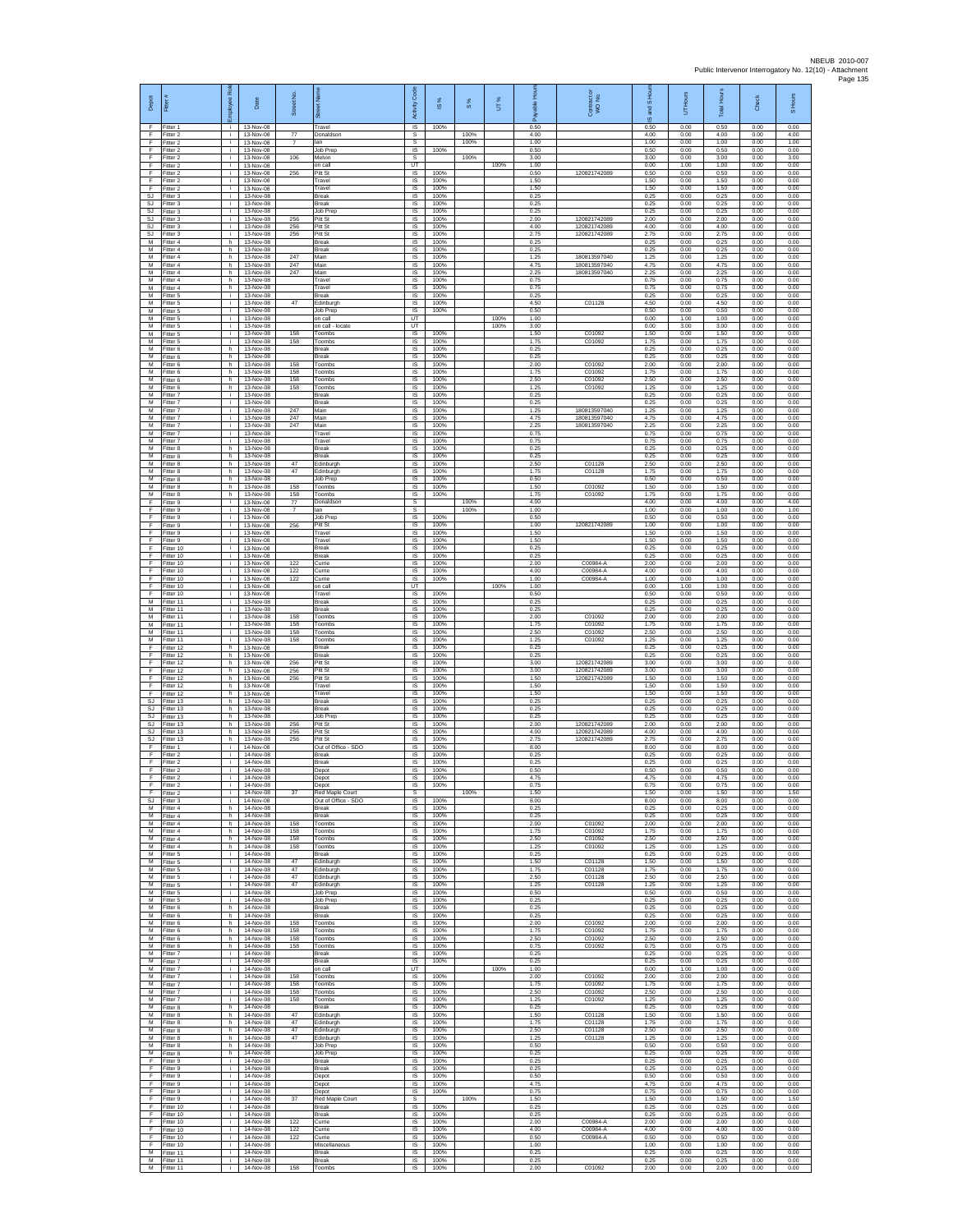| Depot                        | Fitter                              | ployee Rol         | Date                                | Street No.            |                                                 | Activity Code                  | ġ                    | 8%   | UT%  |                      | Contract or<br>WO No.            | and S Hou            | UT Hours             | <b>Total Hours</b>   | Check                | S Hours              |
|------------------------------|-------------------------------------|--------------------|-------------------------------------|-----------------------|-------------------------------------------------|--------------------------------|----------------------|------|------|----------------------|----------------------------------|----------------------|----------------------|----------------------|----------------------|----------------------|
| F<br>-F                      | Fitter 1<br>Fitter 2                | л.<br>i.           | 13-Nov-08<br>13-Nov-08              | 77                    | Travel<br>Donaldsor                             | IS<br>s                        | 100%                 | 100% |      | 0.50<br>4.00         |                                  | ဖ<br>0.50<br>4.00    | 0.00<br>0.00         | 0.50<br>4.00         | 0.00<br>0.00         | 0.00<br>4.00         |
| $\mathsf F$<br>F             | Fitter 2<br>Fitter 2                | i.<br>Ť.           | 13-Nov-08<br>13-Nov-08              | $\overline{7}$        | lan<br>Job Prep                                 | s<br><b>IS</b>                 | 100%                 | 100% |      | 1.00<br>0.50         |                                  | 1.00<br>0.50         | 0.00<br>0.00         | 1.00<br>0.50         | 0.00<br>0.00         | 1.00<br>0.00         |
| -F<br>-F.<br>F               | Fitter 2<br>Fitter 2<br>Fitter 2    | j.<br>i.<br>÷.     | 13-Nov-08<br>13-Nov-08<br>13-Nov-08 | 106<br>256            | Melvin<br>on call<br>Pitt St                    | -S<br>LIT<br>IS                | 100%                 | 100% | 100% | 3.00<br>1.00<br>0.50 | 120821742089                     | 3.00<br>0.00<br>0.50 | 0.00<br>1.00<br>0.00 | 3.00<br>1.00<br>0.50 | 0.00<br>0.00<br>0.00 | 3.00<br>0.00<br>0.00 |
| F<br>E                       | Fitter 2<br>Fitter 2                | j.<br>i.           | 13-Nov-08<br>13-Nov-08              |                       | Travel<br>Travel                                | IS<br><b>IS</b>                | 100%<br>100%         |      |      | 1.50<br>1.50         |                                  | 1.50<br>1.50         | 0.00<br>0.00         | 1.50<br>1.50         | 0.00<br>0.00         | 0.00<br>0.00         |
| SJ<br>$\mathbb{S}\mathbb{J}$ | -itter 3<br>Fitter 3                | i.<br>i.           | 13-Nov-08<br>13-Nov-08              |                       | Break<br>Break                                  | $\sf IS$<br>IS                 | 100%<br>100%         |      |      | 0.25<br>0.25         |                                  | 0.25<br>0.25         | 0.00<br>0.00         | 0.25<br>0.25         | 0.00<br>0.00         | 0.00<br>0.00         |
| SJ.<br>SJ<br><b>SJ</b>       | Fitter 3<br>Fitter 3<br>Fitter 3    | i.<br>j.<br>i.     | 13-Nov-08<br>13-Nov-08<br>13-Nov-08 | 256<br>256            | Job Prep<br>Pitt St<br>Pitt St                  | IS<br>IS<br>IS                 | 100%<br>100%<br>100% |      |      | 0.25<br>2.00<br>4.00 | 120821742089<br>120821742089     | 0.25<br>2.00<br>4.00 | 0.00<br>0.00<br>0.00 | 0.25<br>2.00<br>4.00 | 0.00<br>0.00<br>0.00 | 0.00<br>0.00<br>0.00 |
| SJ<br>M                      | fitter 3<br>Fitter 4                | Ť.<br>h.           | 13-Nov-08<br>13-Nov-08              | 256                   | Pitt St<br>Break                                | IS<br>- IS                     | 100%<br>100%         |      |      | 2.75<br>0.25         | 120821742089                     | 2.75<br>0.25         | 0.00<br>0.00         | 2.75<br>0.25         | 0.00<br>0.00         | 0.00<br>0.00         |
| М<br>M<br>M                  | -itter 4<br>Fitter 4<br>Fitter 4    | h.<br>h<br>h       | 13-Nov-08<br>13-Nov-08<br>13-Nov-08 | 247<br>247            | Break<br>Main<br>Main                           | <b>IS</b><br>IS<br>IS          | 100%<br>100%<br>100% |      |      | 0.25<br>1.25<br>4.75 | 180813597040<br>180813597040     | 0.25<br>1.25<br>4.75 | 0.00<br>0.00<br>0.00 | 0.25<br>1.25<br>4.75 | 0.00<br>0.00<br>0.00 | 0.00<br>0.00<br>0.00 |
| M<br>M                       | Fitter 4<br>-itter 4                | h<br>h             | 13-Nov-08<br>13-Nov-08              | 247                   | Main<br>Travel                                  | <b>IS</b><br>IS                | 100%<br>100%         |      |      | 2.25<br>0.75         | 180813597040                     | 2.25<br>0.75         | 0.00<br>0.00         | 2.25<br>0.75         | 0.00<br>0.00         | 0.00<br>0.00         |
| М<br>M                       | -itter 4<br>Fitter 5                | h.<br>j.<br>j.     | 13-Nov-08<br>13-Nov-08<br>13-Nov-08 | 47                    | Travel<br>Break<br>Edinburgh                    | IS<br>- IS<br>IS               | 100%<br>100%<br>100% |      |      | 0.75<br>0.25<br>4.50 | C01128                           | 0.75<br>0.25<br>4.50 | 0.00<br>0.00<br>0.00 | 0.75<br>0.25<br>4.50 | 0.00<br>0.00<br>0.00 | 0.00<br>0.00<br>0.00 |
| ${\sf M}$<br>М<br>M          | -itter 5<br>Fitter 5<br>Fitter 5    | i.<br>i.           | 13-Nov-08<br>13-Nov-08              |                       | Job Prep<br>on call                             | IS<br>UT                       | 100%                 |      | 100% | 0.50<br>1.00         |                                  | 0.50<br>0.00         | 0.00<br>1.00         | 0.50<br>1.00         | 0.00<br>0.00         | 0.00<br>0.00         |
| M<br>${\sf M}$               | Fitter 5<br>-itter 5                | i.<br>i.           | 13-Nov-08<br>13-Nov-08              | 158                   | on call - locate<br>Toombs                      | UT<br>IS                       | 100%                 |      | 100% | 3.00<br>1.50         | C01092                           | 0.00<br>1.50         | 3.00<br>0.00         | 3.00<br>1.50         | 0.00<br>0.00         | 0.00<br>0.00         |
| M<br>M<br>M                  | itter 5<br>Fitter 6<br>Fitter 6     | Ť.<br>h.<br>h.     | 13-Nov-08<br>13-Nov-08<br>13-Nov-08 | 158                   | Toombs<br>Break<br><b>Break</b>                 | IS<br>- IS<br><b>IS</b>        | 100%<br>100%<br>100% |      |      | 1.75<br>0.25<br>0.25 | C01092                           | 1.75<br>0.25<br>0.25 | 0.00<br>0.00<br>0.00 | 1.75<br>0.25<br>0.25 | 0.00<br>0.00<br>0.00 | 0.00<br>0.00<br>0.00 |
| M<br>$\overline{M}$          | Fitter 6<br>Fitter 6                | h<br>h             | 13-Nov-08<br>13-Nov-08              | 158<br>158            | Toombs<br>Toombs                                | IS<br>IS                       | 100%<br>100%         |      |      | 2.00<br>1.75         | C01092<br>C01092                 | 2.00<br>1.75         | 0.00<br>0.00         | 2.00<br>1.75         | 0.00<br>0.00         | 0.00<br>0.00         |
| M<br>м<br>м                  | Fitter 6<br>itter 6<br>Fitter 7     | h.<br>h<br>i.      | 13-Nov-08<br>13-Nov-08<br>13-Nov-08 | 158<br>158            | Toombs<br>Toombs<br>Break                       | - IS<br>$\sf IS$<br>IS         | 100%<br>100%<br>100% |      |      | 2.50<br>1.25<br>0.25 | C01092<br>C01092                 | 2.50<br>1.25<br>0.25 | 0.00<br>0.00<br>0.00 | 2.50<br>1.25<br>0.25 | 0.00<br>0.00<br>0.00 | 0.00<br>0.00<br>0.00 |
| M<br>M                       | Fitter 7<br>Fitter 7                | i.<br>j.           | 13-Nov-08<br>13-Nov-08              | 247                   | <b>Break</b><br>Main                            | <b>IS</b><br>IS                | 100%<br>100%         |      |      | 0.25<br>1.25         | 180813597040                     | 0.25<br>1.25         | 0.00<br>0.00         | 0.25<br>1.25         | 0.00<br>0.00         | 0.00<br>0.00         |
| М<br>М                       | Fitter 7<br>itter 7                 | i.<br>Ť.           | 13-Nov-08<br>13-Nov-08<br>13-Nov-08 | 247<br>247            | Main<br>Main                                    | IS<br>IS                       | 100%<br>100%         |      |      | 4.75<br>2.25<br>0.75 | 180813597040<br>180813597040     | 4.75<br>2.25<br>0.75 | 0.00<br>0.00<br>0.00 | 4.75<br>2.25<br>0.75 | 0.00<br>0.00<br>0.00 | 0.00<br>0.00<br>0.00 |
| M<br>M<br>M                  | Fitter 7<br>-itter 7<br>Fitter 8    | j.<br>i.<br>h      | 13-Nov-08<br>13-Nov-08              |                       | Travel<br>Travel<br>Break                       | - IS<br><b>IS</b><br>IS        | 100%<br>100%<br>100% |      |      | 0.75<br>0.25         |                                  | 0.75<br>0.25         | 0.00<br>0.00         | 0.75<br>0.25         | 0.00<br>0.00         | 0.00<br>0.00         |
| M<br>M                       | Fitter 8<br>Fitter 8                | h<br>h             | 13-Nov-08<br>13-Nov-08              | 47                    | <b>Break</b><br>Edinburgh                       | IS<br>IS                       | 100%<br>100%         |      |      | 0.25<br>2.50         | C01128                           | 0.25<br>2.50         | 0.00<br>0.00         | 0.25<br>2.50         | 0.00<br>0.00         | 0.00<br>0.00         |
| M<br>$\overline{M}$<br>M     | Fitter 8<br>Fitter 8<br>Fitter 8    | h<br>h<br>h.       | 13-Nov-08<br>13-Nov-08<br>13-Nov-08 | 47<br>158             | Edinburgh<br>Job Prep<br>Toombs                 | IS<br>IS<br><b>IS</b>          | 100%<br>100%<br>100% |      |      | 1.75<br>0.50<br>1.50 | C01128<br>C01092                 | 1.75<br>0.50<br>1.50 | 0.00<br>0.00<br>0.00 | 1.75<br>0.50<br>1.50 | 0.00<br>0.00<br>0.00 | 0.00<br>0.00<br>0.00 |
| M<br>F                       | -itter 8<br>Fitter 9                | h<br>Ť.            | 13-Nov-08<br>13-Nov-08              | 158<br>$77\,$         | Toombs<br>Donaldsor                             | IS<br>s                        | 100%                 | 100% |      | 1.75<br>4.00         | C01092                           | 1.75<br>4.00         | 0.00<br>0.00         | 1.75<br>4.00         | 0.00<br>0.00         | 0.00<br>4.00         |
| F<br>-F<br>$\mathsf F$       | Fitter 9<br>Fitter 9<br>-itter 9    | Ť.<br>i.<br>i.     | 13-Nov-08<br>13-Nov-08<br>13-Nov-08 | $\overline{7}$<br>256 | an<br>Job Prep<br>Pitt St                       | s<br>IS<br>IS                  | 100%<br>100%         | 100% |      | 1.00<br>0.50<br>1.00 | 120821742089                     | 1.00<br>0.50<br>1.00 | 0.00<br>0.00<br>0.00 | 1.00<br>0.50<br>1.00 | 0.00<br>0.00<br>0.00 | 1.00<br>0.00<br>0.00 |
| F<br>-F                      | Fitter 9<br>Fitter 9                | Ť.<br>i.           | 13-Nov-08<br>13-Nov-08              |                       | Travel<br>Travel                                | IS<br>- IS                     | 100%<br>100%         |      |      | 1.50<br>1.50         |                                  | 1.50<br>1.50         | 0.00<br>0.00         | 1.50<br>1.50         | 0.00<br>0.00         | 0.00<br>0.00         |
| -F.<br>F                     | Fitter 10<br>Fitter 10              | i.<br>÷.           | 13-Nov-08<br>13-Nov-08              |                       | <b>Break</b><br>Break                           | IS<br>IS                       | 100%<br>100%         |      |      | 0.25<br>0.25         |                                  | 0.25<br>0.25         | 0.00<br>0.00         | 0.25<br>0.25         | 0.00<br>0.00         | 0.00<br>0.00         |
| F<br>F<br>$\mathsf F$        | Fitter 10<br>Fitter 10<br>Fitter 10 | i.<br>i.<br>i.     | 13-Nov-08<br>13-Nov-08<br>13-Nov-08 | 122<br>122<br>122     | Currie<br>Currie<br>Currie                      | IS<br><b>IS</b><br>$\sf IS$    | 100%<br>100%<br>100% |      |      | 2.00<br>4.00<br>1.00 | C00984-A<br>C00984-A<br>C00984-A | 2.00<br>4.00<br>1.00 | 0.00<br>0.00<br>0.00 | 2.00<br>4.00<br>1.00 | 0.00<br>0.00<br>0.00 | 0.00<br>0.00<br>0.00 |
| F<br>F                       | Fitter 10<br>Fitter 10              | i.<br>i.           | 13-Nov-08<br>13-Nov-08              |                       | on call<br>Travel                               | UT<br><b>IS</b>                | 100%                 |      | 100% | 1.00<br>0.50         |                                  | 0.00<br>0.50         | 1.00<br>0.00         | 1.00<br>0.50         | 0.00<br>0.00         | 0.00<br>0.00         |
| M<br>M<br>М                  | Fitter 11<br>Fitter 11<br>fitter 11 | j.<br>Ť.<br>Ť.     | 13-Nov-08<br>13-Nov-08<br>13-Nov-08 | 158                   | Break<br>Break<br>Toombs                        | IS<br>IS<br>IS                 | 100%<br>100%<br>100% |      |      | 0.25<br>0.25<br>2.00 | C0109                            | 0.25<br>0.25<br>2.00 | 0.00<br>0.00<br>0.00 | 0.25<br>0.25<br>2.00 | 0.00<br>0.00<br>0.00 | 0.00<br>0.00<br>0.00 |
| M<br>M                       | Fitter 11<br>Fitter 11              | Ť.<br>i.           | 13-Nov-08<br>13-Nov-08              | 158<br>158            | Toombs<br>Toombs                                | - IS<br><b>IS</b>              | 100%<br>100%         |      |      | 1.75<br>2.50         | C01092<br>C01092                 | 1.75<br>2.50         | 0.00<br>0.00         | 1.75<br>2.50         | 0.00<br>0.00         | 0.00<br>0.00         |
| M<br>F                       | Fitter 11<br>Fitter 12              | ÷.<br>h            | 13-Nov-08<br>13-Nov-08              | 158                   | Toombs<br>Break                                 | IS<br>IS                       | 100%<br>100%         |      |      | 1.25<br>0.25         | C01092                           | 1.25<br>0.25         | 0.00<br>0.00         | 1.25<br>0.25         | 0.00<br>0.00         | 0.00<br>0.00         |
| F<br>Ŧ<br>Ŧ                  | Fitter 12<br>Fitter 12<br>Fitter 12 | h<br>h<br>h.       | 13-Nov-08<br>13-Nov-08<br>13-Nov-08 | 256<br>256            | Break<br>Pitt St<br>Pitt St                     | IS<br>IS<br>IS                 | 100%<br>100%<br>100% |      |      | 0.25<br>3.00<br>3.00 | 120821742089<br>120821742089     | 0.25<br>3.00<br>3.00 | 0.00<br>0.00<br>0.00 | 0.25<br>3.00<br>3.00 | 0.00<br>0.00<br>0.00 | 0.00<br>0.00<br>0.00 |
| F<br>$\mathsf F$             | Fitter 12<br>Fitter 12              | h.<br>h.           | 13-Nov-08<br>13-Nov-08              | 256                   | Pitt St<br>Travel                               | - IS<br>IS                     | 100%<br>100%         |      |      | 1.50<br>1.50         | 120821742089                     | 1.50<br>1.50         | 0.00<br>0.00         | 1.50<br>1.50         | 0.00<br>0.00         | 0.00<br>0.00         |
| F<br>SJ<br>SJ                | Fitter 12<br>-itter 13<br>Fitter 13 | h.<br>h<br>h       | 13-Nov-08<br>13-Nov-08<br>13-Nov-08 |                       | Travel<br>Break<br>Break                        | IS<br>IS<br>IS                 | 100%<br>100%<br>100% |      |      | 1.50<br>0.25<br>0.25 |                                  | 1.50<br>0.25<br>0.25 | 0.00<br>0.00<br>0.00 | 1.50<br>0.25<br>0.25 | 0.00<br>0.00<br>0.00 | 0.00<br>0.00<br>0.00 |
| SJ<br>SJ                     | Fitter 13<br>Fitter 13              | h.<br>h            | 13-Nov-08<br>13-Nov-08              | 256                   | Job Prep<br>Pitt St                             | $\sf IS$<br>IS                 | 100%<br>100%         |      |      | 0.25<br>2.00         | 120821742089                     | 0.25<br>2.00         | 0.00<br>0.00         | 0.25<br>2.00         | 0.00<br>0.00         | 0.00<br>0.00         |
| SJ.<br>SJ.<br>F              | Fitter 13<br>Fitter 13<br>-itter 1  | h.<br>h.           | 13-Nov-08<br>13-Nov-08<br>14-Nov-08 | 256<br>256            | Pitt St<br>Pitt St<br>Out of Office - SDO       | -IS<br><b>IS</b><br>IS         | 100%<br>100%<br>100% |      |      | 4.00<br>275<br>8.00  | 120821742089<br>120821742089     | 4.00<br>2.75<br>8.00 | 0.00<br>0.00<br>0.00 | 4.00<br>2.75<br>8.00 | 0.00<br>0.00<br>0.00 | 0.00<br>0.00<br>0.00 |
| Ŧ<br>F                       | Fitter 2<br>Fitter 2                | i.<br>j.           | 14-Nov-08<br>14-Nov-08              |                       | Break<br><b>Break</b>                           | IS<br>-IS                      | 100%<br>100%         |      |      | 0.25<br>0.25         |                                  | 0.25<br>0.25         | 0.00<br>0.00         | 0.25<br>0.25         | 0.00<br>0.00         | 0.00<br>0.00         |
| $\mathsf F$<br>F             | Fitter 2<br>Fitter 2                | i.                 | 14-Nov-08<br>14-Nov-08              |                       | Depot<br>Depot                                  | $\sf IS$<br>IS                 | 100%<br>100%         |      |      | 0.50<br>4.75         |                                  | 0.50<br>4.75         | 0.00<br>0.00         | 0.50<br>4.75         | 0.00<br>0.00         | 0.00<br>0.00         |
| E<br>SJ                      | Fitter 2<br>Fitter 2<br>Fitter 3    | i.<br>j.<br>i.     | 14-Nov-08<br>14-Nov-08<br>14-Nov-08 | 37                    | Depot<br>Red Maple Court<br>Out of Office - SDO | - IS<br>s<br>IS                | 100%<br>100%         | 100% |      | 0.75<br>1.50<br>8.00 |                                  | 0.75<br>1.50<br>8.00 | 0.00<br>0.00<br>0.00 | 0.75<br>1.50<br>8.00 | 0.00<br>0.00<br>0.00 | 0.00<br>1.50<br>0.00 |
| М<br>M                       | itter 4<br>Fitter 4                 | h<br>h.            | 14-Nov-08<br>14-Nov-08              |                       | Break<br>Break                                  | IS<br>- IS                     | 100%<br>100%         |      |      | 0.25<br>0.25         |                                  | 0.25<br>0.25         | 0.00<br>0.00         | 0.25<br>0.25         | 0.00<br>0.00         | 0.00<br>0.00         |
| M<br>м<br>M                  | Fitter 4<br>Fitter 4<br>Fitter 4    | h.<br>h<br>h.      | 14-Nov-08<br>14-Nov-08<br>14-Nov-08 | 158<br>158<br>158     | Toombs<br>Toombs<br>Toombs                      | <b>IS</b><br>IS<br>IS          | 100%<br>100%<br>100% |      |      | 2.00<br>1.75<br>2.50 | C01092<br>C01092<br>C01092       | 2.00<br>1.75<br>2.50 | 0.00<br>0.00<br>0.00 | 2.00<br>1.75<br>2.50 | 0.00<br>0.00<br>0.00 | 0.00<br>0.00<br>0.00 |
| M<br>M                       | Fitter 4<br>-itter 5                | h<br>Ť.            | 14-Nov-08<br>14-Nov-08              | 158                   | Toombs<br>Break                                 | IS<br>IS                       | 100%<br>100%         |      |      | 1.25<br>0.25         | C01092                           | 1.25<br>0.25         | 0.00<br>0.00         | 1.25<br>0.25         | 0.00<br>0.00         | 0.00<br>0.00         |
| м<br>M<br>M                  | Fitter 5<br>Fitter 5<br>Fitter 5    | i.<br>i.<br>i.     | 14-Nov-08<br>14-Nov-08<br>14-Nov-08 | 47<br>47<br>47        | Edinburgh<br>Edinburgh<br>Edinburgh             | <b>IS</b><br><b>IS</b><br>IS   | 100%<br>100%<br>100% |      |      | 1.50<br>1.75<br>2.50 | C01128<br>C01128<br>C01128       | 1.50<br>1.75<br>2.50 | 0.00<br>0.00<br>0.00 | 1.50<br>1.75<br>2.50 | 0.00<br>0.00<br>0.00 | 0.00<br>0.00<br>0.00 |
| М<br>М                       | Fitter 5<br>Fitter 5                | Ť.<br>j.           | 14-Nov-08<br>14-Nov-08              | 47                    | Edinburgh<br>Job Prep                           | IS<br>IS                       | 100%<br>100%         |      |      | 1.25<br>0.50         | C01128                           | 1.25<br>0.50         | 0.00<br>0.00         | 1.25<br>0.50         | 0.00<br>0.00         | 0.00<br>0.00         |
| M<br>M                       | Fitter 5<br>Fitter 6                | j.<br>h.           | 14-Nov-08<br>14-Nov-08              |                       | Job Prep<br>Break                               | IS<br>IS                       | 100%<br>100%         |      |      | 0.25<br>0.25         |                                  | 0.25<br>0.25         | 0.00<br>0.00         | 0.25<br>0.25         | 0.00<br>0.00         | 0.00<br>0.00         |
| М<br>M<br>M                  | -itter 6<br>Fitter 6<br>Fitter 6    | h<br>h.<br>h.      | 14-Nov-08<br>14-Nov-08<br>14-Nov-08 | 158<br>158            | Break<br>Toombs<br>Toombs                       | <b>IS</b><br>- IS<br><b>IS</b> | 100%<br>100%<br>100% |      |      | 0.25<br>2.00<br>1.75 | C01092<br>C01092                 | 0.25<br>2.00<br>1.75 | 0.00<br>0.00<br>0.00 | 0.25<br>2.00<br>1.75 | 0.00<br>0.00<br>0.00 | 0.00<br>0.00<br>0.00 |
| М<br>M                       | Fitter 6<br>Fitter 6                | h<br>h             | 14-Nov-08<br>14-Nov-08              | 158<br>158            | Toombs<br>Toombs                                | IS<br><b>IS</b>                | 100%<br>100%         |      |      | 2.50<br>0.75         | C01092<br>C01092                 | 2.50<br>0.75         | 0.00<br>0.00         | 2.50<br>0.75         | 0.00<br>0.00         | 0.00<br>0.00         |
| M<br>M<br>м                  | Fitter 7<br>-itter 7<br>Fitter 7    | i.<br>i.<br>i.     | 14-Nov-08<br>14-Nov-08<br>14-Nov-08 |                       | <b>Break</b><br>Break<br>on call                | - IS<br>IS<br>UT               | 100%<br>100%         |      | 100% | 0.25<br>0.25<br>1.00 |                                  | 0.25<br>0.25<br>0.00 | 0.00<br>0.00<br>1.00 | 0.25<br>0.25<br>1.00 | 0.00<br>0.00<br>0.00 | 0.00<br>0.00<br>0.00 |
| M<br>M                       | Fitter 7<br>Fitter 7                | i.<br>j.           | 14-Nov-08<br>14-Nov-08              | 158<br>158            | Toombs<br>Toombs                                | <b>IS</b><br>IS                | 100%<br>100%         |      |      | 2.00<br>1.75         | C01092<br>C01092                 | 2.00<br>1.75         | 0.00<br>0.00         | 2.00<br>1.75         | 0.00<br>0.00         | 0.00<br>0.00         |
| М<br>$\overline{M}$          | Fitter 7<br>Fitter 7                | i.<br>j.           | 14-Nov-08<br>14-Nov-08              | 158<br>158            | Toombs<br>Toombs                                | IS<br><b>IS</b>                | 100%<br>100%         |      |      | 2.50<br>1.25         | C01092<br>C01092                 | 2.50<br>1.25         | 0.00<br>0.00         | 2.50<br>1.25         | 0.00<br>0.00         | 0.00<br>0.00         |
| M<br>M<br>м                  | Fitter 8<br>-itter 8<br>Fitter 8    | h.<br>h.<br>h      | 14-Nov-08<br>14-Nov-08<br>14-Nov-08 | 47<br>47              | Break<br>Edinburgh<br>Edinburgh                 | - IS<br><b>IS</b><br>IS        | 100%<br>100%<br>100% |      |      | 0.25<br>1.50<br>1.75 | C01128<br>C01128                 | 0.25<br>1.50<br>1.75 | 0.00<br>0.00<br>0.00 | 0.25<br>1.50<br>1.75 | 0.00<br>0.00<br>0.00 | 0.00<br>0.00<br>0.00 |
| M<br>M                       | Fitter 8<br>Fitter 8                | h<br>h             | 14-Nov-08<br>14-Nov-08              | 47<br>47              | Edinburgh<br>Edinburgh                          | IS<br><b>IS</b>                | 100%<br>100%         |      |      | 2.50<br>1.25         | C01128<br>C01128                 | 2.50<br>1.25         | 0.00<br>0.00         | 2.50<br>1.25         | 0.00<br>0.00         | 0.00<br>0.00         |
| M<br>М<br>F                  | Fitter 8<br>Fitter 8<br>Fitter 9    | h.<br>h.<br>j.     | 14-Nov-08<br>14-Nov-08<br>14-Nov-08 |                       | Job Prep<br>Job Prep<br>Break                   | IS<br><b>IS</b><br>- IS        | 100%<br>100%<br>100% |      |      | 0.50<br>0.25<br>0.25 |                                  | 0.50<br>0.25<br>0.25 | 0.00<br>0.00<br>0.00 | 0.50<br>0.25<br>0.25 | 0.00<br>0.00<br>0.00 | 0.00<br>0.00<br>0.00 |
| -F<br>Ŧ                      | -itter 9<br>Fitter 9                | j.<br>i.           | 14-Nov-08<br>14-Nov-08              |                       | Break<br>Depot                                  | IS<br>IS                       | 100%<br>100%         |      |      | 0.25<br>0.50         |                                  | 0.25<br>0.50         | 0.00<br>0.00         | 0.25<br>0.50         | 0.00<br>0.00         | 0.00<br>0.00         |
| Ŧ<br>F                       | Fitter 9<br>Fitter 9                | i.<br>j.           | 14-Nov-08<br>14-Nov-08              |                       | Depot<br>Depot                                  | <b>IS</b><br>IS                | 100%<br>100%         |      |      | 4.75<br>0.75         |                                  | 4.75<br>0.75         | 0.00<br>0.00         | 4.75<br>0.75         | 0.00<br>0.00         | 0.00<br>0.00         |
| $\mathsf F$<br>Ŧ<br>- F      | Fitter 9<br>Fitter 10<br>Fitter 10  | i.<br>j.<br>j.     | 14-Nov-08<br>14-Nov-08<br>14-Nov-08 | $37\,$                | Red Maple Court<br>Break<br><b>Break</b>        | $\mathbb S$<br>IS<br>- IS      | 100%<br>100%         | 100% |      | 1.50<br>0.25<br>0.25 |                                  | 1.50<br>0.25<br>0.25 | 0.00<br>0.00<br>0.00 | 1.50<br>0.25<br>0.25 | 0.00<br>0.00<br>0.00 | 1.50<br>0.00<br>0.00 |
| -F<br>F                      | Fitter 10<br>Fitter 10              | j.<br>÷.           | 14-Nov-08<br>14-Nov-08              | 122<br>122            | Currie<br>Currie                                | <b>IS</b><br>IS                | 100%<br>100%         |      |      | 2.00<br>4.00         | C00984-A<br>C00984-A             | 2.00<br>4.00         | 0.00<br>0.00         | 2.00<br>4.00         | 0.00<br>0.00         | 0.00<br>0.00         |
| Ŧ<br>F<br>M                  | Fitter 10<br>Fitter 10<br>Fitter 11 | j.<br>j.<br>i.     | 14-Nov-08<br>14-Nov-08<br>14-Nov-08 | 122                   | Currie<br>Miscellaneous<br>Break                | IS<br><b>IS</b><br>$\sf IS$    | 100%<br>100%<br>100% |      |      | 0.50<br>1.00<br>0.25 | C00984-A                         | 0.50<br>1.00<br>0.25 | 0.00<br>0.00<br>0.00 | 0.50<br>1.00<br>0.25 | 0.00<br>0.00<br>0.00 | 0.00<br>0.00<br>0.00 |
| M<br>M <sub>1</sub>          | Fitter 11<br>Fitter 11              | j.<br>$\mathbf{i}$ | 14-Nov-08<br>14-Nov-08              | 158                   | Break<br>Toombs                                 | IS<br>IS.                      | 100%<br>100%         |      |      | 0.25<br>2.00         | C01092                           | 0.25<br>2.00         | 0.00<br>0.00         | 0.25<br>2.00         | 0.00<br>0.00         | 0.00<br>0.00         |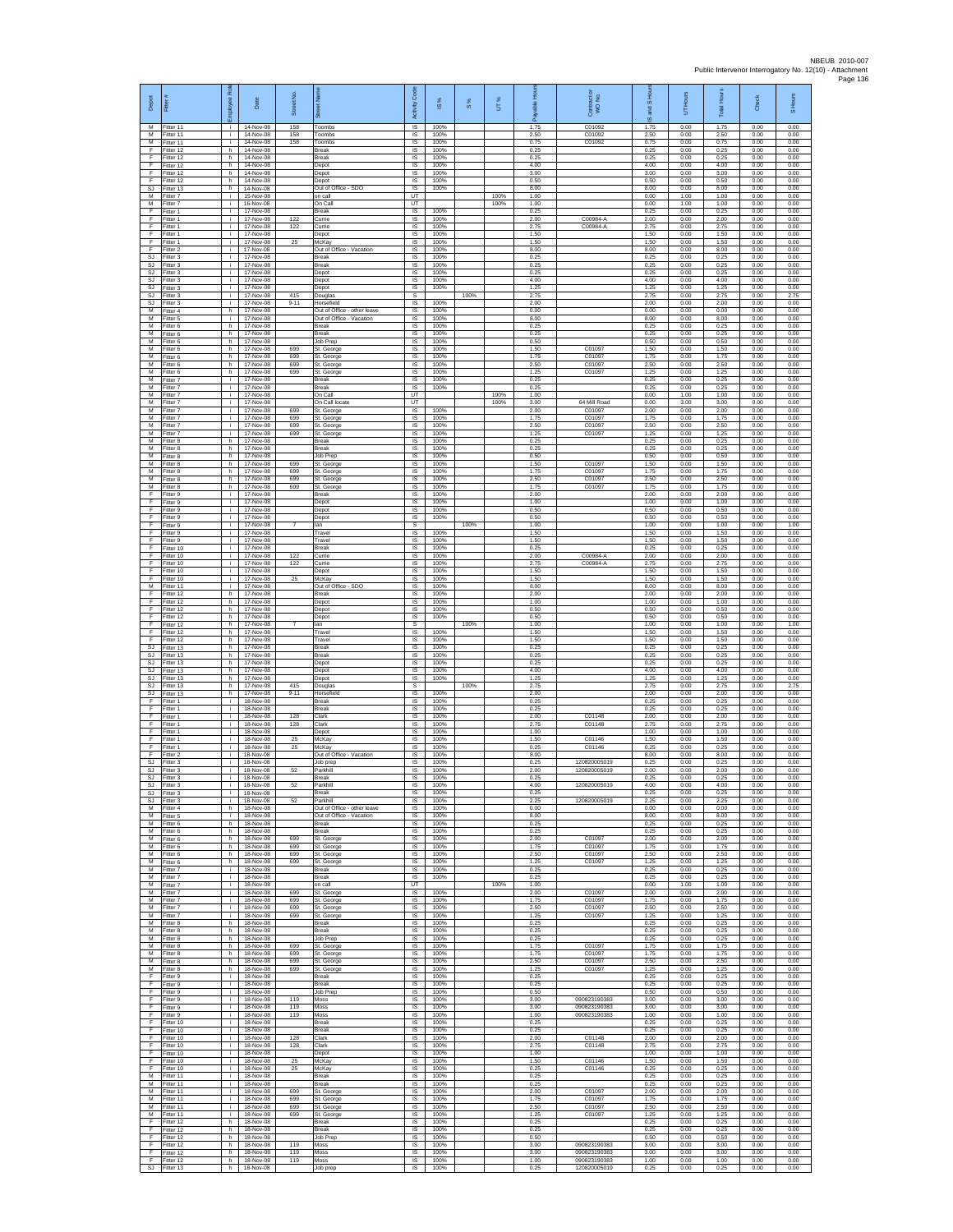| Depot                    | Fitter                                  | ployee Roi         | Date                                | Street No         | あ                                                                       | Code<br>Activity                          | ⋇<br>$\overline{\omega}$ | $\frac{8}{3}$ | UT%          | æ                    | Contract<br>WO No.                           | $\overline{a}$<br>IS and | Hours<br>5           | <b>Total Hours</b>   | Check                | S Hours              |
|--------------------------|-----------------------------------------|--------------------|-------------------------------------|-------------------|-------------------------------------------------------------------------|-------------------------------------------|--------------------------|---------------|--------------|----------------------|----------------------------------------------|--------------------------|----------------------|----------------------|----------------------|----------------------|
| М<br>M<br>M              | Fitter 11<br>Fitter 11<br>Fitter 11     | ÷.<br>j.<br>÷      | 14-Nov-08<br>14-Nov-08<br>14-Nov-08 | 158<br>158<br>158 | Toombs<br>Toombs<br>Toombs                                              | IS<br>IS<br>IS                            | 100%<br>100%<br>100%     |               |              | 1.75<br>2.50<br>0.75 | C01092<br>C01092<br>C01092                   | 1.75<br>2.50<br>0.75     | 0.00<br>0.00<br>0.00 | 1.75<br>2.50<br>0.75 | 0.00<br>0.00<br>0.00 | 0.00<br>0.00<br>0.00 |
| F<br>F<br>E              | Fitter 12<br>fitter 12<br>Fitter 12     | h.<br>h.<br>h.     | 14-Nov-08<br>14-Nov-08<br>14-Nov-08 |                   | Break<br>Break<br>Depot                                                 | IS<br>IS<br>IS                            | 100%<br>100%<br>100%     |               |              | 0.25<br>0.25<br>4.00 |                                              | 0.25<br>0.25<br>4.00     | 0.00<br>0.00<br>0.00 | 0.25<br>0.25<br>4.00 | 0.00<br>0.00<br>0.00 | 0.00<br>0.00<br>0.00 |
| E<br>F<br>SJ             | Fitter 12<br>Fitter 12<br>Fitter 13     | h<br>h<br>h.       | 14-Nov-08<br>14-Nov-08<br>14-Nov-08 |                   | Depot<br>Depot<br>Out of Office - SDO                                   | IS<br>IS<br>1S                            | 100%<br>100%<br>100%     |               |              | 3.00<br>0.50<br>8.00 |                                              | 3.00<br>0.50<br>8.00     | 0.00<br>0.00<br>0.00 | 3.00<br>0.50<br>8.00 | 0.00<br>0.00<br>0.00 | 0.00<br>0.00<br>0.00 |
| M<br>М                   | Fitter 7<br>-itter 7                    | i.<br>÷.           | 15-Nov-08<br>16-Nov-08              |                   | on call<br>On Call                                                      | UT<br>UT                                  |                          |               | 100%<br>100% | 1.00<br>1.00         |                                              | 0.00<br>0.00             | 1.00<br>1.00         | 1.00<br>1.00         | 0.00<br>0.00         | 0.00<br>0.00         |
| F<br>F<br>E              | Fitter 1<br>Fitter 1<br>Fitter 1        | j.<br>j.<br>j.     | 17-Nov-08<br>17-Nov-08<br>17-Nov-08 | 122<br>122        | Break<br>Currie<br>Currie                                               | $\sf IS$<br>$\overline{\mathsf{s}}$<br>IS | 100%<br>100%<br>100%     |               |              | 0.25<br>2.00<br>2.75 | C00984-A<br>C00984-A                         | 0.25<br>2.00<br>2.75     | 0.00<br>0.00<br>0.00 | 0.25<br>2.00<br>2.75 | 0.00<br>0.00<br>0.00 | 0.00<br>0.00<br>0.00 |
| F<br>F<br>E              | Fitter 1<br>fitter 1                    | ÷.<br>j.<br>j.     | 17-Nov-08<br>17-Nov-08              | 25                | Depot<br>McKay<br>Out of Office - Vacation                              | IS<br>IS<br>IS                            | 100%<br>100%<br>100%     |               |              | 1.50<br>1.50<br>8.00 |                                              | 1.50<br>1.50<br>8.00     | 0.00<br>0.00<br>0.00 | 1.50<br>1.50<br>8.00 | 0.00<br>0.00<br>0.00 | 0.00<br>0.00<br>0.00 |
| SJ<br>SJ                 | Fitter 2<br>Fitter 3<br>Fitter 3        | j.<br>j.           | 17-Nov-08<br>17-Nov-08<br>17-Nov-08 |                   | Break<br>Break                                                          | IS<br>IS                                  | 100%<br>100%             |               |              | 0.25<br>0.25         |                                              | 0.25<br>0.25             | 0.00<br>0.00         | 0.25<br>0.25         | 0.00<br>0.00         | 0.00<br>0.00         |
| -SJ<br>SJ<br>SJ          | Fitter 3<br>Fitter 3<br>fitter 3        | j.<br>j.<br>÷.     | 17-Nov-08<br>17-Nov-08<br>17-Nov-08 |                   | Depot<br>Depot<br>Depot                                                 | IS<br>IS<br>IS                            | 100%<br>100%<br>100%     |               |              | 0.25<br>4.00<br>1.25 |                                              | 0.25<br>4.00<br>1.25     | 0.00<br>0.00<br>0.00 | 0.25<br>4.00<br>1.25 | 0.00<br>0.00<br>0.00 | 0.00<br>0.00<br>0.00 |
| SJ<br>SJ                 | itter 3<br>Fitter 3                     | j.<br>j.           | 17-Nov-08<br>17-Nov-08              | 415<br>$9 - 11$   | Douglas<br>Horsefield                                                   | s<br>$\overline{\mathsf{s}}$              | 100%                     | 100%          |              | 2.75<br>2.00         |                                              | 2.75<br>2.00             | 0.00<br>0.00         | 2.75<br>2.00         | 0.00<br>0.00         | 2.75<br>0.00         |
| м<br>М<br>M              | Fitter 4<br>Fitter 5<br>fitter 6        | h<br>÷<br>h.       | 17-Nov-08<br>17-Nov-08<br>17-Nov-08 |                   | Out of Office - other leave<br>Out of Office - Vacation<br>Break        | IS<br>IS<br>IS                            | 100%<br>100%<br>100%     |               |              | 0.00<br>8.00<br>0.25 |                                              | 0.00<br>8.00<br>0.25     | 0.00<br>0.00<br>0.00 | 0.00<br>8.00<br>0.25 | 0.00<br>0.00<br>0.00 | 0.00<br>0.00<br>0.00 |
| M<br>М<br>M              | Fitter 6<br>Fitter 6<br>itter 6         | h<br>h<br>h        | 17-Nov-08<br>17-Nov-08<br>17-Nov-08 | 699               | <b>Break</b><br>Job Prep<br>St. George                                  | IS<br>1S<br>IS                            | 100%<br>100%<br>100%     |               |              | 0.25<br>0.50<br>1.50 | C0109                                        | 0.25<br>0.50<br>1.50     | 0.00<br>0.00<br>0.00 | 0.25<br>0.50<br>1.50 | 0.00<br>0.00<br>0.00 | 0.00<br>0.00<br>0.00 |
| M<br>M                   | Fitter 6<br>Fitter 6                    | h.<br>h.           | 17-Nov-08<br>17-Nov-08              | 699<br>699        | St. George<br>St. George                                                | <b>IS</b><br>IS                           | 100%<br>100%             |               |              | 1.75<br>2.50         | C01097<br>C01097                             | 1.75<br>2.50             | 0.00<br>0.00         | 1.75<br>2.50         | 0.00<br>0.00         | 0.00<br>0.00         |
| М<br>$\overline{M}$<br>M | Fitter 6<br>Fitter 7<br>Fitter 7        | h<br>j.<br>i.      | 17-Nov-08<br>17-Nov-08<br>17-Nov-08 | 699               | St. George<br>Break<br><b>Break</b>                                     | IS<br>1S<br>IS                            | 100%<br>100%<br>100%     |               |              | 1.25<br>0.25<br>0.25 | C01097                                       | 1.25<br>0.25<br>0.25     | 0.00<br>0.00<br>0.00 | 1.25<br>0.25<br>0.25 | 0.00<br>0.00<br>0.00 | 0.00<br>0.00<br>0.00 |
| м<br>M                   | Fitter 7<br>itter 7                     | ÷.<br>j.           | 17-Nov-08<br>17-Nov-08              |                   | On Call<br>On Call locate                                               | UT<br>UT                                  |                          |               | 100%<br>100% | 1.00<br>3.00         | 64 Mill Road                                 | 0.00<br>0.00             | 1.00<br>3.00         | 1.00<br>3.00         | 0.00<br>0.00         | 0.00<br>0.00         |
| M<br>M<br>М              | Fitter 7<br>Fitter 7<br>Fitter 7        | j.<br>j.<br>÷.     | 17-Nov-08<br>17-Nov-08<br>17-Nov-08 | 699<br>699<br>699 | St. George<br>St. George<br>St. George                                  | IS<br>IS<br>1S                            | 100%<br>100%<br>100%     |               |              | 2.00<br>1.75<br>2.50 | C01097<br>C01097<br>C01097                   | 2.00<br>1.75<br>2.50     | 0.00<br>0.00<br>0.00 | 2.00<br>1.75<br>2.50 | 0.00<br>0.00<br>0.00 | 0.00<br>0.00<br>0.00 |
| M<br>M<br>M              | itter 7<br>Fitter 8                     | j.<br>h.           | 17-Nov-08<br>17-Nov-08              | 699               | St. George<br><b>Break</b><br>Break                                     | IS<br><b>IS</b>                           | 100%<br>100%<br>100%     |               |              | 1.25<br>0.25<br>0.25 | C01097                                       | 1.25<br>0.25<br>0.25     | 0.00<br>0.00<br>0.00 | 1.25<br>0.25<br>0.25 | 0.00<br>0.00<br>0.00 | 0.00<br>0.00<br>0.00 |
| м<br>M                   | Fitter 8<br>Fitter 8<br>Fitter 8        | h.<br>h.<br>h.     | 17-Nov-08<br>17-Nov-08<br>17-Nov-08 | 699               | Job Prep<br>St. George                                                  | IS<br>$\sf IS$<br>IS                      | 100%<br>100%             |               |              | 0.50<br>1.50         | C01097                                       | 0.50<br>1.50             | 0.00<br>0.00         | 0.50<br>1.50         | 0.00<br>0.00         | 0.00<br>0.00         |
| M<br>М<br>М              | Fitter 8<br>Fitter 8<br>fitter 8        | h<br>h<br>h.       | 17-Nov-08<br>17-Nov-08<br>17-Nov-08 | 699<br>699<br>699 | St. George<br>St. George<br>St. George                                  | IS<br>IS<br>1S                            | 100%<br>100%<br>100%     |               |              | 175<br>2.50<br>1.75  | C01097<br>C01097<br>C01097                   | 1.75<br>2.50<br>1.75     | 0.00<br>0.00<br>0.00 | 1.75<br>2.50<br>1.75 | 0.00<br>0.00<br>0.00 | 0.00<br>0.00<br>0.00 |
| F<br>E                   | Fitter 9<br>-itter 9                    | j.<br>j.           | 17-Nov-08<br>17-Nov-08              |                   | <b>Break</b><br>Depot                                                   | IS<br>IS                                  | 100%<br>100%             |               |              | 2.00<br>1.00         |                                              | 2.00<br>1.00             | 0.00<br>0.00         | 2.00<br>1.00         | 0.00<br>0.00         | 0.00<br>0.00         |
| F<br>E<br>F              | Fitter 9<br>Fitter 9<br>Fitter 9        | ÷.<br>j.<br>÷.     | 17-Nov-08<br>17-Nov-08<br>17-Nov-08 | $\overline{7}$    | Depot<br>Depot<br>lan                                                   | 1S<br>IS<br>s                             | 100%<br>100%             | 100%          |              | 0.50<br>0.50<br>1.00 |                                              | 0.50<br>0.50<br>1.00     | 0.00<br>0.00<br>0.00 | 0.50<br>0.50<br>1.00 | 0.00<br>0.00<br>0.00 | 0.00<br>0.00<br>1.00 |
| F<br>F                   | Fitter 9<br>fitter 9                    | ÷.<br>j.           | 17-Nov-08<br>17-Nov-08              |                   | Travel<br>Travel                                                        | IS.<br>IS                                 | 100%<br>100%             |               |              | 1.50<br>1.50         |                                              | 1.50<br>1.50             | 0.00<br>0.00         | 1.50<br>1.50         | 0.00<br>0.00         | 0.00<br>0.00         |
| E<br>E<br>F              | Fitter 10<br>Fitter 10<br>Fitter 10     | j.<br>i.<br>÷.     | 17-Nov-08<br>17-Nov-08<br>17-Nov-08 | 122<br>122        | <b>Break</b><br>Currie<br>Currie                                        | IS<br>IS<br>IS                            | 100%<br>100%<br>100%     |               |              | 0.25<br>2.00<br>2.75 | C00984-A<br>C00984-A                         | 0.25<br>200<br>2.75      | 0.00<br>0.00<br>0.00 | 0.25<br>2.00<br>2.75 | 0.00<br>0.00<br>0.00 | 0.00<br>0.00<br>0.00 |
| F<br>F                   | Fitter 10<br>Fitter 10                  | $\mathbf{i}$<br>j. | 17-Nov-08<br>17-Nov-08              | 25                | Depot<br>McKay                                                          | 1S<br>IS                                  | 100%<br>100%             |               |              | 1.50<br>1.50         |                                              | 1.50<br>1.50             | 0.00<br>0.00         | 1.50<br>1.50         | 0.00<br>0.00         | 0.00<br>0.00         |
| м<br>F<br>F              | Fitter 11<br>Fitter 12<br>Fitter 12     | ÷.<br>h.<br>h.     | 17-Nov-08<br>17-Nov-08<br>17-Nov-08 |                   | Out of Office - SDO<br>Break<br>Depot                                   | IS<br>IS<br>IS                            | 100%<br>100%<br>100%     |               |              | 8.00<br>2.00<br>1.00 |                                              | 8.00<br>2.00<br>1.00     | 0.00<br>0.00<br>0.00 | 8.00<br>2.00<br>1.00 | 0.00<br>0.00<br>0.00 | 0.00<br>0.00<br>0.00 |
| E<br>F<br>F              | Fitter 12<br>Fitter 12<br>itter 12      | h<br>h<br>h        | 17-Nov-08<br>17-Nov-08<br>17-Nov-08 |                   | Depot<br>Depot<br>lan                                                   | IS<br>IS<br>s                             | 100%<br>100%             | 100%          |              | 0.50<br>0.50<br>1.00 |                                              | 0.50<br>0.50<br>1.00     | 0.00<br>0.00<br>0.00 | 0.50<br>0.50<br>1.00 | 0.00<br>0.00<br>0.00 | 0.00<br>0.00<br>1.00 |
| E<br>E                   | Fitter 12<br>Fitter 12                  | h.<br>h            | 17-Nov-08<br>17-Nov-08              |                   | Travel<br>Travel                                                        | <b>IS</b><br>IS                           | 100%<br>100%             |               |              | 1.50<br>1.50         |                                              | 1.50<br>1.50             | 0.00<br>0.00         | 1.50<br>1.50         | 0.00<br>0.00         | 0.00<br>0.00         |
| SJ<br>-SJ<br>S.I         | Fitter 13<br>Fitter 13<br>Fitter 13     | h<br>h.<br>h.      | 17-Nov-08<br>17-Nov-08<br>17-Nov-08 |                   | Break<br><b>Break</b><br>Depot                                          | $\sf IS$<br>IS<br>IS                      | 100%<br>100%<br>100%     |               |              | 0.25<br>0.25<br>0.25 |                                              | 0.25<br>0.25<br>0.25     | 0.00<br>0.00<br>0.00 | 0.25<br>0.25<br>0.25 | 0.00<br>0.00<br>0.00 | 0.00<br>0.00<br>0.00 |
| SJ<br><b>SJ</b>          | fitter 13<br>fitter 13                  | h<br>h.            | 17-Nov-08<br>17-Nov-08              |                   | Depot<br>Depot                                                          | IS<br>1S                                  | 100%<br>100%             |               |              | 4.00<br>1.25         |                                              | 4.00<br>1.25             | 0.00<br>0.00         | 4.00<br>1.25         | 0.00<br>0.00         | 0.00<br>0.00         |
| SJ<br>SJ<br>F            | Fitter 13<br>Fitter 13<br>Fitter 1      | h.<br>h<br>÷.      | 17-Nov-08<br>17-Nov-08<br>18-Nov-08 | 415<br>$9 - 11$   | Douglas<br>Horsefield<br>Break                                          | s<br>IS<br>IS                             | 100%<br>100%             | 100%          |              | 2.75<br>2.00<br>0.25 |                                              | 2.75<br>2.00<br>0.25     | 0.00<br>0.00<br>0.00 | 2.75<br>2.00<br>0.25 | 0.00<br>0.00<br>0.00 | 2.75<br>0.00<br>0.00 |
| F<br>E<br>F              | Fitter 1<br>Fitter 1<br>Fitter 1        | j.<br>÷.<br>÷.     | 18-Nov-08<br>18-Nov-08<br>18-Nov-08 | 128<br>128        | Break<br>Clark<br>Clark                                                 | IS<br>IS<br>1S                            | 100%<br>100%<br>100%     |               |              | 0.25<br>2.00<br>2.75 | C01148<br>C01148                             | 0.25<br>2.00<br>2.75     | 0.00<br>0.00<br>0.00 | 0.25<br>2.00<br>2.75 | 0.00<br>0.00<br>0.00 | 0.00<br>0.00<br>0.00 |
| F<br>E                   | fitter 1<br>Fitter 1                    | j.<br>÷i.          | 18-Nov-08<br>18-Nov-08              | 25                | Depot<br>McKay                                                          | IS<br><b>IS</b>                           | 100%<br>100%             |               |              | 1.00<br>1.50         | C01146                                       | 1.00<br>1.50             | 0.00<br>0.00         | 1.00<br>1.50         | 0.00<br>0.00         | 0.00<br>0.00         |
| E<br>F<br><b>SJ</b>      | Fitter 1<br>Fitter 2<br>Fitter 3        | i.<br>÷.<br>j.     | 18-Nov-08<br>18-Nov-08<br>18-Nov-08 | 25                | McKay<br>Out of Office - Vacation<br>Job prep                           | IS<br>IS<br>1S                            | 100%<br>100%<br>100%     |               |              | 0.25<br>8.00<br>0.25 | C01146<br>120820005019                       | 0.25<br>8.00<br>0.25     | 0.00<br>0.00<br>0.00 | 0.25<br>8.00<br>0.25 | 0.00<br>0.00<br>0.00 | 0.00<br>0.00<br>0.00 |
| SJ.                      | SJ Fitter 3<br>Fitter 3                 | i.<br>j.           | 18-Nov-08<br>18-Nov-08              | 52                | Parkhill<br>Break                                                       | IS<br>$\sf IS$                            | 100%<br>100%             |               |              | 2.00<br>0.25         | 120820005019                                 | 2.00<br>0.25             | 0.00<br>0.00         | 2.00<br>0.25         | 0.00<br>0.00         | 0.00<br>0.00         |
| SJ                       | Fitter 3<br>S.I Fitter 3<br>SJ Fitter 3 | ÷i.<br>i.<br>j.    | 18-Nov-08<br>18-Nov-08<br>18-Nov-08 | 52<br>52          | Parkhill<br>Break<br>Parkhill                                           | <b>IS</b><br>IS.<br>IS                    | 100%<br>100%<br>100%     |               |              | 4.00<br>0.25<br>2.25 | 120820005019<br>120820005019                 | 4.00<br>0.25<br>2.25     | 0.00<br>0.00<br>0.00 | 4.00<br>0.25<br>2.25 | 0.00<br>0.00<br>0.00 | 0.00<br>0.00<br>0.00 |
| м<br>М<br>M              | Fitter 4<br>Fitter 5                    | h.<br>÷<br>h.      | 18-Nov-08<br>18-Nov-08<br>18-Nov-08 |                   | Out of Office - other leave<br>Out of Office - Vacation<br><b>Break</b> | 1S<br>IS<br>IS                            | 100%<br>100%<br>100%     |               |              | 0.00<br>8.00<br>0.25 |                                              | 0.00<br>8.00<br>0.25     | 0.00<br>0.00<br>0.00 | 0.00<br>8.00<br>0.25 | 0.00<br>0.00<br>0.00 | 0.00<br>0.00<br>0.00 |
| M<br>м                   | Fitter 6<br>Fitter 6<br>Fitter 6        | h.<br>h.           | 18-Nov-08<br>18-Nov-08              | 699               | <b>Break</b><br>St. George                                              | IS<br>$\sf IS$                            | 100%<br>100%             |               |              | 0.25<br>2.00         | C01097                                       | 0.25<br>2.00             | 0.00<br>0.00         | 0.25<br>2.00         | 0.00<br>0.00         | 0.00<br>0.00         |
| M<br>M<br>М              | Fitter 6<br>Fitter 6<br>Fitter 6        | h.<br>h.<br>h      | 18-Nov-08<br>18-Nov-08<br>18-Nov-08 | 699<br>699<br>699 | St. George<br>St. George<br>St. George                                  | <b>IS</b><br>IS<br>IS                     | 100%<br>100%<br>100%     |               |              | 1.75<br>2.50<br>1.25 | C01097<br>C01097<br>C01097                   | 1.75<br>2.50<br>1.25     | 0.00<br>0.00<br>0.00 | 1.75<br>2.50<br>1.25 | 0.00<br>0.00<br>0.00 | 0.00<br>0.00<br>0.00 |
| м<br>M                   | Fitter 7<br>Fitter 7                    | $\mathbf{I}$<br>i. | 18-Nov-08<br>18-Nov-08              |                   | Break<br><b>Break</b>                                                   | IS<br><b>IS</b>                           | 100%<br>100%             |               |              | 0.25<br>0.25         |                                              | 0.25<br>0.25             | 0.00<br>0.00         | 0.25<br>0.25         | 0.00<br>0.00         | 0.00<br>0.00         |
| M<br>М<br>M              | Fitter 7<br>Fitter 7<br>Fitter 7        | i.<br>÷.<br>j.     | 18-Nov-08<br>18-Nov-08<br>18-Nov-08 | 699<br>699        | on call<br>St. George<br>St. George                                     | UT<br>1S<br>IS                            | 100%<br>100%             |               | 100%         | 1.00<br>2.00<br>1.75 | C01097<br>C01097                             | 0.00<br>2.00<br>1.75     | 1.00<br>0.00<br>0.00 | 1.00<br>2.00<br>1.75 | 0.00<br>0.00<br>0.00 | 0.00<br>0.00<br>0.00 |
| M<br>М<br>М              | Fitter 7<br>Fitter 7<br>fitter 8        | ÷<br>÷<br>h.       | 18-Nov-08<br>18-Nov-08<br>18-Nov-08 | 699<br>699        | St. George<br>St. George<br>Break                                       | IS<br>IS<br>IS                            | 100%<br>100%<br>100%     |               |              | 2.50<br>1.25<br>0.25 | C01097<br>C01097                             | 2.50<br>1.25<br>0.25     | 0.00<br>0.00<br>0.00 | 2.50<br>1.25<br>0.25 | 0.00<br>0.00<br>0.00 | 0.00<br>0.00<br>0.00 |
| M<br>M                   | Fitter 8<br>Fitter 8                    | h.<br>h.           | 18-Nov-08<br>18-Nov-08              |                   | <b>Break</b><br>Job Prep                                                | IS<br>IS                                  | 100%<br>100%             |               |              | 0.25<br>0.25         |                                              | 0.25<br>0.25             | 0.00<br>0.00         | 0.25<br>0.25         | 0.00<br>0.00         | 0.00<br>0.00         |
| М<br>М                   | Fitter 8<br>Fitter 8<br>M Fitter 8      | h<br>h<br>h.       | 18-Nov-08<br>18-Nov-08<br>18-Nov-08 | 699<br>699<br>699 | St. George<br>St. George<br>St. George                                  | IS<br>1S<br>IS                            | 100%<br>100%<br>100%     |               |              | 1.75<br>1.75<br>2.50 | C01097<br>C01097<br>C01097                   | 1.75<br>1.75<br>2.50     | 0.00<br>0.00<br>0.00 | 1.75<br>1.75<br>2.50 | 0.00<br>0.00<br>0.00 | 0.00<br>0.00<br>0.00 |
| м<br>F                   | Fitter 8<br>Fitter 9                    | h.<br>j.           | 18-Nov-08<br>18-Nov-08              | 699               | St. George<br><b>Break</b>                                              | $\sf IS$<br>$\sf IS$                      | 100%<br>100%             |               |              | 1.25<br>0.25         | C01097                                       | 1.25<br>0.25             | 0.00<br>0.00         | 1.25<br>0.25         | 0.00<br>0.00         | 0.00<br>0.00         |
| F<br>F<br>F              | Fitter 9<br>Fitter 9<br>Fitter 9        | i.<br>÷.<br>÷      | 18-Nov-08<br>18-Nov-08<br>18-Nov-08 | 119               | <b>Break</b><br>Job Prep<br>Moss                                        | IS.<br>IS<br>IS                           | 100%<br>100%<br>100%     |               |              | 0.25<br>0.50<br>3.00 | 090823190383                                 | 0.25<br>0.50<br>3.00     | 0.00<br>0.00<br>0.00 | 0.25<br>0.50<br>3.00 | 0.00<br>0.00<br>0.00 | 0.00<br>0.00<br>0.00 |
| F<br>F<br>F              | Fitter 9<br>Fitter 9<br>Fitter 10       | ÷.<br>j.<br>j.     | 18-Nov-08<br>18-Nov-08<br>18-Nov-08 | 119<br>119        | Moss<br>Moss<br><b>Break</b>                                            | IS<br>IS<br>IS                            | 100%<br>100%<br>100%     |               |              | 3.00<br>1.00<br>0.25 | 090823190383<br>090823190383                 | 3.00<br>1.00<br>0.25     | 0.00<br>0.00<br>0.00 | 3.00<br>1.00<br>0.25 | 0.00<br>0.00<br>0.00 | 0.00<br>0.00<br>0.00 |
| F<br>F                   | Fitter 10<br>Fitter 10                  | ÷<br>j.            | 18-Nov-08<br>18-Nov-08              | 128               | Break<br>Clark                                                          | $\sf IS$<br><b>IS</b>                     | 100%<br>100%             |               |              | 0.25<br>2.00         | C01148                                       | 0.25<br>2.00             | 0.00<br>0.00         | 0.25<br>2.00         | 0.00<br>0.00         | 0.00<br>0.00         |
| F<br>F<br>F              | Fitter 10<br>Fitter 10<br>Fitter 10     | j.<br>i.<br>i.     | 18-Nov-08<br>18-Nov-08<br>18-Nov-08 | 128<br>25         | Clark<br>Depot<br>McKay                                                 | IS<br>IS<br>IS                            | 100%<br>100%<br>100%     |               |              | 275<br>1.00<br>1.50  | C01148<br>C01146                             | 2.75<br>1.00<br>1.50     | 0.00<br>0.00<br>0.00 | 2.75<br>1.00<br>1.50 | 0.00<br>0.00<br>0.00 | 0.00<br>0.00<br>0.00 |
| F<br>м                   | Fitter 10<br>Fitter 11                  | i.<br>÷.           | 18-Nov-08<br>18-Nov-08              | 25                | McKav<br>Break                                                          | <b>IS</b><br>IS                           | 100%<br>100%             |               |              | 0.25<br>0.25         | C01146                                       | 0.25<br>0.25             | 0.00<br>0.00         | 0.25<br>0.25         | 0.00<br>0.00         | 0.00<br>0.00         |
| М<br>M<br>M              | Fitter 11<br>Fitter 11<br>Fitter 11     | ÷<br>i.<br>÷.      | 18-Nov-08<br>18-Nov-08<br>18-Nov-08 | 699<br>699        | Break<br>St. George<br>St. George                                       | IS<br>IS<br>IS                            | 100%<br>100%<br>100%     |               |              | 0.25<br>2.00<br>1.75 | C01097<br>C01097                             | 0.25<br>2.00<br>1.75     | 0.00<br>0.00<br>0.00 | 0.25<br>2.00<br>1.75 | 0.00<br>0.00<br>0.00 | 0.00<br>0.00<br>0.00 |
| М<br>М<br>F              | Fitter 11<br>fitter 11<br>Fitter 12     | ÷.<br>÷<br>h.      | 18-Nov-08<br>18-Nov-08<br>18-Nov-08 | 699<br>699        | St. George<br>St. George<br><b>Break</b>                                | 1S<br>IS<br>IS                            | 100%<br>100%<br>100%     |               |              | 2.50<br>1.25<br>0.25 | C01097<br>C01097                             | 2.50<br>1.25<br>0.25     | 0.00<br>0.00<br>0.00 | 2.50<br>1.25<br>0.25 | 0.00<br>0.00<br>0.00 | 0.00<br>0.00<br>0.00 |
| E<br>F                   | Fitter 12<br>Fitter 12                  | h.<br>h            | 18-Nov-08<br>18-Nov-08              |                   | <b>Break</b><br>Job Prep                                                | IS<br>IS                                  | 100%<br>100%             |               |              | 0.25<br>0.50         |                                              | 0.25<br>0.50             | 0.00<br>0.00         | 0.25<br>0.50         | 0.00<br>0.00         | 0.00<br>0.00         |
| F<br>F<br>$\mathsf F$    | Fitter 12<br>Fitter 12<br>Fitter 12     | h<br>h<br>h.       | 18-Nov-08<br>18-Nov-08<br>18-Nov-08 | 119<br>119<br>119 | Moss<br>Moss<br>Moss                                                    | IS<br>IS<br>IS                            | 100%<br>100%<br>100%     |               |              | 3.00<br>3.00<br>1.00 | 090823190383<br>090823190383<br>090823190383 | 3.00<br>3.00<br>1.00     | 0.00<br>0.00<br>0.00 | 3.00<br>3.00<br>1.00 | 0.00<br>0.00<br>0.00 | 0.00<br>0.00<br>0.00 |
| SJ                       | Fitter 13                               | h                  | 18-Nov-08                           |                   | Job prep                                                                | IS                                        | 100%                     |               |              | 0.25                 | 120820005019                                 | 0.25                     | 0.00                 | 0.25                 | 0.00                 | 0.00                 |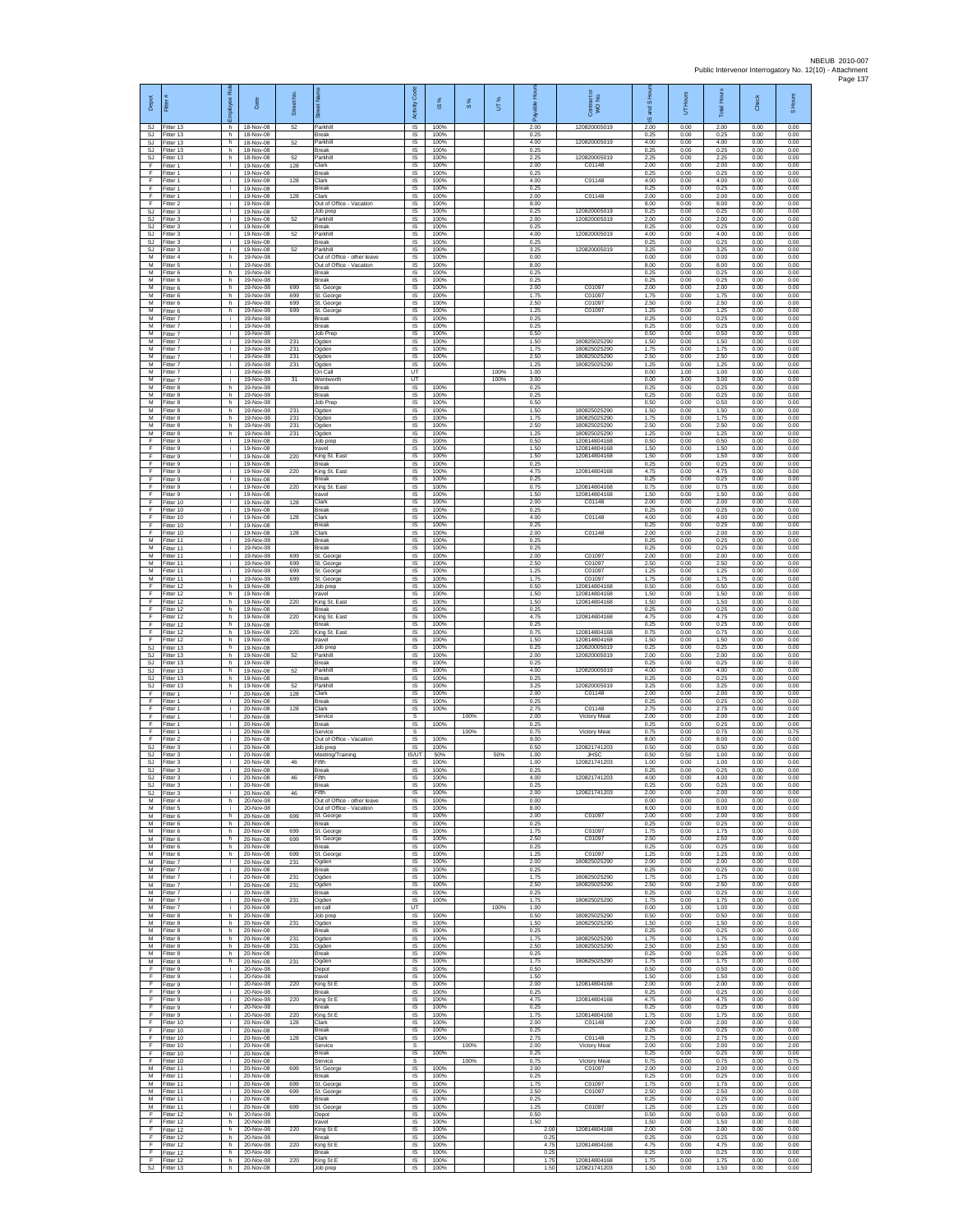| Depot<br>SJ.               | Fitter<br>Fitter 13                 | loyee Rol<br>h.    | Date<br>18-Nov-08                   | Street No.<br>52  | 荷<br>Parkhill                                           | code<br>Activity<br>IS                     | IS %<br>100%         | $\frac{8}{3}$ | UT%  | able Hou<br>δ<br>2.00 | Contract or<br>WO No.<br>120820005019        | and S Ho<br>U,<br>2.00 | Hours<br>5<br>0.00   | <b>Total Hour</b><br>2.00 | Check<br>0.00        | S Hours<br>0.00      |
|----------------------------|-------------------------------------|--------------------|-------------------------------------|-------------------|---------------------------------------------------------|--------------------------------------------|----------------------|---------------|------|-----------------------|----------------------------------------------|------------------------|----------------------|---------------------------|----------------------|----------------------|
| <b>SJ</b><br>SJ            | Fitter 13<br>Fitter 13              | h.<br>h.           | 18-Nov-08<br>18-Nov-08              | 52                | <b>Break</b><br>Parkhill                                | IS<br>IS                                   | 100%<br>100%         |               |      | 0.25<br>4.00          | 120820005019                                 | 0.25<br>4.00           | 0.00<br>0.00         | 0.25<br>4.00              | 0.00<br>0.00         | 0.00<br>0.00         |
| SJ<br>SJ.<br>F             | Fitter 13<br>Fitter 13<br>Fitter 1  | h.<br>h.<br>j.     | 18-Nov-08<br>18-Nov-08<br>19-Nov-08 | 52<br>128         | <b>Break</b><br>Parkhill<br>Clark                       | IS<br><b>IS</b><br>IS                      | 100%<br>100%<br>100% |               |      | 0.25<br>2.25<br>2.00  | 120820005019<br>C01148                       | 0.25<br>2.25<br>2.00   | 0.00<br>0.00<br>0.00 | 0.25<br>2.25<br>2.00      | 0.00<br>0.00<br>0.00 | 0.00<br>0.00<br>0.00 |
| Ŧ<br>F                     | Fitter 1<br>Fitter 1                | i.<br>j.           | 19-Nov-08<br>19-Nov-08              | 128               | Break<br>Clark                                          | IS<br>IS                                   | 100%<br>100%         |               |      | 0.25<br>4.00          | C01148                                       | 0.25<br>4.00           | 0.00<br>0.00         | 0.25<br>4.00              | 0.00<br>0.00         | 0.00<br>0.00         |
| F<br>F<br>F                | Fitter 1<br>-itter 1                | j.<br>i.<br>j.     | 19-Nov-08<br>19-Nov-08<br>19-Nov-08 | 128               | Break<br>Clark<br>Out of Office - Vacation              | -IS<br>$\sf IS$<br>$\sf IS$                | 100%<br>100%<br>100% |               |      | 0.25<br>2.00<br>8.00  | C01148                                       | 0.25<br>2.00<br>8.00   | 0.00<br>0.00<br>0.00 | 0.25<br>2.00<br>8.00      | 0.00<br>0.00<br>0.00 | 0.00<br>0.00<br>0.00 |
| <b>SJ</b><br>SJ.           | Fitter 2<br>Fitter 3<br>Fitter 3    | i.<br>i.           | 19-Nov-08<br>19-Nov-08              | 52                | Job prep<br>Parkhill                                    | IS<br>IS                                   | 100%<br>100%         |               |      | 0.25<br>2.00          | 120820005019<br>120820005019                 | 0.25<br>2.00           | 0.00<br>0.00         | 0.25<br>2.00              | 0.00<br>0.00         | 0.00<br>0.00         |
| <b>SJ</b><br>SJ            | Fitter 3<br>Fitter 3                | ÷.<br>i.           | 19-Nov-08<br>19-Nov-08              | 52                | Break<br>Parkhill                                       | IS<br>IS                                   | 100%<br>100%<br>100% |               |      | 0.25<br>4.00<br>0.25  | 120820005019                                 | 0.25<br>4.00<br>0.25   | 0.00<br>0.00<br>0.00 | 0.25<br>4.00<br>0.25      | 0.00<br>0.00<br>0.00 | 0.00<br>0.00<br>0.00 |
| SJ<br>SJ<br>М              | Fitter 3<br>-itter 3<br>Fitter 4    | i.<br>j.<br>h.     | 19-Nov-08<br>19-Nov-08<br>19-Nov-08 | 52                | <b>Break</b><br>Parkhill<br>Out of Office - other leave | <b>IS</b><br>IS<br>IS                      | 100%<br>100%         |               |      | 3.25<br>0.00          | 120820005019                                 | 3.25<br>0.00           | 0.00<br>0.00         | 3.25<br>0.00              | 0.00<br>0.00         | 0.00<br>0.00         |
| M<br>M                     | Fitter 5<br>Fitter 6                | j.<br>h            | 19-Nov-08<br>19-Nov-08              |                   | Out of Office - Vacation<br>Break                       | IS<br>IS                                   | 100%<br>100%         |               |      | 8.00<br>0.25          |                                              | 8.00<br>0.25           | 0.00<br>0.00         | 8.00<br>0.25              | 0.00<br>0.00         | 0.00<br>0.00         |
| М<br>М<br>M                | Fitter 6<br>Fitter 6<br>Fitter 6    | h.<br>h.<br>h.     | 19-Nov-08<br>19-Nov-08<br>19-Nov-08 | 699<br>699        | Break<br>St. George<br>St. George                       | IS<br>IS<br>-IS                            | 100%<br>100%<br>100% |               |      | 0.25<br>2.00<br>1.75  | C01097<br>C01097                             | 0.25<br>2.00<br>1.75   | 0.00<br>0.00<br>0.00 | 0.25<br>2.00<br>1.75      | 0.00<br>0.00<br>0.00 | 0.00<br>0.00<br>0.00 |
| M<br>M                     | Fitter 6<br>Fitter 6                | h<br>h.            | 19-Nov-08<br>19-Nov-08              | 699<br>699        | St. George<br>St. George                                | IS<br>IS                                   | 100%<br>100%         |               |      | 2.50<br>1.25          | C01097<br>C01097                             | 2.50<br>1.25           | 0.00<br>0.00         | 2.50<br>1.25              | 0.00<br>0.00         | 0.00<br>0.00         |
| $\overline{M}$<br>M<br>м   | Fitter 7<br>Fitter 7<br>-itter 7    | i.<br>i.<br>i.     | 19-Nov-08<br>19-Nov-08<br>19-Nov-08 |                   | Break<br><b>Break</b><br>Job Prep                       | 1S<br>IS<br>IS                             | 100%<br>100%<br>100% |               |      | 0.25<br>0.25<br>0.50  |                                              | 0.25<br>0.25<br>0.50   | 0.00<br>0.00<br>0.00 | 0.25<br>0.25<br>0.50      | 0.00<br>0.00<br>0.00 | 0.00<br>0.00<br>0.00 |
| $\overline{M}$<br>M        | Fitter 7<br>Fitter 7                | j.<br>i.           | 19-Nov-08<br>19-Nov-08              | 231<br>231        | Ogden<br>Ogden                                          | IS<br><b>IS</b>                            | 100%<br>100%         |               |      | 1.50<br>1.75          | 180825025290<br>180825025290                 | 1.50<br>1.75           | 0.00<br>0.00         | 1.50<br>1.75              | 0.00<br>0.00         | 0.00<br>0.00         |
| M<br>М<br>М                | Fitter 7<br>Fitter 7<br>Fitter 7    | j.<br>i.<br>j.     | 19-Nov-08<br>19-Nov-08<br>19-Nov-08 | 231<br>231        | Ogden<br>Ogden<br>On Call                               | IS<br>IS<br>UT                             | 100%<br>100%         |               | 100% | 2.50<br>1.25<br>1.00  | 180825025290<br>180825025290                 | 2.50<br>1.25<br>0.00   | 0.00<br>0.00<br>1.00 | 2.50<br>1.25<br>1.00      | 0.00<br>0.00<br>0.00 | 0.00<br>0.00<br>0.00 |
| M<br>м                     | Fitter 7<br>Fitter 8                | j.<br>h.           | 19-Nov-08<br>19-Nov-08              | 31                | Wentworth<br>Break                                      | UT<br>$\sf IS$                             | 100%                 |               | 100% | 3.00<br>0.25          |                                              | 0.00<br>0.25           | 3.00<br>0.00         | 3.00<br>0.25              | 0.00<br>0.00         | 0.00<br>0.00         |
| М<br>M<br>M                | Fitter 8<br>Fitter 8<br>Fitter 8    | h.<br>h.<br>h.     | 19-Nov-08<br>19-Nov-08<br>19-Nov-08 | 231               | Break<br>Job Prep<br>Ogden                              | $\sf IS$<br>IS<br>IS                       | 100%<br>100%<br>100% |               |      | 0.25<br>0.50<br>1.50  | 180825025290                                 | 0.25<br>0.50<br>1.50   | 0.00<br>0.00<br>0.00 | 0.25<br>0.50<br>1.50      | 0.00<br>0.00<br>0.00 | 0.00<br>0.00<br>0.00 |
| М<br>$\overline{M}$        | Fitter 8<br>Fitter 8                | h.<br>h.           | 19-Nov-08<br>19-Nov-08              | 231<br>231        | Ogden<br>Ogden                                          | IS<br>IS                                   | 100%<br>100%         |               |      | 1.75<br>2.50          | 180825025290<br>180825025290                 | 1.75<br>2.50           | 0.00<br>0.00         | 1.75<br>2.50              | 0.00<br>0.00         | 0.00<br>0.00         |
| M<br>F<br>F                | Fitter 8<br>-itter 9                | h.<br>j.<br>i.     | 19-Nov-08<br>19-Nov-08              | 231               | Ogden<br>Job prep<br>travel                             | <b>IS</b><br>IS<br>IS                      | 100%<br>100%<br>100% |               |      | 1.25<br>0.50<br>1.50  | 180825025290<br>120814804168<br>120814804168 | 1.25<br>0.50<br>1.50   | 0.00<br>0.00<br>0.00 | 1.25<br>0.50<br>1.50      | 0.00<br>0.00<br>0.00 | 0.00<br>0.00<br>0.00 |
| F<br>F                     | Fitter 9<br>Fitter 9<br>Fitter 9    | i.<br>Ť.           | 19-Nov-08<br>19-Nov-08<br>19-Nov-08 | 220               | King St. East<br>Break                                  | IS<br>IS                                   | 100%<br>100%         |               |      | 1.50<br>0.25          | 120814804168                                 | 1.50<br>0.25           | 0.00<br>0.00         | 1.50<br>0.25              | 0.00<br>0.00         | 0.00<br>0.00         |
| Ŧ<br>F                     | Fitter 9<br>Fitter 9                | Ť.<br>i.           | 19-Nov-08<br>19-Nov-08              | 220<br>220        | King St. East<br>Break                                  | IS<br>IS                                   | 100%<br>100%         |               |      | 4.75<br>0.25<br>0.75  | 120814804168                                 | 4.75<br>0.25           | 0.00<br>0.00         | 4.75<br>0.25<br>0.75      | 0.00<br>0.00         | 0.00<br>0.00         |
| -F<br>F<br>F               | Fitter 9<br>-itter 9<br>Fitter 10   | j.<br>i.<br>÷.     | 19-Nov-08<br>19-Nov-08<br>19-Nov-08 | 128               | King St. East<br>ravel<br>Clark                         | -IS<br>IS<br>IS                            | 100%<br>100%<br>100% |               |      | 1.50<br>2.00          | 120814804168<br>120814804168<br>C01148       | 0.75<br>1.50<br>2.00   | 0.00<br>0.00<br>0.00 | 1.50<br>2.00              | 0.00<br>0.00<br>0.00 | 0.00<br>0.00<br>0.00 |
| F.<br>F                    | Fitter 10<br>Fitter 10              | j.<br>i.           | 19-Nov-08<br>19-Nov-08              | 128               | Break<br>Clark                                          | 1S<br>IS                                   | 100%<br>100%         |               |      | 0.25<br>4.00          | C01148                                       | 0.25<br>4.00           | 0.00<br>0.00         | 0.25<br>4.00              | 0.00<br>0.00         | 0.00<br>0.00         |
| F<br>Ŧ<br>M                | Fitter 10<br>Fitter 10<br>Fitter 11 | i.<br>i.<br>i.     | 19-Nov-08<br>19-Nov-08<br>19-Nov-08 | 128               | Break<br>Clark<br>Break                                 | IS<br>1S<br><b>IS</b>                      | 100%<br>100%<br>100% |               |      | 0.25<br>2.00<br>0.25  | C01148                                       | 0.25<br>2.00<br>0.25   | 0.00<br>0.00<br>0.00 | 0.25<br>2.00<br>0.25      | 0.00<br>0.00<br>0.00 | 0.00<br>0.00<br>0.00 |
| M<br>М                     | Fitter 11<br>Fitter 11              | j.<br>i.           | 19-Nov-08<br>19-Nov-08              | 699               | Break<br>St. George                                     | IS<br>IS                                   | 100%<br>100%         |               |      | 0.25<br>2.00          | C01097                                       | 0.25<br>2.00           | 0.00<br>0.00         | 0.25<br>2.00              | 0.00<br>0.00         | 0.00<br>0.00         |
| M<br>M<br>M                | Fitter 11<br>Fitter 11<br>Fitter 11 | i.<br>j.<br>i.     | 19-Nov-08<br>19-Nov-08<br>19-Nov-08 | 699<br>699<br>699 | St. George<br>St. George<br>St. George                  | IS<br>-IS<br>$\sf IS$                      | 100%<br>100%<br>100% |               |      | 2.50<br>1.25<br>1.75  | C01097<br>C01097<br>C01097                   | 2.50<br>1.25<br>1.75   | 0.00<br>0.00<br>0.00 | 2.50<br>1.25<br>1.75      | 0.00<br>0.00<br>0.00 | 0.00<br>0.00<br>0.00 |
| F<br>F                     | Fitter 12<br>Fitter 12              | h.<br>h.           | 19-Nov-08<br>19-Nov-08              |                   | Job prep<br>travel                                      | $\sf IS$<br>IS                             | 100%<br>100%         |               |      | 0.50<br>1.50          | 120814804168<br>120814804168                 | 0.50<br>1.50           | 0.00<br>0.00         | 0.50<br>1.50              | 0.00<br>0.00         | 0.00<br>0.00         |
| -F.<br>Ŧ<br>Ŧ              | Fitter 12<br>Fitter 12<br>Fitter 12 | h.<br>h.<br>h.     | 19-Nov-08<br>19-Nov-08<br>19-Nov-08 | 220<br>220        | King St. East<br>Break<br>King St. East                 | IS<br>IS<br>IS                             | 100%<br>100%<br>100% |               |      | 1.50<br>0.25<br>4.75  | 120814804168<br>120814804168                 | 1.50<br>0.25<br>4.75   | 0.00<br>0.00<br>0.00 | 1.50<br>0.25<br>4.75      | 0.00<br>0.00<br>0.00 | 0.00<br>0.00<br>0.00 |
| E<br>$\mathsf F$           | Fitter 12<br>ltter 12               | h.<br>h.           | 19-Nov-08<br>19-Nov-08              | 220               | Break<br>King St. East                                  | <b>IS</b><br>IS                            | 100%<br>100%         |               |      | 0.25<br>0.75          | 120814804168                                 | 0.25<br>0.75           | 0.00<br>0.00         | 0.25<br>0.75              | 0.00<br>0.00         | 0.00<br>0.00         |
| F<br><b>SJ</b>             | Fitter 12<br>Fitter 13              | h.<br>h.           | 19-Nov-08<br>19-Nov-08              |                   | travel<br>Job prec                                      | 1S<br>IS                                   | 100%<br>100%         |               |      | 1.50<br>0.25          | 120814804168<br>120820005019                 | 1.50<br>0.25           | 0.00<br>0.00         | 1.50<br>0.25              | 0.00<br>0.00         | 0.00<br>0.00         |
| SJ<br><b>SJ</b><br>SJ      | Fitter 13<br>Fitter 13<br>Fitter 13 | h<br>h.<br>h.      | 19-Nov-08<br>19-Nov-08<br>19-Nov-08 | 52<br>52          | Parkhill<br>Break<br>Parkhill                           | IS<br>IS<br>IS                             | 100%<br>100%<br>100% |               |      | 2.00<br>0.25<br>4.00  | 120820005019<br>120820005019                 | 2.00<br>0.25<br>4.00   | 0.00<br>0.00<br>0.00 | 2.00<br>0.25<br>4.00      | 0.00<br>0.00<br>0.00 | 0.00<br>0.00<br>0.00 |
| -SJ<br>SJ                  | Fitter 13<br>Fitter 13              | h.<br>h.           | 19-Nov-08<br>19-Nov-08              | 52                | Break<br>Parkhill                                       | -IS<br>IS                                  | 100%<br>100%         |               |      | 0.25<br>3.25          | 120820005019                                 | 0.25<br>3.25           | 0.00<br>0.00         | 0.25<br>3.25              | 0.00<br>0.00         | 0.00<br>0.00         |
| F<br>F<br>F                | Fitter 1<br>Fitter 1<br>Fitter 1    | i.<br>i.<br>i.     | 20-Nov-08<br>20-Nov-08<br>20-Nov-08 | 128<br>128        | Clark<br>Break<br>Clark                                 | IS<br>IS<br>IS                             | 100%<br>100%<br>100% |               |      | 2.00<br>0.25<br>275   | C01148<br>C01148                             | 2.00<br>0.25<br>2.75   | 0.00<br>0.00<br>0.00 | 2.00<br>0.25<br>2.75      | 0.00<br>0.00<br>0.00 | 0.00<br>0.00<br>0.00 |
| F<br>Ŧ                     | -itter 1<br>Fitter 1                | i.<br>i.           | 20-Nov-08<br>20-Nov-08              |                   | Service<br>Break                                        | s<br>IS                                    | 100%                 | 100%          |      | 2.00<br>0.25          | Victory Meat                                 | 2.00<br>0.25           | 0.00<br>0.00         | 2.00<br>0.25              | 0.00<br>0.00         | 2.00<br>0.00         |
| F<br>-F.<br><b>SJ</b>      | Fitter 1<br>Fitter 2<br>Fitter 3    | i.<br>i.<br>Ť.     | 20-Nov-08<br>20-Nov-08<br>20-Nov-08 |                   | Service<br>Out of Office - Vacation<br>Job prep         | s<br>IS<br>$\overline{\mathsf{s}}$         | 100%<br>100%         | 100%          |      | 0.75<br>8.00<br>0.50  | Victory Meat<br>120821741203                 | 0.75<br>8.00<br>0.50   | 0.00<br>0.00<br>0.00 | 0.75<br>8.00<br>0.50      | 0.00<br>0.00<br>0.00 | 0.75<br>0.00<br>0.00 |
| SJ<br>SJ                   | Fitter 3<br>Fitter 3                | i.<br>j.           | 20-Nov-08<br>20-Nov-08              | 46                | Meeting/Training<br>Fifth                               | <b>IS/UT</b><br>- IS                       | 50%<br>100%          |               | 50%  | 1.00<br>1.00          | <b>JHSC</b><br>120821741203                  | 0.50<br>1.00           | 0.50<br>0.00         | 1.00<br>1.00              | 0.00<br>0.00         | 0.00<br>0.00         |
| SJ.<br><b>SJ</b><br>SJ.    | Fitter 3<br>Fitter 3<br>Fitter 3    | i.<br>j.           | 20-Nov-08<br>20-Nov-08<br>20-Nov-08 | 46                | Break<br>Fifth<br><b>Break</b>                          | $\sf IS$<br>IS<br><b>IS</b>                | 100%<br>100%<br>100% |               |      | 0.25<br>4.00<br>0.25  | 120821741203                                 | 0.25<br>4.00<br>0.25   | 0.00<br>0.00<br>0.00 | 0.25<br>4.00<br>0.25      | 0.00<br>0.00<br>0.00 | 0.00<br>0.00<br>0.00 |
| S.I<br>М                   | Fitter 3<br>Fitter 4                | i.<br>h.           | 20-Nov-08<br>20-Nov-08              | 46                | Fifth<br>Out of Office - other leave                    | IS<br>IS                                   | 100%<br>100%         |               |      | 2.00<br>0.00          | 120821741203                                 | 2.00<br>0.00           | 0.00<br>0.00         | 2.00<br>0.00              | 0.00<br>0.00         | 0.00<br>0.00         |
| м<br>м<br>М                | Fitter 5<br>Fitter 6<br>-itter 6    | i.<br>h.<br>h      | 20-Nov-08<br>20-Nov-08<br>20-Nov-08 | 699               | Out of Office - Vacation<br>St. George<br><b>Break</b>  | $\overline{\mathsf{s}}$<br><b>IS</b><br>IS | 100%<br>100%<br>100% |               |      | 8.00<br>2.00<br>0.25  | C01097                                       | 8.00<br>2.00<br>0.25   | 0.00<br>0.00<br>0.00 | 8.00<br>2.00<br>0.25      | 0.00<br>0.00<br>0.00 | 0.00<br>0.00<br>0.00 |
| M<br>M                     | Fitter 6<br>Fitter 6                | h.<br>h            | 20-Nov-08<br>20-Nov-08              | 699<br>699        | St. George<br>St. George                                | IS<br>IS                                   | 100%<br>100%         |               |      | 1.75<br>2.50          | C01097<br>C01097                             | 1.75<br>2.50           | 0.00<br>0.00         | 1.75<br>2.50              | 0.00<br>0.00         | 0.00<br>0.00         |
| M<br>M<br>M                | Fitter 6<br>Fitter 6<br>Fitter 7    | $\,$ h<br>h.<br>i. | 20-Nov-08<br>20-Nov-08<br>20-Nov-08 | 699<br>231        | Break<br>St. George<br>Ogden                            | IS<br>1S<br>IS                             | 100%<br>100%<br>100% |               |      | 0.25<br>1.25<br>2.00  | C01097<br>180825025290                       | 0.25<br>1.25<br>2.00   | 0.00<br>0.00<br>0.00 | 0.25<br>1.25<br>2.00      | 0.00<br>0.00<br>0.00 | 0.00<br>0.00<br>0.00 |
| M<br>M                     | Fitter 7<br>Fitter 7                | i.<br>j.           | 20-Nov-08<br>20-Nov-08              | 231               | <b>Break</b><br>Ogden                                   | -IS<br>IS                                  | 100%<br>100%         |               |      | 0.25<br>175           | 180825025290                                 | 0.25<br>1.75           | 0.00<br>0.00         | 0.25<br>175               | 0.00<br>0.00         | 0.00<br>0.00         |
| M<br>M<br>M                | Fitter 7<br>Fitter 7<br>Fitter 7    | i.<br>i.<br>i.     | 20-Nov-08<br>20-Nov-08<br>20-Nov-08 | 231<br>231        | Ogden<br>Break                                          | IS<br>1S<br>IS                             | 100%<br>100%<br>100% |               |      | 2.50<br>0.25<br>1.75  | 180825025290                                 | 2.50<br>0.25<br>1.75   | 0.00<br>0.00<br>0.00 | 2.50<br>0.25<br>1.75      | 0.00<br>0.00<br>0.00 | 0.00<br>0.00<br>0.00 |
| M<br>M                     | Fitter 7<br>Fitter 8                | i.<br>h.           | 20-Nov-08<br>20-Nov-08              |                   | Ogden<br>on call<br>Job prep                            | UT<br>IS                                   | 100%                 |               | 100% | 1.00<br>0.50          | 180825025290<br>180825025290                 | 0.00<br>0.50           | 1.00<br>0.00         | 1.00<br>0.50              | 0.00<br>0.00         | 0.00<br>0.00         |
| M<br>M<br>M                | Fitter 8<br>Fitter 8<br>Fitter 8    | h.<br>h<br>h.      | 20-Nov-08<br>20-Nov-08<br>20-Nov-08 | 231<br>231        | Ogden<br>Break                                          | <b>IS</b><br>IS<br>1S                      | 100%<br>100%<br>100% |               |      | 1.50<br>0.25<br>1.75  | 180825025290<br>180825025290                 | 1.50<br>0.25<br>1.75   | 0.00<br>0.00<br>0.00 | 1.50<br>0.25<br>1.75      | 0.00<br>0.00<br>0.00 | 0.00<br>0.00<br>0.00 |
| M<br>M                     | Fitter 8<br>Fitter 8                | h.<br>h.           | 20-Nov-08<br>20-Nov-08              | 231               | Ogden<br>Ogden<br><b>Break</b>                          | IS<br>-IS                                  | 100%<br>100%         |               |      | 2.50<br>0.25          | 180825025290                                 | 2.50<br>0.25           | 0.00<br>0.00         | 2.50<br>0.25              | 0.00<br>0.00         | 0.00<br>0.00         |
| M<br>F                     | Fitter 8<br>Fitter 9                | h.<br>j.           | 20-Nov-08<br>20-Nov-08              | 231               | Ogden<br>Depot                                          | $\sf IS$<br>$\sf IS$                       | 100%<br>100%         |               |      | 1.75<br>0.50          | 180825025290                                 | 1.75<br>0.50           | 0.00<br>0.00         | 1.75<br>0.50              | 0.00<br>0.00         | 0.00<br>0.00         |
| F<br>-F<br>F               | Fitter 9<br>Fitter 9<br>Fitter 9    | i.<br>i.<br>÷.     | 20-Nov-08<br>20-Nov-08<br>20-Nov-08 | 220               | travel<br>King St E<br>Break                            | IS<br>IS<br>IS                             | 100%<br>100%<br>100% |               |      | 1.50<br>2.00<br>0.25  | 120814804168                                 | 1.50<br>2.00<br>0.25   | 0.00<br>0.00<br>0.00 | 1.50<br>2.00<br>0.25      | 0.00<br>0.00<br>0.00 | 0.00<br>0.00<br>0.00 |
| F<br>F                     | Fitter 9<br>Fitter 9                | i.<br>i.           | 20-Nov-08<br>20-Nov-08              | 220               | King St E<br>Break                                      | IS<br><b>IS</b>                            | 100%<br>100%         |               |      | 4.75<br>0.25          | 120814804168                                 | 4.75<br>0.25           | 0.00<br>0.00         | 4.75<br>0.25              | 0.00<br>0.00         | 0.00<br>0.00         |
| F<br>F.<br>F               | -itter 9<br>Fitter 10<br>Fitter 10  | j.<br>i.<br>i.     | 20-Nov-08<br>20-Nov-08<br>20-Nov-08 | 220<br>128        | King St E<br>Clark<br>Break                             | IS<br>1S<br>IS                             | 100%<br>100%<br>100% |               |      | 1.75<br>2.00<br>0.25  | 120814804168<br>C01148                       | 1.75<br>2.00<br>0.25   | 0.00<br>0.00<br>0.00 | 1.75<br>2.00<br>0.25      | 0.00<br>0.00<br>0.00 | 0.00<br>0.00<br>0.00 |
| F<br>Ŧ                     | Fitter 10<br>Fitter 10              | ÷.<br>i.           | 20-Nov-08<br>20-Nov-08              | 128               | Clark<br>Service                                        | IS<br>s                                    | 100%                 | 100%          |      | 275<br>2.00           | C01148<br>Victory Meat                       | 2.75<br>2.00           | 0.00<br>0.00         | 2.75<br>2.00              | 0.00<br>0.00         | 0.00<br>2.00         |
| Ŧ<br>-F<br>M               | Fitter 10<br>Fitter 10<br>Fitter 11 | i.<br>i.<br>i.     | 20-Nov-08<br>20-Nov-08<br>20-Nov-08 | 699               | <b>Break</b><br>Service<br>St. George                   | IS<br>-S<br>IS                             | 100%<br>100%         | 100%          |      | 0.25<br>0.75<br>2.00  | Victory Meat<br>C01097                       | 0.25<br>0.75<br>2.00   | 0.00<br>0.00<br>0.00 | 0.25<br>0.75<br>2.00      | 0.00<br>0.00<br>0.00 | 0.00<br>0.75<br>0.00 |
| ${\sf M}$<br>M             | Fitter 11<br>Fitter 11              | i.<br>i.           | 20-Nov-08<br>20-Nov-08              | 699               | Break<br>St. George                                     | IS<br>IS                                   | 100%<br>100%         |               |      | 0.25<br>1.75          | C01097                                       | 0.25<br>1.75           | 0.00<br>0.00         | 0.25<br>1.75              | 0.00<br>0.00         | 0.00<br>0.00         |
| M<br>M<br>M                | Fitter 11<br>Fitter 11<br>Fitter 11 | i.<br>i.<br>i.     | 20-Nov-08<br>20-Nov-08<br>20-Nov-08 | 699<br>699        | St. George<br>Break<br>St. George                       | IS<br>IS<br>IS                             | 100%<br>100%<br>100% |               |      | 2.50<br>0.25<br>1.25  | C01097<br>C01097                             | 2.50<br>0.25<br>1.25   | 0.00<br>0.00<br>0.00 | 2.50<br>0.25<br>1.25      | 0.00<br>0.00<br>0.00 | 0.00<br>0.00<br>0.00 |
| F<br>F                     | Fitter 12<br>Fitter 12              | h.<br>h.           | 20-Nov-08<br>20-Nov-08              |                   | Depot<br>travel                                         | IS.<br>IS                                  | 100%<br>100%         |               |      | 0.50<br>1.50          |                                              | 0.50<br>1.50           | 0.00<br>0.00         | 0.50<br>1.50              | 0.00<br>0.00         | 0.00<br>0.00         |
| Ŧ<br>$\overline{F}$<br>- F | Fitter 12<br>Fitter 12<br>Fitter 12 | h.<br>h<br>h.      | 20-Nov-08<br>20-Nov-08<br>20-Nov-08 | 220<br>220        | King St E<br>Break<br>King St E                         | IS<br>IS<br>-IS                            | 100%<br>100%<br>100% |               |      | 2.00<br>0.25<br>4.75  | 120814804168<br>120814804168                 | 2.00<br>0.25<br>4.75   | 0.00<br>0.00<br>0.00 | 2.00<br>0.25<br>4.75      | 0.00<br>0.00<br>0.00 | 0.00<br>0.00<br>0.00 |
| F<br>F                     | Fitter 12<br>Fitter 12              | h.<br>h.           | 20-Nov-08<br>20-Nov-08              | 220               | Break<br>King St E                                      | IS<br>$\sf IS$                             | 100%<br>100%         |               |      | 0.25<br>1.75          | 120814804168                                 | 0.25<br>1.75           | 0.00<br>0.00         | 0.25<br>1.75              | 0.00<br>0.00         | 0.00<br>0.00         |
|                            | SJ Fitter 13                        |                    | h 20-Nov-08                         |                   | Job prep                                                | <b>IS</b>                                  | 100%                 |               |      | 1.50                  | 120821741203                                 | 1.50                   | 0.00                 | 1.50                      | 0.00                 | 0.00                 |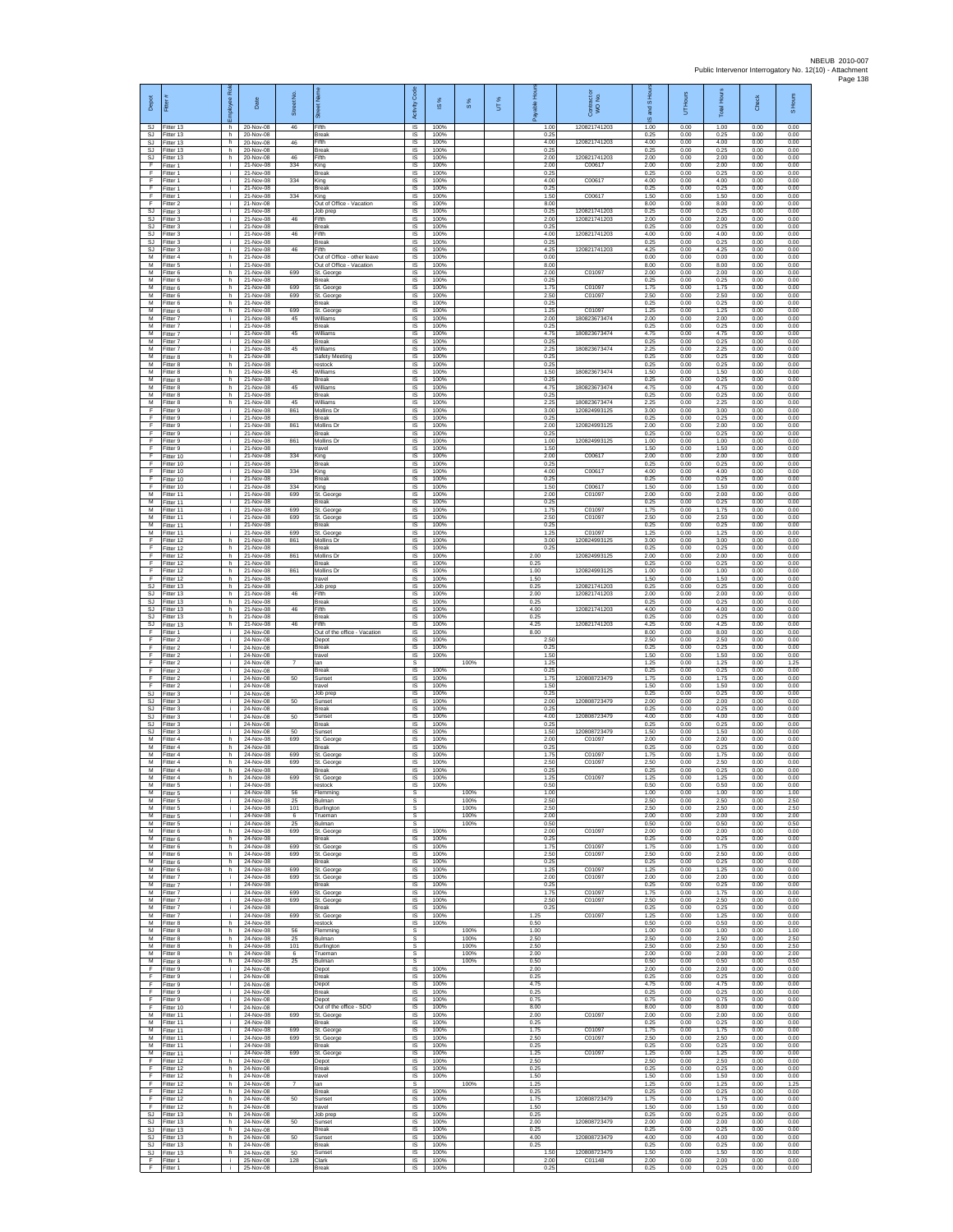| Depot<br>SJ.                  | Fitter<br>Fitter 13                 | loyee Rol<br>h. | Date<br>20-Nov-08                   | Street No.<br>46 | 芴<br>Fifth                                     | code<br>Activity<br>IS      | IS %<br>100%         | $\frac{8}{3}$        | UT% | able Hou<br>1.00     | Contract or<br>WO No.<br>120821741203 | and S Ho<br>U,<br>1.00 | Hours<br>5<br>0.00   | <b>Total Hour</b><br>1.00 | Check<br>0.00        | S Hours<br>0.00      |
|-------------------------------|-------------------------------------|-----------------|-------------------------------------|------------------|------------------------------------------------|-----------------------------|----------------------|----------------------|-----|----------------------|---------------------------------------|------------------------|----------------------|---------------------------|----------------------|----------------------|
| <b>SJ</b><br><b>SJ</b>        | Fitter 13<br>Fitter 13              | h.<br>h.        | 20-Nov-08<br>20-Nov-08              | 46               | Break<br>Fifth                                 | IS<br>IS                    | 100%<br>100%         |                      |     | 0.25<br>4.00         | 120821741203                          | 0.25<br>4.00           | 0.00<br>0.00         | 0.25<br>4.00              | 0.00<br>0.00         | 0.00<br>0.00         |
| SJ<br>SJ.<br>F                | Fitter 13<br>Fitter 13<br>Fitter 1  | h.<br>h.<br>j.  | 20-Nov-08<br>20-Nov-08<br>21-Nov-08 | 46<br>334        | Break<br>Fifth<br>King                         | IS<br><b>IS</b><br>IS       | 100%<br>100%<br>100% |                      |     | 0.25<br>2.00<br>2.00 | 120821741203<br>C00617                | 0.25<br>2.00<br>2.00   | 0.00<br>0.00<br>0.00 | 0.25<br>2.00<br>2.00      | 0.00<br>0.00<br>0.00 | 0.00<br>0.00<br>0.00 |
| Ŧ<br>F                        | Fitter 1<br>Fitter 1                | i.<br>j.        | 21-Nov-08<br>21-Nov-08              | 334              | Break<br>King                                  | 1S<br>IS                    | 100%<br>100%         |                      |     | 0.25<br>4.00         | C00617                                | 0.25<br>4.00           | 0.00<br>0.00         | 0.25<br>4.00              | 0.00<br>0.00         | 0.00<br>0.00         |
| - F<br>F<br>F                 | Fitter 1<br>-itter 1<br>Fitter 2    | j.<br>i.<br>j.  | 21-Nov-08<br>21-Nov-08<br>21-Nov-08 | 334              | Break<br>King<br>Out of Office - Vacation      | -IS<br>$\sf IS$<br>$\sf IS$ | 100%<br>100%<br>100% |                      |     | 0.25<br>1.50<br>8.00 | C00617                                | 0.25<br>1.50<br>8.00   | 0.00<br>0.00<br>0.00 | 0.25<br>1.50<br>8.00      | 0.00<br>0.00<br>0.00 | 0.00<br>0.00<br>0.00 |
| <b>SJ</b><br>SJ               | Fitter 3<br>Fitter 3                | i.<br>i.        | 21-Nov-08<br>21-Nov-08              | 46               | Job prep<br>Fifth                              | IS<br>IS                    | 100%<br>100%         |                      |     | 0.25<br>200          | 120821741203<br>120821741203          | 0.25<br>2.00           | 0.00<br>0.00         | 0.25<br>2.00              | 0.00<br>0.00         | 0.00<br>0.00         |
| SJ<br>SJ                      | Fitter 3<br>Fitter 3                | i.<br>i.        | 21-Nov-08<br>21-Nov-08<br>21-Nov-08 | 46               | Break<br>Fifth                                 | IS<br>IS                    | 100%<br>100%<br>100% |                      |     | 0.25<br>4.00<br>0.25 | 120821741203                          | 0.25<br>4.00<br>0.25   | 0.00<br>0.00<br>0.00 | 0.25<br>4.00<br>0.25      | 0.00<br>0.00<br>0.00 | 0.00<br>0.00<br>0.00 |
| SJ.<br>SJ<br>М                | Fitter 3<br>-itter 3<br>Fitter 4    | i.<br>i.<br>h.  | 21-Nov-08<br>21-Nov-08              | 46               | Break<br>Fifth<br>Out of Office - other leave  | <b>IS</b><br>IS<br>IS       | 100%<br>100%         |                      |     | 4.25<br>0.00         | 120821741203                          | 4.25<br>0.00           | 0.00<br>0.00         | 4.25<br>0.00              | 0.00<br>0.00         | 0.00<br>0.00         |
| M<br>M                        | Fitter 5<br>Fitter 6                | i.<br>h         | 21-Nov-08<br>21-Nov-08              | 699              | Out of Office - Vacation<br>St. George         | IS<br>IS                    | 100%<br>100%         |                      |     | 8.00<br>2.00         | C01097                                | 8.00<br>2.00           | 0.00<br>0.00         | 8.00<br>2.00              | 0.00<br>0.00         | 0.00<br>0.00         |
| М<br>М<br>M                   | Fitter 6<br>Fitter 6<br>Fitter 6    | h.<br>h.<br>h.  | 21-Nov-08<br>21-Nov-08<br>21-Nov-08 | 699<br>699       | Break<br>St. George<br>St. George              | IS<br>IS<br>-IS             | 100%<br>100%<br>100% |                      |     | 0.25<br>1.75<br>2.50 | C01097<br>C01097                      | 0.25<br>1.75<br>2.50   | 0.00<br>0.00<br>0.00 | 0.25<br>1.75<br>2.50      | 0.00<br>0.00<br>0.00 | 0.00<br>0.00<br>0.00 |
| M<br>M                        | Fitter 6<br>Fitter 6                | h<br>h.         | 21-Nov-08<br>21-Nov-08              | 699              | <b>Break</b><br>St. George                     | IS<br>IS                    | 100%<br>100%         |                      |     | 0.25<br>1.25         | C01097                                | 0.25<br>1.25           | 0.00<br>0.00         | 0.25<br>1.25              | 0.00<br>0.00         | 0.00<br>0.00         |
| М<br>M<br>м                   | Fitter 7<br>Fitter 7<br>-itter 7    | i.<br>i.<br>i.  | 21-Nov-08<br>21-Nov-08<br>21-Nov-08 | 45<br>45         | Williams<br><b>Break</b><br>Williams           | 1S<br>IS<br>IS              | 100%<br>100%<br>100% |                      |     | 2.00<br>0.25<br>4.75 | 180823673474<br>180823673474          | 2.00<br>0.25<br>4.75   | 0.00<br>0.00<br>0.00 | 2.00<br>0.25<br>4.75      | 0.00<br>0.00<br>0.00 | 0.00<br>0.00<br>0.00 |
| M<br>M                        | Fitter 7<br>Fitter 7                | i.<br>i.        | 21-Nov-08<br>21-Nov-08              | 45               | Break<br>Williams                              | 1S<br><b>IS</b>             | 100%<br>100%         |                      |     | 0.25<br>2.25         | 180823673474                          | 0.25<br>2.25           | 0.00<br>0.00         | 0.25<br>2.25              | 0.00<br>0.00         | 0.00<br>0.00         |
| M<br>М<br>М                   | Fitter 8<br>Fitter 8<br>Fitter 8    | h.<br>h.<br>h.  | 21-Nov-08<br>21-Nov-08<br>21-Nov-08 | 45               | Safety Meeting<br>estock<br>Villiams           | IS<br>IS<br>IS              | 100%<br>100%<br>100% |                      |     | 0.25<br>0.25<br>1.50 | 180823673474                          | 0.25<br>0.25<br>1.50   | 0.00<br>0.00<br>0.00 | 0.25<br>0.25<br>1.50      | 0.00<br>0.00<br>0.00 | 0.00<br>0.00<br>0.00 |
| M<br>M                        | Fitter 8<br>Fitter 8                | h.<br>h.        | 21-Nov-08<br>21-Nov-08              | 45               | <b>Break</b><br>Williams                       | -IS<br>$\sf IS$             | 100%<br>100%         |                      |     | 0.25<br>4.75         | 180823673474                          | 0.25<br>4.75           | 0.00<br>0.00         | 0.25<br>4.75              | 0.00<br>0.00         | 0.00<br>0.00         |
| М<br>M<br>F                   | Fitter 8<br>Fitter 8<br>Fitter 9    | h.<br>h.<br>i.  | 21-Nov-08<br>21-Nov-08<br>21-Nov-08 | 45<br>861        | Break<br>Williams<br>Mollins Dr                | $\sf IS$<br>IS<br>IS        | 100%<br>100%<br>100% |                      |     | 0.25<br>2.25<br>3.00 | 180823673474<br>120824993125          | 0.25<br>2.25<br>3.00   | 0.00<br>0.00<br>0.00 | 0.25<br>2.25<br>3.00      | 0.00<br>0.00<br>0.00 | 0.00<br>0.00<br>0.00 |
| F<br>Ŧ                        | Fitter 9<br>Fitter 9                | ÷.<br>i.        | 21-Nov-08<br>21-Nov-08              | 861              | Break<br>Mollins Dr                            | IS<br>IS                    | 100%<br>100%         |                      |     | 0.25<br>2.00         | 120824993125                          | 0.25<br>2.00           | 0.00<br>0.00         | 0.25<br>2.00              | 0.00<br>0.00         | 0.00<br>0.00         |
| F<br>F<br>Ŧ                   | Fitter 9<br>-itter 9<br>Fitter 9    | i.<br>i.<br>i.  | 21-Nov-08<br>21-Nov-08<br>21-Nov-08 | 861              | <b>Break</b><br>Mollins Dr<br>travel           | <b>IS</b><br>IS<br>IS       | 100%<br>100%<br>100% |                      |     | 0.25<br>1.00<br>1.50 | 120824993125                          | 0.25<br>1.00<br>1.50   | 0.00<br>0.00<br>0.00 | 0.25<br>1.00<br>1.50      | 0.00<br>0.00<br>0.00 | 0.00<br>0.00<br>0.00 |
| F<br>F                        | Fitter 10<br>Fitter 10              | i.<br>j.        | 21-Nov-08<br>21-Nov-08              | 334              | King<br>Break                                  | IS<br>IS                    | 100%<br>100%         |                      |     | 2.00<br>0.25         | C00617                                | 2.00<br>0.25           | 0.00<br>0.00         | 2.00<br>0.25              | 0.00<br>0.00         | 0.00<br>0.00         |
| Ŧ<br>F<br>- F                 | Fitter 10<br>Fitter 10<br>Fitter 10 | i.<br>j.<br>j.  | 21-Nov-08<br>21-Nov-08<br>21-Nov-08 | 334<br>334       | King<br>Break<br>King                          | 1S<br>IS<br>-IS             | 100%<br>100%<br>100% |                      |     | 4.00<br>0.25<br>1.50 | C00617<br>C00617                      | 4.00<br>0.25<br>1.50   | 0.00<br>0.00<br>0.00 | 4.00<br>0.25<br>1.50      | 0.00<br>0.00<br>0.00 | 0.00<br>0.00<br>0.00 |
| M<br>М                        | Fitter 11<br>Fitter 11              | i.<br>÷.        | 21-Nov-08<br>21-Nov-08              | 699              | St. George<br>Break                            | IS<br>IS                    | 100%<br>100%         |                      |     | 200<br>0.25          | C01097                                | 2.00<br>0.25           | 0.00<br>0.00         | 2.00<br>0.25              | 0.00<br>0.00         | 0.00<br>0.00         |
| M<br>M<br>M                   | Fitter 11<br>Fitter 11<br>Fitter 11 | i.<br>i.<br>i.  | 21-Nov-08<br>21-Nov-08<br>21-Nov-08 | 699<br>699       | St. George<br>St. George<br>Break              | 1S<br>IS<br>IS              | 100%<br>100%<br>100% |                      |     | 1.75<br>2.50<br>0.25 | C01097<br>C01097                      | 1.75<br>2.50<br>0.25   | 0.00<br>0.00<br>0.00 | 1.75<br>2.50<br>0.25      | 0.00<br>0.00<br>0.00 | 0.00<br>0.00<br>0.00 |
| м<br>F                        | Fitter 11<br>Fitter 12              | i.<br>h.        | 21-Nov-08<br>21-Nov-08              | 699<br>861       | St. George<br>Mollins Dr                       | 1S<br><b>IS</b>             | 100%<br>100%         |                      |     | 1.25<br>3.00         | C01097<br>120824993125                | 1.25<br>3.00           | 0.00<br>0.00         | 1.25<br>3.00              | 0.00<br>0.00         | 0.00<br>0.00         |
| F<br>Ŧ<br>$\overline{F}$      | Fitter 12<br>Fitter 12<br>Fitter 12 | h.<br>h.<br>h.  | 21-Nov-08<br>21-Nov-08<br>21-Nov-08 | 861              | Break<br>Mollins D<br>Break                    | IS<br>IS<br>IS              | 100%<br>100%<br>100% |                      |     | 0.25<br>2.00<br>0.25 | 120824993125                          | 0.25<br>2.00<br>0.25   | 0.00<br>0.00<br>0.00 | 0.25<br>2.00<br>0.25      | 0.00<br>0.00<br>0.00 | 0.00<br>0.00<br>0.00 |
| - F<br>F                      | Fitter 12<br>Fitter 12              | h.<br>h.        | 21-Nov-08<br>21-Nov-08              | 861              | Mollins Dr<br>travel                           | -IS<br>$\sf IS$             | 100%<br>100%         |                      |     | 1.00<br>1.50         | 120824993125                          | 1.00<br>1.50           | 0.00<br>0.00         | 1.00<br>1.50              | 0.00<br>0.00         | 0.00<br>0.00         |
| SJ<br>SJ.<br>SJ.              | Fitter 13<br>Fitter 13<br>Fitter 13 | h.<br>h.<br>h.  | 21-Nov-08<br>21-Nov-08<br>21-Nov-08 | 46               | Job prep<br>Fifth<br><b>Break</b>              | $\sf IS$<br>IS<br>IS        | 100%<br>100%<br>100% |                      |     | 0.25<br>2.00<br>0.25 | 120821741203<br>120821741203          | 0.25<br>2.00<br>0.25   | 0.00<br>0.00<br>0.00 | 0.25<br>2.00<br>0.25      | 0.00<br>0.00<br>0.00 | 0.00<br>0.00<br>0.00 |
| <b>SJ</b><br>SJ               | Fitter 13<br>Fitter 13              | h.<br>h         | 21-Nov-08<br>21-Nov-08              | 46               | ifth<br>Break                                  | IS<br>IS                    | 100%<br>100%         |                      |     | 4.00<br>0.25         | 120821741203                          | 4.00<br>0.25           | 0.00<br>0.00         | 4.00<br>0.25              | 0.00<br>0.00         | 0.00<br>0.00         |
| <b>SJ</b><br>$\mathsf F$<br>F | Fitter 13<br>-itter 1<br>Fitter 2   | h.<br>i.<br>i.  | 21-Nov-08<br>24-Nov-08<br>24-Nov-08 | 46               | Fifth<br>Out of the office - Vacation<br>Depot | <b>IS</b><br>IS<br>1S       | 100%<br>100%<br>100% |                      |     | 4.25<br>8.00<br>2.50 | 120821741203                          | 4.25<br>8.00<br>2.50   | 0.00<br>0.00<br>0.00 | 4.25<br>8.00<br>2.50      | 0.00<br>0.00<br>0.00 | 0.00<br>0.00<br>0.00 |
| F<br>F                        | Fitter 2<br>Fitter 2                | i.<br>j.        | 24-Nov-08<br>24-Nov-08              |                  | <b>Break</b><br>travel                         | IS<br>IS                    | 100%<br>100%         |                      |     | 0.25<br>1.50         |                                       | 0.25<br>1.50           | 0.00<br>0.00         | 0.25<br>1.50              | 0.00<br>0.00         | 0.00<br>0.00         |
| Ŧ<br>Ŧ<br>-F                  | Fitter 2<br>Fitter 2<br>Fitter 2    | i.<br>j.<br>i.  | 24-Nov-08<br>24-Nov-08<br>24-Nov-08 | 50               | lan<br>Break<br>Sunse                          | s<br>IS<br>- IS             | 100%<br>100%         | 100%                 |     | 1.25<br>0.25<br>1.75 | 120808723479                          | 1.25<br>0.25<br>1.75   | 0.00<br>0.00<br>0.00 | 1.25<br>0.25<br>1.75      | 0.00<br>0.00<br>0.00 | 1.25<br>0.00<br>0.00 |
| F<br>$\mathbb{S}\mathbb{J}$   | Fitter 2<br>Fitter 3                | i.<br>i.        | 24-Nov-08<br>24-Nov-08              |                  | ravel<br>Job prep                              | IS<br>IS                    | 100%<br>100%         |                      |     | 1.50<br>0.25         |                                       | 1.50<br>0.25           | 0.00<br>0.00         | 1.50<br>0.25              | 0.00<br>0.00         | 0.00<br>0.00         |
| SJ.<br>SJ<br>SJ               | Fitter 3<br>Fitter 3<br>Fitter 3    | i.<br>i.<br>i.  | 24-Nov-08<br>24-Nov-08<br>24-Nov-08 | 50<br>50         | Sunset<br><b>Break</b><br>Sunset               | 1S<br>IS<br>IS              | 100%<br>100%<br>100% |                      |     | 2.00<br>0.25<br>4.00 | 120808723479<br>120808723479          | 2.00<br>0.25<br>4.00   | 0.00<br>0.00<br>0.00 | 2.00<br>0.25<br>4.00      | 0.00<br>0.00<br>0.00 | 0.00<br>0.00<br>0.00 |
| SJ<br>SJ.                     | Fitter 3<br>Fitter 3                | j.<br>i.        | 24-Nov-08<br>24-Nov-08              | 50               | Break<br>Sunset                                | 1S<br><b>IS</b>             | 100%<br>100%         |                      |     | 0.25<br>1.50         | 120808723479                          | 0.25<br>1.50           | 0.00<br>0.00         | 0.25<br>1.50              | 0.00<br>0.00         | 0.00<br>0.00         |
| M<br>М<br>$\overline{M}$      | Fitter 4<br>Fitter 4<br>Fitter 4    | h.<br>h.<br>h.  | 24-Nov-08<br>24-Nov-08<br>24-Nov-08 | 699<br>699       | St. George<br>Break<br>St. George              | IS<br>IS<br>IS              | 100%<br>100%<br>100% |                      |     | 2.00<br>0.25<br>1.75 | C01097<br>C01097                      | 2.00<br>0.25<br>1.75   | 0.00<br>0.00<br>0.00 | 2.00<br>0.25<br>1.75      | 0.00<br>0.00<br>0.00 | 0.00<br>0.00<br>0.00 |
| M<br>M<br>M                   | Fitter 4<br>-itter 4                | h.<br>h.        | 24-Nov-08<br>24-Nov-08              | 699              | St. George<br>Break                            | <b>IS</b><br>$\sf IS$<br>IS | 100%<br>100%<br>100% |                      |     | 2.50<br>0.25<br>1.25 | C01097                                | 2.50<br>0.25<br>1.25   | 0.00<br>0.00         | 2.50<br>0.25<br>1.25      | 0.00<br>0.00<br>0.00 | 0.00<br>0.00<br>0.00 |
| M<br>M                        | Fitter 4<br>Fitter 5<br>Fitter 5    | h<br>÷.<br>i.   | 24-Nov-08<br>24-Nov-08<br>24-Nov-08 | 699<br>56        | St. George<br>restock<br>Flemming              | <b>IS</b><br>s              | 100%                 | 100%                 |     | 0.50<br>1.00         | C01097                                | 0.50<br>1.00           | 0.00<br>0.00<br>0.00 | 0.50<br>1.00              | 0.00<br>0.00         | 0.00<br>1.00         |
| м<br>$\overline{M}$<br>M      | Fitter 5<br>Fitter 5<br>Fitter 5    | ÷.<br>j.<br>i.  | 24-Nov-08<br>24-Nov-08<br>24-Nov-08 | 25<br>101<br>6   | Bulman<br>Burlington<br>Trueman                | s<br>s<br>s                 |                      | 100%<br>100%<br>100% |     | 2.50<br>2.50<br>2.00 |                                       | 2.50<br>2.50<br>2.00   | 0.00<br>0.00<br>0.00 | 2.50<br>2.50<br>2.00      | 0.00<br>0.00<br>0.00 | 2.50<br>2.50<br>2.00 |
| M<br>М                        | -itter 5<br>Fitter 6                | i.<br>h.        | 24-Nov-08<br>24-Nov-08              | 25<br>699        | Bulman<br>St. George                           | s<br>IS.                    | 100%                 | 100%                 |     | 0.50<br>2.00         | C01097                                | 0.50<br>2.00           | 0.00<br>0.00         | 0.50<br>2.00              | 0.00<br>0.00         | 0.50<br>0.00         |
| M<br>M<br>М                   | Fitter 6<br>Fitter 6<br>Fitter 6    | h<br>h<br>h.    | 24-Nov-08<br>24-Nov-08<br>24-Nov-08 | 699<br>699       | Break<br>St. George<br>St. George              | IS<br>IS<br>1S              | 100%<br>100%<br>100% |                      |     | 0.25<br>1.75<br>2.50 | C01097<br>C01097                      | 0.25<br>1.75<br>2.50   | 0.00<br>0.00<br>0.00 | 0.25<br>1.75<br>2.50      | 0.00<br>0.00<br>0.00 | 0.00<br>0.00<br>0.00 |
| М<br>M                        | Fitter 6<br>Fitter 6                | h.<br>h.        | 24-Nov-08<br>24-Nov-08              | 699              | <b>Break</b><br>St. George                     | IS<br>-IS                   | 100%<br>100%         |                      |     | 0.25<br>1.25         | C01097                                | 0.25<br>1.25           | 0.00<br>0.00         | 0.25<br>1.25              | 0.00<br>0.00         | 0.00<br>0.00         |
| M<br>M<br>м                   | Fitter 7<br>Fitter 7<br>Fitter 7    | i.<br>i.<br>i.  | 24-Nov-08<br>24-Nov-08<br>24-Nov-08 | 699<br>699       | St. George<br>Break<br>St. George              | IS<br>IS<br>IS              | 100%<br>100%<br>100% |                      |     | 200<br>0.25<br>1.75  | C01097<br>C01097                      | 2.00<br>0.25<br>1.75   | 0.00<br>0.00<br>0.00 | 2.00<br>0.25<br>1.75      | 0.00<br>0.00<br>0.00 | 0.00<br>0.00<br>0.00 |
| M.<br>M                       | Fitter 7<br>Fitter 7                | i.<br>i.        | 24-Nov-08<br>24-Nov-08              | 699              | St. George<br>Break                            | IS<br>IS                    | 100%<br>100%         |                      |     | 2.50<br>0.25         | C01097                                | 2.50<br>0.25           | 0.00<br>0.00         | 2.50<br>0.25              | 0.00<br>0.00         | 0.00<br>0.00         |
| м<br>M<br>M                   | Fitter 7<br>Fitter 8<br>Fitter 8    | i.<br>h.<br>h   | 24-Nov-08<br>24-Nov-08<br>24-Nov-08 | 699<br>56        | St. George<br>restock<br>Flemming              | IS<br><b>IS</b><br>s        | 100%<br>100%         | 100%                 |     | 1.25<br>0.50<br>1.00 | C01097                                | 1.25<br>0.50<br>1.00   | 0.00<br>0.00<br>0.00 | 1.25<br>0.50<br>1.00      | 0.00<br>0.00<br>0.00 | 0.00<br>0.00<br>1.00 |
| м<br>М                        | Fitter 8<br>Fitter 8                | h.<br>h.        | 24-Nov-08<br>24-Nov-08              | 25<br>101        | Bulman<br>Burlington                           | s<br>s                      |                      | 100%<br>100%         |     | 2.50<br>2.50         |                                       | 2.50<br>2.50           | 0.00<br>0.00         | 2.50<br>2.50              | 0.00<br>0.00         | 2.50<br>2.50         |
| M<br>M<br>F                   | Fitter 8<br>Fitter 8<br>Fitter 9    | h.<br>h.<br>j.  | 24-Nov-08<br>24-Nov-08<br>24-Nov-08 | 6<br>25          | Trueman<br>Bulman<br>Depot                     | s<br>s<br>$\sf IS$          | 100%                 | 100%<br>100%         |     | 2.00<br>0.50<br>2.00 |                                       | 2.00<br>0.50<br>2.00   | 0.00<br>0.00<br>0.00 | 2.00<br>0.50<br>2.00      | 0.00<br>0.00<br>0.00 | 2.00<br>0.50<br>0.00 |
| F<br>F.                       | Fitter 9<br>Fitter 9                | i.<br>i.        | 24-Nov-08<br>24-Nov-08              |                  | <b>Break</b><br>Depot                          | IS.<br>IS                   | 100%<br>100%         |                      |     | 0.25<br>4.75         |                                       | 0.25<br>4.75           | 0.00<br>0.00         | 0.25<br>4.75              | 0.00<br>0.00         | 0.00<br>0.00         |
| Ŧ<br>Ŧ<br>F.                  | Fitter 9<br>Fitter 9<br>Fitter 10   | ÷.<br>i.<br>i.  | 24-Nov-08<br>24-Nov-08<br>24-Nov-08 |                  | Break<br>Depot<br>Out of the office - SDO      | IS<br>IS<br><b>IS</b>       | 100%<br>100%<br>100% |                      |     | 0.25<br>0.75<br>8.00 |                                       | 0.25<br>0.75<br>8.00   | 0.00<br>0.00<br>0.00 | 0.25<br>0.75<br>8.00      | 0.00<br>0.00<br>0.00 | 0.00<br>0.00<br>0.00 |
| M<br>M                        | Fitter 11<br>Fitter 11              | j.<br>i.        | 24-Nov-08<br>24-Nov-08              | 699              | St. George<br>Break                            | IS<br>1S                    | 100%<br>100%         |                      |     | 2.00<br>0.25         | C01097                                | 2.00<br>0.25           | 0.00<br>0.00         | 2.00<br>0.25              | 0.00<br>0.00         | 0.00<br>0.00         |
| M<br>M<br>М                   | Fitter 11<br>Fitter 11<br>Fitter 11 | i.<br>÷.<br>÷.  | 24-Nov-08<br>24-Nov-08<br>24-Nov-08 | 699<br>699       | St. George<br>St. George<br>Break              | IS<br>IS<br>IS              | 100%<br>100%<br>100% |                      |     | 1.75<br>2.50<br>0.25 | C01097<br>C01097                      | 1.75<br>2.50<br>0.25   | 0.00<br>0.00<br>0.00 | 1.75<br>2.50<br>0.25      | 0.00<br>0.00<br>0.00 | 0.00<br>0.00<br>0.00 |
| М<br>-F                       | Fitter 11<br>Fitter 12              | i.<br>h.        | 24-Nov-08<br>24-Nov-08              | 699              | St. George<br>Depot                            | IS<br>- IS                  | 100%<br>100%         |                      |     | 1.25<br>2.50         | C01097                                | 1.25<br>2.50           | 0.00<br>0.00         | 1.25<br>2.50              | 0.00<br>0.00         | 0.00<br>0.00         |
| F.<br>$\mathsf F$<br>-F       | Fitter 12<br>Fitter 12<br>Fitter 12 | h.<br>h.<br>h   | 24-Nov-08<br>24-Nov-08<br>24-Nov-08 | $\overline{7}$   | <b>Break</b><br>travel<br>lan                  | IS.<br>IS<br>s              | 100%<br>100%         | 100%                 |     | 0.25<br>1.50<br>1.25 |                                       | 0.25<br>1.50<br>1.25   | 0.00<br>0.00<br>0.00 | 0.25<br>1.50<br>1.25      | 0.00<br>0.00<br>0.00 | 0.00<br>0.00<br>1.25 |
| F.<br>-F                      | Fitter 12<br>Fitter 12              | h I<br>h.       | 24-Nov-08<br>24-Nov-08              | 50               | <b>Break</b><br>Sunset                         | IS<br>IS                    | 100%<br>100%         |                      |     | 0.25<br>1.75         | 120808723479                          | 0.25<br>1.75           | 0.00<br>0.00         | 0.25<br>1.75              | 0.00<br>0.00         | 0.00<br>0.00         |
| Ŧ<br>SJ.<br>SJ.               | Fitter 12<br>Fitter 13<br>Fitter 13 | h<br>h.<br>h    | 24-Nov-08<br>24-Nov-08<br>24-Nov-08 | 50               | travel<br>Job prep<br>Sunset                   | IS<br>IS.<br>IS             | 100%<br>100%<br>100% |                      |     | 1.50<br>0.25<br>2.00 | 120808723479                          | 1.50<br>0.25<br>2.00   | 0.00<br>0.00<br>0.00 | 1.50<br>0.25<br>2.00      | 0.00<br>0.00<br>0.00 | 0.00<br>0.00<br>0.00 |
| SJ<br>SJ.                     | Fitter 13<br>Fitter 13              | h.<br>h.        | 24-Nov-08<br>24-Nov-08              | 50               | Break<br>Sunset                                | IS<br>IS                    | 100%<br>100%         |                      |     | 0.25<br>4.00         | 120808723479                          | 0.25<br>4.00           | 0.00<br>0.00         | 0.25<br>4.00              | 0.00<br>0.00         | 0.00<br>0.00         |
| SJ<br>SJ.<br>F                | Fitter 13<br>Fitter 13<br>Fitter 1  | h.<br>h.<br>i.  | 24-Nov-08<br>24-Nov-08<br>25-Nov-08 | 50<br>128        | Break<br>Sunset<br>Clark                       | -IS<br>IS<br>$\sf IS$       | 100%<br>100%<br>100% |                      |     | 0.25<br>1.50<br>2.00 | 120808723479<br>C01148                | 0.25<br>1.50<br>2.00   | 0.00<br>0.00<br>0.00 | 0.25<br>1.50<br>2.00      | 0.00<br>0.00<br>0.00 | 0.00<br>0.00<br>0.00 |
| F                             | Fitter 1                            | i I             | 25-Nov-08                           |                  | Break                                          | <b>IS</b>                   | 100%                 |                      |     | 0.25                 |                                       | 0.25                   | 0.00                 | 0.25                      | 0.00                 | 0.00                 |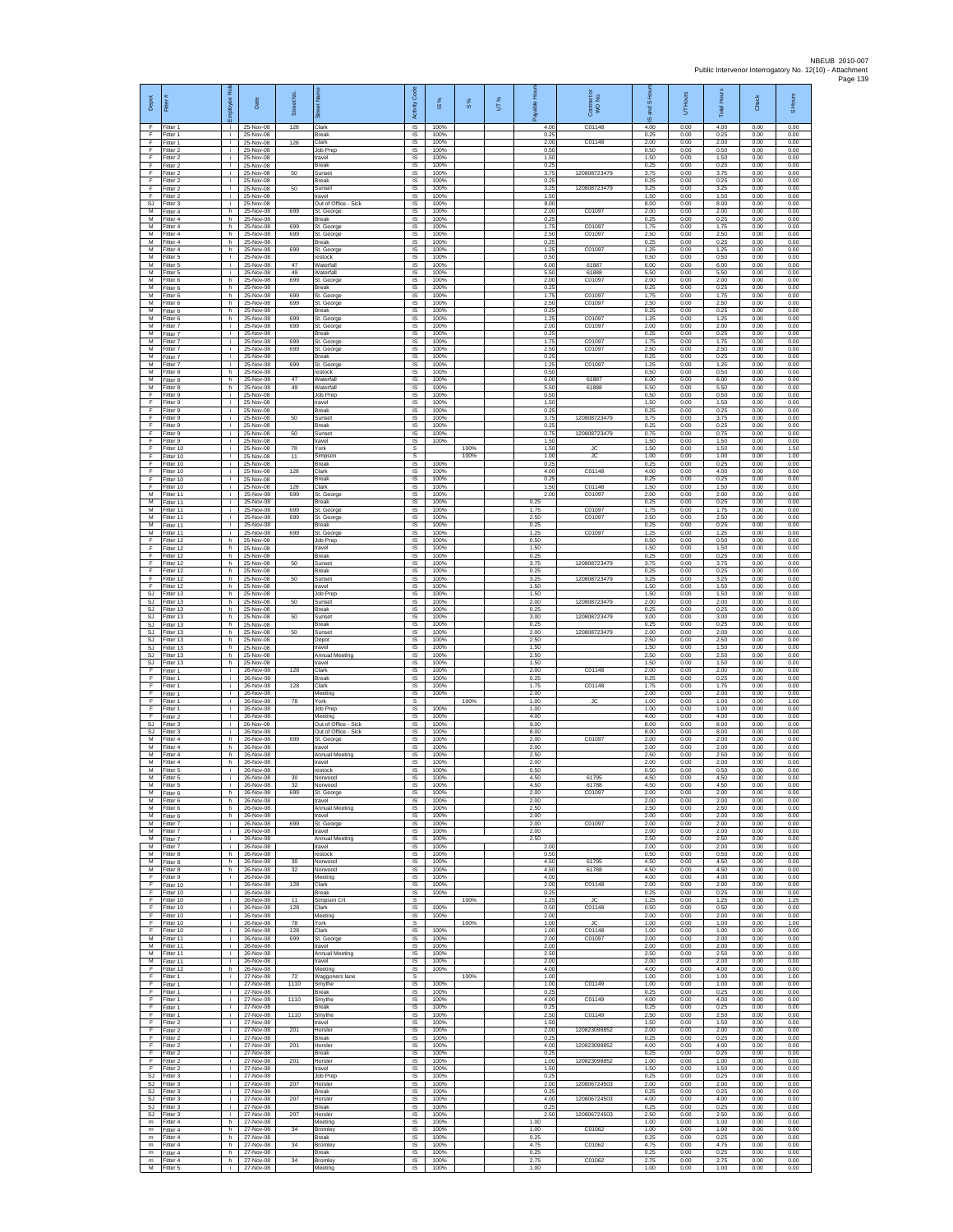| Depot                    | Fitter                              | ployee Rol               | Date                                | ş<br>Street     | あ                                           | Code<br>Activity              | ⋇<br>$\underline{\omega}$ | 8%   | UT% | elds                 | Contract<br>WO No.       | S Hou<br>g<br>$\overline{\omega}$ | 'Hours<br>5          | Total Hours          | Check                | S Hours              |
|--------------------------|-------------------------------------|--------------------------|-------------------------------------|-----------------|---------------------------------------------|-------------------------------|---------------------------|------|-----|----------------------|--------------------------|-----------------------------------|----------------------|----------------------|----------------------|----------------------|
| F.<br>F<br>F             | Fitter 1<br>Fitter 1<br>Fitter 1    | i.<br>j.<br>i.           | 25-Nov-08<br>25-Nov-08<br>25-Nov-08 | 128<br>128      | Clark<br>Break<br>Clark                     | IS<br>IS<br><b>IS</b>         | 100%<br>100%<br>100%      |      |     | 4.00<br>0.25<br>2.00 | C01148<br>C01148         | 4.00<br>0.25<br>2.00              | 0.00<br>0.00<br>0.00 | 4.00<br>0.25<br>2.00 | 0.00<br>0.00<br>0.00 | 0.00<br>0.00<br>0.00 |
| F<br>F                   | Fitter 2<br>Fitter 2                | i.<br>÷.                 | 25-Nov-08<br>25-Nov-08              |                 | Job Prep<br>travel                          | IS<br>IS                      | 100%<br>100%              |      |     | 0.50<br>1.50         |                          | 0.50<br>1.50                      | 0.00<br>0.00         | 0.50<br>1.50         | 0.00<br>0.00         | 0.00<br>0.00         |
| F<br>F                   | fitter 2<br>Fitter 2                | j.<br>i.                 | 25-Nov-08<br>25-Nov-08              | 50              | Break<br>Sunset                             | IS<br>IS                      | 100%<br>100%              |      |     | 0.25<br>3.75         | 120808723479             | 0.25<br>3.75                      | 0.00<br>0.00         | 0.25<br>3.75         | 0.00<br>0.00         | 0.00<br>0.00         |
| F<br>F                   | Fitter 2<br>Fitter 2                | j.<br>÷.                 | 25-Nov-08<br>25-Nov-08              | 50              | <b>Break</b><br>Sunset                      | IS<br>IS                      | 100%<br>100%              |      |     | 0.25<br>3.25         | 120808723479             | 0.25<br>3.25                      | 0.00<br>0.00         | 0.25<br>3.25         | 0.00<br>0.00         | 0.00<br>0.00         |
| F<br><b>SJ</b>           | Fitter 2<br>Fitter 3                | j.<br>i.                 | 25-Nov-08<br>25-Nov-08              |                 | travel<br>Out of Office - Sick              | IS<br>IS                      | 100%<br>100%              |      |     | 1.50<br>8.00         |                          | 1.50<br>8.00                      | 0.00<br>0.00         | 1.50<br>8.00         | 0.00<br>0.00         | 0.00<br>0.00         |
| м<br>M<br>M              | Fitter 4<br>itter 4<br>Fitter 4     | h.<br>h.<br>h.           | 25-Nov-08<br>25-Nov-08<br>25-Nov-08 | 699<br>699      | St. George<br>Break<br>St. George           | $\sf IS$<br>IS<br><b>IS</b>   | 100%<br>100%<br>100%      |      |     | 2.00<br>0.25<br>1.75 | C01097<br>C01097         | 2.00<br>0.25<br>1.75              | 0.00<br>0.00<br>0.00 | 2.00<br>0.25<br>1.75 | 0.00<br>0.00<br>0.00 | 0.00<br>0.00<br>0.00 |
| M<br>М                   | Fitter 4<br>Fitter 4                | h.<br>h                  | 25-Nov-08<br>25-Nov-08              | 699             | St. George<br>Break                         | IS<br>IS                      | 100%<br>100%              |      |     | 2.50<br>0.25         | C01097                   | 2.50<br>0.25                      | 0.00<br>0.00         | 2.50<br>0.25         | 0.00<br>0.00         | 0.00<br>0.00         |
| $\overline{M}$<br>M      | Fitter 4<br>Fitter 5                | h.<br>j.                 | 25-Nov-08<br>25-Nov-08              | 699             | St. George<br>restock                       | IS<br>IS                      | 100%<br>100%              |      |     | 1.25<br>0.50         | C01097                   | 1.25<br>0.50                      | 0.00<br>0.00         | 1.25<br>0.50         | 0.00<br>0.00         | 0.00<br>0.00         |
| м<br>M                   | Fitter 5<br>litter 5                | ÷.<br>j.                 | 25-Nov-08<br>25-Nov-08              | 47<br>49        | Waterfall<br>Waterfall                      | $\sf IS$<br>IS                | 100%<br>100%              |      |     | 6.00<br>5.50         | 61887<br>61888           | 6.00<br>5.50                      | 0.00<br>0.00         | 6.00<br>5.50         | 0.00<br>0.00         | 0.00<br>0.00         |
| M<br>M<br>М              | Fitter 6<br>Fitter 6<br>Fitter 6    | h.<br>h<br>h.            | 25-Nov-08<br>25-Nov-08<br>25-Nov-08 | 699<br>699      | St. George<br>Break<br>St. George           | IS<br>IS<br>1S                | 100%<br>100%<br>100%      |      |     | 2.00<br>0.25<br>1.75 | C01097<br>C01097         | 2.00<br>0.25<br>1.75              | 0.00<br>0.00<br>0.00 | 2.00<br>0.25<br>1.75 | 0.00<br>0.00<br>0.00 | 0.00<br>0.00<br>0.00 |
| M<br>M                   | Fitter 6<br>Fitter 6                | h<br>h.                  | 25-Nov-08<br>25-Nov-08              | 699             | St. George<br><b>Break</b>                  | IS<br><b>IS</b>               | 100%<br>100%              |      |     | 2.50<br>0.25         | C01097                   | 2.50<br>0.25                      | 0.00<br>0.00         | 2.50<br>0.25         | 0.00<br>0.00         | 0.00<br>0.00         |
| M<br>м                   | Fitter 6<br>Fitter 7                | h.<br>j.                 | 25-Nov-08<br>25-Nov-08              | 699<br>699      | St. George<br>St. George                    | IS<br>IS                      | 100%<br>100%              |      |     | 1.25<br>2.00         | C01097<br>C01097         | 1.25<br>2.00                      | 0.00<br>0.00         | 1.25<br>2.00         | 0.00<br>0.00         | 0.00<br>0.00         |
| M<br>M                   | Fitter 7<br>Fitter 7                | j.<br>i.                 | 25-Nov-08<br>25-Nov-08              | 699             | <b>Break</b><br>St. George                  | IS<br>IS                      | 100%<br>100%              |      |     | 0.25<br>1.75         | C01097                   | 0.25<br>1.75                      | 0.00<br>0.00         | 0.25<br>1.75         | 0.00<br>0.00         | 0.00<br>0.00         |
| М<br>$\overline{M}$<br>M | Fitter 7<br>fitter 7<br>Fitter 7    | ÷.<br>j.                 | 25-Nov-08<br>25-Nov-08<br>25-Nov-08 | 699<br>699      | St. George<br>Break<br>St. George           | IS<br>1S<br>IS                | 100%<br>100%<br>100%      |      |     | 2.50<br>0.25<br>1.25 | C01097<br>C01097         | 2.50<br>0.25<br>1.25              | 0.00<br>0.00<br>0.00 | 2.50<br>0.25<br>1.25 | 0.00<br>0.00<br>0.00 | 0.00<br>0.00<br>0.00 |
| M<br>М                   | Fitter 8<br>Fitter 8                | j.<br>h<br>h.            | 25-Nov-08<br>25-Nov-08              | 47              | restock<br>Waterfall                        | IS<br>IS                      | 100%<br>100%              |      |     | 0.50<br>6.00         | 61887                    | 0.50<br>6.00                      | 0.00<br>0.00         | 0.50<br>6.00         | 0.00<br>0.00         | 0.00<br>0.00         |
| M<br>F                   | fitter 8<br>Fitter 9                | h.<br>j.                 | 25-Nov-08<br>25-Nov-08              | 49              | Waterfall<br>Job Prep                       | IS<br>IS                      | 100%<br>100%              |      |     | 5.50<br>0.50         | 61888                    | 5.50<br>0.50                      | 0.00<br>0.00         | 5.50<br>0.50         | 0.00<br>0.00         | 0.00<br>0.00         |
| F<br>F                   | Fitter 9<br>itter 9                 | i.<br>j.                 | 25-Nov-08<br>25-Nov-08              |                 | travel<br>Break                             | $\sf IS$<br>IS                | 100%<br>100%              |      |     | 1.50<br>0.25         |                          | 1.50<br>0.25                      | 0.00<br>0.00         | 1.50<br>0.25         | 0.00<br>0.00         | 0.00<br>0.00         |
| F<br>F                   | Fitter 9<br>Fitter 9                | j.<br>i.                 | 25-Nov-08<br>25-Nov-08              | 50              | Sunset<br><b>Break</b>                      | IS<br>IS                      | 100%<br>100%              |      |     | 3.75<br>0.25         | 120808723479             | 3.75<br>0.25                      | 0.00<br>0.00         | 3.75<br>0.25         | 0.00<br>0.00         | 0.00<br>0.00         |
| F<br>F<br>F              | Fitter 9<br>Fitter 9<br>Fitter 10   | ÷.<br>j.<br>i.           | 25-Nov-08<br>25-Nov-08<br>25-Nov-08 | 50<br>78        | Sunset<br>travel<br>York                    | IS<br>1S<br>s                 | 100%<br>100%              | 100% |     | 0.75<br>1.50<br>1.50 | 120808723479<br>JC.      | 0.75<br>1.50<br>1.50              | 0.00<br>0.00<br>0.00 | 0.75<br>1.50<br>1.50 | 0.00<br>0.00<br>0.00 | 0.00<br>0.00<br>1.50 |
| F<br>F                   | Fitter 10<br>Fitter 10              | ÷.<br>j.                 | 25-Nov-08<br>25-Nov-08              | 11              | Simpson<br>Break                            | $\mathbb S$<br>$\sf IS$       | 100%                      | 100% |     | 1.00<br>0.25         | <b>JC</b>                | 1.00<br>0.25                      | 0.00<br>0.00         | 1.00<br>0.25         | 0.00<br>0.00         | 1.00<br>0.00         |
| F<br>F                   | Fitter 10<br>Fitter 10              | j.<br>i.                 | 25-Nov-08<br>25-Nov-08              | 128             | Clark<br><b>Break</b>                       | $\overline{\mathsf{s}}$<br>IS | 100%<br>100%              |      |     | 4.00<br>0.25         | C01148                   | 4.00<br>0.25                      | 0.00<br>0.00         | 4.00<br>0.25         | 0.00<br>0.00         | 0.00<br>0.00         |
| F<br>М                   | Fitter 10<br>itter 11               | ÷.<br>j.                 | 25-Nov-08<br>25-Nov-08              | 128<br>699      | Clark<br>St. George                         | IS<br>IS                      | 100%<br>100%              |      |     | 1.50<br>2.00         | C01148<br>C01097         | 1.50<br>2.00                      | 0.00<br>0.00         | 1.50<br>2.00         | 0.00<br>0.00         | 0.00<br>0.00         |
| M<br>M<br>м              | Fitter 11<br>Fitter 11<br>Fitter 11 | j.<br>i.<br>j.           | 25-Nov-08<br>25-Nov-08<br>25-Nov-08 | 699<br>699      | <b>Break</b><br>St. George<br>St. George    | IS<br>IS<br>$\sf IS$          | 100%<br>100%<br>100%      |      |     | 0.25<br>1.75<br>2.50 | C01097<br>C01097         | 0.25<br>1.75<br>2.50              | 0.00<br>0.00<br>0.00 | 0.25<br>1.75<br>2.50 | 0.00<br>0.00<br>0.00 | 0.00<br>0.00<br>0.00 |
| M<br>M                   | Fitter 11<br>Fitter 11              | j.<br>i.                 | 25-Nov-08<br>25-Nov-08              | 699             | <b>Break</b><br>St. George                  | IS<br>IS                      | 100%<br>100%              |      |     | 0.25<br>1 25         | C01097                   | 0.25<br>1.25                      | 0.00<br>0.00         | 0.25<br>1.25         | 0.00<br>0.00         | 0.00<br>0.00         |
| F<br>F                   | fitter 12<br>fitter 12              | h<br>h.                  | 25-Nov-08<br>25-Nov-08              |                 | Job Prep<br>travel                          | IS<br>IS                      | 100%<br>100%              |      |     | 0.50<br>1.50         |                          | 0.50<br>1.50                      | 0.00<br>0.00         | 0.50<br>1.50         | 0.00<br>0.00         | 0.00<br>0.00         |
| F<br>F                   | Fitter 12<br>Fitter 12              | h.<br>h                  | 25-Nov-08<br>25-Nov-08              | 50              | <b>Break</b><br>Sunset                      | IS<br>IS                      | 100%<br>100%              |      |     | 0.25<br>3.75         | 120808723479             | 0.25<br>3.75                      | 0.00<br>0.00         | 0.25<br>3.75         | 0.00<br>0.00         | 0.00<br>0.00         |
| F<br>F<br>F              | Fitter 12<br>Fitter 12              | h.<br>h.                 | 25-Nov-08<br>25-Nov-08              | 50              | Break<br>Sunset                             | IS<br>IS                      | 100%<br>100%              |      |     | 0.25<br>3.25         | 120808723479             | 0.25<br>3.25                      | 0.00<br>0.00         | 0.25<br>3.25         | 0.00<br>0.00         | 0.00<br>0.00         |
| SJ<br><b>SJ</b>          | Fitter 12<br>Fitter 13<br>fitter 13 | h.<br>h.<br>h            | 25-Nov-08<br>25-Nov-08<br>25-Nov-08 | 50              | travel<br>Job Prep<br>Sunset                | IS<br>$\sf IS$<br>IS          | 100%<br>100%<br>100%      |      |     | 1.50<br>1.50<br>2.00 | 120808723479             | 1.50<br>1.50<br>2.00              | 0.00<br>0.00<br>0.00 | 1.50<br>1.50<br>2.00 | 0.00<br>0.00<br>0.00 | 0.00<br>0.00<br>0.00 |
| <b>SJ</b><br>SJ.         | Fitter 13<br>Fitter 13              | h.<br>h.                 | 25-Nov-08<br>25-Nov-08              | 50              | <b>Break</b><br>Sunset                      | <b>IS</b><br>IS               | 100%<br>100%              |      |     | 0.25<br>3.00         | 120808723479             | 0.25<br>3.00                      | 0.00<br>0.00         | 0.25<br>3.00         | 0.00<br>0.00         | 0.00<br>0.00         |
| SJ<br>SJ.                | Fitter 13<br>Fitter 13              | h.<br>h.                 | 25-Nov-08<br>25-Nov-08              | 50              | Break<br>Sunset                             | IS<br>IS                      | 100%<br>100%              |      |     | 0.25<br>2.00         | 120808723479             | 0.25<br>2.00                      | 0.00<br>0.00         | 0.25<br>2.00         | 0.00<br>0.00         | 0.00<br>0.00         |
| SJ<br>SJ                 | Fitter 13<br>Fitter 13              | h.<br>h.                 | 25-Nov-08<br>25-Nov-08              |                 | Depot<br>travel                             | IS<br>$\sf IS$                | 100%<br>100%              |      |     | 2.50<br>1.50         |                          | 2.50<br>1.50                      | 0.00<br>0.00         | 2.50<br>1.50         | 0.00<br>0.00         | 0.00<br>0.00         |
| SJ<br>SJ<br>E            | fitter 13<br>Fitter 13<br>Fitter 1  | h.<br>h.<br>j.           | 25-Nov-08<br>25-Nov-08<br>26-Nov-08 | 128             | Annual Meeting<br>travel<br>Clark           | IS<br>IS<br>IS                | 100%<br>100%<br>100%      |      |     | 2.50<br>1.50<br>2.00 | C01148                   | 2.50<br>1.50<br>2.00              | 0.00<br>0.00<br>0.00 | 2.50<br>1.50<br>2.00 | 0.00<br>0.00<br>0.00 | 0.00<br>0.00<br>0.00 |
| F<br>F                   | Fitter 1<br>Fitter 1                | ÷.<br>j.                 | 26-Nov-08<br>26-Nov-08              | 128             | Break<br>Clark                              | 1S<br>IS                      | 100%<br>100%              |      |     | 0.25<br>1.75         | C01148                   | 0.25<br>1.75                      | 0.00<br>0.00         | 0.25<br>1.75         | 0.00<br>0.00         | 0.00<br>0.00         |
| F<br>E                   | Fitter 1<br>Fitter 1                | ÷i.<br>j.                | 26-Nov-08<br>26-Nov-08              | 78              | Meeting<br>York                             | IS<br>s                       | 100%                      | 100% |     | 2.00<br>1.00         | JC                       | 2.00<br>1.00                      | 0.00<br>0.00         | 2.00<br>1.00         | 0.00<br>0.00         | 0.00<br>1.00         |
| E<br>F<br>S.I            | Fitter 1<br>Fitter 2<br>Fitter 3    | j.<br>j.<br>j.           | 26-Nov-08<br>26-Nov-08<br>26-Nov-08 |                 | Job Prep<br>Meeting<br>Out of Office - Sick | $\sf IS$<br>IS<br>IS          | 100%<br>100%<br>100%      |      |     | 1.00<br>4.00<br>8.00 |                          | 1.00<br>4.00<br>8.00              | 0.00<br>0.00<br>0.00 | 1.00<br>4.00<br>8.00 | 0.00<br>0.00<br>0.00 | 0.00<br>0.00<br>0.00 |
| SJ<br>$\overline{M}$     | Fitter 3<br>itter 4                 | ÷<br>h.                  | 26-Nov-08<br>26-Nov-08              | 699             | Out of Office - Sick<br>St. George          | IS<br>IS                      | 100%<br>100%              |      |     | 8.00<br>2.00         | C01097                   | 8.00<br>2.00                      | 0.00<br>0.00         | 8.00<br>2.00         | 0.00<br>0.00         | 0.00<br>0.00         |
| M<br>M                   | Fitter 4<br>Fitter 4                | h.<br>h                  | 26-Nov-08<br>26-Nov-08              |                 | travel<br>Annual Meeting                    | IS<br>IS                      | 100%<br>100%              |      |     | 2.00<br>2.50         |                          | 2.00<br>2.50                      | 0.00<br>0.00         | 2.00<br>2.50         | 0.00<br>0.00         | 0.00<br>0.00         |
| М<br>M                   | Fitter 4<br>Fitter 5                | h.<br>j.                 | 26-Nov-08<br>26-Nov-08              |                 | travel<br>restock                           | IS<br>IS                      | 100%<br>100%              |      |     | 2.00<br>0.50         |                          | 2.00<br>0.50                      | 0.00<br>0.00         | 2.00<br>0.50         | 0.00<br>0.00         | 0.00<br>0.00         |
| м<br>м<br>М              | Fitter 5<br>Fitter 5<br>Fitter 6    | j.<br>$\mathbf{I}$<br>h. | 26-Nov-08<br>26-Nov-08<br>26-Nov-08 | 30<br>32<br>699 | Norwood<br>Norwood<br>St. George            | IS<br>IS<br>IS                | 100%<br>100%<br>100%      |      |     | 4.50<br>4.50<br>2.00 | 61795<br>61788<br>C01097 | 4.50<br>4.50<br>2.00              | 0.00<br>0.00<br>0.00 | 4.50<br>4.50<br>2.00 | 0.00<br>0.00<br>0.00 | 0.00<br>0.00<br>0.00 |
| M<br>M                   | Fitter 6<br>Fitter 6                | h.<br>h.                 | 26-Nov-08<br>26-Nov-08              |                 | travel<br>Annual Meeting                    | <b>IS</b><br>IS               | 100%<br>100%              |      |     | 2.00<br>2.50         |                          | 2.00<br>2.50                      | 0.00<br>0.00         | 2.00<br>2.50         | 0.00<br>0.00         | 0.00<br>0.00         |
| М<br>м                   | Fitter 6<br>Fitter 7                | h<br>$\mathbf{i}$        | 26-Nov-08<br>26-Nov-08              | 699             | travel<br>St. George                        | IS<br>IS                      | 100%<br>100%              |      |     | 2.00<br>2.00         | C01097                   | 2.00<br>2.00                      | 0.00<br>0.00         | 2.00<br>2.00         | 0.00<br>0.00         | 0.00<br>0.00         |
| M<br>м                   | Fitter 7<br>Fitter 7                | i.<br>÷.                 | 26-Nov-08<br>26-Nov-08              |                 | travel<br><b>Annual Meeting</b>             | <b>IS</b><br>IS               | 100%<br>100%              |      |     | 2.00<br>2.50         |                          | 2.00<br>2.50                      | 0.00<br>0.00         | 2.00<br>2.50         | 0.00<br>0.00         | 0.00<br>0.00         |
| м<br>м<br>м              | Fitter 7<br>Fitter 8<br>Fitter 8    | j.<br>h.<br>h.           | 26-Nov-08<br>26-Nov-08<br>26-Nov-08 | 30              | travel<br>restock<br>Norwood                | $\sf IS$<br>IS.<br>IS         | 100%<br>100%<br>100%      |      |     | 2.00<br>0.50<br>4.50 | 61795                    | 2.00<br>0.50<br>4.50              | 0.00<br>0.00<br>0.00 | 2.00<br>0.50<br>4.50 | 0.00<br>0.00<br>0.00 | 0.00<br>0.00<br>0.00 |
| М<br>F                   | Fitter 8<br>Fitter 9                | h.<br>i.                 | 26-Nov-08<br>26-Nov-08              | 32              | Norwood<br>Meeting                          | IS<br>IS                      | 100%<br>100%              |      |     | 4.50<br>4.00         | 61788                    | 4.50<br>4.00                      | 0.00<br>0.00         | 4.50<br>4.00         | 0.00<br>0.00         | 0.00<br>0.00         |
| F<br>F                   | Fitter 10<br>Fitter 10              | j.<br>i.                 | 26-Nov-08<br>26-Nov-08              | 128             | Clark<br><b>Break</b>                       | <b>IS</b><br>IS               | 100%<br>100%              |      |     | 2.00<br>0.25         | C01148                   | 2.00<br>0.25                      | 0.00<br>0.00         | 2.00<br>0.25         | 0.00<br>0.00         | 0.00<br>0.00         |
| F<br>F<br>F              | Fitter 10<br>Fitter 10<br>Fitter 10 | ÷<br>j.<br>i.            | 26-Nov-08<br>26-Nov-08<br>26-Nov-08 | 11<br>128       | Simpson Cr<br>Clark<br>Meeting              | s<br><b>IS</b><br>IS          | 100%                      | 100% |     | 1.25<br>0.50<br>2.00 | <b>JC</b><br>C01148      | 1.25<br>0.50<br>2.00              | 0.00<br>0.00<br>0.00 | 1.25<br>0.50<br>2.00 | 0.00<br>0.00<br>0.00 | 1.25<br>0.00<br>0.00 |
| F<br>F                   | Fitter 10<br>Fitter 10              | i.<br>i.                 | 26-Nov-08<br>26-Nov-08              | 78<br>128       | York<br>Clark                               | s<br>IS                       | 100%<br>100%              | 100% |     | 1.00<br>1.00         | <b>JC</b><br>C01148      | 1.00<br>1.00                      | 0.00<br>0.00         | 1.00<br>1.00         | 0.00<br>0.00         | 1.00<br>0.00         |
| м<br>м                   | Fitter 11<br>Fitter 11              | i.<br>i.                 | 26-Nov-08<br>26-Nov-08              | 699             | St. George<br>travel                        | <b>IS</b><br>IS               | 100%<br>100%              |      |     | 2.00<br>2.00         | C01097                   | 2.00<br>2.00                      | 0.00<br>0.00         | 2.00<br>2.00         | 0.00<br>0.00         | 0.00<br>0.00         |
| М<br>M<br>E              | Fitter 11<br>Fitter 11              | ÷.<br>i.                 | 26-Nov-08<br>26-Nov-08              |                 | Annual Meeting<br>travel                    | IS<br>IS                      | 100%<br>100%              |      |     | 2.50<br>2.00         |                          | 2.50<br>2.00                      | 0.00<br>0.00         | 2.50<br>2.00         | 0.00<br>0.00         | 0.00<br>0.00         |
| F.<br>F                  | Fitter 12<br>Fitter 1<br>fitter 1   | h.<br>i.<br>÷.           | 26-Nov-08<br>27-Nov-08<br>27-Nov-08 | 72<br>1110      | Meeting<br>Waggoners lane<br>Smythe         | $\sf IS$<br>$\mathbb S$<br>IS | 100%<br>100%              | 100% |     | 4.00<br>1.00<br>1.00 | C01149                   | 4.00<br>1.00<br>1.00              | 0.00<br>0.00<br>0.00 | 4.00<br>1.00<br>1.00 | 0.00<br>0.00<br>0.00 | 0.00<br>1.00<br>0.00 |
| E<br>E                   | Fitter 1<br>Fitter 1                | j.<br>i.                 | 27-Nov-08<br>27-Nov-08              | 1110            | <b>Break</b><br>Smythe                      | IS<br>IS                      | 100%<br>100%              |      |     | 0.25<br>4.00         | C01149                   | 0.25<br>4.00                      | 0.00<br>0.00         | 0.25<br>4.00         | 0.00<br>0.00         | 0.00<br>0.00         |
| F<br>F                   | Fitter 1<br>Fitter 1                | ÷.<br>i.                 | 27-Nov-08<br>27-Nov-08              | 1110            | Break<br>Smythe                             | IS<br>IS                      | 100%<br>100%              |      |     | 0.25<br>2.50         | C01149                   | 0.25<br>2.50                      | 0.00<br>0.00         | 0.25<br>2.50         | 0.00<br>0.00         | 0.00<br>0.00         |
| F<br>$\mathsf F$         | Fitter 2<br>Fitter 2                | i.<br>i.                 | 27-Nov-08<br>27-Nov-08              | 201             | travel<br>Horsler                           | <b>IS</b><br>$\sf IS$         | 100%<br>100%              |      |     | 1.50<br>2.00         | 120823098852             | 1.50<br>2.00                      | 0.00<br>0.00         | 1.50<br>2.00         | 0.00<br>0.00         | 0.00<br>0.00         |
| F<br>F<br>F              | Fitter 2<br>Fitter 2<br>Fitter 2    | $\mathbf i$<br>i.<br>i.  | 27-Nov-08<br>27-Nov-08<br>27-Nov-08 | 201             | Break<br>Horsler<br>Break                   | IS<br>IS<br>IS                | 100%<br>100%<br>100%      |      |     | 0.25<br>4.00<br>0.25 | 120823098852             | 0.25<br>4.00<br>0.25              | 0.00<br>0.00<br>0.00 | 0.25<br>4.00<br>0.25 | 0.00<br>0.00<br>0.00 | 0.00<br>0.00<br>0.00 |
| F<br>F                   | Fitter 2<br>Fitter 2                | ÷.<br>÷.                 | 27-Nov-08<br>27-Nov-08              | 201             | Horsler<br>travel                           | 1S<br>IS                      | 100%<br>100%              |      |     | 1.00<br>1.50         | 120823098852             | 1.00<br>1.50                      | 0.00<br>0.00         | 1.00<br>1.50         | 0.00<br>0.00         | 0.00<br>0.00         |
| SJ<br>SJ.                | Fitter 3<br>Fitter 3                | j.<br>i.                 | 27-Nov-08<br>27-Nov-08              | 207             | Job Prep<br>Horsler                         | <b>IS</b><br>IS               | 100%<br>100%              |      |     | 0.25<br>2.00         | 120806724503             | 0.25<br>2.00                      | 0.00<br>0.00         | 0.25<br>2.00         | 0.00<br>0.00         | 0.00<br>0.00         |
| SJ<br>SJ.                | Fitter 3<br>Fitter 3                | ÷.<br>i.                 | 27-Nov-08<br>27-Nov-08              | 207             | Break<br>Horsler                            | $\sf IS$<br><b>IS</b>         | 100%<br>100%              |      |     | 0.25<br>4.00         | 120806724503             | 0.25<br>4.00                      | 0.00<br>0.00         | 0.25<br>4.00         | 0.00<br>0.00         | 0.00<br>0.00         |
| SJ.<br>SJ<br>m           | Fitter 3<br>Fitter 3<br>itter 4     | i.<br>i.<br>h.           | 27-Nov-08<br>27-Nov-08<br>27-Nov-08 | 207             | <b>Break</b><br>Horsler<br>Meeting          | IS<br>IS<br>IS                | 100%<br>100%<br>100%      |      |     | 0.25<br>2.50<br>1.00 | 120806724503             | 0.25<br>2.50<br>1.00              | 0.00<br>0.00<br>0.00 | 0.25<br>2.50<br>1.00 | 0.00<br>0.00<br>0.00 | 0.00<br>0.00<br>0.00 |
| m<br>${\sf m}$           | Fitter 4<br>-itter 4                | h.<br>h                  | 27-Nov-08<br>27-Nov-08              | 34              | Bromley<br>Break                            | IS<br>IS                      | 100%<br>100%              |      |     | 1.00<br>0.25         | C01062                   | 1.00<br>0.25                      | 0.00<br>0.00         | 1.00<br>0.25         | 0.00<br>0.00         | 0.00<br>0.00         |
| m<br>m                   | Fitter 4<br>Fitter 4                | h.<br>h.                 | 27-Nov-08<br>27-Nov-08              | 34              | Bromley<br><b>Break</b>                     | 1S<br>IS                      | 100%<br>100%              |      |     | 4.75<br>0.25         | C01062                   | 4.75<br>0.25                      | 0.00<br>0.00         | 4.75<br>0.25         | 0.00<br>0.00         | 0.00<br>0.00         |
| ${\sf m}$<br>M           | Fitter 4<br>Fitter 5                | h.<br>i.                 | 27-Nov-08<br>27-Nov-08              | 34              | Bromley<br>Meeting                          | $\sf IS$<br>IS                | 100%<br>100%              |      |     | 2.75<br>1.00         | C01062                   | 2.75<br>1.00                      | 0.00<br>0.00         | 2.75<br>1.00         | 0.00<br>0.00         | 0.00<br>0.00         |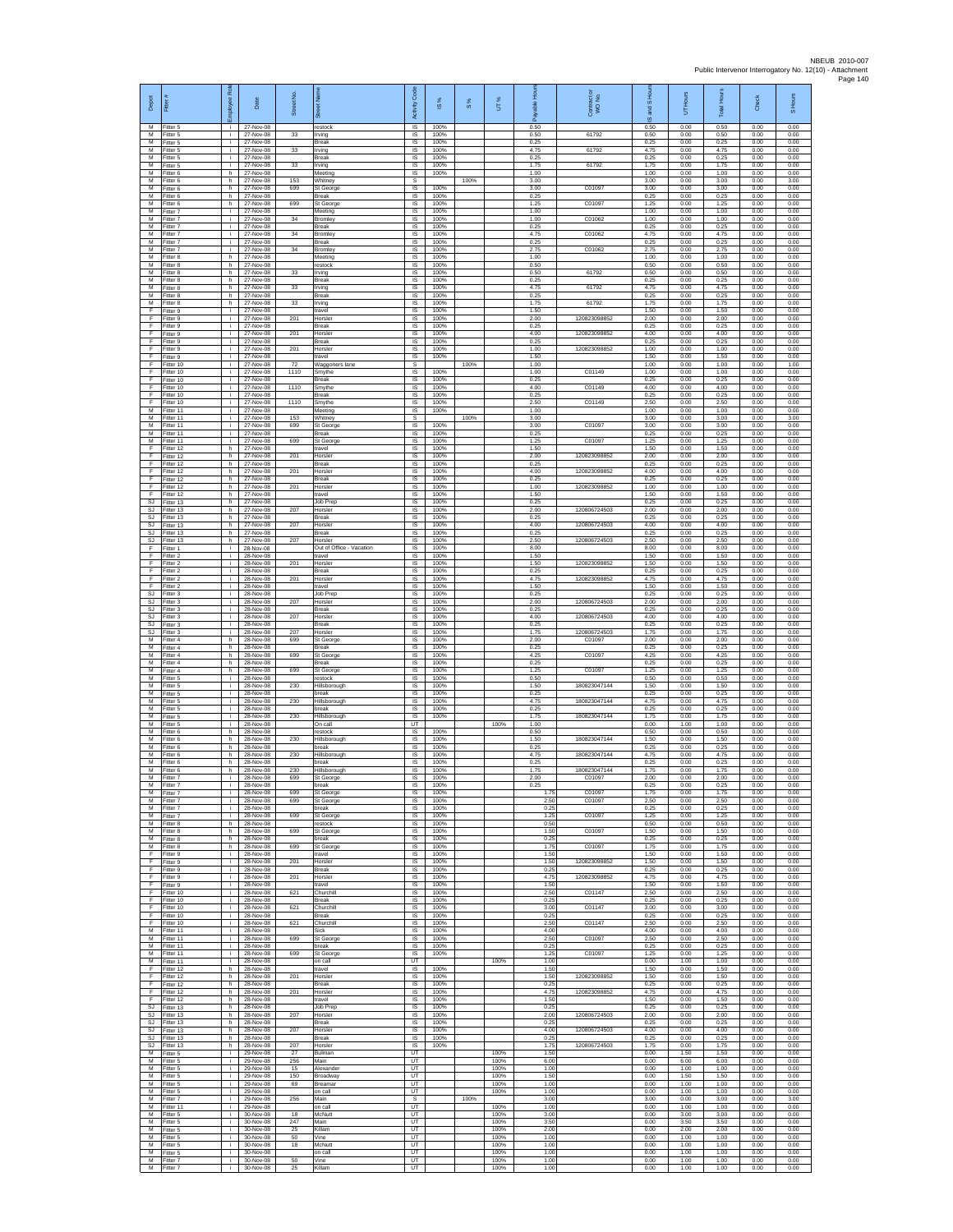| Depot                    | Fitter                                | ployee Rol               | Date                                | Street No       | õ.                                    | Code<br>Activity                                | ⋇<br>$\overline{\omega}$ | $\frac{8}{3}$ | UT%                  | 오<br>æ               | Contract<br>WO No.           | $\overline{a}$<br><b>SURS</b><br>$\omega$ | Hours<br>5           | <b>Total Hours</b>   | Check                | S Hours              |
|--------------------------|---------------------------------------|--------------------------|-------------------------------------|-----------------|---------------------------------------|-------------------------------------------------|--------------------------|---------------|----------------------|----------------------|------------------------------|-------------------------------------------|----------------------|----------------------|----------------------|----------------------|
| М<br>M<br>M              | Fitter 5<br>Fitter 5<br>Fitter 5      | ÷i.<br>j.<br>÷.          | 27-Nov-08<br>27-Nov-08<br>27-Nov-08 | 33              | restock<br>Irvina<br>Break            | IS<br>IS<br>IS                                  | 100%<br>100%<br>100%     |               |                      | 0.50<br>0.50<br>0.25 | 61792                        | 0.50<br>0.50<br>0.25                      | 0.00<br>0.00<br>0.00 | 0.50<br>0.50<br>0.25 | 0.00<br>0.00<br>0.00 | 0.00<br>0.00<br>0.00 |
| М<br>М                   | Fitter 5<br>fitter 5                  | ÷.<br>j.                 | 27-Nov-08<br>27-Nov-08              | 33              | Irving<br>Break                       | IS<br>IS                                        | 100%<br>100%             |               |                      | 4.75<br>0.25         | 61792                        | 4.75<br>0.25                              | 0.00<br>0.00         | 4.75<br>0.25         | 0.00<br>0.00         | 0.00<br>0.00         |
| M<br>M<br>М              | Fitter 5<br>Fitter 6<br>Fitter 6      | j.<br>h.<br>h            | 27-Nov-08<br>27-Nov-08<br>27-Nov-08 | 33<br>153       | Irving<br>Meeting<br>Whitney          | IS<br>IS<br>s                                   | 100%<br>100%             | 100%          |                      | 1.75<br>1.00<br>3.00 | 61792                        | 1.75<br>1.00<br>3.00                      | 0.00<br>0.00<br>0.00 | 1.75<br>1.00<br>3.00 | 0.00<br>0.00<br>0.00 | 0.00<br>0.00<br>3.00 |
| $\overline{M}$<br>M      | Fitter 6<br>Fitter 6                  | h.<br>h.                 | 27-Nov-08<br>27-Nov-08              | 699             | St George<br><b>Break</b>             | IS<br>IS                                        | 100%<br>100%             |               |                      | 3.00<br>0.25         | C01097                       | 3.00<br>0.25                              | 0.00<br>0.00         | 3.00<br>0.25         | 0.00<br>0.00         | 0.00<br>0.00         |
| м<br>M<br>M              | -itter 6<br>Fitter 7<br>Fitter 7      | h.<br>j.                 | 27-Nov-08<br>27-Nov-08<br>27-Nov-08 | 699<br>34       | <b>St Georg</b><br>Meeting<br>Bromley | $\sf IS$<br>$\sf IS$<br>$\overline{\mathsf{s}}$ | 100%<br>100%<br>100%     |               |                      | 1.25<br>1.00<br>1.00 | C01097<br>C01062             | 1.25<br>1.00<br>1.00                      | 0.00<br>0.00<br>0.00 | 1.25<br>1.00<br>1.00 | 0.00<br>0.00<br>0.00 | 0.00<br>0.00<br>0.00 |
| м<br>М                   | Fitter 7<br>Fitter 7                  | j.<br>j.<br>÷.           | 27-Nov-08<br>27-Nov-08              | 34              | <b>Break</b><br><b>Bromley</b>        | IS<br>IS                                        | 100%<br>100%             |               |                      | 0.25<br>4.75         | C01062                       | 0.25<br>4.75                              | 0.00<br>0.00         | 0.25<br>4.75         | 0.00<br>0.00         | 0.00<br>0.00         |
| М<br>$\overline{M}$      | itter 7<br>Fitter 7                   | j.<br>÷i.                | 27-Nov-08<br>27-Nov-08              | 34              | Break<br><b>Bromley</b>               | IS<br>IS                                        | 100%<br>100%             |               |                      | 0.25<br>2.75         | C01062                       | 0.25<br>2.75                              | 0.00<br>0.00         | 0.25<br>2.75         | 0.00<br>0.00         | 0.00<br>0.00         |
| M<br>м<br>M              | Fitter 8<br>Fitter 8<br>Fitter 8      | h.<br>h<br>h.            | 27-Nov-08<br>27-Nov-08<br>27-Nov-08 | 33              | Meeting<br>restock<br>Irving          | IS<br>$\sf IS$<br><b>IS</b>                     | 100%<br>100%<br>100%     |               |                      | 1.00<br>0.50<br>0.50 | 61792                        | 1.00<br>0.50<br>0.50                      | 0.00<br>0.00<br>0.00 | 1.00<br>0.50<br>0.50 | 0.00<br>0.00<br>0.00 | 0.00<br>0.00<br>0.00 |
| M<br>М                   | Fitter 8<br>fitter 8                  | h.<br>h                  | 27-Nov-08<br>27-Nov-08              | 33              | <b>Break</b><br>Irving                | IS<br>IS                                        | 100%<br>100%             |               |                      | 0.25<br>4.75         | 61792                        | 0.25<br>4.75                              | 0.00<br>0.00         | 0.25<br>4.75         | 0.00<br>0.00         | 0.00<br>0.00         |
| $\overline{M}$<br>M<br>F | fitter 8<br>Fitter 8                  | h.<br>h.<br>j.           | 27-Nov-08<br>27-Nov-08              | 33              | Break<br>Irving                       | IS<br>IS                                        | 100%<br>100%<br>100%     |               |                      | 0.25<br>1.75<br>1.50 | 61792                        | 0.25<br>1.75<br>1.50                      | 0.00<br>0.00<br>0.00 | 0.25<br>1.75<br>1.50 | 0.00<br>0.00<br>0.00 | 0.00<br>0.00<br>0.00 |
| F<br>F                   | Fitter 9<br>Fitter 9<br>Fitter 9      | ÷.<br>j.                 | 27-Nov-08<br>27-Nov-08<br>27-Nov-08 | 201             | travel<br>Horsler<br><b>Break</b>     | IS<br>IS<br>IS                                  | 100%<br>100%             |               |                      | 2.00<br>0.25         | 120823098852                 | 2.00<br>0.25                              | 0.00<br>0.00         | 2.00<br>0.25         | 0.00<br>0.00         | 0.00<br>0.00         |
| E<br>F                   | Fitter 9<br>Fitter 9                  | ÷.<br>÷.                 | 27-Nov-08<br>27-Nov-08              | 201             | Horsler<br>Break                      | IS<br>1S                                        | 100%<br>100%             |               |                      | 4.00<br>0.25         | 120823098852                 | 4.00<br>0.25                              | 0.00<br>0.00         | 4.00<br>0.25         | 0.00<br>0.00         | 0.00<br>0.00         |
| F<br>E<br>E              | fitter 9<br>Fitter 9<br>Fitter 10     | j.<br>÷i.<br>j.          | 27-Nov-08<br>27-Nov-08<br>27-Nov-08 | 201<br>72       | Horsler<br>travel<br>Waggoners lane   | IS<br><b>IS</b><br>s                            | 100%<br>100%             | 100%          |                      | 1.00<br>1.50<br>1.00 | 12082309885                  | 1.00<br>1.50<br>1.00                      | 0.00<br>0.00<br>0.00 | 1.00<br>1.50<br>1.00 | 0.00<br>0.00<br>0.00 | 0.00<br>0.00<br>1.00 |
| F<br>F                   | Fitter 10<br>Fitter 10                | ÷.<br>j.                 | 27-Nov-08<br>27-Nov-08              | 1110            | Smythe<br>Break                       | IS<br>1S                                        | 100%<br>100%             |               |                      | 1.00<br>0.25         | C01149                       | 1.00<br>0.25                              | 0.00<br>0.00         | 1.00<br>0.25         | 0.00<br>0.00         | 0.00<br>0.00         |
| F<br>F<br>F              | Fitter 10<br>Fitter 10<br>litter 10   | j.<br>÷.<br>j.           | 27-Nov-08<br>27-Nov-08<br>27-Nov-08 | 1110<br>1110    | Smythe<br>Break<br>Smythe             | IS<br>$\sf IS$<br>IS                            | 100%<br>100%<br>100%     |               |                      | 4.00<br>0.25<br>2.50 | C01149<br>C01149             | 4.00<br>0.25<br>2.50                      | 0.00<br>0.00<br>0.00 | 4.00<br>0.25<br>2.50 | 0.00<br>0.00<br>0.00 | 0.00<br>0.00<br>0.00 |
| M<br>M                   | Fitter 11<br>Fitter 11                | j.<br>j.                 | 27-Nov-08<br>27-Nov-08              | 153             | Meeting<br>Whitney                    | IS<br>s                                         | 100%                     | 100%          |                      | 1.00<br>3.00         |                              | 1.00<br>3.00                              | 0.00<br>0.00         | 1.00<br>3.00         | 0.00<br>0.00         | 0.00<br>3.00         |
| М<br>М<br>M              | Fitter 11<br>itter 11                 | ÷.<br>j.<br>÷i.          | 27-Nov-08<br>27-Nov-08<br>27-Nov-08 | 699<br>699      | St George<br>Break<br>St George       | IS.<br>IS<br>IS                                 | 100%<br>100%<br>100%     |               |                      | 3.00<br>0.25<br>1.25 | C01097<br>C01097             | 3.00<br>0.25<br>1.25                      | 0.00<br>0.00<br>0.00 | 3.00<br>0.25<br>1.25 | 0.00<br>0.00<br>0.00 | 0.00<br>0.00<br>0.00 |
| E<br>E                   | Fitter 11<br>Fitter 12<br>Fitter 12   | h.<br>h.                 | 27-Nov-08<br>27-Nov-08              | 201             | travel<br>Horsler                     | IS<br>$\sf IS$                                  | 100%<br>100%             |               |                      | 1.50<br>2.00         | 12082309885                  | 1.50<br>2.00                              | 0.00<br>0.00         | 1.50<br>2.00         | 0.00<br>0.00         | 0.00<br>0.00         |
| F<br>E                   | Fitter 12<br>Fitter 12                | h.<br>h.                 | 27-Nov-08<br>27-Nov-08              | 201             | <b>Break</b><br>Horsler               | IS<br>IS                                        | 100%<br>100%             |               |                      | 0.25<br>4.00         | 120823098852                 | 0.25<br>4.00                              | 0.00<br>0.00         | 0.25<br>4.00         | 0.00<br>0.00         | 0.00<br>0.00         |
| F<br>F<br>F              | Fitter 12<br>Fitter 12<br>Fitter 12   | h<br>h.<br>h.            | 27-Nov-08<br>27-Nov-08<br>27-Nov-08 | 201             | Break<br>Horsler<br>travel            | IS<br>1S<br>IS                                  | 100%<br>100%<br>100%     |               |                      | 0.25<br>1.00<br>1.50 | 120823098852                 | 0.25<br>1.00<br>1.50                      | 0.00<br>0.00<br>0.00 | 0.25<br>1.00<br>1.50 | 0.00<br>0.00<br>0.00 | 0.00<br>0.00<br>0.00 |
| SJ<br>SJ                 | Fitter 13<br>Fitter 13                | h<br>h.                  | 27-Nov-08<br>27-Nov-08              | 207             | Job Prep<br>Horsler                   | IS<br>1S                                        | 100%<br>100%             |               |                      | 0.25<br>2.00         | 120806724503                 | 0.25<br>2.00                              | 0.00<br>0.00         | 0.25<br>2.00         | 0.00<br>0.00         | 0.00<br>0.00         |
| SJ<br>SJ<br>SJ           | Fitter 13<br>Fitter 13<br>Fitter 13   | h.<br>h<br>h.            | 27-Nov-08<br>27-Nov-08<br>27-Nov-08 | 207             | <b>Break</b><br>Horsler<br>Break      | IS<br>IS<br>IS                                  | 100%<br>100%<br>100%     |               |                      | 0.25<br>4.00<br>0.25 | 120806724503                 | 0.25<br>4.00<br>0.25                      | 0.00<br>0.00<br>0.00 | 0.25<br>4.00<br>0.25 | 0.00<br>0.00<br>0.00 | 0.00<br>0.00<br>0.00 |
| SJ<br>F                  | fitter 13<br>Fitter 1                 | h.<br>j.                 | 27-Nov-08<br>28-Nov-08              | 207             | Horsler<br>Out of Office - Vacation   | IS<br>IS                                        | 100%<br>100%             |               |                      | 2.50<br>8.00         | 120806724503                 | 2.50<br>8.00                              | 0.00<br>0.00         | 2.50<br>8.00         | 0.00<br>0.00         | 0.00<br>0.00         |
| E<br>F                   | Fitter 2<br>Fitter 2                  | j.<br>÷.                 | 28-Nov-08<br>28-Nov-08              | 201             | travel<br>Horsler                     | IS<br>IS                                        | 100%<br>100%             |               |                      | 1.50<br>1.50         | 120823098852                 | 1.50<br>1.50                              | 0.00<br>0.00         | 1.50<br>1.50         | 0.00<br>0.00         | 0.00<br>0.00         |
| F<br>F<br>$\mathsf F$    | Fitter 2<br>Fitter 2<br>-itter 2      | j.<br>i.<br>÷.           | 28-Nov-08<br>28-Nov-08<br>28-Nov-08 | 201             | Break<br>Horsler<br>travel            | 1S<br>IS<br>IS                                  | 100%<br>100%<br>100%     |               |                      | 0.25<br>4.75<br>1.50 | 12082309885                  | 0.25<br>4.75<br>1.50                      | 0.00<br>0.00<br>0.00 | 0.25<br>4.75<br>1.50 | 0.00<br>0.00<br>0.00 | 0.00<br>0.00<br>0.00 |
| SJ<br>SJ                 | Fitter 3<br>Fitter 3                  | j.<br>j.                 | 28-Nov-08<br>28-Nov-08              | 207             | Job Prep<br>Horsler                   | $\sf IS$<br>$\overline{\mathsf{s}}$             | 100%<br>100%             |               |                      | 0.25<br>2.00         | 120806724503                 | 0.25<br>2.00                              | 0.00<br>0.00         | 0.25<br>2.00         | 0.00<br>0.00         | 0.00<br>0.00         |
| SJ<br>SJ<br>SJ           | Fitter 3<br>Fitter 3<br>Titter 3      | j.<br>÷.<br>j.           | 28-Nov-08<br>28-Nov-08<br>28-Nov-08 | 207             | <b>Break</b><br>Horsler<br>Break      | IS<br>IS<br>IS                                  | 100%<br>100%<br>100%     |               |                      | 0.25<br>4.00<br>0.25 | 120806724503                 | 0.25<br>4.00<br>0.25                      | 0.00<br>0.00<br>0.00 | 0.25<br>4.00<br>0.25 | 0.00<br>0.00<br>0.00 | 0.00<br>0.00<br>0.00 |
| SJ<br>M                  | Fitter 3<br>Fitter 4                  | j.<br>h.                 | 28-Nov-08<br>28-Nov-08              | 207<br>699      | Horsler<br>St George                  | IS<br>IS                                        | 100%<br>100%             |               |                      | 1.75<br>2.00         | 120806724503<br>C01097       | 1.75<br>2.00                              | 0.00<br>0.00         | 1.75<br>2.00         | 0.00<br>0.00         | 0.00<br>0.00         |
| м<br>M                   | Fitter 4<br>Fitter 4                  | h<br>h.                  | 28-Nov-08<br>28-Nov-08              | 699             | Break<br>St George                    | $\sf IS$<br>IS                                  | 100%<br>100%             |               |                      | 0.25<br>4.25         | C01097                       | 0.25<br>4.25                              | 0.00<br>0.00         | 0.25<br>4.25         | 0.00<br>0.00         | 0.00<br>0.00         |
| M<br>М<br>$\overline{M}$ | Fitter 4<br>itter 4<br>fitter 5       | h.<br>h.<br>j.           | 28-Nov-08<br>28-Nov-08<br>28-Nov-08 | 699             | <b>Break</b><br>St George<br>restock  | IS<br>IS<br>IS                                  | 100%<br>100%<br>100%     |               |                      | 0.25<br>1.25<br>0.50 | C01097                       | 0.25<br>1.25<br>0.50                      | 0.00<br>0.00<br>0.00 | 0.25<br>1.25<br>0.50 | 0.00<br>0.00<br>0.00 | 0.00<br>0.00<br>0.00 |
| M<br>M                   | Fitter 5<br>Fitter 5                  | j.<br>j.                 | 28-Nov-08<br>28-Nov-08              | 230             | Hillsborough<br>break                 | IS<br>IS                                        | 100%<br>100%             |               |                      | 1.50<br>0.25         | 180823047144                 | 1.50<br>0.25                              | 0.00<br>0.00         | 1.50<br>0.25         | 0.00<br>0.00         | 0.00<br>0.00         |
| М<br>M<br>M              | Fitter 5<br>Fitter 5<br>Fitter 5      | ÷.<br>j.<br>÷.           | 28-Nov-08<br>28-Nov-08<br>28-Nov-08 | 230<br>230      | Hillsborough<br>break<br>Hillsborough | IS<br>IS<br>IS                                  | 100%<br>100%<br>100%     |               |                      | 4.75<br>0.25<br>1.75 | 180823047144<br>180823047144 | 4.75<br>0.25<br>1.75                      | 0.00<br>0.00<br>0.00 | 4.75<br>0.25<br>1.75 | 0.00<br>0.00<br>0.00 | 0.00<br>0.00<br>0.00 |
| М<br>M                   | Fitter 5<br>itter 6                   | ÷.<br>h                  | 28-Nov-08<br>28-Nov-08              |                 | On call<br>restock                    | UT<br>IS                                        | 100%                     |               | 100%                 | 1.00<br>0.50         |                              | 0.00<br>0.50                              | 1.00<br>0.00         | 1.00<br>0.50         | 0.00<br>0.00         | 0.00<br>0.00         |
| M<br>M<br>М              | Fitter 6<br>Fitter 6                  | h.<br>h.<br>h            | 28-Nov-08<br>28-Nov-08<br>28-Nov-08 | 230<br>230      | Hillsborough<br>hreak                 | IS<br>IS<br>IS                                  | 100%<br>100%<br>100%     |               |                      | 1.50<br>0.25<br>4.75 | 180823047144<br>180823047144 | 1.50<br>0.25<br>4.75                      | 0.00<br>0.00<br>0.00 | 1.50<br>0.25<br>4.75 | 0.00<br>0.00<br>0.00 | 0.00<br>0.00<br>0.00 |
| M                        | Fitter 6<br>Fitter 6<br>M Fitter 6    | h.<br>h.                 | 28-Nov-08<br>28-Nov-08              | 230             | Hillsborough<br>break<br>Hillsborough | 1S<br>IS                                        | 100%<br>100%             |               |                      | 0.25<br>1.75         | 180823047144                 | 0.25<br>1.75                              | 0.00<br>0.00         | 0.25<br>1.75         | 0.00<br>0.00         | 0.00<br>0.00         |
| M<br>M                   | Fitter 7<br>Fitter 7                  | i.<br>÷i.                | 28-Nov-08<br>28-Nov-08              | 699             | St George<br>break                    | $\sf IS$<br><b>IS</b>                           | 100%<br>100%             |               |                      | 2.00<br>0.25         | C01097                       | 2.00<br>0.25                              | 0.00<br>0.00         | 2.00<br>0.25         | 0.00<br>0.00         | 0.00<br>0.00         |
| M<br>м<br>М              | Fitter 7<br>Fitter 7<br>Fitter 7      | i.<br>j.<br>÷.           | 28-Nov-08<br>28-Nov-08<br>28-Nov-08 | 699<br>699      | St George<br>St George<br>break       | IS.<br>IS<br>1S                                 | 100%<br>100%<br>100%     |               |                      | 1.75<br>2.50<br>0.25 | C01097<br>C01097             | 1.75<br>2.50<br>0.25                      | 0.00<br>0.00<br>0.00 | 1.75<br>2.50<br>0.25 | 0.00<br>0.00<br>0.00 | 0.00<br>0.00<br>0.00 |
| М<br>M                   | Fitter 7<br>Fitter 8                  | ÷.<br>h.                 | 28-Nov-08<br>28-Nov-08              | 699             | St George<br>restock                  | IS<br>IS                                        | 100%<br>100%             |               |                      | 1.25<br>0.50         | C01097                       | 1.25<br>0.50                              | 0.00<br>0.00         | 1.25<br>0.50         | 0.00<br>0.00         | 0.00<br>0.00         |
| M<br>м<br>M              | Fitter 8<br>Fitter 8<br>Fitter 8      | h.<br>h.<br>h.           | 28-Nov-08<br>28-Nov-08<br>28-Nov-08 | 699<br>699      | St George<br>break                    | IS<br>IS<br><b>IS</b>                           | 100%<br>100%<br>100%     |               |                      | 1.50<br>0.25<br>1.75 | C01097<br>C01097             | 1.50<br>0.25<br>1.75                      | 0.00<br>0.00<br>0.00 | 1.50<br>0.25<br>1.75 | 0.00<br>0.00<br>0.00 | 0.00<br>0.00<br>0.00 |
| F<br>F                   | Fitter 9<br>Fitter 9                  | j.<br>÷.                 | 28-Nov-08<br>28-Nov-08              | 201             | St George<br>travel<br>Horsler        | IS<br>IS                                        | 100%<br>100%             |               |                      | 1.50<br>1.50         | 120823098852                 | 1.50<br>1.50                              | 0.00<br>0.00         | 1.50<br>1.50         | 0.00<br>0.00         | 0.00<br>0.00         |
| F<br>F<br>F              | Fitter 9<br>Fitter 9                  | ÷.<br>i.                 | 28-Nov-08<br>28-Nov-08              | 201             | Break<br>Horsler                      | IS<br>IS                                        | 100%<br>100%             |               |                      | 0.25<br>4.75         | 120823098852                 | 0.25<br>4.75                              | 0.00<br>0.00         | 0.25<br>4.75         | 0.00<br>0.00         | 0.00<br>0.00         |
| F<br>E                   | Fitter 9<br>Fitter 10<br>Fitter 10    | i.<br>÷.<br>j.           | 28-Nov-08<br>28-Nov-08<br>28-Nov-08 | 621             | travel<br>Churchill<br><b>Break</b>   | IS<br>1S<br>IS                                  | 100%<br>100%<br>100%     |               |                      | 1.50<br>2.50<br>0.25 | C01147                       | 1.50<br>2.50<br>0.25                      | 0.00<br>0.00<br>0.00 | 1.50<br>2.50<br>0.25 | 0.00<br>0.00<br>0.00 | 0.00<br>0.00<br>0.00 |
| E<br>F                   | Fitter 10<br>Fitter 10                | $\mathbf i$<br>i.        | 28-Nov-08<br>28-Nov-08              | 621             | Churchill<br>Break                    | IS<br>IS                                        | 100%<br>100%             |               |                      | 3.00<br>0.25         | C01147                       | 3.00<br>0.25                              | 0.00<br>0.00         | 3.00<br>0.25         | 0.00<br>0.00         | 0.00<br>0.00         |
| F<br>M<br>M              | fitter 10<br>Fitter 11<br>Fitter 11   | i.<br>j.<br>i.           | 28-Nov-08<br>28-Nov-08<br>28-Nov-08 | 621<br>699      | Churchill<br>Sick<br>St George        | IS<br><b>IS</b><br>IS                           | 100%<br>100%<br>100%     |               |                      | 2.50<br>4.00<br>2.50 | C01147<br>C01097             | 2.50<br>4.00<br>2.50                      | 0.00<br>0.00<br>0.00 | 2.50<br>4.00<br>2.50 | 0.00<br>0.00<br>0.00 | 0.00<br>0.00<br>0.00 |
| м<br>м                   | Fitter 11<br>Fitter 11                | j.<br>i.                 | 28-Nov-08<br>28-Nov-08              | 699             | break<br>St George                    | IS<br>IS                                        | 100%<br>100%             |               |                      | 0.25<br>1.25         | C01097                       | 0.25<br>1.25                              | 0.00<br>0.00         | 0.25<br>1.25         | 0.00<br>0.00         | 0.00<br>0.00         |
| $\mathsf F$<br>F         | M Fitter 11<br>Fitter 12<br>Fitter 12 | i.<br>h.<br>$\mathsf{h}$ | 28-Nov-08<br>28-Nov-08<br>28-Nov-08 | 201             | on call<br>travel<br>Horsler          | UT<br>IS<br>$\sf IS$                            | 100%<br>100%             |               | 100%                 | 1.00<br>1.50<br>1.50 | 120823098852                 | 0.00<br>1.50<br>1.50                      | 1.00<br>0.00<br>0.00 | 1.00<br>1.50<br>1.50 | 0.00<br>0.00<br>0.00 | 0.00<br>0.00<br>0.00 |
| F<br>F.                  | Fitter 12<br>Fitter 12                | h.<br>h.                 | 28-Nov-08<br>28-Nov-08              | 201             | <b>Break</b><br>Horsler               | <b>IS</b><br>IS                                 | 100%<br>100%             |               |                      | 0.25<br>4.75         | 120823098852                 | 0.25<br>4.75                              | 0.00<br>0.00         | 0.25<br>4.75         | 0.00<br>0.00         | 0.00<br>0.00         |
| F<br>SJ                  | Fitter 12<br>Fitter 13                | h.<br>h.                 | 28-Nov-08<br>28-Nov-08              |                 | travel<br>Job Prep                    | IS<br>IS                                        | 100%<br>100%             |               |                      | 1.50<br>0.25         |                              | 1.50<br>0.25                              | 0.00<br>0.00         | 1.50<br>0.25         | 0.00<br>0.00         | 0.00<br>0.00         |
| <b>SJ</b><br>SJ.<br>SJ   | Fitter 13<br>Fitter 13<br>Fitter 13   | h.<br>h.<br>h.           | 28-Nov-08<br>28-Nov-08<br>28-Nov-08 | 207<br>207      | Horsler<br><b>Break</b><br>Horsler    | <b>IS</b><br>IS<br>IS                           | 100%<br>100%<br>100%     |               |                      | 2.00<br>0.25<br>4.00 | 120806724503<br>120806724503 | 2.00<br>0.25<br>4.00                      | 0.00<br>0.00<br>0.00 | 2.00<br>0.25<br>4.00 | 0.00<br>0.00<br>0.00 | 0.00<br>0.00<br>0.00 |
| <b>SJ</b><br>SJ          | Fitter 13<br>Fitter 13                | h.<br>h.                 | 28-Nov-08<br>28-Nov-08              | 207             | <b>Break</b><br>Horsler               | <b>IS</b><br>IS                                 | 100%<br>100%             |               |                      | 0.25<br>1.75         | 120806724503                 | 0.25<br>1.75                              | 0.00<br>0.00         | 0.25<br>1.75         | 0.00<br>0.00         | 0.00<br>0.00         |
| М<br>м<br>м              | Fitter 5<br>fitter 5<br>Fitter 5      | ÷.<br>i.<br>i.           | 29-Nov-08<br>29-Nov-08<br>29-Nov-08 | 27<br>256<br>15 | Bulman<br>Main<br>Alexander           | UT<br>UT<br>UT                                  |                          |               | 100%<br>100%<br>100% | 1.50<br>6.00<br>1.00 |                              | 0.00<br>0.00<br>0.00                      | 1.50<br>6.00<br>1.00 | 1.50<br>6.00<br>1.00 | 0.00<br>0.00<br>0.00 | 0.00<br>0.00<br>0.00 |
| м<br>М                   | Fitter 5<br>Fitter 5                  | ÷.<br>÷.                 | 29-Nov-08<br>29-Nov-08              | 150<br>69       | Broadway<br>Breamar                   | UT<br>UT                                        |                          |               | 100%<br>100%         | 1.50<br>1.00         |                              | 0.00<br>0.00                              | 1.50<br>1.00         | 1.50<br>1.00         | 0.00<br>0.00         | 0.00<br>0.00         |
| M<br>M<br>М              | Fitter 5<br>Fitter 7<br>Fitter 11     | i.<br>÷.<br>÷.           | 29-Nov-08<br>29-Nov-08<br>29-Nov-08 | 256             | on call<br>Main<br>on call            | UT<br>s<br>UT                                   |                          | 100%          | 100%<br>100%         | 1.00<br>3.00<br>1.00 |                              | 0.00<br>3.00<br>0.00                      | 1.00<br>0.00<br>1.00 | 1.00<br>3.00<br>1.00 | 0.00<br>0.00<br>0.00 | 0.00<br>3.00<br>0.00 |
| М<br>M                   | fitter 5<br>Fitter 5                  | i.<br>j.                 | 30-Nov-08<br>30-Nov-08              | 18<br>247       | McNutt<br>Main                        | UT<br>UT                                        |                          |               | 100%<br>100%         | 3.00<br>3.50         |                              | 0.00<br>0.00                              | 3.00<br>3.50         | 3.00<br>3.50         | 0.00<br>0.00         | 0.00<br>0.00         |
| M<br>М<br>M              | Fitter 5<br>Fitter 5                  | j.<br>÷.<br>j.           | 30-Nov-08<br>30-Nov-08<br>30-Nov-08 | 25<br>50<br>18  | Killam<br>Vine<br>McNutt              | <b>UT</b><br>UT<br>UT                           |                          |               | 100%<br>100%<br>100% | 200<br>1.00<br>1.00  |                              | 0.00<br>0.00<br>0.00                      | 2.00<br>1.00<br>1.00 | 2.00<br>1.00<br>1.00 | 0.00<br>0.00<br>0.00 | 0.00<br>0.00<br>0.00 |
| M                        | Fitter 5<br>M Fitter 5<br>Fitter 7    | i.<br>÷.                 | 30-Nov-08<br>30-Nov-08              | 50              | on call<br>Vine                       | UT<br>UT                                        |                          |               | 100%<br>100%         | 1.00<br>1.00         |                              | 0.00<br>0.00                              | 1.00<br>1.00         | 1.00<br>1.00         | 0.00<br>0.00         | 0.00<br>0.00         |
| м                        | Fitter 7                              |                          | 30-Nov-08                           | 25              | Killam                                | UT                                              |                          |               | 100%                 | 1.00                 |                              | 0.00                                      | 1.00                 | 1.00                 | 0.00                 | 0.00                 |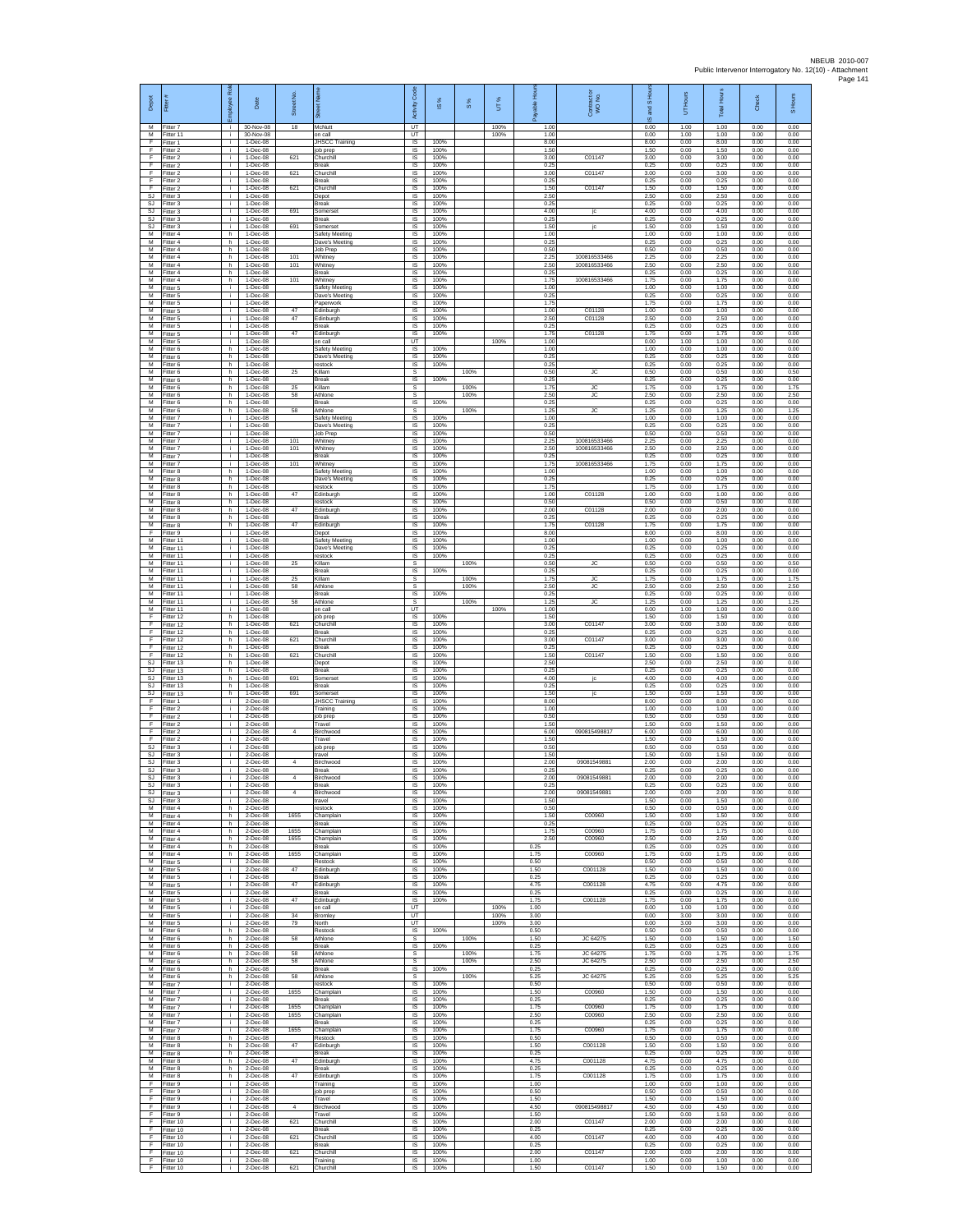| Depot<br>М               | Fitter#<br>Fitter 7                  | ployee Rol<br>i.         | Date<br>30-Nov-08                     | Street No<br>18 | 芿<br>McNutt                                 | code<br>Activity<br>UT                      | IS %                 | $\frac{8}{3}$ | UT%<br>100%  | 훈<br>able<br>1.00    | Contract or<br>WO No.        | $\overline{a}$<br>and<br>ဖ<br>0.00 | Hours<br>5<br>1.00   | Total Hour:<br>1.00  | Check<br>0.00        | S Hours<br>0.00      |
|--------------------------|--------------------------------------|--------------------------|---------------------------------------|-----------------|---------------------------------------------|---------------------------------------------|----------------------|---------------|--------------|----------------------|------------------------------|------------------------------------|----------------------|----------------------|----------------------|----------------------|
| F                        | M Fitter 11<br>Fitter 1              | i.<br>i.                 | 30-Nov-08<br>1-Dec-08                 |                 | on call<br>JHSCC Training                   | UT<br>$\sf IS$                              | 100%                 |               | 100%         | 1.00<br>8.00         |                              | 0.00<br>8.00                       | 1.00<br>0.00         | 1.00<br>8.00         | 0.00<br>0.00         | 0.00<br>0.00         |
| F<br>F<br>E              | Fitter 2<br>Fitter 2<br>Fitter 2     | $\mathbf{r}$<br>j.<br>j. | 1-Dec-08<br>1-Dec-08<br>1-Dec-08      | 621             | job prep<br>Churchill<br><b>Break</b>       | <b>IS</b><br>IS<br>IS                       | 100%<br>100%<br>100% |               |              | 1.50<br>3.00<br>0.25 | C01147                       | 1.50<br>3.00<br>0.25               | 0.00<br>0.00<br>0.00 | 1.50<br>3.00<br>0.25 | 0.00<br>0.00<br>0.00 | 0.00<br>0.00<br>0.00 |
| F<br>F                   | Fitter 2<br>Fitter 2                 | ÷.<br>j.                 | 1-Dec-08<br>1-Dec-08                  | 621             | Churchill<br>Break                          | 1S<br>IS                                    | 100%<br>100%         |               |              | 3.00<br>0.25         | C01147                       | 3.00<br>0.25                       | 0.00<br>0.00         | 3.00<br>0.25         | 0.00<br>0.00         | 0.00<br>0.00         |
| F<br>SJ                  | Fitter 2<br>Fitter 3                 | ÷i.<br>i.                | 1-Dec-08<br>1-Dec-08                  | 621             | Churchil<br>Depot                           | IS<br>$\sf IS$                              | 100%<br>100%         |               |              | 1.50<br>2.50         | C01147                       | 1.50<br>2.50                       | 0.00<br>0.00         | 1.50<br>2.50         | 0.00<br>0.00         | 0.00<br>0.00         |
| SJ<br><b>SJ</b><br>SJ    | Fitter 3<br>Fitter 3<br>Fitter 3     | j.<br>j.<br>j.           | $1-Dec-08$<br>1-Dec-08<br>1-Dec-08    | 691             | Break<br>Somerset<br><b>Break</b>           | IS<br>IS<br>IS                              | 100%<br>100%<br>100% |               |              | 0.25<br>4.00<br>0.25 | jc                           | 0.25<br>4.00<br>0.25               | 0.00<br>0.00<br>0.00 | 0.25<br>4.00<br>0.25 | 0.00<br>0.00<br>0.00 | 0.00<br>0.00<br>0.00 |
| SJ<br>M                  | Fitter 3<br>fitter 4                 | ÷.<br>h.                 | 1-Dec-08<br>1-Dec-08                  | 691             | Somerset<br>Safety Meeting                  | IS<br>1S                                    | 100%<br>100%         |               |              | 1.50<br>1.00         | jc                           | 1.50<br>1.00                       | 0.00<br>0.00         | 1.50<br>1.00         | 0.00<br>0.00         | 0.00<br>0.00         |
| M<br>м<br>М              | Fitter 4<br>-itter 4<br>Fitter 4     | h.<br>h<br>h.            | 1-Dec-08<br>1-Dec-08<br>1-Dec-08      | 101             | Dave's Meeting<br>Job Prep<br>Whitney       | IS<br>IS<br>1S                              | 100%<br>100%<br>100% |               |              | 0.25<br>0.50<br>2.25 | 100816533466                 | 0.25<br>0.50<br>2.25               | 0.00<br>0.00<br>0.00 | 0.25<br>0.50<br>2.25 | 0.00<br>0.00<br>0.00 | 0.00<br>0.00<br>0.00 |
| M<br>M                   | Fitter 4<br>Fitter 4                 | h.<br>h                  | $1-Dec-08$<br>1-Dec-08                | 101             | Whitney<br><b>Break</b>                     | IS<br>IS                                    | 100%<br>100%         |               |              | 2.50<br>0.25         | 100816533466                 | 2.50<br>0.25                       | 0.00<br>0.00         | 2.50<br>0.25         | 0.00<br>0.00         | 0.00<br>0.00         |
| М<br>М<br>M              | Fitter 4<br>itter 5<br>Fitter 5      | h.<br>j.<br>j.           | 1-Dec-08<br>1-Dec-08<br>1-Dec-08      | 101             | Whitney<br>Safety Meeting<br>Dave's Meeting | IS<br>IS<br>IS                              | 100%<br>100%<br>100% |               |              | 1.75<br>1.00<br>0.25 | 100816533466                 | 1.75<br>1.00<br>0.25               | 0.00<br>0.00<br>0.00 | 1.75<br>1.00<br>0.25 | 0.00<br>0.00<br>0.00 | 0.00<br>0.00<br>0.00 |
| M<br>М                   | Fitter 5<br>Fitter 5                 | j.<br>÷.                 | 1-Dec-08<br>1-Dec-08                  | 47              | Paperwork<br>Edinburgh                      | IS<br>IS                                    | 100%<br>100%         |               |              | 1.75<br>1.00         | C01128                       | 1.75<br>1.00                       | 0.00<br>0.00         | 1.75<br>1.00         | 0.00<br>0.00         | 0.00<br>0.00         |
| $\overline{M}$<br>M<br>м | Fitter 5<br>Fitter 5<br>-itter 5     | i.<br>j.<br>÷.           | 1-Dec-08<br>1-Dec-08<br>1-Dec-08      | 47<br>47        | Edinburgh<br><b>Break</b>                   | 1S<br>IS<br>$\sf IS$                        | 100%<br>100%         |               |              | 2.50<br>0.25<br>1.75 | C01128<br>C01128             | 2.50<br>0.25<br>1.75               | 0.00<br>0.00<br>0.00 | 2.50<br>0.25<br>1.75 | 0.00<br>0.00<br>0.00 | 0.00<br>0.00<br>0.00 |
| M<br>M                   | fitter 5<br>Fitter 6                 | Ŧ<br>h.                  | 1-Dec-08<br>1-Dec-08                  |                 | Edinburgh<br>on call<br>Safety Meeting      | UT<br>IS                                    | 100%<br>100%         |               | 100%         | 1.00<br>1.00         |                              | 0.00<br>1.00                       | 1.00<br>0.00         | 1.00<br>1.00         | 0.00<br>0.00         | 0.00<br>0.00         |
| M<br>М                   | Fitter 6<br>Fitter 6                 | h<br>h.                  | 1-Dec-08<br>1-Dec-08                  |                 | Dave's Meeting<br>restock                   | IS<br>IS                                    | 100%<br>100%         |               |              | 0.25<br>0.25         |                              | 0.25<br>0.25                       | 0.00<br>0.00         | 0.25<br>0.25         | 0.00<br>0.00         | 0.00<br>0.00         |
| М<br>M<br>M              | fitter 6<br>Fitter 6<br>Fitter 6     | h<br>h.<br>h.            | 1-Dec-08<br>1-Dec-08<br>1-Dec-08      | 25<br>$25\,$    | Killam<br><b>Break</b><br>Killam            | s<br>$\overline{\mathsf{s}}$<br>$\mathbb S$ | 100%                 | 100%<br>100%  |              | 0.50<br>0.25<br>1.75 | <b>JC</b><br>JC              | 0.50<br>0.25<br>1.75               | 0.00<br>0.00<br>0.00 | 0.50<br>0.25<br>1.75 | 0.00<br>0.00<br>0.00 | 0.50<br>0.00<br>1.75 |
| м<br>M                   | Fitter 6<br>Fitter 6                 | h.<br>h.                 | $1-Dec-08$<br>1-Dec-08                | 58              | Athlone<br><b>Break</b>                     | s<br>IS                                     | 100%                 | 100%          |              | 2.50<br>0.25         | JC                           | 2.50<br>0.25                       | 0.00<br>0.00         | 2.50<br>0.25         | 0.00<br>0.00         | 2.50<br>0.00         |
| M<br>М<br>$\overline{M}$ | Fitter 6<br>fitter 7<br>fitter 7     | h.<br>÷.<br>j.           | 1-Dec-08<br>1-Dec-08<br>1-Dec-08      | 58              | Athlone<br>Safety Meeting<br>Dave's Meeting | s<br>IS<br>1S                               | 100%<br>100%         | 100%          |              | 1.25<br>1.00<br>0.25 | JC                           | 1.25<br>1.00<br>0.25               | 0.00<br>0.00<br>0.00 | 1.25<br>1.00<br>0.25 | 0.00<br>0.00<br>0.00 | 1.25<br>0.00<br>0.00 |
| M<br>м                   | Fitter 7<br>Fitter 7                 | j.<br>÷.                 | $1 - Dec -08$<br>1-Dec-08             | 101             | Job Prep<br>Whitney                         | IS<br>IS                                    | 100%<br>100%         |               |              | 0.50<br>2.25         | 100816533466                 | 0.50<br>2.25                       | 0.00<br>0.00         | 0.50<br>2.25         | 0.00<br>0.00         | 0.00<br>0.00         |
| М<br>M<br>M              | Fitter 7<br>fitter 7<br>Fitter 7     | ÷.<br>j.<br>÷.           | 1-Dec-08<br>$1-Dec-08$<br>1-Dec-08    | 101<br>101      | Whitney<br>Break<br>Whitney                 | IS<br>IS<br>IS                              | 100%<br>100%<br>100% |               |              | 2.50<br>0.25<br>1.75 | 100816533466<br>100816533466 | 2.50<br>0.25<br>1.75               | 0.00<br>0.00<br>0.00 | 2.50<br>0.25<br>1.75 | 0.00<br>0.00<br>0.00 | 0.00<br>0.00<br>0.00 |
| М<br>M                   | Fitter 8<br>fitter 8                 | h.<br>h                  | 1-Dec-08<br>1-Dec-08                  |                 | Safety Meeting<br>Dave's Meeting            | 1S<br>IS                                    | 100%<br>100%         |               |              | 1.00<br>0.25         |                              | 1.00<br>0.25                       | 0.00<br>0.00         | 1.00<br>0.25         | 0.00<br>0.00         | 0.00<br>0.00         |
| M<br>M<br>М              | Fitter 8<br>Fitter 8                 | h.<br>h.<br>h            | 1-Dec-08<br>1-Dec-08<br>1-Dec-08      | 47              | restock<br>Edinburgh<br>restock             | IS<br>IS<br>IS                              | 100%<br>100%<br>100% |               |              | 1.75<br>1.00<br>0.50 | C01128                       | 1.75<br>1.00<br>0.50               | 0.00<br>0.00<br>0.00 | 1.75<br>1.00<br>0.50 | 0.00<br>0.00<br>0.00 | 0.00<br>0.00<br>0.00 |
| $\overline{M}$<br>M      | Fitter 8<br>Fitter 8<br>Fitter 8     | h.<br>h                  | 1-Dec-08<br>1-Dec-08                  | 47              | Edinburgh<br><b>Break</b>                   | 1S<br>IS                                    | 100%<br>100%         |               |              | 2.00<br>0.25         | C01128                       | 2.00<br>0.25                       | 0.00<br>0.00         | 2.00<br>0.25         | 0.00<br>0.00         | 0.00<br>0.00         |
| м<br>F                   | Fitter 8<br>fitter 9                 | h<br>T                   | 1-Dec-08<br>1-Dec-08                  | 47              | Edinburgh<br>Depot                          | $\sf IS$<br>1S                              | 100%<br>100%         |               |              | 1.75<br>8.00         | C01128                       | 1.75<br>8.00                       | 0.00<br>0.00         | 1.75<br>8.00         | 0.00<br>0.00         | 0.00<br>0.00         |
| M<br>M<br>М              | Fitter 11<br>Fitter 11<br>Fitter 11  | j.<br>j.<br>÷.           | $1 - Dec -08$<br>1-Dec-08<br>1-Dec-08 |                 | Safety Meeting<br>Dave's Meeting<br>restock | IS<br>IS<br>1S                              | 100%<br>100%<br>100% |               |              | 1.00<br>0.25<br>0.25 |                              | 1.00<br>0.25<br>0.25               | 0.00<br>0.00<br>0.00 | 1.00<br>0.25<br>0.25 | 0.00<br>0.00<br>0.00 | 0.00<br>0.00<br>0.00 |
| M<br>M                   | itter 11<br>Fitter 11                | j.<br>÷i.                | 1-Dec-08<br>1-Dec-08                  | 25              | Killam<br><b>Break</b>                      | s<br><b>IS</b>                              | 100%                 | 100%          |              | 0.50<br>0.25         | <b>JC</b>                    | 0.50<br>0.25                       | 0.00<br>0.00         | 0.50<br>0.25         | 0.00<br>0.00         | 0.50<br>0.00         |
| M<br>м<br>M              | Fitter 11<br>Fitter 11<br>Fitter 11  | i.<br>j.<br>j.           | 1-Dec-08<br>$1-Dec-08$<br>1-Dec-08    | 25<br>58        | Killam<br>Athlone<br><b>Break</b>           | $\mathbb S$<br>s<br>IS                      | 100%                 | 100%<br>100%  |              | 1.75<br>2.50<br>0.25 | ${\sf JC}$<br><b>JC</b>      | 1.75<br>2.50<br>0.25               | 0.00<br>0.00<br>0.00 | 1.75<br>2.50<br>0.25 | 0.00<br>0.00<br>0.00 | 1.75<br>2.50<br>0.00 |
| M<br>М                   | Fitter 11<br>Fitter 11               | j.<br>÷.                 | 1-Dec-08<br>1-Dec-08                  | 58              | Athlone<br>on call                          | s<br>UT                                     |                      | 100%          | 100%         | 1.25<br>1.00         | JC.                          | 1.25<br>0.00                       | 0.00<br>1.00         | 1.25<br>1.00         | 0.00<br>0.00         | 1.25<br>0.00         |
| F<br>F<br>E              | fitter 12<br>Fitter 12<br>ltter 12   | h.<br>h.<br>h            | 1-Dec-08<br>1-Dec-08<br>1-Dec-08      | 621             | job prep<br>Churchill<br><b>Break</b>       | <b>IS</b><br>IS<br>IS                       | 100%<br>100%<br>100% |               |              | 1.50<br>3.00<br>0.25 | C01147                       | 1.50<br>3.00<br>0.25               | 0.00<br>0.00<br>0.00 | 1.50<br>3.00<br>0.25 | 0.00<br>0.00<br>0.00 | 0.00<br>0.00<br>0.00 |
| F<br>E                   | Fitter 12<br>Fitter 12               | h.<br>h.                 | 1-Dec-08<br>$1-Dec-08$                | 621             | Churchil<br>Break                           | 1S<br>IS                                    | 100%<br>100%         |               |              | 3.00<br>0.25         | C01147                       | 3.00<br>0.25                       | 0.00<br>0.00         | 3.00<br>0.25         | 0.00<br>0.00         | 0.00<br>0.00         |
| F<br>SJ<br>SJ            | Fitter 12<br>Fitter 13<br>fitter 13  | h<br>h.<br>h.            | 1-Dec-08<br>1-Dec-08<br>1-Dec-08      | 621             | Churchill<br>Depot<br>Break                 | IS<br>IS<br>IS                              | 100%<br>100%<br>100% |               |              | 1.50<br>2.50<br>0.25 | C01147                       | 1.50<br>2.50<br>0.25               | 0.00<br>0.00<br>0.00 | 1.50<br>2.50<br>0.25 | 0.00<br>0.00<br>0.00 | 0.00<br>0.00<br>0.00 |
| SJ<br>S.I                | Fitter 13<br>Fitter 13               | h.<br>h.                 | 1-Dec-08<br>1-Dec-08                  | 691             | Somerse<br><b>Break</b>                     | IS<br>IS                                    | 100%<br>100%         |               |              | 4.00<br>0.25         | jc                           | 4.00<br>0.25                       | 0.00<br>0.00         | 4.00<br>0.25         | 0.00<br>0.00         | 0.00<br>0.00         |
| SJ<br>F                  | Fitter 13<br>Fitter 1                | h<br>i.                  | 1-Dec-08<br>2-Dec-08                  | 691             | Somerset<br><b>JHSCC Training</b>           | IS<br>1S                                    | 100%<br>100%         |               |              | 1.50<br>8.00         |                              | 1.50<br>8.00                       | 0.00<br>0.00         | 1.50<br>8.00         | 0.00<br>0.00         | 0.00<br>0.00         |
| F<br>F<br>F              | Fitter 2<br>-itter 2<br>-itter 2     | j.<br>Ť.<br>j.           | 2-Dec-08<br>2-Dec-08<br>2-Dec-08      |                 | Training<br>job prep<br>Travel              | IS<br>$\sf IS$<br>1S                        | 100%<br>100%<br>100% |               |              | 1.00<br>0.50<br>1.50 |                              | 1.00<br>0.50<br>1.50               | 0.00<br>0.00<br>0.00 | 1.00<br>0.50<br>1.50 | 0.00<br>0.00<br>0.00 | 0.00<br>0.00<br>0.00 |
| F<br>E                   | Fitter 2<br>Fitter 2                 | j.<br>j.                 | 2-Dec-08<br>2-Dec-08                  | 4               | Birchwood<br>Travel                         | IS<br>IS                                    | 100%<br>100%         |               |              | 6.00<br>1.50         | 090815498817                 | 6.00<br>1.50                       | 0.00<br>0.00         | 6.00<br>1.50         | 0.00<br>0.00         | 0.00<br>0.00         |
| SJ<br>SJ<br><b>SJ</b>    | Fitter 3<br>fitter 3<br>Fitter 3     | i.<br>Ť.<br>j.           | 2-Dec-08<br>2-Dec-08<br>2-Dec-08      |                 | job prep<br>travel<br>Birchwood             | IS<br>IS<br>IS                              | 100%<br>100%<br>100% |               |              | 0.50<br>1.50<br>2.00 | 09081549881                  | 0.50<br>1.50<br>2.00               | 0.00<br>0.00<br>0.00 | 0.50<br>1.50<br>2.00 | 0.00<br>0.00<br>0.00 | 0.00<br>0.00<br>0.00 |
| SJ<br>SJ                 | Fitter 3<br>Fitter 3                 | i.<br>Ť.                 | 2-Dec-08<br>2-Dec-08                  |                 | Break<br>Birchwood                          | $\sf IS$<br>IS                              | 100%<br>100%         |               |              | 0.25<br>2.00         | 09081549881                  | 0.25<br>2.00                       | 0.00<br>0.00         | 0.25<br>2.00         | 0.00<br>0.00         | 0.00<br>0.00         |
| SJ.<br>SJ                | Fitter 3<br>S.I Fitter 3<br>Fitter 3 | j.<br>i.<br>÷.           | $2-Dac-08$<br>2-Dec-08<br>2-Dec-08    | $\sim$          | <b>Break</b><br>Birchwood<br>travel         | <b>IS</b><br>IS<br>IS                       | 100%<br>100%<br>100% |               |              | 0.25<br>2.00<br>1.50 | 09081549881                  | 0.25<br>2.00<br>1.50               | 0.00<br>0.00<br>0.00 | 0.25<br>2.00<br>1.50 | 0.00<br>0.00<br>0.00 | 0.00<br>0.00<br>0.00 |
| M<br>M                   | itter 4<br>Fitter 4                  | h.<br>h.                 | 2-Dec-08<br>$2-Dec-08$                | 1655            | restock<br>Champlain                        | IS<br><b>IS</b>                             | 100%<br>100%         |               |              | 0.50<br>1.50         | C00960                       | 0.50<br>1.50                       | 0.00<br>0.00         | 0.50<br>1.50         | 0.00<br>0.00         | 0.00<br>0.00         |
| м<br>М<br>M              | Fitter 4<br>Fitter 4                 | h.<br>h                  | 2-Dec-08<br>2-Dec-08                  | 1655            | <b>Break</b><br>Champlain                   | IS<br>IS<br>IS                              | 100%<br>100%<br>100% |               |              | 0.25<br>1.75<br>2.50 | C00960<br>C00960             | 0.25<br>1.75<br>2.50               | 0.00<br>0.00<br>0.00 | 0.25<br>1.75<br>2.50 | 0.00<br>0.00<br>0.00 | 0.00<br>0.00<br>0.00 |
| M<br>М                   | Fitter 4<br>Fitter 4<br>Fitter 4     | h.<br>h<br>h             | 2-Dec-08<br>2-Dec-08<br>2-Dec-08      | 1655<br>1655    | Champlain<br><b>Break</b><br>Champlain      | IS<br>1S                                    | 100%<br>100%         |               |              | 0.25<br>1.75         | C00960                       | 0.25<br>1.75                       | 0.00<br>0.00         | 0.25<br>1.75         | 0.00<br>0.00         | 0.00<br>0.00         |
| М<br>M<br>M              | fitter 5<br>Fitter 5                 | ÷.<br>j.<br>j.           | 2-Dec-08<br>2-Dec-08<br>2-Dec-08      | 47              | Restock<br>Edinburgh<br><b>Break</b>        | IS<br><b>IS</b><br>IS                       | 100%<br>100%<br>100% |               |              | 0.50<br>1.50<br>0.25 | C001128                      | 0.50<br>1.50<br>0.25               | 0.00<br>0.00<br>0.00 | 0.50<br>1.50<br>0.25 | 0.00<br>0.00<br>0.00 | 0.00<br>0.00<br>0.00 |
| М<br>M                   | Fitter 5<br>Fitter 5<br>Fitter 5     | ÷.<br>i.                 | 2-Dec-08<br>$2$ -Dec-08               | 47              | Edinburgh<br>Break                          | IS<br>IS                                    | 100%<br>100%         |               |              | 4.75<br>0.25         | C001128                      | 4.75<br>0.25                       | 0.00<br>0.00         | 4.75<br>0.25         | 0.00<br>0.00         | 0.00<br>0.00         |
| M<br>м                   | Fitter 5<br>Fitter 5                 | i.<br>÷.                 | 2-Dec-08<br>2-Dec-08                  | 47              | Edinburgh<br>on call                        | IS<br>UT                                    | 100%                 |               | 100%         | 1.75<br>1.00         | C001128                      | 1.75<br>0.00                       | 0.00<br>1.00         | 1.75<br>1.00         | 0.00<br>0.00         | 0.00<br>0.00         |
| M<br>м<br>M              | Fitter 5<br>Fitter 5<br>Fitter 6     | $\mathbf{r}$<br>i.<br>h. | $2$ -Dec-08<br>$2-Dac-08$<br>2-Dec-08 | 34<br>79        | Bromley<br>North<br>Restock                 | UT<br>UT<br>IS                              | 100%                 |               | 100%<br>100% | 3.00<br>3.00<br>0.50 |                              | 0.00<br>0.00<br>0.50               | 3.00<br>3.00<br>0.00 | 3.00<br>3.00<br>0.50 | 0.00<br>0.00<br>0.00 | 0.00<br>0.00<br>0.00 |
| М<br>М                   | Fitter 6<br>Fitter 6                 | h<br>h.                  | 2-Dec-08<br>2-Dec-08                  | 58              | Athlone<br>Break                            | s<br>IS                                     | 100%                 | 100%          |              | 1.50<br>0.25         | JC 64275                     | 1.50<br>0.25                       | 0.00<br>0.00         | 1.50<br>0.25         | 0.00<br>0.00         | 1.50<br>0.00         |
| M<br>M<br>м              | Fitter 6<br>Fitter 6<br>Fitter 6     | h<br>h<br>h.             | 2-Dec-08<br>2-Dec-08<br>$2$ -Dec-08   | 58<br>58        | Athlone<br>Athlone<br><b>Break</b>          | s<br>$\mathbb S$<br>IS                      | 100%                 | 100%<br>100%  |              | 1.75<br>2.50<br>0.25 | JC 64275<br>JC 64275         | 1.75<br>2.50<br>0.25               | 0.00<br>0.00<br>0.00 | 1.75<br>2.50<br>0.25 | 0.00<br>0.00<br>0.00 | 1.75<br>2.50<br>0.00 |
| M<br>M                   | Fitter 6<br>Fitter 7                 | h.<br>i.                 | 2-Dec-08<br>2-Dec-08                  | 58              | Athlone<br>restock                          | s<br>IS                                     | 100%                 | 100%          |              | 5.25<br>0.50         | JC 64275                     | 5.25<br>0.50                       | 0.00<br>0.00         | 5.25<br>0.50         | 0.00<br>0.00         | 5.25<br>0.00         |
| М<br>м<br>M              | Fitter 7<br>fitter 7<br>Fitter 7     | ÷.<br>$\mathbf{r}$<br>i. | 2-Dec-08<br>$2$ -Dec-08<br>2-Dec-08   | 1655<br>1655    | Champlain<br>Break<br>Champlain             | IS<br>IS<br>IS                              | 100%<br>100%<br>100% |               |              | 1.50<br>0.25<br>1.75 | C00960<br>C00960             | 1.50<br>0.25<br>1.75               | 0.00<br>0.00<br>0.00 | 1.50<br>0.25<br>1.75 | 0.00<br>0.00<br>0.00 | 0.00<br>0.00<br>0.00 |
| M<br>М                   | Fitter 7<br>Fitter 7                 | i.<br>÷                  | 2-Dec-08<br>2-Dec-08                  | 1655            | Champlain<br>Break                          | IS<br>1S                                    | 100%<br>100%         |               |              | 2.50<br>0.25         | C00960                       | 2.50<br>0.25                       | 0.00<br>0.00         | 2.50<br>0.25         | 0.00<br>0.00         | 0.00<br>0.00         |
| M<br>M                   | Fitter 7<br>Fitter 8                 | j.<br>h                  | $2$ -Dec-08<br>2-Dec-08               | 1655            | Champlain<br>Restock                        | IS<br>IS                                    | 100%<br>100%         |               |              | 1.75<br>0.50         | C00960                       | 1.75<br>0.50                       | 0.00<br>0.00         | 1.75<br>0.50         | 0.00<br>0.00         | 0.00<br>0.00         |
| М<br>М<br>M              | Fitter 8<br>fitter 8<br>Fitter 8     | h.<br>h.<br>h.           | 2-Dec-08<br>2-Dec-08<br>2-Dec-08      | 47<br>47        | Edinburgh<br>Break<br>Edinburgh             | IS<br>IS<br>IS                              | 100%<br>100%<br>100% |               |              | 1.50<br>0.25<br>4.75 | C001128<br>C001128           | 1.50<br>0.25<br>4.75               | 0.00<br>0.00<br>0.00 | 1.50<br>0.25<br>4.75 | 0.00<br>0.00<br>0.00 | 0.00<br>0.00<br>0.00 |
| M<br>м                   | Fitter 8<br>Fitter 8                 | h.<br>h                  | 2-Dec-08<br>2-Dec-08                  | 47              | <b>Break</b><br>Edinburgh                   | IS<br>IS                                    | 100%<br>100%         |               |              | 0.25<br>1.75         | C001128                      | 0.25<br>1.75                       | 0.00<br>0.00         | 0.25<br>1.75         | 0.00<br>0.00         | 0.00<br>0.00         |
| F<br>F<br>$\mathsf F$    | Fitter 9<br>Fitter 9<br>Fitter 9     | i.<br>n.<br>÷.           | $2$ -Dec-08<br>2-Dec-08<br>2-Dec-08   |                 | Training<br>job prep<br>Travel              | IS<br>IS<br>IS                              | 100%<br>100%<br>100% |               |              | 1.00<br>0.50<br>1.50 |                              | 1.00<br>0.50<br>1.50               | 0.00<br>0.00<br>0.00 | 1.00<br>0.50<br>1.50 | 0.00<br>0.00<br>0.00 | 0.00<br>0.00<br>0.00 |
| F<br>F                   | Fitter 9<br>Fitter 9                 | i.<br>i.                 | $2$ -Dec-08<br>2-Dec-08               | $\overline{4}$  | Birchwood<br>Travel                         | IS<br><b>IS</b>                             | 100%<br>100%         |               |              | 4.50<br>1.50         | 090815498817                 | 4.50<br>1.50                       | 0.00<br>0.00         | 4.50<br>1.50         | 0.00<br>0.00         | 0.00<br>0.00         |
| E<br>F<br>F              | Fitter 10<br>Fitter 10<br>Fitter 10  | ÷.<br>÷.<br>÷.           | 2-Dec-08<br>2-Dec-08<br>2-Dec-08      | 621<br>621      | Churchill<br><b>Break</b><br>Churchill      | IS<br>IS<br>IS                              | 100%<br>100%<br>100% |               |              | 2.00<br>0.25<br>4.00 | C01147<br>C01147             | 2.00<br>0.25<br>4.00               | 0.00<br>0.00<br>0.00 | 2.00<br>0.25<br>4.00 | 0.00<br>0.00<br>0.00 | 0.00<br>0.00<br>0.00 |
| F<br>F                   | Fitter 10<br>Fitter 10               | ÷i.<br>i.                | 2-Dec-08<br>2-Dec-08                  | 621             | <b>Break</b><br>Churchill                   | IS<br>$\sf IS$                              | 100%<br>100%         |               |              | 0.25<br>2.00         | C01147                       | 0.25<br>2.00                       | 0.00<br>0.00         | 0.25<br>2.00         | 0.00<br>0.00         | 0.00<br>0.00         |
| F<br>F                   | Fitter 10<br>Fitter 10               | j.<br>j.                 | $2$ -Dec-08<br>$2$ -Dec-08            | 621             | Training<br>Churchill                       | $\sf IS$<br>IS                              | 100%<br>100%         |               |              | 1.00<br>1.50         | C01147                       | 1.00<br>1.50                       | 0.00<br>0.00         | 1.00<br>1.50         | 0.00<br>0.00         | 0.00<br>0.00         |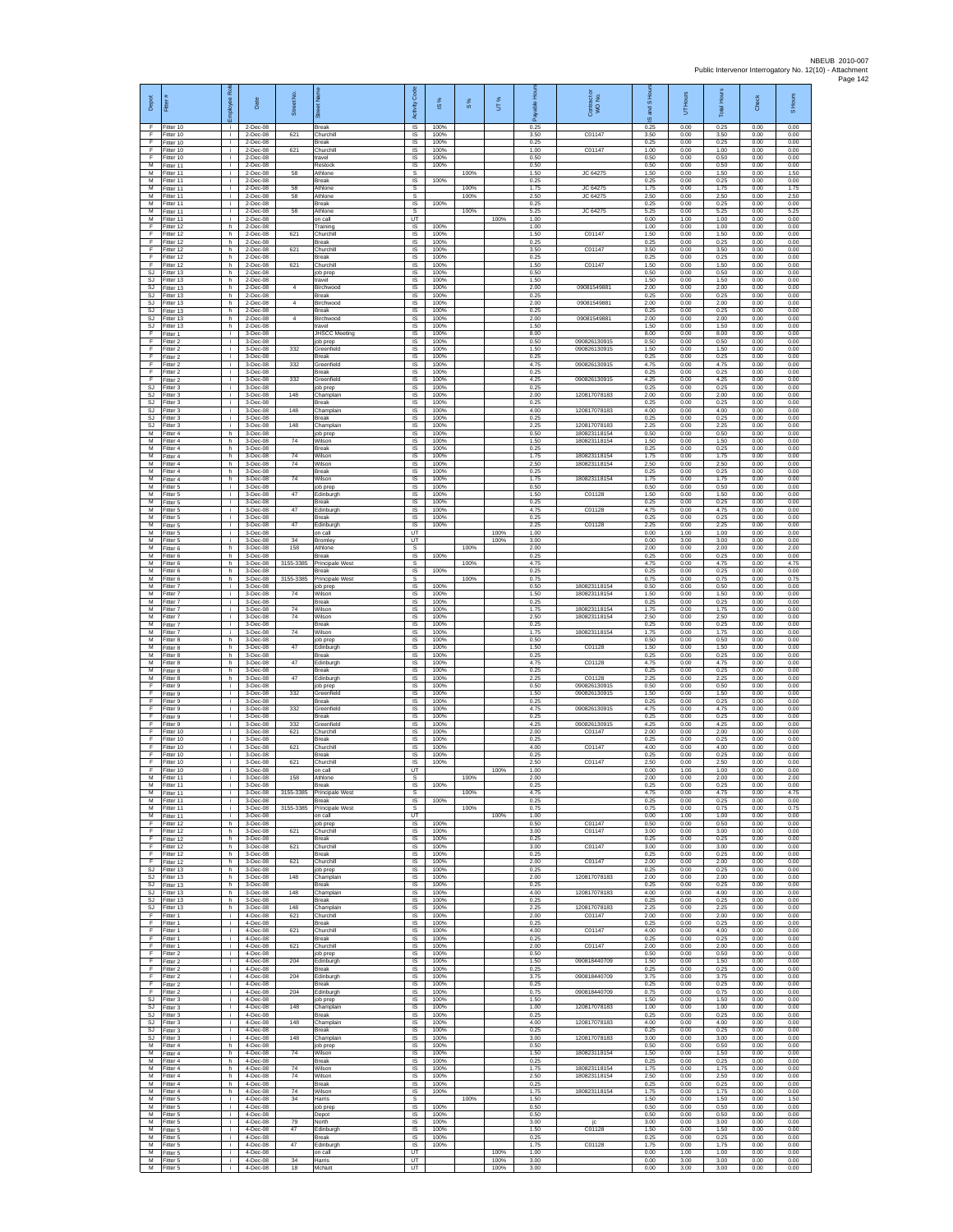| Depot<br>F               | Fitter#<br>Fitter 10                | ployee Role<br>i.    | Date<br>2-Dec-08                     | Street No        | eet Nan<br>ā<br>Break                          | Code<br>Activity<br><b>IS</b>       | IS %<br>100%         | $\frac{8}{3}$ | UT%                  | 윤<br>ஃ<br>0.25       | Contract or<br>WO No.                        | S Ho<br>g<br>ဖ<br>0.25 | UT Hours<br>0.00     | <b>Total Hours</b><br>0.25 | Check<br>0.00        | S Hours<br>0.00      |
|--------------------------|-------------------------------------|----------------------|--------------------------------------|------------------|------------------------------------------------|-------------------------------------|----------------------|---------------|----------------------|----------------------|----------------------------------------------|------------------------|----------------------|----------------------------|----------------------|----------------------|
| F<br>F                   | Fitter 10<br>litter 10              | j.<br>i.             | 2-Dec-08<br>2-Dec-08                 | 621              | Churchill<br>Break                             | $\sf IS$<br>IS                      | 100%<br>100%         |               |                      | 3.50<br>0.25         | C01147                                       | 3.50<br>0.25           | 0.00<br>0.00         | 3.50<br>0.25               | 0.00<br>0.00         | 0.00<br>0.00         |
| F<br>E<br>М              | Fitter 10<br>Fitter 10<br>Fitter 11 | j.<br>i.<br>i.       | 2-Dec-08<br>2-Dec-08<br>2-Dec-08     | 621              | Churchill<br>travel<br>Restock                 | <b>IS</b><br>IS<br>IS               | 100%<br>100%         |               |                      | 1.00<br>0.50<br>0.50 | C01147                                       | 1.00<br>0.50<br>0.50   | 0.00<br>0.00<br>0.00 | 1.00<br>0.50<br>0.50       | 0.00<br>0.00<br>0.00 | 0.00<br>0.00<br>0.00 |
| м<br>M                   | fitter 11<br>Fitter 11              | i.<br>j.             | 2-Dec-08<br>2-Dec-08                 | 58               | Athlone<br>Break                               | s<br>$\overline{\mathsf{s}}$        | 100%<br>100%         | 100%          |                      | 1.50<br>0.25         | JC 64275                                     | 1.50<br>0.25           | 0.00<br>0.00         | 1.50<br>0.25               | 0.00<br>0.00         | 1.50<br>0.00         |
| м<br>M                   | Fitter 11<br>Fitter 11              | i.<br>j.             | $2$ -Dec-08<br>2-Dec-08              | 58<br>58         | Athlone<br>Athlone                             | s<br>$\mathbb S$                    |                      | 100%<br>100%  |                      | 1.75<br>2.50         | JC 64275<br>JC 64275                         | 1.75<br>2.50           | 0.00<br>0.00         | 1.75<br>2.50               | 0.00<br>0.00         | 1.75<br>2.50         |
| M<br>M<br>М              | Fitter 11<br>Fitter 11<br>Fitter 11 | j.<br>i.<br>i.       | 2-Dec-08<br>2-Dec-08<br>2-Dec-08     | 58               | Break<br>Athlone<br>on call                    | IS<br>s<br>UT                       | 100%                 | 100%          | 100%                 | 0.25<br>5.25<br>1.00 | JC 64275                                     | 0.25<br>5.25<br>0.00   | 0.00<br>0.00<br>1.00 | 0.25<br>5.25<br>1.00       | 0.00<br>0.00<br>0.00 | 0.00<br>5.25<br>0.00 |
| F<br>F                   | fitter 12<br>Fitter 12              | h.<br>h.             | 2-Dec-08<br>2-Dec-08                 | 621              | Training<br>Churchill                          | IS<br><b>IS</b>                     | 100%<br>100%         |               |                      | 1.00<br>1.50         | C01147                                       | 1.00<br>1.50           | 0.00<br>0.00         | 1.00<br>1.50               | 0.00<br>0.00         | 0.00<br>0.00         |
| E<br>F<br>F              | Fitter 12<br>Fitter 12<br>Fitter 12 | h.<br>h.<br>h.       | 2-Dec-08<br>2-Dec-08<br>2-Dec-08     | 621              | <b>Break</b><br>Churchill<br>Break             | IS<br>IS<br>IS                      | 100%<br>100%<br>100% |               |                      | 0.25<br>3.50<br>0.25 | C01147                                       | 0.25<br>3.50<br>0.25   | 0.00<br>0.00<br>0.00 | 0.25<br>3.50<br>0.25       | 0.00<br>0.00<br>0.00 | 0.00<br>0.00<br>0.00 |
| F<br>SJ                  | Fitter 12<br>Fitter 13              | h.<br>h.             | 2-Dec-08<br>2-Dec-08                 | 621              | Churchill<br>job prep                          | IS<br>$\sf IS$                      | 100%<br>100%         |               |                      | 1.50<br>0.50         | C01147                                       | 1.50<br>0.50           | 0.00<br>0.00         | 1.50<br>0.50               | 0.00<br>0.00         | 0.00<br>0.00         |
| SJ<br>SJ                 | Fitter 13<br>Fitter 13              | h.<br>h.             | $2$ -Dec-08<br>2-Dec-08              | 4                | travel<br><b>Birchwood</b>                     | 1S<br>IS                            | 100%<br>100%         |               |                      | 1.50<br>2.00         | 09081549881                                  | 1.50<br>2.00           | 0.00<br>0.00         | 1.50<br>2.00               | 0.00<br>0.00         | 0.00<br>0.00         |
| SJ<br>SJ<br>SJ           | Fitter 13<br>Fitter 13<br>Fitter 13 | h<br>h.<br>h.        | 2-Dec-08<br>2-Dec-08<br>2-Dec-08     | $\overline{4}$   | Break<br>Birchwood<br>Break                    | IS<br>1S<br>IS                      | 100%<br>100%<br>100% |               |                      | 0.25<br>2.00<br>0.25 | 09081549881                                  | 0.25<br>2.00<br>0.25   | 0.00<br>0.00<br>0.00 | 0.25<br>2.00<br>0.25       | 0.00<br>0.00<br>0.00 | 0.00<br>0.00<br>0.00 |
| <b>SJ</b><br>SJ          | Fitter 13<br>Fitter 13              | h.<br>$\mathsf{h}$ . | 2-Dec-08<br>2-Dec-08                 | $\boldsymbol{A}$ | Birchwood<br>travel                            | <b>IS</b><br>$\sf IS$               | 100%<br>100%         |               |                      | 2.00<br>1.50         | 09081549881                                  | 2.00<br>1.50           | 0.00<br>0.00         | 2.00<br>1.50               | 0.00<br>0.00         | 0.00<br>0.00         |
| F<br>F<br>E              | itter 1<br>Fitter 2<br>Fitter 2     | j.<br>j.<br>i.       | 3-Dec-08<br>3-Dec-08<br>3-Dec-08     | 332              | <b>JHSCC Meeting</b><br>job prep<br>Greenfield | IS<br>$\overline{\mathsf{s}}$<br>IS | 100%<br>100%<br>100% |               |                      | 8.00<br>0.50<br>1.50 | 090826130915<br>090826130915                 | 8.00<br>0.50<br>1.50   | 0.00<br>0.00<br>0.00 | 8.00<br>0.50<br>1.50       | 0.00<br>0.00<br>0.00 | 0.00<br>0.00<br>0.00 |
| F<br>F                   | Fitter 2<br>Fitter 2                | i.<br>i.             | 3-Dec-08<br>3-Dec-08                 | 332              | Break<br>Greenfield                            | IS<br>IS                            | 100%<br>100%         |               |                      | 0.25<br>4.75         | 090826130915                                 | 0.25<br>4.75           | 0.00<br>0.00         | 0.25<br>4.75               | 0.00<br>0.00         | 0.00<br>0.00         |
| F<br>F                   | Fitter 2<br>Fitter 2                | j.<br>÷.             | 3-Dec-08<br>3-Dec-08                 | 332              | Break<br>Greenfield                            | IS<br>IS                            | 100%<br>100%         |               |                      | 0.25<br>4.25         | 090826130915                                 | 0.25<br>4.25           | 0.00<br>0.00         | 0.25<br>4.25               | 0.00<br>0.00         | 0.00<br>0.00         |
| SJ<br>SJ<br>SJ           | Fitter 3<br>Fitter 3<br>Fitter 3    | i.<br>j.<br>i.       | 3-Dec-08<br>3-Dec-08<br>3-Dec-08     | 148              | job prep<br>Champlain<br><b>Break</b>          | $\sf IS$<br>IS<br>IS                | 100%<br>100%<br>100% |               |                      | 0.25<br>2.00<br>0.25 | 120817078183                                 | 0.25<br>2.00<br>0.25   | 0.00<br>0.00<br>0.00 | 0.25<br>2.00<br>0.25       | 0.00<br>0.00<br>0.00 | 0.00<br>0.00<br>0.00 |
| SJ<br>SJ                 | Fitter 3<br>fitter 3                | ÷.<br>i.             | 3-Dec-08<br>3-Dec-08                 | 148              | Champlain<br>Break                             | IS<br>IS                            | 100%<br>100%         |               |                      | 4.00<br>0.25         | 120817078183                                 | 4.00<br>0.25           | 0.00<br>0.00         | 4.00<br>0.25               | 0.00<br>0.00         | 0.00<br>0.00         |
| SJ<br>M<br>М             | Fitter 3<br>Fitter 4<br>Fitter 4    | j.<br>h.<br>h.       | 3-Dec-08<br>3-Dec-08<br>3-Dec-08     | 148<br>74        | Champlain<br>job prep<br>Wilson                | <b>IS</b><br>IS<br>IS               | 100%<br>100%<br>100% |               |                      | 2.25<br>0.50<br>1.50 | 120817078183<br>180823118154<br>180823118154 | 2.25<br>0.50<br>1.50   | 0.00<br>0.00<br>0.00 | 2.25<br>0.50<br>1.50       | 0.00<br>0.00<br>0.00 | 0.00<br>0.00<br>0.00 |
| $\overline{M}$<br>M      | Fitter 4<br>Fitter 4                | h.<br>h.             | 3-Dec-08<br>3-Dec-08                 | 74               | Break<br>Wilson                                | IS<br>IS                            | 100%<br>100%         |               |                      | 0.25<br>1.75         | 180823118154                                 | 0.25<br>1.75           | 0.00<br>0.00         | 0.25<br>1.75               | 0.00<br>0.00         | 0.00<br>0.00         |
| м<br>M                   | Fitter 4<br>fitter 4                | h.<br>h.             | 3-Dec-08<br>3-Dec-08                 | 74               | Wilson<br>Break                                | $\sf IS$<br>1S                      | 100%<br>100%         |               |                      | 2.50<br>0.25         | 180823118154                                 | 2.50<br>0.25           | 0.00<br>0.00         | 2.50<br>0.25               | 0.00<br>0.00         | 0.00<br>0.00         |
| M<br>м<br>М              | Fitter 4<br>Fitter 5<br>Fitter 5    | h.<br>i.<br>÷.       | 3-Dec-08<br>3-Dec-08<br>3-Dec-08     | 74<br>47         | Wilson<br>job prep<br>Edinburgl                | IS<br>IS<br>IS                      | 100%<br>100%<br>100% |               |                      | 1.75<br>0.50<br>1.50 | 180823118154<br>C01128                       | 1.75<br>0.50<br>1.50   | 0.00<br>0.00<br>0.00 | 1.75<br>0.50<br>1.50       | 0.00<br>0.00<br>0.00 | 0.00<br>0.00<br>0.00 |
| М<br>M                   | fitter 5<br>Fitter 5                | j.<br>j.             | 3-Dec-08<br>3-Dec-08                 | 47               | Break<br>Edinburgh                             | IS<br><b>IS</b>                     | 100%<br>100%         |               |                      | 0.25<br>4.75         | C01128                                       | 0.25<br>4.75           | 0.00<br>0.00         | 0.25<br>4.75               | 0.00<br>0.00         | 0.00<br>0.00         |
| M<br>м                   | Fitter 5<br>litter 5                | i.<br>j.             | $3-Dec-08$<br>3-Dec-08               | 47               | Break<br>Edinburgh                             | $\sf IS$<br>$\sf IS$                | 100%<br>100%         |               | 100%                 | 0.25<br>2.25         | C01128                                       | 0.25<br>2.25<br>0.00   | 0.00<br>0.00         | 0.25<br>2.25<br>1.00       | 0.00<br>0.00         | 0.00<br>0.00         |
| M<br>M<br>М              | Fitter 5<br>Fitter 5<br>itter 6     | j.<br>i.<br>h.       | 3-Dec-08<br>3-Dec-08<br>3-Dec-08     | 34<br>158        | on call<br>Bromley<br>Athlone                  | UT<br>UT<br>s                       |                      | 100%          | 100%                 | 1.00<br>3.00<br>2.00 |                                              | 0.00<br>2.00           | 1.00<br>3.00<br>0.00 | 3.00<br>2.00               | 0.00<br>0.00<br>0.00 | 0.00<br>0.00<br>2.00 |
| $\overline{M}$<br>M      | itter 6<br>Fitter 6                 | h.<br>h.             | 3-Dec-08<br>3-Dec-08                 | 3155-3385        | Break<br>Principale West                       | IS<br>s                             | 100%                 | 100%          |                      | 0.25<br>4.75         |                                              | 0.25<br>4.75           | 0.00<br>0.00         | 0.25<br>4.75               | 0.00<br>0.00         | 0.00<br>4.75         |
| м<br>M<br>M              | Fitter 6<br>Fitter 6<br>Fitter 7    | h<br>h.<br>j.        | $3-Dec-08$<br>$3-Dec-08$<br>3-Dec-08 | 3155-3385        | Break<br>Principale West<br>job prep           | IS<br>s<br>IS                       | 100%<br>100%         | 100%          |                      | 0.25<br>0.75<br>0.50 | 180823118154                                 | 0.25<br>0.75<br>0.50   | 0.00<br>0.00<br>0.00 | 0.25<br>0.75<br>0.50       | 0.00<br>0.00<br>0.00 | 0.00<br>0.75<br>0.00 |
| M<br>М                   | Fitter 7<br>Fitter 7                | i.<br>÷.             | 3-Dec-08<br>3-Dec-08                 | 74               | Wilson<br>Break                                | IS<br>1S                            | 100%<br>100%         |               |                      | 1.50<br>0.25         | 180823118154                                 | 1.50<br>0.25           | 0.00<br>0.00         | 1.50<br>0.25               | 0.00<br>0.00         | 0.00<br>0.00         |
| M<br>M                   | fitter 7<br>Fitter 7                | j.<br>j.             | 3-Dec-08<br>3-Dec-08                 | 74<br>74         | Wilson<br>Wilson                               | IS<br><b>IS</b>                     | 100%<br>100%         |               |                      | 1.75<br>2.50         | 180823118154<br>180823118154                 | 1.75<br>2.50           | 0.00<br>0.00         | 1.75<br>2.50               | 0.00<br>0.00         | 0.00<br>0.00         |
| M<br>М<br>$\overline{M}$ | Fitter 7<br>Fitter 7<br>Fitter 8    | i.<br>i.<br>h.       | 3-Dec-08<br>3-Dec-08<br>3-Dec-08     | 74               | <b>Break</b><br>Wilson<br>job prep             | IS<br>IS<br>IS                      | 100%<br>100%<br>100% |               |                      | 0.25<br>1.75<br>0.50 | 180823118154                                 | 0.25<br>1.75<br>0.50   | 0.00<br>0.00<br>0.00 | 0.25<br>1.75<br>0.50       | 0.00<br>0.00<br>0.00 | 0.00<br>0.00<br>0.00 |
| M<br>м                   | Fitter 8<br>Fitter 8                | h.<br>h.             | 3-Dec-08<br>3-Dec-08                 | 47               | Edinburgh<br>Break                             | IS<br>$\sf IS$                      | 100%<br>100%         |               |                      | 1.50<br>0.25         | C01128                                       | 1.50<br>0.25           | 0.00<br>0.00         | 1.50<br>0.25               | 0.00<br>0.00         | 0.00<br>0.00         |
| $\overline{M}$<br>M<br>M | fitter 8<br>Fitter 8<br>Fitter 8    | h.<br>h.             | 3-Dec-08<br>3-Dec-08                 | 47<br>47         | Edinburgh<br>Break                             | 1S<br>IS                            | 100%<br>100%<br>100% |               |                      | 4.75<br>0.25<br>225  | C01128<br>C01128                             | 4.75<br>0.25<br>2.25   | 0.00<br>0.00<br>0.00 | 4.75<br>0.25<br>225        | 0.00<br>0.00<br>0.00 | 0.00<br>0.00<br>0.00 |
| F<br>F                   | Fitter 9<br>Fitter 9                | h<br>÷.<br>j.        | 3-Dec-08<br>3-Dec-08<br>3-Dec-08     | 332              | Edinburgh<br>job prep<br>Greenfield            | IS<br>1S<br>IS                      | 100%<br>100%         |               |                      | 0.50<br>1.50         | 090826130915<br>090826130915                 | 0.50<br>1.50           | 0.00<br>0.00         | 0.50<br>1.50               | 0.00<br>0.00         | 0.00<br>0.00         |
| F<br>F                   | Fitter 9<br>Fitter 9                | j.<br>i.             | 3-Dec-08<br>3-Dec-08                 | 332              | Break<br>Greenfield                            | <b>IS</b><br>$\sf IS$               | 100%<br>100%         |               |                      | 0.25<br>4.75         | 090826130915                                 | 0.25<br>4.75           | 0.00<br>0.00         | 0.25<br>4.75               | 0.00<br>0.00         | 0.00<br>0.00         |
| F<br>F<br>E              | itter 9<br>Fitter 9<br>Fitter 10    | j.<br>j.<br>i.       | 3-Dec-08<br>3-Dec-08<br>3-Dec-08     | 332<br>621       | Break<br>Greenfield<br>Churchill               | IS<br><b>IS</b><br>IS               | 100%<br>100%<br>100% |               |                      | 0.25<br>4.25<br>2.00 | 090826130915<br>C01147                       | 0.25<br>4.25<br>2.00   | 0.00<br>0.00<br>0.00 | 0.25<br>4.25<br>2.00       | 0.00<br>0.00<br>0.00 | 0.00<br>0.00<br>0.00 |
| F<br>F                   | Fitter 10<br>Fitter 10              | i.<br>j.             | 3-Dec-08<br>3-Dec-08                 | 621              | Break<br>Churchill                             | IS<br>IS                            | 100%<br>100%         |               |                      | 0.25<br>4.00         | C01147                                       | 0.25<br>4.00           | 0.00<br>0.00         | 0.25<br>4.00               | 0.00<br>0.00         | 0.00<br>0.00         |
| F<br>F                   | Fitter 10<br>Fitter 10              | j.<br>j.             | 3-Dec-08<br>3-Dec-08                 | 621              | Break<br>Churchill                             | IS<br>IS                            | 100%<br>100%         |               |                      | 0.25<br>2.50         | C01147                                       | 0.25<br>2.50           | 0.00<br>0.00         | 0.25<br>2.50               | 0.00<br>0.00         | 0.00<br>0.00         |
| F<br>M<br>M              | Fitter 10<br>Fitter 11<br>Fitter 11 | i.<br>j.<br>÷.       | 3-Dec-08<br>3-Dec-08<br>3-Dec-08     | 158              | on call<br>Athlone<br><b>Break</b>             | UT<br>s<br>IS                       | 100%                 | 100%          | 100%                 | 1.00<br>2.00<br>0.25 |                                              | 0.00<br>2.00<br>0.25   | 1.00<br>0.00<br>0.00 | 1.00<br>2.00<br>0.25       | 0.00<br>0.00<br>0.00 | 0.00<br>2.00<br>0.00 |
| М<br>М                   | Fitter 11<br>fitter 11              | ÷.<br>i.             | 3-Dec-08<br>3-Dec-08                 | 3155-3385        | Principale West<br><b>Break</b>                | s<br>IS                             | 100%                 | 100%          |                      | 4.75<br>0.25         |                                              | 4.75<br>0.25           | 0.00<br>0.00         | 4.75<br>0.25               | 0.00<br>0.00         | 4.75<br>0.00         |
| M<br>M<br>F              | Fitter 11<br>Fitter 11              | j.<br>i.             | 3-Dec-08<br>3-Dec-08<br>3-Dec-08     | 3155-3385        | Principale West<br>on call                     | s<br><b>UT</b><br>IS                | 100%                 | 100%          | 100%                 | 0.75<br>1.00<br>0.50 | C01147                                       | 0.75<br>0.00<br>0.50   | 0.00<br>1.00<br>0.00 | 0.75<br>1.00<br>0.50       | 0.00<br>0.00<br>0.00 | 0.75<br>0.00<br>0.00 |
| F<br>F                   | Fitter 12<br>Fitter 12<br>Fitter 12 | h<br>h.<br>h         | $3-Dec-08$<br>3-Dec-08               | 621              | job prep<br>Churchill<br>Break                 | 1S<br>IS                            | 100%<br>100%         |               |                      | 3.00<br>0.25         | C01147                                       | 3.00<br>0.25           | 0.00<br>0.00         | 3.00<br>0.25               | 0.00<br>0.00         | 0.00<br>0.00         |
| $\mathsf F$<br>F         | Fitter 12<br>Fitter 12              | h.<br>h.             | 3-Dec-08<br>3-Dec-08                 | 621              | Churchill<br>Break                             | IS<br>IS                            | 100%<br>100%         |               |                      | 3.00<br>0.25         | C01147                                       | 3.00<br>0.25           | 0.00<br>0.00         | 3.00<br>0.25               | 0.00<br>0.00         | 0.00<br>0.00         |
| F<br>SJ<br>SJ            | Fitter 12<br>Fitter 13<br>Fitter 13 | h.<br>h<br>h.        | 3-Dec-08<br>$3-Dec-08$<br>3-Dec-08   | 621<br>148       | Churchill<br>job prep<br>Champlair             | IS<br>IS<br>IS                      | 100%<br>100%<br>100% |               |                      | 2.00<br>0.25<br>2.00 | C01147<br>120817078183                       | 2.00<br>0.25<br>2.00   | 0.00<br>0.00<br>0.00 | 2.00<br>0.25<br>2.00       | 0.00<br>0.00<br>0.00 | 0.00<br>0.00<br>0.00 |
| SJ<br>SJ.                | Fitter 13<br>Fitter 13              | h<br>h               | 3-Dec-08<br>3-Dec-08                 | 148              | Break<br>Champlain                             | IS<br><b>IS</b>                     | 100%<br>100%         |               |                      | 0.25<br>4.00         | 120817078183                                 | 0.25<br>4.00           | 0.00<br>0.00         | 0.25<br>4.00               | 0.00<br>0.00         | 0.00<br>0.00         |
| SJ<br>SJ<br>F            | Fitter 13<br>fitter 13<br>Fitter 1  | h.<br>h.<br>j.       | 3-Dec-08<br>$3-Dec-08$<br>4-Dec-08   | 148<br>621       | Break<br>Champlain<br>Churchill                | $\sf IS$<br>IS<br><b>IS</b>         | 100%<br>100%<br>100% |               |                      | 0.25<br>2.25<br>2.00 | 120817078183<br>C01147                       | 0.25<br>2.25<br>2.00   | 0.00<br>0.00<br>0.00 | 0.25<br>2.25<br>2.00       | 0.00<br>0.00<br>0.00 | 0.00<br>0.00<br>0.00 |
| E<br>F                   | Fitter 1<br>Fitter 1                | j.<br>i.             | 4-Dec-08<br>4-Dec-08                 | 621              | <b>Break</b><br>Churchill                      | IS<br>IS                            | 100%<br>100%         |               |                      | 0.25<br>4.00         | C01147                                       | 0.25<br>4.00           | 0.00<br>0.00         | 0.25<br>4.00               | 0.00<br>0.00         | 0.00<br>0.00         |
| F<br>F<br>F              | Fitter 1<br>Fitter 1                | i.<br>i.<br>i.       | 4-Dec-08<br>4-Dec-08                 | 621              | Break<br>Churchill                             | IS<br>IS                            | 100%<br>100%<br>100% |               |                      | 0.25<br>2.00<br>0.50 | C01147                                       | 0.25<br>2.00<br>0.50   | 0.00<br>0.00         | 0.25<br>2.00               | 0.00<br>0.00<br>0.00 | 0.00<br>0.00         |
| E<br>E                   | Fitter 2<br>Fitter 2<br>Fitter 2    | $\mathbf i$<br>i.    | 4-Dec-08<br>4-Dec-08<br>4-Dec-08     | 204              | job prep<br>Edinburgh<br>Break                 | IS<br>$\sf IS$<br>IS                | 100%<br>100%         |               |                      | 1.50<br>0.25         | 090818440709                                 | 1.50<br>0.25           | 0.00<br>0.00<br>0.00 | 0.50<br>1.50<br>0.25       | 0.00<br>0.00         | 0.00<br>0.00<br>0.00 |
| E<br>F                   | Fitter 2<br>Fitter 2                | i.<br>÷.             | 4-Dec-08<br>4-Dec-08                 | 204              | Edinburgh<br>Break                             | IS<br>IS                            | 100%<br>100%         |               |                      | 3.75<br>0.25         | 090818440709                                 | 3.75<br>0.25           | 0.00<br>0.00         | 3.75<br>0.25               | 0.00<br>0.00         | 0.00<br>0.00         |
| F<br>SJ<br>SJ.           | itter 2<br>Fitter 3<br>Fitter 3     | i.<br>j.<br>i.       | 4-Dec-08<br>4-Dec-08<br>4-Dec-08     | 204<br>148       | Edinburgh<br>job prep<br>Champlain             | IS<br><b>IS</b><br>IS               | 100%<br>100%<br>100% |               |                      | 0.75<br>1.50<br>1.00 | 090818440709<br>120817078183                 | 0.75<br>1.50<br>1.00   | 0.00<br>0.00<br>0.00 | 0.75<br>1.50<br>1.00       | 0.00<br>0.00<br>0.00 | 0.00<br>0.00<br>0.00 |
| SJ<br><b>SJ</b>          | Fitter 3<br>Fitter 3                | i.<br>i.             | 4-Dec-08<br>4-Dec-08                 | 148              | Break<br>Champlain                             | IS<br>IS                            | 100%<br>100%         |               |                      | 0.25<br>4.00         | 120817078183                                 | 0.25<br>4.00           | 0.00<br>0.00         | 0.25<br>4.00               | 0.00<br>0.00         | 0.00<br>0.00         |
| SJ                       | SJ Fitter 3<br>Fitter 3             | i.<br>i.             | 4-Dec-08<br>4-Dec-08                 | 148              | Break<br>Champlain                             | IS<br>IS                            | 100%<br>100%         |               |                      | 0.25<br>3.00         | 120817078183                                 | 0.25<br>3.00           | 0.00<br>0.00         | 0.25<br>3.00               | 0.00<br>0.00         | 0.00<br>0.00         |
| м<br>M<br>M              | -itter 4<br>Fitter 4<br>Fitter 4    | h.<br>h.<br>h        | 4-Dec-08<br>4-Dec-08<br>4-Dec-08     | 74               | job prep<br>Wilson<br>Break                    | IS<br><b>IS</b><br>IS               | 100%<br>100%<br>100% |               |                      | 0.50<br>1.50<br>0.25 | 180823118154                                 | 0.50<br>1.50<br>0.25   | 0.00<br>0.00<br>0.00 | 0.50<br>1.50<br>0.25       | 0.00<br>0.00<br>0.00 | 0.00<br>0.00<br>0.00 |
| М<br>М                   | Fitter 4<br>Fitter 4                | h<br>h               | 4-Dec-08<br>4-Dec-08                 | 74<br>74         | Wilson<br>Wilson                               | 1S<br>IS                            | 100%<br>100%         |               |                      | 1.75<br>2.50         | 180823118154<br>180823118154                 | 1.75<br>2.50           | 0.00<br>0.00         | 1.75<br>2.50               | 0.00<br>0.00         | 0.00<br>0.00         |
| M<br>M                   | Fitter 4<br>Fitter 4                | h<br>h               | 4-Dec-08<br>4-Dec-08                 | 74               | <b>Break</b><br>Wilson                         | IS<br>$\sf IS$                      | 100%<br>100%         |               |                      | 0.25<br>1.75         | 180823118154                                 | 0.25<br>1.75           | 0.00<br>0.00         | 0.25<br>1.75               | 0.00<br>0.00         | 0.00<br>0.00         |
| м<br>M<br>M              | litter 5<br>Fitter 5<br>Fitter 5    | ÷.<br>j.<br>i.       | 4-Dec-08<br>4-Dec-08<br>4-Dec-08     | 34               | Harris<br>job prep<br>Depot                    | s<br><b>IS</b><br>IS                | 100%<br>100%         | 100%          |                      | 1.50<br>0.50<br>0.50 |                                              | 1.50<br>0.50<br>0.50   | 0.00<br>0.00<br>0.00 | 1.50<br>0.50<br>0.50       | 0.00<br>0.00<br>0.00 | 1.50<br>0.00<br>0.00 |
| м<br>M                   | Fitter 5<br>fitter 5                | j.<br>T              | 4-Dec-08<br>4-Dec-08                 | 79<br>47         | North<br>Edinburgh                             | IS<br>IS                            | 100%<br>100%         |               |                      | 3.00<br>1.50         | jc<br>C01128                                 | 3.00<br>1.50           | 0.00<br>0.00         | 3.00<br>1.50               | 0.00<br>0.00         | 0.00<br>0.00         |
| м<br>м                   | Fitter 5<br>Fitter 5                | j.<br>i.             | 4-Dec-08<br>4-Dec-08                 | 47               | Break<br>Edinburgh                             | IS<br>IS                            | 100%<br>100%         |               |                      | 0.25<br>1.75         | C01128                                       | 0.25<br>1.75           | 0.00<br>0.00         | 0.25<br>1.75               | 0.00<br>0.00         | 0.00<br>0.00         |
| м<br>M<br>м              | Fitter 5<br>Fitter 5<br>Fitter 5    | ÷<br>j.<br>i.        | 4-Dec-08<br>4-Dec-08<br>4-Dec-08     | 34<br>18         | on call<br>Harris<br>McNutt                    | UT<br>UT<br>UT                      |                      |               | 100%<br>100%<br>100% | 1.00<br>3.00<br>3.00 |                                              | 0.00<br>0.00<br>0.00   | 1.00<br>3.00<br>3.00 | 1.00<br>3.00<br>3.00       | 0.00<br>0.00<br>0.00 | 0.00<br>0.00<br>0.00 |
|                          |                                     |                      |                                      |                  |                                                |                                     |                      |               |                      |                      |                                              |                        |                      |                            |                      |                      |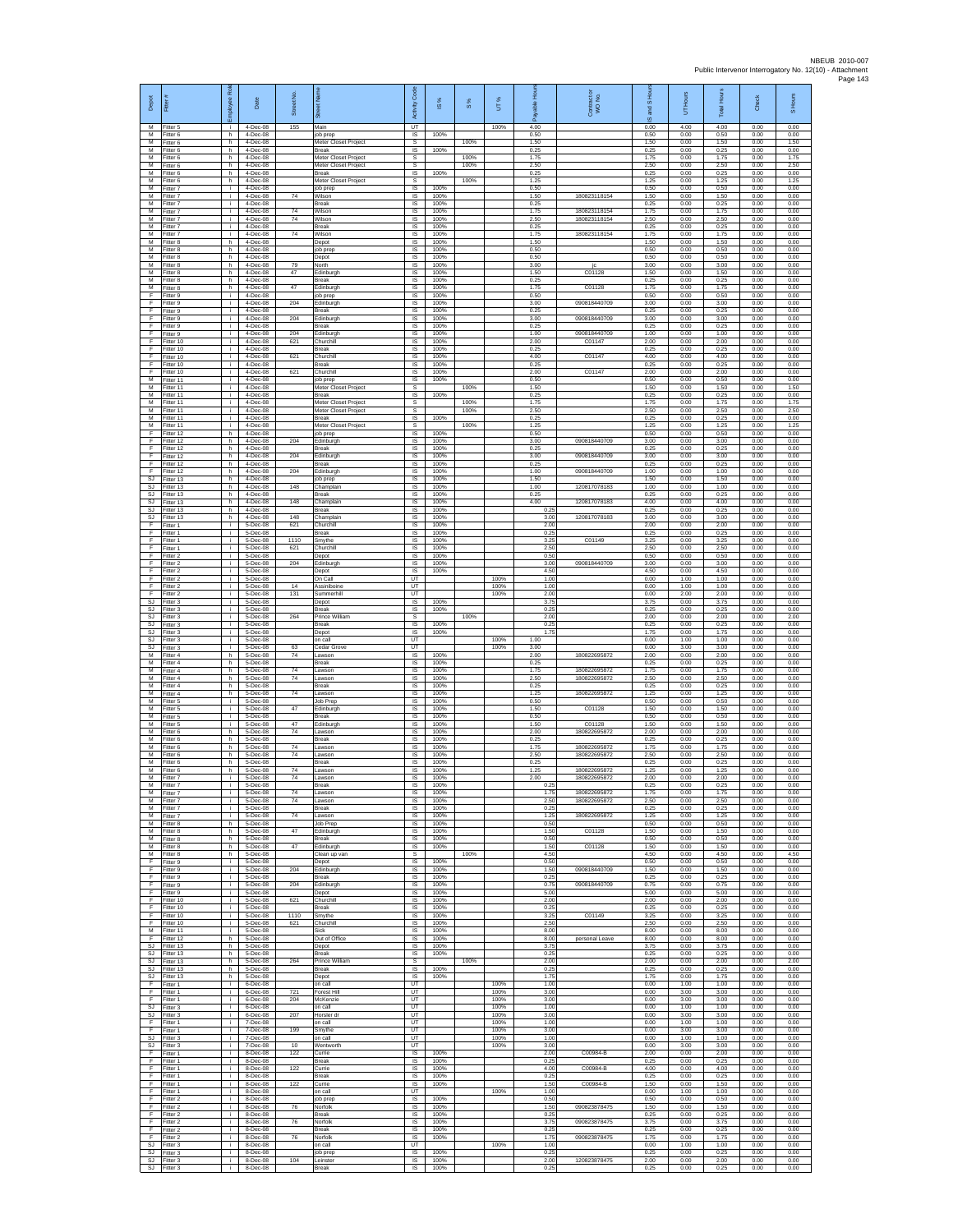| Depot<br>M                    | 릁<br>-itter 5                       | 웂<br>eekolo<br>÷.        | Date<br>4-Dec-08                 | Street No.<br>155 | Main                                                         | Code<br>Activity<br>UT       | IS %                 | 8%           | UT%<br>100%          | 효<br>able<br>តិ<br>4.00 | Contract or<br>WO No.        | and S Ho<br>ဖ<br>0.00 | UT Hours<br>4.00     | Total Hours<br>4.00  | Check<br>0.00        | S Hours<br>0.00      |
|-------------------------------|-------------------------------------|--------------------------|----------------------------------|-------------------|--------------------------------------------------------------|------------------------------|----------------------|--------------|----------------------|-------------------------|------------------------------|-----------------------|----------------------|----------------------|----------------------|----------------------|
| М<br>M                        | Fitter 6<br>Fitter 6                | h<br>h.                  | 4-Dec-08<br>4-Dec-08             |                   | job prep<br>Meter Closet Project                             | $\sf IS$<br>s                | 100%                 | 100%         |                      | 0.50<br>1.50            |                              | 0.50<br>1.50          | 0.00<br>0.00         | 0.50<br>1.50         | 0.00<br>0.00         | 0.00<br>1.50         |
| M<br>м<br>$\overline{M}$      | Fitter 6<br>-itter 6                | h.<br>h.                 | 4-Dec-08<br>4-Dec-08             |                   | <b>Break</b><br>Meter Closet Project                         | IS<br>s                      | 100%                 | 100%         |                      | 0.25<br>1.75            |                              | 0.25<br>1.75          | 0.00<br>0.00         | 0.25<br>1.75         | 0.00<br>0.00         | 0.00<br>1.75<br>2.50 |
| M<br>M                        | Fitter 6<br>Fitter 6<br>-itter 6    | h.<br>h.<br>h.           | 4-Dec-08<br>4-Dec-08<br>4-Dec-08 |                   | Meter Closet Project<br><b>Break</b><br>Meter Closet Project | s<br>IS<br>s                 | 100%                 | 100%<br>100% |                      | 2.50<br>0.25<br>1.25    |                              | 2.50<br>0.25<br>1.25  | 0.00<br>0.00<br>0.00 | 2.50<br>0.25<br>1.25 | 0.00<br>0.00<br>0.00 | 0.00<br>1.25         |
| М<br>M                        | Fitter 7<br>Fitter 7                | i.<br>i.                 | 4-Dec-08<br>4-Dec-08             | 74                | job prep<br>Wilson                                           | IS<br>IS                     | 100%<br>100%         |              |                      | 0.50<br>1.50            | 180823118154                 | 0.50<br>1.50          | 0.00<br>0.00         | 0.50<br>1.50         | 0.00<br>0.00         | 0.00<br>0.00         |
| M<br>м                        | Fitter 7<br>Fitter 7                | i.<br>i.                 | 4-Dec-08<br>4-Dec-08             | 74                | Break<br>Wilsor                                              | IS<br>$\sf IS$               | 100%<br>100%         |              |                      | 0.25<br>1.75            | 180823118154                 | 0.25<br>1.75          | 0.00<br>0.00         | 0.25<br>1.75         | 0.00<br>0.00         | 0.00<br>0.00         |
| М<br>M<br>M                   | Fitter 7<br>Fitter 7<br>Fitter 7    | j.<br>j.<br>i.           | 4-Dec-08<br>4-Dec-08<br>4-Dec-08 | 74                | Wilson<br>Break<br>Wilson                                    | IS<br>-IS<br>IS              | 100%<br>100%<br>100% |              |                      | 2.50<br>0.25<br>1.75    | 180823118154                 | 2.50<br>0.25<br>1.75  | 0.00<br>0.00<br>0.00 | 2.50<br>0.25<br>1.75 | 0.00<br>0.00<br>0.00 | 0.00<br>0.00<br>0.00 |
| м<br>M                        | Fitter 8<br>Fitter 8                | h.<br>h.                 | 4-Dec-08<br>4-Dec-08             | 74                | Depot<br>job prep                                            | IS<br>IS                     | 100%<br>100%         |              |                      | 1.50<br>0.50            | 180823118154                 | 1.50<br>0.50          | 0.00<br>0.00         | 1.50<br>0.50         | 0.00<br>0.00         | 0.00<br>0.00         |
| M<br>м                        | Fitter 8<br>Fitter 8                | h.<br>h.                 | 4-Dec-08<br>4-Dec-08             | 79                | Depot<br>Vorth                                               | IS<br>$\sf IS$               | 100%<br>100%         |              |                      | 0.50<br>3.00            | jc                           | 0.50<br>3.00          | 0.00<br>0.00         | 0.50<br>3.00         | 0.00<br>0.00         | 0.00<br>0.00         |
| м<br>M<br>M                   | Fitter 8<br>Fitter 8<br>Fitter 8    | h.<br>h.                 | 4-Dec-08<br>4-Dec-08<br>4-Dec-08 | 47<br>47          | Edinburgh<br>Break                                           | $\sf IS$<br><b>IS</b><br>IS  | 100%<br>100%<br>100% |              |                      | 1.50<br>0.25<br>1.75    | C01128                       | 1.50<br>0.25<br>1.75  | 0.00<br>0.00<br>0.00 | 1.50<br>0.25<br>1.75 | 0.00<br>0.00<br>0.00 | 0.00<br>0.00<br>0.00 |
| F<br>F                        | Fitter 9<br>Fitter 9                | h.<br>i.<br>÷.           | 4-Dec-08<br>4-Dec-08             | 204               | Edinburgh<br>ob prep<br>dinburgh                             | 1S<br>IS                     | 100%<br>100%         |              |                      | 0.50<br>3.00            | C01128<br>090818440709       | 0.50<br>3.00          | 0.00<br>0.00         | 0.50<br>3.00         | 0.00<br>0.00         | 0.00<br>0.00         |
| - F<br>F                      | Fitter 9<br>-itter 9                | j.<br>i.                 | 4-Dec-08<br>4-Dec-08             | 204               | Break<br>Edinburgh                                           | -IS<br>IS                    | 100%<br>100%         |              |                      | 0.25<br>3.00            | 090818440709                 | 0.25<br>3.00          | 0.00<br>0.00         | 0.25<br>3.00         | 0.00<br>0.00         | 0.00<br>0.00         |
| $\mathsf F$<br>F<br>F         | Fitter 9<br>Fitter 9<br>Fitter 10   | j.<br>i.<br>i.           | 4-Dec-08<br>4-Dec-08<br>4-Dec-08 | 204<br>621        | Break<br>Edinburgh<br>Churchill                              | $\sf IS$<br>IS<br>IS         | 100%<br>100%<br>100% |              |                      | 0.25<br>1.00<br>2.00    | 090818440709                 | 0.25<br>1.00<br>2.00  | 0.00<br>0.00<br>0.00 | 0.25<br>1.00<br>2.00 | 0.00<br>0.00<br>0.00 | 0.00<br>0.00<br>0.00 |
| F<br>Ŧ                        | Fitter 10<br>Fitter 10              | ÷.<br>i.                 | 4-Dec-08<br>4-Dec-08             | 621               | <b>Break</b><br>Churchill                                    | IS<br>IS                     | 100%<br>100%         |              |                      | 0.25<br>4.00            | C01147<br>C01147             | 0.25<br>4.00          | 0.00<br>0.00         | 0.25<br>4.00         | 0.00<br>0.00         | 0.00<br>0.00         |
| F<br>F                        | Fitter 10<br>Fitter 10              | i.<br>j.                 | 4-Dec-08<br>4-Dec-08             | 621               | Break<br>Churchill                                           | <b>IS</b><br>IS              | 100%<br>100%         |              |                      | 0.25<br>2.00            | C01147                       | 0.25<br>2.00          | 0.00<br>0.00         | 0.25<br>2.00         | 0.00<br>0.00         | 0.00<br>0.00         |
| М<br>M<br>M                   | Fitter 11<br>Fitter 11              | i.<br>j.<br>i.           | 4-Dec-08<br>4-Dec-08             |                   | job prep<br>Meter Closet Project<br>Break                    | IS<br>s                      | 100%                 | 100%         |                      | 0.50<br>1.50<br>0.25    |                              | 0.50<br>1.50<br>0.25  | 0.00<br>0.00         | 0.50<br>1.50<br>0.25 | 0.00<br>0.00<br>0.00 | 0.00<br>1.50         |
| м<br>М                        | Fitter 11<br>Fitter 11<br>Fitter 11 | i.<br>j.                 | 4-Dec-08<br>4-Dec-08<br>4-Dec-08 |                   | Meter Closet Project<br>Meter Closet Project                 | $\sf IS$<br>$\mathbb S$<br>s | 100%                 | 100%<br>100% |                      | 1.75<br>2.50            |                              | 1.75<br>2.50          | 0.00<br>0.00<br>0.00 | 1.75<br>2.50         | 0.00<br>0.00         | 0.00<br>1.75<br>2.50 |
| M<br>M                        | Fitter 11<br>Fitter 11              | j.<br>i.                 | 4-Dec-08<br>4-Dec-08             |                   | <b>Break</b><br>Meter Closet Project                         | IS<br>s                      | 100%                 | 100%         |                      | 0.25<br>1.25            |                              | 0.25<br>1.25          | 0.00<br>0.00         | 0.25<br>1.25         | 0.00<br>0.00         | 0.00<br>1.25         |
| F<br>Ŧ<br>F                   | Fitter 12<br>Fitter 12<br>Fitter 12 | h.<br>h.<br>h.           | 4-Dec-08<br>4-Dec-08<br>4-Dec-08 | 204               | ob prep<br>Edinburgh<br>Break                                | IS<br>1S<br><b>IS</b>        | 100%<br>100%<br>100% |              |                      | 0.50<br>3.00<br>0.25    | 090818440709                 | 0.50<br>3.00<br>0.25  | 0.00<br>0.00<br>0.00 | 0.50<br>3.00<br>0.25 | 0.00<br>0.00<br>0.00 | 0.00<br>0.00<br>0.00 |
| F<br>F                        | ltter 12<br>Fitter 12               | h.<br>h.                 | 4-Dec-08<br>4-Dec-08             | 204               | dinburgh<br>Break                                            | $\sf IS$<br>$\sf IS$         | 100%<br>100%         |              |                      | 3.00<br>0.25            | 090818440709                 | 3.00<br>0.25          | 0.00<br>0.00         | 3.00<br>0.25         | 0.00<br>0.00         | 0.00<br>0.00         |
| F<br>SJ                       | Fitter 12<br>Fitter 13              | h.<br>h.                 | 4-Dec-08<br>4-Dec-08             | 204               | Edinburgh<br>ob prep                                         | IS<br>IS                     | 100%<br>100%         |              |                      | 1.00<br>1.50            | 090818440709                 | 1.00<br>1.50          | 0.00<br>0.00         | 1.00<br>1.50         | 0.00<br>0.00         | 0.00<br>0.00         |
| <b>SJ</b><br><b>SJ</b><br>SJ. | Fitter 13<br>Fitter 13<br>Fitter 13 | h.<br>h.<br>h.           | 4-Dec-08<br>4-Dec-08<br>4-Dec-08 | 148<br>148        | Champlair<br>ireak<br>Champlain                              | IS<br>IS<br><b>IS</b>        | 100%<br>100%<br>100% |              |                      | 1.00<br>0.25<br>4.00    | 120817078183<br>120817078183 | 1.00<br>0.25<br>4.00  | 0.00<br>0.00<br>0.00 | 1.00<br>0.25<br>4.00 | 0.00<br>0.00<br>0.00 | 0.00<br>0.00<br>0.00 |
| SJ.<br>$\mathtt{S}\mathtt{J}$ | Fitter 13<br>Fitter 13              | h.<br>h.                 | 4-Dec-08<br>4-Dec-08             | 148               | Break<br>Champlain                                           | IS<br>$\sf IS$               | 100%<br>100%         |              |                      | 0.25<br>3.00            | 120817078183                 | 0.25<br>3.00          | 0.00<br>0.00         | 0.25<br>3.00         | 0.00<br>0.00         | 0.00<br>0.00         |
| F<br>F<br>F                   | Fitter 1<br>Fitter 1<br>-itter 1    | i.<br>i.                 | 5-Dec-08<br>5-Dec-08<br>5-Dec-08 | 621<br>1110       | Churchill<br><b>Break</b>                                    | IS<br>IS<br>IS               | 100%<br>100%<br>100% |              |                      | 2.00<br>0.25<br>3.25    | C01149                       | 2.00<br>0.25<br>3.25  | 0.00<br>0.00<br>0.00 | 2.00<br>0.25<br>3.25 | 0.00<br>0.00<br>0.00 | 0.00<br>0.00<br>0.00 |
| Ŧ<br>F                        | Fitter 1<br>Fitter 2                | i.<br>j.<br>i.           | 5-Dec-08<br>5-Dec-08             | 621               | Smythe<br>Churchill<br>Depot                                 | IS<br><b>IS</b>              | 100%<br>100%         |              |                      | 2.50<br>0.50            |                              | 2.50<br>0.50          | 0.00<br>0.00         | 2.50<br>0.50         | 0.00<br>0.00         | 0.00<br>0.00         |
| F<br>Ŧ                        | -itter 2<br>Fitter 2                | j.<br>i.                 | 5-Dec-08<br>5-Dec-08             | 204               | Edinburgh<br>Depot                                           | IS<br>IS                     | 100%<br>100%         |              |                      | 3.00<br>4.50            | 090818440709                 | 3.00<br>4.50          | 0.00<br>0.00         | 3.00<br>4.50         | 0.00<br>0.00         | 0.00<br>0.00         |
| F<br>F<br>$\mathsf F$         | Fitter 2<br>Fitter 2<br>Fitter 2    | j.<br>i.<br>i.           | 5-Dec-08<br>5-Dec-08<br>5-Dec-08 | 14<br>131         | On Call<br>Assiniboine<br>Summerhill                         | UT<br>UT<br>UT               |                      |              | 100%<br>100%<br>100% | 1.00<br>1.00<br>2.00    |                              | 0.00<br>0.00<br>0.00  | 1.00<br>1.00<br>2.00 | 1.00<br>1.00<br>2.00 | 0.00<br>0.00<br>0.00 | 0.00<br>0.00<br>0.00 |
| <b>SJ</b><br>SJ.              | Fitter 3<br>Fitter 3                | j.<br>j.                 | 5-Dec-08<br>5-Dec-08             |                   | Depot<br>Break                                               | IS<br>-IS                    | 100%<br>100%         |              |                      | 3.75<br>0.25            |                              | 3.75<br>0.25          | 0.00<br>0.00         | 3.75<br>0.25         | 0.00<br>0.00         | 0.00<br>0.00         |
| SJ.<br><b>SJ</b>              | Fitter 3<br>Fitter 3                | i.<br>i.                 | 5-Dec-08<br>5-Dec-08             | 264               | Prince William<br>Break                                      | s<br>IS                      | 100%                 | 100%         |                      | 200<br>0.25             |                              | 2.00<br>0.25          | 0.00<br>0.00         | 2.00<br>0.25         | 0.00<br>0.00         | 2.00<br>0.00         |
| SJ<br>SJ<br>SJ                | Fitter 3<br>Fitter 3<br>-itter 3    | i.<br>i.<br>i.           | 5-Dec-08<br>5-Dec-08<br>5-Dec-08 | 63                | Depot<br>on call<br>Cedar Grove                              | IS<br>UT<br>UT               | 100%                 |              | 100%<br>100%         | 1.75<br>1.00<br>3.00    |                              | 1.75<br>0.00<br>0.00  | 0.00<br>1.00<br>3.00 | 1.75<br>1.00<br>3.00 | 0.00<br>0.00<br>0.00 | 0.00<br>0.00<br>0.00 |
| М<br>M                        | Fitter 4<br>Fitter 4                | h.<br>h.                 | 5-Dec-08<br>5-Dec-08             | $74\,$            | awson<br>Break                                               | $\sf IS$<br><b>IS</b>        | 100%<br>100%         |              |                      | 2.00<br>0.25            | 180822695872                 | 2.00<br>0.25          | 0.00<br>0.00         | 2.00<br>0.25         | 0.00<br>0.00         | 0.00<br>0.00         |
| M<br>М<br>М                   | Fitter 4<br>Fitter 4<br>Fitter 4    | h.<br>h.<br>h.           | 5-Dec-08<br>5-Dec-08<br>5-Dec-08 | 74<br>74          | awson<br>Lawson<br>Break                                     | IS<br>1S<br>IS               | 100%<br>100%<br>100% |              |                      | 1.75<br>2.50<br>0.25    | 180822695872<br>180822695872 | 1.75<br>2.50<br>0.25  | 0.00<br>0.00<br>0.00 | 1.75<br>2.50<br>0.25 | 0.00<br>0.00<br>0.00 | 0.00<br>0.00<br>0.00 |
| M<br>M                        | Fitter 4<br>-itter 5                | h.<br>i.                 | 5-Dec-08<br>5-Dec-08             | 74                | Lawson<br>Job Prep                                           | -IS<br>IS                    | 100%<br>100%         |              |                      | 1.25<br>0.50            | 180822695872                 | 1.25<br>0.50          | 0.00<br>0.00         | 1.25<br>0.50         | 0.00<br>0.00         | 0.00<br>0.00         |
| М<br>M<br>M                   | Fitter 5<br>Fitter 5<br>Fitter 5    | j.<br>i.<br>i.           | 5-Dec-08<br>5-Dec-08<br>5-Dec-08 | 47<br>47          | dinburgl<br>Break<br>dinburgh                                | $\sf IS$<br>IS<br>IS         | 100%<br>100%<br>100% |              |                      | 1.50<br>0.50<br>1.50    | C01128<br>C01128             | 1.50<br>0.50<br>1.50  | 0.00<br>0.00<br>0.00 | 1.50<br>0.50<br>1.50 | 0.00<br>0.00<br>0.00 | 0.00<br>0.00<br>0.00 |
| м<br>$\overline{M}$           | -itter 6<br>Fitter 6                | h<br>h.                  | 5-Dec-08<br>5-Dec-08             | 74                | awson.<br>Break                                              | IS<br>IS                     | 100%<br>100%         |              |                      | 2.00<br>0.25            | 180822695872                 | 2.00<br>0.25          | 0.00<br>0.00         | 2.00<br>0.25         | 0.00<br>0.00         | 0.00<br>0.00         |
| M<br>M                        | Fitter 6<br>-itter 6                | h.<br>h                  | 5-Dec-08<br>5-Dec-08             | 74<br>74          | Lawson<br>awson                                              | <b>IS</b><br>IS              | 100%<br>100%         |              |                      | 1.75<br>2.50            | 180822695872<br>180822695872 | 1.75<br>2.50          | 0.00<br>0.00         | 1.75<br>2.50         | 0.00<br>0.00         | 0.00<br>0.00         |
| М<br>M<br>M                   | Fitter 6<br>Fitter 6<br>Fitter 7    | h.<br>h.<br>Ť.           | 5-Dec-08<br>5-Dec-08<br>5-Dec-08 | 74<br>74          | Break<br>awson.<br>awsor                                     | IS<br>IS<br>IS               | 100%<br>100%<br>100% |              |                      | 0.25<br>1.25<br>2.00    | 180822695872<br>180822695872 | 0.25<br>1.25<br>2.00  | 0.00<br>0.00<br>0.00 | 0.25<br>1.25<br>2.00 | 0.00<br>0.00<br>0.00 | 0.00<br>0.00<br>0.00 |
| м<br>м                        | -itter <sup>7</sup><br>Fitter 7     | j.                       | 5-Dec-08<br>5-Dec-08             | 74                | Break<br>awson                                               | IS<br>IS                     | 100%<br>100%         |              |                      | 0.25<br>1.75            | 18082269587                  | 0.25<br>1.75          | 0.00<br>0.00         | 0.25<br>1.75         | 0.00<br>0.00         | 0.00<br>0.00         |
| M<br>M<br>M                   | Fitter 7<br>Fitter 7                | j.<br>i.                 | 5-Dec-08<br>5-Dec-08<br>5-Dec-08 | 74<br>74          | Lawson<br><b>Break</b><br>awson                              | -IS<br>IS.<br>IS             | 100%<br>100%<br>100% |              |                      | 2.50<br>0.25<br>1.25    | 180822695872<br>180822695872 | 2.50<br>0.25<br>1.25  | 0.00<br>0.00<br>0.00 | 2.50<br>0.25<br>1.25 | 0.00<br>0.00<br>0.00 | 0.00<br>0.00<br>0.00 |
| М<br>M                        | Fitter 7<br>Fitter 8<br>Fitter 8    | i.<br>h.<br>h.           | 5-Dec-08<br>$5-Dac-08$           | 47                | <b>Job Prep</b><br>Edinburgh                                 | IS<br><b>IS</b>              | 100%<br>100%         |              |                      | 0.50<br>1.50            | C01128                       | 0.50<br>1.50          | 0.00<br>0.00         | 0.50<br>1.50         | 0.00<br>0.00         | 0.00<br>0.00         |
| M<br>M                        | Fitter 8<br>Fitter 8                | h.<br>h                  | 5-Dec-08<br>5-Dec-08<br>5-Dec-08 | 47                | Break<br>Edinburgh                                           | $\sf IS$<br>$\sf IS$         | 100%<br>100%         | 100%         |                      | 0.50<br>1.50<br>4.50    | C01128                       | 0.50<br>1.50          | 0.00<br>0.00<br>0.00 | 0.50<br>1.50<br>4.50 | 0.00<br>0.00<br>0.00 | 0.00<br>0.00         |
| M<br>F<br>Ŧ                   | Fitter 8<br>Fitter 9<br>Fitter 9    | h.<br>i.<br>i.           | 5-Dec-08<br>5-Dec-08             | 204               | Clean up van<br>Depot<br>Edinburgh                           | s<br>IS<br>1S                | 100%<br>100%         |              |                      | 0.50<br>1.50            | 090818440709                 | 4.50<br>0.50<br>1.50  | 0.00<br>0.00         | 0.50<br>1.50         | 0.00<br>0.00         | 4.50<br>0.00<br>0.00 |
| Ŧ<br>- F                      | Fitter 9<br>Fitter 9                | i.<br>i.                 | 5-Dec-08<br>$5-Dec-08$           | 204               | Break<br>Edinburgh                                           | IS<br>- IS                   | 100%<br>100%         |              |                      | 0.25<br>0.75            | 090818440709                 | 0.25<br>0.75          | 0.00<br>0.00         | 0.25<br>0.75         | 0.00<br>0.00         | 0.00<br>0.00         |
| F.<br>F<br>-F                 | Fitter 9<br>Fitter 10<br>Fitter 10  | j.<br>j.<br>i.           | 5-Dec-08<br>5-Dec-08<br>5-Dec-08 | 621               | Depot<br>Churchill<br><b>Break</b>                           | IS.<br>$\sf IS$<br>IS        | 100%<br>100%<br>100% |              |                      | 5.00<br>2.00<br>0.25    |                              | 5.00<br>2.00<br>0.25  | 0.00<br>0.00<br>0.00 | 5.00<br>2.00<br>0.25 | 0.00<br>0.00<br>0.00 | 0.00<br>0.00<br>0.00 |
| F.<br>F                       | Fitter 10<br>Fitter 10              | i.<br>÷.                 | 5-Dec-08<br>5-Dec-08             | 1110<br>621       | Smythe<br>Churchill                                          | IS<br>IS                     | 100%<br>100%         |              |                      | 3.25<br>2.50            | C01149                       | 3.25<br>2.50          | 0.00<br>0.00         | 3.25<br>2.50         | 0.00<br>0.00         | 0.00<br>0.00         |
| M<br>F<br><b>SJ</b>           | Fitter 11<br>Fitter 12              | i.<br>h.                 | 5-Dec-08<br>5-Dec-08<br>5-Dec-08 |                   | Sick<br>Out of Office                                        | IS<br>IS.                    | 100%<br>100%         |              |                      | 8.00<br>8.00            | personal Leave               | 8.00<br>8.00          | 0.00<br>0.00         | 8.00<br>8.00<br>3.75 | 0.00<br>0.00         | 0.00<br>0.00         |
| SJ<br>SJ                      | Fitter 13<br>Fitter 13<br>Fitter 13 | h.<br>h.<br>h            | 5-Dec-08<br>5-Dec-08             | 264               | Depot<br>Break<br>Prince William                             | IS<br>1S<br>s                | 100%<br>100%         | 100%         |                      | 3.75<br>0.25<br>2.00    |                              | 3.75<br>0.25<br>2.00  | 0.00<br>0.00<br>0.00 | 0.25<br>2.00         | 0.00<br>0.00<br>0.00 | 0.00<br>0.00<br>2.00 |
| SJ<br>SJ                      | Fitter 13<br>Fitter 13              | h.<br>h.                 | 5-Dec-08<br>5-Dec-08             |                   | <b>Break</b><br>Depot                                        | IS<br>IS                     | 100%<br>100%         |              |                      | 0.25<br>1.75            |                              | 0.25<br>1.75          | 0.00<br>0.00         | 0.25<br>1.75         | 0.00<br>0.00         | 0.00<br>0.00         |
| F<br>- F<br>F.                | -itter 1<br>Fitter 1<br>Fitter 1    | j.<br>i.<br>j.           | 6-Dec-08<br>6-Dec-08<br>6-Dec-08 | 721<br>204        | on call<br>Forest Hill<br>McKenzie                           | UT<br>UT<br><b>UT</b>        |                      |              | 100%<br>100%<br>100% | 1.00<br>3.00<br>3.00    |                              | 0.00<br>0.00<br>0.00  | 1.00<br>3.00<br>3.00 | 1.00<br>3.00<br>3.00 | 0.00<br>0.00<br>0.00 | 0.00<br>0.00<br>0.00 |
| <b>SJ</b><br>SJ               | Fitter 3<br>Fitter 3                | ÷.<br>j.                 | 6-Dec-08<br>6-Dec-08             | 207               | on call<br>Horsler dr                                        | UT<br>UT                     |                      |              | 100%<br>100%         | 1.00<br>3.00            |                              | 0.00<br>0.00          | 1.00<br>3.00         | 1.00<br>3.00         | 0.00<br>0.00         | 0.00<br>0.00         |
| F<br>$\mathsf F$<br>SJ        | Fitter 1<br>Fitter 1<br>Fitter 3    | i.<br>i.<br>i.           | 7-Dec-08<br>7-Dec-08<br>7-Dec-08 | 199               | on call<br>Smythe<br>on call                                 | UT<br>UT<br>UT               |                      |              | 100%<br>100%<br>100% | 1.00<br>3.00<br>1.00    |                              | 0.00<br>0.00<br>0.00  | 1.00<br>3.00<br>1.00 | 1.00<br>3.00<br>1.00 | 0.00<br>0.00<br>0.00 | 0.00<br>0.00<br>0.00 |
| SJ.<br>-F                     | Fitter 3<br>Fitter 1                | i.<br>j.                 | 7-Dec-08<br>8-Dec-08             | 10<br>122         | Wentworth<br>Currie                                          | UT<br>IS                     | 100%                 |              | 100%                 | 3.00<br>2.00            | C00984-B                     | 0.00<br>2.00          | 3.00<br>0.00         | 3.00<br>2.00         | 0.00<br>0.00         | 0.00<br>0.00         |
| Ŧ<br>Ŧ                        | Fitter 1<br>Fitter 1                | i.<br>i.                 | 8-Dec-08<br>8-Dec-08             | 122               | Break<br>Currie                                              | IS.<br>IS                    | 100%<br>100%         |              |                      | 0.25<br>4.00            | C00984-B                     | 0.25<br>4.00          | 0.00<br>0.00         | 0.25<br>4.00         | 0.00<br>0.00         | 0.00<br>0.00         |
| - F<br>-F.<br>E               | Fitter 1<br>Fitter 1<br>Fitter 1    | i.<br>j.<br>i.           | 8-Dec-08<br>8-Dec-08<br>8-Dec-08 | 122               | Break<br>Currie<br>on call                                   | - IS<br>IS.<br>UT            | 100%<br>100%         |              | 100%                 | 0.25<br>1.50<br>1.00    | C00984-B                     | 0.25<br>1.50<br>0.00  | 0.00<br>0.00<br>1.00 | 0.25<br>1.50<br>1.00 | 0.00<br>0.00<br>0.00 | 0.00<br>0.00<br>0.00 |
| - F<br>-F.                    | Fitter 2<br>Fitter 2                | i.<br>i.                 | 8-Dec-08<br>8-Dec-08             | 76                | job prep<br>Norfolk                                          | <b>IS</b><br>IS              | 100%<br>100%         |              |                      | 0.50<br>1.50            | 090823878475                 | 0.50<br>1.50          | 0.00<br>0.00         | 0.50<br>1.50         | 0.00<br>0.00         | 0.00<br>0.00         |
| Ŧ<br>F<br>-F                  | Fitter 2<br>Fitter 2<br>Fitter 2    | i.<br>i.<br>i.           | 8-Dec-08<br>8-Dec-08<br>8-Dec-08 | 76                | Break<br>Norfolk<br><b>Break</b>                             | IS<br>IS<br><b>IS</b>        | 100%<br>100%<br>100% |              |                      | 0.25<br>3.75<br>0.25    | 090823878475                 | 0.25<br>3.75<br>0.25  | 0.00<br>0.00<br>0.00 | 0.25<br>3.75<br>0.25 | 0.00<br>0.00<br>0.00 | 0.00<br>0.00<br>0.00 |
| -F<br>SJ                      | Fitter 2<br>Fitter 3                | j.<br>÷.                 | 8-Dec-08<br>8-Dec-08             | 76                | Norfolk<br>on call                                           | IS<br>UT                     | 100%                 |              | 100%                 | 1.75<br>1.00            | 090823878475                 | 1.75<br>0.00          | 0.00<br>1.00         | 1.75<br>1.00         | 0.00<br>0.00         | 0.00<br>0.00         |
| SJ.<br>SJ                     | Fitter 3<br>Fitter 3<br>SJ Fitter 3 | j.<br>÷.<br>$\mathbf{i}$ | 8-Dec-08<br>8-Dec-08<br>8-Dec-08 | 104               | iob prep<br>Leinster<br>Break                                | IS<br>$\sf IS$<br>IS         | 100%<br>100%<br>100% |              |                      | 0.25<br>2.00<br>0.25    | 120823878475                 | 0.25<br>2.00<br>0.25  | 0.00<br>0.00<br>0.00 | 0.25<br>2.00<br>0.25 | 0.00<br>0.00<br>0.00 | 0.00<br>0.00<br>0.00 |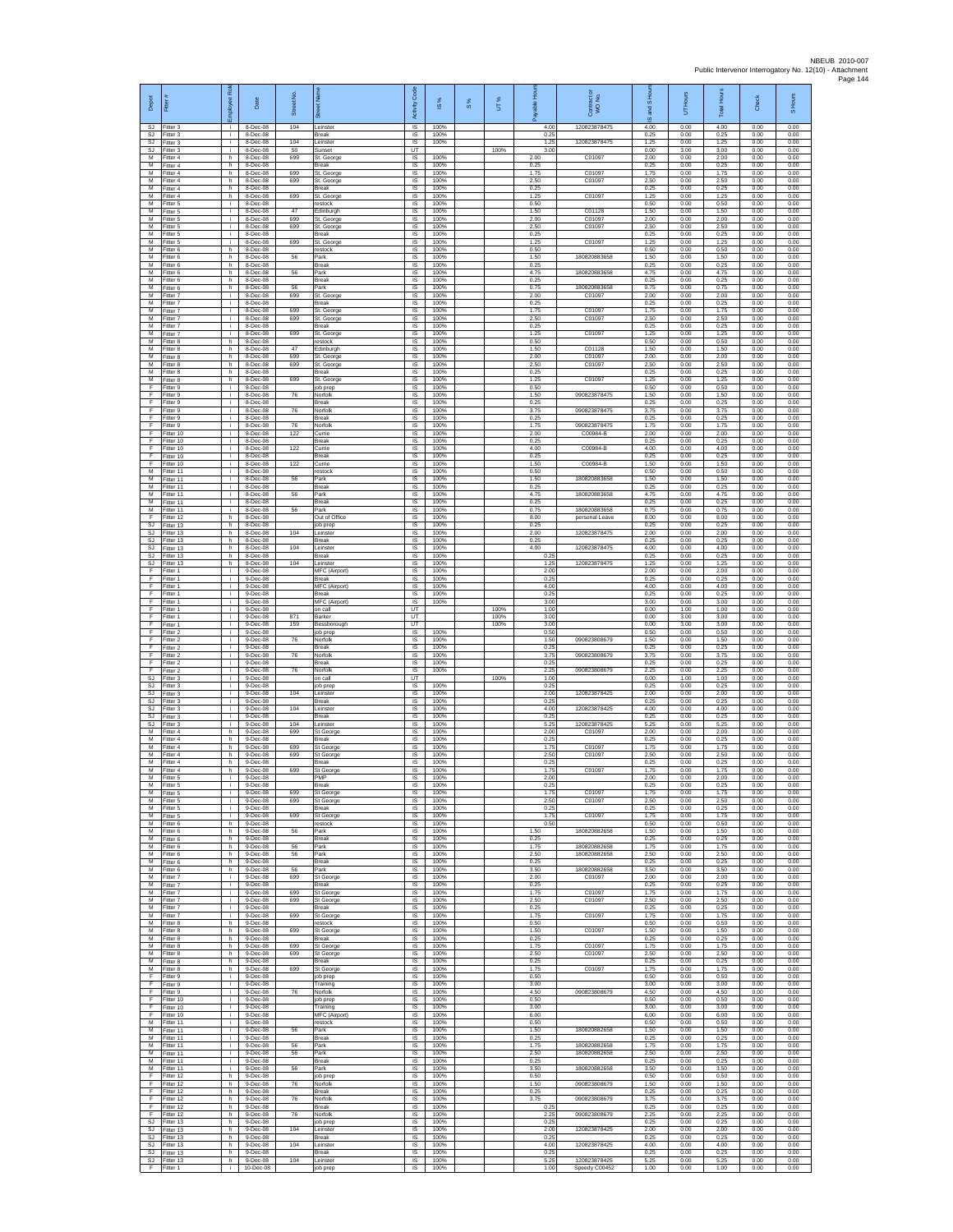| Depot<br>SJ           | Fitter<br>Fitter 3                  | loyee Rol<br>i. | Date<br>8-Dec-08                       | Street No<br>104 | Leinster                               | Activity Code<br>IS        | <b>iS</b> %<br>100%  | $\frac{8}{3}$ | UT%          | able Ho<br>4.00      | Contract or<br>WO No.<br>120823878475 | 옾<br>and S<br>ဖ<br>4.00 | Hours<br>5<br>0.00   | Total Hours<br>4.00  | Check<br>0.00        | S Hours<br>0.00      |
|-----------------------|-------------------------------------|-----------------|----------------------------------------|------------------|----------------------------------------|----------------------------|----------------------|---------------|--------------|----------------------|---------------------------------------|-------------------------|----------------------|----------------------|----------------------|----------------------|
| SJ                    | SJ Fitter 3<br>Fitter 3             | i.<br>i.        | 8-Dec-08<br>8-Dec-08                   | 104              | <b>Break</b><br>Leinster               | IS<br>IS                   | 100%<br>100%         |               |              | 0.25<br>1.25         | 120823878475                          | 0.25<br>1.25            | 0.00<br>0.00         | 0.25<br>1.25         | 0.00<br>0.00         | 0.00<br>0.00         |
| SJ<br>M<br>M          | Fitter 3<br>Fitter 4<br>Fitter 4    | j.<br>h.<br>h.  | 8-Dec-08<br>8-Dec-08<br>8-Dec-08       | 50<br>699        | Sunset<br>St. George<br>Break          | UT<br><b>IS</b><br>IS      | 100%<br>100%         |               | 100%         | 3.00<br>2.00<br>0.25 | C01097                                | 0.00<br>2.00<br>0.25    | 3.00<br>0.00<br>0.00 | 3.00<br>2.00<br>0.25 | 0.00<br>0.00<br>0.00 | 0.00<br>0.00<br>0.00 |
| М<br>M                | Fitter 4<br>Fitter 4                | h.<br>h.        | 8-Dec-08<br>8-Dec-08                   | 699<br>699       | St. George<br>St. George               | 1S<br>IS                   | 100%<br>100%         |               |              | 1.75<br>2.50         | C01097<br>C01097                      | 1.75<br>2.50            | 0.00<br>0.00         | 1.75<br>2.50         | 0.00<br>0.00         | 0.00<br>0.00         |
| M<br>M<br>М           | Fitter 4<br>-itter 4<br>Fitter 5    | h.<br>h.<br>j.  | 8-Dec-08<br>8-Dec-08<br>8-Dec-08       | 699              | Break<br>St. George<br>restock         | IS<br>$\sf IS$<br>$\sf IS$ | 100%<br>100%<br>100% |               |              | 0.25<br>1.25<br>0.50 | C01097                                | 0.25<br>1.25<br>0.50    | 0.00<br>0.00<br>0.00 | 0.25<br>1.25<br>0.50 | 0.00<br>0.00<br>0.00 | 0.00<br>0.00<br>0.00 |
| M<br>M                | Fitter 5<br>Fitter 5                | i.<br>i.        | 8-Dec-08<br>8-Dec-08                   | 47<br>699        | Edinburgh<br>St. George                | IS<br>IS                   | 100%<br>100%         |               |              | 1.50<br>2.00         | C01128<br>C01097                      | 1.50<br>200             | 0.00<br>0.00         | 1.50<br>200          | 0.00<br>0.00         | 0.00<br>0.00         |
| M<br>$\overline{M}$   | -itter 5<br>Fitter 5                | i.<br>i.        | 8-Dec-08<br>8-Dec-08<br>8-Dec-08       | 699<br>699       | St. George<br>Break<br>St George       | IS<br>IS                   | 100%<br>100%         |               |              | 2.50<br>0.25<br>1.25 | C01097<br>C01097                      | 2.50<br>0.25<br>1.25    | 0.00<br>0.00<br>0.00 | 2.50<br>0.25         | 0.00<br>0.00         | 0.00<br>0.00<br>0.00 |
| M<br>M<br>М           | Fitter 5<br>-itter 6<br>Fitter 6    | i.<br>h.<br>h.  | 8-Dec-08<br>8-Dec-08                   | 56               | restock<br>Park                        | IS<br>IS<br>1S             | 100%<br>100%<br>100% |               |              | 0.50<br>1.50         | 180820883658                          | 0.50<br>1.50            | 0.00<br>0.00         | 1.25<br>0.50<br>1.50 | 0.00<br>0.00<br>0.00 | 0.00<br>0.00         |
| M<br>M                | Fitter 6<br>Fitter 6                | h.<br>h         | 8-Dec-08<br>8-Dec-08                   | 56               | <b>Break</b><br>Park                   | IS<br>IS                   | 100%<br>100%         |               |              | 0.25<br>4.75         | 180820883658                          | 0.25<br>4.75            | 0.00<br>0.00         | 0.25<br>4.75         | 0.00<br>0.00         | 0.00<br>0.00         |
| М<br>М<br>M           | Fitter 6<br>Fitter 6<br>Fitter 7    | h.<br>h.<br>j.  | 8-Dec-08<br>8-Dec-08<br>8-Dec-08       | 56<br>699        | Break<br>Park<br>St. George            | IS<br>IS<br>IS             | 100%<br>100%<br>100% |               |              | 0.25<br>0.75<br>2.00 | 18082088365<br>C01097                 | 0.25<br>0.75<br>2.00    | 0.00<br>0.00<br>0.00 | 0.25<br>0.75<br>2.00 | 0.00<br>0.00<br>0.00 | 0.00<br>0.00<br>0.00 |
| M<br>M                | Fitter 7<br>Fitter 7                | i.<br>÷.        | 8-Dec-08<br>8-Dec-08                   | 699              | Break<br>St. George                    | IS.<br>IS                  | 100%<br>100%         |               |              | 0.25<br>1.75         | C01097                                | 0.25<br>1.75            | 0.00<br>0.00         | 0.25<br>1.75         | 0.00<br>0.00         | 0.00<br>0.00         |
| M<br>M<br>м           | Fitter 7<br>Fitter 7<br>-itter 7    | i.<br>i.<br>i.  | 8-Dec-08<br>8-Dec-08<br>8-Dec-08       | 699<br>699       | St. George<br>Break<br>St. George      | IS<br>IS<br>$\sf IS$       | 100%<br>100%<br>100% |               |              | 2.50<br>0.25<br>1.25 | C01097<br>C01097                      | 2.50<br>0.25<br>1.25    | 0.00<br>0.00<br>0.00 | 2.50<br>0.25<br>1.25 | 0.00<br>0.00<br>0.00 | 0.00<br>0.00<br>0.00 |
| M<br>M                | Fitter 8<br>Fitter 8                | h<br>h.         | 8-Dec-08<br>8-Dec-08                   | 47               | restock<br>Edinburgh                   | IS<br>IS                   | 100%<br>100%         |               |              | 0.50<br>1.50         | C01128                                | 0.50<br>1.50            | 0.00<br>0.00         | 0.50<br>1.50         | 0.00<br>0.00         | 0.00<br>0.00         |
| M<br>М<br>М           | Fitter 8<br>Fitter 8<br>Fitter 8    | h<br>h.<br>h    | 8-Dec-08<br>8-Dec-08<br>8-Dec-08       | 699<br>699       | St. George<br>St. George<br>Break      | IS<br>1S<br>IS             | 100%<br>100%<br>100% |               |              | 2.00<br>2.50<br>0.25 | C01097<br>C01097                      | 2.00<br>2.50<br>0.25    | 0.00<br>0.00<br>0.00 | 2.00<br>2.50<br>0.25 | 0.00<br>0.00<br>0.00 | 0.00<br>0.00<br>0.00 |
| M<br>F                | Fitter 8<br>-itter 9                | h.<br>i.        | 8-Dec-08<br>8-Dec-08                   | 699              | St. Georg<br>job prep                  | IS<br>IS                   | 100%<br>100%         |               |              | 1.25<br>0.50         | C01097                                | 1.25<br>0.50            | 0.00<br>0.00         | 1.25<br>0.50         | 0.00<br>0.00         | 0.00<br>0.00         |
| F<br>F                | Fitter 9<br>Fitter 9                | i.<br>i.        | 8-Dec-08<br>8-Dec-08                   | 76               | Norfolk<br><b>Break</b><br>Norfolk     | $\sf IS$<br>IS             | 100%<br>100%<br>100% |               |              | 1.50<br>0.25         | 090823878475<br>090823878475          | 1.50<br>0.25            | 0.00<br>0.00         | 1.50<br>0.25         | 0.00<br>0.00         | 0.00<br>0.00         |
| F<br>F<br>Ŧ           | Fitter 9<br>-itter 9<br>Fitter 9    | i.<br>÷.<br>i.  | 8-Dec-08<br>8-Dec-08<br>8-Dec-08       | 76<br>76         | Break<br>Norfolk                       | IS<br>IS<br>IS             | 100%<br>100%         |               |              | 3.75<br>0.25<br>1.75 | 09082387847                           | 3.75<br>0.25<br>1.75    | 0.00<br>0.00<br>0.00 | 3.75<br>0.25<br>1.75 | 0.00<br>0.00<br>0.00 | 0.00<br>0.00<br>0.00 |
| F<br>F                | Fitter 10<br>Fitter 10              | j.<br>i.        | 8-Dec-08<br>8-Dec-08                   | 122              | Currie<br>Break                        | IS<br>IS                   | 100%<br>100%         |               |              | 2.00<br>0.25         | C00984-B                              | 2.00<br>0.25            | 0.00<br>0.00         | 2.00<br>0.25         | 0.00<br>0.00         | 0.00<br>0.00         |
| Ŧ<br>F<br>E           | Fitter 10<br>Fitter 10<br>Fitter 10 | i.<br>i.<br>i.  | 8-Dec-08<br>8-Dec-08<br>8-Dec-08       | 122<br>122       | Currie<br>Break<br>Currie              | 1S<br>$\overline{s}$<br>IS | 100%<br>100%<br>100% |               |              | 4.00<br>0.25<br>1.50 | C00984-B<br>C00984-B                  | 4.00<br>0.25<br>1.50    | 0.00<br>0.00<br>0.00 | 4.00<br>0.25<br>1.50 | 0.00<br>0.00<br>0.00 | 0.00<br>0.00<br>0.00 |
| М<br>$\overline{M}$   | Fitter 11<br>Fitter 11              | i.<br>i.        | 8-Dec-08<br>8-Dec-08                   | 56               | restock<br>Park                        | IS<br>IS                   | 100%<br>100%         |               |              | 0.50<br>1.50         | 180820883658                          | 0.50<br>1.50            | 0.00<br>0.00         | 0.50<br>1.50         | 0.00<br>0.00         | 0.00<br>0.00         |
| M<br>M<br>M           | Fitter 11<br>Fitter 11<br>Fitter 11 | j.<br>i.<br>i.  | 8-Dec-08<br>8-Dec-08<br>8-Dec-08       | 56               | Break<br>Park<br>Break                 | IS<br>IS<br>IS             | 100%<br>100%<br>100% |               |              | 0.25<br>4.75<br>0.25 | 180820883658                          | 0.25<br>475<br>0.25     | 0.00<br>0.00<br>0.00 | 0.25<br>475<br>0.25  | 0.00<br>0.00<br>0.00 | 0.00<br>0.00<br>0.00 |
| М<br>F.               | Fitter 11<br>Fitter 12              | i.<br>h         | 8-Dec-08<br>8-Dec-08                   | 56               | Park<br>Out of Office                  | IS<br>IS                   | 100%<br>100%         |               |              | 0.75<br>8.00         | 180820883658<br>personal Leave        | 0.75<br>8.00            | 0.00<br>0.00         | 0.75<br>8.00         | 0.00<br>0.00         | 0.00<br>0.00         |
| SJ<br>SJ<br>SJ.       | Fitter 13<br>Fitter 13<br>Fitter 13 | h.<br>h.<br>h.  | 8-Dec-08<br>8-Dec-08<br>8-Dec-08       | 104              | job prep<br>Leinster<br>Break          | IS<br>IS<br>IS             | 100%<br>100%<br>100% |               |              | 0.25<br>2.00<br>0.25 | 120823878475                          | 0.25<br>2.00<br>0.25    | 0.00<br>0.00<br>0.00 | 0.25<br>2.00<br>0.25 | 0.00<br>0.00<br>0.00 | 0.00<br>0.00<br>0.00 |
| SJ<br>SJ              | Fitter 13<br>Fitter 13              | h.<br>h.        | 8-Dec-08<br>8-Dec-08                   | 104              | Leinster<br>Break                      | IS<br>1S                   | 100%<br>100%         |               |              | 4.00<br>0.25         | 120823878475                          | 4.00<br>0.25            | 0.00<br>0.00         | 4.00<br>0.25         | 0.00<br>0.00         | 0.00<br>0.00         |
| SJ<br>F               | Fitter 13<br>Fitter 1               | h.<br>j.        | 8-Dec-08<br>9-Dec-08                   | 104              | einster<br>MFC (Airport)               | IS<br>- IS                 | 100%<br>100%         |               |              | 1.25<br>2.00         | 120823878475                          | 1.25<br>2.00            | 0.00<br>0.00         | 1.25<br>2.00         | 0.00<br>0.00         | 0.00<br>0.00         |
| $\mathsf F$<br>F<br>F | -itter 1<br>Fitter 1<br>Fitter 1    | i.<br>i.<br>i.  | $9-Dec-08$<br>$9-Dec-08$<br>9-Dec-08   |                  | Break<br>MFC (Airport)<br><b>Break</b> | $\sf IS$<br>IS<br>IS       | 100%<br>100%<br>100% |               |              | 0.25<br>4.00<br>0.25 |                                       | 0.25<br>4.00<br>0.25    | 0.00<br>0.00<br>0.00 | 0.25<br>4.00<br>0.25 | 0.00<br>0.00<br>0.00 | 0.00<br>0.00<br>0.00 |
| F<br>Ŧ                | Fitter 1<br>-itter 1                | i.<br>i.        | 9-Dec-08<br>9-Dec-08                   |                  | MFC (Airport)<br>on call               | <b>IS</b><br>UT            | 100%                 |               | 100%         | 3.00<br>1.00         |                                       | 3.00<br>0.00            | 0.00<br>1.00         | 3.00<br>1.00         | 0.00<br>0.00         | 0.00<br>0.00         |
| Ŧ<br>F<br>F           | Fitter 1<br>Fitter 1<br>-itter 2    | i.<br>j.<br>j.  | 9-Dec-08<br>9-Dec-08<br>9-Dec-08       | 871<br>159       | Barker<br>Bessborough<br>job prep      | UT<br>UT<br>IS             | 100%                 |               | 100%<br>100% | 3.00<br>3.00<br>0.50 |                                       | 0.00<br>0.00<br>0.50    | 3.00<br>3.00<br>0.00 | 3.00<br>3.00<br>0.50 | 0.00<br>0.00<br>0.00 | 0.00<br>0.00<br>0.00 |
| Ŧ<br>F                | Fitter 2<br>Fitter 2                | i.<br>i.        | 9-Dec-08<br>$9-Dec-08$                 | 76               | Norfolk<br>Break                       | 1S<br>IS                   | 100%<br>100%         |               |              | 1.50<br>0.25         | 090823808679                          | 1.50<br>0.25            | 0.00<br>0.00         | 1.50<br>0.25         | 0.00<br>0.00         | 0.00<br>0.00         |
| F<br>Ŧ<br>F           | Fitter 2<br>Fitter 2<br>Fitter 2    | j.<br>Ť.<br>i.  | 9-Dec-08<br>9-Dec-08<br>9-Dec-08       | 76<br>76         | Norfolk<br>Break<br>Norfolk            | IS<br>IS<br>IS             | 100%<br>100%<br>100% |               |              | 3.75<br>0.25<br>2.25 | 090823808679<br>090823808679          | 3.75<br>0.25<br>2.25    | 0.00<br>0.00<br>0.00 | 3.75<br>0.25<br>2.25 | 0.00<br>0.00<br>0.00 | 0.00<br>0.00<br>0.00 |
| -SJ<br>S.I            | Fitter 3<br>Fitter 3                | j.<br>i.        | 9-Dec-08<br>9-Dec-08                   |                  | on call<br>job prep                    | UT<br>IS.                  | 100%                 |               | 100%         | 1.00<br>0.25         |                                       | 0.00<br>0.25            | 1.00<br>0.00         | 1.00<br>0.25         | 0.00<br>0.00         | 0.00<br>0.00         |
| SJ<br>SJ<br>SJ        | Fitter 3<br>Fitter 3<br>Fitter 3    | i.<br>i.<br>i.  | 9-Dec-08<br>9-Dec-08<br>9-Dec-08       | 104              | Leinster<br>Break<br>Leinster          | IS<br>IS<br>IS             | 100%<br>100%<br>100% |               |              | 2.00<br>0.25<br>4.00 | 120823878425<br>120823878425          | 2.00<br>0.25<br>4.00    | 0.00<br>0.00<br>0.00 | 2.00<br>0.25<br>4.00 | 0.00<br>0.00<br>0.00 | 0.00<br>0.00<br>0.00 |
| SJ<br>SJ              | Fitter 3<br>Fitter 3                | i.<br>j.        | $9-Dec-08$<br>9-Dec-08                 | 104<br>104       | Break<br>Leinster                      | $\sf IS$<br>IS             | 100%<br>100%         |               |              | 0.25<br>5.25         | 12082387842                           | 0.25<br>5.25            | 0.00<br>0.00         | 0.25<br>5.25         | 0.00<br>0.00         | 0.00<br>0.00         |
| M<br>M<br>М           | Fitter 4<br>Fitter 4<br>Fitter 4    | h.<br>h<br>h.   | 9-Dec-08<br>9-Dec-08<br>9-Dec-08       | 699<br>699       | St George<br>Break<br>St George        | IS<br>IS<br>1S             | 100%<br>100%<br>100% |               |              | 2.00<br>0.25<br>1.75 | C01097<br>C01097                      | 2.00<br>0.25<br>1.75    | 0.00<br>0.00<br>0.00 | 2.00<br>0.25<br>1.75 | 0.00<br>0.00<br>0.00 | 0.00<br>0.00<br>0.00 |
| $\overline{M}$<br>M   | Fitter 4<br>Fitter 4                | h<br>h.         | 9-Dec-08<br>9-Dec-08                   | 699              | St George<br><b>Break</b>              | IS<br>- IS                 | 100%<br>100%         |               |              | 2.50<br>0.25         | C01097                                | 2.50<br>0.25            | 0.00<br>0.00         | 2.50<br>0.25         | 0.00<br>0.00         | 0.00<br>0.00         |
| M<br>M                | -itter 4<br>Fitter 5                | h.<br>j.        | $9-Dec-08$<br>$9-Dec-08$<br>$9-Dac-08$ | 699              | St George<br>PMP                       | IS<br>$\sf IS$             | 100%<br>100%         |               |              | 1.75<br>2.00         | C01097                                | 1.75<br>2.00            | 0.00<br>0.00         | 1.75<br>2.00         | 0.00<br>0.00         | 0.00<br>0.00         |
| M<br>M<br>м           | Fitter 5<br>Fitter 5<br>-itter 5    | i.<br>i.<br>i.  | 9-Dec-08<br>9-Dec-08                   | 699<br>699       | <b>Break</b><br>St George<br>St George | <b>IS</b><br>IS<br>IS      | 100%<br>100%<br>100% |               |              | 0.25<br>1.75<br>2.50 | C01097<br>C01097                      | 0.25<br>175<br>2.50     | 0.00<br>0.00<br>0.00 | 0.25<br>1.75<br>2.50 | 0.00<br>0.00<br>0.00 | 0.00<br>0.00<br>0.00 |
| $\overline{M}$<br>M   | -itter 5<br>Fitter 5                | j.<br>i.        | 9-Dec-08<br>9-Dec-08                   | 699              | Break<br>St George                     | IS<br>IS.                  | 100%<br>100%         |               |              | 0.25<br>1.75         | C01097                                | 0.25<br>1.75            | 0.00<br>0.00         | 0.25<br>1.75         | 0.00<br>0.00         | 0.00<br>0.00         |
| M<br>М<br>M           | -itter 6<br>Fitter 6<br>Fitter 6    | h<br>h.<br>h.   | 9-Dec-08<br>9-Dec-08<br>9-Dec-08       | 56               | restock<br>Park<br><b>Break</b>        | IS<br>1S<br>IS             | 100%<br>100%<br>100% |               |              | 0.50<br>1.50<br>0.25 | 180820882658                          | 0.50<br>1.50<br>0.25    | 0.00<br>0.00<br>0.00 | 0.50<br>1.50<br>0.25 | 0.00<br>0.00<br>0.00 | 0.00<br>0.00<br>0.00 |
| M<br>М                | Fitter 6<br>Fitter 6                | h<br>h.         | 9-Dec-08<br>9-Dec-08                   | 56<br>56         | Park<br>Park                           | IS<br>IS                   | 100%<br>100%         |               |              | 1.75<br>2.50         | 180820882658<br>180820882658          | 1.75<br>2.50            | 0.00<br>0.00         | 1.75<br>2.50         | 0.00<br>0.00         | 0.00<br>0.00         |
| М<br>M<br>M           | -itter 6<br>Fitter 6<br>Fitter 7    | h.<br>h.<br>j.  | 9-Dec-08<br>9-Dec-08<br>9-Dec-08       | 56<br>699        | <b>Break</b><br>Park<br>St George      | IS<br>IS<br>IS.            | 100%<br>100%<br>100% |               |              | 0.25<br>3.50<br>2.00 | 180820882658<br>C01097                | 0.25<br>3.50<br>200     | 0.00<br>0.00<br>0.00 | 0.25<br>3.50<br>2.00 | 0.00<br>0.00<br>0.00 | 0.00<br>0.00<br>0.00 |
| М<br>м                | Fitter 7<br>Fitter 7                | i.<br>i.        | 9-Dec-08<br>9-Dec-08                   | 699              | Break<br>St George                     | IS<br>IS                   | 100%<br>100%         |               |              | 0.25<br>1.75         | C01097                                | 0.25<br>1.75            | 0.00<br>0.00         | 0.25<br>1.75         | 0.00<br>0.00         | 0.00<br>0.00         |
| M.<br>M<br>м          | Fitter 7<br>Fitter 7<br>Fitter 7    | i.<br>i.<br>i.  | $9-Dec-08$<br>9-Dec-08<br>9-Dec-08     | 699<br>699       | St George<br>Break<br>St George        | IS<br>IS<br>IS             | 100%<br>100%<br>100% |               |              | 2.50<br>0.25<br>1.75 | C01097<br>C01097                      | 2.50<br>0.25<br>1.75    | 0.00<br>0.00<br>0.00 | 2.50<br>0.25<br>1.75 | 0.00<br>0.00<br>0.00 | 0.00<br>0.00<br>0.00 |
| M<br>M                | Fitter 8<br>Fitter 8                | h.<br>h.        | $9-Dec-08$<br>9-Dec-08                 | 699              | restock<br>St George                   | <b>IS</b><br>IS            | 100%<br>100%         |               |              | 0.50<br>1.50         | C01097                                | 0.50<br>1.50            | 0.00<br>0.00         | 0.50<br>1.50         | 0.00<br>0.00         | 0.00<br>0.00         |
| М<br>M<br>M           | Fitter 8<br>Fitter 8                | h.<br>h.<br>h.  | 9-Dec-08<br>9-Dec-08<br>9-Dec-08       | 699<br>699       | Break<br>St George                     | IS<br>IS<br>- IS           | 100%<br>100%<br>100% |               |              | 0.25<br>1.75<br>2.50 | C01097<br>C01097                      | 0.25<br>1.75<br>2.50    | 0.00<br>0.00<br>0.00 | 0.25<br>1.75<br>2.50 | 0.00<br>0.00<br>0.00 | 0.00<br>0.00<br>0.00 |
| M<br>М                | Fitter 8<br>Fitter 8<br>Fitter 8    | h<br>h.         | 9-Dec-08<br>$9-Dec-08$                 | 699              | St George<br>Break<br>St George        | $\sf IS$<br>IS             | 100%<br>100%         |               |              | 0.25<br>1.75         | C01097                                | 0.25<br>1.75            | 0.00<br>0.00         | 0.25<br>1.75         | 0.00<br>0.00         | 0.00<br>0.00         |
| F<br>F.               | Fitter 9<br>Fitter 9                | i.<br>j.        | $9-Dec-08$<br>9-Dec-08                 |                  | job prep<br>Training                   | IS<br>IS                   | 100%<br>100%         |               |              | 0.50<br>3.00         |                                       | 0.50<br>3.00            | 0.00<br>0.00         | 0.50<br>3.00         | 0.00<br>0.00         | 0.00<br>0.00         |
| F<br>F<br>F           | -itter 9<br>Fitter 10<br>Fitter 10  | i.<br>i.<br>i.  | 9-Dec-08<br>9-Dec-08<br>9-Dec-08       | 76               | Norfolk<br>job prep<br>Training        | IS<br>IS<br><b>IS</b>      | 100%<br>100%<br>100% |               |              | 4.50<br>0.50<br>3.00 | 090823808679                          | 4.50<br>0.50<br>3.00    | 0.00<br>0.00<br>0.00 | 4.50<br>0.50<br>3.00 | 0.00<br>0.00<br>0.00 | 0.00<br>0.00<br>0.00 |
| -F<br>м               | Fitter 10<br>Fitter 11              | i.<br>i.        | 9-Dec-08<br>9-Dec-08                   |                  | MFC (Airport)<br>restock               | IS<br><b>IS</b>            | 100%<br>100%         |               |              | 6.00<br>0.50         |                                       | 6.00<br>0.50            | 0.00<br>0.00         | 6.00<br>0.50         | 0.00<br>0.00         | 0.00<br>0.00         |
| M<br>M<br>М           | Fitter 11<br>Fitter 11<br>Fitter 11 | i.<br>÷.<br>i.  | 9-Dec-08<br>9-Dec-08<br>9-Dec-08       | 56<br>56         | Park<br><b>Break</b><br>Park           | IS<br>IS<br>1S             | 100%<br>100%<br>100% |               |              | 1.50<br>0.25<br>1.75 | 180820882658<br>180820882658          | 1.50<br>0.25<br>1.75    | 0.00<br>0.00<br>0.00 | 1.50<br>0.25<br>1.75 | 0.00<br>0.00<br>0.00 | 0.00<br>0.00<br>0.00 |
| М<br>M                | Fitter 11<br>Fitter 11              | j.<br>j.        | 9-Dec-08<br>9-Dec-08                   | 56               | Park<br><b>Break</b>                   | IS<br>IS                   | 100%<br>100%         |               |              | 2.50<br>0.25         | 180820882658                          | 2.50<br>0.25            | 0.00<br>0.00         | 2.50<br>0.25         | 0.00<br>0.00         | 0.00<br>0.00         |
| M<br>F<br>Ŧ           | Fitter 11<br>Fitter 12<br>Fitter 12 | i.<br>h.<br>h.  | 9-Dec-08<br>9-Dec-08<br>9-Dec-08       | 56<br>76         | Park<br>job prep<br>Norfolk            | IS<br>IS<br>IS             | 100%<br>100%<br>100% |               |              | 3.50<br>0.50<br>1.50 | 180820882658<br>090823808679          | 3.50<br>0.50<br>1.50    | 0.00<br>0.00<br>0.00 | 3.50<br>0.50<br>1.50 | 0.00<br>0.00<br>0.00 | 0.00<br>0.00<br>0.00 |
| F.<br>F               | Fitter 12<br>Fitter 12              | h<br>h.         | $9-Dec-08$<br>9-Dec-08                 | 76               | <b>Break</b><br>Norfolk                | IS<br>$\sf IS$             | 100%<br>100%         |               |              | 0.25<br>3.75         | 090823808679                          | 0.25<br>3.75            | 0.00<br>0.00         | 0.25<br>3.75         | 0.00<br>0.00         | 0.00<br>0.00         |
| Ŧ<br>F<br><b>SJ</b>   | Fitter 12<br>Fitter 12<br>Fitter 13 | h<br>h.<br>h    | 9-Dec-08<br>$9-Dec-08$<br>9-Dec-08     | 76               | Break<br>Norfolk<br>job prep           | IS<br>IS.<br>IS            | 100%<br>100%<br>100% |               |              | 0.25<br>2.25<br>0.25 | 090823808679                          | 0.25<br>2.25<br>0.25    | 0.00<br>0.00<br>0.00 | 0.25<br>2.25<br>0.25 | 0.00<br>0.00<br>0.00 | 0.00<br>0.00<br>0.00 |
| SJ<br>SJ              | Fitter 13<br>Fitter 13              | h.<br>h         | 9-Dec-08<br>9-Dec-08                   | 104              | Leinster<br><b>Break</b>               | IS<br>IS                   | 100%<br>100%         |               |              | 2.00<br>0.25         | 120823878425                          | 2.00<br>0.25            | 0.00<br>0.00         | 2.00<br>0.25         | 0.00<br>0.00         | 0.00<br>0.00         |
| SJ.<br>SJ             | Fitter 13<br>Fitter 13              | h.<br>h.        | 9-Dec-08<br>9-Dec-08                   | 104              | Leinster<br>Break                      | <b>IS</b><br>IS            | 100%<br>100%         |               |              | 4.00<br>0.25         | 120823878425                          | 4.00<br>0.25            | 0.00<br>0.00         | 4.00<br>0.25         | 0.00<br>0.00         | 0.00<br>0.00         |
| SJ<br>F               | Fitter 13<br>Fitter 1               | h.<br>i I       | $9-Dec-08$<br>10-Dec-08                | 104              | Leinster<br>job prep                   | $\sf IS$<br>IS.            | 100%<br>100%         |               |              | 5.25<br>1.00         | 120823878425<br>Speedy C00452         | 5.25<br>1.00            | 0.00<br>0.00         | 5.25<br>1.00         | 0.00<br>0.00         | 0.00<br>0.00         |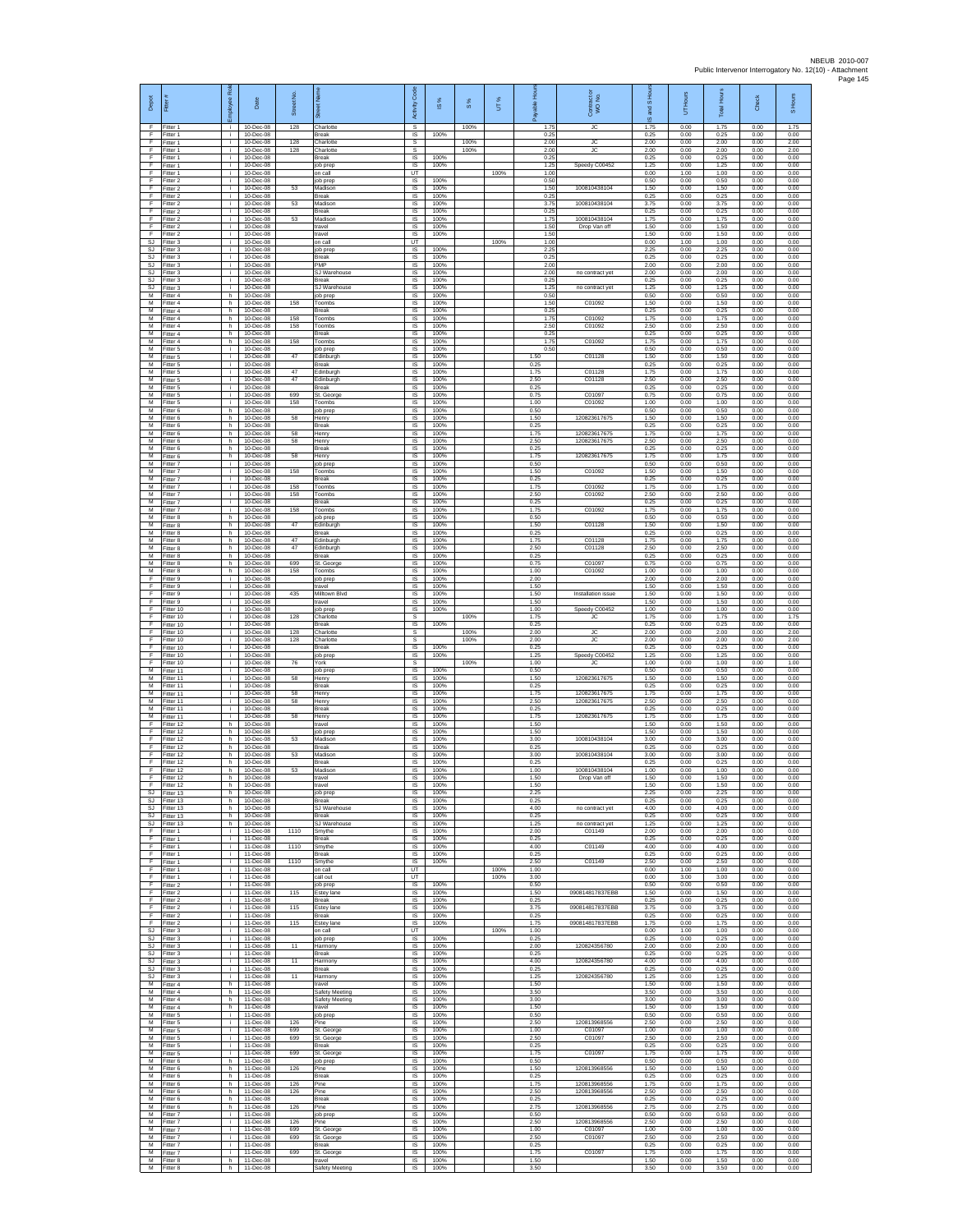| Depot                    | Fitter#                             | æ<br>loyee               | Date                                           | Street No. | 贡                                          | Code<br>Activity            | IS %                 | $\frac{8}{3}$ | UT%          | $rac{3}{2}$<br>ald   | Contract or<br>WO No.        | IS <sub>Hou</sub><br>ma<br>ဖ | UT Hours             | <b>Total Hours</b>   | Check                | S Hours              |
|--------------------------|-------------------------------------|--------------------------|------------------------------------------------|------------|--------------------------------------------|-----------------------------|----------------------|---------------|--------------|----------------------|------------------------------|------------------------------|----------------------|----------------------|----------------------|----------------------|
| - F<br>F<br>F            | Fitter 1<br>Fitter 1<br>Fitter 1    | j.<br>i.<br>i.           | 10-Dec-08<br>10-Dec-08<br>10-Dec-08            | 128<br>128 | Charlotte<br>Break<br>Charlotte            | s<br>IS<br>s                | 100%                 | 100%<br>100%  |              | 1.75<br>0.25<br>2.00 | JC<br>JC                     | 1.75<br>0.25<br>2.00         | 0.00<br>0.00<br>0.00 | 1.75<br>0.25<br>2.00 | 0.00<br>0.00<br>0.00 | 1.75<br>0.00<br>2.00 |
| - F<br>E                 | Fitter 1<br>Fitter 1                | j.<br>i.                 | 10-Dec-08<br>10-Dec-08                         | 128        | Charlotte<br><b>Break</b>                  | s<br><b>IS</b>              | 100%                 | 100%          |              | 2.00<br>0.25         | JC                           | 2.00<br>0.25                 | 0.00<br>0.00         | 2.00<br>0.25         | 0.00<br>0.00         | 2.00<br>0.00         |
| F<br>F<br>F              | Fitter 1<br>Fitter 1<br>Fitter 2    | ÷.<br>j.<br>i.           | 10-Dec-08<br>10-Dec-08<br>10-Dec-08            |            | job prep<br>on call<br>iob prep            | IS<br>UT<br>IS.             | 100%<br>100%         |               | 100%         | 1.25<br>1.00<br>0.50 | Speedy C00452                | 1.25<br>0.00<br>0.50         | 0.00<br>1.00<br>0.00 | 1.25<br>1.00<br>0.50 | 0.00<br>0.00<br>0.00 | 0.00<br>0.00<br>0.00 |
| F<br>F                   | Fitter 2<br>Fitter 2                | i.<br>i.                 | 10-Dec-08<br>10-Dec-08                         | 53         | Madison<br>Break                           | IS<br>$\sf IS$              | 100%<br>100%         |               |              | 1.50<br>0.25         | 100810438104                 | 1.50<br>0.25                 | 0.00<br>0.00         | 1.50<br>0.25         | 0.00<br>0.00         | 0.00<br>0.00         |
| F<br>F                   | Fitter 2<br>Fitter 2                | j.<br>j.                 | 10-Dec-08<br>10-Dec-08                         | 53         | Madison<br><b>Break</b>                    | IS<br>IS                    | 100%<br>100%         |               |              | 3.75<br>0.25         | 100810438104                 | 3.75<br>0.25                 | 0.00<br>0.00         | 3.75<br>0.25         | 0.00<br>0.00         | 0.00<br>0.00         |
| F<br>F<br>- F            | Fitter 2<br>Fitter 2<br>Fitter 2    | i.<br>i.<br>j.           | 10-Dec-08<br>10-Dec-08<br>10-Dec-08            | 53         | Madison<br>ravel<br>travel                 | 1S<br>IS<br>IS              | 100%<br>100%<br>100% |               |              | 1.75<br>1.50<br>1.50 | 100810438104<br>Drop Van off | 1.75<br>1.50<br>1.50         | 0.00<br>0.00<br>0.00 | 1.75<br>1.50<br>1.50 | 0.00<br>0.00<br>0.00 | 0.00<br>0.00<br>0.00 |
| <b>S.I</b><br>SJ         | Fitter 3<br>Fitter 3                | i.<br>÷.                 | 10-Dec-08<br>10-Dec-08                         |            | on call<br>ob prep                         | <b>LIT</b><br>1S            | 100%<br>100%         |               | 100%         | 1.00<br>2.25         |                              | 0.00<br>2.25                 | 1.00<br>0.00         | 1.00<br>2.25         | 0.00<br>0.00         | 0.00<br>0.00         |
| SJ<br>SJ<br>SJ           | Fitter 3<br>Fitter 3<br>Fitter 3    | i.<br>i.<br>i.           | 10-Dec-08<br>10-Dec-08<br>10-Dec-08            |            | Break<br>PMP<br>SJ Warehouse               | 1S<br>IS<br>IS              | 100%<br>100%         |               |              | 0.25<br>2.00<br>2.00 | no contract yet              | 0.25<br>2.00<br>2.00         | 0.00<br>0.00<br>0.00 | 0.25<br>2.00<br>2.00 | 0.00<br>0.00<br>0.00 | 0.00<br>0.00<br>0.00 |
| <b>SJ</b><br>SJ.         | Fitter 3<br>Fitter 3                | $\mathbf{r}$<br>i.       | 10-Dec-08<br>10-Dec-08                         |            | Break<br>S.I Warehouse                     | 1S<br><b>IS</b>             | 100%<br>100%         |               |              | 0.25<br>1.25         | no contract yet              | 0.25<br>1.25                 | 0.00<br>0.00         | 0.25<br>1.25         | 0.00<br>0.00         | 0.00<br>0.00         |
| M<br>М<br>М              | Fitter 4<br>Fitter 4<br>Fitter 4    | h.<br>h.<br>h            | 10-Dec-08<br>10-Dec-08<br>10-Dec-08            | 158        | job prep<br>Toombs<br><b>Sreak</b>         | IS<br>1S<br>IS              | 100%<br>100%<br>100% |               |              | 0.50<br>1.50<br>0.25 | C01092                       | 0.50<br>1.50<br>0.25         | 0.00<br>0.00<br>0.00 | 0.50<br>1.50<br>0.25 | 0.00<br>0.00<br>0.00 | 0.00<br>0.00<br>0.00 |
| M<br>M                   | Fitter 4<br>Fitter 4                | h<br>h.                  | 10-Dec-08<br>10-Dec-08                         | 158<br>158 | Toombs<br>Toombs                           | - IS<br>$\sf IS$            | 100%<br>100%         |               |              | 1.75<br>2.50         | C01092<br>C01092             | 1.75<br>2.50                 | 0.00<br>0.00         | 1.75<br>2.50         | 0.00<br>0.00         | 0.00<br>0.00         |
| м<br>M<br>M              | Fitter 4<br>Fitter 4<br>Fitter 5    | h<br>h.<br>i.            | 10-Dec-08<br>10-Dec-08<br>10-Dec-08            | 158        | <b>Break</b><br>Toombs<br>job prep         | $\sf IS$<br>IS<br><b>IS</b> | 100%<br>100%<br>100% |               |              | 0.25<br>1.75<br>0.50 | C01092                       | 0.25<br>1.75<br>0.50         | 0.00<br>0.00<br>0.00 | 0.25<br>1.75<br>0.50 | 0.00<br>0.00<br>0.00 | 0.00<br>0.00<br>0.00 |
| м<br>М                   | Fitter 5<br>Fitter 5                | ÷.<br>i.                 | 10-Dec-08<br>10-Dec-08                         | 47         | Edinburgh<br>Break                         | IS<br>1S                    | 100%<br>100%         |               |              | 1.50<br>0.25         | C01128                       | 1.50<br>0.25                 | 0.00<br>0.00         | 1.50<br>0.25         | 0.00<br>0.00         | 0.00<br>0.00         |
| M<br>M<br>м              | Fitter 5<br>Fitter 5<br>Fitter 5    | i.<br>j.<br>i.           | 10-Dec-08<br>10-Dec-08<br>10-Dec-08            | 47<br>47   | Edinburgh<br>Edinburgh                     | <b>IS</b><br>IS<br>$\sf IS$ | 100%<br>100%<br>100% |               |              | 1.75<br>2.50<br>0.25 | C01128<br>C01128             | 1.75<br>2.50<br>0.25         | 0.00<br>0.00<br>0.00 | 1.75<br>2.50<br>0.25 | 0.00<br>0.00<br>0.00 | 0.00<br>0.00<br>0.00 |
| M<br>M                   | Fitter 5<br>Fitter 5                | j.<br>j.                 | 10-Dec-08<br>10-Dec-08                         | 699<br>158 | Break<br>St. George<br>Toombs              | IS<br>IS                    | 100%<br>100%         |               |              | 0.75<br>1.00         | C01097<br>C01092             | 0.75<br>1.00                 | 0.00<br>0.00         | 0.75<br>1.00         | 0.00<br>0.00         | 0.00<br>0.00         |
| М<br>М<br>M              | Fitter 6<br>Fitter 6<br>Fitter 6    | h.<br>h<br>h.            | 10-Dec-08<br>10-Dec-08<br>10-Dec-08            | 58         | job prep<br>Henry<br><b>Break</b>          | 1S<br>IS<br>- IS            | 100%<br>100%<br>100% |               |              | 0.50<br>1.50<br>0.25 | 120823617675                 | 0.50<br>1.50<br>0.25         | 0.00<br>0.00<br>0.00 | 0.50<br>1.50<br>0.25 | 0.00<br>0.00<br>0.00 | 0.00<br>0.00<br>0.00 |
| M<br>м                   | Fitter 6<br>Fitter 6                | h.<br>h.                 | 10-Dec-08<br>10-Dec-08                         | 58<br>58   | Henry<br>Henry                             | <b>IS</b><br>IS             | 100%<br>100%         |               |              | 1.75<br>2.50         | 120823617675<br>120823617675 | 1.75<br>2.50                 | 0.00<br>0.00         | 1.75<br>2.50         | 0.00<br>0.00         | 0.00<br>0.00         |
| М<br>M                   | Fitter 6<br>Fitter 6                | h.<br>h.                 | 10-Dec-08<br>10-Dec-08<br>10-Dec-08            | 58         | Break<br>Henry                             | 1S<br>IS                    | 100%<br>100%         |               |              | 0.25<br>1.75         | 120823617675                 | 0.25<br>1.75                 | 0.00<br>0.00         | 0.25<br>1.75         | 0.00<br>0.00         | 0.00<br>0.00         |
| м<br>$\overline{M}$<br>м | Fitter 7<br>Fitter 7<br>Fitter 7    | ÷.<br>i.<br>i.           | 10-Dec-08<br>10-Dec-08                         | 158        | job prep<br>Toombs<br><b>Break</b>         | IS<br>1S<br>IS              | 100%<br>100%<br>100% |               |              | 0.50<br>1.50<br>0.25 | C01092                       | 0.50<br>1.50<br>0.25         | 0.00<br>0.00<br>0.00 | 0.50<br>1.50<br>0.25 | 0.00<br>0.00<br>0.00 | 0.00<br>0.00<br>0.00 |
| M<br>М                   | Fitter 7<br>Fitter 7                | i.<br>i.                 | 10-Dec-08<br>10-Dec-08                         | 158<br>158 | Toombs<br>Toombs                           | IS<br>1S                    | 100%<br>100%         |               |              | 1.75<br>2.50         | C01092<br>C01092             | 1.75<br>2.50                 | 0.00<br>0.00         | 1.75<br>2.50         | 0.00<br>0.00         | 0.00<br>0.00         |
| М<br>M<br>M              | Fitter 7<br>Fitter 7<br>Fitter 8    | j.<br>j.<br>h.           | 10-Dec-08<br>10-Dec-08<br>10-Dec-08            | 158        | <b>Break</b><br>Toombs<br>job prep         | IS<br>- IS<br>IS            | 100%<br>100%<br>100% |               |              | 0.25<br>1.75<br>0.50 | C01092                       | 0.25<br>1.75<br>0.50         | 0.00<br>0.00<br>0.00 | 0.25<br>1.75<br>0.50 | 0.00<br>0.00<br>0.00 | 0.00<br>0.00<br>0.00 |
| м<br>M                   | Fitter 8<br>Fitter 8                | h<br>h.                  | 10-Dec-08<br>10-Dec-08                         | 47         | Edinburgh<br>Break                         | $\sf IS$<br>IS              | 100%<br>100%         |               |              | 1.50<br>0.25         | C01128                       | 1.50<br>0.25                 | 0.00<br>0.00         | 1.50<br>0.25         | 0.00<br>0.00         | 0.00<br>0.00         |
| M<br>М<br>$\overline{M}$ | Fitter 8<br>Fitter 8<br>Fitter 8    | h.<br>h.<br>h.           | 10-Dec-08<br>10-Dec-08<br>10-Dec-08            | 47<br>47   | Edinburgh<br>Edinburgh<br>Break            | IS.<br>IS<br>1S             | 100%<br>100%<br>100% |               |              | 1.75<br>2.50<br>0.25 | C01128<br>C01128             | 1.75<br>2.50<br>0.25         | 0.00<br>0.00<br>0.00 | 1.75<br>2.50<br>0.25 | 0.00<br>0.00<br>0.00 | 0.00<br>0.00<br>0.00 |
| M<br>м                   | Fitter 8<br>Fitter 8                | h.<br>h.                 | 10-Dec-08<br>10-Dec-08                         | 699<br>158 | St. George<br>Toombs                       | IS<br>IS                    | 100%<br>100%         |               |              | 0.75<br>1.00         | C01097<br>C01092             | 0.75<br>1.00                 | 0.00<br>0.00         | 0.75<br>1.00         | 0.00<br>0.00         | 0.00<br>0.00         |
| F<br>F<br>F              | Fitter 9<br>Fitter 9<br>Fitter 9    | i.<br>j.<br>j.           | 10-Dec-08<br>10-Dec-08<br>10-Dec-08            | 435        | job prep<br>ravel<br>Milltown Blvd         | $\sf IS$<br>IS<br>IS        | 100%<br>100%<br>100% |               |              | 2.00<br>1.50<br>1.50 | Installation issue           | 2.00<br>1.50<br>1.50         | 0.00<br>0.00<br>0.00 | 2.00<br>1.50<br>1.50 | 0.00<br>0.00<br>0.00 | 0.00<br>0.00<br>0.00 |
| F<br>F                   | Fitter 9<br>Fitter 10               | i.<br>i.                 | 10-Dec-08<br>10-Dec-08                         |            | travel<br>ob prep                          | 1S<br>IS                    | 100%<br>100%         |               |              | 1.50<br>1.00         | Speedy C00452                | 1.50<br>1.00                 | 0.00<br>0.00         | 1.50<br>1.00         | 0.00<br>0.00         | 0.00<br>0.00         |
| F<br>E<br>F              | Fitter 10<br>Fitter 10              | j.<br>i.<br>÷.           | 10-Dec-08<br>10-Dec-08<br>10-Dec-08            | 128<br>128 | Charlotte<br><b>Break</b><br>harlotte      | -S<br><b>IS</b><br>s        | 100%                 | 100%<br>100%  |              | 1.75<br>0.25<br>2.00 | JС<br>JC                     | 1.75<br>0.25<br>2.00         | 0.00<br>0.00<br>0.00 | 1.75<br>0.25<br>2.00 | 0.00<br>0.00<br>0.00 | 1.75<br>0.00<br>2.00 |
| F<br>E                   | Fitter 10<br>Fitter 10<br>Fitter 10 | i.<br>i.                 | 10-Dec-08<br>10-Dec-08                         | 128        | Charlotte<br>Break                         | s<br>IS                     | 100%                 | 100%          |              | 2.00<br>0.25         | JC                           | 2.00<br>0.25                 | 0.00<br>0.00         | 2.00<br>0.25         | 0.00<br>0.00         | 2.00<br>0.00         |
| F<br>F                   | Fitter 10<br>Fitter 10<br>Fitter 11 | i.<br>i.                 | 10-Dec-08<br>10-Dec-08<br>10-Dec-08            | 76         | job prep<br>York                           | IS<br>s                     | 100%<br>100%         | 100%          |              | 1.25<br>1.00<br>0.50 | Speedy C00452<br>JС          | 1.25<br>1.00<br>0.50         | 0.00<br>0.00<br>0.00 | 1.25<br>1.00<br>0.50 | 0.00<br>0.00<br>0.00 | 0.00<br>1.00<br>0.00 |
| M<br>M<br>М              | Fitter 11<br>Fitter 11              | i.<br>j.<br>i.           | 10-Dec-08<br>10-Dec-08                         | 58         | iob prep<br>Henry<br>Break                 | <b>IS</b><br>IS<br>1S       | 100%<br>100%         |               |              | 1.50<br>0.25         | 120823617675                 | 1.50<br>0.25                 | 0.00<br>0.00         | 1.50<br>0.25         | 0.00<br>0.00         | 0.00<br>0.00         |
| М<br>M                   | Fitter 11<br>Fitter 11              | i.<br>i.                 | 10-Dec-08<br>10-Dec-08                         | 58<br>58   | Henry<br>Henry                             | IS<br>- IS                  | 100%<br>100%         |               |              | 1.75<br>2.50         | 120823617675<br>120823617675 | 1.75<br>2.50                 | 0.00<br>0.00         | 1.75<br>2.50         | 0.00<br>0.00         | 0.00<br>0.00         |
| M<br>м<br>F              | Fitter 11<br>Fitter 11<br>Fitter 12 | i.<br>j.<br>h.           | 10-Dec-08<br>10-Dec-08<br>10-Dec-08            | 58         | Break<br>Henry<br>travel                   | $\sf IS$<br>$\sf IS$<br>IS  | 100%<br>100%<br>100% |               |              | 0.25<br>1.75<br>1.50 | 120823617675                 | 0.25<br>1.75<br>1.50         | 0.00<br>0.00<br>0.00 | 0.25<br>1.75<br>1.50 | 0.00<br>0.00<br>0.00 | 0.00<br>0.00<br>0.00 |
| E<br>F                   | Fitter 12<br>Fitter 12              | h.<br>h                  | 10-Dec-08<br>10-Dec-08                         | 53         | job prep<br>Madison                        | <b>IS</b><br>IS             | 100%<br>100%         |               |              | 1.50<br>3.00         | 100810438104                 | 1.50<br>3.00                 | 0.00<br>0.00         | 1.50<br>3.00         | 0.00<br>0.00         | 0.00<br>0.00         |
| F<br>F<br>F              | Fitter 12<br>Fitter 12<br>Fitter 12 | h.<br>h.<br>h.           | 10-Dec-08<br>$10 - \text{Dec-08}$<br>10-Dec-08 | 53         | Break<br>Madison<br><b>Break</b>           | 1S<br><b>IS</b><br>IS       | 100%<br>100%<br>100% |               |              | 0.25<br>3.00<br>0.25 | 100810438104                 | 0.25<br>3.00<br>0.25         | 0.00<br>0.00<br>0.00 | 0.25<br>3.00<br>0.25 | 0.00<br>0.00<br>0.00 | 0.00<br>0.00<br>0.00 |
| F<br>E                   | Fitter 12<br>Fitter 12              | h.<br>h.                 | 10-Dec-08<br>10-Dec-08                         | 53         | Madison<br>travel                          | IS<br>IS                    | 100%<br>100%         |               |              | 1.00<br>1.50         | 100810438104<br>Drop Van off | 1.00<br>1.50                 | 0.00<br>0.00         | 1.00<br>1.50         | 0.00<br>0.00         | 0.00<br>0.00         |
| E<br>SJ<br>SJ            | Fitter 12<br>Fitter 13<br>Fitter 13 | h<br>h.<br>h             | 10-Dec-08<br>10-Dec-08<br>10-Dec-08            |            | travel<br>job prep<br>Break                | IS<br>1S<br>1S              | 100%<br>100%<br>100% |               |              | 1.50<br>2.25<br>0.25 |                              | 1.50<br>2.25<br>0.25         | 0.00<br>0.00<br>0.00 | 1.50<br>2.25<br>0.25 | 0.00<br>0.00<br>0.00 | 0.00<br>0.00<br>0.00 |
| SJ.<br>S.I               | Fitter 13<br>Fitter 13              | h.<br>h.                 | 10-Dec-08<br>10-Dec-08                         |            | S.I Warehouse<br><b>Break</b>              | IS<br><b>IS</b>             | 100%<br>100%         |               |              | 4.00<br>0.25         | no contract yet              | 4.00<br>0.25                 | 0.00<br>0.00         | 4.00<br>0.25         | 0.00<br>0.00         | 0.00<br>0.00         |
| SJ<br>F<br>F.            | Fitter 13<br>Fitter 1<br>Fitter 1   | h.<br>i.<br>i.           | 10-Dec-08<br>11-Dec-08<br>11-Dec-08            | 1110       | SJ Warehouse<br>Smythe<br><b>Break</b>     | IS<br>1S<br>IS              | 100%<br>100%<br>100% |               |              | 1.25<br>2.00<br>0.25 | no contract yet<br>C01149    | 1.25<br>2.00<br>0.25         | 0.00<br>0.00<br>0.00 | 1.25<br>2.00<br>0.25 | 0.00<br>0.00<br>0.00 | 0.00<br>0.00<br>0.00 |
| F<br>ஈ                   | Fitter 1<br>Fitter 1                | i.<br>÷.                 | 11-Dec-08<br>11-Dec-08                         | 1110       | Smythe<br>Break                            | $\sf IS$<br>1S              | 100%<br>100%         |               |              | 4.00<br>0.25         | C01149                       | 4.00<br>0.25                 | 0.00<br>0.00         | 4.00<br>0.25         | 0.00<br>0.00         | 0.00<br>0.00         |
| F<br>F<br>Ŧ              | Fitter 1<br>Fitter 1                | i.<br>i.<br>i.           | 11-Dec-08<br>11-Dec-08<br>11-Dec-08            | 1110       | Smythe<br>on call<br>call out              | IS.<br>UT<br>UT             | 100%                 |               | 100%<br>100% | 2.50<br>1.00<br>3.00 | C01149                       | 2.50<br>0.00<br>0.00         | 0.00<br>1.00<br>3.00 | 2.50<br>1.00<br>3.00 | 0.00<br>0.00<br>0.00 | 0.00<br>0.00<br>0.00 |
| $\mathsf{F}$<br>- F      | Fitter 1<br>Fitter 2<br>Fitter 2    | ÷.<br>i.                 | 11-Dec-08<br>11-Dec-08                         | 115        | job prep<br>Estey lane                     | IS<br>IS                    | 100%<br>100%         |               |              | 0.50<br>1.50         | 090814817837EBB              | 0.50<br>1.50                 | 0.00<br>0.00         | 0.50<br>1.50         | 0.00<br>0.00         | 0.00<br>0.00         |
| F<br>F<br>- F            | Fitter 2<br>Fitter 2<br>Fitter 2    | $\mathbf{i}$<br>÷.<br>i. | 11-Dec-08<br>11-Dec-08<br>11-Dec-08            | 115        | Break<br>Estey lane<br><b>Break</b>        | IS<br>$\sf IS$<br>IS        | 100%<br>100%<br>100% |               |              | 0.25<br>3.75<br>0.25 | 090814817837EBB              | 0.25<br>3.75<br>0.25         | 0.00<br>0.00<br>0.00 | 0.25<br>3.75<br>0.25 | 0.00<br>0.00<br>0.00 | 0.00<br>0.00<br>0.00 |
| F.<br><b>SJ</b>          | Fitter 2<br>Fitter 3                | i.<br>÷.                 | 11-Dec-08<br>11-Dec-08                         | 115        | Estey lane<br>on call                      | <b>IS</b><br>UT             | 100%                 |               | 100%         | 1.75<br>1.00         | 090814817837EBB              | 1.75<br>0.00                 | 0.00<br>1.00         | 1.75<br>1.00         | 0.00<br>0.00         | 0.00<br>0.00         |
| <b>SJ</b><br>SJ.<br>SJ   | Fitter 3<br>Fitter 3                | i.<br>i.<br>i.           | 11-Dec-08<br>11-Dec-08                         | 11         | job prep<br>Harmony<br>Break               | IS<br>IS                    | 100%<br>100%<br>100% |               |              | 0.25<br>2.00<br>0.25 | 120824356780                 | 0.25<br>2.00<br>0.25         | 0.00<br>0.00<br>0.00 | 0.25<br>2.00         | 0.00<br>0.00         | 0.00<br>0.00<br>0.00 |
| SJ<br>SJ.                | Fitter 3<br>Fitter 3<br>Fitter 3    | i.<br>i.                 | 11-Dec-08<br>11-Dec-08<br>11-Dec-08            | 11         | Harmony<br><b>Break</b>                    | IS<br>$\sf IS$<br>IS        | 100%<br>100%         |               |              | 4.00<br>0.25         | 120824356780                 | 4.00<br>0.25                 | 0.00<br>0.00         | 0.25<br>4.00<br>0.25 | 0.00<br>0.00<br>0.00 | 0.00<br>0.00         |
| SJ<br>м                  | Fitter 3<br>Fitter 4                | i.<br>h.                 | 11-Dec-08<br>11-Dec-08                         | 11         | Harmony<br>travel                          | IS<br>IS.                   | 100%<br>100%         |               |              | 1.25<br>1.50         | 120824356780                 | 1.25<br>1.50                 | 0.00<br>0.00         | 1.25<br>1.50         | 0.00<br>0.00         | 0.00<br>0.00         |
| М<br>M<br>M              | Fitter 4<br>Fitter 4<br>Fitter 4    | h.<br>h.<br>h.           | 11-Dec-08<br>11-Dec-08<br>11-Dec-08            |            | Safety Meeting<br>Safety Meeting<br>travel | IS<br>IS<br><b>IS</b>       | 100%<br>100%<br>100% |               |              | 3.50<br>3.00<br>1.50 |                              | 3.50<br>3.00<br>1.50         | 0.00<br>0.00<br>0.00 | 3.50<br>3.00<br>1.50 | 0.00<br>0.00<br>0.00 | 0.00<br>0.00<br>0.00 |
| М<br>м                   | Fitter 5<br>Fitter 5                | ÷.<br>i.                 | 11-Dec-08<br>11-Dec-08                         | 126        | job prep<br>Pine                           | 1S<br>1S                    | 100%<br>100%         |               |              | 0.50<br>2.50         | 120813968556                 | 0.50<br>2.50                 | 0.00<br>0.00         | 0.50<br>2.50         | 0.00<br>0.00         | 0.00<br>0.00         |
| M<br>M<br>м              | Fitter 5<br>Fitter 5<br>Fitter 5    | i.<br>i.<br>÷.           | 11-Dec-08<br>11-Dec-08<br>11-Dec-08            | 699<br>699 | St. George<br>St. George<br>Break          | IS<br>IS<br>1S              | 100%<br>100%<br>100% |               |              | 1.00<br>2.50<br>0.25 | C01097<br>C01097             | 1.00<br>2.50<br>0.25         | 0.00<br>0.00<br>0.00 | 1.00<br>2.50<br>0.25 | 0.00<br>0.00<br>0.00 | 0.00<br>0.00<br>0.00 |
| M<br>M                   | Fitter 5<br>Fitter 6                | i.<br>h.                 | 11-Dec-08<br>11-Dec-08                         | 699        | St. George<br>job prep                     | <b>IS</b><br>IS             | 100%<br>100%         |               |              | 1.75<br>0.50         | C01097                       | 1.75<br>0.50                 | 0.00<br>0.00         | 1.75<br>0.50         | 0.00<br>0.00         | 0.00<br>0.00         |
| м<br>м<br>M              | Fitter 6<br>Fitter 6<br>Fitter 6    | h.<br>h<br>h.            | 11-Dec-08<br>11-Dec-08<br>11-Dec-08            | 126<br>126 | Pine<br>Break<br>Pine                      | 1S<br>IS<br><b>IS</b>       | 100%<br>100%<br>100% |               |              | 1.50<br>0.25<br>1.75 | 120813968556<br>120813968556 | 1.50<br>0.25<br>1.75         | 0.00<br>0.00<br>0.00 | 1.50<br>0.25<br>1.75 | 0.00<br>0.00<br>0.00 | 0.00<br>0.00<br>0.00 |
| M<br>М                   | Fitter 6<br>Fitter 6                | h.<br>h.                 | 11-Dec-08<br>11-Dec-08                         | 126        | Pine<br>Break                              | IS<br>$\sf IS$              | 100%<br>100%         |               |              | 2.50<br>0.25         | 120813968556                 | 2.50<br>0.25                 | 0.00<br>0.00         | 2.50<br>0.25         | 0.00<br>0.00         | 0.00<br>0.00         |
| M<br>M<br>м              | Fitter 6<br>Fitter 7<br>Fitter 7    | h.<br>i.<br>i.           | 11-Dec-08<br>11-Dec-08<br>11-Dec-08            | 126<br>126 | Pine<br>job prep<br>Pine                   | IS<br><b>IS</b><br>1S       | 100%<br>100%<br>100% |               |              | 2.75<br>0.50<br>2.50 | 120813968556<br>120813968556 | 2.75<br>0.50<br>2.50         | 0.00<br>0.00<br>0.00 | 2.75<br>0.50<br>2.50 | 0.00<br>0.00<br>0.00 | 0.00<br>0.00<br>0.00 |
| М<br>M                   | Fitter 7<br>Fitter 7                | $\mathbf{r}$<br>i.       | 11-Dec-08<br>11-Dec-08                         | 699<br>699 | St. George<br>St. George                   | IS<br><b>IS</b>             | 100%<br>100%         |               |              | 1.00<br>2.50         | C01097<br>C01097             | 1.00<br>2.50                 | 0.00<br>0.00         | 1.00<br>2.50         | 0.00<br>0.00         | 0.00<br>0.00         |
| M<br>м<br>M              | Fitter 7<br>Fitter 7<br>Fitter 8    | i.<br>i.                 | 11-Dec-08<br>11-Dec-08<br>11-Dec-08            | 699        | Break<br>St. George                        | IS<br>IS<br>IS              | 100%<br>100%<br>100% |               |              | 0.25<br>1.75<br>1.50 | C01097                       | 0.25<br>1.75<br>1.50         | 0.00<br>0.00<br>0.00 | 0.25<br>1.75<br>1.50 | 0.00<br>0.00<br>0.00 | 0.00<br>0.00<br>0.00 |
| M                        | Fitter 8                            | h.<br>h.                 | 11-Dec-08                                      |            | travel<br>Safety Meeting                   | IS                          | 100%                 |               |              | 3.50                 |                              | 3.50                         | 0.00                 | 3.50                 | 0.00                 | 0.00                 |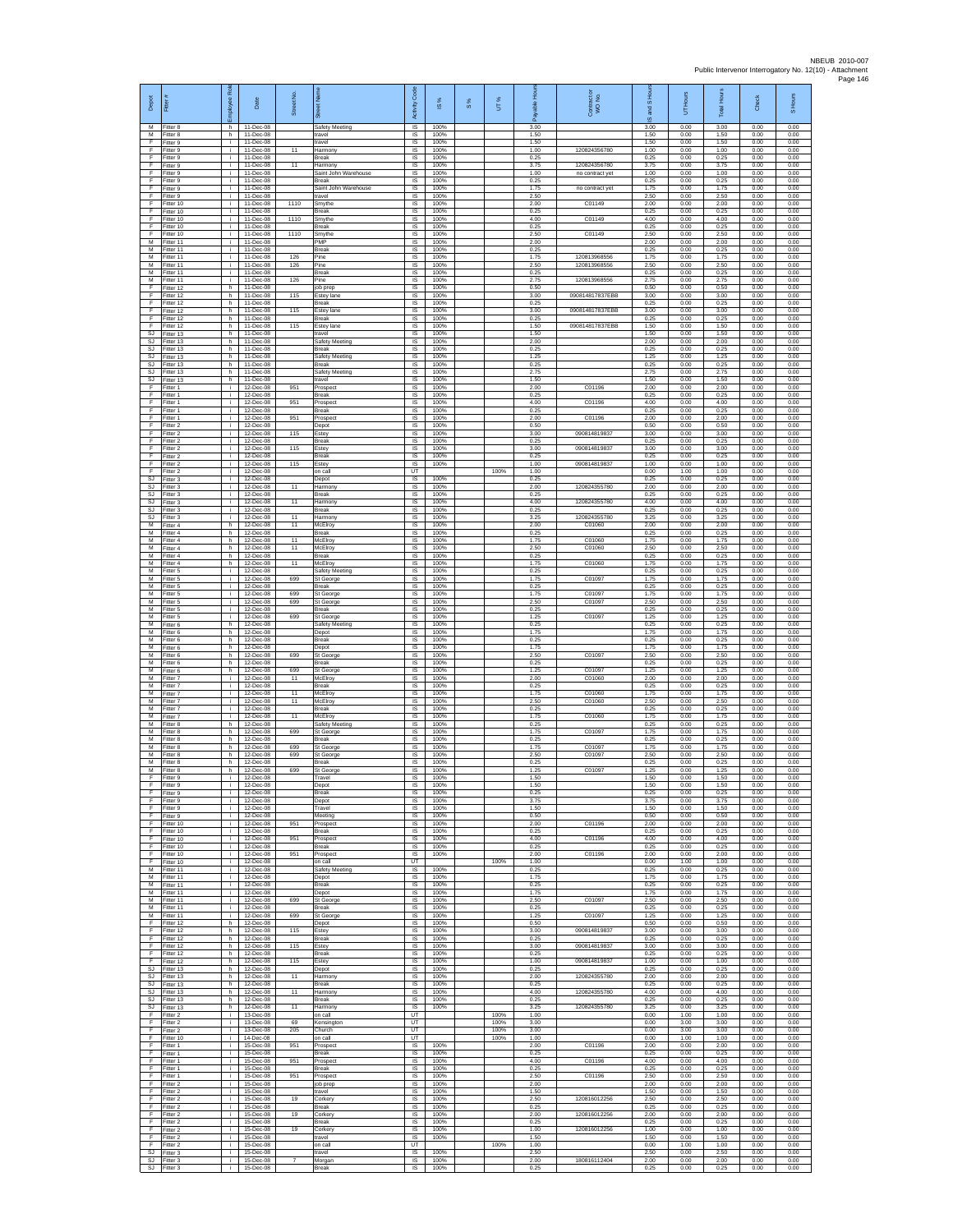| Depot<br>М                     | Ē<br>Fitter 8                       | loyee Role<br>h | Date<br>11-Dec-08                     | Street No.     | 荷<br>Safety Meeting                              | Activity Code<br>IS         | æ<br>$\overline{\omega}$<br>100% | 8% | UT%                  | 효<br>rable<br>శ్<br>3.00 | Contract or<br>WO No.           | and S Hour<br>$\overline{\omega}$<br>3.00 | UT Hours<br>0.00     | <b>Total Hours</b><br>3.00 | Check<br>0.00        | S Hours<br>0.00      |
|--------------------------------|-------------------------------------|-----------------|---------------------------------------|----------------|--------------------------------------------------|-----------------------------|----------------------------------|----|----------------------|--------------------------|---------------------------------|-------------------------------------------|----------------------|----------------------------|----------------------|----------------------|
| M<br>F.                        | Fitter 8<br>Fitter 9                | h.<br>i.        | 11-Dec-08<br>11-Dec-08                |                | travel<br>travel                                 | IS<br>IS                    | 100%<br>100%                     |    |                      | 1.50<br>1.50             |                                 | 1.50<br>1.50                              | 0.00<br>0.00         | 1.50<br>1.50               | 0.00<br>0.00         | 0.00<br>0.00         |
| F<br>Ŧ                         | Fitter 9<br>Fitter 9                | ÷.<br>i.        | 11-Dec-08<br>11-Dec-08                | 11             | larmony<br>Break                                 | IS<br>IS                    | 100%<br>100%                     |    |                      | 1.00<br>0.25             | 120824356780                    | 1.00<br>0.25                              | 0.00<br>0.00         | 1.00<br>0.25               | 0.00<br>0.00         | 0.00<br>0.00         |
| F<br>F<br>Ŧ                    | Fitter 9<br>Fitter 9                | i.<br>j.<br>i.  | 11-Dec-08<br>11-Dec-08<br>11-Dec-08   | 11             | Harmony<br>Saint John Warehouse<br>Break         | <b>IS</b><br>IS<br>1S       | 100%<br>100%<br>100%             |    |                      | 3.75<br>1.00<br>0.25     | 120824356780<br>no contract yet | 3.75<br>1.00<br>0.25                      | 0.00<br>0.00<br>0.00 | 3.75<br>1.00<br>0.25       | 0.00<br>0.00<br>0.00 | 0.00<br>0.00<br>0.00 |
| F<br>F                         | Fitter 9<br>Fitter 9<br>Fitter 9    | j.<br>j.        | 11-Dec-08<br>11-Dec-08                |                | Saint John Warehouse<br>travel                   | IS<br>IS                    | 100%<br>100%                     |    |                      | 1.75<br>2.50             | no contract yet                 | 1.75<br>2.50                              | 0.00<br>0.00         | 1.75<br>2.50               | 0.00<br>0.00         | 0.00<br>0.00         |
| $\mathsf F$<br>$\mathsf F$     | Fitter 10<br>Fitter 10              | i.<br>j.        | 11-Dec-08<br>11-Dec-08                | 1110           | Smythe<br>Break                                  | IS<br>IS                    | 100%<br>100%                     |    |                      | 2.00<br>0.25             | C01149                          | 2.00<br>0.25                              | 0.00<br>0.00         | 2.00<br>0.25               | 0.00<br>0.00         | 0.00<br>0.00         |
| - F<br>F                       | Fitter 10<br>Fitter 10              | j.<br>j.        | 11-Dec-08<br>11-Dec-08                | 1110           | Smythe<br><b>Break</b>                           | IS<br>IS                    | 100%<br>100%                     |    |                      | 4.00<br>0.25             | C01149                          | 4.00<br>0.25                              | 0.00<br>0.00         | 4.00<br>0.25               | 0.00<br>0.00         | 0.00<br>0.00         |
| F<br>м<br>M                    | Fitter 10<br>Fitter 11              | ÷.<br>i.        | 11-Dec-08<br>11-Dec-08<br>11-Dec-08   | 1110           | Smythe<br>PMP                                    | IS<br>IS                    | 100%<br>100%<br>100%             |    |                      | 2.50<br>2.00<br>0.25     | C01149                          | 2.50<br>2.00<br>0.25                      | 0.00<br>0.00<br>0.00 | 2.50<br>2.00<br>0.25       | 0.00<br>0.00<br>0.00 | 0.00<br>0.00<br>0.00 |
| M<br>м                         | Fitter 11<br>Fitter 11<br>Fitter 11 | i.<br>i.<br>i.  | 11-Dec-08<br>11-Dec-08                | 126<br>126     | Break<br>Pine<br>Pine                            | <b>IS</b><br>IS<br>$\sf IS$ | 100%<br>100%                     |    |                      | 1.75<br>2.50             | 120813968556<br>120813968556    | 1.75<br>2.50                              | 0.00<br>0.00         | 1.75<br>2.50               | 0.00<br>0.00         | 0.00<br>0.00         |
| M<br>M                         | Fitter 11<br>Fitter 11              | i.<br>i.        | 11-Dec-08<br>11-Dec-08                | 126            | Break<br>Pine                                    | IS.<br>IS                   | 100%<br>100%                     |    |                      | 0.25<br>2.75             | 120813968556                    | 0.25<br>2.75                              | 0.00<br>0.00         | 0.25<br>2.75               | 0.00<br>0.00         | 0.00<br>0.00         |
| $\mathsf{F}$<br>$\overline{F}$ | Fitter 12<br>Fitter 12              | h.<br>h.        | 11-Dec-08<br>11-Dec-08                | 115            | ob prep<br>stey lane                             | IS<br>IS                    | 100%<br>100%                     |    |                      | 0.50<br>3.00             | 090814817837EBB                 | 0.50<br>3.00                              | 0.00<br>0.00         | 0.50<br>3.00               | 0.00<br>0.00         | 0.00<br>0.00         |
| - F<br>F.<br>F                 | Fitter 12<br>Fitter 12<br>Fitter 12 | h.<br>h<br>h.   | 11-Dec-08<br>11-Dec-08<br>11-Dec-08   | 115            | Break<br>Estey lane<br>Break                     | -IS<br>IS<br>IS             | 100%<br>100%<br>100%             |    |                      | 0.25<br>3.00<br>0.25     | 090814817837EBB                 | 0.25<br>3.00<br>0.25                      | 0.00<br>0.00<br>0.00 | 0.25<br>3.00<br>0.25       | 0.00<br>0.00<br>0.00 | 0.00<br>0.00<br>0.00 |
| Ŧ<br>SJ                        | Fitter 12<br>Fitter 13              | h<br>h          | 11-Dec-08<br>11-Dec-08                | 115            | Estey lane<br>travel                             | IS<br>IS                    | 100%<br>100%                     |    |                      | 1.50<br>1.50             | 090814817837EBB                 | 1.50<br>1.50                              | 0.00<br>0.00         | 1.50<br>1.50               | 0.00<br>0.00         | 0.00<br>0.00         |
| <b>SJ</b><br><b>SJ</b>         | Fitter 13<br>Fitter 13              | h.<br>h.        | 11-Dec-08<br>11-Dec-08                |                | Safety Meeting<br>Break                          | IS<br>IS                    | 100%<br>100%                     |    |                      | 2.00<br>0.25             |                                 | 2.00<br>0.25                              | 0.00<br>0.00         | 2.00<br>0.25               | 0.00<br>0.00         | 0.00<br>0.00         |
| <b>SJ</b><br>SJ.<br>SJ         | Fitter 13<br>Fitter 13<br>Fitter 13 | h.<br>h<br>h.   | 11-Dec-08<br>11-Dec-08<br>11-Dec-08   |                | Safety Meeting<br><b>Break</b><br>Safety Meeting | <b>IS</b><br>IS<br>IS       | 100%<br>100%<br>100%             |    |                      | 1.25<br>0.25<br>2.75     |                                 | 1.25<br>0.25<br>2.75                      | 0.00<br>0.00<br>0.00 | 1.25<br>0.25<br>2.75       | 0.00<br>0.00<br>0.00 | 0.00<br>0.00<br>0.00 |
| SJ<br>E                        | Fitter 13<br>Fitter 1               | h.<br>i.        | 11-Dec-08<br>12-Dec-08                | 951            | ravel<br>Prospec                                 | IS<br>IS                    | 100%<br>100%                     |    |                      | 1.50<br>2.00             | C01196                          | 1.50<br>2.00                              | 0.00<br>0.00         | 1.50<br>2.00               | 0.00<br>0.00         | 0.00<br>0.00         |
| $\mathsf F$<br>F               | Fitter 1<br>Fitter 1                | i.<br>Ť.        | 12-Dec-08<br>12-Dec-08                | 951            | Break<br>Prospec                                 | $\sf IS$<br>IS              | 100%<br>100%                     |    |                      | 0.25<br>4.00             | C01196                          | 0.25<br>4.00                              | 0.00<br>0.00         | 0.25<br>4.00               | 0.00<br>0.00         | 0.00<br>0.00         |
| - F<br>-F<br>F                 | Fitter 1<br>Fitter 1<br>Fitter 2    | j.<br>i.<br>÷.  | 12-Dec-08<br>12-Dec-08<br>12-Dec-08   | 951            | Break<br>Prospect<br>Depot                       | IS<br>IS<br>IS              | 100%<br>100%<br>100%             |    |                      | 0.25<br>2.00<br>0.50     | C01196                          | 0.25<br>2.00<br>0.50                      | 0.00<br>0.00<br>0.00 | 0.25<br>2.00<br>0.50       | 0.00<br>0.00<br>0.00 | 0.00<br>0.00<br>0.00 |
| Ŧ<br>F                         | Fitter 2<br>Fitter 2                | j.<br>i.        | 12-Dec-08<br>12-Dec-08                | 115            | Estey<br>Break                                   | IS<br><b>IS</b>             | 100%<br>100%                     |    |                      | 3.00<br>0.25             | 090814819837                    | 3.00<br>0.25                              | 0.00<br>0.00         | 3.00<br>0.25               | 0.00<br>0.00         | 0.00<br>0.00         |
| F<br>$\mathsf F$               | -itter 2<br>Fitter 2                | i.<br>i.        | 12-Dec-08<br>12-Dec-08                | 115            | Estey<br>Break                                   | IS<br>$\sf IS$              | 100%<br>100%                     |    |                      | 3.00<br>0.25             | 090814819837                    | 3.00<br>0.25                              | 0.00<br>0.00         | 3.00<br>0.25               | 0.00<br>0.00         | 0.00<br>0.00         |
| F<br>E<br><b>SJ</b>            | Fitter 2<br>Fitter 2<br>Fitter 3    | i.<br>j.<br>i.  | 12-Dec-08<br>12-Dec-08<br>12-Dec-08   | 115            | Estev<br>n call<br>Depot                         | IS.<br>UT<br>IS             | 100%<br>100%                     |    | 100%                 | 1.00<br>1.00<br>0.25     | 090814819837                    | 1.00<br>0.00<br>0.25                      | 0.00<br>1.00<br>0.00 | 1.00<br>1.00<br>0.25       | 0.00<br>0.00<br>0.00 | 0.00<br>0.00<br>0.00 |
| SJ<br>SJ.                      | Fitter 3<br>Fitter 3                | j.<br>j.        | 12-Dec-08<br>12-Dec-08                | 11             | Harmony<br><b>Break</b>                          | IS<br>-IS                   | 100%<br>100%                     |    |                      | 2.00<br>0.25             | 120824355780                    | 2.00<br>0.25                              | 0.00<br>0.00         | 2.00<br>0.25               | 0.00<br>0.00         | 0.00<br>0.00         |
| SJ.<br>SJ                      | -itter 3<br>Fitter 3                | i.<br>÷         | 12-Dec-08<br>12-Dec-08                | 11             | Harmony<br>Break                                 | IS<br>IS                    | 100%<br>100%                     |    |                      | 4.00<br>0.25             | 120824355780                    | 4.00<br>0.25                              | 0.00<br>0.00         | 4.00<br>0.25               | 0.00<br>0.00         | 0.00<br>0.00         |
| SJ<br>M                        | Fitter 3<br>Fitter 4                | i.<br>h.        | 12-Dec-08<br>12-Dec-08                | 11<br>11       | Harmony<br>McElroy                               | IS<br>IS                    | 100%<br>100%                     |    |                      | 3.25<br>2.00             | 120824355780<br>C01060          | 3.25<br>2.00                              | 0.00<br>0.00         | 3.25<br>2.00               | 0.00<br>0.00         | 0.00<br>0.00         |
| м<br>М<br>M                    | Fitter 4<br>Fitter 4<br>Fitter 4    | h.<br>h.<br>h.  | 12-Dec-08<br>12-Dec-08<br>12-Dec-08   | 11<br>11       | Break<br>McElroy<br>McElroy                      | IS<br>IS<br><b>IS</b>       | 100%<br>100%<br>100%             |    |                      | 0.25<br>1.75<br>2.50     | C01060<br>C01060                | 0.25<br>1.75<br>2.50                      | 0.00<br>0.00<br>0.00 | 0.25<br>1.75<br>2.50       | 0.00<br>0.00<br>0.00 | 0.00<br>0.00<br>0.00 |
| M<br>М                         | Fitter 4<br>Fitter 4                | h<br>h          | 12-Dec-08<br>12-Dec-08                | 11             | Break<br>McElroy                                 | IS<br>1S                    | 100%<br>100%                     |    |                      | 0.25<br>1.75             | C01060                          | 0.25<br>1.75                              | 0.00<br>0.00         | 0.25<br>1.75               | 0.00<br>0.00         | 0.00<br>0.00         |
| М<br>M                         | Fitter 5<br>Fitter 5                | i.<br>i.        | 12-Dec-08<br>12-Dec-08                | 699            | Safety Meeting<br>St George                      | IS<br>IS                    | 100%<br>100%                     |    |                      | 0.25<br>1.75             | C01097                          | 0.25<br>1.75                              | 0.00<br>0.00         | 0.25<br>1.75               | 0.00<br>0.00         | 0.00<br>0.00         |
| M<br>М<br>M                    | -itter 5<br>Fitter 5<br>Fitter 5    | i.<br>Ť.<br>j.  | 12-Dec-08<br>12-Dec-08<br>12-Dec-08   | 699<br>699     | Break<br>St George<br>St George                  | $\sf IS$<br>IS<br>IS        | 100%<br>100%<br>100%             |    |                      | 0.25<br>1.75<br>2.50     | C01097<br>C01097                | 0.25<br>1.75<br>2.50                      | 0.00<br>0.00<br>0.00 | 0.25<br>1.75<br>2.50       | 0.00<br>0.00<br>0.00 | 0.00<br>0.00<br>0.00 |
| M<br>M                         | Fitter 5<br>-itter 5                | i.<br>i.        | 12-Dec-08<br>12-Dec-08                | 699            | <b>Break</b><br>St George                        | IS<br>IS                    | 100%<br>100%                     |    |                      | 0.25<br>1.25             | C01097                          | 0.25<br>1.25                              | 0.00<br>0.00         | 0.25<br>1.25               | 0.00<br>0.00         | 0.00<br>0.00         |
| M<br>M                         | Fitter 6<br>Fitter 6                | h.<br>h.        | 12-Dec-08<br>12-Dec-08                |                | Safety Meeting<br>Depot                          | IS<br><b>IS</b>             | 100%<br>100%                     |    |                      | 0.25<br>1.75             |                                 | 0.25<br>1.75                              | 0.00<br>0.00         | 0.25<br>1.75               | 0.00<br>0.00         | 0.00<br>0.00         |
| M<br>м<br>M                    | -itter 6<br>Fitter 6<br>Fitter 6    | h<br>h<br>h.    | 12-Dec-08<br>12-Dec-08<br>12-Dec-08   | 699            | Break<br>Depot<br>St George                      | IS<br>$\sf IS$<br>IS.       | 100%<br>100%<br>100%             |    |                      | 0.25<br>1.75<br>2.50     | C01097                          | 0.25<br>1.75<br>2.50                      | 0.00<br>0.00<br>0.00 | 0.25<br>1.75<br>2.50       | 0.00<br>0.00<br>0.00 | 0.00<br>0.00<br>0.00 |
| M<br>М                         | Fitter 6<br>Fitter 6                | h.<br>h.        | 12-Dec-08<br>12-Dec-08                | 699            | Break<br>St George                               | IS<br>IS                    | 100%<br>100%                     |    |                      | 0.25<br>1.25             | C01097                          | 0.25<br>1.25                              | 0.00<br>0.00         | 0.25<br>1.25               | 0.00<br>0.00         | 0.00<br>0.00         |
| М<br>M                         | Fitter 7<br>Fitter 7                | j.<br>i.        | 12-Dec-08<br>12-Dec-08                | 11             | McElroy<br><b>Break</b>                          | IS<br>-IS                   | 100%<br>100%                     |    |                      | 2.00<br>0.25             | C01060<br>C01060                | 2.00<br>0.25                              | 0.00<br>0.00         | 2.00<br>0.25<br>175        | 0.00<br>0.00         | 0.00<br>0.00         |
| M<br>M<br>M                    | -itter 7<br>Fitter 7<br>Fitter 7    | j.<br>i.<br>i.  | 12-Dec-08<br>12-Dec-08<br>$12-Dac-08$ | 11<br>11       | McElroy<br>McElroy<br>Break                      | IS<br>IS<br>IS              | 100%<br>100%<br>100%             |    |                      | 1.75<br>2.50<br>0.25     | C01060                          | 1.75<br>2.50<br>0.25                      | 0.00<br>0.00<br>0.00 | 2.50<br>0.25               | 0.00<br>0.00<br>0.00 | 0.00<br>0.00<br>0.00 |
| M<br>м                         | Fitter 7<br>Fitter 8                | j.<br>h.        | 12-Dec-08<br>12-Dec-08                | 11             | McElroy<br>Safety Meeting                        | IS<br>IS                    | 100%<br>100%                     |    |                      | 1.75<br>0.25             | C01060                          | 1.75<br>0.25                              | 0.00<br>0.00         | 1.75<br>0.25               | 0.00<br>0.00         | 0.00<br>0.00         |
| M<br>M<br>M                    | Fitter 8<br>Fitter 8                | h.<br>h.        | 12-Dec-08<br>12-Dec-08                | 699<br>699     | <b>St George</b><br>Break                        | IS<br><b>IS</b>             | 100%<br>100%                     |    |                      | 1.75<br>0.25<br>1.75     | C01097<br>C01097                | 1.75<br>0.25                              | 0.00<br>0.00         | 1.75<br>0.25<br>1.75       | 0.00<br>0.00<br>0.00 | 0.00<br>0.00         |
| М<br>M                         | Fitter 8<br>Fitter 8<br>Fitter 8    | h.<br>h.<br>h.  | 12-Dec-08<br>12-Dec-08<br>12-Dec-08   | 699            | St Georg<br>St George<br>Break                   | IS<br>IS<br>IS              | 100%<br>100%<br>100%             |    |                      | 2.50<br>0.25             | C01097                          | 1.75<br>2.50<br>0.25                      | 0.00<br>0.00<br>0.00 | 2.50<br>0.25               | 0.00<br>0.00         | 0.00<br>0.00<br>0.00 |
| M<br>F                         | Fitter 8<br>Fitter 9                | h<br>i.         | 12-Dec-08<br>12-Dec-08                | 699            | St George<br>Travel                              | $\sf IS$<br>IS              | 100%<br>100%                     |    |                      | 1.25<br>1.50             | C01097                          | 1.25<br>1.50                              | 0.00<br>0.00         | 1.25<br>1.50               | 0.00<br>0.00         | 0.00<br>0.00         |
| - F<br>-F                      | Fitter 9<br>Fitter 9                | j.              | 12-Dec-08<br>12-Dec-08                |                | Depot<br><b>Break</b>                            | IS<br>-IS                   | 100%<br>100%                     |    |                      | 1.50<br>0.25<br>3.75     |                                 | 1.50<br>0.25                              | 0.00<br>0.00         | 1.50<br>0.25<br>3.75       | 0.00<br>0.00         | 0.00<br>0.00         |
| F<br>Ŧ                         | Fitter 9<br>Fitter 9<br>Fitter 9    | j.<br>÷.<br>j.  | 12-Dec-08<br>12-Dec-08<br>12-Dec-08   |                | Depot<br>Travel<br>Meeting                       | IS<br>IS<br>IS              | 100%<br>100%<br>100%             |    |                      | 1.50<br>0.50             |                                 | 3.75<br>1.50<br>0.50                      | 0.00<br>0.00<br>0.00 | 1.50<br>0.50               | 0.00<br>0.00<br>0.00 | 0.00<br>0.00<br>0.00 |
| F<br>F                         | Fitter 10<br>Fitter 10              | i.<br>i.        | 12-Dec-08<br>12-Dec-08                | 951            | Prospect<br>Break                                | IS.<br>IS                   | 100%<br>100%                     |    |                      | 2.00<br>0.25             | C01196                          | 2.00<br>0.25                              | 0.00<br>0.00         | 2.00<br>0.25               | 0.00<br>0.00         | 0.00<br>0.00         |
| F<br>F<br>-F                   | Fitter 10<br>Fitter 10              | i.<br>i.        | 12-Dec-08<br>12-Dec-08                | 951            | Prospect<br>Break                                | $\sf IS$<br>IS              | 100%<br>100%                     |    |                      | 4.00<br>0.25<br>2.00     | C01196                          | 4.00<br>0.25<br>2.00                      | 0.00<br>0.00         | 4.00<br>0.25<br>2.00       | 0.00<br>0.00         | 0.00<br>0.00         |
| Ŧ<br>М                         | Fitter 10<br>Fitter 10<br>Fitter 11 | i.<br>i.<br>i.  | 12-Dec-08<br>12-Dec-08<br>12-Dec-08   | 951            | Prospect<br>on call<br>Safety Meeting            | IS<br>UT<br>IS              | 100%<br>100%                     |    | 100%                 | 1.00<br>0.25             | C01196                          | 0.00<br>0.25                              | 0.00<br>1.00<br>0.00 | 1.00<br>0.25               | 0.00<br>0.00<br>0.00 | 0.00<br>0.00<br>0.00 |
| M<br>M                         | Fitter 11<br>Fitter 11              | i.<br>i.        | 12-Dec-08<br>12-Dec-08                |                | Depot<br><b>Break</b>                            | -IS<br>IS                   | 100%<br>100%                     |    |                      | 1.75<br>0.25             |                                 | 1.75<br>0.25                              | 0.00<br>0.00         | 1.75<br>0.25               | 0.00<br>0.00         | 0.00<br>0.00         |
| м<br>M                         | Fitter 11<br>Fitter 11              | i.<br>j.        | 12-Dec-08<br>$12-Dac-08$              | 699            | Depot<br>St George                               | IS<br>IS                    | 100%<br>100%                     |    |                      | 1.75<br>2.50             | C01097                          | 1.75<br>2.50                              | 0.00<br>0.00         | 1.75<br>2.50               | 0.00<br>0.00         | 0.00<br>0.00         |
| M<br>M<br>F                    | Fitter 11<br>Fitter 11<br>Fitter 12 | i.<br>÷.<br>h.  | 12-Dec-08<br>12-Dec-08<br>12-Dec-08   | 699            | Break<br>St George<br>Depot                      | IS<br>IS<br>IS              | 100%<br>100%<br>100%             |    |                      | 0.25<br>1.25<br>0.50     | C01097                          | 0.25<br>1.25<br>0.50                      | 0.00<br>0.00<br>0.00 | 0.25<br>1.25<br>0.50       | 0.00<br>0.00<br>0.00 | 0.00<br>0.00<br>0.00 |
| F<br>-F                        | Fitter 12<br>Fitter 12              | h.<br>h         | $12-Dac-08$<br>12-Dec-08              | 115            | Estev<br>Break                                   | <b>IS</b><br>IS             | 100%<br>100%                     |    |                      | 3.00<br>0.25             | 090814819837                    | 3.00<br>0.25                              | 0.00<br>0.00         | 3.00<br>0.25               | 0.00<br>0.00         | 0.00<br>0.00         |
| Ŧ<br>Ŧ                         | Fitter 12<br>Fitter 12              | h.<br>h.        | 12-Dec-08<br>12-Dec-08                | 115            | Estey<br>Break                                   | 1S<br>IS                    | 100%<br>100%                     |    |                      | 3.00<br>0.25             | 090814819837                    | 3.00<br>0.25                              | 0.00<br>0.00         | 3.00<br>0.25               | 0.00<br>0.00         | 0.00<br>0.00         |
| E<br>SJ<br>SJ                  | Fitter 12<br>Fitter 13<br>Fitter 13 | h.<br>h.<br>h.  | 12-Dec-08<br>12-Dec-08<br>12-Dec-08   | 115<br>11      | Estey<br>Depot<br>Harmony                        | IS<br>IS<br>IS              | 100%<br>100%<br>100%             |    |                      | 1.00<br>0.25<br>2.00     | 090814819837<br>120824355780    | 1.00<br>0.25<br>2.00                      | 0.00<br>0.00<br>0.00 | 1.00<br>0.25<br>2.00       | 0.00<br>0.00<br>0.00 | 0.00<br>0.00<br>0.00 |
| SJ.<br>S.I                     | Fitter 13<br>Fitter 13              | h.<br>h         | 12-Dec-08<br>12-Dec-08                | 11             | <b>Break</b><br>Harmony                          | -IS<br>IS                   | 100%<br>100%                     |    |                      | 0.25<br>4.00             | 120824355780                    | 0.25<br>4.00                              | 0.00<br>0.00         | 0.25<br>4.00               | 0.00<br>0.00         | 0.00<br>0.00         |
| SJ<br>SJ                       | Fitter 13<br>Fitter 13              | h.<br>h.        | 12-Dec-08<br>12-Dec-08                | 11             | Break<br>Harmony                                 | IS<br>IS                    | 100%<br>100%                     |    |                      | 0.25<br>3.25             | 120824355780                    | 0.25<br>3.25                              | 0.00<br>0.00         | 0.25<br>3.25               | 0.00<br>0.00         | 0.00<br>0.00         |
| F<br>F<br>F                    | Fitter 2<br>-itter 2<br>Fitter 2    | i.<br>i.<br>i.  | 13-Dec-08<br>13-Dec-08<br>13-Dec-08   | 69<br>205      | on call<br>Kensington<br>Church                  | UT<br>UT<br>UT              |                                  |    | 100%<br>100%<br>100% | 1.00<br>3.00<br>3.00     |                                 | 0.00<br>0.00<br>0.00                      | 1.00<br>3.00<br>3.00 | 1.00<br>3.00<br>3.00       | 0.00<br>0.00<br>0.00 | 0.00<br>0.00<br>0.00 |
| F<br>F                         | Fitter 10<br>Fitter 1               | i.<br>i.        | 14-Dec-08<br>15-Dec-08                | 951            | on call<br>Prospect                              | UT.<br>IS                   | 100%                             |    | 100%                 | 1.00<br>2.00             | C01196                          | 0.00<br>2.00                              | 1.00<br>0.00         | 1.00<br>2.00               | 0.00<br>0.00         | 0.00<br>0.00         |
| Ŧ<br>Ŧ                         | Fitter 1<br>-itter 1                | i.<br>i.        | 15-Dec-08<br>15-Dec-08                | 951            | Break<br>Prospect                                | 1S<br>IS                    | 100%<br>100%                     |    |                      | 0.25<br>4.00             | C01196                          | 0.25<br>4.00                              | 0.00<br>0.00         | 0.25<br>4.00               | 0.00<br>0.00         | 0.00<br>0.00         |
| - F<br>F.<br>F                 | Fitter 1<br>Fitter 1<br>Fitter 2    | i.<br>j.<br>i.  | 15-Dec-08<br>15-Dec-08<br>15-Dec-08   | 951            | <b>Break</b><br>Prospect<br>job prep             | -IS<br>IS.<br>IS            | 100%<br>100%<br>100%             |    |                      | 0.25<br>2.50<br>2.00     | C01196                          | 0.25<br>2.50<br>2.00                      | 0.00<br>0.00<br>0.00 | 0.25<br>2.50<br>2.00       | 0.00<br>0.00<br>0.00 | 0.00<br>0.00<br>0.00 |
| -F<br>F.                       | Fitter 2<br>Fitter 2                | i.<br>i.        | 15-Dec-08<br>15-Dec-08                | 19             | travel<br>Corkery                                | IS<br>IS                    | 100%<br>100%                     |    |                      | 1.50<br>2.50             | 120816012256                    | 1.50<br>2.50                              | 0.00<br>0.00         | 1.50<br>2.50               | 0.00<br>0.00         | 0.00<br>0.00         |
| F<br>Ŧ                         | Fitter 2<br>Fitter 2                | i.<br>j.        | 15-Dec-08<br>15-Dec-08                | 19             | Break<br>Corkery                                 | IS<br>IS                    | 100%<br>100%                     |    |                      | 0.25<br>2.00             | 120816012256                    | 0.25<br>2.00                              | 0.00<br>0.00         | 0.25<br>2.00               | 0.00<br>0.00         | 0.00<br>0.00         |
| F<br>F<br>Ŧ                    | Fitter 2<br>Fitter 2<br>Fitter 2    | i.<br>j.<br>i.  | 15-Dec-08<br>15-Dec-08<br>15-Dec-08   | 19             | <b>Break</b><br>Corkery<br>travel                | IS.<br>IS<br>IS             | 100%<br>100%<br>100%             |    |                      | 0.25<br>1.00<br>1.50     | 120816012256                    | 0.25<br>1.00<br>1.50                      | 0.00<br>0.00<br>0.00 | 0.25<br>1.00<br>1.50       | 0.00<br>0.00<br>0.00 | 0.00<br>0.00<br>0.00 |
| Ŧ<br>SJ                        | Fitter 2<br>Fitter 3                | ÷.<br>÷.        | 15-Dec-08<br>15-Dec-08                |                | on call<br>travel                                | UT<br>IS                    | 100%                             |    | 100%                 | 1.00<br>2.50             |                                 | 0.00<br>2.50                              | 1.00<br>0.00         | 1.00<br>2.50               | 0.00<br>0.00         | 0.00<br>0.00         |
| SJ<br>SJ                       | Fitter 3<br>Fitter 3                | i.<br>j.        | 15-Dec-08<br>15-Dec-08                | $\overline{7}$ | Morgar<br>Break                                  | $\sf IS$<br>IS              | 100%<br>100%                     |    |                      | 2.00<br>0.25             | 180816112404                    | 2.00<br>0.25                              | 0.00<br>0.00         | 2.00<br>0.25               | 0.00<br>0.00         | 0.00<br>0.00         |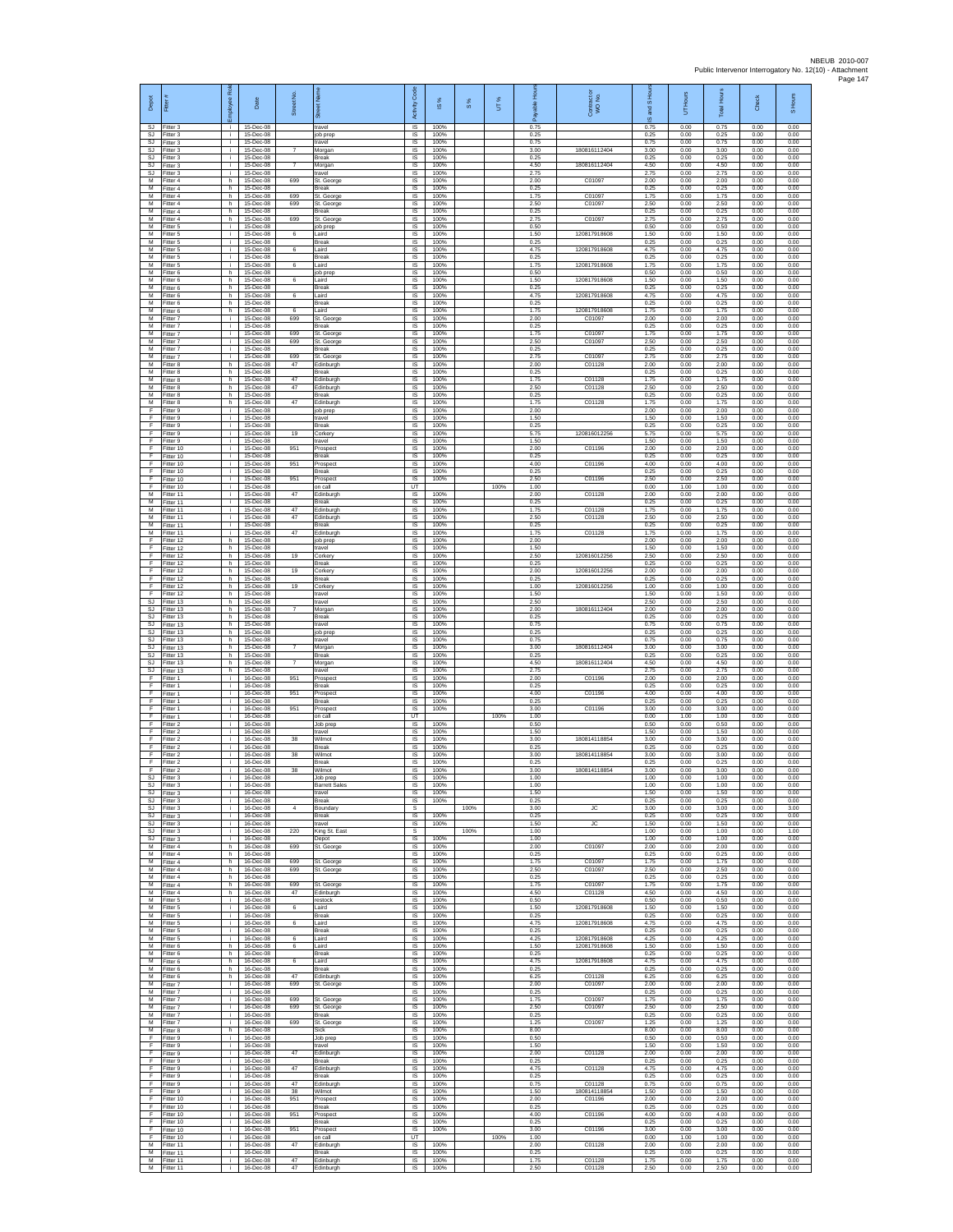| Depot                            | Fitter#                             | Rol<br>loyee       | Date                                | Street No.      | 运                                        | Activity Code                | $\overline{\omega}$  | $\frac{8}{3}$ | UT%  | 훈<br>rable           | ŏ<br>Contract of<br>WO No.      | 흝<br>$\bar{9}$<br><b>Tana</b><br>S | Hours<br>5           | <b>Total Hours</b>   | Check                | Hours<br>$\overline{a}$ |
|----------------------------------|-------------------------------------|--------------------|-------------------------------------|-----------------|------------------------------------------|------------------------------|----------------------|---------------|------|----------------------|---------------------------------|------------------------------------|----------------------|----------------------|----------------------|-------------------------|
| SJ<br>SJ                         | Fitter 3<br>Fitter 3                | i.<br>i.           | 15-Dec-08<br>15-Dec-08              |                 | ravel<br>ob prep                         | IS<br>IS                     | 100%<br>100%         |               |      | 0.75<br>0.25         |                                 | 0.75<br>0.25                       | 0.00<br>0.00         | 0.75<br>0.25         | 0.00<br>0.00         | 0.00<br>0.00            |
| SJ<br>SJ                         | Fitter 3<br>Fitter 3                | i.<br>÷.           | 15-Dec-08<br>15-Dec-08              | 7               | ravel<br>Morgan                          | IS<br>IS                     | 100%<br>100%         |               |      | 0.75<br>3.00         | 180816112404                    | 0.75<br>3.00                       | 0.00<br>0.00         | 0.75<br>3.00         | 0.00<br>0.00         | 0.00<br>0.00            |
| SJ.<br>SJ.<br><b>SJ</b>          | Fitter 3<br>Fitter 3<br>Fitter 3    | j.<br>i.<br>i.     | 15-Dec-08<br>15-Dec-08<br>15-Dec-08 | $\overline{7}$  | <b>Break</b><br>Morgan<br>ravel          | <b>IS</b><br>IS.<br>IS       | 100%<br>100%<br>100% |               |      | 0.25<br>4.50<br>2.75 | 180816112404                    | 0.25<br>4.50<br>2.75               | 0.00<br>0.00<br>0.00 | 0.25<br>4.50<br>2.75 | 0.00<br>0.00<br>0.00 | 0.00<br>0.00<br>0.00    |
| M<br>M                           | Fitter 4<br>Fitter 4                | h.<br>h.           | 15-Dec-08<br>15-Dec-08              | 699             | St. George<br>Break                      | IS<br>IS                     | 100%<br>100%         |               |      | 2.00<br>0.25         | C01097                          | 2.00<br>0.25                       | 0.00<br>0.00         | 2.00<br>0.25         | 0.00<br>0.00         | 0.00<br>0.00            |
| M<br>м                           | Fitter 4<br>Fitter 4                | h.<br>h.           | 15-Dec-08<br>15-Dec-08              | 699<br>699      | St. George<br>St. George                 | $\sf IS$<br>$\sf IS$         | 100%<br>100%         |               |      | 1.75<br>2.50         | C01097<br>C01097                | 1.75<br>2.50                       | 0.00<br>0.00         | 1.75<br>2.50         | 0.00<br>0.00         | 0.00<br>0.00            |
| M<br>M<br>М                      | Fitter 4<br>Fitter 4<br>Fitter 5    | h.<br>h.<br>i.     | 15-Dec-08<br>15-Dec-08<br>15-Dec-08 | 699             | Break<br>St. George                      | IS<br>IS<br>1S               | 100%<br>100%<br>100% |               |      | 0.25<br>2.75<br>0.50 | C01097                          | 0.25<br>2.75<br>0.50               | 0.00<br>0.00<br>0.00 | 0.25<br>2.75<br>0.50 | 0.00<br>0.00<br>0.00 | 0.00<br>0.00<br>0.00    |
| М<br>M                           | Fitter 5<br>Fitter 5                | ÷.<br>i.           | 15-Dec-08<br>15-Dec-08              | 6               | job prep<br>aird<br><b>Break</b>         | IS<br>IS                     | 100%<br>100%         |               |      | 1.50<br>0.25         | 120817918608                    | 1.50<br>0.25                       | 0.00<br>0.00         | 1.50<br>0.25         | 0.00<br>0.00         | 0.00<br>0.00            |
| M<br>м                           | Fitter 5<br>Fitter 5                | i.<br>÷.           | 15-Dec-08<br>15-Dec-08              | 6               | Laird<br>Break                           | IS.<br>IS                    | 100%<br>100%         |               |      | 4.75<br>0.25         | 120817918608                    | 4.75<br>0.25                       | 0.00<br>0.00         | 4.75<br>0.25         | 0.00<br>0.00         | 0.00<br>0.00            |
| M<br>M                           | Fitter 5<br>Fitter 6                | i.<br>h.           | 15-Dec-08<br>15-Dec-08              | 6               | bina.<br>ob prep                         | IS<br>IS                     | 100%<br>100%         |               |      | 1.75<br>0.50         | 120817918608                    | 1.75<br>0.50                       | 0.00<br>0.00         | 1.75<br>0.50         | 0.00<br>0.00         | 0.00<br>0.00            |
| м<br>М<br>M                      | Fitter 6<br>Fitter 6<br>Fitter 6    | h.<br>h.<br>h.     | 15-Dec-08<br>15-Dec-08<br>15-Dec-08 | 6<br>6          | aird<br>Break<br>aird                    | IS<br>IS<br>IS               | 100%<br>100%<br>100% |               |      | 1.50<br>0.25<br>4.75 | 120817918608<br>120817918608    | 1.50<br>0.25<br>4.75               | 0.00<br>0.00<br>0.00 | 1.50<br>0.25<br>4.75 | 0.00<br>0.00<br>0.00 | 0.00<br>0.00<br>0.00    |
| M<br>М                           | Fitter 6<br>Fitter 6                | h.<br>h.           | 15-Dec-08<br>15-Dec-08              | 6               | Break<br>aird                            | IS<br>1S                     | 100%<br>100%         |               |      | 0.25<br>1.75         | 120817918608                    | 0.25<br>1.75                       | 0.00<br>0.00         | 0.25<br>1.75         | 0.00<br>0.00         | 0.00<br>0.00            |
| м<br>M                           | Fitter 7<br>Fitter 7                | ÷.<br>i.           | 15-Dec-08<br>15-Dec-08              | 699             | St. George<br>Break                      | IS<br>IS                     | 100%<br>100%         |               |      | 2.00<br>0.25         | C01097                          | 2.00<br>0.25                       | 0.00<br>0.00         | 2.00<br>0.25         | 0.00<br>0.00         | 0.00<br>0.00            |
| м<br>М<br>M                      | Fitter 7<br>Fitter 7<br>Fitter 7    | i.<br>÷.<br>i.     | 15-Dec-08<br>15-Dec-08<br>15-Dec-08 | 699<br>699      | St. George<br>St. George<br><b>Break</b> | $\sf IS$<br>IS<br>IS         | 100%<br>100%<br>100% |               |      | 1.75<br>2.50<br>0.25 | C01097<br>C01097                | 1.75<br>2.50<br>0.25               | 0.00<br>0.00<br>0.00 | 1.75<br>2.50<br>0.25 | 0.00<br>0.00<br>0.00 | 0.00<br>0.00<br>0.00    |
| M<br>м                           | Fitter 7<br>Fitter 8                | i.<br>h.           | 15-Dec-08<br>15-Dec-08              | 699<br>47       | St. George<br>dinburgh                   | <b>IS</b><br>IS              | 100%<br>100%         |               |      | 275<br>2.00          | C01097<br>C01128                | 275<br>2.00                        | 0.00<br>0.00         | 2.75<br>2.00         | 0.00<br>0.00         | 0.00<br>0.00            |
| М<br>M                           | Fitter 8<br>Fitter 8                | h<br>h.            | 15-Dec-08<br>15-Dec-08              | 47              | <b>Break</b><br>Edinburah                | IS<br>IS                     | 100%<br>100%         |               |      | 0.25<br>1.75         | C01128                          | 0.25<br>1.75                       | 0.00<br>0.00         | 0.25<br>1.75         | 0.00<br>0.00         | 0.00<br>0.00            |
| м<br>м<br>M                      | Fitter 8<br>Fitter 8<br>Fitter 8    | h.<br>h.<br>h.     | 15-Dec-08<br>15-Dec-08<br>15-Dec-08 | 47<br>47        | dinburgh<br>Break<br>Edinburgh           | $\sf IS$<br>$\sf IS$<br>IS   | 100%<br>100%<br>100% |               |      | 2.50<br>0.25<br>1.75 | C01128<br>C01128                | 2.50<br>0.25<br>1.75               | 0.00<br>0.00<br>0.00 | 2.50<br>0.25<br>1.75 | 0.00<br>0.00<br>0.00 | 0.00<br>0.00<br>0.00    |
| F<br>Ŧ                           | Fitter 9<br>Fitter 9                | i.<br>i.           | 15-Dec-08<br>15-Dec-08              |                 | ob prep<br>ravel                         | IS<br>IS                     | 100%<br>100%         |               |      | 2.00<br>1.50         |                                 | 2.00<br>1.50                       | 0.00<br>0.00         | 2.00<br>1.50         | 0.00<br>0.00         | 0.00<br>0.00            |
| $\mathsf{F}$<br>- F              | Fitter 9<br>Fitter 9                | ÷.<br>i.           | 15-Dec-08<br>15-Dec-08              | 19              | <b>Break</b><br>Corkery                  | IS<br>IS                     | 100%<br>100%         |               |      | 0.25<br>5.75         | 120816012256                    | 0.25<br>5.75                       | 0.00<br>0.00         | 0.25<br>5.75         | 0.00<br>0.00         | 0.00<br>0.00            |
| F.<br>F<br>F                     | Fitter 9<br>Fitter 10<br>Fitter 10  | j.<br>i.<br>i.     | 15-Dec-08<br>15-Dec-08<br>15-Dec-08 | 951             | ravel<br>Prospect<br>Break               | <b>IS</b><br>IS<br>IS        | 100%<br>100%<br>100% |               |      | 1.50<br>2.00<br>0.25 | C01196                          | 1.50<br>2.00<br>0.25               | 0.00<br>0.00<br>0.00 | 1.50<br>2.00<br>0.25 | 0.00<br>0.00<br>0.00 | 0.00<br>0.00<br>0.00    |
| F<br>F                           | Fitter 10<br>Fitter 10              | i.<br>÷.           | 15-Dec-08<br>15-Dec-08              | 951             | Prospect<br><b>Break</b>                 | IS<br>IS                     | 100%<br>100%         |               |      | 4.00<br>0.25         | C01196                          | 4.00<br>0.25                       | 0.00<br>0.00         | 4.00<br>0.25         | 0.00<br>0.00         | 0.00<br>0.00            |
| F<br>F                           | Fitter 10<br>Fitter 10              | i.<br>i.           | 15-Dec-08<br>15-Dec-08              | 951             | Prospect<br>on call                      | IS<br>$\overline{u}$         | 100%                 |               | 100% | 2.50<br>1.00         | C01196                          | 2.50<br>0.00                       | 0.00<br>1.00         | 2.50<br>1.00         | 0.00<br>0.00         | 0.00<br>0.00            |
| M<br>М<br>М                      | Fitter 11<br>Fitter 11<br>Fitter 11 | i.<br>i.<br>÷.     | 15-Dec-08<br>15-Dec-08<br>15-Dec-08 | 47<br>47        | Edinburgh<br><b>Break</b><br>dinburgh    | IS<br>IS<br>IS               | 100%<br>100%<br>100% |               |      | 2.00<br>0.25<br>1.75 | C01128<br>C01128                | 2.00<br>0.25<br>1.75               | 0.00<br>0.00<br>0.00 | 2.00<br>0.25<br>1.75 | 0.00<br>0.00<br>0.00 | 0.00<br>0.00<br>0.00    |
| M<br>M                           | Fitter 11<br>Fitter 11              | i.<br>i.           | 15-Dec-08<br>15-Dec-08              | 47              | Edinburgh<br><b>Break</b>                | IS<br>IS                     | 100%<br>100%         |               |      | 2.50<br>0.25         | C01128                          | 2.50<br>0.25                       | 0.00<br>0.00         | 2.50<br>0.25         | 0.00<br>0.00         | 0.00<br>0.00            |
| М<br>E                           | Fitter 11<br>Fitter 12              | j.<br>h.           | 15-Dec-08<br>15-Dec-08              | 47              | dinburgh<br>ob prep                      | IS<br><b>IS</b>              | 100%<br>100%         |               |      | 1.75<br>2.00         | C01128                          | 1.75<br>2.00                       | 0.00<br>0.00         | 1.75<br>2.00         | 0.00<br>0.00         | 0.00<br>0.00            |
| E<br>F<br>F                      | Fitter 12<br>Fitter 12<br>Fitter 12 | h.<br>h.<br>h.     | 15-Dec-08<br>15-Dec-08<br>15-Dec-08 | 19              | ravel<br>Corkery<br>Break                | IS.<br>IS<br>1S              | 100%<br>100%<br>100% |               |      | 1.50<br>2.50<br>0.25 | 120816012256                    | 1.50<br>2.50<br>0.25               | 0.00<br>0.00<br>0.00 | 1.50<br>2.50<br>0.25 | 0.00<br>0.00<br>0.00 | 0.00<br>0.00<br>0.00    |
| F<br>F                           | Fitter 12<br>Fitter 12              | h.<br>h.           | 15-Dec-08<br>15-Dec-08              | 19              | Corkerv<br><b>Sreak</b>                  | IS.<br>$\sf IS$              | 100%<br>100%         |               |      | 2.00<br>0.25         | 120816012256                    | 2.00<br>0.25                       | 0.00<br>0.00         | 2.00<br>0.25         | 0.00<br>0.00         | 0.00<br>0.00            |
| F<br>F                           | Fitter 12<br>Fitter 12              | h.<br>h.           | 15-Dec-08<br>15-Dec-08              | 19              | Corkery<br>ravel                         | $\sf IS$<br>IS               | 100%<br>100%         |               |      | 1.00<br>1.50         | 120816012256                    | 1.00<br>1.50                       | 0.00<br>0.00         | 1.00<br>1.50         | 0.00<br>0.00         | 0.00<br>0.00            |
| SJ<br>SJ<br>SJ                   | Fitter 13<br>Fitter 13<br>Fitter 13 | h.<br>h.<br>h      | 15-Dec-08<br>15-Dec-08<br>15-Dec-08 |                 | ravel<br>Morgan<br><b>Break</b>          | IS<br>1S<br>IS               | 100%<br>100%<br>100% |               |      | 2.50<br>2.00<br>0.25 | 180816112404                    | 2.50<br>2.00<br>0.25               | 0.00<br>0.00<br>0.00 | 2.50<br>2.00<br>0.25 | 0.00<br>0.00<br>0.00 | 0.00<br>0.00<br>0.00    |
| SJ.<br>SJ.                       | Fitter 13<br>Fitter 13              | h.<br>h.           | 15-Dec-08<br>15-Dec-08              |                 | travel<br>ob prep                        | <b>IS</b><br>IS.             | 100%<br>100%         |               |      | 0.75<br>0.25         |                                 | 0.75<br>0.25                       | 0.00<br>0.00         | 0.75<br>0.25         | 0.00<br>0.00         | 0.00<br>0.00            |
| SJ<br>SJ                         | Fitter 13<br>Fitter 13              | h.<br>h.           | 15-Dec-08<br>15-Dec-08              | $\overline{7}$  | ravel<br>Morgan                          | IS<br>IS                     | 100%<br>100%         |               |      | 0.75<br>3.00         | 180816112404                    | 0.75<br>3.00                       | 0.00<br>0.00         | 0.75<br>3.00         | 0.00<br>0.00         | 0.00<br>0.00            |
| SJ<br>SJ<br>SJ                   | Fitter 13<br>Fitter 13<br>Fitter 13 | h.<br>h.<br>h.     | 15-Dec-08<br>15-Dec-08<br>15-Dec-08 | $\overline{7}$  | Break<br>Morgan<br>travel                | IS<br>IS<br>IS               | 100%<br>100%<br>100% |               |      | 0.25<br>4.50<br>2.75 | 180816112404                    | 0.25<br>4.50<br>2.75               | 0.00<br>0.00<br>0.00 | 0.25<br>4.50<br>2.75 | 0.00<br>0.00<br>0.00 | 0.00<br>0.00<br>0.00    |
| F.<br>F                          | Fitter 1<br>Fitter 1                | i.<br>j.           | 16-Dec-08<br>16-Dec-08              | 951             | Prospect<br>Break                        | IS<br>IS                     | 100%<br>100%         |               |      | 2.00<br>0.25         | C01196                          | 2.00<br>0.25                       | 0.00<br>0.00         | 2.00<br>0.25         | 0.00<br>0.00         | 0.00<br>0.00            |
| Ŧ<br>F                           | Fitter 1<br>Fitter 1                | i.<br>i.           | 16-Dec-08<br>16-Dec-08              | 951             | Prospect<br><b>Sreak</b>                 | 1S<br>IS                     | 100%<br>100%         |               |      | 4.00<br>0.25         | C01196                          | 4.00<br>0.25                       | 0.00<br>0.00         | 4.00<br>0.25         | 0.00<br>0.00         | 0.00<br>0.00            |
| E<br>$\mathsf F$<br>Ŧ            | Fitter 1<br>Fitter 1<br>Fitter 2    | i.<br>i.           | 16-Dec-08<br>16-Dec-08<br>16-Dec-08 | 951             | Prospect<br>on call<br>lob prep          | IS<br>UT<br>IS               | 100%<br>100%         |               | 100% | 3.00<br>1.00<br>0.50 | C01196                          | 3.00<br>0.00<br>0.50               | 0.00<br>1.00<br>0.00 | 3.00<br>1.00<br>0.50 | 0.00<br>0.00<br>0.00 | 0.00<br>0.00<br>0.00    |
| - F<br>F.                        | Fitter 2<br>Fitter 2                | i.<br>j.<br>i.     | 16-Dec-08<br>16-Dec-08              | 38              | travel<br>Wilmnt                         | IS<br><b>IS</b>              | 100%<br>100%         |               |      | 1.50<br>3.00         | 180814118854                    | 1.50<br>3.00                       | 0.00<br>0.00         | 1.50<br>3.00         | 0.00<br>0.00         | 0.00<br>0.00            |
| F<br>F                           | Fitter 2<br>Fitter 2                | i.<br>i.           | 16-Dec-08<br>16-Dec-08              | 38              | <b>Sreak</b><br>Vilmot                   | IS<br>IS                     | 100%<br>100%         |               |      | 0.25<br>3.00         | 180814118854                    | 0.25<br>3.00                       | 0.00<br>0.00         | 0.25<br>3.00         | 0.00<br>0.00         | 0.00<br>0.00            |
| F<br>$\mathsf F$<br>SJ           | Fitter 2<br>Fitter 2<br>Fitter 3    | i.<br>i.           | 16-Dec-08<br>16-Dec-08<br>16-Dec-08 | 38              | <b>Break</b><br>Wilmot<br>ob pret        | IS<br>$\sf IS$<br>IS         | 100%<br>100%<br>100% |               |      | 0.25<br>3.00<br>1.00 | 180814118854                    | 0.25<br>3.00<br>1.00               | 0.00<br>0.00<br>0.00 | 0.25<br>3.00<br>1.00 | 0.00<br>0.00<br>0.00 | 0.00<br>0.00<br>0.00    |
| SJ.<br>SJ                        | Fitter 3<br>Fitter 3                | i.<br>÷.           | 16-Dec-08<br>16-Dec-08              |                 | <b>Barrett Sales</b><br>travel           | IS<br>IS                     | 100%<br>100%         |               |      | 1.00<br>1.50         |                                 | 1.00<br>1.50                       | 0.00<br>0.00         | 1.00<br>1.50         | 0.00<br>0.00         | 0.00<br>0.00            |
| SJ<br>SJ                         | Fitter 3<br>Fitter 3                | i.<br>i.           | 16-Dec-08<br>16-Dec-08              | 4               | Break<br><b>Soundary</b>                 | IS<br>s                      | 100%                 | 100%          |      | 0.25<br>3.00         | <b>JC</b>                       | 0.25<br>3.00                       | 0.00<br>0.00         | 0.25<br>3.00         | 0.00<br>0.00         | 0.00<br>3.00            |
| SJ.<br>S.I<br>SJ                 | Fitter 3<br>Fitter 3<br>Fitter 3    | j.<br>i.<br>i.     | 16-Dec-08<br>16-Dec-08<br>16-Dec-08 | 220             | <b>Break</b><br>ravel<br>King St. East   | <b>IS</b><br><b>IS</b><br>s  | 100%<br>100%         | 100%          |      | 0.25<br>1.50<br>1.00 | JC                              | 0.25<br>1.50<br>1.00               | 0.00<br>0.00<br>0.00 | 0.25<br>1.50<br>1.00 | 0.00<br>0.00<br>0.00 | 0.00<br>0.00<br>1.00    |
| SJ<br>M                          | Fitter 3<br>Fitter 4                | i.<br>h.           | 16-Dec-08<br>16-Dec-08              | 699             | Depot<br>St. George                      | IS<br>IS.                    | 100%<br>100%         |               |      | 1.00<br>2.00         | C01097                          | 1.00<br>2.00                       | 0.00<br>0.00         | 1.00<br>2.00         | 0.00<br>0.00         | 0.00<br>0.00            |
| M<br>м                           | Fitter 4<br>Fitter 4                | h<br>h.            | 16-Dec-08<br>16-Dec-08              | 699             | St. George                               | IS<br>IS                     | 100%<br>100%         |               |      | 0.25<br>1.75         | C0109                           | 0.25<br>1.75                       | 0.00<br>0.00         | 0.25<br>1.75         | 0.00<br>0.00         | 0.00<br>0.00            |
| M<br>M<br>М                      | Fitter 4<br>Fitter 4<br>Fitter 4    | h.<br>h<br>h       | 16-Dec-08<br>16-Dec-08<br>16-Dec-08 | 699<br>699      | St. George<br>St. George                 | IS<br>IS<br>IS               | 100%<br>100%<br>100% |               |      | 2.50<br>0.25<br>1.75 | C01097<br>C01097                | 2.50<br>0.25<br>1.75               | 0.00<br>0.00<br>0.00 | 2.50<br>0.25<br>1.75 | 0.00<br>0.00<br>0.00 | 0.00<br>0.00<br>0.00    |
| м<br>M                           | Fitter 4<br>Fitter 5                | h<br>i.            | 16-Dec-08<br>16-Dec-08              | 47              | dinburgh<br>estock                       | IS<br>IS                     | 100%<br>100%         |               |      | 4.50<br>0.50         | C01128                          | 4.50<br>0.50                       | 0.00<br>0.00         | 4.50<br>0.50         | 0.00<br>0.00         | 0.00<br>0.00            |
| M<br>M                           | Fitter 5<br>Fitter 5                | i.<br>÷.           | 16-Dec-08<br>16-Dec-08              | 6               | aird<br><b>Break</b>                     | IS<br>IS                     | 100%<br>100%         |               |      | 1.50<br>0.25         | 120817918608                    | 1.50<br>0.25                       | 0.00<br>0.00         | 1.50<br>0.25         | 0.00<br>0.00         | 0.00<br>0.00            |
| M<br>M<br>М                      | Fitter 5<br>Fitter 5<br>Fitter 5    | j.<br>i.<br>÷.     | 16-Dec-08<br>16-Dec-08<br>16-Dec-08 | 6<br>6          | Laird<br><b>Break</b><br>aird            | <b>IS</b><br><b>IS</b><br>IS | 100%<br>100%<br>100% |               |      | 4.75<br>0.25<br>4.25 | 120817918608<br>120817918608    | 4.75<br>0.25<br>4.25               | 0.00<br>0.00<br>0.00 | 4.75<br>0.25<br>4.25 | 0.00<br>0.00<br>0.00 | 0.00<br>0.00<br>0.00    |
| м<br>M                           | Fitter 6<br>Fitter 6                | h.<br>h.           | 16-Dec-08<br>16-Dec-08              | 6               | aird<br><b>Break</b>                     | 1S<br>IS                     | 100%<br>100%         |               |      | 1.50<br>0.25         | 120817918608                    | 1.50<br>0.25                       | 0.00<br>0.00         | 1.50<br>0.25         | 0.00<br>0.00         | 0.00<br>0.00            |
| M<br>M                           | Fitter 6<br>Fitter 6                | h.<br>h.           | 16-Dec-08<br>16-Dec-08              | 6               | aird<br>Break                            | $\sf IS$<br>$\sf IS$         | 100%<br>100%         |               |      | 4.75<br>0.25         | 120817918608                    | 4.75<br>0.25                       | 0.00<br>0.00         | 4.75<br>0.25         | 0.00<br>0.00         | 0.00<br>0.00            |
| M<br>M<br>м                      | Fitter 6<br>Fitter 7<br>Fitter 7    | h.<br>j.<br>i.     | 16-Dec-08<br>16-Dec-08<br>16-Dec-08 | 47<br>699       | Edinburgh<br>St. George                  | IS<br>IS<br>1S               | 100%<br>100%<br>100% |               |      | 6.25<br>2.00<br>0.25 | C01128<br>C01097                | 6.25<br>2.00<br>0.25               | 0.00<br>0.00<br>0.00 | 6.25<br>2.00<br>0.25 | 0.00<br>0.00<br>0.00 | 0.00<br>0.00<br>0.00    |
| М<br>M                           | Fitter 7<br>Fitter 7                | i.<br>j.           | 16-Dec-08<br>16-Dec-08              | 699<br>699      | St. George<br>St. George                 | IS<br><b>IS</b>              | 100%<br>100%         |               |      | 1.75<br>2.50         | C01097<br>C01097                | 1.75<br>2.50                       | 0.00<br>0.00         | 1.75<br>2.50         | 0.00<br>0.00         | 0.00<br>0.00            |
| M<br>M                           | Fitter 7<br>Fitter 7                | i.<br>i.           | 16-Dec-08<br>16-Dec-08              | 699             | <b>Break</b><br>St. George               | <b>IS</b><br>IS              | 100%<br>100%         |               |      | 0.25<br>1.25         | C01097                          | 0.25<br>1.25                       | 0.00<br>0.00         | 0.25<br>1.25         | 0.00<br>0.00         | 0.00<br>0.00            |
| M<br>F<br>F                      | Fitter 8<br>Fitter 9<br>Fitter 9    | h<br>i.<br>i.      | 16-Dec-08<br>16-Dec-08<br>16-Dec-08 |                 | Sick<br>Job prep<br>ravel                | IS<br>IS.<br>IS              | 100%<br>100%<br>100% |               |      | 8.00<br>0.50<br>1.50 |                                 | 8.00<br>0.50<br>1.50               | 0.00<br>0.00<br>0.00 | 8.00<br>0.50<br>1.50 | 0.00<br>0.00<br>0.00 | 0.00<br>0.00<br>0.00    |
| ஈ<br>F                           | Fitter 9<br>Fitter 9                | $\mathbf{r}$<br>i. | 16-Dec-08<br>16-Dec-08              | 47              | dinburgh<br><b>Break</b>                 | IS<br><b>IS</b>              | 100%<br>100%         |               |      | 2.00<br>0.25         | C01128                          | 2.00<br>0.25                       | 0.00<br>0.00         | 2.00<br>0.25         | 0.00<br>0.00         | 0.00<br>0.00            |
| F<br>Ŧ                           | Fitter 9<br>Fitter 9                | j.<br>i.           | 16-Dec-08<br>16-Dec-08              | 47              | Edinburgh<br>Break                       | IS<br>1S                     | 100%<br>100%         |               |      | 4.75<br>0.25         | C01128                          | 4.75<br>0.25                       | 0.00<br>0.00         | 4.75<br>0.25         | 0.00<br>0.00         | 0.00<br>0.00            |
| $\mathsf{F}$<br>E<br>$\mathsf F$ | Fitter 9<br>Fitter 9<br>Fitter 10   | i.<br>i.<br>i.     | 16-Dec-08<br>16-Dec-08<br>16-Dec-08 | 47<br>38<br>951 | dinburgh<br>Wilmot<br>Prospect           | IS<br>$\sf IS$<br>$\sf IS$   | 100%<br>100%<br>100% |               |      | 0.75<br>1.50<br>2.00 | C01128<br>18081411885<br>C01196 | 0.75<br>1.50<br>2.00               | 0.00<br>0.00<br>0.00 | 0.75<br>1.50<br>2.00 | 0.00<br>0.00<br>0.00 | 0.00<br>0.00<br>0.00    |
| Ŧ<br>- F                         | Fitter 10<br>Fitter 10              | ÷.<br>j.           | 16-Dec-08<br>16-Dec-08              | 951             | <b>Sreak</b><br>Prospect                 | IS<br><b>IS</b>              | 100%<br>100%         |               |      | 0.25<br>4.00         | C01196                          | 0.25<br>4.00                       | 0.00<br>0.00         | 0.25<br>4.00         | 0.00<br>0.00         | 0.00<br>0.00            |
| F.<br>F                          | Fitter 10<br>Fitter 10              | i.<br>÷.           | 16-Dec-08<br>16-Dec-08              | 951             | <b>Break</b><br>Prospect                 | <b>IS</b><br>IS              | 100%<br>100%         |               |      | 0.25<br>3.00         | C01196                          | 0.25<br>3.00                       | 0.00<br>0.00         | 0.25<br>3.00         | 0.00<br>0.00         | 0.00<br>0.00            |
| F<br>M<br>M                      | Fitter 10<br>Fitter 11<br>Fitter 11 | i.<br>i.<br>i.     | 16-Dec-08<br>16-Dec-08<br>16-Dec-08 | 47              | on call<br>Edinburgh<br><b>Sreak</b>     | UT<br><b>IS</b><br>$\sf IS$  | 100%<br>100%         |               | 100% | 1.00<br>2.00<br>0.25 | C01128                          | 0.00<br>2.00<br>0.25               | 1.00<br>0.00<br>0.00 | 1.00<br>2.00<br>0.25 | 0.00<br>0.00<br>0.00 | 0.00<br>0.00<br>0.00    |
| M                                | Fitter 11<br>M Fitter 11            | j.<br>$\mathbf{I}$ | 16-Dec-08<br>16-Dec-08              | 47<br>47        | Edinburgh<br>Edinburgh                   | $\sf IS$<br>IS               | 100%<br>100%         |               |      | 1.75<br>2.50         | C01128<br>C01128                | 1.75<br>2.50                       | 0.00<br>0.00         | 1.75<br>2.50         | 0.00<br>0.00         | 0.00<br>0.00            |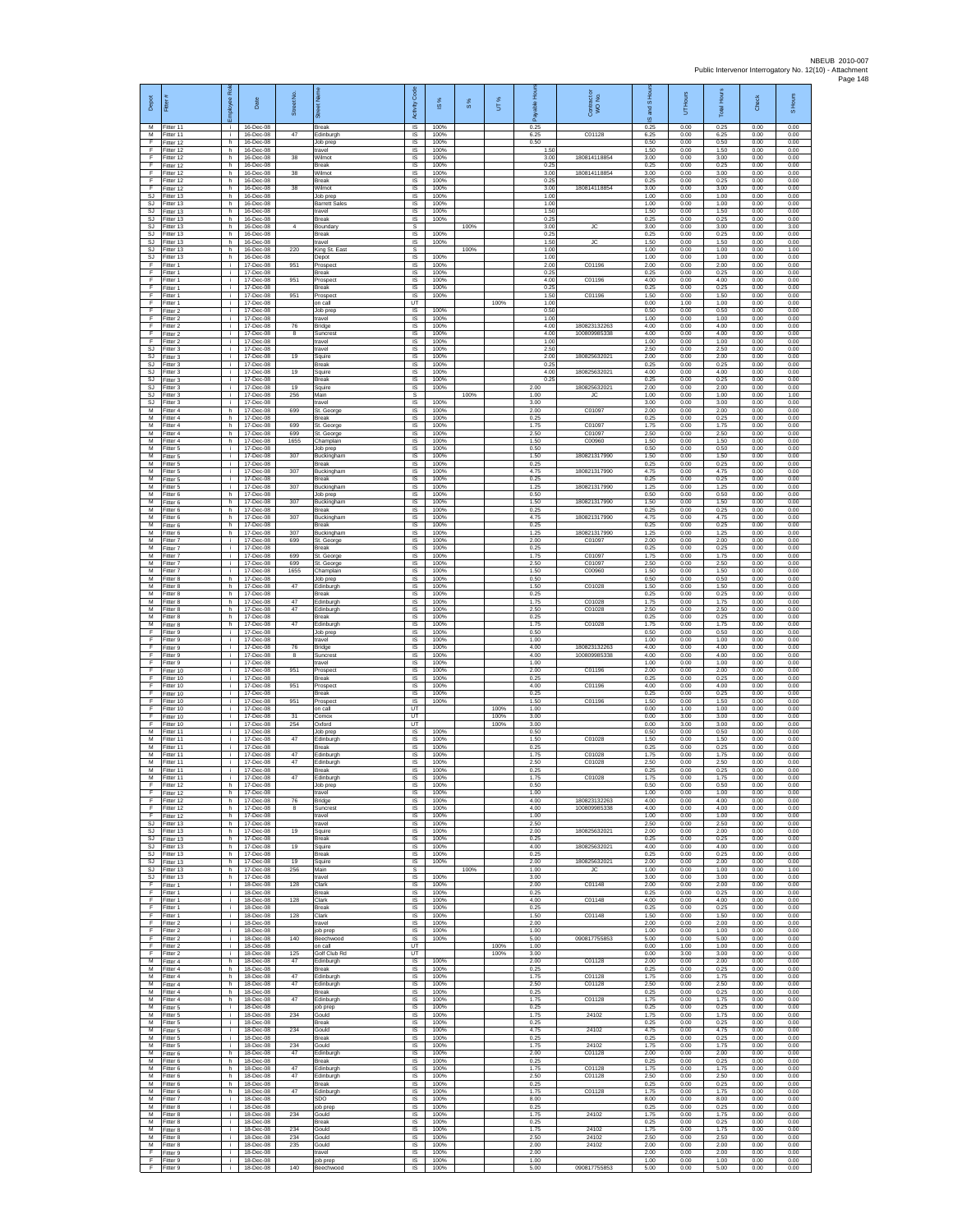| Depot<br>M               | Fitter (                            | ployee Rol         | Date                                | ş<br>Street       | ā<br>Break                             | Code<br>Activity             | ⋇<br>$\underline{\omega}$ | 8%   | UT%          | able<br>តិ<br>0.25   | Contract or<br>WO No.        | S Hou<br>g<br>$\overline{\omega}$ | UT Hours<br>0.00     | Total Hours          | Check<br>0.00        | S Hours              |
|--------------------------|-------------------------------------|--------------------|-------------------------------------|-------------------|----------------------------------------|------------------------------|---------------------------|------|--------------|----------------------|------------------------------|-----------------------------------|----------------------|----------------------|----------------------|----------------------|
| м<br>F                   | Fitter 11<br>Fitter 11<br>Fitter 12 | i.<br>j.<br>h      | 16-Dec-08<br>16-Dec-08<br>16-Dec-08 | 47                | Edinburgh<br>Job prep                  | IS<br>$\sf IS$<br><b>IS</b>  | 100%<br>100%<br>100%      |      |              | 6.25<br>0.50         | C01128                       | 0.25<br>6.25<br>0.50              | 0.00<br>0.00         | 0.25<br>6.25<br>0.50 | 0.00<br>0.00         | 0.00<br>0.00<br>0.00 |
| E<br>F                   | Fitter 12<br>Fitter 12              | h.<br>h.           | 16-Dec-08<br>16-Dec-08              | 38                | travel<br>Wilmot                       | IS<br>IS                     | 100%<br>100%              |      |              | 1.50<br>3.00         | 180814118854                 | 1.50<br>3.00                      | 0.00<br>0.00         | 1.50<br>3.00         | 0.00<br>0.00         | 0.00<br>0.00         |
| F<br>F                   | Fitter 12<br>Fitter 12              | h.<br>h.           | 16-Dec-08<br>16-Dec-08              | 38                | Break<br>Wilmot                        | IS<br>IS                     | 100%<br>100%              |      |              | 0.25<br>3.00         | 180814118854                 | 0.25<br>3.00                      | 0.00<br>0.00         | 0.25<br>3.00         | 0.00<br>0.00         | 0.00<br>0.00         |
| E<br>F                   | Fitter 12<br>Fitter 12              | h<br>h             | 16-Dec-08<br>16-Dec-08              | 38                | Break<br>Wilmot                        | IS<br>IS                     | 100%<br>100%              |      |              | 0.25<br>3.00         | 180814118854                 | 0.25<br>3.00                      | 0.00<br>0.00         | 0.25<br>3.00         | 0.00<br>0.00         | 0.00<br>0.00         |
| SJ<br>SJ                 | Fitter 13<br>Fitter 13              | h.<br>h            | 16-Dec-08<br>16-Dec-08              |                   | Job pret<br><b>Barrett Sale</b>        | IS<br>IS                     | 100%<br>100%              |      |              | 1.00<br>1.00         |                              | 1.00<br>1.00                      | 0.00<br>0.00         | 1.00<br>1.00         | 0.00<br>0.00         | 0.00<br>0.00         |
| SJ<br>SJ                 | Fitter 13<br>fitter 13              | h.<br>h            | 16-Dec-08<br>16-Dec-08              |                   | travel<br>Break                        | $\sf IS$<br>IS               | 100%<br>100%              |      |              | 1.50<br>0.25         |                              | 1.50<br>0.25                      | 0.00<br>0.00         | 1.50<br>0.25         | 0.00<br>0.00         | 0.00<br>0.00         |
| SJ<br>S.I<br>SJ          | Fitter 13<br>Fitter 13<br>Fitter 13 | h<br>h.<br>h       | 16-Dec-08<br>16-Dec-08<br>16-Dec-08 |                   | Boundary<br>Break<br>travel            | <b>s</b><br>IS<br>IS         | 100%<br>100%              | 100% |              | 3.00<br>0.25<br>1.50 | JC<br><b>JC</b>              | 3.00<br>0.25<br>1.50              | 0.00<br>0.00<br>0.00 | 3.00<br>0.25<br>1.50 | 0.00<br>0.00<br>0.00 | 3.00<br>0.00<br>0.00 |
| SJ<br>SJ                 | Fitter 13<br>Fitter 13              | h.<br>h.           | 16-Dec-08<br>16-Dec-08              | 220               | King St. East<br>Depot                 | s<br>$\overline{\mathsf{s}}$ | 100%                      | 100% |              | 1.00<br>1.00         |                              | 1.00<br>1.00                      | 0.00<br>0.00         | 1.00<br>1.00         | 0.00<br>0.00         | 1.00<br>0.00         |
| F<br>F                   | Fitter 1<br>itter 1                 | ÷.<br>j.           | 17-Dec-08<br>17-Dec-08              | 951               | Prospec<br>Break                       | IS<br>IS                     | 100%<br>100%              |      |              | 2.00<br>0.25         | C01196                       | 2.00<br>0.25                      | 0.00<br>0.00         | 2.00<br>0.25         | 0.00<br>0.00         | 0.00<br>0.00         |
| F<br>E                   | Fitter 1<br>Fitter 1                | j.<br>j.           | 17-Dec-08<br>17-Dec-08              | 951               | Prospect<br><b>Break</b>               | IS<br>IS                     | 100%<br>100%              |      |              | 4.00<br>0.25         | C01196                       | 4.00<br>0.25                      | 0.00<br>0.00         | 4.00<br>0.25         | 0.00<br>0.00         | 0.00<br>0.00         |
| F<br>F<br>F              | Fitter 1<br>Fitter 1                | ÷.<br>j.<br>÷i.    | 17-Dec-08<br>17-Dec-08<br>17-Dec-08 | 951               | Prospec<br>on call<br>Job prep         | 1S<br>UT<br>IS               | 100%<br>100%              |      | 100%         | 1.50<br>1.00<br>0.50 | C01196                       | 1.50<br>0.00<br>0.50              | 0.00<br>1.00<br>0.00 | 1.50<br>1.00<br>0.50 | 0.00<br>0.00<br>0.00 | 0.00<br>0.00<br>0.00 |
| E<br>F                   | Fitter 2<br>Fitter 2<br>Fitter 2    | j.<br>j.           | 17-Dec-08<br>17-Dec-08              | 76                | travel<br>Bridge                       | IS<br>$\sf IS$               | 100%<br>100%              |      |              | 1.00<br>4.00         | 180823132263                 | 1.00<br>4.00                      | 0.00<br>0.00         | 1.00<br>4.00         | 0.00<br>0.00         | 0.00<br>0.00         |
| F<br>E                   | Fitter 2<br>Fitter 2                | j.<br>j.           | 17-Dec-08<br>17-Dec-08              | 8                 | Suncrest<br>travel                     | <b>IS</b><br>IS              | 100%<br>100%              |      |              | 4.00<br>1.00         | 100809985338                 | 4.00<br>1.00                      | 0.00<br>0.00         | 4.00<br>1.00         | 0.00<br>0.00         | 0.00<br>0.00         |
| SJ<br>SJ                 | Fitter 3<br>fitter 3                | ÷.<br>j.           | 17-Dec-08<br>17-Dec-08              | 19                | travel<br>Squire                       | IS<br>1S                     | 100%<br>100%              |      |              | 2.50<br>2.00         | 180825632021                 | 2.50<br>2.00                      | 0.00<br>0.00         | 2.50<br>2.00         | 0.00<br>0.00         | 0.00<br>0.00         |
| SJ<br>SJ                 | Fitter 3<br>Fitter 3                | j.<br>j.           | 17-Dec-08<br>17-Dec-08              | 19                | <b>Break</b><br>Squire                 | IS<br>IS                     | 100%<br>100%              |      |              | 0.25<br>4.00         | 180825632021                 | 0.25<br>4.00                      | 0.00<br>0.00         | 0.25<br>4.00         | 0.00<br>0.00         | 0.00<br>0.00         |
| SJ<br>SJ<br>SJ           | Fitter 3<br>fitter 3<br>Fitter 3    | ÷.<br>j.<br>j.     | 17-Dec-08<br>17-Dec-08<br>17-Dec-08 | 19<br>256         | Break<br>Sauire<br>Main                | 1S<br>IS<br>s                | 100%<br>100%              | 100% |              | 0.25<br>2.00<br>1.00 | 180825632021<br>JC           | 0.25<br>2.00<br>1.00              | 0.00<br>0.00<br>0.00 | 0.25<br>2.00<br>1.00 | 0.00<br>0.00<br>0.00 | 0.00<br>0.00<br>1.00 |
| SJ<br>М                  | Fitter 3<br>itter 4                 | i.<br>h.           | 17-Dec-08<br>17-Dec-08              | 699               | travel<br>St. George                   | $\sf IS$<br>IS               | 100%<br>100%              |      |              | 3.00<br>2.00         | C01097                       | 3.00<br>2.00                      | 0.00<br>0.00         | 3.00<br>2.00         | 0.00<br>0.00         | 0.00<br>0.00         |
| M<br>M                   | Fitter 4<br>Fitter 4                | h.<br>h            | 17-Dec-08<br>17-Dec-08              | 699               | <b>Break</b><br>St. George             | IS<br>IS                     | 100%<br>100%              |      |              | 0.25<br>1.75         | C01097                       | 0.25<br>1.75                      | 0.00<br>0.00         | 0.25<br>1.75         | 0.00<br>0.00         | 0.00<br>0.00         |
| М<br>$\overline{M}$      | Fitter 4<br>Fitter 4                | h<br>h.            | 17-Dec-08<br>17-Dec-08              | 699<br>1655       | St. George<br>Champlain                | IS<br>1S                     | 100%<br>100%              |      |              | 2.50<br>1.50         | C01097<br>C00960             | 2.50<br>1.50                      | 0.00<br>0.00         | 2.50<br>1.50         | 0.00<br>0.00         | 0.00<br>0.00         |
| M<br>м<br>M              | Fitter 5<br>-itter 5<br>Fitter 5    | j.<br>j.<br>j.     | 17-Dec-08<br>17-Dec-08<br>17-Dec-08 | 307               | Job prep<br>Buckinghan<br>Break        | IS<br>IS<br>IS               | 100%<br>100%<br>100%      |      |              | 0.50<br>1.50<br>0.25 | 180821317990                 | 0.50<br>1.50<br>0.25              | 0.00<br>0.00<br>0.00 | 0.50<br>1.50<br>0.25 | 0.00<br>0.00<br>0.00 | 0.00<br>0.00<br>0.00 |
| M<br>M                   | Fitter 5<br>Fitter 5                | j.<br>j.           | 17-Dec-08<br>17-Dec-08              | 307               | Buckingham<br><b>Break</b>             | IS<br>IS                     | 100%<br>100%              |      |              | 4.75<br>0.25         | 180821317990                 | 4.75<br>0.25                      | 0.00<br>0.00         | 4.75<br>0.25         | 0.00<br>0.00         | 0.00<br>0.00         |
| М<br>М                   | Fitter 5<br>fitter 6                | ÷.<br>h.           | 17-Dec-08<br>17-Dec-08              | 307               | Buckingham<br>Job prep                 | IS<br>IS                     | 100%<br>100%              |      |              | 1.25<br>0.50         | 180821317990                 | 1.25<br>0.50                      | 0.00<br>0.00         | 1.25<br>0.50         | 0.00<br>0.00         | 0.00<br>0.00         |
| M<br>M                   | Fitter 6<br>Fitter 6                | h.<br>h.           | 17-Dec-08<br>17-Dec-08              | 307               | Buckingham<br><b>Break</b>             | IS<br>IS                     | 100%<br>100%              |      |              | 1.50<br>0.25         | 180821317990                 | 1.50<br>0.25                      | 0.00<br>0.00         | 1.50<br>0.25         | 0.00<br>0.00         | 0.00<br>0.00         |
| м<br>M<br>M              | Fitter 6<br>Fitter 6<br>Fitter 6    | h.<br>h.           | 17-Dec-08<br>17-Dec-08              | 307<br>307        | Buckingham<br><b>Break</b>             | $\sf IS$<br>IS<br>IS         | 100%<br>100%<br>100%      |      |              | 4.75<br>0.25<br>1 25 | 180821317990<br>180821317990 | 4.75<br>0.25<br>1.25              | 0.00<br>0.00<br>0.00 | 4.75<br>0.25<br>1.25 | 0.00<br>0.00<br>0.00 | 0.00<br>0.00<br>0.00 |
| М<br>$\overline{M}$      | fitter 7<br>itter 7                 | h.<br>÷.<br>j.     | 17-Dec-08<br>17-Dec-08<br>17-Dec-08 | 699               | Buckingham<br>St. George<br>Break      | IS<br>IS                     | 100%<br>100%              |      |              | 2.00<br>0.25         | C01097                       | 2.00<br>0.25                      | 0.00<br>0.00         | 2.00<br>0.25         | 0.00<br>0.00         | 0.00<br>0.00         |
| M<br>M                   | Fitter 7<br>Fitter 7                | j.<br>j.           | 17-Dec-08<br>17-Dec-08              | 699<br>699        | St. George<br>St. George               | IS<br>IS                     | 100%<br>100%              |      |              | 1.75<br>2.50         | C01097<br>C01097             | 1.75<br>2.50                      | 0.00<br>0.00         | 1.75<br>2.50         | 0.00<br>0.00         | 0.00<br>0.00         |
| М<br>M                   | Fitter 7<br>fitter 8                | ÷.<br>h.           | 17-Dec-08<br>17-Dec-08              | 1655              | Champlain<br>Job prep                  | IS<br>IS                     | 100%<br>100%              |      |              | 1.50<br>0.50         | C00960                       | 1.50<br>0.50                      | 0.00<br>0.00         | 1.50<br>0.50         | 0.00<br>0.00         | 0.00<br>0.00         |
| м<br>м<br>M              | Fitter 8<br>Fitter 8                | h.<br>h.           | 17-Dec-08<br>17-Dec-08              | 47<br>47          | Edinburgh<br>Break                     | IS<br>$\sf IS$               | 100%<br>100%              |      |              | 1.50<br>0.25         | C01028                       | 1.50<br>0.25                      | 0.00<br>0.00         | 1.50<br>0.25         | 0.00<br>0.00         | 0.00<br>0.00         |
| M<br>M                   | fitter 8<br>Fitter 8<br>Fitter 8    | h<br>h.<br>h.      | 17-Dec-08<br>17-Dec-08<br>17-Dec-08 | 47                | Edinburgh<br>Edinburgh<br><b>Break</b> | IS<br><b>IS</b><br>IS        | 100%<br>100%<br>100%      |      |              | 1.75<br>2.50<br>0.25 | C01028<br>C01028             | 1.75<br>2.50<br>0.25              | 0.00<br>0.00<br>0.00 | 1.75<br>2.50<br>0.25 | 0.00<br>0.00<br>0.00 | 0.00<br>0.00<br>0.00 |
| М<br>F                   | Fitter 8<br>Fitter 9                | h.<br>j.           | 17-Dec-08<br>17-Dec-08              | 47                | Edinburgh<br>Job prep                  | IS<br>IS                     | 100%<br>100%              |      |              | 1.75<br>0.50         | C01028                       | 1.75<br>0.50                      | 0.00<br>0.00         | 1.75<br>0.50         | 0.00<br>0.00         | 0.00<br>0.00         |
| F<br>F                   | Fitter 9<br>Fitter 9                | j.<br>i.           | 17-Dec-08<br>17-Dec-08              | 76                | travel<br>Bridge                       | IS<br>$\sf IS$               | 100%<br>100%              |      |              | 1.00<br>4.00         | 180823132263                 | 1.00<br>4.00                      | 0.00<br>0.00         | 1.00<br>4.00         | 0.00<br>0.00         | 0.00<br>0.00         |
| F<br>F<br>E              | Fitter 9<br>Fitter 9<br>Fitter 10   | j.<br>j.<br>j.     | 17-Dec-08<br>17-Dec-08              | $^{\rm 8}$<br>951 | Suncrest<br>travel                     | IS<br>IS                     | 100%<br>100%<br>100%      |      |              | 4.00<br>1.00<br>2.00 | 100809985338<br>C01196       | 4.00<br>1.00<br>2.00              | 0.00<br>0.00<br>0.00 | 4.00<br>1.00<br>2.00 | 0.00<br>0.00<br>0.00 | 0.00<br>0.00<br>0.00 |
| F<br>F                   | Fitter 10<br>Fitter 10              | ÷.<br>j.           | 17-Dec-08<br>17-Dec-08<br>17-Dec-08 | 951               | Prospect<br><b>Break</b><br>Prospect   | IS<br>1S<br>IS               | 100%<br>100%              |      |              | 0.25<br>4.00         | C01196                       | 0.25<br>4.00                      | 0.00<br>0.00         | 0.25<br>4.00         | 0.00<br>0.00         | 0.00<br>0.00         |
| F<br>E                   | Fitter 10<br>Fitter 10              | ÷i.<br>i.          | 17-Dec-08<br>17-Dec-08              | 951               | <b>Break</b><br>Prospect               | <b>IS</b><br>IS              | 100%<br>100%              |      |              | 0.25<br>1.50         | C01196                       | 0.25<br>1.50                      | 0.00<br>0.00         | 0.25<br>1.50         | 0.00<br>0.00         | 0.00<br>0.00         |
| F<br>F                   | Fitter 10<br>Fitter 10              | j.<br>j.           | 17-Dec-08<br>17-Dec-08              | 31                | on call<br>Comox                       | UT<br>UT                     |                           |      | 100%<br>100% | 1.00<br>3.00         |                              | 0.00<br>0.00                      | 1.00<br>3.00         | 1.00<br>3.00         | 0.00<br>0.00         | 0.00<br>0.00         |
| E<br>М<br>$\overline{M}$ | Fitter 10<br>Fitter 11<br>fitter 11 | j.<br>÷.<br>j.     | 17-Dec-08<br>17-Dec-08<br>17-Dec-08 | 254<br>47         | Oxford<br>Job prep<br>Edinburgh        | <b>UT</b><br>IS<br>IS        | 100%<br>100%              |      | 100%         | 3.00<br>0.50<br>1.50 | C01028                       | 0.00<br>0.50<br>1.50              | 3.00<br>0.00<br>0.00 | 3.00<br>0.50<br>1.50 | 0.00<br>0.00<br>0.00 | 0.00<br>0.00<br>0.00 |
| M<br>M                   | Fitter 11<br>Fitter 11              | j.<br>j.           | 17-Dec-08<br>17-Dec-08              | 47                | <b>Break</b><br>Edinburgh              | IS<br>IS                     | 100%<br>100%              |      |              | 0.25<br>1.75         | C01028                       | 0.25<br>1.75                      | 0.00<br>0.00         | 0.25<br>1.75         | 0.00<br>0.00         | 0.00<br>0.00         |
| М<br>M                   | Fitter 11<br>fitter 11              | ÷.<br>j.           | 17-Dec-08<br>17-Dec-08              | 47                | Edinburgh<br>Break                     | IS<br>IS                     | 100%<br>100%              |      |              | 2.50<br>0.25         | C01028                       | 2.50<br>0.25                      | 0.00<br>0.00         | 2.50<br>0.25         | 0.00<br>0.00         | 0.00<br>0.00         |
| м<br>F                   | itter 11<br>Fitter 12               | j.<br>h.           | 17-Dec-08<br>17-Dec-08              | 47                | Edinburgh<br>Job prep                  | IS<br>IS                     | 100%<br>100%              |      |              | 1.75<br>0.50         | C01028                       | 1.75<br>0.50                      | 0.00<br>0.00         | 1.75<br>0.50         | 0.00<br>0.00         | 0.00<br>0.00         |
| F<br>F<br>F              | ltter 12<br>Fitter 12<br>Fitter 12  | h.<br>h.<br>h      | 17-Dec-08<br>17-Dec-08<br>17-Dec-08 | 76<br>8           | travel<br>Bridge<br>Suncrest           | IS<br><b>IS</b><br>IS        | 100%<br>100%<br>100%      |      |              | 1.00<br>4.00<br>4.00 | 180823132263<br>100809985338 | 1.00<br>4.00<br>4.00              | 0.00<br>0.00<br>0.00 | 1.00<br>4.00<br>4.00 | 0.00<br>0.00<br>0.00 | 0.00<br>0.00<br>0.00 |
| F<br><b>SJ</b>           | Fitter 12<br>Fitter 13              | h<br>h.            | 17-Dec-08<br>17-Dec-08              |                   | travel<br>travel                       | IS<br>IS                     | 100%<br>100%              |      |              | 1.00<br>2.50         |                              | 1.00<br>2.50                      | 0.00<br>0.00         | 1.00<br>2.50         | 0.00<br>0.00         | 0.00<br>0.00         |
| SJ                       | SJ Fitter 13<br>Fitter 13           | h.<br>h.           | 17-Dec-08<br>17-Dec-08              | 19                | Squire<br><b>Break</b>                 | <b>IS</b><br>IS              | 100%<br>100%              |      |              | 2.00<br>0.25         | 180825632021                 | 2.00<br>0.25                      | 0.00<br>0.00         | 2.00<br>0.25         | 0.00<br>0.00         | 0.00<br>0.00         |
| $\mathtt{S}\mathtt{J}$   | Fitter 13<br>SJ Fitter 13           | $\mathsf{h}$<br>h. | 17-Dec-08<br>17-Dec-08              | 19                | Squire<br><b>Break</b>                 | $\sf IS$<br><b>IS</b>        | 100%<br>100%              |      |              | 4.00<br>0.25         | 180825632021                 | 4.00<br>0.25                      | 0.00<br>0.00         | 4.00<br>0.25         | 0.00<br>0.00         | 0.00<br>0.00         |
| SJ<br>SJ<br>SJ           | Fitter 13<br>Fitter 13<br>Fitter 13 | h<br>h.<br>h.      | 17-Dec-08<br>17-Dec-08<br>17-Dec-08 | 19<br>256         | Squire<br>Main<br>travel               | IS<br>s<br>IS                | 100%<br>100%              | 100% |              | 2.00<br>1.00<br>3.00 | 180825632021<br><b>JC</b>    | 2.00<br>1.00<br>3.00              | 0.00<br>0.00<br>0.00 | 2.00<br>1.00<br>3.00 | 0.00<br>0.00<br>0.00 | 0.00<br>1.00<br>0.00 |
| F<br>F.                  | Fitter 1<br>Fitter 1                | j.<br>j.           | 18-Dec-08<br>18-Dec-08              | 128               | Clark<br><b>Break</b>                  | <b>IS</b><br>IS              | 100%<br>100%              |      |              | 2.00<br>0.25         | C01148                       | 2.00<br>0.25                      | 0.00<br>0.00         | 2.00<br>0.25         | 0.00<br>0.00         | 0.00<br>0.00         |
| F<br>F                   | Fitter 1<br>Fitter 1                | ÷<br>j.            | 18-Dec-08<br>18-Dec-08              | 128               | Clark<br><b>Break</b>                  | IS<br><b>IS</b>              | 100%<br>100%              |      |              | 4.00<br>0.25         | C01148                       | 4.00<br>0.25                      | 0.00<br>0.00         | 4.00<br>0.25         | 0.00<br>0.00         | 0.00<br>0.00         |
| E<br>F<br>F              | Fitter 1<br>Fitter 2<br>Fitter 2    | i.<br>÷.<br>i.     | 18-Dec-08<br>18-Dec-08<br>18-Dec-08 | 128               | Clark<br>travel<br>job prep            | IS<br>IS<br>IS               | 100%<br>100%<br>100%      |      |              | 1.50<br>2.00<br>1.00 | C01148                       | 1.50<br>2.00<br>1.00              | 0.00<br>0.00<br>0.00 | 1.50<br>2.00<br>1.00 | 0.00<br>0.00<br>0.00 | 0.00<br>0.00<br>0.00 |
| F<br>F                   | Fitter 2<br>Fitter 2                | i.<br>÷.           | 18-Dec-08<br>18-Dec-08              | 140               | Beechwood<br>on call                   | <b>IS</b><br>UT              | 100%                      |      | 100%         | 5.00<br>1.00         | 090817755853                 | 5.00<br>0.00                      | 0.00<br>1.00         | 5.00<br>1.00         | 0.00<br>0.00         | 0.00<br>0.00         |
| F<br>М                   | Fitter 2<br>Fitter 4                | ÷<br>h.            | 18-Dec-08<br>18-Dec-08              | 125<br>47         | Golf Club Rd<br>Edinburgh              | UT<br>IS                     | 100%                      |      | 100%         | 3.00<br>2.00         | C01128                       | 0.00<br>2.00                      | 3.00<br>0.00         | 3.00<br>2.00         | 0.00<br>0.00         | 0.00<br>0.00         |
| M<br>M                   | Fitter 4<br>Fitter 4                | h<br>h.            | 18-Dec-08<br>18-Dec-08              | 47                | <b>Break</b><br>Edinburgh              | IS<br>IS                     | 100%<br>100%              |      |              | 0.25<br>1.75         | C01128                       | 0.25<br>1.75                      | 0.00<br>0.00         | 0.25<br>1.75         | 0.00<br>0.00         | 0.00<br>0.00         |
| М<br>M<br>M              | itter 4<br>Fitter 4<br>Fitter 4     | h.<br>h.<br>h.     | 18-Dec-08<br>18-Dec-08<br>18-Dec-08 | 47<br>47          | Edinburgh<br><b>Break</b><br>Edinburgh | IS<br><b>IS</b><br>IS        | 100%<br>100%<br>100%      |      |              | 2.50<br>0.25<br>1.75 | C01128<br>C01128             | 2.50<br>0.25<br>1.75              | 0.00<br>0.00<br>0.00 | 2.50<br>0.25<br>1.75 | 0.00<br>0.00<br>0.00 | 0.00<br>0.00<br>0.00 |
| М<br>м                   | Fitter 5<br>Fitter 5                | ÷.<br>i.           | 18-Dec-08<br>18-Dec-08              | 234               | job prep<br>Gould                      | IS<br>IS                     | 100%<br>100%              |      |              | 0.25<br>1.75         | 24102                        | 0.25<br>1.75                      | 0.00<br>0.00         | 0.25<br>1.75         | 0.00<br>0.00         | 0.00<br>0.00         |
| M<br>м                   | Fitter 5<br>Fitter 5                | i.<br>i.           | 18-Dec-08<br>18-Dec-08              | 234               | <b>Break</b><br>Gould                  | <b>IS</b><br>$\sf IS$        | 100%<br>100%              |      |              | 0.25<br>4.75         | 24102                        | 0.25<br>4.75                      | 0.00<br>0.00         | 0.25<br>4.75         | 0.00<br>0.00         | 0.00<br>0.00         |
| M<br>м                   | Fitter 5<br>Fitter 5                | $\mathbf i$<br>i.  | 18-Dec-08<br>18-Dec-08              | 234               | Break<br>Gould                         | $\sf IS$<br>IS               | 100%<br>100%              |      |              | 0.25<br>1.75         | 24102                        | 0.25<br>1.75                      | 0.00<br>0.00         | 0.25<br>1.75         | 0.00<br>0.00         | 0.00<br>0.00         |
| M<br>М<br>М              | Fitter 6<br>Fitter 6<br>Fitter 6    | h.<br>h<br>h.      | 18-Dec-08<br>18-Dec-08<br>18-Dec-08 | 47<br>47          | Edinburgh<br>Break<br>Edinburgh        | IS<br>1S<br>IS               | 100%<br>100%<br>100%      |      |              | 2.00<br>0.25<br>1.75 | C01128<br>C01128             | 2.00<br>0.25<br>1.75              | 0.00<br>0.00<br>0.00 | 2.00<br>0.25<br>1.75 | 0.00<br>0.00<br>0.00 | 0.00<br>0.00<br>0.00 |
| M<br>M                   | Fitter 6<br>Fitter 6                | h.<br>h.           | 18-Dec-08<br>18-Dec-08              | 47                | Edinburgh<br><b>Break</b>              | <b>IS</b><br>IS              | 100%<br>100%              |      |              | 2.50<br>0.25         | C01128                       | 2.50<br>0.25                      | 0.00<br>0.00         | 2.50<br>0.25         | 0.00<br>0.00         | 0.00<br>0.00         |
| м<br>M                   | Fitter 6<br>Fitter 7                | h.<br>$\mathbf{i}$ | 18-Dec-08<br>18-Dec-08              | 47                | Edinburgh<br>SDO                       | $\sf IS$<br><b>IS</b>        | 100%<br>100%              |      |              | 1.75<br>8.00         | C01128                       | 1.75<br>8.00                      | 0.00<br>0.00         | 1.75<br>8.00         | 0.00<br>0.00         | 0.00<br>0.00         |
| M<br>М<br>м              | Fitter 8<br>Fitter 8<br>Fitter 8    | j.<br>j.<br>T      | 18-Dec-08<br>18-Dec-08<br>18-Dec-08 | 234               | job prep<br>Gould<br>Break             | IS<br>IS<br>IS               | 100%<br>100%<br>100%      |      |              | 0.25<br>1.75<br>0.25 | 24102                        | 0.25<br>1.75<br>0.25              | 0.00<br>0.00<br>0.00 | 0.25<br>1.75<br>0.25 | 0.00<br>0.00<br>0.00 | 0.00<br>0.00<br>0.00 |
| м<br>м                   | Fitter 8<br>Fitter 8                | i.<br>j.           | 18-Dec-08<br>18-Dec-08              | 234<br>234        | Gould<br>Gould                         | <b>IS</b><br>IS              | 100%<br>100%              |      |              | 1.75<br>2.50         | 24102<br>24102               | 1.75<br>2.50                      | 0.00<br>0.00         | 1.75<br>2.50         | 0.00<br>0.00         | 0.00<br>0.00         |
| М<br>F                   | Fitter 8<br>Fitter 9                | ÷<br>j.            | 18-Dec-08<br>18-Dec-08              | 235               | Gould<br>travel                        | 1S<br>IS                     | 100%<br>100%              |      |              | 2.00<br>2.00         | 24102                        | 2.00<br>2.00                      | 0.00<br>0.00         | 2.00<br>2.00         | 0.00<br>0.00         | 0.00<br>0.00         |
| F<br>F.                  | Fitter 9<br>Fitter 9                | j.<br>i.           | 18-Dec-08<br>18-Dec-08              | 140               | job prep<br>Beechwood                  | $\sf IS$<br>IS               | 100%<br>100%              |      |              | 1.00<br>5.00         | 090817755853                 | 1.00<br>5.00                      | 0.00<br>0.00         | 1.00<br>5.00         | 0.00<br>0.00         | 0.00<br>0.00         |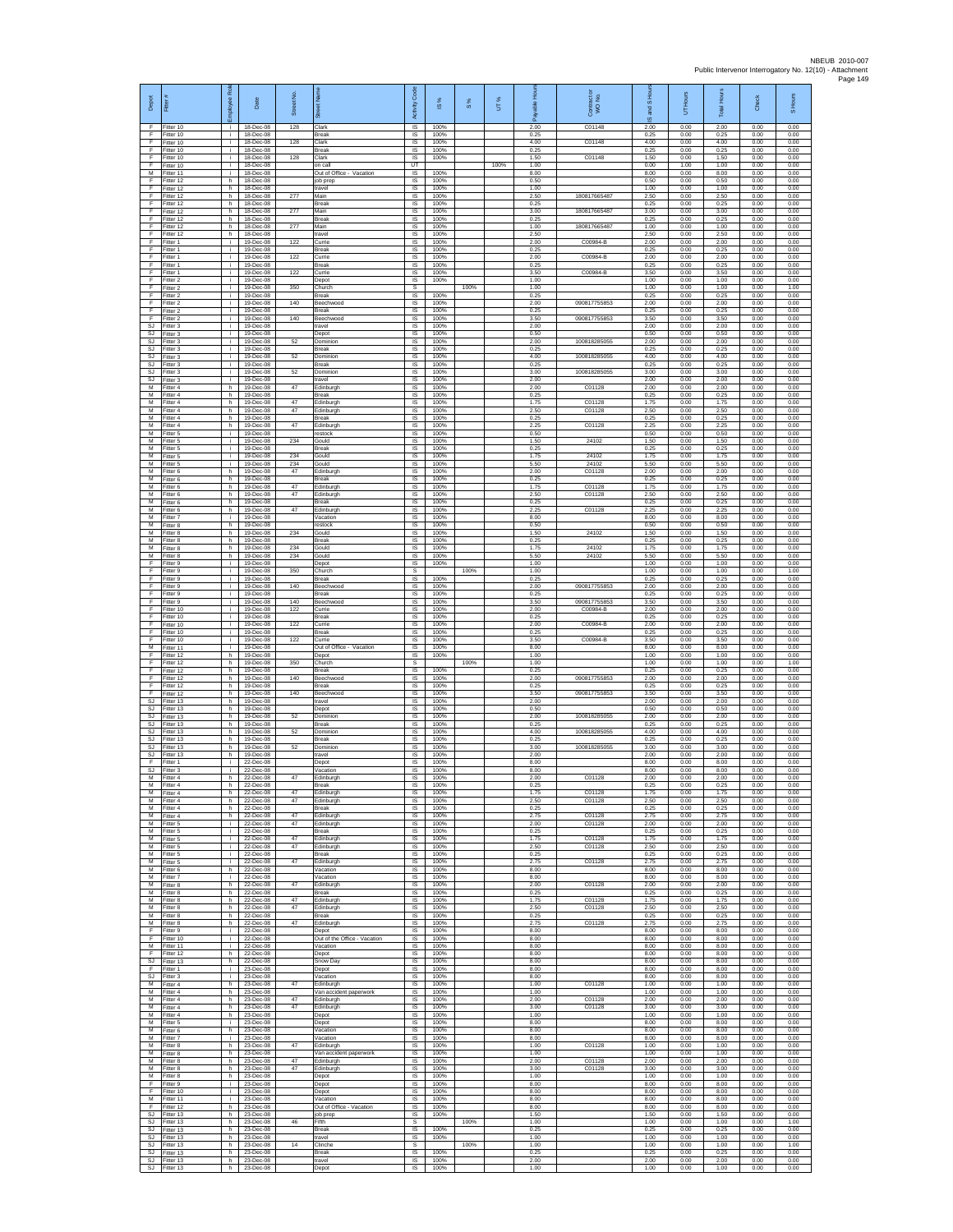| Depot                               | Fitter #                                  | R0<br>leavol   | Date                                | Street No. | eet Nar<br>්ති                                  | Code<br>Activity            | ×,<br>$\underline{\omega}$ | 8%   | UT%  | 윤<br>able<br>Ä       | Contract or<br>WO No. | S Hou<br>g<br>ဖ      | <b>Hours</b><br>5    | <b>Total Hours</b>   | <b>Check</b>         | S Hours              |
|-------------------------------------|-------------------------------------------|----------------|-------------------------------------|------------|-------------------------------------------------|-----------------------------|----------------------------|------|------|----------------------|-----------------------|----------------------|----------------------|----------------------|----------------------|----------------------|
| F<br>F                              | Fitter 10<br>Fitter 10                    | i.             | 18-Dec-08<br>18-Dec-08              | 128        | Clark<br>Break                                  | IS<br>IS                    | 100%<br>100%               |      |      | 2.00<br>0.25         | C01148                | 2.00<br>0.25         | 0.00<br>0.00         | 2.00<br>0.25         | 0.00<br>0.00         | 0.00<br>0.00         |
| F<br>F<br>F                         | Fitter 10<br>Fitter 10<br>Fitter 10       | i.<br>i.<br>i. | 18-Dec-08<br>18-Dec-08<br>18-Dec-08 | 128<br>128 | Clark<br>Break<br>Clark                         | IS<br>IS<br>1S              | 100%<br>100%<br>100%       |      |      | 4.00<br>0.25<br>1.50 | C01148<br>C01148      | 4.00<br>0.25<br>1.50 | 0.00<br>0.00<br>0.00 | 4.00<br>0.25<br>1.50 | 0.00<br>0.00<br>0.00 | 0.00<br>0.00<br>0.00 |
| F<br>M                              | Fitter 10<br>Fitter 11                    | j.<br>j.       | 18-Dec-08<br>18-Dec-08              |            | on call<br>Out of Office - Vacation             | UT<br><b>IS</b>             | 100%                       |      | 100% | 1.00<br>8.00         |                       | 0.00<br>8.00         | 1.00<br>0.00         | 1.00<br>8.00         | 0.00<br>0.00         | 0.00<br>0.00         |
| F.<br>F<br>F                        | Fitter 12<br>Fitter 12<br>Fitter 12       | h.<br>h.<br>h. | 18-Dec-08<br>18-Dec-08<br>18-Dec-08 | 277        | job prep<br>travel<br>Main                      | <b>IS</b><br>IS<br>IS       | 100%<br>100%<br>100%       |      |      | 0.50<br>1.00<br>2.50 | 180817665487          | 0.50<br>1.00<br>2.50 | 0.00<br>0.00<br>0.00 | 0.50<br>1.00<br>2.50 | 0.00<br>0.00<br>0.00 | 0.00<br>0.00<br>0.00 |
| F<br>F                              | Fitter 12<br>Fitter 12                    | h.<br>h        | 18-Dec-08<br>18-Dec-08              | 277        | <b>Break</b><br>Main                            | IS<br>$\sf IS$              | 100%<br>100%               |      |      | 0.25<br>3.00         | 180817665487          | 0.25<br>3.00         | 0.00<br>0.00         | 0.25<br>3.00         | 0.00<br>0.00         | 0.00<br>0.00         |
| F<br>F<br>F                         | Fitter 12<br>Fitter 12                    | h.<br>h.       | 18-Dec-08<br>18-Dec-08              | 277        | <b>Break</b><br>Main                            | 1S<br>IS                    | 100%<br>100%               |      |      | 0.25<br>1.00<br>2.50 | 180817665487          | 0.25<br>1.00<br>2.50 | 0.00<br>0.00         | 0.25<br>1.00<br>2.50 | 0.00<br>0.00         | 0.00<br>0.00         |
| F<br>F                              | Fitter 12<br>Fitter 1<br>Fitter 1         | h<br>i.<br>i.  | 18-Dec-08<br>19-Dec-08<br>19-Dec-08 | 122        | travel<br>Currie<br><b>Break</b>                | IS<br>1S<br>IS              | 100%<br>100%<br>100%       |      |      | 2.00<br>0.25         | C00984-B              | 2.00<br>0.25         | 0.00<br>0.00<br>0.00 | 2.00<br>0.25         | 0.00<br>0.00<br>0.00 | 0.00<br>0.00<br>0.00 |
| F<br>F                              | Fitter 1<br>Fitter 1                      | j.<br>i.       | 19-Dec-08<br>19-Dec-08              | 122        | Currie<br>Break                                 | - IS<br>IS                  | 100%<br>100%               |      |      | 2.00<br>0.25         | C00984-B              | 2.00<br>0.25         | 0.00<br>0.00         | 2.00<br>0.25         | 0.00<br>0.00         | 0.00<br>0.00         |
| F<br>- F<br>E                       | Fitter 1<br>Fitter 2<br>Fitter 2          | j.<br>i.<br>i. | 19-Dec-08<br>19-Dec-08<br>19-Dec-08 | 122<br>350 | Currie<br>Depot<br>Church                       | $\sf IS$<br>IS<br>s         | 100%<br>100%               | 100% |      | 3.50<br>1.00<br>1.00 | C00984-B              | 3.50<br>1.00<br>1.00 | 0.00<br>0.00<br>0.00 | 3.50<br>1.00<br>1.00 | 0.00<br>0.00<br>0.00 | 0.00<br>0.00<br>1.00 |
| F<br>F                              | Fitter 2<br>Fitter 2                      | ÷.<br>i.       | 19-Dec-08<br>19-Dec-08              | 140        | Break<br>Beechwood                              | IS<br>1S                    | 100%<br>100%               |      |      | 0.25<br>2.00         | 090817755853          | 0.25<br>2.00         | 0.00<br>0.00         | 0.25<br>2.00         | 0.00<br>0.00         | 0.00<br>0.00         |
| F.<br>F<br>SJ                       | Fitter 2<br>Fitter 2<br>Fitter 3          | i.<br>i.<br>i. | 19-Dec-08<br>19-Dec-08<br>19-Dec-08 | 140        | <b>Break</b><br>Beechwood<br>travel             | IS.<br>IS<br>$\sf IS$       | 100%<br>100%<br>100%       |      |      | 0.25<br>3.50<br>2.00 | 090817755853          | 0.25<br>3.50<br>2.00 | 0.00<br>0.00<br>0.00 | 0.25<br>3.50<br>2.00 | 0.00<br>0.00<br>0.00 | 0.00<br>0.00<br>0.00 |
| SJ<br>SJ                            | Fitter 3<br>Fitter 3                      | i.<br>j.       | 19-Dec-08<br>19-Dec-08              | 52         | Depot<br>Dominion                               | IS<br>IS                    | 100%<br>100%               |      |      | 0.50<br>2.00         | 100818285055          | 0.50<br>2.00         | 0.00<br>0.00         | 0.50<br>2.00         | 0.00<br>0.00         | 0.00<br>0.00         |
| <b>SJ</b><br>SJ<br>SJ.              | Fitter 3<br>Fitter 3<br>Fitter 3          | i.<br>i.<br>i. | 19-Dec-08<br>19-Dec-08<br>19-Dec-08 | 52         | Break<br>Dominion<br><b>Break</b>               | 1S<br>IS<br>IS              | 100%<br>100%<br>100%       |      |      | 0.25<br>4.00<br>0.25 | 100818285055          | 0.25<br>4.00<br>0.25 | 0.00<br>0.00<br>0.00 | 0.25<br>4.00<br>0.25 | 0.00<br>0.00<br>0.00 | 0.00<br>0.00<br>0.00 |
| SJ.<br>SJ                           | Fitter 3<br>Fitter 3                      | i.<br>÷.       | 19-Dec-08<br>19-Dec-08              | 52         | Dominion<br>travel                              | IS.<br>IS                   | 100%<br>100%               |      |      | 3.00<br>2.00         | 100818285055          | 3.00<br>2.00         | 0.00<br>0.00         | 3.00<br>2.00         | 0.00<br>0.00         | 0.00<br>0.00         |
| M<br>M                              | Fitter 4<br>Fitter 4                      | h.<br>h.       | 19-Dec-08<br>19-Dec-08              | 47         | Edinburgh<br>Break                              | IS<br>IS                    | 100%<br>100%               |      |      | 2.00<br>0.25         | C01128                | 2.00<br>0.25         | 0.00<br>0.00         | 2.00<br>0.25         | 0.00<br>0.00         | 0.00<br>0.00         |
| м<br>$\overline{M}$<br>м            | Fitter 4<br>Fitter 4<br>Fitter 4          | h<br>h.<br>h.  | 19-Dec-08<br>19-Dec-08<br>19-Dec-08 | 47<br>47   | Edinburgh<br>Edinburgh<br><b>Break</b>          | IS<br>1S<br>IS              | 100%<br>100%<br>100%       |      |      | 1.75<br>2.50<br>0.25 | C01128<br>C01128      | 1.75<br>2.50<br>0.25 | 0.00<br>0.00<br>0.00 | 1.75<br>2.50<br>0.25 | 0.00<br>0.00<br>0.00 | 0.00<br>0.00<br>0.00 |
| M<br>М                              | Fitter 4<br>Fitter 5                      | h.<br>i.       | 19-Dec-08<br>19-Dec-08              | 47         | Edinburgh<br>restock                            | IS<br>1S                    | 100%<br>100%               |      |      | 2.25<br>0.50         | C01128                | 2.25<br>0.50         | 0.00<br>0.00         | 225<br>0.50          | 0.00<br>0.00         | 0.00<br>0.00         |
| М<br>M<br>м                         | Fitter 5<br>Fitter 5<br>Fitter 5          | i.<br>j.<br>i. | 19-Dec-08<br>19-Dec-08<br>19-Dec-08 | 234<br>234 | Gould<br><b>Break</b><br>Gould                  | IS<br>- IS<br>$\sf IS$      | 100%<br>100%<br>100%       |      |      | 1.50<br>0.25<br>1.75 | 24102<br>24102        | 1.50<br>0.25<br>1.75 | 0.00<br>0.00<br>0.00 | 1.50<br>0.25<br>1.75 | 0.00<br>0.00<br>0.00 | 0.00<br>0.00<br>0.00 |
| м<br>M                              | Fitter 5<br>Fitter 6                      | Ť.<br>h.       | 19-Dec-08<br>19-Dec-08              | 234<br>47  | Gould<br>Edinburgh                              | $\sf IS$<br>IS              | 100%<br>100%               |      |      | 5.50<br>2.00         | 24102<br>C01128       | 5.50<br>2.00         | 0.00<br>0.00         | 5.50<br>2.00         | 0.00<br>0.00         | 0.00<br>0.00         |
| M<br>м<br>М                         | Fitter 6<br>Fitter 6<br>Fitter 6          | h.<br>h<br>h.  | 19-Dec-08<br>19-Dec-08<br>19-Dec-08 | 47<br>47   | <b>Break</b><br>dinburgh<br>Edinburgh           | <b>IS</b><br>IS<br>1S       | 100%<br>100%<br>100%       |      |      | 0.25<br>1.75<br>2.50 | C01128<br>C01128      | 0.25<br>1.75<br>2.50 | 0.00<br>0.00<br>0.00 | 0.25<br>1.75<br>2.50 | 0.00<br>0.00<br>0.00 | 0.00<br>0.00<br>0.00 |
| M<br>м                              | Fitter 6<br>Fitter 6                      | h.<br>h.       | 19-Dec-08<br>19-Dec-08              | 47         | <b>Break</b><br>Edinburgh                       | IS<br>IS                    | 100%<br>100%               |      |      | 0.25<br>2.25         | C01128                | 0.25<br>2.25         | 0.00<br>0.00         | 0.25<br>2.25         | 0.00<br>0.00         | 0.00<br>0.00         |
| м<br>M                              | Fitter 7<br>Fitter 8                      | i.<br>h.       | 19-Dec-08<br>19-Dec-08              |            | Vacation<br>restock                             | $\sf IS$<br>IS.             | 100%<br>100%               |      |      | 8.00<br>0.50         |                       | 8.00<br>0.50         | 0.00<br>0.00         | 8.00<br>0.50         | 0.00<br>0.00         | 0.00<br>0.00         |
| M<br>М<br>М                         | Fitter 8<br>Fitter 8<br>Fitter 8          | h<br>h.<br>h   | 19-Dec-08<br>19-Dec-08<br>19-Dec-08 | 234<br>234 | Gould<br>Break<br>Sould                         | IS<br>1S<br>IS              | 100%<br>100%<br>100%       |      |      | 1.50<br>0.25<br>1.75 | 24102<br>24102        | 1.50<br>0.25<br>1.75 | 0.00<br>0.00<br>0.00 | 1.50<br>0.25<br>1.75 | 0.00<br>0.00<br>0.00 | 0.00<br>0.00<br>0.00 |
| M<br>E                              | Fitter 8<br>Fitter 9                      | h.<br>i.       | 19-Dec-08<br>19-Dec-08              | 234        | Gould<br>Depot                                  | IS<br><b>IS</b>             | 100%<br>100%               |      |      | 5.50<br>1.00         | 24102                 | 5.50<br>1.00         | 0.00<br>0.00         | 5.50<br>1.00         | 0.00<br>0.00         | 0.00<br>0.00         |
| F<br>F<br>F                         | Fitter 9<br>Fitter 9<br>Fitter 9          | ÷.<br>i.<br>i. | 19-Dec-08<br>19-Dec-08<br>19-Dec-08 | 350<br>140 | Church<br>Break                                 | s<br>IS<br>IS               | 100%<br>100%               | 100% |      | 1.00<br>0.25<br>2.00 | 090817755853          | 1.00<br>0.25<br>2.00 | 0.00<br>0.00<br>0.00 | 1.00<br>0.25<br>2.00 | 0.00<br>0.00<br>0.00 | 1.00<br>0.00<br>0.00 |
| F<br>F                              | Fitter 9<br>Fitter 9                      | i.<br>i.       | 19-Dec-08<br>19-Dec-08              | 140        | Beechwood<br>Break<br>Beechwood                 | IS<br>1S                    | 100%<br>100%               |      |      | 0.25<br>3.50         | 090817755853          | 0.25<br>3.50         | 0.00<br>0.00         | 0.25<br>3.50         | 0.00<br>0.00         | 0.00<br>0.00         |
| F<br>F<br>F                         | Fitter 10<br>Fitter 10                    | i.<br>i.<br>i. | 19-Dec-08<br>19-Dec-08<br>19-Dec-08 | 122<br>122 | Currie<br>Break<br>Currie                       | <b>IS</b><br>IS<br>1S       | 100%<br>100%<br>100%       |      |      | 2.00<br>0.25<br>2.00 | C00984-B<br>C00984-B  | 2.00<br>0.25<br>2.00 | 0.00<br>0.00<br>0.00 | 2.00<br>0.25<br>2.00 | 0.00<br>0.00<br>0.00 | 0.00<br>0.00<br>0.00 |
| F<br>F                              | Fitter 10<br>Fitter 10<br>Fitter 10       | i.<br>j.       | 19-Dec-08<br>19-Dec-08              | 122        | <b>Break</b><br>Currie                          | IS<br>-IS                   | 100%<br>100%               |      |      | 0.25<br>3.50         | C00984-B              | 0.25<br>3.50         | 0.00<br>0.00         | 0.25<br>3.50         | 0.00<br>0.00         | 0.00<br>0.00         |
| M<br>E<br>F                         | Fitter 11<br>Fitter 12<br>Fitter 12       | i.<br>h<br>h.  | 19-Dec-08<br>19-Dec-08<br>19-Dec-08 | 350        | Out of Office - Vacation<br>Depot<br>Church     | IS<br>$\sf IS$<br>-S        | 100%<br>100%               | 100% |      | 8.00<br>1.00<br>1.00 |                       | 8.00<br>1.00<br>1.00 | 0.00<br>0.00<br>0.00 | 8.00<br>1.00<br>1.00 | 0.00<br>0.00<br>0.00 | 0.00<br>0.00<br>1.00 |
| E<br>F                              | Fitter 12<br>Fitter 12                    | h.<br>h.       | 19-Dec-08<br>19-Dec-08              | 140        | <b>Break</b><br>Beechwood                       | IS<br>IS                    | 100%<br>100%               |      |      | 0.25<br>2.00         | 090817755853          | 0.25<br>2.00         | 0.00<br>0.00         | 0.25<br>2.00         | 0.00<br>0.00         | 0.00<br>0.00         |
| F<br>F                              | Fitter 12<br>Fitter 12                    | h.<br>h.       | 19-Dec-08<br>19-Dec-08              | 140        | Break<br><b>Beechwood</b>                       | 1S<br>IS                    | 100%<br>100%               |      |      | 0.25<br>3.50         | 090817755853          | 0.25<br>3.50         | 0.00<br>0.00         | 0.25<br>3.50         | 0.00<br>0.00         | 0.00<br>0.00         |
| SJ<br>$\mathtt{S}\mathtt{J}$<br>SJ. | Fitter 13<br>Fitter 13<br>Fitter 13       | h.<br>h.<br>h. | 19-Dec-08<br>19-Dec-08<br>19-Dec-08 | 52         | travel<br>Depot<br>Dominion                     | IS<br>$\sf IS$<br>IS        | 100%<br>100%<br>100%       |      |      | 2.00<br>0.50<br>2.00 | 100818285055          | 2.00<br>0.50<br>2.00 | 0.00<br>0.00<br>0.00 | 2.00<br>0.50<br>2.00 | 0.00<br>0.00<br>0.00 | 0.00<br>0.00<br>0.00 |
| <b>SJ</b><br>SJ                     | Fitter 13<br>Fitter 13                    | h.<br>h.       | 19-Dec-08<br>19-Dec-08              | 52         | Break<br>Dominior                               | IS<br>1S                    | 100%<br>100%               |      |      | 0.25<br>4.00         | 100818285055          | 0.25<br>4.00         | 0.00<br>0.00         | 0.25<br>4.00         | 0.00<br>0.00         | 0.00<br>0.00         |
| SJ<br>SJ.<br>SJ                     | Fitter 13<br>Fitter 13<br>Fitter 13       | h<br>h.<br>h.  | 19-Dec-08<br>19-Dec-08<br>19-Dec-08 | 52         | <b>Break</b><br>Dominion<br>travel              | IS<br>- IS<br><b>IS</b>     | 100%<br>100%<br>100%       |      |      | 0.25<br>3.00<br>2.00 | 100818285055          | 0.25<br>3.00<br>2.00 | 0.00<br>0.00<br>0.00 | 0.25<br>3.00<br>200  | 0.00<br>0.00<br>0.00 | 0.00<br>0.00<br>0.00 |
| F<br>SJ                             | Fitter 1<br>Fitter 3                      | ÷.<br>i.       | 22-Dec-08<br>22-Dec-08              |            | Depot<br>Vacation                               | IS<br>IS                    | 100%<br>100%               |      |      | 8.00<br>8.00         |                       | 8.00<br>8.00         | 0.00<br>0.00         | 8.00<br>8.00         | 0.00<br>0.00         | 0.00<br>0.00         |
| M<br>M<br>м                         | Fitter 4<br>Fitter 4<br>Fitter 4          | h.<br>h<br>h.  | 22-Dec-08<br>22-Dec-08<br>22-Dec-08 | 47<br>47   | Edinburgh<br><b>Break</b><br>Edinburgh          | $\sf IS$<br>IS<br>1S        | 100%<br>100%<br>100%       |      |      | 2.00<br>0.25<br>1.75 | C01128<br>C01128      | 2.00<br>0.25<br>1.75 | 0.00<br>0.00<br>0.00 | 2.00<br>0.25<br>1.75 | 0.00<br>0.00<br>0.00 | 0.00<br>0.00<br>0.00 |
| M<br>M                              | Fitter 4<br>Fitter 4                      | h.<br>h.       | 22-Dec-08<br>22-Dec-08              | 47         | Edinburgh<br>Break                              | <b>IS</b><br>IS             | 100%<br>100%               |      |      | 2.50<br>0.25         | C01128                | 2.50<br>0.25         | 0.00<br>0.00         | 2.50<br>0.25         | 0.00<br>0.00         | 0.00<br>0.00         |
| м<br>м<br>M                         | Fitter 4<br>Fitter 5<br>Fitter 5          | h.<br>÷.<br>i. | 22-Dec-08<br>22-Dec-08<br>22-Dec-08 | 47<br>47   | Edinburgh<br>Edinburgh<br><b>Break</b>          | 1S<br>IS<br>- IS            | 100%<br>100%<br>100%       |      |      | 2.75<br>2.00<br>0.25 | C01128<br>C01128      | 2.75<br>2.00<br>0.25 | 0.00<br>0.00<br>0.00 | 2.75<br>2.00<br>0.25 | 0.00<br>0.00<br>0.00 | 0.00<br>0.00<br>0.00 |
| M<br>М                              | Fitter 5<br>Fitter 5                      | j.<br>j.       | 22-Dec-08<br>22-Dec-08              | 47<br>47   | Edinburgh<br>Edinburgh                          | $\sf IS$<br>$\sf IS$        | 100%<br>100%               |      |      | 1.75<br>2.50         | C01128<br>C01128      | 1.75<br>2.50         | 0.00<br>0.00         | 1.75<br>2.50         | 0.00<br>0.00         | 0.00<br>0.00         |
| M<br>M<br>M                         | Fitter 5<br>Fitter 5<br>Fitter 6          | i.<br>i.<br>h. | 22-Dec-08<br>22-Dec-08<br>22-Dec-08 | 47         | <b>Break</b><br>Edinburgh<br>Vacation           | IS<br><b>IS</b><br>IS       | 100%<br>100%<br>100%       |      |      | 0.25<br>2.75<br>8.00 | C01128                | 0.25<br>2.75<br>8.00 | 0.00<br>0.00<br>0.00 | 0.25<br>2.75<br>8.00 | 0.00<br>0.00<br>0.00 | 0.00<br>0.00<br>0.00 |
| М<br>M                              | Fitter 7<br>Fitter 8                      | i.<br>h.       | 22-Dec-08<br>22-Dec-08              | 47         | Vacation<br>Edinburgh                           | 1S<br><b>IS</b>             | 100%<br>100%               |      |      | 8.00<br>2.00         | C01128                | 8.00<br>2.00         | 0.00<br>0.00         | 8.00<br>2.00         | 0.00<br>0.00         | 0.00<br>0.00         |
| M<br>M                              | Fitter 8<br>Fitter 8                      | h.<br>h.       | 22-Dec-08<br>22-Dec-08              | 47         | Break<br>Edinburgh                              | IS<br>IS                    | 100%<br>100%               |      |      | 0.25<br>1.75         | C01128                | 0.25<br>1.75         | 0.00<br>0.00         | 0.25<br>1.75         | 0.00<br>0.00         | 0.00<br>0.00         |
| M<br>M<br>М                         | Fitter 8<br>Fitter 8<br>Fitter 8          | h.<br>h.<br>h. | 22-Dec-08<br>22-Dec-08<br>22-Dec-08 | 47<br>47   | Edinburgh<br><b>Break</b><br>Edinburgh          | IS<br>IS<br>1S              | 100%<br>100%<br>100%       |      |      | 2.50<br>0.25<br>2.75 | C01128<br>C01128      | 2.50<br>0.25<br>2.75 | 0.00<br>0.00<br>0.00 | 2.50<br>0.25<br>2.75 | 0.00<br>0.00<br>0.00 | 0.00<br>0.00<br>0.00 |
| $\mathsf{F}$<br>- F                 | Fitter 9<br>Fitter 10                     | ÷.<br>i.       | 22-Dec-08<br>22-Dec-08              |            | Depot<br>Out of the Office - Vacation           | IS<br>- IS                  | 100%<br>100%               |      |      | 8.00<br>8.00         |                       | 8.00<br>8.00         | 0.00<br>0.00         | 8.00<br>8.00         | 0.00<br>0.00         | 0.00<br>0.00         |
| M<br>F<br>SJ                        | Fitter 11<br>Fitter 12<br>Fitter 13       | i.<br>h.<br>h  | 22-Dec-08<br>22-Dec-08<br>22-Dec-08 |            | Vacation<br>Depot<br>Snow Day                   | <b>IS</b><br>IS<br>IS       | 100%<br>100%<br>100%       |      |      | 8.00<br>8.00<br>8.00 |                       | 8.00<br>8.00<br>8.00 | 0.00<br>0.00<br>0.00 | 8.00<br>8.00<br>8.00 | 0.00<br>0.00<br>0.00 | 0.00<br>0.00<br>0.00 |
| F.<br>SJ                            | Fitter 1<br>Fitter 3                      | i.<br>i.       | 23-Dec-08<br>23-Dec-08              |            | Depot<br>Vacation                               | IS<br>$\sf IS$              | 100%<br>100%               |      |      | 8.00<br>8.00         |                       | 8.00<br>8.00         | 0.00<br>0.00         | 8.00<br>8.00         | 0.00<br>0.00         | 0.00<br>0.00         |
| м<br>M<br>M                         | Fitter 4<br>Fitter 4                      | h.<br>h.       | 23-Dec-08<br>23-Dec-08              | 47<br>47   | Edinburgh<br>Van accident paperwork             | 1S<br>IS.                   | 100%<br>100%               |      |      | 1.00<br>1.00<br>2.00 | C01128                | 1.00<br>1.00         | 0.00<br>0.00         | 1.00<br>1.00<br>2.00 | 0.00<br>0.00         | 0.00<br>0.00         |
| м<br>М                              | Fitter 4<br>Fitter 4<br>Fitter 4          | h.<br>h.<br>h. | 23-Dec-08<br>23-Dec-08<br>23-Dec-08 | 47         | Edinburgh<br>Edinburgh<br>Depot                 | IS<br>1S<br>IS              | 100%<br>100%<br>100%       |      |      | 3.00<br>1.00         | C01128<br>C01128      | 2.00<br>3.00<br>1.00 | 0.00<br>0.00<br>0.00 | 3.00<br>1.00         | 0.00<br>0.00<br>0.00 | 0.00<br>0.00<br>0.00 |
| M<br>M                              | Fitter 5<br>Fitter 6                      | i.<br>h.       | 23-Dec-08<br>23-Dec-08              |            | Depot<br>Vacation                               | <b>IS</b><br>IS             | 100%<br>100%               |      |      | 8.00<br>8.00         |                       | 8.00<br>8.00         | 0.00<br>0.00         | 8.00<br>8.00         | 0.00<br>0.00         | 0.00<br>0.00         |
| М<br>M<br>M                         | Fitter 7<br>Fitter 8<br>Fitter 8          | j.<br>h.<br>h. | 23-Dec-08<br>23-Dec-08<br>23-Dec-08 | 47         | Vacation<br>Edinburgh<br>Van accident paperwork | $\sf IS$<br>IS<br><b>IS</b> | 100%<br>100%<br>100%       |      |      | 8.00<br>1.00<br>1.00 | C01128                | 8.00<br>1.00<br>1.00 | 0.00<br>0.00<br>0.00 | 8.00<br>1.00<br>1.00 | 0.00<br>0.00<br>0.00 | 0.00<br>0.00<br>0.00 |
| М<br>м                              | Fitter 8<br>Fitter 8                      | h.<br>h.       | 23-Dec-08<br>23-Dec-08              | 47<br>47   | Edinburgh<br>Edinburgh                          | IS<br>1S                    | 100%<br>100%               |      |      | 2.00<br>3.00         | C01128<br>C01128      | 2.00<br>3.00         | 0.00<br>0.00         | 2.00<br>3.00         | 0.00<br>0.00         | 0.00<br>0.00         |
| M<br>F<br>F                         | Fitter 8<br>Fitter 9<br>Fitter 10         | h.<br>i.<br>i. | 23-Dec-08<br>23-Dec-08<br>23-Dec-08 |            | Depot<br>Depot<br>Depot                         | IS.<br>IS<br>$\sf IS$       | 100%<br>100%<br>100%       |      |      | 1.00<br>8.00<br>8.00 |                       | 1.00<br>8.00<br>8.00 | 0.00<br>0.00<br>0.00 | 1.00<br>8.00<br>8.00 | 0.00<br>0.00<br>0.00 | 0.00<br>0.00<br>0.00 |
| M.<br>-F                            | Fitter 11<br>Fitter 12                    | i.<br>h.       | 23-Dec-08<br>23-Dec-08              |            | Vacation<br>Out of Office - Vacation            | IS.<br>IS                   | 100%<br>100%               |      |      | 8.00<br>8.00         |                       | 8.00<br>8.00         | 0.00<br>0.00         | 8.00<br>8.00         | 0.00<br>0.00         | 0.00<br>0.00         |
| SJ<br>SJ<br>SJ.                     | Fitter 13<br>Fitter 13<br>Fitter 13       | h.<br>h<br>h.  | 23-Dec-08<br>23-Dec-08<br>23-Dec-08 | 46         | job prep<br>Fifth<br><b>Break</b>               | IS.<br>s<br>IS              | 100%<br>100%               | 100% |      | 1.50<br>1.00<br>0.25 |                       | 1.50<br>1.00<br>0.25 | 0.00<br>0.00<br>0.00 | 1.50<br>1.00<br>0.25 | 0.00<br>0.00<br>0.00 | 0.00<br>1.00<br>0.00 |
| S.I<br>SJ                           | Fitter 13<br>Fitter 13                    | h.<br>h.       | 23-Dec-08<br>23-Dec-08              | 14         | Iever<br>Clinche                                | <b>IS</b><br>s              | 100%                       | 100% |      | 1.00<br>1.00         |                       | 1.00<br>1.00         | 0.00<br>0.00         | 1.00<br>1.00         | 0.00<br>0.00         | 0.00<br>1.00         |
| SJ.                                 | Fitter 13<br>SJ Fitter 13<br>SJ Fitter 13 | h.<br>h.<br>h. | 23-Dec-08<br>23-Dec-08<br>23-Dec-08 |            | <b>Break</b><br>travel<br>Depot                 | IS<br>IS<br>IS              | 100%<br>100%<br>100%       |      |      | 0.25<br>2.00<br>1.00 |                       | 0.25<br>2.00<br>1.00 | 0.00<br>0.00<br>0.00 | 0.25<br>2.00<br>1.00 | 0.00<br>0.00<br>0.00 | 0.00<br>0.00<br>0.00 |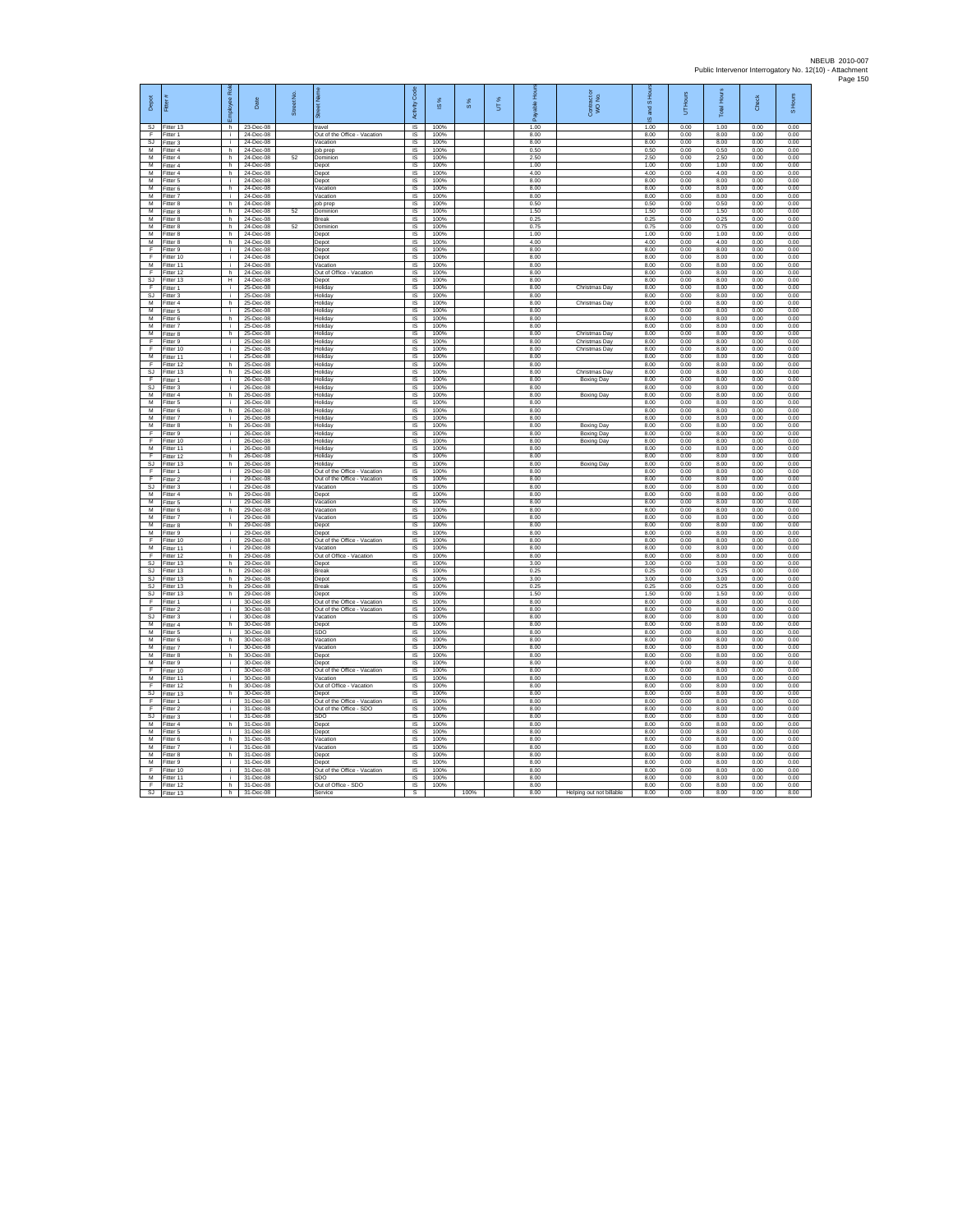|                             |                          | Role            |                             |            |                                          |                         |                     |      |     |              |                          |              |              |              |              |              |
|-----------------------------|--------------------------|-----------------|-----------------------------|------------|------------------------------------------|-------------------------|---------------------|------|-----|--------------|--------------------------|--------------|--------------|--------------|--------------|--------------|
|                             |                          |                 |                             |            |                                          | Code                    |                     |      |     |              |                          | and S Hou    | <b>Hours</b> | Hours        |              | Hours        |
| Depot                       | Fitter #                 | nployee         | Date                        | Street No. |                                          | Activity                | $\overline{\omega}$ | 8%   | UT% | able         | Contract c<br>WO No.     |              | 5            |              | Check        | ०            |
|                             |                          |                 |                             |            | ä                                        |                         |                     |      |     | ۶            |                          | ő            |              | Total        |              |              |
| SJ.                         | Fitter 13                | h.              | 23-Dec-08                   |            | travel                                   | $\overline{1S}$         | 100%                |      |     | 1.00         |                          | 1.00         | 0.00         | 1.00         | 0.00         | 0.00         |
| F                           | Fitter 1                 | j.              | 24-Dec-08                   |            | Out of the Office - Vacation             | $\sf IS$                | 100%                |      |     | 8.00         |                          | 8.00         | 0.00         | 8.00         | 0.00         | 0.00         |
| s <sub>J</sub><br>М         | Fitter 3<br>-<br>itter 4 | i.<br>h         | 24-Dec-08<br>24-Dec-08      |            | Vacation<br>ob prep                      | <b>IS</b><br>IS         | 100%<br>100%        |      |     | 8.00<br>0.50 |                          | 8.00<br>0.50 | 0.00<br>0.00 | 8.00<br>0.50 | 0.00<br>0.00 | 0.00<br>0.00 |
| М                           | Fitter 4                 | h               | 24-Dec-08                   | 52         | Dominion                                 | IS                      | 100%                |      |     | 2.50         |                          | 2.50         | 0.00         | 2.50         | 0.00         | 0.00         |
| M                           | Fitter 4                 | h.              | 24-Dec-08                   |            | Denot                                    | $\overline{1S}$         | 100%                |      |     | 1.00         |                          | 1.00         | 0.00         | 1.00         | 0.00         | 0.00         |
| м                           | Fitter 4                 | F               | 24-Dec-08                   |            | Depot                                    | <b>IS</b>               | 100%                |      |     | 4.00         |                          | 4.00         | 0.00         | 4.00         | 0.00         | 0.00         |
| м<br>M                      | Fitter 5<br>Fitter 6     | j.<br>ħ.        | 24-Dec-08<br>24-Dec-08      |            | Depot<br>Vacation                        | 1S<br>IS                | 100%<br>100%        |      |     | 8.00<br>8.00 |                          | 8.00<br>8.00 | 0.00<br>0.00 | 8.00<br>8.00 | 0.00<br>0.00 | 0.00<br>0.00 |
| M                           | Fitter 7                 | i.              | 24-Dec-08                   |            | Vacation                                 | IS                      | 100%                |      |     | 8.00         |                          | 8.00         | 0.00         | 8.00         | 0.00         | 0.00         |
| M                           | Fitter 8                 | h.              | 24-Dec-08                   |            | job prep                                 | IS                      | 100%                |      |     | 0.50         |                          | 0.50         | 0.00         | 0.50         | 0.00         | 0.00         |
| M                           | Fitter 8                 | h               | 24-Dec-08                   | 52         | Dominion                                 | $\sf IS$                | 100%                |      |     | 1.50         |                          | 1.50         | 0.00         | 1.50         | 0.00         | 0.00         |
| М                           | Fitter 8                 | F               | 24-Dec-08                   |            | <b>Break</b>                             | IS                      | 100%                |      |     | 0.25         |                          | 0.25         | 0.00         | 0.25         | 0.00         | 0.00         |
| M<br>м                      | Fitter 8<br>Fitter 8     | h.<br>F         | 24-Dec-08<br>24-Dec-08      | 52         | Dominion<br>Depot                        | IS<br>$\overline{S}$    | 100%<br>100%        |      |     | 0.75<br>1.00 |                          | 0.75<br>1.00 | 0.00<br>0.00 | 0.75<br>1.00 | 0.00<br>0.00 | 0.00<br>0.00 |
| м                           | Fitter 8                 | h               | 24-Dec-08                   |            | Depot                                    | $\overline{S}$          | 100%                |      |     | 4.00         |                          | 4.00         | 0.00         | 4.00         | 0.00         | 0.00         |
| F                           | Fitter 9                 | i.              | 24-Dec-08                   |            | Depot                                    | IS                      | 100%                |      |     | 8.00         |                          | 8.00         | 0.00         | 8.00         | 0.00         | 0.00         |
| Ε                           | Fitter 10                | Т.              | 24-Dec-08                   |            | Depot                                    | 1S                      | 100%                |      |     | 8.00         |                          | 8.00         | 0.00         | 8.00         | 0.00         | 0.00         |
| М<br>F                      | Fitter 11<br>Fitter 12   | j.<br>h         | 24-Dec-08<br>24-Dec-08      |            | Vacation<br>Out of Office - Vacation     | IS<br>IS                | 100%<br>100%        |      |     | 8.00<br>8.00 |                          | 8.00<br>8.00 | 0.00<br>0.00 | 8.00<br>8.00 | 0.00<br>0.00 | 0.00<br>0.00 |
| S.I                         | Fitter 13                | н.              | 24-Dec-08                   |            | Denot                                    | IS.                     | 100%                |      |     | 8.00         |                          | 8.00         | 0.00         | 8.00         | 0.00         | 0.00         |
| F                           | Fitter 1                 | j.              | 25-Dec-08                   |            | Holiday                                  | <b>IS</b>               | 100%                |      |     | 8.00         | Christmas Day            | 8.00         | 0.00         | 8.00         | 0.00         | 0.00         |
| <b>SJ</b>                   | Fitter 3                 | ÷.              | 25-Dec-08                   |            | Holiday                                  | 1S                      | 100%                |      |     | 8.00         |                          | 8.00         | 0.00         | 8.00         | 0.00         | 0.00         |
| м                           | Fitter 4                 | $\overline{h}$  | 25-Dec-08                   |            | Holidav                                  | <b>IS</b>               | 100%                |      |     | 8.00         | Christmas Day            | 8.00         | 0.00         | 8.00         | 0.00         | 0.00         |
| м<br>M                      | Fitter 5<br>Fitter 6     | T<br>h.         | 25-Dec-08<br>25-Dec-08      |            | Holiday<br>Holidav                       | IS<br><b>IS</b>         | 100%<br>100%        |      |     | 8.00<br>8.00 |                          | 8.00<br>8.00 | 0.00<br>0.00 | 8.00<br>8.00 | 0.00<br>0.00 | 0.00<br>0.00 |
| M                           | Fitter 7                 | i.              | 25-Dec-08                   |            | Holiday                                  | IS                      | 100%                |      |     | 8.00         |                          | 8.00         | 0.00         | 8.00         | 0.00         | 0.00         |
| М                           | Fitter 8                 | h.              | 25-Dec-08                   |            | Holiday                                  | IS                      | 100%                |      |     | 8.00         | Christmas Day            | 8.00         | 0.00         | 8.00         | 0.00         | 0.00         |
| F                           | Fitter 9                 | Ť.              | 25-Dec-08                   |            | Holiday                                  | IS                      | 100%                |      |     | 8.00         | Christmas Day            | 8.00         | 0.00         | 8.00         | 0.00         | 0.00         |
| F                           | Fitter 10                | i.              | 25-Dec-08                   |            | Holiday                                  | $\overline{S}$          | 100%                |      |     | 8.00         | Christmas Dav            | 8.00         | 0.00         | 8.00         | 0.00         | 0.00         |
| $\overline{M}$<br>F         | Fitter 11<br>Fitter 12   | i.<br>h         | 25-Dec-08<br>25-Dec-08      |            | Holiday<br>Holiday                       | $\overline{S}$<br>IS    | 100%<br>100%        |      |     | 8.00<br>8.00 |                          | 8.00<br>8.00 | 0.00<br>0.00 | 8.00<br>8.00 | 0.00<br>0.00 | 0.00<br>0.00 |
| $\overline{\mathbf{s}}$     | Fitter 13                | F               | 25-Dec-08                   |            | Holiday                                  | $\overline{s}$          | 100%                |      |     | 8.00         | Christmas Day            | 8.00         | 0.00         | 8.00         | 0.00         | 0.00         |
| F                           | Fitter 1                 | Ŧ               | 26-Dec-08                   |            | Holiday                                  | IS                      | 100%                |      |     | 8.00         | <b>Boxing Day</b>        | 8.00         | 0.00         | 8.00         | 0.00         | 0.00         |
| SJ                          | Fitter 3                 | i.              | 26-Dec-08                   |            | Holiday                                  | IS                      | 100%                |      |     | 8.00         |                          | 8.00         | 0.00         | 8.00         | 0.00         | 0.00         |
| M                           | Fitter 4                 | h               | 26-Dec-08                   |            | Holidav                                  | IS.                     | 100%                |      |     | 8.00         | <b>Boxing Day</b>        | 8.00         | 0.00         | 8.00         | 0.00         | 0.00         |
| M<br>м                      | Fitter 5<br>Fitter 6     | j.<br>F         | 26-Dec-08<br>26-Dec-08      |            | Holiday<br>Holiday                       | IS<br>1S                | 100%<br>100%        |      |     | 8.00<br>8.00 |                          | 8.00<br>8.00 | 0.00<br>0.00 | 8.00<br>8.00 | 0.00<br>0.00 | 0.00<br>0.00 |
| м                           | Fitter 7                 | j.              | 26-Dec-08                   |            | Holiday                                  | <b>IS</b>               | 100%                |      |     | 8.00         |                          | 8.00         | 0.00         | 8.00         | 0.00         | 0.00         |
| м                           | Fitter 8                 | $\overline{h}$  | 26-Dec-08                   |            | Holiday                                  | IS                      | 100%                |      |     | 8.00         | <b>Boxing Day</b>        | 8.00         | 0.00         | 8.00         | 0.00         | 0.00         |
| Е                           | Fitter 9                 | j.              | 26-Dec-08                   |            | Holidav                                  | $\overline{\mathsf{s}}$ | 100%                |      |     | 8.00         | Boxing Day               | 8.00         | 0.00         | 8.00         | 0.00         | 0.00         |
| E                           | Fitter 10                | i.              | 26-Dec-08                   |            | Holiday                                  | $\overline{S}$          | 100%                |      |     | 8.00         | Boxing Day               | 8.00         | 0.00         | 8.00         | 0.00         | 0.00         |
| м<br>F                      | Fitter 11<br>Fitter 12   | Ŧ<br>h.         | 26-Dec-08<br>26-Dec-08      |            | Holiday<br>Holiday                       | IS<br>IS                | 100%<br>100%        |      |     | 8.00<br>8.00 |                          | 8.00<br>8.00 | 0.00<br>0.00 | 8.00<br>8.00 | 0.00<br>0.00 | 0.00<br>0.00 |
| s                           | Fitter 13                | h               | 26-Dec-08                   |            | Holidav                                  | IS                      | 100%                |      |     | 8.00         | Boxing Day               | 8.00         | 0.00         | 8.00         | 0.00         | 0.00         |
| F                           | Fitter 1                 | i.              | 29-Dec-08                   |            | Out of the Office - Vacation             | $\overline{\mathsf{s}}$ | 100%                |      |     | 8.00         |                          | 8.00         | 0.00         | 8.00         | 0.00         | 0.00         |
| F                           | Fitter 2                 | i.              | 29-Dec-08                   |            | Out of the Office - Vacation             | IS                      | 100%                |      |     | 8.00         |                          | 8.00         | 0.00         | 8.00         | 0.00         | 0.00         |
| $\overline{\mathbf{s}}$     | Fitter 3                 | Ŧ               | 29-Dec-08                   |            | Vacation                                 | $\overline{s}$          | 100%                |      |     | 8.00         |                          | 8.00         | 0.00         | 8.00         | 0.00         | 0.00         |
| М<br>М                      | Fitter 4<br>Fitter 5     | F<br>i.         | 29-Dec-08<br>29-Dec-08      |            | Depot<br>Vacation                        | IS<br>IS                | 100%<br>100%        |      |     | 8.00<br>8.00 |                          | 8.00<br>8.00 | 0.00<br>0.00 | 8.00<br>8.00 | 0.00<br>0.00 | 0.00<br>0.00 |
| м                           | Fitter 6                 | h.              | 29-Dec-08                   |            | Vacation                                 | IS                      | 100%                |      |     | 8.00         |                          | 8.00         | 0.00         | 8.00         | 0.00         | 0.00         |
| M                           | Fitter 7                 | $\mathbf{i}$    | 29-Dec-08                   |            | Vacation                                 | IS                      | 100%                |      |     | 8.00         |                          | 8.00         | 0.00         | 8.00         | 0.00         | 0.00         |
| M                           | Fitter 8                 | h               | 29-Dec-08                   |            | Depot                                    | IS                      | 100%                |      |     | 8.00         |                          | 8.00         | 0.00         | 8.00         | 0.00         | 0.00         |
| м<br>Ŧ                      | Fitter 9                 | i.<br>T         | 29-Dec-08                   |            | Depot                                    | IS                      | 100%<br>100%        |      |     | 8.00         |                          | 8.00         | 0.00         | 8.00         | 0.00         | 0.00         |
| M                           | Fitter 10<br>Fitter 11   | j.              | 29-Dec-08<br>29-Dec-08      |            | Out of the Office - Vacation<br>Vacation | IS<br><b>IS</b>         | 100%                |      |     | 8.00<br>8.00 |                          | 8.00<br>8.00 | 0.00<br>0.00 | 8.00<br>8.00 | 0.00<br>0.00 | 0.00<br>0.00 |
| F                           | Fitter 12                | h               | 29-Dec-08                   |            | Out of Office - Vacation                 | $\overline{S}$          | 100%                |      |     | 8.00         |                          | 8.00         | 0.00         | 8.00         | 0.00         | 0.00         |
| <b>SJ</b>                   | Fitter 13                | F               | 29-Dec-08                   |            | Depot                                    | IS                      | 100%                |      |     | 3.00         |                          | 3.00         | 0.00         | 3.00         | 0.00         | 0.00         |
| <b>SJ</b>                   | Fitter 13                | h               | 29-Dec-08                   |            | Break                                    | IS                      | 100%                |      |     | 0.25         |                          | 0.25         | 0.00         | 0.25         | 0.00         | 0.00         |
| SJ<br>SJ                    | Fitter 13<br>Fitter 13   | h.<br>h         | 29-Dec-08<br>29-Dec-08      |            | Depot<br>Break                           | IS<br>IS                | 100%<br>100%        |      |     | 3.00<br>0.25 |                          | 3.00<br>0.25 | 0.00<br>0.00 | 3.00<br>0.25 | 0.00<br>0.00 | 0.00<br>0.00 |
| SJ                          | Fitter 13                | h               | 29-Dec-08                   |            | Depot                                    | IS                      | 100%                |      |     | 1.50         |                          | 1.50         | 0.00         | 1.50         | 0.00         | 0.00         |
| Ε                           | Fitter 1                 | i.              | 30-Dec-08                   |            | Out of the Office - Vacation             | $\overline{s}$          | 100%                |      |     | 8.00         |                          | 8.00         | 0.00         | 8.00         | 0.00         | 0.00         |
| F                           | Fitter 2                 | T               | 30-Dec-08                   |            | Out of the Office - Vacation             | IS                      | 100%                |      |     | 8.00         |                          | 8.00         | 0.00         | 8.00         | 0.00         | 0.00         |
| <b>SJ</b><br>$\overline{M}$ | Fitter 3                 | j.              | 30-Dec-08<br>30-Dec-08      |            | Vacation                                 | IS<br><b>IS</b>         | 100%<br>100%        |      |     | 8.00         |                          | 8.00         | 0.00         | 8.00<br>8.00 | 0.00<br>0.00 | 0.00<br>0.00 |
| M                           | Fitter 4<br>Fitter 5     | h.<br>i.        | $30 - D$ ec-08              |            | Depot<br>SD <sub>0</sub>                 | $\overline{1}$          | 100%                |      |     | 8.00<br>8.00 |                          | 8.00<br>8.00 | 0.00<br>0.00 | 8.00         | 0.00         | 0.00         |
| M                           | Fitter 6                 | h.              | 30-Dec-08                   |            | Vacation                                 | IS                      | 100%                |      |     | 8.00         |                          | 8.00         | 0.00         | 8.00         | 0.00         | 0.00         |
| M                           | Fitter 7                 | j.              | 30-Dec-08                   |            | Vacation                                 | IS                      | 100%                |      |     | 8.00         |                          | 8.00         | 0.00         | 8.00         | 0.00         | 0.00         |
| М                           | Fitter 8                 | h               | 30-Dec-08                   |            | Depot                                    | IS                      | 100%                |      |     | 8.00         |                          | 8.00         | 0.00         | 8.00         | 0.00         | 0.00         |
| M                           | Fitter 9                 | j.              | 30-Dec-08                   |            | Depot                                    | $\overline{\mathsf{s}}$ | 100%                |      |     | 8.00         |                          | 8.00         | 0.00         | 8.00         | 0.00         | 0.00         |
| F<br>м                      | Fitter 10<br>Fitter 11   | i.<br>Ŧ         | $30 - D$ ec-08<br>30-Dec-08 |            | Out of the Office - Vacation<br>Vacation | <b>IS</b><br>IS         | 100%<br>100%        |      |     | 8.00<br>8.00 |                          | 8.00<br>8.00 | 0.00<br>0.00 | 8.00<br>8.00 | 0.00<br>0.00 | 0.00<br>0.00 |
| E                           | Fitter 12                | h               | 30-Dec-08                   |            | Out of Office - Vacation                 | IS                      | 100%                |      |     | 8.00         |                          | 8.00         | 0.00         | 8.00         | 0.00         | 0.00         |
| SJ                          | Fitter 13                | F               | 30-Dec-08                   |            | Depot                                    | IS                      | 100%                |      |     | 8.00         |                          | 8.00         | 0.00         | 8.00         | 0.00         | 0.00         |
| Έ                           | Fitter 1                 | i.              | 31-Dec-08                   |            | Out of the Office - Vacation             | IS                      | 100%                |      |     | 8.00         |                          | 8.00         | 0.00         | 8.00         | 0.00         | 0.00         |
| F                           | Fitter 2                 | i.              | 31-Dec-08                   |            | Out of the Office - SDO                  | IS                      | 100%                |      |     | 8.00         |                          | 8.00         | 0.00         | 8.00         | 0.00         | 0.00         |
| S.I<br>М                    | Fitter 3<br>Fitter 4     | $\ddot{1}$<br>F | 31-Dec-08<br>31-Dec-08      |            | SDO<br>Depot                             | IS<br>IS                | 100%<br>100%        |      |     | 8.00<br>8.00 |                          | 8.00<br>8.00 | 0.00<br>0.00 | 8.00<br>8.00 | 0.00<br>0.00 | 0.00<br>0.00 |
| М                           | Fitter 5                 | i.              | 31-Dec-08                   |            | Depot                                    | IS                      | 100%                |      |     | 8.00         |                          | 8.00         | 0.00         | 8.00         | 0.00         | 0.00         |
| $\overline{M}$              | Fitter 6                 | h.              | 31-Dec-08                   |            | Vacation                                 | <b>IS</b>               | 100%                |      |     | 8.00         |                          | 8.00         | 0.00         | 8.00         | 0.00         | 0.00         |
| M                           | Fitter 7                 | i.              | 31-Dec-08                   |            | Vacation                                 | $\overline{1S}$         | 100%                |      |     | 8.00         |                          | 8.00         | 0.00         | 8.00         | 0.00         | 0.00         |
| M                           | Fitter 8                 | h.              | 31-Dec-08                   |            | Depot                                    | IS                      | 100%                |      |     | 8.00         |                          | 8.00         | 0.00         | 8.00         | 0.00         | 0.00         |
| М<br>F                      | Fitter 9<br>Fitter 10    | j.<br>i.        | 31-Dec-08<br>31-Dec-08      |            | Depot<br>Out of the Office - Vacation    | IS<br>IS                | 100%<br>100%        |      |     | 8.00<br>8.00 |                          | 8.00<br>8.00 | 0.00<br>0.00 | 8.00<br>8.00 | 0.00<br>0.00 | 0.00<br>0.00 |
| M                           | Fitter 11                | j.              | 31-Dec-08                   |            | SDO                                      | IS                      | 100%                |      |     | 8.00         |                          | 8.00         | 0.00         | 8.00         | 0.00         | 0.00         |
| F                           | Fitter 12                | h.              | 31-Dec-08                   |            | Out of Office - SDO                      | IS                      | 100%                |      |     | 8.00         |                          | 8.00         | 0.00         | 8.00         | 0.00         | 0.00         |
| <b>SJ</b>                   | Fitter 13                | h.              | 31-Dec-08                   |            | Service                                  | s                       |                     | 100% |     | 8.00         | Helping out not billable | 8.00         | 0.00         | 8.00         | 0.00         | 8.00         |